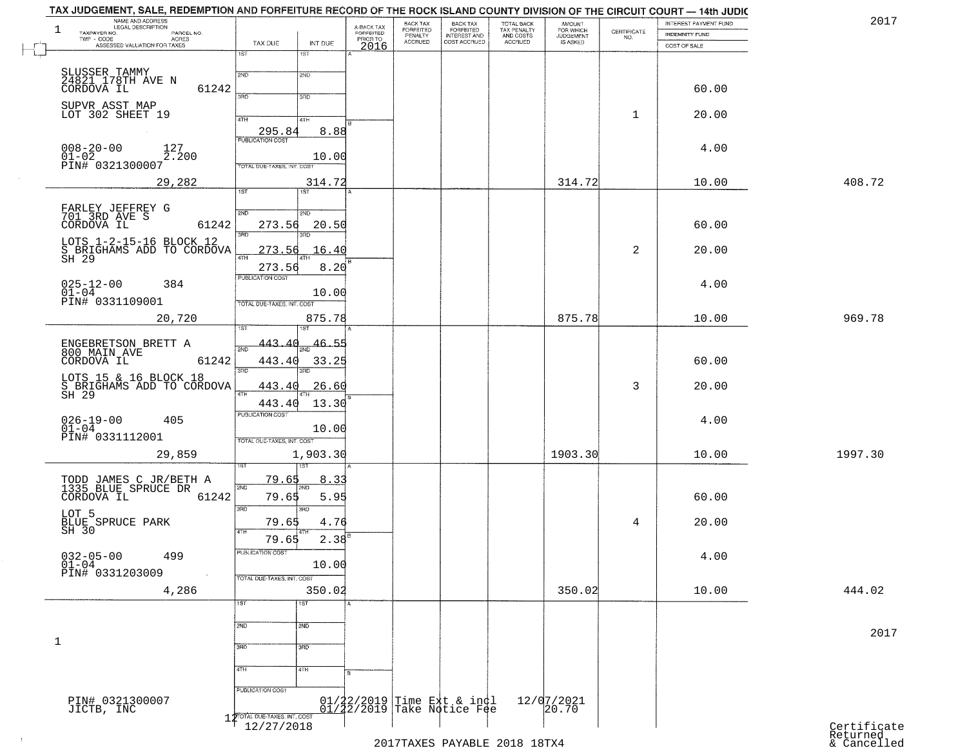|             | INTEREST PAYMENT FUND          | CERTIFICATE    | <b>AMOUNT</b>                      |                                                   |                                                          | BACK TAX<br>FORFEITED     |                                     |             |                               | <b>LEGAL DESCRIPTION</b>                                                          | 1            |
|-------------|--------------------------------|----------------|------------------------------------|---------------------------------------------------|----------------------------------------------------------|---------------------------|-------------------------------------|-------------|-------------------------------|-----------------------------------------------------------------------------------|--------------|
|             | INDEMNITY FUND<br>COST OF SALE | NO.            | FOR WHICH<br>JUDGEMENT<br>IS ASKED | TOTAL BACK<br>TAX PENALTY<br>AND COSTS<br>ACCRUED | BACK TAX<br>FORFEITED<br>INTEREST AND<br>COST ACCRUED    | PENALTY<br><b>ACCRUED</b> | A-BACK TAX<br>FORFEITED<br>PRIOR TO | INT DUE     | TAX DUE                       | TAXPAYER NO.<br>PARCEL NO.<br>ACRES<br>TWP - CODE<br>ASSESSED VALUATION FOR TAXES |              |
|             |                                |                |                                    |                                                   |                                                          |                           | 2016                                | 1ST         | 1ST                           |                                                                                   |              |
|             |                                |                |                                    |                                                   |                                                          |                           |                                     | 2ND         | 2ND                           | SLUSSER TAMMY<br>24821 178TH AVE N                                                |              |
|             | 60.00                          |                |                                    |                                                   |                                                          |                           |                                     |             |                               | 61242<br>CORDOVA IL                                                               |              |
|             |                                |                |                                    |                                                   |                                                          |                           |                                     | 3RD         | 390                           | SUPVR ASST MAP                                                                    |              |
|             | 20.00                          | 1              |                                    |                                                   |                                                          |                           |                                     | 4TH         | 4TH                           | LOT 302 SHEET 19                                                                  |              |
|             |                                |                |                                    |                                                   |                                                          |                           |                                     | 8.88        | 295.84                        |                                                                                   |              |
|             | 4.00                           |                |                                    |                                                   |                                                          |                           |                                     |             | <b>PUBLICATION COST</b>       | $008 - 20 - 00$<br>127                                                            |              |
|             |                                |                |                                    |                                                   |                                                          |                           |                                     | 10.00       | TOTAL DUE-TAXES, INT. COST    | $01 - 02$<br>2.200<br>PIN# 0321300007                                             |              |
| 408.72      | 10.00                          |                | 314.72                             |                                                   |                                                          |                           |                                     | 314.72      |                               | 29,282                                                                            |              |
|             |                                |                |                                    |                                                   |                                                          |                           |                                     | 1ST         | 1ST                           |                                                                                   |              |
|             |                                |                |                                    |                                                   |                                                          |                           |                                     | 2ND         | 2ND                           | FARLEY JEFFREY G<br>701 3RD AVE S                                                 |              |
|             | 60.00                          |                |                                    |                                                   |                                                          |                           |                                     | 20.50       | 273.56                        | CORDOVA IL<br>61242                                                               |              |
|             |                                |                |                                    |                                                   |                                                          |                           |                                     | 3RD         | 3RD                           | LOTS 1-2-15-16 BLOCK 12                                                           |              |
|             | 20.00                          | $\overline{a}$ |                                    |                                                   |                                                          |                           |                                     | 16.40       | 273.56<br>47H                 | S BRIGHAMS ADD TO CORDOVA<br>SH 29                                                |              |
|             |                                |                |                                    |                                                   |                                                          |                           |                                     | 8.20        | 273.56                        |                                                                                   |              |
|             | 4.00                           |                |                                    |                                                   |                                                          |                           |                                     |             | <b>PUBLICATION COST</b>       | $025 - 12 - 00$<br>384                                                            |              |
|             |                                |                |                                    |                                                   |                                                          |                           |                                     | 10.00       | TOTAL DUE-TAXES, INT. COST    | $01 - 04$<br>PIN# 0331109001                                                      |              |
| 969.78      | 10.00                          |                | 875.78                             |                                                   |                                                          |                           |                                     | 875.78      |                               | 20,720                                                                            |              |
|             |                                |                |                                    |                                                   |                                                          |                           |                                     | sт          |                               |                                                                                   |              |
|             |                                |                |                                    |                                                   |                                                          |                           |                                     | 46.55       | 443.40                        | ENGEBRETSON BRETT A                                                               |              |
|             | 60.00                          |                |                                    |                                                   |                                                          |                           |                                     | 33.25       | 443.40                        | 800 MAIN AVE<br>61242<br>CORDOVA IL                                               |              |
|             |                                |                |                                    |                                                   |                                                          |                           |                                     |             | 3RD                           | LOTS 15 & 16 BLOCK 18                                                             |              |
|             | 20.00                          | 3              |                                    |                                                   |                                                          |                           |                                     | 26.60       | 443.40<br>4TH                 | S BRIGHAMS ADD TO CORDOVA<br>SH 29                                                |              |
|             |                                |                |                                    |                                                   |                                                          |                           |                                     | 13.30       | 443.40                        |                                                                                   |              |
|             | 4.00                           |                |                                    |                                                   |                                                          |                           |                                     | 10.00       | PUBLICATION COST              | $026 - 19 - 00$<br>405<br>$01 - 04$                                               |              |
|             |                                |                |                                    |                                                   |                                                          |                           |                                     |             | TOTAL OUE-TAXES, INT. COST    | PIN# 0331112001                                                                   |              |
| 1997.30     | 10.00                          |                | 1903.30                            |                                                   |                                                          |                           |                                     | 1,903.30    |                               | 29,859                                                                            |              |
|             |                                |                |                                    |                                                   |                                                          |                           |                                     |             |                               |                                                                                   |              |
|             |                                |                |                                    |                                                   |                                                          |                           |                                     | 8.33<br>2ND | 79.65<br>2ND                  | TODD JAMES C JR/BETH A<br>1335 BLUE SPRUCE DR                                     |              |
|             | 60.00                          |                |                                    |                                                   |                                                          |                           |                                     | 5.95        | 79.65                         | 61242<br>CORDOVA IL                                                               |              |
|             |                                |                |                                    |                                                   |                                                          |                           |                                     | 3BD         | 3RD                           |                                                                                   |              |
|             | 20.00                          | 4              |                                    |                                                   |                                                          |                           |                                     | 4.76        | 79.65<br>4TH                  | LOT 5<br>BLUE SPRUCE PARK<br>SH 30                                                |              |
|             |                                |                |                                    |                                                   |                                                          |                           |                                     | $2.38^{B}$  | 79.65<br>PUBLICATION COST     |                                                                                   |              |
|             | 4.00                           |                |                                    |                                                   |                                                          |                           |                                     | 10.00       |                               | $032 - 05 - 00$<br>01-04<br>499                                                   |              |
|             |                                |                |                                    |                                                   |                                                          |                           |                                     |             | TOTAL DUE-TAXES, INT. COST    | PIN# 0331203009                                                                   |              |
| 444.02      | 10.00                          |                | 350.02                             |                                                   |                                                          |                           |                                     | 350.02      |                               | 4,286                                                                             |              |
|             |                                |                |                                    |                                                   |                                                          |                           |                                     | 1ST         | 1ST                           |                                                                                   |              |
|             |                                |                |                                    |                                                   |                                                          |                           |                                     | 2ND         | 2ND                           |                                                                                   |              |
|             |                                |                |                                    |                                                   |                                                          |                           |                                     |             |                               |                                                                                   | $\mathbf{1}$ |
|             |                                |                |                                    |                                                   |                                                          |                           |                                     | 3BD         | 3RD                           |                                                                                   |              |
|             |                                |                |                                    |                                                   |                                                          |                           |                                     | 4TH         | 4TH                           |                                                                                   |              |
|             |                                |                |                                    |                                                   |                                                          |                           |                                     |             | PUBLICATION COST              |                                                                                   |              |
|             |                                |                | 12/07/2021                         |                                                   | 01/22/2019 Time Ext & indl<br>01/22/2019 Take Notice Fee |                           |                                     |             |                               | PIN# 0321300007<br>JICTB, INC                                                     |              |
|             |                                |                | 20.70                              |                                                   |                                                          |                           |                                     |             | 1 2TOTAL DUE-TAXES, INT. COST |                                                                                   |              |
| Certificate |                                |                |                                    |                                                   |                                                          |                           |                                     |             | 12/27/2018                    |                                                                                   |              |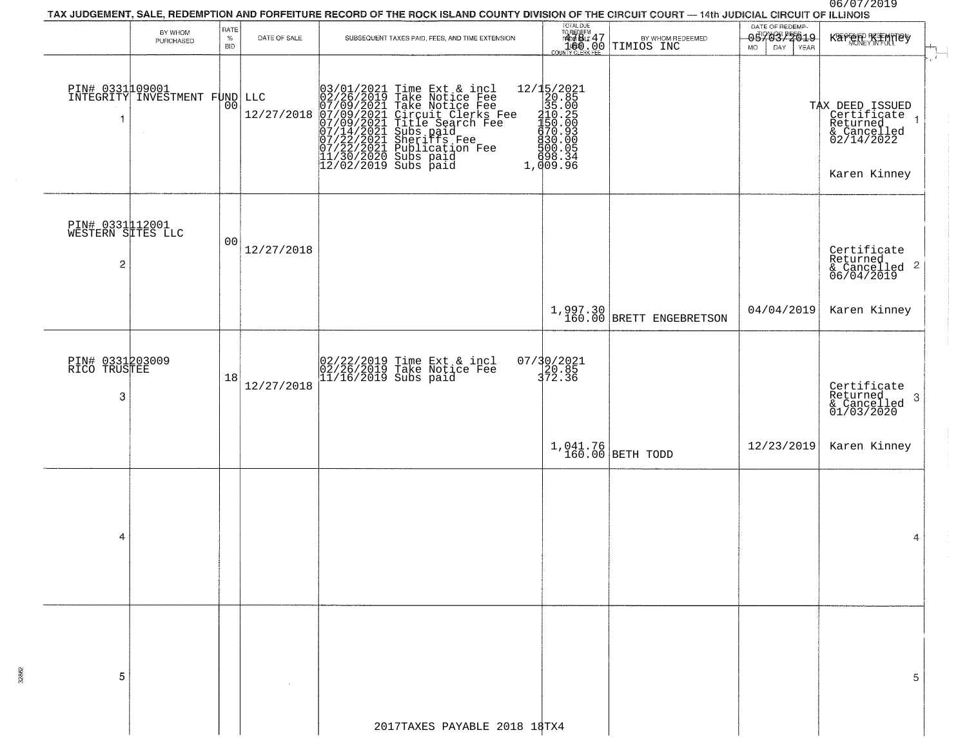06/07/2019

|                                           | BY WHOM<br>PURCHASED                         | RATE<br>$\%$     | DATE OF SALE      | TAX JUDGEMENT, SALE, REDEMPTION AND FORFEITURE RECORD OF THE ROCK ISLAND COUNTY DIVISION OF THE CIRCUIT COURT — 14th JUDICIAL CIRCUIT OF ILLINOIS<br>SUBSEQUENT TAXES PAID, FEES, AND TIME EXTENSION.                                                | TOTAL DUE<br>TO REDEEM<br>FADY SILE 47                                                                                                                 | BY WHOM REDEEMED                       | DATE OF REDEMP-<br>0.570377619 | KAPERE KIMBO                                                                                                        |
|-------------------------------------------|----------------------------------------------|------------------|-------------------|------------------------------------------------------------------------------------------------------------------------------------------------------------------------------------------------------------------------------------------------------|--------------------------------------------------------------------------------------------------------------------------------------------------------|----------------------------------------|--------------------------------|---------------------------------------------------------------------------------------------------------------------|
| 1                                         | PIN# 0331109001<br>INTEGRITY INVESTMENT FUND | <b>BID</b><br>00 | LLC<br>12/27/2018 | $03/01/2021$ Time Ext & incl<br>02/26/2019 Take Notice Fee<br>07/09/2021 Take Notice Fee<br>07/09/2021 Circuit Clerks Fee<br>07/09/2021 Title Search Fee<br>07/14/2021 Subs paid<br>07/22/2021 Bublication Fee<br>11/30/2020 Subs paid<br>12/02/2019 | $[ \begin{smallmatrix} 12/15/2021\\ 20.85\\ 35.00\\ 10.29\\ -110.25\\ 4150.00\\ -150.00\\ 6970.90\\ -1900.05\\ 698.34\\ 1,009.9\\ \end{smallmatrix} ]$ | COUNTYCLERK FEE TIMIOS INC             | <b>MO</b>                      | $\mathbf{r}$<br>TAX DEED ISSUED<br>Certificate<br>Caturnad<br>Returned<br>& Cancelled<br>02/14/2022<br>Karen Kinney |
| PIN# 0331112001<br>WESTERN SITES LLC<br>2 |                                              | 00               | 12/27/2018        |                                                                                                                                                                                                                                                      |                                                                                                                                                        |                                        |                                | Certificate<br>Returned<br>$\frac{1}{6}$ Cancelled 2<br>06/04/2019                                                  |
|                                           |                                              |                  |                   |                                                                                                                                                                                                                                                      |                                                                                                                                                        | $1,997.30$<br>160.00 BRETT ENGEBRETSON | 04/04/2019                     | Karen Kinney                                                                                                        |
| PIN# 0331203009<br>RICO TRUSTEE<br>3      |                                              | 18               | 12/27/2018        | 02/22/2019 Time Ext & incl<br>02/26/2019 Take Notice Fee<br>11/16/2019 Subs paid                                                                                                                                                                     | 07/30/2021<br>20.85<br>372.36                                                                                                                          |                                        |                                | Certificate<br>Returned<br>-3<br>& Cancelled<br>01/03/2020                                                          |
|                                           |                                              |                  |                   |                                                                                                                                                                                                                                                      |                                                                                                                                                        | $1,041.76$ BETH TODD                   | 12/23/2019                     | Karen Kinney                                                                                                        |
| 4                                         |                                              |                  |                   |                                                                                                                                                                                                                                                      |                                                                                                                                                        |                                        |                                | 4                                                                                                                   |
| 5                                         |                                              |                  |                   |                                                                                                                                                                                                                                                      |                                                                                                                                                        |                                        |                                | 5                                                                                                                   |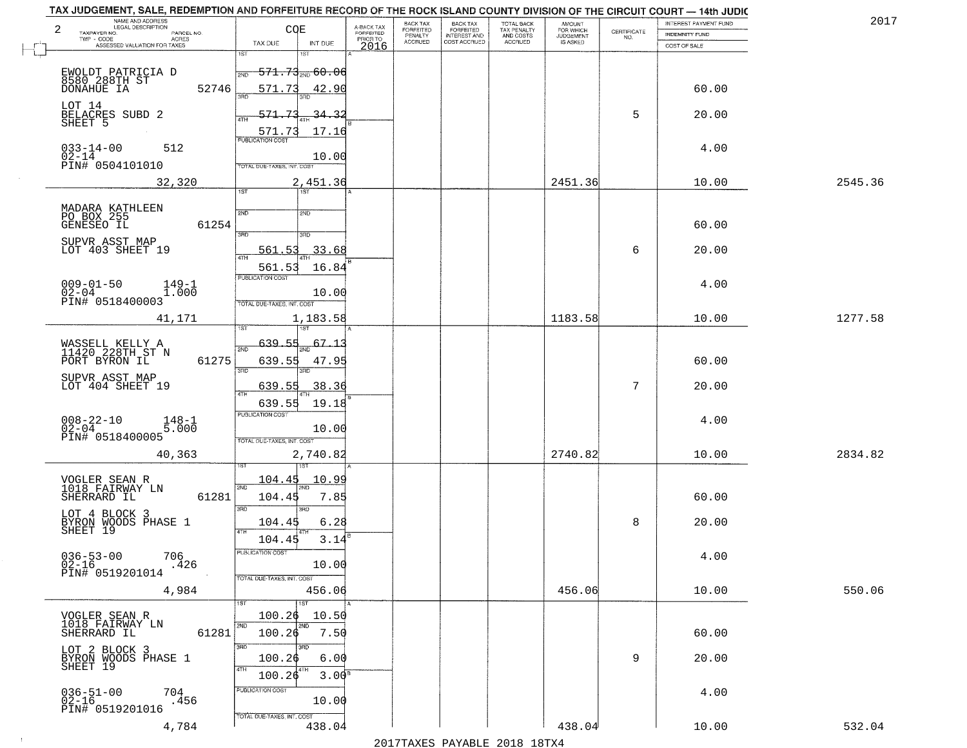| NAME AND ADDRESS<br>LEGAL DESCRIPTION<br>2                        |            | COE                               |                      |                                     | BACK TAX<br>FORFEITED | BACK TAX<br>FORFEITED<br>INTEREST AND | TOTAL BACK                                 | AMOUNT<br>FOR WHICH          |                    | INTEREST PAYMENT FUND | 2017    |
|-------------------------------------------------------------------|------------|-----------------------------------|----------------------|-------------------------------------|-----------------------|---------------------------------------|--------------------------------------------|------------------------------|--------------------|-----------------------|---------|
| TAXPAYER NO.<br>TWP - CODE<br>ACRES                               | PARCEL NO. |                                   |                      | A-BACK TAX<br>FORFEITED<br>PRIOR TO | PENALTY               |                                       | TAX PENALTY<br>AND COSTS<br><b>ACCRUED</b> | <b>JUDGEMENT</b><br>IS ASKED | CERTIFICATE<br>NO. | <b>INDEMNITY FUND</b> |         |
| ASSESSED VALUATION FOR TAXES                                      |            | TAX DUE<br>1ST                    | INT DUE<br>181       | 2016                                | <b>ACCRUED</b>        | COST ACCRUED                          |                                            |                              |                    | COST OF SALE          |         |
|                                                                   |            |                                   |                      |                                     |                       |                                       |                                            |                              |                    |                       |         |
| EWOLDT PATRICIA D<br>8580 288TH ST<br>DONAHUE IA                  |            | 2ND                               | $571.73_{200}$ 60.06 |                                     |                       |                                       |                                            |                              |                    |                       |         |
|                                                                   | 52746      | 571.73                            | 42.90                |                                     |                       |                                       |                                            |                              |                    | 60.00                 |         |
| LOT 14                                                            |            |                                   |                      |                                     |                       |                                       |                                            |                              | 5                  |                       |         |
| BELACRES SUBD 2<br>SHEET 5                                        |            | 571.73<br>ATH                     | 34.3.                |                                     |                       |                                       |                                            |                              |                    | 20.00                 |         |
|                                                                   |            | 571.73<br><b>PUBLICATION COST</b> | 17.16                |                                     |                       |                                       |                                            |                              |                    |                       |         |
| $033 - 14 - 00$<br>512<br>$02 - 14$                               |            |                                   | 10.00                |                                     |                       |                                       |                                            |                              |                    | 4.00                  |         |
| PIN# 0504101010                                                   |            | TOTAL DUE-TAXES, INT. COST        |                      |                                     |                       |                                       |                                            |                              |                    |                       |         |
| 32,320                                                            |            |                                   | 2,451.36             |                                     |                       |                                       |                                            | 2451.36                      |                    | 10.00                 | 2545.36 |
|                                                                   |            | 1ST                               | 1ST                  |                                     |                       |                                       |                                            |                              |                    |                       |         |
| MADARA KATHLEEN<br>PO BOX 255                                     |            | 2ND                               | 2ND                  |                                     |                       |                                       |                                            |                              |                    |                       |         |
| GENESEO IL                                                        | 61254      |                                   |                      |                                     |                       |                                       |                                            |                              |                    | 60.00                 |         |
|                                                                   |            | $\overline{3BD}$                  | 3RD                  |                                     |                       |                                       |                                            |                              |                    |                       |         |
| SUPVR ASST MAP<br>LOT 403 SHEET 19                                |            | 561.53                            | 33.68                |                                     |                       |                                       |                                            |                              | 6                  | 20.00                 |         |
|                                                                   |            | 561.53                            | 16.84                |                                     |                       |                                       |                                            |                              |                    |                       |         |
| $009 - 01 - 50$<br>149-1                                          |            | PUBLICATION COST                  |                      |                                     |                       |                                       |                                            |                              |                    | 4.00                  |         |
| $02 - 04$<br>1.000<br>PIN# 0518400003                             |            | TOTAL DUE-TAXES, INT. COST        | 10.00                |                                     |                       |                                       |                                            |                              |                    |                       |         |
| 41,171                                                            |            |                                   | 1,183.58             |                                     |                       |                                       |                                            | 1183.58                      |                    | 10.00                 | 1277.58 |
|                                                                   |            | isT                               | ١S٦                  |                                     |                       |                                       |                                            |                              |                    |                       |         |
|                                                                   |            | 639.55<br>2ND                     | 67.1                 |                                     |                       |                                       |                                            |                              |                    |                       |         |
| WASSELL KELLY A<br>11420 228TH ST N<br>PORT BYRON IL              | 61275      | 639.55                            | 47.95                |                                     |                       |                                       |                                            |                              |                    | 60.00                 |         |
|                                                                   |            | 3RD                               | 3RD                  |                                     |                       |                                       |                                            |                              |                    |                       |         |
| SUPVR ASST MAP<br>LOT 404 SHEET 19                                |            | 639.55                            | 38.36                |                                     |                       |                                       |                                            |                              | 7                  | 20.00                 |         |
|                                                                   |            | 4TH<br>639.55                     | 19.18                |                                     |                       |                                       |                                            |                              |                    |                       |         |
|                                                                   |            | <b>PUBLICATION COST</b>           |                      |                                     |                       |                                       |                                            |                              |                    | 4.00                  |         |
| $008 - 22 - 10$<br>02-04<br>$148 - 1$<br>5.000<br>PIN# 0518400005 |            |                                   | 10.00                |                                     |                       |                                       |                                            |                              |                    |                       |         |
|                                                                   |            | TOTAL OUE-TAXES, INT. COST        |                      |                                     |                       |                                       |                                            |                              |                    |                       |         |
| 40,363                                                            |            |                                   | 2,740.82<br>181      |                                     |                       |                                       |                                            | 2740.82                      |                    | 10.00                 | 2834.82 |
|                                                                   |            | 104.45                            | 10.99                |                                     |                       |                                       |                                            |                              |                    |                       |         |
| VOGLER SEAN R<br>1018 FAIRWAY LN                                  |            | 2ND                               |                      |                                     |                       |                                       |                                            |                              |                    |                       |         |
| SHERRARD IL                                                       | 61281      | 104.45<br>3RD                     | 7.85<br>3BD          |                                     |                       |                                       |                                            |                              |                    | 60.00                 |         |
| LOT 4 BLOCK 3<br>BYRON WOODS PHASE 1                              |            | 104.45                            | 6.28                 |                                     |                       |                                       |                                            |                              | 8                  | 20.00                 |         |
| SHEET 19                                                          |            | 4TH<br>104.45                     | 3.14                 |                                     |                       |                                       |                                            |                              |                    |                       |         |
|                                                                   |            | PUBLICATION COS                   |                      |                                     |                       |                                       |                                            |                              |                    |                       |         |
| $036 - 53 - 00$<br>706<br>$02 - 16$<br>.426                       |            |                                   | 10.00                |                                     |                       |                                       |                                            |                              |                    | 4.00                  |         |
| PIN# 0519201014                                                   |            | TOTAL DUE-TAXES, INT. COST        |                      |                                     |                       |                                       |                                            |                              |                    |                       |         |
| 4,984                                                             |            |                                   | 456.06               |                                     |                       |                                       |                                            | 456.06                       |                    | 10.00                 | 550.06  |
|                                                                   |            |                                   | 1ST                  |                                     |                       |                                       |                                            |                              |                    |                       |         |
| VOGLER SEAN R<br>1018 FAIRWAY LN                                  |            | 100.26<br>2ND                     | 10.50<br>2ND         |                                     |                       |                                       |                                            |                              |                    |                       |         |
| SHERRARD IL                                                       | 61281      | 100.26                            | 7.50                 |                                     |                       |                                       |                                            |                              |                    | 60.00                 |         |
| LOT 2 BLOCK 3<br>BYRON WOODS PHASE 1                              |            | 3RD                               |                      |                                     |                       |                                       |                                            |                              |                    |                       |         |
| SHEET 19                                                          |            | 100.26<br>4TH                     | 6.00<br>  4TH        |                                     |                       |                                       |                                            |                              | 9                  | 20.00                 |         |
|                                                                   |            | 100.26                            | 3.00 <sup>s</sup>    |                                     |                       |                                       |                                            |                              |                    |                       |         |
| $036 - 51 - 00$<br>704<br>02-16<br>.456                           |            | PUBLICATION COST                  | 10.00                |                                     |                       |                                       |                                            |                              |                    | 4.00                  |         |
| PIN# 0519201016                                                   |            | TOTAL DUE-TAXES, INT. COST        |                      |                                     |                       |                                       |                                            |                              |                    |                       |         |
| 4,784                                                             |            |                                   | 438.04               |                                     |                       |                                       |                                            | 438.04                       |                    | 10.00                 | 532.04  |

 $\sim 100$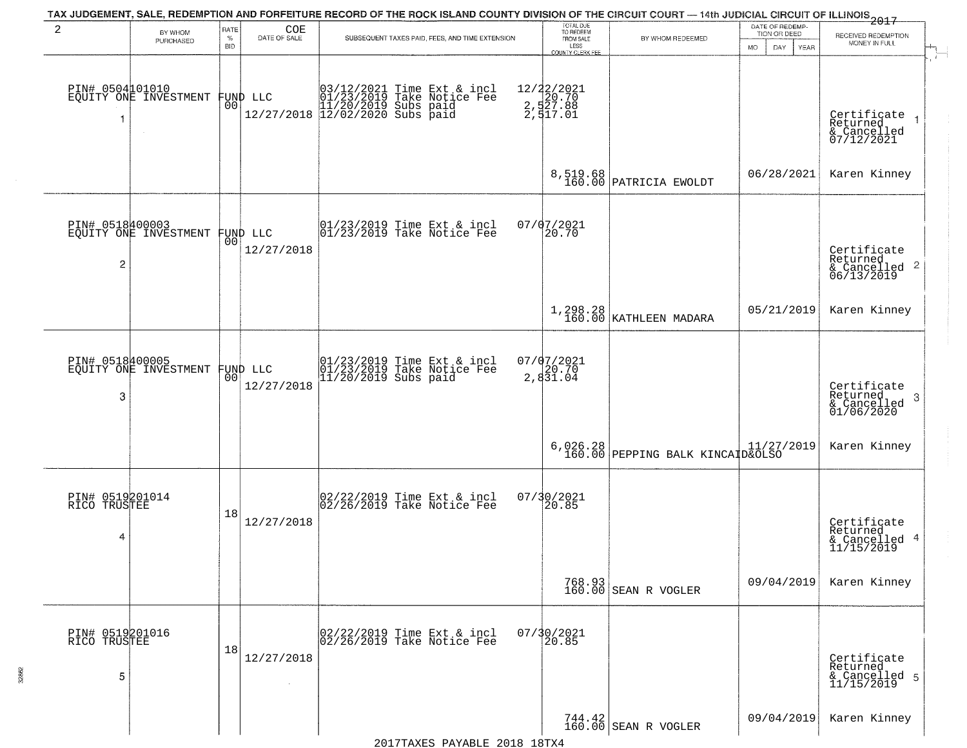| 2                                    | BY WHOM<br>PURCHASED                     | RATE<br>$\%$<br><b>BID</b> | COE<br>DATE OF SALE    | SUBSEQUENT TAXES PAID, FEES, AND TIME EXTENSION                                                                                                            | TOTAL DUE<br>TO REDEEM<br>FROM SALE<br>LESS<br><b>COUNTY CLERK FEE</b> | BY WHOM REDEEMED                             | DATE OF REDEMP-<br>TION OR DEED<br>MO.<br>DAY.<br>YEAR | $-2017$<br>RECEIVED REDEMPTION<br>MONEY IN FULL                      |
|--------------------------------------|------------------------------------------|----------------------------|------------------------|------------------------------------------------------------------------------------------------------------------------------------------------------------|------------------------------------------------------------------------|----------------------------------------------|--------------------------------------------------------|----------------------------------------------------------------------|
|                                      | PIN# 0504101010<br>EQUITY ONE INVESTMENT | 001                        | FUND LLC               | ) LLC 03/12/2021 Time Ext &<br>01/23/2019 Take Notic<br>11/20/2019 Subs paid<br>12/02/2020 Subs paid 12/02/2020 Subs<br>Time Ext & incl<br>Take Noțice Fee | 12/22/2021<br>2,520.70<br>2,527.88<br>2,517.01                         |                                              |                                                        | $\mathbf{r}$<br>Certificate<br>Returned<br>& Cancelled<br>07/12/2021 |
|                                      |                                          |                            |                        |                                                                                                                                                            | 8,519.68<br>160.00                                                     | PATRICIA EWOLDT                              | 06/28/2021                                             | Karen Kinney                                                         |
| PIN# 0518400003<br>$\overline{2}$    | EQUITY ONE INVESTMENT                    | 00                         | FUND LLC<br>12/27/2018 | 01/23/2019 Time Ext & incl<br>01/23/2019 Take Notice Fee                                                                                                   | $07/07/2021$<br>20.70                                                  |                                              |                                                        | Certificate<br>Returned<br>$\frac{1}{6}$ Cancelled 2<br>06/13/2019   |
|                                      |                                          |                            |                        |                                                                                                                                                            |                                                                        | $1,298.28$<br>160.00 KATHLEEN MADARA         | 05/21/2019                                             | Karen Kinney                                                         |
| 3                                    | PIN# 0518400005<br>EQUITY ONE INVESTMENT | 00 <sub>0</sub>            | FUND LLC<br>12/27/2018 | 01/23/2019 Time Ext & incl<br>01/23/2019 Take Notice Fee<br>11/20/2019 Subs paid                                                                           | $07/07/2021$<br>2,831.04                                               |                                              |                                                        | Certificate<br>Returned<br>3<br>& Cancelled<br>01/06/2020            |
|                                      |                                          |                            |                        |                                                                                                                                                            |                                                                        | 6,026.28<br>160.00 PEPPING BALK KINCAID&OLSO |                                                        | Karen Kinney                                                         |
| PIN# 0519201014<br>RICO TRUSTEE<br>4 |                                          | 18                         | 12/27/2018             | 02/22/2019 Time Ext & incl<br>02/26/2019 Take Notice Fee                                                                                                   | 07/30/2021<br>20.85                                                    |                                              |                                                        | Certificate<br>Returned<br>& Cancelled 4<br>11/15/2019               |
|                                      |                                          |                            |                        |                                                                                                                                                            |                                                                        | 768.93<br>160.00 SEAN R VOGLER               | 09/04/2019                                             | Karen Kinney                                                         |
| PIN# 0519201016<br>RICO TRUSTEE<br>5 |                                          | 18                         | 12/27/2018             | 02/22/2019 Time Ext & incl<br>02/26/2019 Take Notice Fee                                                                                                   | 07/30/2021                                                             |                                              |                                                        | Certificate<br>Returned<br>& Cancelled 5<br>11/15/2019               |
|                                      |                                          |                            |                        |                                                                                                                                                            |                                                                        | 744.42<br>160.00 SEAN R VOGLER               | 09/04/2019                                             | Karen Kinney                                                         |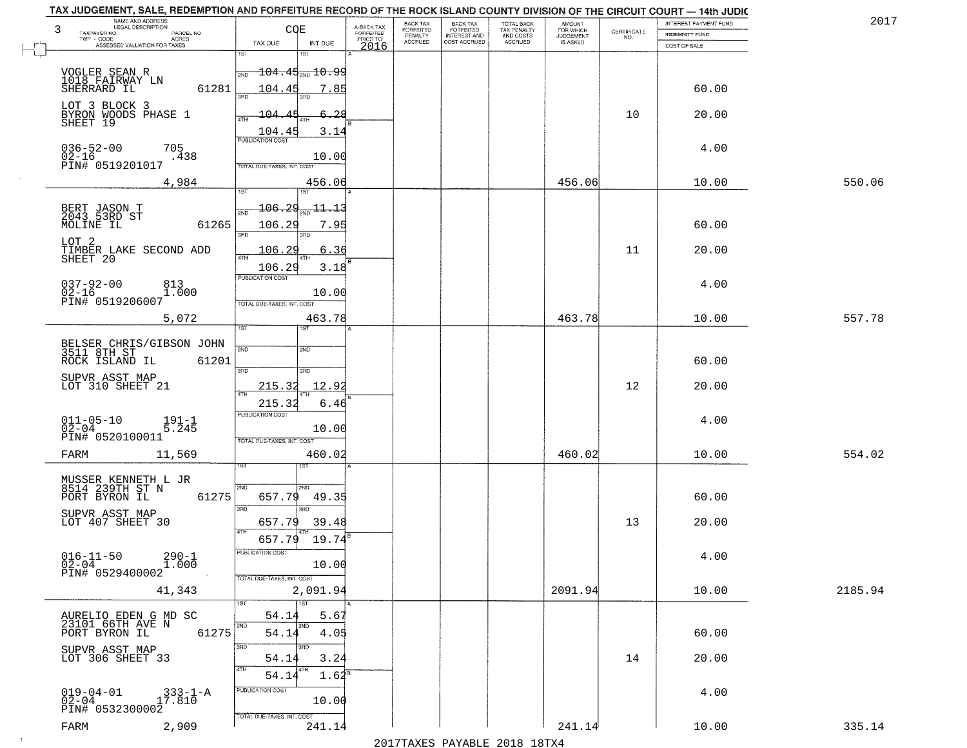| 3<br>TAXPAYER NO.                               | NAME AND ADDRESS<br>LEGAL DESCRIPTION<br>PARCEL NO. | CQE                                                     | A-BACK TAX<br><b>FORFEITED</b> | <b>BACK TAX</b><br><b>FORFEITED</b> | <b>BACK TAX</b><br><b>FORFEITED</b> | TOTAL BACK<br>TAX PENALTY<br>AND COSTS<br>ACCRUED | <b>AMOUNT</b><br>FOR WHICH<br>JUDGEMENT | CERTIFICATE | INTEREST PAYMENT FUND<br>INDEMNITY FUND | 201     |
|-------------------------------------------------|-----------------------------------------------------|---------------------------------------------------------|--------------------------------|-------------------------------------|-------------------------------------|---------------------------------------------------|-----------------------------------------|-------------|-----------------------------------------|---------|
| TWP - CODE                                      | - CODE<br>ACRES<br>ASSESSED VALUATION FOR TAXES     | INT DUE<br>TAX DUE                                      | PRIOR TO<br>2016               | PENALTY<br>ACCRUED                  | INTEREST AND<br>COST ACCRUED        |                                                   | IS ASKED                                | NO.         | COST OF SALE                            |         |
| ℸ                                               |                                                     | 1ST<br>1ST                                              |                                |                                     |                                     |                                                   |                                         |             |                                         |         |
| VOGLER SEAN R<br>1018 FAIRWAY LN                |                                                     | $-104.45$ <sub>2ND</sub> $10.99$<br>2ND                 |                                |                                     |                                     |                                                   |                                         |             |                                         |         |
| SHERRARD IL                                     | 61281                                               | 104.45<br>7.85<br>3AD<br>3BD.                           |                                |                                     |                                     |                                                   |                                         |             | 60.00                                   |         |
| LOT 3 BLOCK 3                                   | BYRON WOODS PHASE 1<br>SHEET 19                     | $-104.4$<br><del>6.2</del> 8<br>4TH                     |                                |                                     |                                     |                                                   |                                         | 10          | 20.00                                   |         |
|                                                 |                                                     | 104.45<br>3.1<br>4<br>PUBLICATION COST                  |                                |                                     |                                     |                                                   |                                         |             |                                         |         |
| $036 - 52 - 00$<br>02-16<br>PIN# 0519201017     | 705<br>.438                                         | 10.00<br>TOTAL DUE-TAXES, INT. COST                     |                                |                                     |                                     |                                                   |                                         |             | 4.00                                    |         |
|                                                 | 4,984                                               | 456.06                                                  |                                |                                     |                                     |                                                   | 456.06                                  |             | 10.00                                   | 550.06  |
|                                                 |                                                     | 1ST<br>1ST                                              |                                |                                     |                                     |                                                   |                                         |             |                                         |         |
| BERT JASON T<br>2043 53RD ST<br>MOLINE IL       | 61265                                               | 106.29<br>11 13<br>$2\overline{ND}$<br>106.29<br>7.95   |                                |                                     |                                     |                                                   |                                         |             | 60.00                                   |         |
| LOT <sub>2</sub>                                |                                                     | 3RD<br>3RD                                              |                                |                                     |                                     |                                                   |                                         |             |                                         |         |
| SHEET 20                                        | TIMBER LAKE SECOND ADD                              | 106.2<br>6.36<br>$\overline{47H}$<br>106.29<br>3.18     |                                |                                     |                                     |                                                   |                                         | 11          | 20.00                                   |         |
| $037 - 92 - 00$                                 | 813                                                 | PUBLICATION COST                                        |                                |                                     |                                     |                                                   |                                         |             | 4.00                                    |         |
| $02 - 16$<br>PIN# 0519206007                    | 1.000                                               | 10.00<br>TOTAL DUE-TAXES, INT. COST                     |                                |                                     |                                     |                                                   |                                         |             |                                         |         |
|                                                 | 5,072                                               | 463.78<br>īst                                           |                                |                                     |                                     |                                                   | 463.78                                  |             | 10.00                                   | 557.78  |
|                                                 | BELSER CHRIS/GIBSON JOHN<br>3511 8TH ST             | 2ND<br>2ND                                              |                                |                                     |                                     |                                                   |                                         |             |                                         |         |
| ROCK ISLAND IL                                  | 61201                                               | 3BD<br>3RD                                              |                                |                                     |                                     |                                                   |                                         |             | 60.00                                   |         |
| SUPVR ASST MAP<br>LOT 310 SHEET 21              |                                                     | 215.32<br>12.92                                         |                                |                                     |                                     |                                                   |                                         | 12          | 20.00                                   |         |
|                                                 |                                                     | 4TH<br>215.32<br>6.46                                   |                                |                                     |                                     |                                                   |                                         |             |                                         |         |
| $011 - 05 - 10$<br>02-04                        | $191 - 1$<br>5.245                                  | <b>PUBLICATION COST</b><br>10.00                        |                                |                                     |                                     |                                                   |                                         |             | 4.00                                    |         |
| PIN# 0520100011                                 |                                                     | TOTAL OUE-TAXES, INT. COST                              |                                |                                     |                                     |                                                   |                                         |             |                                         | 554.02  |
| FARM                                            | 11,569                                              | 460.02                                                  |                                |                                     |                                     |                                                   | 460.02                                  |             | 10.00                                   |         |
|                                                 | MUSSER KENNETH L JR<br>8514 239TH ST N              | 2ND<br>2ND                                              |                                |                                     |                                     |                                                   |                                         |             |                                         |         |
| PORT BYRON IL                                   | 61275                                               | 657.79<br>49.35<br>3BD<br>3RD                           |                                |                                     |                                     |                                                   |                                         |             | 60.00                                   |         |
| SUPVR ASST MAP<br>LOT 407 SHEET 30              |                                                     | 657.79<br>39.48<br>4TH                                  |                                |                                     |                                     |                                                   |                                         | 13          | 20.00                                   |         |
|                                                 |                                                     | 657.79 19.74 <sup>8</sup><br>PUBLICATION COST           |                                |                                     |                                     |                                                   |                                         |             |                                         |         |
| $016 - 11 - 50$<br>$02 - 04$<br>PIN# 0529400002 | $290 - 1$<br>1.000                                  | 10.00                                                   |                                |                                     |                                     |                                                   |                                         |             | 4.00                                    |         |
|                                                 | 41,343                                              | TOTAL DUE-TAXES, INT. COST<br>2,091.94                  |                                |                                     |                                     |                                                   | 2091.94                                 |             | 10.00                                   | 2185.94 |
|                                                 |                                                     | 1ST<br>1ST                                              |                                |                                     |                                     |                                                   |                                         |             |                                         |         |
| PORT BYRON IL                                   | AURELIO EDEN G MD SC<br>23101 66TH AVE N<br>61275   | 54.1<br>5.67<br>2ND<br>2ND<br>54.14<br>4.05             |                                |                                     |                                     |                                                   |                                         |             | 60.00                                   |         |
| SUPVR ASST MAP                                  |                                                     | 3BD<br>उनक                                              |                                |                                     |                                     |                                                   |                                         |             |                                         |         |
| LOT 306 SHEET 33                                |                                                     | 54.14<br>3.24<br><b>ATH</b><br>4TH<br>$1.62^8$<br>54.14 |                                |                                     |                                     |                                                   |                                         | 14          | 20.00                                   |         |
|                                                 |                                                     | PUBLICATION COST                                        |                                |                                     |                                     |                                                   |                                         |             | 4.00                                    |         |
|                                                 |                                                     |                                                         |                                |                                     |                                     |                                                   |                                         |             |                                         |         |
| $019 - 04 - 01$<br>02-04<br>PIN# 0532300002     | $333 - 1 - A$<br>17.810                             | 10.00<br>TOTAL DUE-TAXES, INT. COST                     |                                |                                     |                                     |                                                   |                                         |             |                                         |         |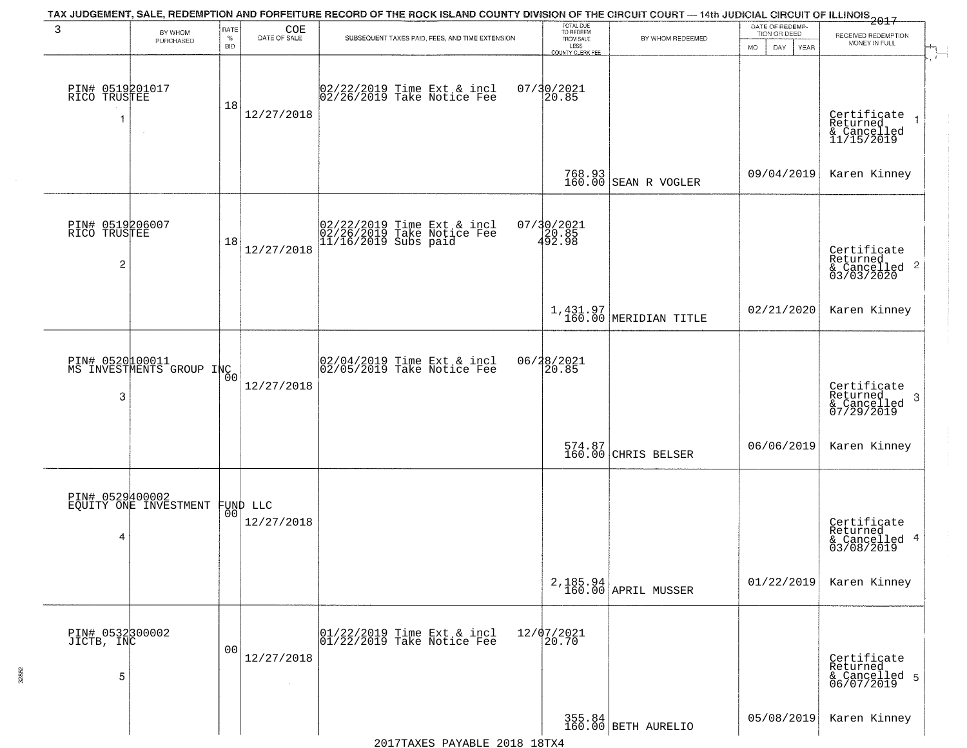| 3                                    | BY WHOM<br>PURCHASED                              | RATE<br>$\%$<br><b>BID</b> | COE<br>DATE OF SALE | SUBSEQUENT TAXES PAID, FEES, AND TIME EXTENSION                                                                                                       | TOTAL DUE<br>TO REDEEM<br>FROM SALE<br>LESS<br>COUNTY CLERK FEE | BY WHOM REDEEMED                | DATE OF REDEMP-<br>TION OR DEED<br><b>MO</b><br>DAY<br>YEAR | $\frac{5}{100}$<br>RECEIVED REDEMPTION<br>MONEY IN FULL                               |
|--------------------------------------|---------------------------------------------------|----------------------------|---------------------|-------------------------------------------------------------------------------------------------------------------------------------------------------|-----------------------------------------------------------------|---------------------------------|-------------------------------------------------------------|---------------------------------------------------------------------------------------|
| PIN# 0519201017<br>RICO TRUSTEE<br>1 |                                                   | 18                         | 12/27/2018          | 02/22/2019 Time Ext & incl<br>02/26/2019 Take Notice Fee                                                                                              | 07/30/2021<br>20.85                                             |                                 |                                                             | $\mathcal{X}$<br>Certificate<br>Returned<br>& Cancelled<br>11/15/2019                 |
|                                      |                                                   |                            |                     |                                                                                                                                                       |                                                                 | 768.93<br>160.00 SEAN R VOGLER  | 09/04/2019                                                  | Karen Kinney                                                                          |
| PIN# 0519206007<br>RICO TRUSTEE<br>2 |                                                   | 18                         | 12/27/2018          | 02/22/2019 Time Ext & incl<br>02/26/2019 Take Notice Fee<br>11/16/2019 Subs paid                                                                      | 07/30/2021<br>20.85<br>492.98                                   |                                 |                                                             | Certificate<br>Returned<br>$& \text{Cancelled } 2\n& \text{Cancelled } 2\n03/03/2020$ |
|                                      |                                                   |                            |                     |                                                                                                                                                       |                                                                 | $1,431.97$ MERIDIAN TITLE       | 02/21/2020                                                  | Karen Kinney                                                                          |
| 3                                    | PIN# 0520100011<br>MS INVESTMENTS GROUP INC       | 0 <sub>0</sub>             | 12/27/2018          | 02/04/2019 Time Ext & incl<br>02/05/2019 Take Notice Fee                                                                                              | 06/28/2021<br>20.85                                             |                                 |                                                             | Certificate<br>Returned<br>& Cancelled<br>07/29/2019<br>-3                            |
|                                      |                                                   |                            |                     |                                                                                                                                                       |                                                                 | 574.87<br>160.00 CHRIS BELSER   | 06/06/2019                                                  | Karen Kinney                                                                          |
| 4                                    | PIN# 0529400002<br>EQUITY ONE INVESTMENT FUND LLC | 0 <sub>0</sub>             | 12/27/2018          |                                                                                                                                                       |                                                                 |                                 |                                                             | Certificate<br>Returned<br>& Cancelled 4<br>03/08/2019                                |
|                                      |                                                   |                            |                     |                                                                                                                                                       |                                                                 | 2,185.94<br>160.00 APRIL MUSSER | 01/22/2019                                                  | Karen Kinney                                                                          |
| PIN# 0532300002<br>JICTB, INC<br>5   |                                                   | 0 <sub>0</sub>             | 12/27/2018          | $\begin{array}{cccc}  01/22/2019 \, \text{Time} \, \text{Ext} & \text{s} \, \text{incl} \\  01/22/2019 \, \text{Take Notice} & \text{Fe} \end{array}$ | 12/07/2021<br>20.70                                             |                                 |                                                             | Certificate<br>Returned<br>& Cancelled 5<br>06/07/2019                                |
|                                      |                                                   |                            |                     |                                                                                                                                                       |                                                                 | 355.84<br>160.00 BETH AURELIO   | 05/08/2019                                                  | Karen Kinney                                                                          |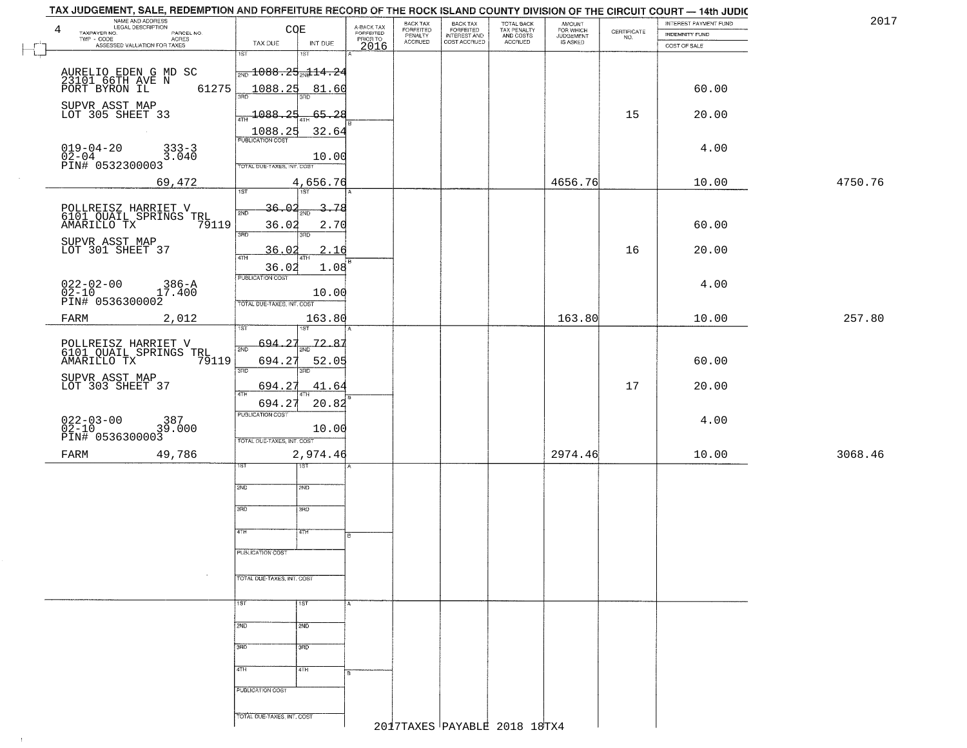| TAX JUDGEMENT, SALE, REDEMPTION AND FORFEITURE RECORD OF THE ROCK ISLAND COUNTY DIVISION OF THE CIRCUIT COURT — 14th JUDIC |                                               |                 |                                     |                                  |                                                       |                                        |                                  |                                                                 |                                                | 2017    |
|----------------------------------------------------------------------------------------------------------------------------|-----------------------------------------------|-----------------|-------------------------------------|----------------------------------|-------------------------------------------------------|----------------------------------------|----------------------------------|-----------------------------------------------------------------|------------------------------------------------|---------|
| NAME AND ADDRESS<br>4<br>TAXPAYER NO.                                                                                      |                                               | <b>COE</b>      | A-BACK TAX<br>FORFEITED<br>PRIOR TO | BACK TAX<br>FORFEITED<br>PENALTY | BACK TAX<br>FORFEITED<br>INTEREST AND<br>COST ACCRUED | TOTAL BACK<br>TAX PENALTY<br>AND COSTS | AMOUNT<br>FOR WHICH<br>JUDGEMENT | $\begin{array}{c} \text{CERTIFICATE} \\ \text{NO.} \end{array}$ | INTEREST PAYMENT FUND<br><b>INDEMNITY FUND</b> |         |
| PARCEL NO.<br>ACRES<br>TWP - CODE<br>ASSESSED VALUATION FOR TAXES                                                          | TAX DUE                                       | INT DUE         |                                     | <b>ACCRUED</b>                   |                                                       | ACCRUED                                | IS ASKED                         |                                                                 | COST OF SALE                                   |         |
|                                                                                                                            | 1ST                                           | 1ST             | 2016                                |                                  |                                                       |                                        |                                  |                                                                 |                                                |         |
|                                                                                                                            |                                               |                 |                                     |                                  |                                                       |                                        |                                  |                                                                 |                                                |         |
| AURELIO EDEN G MD SC<br>23101 66TH AVE N<br>PORT BYRON IL 6                                                                | $\frac{1}{2ND}$ 1088.25 $\frac{1}{2ND}$ 14.24 |                 |                                     |                                  |                                                       |                                        |                                  |                                                                 |                                                |         |
| 61275                                                                                                                      | 1088.25<br>3AD                                | 81.60<br>3RD    |                                     |                                  |                                                       |                                        |                                  |                                                                 | 60.00                                          |         |
|                                                                                                                            |                                               |                 |                                     |                                  |                                                       |                                        |                                  |                                                                 |                                                |         |
| SUPVR ASST MAP<br>LOT 305 SHEET 33                                                                                         | $-1088.25$<br>4TH                             | $-65 - 28$      |                                     |                                  |                                                       |                                        |                                  | 15                                                              | 20.00                                          |         |
|                                                                                                                            |                                               | 32.64           |                                     |                                  |                                                       |                                        |                                  |                                                                 |                                                |         |
|                                                                                                                            |                                               |                 |                                     |                                  |                                                       |                                        |                                  |                                                                 |                                                |         |
| $019 - 04 - 20$<br>$333 - 3$<br>$02 - 04 - 20$<br>PIN# 0532300003<br>3.040                                                 |                                               | 10.00           |                                     |                                  |                                                       |                                        |                                  |                                                                 | 4.00                                           |         |
|                                                                                                                            | TOTAL DUE-TAXES, INT. COST                    |                 |                                     |                                  |                                                       |                                        |                                  |                                                                 |                                                |         |
| 69,472                                                                                                                     |                                               | 4,656.76        |                                     |                                  |                                                       |                                        | 4656.76                          |                                                                 | 10.00                                          | 4750.76 |
|                                                                                                                            | 1ST                                           | <b>TST</b>      |                                     |                                  |                                                       |                                        |                                  |                                                                 |                                                |         |
| POLLREISZ HARRIET V<br>6101 QUAIL SPRINGS TRL                                                                              | <u>36.O.</u><br>2ND                           | 3.78<br>2ND     |                                     |                                  |                                                       |                                        |                                  |                                                                 |                                                |         |
| 79119<br>AMARILLO TX                                                                                                       | 36.02                                         | 2.70            |                                     |                                  |                                                       |                                        |                                  |                                                                 | 60.00                                          |         |
|                                                                                                                            | 3RD                                           | 3RD             |                                     |                                  |                                                       |                                        |                                  |                                                                 |                                                |         |
| SUPVR ASST MAP<br>LOT 301 SHEET 37                                                                                         | 36.02                                         | 2.16            |                                     |                                  |                                                       |                                        |                                  | 16                                                              | 20.00                                          |         |
|                                                                                                                            | 47H                                           | 4TH             |                                     |                                  |                                                       |                                        |                                  |                                                                 |                                                |         |
|                                                                                                                            | 36.02<br><b>PUBLICATION COST</b>              | 1.08            |                                     |                                  |                                                       |                                        |                                  |                                                                 |                                                |         |
|                                                                                                                            |                                               |                 |                                     |                                  |                                                       |                                        |                                  |                                                                 | 4.00                                           |         |
|                                                                                                                            | TOTAL DUE-TAXES, INT. COST                    | 10.00           |                                     |                                  |                                                       |                                        |                                  |                                                                 |                                                |         |
| 986-A<br>27.400<br>27.400 PIN# 0536300002<br>27ΑRΜ                                                                         |                                               |                 |                                     |                                  |                                                       |                                        | 163.80                           |                                                                 |                                                | 257.80  |
| 2,012<br>FARM                                                                                                              |                                               | 163.80<br>ST    |                                     |                                  |                                                       |                                        |                                  |                                                                 | 10.00                                          |         |
|                                                                                                                            | $-694.27$                                     | 72.87           |                                     |                                  |                                                       |                                        |                                  |                                                                 |                                                |         |
| POLLREISZ HARRIET V<br>6101 QUAIL SPRINGS TRL                                                                              | 2ND                                           |                 |                                     |                                  |                                                       |                                        |                                  |                                                                 |                                                |         |
| AMARILLO TX<br>79119                                                                                                       | 694.27<br>3BD                                 | 52.05<br>3RD    |                                     |                                  |                                                       |                                        |                                  |                                                                 | 60.00                                          |         |
| SUPVR ASST MAP                                                                                                             |                                               |                 |                                     |                                  |                                                       |                                        |                                  |                                                                 |                                                |         |
| LOT 303 SHEET 37                                                                                                           | 694.27<br>4TH                                 | 41.64           |                                     |                                  |                                                       |                                        |                                  | 17                                                              | 20.00                                          |         |
|                                                                                                                            | 694.27                                        | 20.82           |                                     |                                  |                                                       |                                        |                                  |                                                                 |                                                |         |
|                                                                                                                            | <b>PUBLICATION COST</b>                       |                 |                                     |                                  |                                                       |                                        |                                  |                                                                 | 4.00                                           |         |
| $022 - 03 - 00$<br>02-10<br>387<br>39.000<br>PIN# 0536300003                                                               |                                               | 10.00           |                                     |                                  |                                                       |                                        |                                  |                                                                 |                                                |         |
|                                                                                                                            | TOTAL OUE-TAXES, INT. COST                    |                 |                                     |                                  |                                                       |                                        |                                  |                                                                 |                                                |         |
| FARM<br>49,786                                                                                                             |                                               | 2,974.46        |                                     |                                  |                                                       |                                        | 2974.46                          |                                                                 | 10.00                                          | 3068.46 |
|                                                                                                                            |                                               |                 |                                     |                                  |                                                       |                                        |                                  |                                                                 |                                                |         |
|                                                                                                                            | 2ND                                           | 2ND             |                                     |                                  |                                                       |                                        |                                  |                                                                 |                                                |         |
|                                                                                                                            |                                               |                 |                                     |                                  |                                                       |                                        |                                  |                                                                 |                                                |         |
|                                                                                                                            | 3RD                                           | 3BD             |                                     |                                  |                                                       |                                        |                                  |                                                                 |                                                |         |
|                                                                                                                            |                                               |                 |                                     |                                  |                                                       |                                        |                                  |                                                                 |                                                |         |
|                                                                                                                            | 4TH                                           | ৰাম             | R                                   |                                  |                                                       |                                        |                                  |                                                                 |                                                |         |
|                                                                                                                            | PUBLICATION COST                              |                 |                                     |                                  |                                                       |                                        |                                  |                                                                 |                                                |         |
|                                                                                                                            |                                               |                 |                                     |                                  |                                                       |                                        |                                  |                                                                 |                                                |         |
|                                                                                                                            | TOTAL DUE-TAXES, INT. COST                    |                 |                                     |                                  |                                                       |                                        |                                  |                                                                 |                                                |         |
|                                                                                                                            |                                               |                 |                                     |                                  |                                                       |                                        |                                  |                                                                 |                                                |         |
|                                                                                                                            | 1ST                                           | 1ST             |                                     |                                  |                                                       |                                        |                                  |                                                                 |                                                |         |
|                                                                                                                            |                                               |                 |                                     |                                  |                                                       |                                        |                                  |                                                                 |                                                |         |
|                                                                                                                            | 2ND                                           | 2ND             |                                     |                                  |                                                       |                                        |                                  |                                                                 |                                                |         |
|                                                                                                                            | 3RD                                           | 3 <sub>BD</sub> |                                     |                                  |                                                       |                                        |                                  |                                                                 |                                                |         |
|                                                                                                                            |                                               |                 |                                     |                                  |                                                       |                                        |                                  |                                                                 |                                                |         |
|                                                                                                                            | 4TH                                           | 4TH             |                                     |                                  |                                                       |                                        |                                  |                                                                 |                                                |         |
|                                                                                                                            |                                               |                 |                                     |                                  |                                                       |                                        |                                  |                                                                 |                                                |         |
|                                                                                                                            | PUBLICATION COST                              |                 |                                     |                                  |                                                       |                                        |                                  |                                                                 |                                                |         |
|                                                                                                                            |                                               |                 |                                     |                                  |                                                       |                                        |                                  |                                                                 |                                                |         |
|                                                                                                                            | TOTAL DUE-TAXES, INT. COST                    |                 |                                     |                                  |                                                       | 2017TAXES PAYABLE 2018 18TX4           |                                  |                                                                 |                                                |         |
|                                                                                                                            |                                               |                 |                                     |                                  |                                                       |                                        |                                  |                                                                 |                                                |         |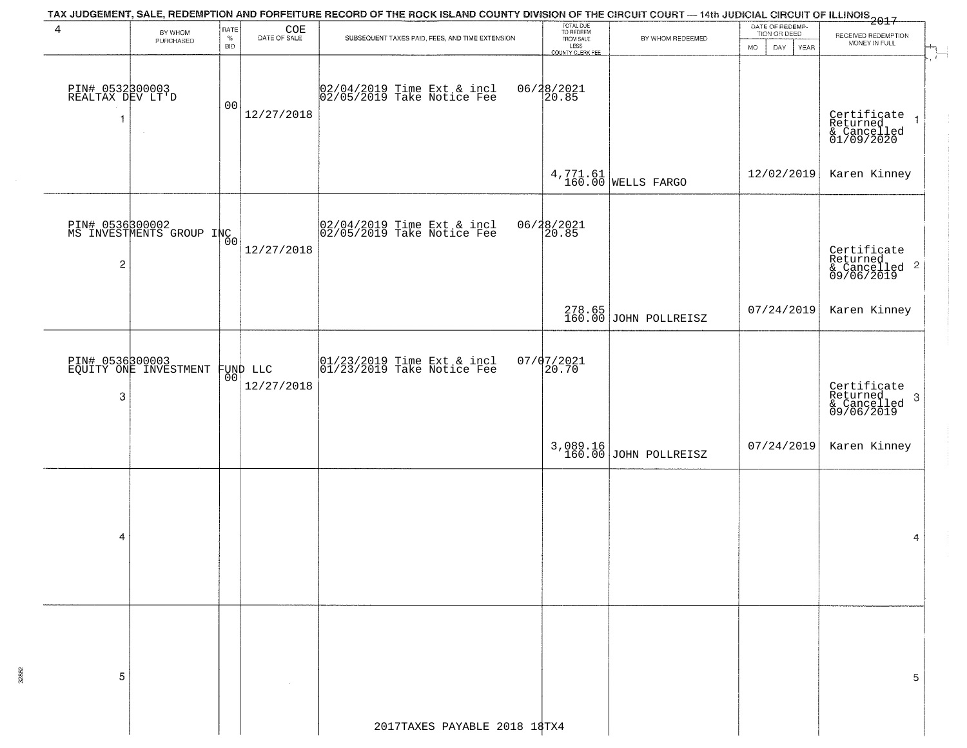|                                           |                                             |                            |                                              | TAX JUDGEMENT, SALE, REDEMPTION AND FORFEITURE RECORD OF THE ROCK ISLAND COUNTY DIVISION OF THE CIRCUIT COURT — 14th JUDICIAL CIRCUIT OF ILLINOIS<br>2017 - And Carl County of Management County of Management County of Carl Cou |                                                                 |                                   |                                                       |                                                                          |
|-------------------------------------------|---------------------------------------------|----------------------------|----------------------------------------------|-----------------------------------------------------------------------------------------------------------------------------------------------------------------------------------------------------------------------------------|-----------------------------------------------------------------|-----------------------------------|-------------------------------------------------------|--------------------------------------------------------------------------|
| 4                                         | BY WHOM<br>PURCHASED                        | RATE<br>$\%$<br><b>BID</b> | $\underset{\text{DATE OF SALE}}{\text{COE}}$ | SUBSEQUENT TAXES PAID, FEES, AND TIME EXTENSION                                                                                                                                                                                   | TOTAL DUE<br>TO REDEEM<br>FROM SALE<br>LESS<br>COUNTY CLERK FEE | BY WHOM REDEEMED                  | DATE OF REDEMP-<br>TION OR DEED<br>DAY<br>YEAR<br>MO. | RECEIVED REDEMPTION<br>MONEY IN FULL<br>$\frac{1}{\sqrt{1-\frac{1}{2}}}$ |
| PIN# 0532300003<br>REALTAX DEV LT'D<br>-1 |                                             | 0 <sub>0</sub>             | 12/27/2018                                   | 02/04/2019 Time Ext & incl<br>02/05/2019 Take Notice Fee                                                                                                                                                                          | 06/28/2021<br>20.85                                             |                                   |                                                       | Certificate<br>Returned<br>& Cancelled<br>01/09/2020                     |
|                                           |                                             |                            |                                              |                                                                                                                                                                                                                                   |                                                                 | $4,771.61$ WELLS FARGO            | 12/02/2019                                            | Karen Kinney                                                             |
| $\overline{\mathbf{c}}$                   | PIN# 0536300002<br>MS INVESTMENTS GROUP INC | 00                         | 12/27/2018                                   | 02/04/2019 Time Ext & incl<br>02/05/2019 Take Notice Fee                                                                                                                                                                          | 06/28/2021<br>20.85                                             |                                   |                                                       | Certificate<br>Returned<br>& Cancelled 2<br>09/06/2019                   |
|                                           |                                             |                            |                                              |                                                                                                                                                                                                                                   |                                                                 | 278.65<br>160.00 JOHN POLLREISZ   | 07/24/2019                                            | Karen Kinney                                                             |
| 3                                         | PIN# 0536300003<br>EQUITY ONE INVESTMENT    | 00 <sup>o</sup>            | FUND LLC<br>12/27/2018                       | $ 01/23/2019$ Time Ext & incl<br>$ 01/23/2019$ Take Notice Fee                                                                                                                                                                    | $07/07/2021$<br>20.70                                           |                                   |                                                       | Certificate<br>Returned<br>-3<br>& Cancelled<br>09/06/2019               |
|                                           |                                             |                            |                                              |                                                                                                                                                                                                                                   |                                                                 | 3,089.16<br>160.00 JOHN POLLREISZ | 07/24/2019                                            | Karen Kinney                                                             |
| 4                                         |                                             |                            |                                              |                                                                                                                                                                                                                                   |                                                                 |                                   |                                                       | 4                                                                        |
| 5                                         |                                             |                            |                                              |                                                                                                                                                                                                                                   |                                                                 |                                   |                                                       | 5                                                                        |
|                                           |                                             |                            |                                              | 2017TAXES PAYABLE 2018 18TX4                                                                                                                                                                                                      |                                                                 |                                   |                                                       |                                                                          |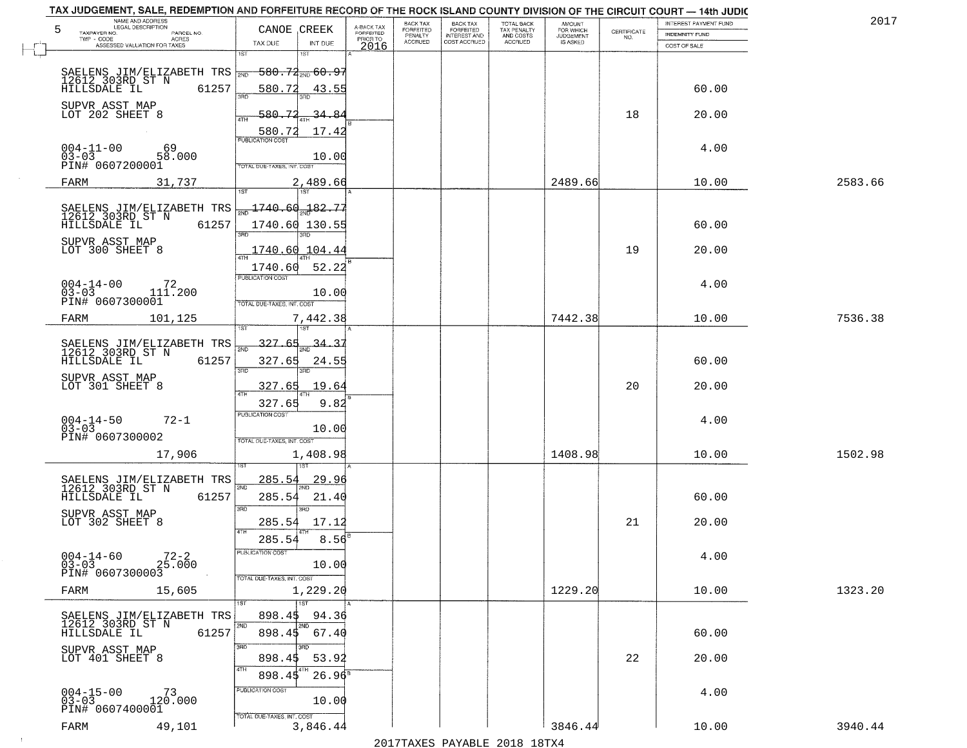| TAX JUDGEMENT, SALE, REDEMPTION AND FORFEITURE RECORD OF THE ROCK ISLAND COUNTY DIVISION OF THE CIRCUIT COURT - 14th JUDIC<br>NAME AND ADDRESS |                                           |                       |                       |                                     |                                     |                                    |             |                       |         |  |
|------------------------------------------------------------------------------------------------------------------------------------------------|-------------------------------------------|-----------------------|-----------------------|-------------------------------------|-------------------------------------|------------------------------------|-------------|-----------------------|---------|--|
| <b>LEGAL DESCRIPTION</b><br>5                                                                                                                  | CANOE CREEK                               | A-BACK TAX            | BACK TAX<br>FORFEITED | <b>BACK TAX</b><br><b>FORFEITED</b> | TOTAL BACK                          | <b>AMOUNT</b>                      | CERTIFICATE | INTEREST PAYMENT FUND | 2017    |  |
| TAXPAYER NO.<br>PARCEL NO.<br>TWP - CODE<br><b>ACRES</b>                                                                                       | TAX DUE<br>INT DUE                        | FORFEITED<br>PRIOR TO | PENALTY<br>ACCRUED    | INTEREST AND<br>COST ACCRUED        | TAX PENALTY<br>AND COSTS<br>ACCRUED | FOR WHICH<br>JUDGEMENT<br>IS ASKED | NO.         | <b>INDEMNITY FUND</b> |         |  |
| ASSESSED VALUATION FOR TAXES                                                                                                                   | 1ST<br>15T                                | 2016                  |                       |                                     |                                     |                                    |             | COST OF SALE          |         |  |
|                                                                                                                                                |                                           |                       |                       |                                     |                                     |                                    |             |                       |         |  |
| SAELENS JIM/ELIZABETH TRS $\frac{12612}{303 \text{RD}}$ 580.74 $\frac{12612}{303 \text{RD}}$ ST N                                              |                                           |                       |                       |                                     |                                     |                                    |             |                       |         |  |
| HILLSDALE IL<br>61257                                                                                                                          | 580.72<br>43.55                           |                       |                       |                                     |                                     |                                    |             | 60.00                 |         |  |
| SUPVR ASST MAP                                                                                                                                 |                                           |                       |                       |                                     |                                     |                                    |             |                       |         |  |
| LOT 202 SHEET 8                                                                                                                                | 580-<br>4TH                               |                       |                       |                                     |                                     |                                    | 18          | 20.00                 |         |  |
|                                                                                                                                                | 17.42                                     |                       |                       |                                     |                                     |                                    |             |                       |         |  |
|                                                                                                                                                | 580.72<br><b>PUBLICATION COST</b>         |                       |                       |                                     |                                     |                                    |             |                       |         |  |
| $004-11-00$<br>$03-03$<br>69<br>58.000                                                                                                         | 10.00                                     |                       |                       |                                     |                                     |                                    |             | 4.00                  |         |  |
| PIN# 0607200001                                                                                                                                | TOTAL DUE-TAXES, INT. COST                |                       |                       |                                     |                                     |                                    |             |                       |         |  |
|                                                                                                                                                |                                           |                       |                       |                                     |                                     | 2489.66                            |             | 10.00                 | 2583.66 |  |
| FARM<br>31,737                                                                                                                                 | 2,489.66<br>IST                           |                       |                       |                                     |                                     |                                    |             |                       |         |  |
|                                                                                                                                                | $\frac{1740.60}{200}$ 1740.60             |                       |                       |                                     |                                     |                                    |             |                       |         |  |
| SAELENS JIM/ELIZABETH TRS<br>12612_303RD_ST_N                                                                                                  |                                           |                       |                       |                                     |                                     |                                    |             |                       |         |  |
| 61257<br>HILLSDALE IL                                                                                                                          | 1740.60 130.55<br>3RD<br>3RD              |                       |                       |                                     |                                     |                                    |             | 60.00                 |         |  |
| SUPVR ASST MAP                                                                                                                                 |                                           |                       |                       |                                     |                                     |                                    |             |                       |         |  |
| LOT 300 SHEET 8                                                                                                                                | <u>1740.60</u><br>104.44                  |                       |                       |                                     |                                     |                                    | 19          | 20.00                 |         |  |
|                                                                                                                                                | 52.22<br>1740.60                          |                       |                       |                                     |                                     |                                    |             |                       |         |  |
|                                                                                                                                                | PUBLICATION COST                          |                       |                       |                                     |                                     |                                    |             | 4.00                  |         |  |
| $004-14-00$<br>$03-03$<br>111.200                                                                                                              | 10.00                                     |                       |                       |                                     |                                     |                                    |             |                       |         |  |
| PIN# 0607300001                                                                                                                                | TOTAL DUE-TAXES, INT. COST                |                       |                       |                                     |                                     |                                    |             |                       |         |  |
| 101,125<br>FARM                                                                                                                                | 7,442.38                                  |                       |                       |                                     |                                     | 7442.38                            |             | 10.00                 | 7536.38 |  |
|                                                                                                                                                | 1ST<br>1ST                                |                       |                       |                                     |                                     |                                    |             |                       |         |  |
| SAELENS JIM/ELIZABETH TRS<br>12612 303RD ST N                                                                                                  | 327                                       |                       |                       |                                     |                                     |                                    |             |                       |         |  |
| 61257<br>HILLSDALE IL                                                                                                                          | 327.65<br>24.55                           |                       |                       |                                     |                                     |                                    |             | 60.00                 |         |  |
|                                                                                                                                                | 3RD<br>3RD                                |                       |                       |                                     |                                     |                                    |             |                       |         |  |
| SUPVR ASST MAP<br>LOT 301 SHEET 8                                                                                                              | 19.64<br>327.65                           |                       |                       |                                     |                                     |                                    | 20          | 20.00                 |         |  |
|                                                                                                                                                | 4TH                                       |                       |                       |                                     |                                     |                                    |             |                       |         |  |
|                                                                                                                                                | 9.82<br>327.65<br><b>PUBLICATION COST</b> |                       |                       |                                     |                                     |                                    |             |                       |         |  |
| $004 - 14 - 50$<br>03-03<br>$72 - 1$                                                                                                           |                                           |                       |                       |                                     |                                     |                                    |             | 4.00                  |         |  |
| PIN# 0607300002                                                                                                                                | 10.00                                     |                       |                       |                                     |                                     |                                    |             |                       |         |  |
|                                                                                                                                                | TOTAL OUE-TAXES, INT. COST                |                       |                       |                                     |                                     |                                    |             |                       |         |  |
| 17,906                                                                                                                                         | 1,408.98                                  |                       |                       |                                     |                                     | 1408.98                            |             | 10.00                 | 1502.98 |  |
|                                                                                                                                                |                                           |                       |                       |                                     |                                     |                                    |             |                       |         |  |
| SAELENS JIM/ELIZABETH TRS<br>12612 303RD ST N                                                                                                  | <u>285.54</u><br><u>29.96</u><br>2ND      |                       |                       |                                     |                                     |                                    |             |                       |         |  |
| 61257<br>HILLSDALE IL                                                                                                                          | 285.54<br>21.40                           |                       |                       |                                     |                                     |                                    |             | 60.00                 |         |  |
| SUPVR ASST MAP                                                                                                                                 | 3RD<br>3RD                                |                       |                       |                                     |                                     |                                    |             |                       |         |  |
| LOT 302 SHEET 8                                                                                                                                | 285.54<br>17.12                           |                       |                       |                                     |                                     |                                    | 21          | 20.00                 |         |  |
|                                                                                                                                                | 285.54<br>8.56                            |                       |                       |                                     |                                     |                                    |             |                       |         |  |
| $004 - 14 - 60$                                                                                                                                |                                           |                       |                       |                                     |                                     |                                    |             |                       |         |  |
| $72 - 2$<br>$03 - 03$<br>25.000                                                                                                                | 10.00                                     |                       |                       |                                     |                                     |                                    |             | 4.00                  |         |  |
| PIN# 0607300003                                                                                                                                | TOTAL DUE-TAXES, INT. COST                |                       |                       |                                     |                                     |                                    |             |                       |         |  |
| FARM<br>15,605                                                                                                                                 | 1,229.20                                  |                       |                       |                                     |                                     | 1229.20                            |             | 10.00                 | 1323.20 |  |
|                                                                                                                                                | 1ST<br>1ST                                |                       |                       |                                     |                                     |                                    |             |                       |         |  |
| SAELENS JIM/ELIZABETH TRS                                                                                                                      | 94.36<br>898.45                           |                       |                       |                                     |                                     |                                    |             |                       |         |  |
| 12612 303RD ST N<br>HILLSDALE IL<br>61257                                                                                                      | 2ND<br>2ND<br>898.45 67.40                |                       |                       |                                     |                                     |                                    |             | 60.00                 |         |  |
|                                                                                                                                                | 3RD<br>$\overline{3}$ RD                  |                       |                       |                                     |                                     |                                    |             |                       |         |  |
| SUPVR ASST MAP<br>LOT 401 SHEET 8                                                                                                              | 898.45<br>53.92                           |                       |                       |                                     |                                     |                                    | 22          | 20.00                 |         |  |
|                                                                                                                                                | 4TH                                       |                       |                       |                                     |                                     |                                    |             |                       |         |  |
|                                                                                                                                                | 898.45<br>$26.96^8$                       |                       |                       |                                     |                                     |                                    |             |                       |         |  |
| $004 - 15 - 00$<br>03-03<br><sup>73</sup><br>120.000                                                                                           | PUBLICATION COST                          |                       |                       |                                     |                                     |                                    |             | 4.00                  |         |  |
| PIN# 0607400001                                                                                                                                | 10.00                                     |                       |                       |                                     |                                     |                                    |             |                       |         |  |
|                                                                                                                                                | TOTAL DUE-TAXES, INT. COST                |                       |                       |                                     |                                     |                                    |             |                       |         |  |
| 49,101<br>FARM                                                                                                                                 | 3,846.44                                  |                       |                       |                                     |                                     | 3846.44                            |             | 10.00                 | 3940.44 |  |

 $\overline{a}$ 

 $\sim 10$ 

2017TAXES PAYABLE 2018 18TX4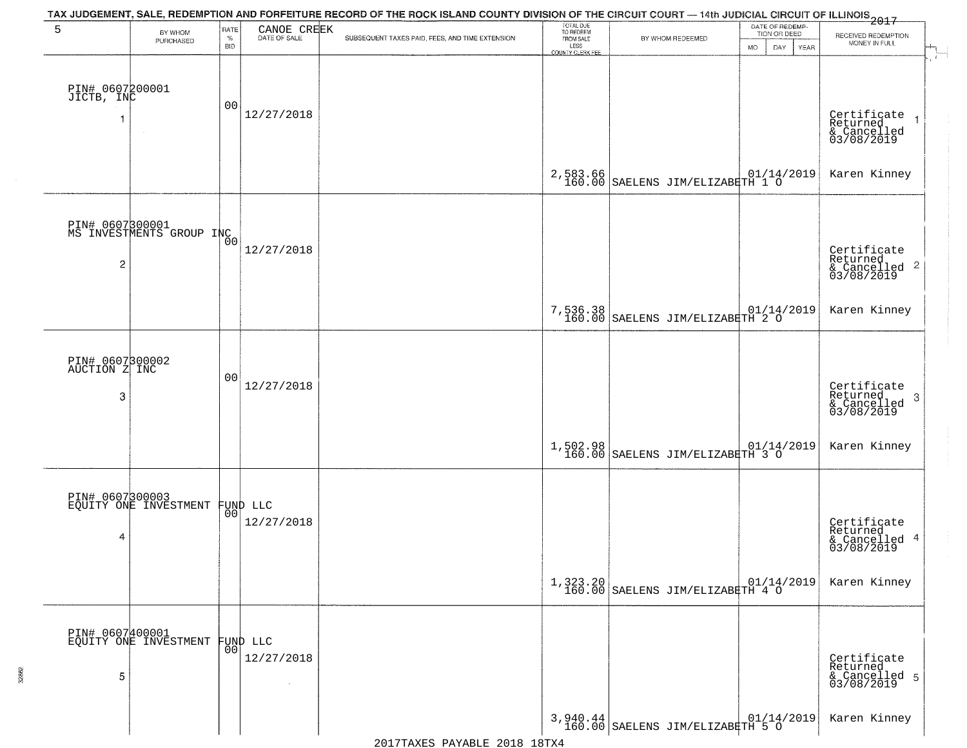| 5                                     | BY WHOM<br>PURCHASED                        | RATE<br>$\%$<br><b>BID</b> | CANOE CREEK<br>DATE OF SALE    | TAX JUDGEMENT, SALE, REDEMPTION AND FORFEITURE RECORD OF THE ROCK ISLAND COUNTY DIVISION OF THE CIRCUIT COURT — 14th JUDICIAL CIRCUIT OF ILLINOIS 2017<br>SUBSEQUENT TAXES PAID, FEES, AND TIME EXTENSION | TOTAL DUE<br>TO REDEEM<br>FROM SALE<br>LESS<br>COUNTY CLERK FEE | BY WHOM REDEEMED                                                                             | DATE OF REDEMP-<br>TION OR DEED<br><b>MO</b><br>DAY<br>YEAR | RECEIVED REDEMPTION<br>MONEY IN FULL                       |
|---------------------------------------|---------------------------------------------|----------------------------|--------------------------------|-----------------------------------------------------------------------------------------------------------------------------------------------------------------------------------------------------------|-----------------------------------------------------------------|----------------------------------------------------------------------------------------------|-------------------------------------------------------------|------------------------------------------------------------|
| PIN# 0607200001<br>JICTB, INC         |                                             | 00                         | 12/27/2018                     |                                                                                                                                                                                                           |                                                                 |                                                                                              |                                                             | Certificate<br>Returned<br>& Cancelled<br>03/08/2019       |
|                                       |                                             |                            |                                |                                                                                                                                                                                                           | 2,583.66<br>160.00                                              | $\begin{array}{ l l l }\hline & 01/14/2019 \\ \hline \end{array}$ SAELENS JIM/ELIZABETH 1 0  |                                                             | Karen Kinney                                               |
| 2                                     | PIN# 0607800001<br>MS INVESTMENTS GROUP INC |                            | 12/27/2018                     |                                                                                                                                                                                                           |                                                                 |                                                                                              |                                                             | Certificate<br>Returned<br>& Cancelled 2<br>03/08/2019     |
|                                       |                                             |                            |                                |                                                                                                                                                                                                           | 7,536.38<br>160.00                                              | $\begin{array}{ c c c c c }\n \hline\n SAELENS JIM/ELIZABETH & 2 & 0\\ \hline\n \end{array}$ |                                                             | Karen Kinney                                               |
| PIN# 0607300002<br>AUCTION Z INC<br>3 |                                             | 00                         | 12/27/2018                     |                                                                                                                                                                                                           |                                                                 |                                                                                              |                                                             | Certificate<br>Returned<br>& Cancelled<br>03/08/2019<br>-3 |
|                                       |                                             |                            |                                |                                                                                                                                                                                                           | 1,502.98<br>160.00                                              | $\begin{array}{ l } \hline & 01/14/2019 \\ \hline \end{array}$                               |                                                             | Karen Kinney                                               |
| 4                                     | PIN# 0607300003<br>EQUITY ONE INVESTMENT    |                            | FUND LLC<br> 00 <br>12/27/2018 |                                                                                                                                                                                                           |                                                                 |                                                                                              |                                                             | Certificate<br>Returned<br>& Cancelled 4<br>03/08/2019     |
|                                       |                                             |                            |                                |                                                                                                                                                                                                           |                                                                 | $1,323.20$   01/14/2019<br>160.00   SAELENS JIM/ELIZABETH 4 0                                |                                                             | Karen Kinney                                               |
| 5                                     | PIN# 0607400001<br>EQUITY ONE INVESTMENT    |                            | FUND LLC<br> 00 <br>12/27/2018 |                                                                                                                                                                                                           |                                                                 |                                                                                              |                                                             | Certificate<br>Returned<br>& Cancelled 5<br>03/08/2019     |
|                                       |                                             |                            |                                |                                                                                                                                                                                                           |                                                                 | 3,940.44 SAELENS JIM/ELIZABETH 5 0                                                           |                                                             | Karen Kinney                                               |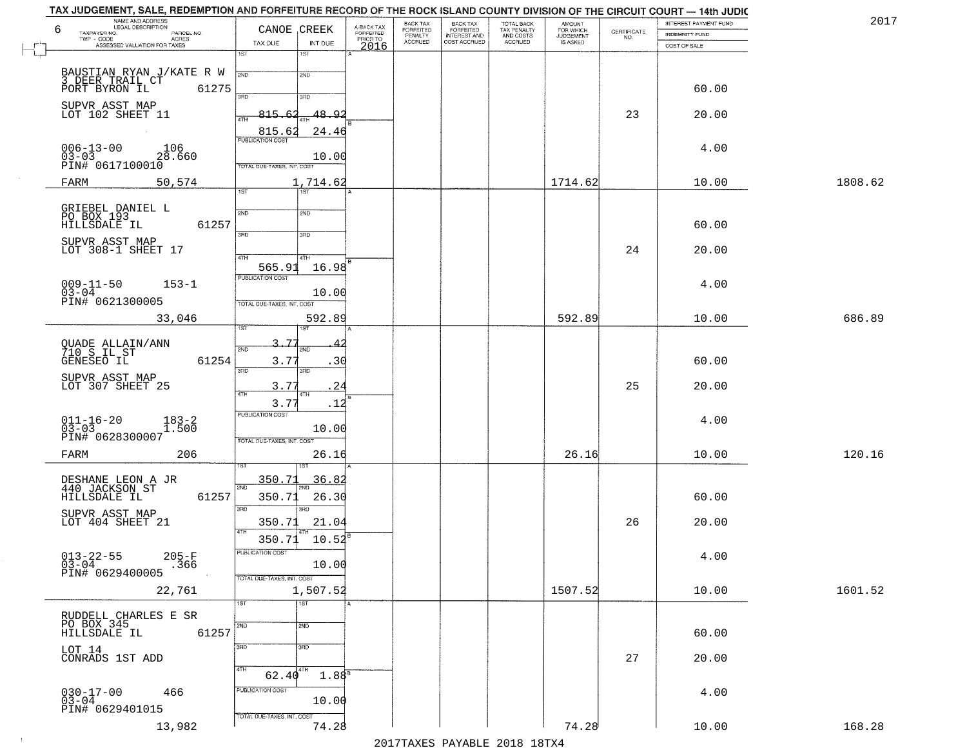| NAME AND ADDRESS<br>LEGAL DESCRIPTION<br>6                                               | CANOE CREEK                            | A-BACK TAX<br>FORFEITED | BACK TAX<br>FORFEITED | <b>BACK TAX</b><br><b>FORFEITED</b> | TOTAL BACK                          | <b>AMOUNT</b>                      | CERTIFICATE | INTEREST PAYMENT FUND          | 201     |
|------------------------------------------------------------------------------------------|----------------------------------------|-------------------------|-----------------------|-------------------------------------|-------------------------------------|------------------------------------|-------------|--------------------------------|---------|
| TAXPAYER NO.<br>PARCEL NO.<br>TWP - CODE<br><b>ACRES</b><br>ASSESSED VALUATION FOR TAXES | TAX DUE<br>INT DUE                     | PRIOR TO                | PENALTY<br>ACCRUED    | <b>INTEREST AND</b><br>COST ACCRUED | TAX PENALTY<br>AND COSTS<br>ACCRUED | FOR WHICH<br>JUDGEMENT<br>IS ASKED | NO.         | INDEMNITY FUND<br>COST OF SALE |         |
|                                                                                          | 1ST<br>1ST                             | 2016                    |                       |                                     |                                     |                                    |             |                                |         |
| BAUSTIAN RYAN J/KATE R W<br>3 DEER TRAIL CT                                              | 2ND<br>2ND                             |                         |                       |                                     |                                     |                                    |             |                                |         |
| PORT BYRON IL<br>61275                                                                   | 3RD<br>3RD                             |                         |                       |                                     |                                     |                                    |             | 60.00                          |         |
| SUPVR ASST MAP<br>LOT 102 SHEET 11                                                       | 815.62<br>48.92<br>4TH                 |                         |                       |                                     |                                     |                                    | 23          | 20.00                          |         |
|                                                                                          | 815.62<br>24.46                        |                         |                       |                                     |                                     |                                    |             |                                |         |
| $006 - 13 - 00$<br>106                                                                   | <b>PUBLICATION COST</b>                |                         |                       |                                     |                                     |                                    |             | 4.00                           |         |
| us-us<br>PIN# 0617100010<br>COLORATO 28.60                                               | 10.00<br>TOTAL DUE-TAXES, INT. COST    |                         |                       |                                     |                                     |                                    |             |                                |         |
| 50,574<br>FARM                                                                           | 1,714.62<br>1ST<br>TST                 |                         |                       |                                     |                                     | 1714.62                            |             | 10.00                          | 1808.62 |
|                                                                                          |                                        |                         |                       |                                     |                                     |                                    |             |                                |         |
| GRIEBEL DANIEL L<br>PO BOX 193<br>HILLSDALE IL<br>61257                                  | 2ND<br>2ND                             |                         |                       |                                     |                                     |                                    |             | 60.00                          |         |
| SUPVR ASST MAP                                                                           | 3RD<br>3RD                             |                         |                       |                                     |                                     |                                    |             |                                |         |
| LOT 308-1 SHEET 17                                                                       | 47H<br>4TH                             |                         |                       |                                     |                                     |                                    | 24          | 20.00                          |         |
| $009 - 11 - 50$<br>$153 - 1$                                                             | 16.98<br>565.91<br>PUBLICATION COST    |                         |                       |                                     |                                     |                                    |             | 4.00                           |         |
| $03 - 04$<br>PIN# 0621300005                                                             | 10.00<br>TOTAL DUE-TAXES, INT. COST    |                         |                       |                                     |                                     |                                    |             |                                |         |
| 33,046                                                                                   | 592.89                                 |                         |                       |                                     |                                     | 592.89                             |             | 10.00                          | 686.89  |
|                                                                                          | ist                                    |                         |                       |                                     |                                     |                                    |             |                                |         |
| QUADE ALLAIN/ANN<br>710 S IL ST                                                          | 3,77<br>2ND<br>2ND                     |                         |                       |                                     |                                     |                                    |             |                                |         |
| GENESEO IL<br>61254                                                                      | 3.77<br>.30<br>3RD<br>3RD              |                         |                       |                                     |                                     |                                    |             | 60.00                          |         |
| SUPVR ASST MAP<br>LOT 307 SHEET 25                                                       | 3.77<br>24<br>4TH<br>4TH               |                         |                       |                                     |                                     |                                    | 25          | 20.00                          |         |
|                                                                                          | 3.77<br>.12<br><b>PUBLICATION COST</b> |                         |                       |                                     |                                     |                                    |             |                                |         |
| $011 - 16 - 20$<br>03-03<br>$183 - 2$<br>1.500                                           | 10.00                                  |                         |                       |                                     |                                     |                                    |             | 4.00                           |         |
| PIN# 0628300007                                                                          | TOTAL OUE-TAXES, INT. COST             |                         |                       |                                     |                                     |                                    |             |                                |         |
| 206<br>FARM                                                                              | 26.16                                  |                         |                       |                                     |                                     | 26.16                              |             | 10.00                          | 120.16  |
| DESHANE LEON A JR<br>440 JACKSON ST                                                      | 36.8<br>350.7<br>SVD                   |                         |                       |                                     |                                     |                                    |             |                                |         |
| 61257<br>HILLSDALE IL                                                                    | 350.71<br>26.30<br>3RD<br>3RD          |                         |                       |                                     |                                     |                                    |             | 60.00                          |         |
| SUPVR ASST MAP<br>LOT 404 SHEET 21                                                       | 350.71<br>21.04                        |                         |                       |                                     |                                     |                                    | 26          | 20.00                          |         |
|                                                                                          | 4TH<br>10.52<br>350.71                 |                         |                       |                                     |                                     |                                    |             |                                |         |
| $013 - 22 - 55$<br>03-04<br>$205 - F$<br>.366                                            | PUBLICATION COST<br>10.00              |                         |                       |                                     |                                     |                                    |             | 4.00                           |         |
| PIN# 0629400005                                                                          | TOTAL DUE-TAXES, INT. COST             |                         |                       |                                     |                                     |                                    |             |                                |         |
| 22,761                                                                                   | 1,507.52<br>1ST<br>1ST                 |                         |                       |                                     |                                     | 1507.52                            |             | 10.00                          | 1601.52 |
| RUDDELL CHARLES E SR                                                                     |                                        |                         |                       |                                     |                                     |                                    |             |                                |         |
| PO BOX 345<br>HILLSDALE IL<br>61257                                                      | 2ND<br>2ND                             |                         |                       |                                     |                                     |                                    |             | 60.00                          |         |
| LOT 14<br>CONRADS 1ST ADD                                                                | 3RD<br>3 <sub>BD</sub>                 |                         |                       |                                     |                                     |                                    | 27          | 20.00                          |         |
|                                                                                          | 4TH<br>4TH<br>$1.88^{5}$<br>62.40      |                         |                       |                                     |                                     |                                    |             |                                |         |
| 466                                                                                      | PUBLICATION COST                       |                         |                       |                                     |                                     |                                    |             | 4.00                           |         |
| $030 - 17 - 00$<br>03-04<br>PIN# 0629401015                                              | 10.00                                  |                         |                       |                                     |                                     |                                    |             |                                |         |
| 13,982                                                                                   | TOTAL DUE-TAXES, INT. COST<br>74.28    |                         |                       |                                     |                                     | 74.28                              |             | 10.00                          | 168.28  |

 $\sim 100$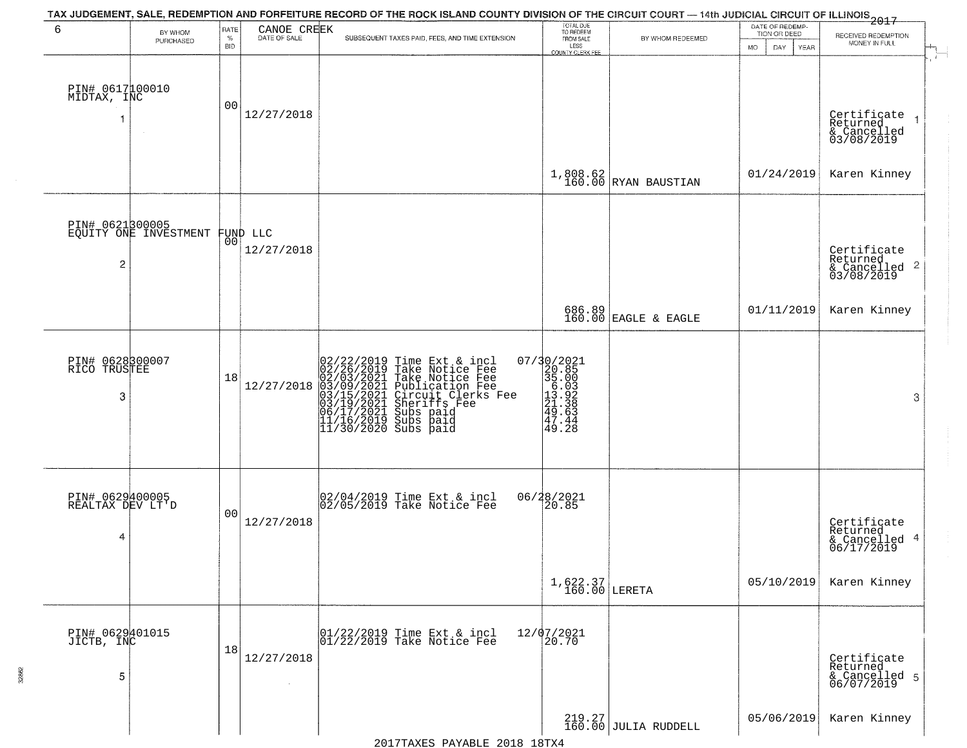| 6                                   | BY WHOM                                  | <b>RATE</b>        |                                | TAX JUDGEMENT, SALE, REDEMPTION AND FORFEITURE RECORD OF THE ROCK ISLAND COUNTY DIVISION OF THE CIRCUIT COURT — 14th JUDICIAL CIRCUIT OF ILLINOIS 2017                                                                                                                                                                                                                 | TOTAL DUE<br>TO REDEEM<br>FROM SALE                                                                           |                                                                              | DATE OF REDEMP-                          |                                           |
|-------------------------------------|------------------------------------------|--------------------|--------------------------------|------------------------------------------------------------------------------------------------------------------------------------------------------------------------------------------------------------------------------------------------------------------------------------------------------------------------------------------------------------------------|---------------------------------------------------------------------------------------------------------------|------------------------------------------------------------------------------|------------------------------------------|-------------------------------------------|
|                                     | PURCHASED                                | $\%$<br><b>BID</b> | CANOE CREEK<br>DATE OF SALE    | SUBSEQUENT TAXES PAID, FEES, AND TIME EXTENSION                                                                                                                                                                                                                                                                                                                        | LESS                                                                                                          | BY WHOM REDEEMED                                                             | TION OR DEED<br><b>MO</b><br>DAY<br>YEAR | RECEIVED REDEMPTION<br>MONEY IN FULL      |
|                                     |                                          |                    |                                |                                                                                                                                                                                                                                                                                                                                                                        | <b>COUNTY CLERK FEE</b>                                                                                       |                                                                              |                                          |                                           |
|                                     |                                          |                    |                                |                                                                                                                                                                                                                                                                                                                                                                        |                                                                                                               |                                                                              |                                          |                                           |
| PIN# 0617100010<br>MIDTAX, INC      |                                          | 0 <sub>0</sub>     |                                |                                                                                                                                                                                                                                                                                                                                                                        |                                                                                                               |                                                                              |                                          |                                           |
| 1                                   |                                          |                    | 12/27/2018                     |                                                                                                                                                                                                                                                                                                                                                                        |                                                                                                               |                                                                              |                                          | Certificate<br>Returned<br>$\overline{1}$ |
|                                     |                                          |                    |                                |                                                                                                                                                                                                                                                                                                                                                                        |                                                                                                               |                                                                              |                                          | & Cancelled<br>03/08/2019                 |
|                                     |                                          |                    |                                |                                                                                                                                                                                                                                                                                                                                                                        |                                                                                                               |                                                                              |                                          |                                           |
|                                     |                                          |                    |                                |                                                                                                                                                                                                                                                                                                                                                                        |                                                                                                               | $\left.\begin{array}{c} 1,808.62 \\ 160.00 \end{array}\right $ RYAN BAUSTIAN | 01/24/2019                               | Karen Kinney                              |
|                                     |                                          |                    |                                |                                                                                                                                                                                                                                                                                                                                                                        |                                                                                                               |                                                                              |                                          |                                           |
|                                     | PIN# 0621300005<br>EQUITY ONE INVESTMENT |                    |                                |                                                                                                                                                                                                                                                                                                                                                                        |                                                                                                               |                                                                              |                                          |                                           |
|                                     |                                          |                    | FUND LLC<br> 00 <br>12/27/2018 |                                                                                                                                                                                                                                                                                                                                                                        |                                                                                                               |                                                                              |                                          |                                           |
| $\overline{c}$                      |                                          |                    |                                |                                                                                                                                                                                                                                                                                                                                                                        |                                                                                                               |                                                                              |                                          | Certificate<br>Returned                   |
|                                     |                                          |                    |                                |                                                                                                                                                                                                                                                                                                                                                                        |                                                                                                               |                                                                              |                                          | $\frac{1}{6}$ Cancelled 2<br>03/08/2019   |
|                                     |                                          |                    |                                |                                                                                                                                                                                                                                                                                                                                                                        |                                                                                                               |                                                                              | 01/11/2019                               | Karen Kinney                              |
|                                     |                                          |                    |                                |                                                                                                                                                                                                                                                                                                                                                                        | 686.89<br>160.00                                                                                              | EAGLE & EAGLE                                                                |                                          |                                           |
|                                     |                                          |                    |                                |                                                                                                                                                                                                                                                                                                                                                                        |                                                                                                               |                                                                              |                                          |                                           |
| PIN# 0628300007<br>RICO TRUSTEE     |                                          |                    |                                | 02/22/2019 Time Ext & incl<br>02/26/2019 Take Notice Fee<br>02/03/2021 Take Notice Fee<br>03/09/2021 Take Notice Fee<br>03/15/2021 Circuit Clerks Fee<br>03/19/2021 Subs paid<br>06/17/2021 Subs paid<br>11/16/2019 Subs paid<br>11/30/2020 Subs paid                                                                                                                  | $\begin{array}{r} 07/30/2021 \\ 20.85 \\ 35.003 \\ 13.922 \\ 24.33 \\ 249.363 \\ 47.424 \\ 49.28 \end{array}$ |                                                                              |                                          |                                           |
| 3                                   |                                          | 18                 | 12/27/2018                     |                                                                                                                                                                                                                                                                                                                                                                        |                                                                                                               |                                                                              |                                          |                                           |
|                                     |                                          |                    |                                |                                                                                                                                                                                                                                                                                                                                                                        |                                                                                                               |                                                                              |                                          | 3                                         |
|                                     |                                          |                    |                                |                                                                                                                                                                                                                                                                                                                                                                        |                                                                                                               |                                                                              |                                          |                                           |
|                                     |                                          |                    |                                |                                                                                                                                                                                                                                                                                                                                                                        |                                                                                                               |                                                                              |                                          |                                           |
|                                     |                                          |                    |                                |                                                                                                                                                                                                                                                                                                                                                                        |                                                                                                               |                                                                              |                                          |                                           |
| PIN# 0629400005<br>REALTAX DEV LT'D |                                          |                    |                                | 02/04/2019 Time Ext & incl<br>02/05/2019 Take Notice Fee                                                                                                                                                                                                                                                                                                               | 06/28/2021<br>20.85                                                                                           |                                                                              |                                          |                                           |
|                                     |                                          | 0 <sub>0</sub>     |                                |                                                                                                                                                                                                                                                                                                                                                                        |                                                                                                               |                                                                              |                                          |                                           |
| 4                                   |                                          |                    | 12/27/2018                     |                                                                                                                                                                                                                                                                                                                                                                        |                                                                                                               |                                                                              |                                          | Certificate<br>Returned<br>4              |
|                                     |                                          |                    |                                |                                                                                                                                                                                                                                                                                                                                                                        |                                                                                                               |                                                                              |                                          | & Cancelled<br>06/17/2019                 |
|                                     |                                          |                    |                                |                                                                                                                                                                                                                                                                                                                                                                        |                                                                                                               |                                                                              | 05/10/2019                               | Karen Kinney                              |
|                                     |                                          |                    |                                |                                                                                                                                                                                                                                                                                                                                                                        | $1,622.37$<br>160.00 LERETA                                                                                   |                                                                              |                                          |                                           |
|                                     |                                          |                    |                                |                                                                                                                                                                                                                                                                                                                                                                        |                                                                                                               |                                                                              |                                          |                                           |
| PIN# 0629401015<br>JICTB, INC       |                                          |                    |                                | $\begin{array}{ccc}  01/22/2019 \overline{\hspace{0.2cm}} 101/22/2019 \overline{\hspace{0.2cm}} 101/22/2019 \overline{\hspace{0.2cm}} 101/22/2019 \overline{\hspace{0.2cm}} 101/22/2019 \overline{\hspace{0.2cm}} 101/22/2019 \overline{\hspace{0.2cm}} 101/22/2019 \overline{\hspace{0.2cm}} 101/201/2019 \overline{\hspace{0.2cm}} 101/201/2019 \overline{\hspace{0$ | 12/07/2021<br>20.70                                                                                           |                                                                              |                                          |                                           |
|                                     |                                          | 18                 | 12/27/2018                     |                                                                                                                                                                                                                                                                                                                                                                        |                                                                                                               |                                                                              |                                          | Certificate<br>Returned                   |
| 5                                   |                                          |                    |                                |                                                                                                                                                                                                                                                                                                                                                                        |                                                                                                               |                                                                              |                                          | & Cancelled 5<br>06/07/2019               |
|                                     |                                          |                    |                                |                                                                                                                                                                                                                                                                                                                                                                        |                                                                                                               |                                                                              |                                          |                                           |
|                                     |                                          |                    |                                |                                                                                                                                                                                                                                                                                                                                                                        |                                                                                                               | 219.27<br>160.00 JULIA RUDDELL                                               | 05/06/2019                               | Karen Kinney                              |
|                                     |                                          |                    |                                |                                                                                                                                                                                                                                                                                                                                                                        |                                                                                                               |                                                                              |                                          |                                           |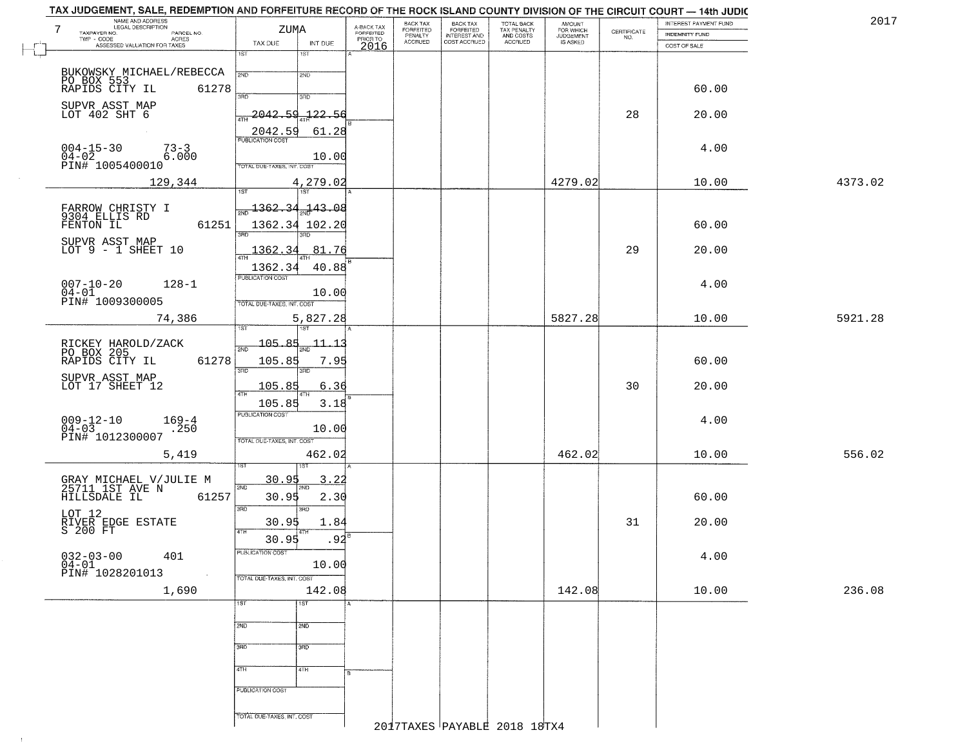| 7<br>TAXPAYER NO.        | NAME AND ADDRESS<br>LEGAL DESCRIPTION<br>PARCEL NO.                                                            | ZUMA                                 |                | A-BACK TAX<br>FORFEITED<br>PRIOR TO | BACK TAX<br>FORFEITED     | BACK TAX<br>FORFEITED<br>INTEREST AND<br>COST ACCRUED | TOTAL BACK<br>TAX PENALTY<br>AND COSTS<br>ACCRUED | <b>AMOUNT</b>                      |                                                                 | INTEREST PAYMENT FUND                 | 201     |
|--------------------------|----------------------------------------------------------------------------------------------------------------|--------------------------------------|----------------|-------------------------------------|---------------------------|-------------------------------------------------------|---------------------------------------------------|------------------------------------|-----------------------------------------------------------------|---------------------------------------|---------|
| TWP - CODE<br>r''        | ACRES<br>ASSESSED VALUATION FOR TAXES                                                                          | TAX DUE                              | INT DUE        | 2016                                | PENALTY<br><b>ACCRUED</b> |                                                       |                                                   | FOR WHICH<br>JUDGEMENT<br>IS ASKED | $\begin{array}{c} \text{CERTIFICATE} \\ \text{NO.} \end{array}$ | <b>INDEMNITY FUND</b><br>COST OF SALE |         |
| L                        |                                                                                                                | $\overline{1ST}$                     | 1ST            |                                     |                           |                                                       |                                                   |                                    |                                                                 |                                       |         |
|                          | BUKOWSKY MICHAEL/REBECCA                                                                                       | 2ND                                  | 2ND            |                                     |                           |                                                       |                                                   |                                    |                                                                 |                                       |         |
|                          | PO BOX 553<br>RAPIDS CITY IL<br>61278                                                                          |                                      |                |                                     |                           |                                                       |                                                   |                                    |                                                                 | 60.00                                 |         |
|                          |                                                                                                                | 3BD                                  | 3RD            |                                     |                           |                                                       |                                                   |                                    |                                                                 |                                       |         |
|                          | SUPVR ASST MAP<br>LOT 402 SHT 6                                                                                | 2042.59                              | 122.56         |                                     |                           |                                                       |                                                   |                                    | 28                                                              | 20.00                                 |         |
|                          |                                                                                                                | 2042.59                              | 61.28          |                                     |                           |                                                       |                                                   |                                    |                                                                 |                                       |         |
|                          |                                                                                                                | PUBLICATION COST                     |                |                                     |                           |                                                       |                                                   |                                    |                                                                 |                                       |         |
| $004-15-30$<br>04-02     | $73 - 3$<br>6.000                                                                                              |                                      | 10.00          |                                     |                           |                                                       |                                                   |                                    |                                                                 | 4.00                                  |         |
|                          | PIN# 1005400010                                                                                                | TOTAL DUE-TAXES, INT. COST           |                |                                     |                           |                                                       |                                                   |                                    |                                                                 |                                       |         |
|                          | 129,344                                                                                                        |                                      | 4,279.02       |                                     |                           |                                                       |                                                   | 4279.02                            |                                                                 | 10.00                                 | 4373.02 |
|                          |                                                                                                                | $\overline{1ST}$                     |                |                                     |                           |                                                       |                                                   |                                    |                                                                 |                                       |         |
|                          | FARROW CHRISTY I<br>9304 ELLIS RD                                                                              | $\frac{1362.34}{}$ $\frac{143.08}{}$ |                |                                     |                           |                                                       |                                                   |                                    |                                                                 |                                       |         |
| FENTON IL                | 61251                                                                                                          |                                      | 1362.34 102.20 |                                     |                           |                                                       |                                                   |                                    |                                                                 | 60.00                                 |         |
|                          | SUPVR ASST MAP                                                                                                 | 3RD                                  | 3HD            |                                     |                           |                                                       |                                                   |                                    |                                                                 |                                       |         |
|                          | LOT $9 - 1$ SHEET 10                                                                                           | 1362.34                              | 81.76          |                                     |                           |                                                       |                                                   |                                    | 29                                                              | 20.00                                 |         |
|                          |                                                                                                                | 1362.34                              | 40.88          |                                     |                           |                                                       |                                                   |                                    |                                                                 |                                       |         |
| $007 - 10 - 20$          | $128 - 1$                                                                                                      | PUBLICATION COST                     |                |                                     |                           |                                                       |                                                   |                                    |                                                                 | 4.00                                  |         |
| $04 - 01$                | PIN# 1009300005                                                                                                | TOTAL DUE-TAXES, INT. COST           | 10.00          |                                     |                           |                                                       |                                                   |                                    |                                                                 |                                       |         |
|                          | 74,386                                                                                                         |                                      | 5,827.28       |                                     |                           |                                                       |                                                   | 5827.28                            |                                                                 | 10.00                                 | 5921.28 |
|                          |                                                                                                                |                                      | 18T            |                                     |                           |                                                       |                                                   |                                    |                                                                 |                                       |         |
|                          |                                                                                                                | $-105.85$<br>2ND                     | 11.13          |                                     |                           |                                                       |                                                   |                                    |                                                                 |                                       |         |
|                          | RICKEY HAROLD/ZACK<br>PO BOX 205<br>RAPIDS CITY IL<br>61278                                                    | 105.85                               | 7.95           |                                     |                           |                                                       |                                                   |                                    |                                                                 | 60.00                                 |         |
|                          |                                                                                                                | 3RD                                  | 3RD            |                                     |                           |                                                       |                                                   |                                    |                                                                 |                                       |         |
|                          | SUPVR ASST MAP<br>LOT 17 SHEET 12                                                                              | <u> 105.85</u>                       | 6.36           |                                     |                           |                                                       |                                                   |                                    | 30                                                              | 20.00                                 |         |
|                          |                                                                                                                | 105.85                               | 3.18           |                                     |                           |                                                       |                                                   |                                    |                                                                 |                                       |         |
|                          |                                                                                                                | <b>PUBLICATION COST</b>              |                |                                     |                           |                                                       |                                                   |                                    |                                                                 |                                       |         |
| $009 - 12 - 10$<br>04-03 | $169 - 4$<br>.250                                                                                              |                                      | 10.00          |                                     |                           |                                                       |                                                   |                                    |                                                                 | 4.00                                  |         |
|                          | PIN# 1012300007                                                                                                | TOTAL OUE-TAXES, INT. COST           |                |                                     |                           |                                                       |                                                   |                                    |                                                                 |                                       |         |
|                          | 5,419                                                                                                          |                                      | 462.02         |                                     |                           |                                                       |                                                   | 462.02                             |                                                                 | 10.00                                 | 556.02  |
|                          |                                                                                                                |                                      |                |                                     |                           |                                                       |                                                   |                                    |                                                                 |                                       |         |
|                          | GRAY MICHAEL V/JULIE M<br>25711 1ST AVE N<br>HILLSDALE IL 612                                                  | <u>30.95</u><br>2ND                  | 3.22           |                                     |                           |                                                       |                                                   |                                    |                                                                 |                                       |         |
|                          | 61257                                                                                                          | 30.95                                | 2.30           |                                     |                           |                                                       |                                                   |                                    |                                                                 | 60.00                                 |         |
|                          |                                                                                                                | 3RD                                  | 3RD            |                                     |                           |                                                       |                                                   |                                    |                                                                 |                                       |         |
|                          | LOT 12<br>RIVER EDGE ESTATE<br>S 200 FT                                                                        | 30.95<br>4TH                         | 1.84           |                                     |                           |                                                       |                                                   |                                    | 31                                                              | 20.00                                 |         |
|                          |                                                                                                                | 30.95                                | .92            |                                     |                           |                                                       |                                                   |                                    |                                                                 |                                       |         |
|                          | 401                                                                                                            | PUBLICATION COST                     | 10.00          |                                     |                           |                                                       |                                                   |                                    |                                                                 | 4.00                                  |         |
|                          | $\begin{array}{ll} 032\text{--}03\text{--}00 & 4\\ 04\text{--}01 & 01\\ \text{PIN}\# & 1028201013 \end{array}$ | TOTAL DUE-TAXES, INT. COST           |                |                                     |                           |                                                       |                                                   |                                    |                                                                 |                                       |         |
|                          | 1,690                                                                                                          |                                      | 142.08         |                                     |                           |                                                       |                                                   | 142.08                             |                                                                 | 10.00                                 | 236.08  |
|                          |                                                                                                                | 1ST                                  | 1ST            |                                     |                           |                                                       |                                                   |                                    |                                                                 |                                       |         |
|                          |                                                                                                                |                                      |                |                                     |                           |                                                       |                                                   |                                    |                                                                 |                                       |         |
|                          |                                                                                                                | 2ND                                  | 2ND            |                                     |                           |                                                       |                                                   |                                    |                                                                 |                                       |         |
|                          |                                                                                                                | 3RD                                  | 3BD            |                                     |                           |                                                       |                                                   |                                    |                                                                 |                                       |         |
|                          |                                                                                                                |                                      |                |                                     |                           |                                                       |                                                   |                                    |                                                                 |                                       |         |
|                          |                                                                                                                | 4TH                                  | 4TH            |                                     |                           |                                                       |                                                   |                                    |                                                                 |                                       |         |
|                          |                                                                                                                | PUBLICATION COST                     |                |                                     |                           |                                                       |                                                   |                                    |                                                                 |                                       |         |
|                          |                                                                                                                |                                      |                |                                     |                           |                                                       |                                                   |                                    |                                                                 |                                       |         |
|                          |                                                                                                                | TOTAL DUE-TAXES, INT. COST           |                |                                     |                           |                                                       | $2010 - 10$ mv                                    |                                    |                                                                 |                                       |         |
|                          |                                                                                                                |                                      |                | ດ ດ 1                               |                           |                                                       |                                                   |                                    |                                                                 |                                       |         |

 $\mathbb{R}$ 

 $\sim 10$ 

2017TAXES PAYABLE 2018 18TX4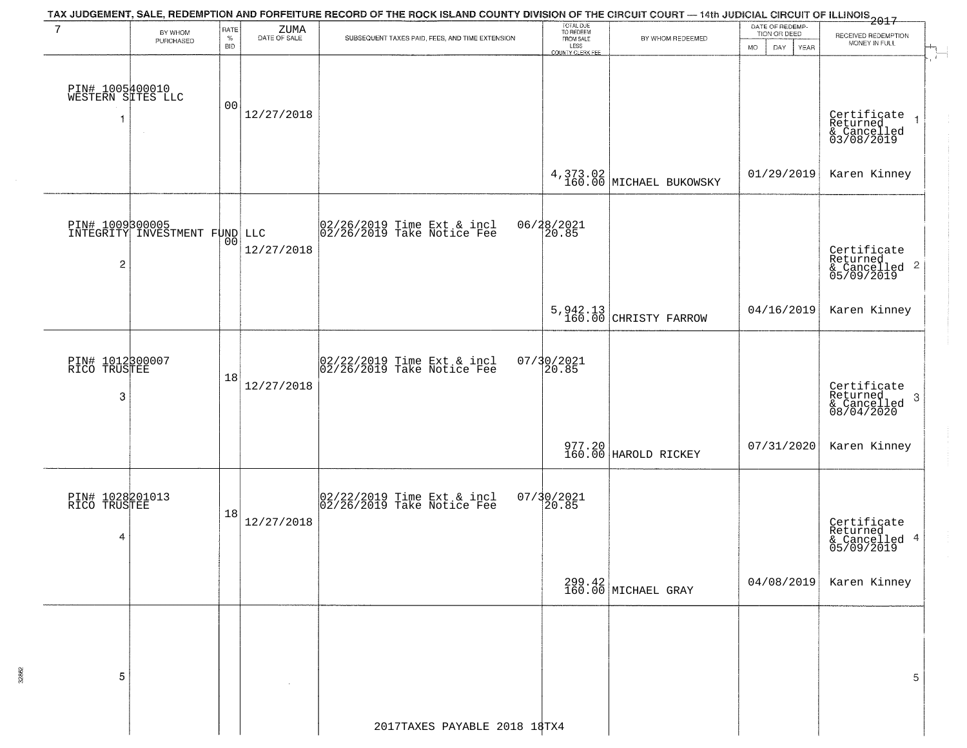|                                            |                                                         |                            |                         | TAX JUDGEMENT, SALE, REDEMPTION AND FORFEITURE RECORD OF THE ROCK ISLAND COUNTY DIVISION OF THE CIRCUIT COURT — 14th JUDICIAL CIRCUIT OF ILLINOIS 2017 |                                                                 |                                     |                                                                    |                                                                        |
|--------------------------------------------|---------------------------------------------------------|----------------------------|-------------------------|--------------------------------------------------------------------------------------------------------------------------------------------------------|-----------------------------------------------------------------|-------------------------------------|--------------------------------------------------------------------|------------------------------------------------------------------------|
| 7                                          | BY WHOM<br>PURCHASED                                    | RATE<br>$\%$<br><b>BID</b> | $\rm ZUMA$ DATE OF SALE | SUBSEQUENT TAXES PAID, FEES, AND TIME EXTENSION                                                                                                        | TOTAL DUE<br>TO REDEEM<br>FROM SALE<br>LESS<br>COUNTY CLERK FEE | BY WHOM REDEEMED                    | DATE OF REDEMP-<br>TION OR DEED<br><b>MO</b><br>DAY<br><b>YEAR</b> | RECEIVED REDEMPTION<br>MONEY IN FULL                                   |
| PIN# 1005400010<br>WESTERN SITES LLC<br>-1 | $\sim$                                                  | 00                         | 12/27/2018              |                                                                                                                                                        |                                                                 |                                     |                                                                    | Certificate<br>Returned<br>& Cancelled<br>03/08/2019<br>$\overline{1}$ |
|                                            |                                                         |                            |                         |                                                                                                                                                        |                                                                 | 4,373.02<br>160.00 MICHAEL BUKOWSKY | 01/29/2019                                                         | Karen Kinney                                                           |
| 2                                          | <b>PIN# 1009300005</b><br>INTEGRITY INVESTMENT FUND LLC | 00                         | 12/27/2018              | $ 02/26/2019$ Time Ext & incl<br>$ 02/26/2019$ Take Notice Fee                                                                                         | 06/28/2021<br>20.85                                             |                                     |                                                                    | Certificate<br>Returned<br>& Cancelled <sup>2</sup><br>05/09/2019      |
|                                            |                                                         |                            |                         |                                                                                                                                                        | $5,942.13$<br>$160.00$                                          | CHRISTY FARROW                      | 04/16/2019                                                         | Karen Kinney                                                           |
| PIN# 1012300007<br>RICO TRUSTEE<br>3       |                                                         | 18                         | 12/27/2018              | 02/22/2019 Time Ext & incl<br>02/26/2019 Take Notice Fee                                                                                               | $07/30/2021$<br>20.85                                           |                                     |                                                                    | Certificate<br>Returned<br>3<br>& Cancelled<br>08/04/2020              |
|                                            |                                                         |                            |                         |                                                                                                                                                        |                                                                 | 977.20<br>160.00 HAROLD RICKEY      | 07/31/2020                                                         | Karen Kinney                                                           |
| PIN# 1028201013<br>RICO TRUSTEE<br>4       |                                                         | 18                         | 12/27/2018              | 02/22/2019 Time Ext & incl<br>02/26/2019 Take Notice Fee                                                                                               | $07/30/2021$<br>20.85                                           |                                     |                                                                    | Certificate<br>Returned<br>& Cancelled 4<br>05/09/2019                 |
|                                            |                                                         |                            |                         |                                                                                                                                                        |                                                                 | 299.42<br>160.00 MICHAEL GRAY       | 04/08/2019                                                         | Karen Kinney                                                           |
| 5                                          |                                                         |                            |                         |                                                                                                                                                        |                                                                 |                                     |                                                                    | 5                                                                      |
|                                            |                                                         |                            |                         | 2017TAXES PAYABLE 2018 18TX4                                                                                                                           |                                                                 |                                     |                                                                    |                                                                        |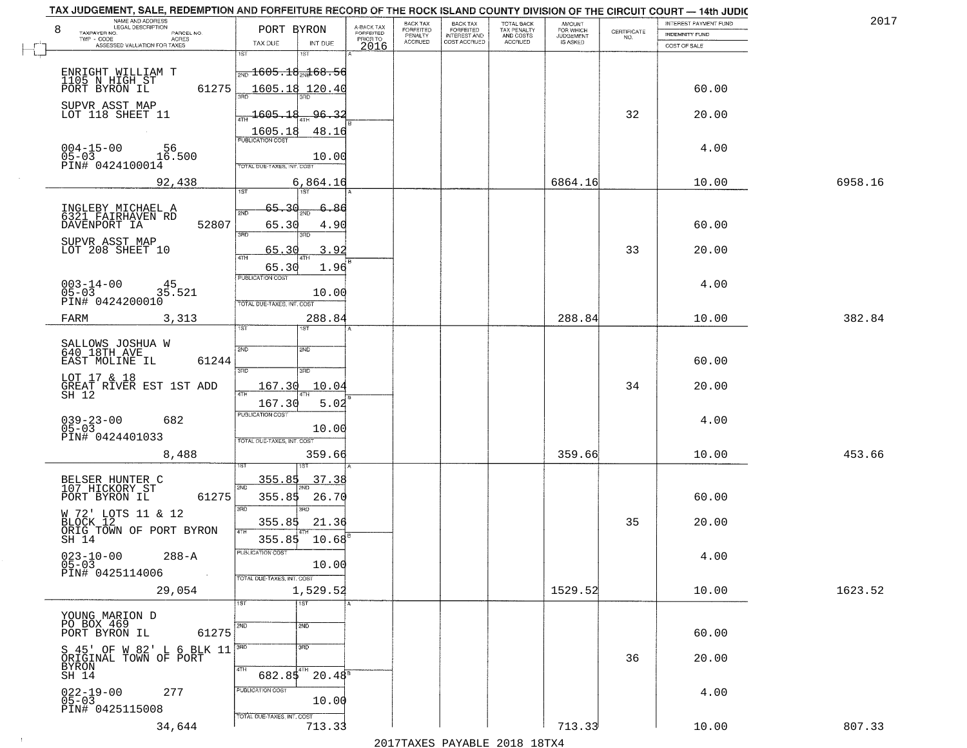| NAME AND ADDRESS<br>LEGAL DESCRIPTION                                                                 |                                                                                      |                                     | BACK TAX             | <b>BACK TAX</b>           | TOTAL BACK<br>TAX PENALTY<br>AND COSTS | AMOUNT<br>FOR WHICH |                                                                 | INTEREST PAYMENT FUND | 2017    |
|-------------------------------------------------------------------------------------------------------|--------------------------------------------------------------------------------------|-------------------------------------|----------------------|---------------------------|----------------------------------------|---------------------|-----------------------------------------------------------------|-----------------------|---------|
| 8<br>TAXPAYER NO.<br>PARCEL NO.<br>ACRES                                                              | PORT BYRON                                                                           | A-BACK TAX<br>FORFEITED<br>PRIOR TO | FORFEITED<br>PENALTY | FORFEITED<br>INTEREST AND |                                        | <b>JUDGEMENT</b>    | $\begin{array}{c} \text{CERTIFICATE} \\ \text{NO.} \end{array}$ | INDEMNITY FUND        |         |
| ASSESSED VALUATION FOR TAXES                                                                          | TAX DUE<br>INT DUE                                                                   | 2016                                | <b>ACCRUED</b>       | COST ACCRUED              | <b>ACCRUED</b>                         | IS ASKED            |                                                                 | COST OF SALE          |         |
| ENRIGHT WILLIAM T<br>1105 N HIGH ST<br>61275<br>PORT BYRON IL                                         | 1ST<br>18T<br>$\frac{1}{200}$ 1605.18 $\frac{1}{204}$ 68.56<br>1605.18 120.40        |                                     |                      |                           |                                        |                     |                                                                 | 60.00                 |         |
| SUPVR ASST MAP<br>LOT 118 SHEET 11                                                                    | 1605.18<br>96.32                                                                     |                                     |                      |                           |                                        |                     | 32                                                              | 20.00                 |         |
| $004 - 15 - 00$<br>05-03<br>56<br>16.500<br>PIN# 0424100014                                           | 1605.18<br>48.16<br>10.00<br>TOTAL DUE-TAXES, INT. COST                              |                                     |                      |                           |                                        |                     |                                                                 | 4.00                  |         |
| 92,438                                                                                                | 6,864.16<br>197                                                                      |                                     |                      |                           |                                        | 6864.16             |                                                                 | 10.00                 | 6958.16 |
| INGLEBY MICHAEL A<br>6321 FAIRHAVEN RD<br>52807<br>DAVENPORT IA<br>SUPVR ASST MAP<br>LOT 208 SHEET 10 | 65.<br>3۵<br>-86<br>2ND<br>65.30<br>4.90<br>3RD<br>3RD<br>3.92<br>65.30<br>47H       |                                     |                      |                           |                                        |                     | 33                                                              | 60.00<br>20.00        |         |
| $003 - 14 - 00$<br>45<br>35.521<br>05-03<br>PIN# 0424200010                                           | 65.30<br>1.96<br>PUBLICATION COST<br>10.00<br>TOTAL DUE-TAXES, INT. COST             |                                     |                      |                           |                                        |                     |                                                                 | 4.00                  |         |
| 3,313<br>FARM                                                                                         | 288.84<br>īst<br>1ST                                                                 |                                     |                      |                           |                                        | 288.84              |                                                                 | 10.00                 | 382.84  |
| SALLOWS JOSHUA W<br>640 18TH AVE<br>EAST MOLINE IL<br>61244<br>LOT 17 & 18                            | 2ND<br>2ND<br>3RD<br>3RD                                                             |                                     |                      |                           |                                        |                     |                                                                 | 60.00                 |         |
| GREAT RIVER EST 1ST ADD<br>SH 12                                                                      | 167.30<br>10.04<br>4TH<br>167.30<br>5.02                                             |                                     |                      |                           |                                        |                     | 34                                                              | 20.00                 |         |
| $039 - 23 - 00$<br>05-03<br>682<br>PIN# 0424401033                                                    | <b>PUBLICATION COST</b><br>10.00<br>TOTAL OUE-TAXES, INT. COST                       |                                     |                      |                           |                                        |                     |                                                                 | 4.00                  |         |
| 8,488                                                                                                 | 359.66                                                                               |                                     |                      |                           |                                        | 359.66              |                                                                 | 10.00                 | 453.66  |
| BELSER HUNTER C<br>107 HICKORY ST<br>PORT BYRON IL<br>61275                                           | 37.38<br>355.85<br>2ND<br>355.85<br>26.70<br>3 <sub>BD</sub><br>m                    |                                     |                      |                           |                                        |                     |                                                                 | 60.00                 |         |
| W 72' LOTS 11 & 12<br>BLOCK 12 11 4 12<br>ORIG TOWN OF PORT BYRON                                     | 355.85<br>21.36<br>4TH                                                               |                                     |                      |                           |                                        |                     | 35                                                              | 20.00                 |         |
| SH 14<br>$023 - 10 - 00$<br>05-03<br>$288 - A$<br>PIN# 0425114006<br>$\sim 100$                       | 355.85<br>$10.68^{\circ}$<br>PUBLICATION COST<br>10.00<br>TOTAL DUE-TAXES, INT. COST |                                     |                      |                           |                                        |                     |                                                                 | 4.00                  |         |
| 29,054                                                                                                | 1,529.52                                                                             |                                     |                      |                           |                                        | 1529.52             |                                                                 | 10.00                 | 1623.52 |
| YOUNG MARION D<br>PO BOX 469<br>61275<br>PORT BYRON IL                                                | 1ST<br>1ST<br>2ND<br>2ND                                                             |                                     |                      |                           |                                        |                     |                                                                 | 60.00                 |         |
| S 45' OF W 82' L 6 BLK 11<br>ORIGINAL TOWN OF PORT<br>BYRON<br>SH 14                                  | 3 <sub>BD</sub><br>  3RD<br>4TH<br>$682.85$ <sup>4TH</sup><br>$20.48^{8}$            |                                     |                      |                           |                                        |                     | 36                                                              | 20.00                 |         |
| $022 - 19 - 00$<br>05-03<br>277<br>PIN# 0425115008                                                    | PUBLICATION COST<br>10.00<br>TOTAL DUE-TAXES, INT. COST                              |                                     |                      |                           |                                        |                     |                                                                 | 4.00                  |         |
| 34,644                                                                                                | 713.33                                                                               |                                     |                      |                           |                                        | 713.33              |                                                                 | 10.00                 | 807.33  |

 $\sim 100$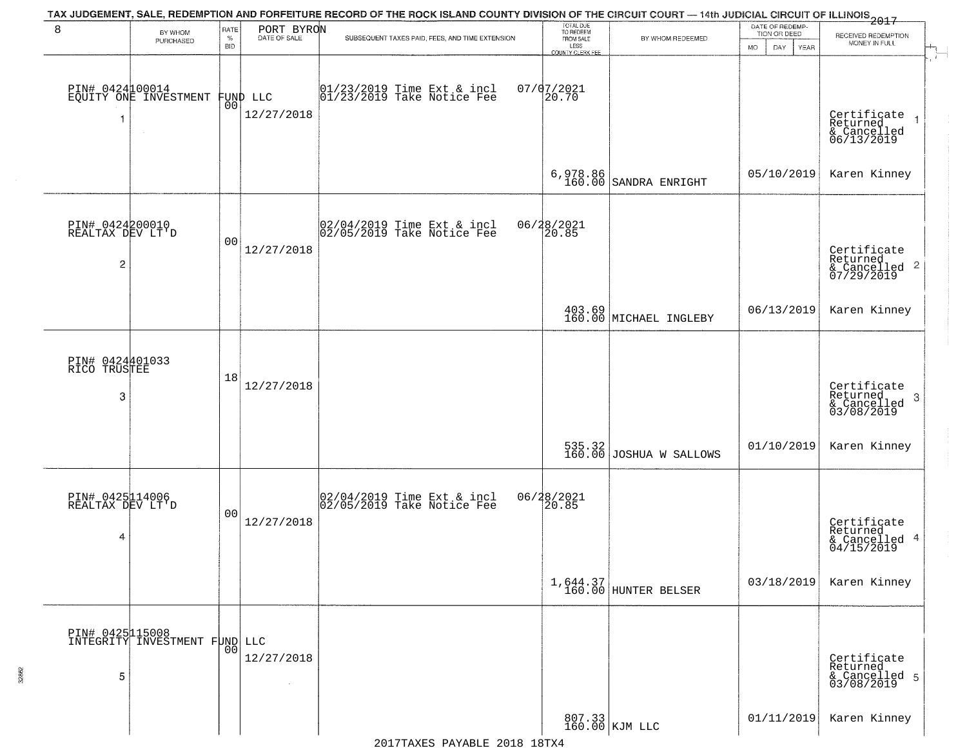|                                                       |                                                  |                |                        | TAX JUDGEMENT, SALE, REDEMPTION AND FORFEITURE RECORD OF THE ROCK ISLAND COUNTY DIVISION OF THE CIRCUIT COURT — 14th JUDICIAL CIRCUIT OF ILLINOIS 2017 |                                     |                                     | DATE OF REDEMP-          |                                                           |
|-------------------------------------------------------|--------------------------------------------------|----------------|------------------------|--------------------------------------------------------------------------------------------------------------------------------------------------------|-------------------------------------|-------------------------------------|--------------------------|-----------------------------------------------------------|
| 8                                                     | BY WHOM<br>PURCHASED                             | RATE<br>$\%$   | PORT BYRON             | SUBSEQUENT TAXES PAID, FEES, AND TIME EXTENSION                                                                                                        | TOTAL DUE<br>TO REDEEM<br>FROM SALE | BY WHOM REDEEMED                    | TION OR DEED             | RECEIVED REDEMPTION<br>MONEY IN FULL                      |
|                                                       |                                                  | <b>BID</b>     |                        |                                                                                                                                                        | LESS<br><b>COUNTY CLERK FEE</b>     |                                     | <b>MO</b><br>DAY<br>YEAR | - 1                                                       |
| -1                                                    | PIN# 0424100014<br>EQUITY ONE INVESTMENT         | 00             | FUND LLC<br>12/27/2018 | 01/23/2019 Time Ext & incl<br>01/23/2019 Take Notice Fee                                                                                               | $07/07/2021$<br>20.70               |                                     |                          | Certificate<br>Returned<br>& Cancelled<br>06/13/2019      |
|                                                       |                                                  |                |                        |                                                                                                                                                        |                                     | $6,978.86$<br>160.00 SANDRA ENRIGHT | 05/10/2019               | Karen Kinney                                              |
| PIN# 0424200010<br>REALTAX DEV LT'D<br>$\overline{c}$ |                                                  | 0 <sub>0</sub> | 12/27/2018             | $ 02/04/2019$ Time Ext & incl<br>$ 02/05/2019$ Take Notice Fee                                                                                         | 06/28/2021<br>20.85                 |                                     |                          | Certificate<br>Returned<br>& Cancelled 2<br>07/29/2019    |
|                                                       |                                                  |                |                        |                                                                                                                                                        |                                     | 403.69<br>160.00 MICHAEL INGLEBY    | 06/13/2019               | Karen Kinney                                              |
| PIN# 0424401033<br>RICO TRUSTEE<br>3                  |                                                  | 18             | 12/27/2018             |                                                                                                                                                        |                                     |                                     |                          | Certificate<br>Returned<br>3<br>& Cancelled<br>03/08/2019 |
|                                                       |                                                  |                |                        |                                                                                                                                                        |                                     | 535.32<br>160.00 JOSHUA W SALLOWS   | 01/10/2019               | Karen Kinney                                              |
| PIN# 0425114006<br>REALTAX DEV LT'D<br>4              |                                                  | 00             | 12/27/2018             | 02/04/2019 Time Ext & incl<br>02/05/2019 Take Notice Fee                                                                                               | 06/28/2021<br>20.85                 |                                     |                          | Certificate<br>Returned<br>& Cancelled 4<br>04/15/2019    |
|                                                       |                                                  |                |                        |                                                                                                                                                        |                                     | 1,644.37<br>160.00 HUNTER BELSER    | 03/18/2019               | Karen Kinney                                              |
| 5                                                     | PIN# 0425115008<br>INTEGRITY INVESTMENT FUND LLC | 00             | 12/27/2018             |                                                                                                                                                        |                                     |                                     |                          | Certificate<br>Returned<br>& Cancelled 5<br>03/08/2019    |
|                                                       |                                                  |                |                        |                                                                                                                                                        |                                     | 807.33<br>160.00 KJM LLC            | 01/11/2019               | Karen Kinney                                              |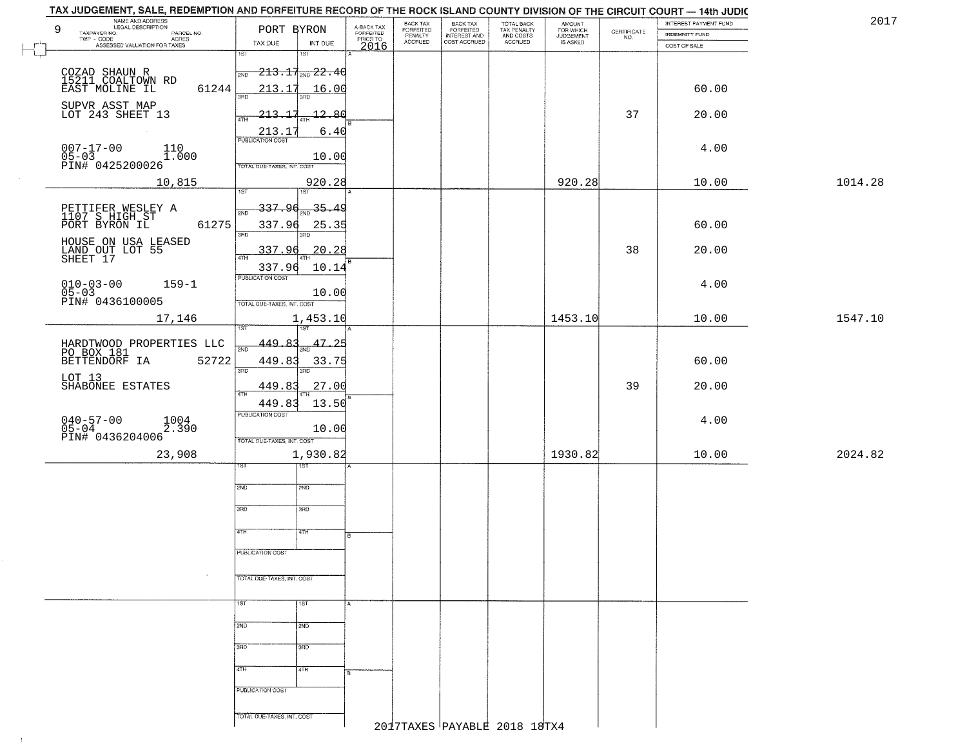|        | TAX JUDGEMENT, SALE, REDEMPTION AND FORFEITURE RECORD OF THE ROCK ISLAND COUNTY DIVISION OF THE CIRCUIT COURT - 14th JUDIC |                                             |                     |                         |                                 |                                           |                                                   |                                    |                                                                 |                                                | 2017    |
|--------|----------------------------------------------------------------------------------------------------------------------------|---------------------------------------------|---------------------|-------------------------|---------------------------------|-------------------------------------------|---------------------------------------------------|------------------------------------|-----------------------------------------------------------------|------------------------------------------------|---------|
|        | NAME AND ADDRESS<br>LEGAL DESCRIPTION<br>9<br>TAXPAYER NO.<br>PARCEL NO.                                                   | PORT BYRON                                  |                     | A-BACK TAX<br>FORFEITED | BACK TAX                        | <b>BACK TAX</b>                           | TOTAL BACK<br>TAX PENALTY<br>AND COSTS<br>ACCRUED | <b>AMOUNT</b>                      | $\begin{array}{c} \text{CERTIFICATE} \\ \text{NO.} \end{array}$ | INTEREST PAYMENT FUND<br><b>INDEMNITY FUND</b> |         |
|        | TWP - CODE<br>ACRES<br>ASSESSED VALUATION FOR TAXES                                                                        | TAX DUE                                     | INT DUE             | PRIOR TO<br>2016        | FORFEITED<br>PENALTY<br>ACCRUED | FORFEITED<br>INTEREST AND<br>COST ACCRUED |                                                   | FOR WHICH<br>JUDGEMENT<br>IS ASKED |                                                                 | COST OF SALE                                   |         |
| $\Box$ |                                                                                                                            | 1ST                                         | 1ST                 |                         |                                 |                                           |                                                   |                                    |                                                                 |                                                |         |
|        | COZAD SHAUN R<br>15211 COALTOWN RD                                                                                         | $\frac{1}{2ND}$ 213.17 <sub>2ND</sub> 22.40 |                     |                         |                                 |                                           |                                                   |                                    |                                                                 |                                                |         |
|        | 61244<br>EAST MOLINE IL                                                                                                    |                                             | $213.17$ 16.00      |                         |                                 |                                           |                                                   |                                    |                                                                 | 60.00                                          |         |
|        |                                                                                                                            | 390                                         | 3RD                 |                         |                                 |                                           |                                                   |                                    |                                                                 |                                                |         |
|        | SUPVR ASST MAP<br>LOT 243 SHEET 13                                                                                         | 213.17<br>4TH                               | $-12.80$            |                         |                                 |                                           |                                                   |                                    | 37                                                              | 20.00                                          |         |
|        |                                                                                                                            | 213.1'                                      | 6.40                |                         |                                 |                                           |                                                   |                                    |                                                                 |                                                |         |
|        | $007 - 17 - 00$<br>110                                                                                                     | <b>PUBLICATION COST</b>                     |                     |                         |                                 |                                           |                                                   |                                    |                                                                 | 4.00                                           |         |
|        | $05-03$<br>PIN# 0425200026<br>1.000                                                                                        |                                             | 10.00               |                         |                                 |                                           |                                                   |                                    |                                                                 |                                                |         |
|        |                                                                                                                            | TOTAL DUE-TAXES, INT. COST                  |                     |                         |                                 |                                           |                                                   |                                    |                                                                 |                                                |         |
|        | 10,815                                                                                                                     | $\overline{1ST}$                            | 920.28              |                         |                                 |                                           |                                                   | 920.28                             |                                                                 | 10.00                                          | 1014.28 |
|        |                                                                                                                            |                                             | 1ST                 |                         |                                 |                                           |                                                   |                                    |                                                                 |                                                |         |
|        | PETTIFER WESLEY A<br>1107 S HIGH ST                                                                                        | 337.96<br>2ND                               | $\frac{35.49}{200}$ |                         |                                 |                                           |                                                   |                                    |                                                                 |                                                |         |
|        | PORT BYRON IL<br>61275                                                                                                     | 337.96<br>3RD                               | 25.35<br>3RD        |                         |                                 |                                           |                                                   |                                    |                                                                 | 60.00                                          |         |
|        |                                                                                                                            |                                             |                     |                         |                                 |                                           |                                                   |                                    |                                                                 |                                                |         |
|        | HOUSE ON USA LEASED<br>LAND OUT LOT 55<br>SHEET 17                                                                         | 337.96<br>47H                               | 20.28               |                         |                                 |                                           |                                                   |                                    | 38                                                              | 20.00                                          |         |
|        |                                                                                                                            | 337.96                                      | 10.14               |                         |                                 |                                           |                                                   |                                    |                                                                 |                                                |         |
|        | $010 - 03 - 00$<br>$159 - 1$                                                                                               | PUBLICATION COST                            |                     |                         |                                 |                                           |                                                   |                                    |                                                                 | 4.00                                           |         |
|        | $05 - 03$<br>PIN# 0436100005                                                                                               | TOTAL DUE-TAXES, INT. COST                  | 10.00               |                         |                                 |                                           |                                                   |                                    |                                                                 |                                                |         |
|        | 17,146                                                                                                                     |                                             | 1,453.10            |                         |                                 |                                           |                                                   | 1453.10                            |                                                                 | 10.00                                          | 1547.10 |
|        |                                                                                                                            | īST.                                        |                     |                         |                                 |                                           |                                                   |                                    |                                                                 |                                                |         |
|        | HARDTWOOD PROPERTIES LLC                                                                                                   | 449.83<br>2ND                               | $\frac{47.25}{200}$ |                         |                                 |                                           |                                                   |                                    |                                                                 |                                                |         |
|        | PO BOX 181<br>BETTENDORF IA<br>52722                                                                                       | 449.83                                      | 33.75               |                         |                                 |                                           |                                                   |                                    |                                                                 | 60.00                                          |         |
|        |                                                                                                                            | 3RD                                         | 3RD                 |                         |                                 |                                           |                                                   |                                    |                                                                 |                                                |         |
|        | LOT 13<br>SHABONEE ESTATES                                                                                                 | 449.83                                      | 27.00               |                         |                                 |                                           |                                                   |                                    | 39                                                              | 20.00                                          |         |
|        |                                                                                                                            | 4TH<br>449.83                               | 13.50               |                         |                                 |                                           |                                                   |                                    |                                                                 |                                                |         |
|        |                                                                                                                            | <b>PUBLICATION COST</b>                     |                     |                         |                                 |                                           |                                                   |                                    |                                                                 |                                                |         |
|        | $040 - 57 - 00$<br>$05 - 04$<br>1004<br>2.390                                                                              |                                             | 10.00               |                         |                                 |                                           |                                                   |                                    |                                                                 | 4.00                                           |         |
|        | PIN# 0436204006                                                                                                            | TOTAL OUE-TAXES, INT. COST                  |                     |                         |                                 |                                           |                                                   |                                    |                                                                 |                                                |         |
|        | 23,908                                                                                                                     |                                             | 1,930.82            |                         |                                 |                                           |                                                   | 1930.82                            |                                                                 | 10.00                                          | 2024.82 |
|        |                                                                                                                            |                                             | १९४                 |                         |                                 |                                           |                                                   |                                    |                                                                 |                                                |         |
|        |                                                                                                                            | 2ND                                         | SND                 |                         |                                 |                                           |                                                   |                                    |                                                                 |                                                |         |
|        |                                                                                                                            |                                             |                     |                         |                                 |                                           |                                                   |                                    |                                                                 |                                                |         |
|        |                                                                                                                            | 3RD                                         | 3BD                 |                         |                                 |                                           |                                                   |                                    |                                                                 |                                                |         |
|        |                                                                                                                            | 4TH                                         | 77H                 | न्न                     |                                 |                                           |                                                   |                                    |                                                                 |                                                |         |
|        |                                                                                                                            |                                             |                     |                         |                                 |                                           |                                                   |                                    |                                                                 |                                                |         |
|        |                                                                                                                            | PUBLICATION COST                            |                     |                         |                                 |                                           |                                                   |                                    |                                                                 |                                                |         |
|        |                                                                                                                            |                                             |                     |                         |                                 |                                           |                                                   |                                    |                                                                 |                                                |         |
|        |                                                                                                                            | TOTAL DUE-TAXES, INT. COST                  |                     |                         |                                 |                                           |                                                   |                                    |                                                                 |                                                |         |
|        |                                                                                                                            | 1ST                                         | 1ST                 |                         |                                 |                                           |                                                   |                                    |                                                                 |                                                |         |
|        |                                                                                                                            |                                             |                     |                         |                                 |                                           |                                                   |                                    |                                                                 |                                                |         |
|        |                                                                                                                            | 2ND                                         | 2ND                 |                         |                                 |                                           |                                                   |                                    |                                                                 |                                                |         |
|        |                                                                                                                            | 3RD                                         | उत्तर               |                         |                                 |                                           |                                                   |                                    |                                                                 |                                                |         |
|        |                                                                                                                            |                                             |                     |                         |                                 |                                           |                                                   |                                    |                                                                 |                                                |         |
|        |                                                                                                                            | 4TH                                         | 4TH                 |                         |                                 |                                           |                                                   |                                    |                                                                 |                                                |         |
|        |                                                                                                                            | PUBLICATION COST                            |                     |                         |                                 |                                           |                                                   |                                    |                                                                 |                                                |         |
|        |                                                                                                                            |                                             |                     |                         |                                 |                                           |                                                   |                                    |                                                                 |                                                |         |
|        |                                                                                                                            | TOTAL DUE-TAXES, INT. COST                  |                     |                         |                                 |                                           |                                                   |                                    |                                                                 |                                                |         |
|        |                                                                                                                            |                                             |                     |                         |                                 |                                           | 2017TAXES PAYABLE 2018 18TX4                      |                                    |                                                                 |                                                |         |

 $\sim 4\%$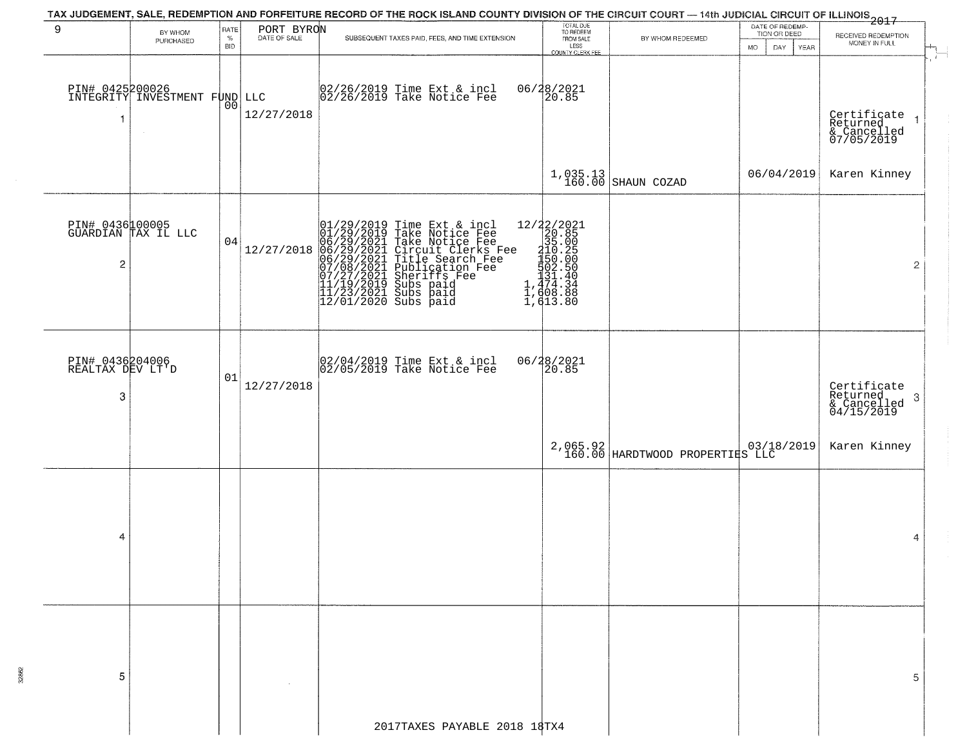|                                          |                                                  |                     |            | TAX JUDGEMENT, SALE, REDEMPTION AND FORFEITURE RECORD OF THE ROCK ISLAND COUNTY DIVISION OF THE CIRCUIT COURT — 14th JUDICIAL CIRCUIT OF ILLINOIS 2017                                                                                                |                                                                                                                                                                                                                                               |                                             |                                                       |                                                                        |
|------------------------------------------|--------------------------------------------------|---------------------|------------|-------------------------------------------------------------------------------------------------------------------------------------------------------------------------------------------------------------------------------------------------------|-----------------------------------------------------------------------------------------------------------------------------------------------------------------------------------------------------------------------------------------------|---------------------------------------------|-------------------------------------------------------|------------------------------------------------------------------------|
| 9                                        | BY WHOM<br>PURCHASED                             | RATE<br>$\%$<br>BID | PORT BYRON | SUBSEQUENT TAXES PAID, FEES, AND TIME EXTENSION                                                                                                                                                                                                       | TOTAL DUE<br>TO REDEEM<br>FROM SALE<br>LESS<br>COUNTY CLERK FEE                                                                                                                                                                               | BY WHOM REDEEMED                            | DATE OF REDEMP-<br>TION OR DEED<br>MO.<br>DAY<br>YEAR | RECEIVED REDEMPTION<br>MONEY IN FULL                                   |
| $\overline{\mathbf{1}}$                  | PIN# 0425200026<br>INTEGRITY INVESTMENT FUND LLC | 00                  | 12/27/2018 | 02/26/2019 Time Ext & incl<br>02/26/2019 Take Notice Fee                                                                                                                                                                                              | 06/28/2021<br>20.85                                                                                                                                                                                                                           |                                             |                                                       | Certificate<br>Returned<br>& Cancelled<br>07/05/2019<br>$\overline{1}$ |
|                                          |                                                  |                     |            |                                                                                                                                                                                                                                                       |                                                                                                                                                                                                                                               | $1,035.13$ SHAUN COZAD                      | 06/04/2019                                            | Karen Kinney                                                           |
| $\overline{\mathbf{c}}$                  | PIN# 0436100005<br>GUARDIAN TAX IL LLC           | 04                  | 12/27/2018 | 01/29/2019 Time Ext & incl<br>01/29/2019 Take Notice Fee<br>06/29/2021 Take Notice Fee<br>06/29/2021 Circuit Clerks Fee<br>06/29/2021 Title Search Fee<br>07/08/2021 Subication Fee<br>07/08/2021 Subication Fee<br>11/19/2019 Subs paid<br>11/23/202 | $[ \begin{smallmatrix} 12/2 & 2/2 & 2 & 2 \\ 20 & 8 & 5 \\ 3 & 5 & 0 & 0 \\ 10 & 2 & 0 & 5 \\ 11 & 0 & 0 & 0 \\ 1 & 5 & 0 & 0 & 0 \\ 1 & 4 & 1 & 0 & 0 \\ 1 & 4 & 0 & 0 & 0 \\ 1 & 6 & 0 & 8 & 8 \\ 1 & 6 & 1 & 3 & 8 \\ \end{smallmatrix} ]$ |                                             |                                                       | $\overline{2}$                                                         |
| PIN# 0436204006<br>REALTAX DEV LT'D<br>3 |                                                  | 01                  | 12/27/2018 | 02/04/2019 Time Ext & incl<br>02/05/2019 Take Notice Fee                                                                                                                                                                                              | 06/28/2021<br>20.85                                                                                                                                                                                                                           |                                             |                                                       | Certificate<br>Returned<br>3<br>& Cancelled<br>04/15/2019              |
|                                          |                                                  |                     |            |                                                                                                                                                                                                                                                       |                                                                                                                                                                                                                                               | 2,065.92<br>160.00 HARDTWOOD PROPERTIES LLC |                                                       | Karen Kinney                                                           |
| 4                                        |                                                  |                     |            |                                                                                                                                                                                                                                                       |                                                                                                                                                                                                                                               |                                             |                                                       | 4                                                                      |
| 5                                        |                                                  |                     |            |                                                                                                                                                                                                                                                       |                                                                                                                                                                                                                                               |                                             |                                                       | 5                                                                      |
|                                          |                                                  |                     |            | 2017TAXES PAYABLE 2018 18TX4                                                                                                                                                                                                                          |                                                                                                                                                                                                                                               |                                             |                                                       |                                                                        |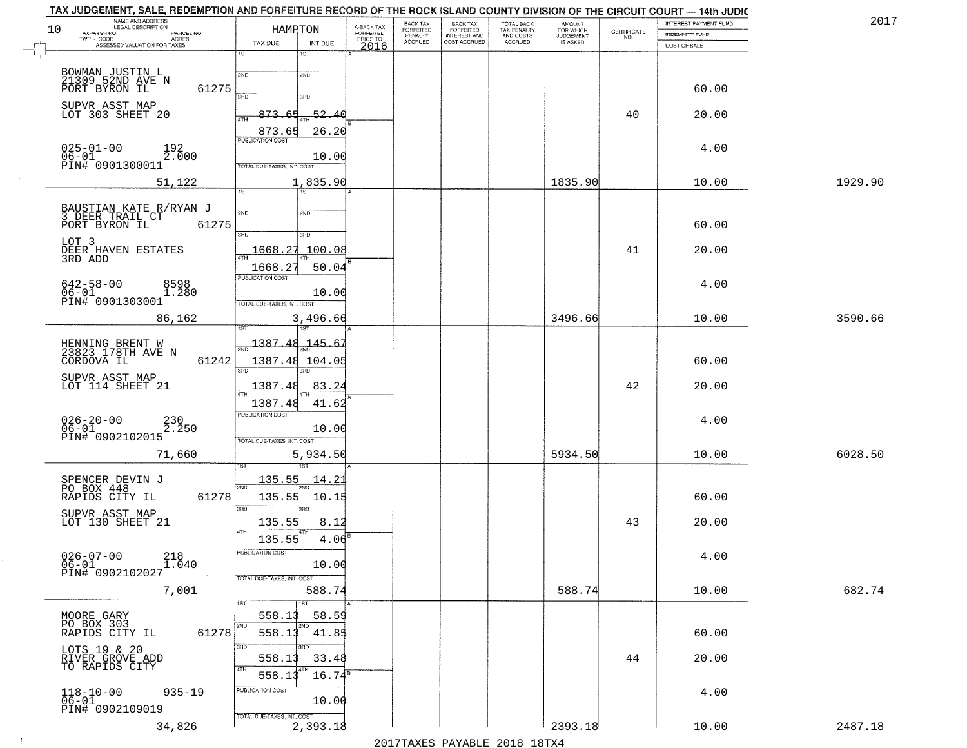|    | TAX JUDGEMENT, SALE, REDEMPTION AND FORFEITURE RECORD OF THE ROCK ISLAND COUNTY DIVISION OF THE CIRCUIT COURT — 14th JUDIC |                            |                    |                                     |                                 |                                                       |                                        |                                  |                                                                 |                       |         |
|----|----------------------------------------------------------------------------------------------------------------------------|----------------------------|--------------------|-------------------------------------|---------------------------------|-------------------------------------------------------|----------------------------------------|----------------------------------|-----------------------------------------------------------------|-----------------------|---------|
|    | NAME AND ADDRESS<br>LEGAL DESCRIPTION                                                                                      |                            |                    |                                     | BACK TAX                        |                                                       | TOTAL BACK<br>TAX PENALTY<br>AND COSTS | AMOUNT<br>FOR WHICH<br>JUDGEMENT |                                                                 | INTEREST PAYMENT FUND | 2017    |
| 10 | TAXPAYER NO.<br>PARCEL NO.<br>$TWP + CODE$                                                                                 | HAMPTON                    |                    | A-BACK TAX<br>FORFEITED<br>PRIOR TO | FORFEITED<br>PENALTY<br>ACCRUED | BACK TAX<br>FORFEITED<br>INTEREST AND<br>COST ACCRUED |                                        |                                  | $\begin{array}{c} \text{CERTIFICATE} \\ \text{NO.} \end{array}$ | INDEMNITY FUND        |         |
|    | - CODE<br>ASSESSED VALUATION FOR TAXES                                                                                     | TAX DUE                    | INT DUE            | 2016                                |                                 |                                                       | ACCRUED                                | IS ASKED                         |                                                                 | COST OF SALE          |         |
|    |                                                                                                                            | $\overline{1ST}$           | 1ST                |                                     |                                 |                                                       |                                        |                                  |                                                                 |                       |         |
|    | BOWMAN JUSTIN L<br>21309 52ND AVE N                                                                                        | 2ND                        | 2ND                |                                     |                                 |                                                       |                                        |                                  |                                                                 |                       |         |
|    | 61275<br>PORT BYRON IL                                                                                                     |                            |                    |                                     |                                 |                                                       |                                        |                                  |                                                                 | 60.00                 |         |
|    |                                                                                                                            | 3AD                        | 3RD                |                                     |                                 |                                                       |                                        |                                  |                                                                 |                       |         |
|    | SUPVR ASST MAP                                                                                                             |                            |                    |                                     |                                 |                                                       |                                        |                                  |                                                                 |                       |         |
|    | LOT 303 SHEET 20                                                                                                           | 873.65<br>4TH              | $-52.40$           |                                     |                                 |                                                       |                                        |                                  | 40                                                              | 20.00                 |         |
|    |                                                                                                                            | 873.65                     | 26.20              |                                     |                                 |                                                       |                                        |                                  |                                                                 |                       |         |
|    | $025 - 01 - 00$                                                                                                            | <b>PUBLICATION COST</b>    |                    |                                     |                                 |                                                       |                                        |                                  |                                                                 | 4.00                  |         |
|    | 192<br>2.000<br>$06 - 01$                                                                                                  |                            | 10.00              |                                     |                                 |                                                       |                                        |                                  |                                                                 |                       |         |
|    | PIN# 0901300011                                                                                                            | TOTAL DUE-TAXES, INT. COST |                    |                                     |                                 |                                                       |                                        |                                  |                                                                 |                       |         |
|    | 51,122                                                                                                                     |                            | 1,835.90           |                                     |                                 |                                                       |                                        | 1835.90                          |                                                                 | 10.00                 | 1929.90 |
|    |                                                                                                                            | 1ST                        | 1ST                |                                     |                                 |                                                       |                                        |                                  |                                                                 |                       |         |
|    |                                                                                                                            |                            |                    |                                     |                                 |                                                       |                                        |                                  |                                                                 |                       |         |
|    | BAUSTIAN KATE R/RYAN J<br>3 DEER TRAIL CT                                                                                  | 2ND                        | 2ND                |                                     |                                 |                                                       |                                        |                                  |                                                                 |                       |         |
|    | 61275<br>PORT BYRON IL                                                                                                     | 3RD                        | 3RD                |                                     |                                 |                                                       |                                        |                                  |                                                                 | 60.00                 |         |
|    | LOT 3                                                                                                                      |                            |                    |                                     |                                 |                                                       |                                        |                                  |                                                                 |                       |         |
|    | DEER HAVEN ESTATES                                                                                                         | 47H                        | 1668.27 100.08     |                                     |                                 |                                                       |                                        |                                  | 41                                                              | 20.00                 |         |
|    | 3RD ADD                                                                                                                    | 1668.27                    | 50.04              |                                     |                                 |                                                       |                                        |                                  |                                                                 |                       |         |
|    |                                                                                                                            | <b>PUBLICATION COST</b>    |                    |                                     |                                 |                                                       |                                        |                                  |                                                                 |                       |         |
|    | $642 - 58 - 00$<br>8598<br>1.280<br>$06 - 01$                                                                              |                            | 10.00              |                                     |                                 |                                                       |                                        |                                  |                                                                 | 4.00                  |         |
|    | PIN# 0901303001                                                                                                            | TOTAL DUE-TAXES, INT. COST |                    |                                     |                                 |                                                       |                                        |                                  |                                                                 |                       |         |
|    | 86,162                                                                                                                     |                            | 3,496.66           |                                     |                                 |                                                       |                                        | 3496.66                          |                                                                 | 10.00                 | 3590.66 |
|    |                                                                                                                            |                            | 18T                |                                     |                                 |                                                       |                                        |                                  |                                                                 |                       |         |
|    |                                                                                                                            |                            | $1387.48 - 145.67$ |                                     |                                 |                                                       |                                        |                                  |                                                                 |                       |         |
|    | HENNING BRENT W<br>23823 178TH AVE N                                                                                       |                            |                    |                                     |                                 |                                                       |                                        |                                  |                                                                 |                       |         |
|    | 61242<br>CORDOVA IL                                                                                                        |                            | 1387.48 104.05     |                                     |                                 |                                                       |                                        |                                  |                                                                 | 60.00                 |         |
|    | SUPVR ASST MAP                                                                                                             | Ë                          | 3RD                |                                     |                                 |                                                       |                                        |                                  |                                                                 |                       |         |
|    | LOT 114 SHEET 21                                                                                                           | 1387.48                    | 83.24              |                                     |                                 |                                                       |                                        |                                  | 42                                                              | 20.00                 |         |
|    |                                                                                                                            | 1387.48                    | 41.62              |                                     |                                 |                                                       |                                        |                                  |                                                                 |                       |         |
|    |                                                                                                                            | <b>PUBLICATION COST</b>    |                    |                                     |                                 |                                                       |                                        |                                  |                                                                 |                       |         |
|    | $026 - 20 - 00$<br>230<br>2.250<br>06-01                                                                                   |                            | 10.00              |                                     |                                 |                                                       |                                        |                                  |                                                                 | 4.00                  |         |
|    | PIN# 0902102015                                                                                                            | TOTAL OUE-TAXES, INT. COST |                    |                                     |                                 |                                                       |                                        |                                  |                                                                 |                       |         |
|    | 71,660                                                                                                                     |                            | 5,934.50           |                                     |                                 |                                                       |                                        | 5934.50                          |                                                                 | 10.00                 | 6028.50 |
|    |                                                                                                                            |                            |                    |                                     |                                 |                                                       |                                        |                                  |                                                                 |                       |         |
|    |                                                                                                                            |                            |                    |                                     |                                 |                                                       |                                        |                                  |                                                                 |                       |         |
|    | SPENCER DEVIN J<br>PO BOX 448                                                                                              | <u> 135.55</u><br>2ND      | <u> 14.2</u>       |                                     |                                 |                                                       |                                        |                                  |                                                                 |                       |         |
|    | RAPIDS CITY IL<br>61278                                                                                                    | 135.55                     | 10.15              |                                     |                                 |                                                       |                                        |                                  |                                                                 | 60.00                 |         |
|    | SUPVR ASST MAP                                                                                                             | 3BD                        | 3BD                |                                     |                                 |                                                       |                                        |                                  |                                                                 |                       |         |
|    | LOT 130 SHEET 21                                                                                                           | 135.55                     | 8.12               |                                     |                                 |                                                       |                                        |                                  | 43                                                              | 20.00                 |         |
|    |                                                                                                                            | 4TH<br>135.55              | 431<br>4.06        |                                     |                                 |                                                       |                                        |                                  |                                                                 |                       |         |
|    |                                                                                                                            | PUBLICATION COST           |                    |                                     |                                 |                                                       |                                        |                                  |                                                                 |                       |         |
|    | 218<br>$026 - 07 - 00$<br>$\overline{1}.\overline{0}40$<br>$06 - 01$                                                       |                            | 10.00              |                                     |                                 |                                                       |                                        |                                  |                                                                 | 4.00                  |         |
|    | PIN# 0902102027                                                                                                            | TOTAL DUE-TAXES, INT. COST |                    |                                     |                                 |                                                       |                                        |                                  |                                                                 |                       |         |
|    | 7,001                                                                                                                      |                            | 588.74             |                                     |                                 |                                                       |                                        | 588.74                           |                                                                 | 10.00                 | 682.74  |
|    |                                                                                                                            | 1ST                        |                    |                                     |                                 |                                                       |                                        |                                  |                                                                 |                       |         |
|    |                                                                                                                            |                            | 1ST                |                                     |                                 |                                                       |                                        |                                  |                                                                 |                       |         |
|    | MOORE GARY<br>PO BOX 303                                                                                                   | 558.13<br>2ND              | 58.59              |                                     |                                 |                                                       |                                        |                                  |                                                                 |                       |         |
|    | RAPIDS CITY IL<br>61278                                                                                                    | 558.13                     | 41.85              |                                     |                                 |                                                       |                                        |                                  |                                                                 | 60.00                 |         |
|    | LOTS 19 & 20                                                                                                               | 3RD                        | 3 <sub>BD</sub>    |                                     |                                 |                                                       |                                        |                                  |                                                                 |                       |         |
|    | RIVER GROVE ADD                                                                                                            | 558.13                     | 33.48              |                                     |                                 |                                                       |                                        |                                  | 44                                                              | 20.00                 |         |
|    | TO RAPIDS CITY                                                                                                             | 4TH<br>558.13              | $16.74^{\circ}$    |                                     |                                 |                                                       |                                        |                                  |                                                                 |                       |         |
|    |                                                                                                                            |                            |                    |                                     |                                 |                                                       |                                        |                                  |                                                                 |                       |         |
|    | $118 - 10 - 00$<br>$06 - 01$<br>$935 - 19$                                                                                 | PUBLICATION COST           |                    |                                     |                                 |                                                       |                                        |                                  |                                                                 | 4.00                  |         |
|    | PIN# 0902109019                                                                                                            |                            | 10.00              |                                     |                                 |                                                       |                                        |                                  |                                                                 |                       |         |
|    |                                                                                                                            | TOTAL DUE-TAXES, INT. COST |                    |                                     |                                 |                                                       |                                        |                                  |                                                                 |                       |         |
|    | 34,826                                                                                                                     |                            | 2,393.18           |                                     |                                 |                                                       |                                        | 2393.18                          |                                                                 | 10.00                 | 2487.18 |

 $\sim 10^6$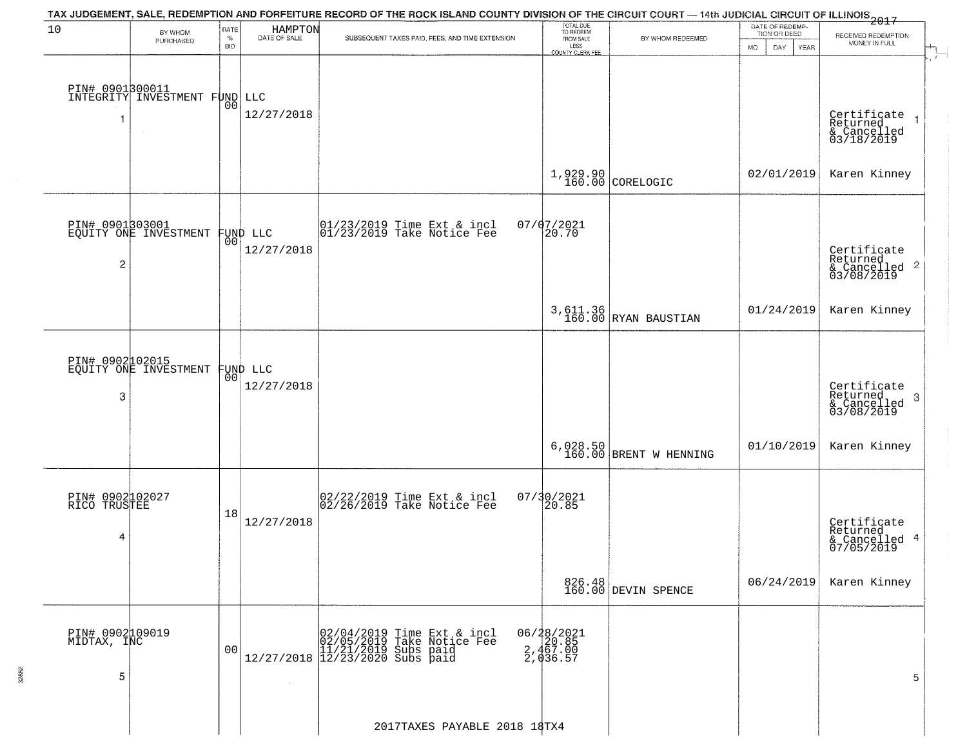| 10                                   | BY WHOM                                           | RATE<br>$\%$   | HAMPTON<br>DATE OF SALE | TAX JUDGEMENT, SALE, REDEMPTION AND FORFEITURE RECORD OF THE ROCK ISLAND COUNTY DIVISION OF THE CIRCUIT COURT — 14th JUDICIAL CIRCUIT OF ILLINOIS 2017<br>SUBSEQUENT TAXES PAID, FEES, AND TIME EXTENSION | TOTAL DUE<br>TO REDEEM<br>FROM SALE               | BY WHOM REDEEMED                 | DATE OF REDEMP-<br>TION OR DEED | RECEIVED REDEMPTION                                                |
|--------------------------------------|---------------------------------------------------|----------------|-------------------------|-----------------------------------------------------------------------------------------------------------------------------------------------------------------------------------------------------------|---------------------------------------------------|----------------------------------|---------------------------------|--------------------------------------------------------------------|
|                                      | PURCHASED                                         | <b>BID</b>     |                         |                                                                                                                                                                                                           | LESS<br>COUNTY CLERK FEE                          |                                  | <b>MO</b><br>DAY<br>YEAR        | MONEY IN FULL                                                      |
|                                      | DIN# 0901300011<br>INTEGRITY INVESTMENT FUND LLC  | 0 <sub>0</sub> | 12/27/2018              |                                                                                                                                                                                                           |                                                   |                                  |                                 | Certificate<br>Returned<br>& Cancelled<br>03/18/2019               |
|                                      |                                                   |                |                         |                                                                                                                                                                                                           |                                                   | $1,929.90$ CORELOGIC             | 02/01/2019                      | Karen Kinney                                                       |
| $\overline{c}$                       | PIN# 0901303001<br>EQUITY ONE INVESTMENT FUND LLC | 00             | 12/27/2018              | $ 01/23/2019$ Time Ext & incl<br>$ 01/23/2019$ Take Notice Fee                                                                                                                                            | $07/07/2021$<br>20.70                             |                                  |                                 | Certificate<br>Returned<br>$\frac{1}{2}$ Cancelled 2<br>03/08/2019 |
|                                      |                                                   |                |                         |                                                                                                                                                                                                           |                                                   | 3,611.36<br>160.00 RYAN BAUSTIAN | 01/24/2019                      | Karen Kinney                                                       |
| 3                                    | PIN# 0902102015<br>EQUITY ONE INVESTMENT          | 00             | FUND LLC<br>12/27/2018  |                                                                                                                                                                                                           |                                                   |                                  |                                 | Certificate<br>Returned<br>3<br>& Cancelled<br>03/08/2019          |
|                                      |                                                   |                |                         |                                                                                                                                                                                                           | 6,028.50<br>160.00                                | BRENT W HENNING                  | 01/10/2019                      | Karen Kinney                                                       |
| PIN# 0902102027<br>RICO TRUSTEE<br>4 |                                                   | 18             | 12/27/2018              | 02/22/2019 Time Ext & incl<br>02/26/2019 Take Notice Fee                                                                                                                                                  | 07/30/2021<br>20.85                               |                                  |                                 | Certificate<br>Returned<br>& Cancelled 4<br>07/05/2019             |
|                                      |                                                   |                |                         |                                                                                                                                                                                                           |                                                   | 826.48<br>160.00 DEVIN SPENCE    | 06/24/2019                      | Karen Kinney                                                       |
| PIN# 0902109019<br>MIDTAX, INC<br>5  |                                                   | 00             |                         | $[02/04/2019 \t\t Time Ext & incl 02/05/2019 \tTake Notice Free 11/21/2019 Subs paid 12/27/2018 \t12/23/2020 Subs paid$                                                                                   | 06/28/2021<br>2, 467.00<br>2, 467.00<br>2, 436.57 |                                  |                                 | 5                                                                  |
|                                      |                                                   |                |                         | 2017TAXES PAYABLE 2018 18TX4                                                                                                                                                                              |                                                   |                                  |                                 |                                                                    |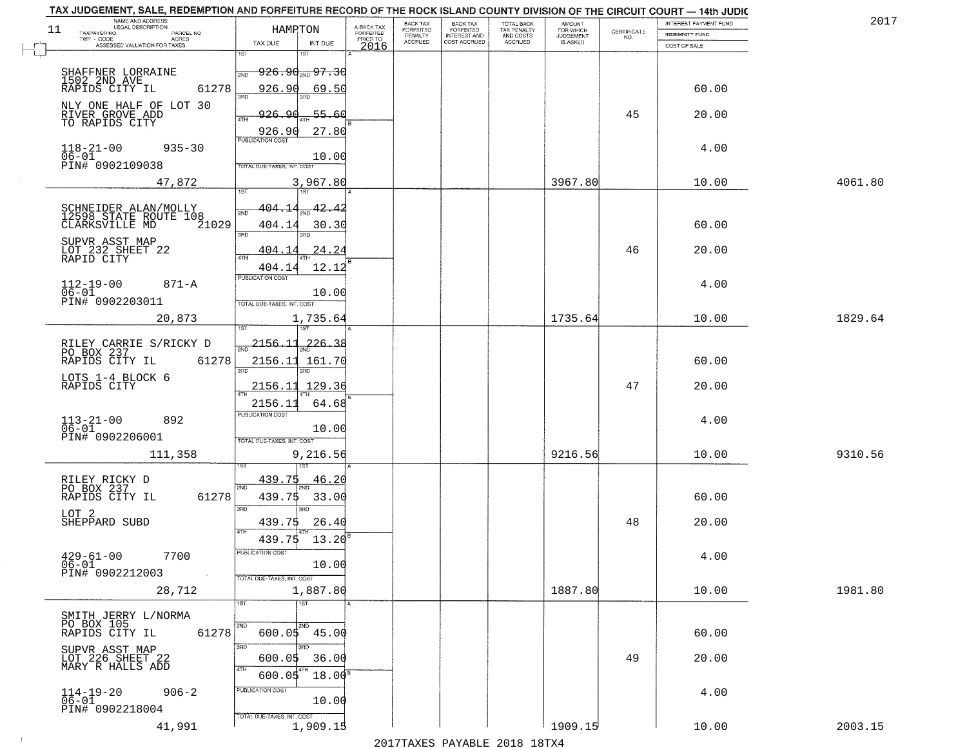| 11 | NAME AND ADDRESS<br>LEGAL DESCRIPTION                           | HAMRTON                            |                  | A-BACK TAX<br>FORFEITED | BACK TAX<br>FORFEITED | <b>BACK TAX</b><br><b>FORFEITED</b> | TOTAL BACK<br>TAX PENALTY | <b>AMOUNT</b>                      |                                                                 | INTEREST PAYMENT FUND | 2017    |
|----|-----------------------------------------------------------------|------------------------------------|------------------|-------------------------|-----------------------|-------------------------------------|---------------------------|------------------------------------|-----------------------------------------------------------------|-----------------------|---------|
|    | TAXPAYER NO.<br>PARCEL NO.<br>TWP - CODE<br>ACRES               | TAX DUE                            | INT DUE          | PRIOR TO                | PENALTY<br>ACCRUED    | INTEREST AND                        | AND COSTS<br>ACCRUED      | FOR WHICH<br>JUDGEMENT<br>IS ASKED | $\begin{array}{c} \text{CERTIFICATE} \\ \text{NO.} \end{array}$ | <b>INDEMNITY FUND</b> |         |
|    | ASSESSED VALUATION FOR TAXES                                    | 1ST                                |                  | 2016                    |                       |                                     |                           |                                    |                                                                 | COST OF SALE          |         |
|    | SHAFFNER LORRAINE<br>1502 2ND AVE                               | <del>926.90 200 97.30</del><br>2ND |                  |                         |                       |                                     |                           |                                    |                                                                 |                       |         |
|    | RAPIDS CITY IL<br>61278                                         | 926.90                             | 69.50            |                         |                       |                                     |                           |                                    |                                                                 | 60.00                 |         |
|    | NLY ONE HALF OF LOT 30                                          | 3AD                                |                  |                         |                       |                                     |                           |                                    |                                                                 |                       |         |
|    | RIVER GROVE ADD<br>TO RAPIDS CITY                               | مھ<br>926.<br><b>4TH</b>           | -55.66           |                         |                       |                                     |                           |                                    | 45                                                              | 20.00                 |         |
|    |                                                                 | 926.90<br><b>PUBLICATION COST</b>  | 27.80            |                         |                       |                                     |                           |                                    |                                                                 |                       |         |
|    | $118 - 21 - 00$<br>$935 - 30$<br>$06 - 01$<br>PIN# 0902109038   |                                    | 10.00            |                         |                       |                                     |                           |                                    |                                                                 | 4.00                  |         |
|    | 47,872                                                          | TOTAL DUE-TAXES, INT. COST         | 3,967.80         |                         |                       |                                     |                           | 3967.80                            |                                                                 | 10.00                 | 4061.80 |
|    |                                                                 | 1ST                                | 1ST              |                         |                       |                                     |                           |                                    |                                                                 |                       |         |
|    | SCHNEIDER ALAN/MOLLY<br>12598 STATE ROUTE 108                   | 404.14                             | 42.42            |                         |                       |                                     |                           |                                    |                                                                 |                       |         |
|    | 21029<br>CLARKSVILLE MD                                         | 404.14<br>3RD                      | 30.30            |                         |                       |                                     |                           |                                    |                                                                 | 60.00                 |         |
|    | SUPVR ASST MAP<br>LOT 232 SHEET 22                              | <u>404.1</u>                       | 24.24            |                         |                       |                                     |                           |                                    | 46                                                              | 20.00                 |         |
|    | RAPID CITY                                                      | $\sqrt{4}$<br>404.14               | 12.12            |                         |                       |                                     |                           |                                    |                                                                 |                       |         |
|    | $112 - 19 - 00$<br>$871 - A$                                    | PUBLICATION COST                   |                  |                         |                       |                                     |                           |                                    |                                                                 | 4.00                  |         |
|    | $06 - 01$<br>PIN# 0902203011                                    | TOTAL DUE-TAXES, INT. COST         | 10.00            |                         |                       |                                     |                           |                                    |                                                                 |                       |         |
|    | 20,873                                                          |                                    | 1,735.64         |                         |                       |                                     |                           | 1735.64                            |                                                                 | 10.00                 | 1829.64 |
|    |                                                                 |                                    |                  |                         |                       |                                     |                           |                                    |                                                                 |                       |         |
|    | RILEY CARRIE S/RICKY D<br>PO BOX 237<br>RAPIDS CITY IL<br>61278 | 2156.11<br>2156.11 161.70          | $226 - 38$       |                         |                       |                                     |                           |                                    |                                                                 | 60.00                 |         |
|    | LOTS 1-4 BLOCK 6                                                | 3BD                                |                  |                         |                       |                                     |                           |                                    |                                                                 |                       |         |
|    | RAPIDS CITY                                                     | 2156.11                            | 129.36           |                         |                       |                                     |                           |                                    | 47                                                              | 20.00                 |         |
|    |                                                                 | 2156.11<br><b>PUBLICATION COST</b> | 64.68            |                         |                       |                                     |                           |                                    |                                                                 |                       |         |
|    | $113 - 21 - 00$<br>$06 - 01$<br>892                             |                                    | 10.00            |                         |                       |                                     |                           |                                    |                                                                 | 4.00                  |         |
|    | PIN# 0902206001                                                 | TOTAL OUE-TAXES, INT. COST         |                  |                         |                       |                                     |                           |                                    |                                                                 |                       |         |
|    | 111,358                                                         |                                    | 9,216.56         |                         |                       |                                     |                           | 9216.56                            |                                                                 | 10.00                 | 9310.56 |
|    | RILEY RICKY D<br>PO BOX 237                                     | 439.75<br>2ND                      | 46.20            |                         |                       |                                     |                           |                                    |                                                                 |                       |         |
|    | 61278<br>RAPIDS CITY IL                                         | 439.75                             | 33.00            |                         |                       |                                     |                           |                                    |                                                                 | 60.00                 |         |
|    | LOT 2<br>SHEPPARD SUBD                                          | 3RD                                | 3RD              |                         |                       |                                     |                           |                                    | 48                                                              | 20.00                 |         |
|    |                                                                 | 439.75<br>439.75                   | 26.40<br>13.20   |                         |                       |                                     |                           |                                    |                                                                 |                       |         |
|    | $429 - 61 - 00$<br>7700                                         | PUBLICATION COST                   |                  |                         |                       |                                     |                           |                                    |                                                                 | 4.00                  |         |
|    | 06-01<br>PIN# 0902212003<br>$\sim 100$ km $^{-1}$               |                                    | 10.00            |                         |                       |                                     |                           |                                    |                                                                 |                       |         |
|    | 28,712                                                          | TOTAL DUE-TAXES, INT. COST         | 1,887.80         |                         |                       |                                     |                           | 1887.80                            |                                                                 | 10.00                 | 1981.80 |
|    |                                                                 | 1ST                                | $\overline{1ST}$ |                         |                       |                                     |                           |                                    |                                                                 |                       |         |
|    | SMITH JERRY L/NORMA<br>PO BOX 105                               | 2ND                                | 2ND              |                         |                       |                                     |                           |                                    |                                                                 |                       |         |
|    | RAPIDS CITY IL<br>61278                                         | $600.05$ 45.00<br>3RD              | 3BD              |                         |                       |                                     |                           |                                    |                                                                 | 60.00                 |         |
|    | SUPVR ASST MAP<br>LOT 226 SHEET 22<br>MARY R HALLS ADD          | 600.05                             | 36.00            |                         |                       |                                     |                           |                                    | 49                                                              | 20.00                 |         |
|    |                                                                 | 4TH<br>600.05                      | 4TH<br>$18.00^8$ |                         |                       |                                     |                           |                                    |                                                                 |                       |         |
|    | $906 - 2$<br>$114-19-20$<br>06-01                               | PUBLICATION COST                   | 10.00            |                         |                       |                                     |                           |                                    |                                                                 | 4.00                  |         |
|    | PIN# 0902218004                                                 | TOTAL DUE-TAXES, INT. COST         |                  |                         |                       |                                     |                           |                                    |                                                                 |                       |         |
|    | 41,991                                                          |                                    | 1,909.15         |                         |                       |                                     |                           | 1909.15                            |                                                                 | 10.00                 | 2003.15 |

 $\sim 100$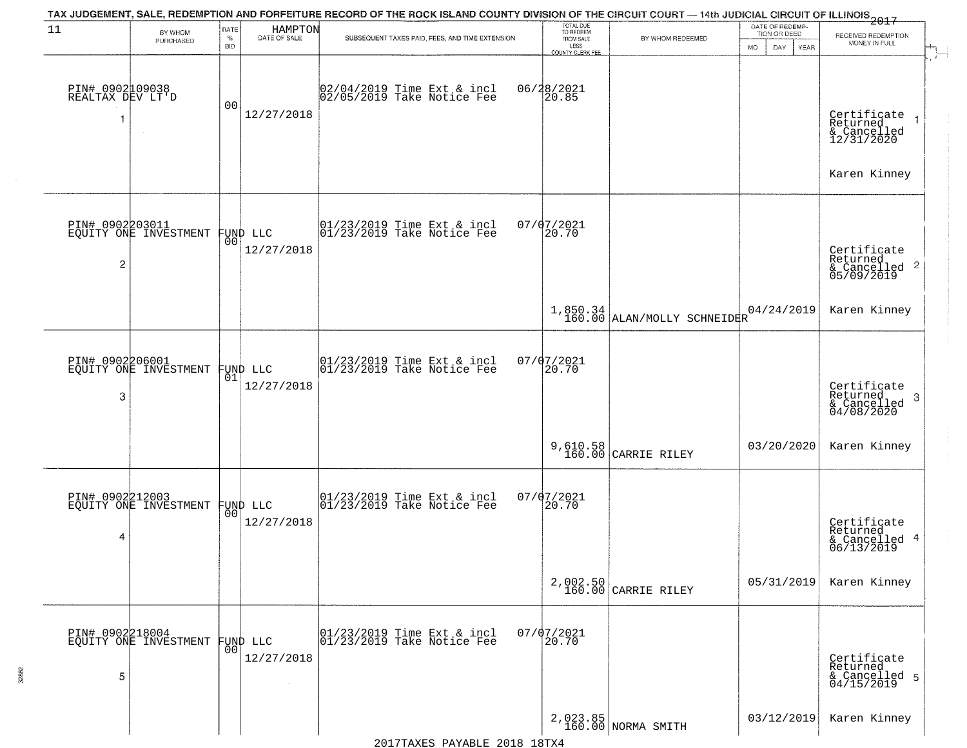|                                     |                                                   |                     |                               | TAX JUDGEMENT, SALE, REDEMPTION AND FORFEITURE RECORD OF THE ROCK ISLAND COUNTY DIVISION OF THE CIRCUIT COURT — 14th JUDICIAL CIRCUIT OF ILLINOIS 2017 |                                                                 |                                           |                                                        |                                                                                                                                                                                      |
|-------------------------------------|---------------------------------------------------|---------------------|-------------------------------|--------------------------------------------------------------------------------------------------------------------------------------------------------|-----------------------------------------------------------------|-------------------------------------------|--------------------------------------------------------|--------------------------------------------------------------------------------------------------------------------------------------------------------------------------------------|
| 11                                  | BY WHOM<br>PURCHASED                              | RATE<br>$\%$<br>BID | HAMPTON<br>DATE OF SALE       | SUBSEQUENT TAXES PAID, FEES, AND TIME EXTENSION                                                                                                        | TOTAL DUE<br>TO REDEEM<br>FROM SALE<br>LESS<br>COUNTY CLERK FEE | BY WHOM REDEEMED                          | DATE OF REDEMP-<br>TION OR DEED<br>MO.<br>DAY.<br>YEAR | RECEIVED REDEMPTION<br>MONEY IN FULL<br>$\overrightarrow{A}^{\hspace{-0.1em}-\hspace{-0.15em}-\hspace{-0.15em}-\hspace{-0.15em}-\hspace{-0.15em}-\hspace{-0.15em}-\hspace{-0.15em}}$ |
| PIN# 0902009038<br>REALTAX DEV LT'D |                                                   | 00                  | 12/27/2018                    | 02/04/2019 Time Ext & incl<br>02/05/2019 Take Notice Fee                                                                                               | 06/28/2021<br>20.85                                             |                                           |                                                        | Certificate<br>Returned<br>& Cancelled<br>12/31/2020                                                                                                                                 |
|                                     |                                                   |                     |                               |                                                                                                                                                        |                                                                 |                                           |                                                        | Karen Kinney                                                                                                                                                                         |
| 2                                   | PIN# 0902203011<br>EQUITY ONE INVESTMENT          | 001                 | FUND LLC<br>12/27/2018        | $ 01/23/2019$ Time Ext & incl<br>$ 01/23/2019$ Take Notice Fee                                                                                         | $07/07/2021$<br>20.70                                           |                                           |                                                        | Certificate<br>Returned<br>$& \text{Cancelled}$ 2<br>05/09/2019                                                                                                                      |
|                                     |                                                   |                     |                               |                                                                                                                                                        |                                                                 | $1,850.34$<br>160.00 ALAN/MOLLY SCHNEIDER | 04/24/2019                                             | Karen Kinney                                                                                                                                                                         |
| 3                                   | PIN# 0902206001<br>EQUITY ONE INVESTMENT          | 01                  | FUND LLC<br>12/27/2018        | $ 01/23/2019$ Time Ext & incl<br>$ 01/23/2019$ Take Notice Fee                                                                                         | $07/07/2021$<br>20.70                                           |                                           |                                                        | Certificate<br>Returned<br>-3<br>& Cancelled<br>04/08/2020                                                                                                                           |
|                                     |                                                   |                     |                               |                                                                                                                                                        |                                                                 | 9,610.58<br>160.00 CARRIE RILEY           | 03/20/2020                                             | Karen Kinney                                                                                                                                                                         |
| 4                                   | PIN# 0902212003<br>EQUITY ONE INVESTMENT FUND LLC |                     | 12/27/2018                    | $\begin{bmatrix} 01/23/2019 \\ 01/23/2019 \end{bmatrix}$ Take Notice Fee                                                                               | $07/07/2021$<br>20.70                                           |                                           |                                                        | Certificate<br>Returned<br>& Cancelled 4<br>06/13/2019                                                                                                                               |
|                                     |                                                   |                     |                               |                                                                                                                                                        |                                                                 | 2,002.50<br>160.00 CARRIE RILEY           | 05/31/2019                                             | Karen Kinney                                                                                                                                                                         |
| 5                                   | PIN# 0902218004<br>EQUITY ONE INVESTMENT          | 00                  | <b>FUND LLC</b><br>12/27/2018 | $\begin{array}{cc}  01/23/2019 \, \text{Time} \, \text{Ext} \, \& \, \text{incl} \\  01/23/2019 \, \text{Take Notice} \, \text{Fe} \end{array}$        | $07/07/2021$<br>20.70                                           |                                           |                                                        | Certificate<br>Returned<br>& Cancelled 5<br>04/15/2019                                                                                                                               |
|                                     |                                                   |                     |                               |                                                                                                                                                        |                                                                 | 2,023.85<br>160.00 NORMA SMITH            | 03/12/2019                                             | Karen Kinney                                                                                                                                                                         |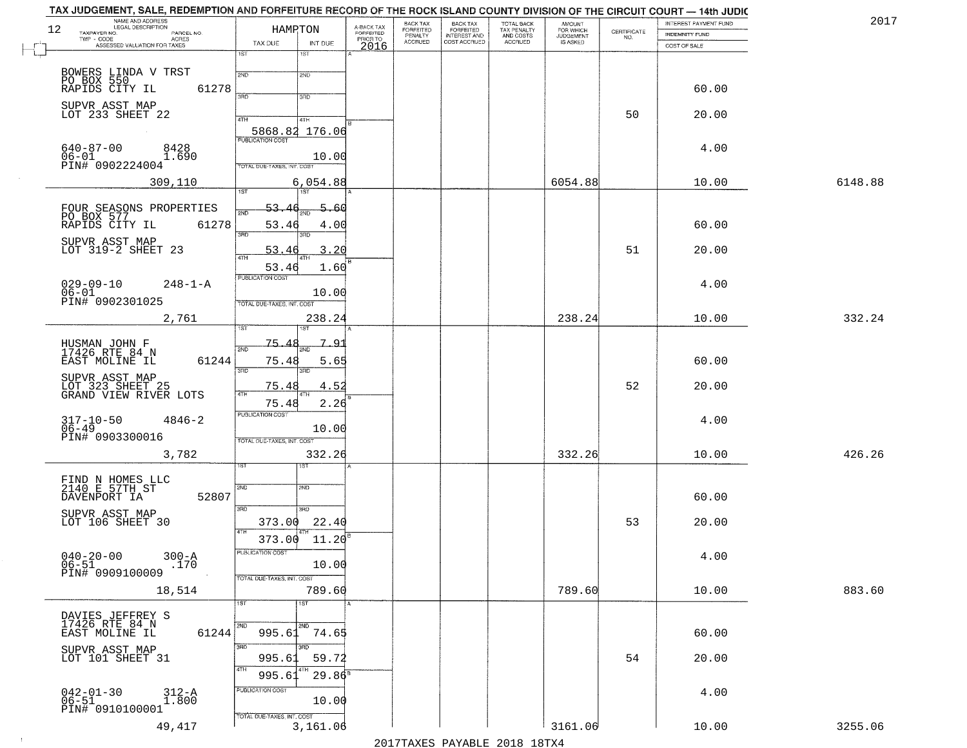| NAME AND ADDRESS<br>LEGAL DESCRIPTION<br>12<br>TAXPAYER NO.<br>PARCEL NO. | HAMPTON                                       | A-BACK TAX<br>FORFEITED<br>PRIOR TO | BACK TAX<br>FORFEITED     | BACK TAX<br>FORFEITED<br>INTEREST AND | TOTAL BACK<br>TAX PENALTY<br>AND COSTS | AMOUNT<br>FOR WHICH<br>JUDGEMENT |                                                                 | INTEREST PAYMENT FUND<br><b>INDEMNITY FUND</b> | 2017    |
|---------------------------------------------------------------------------|-----------------------------------------------|-------------------------------------|---------------------------|---------------------------------------|----------------------------------------|----------------------------------|-----------------------------------------------------------------|------------------------------------------------|---------|
| $TWP - CODE$<br>ACRES<br>ASSESSED VALUATION FOR TAXES                     | TAX DUE<br>INT DUE                            | 2016                                | PENALTY<br><b>ACCRUED</b> | COST ACCRUED                          | <b>ACCRUED</b>                         | IS ASKED                         | $\begin{array}{c} \text{CERTIFICATE} \\ \text{NO.} \end{array}$ | COST OF SALE                                   |         |
|                                                                           | 1ST<br>1ST                                    |                                     |                           |                                       |                                        |                                  |                                                                 |                                                |         |
| BOWERS LINDA V TRST<br>PO BOX 550<br>RAPIDS CITY IL                       | 2ND<br>2ND                                    |                                     |                           |                                       |                                        |                                  |                                                                 |                                                |         |
| 61278                                                                     | 350<br>3RD                                    |                                     |                           |                                       |                                        |                                  |                                                                 | 60.00                                          |         |
| SUPVR ASST MAP<br>LOT 233 SHEET 22                                        | 4TH<br>4TH                                    |                                     |                           |                                       |                                        |                                  | 50                                                              | 20.00                                          |         |
|                                                                           | 5868.82 176.06                                |                                     |                           |                                       |                                        |                                  |                                                                 |                                                |         |
| $640 - 87 - 00$<br>8428                                                   | <b>PUBLICATION COST</b>                       |                                     |                           |                                       |                                        |                                  |                                                                 | 4.00                                           |         |
| $06 - 01$<br>1.690<br>PIN# 0902224004                                     | 10.00<br>TOTAL DUE-TAXES, INT. COST           |                                     |                           |                                       |                                        |                                  |                                                                 |                                                |         |
| 309,110                                                                   | 6,054.88<br>1ST<br>1ST                        |                                     |                           |                                       |                                        | 6054.88                          |                                                                 | 10.00                                          | 6148.88 |
|                                                                           | 53.46<br>5.60                                 |                                     |                           |                                       |                                        |                                  |                                                                 |                                                |         |
| FOUR SEASONS PROPERTIES<br>PO BOX 577<br>RAPIDS CITY IL 612<br>61278      | 2ND<br>53.46<br>4.00                          |                                     |                           |                                       |                                        |                                  |                                                                 | 60.00                                          |         |
| SUPVR ASST MAP<br>LOT 319-2 SHEET 23                                      | 3RD<br>3RD                                    |                                     |                           |                                       |                                        |                                  |                                                                 |                                                |         |
|                                                                           | 3.20<br>53.46                                 |                                     |                           |                                       |                                        |                                  | 51                                                              | 20.00                                          |         |
| $029 - 09 - 10$<br>$248 - 1 - A$                                          | 53.46<br>1.60<br>PUBLICATION COST             |                                     |                           |                                       |                                        |                                  |                                                                 |                                                |         |
| $06 - 01$<br>PIN# 0902301025                                              | 10.00                                         |                                     |                           |                                       |                                        |                                  |                                                                 | 4.00                                           |         |
| 2,761                                                                     | TOTAL DUE-TAXES, INT. COST<br>238.24          |                                     |                           |                                       |                                        | 238.24                           |                                                                 | 10.00                                          | 332.24  |
|                                                                           |                                               |                                     |                           |                                       |                                        |                                  |                                                                 |                                                |         |
| HUSMAN JOHN F<br>17426 RTE 84 N                                           | 75.<br>7.<br><u>َ ۾</u><br>2ND                |                                     |                           |                                       |                                        |                                  |                                                                 |                                                |         |
| EAST MOLINE IL<br>61244                                                   | 75.48<br>5.65<br>3BD<br>3RD                   |                                     |                           |                                       |                                        |                                  |                                                                 | 60.00                                          |         |
| SUPVR ASST MAP<br>LOT 323 SHEET 25<br>GRAND VIEW RIVER LOTS               | 75.48<br>4.52<br>4TH                          |                                     |                           |                                       |                                        |                                  | 52                                                              | 20.00                                          |         |
|                                                                           | 75.48<br>2.26<br><b>PUBLICATION COST</b>      |                                     |                           |                                       |                                        |                                  |                                                                 |                                                |         |
| 317-10-50<br>06-49<br>$4846 - 2$                                          | 10.00                                         |                                     |                           |                                       |                                        |                                  |                                                                 | 4.00                                           |         |
| PIN# 0903300016                                                           | TOTAL OUE-TAXES, INT. COST                    |                                     |                           |                                       |                                        |                                  |                                                                 |                                                |         |
| 3,782                                                                     | 332.26<br>ड़िंग                               |                                     |                           |                                       |                                        | 332.26                           |                                                                 | 10.00                                          | 426.26  |
| FIND N HOMES LLC<br>2140 E 57TH ST                                        | 2ND<br>2ND                                    |                                     |                           |                                       |                                        |                                  |                                                                 |                                                |         |
| 52807<br>DAVENPORT IA                                                     |                                               |                                     |                           |                                       |                                        |                                  |                                                                 | 60.00                                          |         |
| SUPVR ASST MAP<br>LOT 106 SHEET 30                                        | 3RD<br>3BD<br>22.40<br>373.00                 |                                     |                           |                                       |                                        |                                  | 53                                                              | 20.00                                          |         |
|                                                                           | 4TH<br>11.20 <sup>B</sup><br>373.00           |                                     |                           |                                       |                                        |                                  |                                                                 |                                                |         |
| $040 - 20 - 00$<br>$300 - A$                                              | PUBLICATION COST                              |                                     |                           |                                       |                                        |                                  |                                                                 | 4.00                                           |         |
| $06 - 51$<br>.170<br>PIN# 0909100009                                      | 10.00<br>TOTAL DUE-TAXES, INT. COST           |                                     |                           |                                       |                                        |                                  |                                                                 |                                                |         |
| 18,514                                                                    | 789.60                                        |                                     |                           |                                       |                                        | 789.60                           |                                                                 | 10.00                                          | 883.60  |
|                                                                           | 1ST<br>1ST                                    |                                     |                           |                                       |                                        |                                  |                                                                 |                                                |         |
| DAVIES JEFFREY S<br>17426 RTE 84 N<br>EAST MOLINE IL<br>61244             | 2ND<br>2ND<br>995.61<br>74.65                 |                                     |                           |                                       |                                        |                                  |                                                                 | 60.00                                          |         |
| SUPVR ASST MAP                                                            | 3RD<br>3RD.                                   |                                     |                           |                                       |                                        |                                  |                                                                 |                                                |         |
| LOT 101 SHEET 31                                                          | 59.72<br>995.6<br>4TH                         |                                     |                           |                                       |                                        |                                  | 54                                                              | 20.00                                          |         |
|                                                                           | $29.86^{\circ}$<br>995.61<br>PUBLICATION COST |                                     |                           |                                       |                                        |                                  |                                                                 | 4.00                                           |         |
| $042 - 01 - 30$<br>06-51<br>312-A<br>1.800<br>PIN# 0910100001             | 10.00                                         |                                     |                           |                                       |                                        |                                  |                                                                 |                                                |         |
| 49,417                                                                    | TOTAL DUE-TAXES, INT. COST<br>3,161.06        |                                     |                           |                                       |                                        | 3161.06                          |                                                                 | 10.00                                          | 3255.06 |

 $\sim 100$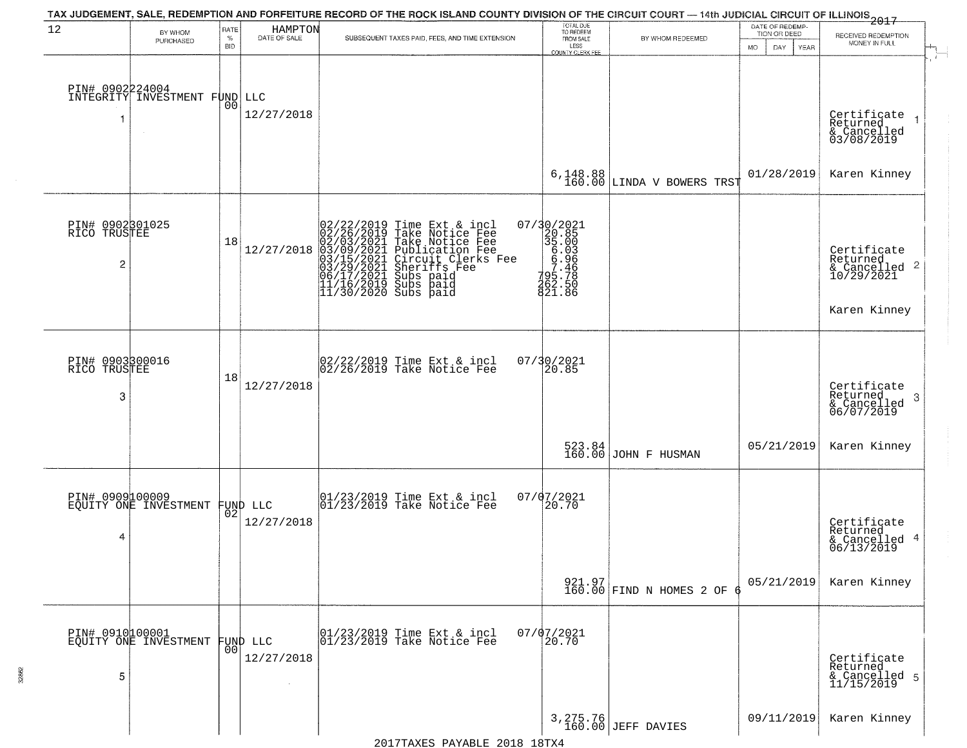| 12                              |                                          | RATE               |                         | TAX JUDGEMENT, SALE, REDEMPTION AND FORFEITURE RECORD OF THE ROCK ISLAND COUNTY DIVISION OF THE CIRCUIT COURT — 14th JUDICIAL CIRCUIT OF ILLINOIS 2017                                                                                                |                                                                                                         |                                         | DATE OF REDEMP-          |                                          |
|---------------------------------|------------------------------------------|--------------------|-------------------------|-------------------------------------------------------------------------------------------------------------------------------------------------------------------------------------------------------------------------------------------------------|---------------------------------------------------------------------------------------------------------|-----------------------------------------|--------------------------|------------------------------------------|
|                                 | BY WHOM<br>PURCHASED                     | $\%$<br><b>BID</b> | HAMPTON<br>DATE OF SALE | SUBSEQUENT TAXES PAID, FEES, AND TIME EXTENSION                                                                                                                                                                                                       | TOTAL DUE<br>TO REDEEM<br>FROM SALE<br>LESS                                                             | BY WHOM REDEEMED                        | TION OR DEED             | RECEIVED REDEMPTION<br>MONEY IN FULL     |
|                                 |                                          |                    |                         |                                                                                                                                                                                                                                                       | <b>COUNTY CLERK FEE</b>                                                                                 |                                         | <b>MO</b><br>DAY<br>YEAR |                                          |
|                                 |                                          |                    |                         |                                                                                                                                                                                                                                                       |                                                                                                         |                                         |                          |                                          |
| PIN# 0902224004                 |                                          |                    |                         |                                                                                                                                                                                                                                                       |                                                                                                         |                                         |                          |                                          |
|                                 | INTEGRITY INVESTMENT FUND                | 0 <sub>0</sub>     | LLC                     |                                                                                                                                                                                                                                                       |                                                                                                         |                                         |                          |                                          |
| -1                              |                                          |                    | 12/27/2018              |                                                                                                                                                                                                                                                       |                                                                                                         |                                         |                          | Certificate<br>Returned<br>$\rightarrow$ |
|                                 |                                          |                    |                         |                                                                                                                                                                                                                                                       |                                                                                                         |                                         |                          | & Cancelled<br>03/08/2019                |
|                                 |                                          |                    |                         |                                                                                                                                                                                                                                                       |                                                                                                         |                                         |                          |                                          |
|                                 |                                          |                    |                         |                                                                                                                                                                                                                                                       |                                                                                                         |                                         | 01/28/2019               | Karen Kinney                             |
|                                 |                                          |                    |                         |                                                                                                                                                                                                                                                       |                                                                                                         | $6,148.88$ $160.00$ LINDA V BOWERS TRST |                          |                                          |
|                                 |                                          |                    |                         |                                                                                                                                                                                                                                                       |                                                                                                         |                                         |                          |                                          |
|                                 |                                          |                    |                         |                                                                                                                                                                                                                                                       |                                                                                                         |                                         |                          |                                          |
| PIN# 0902301025<br>RICO TRUSTEE |                                          | 18                 |                         |                                                                                                                                                                                                                                                       |                                                                                                         |                                         |                          |                                          |
|                                 |                                          |                    | 12/27/2018              |                                                                                                                                                                                                                                                       | 07/30/2021<br>20.85<br>35.00<br>5.003<br>6.93<br>6.93<br>795.78<br>262.50<br>795.78<br>795.78<br>795.78 |                                         |                          | Certificate<br>Returned                  |
| $\overline{c}$                  |                                          |                    |                         |                                                                                                                                                                                                                                                       |                                                                                                         |                                         |                          | & Cancelled 2<br>10/29/2021              |
|                                 |                                          |                    |                         | 02/22/2019 Time Ext & incl<br>02/26/2019 Take Notice Fee<br>02/03/2021 Take Notice Fee<br>03/09/2021 Publication Fee<br>03/15/2021 Circuit Clerks Fee<br>03/15/2021 Subs paid<br>06/17/2021 Subs paid<br>11/16/2019 Subs paid<br>11/30/2020 Subs paid | 821.86                                                                                                  |                                         |                          |                                          |
|                                 |                                          |                    |                         |                                                                                                                                                                                                                                                       |                                                                                                         |                                         |                          | Karen Kinney                             |
|                                 |                                          |                    |                         |                                                                                                                                                                                                                                                       |                                                                                                         |                                         |                          |                                          |
|                                 |                                          |                    |                         |                                                                                                                                                                                                                                                       |                                                                                                         |                                         |                          |                                          |
| PIN# 0903300016                 |                                          |                    |                         |                                                                                                                                                                                                                                                       | 07/30/2021                                                                                              |                                         |                          |                                          |
| RICO TRUSTEE                    |                                          | 18                 |                         | 02/22/2019 Time Ext & incl<br>02/26/2019 Take Notice Fee                                                                                                                                                                                              | 20.85                                                                                                   |                                         |                          |                                          |
| 3                               |                                          |                    | 12/27/2018              |                                                                                                                                                                                                                                                       |                                                                                                         |                                         |                          | Certificate<br>Returned                  |
|                                 |                                          |                    |                         |                                                                                                                                                                                                                                                       |                                                                                                         |                                         |                          | 3<br>& Cancelled<br>06/07/2019           |
|                                 |                                          |                    |                         |                                                                                                                                                                                                                                                       |                                                                                                         |                                         |                          |                                          |
|                                 |                                          |                    |                         |                                                                                                                                                                                                                                                       |                                                                                                         |                                         | 05/21/2019               | Karen Kinney                             |
|                                 |                                          |                    |                         |                                                                                                                                                                                                                                                       |                                                                                                         | 523.84<br>160.00 JOHN F HUSMAN          |                          |                                          |
|                                 |                                          |                    |                         |                                                                                                                                                                                                                                                       |                                                                                                         |                                         |                          |                                          |
| PIN# 0909100009                 |                                          |                    |                         |                                                                                                                                                                                                                                                       | 07/07/2021                                                                                              |                                         |                          |                                          |
|                                 | EQUITY ONE INVESTMENT                    | 02                 | FUND LLC                | 01/23/2019 Time Ext & incl<br>01/23/2019 Take Notice Fee                                                                                                                                                                                              | 20.70                                                                                                   |                                         |                          |                                          |
|                                 |                                          |                    | 12/27/2018              |                                                                                                                                                                                                                                                       |                                                                                                         |                                         |                          | Certificate<br>Returned                  |
| 4                               |                                          |                    |                         |                                                                                                                                                                                                                                                       |                                                                                                         |                                         |                          | 4<br>& Cancelled<br>06/13/2019           |
|                                 |                                          |                    |                         |                                                                                                                                                                                                                                                       |                                                                                                         |                                         |                          |                                          |
|                                 |                                          |                    |                         |                                                                                                                                                                                                                                                       |                                                                                                         |                                         | 05/21/2019               | Karen Kinney                             |
|                                 |                                          |                    |                         |                                                                                                                                                                                                                                                       |                                                                                                         | 921.97<br>160.00 FIND N HOMES 2 OF      |                          |                                          |
|                                 |                                          |                    |                         |                                                                                                                                                                                                                                                       |                                                                                                         |                                         |                          |                                          |
|                                 |                                          |                    |                         |                                                                                                                                                                                                                                                       |                                                                                                         |                                         |                          |                                          |
|                                 | PIN# 0910100001<br>EQUITY ONE INVESTMENT | 001                | FUND LLC                | $\begin{array}{ccc}  01/23/2019 \, \text{Time} \, \text{Ext} \, \& \, \text{incl} \\  01/23/2019 \, \text{Take Notice} \, \text{Fe} \end{array}$                                                                                                      | $07/07/2021$<br>$20.70$                                                                                 |                                         |                          |                                          |
|                                 |                                          |                    | 12/27/2018              |                                                                                                                                                                                                                                                       |                                                                                                         |                                         |                          | Certificate<br>Returned                  |
| 5                               |                                          |                    |                         |                                                                                                                                                                                                                                                       |                                                                                                         |                                         |                          | & Cancelled 5<br>11/15/2019              |
|                                 |                                          |                    |                         |                                                                                                                                                                                                                                                       |                                                                                                         |                                         |                          |                                          |
|                                 |                                          |                    |                         |                                                                                                                                                                                                                                                       |                                                                                                         |                                         |                          |                                          |
|                                 |                                          |                    |                         |                                                                                                                                                                                                                                                       |                                                                                                         | 3, 275.76<br>160.00 JEFF DAVIES         | 09/11/2019               | Karen Kinney                             |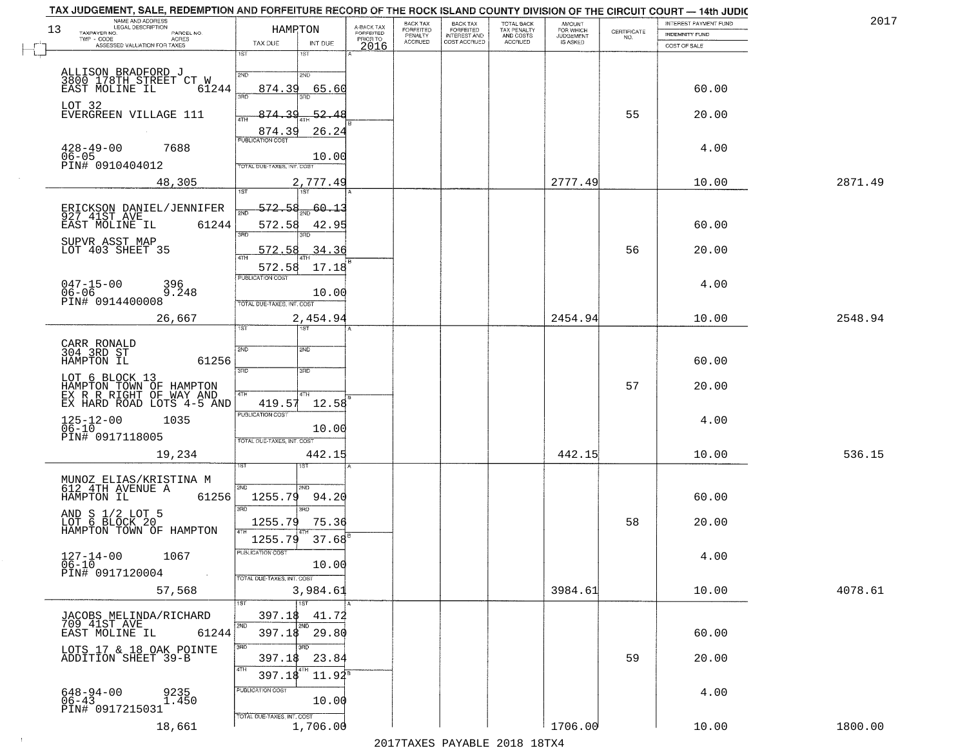| 13 | NAME AND ADDRESS<br>LEGAL DESCRIPTION<br>TAXPAYER NO.<br>PARCEL NO.<br>$TWP + CODE$<br>- CODE AGRES<br>ASSESSED VALUATION FOR TAXES | <b>HAMPTON</b><br>TAX DUE                                | INT DUE                          | A-BACK TAX<br>FORFEITED<br>PRIOR TO<br>2016 | BACK TAX<br>FORFEITED<br>PENALTY<br><b>ACCRUED</b> | BACK TAX<br>FORFEITED<br>INTEREST AND<br>COST ACCRUED | TOTAL BACK<br>TAX PENALTY<br>AND COSTS<br>ACCRUED | <b>AMOUNT</b><br>FOR WHICH<br>IS ASKED | CERTIFICATE<br>NO. | INTEREST PAYMENT FUND<br>INDEMNITY FUND<br>COST OF SALE | 2017    |
|----|-------------------------------------------------------------------------------------------------------------------------------------|----------------------------------------------------------|----------------------------------|---------------------------------------------|----------------------------------------------------|-------------------------------------------------------|---------------------------------------------------|----------------------------------------|--------------------|---------------------------------------------------------|---------|
|    |                                                                                                                                     | 1ST                                                      | 1ST                              |                                             |                                                    |                                                       |                                                   |                                        |                    |                                                         |         |
|    | ALLISON BRADFORD J<br>3800 178TH STREET CT W<br>EAST MOLINE IL<br>61244                                                             | 2ND<br>874.39                                            | 2ND<br>65.60                     |                                             |                                                    |                                                       |                                                   |                                        |                    | 60.00                                                   |         |
|    | LOT 32<br>EVERGREEN VILLAGE 111                                                                                                     | 3RD<br>874.39                                            | 3BD<br>$-52.48$                  |                                             |                                                    |                                                       |                                                   |                                        | 55                 | 20.00                                                   |         |
|    | $428 - 49 - 00$<br>7688<br>$06 - 05$                                                                                                | 874.39<br><b>PUBLICATION COST</b>                        | 26.24<br>10.00                   |                                             |                                                    |                                                       |                                                   |                                        |                    | 4.00                                                    |         |
|    | PIN# 0910404012<br>48,305                                                                                                           | TOTAL DUE-TAXES, INT. COST<br>1ST                        | 2,777.49<br>1ST                  |                                             |                                                    |                                                       |                                                   | 2777.49                                |                    | 10.00                                                   | 2871.49 |
|    | ERICKSON DANIEL/JENNIFER<br>927 41ST AVE<br>61244<br>EAST MOLINE IL                                                                 | 572.58<br>572.58<br>3RD                                  | 60.13<br>42.95                   |                                             |                                                    |                                                       |                                                   |                                        |                    | 60.00                                                   |         |
|    | SUPVR ASST MAP<br>LOT 403 SHEET 35                                                                                                  | 572.58<br>aTH                                            | 34.36                            |                                             |                                                    |                                                       |                                                   |                                        | 56                 | 20.00                                                   |         |
|    | $047 - 15 - 00$<br>396<br>$06 - 06$<br>9.248<br>PIN# 0914400008                                                                     | 572.58<br>PUBLICATION COST<br>TOTAL DUE-TAXES, INT. COST | 17.18<br>10.00                   |                                             |                                                    |                                                       |                                                   |                                        |                    | 4.00                                                    |         |
|    | 26,667                                                                                                                              | 1ST                                                      | 2,454.94                         |                                             |                                                    |                                                       |                                                   | 2454.94                                |                    | 10.00                                                   | 2548.94 |
|    | CARR RONALD<br>304 3RD ST<br>HAMPTON IL<br>61256                                                                                    | SVD<br>3RD                                               | <b>2MD</b><br>3RD                |                                             |                                                    |                                                       |                                                   |                                        |                    | 60.00                                                   |         |
|    | LOT 6 BLOCK 13<br>HAMPTON TOWN OF HAMPTON<br>EX R R RIGHT OF WAY AND<br>EX HARD ROAD LOTS 4-5 AND                                   | 4TH<br>419.57                                            | 4TH<br>12.58                     |                                             |                                                    |                                                       |                                                   |                                        | 57                 | 20.00                                                   |         |
|    | $125 - 12 - 00$<br>06-10<br>1035<br>PIN# 0917118005                                                                                 | <b>PUBLICATION COST</b><br>TOTAL OUE-TAXES, INT. COST    | 10.00                            |                                             |                                                    |                                                       |                                                   |                                        |                    | 4.00                                                    |         |
|    | 19,234                                                                                                                              |                                                          | 442.15<br>1ST                    |                                             |                                                    |                                                       |                                                   | 442.15                                 |                    | 10.00                                                   | 536.15  |
|    | MUNOZ ELIAS/KRISTINA M<br>612 4TH AVENUE A<br>HAMPTON IL<br>61256                                                                   | 2ND<br>1255.79<br>3RD                                    | 2ND<br>94.20<br>$\overline{3BD}$ |                                             |                                                    |                                                       |                                                   |                                        |                    | 60.00                                                   |         |
|    | AND S 1/2 LOT 5<br>LOT 6 BLOCK 20<br>HAMPTON TOWN OF HAMPTON                                                                        | 1255.79<br>1255.79                                       | 75.36<br>$37.68^{B}$             |                                             |                                                    |                                                       |                                                   |                                        | 58                 | 20.00                                                   |         |
|    | 1067<br>$127 - 14 - 00$<br>$\frac{0}{0.6}$ - 10<br>PIN# 0917120004                                                                  | PUBLICATION COST<br>TOTAL DUE-TAXES, INT. COST           | 10.00                            |                                             |                                                    |                                                       |                                                   |                                        |                    | 4.00                                                    |         |
|    | 57,568                                                                                                                              |                                                          | 3,984.61                         |                                             |                                                    |                                                       |                                                   | 3984.61                                |                    | 10.00                                                   | 4078.61 |
|    | JACOBS MELINDA/RICHARD<br>709 41ST AVE<br>EAST MOLINE IL<br>61244                                                                   | 1ST<br>397.18<br>2ND<br>397.18                           | 1ST<br>41.72<br>2ND<br>29.80     |                                             |                                                    |                                                       |                                                   |                                        |                    | 60.00                                                   |         |
|    | LOTS 17 & 18 OAK POINTE<br>ADDITION SHEET 39-B                                                                                      | 3RD<br>397.1\$<br>4TH<br>397.18                          | 3BD<br>23.84<br>$11.92^{\circ}$  |                                             |                                                    |                                                       |                                                   |                                        | 59                 | 20.00                                                   |         |
|    | $648 - 94 - 00$<br>$06 - 43$<br>9235<br>1.450<br>PIN# 0917215031                                                                    | PUBLICATION COST                                         | 10.00                            |                                             |                                                    |                                                       |                                                   |                                        |                    | 4.00                                                    |         |
|    | 18,661                                                                                                                              | TOTAL DUE-TAXES, INT. COST                               | 1,706.00                         |                                             |                                                    |                                                       |                                                   | 1706.00                                |                    | 10.00                                                   | 1800.00 |

 $\sim 10^{-1}$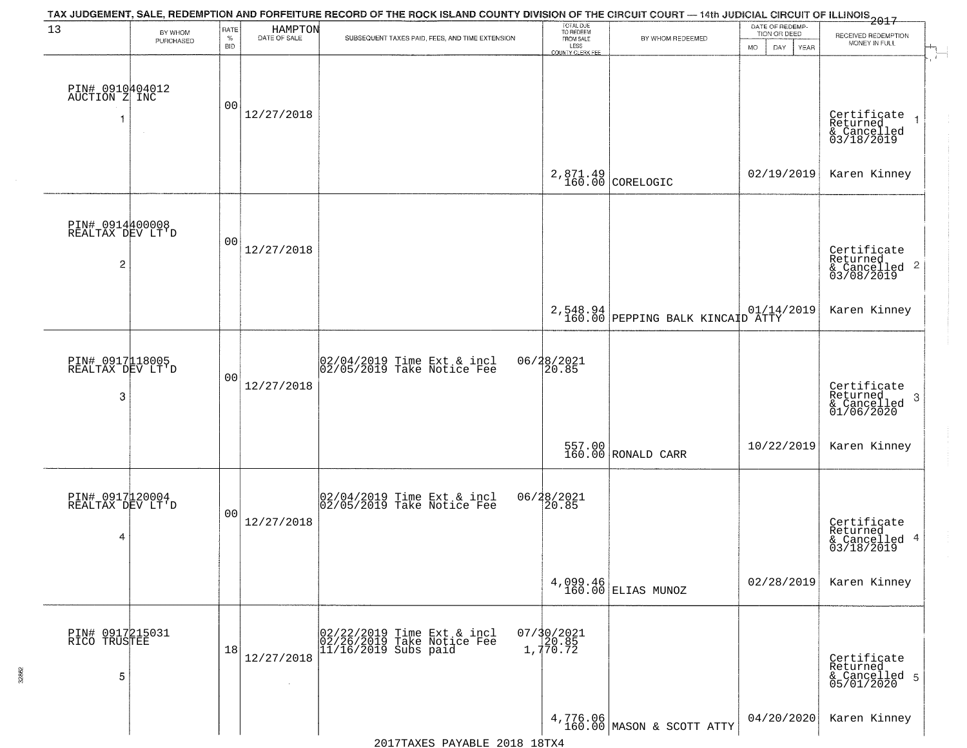| 13                                                    | BY WHOM   | RATE               | HAMPTON      | TAX JUDGEMENT, SALE, REDEMPTION AND FORFEITURE RECORD OF THE ROCK ISLAND COUNTY DIVISION OF THE CIRCUIT COURT — 14th JUDICIAL CIRCUIT OF ILLINOIS 2017 | TOTAL DUE<br>TO REDEEM<br>FROM SALE |                                                         | DATE OF REDEMP-<br>TION OR DEED |                                                                      |
|-------------------------------------------------------|-----------|--------------------|--------------|--------------------------------------------------------------------------------------------------------------------------------------------------------|-------------------------------------|---------------------------------------------------------|---------------------------------|----------------------------------------------------------------------|
|                                                       | PURCHASED | $\%$<br><b>BID</b> | DATE OF SALE | SUBSEQUENT TAXES PAID, FEES, AND TIME EXTENSION                                                                                                        | LESS<br><b>COUNTY CLERK FEE</b>     | BY WHOM REDEEMED                                        | <b>MO</b><br>DAY<br>YEAR        | RECEIVED REDEMPTION<br>MONEY IN FULL                                 |
| PIN# 0910404012<br>AUCTION Z INC<br>-1                | $\sim$    | 0 <sub>0</sub>     | 12/27/2018   |                                                                                                                                                        |                                     |                                                         |                                 | Certificate<br>Returned<br>& Cancelled<br>03/18/2019                 |
|                                                       |           |                    |              |                                                                                                                                                        |                                     | 2,871.49<br>160.00 CORELOGIC                            | 02/19/2019                      | Karen Kinney                                                         |
| PIN# 0914400008<br>REALTAX DEV LT'D<br>$\overline{c}$ |           | 0 <sub>0</sub>     | 12/27/2018   |                                                                                                                                                        |                                     |                                                         |                                 | Certificate<br>Returned<br>& Cancelled<br>03/08/2019<br>$\mathbf{2}$ |
|                                                       |           |                    |              |                                                                                                                                                        |                                     | 2,548.94 01/14/2019<br>160.00 PEPPING BALK KINCAID ATTY |                                 | Karen Kinney                                                         |
| PIN# 0917118005<br>REALTAX DEV LT'D<br>3              |           | 0 <sub>0</sub>     | 12/27/2018   | 02/04/2019 Time Ext & incl<br>02/05/2019 Take Notice Fee                                                                                               | 06/28/2021<br>20.85                 |                                                         |                                 | Certificate<br>Returned<br>3<br>& Cancelled<br>01/06/2020            |
|                                                       |           |                    |              |                                                                                                                                                        |                                     | 557.00 RONALD CARR                                      | 10/22/2019                      | Karen Kinney                                                         |
| PIN# 0917120004<br>REALTAX DEV LT'D<br>4              |           | 00                 | 12/27/2018   | 02/04/2019 Time Ext & incl<br>02/05/2019 Take Notice Fee                                                                                               | 06/28/2021                          |                                                         |                                 | Certificate<br>Returned<br>-4<br>& Cancelled<br>03/18/2019           |
|                                                       |           |                    |              |                                                                                                                                                        |                                     | 4,099.46<br>160.00 ELIAS MUNOZ                          | 02/28/2019                      | Karen Kinney                                                         |
| PIN# 0917215031<br>RICO TRUSTEE<br>5                  |           | 18                 | 12/27/2018   | 02/22/2019 Time Ext & incl<br>02/26/2019 Take Notice Fee<br>11/16/2019 Subs paid                                                                       | 07/30/2021<br>20.85<br>1,770.72     |                                                         |                                 | Certificate<br>Returned<br>& Cancelled 5<br>05/01/2020               |
|                                                       |           |                    |              |                                                                                                                                                        |                                     | 4,776.06<br>160.00 MASON & SCOTT ATTY                   | 04/20/2020                      | Karen Kinney                                                         |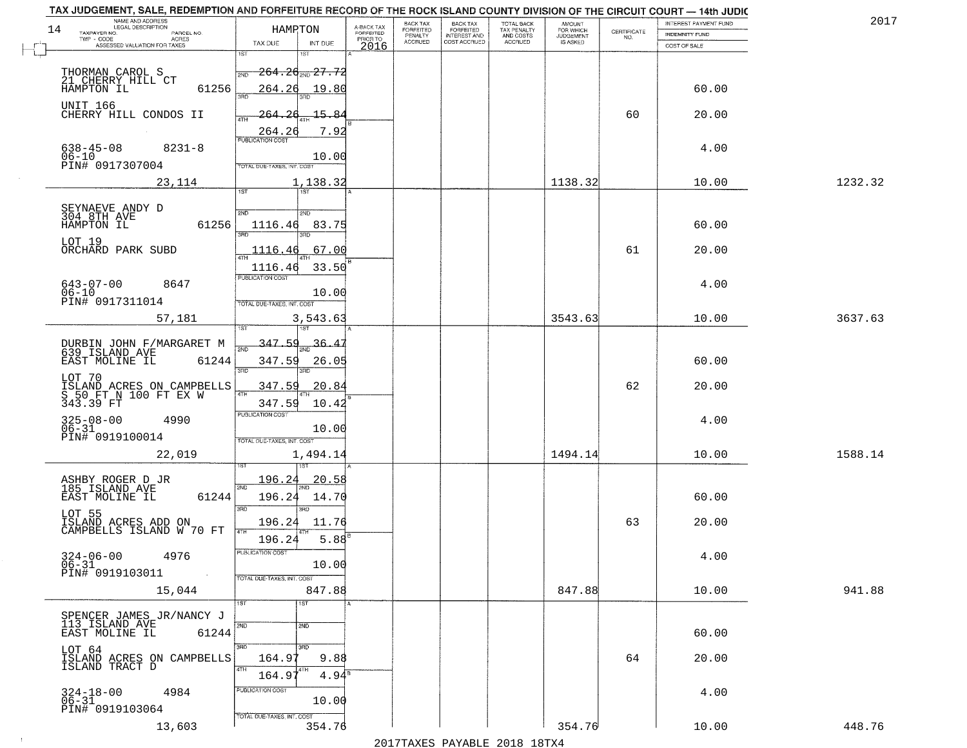|    | TAX JUDGEMENT, SALE, REDEMPTION AND FORFEITURE RECORD OF THE ROCK ISLAND COUNTY DIVISION OF THE CIRCUIT COURT - 14th JUDIC<br>NAME AND ADDRESS<br>LEGAL DESCRIPTION |                                                       |                         | BACK TAX                    |                                       |                                        | AMOUNT<br>FOR WHICH |                                                                 | INTEREST PAYMENT FUND | 2017    |
|----|---------------------------------------------------------------------------------------------------------------------------------------------------------------------|-------------------------------------------------------|-------------------------|-----------------------------|---------------------------------------|----------------------------------------|---------------------|-----------------------------------------------------------------|-----------------------|---------|
| 14 | TAXPAYER NO.<br>PARCEL NO.                                                                                                                                          | HAMRTON                                               | A-BACK TAX<br>FORFEITED | <b>FORFEITED</b><br>PENALTY | BACK TAX<br>FORFEITED<br>INTEREST AND | TOTAL BACK<br>TAX PENALTY<br>AND COSTS | <b>JUDGEMENT</b>    | $\begin{array}{c} \text{CERTIFICATE} \\ \text{NO.} \end{array}$ | <b>INDEMNITY FUND</b> |         |
|    | TWP - CODE<br><b>ACRES</b><br>ASSESSED VALUATION FOR TAXES                                                                                                          | TAX DUE<br>INT DUE                                    | PRIOR TO<br>2016        | <b>ACCRUED</b>              | COST ACCRUED                          | ACCRUED                                | IS ASKED            |                                                                 | COST OF SALE          |         |
|    |                                                                                                                                                                     | 1ST<br>۱ST                                            |                         |                             |                                       |                                        |                     |                                                                 |                       |         |
|    |                                                                                                                                                                     | $-264.26_{\textcolor{red}{\textrm{NN}}}$ 27.72<br>2ND |                         |                             |                                       |                                        |                     |                                                                 |                       |         |
|    | THORMAN CAROL S<br>21 CHERRY HILL CT                                                                                                                                |                                                       |                         |                             |                                       |                                        |                     |                                                                 |                       |         |
|    | 61256<br>HAMPTON IL                                                                                                                                                 | 264.26<br>19.80                                       |                         |                             |                                       |                                        |                     |                                                                 | 60.00                 |         |
|    | UNIT 166                                                                                                                                                            |                                                       |                         |                             |                                       |                                        |                     |                                                                 |                       |         |
|    | CHERRY HILL CONDOS II                                                                                                                                               | 15.84<br>26<br>264.                                   |                         |                             |                                       |                                        |                     | 60                                                              | 20.00                 |         |
|    |                                                                                                                                                                     | 7.92<br>264.26                                        |                         |                             |                                       |                                        |                     |                                                                 |                       |         |
|    | $638 - 45 - 08$<br>$8231 - 8$                                                                                                                                       |                                                       |                         |                             |                                       |                                        |                     |                                                                 | 4.00                  |         |
|    | $06 - 10$                                                                                                                                                           | 10.00                                                 |                         |                             |                                       |                                        |                     |                                                                 |                       |         |
|    | PIN# 0917307004                                                                                                                                                     | TOTAL DUE-TAXES, INT. COST                            |                         |                             |                                       |                                        |                     |                                                                 |                       |         |
|    | 23,114                                                                                                                                                              | 1,138.32                                              |                         |                             |                                       |                                        | 1138.32             |                                                                 | 10.00                 | 1232.32 |
|    |                                                                                                                                                                     | 1ST                                                   |                         |                             |                                       |                                        |                     |                                                                 |                       |         |
|    |                                                                                                                                                                     |                                                       |                         |                             |                                       |                                        |                     |                                                                 |                       |         |
|    | SEYNAEVE ANDY D<br>304 8TH AVE                                                                                                                                      | 2ND<br>2ND                                            |                         |                             |                                       |                                        |                     |                                                                 |                       |         |
|    | 61256<br>HAMPTON IL                                                                                                                                                 | 1116.46<br>83.75                                      |                         |                             |                                       |                                        |                     |                                                                 | 60.00                 |         |
|    | LOT 19                                                                                                                                                              |                                                       |                         |                             |                                       |                                        |                     |                                                                 |                       |         |
|    | ORCHARD PARK SUBD                                                                                                                                                   | 67.00<br>1116.46                                      |                         |                             |                                       |                                        |                     | 61                                                              | 20.00                 |         |
|    |                                                                                                                                                                     | 33.50<br>1116.46                                      |                         |                             |                                       |                                        |                     |                                                                 |                       |         |
|    |                                                                                                                                                                     | PUBLICATION COST                                      |                         |                             |                                       |                                        |                     |                                                                 | 4.00                  |         |
|    | $643 - 07 - 00$<br>8647<br>$06 - 10$                                                                                                                                | 10.00                                                 |                         |                             |                                       |                                        |                     |                                                                 |                       |         |
|    | PIN# 0917311014                                                                                                                                                     | TOTAL DUE-TAXES, INT. COST                            |                         |                             |                                       |                                        |                     |                                                                 |                       |         |
|    | 57,181                                                                                                                                                              | 3,543.63                                              |                         |                             |                                       |                                        | 3543.63             |                                                                 | 10.00                 | 3637.63 |
|    |                                                                                                                                                                     | 187                                                   |                         |                             |                                       |                                        |                     |                                                                 |                       |         |
|    |                                                                                                                                                                     | 347.59<br>36.                                         |                         |                             |                                       |                                        |                     |                                                                 |                       |         |
|    | DURBIN JOHN F/MARGARET M<br>639 ISLAND AVE                                                                                                                          | 2ND                                                   |                         |                             |                                       |                                        |                     |                                                                 |                       |         |
|    | EAST MOLINE IL<br>61244                                                                                                                                             | 347.59<br>26.05<br>3RD                                |                         |                             |                                       |                                        |                     |                                                                 | 60.00                 |         |
|    | LOT 70                                                                                                                                                              | 3RD                                                   |                         |                             |                                       |                                        |                     |                                                                 |                       |         |
|    | ISLAND ACRES ON CAMPBELLS<br>S 50 FT N 100 FT EX W                                                                                                                  | <u>347.59</u><br>20.84<br>4TH                         |                         |                             |                                       |                                        |                     | 62                                                              | 20.00                 |         |
|    | 343.39 FT                                                                                                                                                           | 347.59<br>10.42                                       |                         |                             |                                       |                                        |                     |                                                                 |                       |         |
|    |                                                                                                                                                                     | PUBLICATION COST                                      |                         |                             |                                       |                                        |                     |                                                                 |                       |         |
|    | $325 - 08 - 00$<br>06-31<br>4990                                                                                                                                    | 10.00                                                 |                         |                             |                                       |                                        |                     |                                                                 | 4.00                  |         |
|    | PIN# 0919100014                                                                                                                                                     | TOTAL OUE-TAXES, INT. COST                            |                         |                             |                                       |                                        |                     |                                                                 |                       |         |
|    | 22,019                                                                                                                                                              | 1,494.14                                              |                         |                             |                                       |                                        | 1494.14             |                                                                 | 10.00                 | 1588.14 |
|    |                                                                                                                                                                     |                                                       |                         |                             |                                       |                                        |                     |                                                                 |                       |         |
|    | ASHBY ROGER D JR                                                                                                                                                    | 196.24<br>20.58                                       |                         |                             |                                       |                                        |                     |                                                                 |                       |         |
|    | 185 ISLAND AVE                                                                                                                                                      | 2ND                                                   |                         |                             |                                       |                                        |                     |                                                                 |                       |         |
|    | EAST MOLINE IL<br>61244                                                                                                                                             | 196.24<br>14.70                                       |                         |                             |                                       |                                        |                     |                                                                 | 60.00                 |         |
|    | LOT 55                                                                                                                                                              | 3BD<br>3RD                                            |                         |                             |                                       |                                        |                     |                                                                 |                       |         |
|    | ISLAND ACRES ADD ON<br>CAMPBELLS ISLAND W 70 FT                                                                                                                     | 196.24<br>11.76                                       |                         |                             |                                       |                                        |                     | 63                                                              | 20.00                 |         |
|    |                                                                                                                                                                     | 4TH<br>196.24<br>$5.88^{6}$                           |                         |                             |                                       |                                        |                     |                                                                 |                       |         |
|    |                                                                                                                                                                     | ruslica i IUN COS                                     |                         |                             |                                       |                                        |                     |                                                                 |                       |         |
|    | $324 - 06 - 00$<br>06-31<br>4976                                                                                                                                    | 10.00                                                 |                         |                             |                                       |                                        |                     |                                                                 | 4.00                  |         |
|    | PIN# 0919103011                                                                                                                                                     | TOTAL DUE-TAXES, INT. COST                            |                         |                             |                                       |                                        |                     |                                                                 |                       |         |
|    | 15,044                                                                                                                                                              | 847.88                                                |                         |                             |                                       |                                        | 847.88              |                                                                 | 10.00                 | 941.88  |
|    |                                                                                                                                                                     | 1ST<br>1ST                                            |                         |                             |                                       |                                        |                     |                                                                 |                       |         |
|    | SPENCER JAMES JR/NANCY J                                                                                                                                            |                                                       |                         |                             |                                       |                                        |                     |                                                                 |                       |         |
|    | 113 ISLAND AVE                                                                                                                                                      | 2ND<br>2ND                                            |                         |                             |                                       |                                        |                     |                                                                 |                       |         |
|    | 61244<br>EAST MOLINE IL                                                                                                                                             |                                                       |                         |                             |                                       |                                        |                     |                                                                 | 60.00                 |         |
|    |                                                                                                                                                                     | 3RD<br>3RD                                            |                         |                             |                                       |                                        |                     |                                                                 |                       |         |
|    | LOT 64<br>ISLAND ACRES ON CAMPBELLS<br>ISLAND TRACT D                                                                                                               | 9.88<br>164.9                                         |                         |                             |                                       |                                        |                     | 64                                                              | 20.00                 |         |
|    |                                                                                                                                                                     | 4TH<br>164.9<br>$4.94^{\circ}$                        |                         |                             |                                       |                                        |                     |                                                                 |                       |         |
|    |                                                                                                                                                                     | PUBLICATION COST                                      |                         |                             |                                       |                                        |                     |                                                                 |                       |         |
|    | $324 - 18 - 00$<br>06-31<br>4984                                                                                                                                    | 10.00                                                 |                         |                             |                                       |                                        |                     |                                                                 | 4.00                  |         |
|    | PIN# 0919103064                                                                                                                                                     |                                                       |                         |                             |                                       |                                        |                     |                                                                 |                       |         |
|    | 13,603                                                                                                                                                              | TOTAL DUE-TAXES, INT. COST<br>354.76                  |                         |                             |                                       |                                        | 354.76              |                                                                 | 10.00                 | 448.76  |
|    |                                                                                                                                                                     |                                                       |                         |                             |                                       |                                        |                     |                                                                 |                       |         |
|    |                                                                                                                                                                     |                                                       |                         |                             | 2017 THAYRO DAVADIR 2018 19TY         |                                        |                     |                                                                 |                       |         |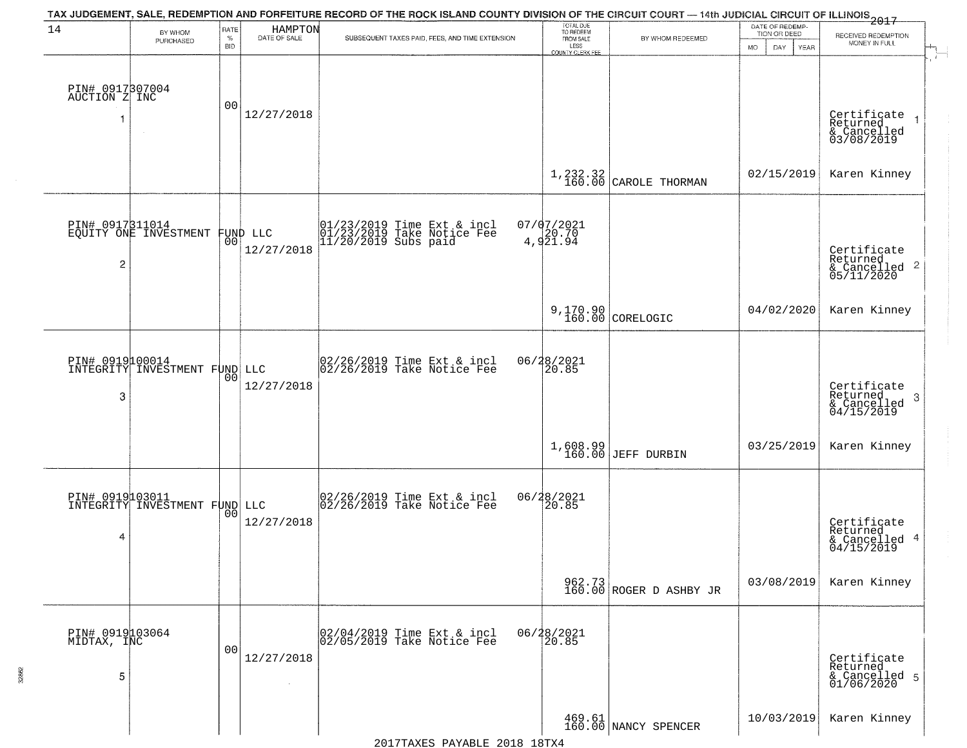| 14                                     | BY WHOM                                          | RATE               | HAMPTON                       | TAX JUDGEMENT, SALE, REDEMPTION AND FORFEITURE RECORD OF THE ROCK ISLAND COUNTY DIVISION OF THE CIRCUIT COURT - 14th JUDICIAL CIRCUIT OF ILLINOIS 2017 | TOTAL DUE<br>TO REDEEM                |                                     | DATE OF REDEMP-<br>TION OR DEED | RECEIVED REDEMPTION                                                |
|----------------------------------------|--------------------------------------------------|--------------------|-------------------------------|--------------------------------------------------------------------------------------------------------------------------------------------------------|---------------------------------------|-------------------------------------|---------------------------------|--------------------------------------------------------------------|
|                                        | PURCHASED                                        | $\%$<br><b>BID</b> | DATE OF SALE                  | SUBSEQUENT TAXES PAID, FEES, AND TIME EXTENSION                                                                                                        | FROM SALE<br>LESS<br>COUNTY CLERK FEE | BY WHOM REDEEMED                    | MO.<br>YEAR<br>DAY.             | MONEY IN FULL                                                      |
| PIN# 0917307004<br>AUCTION Z INC<br>-1 | $\sim$                                           | 00                 | 12/27/2018                    |                                                                                                                                                        |                                       |                                     |                                 | Certificate<br>Returned<br>& Cancelled<br>03/08/2019               |
|                                        |                                                  |                    |                               |                                                                                                                                                        |                                       | $1,232.32$<br>160.00 CAROLE THORMAN | 02/15/2019                      | Karen Kinney                                                       |
| 2                                      | PIN# 0917311014<br>EQUITY ONE INVESTMENT         |                    | FUND LLC<br> 00<br>12/27/2018 | 01/23/2019 Time Ext & incl<br>01/23/2019 Take Notice Fee<br>11/20/2019 Subs paid                                                                       | 07/07/2021<br>4,921.94                |                                     |                                 | Certificate<br>Returned<br>$\frac{1}{6}$ Cancelled 2<br>05/11/2020 |
|                                        |                                                  |                    |                               |                                                                                                                                                        |                                       | $9,170.90$ CORELOGIC                | 04/02/2020                      | Karen Kinney                                                       |
| PIN# 0919100014<br>3                   | INTEGRITY INVESTMENT FUND LLC                    | 0 <sub>0</sub>     | 12/27/2018                    | 02/26/2019 Time Ext & incl<br>02/26/2019 Take Notice Fee                                                                                               | 06/28/2021<br>20.85                   |                                     |                                 | Certificate<br>Returned<br>-3<br>& Cancelled<br>04/15/2019         |
|                                        |                                                  |                    |                               |                                                                                                                                                        |                                       | $1,608.99$<br>160.00 JEFF DURBIN    | 03/25/2019                      | Karen Kinney                                                       |
| 4                                      | PIN# 0919103011<br>INTEGRITY INVESTMENT FUND LLC |                    | 12/27/2018                    | 02/26/2019 Time Ext & incl<br>02/26/2019 Take Notice Fee                                                                                               | 06/28/2021<br>20.85                   |                                     |                                 | Certificate<br>Returned<br>& Cancelled 4<br>04/15/2019             |
|                                        |                                                  |                    |                               |                                                                                                                                                        |                                       | 962.73<br>160.00 ROGER D ASHBY JR   | 03/08/2019                      | Karen Kinney                                                       |
| PIN# 0919103064<br>MIDTAX, INC<br>5    |                                                  | 00                 | 12/27/2018                    | 02/04/2019 Time Ext & incl<br>02/05/2019 Take Notice Fee                                                                                               | 06/28/2021<br>20.85                   |                                     |                                 | Certificate<br>Returned<br>& Cancelled 5<br>01/06/2020             |
|                                        |                                                  |                    |                               |                                                                                                                                                        |                                       | 469.61<br>160.00 NANCY SPENCER      | 10/03/2019                      | Karen Kinney                                                       |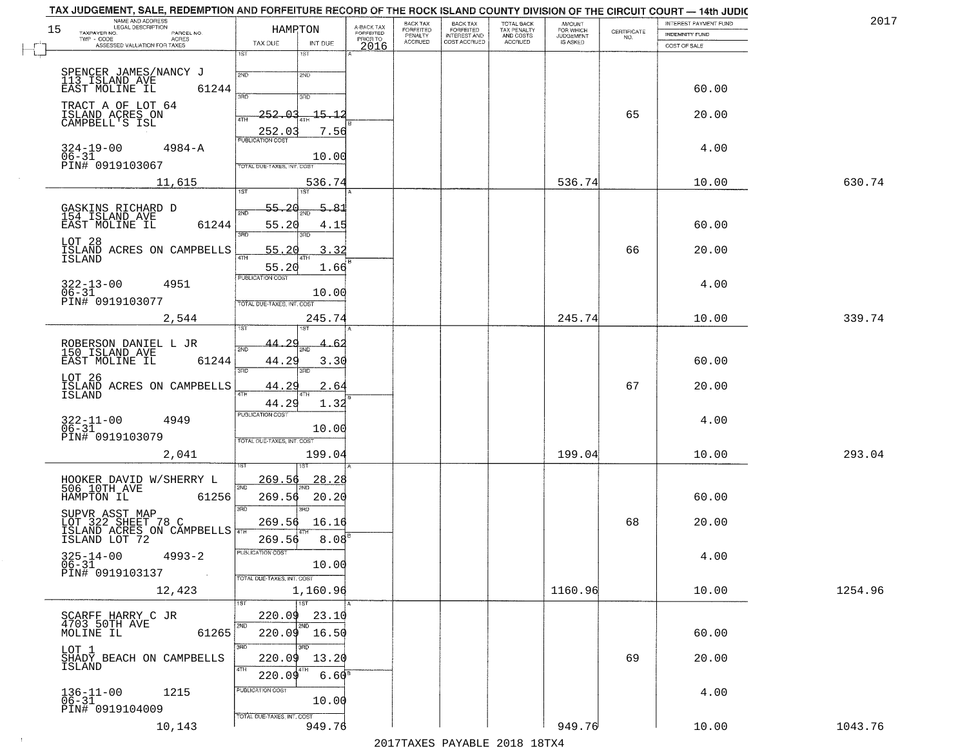| NAME AND ADDRESS<br>LEGAL DESCRIPTION<br>BACK TAX<br>FORFEITED<br>INTEREST AND<br>TOTAL BACK<br>TAX PENALTY<br>AND COSTS<br>AMOUNT<br>FOR WHICH<br>A-BACK TAX<br>FORFEITED<br>PRIOR TO<br>15<br>HAMPTON<br>FORFEITED<br>$\begin{array}{c} \text{CERTIFICATE} \\ \text{NO.} \end{array}$<br>TAXPAYER NO.<br>PARCEL NO.<br><b>INDEMNITY FUND</b><br>PENALTY<br><b>JUDGEMENT</b><br>$TWP - CODE$<br>ACRES<br><b>ACCRUED</b><br>COST ACCRUED<br>ACCRUED<br>IS ASKED<br>TAX DUE<br>INT DUE<br>ASSESSED VALUATION FOR TAXES<br>2016<br>COST OF SALE<br>1ST<br>18T<br>SPENCER JAMES/NANCY J<br>2ND<br>2ND<br>113 ISLAND AVE<br>61244<br>60.00<br>3AD<br>3RD<br>TRACT A OF LOT 64<br>ISLAND ACRES ON<br>$-252.03$<br>$-15 - 12$<br>65<br>20.00<br>ATH<br>CAMPBELL'S ISL<br>252.03<br>7.56<br><b>PUBLICATION COST</b><br>$324 - 19 - 00$<br>$4984 - A$<br>4.00<br>$06 - 31$<br>10.00<br>PIN# 0919103067<br><b>FOTAL DUE-TAXES, INT. COST</b><br>536.74<br>630.74<br>11,615<br>536.74<br>10.00<br>1ST<br>197<br>55.20<br>5.81<br>GASKINS RICHARD D<br>154 ISLAND AVE<br>61244<br>60.00<br>55.20<br>4.15<br>38D<br>LOT 28<br>ISLAND ACRES ON CAMPBELLS<br>ISLAND<br>55.20<br>3.32<br>66<br>20.00<br>55.20<br>1.66<br>PUBLICATION COST<br>$322 - 13 - 00$<br>4951<br>4.00<br>$06 - 31$<br>10.00<br>PIN# 0919103077<br>TOTAL DUE-TAXES, INT. COST<br>245.74<br>10.00<br>339.74<br>2,544<br>245.74<br>ROBERSON DANIEL L JR<br>150 ISLAND AVE<br>44.2<br>2ND<br>EAST MOLINE IL<br>61244<br>44.29<br>60.00<br>3.30<br>3RD<br>3RD<br>LOT 26<br>ISLAND ACRES ON CAMPBELLS<br>67<br>44.29<br>20.00<br>2.64<br>4TH<br>ISLAND<br>44.29<br>1.32<br><b>PUBLICATION COST</b><br>$322 - 11 - 00$<br>06-31<br>4949<br>4.00<br>10.00<br>PIN# 0919103079<br>TOTAL OUE-TAXES, INT. COST<br>2,041<br>199.04<br>199.04<br>10.00<br>293.04<br><u>269.56</u><br>HOOKER DAVID W/SHERRY L<br>506 10TH AVE<br><u>28.28</u><br>2ND<br>61256<br>269.56<br>20.20<br>60.00<br>HAMPTON IL<br>3RD<br>3BD<br>SUPVR ASST MAP<br>LOT 322 SHEET 78 C<br>ISLAND ACRES ON CAMPBELLS<br>269.56<br>68<br>20.00<br>16.16<br>8.08 <sup>8</sup><br>269.56<br>PUBLICATION COST<br>$325 - 14 - 00$<br>06-31<br>4.00<br>$4993 - 2$<br>10.00<br>PIN# 0919103137<br>TOTAL DUE-TAXES, INT. COST<br>1160.96<br>10.00<br>1254.96<br>12,423<br>1,160.96<br>1ST<br>1ST<br>SCARFF HARRY C JR<br>4703 50TH AVE<br>220.09<br>23.10<br>2ND<br>2ND<br>$220.09$ 16.50<br>61265<br>MOLINE IL<br>60.00<br>3RD<br>3RD<br>LOT 1<br>69<br>220.09<br>13.20<br>20.00<br>SHADY BEACH ON CAMPBELLS<br>ISLAND<br>4TH<br>220.09<br>6.60 <sup>8</sup><br>PUBLICATION COST<br>$136 - 11 - 00$<br>$06 - 31$<br>1215<br>4.00<br>10.00<br>PIN# 0919104009<br>TOTAL DUE-TAXES, INT. COST<br>949.76<br>949.76<br>10.00<br>1043.76<br>10,143 | TAX JUDGEMENT, SALE, REDEMPTION AND FORFEITURE RECORD OF THE ROCK ISLAND COUNTY DIVISION OF THE CIRCUIT COURT - 14th JUDIC |  | BACK TAX |  |  | INTEREST PAYMENT FUND | 2017 |
|------------------------------------------------------------------------------------------------------------------------------------------------------------------------------------------------------------------------------------------------------------------------------------------------------------------------------------------------------------------------------------------------------------------------------------------------------------------------------------------------------------------------------------------------------------------------------------------------------------------------------------------------------------------------------------------------------------------------------------------------------------------------------------------------------------------------------------------------------------------------------------------------------------------------------------------------------------------------------------------------------------------------------------------------------------------------------------------------------------------------------------------------------------------------------------------------------------------------------------------------------------------------------------------------------------------------------------------------------------------------------------------------------------------------------------------------------------------------------------------------------------------------------------------------------------------------------------------------------------------------------------------------------------------------------------------------------------------------------------------------------------------------------------------------------------------------------------------------------------------------------------------------------------------------------------------------------------------------------------------------------------------------------------------------------------------------------------------------------------------------------------------------------------------------------------------------------------------------------------------------------------------------------------------------------------------------------------------------------------------------------------------------------------------------------------------------------------------------------------------------------------------------------------------------------------------------------------------------------------------------------------------------------------------------------------------------------------------------------------------------------|----------------------------------------------------------------------------------------------------------------------------|--|----------|--|--|-----------------------|------|
|                                                                                                                                                                                                                                                                                                                                                                                                                                                                                                                                                                                                                                                                                                                                                                                                                                                                                                                                                                                                                                                                                                                                                                                                                                                                                                                                                                                                                                                                                                                                                                                                                                                                                                                                                                                                                                                                                                                                                                                                                                                                                                                                                                                                                                                                                                                                                                                                                                                                                                                                                                                                                                                                                                                                                      |                                                                                                                            |  |          |  |  |                       |      |
|                                                                                                                                                                                                                                                                                                                                                                                                                                                                                                                                                                                                                                                                                                                                                                                                                                                                                                                                                                                                                                                                                                                                                                                                                                                                                                                                                                                                                                                                                                                                                                                                                                                                                                                                                                                                                                                                                                                                                                                                                                                                                                                                                                                                                                                                                                                                                                                                                                                                                                                                                                                                                                                                                                                                                      |                                                                                                                            |  |          |  |  |                       |      |
|                                                                                                                                                                                                                                                                                                                                                                                                                                                                                                                                                                                                                                                                                                                                                                                                                                                                                                                                                                                                                                                                                                                                                                                                                                                                                                                                                                                                                                                                                                                                                                                                                                                                                                                                                                                                                                                                                                                                                                                                                                                                                                                                                                                                                                                                                                                                                                                                                                                                                                                                                                                                                                                                                                                                                      |                                                                                                                            |  |          |  |  |                       |      |
|                                                                                                                                                                                                                                                                                                                                                                                                                                                                                                                                                                                                                                                                                                                                                                                                                                                                                                                                                                                                                                                                                                                                                                                                                                                                                                                                                                                                                                                                                                                                                                                                                                                                                                                                                                                                                                                                                                                                                                                                                                                                                                                                                                                                                                                                                                                                                                                                                                                                                                                                                                                                                                                                                                                                                      |                                                                                                                            |  |          |  |  |                       |      |
|                                                                                                                                                                                                                                                                                                                                                                                                                                                                                                                                                                                                                                                                                                                                                                                                                                                                                                                                                                                                                                                                                                                                                                                                                                                                                                                                                                                                                                                                                                                                                                                                                                                                                                                                                                                                                                                                                                                                                                                                                                                                                                                                                                                                                                                                                                                                                                                                                                                                                                                                                                                                                                                                                                                                                      |                                                                                                                            |  |          |  |  |                       |      |
|                                                                                                                                                                                                                                                                                                                                                                                                                                                                                                                                                                                                                                                                                                                                                                                                                                                                                                                                                                                                                                                                                                                                                                                                                                                                                                                                                                                                                                                                                                                                                                                                                                                                                                                                                                                                                                                                                                                                                                                                                                                                                                                                                                                                                                                                                                                                                                                                                                                                                                                                                                                                                                                                                                                                                      |                                                                                                                            |  |          |  |  |                       |      |
|                                                                                                                                                                                                                                                                                                                                                                                                                                                                                                                                                                                                                                                                                                                                                                                                                                                                                                                                                                                                                                                                                                                                                                                                                                                                                                                                                                                                                                                                                                                                                                                                                                                                                                                                                                                                                                                                                                                                                                                                                                                                                                                                                                                                                                                                                                                                                                                                                                                                                                                                                                                                                                                                                                                                                      |                                                                                                                            |  |          |  |  |                       |      |
|                                                                                                                                                                                                                                                                                                                                                                                                                                                                                                                                                                                                                                                                                                                                                                                                                                                                                                                                                                                                                                                                                                                                                                                                                                                                                                                                                                                                                                                                                                                                                                                                                                                                                                                                                                                                                                                                                                                                                                                                                                                                                                                                                                                                                                                                                                                                                                                                                                                                                                                                                                                                                                                                                                                                                      |                                                                                                                            |  |          |  |  |                       |      |
|                                                                                                                                                                                                                                                                                                                                                                                                                                                                                                                                                                                                                                                                                                                                                                                                                                                                                                                                                                                                                                                                                                                                                                                                                                                                                                                                                                                                                                                                                                                                                                                                                                                                                                                                                                                                                                                                                                                                                                                                                                                                                                                                                                                                                                                                                                                                                                                                                                                                                                                                                                                                                                                                                                                                                      |                                                                                                                            |  |          |  |  |                       |      |
|                                                                                                                                                                                                                                                                                                                                                                                                                                                                                                                                                                                                                                                                                                                                                                                                                                                                                                                                                                                                                                                                                                                                                                                                                                                                                                                                                                                                                                                                                                                                                                                                                                                                                                                                                                                                                                                                                                                                                                                                                                                                                                                                                                                                                                                                                                                                                                                                                                                                                                                                                                                                                                                                                                                                                      |                                                                                                                            |  |          |  |  |                       |      |
|                                                                                                                                                                                                                                                                                                                                                                                                                                                                                                                                                                                                                                                                                                                                                                                                                                                                                                                                                                                                                                                                                                                                                                                                                                                                                                                                                                                                                                                                                                                                                                                                                                                                                                                                                                                                                                                                                                                                                                                                                                                                                                                                                                                                                                                                                                                                                                                                                                                                                                                                                                                                                                                                                                                                                      |                                                                                                                            |  |          |  |  |                       |      |
|                                                                                                                                                                                                                                                                                                                                                                                                                                                                                                                                                                                                                                                                                                                                                                                                                                                                                                                                                                                                                                                                                                                                                                                                                                                                                                                                                                                                                                                                                                                                                                                                                                                                                                                                                                                                                                                                                                                                                                                                                                                                                                                                                                                                                                                                                                                                                                                                                                                                                                                                                                                                                                                                                                                                                      |                                                                                                                            |  |          |  |  |                       |      |
|                                                                                                                                                                                                                                                                                                                                                                                                                                                                                                                                                                                                                                                                                                                                                                                                                                                                                                                                                                                                                                                                                                                                                                                                                                                                                                                                                                                                                                                                                                                                                                                                                                                                                                                                                                                                                                                                                                                                                                                                                                                                                                                                                                                                                                                                                                                                                                                                                                                                                                                                                                                                                                                                                                                                                      |                                                                                                                            |  |          |  |  |                       |      |
|                                                                                                                                                                                                                                                                                                                                                                                                                                                                                                                                                                                                                                                                                                                                                                                                                                                                                                                                                                                                                                                                                                                                                                                                                                                                                                                                                                                                                                                                                                                                                                                                                                                                                                                                                                                                                                                                                                                                                                                                                                                                                                                                                                                                                                                                                                                                                                                                                                                                                                                                                                                                                                                                                                                                                      |                                                                                                                            |  |          |  |  |                       |      |
|                                                                                                                                                                                                                                                                                                                                                                                                                                                                                                                                                                                                                                                                                                                                                                                                                                                                                                                                                                                                                                                                                                                                                                                                                                                                                                                                                                                                                                                                                                                                                                                                                                                                                                                                                                                                                                                                                                                                                                                                                                                                                                                                                                                                                                                                                                                                                                                                                                                                                                                                                                                                                                                                                                                                                      |                                                                                                                            |  |          |  |  |                       |      |
|                                                                                                                                                                                                                                                                                                                                                                                                                                                                                                                                                                                                                                                                                                                                                                                                                                                                                                                                                                                                                                                                                                                                                                                                                                                                                                                                                                                                                                                                                                                                                                                                                                                                                                                                                                                                                                                                                                                                                                                                                                                                                                                                                                                                                                                                                                                                                                                                                                                                                                                                                                                                                                                                                                                                                      |                                                                                                                            |  |          |  |  |                       |      |
|                                                                                                                                                                                                                                                                                                                                                                                                                                                                                                                                                                                                                                                                                                                                                                                                                                                                                                                                                                                                                                                                                                                                                                                                                                                                                                                                                                                                                                                                                                                                                                                                                                                                                                                                                                                                                                                                                                                                                                                                                                                                                                                                                                                                                                                                                                                                                                                                                                                                                                                                                                                                                                                                                                                                                      |                                                                                                                            |  |          |  |  |                       |      |
|                                                                                                                                                                                                                                                                                                                                                                                                                                                                                                                                                                                                                                                                                                                                                                                                                                                                                                                                                                                                                                                                                                                                                                                                                                                                                                                                                                                                                                                                                                                                                                                                                                                                                                                                                                                                                                                                                                                                                                                                                                                                                                                                                                                                                                                                                                                                                                                                                                                                                                                                                                                                                                                                                                                                                      |                                                                                                                            |  |          |  |  |                       |      |
|                                                                                                                                                                                                                                                                                                                                                                                                                                                                                                                                                                                                                                                                                                                                                                                                                                                                                                                                                                                                                                                                                                                                                                                                                                                                                                                                                                                                                                                                                                                                                                                                                                                                                                                                                                                                                                                                                                                                                                                                                                                                                                                                                                                                                                                                                                                                                                                                                                                                                                                                                                                                                                                                                                                                                      |                                                                                                                            |  |          |  |  |                       |      |
|                                                                                                                                                                                                                                                                                                                                                                                                                                                                                                                                                                                                                                                                                                                                                                                                                                                                                                                                                                                                                                                                                                                                                                                                                                                                                                                                                                                                                                                                                                                                                                                                                                                                                                                                                                                                                                                                                                                                                                                                                                                                                                                                                                                                                                                                                                                                                                                                                                                                                                                                                                                                                                                                                                                                                      |                                                                                                                            |  |          |  |  |                       |      |
|                                                                                                                                                                                                                                                                                                                                                                                                                                                                                                                                                                                                                                                                                                                                                                                                                                                                                                                                                                                                                                                                                                                                                                                                                                                                                                                                                                                                                                                                                                                                                                                                                                                                                                                                                                                                                                                                                                                                                                                                                                                                                                                                                                                                                                                                                                                                                                                                                                                                                                                                                                                                                                                                                                                                                      |                                                                                                                            |  |          |  |  |                       |      |
|                                                                                                                                                                                                                                                                                                                                                                                                                                                                                                                                                                                                                                                                                                                                                                                                                                                                                                                                                                                                                                                                                                                                                                                                                                                                                                                                                                                                                                                                                                                                                                                                                                                                                                                                                                                                                                                                                                                                                                                                                                                                                                                                                                                                                                                                                                                                                                                                                                                                                                                                                                                                                                                                                                                                                      |                                                                                                                            |  |          |  |  |                       |      |
|                                                                                                                                                                                                                                                                                                                                                                                                                                                                                                                                                                                                                                                                                                                                                                                                                                                                                                                                                                                                                                                                                                                                                                                                                                                                                                                                                                                                                                                                                                                                                                                                                                                                                                                                                                                                                                                                                                                                                                                                                                                                                                                                                                                                                                                                                                                                                                                                                                                                                                                                                                                                                                                                                                                                                      |                                                                                                                            |  |          |  |  |                       |      |
|                                                                                                                                                                                                                                                                                                                                                                                                                                                                                                                                                                                                                                                                                                                                                                                                                                                                                                                                                                                                                                                                                                                                                                                                                                                                                                                                                                                                                                                                                                                                                                                                                                                                                                                                                                                                                                                                                                                                                                                                                                                                                                                                                                                                                                                                                                                                                                                                                                                                                                                                                                                                                                                                                                                                                      |                                                                                                                            |  |          |  |  |                       |      |
|                                                                                                                                                                                                                                                                                                                                                                                                                                                                                                                                                                                                                                                                                                                                                                                                                                                                                                                                                                                                                                                                                                                                                                                                                                                                                                                                                                                                                                                                                                                                                                                                                                                                                                                                                                                                                                                                                                                                                                                                                                                                                                                                                                                                                                                                                                                                                                                                                                                                                                                                                                                                                                                                                                                                                      |                                                                                                                            |  |          |  |  |                       |      |
|                                                                                                                                                                                                                                                                                                                                                                                                                                                                                                                                                                                                                                                                                                                                                                                                                                                                                                                                                                                                                                                                                                                                                                                                                                                                                                                                                                                                                                                                                                                                                                                                                                                                                                                                                                                                                                                                                                                                                                                                                                                                                                                                                                                                                                                                                                                                                                                                                                                                                                                                                                                                                                                                                                                                                      |                                                                                                                            |  |          |  |  |                       |      |
|                                                                                                                                                                                                                                                                                                                                                                                                                                                                                                                                                                                                                                                                                                                                                                                                                                                                                                                                                                                                                                                                                                                                                                                                                                                                                                                                                                                                                                                                                                                                                                                                                                                                                                                                                                                                                                                                                                                                                                                                                                                                                                                                                                                                                                                                                                                                                                                                                                                                                                                                                                                                                                                                                                                                                      |                                                                                                                            |  |          |  |  |                       |      |
|                                                                                                                                                                                                                                                                                                                                                                                                                                                                                                                                                                                                                                                                                                                                                                                                                                                                                                                                                                                                                                                                                                                                                                                                                                                                                                                                                                                                                                                                                                                                                                                                                                                                                                                                                                                                                                                                                                                                                                                                                                                                                                                                                                                                                                                                                                                                                                                                                                                                                                                                                                                                                                                                                                                                                      |                                                                                                                            |  |          |  |  |                       |      |
|                                                                                                                                                                                                                                                                                                                                                                                                                                                                                                                                                                                                                                                                                                                                                                                                                                                                                                                                                                                                                                                                                                                                                                                                                                                                                                                                                                                                                                                                                                                                                                                                                                                                                                                                                                                                                                                                                                                                                                                                                                                                                                                                                                                                                                                                                                                                                                                                                                                                                                                                                                                                                                                                                                                                                      |                                                                                                                            |  |          |  |  |                       |      |
|                                                                                                                                                                                                                                                                                                                                                                                                                                                                                                                                                                                                                                                                                                                                                                                                                                                                                                                                                                                                                                                                                                                                                                                                                                                                                                                                                                                                                                                                                                                                                                                                                                                                                                                                                                                                                                                                                                                                                                                                                                                                                                                                                                                                                                                                                                                                                                                                                                                                                                                                                                                                                                                                                                                                                      |                                                                                                                            |  |          |  |  |                       |      |
|                                                                                                                                                                                                                                                                                                                                                                                                                                                                                                                                                                                                                                                                                                                                                                                                                                                                                                                                                                                                                                                                                                                                                                                                                                                                                                                                                                                                                                                                                                                                                                                                                                                                                                                                                                                                                                                                                                                                                                                                                                                                                                                                                                                                                                                                                                                                                                                                                                                                                                                                                                                                                                                                                                                                                      |                                                                                                                            |  |          |  |  |                       |      |
|                                                                                                                                                                                                                                                                                                                                                                                                                                                                                                                                                                                                                                                                                                                                                                                                                                                                                                                                                                                                                                                                                                                                                                                                                                                                                                                                                                                                                                                                                                                                                                                                                                                                                                                                                                                                                                                                                                                                                                                                                                                                                                                                                                                                                                                                                                                                                                                                                                                                                                                                                                                                                                                                                                                                                      |                                                                                                                            |  |          |  |  |                       |      |
|                                                                                                                                                                                                                                                                                                                                                                                                                                                                                                                                                                                                                                                                                                                                                                                                                                                                                                                                                                                                                                                                                                                                                                                                                                                                                                                                                                                                                                                                                                                                                                                                                                                                                                                                                                                                                                                                                                                                                                                                                                                                                                                                                                                                                                                                                                                                                                                                                                                                                                                                                                                                                                                                                                                                                      |                                                                                                                            |  |          |  |  |                       |      |
|                                                                                                                                                                                                                                                                                                                                                                                                                                                                                                                                                                                                                                                                                                                                                                                                                                                                                                                                                                                                                                                                                                                                                                                                                                                                                                                                                                                                                                                                                                                                                                                                                                                                                                                                                                                                                                                                                                                                                                                                                                                                                                                                                                                                                                                                                                                                                                                                                                                                                                                                                                                                                                                                                                                                                      |                                                                                                                            |  |          |  |  |                       |      |
|                                                                                                                                                                                                                                                                                                                                                                                                                                                                                                                                                                                                                                                                                                                                                                                                                                                                                                                                                                                                                                                                                                                                                                                                                                                                                                                                                                                                                                                                                                                                                                                                                                                                                                                                                                                                                                                                                                                                                                                                                                                                                                                                                                                                                                                                                                                                                                                                                                                                                                                                                                                                                                                                                                                                                      |                                                                                                                            |  |          |  |  |                       |      |
|                                                                                                                                                                                                                                                                                                                                                                                                                                                                                                                                                                                                                                                                                                                                                                                                                                                                                                                                                                                                                                                                                                                                                                                                                                                                                                                                                                                                                                                                                                                                                                                                                                                                                                                                                                                                                                                                                                                                                                                                                                                                                                                                                                                                                                                                                                                                                                                                                                                                                                                                                                                                                                                                                                                                                      |                                                                                                                            |  |          |  |  |                       |      |
|                                                                                                                                                                                                                                                                                                                                                                                                                                                                                                                                                                                                                                                                                                                                                                                                                                                                                                                                                                                                                                                                                                                                                                                                                                                                                                                                                                                                                                                                                                                                                                                                                                                                                                                                                                                                                                                                                                                                                                                                                                                                                                                                                                                                                                                                                                                                                                                                                                                                                                                                                                                                                                                                                                                                                      |                                                                                                                            |  |          |  |  |                       |      |
|                                                                                                                                                                                                                                                                                                                                                                                                                                                                                                                                                                                                                                                                                                                                                                                                                                                                                                                                                                                                                                                                                                                                                                                                                                                                                                                                                                                                                                                                                                                                                                                                                                                                                                                                                                                                                                                                                                                                                                                                                                                                                                                                                                                                                                                                                                                                                                                                                                                                                                                                                                                                                                                                                                                                                      |                                                                                                                            |  |          |  |  |                       |      |
|                                                                                                                                                                                                                                                                                                                                                                                                                                                                                                                                                                                                                                                                                                                                                                                                                                                                                                                                                                                                                                                                                                                                                                                                                                                                                                                                                                                                                                                                                                                                                                                                                                                                                                                                                                                                                                                                                                                                                                                                                                                                                                                                                                                                                                                                                                                                                                                                                                                                                                                                                                                                                                                                                                                                                      |                                                                                                                            |  |          |  |  |                       |      |
|                                                                                                                                                                                                                                                                                                                                                                                                                                                                                                                                                                                                                                                                                                                                                                                                                                                                                                                                                                                                                                                                                                                                                                                                                                                                                                                                                                                                                                                                                                                                                                                                                                                                                                                                                                                                                                                                                                                                                                                                                                                                                                                                                                                                                                                                                                                                                                                                                                                                                                                                                                                                                                                                                                                                                      |                                                                                                                            |  |          |  |  |                       |      |
|                                                                                                                                                                                                                                                                                                                                                                                                                                                                                                                                                                                                                                                                                                                                                                                                                                                                                                                                                                                                                                                                                                                                                                                                                                                                                                                                                                                                                                                                                                                                                                                                                                                                                                                                                                                                                                                                                                                                                                                                                                                                                                                                                                                                                                                                                                                                                                                                                                                                                                                                                                                                                                                                                                                                                      |                                                                                                                            |  |          |  |  |                       |      |
|                                                                                                                                                                                                                                                                                                                                                                                                                                                                                                                                                                                                                                                                                                                                                                                                                                                                                                                                                                                                                                                                                                                                                                                                                                                                                                                                                                                                                                                                                                                                                                                                                                                                                                                                                                                                                                                                                                                                                                                                                                                                                                                                                                                                                                                                                                                                                                                                                                                                                                                                                                                                                                                                                                                                                      |                                                                                                                            |  |          |  |  |                       |      |
|                                                                                                                                                                                                                                                                                                                                                                                                                                                                                                                                                                                                                                                                                                                                                                                                                                                                                                                                                                                                                                                                                                                                                                                                                                                                                                                                                                                                                                                                                                                                                                                                                                                                                                                                                                                                                                                                                                                                                                                                                                                                                                                                                                                                                                                                                                                                                                                                                                                                                                                                                                                                                                                                                                                                                      |                                                                                                                            |  |          |  |  |                       |      |
|                                                                                                                                                                                                                                                                                                                                                                                                                                                                                                                                                                                                                                                                                                                                                                                                                                                                                                                                                                                                                                                                                                                                                                                                                                                                                                                                                                                                                                                                                                                                                                                                                                                                                                                                                                                                                                                                                                                                                                                                                                                                                                                                                                                                                                                                                                                                                                                                                                                                                                                                                                                                                                                                                                                                                      |                                                                                                                            |  |          |  |  |                       |      |
|                                                                                                                                                                                                                                                                                                                                                                                                                                                                                                                                                                                                                                                                                                                                                                                                                                                                                                                                                                                                                                                                                                                                                                                                                                                                                                                                                                                                                                                                                                                                                                                                                                                                                                                                                                                                                                                                                                                                                                                                                                                                                                                                                                                                                                                                                                                                                                                                                                                                                                                                                                                                                                                                                                                                                      |                                                                                                                            |  |          |  |  |                       |      |
|                                                                                                                                                                                                                                                                                                                                                                                                                                                                                                                                                                                                                                                                                                                                                                                                                                                                                                                                                                                                                                                                                                                                                                                                                                                                                                                                                                                                                                                                                                                                                                                                                                                                                                                                                                                                                                                                                                                                                                                                                                                                                                                                                                                                                                                                                                                                                                                                                                                                                                                                                                                                                                                                                                                                                      |                                                                                                                            |  |          |  |  |                       |      |
|                                                                                                                                                                                                                                                                                                                                                                                                                                                                                                                                                                                                                                                                                                                                                                                                                                                                                                                                                                                                                                                                                                                                                                                                                                                                                                                                                                                                                                                                                                                                                                                                                                                                                                                                                                                                                                                                                                                                                                                                                                                                                                                                                                                                                                                                                                                                                                                                                                                                                                                                                                                                                                                                                                                                                      |                                                                                                                            |  |          |  |  |                       |      |
|                                                                                                                                                                                                                                                                                                                                                                                                                                                                                                                                                                                                                                                                                                                                                                                                                                                                                                                                                                                                                                                                                                                                                                                                                                                                                                                                                                                                                                                                                                                                                                                                                                                                                                                                                                                                                                                                                                                                                                                                                                                                                                                                                                                                                                                                                                                                                                                                                                                                                                                                                                                                                                                                                                                                                      |                                                                                                                            |  |          |  |  |                       |      |
|                                                                                                                                                                                                                                                                                                                                                                                                                                                                                                                                                                                                                                                                                                                                                                                                                                                                                                                                                                                                                                                                                                                                                                                                                                                                                                                                                                                                                                                                                                                                                                                                                                                                                                                                                                                                                                                                                                                                                                                                                                                                                                                                                                                                                                                                                                                                                                                                                                                                                                                                                                                                                                                                                                                                                      |                                                                                                                            |  |          |  |  |                       |      |
|                                                                                                                                                                                                                                                                                                                                                                                                                                                                                                                                                                                                                                                                                                                                                                                                                                                                                                                                                                                                                                                                                                                                                                                                                                                                                                                                                                                                                                                                                                                                                                                                                                                                                                                                                                                                                                                                                                                                                                                                                                                                                                                                                                                                                                                                                                                                                                                                                                                                                                                                                                                                                                                                                                                                                      |                                                                                                                            |  |          |  |  |                       |      |

 $\sim 10$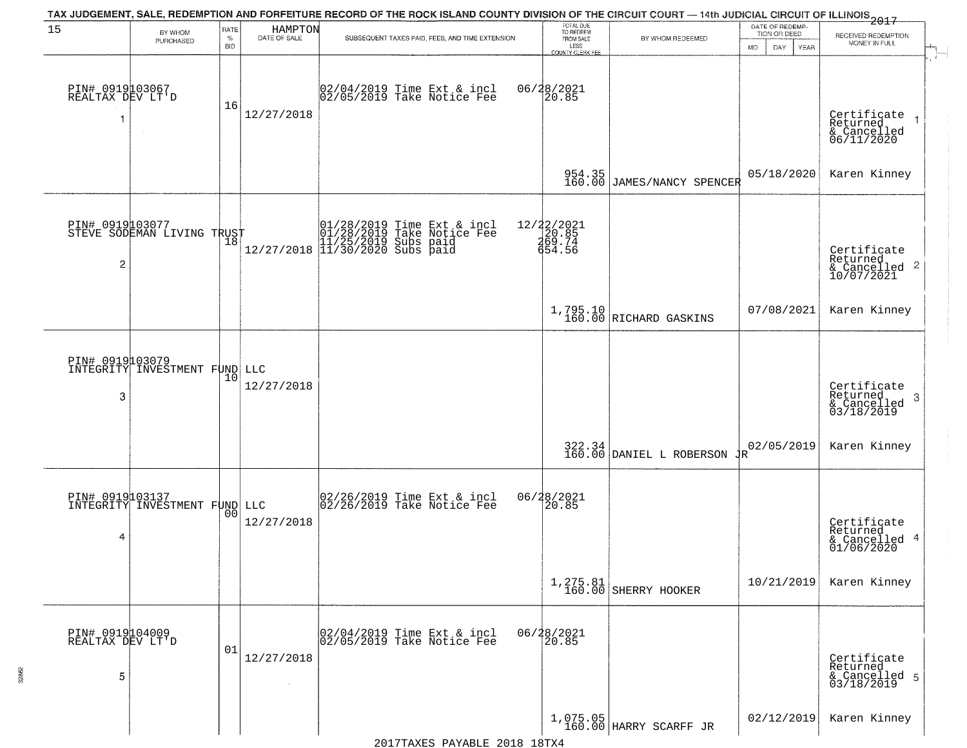| 15                                       | BY WHOM<br>PURCHASED                             | RATE<br>$\%$<br><b>BID</b> | HAMPTON<br>DATE OF SALE | TAX JUDGEMENT, SALE, REDEMPTION AND FORFEITURE RECORD OF THE ROCK ISLAND COUNTY DIVISION OF THE CIRCUIT COURT — 14th JUDICIAL CIRCUIT OF ILLINOIS 2017<br>SUBSEQUENT TAXES PAID, FEES, AND TIME EXTENSION | TOTAL DUE<br>TO REDEEM<br>FROM SALE<br>LESS<br>COUNTY CLERK FEE | BY WHOM REDEEMED                                                  | DATE OF REDEMP-<br>TION OR DEED<br>MO.<br>YEAR<br>DAY. | RECEIVED REDEMPTION<br>MONEY IN FULL                       |
|------------------------------------------|--------------------------------------------------|----------------------------|-------------------------|-----------------------------------------------------------------------------------------------------------------------------------------------------------------------------------------------------------|-----------------------------------------------------------------|-------------------------------------------------------------------|--------------------------------------------------------|------------------------------------------------------------|
| PIN# 0919103067<br>REALTAX DEV LT'D<br>1 |                                                  | 16                         | 12/27/2018              | 02/04/2019 Time Ext & incl<br>02/05/2019 Take Notice Fee                                                                                                                                                  | 06/28/2021<br>20.85                                             |                                                                   |                                                        | Certificate<br>Returned<br>& Cancelled<br>06/11/2020       |
|                                          |                                                  |                            |                         |                                                                                                                                                                                                           | 954.35<br>160.00                                                | JAMES/NANCY SPENCER                                               | 05/18/2020                                             | Karen Kinney                                               |
| 2                                        | PIN# 0919103077<br>STEVE SODEMAN LIVING TRUST    |                            |                         | 01/28/2019 Time Ext & incl<br>01/28/2019 Take Notice Fee<br>11/25/2019 Subs paid<br>12/27/2018 11/30/2020 Subs paid                                                                                       | 12/22/2021<br>20.85<br>269.74<br>654.56                         |                                                                   |                                                        | Certificate<br>Returned<br>& Cancelled 2<br>10/07/2021     |
|                                          |                                                  |                            |                         |                                                                                                                                                                                                           |                                                                 | 1,795.10<br>160.00 RICHARD GASKINS                                | 07/08/2021                                             | Karen Kinney                                               |
| 3                                        | PIN# 0919103079<br>INTEGRITY INVESTMENT FUND LLC | 10                         | 12/27/2018              |                                                                                                                                                                                                           |                                                                 |                                                                   |                                                        | Certificate<br>Returned<br>-3<br>& Cancelled<br>03/18/2019 |
|                                          |                                                  |                            |                         |                                                                                                                                                                                                           |                                                                 | $322.34$ DANIEL L ROBERSON $\frac{1}{160.00}$                     | 02/05/2019                                             | Karen Kinney                                               |
| PIN# 0919103137<br>4                     | INTEGRITY INVESTMENT FUND LLC                    |                            | 12/27/2018              | 02/26/2019 Time Ext & incl<br>02/26/2019 Take Notice Fee                                                                                                                                                  | 06/28/2021<br>20.85                                             |                                                                   |                                                        | Certificate<br>Returned<br>& Cancelled 4<br>01/06/2020     |
|                                          |                                                  |                            |                         |                                                                                                                                                                                                           |                                                                 | $\begin{array}{c c} 1,275.81 \\ 160.00 \end{array}$ SHERRY HOOKER | 10/21/2019                                             | Karen Kinney                                               |
| PIN# 0919104009<br>REALTAX DEV LT'D<br>5 |                                                  | 01                         | 12/27/2018              | 02/04/2019 Time Ext & incl<br>02/05/2019 Take Notice Fee                                                                                                                                                  | 06/28/2021<br>20.85                                             |                                                                   |                                                        | Certificate<br>Returned<br>& Cancelled 5<br>03/18/2019     |
|                                          |                                                  |                            |                         |                                                                                                                                                                                                           |                                                                 | 1,075.05<br>160.00 HARRY SCARFF JR                                | 02/12/2019                                             | Karen Kinney                                               |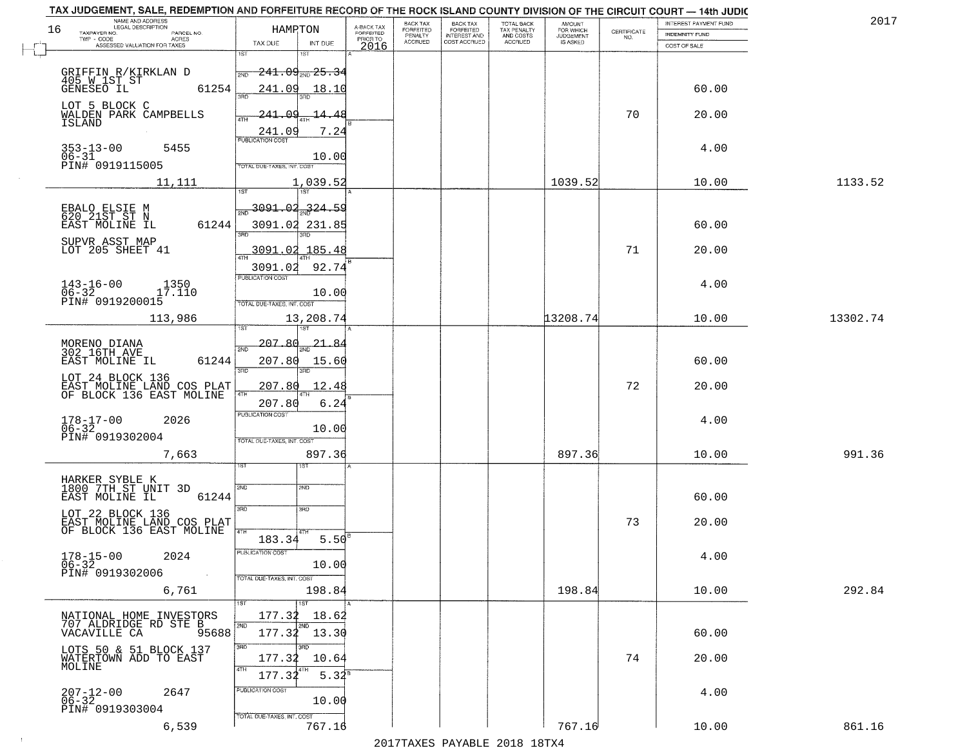| NAME AND ADDRESS<br>LEGAL DESCRIPTION                                     |                                                                         |                                                  |                                     | BACK TAX             | <b>BACK TAX</b>           | <b>TOTAL BACK</b>        | AMOUNT<br>FOR WHICH |                                                                 | INTEREST PAYMENT FUND | 2017     |
|---------------------------------------------------------------------------|-------------------------------------------------------------------------|--------------------------------------------------|-------------------------------------|----------------------|---------------------------|--------------------------|---------------------|-----------------------------------------------------------------|-----------------------|----------|
| 16<br>TAXPAYER NO.<br>PARCEL NO.<br>ACRES                                 |                                                                         | HAMPTON                                          | A-BACK TAX<br>FORFEITED<br>PRIOR TO | FORFEITED<br>PENALTY | FORFEITED<br>INTEREST AND | TAX PENALTY<br>AND COSTS | <b>JUDGEMENT</b>    | $\begin{array}{c} \text{CERTIFICATE} \\ \text{NO.} \end{array}$ | INDEMNITY FUND        |          |
| ASSESSED VALUATION FOR TAXES                                              | TAX DUE                                                                 | INT DUE                                          | 2016                                | <b>ACCRUED</b>       | COST ACCRUED              | <b>ACCRUED</b>           | IS ASKED            |                                                                 | COST OF SALE          |          |
| GRIFFIN R/KIRKLAN D<br>405 W IST ST<br>GENESEO IL                         | 1ST<br>2ND                                                              | 18T<br>$-241.09_{200}$ 25.34                     |                                     |                      |                           |                          |                     |                                                                 |                       |          |
| LOT 5 BLOCK C                                                             | 61254<br>241.09                                                         | 18.10                                            |                                     |                      |                           |                          |                     |                                                                 | 60.00                 |          |
| WALDEN PARK CAMPBELLS<br><b>ISLAND</b>                                    | 241.09<br>241.09                                                        | <u>-14.48</u><br>7.24                            |                                     |                      |                           |                          |                     | 70                                                              | 20.00                 |          |
| $353 - 13 - 00$<br>5455<br>$06 - 31$<br>PIN# 0919115005                   | TOTAL DUE-TAXES, INT. COST                                              | 10.00                                            |                                     |                      |                           |                          |                     |                                                                 | 4.00                  |          |
| 11,111                                                                    |                                                                         | 1,039.52                                         |                                     |                      |                           |                          | 1039.52             |                                                                 | 10.00                 | 1133.52  |
| EBALO ELSIE M<br>620 21ST ST N<br>EAST MOLINE IL                          | 61244                                                                   | $\frac{1}{200}$ 3091.04 324.59<br>3091.02 231.85 |                                     |                      |                           |                          |                     |                                                                 | 60.00                 |          |
| SUPVR ASST MAP<br>LOT 205 SHEET 41                                        | 3091.02                                                                 | 3091.02 185.48<br>92.74                          |                                     |                      |                           |                          |                     | 71                                                              | 20.00                 |          |
| $143 - 16 - 00$<br>1350<br>$06-32$ 1<br>PIN# 0919200015<br>17.110         | PUBLICATION COST<br>TOTAL DUE-TAXES, INT. COST                          | 10.00                                            |                                     |                      |                           |                          |                     |                                                                 | 4.00                  |          |
| 113,986                                                                   | īsT                                                                     | 13,208.74                                        |                                     |                      |                           |                          | 13208.74            |                                                                 | 10.00                 | 13302.74 |
| MORENO DIANA<br>302 16TH AVE                                              | 207.80<br>2ND                                                           | <u>21,84</u>                                     |                                     |                      |                           |                          |                     |                                                                 |                       |          |
| EAST MOLINE IL<br>LOT 24 BLOCK 136                                        | 61244<br>207.80<br>3RD                                                  | 15.60<br>3RD                                     |                                     |                      |                           |                          |                     |                                                                 | 60.00                 |          |
| EAST MOLINE LAND COS PLAT<br>OF BLOCK 136 EAST MOLINE                     | 207.80<br>4TH<br>207.80                                                 | 12.48<br>6.24                                    |                                     |                      |                           |                          |                     | 72                                                              | 20.00                 |          |
| $178 - 17 - 00$<br>06-32<br>2026<br>PIN# 0919302004                       | <b>PUBLICATION COST</b><br>TOTAL OUE-TAXES, INT. COST                   | 10.00                                            |                                     |                      |                           |                          |                     |                                                                 | 4.00                  |          |
| 7,663                                                                     |                                                                         | 897.36                                           |                                     |                      |                           |                          | 897.36              |                                                                 | 10.00                 | 991.36   |
| HARKER SYBLE K<br>1800 7TH ST UNIT 3D<br>EAST MOLINE IL                   | 2ND<br>61244<br>3BD                                                     | 2ND                                              |                                     |                      |                           |                          |                     |                                                                 | 60.00                 |          |
| LOT 22 BLOCK 136<br>EAST MOLINE LAND COS PLAT<br>OF BLOCK 136 EAST MOLINE | 4TH<br>183.34                                                           | 3RD<br>$5.50^{8}$                                |                                     |                      |                           |                          |                     | 73                                                              | 20.00                 |          |
| $178 - 15 - 00$<br>2024<br>$06 - 32$<br>PIN# 0919302006                   | PUBLICATION COST<br>$\sim 100$ km $^{-1}$<br>TOTAL DUE-TAXES, INT. COST | 10.00                                            |                                     |                      |                           |                          |                     |                                                                 | 4.00                  |          |
| 6,761                                                                     |                                                                         | 198.84<br>1ST                                    |                                     |                      |                           |                          | 198.84              |                                                                 | 10.00                 | 292.84   |
| NATIONAL HOME INVESTORS<br>707 ALDRIDGE RD STE B<br>VACAVILLE CA 9!       | 177.32<br>2ND<br>95688                                                  | 18.62<br>2ND<br>177.32 13.30                     |                                     |                      |                           |                          |                     |                                                                 | 60.00                 |          |
| LOTS 50 & 51 BLOCK 137<br>WATERTOWN ADD TO EAST<br>MOLINE                 | 3RD<br>177.32<br>4TH<br>177.32                                          | חתו?<br>10.64<br>$5.32^{8}$                      |                                     |                      |                           |                          |                     | 74                                                              | 20.00                 |          |
| $207 - 12 - 00$<br>06-32<br>2647<br>PIN# 0919303004                       | PUBLICATION COST                                                        | 10.00                                            |                                     |                      |                           |                          |                     |                                                                 | 4.00                  |          |
| 6,539                                                                     | TOTAL DUE-TAXES, INT. COST                                              | 767.16                                           |                                     |                      |                           |                          | 767.16              |                                                                 | 10.00                 | 861.16   |

 $\sim 100$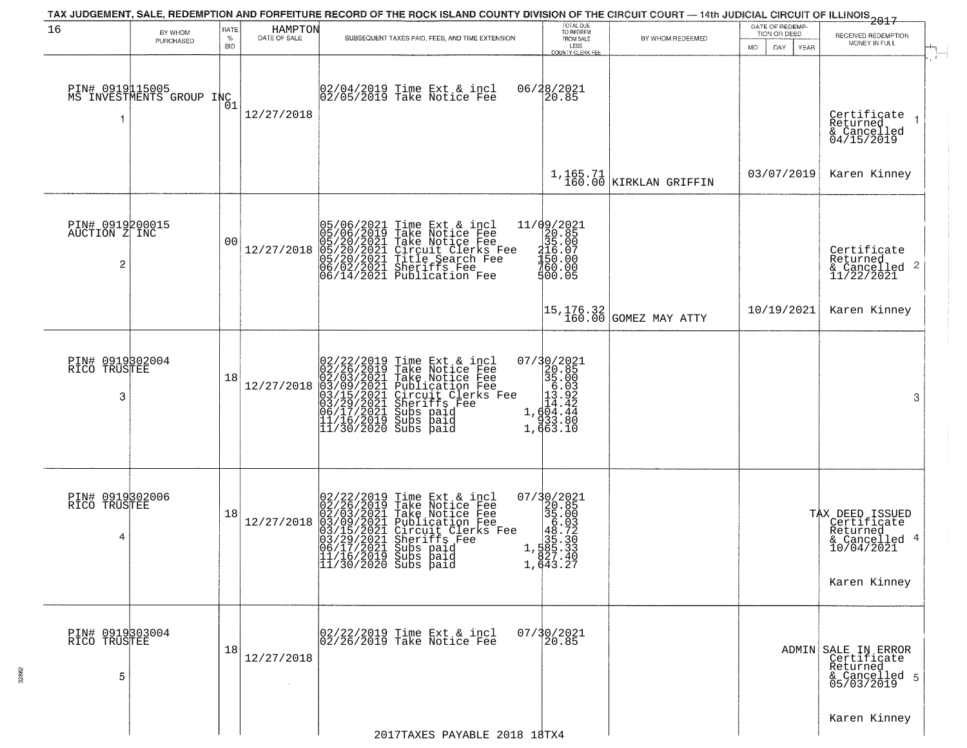|                                       | TAX JUDGEMENT, SALE, REDEMPTION AND FORFEITURE RECORD OF THE ROCK ISLAND COUNTY DIVISION OF THE CIRCUIT COURT - 14th JUDICIAL CIRCUIT OF ILLINOIS 2017 |                                   |                         |                                                                                                                                                                                                                                                                                                                              | DATE OF REDEMP-                                                                                                                                                                 |                                      |                                           |                                                                                           |
|---------------------------------------|--------------------------------------------------------------------------------------------------------------------------------------------------------|-----------------------------------|-------------------------|------------------------------------------------------------------------------------------------------------------------------------------------------------------------------------------------------------------------------------------------------------------------------------------------------------------------------|---------------------------------------------------------------------------------------------------------------------------------------------------------------------------------|--------------------------------------|-------------------------------------------|-------------------------------------------------------------------------------------------|
| 16                                    | BY WHOM<br>PURCHASED                                                                                                                                   | <b>RATE</b><br>$\%$<br><b>BID</b> | HAMPTON<br>DATE OF SALE | SUBSEQUENT TAXES PAID, FEES, AND TIME EXTENSION                                                                                                                                                                                                                                                                              | TOTAL DUE<br>TO REDEEM<br>FROM SALE<br>LESS<br>COUNTY CLERK FEE                                                                                                                 | BY WHOM REDEEMED                     | TION OR DEED<br>MO.<br>DAY<br><b>YEAR</b> | RECEIVED REDEMPTION<br>MONEY IN FULL                                                      |
| PIN# 0919115005<br>-1                 | MS INVESTMENTS GROUP INC                                                                                                                               | 01                                | 12/27/2018              | 02/04/2019 Time Ext & incl<br>02/05/2019 Take Notice Fee                                                                                                                                                                                                                                                                     | 06/28/2021<br>20.85                                                                                                                                                             |                                      |                                           | Certificate<br>Returned<br>& Cancelled<br>04/15/2019                                      |
|                                       |                                                                                                                                                        |                                   |                         |                                                                                                                                                                                                                                                                                                                              |                                                                                                                                                                                 | $1,165.71$<br>160.00 KIRKLAN GRIFFIN | 03/07/2019                                | Karen Kinney                                                                              |
| PIN# 0919200015<br>AUCTION Z INC<br>2 |                                                                                                                                                        | 0 <sub>0</sub>                    | 12/27/2018              | 05/06/2021<br>05/06/2019<br>05/20/2021<br>05/20/2021<br>05/20/2021<br>06/02/2021<br>06/14/2021<br>Time Ext & incl<br>Take Notice Fee<br>Take Notice Fee<br>Circuit Clerks Fee<br>Circuit Clerks Fee<br>Title Search Fee<br>Publication Fee                                                                                   | $\begin{array}{r} 11/09/2021 \\20.85 \\315.00 \\ \textrm{150.07} \\ -150.00 \\ 760.00 \\ 900.05 \end{array}$                                                                    |                                      |                                           | Certificate<br>Returned<br>& Cancelled 2<br>11/22/2021                                    |
|                                       |                                                                                                                                                        |                                   |                         |                                                                                                                                                                                                                                                                                                                              | 15,176.32<br>160.00                                                                                                                                                             | GOMEZ MAY ATTY                       | 10/19/2021                                | Karen Kinney                                                                              |
| PIN# 0919302004<br>RICO TRUSTEE<br>3  |                                                                                                                                                        | 18                                | 12/27/2018              | 02/22/2019<br>02/26/2019<br>02/03/2021<br>03/09/2021<br>03/15/2021<br>03/29/2021<br>06/17/2021<br>11/16/2019<br>11/30/2020<br>Time Ext & incl<br>Take Notice Fee<br>Take Notice Fee<br>Publication Fee<br>Circuit Clerks Fee<br>Siberiffs Fee<br>Subs paid<br>Subs paid<br>Subs paid                                         | 07/30/2021<br>$\begin{bmatrix} 20.85 \\ 35.00 \\ 6.93 \\ 13.92 \end{bmatrix}$<br>$1, \begin{matrix} 1 & 4 & 2 \\ 0 & 4 & 4 \\ 9 & 3 & 3 \\ 1 & 9 & 3 \\ 1 & 6 & 3 \end{matrix}$ |                                      |                                           | 3                                                                                         |
| PIN# 0919302006<br>RICO TRUSTEE<br>4  |                                                                                                                                                        | 18                                | 12/27/2018              | $\begin{smallmatrix} 02/22/2019\\ 02/26/2019\\ 02/03/2021\\ 03/15/2021\\ 03/15/2021\\ 03/29/2021\\ 04/17/2021\\ 06/17/2011 \end{smallmatrix}$<br>Time Ext & incl<br>Take Notice Fee<br>Take Notice Fee<br>Publication Fee<br>Circuit Clerks Fee<br>Sheriffs Fee<br>Subs paid<br>11/16/2019 Subs paid<br>11/30/2020 Subs paid | $\begin{smallmatrix} 07/30/2021\\20.85\\35.00\\46.72\\1\\535.30\\1,535.30\\2\end{smallmatrix}$<br>$\begin{array}{c} 827.40 \\ 1,643.27 \end{array}$                             |                                      |                                           | TAX DEED ISSUED<br>Certificate<br>Returned<br>& Cancelled 4<br>10/04/2021<br>Karen Kinney |
| PIN# 0919303004<br>RICO TRUSTEE<br>5  |                                                                                                                                                        | 18                                | 12/27/2018              | 02/22/2019 Time Ext & incl<br>02/26/2019 Take Notice Fee                                                                                                                                                                                                                                                                     | 07/30/2021<br>20.85                                                                                                                                                             |                                      |                                           | ADMIN SALE IN ERROR<br>Certificate<br>Returned<br>& Cancelled 5<br>05/03/2019             |
|                                       |                                                                                                                                                        |                                   |                         | 2017TAXES PAYABLE 2018 18TX4                                                                                                                                                                                                                                                                                                 |                                                                                                                                                                                 |                                      |                                           | Karen Kinney                                                                              |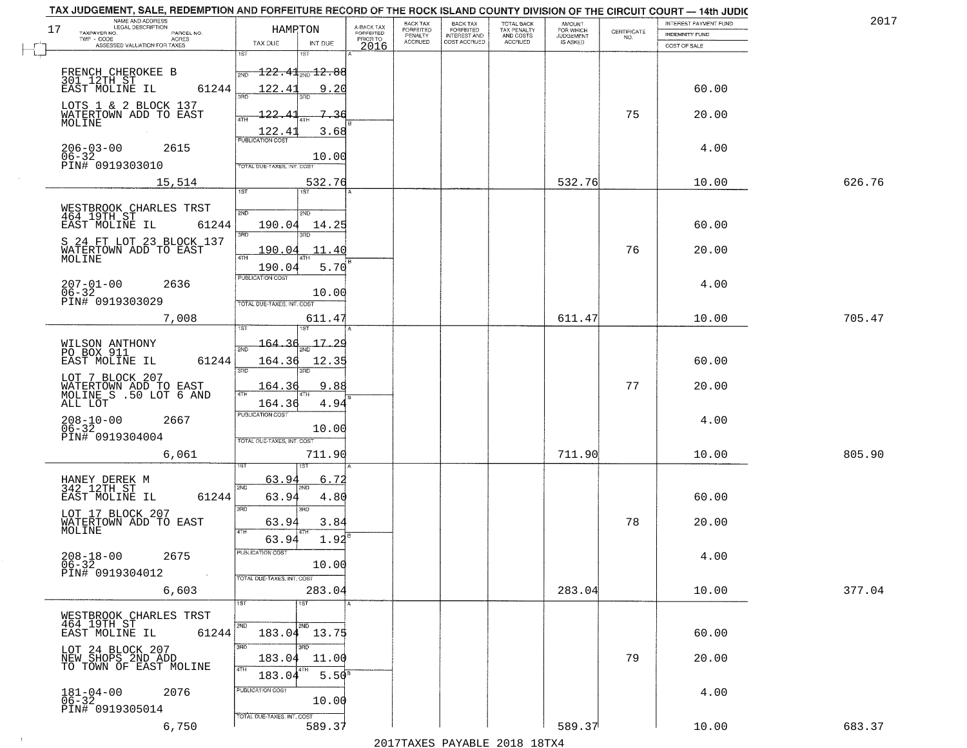| 17                           | NAME AND ADDRESS<br>LEGAL DESCRIPTION<br>TAXPAYER NO.                    | HAMPTON                                                                         |                                     | BACK TAX<br>FORFEITED     | BACK TAX<br>FORFEITED<br>INTEREST AND | TOTAL BACK<br>TAX PENALTY<br>AND COSTS | AMOUNT<br>FOR WHICH          |                                                                 | <b>INTEREST PAYMENT FUND</b>          | 2017   |
|------------------------------|--------------------------------------------------------------------------|---------------------------------------------------------------------------------|-------------------------------------|---------------------------|---------------------------------------|----------------------------------------|------------------------------|-----------------------------------------------------------------|---------------------------------------|--------|
| L.,                          | PARCEL NO.<br>TWP - CODE<br><b>ACRES</b><br>ASSESSED VALUATION FOR TAXES | TAX DUE<br>INT DUE                                                              | A-BACK TAX<br>FORFEITED<br>PRIOR TO | PENALTY<br><b>ACCRUED</b> | COST ACCRUED                          | ACCRUED                                | <b>JUDGEMENT</b><br>IS ASKED | $\begin{array}{c} \text{CEPTIFICATE} \\ \text{NO.} \end{array}$ | <b>INDEMNITY FUND</b><br>COST OF SALE |        |
|                              |                                                                          | 1ST<br>1ST                                                                      | 2016                                |                           |                                       |                                        |                              |                                                                 |                                       |        |
|                              |                                                                          | $\textcolor{red}{\textbf{122.41}}$ and $\textcolor{red}{\textbf{12.88}}$<br>2ND |                                     |                           |                                       |                                        |                              |                                                                 |                                       |        |
|                              | FRENCH CHEROKEE B<br>301 12TH ST<br>EAST MOLINE IL<br>61244              | 122.41<br>9.20                                                                  |                                     |                           |                                       |                                        |                              |                                                                 | 60.00                                 |        |
|                              | LOTS 1 & 2 BLOCK 137                                                     |                                                                                 |                                     |                           |                                       |                                        |                              |                                                                 |                                       |        |
|                              | WATERTOWN ADD TO EAST<br>MOLINE                                          | $-122$<br><del>7.3</del> 6<br>ATH                                               |                                     |                           |                                       |                                        |                              | 75                                                              | 20.00                                 |        |
|                              |                                                                          | 122.4<br>3.68<br><b>PUBLICATION COST</b>                                        |                                     |                           |                                       |                                        |                              |                                                                 |                                       |        |
| $206 - 03 - 00$<br>$06 - 32$ | 2615                                                                     | 10.00                                                                           |                                     |                           |                                       |                                        |                              |                                                                 | 4.00                                  |        |
|                              | PIN# 0919303010                                                          | TOTAL DUE-TAXES, INT. COST                                                      |                                     |                           |                                       |                                        |                              |                                                                 |                                       |        |
|                              | 15,514                                                                   | 532.76<br>1ST<br>1ST                                                            |                                     |                           |                                       |                                        | 532.76                       |                                                                 | 10.00                                 | 626.76 |
|                              | WESTBROOK CHARLES TRST                                                   | 2ND<br>2ND                                                                      |                                     |                           |                                       |                                        |                              |                                                                 |                                       |        |
|                              | 464 19TH ST<br>EAST MOLINE IL<br>61244                                   | 190.04<br>14.25                                                                 |                                     |                           |                                       |                                        |                              |                                                                 | 60.00                                 |        |
|                              | S 24 FT LOT 23 BLOCK 137                                                 | 3RD                                                                             |                                     |                           |                                       |                                        |                              |                                                                 |                                       |        |
| MOLINE                       | WATERTOWN ADD TO EAST                                                    | <u> 190.04</u><br>11.40<br>47H                                                  |                                     |                           |                                       |                                        |                              | 76                                                              | 20.00                                 |        |
|                              |                                                                          | 190.04<br>5.70<br>PUBLICATION COST                                              |                                     |                           |                                       |                                        |                              |                                                                 |                                       |        |
| $207 - 01 - 00$<br>$06 - 32$ | 2636                                                                     | 10.00                                                                           |                                     |                           |                                       |                                        |                              |                                                                 | 4.00                                  |        |
|                              | PIN# 0919303029                                                          | TOTAL DUE-TAXES, INT. COST                                                      |                                     |                           |                                       |                                        |                              |                                                                 |                                       |        |
|                              | 7,008                                                                    | 611.47<br>is T                                                                  |                                     |                           |                                       |                                        | 611.47                       |                                                                 | 10.00                                 | 705.47 |
|                              |                                                                          | 17.29<br>164<br>2ND                                                             |                                     |                           |                                       |                                        |                              |                                                                 |                                       |        |
|                              | WILSON ANTHONY<br>PO BOX 911<br>EAST MOLINE IL<br>61244                  | 164.36<br>12.35                                                                 |                                     |                           |                                       |                                        |                              |                                                                 | 60.00                                 |        |
|                              | LOT 7 BLOCK 207                                                          | 3RD<br>3RD                                                                      |                                     |                           |                                       |                                        |                              |                                                                 |                                       |        |
|                              | WATERTOWN ADD TO EAST<br>MOLINE S .50 LOT 6 AND                          | 164.3<br>9.88<br>4TH                                                            |                                     |                           |                                       |                                        |                              | 77                                                              | 20.00                                 |        |
| ALL LOT                      |                                                                          | 164.36<br>4.94<br><b>PUBLICATION COST</b>                                       |                                     |                           |                                       |                                        |                              |                                                                 |                                       |        |
| $208 - 10 - 00$<br>06-32     | 2667                                                                     | 10.00                                                                           |                                     |                           |                                       |                                        |                              |                                                                 | 4.00                                  |        |
|                              | PIN# 0919304004                                                          | TOTAL OUE-TAXES, INT. COST                                                      |                                     |                           |                                       |                                        |                              |                                                                 |                                       |        |
|                              | 6,061                                                                    | 711.90                                                                          |                                     |                           |                                       |                                        | 711.90                       |                                                                 | 10.00                                 | 805.90 |
|                              |                                                                          | 63.94<br>6.72                                                                   |                                     |                           |                                       |                                        |                              |                                                                 |                                       |        |
|                              | HANEY DEREK M<br>342 12TH ST<br>61244<br>EAST MOLINE IL                  | 2ND<br>63.94<br>4.80                                                            |                                     |                           |                                       |                                        |                              |                                                                 | 60.00                                 |        |
|                              | LOT 17 BLOCK 207                                                         | 3BD<br>3BD                                                                      |                                     |                           |                                       |                                        |                              |                                                                 |                                       |        |
| MOLINE                       | WATERTOWN ADD TO EAST                                                    | 63.94<br>3.84<br>4TH                                                            |                                     |                           |                                       |                                        |                              | 78                                                              | 20.00                                 |        |
|                              |                                                                          | 63.94<br>1.92                                                                   |                                     |                           |                                       |                                        |                              |                                                                 |                                       |        |
| $208 - 18 - 00$<br>$06 - 32$ | 2675                                                                     | PUBLICATION COST<br>10.00                                                       |                                     |                           |                                       |                                        |                              |                                                                 | 4.00                                  |        |
|                              | PIN# 0919304012<br>$\sim 100$ km s $^{-1}$                               | TOTAL DUE-TAXES, INT. COST                                                      |                                     |                           |                                       |                                        |                              |                                                                 |                                       |        |
|                              | 6,603                                                                    | 283.04                                                                          |                                     |                           |                                       |                                        | 283.04                       |                                                                 | 10.00                                 | 377.04 |
|                              | WESTBROOK CHARLES TRST                                                   | 1ST<br>1ST                                                                      |                                     |                           |                                       |                                        |                              |                                                                 |                                       |        |
|                              | 464 19TH ST<br>61244<br>EAST MOLINE IL                                   | 2ND<br>2ND<br>183.04 13.75                                                      |                                     |                           |                                       |                                        |                              |                                                                 | 60.00                                 |        |
|                              | LOT 24 BLOCK 207                                                         | 3 <sub>BD</sub><br>3RD                                                          |                                     |                           |                                       |                                        |                              |                                                                 |                                       |        |
|                              | NEW SHOPS 2ND ADD<br>TO TOWN OF EAST MOLINE                              | 11.00<br>183.04<br>4TH<br>4TH                                                   |                                     |                           |                                       |                                        |                              | 79                                                              | 20.00                                 |        |
|                              |                                                                          | 5.50 <sup>8</sup><br>183.04                                                     |                                     |                           |                                       |                                        |                              |                                                                 |                                       |        |
| $181 - 04 - 00$<br>$06 - 32$ | 2076                                                                     | PUBLICATION COST<br>10.00                                                       |                                     |                           |                                       |                                        |                              |                                                                 | 4.00                                  |        |
|                              | PIN# 0919305014                                                          | TOTAL DUE-TAXES, INT. COST                                                      |                                     |                           |                                       |                                        |                              |                                                                 |                                       |        |
|                              | 6,750                                                                    | 589.37                                                                          |                                     |                           |                                       |                                        | 589.37                       |                                                                 | 10.00                                 | 683.37 |

 $\vdash$ 

 $\sim 10$ 

2017TAXES PAYABLE 2018 18TX4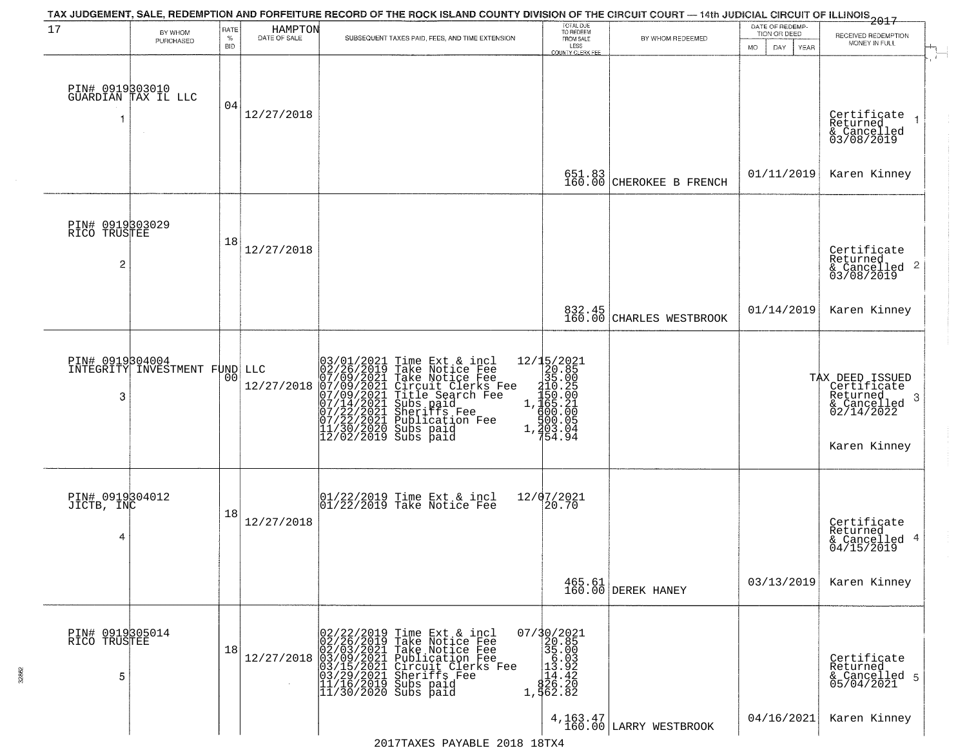|                                      |                                        |              |                         | TAX JUDGEMENT, SALE, REDEMPTION AND FORFEITURE RECORD OF THE ROCK ISLAND COUNTY DIVISION OF THE CIRCUIT COURT — 14th JUDICIAL CIRCUIT OF ILLINOIS 2017                                                                                                                                                                                                                     | TOTAL DUE<br>TO REDEEM                                                                                                                                                                                                                                                                                                           |                                                                     | DATE OF REDEMP-            |                                                                                                          |
|--------------------------------------|----------------------------------------|--------------|-------------------------|----------------------------------------------------------------------------------------------------------------------------------------------------------------------------------------------------------------------------------------------------------------------------------------------------------------------------------------------------------------------------|----------------------------------------------------------------------------------------------------------------------------------------------------------------------------------------------------------------------------------------------------------------------------------------------------------------------------------|---------------------------------------------------------------------|----------------------------|----------------------------------------------------------------------------------------------------------|
| 17                                   | BY WHOM<br>PURCHASED                   | RATE<br>$\%$ | HAMPTON<br>DATE OF SALE | SUBSEQUENT TAXES PAID, FEES, AND TIME EXTENSION                                                                                                                                                                                                                                                                                                                            | FROM SALE                                                                                                                                                                                                                                                                                                                        | BY WHOM REDEEMED                                                    | TION OR DEED               | RECEIVED REDEMPTION<br>MONEY IN FULL                                                                     |
|                                      | PIN# 0919303010<br>GUARDIAN TAX IL LLC | <b>BID</b>   |                         |                                                                                                                                                                                                                                                                                                                                                                            | LESS<br><b>COUNTY CLERK FEE</b>                                                                                                                                                                                                                                                                                                  |                                                                     | MO.<br>DAY.<br><b>YEAR</b> | $\mathbf{r}$                                                                                             |
| 1                                    |                                        | 04           | 12/27/2018              |                                                                                                                                                                                                                                                                                                                                                                            |                                                                                                                                                                                                                                                                                                                                  |                                                                     |                            | Certificate<br>Returned<br>$\overline{\phantom{a}}$<br>& Cancelled<br>03/08/2019                         |
|                                      |                                        |              |                         |                                                                                                                                                                                                                                                                                                                                                                            |                                                                                                                                                                                                                                                                                                                                  | $\begin{array}{c c} 651.83 \\ 160.00 \end{array}$ CHEROKEE B FRENCH | 01/11/2019                 | Karen Kinney                                                                                             |
| PIN# 0919303029<br>RICO TRUSTEE<br>2 |                                        | 18           | 12/27/2018              |                                                                                                                                                                                                                                                                                                                                                                            |                                                                                                                                                                                                                                                                                                                                  |                                                                     |                            | Certificate<br>Returned<br>$\overline{2}$                                                                |
|                                      |                                        |              |                         |                                                                                                                                                                                                                                                                                                                                                                            |                                                                                                                                                                                                                                                                                                                                  | 832.45<br>160.00 CHARLES WESTBROOK                                  | 01/14/2019                 | & Cancelled<br>03/08/2019<br>Karen Kinney                                                                |
|                                      |                                        |              |                         |                                                                                                                                                                                                                                                                                                                                                                            |                                                                                                                                                                                                                                                                                                                                  |                                                                     |                            |                                                                                                          |
| PIN# 0919304004<br>3                 | INTEGRITY INVESTMENT FUND LLC          | 00           | 12/27/2018              | 03/01/2021 Time Ext &<br>02/26/2019 Take Notic<br>07/09/2021 Take Notic<br>07/09/2021 Circuit Cl<br>07/09/2021 Title Sear<br>07/14/2021 Subs paid<br>07/22/2021 Sublicatic<br>11/30/2020 Subs paid<br>12/02/2019 Subs paid<br>Time Ext & incl<br>Take Notice Fee<br>Take Notice Fee<br>Circuit Clerks Fee<br>Title Search Fee<br>Subs paid<br>Publication Fee<br>Subs paid | $\begin{array}{r} 12/15/2021 \\ 20.85 \\ 315.00 \\ -1.150.20 \\ 1.150.20 \\ 1.165.21 \\ -1.65.21 \\ -1.600.00 \\ -1.000 \\ -1.000 \\ -1.000 \\ -1.000 \\ -1.000 \\ -1.000 \\ -1.000 \\ -1.000 \\ -1.000 \\ -1.000 \\ -1.000 \\ -1.000 \\ -1.000 \\ -1.000 \\ -1.000 \\ -1.000 \\ -1.000 \\ -1.000 \\ -1.000 \\ -1.0$<br>1,200.05 |                                                                     |                            | TAX DEED ISSUED<br>Certificate<br>Returned<br>-3<br>$\begin{array}{c} 2222220 \\ 02/14/2022 \end{array}$ |
|                                      |                                        |              |                         |                                                                                                                                                                                                                                                                                                                                                                            | 754.94                                                                                                                                                                                                                                                                                                                           |                                                                     |                            | Karen Kinney                                                                                             |
| PIN# 0919304012<br>JICTB, INC        |                                        | 18           | 12/27/2018              | 01/22/2019 Time Ext & incl<br>01/22/2019 Take Notice Fee                                                                                                                                                                                                                                                                                                                   | 12/07/2021<br>20.70                                                                                                                                                                                                                                                                                                              |                                                                     |                            | Certificate<br>Returned                                                                                  |
| 4                                    |                                        |              |                         |                                                                                                                                                                                                                                                                                                                                                                            |                                                                                                                                                                                                                                                                                                                                  |                                                                     |                            | 4<br>& Cancelled<br>04/15/2019                                                                           |
|                                      |                                        |              |                         |                                                                                                                                                                                                                                                                                                                                                                            |                                                                                                                                                                                                                                                                                                                                  | 465.61<br>160.00 DEREK HANEY                                        | 03/13/2019                 | Karen Kinney                                                                                             |
| PIN# 0919305014<br>RICO TRUSTEE      |                                        | 18           | 12/27/2018              | 02/22/2019 Time Ext &<br>02/26/2019 Take Notic<br>02/03/2021 Take Notic<br>03/09/2021 Publicatic<br>03/29/2021 Sheriffs F<br>11/16/2019 Subs paid<br>11/30/2020 Subs paid<br>Time Ext & incl<br>Take Notice Fee<br>Take Notice Fee<br>Publication Fee<br>Circuit Clerks Fee<br>Sheriffs Fee                                                                                | 07/30/2021                                                                                                                                                                                                                                                                                                                       |                                                                     |                            | Certificate                                                                                              |
| 5                                    |                                        |              |                         |                                                                                                                                                                                                                                                                                                                                                                            | $\begin{array}{r} 25.00 \\ 35.00 \\ 13.92 \\ 14.42 \\ 14.42 \\ 826.20 \\ 1,562.82 \end{array}$                                                                                                                                                                                                                                   |                                                                     |                            | Returned<br>& Cancelled 5<br>05/04/2021                                                                  |
|                                      |                                        |              |                         |                                                                                                                                                                                                                                                                                                                                                                            |                                                                                                                                                                                                                                                                                                                                  | $4,163.47$ LARRY WESTBROOK                                          | 04/16/2021                 | Karen Kinney                                                                                             |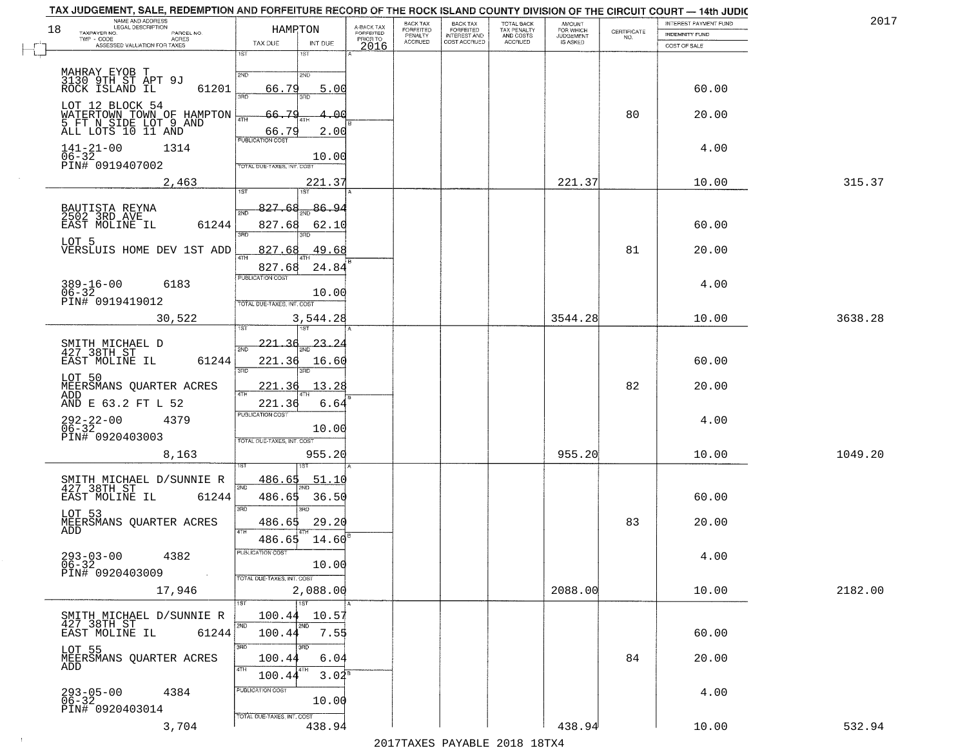|    | TAX JUDGEMENT, SALE, REDEMPTION AND FORFEITURE RECORD OF THE ROCK ISLAND COUNTY DIVISION OF THE CIRCUIT COURT — 14th JUDIC<br>NAME AND ADDRESS |                            |                       |                                     | BACK TAX                        |                                                       |                                        | <b>AMOUNT</b>          |                                                                 | INTEREST PAYMENT FUND | 2017    |
|----|------------------------------------------------------------------------------------------------------------------------------------------------|----------------------------|-----------------------|-------------------------------------|---------------------------------|-------------------------------------------------------|----------------------------------------|------------------------|-----------------------------------------------------------------|-----------------------|---------|
| 18 | TAXPAYER NO.<br>PARCEL NO.<br>$\textsf{TWP} + \textsf{CODE}$                                                                                   | HAMRTON                    |                       | A-BACK TAX<br>FORFEITED<br>PRIOR TO | FORFEITED<br>PENALTY<br>ACCRUED | BACK TAX<br>FORFEITED<br>INTEREST AND<br>COST ACCRUED | TOTAL BACK<br>TAX PENALTY<br>AND COSTS | FOR WHICH<br>JUDGEMENT | $\begin{array}{c} \text{CERTIFICATE} \\ \text{NO.} \end{array}$ | INDEMNITY FUND        |         |
|    | - CODE<br>ASSESSED VALUATION FOR TAXES                                                                                                         | TAX DUE<br>1ST             | INT DUE<br>1ST        | 2016                                |                                 |                                                       | ACCRUED                                | IS ASKED               |                                                                 | COST OF SALE          |         |
|    |                                                                                                                                                |                            |                       |                                     |                                 |                                                       |                                        |                        |                                                                 |                       |         |
|    | MAHRAY EYOB T<br>3130 9TH ST APT 9J<br>ROCK ISLAND IL                                                                                          | 2ND                        | 2ND                   |                                     |                                 |                                                       |                                        |                        |                                                                 |                       |         |
|    | 61201                                                                                                                                          | 66.79<br>39D               | 5.00                  |                                     |                                 |                                                       |                                        |                        |                                                                 | 60.00                 |         |
|    | LOT 12 BLOCK 54                                                                                                                                |                            | 3RD                   |                                     |                                 |                                                       |                                        |                        |                                                                 |                       |         |
|    |                                                                                                                                                | <u>70</u><br>66.<br>4TH    | -Q.(                  |                                     |                                 |                                                       |                                        |                        | 80                                                              | 20.00                 |         |
|    | WATERTOWN TOWN OF HAMPTON<br>5 FT N SIDE LOT 9 AND<br>ALL LOTS 10 11 AND                                                                       | 66.79                      | 2.00                  |                                     |                                 |                                                       |                                        |                        |                                                                 |                       |         |
|    | $141 - 21 - 00$<br>1314                                                                                                                        | PUBLICATION COST           |                       |                                     |                                 |                                                       |                                        |                        |                                                                 | 4.00                  |         |
|    | $06-32$<br>PIN# 0919407002                                                                                                                     |                            | 10.00                 |                                     |                                 |                                                       |                                        |                        |                                                                 |                       |         |
|    |                                                                                                                                                | TOTAL DUE-TAXES, INT. COST |                       |                                     |                                 |                                                       |                                        |                        |                                                                 |                       |         |
|    | 2,463                                                                                                                                          | 1ST                        | 221.37<br>1ST         |                                     |                                 |                                                       |                                        | 221.37                 |                                                                 | 10.00                 | 315.37  |
|    |                                                                                                                                                |                            |                       |                                     |                                 |                                                       |                                        |                        |                                                                 |                       |         |
|    | BAUTISTA REYNA<br>2502 3RD AVE                                                                                                                 | 827.68<br>2ND              | 86.94                 |                                     |                                 |                                                       |                                        |                        |                                                                 |                       |         |
|    | 61244<br>EAST MOLINE IL                                                                                                                        | 827.68<br>3BD              | 62.10                 |                                     |                                 |                                                       |                                        |                        |                                                                 | 60.00                 |         |
|    | LOT 5                                                                                                                                          |                            |                       |                                     |                                 |                                                       |                                        |                        |                                                                 |                       |         |
|    | VERSLUIS HOME DEV 1ST ADD                                                                                                                      | 827.68<br><b>ATH</b>       | 49.68                 |                                     |                                 |                                                       |                                        |                        | 81                                                              | 20.00                 |         |
|    |                                                                                                                                                | 827.68                     | 24.84                 |                                     |                                 |                                                       |                                        |                        |                                                                 |                       |         |
|    | $389 - 16 - 00$<br>6183                                                                                                                        | <b>PUBLICATION COST</b>    |                       |                                     |                                 |                                                       |                                        |                        |                                                                 | 4.00                  |         |
|    | $06 - 32$<br>PIN# 0919419012                                                                                                                   | TOTAL DUE-TAXES, INT. COST | 10.00                 |                                     |                                 |                                                       |                                        |                        |                                                                 |                       |         |
|    |                                                                                                                                                |                            |                       |                                     |                                 |                                                       |                                        |                        |                                                                 |                       |         |
|    | 30,522                                                                                                                                         |                            | 3,544.28              |                                     |                                 |                                                       |                                        | 3544.28                |                                                                 | 10.00                 | 3638.28 |
|    | SMITH MICHAEL D                                                                                                                                | 221.36                     | 23.24                 |                                     |                                 |                                                       |                                        |                        |                                                                 |                       |         |
|    | 427 38TH ST                                                                                                                                    | 2ND                        |                       |                                     |                                 |                                                       |                                        |                        |                                                                 |                       |         |
|    | 61244<br>EAST MOLINE IL                                                                                                                        | 221.36<br>3RD              | 16.60<br>3RD          |                                     |                                 |                                                       |                                        |                        |                                                                 | 60.00                 |         |
|    | LOT 50<br>MEERSMANS QUARTER ACRES                                                                                                              | 221.36                     | 13.28                 |                                     |                                 |                                                       |                                        |                        | 82                                                              | 20.00                 |         |
|    | ADD                                                                                                                                            | 4TH                        |                       |                                     |                                 |                                                       |                                        |                        |                                                                 |                       |         |
|    | AND E 63.2 FT L 52                                                                                                                             | 221.36<br>PUBLICATION COST | 6.64                  |                                     |                                 |                                                       |                                        |                        |                                                                 |                       |         |
|    | 292-22-00<br>06-32<br>4379                                                                                                                     |                            | 10.00                 |                                     |                                 |                                                       |                                        |                        |                                                                 | 4.00                  |         |
|    | PIN# 0920403003                                                                                                                                | TOTAL OUE-TAXES, INT. COST |                       |                                     |                                 |                                                       |                                        |                        |                                                                 |                       |         |
|    | 8,163                                                                                                                                          |                            | 955.20                |                                     |                                 |                                                       |                                        | 955.20                 |                                                                 | 10.00                 | 1049.20 |
|    |                                                                                                                                                |                            | 157                   |                                     |                                 |                                                       |                                        |                        |                                                                 |                       |         |
|    | SMITH MICHAEL D/SUNNIE R                                                                                                                       | 486.65<br>2ND              | <u>51.10</u>          |                                     |                                 |                                                       |                                        |                        |                                                                 |                       |         |
|    | 427 38TH ST<br>EAST MOLINE IL<br>61244                                                                                                         | 486.65                     | 36.50                 |                                     |                                 |                                                       |                                        |                        |                                                                 | 60.00                 |         |
|    |                                                                                                                                                | 3RD                        | $\overline{3BD}$      |                                     |                                 |                                                       |                                        |                        |                                                                 |                       |         |
|    | LOT 53<br>MEERSMANS OUARTER ACRES                                                                                                              | 486.65                     | 29.20                 |                                     |                                 |                                                       |                                        |                        | 83                                                              | 20.00                 |         |
|    | ADD                                                                                                                                            | 4TH<br>486.65              | 14.60                 |                                     |                                 |                                                       |                                        |                        |                                                                 |                       |         |
|    | 4382<br>$293 - 03 - 00$                                                                                                                        | PUBLICATION COST           |                       |                                     |                                 |                                                       |                                        |                        |                                                                 |                       |         |
|    | 06-32<br>PIN# 0920403009                                                                                                                       |                            | 10.00                 |                                     |                                 |                                                       |                                        |                        |                                                                 | 4.00                  |         |
|    |                                                                                                                                                | TOTAL DUE-TAXES, INT. COST |                       |                                     |                                 |                                                       |                                        |                        |                                                                 |                       |         |
|    | 17,946                                                                                                                                         |                            | 2,088.00              |                                     |                                 |                                                       |                                        | 2088.00                |                                                                 | 10.00                 | 2182.00 |
|    |                                                                                                                                                | 1ST                        | 1ST                   |                                     |                                 |                                                       |                                        |                        |                                                                 |                       |         |
|    | SMITH MICHAEL D/SUNNIE R<br>427 38TH ST                                                                                                        | 100.44<br>2ND              | 10.57<br>2ND          |                                     |                                 |                                                       |                                        |                        |                                                                 |                       |         |
|    | EAST MOLINE IL<br>61244                                                                                                                        | 100.44                     | 7.55                  |                                     |                                 |                                                       |                                        |                        |                                                                 | 60.00                 |         |
|    | LOT 55                                                                                                                                         | 3RD                        | 3RD                   |                                     |                                 |                                                       |                                        |                        |                                                                 |                       |         |
|    | MEERSMANS QUARTER ACRES<br>ADD                                                                                                                 | 100.44                     | 6.04                  |                                     |                                 |                                                       |                                        |                        | 84                                                              | 20.00                 |         |
|    |                                                                                                                                                | 4TH<br>100.44              | $3.04^{\overline{8}}$ |                                     |                                 |                                                       |                                        |                        |                                                                 |                       |         |
|    | 4384                                                                                                                                           | PUBLICATION COST           |                       |                                     |                                 |                                                       |                                        |                        |                                                                 | 4.00                  |         |
|    | $293 - 05 - 00$<br>06-32<br>PIN# 0920403014                                                                                                    |                            | 10.00                 |                                     |                                 |                                                       |                                        |                        |                                                                 |                       |         |
|    |                                                                                                                                                | TOTAL DUE-TAXES, INT. COST |                       |                                     |                                 |                                                       |                                        |                        |                                                                 |                       |         |
|    | 3,704                                                                                                                                          |                            | 438.94                |                                     |                                 |                                                       |                                        | 438.94                 |                                                                 | 10.00                 | 532.94  |

 $\sim 10^6$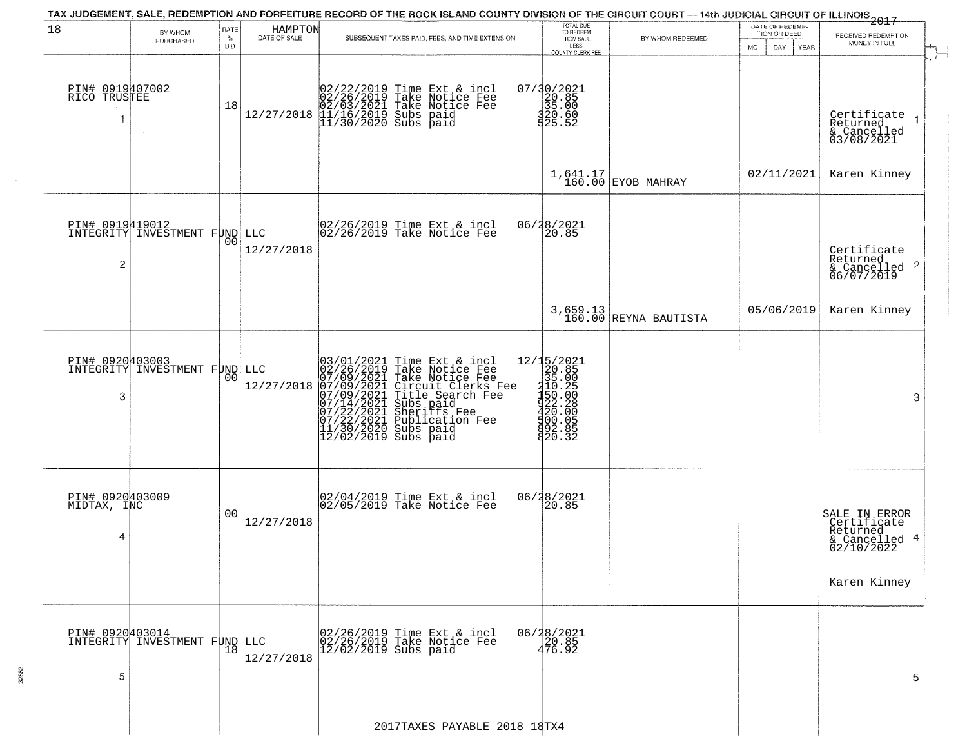|                                     |                                                  |                            |                         |                                                                                                                                                                                                                            | TAX JUDGEMENT, SALE, REDEMPTION AND FORFEITURE RECORD OF THE ROCK ISLAND COUNTY DIVISION OF THE CIRCUIT COURT — 14th JUDICIAL CIRCUIT OF ILLINOIS 2017 |                                                                        |                                   |                                                        |                                                                                         |
|-------------------------------------|--------------------------------------------------|----------------------------|-------------------------|----------------------------------------------------------------------------------------------------------------------------------------------------------------------------------------------------------------------------|--------------------------------------------------------------------------------------------------------------------------------------------------------|------------------------------------------------------------------------|-----------------------------------|--------------------------------------------------------|-----------------------------------------------------------------------------------------|
| 18                                  | BY WHOM<br>PURCHASED                             | RATE<br>$\%$<br><b>BID</b> | HAMPTON<br>DATE OF SALE |                                                                                                                                                                                                                            | SUBSEQUENT TAXES PAID, FEES, AND TIME EXTENSION                                                                                                        | TOTAL DUE<br>TO REDEEM<br>FROM SALE<br>LESS<br><b>COUNTY CLERK FEE</b> | BY WHOM REDEEMED                  | DATE OF REDEMP-<br>TION OR DEED<br>MO.<br>DAY.<br>YEAR | RECEIVED REDEMPTION<br>MONEY IN FULL                                                    |
| PIN# 0919407002<br>RICO TRUSTEE     |                                                  | 18                         | 12/27/2018              |                                                                                                                                                                                                                            | 02/22/2019 Time Ext & incl<br>02/26/2019 Take Notice Fee<br>02/03/2021 Take Notice Fee<br>02/03/2021 Subs paid<br>11/30/2020 Subs paid                 | 07/30/2021<br>20.85<br>35.00<br>320.60<br>325.52                       |                                   |                                                        | Certificate<br>Returned<br>& Cancelled<br>03/08/2021                                    |
|                                     |                                                  |                            |                         |                                                                                                                                                                                                                            |                                                                                                                                                        |                                                                        | $1,641.17$ EYOB MAHRAY            | 02/11/2021                                             | Karen Kinney                                                                            |
| $\overline{c}$                      | PIN# 0919419012<br>INTEGRITY INVESTMENT FUND LLC | 00                         | 12/27/2018              |                                                                                                                                                                                                                            | 02/26/2019 Time Ext & incl<br>02/26/2019 Take Notice Fee                                                                                               | 06/28/2021<br>20.85                                                    |                                   |                                                        | Certificate<br>Returned<br>$\frac{1}{6}$ Cancelled 2<br>06/07/2019                      |
|                                     |                                                  |                            |                         |                                                                                                                                                                                                                            |                                                                                                                                                        |                                                                        | 3,659.13<br>160.00 REYNA BAUTISTA | 05/06/2019                                             | Karen Kinney                                                                            |
| 3                                   | PIN# 0920403003<br>INTEGRITY INVESTMENT FUND LLC | 00                         | 12/27/2018              | 03/01/2021 Time Ext &<br>02/26/2019 Take Notic<br>07/09/2021 Take Notic<br>07/09/2021 Circuit Cl<br>07/09/2021 Title Sear<br>07/14/2021 Subs paid<br>07/22/2021 Sublicatic<br>11/30/2020 Subs paid<br>12/02/2019 Subs paid | Time Ext & incl<br>Take Notice Fee<br>Take Notice Fee<br>Circuit Clerks Fee<br>Title Search Fee<br>Subs paid<br>Publication Fee<br>Subs paid           | 820.32                                                                 |                                   |                                                        | 3                                                                                       |
| PIN# 0920403009<br>MIDTAX, INC<br>4 |                                                  | 00                         | 12/27/2018              |                                                                                                                                                                                                                            | 02/04/2019 Time Ext & incl<br>02/05/2019 Take Notice Fee                                                                                               | 06/28/2021<br>$\overline{20.85}$                                       |                                   |                                                        | SALE IN ERROR<br>Certificate<br>Returned<br>& Cancelled 4<br>02/10/2022<br>Karen Kinney |
| PIN# 0920403014<br>5                | INTEGRITY INVESTMENT FUND                        | 18                         | LLC<br>12/27/2018       | $12/02/2019$ Subs paid                                                                                                                                                                                                     | 02/26/2019 Time Ext & incl<br>02/26/2019 Take Notice Fee                                                                                               | 06/28/2021<br>20.85<br>476.92                                          |                                   |                                                        | 5                                                                                       |
|                                     |                                                  |                            |                         |                                                                                                                                                                                                                            | 2017TAXES PAYABLE 2018 18TX4                                                                                                                           |                                                                        |                                   |                                                        |                                                                                         |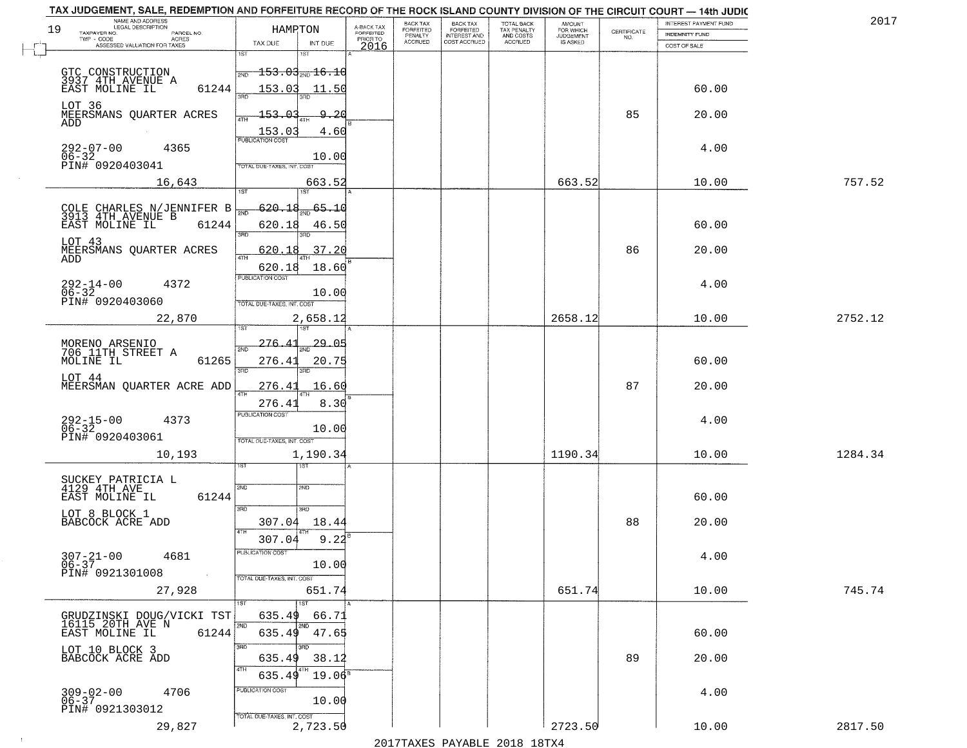| NAME AND ADDRESS<br>LEGAL DESCRIPTION<br>19<br>TAXPAYER NO.<br>PARCEL NO.<br>$TWP - CODE$ | HAMRTON                                                      | A-BACK TAX<br>FORFEITED<br>PRIOR TO | BACK TAX<br>FORFEITED<br>PENALTY<br>ACCRUED | BACK TAX<br>FORFEITED<br>INTEREST AND<br>COST ACCRUED | TOTAL BACK<br>TAX PENALTY<br>AND COSTS<br>ACCRUED | <b>AMOUNT</b><br>FOR WHICH<br>JUDGEMENT<br>IS ASKED | CERTIFICATE<br>NO. | INTEREST PAYMENT FUND<br><b>INDEMNITY FUND</b> | 2017    |
|-------------------------------------------------------------------------------------------|--------------------------------------------------------------|-------------------------------------|---------------------------------------------|-------------------------------------------------------|---------------------------------------------------|-----------------------------------------------------|--------------------|------------------------------------------------|---------|
| - CODE AGRES<br>ASSESSED VALUATION FOR TAXES                                              | TAX DUE<br>INT DUE<br>1ST<br>1ST                             | 2016                                |                                             |                                                       |                                                   |                                                     |                    | COST OF SALE                                   |         |
|                                                                                           | $\frac{1}{200}$ 153.03 $\frac{1}{200}$ 16.10                 |                                     |                                             |                                                       |                                                   |                                                     |                    |                                                |         |
| GTC CONSTRUCTION<br>3937 4TH AVENUE A<br>EAST MOLINE IL<br>61244                          | 153.03<br>11.50                                              |                                     |                                             |                                                       |                                                   |                                                     |                    | 60.00                                          |         |
| LOT 36                                                                                    | 3AD<br>3BD.                                                  |                                     |                                             |                                                       |                                                   |                                                     |                    |                                                |         |
| MEERSMANS QUARTER ACRES<br>ADD                                                            | $-153.03$<br>9.20<br>4TH<br>153.03<br>4.60                   |                                     |                                             |                                                       |                                                   |                                                     | 85                 | 20.00                                          |         |
| $292 - 07 - 00$<br>4365                                                                   | PUBLICATION COST                                             |                                     |                                             |                                                       |                                                   |                                                     |                    | 4.00                                           |         |
| 06-32<br>PIN# 0920403041                                                                  | 10.00<br>TOTAL DUE-TAXES, INT. COST                          |                                     |                                             |                                                       |                                                   |                                                     |                    |                                                |         |
| 16,643                                                                                    | 663.52                                                       |                                     |                                             |                                                       |                                                   | 663.52                                              |                    | 10.00                                          | 757.52  |
|                                                                                           | $\overline{1ST}$<br>1ST <sup></sup><br>$\frac{1}{300}$ 65.10 |                                     |                                             |                                                       |                                                   |                                                     |                    |                                                |         |
| COLE CHARLES N/JENNIFER B<br>3913 4TH AVENUE B<br>61244<br>EAST MOLINE IL                 | $-620.18$<br>সাঁচ<br>620.18<br>46.50                         |                                     |                                             |                                                       |                                                   |                                                     |                    | 60.00                                          |         |
| LOT 43                                                                                    | 3RD                                                          |                                     |                                             |                                                       |                                                   |                                                     |                    |                                                |         |
| MEERSMANS OUARTER ACRES<br>ADD                                                            | 620.18<br>37.20<br>47H                                       |                                     |                                             |                                                       |                                                   |                                                     | 86                 | 20.00                                          |         |
|                                                                                           | 620.18<br>18.60<br>PUBLICATION COST                          |                                     |                                             |                                                       |                                                   |                                                     |                    |                                                |         |
| $292 - 14 - 00$<br>06-32<br>4372<br>PIN# 0920403060                                       | 10.00                                                        |                                     |                                             |                                                       |                                                   |                                                     |                    | 4.00                                           |         |
| 22,870                                                                                    | TOTAL DUE-TAXES, INT. COST<br>2,658.12                       |                                     |                                             |                                                       |                                                   | 2658.12                                             |                    | 10.00                                          | 2752.12 |
|                                                                                           |                                                              |                                     |                                             |                                                       |                                                   |                                                     |                    |                                                |         |
| MORENO ARSENIO<br>706 11TH STREET A                                                       | -29.05<br>276.41<br>2ND                                      |                                     |                                             |                                                       |                                                   |                                                     |                    |                                                |         |
| MOLINE IL<br>61265<br>LOT 44                                                              | 276.41<br>20.75<br>3RD                                       |                                     |                                             |                                                       |                                                   |                                                     |                    | 60.00                                          |         |
| MEERSMAN QUARTER ACRE ADD                                                                 | 276.41<br>16.60                                              |                                     |                                             |                                                       |                                                   |                                                     | 87                 | 20.00                                          |         |
|                                                                                           | 8.30<br>276.41<br><b>PUBLICATION COST</b>                    |                                     |                                             |                                                       |                                                   |                                                     |                    |                                                |         |
| 292-15-00<br>06-32<br>4373                                                                | 10.00                                                        |                                     |                                             |                                                       |                                                   |                                                     |                    | 4.00                                           |         |
| PIN# 0920403061<br>10,193                                                                 | TOTAL OUE-TAXES, INT. COST<br>1,190.34                       |                                     |                                             |                                                       |                                                   | 1190.34                                             |                    | 10.00                                          | 1284.34 |
|                                                                                           |                                                              |                                     |                                             |                                                       |                                                   |                                                     |                    |                                                |         |
| SUCKEY PATRICIA L<br>4129 4TH AVE                                                         | 2ND<br>2ND                                                   |                                     |                                             |                                                       |                                                   |                                                     |                    |                                                |         |
| 61244<br>EAST MOLINE IL                                                                   | 3BD<br>3RD                                                   |                                     |                                             |                                                       |                                                   |                                                     |                    | 60.00                                          |         |
| LOT 8 BLOCK 1<br>BABCOCK ACRE ADD                                                         | 307.04<br>18.44<br>4TH                                       |                                     |                                             |                                                       |                                                   |                                                     | 88                 | 20.00                                          |         |
|                                                                                           | 307.04<br>9.22<br>PUBLICATION COST                           |                                     |                                             |                                                       |                                                   |                                                     |                    |                                                |         |
| $307 - 21 - 00$<br>4681<br>$06 - 37$                                                      | 10.00                                                        |                                     |                                             |                                                       |                                                   |                                                     |                    | 4.00                                           |         |
| PIN# 0921301008                                                                           | TOTAL DUE-TAXES, INT. COST                                   |                                     |                                             |                                                       |                                                   |                                                     |                    |                                                | 745.74  |
| 27,928                                                                                    | 651.74<br>1ST<br>1ST                                         |                                     |                                             |                                                       |                                                   | 651.74                                              |                    | 10.00                                          |         |
| GRUDZINSKI DOUG/VICKI TST<br>16115 20TH AVE N                                             | 66.71<br>635.49<br>12ND<br>2ND                               |                                     |                                             |                                                       |                                                   |                                                     |                    |                                                |         |
| EAST MOLINE IL<br>61244                                                                   | 635.49 47.65<br>3RD<br>3BD                                   |                                     |                                             |                                                       |                                                   |                                                     |                    | 60.00                                          |         |
| LOT 10 BLOCK 3<br>BABCOCK ACRE ADD                                                        | 635.49<br>38.12                                              |                                     |                                             |                                                       |                                                   |                                                     | 89                 | 20.00                                          |         |
|                                                                                           | 4TH<br>$19.06^{\circ}$<br>635.49                             |                                     |                                             |                                                       |                                                   |                                                     |                    |                                                |         |
| $309 - 02 - 00$<br>06-37<br>4706                                                          | PUBLICATION COST<br>10.00                                    |                                     |                                             |                                                       |                                                   |                                                     |                    | 4.00                                           |         |
| PIN# 0921303012                                                                           | TOTAL DUE-TAXES, INT. COST                                   |                                     |                                             |                                                       |                                                   |                                                     |                    |                                                |         |
| 29,827                                                                                    | 2,723.50                                                     |                                     |                                             |                                                       |                                                   | 2723.50                                             |                    | 10.00                                          | 2817.50 |

 $\sim 10^6$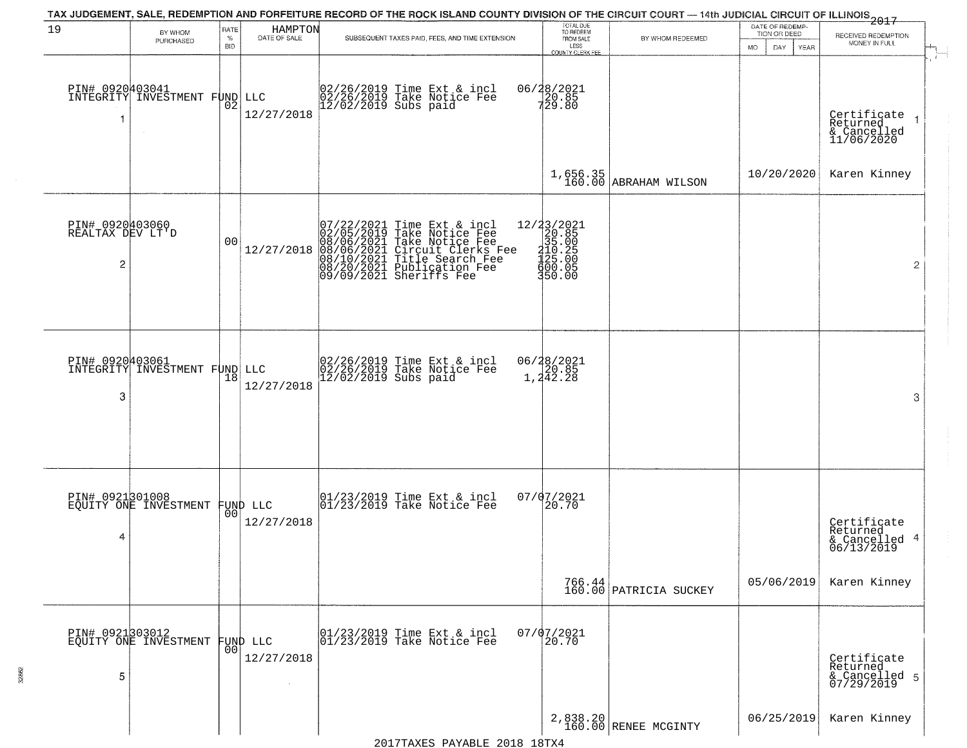|                                                       |                                          |                            |                                | TAX JUDGEMENT, SALE, REDEMPTION AND FORFEITURE RECORD OF THE ROCK ISLAND COUNTY DIVISION OF THE CIRCUIT COURT — 14th JUDICIAL CIRCUIT OF ILLINOIS 2017                                                          |                                                                                                                                                                                                                                                                                                                                |                                     |                                                        |                                                                                     |
|-------------------------------------------------------|------------------------------------------|----------------------------|--------------------------------|-----------------------------------------------------------------------------------------------------------------------------------------------------------------------------------------------------------------|--------------------------------------------------------------------------------------------------------------------------------------------------------------------------------------------------------------------------------------------------------------------------------------------------------------------------------|-------------------------------------|--------------------------------------------------------|-------------------------------------------------------------------------------------|
| 19                                                    | BY WHOM<br>PURCHASED                     | RATE<br>$\%$<br><b>BID</b> | HAMPTON<br>DATE OF SALE        | SUBSEQUENT TAXES PAID, FEES, AND TIME EXTENSION                                                                                                                                                                 | TOTAL DUE<br>TO REDEEM<br>FROM SALE<br>LESS<br>COUNTY CLERK FEE                                                                                                                                                                                                                                                                | BY WHOM REDEEMED                    | DATE OF REDEMP-<br>TION OR DEED<br>MO.<br>DAY.<br>YEAR | RECEIVED REDEMPTION<br>MONEY IN FULL                                                |
| PIN# 0920403041<br>-1                                 | INTEGRITY INVESTMENT FUND                | 02                         | LLC<br>12/27/2018              | 02/26/2019 Time Ext & incl<br>02/26/2019 Take Notice Fee<br>12/02/2019 Subs paid                                                                                                                                | 06/28/2021<br>$720.85$<br>729.80                                                                                                                                                                                                                                                                                               |                                     |                                                        | $\mathcal{L}_{\mathcal{L}}$<br>Certificate<br>Returned<br>& Cancelled<br>11/06/2020 |
|                                                       |                                          |                            |                                |                                                                                                                                                                                                                 |                                                                                                                                                                                                                                                                                                                                | $1,656.35$<br>160.00 ABRAHAM WILSON | 10/20/2020                                             | Karen Kinney                                                                        |
| PIN# 0920403060<br>REALTAX DEV LT'D<br>$\overline{c}$ |                                          | 0 <sub>0</sub>             | 12/27/2018                     | 07/22/2021 Time Ext & incl<br>02/05/2019 Take Notice Fee<br>08/06/2021 Take Notice Fee<br>08/06/2021 Circuit Clerks Fee<br>08/10/2021 Title Search Fee<br>08/20/2021 Publication Fee<br>09/09/2021 Sheriffs Fee | $=\begin{smallmatrix} 12/3 & 3/2 & 0 & 2 & 1 \\ 2 & 0 & 0 & 8 & 5 \\ 3 & 1 & 0 & 0 & 0 \\ 1 & 1 & 0 & 0 & 0 \\ 4 & 1 & 0 & 0 & 0 \\ 4 & 0 & 0 & 0 & 0 \\ 5 & 0 & 0 & 0 & 5 \\ 5 & 0 & 0 & 0 & 0 \\ 4 & 0 & 0 & 0 & 0 \\ 5 & 0 & 0 & 0 & 0 \\ 1 & 0 & 0 & 0 & 0 \\ 3 & 0 & 0 & 0 & 0 \\ 4 & 0 & 0 & 0 & 0 \\ 5 & 0 & 0 & 0 & 0$ |                                     |                                                        | $\overline{2}$                                                                      |
| PIN# 0920403061<br>3                                  | INTEGRITY INVESTMENT FUND LLC            | 18                         | 12/27/2018                     | 02/26/2019 Time Ext & incl<br>02/26/2019 Take Notice Fee<br>12/02/2019 Subs paid                                                                                                                                | 06/28/2021<br>20.85<br>1,242.28                                                                                                                                                                                                                                                                                                |                                     |                                                        | 3                                                                                   |
| PIN# 0921301008<br>4                                  | EOUITY ONE INVESTMENT                    |                            | FUND LLC<br> 00 <br>12/27/2018 | $\begin{array}{ccc}  01/23/2019 \text{ Time} & \text{Ext} & \text{incl} \\  01/23/2019 \text{ Take Notice } \text{Fe} \end{array}$                                                                              | $07/07/2021$<br>20.70                                                                                                                                                                                                                                                                                                          |                                     |                                                        | Certificate<br>Returned<br>& Cancelled 4<br>06/13/2019                              |
|                                                       |                                          |                            |                                |                                                                                                                                                                                                                 |                                                                                                                                                                                                                                                                                                                                | 766.44<br>160.00 PATRICIA SUCKEY    | 05/06/2019                                             | Karen Kinney                                                                        |
| 5                                                     | PIN# 0921303012<br>EQUITY ONE INVESTMENT | 00                         | FUND LLC<br>12/27/2018         | 01/23/2019 Time Ext & incl<br>01/23/2019 Take Notice Fee                                                                                                                                                        | $07/07/2021$<br>$20.70$                                                                                                                                                                                                                                                                                                        |                                     |                                                        | Certificate<br>Returned<br>& Cancelled 5<br>07/29/2019                              |
|                                                       |                                          |                            |                                |                                                                                                                                                                                                                 |                                                                                                                                                                                                                                                                                                                                | 2,838.20<br>160.00 RENEE MCGINTY    | 06/25/2019                                             | Karen Kinney                                                                        |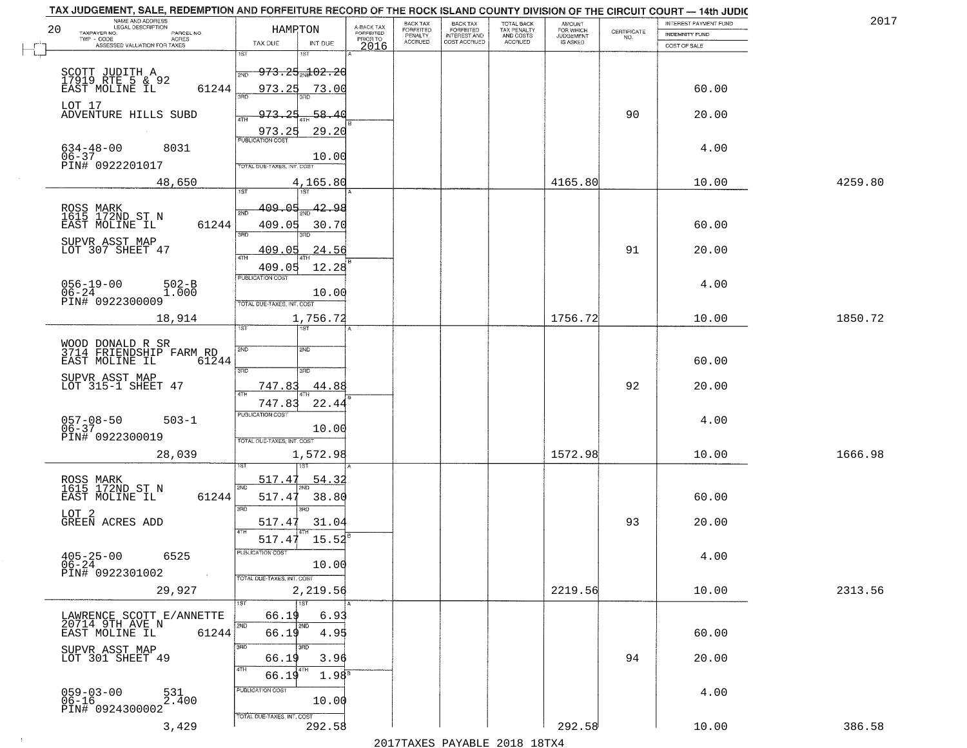|    | TAX JUDGEMENT, SALE, REDEMPTION AND FORFEITURE RECORD OF THE ROCK ISLAND COUNTY DIVISION OF THE CIRCUIT COURT - 14th JUDIC<br>NAME AND ADDRESS                                             |                                             |                         | BACK TAX                    |                                       |                                        |                                         |                                                                 | INTEREST PAYMENT FUND | 2017    |
|----|--------------------------------------------------------------------------------------------------------------------------------------------------------------------------------------------|---------------------------------------------|-------------------------|-----------------------------|---------------------------------------|----------------------------------------|-----------------------------------------|-----------------------------------------------------------------|-----------------------|---------|
| 20 | <b>LEGAL DESCRIPTION</b><br>TAXPAYER NO.<br>PARCEL NO.                                                                                                                                     | HAMPTON                                     | A-BACK TAX<br>FORFEITED | <b>FORFEITED</b><br>PENALTY | BACK TAX<br>FORFEITED<br>INTEREST AND | TOTAL BACK<br>TAX PENALTY<br>AND COSTS | AMOUNT<br>FOR WHICH<br><b>JUDGEMENT</b> | $\begin{array}{c} \text{CERTIFICATE} \\ \text{NO.} \end{array}$ | <b>INDEMNITY FUND</b> |         |
|    | TWP - CODE<br><b>ACRES</b><br>ASSESSED VALUATION FOR TAXES                                                                                                                                 | TAX DUE<br>INT DUE                          | PRIOR TO<br>2016        | <b>ACCRUED</b>              | COST ACCRUED                          | ACCRUED                                | IS ASKED                                |                                                                 | COST OF SALE          |         |
|    |                                                                                                                                                                                            | 1ST<br><b>IST</b>                           |                         |                             |                                       |                                        |                                         |                                                                 |                       |         |
|    |                                                                                                                                                                                            | <del>973.25<sub>20</sub>102.20</del><br>2ND |                         |                             |                                       |                                        |                                         |                                                                 |                       |         |
|    | SCOTT JUDITH A<br>17919 RTE 5 & 92<br>EAST MOLINE IL                                                                                                                                       |                                             |                         |                             |                                       |                                        |                                         |                                                                 |                       |         |
|    | 61244                                                                                                                                                                                      | 973.25<br>73.00                             |                         |                             |                                       |                                        |                                         |                                                                 | 60.00                 |         |
|    | LOT 17                                                                                                                                                                                     |                                             |                         |                             |                                       |                                        |                                         |                                                                 |                       |         |
|    | ADVENTURE HILLS SUBD                                                                                                                                                                       | 973.25<br>58.40                             |                         |                             |                                       |                                        |                                         | 90                                                              | 20.00                 |         |
|    |                                                                                                                                                                                            | 29.20<br>973.25                             |                         |                             |                                       |                                        |                                         |                                                                 |                       |         |
|    | 8031                                                                                                                                                                                       | <b>PUBLICATION COST</b>                     |                         |                             |                                       |                                        |                                         |                                                                 | 4.00                  |         |
|    | $634 - 48 - 00$<br>$06 - 37$                                                                                                                                                               | 10.00                                       |                         |                             |                                       |                                        |                                         |                                                                 |                       |         |
|    | PIN# 0922201017                                                                                                                                                                            | <b>TOTAL DUE-TAXES, INT, COST</b>           |                         |                             |                                       |                                        |                                         |                                                                 |                       |         |
|    | 48,650                                                                                                                                                                                     | 4,165.80                                    |                         |                             |                                       |                                        | 4165.80                                 |                                                                 | 10.00                 | 4259.80 |
|    |                                                                                                                                                                                            |                                             |                         |                             |                                       |                                        |                                         |                                                                 |                       |         |
|    |                                                                                                                                                                                            | 42.98<br>409.05                             |                         |                             |                                       |                                        |                                         |                                                                 |                       |         |
|    | ROSS MARK<br>1615 172ND ST N                                                                                                                                                               | ៊ីម៉ា                                       |                         |                             |                                       |                                        |                                         |                                                                 |                       |         |
|    | 61244<br>EAST MOLINE IL                                                                                                                                                                    | 409.05<br>30.70<br>उन्नठ                    |                         |                             |                                       |                                        |                                         |                                                                 | 60.00                 |         |
|    | SUPVR ASST MAP                                                                                                                                                                             |                                             |                         |                             |                                       |                                        |                                         |                                                                 |                       |         |
|    | LOT 307 SHEET 47                                                                                                                                                                           | 24.56<br>409.05<br>47H                      |                         |                             |                                       |                                        |                                         | 91                                                              | 20.00                 |         |
|    |                                                                                                                                                                                            | 12.28<br>409.05                             |                         |                             |                                       |                                        |                                         |                                                                 |                       |         |
|    | $502 - B$                                                                                                                                                                                  | PUBLICATION COST                            |                         |                             |                                       |                                        |                                         |                                                                 | 4.00                  |         |
|    | $\begin{array}{ll} 056-19-00 & \phantom{00} & \phantom{0} & \phantom{0} \\ 06-24 & \phantom{0} & \phantom{0} & \phantom{0} \\ \text{PINH} & 0922300009 & \phantom{0} \end{array}$<br>1.000 | 10.00                                       |                         |                             |                                       |                                        |                                         |                                                                 |                       |         |
|    |                                                                                                                                                                                            | TOTAL DUE-TAXES, INT. COST                  |                         |                             |                                       |                                        |                                         |                                                                 |                       |         |
|    | 18,914                                                                                                                                                                                     | 1,756.72                                    |                         |                             |                                       |                                        | 1756.72                                 |                                                                 | 10.00                 | 1850.72 |
|    |                                                                                                                                                                                            | 1ST<br>ist.                                 |                         |                             |                                       |                                        |                                         |                                                                 |                       |         |
|    |                                                                                                                                                                                            |                                             |                         |                             |                                       |                                        |                                         |                                                                 |                       |         |
|    | WOOD DONALD R SR<br>3714 FRIENDSHIP FARM RD                                                                                                                                                | SVD<br><b>SMD</b>                           |                         |                             |                                       |                                        |                                         |                                                                 |                       |         |
|    | EAST MOLINE IL<br>61244                                                                                                                                                                    | 3RD<br>3RD                                  |                         |                             |                                       |                                        |                                         |                                                                 | 60.00                 |         |
|    | SUPVR ASST MAP                                                                                                                                                                             |                                             |                         |                             |                                       |                                        |                                         |                                                                 |                       |         |
|    | LOT 315-1 SHEET 47                                                                                                                                                                         | 747.83<br>44.88<br><b>ATH</b>               |                         |                             |                                       |                                        |                                         | 92                                                              | 20.00                 |         |
|    |                                                                                                                                                                                            | 747.8<br>22.44                              |                         |                             |                                       |                                        |                                         |                                                                 |                       |         |
|    | $503 - 1$                                                                                                                                                                                  | PUBLICATION COST                            |                         |                             |                                       |                                        |                                         |                                                                 | 4.00                  |         |
|    | 057-08-50<br>06-37                                                                                                                                                                         | 10.00                                       |                         |                             |                                       |                                        |                                         |                                                                 |                       |         |
|    | PIN# 0922300019                                                                                                                                                                            | TOTAL OUE-TAXES, INT. COST                  |                         |                             |                                       |                                        |                                         |                                                                 |                       |         |
|    | 28,039                                                                                                                                                                                     | 1,572.98                                    |                         |                             |                                       |                                        | 1572.98                                 |                                                                 | 10.00                 | 1666.98 |
|    |                                                                                                                                                                                            |                                             |                         |                             |                                       |                                        |                                         |                                                                 |                       |         |
|    | ROSS MARK<br>1615 172ND ST N                                                                                                                                                               | 517.47<br>54.32                             |                         |                             |                                       |                                        |                                         |                                                                 |                       |         |
|    | EAST MOLINE IL<br>61244                                                                                                                                                                    | 2ND<br>517.4<br>38.80                       |                         |                             |                                       |                                        |                                         |                                                                 | 60.00                 |         |
|    |                                                                                                                                                                                            | 3BD<br>3RD                                  |                         |                             |                                       |                                        |                                         |                                                                 |                       |         |
|    | LOT <sub>2</sub><br>GREEN ACRES ADD                                                                                                                                                        | 31.04<br>517.47                             |                         |                             |                                       |                                        |                                         | 93                                                              | 20.00                 |         |
|    |                                                                                                                                                                                            | 4TH                                         |                         |                             |                                       |                                        |                                         |                                                                 |                       |         |
|    |                                                                                                                                                                                            | 15.52<br>517.47                             |                         |                             |                                       |                                        |                                         |                                                                 |                       |         |
|    | $405 - 25 - 00$<br>6525                                                                                                                                                                    | ruslica i IUN COS                           |                         |                             |                                       |                                        |                                         |                                                                 | 4.00                  |         |
|    | $06 - 24$                                                                                                                                                                                  | 10.00                                       |                         |                             |                                       |                                        |                                         |                                                                 |                       |         |
|    | PIN# 0922301002                                                                                                                                                                            | TOTAL DUE-TAXES, INT. COST                  |                         |                             |                                       |                                        |                                         |                                                                 |                       |         |
|    | 29,927                                                                                                                                                                                     | 2,219.56                                    |                         |                             |                                       |                                        | 2219.56                                 |                                                                 | 10.00                 | 2313.56 |
|    |                                                                                                                                                                                            | 1ST                                         |                         |                             |                                       |                                        |                                         |                                                                 |                       |         |
|    | LAWRENCE SCOTT E/ANNETTE                                                                                                                                                                   | 6.93<br>66.19                               |                         |                             |                                       |                                        |                                         |                                                                 |                       |         |
|    | 20714 9TH AVE N<br>61244<br>EAST MOLINE IL                                                                                                                                                 | 2ND<br>2ND<br>66.19<br>4.95                 |                         |                             |                                       |                                        |                                         |                                                                 | 60.00                 |         |
|    |                                                                                                                                                                                            | 3RD                                         |                         |                             |                                       |                                        |                                         |                                                                 |                       |         |
|    | SUPVR ASST MAP<br>LOT 301 SHEET 49                                                                                                                                                         | 3.96<br>66.19                               |                         |                             |                                       |                                        |                                         | 94                                                              | 20.00                 |         |
|    |                                                                                                                                                                                            | 4TH<br>4TH                                  |                         |                             |                                       |                                        |                                         |                                                                 |                       |         |
|    |                                                                                                                                                                                            | 1.98 <sup>s</sup><br>66.19                  |                         |                             |                                       |                                        |                                         |                                                                 |                       |         |
|    | 059-03-00<br>06-16<br>531<br>2.400                                                                                                                                                         | PUBLICATION COST                            |                         |                             |                                       |                                        |                                         |                                                                 | 4.00                  |         |
|    | PIN# 0924300002                                                                                                                                                                            | 10.00                                       |                         |                             |                                       |                                        |                                         |                                                                 |                       |         |
|    |                                                                                                                                                                                            | TOTAL DUE-TAXES, INT. COST                  |                         |                             |                                       |                                        |                                         |                                                                 |                       |         |
|    | 3,429                                                                                                                                                                                      | 292.58                                      |                         |                             |                                       |                                        | 292.58                                  |                                                                 | 10.00                 | 386.58  |
|    |                                                                                                                                                                                            |                                             |                         |                             |                                       | 2017 THAYRO DAVADIR 2018 19TY          |                                         |                                                                 |                       |         |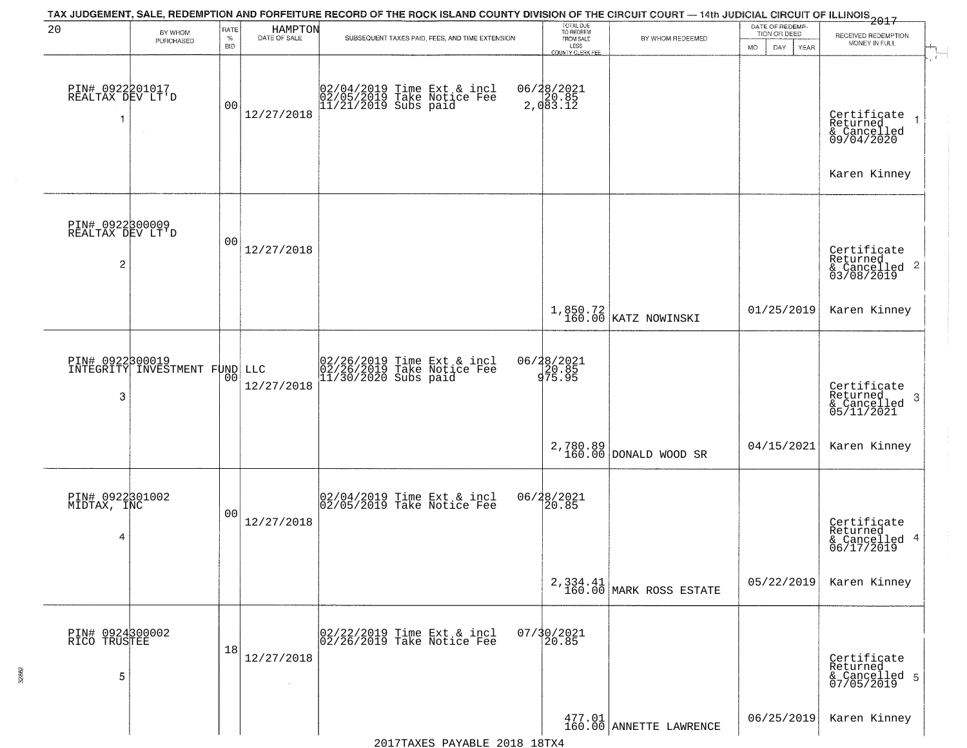| 20                                       | BY WHOM<br>PURCHASED          | RATE<br>$\%$<br><b>BID</b> | HAMPTON<br>DATE OF SALE | TAX JUDGEMENT, SALE, REDEMPTION AND FORFEITURE RECORD OF THE ROCK ISLAND COUNTY DIVISION OF THE CIRCUIT COURT - 14th JUDICIAL CIRCUIT OF ILLINOIS 2017<br>SUBSEQUENT TAXES PAID, FEES, AND TIME EXTENSION | TOTAL DUE<br>TO REDEEM<br>FROM SALE<br>LESS<br>COUNTY CLERK FEE | BY WHOM REDEEMED                    | DATE OF REDEMP.<br>TION OR DEED<br>MO.<br>YEAR<br>DAY. | RECEIVED REDEMPTION<br>MONEY IN FULL                                 |
|------------------------------------------|-------------------------------|----------------------------|-------------------------|-----------------------------------------------------------------------------------------------------------------------------------------------------------------------------------------------------------|-----------------------------------------------------------------|-------------------------------------|--------------------------------------------------------|----------------------------------------------------------------------|
| PIN# 0922201017<br>REALTAX DEV LT'D<br>1 | $\sim$                        | 0 <sub>0</sub>             | 12/27/2018              | 02/04/2019 Time Ext & incl<br>02/05/2019 Take Notice Fee<br>11/21/2019 Subs paid                                                                                                                          | 06/28/2021<br>2,083.12                                          |                                     |                                                        | Certificate<br>Returned<br>& Cancelled<br>09/04/2020<br>Karen Kinney |
| PIN# 0922300009<br>REALTAX DEV LT'D<br>2 |                               | 0 <sub>0</sub>             | 12/27/2018              |                                                                                                                                                                                                           |                                                                 |                                     |                                                        | Certificate<br>Returned<br>$\frac{1}{6}$ Cancelled 2<br>03/08/2019   |
|                                          |                               |                            |                         |                                                                                                                                                                                                           |                                                                 | 1,850.72<br>160.00 KATZ NOWINSKI    | 01/25/2019                                             | Karen Kinney                                                         |
| PIN# 0922300019<br>3                     | INTEGRITY INVESTMENT FUND LLC | 0 <sub>0</sub>             | 12/27/2018              | 02/26/2019 Time Ext & incl<br>02/26/2019 Take Notice Fee<br>11/30/2020 Subs paid                                                                                                                          | 06/28/2021<br>20.85<br>975.95                                   |                                     |                                                        | Certificate<br>Returned<br>-3<br>& Cancelled<br>05/11/2021           |
|                                          |                               |                            |                         |                                                                                                                                                                                                           |                                                                 | 2,780.89<br>160.00 DONALD WOOD SR   | 04/15/2021                                             | Karen Kinney                                                         |
| PIN# 0922301002<br>MIDTAX, INC<br>4      |                               | 0 <sub>0</sub>             | 12/27/2018              | 02/04/2019 Time Ext & incl<br>02/05/2019 Take Notice Fee                                                                                                                                                  | 06/28/2021<br>20.85                                             |                                     |                                                        | Certificate<br>Returned<br>& Cancelled 4<br>06/17/2019               |
|                                          |                               |                            |                         |                                                                                                                                                                                                           |                                                                 | 2,334.41<br>160.00 MARK ROSS ESTATE | 05/22/2019                                             | Karen Kinney                                                         |
| PIN# 0924300002<br>RICO TRUSTEE<br>5     |                               | 18                         | 12/27/2018              | 02/22/2019 Time Ext & incl<br>02/26/2019 Take Notice Fee                                                                                                                                                  | 07/30/2021<br>20.85                                             |                                     |                                                        | Certificate<br>Returned<br>& Cancelled 5<br>07/05/2019               |
|                                          |                               |                            |                         |                                                                                                                                                                                                           |                                                                 | 477.01<br>160.00 ANNETTE LAWRENCE   | 06/25/2019                                             | Karen Kinney                                                         |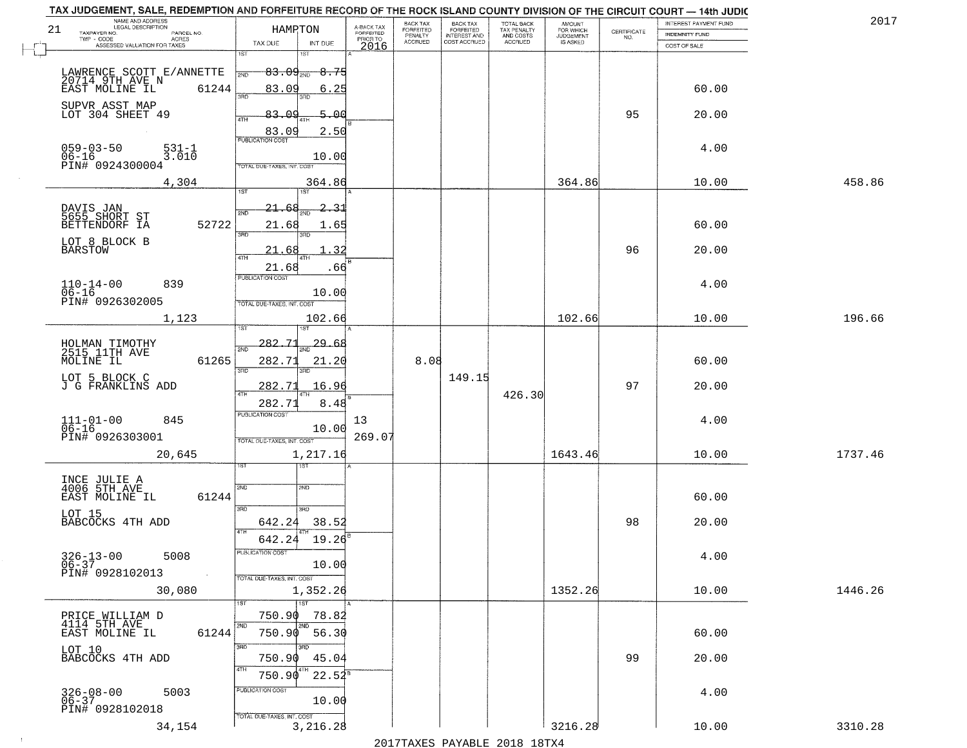|    | TAX JUDGEMENT, SALE, REDEMPTION AND FORFEITURE RECORD OF THE ROCK ISLAND COUNTY DIVISION OF THE CIRCUIT COURT - 14th JUDIC<br>NAME AND ADDRESS<br>LEGAL DESCRIPTION |                                                                                    |                                     | BACK TAX             | <b>BACK TAX</b>           |                                        | AMOUNT<br>FOR WHICH |                                                                 | INTEREST PAYMENT FUND  | 2017    |
|----|---------------------------------------------------------------------------------------------------------------------------------------------------------------------|------------------------------------------------------------------------------------|-------------------------------------|----------------------|---------------------------|----------------------------------------|---------------------|-----------------------------------------------------------------|------------------------|---------|
| 21 | TAXPAYER NO.<br>PARCEL NO.<br>ACRES                                                                                                                                 | HAMPTON                                                                            | A-BACK TAX<br>FORFEITED<br>PRIOR TO | FORFEITED<br>PENALTY | FORFEITED<br>INTEREST AND | TOTAL BACK<br>TAX PENALTY<br>AND COSTS | <b>JUDGEMENT</b>    | $\begin{array}{c} \text{CERTIFICATE} \\ \text{NO.} \end{array}$ | <b>INDEMNITY FUND</b>  |         |
|    | ASSESSED VALUATION FOR TAXES                                                                                                                                        | TAX DUE<br>INT DUE                                                                 | 2016                                | <b>ACCRUED</b>       | COST ACCRUED              | ACCRUED                                | IS ASKED            |                                                                 | COST OF SALE           |         |
|    | LAWRENCE SCOTT E/ANNETTE<br>20714 9TH AVE N<br>61244<br>EAST MOLINE IL                                                                                              | 1ST<br>$83.09_{\text{20}}$<br>2ND<br>83.09                                         | <del>8.75</del><br>6.25             |                      |                           |                                        |                     |                                                                 | 60.00                  |         |
|    | SUPVR ASST MAP<br>LOT 304 SHEET 49                                                                                                                                  | 3AD<br>83.09<br>4TH                                                                | 5.00<br>2.50                        |                      |                           |                                        |                     | 95                                                              | 20.00                  |         |
|    | 059-03-50<br>06-16<br>531-1<br>3.010<br>PIN# 0924300004                                                                                                             | $\frac{83.09}{pustication cost}$<br>TOTAL DUE-TAXES, INT, COST                     | 10.00                               |                      |                           |                                        |                     |                                                                 | 4.00                   |         |
|    | 4,304                                                                                                                                                               |                                                                                    | 364.86                              |                      |                           |                                        | 364.86              |                                                                 | 10.00                  | 458.86  |
|    | DAVIS JAN<br>5655 SHORT ST<br>52722<br>BETTENDORF IA<br>LOT 8 BLOCK B<br><b>BARSTOW</b>                                                                             | 1ST<br>21.68<br>2ND<br>21.68<br>3RD<br>3BD<br>21.68<br>ৰিটা                        | 2, 31<br>1.65<br>. 32               |                      |                           |                                        |                     | 96                                                              | 60.00<br>20.00         |         |
|    | $110 - 14 - 00$<br>839<br>$06 - 16$<br>PIN# 0926302005                                                                                                              | 21.68<br><b>PUBLICATION COST</b><br>TOTAL DUE-TAXES, INT. COST                     | .66<br>10.00                        |                      |                           |                                        |                     |                                                                 | 4.00                   |         |
|    | 1,123                                                                                                                                                               |                                                                                    | 102.66                              |                      |                           |                                        | 102.66              |                                                                 | 10.00                  | 196.66  |
|    | HOLMAN TIMOTHY<br>2515 11TH AVE<br>MOLINE IL<br>61265<br>LOT 5 BLOCK C<br>J G FRANKLINS ADD                                                                         | 1ST<br>1ST<br>282,71<br>2ND<br>282.71<br>3RD<br>3RD.<br>282.71                     | 29.68<br>21.20<br>16.96             | 8.08                 | 149.15                    |                                        |                     | 97                                                              | 60.00<br>20.00         |         |
|    | $111 - 01 - 00$<br>06-16<br>845<br>PIN# 0926303001<br>20,645                                                                                                        | 4TH<br>282.71<br><b>PUBLICATION COST</b><br>TOTAL OUE-TAXES, INT. COST<br>1,217.16 | 8.48<br>13<br>10.00<br>269.07       |                      |                           | 426.30                                 | 1643.46             |                                                                 | 4.00<br>10.00          | 1737.46 |
|    | INCE JULIE A<br>4006 5TH AVE<br>EAST MOLINE IL<br>61244<br>LOT 15<br>BABCOCKS 4TH ADD<br>$326 - 13 - 00$<br>06-37<br>5008                                           | १९४<br>2ND<br>2ND<br>3RD<br>3RD<br>642.24<br>4TH<br>642.24<br>PUBLICATION COS      | 38.52<br>19.26<br>10.00             |                      |                           |                                        |                     | 98                                                              | 60.00<br>20.00<br>4.00 |         |
|    | PIN# 0928102013<br>$\sim 100$<br>30,080                                                                                                                             | TOTAL DUE-TAXES, INT. COST<br>1,352.26<br>1ST                                      |                                     |                      |                           |                                        | 1352.26             |                                                                 | 10.00                  | 1446.26 |
|    | PRICE_WILLIAM D<br>$4114$ 5TH $AVE$<br>61244<br>EAST MOLINE IL<br>LOT 10<br>BABCOCKS 4TH ADD                                                                        | 750.90<br>2ND<br>2ND<br>750.90 56.30<br>3RD<br>3BD<br>750.90                       | 78.82<br>45.04                      |                      |                           |                                        |                     | 99                                                              | 60.00<br>20.00         |         |
|    | $326 - 08 - 00$<br>06-37<br>5003<br>PIN# 0928102018                                                                                                                 | 4TH<br>8 T H<br>750.90<br>PUBLICATION COST<br>TOTAL DUE-TAXES, INT. COST           | $22.54^8$<br>10.00                  |                      |                           |                                        |                     |                                                                 | 4.00                   |         |
|    | 34,154                                                                                                                                                              | 3,216.28                                                                           |                                     |                      |                           |                                        | 3216.28             |                                                                 | 10.00                  | 3310.28 |

 $\sim 100$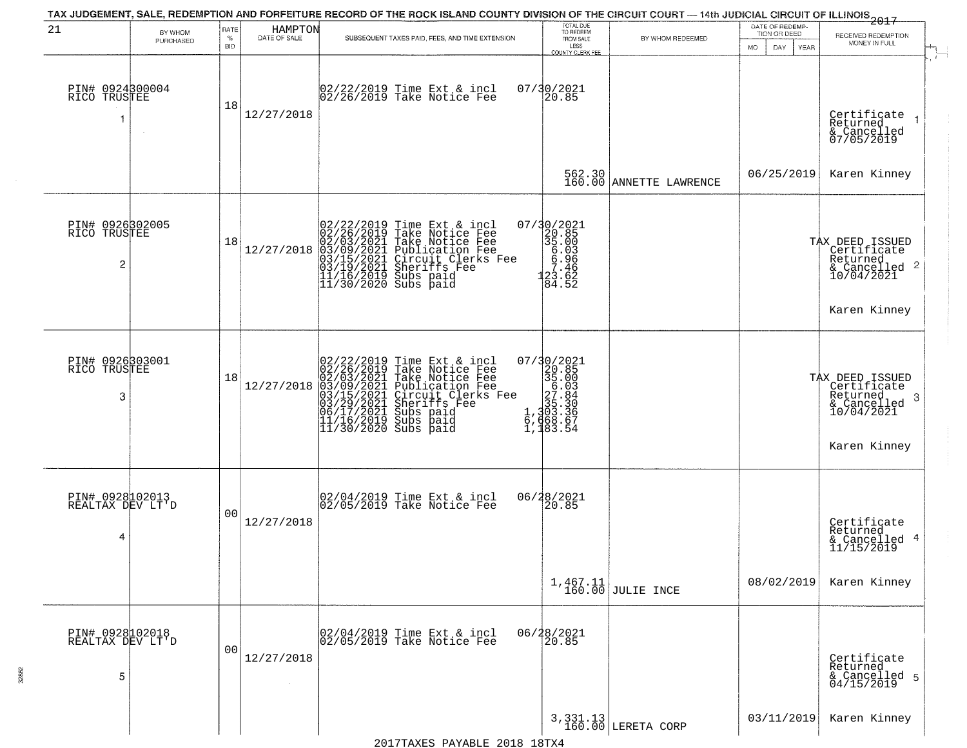| 21                                                | BY WHOM<br>PURCHASED | RATE<br>$\%$<br>BID | HAMPTON<br>DATE OF SALE | SUBSEQUENT TAXES PAID, FEES, AND TIME EXTENSION                                                                                                                                                                                                                                                                                              | TOTAL DUE<br>TO REDEEM<br>FROM SALE<br>LESS<br><b>COUNTY CLERK FEE</b>                                                                                                                                                                  | BY WHOM REDEEMED                  | DATE OF REDEMP-<br>TION OR DEED<br>MO.<br>DAY.<br>YEAR | $-2017$<br>RECEIVED REDEMPTION<br>MONEY IN FULL<br>$\ddot{r}$                                |
|---------------------------------------------------|----------------------|---------------------|-------------------------|----------------------------------------------------------------------------------------------------------------------------------------------------------------------------------------------------------------------------------------------------------------------------------------------------------------------------------------------|-----------------------------------------------------------------------------------------------------------------------------------------------------------------------------------------------------------------------------------------|-----------------------------------|--------------------------------------------------------|----------------------------------------------------------------------------------------------|
| PIN# 0924300004<br>RICO TRUSTEE<br>1              |                      | 18                  | 12/27/2018              | 02/22/2019 Time Ext & incl<br>02/26/2019 Take Notice Fee                                                                                                                                                                                                                                                                                     | 07/30/2021<br>20.85                                                                                                                                                                                                                     |                                   |                                                        | Certificate<br>Returned<br>& Cancelled<br>07/05/2019                                         |
|                                                   |                      |                     |                         |                                                                                                                                                                                                                                                                                                                                              |                                                                                                                                                                                                                                         | 562.30<br>160.00 ANNETTE LAWRENCE | 06/25/2019                                             | Karen Kinney                                                                                 |
| PIN# 0926302005<br>RICO TRUSTEE<br>$\overline{c}$ |                      | 18                  | 12/27/2018              | 02/22/2019 Time Ext & incl<br>02/26/2019 Take Notice Fee<br>02/03/2021 Take Notice Fee<br>03/09/2021 Publication Fee<br>03/15/2021 Circuit Clerks F<br>03/15/2021 Sheriffs Fee<br>11/16/2019 Subs paid<br>11/30/2020 Subs paid<br>Publication Fee<br>Circuit Clerks Fee<br>Sheriffs Fee                                                      | 07/30/2021<br>320.85<br>35.003<br>56.986<br>57.465<br>123.62<br>84.52                                                                                                                                                                   |                                   |                                                        | TAX DEED ISSUED<br>  Certificate<br>Returned<br>& Cancelled 2<br>10/04/2021                  |
|                                                   |                      |                     |                         |                                                                                                                                                                                                                                                                                                                                              |                                                                                                                                                                                                                                         |                                   |                                                        | Karen Kinney                                                                                 |
| PIN# 0926303001<br>RICO TRUSTEE<br>3              |                      | 18                  | 12/27/2018              | 02/22/2019 Time Ext &<br>02/26/2019 Take Notic<br>02/03/2021 Take Notic<br>03/09/2021 Publicatic<br>03/15/2021 Circuit Cl<br>03/15/2021 Subs paid<br>06/17/2021 Subs paid<br>11/16/2019 Subs paid<br>11/30/2020 Subs paid<br>Time Ext & incl<br>Take Notice Fee<br>Take Notice Fee<br>Publication Fee<br>Circuit Clerks Fee<br>Sheriffs, Fee | $\begin{smallmatrix} 07/3 & 0/2 & 02 & 1 \\ 2 & 2 & 0 & 0 & 5 \\ 3 & 5 & 0 & 0 & 3 \\ 5 & 0 & 0 & 3 & 6 \\ 2 & 7 & 0 & 8 & 4 \\ 1 & 3 & 0 & 3 & 3 \\ 1 & 3 & 0 & 3 & 3 \\ 6 & 7 & 1 & 8 & 3 \\ 1 & 1 & 8 & 3 & 5 & 4 \end{smallmatrix}$ |                                   |                                                        | TAX DEED ISSUED<br>  Certificate<br>Returned<br>-3<br>$\frac{6}{10/04/2021}$<br>Karen Kinney |
| PIN# 0928102013<br>REALTAX DEV LT'D<br>4          |                      | 0 <sub>0</sub>      | 12/27/2018              | 02/04/2019 Time Ext & incl<br>02/05/2019 Take Notice Fee                                                                                                                                                                                                                                                                                     | 06/28/2021<br>20.85                                                                                                                                                                                                                     |                                   |                                                        | Certificate<br>Returned<br>& Cancelled 4<br>11/15/2019                                       |
|                                                   |                      |                     |                         |                                                                                                                                                                                                                                                                                                                                              |                                                                                                                                                                                                                                         | $1,467.11$ JULIE INCE             | 08/02/2019                                             | Karen Kinney                                                                                 |
| PIN# 0928102018<br>REALTAX DEV LT'D<br>5          |                      | 00                  | 12/27/2018              | 02/04/2019 Time Ext & incl<br>02/05/2019 Take Notice Fee                                                                                                                                                                                                                                                                                     | 06/28/2021                                                                                                                                                                                                                              |                                   |                                                        | Certificate<br>Returned<br>& Cancelled 5<br>04/15/2019                                       |
|                                                   |                      |                     |                         |                                                                                                                                                                                                                                                                                                                                              |                                                                                                                                                                                                                                         | $3,331.13$ LERETA CORP            | 03/11/2019                                             | Karen Kinney                                                                                 |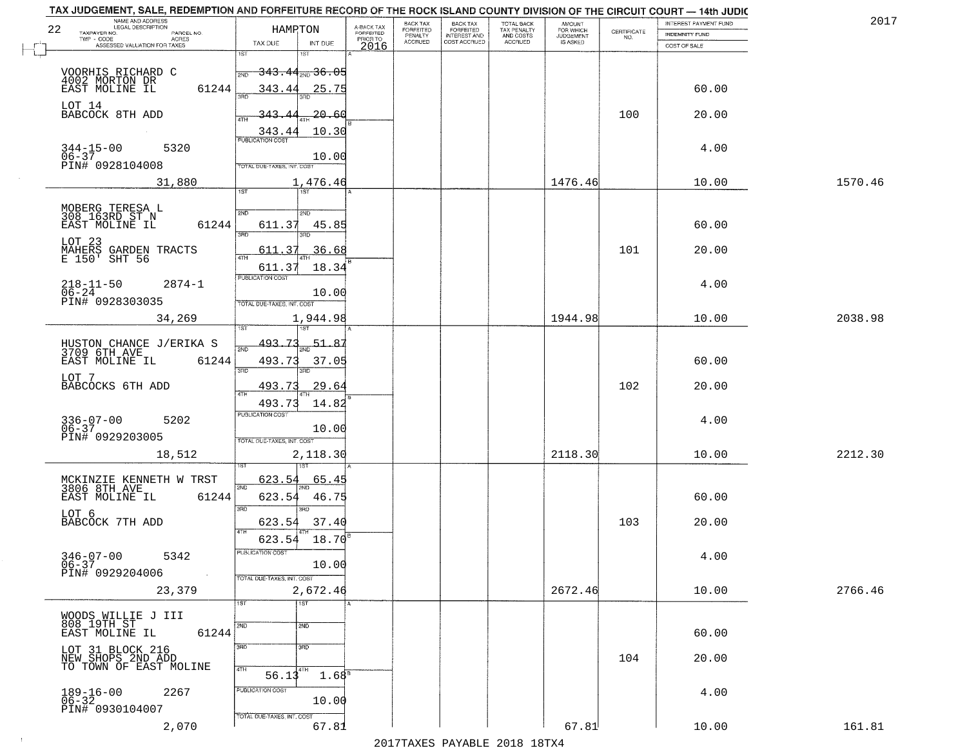| TAX JUDGEMENT, SALE, REDEMPTION AND FORFEITURE RECORD OF THE ROCK ISLAND COUNTY DIVISION OF THE CIRCUIT COURT - 14th JUDIC<br>NAME AND ADDRESS<br><b>LEGAL DESCRIPTION</b> |                                             |                         | BACK TAX                    |                                       |                                        | AMOUNT<br>FOR WHICH |                                                                 | INTEREST PAYMENT FUND | 2017    |
|----------------------------------------------------------------------------------------------------------------------------------------------------------------------------|---------------------------------------------|-------------------------|-----------------------------|---------------------------------------|----------------------------------------|---------------------|-----------------------------------------------------------------|-----------------------|---------|
| 22<br>TAXPAYER NO.<br>PARCEL NO.                                                                                                                                           | HAMPTON                                     | A-BACK TAX<br>FORFEITED | <b>FORFEITED</b><br>PENALTY | BACK TAX<br>FORFEITED<br>INTEREST AND | TOTAL BACK<br>TAX PENALTY<br>AND COSTS | <b>JUDGEMENT</b>    | $\begin{array}{c} \text{CERTIFICATE} \\ \text{NO.} \end{array}$ | <b>INDEMNITY FUND</b> |         |
| TWP - CODE<br><b>ACRES</b><br>ASSESSED VALUATION FOR TAXES                                                                                                                 | TAX DUE<br>INT DUE                          | PRIOR TO<br>2016        | <b>ACCRUED</b>              | COST ACCRUED                          | ACCRUED                                | IS ASKED            |                                                                 | COST OF SALE          |         |
|                                                                                                                                                                            | 1ST<br>۱ST                                  |                         |                             |                                       |                                        |                     |                                                                 |                       |         |
| VOORHIS RICHARD C                                                                                                                                                          | <del>343.44<sub>200</sub>36.05</del><br>2ND |                         |                             |                                       |                                        |                     |                                                                 |                       |         |
| 4002 MORTON DR<br>EAST MOLINE IL                                                                                                                                           |                                             |                         |                             |                                       |                                        |                     |                                                                 |                       |         |
| 61244                                                                                                                                                                      | 343.44<br>25.75                             |                         |                             |                                       |                                        |                     |                                                                 | 60.00                 |         |
| LOT 14                                                                                                                                                                     |                                             |                         |                             |                                       |                                        |                     |                                                                 |                       |         |
| BABCOCK 8TH ADD                                                                                                                                                            | 20.60<br>343.                               |                         |                             |                                       |                                        |                     | 100                                                             | 20.00                 |         |
|                                                                                                                                                                            | 10.30<br>343.44                             |                         |                             |                                       |                                        |                     |                                                                 |                       |         |
| $344 - 15 - 00$<br>5320                                                                                                                                                    |                                             |                         |                             |                                       |                                        |                     |                                                                 | 4.00                  |         |
| $06 - 37$                                                                                                                                                                  | 10.00                                       |                         |                             |                                       |                                        |                     |                                                                 |                       |         |
| PIN# 0928104008                                                                                                                                                            | <b>TOTAL DUE-TAXES, INT. COST</b>           |                         |                             |                                       |                                        |                     |                                                                 |                       |         |
| 31,880                                                                                                                                                                     | 1,476.46                                    |                         |                             |                                       |                                        | 1476.46             |                                                                 | 10.00                 | 1570.46 |
|                                                                                                                                                                            | 1ST                                         |                         |                             |                                       |                                        |                     |                                                                 |                       |         |
|                                                                                                                                                                            |                                             |                         |                             |                                       |                                        |                     |                                                                 |                       |         |
| MOBERG TERESA L<br>308_163RD_ST_N                                                                                                                                          | 2ND<br>2ND                                  |                         |                             |                                       |                                        |                     |                                                                 |                       |         |
| 61244<br>EAST MOLINE IL                                                                                                                                                    | 611.37<br>45.85<br>ਬਨ                       |                         |                             |                                       |                                        |                     |                                                                 | 60.00                 |         |
|                                                                                                                                                                            |                                             |                         |                             |                                       |                                        |                     |                                                                 |                       |         |
| LOT 23<br>MAHERS GARDEN TRACTS<br>E 150' SHT 56                                                                                                                            | 36.68<br>611.37                             |                         |                             |                                       |                                        |                     | 101                                                             | 20.00                 |         |
|                                                                                                                                                                            | 611.37<br>18.34                             |                         |                             |                                       |                                        |                     |                                                                 |                       |         |
|                                                                                                                                                                            | PUBLICATION COST                            |                         |                             |                                       |                                        |                     |                                                                 |                       |         |
| $218 - 11 - 50$<br>$2874 - 1$<br>$06 - 24$                                                                                                                                 | 10.00                                       |                         |                             |                                       |                                        |                     |                                                                 | 4.00                  |         |
| PIN# 0928303035                                                                                                                                                            | TOTAL DUE-TAXES, INT. COST                  |                         |                             |                                       |                                        |                     |                                                                 |                       |         |
| 34,269                                                                                                                                                                     | 1,944.98                                    |                         |                             |                                       |                                        | 1944.98             |                                                                 | 10.00                 | 2038.98 |
|                                                                                                                                                                            | 1ST                                         |                         |                             |                                       |                                        |                     |                                                                 |                       |         |
|                                                                                                                                                                            | 493.73<br>51.8                              |                         |                             |                                       |                                        |                     |                                                                 |                       |         |
| HUSTON CHANCE J/ERIKA S<br>3709 6TH AVE                                                                                                                                    | 2ND                                         |                         |                             |                                       |                                        |                     |                                                                 |                       |         |
| EAST MOLINE IL<br>61244                                                                                                                                                    | 493.73<br>37.05<br>3RD<br>3RD               |                         |                             |                                       |                                        |                     |                                                                 | 60.00                 |         |
| LOT 7                                                                                                                                                                      |                                             |                         |                             |                                       |                                        |                     |                                                                 |                       |         |
| BABCOCKS 6TH ADD                                                                                                                                                           | <u>29.64</u><br>493.7                       |                         |                             |                                       |                                        |                     | 102                                                             | 20.00                 |         |
|                                                                                                                                                                            | 493.73<br>14.82                             |                         |                             |                                       |                                        |                     |                                                                 |                       |         |
|                                                                                                                                                                            | <b>PUBLICATION COST</b>                     |                         |                             |                                       |                                        |                     |                                                                 |                       |         |
| $336 - 07 - 00$<br>06-37<br>5202                                                                                                                                           | 10.00                                       |                         |                             |                                       |                                        |                     |                                                                 | 4.00                  |         |
| PIN# 0929203005                                                                                                                                                            | TOTAL OUE-TAXES, INT. COST                  |                         |                             |                                       |                                        |                     |                                                                 |                       |         |
| 18,512                                                                                                                                                                     | 2,118.30                                    |                         |                             |                                       |                                        | 2118.30             |                                                                 | 10.00                 | 2212.30 |
|                                                                                                                                                                            |                                             |                         |                             |                                       |                                        |                     |                                                                 |                       |         |
| MCKINZIE KENNETH W TRST                                                                                                                                                    | 623.54<br>65.45                             |                         |                             |                                       |                                        |                     |                                                                 |                       |         |
| 3806 8TH AVE                                                                                                                                                               | 2ND                                         |                         |                             |                                       |                                        |                     |                                                                 |                       |         |
| EAST MOLINE IL<br>61244                                                                                                                                                    | 623.54<br>46.75                             |                         |                             |                                       |                                        |                     |                                                                 | 60.00                 |         |
| LOT 6                                                                                                                                                                      | 3RD<br>3RD                                  |                         |                             |                                       |                                        |                     |                                                                 |                       |         |
| BABCOCK 7TH ADD                                                                                                                                                            | 623.54<br>37.40<br>4TH                      |                         |                             |                                       |                                        |                     | 103                                                             | 20.00                 |         |
|                                                                                                                                                                            | 623.54<br>18.70                             |                         |                             |                                       |                                        |                     |                                                                 |                       |         |
| 5342                                                                                                                                                                       | ruslica i IUN COS                           |                         |                             |                                       |                                        |                     |                                                                 | 4.00                  |         |
| 346-07-00 !<br>06-37<br>PIN# 0929204006                                                                                                                                    | 10.00                                       |                         |                             |                                       |                                        |                     |                                                                 |                       |         |
|                                                                                                                                                                            | TOTAL DUE-TAXES, INT. COST                  |                         |                             |                                       |                                        |                     |                                                                 |                       |         |
| 23,379                                                                                                                                                                     | 2,672.46                                    |                         |                             |                                       |                                        | 2672.46             |                                                                 | 10.00                 | 2766.46 |
|                                                                                                                                                                            | 1ST<br>1ST                                  |                         |                             |                                       |                                        |                     |                                                                 |                       |         |
| WOODS WILLIE J III                                                                                                                                                         |                                             |                         |                             |                                       |                                        |                     |                                                                 |                       |         |
| 808 19TH ST<br>EAST MOLINE IL                                                                                                                                              | 2ND<br>2ND                                  |                         |                             |                                       |                                        |                     |                                                                 |                       |         |
| 61244                                                                                                                                                                      |                                             |                         |                             |                                       |                                        |                     |                                                                 | 60.00                 |         |
|                                                                                                                                                                            | 3RD<br>3RD                                  |                         |                             |                                       |                                        |                     |                                                                 |                       |         |
| LOT 31 BLOCK 216<br>NEW SHOPS 2ND ADD<br>TO TOWN OF EAST MOLINE                                                                                                            |                                             |                         |                             |                                       |                                        |                     | 104                                                             | 20.00                 |         |
|                                                                                                                                                                            | 4TH<br>4TH<br>1.68 <sup>8</sup><br>56.13    |                         |                             |                                       |                                        |                     |                                                                 |                       |         |
| 2267                                                                                                                                                                       | PUBLICATION COST                            |                         |                             |                                       |                                        |                     |                                                                 | 4.00                  |         |
| $189 - 16 - 00$<br>06-32                                                                                                                                                   | 10.00                                       |                         |                             |                                       |                                        |                     |                                                                 |                       |         |
| PIN# 0930104007                                                                                                                                                            | TOTAL DUE-TAXES, INT. COST                  |                         |                             |                                       |                                        |                     |                                                                 |                       |         |
| 2,070                                                                                                                                                                      | 67.81                                       |                         |                             |                                       |                                        | 67.81               |                                                                 | 10.00                 | 161.81  |
|                                                                                                                                                                            |                                             |                         |                             |                                       | 2017 THAYRO DAVADIR 2018 19TY          |                     |                                                                 |                       |         |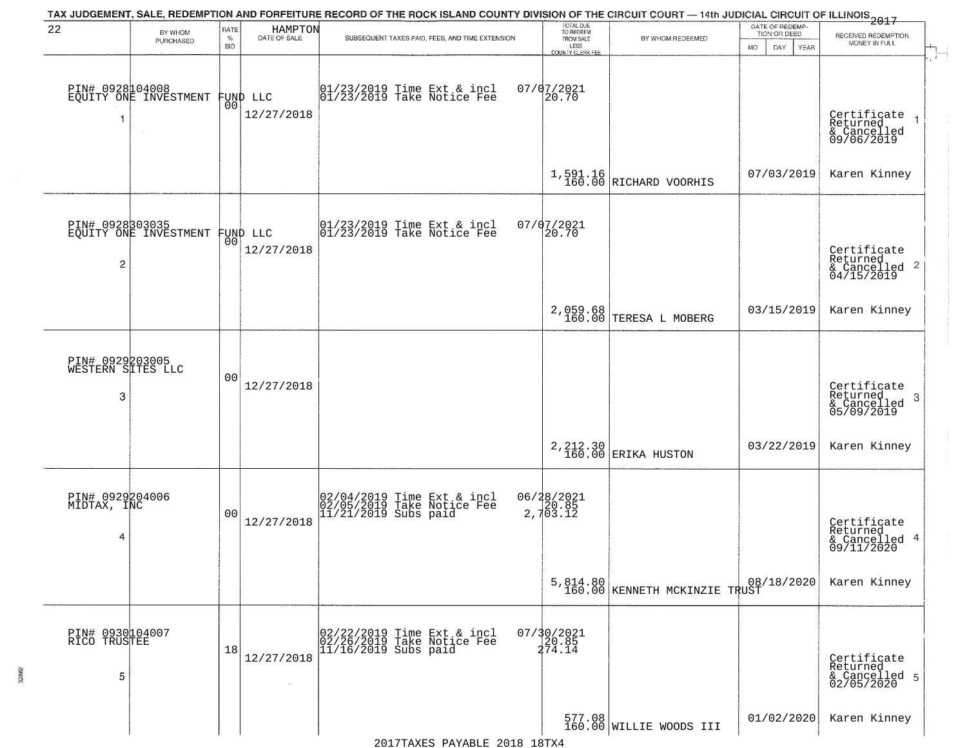|                                           |                                          |                            |                                | TAX JUDGEMENT, SALE, REDEMPTION AND FORFEITURE RECORD OF THE ROCK ISLAND COUNTY DIVISION OF THE CIRCUIT COURT — 14th JUDICIAL CIRCUIT OF ILLINOIS 2017 |                                                                 |                                           |                                                             |                                                                       |
|-------------------------------------------|------------------------------------------|----------------------------|--------------------------------|--------------------------------------------------------------------------------------------------------------------------------------------------------|-----------------------------------------------------------------|-------------------------------------------|-------------------------------------------------------------|-----------------------------------------------------------------------|
| 22                                        | BY WHOM<br>PURCHASED                     | RATE<br>$\%$<br><b>BID</b> | HAMPTON<br>DATE OF SALE        | SUBSEQUENT TAXES PAID, FEES, AND TIME EXTENSION                                                                                                        | TOTAL DUE<br>TO REDEEM<br>FROM SALE<br>LESS<br>COUNTY CLERK FEE | BY WHOM REDEEMED                          | DATE OF REDEMP-<br>TION OR DEED<br><b>MO</b><br>DAY<br>YEAR | RECEIVED REDEMPTION<br>MONEY IN FULL                                  |
| -1                                        | PIN# 0928104008<br>EQUITY ONE INVESTMENT | 0 <sub>0</sub>             | FUND LLC<br>12/27/2018         | $[01/23/2019$ Time Ext & incl<br>$[01/23/2019$ Take Notice Fee                                                                                         | $07/07/2021$<br>20.70                                           |                                           |                                                             | Certificate<br>Returned<br>$\rightarrow$<br>& Cancelled<br>09/06/2019 |
|                                           |                                          |                            |                                |                                                                                                                                                        |                                                                 | $1,591.16$ RICHARD VOORHIS                | 07/03/2019                                                  | Karen Kinney                                                          |
| $\overline{2}$                            | PIN# 0928303035<br>EQUITY ONE INVESTMENT |                            | FUND LLC<br> 00 <br>12/27/2018 | $ 01/23/2019$ Time Ext & incl<br>$ 01/23/2019$ Take Notice Fee                                                                                         | 07/07/2021<br>20.70                                             |                                           |                                                             | Certificate<br>Returned<br>$\frac{1}{6}$ Cancelled 2<br>04/15/2019    |
|                                           |                                          |                            |                                |                                                                                                                                                        |                                                                 | 2,059.68<br>160.00 TERESA L MOBERG        | 03/15/2019                                                  | Karen Kinney                                                          |
| PIN# 0929203005<br>WESTERN SITES LLC<br>3 |                                          | 00                         | 12/27/2018                     |                                                                                                                                                        |                                                                 |                                           |                                                             | Certificate<br>Returned<br>3<br>& Cancelled<br>05/09/2019             |
|                                           |                                          |                            |                                |                                                                                                                                                        |                                                                 | 2, 212.30 ERIKA HUSTON                    | 03/22/2019                                                  | Karen Kinney                                                          |
| PIN# 0929204006<br>MIDTAX, INC<br>4       |                                          | 0 <sub>0</sub>             | 12/27/2018                     | 02/04/2019 Time Ext & incl<br>02/05/2019 Take Notice Fee<br>11/21/2019 Subs paid                                                                       | 06/28/2021<br>20.85<br>2,703.12                                 |                                           |                                                             | Certificate<br>Returned<br>4<br>& Cancelled<br>09/11/2020             |
|                                           |                                          |                            |                                |                                                                                                                                                        |                                                                 | 5,814.80<br>160.00 KENNETH MCKINZIE TRUST | 08/18/2020                                                  | Karen Kinney                                                          |
| PIN# 0930104007<br>RICO TRUSTEE<br>5      |                                          | 18                         | 12/27/2018                     | 02/22/2019 Time Ext & incl<br>02/26/2019 Take Notice Fee<br>11/16/2019 Subs paid                                                                       | $07/30/2021$<br>20.85<br>274.14                                 |                                           |                                                             | Certificate<br>Returned<br>& Cancelled 5<br>02/05/2020                |
|                                           |                                          |                            |                                |                                                                                                                                                        |                                                                 | 577.08<br>160.00 WILLIE WOODS III         | 01/02/2020                                                  | Karen Kinney                                                          |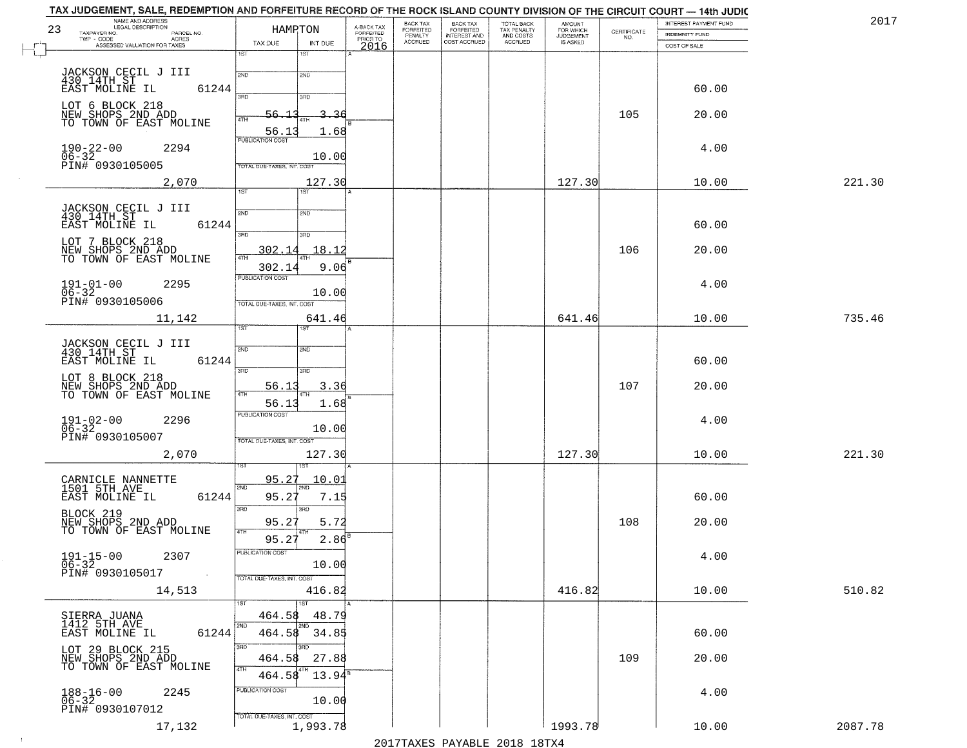| 23 | NAME AND ADDRESS                                                         | HAMRTON                                  |                                     | BACK TAX                        | BACK TAX<br>FORFEITED<br>INTEREST AND<br>COST ACCRUED | TOTAL BACK<br>TAX PENALTY<br>AND COSTS | <b>AMOUNT</b>                      |                                                                 | INTEREST PAYMENT FUND | 2017    |
|----|--------------------------------------------------------------------------|------------------------------------------|-------------------------------------|---------------------------------|-------------------------------------------------------|----------------------------------------|------------------------------------|-----------------------------------------------------------------|-----------------------|---------|
|    | TAXPAYER NO.<br>PARCEL NO.<br>TWP - CODE<br>ASSESSED VALUATION FOR TAXES | TAX DUE<br>INT DUE                       | A-BACK TAX<br>FORFEITED<br>PRIOR TO | FORFEITED<br>PENALTY<br>ACCRUED |                                                       | ACCRUED                                | FOR WHICH<br>JUDGEMENT<br>IS ASKED | $\begin{array}{c} \text{CERTIFICATE} \\ \text{NO.} \end{array}$ | <b>INDEMNITY FUND</b> |         |
|    |                                                                          | 1ST<br>1ST                               | 2016                                |                                 |                                                       |                                        |                                    |                                                                 | COST OF SALE          |         |
|    |                                                                          |                                          |                                     |                                 |                                                       |                                        |                                    |                                                                 |                       |         |
|    | JACKSON CECIL J III<br>430 14TH ST                                       | 2ND<br>2ND                               |                                     |                                 |                                                       |                                        |                                    |                                                                 |                       |         |
|    | EAST MOLINE IL<br>61244                                                  | 3PD<br>3RD                               |                                     |                                 |                                                       |                                        |                                    |                                                                 | 60.00                 |         |
|    | LOT 6 BLOCK 218                                                          | 3.<br>56.                                | ىج                                  |                                 |                                                       |                                        |                                    | 105                                                             | 20.00                 |         |
|    | NEW SHOPS 2ND ADD<br>TO TOWN OF EAST MOLINE                              | 4TH                                      |                                     |                                 |                                                       |                                        |                                    |                                                                 |                       |         |
|    |                                                                          | 56.13<br>1.68<br><b>PUBLICATION COST</b> |                                     |                                 |                                                       |                                        |                                    |                                                                 |                       |         |
|    | $190 - 22 - 00$<br>2294<br>$06 - 32$                                     | 10.00                                    |                                     |                                 |                                                       |                                        |                                    |                                                                 | 4.00                  |         |
|    | PIN# 0930105005                                                          | TOTAL DUE-TAXES, INT. COST               |                                     |                                 |                                                       |                                        |                                    |                                                                 |                       |         |
|    | 2,070                                                                    | 127.30                                   |                                     |                                 |                                                       |                                        | 127.30                             |                                                                 | 10.00                 | 221.30  |
|    |                                                                          | 1ST<br>1ST                               |                                     |                                 |                                                       |                                        |                                    |                                                                 |                       |         |
|    | JACKSON CECIL J III<br>430 14TH ST                                       | 2ND<br>2ND                               |                                     |                                 |                                                       |                                        |                                    |                                                                 |                       |         |
|    | 61244<br>EAST MOLINE IL                                                  |                                          |                                     |                                 |                                                       |                                        |                                    |                                                                 | 60.00                 |         |
|    | LOT 7 BLOCK 218                                                          | 3RD<br>3RD                               |                                     |                                 |                                                       |                                        |                                    |                                                                 |                       |         |
|    | NEW SHOPS 2ND ADD<br>TO TOWN OF EAST MOLINE                              | 302.14<br>18.12<br>47H<br>4TH            |                                     |                                 |                                                       |                                        |                                    | 106                                                             | 20.00                 |         |
|    |                                                                          | 9.06<br>302.14                           |                                     |                                 |                                                       |                                        |                                    |                                                                 |                       |         |
|    | $191 - 01 - 00$<br>$06 - 32$<br>2295                                     | <b>PUBLICATION COST</b>                  |                                     |                                 |                                                       |                                        |                                    |                                                                 | 4.00                  |         |
|    | PIN# 0930105006                                                          | 10.00<br>TOTAL DUE-TAXES, INT. COST      |                                     |                                 |                                                       |                                        |                                    |                                                                 |                       |         |
|    |                                                                          | 641.46                                   |                                     |                                 |                                                       |                                        | 641.46                             |                                                                 | 10.00                 | 735.46  |
|    | 11,142                                                                   | TST                                      |                                     |                                 |                                                       |                                        |                                    |                                                                 |                       |         |
|    |                                                                          |                                          |                                     |                                 |                                                       |                                        |                                    |                                                                 |                       |         |
|    | JACKSON CECIL J III<br>430 14TH ST<br>61244<br>EAST MOLINE IL            | 2ND<br>SND                               |                                     |                                 |                                                       |                                        |                                    |                                                                 | 60.00                 |         |
|    |                                                                          | 3RD<br>3RD                               |                                     |                                 |                                                       |                                        |                                    |                                                                 |                       |         |
|    | LOT 8 BLOCK 218<br>NEW SHOPS 2ND ADD<br>TO TOWN OF EAST MOLINE           | 3.36<br><u>56.13</u>                     |                                     |                                 |                                                       |                                        |                                    | 107                                                             | 20.00                 |         |
|    |                                                                          | 4TH<br>56.13<br>1.68                     |                                     |                                 |                                                       |                                        |                                    |                                                                 |                       |         |
|    | 2296                                                                     | <b>PUBLICATION COST</b>                  |                                     |                                 |                                                       |                                        |                                    |                                                                 | 4.00                  |         |
|    | $191 - 02 - 00$<br>06-32                                                 | 10.00                                    |                                     |                                 |                                                       |                                        |                                    |                                                                 |                       |         |
|    | PIN# 0930105007                                                          | TOTAL OUE-TAXES, INT. COST               |                                     |                                 |                                                       |                                        |                                    |                                                                 |                       |         |
|    | 2,070                                                                    | 127.30                                   |                                     |                                 |                                                       |                                        | 127.30                             |                                                                 | 10.00                 | 221.30  |
|    |                                                                          | १९४                                      |                                     |                                 |                                                       |                                        |                                    |                                                                 |                       |         |
|    | CARNICLE NANNETTE<br>1501 5TH AVE                                        | 95.27<br><u> 10.01</u><br>2ND<br>2ND     |                                     |                                 |                                                       |                                        |                                    |                                                                 |                       |         |
|    | EAST MOLINE IL<br>61244                                                  | 95.27<br>7.15                            |                                     |                                 |                                                       |                                        |                                    |                                                                 | 60.00                 |         |
|    | BLOCK 219                                                                | 3RD<br>3BD<br>95.27<br>5.72              |                                     |                                 |                                                       |                                        |                                    | 108                                                             | 20.00                 |         |
|    | NEW SHOPS 2ND ADD<br>TO TOWN OF EAST MOLINE                              | 4TH                                      |                                     |                                 |                                                       |                                        |                                    |                                                                 |                       |         |
|    |                                                                          | 2.86<br>95.27<br>PUBLICATION COST        |                                     |                                 |                                                       |                                        |                                    |                                                                 |                       |         |
|    | 2307<br>191-15-00<br>06-32<br>PIN# 0930105017                            | 10.00                                    |                                     |                                 |                                                       |                                        |                                    |                                                                 | 4.00                  |         |
|    |                                                                          | TOTAL DUE-TAXES, INT. COST               |                                     |                                 |                                                       |                                        |                                    |                                                                 |                       |         |
|    | 14,513                                                                   | 416.82                                   |                                     |                                 |                                                       |                                        | 416.82                             |                                                                 | 10.00                 | 510.82  |
|    |                                                                          | 1ST<br>1ST                               |                                     |                                 |                                                       |                                        |                                    |                                                                 |                       |         |
|    | SIERRA JUANA<br>1412 5TH AVE                                             | 464.58<br>48.79                          |                                     |                                 |                                                       |                                        |                                    |                                                                 |                       |         |
|    | EAST MOLINE IL<br>61244                                                  | 2ND<br>464.58<br>34.85                   |                                     |                                 |                                                       |                                        |                                    |                                                                 | 60.00                 |         |
|    | LOT 29 BLOCK 215                                                         | 3RD<br>3BD                               |                                     |                                 |                                                       |                                        |                                    |                                                                 |                       |         |
|    | NEW SHOPS 2ND ADD<br>TO TOWN OF EAST MOLINE                              | 27.88<br>464.58                          |                                     |                                 |                                                       |                                        |                                    | 109                                                             | 20.00                 |         |
|    |                                                                          | 4TH<br>$13.94^{\circ}$<br>464.58         |                                     |                                 |                                                       |                                        |                                    |                                                                 |                       |         |
|    | $188 - 16 - 00$<br>$06 - 32$<br>2245                                     | PUBLICATION COST                         |                                     |                                 |                                                       |                                        |                                    |                                                                 | 4.00                  |         |
|    | PIN# 0930107012                                                          | 10.00                                    |                                     |                                 |                                                       |                                        |                                    |                                                                 |                       |         |
|    | 17,132                                                                   | TOTAL DUE-TAXES, INT. COST<br>1,993.78   |                                     |                                 |                                                       |                                        | 1993.78                            |                                                                 | 10.00                 | 2087.78 |
|    |                                                                          |                                          |                                     |                                 |                                                       |                                        |                                    |                                                                 |                       |         |

 $\sim 10^6$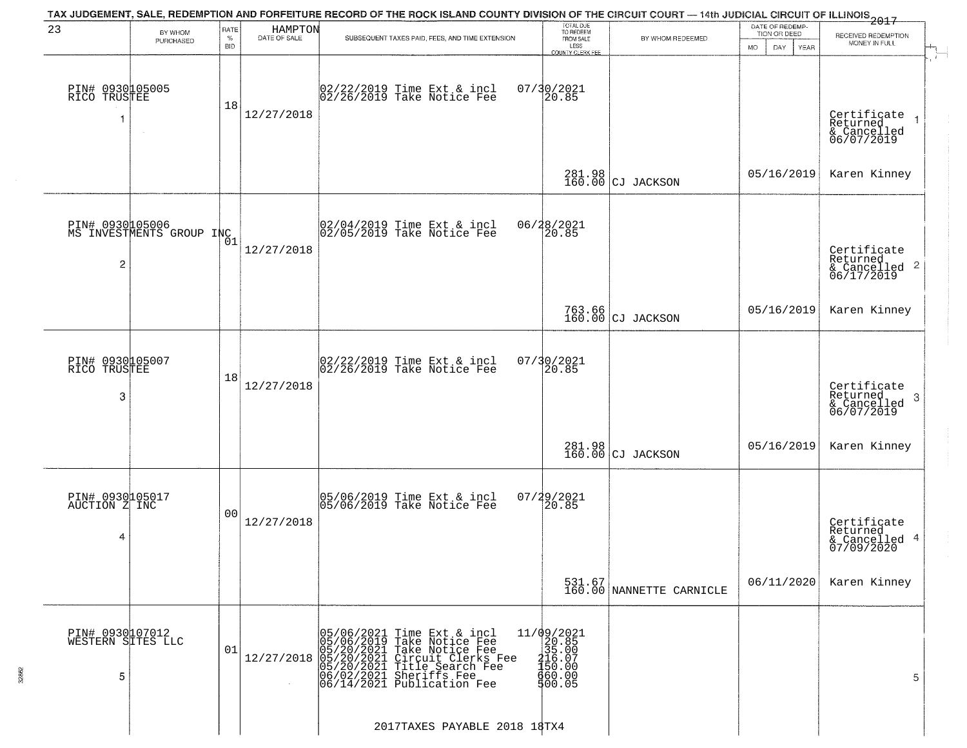|                                                   |                                             |                            |                         | TAX JUDGEMENT, SALE, REDEMPTION AND FORFEITURE RECORD OF THE ROCK ISLAND COUNTY DIVISION OF THE CIRCUIT COURT — 14th JUDICIAL CIRCUIT OF ILLINOIS 2017                                                          |                                                                                                        |                                    |                                                       |                                                                    |
|---------------------------------------------------|---------------------------------------------|----------------------------|-------------------------|-----------------------------------------------------------------------------------------------------------------------------------------------------------------------------------------------------------------|--------------------------------------------------------------------------------------------------------|------------------------------------|-------------------------------------------------------|--------------------------------------------------------------------|
| 23                                                | BY WHOM<br>PURCHASED                        | RATE<br>$\%$<br><b>BID</b> | HAMPTON<br>DATE OF SALE | SUBSEQUENT TAXES PAID, FEES, AND TIME EXTENSION                                                                                                                                                                 | TOTAL DUE<br>TO REDEEM<br>FROM SALE<br>LESS<br><b>COUNTY CLERK FEE</b>                                 | BY WHOM REDEEMED                   | DATE OF REDEMP-<br>TION OR DEED<br>MO.<br>DAY<br>YEAR | RECEIVED REDEMPTION<br>MONEY IN FULL<br>$\mathcal{A}_{\mathsf{L}}$ |
| PIN# 0930105005<br>RICO TRUSTEE<br>$\overline{1}$ |                                             | 18                         | 12/27/2018              | 02/22/2019 Time Ext & incl<br>02/26/2019 Take Notice Fee                                                                                                                                                        | $07/30/2021$<br>20.85                                                                                  |                                    |                                                       | Certificate<br>Returned<br>& Cancelled<br>06/07/2019               |
|                                                   |                                             |                            |                         |                                                                                                                                                                                                                 |                                                                                                        | 281.98<br>160.00 CJ JACKSON        | 05/16/2019                                            | Karen Kinney                                                       |
| $\overline{c}$                                    | PIN# 0930105006<br>MS INVESTMENTS GROUP INC | 01                         | 12/27/2018              | 02/04/2019 Time Ext & incl<br>02/05/2019 Take Notice Fee                                                                                                                                                        | 06/28/2021<br>20.85                                                                                    |                                    |                                                       | Certificate<br>Returned<br>& Cancelled 2<br>06/17/2019             |
|                                                   |                                             |                            |                         |                                                                                                                                                                                                                 |                                                                                                        | 763.66<br>160.00 CJ JACKSON        | 05/16/2019                                            | Karen Kinney                                                       |
| PIN# 0930105007<br>RICO TRUSTEE<br>3              |                                             | 18                         | 12/27/2018              | 02/22/2019 Time Ext & incl<br>02/26/2019 Take Notice Fee                                                                                                                                                        | 07/30/2021<br>20.85                                                                                    |                                    |                                                       | Certificate<br>Returned<br>3<br>& Cancelled<br>06/07/2019          |
|                                                   |                                             |                            |                         |                                                                                                                                                                                                                 |                                                                                                        | 281.98<br>160.00 CJ JACKSON        | 05/16/2019                                            | Karen Kinney                                                       |
| PIN# 0930105017<br>AUCTION Z INC<br>4             |                                             | 0 <sub>0</sub>             | 12/27/2018              | 05/06/2019 Time Ext & incl<br>05/06/2019 Take Notice Fee                                                                                                                                                        | 07/29/2021<br>120.85                                                                                   |                                    |                                                       | Certificate<br>Returned<br>& Cancelled 4<br>07/09/2020             |
|                                                   |                                             |                            |                         |                                                                                                                                                                                                                 |                                                                                                        | 531.67<br>160.00 NANNETTE CARNICLE | 06/11/2020                                            | Karen Kinney                                                       |
| PIN# 0930107012<br>WESTERN SITES LLC<br>5         |                                             | 01                         | 12/27/2018              | 05/06/2021 Time Ext & incl<br>05/06/2019 Take Notice Fee<br>05/20/2021 Take Notice Fee<br>05/20/2021 Circuit Clerks Fee<br>05/20/2021 Title Search Fee<br>06/02/2021 Sheriffs Fee<br>06/14/2021 Publication Fee | $=\begin{smallmatrix} 11/09/2021\\20.85\\25.00\\35.00\\415.07\\60.00\\60.00\\900.05 \end{smallmatrix}$ |                                    |                                                       | 5                                                                  |
|                                                   |                                             |                            |                         | 2017TAXES PAYABLE 2018 18TX4                                                                                                                                                                                    |                                                                                                        |                                    |                                                       |                                                                    |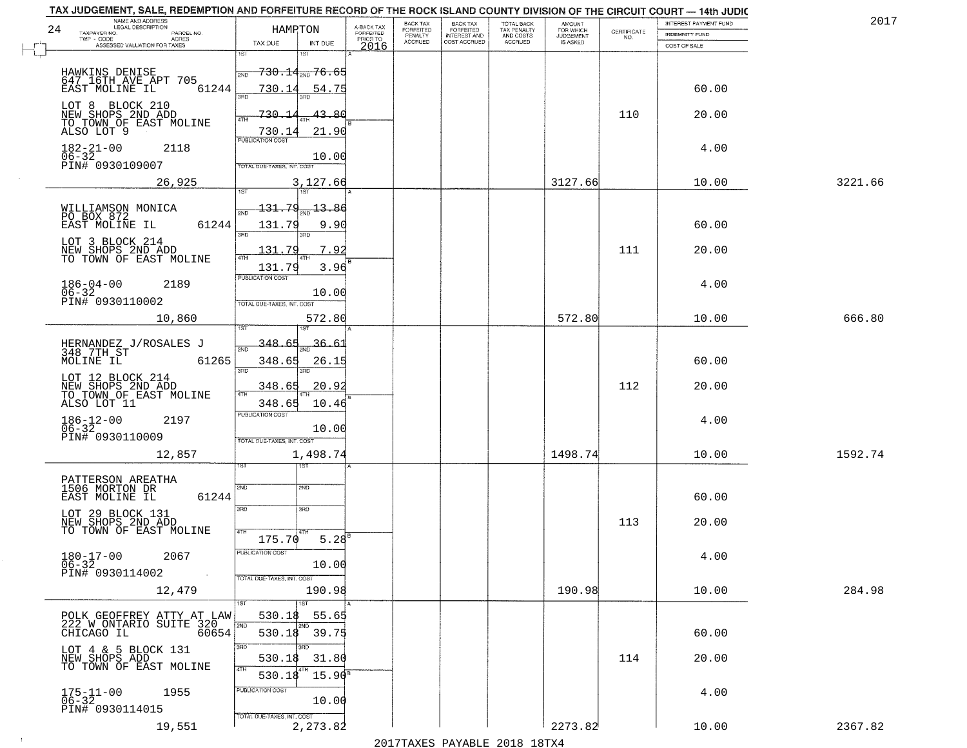| 24 | NAME AND ADDRESS<br>LEGAL DESCRIPTION                | <b>HAMPTON</b>             |                                      |                                     | BACK TAX<br>FORFEITED     | BACK TAX<br>FORFEITED<br>INTEREST AND | TOTAL BACK<br>TAX PENALTY<br>AND COSTS | AMOUNT<br>FOR WHICH |                                                                 | INTEREST PAYMENT FUND | 2017    |
|----|------------------------------------------------------|----------------------------|--------------------------------------|-------------------------------------|---------------------------|---------------------------------------|----------------------------------------|---------------------|-----------------------------------------------------------------|-----------------------|---------|
|    | TAXPAYER NO.<br>PARCEL NO.<br>ACRES<br>$TWP - CODE$  | TAX DUE                    | INT DUE                              | A-BACK TAX<br>FORFEITED<br>PRIOR TO | PENALTY<br><b>ACCRUED</b> | COST ACCRUED                          | ACCRUED                                | <b>JUDGEMENT</b>    | $\begin{array}{c} \text{CERTIFICATE} \\ \text{NO.} \end{array}$ | <b>INDEMNITY FUND</b> |         |
|    | ASSESSED VALUATION FOR TAXES                         | 1ST                        | 18T                                  | 2016                                |                           |                                       |                                        |                     |                                                                 | COST OF SALE          |         |
|    | HAWKINS DENISE                                       | 2ND                        | <del>730.14<sub>200</sub>76.65</del> |                                     |                           |                                       |                                        |                     |                                                                 |                       |         |
|    | 647 16TH AVE APT 705<br>61244<br>EAST MOLINE IL      | 730.14                     | 54.75                                |                                     |                           |                                       |                                        |                     |                                                                 | 60.00                 |         |
|    |                                                      | 390                        |                                      |                                     |                           |                                       |                                        |                     |                                                                 |                       |         |
|    | LOT 8 BLOCK 210<br>NEW SHOPS 2ND ADD                 | 730.14<br>4TH              | 43.80                                |                                     |                           |                                       |                                        |                     | 110                                                             | 20.00                 |         |
|    | TO TOWN OF EAST MOLINE<br>ALSO LOT 9                 | 730.14                     | 21.90                                |                                     |                           |                                       |                                        |                     |                                                                 |                       |         |
|    | 2118                                                 | PUBLICATION COST           |                                      |                                     |                           |                                       |                                        |                     |                                                                 | 4.00                  |         |
|    | $182 - 21 - 00$<br>06-32<br>PIN# 0930109007          | TOTAL DUE-TAXES, INT. COST | 10.00                                |                                     |                           |                                       |                                        |                     |                                                                 |                       |         |
|    |                                                      |                            |                                      |                                     |                           |                                       |                                        | 3127.66             |                                                                 |                       |         |
|    | 26,925                                               | 1ST                        | 3,127.66<br><b>TST</b>               |                                     |                           |                                       |                                        |                     |                                                                 | 10.00                 | 3221.66 |
|    | WILLIAMSON MONICA<br>PO BOX 872                      | 131.79<br>2ND              | $-13.86$                             |                                     |                           |                                       |                                        |                     |                                                                 |                       |         |
|    | 61244<br>EAST MOLINE IL                              | 131.79                     | 9.90                                 |                                     |                           |                                       |                                        |                     |                                                                 | 60.00                 |         |
|    | LOT 3 BLOCK 214                                      | 3RD                        | 3RD                                  |                                     |                           |                                       |                                        |                     |                                                                 |                       |         |
|    | NEW SHOPS 2ND ADD<br>TO TOWN OF EAST MOLINE          | 131.79<br>$\sqrt{4}$       | 7.92                                 |                                     |                           |                                       |                                        |                     | 111                                                             | 20.00                 |         |
|    |                                                      | 131.79                     | 3.96                                 |                                     |                           |                                       |                                        |                     |                                                                 |                       |         |
|    | $186 - 04 - 00$<br>2189                              | <b>PUBLICATION COST</b>    |                                      |                                     |                           |                                       |                                        |                     |                                                                 | 4.00                  |         |
|    | $06 - 32$<br>PIN# 0930110002                         | TOTAL DUE-TAXES, INT. COST | 10.00                                |                                     |                           |                                       |                                        |                     |                                                                 |                       |         |
|    | 10,860                                               |                            | 572.80                               |                                     |                           |                                       |                                        | 572.80              |                                                                 | 10.00                 | 666.80  |
|    |                                                      |                            |                                      |                                     |                           |                                       |                                        |                     |                                                                 |                       |         |
|    | HERNANDEZ J/ROSALES J                                | 348.65                     | 36.61                                |                                     |                           |                                       |                                        |                     |                                                                 |                       |         |
|    | 348 7TH ST<br>MOLINE IL<br>61265                     | 348.65                     | 26.15                                |                                     |                           |                                       |                                        |                     |                                                                 | 60.00                 |         |
|    | LOT 12 BLOCK 214                                     | 3RD                        |                                      |                                     |                           |                                       |                                        |                     |                                                                 |                       |         |
|    | NEW SHOPS 2ND ADD<br>TO TOWN OF EAST MOLINE          | 348.65                     | 20.92                                |                                     |                           |                                       |                                        |                     | 112                                                             | 20.00                 |         |
|    | ALSO LOT 11                                          | 348.65                     | 10.46                                |                                     |                           |                                       |                                        |                     |                                                                 |                       |         |
|    | $186 - 12 - 00$<br>06-32<br>2197                     | <b>PUBLICATION COST</b>    | 10.00                                |                                     |                           |                                       |                                        |                     |                                                                 | 4.00                  |         |
|    | PIN# 0930110009                                      | TOTAL OUE-TAXES, INT. COST |                                      |                                     |                           |                                       |                                        |                     |                                                                 |                       |         |
|    | 12,857                                               |                            | 1,498.74                             |                                     |                           |                                       |                                        | 1498.74             |                                                                 | 10.00                 | 1592.74 |
|    |                                                      |                            | १९४                                  |                                     |                           |                                       |                                        |                     |                                                                 |                       |         |
|    | PATTERSON AREATHA<br>1506 MORTON DR                  | 2ND                        | 2ND                                  |                                     |                           |                                       |                                        |                     |                                                                 |                       |         |
|    | EAST MOLINE IL<br>61244                              |                            |                                      |                                     |                           |                                       |                                        |                     |                                                                 | 60.00                 |         |
|    | LOT 29 BLOCK 131                                     | 3RD                        | 3BD                                  |                                     |                           |                                       |                                        |                     |                                                                 |                       |         |
|    | NEW SHOPS 2ND ADD<br>TO TOWN OF EAST MOLINE          | 4TH                        |                                      |                                     |                           |                                       |                                        |                     | 113                                                             | 20.00                 |         |
|    |                                                      | 175.70<br>PUBLICATION COST | 5.28                                 |                                     |                           |                                       |                                        |                     |                                                                 |                       |         |
|    | $180 - 17 - 00$<br>2067<br>$06 - 32$                 |                            | 10.00                                |                                     |                           |                                       |                                        |                     |                                                                 | 4.00                  |         |
|    | PIN# 0930114002                                      | TOTAL DUE-TAXES, INT. COST |                                      |                                     |                           |                                       |                                        |                     |                                                                 |                       |         |
|    | 12,479                                               |                            | 190.98                               |                                     |                           |                                       |                                        | 190.98              |                                                                 | 10.00                 | 284.98  |
|    |                                                      | 1ST                        | 1ST                                  |                                     |                           |                                       |                                        |                     |                                                                 |                       |         |
|    | POLK GEOFFREY ATTY AT LAW<br>222 W ONTARIO SUITE 320 | 530.18<br>2ND              | 55.65<br>2ND                         |                                     |                           |                                       |                                        |                     |                                                                 |                       |         |
|    | 60654<br>CHICAGO IL                                  | 530.18                     | 39.75                                |                                     |                           |                                       |                                        |                     |                                                                 | 60.00                 |         |
|    | LOT 4 & 5 BLOCK 131<br>NEW SHOPS ADD                 | 3RD<br>530.18              | 3RD<br>31.80                         |                                     |                           |                                       |                                        |                     | 114                                                             | 20.00                 |         |
|    | TO TOWN OF EAST MOLINE                               | 4TH<br>530.18              | $15.90^8$                            |                                     |                           |                                       |                                        |                     |                                                                 |                       |         |
|    |                                                      | PUBLICATION COST           |                                      |                                     |                           |                                       |                                        |                     |                                                                 |                       |         |
|    | $175 - 11 - 00$<br>06-32<br>1955                     |                            | 10.00                                |                                     |                           |                                       |                                        |                     |                                                                 | 4.00                  |         |
|    | PIN# 0930114015                                      | TOTAL DUE-TAXES, INT. COST |                                      |                                     |                           |                                       |                                        |                     |                                                                 |                       |         |
|    | 19,551                                               |                            | 2,273.82                             |                                     |                           |                                       |                                        | 2273.82             |                                                                 | 10.00                 | 2367.82 |

 $\sim 10^6$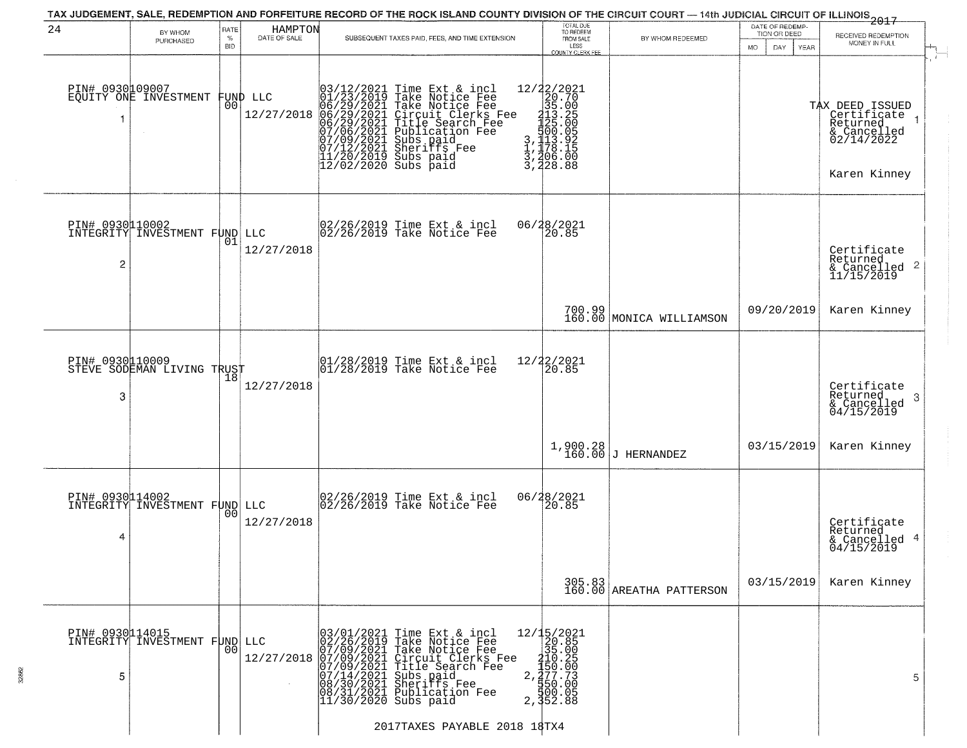|                                   |                                                  |                            |                         | TAX JUDGEMENT, SALE, REDEMPTION AND FORFEITURE RECORD OF THE ROCK ISLAND COUNTY DIVISION OF THE CIRCUIT COURT — 14th JUDICIAL CIRCUIT OF ILLINOIS 2017                                                                                                                                |                                                                                                                                                                                                                                                                                                                                                                  |                                                                     |                                                                    |                                                                                         |
|-----------------------------------|--------------------------------------------------|----------------------------|-------------------------|---------------------------------------------------------------------------------------------------------------------------------------------------------------------------------------------------------------------------------------------------------------------------------------|------------------------------------------------------------------------------------------------------------------------------------------------------------------------------------------------------------------------------------------------------------------------------------------------------------------------------------------------------------------|---------------------------------------------------------------------|--------------------------------------------------------------------|-----------------------------------------------------------------------------------------|
| 24                                | BY WHOM<br>PURCHASED                             | RATE<br>$\%$<br><b>BID</b> | HAMPTON<br>DATE OF SALE | SUBSEQUENT TAXES PAID, FEES, AND TIME EXTENSION                                                                                                                                                                                                                                       | TOTAL DUE<br>TO REDEEM<br>FROM SALE<br>LESS<br><b>COUNTY CLERK FEE</b>                                                                                                                                                                                                                                                                                           | BY WHOM REDEEMED                                                    | DATE OF REDEMP-<br>TION OR DEED<br><b>MO</b><br>DAY<br><b>YEAR</b> | RECEIVED REDEMPTION<br>MONEY IN FULL                                                    |
| PIN# 0930109007<br>-1             | EQUITY ONE INVESTMENT                            | 00                         | FUND LLC<br>12/27/2018  | $03/12/2021$ Time Ext & incl<br>01/23/2019 Take Notice Fee<br>06/29/2021 Take Notice Fee<br>06/29/2021 Circuit Clerks Fee<br>06/29/2021 Title Search Fee<br>07/06/2021 Sheriffs Fee<br>07/09/2021 Sheriffs Fee<br>11/20/2021 Sheriffs Fee<br>11/20/20                                 | $\begin{smallmatrix}12/2\ \color{red}2/2021\ \color{red}20.70\ \color{red}35.00\ \color{red}31\ \color{red}35.00\ \color{red}31\ \color{red}35.00\ \color{red}123\ \color{red}123.25\ \color{red}123.25\ \color{red}123.25\ \color{red}123.26\ \color{red}123.26\ \color{red}123.26\ \color{red}123.26\ \color{red}123.28\ \color{red}128.88\ \end{smallmatrix}$ |                                                                     |                                                                    | TAX DEED ISSUED<br>Certificate<br>Returned<br>& Cancelled<br>02/14/2022<br>Karen Kinney |
| PIN# 0930010002<br>$\overline{c}$ | INTEGRITY INVESTMENT FUND LLC                    | 01                         | 12/27/2018              | 02/26/2019 Time Ext & incl<br>02/26/2019 Take Notice Fee                                                                                                                                                                                                                              | 06/28/2021<br>20.85                                                                                                                                                                                                                                                                                                                                              |                                                                     |                                                                    | Certificate<br>Returned<br>$\frac{1}{2}$ Cancelled 2<br>11/15/2019                      |
|                                   |                                                  |                            |                         |                                                                                                                                                                                                                                                                                       | 700.99                                                                                                                                                                                                                                                                                                                                                           | 160.00 MONICA WILLIAMSON                                            | 09/20/2019                                                         | Karen Kinney                                                                            |
| PIN# 0930110009<br>3              | STEVE SODEMAN LIVING TRUST                       | 18                         | 12/27/2018              | $\begin{array}{c}  01/28/2019 \, \text{Time} \, \text{Ext} \, \& \, \text{incl} \\  01/28/2019 \, \text{Take Notice} \, \text{Fe} \end{array}$                                                                                                                                        | 12/22/2021<br>20.85                                                                                                                                                                                                                                                                                                                                              |                                                                     |                                                                    | Certificate<br>Returned<br>3<br>$\frac{6}{04/15/2019}$                                  |
|                                   |                                                  |                            |                         |                                                                                                                                                                                                                                                                                       |                                                                                                                                                                                                                                                                                                                                                                  | $1,900.28$<br>160.00 J HERNANDEZ                                    | 03/15/2019                                                         | Karen Kinney                                                                            |
| 4                                 | PIN# 0930114002<br>INTEGRITY INVESTMENT FUND LLC | 0 <sub>0</sub>             | 12/27/2018              | $\begin{bmatrix} 02/26/2019 & \text{Time Ext} & \text{incl} \\ 02/26/2019 & \text{Take Notice Fee} \end{bmatrix}$                                                                                                                                                                     | 06/28/2021<br>20.85                                                                                                                                                                                                                                                                                                                                              |                                                                     |                                                                    | Certificate<br>Returned<br>& Cancelled 4<br>04/15/2019                                  |
|                                   |                                                  |                            |                         |                                                                                                                                                                                                                                                                                       |                                                                                                                                                                                                                                                                                                                                                                  | $\begin{array}{c c} 305.83 \\ 160.00 \end{array}$ AREATHA PATTERSON | 03/15/2019                                                         | Karen Kinney                                                                            |
| PIN# 0930114015<br>5              | INTEGRITY INVESTMENT FUND LLC                    | 0 <sub>0</sub>             |                         | LLC 02/26/2019 Take Notice Fee<br>12/27/2018 07/09/2021 Take Notice Fee<br>12/27/2018 07/09/2021 Take Notice Fee<br>12/27/2018 07/09/2021 Circuit Clerks Fee<br>07/14/2021 Sheriffs Fee<br>08/31/2021 Sheriffs Fee<br>08/31/2021 Publication Fee<br>2<br>2017TAXES PAYABLE 2018 18TX4 | 12/15/2021<br>20.85<br>35.00<br>$\frac{210}{150}$ . 25<br>$\frac{7}{27}$<br>$\frac{7}{27}$<br>$\frac{1}{29}$<br>$\frac{1}{20}$<br>$\frac{1}{20}$<br>$\frac{1}{3}$ , $\frac{5}{3}$ , $\frac{5}{3}$ , $\frac{5}{3}$ , $\frac{5}{3}$                                                                                                                                |                                                                     |                                                                    | 5.                                                                                      |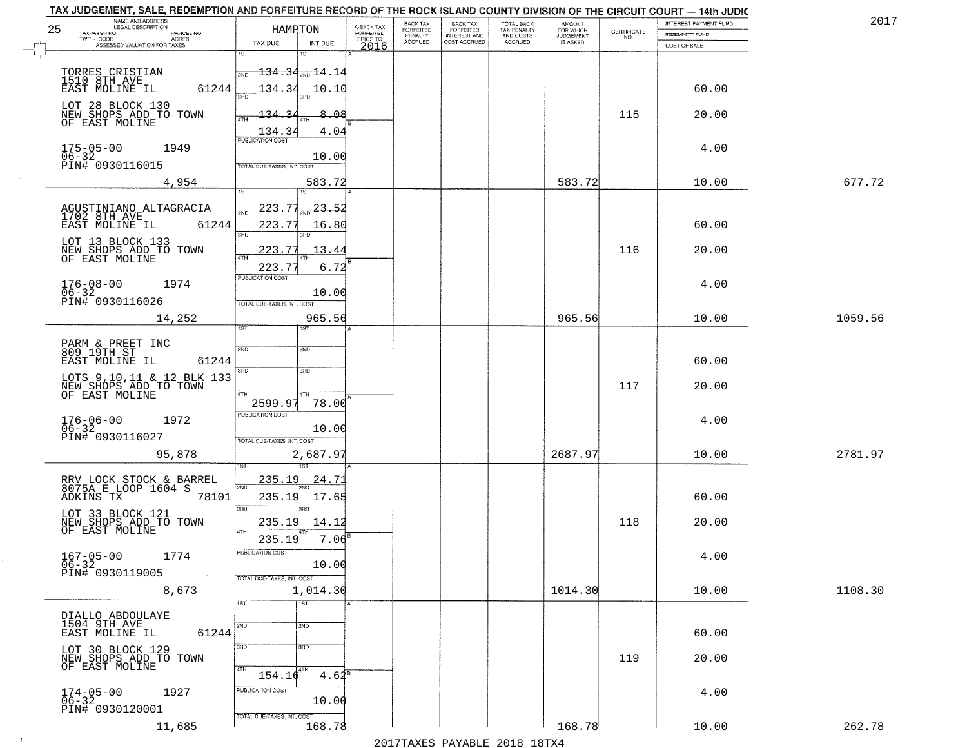| NAME AND ADDRESS<br>LEGAL DESCRIPTION<br>25<br>TAXPAYER NO.<br>PARCEL NO. | HAMRTON                                     | A-BACK TAX<br>FORFEITED | BACK TAX<br>FORFEITED     | BACK TAX<br>FORFEITED<br>INTEREST AND | TOTAL BACK<br>TAX PENALTY<br>AND COSTS | AMOUNT<br>FOR WHICH          | $\begin{array}{c} \text{CERTIFICATE} \\ \text{NO.} \end{array}$ | INTEREST PAYMENT FUND<br>INDEMNITY FUND | 2017    |
|---------------------------------------------------------------------------|---------------------------------------------|-------------------------|---------------------------|---------------------------------------|----------------------------------------|------------------------------|-----------------------------------------------------------------|-----------------------------------------|---------|
| $TWP - CODE$<br>ACRES<br>ASSESSED VALUATION FOR TAXES                     | TAX DUE<br>INT DUE                          | PRIOR TO<br>2016        | PENALTY<br><b>ACCRUED</b> | COST ACCRUED                          | <b>ACCRUED</b>                         | <b>JUDGEMENT</b><br>IS ASKED |                                                                 | COST OF SALE                            |         |
|                                                                           | 1ST<br>1ST                                  |                         |                           |                                       |                                        |                              |                                                                 |                                         |         |
| TORRES CRISTIAN<br>1510 8TH AVE                                           | $-134.34_{\tiny \textrm{2ND}}$ 14.14<br>2ND |                         |                           |                                       |                                        |                              |                                                                 |                                         |         |
| 61244<br>EAST MOLINE IL                                                   | 134.34<br>10.10                             |                         |                           |                                       |                                        |                              |                                                                 | 60.00                                   |         |
| LOT 28 BLOCK 130<br>NEW SHOPS ADD TO TOWN                                 | 8.08<br>134.<br>-34                         |                         |                           |                                       |                                        |                              | 115                                                             | 20.00                                   |         |
| OF EAST MOLINE                                                            | 4.04                                        |                         |                           |                                       |                                        |                              |                                                                 |                                         |         |
| $175 - 05 - 00$<br>1949                                                   | $\frac{134.34}{PUBUCATON COST}$             |                         |                           |                                       |                                        |                              |                                                                 | 4.00                                    |         |
| 06-32<br>PIN# 0930116015                                                  | 10.00<br>TOTAL DUE-TAXES, INT. COST         |                         |                           |                                       |                                        |                              |                                                                 |                                         |         |
| 4,954                                                                     | 583.72                                      |                         |                           |                                       |                                        | 583.72                       |                                                                 | 10.00                                   | 677.72  |
|                                                                           | 1ST<br>1ST                                  |                         |                           |                                       |                                        |                              |                                                                 |                                         |         |
| AGUSTINIANO ALTAGRACIA<br>1702 8TH AVE                                    | 223.77<br>23.52<br><b>DND</b>               |                         |                           |                                       |                                        |                              |                                                                 |                                         |         |
| EAST MOLINE IL<br>61244                                                   | 223.7<br>16.80<br>3RD<br>3RD                |                         |                           |                                       |                                        |                              |                                                                 | 60.00                                   |         |
| LOT 13 BLOCK 133<br>NEW SHOPS ADD TO TOWN<br>OF EAST MOLINE               | 223.77<br>13.44<br>47H                      |                         |                           |                                       |                                        |                              | 116                                                             | 20.00                                   |         |
|                                                                           | 6.72<br>223.7<br>PUBLICATION COST           |                         |                           |                                       |                                        |                              |                                                                 |                                         |         |
| $176 - 08 - 00$<br>1974<br>$06 - 32$                                      | 10.00                                       |                         |                           |                                       |                                        |                              |                                                                 | 4.00                                    |         |
| PIN# 0930116026                                                           | TOTAL DUE-TAXES, INT. COST                  |                         |                           |                                       |                                        |                              |                                                                 |                                         |         |
| 14,252                                                                    | 965.56<br>īst<br><b>ST</b>                  |                         |                           |                                       |                                        | 965.56                       |                                                                 | 10.00                                   | 1059.56 |
| PARM & PREET INC<br>809 19TH ST                                           | 2ND<br>2ND                                  |                         |                           |                                       |                                        |                              |                                                                 |                                         |         |
| EAST MOLINE IL<br>61244                                                   |                                             |                         |                           |                                       |                                        |                              |                                                                 | 60.00                                   |         |
| LOTS 9,10,11 & 12 BLK 133<br>NEW SHOPS ADD TO TOWN<br>OF EAST MOLINE      | 3BD<br>3RD                                  |                         |                           |                                       |                                        |                              | 117                                                             | 20.00                                   |         |
|                                                                           | 4TH<br>2599.97<br>78.00                     |                         |                           |                                       |                                        |                              |                                                                 |                                         |         |
| 1972                                                                      | <b>PUBLICATION COST</b>                     |                         |                           |                                       |                                        |                              |                                                                 | 4.00                                    |         |
| 176-06-00<br>06-32<br>PIN# 0930116027                                     | 10.00<br>TOTAL OUE-TAXES, INT. COST         |                         |                           |                                       |                                        |                              |                                                                 |                                         |         |
| 95,878                                                                    | 2,687.97                                    |                         |                           |                                       |                                        | 2687.97                      |                                                                 | 10.00                                   | 2781.97 |
|                                                                           |                                             |                         |                           |                                       |                                        |                              |                                                                 |                                         |         |
| RRV LOCK STOCK & BARREL<br>8075A E LOOP 1604 S<br>78101                   | <u>235.19</u><br>24.7<br>2ND                |                         |                           |                                       |                                        |                              |                                                                 |                                         |         |
| ADKINS TX                                                                 | 235.19<br>17.65<br>3RD<br>ਸ਼ਾ               |                         |                           |                                       |                                        |                              |                                                                 | 60.00                                   |         |
| LOT 33 BLOCK 121<br>NEW SHOPS ADD TO TOWN<br>OF EAST MOLINE               | 235.19<br>14.12<br>4TH                      |                         |                           |                                       |                                        |                              | 118                                                             | 20.00                                   |         |
|                                                                           | $7.06^8$<br>235.19                          |                         |                           |                                       |                                        |                              |                                                                 |                                         |         |
| $167 - 05 - 00$<br>1774<br>$06 - 32$                                      | PUBLICATION COST<br>10.00                   |                         |                           |                                       |                                        |                              |                                                                 | 4.00                                    |         |
| PIN# 0930119005<br>$\sim 100$                                             | TOTAL DUE-TAXES, INT. COST                  |                         |                           |                                       |                                        |                              |                                                                 |                                         |         |
| 8,673                                                                     | 1,014.30<br>$\overline{1}$ ST<br>1ST        |                         |                           |                                       |                                        | 1014.30                      |                                                                 | 10.00                                   | 1108.30 |
| DIALLO ABDOULAYE<br>1504 9TH AVE                                          |                                             |                         |                           |                                       |                                        |                              |                                                                 |                                         |         |
| 61244<br>EAST MOLINE IL                                                   | 2ND<br>2ND                                  |                         |                           |                                       |                                        |                              |                                                                 | 60.00                                   |         |
| LOT 30 BLOCK 129<br>NEW SHOPS ADD TO TOWN                                 | 3RD<br>3 <sub>BD</sub>                      |                         |                           |                                       |                                        |                              | 119                                                             | 20.00                                   |         |
| OF EAST MOLINE                                                            | 4TH<br>$154.16^{4TH}$<br>$4.62^8$           |                         |                           |                                       |                                        |                              |                                                                 |                                         |         |
| 1927<br>$174 - 05 - 00$<br>06-32                                          | PUBLICATION COST                            |                         |                           |                                       |                                        |                              |                                                                 | 4.00                                    |         |
| PIN# 0930120001                                                           | 10.00<br>TOTAL DUE-TAXES, INT. COST         |                         |                           |                                       |                                        |                              |                                                                 |                                         |         |
| 11,685                                                                    | 168.78                                      |                         |                           |                                       |                                        | 168.78                       |                                                                 | 10.00                                   | 262.78  |

 $\sim 100$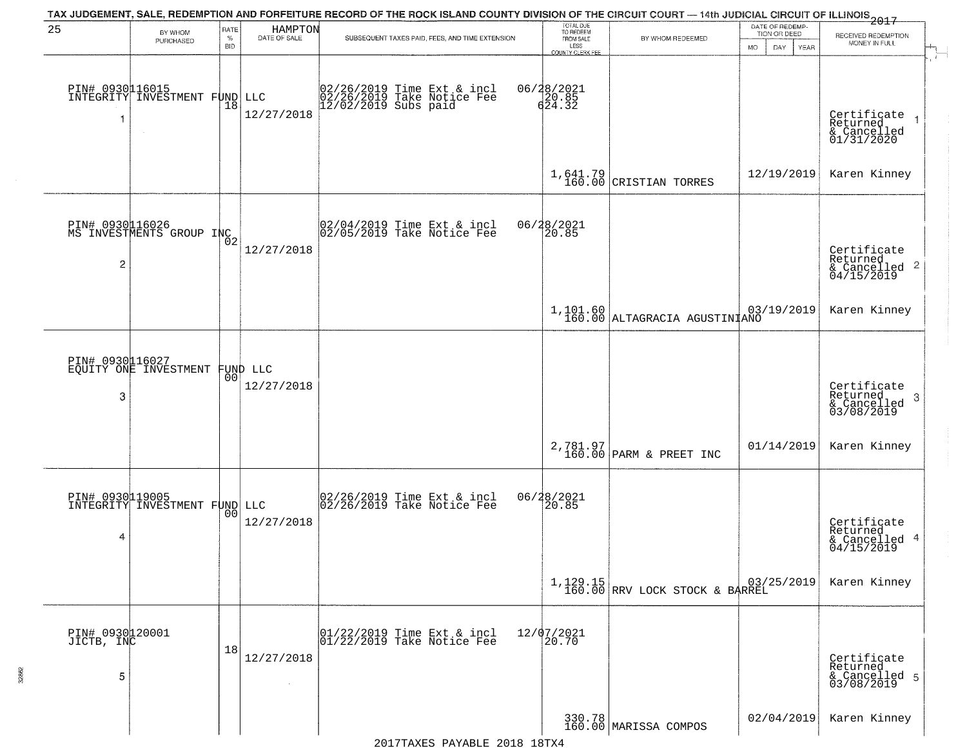|                                    |                                                  |                     |                         | TAX JUDGEMENT, SALE, REDEMPTION AND FORFEITURE RECORD OF THE ROCK ISLAND COUNTY DIVISION OF THE CIRCUIT COURT — 14th JUDICIAL CIRCUIT OF ILLINOIS 2017 |                                                                 |                                            |                                                        |                                                                    |
|------------------------------------|--------------------------------------------------|---------------------|-------------------------|--------------------------------------------------------------------------------------------------------------------------------------------------------|-----------------------------------------------------------------|--------------------------------------------|--------------------------------------------------------|--------------------------------------------------------------------|
| 25                                 | BY WHOM<br>PURCHASED                             | RATE<br>$\%$<br>BID | HAMPTON<br>DATE OF SALE | SUBSEQUENT TAXES PAID, FEES, AND TIME EXTENSION                                                                                                        | TOTAL DUE<br>TO REDEEM<br>FROM SALE<br>LESS<br>COUNTY CLERK FEE | BY WHOM REDEEMED                           | DATE OF REDEMP-<br>TION OR DEED<br>DAY.<br>YEAR<br>MO. | RECEIVED REDEMPTION<br>MONEY IN FULL<br>$\overline{1}$             |
| PIN# 0930016015<br>-1              | INTEGRITY INVESTMENT FUND                        |                     | LLC<br>12/27/2018       | 02/26/2019 Time Ext & incl<br>02/26/2019 Take Notice Fee<br>12/02/2019 Subs paid                                                                       | 06/28/2021<br>20.85<br>624.32                                   |                                            |                                                        | Certificate 1<br>Returned 1<br>& Cancelled<br>01/31/2020           |
|                                    |                                                  |                     |                         |                                                                                                                                                        |                                                                 | $1,641.79$ CRISTIAN TORRES                 | 12/19/2019                                             | Karen Kinney                                                       |
| 2                                  | PIN# 0930116026<br>MS INVESTMENTS GROUP INC      |                     | 12/27/2018              | $\begin{bmatrix} 02/04/2019 \\ 02/05/2019 \end{bmatrix}$ Take Notice Fee                                                                               | 06/28/2021<br>20.85                                             |                                            |                                                        | Certificate<br>Returned<br>$\frac{1}{6}$ Cancelled 2<br>04/15/2019 |
|                                    |                                                  |                     |                         |                                                                                                                                                        |                                                                 | 1,101.60<br>160.00 ALTAGRACIA AGUSTINIANO  |                                                        | Karen Kinney                                                       |
| 3                                  | PIN# 0930116027<br>EQUITY ONE INVESTMENT         | 00 <sup>o</sup>     | FUND LLC<br>12/27/2018  |                                                                                                                                                        |                                                                 |                                            |                                                        | Certificate<br>Returned<br>3<br>& Cancelled<br>03/08/2019          |
|                                    |                                                  |                     |                         |                                                                                                                                                        |                                                                 | $2,781.97$ PARM & PREET INC                | 01/14/2019                                             | Karen Kinney                                                       |
| 4                                  | PIN# 0930119005<br>INTEGRITY INVESTMENT FUND LLC | 00                  | 12/27/2018              | 02/26/2019 Time Ext & incl<br>02/26/2019 Take Notice Fee                                                                                               | 06/28/2021                                                      |                                            |                                                        | Certificate<br>Returned<br>& Cancelled 4<br>04/15/2019             |
|                                    |                                                  |                     |                         |                                                                                                                                                        |                                                                 | 1,129.15<br>160.00 RRV LOCK STOCK & BARREL |                                                        | Karen Kinney                                                       |
| PIN# 0930120001<br>JICTB, INC<br>5 |                                                  | 18                  | 12/27/2018              | $\begin{array}{ccc}  01/22/2019 \text{ Time} \text{ Ext} & \text{incl} \\  01/22/2019 \text{ Take Notice } \text{Fe} \end{array}$                      | 12/07/2021<br>20.70                                             |                                            |                                                        | Certificate<br>Returned<br>& Cancelled 5<br>03/08/2019             |
|                                    |                                                  |                     |                         |                                                                                                                                                        |                                                                 | 330.78<br>160.00 MARISSA COMPOS            | 02/04/2019                                             | Karen Kinney                                                       |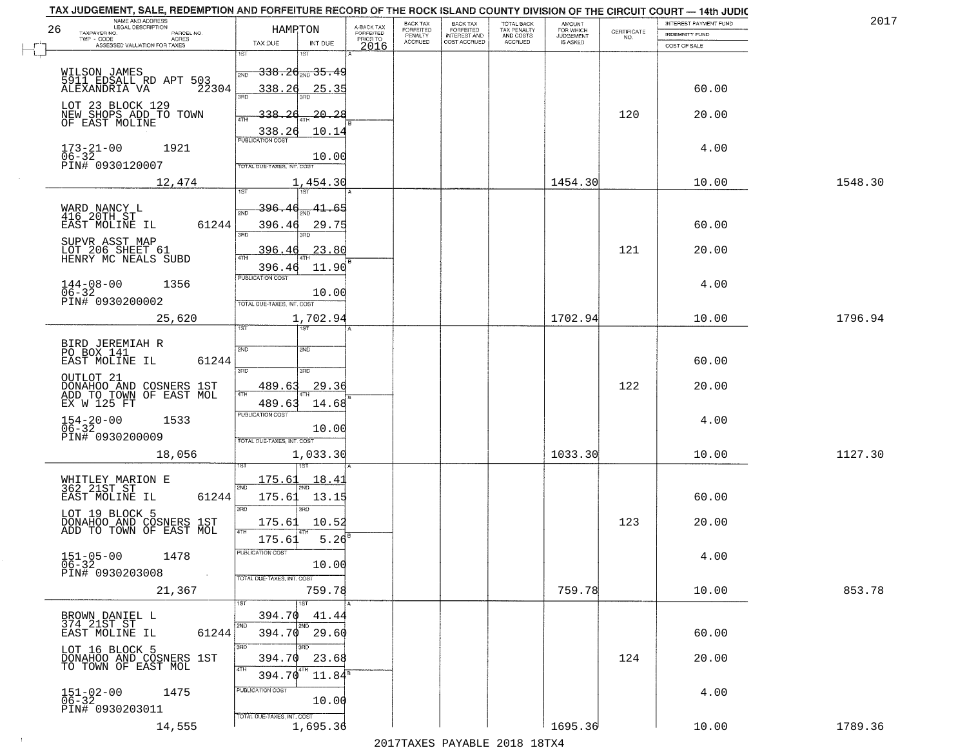| TAX JUDGEMENT, SALE, REDEMPTION AND FORFEITURE RECORD OF THE ROCK ISLAND COUNTY DIVISION OF THE CIRCUIT COURT - 14th JUDIC<br>NAME AND ADDRESS<br>LEGAL DESCRIPTION |                                                                            |                         |                                     | BACK TAX             |                                       |                                        |                                         |                                                                 | INTEREST PAYMENT FUND | 2017    |
|---------------------------------------------------------------------------------------------------------------------------------------------------------------------|----------------------------------------------------------------------------|-------------------------|-------------------------------------|----------------------|---------------------------------------|----------------------------------------|-----------------------------------------|-----------------------------------------------------------------|-----------------------|---------|
| 26<br>TAXPAYER NO.<br>PARCEL NO.<br>TWP - CODE                                                                                                                      | HAMRTON                                                                    |                         | A-BACK TAX<br>FORFEITED<br>PRIOR TO | FORFEITED<br>PENALTY | BACK TAX<br>FORFEITED<br>INTEREST AND | TOTAL BACK<br>TAX PENALTY<br>AND COSTS | AMOUNT<br>FOR WHICH<br><b>JUDGEMENT</b> | $\begin{array}{c} \text{CERTIFICATE} \\ \text{NO.} \end{array}$ | <b>INDEMNITY FUND</b> |         |
| ACRES<br>ASSESSED VALUATION FOR TAXES                                                                                                                               | TAX DUE                                                                    | INT DUE                 | 2016                                | <b>ACCRUED</b>       | COST ACCRUED                          | <b>ACCRUED</b>                         | IS ASKED                                |                                                                 | COST OF SALE          |         |
| WILSON JAMES<br>MILSON UAPRO<br>5911 EDSALL RD APT 503<br>ALEXANDRIA VA 22304                                                                                       | 1ST<br>1ST<br><del>338.20 avg 35.49</del><br>2ND<br>338.26                 | 25.35                   |                                     |                      |                                       |                                        |                                         |                                                                 | 60.00                 |         |
| LOT 23 BLOCK 129<br>NEW SHOPS ADD TO TOWN<br>OF EAST MOLINE                                                                                                         | 3RD<br>338.<br>26<br>ATH<br>338.26                                         | $-20 - 28$<br>10.14     |                                     |                      |                                       |                                        |                                         | 120                                                             | 20.00                 |         |
| $173 - 21 - 00$<br>1921<br>06-32<br>PIN# 0930120007                                                                                                                 | <b>PUBLICATION COST</b><br>TOTAL DUE-TAXES, INT. COST                      | 10.00                   |                                     |                      |                                       |                                        |                                         |                                                                 | 4.00                  |         |
| 12,474                                                                                                                                                              |                                                                            | 1,454.30                |                                     |                      |                                       |                                        | 1454.30                                 |                                                                 | 10.00                 | 1548.30 |
| WARD NANCY L<br>416 20TH ST<br>EAST MOLINE IL<br>61244<br>SUPVR ASST MAP<br>LOT 206 SHEET 61                                                                        | 1ST<br>1ST<br>396.46<br>2ND<br>396.46<br>$\overline{\text{3BD}}$<br>396.46 | 41.65<br>29.75<br>23.80 |                                     |                      |                                       |                                        |                                         | 121                                                             | 60.00<br>20.00        |         |
| HENRY MC NEALS SUBD<br>$144 - 08 - 00$<br>1356<br>$06 - 32$<br>PIN# 0930200002                                                                                      | 396.46<br>PUBLICATION COST<br>TOTAL DUE-TAXES, INT. COST                   | 11.90<br>10.00          |                                     |                      |                                       |                                        |                                         |                                                                 | 4.00                  |         |
| 25,620                                                                                                                                                              | 1ST.                                                                       | 1,702.94                |                                     |                      |                                       |                                        | 1702.94                                 |                                                                 | 10.00                 | 1796.94 |
| BIRD JEREMIAH R<br>PO BOX 141<br>EAST MOLINE IL<br>61244                                                                                                            | 2ND<br>SMD<br>3BD<br>3RD                                                   |                         |                                     |                      |                                       |                                        |                                         |                                                                 | 60.00                 |         |
| OUTLOT <sub>21</sub><br>DONAHOO AND COSNERS 1ST<br>ADD TO TOWN OF EAST MOL                                                                                          | 489.63<br>4TH                                                              | 29.36                   |                                     |                      |                                       |                                        |                                         | 122                                                             | 20.00                 |         |
| EX W 125 FT<br>$154 - 20 - 00$<br>06-32<br>1533<br>PIN# 0930200009                                                                                                  | 489.63<br><b>PUBLICATION COST</b><br>TOTAL OUE-TAXES, INT. COST            | 14.68<br>10.00          |                                     |                      |                                       |                                        |                                         |                                                                 | 4.00                  |         |
| 18,056                                                                                                                                                              |                                                                            | 1,033.30                |                                     |                      |                                       |                                        | 1033.30                                 |                                                                 | 10.00                 | 1127.30 |
| WHITLEY MARION E<br>362 21ST ST<br>EAST MOLINE IL<br>61244<br>LOT 19 BLOCK 5                                                                                        | 175.61<br>2ND<br>175.61<br>3RD<br>$\overline{3BD}$                         | 18.4<br>13.15           |                                     |                      |                                       |                                        |                                         |                                                                 | 60.00                 |         |
| DONAHOO AND COSNERS 1ST<br>ADD TO TOWN OF EAST MOL                                                                                                                  | 175.61<br>4TH                                                              | 10.52                   |                                     |                      |                                       |                                        |                                         | 123                                                             | 20.00                 |         |
| $151 - 05 - 00$<br>1478<br>$06 - 32$<br>PIN# 0930203008                                                                                                             | 175.61<br>PUBLICATION COST<br>TOTAL DUE-TAXES, INT. COST                   | 5.26<br>10.00           |                                     |                      |                                       |                                        |                                         |                                                                 | 4.00                  |         |
| 21,367                                                                                                                                                              |                                                                            | 759.78                  |                                     |                      |                                       |                                        | 759.78                                  |                                                                 | 10.00                 | 853.78  |
| BROWN DANIEL L<br>374 21ST ST<br>61244<br>EAST MOLINE IL                                                                                                            | 1ST<br>1ST<br>394.70<br>2ND<br>2ND<br>394.70                               | 41.44<br>29.60          |                                     |                      |                                       |                                        |                                         |                                                                 | 60.00                 |         |
| LOT 16 BLOCK 5<br>DONAHOO AND COSNERS 1ST<br>TO TOWN OF EAST MOL                                                                                                    | 3RD<br>3RD.<br>394.70<br>4TH<br>4TH<br>394.70                              | 23.68<br>$11.84^s$      |                                     |                      |                                       |                                        |                                         | 124                                                             | 20.00                 |         |
| $151 - 02 - 00$<br>$06 - 32$<br>1475<br>PIN# 0930203011                                                                                                             | PUBLICATION COST<br>TOTAL DUE-TAXES, INT. COST                             | 10.00                   |                                     |                      |                                       |                                        |                                         |                                                                 | 4.00                  |         |
| 14,555                                                                                                                                                              |                                                                            | 1,695.36                |                                     |                      |                                       |                                        | 1695.36                                 |                                                                 | 10.00                 | 1789.36 |

 $\sim$  1  $^{\circ}$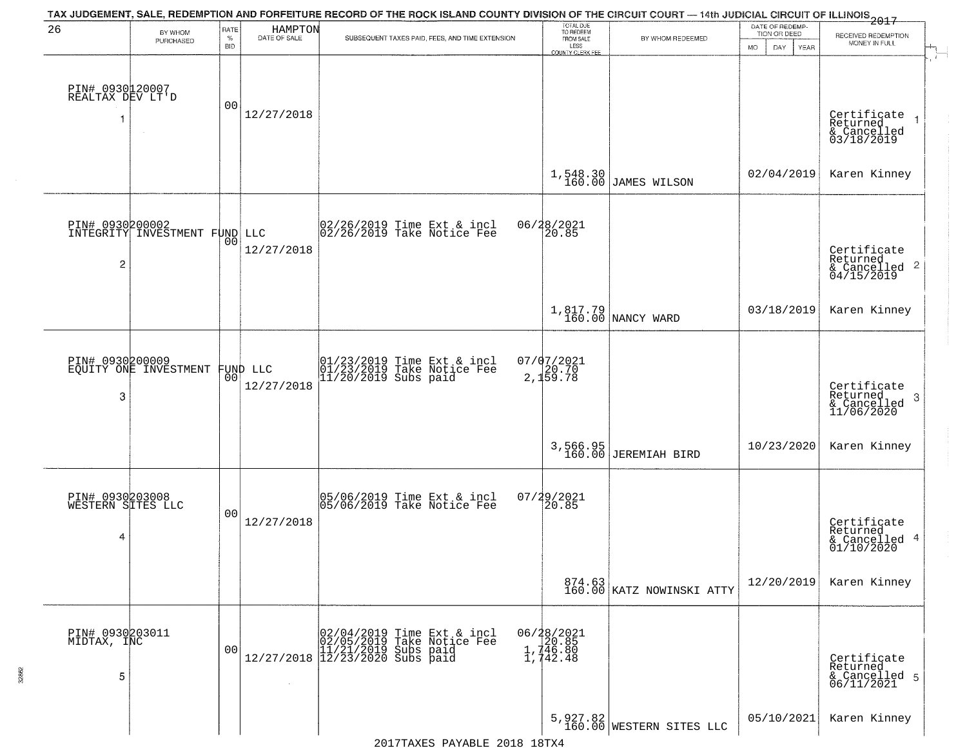| 26                                   | BY WHOM                                  | RATE               | HAMPTON<br>DATE OF SALE | TAX JUDGEMENT, SALE, REDEMPTION AND FORFEITURE RECORD OF THE ROCK ISLAND COUNTY DIVISION OF THE CIRCUIT COURT — 14th JUDICIAL CIRCUIT OF ILLINOIS 2017 | TOTAL DUE<br>TO REDEEM                       |                                        | DATE OF REDEMP-<br>TION OR DEED | RECEIVED REDEMPTION                                                    |
|--------------------------------------|------------------------------------------|--------------------|-------------------------|--------------------------------------------------------------------------------------------------------------------------------------------------------|----------------------------------------------|----------------------------------------|---------------------------------|------------------------------------------------------------------------|
|                                      | PURCHASED                                | $\%$<br><b>BID</b> |                         | SUBSEQUENT TAXES PAID, FEES, AND TIME EXTENSION                                                                                                        | FROM SALE<br>LESS<br><b>COUNTY CLERK FEE</b> | BY WHOM REDEEMED                       | <b>MO</b><br>DAY<br>YEAR        | MONEY IN FULL                                                          |
| PIN# 0930120007<br>REALTAX DEV LT'D  |                                          | 00                 | 12/27/2018              |                                                                                                                                                        |                                              |                                        |                                 | Certificate<br>Returned<br>$\rightarrow$                               |
|                                      |                                          |                    |                         |                                                                                                                                                        |                                              |                                        |                                 | & Cancelled<br>03/18/2019                                              |
|                                      |                                          |                    |                         |                                                                                                                                                        | 1,548.30<br>160.00                           | JAMES WILSON                           | 02/04/2019                      | Karen Kinney                                                           |
| PIN# 0930200002                      | INTEGRITY INVESTMENT FUND LLC            |                    |                         | 02/26/2019 Time Ext & incl<br>02/26/2019 Take Notice Fee                                                                                               | 06/28/2021<br>20.85                          |                                        |                                 |                                                                        |
| $\overline{2}$                       |                                          | 00                 | 12/27/2018              |                                                                                                                                                        |                                              |                                        |                                 | Certificate<br>Returned<br>$\overline{2}$<br>& Cancelled<br>04/15/2019 |
|                                      |                                          |                    |                         |                                                                                                                                                        |                                              | 1,817.79<br>160.00 NANCY WARD          | 03/18/2019                      | Karen Kinney                                                           |
|                                      | PIN# 0930200009<br>EQUITY ONE INVESTMENT |                    | FUND LLC                | 01/23/2019 Time Ext & incl<br>01/23/2019 Take Notice Fee<br>11/20/2019 Subs paid                                                                       | $07/07/2021$<br>20.70<br>2,159.78            |                                        |                                 |                                                                        |
| 3                                    |                                          | 00 <sup>o</sup>    | 12/27/2018              |                                                                                                                                                        |                                              |                                        |                                 | Certificate<br>Returned<br>3<br>& Cancelled<br>11/06/2020              |
|                                      |                                          |                    |                         |                                                                                                                                                        |                                              | 3,566.95<br>160.00 JEREMIAH BIRD       | 10/23/2020                      | Karen Kinney                                                           |
| PIN# 0930203008<br>WESTERN SITES LLC |                                          |                    |                         | 05/06/2019 Time Ext & incl<br>05/06/2019 Take Notice Fee                                                                                               | 07/29/2021<br>120.85                         |                                        |                                 |                                                                        |
| 4                                    |                                          | 0 <sub>0</sub>     | 12/27/2018              |                                                                                                                                                        |                                              |                                        |                                 | Certificate<br>Returned<br>4<br>& Cancelled<br>01/10/2020              |
|                                      |                                          |                    |                         |                                                                                                                                                        |                                              | 874.63<br>160.00 KATZ NOWINSKI ATTY    | 12/20/2019                      | Karen Kinney                                                           |
| PIN# 0930203011<br>MIDTAX, INC       |                                          |                    |                         | $[02/04/2019 \t\t Time Ext & incl 02/05/2019 \t\t Take Notice Free 11/21/2019 Subs paid 12/27/2018 12/23/2020 Subs paid 13/2019]$                      | 06/28/2021<br>20.85                          |                                        |                                 |                                                                        |
| 5                                    |                                          | 00                 |                         |                                                                                                                                                        | $1,746.80$<br>$1,742.48$                     |                                        |                                 | Certificate<br>Returned<br>& Cancelled 5<br>06/11/2021                 |
|                                      |                                          |                    |                         |                                                                                                                                                        |                                              | $5,927.82$<br>160.00 WESTERN SITES LLC | 05/10/2021                      | Karen Kinney                                                           |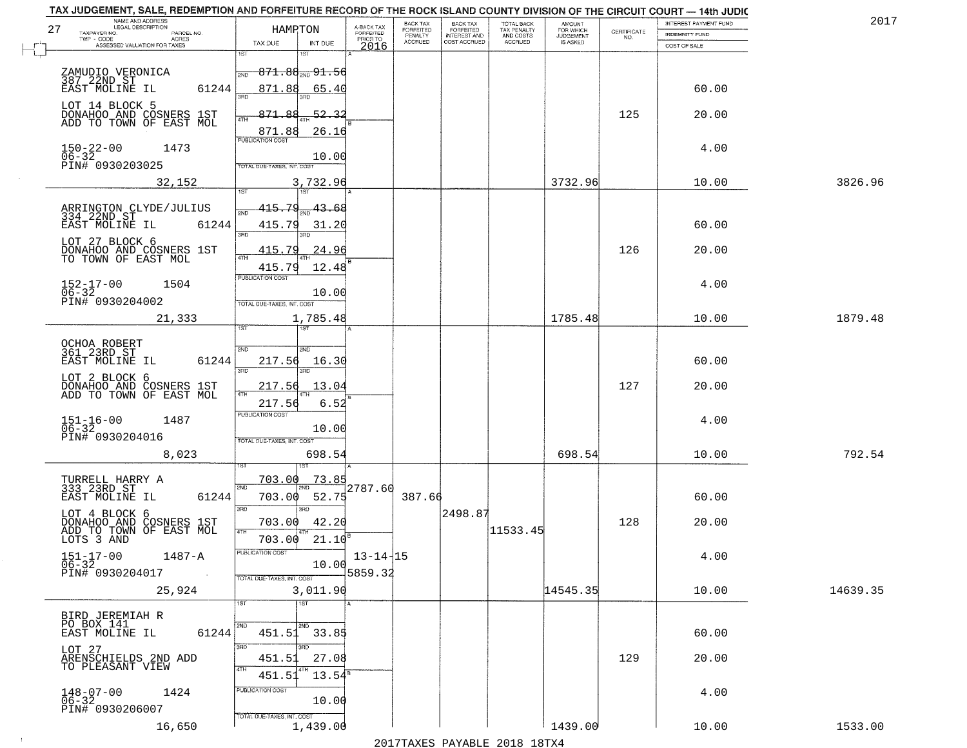| NAME AND ADDRESS<br>LEGAL DESCRIPTION<br>27                                                                                                            | HAMPTON                                                         |                          |                                     | BACK TAX<br>FORFEITED | <b>BACK TAX</b><br>FORFEITED | TOTAL BACK               | AMOUNT<br>FOR WHICH |                                                                 | INTEREST PAYMENT FUND | 2017     |
|--------------------------------------------------------------------------------------------------------------------------------------------------------|-----------------------------------------------------------------|--------------------------|-------------------------------------|-----------------------|------------------------------|--------------------------|---------------------|-----------------------------------------------------------------|-----------------------|----------|
| TAXPAYER NO.<br>PARCEL NO.<br>TWP - CODE<br>ACRES                                                                                                      |                                                                 |                          | A-BACK TAX<br>FORFEITED<br>PRIOR TO | PENALTY               | <b>INTEREST AND</b>          | TAX PENALTY<br>AND COSTS | <b>JUDGEMENT</b>    | $\begin{array}{c} \text{CERTIFICATE} \\ \text{NO.} \end{array}$ | <b>INDEMNITY FUND</b> |          |
| ASSESSED VALUATION FOR TAXES                                                                                                                           | TAX DUE<br>1ST<br>1ST                                           | INT DUE                  | 2016                                | <b>ACCRUED</b>        | COST ACCRUED                 | <b>ACCRUED</b>           | IS ASKED            |                                                                 | COST OF SALE          |          |
| ZAMUDIO VERONICA<br>387 22ND ST<br>EAST MOLINE IL<br>61244                                                                                             | $871.88_{20}91.56$<br>2ND<br>871.88                             | 65.40                    |                                     |                       |                              |                          |                     |                                                                 | 60.00                 |          |
| LOT 14 BLOCK 5<br>DONAHOO AND COSNERS 1ST<br>ADD TO TOWN OF EAST MOL                                                                                   | बन्नल<br>871.88<br>4TH<br>871.88                                | <u>52.3.</u><br>26.16    |                                     |                       |                              |                          |                     | 125                                                             | 20.00                 |          |
| $150 - 22 - 00$<br>06-32<br>1473<br>PIN# 0930203025                                                                                                    | <b>PUBLICATION COST</b><br>TOTAL DUE-TAXES, INT. COST           | 10.00                    |                                     |                       |                              |                          |                     |                                                                 | 4.00                  |          |
| 32,152                                                                                                                                                 |                                                                 | 3,732.96                 |                                     |                       |                              |                          | 3732.96             |                                                                 | 10.00                 | 3826.96  |
| ARRINGTON CLYDE/JULIUS<br>334 22ND ST<br>EAST MOLINE IL<br>61244<br>LOT 27 BLOCK 6<br>DONAHOO AND COSNERS 1ST<br>TO TOWN OF EAST MOL                   | 415.79<br>415.79<br>$\overline{3BD}$<br>38D<br>415.79<br>47H    | 43.68<br>31.20<br>24.96  |                                     |                       |                              |                          |                     | 126                                                             | 60.00<br>20.00        |          |
| $152 - 17 - 00$<br>$06 - 32$<br>1504<br>PIN# 0930204002                                                                                                | 415.79<br>PUBLICATION COST<br>TOTAL DUE-TAXES, INT. COST        | 12.48<br>10.00           |                                     |                       |                              |                          |                     |                                                                 | 4.00                  |          |
| 21,333                                                                                                                                                 |                                                                 | 1,785.48                 |                                     |                       |                              |                          | 1785.48             |                                                                 | 10.00                 | 1879.48  |
| OCHOA ROBERT<br>361 23RD ST<br>EAST MOLINE IL<br>61244                                                                                                 | ist<br>١S٦<br>2ND<br>2ND<br>217.56<br>3 <sub>BD</sub><br>3RD    | 16.30                    |                                     |                       |                              |                          |                     |                                                                 | 60.00                 |          |
| LOT 2 BLOCK 6<br>DONAHOO AND COSNERS 1ST<br>ADD TO TOWN OF EAST MOL                                                                                    | 217.56<br>4TH                                                   | 13.04                    |                                     |                       |                              |                          |                     | 127                                                             | 20.00                 |          |
| $151 - 16 - 00$<br>06-32<br>1487<br>PIN# 0930204016<br>8,023                                                                                           | 217.56<br><b>PUBLICATION COST</b><br>TOTAL OUE-TAXES, INT. COST | 6.52<br>10.00<br>698.54  |                                     |                       |                              |                          | 698.54              |                                                                 | 4.00<br>10.00         | 792.54   |
|                                                                                                                                                        | 1ST                                                             |                          |                                     |                       |                              |                          |                     |                                                                 |                       |          |
| TURRELL HARRY A<br>333 23RD ST<br>EAST MOLINE IL<br>61244                                                                                              | 703.00<br>2ND<br>703.00<br>3RD<br>$\overline{3BD}$              | 73.85<br>52.75           | 2787.60                             | 387.66                |                              |                          |                     |                                                                 | 60.00                 |          |
| LOT 4 BLOCK 6                                                                                                                                          | 703.00                                                          | 42.20                    |                                     |                       | 2498.87                      |                          |                     | 128                                                             | 20.00                 |          |
| DONAHOO AND COSNERS 1ST<br>ADD TO TOWN OF EAST MOL<br>LOTS 3 AND<br>$151 - 17 - 00$<br>1487-A<br>$06 - 32$<br>PIN# 0930204017<br>$\sim 100$ km $^{-1}$ | 4TH<br>703.00<br>"UBLICA HUN CUS<br>TOTAL DUE-TAXES, INT. COST  | 21.10<br>10.00           | $13 - 14 - 15$<br>5859.32           |                       |                              | 11533.45                 |                     |                                                                 | 4.00                  |          |
| 25,924                                                                                                                                                 |                                                                 | 3,011.90                 |                                     |                       |                              |                          | 14545.35            |                                                                 | 10.00                 | 14639.35 |
|                                                                                                                                                        | 1ST<br>1ST                                                      |                          |                                     |                       |                              |                          |                     |                                                                 |                       |          |
| BIRD JEREMIAH R<br>PO BOX 141<br>61244<br>EAST MOLINE IL                                                                                               | 2ND<br>451.51 33.85<br>3RD<br>3RD                               |                          |                                     |                       |                              |                          |                     |                                                                 | 60.00                 |          |
| LOT 27<br>ARENSCHIELDS 2ND ADD<br>TO PLEASANT VIEW                                                                                                     | 451.51<br>4TH<br>4TH<br>451.51                                  | 27.08<br>$13.54^{\circ}$ |                                     |                       |                              |                          |                     | 129                                                             | 20.00                 |          |
| $148 - 07 - 00$<br>1424<br>$06 - 32$<br>PIN# 0930206007                                                                                                | PUBLICATION COST<br>TOTAL DUE-TAXES, INT. COST                  | 10.00                    |                                     |                       |                              |                          |                     |                                                                 | 4.00                  |          |
| 16,650                                                                                                                                                 |                                                                 | 1,439.00                 |                                     |                       |                              |                          | 1439.00             |                                                                 | 10.00                 | 1533.00  |

 $\sim 10^{-1}$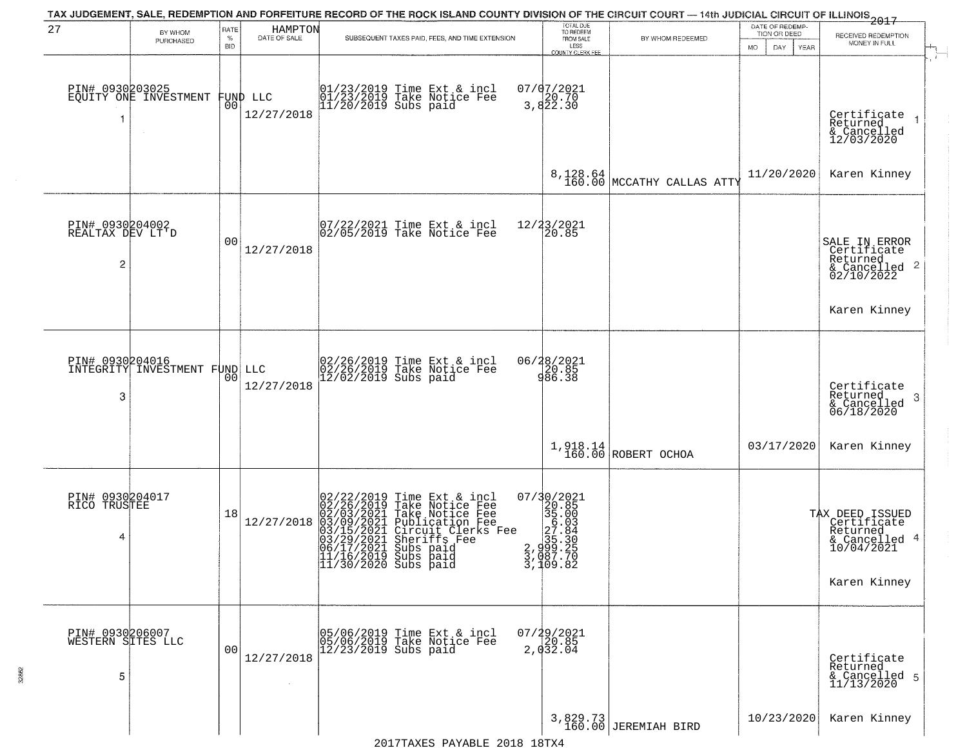| 27                                        |                               | RATE           | HAMPTON      | TAX JUDGEMENT, SALE, REDEMPTION AND FORFEITURE RECORD OF THE ROCK ISLAND COUNTY DIVISION OF THE CIRCUIT COURT - 14th JUDICIAL CIRCUIT OF ILLINOIS 2017                                                                                                                        | TOTAL DUE<br>TO REDEEM                                                                                                                                                                                                                          |                                        | DATE OF REDEMP-                     |                                                                             |
|-------------------------------------------|-------------------------------|----------------|--------------|-------------------------------------------------------------------------------------------------------------------------------------------------------------------------------------------------------------------------------------------------------------------------------|-------------------------------------------------------------------------------------------------------------------------------------------------------------------------------------------------------------------------------------------------|----------------------------------------|-------------------------------------|-----------------------------------------------------------------------------|
|                                           | BY WHOM<br>PURCHASED          | %<br>BID       | DATE OF SALE | SUBSEQUENT TAXES PAID, FEES, AND TIME EXTENSION                                                                                                                                                                                                                               | FROM SALE                                                                                                                                                                                                                                       | BY WHOM REDEEMED                       | TION OR DEED<br>DAY.<br>MO.<br>YEAR | RECEIVED REDEMPTION<br>MONEY IN FULL                                        |
| PIN# 0930203025                           | EQUITY ONE INVESTMENT         |                | FUND LLC     | 01/23/2019 Time Ext & incl<br>01/23/2019 Take Notice Fee<br>11/20/2019 Subs paid                                                                                                                                                                                              | LESS<br>COUNTY CLERK FEE<br>07/07/2021<br>3,822.30                                                                                                                                                                                              |                                        |                                     |                                                                             |
|                                           |                               | 00             | 12/27/2018   |                                                                                                                                                                                                                                                                               |                                                                                                                                                                                                                                                 |                                        |                                     | Certificate<br>Returned<br>& Cancelled<br>12/03/2020                        |
|                                           |                               |                |              |                                                                                                                                                                                                                                                                               |                                                                                                                                                                                                                                                 | 8,128.64<br>160.00 MCCATHY CALLAS ATTY | 11/20/2020                          | Karen Kinney                                                                |
| PIN# 0930204002<br>REALTAX DEV LT'D<br>2  |                               | 0 <sub>0</sub> | 12/27/2018   | 07/22/2021 Time Ext & incl<br>02/05/2019 Take Notice Fee                                                                                                                                                                                                                      | 12/23/2021<br>20.85                                                                                                                                                                                                                             |                                        |                                     | SALE IN ERROR<br>Certificate<br>Returned<br>$\frac{12241160}{62/10/2022}$ 2 |
|                                           |                               |                |              |                                                                                                                                                                                                                                                                               |                                                                                                                                                                                                                                                 |                                        |                                     | Karen Kinney                                                                |
| PIN# 0930204016<br>-3                     | INTEGRITY INVESTMENT FUND LLC | 00             | 12/27/2018   | 02/26/2019 Time Ext & incl<br>02/26/2019 Take Notice Fee<br>12/02/2019 Subs paid                                                                                                                                                                                              | 06/28/2021<br>20.85<br>986.38                                                                                                                                                                                                                   |                                        |                                     | Certificate<br>Returned<br>-3<br>& Cancelled<br>06/18/2020                  |
|                                           |                               |                |              |                                                                                                                                                                                                                                                                               |                                                                                                                                                                                                                                                 | 1,918.14<br>160.00 ROBERT OCHOA        | 03/17/2020                          | Karen Kinney                                                                |
| PIN# 0930204017<br>RICO TRUSTEE<br>4      |                               | 18             | 12/27/2018   | 02/22/2019<br>02/26/2019<br>02/03/2021<br>03/15/2021<br>03/15/2021<br>03/29/2021<br>04/17/2021<br>Time Ext & incl<br>Take Notice Fee<br>Take Notice Fee<br>Publication Fee<br>Circuit Clerks Fee<br>Sheriffs Fee<br>Subs paid<br>11/16/2019 Subs paid<br>11/30/2020 Subs paid | $\begin{smallmatrix} 07/3 & 0 & 2 & 0 & 2 & 1 \\ 2 & 2 & 0 & 0 & 5 & 5 \\ 3 & 5 & 0 & 0 & 3 & 5 \\ 2 & 0 & 0 & 0 & 3 & 2 \\ 2 & 3 & 0 & 0 & 3 & 2 \\ 3 & 0 & 0 & 0 & 0 & 0 \\ 3 & 0 & 0 & 0 & 0 & 0 \\ 3 & 1 & 0 & 9 & 0 & 8 \end{smallmatrix}$ |                                        |                                     | TAX DEED ISSUED<br>Certificate<br>Returned<br>& Cancelled 4<br>10/04/2021   |
|                                           |                               |                |              |                                                                                                                                                                                                                                                                               |                                                                                                                                                                                                                                                 |                                        |                                     | Karen Kinney                                                                |
| PIN# 0930206007<br>WESTERN SITES LLC<br>5 |                               | 00             | 12/27/2018   | 05/06/2019 Time Ext & incl<br>05/06/2019 Take Notice Fee<br>12/23/2019 Subs paid                                                                                                                                                                                              | $07/29/2021$<br>20.85<br>2,032.04                                                                                                                                                                                                               |                                        |                                     | Certificate<br>Returned<br>& Cancelled 5<br>11/13/2020                      |
|                                           |                               |                |              |                                                                                                                                                                                                                                                                               |                                                                                                                                                                                                                                                 | 3,829.73<br>160.00 JEREMIAH BIRD       | 10/23/2020                          | Karen Kinney                                                                |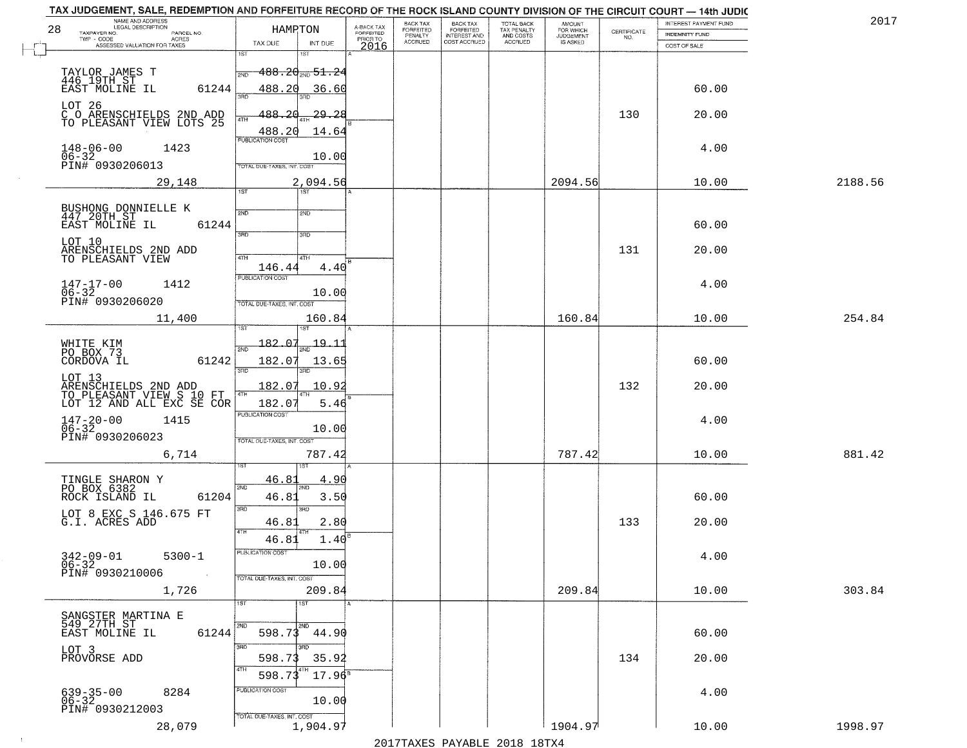| NAME AND ADDRESS<br>LEGAL DESCRIPTION<br>28                                             | HAMRTON                                             |                                             | BACK TAX<br>FORFEITED     | BACK TAX<br>FORFEITED<br>INTEREST AND | TOTAL BACK<br>TAX PENALTY<br>AND COSTS | AMOUNT<br>FOR WHICH<br>JUDGEMENT |                                                                 | INTEREST PAYMENT FUND                 | 2017    |
|-----------------------------------------------------------------------------------------|-----------------------------------------------------|---------------------------------------------|---------------------------|---------------------------------------|----------------------------------------|----------------------------------|-----------------------------------------------------------------|---------------------------------------|---------|
| TAXPAYER NO.<br>PARCEL NO.<br>TWP - CODE<br>ACRES<br>ASSESSED VALUATION FOR TAXES       | TAX DUE<br>INT DUE                                  | A-BACK TAX<br>FORFEITED<br>PRIOR TO<br>2016 | PENALTY<br><b>ACCRUED</b> | COST ACCRUED                          | <b>ACCRUED</b>                         | IS ASKED                         | $\begin{array}{c} \text{CERTIFICATE} \\ \text{NO.} \end{array}$ | <b>INDEMNITY FUND</b><br>COST OF SALE |         |
|                                                                                         | 1ST<br>1ST                                          |                                             |                           |                                       |                                        |                                  |                                                                 |                                       |         |
|                                                                                         | $488.20_{200}$ 51.2                                 |                                             |                           |                                       |                                        |                                  |                                                                 |                                       |         |
| TAYLOR JAMES T<br>446 19TH ST<br>EAST MOLINE IL<br>61244                                | 488.20<br>36.60                                     |                                             |                           |                                       |                                        |                                  |                                                                 | 60.00                                 |         |
| LOT 26<br>C O ARENSCHIELDS 2ND ADD<br>TO PLEASANT VIEW LOTS 25                          | 488.20<br><u> 29.28</u><br>4TH                      |                                             |                           |                                       |                                        |                                  | 130                                                             | 20.00                                 |         |
| $148 - 06 - 00$<br>1423<br>06-32<br>PIN# 0930206013                                     | 488.20<br>14.64<br><b>PUBLICATION COST</b><br>10.00 |                                             |                           |                                       |                                        |                                  |                                                                 | 4.00                                  |         |
| 29,148                                                                                  | TOTAL DUE-TAXES, INT. COST<br>2,094.56              |                                             |                           |                                       |                                        | 2094.56                          |                                                                 | 10.00                                 | 2188.56 |
|                                                                                         | 1ST<br>1ST                                          |                                             |                           |                                       |                                        |                                  |                                                                 |                                       |         |
| BUSHONG DONNIELLE K<br>447 20TH ST<br>EAST MOLINE IL<br>61244                           | 2ND<br>2ND<br>3RD<br>3RD                            |                                             |                           |                                       |                                        |                                  |                                                                 | 60.00                                 |         |
| LOT 10<br>ARENSCHIELDS 2ND ADD<br>TO PLEASANT VIEW                                      | 47H<br>4TH<br>146.44<br>4.40                        |                                             |                           |                                       |                                        |                                  | 131                                                             | 20.00                                 |         |
| $147 - 17 - 00$<br>1412<br>$06 - 32$<br>PIN# 0930206020                                 | PUBLICATION COST<br>10.00                           |                                             |                           |                                       |                                        |                                  |                                                                 | 4.00                                  |         |
| 11,400                                                                                  | TOTAL DUE-TAXES, INT. COST<br>160.84                |                                             |                           |                                       |                                        | 160.84                           |                                                                 | 10.00                                 | 254.84  |
|                                                                                         | 182.07<br>19.11                                     |                                             |                           |                                       |                                        |                                  |                                                                 |                                       |         |
| WHITE KIM<br>PO BOX 73<br>CORDOVA IL<br>61242                                           | 2ND<br>182.07<br>13.65<br>3 <sub>BD</sub><br>3RD    |                                             |                           |                                       |                                        |                                  |                                                                 | 60.00                                 |         |
| LOT 13<br>ARENSCHIELDS 2ND ADD<br>TO PLEASANT VIEW S 10 FT<br>LOT 12 AND ALL EXC SE COR | 182.07<br>10.9                                      |                                             |                           |                                       |                                        |                                  | 132                                                             | 20.00                                 |         |
|                                                                                         | 4TH<br>182.07<br>5.46                               |                                             |                           |                                       |                                        |                                  |                                                                 |                                       |         |
| $147 - 20 - 00$<br>06-32<br>1415<br>PIN# 0930206023                                     | <b>PUBLICATION COST</b><br>10.00                    |                                             |                           |                                       |                                        |                                  |                                                                 | 4.00                                  |         |
| 6,714                                                                                   | TOTAL OUE-TAXES, INT. COST<br>787.42                |                                             |                           |                                       |                                        | 787.42                           |                                                                 | 10.00                                 | 881.42  |
| TINGLE SHARON Y<br>PO BOX 6382                                                          | 46.81<br><u>4.90</u>                                |                                             |                           |                                       |                                        |                                  |                                                                 |                                       |         |
| ROCK ISLAND IL<br>61204                                                                 | 2ND<br><b>ND</b><br>46.8<br>3.50                    |                                             |                           |                                       |                                        |                                  |                                                                 | 60.00                                 |         |
| LOT 8 EXC S 146.675 FT<br>G.I. ACRES ADD                                                | 3BD<br>$\overline{3BD}$<br>46.81<br>2.80<br>4TH     |                                             |                           |                                       |                                        |                                  | 133                                                             | 20.00                                 |         |
| $342 - 09 - 01$<br>$5300 - 1$                                                           | 46.81<br>1.40<br>PUBLICATION COST                   |                                             |                           |                                       |                                        |                                  |                                                                 | 4.00                                  |         |
| $06 - 32$<br>PIN# 0930210006                                                            | 10.00                                               |                                             |                           |                                       |                                        |                                  |                                                                 |                                       |         |
| 1,726                                                                                   | TOTAL DUE-TAXES, INT. COST<br>209.84                |                                             |                           |                                       |                                        | 209.84                           |                                                                 | 10.00                                 | 303.84  |
|                                                                                         | 1ST<br>1ST                                          |                                             |                           |                                       |                                        |                                  |                                                                 |                                       |         |
| SANGSTER MARTINA E<br>549 27TH ST<br>61244<br>EAST MOLINE IL                            | 2ND<br>598.73<br>44.90                              |                                             |                           |                                       |                                        |                                  |                                                                 | 60.00                                 |         |
| LOT 3<br>PROVORSE ADD                                                                   | अंग<br>35.92<br>598.73<br>4TH                       |                                             |                           |                                       |                                        |                                  | 134                                                             | 20.00                                 |         |
|                                                                                         | $17.96^8$<br>598.73<br>PUBLICATION COST             |                                             |                           |                                       |                                        |                                  |                                                                 |                                       |         |
| 639-35-00<br>06-32<br>8284<br>PIN# 0930212003                                           | 10.00                                               |                                             |                           |                                       |                                        |                                  |                                                                 | 4.00                                  |         |
| 28,079                                                                                  | TOTAL DUE-TAXES, INT. COST<br>1,904.97              |                                             |                           |                                       |                                        | 1904.97                          |                                                                 | 10.00                                 | 1998.97 |

 $\sim 10$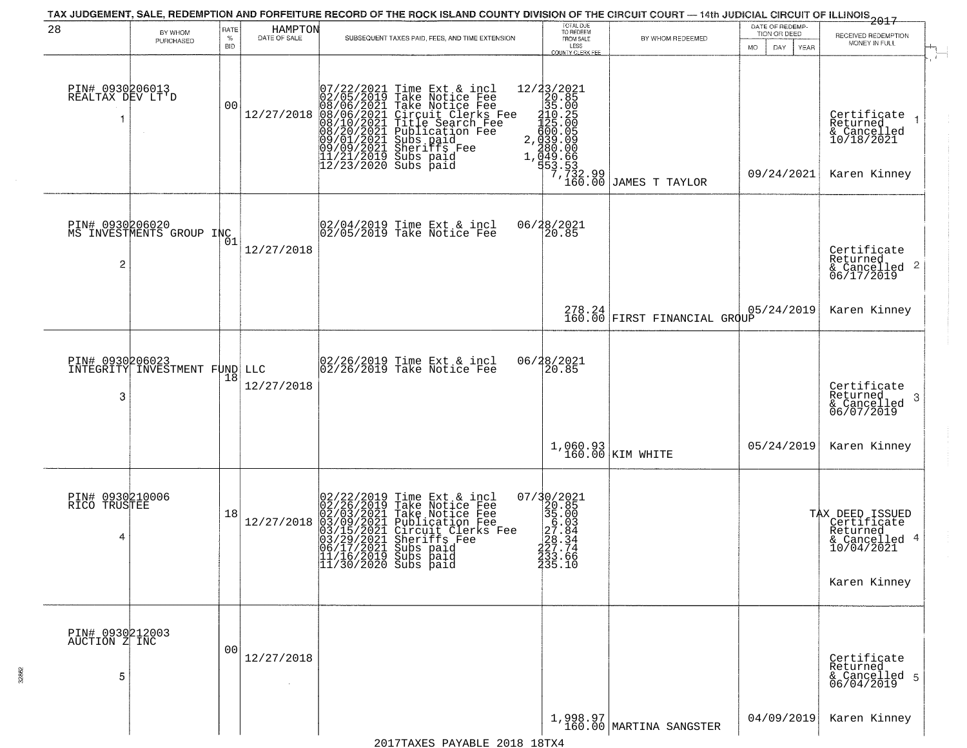|                                           |                                             |              |                         | TAX JUDGEMENT, SALE, REDEMPTION AND FORFEITURE RECORD OF THE ROCK ISLAND COUNTY DIVISION OF THE CIRCUIT COURT — 14th JUDICIAL CIRCUIT OF ILLINOIS 2017                                                                                                                                                                                                                                                                                                                                                                 |                                                                                                                                                                                           |                                        | DATE OF REDEMP-                 |                                                                                                   |
|-------------------------------------------|---------------------------------------------|--------------|-------------------------|------------------------------------------------------------------------------------------------------------------------------------------------------------------------------------------------------------------------------------------------------------------------------------------------------------------------------------------------------------------------------------------------------------------------------------------------------------------------------------------------------------------------|-------------------------------------------------------------------------------------------------------------------------------------------------------------------------------------------|----------------------------------------|---------------------------------|---------------------------------------------------------------------------------------------------|
| 28                                        | BY WHOM<br>PURCHASED                        | RATE<br>$\%$ | HAMPTON<br>DATE OF SALE | SUBSEQUENT TAXES PAID, FEES, AND TIME EXTENSION                                                                                                                                                                                                                                                                                                                                                                                                                                                                        | TOTAL DUE<br>TO REDEEM<br>FROM SALE                                                                                                                                                       | BY WHOM REDEEMED                       | TION OR DEED                    | RECEIVED REDEMPTION                                                                               |
|                                           |                                             | <b>BID</b>   |                         |                                                                                                                                                                                                                                                                                                                                                                                                                                                                                                                        | LESS<br><b>COUNTY CLERK FEE</b>                                                                                                                                                           |                                        | <b>MO</b><br>DAY<br><b>YEAR</b> | MONEY IN FULL<br>$\mathbf{r}$                                                                     |
| PIN# 0930206013<br>REALTAX DEV LT'D<br>-1 |                                             | 00           | 12/27/2018              | $\begin{smallmatrix} 07/22/2021 \\ 02/05/2019 \\ 08/06/2021 \\ 08/10/2021 \\ 08/10/2021 \\ 08/20/2021 \\ 09/09/2021 \\ 09/09/2021 \\ 11/21/2019 \\ 12/23/2020 \end{smallmatrix}$<br>Time Ext & incl<br>Take Notice Fee<br>Take Notice Fee<br>Circuit Clerks Fee<br>Title Search Fee<br>Publication Fee<br>Subs paid<br>Sherifs Fee<br>Cubs<br>2.<br>Subs paid<br>Subs paid                                                                                                                                             | 12/23/2021<br>20.85<br>35.00<br>210.25<br>225.00<br>100:05<br>039.09<br>200:00<br>$\begin{bmatrix} 49.66 \\ 49.66 \\ 53.53 \\ 7,732.99 \\ 160.00 \end{bmatrix}$                           | JAMES T TAYLOR                         | 09/24/2021                      | Certificate<br>Returned<br>& Cancelled<br>10/18/2021<br>Karen Kinney                              |
| $\overline{c}$                            | PIN# 0930206020<br>MS INVESTMENTS GROUP INC | Ō1           | 12/27/2018              | 02/04/2019 Time Ext & incl<br>02/05/2019 Take Notice Fee                                                                                                                                                                                                                                                                                                                                                                                                                                                               | 06/28/2021<br>20.85                                                                                                                                                                       |                                        |                                 | Certificate<br>Returned<br>$\overline{2}$<br>& Cancelled<br>06/17/2019                            |
|                                           |                                             |              |                         |                                                                                                                                                                                                                                                                                                                                                                                                                                                                                                                        |                                                                                                                                                                                           | 278.24<br>160.00 FIRST FINANCIAL GROUP | 05/24/2019                      | Karen Kinney                                                                                      |
| PIN# 0930206023<br>3                      | INTEGRITY INVESTMENT FUND LLC               | 18           | 12/27/2018              | 02/26/2019 Time Ext & incl<br>02/26/2019 Take Notice Fee                                                                                                                                                                                                                                                                                                                                                                                                                                                               | 06/28/2021<br>20.85                                                                                                                                                                       |                                        |                                 | Certificate<br>Returned<br>3<br>& Cancelled<br>06/07/2019                                         |
|                                           |                                             |              |                         |                                                                                                                                                                                                                                                                                                                                                                                                                                                                                                                        |                                                                                                                                                                                           | $1,060.93$ KIM WHITE                   | 05/24/2019                      | Karen Kinney                                                                                      |
| PIN# 0930210006<br>RICO TRUSTEE<br>4      |                                             | 18           | 12/27/2018              | $\begin{smallmatrix} 0 & 2 & / 2 & 2 & / 2 & 0 & 1 & 9 \\ 0 & 2 & / 2 & 6 & / 2 & 0 & 1 & 9 \\ 0 & 2 & / 0 & 3 & / 2 & 0 & 2 & 1 \\ 0 & 3 & / 1 & 5 & / 2 & 0 & 2 & 1 \\ 0 & 3 & / 2 & 9 & / 2 & 0 & 2 & 1 \\ 0 & 4 & / 1 & / 2 & / 2 & 0 & 2 & 1 \\ 0 & 5 & / 1 & / 2 & / 2 & 0 & 1 & 3 \\ 0 & 6 & / 1 & / 7 & / 2 & / 2 & 0 & 1 \\ 0$<br>Time Ext & incl<br>Take Notice Fee<br>Take Notice Fee<br>Publication Fee<br>Circuit Clerks Fee<br>Sheriffs Fee<br>Subs paid<br>11/16/2019 Subs paid<br>11/30/2020 Subs paid | $=\begin{smallmatrix} 07/3 & 0/2 & 0 & 21\\ 2 & 0 & 8 & 5\\ 3 & 5 & 0 & 0\\ 3 & 6 & 0 & 0\\ 2 & 7 & 0 & 84\\ 2 & 2 & 3 & 3 & 4\\ 2 & 3 & 3 & 0 & 6 \end{smallmatrix}$<br>233.66<br>235.10 |                                        |                                 | TAX DEED ISSUED<br>  Certificate<br>  Returned<br>-4<br>& Cancelled<br>10/04/2021<br>Karen Kinney |
| PIN# 0930212003<br>AUCTION Z INC<br>5     |                                             | 00           | 12/27/2018              |                                                                                                                                                                                                                                                                                                                                                                                                                                                                                                                        |                                                                                                                                                                                           |                                        |                                 | Certificate<br>Returned<br>& Cancelled 5<br>06/04/2019                                            |
|                                           |                                             |              |                         |                                                                                                                                                                                                                                                                                                                                                                                                                                                                                                                        |                                                                                                                                                                                           | $1,998.97$<br>160.00 MARTINA SANGSTER  | 04/09/2019                      | Karen Kinney                                                                                      |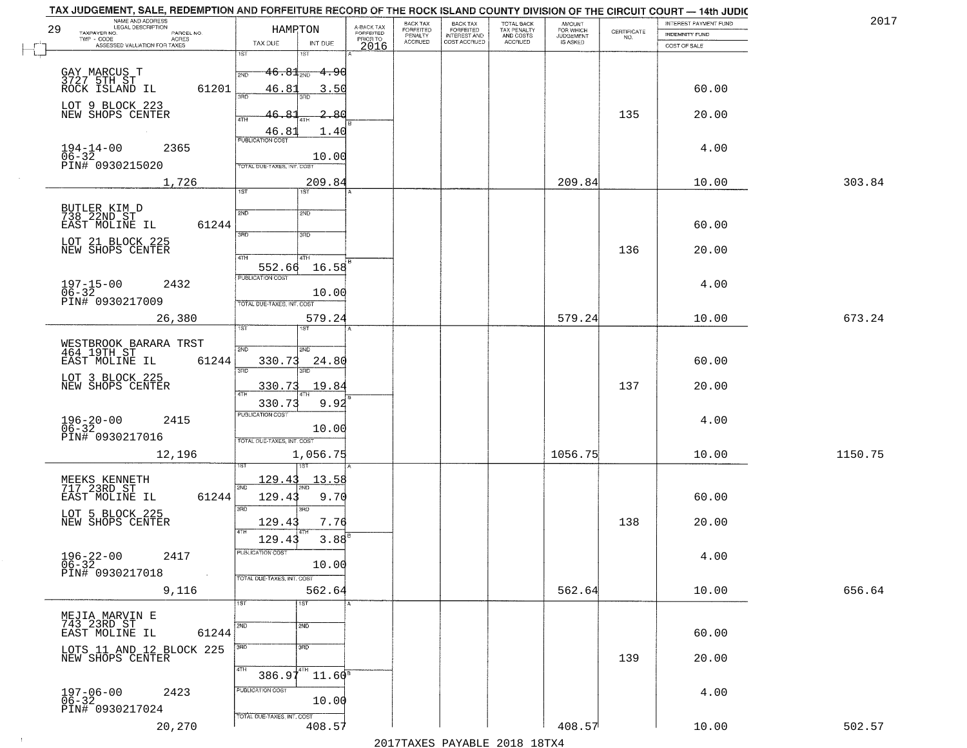|    | NAME AND ADDRESS<br>LEGAL DESCRIPTION<br>29<br>TAXPAYER NO.<br>PARCEL NO. | HAMPTON                                          | A-BACK TAX<br>FORFEITED | BACK TAX<br><b>FORFEITED</b> | <b>BACK TAX</b><br><b>FORFEITED</b> | TOTAL BACK<br>TAX PENALTY<br>AND COSTS<br>ACCRUED | <b>AMOUNT</b><br>FOR WHICH | $\begin{array}{c} \text{CERTIFICATE} \\ \text{NO.} \end{array}$ | INTEREST PAYMENT FUND<br><b>INDEMNITY FUND</b> | 2017    |
|----|---------------------------------------------------------------------------|--------------------------------------------------|-------------------------|------------------------------|-------------------------------------|---------------------------------------------------|----------------------------|-----------------------------------------------------------------|------------------------------------------------|---------|
|    | TWP - CODE<br>ACRES<br>ASSESSED VALUATION FOR TAXES                       | TAX DUE<br>INT DUE                               | PRIOR TO<br>2016        | PENALTY<br>ACCRUED           | INTEREST AND<br>COST ACCRUED        |                                                   | IS ASKED                   |                                                                 | COST OF SALE                                   |         |
| J. |                                                                           | 1ST<br>181                                       |                         |                              |                                     |                                                   |                            |                                                                 |                                                |         |
|    | GAY MARCUS T<br>3727 5TH ST                                               | $46.81$ <sub>2ND</sub><br><del>4.96</del><br>2ND |                         |                              |                                     |                                                   |                            |                                                                 |                                                |         |
|    | ROCK ISLAND IL<br>61201                                                   | 46.8<br>3.50<br>38D<br>3BD                       |                         |                              |                                     |                                                   |                            |                                                                 | 60.00                                          |         |
|    | LOT 9 BLOCK 223                                                           |                                                  |                         |                              |                                     |                                                   |                            |                                                                 |                                                |         |
|    | NEW SHOPS CENTER                                                          | 2.80<br>4TH                                      |                         |                              |                                     |                                                   |                            | 135                                                             | 20.00                                          |         |
|    |                                                                           | 46.8<br>1.40<br>PUBLICATION COST                 |                         |                              |                                     |                                                   |                            |                                                                 |                                                |         |
|    | $194 - 14 - 00$<br>2365<br>06-32<br>PIN# 0930215020                       | 10.00                                            |                         |                              |                                     |                                                   |                            |                                                                 | 4.00                                           |         |
|    |                                                                           | TOTAL DUE-TAXES, INT. COST                       |                         |                              |                                     |                                                   |                            |                                                                 |                                                |         |
|    | 1,726                                                                     | 209.84<br>1ST<br>1ST                             |                         |                              |                                     |                                                   | 209.84                     |                                                                 | 10.00                                          | 303.84  |
|    | BUTLER KIM D<br>738 22ND ST                                               | 2ND<br>2ND                                       |                         |                              |                                     |                                                   |                            |                                                                 |                                                |         |
|    | EAST MOLINE IL<br>61244                                                   |                                                  |                         |                              |                                     |                                                   |                            |                                                                 | 60.00                                          |         |
|    | LOT 21 BLOCK 225                                                          | 3RD<br>3RD                                       |                         |                              |                                     |                                                   |                            |                                                                 |                                                |         |
|    | NEW SHOPS CENTER                                                          | $\sqrt{4}$<br>4TH                                |                         |                              |                                     |                                                   |                            | 136                                                             | 20.00                                          |         |
|    |                                                                           | 16.58<br>552.66<br>PUBLICATION COST              |                         |                              |                                     |                                                   |                            |                                                                 |                                                |         |
|    | $197 - 15 - 00$<br>$06 - 32$<br>2432                                      | 10.00                                            |                         |                              |                                     |                                                   |                            |                                                                 | 4.00                                           |         |
|    | PIN# 0930217009                                                           | TOTAL DUE-TAXES, INT. COST                       |                         |                              |                                     |                                                   |                            |                                                                 |                                                |         |
|    | 26,380                                                                    | 579.24<br>1ST                                    |                         |                              |                                     |                                                   | 579.24                     |                                                                 | 10.00                                          | 673.24  |
|    |                                                                           |                                                  |                         |                              |                                     |                                                   |                            |                                                                 |                                                |         |
|    | WESTBROOK BARARA TRST<br>464 19TH ST<br>61244<br>EAST MOLINE IL           | 2ND<br>2ND<br>330.73<br>24.80                    |                         |                              |                                     |                                                   |                            |                                                                 | 60.00                                          |         |
|    | LOT 3 BLOCK 225                                                           | 3RD<br>3RD                                       |                         |                              |                                     |                                                   |                            |                                                                 |                                                |         |
|    | NEW SHOPS CENTER                                                          | 330.73<br>19.84                                  |                         |                              |                                     |                                                   |                            | 137                                                             | 20.00                                          |         |
|    |                                                                           | 9.92<br>330.73                                   |                         |                              |                                     |                                                   |                            |                                                                 |                                                |         |
|    | $196 - 20 - 00$<br>06-32<br>2415                                          | <b>PUBLICATION COST</b><br>10.00                 |                         |                              |                                     |                                                   |                            |                                                                 | 4.00                                           |         |
|    | PIN# 0930217016                                                           | TOTAL OUE-TAXES, INT. COST                       |                         |                              |                                     |                                                   |                            |                                                                 |                                                |         |
|    | 12,196                                                                    | 1,056.75                                         |                         |                              |                                     |                                                   | 1056.75                    |                                                                 | 10.00                                          | 1150.75 |
|    |                                                                           | 129.43<br>13.5                                   |                         |                              |                                     |                                                   |                            |                                                                 |                                                |         |
|    | MEEKS KENNETH<br>717 23RD ST<br>EAST MOLINE IL<br>61244                   | 2ND<br>129.4<br>9.70                             |                         |                              |                                     |                                                   |                            |                                                                 | 60.00                                          |         |
|    |                                                                           | 3RD<br>3BD                                       |                         |                              |                                     |                                                   |                            |                                                                 |                                                |         |
|    | LOT 5 BLOCK 225<br>NEW SHOPS CENTER                                       | 129.43<br>7.76                                   |                         |                              |                                     |                                                   |                            | 138                                                             | 20.00                                          |         |
|    |                                                                           | 4TH<br>129.43<br>3.88                            |                         |                              |                                     |                                                   |                            |                                                                 |                                                |         |
|    | $196 - 22 - 00$<br>06-32<br>2417                                          | PUBLICATION COST                                 |                         |                              |                                     |                                                   |                            |                                                                 | 4.00                                           |         |
|    | PIN# 0930217018                                                           | 10.00<br>TOTAL DUE-TAXES, INT. COST              |                         |                              |                                     |                                                   |                            |                                                                 |                                                |         |
|    | 9,116                                                                     | 562.64                                           |                         |                              |                                     |                                                   | 562.64                     |                                                                 | 10.00                                          | 656.64  |
|    |                                                                           | 1ST<br>1ST                                       |                         |                              |                                     |                                                   |                            |                                                                 |                                                |         |
|    | MEJIA MARVIN E<br>743 23RD ST                                             | 2ND<br>2ND                                       |                         |                              |                                     |                                                   |                            |                                                                 |                                                |         |
|    | EAST MOLINE IL<br>61244                                                   |                                                  |                         |                              |                                     |                                                   |                            |                                                                 | 60.00                                          |         |
|    | LOTS 11 AND 12 BLOCK 225<br>NEW SHOPS CENTER                              | $\overline{3}$ RD<br>3RD                         |                         |                              |                                     |                                                   |                            | 139                                                             | 20.00                                          |         |
|    |                                                                           | 4TH<br>$386.97^{4TH}$<br>$11.60^8$               |                         |                              |                                     |                                                   |                            |                                                                 |                                                |         |
|    | 2423                                                                      | PUBLICATION COST                                 |                         |                              |                                     |                                                   |                            |                                                                 | 4.00                                           |         |
|    | $197 - 06 - 00$<br>06-32<br>PIN# 0930217024                               | 10.00                                            |                         |                              |                                     |                                                   |                            |                                                                 |                                                |         |
|    | 20,270                                                                    | TOTAL DUE-TAXES, INT. COST<br>408.57             |                         |                              |                                     |                                                   | 408.57                     |                                                                 | 10.00                                          | 502.57  |
|    |                                                                           |                                                  |                         |                              | 0.17                                |                                                   |                            |                                                                 |                                                |         |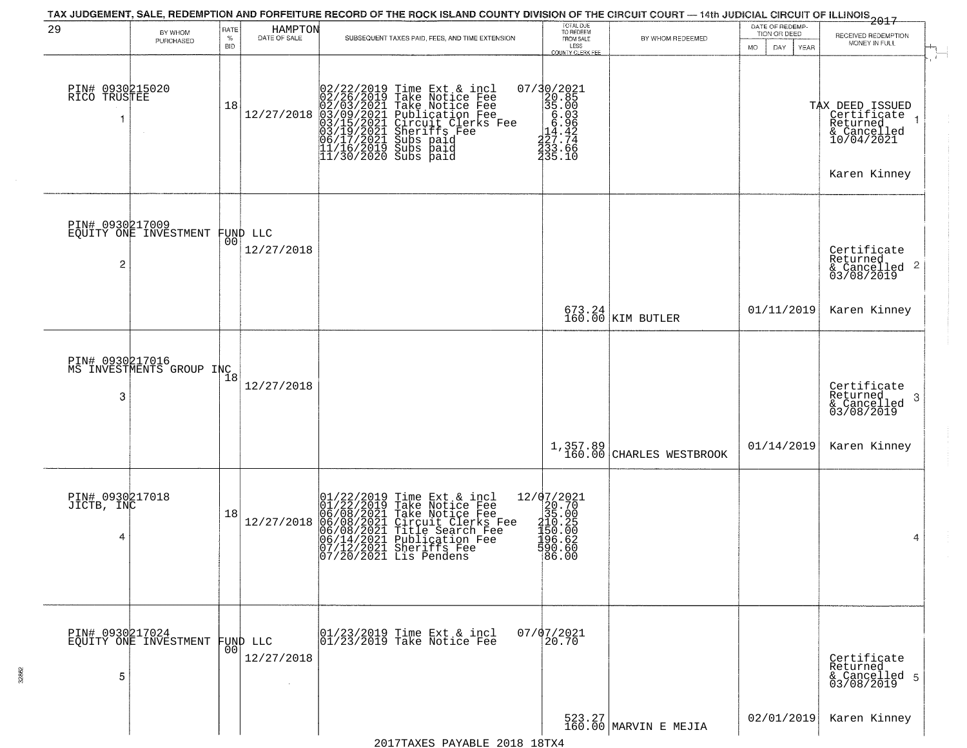| 29                                 | BY WHOM<br>PURCHASED                        | RATE<br>$\%$<br><b>BID</b> | HAMPTON<br>DATE OF SALE | SUBSEQUENT TAXES PAID, FEES, AND TIME EXTENSION                                                                                                                                                                                                                                                                                                                                                                                                                                | TOTAL DUE<br>TO REDEEM<br>FROM SALE<br>LESS<br><b>COUNTY CLERK FEE</b>                                                                                                                | BY WHOM REDEEMED                     | DATE OF REDEMP-<br>TION OR DEED<br><b>MO</b><br>DAY<br>YEAR | 2017<br>RECEIVED REDEMPTION<br>MONEY IN FULL<br>$\mathcal{F}$ .                         |
|------------------------------------|---------------------------------------------|----------------------------|-------------------------|--------------------------------------------------------------------------------------------------------------------------------------------------------------------------------------------------------------------------------------------------------------------------------------------------------------------------------------------------------------------------------------------------------------------------------------------------------------------------------|---------------------------------------------------------------------------------------------------------------------------------------------------------------------------------------|--------------------------------------|-------------------------------------------------------------|-----------------------------------------------------------------------------------------|
| PIN# 0930215020<br>RICO TRUSTEE    |                                             | 18                         |                         | $[02/22/2019 \text{ Time Ext & incl } 02/26/2019 \text{ Take Notice } \text{Fee} \\ 02/26/2019 \text{ Take Notice } \text{Fee}} \\ 12/27/2018 \begin{pmatrix} 02/03/2021 \text{ Take Notice } \text{Fee}}{03/15/2021} \\ 03/15/2021 \text{ Curcutt } \text{Clerks } \text{Fe} \\ 03/15/2021 \text{Sterrifts } \text{Fee} \\ 06/17/2021 \text{ Subs paid} \\ 11/16/2019 \text{ Subs paid} \\ 1$<br>Publication Fee<br>Circuit Clerks Fee<br>Subs paid<br>Subs paid<br>Subs paid | $\begin{smallmatrix} 07/3 & 0/2 & 02 & 1 \\ 2 & 2 & 0.8 & 5 \\ 3 & 5 & 0 & 0 \\ 6 & 0 & 6 & 0 \\ 7 & 2 & 7 & 74 \\ 2 & 3 & 3 & 0 \\ 2 & 3 & 5 & 6 \\ 3 & 5 & 1 & 0 \end{smallmatrix}$ |                                      |                                                             | TAX DEED ISSUED<br>Certificate<br>Returned<br>& Cancelled<br>10/04/2021<br>Karen Kinney |
| PIN# 0930217009<br>2               | EQUITY ONE INVESTMENT                       | 00                         | FUND LLC<br>12/27/2018  |                                                                                                                                                                                                                                                                                                                                                                                                                                                                                |                                                                                                                                                                                       |                                      |                                                             | Certificate<br>Returned<br>& Cancelled 2<br>03/08/2019                                  |
|                                    |                                             |                            |                         |                                                                                                                                                                                                                                                                                                                                                                                                                                                                                |                                                                                                                                                                                       | 673.24<br>160.00 KIM BUTLER          | 01/11/2019                                                  | Karen Kinney                                                                            |
| 3                                  | PIN# 0930217016<br>MS INVESTMENTS GROUP INC |                            | 12/27/2018              |                                                                                                                                                                                                                                                                                                                                                                                                                                                                                |                                                                                                                                                                                       |                                      |                                                             | Certificate<br>Returned<br>& Cancelled<br>03/08/2019<br>-3                              |
|                                    |                                             |                            |                         |                                                                                                                                                                                                                                                                                                                                                                                                                                                                                |                                                                                                                                                                                       | 1,357.89<br>160.00 CHARLES WESTBROOK | 01/14/2019                                                  | Karen Kinney                                                                            |
| PIN# 0930217018<br>JICTB, INC<br>4 |                                             | 18                         | 12/27/2018              | $01/22/2019$ Time Ext & incl<br>01/22/2019 Take Notice Fee<br>06/08/2021 Take Notice Fee<br>06/08/2021 Circuit Clerks Fee<br>06/08/2021 Tublication Fee<br>06/14/2021 Publication Fee<br>07/12/2021 Sheriffs Fee<br>07/20/2021 Lis Pendens                                                                                                                                                                                                                                     | 12/07/2021<br>$20.70$<br>$35.00$<br>$310.25$<br>$150.00$<br>$198.62$<br>590.60<br>86.00                                                                                               |                                      |                                                             | 4                                                                                       |
| 5                                  | PIN# 0930217024<br>EQUITY ONE INVESTMENT    | 0 <sub>0</sub>             | FUND LLC<br>12/27/2018  | 01/23/2019 Time Ext & incl<br>01/23/2019 Take Notice Fee                                                                                                                                                                                                                                                                                                                                                                                                                       | $07/07/2021$<br>20.70                                                                                                                                                                 |                                      |                                                             | Certificate<br>Returned<br>& Cancelled 5<br>03/08/2019                                  |
|                                    |                                             |                            |                         |                                                                                                                                                                                                                                                                                                                                                                                                                                                                                |                                                                                                                                                                                       | 523.27<br>160.00 MARVIN E MEJIA      | 02/01/2019                                                  | Karen Kinney                                                                            |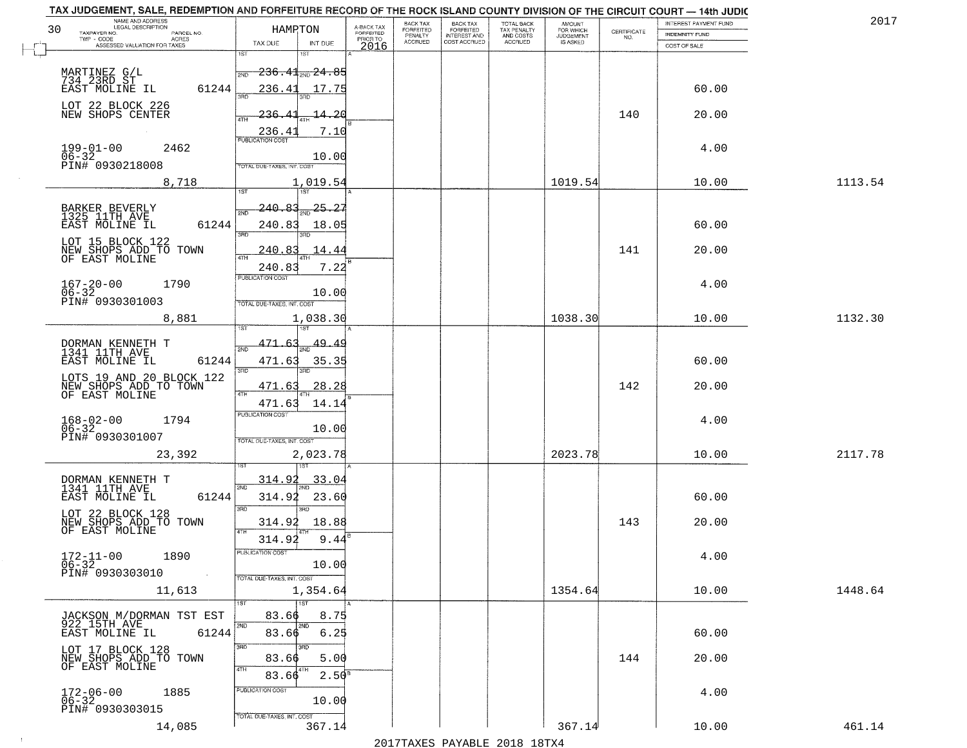| NAME AND ADDRESS<br>LEGAL DESCRIPTION                                                |                                                         |                                     | BACK TAX             | <b>BACK TAX</b>           |                                        | AMOUNT<br>FOR WHICH |                                                                 | INTEREST PAYMENT FUND | 2017    |
|--------------------------------------------------------------------------------------|---------------------------------------------------------|-------------------------------------|----------------------|---------------------------|----------------------------------------|---------------------|-----------------------------------------------------------------|-----------------------|---------|
| 30<br>TAXPAYER NO.<br>PARCEL NO.<br>ACRES                                            | HAMPTON                                                 | A-BACK TAX<br>FORFEITED<br>PRIOR TO | FORFEITED<br>PENALTY | FORFEITED<br>INTEREST AND | TOTAL BACK<br>TAX PENALTY<br>AND COSTS | <b>JUDGEMENT</b>    | $\begin{array}{c} \text{CERTIFICATE} \\ \text{NO.} \end{array}$ | INDEMNITY FUND        |         |
| ASSESSED VALUATION FOR TAXES                                                         | TAX DUE<br>INT DUE                                      | 2016                                | <b>ACCRUED</b>       | COST ACCRUED              | <b>ACCRUED</b>                         | IS ASKED            |                                                                 | COST OF SALE          |         |
| MARTINEZ G/L<br>734 23RD ST<br>EAST MOLINE IL                                        | 1ST<br>$236.41_{20}$ 24.85<br>2ND                       |                                     |                      |                           |                                        |                     |                                                                 |                       |         |
| 61244<br>LOT 22 BLOCK 226                                                            | 236.41<br>17.75                                         |                                     |                      |                           |                                        |                     |                                                                 | 60.00                 |         |
| NEW SHOPS CENTER                                                                     | 14.20<br>236.<br>236.41<br>7.10                         |                                     |                      |                           |                                        |                     | 140                                                             | 20.00                 |         |
| $199 - 01 - 00$<br>2462<br>$06 - 32$<br>PIN# 0930218008                              | 10.00<br>TOTAL DUE-TAXES, INT. COST                     |                                     |                      |                           |                                        |                     |                                                                 | 4.00                  |         |
| 8,718                                                                                | 1,019.54                                                |                                     |                      |                           |                                        | 1019.54             |                                                                 | 10.00                 | 1113.54 |
| BARKER BEVERLY<br>1325 11TH AVE<br>EAST MOLINE IL<br>61244                           | 25.27<br>240.83<br><b>PND</b><br>240.83<br>18.05<br>3RD |                                     |                      |                           |                                        |                     |                                                                 | 60.00                 |         |
| LOT 15 BLOCK 122<br>NEW SHOPS ADD TO TOWN<br>OF EAST MOLINE                          | 240.83<br>14.44<br>$\overline{ATH}$<br>240.83<br>7.22   |                                     |                      |                           |                                        |                     | 141                                                             | 20.00                 |         |
| $167 - 20 - 00$<br>1790<br>$06 - 32$<br>PIN# 0930301003                              | PUBLICATION COST<br>10.00<br>TOTAL DUE-TAXES, INT. COST |                                     |                      |                           |                                        |                     |                                                                 | 4.00                  |         |
| 8,881                                                                                | 1,038.30<br>īsT                                         |                                     |                      |                           |                                        | 1038.30             |                                                                 | 10.00                 | 1132.30 |
| DORMAN KENNETH T<br>1341 11TH AVE<br>EAST MOLINE IL<br>61244                         | 471.63<br>49.4<br>2ND<br>471.63<br>35.35                |                                     |                      |                           |                                        |                     |                                                                 | 60.00                 |         |
| LOTS 19 AND 20 BLOCK 122                                                             | 3RD<br>3RD<br>471.63<br>28.28                           |                                     |                      |                           |                                        |                     | 142                                                             | 20.00                 |         |
| NEW SHOPS ADD TO TOWN                                                                | 4TH<br>14.14<br>471.63<br><b>PUBLICATION COST</b>       |                                     |                      |                           |                                        |                     |                                                                 |                       |         |
| $168 - 02 - 00$<br>06-32<br>1794<br>PIN# 0930301007                                  | 10.00<br>TOTAL OUE-TAXES, INT. COST                     |                                     |                      |                           |                                        |                     |                                                                 | 4.00                  |         |
| 23,392                                                                               | 2,023.78                                                |                                     |                      |                           |                                        | 2023.78             |                                                                 | 10.00                 | 2117.78 |
| DORMAN KENNETH T<br>1341 11TH AVE<br>EAST MOLINE IL<br>61244                         | 314.92<br>33.04<br>2ND<br>314.92<br>23.60<br>3RD<br>חחו |                                     |                      |                           |                                        |                     |                                                                 | 60.00                 |         |
| LOT 22 BLOCK 128<br>NEW SHOPS ADD TO TOWN<br>OF EAST MOLINE                          | 314.92<br>18.88<br>4TH<br>314.92<br>9.44                |                                     |                      |                           |                                        |                     | 143                                                             | 20.00                 |         |
| $172 - 11 - 00$<br>1890<br>$06 - 32$<br>PIN# 0930303010<br>$\sim 10^{11}$ km $^{-1}$ | PUBLICATION CUS<br>10.00<br>TOTAL DUE-TAXES, INT. COST  |                                     |                      |                           |                                        |                     |                                                                 | 4.00                  |         |
| 11,613                                                                               | 1,354.64<br>1ST                                         |                                     |                      |                           |                                        | 1354.64             |                                                                 | 10.00                 | 1448.64 |
| JACKSON M/DORMAN TST EST<br>922 15TH AVE                                             | 83.66<br>8.75<br>2ND<br>2ND                             |                                     |                      |                           |                                        |                     |                                                                 |                       |         |
| 61244<br>EAST MOLINE IL                                                              | 83.66<br>6.25<br>3RD<br>חחו                             |                                     |                      |                           |                                        |                     |                                                                 | 60.00                 |         |
| LOT 17 BLOCK 128<br>NEW SHOPS ADD TO TOWN<br>OF EAST MOLINE                          | 83.66<br>5.00<br>4TH<br>2.50 <sup>B</sup><br>83.66      |                                     |                      |                           |                                        |                     | 144                                                             | 20.00                 |         |
| $172 - 06 - 00$<br>1885<br>$06 - 32$<br>PIN# 0930303015                              | PUBLICATION COST<br>10.00<br>TOTAL DUE-TAXES, INT. COST |                                     |                      |                           |                                        |                     |                                                                 | 4.00                  |         |
| 14,085                                                                               | 367.14                                                  |                                     |                      |                           |                                        | 367.14              |                                                                 | 10.00                 | 461.14  |

 $\sim 100$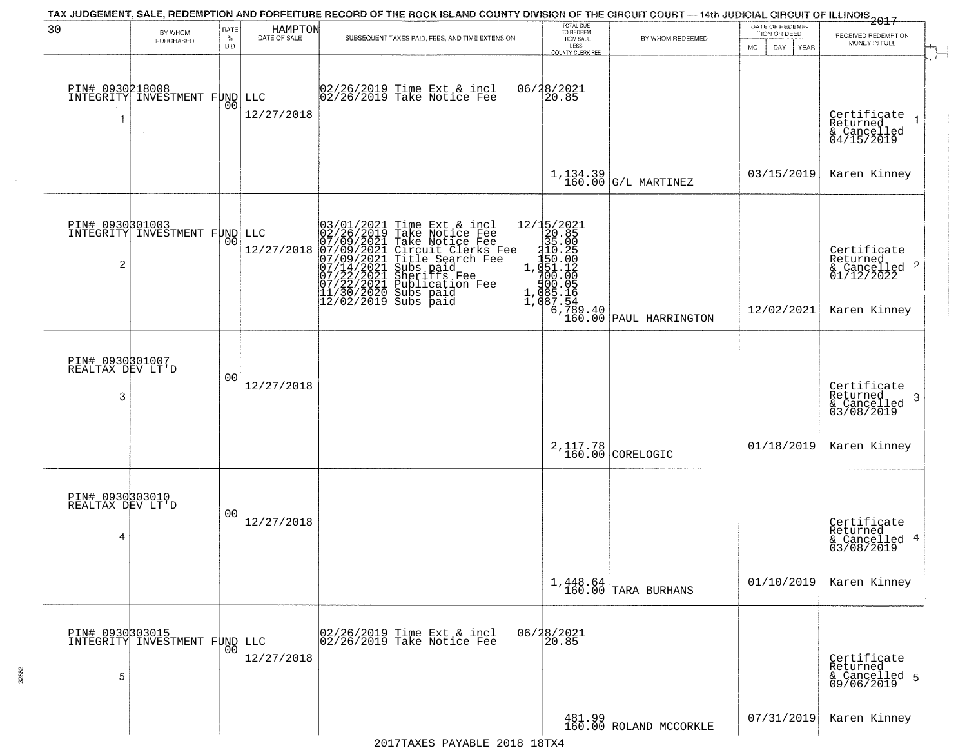|                                          |                                                  |                            |                         | TAX JUDGEMENT, SALE, REDEMPTION AND FORFEITURE RECORD OF THE ROCK ISLAND COUNTY DIVISION OF THE CIRCUIT COURT — 14th JUDICIAL CIRCUIT OF ILLINOIS 2017                                                                                                                                                                                                               |                                                                                            |                                                                                 |                                                        |                                                                                    |
|------------------------------------------|--------------------------------------------------|----------------------------|-------------------------|----------------------------------------------------------------------------------------------------------------------------------------------------------------------------------------------------------------------------------------------------------------------------------------------------------------------------------------------------------------------|--------------------------------------------------------------------------------------------|---------------------------------------------------------------------------------|--------------------------------------------------------|------------------------------------------------------------------------------------|
| 30                                       | BY WHOM<br>PURCHASED                             | RATE<br>$\%$<br><b>BID</b> | HAMPTON<br>DATE OF SALE | SUBSEQUENT TAXES PAID, FEES, AND TIME EXTENSION                                                                                                                                                                                                                                                                                                                      | TOTAL DUE<br>TO REDEEM<br>FROM SALE<br>LESS<br>COUNTY CLERK FEE                            | BY WHOM REDEEMED                                                                | DATE OF REDEMP-<br>TION OR DEED<br>DAY.<br>YEAR<br>MO. | RECEIVED REDEMPTION<br>MONEY IN FULL<br>$\mathcal{L}$                              |
| PIN# 0930218008<br>-1                    | INTEGRITY INVESTMENT FUND                        | 0 <sub>0</sub>             | LLC<br>12/27/2018       | 02/26/2019 Time Ext & incl<br>02/26/2019 Take Notice Fee                                                                                                                                                                                                                                                                                                             | 06/28/2021<br>20.85                                                                        |                                                                                 |                                                        | Certificate<br>Returned<br>& Cancelled<br>04/15/2019                               |
|                                          |                                                  |                            |                         |                                                                                                                                                                                                                                                                                                                                                                      |                                                                                            | $1,134.39$ $ $ G/L MARTINEZ                                                     | 03/15/2019                                             | Karen Kinney                                                                       |
| $\overline{c}$                           | PIN# 0930301003<br>INTEGRITY INVESTMENT FUND LLC | 00                         | 12/27/2018              | $03/01/2021$ Time Ext & incl<br>02/26/2019 Take Notice Fee<br>07/09/2021 Take Notice Fee<br>07/09/2021 Circuit Clerks F<br>07/09/2021 Title Search Fee<br>07/14/2021 Subs paid<br>07/22/2021 Publication Fee<br>11/30/2020 Subs paid<br>12/02/2019 Su<br>Take Notice Fee<br>Circuit Clerks Fee<br>Circuit Clerks Fee<br>Subs paid<br>Sheriffs Fee<br>Publicațion Fee | 12/15/2021<br>$12/48/26$ $20.25$ $2150.25$ $1.7510.125$ $1.085:164$ $1.085:164$ $1.087:54$ | $\left[\begin{array}{c} 6, 789.40 \\ 160.00 \end{array}\right]$ PAUL HARRINGTON | 12/02/2021                                             | Certificate<br>Returned<br>$\frac{1}{6}$ Cancelled 2<br>01/12/2022<br>Karen Kinney |
| PIN# 0930301007<br>REALTAX DEV LT'D<br>3 |                                                  | 00                         | 12/27/2018              |                                                                                                                                                                                                                                                                                                                                                                      |                                                                                            |                                                                                 |                                                        | Certificate<br>Returned<br>-3<br>& Cancelled<br>03/08/2019                         |
|                                          |                                                  |                            |                         |                                                                                                                                                                                                                                                                                                                                                                      |                                                                                            | $2,117.78$ CORELOGIC                                                            | 01/18/2019                                             | Karen Kinney                                                                       |
| PIN# 0930303010<br>REALTAX DEV LT'D<br>4 |                                                  | 0 <sub>0</sub>             | 12/27/2018              |                                                                                                                                                                                                                                                                                                                                                                      |                                                                                            |                                                                                 |                                                        | Certificate<br>Returned<br>& Cancelled 4<br>03/08/2019                             |
|                                          |                                                  |                            |                         |                                                                                                                                                                                                                                                                                                                                                                      |                                                                                            | $1,448.64$ TARA BURHANS                                                         | 01/10/2019                                             | Karen Kinney                                                                       |
| 5                                        | PIN# 0930303015<br>INTEGRITY INVESTMENT FUND     | 00                         | LLC<br>12/27/2018       | 02/26/2019 Time Ext & incl<br>02/26/2019 Take Notice Fee                                                                                                                                                                                                                                                                                                             | 06/28/2021<br>20.85                                                                        |                                                                                 |                                                        | Certificate<br>Returned<br>& Cancelled 5<br>09/06/2019                             |
|                                          |                                                  |                            |                         |                                                                                                                                                                                                                                                                                                                                                                      |                                                                                            | 481.99<br>160.00 ROLAND MCCORKLE                                                | 07/31/2019                                             | Karen Kinney                                                                       |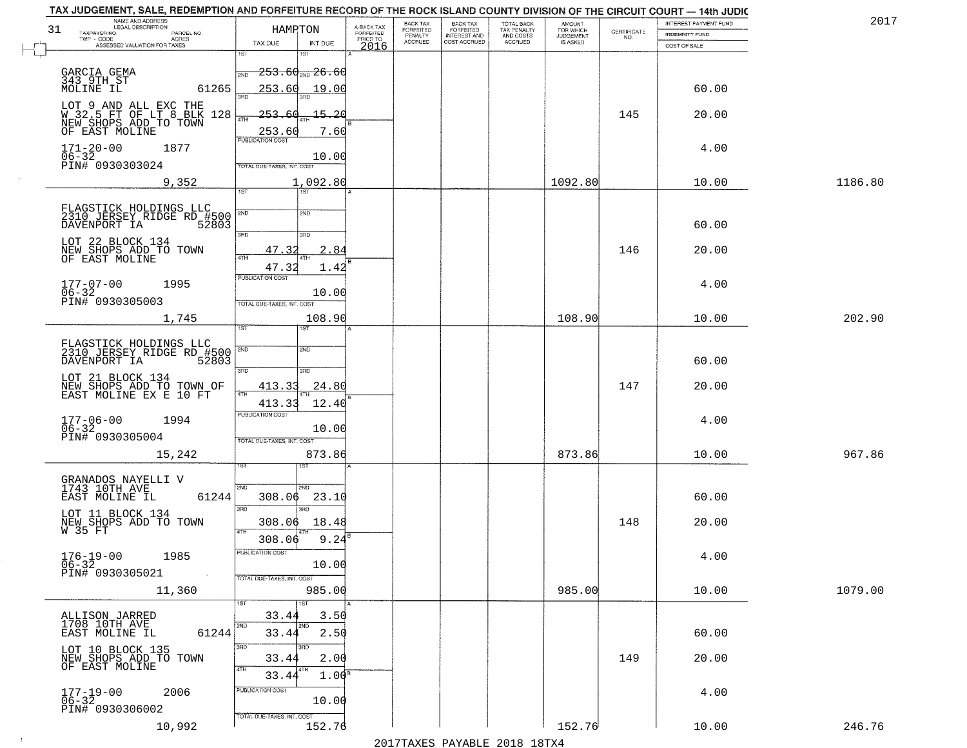| NAME AND ADDRESS<br>LEGAL DESCRIPTION<br>31<br>TAXPAYER NO.<br>PARCEL NO.   | HAMRTON                                           | A-BACK TAX<br>FORFEITED<br>PRIOR TO | BACK TAX<br>FORFEITED     | BACK TAX<br>FORFEITED<br>INTEREST AND | TOTAL BACK<br>TAX PENALTY<br>AND COSTS | AMOUNT<br>FOR WHICH          | $\begin{array}{c} \text{CERTIFICATE} \\ \text{NO.} \end{array}$ | INTEREST PAYMENT FUND<br><b>INDEMNITY FUND</b> | 2017    |
|-----------------------------------------------------------------------------|---------------------------------------------------|-------------------------------------|---------------------------|---------------------------------------|----------------------------------------|------------------------------|-----------------------------------------------------------------|------------------------------------------------|---------|
| $TWP - CODE$<br>ACRES<br>ASSESSED VALUATION FOR TAXES                       | TAX DUE<br>INT DUE                                | 2016                                | PENALTY<br><b>ACCRUED</b> | COST ACCRUED                          | <b>ACCRUED</b>                         | <b>JUDGEMENT</b><br>IS ASKED |                                                                 | COST OF SALE                                   |         |
|                                                                             | 1ST<br>1ST                                        |                                     |                           |                                       |                                        |                              |                                                                 |                                                |         |
| GARCIA GEMA<br>343 9TH ST<br>MOLINE IL                                      | <del>-253․60<sub>2№</sub>-26․60</del><br>2ND      |                                     |                           |                                       |                                        |                              |                                                                 |                                                |         |
| 61265                                                                       | 253.60<br>19.00                                   |                                     |                           |                                       |                                        |                              |                                                                 | 60.00                                          |         |
| LOT 9 AND ALL EXC THE<br>W 32.5 FT OF LT 8 BLK 128<br>NEW SHOPS ADD TO TOWN | $-253-$<br><u> 15.20</u><br>60                    |                                     |                           |                                       |                                        |                              | 145                                                             | 20.00                                          |         |
| OF EAST MOLINE                                                              | <b>ATH</b><br>7.60                                |                                     |                           |                                       |                                        |                              |                                                                 |                                                |         |
| $171 - 20 - 00$<br>1877                                                     | 253.60                                            |                                     |                           |                                       |                                        |                              |                                                                 | 4.00                                           |         |
| 06-32<br>PIN# 0930303024                                                    | 10.00<br>TOTAL DUE-TAXES, INT. COST               |                                     |                           |                                       |                                        |                              |                                                                 |                                                |         |
| 9,352                                                                       | 1,092.80                                          |                                     |                           |                                       |                                        | 1092.80                      |                                                                 | 10.00                                          | 1186.80 |
|                                                                             | 1ST<br>1ST                                        |                                     |                           |                                       |                                        |                              |                                                                 |                                                |         |
| FLAGSTICK HOLDINGS LLC<br>2310 JERSEY RIDGE RD #500<br>DAVENPORT IA 52803   | 2ND                                               |                                     |                           |                                       |                                        |                              |                                                                 |                                                |         |
|                                                                             | 3BD<br>3RD                                        |                                     |                           |                                       |                                        |                              |                                                                 | 60.00                                          |         |
| LOT 22 BLOCK 134<br>NEW SHOPS ADD TO TOWN                                   | 47.3<br>2.84                                      |                                     |                           |                                       |                                        |                              | 146                                                             | 20.00                                          |         |
| OF EAST MOLINE                                                              | 47.32<br>1.42                                     |                                     |                           |                                       |                                        |                              |                                                                 |                                                |         |
| $177 - 07 - 00$<br>1995                                                     | PUBLICATION COST                                  |                                     |                           |                                       |                                        |                              |                                                                 | 4.00                                           |         |
| $06 - 32$<br>PIN# 0930305003                                                | 10.00<br>TOTAL DUE-TAXES, INT. COST               |                                     |                           |                                       |                                        |                              |                                                                 |                                                |         |
| 1,745                                                                       | 108.90                                            |                                     |                           |                                       |                                        | 108.90                       |                                                                 | 10.00                                          | 202.90  |
|                                                                             | īst<br><b>ST</b>                                  |                                     |                           |                                       |                                        |                              |                                                                 |                                                |         |
| FLAGSTICK HOLDINGS LLC<br>2310 JERSEY RIDGE RD #500<br>DAVENPORT IA 52803   | 2ND<br>2ND                                        |                                     |                           |                                       |                                        |                              |                                                                 |                                                |         |
|                                                                             | 3RD<br>3RD                                        |                                     |                           |                                       |                                        |                              |                                                                 | 60.00                                          |         |
| LOT 21 BLOCK 134<br>NEW SHOPS ADD TO TOWN OF<br>EAST MOLINE EX E 10 FT      | 413.33<br>24.80<br>4TH                            |                                     |                           |                                       |                                        |                              | 147                                                             | 20.00                                          |         |
|                                                                             | 413.33<br>12.40                                   |                                     |                           |                                       |                                        |                              |                                                                 |                                                |         |
| 177-06-00<br>06-32<br>1994                                                  | <b>PUBLICATION COST</b><br>10.00                  |                                     |                           |                                       |                                        |                              |                                                                 | 4.00                                           |         |
| PIN# 0930305004                                                             | TOTAL OUE-TAXES, INT. COST                        |                                     |                           |                                       |                                        |                              |                                                                 |                                                |         |
| 15,242                                                                      | 873.86                                            |                                     |                           |                                       |                                        | 873.86                       |                                                                 | 10.00                                          | 967.86  |
|                                                                             | लि                                                |                                     |                           |                                       |                                        |                              |                                                                 |                                                |         |
| GRANADOS NAYELLI V<br>1743 10TH AVE<br>61244<br>EAST MOLINE IL              | 2ND<br>2ND.<br>308.06<br>23.10                    |                                     |                           |                                       |                                        |                              |                                                                 | 60.00                                          |         |
| LOT 11 BLOCK 134                                                            | 3RD<br>3BD                                        |                                     |                           |                                       |                                        |                              |                                                                 |                                                |         |
| NEW SHOPS ADD TO TOWN<br>W 35 FT                                            | 308.06<br>18.48<br>4TH                            |                                     |                           |                                       |                                        |                              | 148                                                             | 20.00                                          |         |
|                                                                             | 9.24<br>308.06<br>PUBLICATION COST                |                                     |                           |                                       |                                        |                              |                                                                 |                                                |         |
| $176-19-00$<br>06-32<br>1985                                                | 10.00                                             |                                     |                           |                                       |                                        |                              |                                                                 | 4.00                                           |         |
| PIN# 0930305021                                                             | TOTAL DUE-TAXES, INT. COST                        |                                     |                           |                                       |                                        |                              |                                                                 |                                                |         |
| 11,360                                                                      | 985.00<br>1ST<br>1ST                              |                                     |                           |                                       |                                        | 985.00                       |                                                                 | 10.00                                          | 1079.00 |
| ALLISON JARRED<br>1708 10TH AVE                                             | 33.44<br>3.50                                     |                                     |                           |                                       |                                        |                              |                                                                 |                                                |         |
| 61244<br>EAST MOLINE IL                                                     | 2ND<br>2ND<br>2.50<br>33.44                       |                                     |                           |                                       |                                        |                              |                                                                 | 60.00                                          |         |
| LOT 10 BLOCK 135                                                            | 3RD<br>3RD<br>2.00                                |                                     |                           |                                       |                                        |                              | 149                                                             | 20.00                                          |         |
| NEW SHOPS ADD TO TOWN<br>OF EAST MOLINE                                     | 33.44<br>4TH<br>4TH<br>1.00 <sup>F</sup><br>33.44 |                                     |                           |                                       |                                        |                              |                                                                 |                                                |         |
| 2006                                                                        | PUBLICATION COST                                  |                                     |                           |                                       |                                        |                              |                                                                 | 4.00                                           |         |
| $177 - 19 - 00$<br>06-32<br>PIN# 0930306002                                 | 10.00                                             |                                     |                           |                                       |                                        |                              |                                                                 |                                                |         |
| 10,992                                                                      | TOTAL DUE-TAXES, INT. COST<br>152.76              |                                     |                           |                                       |                                        | 152.76                       |                                                                 | 10.00                                          | 246.76  |

 $\sim 10^{-1}$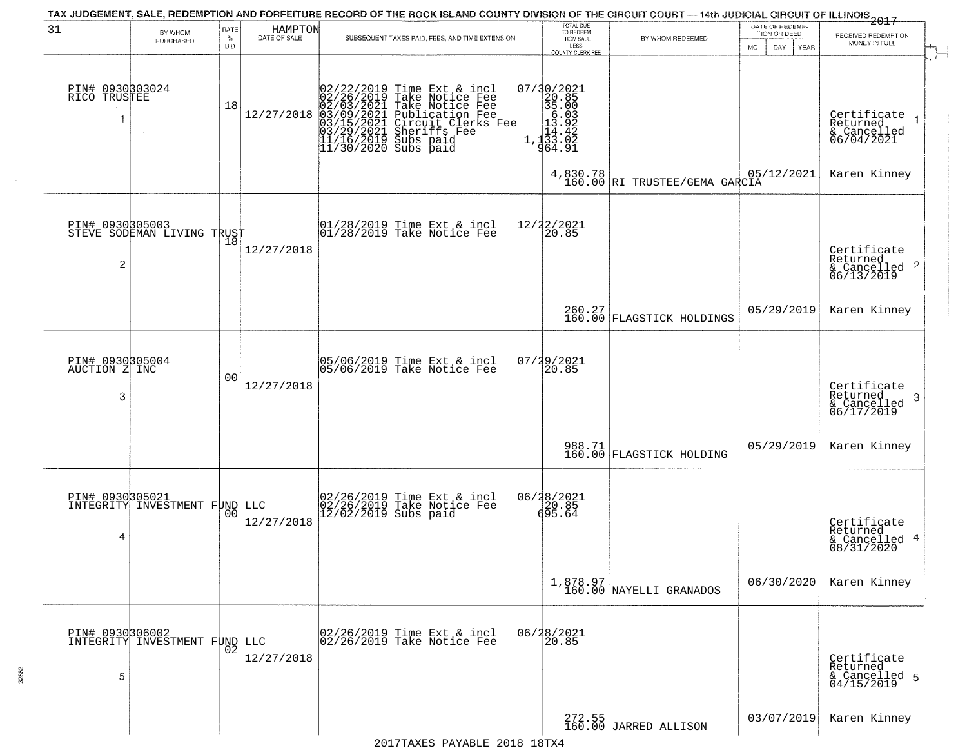|                                       |                                                         |                            |                         | TAX JUDGEMENT, SALE, REDEMPTION AND FORFEITURE RECORD OF THE ROCK ISLAND COUNTY DIVISION OF THE CIRCUIT COURT - 14th JUDICIAL CIRCUIT OF ILLINOIS 2017                                                                       |                                                                                                                                                                                                    |                                                            |                                                              |                                                                    |
|---------------------------------------|---------------------------------------------------------|----------------------------|-------------------------|------------------------------------------------------------------------------------------------------------------------------------------------------------------------------------------------------------------------------|----------------------------------------------------------------------------------------------------------------------------------------------------------------------------------------------------|------------------------------------------------------------|--------------------------------------------------------------|--------------------------------------------------------------------|
| 31                                    | BY WHOM<br>PURCHASED                                    | RATE<br>$\%$<br><b>BID</b> | HAMPTON<br>DATE OF SALE | SUBSEQUENT TAXES PAID, FEES, AND TIME EXTENSION                                                                                                                                                                              | TOTAL DUE<br>TO REDEEM<br>FROM SALE<br>LESS<br>COUNTY CLERK FEE                                                                                                                                    | BY WHOM REDEEMED                                           | DATE OF REDEMP-<br>TION OR DEED<br><b>DAY</b><br>YEAR<br>MO. | RECEIVED REDEMPTION<br>MONEY IN FULL                               |
| PIN# 0930303024<br>RICO TRUSTEE<br>1  | $\sim$                                                  | 18                         | 12/27/2018              | $02/22/2019$ Time Ext & incl<br>02/26/2019 Take Notice Fee<br>02/03/2021 Take Notice Fee<br>03/09/2021 Publication Fee<br>03/15/2021 Sheriffs Fee<br>03/29/2021 Sheriffs Fee<br>11/16/2019 Subs paid<br>11/30/2020 Subs paid | $\begin{smallmatrix} 07/3 & 0 & 2 & 0 & 2 & 1 \\ 2 & 0 & 8 & 5 & 5 \\ 3 & 5 & 0 & 0 & 3 \\ 1 & 0 & 0 & 0 & 1 \\ 1 & 1 & 0 & 0 & 2 \\ 1 & 1 & 3 & 3 & 0 & 2 \\ 9 & 6 & 4 & 9 & 1 \end{smallmatrix}$ |                                                            |                                                              | Certificate<br>Returned<br>& Cancelled<br>06/04/2021               |
|                                       |                                                         |                            |                         |                                                                                                                                                                                                                              |                                                                                                                                                                                                    | $4,830.78$ $ 05/12/2021 $<br>160.00 RI TRUSTEE/GEMA GARCIA |                                                              | Karen Kinney                                                       |
| 2                                     | PIN# 0930805003<br>STEVE SODEMAN LIVING TRUST           |                            | 12/27/2018              | $\begin{array}{ccc}  01/28/2019 \text{ Time} & \text{Ext} & \text{incl} \\  01/28/2019 \text{ Take Notice } \text{Fe} \end{array}$                                                                                           | 12/22/2021<br>20.85                                                                                                                                                                                |                                                            |                                                              | Certificate<br>Returned<br>$\frac{1}{6}$ Cancelled 2<br>06/13/2019 |
|                                       |                                                         |                            |                         |                                                                                                                                                                                                                              |                                                                                                                                                                                                    | 260.27<br>160.00 FLAGSTICK HOLDINGS                        | 05/29/2019                                                   | Karen Kinney                                                       |
| PIN# 0930305004<br>AUCTION Z INC<br>3 |                                                         | 0 <sub>0</sub>             | 12/27/2018              | 05/06/2019 Time Ext & incl<br>05/06/2019 Take Notice Fee                                                                                                                                                                     | $07/29/2021$<br>20.85                                                                                                                                                                              |                                                            |                                                              | Certificate<br>Returned<br>3<br>& Cancelled<br>06/17/2019          |
|                                       |                                                         |                            |                         |                                                                                                                                                                                                                              |                                                                                                                                                                                                    | 988.71<br>160.00 FLAGSTICK HOLDING                         | 05/29/2019                                                   | Karen Kinney                                                       |
| 4                                     | <b>PIN# 0930305021</b><br>INTEGRITY INVESTMENT FUND LLC | 00                         | 12/27/2018              | 02/26/2019 Time Ext & incl<br>02/26/2019 Take Notice Fee<br>12/02/2019 Subs paid                                                                                                                                             | 06/28/2021<br>20.85<br>695.64                                                                                                                                                                      |                                                            |                                                              | Certificate<br>Returned<br>& Cancelled 4<br>08/31/2020             |
|                                       |                                                         |                            |                         |                                                                                                                                                                                                                              |                                                                                                                                                                                                    | 1,878.97<br>160.00 NAYELLI GRANADOS                        | 06/30/2020                                                   | Karen Kinney                                                       |
| 5                                     | PIN# 0930306002<br>INTEGRITY INVESTMENT FUND LLC        | 02                         | 12/27/2018              | 02/26/2019 Time Ext & incl<br>02/26/2019 Take Notice Fee                                                                                                                                                                     | 06/28/2021<br>20.85                                                                                                                                                                                |                                                            |                                                              | Certificate<br>Returned<br>& Cancelled 5<br>04/15/2019             |
|                                       |                                                         |                            |                         |                                                                                                                                                                                                                              |                                                                                                                                                                                                    | $272.55$<br>160.00 JARRED ALLISON                          | 03/07/2019                                                   | Karen Kinney                                                       |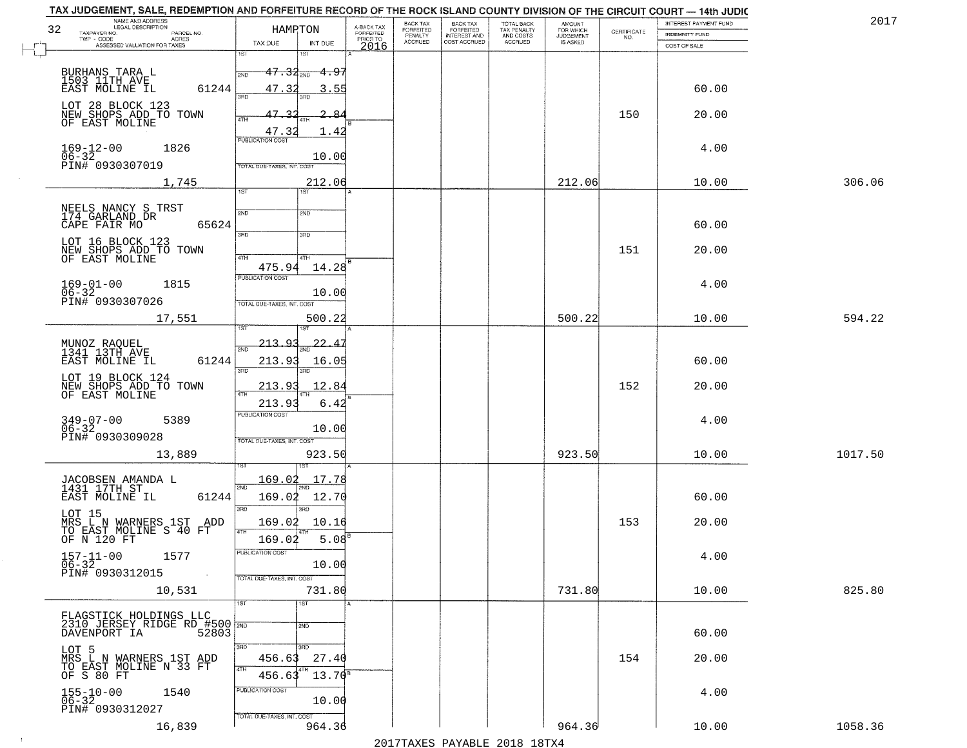| TAX JUDGEMENT, SALE, REDEMPTION AND FORFEITURE RECORD OF THE ROCK ISLAND COUNTY DIVISION OF THE CIRCUIT COURT - 14th JUDIC<br>NAME AND ADDRESS<br>LEGAL DESCRIPTION                                                            |                                                                                                                                         |                                                                   | BACK TAX             | <b>BACK TAX</b>           |                                        |                                         |                                                                 | INTEREST PAYMENT FUND           | 2017    |
|--------------------------------------------------------------------------------------------------------------------------------------------------------------------------------------------------------------------------------|-----------------------------------------------------------------------------------------------------------------------------------------|-------------------------------------------------------------------|----------------------|---------------------------|----------------------------------------|-----------------------------------------|-----------------------------------------------------------------|---------------------------------|---------|
| 32<br>TAXPAYER NO.<br>PARCEL NO.                                                                                                                                                                                               | HAMPTON                                                                                                                                 | A-BACK TAX<br>FORFEITED<br>PRIOR TO                               | FORFEITED<br>PENALTY | FORFEITED<br>INTEREST AND | TOTAL BACK<br>TAX PENALTY<br>AND COSTS | AMOUNT<br>FOR WHICH<br><b>JUDGEMENT</b> | $\begin{array}{c} \text{CERTIFICATE} \\ \text{NO.} \end{array}$ | <b>INDEMNITY FUND</b>           |         |
| ACRES<br>ASSESSED VALUATION FOR TAXES                                                                                                                                                                                          | TAX DUE<br>INT DUE                                                                                                                      | 2016                                                              | <b>ACCRUED</b>       | COST ACCRUED              | ACCRUED                                | IS ASKED                                |                                                                 | COST OF SALE                    |         |
| BURHANS TARA L<br>1503 11TH AVE<br>61244<br>EAST MOLINE IL<br>LOT 28 BLOCK 123<br>NEW SHOPS ADD TO TOWN<br>OF EAST MOLINE                                                                                                      | 1ST<br>$47.34_{\text{20}}$<br>47.32<br>390<br>47.32<br>4TH                                                                              | $-4.97$<br>3.55<br>-8                                             |                      |                           |                                        |                                         | 150                                                             | 60.00<br>20.00                  |         |
| $169 - 12 - 00$<br>$06 - 32$<br>1826<br>PIN# 0930307019<br>1,745                                                                                                                                                               | 47.32<br><b>PUBLICATION COST</b><br>TOTAL DUE-TAXES, INT. COST                                                                          | 1.42<br>10.00<br>212.06                                           |                      |                           |                                        | 212.06                                  |                                                                 | 4.00<br>10.00                   | 306.06  |
| NEELS NANCY S TRST<br>174 GARLAND DR<br>65624<br>CAPE FAIR MO<br>LOT 16 BLOCK 123<br>NEW SHOPS ADD TO TOWN<br>OF EAST MOLINE<br>$169 - 01 - 00$<br>1815<br>$06 - 32$<br>PIN# 0930307026                                        | 1ST<br>2ND<br>2ND<br>3RD<br>3RD<br>47H<br>4TH<br>475.94<br>PUBLICATION COST<br>TOTAL DUE-TAXES, INT. COST                               | 14.28<br>10.00                                                    |                      |                           |                                        |                                         | 151                                                             | 60.00<br>20.00<br>4.00          |         |
| 17,551<br>MUNOZ RAQUEL<br>1341 13TH AVE<br>EAST MOLINE IL<br>61244<br>LOT 19 BLOCK 124<br>NEW SHOPS ADD TO TOWN<br>OF EAST MOLINE<br>$349 - 07 - 00$<br>06-32<br>5389<br>PIN# 0930309028                                       | 1ST<br>isτ<br>213.93<br>2ND<br>213.93<br>3RD<br>3RD.<br>213.93<br>4TH<br>213.9<br><b>PUBLICATION COST</b><br>TOTAL OUE-TAXES, INT. COST | 500.22<br>$-22.4$<br>16.05<br>12.84<br>6.42<br>10.00              |                      |                           |                                        | 500.22                                  | 152                                                             | 10.00<br>60.00<br>20.00<br>4.00 | 594.22  |
| 13,889<br>JACOBSEN AMANDA L<br>1431 17TH ST<br>EAST MOLINE IL<br>61244<br>LOT 15<br>MRS L N WARNERS 1ST ADD<br>TO EAST MOLINE S 40 FT<br>OF N 120 FT<br>$157 - 11 - 00$<br>1577<br>$06 - 32$<br>PIN# 0930312015<br>$\sim 100$  | <u>169.02</u><br>2ND<br>169.02<br>3RD<br>3RD<br>169.02<br>4TH<br>169.02<br>"UBLICA HUN CUS<br>TOTAL DUE-TAXES, INT. COST                | 923.50<br>17.78<br>12.70<br>10.16<br>$5.08$ <sup>B</sup><br>10.00 |                      |                           |                                        | 923.50                                  | 153                                                             | 10.00<br>60.00<br>20.00<br>4.00 | 1017.50 |
| 10,531<br>FLAGSTICK HOLDINGS LLC<br>2310 JERSEY RIDGE RD #500 2ND<br>DAVENPORT IA 52803<br>LOT 5<br>MRS L N WARNERS 1ST ADD<br>TO EAST MOLINE N 33 FT<br>OF S 80 FT<br>$155 - 10 - 00$<br>$06 - 32$<br>1540<br>PIN# 0930312027 | 1ST<br>1ST<br>2ND<br>3RD<br>3RD<br>456.63<br>4TH<br>8 T H<br>456.63<br>PUBLICATION COST<br>TOTAL DUE-TAXES, INT. COST                   | 731.80<br>27.40<br>$13.70^8$<br>10.00                             |                      |                           |                                        | 731.80                                  | 154                                                             | 10.00<br>60.00<br>20.00<br>4.00 | 825.80  |
| 16,839                                                                                                                                                                                                                         |                                                                                                                                         | 964.36                                                            |                      |                           |                                        | 964.36                                  |                                                                 | 10.00                           | 1058.36 |

 $\sim 100$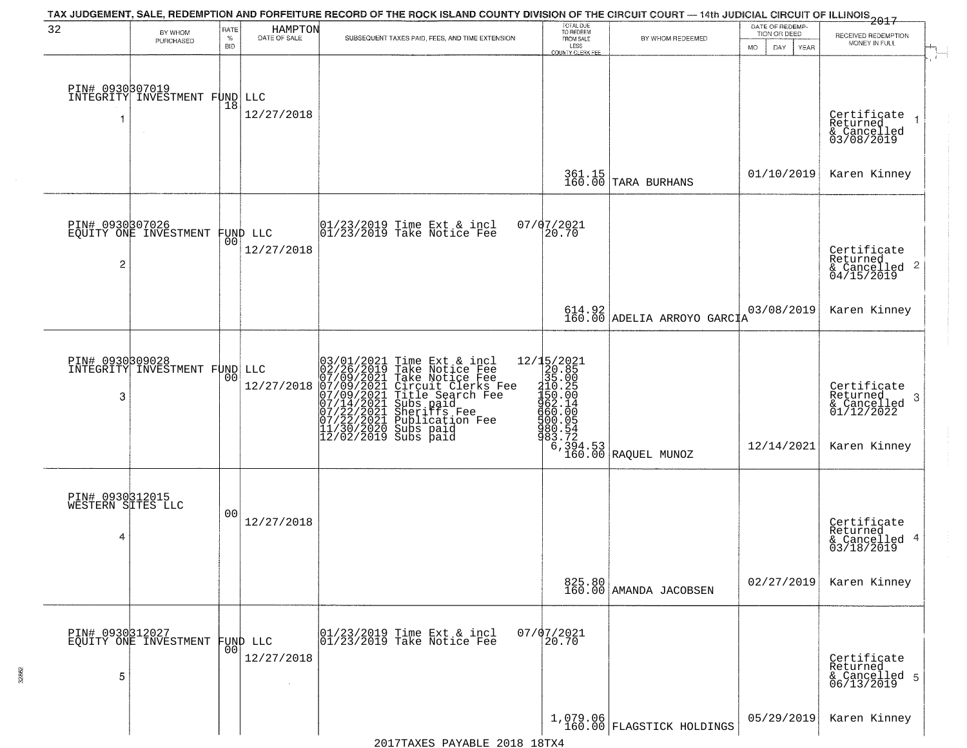|                                           |                                                  |                |                                          | TAX JUDGEMENT, SALE, REDEMPTION AND FORFEITURE RECORD OF THE ROCK ISLAND COUNTY DIVISION OF THE CIRCUIT COURT — 14th JUDICIAL CIRCUIT OF ILLINOIS 2017                                                                                                                                                                                                                       |                                                                                                                                                  |                                                                  |                                 |                                                                           |
|-------------------------------------------|--------------------------------------------------|----------------|------------------------------------------|------------------------------------------------------------------------------------------------------------------------------------------------------------------------------------------------------------------------------------------------------------------------------------------------------------------------------------------------------------------------------|--------------------------------------------------------------------------------------------------------------------------------------------------|------------------------------------------------------------------|---------------------------------|---------------------------------------------------------------------------|
| 32                                        | BY WHOM                                          | RATE<br>$\%$   | HAMPTON<br>DATE OF SALE                  | SUBSEQUENT TAXES PAID, FEES, AND TIME EXTENSION                                                                                                                                                                                                                                                                                                                              | TOTAL DUE<br>TO REDEEM<br>FROM SALE                                                                                                              | BY WHOM REDEEMED                                                 | DATE OF REDEMP-<br>TION OR DEED | RECEIVED REDEMPTION                                                       |
|                                           | PURCHASED                                        | <b>BID</b>     |                                          |                                                                                                                                                                                                                                                                                                                                                                              | LESS<br><b>COUNTY CLERK FEE</b>                                                                                                                  |                                                                  | MO.<br>DAY.<br><b>YEAR</b>      | MONEY IN FULL                                                             |
| 1                                         | PIN# 0930307019<br>INTEGRITY INVESTMENT FUND LLC | 18             | 12/27/2018                               |                                                                                                                                                                                                                                                                                                                                                                              |                                                                                                                                                  |                                                                  |                                 | Certificate<br>Returned<br>& Cancelled<br>03/08/2019                      |
|                                           |                                                  |                |                                          |                                                                                                                                                                                                                                                                                                                                                                              |                                                                                                                                                  | 361.15<br>160.00 TARA BURHANS                                    | 01/10/2019                      | Karen Kinney                                                              |
| 2                                         | PIN# 0930307026<br>EQUITY ONE INVESTMENT         |                | FUND LLC<br> 00 <br>12/27/2018           | 01/23/2019 Time Ext & incl<br>01/23/2019 Take Notice Fee                                                                                                                                                                                                                                                                                                                     | 07/07/2021<br>20.70                                                                                                                              |                                                                  |                                 | Certificate<br>Returned<br>& Cancelled 2<br>04/15/2019                    |
|                                           |                                                  |                |                                          |                                                                                                                                                                                                                                                                                                                                                                              |                                                                                                                                                  | 614.92<br>160.00 ADELIA ARROYO GARCIA                            | 03/08/2019                      | Karen Kinney                                                              |
| PIN# 0930309028<br>3                      | INTEGRITY INVESTMENT FUND LLC                    | 00             | 12/27/2018                               | 03/01/2021 Time Ext &<br>02/26/2019 Take Notic<br>07/09/2021 Take Notic<br>07/09/2021 Circuit Cl<br>07/09/2021 Title Sear<br>07/14/2021 Subs paid<br>07/22/2021 Sublicatic<br>11/30/2020 Subs paid<br>12/02/2019 Subs paid<br>Time Ext & incl<br>Take Notice Fee<br>Take Notice Fee<br>Circuit Clerks Fee<br>Circuit Clerks Fee<br>Subs paid<br>Publication Fee<br>Subs paid | $[12/15/2021]$ $[20.85]$ $[30.20]$ $[30.20]$ $[30.20]$ $[30.20]$ $[30.20]$ $[30.20]$ $[30.20]$ $[30.20]$ $[30.20]$ $[30.20]$ $[30.20]$ $[30.20]$ | $\begin{bmatrix} 6, 354.53 \\ 160.00 \end{bmatrix}$ RAQUEL MUNOZ | 12/14/2021                      | Certificate<br>Returned<br>3<br>& Cancelled<br>01/12/2022<br>Karen Kinney |
| PIN# 0930312015<br>WESTERN SITES LLC<br>4 |                                                  | 0 <sub>0</sub> | 12/27/2018                               |                                                                                                                                                                                                                                                                                                                                                                              |                                                                                                                                                  |                                                                  |                                 | Certificate<br>Returned<br>& Cancelled 4<br>03/18/2019                    |
|                                           |                                                  |                |                                          |                                                                                                                                                                                                                                                                                                                                                                              |                                                                                                                                                  | 825.80<br>160.00 AMANDA JACOBSEN                                 | 02/27/2019                      | Karen Kinney                                                              |
| PIN# 0930312027<br>5                      | EOUITY ONE INVESTMENT                            |                | FUND LLC<br> 00 <br>12/27/2018<br>$\sim$ | 01/23/2019 Time Ext & incl<br>01/23/2019 Take Notice Fee                                                                                                                                                                                                                                                                                                                     | $07/07/2021$<br>20.70                                                                                                                            |                                                                  |                                 | Certificate<br>Returned<br>& Cancelled 5<br>06/13/2019                    |
|                                           |                                                  |                |                                          |                                                                                                                                                                                                                                                                                                                                                                              |                                                                                                                                                  | $1,079.06$ FLAGSTICK HOLDINGS                                    | 05/29/2019                      | Karen Kinney                                                              |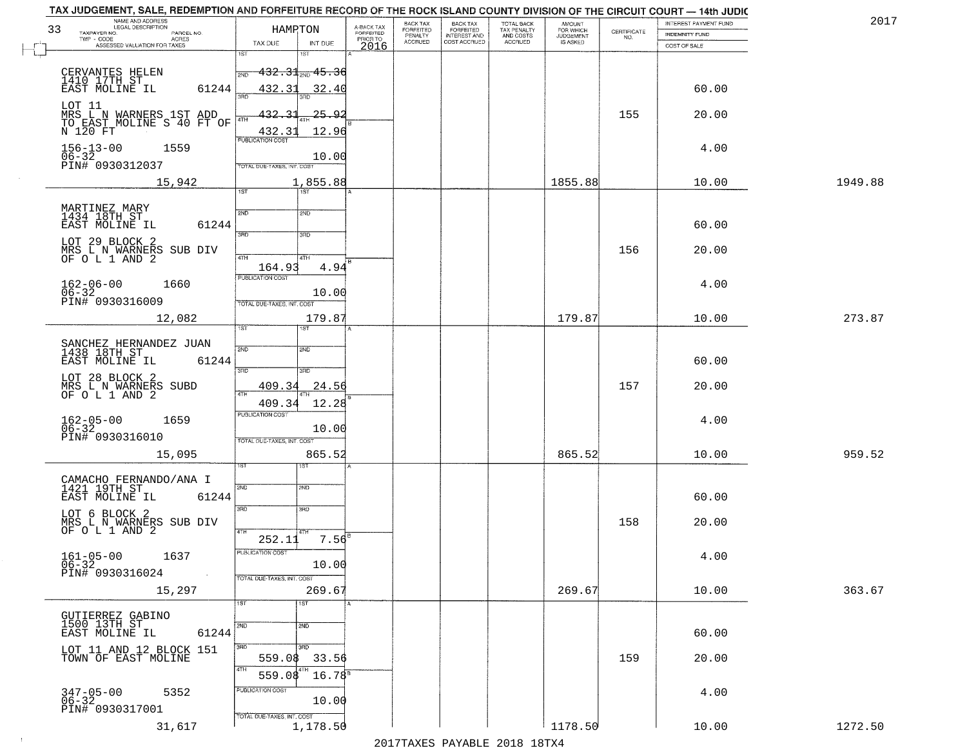| TAX JUDGEMENT, SALE, REDEMPTION AND FORFEITURE RECORD OF THE ROCK ISLAND COUNTY DIVISION OF THE CIRCUIT COURT — 14th JUDIC<br>NAME AND ADDRESS<br>LEGAL DESCRIPTION<br>33<br>TAXPAYER NO.<br>PARCEL NO. | HAMRTON                                          | BACK TAX<br>A-BACK TAX<br>FORFEITED<br><b>FORFEITED</b><br>PENALTY<br>ACCRUED<br>PRIOR TO | BACK TAX<br>FORFEITED<br>INTEREST AND<br>COST ACCRUED | TOTAL BACK<br>TAX PENALTY<br>AND COSTS<br>ACCRUED | <b>AMOUNT</b><br>FOR WHICH<br>JUDGEMENT<br>IS ASKED | CERTIFICATE<br>NO. | INTEREST PAYMENT FUND<br>INDEMNITY FUND | 2017    |
|---------------------------------------------------------------------------------------------------------------------------------------------------------------------------------------------------------|--------------------------------------------------|-------------------------------------------------------------------------------------------|-------------------------------------------------------|---------------------------------------------------|-----------------------------------------------------|--------------------|-----------------------------------------|---------|
| TWP - CODE AGRES<br>ASSESSED VALUATION FOR TAXES                                                                                                                                                        | TAX DUE<br>INT DUE<br>1ST<br>1ST                 | 2016                                                                                      |                                                       |                                                   |                                                     |                    | COST OF SALE                            |         |
|                                                                                                                                                                                                         | <del>-432.31<sub>2N0</sub> 45.3</del> 6<br>2ND   |                                                                                           |                                                       |                                                   |                                                     |                    |                                         |         |
| CERVANTES HELEN<br>1410 17TH ST<br>EAST MOLINE IL<br>61244                                                                                                                                              | 432.31<br>32.40                                  |                                                                                           |                                                       |                                                   |                                                     |                    | 60.00                                   |         |
|                                                                                                                                                                                                         | 3AD<br>3BD                                       |                                                                                           |                                                       |                                                   |                                                     |                    |                                         |         |
| LOT 11<br>MRS L N WARNERS 1ST ADD<br>TO EAST MOLINE S 40 FT OF<br>N 120 FT                                                                                                                              | 432.<br><u> 25.92</u><br>4TH<br>432.3<br>12.96   |                                                                                           |                                                       |                                                   |                                                     | 155                | 20.00                                   |         |
| $156 - 13 - 00$<br>1559                                                                                                                                                                                 | <b>PUBLICATION COST</b>                          |                                                                                           |                                                       |                                                   |                                                     |                    | 4.00                                    |         |
| $06 - 32$<br>PIN# 0930312037                                                                                                                                                                            | 10.00<br>TOTAL DUE-TAXES, INT. COST              |                                                                                           |                                                       |                                                   |                                                     |                    |                                         |         |
| 15,942                                                                                                                                                                                                  | 1,855.88<br>$\overline{1ST}$<br>1ST <sup>1</sup> |                                                                                           |                                                       |                                                   | 1855.88                                             |                    | 10.00                                   | 1949.88 |
|                                                                                                                                                                                                         |                                                  |                                                                                           |                                                       |                                                   |                                                     |                    |                                         |         |
| MARTINEZ MARY<br>1434 18TH ST<br>61244<br>EAST MOLINE IL                                                                                                                                                | 2ND<br>2ND                                       |                                                                                           |                                                       |                                                   |                                                     |                    | 60.00                                   |         |
| LOT 29 BLOCK 2                                                                                                                                                                                          | 3RD<br>3HD                                       |                                                                                           |                                                       |                                                   |                                                     |                    |                                         |         |
| MRS L N WARNERS SUB DIV<br>OF OL 1 AND 2                                                                                                                                                                | 47H<br>4TH<br>4.94<br>164.93                     |                                                                                           |                                                       |                                                   |                                                     | 156                | 20.00                                   |         |
| $162 - 06 - 00$<br>$06 - 32$<br>1660                                                                                                                                                                    | PUBLICATION COST                                 |                                                                                           |                                                       |                                                   |                                                     |                    | 4.00                                    |         |
| PIN# 0930316009                                                                                                                                                                                         | 10.00<br>TOTAL DUE-TAXES, INT. COST              |                                                                                           |                                                       |                                                   |                                                     |                    |                                         |         |
| 12,082                                                                                                                                                                                                  | 179.87<br>1ST                                    |                                                                                           |                                                       |                                                   | 179.87                                              |                    | 10.00                                   | 273.87  |
| SANCHEZ HERNANDEZ JUAN<br>1438 18TH ST                                                                                                                                                                  | 2ND<br>2ND                                       |                                                                                           |                                                       |                                                   |                                                     |                    |                                         |         |
| EAST MOLINE IL<br>61244                                                                                                                                                                                 |                                                  |                                                                                           |                                                       |                                                   |                                                     |                    | 60.00                                   |         |
| LOT 28 BLOCK 2<br>MRS L N WARNERS SUBD                                                                                                                                                                  | 3RD<br>3RD<br>409.34<br>24.56                    |                                                                                           |                                                       |                                                   |                                                     | 157                | 20.00                                   |         |
| OF O L 1 AND 2                                                                                                                                                                                          | 4TH<br>409.34<br>12.28                           |                                                                                           |                                                       |                                                   |                                                     |                    |                                         |         |
| $162 - 05 - 00$<br>06-32<br>1659                                                                                                                                                                        | <b>PUBLICATION COST</b><br>10.00                 |                                                                                           |                                                       |                                                   |                                                     |                    | 4.00                                    |         |
| PIN# 0930316010                                                                                                                                                                                         | TOTAL OUE-TAXES, INT. COST                       |                                                                                           |                                                       |                                                   |                                                     |                    |                                         |         |
| 15,095                                                                                                                                                                                                  | 865.52<br>ख़ा                                    |                                                                                           |                                                       |                                                   | 865.52                                              |                    | 10.00                                   | 959.52  |
| CAMACHO FERNANDO/ANA I<br>1421 19TH ST                                                                                                                                                                  | 2ND<br>2ND                                       |                                                                                           |                                                       |                                                   |                                                     |                    |                                         |         |
| EAST MOLINE IL<br>61244                                                                                                                                                                                 |                                                  |                                                                                           |                                                       |                                                   |                                                     |                    | 60.00                                   |         |
| LOT 6 BLOCK 2<br>MRS L N WARNERS SUB DIV<br>OF O L 1 AND 2                                                                                                                                              | 3RD<br>3RD                                       |                                                                                           |                                                       |                                                   |                                                     | 158                | 20.00                                   |         |
|                                                                                                                                                                                                         | 4TH<br>4TH<br>7.56 <sup>B</sup><br>252.11        |                                                                                           |                                                       |                                                   |                                                     |                    |                                         |         |
| $161-05-00$ 1637<br>06-32                                                                                                                                                                               | PUBLICATION COST<br>10.00                        |                                                                                           |                                                       |                                                   |                                                     |                    | 4.00                                    |         |
| PIN# 0930316024                                                                                                                                                                                         | TOTAL DUE-TAXES, INT. COST                       |                                                                                           |                                                       |                                                   |                                                     |                    |                                         |         |
| 15,297                                                                                                                                                                                                  | 269.67<br>1ST<br>1ST                             |                                                                                           |                                                       |                                                   | 269.67                                              |                    | 10.00                                   | 363.67  |
| GUTIERREZ GABINO<br>1500 13TH ST                                                                                                                                                                        | 2ND<br>2ND                                       |                                                                                           |                                                       |                                                   |                                                     |                    |                                         |         |
| EAST MOLINE IL<br>61244                                                                                                                                                                                 |                                                  |                                                                                           |                                                       |                                                   |                                                     |                    | 60.00                                   |         |
| LOT 11 AND 12 BLOCK 151<br>TOWN OF EAST MOLINE                                                                                                                                                          | 3BD<br>3 <sub>BD</sub><br>559.08<br>33.56        |                                                                                           |                                                       |                                                   |                                                     | 159                | 20.00                                   |         |
|                                                                                                                                                                                                         | 4TH<br>$16.78^{\circ}$<br>559.08                 |                                                                                           |                                                       |                                                   |                                                     |                    |                                         |         |
| 347-05-00<br>06-32<br>5352                                                                                                                                                                              | PUBLICATION COST<br>10.00                        |                                                                                           |                                                       |                                                   |                                                     |                    | 4.00                                    |         |
| PIN# 0930317001                                                                                                                                                                                         | TOTAL DUE-TAXES, INT. COST<br>1,178.50           |                                                                                           |                                                       |                                                   | 1178.50                                             |                    |                                         | 1272.50 |
| 31,617                                                                                                                                                                                                  |                                                  |                                                                                           |                                                       |                                                   |                                                     |                    | 10.00                                   |         |

 $\sim 100$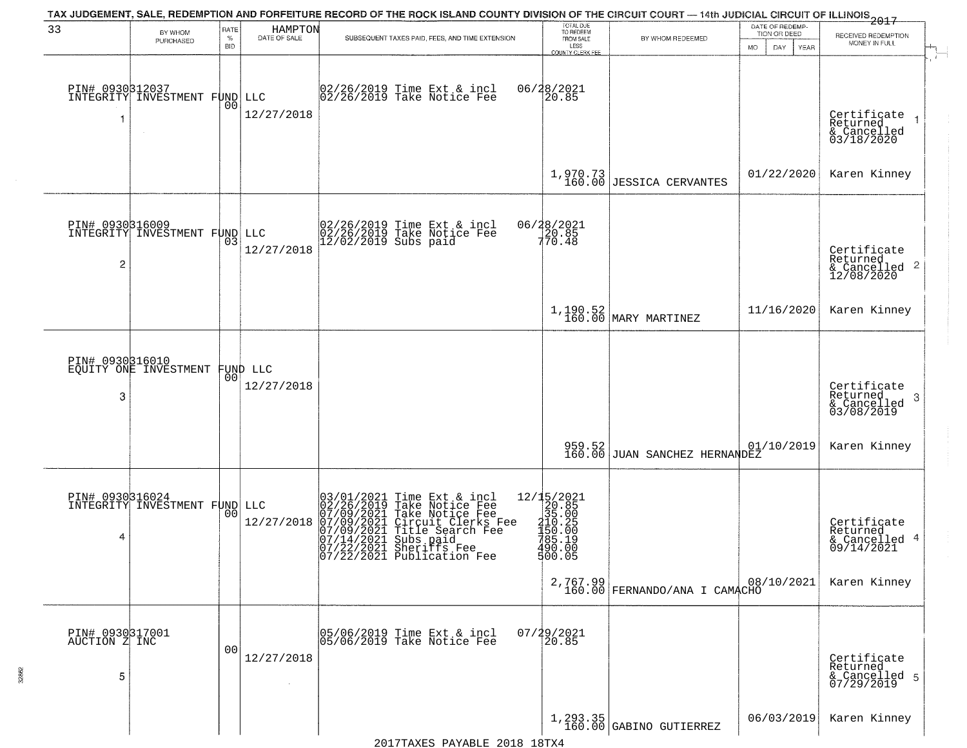| 33                                    | BY WHOM<br>PURCHASED                         | RATE<br>$\%$<br>BID | HAMPTON<br>DATE OF SALE        | SUBSEQUENT TAXES PAID, FEES, AND TIME EXTENSION                                                                                                                                                                                                                                                                                          | TOTAL DUE<br>TO REDEEM<br>FROM SALE<br>LESS                                                                 | BY WHOM REDEEMED                          | DATE OF REDEMP-<br>TION OR DEED<br>MO.<br>DAY.<br>YEAR | 2017<br>RECEIVED REDEMPTION<br>MONEY IN FULL              |
|---------------------------------------|----------------------------------------------|---------------------|--------------------------------|------------------------------------------------------------------------------------------------------------------------------------------------------------------------------------------------------------------------------------------------------------------------------------------------------------------------------------------|-------------------------------------------------------------------------------------------------------------|-------------------------------------------|--------------------------------------------------------|-----------------------------------------------------------|
|                                       | PIN# 0930312037<br>INTEGRITY INVESTMENT FUND | 00                  | LLC<br>12/27/2018              | 02/26/2019 Time Ext & incl<br>02/26/2019 Take Notice Fee                                                                                                                                                                                                                                                                                 | <b>COUNTY CLERK FEE</b><br>06/28/2021<br>20.85                                                              |                                           |                                                        | Certificate<br>Returned<br>& Cancelled<br>03/18/2020      |
|                                       |                                              |                     |                                |                                                                                                                                                                                                                                                                                                                                          |                                                                                                             | $1,970.73$<br>160.00 JESSICA CERVANTES    | 01/22/2020                                             | Karen Kinney                                              |
| PIN# 0930316009<br>$\overline{c}$     | INTEGRITY INVESTMENT FUND                    | 03                  | LLC<br>12/27/2018              | 02/26/2019 Time Ext & incl<br>02/26/2019 Take Notice Fee<br>12/02/2019 Subs paid                                                                                                                                                                                                                                                         | 06/28/2021<br>20.85<br>770.48                                                                               |                                           |                                                        | Certificate<br>Returned<br>& Cancelled 2<br>12/08/2020    |
|                                       |                                              |                     |                                |                                                                                                                                                                                                                                                                                                                                          |                                                                                                             | $1,190.52$ MARY MARTINEZ                  | 11/16/2020                                             | Karen Kinney                                              |
| 3                                     | PIN# 0930316010<br>EQUITY ONE INVESTMENT     |                     | FUND LLC<br> 00 <br>12/27/2018 |                                                                                                                                                                                                                                                                                                                                          |                                                                                                             |                                           |                                                        | Certificate<br>Returned<br>& Cancelled<br>03/08/2019<br>3 |
|                                       |                                              |                     |                                |                                                                                                                                                                                                                                                                                                                                          | 959.52<br>160.00                                                                                            | JUAN SANCHEZ HERNANDEZ                    | 01/10/2019                                             | Karen Kinney                                              |
| 4                                     | PIN# 0930316024<br>INTEGRITY INVESTMENT FUND | 00                  | LLC<br>12/27/2018              | 03/01/2021 Time Ext & incl<br>02/26/2019 Take Notice Fee<br>07/09/2021 Take Notice Fee<br>07/09/2021 Circuit Clerks F<br>07/14/2021 Title Search Fee<br>07/14/2021 Subs paid<br>07/22/2021 Sheriffs Fee<br>07/22/2021 Publication Fee<br>Time Ext & incl<br>Take Notice Fee<br>Take Notice Fee<br>Circuit Clerks Fee<br>Title Search Fee | $=\begin{bmatrix} 12/15/2021\\ 20.85\\ 35.00\\ 410.25\\ -150.00\\ 785.10 \end{bmatrix}$<br>490.00<br>500.05 |                                           |                                                        | Certificate<br>Returned<br>& Cancelled 4<br>09/14/2021    |
|                                       |                                              |                     |                                |                                                                                                                                                                                                                                                                                                                                          |                                                                                                             | 2,767.99<br>160.00 FERNANDO/ANA I CAMACHO | 08/10/2021                                             | Karen Kinney                                              |
| PIN# 0930317001<br>AUCTION Z INC<br>5 |                                              | 00                  | 12/27/2018                     | 05/06/2019 Time Ext & incl<br>05/06/2019 Take Notice Fee                                                                                                                                                                                                                                                                                 | 07/29/2021                                                                                                  |                                           |                                                        | Certificate<br>Returned<br>& Cancelled 5<br>07/29/2019    |
|                                       |                                              |                     |                                |                                                                                                                                                                                                                                                                                                                                          |                                                                                                             | $1, 293.35$<br>160.00 GABINO GUTIERREZ    | 06/03/2019                                             | Karen Kinney                                              |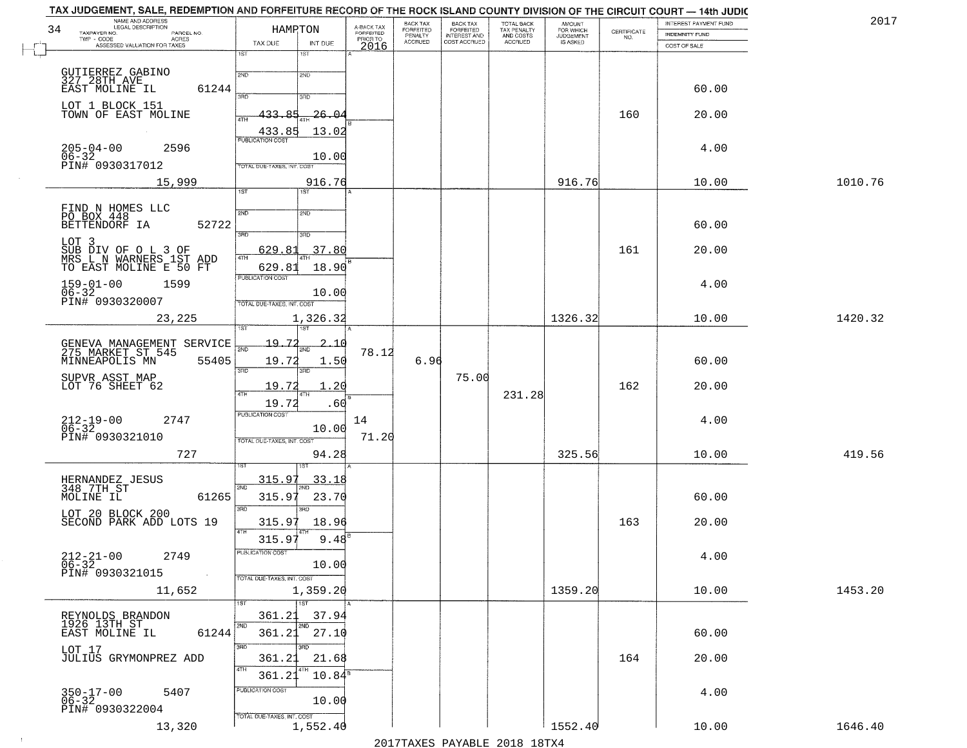| NAME AND ADDRESS<br>LEGAL DESCRIPTION<br>34                              | HAMPTON                                    | A-BACK TAX<br>FORFEITED | BACK TAX<br><b>FORFEITED</b> | BACK TAX<br>FORFEITED        | TOTAL BACK<br>TAX PENALTY | <b>AMOUNT</b>                      | CERTIFICATE | INTEREST PAYMENT FUND | 2017    |
|--------------------------------------------------------------------------|--------------------------------------------|-------------------------|------------------------------|------------------------------|---------------------------|------------------------------------|-------------|-----------------------|---------|
| TAXPAYER NO.<br>PARCEL NO.<br>TWP - CODE<br><b>ACRES</b>                 | TAX DUE<br>INT DUE                         | PRIOR TO                | PENALTY<br>ACCRUED           | INTEREST AND<br>COST ACCRUED | AND COSTS<br>ACCRUED      | FOR WHICH<br>JUDGEMENT<br>IS ASKED | NO.         | <b>INDEMNITY FUND</b> |         |
| ASSESSED VALUATION FOR TAXES                                             | 1ST<br>1ST                                 | 2016                    |                              |                              |                           |                                    |             | COST OF SALE          |         |
|                                                                          |                                            |                         |                              |                              |                           |                                    |             |                       |         |
| GUTIERREZ GABINO<br>327 28TH AVE<br>EAST MOLINE IL<br>61244              | 2ND<br>2ND                                 |                         |                              |                              |                           |                                    |             | 60.00                 |         |
| LOT 1 BLOCK 151                                                          | 3AD<br>3RD                                 |                         |                              |                              |                           |                                    |             |                       |         |
| TOWN OF EAST MOLINE                                                      | 433.<br>-85<br><u> 26.04</u><br>4TH        |                         |                              |                              |                           |                                    | 160         | 20.00                 |         |
|                                                                          | 433.85<br>13.02<br><b>PUBLICATION COST</b> |                         |                              |                              |                           |                                    |             |                       |         |
| $205 - 04 - 00$<br>2596                                                  |                                            |                         |                              |                              |                           |                                    |             | 4.00                  |         |
| $06 - 32$<br>PIN# 0930317012                                             | 10.00<br>TOTAL DUE-TAXES, INT. COST        |                         |                              |                              |                           |                                    |             |                       |         |
| 15,999                                                                   | 916.76                                     |                         |                              |                              |                           | 916.76                             |             | 10.00                 | 1010.76 |
|                                                                          | $\overline{1ST}$<br>$\overline{1ST}$       |                         |                              |                              |                           |                                    |             |                       |         |
| FIND N HOMES LLC<br>PO BOX 448                                           | 2ND<br>2ND                                 |                         |                              |                              |                           |                                    |             |                       |         |
| BETTENDORF IA<br>52722                                                   | 3RD<br>3RD                                 |                         |                              |                              |                           |                                    |             | 60.00                 |         |
| LOT 3                                                                    | 37.80<br>629.8                             |                         |                              |                              |                           |                                    | 161         | 20.00                 |         |
| SUB DIV OF O L 3 OF<br>MRS L N WARNERS 1ST ADD<br>TO EAST MOLINE E 50 FT | 4TH<br>629.81<br>18.90                     |                         |                              |                              |                           |                                    |             |                       |         |
| $159 - 01 - 00$<br>1599                                                  | PUBLICATION COST                           |                         |                              |                              |                           |                                    |             | 4.00                  |         |
| $06 - 32$<br>PIN# 0930320007                                             | 10.00<br>TOTAL DUE-TAXES, INT. COST        |                         |                              |                              |                           |                                    |             |                       |         |
| 23,225                                                                   | 1,326.32                                   |                         |                              |                              |                           | 1326.32                            |             | 10.00                 | 1420.32 |
|                                                                          |                                            |                         |                              |                              |                           |                                    |             |                       |         |
| GENEVA MANAGEMENT SERVICE<br>275 MARKET ST 545                           | 19.72<br>2.10<br>काठ                       | 78.12                   |                              |                              |                           |                                    |             |                       |         |
| 55405<br>MINNEAPOLIS MN                                                  | 19.72<br>1.50<br>3RD<br>3 <sub>BD</sub>    |                         | 6.96                         |                              |                           |                                    |             | 60.00                 |         |
| SUPVR ASST MAP<br>LOT 76 SHEET 62                                        | 1.20<br>19.72                              |                         |                              | 75.00                        |                           |                                    | 162         | 20.00                 |         |
|                                                                          | 4TH<br>19.72<br>.60                        |                         |                              |                              | 231.28                    |                                    |             |                       |         |
| $212 - 19 - 00$<br>06-32<br>2747                                         | <b>PUBLICATION COST</b>                    | 14                      |                              |                              |                           |                                    |             | 4.00                  |         |
| PIN# 0930321010                                                          | 10.00<br>TOTAL OUE-TAXES, INT. COST        | 71.20                   |                              |                              |                           |                                    |             |                       |         |
| 727                                                                      | 94.28                                      |                         |                              |                              |                           | 325.56                             |             | 10.00                 | 419.56  |
|                                                                          |                                            |                         |                              |                              |                           |                                    |             |                       |         |
| HERNANDEZ JESUS<br>348_7TH_ST                                            | 315.97<br><u>33.18</u><br>2ND              |                         |                              |                              |                           |                                    |             |                       |         |
| 61265<br>MOLINE IL                                                       | 315.97<br>23.70<br>3 <sub>BD</sub><br>3RD  |                         |                              |                              |                           |                                    |             | 60.00                 |         |
| LOT 20 BLOCK 200<br>SECOND PARK ADD LOTS 19                              | 18.96<br>315.97                            |                         |                              |                              |                           |                                    | 163         | 20.00                 |         |
|                                                                          | 4TH<br>315.97<br>9.48                      |                         |                              |                              |                           |                                    |             |                       |         |
| $212 - 21 - 00$<br>06-32<br>2749                                         | PUBLICATION COST                           |                         |                              |                              |                           |                                    |             | 4.00                  |         |
| PIN# 0930321015<br>$\sim 10^{-1}$                                        | 10.00                                      |                         |                              |                              |                           |                                    |             |                       |         |
| 11,652                                                                   | TOTAL DUE-TAXES, INT. COST<br>1,359.20     |                         |                              |                              |                           | 1359.20                            |             | 10.00                 | 1453.20 |
|                                                                          | 1ST                                        |                         |                              |                              |                           |                                    |             |                       |         |
| REYNOLDS BRANDON<br>1926 13TH ST                                         | 361.21<br>37.94<br>2ND<br>2ND              |                         |                              |                              |                           |                                    |             |                       |         |
| EAST MOLINE IL<br>61244                                                  | 361.21<br>27.10                            |                         |                              |                              |                           |                                    |             | 60.00                 |         |
| LOT 17<br>JULIUS GRYMONPREZ ADD                                          | 3RD<br>अंग<br>361.21<br>21.68              |                         |                              |                              |                           |                                    | 164         | 20.00                 |         |
|                                                                          | 4TH<br>$10.84^8$<br>361.21                 |                         |                              |                              |                           |                                    |             |                       |         |
| 5407                                                                     | PUBLICATION COST                           |                         |                              |                              |                           |                                    |             | 4.00                  |         |
| 350-17-00<br>06-32<br>PIN# 0930322004                                    | 10.00                                      |                         |                              |                              |                           |                                    |             |                       |         |
| 13,320                                                                   | TOTAL DUE-TAXES, INT. COST<br>1,552.40     |                         |                              |                              |                           | 1552.40                            |             | 10.00                 | 1646.40 |
|                                                                          |                                            |                         |                              |                              |                           |                                    |             |                       |         |

 $\sim 100$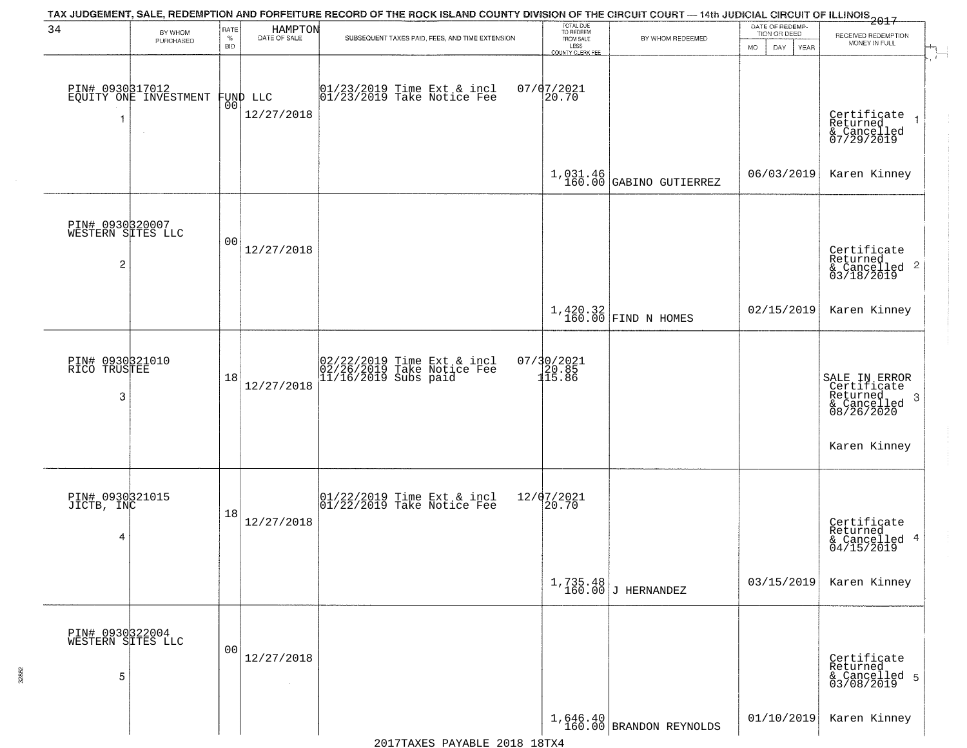|                                                        |                                          |                            |                         | TAX JUDGEMENT, SALE, REDEMPTION AND FORFEITURE RECORD OF THE ROCK ISLAND COUNTY DIVISION OF THE CIRCUIT COURT — 14th JUDICIAL CIRCUIT OF ILLINOIS 2017 |                                                  |                                       |                                                             |                                                                            |
|--------------------------------------------------------|------------------------------------------|----------------------------|-------------------------|--------------------------------------------------------------------------------------------------------------------------------------------------------|--------------------------------------------------|---------------------------------------|-------------------------------------------------------------|----------------------------------------------------------------------------|
| 34                                                     | BY WHOM<br>PURCHASED                     | RATE<br>$\%$<br><b>BID</b> | HAMPTON<br>DATE OF SALE | SUBSEQUENT TAXES PAID, FEES, AND TIME EXTENSION                                                                                                        | TOTAL DUE<br>TO REDEEM<br>FROM SALE<br>LESS      | BY WHOM REDEEMED                      | DATE OF REDEMP-<br>TION OR DEED<br><b>MO</b><br>DAY<br>YEAR | RECEIVED REDEMPTION<br>MONEY IN FULL                                       |
| -1                                                     | PIN# 0930317012<br>EQUITY ONE INVESTMENT | 00l                        | FUND LLC<br>12/27/2018  | 01/23/2019 Time Ext & incl<br>01/23/2019 Take Notice Fee                                                                                               | <b>COUNTY CLERK FEE</b><br>$07/07/2021$<br>20.70 |                                       |                                                             | $\mathbf{r}$<br>Certificate<br>Returned<br>& Cancelled<br>07/29/2019       |
|                                                        |                                          |                            |                         |                                                                                                                                                        |                                                  | $1,031.46$<br>160.00 GABINO GUTIERREZ | 06/03/2019                                                  | Karen Kinney                                                               |
| PIN# 0930320007<br>WESTERN SITES LLC<br>$\overline{2}$ |                                          | 0 <sub>0</sub>             | 12/27/2018              |                                                                                                                                                        |                                                  |                                       |                                                             | Certificate<br>Returned<br>& Cancelled 2<br>03/18/2019                     |
|                                                        |                                          |                            |                         |                                                                                                                                                        |                                                  | $1,420.32$ FIND N HOMES               | 02/15/2019                                                  | Karen Kinney                                                               |
| PIN# 0930321010<br>RICO TRUSTEE<br>3                   |                                          | 18                         | 12/27/2018              | 02/22/2019 Time Ext & incl<br>02/26/2019 Take Notice Fee<br>11/16/2019 Subs paid                                                                       | 07/30/2021<br>20.85<br>115.86                    |                                       |                                                             | SALE IN ERROR<br>Certificate<br>Returned<br>3<br>& Cancelled<br>08/26/2020 |
|                                                        |                                          |                            |                         |                                                                                                                                                        |                                                  |                                       |                                                             | Karen Kinney                                                               |
| PIN# 0930321015<br>JICTB, INC<br>4                     |                                          | 18                         | 12/27/2018              | $\begin{bmatrix} 01/22/2019 \\ 01/22/2019 \end{bmatrix}$ Take Notice Fee                                                                               | 12/07/2021<br> 20.70                             |                                       |                                                             | Certificate<br>Returned<br>& Cancelled 4<br>04/15/2019                     |
|                                                        |                                          |                            |                         |                                                                                                                                                        | 1,735.48<br>160.00                               | J HERNANDEZ                           | 03/15/2019                                                  | Karen Kinney                                                               |
| PIN# 0930322004<br>WESTERN SITES LLC<br>5              |                                          | 0 <sub>0</sub>             | 12/27/2018              |                                                                                                                                                        |                                                  |                                       |                                                             | Certificate<br>Returned<br>& Cancelled 5<br>03/08/2019                     |
|                                                        |                                          |                            |                         |                                                                                                                                                        |                                                  | $1,646.40$ BRANDON REYNOLDS           | 01/10/2019                                                  | Karen Kinney                                                               |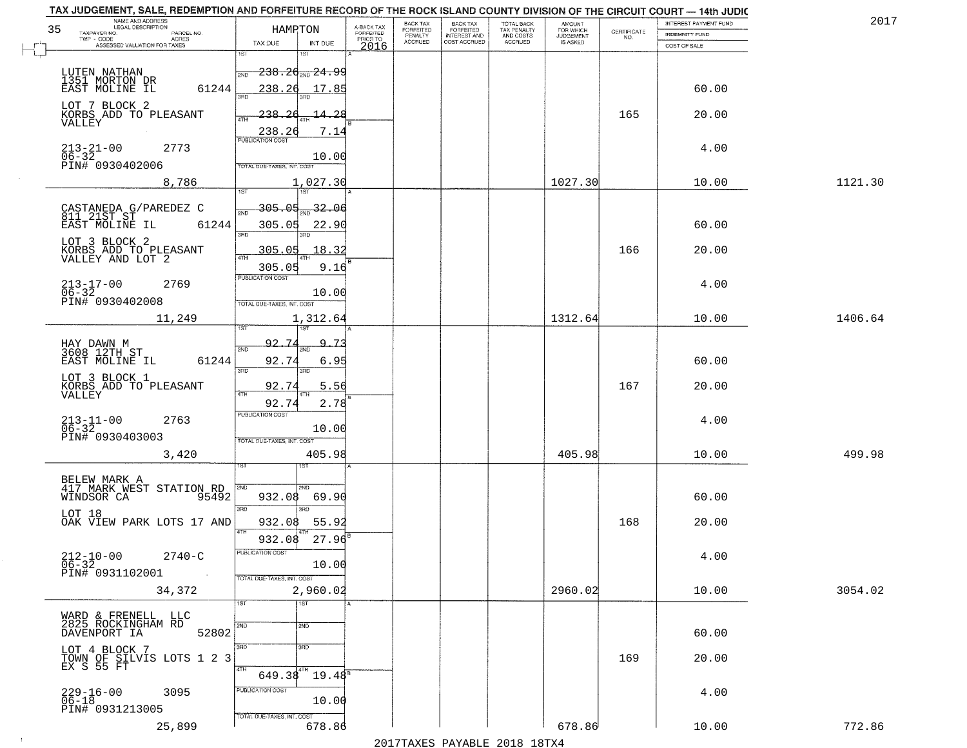| 35 | NAME AND ADDRESS<br>LEGAL DESCRIPTION<br>TAXPAYER NO.<br>PARCEL NO. | HAMPTON                           |                                        | A-BACK TAX<br>FORFEITED | <b>BACK TAX</b><br>FORFEITED | <b>BACK TAX</b><br><b>FORFEITED</b> | TOTAL BACK<br>TAX PENALTY | <b>AMOUNT</b><br>FOR WHICH          | $\begin{array}{c} \text{CERTIFICATE} \\ \text{NO.} \end{array}$ | INTEREST PAYMENT FUND<br>INDEMNITY FUND | 201'    |
|----|---------------------------------------------------------------------|-----------------------------------|----------------------------------------|-------------------------|------------------------------|-------------------------------------|---------------------------|-------------------------------------|-----------------------------------------------------------------|-----------------------------------------|---------|
|    | TWP - CODE<br><b>ACRES</b><br>ASSESSED VALUATION FOR TAXES          | TAX DUE                           | INT DUE                                | PRIOR TO<br>2016        | PENALTY<br>ACCRUED           | <b>INTEREST AND</b><br>COST ACCRUED | AND COSTS<br>ACCRUED      | <b>JUDGEMENT</b><br><b>IS ASKED</b> |                                                                 | COST OF SALE                            |         |
|    |                                                                     | 1ST                               |                                        |                         |                              |                                     |                           |                                     |                                                                 |                                         |         |
|    | LUTEN NATHAN                                                        | 2ND                               | <del>238.20<sub>2ND</sub> 24.9</del> 9 |                         |                              |                                     |                           |                                     |                                                                 |                                         |         |
|    | 1351 MORTON DR<br>61244<br>EAST MOLINE IL                           | 238.26<br>35F)                    | 17.85                                  |                         |                              |                                     |                           |                                     |                                                                 | 60.00                                   |         |
|    | LOT 7 BLOCK 2                                                       |                                   |                                        |                         |                              |                                     |                           |                                     |                                                                 |                                         |         |
|    | KORBS ADD TO PLEASANT<br>VALLEY                                     | $-238.2$<br>4TH                   | 14.28                                  |                         |                              |                                     |                           |                                     | 165                                                             | 20.00                                   |         |
|    |                                                                     | 238.26<br><b>PUBLICATION COST</b> | 7.14                                   |                         |                              |                                     |                           |                                     |                                                                 |                                         |         |
|    | 2773<br>213-21-00<br>$06 - 32$                                      |                                   | 10.00                                  |                         |                              |                                     |                           |                                     |                                                                 | 4.00                                    |         |
|    | PIN# 0930402006                                                     | TOTAL DUE-TAXES, INT. COST        |                                        |                         |                              |                                     |                           |                                     |                                                                 |                                         |         |
|    | 8,786                                                               | 1ST                               | 1,027.30<br>1ST                        |                         |                              |                                     |                           | 1027.30                             |                                                                 | 10.00                                   | 1121.30 |
|    | CASTANEDA G/PAREDEZ C<br>811 21ST ST                                | <u>305.05</u>                     | 32.06                                  |                         |                              |                                     |                           |                                     |                                                                 |                                         |         |
|    | EAST MOLINE IL<br>61244                                             | 305.05                            | 22.90                                  |                         |                              |                                     |                           |                                     |                                                                 | 60.00                                   |         |
|    | LOT 3 BLOCK 2                                                       | 3RD                               |                                        |                         |                              |                                     |                           |                                     |                                                                 |                                         |         |
|    | KORBS ADD TO PLEASANT<br>VALLEY AND LOT 2                           | 305.05<br>$\overline{ATH}$        | 18.32                                  |                         |                              |                                     |                           |                                     | 166                                                             | 20.00                                   |         |
|    |                                                                     | 305.05<br>PUBLICATION COST        | 9.16                                   |                         |                              |                                     |                           |                                     |                                                                 |                                         |         |
|    | $213 - 17 - 00$<br>2769<br>$06 - 32$                                |                                   | 10.00                                  |                         |                              |                                     |                           |                                     |                                                                 | 4.00                                    |         |
|    | PIN# 0930402008                                                     | TOTAL DUE-TAXES, INT. COST        |                                        |                         |                              |                                     |                           |                                     |                                                                 |                                         |         |
|    | 11,249                                                              |                                   | 1,312.64                               |                         |                              |                                     |                           | 1312.64                             |                                                                 | 10.00                                   | 1406.64 |
|    | HAY DAWN M<br>3608 12TH ST                                          | 92.7<br>2ND                       | -73<br>9.                              |                         |                              |                                     |                           |                                     |                                                                 |                                         |         |
|    | 61244<br>EAST MOLINE IL                                             | 92.74                             | 6.95                                   |                         |                              |                                     |                           |                                     |                                                                 | 60.00                                   |         |
|    | LOT 3 BLOCK 1                                                       | 3RD                               | 3RD                                    |                         |                              |                                     |                           |                                     |                                                                 |                                         |         |
|    | KORBS ADD TO PLEASANT<br>VALLEY                                     | 92.74<br>4TH                      | 5.56                                   |                         |                              |                                     |                           |                                     | 167                                                             | 20.00                                   |         |
|    |                                                                     | 92.74<br><b>PUBLICATION COST</b>  | 2.78                                   |                         |                              |                                     |                           |                                     |                                                                 |                                         |         |
|    | $213 - 11 - 00$<br>06-32<br>2763                                    |                                   | 10.00                                  |                         |                              |                                     |                           |                                     |                                                                 | 4.00                                    |         |
|    | PIN# 0930403003                                                     | TOTAL OUE-TAXES, INT. COST        | 405.98                                 |                         |                              |                                     |                           | 405.98                              |                                                                 | 10.00                                   | 499.98  |
|    | 3,420                                                               |                                   |                                        |                         |                              |                                     |                           |                                     |                                                                 |                                         |         |
|    | BELEW MARK A<br>417 MARK WEST STATION RD                            | 2ND                               | 2ND.                                   |                         |                              |                                     |                           |                                     |                                                                 |                                         |         |
|    | WINDSOR CA<br>95492                                                 | 932.08                            | 69.90                                  |                         |                              |                                     |                           |                                     |                                                                 | 60.00                                   |         |
|    | LOT 18<br>OAK VIEW PARK LOTS 17 AND                                 | 3RD<br>932.08                     | 3RD<br>55.92                           |                         |                              |                                     |                           |                                     | 168                                                             | 20.00                                   |         |
|    |                                                                     | 932.08                            | 27.96                                  |                         |                              |                                     |                           |                                     |                                                                 |                                         |         |
|    | $2740 - C$                                                          | PUBLICATION COST                  |                                        |                         |                              |                                     |                           |                                     |                                                                 | 4.00                                    |         |
|    | $212 - 10 - 00$<br>06-32<br>PIN# 0931102001                         |                                   | 10.00                                  |                         |                              |                                     |                           |                                     |                                                                 |                                         |         |
|    | 34,372                                                              | TOTAL DUE-TAXES, INT. COST        | 2,960.02                               |                         |                              |                                     |                           | 2960.02                             |                                                                 | 10.00                                   | 3054.02 |
|    |                                                                     | 1ST                               | $\overline{1}$ ST                      |                         |                              |                                     |                           |                                     |                                                                 |                                         |         |
|    | WARD & FRENELL LLC<br>2825 ROCKINGHAM RD                            | 2ND                               | 2ND                                    |                         |                              |                                     |                           |                                     |                                                                 |                                         |         |
|    | DAVENPORT IA<br>52802                                               |                                   |                                        |                         |                              |                                     |                           |                                     |                                                                 | 60.00                                   |         |
|    | LOT 4 BLOCK 7                                                       | 3RD                               | 3 <sub>BD</sub>                        |                         |                              |                                     |                           |                                     | 169                                                             | 20.00                                   |         |
|    | TOWN OF SILVIS LOTS 1 2 3<br>EX S 55 FT                             | 4TH<br>649.38                     | 4TH<br>$19.48^{\circ}$                 |                         |                              |                                     |                           |                                     |                                                                 |                                         |         |
|    | 3095                                                                | PUBLICATION COST                  |                                        |                         |                              |                                     |                           |                                     |                                                                 | 4.00                                    |         |
|    | $229-16-00$<br>06-18<br>PIN# 0931213005                             |                                   | 10.00                                  |                         |                              |                                     |                           |                                     |                                                                 |                                         |         |
|    | 25,899                                                              | TOTAL DUE-TAXES, INT. COST        | 678.86                                 |                         |                              |                                     |                           | 678.86                              |                                                                 | 10.00                                   | 772.86  |
|    |                                                                     |                                   |                                        |                         |                              |                                     |                           |                                     |                                                                 |                                         |         |

 $\sim 100$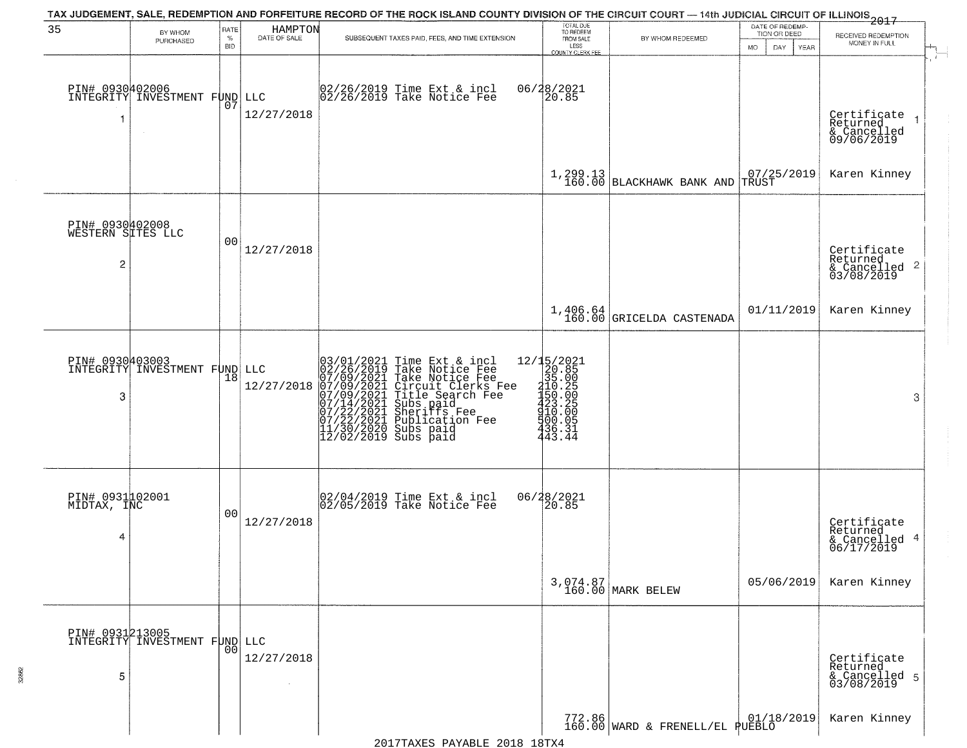|                                                        |                                                  |                            |                         | TAX JUDGEMENT, SALE, REDEMPTION AND FORFEITURE RECORD OF THE ROCK ISLAND COUNTY DIVISION OF THE CIRCUIT COURT — 14th JUDICIAL CIRCUIT OF ILLINOIS 2017                                                                                                |                                                                                                                                                                                                                                                                                                      |                                                           |                                                             |                                                                                        |
|--------------------------------------------------------|--------------------------------------------------|----------------------------|-------------------------|-------------------------------------------------------------------------------------------------------------------------------------------------------------------------------------------------------------------------------------------------------|------------------------------------------------------------------------------------------------------------------------------------------------------------------------------------------------------------------------------------------------------------------------------------------------------|-----------------------------------------------------------|-------------------------------------------------------------|----------------------------------------------------------------------------------------|
| 35                                                     | BY WHOM<br>PURCHASED                             | RATE<br>$\%$<br><b>BID</b> | HAMPTON<br>DATE OF SALE | SUBSEQUENT TAXES PAID, FEES, AND TIME EXTENSION                                                                                                                                                                                                       | TOTAL DUE<br>TO REDEEM<br>FROM SALE<br>LESS<br><b>COUNTY CLERK FEE</b>                                                                                                                                                                                                                               | BY WHOM REDEEMED                                          | DATE OF REDEMP-<br>TION OR DEED<br><b>MO</b><br>DAY<br>YEAR | RECEIVED REDEMPTION<br>MONEY IN FULL                                                   |
| -1                                                     | PIN# 0930402006<br>INTEGRITY INVESTMENT FUND LLC | 07                         | 12/27/2018              | 02/26/2019 Time Ext & incl<br>02/26/2019 Take Notice Fee                                                                                                                                                                                              | 06/28/2021<br>20.85                                                                                                                                                                                                                                                                                  |                                                           |                                                             | $\mathbf{r}$<br>Certificate<br>Returned<br>$\overline{1}$<br>& Cancelled<br>09/06/2019 |
|                                                        |                                                  |                            |                         |                                                                                                                                                                                                                                                       |                                                                                                                                                                                                                                                                                                      | $\left[1, 299.13 \atop 160.00 \right]$ BLACKHAWK BANK AND | $07/25/2019$ TRUST                                          | Karen Kinney                                                                           |
| PIN# 0930402008<br>WESTERN SITES LLC<br>$\overline{2}$ |                                                  | 00                         | 12/27/2018              |                                                                                                                                                                                                                                                       |                                                                                                                                                                                                                                                                                                      |                                                           |                                                             | Certificate<br>Returned<br>$\frac{1}{2}$ Cancelled 2<br>03/08/2019                     |
|                                                        |                                                  |                            |                         |                                                                                                                                                                                                                                                       |                                                                                                                                                                                                                                                                                                      | $1,406.64$<br>160.00 GRICELDA CASTENADA                   | 01/11/2019                                                  | Karen Kinney                                                                           |
| 3                                                      | PIN# 0930403003<br>INTEGRITY INVESTMENT FUND LLC | 18                         | 12/27/2018              | 03/01/2021 Time Ext & incl<br>02/26/2019 Take Notice Fee<br>07/09/2021 Take Notice Fee<br>07/09/2021 Circuit Clerks Fee<br>07/09/2021 Title Search Fee<br>07/14/2021 Subs paid<br>07/22/2021 Publication Fee<br>11/30/2020 Subs paid<br>12/02/2019 Su | $=\begin{smallmatrix} 12/15/2021\\ 20.85\\ 21.85\\ 315.00\\ 1450.26\\ 423.25\\ 423.25\\ 420.00\\ 420.00\\ 420.00\\ 420.00\\ 420.00\\ 420.00\\ 420.00\\ 420.00\\ 420.00\\ 420.00\\ 420.00\\ 420.00\\ 420.00\\ 420.00\\ 420.00\\ 420.00\\ 420.00\\ 420.00\\ 420.00\\ 42$<br>500.05<br>436.31<br>443.44 |                                                           |                                                             | 3                                                                                      |
| PIN# 0931102001<br>MIDTAX, INC<br>4                    |                                                  | 00                         | 12/27/2018              | 02/04/2019 Time Ext & incl<br>02/05/2019 Take Notice Fee                                                                                                                                                                                              | 06/28/2021<br>120.85                                                                                                                                                                                                                                                                                 |                                                           |                                                             | Certificate<br>Returned<br>4<br>& Cancelled<br>06/17/2019                              |
|                                                        |                                                  |                            |                         |                                                                                                                                                                                                                                                       |                                                                                                                                                                                                                                                                                                      | 3,074.87<br>160.00 MARK BELEW                             | 05/06/2019                                                  | Karen Kinney                                                                           |
| PIN# 0931213005<br>5                                   | INTEGRITY INVESTMENT FUND LLC                    | 00                         | 12/27/2018              |                                                                                                                                                                                                                                                       |                                                                                                                                                                                                                                                                                                      |                                                           |                                                             | Certificate<br>Returned<br>& Cancelled 5<br>03/08/2019                                 |
|                                                        |                                                  |                            |                         |                                                                                                                                                                                                                                                       |                                                                                                                                                                                                                                                                                                      | 772.86 WARD & FRENELL/EL PUEBLO                           |                                                             | Karen Kinney                                                                           |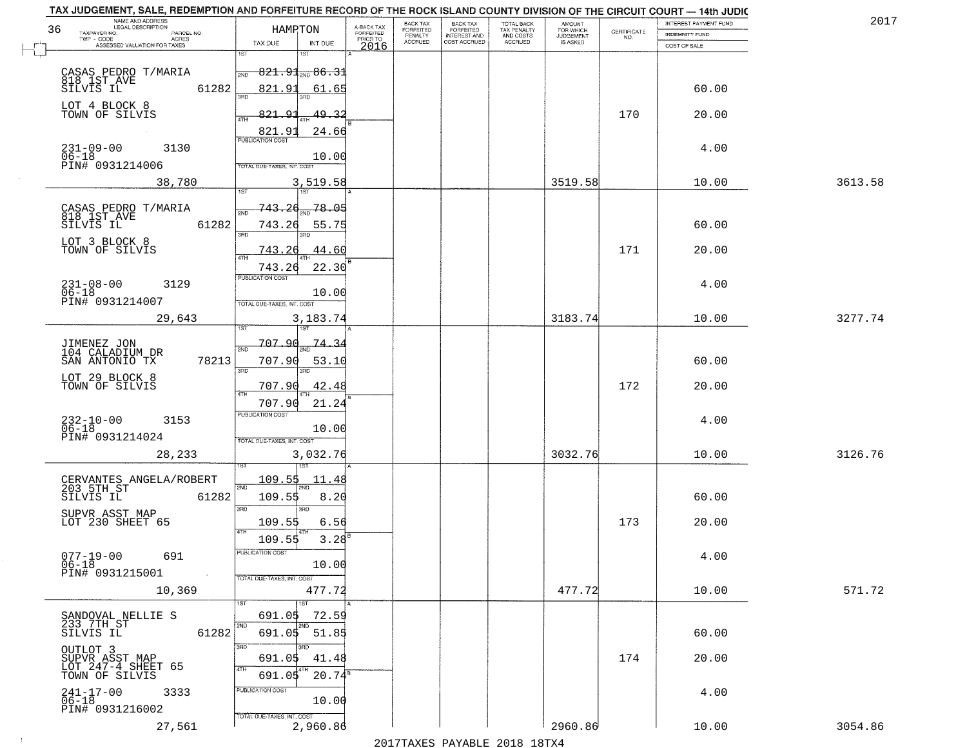| TAX JUDGEMENT, SALE, REDEMPTION AND FORFEITURE RECORD OF THE ROCK ISLAND COUNTY DIVISION OF THE CIRCUIT COURT - 14th JUDIC<br>NAME AND ADDRESS<br>LEGAL DESCRIPTION |                                                  |                         | BACK TAX                    |                                       |                                        |                                  |                                                                 | INTEREST PAYMENT FUND | 2017    |
|---------------------------------------------------------------------------------------------------------------------------------------------------------------------|--------------------------------------------------|-------------------------|-----------------------------|---------------------------------------|----------------------------------------|----------------------------------|-----------------------------------------------------------------|-----------------------|---------|
| 36<br>TAXPAYER NO.<br>PARCEL NO.                                                                                                                                    | HAMPTON                                          | A-BACK TAX<br>FORFEITED | <b>FORFEITED</b><br>PENALTY | BACK TAX<br>FORFEITED<br>INTEREST AND | TOTAL BACK<br>TAX PENALTY<br>AND COSTS | AMOUNT<br>FOR WHICH<br>JUDGEMENT | $\begin{array}{c} \text{CERTIFICATE} \\ \text{NO.} \end{array}$ | <b>INDEMNITY FUND</b> |         |
| TWP - CODE<br>ACRES<br>ASSESSED VALUATION FOR TAXES                                                                                                                 | TAX DUE<br>INT DUE                               | PRIOR TO<br>2016        | <b>ACCRUED</b>              | COST ACCRUED                          | ACCRUED                                | IS ASKED                         |                                                                 | COST OF SALE          |         |
|                                                                                                                                                                     | 1ST<br>۱ST                                       |                         |                             |                                       |                                        |                                  |                                                                 |                       |         |
|                                                                                                                                                                     | $821.91_{\scriptscriptstyle 200}$ $86.31$<br>2ND |                         |                             |                                       |                                        |                                  |                                                                 |                       |         |
| CASAS PEDRO T/MARIA<br>818 1ST AVE                                                                                                                                  |                                                  |                         |                             |                                       |                                        |                                  |                                                                 |                       |         |
| 61282<br>SILVIS IL                                                                                                                                                  | 821.91<br>61.65                                  |                         |                             |                                       |                                        |                                  |                                                                 | 60.00                 |         |
| LOT 4 BLOCK 8                                                                                                                                                       |                                                  |                         |                             |                                       |                                        |                                  |                                                                 |                       |         |
| TOWN OF SILVIS                                                                                                                                                      | 821.91<br>49.32                                  |                         |                             |                                       |                                        |                                  | 170                                                             | 20.00                 |         |
|                                                                                                                                                                     | <b>821.91</b><br>PUBLICATION COST<br>24.66       |                         |                             |                                       |                                        |                                  |                                                                 |                       |         |
|                                                                                                                                                                     |                                                  |                         |                             |                                       |                                        |                                  |                                                                 |                       |         |
| $231 - 09 - 00$<br>$06 - 18$<br>3130                                                                                                                                | 10.00                                            |                         |                             |                                       |                                        |                                  |                                                                 | 4.00                  |         |
| PIN# 0931214006                                                                                                                                                     | <b>TOTAL DUE-TAXES, INT. COST</b>                |                         |                             |                                       |                                        |                                  |                                                                 |                       |         |
| 38,780                                                                                                                                                              | 3,519.58                                         |                         |                             |                                       |                                        | 3519.58                          |                                                                 | 10.00                 | 3613.58 |
|                                                                                                                                                                     |                                                  |                         |                             |                                       |                                        |                                  |                                                                 |                       |         |
|                                                                                                                                                                     | 78.05<br>743.26                                  |                         |                             |                                       |                                        |                                  |                                                                 |                       |         |
| CASAS PEDRO T/MARIA<br>818 IST AVE                                                                                                                                  |                                                  |                         |                             |                                       |                                        |                                  |                                                                 |                       |         |
| 61282<br>SILVIS IL                                                                                                                                                  | 743.26<br>55.75<br>बन्ना                         |                         |                             |                                       |                                        |                                  |                                                                 | 60.00                 |         |
| LOT 3 BLOCK 8                                                                                                                                                       |                                                  |                         |                             |                                       |                                        |                                  |                                                                 |                       |         |
| TOWN OF SILVIS                                                                                                                                                      | 743.<br>26<br>44.60                              |                         |                             |                                       |                                        |                                  | 171                                                             | 20.00                 |         |
|                                                                                                                                                                     | 22.30<br>743.26                                  |                         |                             |                                       |                                        |                                  |                                                                 |                       |         |
|                                                                                                                                                                     | PUBLICATION COST                                 |                         |                             |                                       |                                        |                                  |                                                                 | 4.00                  |         |
| $231 - 08 - 00$<br>3129<br>$06 - 18$                                                                                                                                | 10.00                                            |                         |                             |                                       |                                        |                                  |                                                                 |                       |         |
| PIN# 0931214007                                                                                                                                                     | TOTAL DUE-TAXES, INT. COST                       |                         |                             |                                       |                                        |                                  |                                                                 |                       |         |
| 29,643                                                                                                                                                              | 3,183.74                                         |                         |                             |                                       |                                        | 3183.74                          |                                                                 | 10.00                 | 3277.74 |
|                                                                                                                                                                     | 1ST                                              |                         |                             |                                       |                                        |                                  |                                                                 |                       |         |
|                                                                                                                                                                     | 707.90<br>-74.34                                 |                         |                             |                                       |                                        |                                  |                                                                 |                       |         |
| JIMENEZ JON<br>104 CALADIUM DR                                                                                                                                      | 2ND                                              |                         |                             |                                       |                                        |                                  |                                                                 |                       |         |
| SAN ANTONIO TX<br>78213                                                                                                                                             | 707.90<br>53.10<br>3RD<br>3RD                    |                         |                             |                                       |                                        |                                  |                                                                 | 60.00                 |         |
| LOT 29 BLOCK 8<br>TOWN OF SILVIS                                                                                                                                    |                                                  |                         |                             |                                       |                                        |                                  |                                                                 |                       |         |
|                                                                                                                                                                     | 42.48<br>707.90<br>ATH                           |                         |                             |                                       |                                        |                                  | 172                                                             | 20.00                 |         |
|                                                                                                                                                                     | 21.24<br>707.90                                  |                         |                             |                                       |                                        |                                  |                                                                 |                       |         |
|                                                                                                                                                                     | PUBLICATION COST                                 |                         |                             |                                       |                                        |                                  |                                                                 |                       |         |
| $232 - 10 - 00$<br>06-18<br>3153                                                                                                                                    | 10.00                                            |                         |                             |                                       |                                        |                                  |                                                                 | 4.00                  |         |
| PIN# 0931214024                                                                                                                                                     | TOTAL OUE-TAXES, INT. COST                       |                         |                             |                                       |                                        |                                  |                                                                 |                       |         |
| 28,233                                                                                                                                                              | 3,032.76                                         |                         |                             |                                       |                                        | 3032.76                          |                                                                 | 10.00                 | 3126.76 |
|                                                                                                                                                                     |                                                  |                         |                             |                                       |                                        |                                  |                                                                 |                       |         |
|                                                                                                                                                                     | 109.55<br>11.48                                  |                         |                             |                                       |                                        |                                  |                                                                 |                       |         |
| CERVANTES ANGELA/ROBERT<br>203 5TH ST                                                                                                                               |                                                  |                         |                             |                                       |                                        |                                  |                                                                 |                       |         |
| SILVIS IL<br>61282                                                                                                                                                  | 109.55<br>8.20                                   |                         |                             |                                       |                                        |                                  |                                                                 | 60.00                 |         |
| SUPVR ASST MAP                                                                                                                                                      | 3 <sub>BD</sub><br>3RD                           |                         |                             |                                       |                                        |                                  |                                                                 |                       |         |
| LOT 230 SHEET 65                                                                                                                                                    | 109.55<br>6.56<br>4TH                            |                         |                             |                                       |                                        |                                  | 173                                                             | 20.00                 |         |
|                                                                                                                                                                     | 109.55<br>3.28                                   |                         |                             |                                       |                                        |                                  |                                                                 |                       |         |
| $077 - 19 - 00$<br>691                                                                                                                                              | ruslica i IUN COS                                |                         |                             |                                       |                                        |                                  |                                                                 | 4.00                  |         |
| $06 - 18$                                                                                                                                                           | 10.00                                            |                         |                             |                                       |                                        |                                  |                                                                 |                       |         |
| PIN# 0931215001<br>$\sim$                                                                                                                                           | TOTAL DUE-TAXES, INT. COST                       |                         |                             |                                       |                                        |                                  |                                                                 |                       |         |
| 10,369                                                                                                                                                              | 477.72                                           |                         |                             |                                       |                                        | 477.72                           |                                                                 | 10.00                 | 571.72  |
|                                                                                                                                                                     | 1ST                                              |                         |                             |                                       |                                        |                                  |                                                                 |                       |         |
|                                                                                                                                                                     | 691.05<br>72.59                                  |                         |                             |                                       |                                        |                                  |                                                                 |                       |         |
| SANDOVAL NELLIE S<br>233 7TH ST                                                                                                                                     | 2ND                                              |                         |                             |                                       |                                        |                                  |                                                                 |                       |         |
| 61282<br>SILVIS IL                                                                                                                                                  | 691.05 51.85                                     |                         |                             |                                       |                                        |                                  |                                                                 | 60.00                 |         |
|                                                                                                                                                                     | 3RD                                              |                         |                             |                                       |                                        |                                  |                                                                 |                       |         |
| OUTLOT 3<br>SUPVR ASST MAP<br>LOT 247-4 SHEET 65                                                                                                                    | 691.05<br>41.48                                  |                         |                             |                                       |                                        |                                  | 174                                                             | 20.00                 |         |
| TOWN OF SILVIS                                                                                                                                                      | 4TH<br>4TH<br>$20.74^8$<br>691.05                |                         |                             |                                       |                                        |                                  |                                                                 |                       |         |
| 3333                                                                                                                                                                | PUBLICATION COST                                 |                         |                             |                                       |                                        |                                  |                                                                 | 4.00                  |         |
| $241 - 17 - 00$<br>06-18                                                                                                                                            | 10.00                                            |                         |                             |                                       |                                        |                                  |                                                                 |                       |         |
| PIN# 0931216002                                                                                                                                                     | TOTAL DUE-TAXES, INT. COST                       |                         |                             |                                       |                                        |                                  |                                                                 |                       |         |
| 27,561                                                                                                                                                              | 2,960.86                                         |                         |                             |                                       |                                        | 2960.86                          |                                                                 | 10.00                 | 3054.86 |
|                                                                                                                                                                     |                                                  |                         |                             | 2017 THAYRO DAVADIR 2018 19TYA        |                                        |                                  |                                                                 |                       |         |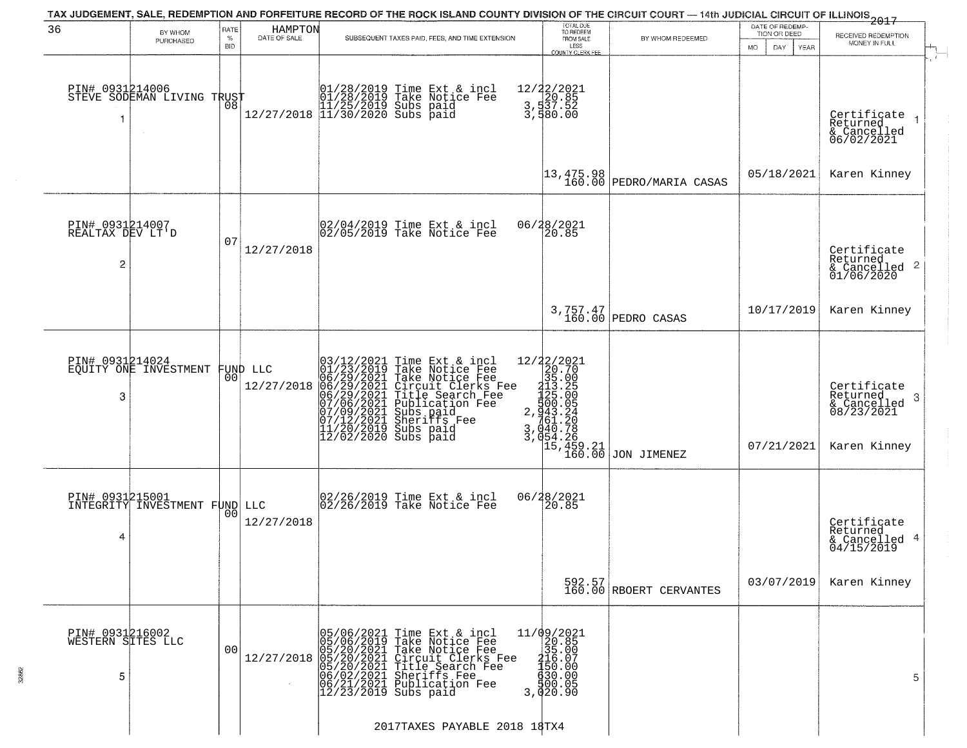|                                                       |                                                   |                                   |                         | TAX JUDGEMENT, SALE, REDEMPTION AND FORFEITURE RECORD OF THE ROCK ISLAND COUNTY DIVISION OF THE CIRCUIT COURT — 14th JUDICIAL CIRCUIT OF ILLINOIS 2017                                                                                                |                                                                                                                    |                                                                             |                                                        |                                                                           |
|-------------------------------------------------------|---------------------------------------------------|-----------------------------------|-------------------------|-------------------------------------------------------------------------------------------------------------------------------------------------------------------------------------------------------------------------------------------------------|--------------------------------------------------------------------------------------------------------------------|-----------------------------------------------------------------------------|--------------------------------------------------------|---------------------------------------------------------------------------|
| 36                                                    | BY WHOM<br>PURCHASED                              | <b>RATE</b><br>$\%$<br><b>BID</b> | HAMPTON<br>DATE OF SALE | SUBSEQUENT TAXES PAID, FEES, AND TIME EXTENSION                                                                                                                                                                                                       | TOTAL DUE<br>TO REDEEM<br>FROM SALE<br>LESS<br>COUNTY CLERK FEE                                                    | BY WHOM REDEEMED                                                            | DATE OF REDEMP-<br>TION OR DEED<br>DAY.<br>MO.<br>YEAR | RECEIVED REDEMPTION<br>MONEY IN FULL                                      |
| -1                                                    | PIN# 0931214006    <br>STEVE SODEMAN LIVING TRUST | 08                                |                         | 01/28/2019 Time Ext & incl<br>01/28/2019 Take Notice Fee<br>11/25/2019 Subs paid<br>12/27/2018 11/30/2020 Subs paid                                                                                                                                   | 12/22/2021<br>3,537.52<br>3,537.52<br>3,580.00                                                                     |                                                                             |                                                        | Certifiçate<br>Returned<br>& Cancelled<br>06/02/2021                      |
|                                                       |                                                   |                                   |                         |                                                                                                                                                                                                                                                       |                                                                                                                    | $\begin{vmatrix} 13 & 475 & 98 \\ 160 & 00 \end{vmatrix}$ PEDRO/MARIA CASAS | 05/18/2021                                             | Karen Kinney                                                              |
| PIN# 0931214007<br>REALTAX DEV LT'D<br>$\overline{c}$ |                                                   | 07                                | 12/27/2018              | 02/04/2019 Time Ext & incl<br>02/05/2019 Take Notice Fee                                                                                                                                                                                              | 06/28/2021<br>20.85                                                                                                |                                                                             |                                                        | Certificate<br>Returned<br>$\frac{1}{6}$ Cancelled 2<br>01/06/2020        |
|                                                       |                                                   |                                   |                         |                                                                                                                                                                                                                                                       |                                                                                                                    | 3,757.47<br>160.00 PEDRO CASAS                                              | 10/17/2019                                             | Karen Kinney                                                              |
| PIN# 0931214024<br>3                                  | EQUITY ONE INVESTMENT                             | 00                                | FUND LLC<br>12/27/2018  | $03/12/2021$ Time Ext & incl<br>01/23/2019 Take Notice Fee<br>06/29/2021 Take Notice Fee<br>06/29/2021 Circuit Clerks Fee<br>06/29/2021 Title Search Fee<br>07/06/2021 Bublication Fee<br>07/09/2021 Sheriffs Fee<br>11/20/2019 Subs paid<br>12/02/20 | 12/22/2021<br>$272720$ $220.70$ $35.00$ $3.35.05$ $2.35.05$ $2.35.05$ $3.040.78$ $3.054.26$<br>15,459.21<br>160.00 | JON JIMENEZ                                                                 | 07/21/2021                                             | Certificate<br>Returned<br>3<br>& Cancelled<br>08/23/2021<br>Karen Kinney |
| 4                                                     | PIN# 0931215001<br>INTEGRITY INVESTMENT FUND LLC  | 00                                | 12/27/2018              | 02/26/2019 Time Ext & incl<br>02/26/2019 Take Notice Fee                                                                                                                                                                                              | 06/28/2021<br>$\overline{20.85}$                                                                                   |                                                                             |                                                        | Certificate<br>Returned<br>& Cancelled 4<br>04/15/2019                    |
|                                                       |                                                   |                                   |                         |                                                                                                                                                                                                                                                       |                                                                                                                    | 592.57<br>160.00 RBOERT CERVANTES                                           | 03/07/2019                                             | Karen Kinney                                                              |
| PIN# 0931216002<br>WESTERN SITES LLC<br>5             |                                                   | 0 <sub>0</sub>                    | 12/27/2018              | 05/06/2021 Time Ext & incl<br>05/06/2019 Take Notice Fee<br>05/20/2021 Take Notice Fee<br>05/20/2021 Circuit Clerks Fee<br>05/20/2021 Title Search Fee<br>06/02/2021 Sheriffs Fee<br>06/21/2021 Publication Fee<br>12/23/2019 Subs paid               | 11/09/2021<br>20.85<br>35.00<br>35.00<br>30.00<br>30.00<br>30.00<br>30.00<br>30.00<br>3,020.90                     |                                                                             |                                                        | 5                                                                         |
|                                                       |                                                   |                                   |                         | 2017TAXES PAYABLE 2018 18TX4                                                                                                                                                                                                                          |                                                                                                                    |                                                                             |                                                        |                                                                           |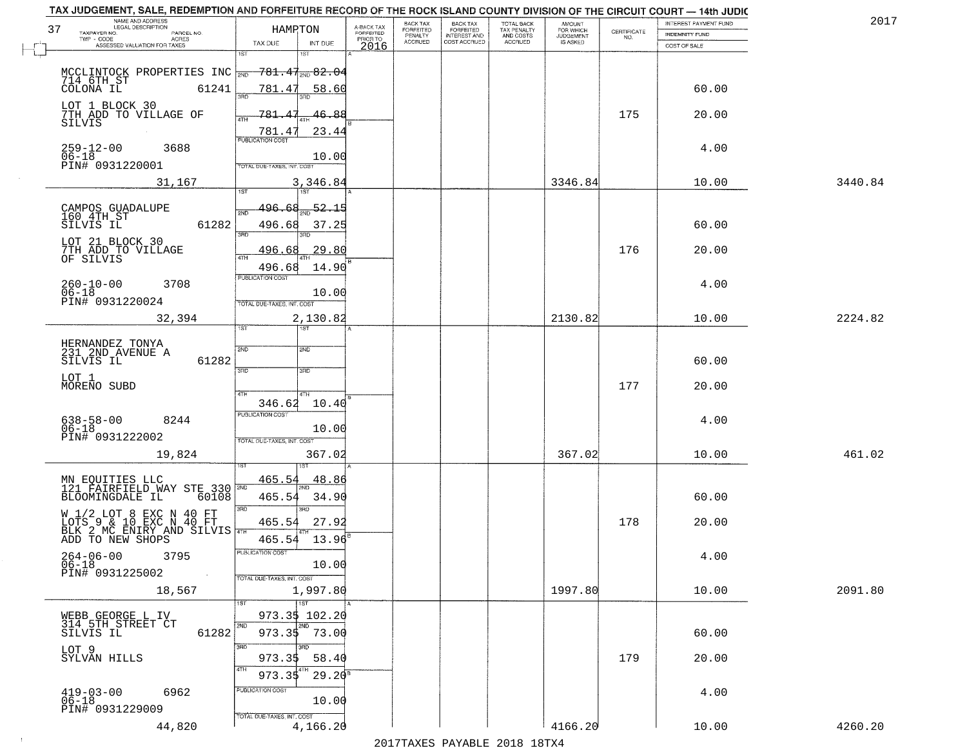| TAX JUDGEMENT, SALE, REDEMPTION AND FORFEITURE RECORD OF THE ROCK ISLAND COUNTY DIVISION OF THE CIRCUIT COURT - 14th JUDIC |                                            |                         |                       |                                     |                          |                                              |                    |                       |         |
|----------------------------------------------------------------------------------------------------------------------------|--------------------------------------------|-------------------------|-----------------------|-------------------------------------|--------------------------|----------------------------------------------|--------------------|-----------------------|---------|
| NAME AND ADDRESS<br>LEGAL DESCRIPTION<br>37                                                                                | HAMRTON                                    | A-BACK TAX<br>FORFEITED | BACK TAX<br>FORFEITED | <b>BACK TAX</b><br><b>FORFEITED</b> | TOTAL BACK               | AMOUNT<br>FOR WHICH<br>JUDGEMENT<br>IS ASKED |                    | INTEREST PAYMENT FUND | 2017    |
| TAXPAYER NO.<br>PARCEL NO.<br>TWP - CODE<br>ACRES                                                                          |                                            | PRIOR TO                | PENALTY<br>ACCRUED    | INTEREST AND<br>COST ACCRUED        | TAX PENALTY<br>AND COSTS |                                              | CERTIFICATE<br>NO. | <b>INDEMNITY FUND</b> |         |
| ASSESSED VALUATION FOR TAXES                                                                                               | TAX DUE<br>INT DUE<br>1ST<br>18T           | 2016                    |                       |                                     | ACCRUED                  |                                              |                    | COST OF SALE          |         |
|                                                                                                                            |                                            |                         |                       |                                     |                          |                                              |                    |                       |         |
| MCCLINTOCK PROPERTIES INC $\frac{1}{200}$ 781.47 $\frac{1}{200}$ 82.04<br>714 6TH ST<br>COLONA IL 61241 781.47 58.60       |                                            |                         |                       |                                     |                          |                                              |                    |                       |         |
|                                                                                                                            | <u>58.60</u>                               |                         |                       |                                     |                          |                                              |                    | 60.00                 |         |
|                                                                                                                            |                                            |                         |                       |                                     |                          |                                              |                    |                       |         |
| LOT 1 BLOCK 30<br>7TH ADD TO VILLAGE OF                                                                                    | 46.88<br>781.47                            |                         |                       |                                     |                          |                                              | 175                | 20.00                 |         |
| SILVIS                                                                                                                     |                                            |                         |                       |                                     |                          |                                              |                    |                       |         |
|                                                                                                                            | 23.44<br>781.47<br><b>PUBLICATION COST</b> |                         |                       |                                     |                          |                                              |                    |                       |         |
| $259 - 12 - 00$<br>3688                                                                                                    |                                            |                         |                       |                                     |                          |                                              |                    | 4.00                  |         |
| $06 - 18$<br>PIN# 0931220001                                                                                               | 10.00<br>TOTAL DUE-TAXES, INT. COST        |                         |                       |                                     |                          |                                              |                    |                       |         |
|                                                                                                                            |                                            |                         |                       |                                     |                          | 3346.84                                      |                    | 10.00                 | 3440.84 |
| 31,167                                                                                                                     | 3,346.84                                   |                         |                       |                                     |                          |                                              |                    |                       |         |
|                                                                                                                            | 52.15<br>496.68                            |                         |                       |                                     |                          |                                              |                    |                       |         |
| CAMPOS GUADALUPE<br>160 4TH ST                                                                                             | 2ND                                        |                         |                       |                                     |                          |                                              |                    |                       |         |
| 61282<br>SILVIS IL                                                                                                         | 496.68<br>37.25<br>3RD<br>חוז              |                         |                       |                                     |                          |                                              |                    | 60.00                 |         |
| LOT 21 BLOCK 30<br>7TH ADD TO VILLAGE                                                                                      |                                            |                         |                       |                                     |                          |                                              |                    |                       |         |
| OF SILVIS                                                                                                                  | .29.80<br>496.68<br>47H                    |                         |                       |                                     |                          |                                              | 176                | 20.00                 |         |
|                                                                                                                            | 14.90<br>496.68                            |                         |                       |                                     |                          |                                              |                    |                       |         |
| $260 - 10 - 00$<br>3708                                                                                                    | PUBLICATION COST                           |                         |                       |                                     |                          |                                              |                    | 4.00                  |         |
| $06 - 18$<br>PIN# 0931220024                                                                                               | 10.00                                      |                         |                       |                                     |                          |                                              |                    |                       |         |
|                                                                                                                            | TOTAL DUE-TAXES, INT. COST                 |                         |                       |                                     |                          |                                              |                    |                       |         |
| 32,394                                                                                                                     | 2,130.82<br>1ST.<br>1ST                    |                         |                       |                                     |                          | 2130.82                                      |                    | 10.00                 | 2224.82 |
|                                                                                                                            |                                            | А                       |                       |                                     |                          |                                              |                    |                       |         |
| HERNANDEZ TONYA<br>231 2ND AVENUE A<br>SILVIS IL                                                                           | 2ND<br>SND                                 |                         |                       |                                     |                          |                                              |                    |                       |         |
| 61282                                                                                                                      |                                            |                         |                       |                                     |                          |                                              |                    | 60.00                 |         |
| LOT 1                                                                                                                      | 3RD<br>3BD                                 |                         |                       |                                     |                          |                                              |                    |                       |         |
| MORENO SUBD                                                                                                                | 4TH<br>4TH                                 |                         |                       |                                     |                          |                                              | 177                | 20.00                 |         |
|                                                                                                                            | 10.40<br>346.62                            |                         |                       |                                     |                          |                                              |                    |                       |         |
| 8244                                                                                                                       | <b>PUBLICATION COST</b>                    |                         |                       |                                     |                          |                                              |                    | 4.00                  |         |
| 638-58-00<br>06-18                                                                                                         | 10.00                                      |                         |                       |                                     |                          |                                              |                    |                       |         |
| PIN# 0931222002                                                                                                            | TOTAL OUE-TAXES, INT. COST                 |                         |                       |                                     |                          |                                              |                    |                       |         |
| 19,824                                                                                                                     | 367.02                                     |                         |                       |                                     |                          | 367.02                                       |                    | 10.00                 | 461.02  |
|                                                                                                                            |                                            |                         |                       |                                     |                          |                                              |                    |                       |         |
| MN EQUITIES LLC<br>121 FAIRFIELD WAY STE 330                                                                               | 465.54<br>48.86                            |                         |                       |                                     |                          |                                              |                    |                       |         |
| BLOOMINGDALE IL<br>60108                                                                                                   | 465.54<br>34.90                            |                         |                       |                                     |                          |                                              |                    | 60.00                 |         |
|                                                                                                                            | 3RD<br>3BD                                 |                         |                       |                                     |                          |                                              |                    |                       |         |
|                                                                                                                            | 27.92<br>465.54                            |                         |                       |                                     |                          |                                              | 178                | 20.00                 |         |
| W 1/2 LOT 8 EXC N 40 FT<br>LOTS 9 & 10 EXC N 40 FT<br>BLK 2 MC ENIRY AND SILVIS                                            | 465.54<br>13.96                            |                         |                       |                                     |                          |                                              |                    |                       |         |
|                                                                                                                            | PUBLICATION COS                            |                         |                       |                                     |                          |                                              |                    |                       |         |
| $264 - 06 - 00$<br>3795<br>$06 - 18$                                                                                       | 10.00                                      |                         |                       |                                     |                          |                                              |                    | 4.00                  |         |
| PIN# 0931225002<br>$\sim 100$                                                                                              | TOTAL DUE-TAXES, INT. COST                 |                         |                       |                                     |                          |                                              |                    |                       |         |
| 18,567                                                                                                                     | 1,997.80                                   |                         |                       |                                     |                          | 1997.80                                      |                    | 10.00                 | 2091.80 |
|                                                                                                                            | 1ST                                        |                         |                       |                                     |                          |                                              |                    |                       |         |
| WEBB GEORGE L IV                                                                                                           | 973.35 102.20                              |                         |                       |                                     |                          |                                              |                    |                       |         |
| 314 5TH STREET CT                                                                                                          | 2ND<br>2ND                                 |                         |                       |                                     |                          |                                              |                    |                       |         |
| 61282<br>SILVIS IL                                                                                                         | 973.35 73.00                               |                         |                       |                                     |                          |                                              |                    | 60.00                 |         |
| LOT 9<br>SYLVAN HILLS                                                                                                      | 3RD<br>अंग<br>973.3\$<br>58.40             |                         |                       |                                     |                          |                                              | 179                | 20.00                 |         |
|                                                                                                                            | 4TH                                        |                         |                       |                                     |                          |                                              |                    |                       |         |
|                                                                                                                            | 973.35<br>$29.20^8$                        |                         |                       |                                     |                          |                                              |                    |                       |         |
| $419-03-00$<br>06-18<br>6962                                                                                               | PUBLICATION COST                           |                         |                       |                                     |                          |                                              |                    | 4.00                  |         |
| PIN# 0931229009                                                                                                            | 10.00                                      |                         |                       |                                     |                          |                                              |                    |                       |         |
|                                                                                                                            | TOTAL DUE-TAXES, INT. COST                 |                         |                       |                                     |                          |                                              |                    |                       |         |
| 44,820                                                                                                                     | 4,166.20                                   |                         |                       |                                     |                          | 4166.20                                      |                    | 10.00                 | 4260.20 |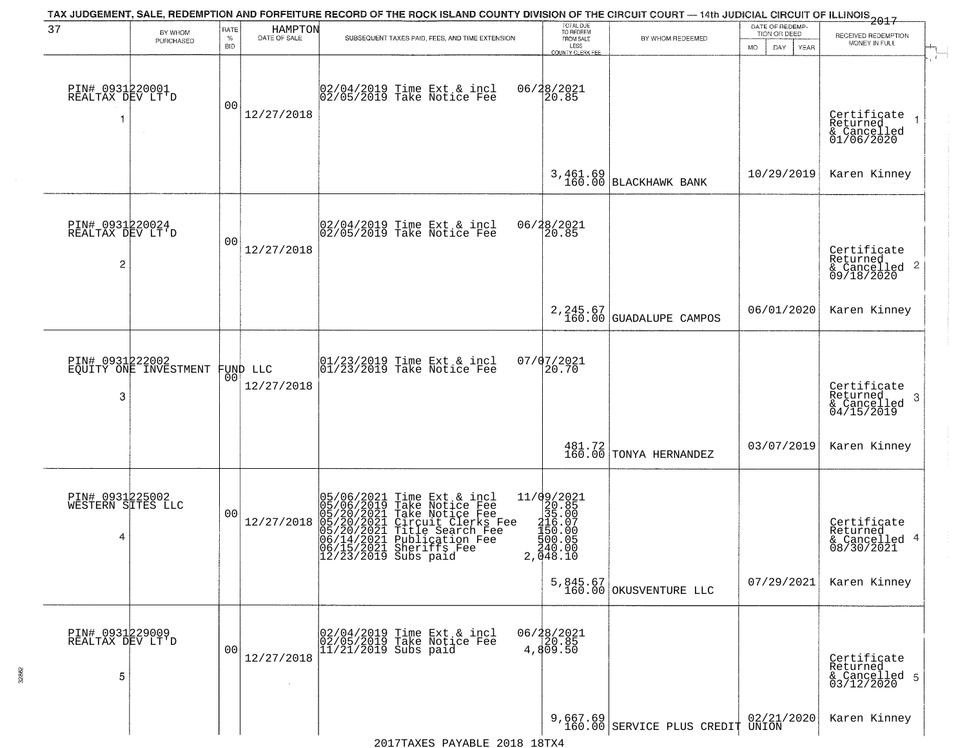|                                                       |                       |                            |                         | TAX JUDGEMENT, SALE, REDEMPTION AND FORFEITURE RECORD OF THE ROCK ISLAND COUNTY DIVISION OF THE CIRCUIT COURT - 14th JUDICIAL CIRCUIT OF ILLINOIS 2017                                                                                                                                                                   |                                                                                                                 |                                      | DATE OF REDEMP-                     |                                                                               |
|-------------------------------------------------------|-----------------------|----------------------------|-------------------------|--------------------------------------------------------------------------------------------------------------------------------------------------------------------------------------------------------------------------------------------------------------------------------------------------------------------------|-----------------------------------------------------------------------------------------------------------------|--------------------------------------|-------------------------------------|-------------------------------------------------------------------------------|
| 37                                                    | BY WHOM<br>PURCHASED  | RATE<br>$\%$<br><b>BID</b> | HAMPTON<br>DATE OF SALE | SUBSEQUENT TAXES PAID, FEES, AND TIME EXTENSION                                                                                                                                                                                                                                                                          | TOTAL DUE<br>TO REDEEM<br>FROM SALE<br>LESS<br>COUNTY CLERK FEE                                                 | BY WHOM REDEEMED                     | TION OR DEED<br>MO.<br>DAY.<br>YEAR | RECEIVED REDEMPTION<br>MONEY IN FULL                                          |
| PIN# 0931220001<br>REALTAX DEV LT'D<br>-1             |                       | 00                         | 12/27/2018              | 02/04/2019 Time Ext & incl<br>02/05/2019 Take Notice Fee                                                                                                                                                                                                                                                                 | 06/28/2021<br>20.85                                                                                             |                                      |                                     | Certificate<br>Returned<br>& Cancelled<br>01/06/2020                          |
|                                                       |                       |                            |                         |                                                                                                                                                                                                                                                                                                                          |                                                                                                                 | 3,461.69<br>160.00 BLACKHAWK BANK    | 10/29/2019                          | Karen Kinney                                                                  |
| PIN# 0931220024<br>REALTAX DEV LT'D<br>$\overline{c}$ |                       | 0 <sub>0</sub>             | 12/27/2018              | 02/04/2019 Time Ext & incl<br>02/05/2019 Take Notice Fee                                                                                                                                                                                                                                                                 | 06/28/2021<br>20.85                                                                                             |                                      |                                     | Certificate<br>Returned<br>$\frac{1}{6}$ Cancelled <sup>2</sup><br>09/18/2020 |
|                                                       |                       |                            |                         |                                                                                                                                                                                                                                                                                                                          |                                                                                                                 | 2, 245.67<br>160.00 GUADALUPE CAMPOS | 06/01/2020                          | Karen Kinney                                                                  |
| PIN# 0931222002<br>3                                  | EQUITY ONE INVESTMENT | 00                         | FUND LLC<br>12/27/2018  | $\begin{array}{ccc}  01/23/2019 \rangle & \text{Time Ext} & \text{incl} \\  01/23/2019 \rangle & \text{Take Notice } \text{Fe} \end{array}$                                                                                                                                                                              | 07/07/2021<br>20.70                                                                                             |                                      |                                     | Certificate<br>Returned<br>3<br>& Cancelled<br>04/15/2019                     |
|                                                       |                       |                            |                         |                                                                                                                                                                                                                                                                                                                          | 481.72<br>160.00                                                                                                | TONYA HERNANDEZ                      | 03/07/2019                          | Karen Kinney                                                                  |
| PIN# 0931225002<br>WESTERN SITES LLC<br>4             |                       | 0 <sub>0</sub>             | 12/27/2018              | Time Ext & incl<br>Take Notice Fee<br>Take Notice Fee<br>Circuit Clerks Fee<br>Title Search Fee<br>Publication Fee<br>Sheriffs Fee<br>Sherifs Fee<br>05/06/2021<br>05/06/2019<br>05/20/2021<br>$\begin{array}{l} 05/20/2021 \\ 05/20/2021 \\ 06/14/2021 \\ 06/15/2021 \\ 06/15/2021 \end{array}$<br>12/23/2019 Subs paid | $\begin{array}{r} 11/09/2021 \\ 20.85 \\ 35.00 \end{array}$<br>216.07<br>150.00<br>§ŏŏ:ŏš<br>240.00<br>2,048.10 |                                      |                                     | Certificate<br>Returned<br>& Cancelled 4<br>08/30/2021                        |
|                                                       |                       |                            |                         |                                                                                                                                                                                                                                                                                                                          |                                                                                                                 | $5,845.67$<br>160.00 OKUSVENTURE LLC | 07/29/2021                          | Karen Kinney                                                                  |
| PIN# 0931229009<br>REALTAX DEV LT'D<br>5              |                       | 0 <sub>0</sub>             | 12/27/2018              | 02/04/2019 Time Ext & incl<br>02/05/2019 Take Notice Fee<br>11/21/2019 Subs paid                                                                                                                                                                                                                                         | $06/28/2021$<br>$20.85$<br>4,809.50                                                                             |                                      |                                     | Certificate<br>Returned<br>& Cancelled 5<br>03/12/2020                        |
|                                                       |                       |                            |                         |                                                                                                                                                                                                                                                                                                                          |                                                                                                                 | 9,667.69 SERVICE PLUS CREDIT UNION   |                                     | Karen Kinney                                                                  |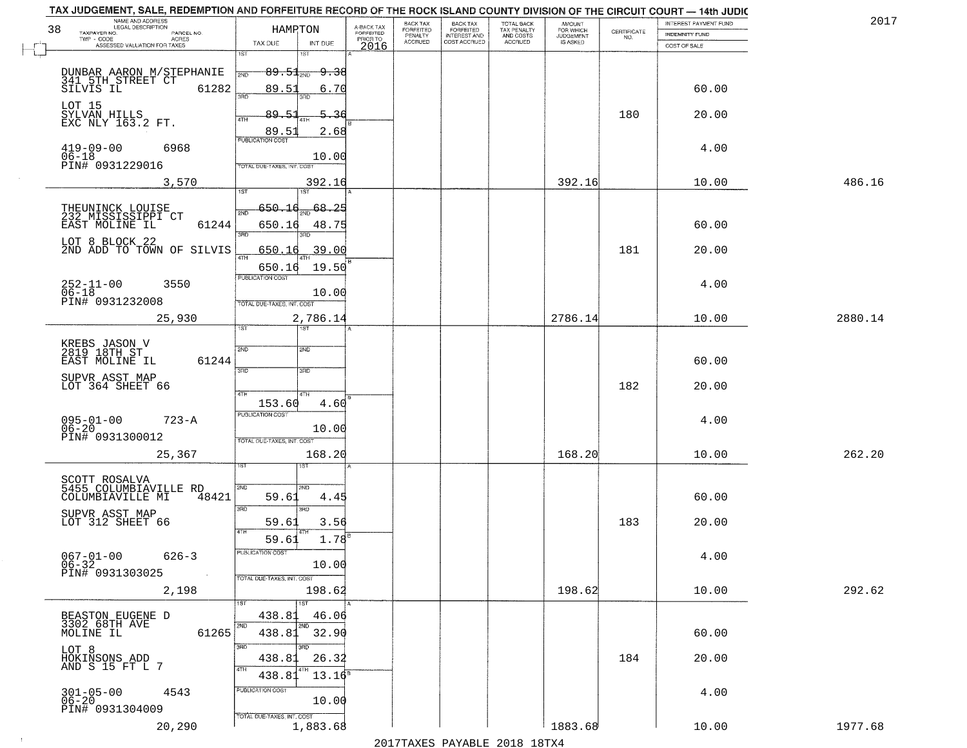| TAX JUDGEMENT, SALE, REDEMPTION AND FORFEITURE RECORD OF THE ROCK ISLAND COUNTY DIVISION OF THE CIRCUIT COURT - 14th JUDIC<br>NAME AND ADDRESS<br>LEGAL DESCRIPTION |                                        |                                     | BACK TAX             |                                       |                                        | AMOUNT<br>FOR WHICH |                                                                 | INTEREST PAYMENT FUND | 2017    |
|---------------------------------------------------------------------------------------------------------------------------------------------------------------------|----------------------------------------|-------------------------------------|----------------------|---------------------------------------|----------------------------------------|---------------------|-----------------------------------------------------------------|-----------------------|---------|
| 38<br>TAXPAYER NO.<br>PARCEL NO.<br>TWP - CODE<br>ACRES                                                                                                             | HAMRTON                                | A-BACK TAX<br>FORFEITED<br>PRIOR TO | FORFEITED<br>PENALTY | BACK TAX<br>FORFEITED<br>INTEREST AND | TOTAL BACK<br>TAX PENALTY<br>AND COSTS | <b>JUDGEMENT</b>    | $\begin{array}{c} \text{CERTIFICATE} \\ \text{NO.} \end{array}$ | <b>INDEMNITY FUND</b> |         |
| ASSESSED VALUATION FOR TAXES                                                                                                                                        | TAX DUE<br>INT DUE<br>1ST<br>1ST       | 2016                                | <b>ACCRUED</b>       | COST ACCRUED                          | <b>ACCRUED</b>                         | IS ASKED            |                                                                 | COST OF SALE          |         |
|                                                                                                                                                                     |                                        |                                     |                      |                                       |                                        |                     |                                                                 |                       |         |
| DUNBAR AARON M/STEPHANIE<br>341 5TH STREET CT<br>SILVIS IL                                                                                                          | $89.51_{200}$<br><del>9.38</del>       |                                     |                      |                                       |                                        |                     |                                                                 |                       |         |
| 61282                                                                                                                                                               | 89.51<br>6.70<br>3RD<br>3BD.           |                                     |                      |                                       |                                        |                     |                                                                 | 60.00                 |         |
| LOT 15<br>SYLVAN HILLS<br>EXC NLY 163.2 FT.                                                                                                                         | 89.5<br>5.36                           |                                     |                      |                                       |                                        |                     | 180                                                             | 20.00                 |         |
|                                                                                                                                                                     | 4TH<br>89.51<br>2.68                   |                                     |                      |                                       |                                        |                     |                                                                 |                       |         |
| $419 - 09 - 00$<br>6968                                                                                                                                             | <b>PUBLICATION COST</b>                |                                     |                      |                                       |                                        |                     |                                                                 | 4.00                  |         |
| 06-18<br>PIN# 0931229016                                                                                                                                            | 10.00                                  |                                     |                      |                                       |                                        |                     |                                                                 |                       |         |
|                                                                                                                                                                     | TOTAL DUE-TAXES, INT. COST             |                                     |                      |                                       |                                        |                     |                                                                 |                       |         |
| 3,570                                                                                                                                                               | 392.16<br>1ST<br>1ST                   |                                     |                      |                                       |                                        | 392.16              |                                                                 | 10.00                 | 486.16  |
|                                                                                                                                                                     | $650 - 16$<br>68.25                    |                                     |                      |                                       |                                        |                     |                                                                 |                       |         |
| THEUNINCK LOUISE<br>232 MISSISSIPPI CT<br>EAST MOLINE IL<br>61244                                                                                                   | 650.16<br>48.75                        |                                     |                      |                                       |                                        |                     |                                                                 | 60.00                 |         |
| LOT 8 BLOCK 22                                                                                                                                                      | $\overline{\text{R}}$<br>3RD           |                                     |                      |                                       |                                        |                     |                                                                 |                       |         |
| 2ND ADD TO TOWN OF SILVIS                                                                                                                                           | 39.00<br>650.16                        |                                     |                      |                                       |                                        |                     | 181                                                             | 20.00                 |         |
|                                                                                                                                                                     | 19.50<br>650.16                        |                                     |                      |                                       |                                        |                     |                                                                 |                       |         |
| $252 - 11 - 00$<br>3550                                                                                                                                             | PUBLICATION COST                       |                                     |                      |                                       |                                        |                     |                                                                 | 4.00                  |         |
| 06-18<br>PIN# 0931232008                                                                                                                                            | 10.00<br>TOTAL DUE-TAXES, INT. COST    |                                     |                      |                                       |                                        |                     |                                                                 |                       |         |
| 25,930                                                                                                                                                              | 2,786.14                               |                                     |                      |                                       |                                        | 2786.14             |                                                                 | 10.00                 | 2880.14 |
|                                                                                                                                                                     | 1ST.                                   |                                     |                      |                                       |                                        |                     |                                                                 |                       |         |
| KREBS JASON V<br>2819 18TH ST                                                                                                                                       | 2ND<br>SMD                             |                                     |                      |                                       |                                        |                     |                                                                 |                       |         |
| EAST MOLINE IL<br>61244                                                                                                                                             | 3 <sub>BD</sub><br>3RD                 |                                     |                      |                                       |                                        |                     |                                                                 | 60.00                 |         |
| SUPVR ASST MAP<br>LOT 364 SHEET 66                                                                                                                                  |                                        |                                     |                      |                                       |                                        |                     | 182                                                             | 20.00                 |         |
|                                                                                                                                                                     | 4TH<br>4TH<br>153.60<br>4.60           |                                     |                      |                                       |                                        |                     |                                                                 |                       |         |
| $095 - 01 - 00$<br>$723 - A$                                                                                                                                        | <b>PUBLICATION COST</b>                |                                     |                      |                                       |                                        |                     |                                                                 | 4.00                  |         |
| $06 - 20$<br>PIN# 0931300012                                                                                                                                        | 10.00                                  |                                     |                      |                                       |                                        |                     |                                                                 |                       |         |
|                                                                                                                                                                     | TOTAL OUE-TAXES, INT. COST             |                                     |                      |                                       |                                        |                     |                                                                 |                       |         |
| 25,367                                                                                                                                                              | 168.20<br>ड़िंग                        |                                     |                      |                                       |                                        | 168.20              |                                                                 | 10.00                 | 262.20  |
| SCOTT ROSALVA<br>5455 COLUMBIAVILLE RD                                                                                                                              | 2ND                                    |                                     |                      |                                       |                                        |                     |                                                                 |                       |         |
| COLUMBIAVILLE MI<br>48421                                                                                                                                           | 2ND.<br>59.61<br>4.45                  |                                     |                      |                                       |                                        |                     |                                                                 | 60.00                 |         |
| SUPVR ASST MAP                                                                                                                                                      | 3BD<br>3RD                             |                                     |                      |                                       |                                        |                     |                                                                 |                       |         |
| LOT 312 SHEET 66                                                                                                                                                    | 59.61<br>3.56<br>4TH                   |                                     |                      |                                       |                                        |                     | 183                                                             | 20.00                 |         |
|                                                                                                                                                                     | 1.78<br>59.61                          |                                     |                      |                                       |                                        |                     |                                                                 |                       |         |
| $067 - 01 - 00$<br>$626 - 3$<br>$06 - 32$                                                                                                                           | PUBLICATION COST<br>10.00              |                                     |                      |                                       |                                        |                     |                                                                 | 4.00                  |         |
| PIN# 0931303025<br>$\sim 100$                                                                                                                                       | TOTAL DUE-TAXES, INT. COST             |                                     |                      |                                       |                                        |                     |                                                                 |                       |         |
| 2,198                                                                                                                                                               | 198.62                                 |                                     |                      |                                       |                                        | 198.62              |                                                                 | 10.00                 | 292.62  |
|                                                                                                                                                                     | 1ST<br>1ST<br>438.81<br>46.06          |                                     |                      |                                       |                                        |                     |                                                                 |                       |         |
| BEASTON EUGENE D<br>3302 68TH AVE<br>61265<br>MOLINE IL                                                                                                             | 2ND<br>2ND<br>32.90<br>438.81          |                                     |                      |                                       |                                        |                     |                                                                 | 60.00                 |         |
|                                                                                                                                                                     | 3BD<br>3RD                             |                                     |                      |                                       |                                        |                     |                                                                 |                       |         |
| LOT 8<br>HOKINSONS ADD<br>AND S 15 FT L 7                                                                                                                           | 26.32<br>438.81                        |                                     |                      |                                       |                                        |                     | 184                                                             | 20.00                 |         |
|                                                                                                                                                                     | 4TH<br>$13.16^5$<br>438.81             |                                     |                      |                                       |                                        |                     |                                                                 |                       |         |
| $301 - 05 - 00$<br>06-20<br>4543                                                                                                                                    | PUBLICATION COST                       |                                     |                      |                                       |                                        |                     |                                                                 | 4.00                  |         |
| PIN# 0931304009                                                                                                                                                     | 10.00                                  |                                     |                      |                                       |                                        |                     |                                                                 |                       |         |
| 20,290                                                                                                                                                              | TOTAL DUE-TAXES, INT. COST<br>1,883.68 |                                     |                      |                                       |                                        | 1883.68             |                                                                 | 10.00                 | 1977.68 |
|                                                                                                                                                                     |                                        |                                     |                      |                                       |                                        |                     |                                                                 |                       |         |

 $\sim$  1  $^{\circ}$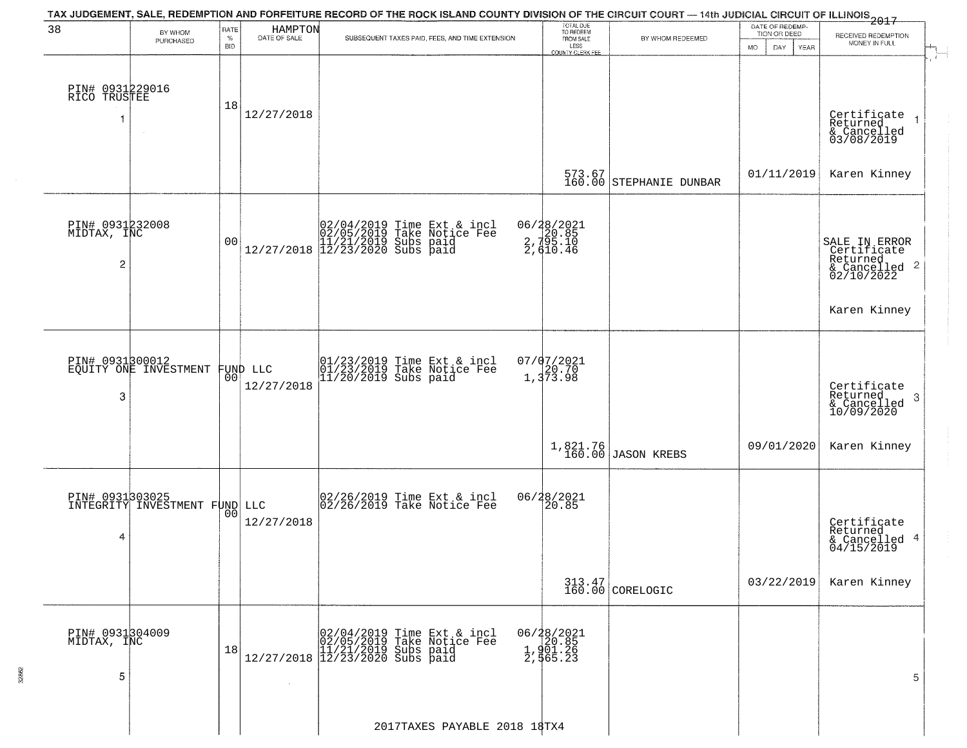| BY WHOM<br>PURCHASED<br>PIN# 0931229016<br>RICO TRUSTEE<br>$\sim$<br>PIN# 0931232008<br>MIDTAX, INC | RATE<br>$\%$<br><b>BID</b><br>18<br>0 <sub>0</sub>      | HAMPTON<br>DATE OF SALE<br>12/27/2018 | $[02/04/2019 \tTime Ext & incl 02/05/2019 \tTake Notice Free 11/21/2019 Subs paid 12/27/2018 \t] 12/23/2020 Subs paid$ | SUBSEQUENT TAXES PAID, FEES, AND TIME EXTENSION |                                                                                                                                                                                                                                                                             | TOTAL DUE<br>TO REDEEM<br>FROM SALE<br>LESS<br>COUNTY CLERK FEE | BY WHOM REDEEMED<br>573.67<br>160.00 STEPHANIE DUNBAR                                                                | TION OR DEED<br><b>MO</b><br>DAY<br>YEAR<br>01/11/2019 | RECEIVED REDEMPTION<br>MONEY IN FULL<br>Certificate<br>Returned<br>& Cancelled<br>03/08/2019<br>Karen Kinney |
|-----------------------------------------------------------------------------------------------------|---------------------------------------------------------|---------------------------------------|------------------------------------------------------------------------------------------------------------------------|-------------------------------------------------|-----------------------------------------------------------------------------------------------------------------------------------------------------------------------------------------------------------------------------------------------------------------------------|-----------------------------------------------------------------|----------------------------------------------------------------------------------------------------------------------|--------------------------------------------------------|--------------------------------------------------------------------------------------------------------------|
|                                                                                                     |                                                         |                                       |                                                                                                                        |                                                 |                                                                                                                                                                                                                                                                             |                                                                 |                                                                                                                      |                                                        |                                                                                                              |
|                                                                                                     |                                                         |                                       |                                                                                                                        |                                                 |                                                                                                                                                                                                                                                                             |                                                                 |                                                                                                                      |                                                        |                                                                                                              |
|                                                                                                     |                                                         |                                       |                                                                                                                        |                                                 |                                                                                                                                                                                                                                                                             |                                                                 |                                                                                                                      |                                                        |                                                                                                              |
|                                                                                                     |                                                         |                                       |                                                                                                                        |                                                 |                                                                                                                                                                                                                                                                             |                                                                 |                                                                                                                      |                                                        |                                                                                                              |
|                                                                                                     |                                                         |                                       |                                                                                                                        |                                                 |                                                                                                                                                                                                                                                                             |                                                                 |                                                                                                                      |                                                        |                                                                                                              |
|                                                                                                     |                                                         |                                       |                                                                                                                        |                                                 |                                                                                                                                                                                                                                                                             |                                                                 |                                                                                                                      |                                                        |                                                                                                              |
|                                                                                                     |                                                         |                                       |                                                                                                                        |                                                 |                                                                                                                                                                                                                                                                             |                                                                 |                                                                                                                      |                                                        |                                                                                                              |
|                                                                                                     |                                                         |                                       |                                                                                                                        |                                                 |                                                                                                                                                                                                                                                                             |                                                                 |                                                                                                                      |                                                        |                                                                                                              |
|                                                                                                     |                                                         |                                       |                                                                                                                        |                                                 |                                                                                                                                                                                                                                                                             |                                                                 |                                                                                                                      |                                                        |                                                                                                              |
|                                                                                                     |                                                         |                                       |                                                                                                                        |                                                 |                                                                                                                                                                                                                                                                             |                                                                 |                                                                                                                      |                                                        |                                                                                                              |
|                                                                                                     |                                                         |                                       |                                                                                                                        |                                                 |                                                                                                                                                                                                                                                                             |                                                                 |                                                                                                                      |                                                        |                                                                                                              |
|                                                                                                     |                                                         |                                       |                                                                                                                        |                                                 |                                                                                                                                                                                                                                                                             | 06/28/2021<br>2, 20.85<br>2, 35.10<br>2, 410.46                 |                                                                                                                      |                                                        |                                                                                                              |
|                                                                                                     |                                                         |                                       |                                                                                                                        |                                                 |                                                                                                                                                                                                                                                                             |                                                                 |                                                                                                                      |                                                        | SALE IN ERROR<br>Certificate                                                                                 |
|                                                                                                     |                                                         |                                       |                                                                                                                        |                                                 |                                                                                                                                                                                                                                                                             |                                                                 |                                                                                                                      |                                                        | Returned<br>& Cancelled 2<br>02/10/2022                                                                      |
|                                                                                                     |                                                         |                                       |                                                                                                                        |                                                 |                                                                                                                                                                                                                                                                             |                                                                 |                                                                                                                      |                                                        |                                                                                                              |
|                                                                                                     |                                                         |                                       |                                                                                                                        |                                                 |                                                                                                                                                                                                                                                                             |                                                                 |                                                                                                                      |                                                        | Karen Kinney                                                                                                 |
|                                                                                                     |                                                         |                                       |                                                                                                                        |                                                 |                                                                                                                                                                                                                                                                             |                                                                 |                                                                                                                      |                                                        |                                                                                                              |
|                                                                                                     |                                                         |                                       |                                                                                                                        |                                                 |                                                                                                                                                                                                                                                                             |                                                                 |                                                                                                                      |                                                        |                                                                                                              |
|                                                                                                     |                                                         |                                       |                                                                                                                        |                                                 |                                                                                                                                                                                                                                                                             |                                                                 |                                                                                                                      |                                                        |                                                                                                              |
|                                                                                                     | 0 <sub>0</sub>                                          |                                       |                                                                                                                        |                                                 |                                                                                                                                                                                                                                                                             |                                                                 |                                                                                                                      |                                                        |                                                                                                              |
|                                                                                                     |                                                         |                                       |                                                                                                                        |                                                 |                                                                                                                                                                                                                                                                             |                                                                 |                                                                                                                      |                                                        | Certificate<br>Returned<br>3                                                                                 |
|                                                                                                     |                                                         |                                       |                                                                                                                        |                                                 |                                                                                                                                                                                                                                                                             |                                                                 |                                                                                                                      |                                                        | $\frac{6}{10/09/2020}$                                                                                       |
|                                                                                                     |                                                         |                                       |                                                                                                                        |                                                 |                                                                                                                                                                                                                                                                             |                                                                 |                                                                                                                      |                                                        |                                                                                                              |
|                                                                                                     |                                                         |                                       |                                                                                                                        |                                                 |                                                                                                                                                                                                                                                                             |                                                                 |                                                                                                                      | 09/01/2020                                             | Karen Kinney                                                                                                 |
|                                                                                                     |                                                         |                                       |                                                                                                                        |                                                 |                                                                                                                                                                                                                                                                             |                                                                 |                                                                                                                      |                                                        |                                                                                                              |
|                                                                                                     |                                                         |                                       |                                                                                                                        |                                                 |                                                                                                                                                                                                                                                                             |                                                                 |                                                                                                                      |                                                        |                                                                                                              |
|                                                                                                     |                                                         |                                       |                                                                                                                        |                                                 |                                                                                                                                                                                                                                                                             |                                                                 |                                                                                                                      |                                                        |                                                                                                              |
|                                                                                                     |                                                         | 12/27/2018                            |                                                                                                                        |                                                 |                                                                                                                                                                                                                                                                             |                                                                 |                                                                                                                      |                                                        | Certificate<br>Returned                                                                                      |
|                                                                                                     |                                                         |                                       |                                                                                                                        |                                                 |                                                                                                                                                                                                                                                                             |                                                                 |                                                                                                                      |                                                        | & Cancelled 4<br>04/15/2019                                                                                  |
|                                                                                                     |                                                         |                                       |                                                                                                                        |                                                 |                                                                                                                                                                                                                                                                             |                                                                 |                                                                                                                      |                                                        |                                                                                                              |
|                                                                                                     |                                                         |                                       |                                                                                                                        |                                                 |                                                                                                                                                                                                                                                                             |                                                                 |                                                                                                                      | 03/22/2019                                             | Karen Kinney                                                                                                 |
|                                                                                                     |                                                         |                                       |                                                                                                                        |                                                 |                                                                                                                                                                                                                                                                             |                                                                 |                                                                                                                      |                                                        |                                                                                                              |
|                                                                                                     |                                                         |                                       |                                                                                                                        |                                                 |                                                                                                                                                                                                                                                                             |                                                                 |                                                                                                                      |                                                        |                                                                                                              |
| PIN# 0931304009                                                                                     |                                                         |                                       |                                                                                                                        |                                                 |                                                                                                                                                                                                                                                                             |                                                                 |                                                                                                                      |                                                        |                                                                                                              |
|                                                                                                     | 18                                                      |                                       |                                                                                                                        |                                                 |                                                                                                                                                                                                                                                                             |                                                                 |                                                                                                                      |                                                        |                                                                                                              |
|                                                                                                     |                                                         |                                       |                                                                                                                        |                                                 |                                                                                                                                                                                                                                                                             |                                                                 |                                                                                                                      |                                                        | 5                                                                                                            |
|                                                                                                     |                                                         | $\sim 10^{-1}$                        |                                                                                                                        |                                                 |                                                                                                                                                                                                                                                                             |                                                                 |                                                                                                                      |                                                        |                                                                                                              |
|                                                                                                     |                                                         |                                       |                                                                                                                        |                                                 |                                                                                                                                                                                                                                                                             |                                                                 |                                                                                                                      |                                                        |                                                                                                              |
|                                                                                                     |                                                         |                                       |                                                                                                                        | 2017TAXES PAYABLE 2018 18TX4                    |                                                                                                                                                                                                                                                                             |                                                                 |                                                                                                                      |                                                        |                                                                                                              |
|                                                                                                     | PIN# 0931300012<br>EQUITY ONE INVESTMENT<br>MIDTAX, INC | 0 <sub>0</sub>                        | FUND LLC<br>12/27/2018<br>PIN# 0931303025<br>INTEGRITY INVESTMENT FUND LLC                                             |                                                 | 01/23/2019 Time Ext & incl<br>01/23/2019 Take Notice Fee<br>11/20/2019 Subs paid<br>02/26/2019 Time Ext & incl<br>02/26/2019 Take Notice Fee<br>$[02/04/2019 \tTime Ext & incl 02/05/2019 \tTake Notice Free 11/21/2019 Subs paid 12/27/2018 12/23/2020 Subs paid 13/2019]$ |                                                                 | $07/07/2021$<br>1,373.98<br>1,821.76<br>160.00<br>06/28/2021<br>20.85<br>06/28/2021<br>20.85<br>1,901.26<br>2,565.23 | <b>JASON KREBS</b><br>313.47<br>160.00 CORELOGIC       |                                                                                                              |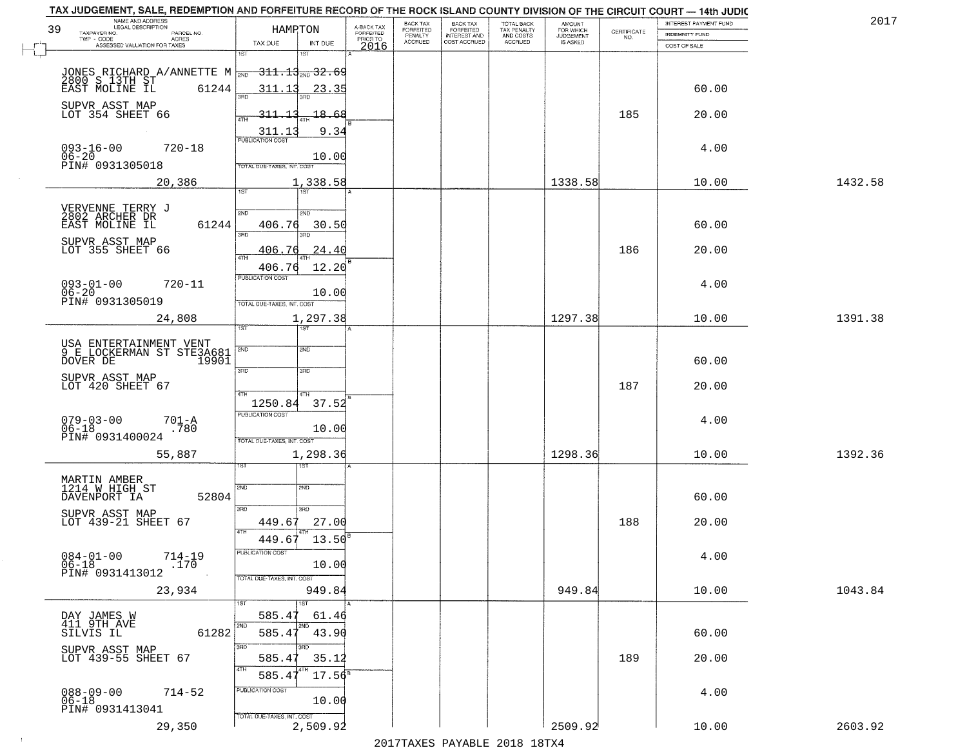| NAME AND ADDRESS<br>LEGAL DESCRIPTION<br>39                                                                 | HAMRTON                                    | A-BACK TAX                   | BACK TAX<br><b>FORFEITED</b> | <b>BACK TAX</b><br><b>FORFEITED</b> | TOTAL BACK<br>TAX PENALTY | <b>AMOUNT</b>                      |                    | INTEREST PAYMENT FUND | 2017    |
|-------------------------------------------------------------------------------------------------------------|--------------------------------------------|------------------------------|------------------------------|-------------------------------------|---------------------------|------------------------------------|--------------------|-----------------------|---------|
| TAXPAYER NO.<br>PARCEL NO.<br>TWP - CODE<br>ACRES                                                           |                                            | <b>FORFEITED</b><br>PRIOR TO | PENALTY<br>ACCRUED           | INTEREST AND<br>COST ACCRUED        | AND COSTS<br>ACCRUED      | FOR WHICH<br>JUDGEMENT<br>IS ASKED | CERTIFICATE<br>NO. | <b>INDEMNITY FUND</b> |         |
| ASSESSED VALUATION FOR TAXES                                                                                | TAX DUE<br>INT DUE<br>1ST<br>1ST           | 2016                         |                              |                                     |                           |                                    |                    | COST OF SALE          |         |
|                                                                                                             |                                            |                              |                              |                                     |                           |                                    |                    |                       |         |
| JONES RICHARD A/ANNETTE M $\frac{311.13}{200}$ 32.69<br>2800 S 13TH ST<br>EAST MOLINE IL 61244 311.13 23.35 | រគក                                        |                              |                              |                                     |                           |                                    |                    | 60.00                 |         |
| SUPVR ASST MAP<br>LOT 354 SHEET 66                                                                          | $-311 - 1$<br>-18.68                       |                              |                              |                                     |                           |                                    | 185                | 20.00                 |         |
|                                                                                                             | 4TH<br>311.1<br>9.34                       |                              |                              |                                     |                           |                                    |                    |                       |         |
| $093 - 16 - 00$<br>$720 - 18$                                                                               | <b>PUBLICATION COST</b>                    |                              |                              |                                     |                           |                                    |                    | 4.00                  |         |
| 06-20<br>PIN# 0931305018                                                                                    | 10.00<br>TOTAL DUE-TAXES, INT. COST        |                              |                              |                                     |                           |                                    |                    |                       |         |
| 20,386                                                                                                      | 1,338.58<br>$\overline{\text{1ST}}$<br>1ST |                              |                              |                                     |                           | 1338.58                            |                    | 10.00                 | 1432.58 |
| VERVENNE TERRY J<br>2802 ARCHER DR                                                                          | 2ND<br>2ND                                 |                              |                              |                                     |                           |                                    |                    |                       |         |
| EAST MOLINE IL                                                                                              | 61244<br>406.76<br>30.50<br>3RD            |                              |                              |                                     |                           |                                    |                    | 60.00                 |         |
| SUPVR ASST MAP<br>LOT 355 SHEET 66                                                                          | 3RD<br>24.40<br>406.76                     |                              |                              |                                     |                           |                                    | 186                | 20.00                 |         |
|                                                                                                             | 47H<br>12.20<br>406.76                     |                              |                              |                                     |                           |                                    |                    |                       |         |
| $093 - 01 - 00$<br>$720 - 11$<br>$06 - 20$                                                                  | PUBLICATION COST<br>10.00                  |                              |                              |                                     |                           |                                    |                    | 4.00                  |         |
| PIN# 0931305019                                                                                             | TOTAL DUE-TAXES, INT. COST                 |                              |                              |                                     |                           |                                    |                    |                       |         |
| 24,808                                                                                                      | 1,297.38<br>1ST                            |                              |                              |                                     |                           | 1297.38                            |                    | 10.00                 | 1391.38 |
| USA ENTERTAINMENT VENT<br>9 E LOCKERMAN ST STE3A681                                                         | 2ND<br>SMD                                 |                              |                              |                                     |                           |                                    |                    |                       |         |
| DOVER DE                                                                                                    | 19901<br>3BD<br>3 <sub>BD</sub>            |                              |                              |                                     |                           |                                    |                    | 60.00                 |         |
| SUPVR ASST MAP<br>LOT 420 SHEET 67                                                                          |                                            |                              |                              |                                     |                           |                                    | 187                | 20.00                 |         |
|                                                                                                             | 4TH<br>4TH<br>37.52<br>1250.84             |                              |                              |                                     |                           |                                    |                    |                       |         |
| 079-03-00<br>06-18<br>$701 - A$<br>.780                                                                     | <b>PUBLICATION COST</b><br>10.00           |                              |                              |                                     |                           |                                    |                    | 4.00                  |         |
| PIN# 0931400024                                                                                             | TOTAL OUE-TAXES, INT. COST                 |                              |                              |                                     |                           |                                    |                    |                       |         |
| 55,887                                                                                                      | 1,298.36                                   |                              |                              |                                     |                           | 1298.36                            |                    | 10.00                 | 1392.36 |
| MARTIN AMBER<br>1214 W HIGH ST                                                                              | 2ND<br>2ND                                 |                              |                              |                                     |                           |                                    |                    |                       |         |
| DAVENPORT IA                                                                                                | 52804<br>3BD<br>3RD                        |                              |                              |                                     |                           |                                    |                    | 60.00                 |         |
| SUPVR ASST MAP<br>LOT 439-21 SHEET 67                                                                       | 27.00<br>449.67<br>4TH                     |                              |                              |                                     |                           |                                    | 188                | 20.00                 |         |
|                                                                                                             | 449.67 13.50                               |                              |                              |                                     |                           |                                    |                    |                       |         |
| $084 - 01 - 00$<br>$714 - 19$<br>06-18<br>.170                                                              | PUBLICATION COST<br>10.00                  |                              |                              |                                     |                           |                                    |                    | 4.00                  |         |
| PIN# 0931413012                                                                                             | TOTAL DUE-TAXES, INT. COST<br>949.84       |                              |                              |                                     |                           | 949.84                             |                    | 10.00                 | 1043.84 |
| 23,934                                                                                                      |                                            |                              |                              |                                     |                           |                                    |                    |                       |         |
| DAY JAMES W<br>411 9TH AVE                                                                                  | 585.47<br>61.46<br>12ND<br>2ND             |                              |                              |                                     |                           |                                    |                    |                       |         |
| SILVIS IL<br>SUPVR ASST MAP                                                                                 | 585.47<br>43.90<br>61282<br>3BD<br>क़ा     |                              |                              |                                     |                           |                                    |                    | 60.00                 |         |
| LOT 439-55 SHEET 67                                                                                         | 585.47<br>35.12<br>4TH                     |                              |                              |                                     |                           |                                    | 189                | 20.00                 |         |
|                                                                                                             | $17.56^8$<br>585.4                         |                              |                              |                                     |                           |                                    |                    |                       |         |
| 088-09-00<br>06-18<br>$714 - 52$                                                                            | PUBLICATION COST<br>10.00                  |                              |                              |                                     |                           |                                    |                    | 4.00                  |         |
| PIN# 0931413041<br>29,350                                                                                   | TOTAL DUE-TAXES, INT. COST<br>2,509.92     |                              |                              |                                     |                           | 2509.92                            |                    | 10.00                 | 2603.92 |
|                                                                                                             |                                            |                              |                              |                                     |                           |                                    |                    |                       |         |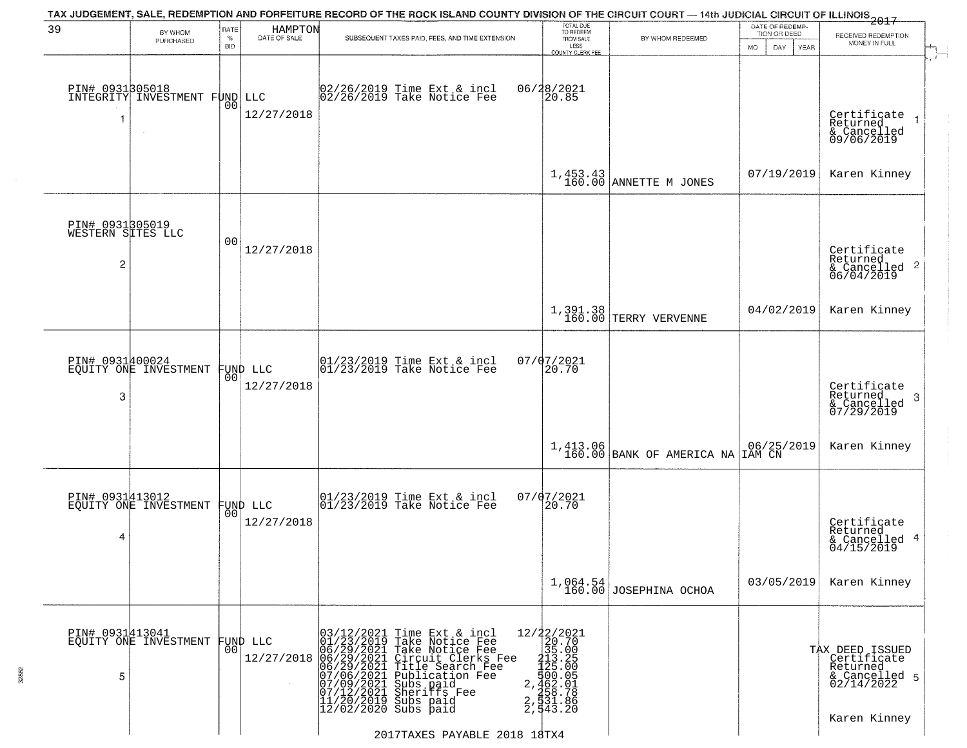| BY WHOM<br>PURCHASED                             | RATE<br>$\%$<br><b>BID</b>                                                                                                                                               | HAMPTON<br>DATE OF SALE | TAX JUDGEMENT, SALE, REDEMPTION AND FORFEITURE RECORD OF THE ROCK ISLAND COUNTY DIVISION OF THE CIRCUIT COURT — 14th JUDICIAL CIRCUIT OF ILLINOIS 2017<br>SUBSEQUENT TAXES PAID, FEES, AND TIME EXTENSION | TOTAL DUE<br>TO REDEEM<br>FROM SALE                                                                                                                                                                                                                                                                                                                                                                                                                                                                                                                         | BY WHOM REDEEMED                                                                                                                                                             | DATE OF REDEMP-<br>TION OR DEED                                                                                                   |                                                                                                     |
|--------------------------------------------------|--------------------------------------------------------------------------------------------------------------------------------------------------------------------------|-------------------------|-----------------------------------------------------------------------------------------------------------------------------------------------------------------------------------------------------------|-------------------------------------------------------------------------------------------------------------------------------------------------------------------------------------------------------------------------------------------------------------------------------------------------------------------------------------------------------------------------------------------------------------------------------------------------------------------------------------------------------------------------------------------------------------|------------------------------------------------------------------------------------------------------------------------------------------------------------------------------|-----------------------------------------------------------------------------------------------------------------------------------|-----------------------------------------------------------------------------------------------------|
|                                                  |                                                                                                                                                                          |                         |                                                                                                                                                                                                           | LESS                                                                                                                                                                                                                                                                                                                                                                                                                                                                                                                                                        |                                                                                                                                                                              | <b>MO</b><br>DAY<br>YEAR                                                                                                          | RECEIVED REDEMPTION<br>MONEY IN FULL                                                                |
| PIN# 0931305018<br>INTEGRITY INVESTMENT FUND LLC | 00                                                                                                                                                                       | 12/27/2018              | 02/26/2019 Time Ext & incl<br>02/26/2019 Take Notice Fee                                                                                                                                                  | COUNTY CLERK FEE<br>06/28/2021<br>20.85                                                                                                                                                                                                                                                                                                                                                                                                                                                                                                                     |                                                                                                                                                                              |                                                                                                                                   | $\mathbf{r}$<br>Certificate<br>Returned<br>$\overline{1}$<br>& Cancelled<br>09/06/2019              |
|                                                  |                                                                                                                                                                          |                         |                                                                                                                                                                                                           |                                                                                                                                                                                                                                                                                                                                                                                                                                                                                                                                                             |                                                                                                                                                                              | 07/19/2019                                                                                                                        | Karen Kinney                                                                                        |
|                                                  | 00                                                                                                                                                                       | 12/27/2018              |                                                                                                                                                                                                           |                                                                                                                                                                                                                                                                                                                                                                                                                                                                                                                                                             |                                                                                                                                                                              |                                                                                                                                   | Certificate<br>Returned<br>$\overline{2}$<br>& Cancelled<br>06/04/2019                              |
|                                                  |                                                                                                                                                                          |                         |                                                                                                                                                                                                           |                                                                                                                                                                                                                                                                                                                                                                                                                                                                                                                                                             | TERRY VERVENNE                                                                                                                                                               | 04/02/2019                                                                                                                        | Karen Kinney                                                                                        |
|                                                  | 0 <sub>0</sub>                                                                                                                                                           | 12/27/2018              |                                                                                                                                                                                                           |                                                                                                                                                                                                                                                                                                                                                                                                                                                                                                                                                             |                                                                                                                                                                              |                                                                                                                                   | Certificate<br>Returned<br>$\mathbf{3}$<br>& Cancelled<br>07/29/2019                                |
|                                                  |                                                                                                                                                                          |                         |                                                                                                                                                                                                           |                                                                                                                                                                                                                                                                                                                                                                                                                                                                                                                                                             |                                                                                                                                                                              |                                                                                                                                   | Karen Kinney                                                                                        |
|                                                  |                                                                                                                                                                          | 12/27/2018              |                                                                                                                                                                                                           | 20.70                                                                                                                                                                                                                                                                                                                                                                                                                                                                                                                                                       |                                                                                                                                                                              |                                                                                                                                   | Certificate<br>Returned<br>4<br>& Cancelled<br>04/15/2019                                           |
|                                                  |                                                                                                                                                                          |                         |                                                                                                                                                                                                           |                                                                                                                                                                                                                                                                                                                                                                                                                                                                                                                                                             |                                                                                                                                                                              | 03/05/2019                                                                                                                        | Karen Kinney                                                                                        |
|                                                  | 0 <sub>0</sub>                                                                                                                                                           | 12/27/2018              | $\overline{2}$ ,<br>$\frac{2}{2}$<br>$12/02/2020$ Subs paid                                                                                                                                               |                                                                                                                                                                                                                                                                                                                                                                                                                                                                                                                                                             |                                                                                                                                                                              |                                                                                                                                   | TAX DEED ISSUED<br>Certificate<br>Returned<br>& Cancelled 5<br>02/14/2022<br>Karen Kinney           |
| $\overline{2}$<br>3<br>4<br>5                    | PIN# 0931805019<br>WESTERN SITES LLC<br>PIN# 0931400024<br>EQUITY ONE INVESTMENT<br>PIN# 0931413012<br>EQUITY ONE INVESTMENT<br>PIN# 0931413041<br>EQUITY ONE INVESTMENT |                         | FUND LLC<br>FUND LLC<br> 00 <br>FUND LLC                                                                                                                                                                  | $\begin{array}{ccc}  01/23/2019 \text{ Time} & \text{Ext} & \text{incl} \\  01/23/2019 & \text{Take Notice } \text{Fe} \end{array}$<br>$\begin{array}{cc}  01/23/2019 \overline{\hspace{0.2cm} 1} \text{ time} & \text{Ext} & \text{in} \\ 01/23/2019 & \text{Take Notice } \text{Fe} \end{array}$<br>03/12/2021 Time Ext & incl<br>01/23/2019 Take Notice Fee<br>06/29/2021 Take Notice Fee<br>06/29/2021 Circuit Clerks Fee<br>06/29/2021 Pirult Clerks Fee<br>07/06/2021 Bublication Fee<br>07/09/2021 Subs paid<br>07/12/2021 Sheriffs Fee<br>11/20/201 | $07/07/2021$<br>20.70<br>07/07/2021<br>12/22/2021<br>20.70<br>$\begin{smallmatrix} 2111.1 \ 2135.0050 \ 2125.00505 \ 2125.00505 \ 2125.0018 \ 2131.8060 \ \end{smallmatrix}$ | $1,453.43$ ANNETTE M JONES<br>1,391.38<br>160.00<br>1,413.06<br>160.00 BANK OF AMERICA NA<br>$1,064.54$<br>160.00 JOSEPHINA OCHOA | $\begin{array}{ c c c }\n06/25/2019 \\ \hline\nIAN CN\n\end{array}$<br>2017TAXES PAYABLE 2018 18TX4 |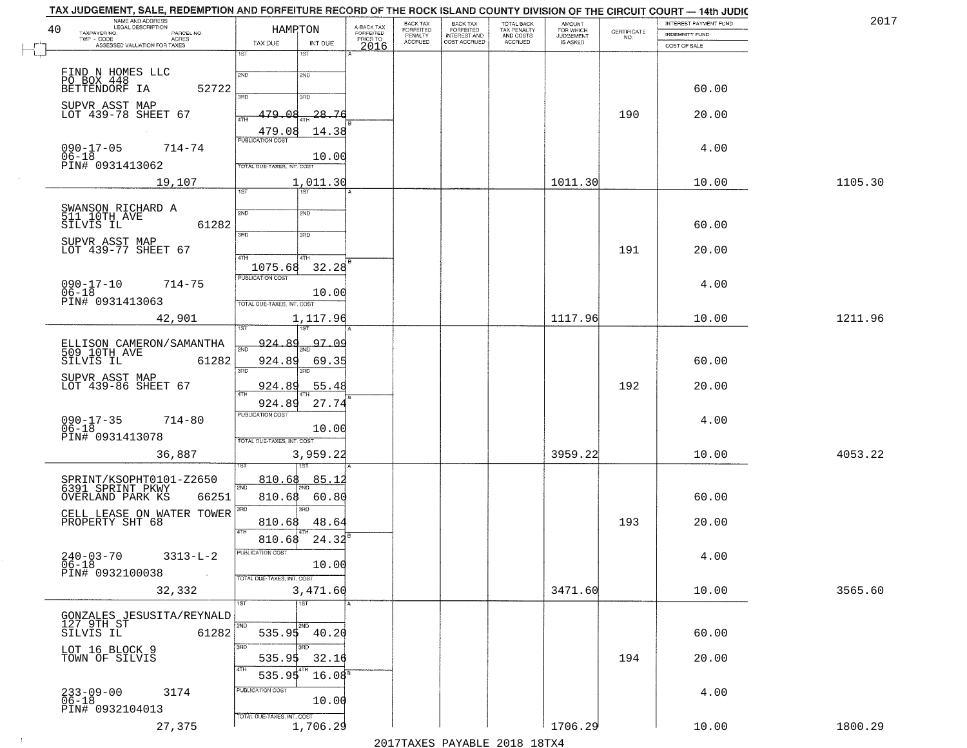|    | TAX JUDGEMENT, SALE, REDEMPTION AND FORFEITURE RECORD OF THE ROCK ISLAND COUNTY DIVISION OF THE CIRCUIT COURT — 14th JUDIC<br>NAME AND ADDRESS<br>LEGAL DESCRIPTION |                                   |                        |                                     | BACK TAX                        |                                                       |                                                   | <b>AMOUNT</b>                      |                    | INTEREST PAYMENT FUND | 2017    |
|----|---------------------------------------------------------------------------------------------------------------------------------------------------------------------|-----------------------------------|------------------------|-------------------------------------|---------------------------------|-------------------------------------------------------|---------------------------------------------------|------------------------------------|--------------------|-----------------------|---------|
| 40 | TAXPAYER NO.<br>PARCEL NO.<br>$TWP - CODE$<br>- CODE AGRES<br>ASSESSED VALUATION FOR TAXES                                                                          | TAX DUE                           | HAMRTON<br>INT DUE     | A-BACK TAX<br>FORFEITED<br>PRIOR TO | FORFEITED<br>PENALTY<br>ACCRUED | BACK TAX<br>FORFEITED<br>INTEREST AND<br>COST ACCRUED | TOTAL BACK<br>TAX PENALTY<br>AND COSTS<br>ACCRUED | FOR WHICH<br>JUDGEMENT<br>IS ASKED | CERTIFICATE<br>NO. | INDEMNITY FUND        |         |
|    |                                                                                                                                                                     | 1ST                               | 1ST                    | 2016                                |                                 |                                                       |                                                   |                                    |                    | COST OF SALE          |         |
|    | FIND N HOMES LLC                                                                                                                                                    | 2ND                               | 2ND                    |                                     |                                 |                                                       |                                                   |                                    |                    |                       |         |
|    | PO BOX 448<br>BETTENDORF IA<br>52722                                                                                                                                |                                   |                        |                                     |                                 |                                                       |                                                   |                                    |                    | 60.00                 |         |
|    | SUPVR ASST MAP<br>LOT 439-78 SHEET 67                                                                                                                               | 3AD                               | 3RD                    |                                     |                                 |                                                       |                                                   |                                    |                    |                       |         |
|    |                                                                                                                                                                     | 479<br>عم<br>4TH                  | 28.76                  |                                     |                                 |                                                       |                                                   |                                    | 190                | 20.00                 |         |
|    | $\sim$                                                                                                                                                              | 479.08<br><b>PUBLICATION COST</b> | 14.38                  |                                     |                                 |                                                       |                                                   |                                    |                    |                       |         |
|    | $090 - 17 - 05$<br>714-74<br>$06 - 18$                                                                                                                              |                                   | 10.00                  |                                     |                                 |                                                       |                                                   |                                    |                    | 4.00                  |         |
|    | PIN# 0931413062<br>19,107                                                                                                                                           | TOTAL DUE-TAXES, INT, COST        | 1,011.30               |                                     |                                 |                                                       |                                                   | 1011.30                            |                    | 10.00                 | 1105.30 |
|    |                                                                                                                                                                     | $\overline{1ST}$                  | 1ST <sup>1</sup>       |                                     |                                 |                                                       |                                                   |                                    |                    |                       |         |
|    | SWANSON RICHARD A<br>511 10TH AVE                                                                                                                                   | 2ND                               | 2ND                    |                                     |                                 |                                                       |                                                   |                                    |                    |                       |         |
|    | 61282<br>SILVIS IL                                                                                                                                                  | 3RD                               | 3RD                    |                                     |                                 |                                                       |                                                   |                                    |                    | 60.00                 |         |
|    | SUPVR ASST MAP<br>LOT 439-77 SHEET 67                                                                                                                               |                                   |                        |                                     |                                 |                                                       |                                                   |                                    | 191                | 20.00                 |         |
|    |                                                                                                                                                                     | 4TH<br>1075.68                    | 4TH<br>32.28           |                                     |                                 |                                                       |                                                   |                                    |                    |                       |         |
|    | $714 - 75$                                                                                                                                                          | PUBLICATION COST                  |                        |                                     |                                 |                                                       |                                                   |                                    |                    | 4.00                  |         |
|    | $090 - 17 - 10$<br>$06 - 18$<br>PIN# 0931413063                                                                                                                     | TOTAL DUE-TAXES, INT. COST        | 10.00                  |                                     |                                 |                                                       |                                                   |                                    |                    |                       |         |
|    | 42,901                                                                                                                                                              |                                   | 1,117.96               |                                     |                                 |                                                       |                                                   | 1117.96                            |                    | 10.00                 | 1211.96 |
|    |                                                                                                                                                                     | ïsτ                               |                        |                                     |                                 |                                                       |                                                   |                                    |                    |                       |         |
|    | ELLISON CAMERON/SAMANTHA<br>509 10TH AVE                                                                                                                            | 924.89<br>काठ                     | 1 <sub>2ND</sub> 97.09 |                                     |                                 |                                                       |                                                   |                                    |                    |                       |         |
|    | 61282<br>SILVIS IL                                                                                                                                                  | 924.89<br>3RD                     | 69.35<br>3RD           |                                     |                                 |                                                       |                                                   |                                    |                    | 60.00                 |         |
|    | SUPVR ASST MAP<br>LOT 439-86 SHEET 67                                                                                                                               | 924.89<br>4TH                     | 55.48                  |                                     |                                 |                                                       |                                                   |                                    | 192                | 20.00                 |         |
|    |                                                                                                                                                                     | 924.89                            | 27.74                  |                                     |                                 |                                                       |                                                   |                                    |                    |                       |         |
|    | $090 - 17 - 35$<br>06-18<br>$714 - 80$                                                                                                                              | <b>PUBLICATION COST</b>           | 10.00                  |                                     |                                 |                                                       |                                                   |                                    |                    | 4.00                  |         |
|    | PIN# 0931413078                                                                                                                                                     | TOTAL OUE-TAXES, INT. COST        |                        |                                     |                                 |                                                       |                                                   |                                    |                    |                       |         |
|    | 36,887                                                                                                                                                              |                                   | 3,959.22               |                                     |                                 |                                                       |                                                   | 3959.22                            |                    | 10.00                 | 4053.22 |
|    | SPRINT/KSOPHT0101-Z2650                                                                                                                                             | 810.68                            | 85.1                   |                                     |                                 |                                                       |                                                   |                                    |                    |                       |         |
|    | 6391 SPRINT PKWY<br>66251<br>OVERLAND PARK KS                                                                                                                       | 2ND<br>810.68                     | 60.80                  |                                     |                                 |                                                       |                                                   |                                    |                    | 60.00                 |         |
|    | CELL LEASE ON WATER TOWER                                                                                                                                           | 3BD                               | 3RD                    |                                     |                                 |                                                       |                                                   |                                    |                    |                       |         |
|    | PROPERTY SHT 68                                                                                                                                                     | 810.68<br>4TH                     | 48.64                  |                                     |                                 |                                                       |                                                   |                                    | 193                | 20.00                 |         |
|    |                                                                                                                                                                     | 810.68<br>PUBLICATION COST        | 24.32                  |                                     |                                 |                                                       |                                                   |                                    |                    |                       |         |
|    | $240 - 03 - 70$<br>$3313 - L - 2$<br>06-18                                                                                                                          |                                   | 10.00                  |                                     |                                 |                                                       |                                                   |                                    |                    | 4.00                  |         |
|    | PIN# 0932100038                                                                                                                                                     | TOTAL DUE-TAXES, INT. COST        | 3,471.60               |                                     |                                 |                                                       |                                                   |                                    |                    |                       |         |
|    | 32,332                                                                                                                                                              | 1ST                               | 1ST                    |                                     |                                 |                                                       |                                                   | 3471.60                            |                    | 10.00                 | 3565.60 |
|    | GONZALES JESUSITA/REYNALD<br>$127$ $9TH$ $ST$                                                                                                                       | 2ND                               | 2ND                    |                                     |                                 |                                                       |                                                   |                                    |                    |                       |         |
|    | SILVIS IL<br>61282                                                                                                                                                  |                                   | $535.95$ 40.20         |                                     |                                 |                                                       |                                                   |                                    |                    | 60.00                 |         |
|    | LOT 16 BLOCK 9<br>TOWN OF SILVIS                                                                                                                                    | 3RD<br>535.95                     | зñп<br>32.16           |                                     |                                 |                                                       |                                                   |                                    | 194                | 20.00                 |         |
|    |                                                                                                                                                                     | 4TH<br>535.95                     | $16.08^{\circ}$        |                                     |                                 |                                                       |                                                   |                                    |                    |                       |         |
|    | 233-09-00<br>06-18<br>3174                                                                                                                                          | PUBLICATION COST                  |                        |                                     |                                 |                                                       |                                                   |                                    |                    | 4.00                  |         |
|    | PIN# 0932104013                                                                                                                                                     |                                   | 10.00                  |                                     |                                 |                                                       |                                                   |                                    |                    |                       |         |
|    | 27,375                                                                                                                                                              | TOTAL DUE-TAXES, INT. COST        | 1,706.29               |                                     |                                 |                                                       |                                                   | 1706.29                            |                    | 10.00                 | 1800.29 |

 $\sim 10^6$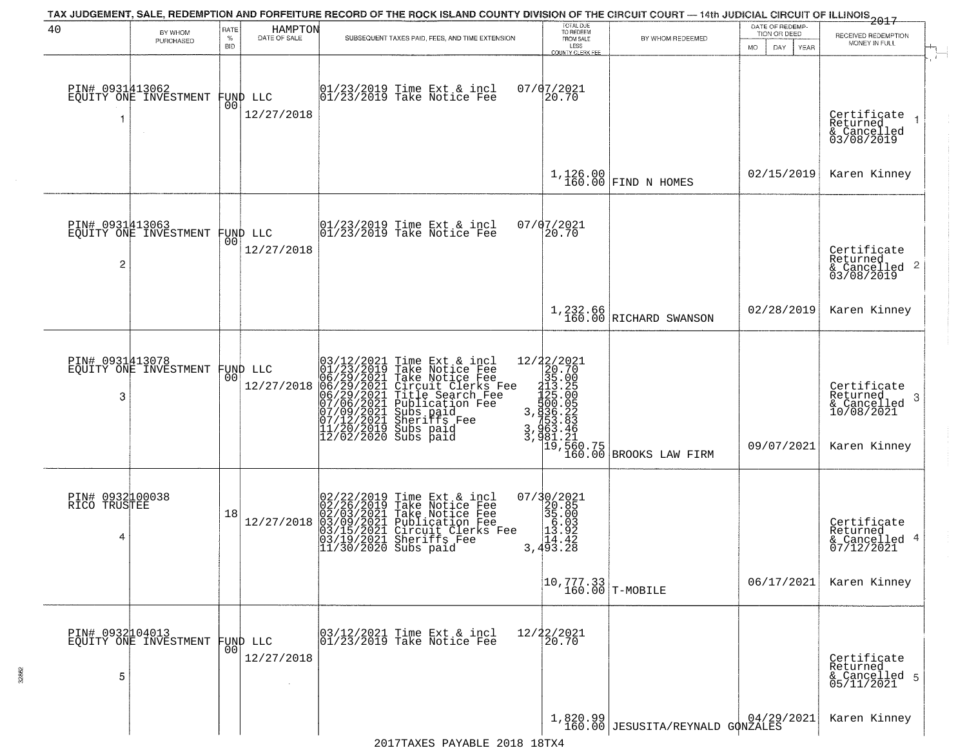|                                      |                                          |                     |                                | TAX JUDGEMENT, SALE, REDEMPTION AND FORFEITURE RECORD OF THE ROCK ISLAND COUNTY DIVISION OF THE CIRCUIT COURT — 14th JUDICIAL CIRCUIT OF ILLINOIS<br>2017 - THE REPORT OF ILLINOIS                                                                                                                                                                                                          |                                                                                                                                      |                                                                                                                                                                     |                                                       |                                                                            |
|--------------------------------------|------------------------------------------|---------------------|--------------------------------|---------------------------------------------------------------------------------------------------------------------------------------------------------------------------------------------------------------------------------------------------------------------------------------------------------------------------------------------------------------------------------------------|--------------------------------------------------------------------------------------------------------------------------------------|---------------------------------------------------------------------------------------------------------------------------------------------------------------------|-------------------------------------------------------|----------------------------------------------------------------------------|
| 40                                   | BY WHOM<br>PURCHASED                     | RATE<br>$\%$<br>BID | HAMPTON<br>DATE OF SALE        | SUBSEQUENT TAXES PAID, FEES, AND TIME EXTENSION                                                                                                                                                                                                                                                                                                                                             | TOTAL DUE<br>TO REDEEM<br>FROM SALE<br>LESS<br>COUNTY CLERK FEE                                                                      | BY WHOM REDEEMED                                                                                                                                                    | DATE OF REDEMP-<br>TION OR DEED<br>MO.<br>DAY<br>YEAR | RECEIVED REDEMPTION<br>MONEY IN FULL                                       |
| PIN# 0931413062<br>-1                | EQUITY ONE INVESTMENT                    |                     | FUND LLC<br> 00 <br>12/27/2018 | 01/23/2019 Time Ext & incl<br>01/23/2019 Take Notice Fee                                                                                                                                                                                                                                                                                                                                    | 07/07/2021<br>20.70                                                                                                                  |                                                                                                                                                                     |                                                       | - 1<br>Certificate<br>Returned<br>& Cancelled<br>03/08/2019                |
|                                      |                                          |                     |                                |                                                                                                                                                                                                                                                                                                                                                                                             |                                                                                                                                      | $1,126.00$ FIND N HOMES                                                                                                                                             | 02/15/2019                                            | Karen Kinney                                                               |
| $\overline{c}$                       | PIN# 0931413063<br>EQUITY ONE INVESTMENT | 001                 | FUND LLC<br>12/27/2018         | 01/23/2019 Time Ext & incl<br>01/23/2019 Take Notice Fee                                                                                                                                                                                                                                                                                                                                    | 07/07/2021<br>20.70                                                                                                                  |                                                                                                                                                                     |                                                       | Certificate<br>Returned<br>$\frac{1}{6}$ Cancelled 2<br>03/08/2019         |
|                                      |                                          |                     |                                |                                                                                                                                                                                                                                                                                                                                                                                             |                                                                                                                                      | $1,232.66$<br>$160.00$ RICHARD SWANSON                                                                                                                              | 02/28/2019                                            | Karen Kinney                                                               |
| 3                                    | PIN# 0931413078<br>EQUITY ONE INVESTMENT | 00                  | FUND LLC<br>12/27/2018         | Time Ext & incl<br>Take Notice Fee<br>Take Notice Fee<br>Circuit Clerks Fee<br>Title Search Fee<br>Publication Fee<br>Subs paid<br>Sheriffs Fee<br>Subs paid<br>03/12/2021 Time Ext &<br>01/23/2019 Take Notic<br>06/29/2021 Take Notic<br>06/29/2021 Circuit Cl<br>06/29/2021 Title Sear<br>07/06/2021 Bublicatic<br>07/09/2021 Sheriffs F<br>11/20/2019 Subs paid<br>12/02/2019 Subs paid |                                                                                                                                      | 12/22/2021<br>20.70<br>35.00<br>35.00<br>413.25<br>420.00<br>3,936.22<br>3,936.22<br>3,963.46<br>3,961.21<br>19,560.75<br>160.00 BROOKS LAW FIRM                    | 09/07/2021                                            | Certificate<br>Returned<br>-3<br>& Cancelled<br>10/08/2021<br>Karen Kinney |
| PIN# 0932100038<br>RICO TRUSTEE<br>4 |                                          | 18                  | 12/27/2018                     | 02/22/2019 Time Ext &<br>02/26/2019 Take Notic<br>02/03/2021 Take Notic<br>03/09/2021 Publicatic<br>03/15/2021 Circuit Cl<br>03/19/2021 Sheriffs F<br>11/30/2020 Subs paid<br>Time Ext & incl<br>Take Notice Fee<br>Take Notice Fee<br>Publication Fee<br>Circuit Clerks Fee<br>Sheriffs, Fee                                                                                               | $\begin{smallmatrix} 07/3 & 0/2 & 021 \\ 20 & 85 \\ 35 & 00 \\ 1 & 0 \\ 1 & 0 \\ 1 & 0 \\ 1 & 0 \\ 3 & 493 & 2 \\ \end{smallmatrix}$ |                                                                                                                                                                     |                                                       | Certificate<br>Returned<br>& Cancelled 4<br>07/12/2021                     |
|                                      |                                          |                     |                                |                                                                                                                                                                                                                                                                                                                                                                                             | $\begin{array}{ c c c c }\n\hline\n10,777.33 & \text{T-MOBILE}\n\end{array}$                                                         |                                                                                                                                                                     | 06/17/2021                                            | Karen Kinney                                                               |
| PIN# 0932104013<br>5                 | EQUITY ONE INVESTMENT                    | 00 <sub>1</sub>     | FUND LLC<br>12/27/2018         | 03/12/2021 Time Ext & incl<br>01/23/2019 Take Notice Fee                                                                                                                                                                                                                                                                                                                                    | 12/22/2021<br>20.70                                                                                                                  |                                                                                                                                                                     |                                                       | Certificate<br>Returned<br>& Cancelled 5<br>05/11/2021                     |
|                                      |                                          |                     |                                |                                                                                                                                                                                                                                                                                                                                                                                             |                                                                                                                                      | $\left.\begin{array}{c c} 1,820.99 \\ 160.00 \end{array}\right  \texttt{JESUSTTA/REYNALD} \begin{array}{c c} 04/29/2021 \\ \texttt{G} \texttt{QNZALES} \end{array}$ |                                                       | Karen Kinney                                                               |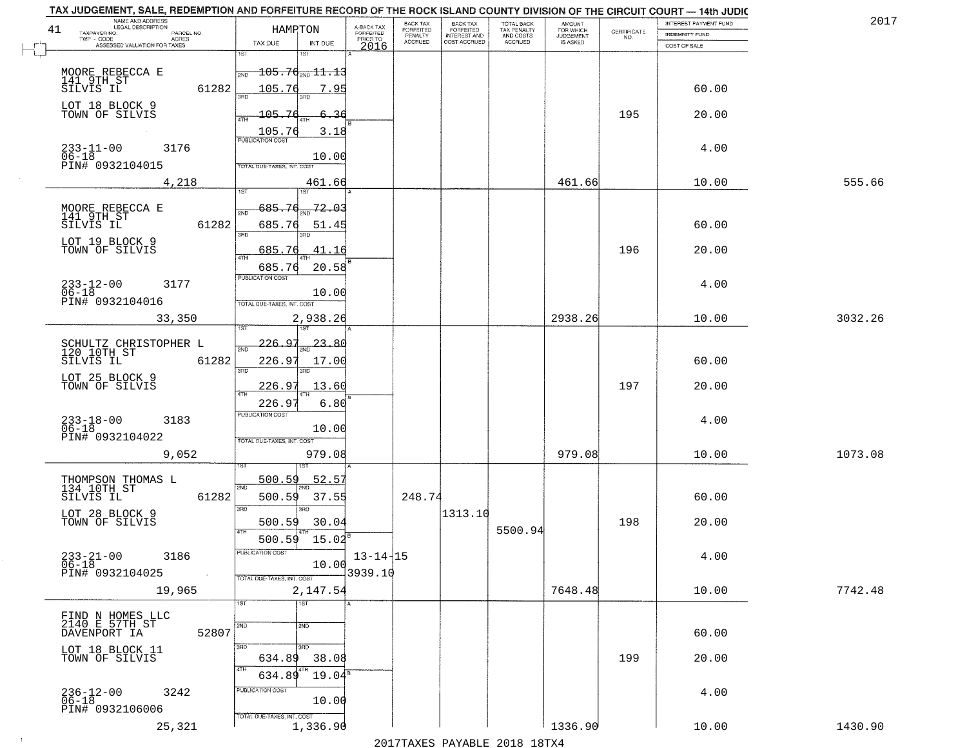|    | TAX JUDGEMENT, SALE, REDEMPTION AND FORFEITURE RECORD OF THE ROCK ISLAND COUNTY DIVISION OF THE CIRCUIT COURT - 14th JUDIC<br>NAME AND ADDRESS<br>LEGAL DESCRIPTION |                                            |                                     | BACK TAX                    |                                       |                                        |                                  |                                                                 | INTEREST PAYMENT FUND | 2017    |
|----|---------------------------------------------------------------------------------------------------------------------------------------------------------------------|--------------------------------------------|-------------------------------------|-----------------------------|---------------------------------------|----------------------------------------|----------------------------------|-----------------------------------------------------------------|-----------------------|---------|
| 41 | TAXPAYER NO.<br>PARCEL NO.<br>TWP - CODE<br>ACRES                                                                                                                   | HAMPTON                                    | A-BACK TAX<br>FORFEITED<br>PRIOR TO | <b>FORFEITED</b><br>PENALTY | BACK TAX<br>FORFEITED<br>INTEREST AND | TOTAL BACK<br>TAX PENALTY<br>AND COSTS | AMOUNT<br>FOR WHICH<br>JUDGEMENT | $\begin{array}{c} \text{CERTIFICATE} \\ \text{NO.} \end{array}$ | <b>INDEMNITY FUND</b> |         |
|    | ASSESSED VALUATION FOR TAXES                                                                                                                                        | TAX DUE<br>INT DUE                         | 2016                                | <b>ACCRUED</b>              | COST ACCRUED                          | ACCRUED                                | IS ASKED                         |                                                                 | COST OF SALE          |         |
|    |                                                                                                                                                                     | 1ST<br>IST                                 |                                     |                             |                                       |                                        |                                  |                                                                 |                       |         |
|    | MOORE REBECCA E                                                                                                                                                     | $\frac{1}{2ND}$ 105.7 $\theta_{2ND}$ 11.13 |                                     |                             |                                       |                                        |                                  |                                                                 |                       |         |
|    | 141 9TH ST<br>SILVIS IL<br>61282                                                                                                                                    | <u> 105.76</u><br>7.95                     |                                     |                             |                                       |                                        |                                  |                                                                 | 60.00                 |         |
|    |                                                                                                                                                                     |                                            |                                     |                             |                                       |                                        |                                  |                                                                 |                       |         |
|    | LOT 18 BLOCK 9<br>TOWN OF SILVIS                                                                                                                                    | 105.76<br>-36                              |                                     |                             |                                       |                                        |                                  | 195                                                             | 20.00                 |         |
|    |                                                                                                                                                                     |                                            |                                     |                             |                                       |                                        |                                  |                                                                 |                       |         |
|    |                                                                                                                                                                     | $\frac{105.76}{FUBUCATON COST}$<br>3.18    |                                     |                             |                                       |                                        |                                  |                                                                 |                       |         |
|    | $233 - 11 - 00$<br>$06 - 18$<br>3176                                                                                                                                | 10.00                                      |                                     |                             |                                       |                                        |                                  |                                                                 | 4.00                  |         |
|    | PIN# 0932104015                                                                                                                                                     | TOTAL DUE-TAXES, INT. COST                 |                                     |                             |                                       |                                        |                                  |                                                                 |                       |         |
|    | 4,218                                                                                                                                                               | 461.66                                     |                                     |                             |                                       |                                        | 461.66                           |                                                                 | 10.00                 | 555.66  |
|    |                                                                                                                                                                     | ist                                        |                                     |                             |                                       |                                        |                                  |                                                                 |                       |         |
|    |                                                                                                                                                                     | 72.03<br>685.76                            |                                     |                             |                                       |                                        |                                  |                                                                 |                       |         |
|    | MOORE REBECCA E<br>141_9TH_ST                                                                                                                                       | <b>DND</b>                                 |                                     |                             |                                       |                                        |                                  |                                                                 |                       |         |
|    | 61282<br>SILVIS IL                                                                                                                                                  | 685.76<br>51.45<br>उन्नठ                   |                                     |                             |                                       |                                        |                                  |                                                                 | 60.00                 |         |
|    | LOT 19 BLOCK 9<br>TOWN OF SILVIS                                                                                                                                    | 685.76<br>41.16                            |                                     |                             |                                       |                                        |                                  | 196                                                             | 20.00                 |         |
|    |                                                                                                                                                                     | $\overline{ATH}$                           |                                     |                             |                                       |                                        |                                  |                                                                 |                       |         |
|    |                                                                                                                                                                     | 20.58<br>685.76<br>PUBLICATION COST        |                                     |                             |                                       |                                        |                                  |                                                                 |                       |         |
|    | $233 - 12 - 00$<br>3177                                                                                                                                             |                                            |                                     |                             |                                       |                                        |                                  |                                                                 | 4.00                  |         |
|    | $06 - 18$<br>PIN# 0932104016                                                                                                                                        | 10.00<br>TOTAL DUE-TAXES, INT. COST        |                                     |                             |                                       |                                        |                                  |                                                                 |                       |         |
|    |                                                                                                                                                                     |                                            |                                     |                             |                                       |                                        |                                  |                                                                 |                       |         |
|    | 33,350                                                                                                                                                              | 2,938.26<br>1ST                            |                                     |                             |                                       |                                        | 2938.26                          |                                                                 | 10.00                 | 3032.26 |
|    |                                                                                                                                                                     | $-226.97$<br>23.86                         |                                     |                             |                                       |                                        |                                  |                                                                 |                       |         |
|    | SCHULTZ CHRISTOPHER L<br>120 10TH ST                                                                                                                                | 2ND                                        |                                     |                             |                                       |                                        |                                  |                                                                 |                       |         |
|    | SILVIS IL<br>61282                                                                                                                                                  | 226.97<br>17.00<br>3RD<br>3RD              |                                     |                             |                                       |                                        |                                  |                                                                 | 60.00                 |         |
|    | LOT 25 BLOCK 9                                                                                                                                                      |                                            |                                     |                             |                                       |                                        |                                  |                                                                 |                       |         |
|    | TOWN OF SILVIS                                                                                                                                                      | 13.60<br><u>226.9</u><br><b>ATH</b>        |                                     |                             |                                       |                                        |                                  | 197                                                             | 20.00                 |         |
|    |                                                                                                                                                                     | 6.80<br>226.9                              |                                     |                             |                                       |                                        |                                  |                                                                 |                       |         |
|    | $233 - 18 - 00$<br>06-18<br>3183                                                                                                                                    | PUBLICATION COST                           |                                     |                             |                                       |                                        |                                  |                                                                 | 4.00                  |         |
|    |                                                                                                                                                                     | 10.00                                      |                                     |                             |                                       |                                        |                                  |                                                                 |                       |         |
|    | PIN# 0932104022                                                                                                                                                     | TOTAL OUE-TAXES, INT. COST                 |                                     |                             |                                       |                                        |                                  |                                                                 |                       |         |
|    | 9,052                                                                                                                                                               | 979.08                                     |                                     |                             |                                       |                                        | 979.08                           |                                                                 | 10.00                 | 1073.08 |
|    |                                                                                                                                                                     |                                            |                                     |                             |                                       |                                        |                                  |                                                                 |                       |         |
|    | THOMPSON THOMAS L<br>134 10TH ST                                                                                                                                    | 500.59<br>52.57<br>2ND                     |                                     |                             |                                       |                                        |                                  |                                                                 |                       |         |
|    | 61282<br>SILVIS IL                                                                                                                                                  | 500.59<br>37.55                            |                                     | 248.74                      |                                       |                                        |                                  |                                                                 | 60.00                 |         |
|    | LOT 28 BLOCK 9                                                                                                                                                      | 3RD<br>3RD                                 |                                     |                             | 1313.10                               |                                        |                                  |                                                                 |                       |         |
|    | TOWN OF SILVIS                                                                                                                                                      | 500.59<br>30.04<br>4TH                     |                                     |                             |                                       | 5500.94                                |                                  | 198                                                             | 20.00                 |         |
|    |                                                                                                                                                                     | 500.59<br>15.02                            |                                     |                             |                                       |                                        |                                  |                                                                 |                       |         |
|    | 3186                                                                                                                                                                | ruslica i IUN COS                          | $13 - 14 - 15$                      |                             |                                       |                                        |                                  |                                                                 | 4.00                  |         |
|    | $233 - 21 - 00$<br>06-18                                                                                                                                            | 10.00                                      | 3939.10                             |                             |                                       |                                        |                                  |                                                                 |                       |         |
|    | PIN# 0932104025                                                                                                                                                     | TOTAL DUE-TAXES, INT. COST                 |                                     |                             |                                       |                                        |                                  |                                                                 |                       |         |
|    | 19,965                                                                                                                                                              | 2,147.54                                   |                                     |                             |                                       |                                        | 7648.48                          |                                                                 | 10.00                 | 7742.48 |
|    |                                                                                                                                                                     | 1ST<br>1ST                                 |                                     |                             |                                       |                                        |                                  |                                                                 |                       |         |
|    | FIND N HOMES LLC<br>2140 E 57TH ST                                                                                                                                  | 2ND<br>2ND                                 |                                     |                             |                                       |                                        |                                  |                                                                 |                       |         |
|    | 52807<br>DAVENPORT IA                                                                                                                                               |                                            |                                     |                             |                                       |                                        |                                  |                                                                 | 60.00                 |         |
|    |                                                                                                                                                                     | 3RD<br>3RD                                 |                                     |                             |                                       |                                        |                                  |                                                                 |                       |         |
|    | LOT 18 BLOCK 11<br>TOWN OF SILVIS                                                                                                                                   | 38.08<br>634.89                            |                                     |                             |                                       |                                        |                                  | 199                                                             | 20.00                 |         |
|    |                                                                                                                                                                     | 4TH<br>$19.04^{\rm s}$<br>634.89           |                                     |                             |                                       |                                        |                                  |                                                                 |                       |         |
|    | 3242                                                                                                                                                                | PUBLICATION COST                           |                                     |                             |                                       |                                        |                                  |                                                                 | 4.00                  |         |
|    | $236 - 12 - 00$<br>06-18                                                                                                                                            | 10.00                                      |                                     |                             |                                       |                                        |                                  |                                                                 |                       |         |
|    | PIN# 0932106006                                                                                                                                                     | TOTAL DUE-TAXES, INT. COST                 |                                     |                             |                                       |                                        |                                  |                                                                 |                       |         |
|    | 25,321                                                                                                                                                              | 1,336.90                                   |                                     |                             |                                       |                                        | 1336.90                          |                                                                 | 10.00                 | 1430.90 |
|    |                                                                                                                                                                     |                                            |                                     |                             |                                       | 2017 THAYRO DAVADIR 2018 19TY          |                                  |                                                                 |                       |         |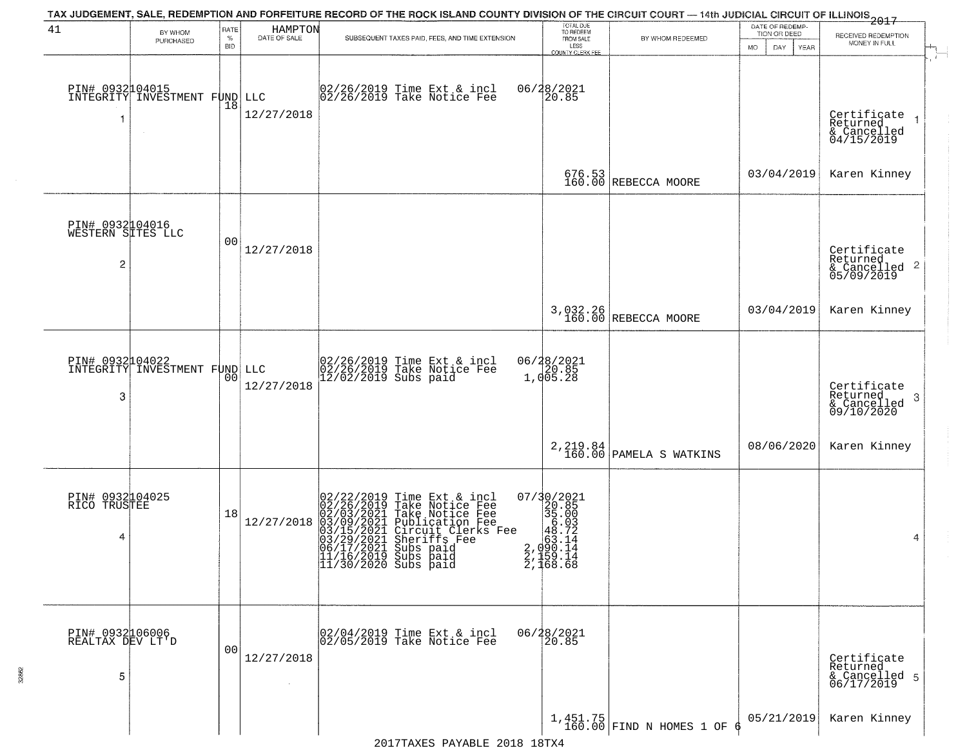|                                           |                               |                |                         | TAX JUDGEMENT, SALE, REDEMPTION AND FORFEITURE RECORD OF THE ROCK ISLAND COUNTY DIVISION OF THE CIRCUIT COURT - 14th JUDICIAL CIRCUIT OF ILLINOIS 2017                                                                                                                           |                                                                                                        |                                          | DATE OF REDEMP-     |                                                            |
|-------------------------------------------|-------------------------------|----------------|-------------------------|----------------------------------------------------------------------------------------------------------------------------------------------------------------------------------------------------------------------------------------------------------------------------------|--------------------------------------------------------------------------------------------------------|------------------------------------------|---------------------|------------------------------------------------------------|
| 41                                        | BY WHOM<br>PURCHASED          | RATE<br>%      | HAMPTON<br>DATE OF SALE | SUBSEQUENT TAXES PAID, FEES, AND TIME EXTENSION                                                                                                                                                                                                                                  | TOTAL DUE<br>TO REDEEM<br>FROM SALE                                                                    | BY WHOM REDEEMED                         | TION OR DEED        | RECEIVED REDEMPTION                                        |
|                                           |                               | BID            |                         |                                                                                                                                                                                                                                                                                  | LESS<br>COUNTY CLERK FEE                                                                               |                                          | YEAR<br>MO.<br>DAY. | MONEY IN FULL<br>$\overline{1}$                            |
| PIN# 0932104015<br>-1                     | INTEGRITY INVESTMENT FUND     | 18             | LLC<br>12/27/2018       | 02/26/2019 Time Ext & incl<br>02/26/2019 Take Notice Fee                                                                                                                                                                                                                         | 06/28/2021<br>20.85                                                                                    |                                          |                     | Certificate<br>Returned<br>& Cancelled<br>04/15/2019       |
|                                           |                               |                |                         |                                                                                                                                                                                                                                                                                  |                                                                                                        | 676.53<br>160.00 REBECCA MOORE           | 03/04/2019          | Karen Kinney                                               |
| PIN# 0932104016<br>WESTERN SITES LLC<br>2 |                               | 0 <sup>0</sup> | 12/27/2018              |                                                                                                                                                                                                                                                                                  |                                                                                                        |                                          |                     | Certificate<br>Returned<br>& Cancelled 2<br>05/09/2019     |
|                                           |                               |                |                         |                                                                                                                                                                                                                                                                                  |                                                                                                        | 3,032.26<br>160.00 REBECCA MOORE         | 03/04/2019          | Karen Kinney                                               |
| PIN# 0932104022<br>3                      | INTEGRITY INVESTMENT FUND LLC | 0 <sub>0</sub> | 12/27/2018              | 02/26/2019 Time Ext & incl<br>02/26/2019 Take Notice Fee<br>12/02/2019 Subs paid                                                                                                                                                                                                 | 06/28/2021<br>20.85<br>1,005.28                                                                        |                                          |                     | Certificate<br>Returned<br>-3<br>& Cancelled<br>09/10/2020 |
|                                           |                               |                |                         |                                                                                                                                                                                                                                                                                  |                                                                                                        | 2, 219.84<br>160.00 PAMELA S WATKINS     | 08/06/2020          | Karen Kinney                                               |
| PIN# 0932104025<br>RICO TRUSTEE<br>4      |                               | 18             | 12/27/2018              | 02/22/2019 Time Ext & incl<br>02/26/2019 Take Notice Fee<br>02/03/2021 Take Notice Fee<br>03/09/2021 Publication Fee<br>03/15/2021 Circuit Clerks Fee<br>03/29/2021 Sheriffs Fee<br>03/29/2021 Subs paid<br>11/16/2019 Subs paid<br>11/16/2019 Subs paid<br>11/30/2020 Subs paid | 07/30/2021<br>320.85<br>35.003<br>46.72<br>2, 960.14<br>2, 960.14<br>$\frac{2}{1}, \frac{159}{168}.68$ |                                          |                     | 4                                                          |
| PIN# 0932106006<br>REALTAX DEV LT'D<br>5  |                               | 00             | 12/27/2018              | 02/04/2019 Time Ext & incl<br>02/05/2019 Take Notice Fee                                                                                                                                                                                                                         | 06/28/2021<br>20.85                                                                                    |                                          |                     | Certificate<br>Returned<br>& Cancelled 5<br>06/17/2019     |
|                                           |                               |                |                         |                                                                                                                                                                                                                                                                                  |                                                                                                        | $1,451.75$<br>160.00 FIND N HOMES 1 OF 6 | 05/21/2019          | Karen Kinney                                               |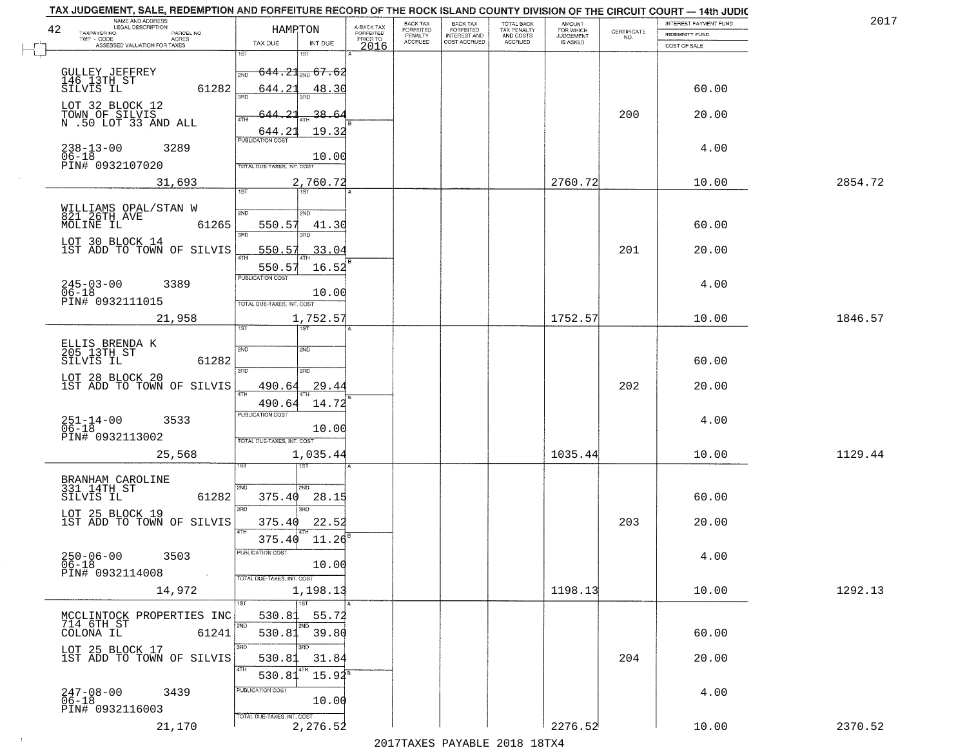| TAX JUDGEMENT, SALE, REDEMPTION AND FORFEITURE RECORD OF THE ROCK ISLAND COUNTY DIVISION OF THE CIRCUIT COURT - 14th JUDIC<br>NAME AND ADDRESS<br>LEGAL DESCRIPTION |                                     |                                     | BACK TAX             | <b>BACK TAX</b>                  |                                        |                                         |                                                                 | INTEREST PAYMENT FUND | 201     |
|---------------------------------------------------------------------------------------------------------------------------------------------------------------------|-------------------------------------|-------------------------------------|----------------------|----------------------------------|----------------------------------------|-----------------------------------------|-----------------------------------------------------------------|-----------------------|---------|
| 42<br>TAXPAYER NO.<br>PARCEL NO.                                                                                                                                    | HAMPTON                             | A-BACK TAX<br>FORFEITED<br>PRIOR TO | FORFEITED<br>PENALTY | FORFEITED<br><b>INTEREST AND</b> | TOTAL BACK<br>TAX PENALTY<br>AND COSTS | AMOUNT<br>FOR WHICH<br><b>JUDGEMENT</b> | $\begin{array}{c} \text{CERTIFICATE} \\ \text{NO.} \end{array}$ | INDEMNITY FUND        |         |
| TWP - CODE<br>ACRES<br>ASSESSED VALUATION FOR TAXES                                                                                                                 | TAX DUE<br>INT DUE                  | 2016                                | <b>ACCRUED</b>       | COST ACCRUED                     | <b>ACCRUED</b>                         | IS ASKED                                |                                                                 | COST OF SALE          |         |
|                                                                                                                                                                     | 1ST                                 |                                     |                      |                                  |                                        |                                         |                                                                 |                       |         |
| GULLEY JEFFREY<br>146 13TH ST<br>SILVIS IL                                                                                                                          | <del>644.21. 67.62</del><br>2ND     |                                     |                      |                                  |                                        |                                         |                                                                 |                       |         |
| 61282                                                                                                                                                               | 644.21<br>48.30<br>350              |                                     |                      |                                  |                                        |                                         |                                                                 | 60.00                 |         |
| LOT 32 BLOCK 12                                                                                                                                                     |                                     |                                     |                      |                                  |                                        |                                         |                                                                 |                       |         |
| TOWN OF SILVIS<br>N .50 LOT 33 AND ALL                                                                                                                              | 644.21<br>38.64                     |                                     |                      |                                  |                                        |                                         | 200                                                             | 20.00                 |         |
|                                                                                                                                                                     | 19.32<br>644.21                     |                                     |                      |                                  |                                        |                                         |                                                                 |                       |         |
| $238 - 13 - 00$<br>06-18<br>3289                                                                                                                                    | <b>PUBLICATION COST</b>             |                                     |                      |                                  |                                        |                                         |                                                                 | 4.00                  |         |
| PIN# 0932107020                                                                                                                                                     | 10.00<br>TOTAL DUE-TAXES, INT. COST |                                     |                      |                                  |                                        |                                         |                                                                 |                       |         |
| 31,693                                                                                                                                                              |                                     |                                     |                      |                                  |                                        | 2760.72                                 |                                                                 | 10.00                 | 2854.72 |
|                                                                                                                                                                     | 2,760.72<br>1ST                     |                                     |                      |                                  |                                        |                                         |                                                                 |                       |         |
|                                                                                                                                                                     |                                     |                                     |                      |                                  |                                        |                                         |                                                                 |                       |         |
| WILLIAMS OPAL/STAN W<br>821 26TH AVE<br>MOLINE IL<br>61265                                                                                                          | 2ND<br>2ND<br>550.57<br>41.30       |                                     |                      |                                  |                                        |                                         |                                                                 | 60.00                 |         |
|                                                                                                                                                                     | बन्ना<br>3RD                        |                                     |                      |                                  |                                        |                                         |                                                                 |                       |         |
| LOT 30 BLOCK 14<br>1ST ADD TO TOWN OF SILVIS                                                                                                                        | 550.57<br>33.04<br>$\overline{ATH}$ |                                     |                      |                                  |                                        |                                         | 201                                                             | 20.00                 |         |
|                                                                                                                                                                     | 550.57<br>16.52                     |                                     |                      |                                  |                                        |                                         |                                                                 |                       |         |
| $245 - 03 - 00$<br>3389                                                                                                                                             | PUBLICATION COST                    |                                     |                      |                                  |                                        |                                         |                                                                 | 4.00                  |         |
| $06 - 18$                                                                                                                                                           | 10.00                               |                                     |                      |                                  |                                        |                                         |                                                                 |                       |         |
| PIN# 0932111015                                                                                                                                                     | TOTAL DUE-TAXES, INT. COST          |                                     |                      |                                  |                                        |                                         |                                                                 |                       |         |
| 21,958                                                                                                                                                              | 1,752.57<br>1ST                     |                                     |                      |                                  |                                        | 1752.57                                 |                                                                 | 10.00                 | 1846.57 |
|                                                                                                                                                                     |                                     |                                     |                      |                                  |                                        |                                         |                                                                 |                       |         |
| ELLIS BRENDA K<br>205 13TH ST                                                                                                                                       | 2ND<br>2ND                          |                                     |                      |                                  |                                        |                                         |                                                                 |                       |         |
| 61282<br>SILVIS IL                                                                                                                                                  | 3RD<br>3RD                          |                                     |                      |                                  |                                        |                                         |                                                                 | 60.00                 |         |
| LOT 28 BLOCK 20<br>1ST ADD TO TOWN OF SILVIS                                                                                                                        | 490.64<br>29.44                     |                                     |                      |                                  |                                        |                                         | 202                                                             | 20.00                 |         |
|                                                                                                                                                                     | 4TH<br>490.64<br>14.72              |                                     |                      |                                  |                                        |                                         |                                                                 |                       |         |
|                                                                                                                                                                     | <b>PUBLICATION COST</b>             |                                     |                      |                                  |                                        |                                         |                                                                 |                       |         |
| $251 - 14 - 00$<br>06-18<br>3533                                                                                                                                    | 10.00                               |                                     |                      |                                  |                                        |                                         |                                                                 | 4.00                  |         |
| PIN# 0932113002                                                                                                                                                     | TOTAL OUE-TAXES, INT. COST          |                                     |                      |                                  |                                        |                                         |                                                                 |                       |         |
| 25,568                                                                                                                                                              | 1,035.44                            |                                     |                      |                                  |                                        | 1035.44                                 |                                                                 | 10.00                 | 1129.44 |
|                                                                                                                                                                     |                                     |                                     |                      |                                  |                                        |                                         |                                                                 |                       |         |
| BRANHAM CAROLINE<br>331 14TH ST                                                                                                                                     | 2ND<br>2ND.                         |                                     |                      |                                  |                                        |                                         |                                                                 |                       |         |
| SILVIS IL<br>61282                                                                                                                                                  | 375.40<br>28.15<br>3RD<br>3BD       |                                     |                      |                                  |                                        |                                         |                                                                 | 60.00                 |         |
| LOT 25 BLOCK 19<br>1ST ADD TO TOWN OF SILVIS                                                                                                                        | 375.40<br>22.52                     |                                     |                      |                                  |                                        |                                         | 203                                                             | 20.00                 |         |
|                                                                                                                                                                     | 4TH                                 |                                     |                      |                                  |                                        |                                         |                                                                 |                       |         |
|                                                                                                                                                                     | 11.26<br>375.40<br>PUBLICA HUN CUS  |                                     |                      |                                  |                                        |                                         |                                                                 |                       |         |
| $250 - 06 - 00$<br>3503<br>$06 - 18$                                                                                                                                | 10.00                               |                                     |                      |                                  |                                        |                                         |                                                                 | 4.00                  |         |
| PIN# 0932114008<br>$\sim 100$                                                                                                                                       | TOTAL DUE-TAXES, INT. COST          |                                     |                      |                                  |                                        |                                         |                                                                 |                       |         |
| 14,972                                                                                                                                                              | 1,198.13                            |                                     |                      |                                  |                                        | 1198.13                                 |                                                                 | 10.00                 | 1292.13 |
|                                                                                                                                                                     | $\overline{1}$ 1ST                  |                                     |                      |                                  |                                        |                                         |                                                                 |                       |         |
| MCCLINTOCK PROPERTIES INC<br>714 6TH ST                                                                                                                             | 530.81<br>55.72<br>2ND<br>2ND       |                                     |                      |                                  |                                        |                                         |                                                                 |                       |         |
| 61241<br>COLONA IL                                                                                                                                                  | 530.81 39.80                        |                                     |                      |                                  |                                        |                                         |                                                                 | 60.00                 |         |
| LOT 25 BLOCK 17<br>IST ADD TO TOWN OF SILVIS                                                                                                                        | 3RD<br>उनक                          |                                     |                      |                                  |                                        |                                         | 204                                                             |                       |         |
|                                                                                                                                                                     | 530.81<br>31.84<br>4TH              |                                     |                      |                                  |                                        |                                         |                                                                 | 20.00                 |         |
|                                                                                                                                                                     | $15.94^{\circ}$<br>530.81           |                                     |                      |                                  |                                        |                                         |                                                                 |                       |         |
| 247-08-00<br>06-18<br>3439                                                                                                                                          | PUBLICATION COST<br>10.00           |                                     |                      |                                  |                                        |                                         |                                                                 | 4.00                  |         |
| PIN# 0932116003                                                                                                                                                     | TOTAL DUE-TAXES, INT. COST          |                                     |                      |                                  |                                        |                                         |                                                                 |                       |         |
| 21,170                                                                                                                                                              | 2,276.52                            |                                     |                      |                                  |                                        | 2276.52                                 |                                                                 | 10.00                 | 2370.52 |

 $\sim 100$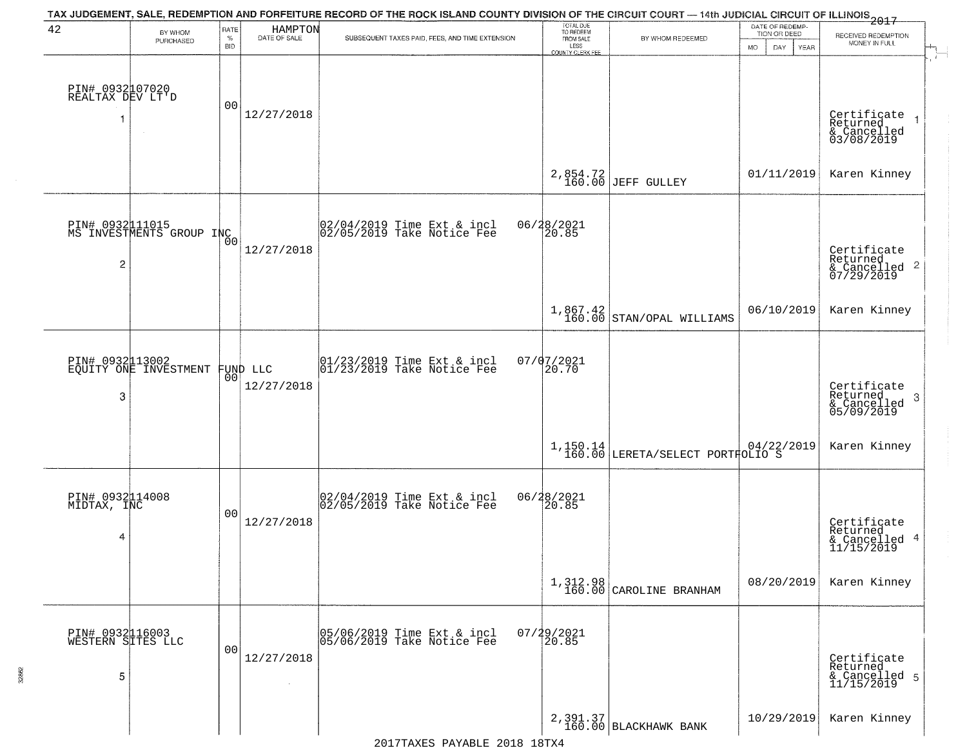| 42                                       | BY WHOM<br>PURCHASED                        | RATE<br>$\%$<br><b>BID</b> | HAMPTON<br>DATE OF SALE | TAX JUDGEMENT, SALE, REDEMPTION AND FORFEITURE RECORD OF THE ROCK ISLAND COUNTY DIVISION OF THE CIRCUIT COURT - 14th JUDICIAL CIRCUIT OF ILLINOIS 2017<br>SUBSEQUENT TAXES PAID, FEES, AND TIME EXTENSION | TOTAL DUE<br>TO REDEEM<br>FROM SALE | BY WHOM REDEEMED                                                                    | DATE OF REDEMP<br>TION OR DEED | RECEIVED REDEMPTION<br>MONEY IN FULL                       |
|------------------------------------------|---------------------------------------------|----------------------------|-------------------------|-----------------------------------------------------------------------------------------------------------------------------------------------------------------------------------------------------------|-------------------------------------|-------------------------------------------------------------------------------------|--------------------------------|------------------------------------------------------------|
|                                          |                                             |                            |                         |                                                                                                                                                                                                           | LESS<br>COUNTY CLERK FEE            |                                                                                     | MO.<br>DAY.<br><b>YEAR</b>     |                                                            |
| PIN# 0932107020<br>REALTAX DEV LT'D<br>1 | $\sim$                                      | 00                         | 12/27/2018              |                                                                                                                                                                                                           |                                     |                                                                                     |                                | Certificate<br>Returned<br>& Cancelled<br>03/08/2019       |
|                                          |                                             |                            |                         |                                                                                                                                                                                                           |                                     | 2,854.72<br>160.00 JEFF GULLEY                                                      | 01/11/2019                     | Karen Kinney                                               |
|                                          | PIN# 0932111015<br>MS INVESTMENTS GROUP INC | 0 <sub>0</sub>             |                         | 02/04/2019 Time Ext & incl<br>02/05/2019 Take Notice Fee                                                                                                                                                  | 06/28/2021<br>20.85                 |                                                                                     |                                |                                                            |
| 2                                        |                                             |                            | 12/27/2018              |                                                                                                                                                                                                           |                                     |                                                                                     |                                | Certificate<br>Returned<br>$\frac{12241164}{67/29/2019}$ 2 |
|                                          |                                             |                            |                         |                                                                                                                                                                                                           |                                     | $\left. \begin{array}{c} 1,867.42 \\ 160.00 \end{array} \right $ STAN/OPAL WILLIAMS | 06/10/2019                     | Karen Kinney                                               |
| PIN# 0932113002                          | EQUITY ONE INVESTMENT                       | 00                         | FUND LLC                | $ 01/23/2019$ Time Ext & incl<br>$ 01/23/2019$ Take Notice Fee                                                                                                                                            | 07/07/2021<br>20.70                 |                                                                                     |                                |                                                            |
| 3                                        |                                             |                            | 12/27/2018              |                                                                                                                                                                                                           |                                     |                                                                                     |                                | Certificate<br>Returned<br>-3<br>& Cancelled<br>05/09/2019 |
|                                          |                                             |                            |                         |                                                                                                                                                                                                           |                                     | $1,150.14 \mid 04/22,160.00 \mid$ LERETA/SELECT PORTFOLIO S                         | 04/22/2019                     | Karen Kinney                                               |
| PIN# 0932114008<br>MIDTAX, INC           |                                             | 0 <sub>0</sub>             |                         | 02/04/2019 Time Ext & incl<br>02/05/2019 Take Notice Fee                                                                                                                                                  | 06/28/2021<br>20.85                 |                                                                                     |                                |                                                            |
| 4                                        |                                             |                            | 12/27/2018              |                                                                                                                                                                                                           |                                     |                                                                                     |                                | Certificate<br>Returned<br>& Cancelled 4<br>11/15/2019     |
|                                          |                                             |                            |                         |                                                                                                                                                                                                           |                                     | $1,312.98$<br>$160.00$ CAROLINE BRANHAM                                             | 08/20/2019                     | Karen Kinney                                               |
| PIN# 0932116003<br>WESTERN SITES LLC     |                                             | 0 <sub>0</sub>             |                         | 05/06/2019 Time Ext & incl<br>05/06/2019 Take Notice Fee                                                                                                                                                  | 07/29/2021<br>20.85                 |                                                                                     |                                |                                                            |
| 5                                        |                                             |                            | 12/27/2018              |                                                                                                                                                                                                           |                                     |                                                                                     |                                | Certificate<br>Returned<br>& Cancelled 5<br>11/15/2019     |
|                                          |                                             |                            |                         |                                                                                                                                                                                                           |                                     | 2,391.37<br>160.00 BLACKHAWK BANK                                                   | 10/29/2019                     | Karen Kinney                                               |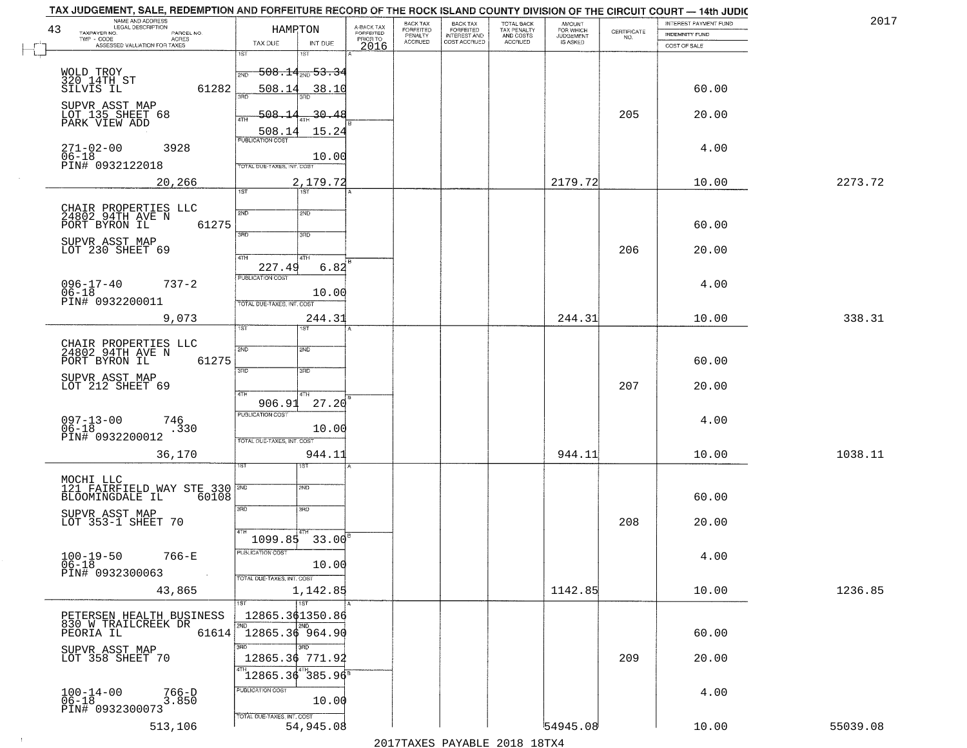| 2017    | INTEREST PAYMENT FUND |                                                                 | <b>AMOUNT</b><br>FOR WHICH | TOTAL BACK<br>TAX PENALTY<br>AND COSTS<br>ACCRUED | <b>BACK TAX</b><br><b>FORFEITED</b> | BACK TAX<br><b>FORFEITED</b> | A-BACK TAX            |                                       | HAMPTON                                        |                            | NAME AND ADDRESS<br>LEGAL DESCRIPTION                        |
|---------|-----------------------|-----------------------------------------------------------------|----------------------------|---------------------------------------------------|-------------------------------------|------------------------------|-----------------------|---------------------------------------|------------------------------------------------|----------------------------|--------------------------------------------------------------|
|         | INDEMNITY FUND        | $\begin{array}{c} \text{CERTIFICATE} \\ \text{NO.} \end{array}$ | JUDGEMENT                  |                                                   | INTEREST AND<br>COST ACCRUED        | PENALTY<br>ACCRUED           | FORFEITED<br>PRIOR TO |                                       |                                                | PARCEL NO.<br><b>ACRES</b> | TAXPAYER NO.<br>TWP - CODE                                   |
|         | COST OF SALE          |                                                                 |                            |                                                   |                                     |                              | 2016                  | INT DUE<br>i ST                       | TAX DUE<br>1ST                                 |                            | ASSESSED VALUATION FOR TAXES                                 |
|         |                       |                                                                 |                            |                                                   |                                     |                              |                       | <del>508.14, 53.3</del> 4             | 2ND                                            |                            | WOLD TROY<br>320 14TH ST                                     |
|         | 60.00                 |                                                                 |                            |                                                   |                                     |                              |                       | 38.10                                 | 508.14                                         | 61282                      | SILVIS IL<br>SUPVR ASST MAP                                  |
|         | 20.00                 | 205                                                             |                            |                                                   |                                     |                              |                       | $-30.48$<br>15.24                     | 508.<br>4TH<br>508.14                          |                            | LOT 135 SHEET 68<br>PARK VIEW ADD                            |
|         | 4.00                  |                                                                 |                            |                                                   |                                     |                              |                       | 10.00                                 | <b>PUBLICATION COST</b>                        | 3928                       | $271 - 02 - 00$<br>$06 - 18$                                 |
| 2273.72 | 10.00                 |                                                                 | 2179.72                    |                                                   |                                     |                              |                       | 2,179.72                              | TOTAL DUE-TAXES, INT. COST                     | 20,266                     | PIN# 0932122018                                              |
|         |                       |                                                                 |                            |                                                   |                                     |                              |                       | $\overline{1ST}$                      | 1ST                                            |                            |                                                              |
|         | 60.00                 |                                                                 |                            |                                                   |                                     |                              |                       | 2ND                                   | 2ND                                            | 61275                      | CHAIR PROPERTIES LLC<br>24802 94TH AVE N<br>PORT BYRON IL    |
|         | 20.00                 | 206                                                             |                            |                                                   |                                     |                              |                       | 3RD<br>4TH                            | 3RD<br>47H                                     |                            | SUPVR ASST MAP<br>LOT 230 SHEET 69                           |
|         |                       |                                                                 |                            |                                                   |                                     |                              |                       | 6.82                                  | 227.49                                         |                            |                                                              |
|         | 4.00                  |                                                                 |                            |                                                   |                                     |                              |                       | 10.00                                 | PUBLICATION COST                               | $737 - 2$                  | $096 - 17 - 40$<br>$06 - 18$                                 |
| 338.31  | 10.00                 |                                                                 | 244.31                     |                                                   |                                     |                              |                       | 244.31                                | TOTAL DUE-TAXES, INT. COST                     | 9,073                      | PIN# 0932200011                                              |
|         |                       |                                                                 |                            |                                                   |                                     |                              |                       | <b>ST</b>                             | ist.                                           |                            |                                                              |
|         | 60.00                 |                                                                 |                            |                                                   |                                     |                              |                       | 2ND                                   | 2ND                                            | 61275                      | CHAIR PROPERTIES LLC<br>24802 94TH AVE N<br>PORT BYRON IL    |
|         | 20.00                 | 207                                                             |                            |                                                   |                                     |                              |                       | 3 <sub>3</sub><br>4TH                 | 3RD<br>4TH                                     |                            | SUPVR ASST MAP<br>LOT 212 SHEET 69                           |
|         | 4.00                  |                                                                 |                            |                                                   |                                     |                              |                       | 27.20                                 | 906.91<br><b>PUBLICATION COST</b>              | 746                        |                                                              |
|         |                       |                                                                 |                            |                                                   |                                     |                              |                       | 10.00                                 | TOTAL OUE-TAXES, INT. COST                     | .330                       | 097-13-00<br>06-18<br>PIN# 0932200012                        |
| 1038.11 | 10.00                 |                                                                 | 944.11                     |                                                   |                                     |                              |                       | 944.11<br>ड़ा                         |                                                | 36,170                     |                                                              |
|         |                       |                                                                 |                            |                                                   |                                     |                              |                       |                                       |                                                |                            |                                                              |
|         | 60.00                 |                                                                 |                            |                                                   |                                     |                              |                       | SND<br>3RD                            | 3RD                                            | 60108                      | 121 FAIRFIELD WAY STE 330<br>BLOOMINGDALE IL                 |
|         | 20.00                 | 208                                                             |                            |                                                   |                                     |                              |                       |                                       |                                                |                            | SUPVR ASST MAP<br>LOT 353-1 SHEET 70                         |
|         | 4.00                  |                                                                 |                            |                                                   |                                     |                              |                       | $1099.85$ 33.00 <sup>8</sup><br>10.00 | PUBLICATION COST                               | 766-E                      | $100 - 19 - 50$<br>$06 - 18$                                 |
| 1236.85 | 10.00                 |                                                                 | 1142.85                    |                                                   |                                     |                              |                       | 1,142.85                              | TOTAL DUE-TAXES, INT. COST                     | 43,865                     | PIN# 0932300063                                              |
|         |                       |                                                                 |                            |                                                   |                                     |                              |                       | $\overline{1}$ ST                     | 1ST                                            |                            |                                                              |
|         | 60.00                 |                                                                 |                            |                                                   |                                     |                              |                       | 2ND                                   | 12865.361350.86<br>2ND.<br>$12865.36$ 964.90   | 61614                      | PETERSEN HEALTH BUSINESS<br>830 W TRAILCREEK DR<br>PEORIA IL |
|         | 20.00                 | 209                                                             |                            |                                                   |                                     |                              |                       | अंक                                   | 3RD<br>12865.36 771.92                         |                            | SUPVR ASST MAP<br>LOT 358 SHEET 70                           |
|         |                       |                                                                 |                            |                                                   |                                     |                              |                       |                                       | $\frac{1}{1}$ 2865.36 385.96                   |                            |                                                              |
|         |                       |                                                                 |                            |                                                   |                                     |                              |                       |                                       |                                                |                            |                                                              |
|         | 4.00                  |                                                                 |                            |                                                   |                                     |                              |                       | 10.00                                 | PUBLICATION COST<br>TOTAL DUE-TAXES, INT. COST | $766-D$<br>3.850           | $100 - 14 - 00$<br>06-18<br>PIN# 0932300073                  |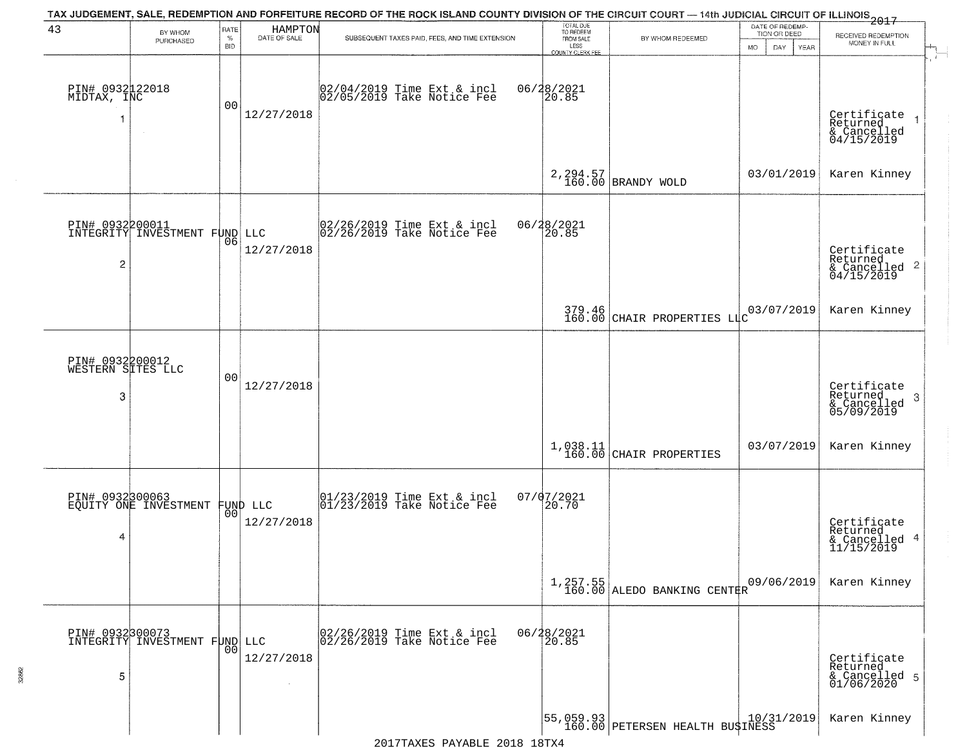| 43                                         | BY WHOM                                          | RATE<br>$\%$   | HAMPTON<br>DATE OF SALE        | TAX JUDGEMENT, SALE, REDEMPTION AND FORFEITURE RECORD OF THE ROCK ISLAND COUNTY DIVISION OF THE CIRCUIT COURT - 14th JUDICIAL CIRCUIT OF ILLINOIS 2017<br>SUBSEQUENT TAXES PAID, FEES, AND TIME EXTENSION | TOTAL DUE<br>TO REDEEM<br>FROM SALE | BY WHOM REDEEMED                                                                  | DATE OF REDEMP-<br>TION OR DEED | RECEIVED REDEMPTION                                        |
|--------------------------------------------|--------------------------------------------------|----------------|--------------------------------|-----------------------------------------------------------------------------------------------------------------------------------------------------------------------------------------------------------|-------------------------------------|-----------------------------------------------------------------------------------|---------------------------------|------------------------------------------------------------|
|                                            | PURCHASED                                        | <b>BID</b>     |                                |                                                                                                                                                                                                           | LESS<br>COUNTY CLERK FEE            |                                                                                   | MO.<br>DAY.<br>YEAR             | MONEY IN FULL                                              |
| PIN# 0932122018<br>MIDTAX, INC             |                                                  | 0 <sub>0</sub> | 12/27/2018                     | 02/04/2019 Time Ext & incl<br>02/05/2019 Take Notice Fee                                                                                                                                                  | 06/28/2021<br>20.85                 |                                                                                   |                                 | Certificate<br>Returned<br>& Cancelled<br>04/15/2019       |
|                                            |                                                  |                |                                |                                                                                                                                                                                                           |                                     | 2, 294.57<br>160.00 BRANDY WOLD                                                   | 03/01/2019                      | Karen Kinney                                               |
| $\overline{c}$                             | PIN# 0932200011<br>INTEGRITY INVESTMENT FUND LLC | 06             | 12/27/2018                     | 02/26/2019 Time Ext & incl<br>02/26/2019 Take Notice Fee                                                                                                                                                  | 06/28/2021<br>120.85                |                                                                                   |                                 | Certificate<br>Returned<br>$\frac{12241164}{64/15/2019}$ 2 |
|                                            |                                                  |                |                                |                                                                                                                                                                                                           |                                     | 379.46 CHAIR PROPERTIES LIC                                                       | 03/07/2019                      | Karen Kinney                                               |
| PIN# 0932200012<br>WESTERN SITES LLC<br>-3 |                                                  | 00             | 12/27/2018                     |                                                                                                                                                                                                           |                                     |                                                                                   |                                 | Certificate<br>Returned<br>-3<br>& Cancelled<br>05/09/2019 |
|                                            |                                                  |                |                                |                                                                                                                                                                                                           |                                     | $\left  \begin{array}{c} 1,038.11 \\ 160.00 \end{array} \right $ CHAIR PROPERTIES | 03/07/2019                      | Karen Kinney                                               |
| PIN# 0932300063<br>4                       | EQUITY ONE INVESTMENT                            |                | FUND LLC<br> 00 <br>12/27/2018 | 01/23/2019 Time Ext & incl<br>01/23/2019 Take Notice Fee                                                                                                                                                  | $07/07/2021$<br>20.70               |                                                                                   |                                 | Certificate<br>Returned<br>& Cancelled 4<br>11/15/2019     |
|                                            |                                                  |                |                                |                                                                                                                                                                                                           |                                     | $1,257.55$<br>160.00 ALEDO BANKING CENTER                                         | 09/06/2019                      | Karen Kinney                                               |
| 5                                          | PIN# 0932300073<br>INTEGRITY INVESTMENT FUND LLC | 00             | 12/27/2018                     | 02/26/2019 Time Ext & incl<br>02/26/2019 Take Notice Fee                                                                                                                                                  | 06/28/2021<br>20.85                 |                                                                                   |                                 | Certificate<br>Returned<br>& Cancelled 5<br>01/06/2020     |
|                                            |                                                  |                |                                |                                                                                                                                                                                                           |                                     | 55,059.93 <br>  160.00 PETERSEN HEALTH BU\$INESS                                  |                                 | Karen Kinney                                               |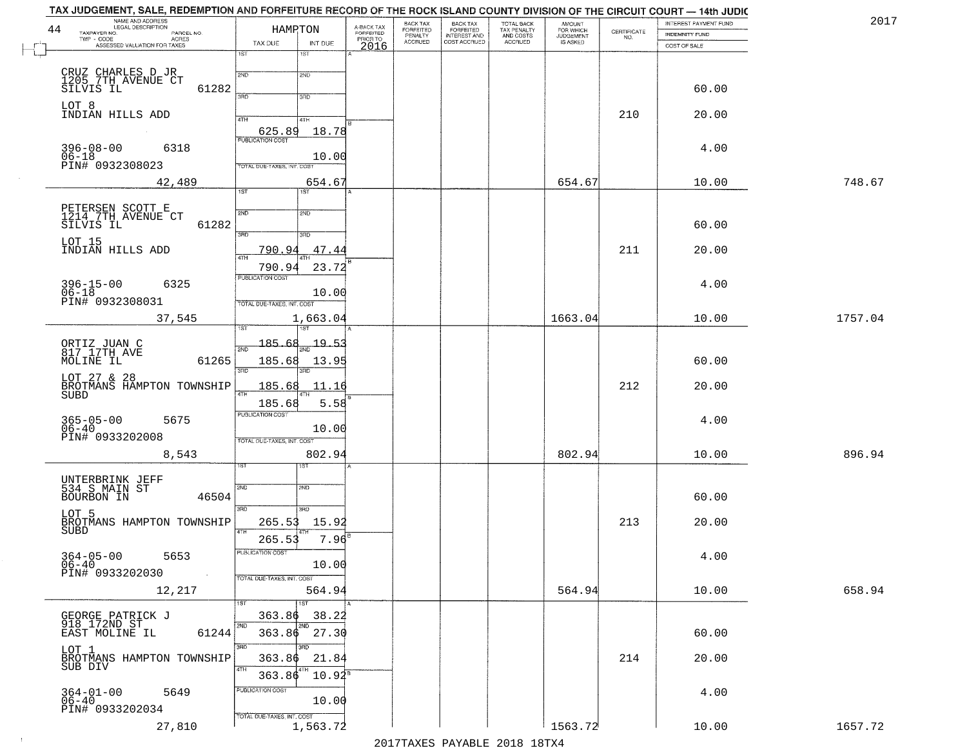| 2017    | INTEREST PAYMENT FUND<br><b>INDEMNITY FUND</b> | CERTIFICATE<br>NO. | <b>AMOUNT</b><br>FOR WHICH<br>JUDGEMENT<br>IS ASKED | TOTAL BACK<br>TAX PENALTY<br>AND COSTS<br>ACCRUED | BACK TAX<br>FORFEITED<br>INTEREST AND<br>COST ACCRUED | BACK TAX<br>FORFEITED<br>PENALTY<br>ACCRUED | A-BACK TAX<br>FORFEITED |                                  | HAMRTON                                        | NAME AND ADDRESS<br>LEGAL DESCRIPTION<br>TAXPAYER NO.<br>PARCEL NO.<br>TWP - CODE | 44                   |
|---------|------------------------------------------------|--------------------|-----------------------------------------------------|---------------------------------------------------|-------------------------------------------------------|---------------------------------------------|-------------------------|----------------------------------|------------------------------------------------|-----------------------------------------------------------------------------------|----------------------|
|         | COST OF SALE                                   |                    |                                                     |                                                   |                                                       |                                             | PRIORTO<br>2016         | INT DUE<br>1ST                   | TAX DUE<br>1ST                                 | - CODE ACRES<br>ASSESSED VALUATION FOR TAXES                                      |                      |
|         | 60.00                                          |                    |                                                     |                                                   |                                                       |                                             |                         | 2ND                              | 2ND                                            | CRUZ CHARLES D JR<br>1205_7TH_AVENUE CT<br>SILVIS IL<br>61282                     |                      |
|         | 20.00                                          | 210                |                                                     |                                                   |                                                       |                                             |                         | 3RD<br>4TH                       | 3RD<br>4TH                                     | INDIAN HILLS ADD                                                                  | LOT 8                |
|         | 4.00                                           |                    |                                                     |                                                   |                                                       |                                             |                         | 18.78<br>10.00                   | 625.89<br>PUBLICATION COST                     | $396 - 08 - 00$<br>6318                                                           | $06 - 18$            |
| 748.67  | 10.00                                          |                    | 654.67                                              |                                                   |                                                       |                                             |                         | 654.67<br>1ST                    | TOTAL DUE-TAXES, INT. COST<br>$\overline{1ST}$ | PIN# 0932308023<br>42,489                                                         |                      |
|         | 60.00                                          |                    |                                                     |                                                   |                                                       |                                             |                         | 2ND                              | 2ND                                            | PETERSEN SCOTT E<br>1214 7TH AVENUE CT<br>61282<br>SILVIS IL                      |                      |
|         | 20.00                                          | 211                |                                                     |                                                   |                                                       |                                             |                         | 3RD<br>47.44                     | उन्नठ<br>790.94<br>47H                         | INDIAN HILLS ADD                                                                  | LOT 15               |
|         | 4.00                                           |                    |                                                     |                                                   |                                                       |                                             |                         | 23.72<br>10.00                   | 790.94<br><b>PUBLICATION COST</b>              | $396 - 15 - 00$<br>06-18<br>6325                                                  |                      |
| 1757.04 | 10.00                                          |                    | 1663.04                                             |                                                   |                                                       |                                             |                         | 1,663.04                         | TOTAL DUE-TAXES, INT. COST                     | PIN# 0932308031<br>37,545                                                         |                      |
|         | 60.00                                          |                    |                                                     |                                                   |                                                       |                                             |                         | $\frac{19.53}{200}$<br>13.95     | 185.68<br>185.68                               | ORTIZ JUAN C<br>817 17TH AVE<br>61265<br>MOLINE IL                                |                      |
|         | 20.00                                          | 212                |                                                     |                                                   |                                                       |                                             |                         | 3RD<br>11.16<br>5.58             | 3RD<br>185.68                                  | LOT 27 & 28<br>BROTMANS HAMPTON TOWNSHIP                                          | SUBD                 |
|         | 4.00                                           |                    |                                                     |                                                   |                                                       |                                             |                         | 10.00                            | 185.68<br><b>PUBLICATION COST</b>              | 365-05-00<br>06-40<br>5675<br>PIN# 0933202008                                     |                      |
| 896.94  | 10.00                                          |                    | 802.94                                              |                                                   |                                                       |                                             |                         | 802.94                           | TOTAL OUE-TAXES, INT. COST                     | 8,543                                                                             |                      |
|         | 60.00                                          |                    |                                                     |                                                   |                                                       |                                             |                         | 2ND                              | 2ND                                            | UNTERBRINK JEFF<br>534 S_MAIN ST<br>46504<br>BOURBON IN                           |                      |
|         | 20.00                                          | 213                |                                                     |                                                   |                                                       |                                             |                         | 3BD<br>15.92                     | 3RD<br>265.53                                  | BROTMANS HAMPTON TOWNSHIP                                                         | LOT 5<br><b>SUBD</b> |
|         | 4.00                                           |                    |                                                     |                                                   |                                                       |                                             |                         | 7.96<br>10.00                    | 265.5<br>PUBLICATION COST                      | $364 - 05 - 00$<br>5653<br>PIN# 0933202030                                        | 06-40                |
| 658.94  | 10.00                                          |                    | 564.94                                              |                                                   |                                                       |                                             |                         | 564.94                           | TOTAL DUE-TAXES, INT. COST                     | 12,217                                                                            |                      |
|         | 60.00                                          |                    |                                                     |                                                   |                                                       |                                             |                         | 1ST<br>38.22<br>$363.86$ $27.30$ | 1ST<br>363.86<br>2ND                           | GEORGE PATRICK J<br>918 172ND ST<br>EAST MOLINE IL<br>61244                       |                      |
|         | 20.00                                          | 214                |                                                     |                                                   |                                                       |                                             |                         | 3RD<br>21.84<br>$10.92^s$        | 3RD<br>363.86<br>4TH<br>363.86                 | BROTMANS HAMPTON TOWNSHIP                                                         | LOT 1<br>SUB DIV     |
|         | 4.00                                           |                    |                                                     |                                                   |                                                       |                                             |                         | 10.00                            | PUBLICATION COST                               | $364 - 01 - 00$<br>06-40<br>5649<br>PIN# 0933202034                               |                      |
| 1657.72 | 10.00                                          |                    | 1563.72                                             |                                                   |                                                       |                                             |                         | 1,563.72                         | TOTAL DUE-TAXES, INT. COST                     | 27,810                                                                            |                      |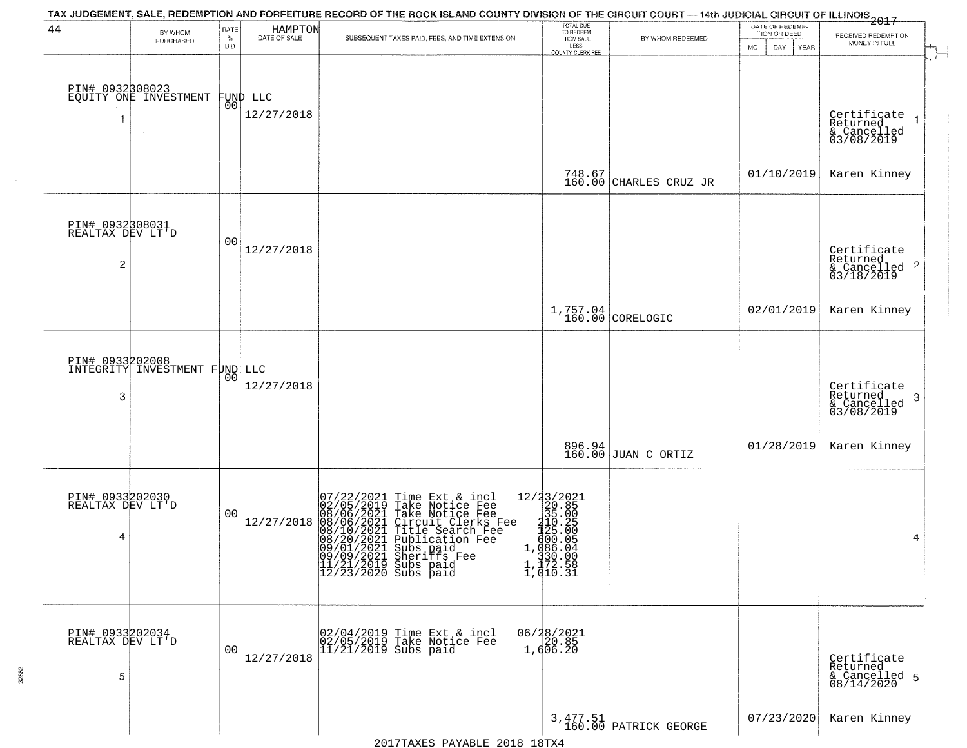| 44                                                    | BY WHOM<br>PURCHASED                     | RATE<br>$\%$<br><b>BID</b> | HAMPTON<br>DATE OF SALE | TAX JUDGEMENT, SALE, REDEMPTION AND FORFEITURE RECORD OF THE ROCK ISLAND COUNTY DIVISION OF THE CIRCUIT COURT — 14th JUDICIAL CIRCUIT OF ILLINOIS 2017<br>SUBSEQUENT TAXES PAID, FEES, AND TIME EXTENSION                                                                                                                                                                              | TOTAL DUE<br>TO REDEEM<br>FROM SALE<br>LESS<br><b>COUNTY CLERK FEE</b>                                                                                                             | BY WHOM REDEEMED                  | DATE OF REDEMP-<br>TION OR DEED<br><b>MO</b><br>DAY<br>YEAR | RECEIVED REDEMPTION<br>MONEY IN FULL                    |
|-------------------------------------------------------|------------------------------------------|----------------------------|-------------------------|----------------------------------------------------------------------------------------------------------------------------------------------------------------------------------------------------------------------------------------------------------------------------------------------------------------------------------------------------------------------------------------|------------------------------------------------------------------------------------------------------------------------------------------------------------------------------------|-----------------------------------|-------------------------------------------------------------|---------------------------------------------------------|
|                                                       | PIN# 0932308023<br>EQUITY ONE INVESTMENT | 00                         | FUND LLC<br>12/27/2018  |                                                                                                                                                                                                                                                                                                                                                                                        |                                                                                                                                                                                    |                                   |                                                             | Certificate<br>Returned<br>& Cancelled<br>03/08/2019    |
|                                                       |                                          |                            |                         |                                                                                                                                                                                                                                                                                                                                                                                        |                                                                                                                                                                                    | 748.67<br>160.00 CHARLES CRUZ JR  | 01/10/2019                                                  | Karen Kinney                                            |
| PIN# 0932308031<br>REALTAX DEV LT'D<br>$\overline{c}$ |                                          | 00                         | 12/27/2018              |                                                                                                                                                                                                                                                                                                                                                                                        |                                                                                                                                                                                    |                                   |                                                             | Certificate<br>Returned<br>& Cancelled 2<br>03/18/2019  |
|                                                       |                                          |                            |                         |                                                                                                                                                                                                                                                                                                                                                                                        |                                                                                                                                                                                    | 1,757.04<br>160.00 CORELOGIC      | 02/01/2019                                                  | Karen Kinney                                            |
| PIN# 0933202008<br>3                                  | INTEGRITY INVESTMENT FUND LLC            | 00                         | 12/27/2018              |                                                                                                                                                                                                                                                                                                                                                                                        |                                                                                                                                                                                    |                                   |                                                             | Certificate<br>Returned<br>-3<br>$\frac{6}{03/08/2019}$ |
|                                                       |                                          |                            |                         |                                                                                                                                                                                                                                                                                                                                                                                        |                                                                                                                                                                                    | 896.94<br>160.00 JUAN C ORTIZ     | 01/28/2019                                                  | Karen Kinney                                            |
| PIN# 0933202030<br>REALTAX DEV LT'D<br>4              |                                          | 00                         | 12/27/2018              | $\begin{array}{ c c } \hline 07/22/2021 \ 02/05/2019 \ 08/06/2021 \ 08/10/2021 \ 08/10/2021 \ 08/20/2021 \ 08/20/2021 \ 09/01/2021 \ 09/09/201 \ \hline \end{array}$<br>Time Ext & incl<br>Take Notice Fee<br>Take Notice Fee<br>Circuit Clerks Fee<br>Title Search Fee<br>Publication Fee<br>Substiffs Fee<br>09/09/2021 Sheriffs Fee<br>11/21/2019 Subs paid<br>12/23/2020 Subs paid | $\begin{array}{r} 12/33/2021 \\ 20.85 \\ 35.00 \\ 121.29 \\ 4125.00 \\ 500.05 \\ 1,0860.04 \\ 330.00 \end{array}$<br>$\begin{array}{r} 330.00 \\ 1,172.58 \\ 1,010.31 \end{array}$ |                                   |                                                             | 4                                                       |
| PIN# 0933202034<br>REALTAX DEV LT D<br>5              |                                          | 00                         | 12/27/2018<br>$\sim$    | 02/04/2019 Time Ext & incl<br>02/05/2019 Take Notice Fee<br>$11/21/2019$ Subs paid                                                                                                                                                                                                                                                                                                     | 06/28/2021<br>20.85<br>1,606.20                                                                                                                                                    |                                   |                                                             | Certificate<br>Returned<br>& Cancelled 5<br>08/14/2020  |
|                                                       |                                          |                            |                         |                                                                                                                                                                                                                                                                                                                                                                                        |                                                                                                                                                                                    | 3,477.51<br>160.00 PATRICK GEORGE | 07/23/2020                                                  | Karen Kinney                                            |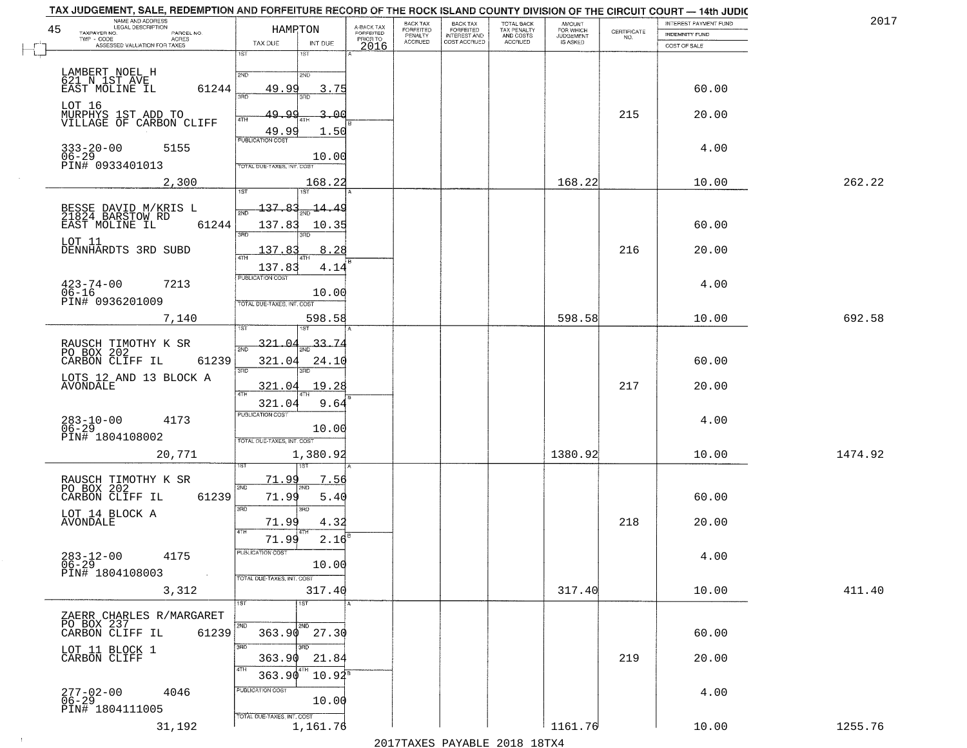| TAX JUDGEMENT, SALE, REDEMPTION AND FORFEITURE RECORD OF THE ROCK ISLAND COUNTY DIVISION OF THE CIRCUIT COURT — 14th JUDIC<br>NAME AND ADDRESS<br>LEGAL DESCRIPTION<br>45<br>TAXPAYER NO.<br>PARCEL NO.<br>TWP - CODE AGRES<br>ASSESSED VALUATION FOR TAXES | HAMRTON<br>TAX DUE<br>INT DUE                                                  | A-BACK TAX<br>FORFEITED<br>PRIOR TO<br>2016 | BACK TAX<br><b>FORFEITED</b><br>PENALTY<br>ACCRUED | BACK TAX<br>FORFEITED<br>INTEREST AND<br>COST ACCRUED | TOTAL BACK<br>TAX PENALTY<br>AND COSTS<br>ACCRUED | <b>AMOUNT</b><br>FOR WHICH<br>JUDGEMENT<br>IS ASKED | CERTIFICATE<br>NO. | INTEREST PAYMENT FUND<br><b>INDEMNITY FUND</b><br>COST OF SALE | 2017    |
|-------------------------------------------------------------------------------------------------------------------------------------------------------------------------------------------------------------------------------------------------------------|--------------------------------------------------------------------------------|---------------------------------------------|----------------------------------------------------|-------------------------------------------------------|---------------------------------------------------|-----------------------------------------------------|--------------------|----------------------------------------------------------------|---------|
|                                                                                                                                                                                                                                                             | 1ST<br>1ST                                                                     |                                             |                                                    |                                                       |                                                   |                                                     |                    |                                                                |         |
| LAMBERT NOEL H<br>621 N 1ST AVE<br>61244<br>EAST MOLINE IL                                                                                                                                                                                                  | 2ND<br>2ND<br>49.99<br>3.75<br>3AD<br>3BD                                      |                                             |                                                    |                                                       |                                                   |                                                     |                    | 60.00                                                          |         |
| LOT 16<br>MURPHYS 1ST ADD TO<br>VILLAGE OF CARBON CLIFF                                                                                                                                                                                                     | 49.<br>$\alpha$<br>$3 - 00$<br>4TH<br>49.99<br>1.50                            |                                             |                                                    |                                                       |                                                   |                                                     | 215                | 20.00                                                          |         |
| $333 - 20 - 00$<br>5155<br>$06-29$<br>PIN# 0933401013                                                                                                                                                                                                       | <b>PUBLICATION COST</b><br>10.00<br>TOTAL DUE-TAXES, INT. COST                 |                                             |                                                    |                                                       |                                                   |                                                     |                    | 4.00                                                           |         |
| 2,300                                                                                                                                                                                                                                                       | 168.22<br>1ST<br>1ST                                                           |                                             |                                                    |                                                       |                                                   | 168.22                                              |                    | 10.00                                                          | 262.22  |
| BESSE DAVID M/KRIS L<br>21824 BARSTOW RD<br>61244<br>EAST MOLINE IL                                                                                                                                                                                         | $-137.83$<br>$\frac{14.49}{ }$<br>2ND<br>137.83<br>10.35<br>3RD                |                                             |                                                    |                                                       |                                                   |                                                     |                    | 60.00                                                          |         |
| LOT 11<br>DENNHARDTS 3RD SUBD                                                                                                                                                                                                                               | 137.8<br>8.28<br>47H<br>137.83<br>4.14                                         |                                             |                                                    |                                                       |                                                   |                                                     | 216                | 20.00                                                          |         |
| $423 - 74 - 00$<br>7213<br>$06 - 16$<br>PIN# 0936201009                                                                                                                                                                                                     | PUBLICATION COST<br>10.00<br>TOTAL DUE-TAXES, INT. COST                        |                                             |                                                    |                                                       |                                                   |                                                     |                    | 4.00                                                           |         |
| 7,140                                                                                                                                                                                                                                                       | 598.58                                                                         |                                             |                                                    |                                                       |                                                   | 598.58                                              |                    | 10.00                                                          | 692.58  |
| RAUSCH TIMOTHY K SR<br>PO BOX 202<br>61239<br>CARBON CLIFF IL<br>LOTS 12 AND 13 BLOCK A                                                                                                                                                                     | $\frac{33.74}{200}$<br>321.04<br>321.04<br>24.10<br>3RD<br>3RD                 |                                             |                                                    |                                                       |                                                   |                                                     |                    | 60.00                                                          |         |
| AVONDALE                                                                                                                                                                                                                                                    | 19.28<br>321.04<br>4TH<br>321.04<br>9.64                                       |                                             |                                                    |                                                       |                                                   |                                                     | 217                | 20.00                                                          |         |
| $283 - 10 - 00$<br>06-29<br>4173<br>PIN# 1804108002                                                                                                                                                                                                         | <b>PUBLICATION COST</b><br>10.00<br>TOTAL OUE-TAXES, INT. COST                 |                                             |                                                    |                                                       |                                                   |                                                     |                    | 4.00                                                           |         |
| 20,771                                                                                                                                                                                                                                                      | 1,380.92<br>उड़ा                                                               |                                             |                                                    |                                                       |                                                   | 1380.92                                             |                    | 10.00                                                          | 1474.92 |
| RAUSCH TIMOTHY K SR<br>PO BOX 202<br>CARBON CLIFF IL<br>61239                                                                                                                                                                                               | <u>71.99</u><br>7.56<br>2ND<br>71.99<br>5.40<br>3BD<br>3RD                     |                                             |                                                    |                                                       |                                                   |                                                     |                    | 60.00                                                          |         |
| LOT 14 BLOCK A<br><b>AVONDALE</b>                                                                                                                                                                                                                           | 4.32<br>71.99<br>71.99<br>2.16                                                 |                                             |                                                    |                                                       |                                                   |                                                     | 218                | 20.00                                                          |         |
| $283 - 12 - 00$<br>4175<br>$06 - 29$<br>PIN# 1804108003                                                                                                                                                                                                     | PUBLICATION COST<br>10.00<br>TOTAL DUE-TAXES, INT. COST                        |                                             |                                                    |                                                       |                                                   |                                                     |                    | 4.00                                                           |         |
| 3,312                                                                                                                                                                                                                                                       | 317.40<br>1ST<br>1ST                                                           |                                             |                                                    |                                                       |                                                   | 317.40                                              |                    | 10.00                                                          | 411.40  |
| ZAERR CHARLES R/MARGARET<br>PO BOX 237<br>CARBON CLIFF IL<br>61239                                                                                                                                                                                          | 2ND<br>2ND<br>27.30<br>363.90                                                  |                                             |                                                    |                                                       |                                                   |                                                     |                    | 60.00                                                          |         |
| LOT 11 BLOCK 1<br>CARBON CLIFF                                                                                                                                                                                                                              | 3RD<br>$\overline{3BD}$<br>363.90<br>21.84<br>4TH                              |                                             |                                                    |                                                       |                                                   |                                                     | 219                | 20.00                                                          |         |
| 277-02-00<br>06-29<br>4046<br>PIN# 1804111005                                                                                                                                                                                                               | 363.90<br>$10.92^s$<br>PUBLICATION COST<br>10.00<br>TOTAL DUE-TAXES, INT. COST |                                             |                                                    |                                                       |                                                   |                                                     |                    | 4.00                                                           |         |
| 31,192                                                                                                                                                                                                                                                      | 1,161.76                                                                       |                                             |                                                    |                                                       |                                                   | 1161.76                                             |                    | 10.00                                                          | 1255.76 |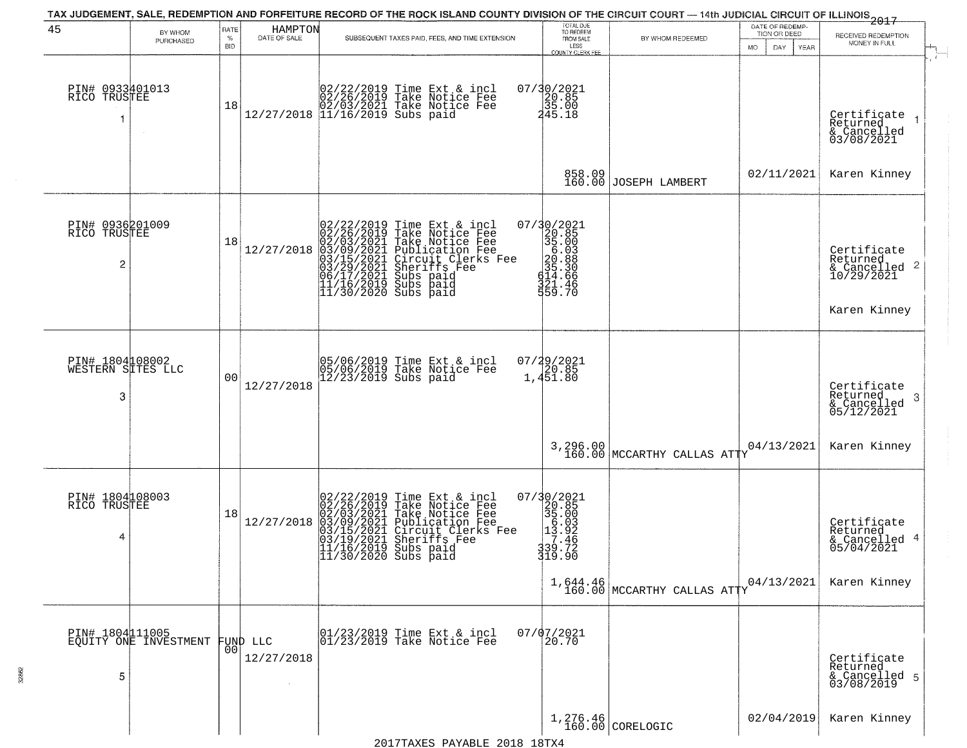| 45                                        | BY WHOM<br>PURCHASED                     | RATE<br>$\%$<br>BID | HAMPTON<br>DATE OF SALE | SUBSEQUENT TAXES PAID, FEES, AND TIME EXTENSION                                                                                                                                                                                                                                                                                                                        | TOTAL DUE<br>TO REDEEM<br>FROM SALE<br>LESS<br><b>COUNTY CLERK FEE</b>                                                                                        | BY WHOM REDEEMED                          | DATE OF REDEMP-<br>TION OR DEED<br>MO.<br>DAY.<br>YEAR | 2017<br>RECEIVED REDEMPTION<br>MONEY IN FULL                           |
|-------------------------------------------|------------------------------------------|---------------------|-------------------------|------------------------------------------------------------------------------------------------------------------------------------------------------------------------------------------------------------------------------------------------------------------------------------------------------------------------------------------------------------------------|---------------------------------------------------------------------------------------------------------------------------------------------------------------|-------------------------------------------|--------------------------------------------------------|------------------------------------------------------------------------|
| PIN# 0933401013<br>RICO TRUSTEE           |                                          | 18                  |                         | $[02/22/2019 \text{ Time Ext} \& \text{ incl} \brack 02/26/2019 \text{ Take Notice Free} \brack 02/03/2021 \text{ Take Notice Free} \brack 12/27/2018 \text{ } 11/16/2019 \text{ Subs paid}$                                                                                                                                                                           | 07/30/2021<br>20.85<br>35.00<br>245.18                                                                                                                        |                                           |                                                        | Certificate<br>Returned<br>& Cancelled<br>03/08/2021                   |
|                                           |                                          |                     |                         |                                                                                                                                                                                                                                                                                                                                                                        | 858.09<br>160.00                                                                                                                                              | JOSEPH LAMBERT                            | 02/11/2021                                             | Karen Kinney                                                           |
| PIN# 0936201009<br>RICO TRUSTEE<br>2      |                                          | 18                  | 12/27/2018              | 02/22/2019 Time Ext & incl<br>02/26/2019 Take Notice Fee<br>02/03/2021 Take Notice Fee<br>03/09/2021 Publication Fee<br>03/15/2021 Circuit Clerks Fee<br>03/15/2021 Subs paid<br>06/17/2021 Subs paid<br>11/16/2019 Subs paid<br>11/30/2020 Subs paid                                                                                                                  | $\begin{smallmatrix} 07/30/2021\\ 20.85\\ 35.00\\ 6.03\\ 6.03\\ 20.88\\ 21.4\\ 66\\ 414.66\\ 221.4\\ 22.4\\ 24.7\\ 25.7\\ 26.7\\ \end{smallmatrix}$<br>559.70 |                                           |                                                        | Certificate<br>Returned<br>& Cancelled 2<br>10/29/2021<br>Karen Kinney |
| PIN# 1804108002<br>WESTERN SITES LLC<br>3 |                                          | 0 <sup>0</sup>      | 12/27/2018              | 05/06/2019 Time Ext & incl<br>05/06/2019 Take Notice Fee<br>12/23/2019 Subs paid                                                                                                                                                                                                                                                                                       | $07/29/2021$<br>$1,451.80$                                                                                                                                    |                                           |                                                        | Certificate<br>Returned<br>3<br>& Cancelled<br>05/12/2021              |
|                                           |                                          |                     |                         |                                                                                                                                                                                                                                                                                                                                                                        |                                                                                                                                                               | $3,296.00$ MCCARTHY CALLAS ATTY           | 04/13/2021                                             | Karen Kinney                                                           |
| PIN# 1804108003<br>RICO TRUSTEE<br>4      |                                          | 18                  | 12/27/2018              | 02/22/2019 Time Ext & incl<br>02/26/2019 Take Notice Fee<br>02/03/2021 Take Notice Fee<br>03/09/2021 Publication Fee<br>03/15/2021 Chrcuit Clerks Fee<br>03/15/2021 Sheriffs Fee<br>11/16/2019 Subs paid<br>11/30/2020 Subs paid                                                                                                                                       | 07/30/2021<br>320.85<br>35.003<br>13.92<br>13.92<br>33.92<br>33.92<br>319.90                                                                                  | $1,644.46$<br>160.00 MCCARTHY CALLAS ATTY | 04/13/2021                                             | Certificate<br>Returned<br>& Cancelled 4<br>05/04/2021<br>Karen Kinney |
|                                           |                                          |                     |                         |                                                                                                                                                                                                                                                                                                                                                                        |                                                                                                                                                               |                                           |                                                        |                                                                        |
| 5                                         | PIN# 1804111005<br>EQUITY ONE INVESTMENT | 00                  | FUND LLC<br>12/27/2018  | $\begin{array}{ccc}  01/23/2019 \overline{\hspace{0.2cm}} 101/23/2019 \overline{\hspace{0.2cm}} 101/23/2019 \overline{\hspace{0.2cm}} 101/23/2019 \overline{\hspace{0.2cm}} 101/23/2019 \overline{\hspace{0.2cm}} 101/23/2019 \overline{\hspace{0.2cm}} 101/23/2019 \overline{\hspace{0.2cm}} 101/23/2019 \overline{\hspace{0.2cm}} 101/23/2019 \overline{\hspace{0.2$ | $07/07/2021$<br>20.70                                                                                                                                         |                                           |                                                        | Certificate<br>Returned<br>& Cancelled 5<br>03/08/2019                 |
|                                           |                                          |                     |                         |                                                                                                                                                                                                                                                                                                                                                                        |                                                                                                                                                               | $1,276.46$<br>160.00 CORELOGIC            | 02/04/2019                                             | Karen Kinney                                                           |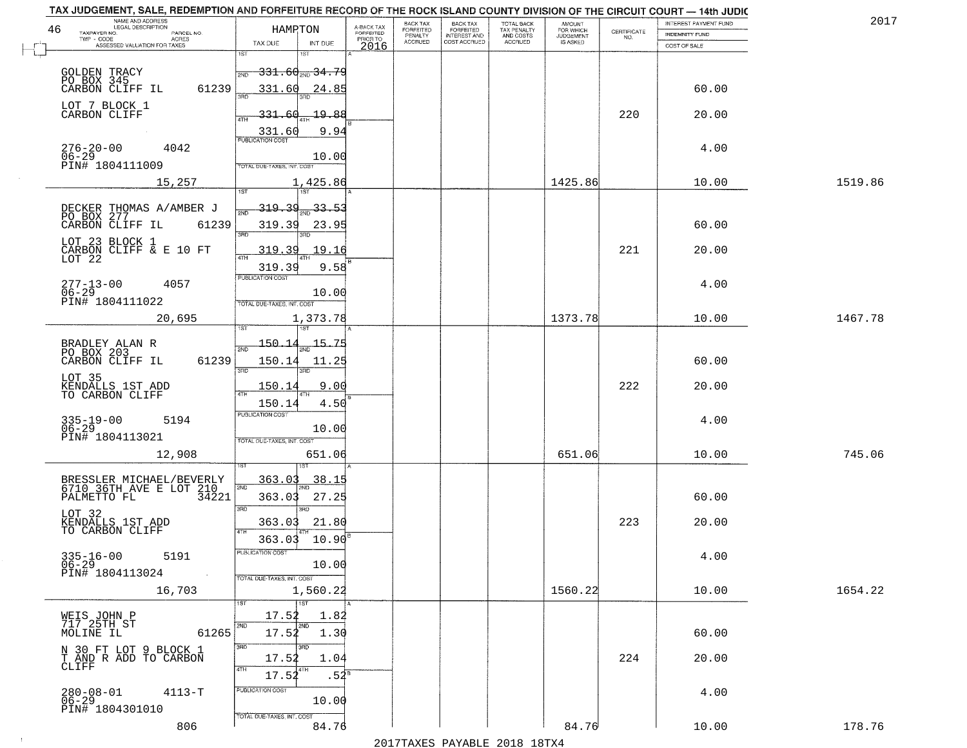| TAX JUDGEMENT, SALE, REDEMPTION AND FORFEITURE RECORD OF THE ROCK ISLAND COUNTY DIVISION OF THE CIRCUIT COURT - 14th JUDIC<br>NAME AND ADDRESS<br>LEGAL DESCRIPTION |                 |                                                                                                                         |                                     | BACK TAX             | <b>BACK TAX</b>           |                                        | AMOUNT<br>FOR WHICH |                                                                 | INTEREST PAYMENT FUND | 2017    |
|---------------------------------------------------------------------------------------------------------------------------------------------------------------------|-----------------|-------------------------------------------------------------------------------------------------------------------------|-------------------------------------|----------------------|---------------------------|----------------------------------------|---------------------|-----------------------------------------------------------------|-----------------------|---------|
| 46<br>TAXPAYER NO.<br>PARCEL NO.                                                                                                                                    |                 | HAMPTON                                                                                                                 | A-BACK TAX<br>FORFEITED<br>PRIOR TO | FORFEITED<br>PENALTY | FORFEITED<br>INTEREST AND | TOTAL BACK<br>TAX PENALTY<br>AND COSTS | <b>JUDGEMENT</b>    | $\begin{array}{c} \text{CERTIFICATE} \\ \text{NO.} \end{array}$ | INDEMNITY FUND        |         |
| ACRES<br>ASSESSED VALUATION FOR TAXES                                                                                                                               |                 | TAX DUE<br>INT DUE                                                                                                      | 2016                                | <b>ACCRUED</b>       | COST ACCRUED              | ACCRUED                                | IS ASKED            |                                                                 | COST OF SALE          |         |
| GOLDEN TRACY<br>PO BOX 345<br>CARBON CLIFF IL                                                                                                                       | 61239           | 1ST<br>18T<br>$-331.60_{200}$ 34.79<br>2ND<br>331.60<br><u>24.85</u>                                                    |                                     |                      |                           |                                        |                     |                                                                 | 60.00                 |         |
| LOT 7 BLOCK 1<br>CARBON CLIFF                                                                                                                                       |                 | <u> 19.88</u><br><u>331.60</u><br>9.94<br>$\frac{331.60}{PUBUCATONCGST}$                                                |                                     |                      |                           |                                        |                     | 220                                                             | 20.00                 |         |
| 276-20-00<br>06-29<br>4042<br>PIN# 1804111009                                                                                                                       |                 | 10.00<br>TOTAL DUE-TAXES, INT. COST                                                                                     |                                     |                      |                           |                                        |                     |                                                                 | 4.00                  |         |
| 15,257                                                                                                                                                              |                 | 1,425.86                                                                                                                |                                     |                      |                           |                                        | 1425.86             |                                                                 | 10.00                 | 1519.86 |
| DECKER THOMAS A/AMBER J<br>PO BOX 277<br>CARBON CLIFF IL 6123<br>LOT 23 BLOCK 1<br>CARBON CLIFF & E 10 FT<br>LOT 22                                                 | 61239           | <u>319.39</u><br>$\frac{33.53}{200}$<br>319.39<br>23.95<br>3RD<br>319.39<br>19.16<br>319.39<br>9.58<br>PUBLICATION COST |                                     |                      |                           |                                        |                     | 221                                                             | 60.00<br>20.00        |         |
| $277 - 13 - 00$<br>4057<br>$06 - 29$<br>PIN# 1804111022                                                                                                             |                 | 10.00<br>TOTAL DUE-TAXES, INT. COST                                                                                     |                                     |                      |                           |                                        |                     |                                                                 | 4.00                  |         |
| 20,695                                                                                                                                                              |                 | 1,373.78<br>īsT                                                                                                         |                                     |                      |                           |                                        | 1373.78             |                                                                 | 10.00                 | 1467.78 |
| BRADLEY ALAN R<br>PO BOX 203<br>CARBON CLIFF IL                                                                                                                     | 61239           | $-150 - 14$<br>15.75<br>2ND<br>150.14<br>11.25<br>3RD<br>3RD                                                            |                                     |                      |                           |                                        |                     |                                                                 | 60.00                 |         |
| LOT 35<br>KENDALLS 1ST ADD<br>TO CARBON CLIFF                                                                                                                       |                 | 150.14<br>9.00<br>ATH<br>150.14<br>4.50                                                                                 |                                     |                      |                           |                                        |                     | 222                                                             | 20.00                 |         |
| $335 - 19 - 00$<br>06-29<br>5194<br>PIN# 1804113021                                                                                                                 |                 | <b>PUBLICATION COST</b><br>10.00<br>TOTAL OUE-TAXES, INT. COST                                                          |                                     |                      |                           |                                        |                     |                                                                 | 4.00                  |         |
| 12,908                                                                                                                                                              |                 | 651.06                                                                                                                  |                                     |                      |                           |                                        | 651.06              |                                                                 | 10.00                 | 745.06  |
| BRESSLER MICHAEL/BEVERLY<br>6710 36TH AVE E LOT 210<br>PALMETTO FL 34221<br>LOT 32                                                                                  |                 | 363.03<br>38.15<br>2ND<br>27.25<br>363.03<br>3RD<br><b>IRD</b><br>363.03<br>21.80                                       |                                     |                      |                           |                                        |                     | 223                                                             | 60.00<br>20.00        |         |
| KENDALLS 1ST ADD<br>TO CARBON CLIFF<br>$335 - 16 - 00$<br>06-29<br>5191<br>PIN# 1804113024                                                                          | <b>Contract</b> | 4TH<br>10.90<br>363.03<br>PUBLICATION COS<br>10.00<br>TOTAL DUE-TAXES, INT. COST                                        |                                     |                      |                           |                                        |                     |                                                                 | 4.00                  |         |
| 16,703                                                                                                                                                              |                 | 1,560.22                                                                                                                |                                     |                      |                           |                                        | 1560.22             |                                                                 | 10.00                 | 1654.22 |
| WEIS JOHN P<br>717 25TH ST<br>MOLINE IL                                                                                                                             | 61265           | 1ST<br>17.52<br>1.82<br>2ND<br>2ND<br>17.52<br>1.30<br>3RD<br>3RD                                                       |                                     |                      |                           |                                        |                     |                                                                 | 60.00                 |         |
| N 30 FT LOT 9 BLOCK 1<br>T AND R ADD TO CARBON<br>CLIFF                                                                                                             |                 | 17.52<br>1.04<br>4TH<br>17.52<br>$.54^{\circ}$                                                                          |                                     |                      |                           |                                        |                     | 224                                                             | 20.00                 |         |
| $280 - 08 - 01$<br>$4113 - T$<br>$06 - 29$<br>PIN# 1804301010                                                                                                       |                 | PUBLICATION COST<br>10.00<br>TOTAL DUE-TAXES, INT. COST                                                                 |                                     |                      |                           |                                        |                     |                                                                 | 4.00                  |         |
| 806                                                                                                                                                                 |                 | 84.76                                                                                                                   |                                     |                      |                           |                                        | 84.76               |                                                                 | 10.00                 | 178.76  |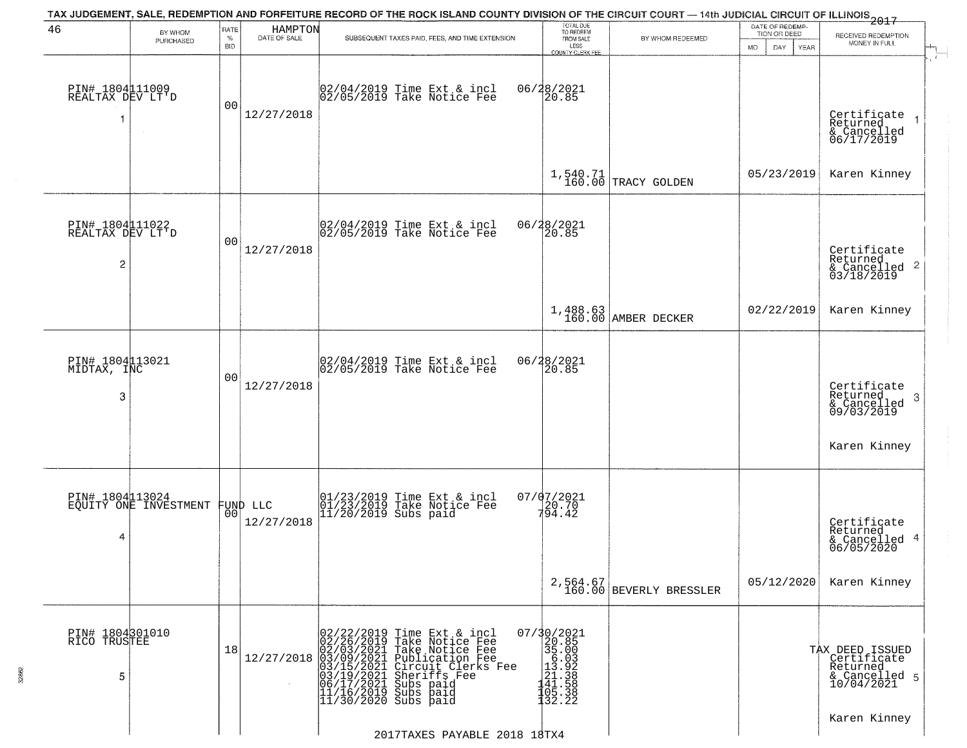| 46                                                    | BY WHOM               | RATE               | HAMPTON                | TAX JUDGEMENT, SALE, REDEMPTION AND FORFEITURE RECORD OF THE ROCK ISLAND COUNTY DIVISION OF THE CIRCUIT COURT — 14th JUDICIAL CIRCUIT OF ILLINOIS 2017                                                                                                                                                                                      | TOTAL DUE<br>TO REDEEM                                                                                           |                                     | DATE OF REDEMP-<br>TION OR DEED |                                                                           |
|-------------------------------------------------------|-----------------------|--------------------|------------------------|---------------------------------------------------------------------------------------------------------------------------------------------------------------------------------------------------------------------------------------------------------------------------------------------------------------------------------------------|------------------------------------------------------------------------------------------------------------------|-------------------------------------|---------------------------------|---------------------------------------------------------------------------|
|                                                       | PURCHASED             | $\%$<br><b>BID</b> | DATE OF SALE           | SUBSEQUENT TAXES PAID, FEES, AND TIME EXTENSION                                                                                                                                                                                                                                                                                             | FROM SALE<br>LESS<br><b>COUNTY CLERK FEE</b>                                                                     | BY WHOM REDEEMED                    | MO.<br>DAY.<br>YEAR             | RECEIVED REDEMPTION<br>MONEY IN FULL                                      |
| PIN# 1804111009<br>REALTAX DEV LT'D<br>1              | $\sim$                | 00                 | 12/27/2018             | 02/04/2019 Time Ext & incl<br>02/05/2019 Take Notice Fee                                                                                                                                                                                                                                                                                    | 06/28/2021<br>20.85                                                                                              |                                     |                                 | Certificate<br>Returned<br>& Cancelled<br>06/17/2019                      |
|                                                       |                       |                    |                        |                                                                                                                                                                                                                                                                                                                                             |                                                                                                                  | 1,540.71<br>160.00 TRACY GOLDEN     | 05/23/2019                      | Karen Kinney                                                              |
| PIN# 1804111022<br>REALTAX DEV LT'D<br>$\overline{c}$ |                       | 0 <sub>0</sub>     | 12/27/2018             | 02/04/2019 Time Ext & incl<br>02/05/2019 Take Notice Fee                                                                                                                                                                                                                                                                                    | 06/28/2021<br>20.85                                                                                              |                                     |                                 | Certificate<br>Returned<br>$\frac{1}{6}$ Cancelled 2<br>03/18/2019        |
|                                                       |                       |                    |                        |                                                                                                                                                                                                                                                                                                                                             |                                                                                                                  | 1,488.63<br>160.00 AMBER DECKER     | 02/22/2019                      | Karen Kinney                                                              |
| PIN# 1804113021<br>MIDTAX, INC<br>3                   |                       | 0 <sub>0</sub>     | 12/27/2018             | 02/04/2019 Time Ext & incl<br>02/05/2019 Take Notice Fee                                                                                                                                                                                                                                                                                    | 06/28/2021<br>20.85                                                                                              |                                     |                                 | Certificate<br>Returned<br>3<br>& Cancelled<br>09/03/2019                 |
|                                                       |                       |                    |                        |                                                                                                                                                                                                                                                                                                                                             |                                                                                                                  |                                     |                                 | Karen Kinney                                                              |
| PIN# 1804113024<br>4                                  | EQUITY ONE INVESTMENT | 00 <sub>l</sub>    | FUND LLC<br>12/27/2018 | 01/23/2019 Time Ext & incl<br>01/23/2019 Take Notice Fee<br>11/20/2019 Subs paid                                                                                                                                                                                                                                                            | 07/07/2021<br>$720.70$<br>$794.42$                                                                               |                                     |                                 | Certificate<br>Returned<br>& Cancelled 4<br>06/05/2020                    |
|                                                       |                       |                    |                        |                                                                                                                                                                                                                                                                                                                                             |                                                                                                                  | 2,564.67<br>160.00 BEVERLY BRESSLER | 05/12/2020                      | Karen Kinney                                                              |
| PIN# 1804301010<br>RICO TRUSTEE<br>5                  |                       | 18                 | 12/27/2018             | 02/22/2019 Time Ext &<br>02/26/2019 Take Notic<br>02/03/2021 Take Notic<br>03/09/2021 Publicatic<br>03/15/2021 Circuit Cl<br>03/15/2021 Subs paid<br>06/17/2021 Subs paid<br>11/16/2019 Subs paid<br>11/30/2020 Subs paid<br>Time Ext & incl<br>Take Notice Fee<br>Take Notice Fee<br>Publication Fee<br>Circuit Clerks Fee<br>Sheriffs Fee | 07/30/2021<br>20.85<br>$\begin{bmatrix} 25.000 \\ 35.003 \\ 13.928 \\ 121.388 \\ 41.558 \\ 132.22 \end{bmatrix}$ |                                     |                                 | TAX DEED ISSUED<br>Certificate<br>Returned<br>& Cancelled 5<br>10/04/2021 |
|                                                       |                       |                    |                        | 2017TAXES PAYABLE 2018 18TX4                                                                                                                                                                                                                                                                                                                |                                                                                                                  |                                     |                                 | Karen Kinney                                                              |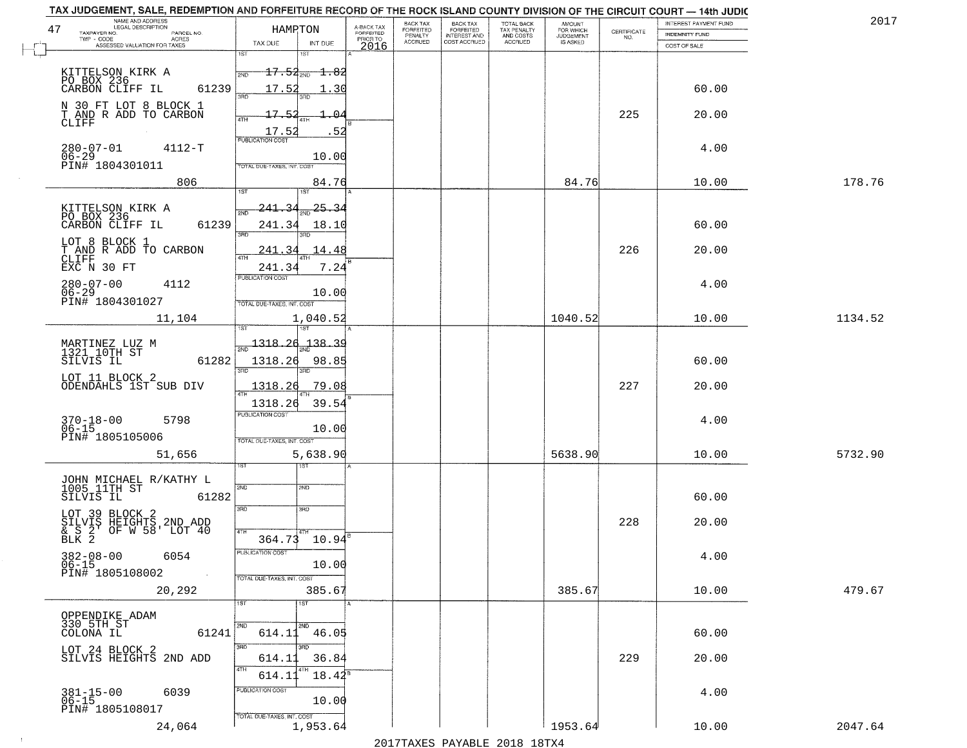| NAME AND ADDRESS<br>LEGAL DESCRIPTION<br>47<br>TAXPAYER NO.       | HAMRTON                                            | A-BACK TAX<br>FORFEITED | BACK TAX<br>FORFEITED | <b>BACK TAX</b><br><b>FORFEITED</b> | TOTAL BACK<br>TAX PENALTY | <b>AMOUNT</b>                      |                                                                 | INTEREST PAYMENT FUND | 2017    |
|-------------------------------------------------------------------|----------------------------------------------------|-------------------------|-----------------------|-------------------------------------|---------------------------|------------------------------------|-----------------------------------------------------------------|-----------------------|---------|
| PARCEL NO.<br>TWP - CODE<br>ACRES<br>ASSESSED VALUATION FOR TAXES | TAX DUE<br>INT DUE                                 | PRIOR TO                | PENALTY<br>ACCRUED    | INTEREST AND                        | AND COSTS<br>ACCRUED      | FOR WHICH<br>JUDGEMENT<br>IS ASKED | $\begin{array}{c} \text{CERTIFICATE} \\ \text{NO.} \end{array}$ | <b>INDEMNITY FUND</b> |         |
|                                                                   | 1ST                                                | 2016                    |                       |                                     |                           |                                    |                                                                 | COST OF SALE          |         |
| KITTELSON KIRK A<br>PO_BOX 236__ __                               | $17.54_{200}$ 1.82<br>2ND                          |                         |                       |                                     |                           |                                    |                                                                 |                       |         |
| CARBON CLIFF IL<br>61239                                          | 17.52<br>30<br>រគក                                 |                         |                       |                                     |                           |                                    |                                                                 | 60.00                 |         |
| N 30 FT LOT 8 BLOCK 1<br>T AND R ADD TO CARBON                    | 17.<br>- Б                                         |                         |                       |                                     |                           |                                    | 225                                                             | 20.00                 |         |
| CLIFF                                                             | 17.5<br>-52                                        |                         |                       |                                     |                           |                                    |                                                                 |                       |         |
| $280 - 07 - 01$<br>$4112 - T$                                     | <b>PUBLICATION COST</b>                            |                         |                       |                                     |                           |                                    |                                                                 | 4.00                  |         |
| $06 - 29$<br>PIN# 1804301011                                      | 10.00<br>TOTAL DUE-TAXES, INT. COST                |                         |                       |                                     |                           |                                    |                                                                 |                       |         |
| 806                                                               | 84.76                                              |                         |                       |                                     |                           | 84.76                              |                                                                 | 10.00                 | 178.76  |
|                                                                   | 1ST<br>1ST<br><u> 241.34</u><br><u>25.34</u>       |                         |                       |                                     |                           |                                    |                                                                 |                       |         |
| KITTELSON KIRK A<br>PO BOX 236<br>CARBON CLIFF IL<br>61239        | 241.34<br>18.10                                    |                         |                       |                                     |                           |                                    |                                                                 | 60.00                 |         |
| LOT 8 BLOCK 1                                                     | 3RD                                                |                         |                       |                                     |                           |                                    |                                                                 |                       |         |
| T AND R ADD TO CARBON<br>CLIFF                                    | 241<br>्र<br>14.48<br>47H                          |                         |                       |                                     |                           |                                    | 226                                                             | 20.00                 |         |
| EXC N 30 FT                                                       | 7.24<br>241.34<br>PUBLICATION COST                 |                         |                       |                                     |                           |                                    |                                                                 |                       |         |
| $280 - 07 - 00$<br>4112<br>$06 - 29$                              | 10.00                                              |                         |                       |                                     |                           |                                    |                                                                 | 4.00                  |         |
| PIN# 1804301027<br>11,104                                         | TOTAL DUE-TAXES, INT. COST<br>1,040.52             |                         |                       |                                     |                           | 1040.52                            |                                                                 | 10.00                 | 1134.52 |
|                                                                   |                                                    |                         |                       |                                     |                           |                                    |                                                                 |                       |         |
| MARTINEZ LUZ M<br>1321 10TH ST                                    | <u> 1318.26</u><br>$-138 - 39$<br>$\overline{200}$ |                         |                       |                                     |                           |                                    |                                                                 |                       |         |
| 61282<br>SILVIS IL                                                | 1318.26<br>98.85<br>3BD<br>3RD                     |                         |                       |                                     |                           |                                    |                                                                 | 60.00                 |         |
| LOT 11 BLOCK 2<br>ODENDAHLS 1ST SUB DIV                           | 1318.26<br>79.08                                   |                         |                       |                                     |                           |                                    | 227                                                             | 20.00                 |         |
|                                                                   | 1318.26<br>39.54                                   |                         |                       |                                     |                           |                                    |                                                                 |                       |         |
| 370-18-00<br>06-15<br>5798                                        | <b>PUBLICATION COST</b><br>10.00                   |                         |                       |                                     |                           |                                    |                                                                 | 4.00                  |         |
| PIN# 1805105006                                                   | TOTAL OUE-TAXES, INT. COST                         |                         |                       |                                     |                           |                                    |                                                                 |                       |         |
| 51,656                                                            | 5,638.90<br>१९४                                    |                         |                       |                                     |                           | 5638.90                            |                                                                 | 10.00                 | 5732.90 |
| JOHN MICHAEL R/KATHY L<br>1005 11TH ST                            | 2ND<br>2ND                                         |                         |                       |                                     |                           |                                    |                                                                 |                       |         |
| 61282<br>SILVIS IL                                                |                                                    |                         |                       |                                     |                           |                                    |                                                                 | 60.00                 |         |
| LOT 39 BLOCK 2                                                    | 3RD<br>3BD                                         |                         |                       |                                     |                           |                                    | 228                                                             | 20.00                 |         |
| SILVIS HEIGHTS 2ND ADD<br>& S 2' OF W 58' LOT 40<br>BLK 2         | 4TH<br>$364.73$ 10.94 <sup>8</sup>                 |                         |                       |                                     |                           |                                    |                                                                 |                       |         |
| $382 - 08 - 00$<br>06-15<br>6054                                  | PUBLICATION COST                                   |                         |                       |                                     |                           |                                    |                                                                 | 4.00                  |         |
| PIN# 1805108002<br>$\sim 100$                                     | 10.00<br>TOTAL DUE-TAXES, INT. COST                |                         |                       |                                     |                           |                                    |                                                                 |                       |         |
| 20,292                                                            | 385.67                                             |                         |                       |                                     |                           | 385.67                             |                                                                 | 10.00                 | 479.67  |
| OPPENDIKE ADAM                                                    | 1ST<br>1ST                                         |                         |                       |                                     |                           |                                    |                                                                 |                       |         |
| 330 5TH ST<br>COLONA IL<br>61241                                  | 2ND<br>2ND<br>614.11<br>46.05                      |                         |                       |                                     |                           |                                    |                                                                 | 60.00                 |         |
| LOT 24 BLOCK 2                                                    | 3RD<br>उत्तर                                       |                         |                       |                                     |                           |                                    |                                                                 |                       |         |
| SILVIS HEIGHTS 2ND ADD                                            | 614.11<br>36.84<br>4TH<br>4TH<br>$18.42^5$         |                         |                       |                                     |                           |                                    | 229                                                             | 20.00                 |         |
| 6039                                                              | 614.11<br>PUBLICATION COST                         |                         |                       |                                     |                           |                                    |                                                                 | 4.00                  |         |
| $381 - 15 - 00$<br>06-15<br>PIN# 1805108017                       | 10.00                                              |                         |                       |                                     |                           |                                    |                                                                 |                       |         |
| 24,064                                                            | TOTAL DUE-TAXES, INT. COST<br>1,953.64             |                         |                       |                                     |                           | 1953.64                            |                                                                 | 10.00                 | 2047.64 |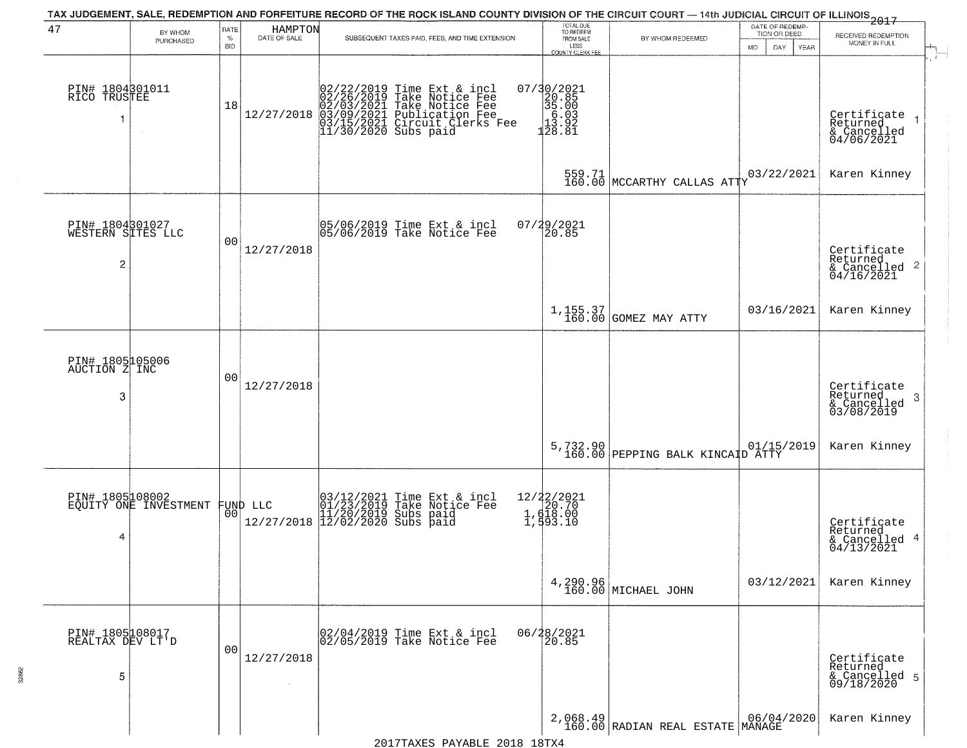| 47                                        | BY WHOM<br>PURCHASED                     | RATE<br>$\%$<br><b>BID</b> | HAMPTON<br>DATE OF SALE | SUBSEQUENT TAXES PAID, FEES, AND TIME EXTENSION                                                                                                                                                                          | TOTAL DUE<br>TO REDEEM<br>FROM SALE<br>LESS<br>COUNTY CLERK FEE                        | BY WHOM REDEEMED                                                      | DATE OF REDEMP-<br>TION OR DEED<br><b>MO</b><br>DAY<br>YEAR | $-2017$<br>RECEIVED REDEMPTION<br>MONEY IN FULL<br>$\sqrt{1-\frac{1}{2}}$                                     |
|-------------------------------------------|------------------------------------------|----------------------------|-------------------------|--------------------------------------------------------------------------------------------------------------------------------------------------------------------------------------------------------------------------|----------------------------------------------------------------------------------------|-----------------------------------------------------------------------|-------------------------------------------------------------|---------------------------------------------------------------------------------------------------------------|
| PIN# 1804301011<br>RICO TRUSTEE<br>1      |                                          | 18                         |                         | $12/27/2019 \xrightarrow{10}{102/22/2019}$ Time Ext & incl<br>02/26/2019 Take Notice Fee<br>02/03/2021 Take Notice Fee<br>12/27/2018 03/09/2021 Publication Fee<br>03/15/2021 Circuit Clerks Fee<br>11/30/2020 Subs paid | $\begin{array}{r} 07/30/2021 \\ 20.85 \\ 35.00 \\ 6.03 \\ 13.92 \\ 128.81 \end{array}$ |                                                                       |                                                             | Certificate<br>Returned<br>& Cancelled<br>04/06/2021                                                          |
|                                           |                                          |                            |                         |                                                                                                                                                                                                                          |                                                                                        | 559.71 MCCARTHY CALLAS ATTY                                           | 03/22/2021                                                  | Karen Kinney                                                                                                  |
| PIN# 1804301027<br>WESTERN SITES LLC<br>2 |                                          | 0 <sub>0</sub>             | 12/27/2018              | 05/06/2019 Time Ext & incl<br>05/06/2019 Take Notice Fee                                                                                                                                                                 | 07/29/2021<br>20.85                                                                    |                                                                       |                                                             | Certificate<br>Returned<br>$\begin{array}{c}\n 0.1116 \\  \hline\n 0.2116 \\  0.416 \\  0.2021\n \end{array}$ |
|                                           |                                          |                            |                         |                                                                                                                                                                                                                          |                                                                                        | 1,155.37<br>160.00 GOMEZ MAY ATTY                                     | 03/16/2021                                                  | Karen Kinney                                                                                                  |
| PIN# 1805105006<br>AUCTION Z INC<br>3     |                                          | 0 <sub>0</sub>             | 12/27/2018              |                                                                                                                                                                                                                          |                                                                                        |                                                                       |                                                             | Certificate<br>Returned<br>& Cancelled<br>03/08/2019<br>-3                                                    |
|                                           |                                          |                            |                         |                                                                                                                                                                                                                          |                                                                                        | 5,732.90 01/15<br>160.00 PEPPING BALK KINCAID ATTY                    | 01/15/2019                                                  | Karen Kinney                                                                                                  |
| 4                                         | PIN# 1805108002<br>EQUITY ONE INVESTMENT | 00                         | FUND LLC                | 03/12/2021 Time Ext & incl<br>01/23/2019 Take Notice Fee<br>11/20/2019 Subs paid<br>12/27/2018 12/02/2020 Subs paid                                                                                                      | 12/22/2021<br>1, d18.00<br>1, d18.00<br>1, d93.10                                      |                                                                       |                                                             | Certificate<br>Returned<br>& Cancelled 4<br>04/13/2021                                                        |
|                                           |                                          |                            |                         |                                                                                                                                                                                                                          |                                                                                        | 4,290.96<br>160.00 MICHAEL JOHN                                       | 03/12/2021                                                  | Karen Kinney                                                                                                  |
| PIN# 1805108017<br>REALTAX DEV LT'D<br>5  |                                          | 0 <sub>0</sub>             | 12/27/2018              | 02/04/2019 Time Ext & incl<br>02/05/2019 Take Notice Fee                                                                                                                                                                 | 06/28/2021                                                                             |                                                                       |                                                             | Certificate<br>Returned<br>& Cancelled 5<br>09/18/2020                                                        |
|                                           |                                          |                            |                         |                                                                                                                                                                                                                          |                                                                                        | $2,068.49$ RADIAN REAL ESTATE MANAGE 160.00 RADIAN REAL ESTATE MANAGE |                                                             | Karen Kinney                                                                                                  |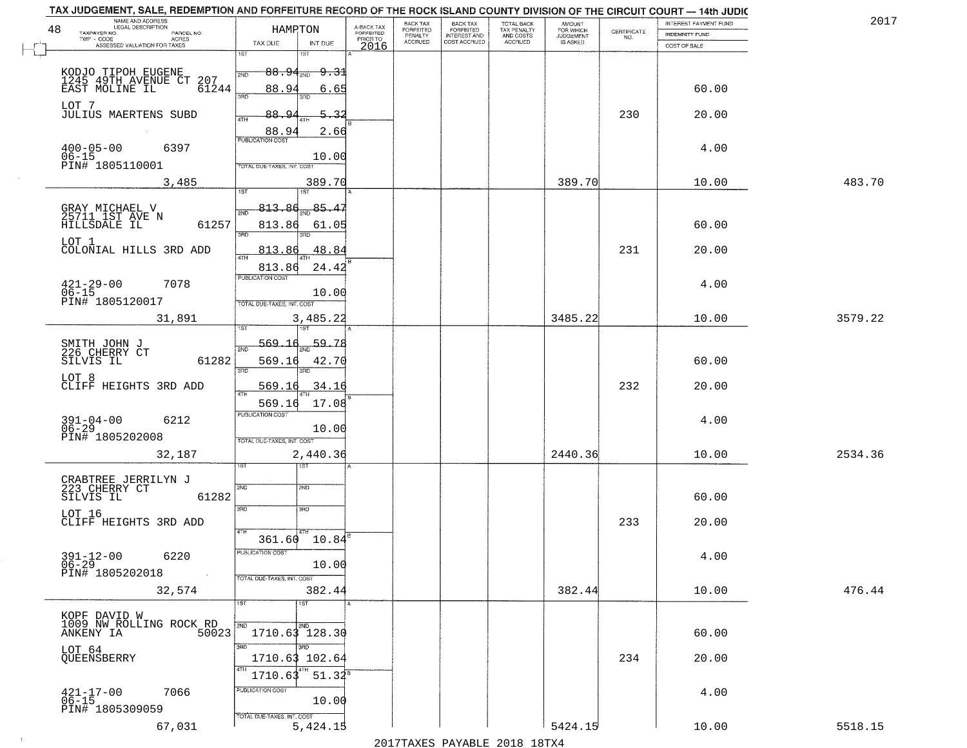| TAX JUDGEMENT, SALE, REDEMPTION AND FORFEITURE RECORD OF THE ROCK ISLAND COUNTY DIVISION OF THE CIRCUIT COURT - 14th JUDIC<br>NAME AND ADDRESS<br>LEGAL DESCRIPTION |                                                                                       |                                     | BACK TAX             | <b>BACK TAX</b>           |                                        | AMOUNT<br>FOR WHICH |                                                                 | INTEREST PAYMENT FUND | 2017    |
|---------------------------------------------------------------------------------------------------------------------------------------------------------------------|---------------------------------------------------------------------------------------|-------------------------------------|----------------------|---------------------------|----------------------------------------|---------------------|-----------------------------------------------------------------|-----------------------|---------|
| 48<br>TAXPAYER NO.<br>PARCEL NO.<br>ACRES                                                                                                                           | HAMPTON                                                                               | A-BACK TAX<br>FORFEITED<br>PRIOR TO | FORFEITED<br>PENALTY | FORFEITED<br>INTEREST AND | TOTAL BACK<br>TAX PENALTY<br>AND COSTS | <b>JUDGEMENT</b>    | $\begin{array}{c} \text{CERTIFICATE} \\ \text{NO.} \end{array}$ | <b>INDEMNITY FUND</b> |         |
| ASSESSED VALUATION FOR TAXES                                                                                                                                        | TAX DUE<br>INT DUE                                                                    | 2016                                | <b>ACCRUED</b>       | COST ACCRUED              | ACCRUED                                | IS ASKED            |                                                                 | COST OF SALE          |         |
| KODJO TIPOH EUGENE<br>1245 49TH AVENUE CT<br>EAST MOLINE IL<br>207<br>61244<br>LOT 7                                                                                | 1ST<br>$88.94_{200}$<br>2ND<br>88.94<br>390                                           | <del>9.3</del> 1<br>6.65            |                      |                           |                                        |                     |                                                                 | 60.00                 |         |
| <b>JULIUS MAERTENS SUBD</b>                                                                                                                                         | 88.9<br>4TH<br><b>88.94</b>                                                           | 5.32<br>2.66                        |                      |                           |                                        |                     | 230                                                             | 20.00                 |         |
| $400 - 05 - 00$<br>$06 - 15$<br>6397<br>PIN# 1805110001                                                                                                             | TOTAL DUE-TAXES, INT. COST                                                            | 10.00                               |                      |                           |                                        |                     |                                                                 | 4.00                  |         |
| 3,485                                                                                                                                                               | 389.70                                                                                |                                     |                      |                           |                                        | 389.70              |                                                                 | 10.00                 | 483.70  |
| GRAY MICHAEL V<br>25711 1ST AVE N<br>HILLSDALE IL<br>61257<br>LOT 1<br>COLONIAL HILLS 3RD ADD                                                                       | 197<br>1ST<br>813.86<br>$\frac{85.47}{200}$<br>2ND<br>813.86<br>3RD<br>3BD.<br>813.86 | 61.05<br>48.84                      |                      |                           |                                        |                     | 231                                                             | 60.00<br>20.00        |         |
| $421 - 29 - 00$<br>7078<br>$06 - 15$<br>PIN# 1805120017                                                                                                             | 813.86<br><b>PUBLICATION COST</b><br>TOTAL DUE-TAXES, INT. COST                       | 24.42<br>10.00                      |                      |                           |                                        |                     |                                                                 | 4.00                  |         |
| 31,891                                                                                                                                                              | 3,485.22<br>1ST<br>1ST                                                                |                                     |                      |                           |                                        | 3485.22             |                                                                 | 10.00                 | 3579.22 |
| SMITH JOHN J<br>226 CHERRY CT<br>SILVIS IL<br>61282                                                                                                                 | 569.16<br>2ND<br>569.16<br>3RD<br>3RD.                                                | -59.78<br>42.70                     |                      |                           |                                        |                     |                                                                 | 60.00                 |         |
| LOT 8<br>CLIFF HEIGHTS 3RD ADD                                                                                                                                      | 569.16<br>$\overline{AT}$<br>569.16                                                   | 34.16<br>17.08                      |                      |                           |                                        |                     | 232                                                             | 20.00                 |         |
| $391 - 04 - 00$<br>06-29<br>6212<br>PIN# 1805202008                                                                                                                 | <b>PUBLICATION COST</b><br>TOTAL OUE-TAXES, INT. COST                                 | 10.00                               |                      |                           |                                        |                     |                                                                 | 4.00                  |         |
| 32,187                                                                                                                                                              | 2,440.36                                                                              |                                     |                      |                           |                                        | 2440.36             |                                                                 | 10.00                 | 2534.36 |
| CRABTREE JERRILYN J<br>223 CHERRY CT<br>SILVIS IL<br>61282<br>LOT 16                                                                                                | १९४<br>2ND<br>2ND<br>3RD<br>3RD                                                       |                                     |                      |                           |                                        |                     |                                                                 | 60.00                 |         |
| CLIFF HEIGHTS 3RD ADD                                                                                                                                               | 4TH                                                                                   |                                     |                      |                           |                                        |                     | 233                                                             | 20.00                 |         |
| $391 - 12 - 00$<br>6220<br>$06 - 29$<br>PIN# 1805202018<br>$\sim 100$ km $^{-1}$                                                                                    | 361.60 10.84<br>PUBLICATION COS<br>TOTAL DUE-TAXES, INT. COST                         | 10.00                               |                      |                           |                                        |                     |                                                                 | 4.00                  |         |
| 32,574                                                                                                                                                              | 382.44<br>1ST<br>1ST                                                                  |                                     |                      |                           |                                        | 382.44              |                                                                 | 10.00                 | 476.44  |
| KOPF DAVID W<br>1009 NW ROLLING ROCK RD                                                                                                                             | 2ND<br>2ND<br>1710.63 128.30<br>3RD<br>3BD                                            |                                     |                      |                           |                                        |                     |                                                                 | 60.00                 |         |
| LOT 64<br>QUEENSBERRY                                                                                                                                               | 1710.63 102.64<br>4TH<br>1710.63                                                      | $51.32^8$                           |                      |                           |                                        |                     | 234                                                             | 20.00                 |         |
| $^{421-17-00}_{06-15}$<br>7066<br>PIN# 1805309059                                                                                                                   | PUBLICATION COST<br>TOTAL DUE-TAXES, INT. COST                                        | 10.00                               |                      |                           |                                        |                     |                                                                 | 4.00                  |         |
| 67,031                                                                                                                                                              | 5,424.15                                                                              |                                     |                      |                           |                                        | 5424.15             |                                                                 | 10.00                 | 5518.15 |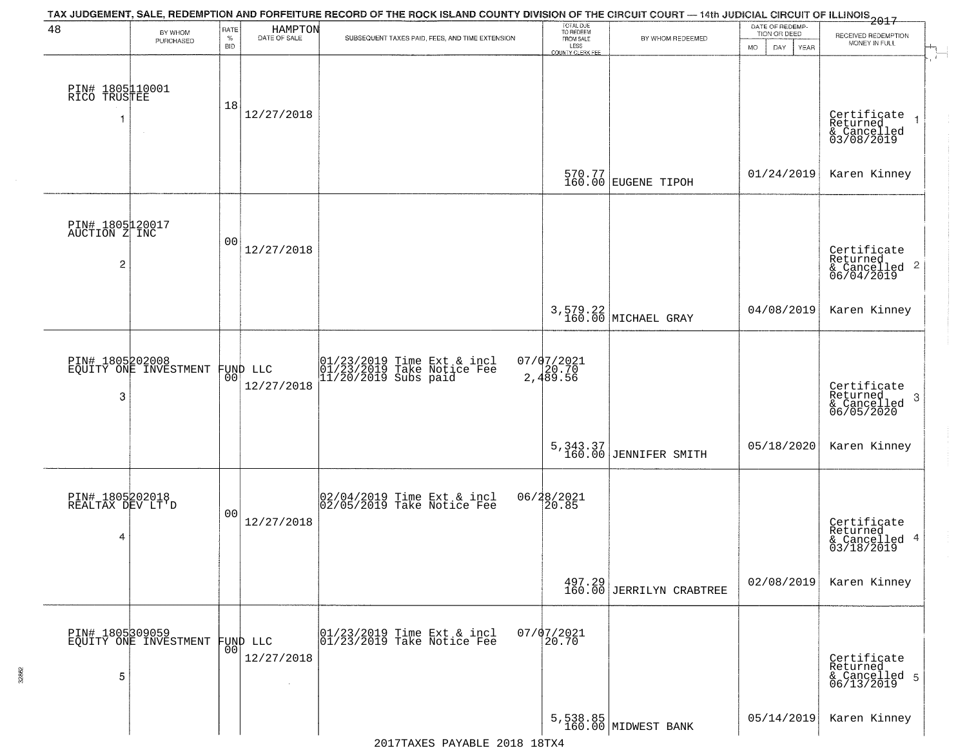| 48                                                          | BY WHOM                                  | RATE        | HAMPTON                        | TAX JUDGEMENT, SALE, REDEMPTION AND FORFEITURE RECORD OF THE ROCK ISLAND COUNTY DIVISION OF THE CIRCUIT COURT - 14th JUDICIAL CIRCUIT OF ILLINOIS 2017 | TOTAL DUE<br>TO REDEEM                |                                    | DATE OF REDEMP-<br>TION OR DEED | RECEIVED REDEMPTION                                                |
|-------------------------------------------------------------|------------------------------------------|-------------|--------------------------------|--------------------------------------------------------------------------------------------------------------------------------------------------------|---------------------------------------|------------------------------------|---------------------------------|--------------------------------------------------------------------|
|                                                             | PURCHASED                                | $\%$<br>BID | DATE OF SALE                   | SUBSEQUENT TAXES PAID, FEES, AND TIME EXTENSION                                                                                                        | FROM SALE<br>LESS<br>COUNTY CLERK FEE | BY WHOM REDEEMED                   | MO.<br>YEAR<br>DAY.             | MONEY IN FULL                                                      |
| PIN# 1805110001<br>RICO TRUSTEE<br>-1                       | $\sim$                                   | 18          | 12/27/2018                     |                                                                                                                                                        |                                       |                                    |                                 | Certificate<br>Returned<br>& Cancelled<br>03/08/2019               |
|                                                             |                                          |             |                                |                                                                                                                                                        |                                       | 570.77<br>160.00 EUGENE TIPOH      | 01/24/2019                      | Karen Kinney                                                       |
| PIN# 1805120017<br>AUCTION Z INC<br>$\overline{\mathbf{c}}$ |                                          | 00          | 12/27/2018                     |                                                                                                                                                        |                                       |                                    |                                 | Certificate<br>Returned<br>$\frac{1}{6}$ Cancelled 2<br>06/04/2019 |
|                                                             |                                          |             |                                |                                                                                                                                                        |                                       | 3,579.22<br>160.00 MICHAEL GRAY    | 04/08/2019                      | Karen Kinney                                                       |
| PIN# 1805202008<br>3                                        | EQUITY ONE INVESTMENT                    | 00          | FUND LLC<br>12/27/2018         | 01/23/2019 Time Ext & incl<br>01/23/2019 Take Notice Fee<br>11/20/2019 Subs paid                                                                       | $07/07/2021$<br>2,489.56              |                                    |                                 | Certificate<br>Returned<br>-3<br>& Cancelled<br>06/05/2020         |
|                                                             |                                          |             |                                |                                                                                                                                                        |                                       | 5,343.37<br>160.00 JENNIFER SMITH  | 05/18/2020                      | Karen Kinney                                                       |
| PIN# 1805202018<br>REALTAX DEV LT'D<br>4                    |                                          | 00          | 12/27/2018                     | 02/04/2019 Time Ext & incl<br>02/05/2019 Take Notice Fee                                                                                               | 06/28/2021<br>20.85                   |                                    |                                 | Certificate<br>Returned<br>& Cancelled 4<br>03/18/2019             |
|                                                             |                                          |             |                                |                                                                                                                                                        |                                       | 497.29<br>160.00 JERRILYN CRABTREE | 02/08/2019                      | Karen Kinney                                                       |
| 5                                                           | PIN# 1805309059<br>EQUITY ONE INVESTMENT |             | FUND LLC<br> 00 <br>12/27/2018 | 01/23/2019 Time Ext & incl<br>01/23/2019 Take Notice Fee                                                                                               | $07/07/2021$<br>$20.70$               |                                    |                                 | Certificate<br>Returned<br>& Cancelled 5<br>06/13/2019             |
|                                                             |                                          |             |                                |                                                                                                                                                        |                                       | 5,538.85<br>160.00 MIDWEST BANK    | 05/14/2019                      | Karen Kinney                                                       |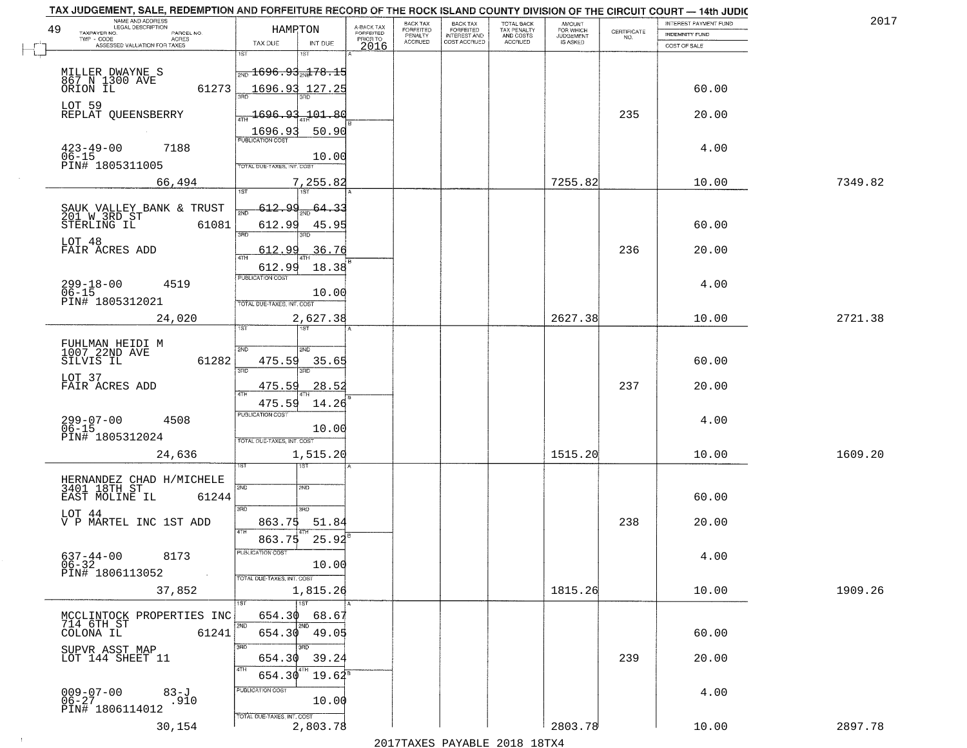| 49 | TAX JUDGEMENT, SALE, REDEMPTION AND FORFEITURE RECORD OF THE ROCK ISLAND COUNTY DIVISION OF THE CIRCUIT COURT - 14th JUDIC<br>NAME AND ADDRESS<br>LEGAL DESCRIPTION<br>TAXPAYER NO.<br>PARCEL NO. | HAMPTON                                     | A-BACK TAX<br><b>FORFEITED</b> | BACK TAX<br><b>FORFEITED</b><br>PENALTY | <b>BACK TAX</b><br><b>FORFEITED</b> | TOTAL BACK<br>TAX PENALTY<br>AND COSTS<br>ACCRUED | <b>AMOUNT</b><br>FOR WHICH | $\begin{array}{c} \text{CERTIFICATE} \\ \text{NO.} \end{array}$ | INTEREST PAYMENT FUND<br><b>INDEMNITY FUND</b> | 2017    |
|----|---------------------------------------------------------------------------------------------------------------------------------------------------------------------------------------------------|---------------------------------------------|--------------------------------|-----------------------------------------|-------------------------------------|---------------------------------------------------|----------------------------|-----------------------------------------------------------------|------------------------------------------------|---------|
|    | TWP - CODE<br><b>ACRES</b><br>ASSESSED VALUATION FOR TAXES                                                                                                                                        | TAX DUE<br>INT DUE                          | PRIOR TO<br>2016               | ACCRUED                                 | INTEREST AND<br>COST ACCRUED        |                                                   | IS ASKED                   |                                                                 | COST OF SALE                                   |         |
|    |                                                                                                                                                                                                   | 1ST                                         |                                |                                         |                                     |                                                   |                            |                                                                 |                                                |         |
|    | MILLER DWAYNE S<br>867 N 1300 AVE                                                                                                                                                                 | <sub>2ND</sub> 1696.93 <sub>2N</sub> 178.15 |                                |                                         |                                     |                                                   |                            |                                                                 |                                                |         |
|    | ORION IL<br>61273                                                                                                                                                                                 | 1696.93<br>127.25                           |                                |                                         |                                     |                                                   |                            |                                                                 | 60.00                                          |         |
|    | LOT 59<br>REPLAT QUEENSBERRY                                                                                                                                                                      | 1696.93<br>$\pm01.80$                       |                                |                                         |                                     |                                                   |                            | 235                                                             | 20.00                                          |         |
|    |                                                                                                                                                                                                   | 50.90<br>1696.93<br>PUBLICATION COST        |                                |                                         |                                     |                                                   |                            |                                                                 |                                                |         |
|    | $423 - 49 - 00$<br>7188<br>$06 - 15$                                                                                                                                                              | 10.00                                       |                                |                                         |                                     |                                                   |                            |                                                                 | 4.00                                           |         |
|    | PIN# 1805311005                                                                                                                                                                                   | TOTAL DUE-TAXES, INT. COST                  |                                |                                         |                                     |                                                   |                            |                                                                 |                                                |         |
|    | 66,494                                                                                                                                                                                            | 7,255.82<br>1ST<br>1ST                      |                                |                                         |                                     |                                                   | 7255.82                    |                                                                 | 10.00                                          | 7349.82 |
|    | SAUK VALLEY BANK & TRUST<br>201 W 3RD ST                                                                                                                                                          | 612.<br><u>ac</u><br>$64 - 3$               |                                |                                         |                                     |                                                   |                            |                                                                 |                                                |         |
|    | STERLING IL<br>61081                                                                                                                                                                              | 612.99<br>45.95                             |                                |                                         |                                     |                                                   |                            |                                                                 | 60.00                                          |         |
|    | LOT 48<br>FAIR ACRES ADD                                                                                                                                                                          | 3RD<br>3RD<br>612.99<br>36.76               |                                |                                         |                                     |                                                   |                            | 236                                                             | 20.00                                          |         |
|    |                                                                                                                                                                                                   | 47H<br>18.38<br>612.99                      |                                |                                         |                                     |                                                   |                            |                                                                 |                                                |         |
|    | $299 - 18 - 00$<br>$06 - 15$<br>4519                                                                                                                                                              | PUBLICATION COST                            |                                |                                         |                                     |                                                   |                            |                                                                 | 4.00                                           |         |
|    | PIN# 1805312021                                                                                                                                                                                   | 10.00<br>TOTAL DUE-TAXES, INT. COST         |                                |                                         |                                     |                                                   |                            |                                                                 |                                                |         |
|    | 24,020                                                                                                                                                                                            | 2,627.38                                    |                                |                                         |                                     |                                                   | 2627.38                    |                                                                 | 10.00                                          | 2721.38 |
|    |                                                                                                                                                                                                   | 1ST                                         |                                |                                         |                                     |                                                   |                            |                                                                 |                                                |         |
|    | FUHLMAN HEIDI M<br>1007 22ND AVE<br>61282<br>SILVIS IL                                                                                                                                            | 2ND<br>2ND<br>475.59<br>35.6!               |                                |                                         |                                     |                                                   |                            |                                                                 | 60.00                                          |         |
|    | LOT 37                                                                                                                                                                                            | 3RD<br>3RD                                  |                                |                                         |                                     |                                                   |                            |                                                                 |                                                |         |
|    | FAIR ACRES ADD                                                                                                                                                                                    | 28.52<br>475.59                             |                                |                                         |                                     |                                                   |                            | 237                                                             | 20.00                                          |         |
|    |                                                                                                                                                                                                   | 14.26<br>475.59<br><b>PUBLICATION COST</b>  |                                |                                         |                                     |                                                   |                            |                                                                 |                                                |         |
|    | 299-07-00<br>06-15<br>4508<br>PIN# 1805312024                                                                                                                                                     | 10.00                                       |                                |                                         |                                     |                                                   |                            |                                                                 | 4.00                                           |         |
|    | 24,636                                                                                                                                                                                            | TOTAL OUE-TAXES, INT. COST<br>1,515.20      |                                |                                         |                                     |                                                   | 1515.20                    |                                                                 | 10.00                                          | 1609.20 |
|    |                                                                                                                                                                                                   | इइ                                          |                                |                                         |                                     |                                                   |                            |                                                                 |                                                |         |
|    | HERNANDEZ CHAD H/MICHELE<br>3401 18TH ST                                                                                                                                                          | SVD<br>SND                                  |                                |                                         |                                     |                                                   |                            |                                                                 |                                                |         |
|    | 61244<br>EAST MOLINE IL                                                                                                                                                                           | 3RD<br>3RD                                  |                                |                                         |                                     |                                                   |                            |                                                                 | 60.00                                          |         |
|    | LOT 44<br>V P MARTEL INC 1ST ADD                                                                                                                                                                  | 863.75<br>51.84                             |                                |                                         |                                     |                                                   |                            | 238                                                             | 20.00                                          |         |
|    |                                                                                                                                                                                                   | 4TH<br>863.75<br>25.92                      |                                |                                         |                                     |                                                   |                            |                                                                 |                                                |         |
|    | $637 - 44 - 00$<br>06-32<br>8173                                                                                                                                                                  | PUBLICATION COST<br>10.00                   |                                |                                         |                                     |                                                   |                            |                                                                 | 4.00                                           |         |
|    | PIN# 1806113052<br>$\sim 100$                                                                                                                                                                     | TOTAL DUE-TAXES, INT. COST                  |                                |                                         |                                     |                                                   |                            |                                                                 |                                                |         |
|    | 37,852                                                                                                                                                                                            | 1,815.26<br>1ST<br>1ST                      |                                |                                         |                                     |                                                   | 1815.26                    |                                                                 | 10.00                                          | 1909.26 |
|    | MCCLINTOCK PROPERTIES INC                                                                                                                                                                         | 654.30<br>68.67                             |                                |                                         |                                     |                                                   |                            |                                                                 |                                                |         |
|    | 714 6TH ST<br>COLONA IL<br>61241                                                                                                                                                                  | 2ND<br>2ND<br>654.30<br>49.05               |                                |                                         |                                     |                                                   |                            |                                                                 | 60.00                                          |         |
|    | SUPVR ASST MAP<br>LOT 144 SHEET 11                                                                                                                                                                | 3RD<br>ਸ਼ਨ<br>654.30<br>39.24               |                                |                                         |                                     |                                                   |                            | 239                                                             | 20.00                                          |         |
|    |                                                                                                                                                                                                   | 4TH<br>$19.62^8$<br>654.30                  |                                |                                         |                                     |                                                   |                            |                                                                 |                                                |         |
|    | $83 - J$<br>$009 - 07 - 00$<br>06-27                                                                                                                                                              | PUBLICATION COST                            |                                |                                         |                                     |                                                   |                            |                                                                 | 4.00                                           |         |
|    | .910<br>PIN# 1806114012                                                                                                                                                                           | 10.00<br>TOTAL DUE-TAXES, INT. COST         |                                |                                         |                                     |                                                   |                            |                                                                 |                                                |         |
|    | 30,154                                                                                                                                                                                            | 2,803.78                                    |                                |                                         |                                     |                                                   | 2803.78                    |                                                                 | 10.00                                          | 2897.78 |
|    |                                                                                                                                                                                                   |                                             |                                |                                         | 0.17                                |                                                   |                            |                                                                 |                                                |         |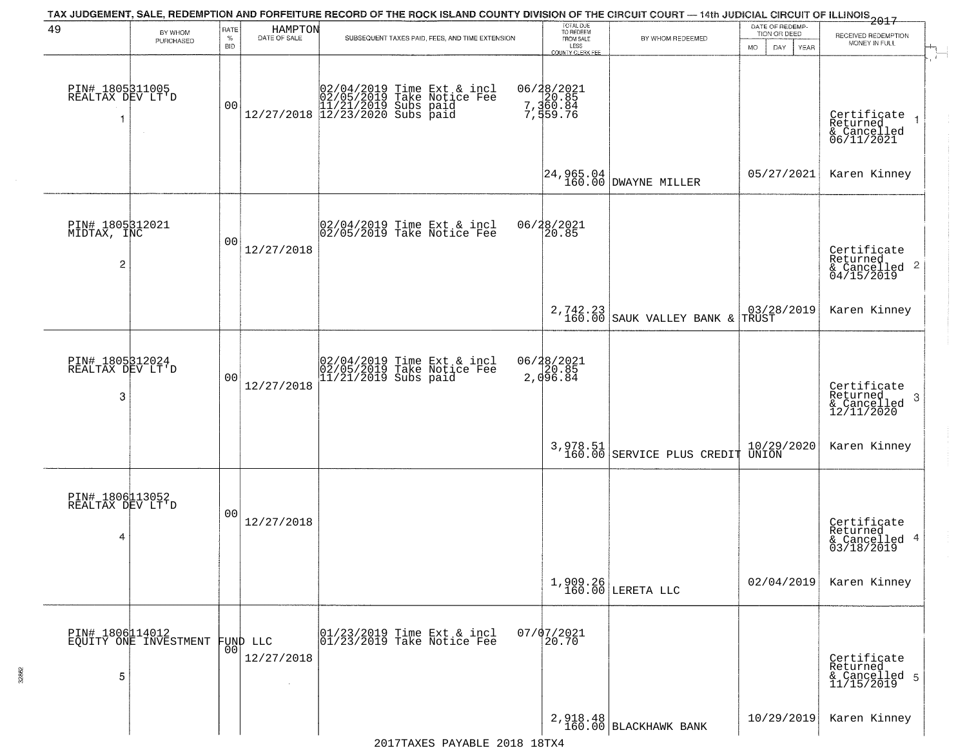|                                          |                                          |                            |                                  | TAX JUDGEMENT, SALE, REDEMPTION AND FORFEITURE RECORD OF THE ROCK ISLAND COUNTY DIVISION OF THE CIRCUIT COURT — 14th JUDICIAL CIRCUIT OF ILLINOIS<br>2017 - THE REPORT OF ILLINOIS                               |                                                                 |                                             |                                                       |                                                                                  |
|------------------------------------------|------------------------------------------|----------------------------|----------------------------------|------------------------------------------------------------------------------------------------------------------------------------------------------------------------------------------------------------------|-----------------------------------------------------------------|---------------------------------------------|-------------------------------------------------------|----------------------------------------------------------------------------------|
| 49                                       | BY WHOM<br>PURCHASED                     | RATE<br>$\%$<br><b>BID</b> | HAMPTON<br>DATE OF SALE          | SUBSEQUENT TAXES PAID, FEES, AND TIME EXTENSION                                                                                                                                                                  | TOTAL DUE<br>TO REDEEM<br>FROM SALE<br>LESS<br>COUNTY CLERK FEE | BY WHOM REDEEMED                            | DATE OF REDEMP-<br>TION OR DEED<br>MO.<br>DAY<br>YEAR | RECEIVED REDEMPTION<br>MONEY IN FULL<br>$+$                                      |
| PIN# 1805311005<br>REALTAX DEV LT'D      |                                          | 0 <sub>0</sub>             |                                  | $\begin{array}{cccc} 02/04/2019 & \text{Time Ext} & \text{for} & \text{incl} \\ 02/05/2019 & \text{Take Notice Free} \\ 11/21/2019 & \text{Subs paid} \\ 12/27/2018 & 12/23/2020 & \text{Subs paid} \end{array}$ | 06/28/2021<br>20.85<br>7,360.84<br>7,559.76                     |                                             |                                                       | $\overline{\phantom{a}}$<br>Certificate<br>Returned<br>& Cancelled<br>06/11/2021 |
|                                          |                                          |                            |                                  |                                                                                                                                                                                                                  |                                                                 | 24,965.04<br>160.00 DWAYNE MILLER           | 05/27/2021                                            | Karen Kinney                                                                     |
| PIN# 1805312021<br>MIDTAX, INC<br>2      |                                          | 00                         | 12/27/2018                       | 02/04/2019 Time Ext & incl<br>02/05/2019 Take Notice Fee                                                                                                                                                         | 06/28/2021<br>20.85                                             |                                             |                                                       | Certificate<br>Returned                                                          |
|                                          |                                          |                            |                                  |                                                                                                                                                                                                                  |                                                                 | 2,742.23<br>160.00 SAUK VALLEY BANK & TRUST |                                                       | Karen Kinney                                                                     |
| PIN# 1805312024<br>REALTAX DEV LT'D<br>3 |                                          | 0 <sub>0</sub>             | 12/27/2018                       | 02/04/2019 Time Ext & incl<br>02/05/2019 Take Notice Fee<br>11/21/2019 Subs paid                                                                                                                                 | 06/28/2021<br>20.85<br>2,096.84                                 |                                             |                                                       | Certificate<br>Returned<br>3<br>& Cancelled<br>12/11/2020                        |
|                                          |                                          |                            |                                  |                                                                                                                                                                                                                  |                                                                 | 3,978.51<br>160.00 SERVICE PLUS CREDIT      | 10/29/2020<br>UNION                                   | Karen Kinney                                                                     |
| PIN# 1806113052<br>REALTAX DEV LT'D<br>4 |                                          | 0 <sub>0</sub>             | 12/27/2018                       |                                                                                                                                                                                                                  |                                                                 |                                             |                                                       | Certificate<br>Returned<br>& Cancelled 4<br>03/18/2019                           |
|                                          |                                          |                            |                                  |                                                                                                                                                                                                                  |                                                                 | $1,909.26$ LERETA LLC                       | 02/04/2019                                            | Karen Kinney                                                                     |
| 5                                        | PIN# 1806114012<br>EQUITY ONE INVESTMENT | 00 <sub>1</sub>            | FUND LLC<br>12/27/2018<br>$\sim$ | 01/23/2019 Time Ext & incl<br>01/23/2019 Take Notice Fee                                                                                                                                                         | $07/07/2021$<br>20.70                                           |                                             |                                                       | Certificate<br>Returned<br>& Cancelled 5<br>11/15/2019                           |
|                                          |                                          |                            |                                  |                                                                                                                                                                                                                  |                                                                 | 2,918.48<br>160.00 BLACKHAWK BANK           | 10/29/2019                                            | Karen Kinney                                                                     |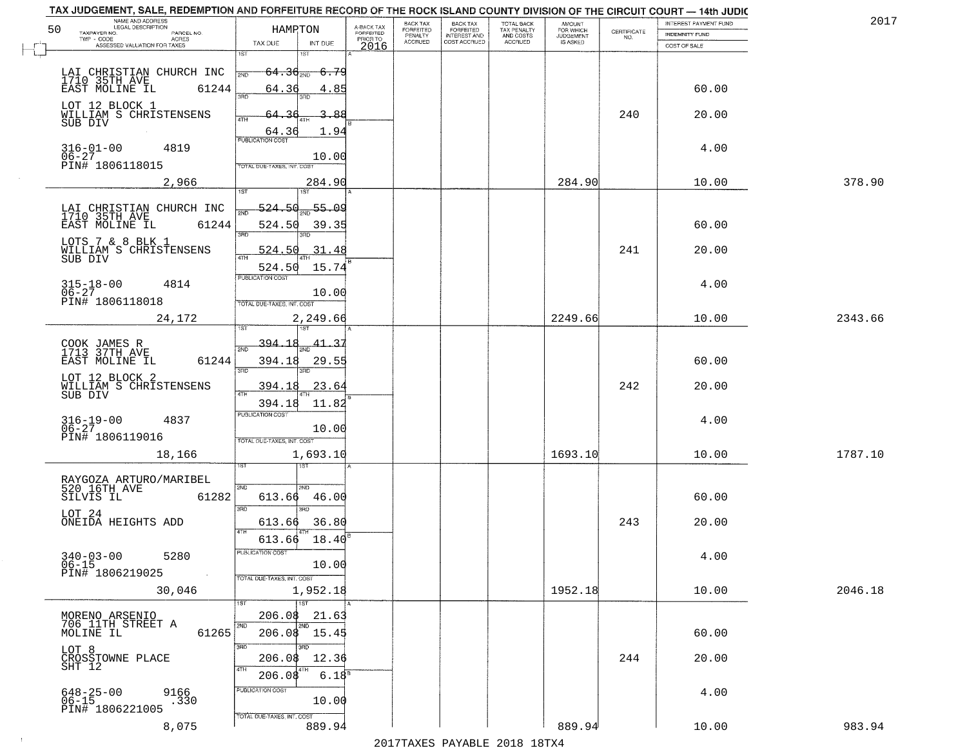| NAME AND ADDRESS<br>LEGAL DESCRIPTION<br>50                                              | HAMPTON                                                         |                                     |                                     | BACK TAX<br>FORFEITED | <b>BACK TAX</b><br>FORFEITED | <b>TOTAL BACK</b>                          | AMOUNT<br>FOR WHICH          |                                                                 | INTEREST PAYMENT FUND | 2017    |
|------------------------------------------------------------------------------------------|-----------------------------------------------------------------|-------------------------------------|-------------------------------------|-----------------------|------------------------------|--------------------------------------------|------------------------------|-----------------------------------------------------------------|-----------------------|---------|
| TAXPAYER NO.<br>PARCEL NO.<br>ACRES                                                      |                                                                 |                                     | A-BACK TAX<br>FORFEITED<br>PRIOR TO | PENALTY               | <b>INTEREST AND</b>          | TAX PENALTY<br>AND COSTS<br><b>ACCRUED</b> | <b>JUDGEMENT</b><br>IS ASKED | $\begin{array}{c} \text{CERTIFICATE} \\ \text{NO.} \end{array}$ | <b>INDEMNITY FUND</b> |         |
| ASSESSED VALUATION FOR TAXES                                                             | TAX DUE<br>1ST                                                  | INT DUE<br>1ST                      | 2016                                | <b>ACCRUED</b>        | COST ACCRUED                 |                                            |                              |                                                                 | COST OF SALE          |         |
| LAI CHRISTIAN CHURCH INC<br>1710 35TH AVE<br>61244<br>EAST MOLINE IL                     | $64.36_{200}$<br>2ND<br>64.36                                   | - <del>6.79</del><br>4.85           |                                     |                       |                              |                                            |                              |                                                                 | 60.00                 |         |
| LOT 12 BLOCK 1<br>WILLIAM S CHRISTENSENS<br>SUB DIV                                      | 3RD<br>64.<br>4TH                                               | -88                                 |                                     |                       |                              |                                            |                              | 240                                                             | 20.00                 |         |
| $316 - 01 - 00$<br>4819<br>$06 - 27$<br>PIN# 1806118015                                  | 64.36<br><b>PUBLICATION COST</b><br>TOTAL DUE-TAXES, INT. COST  | 1.94<br>10.00                       |                                     |                       |                              |                                            |                              |                                                                 | 4.00                  |         |
| 2,966                                                                                    |                                                                 | 284.90<br>1ST                       |                                     |                       |                              |                                            | 284.90                       |                                                                 | 10.00                 | 378.90  |
| LAI CHRISTIAN CHURCH INC<br>1710 35TH AVE<br>61244<br>EAST MOLINE IL<br>LOTS 7 & 8 BLK 1 | $-524.50$<br>524.50<br>3RD                                      | $\frac{55.09}{200}$<br>39.35<br>3RD |                                     |                       |                              |                                            |                              |                                                                 | 60.00                 |         |
| WILLIAM S CHRISTENSENS<br>SUB DIV                                                        | 524.50<br>524.50                                                | 31.48<br>15.74                      |                                     |                       |                              |                                            |                              | 241                                                             | 20.00                 |         |
| $315 - 18 - 00$<br>4814<br>$06 - 27$<br>PIN# 1806118018                                  | PUBLICATION COST<br>TOTAL DUE-TAXES, INT. COST                  | 10.00                               |                                     |                       |                              |                                            |                              |                                                                 | 4.00                  |         |
| 24,172                                                                                   | i ST                                                            | 2,249.66                            |                                     |                       |                              |                                            | 2249.66                      |                                                                 | 10.00                 | 2343.66 |
| COOK JAMES R<br>1713 37TH AVE<br>EAST MOLINE IL<br>61244                                 | <u>394.18</u><br>2ND<br>394.18<br>3BD                           | 41.<br>29.55<br>3RD                 |                                     |                       |                              |                                            |                              |                                                                 | 60.00                 |         |
| LOT 12 BLOCK 2<br>WILLIAM S CHRISTENSENS<br>SUB DIV                                      | 394.18<br>4TH                                                   | 23.64                               |                                     |                       |                              |                                            |                              | 242                                                             | 20.00                 |         |
| $316 - 19 - 00$<br>06-27<br>4837<br>PIN# 1806119016                                      | 394.18<br><b>PUBLICATION COST</b><br>TOTAL OUE-TAXES, INT. COST | 11.82<br>10.00                      |                                     |                       |                              |                                            |                              |                                                                 | 4.00                  |         |
| 18,166                                                                                   |                                                                 | 1,693.10<br>नङ्ग                    |                                     |                       |                              |                                            | 1693.10                      |                                                                 | 10.00                 | 1787.10 |
| RAYGOZA ARTURO/MARIBEL<br>520 16TH AVE<br>SILVIS IL<br>61282                             | 2ND<br>613.66<br>3RD                                            | 2ND.<br>46.00<br>$\overline{3BD}$   |                                     |                       |                              |                                            |                              |                                                                 | 60.00                 |         |
| LOT 24<br>ONEIDA HEIGHTS ADD                                                             | 613.66<br>4TH                                                   | 36.80                               |                                     |                       |                              |                                            |                              | 243                                                             | 20.00                 |         |
| $340 - 03 - 00$<br>5280<br>$06 - 15$<br>PIN# 1806219025<br>$\sim 100$                    | 613.66<br>PUBLICATION COS<br>TOTAL DUE-TAXES, INT. COST         | 18.40<br>10.00                      |                                     |                       |                              |                                            |                              |                                                                 | 4.00                  |         |
| 30,046                                                                                   |                                                                 | 1,952.18<br>1ST                     |                                     |                       |                              |                                            | 1952.18                      |                                                                 | 10.00                 | 2046.18 |
| MORENO ARSENIO<br>706 11TH STREET A<br>61265<br>MOLINE IL                                | 206.08<br>2ND                                                   | 21.63<br>2ND<br>$206.08$ 15.45      |                                     |                       |                              |                                            |                              |                                                                 | 60.00                 |         |
| LOT 8<br>CROSSTOWNE PLACE<br>SHT 12                                                      | 3RD<br>206.08                                                   | 3RF<br>12.36                        |                                     |                       |                              |                                            |                              | 244                                                             | 20.00                 |         |
| $648 - 25 - 00$<br>06-15<br>9166<br>.330<br>PIN# 1806221005                              | 206.08<br>PUBLICATION COST<br>TOTAL DUE-TAXES, INT. COST        | 6.18 <sup>8</sup><br>10.00          |                                     |                       |                              |                                            |                              |                                                                 | 4.00                  |         |
| 8,075                                                                                    |                                                                 | 889.94                              |                                     |                       |                              |                                            | 889.94                       |                                                                 | 10.00                 | 983.94  |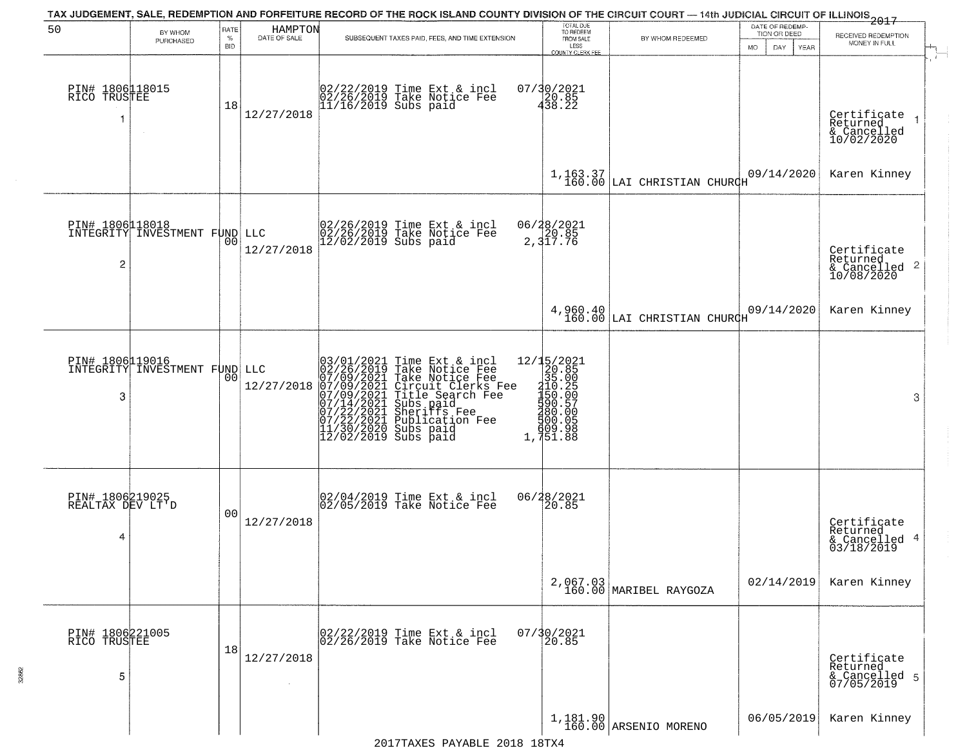| 50                                       | BY WHOM<br>PURCHASED          | RATE<br>$\%$<br><b>BID</b> | HAMPTON<br>DATE OF SALE | SUBSEQUENT TAXES PAID, FEES, AND TIME EXTENSION                                                                                                                                                                                                       | TOTAL DUE<br>TO REDEEM<br>FROM SALE<br>LESS<br><b>COUNTY CLERK FEE</b>                                                                            | BY WHOM REDEEMED                                                                      | DATE OF REDEMP-<br>TION OR DEED<br>MO.<br>DAY.<br>YEAR | $-2017$<br>RECEIVED REDEMPTION<br>MONEY IN FULL                    |              |
|------------------------------------------|-------------------------------|----------------------------|-------------------------|-------------------------------------------------------------------------------------------------------------------------------------------------------------------------------------------------------------------------------------------------------|---------------------------------------------------------------------------------------------------------------------------------------------------|---------------------------------------------------------------------------------------|--------------------------------------------------------|--------------------------------------------------------------------|--------------|
| PIN# 1806118015<br>RICO TRUSTEE          |                               | 18                         | 12/27/2018              | 02/22/2019 Time Ext & incl<br>02/26/2019 Take Notice Fee<br>11/16/2019 Subs paid                                                                                                                                                                      | $07/30/2021$<br>$438.22$                                                                                                                          |                                                                                       |                                                        | Certificate<br>Returned<br>& Cancelled<br>10/02/2020               | $\mathbf{r}$ |
|                                          |                               |                            |                         |                                                                                                                                                                                                                                                       |                                                                                                                                                   | $1,163.37$<br>160.00 LAI CHRISTIAN CHURCH                                             | 09/14/2020                                             | Karen Kinney                                                       |              |
| PIN# 1806118018<br>$\overline{2}$        | INTEGRITY INVESTMENT FUND LLC | 00                         | 12/27/2018              | 02/26/2019 Time Ext & incl<br>02/26/2019 Take Notice Fee<br>12/02/2019 Subs paid                                                                                                                                                                      | 06/28/2021<br>2,317.76                                                                                                                            |                                                                                       |                                                        | Certificate<br>Returned<br>$\frac{1}{2}$ Cancelled 2<br>10/08/2020 |              |
|                                          |                               |                            |                         |                                                                                                                                                                                                                                                       |                                                                                                                                                   | $\left[ \begin{array}{c} 4,960.40 \\ 160.00 \end{array} \right]$ LAI CHRISTIAN CHURCH | 09/14/2020                                             | Karen Kinney                                                       |              |
| PIN# 1806119016<br>3                     | INTEGRITY INVESTMENT FUND LLC | 00                         | 12/27/2018              | 03/01/2021 Time Ext & incl<br>02/26/2019 Take Notice Fee<br>07/09/2021 Take Notice Fee<br>07/09/2021 Circuit Clerks Fee<br>07/09/2021 Title Search Fee<br>07/14/2021 Subs paid<br>07/22/2021 Bublication Fee<br>11/30/2020 Subs paid<br>12/02/2019 Su | 12/15/2021<br>20.85<br>35.00<br>$\frac{1}{150}$ . 25<br>$\frac{1}{500}$ . 57<br>$\frac{1}{500}$ . 57<br>$\frac{1}{500}$ . 05<br>88:98<br>1,751.88 |                                                                                       |                                                        | 3                                                                  |              |
| PIN# 1806219025<br>REALTAX DEV LT'D<br>4 |                               | 0 <sub>0</sub>             | 12/27/2018              | 02/04/2019 Time Ext & incl<br>02/05/2019 Take Notice Fee                                                                                                                                                                                              | 06/28/2021<br>20.85                                                                                                                               |                                                                                       |                                                        | Certificate<br>Returned<br>& Cancelled 4<br>03/18/2019             |              |
|                                          |                               |                            |                         |                                                                                                                                                                                                                                                       |                                                                                                                                                   | 2,067.03<br>160.00 MARIBEL RAYGOZA                                                    | 02/14/2019                                             | Karen Kinney                                                       |              |
| PIN# 1806221005<br>RICO TRUSTEE<br>5     |                               | 18                         | 12/27/2018              | 02/22/2019 Time Ext & incl<br>02/26/2019 Take Notice Fee                                                                                                                                                                                              | 07/30/2021                                                                                                                                        |                                                                                       |                                                        | Certificate<br>Returned<br>& Cancelled 5<br>07/05/2019             |              |
|                                          |                               |                            |                         |                                                                                                                                                                                                                                                       |                                                                                                                                                   | 1,181.90<br>160.00 ARSENIO MORENO                                                     | 06/05/2019                                             | Karen Kinney                                                       |              |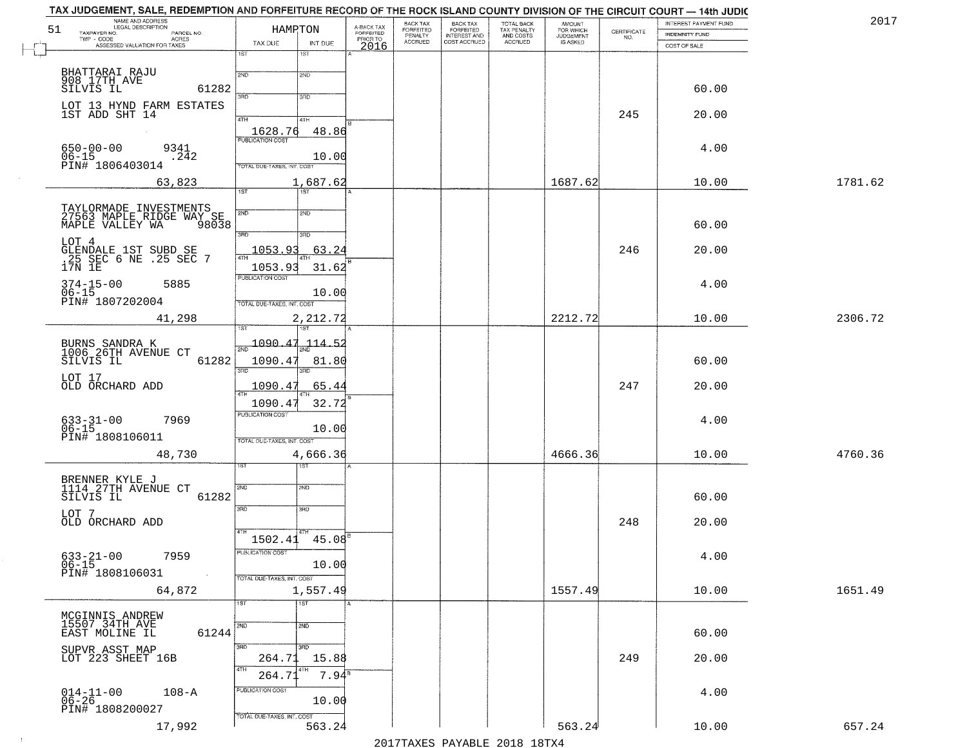| NAME AND ADDRESS<br>51                                   |                     |                             | HAMRTON             |                                     | BACK TAX<br>FORFEITED     | BACK TAX<br>FORFEITED<br>INTEREST AND | TOTAL BACK<br>TAX PENALTY<br>AND COSTS | AMOUNT<br>FOR WHICH          |                    | INTEREST PAYMENT FUND | 2017    |
|----------------------------------------------------------|---------------------|-----------------------------|---------------------|-------------------------------------|---------------------------|---------------------------------------|----------------------------------------|------------------------------|--------------------|-----------------------|---------|
| TAXPAYER NO.<br>$TWP - CODE$                             | PARCEL NO.<br>ACRES | TAX DUE                     | INT DUE             | A-BACK TAX<br>FORFEITED<br>PRIOR TO | PENALTY<br><b>ACCRUED</b> | COST ACCRUED                          | ACCRUED                                | <b>JUDGEMENT</b><br>IS ASKED | CERTIFICATE<br>NO. | <b>INDEMNITY FUND</b> |         |
| ASSESSED VALUATION FOR TAXES                             |                     | 1ST                         | 1ST                 | 2016                                |                           |                                       |                                        |                              |                    | COST OF SALE          |         |
| BHATTARAI RAJU                                           |                     | 2ND                         | 2ND                 |                                     |                           |                                       |                                        |                              |                    |                       |         |
| 908 17TH AVE<br>SILVIS IL                                | 61282               |                             |                     |                                     |                           |                                       |                                        |                              |                    | 60.00                 |         |
| LOT 13 HYND FARM ESTATES                                 |                     | 3RD                         | 3RD                 |                                     |                           |                                       |                                        |                              |                    |                       |         |
| 1ST ADD SHT 14                                           |                     | 4TH                         | 4TH                 |                                     |                           |                                       |                                        |                              | 245                | 20.00                 |         |
|                                                          |                     | 1628.76                     | 48.86               |                                     |                           |                                       |                                        |                              |                    |                       |         |
| $650 - 00 - 00$                                          | 9341                | <b>PUBLICATION COST</b>     |                     |                                     |                           |                                       |                                        |                              |                    | 4.00                  |         |
| $06 - 15$<br>PIN# 1806403014                             | .242                | TOTAL DUE-TAXES, INT. COST  | 10.00               |                                     |                           |                                       |                                        |                              |                    |                       |         |
|                                                          | 63,823              |                             | 1,687.62            |                                     |                           |                                       |                                        | 1687.62                      |                    | 10.00                 | 1781.62 |
|                                                          |                     | 1ST                         | <b>TST</b>          |                                     |                           |                                       |                                        |                              |                    |                       |         |
| TAYLORMADE INVESTMENTS<br>27563 MAPLE RIDGE WAY SE       |                     | 2ND                         | 2ND                 |                                     |                           |                                       |                                        |                              |                    |                       |         |
| MAPLE VALLEY WA                                          | 98038               | 3RD                         | 3RD                 |                                     |                           |                                       |                                        |                              |                    | 60.00                 |         |
| LOT 4                                                    |                     |                             |                     |                                     |                           |                                       |                                        |                              |                    | 20.00                 |         |
| GLENDALE 1ST SUBD SE<br>.25 SEC 6 NE .25 SEC 7<br>17N 1E |                     | 1053.93<br><b>ATH</b>       | 63.24               |                                     |                           |                                       |                                        |                              | 246                |                       |         |
|                                                          |                     | 1053.93<br>PUBLICATION COST | 31.62               |                                     |                           |                                       |                                        |                              |                    |                       |         |
| $374 - 15 - 00$<br>$06 - 15$                             | 5885                |                             | 10.00               |                                     |                           |                                       |                                        |                              |                    | 4.00                  |         |
| PIN# 1807202004                                          |                     | TOTAL DUE-TAXES, INT. COST  |                     |                                     |                           |                                       |                                        |                              |                    |                       |         |
|                                                          | 41,298              |                             | 2,212.72<br>IST.    |                                     |                           |                                       |                                        | 2212.72                      |                    | 10.00                 | 2306.72 |
|                                                          |                     | 1090.47                     | 114.52              |                                     |                           |                                       |                                        |                              |                    |                       |         |
| BURNS SANDRA K<br>1006 26TH AVENUE CT<br>SILVIS IL       | 61282               | 1090.47                     | 81.80               |                                     |                           |                                       |                                        |                              |                    | 60.00                 |         |
|                                                          |                     | 3BD                         | 3 <sub>BD</sub>     |                                     |                           |                                       |                                        |                              |                    |                       |         |
| LOT 17<br>OLD ORCHARD ADD                                |                     | 1090.47                     | 65.44               |                                     |                           |                                       |                                        |                              | 247                | 20.00                 |         |
|                                                          |                     | 1090.47                     | 32.72               |                                     |                           |                                       |                                        |                              |                    |                       |         |
| $633 - 31 - 00$                                          | 7969                | <b>PUBLICATION COST</b>     |                     |                                     |                           |                                       |                                        |                              |                    | 4.00                  |         |
| $06 - 15$<br>PIN# 1808106011                             |                     | TOTAL OUE-TAXES, INT. COST  | 10.00               |                                     |                           |                                       |                                        |                              |                    |                       |         |
|                                                          | 48,730              |                             | 4,666.36            |                                     |                           |                                       |                                        | 4666.36                      |                    | 10.00                 | 4760.36 |
|                                                          |                     |                             | বরস                 |                                     |                           |                                       |                                        |                              |                    |                       |         |
| BRENNER KYLE J<br>1114 27TH AVENUE CT                    |                     | 2ND                         | 2ND                 |                                     |                           |                                       |                                        |                              |                    |                       |         |
| SILVIS IL                                                | 61282               |                             |                     |                                     |                           |                                       |                                        |                              |                    | 60.00                 |         |
| LOT 7                                                    |                     | 3RD                         | 3RD                 |                                     |                           |                                       |                                        |                              |                    |                       |         |
| OLD ORCHARD ADD                                          |                     |                             | 4TH                 |                                     |                           |                                       |                                        |                              | 248                | 20.00                 |         |
|                                                          |                     | 1502.41<br>PUBLICATION COST | 45.08               |                                     |                           |                                       |                                        |                              |                    |                       |         |
| $633 - 21 - 00$<br>$06 - 15$                             | 7959                |                             | 10.00               |                                     |                           |                                       |                                        |                              |                    | 4.00                  |         |
| PIN# 1808106031                                          |                     | TOTAL DUE-TAXES, INT. COST  |                     |                                     |                           |                                       |                                        |                              |                    |                       |         |
|                                                          | 64,872              |                             | 1,557.49            |                                     |                           |                                       |                                        | 1557.49                      |                    | 10.00                 | 1651.49 |
| MCGINNIS ANDREW                                          |                     | 1ST                         | $\overline{1}$ ST   |                                     |                           |                                       |                                        |                              |                    |                       |         |
| 15507 34TH AVE<br>EAST MOLINE IL                         | 61244               | 2ND                         | 2ND                 |                                     |                           |                                       |                                        |                              |                    | 60.00                 |         |
|                                                          |                     | 3RD                         | 3RD                 |                                     |                           |                                       |                                        |                              |                    |                       |         |
| SUPVR ASST MAP<br>LOT 223 SHEET 16B                      |                     | 264.71                      | 15.88               |                                     |                           |                                       |                                        |                              | 249                | 20.00                 |         |
|                                                          |                     | 4TH<br>264.71               | $7.94$ <sup>s</sup> |                                     |                           |                                       |                                        |                              |                    |                       |         |
| $014-11-00$<br>$06-26$                                   | $108 - A$           | PUBLICATION COST            |                     |                                     |                           |                                       |                                        |                              |                    | 4.00                  |         |
| PIN# 1808200027                                          |                     |                             | 10.00               |                                     |                           |                                       |                                        |                              |                    |                       |         |
|                                                          | 17,992              | TOTAL DUE-TAXES, INT. COST  | 563.24              |                                     |                           |                                       |                                        | 563.24                       |                    | 10.00                 | 657.24  |

 $\sim 10^{-1}$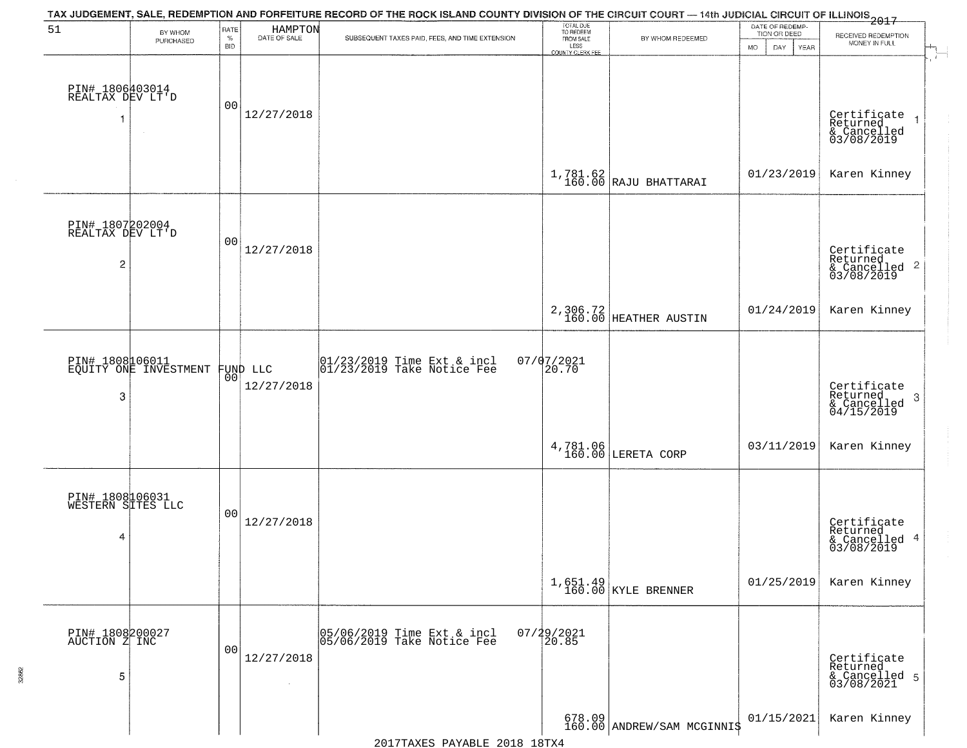| 51                                                    | BY WHOM<br>PURCHASED                     | RATE<br>$\%$<br><b>BID</b> | HAMPTON<br>DATE OF SALE | TAX JUDGEMENT, SALE, REDEMPTION AND FORFEITURE RECORD OF THE ROCK ISLAND COUNTY DIVISION OF THE CIRCUIT COURT — 14th JUDICIAL CIRCUIT OF ILLINOIS 2017<br>SUBSEQUENT TAXES PAID, FEES, AND TIME EXTENSION | TOTAL DUE<br>TO REDEEM<br>FROM SALE<br>LESS | BY WHOM REDEEMED                                                                                                                         | DATE OF REDEMP-<br>TION OR DEED<br><b>MO</b><br>DAY<br>YEAR | RECEIVED REDEMPTION<br>MONEY IN FULL                                   |
|-------------------------------------------------------|------------------------------------------|----------------------------|-------------------------|-----------------------------------------------------------------------------------------------------------------------------------------------------------------------------------------------------------|---------------------------------------------|------------------------------------------------------------------------------------------------------------------------------------------|-------------------------------------------------------------|------------------------------------------------------------------------|
| PIN# 1806403014<br>REALTAX DEV LT'D                   |                                          | 0 <sub>0</sub>             | 12/27/2018              |                                                                                                                                                                                                           | COUNTY CLERK FEE                            |                                                                                                                                          |                                                             | Certificate<br>Returned<br>$\overline{1}$<br>& Cancelled<br>03/08/2019 |
|                                                       |                                          |                            |                         |                                                                                                                                                                                                           |                                             | $\begin{array}{c c} \text{1,781.62} \\ \text{160.00} \end{array} \begin{array}{c} \texttt{RAJU} \end{array} \texttt{B}\texttt{HATTARAI}$ | 01/23/2019                                                  | Karen Kinney                                                           |
| PIN# 1807202004<br>REALTAX DEV LT'D<br>$\overline{c}$ |                                          | 00                         | 12/27/2018              |                                                                                                                                                                                                           |                                             |                                                                                                                                          |                                                             | Certificate<br>Returned<br>& Cancelled<br>03/08/2019<br>$\overline{2}$ |
|                                                       |                                          |                            |                         |                                                                                                                                                                                                           |                                             | 2,306.72<br>160.00 HEATHER AUSTIN                                                                                                        | 01/24/2019                                                  | Karen Kinney                                                           |
| 3                                                     | PIN# 1808106011<br>EQUITY ONE INVESTMENT | 00                         | FUND LLC<br>12/27/2018  | $\begin{array}{cc} 01/23/2019 \\ 01/23/2019 \end{array}$ Take Notice Fee                                                                                                                                  | $07/07/2021$<br>20.70                       |                                                                                                                                          |                                                             | Certificate<br>Returned<br>3<br>$\frac{6}{04/15/2019}$                 |
|                                                       |                                          |                            |                         |                                                                                                                                                                                                           |                                             | 4,781.06<br>160.00 LERETA CORP                                                                                                           | 03/11/2019                                                  | Karen Kinney                                                           |
| PIN# 1808106031<br>WESTERN SITES LLC<br>4             |                                          | 00                         | 12/27/2018              |                                                                                                                                                                                                           |                                             |                                                                                                                                          |                                                             | Certificate<br>Returned<br>-4<br>& Cancelled<br>03/08/2019             |
|                                                       |                                          |                            |                         |                                                                                                                                                                                                           |                                             | $1,651.49$ KYLE BRENNER                                                                                                                  | 01/25/2019                                                  | Karen Kinney                                                           |
| PIN# 1808200027<br>AUCTION Z INC<br>5                 |                                          | 00                         | 12/27/2018              | 05/06/2019 Time Ext & incl<br>05/06/2019 Take Notice Fee                                                                                                                                                  | 07/29/2021<br>20.85                         |                                                                                                                                          |                                                             | Certificate<br>Returned<br>& Cancelled 5<br>03/08/2021                 |
|                                                       |                                          |                            |                         |                                                                                                                                                                                                           |                                             | 678.09<br>160.00 ANDREW/SAM MCGINNI\$                                                                                                    | 01/15/2021                                                  | Karen Kinney                                                           |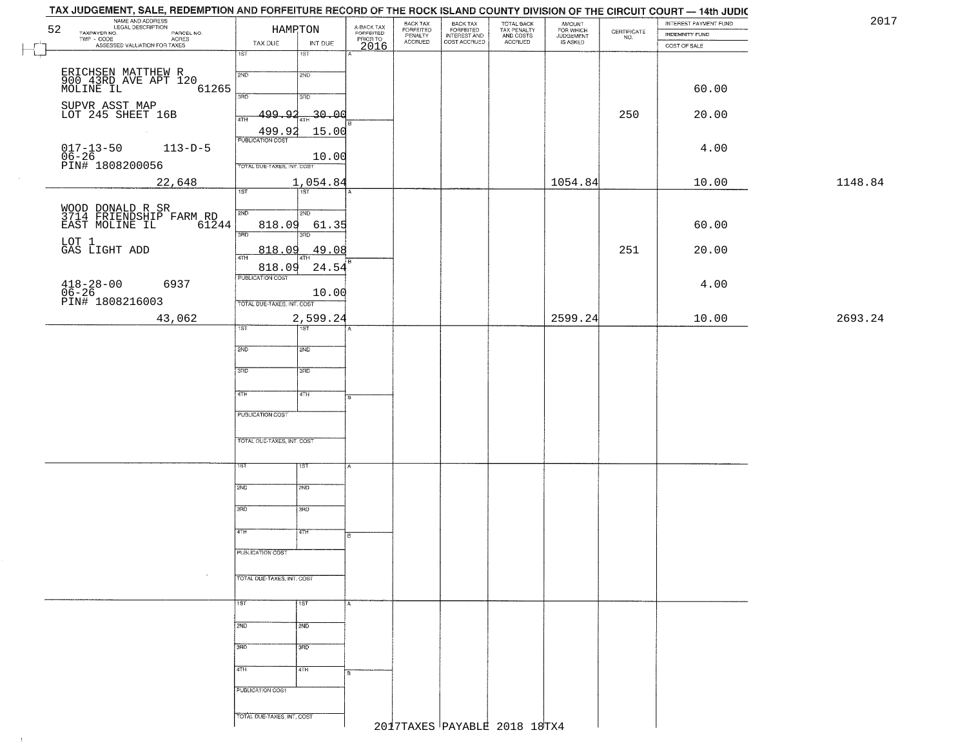| 52                | NAME AND ADDRESS<br>LEGAL DESCRIPTION                                                             |                                | HAMRTON            |                                     | BACK TAX<br>FORFEITED<br>PENALTY | BACK TAX<br>FORFEITED<br>INTEREST AND | TOTAL BACK<br>TAX PENALTY<br>AND COSTS<br>ACCRUED | AMOUNT<br>FOR WHICH<br>JUDGEMENT |                                                                 | INTEREST PAYMENT FUND | 2017    |
|-------------------|---------------------------------------------------------------------------------------------------|--------------------------------|--------------------|-------------------------------------|----------------------------------|---------------------------------------|---------------------------------------------------|----------------------------------|-----------------------------------------------------------------|-----------------------|---------|
|                   | TAXPAYER NO.<br>LEGAL DESCRIPTION<br>- CODE ACRES<br>- CODE ACRES<br>ASSESSED VALUATION FOR TAXES | TAX DUE                        | INT DUE            | A-BACK TAX<br>FORFEITED<br>PRIOR TO | <b>ACCRUED</b>                   | COST ACCRUED                          |                                                   | IS ASKED                         | $\begin{array}{c} \text{CERTIFICATE} \\ \text{NO.} \end{array}$ | <b>INDEMNITY FUND</b> |         |
| $L_{\rightarrow}$ |                                                                                                   | 1ST                            | 1ST                | 2016                                |                                  |                                       |                                                   |                                  |                                                                 | COST OF SALE          |         |
|                   |                                                                                                   | 2ND                            | 2ND                |                                     |                                  |                                       |                                                   |                                  |                                                                 |                       |         |
|                   | ERICHSEN MATTHEW R<br>900 43RD AVE APT 120<br>MOLINE IL<br>61265                                  |                                |                    |                                     |                                  |                                       |                                                   |                                  |                                                                 | 60.00                 |         |
|                   |                                                                                                   | 3RD                            | 3RD                |                                     |                                  |                                       |                                                   |                                  |                                                                 |                       |         |
|                   | SUPVR ASST MAP<br>LOT 245 SHEET 16B                                                               | <u>ړو ووو.</u><br>4TH          | -30.00             |                                     |                                  |                                       |                                                   |                                  | 250                                                             | 20.00                 |         |
|                   |                                                                                                   |                                | 15.00              |                                     |                                  |                                       |                                                   |                                  |                                                                 |                       |         |
|                   | $113 - D - 5$                                                                                     | $\frac{499.92}{FUBUCATONCOST}$ |                    |                                     |                                  |                                       |                                                   |                                  |                                                                 | 4.00                  |         |
|                   | 017-13-50<br>06-26<br>PIN# 1808200056                                                             |                                | 10.00              |                                     |                                  |                                       |                                                   |                                  |                                                                 |                       |         |
|                   |                                                                                                   | TOTAL DUE-TAXES, INT. COST     |                    |                                     |                                  |                                       |                                                   |                                  |                                                                 |                       |         |
|                   | 22,648                                                                                            | 1ST                            | 1,054.84<br>Tst    |                                     |                                  |                                       |                                                   | 1054.84                          |                                                                 | 10.00                 | 1148.84 |
|                   |                                                                                                   |                                |                    |                                     |                                  |                                       |                                                   |                                  |                                                                 |                       |         |
|                   | WOOD DONALD R SR<br>3714 FRIENDSHIP FARM RD                                                       | 2ND                            | 2ND                |                                     |                                  |                                       |                                                   |                                  |                                                                 |                       |         |
|                   | 61244<br>EAST MOLINE IL                                                                           | 818.09<br>$\overline{3BD}$     | 61.35<br>3RD       |                                     |                                  |                                       |                                                   |                                  |                                                                 | 60.00                 |         |
|                   | LOT 1<br>GAS LIGHT ADD                                                                            | 818.09                         | 49.08              |                                     |                                  |                                       |                                                   |                                  | 251                                                             | 20.00                 |         |
|                   |                                                                                                   | $\sqrt{4}$ TH                  | 4TH                |                                     |                                  |                                       |                                                   |                                  |                                                                 |                       |         |
|                   |                                                                                                   | 818.09<br>PUBLICATION COST     | 24.54              |                                     |                                  |                                       |                                                   |                                  |                                                                 |                       |         |
|                   | $418 - 28 - 00$<br>06-26<br>6937                                                                  |                                | 10.00              |                                     |                                  |                                       |                                                   |                                  |                                                                 | 4.00                  |         |
|                   | PIN# 1808216003                                                                                   | TOTAL DUE-TAXES, INT. COST     |                    |                                     |                                  |                                       |                                                   |                                  |                                                                 |                       |         |
|                   | 43,062                                                                                            |                                | 2,599.24           |                                     |                                  |                                       |                                                   | 2599.24                          |                                                                 | 10.00                 | 2693.24 |
|                   |                                                                                                   | TST                            | 1ST                |                                     |                                  |                                       |                                                   |                                  |                                                                 |                       |         |
|                   |                                                                                                   | 2ND                            | SMD <sub>1</sub>   |                                     |                                  |                                       |                                                   |                                  |                                                                 |                       |         |
|                   |                                                                                                   |                                |                    |                                     |                                  |                                       |                                                   |                                  |                                                                 |                       |         |
|                   |                                                                                                   | 3RD                            | 3 <sub>3</sub>     |                                     |                                  |                                       |                                                   |                                  |                                                                 |                       |         |
|                   |                                                                                                   | 4TH                            | 4TH                |                                     |                                  |                                       |                                                   |                                  |                                                                 |                       |         |
|                   |                                                                                                   |                                |                    |                                     |                                  |                                       |                                                   |                                  |                                                                 |                       |         |
|                   |                                                                                                   | <b>PUBLICATION COST</b>        |                    |                                     |                                  |                                       |                                                   |                                  |                                                                 |                       |         |
|                   |                                                                                                   |                                |                    |                                     |                                  |                                       |                                                   |                                  |                                                                 |                       |         |
|                   |                                                                                                   | TOTAL OUE-TAXES, INT. COST     |                    |                                     |                                  |                                       |                                                   |                                  |                                                                 |                       |         |
|                   |                                                                                                   | 1ST                            | 1ST                |                                     |                                  |                                       |                                                   |                                  |                                                                 |                       |         |
|                   |                                                                                                   |                                |                    |                                     |                                  |                                       |                                                   |                                  |                                                                 |                       |         |
|                   |                                                                                                   | 2ND                            | 2ND                |                                     |                                  |                                       |                                                   |                                  |                                                                 |                       |         |
|                   |                                                                                                   | 3RD                            | 3BD                |                                     |                                  |                                       |                                                   |                                  |                                                                 |                       |         |
|                   |                                                                                                   |                                |                    |                                     |                                  |                                       |                                                   |                                  |                                                                 |                       |         |
|                   |                                                                                                   | 4TH                            | 47H                | в                                   |                                  |                                       |                                                   |                                  |                                                                 |                       |         |
|                   |                                                                                                   | <b>PUBLICATION COST</b>        |                    |                                     |                                  |                                       |                                                   |                                  |                                                                 |                       |         |
|                   |                                                                                                   |                                |                    |                                     |                                  |                                       |                                                   |                                  |                                                                 |                       |         |
|                   | $\sim$                                                                                            | TOTAL DUE-TAXES, INT. COST     |                    |                                     |                                  |                                       |                                                   |                                  |                                                                 |                       |         |
|                   |                                                                                                   |                                |                    |                                     |                                  |                                       |                                                   |                                  |                                                                 |                       |         |
|                   |                                                                                                   | 15T                            | $\overline{1}$ 1ST |                                     |                                  |                                       |                                                   |                                  |                                                                 |                       |         |
|                   |                                                                                                   | 2ND                            | 2ND                |                                     |                                  |                                       |                                                   |                                  |                                                                 |                       |         |
|                   |                                                                                                   |                                |                    |                                     |                                  |                                       |                                                   |                                  |                                                                 |                       |         |
|                   |                                                                                                   | 3BD                            | 3BD                |                                     |                                  |                                       |                                                   |                                  |                                                                 |                       |         |
|                   |                                                                                                   | 4TH                            | 4TH                |                                     |                                  |                                       |                                                   |                                  |                                                                 |                       |         |
|                   |                                                                                                   |                                |                    |                                     |                                  |                                       |                                                   |                                  |                                                                 |                       |         |
|                   |                                                                                                   | PUBLICATION COST               |                    |                                     |                                  |                                       |                                                   |                                  |                                                                 |                       |         |
|                   |                                                                                                   | TOTAL DUE-TAXES, INT. COST     |                    |                                     |                                  |                                       |                                                   |                                  |                                                                 |                       |         |
|                   |                                                                                                   |                                |                    |                                     |                                  |                                       | 2017TAXES PAYABLE 2018 18TX4                      |                                  |                                                                 |                       |         |

 $\uparrow$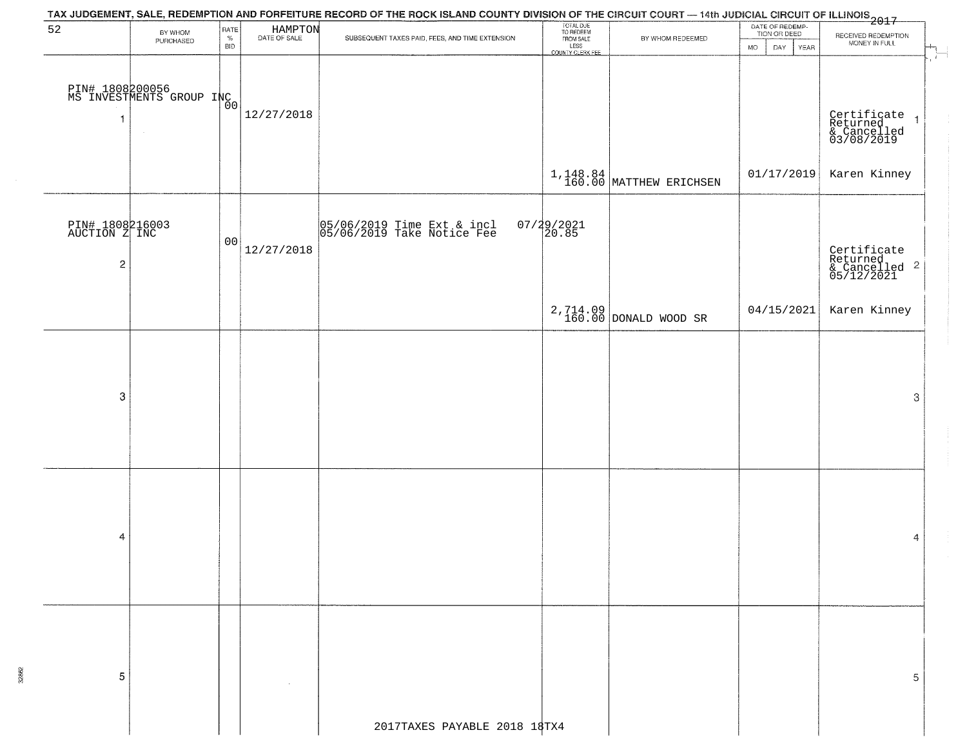| 52                                                          | BY WHOM<br>PURCHASED                        | RATE<br>$\%$<br><b>BID</b> | HAMPTON<br>DATE OF SALE | SUBSEQUENT TAXES PAID, FEES, AND TIME EXTENSION          | TOTAL DUE<br>TO REDEEM<br>FROM SALE<br>LESS<br>COUNTY CLERK FEE | BY WHOM REDEEMED                  | DATE OF REDEMP-<br>TION OR DEED<br>DAY YEAR<br>MO. | RECEIVED REDEMPTION<br>MONEY IN FULL                                        |  |  |  |  |
|-------------------------------------------------------------|---------------------------------------------|----------------------------|-------------------------|----------------------------------------------------------|-----------------------------------------------------------------|-----------------------------------|----------------------------------------------------|-----------------------------------------------------------------------------|--|--|--|--|
| $\overline{1}$                                              | PIN# 1808200056<br>MS INVESTMENTS GROUP INC |                            | 12/27/2018              |                                                          |                                                                 |                                   |                                                    | ÷<br>Certificate<br>Returned<br>& Cancelled<br>03/08/2019<br>$\overline{1}$ |  |  |  |  |
|                                                             |                                             |                            |                         |                                                          |                                                                 | $1,148.84$ MATTHEW ERICHSEN       | 01/17/2019                                         | Karen Kinney                                                                |  |  |  |  |
| PIN# 1808216003<br>AUCTION Z INC<br>$\overline{\mathbf{c}}$ |                                             | 00                         | 12/27/2018              | 05/06/2019 Time Ext & incl<br>05/06/2019 Take Notice Fee | $07/29/2021$<br>20.85                                           |                                   |                                                    | Certificate<br>Returned<br>& Cancelled <sup>2</sup><br>05/12/2021           |  |  |  |  |
|                                                             |                                             |                            |                         |                                                          |                                                                 | 2,714.09<br>160.00 DONALD WOOD SR | 04/15/2021                                         | Karen Kinney                                                                |  |  |  |  |
| 3                                                           |                                             |                            |                         |                                                          |                                                                 |                                   |                                                    | 3                                                                           |  |  |  |  |
| 4                                                           |                                             |                            |                         |                                                          |                                                                 |                                   |                                                    | 4                                                                           |  |  |  |  |
| 5                                                           |                                             |                            |                         | 2017TAXES PAYABLE 2018 18TX4                             |                                                                 |                                   |                                                    | 5                                                                           |  |  |  |  |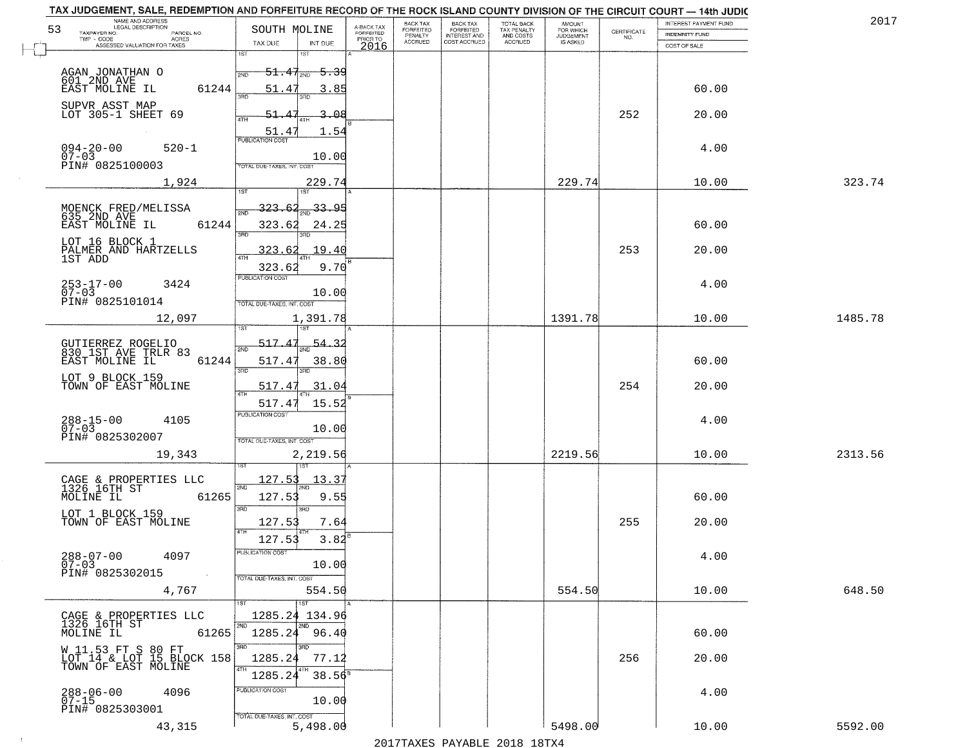| NAME AND ADDRESS<br>LEGAL DESCRIPTION                                      |                                                         |                                     | BACK TAX             | <b>BACK TAX</b>           | TOTAL BACK<br>TAX PENALTY<br>AND COSTS | AMOUNT<br>FOR WHICH |                                                                 | INTEREST PAYMENT FUND | 2017    |
|----------------------------------------------------------------------------|---------------------------------------------------------|-------------------------------------|----------------------|---------------------------|----------------------------------------|---------------------|-----------------------------------------------------------------|-----------------------|---------|
| 53<br>TAXPAYER NO.<br>PARCEL NO.<br>ACRES                                  | SOUTH MOLINE                                            | A-BACK TAX<br>FORFEITED<br>PRIOR TO | FORFEITED<br>PENALTY | FORFEITED<br>INTEREST AND |                                        | <b>JUDGEMENT</b>    | $\begin{array}{c} \text{CERTIFICATE} \\ \text{NO.} \end{array}$ | INDEMNITY FUND        |         |
| ASSESSED VALUATION FOR TAXES                                               | TAX DUE<br>INT DUE<br>1ST<br>18T                        | 2016                                | <b>ACCRUED</b>       | COST ACCRUED              | <b>ACCRUED</b>                         | IS ASKED            |                                                                 | COST OF SALE          |         |
| AGAN JONATHAN O                                                            | $51.47_{200}$<br><del>5.3</del> 9                       |                                     |                      |                           |                                        |                     |                                                                 |                       |         |
| 601 2ND AVE<br>EAST MOLINE IL<br>61244                                     | 51.47<br>3.85                                           |                                     |                      |                           |                                        |                     |                                                                 | 60.00                 |         |
| SUPVR ASST MAP<br>LOT 305-1 SHEET 69                                       | 3.08<br>51.47                                           |                                     |                      |                           |                                        |                     | 252                                                             | 20.00                 |         |
| $094 - 20 - 00$<br>07-03<br>$520 - 1$                                      | 51.47<br>1.54<br><b>PUBLICATION COST</b>                |                                     |                      |                           |                                        |                     |                                                                 | 4.00                  |         |
| PIN# 0825100003                                                            | 10.00<br>TOTAL DUE-TAXES, INT. COST                     |                                     |                      |                           |                                        |                     |                                                                 |                       |         |
| 1,924                                                                      | 229.74                                                  |                                     |                      |                           |                                        | 229.74              |                                                                 | 10.00                 | 323.74  |
| MOENCK FRED/MELISSA<br>635_2ND_AVE<br>EAST MOLINE IL<br>61244              | $\frac{33.95}{200}$<br><u>323.62</u><br>323.62<br>24.25 |                                     |                      |                           |                                        |                     |                                                                 | 60.00                 |         |
| LOT 16 BLOCK 1<br>PALMER AND HARTZELLS<br>1ST ADD                          | 3RD<br>3RD<br>19.40<br>323.62                           |                                     |                      |                           |                                        |                     | 253                                                             | 20.00                 |         |
| $253 - 17 - 00$<br>3424<br>$07 - 03$                                       | 9.70<br>323.62<br>PUBLICATION COST<br>10.00             |                                     |                      |                           |                                        |                     |                                                                 | 4.00                  |         |
| PIN# 0825101014<br>12,097                                                  | TOTAL DUE-TAXES, INT. COST<br>1,391.78<br>īsT<br>1ST    |                                     |                      |                           |                                        | 1391.78             |                                                                 | 10.00                 | 1485.78 |
|                                                                            | 517.47<br>54.<br>-3                                     |                                     |                      |                           |                                        |                     |                                                                 |                       |         |
| GUTIERREZ ROGELIO<br>830 1ST AVE TRLR 83<br>EAST MOLINE IL<br>61244        | 2ND<br>517.47<br>38.80<br>3RD<br>3RD                    |                                     |                      |                           |                                        |                     |                                                                 | 60.00                 |         |
| LOT 9 BLOCK 159<br>TOWN OF EAST MOLINE                                     | 517.47<br>31.04<br>$\overline{A^{\top} \vdash}$         |                                     |                      |                           |                                        |                     | 254                                                             | 20.00                 |         |
| $288 - 15 - 00$<br>07-03<br>4105                                           | 517.47<br>15.52<br><b>PUBLICATION COST</b>              |                                     |                      |                           |                                        |                     |                                                                 | 4.00                  |         |
| PIN# 0825302007                                                            | 10.00<br>TOTAL OUE-TAXES, INT. COST                     |                                     |                      |                           |                                        |                     |                                                                 |                       |         |
| 19,343                                                                     | 2,219.56                                                |                                     |                      |                           |                                        | 2219.56             |                                                                 | 10.00                 | 2313.56 |
| CAGE & PROPERTIES LLC<br>1326 16TH ST<br>MOLINE IL<br>61265                | 127.53<br>13.37<br>2ND<br>127.53<br>9.55                |                                     |                      |                           |                                        |                     |                                                                 | 60.00                 |         |
| LOT 1 BLOCK 159<br>TOWN OF EAST MOLINE                                     | 3RD<br>3RD<br>127.53<br>7.64                            |                                     |                      |                           |                                        |                     | 255                                                             | 20.00                 |         |
|                                                                            | 4TH<br>127.53<br>3.82                                   |                                     |                      |                           |                                        |                     |                                                                 |                       |         |
| $288 - 07 - 00$<br>4097<br>$07 - 03$<br>PIN# 0825302015<br><b>Contract</b> | PUBLICATION COS<br>10.00<br>TOTAL DUE-TAXES, INT. COST  |                                     |                      |                           |                                        |                     |                                                                 | 4.00                  |         |
| 4,767                                                                      | 554.50<br>1ST                                           |                                     |                      |                           |                                        | 554.50              |                                                                 | 10.00                 | 648.50  |
| CAGE & PROPERTIES LLC<br>1326 16TH ST                                      | 1285.24 134.96                                          |                                     |                      |                           |                                        |                     |                                                                 |                       |         |
| 61265<br>MOLINE IL                                                         | l 2ND<br>2ND<br>1285.24 96.40<br>3BD<br>3RD             |                                     |                      |                           |                                        |                     |                                                                 | 60.00                 |         |
| W 11.53 FT S 80 FT<br>LOT 14 & LOT 15 BLOCK 158<br>TOWN OF EAST MOLINE     | 1285.24<br>77.12<br>4TH                                 |                                     |                      |                           |                                        |                     | 256                                                             | 20.00                 |         |
| $288 - 06 - 00$<br>4096                                                    | 1285.24<br>$38.56^8$<br>PUBLICATION COST                |                                     |                      |                           |                                        |                     |                                                                 | 4.00                  |         |
| $07 - 15$<br>PIN# 0825303001                                               | 10.00<br>TOTAL DUE-TAXES, INT. COST                     |                                     |                      |                           |                                        |                     |                                                                 |                       |         |
| 43,315                                                                     | 5,498.00                                                |                                     |                      |                           |                                        | 5498.00             |                                                                 | 10.00                 | 5592.00 |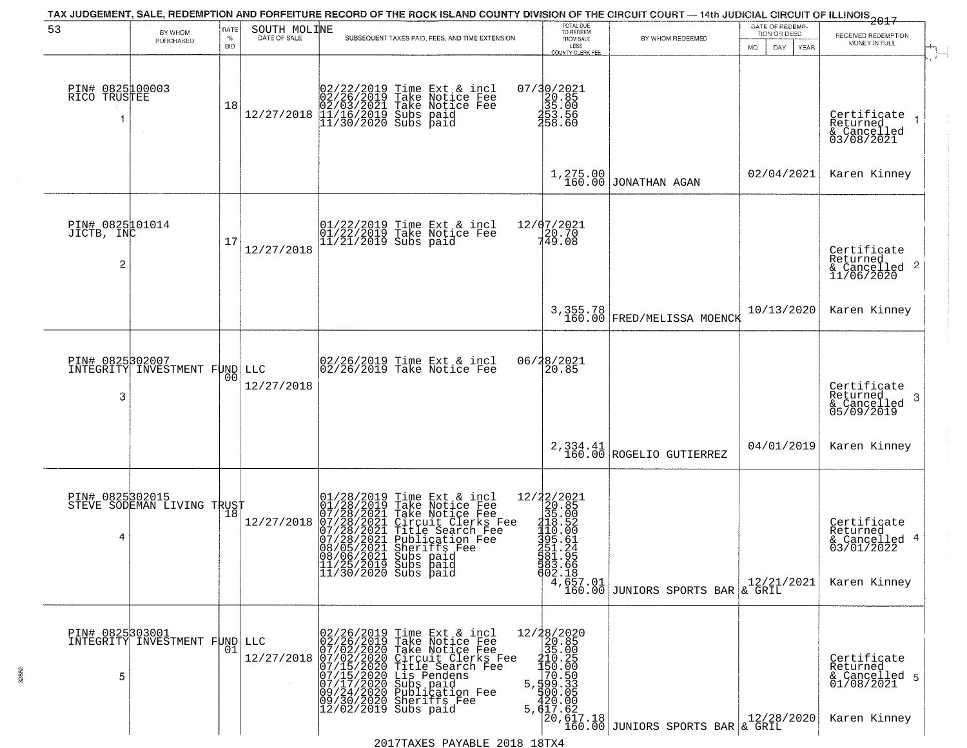| 53                                    |                               | RATE        |              | TAX JUDGEMENT, SALE, REDEMPTION AND FORFEITURE RECORD OF THE ROCK ISLAND COUNTY DIVISION OF THE CIRCUIT COURT - 14th JUDICIAL CIRCUIT OF ILLINOIS 2017                                                                                                                                                                       | TOTAL DUE<br>TO REDEEM                                                                                                                                                                                                                                                                                                 |                                                                                            | DATE OF REDEMP-                                 |                                                                        |
|---------------------------------------|-------------------------------|-------------|--------------|------------------------------------------------------------------------------------------------------------------------------------------------------------------------------------------------------------------------------------------------------------------------------------------------------------------------------|------------------------------------------------------------------------------------------------------------------------------------------------------------------------------------------------------------------------------------------------------------------------------------------------------------------------|--------------------------------------------------------------------------------------------|-------------------------------------------------|------------------------------------------------------------------------|
|                                       | BY WHOM<br>PURCHASED          | $\%$<br>BID | SOUTH MOLINE | SUBSEQUENT TAXES PAID, FEES, AND TIME EXTENSION                                                                                                                                                                                                                                                                              | FROM SALE<br>LESS<br>COUNTY CLERK FEE                                                                                                                                                                                                                                                                                  | BY WHOM REDEEMED                                                                           | TION OR DEED<br><b>MO</b><br>DAY<br><b>YEAR</b> | RECEIVED REDEMPTION<br>MONEY IN FULL                                   |
| PIN# 0825100003<br>RICÖ TRUSTEE<br>-1 |                               | 18          |              | $12/27/2018 \begin{array}{l} 02/22/2019 \text{ Time Ext & incl} \\ 02/26/2019 \text{ Take Notice Free} \\ 02/03/2021 \text{ Take Notice Free} \\ 12/27/2018 \begin{array}{l} 01/16/2019 \text{ Subs paid} \\ 11/30/2020 \text{ Subs paid} \end{array} \end{array}$                                                           | 07/30/2021<br>$\begin{array}{c} 26.85 \\ 35.00 \\ 453.56 \end{array}$<br><b>1</b> 58:60                                                                                                                                                                                                                                |                                                                                            |                                                 | Certificate<br>Returned<br>& Cancelled<br>03/08/2021                   |
|                                       |                               |             |              |                                                                                                                                                                                                                                                                                                                              | 1,275.00<br>160.00                                                                                                                                                                                                                                                                                                     | JONATHAN AGAN                                                                              | 02/04/2021                                      | Karen Kinney                                                           |
| PIN# 0825101014<br>JICTB, INC<br>2    |                               | 17          | 12/27/2018   | 01/22/2019 Time Ext & incl<br>01/22/2019 Take Notice Fee<br>11/21/2019 Subs paid                                                                                                                                                                                                                                             | 12/07/2021<br>749.08                                                                                                                                                                                                                                                                                                   |                                                                                            |                                                 | Certificate<br>Returned<br>$\frac{12}{2}$ Cancelled 2<br>11/06/2020    |
|                                       |                               |             |              |                                                                                                                                                                                                                                                                                                                              |                                                                                                                                                                                                                                                                                                                        | 3,355.78<br>160.00 FRED/MELISSA MOENCK                                                     | 10/13/2020                                      | Karen Kinney                                                           |
| PIN# 0825302007<br>3                  | INTEGRITY INVESTMENT FUND LLC | 00          | 12/27/2018   | 02/26/2019 Time Ext & incl<br>02/26/2019 Take Notice Fee                                                                                                                                                                                                                                                                     | 06/28/2021<br>20.85                                                                                                                                                                                                                                                                                                    |                                                                                            |                                                 | Certificate<br>Returned<br>-3<br>& Cancelled<br>05/09/2019             |
|                                       |                               |             |              |                                                                                                                                                                                                                                                                                                                              | 2,334.41<br>160.00                                                                                                                                                                                                                                                                                                     | ROGELIO GUTIERREZ                                                                          | 04/01/2019                                      | Karen Kinney                                                           |
| PIN# 0825302015<br>4                  | STEVE SODEMAN LIVING TRUST    |             | 12/27/2018   | 01/28/2019<br>01/28/2019<br>07/28/2021<br>07/28/2021<br>07/28/2021<br>08/05/2021<br>08/05/2021<br>Time Ext & incl<br>Take Notice Fee<br>Take Notice Fee<br>Circuit Clerks Fee<br>Title Search Fee<br>Publication Fee<br>Subrifs Fee<br>Subrifs Fee<br>08/06/2021 Subs paid<br>11/25/2019 Subs paid<br>$11/30/2020$ Subs paid | $\begin{array}{r} 12/22/2021 \\ 20.85 \\ 35.00 \\ 118.52 \\ 110.00 \\ 395.61 \\ \end{array}$<br><b>1</b> 51.24<br>581.95<br>583.66<br>602.18                                                                                                                                                                           | $\left  \begin{array}{c} 4,657.01 \\ 160.00 \end{array} \right $ JUNIORS SPORTS BAR & GRIL | 12/21/2021                                      | Certificate<br>Returned<br>& Cancelled 4<br>03/01/2022<br>Karen Kinney |
| PIN# 0825303001<br>5                  | INTEGRITY INVESTMENT FUND     | 01          |              | LLC 02/26/2019 Time Ext & incl 1<br>02/26/2019 Take Notice Fee<br>12/27/2018 07/02/2020 Take Notice Fee<br>12/27/2018 07/02/2020 Circuit Clerks Fee<br>07/15/2020 Title Search Fee<br>07/15/2020 Subs paid<br>09/24/2020 Subspaid<br>09/24/2020 Sub<br>$ 12/02/2019$ Subs paid                                               | $\begin{array}{r} 12/28/2020 \\ 20.85 \\ 35.020 \\ -10.208 \\ -150.25 \\ -150.000 \\ -150.000 \\ -150.000 \\ -150.000 \\ -100.000 \\ -100.000 \\ -100.000 \\ -100.000 \\ -100.000 \\ -100.000 \\ -100.000 \\ -100.000 \\ -100.000 \\ -100.000 \\ -100.000 \\ -100.000 \\ -100.000 \\ -100.000 \\ -100.000$<br>5,617.62 | 20,617.18<br>160.00 JUNIORS SPORTS BAR & GRIL                                              | 12/28/2020                                      | Certificate<br>Returned<br>& Cancelled 5<br>01/08/2021<br>Karen Kinney |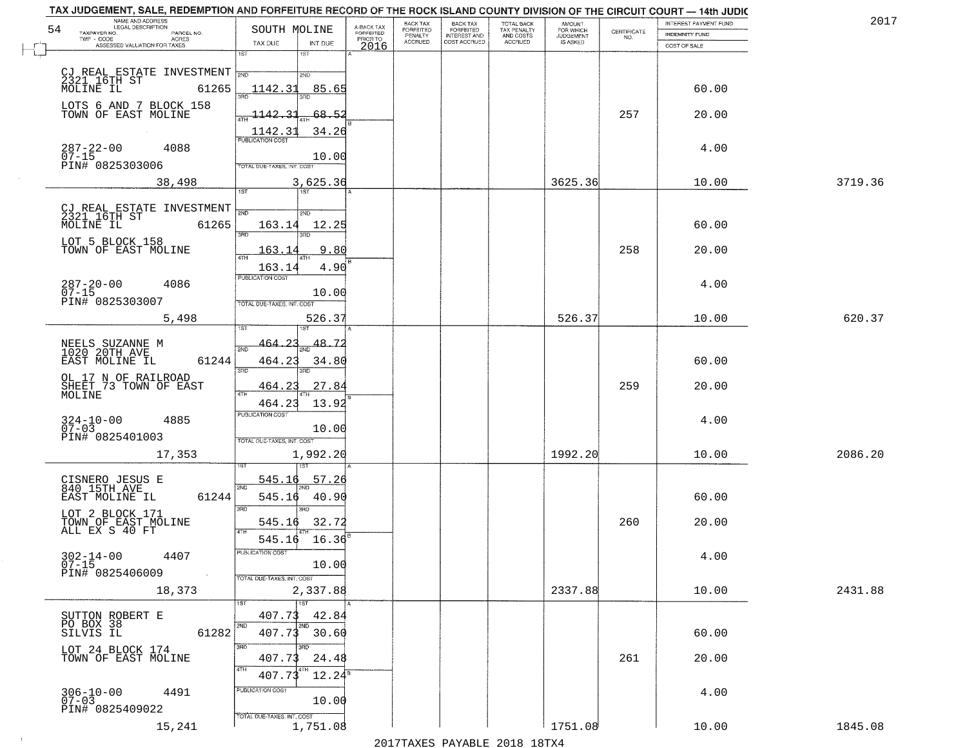| TAX JUDGEMENT, SALE, REDEMPTION AND FORFEITURE RECORD OF THE ROCK ISLAND COUNTY DIVISION OF THE CIRCUIT COURT - 14th JUDIC<br>NAME AND ADDRESS<br>LEGAL DESCRIPTION |                                                   |                                     | BACK TAX             |                                       |                                        |                                  |                                                                 | INTEREST PAYMENT FUND | 2017    |
|---------------------------------------------------------------------------------------------------------------------------------------------------------------------|---------------------------------------------------|-------------------------------------|----------------------|---------------------------------------|----------------------------------------|----------------------------------|-----------------------------------------------------------------|-----------------------|---------|
| 54<br>TAXPAYER NO.<br>PARCEL NO.<br>TWP - CODE<br>ACRES                                                                                                             | SOUTH MOLINE                                      | A-BACK TAX<br>FORFEITED<br>PRIOR TO | FORFEITED<br>PENALTY | BACK TAX<br>FORFEITED<br>INTEREST AND | TOTAL BACK<br>TAX PENALTY<br>AND COSTS | AMOUNT<br>FOR WHICH<br>JUDGEMENT | $\begin{array}{c} \text{CERTIFICATE} \\ \text{NO.} \end{array}$ | <b>INDEMNITY FUND</b> |         |
| ASSESSED VALUATION FOR TAXES                                                                                                                                        | TAX DUE<br>INT DUE<br>1ST<br>1ST                  | 2016                                | <b>ACCRUED</b>       | COST ACCRUED                          | <b>ACCRUED</b>                         | IS ASKED                         |                                                                 | COST OF SALE          |         |
|                                                                                                                                                                     |                                                   |                                     |                      |                                       |                                        |                                  |                                                                 |                       |         |
| CJ REAL ESTATE INVESTMENT $\frac{1}{200}$                                                                                                                           | 2ND                                               |                                     |                      |                                       |                                        |                                  |                                                                 |                       |         |
| 2321 16TH ST<br>MOLINE IL<br>61265                                                                                                                                  | 85.65<br>1142.31                                  |                                     |                      |                                       |                                        |                                  |                                                                 | 60.00                 |         |
| LOTS 6 AND 7 BLOCK 158<br>TOWN OF EAST MOLINE                                                                                                                       |                                                   |                                     |                      |                                       |                                        |                                  |                                                                 |                       |         |
|                                                                                                                                                                     | 1142.<br>31<br>-68.<br>-5.<br>4TH                 |                                     |                      |                                       |                                        |                                  | 257                                                             | 20.00                 |         |
|                                                                                                                                                                     | 1142.31<br>34.26<br><b>PUBLICATION COST</b>       |                                     |                      |                                       |                                        |                                  |                                                                 |                       |         |
| $287 - 22 - 00$<br>4088                                                                                                                                             | 10.00                                             |                                     |                      |                                       |                                        |                                  |                                                                 | 4.00                  |         |
| 07-15<br>PIN# 0825303006                                                                                                                                            | TOTAL DUE-TAXES, INT. COST                        |                                     |                      |                                       |                                        |                                  |                                                                 |                       |         |
| 38,498                                                                                                                                                              | 3,625.36                                          |                                     |                      |                                       |                                        | 3625.36                          |                                                                 | 10.00                 | 3719.36 |
|                                                                                                                                                                     | 1ST<br>1ST                                        |                                     |                      |                                       |                                        |                                  |                                                                 |                       |         |
| CJ REAL ESTATE INVESTMENT<br>2321 16TH ST<br>MOLINE IL 61265                                                                                                        | ៊ីម៉ា<br>2ND                                      |                                     |                      |                                       |                                        |                                  |                                                                 |                       |         |
|                                                                                                                                                                     | 163.14<br>12.25<br>$\overline{\text{3BD}}$<br>הוא |                                     |                      |                                       |                                        |                                  |                                                                 | 60.00                 |         |
| LOT 5 BLOCK 158                                                                                                                                                     |                                                   |                                     |                      |                                       |                                        |                                  |                                                                 |                       |         |
| TOWN OF EAST MOLINE                                                                                                                                                 | 9.80<br>163.1<br>47H                              |                                     |                      |                                       |                                        |                                  | 258                                                             | 20.00                 |         |
|                                                                                                                                                                     | 4.90<br>163.14<br>PUBLICATION COST                |                                     |                      |                                       |                                        |                                  |                                                                 |                       |         |
| $287 - 20 - 00$<br>4086<br>$07 - 15$                                                                                                                                | 10.00                                             |                                     |                      |                                       |                                        |                                  |                                                                 | 4.00                  |         |
| PIN# 0825303007                                                                                                                                                     | TOTAL DUE-TAXES, INT. COST                        |                                     |                      |                                       |                                        |                                  |                                                                 |                       |         |
| 5,498                                                                                                                                                               | 526.37                                            |                                     |                      |                                       |                                        | 526.37                           |                                                                 | 10.00                 | 620.37  |
|                                                                                                                                                                     |                                                   |                                     |                      |                                       |                                        |                                  |                                                                 |                       |         |
| NEELS SUZANNE M<br>1020 20TH AVE                                                                                                                                    | 464.23<br>48.7.<br>2ND                            |                                     |                      |                                       |                                        |                                  |                                                                 |                       |         |
| 61244<br>EAST MOLINE IL                                                                                                                                             | 464.23<br>34.80<br>3RD<br>3RD                     |                                     |                      |                                       |                                        |                                  |                                                                 | 60.00                 |         |
| OL 17 N OF RAILROAD<br>SHEET 73 TOWN OF EAST                                                                                                                        | 464.23<br>27.84                                   |                                     |                      |                                       |                                        |                                  | 259                                                             | 20.00                 |         |
| MOLINE                                                                                                                                                              | 4TH                                               |                                     |                      |                                       |                                        |                                  |                                                                 |                       |         |
|                                                                                                                                                                     | 464.23<br>13.92<br><b>PUBLICATION COST</b>        |                                     |                      |                                       |                                        |                                  |                                                                 |                       |         |
| 4885<br>$324 - 10 - 00$<br>07-03                                                                                                                                    | 10.00                                             |                                     |                      |                                       |                                        |                                  |                                                                 | 4.00                  |         |
| PIN# 0825401003                                                                                                                                                     | TOTAL OUE-TAXES, INT. COST                        |                                     |                      |                                       |                                        |                                  |                                                                 |                       |         |
| 17,353                                                                                                                                                              | 1,992.20                                          |                                     |                      |                                       |                                        | 1992.20                          |                                                                 | 10.00                 | 2086.20 |
|                                                                                                                                                                     | 545.16<br>57.26                                   |                                     |                      |                                       |                                        |                                  |                                                                 |                       |         |
| CISNERO JESUS E<br>840 15TH AVE                                                                                                                                     | 2ND                                               |                                     |                      |                                       |                                        |                                  |                                                                 |                       |         |
| EAST MOLINE IL<br>61244                                                                                                                                             | 545.16<br>40.90<br>3BD<br>3RD                     |                                     |                      |                                       |                                        |                                  |                                                                 | 60.00                 |         |
| LOT 2 BLOCK 171                                                                                                                                                     | 545.16 32.72                                      |                                     |                      |                                       |                                        |                                  | 260                                                             | 20.00                 |         |
| TOWN OF EAST MOLINE<br>ALL EX S 40 FT                                                                                                                               | <b>ATH</b><br>545.16 16.36                        |                                     |                      |                                       |                                        |                                  |                                                                 |                       |         |
| 4407                                                                                                                                                                | PUBLICATION COST                                  |                                     |                      |                                       |                                        |                                  |                                                                 | 4.00                  |         |
| $302 - 14 - 00$<br>07-15                                                                                                                                            | 10.00                                             |                                     |                      |                                       |                                        |                                  |                                                                 |                       |         |
| PIN# 0825406009<br>$\sim 100$                                                                                                                                       | TOTAL DUE-TAXES, INT. COST                        |                                     |                      |                                       |                                        |                                  |                                                                 |                       |         |
| 18,373                                                                                                                                                              | 2,337.88                                          |                                     |                      |                                       |                                        | 2337.88                          |                                                                 | 10.00                 | 2431.88 |
|                                                                                                                                                                     | 1ST<br>1ST<br>407.73<br>42.84                     |                                     |                      |                                       |                                        |                                  |                                                                 |                       |         |
| SUTTON ROBERT E<br>PO BOX 38<br>SILVIS IL<br>61282                                                                                                                  | 2ND<br>2ND<br>407.73<br>30.60                     |                                     |                      |                                       |                                        |                                  |                                                                 | 60.00                 |         |
|                                                                                                                                                                     | 3RD<br>3RD                                        |                                     |                      |                                       |                                        |                                  |                                                                 |                       |         |
| LOT 24 BLOCK 174<br>TOWN OF EAST MOLINE                                                                                                                             | 407.73<br>24.48                                   |                                     |                      |                                       |                                        |                                  | 261                                                             | 20.00                 |         |
|                                                                                                                                                                     | 4TH<br>4TH<br>$12.24^5$<br>407.73                 |                                     |                      |                                       |                                        |                                  |                                                                 |                       |         |
| 4491                                                                                                                                                                | PUBLICATION COST                                  |                                     |                      |                                       |                                        |                                  |                                                                 | 4.00                  |         |
| $306 - 10 - 00$<br>07-03<br>PIN# 0825409022                                                                                                                         | 10.00                                             |                                     |                      |                                       |                                        |                                  |                                                                 |                       |         |
|                                                                                                                                                                     | TOTAL DUE-TAXES, INT. COST                        |                                     |                      |                                       |                                        |                                  |                                                                 |                       |         |
| 15,241                                                                                                                                                              | 1,751.08                                          |                                     |                      |                                       |                                        | 1751.08                          |                                                                 | 10.00                 | 1845.08 |

 $\sim$  1  $^{\circ}$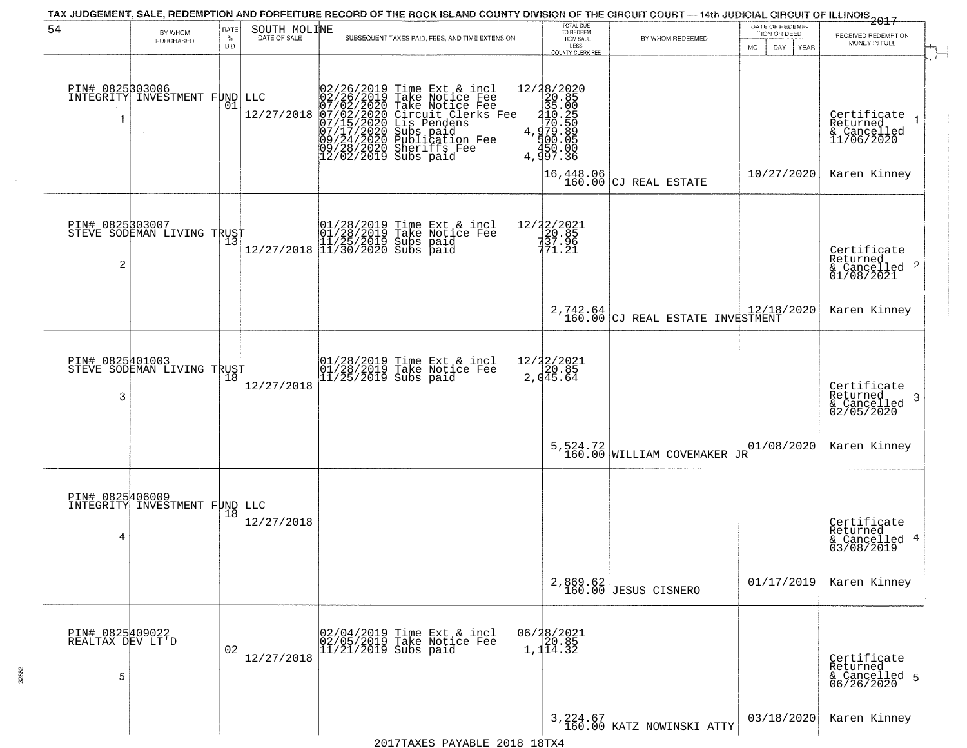| TAX JUDGEMENT, SALE, REDEMPTION AND FORFEITURE RECORD OF THE ROCK ISLAND COUNTY DIVISION OF THE CIRCUIT COURT — 14th JUDICIAL CIRCUIT OF ILLINOIS<br>2017 - The Contemporary of the Carolina County of the Circuit County of the |                                                          |                            |                   |                                                                                                                                                                                                                                                       |                                                                                                |                                                    |                                                        |                                                                    |  |  |  |  |
|----------------------------------------------------------------------------------------------------------------------------------------------------------------------------------------------------------------------------------|----------------------------------------------------------|----------------------------|-------------------|-------------------------------------------------------------------------------------------------------------------------------------------------------------------------------------------------------------------------------------------------------|------------------------------------------------------------------------------------------------|----------------------------------------------------|--------------------------------------------------------|--------------------------------------------------------------------|--|--|--|--|
| 54                                                                                                                                                                                                                               | BY WHOM<br>PURCHASED                                     | RATE<br>$\%$<br><b>BID</b> | SOUTH MOLINE      | SUBSEQUENT TAXES PAID, FEES, AND TIME EXTENSION                                                                                                                                                                                                       | TOTAL DUE<br>TO REDEEM<br>FROM SALE<br>LESS<br>COUNTY CLERK FEE                                | BY WHOM REDEEMED                                   | DATE OF REDEMP-<br>TION OR DEED<br>DAY.<br>YEAR<br>MO. | RECEIVED REDEMPTION<br>MONEY IN FULL                               |  |  |  |  |
| 1                                                                                                                                                                                                                                | PIN# 0825303006  <br>INTEGRITY INVESTMENT FUND<br>$\sim$ | 01                         | LLC<br>12/27/2018 | 02/26/2019 Time Ext & incl<br>02/26/2019 Take Notice Fee<br>07/02/2020 Take Notice Fee<br>07/02/2020 Circuit Clerks Fee<br>07/15/2020 Circuit Clerks Fee<br>07/17/2020 Subbication Fee<br>09/24/2020 Sublication Fee<br>09/28/2020 Sheriffs Fee<br>12 | ${\begin{matrix} 12/38/2020\\20.85\\35.00\\4.970.580\\4.979.8\\4.979.8\\4.997.36\end{matrix}}$ |                                                    |                                                        | Certificate<br>Returned<br>& Cancelled<br>11/06/2020               |  |  |  |  |
|                                                                                                                                                                                                                                  |                                                          |                            |                   |                                                                                                                                                                                                                                                       | 16,448.06<br>160.00                                                                            | CJ REAL ESTATE                                     | 10/27/2020                                             | Karen Kinney                                                       |  |  |  |  |
| 2                                                                                                                                                                                                                                | PIN# 0825503007<br>STEVE SODEMAN LIVING TRUST            |                            |                   | Time Ext & incl<br>Take Noțice Fee<br>01/28/2019 Time Ext &<br>101/28/2019 Take Notic<br>11/25/2019 Subs paid<br>12/27/2018 11/30/2020 Subs paid                                                                                                      | 12/22/2021<br>20.85<br>137.96<br>771.21                                                        |                                                    |                                                        | Certificate<br>Returned<br>$\frac{1}{6}$ Cancelled 2<br>01/08/2021 |  |  |  |  |
|                                                                                                                                                                                                                                  |                                                          |                            |                   |                                                                                                                                                                                                                                                       |                                                                                                | 2,742.64<br>160.00 CJ REAL ESTATE INVESTMENT       |                                                        | Karen Kinney                                                       |  |  |  |  |
| PIN# 0825401003<br>3                                                                                                                                                                                                             | STEVE SODEMAN LIVING TRUST                               |                            | 12/27/2018        | 01/28/2019 Time Ext & incl<br>01/28/2019 Take Notice Fee<br>11/25/2019 Subs paid                                                                                                                                                                      | $12/22/2021$<br>20.85<br>2,045.64                                                              |                                                    |                                                        | Certifiçate<br>Returned<br>3<br>& Cancelled<br>02/05/2020          |  |  |  |  |
|                                                                                                                                                                                                                                  |                                                          |                            |                   |                                                                                                                                                                                                                                                       |                                                                                                | 5,524.72 WILLIAM COVEMAKER $\frac{1}{4}$           | 01/08/2020                                             | Karen Kinney                                                       |  |  |  |  |
| PIN# 0825406009<br>4                                                                                                                                                                                                             | INTEGRITY INVESTMENT FUND LLC                            | 18                         | 12/27/2018        |                                                                                                                                                                                                                                                       |                                                                                                |                                                    |                                                        | Certificate<br>Returned<br>& Cancelled 4<br>03/08/2019             |  |  |  |  |
|                                                                                                                                                                                                                                  |                                                          |                            |                   |                                                                                                                                                                                                                                                       |                                                                                                | 2,869.62<br>160.00 JESUS CISNERO                   | 01/17/2019                                             | Karen Kinney                                                       |  |  |  |  |
| PIN# 0825409022<br>REALTAX DEV LT'D<br>5                                                                                                                                                                                         |                                                          | 02                         | 12/27/2018        | 02/04/2019 Time Ext & incl<br>02/05/2019 Take Notice Fee<br>$11/21/2019$ Subs paid                                                                                                                                                                    | 06/28/2021<br>1,114.32                                                                         |                                                    |                                                        | Certificate<br>Returned<br>& Cancelled 5<br>06/26/2020             |  |  |  |  |
|                                                                                                                                                                                                                                  |                                                          |                            |                   |                                                                                                                                                                                                                                                       |                                                                                                | $3,224.67 \atop 160.00 \text{ KATZ NOWINSKI ATTY}$ | 03/18/2020                                             | Karen Kinney                                                       |  |  |  |  |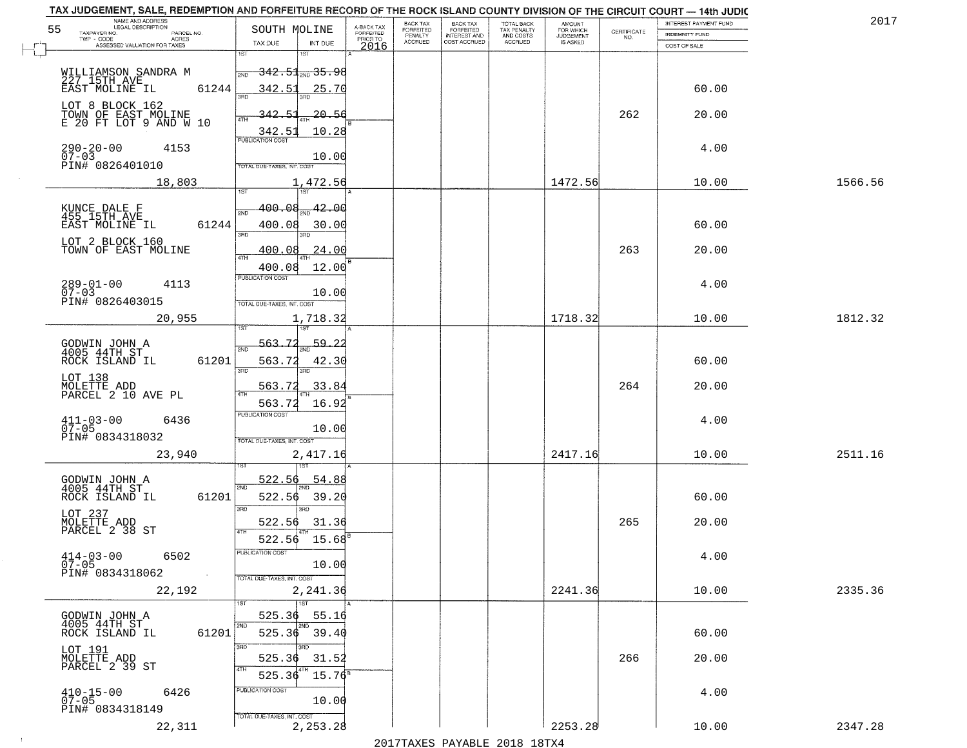| TAX JUDGEMENT, SALE, REDEMPTION AND FORFEITURE RECORD OF THE ROCK ISLAND COUNTY DIVISION OF THE CIRCUIT COURT - 14th JUDIC<br>NAME AND ADDRESS<br>LEGAL DESCRIPTION |                                                                                                                   |                                     | BACK TAX             | <b>BACK TAX</b>           |                                        | AMOUNT<br>FOR WHICH |                                                                 | INTEREST PAYMENT FUND | 2017    |
|---------------------------------------------------------------------------------------------------------------------------------------------------------------------|-------------------------------------------------------------------------------------------------------------------|-------------------------------------|----------------------|---------------------------|----------------------------------------|---------------------|-----------------------------------------------------------------|-----------------------|---------|
| 55<br>TAXPAYER NO.<br>PARCEL NO.<br>TWP - CODE<br>ACRES                                                                                                             | SOUTH MOLINE                                                                                                      | A-BACK TAX<br>FORFEITED<br>PRIOR TO | FORFEITED<br>PENALTY | FORFEITED<br>INTEREST AND | TOTAL BACK<br>TAX PENALTY<br>AND COSTS | <b>JUDGEMENT</b>    | $\begin{array}{c} \text{CERTIFICATE} \\ \text{NO.} \end{array}$ | <b>INDEMNITY FUND</b> |         |
| ASSESSED VALUATION FOR TAXES                                                                                                                                        | TAX DUE<br>INT DUE                                                                                                | 2016                                | <b>ACCRUED</b>       | COST ACCRUED              | ACCRUED                                | IS ASKED            |                                                                 | COST OF SALE          |         |
| WILLIAMSON SANDRA M<br>227 15TH AVE<br>61244<br>EAST MOLINE IL                                                                                                      | 1ST<br><del>342.51,,,35.98</del><br>2ND<br>342.51<br>25.70                                                        |                                     |                      |                           |                                        |                     |                                                                 | 60.00                 |         |
| LOT 8 BLOCK 162<br>TOWN OF EAST MOLINE<br>E 20 FT LOT 9 AND W 10                                                                                                    | 342.51<br>$-20.56$<br>10.28<br>$\frac{342.51}{FUBUCATON COST}$                                                    |                                     |                      |                           |                                        |                     | 262                                                             | 20.00                 |         |
| $290 - 20 - 00$<br>07-03<br>4153<br>PIN# 0826401010                                                                                                                 | 10.00<br>TOTAL DUE-TAXES, INT. COST                                                                               |                                     |                      |                           |                                        |                     |                                                                 | 4.00                  |         |
| 18,803                                                                                                                                                              | 1,472.56                                                                                                          |                                     |                      |                           |                                        | 1472.56             |                                                                 | 10.00                 | 1566.56 |
| KUNCE DALE F<br>455 15TH AVE<br>61244<br>EAST MOLINE IL<br>LOT 2 BLOCK 160<br>TOWN OF EAST MOLINE                                                                   | 400.08<br>-42.00<br>2ND<br>400.08<br>30.00<br>3RD<br>3BD.<br>.24.00<br><u>400.08</u><br>ৰিয়াম<br>400.08<br>12.00 |                                     |                      |                           |                                        |                     | 263                                                             | 60.00<br>20.00        |         |
| $289 - 01 - 00$<br>4113<br>$07 - 03$<br>PIN# 0826403015                                                                                                             | PUBLICATION COST<br>10.00<br>TOTAL DUE-TAXES, INT. COST                                                           |                                     |                      |                           |                                        |                     |                                                                 | 4.00                  |         |
| 20,955                                                                                                                                                              | 1,718.32<br>1ST<br>1ST                                                                                            |                                     |                      |                           |                                        | 1718.32             |                                                                 | 10.00                 | 1812.32 |
| GODWIN JOHN A<br>4005 44TH ST<br>ROCK ISLAND IL<br>61201<br>LOT 138<br>MOLETTE ADD<br>PARCEL 2 10 AVE PL                                                            | 563.72<br>59.2<br>2ND<br>563.72<br>42.30<br>3RD<br>3RD.<br>33.84<br>563.72<br>4TH<br>16.92<br>563.72              |                                     |                      |                           |                                        |                     | 264                                                             | 60.00<br>20.00        |         |
| $411 - 03 - 00$<br>07-05<br>6436<br>PIN# 0834318032<br>23,940                                                                                                       | <b>PUBLICATION COST</b><br>10.00<br>TOTAL OUE-TAXES, INT. COST<br>2,417.16                                        |                                     |                      |                           |                                        | 2417.16             |                                                                 | 4.00<br>10.00         | 2511.16 |
| GODWIN JOHN A<br>4005 44TH ST<br>ROCK ISLAND IL<br>61201<br>LOT 237<br>MOLETTE ADD<br>PARCEL 2 38 ST                                                                | 522.56<br>54.88<br>2ND<br>522.56<br>39.20<br>3RD<br>3BD<br>522.56<br>31.36<br>4TH<br>15.68<br>522.56              |                                     |                      |                           |                                        |                     | 265                                                             | 60.00<br>20.00        |         |
| $414 - 03 - 00$<br>6502<br>$07 - 05$<br>PIN# 0834318062<br>$\sim 100$ km $^{-1}$<br>22,192                                                                          | PUBLICATION COS<br>10.00<br>TOTAL DUE-TAXES, INT. COST<br>2,241.36                                                |                                     |                      |                           |                                        | 2241.36             |                                                                 | 4.00<br>10.00         | 2335.36 |
| GODWIN JOHN A<br>4005 44TH ST<br>61201<br>ROCK ISLAND IL                                                                                                            | 1ST<br>525.36<br>55.16<br>2ND<br>2ND<br>525.36 39.40                                                              |                                     |                      |                           |                                        |                     |                                                                 | 60.00                 |         |
| LOT 191<br>MOLETTE ADD<br>PARCEL 2 39 ST                                                                                                                            | 3RD<br>3BD<br>525.36<br>31.52<br>4TH<br>4TH<br>525.36<br>$15.76^8$<br>PUBLICATION COST                            |                                     |                      |                           |                                        |                     | 266                                                             | 20.00                 |         |
| $410 - 15 - 00$<br>6426<br>$07 - 05$<br>PIN# 0834318149<br>22,311                                                                                                   | 10.00<br>TOTAL DUE-TAXES, INT. COST<br>2,253.28                                                                   |                                     |                      |                           |                                        | 2253.28             |                                                                 | 4.00<br>10.00         | 2347.28 |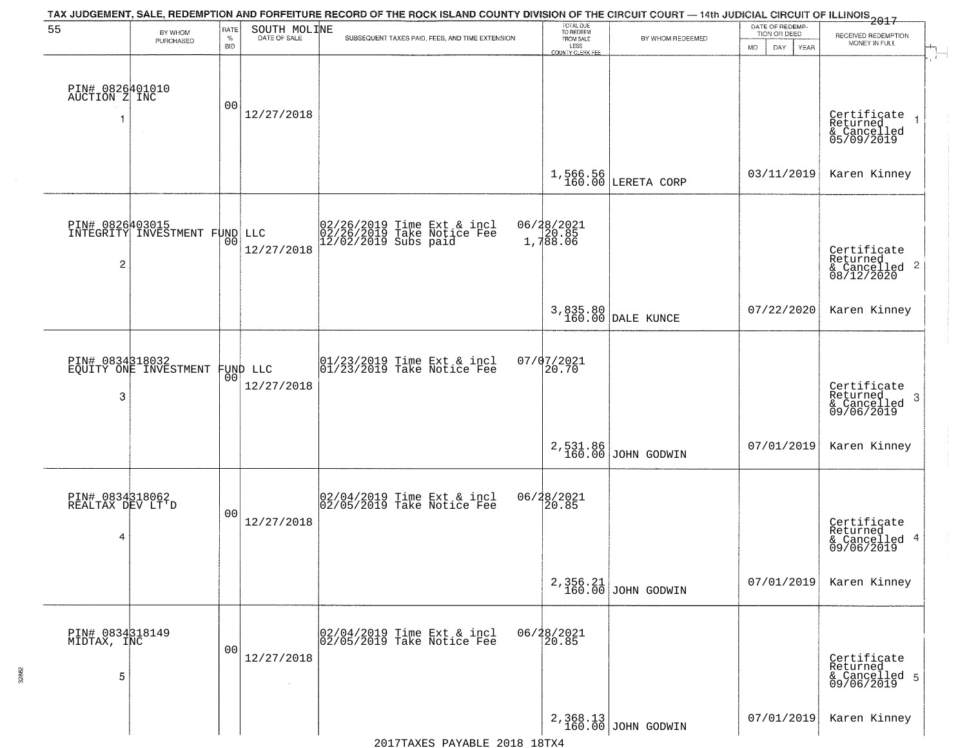| 55                                       | BY WHOM                   | RATE               | SOUTH MOLINE           | TAX JUDGEMENT, SALE, REDEMPTION AND FORFEITURE RECORD OF THE ROCK ISLAND COUNTY DIVISION OF THE CIRCUIT COURT — 14th JUDICIAL CIRCUIT OF ILLINOIS 2017 | TOTAL DUE<br>TO REDEEM<br>FROM SALE |                                  | DATE OF REDEMP-<br>TION OR DEED |                                                                        |
|------------------------------------------|---------------------------|--------------------|------------------------|--------------------------------------------------------------------------------------------------------------------------------------------------------|-------------------------------------|----------------------------------|---------------------------------|------------------------------------------------------------------------|
|                                          | PURCHASED                 | $\%$<br><b>BID</b> | DATE OF SALE           | SUBSEQUENT TAXES PAID, FEES, AND TIME EXTENSION                                                                                                        | LESS<br><b>COUNTY CLERK FEE</b>     | BY WHOM REDEEMED                 | <b>MO</b><br>DAY<br>YEAR        | RECEIVED REDEMPTION<br>MONEY IN FULL                                   |
| PIN# 0826401010<br>AUCTION Z INC<br>-1   | $\sim$                    | 0 <sub>0</sub>     | 12/27/2018             |                                                                                                                                                        |                                     |                                  |                                 | Certificate<br>Returned<br>$\rightarrow$<br>& Cancelled<br>05/09/2019  |
|                                          |                           |                    |                        |                                                                                                                                                        |                                     | $1,566.56$<br>160.00 LERETA CORP | 03/11/2019                      | Karen Kinney                                                           |
| PIN# 0826403015<br>$\overline{c}$        | INTEGRITY INVESTMENT FUND |                    | LLC<br>12/27/2018      | 02/26/2019 Time Ext & incl<br>02/26/2019 Take Notice Fee<br>12/02/2019 Subs paid                                                                       | 06/28/2021<br>20.85<br>1,788.06     |                                  |                                 | Certificate<br>Returned<br>$\overline{2}$<br>& Cancelled<br>08/12/2020 |
|                                          |                           |                    |                        |                                                                                                                                                        |                                     | 3,835.80<br>160.00 DALE KUNCE    | 07/22/2020                      | Karen Kinney                                                           |
| PIN# 0834318032<br>3                     | EQUITY ONE INVESTMENT     | 00                 | FUND LLC<br>12/27/2018 | $\begin{array}{c}  01/23/2019 \text{ Time} \text{ Ext} & \text{incl} \\  01/23/2019 \text{ Take Notice } \text{Fe} \end{array}$                        | 07/07/2021<br>20.70                 |                                  |                                 | Certificate<br>Returned<br>3<br>& Cancelled<br>09/06/2019              |
|                                          |                           |                    |                        |                                                                                                                                                        | 2,531.86<br>160.00                  | JOHN GODWIN                      | 07/01/2019                      | Karen Kinney                                                           |
| PIN# 0834318062<br>REALTAX DEV LT'D<br>4 |                           | 00                 | 12/27/2018             | 02/04/2019 Time Ext & incl<br>02/05/2019 Take Notice Fee                                                                                               | 06/28/2021<br>20.85                 |                                  |                                 | Certificate<br>Returned<br>4<br>& Cancelled<br>09/06/2019              |
|                                          |                           |                    |                        |                                                                                                                                                        | 2,356.21<br>160.00                  | JOHN GODWIN                      | 07/01/2019                      | Karen Kinney                                                           |
| PIN# 0834318149<br>MIDTAX, INC<br>5      |                           | 00                 | 12/27/2018             | 02/04/2019 Time Ext & incl<br>02/05/2019 Take Notice Fee                                                                                               | 06/28/2021<br>20.85                 |                                  |                                 | Certificate<br>Returned<br>& Cancelled 5<br>09/06/2019                 |
|                                          |                           |                    |                        |                                                                                                                                                        |                                     | 2,368.13<br>160.00 JOHN GODWIN   | 07/01/2019                      | Karen Kinney                                                           |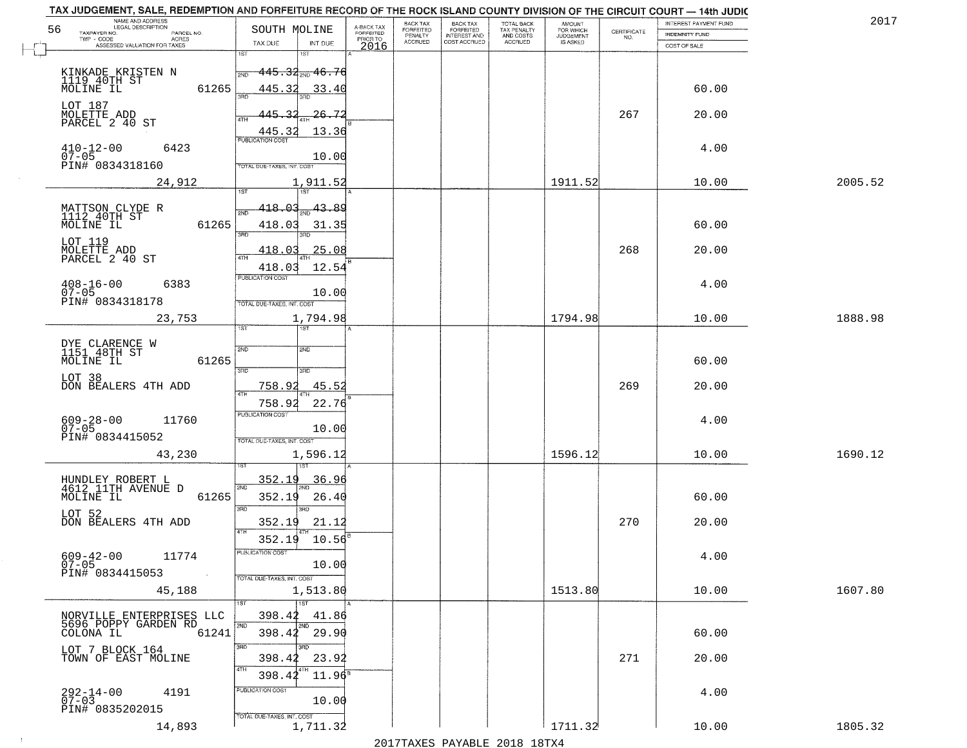| NAME AND ADDRESS<br>LEGAL DESCRIPTION                                       |                                                                     |                                     | BACK TAX<br>FORFEITED | <b>BACK TAX</b>           | TOTAL BACK<br>TAX PENALTY<br>AND COSTS | AMOUNT<br>FOR WHICH |                                                                 | INTEREST PAYMENT FUND | 2017    |
|-----------------------------------------------------------------------------|---------------------------------------------------------------------|-------------------------------------|-----------------------|---------------------------|----------------------------------------|---------------------|-----------------------------------------------------------------|-----------------------|---------|
| 56<br>TAXPAYER NO.<br>PARCEL NO.<br>ACRES                                   | SOUTH MOLINE                                                        | A-BACK TAX<br>FORFEITED<br>PRIOR TO | PENALTY               | FORFEITED<br>INTEREST AND |                                        | <b>JUDGEMENT</b>    | $\begin{array}{c} \text{CERTIFICATE} \\ \text{NO.} \end{array}$ | INDEMNITY FUND        |         |
| ASSESSED VALUATION FOR TAXES                                                | TAX DUE<br>INT DUE                                                  | 2016                                | <b>ACCRUED</b>        | COST ACCRUED              | <b>ACCRUED</b>                         | IS ASKED            |                                                                 | COST OF SALE          |         |
| KINKADE KRISTEN N<br>1119 40TH ST<br>MOLINE IL                              | 1ST<br>18T<br>$445.34_{200}$ $46.76$<br>2ND                         |                                     |                       |                           |                                        |                     |                                                                 |                       |         |
| 61265<br>LOT 187                                                            | 445.32<br>33.40<br>445.32<br>26.72                                  |                                     |                       |                           |                                        |                     | 267                                                             | 60.00<br>20.00        |         |
| MOLETTE ADD<br>PARCEL 2 40 ST                                               | 13.36<br>445.32                                                     |                                     |                       |                           |                                        |                     |                                                                 |                       |         |
| $410 - 12 - 00$<br>07-05<br>6423<br>PIN# 0834318160                         | 10.00<br>TOTAL DUE-TAXES, INT, COST                                 |                                     |                       |                           |                                        |                     |                                                                 | 4.00                  |         |
| 24,912                                                                      | 1,911.52                                                            |                                     |                       |                           |                                        | 1911.52             |                                                                 | 10.00                 | 2005.52 |
| MATTSON CLYDE R<br>1112 40TH ST<br>MOLINE IL<br>61265                       | 418.03<br>$-43.89$<br><b>PND</b><br>418.03<br>31.35<br>3RD<br>3RD   |                                     |                       |                           |                                        |                     |                                                                 | 60.00                 |         |
| LOT 119<br>MOLETTE ADD<br>PARCEL 2 40 ST                                    | 25.08<br>418.03<br>ৰাম<br>12.54<br>418.03                           |                                     |                       |                           |                                        |                     | 268                                                             | 20.00                 |         |
| $408 - 16 - 00$<br>6383<br>$07 - 05$<br>PIN# 0834318178                     | PUBLICATION COST<br>10.00<br>TOTAL DUE-TAXES, INT. COST             |                                     |                       |                           |                                        |                     |                                                                 | 4.00                  |         |
| 23,753                                                                      | 1,794.98<br>īst<br>1ST                                              |                                     |                       |                           |                                        | 1794.98             |                                                                 | 10.00                 | 1888.98 |
| DYE CLARENCE W<br>1151 48TH ST                                              | 2ND<br>2ND                                                          |                                     |                       |                           |                                        |                     |                                                                 |                       |         |
| MOLINE IL<br>61265                                                          | 3RD<br>3RD                                                          |                                     |                       |                           |                                        |                     |                                                                 | 60.00                 |         |
| LOT 38<br>DON BEALERS 4TH ADD                                               | 45.5<br>758.92<br>ATH                                               |                                     |                       |                           |                                        |                     | 269                                                             | 20.00                 |         |
| $609 - 28 - 00$<br>07-05<br>11760<br>PIN# 0834415052                        | 22.76<br>758.9<br><b>PUBLICATION COST</b><br>10.00                  |                                     |                       |                           |                                        |                     |                                                                 | 4.00                  |         |
| 43,230                                                                      | TOTAL OUE-TAXES, INT. COST<br>1,596.12                              |                                     |                       |                           |                                        | 1596.12             |                                                                 | 10.00                 | 1690.12 |
| HUNDLEY ROBERT L<br>4612 11TH AVENUE D<br>MOLINE IL<br>61265                | 352.1<br>36.96<br>2ND<br>352.19<br>26.40                            |                                     |                       |                           |                                        |                     |                                                                 | 60.00                 |         |
| LOT 52<br>DON BEALERS 4TH ADD                                               | 3 <sub>BD</sub><br>חחו<br>352.19<br>21.12<br>4TH<br>352.19<br>10.56 |                                     |                       |                           |                                        |                     | 270                                                             | 20.00                 |         |
| $609 - 42 - 00$<br>11774<br>$07 - 05$<br>PIN# 0834415053<br>and the control | PUBLICATION COS-<br>10.00<br>TOTAL DUE-TAXES, INT. COST             |                                     |                       |                           |                                        |                     |                                                                 | 4.00                  |         |
| 45,188                                                                      | 1,513.80<br>1ST                                                     |                                     |                       |                           |                                        | 1513.80             |                                                                 | 10.00                 | 1607.80 |
| NORVILLE ENTERPRISES LLC<br>5696 POPPY GARDEN RD<br>61241<br>COLONA IL      | 398.42<br>41.86<br>2ND<br>2ND<br>398.42 29.90                       |                                     |                       |                           |                                        |                     |                                                                 | 60.00                 |         |
| LOT 7 BLOCK 164<br>TOWN OF EAST MOLINE                                      | 3RD<br>3RD<br>398.42<br>23.92<br>4TH<br>398.42<br>$11.96^s$         |                                     |                       |                           |                                        |                     | 271                                                             | 20.00                 |         |
| 292-14-00<br>07-03<br>4191<br>PIN# 0835202015                               | PUBLICATION COST<br>10.00<br>TOTAL DUE-TAXES, INT. COST             |                                     |                       |                           |                                        |                     |                                                                 | 4.00                  |         |
| 14,893                                                                      | 1,711.32                                                            |                                     |                       |                           |                                        | 1711.32             |                                                                 | 10.00                 | 1805.32 |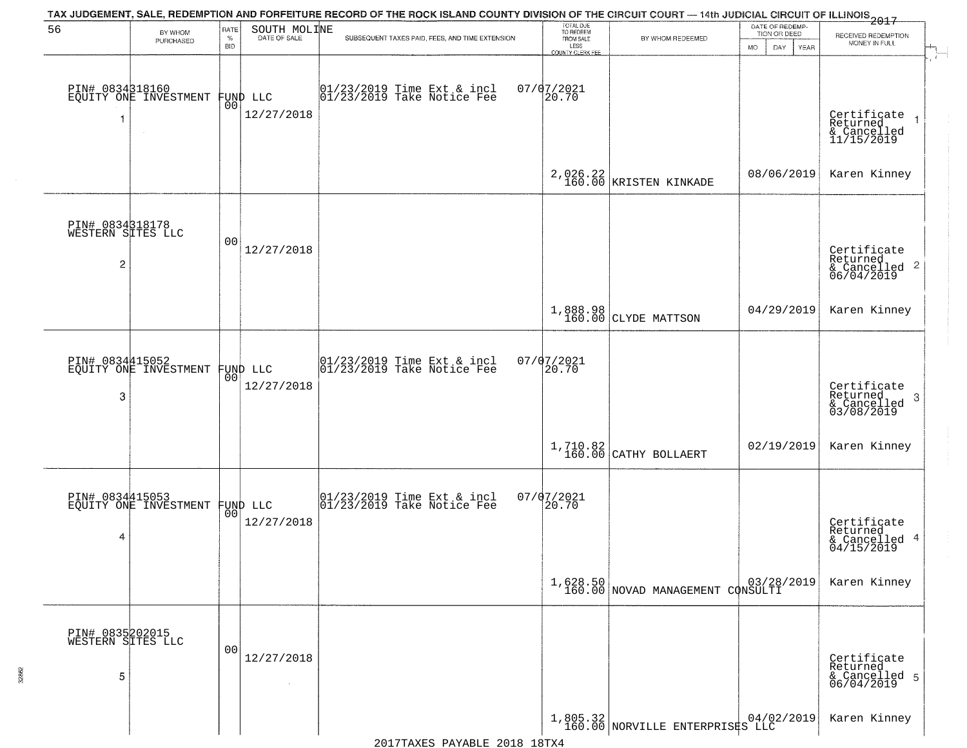|                                           |                                          |                            |                                | TAX JUDGEMENT, SALE, REDEMPTION AND FORFEITURE RECORD OF THE ROCK ISLAND COUNTY DIVISION OF THE CIRCUIT COURT — 14th JUDICIAL CIRCUIT OF ILLINOIS 2017 |                                                                 |                                                                                                                          |                                                       |                                                                    |
|-------------------------------------------|------------------------------------------|----------------------------|--------------------------------|--------------------------------------------------------------------------------------------------------------------------------------------------------|-----------------------------------------------------------------|--------------------------------------------------------------------------------------------------------------------------|-------------------------------------------------------|--------------------------------------------------------------------|
| 56                                        | BY WHOM<br>PURCHASED                     | RATE<br>$\%$<br><b>BID</b> | SOUTH MOLINE<br>DATE OF SALE   | SUBSEQUENT TAXES PAID, FEES, AND TIME EXTENSION                                                                                                        | TOTAL DUE<br>TO REDEEM<br>FROM SALE<br>LESS<br>COUNTY CLERK FEE | BY WHOM REDEEMED                                                                                                         | DATE OF REDEMP-<br>TION OR DEED<br>MO.<br>DAY<br>YEAR | RECEIVED REDEMPTION<br>MONEY IN FULL<br>-75                        |
|                                           | PIN# 0834318160<br>EQUITY ONE INVESTMENT |                            | FUND LLC<br> 00 <br>12/27/2018 | $ 01/23/2019$ Time Ext & incl<br>$ 01/23/2019$ Take Notice Fee                                                                                         | $07/07/2021$<br>20.70                                           |                                                                                                                          |                                                       | Certificate<br>Returned<br>& Cancelled<br>11/15/2019               |
|                                           |                                          |                            |                                |                                                                                                                                                        |                                                                 | 2,026.22<br>160.00 KRISTEN KINKADE                                                                                       | 08/06/2019                                            | Karen Kinney                                                       |
| PIN# 0834318178<br>WESTERN SITES LLC<br>2 |                                          | 0 <sub>0</sub>             | 12/27/2018                     |                                                                                                                                                        |                                                                 |                                                                                                                          |                                                       | Certificate<br>Returned<br>$\frac{1}{6}$ Cancelled 2<br>06/04/2019 |
|                                           |                                          |                            |                                |                                                                                                                                                        |                                                                 | 1,888.98<br>160.00 CLYDE MATTSON                                                                                         | 04/29/2019                                            | Karen Kinney                                                       |
| 3                                         | PIN# 0834415052<br>EQUITY ONE INVESTMENT |                            | FUND LLC<br> 00 <br>12/27/2018 | $ 01/23/2019$ Time Ext & incl<br>$ 01/23/2019$ Take Notice Fee                                                                                         | $07/07/2021$<br>$20.70$                                         |                                                                                                                          |                                                       | Certificate<br>Returned<br>3<br>& Cancelled<br>03/08/2019          |
|                                           |                                          |                            |                                |                                                                                                                                                        |                                                                 | $1,710.82$ CATHY BOLLAERT                                                                                                | 02/19/2019                                            | Karen Kinney                                                       |
| 4                                         | PIN# 0834415053<br>EQUITY ONE INVESTMENT |                            | FUND LLC<br> 00 <br>12/27/2018 | $\begin{bmatrix} 01/23/2019 \\ 01/23/2019 \end{bmatrix}$ Time Ext & incl                                                                               | $07/07/2021$<br>20.70                                           |                                                                                                                          |                                                       | Certificate<br>Returned<br>& Cancelled 4<br>04/15/2019             |
|                                           |                                          |                            |                                |                                                                                                                                                        |                                                                 | 1,628.50<br>160.00 NOVAD MANAGEMENT CONSULTI                                                                             |                                                       | Karen Kinney                                                       |
| PIN# 0835202015<br>WESTERN SITES LLC<br>5 |                                          | 0 <sub>0</sub>             | 12/27/2018                     |                                                                                                                                                        |                                                                 |                                                                                                                          |                                                       | Certificate<br>Returned<br>& Cancelled 5<br>06/04/2019             |
|                                           |                                          |                            |                                |                                                                                                                                                        |                                                                 | $\begin{array}{c c c c c} 1,805.32 & 04/02/2019 \\ 160.00 & \text{NORVILLE ENTERPRIS}\texttt{S}\texttt{LLC} \end{array}$ |                                                       | Karen Kinney                                                       |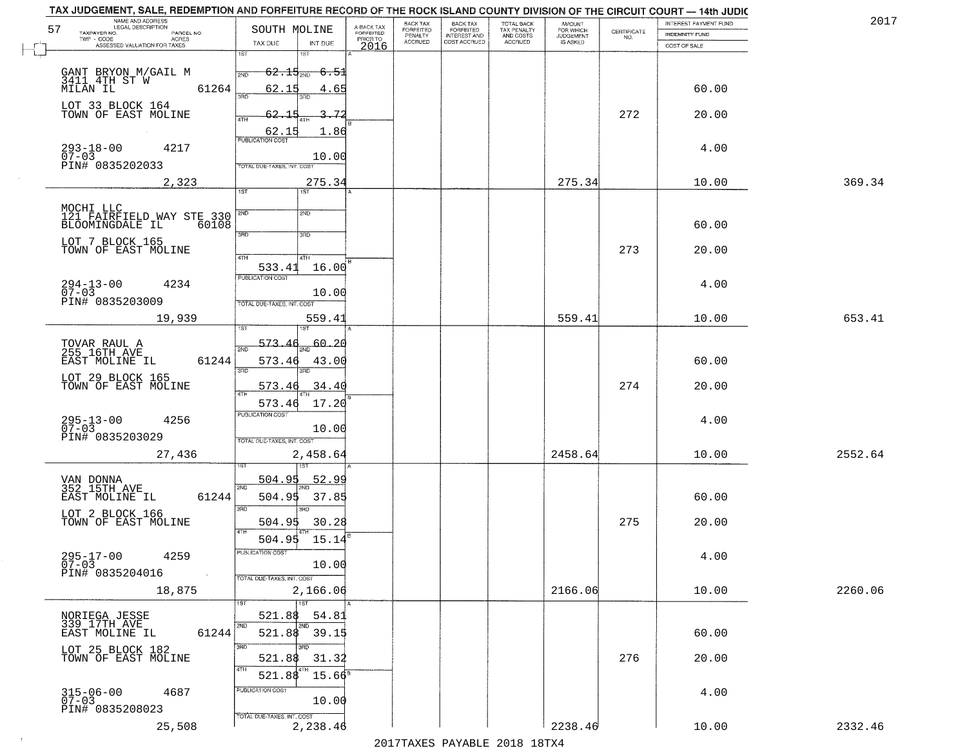| TAX JUDGEMENT, SALE, REDEMPTION AND FORFEITURE RECORD OF THE ROCK ISLAND COUNTY DIVISION OF THE CIRCUIT COURT - 14th JUDIC<br>NAME AND ADDRESS<br>LEGAL DESCRIPTION |                                                                                          |                                     | BACK TAX             | <b>BACK TAX</b>           |                                        | AMOUNT<br>FOR WHICH |                                                                 | INTEREST PAYMENT FUND | 2017    |
|---------------------------------------------------------------------------------------------------------------------------------------------------------------------|------------------------------------------------------------------------------------------|-------------------------------------|----------------------|---------------------------|----------------------------------------|---------------------|-----------------------------------------------------------------|-----------------------|---------|
| 57<br>TAXPAYER NO.<br>PARCEL NO.                                                                                                                                    | SOUTH MOLINE                                                                             | A-BACK TAX<br>FORFEITED<br>PRIOR TO | FORFEITED<br>PENALTY | FORFEITED<br>INTEREST AND | TOTAL BACK<br>TAX PENALTY<br>AND COSTS | <b>JUDGEMENT</b>    | $\begin{array}{c} \text{CERTIFICATE} \\ \text{NO.} \end{array}$ | <b>INDEMNITY FUND</b> |         |
| ACRES<br>ASSESSED VALUATION FOR TAXES                                                                                                                               | TAX DUE<br>INT DUE                                                                       | 2016                                | <b>ACCRUED</b>       | COST ACCRUED              | ACCRUED                                | IS ASKED            |                                                                 | COST OF SALE          |         |
| GANT BRYON M/GAIL M<br>3411 4TH ST W<br>MILAN IL<br>61264                                                                                                           | 1ST<br>$62.15_{200}$<br><del>-6.51</del><br>2ND<br>62.15<br>4.65<br>390                  |                                     |                      |                           |                                        |                     |                                                                 | 60.00                 |         |
| LOT 33 BLOCK 164<br>TOWN OF EAST MOLINE                                                                                                                             | 62.15<br>-72<br>4TH<br>1.86                                                              |                                     |                      |                           |                                        |                     | 272                                                             | 20.00                 |         |
| $293 - 18 - 00$<br>07-03<br>4217<br>PIN# 0835202033                                                                                                                 | 10.00<br>TOTAL DUE-TAXES, INT. COST                                                      |                                     |                      |                           |                                        |                     |                                                                 | 4.00                  |         |
| 2,323                                                                                                                                                               | 275.34<br>1ST                                                                            |                                     |                      |                           |                                        | 275.34              |                                                                 | 10.00                 | 369.34  |
| MOCHI LLC<br>121 FAIRFIELD WAY STE 330<br>BLOOMINGDALE IL 60108<br>60108<br>LOT 7 BLOCK 165<br>TOWN OF EAST MOLINE                                                  | 2ND<br>2ND<br>3RD<br>3RD<br>47H<br>4TH                                                   |                                     |                      |                           |                                        |                     | 273                                                             | 60.00<br>20.00        |         |
| $294 - 13 - 00$<br>07-03<br>4234<br>PIN# 0835203009                                                                                                                 | 533.41<br>16.00<br><b>PUBLICATION COST</b><br>10.00<br>TOTAL DUE-TAXES, INT. COST        |                                     |                      |                           |                                        |                     |                                                                 | 4.00                  |         |
| 19,939                                                                                                                                                              | 559.41<br>IST<br>181                                                                     |                                     |                      |                           |                                        | 559.41              |                                                                 | 10.00                 | 653.41  |
| TOVAR RAUL A<br>255 16TH AVE<br>EAST MOLINE IL<br>61244<br>LOT 29 BLOCK 165<br>TOWN OF EAST MOLINE                                                                  | 573.<br>60.20<br>2ND<br>573.46<br>43.00<br>3RD<br>3RD<br>34.40<br>573.46                 |                                     |                      |                           |                                        |                     | 274                                                             | 60.00<br>20.00        |         |
| $295 - 13 - 00$<br>07-03<br>4256<br>PIN# 0835203029                                                                                                                 | 4TH<br>17.20<br>573.46<br><b>PUBLICATION COST</b><br>10.00<br>TOTAL OUE-TAXES, INT. COST |                                     |                      |                           |                                        |                     |                                                                 | 4.00                  |         |
| 27,436                                                                                                                                                              | 2,458.64                                                                                 |                                     |                      |                           |                                        | 2458.64             |                                                                 | 10.00                 | 2552.64 |
| VAN DONNA<br>352 15TH AVE<br>61244<br>EAST MOLINE IL<br>LOT 2 BLOCK 166<br>TOWN OF EAST MOLINE                                                                      | 504.95<br><u>52.99</u><br>2ND<br>504.95<br>37.85<br>3RD<br>30.28<br>504.95<br>4TH        |                                     |                      |                           |                                        |                     | 275                                                             | 60.00<br>20.00        |         |
| $295 - 17 - 00$<br>4259<br>$07 - 03$<br>PIN# 0835204016<br>$\sim 100$ km $^{-1}$                                                                                    | 504.95<br>15.14<br>"UBLICA HUN CUS<br>10.00<br>TOTAL DUE-TAXES, INT. COST                |                                     |                      |                           |                                        |                     |                                                                 | 4.00                  |         |
| 18,875                                                                                                                                                              | 2,166.06<br>1ST                                                                          |                                     |                      |                           |                                        | 2166.06             |                                                                 | 10.00                 | 2260.06 |
| NORIEGA JESSE<br>339 17TH AVE<br>61244<br>EAST MOLINE IL                                                                                                            | 521.88<br>54.81<br>2ND<br>2ND<br>521.88 39.15<br>3RD<br>3RD                              |                                     |                      |                           |                                        |                     |                                                                 | 60.00                 |         |
| LOT 25 BLOCK 182<br>TOWN OF EAST MOLINE                                                                                                                             | 521.88<br>31.32<br>4TH<br>4TH<br>521.88<br>$15.66^s$                                     |                                     |                      |                           |                                        |                     | 276                                                             | 20.00                 |         |
| $315 - 06 - 00$<br>07-03<br>4687<br>PIN# 0835208023                                                                                                                 | PUBLICATION COST<br>10.00<br>TOTAL DUE-TAXES, INT. COST                                  |                                     |                      |                           |                                        |                     |                                                                 | 4.00                  |         |
| 25,508                                                                                                                                                              | 2,238.46                                                                                 |                                     |                      |                           |                                        | 2238.46             |                                                                 | 10.00                 | 2332.46 |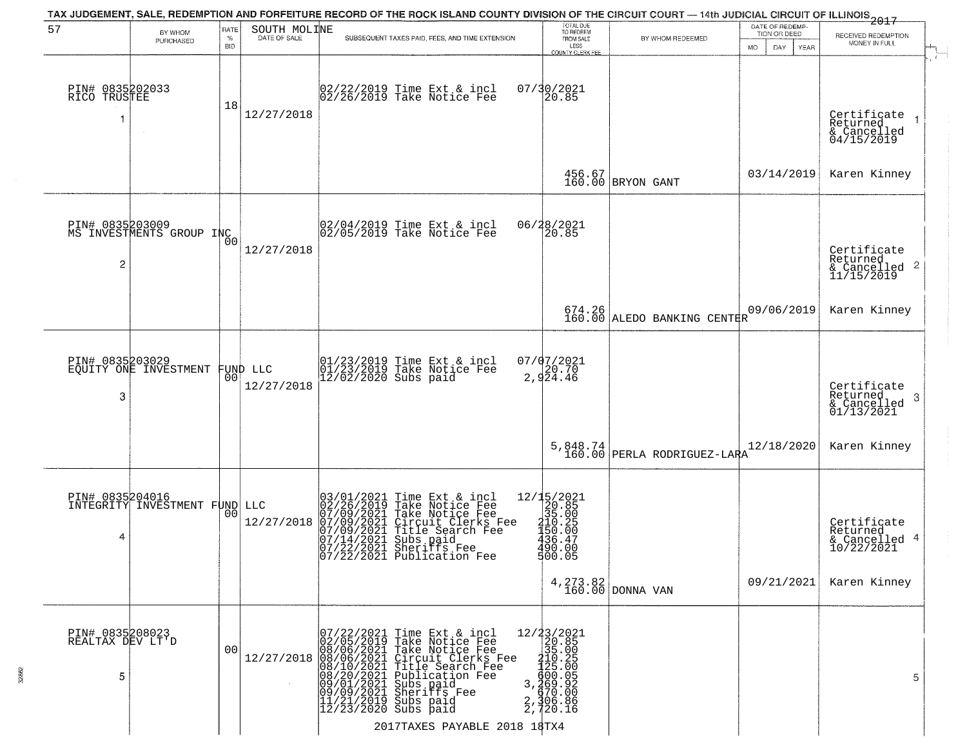|                                          |                                             |                            |                              | TAX JUDGEMENT, SALE, REDEMPTION AND FORFEITURE RECORD OF THE ROCK ISLAND COUNTY DIVISION OF THE CIRCUIT COURT — 14th JUDICIAL CIRCUIT OF ILLINOIS 2017                                                                                                                                                                      |                                                                                                               |                                       |                                                              |                                                                    |
|------------------------------------------|---------------------------------------------|----------------------------|------------------------------|-----------------------------------------------------------------------------------------------------------------------------------------------------------------------------------------------------------------------------------------------------------------------------------------------------------------------------|---------------------------------------------------------------------------------------------------------------|---------------------------------------|--------------------------------------------------------------|--------------------------------------------------------------------|
| 57                                       | BY WHOM<br>PURCHASED                        | RATE<br>$\%$<br><b>BID</b> | SOUTH MOLINE<br>DATE OF SALE | SUBSEQUENT TAXES PAID, FEES, AND TIME EXTENSION                                                                                                                                                                                                                                                                             | TOTAL DUE<br>TO REDEEM<br>FROM SALE<br>LESS<br><b>COUNTY CLERK FEE</b>                                        | BY WHOM REDEEMED                      | DATE OF REDEMP-<br>TION OR DEED<br>MO.<br>DAY<br><b>YEAR</b> | RECEIVED REDEMPTION<br>MONEY IN FULL                               |
| PIN# 0835202033<br>RICO TRUSTEE          |                                             | 18                         | 12/27/2018                   | 02/22/2019 Time Ext & incl<br>02/26/2019 Take Notice Fee                                                                                                                                                                                                                                                                    | 07/30/2021<br>20.85                                                                                           |                                       |                                                              | Certificate<br>Returned<br>& Cancelled<br>04/15/2019               |
|                                          |                                             |                            |                              |                                                                                                                                                                                                                                                                                                                             |                                                                                                               | 456.67<br>160.00 BRYON GANT           | 03/14/2019                                                   | Karen Kinney                                                       |
| $\overline{c}$                           | PIN# 0835203009<br>MS INVESTMENTS GROUP INC | Ō0                         | 12/27/2018                   | $ 02/04/2019$ Time Ext & incl<br>$ 02/05/2019$ Take Notice Fee                                                                                                                                                                                                                                                              | 06/28/2021<br>20.85                                                                                           |                                       |                                                              | Certificate<br>Returned<br>$\frac{1}{2}$ Cancelled 2<br>11/15/2019 |
|                                          |                                             |                            |                              |                                                                                                                                                                                                                                                                                                                             |                                                                                                               | 674.26<br>160.00 ALEDO BANKING CENTER | 09/06/2019                                                   | Karen Kinney                                                       |
| PIN# 0835203029<br>3                     | EQUITY ONE INVESTMENT                       | 00                         | FUND LLC<br>12/27/2018       | 01/23/2019 Time Ext & incl<br>01/23/2019 Take Notice Fee<br>12/02/2020 Subs paid                                                                                                                                                                                                                                            | 07/07/2021<br>2,924.46                                                                                        |                                       |                                                              | Certificate<br>Returned<br>3<br>$\frac{6}{01/13/2021}$             |
|                                          |                                             |                            |                              |                                                                                                                                                                                                                                                                                                                             | 5,848.74<br>160.00                                                                                            | PERLA RODRIGUEZ-LARA                  | 12/18/2020                                                   | Karen Kinney                                                       |
| PIN# 0835204016<br>4                     | INTEGRITY INVESTMENT FUND LLC               | 00                         | 12/27/2018                   | $\begin{smallmatrix} 03/01/2021\\ 02/26/2019\\ 07/09/2021\\ 07/09/2021\\ 07/09/2021\\ 07/14/2021\\ 07/22/2021\\ 07/22/2021 \end{smallmatrix}$<br>Time Ext & incl<br>Take Notice Fee<br>Take Notice Fee<br>Circuit Clerks Fee<br>Title Search Fee<br>Subs paid<br>Sheriffs Fee<br>Sheriffs Fee<br>07/22/2021 Publication Fee | $\begin{array}{r} 12/15/2021 \\ 20.85 \\ 35.00 \\ 210.25 \\ 450.99 \end{array}$<br>436.47<br>490.00<br>500.05 |                                       |                                                              | Certificate<br>Returned<br>& Cancelled 4<br>10/22/2021             |
|                                          |                                             |                            |                              |                                                                                                                                                                                                                                                                                                                             |                                                                                                               | $4, 273.82$ DONNA VAN                 | 09/21/2021                                                   | Karen Kinney                                                       |
| PIN# 0835208023<br>REALTAX DEV LT'D<br>5 |                                             | 00                         | 12/27/2018                   | 07/22/2021 Time Ext & incl<br>02/05/2019 Take Notice Fee<br>08/06/2021 Take Notice Fee<br>08/06/2021 Circuit Clerks Fee<br>08/10/2021 Title Search Fee<br>08/20/2021 Sheriffs Fee<br>09/01/2021 Sheriffs Fee<br>09/01/2021 Sheriffs Fee<br>11/21/2019<br>2017TAXES PAYABLE 2018 18TX4                                       | 12/23/2021<br>20.85<br>35.005<br>35.005<br>3,269.0052<br>2,306.866<br>2,306.866<br>2,720.16                   |                                       |                                                              | 5                                                                  |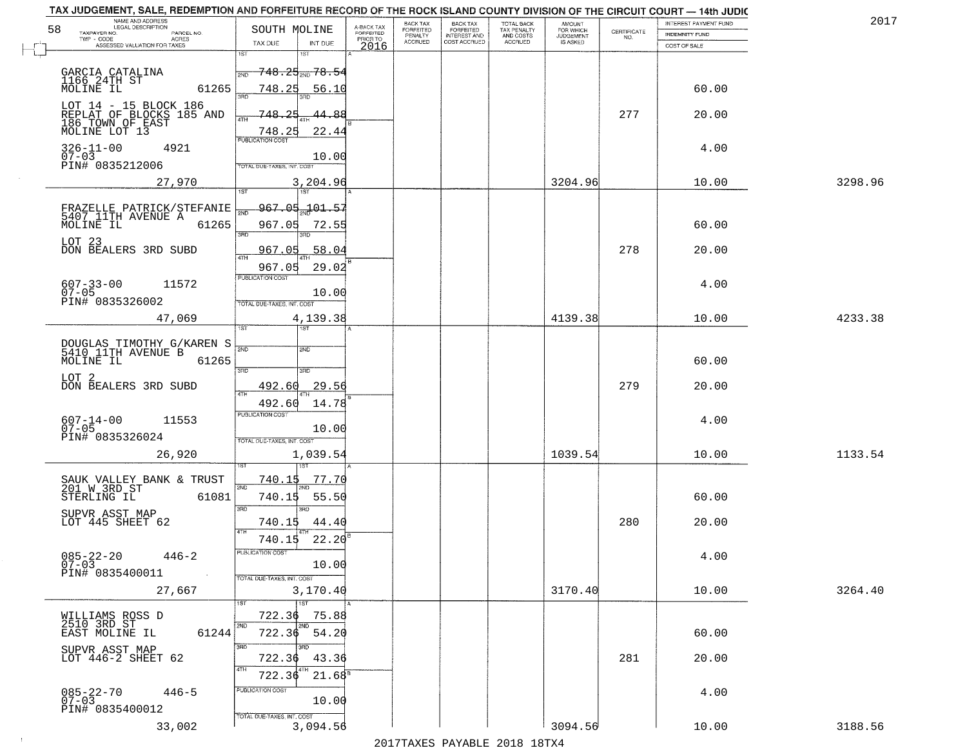| TAX JUDGEMENT, SALE, REDEMPTION AND FORFEITURE RECORD OF THE ROCK ISLAND COUNTY DIVISION OF THE CIRCUIT COURT - 14th JUDIC<br>NAME AND ADDRESS<br>LEGAL DESCRIPTION |                                                                 |                                           |                                     | BACK TAX             |                                       |                                        |                                         |                                                                 | INTEREST PAYMENT FUND | 2017    |
|---------------------------------------------------------------------------------------------------------------------------------------------------------------------|-----------------------------------------------------------------|-------------------------------------------|-------------------------------------|----------------------|---------------------------------------|----------------------------------------|-----------------------------------------|-----------------------------------------------------------------|-----------------------|---------|
| 58<br>TAXPAYER NO.<br>PARCEL NO.                                                                                                                                    | SOUTH MOLINE                                                    |                                           | A-BACK TAX<br>FORFEITED<br>PRIOR TO | FORFEITED<br>PENALTY | BACK TAX<br>FORFEITED<br>INTEREST AND | TOTAL BACK<br>TAX PENALTY<br>AND COSTS | AMOUNT<br>FOR WHICH<br><b>JUDGEMENT</b> | $\begin{array}{c} \text{CERTIFICATE} \\ \text{NO.} \end{array}$ | <b>INDEMNITY FUND</b> |         |
| $TWP - CODE$<br>ACRES<br>ASSESSED VALUATION FOR TAXES                                                                                                               | TAX DUE                                                         | INT DUE                                   | 2016                                | <b>ACCRUED</b>       | COST ACCRUED                          | <b>ACCRUED</b>                         | IS ASKED                                |                                                                 | COST OF SALE          |         |
|                                                                                                                                                                     | 1ST<br>2ND                                                      | 1ST<br><del>748.25<sub>2№</sub>78.5</del> |                                     |                      |                                       |                                        |                                         |                                                                 |                       |         |
| GARCIA CATALINA<br>1166 24TH ST<br>MOLINE IL<br>61265                                                                                                               | 748.25<br>san                                                   | 56.10                                     |                                     |                      |                                       |                                        |                                         |                                                                 | 60.00                 |         |
| LOT 14 - 15 BLOCK 186<br>REPLAT OF BLOCKS 185 AND<br>186 TOWN OF EAST<br>MOLINE LOT 13                                                                              | 748-<br>4TH<br>748.25                                           | 44.<br>بھ<br>22.44                        |                                     |                      |                                       |                                        |                                         | 277                                                             | 20.00                 |         |
| $326 - 11 - 00$<br>4921<br>$07 - 03$<br>PIN# 0835212006                                                                                                             | <b>PUBLICATION COST</b><br>TOTAL DUE-TAXES, INT. COST           | 10.00                                     |                                     |                      |                                       |                                        |                                         |                                                                 | 4.00                  |         |
| 27,970                                                                                                                                                              |                                                                 | 3,204.96<br>1ST                           |                                     |                      |                                       |                                        | 3204.96                                 |                                                                 | 10.00                 | 3298.96 |
| FRAZELLE PATRICK/STEFANIE<br>5407 11TH AVENUE A<br>MOLINE IL 61265                                                                                                  | 967.05<br>3RD                                                   | $967,05 - 101 - 57$<br>72.55              |                                     |                      |                                       |                                        |                                         |                                                                 | 60.00                 |         |
| LOT 23<br>DON BEALERS 3RD SUBD                                                                                                                                      | 967.05<br>$\overline{ATH}$                                      | 58.04                                     |                                     |                      |                                       |                                        |                                         | 278                                                             | 20.00                 |         |
| $607 - 33 - 00$<br>11572<br>$07 - 05$<br>PIN# 0835326002                                                                                                            | 967.05<br>PUBLICATION COST<br>TOTAL DUE-TAXES, INT. COST        | 29.02<br>10.00                            |                                     |                      |                                       |                                        |                                         |                                                                 | 4.00                  |         |
| 47,069                                                                                                                                                              | TST.                                                            | 4,139.38                                  |                                     |                      |                                       |                                        | 4139.38                                 |                                                                 | 10.00                 | 4233.38 |
| DOUGLAS TIMOTHY G/KAREN S<br>5410 11TH AVENUE B<br>MOLINE IL<br>61265                                                                                               | 2ND                                                             | 2ND                                       |                                     |                      |                                       |                                        |                                         |                                                                 | 60.00                 |         |
| LOT 2<br>DON BEALERS 3RD SUBD                                                                                                                                       | 3RD<br>492.60<br><b>ATH</b>                                     | 3RD<br>29.56                              |                                     |                      |                                       |                                        |                                         | 279                                                             | 20.00                 |         |
| 11553<br>607-14-00<br>07-05<br>PIN# 0835326024                                                                                                                      | 492.60<br><b>PUBLICATION COST</b><br>TOTAL OUE-TAXES, INT. COST | 14.78<br>10.00                            |                                     |                      |                                       |                                        |                                         |                                                                 | 4.00                  |         |
| 26,920                                                                                                                                                              |                                                                 | 1,039.54                                  |                                     |                      |                                       |                                        | 1039.54                                 |                                                                 | 10.00                 | 1133.54 |
| SAUK VALLEY BANK & TRUST<br>201 W 3RD ST<br>61081<br>STERLING IL<br>SUPVR ASST MAP                                                                                  | <u>740.15</u><br>2ND<br>740.15<br>3BD                           | <u>77.70</u><br>55.50<br>$\overline{3BD}$ |                                     |                      |                                       |                                        |                                         |                                                                 | 60.00                 |         |
| LOT 445 SHEET 62                                                                                                                                                    | 740.15<br>4TH                                                   | 44.40                                     |                                     |                      |                                       |                                        |                                         | 280                                                             | 20.00                 |         |
| $085 - 22 - 20$<br>$446 - 2$<br>$07 - 03$<br>PIN# 0835400011<br>$\sim 100$ km                                                                                       | 740.15<br>PUBLICATION COST<br>TOTAL DUE-TAXES, INT. COST        | 22.20<br>10.00                            |                                     |                      |                                       |                                        |                                         |                                                                 | 4.00                  |         |
| 27,667                                                                                                                                                              |                                                                 | 3,170.40                                  |                                     |                      |                                       |                                        | 3170.40                                 |                                                                 | 10.00                 | 3264.40 |
| WILLIAMS ROSS D<br>2510 3RD ST<br>61244<br>EAST MOLINE IL                                                                                                           | 1ST<br>722.36<br>2ND<br>722.36                                  | 1ST<br>75.88<br>2ND<br>54.20              |                                     |                      |                                       |                                        |                                         |                                                                 | 60.00                 |         |
| SUPVR ASST MAP<br>LOT 446-2 SHEET 62                                                                                                                                | 722.36<br>4TH<br>722.36                                         | 3RD.<br>43.36<br>$21.68^8$                |                                     |                      |                                       |                                        |                                         | 281                                                             | 20.00                 |         |
| $085 - 22 - 70$<br>07-03<br>$446 - 5$<br>PIN# 0835400012                                                                                                            | PUBLICATION COST<br>TOTAL DUE-TAXES, INT. COST                  | 10.00                                     |                                     |                      |                                       |                                        |                                         |                                                                 | 4.00                  |         |
| 33,002                                                                                                                                                              |                                                                 | 3,094.56                                  |                                     |                      |                                       |                                        | 3094.56                                 |                                                                 | 10.00                 | 3188.56 |

 $\sim$  1  $^{\circ}$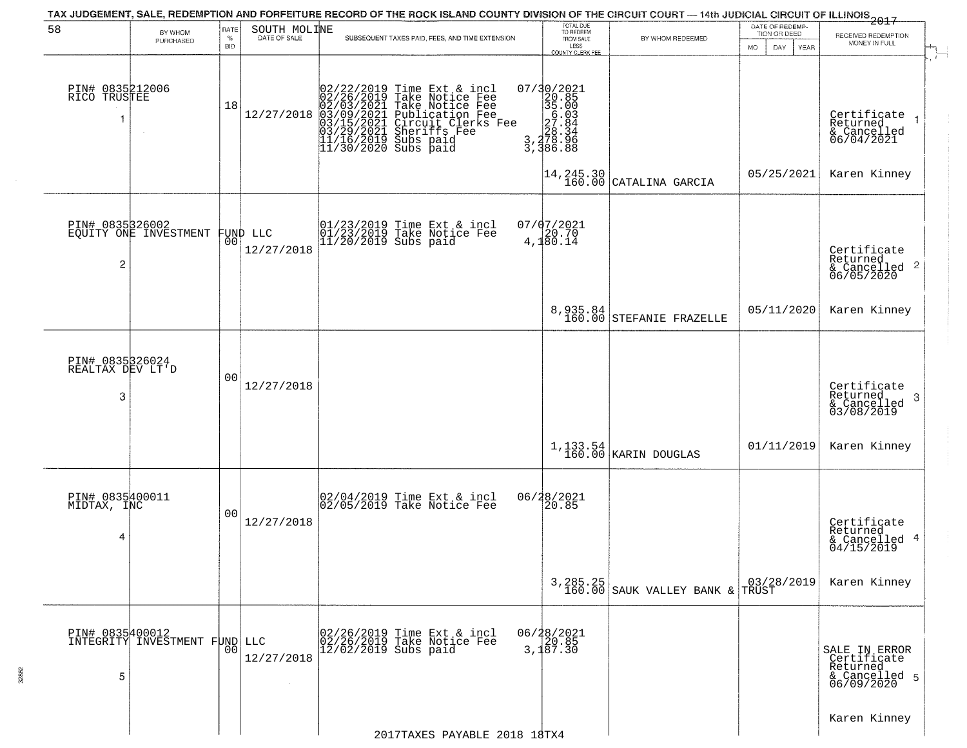|                                          |                                          |              |                                | TAX JUDGEMENT, SALE, REDEMPTION AND FORFEITURE RECORD OF THE ROCK ISLAND COUNTY DIVISION OF THE CIRCUIT COURT — 14th JUDICIAL CIRCUIT OF ILLINOIS 2017                                                                           |                                                                                                                                                                                                                                         |                                                                           |                                 |                                                                           |
|------------------------------------------|------------------------------------------|--------------|--------------------------------|----------------------------------------------------------------------------------------------------------------------------------------------------------------------------------------------------------------------------------|-----------------------------------------------------------------------------------------------------------------------------------------------------------------------------------------------------------------------------------------|---------------------------------------------------------------------------|---------------------------------|---------------------------------------------------------------------------|
| 58                                       | BY WHOM<br>PURCHASED                     | RATE<br>$\%$ | SOUTH MOLINE<br>DATE OF SALE   | SUBSEQUENT TAXES PAID, FEES, AND TIME EXTENSION                                                                                                                                                                                  | TOTAL DUE<br>TO REDEEM<br>FROM SALE                                                                                                                                                                                                     | BY WHOM REDEEMED                                                          | DATE OF REDEMP-<br>TION OR DEED | RECEIVED REDEMPTION                                                       |
|                                          |                                          | <b>BID</b>   |                                |                                                                                                                                                                                                                                  | LESS<br>COUNTY CLERK FEE                                                                                                                                                                                                                |                                                                           | MO.<br>DAY.<br><b>YEAR</b>      | MONEY IN FULL                                                             |
| PIN# 0835212006<br>RICO TRUSTEE<br>1     | $\sim$                                   | 18           | 12/27/2018                     | 02/22/2019 Time Ext & incl<br>02/26/2019 Take Notice Fee<br>02/03/2021 Take Notice Fee<br>03/09/2021 Publication Fee<br>03/09/2021 Chrcuit Clerks Fee<br>03/29/2021 Sheriffs Fee<br>11/16/2019 Subs paid<br>11/30/2020 Subs paid | $\begin{smallmatrix} 07/3 & 0 & 2 & 0 & 2 & 1 \\ 2 & 0 & 8 & 5 & 5 \\ 3 & 5 & 0 & 0 & 3 \\ 5 & 0 & 0 & 3 & 4 \\ 2 & 0 & 0 & 8 & 4 \\ 2 & 0 & 0 & 3 & 4 \\ 3 & 0 & 3 & 3 & 5 \\ 3 & 3 & 3 & 6 & 8 \\ 8 & 6 & 8 & 8 \\ \end{smallmatrix}$ |                                                                           |                                 | $\mathbf{r}$<br>Certificate<br>Returned<br>& Cancelled<br>06/04/2021      |
|                                          |                                          |              |                                |                                                                                                                                                                                                                                  |                                                                                                                                                                                                                                         | $\begin{vmatrix} 14 & 245 & 30 \\ 160 & 00 \end{vmatrix}$ CATALINA GARCIA | 05/25/2021                      | Karen Kinney                                                              |
| $\overline{c}$                           | PIN# 0835326002<br>EQUITY ONE INVESTMENT |              | FUND LLC<br> 00 <br>12/27/2018 | 01/23/2019 Time Ext & incl<br>01/23/2019 Take Notice Fee<br>11/20/2019 Subs paid                                                                                                                                                 | $07/07/2021$<br>4,180.14                                                                                                                                                                                                                |                                                                           |                                 | Certificate<br>Returned<br>$\frac{1}{6}$ Cancelled 2<br>06/05/2020        |
|                                          |                                          |              |                                |                                                                                                                                                                                                                                  |                                                                                                                                                                                                                                         | 8,935.84<br>160.00 STEFANIE FRAZELLE                                      | 05/11/2020                      | Karen Kinney                                                              |
|                                          |                                          |              |                                |                                                                                                                                                                                                                                  |                                                                                                                                                                                                                                         |                                                                           |                                 |                                                                           |
| PIN# 0835326024<br>REALTAX DEV LT'D<br>3 |                                          | 00           | 12/27/2018                     |                                                                                                                                                                                                                                  |                                                                                                                                                                                                                                         |                                                                           |                                 | Certificate<br>Returned<br>3<br>& Cancelled<br>03/08/2019<br>Karen Kinney |
|                                          |                                          |              |                                |                                                                                                                                                                                                                                  |                                                                                                                                                                                                                                         | $1,133.54$ KARIN DOUGLAS                                                  | 01/11/2019                      |                                                                           |
| PIN# 0835400011<br>MIDTAX, INC<br>4      |                                          | 00           | 12/27/2018                     | 02/04/2019 Time Ext & incl<br>02/05/2019 Take Notice Fee                                                                                                                                                                         | 06/28/2021<br>120.85                                                                                                                                                                                                                    |                                                                           |                                 | Certificate<br>Returned<br>& Cancelled 4<br>04/15/2019                    |
|                                          |                                          |              |                                |                                                                                                                                                                                                                                  |                                                                                                                                                                                                                                         | $3,285.25$<br>160.00 SAUK VALLEY BANK & TRUST                             | 03/28/2019                      | Karen Kinney                                                              |
| PIN# 0835400012<br>5                     | INTEGRITY INVESTMENT FUND LLC            | 00           | 12/27/2018<br>$\sim$           | 02/26/2019 Time Ext & incl<br>02/26/2019 Take Notice Fee<br>$12/02/2019$ Subs paid                                                                                                                                               | 06/28/2021<br>20.85<br>3,187.30                                                                                                                                                                                                         |                                                                           |                                 | SALE IN ERROR<br>Certificate<br>Returned<br>& Cancelled 5<br>06/09/2020   |
|                                          |                                          |              |                                | 2017TAXES PAYABLE 2018 18TX4                                                                                                                                                                                                     |                                                                                                                                                                                                                                         |                                                                           |                                 | Karen Kinney                                                              |
|                                          |                                          |              |                                |                                                                                                                                                                                                                                  |                                                                                                                                                                                                                                         |                                                                           |                                 |                                                                           |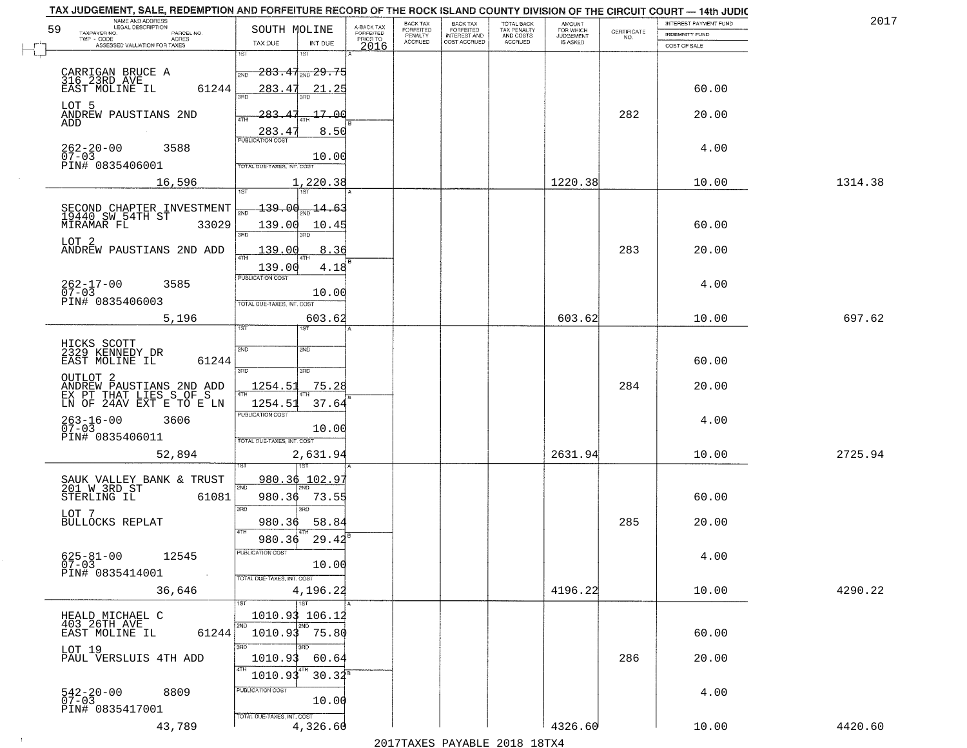| 59 | NAME AND ADDRESS<br>LEGAL DESCRIPTION                                                                 | SOUTH MOLINE                                       |                                     | BACK TAX<br><b>FORFEITED</b> | <b>BACK TAX</b>           | TOTAL BACK<br>TAX PENALTY<br>AND COSTS | AMOUNT<br>FOR WHICH |                                                                 | INTEREST PAYMENT FUND | 2017    |
|----|-------------------------------------------------------------------------------------------------------|----------------------------------------------------|-------------------------------------|------------------------------|---------------------------|----------------------------------------|---------------------|-----------------------------------------------------------------|-----------------------|---------|
|    | TAXPAYER NO.<br>PARCEL NO.<br>ACRES                                                                   |                                                    | A-BACK TAX<br>FORFEITED<br>PRIOR TO | PENALTY                      | FORFEITED<br>INTEREST AND |                                        | <b>JUDGEMENT</b>    | $\begin{array}{c} \text{CERTIFICATE} \\ \text{NO.} \end{array}$ | <b>INDEMNITY FUND</b> |         |
|    | ASSESSED VALUATION FOR TAXES                                                                          | TAX DUE<br>INT DUE<br>1ST                          | 2016                                | <b>ACCRUED</b>               | COST ACCRUED              | ACCRUED                                | <b>IS ASKED</b>     |                                                                 | COST OF SALE          |         |
|    | CARRIGAN BRUCE A<br>316 23RD AVE                                                                      | 1ST<br><del>283.47, 29.75</del><br>2ND             |                                     |                              |                           |                                        |                     |                                                                 |                       |         |
|    | 61244<br>EAST MOLINE IL<br>LOT 5                                                                      | 283.47<br>21.25                                    |                                     |                              |                           |                                        |                     |                                                                 | 60.00                 |         |
|    | ANDREW PAUSTIANS 2ND<br>ADD                                                                           | 283.47<br>17.00<br>ATH<br>8.50<br>283.47           |                                     |                              |                           |                                        |                     | 282                                                             | 20.00                 |         |
|    | $262 - 20 - 00$<br>3588<br>$07 - 03$<br>PIN# 0835406001                                               | 10.00<br>TOTAL DUE-TAXES, INT. COST                |                                     |                              |                           |                                        |                     |                                                                 | 4.00                  |         |
|    | 16,596                                                                                                | 1,220.38                                           |                                     |                              |                           |                                        | 1220.38             |                                                                 | 10.00                 | 1314.38 |
|    |                                                                                                       | <u> 139.00</u><br>$-14.63$                         |                                     |                              |                           |                                        |                     |                                                                 |                       |         |
|    | SECOND CHAPTER INVESTMENT<br>19440 SW 54TH ST<br>MIRAMAR FL<br>33029                                  | 139.00<br>10.45<br>$\overline{\text{R}}$<br>3RD    |                                     |                              |                           |                                        |                     |                                                                 | 60.00                 |         |
|    | LOT 2<br>ANDREW PAUSTIANS 2ND ADD                                                                     | 8.36<br><u> 139.00</u>                             |                                     |                              |                           |                                        |                     | 283                                                             | 20.00                 |         |
|    | $262 - 17 - 00$<br>3585<br>$07 - 03$                                                                  | 139.00<br>4.18<br>PUBLICATION COST<br>10.00        |                                     |                              |                           |                                        |                     |                                                                 | 4.00                  |         |
|    | PIN# 0835406003<br>5,196                                                                              | TOTAL DUE-TAXES, INT. COST<br>603.62               |                                     |                              |                           |                                        | 603.62              |                                                                 | 10.00                 | 697.62  |
|    |                                                                                                       | 1ST<br>is T                                        |                                     |                              |                           |                                        |                     |                                                                 |                       |         |
|    | HICKS SCOTT<br>2329 KENNEDY DR                                                                        | 2ND<br>2ND                                         |                                     |                              |                           |                                        |                     |                                                                 |                       |         |
|    | EAST MOLINE IL<br>61244                                                                               | 3 <sub>BD</sub><br>3BD                             |                                     |                              |                           |                                        |                     |                                                                 | 60.00                 |         |
|    | OUTLOT <sub>2</sub><br>ANDREW PAUSTIANS 2ND ADD<br>EX PT THAT LIES S OF S<br>LN OF 24AV EXT E TO E LN | 1254.51<br>75.28                                   |                                     |                              |                           |                                        |                     | 284                                                             | 20.00                 |         |
|    |                                                                                                       | 1254.51<br>37.64<br><b>PUBLICATION COST</b>        |                                     |                              |                           |                                        |                     |                                                                 |                       |         |
|    | $263 - 16 - 00$<br>07-03<br>3606<br>PIN# 0835406011                                                   | 10.00<br>TOTAL OUE-TAXES, INT. COST                |                                     |                              |                           |                                        |                     |                                                                 | 4.00                  |         |
|    | 52,894                                                                                                | 2,631.94<br>नदत्त                                  |                                     |                              |                           |                                        | 2631.94             |                                                                 | 10.00                 | 2725.94 |
|    | SAUK VALLEY BANK & TRUST<br>201 W 3RD ST                                                              | 980.36 102.97                                      |                                     |                              |                           |                                        |                     |                                                                 |                       |         |
|    | STERLING IL<br>61081                                                                                  | 980.36<br>73.55<br>3BD<br>īΡD                      |                                     |                              |                           |                                        |                     |                                                                 | 60.00                 |         |
|    | LOT 7<br><b>BULLOCKS REPLAT</b>                                                                       | 980.36<br>58.84                                    |                                     |                              |                           |                                        |                     | 285                                                             | 20.00                 |         |
|    | $625 - 81 - 00$<br>12545<br>$07 - 03$                                                                 | 29.42<br>980.36<br>"UBLICA HUN CUS"<br>10.00       |                                     |                              |                           |                                        |                     |                                                                 | 4.00                  |         |
|    | PIN# 0835414001<br><b>Contract</b>                                                                    | TOTAL DUE-TAXES, INT. COST                         |                                     |                              |                           |                                        |                     |                                                                 |                       |         |
|    | 36,646                                                                                                | 4,196.22<br><b>TST</b>                             |                                     |                              |                           |                                        | 4196.22             |                                                                 | 10.00                 | 4290.22 |
|    | HEALD MICHAEL C<br>403 26TH AVE<br>61244<br>EAST MOLINE IL                                            | 1010.93 106.12<br>2ND<br>2ND<br>$1010.93$ 75.80    |                                     |                              |                           |                                        |                     |                                                                 | 60.00                 |         |
|    | LOT 19<br>PAUL VERSLUIS 4TH ADD                                                                       | 3RD<br>1010.93<br>60.64<br>4TH<br>  4TH<br>1010.93 |                                     |                              |                           |                                        |                     | 286                                                             | 20.00                 |         |
|    | $542 - 20 - 00$<br>07-03<br>8809<br>PIN# 0835417001                                                   | $30.32^8$<br>PUBLICATION COST<br>10.00             |                                     |                              |                           |                                        |                     |                                                                 | 4.00                  |         |
|    | 43,789                                                                                                | TOTAL DUE-TAXES, INT. COST<br>4,326.60             |                                     |                              |                           |                                        | 4326.60             |                                                                 | 10.00                 | 4420.60 |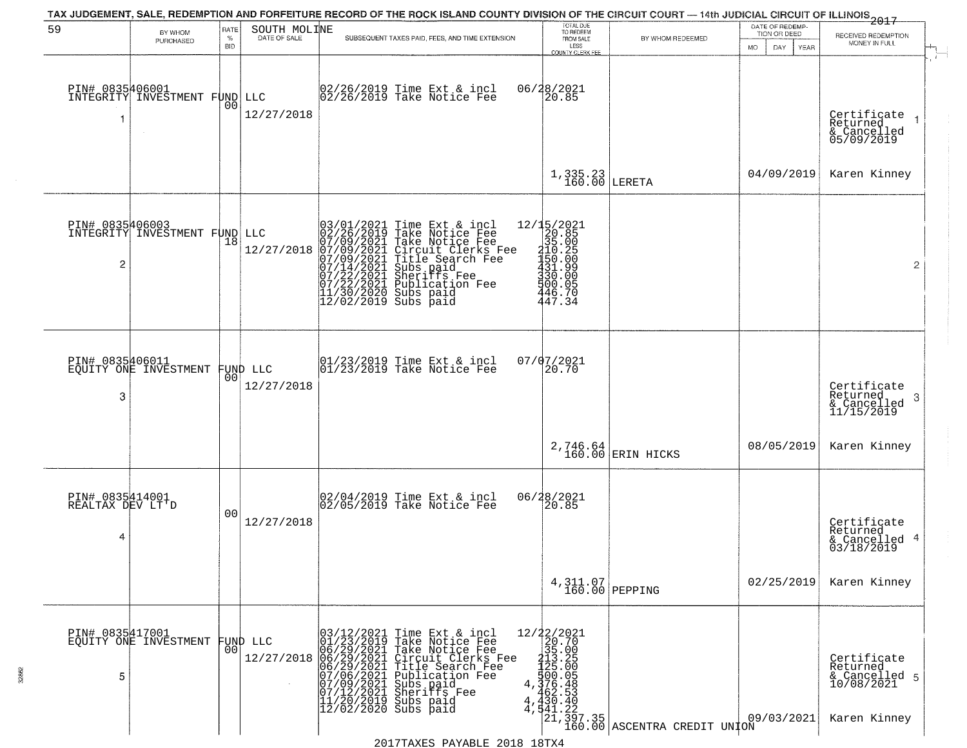|                                          |                               |                |                              | TAX JUDGEMENT, SALE, REDEMPTION AND FORFEITURE RECORD OF THE ROCK ISLAND COUNTY DIVISION OF THE CIRCUIT COURT — 14th JUDICIAL CIRCUIT OF ILLINOIS 2017                                                                                                                                                                                                        |                                                                                                                                      |                                                                                        | DATE OF REDEMP-     |                                                                        |
|------------------------------------------|-------------------------------|----------------|------------------------------|---------------------------------------------------------------------------------------------------------------------------------------------------------------------------------------------------------------------------------------------------------------------------------------------------------------------------------------------------------------|--------------------------------------------------------------------------------------------------------------------------------------|----------------------------------------------------------------------------------------|---------------------|------------------------------------------------------------------------|
| 59                                       | BY WHOM<br>PURCHASED          | RATE<br>$\%$   | SOUTH MOLINE<br>DATE OF SALE | SUBSEQUENT TAXES PAID, FEES, AND TIME EXTENSION                                                                                                                                                                                                                                                                                                               | TOTAL DUE<br>TO REDEEM<br>FROM SALE                                                                                                  | BY WHOM REDEEMED                                                                       | TION OR DEED        | RECEIVED REDEMPTION                                                    |
|                                          |                               | BID            |                              |                                                                                                                                                                                                                                                                                                                                                               | LESS<br>COUNTY CLERK FEE                                                                                                             |                                                                                        | YEAR<br>MO.<br>DAY. | MONEY IN FULL                                                          |
| PIN# 0835406001<br>-1                    | INTEGRITY INVESTMENT FUND     | 00             | LLC<br>12/27/2018            | 02/26/2019 Time Ext & incl<br>02/26/2019 Take Notice Fee                                                                                                                                                                                                                                                                                                      | 06/28/2021<br>20.85                                                                                                                  |                                                                                        |                     | Certificate<br>Returned<br>& Cancelled<br>05/09/2019                   |
|                                          |                               |                |                              |                                                                                                                                                                                                                                                                                                                                                               | $1,335.23$ LERETA                                                                                                                    |                                                                                        | 04/09/2019          | Karen Kinney                                                           |
| PIN# 0835406003<br>$\overline{c}$        | INTEGRITY INVESTMENT FUND LLC | 18             | 12/27/2018                   | $\begin{smallmatrix} 03/01/2021\\ 02/26/2019\\ 07/09/2021\\ 07/09/2021\\ 07/14/2021\\ 07/14/2021\\ 07/22/2021\\ 11/20/2022 \end{smallmatrix}$<br>Time Ext & incl<br>Take Notice Fee<br>Take Notice Fee<br>Circuit Clerks Fee<br>Title Search Fee<br>Subs paid<br>Sheriffs Fee<br>Publication Fee<br>Subs paid<br>11/30/2020 Subs paid<br>12/02/2019 Subs paid | 12/15/2021<br>$\frac{20.85}{35.00}$<br>$450.25$<br>$150.00$<br>$431.99$<br>$330.00$<br>500.05<br>446.70<br>447.34                    |                                                                                        |                     | $\overline{2}$                                                         |
| PIN# 0835406011<br>3                     | EQUITY ONE INVESTMENT         | 00             | FUND LLC<br>12/27/2018       | 01/23/2019 Time Ext & incl<br>01/23/2019 Take Notice Fee                                                                                                                                                                                                                                                                                                      | 07/07/2021<br>20.70                                                                                                                  |                                                                                        |                     | Certificate<br>Returned<br>-3<br>$\frac{2}{2}$ Cancelled<br>11/15/2019 |
|                                          |                               |                |                              |                                                                                                                                                                                                                                                                                                                                                               |                                                                                                                                      | 2,746.64<br>160.00 ERIN HICKS                                                          | 08/05/2019          | Karen Kinney                                                           |
| PIN# 0835414001<br>REALTAX DEV LT'D<br>4 |                               | 0 <sub>0</sub> | 12/27/2018                   | 02/04/2019 Time Ext & incl<br>02/05/2019 Take Notice Fee                                                                                                                                                                                                                                                                                                      | 06/28/2021<br>20.85                                                                                                                  |                                                                                        |                     | Certificate<br>Returned<br>& Cancelled 4<br>03/18/2019                 |
|                                          |                               |                |                              |                                                                                                                                                                                                                                                                                                                                                               | $4,311.07$ PEPPING                                                                                                                   |                                                                                        | 02/25/2019          | Karen Kinney                                                           |
| PIN# 0835417001<br>5                     | EQUITY ONE INVESTMENT         | 00             | FUND LLC<br>12/27/2018       | Time Ext & incl<br>Take Notice Fee<br>Take Notice Fee<br>Circuit Clerks Fee<br>Title Search Fee<br>Publication Fee<br>03/12/2021<br>06/29/2021<br>06/29/2021<br>06/29/2021<br>06/29/2021<br>07/09/2021<br>07/12/2021<br>07/12/2021<br>11/20/2019<br>Subs paid<br>Sheriffs Fee<br>Subs paid<br>$12/02/2020$ Subs paid<br>4                                     | ${\begin{array}{c} 12/22/2021 \\ 20.70 \\ 35.00 \\ 13.5 \\ 12.5 \\ 4.25 \\ 5.00 \\ 4.462.53 \\ 4.430.42 \\ 4.431.42 \\ \end{array}}$ | $\begin{bmatrix} 441.22 \\ 21.397.35 \\ 160.00 \\ \end{bmatrix}$ ASCENTRA CREDIT UNION | 09/03/2021          | Certificate<br>Returned<br>& Cancelled 5<br>10/08/2021<br>Karen Kinney |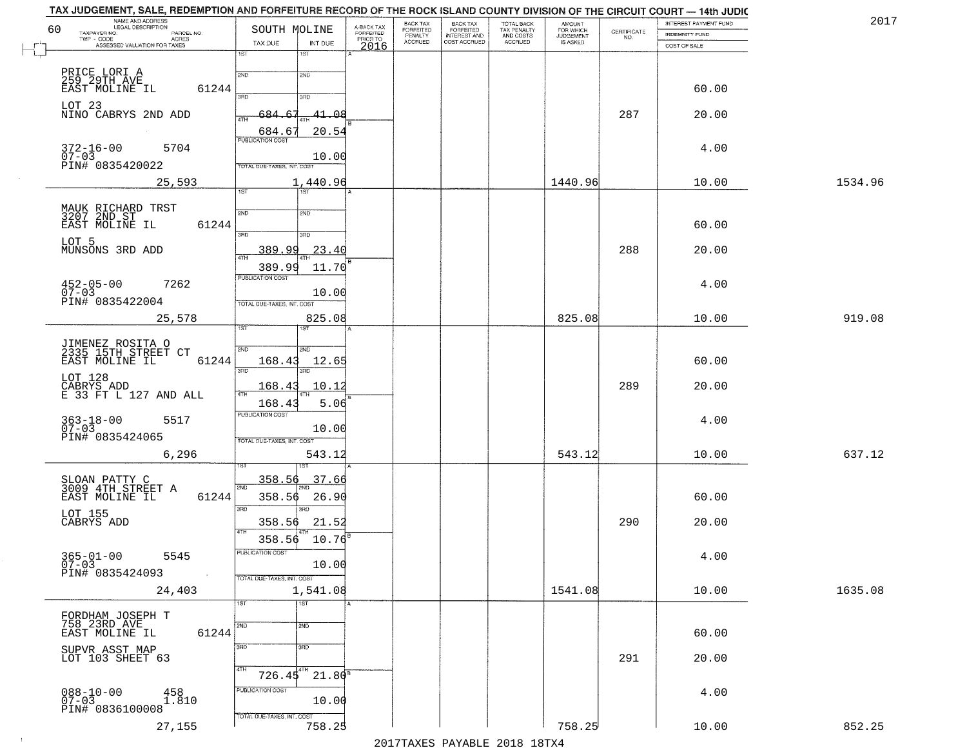| 60 | NAME AND ADDRESS<br>LEGAL DESCRIPTION                           | SOUTH MOLINE                              | A-BACK TAX<br>FORFEITED | BACK TAX<br><b>FORFEITED</b> | BACK TAX<br>FORFEITED        | TOTAL BACK<br>TAX PENALTY<br>AND COSTS<br>ACCRUED | <b>AMOUNT</b>                      |                                                                 | INTEREST PAYMENT FUND | 2017    |
|----|-----------------------------------------------------------------|-------------------------------------------|-------------------------|------------------------------|------------------------------|---------------------------------------------------|------------------------------------|-----------------------------------------------------------------|-----------------------|---------|
|    | TAXPAYER NO.<br>PARCEL NO.<br>TWP - CODE<br><b>ACRES</b>        |                                           | PRIOR TO                | PENALTY<br>ACCRUED           | INTEREST AND<br>COST ACCRUED |                                                   | FOR WHICH<br>JUDGEMENT<br>IS ASKED | $\begin{array}{c} \text{CERTIFICATE} \\ \text{NO.} \end{array}$ | INDEMNITY FUND        |         |
|    | ASSESSED VALUATION FOR TAXES                                    | TAX DUE<br>INT DUE<br>1ST<br>1ST          | 2016                    |                              |                              |                                                   |                                    |                                                                 | COST OF SALE          |         |
|    |                                                                 |                                           |                         |                              |                              |                                                   |                                    |                                                                 |                       |         |
|    | PRICE LORI A<br>259 29TH AVE                                    | 2ND<br>2ND                                |                         |                              |                              |                                                   |                                    |                                                                 |                       |         |
|    | EAST MOLINE IL<br>61244                                         | 370<br>3RD                                |                         |                              |                              |                                                   |                                    |                                                                 | 60.00                 |         |
|    | LOT 23                                                          |                                           |                         |                              |                              |                                                   |                                    |                                                                 |                       |         |
|    | NINO CABRYS 2ND ADD                                             | -684-<br>41.08<br>4TH                     |                         |                              |                              |                                                   |                                    | 287                                                             | 20.00                 |         |
|    |                                                                 | 20.54<br>684.6<br><b>PUBLICATION COST</b> |                         |                              |                              |                                                   |                                    |                                                                 |                       |         |
|    | $372 - 16 - 00$<br>5704                                         |                                           |                         |                              |                              |                                                   |                                    |                                                                 | 4.00                  |         |
|    | $07 - 03$<br>PIN# 0835420022                                    | 10.00<br>TOTAL DUE-TAXES, INT. COST       |                         |                              |                              |                                                   |                                    |                                                                 |                       |         |
|    | 25,593                                                          | 1,440.96                                  |                         |                              |                              |                                                   | 1440.96                            |                                                                 | 10.00                 | 1534.96 |
|    |                                                                 | $\overline{1ST}$<br>1ST                   |                         |                              |                              |                                                   |                                    |                                                                 |                       |         |
|    | MAUK RICHARD TRST<br>3207 2ND ST                                | 2ND<br>2ND                                |                         |                              |                              |                                                   |                                    |                                                                 |                       |         |
|    | 61244<br>EAST MOLINE IL                                         |                                           |                         |                              |                              |                                                   |                                    |                                                                 | 60.00                 |         |
|    | LOT 5                                                           | 3BD<br>3RD                                |                         |                              |                              |                                                   |                                    |                                                                 |                       |         |
|    | MUNSONS 3RD ADD                                                 | 389.99<br>23.40<br>$\overline{ATH}$       |                         |                              |                              |                                                   |                                    | 288                                                             | 20.00                 |         |
|    |                                                                 | 389.99<br>11.70                           |                         |                              |                              |                                                   |                                    |                                                                 |                       |         |
|    | 7262                                                            | PUBLICATION COST                          |                         |                              |                              |                                                   |                                    |                                                                 | 4.00                  |         |
|    | $452 - 05 - 00$<br>07-03                                        | 10.00                                     |                         |                              |                              |                                                   |                                    |                                                                 |                       |         |
|    | PIN# 0835422004                                                 | TOTAL DUE-TAXES, INT. COST                |                         |                              |                              |                                                   |                                    |                                                                 |                       |         |
|    | 25,578                                                          | 825.08<br>ist.                            |                         |                              |                              |                                                   | 825.08                             |                                                                 | 10.00                 | 919.08  |
|    |                                                                 |                                           |                         |                              |                              |                                                   |                                    |                                                                 |                       |         |
|    | JIMENEZ ROSITA O<br>2335 15TH STREET CT                         | 2ND<br>SMD                                |                         |                              |                              |                                                   |                                    |                                                                 |                       |         |
|    | 61244<br>EAST MOLINE IL                                         | 168.43<br>12.65<br>3BD<br>3RD             |                         |                              |                              |                                                   |                                    |                                                                 | 60.00                 |         |
|    |                                                                 | 168.43<br>10.12                           |                         |                              |                              |                                                   |                                    | 289                                                             | 20.00                 |         |
|    | LOT 128<br>CABRYS ADD<br>E 33 FT L 127 AND ALL                  |                                           |                         |                              |                              |                                                   |                                    |                                                                 |                       |         |
|    |                                                                 | 5.06<br>168.43<br><b>PUBLICATION COST</b> |                         |                              |                              |                                                   |                                    |                                                                 |                       |         |
|    | $363 - 18 - 00$<br>07-03<br>5517                                | 10.00                                     |                         |                              |                              |                                                   |                                    |                                                                 | 4.00                  |         |
|    | PIN# 0835424065                                                 | TOTAL OUE-TAXES, INT. COST                |                         |                              |                              |                                                   |                                    |                                                                 |                       |         |
|    | 6,296                                                           | 543.12                                    |                         |                              |                              |                                                   | 543.12                             |                                                                 | 10.00                 | 637.12  |
|    |                                                                 |                                           |                         |                              |                              |                                                   |                                    |                                                                 |                       |         |
|    | SLOAN PATTY C<br>3009 4TH STREET A                              | <u>358.56</u><br>37.66<br>2ND             |                         |                              |                              |                                                   |                                    |                                                                 |                       |         |
|    | EAST MOLINE IL<br>61244                                         | 358.56<br>26.90                           |                         |                              |                              |                                                   |                                    |                                                                 | 60.00                 |         |
|    | LOT 155                                                         | 3RD<br>3RD                                |                         |                              |                              |                                                   |                                    |                                                                 |                       |         |
|    | CABRYS ADD                                                      | 358.56<br>21.52                           |                         |                              |                              |                                                   |                                    | 290                                                             | 20.00                 |         |
|    |                                                                 | $358.56$ $10.76^8$                        |                         |                              |                              |                                                   |                                    |                                                                 |                       |         |
|    | $365 - 01 - 00$<br>07-03<br>5545                                | PUBLICATION COST                          |                         |                              |                              |                                                   |                                    |                                                                 | 4.00                  |         |
|    | PIN# 0835424093                                                 | 10.00<br>TOTAL DUE-TAXES, INT. COST       |                         |                              |                              |                                                   |                                    |                                                                 |                       |         |
|    | 24,403                                                          | 1,541.08                                  |                         |                              |                              |                                                   | 1541.08                            |                                                                 | 10.00                 | 1635.08 |
|    |                                                                 | $\overline{1ST}$<br>1ST                   |                         |                              |                              |                                                   |                                    |                                                                 |                       |         |
|    | FORDHAM JOSEPH T                                                |                                           |                         |                              |                              |                                                   |                                    |                                                                 |                       |         |
|    | 758 23RD AVE<br>EAST MOLINE IL<br>61244                         | 2ND<br>2ND                                |                         |                              |                              |                                                   |                                    |                                                                 | 60.00                 |         |
|    | SUPVR ASST MAP                                                  | 3RD<br>3 <sub>BD</sub>                    |                         |                              |                              |                                                   |                                    |                                                                 |                       |         |
|    | LOT 103 SHEET 63                                                |                                           |                         |                              |                              |                                                   |                                    | 291                                                             | 20.00                 |         |
|    |                                                                 | 4TH<br>$726.45^{4}$ $21.80^8$             |                         |                              |                              |                                                   |                                    |                                                                 |                       |         |
|    |                                                                 | PUBLICATION COST                          |                         |                              |                              |                                                   |                                    |                                                                 | 4.00                  |         |
|    | $088 - 10 - 00$<br>07-03<br>$^{458}_{1.810}$<br>PIN# 0836100008 | 10.00                                     |                         |                              |                              |                                                   |                                    |                                                                 |                       |         |
|    |                                                                 | TOTAL DUE-TAXES, INT. COST                |                         |                              |                              |                                                   |                                    |                                                                 |                       |         |
|    | 27,155                                                          | 758.25                                    |                         |                              |                              |                                                   | 758.25                             |                                                                 | 10.00                 | 852.25  |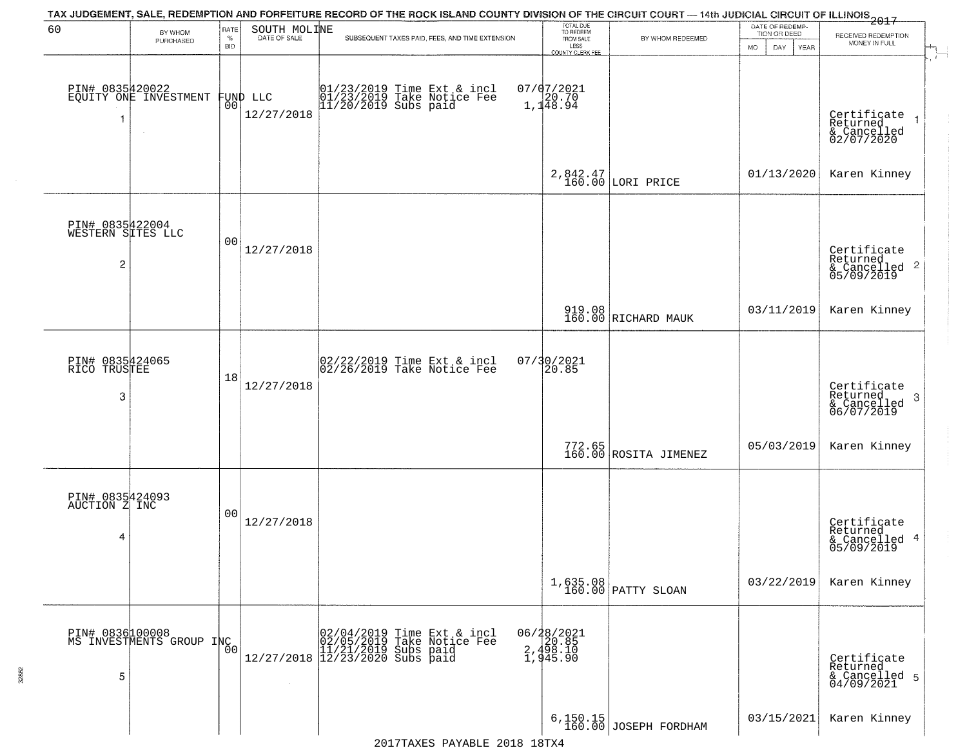|                                                        |                                             |                |                              | TAX JUDGEMENT, SALE, REDEMPTION AND FORFEITURE RECORD OF THE ROCK ISLAND COUNTY DIVISION OF THE CIRCUIT COURT — 14th JUDICIAL CIRCUIT OF ILLINOIS 2017 |                                        |                                    | DATE OF REDEMP-          |                                                                       |
|--------------------------------------------------------|---------------------------------------------|----------------|------------------------------|--------------------------------------------------------------------------------------------------------------------------------------------------------|----------------------------------------|------------------------------------|--------------------------|-----------------------------------------------------------------------|
| 60                                                     | BY WHOM<br>PURCHASED                        | RATE<br>$\%$   | SOUTH MOLINE<br>DATE OF SALE | SUBSEQUENT TAXES PAID, FEES, AND TIME EXTENSION                                                                                                        | TOTAL DUE<br>TO REDEEM<br>FROM SALE    | BY WHOM REDEEMED                   | TION OR DEED             | RECEIVED REDEMPTION<br>MONEY IN FULL                                  |
|                                                        |                                             | <b>BID</b>     |                              |                                                                                                                                                        | LESS<br><b>COUNTY CLERK FEE</b>        |                                    | <b>MO</b><br>DAY<br>YEAR |                                                                       |
| -1                                                     | PIN# 0835420022<br>EQUITY ONE INVESTMENT    | 00             | FUND LLC<br>12/27/2018       | 01/23/2019 Time Ext & incl<br>01/23/2019 Take Notice Fee<br>11/20/2019 Subs paid                                                                       | $07/07/2021$<br>1,148.94               |                                    |                          | Certificate<br>Returned<br>$\rightarrow$<br>& Cancelled<br>02/07/2020 |
|                                                        |                                             |                |                              |                                                                                                                                                        |                                        | 2,842.47<br>160.00 LORI PRICE      | 01/13/2020               | Karen Kinney                                                          |
| PIN# 0835422004<br>WESTERN SITES LLC<br>$\overline{2}$ |                                             | 0 <sub>0</sub> | 12/27/2018                   |                                                                                                                                                        |                                        |                                    |                          | Certificate<br>Returned<br>$\frac{1}{2}$ Cancelled 2<br>05/09/2019    |
|                                                        |                                             |                |                              |                                                                                                                                                        |                                        | 919.08<br>160.00 RICHARD MAUK      | 03/11/2019               | Karen Kinney                                                          |
| PIN# 0835424065<br>RICO TRUSTEE<br>3                   |                                             | 18             | 12/27/2018                   | $\begin{bmatrix} 02/22/2019 \\ 02/26/2019 \end{bmatrix}$ Take Notice Fee                                                                               | 07/30/2021<br>20.85                    |                                    |                          | Certificate<br>Returned<br>3<br>& Cancelled<br>06/07/2019             |
|                                                        |                                             |                |                              |                                                                                                                                                        |                                        | 772.65<br>160.00 ROSITA JIMENEZ    | 05/03/2019               | Karen Kinney                                                          |
| PIN# 0835424093<br>AUCTION Z INC<br>4                  |                                             | 00             | 12/27/2018                   |                                                                                                                                                        |                                        |                                    |                          | Certificate<br>Returned<br>& Cancelled 4<br>05/09/2019                |
|                                                        |                                             |                |                              |                                                                                                                                                        |                                        | 1,635.08<br>160.00 PATTY SLOAN     | 03/22/2019               | Karen Kinney                                                          |
| 5                                                      | PIN# 0836100008<br>MS INVESTMENTS GROUP INC | 0 <sub>0</sub> |                              | $[02/04/2019 \tTime Ext & incl 02/05/2019 \tTake Notice Free 11/21/2019 Subs paid 12/27/2018 12/23/2020 Subs paid 13/2019]$                            | 06/28/2021<br>$2,498.10$<br>$1,945.90$ |                                    |                          | Certificate<br>Returned<br>& Cancelled 5<br>04/09/2021                |
|                                                        |                                             |                |                              |                                                                                                                                                        |                                        | 6, 150.15<br>160.00 JOSEPH FORDHAM | 03/15/2021               | Karen Kinney                                                          |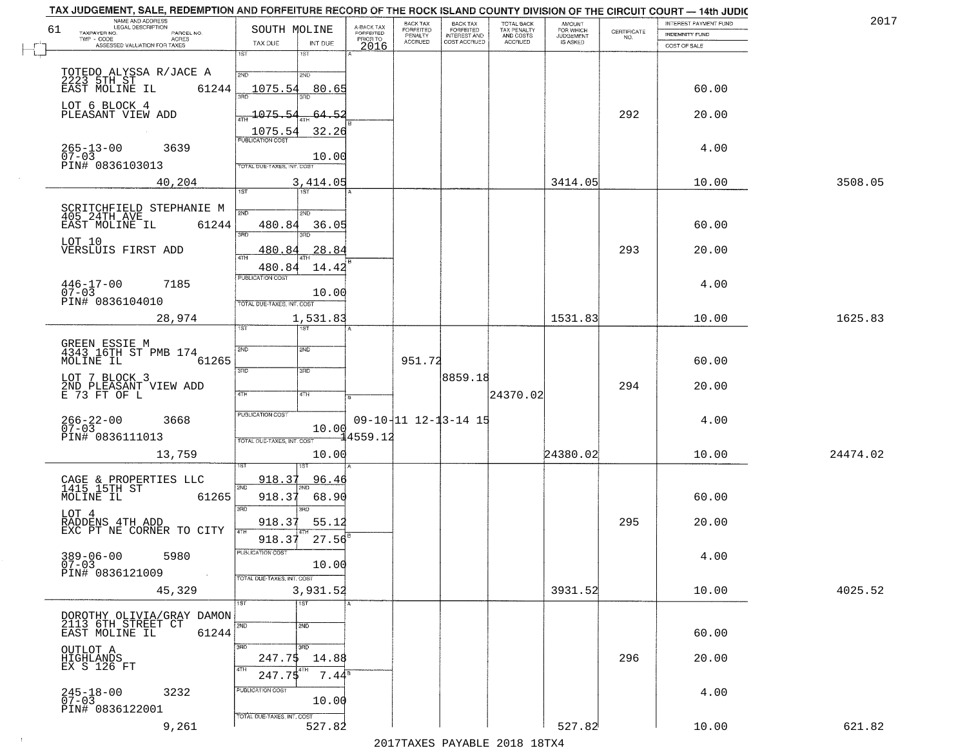|    | TAX JUDGEMENT, SALE, REDEMPTION AND FORFEITURE RECORD OF THE ROCK ISLAND COUNTY DIVISION OF THE CIRCUIT COURT - 14th JUDIC<br>NAME AND ADDRESS<br><b>LEGAL DESCRIPTION</b> |                                      |                         | BACK TAX                    |                                       |                                        | AMOUNT<br>FOR WHICH |                                                                 | INTEREST PAYMENT FUND | 2017     |
|----|----------------------------------------------------------------------------------------------------------------------------------------------------------------------------|--------------------------------------|-------------------------|-----------------------------|---------------------------------------|----------------------------------------|---------------------|-----------------------------------------------------------------|-----------------------|----------|
| 61 | TAXPAYER NO.<br>PARCEL NO.                                                                                                                                                 | SOUTH MOLINE                         | A-BACK TAX<br>FORFEITED | <b>FORFEITED</b><br>PENALTY | BACK TAX<br>FORFEITED<br>INTEREST AND | TOTAL BACK<br>TAX PENALTY<br>AND COSTS | <b>JUDGEMENT</b>    | $\begin{array}{c} \text{CERTIFICATE} \\ \text{NO.} \end{array}$ | <b>INDEMNITY FUND</b> |          |
|    | TWP - CODE<br>ACRES<br>ASSESSED VALUATION FOR TAXES                                                                                                                        | INT DUE<br>TAX DUE                   | PRIOR TO<br>2016        | <b>ACCRUED</b>              | COST ACCRUED                          | ACCRUED                                | IS ASKED            |                                                                 | COST OF SALE          |          |
|    |                                                                                                                                                                            | 1ST<br>18T                           |                         |                             |                                       |                                        |                     |                                                                 |                       |          |
|    | TOTEDO ALYSSA R/JACE A                                                                                                                                                     | 2ND<br>2ND                           |                         |                             |                                       |                                        |                     |                                                                 |                       |          |
|    | 2223 5TH ST<br>EAST MOLINE IL                                                                                                                                              |                                      |                         |                             |                                       |                                        |                     |                                                                 |                       |          |
|    | 61244                                                                                                                                                                      | 1075.54<br>80.65                     |                         |                             |                                       |                                        |                     |                                                                 | 60.00                 |          |
|    | LOT 6 BLOCK 4                                                                                                                                                              |                                      |                         |                             |                                       |                                        |                     |                                                                 |                       |          |
|    | PLEASANT VIEW ADD                                                                                                                                                          | 1075.54<br>64.52                     |                         |                             |                                       |                                        |                     | 292                                                             | 20.00                 |          |
|    |                                                                                                                                                                            | 32.26<br>1075.54                     |                         |                             |                                       |                                        |                     |                                                                 |                       |          |
|    | 3639                                                                                                                                                                       |                                      |                         |                             |                                       |                                        |                     |                                                                 | 4.00                  |          |
|    | $265 - 13 - 00$<br>07-03                                                                                                                                                   | 10.00                                |                         |                             |                                       |                                        |                     |                                                                 |                       |          |
|    | PIN# 0836103013                                                                                                                                                            | <b>TOTAL DUE-TAXES, INT. COST</b>    |                         |                             |                                       |                                        |                     |                                                                 |                       |          |
|    | 40,204                                                                                                                                                                     | 3,414.05                             |                         |                             |                                       |                                        | 3414.05             |                                                                 | 10.00                 | 3508.05  |
|    |                                                                                                                                                                            | 1ST                                  |                         |                             |                                       |                                        |                     |                                                                 |                       |          |
|    | SCRITCHFIELD STEPHANIE M<br>405 24TH AVE                                                                                                                                   | 2ND<br>2ND                           |                         |                             |                                       |                                        |                     |                                                                 |                       |          |
|    | 61244<br>EAST MOLINE IL                                                                                                                                                    | 480.84<br>36.05                      |                         |                             |                                       |                                        |                     |                                                                 | 60.00                 |          |
|    |                                                                                                                                                                            | त्रहा                                |                         |                             |                                       |                                        |                     |                                                                 |                       |          |
|    | LOT 10<br>VERSLUIS FIRST ADD                                                                                                                                               | 28.84<br>480.84                      |                         |                             |                                       |                                        |                     | 293                                                             | 20.00                 |          |
|    |                                                                                                                                                                            |                                      |                         |                             |                                       |                                        |                     |                                                                 |                       |          |
|    |                                                                                                                                                                            | 480.84<br>14.42<br>PUBLICATION COST  |                         |                             |                                       |                                        |                     |                                                                 |                       |          |
|    | $446 - 17 - 00$<br>7185                                                                                                                                                    |                                      |                         |                             |                                       |                                        |                     |                                                                 | 4.00                  |          |
|    | $07 - 03$<br>PIN# 0836104010                                                                                                                                               | 10.00<br>TOTAL DUE-TAXES, INT. COST  |                         |                             |                                       |                                        |                     |                                                                 |                       |          |
|    |                                                                                                                                                                            |                                      |                         |                             |                                       |                                        |                     |                                                                 |                       |          |
|    | 28,974                                                                                                                                                                     | 1,531.83<br>1ST<br>ist.              |                         |                             |                                       |                                        | 1531.83             |                                                                 | 10.00                 | 1625.83  |
|    |                                                                                                                                                                            |                                      |                         |                             |                                       |                                        |                     |                                                                 |                       |          |
|    | GREEN ESSIE M<br>4343 16TH ST PMB 174                                                                                                                                      | SVD<br>SMD                           |                         |                             |                                       |                                        |                     |                                                                 |                       |          |
|    | MOLINE IL<br>61265                                                                                                                                                         |                                      |                         | 951.72                      |                                       |                                        |                     |                                                                 | 60.00                 |          |
|    | LOT 7 BLOCK 3                                                                                                                                                              | 3RD<br>3 <sub>BD</sub>               |                         |                             | 8859.18                               |                                        |                     |                                                                 |                       |          |
|    | 2ND PLEASANT VIEW ADD<br>E 73 FT OF L                                                                                                                                      | 4TH                                  |                         |                             |                                       |                                        |                     | 294                                                             | 20.00                 |          |
|    |                                                                                                                                                                            | 4TH                                  |                         |                             |                                       | 24370.02                               |                     |                                                                 |                       |          |
|    |                                                                                                                                                                            | <b>PUBLICATION COST</b>              |                         |                             |                                       |                                        |                     |                                                                 |                       |          |
|    | $266 - 22 - 00$<br>07-03<br>3668                                                                                                                                           | 10.00                                |                         |                             | 09-10-11 12-13-14 15                  |                                        |                     |                                                                 | 4.00                  |          |
|    | PIN# 0836111013                                                                                                                                                            | TOTAL OUE-TAXES, INT. COST           | £4559.12                |                             |                                       |                                        |                     |                                                                 |                       |          |
|    | 13,759                                                                                                                                                                     | 10.00                                |                         |                             |                                       |                                        | 24380.02            |                                                                 | 10.00                 | 24474.02 |
|    |                                                                                                                                                                            |                                      |                         |                             |                                       |                                        |                     |                                                                 |                       |          |
|    |                                                                                                                                                                            | <u>918.37</u><br>96.46               |                         |                             |                                       |                                        |                     |                                                                 |                       |          |
|    | CAGE & PROPERTIES LLC<br>1415 15TH ST<br>MOLINE IL<br>61265                                                                                                                | 2ND<br>918.37<br>68.90               |                         |                             |                                       |                                        |                     |                                                                 | 60.00                 |          |
|    |                                                                                                                                                                            | 3BD<br>3RD                           |                         |                             |                                       |                                        |                     |                                                                 |                       |          |
|    | LOT 4                                                                                                                                                                      |                                      |                         |                             |                                       |                                        |                     | 295                                                             |                       |          |
|    | RADDENS 4TH ADD<br>EXC PT NE CORNER TO CITY                                                                                                                                | 918.37<br>55.12                      |                         |                             |                                       |                                        |                     |                                                                 | 20.00                 |          |
|    |                                                                                                                                                                            | 27.56<br>918.37                      |                         |                             |                                       |                                        |                     |                                                                 |                       |          |
|    | $389 - 06 - 00$<br>5980                                                                                                                                                    | ruslica i IUN COS                    |                         |                             |                                       |                                        |                     |                                                                 | 4.00                  |          |
|    | $07 - 03$<br>PIN# 0836121009                                                                                                                                               | 10.00                                |                         |                             |                                       |                                        |                     |                                                                 |                       |          |
|    |                                                                                                                                                                            | TOTAL DUE-TAXES, INT. COST           |                         |                             |                                       |                                        |                     |                                                                 |                       |          |
|    | 45,329                                                                                                                                                                     | 3,931.52                             |                         |                             |                                       |                                        | 3931.52             |                                                                 | 10.00                 | 4025.52  |
|    |                                                                                                                                                                            | 1ST<br>1ST                           |                         |                             |                                       |                                        |                     |                                                                 |                       |          |
|    | DOROTHY OLIVIA/GRAY DAMON<br>2113 6TH STREET CT                                                                                                                            | 2ND                                  |                         |                             |                                       |                                        |                     |                                                                 |                       |          |
|    | 61244<br>EAST MOLINE IL                                                                                                                                                    | 2ND                                  |                         |                             |                                       |                                        |                     |                                                                 | 60.00                 |          |
|    |                                                                                                                                                                            | 3RD<br>3RD                           |                         |                             |                                       |                                        |                     |                                                                 |                       |          |
|    | OUTLOT A<br>HIGHLANDS<br>EX S 126 FT                                                                                                                                       | 247.75<br>14.88                      |                         |                             |                                       |                                        |                     | 296                                                             | 20.00                 |          |
|    |                                                                                                                                                                            | 4TH<br>4TH<br>$7.44^8$<br>247.75     |                         |                             |                                       |                                        |                     |                                                                 |                       |          |
|    |                                                                                                                                                                            |                                      |                         |                             |                                       |                                        |                     |                                                                 |                       |          |
|    | $245 - 18 - 00$<br>07-03<br>3232                                                                                                                                           | PUBLICATION COST<br>10.00            |                         |                             |                                       |                                        |                     |                                                                 | 4.00                  |          |
|    | PIN# 0836122001                                                                                                                                                            |                                      |                         |                             |                                       |                                        |                     |                                                                 |                       |          |
|    | 9,261                                                                                                                                                                      | TOTAL DUE-TAXES, INT. COST<br>527.82 |                         |                             |                                       |                                        | 527.82              |                                                                 | 10.00                 | 621.82   |
|    |                                                                                                                                                                            |                                      |                         |                             |                                       | 2017 THAYRO DAVADIR 2018 19TY          |                     |                                                                 |                       |          |
|    |                                                                                                                                                                            |                                      |                         |                             |                                       |                                        |                     |                                                                 |                       |          |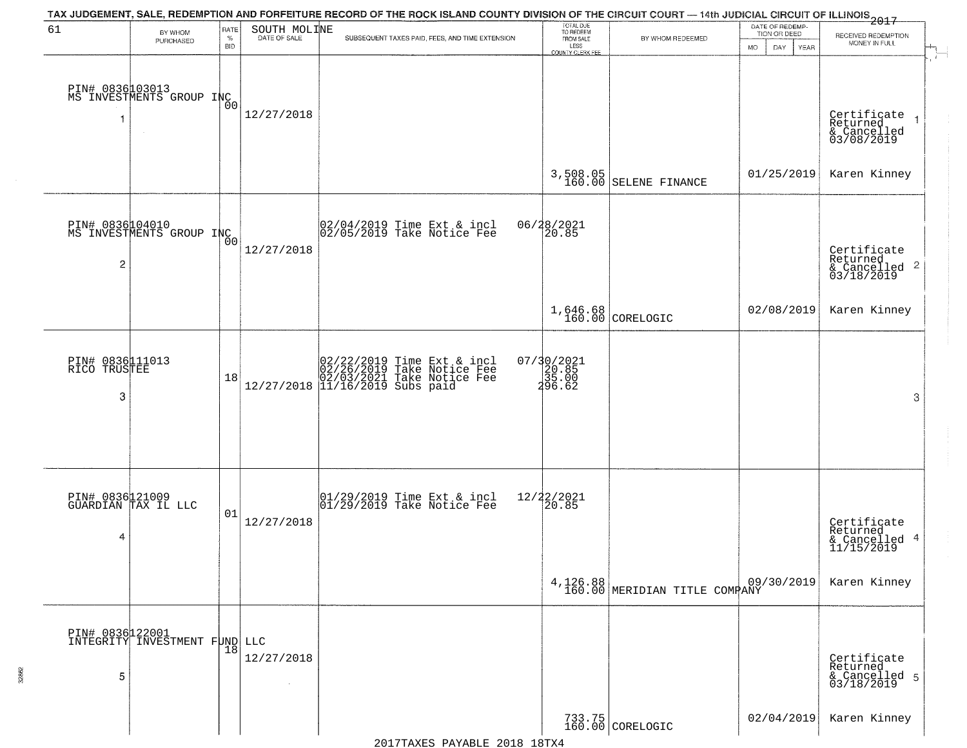|                                      |                                                       |                            |              | TAX JUDGEMENT, SALE, REDEMPTION AND FORFEITURE RECORD OF THE ROCK ISLAND COUNTY DIVISION OF THE CIRCUIT COURT — 14th JUDICIAL CIRCUIT OF ILLINOIS 2017                                                            |                                          |                                            | DATE OF REDEMP-          |                                                                    |
|--------------------------------------|-------------------------------------------------------|----------------------------|--------------|-------------------------------------------------------------------------------------------------------------------------------------------------------------------------------------------------------------------|------------------------------------------|--------------------------------------------|--------------------------|--------------------------------------------------------------------|
| 61                                   | BY WHOM<br>PURCHASED                                  | RATE<br>$\%$<br><b>BID</b> | SOUTH MOLINE | SUBSEQUENT TAXES PAID, FEES, AND TIME EXTENSION                                                                                                                                                                   | TOTAL DUE<br>TO REDEEM<br>FROM SALE      | BY WHOM REDEEMED                           | TION OR DEED             | RECEIVED REDEMPTION<br>MONEY IN FULL                               |
|                                      |                                                       |                            |              |                                                                                                                                                                                                                   | LESS<br>COUNTY CLERK FEE                 |                                            | <b>MO</b><br>DAY<br>YEAR | $\mathcal{A}_{\mathbb{L}}$<br>$\overline{r}$                       |
| 1                                    | PIN# 0836003013<br>MS INVESTMENTS GROUP INC<br>$\sim$ |                            | 12/27/2018   |                                                                                                                                                                                                                   |                                          |                                            |                          | Certificate<br>Returned<br>& Cancelled<br>03/08/2019               |
|                                      |                                                       |                            |              |                                                                                                                                                                                                                   |                                          | 3,508.05<br>160.00 SELENE FINANCE          | 01/25/2019               | Karen Kinney                                                       |
| 2                                    | PIN# 0836104010<br>MS INVESTMENTS GROUP INC           | 00                         | 12/27/2018   | $\begin{array}{c}  02/04/2019 \overline{\smash{\big)} }$ Time Ext & incl<br>$ 02/05/2019 \overline{\smash{\big)} }$ Take Notice Fee                                                                               | 06/28/2021                               |                                            |                          | Certificate<br>Returned<br>$\frac{1}{6}$ Cancelled 2<br>03/18/2019 |
|                                      |                                                       |                            |              |                                                                                                                                                                                                                   |                                          | 1,646.68<br>160.00 CORELOGIC               | 02/08/2019               | Karen Kinney                                                       |
| PIN# 0836111013<br>RICO TRUSTEE<br>3 |                                                       | 18                         |              | $[02/22/2019 \text{ Time Ext} \& \text{ incl} \brack 02/26/2019 \text{ Take Notice Free} \brack 02/03/2021 \text{ Take Notice Free} \brack 12/27/2018 \begin{pmatrix} 11/16/2019 \text{ Subs paid} \end{pmatrix}$ | $07/30/2021$<br>20.85<br>25.00<br>296.62 |                                            |                          | 3                                                                  |
| 4                                    | PIN# 0836121009<br>GUARDIAN TAX IL LLC                | 01                         | 12/27/2018   | $\begin{array}{c}  01/29/2019 \overline{\smash{\big)} } \text{Time}$ Ext & incl<br>$ 01/29/2019 \overline{\smash{\big)} } \text{Take Notice}$ Fee                                                                 | 12/22/2021<br>20.85                      |                                            |                          | Certificate<br>Returned<br>& Cancelled 4<br>11/15/2019             |
|                                      |                                                       |                            |              |                                                                                                                                                                                                                   |                                          | 4, 126.88<br>160.00 MERIDIAN TITLE COMPANY | 09/30/2019               | Karen Kinney                                                       |
| 5                                    | PIN# 0836 22001<br>INTEGRITY INVESTMENT FUND LLC      |                            | 12/27/2018   |                                                                                                                                                                                                                   |                                          |                                            |                          | Certificate<br>Returned<br>& Cancelled 5<br>03/18/2019             |
|                                      |                                                       |                            |              |                                                                                                                                                                                                                   |                                          | 733.75<br>160.00 CORELOGIC                 | 02/04/2019               | Karen Kinney                                                       |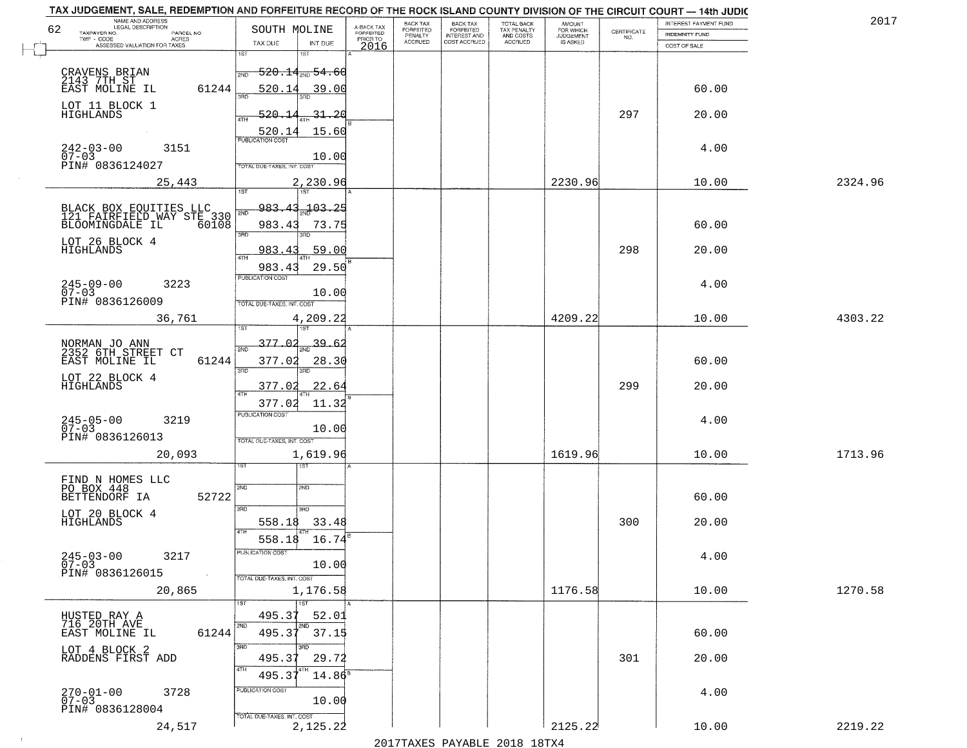| NAME AND ADDRESS<br>LEGAL DESCRIPTION                                                                       |                                                                                    |                                     | BACK TAX             | <b>BACK TAX</b>           | TOTAL BACK<br>TAX PENALTY<br>AND COSTS |                                  |                                                                 | INTEREST PAYMENT FUND | 2017    |
|-------------------------------------------------------------------------------------------------------------|------------------------------------------------------------------------------------|-------------------------------------|----------------------|---------------------------|----------------------------------------|----------------------------------|-----------------------------------------------------------------|-----------------------|---------|
| 62<br>TAXPAYER NO.<br>PARCEL NO.<br>ACRES                                                                   | SOUTH MOLINE                                                                       | A-BACK TAX<br>FORFEITED<br>PRIOR TO | FORFEITED<br>PENALTY | FORFEITED<br>INTEREST AND |                                        | AMOUNT<br>FOR WHICH<br>JUDGEMENT | $\begin{array}{c} \text{CERTIFICATE} \\ \text{NO.} \end{array}$ | INDEMNITY FUND        |         |
| ASSESSED VALUATION FOR TAXES                                                                                | TAX DUE<br>INT DUE                                                                 | 2016                                | <b>ACCRUED</b>       | COST ACCRUED              | ACCRUED                                | IS ASKED                         |                                                                 | COST OF SALE          |         |
| CRAVENS BRIAN<br>2143 7TH ST<br>EAST MOLINE IL<br>61244                                                     | 1ST<br>18T<br>$-520.14_{\rm 200}$ 54.60<br>2ND<br>520.14<br>39.00                  |                                     |                      |                           |                                        |                                  |                                                                 | 60.00                 |         |
| LOT 11 BLOCK 1<br>HIGHLANDS                                                                                 | 520.14<br><u>31.20</u>                                                             |                                     |                      |                           |                                        |                                  | 297                                                             | 20.00                 |         |
| $242 - 03 - 00$<br>3151<br>$07 - 03$<br>PIN# 0836124027                                                     | 15.60<br>520.14<br>10.00<br>TOTAL DUE-TAXES, INT. COST                             |                                     |                      |                           |                                        |                                  |                                                                 | 4.00                  |         |
| 25,443                                                                                                      | 2,230.96                                                                           |                                     |                      |                           |                                        | 2230.96                          |                                                                 | 10.00                 | 2324.96 |
| BLACK BOX EQUITIES LLC<br>121 FAIRFIELD WAY STE 330<br>BLOOMINGDALE IL 60108<br>LOT 26 BLOCK 4<br>HIGHLANDS | 983.<br>$-103.25$<br>43<br>2ND<br>983.43<br>73.75<br>3RD<br>3PD<br>59.00<br>983.43 |                                     |                      |                           |                                        |                                  | 298                                                             | 60.00<br>20.00        |         |
| $245 - 09 - 00$<br>3223<br>$07 - 03$<br>PIN# 0836126009                                                     | $\sqrt{4}$ TH<br>983.43<br>29.50<br>PUBLICATION COST<br>10.00                      |                                     |                      |                           |                                        |                                  |                                                                 | 4.00                  |         |
| 36,761                                                                                                      | TOTAL DUE-TAXES, INT. COST<br>4,209.22<br>isT                                      |                                     |                      |                           |                                        | 4209.22                          |                                                                 | 10.00                 | 4303.22 |
| NORMAN JO ANN<br>2352 6TH STREET CT<br>EAST MOLINE IL<br>61244                                              | 377.02<br>39.<br>-6<br>2ND<br>377.02<br>28.30<br>3RD<br>3RD                        |                                     |                      |                           |                                        |                                  |                                                                 | 60.00                 |         |
| LOT 22 BLOCK 4<br>HIGHLANDS                                                                                 | 377.02<br>22.64<br>$\overline{AT}$<br>377.02<br>11.32                              |                                     |                      |                           |                                        |                                  | 299                                                             | 20.00                 |         |
| $245 - 05 - 00$<br>07-03<br>3219<br>PIN# 0836126013                                                         | <b>PUBLICATION COST</b><br>10.00<br>TOTAL OUE-TAXES, INT. COST                     |                                     |                      |                           |                                        |                                  |                                                                 | 4.00                  |         |
| 20,093                                                                                                      | 1,619.96<br>151                                                                    |                                     |                      |                           |                                        | 1619.96                          |                                                                 | 10.00                 | 1713.96 |
| FIND N HOMES LLC<br>PO BOX 448<br>BETTENDORF IA<br>52722                                                    | 2ND<br>2ND<br>3RD<br>3RD.                                                          |                                     |                      |                           |                                        |                                  |                                                                 | 60.00                 |         |
| LOT 20 BLOCK 4<br><b>HIGHLANDS</b>                                                                          | 33.48<br>558.18<br>4TH<br>558.18<br>16.74                                          |                                     |                      |                           |                                        |                                  | 300                                                             | 20.00                 |         |
| $245 - 03 - 00$<br>3217<br>$07 - 03$<br>PIN# 0836126015<br>$\sim 100$                                       | UBLICA HUN COS-<br>10.00<br>TOTAL DUE-TAXES, INT. COST                             |                                     |                      |                           |                                        |                                  |                                                                 | 4.00                  |         |
| 20,865                                                                                                      | 1,176.58<br>1ST                                                                    |                                     |                      |                           |                                        | 1176.58                          |                                                                 | 10.00                 | 1270.58 |
| HUSTED RAY A<br>716 20TH AVE<br>61244<br>EAST MOLINE IL                                                     | 495.37<br>52.01<br>2ND<br>2ND<br>495.37<br>37.15                                   |                                     |                      |                           |                                        |                                  |                                                                 | 60.00                 |         |
| LOT 4 BLOCK 2<br>RADDENS FIRST ADD                                                                          | 3RD<br>495.37<br>29.72<br>4TH<br>495.3<br>$14.86^{\circ}$                          |                                     |                      |                           |                                        |                                  | 301                                                             | 20.00                 |         |
| $270 - 01 - 00$<br>3728<br>$07 - 03$<br>PIN# 0836128004                                                     | PUBLICATION COST<br>10.00                                                          |                                     |                      |                           |                                        |                                  |                                                                 | 4.00                  |         |
| 24,517                                                                                                      | TOTAL DUE-TAXES, INT. COST<br>2,125.22                                             |                                     |                      |                           |                                        | 2125.22                          |                                                                 | 10.00                 | 2219.22 |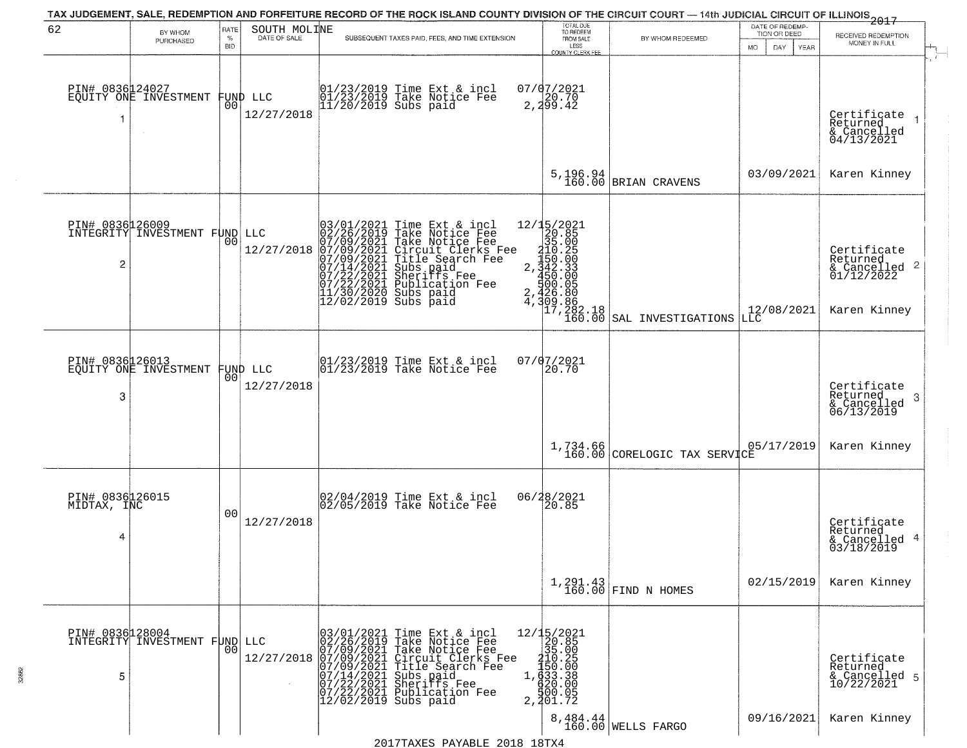| 62                                  | BY WHOM                                                 | RATE<br>$\%$   | SOUTH MOLINE           | TAX JUDGEMENT, SALE, REDEMPTION AND FORFEITURE RECORD OF THE ROCK ISLAND COUNTY DIVISION OF THE CIRCUIT COURT — 14th JUDICIAL CIRCUIT OF ILLINOIS 2017<br>SUBSEQUENT TAXES PAID, FEES, AND TIME EXTENSION                                                                                                                                                                                                      | TOTAL DUE<br>TO REDEEM<br>FROM SALE                                                                                                                     | BY WHOM REDEEMED               | DATE OF REDEMP-<br>TION OR DEED | RECEIVED REDEMPTION                                                                                             |
|-------------------------------------|---------------------------------------------------------|----------------|------------------------|----------------------------------------------------------------------------------------------------------------------------------------------------------------------------------------------------------------------------------------------------------------------------------------------------------------------------------------------------------------------------------------------------------------|---------------------------------------------------------------------------------------------------------------------------------------------------------|--------------------------------|---------------------------------|-----------------------------------------------------------------------------------------------------------------|
|                                     | PURCHASED                                               | BID            |                        |                                                                                                                                                                                                                                                                                                                                                                                                                | LESS<br>COUNTY CLERK FEE                                                                                                                                |                                | <b>MO</b><br>DAY<br>YEAR        | MONEY IN FULL                                                                                                   |
| PIN# 0836124027<br>-1               | EQUITY ONE INVESTMENT                                   | 00             | FUND LLC<br>12/27/2018 | 01/23/2019 Time Ext & incl<br>01/23/2019 Take Notice Fee<br>11/20/2019 Subs paid                                                                                                                                                                                                                                                                                                                               | 07/07/2021<br>2, 299.42                                                                                                                                 |                                |                                 | Certificate<br>Returned<br>& Cancelled<br>04/13/2021                                                            |
|                                     |                                                         |                |                        |                                                                                                                                                                                                                                                                                                                                                                                                                | 5,196.94<br>160.00                                                                                                                                      | BRIAN CRAVENS                  | 03/09/2021                      | Karen Kinney                                                                                                    |
| 2                                   | <b>PIN# 0836126009</b><br>INTEGRITY INVESTMENT FUND LLC | 00             | 12/27/2018             | 03/01/2021 Time Ext &<br>02/26/2019 Take Notic<br>07/09/2021 Take Notic<br>07/09/2021 Circuit Cl<br>07/09/2021 Title Sear<br>07/14/2021 Subs paid<br>07/22/2021 Sublicatio<br>11/30/2020 Subs paid<br>12/02/2019 Subs paid<br>Time Ext & incl<br>Take Notice Fee<br>Take Notice Fee<br>Circuit Clerks Fee<br>Title Search Fee<br>Subs paid<br>Sheriffs Fee<br>Sheriffs Fee<br>Publication Fee<br>$\frac{2}{4}$ | $2, \frac{12}{3}, \frac{15}{20}.85$ $2, \frac{15}{35}.00$ $2, \frac{15}{34}.33$ $3, \frac{15}{30}.33$ $4, \frac{15}{30}.30$                             |                                | 12/08/2021                      | Certificate<br>Returned<br>$\begin{array}{c}\n 6 \text{Cancelled} \\  01/12/2022\n \end{array}$<br>Karen Kinney |
|                                     |                                                         |                |                        |                                                                                                                                                                                                                                                                                                                                                                                                                | $17, 282.18$<br>$160.00$                                                                                                                                | SAL INVESTIGATIONS             | LLC                             |                                                                                                                 |
| PIN# 0836126013<br>3                | EQUITY ONE INVESTMENT                                   | 00             | FUND LLC<br>12/27/2018 | $ 01/23/2019$ Time Ext & incl<br>$ 01/23/2019$ Take Notice Fee                                                                                                                                                                                                                                                                                                                                                 | 07/07/2021<br>20.70                                                                                                                                     |                                |                                 | Certificate<br>Returned<br>-3<br>& Cancelled<br>06/13/2019                                                      |
|                                     |                                                         |                |                        |                                                                                                                                                                                                                                                                                                                                                                                                                | 1,734.66<br>160.00                                                                                                                                      | CORELOGIC TAX SERVICE          | 05/17/2019                      | Karen Kinney                                                                                                    |
| PIN# 0836126015<br>MIDTAX, INC<br>4 |                                                         | 0 <sub>0</sub> | 12/27/2018             | 02/04/2019 Time Ext & incl<br>02/05/2019 Take Notice Fee                                                                                                                                                                                                                                                                                                                                                       | 06/28/2021<br>20.85                                                                                                                                     |                                |                                 | Certificate<br>Returned<br>& Cancelled 4<br>03/18/2019                                                          |
|                                     |                                                         |                |                        |                                                                                                                                                                                                                                                                                                                                                                                                                |                                                                                                                                                         | $1,291.43$ FIND N HOMES        | 02/15/2019                      | Karen Kinney                                                                                                    |
| PIN# 0836128004<br>5                | INTEGRITY INVESTMENT FUND                               | 00             |                        | LLC 02/26/2019 Take Notice Fee<br>12/27/2018 07/09/2021 Take Notice Fee<br>12/27/2018 07/09/2021 Take Notice Fee<br>12/27/2018 07/09/2021 Circuit Clerks Fee<br>07/19/2021 Sheriffs Fee<br>07/22/2021 Sheriffs Fee<br>07/22/2021 Sheriffs Fee<br>12                                                                                                                                                            | $\begin{array}{r} 12/15/2021 \\ 20.85 \\ 35.00 \\ 410.25 \\ 1,450.20 \\ 1,453.38 \\ 4,33.38 \\ 4,30.00 \\ 4,30.00 \\ \end{array}$<br>500.05<br>2,201.72 |                                |                                 | Certificate<br>Returned<br>& Cancelled 5<br>10/22/2021                                                          |
|                                     |                                                         |                |                        |                                                                                                                                                                                                                                                                                                                                                                                                                |                                                                                                                                                         | 8,484.44<br>160.00 WELLS FARGO | 09/16/2021                      | Karen Kinney                                                                                                    |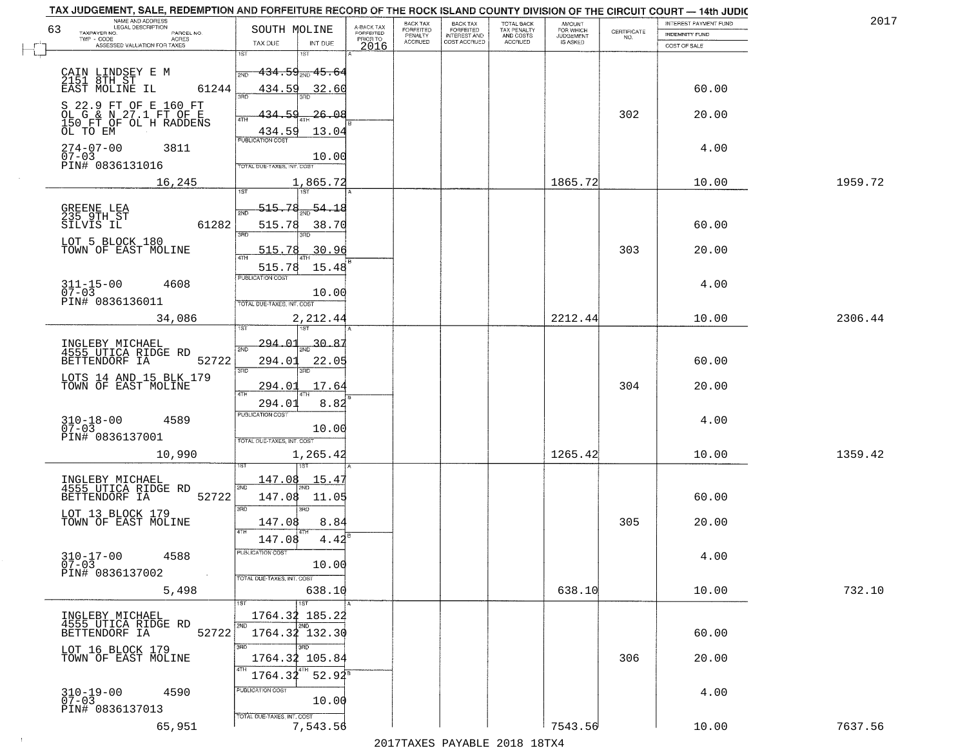|                                                            |                                                                                                                                                                                                                                                                                                                                                                                                                                                                                                                                                                                                                                                                                                                                                                                                                                                                                 |                                                                                                                                                                                                                                                                                                                                                                                                                                                                                                                  |                                              |                                  |                                              |                                                    |                                                                   |                    | 201                                                                                                                                                                                                                                                                                                             |
|------------------------------------------------------------|---------------------------------------------------------------------------------------------------------------------------------------------------------------------------------------------------------------------------------------------------------------------------------------------------------------------------------------------------------------------------------------------------------------------------------------------------------------------------------------------------------------------------------------------------------------------------------------------------------------------------------------------------------------------------------------------------------------------------------------------------------------------------------------------------------------------------------------------------------------------------------|------------------------------------------------------------------------------------------------------------------------------------------------------------------------------------------------------------------------------------------------------------------------------------------------------------------------------------------------------------------------------------------------------------------------------------------------------------------------------------------------------------------|----------------------------------------------|----------------------------------|----------------------------------------------|----------------------------------------------------|-------------------------------------------------------------------|--------------------|-----------------------------------------------------------------------------------------------------------------------------------------------------------------------------------------------------------------------------------------------------------------------------------------------------------------|
|                                                            | SOUTH MOLINE                                                                                                                                                                                                                                                                                                                                                                                                                                                                                                                                                                                                                                                                                                                                                                                                                                                                    |                                                                                                                                                                                                                                                                                                                                                                                                                                                                                                                  |                                              |                                  |                                              | <b>AMOUNT</b>                                      |                                                                   |                    |                                                                                                                                                                                                                                                                                                                 |
| TWP - CODE<br><b>ACRES</b><br>ASSESSED VALUATION FOR TAXES | INT DUE<br>TAX DUE                                                                                                                                                                                                                                                                                                                                                                                                                                                                                                                                                                                                                                                                                                                                                                                                                                                              | PRIOR TO                                                                                                                                                                                                                                                                                                                                                                                                                                                                                                         | <b>ACCRUED</b>                               | COST ACCRUED                     | ACCRUED                                      | IS ASKED                                           |                                                                   |                    |                                                                                                                                                                                                                                                                                                                 |
|                                                            | 1ST                                                                                                                                                                                                                                                                                                                                                                                                                                                                                                                                                                                                                                                                                                                                                                                                                                                                             |                                                                                                                                                                                                                                                                                                                                                                                                                                                                                                                  |                                              |                                  |                                              |                                                    |                                                                   |                    |                                                                                                                                                                                                                                                                                                                 |
|                                                            | <del>-434․59<sub>2№</sub> 45․6</del> 4<br>2ND                                                                                                                                                                                                                                                                                                                                                                                                                                                                                                                                                                                                                                                                                                                                                                                                                                   |                                                                                                                                                                                                                                                                                                                                                                                                                                                                                                                  |                                              |                                  |                                              |                                                    |                                                                   |                    |                                                                                                                                                                                                                                                                                                                 |
|                                                            |                                                                                                                                                                                                                                                                                                                                                                                                                                                                                                                                                                                                                                                                                                                                                                                                                                                                                 |                                                                                                                                                                                                                                                                                                                                                                                                                                                                                                                  |                                              |                                  |                                              |                                                    |                                                                   |                    |                                                                                                                                                                                                                                                                                                                 |
|                                                            | 350                                                                                                                                                                                                                                                                                                                                                                                                                                                                                                                                                                                                                                                                                                                                                                                                                                                                             |                                                                                                                                                                                                                                                                                                                                                                                                                                                                                                                  |                                              |                                  |                                              |                                                    |                                                                   |                    |                                                                                                                                                                                                                                                                                                                 |
|                                                            | 59<br>434.<br>26.08                                                                                                                                                                                                                                                                                                                                                                                                                                                                                                                                                                                                                                                                                                                                                                                                                                                             |                                                                                                                                                                                                                                                                                                                                                                                                                                                                                                                  |                                              |                                  |                                              |                                                    | 302                                                               | 20.00              |                                                                                                                                                                                                                                                                                                                 |
|                                                            |                                                                                                                                                                                                                                                                                                                                                                                                                                                                                                                                                                                                                                                                                                                                                                                                                                                                                 |                                                                                                                                                                                                                                                                                                                                                                                                                                                                                                                  |                                              |                                  |                                              |                                                    |                                                                   |                    |                                                                                                                                                                                                                                                                                                                 |
|                                                            | PUBLICATION COST                                                                                                                                                                                                                                                                                                                                                                                                                                                                                                                                                                                                                                                                                                                                                                                                                                                                |                                                                                                                                                                                                                                                                                                                                                                                                                                                                                                                  |                                              |                                  |                                              |                                                    |                                                                   |                    |                                                                                                                                                                                                                                                                                                                 |
| $07 - 03$                                                  | 10.00                                                                                                                                                                                                                                                                                                                                                                                                                                                                                                                                                                                                                                                                                                                                                                                                                                                                           |                                                                                                                                                                                                                                                                                                                                                                                                                                                                                                                  |                                              |                                  |                                              |                                                    |                                                                   |                    |                                                                                                                                                                                                                                                                                                                 |
|                                                            |                                                                                                                                                                                                                                                                                                                                                                                                                                                                                                                                                                                                                                                                                                                                                                                                                                                                                 |                                                                                                                                                                                                                                                                                                                                                                                                                                                                                                                  |                                              |                                  |                                              |                                                    |                                                                   |                    |                                                                                                                                                                                                                                                                                                                 |
|                                                            |                                                                                                                                                                                                                                                                                                                                                                                                                                                                                                                                                                                                                                                                                                                                                                                                                                                                                 |                                                                                                                                                                                                                                                                                                                                                                                                                                                                                                                  |                                              |                                  |                                              |                                                    |                                                                   |                    | 1959.72                                                                                                                                                                                                                                                                                                         |
|                                                            |                                                                                                                                                                                                                                                                                                                                                                                                                                                                                                                                                                                                                                                                                                                                                                                                                                                                                 |                                                                                                                                                                                                                                                                                                                                                                                                                                                                                                                  |                                              |                                  |                                              |                                                    |                                                                   |                    |                                                                                                                                                                                                                                                                                                                 |
|                                                            |                                                                                                                                                                                                                                                                                                                                                                                                                                                                                                                                                                                                                                                                                                                                                                                                                                                                                 |                                                                                                                                                                                                                                                                                                                                                                                                                                                                                                                  |                                              |                                  |                                              |                                                    |                                                                   |                    |                                                                                                                                                                                                                                                                                                                 |
|                                                            | 3RD                                                                                                                                                                                                                                                                                                                                                                                                                                                                                                                                                                                                                                                                                                                                                                                                                                                                             |                                                                                                                                                                                                                                                                                                                                                                                                                                                                                                                  |                                              |                                  |                                              |                                                    |                                                                   |                    |                                                                                                                                                                                                                                                                                                                 |
| TOWN OF EAST MOLINE                                        | 515.78                                                                                                                                                                                                                                                                                                                                                                                                                                                                                                                                                                                                                                                                                                                                                                                                                                                                          |                                                                                                                                                                                                                                                                                                                                                                                                                                                                                                                  |                                              |                                  |                                              |                                                    | 303                                                               | 20.00              |                                                                                                                                                                                                                                                                                                                 |
|                                                            |                                                                                                                                                                                                                                                                                                                                                                                                                                                                                                                                                                                                                                                                                                                                                                                                                                                                                 |                                                                                                                                                                                                                                                                                                                                                                                                                                                                                                                  |                                              |                                  |                                              |                                                    |                                                                   |                    |                                                                                                                                                                                                                                                                                                                 |
|                                                            | <b>PUBLICATION COST</b>                                                                                                                                                                                                                                                                                                                                                                                                                                                                                                                                                                                                                                                                                                                                                                                                                                                         |                                                                                                                                                                                                                                                                                                                                                                                                                                                                                                                  |                                              |                                  |                                              |                                                    |                                                                   |                    |                                                                                                                                                                                                                                                                                                                 |
| $07 - 03$                                                  | 10.00                                                                                                                                                                                                                                                                                                                                                                                                                                                                                                                                                                                                                                                                                                                                                                                                                                                                           |                                                                                                                                                                                                                                                                                                                                                                                                                                                                                                                  |                                              |                                  |                                              |                                                    |                                                                   |                    |                                                                                                                                                                                                                                                                                                                 |
|                                                            |                                                                                                                                                                                                                                                                                                                                                                                                                                                                                                                                                                                                                                                                                                                                                                                                                                                                                 |                                                                                                                                                                                                                                                                                                                                                                                                                                                                                                                  |                                              |                                  |                                              |                                                    |                                                                   |                    |                                                                                                                                                                                                                                                                                                                 |
|                                                            |                                                                                                                                                                                                                                                                                                                                                                                                                                                                                                                                                                                                                                                                                                                                                                                                                                                                                 |                                                                                                                                                                                                                                                                                                                                                                                                                                                                                                                  |                                              |                                  |                                              |                                                    |                                                                   |                    | 2306.44                                                                                                                                                                                                                                                                                                         |
|                                                            |                                                                                                                                                                                                                                                                                                                                                                                                                                                                                                                                                                                                                                                                                                                                                                                                                                                                                 |                                                                                                                                                                                                                                                                                                                                                                                                                                                                                                                  |                                              |                                  |                                              |                                                    |                                                                   |                    |                                                                                                                                                                                                                                                                                                                 |
|                                                            |                                                                                                                                                                                                                                                                                                                                                                                                                                                                                                                                                                                                                                                                                                                                                                                                                                                                                 |                                                                                                                                                                                                                                                                                                                                                                                                                                                                                                                  |                                              |                                  |                                              |                                                    |                                                                   |                    |                                                                                                                                                                                                                                                                                                                 |
|                                                            | 3RD<br>3RD                                                                                                                                                                                                                                                                                                                                                                                                                                                                                                                                                                                                                                                                                                                                                                                                                                                                      |                                                                                                                                                                                                                                                                                                                                                                                                                                                                                                                  |                                              |                                  |                                              |                                                    |                                                                   |                    |                                                                                                                                                                                                                                                                                                                 |
|                                                            | 17.64<br>294.01                                                                                                                                                                                                                                                                                                                                                                                                                                                                                                                                                                                                                                                                                                                                                                                                                                                                 |                                                                                                                                                                                                                                                                                                                                                                                                                                                                                                                  |                                              |                                  |                                              |                                                    | 304                                                               |                    |                                                                                                                                                                                                                                                                                                                 |
|                                                            |                                                                                                                                                                                                                                                                                                                                                                                                                                                                                                                                                                                                                                                                                                                                                                                                                                                                                 |                                                                                                                                                                                                                                                                                                                                                                                                                                                                                                                  |                                              |                                  |                                              |                                                    |                                                                   |                    |                                                                                                                                                                                                                                                                                                                 |
|                                                            | <b>PUBLICATION COST</b>                                                                                                                                                                                                                                                                                                                                                                                                                                                                                                                                                                                                                                                                                                                                                                                                                                                         |                                                                                                                                                                                                                                                                                                                                                                                                                                                                                                                  |                                              |                                  |                                              |                                                    |                                                                   |                    |                                                                                                                                                                                                                                                                                                                 |
|                                                            | 10.00                                                                                                                                                                                                                                                                                                                                                                                                                                                                                                                                                                                                                                                                                                                                                                                                                                                                           |                                                                                                                                                                                                                                                                                                                                                                                                                                                                                                                  |                                              |                                  |                                              |                                                    |                                                                   |                    |                                                                                                                                                                                                                                                                                                                 |
|                                                            | TOTAL OUE-TAXES, INT. COST                                                                                                                                                                                                                                                                                                                                                                                                                                                                                                                                                                                                                                                                                                                                                                                                                                                      |                                                                                                                                                                                                                                                                                                                                                                                                                                                                                                                  |                                              |                                  |                                              |                                                    |                                                                   |                    |                                                                                                                                                                                                                                                                                                                 |
|                                                            |                                                                                                                                                                                                                                                                                                                                                                                                                                                                                                                                                                                                                                                                                                                                                                                                                                                                                 |                                                                                                                                                                                                                                                                                                                                                                                                                                                                                                                  |                                              |                                  |                                              |                                                    |                                                                   |                    | 1359.42                                                                                                                                                                                                                                                                                                         |
|                                                            |                                                                                                                                                                                                                                                                                                                                                                                                                                                                                                                                                                                                                                                                                                                                                                                                                                                                                 |                                                                                                                                                                                                                                                                                                                                                                                                                                                                                                                  |                                              |                                  |                                              |                                                    |                                                                   |                    |                                                                                                                                                                                                                                                                                                                 |
|                                                            | 2ND                                                                                                                                                                                                                                                                                                                                                                                                                                                                                                                                                                                                                                                                                                                                                                                                                                                                             |                                                                                                                                                                                                                                                                                                                                                                                                                                                                                                                  |                                              |                                  |                                              |                                                    |                                                                   |                    |                                                                                                                                                                                                                                                                                                                 |
|                                                            | 3RD<br>3BD                                                                                                                                                                                                                                                                                                                                                                                                                                                                                                                                                                                                                                                                                                                                                                                                                                                                      |                                                                                                                                                                                                                                                                                                                                                                                                                                                                                                                  |                                              |                                  |                                              |                                                    |                                                                   |                    |                                                                                                                                                                                                                                                                                                                 |
| TOWN OF EAST MOLINE                                        | 147.08<br>8.84                                                                                                                                                                                                                                                                                                                                                                                                                                                                                                                                                                                                                                                                                                                                                                                                                                                                  |                                                                                                                                                                                                                                                                                                                                                                                                                                                                                                                  |                                              |                                  |                                              |                                                    | 305                                                               | 20.00              |                                                                                                                                                                                                                                                                                                                 |
|                                                            |                                                                                                                                                                                                                                                                                                                                                                                                                                                                                                                                                                                                                                                                                                                                                                                                                                                                                 |                                                                                                                                                                                                                                                                                                                                                                                                                                                                                                                  |                                              |                                  |                                              |                                                    |                                                                   |                    |                                                                                                                                                                                                                                                                                                                 |
|                                                            | PUBLICATION COS                                                                                                                                                                                                                                                                                                                                                                                                                                                                                                                                                                                                                                                                                                                                                                                                                                                                 |                                                                                                                                                                                                                                                                                                                                                                                                                                                                                                                  |                                              |                                  |                                              |                                                    |                                                                   |                    |                                                                                                                                                                                                                                                                                                                 |
| 07-03                                                      | 10.00                                                                                                                                                                                                                                                                                                                                                                                                                                                                                                                                                                                                                                                                                                                                                                                                                                                                           |                                                                                                                                                                                                                                                                                                                                                                                                                                                                                                                  |                                              |                                  |                                              |                                                    |                                                                   |                    |                                                                                                                                                                                                                                                                                                                 |
|                                                            |                                                                                                                                                                                                                                                                                                                                                                                                                                                                                                                                                                                                                                                                                                                                                                                                                                                                                 |                                                                                                                                                                                                                                                                                                                                                                                                                                                                                                                  |                                              |                                  |                                              |                                                    |                                                                   |                    |                                                                                                                                                                                                                                                                                                                 |
|                                                            |                                                                                                                                                                                                                                                                                                                                                                                                                                                                                                                                                                                                                                                                                                                                                                                                                                                                                 |                                                                                                                                                                                                                                                                                                                                                                                                                                                                                                                  |                                              |                                  |                                              |                                                    |                                                                   |                    | 732.10                                                                                                                                                                                                                                                                                                          |
|                                                            |                                                                                                                                                                                                                                                                                                                                                                                                                                                                                                                                                                                                                                                                                                                                                                                                                                                                                 |                                                                                                                                                                                                                                                                                                                                                                                                                                                                                                                  |                                              |                                  |                                              |                                                    |                                                                   |                    |                                                                                                                                                                                                                                                                                                                 |
|                                                            | 2ND<br>2ND                                                                                                                                                                                                                                                                                                                                                                                                                                                                                                                                                                                                                                                                                                                                                                                                                                                                      |                                                                                                                                                                                                                                                                                                                                                                                                                                                                                                                  |                                              |                                  |                                              |                                                    |                                                                   |                    |                                                                                                                                                                                                                                                                                                                 |
|                                                            | 3RD<br>חחו                                                                                                                                                                                                                                                                                                                                                                                                                                                                                                                                                                                                                                                                                                                                                                                                                                                                      |                                                                                                                                                                                                                                                                                                                                                                                                                                                                                                                  |                                              |                                  |                                              |                                                    |                                                                   |                    |                                                                                                                                                                                                                                                                                                                 |
| TOWN OF EAST MOLINE                                        | 1764.32 105.84                                                                                                                                                                                                                                                                                                                                                                                                                                                                                                                                                                                                                                                                                                                                                                                                                                                                  |                                                                                                                                                                                                                                                                                                                                                                                                                                                                                                                  |                                              |                                  |                                              |                                                    | 306                                                               | 20.00              |                                                                                                                                                                                                                                                                                                                 |
|                                                            | 4TH<br>l 4TH.<br>1764.32                                                                                                                                                                                                                                                                                                                                                                                                                                                                                                                                                                                                                                                                                                                                                                                                                                                        |                                                                                                                                                                                                                                                                                                                                                                                                                                                                                                                  |                                              |                                  |                                              |                                                    |                                                                   |                    |                                                                                                                                                                                                                                                                                                                 |
| 4590                                                       | PUBLICATION COST                                                                                                                                                                                                                                                                                                                                                                                                                                                                                                                                                                                                                                                                                                                                                                                                                                                                |                                                                                                                                                                                                                                                                                                                                                                                                                                                                                                                  |                                              |                                  |                                              |                                                    |                                                                   | 4.00               |                                                                                                                                                                                                                                                                                                                 |
|                                                            |                                                                                                                                                                                                                                                                                                                                                                                                                                                                                                                                                                                                                                                                                                                                                                                                                                                                                 |                                                                                                                                                                                                                                                                                                                                                                                                                                                                                                                  |                                              |                                  |                                              |                                                    |                                                                   |                    |                                                                                                                                                                                                                                                                                                                 |
| 65,951                                                     |                                                                                                                                                                                                                                                                                                                                                                                                                                                                                                                                                                                                                                                                                                                                                                                                                                                                                 |                                                                                                                                                                                                                                                                                                                                                                                                                                                                                                                  |                                              |                                  |                                              | 7543.56                                            |                                                                   | 10.00              | 7637.56                                                                                                                                                                                                                                                                                                         |
|                                                            | NAME AND ADDRESS<br>LEGAL DESCRIPTION<br>63<br>TAXPAYER NO.<br>PARCEL NO.<br>CAIN LINDSEY E M<br>2151 8TH ST<br>EAST MOLINE IL<br>61244<br>S 22.9 FT OF E 160 FT<br>OL G & N 27.1 FT OF E<br>150 FT OF OL H RADDENS<br>OL TO EM<br>$274 - 07 - 00$<br>3811<br>PIN# 0836131016<br>16,245<br>GREENE LEA<br>235 9TH ST<br>SILVIS IL<br>LOT 5 BLOCK 180<br>$311 - 15 - 00$<br>4608<br>PIN# 0836136011<br>34,086<br>INGLEBY MICHAEL<br>4555 UTICA RIDGE RD<br>BETTENDORF IA<br>LOTS 14 AND 15 BLK 179<br>TOWN OF EAST MOLINE<br>$310 - 18 - 00$<br>07-03<br>4589<br>PIN# 0836137001<br>10,990<br>INGLEBY MICHAEL<br>4555 UTICA RIDGE RD<br>52722<br>BETTENDORF IA<br>LOT 13 BLOCK 179<br>$310 - 17 - 00$<br>4588<br>PIN# 0836137002<br>$\sim$<br>5,498<br>INGLEBY MICHAEL<br>4555 UTICA RIDGE RD<br>BETTENDORF IA<br>LOT 16 BLOCK 179<br>$310 - 19 - 00$<br>07-03<br>PIN# 0836137013 | 434.59<br>32.60<br>13.04<br>434.59<br>TOTAL DUE-TAXES, INT. COST<br>1,865.72<br>515.78<br>54.18<br>2ND<br>61282<br>515.78<br>38.70<br>30.96<br>15.48<br>515.78<br>TOTAL DUE-TAXES, INT. COST<br>2,212.44<br>294.01<br>$30 - 8$<br>2ND<br>52722<br>294.01<br>22.05<br>4TH<br>8.82<br>294.03<br>1,265.42<br>147.08<br><u> 15.41</u><br>147.08<br>11.05<br>4TH<br>147.08<br>4.42<br>TOTAL DUE-TAXES, INT. COST<br>638.10<br>1ST<br>1764.32 185.22<br>52722<br>1764.32 132.30<br>10.00<br>TOTAL DUE-TAXES, INT. COST | A-BACK TAX<br>FORFEITED<br>2016<br>$52.92^8$ | BACK TAX<br>FORFEITED<br>PENALTY | BACK TAX<br>FORFEITED<br><b>INTEREST AND</b> | TOTAL BACK<br>TAX PENALTY<br>AND COSTS<br>7,543.56 | FOR WHICH<br>JUDGEMENT<br>1865.72<br>2212.44<br>1265.42<br>638.10 | CERTIFICATE<br>NO. | TAX JUDGEMENT, SALE, REDEMPTION AND FORFEITURE RECORD OF THE ROCK ISLAND COUNTY DIVISION OF THE CIRCUIT COURT - 14th JUDIC<br>INTEREST PAYMENT FUND<br>INDEMNITY FUND<br>COST OF SALE<br>60.00<br>4.00<br>10.00<br>60.00<br>4.00<br>10.00<br>60.00<br>20.00<br>4.00<br>10.00<br>60.00<br>4.00<br>10.00<br>60.00 |

 $\sim 10^{-1}$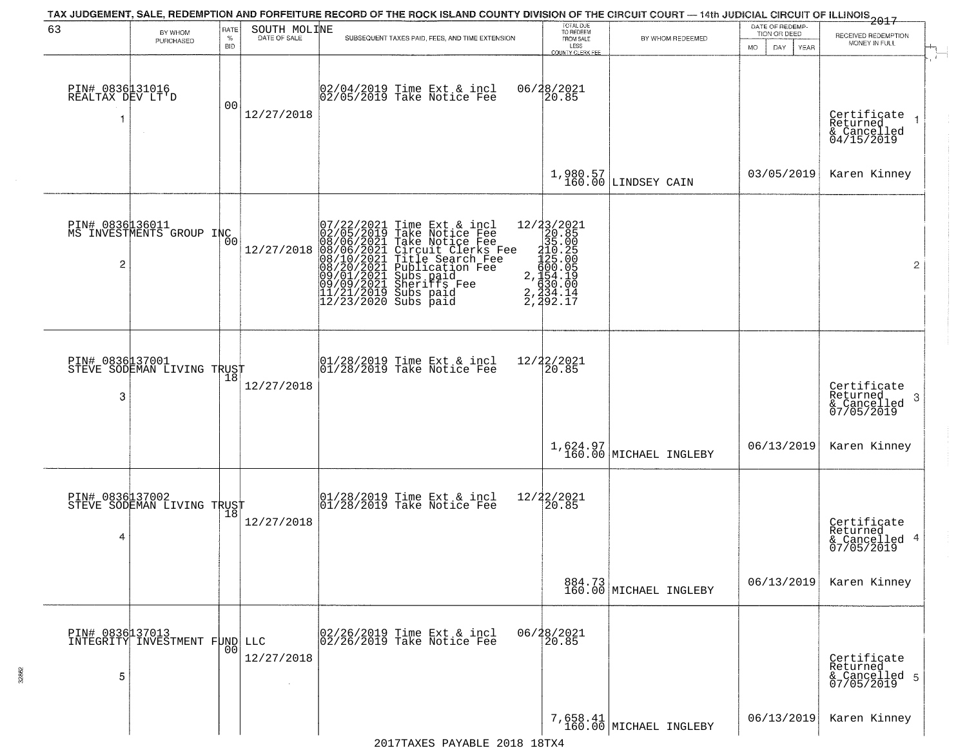| 63                                  | BY WHOM<br>PURCHASED                          | RATE<br>%      | SOUTH MOLINE<br>DATE OF SALE | SUBSEQUENT TAXES PAID, FEES, AND TIME EXTENSION                                                                                                                                                                                                                                                                                                                                                                                                                                                                                                                                                             | TOTAL DUE<br>TO REDEEM<br>FROM SALE                                                                             | BY WHOM REDEEMED                   | DATE OF REDEMP-<br>TION OR DEED | -------------<br>2017<br>RECEIVED REDEMPTION<br>MONEY IN FULL |
|-------------------------------------|-----------------------------------------------|----------------|------------------------------|-------------------------------------------------------------------------------------------------------------------------------------------------------------------------------------------------------------------------------------------------------------------------------------------------------------------------------------------------------------------------------------------------------------------------------------------------------------------------------------------------------------------------------------------------------------------------------------------------------------|-----------------------------------------------------------------------------------------------------------------|------------------------------------|---------------------------------|---------------------------------------------------------------|
|                                     |                                               | BID            |                              |                                                                                                                                                                                                                                                                                                                                                                                                                                                                                                                                                                                                             | LESS<br><b>COUNTY CLERK FEE</b>                                                                                 |                                    | MO.<br>DAY.<br>YEAR             |                                                               |
| PIN# 0836131016<br>REALTAX DEV LT'D |                                               | 00             | 12/27/2018                   | 02/04/2019 Time Ext & incl<br>02/05/2019 Take Notice Fee                                                                                                                                                                                                                                                                                                                                                                                                                                                                                                                                                    | 06/28/2021<br>20.85                                                                                             |                                    |                                 | Certificate $_1$<br>Returned<br>& Cancelled<br>04/15/2019     |
|                                     |                                               |                |                              |                                                                                                                                                                                                                                                                                                                                                                                                                                                                                                                                                                                                             |                                                                                                                 | $1,980.57$ LINDSEY CAIN            | 03/05/2019                      | Karen Kinney                                                  |
| $\overline{c}$                      | PIN# 0836136011<br>MS INVESTMENTS GROUP INC   | 0 <sup>0</sup> | 12/27/2018                   | $\begin{array}{cccc} 07/22/2021 & \text{Time Ext} & 8 \\ 02/05/2019 & \text{Take Notice} \\ 08/06/2021 & \text{Take Notice} \\ 08/06/2021 & \text{Circle Notic Cl} \\ 08/10/2021 & \text{Title} & \text{Search} \\ 08/20/2021 & \text{Publicatic} \\ 09/09/2021 & \text{Sublicatic} \\ 09/09/2021 & \text{Sherists } & \text{F} \\ 11/21/2019 & \text{Subs paid} \\ 12/23/2020 & \text{Subs paid} \end{$<br>Time Ext & incl<br>Take Notice Fee<br>Take Notice Fee<br>Circuit Clerks Fee<br>Title Search Fee<br>Publication Fee<br>Subs paid<br>Sheriffs Fee<br>Subs paid<br>$\overline{2}$<br>$\frac{2}{2}$ | 12/23/2021<br>20.85<br>35.00<br>$125.25$<br>$425.005$<br>$690.05$<br>$694.19$<br>$630.00$<br>$634.14$<br>392.17 |                                    |                                 | $\bar{z}$                                                     |
| PIN# 0836137001<br>3                | PIN# 0836437001<br>STEVE SODEMAN LIVING TRUST |                | 12/27/2018                   | $ 01/28/2019$ Time Ext & incl<br>$ 01/28/2019$ Take Notice Fee                                                                                                                                                                                                                                                                                                                                                                                                                                                                                                                                              | 12/22/2021<br>20.85                                                                                             |                                    |                                 | Certificate<br>Returned<br>3<br>& Cancelled<br>07/05/2019     |
|                                     |                                               |                |                              |                                                                                                                                                                                                                                                                                                                                                                                                                                                                                                                                                                                                             |                                                                                                                 | 1,624.97<br>160.00 MICHAEL INGLEBY | 06/13/2019                      | Karen Kinney                                                  |
| PIN# 0836137002<br>4                | STEVE SODEMAN LIVING TRUST                    | 18             | 12/27/2018                   | 01/28/2019 Time Ext & incl<br>01/28/2019 Take Notice Fee                                                                                                                                                                                                                                                                                                                                                                                                                                                                                                                                                    | 12/22/2021<br>20.85                                                                                             |                                    |                                 | Certificate<br>Returned<br>& Cancelled 4<br>07/05/2019        |
|                                     |                                               |                |                              |                                                                                                                                                                                                                                                                                                                                                                                                                                                                                                                                                                                                             |                                                                                                                 | 884.73<br>160.00 MICHAEL INGLEBY   | 06/13/2019                      | Karen Kinney                                                  |
| 5                                   | PIN# 0836137013<br>INTEGRITY INVESTMENT FUND  | 0 <sub>0</sub> | LLC<br>12/27/2018            | 02/26/2019 Time Ext & incl<br>02/26/2019 Take Notice Fee                                                                                                                                                                                                                                                                                                                                                                                                                                                                                                                                                    | 06/28/2021<br>20.85                                                                                             |                                    |                                 | Certificate<br>Returned<br>& Cancelled 5<br>07/05/2019        |
|                                     |                                               |                |                              |                                                                                                                                                                                                                                                                                                                                                                                                                                                                                                                                                                                                             |                                                                                                                 | 7,658.41<br>160.00 MICHAEL INGLEBY | 06/13/2019                      | Karen Kinney                                                  |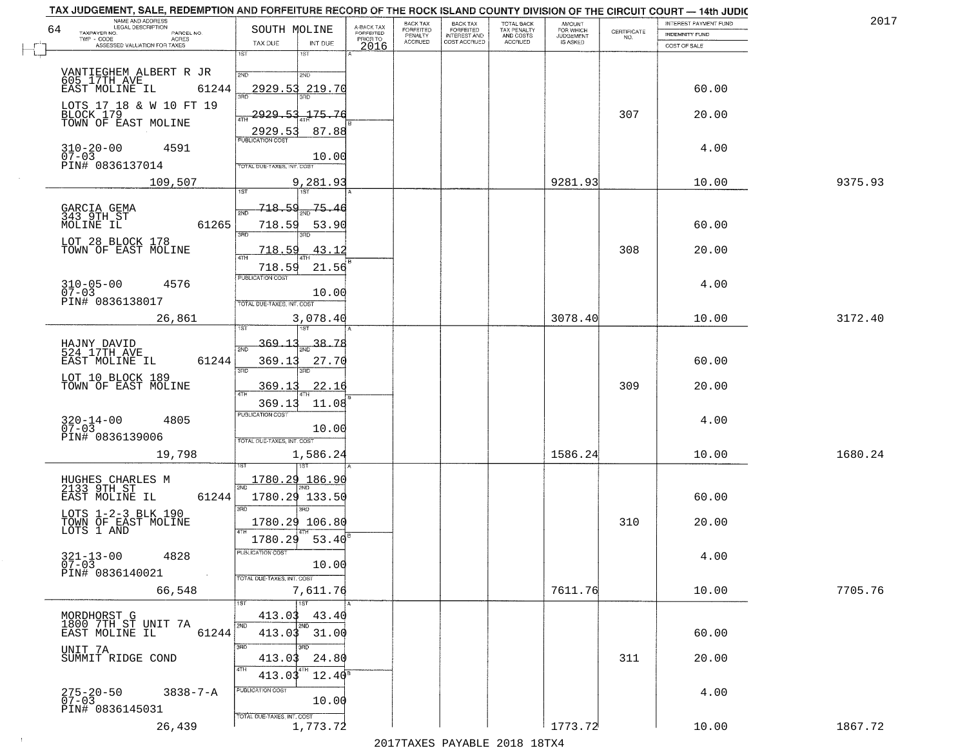| NAME AND ADDRESS<br>LEGAL DESCRIPTION<br>64 | SOUTH MOLINE                                |                                     | BACK TAX<br>FORFEITED | <b>BACK TAX</b><br>FORFEITED        | TOTAL BACK<br>TAX PENALTY<br>AND COSTS | AMOUNT<br>FOR WHICH          |                                                                 | INTEREST PAYMENT FUND | 2017    |
|---------------------------------------------|---------------------------------------------|-------------------------------------|-----------------------|-------------------------------------|----------------------------------------|------------------------------|-----------------------------------------------------------------|-----------------------|---------|
| TAXPAYER NO.<br>PARCEL NO.<br>ACRES         |                                             | A-BACK TAX<br>FORFEITED<br>PRIOR TO | PENALTY<br>ACCRUED    | <b>INTEREST AND</b><br>COST ACCRUED | ACCRUED                                | <b>JUDGEMENT</b><br>IS ASKED | $\begin{array}{c} \text{CERTIFICATE} \\ \text{NO.} \end{array}$ | INDEMNITY FUND        |         |
| ASSESSED VALUATION FOR TAXES                | TAX DUE<br>INT DUE<br>1ST<br>1ST            | 2016                                |                       |                                     |                                        |                              |                                                                 | COST OF SALE          |         |
|                                             |                                             |                                     |                       |                                     |                                        |                              |                                                                 |                       |         |
|                                             | 2ND<br>2ND                                  |                                     |                       |                                     |                                        |                              |                                                                 |                       |         |
| 61244<br>EAST MOLINE IL                     | 2929.53<br>219.70                           |                                     |                       |                                     |                                        |                              |                                                                 | 60.00                 |         |
| LOTS 17 18 & W 10 FT 19<br>BLOCK 179        | 2929.53<br>175.76                           |                                     |                       |                                     |                                        |                              | 307                                                             | 20.00                 |         |
| TOWN OF EAST MOLINE                         |                                             |                                     |                       |                                     |                                        |                              |                                                                 |                       |         |
|                                             | 2929.53<br>87.88<br><b>PUBLICATION COST</b> |                                     |                       |                                     |                                        |                              |                                                                 |                       |         |
| $310 - 20 - 00$<br>07-03<br>4591            | 10.00                                       |                                     |                       |                                     |                                        |                              |                                                                 | 4.00                  |         |
| PIN# 0836137014                             | TOTAL DUE-TAXES, INT. COST                  |                                     |                       |                                     |                                        |                              |                                                                 |                       |         |
| 109,507                                     | 9,281.93                                    |                                     |                       |                                     |                                        | 9281.93                      |                                                                 | 10.00                 | 9375.93 |
|                                             |                                             |                                     |                       |                                     |                                        |                              |                                                                 |                       |         |
| GARCIA GEMA<br>343 9TH ST                   | <u>718.54</u><br>75.46<br>2ND               |                                     |                       |                                     |                                        |                              |                                                                 |                       |         |
| MOLINE IL<br>61265                          | 718.59<br>53.90<br>3RD                      |                                     |                       |                                     |                                        |                              |                                                                 | 60.00                 |         |
| LOT 28 BLOCK 178<br>TOWN OF EAST MOLINE     | 718.59<br>43.12                             |                                     |                       |                                     |                                        |                              | 308                                                             | 20.00                 |         |
|                                             | 47H                                         |                                     |                       |                                     |                                        |                              |                                                                 |                       |         |
|                                             | 21.56<br>718.59<br>PUBLICATION COST         |                                     |                       |                                     |                                        |                              |                                                                 |                       |         |
| $310 - 05 - 00$<br>07-03<br>4576            | 10.00                                       |                                     |                       |                                     |                                        |                              |                                                                 | 4.00                  |         |
| PIN# 0836138017                             | TOTAL DUE-TAXES, INT. COST                  |                                     |                       |                                     |                                        |                              |                                                                 |                       |         |
| 26,861                                      | 3,078.40<br>1ST                             |                                     |                       |                                     |                                        | 3078.40                      |                                                                 | 10.00                 | 3172.40 |
|                                             |                                             |                                     |                       |                                     |                                        |                              |                                                                 |                       |         |
| HAJNY DAVID<br>524 17TH AVE                 | <u>369.13</u><br>38.78<br>2ND               |                                     |                       |                                     |                                        |                              |                                                                 |                       |         |
| EAST MOLINE IL<br>61244                     | 369.13<br>27.70<br>3RD<br>3RD               |                                     |                       |                                     |                                        |                              |                                                                 | 60.00                 |         |
| LOT 10 BLOCK 189<br>TOWN OF EAST MOLINE     | 369.13<br><u>22.16</u>                      |                                     |                       |                                     |                                        |                              | 309                                                             | 20.00                 |         |
|                                             | 4TH<br>369.13<br>11.08                      |                                     |                       |                                     |                                        |                              |                                                                 |                       |         |
|                                             | <b>PUBLICATION COST</b>                     |                                     |                       |                                     |                                        |                              |                                                                 |                       |         |
| $320 - 14 - 00$<br>07-03<br>4805            | 10.00                                       |                                     |                       |                                     |                                        |                              |                                                                 | 4.00                  |         |
| PIN# 0836139006                             | TOTAL OUE-TAXES, INT. COST                  |                                     |                       |                                     |                                        |                              |                                                                 |                       |         |
| 19,798                                      | 1,586.24                                    |                                     |                       |                                     |                                        | 1586.24                      |                                                                 | 10.00                 | 1680.24 |
|                                             |                                             |                                     |                       |                                     |                                        |                              |                                                                 |                       |         |
| HUGHES CHARLES M<br>2133 9TH ST             | 1780.29 186.90                              |                                     |                       |                                     |                                        |                              |                                                                 |                       |         |
| EAST MOLINE IL<br>61244                     | 1780.29 133.50<br>3BD<br>3BD                |                                     |                       |                                     |                                        |                              |                                                                 | 60.00                 |         |
| LOTS 1-2-3 BLK 190                          | 1780.29 106.80                              |                                     |                       |                                     |                                        |                              | 310                                                             | 20.00                 |         |
| TOWN OF EAST MOLINE<br>LOTS 1 AND           | 4TH<br>1780.29<br>53.40                     |                                     |                       |                                     |                                        |                              |                                                                 |                       |         |
|                                             | PUBLICA HUN CUS                             |                                     |                       |                                     |                                        |                              |                                                                 |                       |         |
| $321 - 13 - 00$<br>07-03<br>4828            | 10.00                                       |                                     |                       |                                     |                                        |                              |                                                                 | 4.00                  |         |
| PIN# 0836140021<br>$\sim 100$               | TOTAL DUE-TAXES, INT. COST                  |                                     |                       |                                     |                                        |                              |                                                                 |                       |         |
| 66,548                                      | 7,611.76                                    |                                     |                       |                                     |                                        | 7611.76                      |                                                                 | 10.00                 | 7705.76 |
| MORDHORST G                                 | 1ST<br>1ST<br>413.03                        |                                     |                       |                                     |                                        |                              |                                                                 |                       |         |
| 1800 7TH ST UNIT 7A<br>EAST MOLINE IL       | 43.40<br>2ND<br>2ND                         |                                     |                       |                                     |                                        |                              |                                                                 |                       |         |
| 61244                                       | 413.03 31.00                                |                                     |                       |                                     |                                        |                              |                                                                 | 60.00                 |         |
| UNIT 7A<br>SUMMIT RIDGE COND                | 3RD<br>3HD<br>413.03<br>24.80               |                                     |                       |                                     |                                        |                              | 311                                                             | 20.00                 |         |
|                                             | 4TH<br>$12.40^8$<br>413.03                  |                                     |                       |                                     |                                        |                              |                                                                 |                       |         |
|                                             | PUBLICATION COST                            |                                     |                       |                                     |                                        |                              |                                                                 |                       |         |
| 275-20-50<br>07-03<br>$3838 - 7 - A$        | 10.00                                       |                                     |                       |                                     |                                        |                              |                                                                 | 4.00                  |         |
| PIN# 0836145031                             | FOTAL DUE-TAXES, INT. COST                  |                                     |                       |                                     |                                        |                              |                                                                 |                       |         |
| 26,439                                      | 1,773.72                                    |                                     |                       |                                     |                                        | 1773.72                      |                                                                 | 10.00                 | 1867.72 |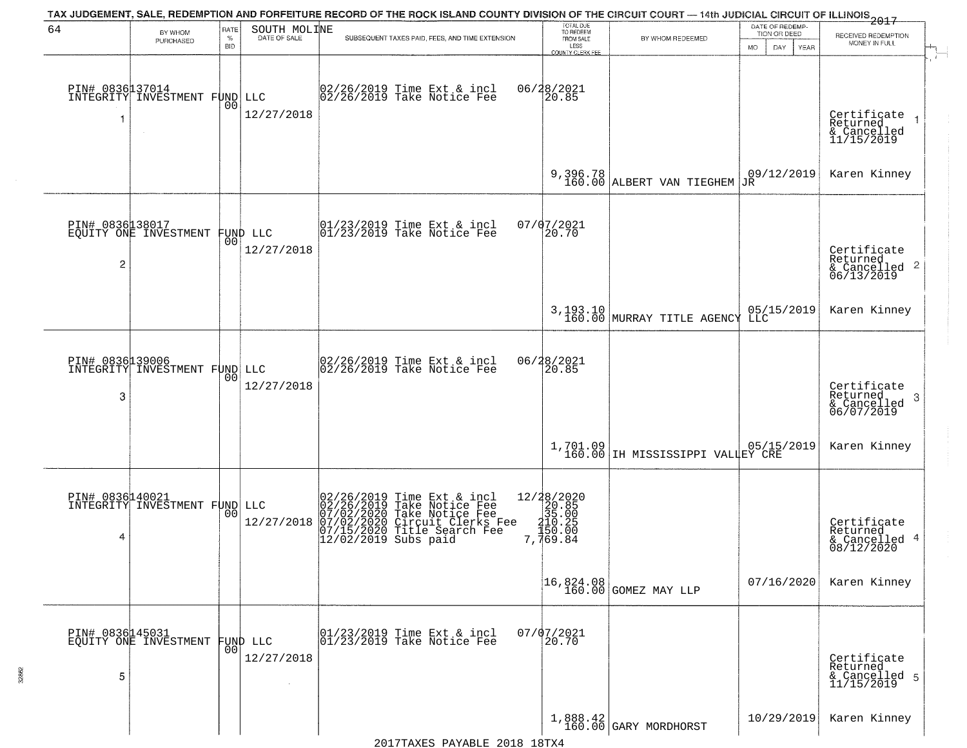| 64                   | BY WHOM<br>PURCHASED                             | RATE<br>$\%$<br><b>BID</b> | SOUTH MOLINE<br>DATE OF SALE | TAX JUDGEMENT, SALE, REDEMPTION AND FORFEITURE RECORD OF THE ROCK ISLAND COUNTY DIVISION OF THE CIRCUIT COURT — 14th JUDICIAL CIRCUIT OF ILLINOIS 2017<br>SUBSEQUENT TAXES PAID, FEES, AND TIME EXTENSION | TOTAL DUE<br>TO REDEEM<br>FROM SALE<br>LESS<br>COUNTY CLERK FEE | BY WHOM REDEEMED                             | DATE OF REDEMP-<br>TION OR DEED<br>DAY<br>MO.<br>YEAR | RECEIVED REDEMPTION<br>MONEY IN FULL                               |
|----------------------|--------------------------------------------------|----------------------------|------------------------------|-----------------------------------------------------------------------------------------------------------------------------------------------------------------------------------------------------------|-----------------------------------------------------------------|----------------------------------------------|-------------------------------------------------------|--------------------------------------------------------------------|
| 1                    | PIN# 0836137014<br>INTEGRITY INVESTMENT FUND     | 0 <sup>0</sup>             | LLC<br>12/27/2018            | 02/26/2019 Time Ext & incl<br>02/26/2019 Take Notice Fee                                                                                                                                                  | 06/28/2021<br>20.85                                             |                                              |                                                       | Certificate<br>Returned<br>& Cancelled<br>11/15/2019               |
|                      |                                                  |                            |                              |                                                                                                                                                                                                           |                                                                 | 9,396.78<br>160.00 ALBERT VAN TIEGHEM        | 09/12/2019<br><b>JR</b>                               | Karen Kinney                                                       |
| $\overline{c}$       | PIN# 0836138017<br>EQUITY ONE INVESTMENT         | 001                        | FUND LLC<br>12/27/2018       | $\begin{array}{cc}  01/23/2019 \text{ Time} & \text{Ext} & \text{incl} \\  01/23/2019 \text{ Take Notice } \text{Fe} \end{array}$                                                                         | 07/07/2021<br>20.70                                             |                                              |                                                       | Certificate<br>Returned<br>$\frac{1}{2}$ Cancelled 2<br>06/13/2019 |
|                      |                                                  |                            |                              |                                                                                                                                                                                                           |                                                                 | 3,193.10<br>160.00 MURRAY TITLE AGENCY       | 05/15/2019<br>LLC                                     | Karen Kinney                                                       |
| 3                    | PIN# 0836139006<br>INTEGRITY INVESTMENT FUND LLC | 0 <sub>0</sub>             | 12/27/2018                   | $\begin{bmatrix} 02/26/2019 & \text{Time Ext} & \text{incl} \\ 02/26/2019 & \text{Take Notice Fee} \end{bmatrix}$                                                                                         | 06/28/2021<br>20.85                                             |                                              |                                                       | Certificate<br>Returned<br>3<br>& Cancelled<br>06/07/2019          |
|                      |                                                  |                            |                              |                                                                                                                                                                                                           |                                                                 | 1,701.09<br>160.00 IH MISSISSIPPI VALLEY CRE |                                                       | Karen Kinney                                                       |
| PIN# 0836140021<br>4 | INTEGRITY INVESTMENT FUND LLC                    | 00                         | 12/27/2018                   | 02/26/2019 Time Ext & incl<br>02/26/2019 Take Notice Fee<br>07/02/2020 Take Notice Fee<br>07/02/2020 Circuit Clerks Fee<br>07/15/2020 Title Search Fee<br>12/02/2019 Subs paid                            | 7,769.84                                                        |                                              |                                                       | Certificate<br>Returned<br>& Cancelled 4<br>08/12/2020             |
|                      |                                                  |                            |                              |                                                                                                                                                                                                           |                                                                 | $16,824.08$<br>$160.00$ GOMEZ MAY LLP        | 07/16/2020                                            | Karen Kinney                                                       |
| 5                    | PIN# 0836145031<br>EQUITY ONE INVESTMENT         | 00                         | FUND LLC<br>12/27/2018       | 01/23/2019 Time Ext & incl<br>01/23/2019 Take Notice Fee                                                                                                                                                  | $07/07/2021$<br>20.70                                           |                                              |                                                       | Certificate<br>Returned<br>& Cancelled 5<br>11/15/2019             |
|                      |                                                  |                            |                              |                                                                                                                                                                                                           |                                                                 | $1,888.42$<br>160.00 GARY MORDHORST          | 10/29/2019                                            | Karen Kinney                                                       |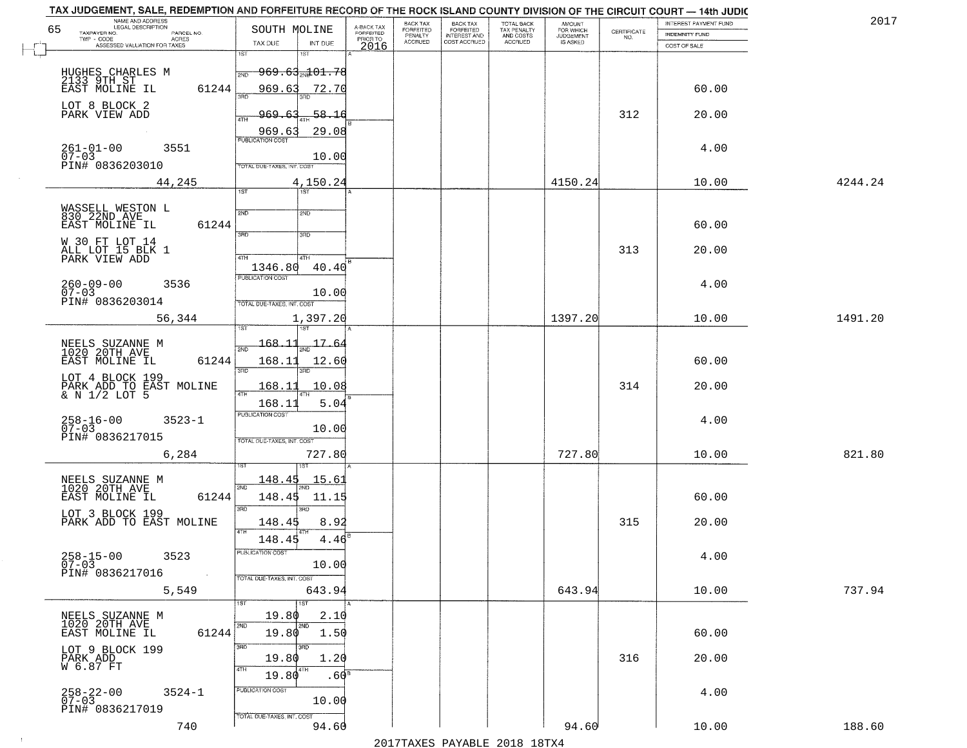|    | TAX JUDGEMENT, SALE, REDEMPTION AND FORFEITURE RECORD OF THE ROCK ISLAND COUNTY DIVISION OF THE CIRCUIT COURT - 14th JUDIC<br>NAME AND ADDRESS<br>LEGAL DESCRIPTION |                                             |                         | BACK TAX                    |                                       |                                        | AMOUNT<br>FOR WHICH |                                                                 | INTEREST PAYMENT FUND | 2017    |
|----|---------------------------------------------------------------------------------------------------------------------------------------------------------------------|---------------------------------------------|-------------------------|-----------------------------|---------------------------------------|----------------------------------------|---------------------|-----------------------------------------------------------------|-----------------------|---------|
| 65 | TAXPAYER NO.<br>PARCEL NO.                                                                                                                                          | SOUTH MOLINE                                | A-BACK TAX<br>FORFEITED | <b>FORFEITED</b><br>PENALTY | BACK TAX<br>FORFEITED<br>INTEREST AND | TOTAL BACK<br>TAX PENALTY<br>AND COSTS | <b>JUDGEMENT</b>    | $\begin{array}{c} \text{CERTIFICATE} \\ \text{NO.} \end{array}$ | <b>INDEMNITY FUND</b> |         |
|    | TWP - CODE<br>ACRES<br>ASSESSED VALUATION FOR TAXES                                                                                                                 | INT DUE<br>TAX DUE                          | PRIOR TO<br>2016        | <b>ACCRUED</b>              | COST ACCRUED                          | ACCRUED                                | IS ASKED            |                                                                 | COST OF SALE          |         |
|    |                                                                                                                                                                     | 1ST<br>1ST                                  |                         |                             |                                       |                                        |                     |                                                                 |                       |         |
|    | HUGHES CHARLES M                                                                                                                                                    | <del>969.63<sub>70</sub>101.78</del><br>2ND |                         |                             |                                       |                                        |                     |                                                                 |                       |         |
|    | 2133 9TH ST<br>EAST MOLINE IL                                                                                                                                       |                                             |                         |                             |                                       |                                        |                     |                                                                 |                       |         |
|    | 61244                                                                                                                                                               | 969.63<br>72.70                             |                         |                             |                                       |                                        |                     |                                                                 | 60.00                 |         |
|    | LOT 8 BLOCK 2                                                                                                                                                       |                                             |                         |                             |                                       |                                        |                     |                                                                 |                       |         |
|    | PARK VIEW ADD                                                                                                                                                       | $-58.16$<br>969.                            |                         |                             |                                       |                                        |                     | 312                                                             | 20.00                 |         |
|    |                                                                                                                                                                     | 29.08<br>969.63                             |                         |                             |                                       |                                        |                     |                                                                 |                       |         |
|    |                                                                                                                                                                     | <b>PUBLICATION COST</b>                     |                         |                             |                                       |                                        |                     |                                                                 |                       |         |
|    | $261 - 01 - 00$<br>07-03<br>3551                                                                                                                                    | 10.00                                       |                         |                             |                                       |                                        |                     |                                                                 | 4.00                  |         |
|    | PIN# 0836203010                                                                                                                                                     | TOTAL DUE-TAXES, INT. COST                  |                         |                             |                                       |                                        |                     |                                                                 |                       |         |
|    | 44,245                                                                                                                                                              | 4,150.24                                    |                         |                             |                                       |                                        | 4150.24             |                                                                 | 10.00                 | 4244.24 |
|    |                                                                                                                                                                     | 1ST                                         |                         |                             |                                       |                                        |                     |                                                                 |                       |         |
|    |                                                                                                                                                                     |                                             |                         |                             |                                       |                                        |                     |                                                                 |                       |         |
|    | WASSELL WESTON L<br>830 22ND AVE                                                                                                                                    | 2ND<br>2ND                                  |                         |                             |                                       |                                        |                     |                                                                 |                       |         |
|    | 61244<br>EAST MOLINE IL                                                                                                                                             | उन्नत<br>3RD                                |                         |                             |                                       |                                        |                     |                                                                 | 60.00                 |         |
|    | W 30 FT LOT 14                                                                                                                                                      |                                             |                         |                             |                                       |                                        |                     |                                                                 |                       |         |
|    | ALL LOT 15 BLK 1<br>PARK VIEW ADD                                                                                                                                   | 4TH<br>4TH                                  |                         |                             |                                       |                                        |                     | 313                                                             | 20.00                 |         |
|    |                                                                                                                                                                     | 1346.80<br>40.40                            |                         |                             |                                       |                                        |                     |                                                                 |                       |         |
|    |                                                                                                                                                                     | PUBLICATION COST                            |                         |                             |                                       |                                        |                     |                                                                 |                       |         |
|    | $260 - 09 - 00$<br>3536<br>$07 - 03$                                                                                                                                | 10.00                                       |                         |                             |                                       |                                        |                     |                                                                 | 4.00                  |         |
|    | PIN# 0836203014                                                                                                                                                     | TOTAL DUE-TAXES, INT. COST                  |                         |                             |                                       |                                        |                     |                                                                 |                       |         |
|    | 56,344                                                                                                                                                              | 1,397.20                                    |                         |                             |                                       |                                        | 1397.20             |                                                                 | 10.00                 | 1491.20 |
|    |                                                                                                                                                                     | 1ST                                         |                         |                             |                                       |                                        |                     |                                                                 |                       |         |
|    |                                                                                                                                                                     | $-168.11$<br>17.6.                          |                         |                             |                                       |                                        |                     |                                                                 |                       |         |
|    | NEELS SUZANNE M<br>1020 20TH AVE                                                                                                                                    | 2ND                                         |                         |                             |                                       |                                        |                     |                                                                 |                       |         |
|    | EAST MOLINE IL<br>61244                                                                                                                                             | 168.11<br>12.60<br>3RD                      |                         |                             |                                       |                                        |                     |                                                                 | 60.00                 |         |
|    | LOT 4 BLOCK 199                                                                                                                                                     | 3RD                                         |                         |                             |                                       |                                        |                     |                                                                 |                       |         |
|    | PARK ADD TO EAST MOLINE<br>& N 1/2 LOT 5                                                                                                                            | <u> 168.11</u><br>10.08<br>ATH              |                         |                             |                                       |                                        |                     | 314                                                             | 20.00                 |         |
|    |                                                                                                                                                                     | 168.1<br>5.04                               |                         |                             |                                       |                                        |                     |                                                                 |                       |         |
|    |                                                                                                                                                                     | <b>PUBLICATION COST</b>                     |                         |                             |                                       |                                        |                     |                                                                 |                       |         |
|    | $258 - 16 - 00$<br>07-03<br>$3523 - 1$                                                                                                                              | 10.00                                       |                         |                             |                                       |                                        |                     |                                                                 | 4.00                  |         |
|    | PIN# 0836217015                                                                                                                                                     | TOTAL OUE-TAXES, INT. COST                  |                         |                             |                                       |                                        |                     |                                                                 |                       |         |
|    | 6,284                                                                                                                                                               | 727.80                                      |                         |                             |                                       |                                        | 727.80              |                                                                 | 10.00                 | 821.80  |
|    |                                                                                                                                                                     |                                             |                         |                             |                                       |                                        |                     |                                                                 |                       |         |
|    |                                                                                                                                                                     | 148.45<br>15.61                             |                         |                             |                                       |                                        |                     |                                                                 |                       |         |
|    | NEELS SUZANNE M<br>1020 20TH AVE                                                                                                                                    | 2ND                                         |                         |                             |                                       |                                        |                     |                                                                 |                       |         |
|    | EAST MOLINE IL<br>61244                                                                                                                                             | 148.45<br>11.15                             |                         |                             |                                       |                                        |                     |                                                                 | 60.00                 |         |
|    | LOT 3 BLOCK 199<br>PARK ADD TO EAST MOLINE                                                                                                                          | 3RD<br>3RD                                  |                         |                             |                                       |                                        |                     |                                                                 |                       |         |
|    |                                                                                                                                                                     | 148.45<br>8.92                              |                         |                             |                                       |                                        |                     | 315                                                             | 20.00                 |         |
|    |                                                                                                                                                                     | 4TH<br>148.45<br>4.46                       |                         |                             |                                       |                                        |                     |                                                                 |                       |         |
|    |                                                                                                                                                                     | ruslica i IUN COS                           |                         |                             |                                       |                                        |                     |                                                                 |                       |         |
|    | $258 - 15 - 00$<br>3523<br>$07 - 03$                                                                                                                                | 10.00                                       |                         |                             |                                       |                                        |                     |                                                                 | 4.00                  |         |
|    | PIN# 0836217016                                                                                                                                                     | TOTAL DUE-TAXES, INT. COST                  |                         |                             |                                       |                                        |                     |                                                                 |                       |         |
|    | 5,549                                                                                                                                                               | 643.94                                      |                         |                             |                                       |                                        | 643.94              |                                                                 | 10.00                 | 737.94  |
|    |                                                                                                                                                                     | 1ST                                         |                         |                             |                                       |                                        |                     |                                                                 |                       |         |
|    |                                                                                                                                                                     | 19.80<br>2.10                               |                         |                             |                                       |                                        |                     |                                                                 |                       |         |
|    | NEELS SUZANNE M<br>1020 20TH AVE                                                                                                                                    | 2ND<br>2ND                                  |                         |                             |                                       |                                        |                     |                                                                 |                       |         |
|    | 61244<br>EAST MOLINE IL                                                                                                                                             | 19.80<br>1.50                               |                         |                             |                                       |                                        |                     |                                                                 | 60.00                 |         |
|    |                                                                                                                                                                     | 3RD<br>3RD                                  |                         |                             |                                       |                                        |                     |                                                                 |                       |         |
|    | LOT 9 BLOCK 199<br>PARK ADD<br>W 6.87 FT                                                                                                                            | 19.80<br>1.20                               |                         |                             |                                       |                                        |                     | 316                                                             | 20.00                 |         |
|    |                                                                                                                                                                     | 4TH<br>4TH<br>19.80<br>.60°                 |                         |                             |                                       |                                        |                     |                                                                 |                       |         |
|    |                                                                                                                                                                     | PUBLICATION COST                            |                         |                             |                                       |                                        |                     |                                                                 |                       |         |
|    | 258-22-00<br>07-03<br>$3524 - 1$                                                                                                                                    | 10.00                                       |                         |                             |                                       |                                        |                     |                                                                 | 4.00                  |         |
|    | PIN# 0836217019                                                                                                                                                     | TOTAL DUE-TAXES, INT. COST                  |                         |                             |                                       |                                        |                     |                                                                 |                       |         |
|    | 740                                                                                                                                                                 | 94.60                                       |                         |                             |                                       |                                        | 94.60               |                                                                 | 10.00                 | 188.60  |
|    |                                                                                                                                                                     |                                             |                         |                             | 2017 THAYRO DAVADIR 2018 19TY         |                                        |                     |                                                                 |                       |         |
|    |                                                                                                                                                                     |                                             |                         |                             |                                       |                                        |                     |                                                                 |                       |         |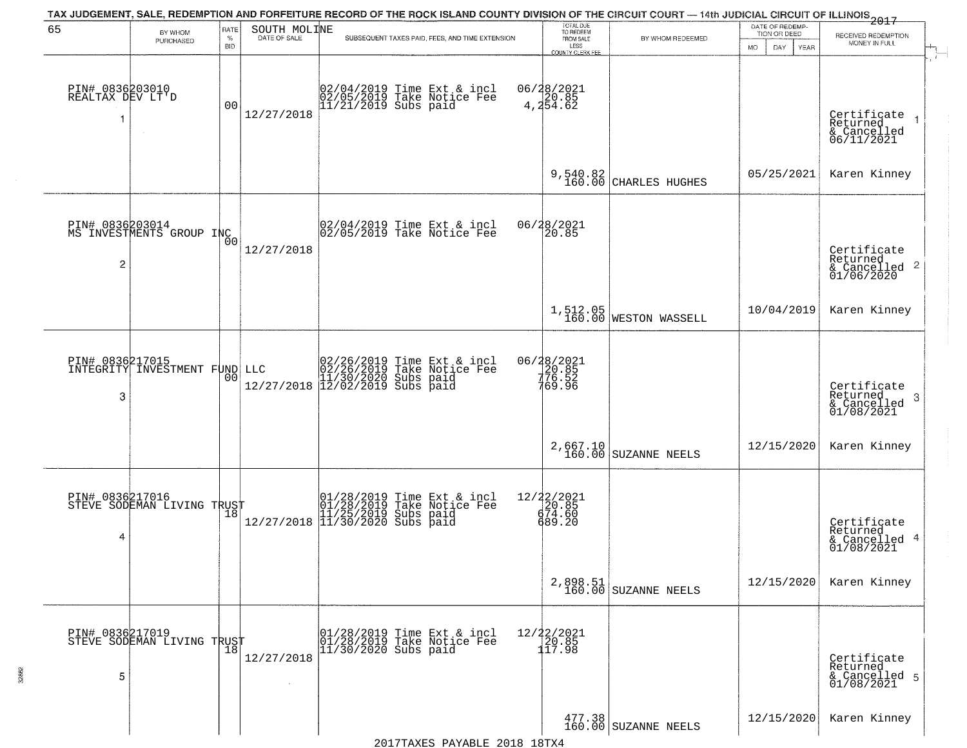|                                           |                                               |                              |                              | TAX JUDGEMENT, SALE, REDEMPTION AND FORFEITURE RECORD OF THE ROCK ISLAND COUNTY DIVISION OF THE CIRCUIT COURT — 14th JUDICIAL CIRCUIT OF ILLINOIS 2017 | TOTAL DUE<br>TO REDEEM                                        |                                   | DATE OF REDEMP-          |                                                                        |
|-------------------------------------------|-----------------------------------------------|------------------------------|------------------------------|--------------------------------------------------------------------------------------------------------------------------------------------------------|---------------------------------------------------------------|-----------------------------------|--------------------------|------------------------------------------------------------------------|
| 65                                        | BY WHOM<br>PURCHASED                          | <b>RATE</b><br>$\%$          | SOUTH MOLINE<br>DATE OF SALE | SUBSEQUENT TAXES PAID, FEES, AND TIME EXTENSION                                                                                                        | FROM SALE                                                     | BY WHOM REDEEMED                  | TION OR DEED             | RECEIVED REDEMPTION<br>MONEY IN FULL                                   |
| PIN# 0836203010<br>REALTAX DEV LT'D<br>-1 |                                               | <b>BID</b><br>0 <sub>0</sub> | 12/27/2018                   | 02/04/2019 Time Ext & incl<br>02/05/2019 Take Notice Fee<br>11/21/2019 Subs paid                                                                       | LESS<br>COUNTY CLERK FEE<br>06/28/2021<br>4,20.85<br>4,254.62 |                                   | <b>MO</b><br>DAY<br>YEAR | Certifiçate<br>$\overline{1}$<br>Returned<br>& Cancelled<br>06/11/2021 |
|                                           |                                               |                              |                              |                                                                                                                                                        |                                                               | 9,540.82<br>160.00 CHARLES HUGHES | 05/25/2021               | Karen Kinney                                                           |
| $\overline{c}$                            | PIN# 0836203014<br>MS INVESTMENTS GROUP INC   | 0 <sub>0</sub>               | 12/27/2018                   | 02/04/2019 Time Ext & incl<br>02/05/2019 Take Notice Fee                                                                                               | 06/28/2021<br>20.85                                           |                                   |                          | Certificate<br>Returned<br>$\frac{1}{6}$ Cancelled 2<br>01/06/2020     |
|                                           |                                               |                              |                              |                                                                                                                                                        |                                                               | 1,512.05<br>160.00 WESTON WASSELL | 10/04/2019               | Karen Kinney                                                           |
| PIN# 0836217015<br>3                      | INTEGRITY INVESTMENT FUND LLC                 | 00                           |                              | LLC $02/26/2019$ Time Ext & incl<br>02/26/2019 Take Notice Fee<br>11/30/2020 Subs paid<br>12/27/2018 12/02/2019 Subs paid                              | 06/28/2021<br>20.85<br>76.52<br>769.96                        |                                   |                          | Certificate<br>Returned<br>3<br>$\frac{1}{01/08/2021}$                 |
|                                           |                                               |                              |                              |                                                                                                                                                        | 2,667.10<br>160.00                                            | <b>SUZANNE NEELS</b>              | 12/15/2020               | Karen Kinney                                                           |
| PIN# 0836217016<br>4                      | STEVE SODEMAN LIVING TRUST                    |                              |                              | 01/28/2019 Time Ext & incl<br>01/28/2019 Take Notice Fee<br>11/25/2019 Subs paid<br>12/27/2018 11/30/2020 Subs paid                                    | 12/22/2021<br>20.85<br>674.60<br>689.20                       |                                   |                          | Certificate<br>Returned<br>4<br>& Cancelled<br>01/08/2021              |
|                                           |                                               |                              |                              |                                                                                                                                                        | 2,898.51<br>160.00                                            | SUZANNE NEELS                     | 12/15/2020               | Karen Kinney                                                           |
| 5                                         | PIN# 0836217019<br>STEVE SODEMAN LIVING TRUST |                              | 12/27/2018                   | 01/28/2019 Time Ext & incl<br>01/28/2019 Take Notice Fee<br>$11/30/2020$ Subs paid                                                                     | 12/22/2021<br>20.85<br>117.98                                 |                                   |                          | Certificate<br>Returned<br>& Cancelled 5<br>01/08/2021                 |
|                                           |                                               |                              |                              |                                                                                                                                                        |                                                               | 477.38<br>160.00 SUZANNE NEELS    | 12/15/2020               | Karen Kinney                                                           |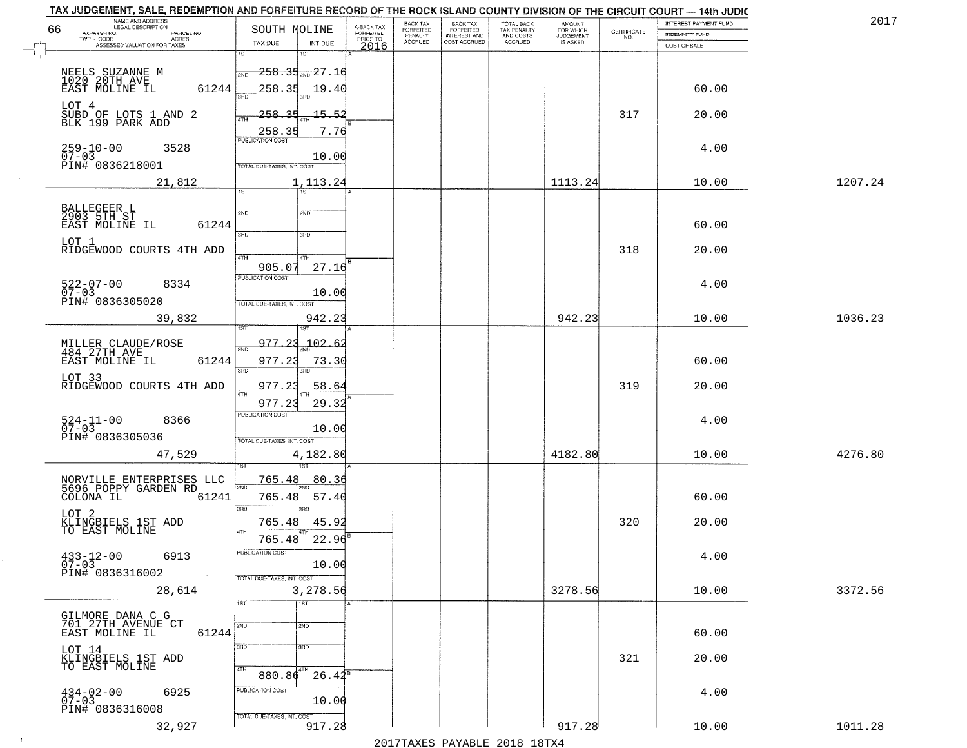| TAX JUDGEMENT, SALE, REDEMPTION AND FORFEITURE RECORD OF THE ROCK ISLAND COUNTY DIVISION OF THE CIRCUIT COURT - 14th JUDIC<br>NAME AND ADDRESS<br>LEGAL DESCRIPTION |                                            |                                     | BACK TAX             | <b>BACK TAX</b>           |                                        |                                         |                                                                 | INTEREST PAYMENT FUND | 2017    |
|---------------------------------------------------------------------------------------------------------------------------------------------------------------------|--------------------------------------------|-------------------------------------|----------------------|---------------------------|----------------------------------------|-----------------------------------------|-----------------------------------------------------------------|-----------------------|---------|
| 66<br>TAXPAYER NO.<br>PARCEL NO.                                                                                                                                    | SOUTH MOLINE                               | A-BACK TAX<br>FORFEITED<br>PRIOR TO | FORFEITED<br>PENALTY | FORFEITED<br>INTEREST AND | TOTAL BACK<br>TAX PENALTY<br>AND COSTS | AMOUNT<br>FOR WHICH<br><b>JUDGEMENT</b> | $\begin{array}{c} \text{CERTIFICATE} \\ \text{NO.} \end{array}$ | <b>INDEMNITY FUND</b> |         |
| ACRES<br>ASSESSED VALUATION FOR TAXES                                                                                                                               | TAX DUE<br>INT DUE                         | 2016                                | <b>ACCRUED</b>       | COST ACCRUED              | ACCRUED                                | IS ASKED                                |                                                                 | COST OF SALE          |         |
|                                                                                                                                                                     | 1ST                                        |                                     |                      |                           |                                        |                                         |                                                                 |                       |         |
|                                                                                                                                                                     | $258.35_{200}$ $27.16$<br>2ND              |                                     |                      |                           |                                        |                                         |                                                                 |                       |         |
| NEELS SUZANNE M<br>1020 20TH AVE<br>EAST MOLINE IL                                                                                                                  |                                            |                                     |                      |                           |                                        |                                         |                                                                 |                       |         |
| 61244                                                                                                                                                               | 258.35<br>19.40                            |                                     |                      |                           |                                        |                                         |                                                                 | 60.00                 |         |
| LOT 4                                                                                                                                                               |                                            |                                     |                      |                           |                                        |                                         |                                                                 |                       |         |
| SUBD OF LOTS 1 AND 2<br>BLK 199 PARK ADD                                                                                                                            | 258.35<br><u> 15.52</u><br>4TH             |                                     |                      |                           |                                        |                                         | 317                                                             | 20.00                 |         |
|                                                                                                                                                                     | 7.76                                       |                                     |                      |                           |                                        |                                         |                                                                 |                       |         |
|                                                                                                                                                                     | $\frac{258.35}{PUBUCATON COST}$            |                                     |                      |                           |                                        |                                         |                                                                 |                       |         |
| $259-10-00$<br>07-03<br>3528                                                                                                                                        | 10.00                                      |                                     |                      |                           |                                        |                                         |                                                                 | 4.00                  |         |
| PIN# 0836218001                                                                                                                                                     | TOTAL DUE-TAXES, INT. COST                 |                                     |                      |                           |                                        |                                         |                                                                 |                       |         |
| 21,812                                                                                                                                                              | 1,113.24                                   |                                     |                      |                           |                                        | 1113.24                                 |                                                                 | 10.00                 | 1207.24 |
|                                                                                                                                                                     | 1ST                                        |                                     |                      |                           |                                        |                                         |                                                                 |                       |         |
|                                                                                                                                                                     |                                            |                                     |                      |                           |                                        |                                         |                                                                 |                       |         |
| BALLEGEER L<br>2903 5TH ST                                                                                                                                          | 2ND<br>2ND                                 |                                     |                      |                           |                                        |                                         |                                                                 |                       |         |
| EAST MOLINE IL<br>61244                                                                                                                                             |                                            |                                     |                      |                           |                                        |                                         |                                                                 | 60.00                 |         |
| LOT 1                                                                                                                                                               | 3BD<br>3RD                                 |                                     |                      |                           |                                        |                                         |                                                                 |                       |         |
| RIDGEWOOD COURTS 4TH ADD                                                                                                                                            |                                            |                                     |                      |                           |                                        |                                         | 318                                                             | 20.00                 |         |
|                                                                                                                                                                     | 47H<br>4TH<br>905.07<br>27.16              |                                     |                      |                           |                                        |                                         |                                                                 |                       |         |
|                                                                                                                                                                     | <b>PUBLICATION COST</b>                    |                                     |                      |                           |                                        |                                         |                                                                 |                       |         |
| $522 - 07 - 00$<br>8334                                                                                                                                             |                                            |                                     |                      |                           |                                        |                                         |                                                                 | 4.00                  |         |
| $07 - 03$<br>PIN# 0836305020                                                                                                                                        | 10.00<br>TOTAL DUE-TAXES, INT. COST        |                                     |                      |                           |                                        |                                         |                                                                 |                       |         |
|                                                                                                                                                                     |                                            |                                     |                      |                           |                                        |                                         |                                                                 |                       |         |
| 39,832                                                                                                                                                              | 942.23<br>1ST<br>1ST                       |                                     |                      |                           |                                        | 942.23                                  |                                                                 | 10.00                 | 1036.23 |
|                                                                                                                                                                     |                                            |                                     |                      |                           |                                        |                                         |                                                                 |                       |         |
| MILLER CLAUDE/ROSE<br>484 27TH AVE                                                                                                                                  | 977.23<br>102.6<br>2ND                     |                                     |                      |                           |                                        |                                         |                                                                 |                       |         |
| EAST MOLINE IL<br>61244                                                                                                                                             | 977.23<br>73.30                            |                                     |                      |                           |                                        |                                         |                                                                 | 60.00                 |         |
| LOT 33                                                                                                                                                              | 3RD<br>3RD.                                |                                     |                      |                           |                                        |                                         |                                                                 |                       |         |
| RIDGEWOOD COURTS 4TH ADD                                                                                                                                            | 977.23<br>58.64                            |                                     |                      |                           |                                        |                                         | 319                                                             | 20.00                 |         |
|                                                                                                                                                                     | 4TH                                        |                                     |                      |                           |                                        |                                         |                                                                 |                       |         |
|                                                                                                                                                                     | 29.32<br>977.23<br><b>PUBLICATION COST</b> |                                     |                      |                           |                                        |                                         |                                                                 |                       |         |
| $524-11-00$<br>07-03<br>8366                                                                                                                                        |                                            |                                     |                      |                           |                                        |                                         |                                                                 | 4.00                  |         |
| PIN# 0836305036                                                                                                                                                     | 10.00                                      |                                     |                      |                           |                                        |                                         |                                                                 |                       |         |
|                                                                                                                                                                     | TOTAL OUE-TAXES, INT. COST                 |                                     |                      |                           |                                        |                                         |                                                                 |                       |         |
| 47,529                                                                                                                                                              | 4,182.80                                   |                                     |                      |                           |                                        | 4182.80                                 |                                                                 | 10.00                 | 4276.80 |
|                                                                                                                                                                     |                                            |                                     |                      |                           |                                        |                                         |                                                                 |                       |         |
| NORVILLE ENTERPRISES LLC<br>5696 POPPY GARDEN RD                                                                                                                    | 765.48<br>80.36<br>2ND                     |                                     |                      |                           |                                        |                                         |                                                                 |                       |         |
| COLONA IL<br>61241                                                                                                                                                  | 57.40<br>765.48                            |                                     |                      |                           |                                        |                                         |                                                                 | 60.00                 |         |
|                                                                                                                                                                     | 3RD<br>3BD                                 |                                     |                      |                           |                                        |                                         |                                                                 |                       |         |
| LOT 2<br>KLINGBIELS 1ST ADD<br>TO EAST MOLINE                                                                                                                       | 765.48<br>45.92                            |                                     |                      |                           |                                        |                                         | 320                                                             | 20.00                 |         |
|                                                                                                                                                                     | 4TH                                        |                                     |                      |                           |                                        |                                         |                                                                 |                       |         |
|                                                                                                                                                                     | 765.48<br>22.96                            |                                     |                      |                           |                                        |                                         |                                                                 |                       |         |
| $433 - 12 - 00$<br>6913                                                                                                                                             | "UBLICA HUN CUS                            |                                     |                      |                           |                                        |                                         |                                                                 | 4.00                  |         |
| $07 - 03$                                                                                                                                                           | 10.00                                      |                                     |                      |                           |                                        |                                         |                                                                 |                       |         |
| PIN# 0836316002<br>$\sim 100$ km $^{-1}$                                                                                                                            | TOTAL DUE-TAXES, INT. COST                 |                                     |                      |                           |                                        |                                         |                                                                 |                       |         |
| 28,614                                                                                                                                                              | 3,278.56                                   |                                     |                      |                           |                                        | 3278.56                                 |                                                                 | 10.00                 | 3372.56 |
|                                                                                                                                                                     | 1ST<br>1ST                                 |                                     |                      |                           |                                        |                                         |                                                                 |                       |         |
| GILMORE DANA C G<br>701 27TH AVENUE CT                                                                                                                              |                                            |                                     |                      |                           |                                        |                                         |                                                                 |                       |         |
| 61244<br>EAST MOLINE IL                                                                                                                                             | 2ND<br>2ND                                 |                                     |                      |                           |                                        |                                         |                                                                 | 60.00                 |         |
|                                                                                                                                                                     |                                            |                                     |                      |                           |                                        |                                         |                                                                 |                       |         |
| LOT 14<br><u>KLINGBIELS</u> 1 <u>ST</u> ADD                                                                                                                         | 3RD<br>3RD                                 |                                     |                      |                           |                                        |                                         |                                                                 |                       |         |
| TO EAST MOLINE                                                                                                                                                      | 4TH                                        |                                     |                      |                           |                                        |                                         | 321                                                             | 20.00                 |         |
|                                                                                                                                                                     | 880.86 <sup>4TH</sup><br>$26.42^8$         |                                     |                      |                           |                                        |                                         |                                                                 |                       |         |
| 6925                                                                                                                                                                | PUBLICATION COST                           |                                     |                      |                           |                                        |                                         |                                                                 | 4.00                  |         |
| $434 - 02 - 00$<br>07-03                                                                                                                                            | 10.00                                      |                                     |                      |                           |                                        |                                         |                                                                 |                       |         |
| PIN# 0836316008                                                                                                                                                     | TOTAL DUE-TAXES, INT. COST                 |                                     |                      |                           |                                        |                                         |                                                                 |                       |         |
| 32,927                                                                                                                                                              | 917.28                                     |                                     |                      |                           |                                        | 917.28                                  |                                                                 | 10.00                 | 1011.28 |
|                                                                                                                                                                     |                                            |                                     |                      |                           |                                        |                                         |                                                                 |                       |         |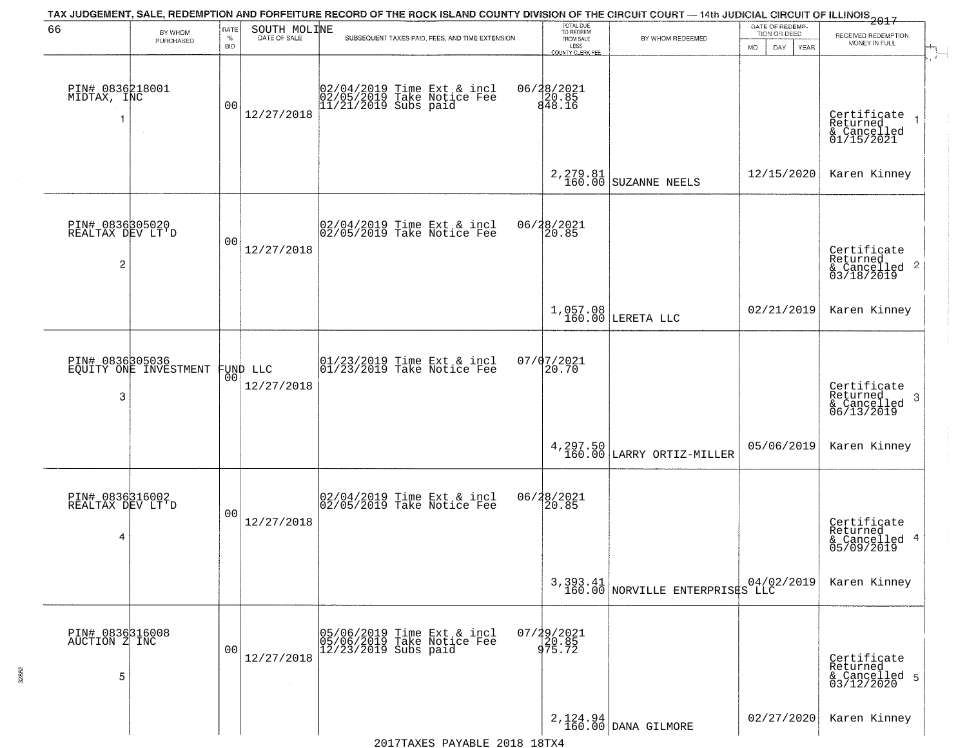|                                                       |                                          |                |                              | TAX JUDGEMENT, SALE, REDEMPTION AND FORFEITURE RECORD OF THE ROCK ISLAND COUNTY DIVISION OF THE CIRCUIT COURT — 14th JUDICIAL CIRCUIT OF ILLINOIS 2017      |                                     |                                             | DATE OF REDEMP-          |                                                                       |
|-------------------------------------------------------|------------------------------------------|----------------|------------------------------|-------------------------------------------------------------------------------------------------------------------------------------------------------------|-------------------------------------|---------------------------------------------|--------------------------|-----------------------------------------------------------------------|
| 66                                                    | BY WHOM<br>PURCHASED                     | RATE<br>$\%$   | SOUTH MOLINE<br>DATE OF SALE | SUBSEQUENT TAXES PAID, FEES, AND TIME EXTENSION                                                                                                             | TOTAL DUE<br>TO REDEEM<br>FROM SALE | BY WHOM REDEEMED                            | TION OR DEED             | RECEIVED REDEMPTION<br>MONEY IN FULL                                  |
|                                                       |                                          | <b>BID</b>     |                              |                                                                                                                                                             | LESS<br><b>COUNTY CLERK FEE</b>     |                                             | <b>MO</b><br>DAY<br>YEAR |                                                                       |
| PIN# 0836218001<br>MIDTAX, INC                        |                                          | 0 <sub>0</sub> | 12/27/2018                   | 02/04/2019 Time Ext & incl<br>02/05/2019 Take Notice Fee<br>11/21/2019 Subs paid                                                                            | 06/28/2021<br>20.85<br>848.16       |                                             |                          | Certificate<br>Returned<br>& Cancelled<br>01/15/2021                  |
|                                                       |                                          |                |                              |                                                                                                                                                             |                                     | $2,279.81$ SUZANNE NEELS                    | 12/15/2020               | Karen Kinney                                                          |
| PIN# 0836305020<br>REALTAX DEV LT'D<br>$\overline{c}$ |                                          | 0 <sub>0</sub> | 12/27/2018                   | $ 02/04/2019$ Time Ext & incl<br>$ 02/05/2019$ Take Notice Fee                                                                                              | 06/28/2021<br>20.85                 |                                             |                          | Certificate<br>Returned<br>$\frac{1}{6}$ Cancelled 2<br>03/18/2019    |
|                                                       |                                          |                |                              |                                                                                                                                                             | $1,057.08$<br>$160.00$              | LERETA LLC                                  | 02/21/2019               | Karen Kinney                                                          |
| 3                                                     | PIN# 0836305036<br>EQUITY ONE INVESTMENT | 0 <sub>0</sub> | FUND LLC<br>12/27/2018       | $\begin{array}{cc}  01/23/2019 \overline{\hspace{0.2cm} 1} \text{ time} & \text{Ext} & \text{in} \\ 01/23/2019 & \text{Take Notice } \text{Fe} \end{array}$ | $07/07/2021$<br>20.70               |                                             |                          | Certificate<br>Returned<br>3<br>$\frac{1}{6}$ Cancelled<br>06/13/2019 |
|                                                       |                                          |                |                              |                                                                                                                                                             |                                     | 4, 297.50 LARRY ORTIZ-MILLER                | 05/06/2019               | Karen Kinney                                                          |
| PIN# 0836316002<br>REALTAX DEV LT'D<br>4              |                                          | 00             | 12/27/2018                   | 02/04/2019 Time Ext & incl<br>02/05/2019 Take Notice Fee                                                                                                    | 06/28/2021<br>120.85                |                                             |                          | Certificate<br>Returned<br>& Cancelled 4<br>05/09/2019                |
|                                                       |                                          |                |                              |                                                                                                                                                             |                                     | 3,393.41<br>160.00 NORVILLE ENTERPRISES LLC |                          | Karen Kinney                                                          |
| PIN# 0836316008<br>AUCTION Z INC<br>5                 |                                          | 0 <sub>0</sub> | 12/27/2018                   | 05/06/2019 Time Ext & incl<br>05/06/2019 Take Notice Fee<br>12/23/2019 Subs paid                                                                            | 07/29/2021<br>20.85<br>975.72       |                                             |                          | Certificate<br>Returned<br>& Cancelled 5<br>03/12/2020                |
|                                                       |                                          |                |                              |                                                                                                                                                             |                                     | 2,124.94<br>160.00 DANA GILMORE             | 02/27/2020               | Karen Kinney                                                          |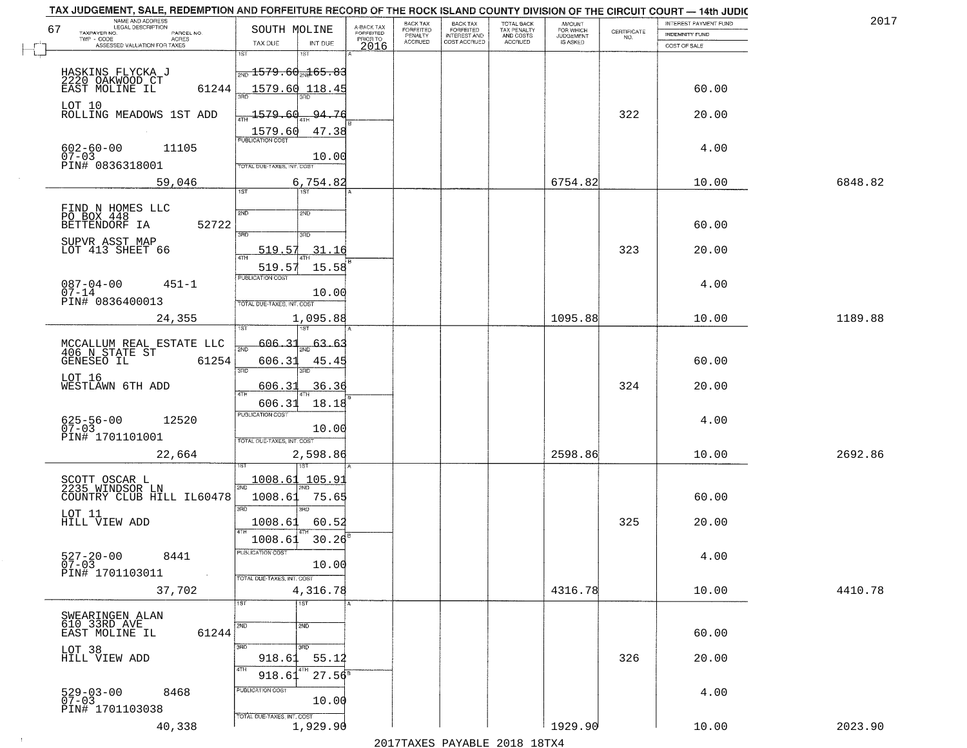|    | TAX JUDGEMENT, SALE, REDEMPTION AND FORFEITURE RECORD OF THE ROCK ISLAND COUNTY DIVISION OF THE CIRCUIT COURT - 14th JUDIC<br>NAME AND ADDRESS<br><b>LEGAL DESCRIPTION</b> |                                                  |                                     | BACK TAX                    |                                       |                                        | AMOUNT<br>FOR WHICH |                                                                 | INTEREST PAYMENT FUND | 2017    |
|----|----------------------------------------------------------------------------------------------------------------------------------------------------------------------------|--------------------------------------------------|-------------------------------------|-----------------------------|---------------------------------------|----------------------------------------|---------------------|-----------------------------------------------------------------|-----------------------|---------|
| 67 | TAXPAYER NO.<br>PARCEL NO.<br>TWP - CODE                                                                                                                                   | SOUTH MOLINE                                     | A-BACK TAX<br>FORFEITED<br>PRIOR TO | <b>FORFEITED</b><br>PENALTY | BACK TAX<br>FORFEITED<br>INTEREST AND | TOTAL BACK<br>TAX PENALTY<br>AND COSTS | <b>JUDGEMENT</b>    | $\begin{array}{c} \text{CERTIFICATE} \\ \text{NO.} \end{array}$ | <b>INDEMNITY FUND</b> |         |
|    | ACRES<br>ASSESSED VALUATION FOR TAXES                                                                                                                                      | INT DUE<br>TAX DUE                               | 2016                                | <b>ACCRUED</b>              | COST ACCRUED                          | ACCRUED                                | IS ASKED            |                                                                 | COST OF SALE          |         |
|    |                                                                                                                                                                            | 1ST<br>1ST                                       |                                     |                             |                                       |                                        |                     |                                                                 |                       |         |
|    | HASKINS FLYCKA J                                                                                                                                                           | $\frac{1}{200}$ 1579 . 60 $\frac{1}{20}$ 65 . 83 |                                     |                             |                                       |                                        |                     |                                                                 |                       |         |
|    | 2220 OAKWOOD CT                                                                                                                                                            |                                                  |                                     |                             |                                       |                                        |                     |                                                                 |                       |         |
|    | 61244<br>EAST MOLINE IL                                                                                                                                                    | 1579.60 118.45                                   |                                     |                             |                                       |                                        |                     |                                                                 | 60.00                 |         |
|    | LOT 10                                                                                                                                                                     |                                                  |                                     |                             |                                       |                                        |                     |                                                                 |                       |         |
|    | ROLLING MEADOWS 1ST ADD                                                                                                                                                    | 1579.60<br>94.76                                 |                                     |                             |                                       |                                        |                     | 322                                                             | 20.00                 |         |
|    |                                                                                                                                                                            | 1579.60<br>47.38                                 |                                     |                             |                                       |                                        |                     |                                                                 |                       |         |
|    | 11105                                                                                                                                                                      | <b>PUBLICATION COST</b>                          |                                     |                             |                                       |                                        |                     |                                                                 | 4.00                  |         |
|    | $602 - 60 - 00$<br>07-03                                                                                                                                                   | 10.00                                            |                                     |                             |                                       |                                        |                     |                                                                 |                       |         |
|    | PIN# 0836318001                                                                                                                                                            | <b>TOTAL DUE-TAXES, INT. COST</b>                |                                     |                             |                                       |                                        |                     |                                                                 |                       |         |
|    | 59,046                                                                                                                                                                     | 6,754.82                                         |                                     |                             |                                       |                                        | 6754.82             |                                                                 | 10.00                 | 6848.82 |
|    |                                                                                                                                                                            | 1ST<br>ist                                       |                                     |                             |                                       |                                        |                     |                                                                 |                       |         |
|    |                                                                                                                                                                            |                                                  |                                     |                             |                                       |                                        |                     |                                                                 |                       |         |
|    | FIND N HOMES LLC<br>PO BOX 448                                                                                                                                             | 2ND<br>2ND                                       |                                     |                             |                                       |                                        |                     |                                                                 |                       |         |
|    | 52722<br>BETTENDORF IA                                                                                                                                                     | उन्नत<br>3RD                                     |                                     |                             |                                       |                                        |                     |                                                                 | 60.00                 |         |
|    | SUPVR ASST MAP                                                                                                                                                             |                                                  |                                     |                             |                                       |                                        |                     |                                                                 |                       |         |
|    | LOT 413 SHEET 66                                                                                                                                                           | 519.57<br>31.16                                  |                                     |                             |                                       |                                        |                     | 323                                                             | 20.00                 |         |
|    |                                                                                                                                                                            | 519.5<br>15.58                                   |                                     |                             |                                       |                                        |                     |                                                                 |                       |         |
|    | $087 - 04 - 00$<br>$451 - 1$                                                                                                                                               | PUBLICATION COST                                 |                                     |                             |                                       |                                        |                     |                                                                 | 4.00                  |         |
|    | $07 - 14$                                                                                                                                                                  | 10.00                                            |                                     |                             |                                       |                                        |                     |                                                                 |                       |         |
|    | PIN# 0836400013                                                                                                                                                            | TOTAL DUE-TAXES, INT. COST                       |                                     |                             |                                       |                                        |                     |                                                                 |                       |         |
|    | 24,355                                                                                                                                                                     | 1,095.88                                         |                                     |                             |                                       |                                        | 1095.88             |                                                                 | 10.00                 | 1189.88 |
|    |                                                                                                                                                                            | 187<br>'ST                                       |                                     |                             |                                       |                                        |                     |                                                                 |                       |         |
|    |                                                                                                                                                                            | 606.31<br>63.6                                   |                                     |                             |                                       |                                        |                     |                                                                 |                       |         |
|    | MCCALLUM REAL ESTATE LLC<br>406 N STATE ST                                                                                                                                 | 2ND                                              |                                     |                             |                                       |                                        |                     |                                                                 |                       |         |
|    | GENESEO IL<br>61254                                                                                                                                                        | 606.31<br>45.45<br>3RD<br>3RD                    |                                     |                             |                                       |                                        |                     |                                                                 | 60.00                 |         |
|    | LOT 16                                                                                                                                                                     |                                                  |                                     |                             |                                       |                                        |                     |                                                                 |                       |         |
|    | WESTLAWN 6TH ADD                                                                                                                                                           | 36.36<br>606.3<br>ATH                            |                                     |                             |                                       |                                        |                     | 324                                                             | 20.00                 |         |
|    |                                                                                                                                                                            | 606.31<br>18.18                                  |                                     |                             |                                       |                                        |                     |                                                                 |                       |         |
|    | 12520                                                                                                                                                                      | <b>PUBLICATION COST</b>                          |                                     |                             |                                       |                                        |                     |                                                                 | 4.00                  |         |
|    | 625-56-00<br>07-03                                                                                                                                                         | 10.00                                            |                                     |                             |                                       |                                        |                     |                                                                 |                       |         |
|    | PIN# 1701101001                                                                                                                                                            | TOTAL OUE-TAXES, INT. COST                       |                                     |                             |                                       |                                        |                     |                                                                 |                       |         |
|    | 22,664                                                                                                                                                                     | 2,598.86                                         |                                     |                             |                                       |                                        | 2598.86             |                                                                 | 10.00                 | 2692.86 |
|    |                                                                                                                                                                            | 187                                              |                                     |                             |                                       |                                        |                     |                                                                 |                       |         |
|    | SCOTT OSCAR L<br>2235 WINDSOR LN                                                                                                                                           | 1008.61<br>105.9                                 |                                     |                             |                                       |                                        |                     |                                                                 |                       |         |
|    | COUNTRY CLUB HILL IL60478                                                                                                                                                  | 2ND<br>1008.61<br>75.65                          |                                     |                             |                                       |                                        |                     |                                                                 | 60.00                 |         |
|    |                                                                                                                                                                            | 3RD<br>3RD                                       |                                     |                             |                                       |                                        |                     |                                                                 |                       |         |
|    | LOT 11<br>HILL VIEW ADD                                                                                                                                                    | 1008.61<br>60.52                                 |                                     |                             |                                       |                                        |                     | 325                                                             | 20.00                 |         |
|    |                                                                                                                                                                            | 4TH                                              |                                     |                             |                                       |                                        |                     |                                                                 |                       |         |
|    |                                                                                                                                                                            | 30.26<br>1008.61                                 |                                     |                             |                                       |                                        |                     |                                                                 |                       |         |
|    | $527 - 20 - 00$<br>07-03<br>8441                                                                                                                                           | ruslica i IUN COS                                |                                     |                             |                                       |                                        |                     |                                                                 | 4.00                  |         |
|    |                                                                                                                                                                            | 10.00                                            |                                     |                             |                                       |                                        |                     |                                                                 |                       |         |
|    | PIN# 1701103011<br>$\sim$                                                                                                                                                  | TOTAL DUE-TAXES, INT. COST                       |                                     |                             |                                       |                                        |                     |                                                                 |                       |         |
|    | 37,702                                                                                                                                                                     | 4,316.78                                         |                                     |                             |                                       |                                        | 4316.78             |                                                                 | 10.00                 | 4410.78 |
|    |                                                                                                                                                                            | 1ST<br>1ST                                       |                                     |                             |                                       |                                        |                     |                                                                 |                       |         |
|    | SWEARINGEN ALAN                                                                                                                                                            |                                                  |                                     |                             |                                       |                                        |                     |                                                                 |                       |         |
|    | 610 33RD AVE<br>61244<br>EAST MOLINE IL                                                                                                                                    | $\overline{2ND}$<br>2ND                          |                                     |                             |                                       |                                        |                     |                                                                 | 60.00                 |         |
|    |                                                                                                                                                                            | 3RD<br>3RD                                       |                                     |                             |                                       |                                        |                     |                                                                 |                       |         |
|    | LOT 38<br>HILL VIEW ADD                                                                                                                                                    | 55.12<br>918.61                                  |                                     |                             |                                       |                                        |                     | 326                                                             | 20.00                 |         |
|    |                                                                                                                                                                            | 4TH                                              |                                     |                             |                                       |                                        |                     |                                                                 |                       |         |
|    |                                                                                                                                                                            | $27.56^8$<br>918.61                              |                                     |                             |                                       |                                        |                     |                                                                 |                       |         |
|    | 529-03-00<br>07-03<br>8468                                                                                                                                                 | PUBLICATION COST                                 |                                     |                             |                                       |                                        |                     |                                                                 | 4.00                  |         |
|    | PIN# 1701103038                                                                                                                                                            | 10.00                                            |                                     |                             |                                       |                                        |                     |                                                                 |                       |         |
|    |                                                                                                                                                                            | TOTAL DUE-TAXES, INT. COST                       |                                     |                             |                                       |                                        |                     |                                                                 |                       |         |
|    | 40,338                                                                                                                                                                     | 1,929.90                                         |                                     |                             |                                       |                                        | 1929.90             |                                                                 | 10.00                 | 2023.90 |
|    |                                                                                                                                                                            |                                                  |                                     |                             | 2017 THAYRO DAVADIR 2018 19TY         |                                        |                     |                                                                 |                       |         |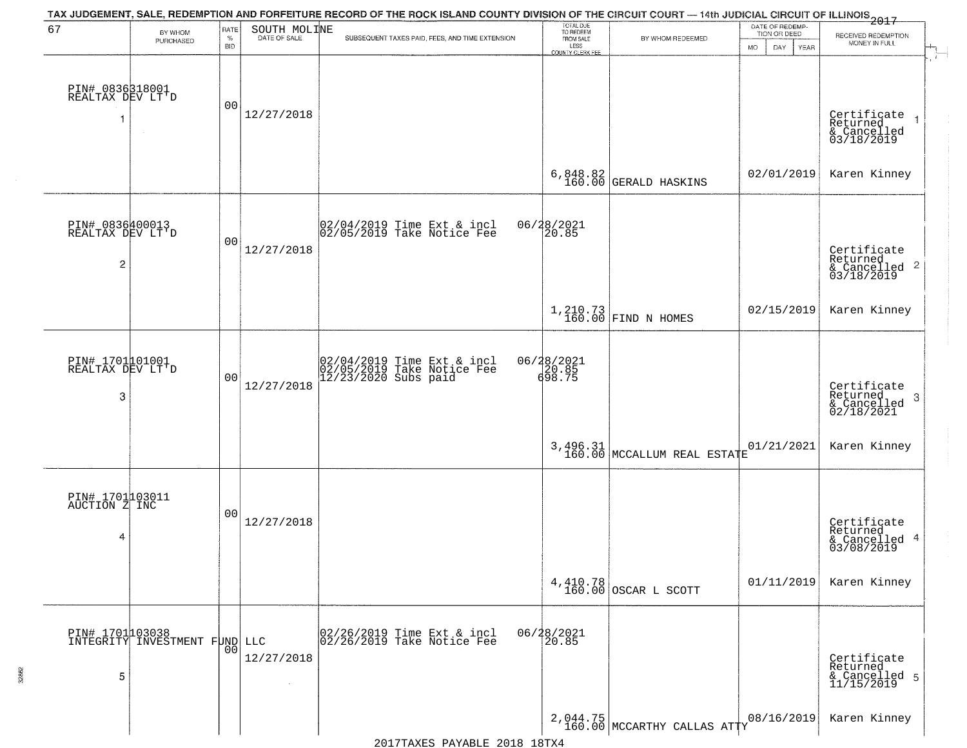| 67                                       | BY WHOM                                          | RATE               | SOUTH MOLINE | TAX JUDGEMENT, SALE, REDEMPTION AND FORFEITURE RECORD OF THE ROCK ISLAND COUNTY DIVISION OF THE CIRCUIT COURT — 14th JUDICIAL CIRCUIT OF ILLINOIS 2017 | TOTAL DUE<br>TO REDEEM                |                                                                               | DATE OF REDEMP-<br>TION OR DEED |                                                                    |
|------------------------------------------|--------------------------------------------------|--------------------|--------------|--------------------------------------------------------------------------------------------------------------------------------------------------------|---------------------------------------|-------------------------------------------------------------------------------|---------------------------------|--------------------------------------------------------------------|
|                                          | PURCHASED                                        | $\%$<br><b>BID</b> | DATE OF SALE | SUBSEQUENT TAXES PAID, FEES, AND TIME EXTENSION                                                                                                        | FROM SALE<br>LESS<br>COUNTY CLERK FEE | BY WHOM REDEEMED                                                              | MO.<br>DAY<br>YEAR              | RECEIVED REDEMPTION<br>MONEY IN FULL                               |
| PIN# 0836318001<br>REALTAX DEV LT'D<br>1 |                                                  | 0 <sub>0</sub>     | 12/27/2018   |                                                                                                                                                        |                                       |                                                                               |                                 | Certificate<br>Returned                                            |
|                                          |                                                  |                    |              |                                                                                                                                                        |                                       |                                                                               |                                 | & Cancelled<br>03/18/2019                                          |
|                                          |                                                  |                    |              |                                                                                                                                                        |                                       | $6,848.82$<br>160.00 GERALD HASKINS                                           | 02/01/2019                      | Karen Kinney                                                       |
| PIN# 0836400013<br>REALTAX DEV LT'D      |                                                  | 0 <sub>0</sub>     |              | $ 02/04/2019$ Time Ext & incl<br>$ 02/05/2019$ Take Notice Fee                                                                                         | 06/28/2021                            |                                                                               |                                 |                                                                    |
| $\overline{2}$                           |                                                  |                    | 12/27/2018   |                                                                                                                                                        |                                       |                                                                               |                                 | Certificate<br>Returned<br>$\frac{1}{6}$ Cancelled 2<br>03/18/2019 |
|                                          |                                                  |                    |              |                                                                                                                                                        |                                       | $\left  \begin{array}{c} 1,210.73 \\ 160.00 \end{array} \right $ FIND N HOMES | 02/15/2019                      | Karen Kinney                                                       |
| PIN# 1701001001<br>REALTAX DEV LT'D      |                                                  | 0 <sub>0</sub>     |              | 02/04/2019 Time Ext & incl<br>02/05/2019 Take Notice Fee<br>12/23/2020 Subs paid                                                                       | 06/28/2021<br>$\frac{20.85}{698.75}$  |                                                                               |                                 |                                                                    |
| 3                                        |                                                  |                    | 12/27/2018   |                                                                                                                                                        |                                       |                                                                               |                                 | Certificate<br>Returned<br>3<br>& Cancelled<br>02/18/2021          |
|                                          |                                                  |                    |              |                                                                                                                                                        |                                       | $3,496.31$ MCCALLUM REAL ESTATE                                               | 01/21/2021                      | Karen Kinney                                                       |
| PIN# 1701103011<br>AUCTION Z INC         |                                                  |                    |              |                                                                                                                                                        |                                       |                                                                               |                                 |                                                                    |
| 4                                        |                                                  | 00                 | 12/27/2018   |                                                                                                                                                        |                                       |                                                                               |                                 | Certificate<br>Returned<br>& Cancelled 4<br>03/08/2019             |
|                                          |                                                  |                    |              |                                                                                                                                                        |                                       | 4,410.78<br>160.00 OSCAR L SCOTT                                              | 01/11/2019                      | Karen Kinney                                                       |
|                                          | PIN# 1701103038<br>INTEGRITY INVESTMENT FUND LLC | 00                 |              | 02/26/2019 Time Ext & incl<br>02/26/2019 Take Notice Fee                                                                                               | 06/28/2021<br>20.85                   |                                                                               |                                 |                                                                    |
| 5                                        |                                                  |                    | 12/27/2018   |                                                                                                                                                        |                                       |                                                                               |                                 | Certificate<br>Returned<br>& Cancelled 5<br>11/15/2019             |
|                                          |                                                  |                    |              |                                                                                                                                                        |                                       | $2,044.75$ MCCARTHY CALLAS ATTY                                               | 08/16/2019                      | Karen Kinney                                                       |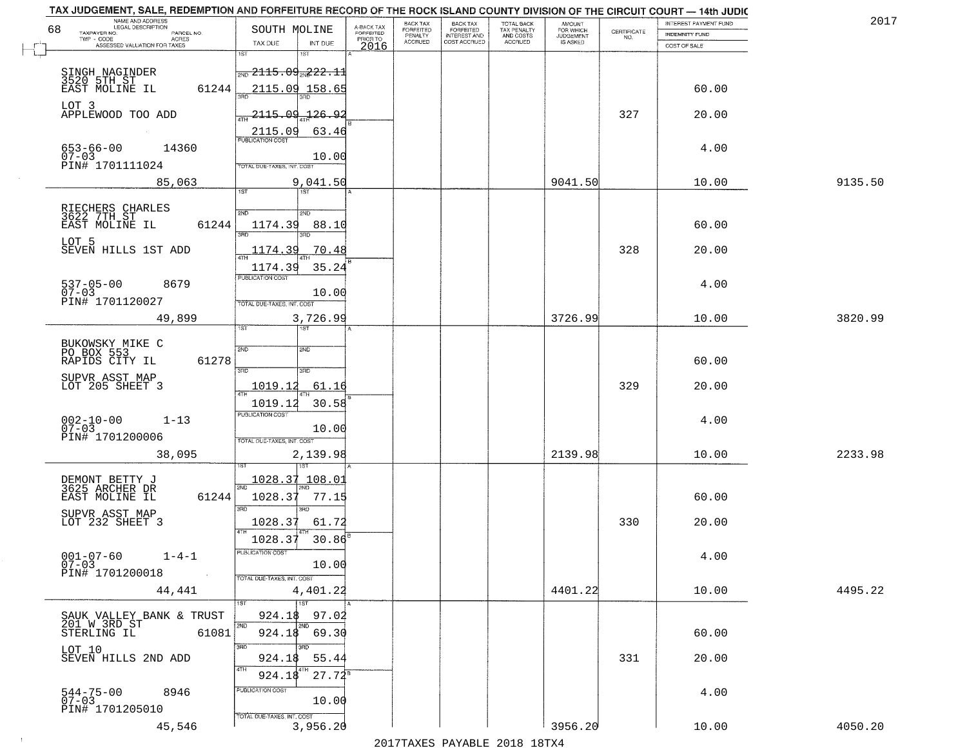| TAX JUDGEMENT, SALE, REDEMPTION AND FORFEITURE RECORD OF THE ROCK ISLAND COUNTY DIVISION OF THE CIRCUIT COURT - 14th JUDIC<br>NAME AND ADDRESS<br>LEGAL DESCRIPTION |                                                                                                | BACK TAX                                                    | <b>BACK TAX</b>           |                                        | AMOUNT<br>FOR WHICH |                                                                 | INTEREST PAYMENT FUND | 2017    |
|---------------------------------------------------------------------------------------------------------------------------------------------------------------------|------------------------------------------------------------------------------------------------|-------------------------------------------------------------|---------------------------|----------------------------------------|---------------------|-----------------------------------------------------------------|-----------------------|---------|
| 68<br>TAXPAYER NO.<br>PARCEL NO.<br>ACRES                                                                                                                           | SOUTH MOLINE                                                                                   | A-BACK TAX<br>FORFEITED<br>PRIOR TO<br>FORFEITED<br>PENALTY | FORFEITED<br>INTEREST AND | TOTAL BACK<br>TAX PENALTY<br>AND COSTS | <b>JUDGEMENT</b>    | $\begin{array}{c} \text{CERTIFICATE} \\ \text{NO.} \end{array}$ | INDEMNITY FUND        |         |
| ASSESSED VALUATION FOR TAXES                                                                                                                                        | TAX DUE<br>INT DUE                                                                             | <b>ACCRUED</b><br>2016                                      | COST ACCRUED              | ACCRUED                                | IS ASKED            |                                                                 | COST OF SALE          |         |
| SINGH NAGINDER<br>3520 5TH ST<br>EAST MOLINE IL<br>61244                                                                                                            | 1ST<br>$\frac{1}{2ND}$ 2115.09 $\frac{2}{2ND}$ 22.11<br><u>2115.09 158.65</u>                  |                                                             |                           |                                        |                     |                                                                 | 60.00                 |         |
| LOT 3<br>APPLEWOOD TOO ADD                                                                                                                                          | 2115.09.126.92                                                                                 |                                                             |                           |                                        |                     | 327                                                             | 20.00                 |         |
| $653 - 66 - 00$<br>07-03<br>14360<br>PIN# 1701111024                                                                                                                | 2115.09<br>63.46<br>10.00<br>TOTAL DUE-TAXES, INT. COST                                        |                                                             |                           |                                        |                     |                                                                 | 4.00                  |         |
| 85,063                                                                                                                                                              | 9,041.50<br>1ST                                                                                |                                                             |                           |                                        | 9041.50             |                                                                 | 10.00                 | 9135.50 |
| RIECHERS CHARLES<br>3622 7TH ST<br>EAST MOLINE IL<br>61244<br>LOT 5<br>SEVEN HILLS 1ST ADD                                                                          | 2ND<br>2ND<br>1174.39<br>88.10<br>3RD<br>1174.39<br>70.48                                      |                                                             |                           |                                        |                     | 328                                                             | 60.00<br>20.00        |         |
| $537 - 05 - 00$<br>8679<br>$07 - 03$<br>PIN# 1701120027                                                                                                             | 1174.39<br>35.24<br>PUBLICATION COST<br>10.00<br>TOTAL DUE-TAXES, INT. COST                    |                                                             |                           |                                        |                     |                                                                 | 4.00                  |         |
| 49,899                                                                                                                                                              | 3,726.99<br>1ST<br>1ST                                                                         |                                                             |                           |                                        | 3726.99             |                                                                 | 10.00                 | 3820.99 |
| BUKOWSKY MIKE C<br>PO BOX 553<br>RAPIDS CITY IL<br>61278<br>SUPVR ASST MAP<br>LOT 205 SHEET 3                                                                       | 2ND<br>2ND<br>3 <sub>BD</sub><br>3RD<br>1019.12<br>61.16<br>ATH                                |                                                             |                           |                                        |                     | 329                                                             | 60.00<br>20.00        |         |
| $002 - 10 - 00$<br>07-03<br>$1 - 13$<br>PIN# 1701200006<br>38,095                                                                                                   | 1019.12<br>30.58<br><b>PUBLICATION COST</b><br>10.00<br>TOTAL OUE-TAXES, INT. COST<br>2,139.98 |                                                             |                           |                                        | 2139.98             |                                                                 | 4.00<br>10.00         | 2233.98 |
| DEMONT BETTY J<br>3625 ARCHER DR<br>EAST MOLINE IL<br>61244<br>SUPVR ASST MAP<br>LOT 232 SHEET 3                                                                    | 1028.37 108.01<br>1028.37<br>77.15<br>3RD<br>3RD<br>1028.37<br>61.72<br>1028.37<br>30.86       |                                                             |                           |                                        |                     | 330                                                             | 60.00<br>20.00        |         |
| $001 - 07 - 60$<br>$1 - 4 - 1$<br>$07 - 03$<br>PIN# 1701200018<br><b>Contract</b><br>44,441                                                                         | PUBLICATION COS<br>10.00<br>TOTAL DUE-TAXES, INT. COST<br>4,401.22                             |                                                             |                           |                                        | 4401.22             |                                                                 | 4.00<br>10.00         | 4495.22 |
| SAUK VALLEY BANK & TRUST<br>201 W 3RD ST<br>61081<br>STERLING IL<br>LOT 10                                                                                          | 1ST<br>97.02<br>924.18<br>2ND<br>2ND<br>924.18 69.30<br>3RD<br>3RD                             |                                                             |                           |                                        |                     |                                                                 | 60.00                 |         |
| SEVEN HILLS 2ND ADD<br>544-75-00<br>07-03<br>8946<br>PIN# 1701205010                                                                                                | 55.44<br>924.18<br>4TH<br>$27.72^8$<br>924.18<br>PUBLICATION COST<br>10.00                     |                                                             |                           |                                        |                     | 331                                                             | 20.00<br>4.00         |         |
| 45,546                                                                                                                                                              | TOTAL DUE-TAXES, INT. COST<br>3,956.20                                                         |                                                             |                           |                                        | 3956.20             |                                                                 | 10.00                 | 4050.20 |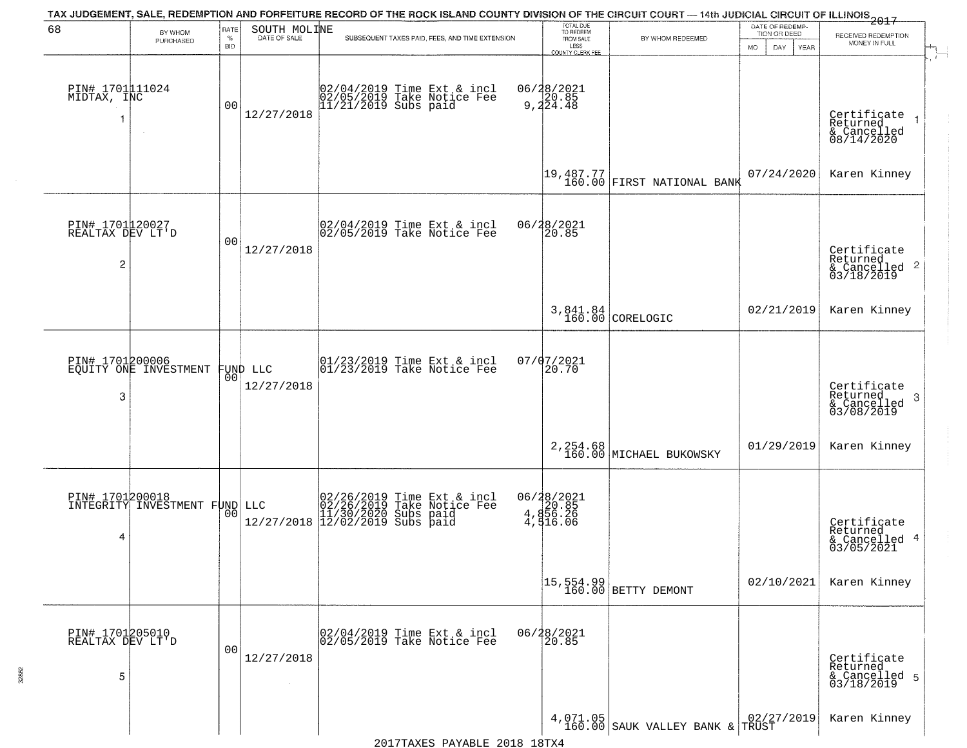|                                                       |                                                  |                            |                              | TAX JUDGEMENT, SALE, REDEMPTION AND FORFEITURE RECORD OF THE ROCK ISLAND COUNTY DIVISION OF THE CIRCUIT COURT — 14th JUDICIAL CIRCUIT OF ILLINOIS 2017      |                                                                        |                                                                   |                                                             |                                                                                        |
|-------------------------------------------------------|--------------------------------------------------|----------------------------|------------------------------|-------------------------------------------------------------------------------------------------------------------------------------------------------------|------------------------------------------------------------------------|-------------------------------------------------------------------|-------------------------------------------------------------|----------------------------------------------------------------------------------------|
| 68                                                    | BY WHOM<br>PURCHASED                             | RATE<br>$\%$<br><b>BID</b> | SOUTH MOLINE<br>DATE OF SALE | SUBSEQUENT TAXES PAID, FEES, AND TIME EXTENSION                                                                                                             | TOTAL DUE<br>TO REDEEM<br>FROM SALE<br>LESS<br><b>COUNTY CLERK FEE</b> | BY WHOM REDEEMED                                                  | DATE OF REDEMP-<br>TION OR DEED<br><b>MO</b><br>DAY<br>YEAR | RECEIVED REDEMPTION<br>MONEY IN FULL                                                   |
| PIN# 1701111024<br>MIDTAX, INC                        |                                                  | 00                         | 12/27/2018                   | 02/04/2019 Time Ext & incl<br>02/05/2019 Take Notice Fee<br>11/21/2019 Subs paid                                                                            | 06/28/2021<br>20.85<br>9,224.48                                        |                                                                   |                                                             | $\mathbf{r}$<br>Certificate<br>Returned<br>$\overline{1}$<br>& Cancelled<br>08/14/2020 |
|                                                       |                                                  |                            |                              |                                                                                                                                                             |                                                                        | 19,487.77<br>160.00 FIRST NATIONAL BANK                           | 07/24/2020                                                  | Karen Kinney                                                                           |
| PIN# 1701120027<br>REALTAX DEV LT'D<br>$\overline{2}$ |                                                  | 00                         | 12/27/2018                   | $ 02/04/2019$ Time Ext & incl<br>$ 02/05/2019$ Take Notice Fee                                                                                              | 06/28/2021<br>20.85                                                    |                                                                   |                                                             | Certificate<br>Returned<br>$\overline{2}$<br>& Cancelled<br>03/18/2019                 |
|                                                       |                                                  |                            |                              |                                                                                                                                                             |                                                                        | 3,841.84<br>160.00 CORELOGIC                                      | 02/21/2019                                                  | Karen Kinney                                                                           |
| PIN# 1701200006<br>3                                  | EQUITY ONE INVESTMENT                            | 0 <sub>0</sub>             | FUND LLC<br>12/27/2018       | $\begin{array}{cc}  01/23/2019 \overline{\hspace{0.2cm} 1} \text{ time} & \text{Ext} & \text{in} \\ 01/23/2019 & \text{Take Notice } \text{Fe} \end{array}$ | 07/07/2021<br>20.70                                                    |                                                                   |                                                             | Certificate<br>Returned<br>3<br>& Cancelled<br>03/08/2019                              |
|                                                       |                                                  |                            |                              |                                                                                                                                                             |                                                                        | 2, 254.68<br>160.00 MICHAEL BUKOWSKY                              | 01/29/2019                                                  | Karen Kinney                                                                           |
| 4                                                     | PIN# 1701200018<br>INTEGRITY INVESTMENT FUND LLC | 00                         |                              | LLC $02/26/2019$ Time Ext & incl<br>02/26/2019 Take Notice Fee<br>11/30/2020 Subs paid<br>12/27/2018 12/02/2019 Subs paid                                   | 06/28/2021<br>20.85<br>4,856.26<br>4,516.06                            |                                                                   |                                                             | Certificate<br>Returned<br>4<br>& Cancelled<br>03/05/2021                              |
|                                                       |                                                  |                            |                              |                                                                                                                                                             |                                                                        | $\begin{bmatrix} 15, 554.99 \\ 160.00 \end{bmatrix}$ BETTY DEMONT | 02/10/2021                                                  | Karen Kinney                                                                           |
| PIN# 1701205010<br>REALTAX DEV LT'D<br>5              |                                                  | 0 <sub>0</sub>             | 12/27/2018                   | 02/04/2019 Time Ext & incl<br>02/05/2019 Take Notice Fee                                                                                                    | 06/28/2021<br>20.85                                                    |                                                                   |                                                             | Certificate<br>Returned<br>& Cancelled 5<br>03/18/2019                                 |
|                                                       |                                                  |                            |                              |                                                                                                                                                             |                                                                        | $4,071.05$ SAUK VALLEY BANK & TRUST                               |                                                             | Karen Kinney                                                                           |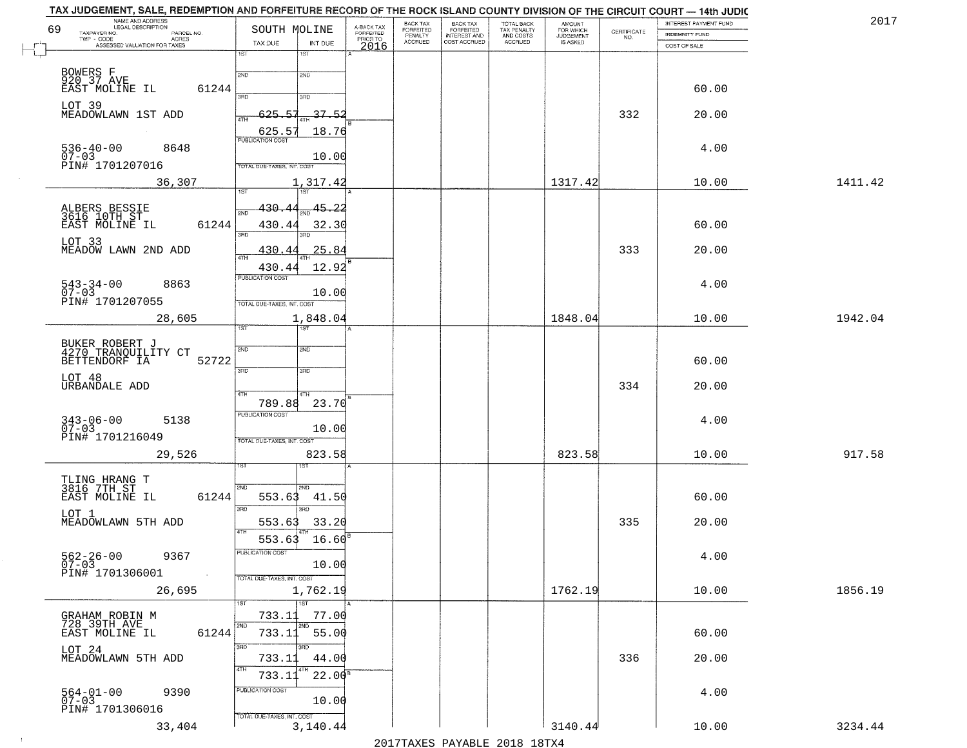|    | TAX JUDGEMENT, SALE, REDEMPTION AND FORFEITURE RECORD OF THE ROCK ISLAND COUNTY DIVISION OF THE CIRCUIT COURT - 14th JUDIC<br>NAME AND ADDRESS<br>LEGAL DESCRIPTION |                                   |                                     | <b>BACK TAX</b>             | BACK TAX<br>FORFEITED<br>INTEREST AND | TOTAL BACK<br>TAX PENALTY<br>AND COSTS |                                  |                                                                 | INTEREST PAYMENT FUND | 2017    |
|----|---------------------------------------------------------------------------------------------------------------------------------------------------------------------|-----------------------------------|-------------------------------------|-----------------------------|---------------------------------------|----------------------------------------|----------------------------------|-----------------------------------------------------------------|-----------------------|---------|
| 69 | TAXPAYER NO.<br>PARCEL NO.<br>TWP - CODE<br>ACRES                                                                                                                   | SOUTH MOLINE                      | A-BACK TAX<br>FORFEITED<br>PRIOR TO | <b>FORFEITED</b><br>PENALTY |                                       |                                        | AMOUNT<br>FOR WHICH<br>JUDGEMENT | $\begin{array}{c} \text{CERTIFICATE} \\ \text{NO.} \end{array}$ | <b>INDEMNITY FUND</b> |         |
|    | ASSESSED VALUATION FOR TAXES                                                                                                                                        | TAX DUE<br>INT DUE                | 2016                                | <b>ACCRUED</b>              | COST ACCRUED                          | ACCRUED                                | IS ASKED                         |                                                                 | COST OF SALE          |         |
|    |                                                                                                                                                                     | 18T<br>1ST                        |                                     |                             |                                       |                                        |                                  |                                                                 |                       |         |
|    | BOWERS F<br>920 37 AVE                                                                                                                                              | 2ND<br>2ND                        |                                     |                             |                                       |                                        |                                  |                                                                 |                       |         |
|    | 61244<br>EAST MOLINE IL                                                                                                                                             |                                   |                                     |                             |                                       |                                        |                                  |                                                                 | 60.00                 |         |
|    |                                                                                                                                                                     | 390<br>3RD                        |                                     |                             |                                       |                                        |                                  |                                                                 |                       |         |
|    | LOT 39<br>MEADOWLAWN 1ST ADD                                                                                                                                        | 37.52<br>625.57                   |                                     |                             |                                       |                                        |                                  | 332                                                             | 20.00                 |         |
|    |                                                                                                                                                                     | 18.76                             |                                     |                             |                                       |                                        |                                  |                                                                 |                       |         |
|    |                                                                                                                                                                     | $\frac{625.57}{FUBUCATON COST}$   |                                     |                             |                                       |                                        |                                  |                                                                 |                       |         |
|    | $536 - 40 - 00$<br>07-03<br>8648                                                                                                                                    | 10.00                             |                                     |                             |                                       |                                        |                                  |                                                                 | 4.00                  |         |
|    | PIN# 1701207016                                                                                                                                                     | <b>TOTAL DUE-TAXES, INT. COST</b> |                                     |                             |                                       |                                        |                                  |                                                                 |                       |         |
|    | 36,307                                                                                                                                                              | 1,317.42                          |                                     |                             |                                       |                                        | 1317.42                          |                                                                 | 10.00                 | 1411.42 |
|    |                                                                                                                                                                     |                                   |                                     |                             |                                       |                                        |                                  |                                                                 |                       |         |
|    | ALBERS BESSIE<br>3616 10TH ST                                                                                                                                       | 45.22<br>430.44                   |                                     |                             |                                       |                                        |                                  |                                                                 |                       |         |
|    | 61244<br>EAST MOLINE IL                                                                                                                                             | 430.44<br>32.30                   |                                     |                             |                                       |                                        |                                  |                                                                 | 60.00                 |         |
|    |                                                                                                                                                                     | उन्नठ                             |                                     |                             |                                       |                                        |                                  |                                                                 |                       |         |
|    | LOT 33<br>MEADOW LAWN 2ND ADD                                                                                                                                       | 25.84<br>430.44                   |                                     |                             |                                       |                                        |                                  | 333                                                             | 20.00                 |         |
|    |                                                                                                                                                                     | 12.92                             |                                     |                             |                                       |                                        |                                  |                                                                 |                       |         |
|    |                                                                                                                                                                     | 430.44<br>PUBLICATION COST        |                                     |                             |                                       |                                        |                                  |                                                                 |                       |         |
|    | $543 - 34 - 00$<br>8863<br>$07 - 03$                                                                                                                                | 10.00                             |                                     |                             |                                       |                                        |                                  |                                                                 | 4.00                  |         |
|    | PIN# 1701207055                                                                                                                                                     | TOTAL DUE-TAXES, INT. COST        |                                     |                             |                                       |                                        |                                  |                                                                 |                       |         |
|    | 28,605                                                                                                                                                              | 1,848.04                          |                                     |                             |                                       |                                        | 1848.04                          |                                                                 | 10.00                 | 1942.04 |
|    |                                                                                                                                                                     | 1ST<br>ist                        |                                     |                             |                                       |                                        |                                  |                                                                 |                       |         |
|    |                                                                                                                                                                     | SVD<br>SMD                        |                                     |                             |                                       |                                        |                                  |                                                                 |                       |         |
|    | BUKER ROBERT J<br>4270 TRANQUILITY CT<br>BETTENDORF IA<br>52722                                                                                                     |                                   |                                     |                             |                                       |                                        |                                  |                                                                 | 60.00                 |         |
|    |                                                                                                                                                                     | 3RD<br>3RD                        |                                     |                             |                                       |                                        |                                  |                                                                 |                       |         |
|    | LOT 48<br>URBANDALE ADD                                                                                                                                             |                                   |                                     |                             |                                       |                                        |                                  | 334                                                             | 20.00                 |         |
|    |                                                                                                                                                                     | 4TH<br>4TH<br>789.88<br>23.70     |                                     |                             |                                       |                                        |                                  |                                                                 |                       |         |
|    |                                                                                                                                                                     | PUBLICATION COST                  |                                     |                             |                                       |                                        |                                  |                                                                 |                       |         |
|    | $343 - 06 - 00$<br>07-03<br>5138                                                                                                                                    | 10.00                             |                                     |                             |                                       |                                        |                                  |                                                                 | 4.00                  |         |
|    | PIN# 1701216049                                                                                                                                                     | TOTAL OUE-TAXES, INT. COST        |                                     |                             |                                       |                                        |                                  |                                                                 |                       |         |
|    | 29,526                                                                                                                                                              | 823.58                            |                                     |                             |                                       |                                        | 823.58                           |                                                                 | 10.00                 | 917.58  |
|    |                                                                                                                                                                     |                                   |                                     |                             |                                       |                                        |                                  |                                                                 |                       |         |
|    | TLING HRANG T<br>3816 7TH ST                                                                                                                                        | 2ND<br>2ND.                       |                                     |                             |                                       |                                        |                                  |                                                                 |                       |         |
|    | EAST MOLINE IL<br>61244                                                                                                                                             | 553.63<br>41.50                   |                                     |                             |                                       |                                        |                                  |                                                                 | 60.00                 |         |
|    | LOT 1                                                                                                                                                               | 3BD<br>3RD                        |                                     |                             |                                       |                                        |                                  |                                                                 |                       |         |
|    | MEADOWLAWN 5TH ADD                                                                                                                                                  | 553.63<br>33.20                   |                                     |                             |                                       |                                        |                                  | 335                                                             | 20.00                 |         |
|    |                                                                                                                                                                     | 4TH<br>16.60<br>553.63            |                                     |                             |                                       |                                        |                                  |                                                                 |                       |         |
|    |                                                                                                                                                                     | ruslica i IUN COS                 |                                     |                             |                                       |                                        |                                  |                                                                 |                       |         |
|    | $562 - 26 - 00$<br>07-03<br>9367                                                                                                                                    | 10.00                             |                                     |                             |                                       |                                        |                                  |                                                                 | 4.00                  |         |
|    | PIN# 1701306001                                                                                                                                                     | TOTAL DUE-TAXES, INT. COST        |                                     |                             |                                       |                                        |                                  |                                                                 |                       |         |
|    | 26,695                                                                                                                                                              | 1,762.19                          |                                     |                             |                                       |                                        | 1762.19                          |                                                                 | 10.00                 | 1856.19 |
|    |                                                                                                                                                                     | 1ST                               |                                     |                             |                                       |                                        |                                  |                                                                 |                       |         |
|    | GRAHAM ROBIN M<br>728 39TH AVE                                                                                                                                      | 77.00<br>733.11<br>2ND<br>2ND     |                                     |                             |                                       |                                        |                                  |                                                                 |                       |         |
|    | 61244<br>EAST MOLINE IL                                                                                                                                             | 733.11<br>55.00                   |                                     |                             |                                       |                                        |                                  |                                                                 | 60.00                 |         |
|    | LOT 24                                                                                                                                                              | 3RD<br>3BD                        |                                     |                             |                                       |                                        |                                  |                                                                 |                       |         |
|    | MEADOWLAWN 5TH ADD                                                                                                                                                  | 733.11<br>44.00                   |                                     |                             |                                       |                                        |                                  | 336                                                             | 20.00                 |         |
|    |                                                                                                                                                                     | 4TH<br>$22.00^8$<br>733.11        |                                     |                             |                                       |                                        |                                  |                                                                 |                       |         |
|    | 9390                                                                                                                                                                | PUBLICATION COST                  |                                     |                             |                                       |                                        |                                  |                                                                 | 4.00                  |         |
|    | 564-01-00<br>07-03                                                                                                                                                  | 10.00                             |                                     |                             |                                       |                                        |                                  |                                                                 |                       |         |
|    | PIN# 1701306016                                                                                                                                                     | TOTAL DUE-TAXES, INT. COST        |                                     |                             |                                       |                                        |                                  |                                                                 |                       |         |
|    | 33,404                                                                                                                                                              | 3,140.44                          |                                     |                             |                                       |                                        | 3140.44                          |                                                                 | 10.00                 | 3234.44 |
|    |                                                                                                                                                                     |                                   |                                     |                             | 2017 THAYRO DAVADIR 2018 19TYA        |                                        |                                  |                                                                 |                       |         |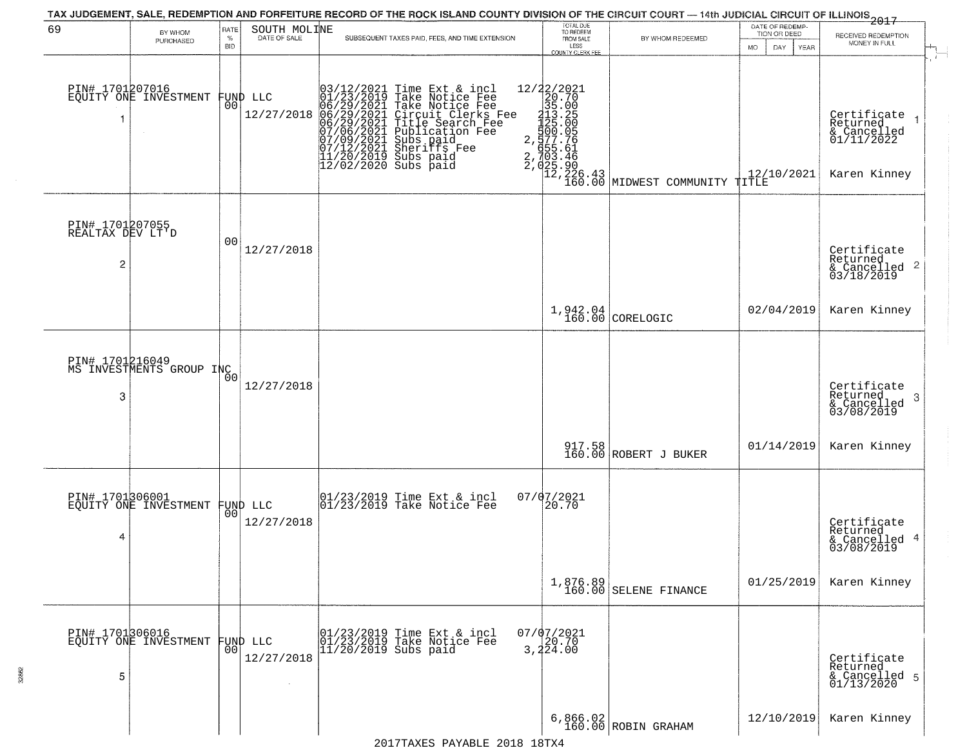|                                          |                                             |                     |                                | TAX JUDGEMENT, SALE, REDEMPTION AND FORFEITURE RECORD OF THE ROCK ISLAND COUNTY DIVISION OF THE CIRCUIT COURT - 14th JUDICIAL CIRCUIT OF ILLINOIS 2017                                                                                                                                                                                                   |                                                                 |                                                                                                                                           | DATE OF REDEMP-                     |                                                                      |
|------------------------------------------|---------------------------------------------|---------------------|--------------------------------|----------------------------------------------------------------------------------------------------------------------------------------------------------------------------------------------------------------------------------------------------------------------------------------------------------------------------------------------------------|-----------------------------------------------------------------|-------------------------------------------------------------------------------------------------------------------------------------------|-------------------------------------|----------------------------------------------------------------------|
| 69                                       | BY WHOM<br>PURCHASED                        | RATE<br>$\%$<br>BID | SOUTH MOLINE                   | SUBSEQUENT TAXES PAID, FEES, AND TIME EXTENSION                                                                                                                                                                                                                                                                                                          | TOTAL DUE<br>TO REDEEM<br>FROM SALE<br>LESS<br>COUNTY CLERK FEE | BY WHOM REDEEMED                                                                                                                          | TION OR DEED<br>DAY.<br>MO.<br>YEAR | RECEIVED REDEMPTION<br>MONEY IN FULL                                 |
| PIN# 1701207016                          | EQUITY ONE INVESTMENT                       | 00                  | FUND LLC<br>12/27/2018         | $\begin{smallmatrix} 03/12/2021\\01/23/2019\\06/29/2021\\06/29/2021\\06/29/2021\\07/06/2021\\07/06/2021\\07/12/2021\\11/20/2019\\12/02/2020 \end{smallmatrix}$<br>Time Ext & incl<br>Take Notice Fee<br>Take Notice Fee<br>Circuit Clerks Fee<br>Title Search Fee<br>Publication Fee<br>Subs paid<br>Sheriffs Fee<br>Subs naid<br>Subs paid<br>Subs paid |                                                                 | 12/22/2021<br>20.70<br>35.00<br>35.00<br>113.25<br>100.05<br>2,77.76<br>655.61<br>2,025.90<br>12,226.43<br>160.00 MIDWEST COMMUNITY TITLE | 12/10/2021                          | Certificate<br>Returned<br>& Cancelled<br>01/11/2022<br>Karen Kinney |
| PIN# 1701207055<br>REALTAX DEV LT'D<br>2 |                                             | 00                  | 12/27/2018                     |                                                                                                                                                                                                                                                                                                                                                          |                                                                 |                                                                                                                                           |                                     | Certificate<br>Returned<br>$\frac{1}{2}$ Cancelled 2<br>03/18/2019   |
|                                          |                                             |                     |                                |                                                                                                                                                                                                                                                                                                                                                          | 1,942.04<br>160.00                                              | CORELOGIC                                                                                                                                 | 02/04/2019                          | Karen Kinney                                                         |
| PIN# 1701216049<br>3                     | PIN# 1701K10042<br>MS INVESTMENTS GROUP INC |                     | 12/27/2018                     |                                                                                                                                                                                                                                                                                                                                                          |                                                                 |                                                                                                                                           |                                     | Certifiçate<br>Returned<br>3<br>& Cancelled<br>03/08/2019            |
|                                          |                                             |                     |                                |                                                                                                                                                                                                                                                                                                                                                          |                                                                 | 917.58 ROBERT J BUKER                                                                                                                     | 01/14/2019                          | Karen Kinney                                                         |
| PIN# 1701306001<br>4                     | EQUITY ONE INVESTMENT                       |                     | FUND LLC<br> 00 <br>12/27/2018 | $ 01/23/2019$ Time Ext & incl<br>$ 01/23/2019$ Take Notice Fee                                                                                                                                                                                                                                                                                           | 07/07/2021<br>20.70                                             |                                                                                                                                           |                                     | Certificate<br>Returned<br>& Cancelled 4<br>03/08/2019               |
|                                          |                                             |                     |                                |                                                                                                                                                                                                                                                                                                                                                          |                                                                 | 1,876.89<br>160.00 SELENE FINANCE                                                                                                         | 01/25/2019                          | Karen Kinney                                                         |
| 5                                        | PIN# 1701306016<br>EQUITY ONE INVESTMENT    | 00 <sub>1</sub>     | FUND LLC<br>12/27/2018         | 01/23/2019 Time Ext & incl<br>01/23/2019 Take Notice Fee<br>11/20/2019 Subs paid                                                                                                                                                                                                                                                                         | 07/07/2021<br>3, 224.00                                         |                                                                                                                                           |                                     | Certificate<br>Returned<br>& Cancelled 5<br>01/13/2020               |
|                                          |                                             |                     |                                | 2017TAXES PAYABLE 2018 18TX4                                                                                                                                                                                                                                                                                                                             |                                                                 | $6,866.02$ ROBIN GRAHAM                                                                                                                   | 12/10/2019                          | Karen Kinney                                                         |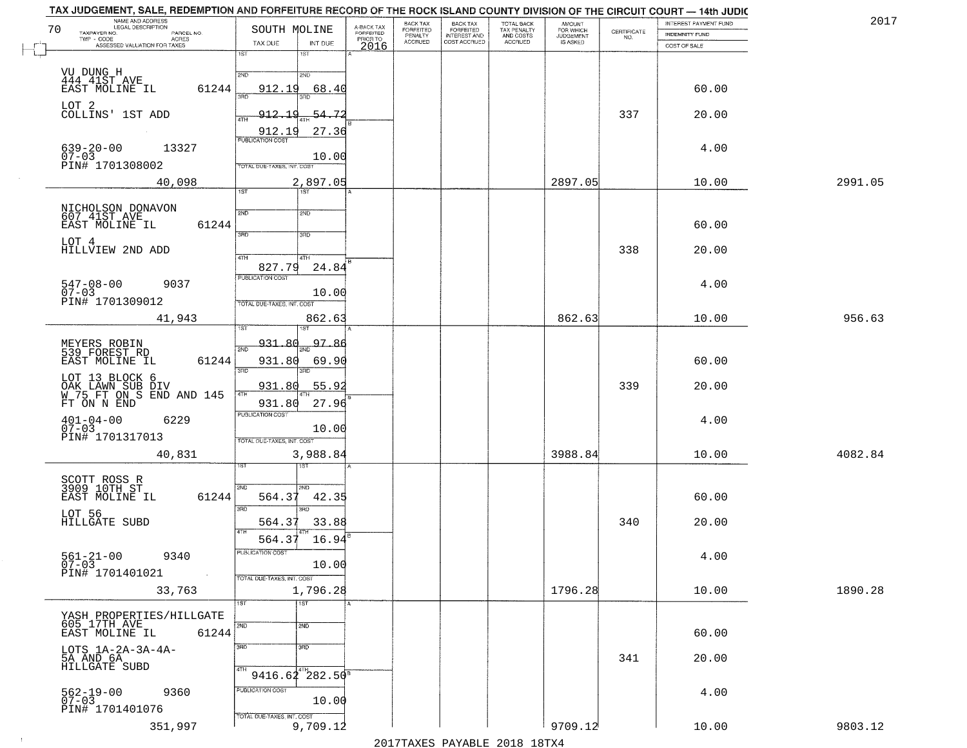| NAME AND ADDRESS<br>LEGAL DESCRIPTION<br>70     | SOUTH MOLINE                                     |                                     | BACK TAX<br>FORFEITED     | BACK TAX<br>FORFEITED<br>INTEREST AND | TOTAL BACK<br>TAX PENALTY<br>AND COSTS | AMOUNT<br>FOR WHICH<br>JUDGEMENT |                    | INTEREST PAYMENT FUND | 2017    |
|-------------------------------------------------|--------------------------------------------------|-------------------------------------|---------------------------|---------------------------------------|----------------------------------------|----------------------------------|--------------------|-----------------------|---------|
| TAXPAYER NO.<br>PARCEL NO.<br>ACRES             |                                                  | A-BACK TAX<br>FORFEITED<br>PRIOR TO | PENALTY<br><b>ACCRUED</b> | COST ACCRUED                          | <b>ACCRUED</b>                         | IS ASKED                         | CERTIFICATE<br>NO. | <b>INDEMNITY FUND</b> |         |
| ASSESSED VALUATION FOR TAXES                    | TAX DUE<br>INT DUE<br>18T<br>1ST                 | 2016                                |                           |                                       |                                        |                                  |                    | COST OF SALE          |         |
|                                                 |                                                  |                                     |                           |                                       |                                        |                                  |                    |                       |         |
| VU DUNG H<br>444 41ST AVE                       | 2ND<br>2ND                                       |                                     |                           |                                       |                                        |                                  |                    |                       |         |
| 61244<br>EAST MOLINE IL                         | 912.19<br>68.40                                  |                                     |                           |                                       |                                        |                                  |                    | 60.00                 |         |
| LOT 2<br>COLLINS' 1ST ADD                       | 54.72<br>912.19                                  |                                     |                           |                                       |                                        |                                  | 337                | 20.00                 |         |
|                                                 | 4TH                                              |                                     |                           |                                       |                                        |                                  |                    |                       |         |
|                                                 | 27.36<br>912.19<br><b>PUBLICATION COST</b>       |                                     |                           |                                       |                                        |                                  |                    |                       |         |
| 639-20-00<br>07-03<br>13327                     | 10.00                                            |                                     |                           |                                       |                                        |                                  |                    | 4.00                  |         |
| PIN# 1701308002                                 | TOTAL DUE-TAXES, INT. COST                       |                                     |                           |                                       |                                        |                                  |                    |                       |         |
| 40,098                                          | 2,897.05                                         |                                     |                           |                                       |                                        | 2897.05                          |                    | 10.00                 | 2991.05 |
|                                                 | 1ST<br>1ST                                       |                                     |                           |                                       |                                        |                                  |                    |                       |         |
| NICHOLSON DONAVON<br>607 41ST AVE               | 2ND<br>2ND                                       |                                     |                           |                                       |                                        |                                  |                    |                       |         |
| 61244<br>EAST MOLINE IL                         |                                                  |                                     |                           |                                       |                                        |                                  |                    | 60.00                 |         |
| LOT 4                                           | 3RD<br>3RD                                       |                                     |                           |                                       |                                        |                                  |                    |                       |         |
| HILLVIEW 2ND ADD                                | 47H<br>4TH                                       |                                     |                           |                                       |                                        |                                  | 338                | 20.00                 |         |
|                                                 | 827.79<br>24.84                                  |                                     |                           |                                       |                                        |                                  |                    |                       |         |
| $547 - 08 - 00$<br>9037                         | PUBLICATION COST                                 |                                     |                           |                                       |                                        |                                  |                    | 4.00                  |         |
| $07 - 03$<br>PIN# 1701309012                    | 10.00<br>TOTAL DUE-TAXES, INT. COST              |                                     |                           |                                       |                                        |                                  |                    |                       |         |
| 41,943                                          | 862.63                                           |                                     |                           |                                       |                                        | 862.63                           |                    | 10.00                 | 956.63  |
|                                                 | i ST                                             |                                     |                           |                                       |                                        |                                  |                    |                       |         |
| MEYERS ROBIN<br>539 FOREST RD                   | 931.80<br>97.86<br>2ND                           |                                     |                           |                                       |                                        |                                  |                    |                       |         |
| EAST MOLINE IL<br>61244                         | 931.80<br>69.90                                  |                                     |                           |                                       |                                        |                                  |                    | 60.00                 |         |
| LOT 13 BLOCK 6                                  | 3BD<br>3RD                                       |                                     |                           |                                       |                                        |                                  |                    |                       |         |
| OAK LAWN SUB DIV<br>W 75 FT ON S END AND 145    | 931.80<br>55.9<br>4TH                            |                                     |                           |                                       |                                        |                                  | 339                | 20.00                 |         |
| FT ON N END                                     | 27.96<br>931.80                                  |                                     |                           |                                       |                                        |                                  |                    |                       |         |
| $401 - 04 - 00$<br>07-03<br>6229                | <b>PUBLICATION COST</b>                          |                                     |                           |                                       |                                        |                                  |                    | 4.00                  |         |
| PIN# 1701317013                                 | 10.00<br>TOTAL OUE-TAXES, INT. COST              |                                     |                           |                                       |                                        |                                  |                    |                       |         |
| 40,831                                          | 3,988.84                                         |                                     |                           |                                       |                                        | 3988.84                          |                    | 10.00                 | 4082.84 |
|                                                 | १९४                                              |                                     |                           |                                       |                                        |                                  |                    |                       |         |
| SCOTT ROSS R<br>3909 10TH ST                    |                                                  |                                     |                           |                                       |                                        |                                  |                    |                       |         |
| EAST MOLINE IL<br>61244                         | 2ND<br>2ND.<br>564.37<br>42.35                   |                                     |                           |                                       |                                        |                                  |                    | 60.00                 |         |
|                                                 | 3RD<br>3RD                                       |                                     |                           |                                       |                                        |                                  |                    |                       |         |
| LOT 56<br>HILLGATE SUBD                         | 33.88<br>564.37                                  |                                     |                           |                                       |                                        |                                  | 340                | 20.00                 |         |
|                                                 | 4TH<br>564.37<br>16.94                           |                                     |                           |                                       |                                        |                                  |                    |                       |         |
| $561 - 21 - 00$<br>9340                         | 'usuca hun cus                                   |                                     |                           |                                       |                                        |                                  |                    | 4.00                  |         |
| $07 - 03$<br>PIN# 1701401021                    | 10.00                                            |                                     |                           |                                       |                                        |                                  |                    |                       |         |
| $\sim 100$ km s                                 | TOTAL DUE-TAXES, INT. COST                       |                                     |                           |                                       |                                        |                                  |                    |                       |         |
| 33,763                                          | 1,796.28<br>$\overline{1ST}$<br>$\overline{1ST}$ |                                     |                           |                                       |                                        | 1796.28                          |                    | 10.00                 | 1890.28 |
| YASH PROPERTIES/HILLGATE                        |                                                  |                                     |                           |                                       |                                        |                                  |                    |                       |         |
| 605 17TH AVE<br>61244<br>EAST MOLINE IL         | 2ND<br>2ND                                       |                                     |                           |                                       |                                        |                                  |                    | 60.00                 |         |
|                                                 | 3RD<br>3BD                                       |                                     |                           |                                       |                                        |                                  |                    |                       |         |
| LOTS 1A-2A-3A-4A-<br>5A AND 6A<br>HILLGATE SUBD |                                                  |                                     |                           |                                       |                                        |                                  | 341                | 20.00                 |         |
|                                                 | $9416.64^{4}$ 282.50 <sup>8</sup>                |                                     |                           |                                       |                                        |                                  |                    |                       |         |
| 9360                                            | PUBLICATION COST                                 |                                     |                           |                                       |                                        |                                  |                    | 4.00                  |         |
| 562-19-00<br>07-03                              | 10.00                                            |                                     |                           |                                       |                                        |                                  |                    |                       |         |
| PIN# 1701401076                                 | TOTAL DUE-TAXES, INT. COST                       |                                     |                           |                                       |                                        |                                  |                    |                       |         |
| 351,997                                         | 9,709.12                                         |                                     |                           |                                       |                                        | 9709.12                          |                    | 10.00                 | 9803.12 |

 $\sim 10^{-1}$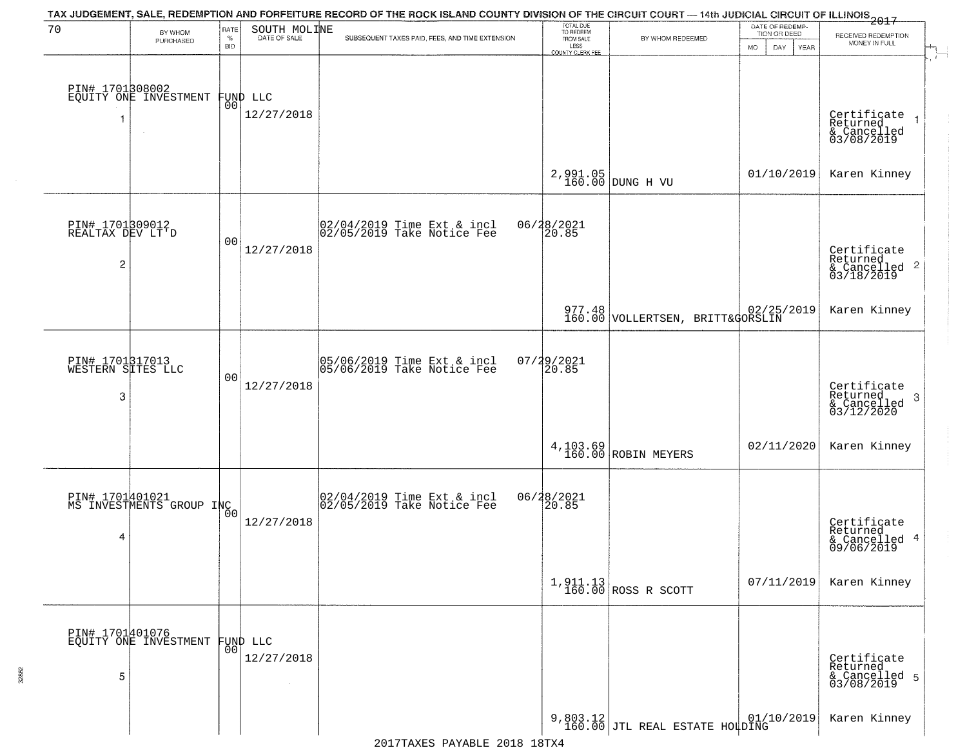| 70                                   | BY WHOM                                     | RATE               | SOUTH MOLINE                   | TAX JUDGEMENT, SALE, REDEMPTION AND FORFEITURE RECORD OF THE ROCK ISLAND COUNTY DIVISION OF THE CIRCUIT COURT — 14th JUDICIAL CIRCUIT OF ILLINOIS 2017 | TOTAL DUE<br>TO REDEEM<br>FROM SALE |                                                       | DATE OF REDEMP-<br>TION OR DEED |                                                      |
|--------------------------------------|---------------------------------------------|--------------------|--------------------------------|--------------------------------------------------------------------------------------------------------------------------------------------------------|-------------------------------------|-------------------------------------------------------|---------------------------------|------------------------------------------------------|
|                                      | PURCHASED                                   | $\%$<br><b>BID</b> | DATE OF SALE                   | SUBSEQUENT TAXES PAID, FEES, AND TIME EXTENSION                                                                                                        | LESS                                | BY WHOM REDEEMED                                      | <b>MO</b><br>DAY<br><b>YEAR</b> | RECEIVED REDEMPTION<br>MONEY IN FULL                 |
|                                      |                                             |                    |                                |                                                                                                                                                        | COUNTY CLERK FEE                    |                                                       |                                 |                                                      |
|                                      | PIN# 1701308002<br>EQUITY ONE INVESTMENT    |                    |                                |                                                                                                                                                        |                                     |                                                       |                                 |                                                      |
|                                      |                                             |                    | FUND LLC<br> 00 <br>12/27/2018 |                                                                                                                                                        |                                     |                                                       |                                 |                                                      |
| 1                                    |                                             |                    |                                |                                                                                                                                                        |                                     |                                                       |                                 | Certificate<br>Returned<br>& Cancelled<br>03/08/2019 |
|                                      |                                             |                    |                                |                                                                                                                                                        |                                     |                                                       |                                 |                                                      |
|                                      |                                             |                    |                                |                                                                                                                                                        |                                     | $2,991.05$ DUNG H VU                                  | 01/10/2019                      | Karen Kinney                                         |
|                                      |                                             |                    |                                |                                                                                                                                                        |                                     |                                                       |                                 |                                                      |
| PIN# 1701809012<br>REALTAX DEV LT'D  |                                             |                    |                                | 02/04/2019 Time Ext & incl<br>02/05/2019 Take Notice Fee                                                                                               | 06/28/2021<br>20.85                 |                                                       |                                 |                                                      |
|                                      |                                             | 0 <sub>0</sub>     | 12/27/2018                     |                                                                                                                                                        |                                     |                                                       |                                 | Certificate<br>Returned                              |
| 2                                    |                                             |                    |                                |                                                                                                                                                        |                                     |                                                       |                                 | $\frac{1}{6}$ Cancelled 2<br>03/18/2019              |
|                                      |                                             |                    |                                |                                                                                                                                                        |                                     |                                                       |                                 | Karen Kinney                                         |
|                                      |                                             |                    |                                |                                                                                                                                                        |                                     | 977.48 02/25/2019<br>160.00 VOLLERTSEN, BRITT&GORSLIN |                                 |                                                      |
|                                      |                                             |                    |                                |                                                                                                                                                        |                                     |                                                       |                                 |                                                      |
| PIN# 1701317013<br>WESTERN SITES LLC |                                             | 0 <sub>0</sub>     |                                | 05/06/2019 Time Ext & incl<br>05/06/2019 Take Notice Fee                                                                                               | $07/29/2021$<br>20.85               |                                                       |                                 |                                                      |
| 3                                    |                                             |                    | 12/27/2018                     |                                                                                                                                                        |                                     |                                                       |                                 | Certificate<br>Returned<br>3                         |
|                                      |                                             |                    |                                |                                                                                                                                                        |                                     |                                                       |                                 | $\frac{1}{03/12/2020}$                               |
|                                      |                                             |                    |                                |                                                                                                                                                        |                                     | $4,103.69$ ROBIN MEYERS                               | 02/11/2020                      | Karen Kinney                                         |
|                                      |                                             |                    |                                |                                                                                                                                                        |                                     |                                                       |                                 |                                                      |
|                                      | PIN# 1701401021<br>MS INVESTMENTS GROUP INC |                    |                                | 02/04/2019 Time Ext & incl<br>02/05/2019 Take Notice Fee                                                                                               | 06/28/2021                          |                                                       |                                 |                                                      |
|                                      |                                             | 0 <sub>0</sub>     | 12/27/2018                     |                                                                                                                                                        |                                     |                                                       |                                 | Certificate<br>Returned                              |
| 4                                    |                                             |                    |                                |                                                                                                                                                        |                                     |                                                       |                                 | & Cancelled 4<br>09/06/2019                          |
|                                      |                                             |                    |                                |                                                                                                                                                        |                                     |                                                       |                                 |                                                      |
|                                      |                                             |                    |                                |                                                                                                                                                        |                                     | $1,911.13$ ROSS R SCOTT                               | 07/11/2019                      | Karen Kinney                                         |
|                                      |                                             |                    |                                |                                                                                                                                                        |                                     |                                                       |                                 |                                                      |
|                                      | PIN# 1701401076<br>EQUITY ONE INVESTMENT    |                    | FUND LLC                       |                                                                                                                                                        |                                     |                                                       |                                 |                                                      |
|                                      |                                             | 0 <sup>0</sup>     | 12/27/2018                     |                                                                                                                                                        |                                     |                                                       |                                 | Certificate<br>Returned                              |
| 5                                    |                                             |                    | $\mathcal{L}$                  |                                                                                                                                                        |                                     |                                                       |                                 | & Cancelled 5<br>03/08/2019                          |
|                                      |                                             |                    |                                |                                                                                                                                                        |                                     |                                                       | 01/10/2019                      | Karen Kinney                                         |
|                                      |                                             |                    |                                |                                                                                                                                                        |                                     | 9,803.12<br>160.00 JTL REAL ESTATE HOLDING            |                                 |                                                      |

32862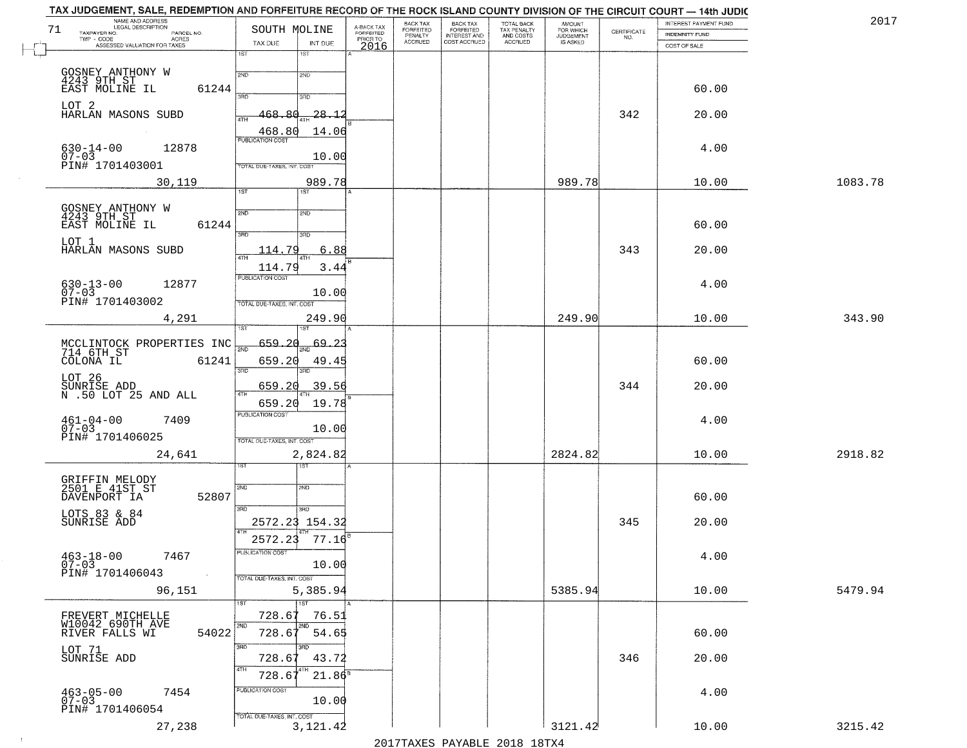| TAX JUDGEMENT, SALE, REDEMPTION AND FORFEITURE RECORD OF THE ROCK ISLAND COUNTY DIVISION OF THE CIRCUIT COURT - 14th JUDIC<br>NAME AND ADDRESS<br>LEGAL DESCRIPTION |                                   |                                     | BACK TAX                    |                                       |                                        |                                  |                                                                 | INTEREST PAYMENT FUND | 2017    |
|---------------------------------------------------------------------------------------------------------------------------------------------------------------------|-----------------------------------|-------------------------------------|-----------------------------|---------------------------------------|----------------------------------------|----------------------------------|-----------------------------------------------------------------|-----------------------|---------|
| 71<br>TAXPAYER NO.<br>PARCEL NO.<br>TWP - CODE<br>ACRES                                                                                                             | SOUTH MOLINE                      | A-BACK TAX<br>FORFEITED<br>PRIOR TO | <b>FORFEITED</b><br>PENALTY | BACK TAX<br>FORFEITED<br>INTEREST AND | TOTAL BACK<br>TAX PENALTY<br>AND COSTS | AMOUNT<br>FOR WHICH<br>JUDGEMENT | $\begin{array}{c} \text{CERTIFICATE} \\ \text{NO.} \end{array}$ | <b>INDEMNITY FUND</b> |         |
| ASSESSED VALUATION FOR TAXES                                                                                                                                        | TAX DUE<br>INT DUE                | 2016                                | <b>ACCRUED</b>              | COST ACCRUED                          | ACCRUED                                | IS ASKED                         |                                                                 | COST OF SALE          |         |
|                                                                                                                                                                     | 1ST<br>1ST                        |                                     |                             |                                       |                                        |                                  |                                                                 |                       |         |
|                                                                                                                                                                     | 2ND<br>2ND                        |                                     |                             |                                       |                                        |                                  |                                                                 |                       |         |
| GOSNEY ANTHONY W<br>4243 9TH ST<br>EAST MOLINE IL<br>61244                                                                                                          |                                   |                                     |                             |                                       |                                        |                                  |                                                                 | 60.00                 |         |
|                                                                                                                                                                     | 390<br>3RD                        |                                     |                             |                                       |                                        |                                  |                                                                 |                       |         |
| LOT 2<br>HARLAN MASONS SUBD                                                                                                                                         |                                   |                                     |                             |                                       |                                        |                                  |                                                                 |                       |         |
|                                                                                                                                                                     | 468.80<br>$-28.12$                |                                     |                             |                                       |                                        |                                  | 342                                                             | 20.00                 |         |
|                                                                                                                                                                     | 468.80<br>14.06                   |                                     |                             |                                       |                                        |                                  |                                                                 |                       |         |
| 12878                                                                                                                                                               |                                   |                                     |                             |                                       |                                        |                                  |                                                                 | 4.00                  |         |
| $630 - 14 - 00$<br>07-03                                                                                                                                            | 10.00                             |                                     |                             |                                       |                                        |                                  |                                                                 |                       |         |
| PIN# 1701403001                                                                                                                                                     | <b>TOTAL DUE-TAXES, INT. COST</b> |                                     |                             |                                       |                                        |                                  |                                                                 |                       |         |
| 30,119                                                                                                                                                              | 989.78                            |                                     |                             |                                       |                                        | 989.78                           |                                                                 | 10.00                 | 1083.78 |
|                                                                                                                                                                     | 1ST<br>IST                        |                                     |                             |                                       |                                        |                                  |                                                                 |                       |         |
|                                                                                                                                                                     |                                   |                                     |                             |                                       |                                        |                                  |                                                                 |                       |         |
| GOSNEY ANTHONY W<br>4243 9TH ST                                                                                                                                     | 2ND<br>2ND                        |                                     |                             |                                       |                                        |                                  |                                                                 |                       |         |
| EAST MOLINE IL<br>61244                                                                                                                                             | उन्नत<br>3RD                      |                                     |                             |                                       |                                        |                                  |                                                                 | 60.00                 |         |
| LOT 1                                                                                                                                                               |                                   |                                     |                             |                                       |                                        |                                  |                                                                 |                       |         |
| HARLAN MASONS SUBD                                                                                                                                                  | 6.88<br>114.79                    |                                     |                             |                                       |                                        |                                  | 343                                                             | 20.00                 |         |
|                                                                                                                                                                     | 114.79<br>3.44                    |                                     |                             |                                       |                                        |                                  |                                                                 |                       |         |
| 12877                                                                                                                                                               | PUBLICATION COST                  |                                     |                             |                                       |                                        |                                  |                                                                 | 4.00                  |         |
| $630 - 13 - 00$<br>$07 - 03$                                                                                                                                        | 10.00                             |                                     |                             |                                       |                                        |                                  |                                                                 |                       |         |
| PIN# 1701403002                                                                                                                                                     | TOTAL DUE-TAXES, INT. COST        |                                     |                             |                                       |                                        |                                  |                                                                 |                       |         |
| 4,291                                                                                                                                                               | 249.90                            |                                     |                             |                                       |                                        | 249.90                           |                                                                 | 10.00                 | 343.90  |
|                                                                                                                                                                     | ïsΤ<br><b>IST</b>                 |                                     |                             |                                       |                                        |                                  |                                                                 |                       |         |
|                                                                                                                                                                     | 659.20<br><u>69.23</u>            |                                     |                             |                                       |                                        |                                  |                                                                 |                       |         |
| MCCLINTOCK PROPERTIES INC                                                                                                                                           | $\overline{200}$                  |                                     |                             |                                       |                                        |                                  |                                                                 |                       |         |
| COLONA IL<br>61241                                                                                                                                                  | 659.20<br>49.45<br>3RD<br>3RD     |                                     |                             |                                       |                                        |                                  |                                                                 | 60.00                 |         |
| LOT 26                                                                                                                                                              |                                   |                                     |                             |                                       |                                        |                                  |                                                                 |                       |         |
| SUNRIŠE ADD<br>N .50 LOT 25 AND ALL                                                                                                                                 | 659.20<br>39.56<br>4TH            |                                     |                             |                                       |                                        |                                  | 344                                                             | 20.00                 |         |
|                                                                                                                                                                     | 19.78<br>659.20                   |                                     |                             |                                       |                                        |                                  |                                                                 |                       |         |
| 7409                                                                                                                                                                | <b>PUBLICATION COST</b>           |                                     |                             |                                       |                                        |                                  |                                                                 | 4.00                  |         |
| $461 - 04 - 00$<br>07-03                                                                                                                                            | 10.00                             |                                     |                             |                                       |                                        |                                  |                                                                 |                       |         |
| PIN# 1701406025                                                                                                                                                     | TOTAL OUE-TAXES, INT. COST        |                                     |                             |                                       |                                        |                                  |                                                                 |                       |         |
| 24,641                                                                                                                                                              | 2,824.82                          |                                     |                             |                                       |                                        | 2824.82                          |                                                                 | 10.00                 | 2918.82 |
|                                                                                                                                                                     | 1ST                               |                                     |                             |                                       |                                        |                                  |                                                                 |                       |         |
|                                                                                                                                                                     |                                   |                                     |                             |                                       |                                        |                                  |                                                                 |                       |         |
| GRIFFIN MELODY<br>2501 E 41ST ST<br>DAVENPORT IA<br>52807                                                                                                           | 2ND<br>SND                        |                                     |                             |                                       |                                        |                                  |                                                                 | 60.00                 |         |
|                                                                                                                                                                     | 3RD<br>3BD                        |                                     |                             |                                       |                                        |                                  |                                                                 |                       |         |
| LOTS 83 & 84<br>SUNRISE ADD                                                                                                                                         |                                   |                                     |                             |                                       |                                        |                                  | 345                                                             | 20.00                 |         |
|                                                                                                                                                                     | 2572.23 154.32                    |                                     |                             |                                       |                                        |                                  |                                                                 |                       |         |
|                                                                                                                                                                     | 2572.23<br>77.16                  |                                     |                             |                                       |                                        |                                  |                                                                 |                       |         |
| $463 - 18 - 00$<br>7467                                                                                                                                             | ruslica i IUN COS                 |                                     |                             |                                       |                                        |                                  |                                                                 | 4.00                  |         |
| $07 - 03$                                                                                                                                                           | 10.00                             |                                     |                             |                                       |                                        |                                  |                                                                 |                       |         |
| PIN# 1701406043<br>$\sim 100$                                                                                                                                       | TOTAL DUE-TAXES, INT. COST        |                                     |                             |                                       |                                        |                                  |                                                                 |                       |         |
| 96,151                                                                                                                                                              | 5,385.94                          |                                     |                             |                                       |                                        | 5385.94                          |                                                                 | 10.00                 | 5479.94 |
|                                                                                                                                                                     | 1ST                               |                                     |                             |                                       |                                        |                                  |                                                                 |                       |         |
| FREVERT MICHELLE                                                                                                                                                    | 728.67<br>76.51                   |                                     |                             |                                       |                                        |                                  |                                                                 |                       |         |
| W10042 690TH AVE<br>54022<br>RIVER FALLS WI                                                                                                                         | 2ND<br>728.67<br>54.65            |                                     |                             |                                       |                                        |                                  |                                                                 | 60.00                 |         |
|                                                                                                                                                                     | 3RD                               |                                     |                             |                                       |                                        |                                  |                                                                 |                       |         |
| LOT 71<br>SUNRISE ADD                                                                                                                                               | 728.67<br>43.72                   |                                     |                             |                                       |                                        |                                  | 346                                                             | 20.00                 |         |
|                                                                                                                                                                     | 4TH                               |                                     |                             |                                       |                                        |                                  |                                                                 |                       |         |
|                                                                                                                                                                     | $21.86^8$<br>728.6                |                                     |                             |                                       |                                        |                                  |                                                                 |                       |         |
| $463 - 05 - 00$<br>7454                                                                                                                                             | PUBLICATION COST                  |                                     |                             |                                       |                                        |                                  |                                                                 | 4.00                  |         |
| $07 - 03$                                                                                                                                                           | 10.00                             |                                     |                             |                                       |                                        |                                  |                                                                 |                       |         |
| PIN# 1701406054                                                                                                                                                     | TOTAL DUE-TAXES, INT. COST        |                                     |                             |                                       |                                        |                                  |                                                                 |                       |         |
| 27,238                                                                                                                                                              | 3, 121.42                         |                                     |                             |                                       |                                        | 3121.42                          |                                                                 | 10.00                 | 3215.42 |
|                                                                                                                                                                     |                                   |                                     |                             |                                       | 2017 THAYRO DAVADIR 2018 19TYA         |                                  |                                                                 |                       |         |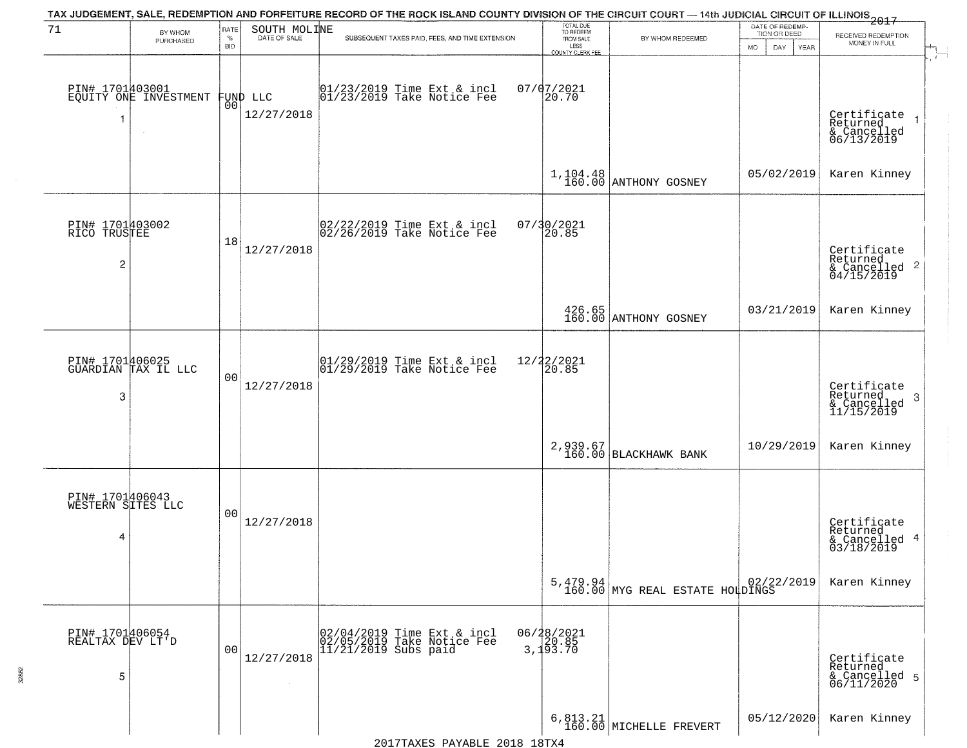|                                                   |                                          |                            |                              | TAX JUDGEMENT, SALE, REDEMPTION AND FORFEITURE RECORD OF THE ROCK ISLAND COUNTY DIVISION OF THE CIRCUIT COURT — 14th JUDICIAL CIRCUIT OF ILLINOIS 2017 |                                                                        |                                             |                                                             |                                                                      |
|---------------------------------------------------|------------------------------------------|----------------------------|------------------------------|--------------------------------------------------------------------------------------------------------------------------------------------------------|------------------------------------------------------------------------|---------------------------------------------|-------------------------------------------------------------|----------------------------------------------------------------------|
| 71                                                | BY WHOM<br>PURCHASED                     | RATE<br>$\%$<br><b>BID</b> | SOUTH MOLINE<br>DATE OF SALE | SUBSEQUENT TAXES PAID, FEES, AND TIME EXTENSION                                                                                                        | TOTAL DUE<br>TO REDEEM<br>FROM SALE<br>LESS<br><b>COUNTY CLERK FEE</b> | BY WHOM REDEEMED                            | DATE OF REDEMP-<br>TION OR DEED<br><b>MO</b><br>DAY<br>YEAR | RECEIVED REDEMPTION<br>MONEY IN FULL                                 |
| -1                                                | PIN# 1701403001<br>EQUITY ONE INVESTMENT | 00                         | FUND LLC<br>12/27/2018       | 01/23/2019 Time Ext & incl<br>01/23/2019 Take Notice Fee                                                                                               | $07/07/2021$<br>20.70                                                  |                                             |                                                             | $\mathbf{r}$<br>Certificate<br>Returned<br>& Cancelled<br>06/13/2019 |
|                                                   |                                          |                            |                              |                                                                                                                                                        |                                                                        | $1,104.48$ ANTHONY GOSNEY                   | 05/02/2019                                                  | Karen Kinney                                                         |
| PIN# 1701403002<br>RICO TRUSTEE<br>$\overline{c}$ |                                          | 18                         | 12/27/2018                   | $\begin{bmatrix} 02/22/2019 \\ 02/26/2019 \end{bmatrix}$ Take Notice Fee                                                                               | 07/30/2021<br>20.85                                                    |                                             |                                                             | Certificate<br>Returned<br>$\frac{1}{2}$ Cancelled 2<br>04/15/2019   |
|                                                   |                                          |                            |                              |                                                                                                                                                        |                                                                        | 426.65<br>160.00 ANTHONY GOSNEY             | 03/21/2019                                                  | Karen Kinney                                                         |
| 3                                                 | PIN# 1701406025<br>GUARDIAN TAX IL LLC   | 0 <sub>0</sub>             | 12/27/2018                   | $\begin{array}{ccc}  01/29/2019 \text{ Time} & \text{Ext} & \text{incl} \\  01/29/2019 & \text{Take Notice } \text{Fe} \end{array}$                    | 12/22/2021<br>20.85                                                    |                                             |                                                             | Certificate<br>Returned<br>3<br>& Cancelled<br>11/15/2019            |
|                                                   |                                          |                            |                              |                                                                                                                                                        |                                                                        | 2,939.67<br>160.00 BLACKHAWK BANK           | 10/29/2019                                                  | Karen Kinney                                                         |
| PIN# 1701406043<br>WESTERN SITES LLC<br>4         |                                          | 00                         | 12/27/2018                   |                                                                                                                                                        |                                                                        |                                             |                                                             | Certificate<br>Returned<br>& Cancelled 4<br>03/18/2019               |
|                                                   |                                          |                            |                              |                                                                                                                                                        |                                                                        | 5,479.94<br>160.00 MYG REAL ESTATE HOLDINGS |                                                             | Karen Kinney                                                         |
| PIN# 1701406054<br>REALTAX DEV LT'D<br>5          |                                          | 0 <sub>0</sub>             | 12/27/2018                   | 02/04/2019 Time Ext & incl<br>02/05/2019 Take Notice Fee<br>11/21/2019 Subs paid                                                                       | 06/28/2021<br>20.85<br>3,193.70                                        |                                             |                                                             | Certificate<br>Returned<br>& Cancelled 5<br>06/11/2020               |
|                                                   |                                          |                            |                              | $0.017$ mavn $0.01$                                                                                                                                    |                                                                        | $6, 813.21$ MICHELLE FREVERT                | 05/12/2020                                                  | Karen Kinney                                                         |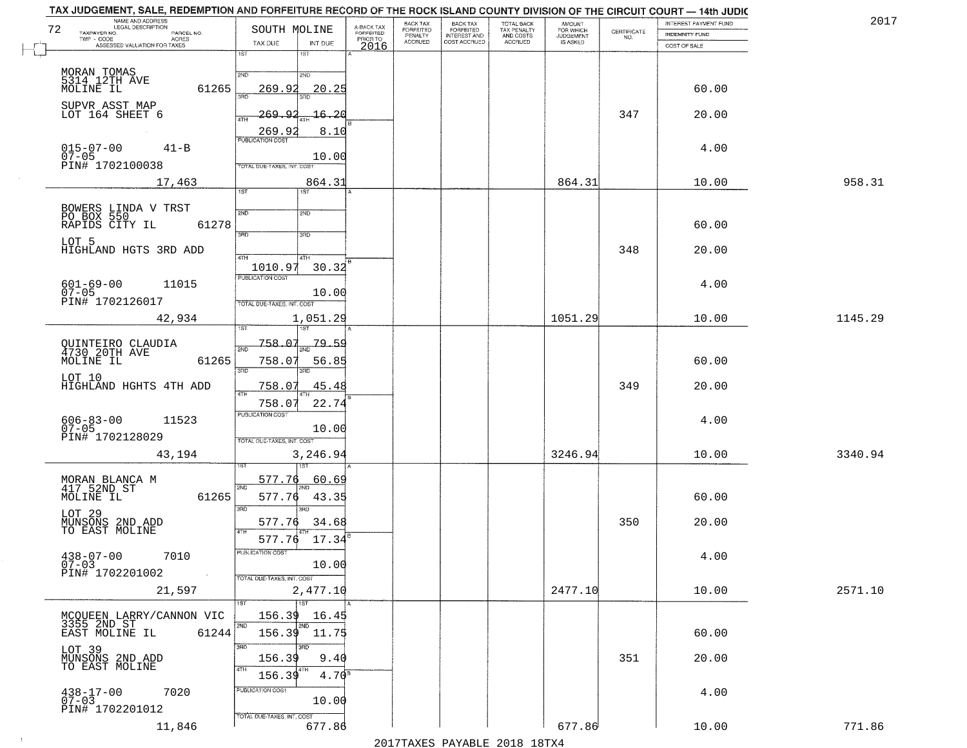| TAX JUDGEMENT, SALE, REDEMPTION AND FORFEITURE RECORD OF THE ROCK ISLAND COUNTY DIVISION OF THE CIRCUIT COURT - 14th JUDIC<br>NAME AND ADDRESS<br>LEGAL DESCRIPTION |                                          |                                     | BACK TAX                    | BACK TAX<br>FORFEITED<br>INTEREST AND | TOTAL BACK<br>TAX PENALTY<br>AND COSTS |                                  |                                                                 | INTEREST PAYMENT FUND | 2017    |
|---------------------------------------------------------------------------------------------------------------------------------------------------------------------|------------------------------------------|-------------------------------------|-----------------------------|---------------------------------------|----------------------------------------|----------------------------------|-----------------------------------------------------------------|-----------------------|---------|
| 72<br>TAXPAYER NO.<br>PARCEL NO.<br>TWP - CODE<br>ACRES                                                                                                             | SOUTH MOLINE                             | A-BACK TAX<br>FORFEITED<br>PRIOR TO | <b>FORFEITED</b><br>PENALTY |                                       |                                        | AMOUNT<br>FOR WHICH<br>JUDGEMENT | $\begin{array}{c} \text{CERTIFICATE} \\ \text{NO.} \end{array}$ | <b>INDEMNITY FUND</b> |         |
| ASSESSED VALUATION FOR TAXES                                                                                                                                        | TAX DUE<br>INT DUE                       | 2016                                | <b>ACCRUED</b>              | COST ACCRUED                          | ACCRUED                                | IS ASKED                         |                                                                 | COST OF SALE          |         |
|                                                                                                                                                                     | 1ST<br>1ST                               |                                     |                             |                                       |                                        |                                  |                                                                 |                       |         |
|                                                                                                                                                                     | 2ND<br>2ND                               |                                     |                             |                                       |                                        |                                  |                                                                 |                       |         |
| MORAN TOMAS<br>5314 12TH AVE<br>MOLINE IL<br>61265                                                                                                                  | 269.92<br>20.25                          |                                     |                             |                                       |                                        |                                  |                                                                 | 60.00                 |         |
|                                                                                                                                                                     |                                          |                                     |                             |                                       |                                        |                                  |                                                                 |                       |         |
| SUPVR ASST MAP<br>LOT 164 SHEET 6                                                                                                                                   | 269.92<br>16.20                          |                                     |                             |                                       |                                        |                                  | 347                                                             | 20.00                 |         |
|                                                                                                                                                                     | ATH                                      |                                     |                             |                                       |                                        |                                  |                                                                 |                       |         |
|                                                                                                                                                                     | 269.9<br>8.10<br><b>PUBLICATION COST</b> |                                     |                             |                                       |                                        |                                  |                                                                 |                       |         |
| $015 - 07 - 00$<br>07-05<br>$41 - B$                                                                                                                                |                                          |                                     |                             |                                       |                                        |                                  |                                                                 | 4.00                  |         |
| PIN# 1702100038                                                                                                                                                     | 10.00<br>TOTAL DUE-TAXES, INT. COST      |                                     |                             |                                       |                                        |                                  |                                                                 |                       |         |
| 17,463                                                                                                                                                              | 864.31                                   |                                     |                             |                                       |                                        | 864.31                           |                                                                 | 10.00                 | 958.31  |
|                                                                                                                                                                     | 1ST<br>IST                               |                                     |                             |                                       |                                        |                                  |                                                                 |                       |         |
|                                                                                                                                                                     |                                          |                                     |                             |                                       |                                        |                                  |                                                                 |                       |         |
| BOWERS LINDA V TRST<br>PO BOX 550                                                                                                                                   | 2ND<br>2ND                               |                                     |                             |                                       |                                        |                                  |                                                                 |                       |         |
| 61278<br>RAPIDS CITY IL                                                                                                                                             | उन्नत<br>3RD                             |                                     |                             |                                       |                                        |                                  |                                                                 | 60.00                 |         |
| LOT 5                                                                                                                                                               |                                          |                                     |                             |                                       |                                        |                                  |                                                                 |                       |         |
| HIGHLAND HGTS 3RD ADD                                                                                                                                               | 47H<br>4TH                               |                                     |                             |                                       |                                        |                                  | 348                                                             | 20.00                 |         |
|                                                                                                                                                                     | 1010.97<br>30.32                         |                                     |                             |                                       |                                        |                                  |                                                                 |                       |         |
| $601 - 69 - 00$<br>11015                                                                                                                                            | PUBLICATION COST                         |                                     |                             |                                       |                                        |                                  |                                                                 | 4.00                  |         |
| $07 - 05$<br>PIN# 1702126017                                                                                                                                        | 10.00                                    |                                     |                             |                                       |                                        |                                  |                                                                 |                       |         |
|                                                                                                                                                                     | TOTAL DUE-TAXES, INT. COST               |                                     |                             |                                       |                                        |                                  |                                                                 |                       |         |
| 42,934                                                                                                                                                              | 1,051.29<br>1ST<br>'ST                   |                                     |                             |                                       |                                        | 1051.29                          |                                                                 | 10.00                 | 1145.29 |
|                                                                                                                                                                     |                                          |                                     |                             |                                       |                                        |                                  |                                                                 |                       |         |
| QUINTEIRO CLAUDIA<br>4730 20TH AVE                                                                                                                                  | 758.07<br>79.59<br>2ND                   |                                     |                             |                                       |                                        |                                  |                                                                 |                       |         |
| MOLINE IL<br>61265                                                                                                                                                  | 758.07<br>56.85                          |                                     |                             |                                       |                                        |                                  |                                                                 | 60.00                 |         |
| LOT 10                                                                                                                                                              | 3RD<br>3RD                               |                                     |                             |                                       |                                        |                                  |                                                                 |                       |         |
| HIGHLAND HGHTS 4TH ADD                                                                                                                                              | <u>758.07</u><br>45.48<br>4TH            |                                     |                             |                                       |                                        |                                  | 349                                                             | 20.00                 |         |
|                                                                                                                                                                     | 22.74<br>758.0                           |                                     |                             |                                       |                                        |                                  |                                                                 |                       |         |
| 11523                                                                                                                                                               | <b>PUBLICATION COST</b>                  |                                     |                             |                                       |                                        |                                  |                                                                 | 4.00                  |         |
| $606 - 83 - 00$<br>07-05                                                                                                                                            | 10.00                                    |                                     |                             |                                       |                                        |                                  |                                                                 |                       |         |
| PIN# 1702128029                                                                                                                                                     | TOTAL OUE-TAXES, INT. COST               |                                     |                             |                                       |                                        |                                  |                                                                 |                       |         |
| 43,194                                                                                                                                                              | 3,246.94                                 |                                     |                             |                                       |                                        | 3246.94                          |                                                                 | 10.00                 | 3340.94 |
|                                                                                                                                                                     |                                          |                                     |                             |                                       |                                        |                                  |                                                                 |                       |         |
| MORAN BLANCA M<br>417 52ND ST                                                                                                                                       | 577.76<br>60.69<br>2ND                   |                                     |                             |                                       |                                        |                                  |                                                                 |                       |         |
| MOLINE IL<br>61265                                                                                                                                                  | 577.76<br>43.35                          |                                     |                             |                                       |                                        |                                  |                                                                 | 60.00                 |         |
|                                                                                                                                                                     | 3RD<br>3RD                               |                                     |                             |                                       |                                        |                                  |                                                                 |                       |         |
| LOT 29<br>MUNSONS 2ND ADD<br>TO EAST MOLINE                                                                                                                         | 577.76<br>34.68                          |                                     |                             |                                       |                                        |                                  | 350                                                             | 20.00                 |         |
|                                                                                                                                                                     | 4TH<br>17.34<br>577.76                   |                                     |                             |                                       |                                        |                                  |                                                                 |                       |         |
|                                                                                                                                                                     | ruslica i IUN COS                        |                                     |                             |                                       |                                        |                                  |                                                                 |                       |         |
| $438 - 07 - 00$<br>7010<br>$07 - 03$                                                                                                                                | 10.00                                    |                                     |                             |                                       |                                        |                                  |                                                                 | 4.00                  |         |
| PIN# 1702201002<br>$\sim 100$                                                                                                                                       | TOTAL DUE-TAXES, INT. COST               |                                     |                             |                                       |                                        |                                  |                                                                 |                       |         |
| 21,597                                                                                                                                                              | 2,477.10                                 |                                     |                             |                                       |                                        | 2477.10                          |                                                                 | 10.00                 | 2571.10 |
|                                                                                                                                                                     | 1ST                                      |                                     |                             |                                       |                                        |                                  |                                                                 |                       |         |
| MCOUEEN LARRY/CANNON VIC<br>3355 2ND ST<br>EAST MOLINE IL 61244                                                                                                     | 156.39<br>16.45                          |                                     |                             |                                       |                                        |                                  |                                                                 |                       |         |
| 61244                                                                                                                                                               | 2ND<br>$156.39$ $11.75$                  |                                     |                             |                                       |                                        |                                  |                                                                 | 60.00                 |         |
|                                                                                                                                                                     | 3RD<br>3BD                               |                                     |                             |                                       |                                        |                                  |                                                                 |                       |         |
| LOT 39<br>MUNSONS 2ND ADD<br>TO EAST MOLINE                                                                                                                         | 156.39<br>9.40                           |                                     |                             |                                       |                                        |                                  | 351                                                             | 20.00                 |         |
|                                                                                                                                                                     |                                          |                                     |                             |                                       |                                        |                                  |                                                                 |                       |         |
|                                                                                                                                                                     | 156.39<br>4.70 <sup>s</sup>              |                                     |                             |                                       |                                        |                                  |                                                                 |                       |         |
| 7020<br>438-17-00<br>07-03                                                                                                                                          | PUBLICATION COST<br>10.00                |                                     |                             |                                       |                                        |                                  |                                                                 | 4.00                  |         |
| PIN# 1702201012                                                                                                                                                     |                                          |                                     |                             |                                       |                                        |                                  |                                                                 |                       |         |
| 11,846                                                                                                                                                              | TOTAL DUE-TAXES, INT. COST<br>677.86     |                                     |                             |                                       |                                        | 677.86                           |                                                                 | 10.00                 | 771.86  |
|                                                                                                                                                                     |                                          |                                     |                             |                                       | 2017 THAYRO DAVADIR 2018 19TY          |                                  |                                                                 |                       |         |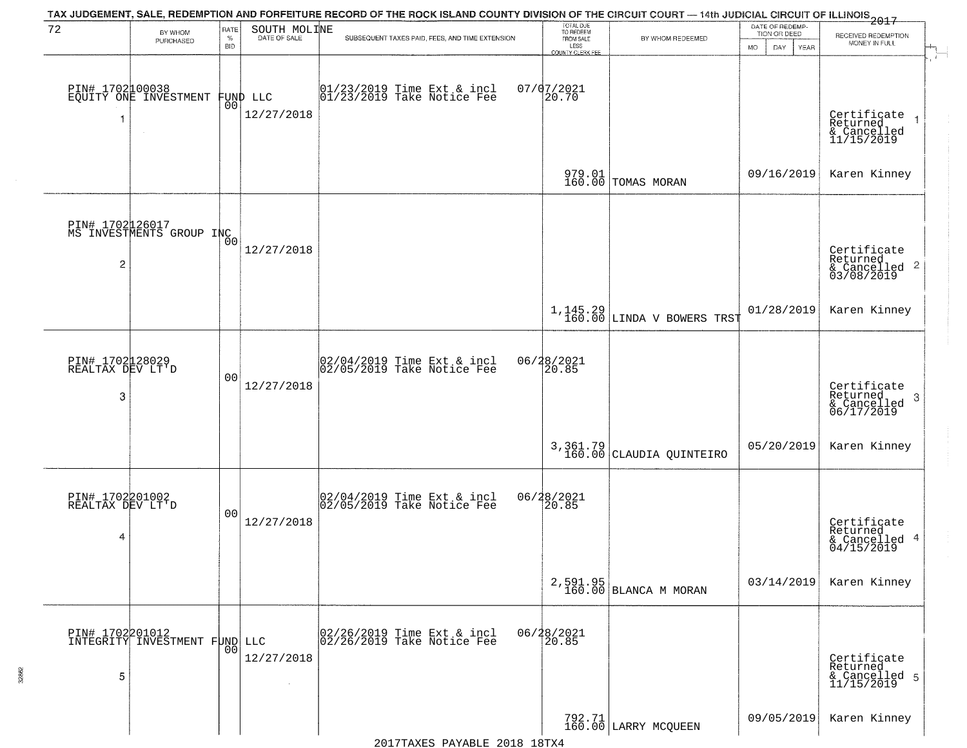|                                          |                                                  |                         |                              | TAX JUDGEMENT, SALE, REDEMPTION AND FORFEITURE RECORD OF THE ROCK ISLAND COUNTY DIVISION OF THE CIRCUIT COURT — 14th JUDICIAL CIRCUIT OF ILLINOIS 2017 |                                                                 |                                   |                                                             |                                                                       |
|------------------------------------------|--------------------------------------------------|-------------------------|------------------------------|--------------------------------------------------------------------------------------------------------------------------------------------------------|-----------------------------------------------------------------|-----------------------------------|-------------------------------------------------------------|-----------------------------------------------------------------------|
| 72                                       | BY WHOM<br>PURCHASED                             | RATE<br>%<br><b>BID</b> | SOUTH MOLINE<br>DATE OF SALE | SUBSEQUENT TAXES PAID, FEES, AND TIME EXTENSION                                                                                                        | TOTAL DUE<br>TO REDEEM<br>FROM SALE<br>LESS<br>COUNTY CLERK FEE | BY WHOM REDEEMED                  | DATE OF REDEMP-<br>TION OR DEED<br><b>MO</b><br>DAY<br>YEAR | RECEIVED REDEMPTION<br>MONEY IN FULL                                  |
| -1                                       | PIN# 1702100038<br>EQUITY ONE INVESTMENT         | 0 <sub>0</sub>          | FUND LLC<br>12/27/2018       | $[01/23/2019$ Time Ext & incl<br>$[01/23/2019$ Take Notice Fee                                                                                         | $07/07/2021$<br>20.70                                           |                                   |                                                             | Certificate<br>Returned<br>$\rightarrow$<br>& Cancelled<br>11/15/2019 |
|                                          |                                                  |                         |                              |                                                                                                                                                        |                                                                 | 979.01<br>160.00 TOMAS MORAN      | 09/16/2019                                                  | Karen Kinney                                                          |
| $\overline{2}$                           | PIN# 1702126017<br>MS INVESTMENTS GROUP INC      | Ō0                      | 12/27/2018                   |                                                                                                                                                        |                                                                 |                                   |                                                             | Certificate<br>Returned<br>& Cancelled 2<br>03/08/2019                |
|                                          |                                                  |                         |                              |                                                                                                                                                        | 1,145.29<br>160.00                                              | LINDA V BOWERS TRST               | 01/28/2019                                                  | Karen Kinney                                                          |
| PIN# 1702128029<br>REALTAX DEV LT'D<br>3 |                                                  | 0 <sub>0</sub>          | 12/27/2018                   | 02/04/2019 Time Ext & incl<br>02/05/2019 Take Notice Fee                                                                                               | 06/28/2021<br>20.85                                             |                                   |                                                             | Certificate<br>Returned<br>3<br>$\frac{1}{06/17/2019}$                |
|                                          |                                                  |                         |                              |                                                                                                                                                        | 3, 361.79<br>160.00                                             | CLAUDIA QUINTEIRO                 | 05/20/2019                                                  | Karen Kinney                                                          |
| PIN# 1702201002<br>REALTAX DEV LT'D<br>4 |                                                  | 0 <sub>0</sub>          | 12/27/2018                   | 02/04/2019 Time Ext & incl<br>02/05/2019 Take Notice Fee                                                                                               | 06/28/2021<br>20.85                                             |                                   |                                                             | Certificate<br>Returned<br>4<br>& Cancelled<br>04/15/2019             |
|                                          |                                                  |                         |                              |                                                                                                                                                        |                                                                 | 2,591.95<br>160.00 BLANCA M MORAN | 03/14/2019                                                  | Karen Kinney                                                          |
| 5                                        | PIN# 1702201012<br>INTEGRITY INVESTMENT FUND LLC | 0 <sub>0</sub>          | 12/27/2018                   | 02/26/2019 Time Ext & incl<br>02/26/2019 Take Notice Fee                                                                                               | 06/28/2021<br>20.85                                             |                                   |                                                             | Certificate<br>Returned<br>& Cancelled 5<br>11/15/2019                |
|                                          |                                                  |                         |                              |                                                                                                                                                        |                                                                 | 792.71<br>160.00 LARRY MCQUEEN    | 09/05/2019                                                  | Karen Kinney                                                          |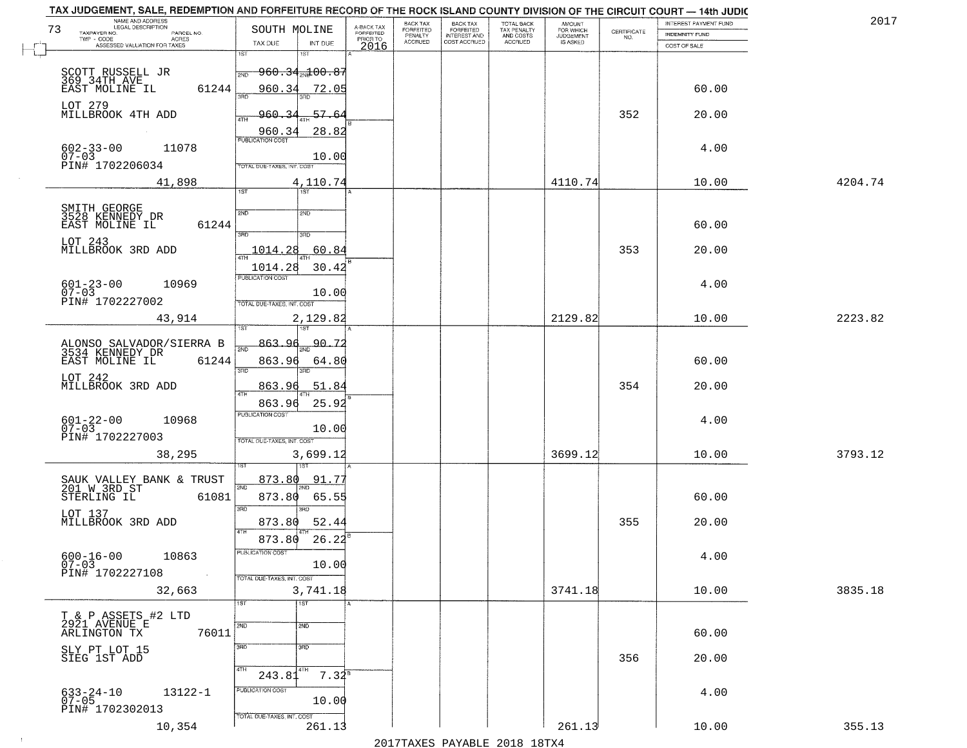|    | TAX JUDGEMENT, SALE, REDEMPTION AND FORFEITURE RECORD OF THE ROCK ISLAND COUNTY DIVISION OF THE CIRCUIT COURT - 14th JUDIC<br>NAME AND ADDRESS<br><b>LEGAL DESCRIPTION</b> |                                              |                         | BACK TAX                    |                                       |                                        | AMOUNT<br>FOR WHICH |                                                                 | INTEREST PAYMENT FUND | 2017    |
|----|----------------------------------------------------------------------------------------------------------------------------------------------------------------------------|----------------------------------------------|-------------------------|-----------------------------|---------------------------------------|----------------------------------------|---------------------|-----------------------------------------------------------------|-----------------------|---------|
| 73 | TAXPAYER NO.<br>PARCEL NO.                                                                                                                                                 | SOUTH MOLINE                                 | A-BACK TAX<br>FORFEITED | <b>FORFEITED</b><br>PENALTY | BACK TAX<br>FORFEITED<br>INTEREST AND | TOTAL BACK<br>TAX PENALTY<br>AND COSTS | <b>JUDGEMENT</b>    | $\begin{array}{c} \text{CERTIFICATE} \\ \text{NO.} \end{array}$ | <b>INDEMNITY FUND</b> |         |
|    | TWP - CODE<br>ACRES<br>ASSESSED VALUATION FOR TAXES                                                                                                                        | INT DUE<br>TAX DUE                           | PRIOR TO<br>2016        | <b>ACCRUED</b>              | COST ACCRUED                          | ACCRUED                                | IS ASKED            |                                                                 | COST OF SALE          |         |
|    |                                                                                                                                                                            | 1ST<br>1ST                                   |                         |                             |                                       |                                        |                     |                                                                 |                       |         |
|    |                                                                                                                                                                            | <del>960.34<sub>200</sub>100.87</del><br>2ND |                         |                             |                                       |                                        |                     |                                                                 |                       |         |
|    | SCOTT RUSSELL JR<br>369_34TH_AVE__                                                                                                                                         |                                              |                         |                             |                                       |                                        |                     |                                                                 |                       |         |
|    | 61244<br>EAST MOLINE IL                                                                                                                                                    | 960.34<br>72.05                              |                         |                             |                                       |                                        |                     |                                                                 | 60.00                 |         |
|    | LOT 279                                                                                                                                                                    |                                              |                         |                             |                                       |                                        |                     |                                                                 |                       |         |
|    | MILLBROOK 4TH ADD                                                                                                                                                          | 960.34<br>57.64                              |                         |                             |                                       |                                        |                     | 352                                                             | 20.00                 |         |
|    |                                                                                                                                                                            | 28.82<br>960.34                              |                         |                             |                                       |                                        |                     |                                                                 |                       |         |
|    |                                                                                                                                                                            | <b>PUBLICATION COST</b>                      |                         |                             |                                       |                                        |                     |                                                                 |                       |         |
|    | $602 - 33 - 00$<br>07-03<br>11078                                                                                                                                          | 10.00                                        |                         |                             |                                       |                                        |                     |                                                                 | 4.00                  |         |
|    | PIN# 1702206034                                                                                                                                                            | <b>TOTAL DUE-TAXES, INT. COST</b>            |                         |                             |                                       |                                        |                     |                                                                 |                       |         |
|    | 41,898                                                                                                                                                                     | 4,110.74                                     |                         |                             |                                       |                                        | 4110.74             |                                                                 | 10.00                 | 4204.74 |
|    |                                                                                                                                                                            | 1ST                                          |                         |                             |                                       |                                        |                     |                                                                 |                       |         |
|    |                                                                                                                                                                            |                                              |                         |                             |                                       |                                        |                     |                                                                 |                       |         |
|    | SMITH GEORGE<br>3528 KENNEDY DR                                                                                                                                            | 2ND<br>2ND                                   |                         |                             |                                       |                                        |                     |                                                                 |                       |         |
|    | 61244<br>EAST MOLINE IL                                                                                                                                                    | $\overline{\text{3AD}}$<br>3RD               |                         |                             |                                       |                                        |                     |                                                                 | 60.00                 |         |
|    | LOT 243                                                                                                                                                                    |                                              |                         |                             |                                       |                                        |                     |                                                                 |                       |         |
|    | MILLBROOK 3RD ADD                                                                                                                                                          | 1014.28<br>60.84                             |                         |                             |                                       |                                        |                     | 353                                                             | 20.00                 |         |
|    |                                                                                                                                                                            | 1014.28<br>30.42                             |                         |                             |                                       |                                        |                     |                                                                 |                       |         |
|    |                                                                                                                                                                            | PUBLICATION COST                             |                         |                             |                                       |                                        |                     |                                                                 |                       |         |
|    | $601 - 23 - 00$<br>07-03<br>10969                                                                                                                                          | 10.00                                        |                         |                             |                                       |                                        |                     |                                                                 | 4.00                  |         |
|    | PIN# 1702227002                                                                                                                                                            | TOTAL DUE-TAXES, INT. COST                   |                         |                             |                                       |                                        |                     |                                                                 |                       |         |
|    | 43,914                                                                                                                                                                     | 2,129.82                                     |                         |                             |                                       |                                        | 2129.82             |                                                                 | 10.00                 | 2223.82 |
|    |                                                                                                                                                                            | 1ST                                          |                         |                             |                                       |                                        |                     |                                                                 |                       |         |
|    |                                                                                                                                                                            | 863.96<br>90.7                               |                         |                             |                                       |                                        |                     |                                                                 |                       |         |
|    | ALONSO SALVADOR/SIERRA B<br>3534 KENNEDY DR                                                                                                                                | 2ND                                          |                         |                             |                                       |                                        |                     |                                                                 |                       |         |
|    | EAST MOLINE IL<br>61244                                                                                                                                                    | 863.96<br>64.80                              |                         |                             |                                       |                                        |                     |                                                                 | 60.00                 |         |
|    | LOT 242                                                                                                                                                                    | 3RD<br>3RD                                   |                         |                             |                                       |                                        |                     |                                                                 |                       |         |
|    | MILLBROOK 3RD ADD                                                                                                                                                          | 863.9<br><u>51.84</u><br><b>ATH</b>          |                         |                             |                                       |                                        |                     | 354                                                             | 20.00                 |         |
|    |                                                                                                                                                                            | 25.92<br>863.96                              |                         |                             |                                       |                                        |                     |                                                                 |                       |         |
|    |                                                                                                                                                                            | <b>PUBLICATION COST</b>                      |                         |                             |                                       |                                        |                     |                                                                 |                       |         |
|    | $601 - 22 - 00$<br>07-03<br>10968                                                                                                                                          | 10.00                                        |                         |                             |                                       |                                        |                     |                                                                 | 4.00                  |         |
|    | PIN# 1702227003                                                                                                                                                            | TOTAL OUE-TAXES, INT. COST                   |                         |                             |                                       |                                        |                     |                                                                 |                       |         |
|    | 38,295                                                                                                                                                                     | 3,699.12                                     |                         |                             |                                       |                                        | 3699.12             |                                                                 | 10.00                 | 3793.12 |
|    |                                                                                                                                                                            |                                              |                         |                             |                                       |                                        |                     |                                                                 |                       |         |
|    |                                                                                                                                                                            | 873.80<br>91.77                              |                         |                             |                                       |                                        |                     |                                                                 |                       |         |
|    | SAUK VALLEY BANK & TRUST<br>201 W 3RD ST                                                                                                                                   | 2ND                                          |                         |                             |                                       |                                        |                     |                                                                 |                       |         |
|    | STERLING IL<br>61081                                                                                                                                                       | 873.80<br>65.55                              |                         |                             |                                       |                                        |                     |                                                                 | 60.00                 |         |
|    | LOT 137                                                                                                                                                                    | 3RD<br>3RD                                   |                         |                             |                                       |                                        |                     |                                                                 |                       |         |
|    | MILLBROOK 3RD ADD                                                                                                                                                          | 52.44<br>873.80                              |                         |                             |                                       |                                        |                     | 355                                                             | 20.00                 |         |
|    |                                                                                                                                                                            | 4TH<br>26.22<br>873.80                       |                         |                             |                                       |                                        |                     |                                                                 |                       |         |
|    |                                                                                                                                                                            | rusuca nun cus-                              |                         |                             |                                       |                                        |                     |                                                                 |                       |         |
|    | $600 - 16 - 00$<br>10863<br>$07 - 03$                                                                                                                                      | 10.00                                        |                         |                             |                                       |                                        |                     |                                                                 | 4.00                  |         |
|    | PIN# 1702227108<br>$\sim 100$                                                                                                                                              | TOTAL DUE-TAXES, INT. COST                   |                         |                             |                                       |                                        |                     |                                                                 |                       |         |
|    | 32,663                                                                                                                                                                     | 3,741.18                                     |                         |                             |                                       |                                        | 3741.18             |                                                                 | 10.00                 | 3835.18 |
|    |                                                                                                                                                                            | 1ST<br>1ST                                   |                         |                             |                                       |                                        |                     |                                                                 |                       |         |
|    |                                                                                                                                                                            |                                              |                         |                             |                                       |                                        |                     |                                                                 |                       |         |
|    | T & P ASSETS #2 LTD<br>2921 AVENUE E                                                                                                                                       | 2ND<br>2ND                                   |                         |                             |                                       |                                        |                     |                                                                 |                       |         |
|    | ARLINGTON TX<br>76011                                                                                                                                                      |                                              |                         |                             |                                       |                                        |                     |                                                                 | 60.00                 |         |
|    | SLY PT LOT 15                                                                                                                                                              | 3RD<br>3BD                                   |                         |                             |                                       |                                        |                     |                                                                 |                       |         |
|    | SIEG 1ST ADD                                                                                                                                                               |                                              |                         |                             |                                       |                                        |                     | 356                                                             | 20.00                 |         |
|    |                                                                                                                                                                            | 4TH<br>4TH<br>$7.32^8$<br>243.81             |                         |                             |                                       |                                        |                     |                                                                 |                       |         |
|    |                                                                                                                                                                            |                                              |                         |                             |                                       |                                        |                     |                                                                 |                       |         |
|    | 633-24-10<br>07-05<br>13122-1                                                                                                                                              | PUBLICATION COST<br>10.00                    |                         |                             |                                       |                                        |                     |                                                                 | 4.00                  |         |
|    | PIN# 1702302013                                                                                                                                                            |                                              |                         |                             |                                       |                                        |                     |                                                                 |                       |         |
|    |                                                                                                                                                                            | TOTAL DUE-TAXES, INT. COST                   |                         |                             |                                       |                                        |                     |                                                                 |                       |         |
|    | 10,354                                                                                                                                                                     | 261.13                                       |                         |                             |                                       |                                        | 261.13              |                                                                 | 10.00                 | 355.13  |
|    |                                                                                                                                                                            |                                              |                         |                             | 2017 THAYRO DAVADIR 2018 19TY         |                                        |                     |                                                                 |                       |         |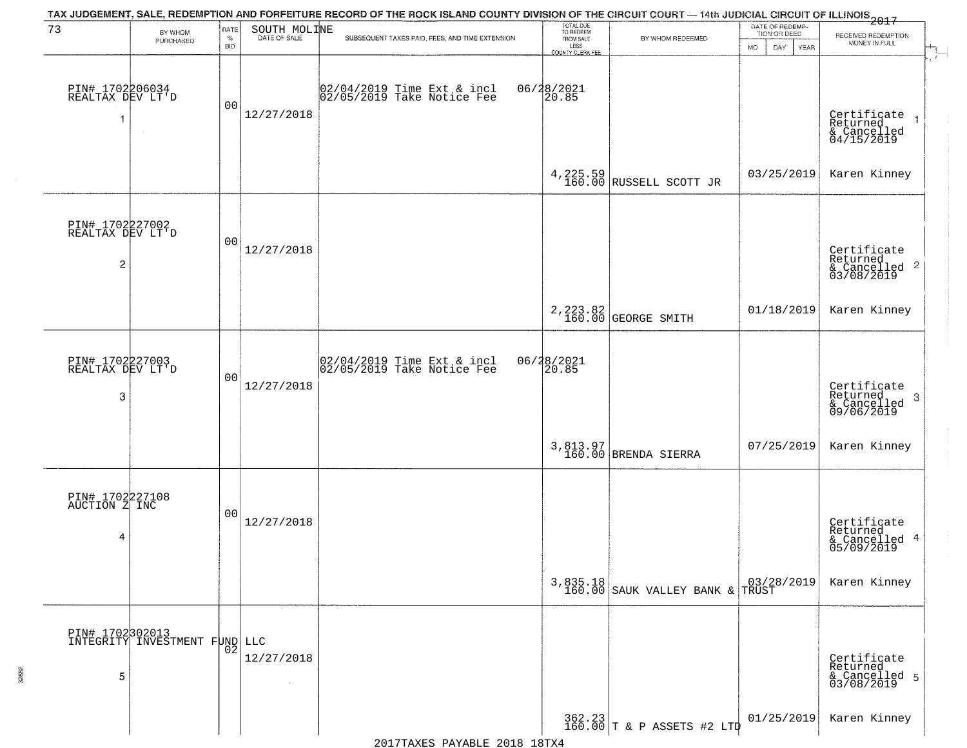|                                          |                                                  |                            |              | TAX JUDGEMENT, SALE, REDEMPTION AND FORFEITURE RECORD OF THE ROCK ISLAND COUNTY DIVISION OF THE CIRCUIT COURT — 14th JUDICIAL CIRCUIT OF ILLINOIS 2017 |                                                                 |                                             |                                                             |                                                            |
|------------------------------------------|--------------------------------------------------|----------------------------|--------------|--------------------------------------------------------------------------------------------------------------------------------------------------------|-----------------------------------------------------------------|---------------------------------------------|-------------------------------------------------------------|------------------------------------------------------------|
| 73                                       | BY WHOM<br>PURCHASED                             | RATE<br>$\%$<br><b>BID</b> | SOUTH MOLINE | SUBSEQUENT TAXES PAID, FEES, AND TIME EXTENSION                                                                                                        | TOTAL DUE<br>TO REDEEM<br>FROM SALE<br>LESS<br>COUNTY CLERK FEE | BY WHOM REDEEMED                            | DATE OF REDEMP-<br>TION OR DEED<br><b>MO</b><br>DAY<br>YEAR | RECEIVED REDEMPTION<br>MONEY IN FULL<br>ा                  |
| PIN# 1702206034<br>REALTAX DEV LT'D      |                                                  | 00                         | 12/27/2018   | 02/04/2019 Time Ext & incl<br>02/05/2019 Take Notice Fee                                                                                               | 06/28/2021<br>20.85                                             |                                             |                                                             | Certificate<br>Returned<br>& Cancelled<br>04/15/2019       |
|                                          |                                                  |                            |              |                                                                                                                                                        |                                                                 | 4, 225.59 RUSSELL SCOTT JR                  | 03/25/2019                                                  | Karen Kinney                                               |
| PIN# 1702227002<br>REALTAX DEV LT'D<br>2 |                                                  | 0 <sub>0</sub>             | 12/27/2018   |                                                                                                                                                        |                                                                 |                                             |                                                             | Certificate<br>Returned<br>& Cancelled 2<br>03/08/2019     |
|                                          |                                                  |                            |              |                                                                                                                                                        |                                                                 | 2, 223.82<br>160.00 GEORGE SMITH            | 01/18/2019                                                  | Karen Kinney                                               |
| PIN# 1702227003<br>REALTAX DEV LT'D<br>3 |                                                  | 0 <sub>0</sub>             | 12/27/2018   | 02/04/2019 Time Ext & incl<br>02/05/2019 Take Notice Fee                                                                                               | 06/28/2021<br>20.85                                             |                                             |                                                             | Certificate<br>Returned<br>-3<br>& Cancelled<br>09/06/2019 |
|                                          |                                                  |                            |              |                                                                                                                                                        |                                                                 | 3,813.97<br>160.00 BRENDA SIERRA            | 07/25/2019                                                  | Karen Kinney                                               |
| PIN# 1702227108<br>AUCTION Z INC<br>4    |                                                  | 0 <sub>0</sub>             | 12/27/2018   |                                                                                                                                                        |                                                                 |                                             |                                                             | Certificate<br>Returned<br>& Cancelled 4<br>05/09/2019     |
|                                          |                                                  |                            |              |                                                                                                                                                        |                                                                 | 3,835.18<br>160.00 SAUK VALLEY BANK & TRUST |                                                             | Karen Kinney                                               |
| 5                                        | PIN# 1702302013<br>INTEGRITY INVESTMENT FUND LLC | 02                         | 12/27/2018   |                                                                                                                                                        |                                                                 |                                             |                                                             | Certificate<br>Returned<br>& Cancelled 5<br>03/08/2019     |
|                                          |                                                  |                            |              |                                                                                                                                                        |                                                                 | 362.23<br>160.00 T & P ASSETS #2 LTD        | 01/25/2019                                                  | Karen Kinney                                               |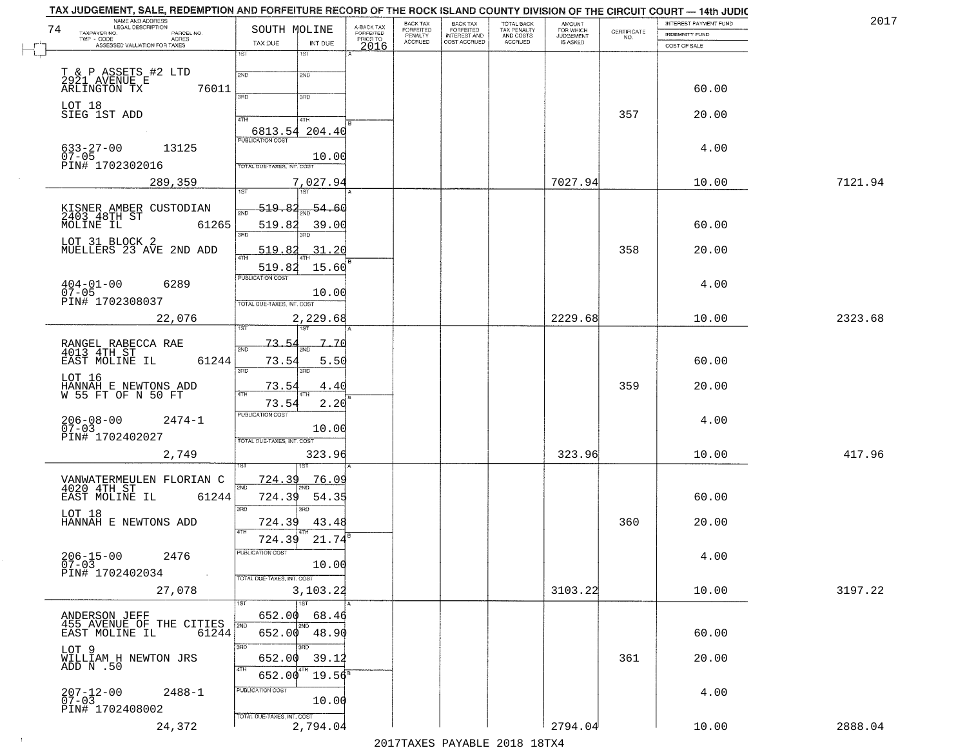| NAME AND ADDRESS<br>LEGAL DESCRIPTION<br>74<br>TAXPAYER NO.<br>PARCEL NO. | SOUTH MOLINE                       |                             | A-BACK TAX<br>FORFEITED | <b>BACK TAX</b><br>FORFEITED | BACK TAX<br>FORFEITED               | TOTAL BACK<br>TAX PENALTY<br>AND COSTS | <b>AMOUNT</b><br>FOR WHICH   | CERTIFICATE | INTEREST PAYMENT FUND                 | 2017    |
|---------------------------------------------------------------------------|------------------------------------|-----------------------------|-------------------------|------------------------------|-------------------------------------|----------------------------------------|------------------------------|-------------|---------------------------------------|---------|
| TWP - CODE<br>ACRES<br>ASSESSED VALUATION FOR TAXES                       | TAX DUE                            | INT DUE                     | PRIOR TO<br>2016        | PENALTY<br><b>ACCRUED</b>    | <b>INTEREST AND</b><br>COST ACCRUED | <b>ACCRUED</b>                         | <b>JUDGEMENT</b><br>IS ASKED | NO.         | <b>INDEMNITY FUND</b><br>COST OF SALE |         |
|                                                                           | 1ST                                | 18T                         |                         |                              |                                     |                                        |                              |             |                                       |         |
|                                                                           | 2ND                                | 2ND                         |                         |                              |                                     |                                        |                              |             |                                       |         |
| T & P ASSETS #2 LTD<br>2921 AVENUE E<br>ARLINGTON TX<br>76011             | 3BD                                |                             |                         |                              |                                     |                                        |                              |             | 60.00                                 |         |
| LOT 18<br>SIEG 1ST ADD                                                    |                                    | 3RD                         |                         |                              |                                     |                                        |                              |             |                                       |         |
|                                                                           | 4TH                                | 4TH                         |                         |                              |                                     |                                        |                              | 357         | 20.00                                 |         |
|                                                                           | 6813.54 204.40<br>PUBLICATION COST |                             |                         |                              |                                     |                                        |                              |             |                                       |         |
| $633 - 27 - 00$<br>13125<br>$07 - 05$                                     |                                    | 10.00                       |                         |                              |                                     |                                        |                              |             | 4.00                                  |         |
| PIN# 1702302016                                                           | TOTAL DUE-TAXES, INT. COST         |                             |                         |                              |                                     |                                        |                              |             |                                       |         |
| 289,359                                                                   |                                    | 7,027.94<br>1ST             |                         |                              |                                     |                                        | 7027.94                      |             | 10.00                                 | 7121.94 |
|                                                                           | 519.82                             | 54.60                       |                         |                              |                                     |                                        |                              |             |                                       |         |
| KISNER AMBER CUSTODIAN<br>2403 48TH ST<br>MOLINE IL 61:<br>61265          | 519.82                             | 39.00                       |                         |                              |                                     |                                        |                              |             | 60.00                                 |         |
|                                                                           | 3RD                                |                             |                         |                              |                                     |                                        |                              |             |                                       |         |
| LOT 31 BLOCK 2<br>MUELLERS 23 AVE 2ND ADD                                 | 519.82                             | 31.20                       |                         |                              |                                     |                                        |                              | 358         | 20.00                                 |         |
|                                                                           | 519.82<br>PUBLICATION COST         | 15.60                       |                         |                              |                                     |                                        |                              |             |                                       |         |
| $404 - 01 - 00$<br>6289<br>$07 - 05$                                      |                                    | 10.00                       |                         |                              |                                     |                                        |                              |             | 4.00                                  |         |
| PIN# 1702308037                                                           | TOTAL DUE-TAXES, INT. COST         |                             |                         |                              |                                     |                                        |                              |             |                                       |         |
| 22,076                                                                    |                                    | 2,229.68                    |                         |                              |                                     |                                        | 2229.68                      |             | 10.00                                 | 2323.68 |
|                                                                           | 73.5                               | 7.70                        |                         |                              |                                     |                                        |                              |             |                                       |         |
| RANGEL RABECCA RAE<br>4013 4TH ST<br>61244<br>EAST MOLINE IL              | 2ND<br>73.54                       | 5.50                        |                         |                              |                                     |                                        |                              |             | 60.00                                 |         |
|                                                                           | 3RD                                | 3RD                         |                         |                              |                                     |                                        |                              |             |                                       |         |
| LOT 16<br>HANNAH_E_NEWTONS_ADD<br>W 55 FT OF N 50 FT                      | 73.54                              | 4.40                        |                         |                              |                                     |                                        |                              | 359         | 20.00                                 |         |
|                                                                           | 73.54<br><b>PUBLICATION COST</b>   | 2.20                        |                         |                              |                                     |                                        |                              |             |                                       |         |
| $2474 - 1$<br>206-08-00<br>07-03                                          |                                    | 10.00                       |                         |                              |                                     |                                        |                              |             | 4.00                                  |         |
| PIN# 1702402027                                                           | TOTAL OUE-TAXES, INT. COST         |                             |                         |                              |                                     |                                        |                              |             |                                       |         |
| 2,749                                                                     |                                    | 323.96                      |                         |                              |                                     |                                        | 323.96                       |             | 10.00                                 | 417.96  |
|                                                                           | <u>724.39</u>                      | <u>76.OS</u>                |                         |                              |                                     |                                        |                              |             |                                       |         |
| VANWATERMEULEN FLORIAN C<br>4020 4TH ST<br>EAST MOLINE IL<br>61244        | 2ND<br>724.39                      | 54.35                       |                         |                              |                                     |                                        |                              |             | 60.00                                 |         |
| LOT 18                                                                    | 3BD                                | 3RD                         |                         |                              |                                     |                                        |                              |             |                                       |         |
| HANNAH E NEWTONS ADD                                                      | 724.39                             | 43.48                       |                         |                              |                                     |                                        |                              | 360         | 20.00                                 |         |
|                                                                           | 724.39                             | 21.74                       |                         |                              |                                     |                                        |                              |             |                                       |         |
| $206 - 15 - 00$<br>2476<br>$07 - 03$                                      | PUBLICATION COST                   | 10.00                       |                         |                              |                                     |                                        |                              |             | 4.00                                  |         |
| PIN# 1702402034<br><b>Contract</b>                                        | TOTAL DUE-TAXES, INT. COST         |                             |                         |                              |                                     |                                        |                              |             |                                       |         |
| 27,078                                                                    |                                    | 3,103.22                    |                         |                              |                                     |                                        | 3103.22                      |             | 10.00                                 | 3197.22 |
| ANDERSON JEFF                                                             | 1ST<br>652.00                      | $\overline{1}$ 1st<br>68.46 |                         |                              |                                     |                                        |                              |             |                                       |         |
| 455 AVENUE OF THE CITIES<br>EAST MOLINE IL<br>61244                       | 2ND<br>652.00                      | 2ND<br>48.90                |                         |                              |                                     |                                        |                              |             | 60.00                                 |         |
| LOT 9                                                                     | 3RD                                | 3BD                         |                         |                              |                                     |                                        |                              |             |                                       |         |
| WILLIAM H NEWTON JRS<br>ADD N .50                                         | 652.00                             | 39.12                       |                         |                              |                                     |                                        |                              | 361         | 20.00                                 |         |
|                                                                           | 4TH<br>652.00                      | $19.56^8$                   |                         |                              |                                     |                                        |                              |             |                                       |         |
| $207 - 12 - 00$<br>07-03<br>$2488 - 1$                                    | PUBLICATION COST                   | 10.00                       |                         |                              |                                     |                                        |                              |             | 4.00                                  |         |
| PIN# 1702408002                                                           | TOTAL DUE-TAXES, INT. COST         |                             |                         |                              |                                     |                                        |                              |             |                                       |         |
| 24,372                                                                    |                                    | 2,794.04                    |                         |                              |                                     |                                        | 2794.04                      |             | 10.00                                 | 2888.04 |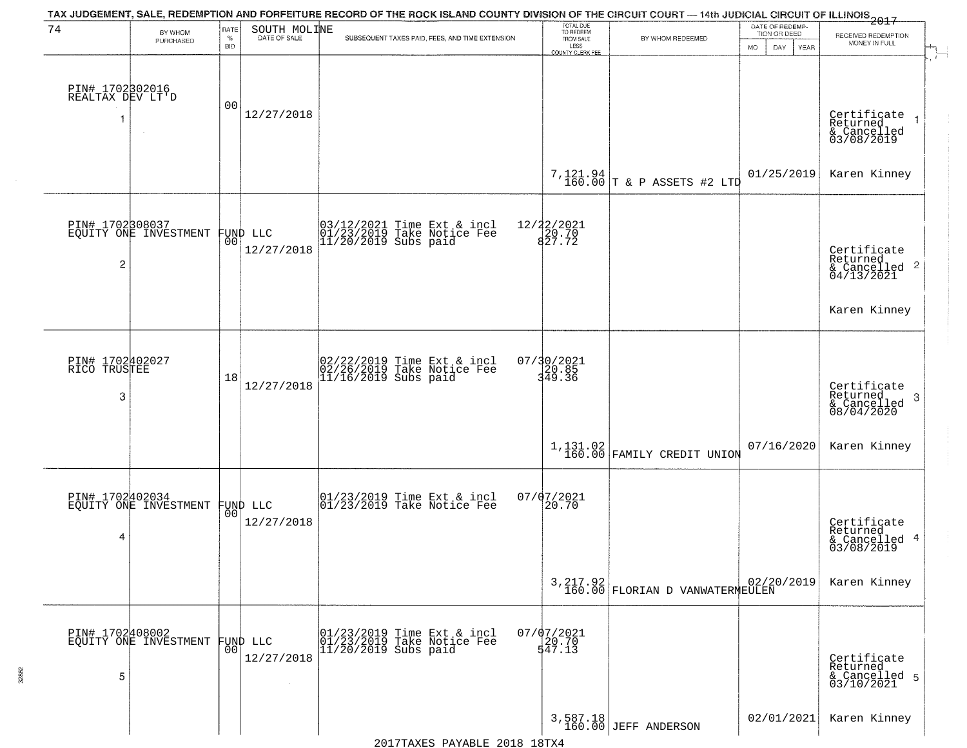| 74                                        | BY WHOM                                  | RATE               | SOUTH MOLINE                   | TAX JUDGEMENT, SALE, REDEMPTION AND FORFEITURE RECORD OF THE ROCK ISLAND COUNTY DIVISION OF THE CIRCUIT COURT — 14th JUDICIAL CIRCUIT OF ILLINOIS 2017 | TOTAL DUE<br>TO REDEEM          |                                               | DATE OF REDEMP-<br>TION OR DEED |                                                                        |
|-------------------------------------------|------------------------------------------|--------------------|--------------------------------|--------------------------------------------------------------------------------------------------------------------------------------------------------|---------------------------------|-----------------------------------------------|---------------------------------|------------------------------------------------------------------------|
|                                           | PURCHASED                                | $\%$<br><b>BID</b> | DATE OF SALE                   | SUBSEQUENT TAXES PAID, FEES, AND TIME EXTENSION                                                                                                        | FROM SALE<br>LESS               | BY WHOM REDEEMED                              | <b>MO</b><br>DAY<br>YEAR        | RECEIVED REDEMPTION<br>MONEY IN FULL                                   |
| PIN# 1702302016<br>REALTAX DEV LT'D<br>-1 |                                          | 00                 | 12/27/2018                     |                                                                                                                                                        | COUNTY CLERK FEE                |                                               |                                 | Certificate<br>Returned<br>$\rightarrow$                               |
|                                           |                                          |                    |                                |                                                                                                                                                        |                                 | 7,121.94 T & P ASSETS #2 LTD                  | 01/25/2019                      | & Cancelled<br>03/08/2019<br>Karen Kinney                              |
| $\overline{c}$                            | PIN# 1702308037<br>EQUITY ONE INVESTMENT |                    | FUND LLC<br> 00 <br>12/27/2018 | 03/12/2021 Time Ext & incl<br>01/23/2019 Take Notice Fee<br>11/20/2019 Subs paid                                                                       | 12/22/2021<br>20.70<br>827.72   |                                               |                                 | Certificate<br>Returned<br>$\overline{2}$<br>& Cancelled<br>04/13/2021 |
| PIN# 1702402027<br>RICO TRUSTEE           |                                          |                    |                                |                                                                                                                                                        | 07/30/2021                      |                                               |                                 | Karen Kinney                                                           |
| 3                                         |                                          | 18                 | 12/27/2018                     | 02/22/2019 Time Ext & incl<br>02/26/2019 Take Notice Fee<br>11/16/2019 Subs paid                                                                       | $\frac{120.85}{349.36}$         |                                               |                                 | Certificate<br>Returned<br>3<br>& Cancelled<br>08/04/2020              |
|                                           |                                          |                    |                                |                                                                                                                                                        |                                 | $1,131.02$ FAMILY CREDIT UNION                | 07/16/2020                      | Karen Kinney                                                           |
| 4                                         | PIN# 1702402034<br>EQUITY ONE INVESTMENT |                    | FUND LLC<br> 00 <br>12/27/2018 | 01/23/2019 Time Ext & incl<br>01/23/2019 Take Notice Fee                                                                                               | 07/07/2021<br>20.70             |                                               |                                 | Certificate<br>Returned<br>4<br>& Cancelled<br>03/08/2019              |
|                                           |                                          |                    |                                |                                                                                                                                                        |                                 | $3,217.92$<br>160.00 FLORIAN D VANWATERMEULEN | 02/20/2019                      | Karen Kinney                                                           |
| 5                                         | PIN# 1702408002<br>EQUITY ONE INVESTMENT | 0 <sup>0</sup>     | FUND LLC<br>12/27/2018         | 01/23/2019 Time Ext & incl<br>01/23/2019 Take Notice Fee<br>11/20/2019 Subs paid                                                                       | $07/07/2021$<br>20.70<br>547.13 |                                               |                                 | Certificate<br>Returned<br>& Cancelled 5<br>03/10/2021                 |
|                                           |                                          |                    |                                |                                                                                                                                                        |                                 | 3,587.18<br>160.00 JEFF ANDERSON              | 02/01/2021                      | Karen Kinney                                                           |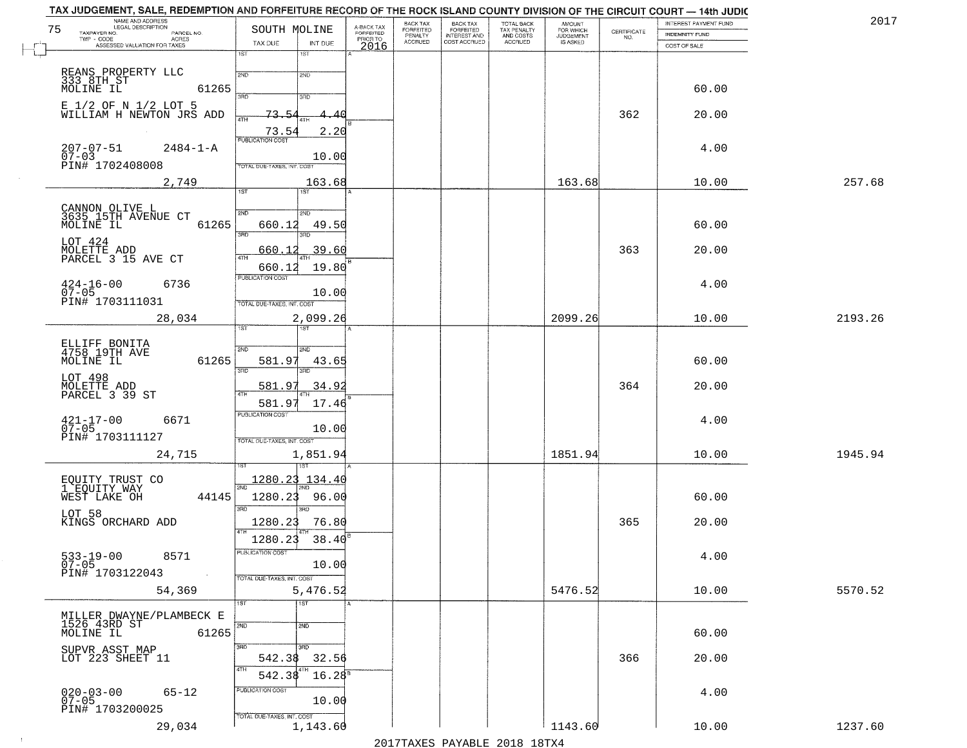| NAME AND ADDRESS<br>LEGAL DESCRIPTION<br>75<br>TAXPAYER NO.<br>PARCEL NO. | SOUTH MOLINE                              | A-BACK TAX<br>FORFEITED | BACK TAX<br>FORFEITED | <b>BACK TAX</b><br><b>FORFEITED</b> | TOTAL BACK<br>TAX PENALTY | <b>AMOUNT</b>                      | CERTIFICATE | INTEREST PAYMENT FUND<br><b>INDEMNITY FUND</b> | 2017    |
|---------------------------------------------------------------------------|-------------------------------------------|-------------------------|-----------------------|-------------------------------------|---------------------------|------------------------------------|-------------|------------------------------------------------|---------|
| TWP - CODE<br><b>ACRES</b><br>ASSESSED VALUATION FOR TAXES                | TAX DUE<br>INT DUE                        | PRIOR TO<br>2016        | PENALTY<br>ACCRUED    | INTEREST AND<br>COST ACCRUED        | AND COSTS<br>ACCRUED      | FOR WHICH<br>JUDGEMENT<br>IS ASKED | NO.         | COST OF SALE                                   |         |
|                                                                           | 1ST<br>1ST                                |                         |                       |                                     |                           |                                    |             |                                                |         |
| REANS PROPERTY LLC<br>333 8TH ST<br>MOLINE IL                             | 2ND<br>2ND                                |                         |                       |                                     |                           |                                    |             |                                                |         |
| 61265                                                                     | 370<br>3RD                                |                         |                       |                                     |                           |                                    |             | 60.00                                          |         |
| E 1/2 OF N 1/2 LOT 5<br>WILLIAM H NEWTON JRS ADD                          | 73.54<br>4.40                             |                         |                       |                                     |                           |                                    | 362         | 20.00                                          |         |
|                                                                           | 4TH<br>73.54<br>2.20                      |                         |                       |                                     |                           |                                    |             |                                                |         |
| $207 - 07 - 51$<br>$2484 - 1 - A$                                         | <b>PUBLICATION COST</b>                   |                         |                       |                                     |                           |                                    |             | 4.00                                           |         |
| $\bar{0}\bar{7} - 03$<br>PIN# 1702408008                                  | 10.00<br>TOTAL DUE-TAXES, INT. COS        |                         |                       |                                     |                           |                                    |             |                                                |         |
| 2,749                                                                     | 163.68<br>$\overline{1ST}$                |                         |                       |                                     |                           | 163.68                             |             | 10.00                                          | 257.68  |
|                                                                           | 1ST                                       |                         |                       |                                     |                           |                                    |             |                                                |         |
| CANNON OLIVE L<br>3635 15TH AVENUE CT<br>MOLINE IL<br>61265               | 2ND<br>2ND<br>660.12<br>49.50             |                         |                       |                                     |                           |                                    |             | 60.00                                          |         |
| LOT 424                                                                   | 3RD<br>3RD                                |                         |                       |                                     |                           |                                    |             |                                                |         |
| MOLETTE ADD<br>PARCEL 3 15 AVE CT                                         | 39.60<br>660.1<br>47H                     |                         |                       |                                     |                           |                                    | 363         | 20.00                                          |         |
|                                                                           | 19.80<br>660.12<br>PUBLICATION COST       |                         |                       |                                     |                           |                                    |             |                                                |         |
| $424 - 16 - 00$<br>07-05<br>6736                                          | 10.00                                     |                         |                       |                                     |                           |                                    |             | 4.00                                           |         |
| PIN# 1703111031                                                           | TOTAL DUE-TAXES, INT. COST<br>2,099.26    |                         |                       |                                     |                           | 2099.26                            |             | 10.00                                          | 2193.26 |
| 28,034                                                                    | ist.                                      |                         |                       |                                     |                           |                                    |             |                                                |         |
| ELLIFF BONITA<br>4758 19TH AVE                                            | 2ND<br>2ND                                |                         |                       |                                     |                           |                                    |             |                                                |         |
| MOLINE IL<br>61265                                                        | 581.97<br>43.6<br>3RD<br>$3\overline{BD}$ |                         |                       |                                     |                           |                                    |             | 60.00                                          |         |
| LOT 498<br>MOLETTE ADD<br>PARCEL 3 39 ST                                  | 581.97<br>34.92                           |                         |                       |                                     |                           |                                    | 364         | 20.00                                          |         |
|                                                                           | 581.97<br>17.46                           |                         |                       |                                     |                           |                                    |             |                                                |         |
| $421 - 17 - 00$<br>07-05<br>6671                                          | <b>PUBLICATION COST</b>                   |                         |                       |                                     |                           |                                    |             | 4.00                                           |         |
| PIN# 1703111127                                                           | 10.00<br>TOTAL OUE-TAXES, INT. COST       |                         |                       |                                     |                           |                                    |             |                                                |         |
| 24,715                                                                    | 1,851.94                                  |                         |                       |                                     |                           | 1851.94                            |             | 10.00                                          | 1945.94 |
|                                                                           | <u> 1280.23</u><br>134.4                  |                         |                       |                                     |                           |                                    |             |                                                |         |
| EQUITY TRUST CO<br>1 EQUITY WAY<br>WEST LAKE OH<br>44145                  | <b>DND</b><br>1280.23<br>96.00            |                         |                       |                                     |                           |                                    |             | 60.00                                          |         |
| LOT 58                                                                    | 3 <sub>BD</sub><br>3RD                    |                         |                       |                                     |                           |                                    |             |                                                |         |
| KINGS ORCHARD ADD                                                         | 1280.23<br>76.80                          |                         |                       |                                     |                           |                                    | 365         | 20.00                                          |         |
| 8571                                                                      | 38.40<br>1280.23<br>PUBLICATION COST      |                         |                       |                                     |                           |                                    |             | 4.00                                           |         |
| 533-19-00<br>07-05<br>PIN# 1703122043<br>$\sim 10$                        | 10.00                                     |                         |                       |                                     |                           |                                    |             |                                                |         |
| 54,369                                                                    | TOTAL DUE-TAXES, INT. COST<br>5,476.52    |                         |                       |                                     |                           | 5476.52                            |             | 10.00                                          | 5570.52 |
|                                                                           | $\overline{1}$ ST<br>1ST                  |                         |                       |                                     |                           |                                    |             |                                                |         |
| MILLER DWAYNE/PLAMBECK E<br>1526 43RD ST                                  | 2ND<br>2ND                                |                         |                       |                                     |                           |                                    |             |                                                |         |
| MOLINE IL<br>61265                                                        | 3RD<br>3RD                                |                         |                       |                                     |                           |                                    |             | 60.00                                          |         |
| SUPVR ASST MAP<br>LOT 223 SHEET 11                                        | 542.38<br>32.56                           |                         |                       |                                     |                           |                                    | 366         | 20.00                                          |         |
|                                                                           | 4TH<br>4TH<br>$16.28^{8}$<br>542.38       |                         |                       |                                     |                           |                                    |             |                                                |         |
| $65 - 12$<br>$020 - 03 - 00$<br>07-05                                     | PUBLICATION COST<br>10.00                 |                         |                       |                                     |                           |                                    |             | 4.00                                           |         |
| PIN# 1703200025                                                           | TOTAL DUE-TAXES, INT. COST                |                         |                       |                                     |                           |                                    |             |                                                |         |
| 29,034                                                                    | 1,143.60                                  |                         |                       |                                     |                           | 1143.60                            |             | 10.00                                          | 1237.60 |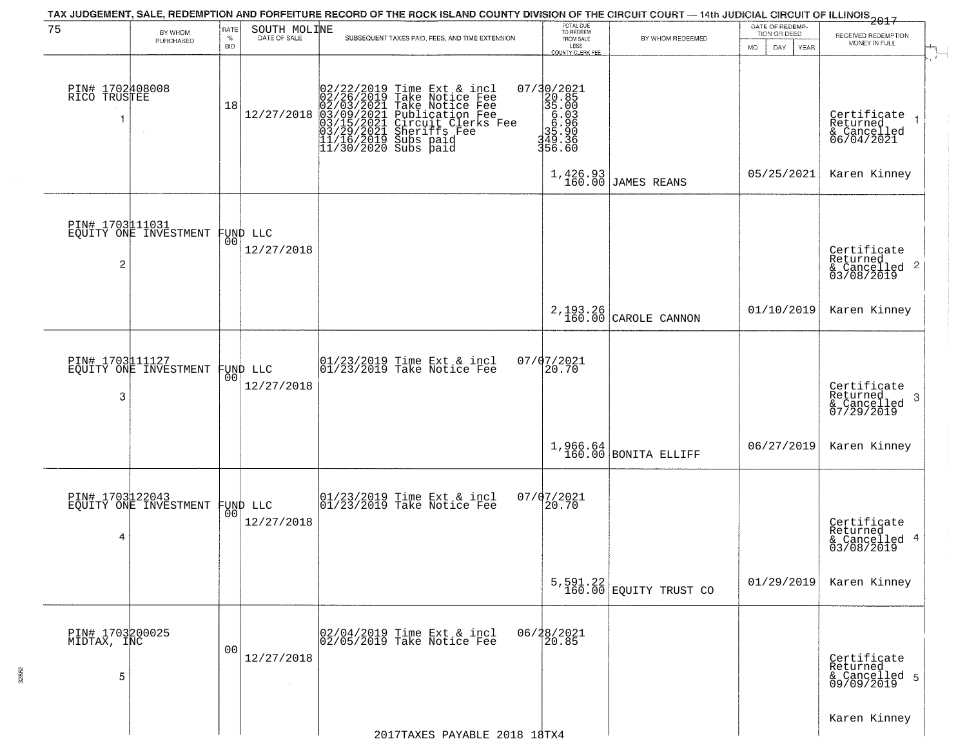| 75                                  |                       | RATE               |                                | TAX JUDGEMENT, SALE, REDEMPTION AND FORFEITURE RECORD OF THE ROCK ISLAND COUNTY DIVISION OF THE CIRCUIT COURT - 14th JUDICIAL CIRCUIT OF ILLINOIS 2017                                                                           | TOTAL DUE<br>TO REDEEM                                                  |                            | DATE OF REDEMP-                           |                                                            |
|-------------------------------------|-----------------------|--------------------|--------------------------------|----------------------------------------------------------------------------------------------------------------------------------------------------------------------------------------------------------------------------------|-------------------------------------------------------------------------|----------------------------|-------------------------------------------|------------------------------------------------------------|
|                                     | BY WHOM<br>PURCHASED  | $\%$<br><b>BID</b> | SOUTH MOLINE                   | SUBSEQUENT TAXES PAID, FEES, AND TIME EXTENSION                                                                                                                                                                                  | FROM SALE<br>LESS<br>COUNTY CLERK FEE                                   | BY WHOM REDEEMED           | TION OR DEED<br>MO.<br>DAY<br><b>YEAR</b> | RECEIVED REDEMPTION<br>MONEY IN FULL                       |
| PIN# 1702408008<br>RICO TRUSTEE     |                       | 18                 | 12/27/2018                     | 02/22/2019 Time Ext & incl<br>02/26/2019 Take Notice Fee<br>02/03/2021 Take Notice Fee<br>03/09/2021 Publication Fee<br>03/09/2021 Chrcuit Clerks Fee<br>03/29/2021 Sheriffs Fee<br>11/16/2019 Subs paid<br>11/30/2020 Subs paid | 07/30/2021<br>20285<br>35.0036<br>35.0036<br>35.906<br>349.36<br>356.60 |                            |                                           | Certificate<br>Returned<br>& Cancelled<br>06/04/2021       |
|                                     |                       |                    |                                |                                                                                                                                                                                                                                  | 1,426.93<br>160.00                                                      | <b>JAMES REANS</b>         | 05/25/2021                                | Karen Kinney                                               |
| PIN# 1703111031<br>2                | EQUITY ONE INVESTMENT |                    | FUND LLC<br> 00 <br>12/27/2018 |                                                                                                                                                                                                                                  |                                                                         |                            |                                           | Certificate<br>Returned<br>& Cancelled 2<br>03/08/2019     |
|                                     |                       |                    |                                |                                                                                                                                                                                                                                  | 2,193.26<br>160.00                                                      | CAROLE CANNON              | 01/10/2019                                | Karen Kinney                                               |
| PIN# 1703111127<br>3                | EQUITY ONE INVESTMENT | 00                 | FUND LLC<br>12/27/2018         | $ 01/23/2019$ Time Ext & incl<br>$ 01/23/2019$ Take Notice Fee                                                                                                                                                                   | 07/07/2021<br>20.70                                                     |                            |                                           | Certificate<br>Returned<br>-3<br>& Cancelled<br>07/29/2019 |
|                                     |                       |                    |                                |                                                                                                                                                                                                                                  | 1,966.64<br>160.00                                                      | <b>BONITA ELLIFF</b>       | 06/27/2019                                | Karen Kinney                                               |
| PIN# 1703122043<br>4                | EQUITY ONE INVESTMENT |                    | FUND LLC<br> 00 <br>12/27/2018 | $ 01/23/2019$ Time Ext & incl<br>$ 01/23/2019$ Take Notice Fee                                                                                                                                                                   | 07/07/2021<br>20.70                                                     |                            |                                           | Certificate<br>Returned<br>& Cancelled 4<br>03/08/2019     |
|                                     |                       |                    |                                |                                                                                                                                                                                                                                  |                                                                         | $5,591.22$ EQUITY TRUST CO | 01/29/2019                                | Karen Kinney                                               |
| PIN# 1703200025<br>MIDTAX, INC<br>5 |                       | 0 <sub>0</sub>     | 12/27/2018                     | 02/04/2019 Time Ext & incl<br>02/05/2019 Take Notice Fee                                                                                                                                                                         | 06/28/2021<br>20.85                                                     |                            |                                           | Certificate<br>Returned<br>& Cancelled 5<br>09/09/2019     |
|                                     |                       |                    |                                | 2017TAXES PAYABLE 2018 18TX4                                                                                                                                                                                                     |                                                                         |                            |                                           | Karen Kinney                                               |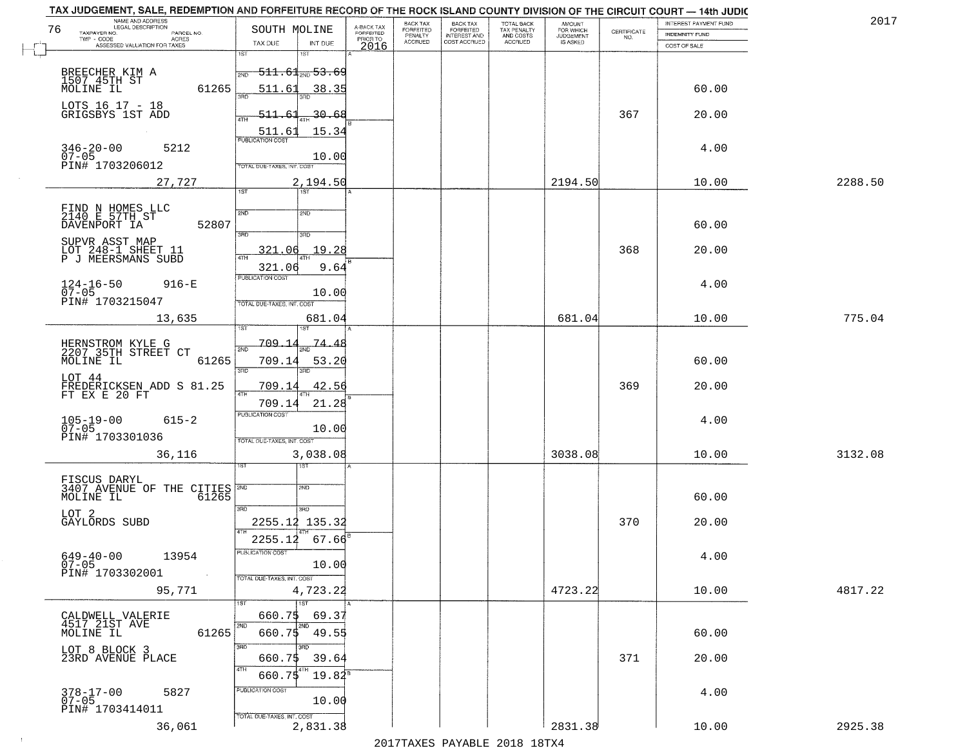|                            |                                                                                                                                                                                                                                                                                                                                                                                                                                                                                                      | BACK TAX                                                                                                  | <b>BACK TAX</b>             | <b>TOTAL BACK</b>                         |                                            |                                                      | INTEREST PAYMENT FUND                   | 2017                                                                                                                                                                                                                       |
|----------------------------|------------------------------------------------------------------------------------------------------------------------------------------------------------------------------------------------------------------------------------------------------------------------------------------------------------------------------------------------------------------------------------------------------------------------------------------------------------------------------------------------------|-----------------------------------------------------------------------------------------------------------|-----------------------------|-------------------------------------------|--------------------------------------------|------------------------------------------------------|-----------------------------------------|----------------------------------------------------------------------------------------------------------------------------------------------------------------------------------------------------------------------------|
|                            |                                                                                                                                                                                                                                                                                                                                                                                                                                                                                                      | PENALTY                                                                                                   |                             |                                           | <b>JUDGEMENT</b>                           |                                                      | <b>INDEMNITY FUND</b>                   |                                                                                                                                                                                                                            |
| 1ST                        | 2016                                                                                                                                                                                                                                                                                                                                                                                                                                                                                                 |                                                                                                           |                             |                                           |                                            |                                                      | COST OF SALE                            |                                                                                                                                                                                                                            |
|                            |                                                                                                                                                                                                                                                                                                                                                                                                                                                                                                      |                                                                                                           |                             |                                           |                                            |                                                      |                                         |                                                                                                                                                                                                                            |
| 2ND                        |                                                                                                                                                                                                                                                                                                                                                                                                                                                                                                      |                                                                                                           |                             |                                           |                                            |                                                      |                                         |                                                                                                                                                                                                                            |
| बन्नल                      |                                                                                                                                                                                                                                                                                                                                                                                                                                                                                                      |                                                                                                           |                             |                                           |                                            |                                                      |                                         |                                                                                                                                                                                                                            |
|                            |                                                                                                                                                                                                                                                                                                                                                                                                                                                                                                      |                                                                                                           |                             |                                           |                                            |                                                      |                                         |                                                                                                                                                                                                                            |
| ATH                        |                                                                                                                                                                                                                                                                                                                                                                                                                                                                                                      |                                                                                                           |                             |                                           |                                            |                                                      |                                         |                                                                                                                                                                                                                            |
| <b>PUBLICATION COST</b>    |                                                                                                                                                                                                                                                                                                                                                                                                                                                                                                      |                                                                                                           |                             |                                           |                                            |                                                      |                                         |                                                                                                                                                                                                                            |
|                            |                                                                                                                                                                                                                                                                                                                                                                                                                                                                                                      |                                                                                                           |                             |                                           |                                            |                                                      | 4.00                                    |                                                                                                                                                                                                                            |
| TOTAL DUE-TAXES, INT. COST |                                                                                                                                                                                                                                                                                                                                                                                                                                                                                                      |                                                                                                           |                             |                                           |                                            |                                                      |                                         |                                                                                                                                                                                                                            |
|                            |                                                                                                                                                                                                                                                                                                                                                                                                                                                                                                      |                                                                                                           |                             |                                           |                                            |                                                      |                                         | 2288.50                                                                                                                                                                                                                    |
| 1ST<br>1ST                 |                                                                                                                                                                                                                                                                                                                                                                                                                                                                                                      |                                                                                                           |                             |                                           |                                            |                                                      |                                         |                                                                                                                                                                                                                            |
|                            |                                                                                                                                                                                                                                                                                                                                                                                                                                                                                                      |                                                                                                           |                             |                                           |                                            |                                                      |                                         |                                                                                                                                                                                                                            |
|                            |                                                                                                                                                                                                                                                                                                                                                                                                                                                                                                      |                                                                                                           |                             |                                           |                                            |                                                      | 60.00                                   |                                                                                                                                                                                                                            |
| 3RD<br>3RD                 |                                                                                                                                                                                                                                                                                                                                                                                                                                                                                                      |                                                                                                           |                             |                                           |                                            |                                                      |                                         |                                                                                                                                                                                                                            |
| 321.06                     |                                                                                                                                                                                                                                                                                                                                                                                                                                                                                                      |                                                                                                           |                             |                                           |                                            | 368                                                  | 20.00                                   |                                                                                                                                                                                                                            |
| 321.06                     |                                                                                                                                                                                                                                                                                                                                                                                                                                                                                                      |                                                                                                           |                             |                                           |                                            |                                                      |                                         |                                                                                                                                                                                                                            |
|                            |                                                                                                                                                                                                                                                                                                                                                                                                                                                                                                      |                                                                                                           |                             |                                           |                                            |                                                      |                                         |                                                                                                                                                                                                                            |
| 10.00                      |                                                                                                                                                                                                                                                                                                                                                                                                                                                                                                      |                                                                                                           |                             |                                           |                                            |                                                      |                                         |                                                                                                                                                                                                                            |
|                            |                                                                                                                                                                                                                                                                                                                                                                                                                                                                                                      |                                                                                                           |                             |                                           |                                            |                                                      |                                         |                                                                                                                                                                                                                            |
| i ST<br>181                |                                                                                                                                                                                                                                                                                                                                                                                                                                                                                                      |                                                                                                           |                             |                                           |                                            |                                                      |                                         | 775.04                                                                                                                                                                                                                     |
| 48                         |                                                                                                                                                                                                                                                                                                                                                                                                                                                                                                      |                                                                                                           |                             |                                           |                                            |                                                      |                                         |                                                                                                                                                                                                                            |
|                            |                                                                                                                                                                                                                                                                                                                                                                                                                                                                                                      |                                                                                                           |                             |                                           |                                            |                                                      |                                         |                                                                                                                                                                                                                            |
| 3 <sub>BD</sub><br>3RD     |                                                                                                                                                                                                                                                                                                                                                                                                                                                                                                      |                                                                                                           |                             |                                           |                                            |                                                      |                                         |                                                                                                                                                                                                                            |
| 709.14                     |                                                                                                                                                                                                                                                                                                                                                                                                                                                                                                      |                                                                                                           |                             |                                           |                                            | 369                                                  | 20.00                                   |                                                                                                                                                                                                                            |
|                            |                                                                                                                                                                                                                                                                                                                                                                                                                                                                                                      |                                                                                                           |                             |                                           |                                            |                                                      |                                         |                                                                                                                                                                                                                            |
| <b>PUBLICATION COST</b>    |                                                                                                                                                                                                                                                                                                                                                                                                                                                                                                      |                                                                                                           |                             |                                           |                                            |                                                      |                                         |                                                                                                                                                                                                                            |
| 10.00                      |                                                                                                                                                                                                                                                                                                                                                                                                                                                                                                      |                                                                                                           |                             |                                           |                                            |                                                      |                                         |                                                                                                                                                                                                                            |
| TOTAL OUE-TAXES, INT. COST |                                                                                                                                                                                                                                                                                                                                                                                                                                                                                                      |                                                                                                           |                             |                                           |                                            |                                                      |                                         |                                                                                                                                                                                                                            |
|                            |                                                                                                                                                                                                                                                                                                                                                                                                                                                                                                      |                                                                                                           |                             |                                           | 3038.08                                    |                                                      | 10.00                                   | 3132.08                                                                                                                                                                                                                    |
|                            |                                                                                                                                                                                                                                                                                                                                                                                                                                                                                                      |                                                                                                           |                             |                                           |                                            |                                                      |                                         |                                                                                                                                                                                                                            |
| 2ND<br>2ND                 |                                                                                                                                                                                                                                                                                                                                                                                                                                                                                                      |                                                                                                           |                             |                                           |                                            |                                                      |                                         |                                                                                                                                                                                                                            |
|                            |                                                                                                                                                                                                                                                                                                                                                                                                                                                                                                      |                                                                                                           |                             |                                           |                                            |                                                      |                                         |                                                                                                                                                                                                                            |
|                            |                                                                                                                                                                                                                                                                                                                                                                                                                                                                                                      |                                                                                                           |                             |                                           |                                            |                                                      |                                         |                                                                                                                                                                                                                            |
|                            |                                                                                                                                                                                                                                                                                                                                                                                                                                                                                                      |                                                                                                           |                             |                                           |                                            |                                                      |                                         |                                                                                                                                                                                                                            |
|                            |                                                                                                                                                                                                                                                                                                                                                                                                                                                                                                      |                                                                                                           |                             |                                           |                                            |                                                      |                                         |                                                                                                                                                                                                                            |
|                            |                                                                                                                                                                                                                                                                                                                                                                                                                                                                                                      |                                                                                                           |                             |                                           |                                            |                                                      |                                         |                                                                                                                                                                                                                            |
| TOTAL DUE-TAXES, INT. COST |                                                                                                                                                                                                                                                                                                                                                                                                                                                                                                      |                                                                                                           |                             |                                           |                                            |                                                      |                                         |                                                                                                                                                                                                                            |
| 4,723.22                   |                                                                                                                                                                                                                                                                                                                                                                                                                                                                                                      |                                                                                                           |                             |                                           | 4723.22                                    |                                                      | 10.00                                   | 4817.22                                                                                                                                                                                                                    |
| 1ST                        |                                                                                                                                                                                                                                                                                                                                                                                                                                                                                                      |                                                                                                           |                             |                                           |                                            |                                                      |                                         |                                                                                                                                                                                                                            |
| 660.75<br>69.37            |                                                                                                                                                                                                                                                                                                                                                                                                                                                                                                      |                                                                                                           |                             |                                           |                                            |                                                      |                                         |                                                                                                                                                                                                                            |
|                            |                                                                                                                                                                                                                                                                                                                                                                                                                                                                                                      |                                                                                                           |                             |                                           |                                            |                                                      | 60.00                                   |                                                                                                                                                                                                                            |
| 3RD                        |                                                                                                                                                                                                                                                                                                                                                                                                                                                                                                      |                                                                                                           |                             |                                           |                                            |                                                      |                                         |                                                                                                                                                                                                                            |
|                            |                                                                                                                                                                                                                                                                                                                                                                                                                                                                                                      |                                                                                                           |                             |                                           |                                            |                                                      |                                         |                                                                                                                                                                                                                            |
| 660.75                     |                                                                                                                                                                                                                                                                                                                                                                                                                                                                                                      |                                                                                                           |                             |                                           |                                            |                                                      |                                         |                                                                                                                                                                                                                            |
| PUBLICATION COST           |                                                                                                                                                                                                                                                                                                                                                                                                                                                                                                      |                                                                                                           |                             |                                           |                                            |                                                      | 4.00                                    |                                                                                                                                                                                                                            |
|                            |                                                                                                                                                                                                                                                                                                                                                                                                                                                                                                      |                                                                                                           |                             |                                           |                                            |                                                      |                                         |                                                                                                                                                                                                                            |
| 2,831.38                   |                                                                                                                                                                                                                                                                                                                                                                                                                                                                                                      |                                                                                                           |                             |                                           | 2831.38                                    |                                                      | 10.00                                   | 2925.38                                                                                                                                                                                                                    |
|                            | SOUTH MOLINE<br>TAX DUE<br>INT DUE<br>1ST<br>$-511.61_{200}$ 53.69<br>511.61<br>38.35<br><u>511.61</u><br><u>30.68</u><br>511.61<br>2,194.50<br>2ND<br>2ND<br>PUBLICATION COST<br>TOTAL DUE-TAXES, INT. COST<br>681.04<br>709.14<br>74.<br>2ND<br>709.14<br>53.20<br>42.56<br>4TH<br>21.28<br>709.14<br>3,038.08<br>ৰৱা<br>3BD<br>3 <sub>BD</sub><br>2255.12 135.32<br>2255.12<br>67.66<br>-usuca i un cus-<br>10.00<br>2ND<br>2ND<br>660.7\$<br>39.64<br>4TH<br>10.00<br>TOTAL DUE-TAXES, INT. COST | A-BACK TAX<br>FORFEITED<br>PRIOR TO<br>15.34<br>10.00<br>19.28<br>9.64<br>660.75 49.55<br>$19.84^{\circ}$ | FORFEITED<br><b>ACCRUED</b> | FORFEITED<br>INTEREST AND<br>COST ACCRUED | TAX PENALTY<br>AND COSTS<br><b>ACCRUED</b> | AMOUNT<br>FOR WHICH<br>IS ASKED<br>2194.50<br>681.04 | CERTIFICATE<br>NO.<br>367<br>370<br>371 | TAX JUDGEMENT, SALE, REDEMPTION AND FORFEITURE RECORD OF THE ROCK ISLAND COUNTY DIVISION OF THE CIRCUIT COURT - 14th JUDIC<br>60.00<br>20.00<br>10.00<br>4.00<br>10.00<br>60.00<br>4.00<br>60.00<br>20.00<br>4.00<br>20.00 |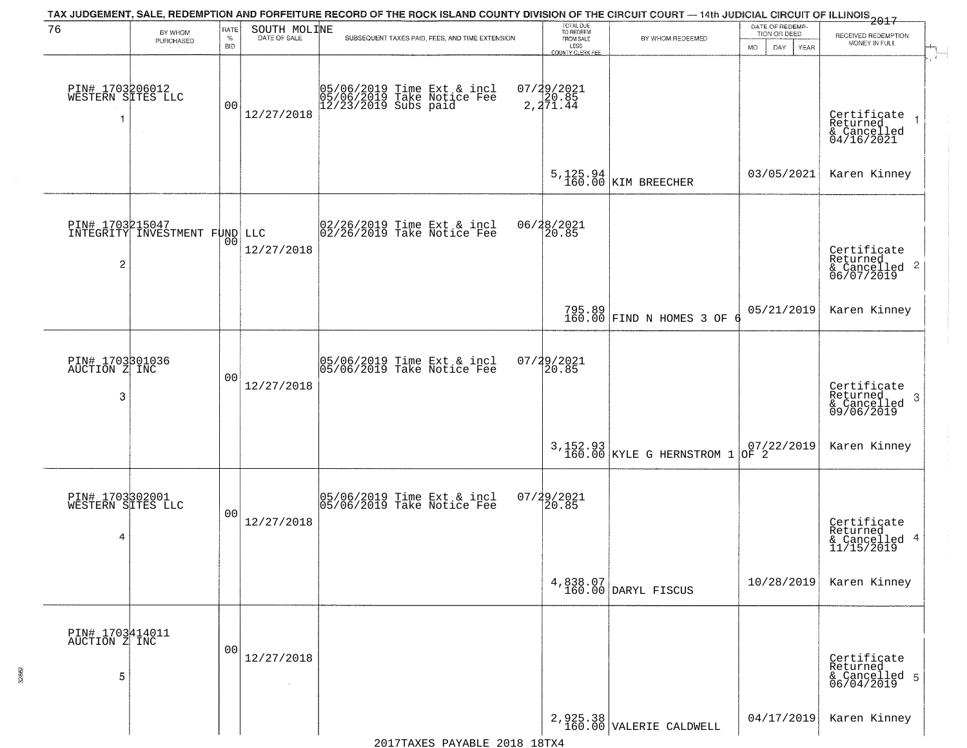| 76                                        | BY WHOM                                          | RATE               | SOUTH MOLINE | TAX JUDGEMENT, SALE, REDEMPTION AND FORFEITURE RECORD OF THE ROCK ISLAND COUNTY DIVISION OF THE CIRCUIT COURT — 14th JUDICIAL CIRCUIT OF ILLINOIS 2017 | TOTAL DUE<br>TO REDEEM                |                                       | DATE OF REDEMP-<br>TION OR DEED                                |                                                                        |
|-------------------------------------------|--------------------------------------------------|--------------------|--------------|--------------------------------------------------------------------------------------------------------------------------------------------------------|---------------------------------------|---------------------------------------|----------------------------------------------------------------|------------------------------------------------------------------------|
|                                           | PURCHASED                                        | $\%$<br><b>BID</b> | DATE OF SALE | SUBSEQUENT TAXES PAID, FEES, AND TIME EXTENSION                                                                                                        | FROM SALE<br>LESS<br>COUNTY CLERK FEE | BY WHOM REDEEMED                      | <b>MO</b><br>DAY<br>YEAR                                       | RECEIVED REDEMPTION<br>MONEY IN FULL                                   |
| PIN# 1703206012<br>WESTERN SITES LLC<br>1 |                                                  | 0 <sub>0</sub>     | 12/27/2018   | 05/06/2019 Time Ext & incl<br>05/06/2019 Take Notice Fee<br>12/23/2019 Subs paid                                                                       | $07/29/2021$<br>20.85<br>2,271.44     |                                       |                                                                | Certificate<br>Returned<br>& Cancelled<br>04/16/2021                   |
|                                           |                                                  |                    |              |                                                                                                                                                        |                                       | $5,125.94$ KIM BREECHER               | 03/05/2021                                                     | Karen Kinney                                                           |
| $\overline{2}$                            | PIN# 1703215047<br>INTEGRITY INVESTMENT FUND LLC | 00                 | 12/27/2018   | 02/26/2019 Time Ext & incl<br>02/26/2019 Take Notice Fee                                                                                               | 06/28/2021<br>20.85                   |                                       |                                                                | Certificate<br>Returned<br>$\overline{2}$<br>& Cancelled<br>06/07/2019 |
|                                           |                                                  |                    |              |                                                                                                                                                        |                                       | 795.89<br>160.00 FIND N HOMES 3 OF    | 05/21/2019                                                     | Karen Kinney                                                           |
| PIN# 1703301036<br>AUCTION Z INC<br>3     |                                                  | 0 <sub>0</sub>     | 12/27/2018   | 05/06/2019 Time Ext & incl<br>05/06/2019 Take Notice Fee                                                                                               | $07/29/2021$<br>20.85                 |                                       |                                                                | Certificate<br>Returned<br>-3<br>& Cancelled<br>09/06/2019             |
|                                           |                                                  |                    |              |                                                                                                                                                        |                                       | 3,152.93<br>160.00 KYLE G HERNSTROM 1 | $\begin{array}{ c c c }\n 07/22/2019 \\  007 & 2\n\end{array}$ | Karen Kinney                                                           |
| PIN# 1703302001<br>WESTERN SITES LLC<br>4 |                                                  | 0 <sub>0</sub>     | 12/27/2018   | 05/06/2019 Time Ext & incl<br>05/06/2019 Take Notice Fee                                                                                               | 07/29/2021<br>120.85                  |                                       |                                                                | Certificate<br>Returned<br>& Cancelled 4<br>11/15/2019                 |
|                                           |                                                  |                    |              |                                                                                                                                                        | 4,838.07<br>160.00                    | DARYL FISCUS                          | 10/28/2019                                                     | Karen Kinney                                                           |
| PIN# 1703414011<br>AUCTION Z INC<br>5     |                                                  | 0 <sup>0</sup>     | 12/27/2018   |                                                                                                                                                        |                                       |                                       |                                                                | Certificate<br>Returned<br>& Cancelled 5<br>06/04/2019                 |
|                                           |                                                  |                    |              |                                                                                                                                                        |                                       | $2,925.38$<br>160.00 VALERIE CALDWELL | 04/17/2019                                                     | Karen Kinney                                                           |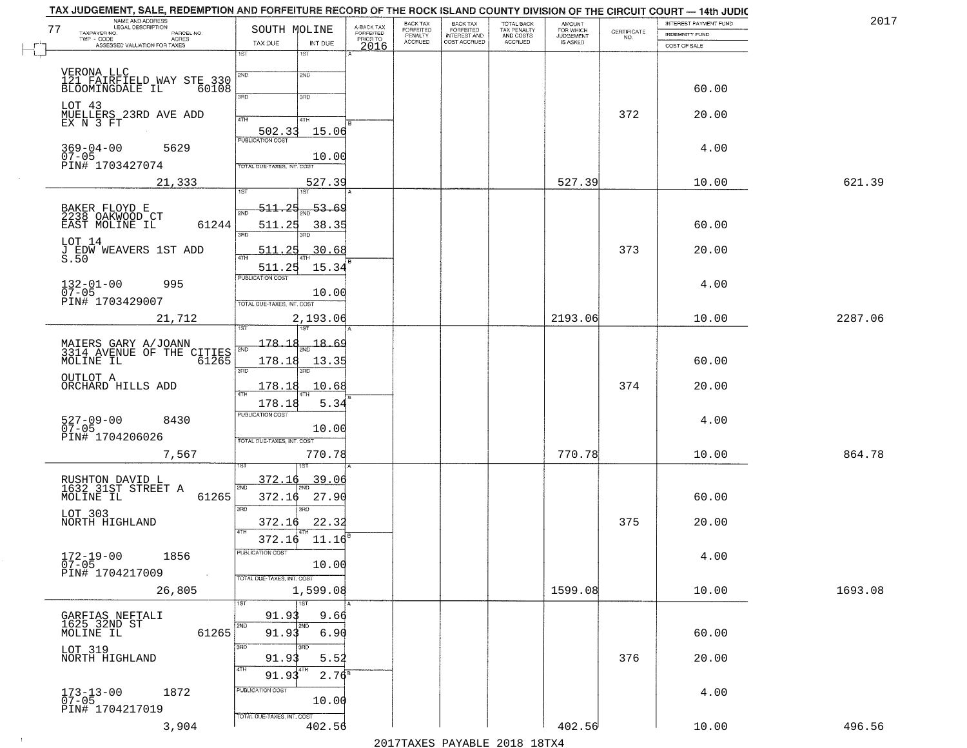|                            |                                                                                                                                                                                                                                                                                                                                                                                                                                       | BACK TAX                                                                                                                                                                                                                                                                                                                  |                                         |                                                       | <b>AMOUNT</b>                                     |                                               | INTEREST PAYMENT FUND                                                                                    | 2017                                                                                                                                                                                                                                       |
|----------------------------|---------------------------------------------------------------------------------------------------------------------------------------------------------------------------------------------------------------------------------------------------------------------------------------------------------------------------------------------------------------------------------------------------------------------------------------|---------------------------------------------------------------------------------------------------------------------------------------------------------------------------------------------------------------------------------------------------------------------------------------------------------------------------|-----------------------------------------|-------------------------------------------------------|---------------------------------------------------|-----------------------------------------------|----------------------------------------------------------------------------------------------------------|--------------------------------------------------------------------------------------------------------------------------------------------------------------------------------------------------------------------------------------------|
|                            | PRIOR TO                                                                                                                                                                                                                                                                                                                                                                                                                              |                                                                                                                                                                                                                                                                                                                           |                                         |                                                       |                                                   |                                               | <b>INDEMNITY FUND</b>                                                                                    |                                                                                                                                                                                                                                            |
| 1ST<br>1ST                 |                                                                                                                                                                                                                                                                                                                                                                                                                                       |                                                                                                                                                                                                                                                                                                                           |                                         |                                                       |                                                   |                                               |                                                                                                          |                                                                                                                                                                                                                                            |
|                            |                                                                                                                                                                                                                                                                                                                                                                                                                                       |                                                                                                                                                                                                                                                                                                                           |                                         |                                                       |                                                   |                                               |                                                                                                          |                                                                                                                                                                                                                                            |
|                            |                                                                                                                                                                                                                                                                                                                                                                                                                                       |                                                                                                                                                                                                                                                                                                                           |                                         |                                                       |                                                   |                                               |                                                                                                          |                                                                                                                                                                                                                                            |
| 3RD<br>3BD                 |                                                                                                                                                                                                                                                                                                                                                                                                                                       |                                                                                                                                                                                                                                                                                                                           |                                         |                                                       |                                                   |                                               |                                                                                                          |                                                                                                                                                                                                                                            |
| 4TH<br>4TH                 |                                                                                                                                                                                                                                                                                                                                                                                                                                       |                                                                                                                                                                                                                                                                                                                           |                                         |                                                       |                                                   | 372                                           | 20.00                                                                                                    |                                                                                                                                                                                                                                            |
| 502.33                     |                                                                                                                                                                                                                                                                                                                                                                                                                                       |                                                                                                                                                                                                                                                                                                                           |                                         |                                                       |                                                   |                                               |                                                                                                          |                                                                                                                                                                                                                                            |
|                            |                                                                                                                                                                                                                                                                                                                                                                                                                                       |                                                                                                                                                                                                                                                                                                                           |                                         |                                                       |                                                   |                                               | 4.00                                                                                                     |                                                                                                                                                                                                                                            |
| TOTAL DUE-TAXES, INT. COST |                                                                                                                                                                                                                                                                                                                                                                                                                                       |                                                                                                                                                                                                                                                                                                                           |                                         |                                                       |                                                   |                                               |                                                                                                          |                                                                                                                                                                                                                                            |
|                            |                                                                                                                                                                                                                                                                                                                                                                                                                                       |                                                                                                                                                                                                                                                                                                                           |                                         |                                                       |                                                   |                                               | 10.00                                                                                                    | 621.39                                                                                                                                                                                                                                     |
|                            |                                                                                                                                                                                                                                                                                                                                                                                                                                       |                                                                                                                                                                                                                                                                                                                           |                                         |                                                       |                                                   |                                               |                                                                                                          |                                                                                                                                                                                                                                            |
| 2ND                        |                                                                                                                                                                                                                                                                                                                                                                                                                                       |                                                                                                                                                                                                                                                                                                                           |                                         |                                                       |                                                   |                                               |                                                                                                          |                                                                                                                                                                                                                                            |
| 3RD                        |                                                                                                                                                                                                                                                                                                                                                                                                                                       |                                                                                                                                                                                                                                                                                                                           |                                         |                                                       |                                                   |                                               |                                                                                                          |                                                                                                                                                                                                                                            |
| 511.25<br>$\sqrt{4}$       |                                                                                                                                                                                                                                                                                                                                                                                                                                       |                                                                                                                                                                                                                                                                                                                           |                                         |                                                       |                                                   | 373                                           | 20.00                                                                                                    |                                                                                                                                                                                                                                            |
| 511.25                     |                                                                                                                                                                                                                                                                                                                                                                                                                                       |                                                                                                                                                                                                                                                                                                                           |                                         |                                                       |                                                   |                                               |                                                                                                          |                                                                                                                                                                                                                                            |
|                            |                                                                                                                                                                                                                                                                                                                                                                                                                                       |                                                                                                                                                                                                                                                                                                                           |                                         |                                                       |                                                   |                                               | 4.00                                                                                                     |                                                                                                                                                                                                                                            |
| TOTAL DUE-TAXES, INT. COST |                                                                                                                                                                                                                                                                                                                                                                                                                                       |                                                                                                                                                                                                                                                                                                                           |                                         |                                                       |                                                   |                                               |                                                                                                          |                                                                                                                                                                                                                                            |
|                            |                                                                                                                                                                                                                                                                                                                                                                                                                                       |                                                                                                                                                                                                                                                                                                                           |                                         |                                                       | 2193.06                                           |                                               | 10.00                                                                                                    | 2287.06                                                                                                                                                                                                                                    |
|                            |                                                                                                                                                                                                                                                                                                                                                                                                                                       |                                                                                                                                                                                                                                                                                                                           |                                         |                                                       |                                                   |                                               |                                                                                                          |                                                                                                                                                                                                                                            |
|                            |                                                                                                                                                                                                                                                                                                                                                                                                                                       |                                                                                                                                                                                                                                                                                                                           |                                         |                                                       |                                                   |                                               |                                                                                                          |                                                                                                                                                                                                                                            |
| 3RD<br>3RD                 |                                                                                                                                                                                                                                                                                                                                                                                                                                       |                                                                                                                                                                                                                                                                                                                           |                                         |                                                       |                                                   |                                               |                                                                                                          |                                                                                                                                                                                                                                            |
|                            |                                                                                                                                                                                                                                                                                                                                                                                                                                       |                                                                                                                                                                                                                                                                                                                           |                                         |                                                       |                                                   |                                               |                                                                                                          |                                                                                                                                                                                                                                            |
| <b>PUBLICATION COST</b>    |                                                                                                                                                                                                                                                                                                                                                                                                                                       |                                                                                                                                                                                                                                                                                                                           |                                         |                                                       |                                                   |                                               |                                                                                                          |                                                                                                                                                                                                                                            |
|                            |                                                                                                                                                                                                                                                                                                                                                                                                                                       |                                                                                                                                                                                                                                                                                                                           |                                         |                                                       |                                                   |                                               |                                                                                                          |                                                                                                                                                                                                                                            |
| TOTAL OUE-TAXES, INT. COST |                                                                                                                                                                                                                                                                                                                                                                                                                                       |                                                                                                                                                                                                                                                                                                                           |                                         |                                                       |                                                   |                                               |                                                                                                          |                                                                                                                                                                                                                                            |
| ख़ा                        |                                                                                                                                                                                                                                                                                                                                                                                                                                       |                                                                                                                                                                                                                                                                                                                           |                                         |                                                       |                                                   |                                               |                                                                                                          | 864.78                                                                                                                                                                                                                                     |
| 372.16                     |                                                                                                                                                                                                                                                                                                                                                                                                                                       |                                                                                                                                                                                                                                                                                                                           |                                         |                                                       |                                                   |                                               |                                                                                                          |                                                                                                                                                                                                                                            |
| 372.16                     |                                                                                                                                                                                                                                                                                                                                                                                                                                       |                                                                                                                                                                                                                                                                                                                           |                                         |                                                       |                                                   |                                               | 60.00                                                                                                    |                                                                                                                                                                                                                                            |
| 3RD<br>3RD                 |                                                                                                                                                                                                                                                                                                                                                                                                                                       |                                                                                                                                                                                                                                                                                                                           |                                         |                                                       |                                                   |                                               |                                                                                                          |                                                                                                                                                                                                                                            |
| 4TH                        |                                                                                                                                                                                                                                                                                                                                                                                                                                       |                                                                                                                                                                                                                                                                                                                           |                                         |                                                       |                                                   |                                               |                                                                                                          |                                                                                                                                                                                                                                            |
| PUBLICATION COST           |                                                                                                                                                                                                                                                                                                                                                                                                                                       |                                                                                                                                                                                                                                                                                                                           |                                         |                                                       |                                                   |                                               |                                                                                                          |                                                                                                                                                                                                                                            |
|                            |                                                                                                                                                                                                                                                                                                                                                                                                                                       |                                                                                                                                                                                                                                                                                                                           |                                         |                                                       |                                                   |                                               |                                                                                                          |                                                                                                                                                                                                                                            |
|                            |                                                                                                                                                                                                                                                                                                                                                                                                                                       |                                                                                                                                                                                                                                                                                                                           |                                         |                                                       |                                                   |                                               |                                                                                                          | 1693.08                                                                                                                                                                                                                                    |
| 1ST<br>1ST                 |                                                                                                                                                                                                                                                                                                                                                                                                                                       |                                                                                                                                                                                                                                                                                                                           |                                         |                                                       |                                                   |                                               |                                                                                                          |                                                                                                                                                                                                                                            |
| 91.93                      |                                                                                                                                                                                                                                                                                                                                                                                                                                       |                                                                                                                                                                                                                                                                                                                           |                                         |                                                       |                                                   |                                               |                                                                                                          |                                                                                                                                                                                                                                            |
| 91.93                      |                                                                                                                                                                                                                                                                                                                                                                                                                                       |                                                                                                                                                                                                                                                                                                                           |                                         |                                                       |                                                   |                                               | 60.00                                                                                                    |                                                                                                                                                                                                                                            |
| 3RD<br>3RD                 |                                                                                                                                                                                                                                                                                                                                                                                                                                       |                                                                                                                                                                                                                                                                                                                           |                                         |                                                       |                                                   |                                               |                                                                                                          |                                                                                                                                                                                                                                            |
| 4TH                        |                                                                                                                                                                                                                                                                                                                                                                                                                                       |                                                                                                                                                                                                                                                                                                                           |                                         |                                                       |                                                   |                                               |                                                                                                          |                                                                                                                                                                                                                                            |
| PUBLICATION COST           |                                                                                                                                                                                                                                                                                                                                                                                                                                       |                                                                                                                                                                                                                                                                                                                           |                                         |                                                       |                                                   |                                               |                                                                                                          |                                                                                                                                                                                                                                            |
|                            |                                                                                                                                                                                                                                                                                                                                                                                                                                       |                                                                                                                                                                                                                                                                                                                           |                                         |                                                       |                                                   |                                               |                                                                                                          |                                                                                                                                                                                                                                            |
|                            |                                                                                                                                                                                                                                                                                                                                                                                                                                       |                                                                                                                                                                                                                                                                                                                           |                                         |                                                       | 402.56                                            |                                               | 10.00                                                                                                    | 496.56                                                                                                                                                                                                                                     |
|                            | TAX DUE<br>2ND<br>2ND<br>121 FAIRFIELD WAY STE 330<br>60108<br><b>PUBLICATION COST</b><br>1ST<br>1ST.<br>511.25<br>61244<br>511.25<br><b>PUBLICATION COST</b><br>178.18<br>MAIERS GARY A/JOANN<br>3314 AVENUE OF THE CITIES<br>3314 AVENUE OF THE 61265<br>2ND<br>178.18<br>178.18<br>178.18<br>2ND<br>61265<br>372.16<br>372.16<br>TOTAL DUE-TAXES, INT. COST<br>2ND<br>2ND<br>61265<br>91.93<br>91.93<br>TOTAL DUE-TAXES, INT. COST | A-BACK TAX<br>FORFEITED<br>SOUTH MOLINE<br>INT DUE<br>15.06<br>10.00<br>527.39<br>53.69<br>38.35<br>30.68<br>15.34<br>10.00<br>2,193.06<br>$-18.69$<br>13.35<br>10.68<br>5.34<br>10.00<br>770.78<br><u>39.06</u><br>27.90<br>22.32<br>11.16<br>10.00<br>1,599.08<br>9.66<br>6.90<br>5.52<br>$2.76^{8}$<br>10.00<br>402.56 | FORFEITED<br>PENALTY<br>ACCRUED<br>2016 | BACK TAX<br>FORFEITED<br>INTEREST AND<br>COST ACCRUED | TOTAL BACK<br>TAX PENALTY<br>AND COSTS<br>ACCRUED | FOR WHICH<br>JUDGEMENT<br>IS ASKED<br>1599.08 | $\begin{array}{c} \text{CEPTIFICATE} \\ \text{NO.} \end{array}$<br>527.39<br>374<br>770.78<br>375<br>376 | TAX JUDGEMENT, SALE, REDEMPTION AND FORFEITURE RECORD OF THE ROCK ISLAND COUNTY DIVISION OF THE CIRCUIT COURT — 14th JUDIC<br>COST OF SALE<br>60.00<br>60.00<br>60.00<br>20.00<br>4.00<br>10.00<br>20.00<br>4.00<br>10.00<br>20.00<br>4.00 |

 $\sim 10^6$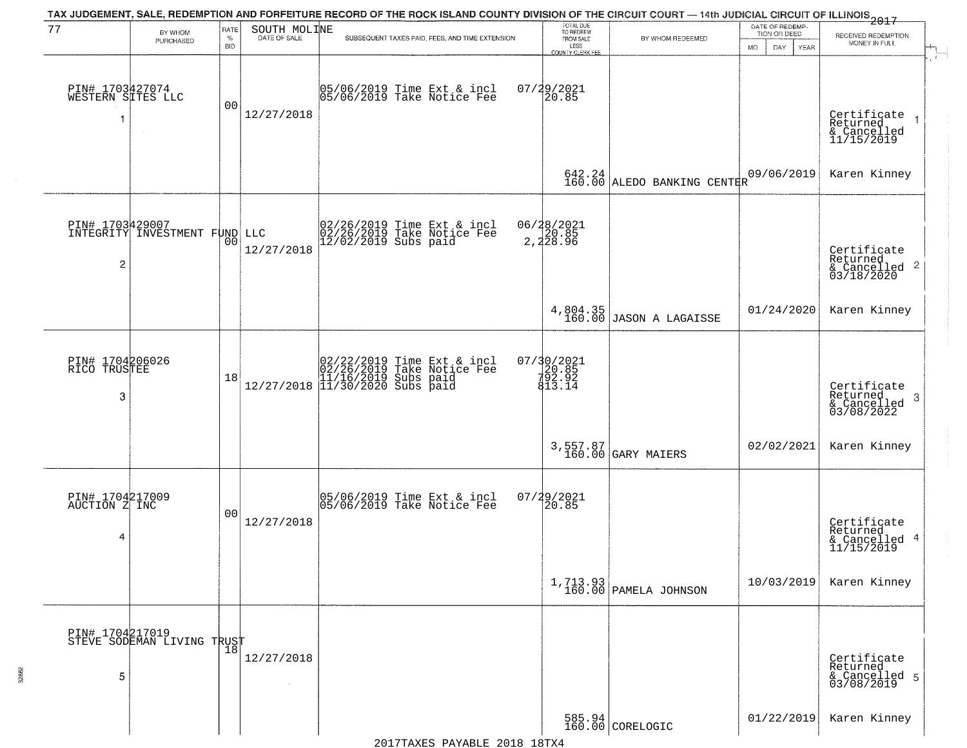| 77                                        | BY WHOM                                          | RATE               | SOUTH MOLINE | TAX JUDGEMENT, SALE, REDEMPTION AND FORFEITURE RECORD OF THE ROCK ISLAND COUNTY DIVISION OF THE CIRCUIT COURT — 14th JUDICIAL CIRCUIT OF ILLINOIS 2017                                                   | TOTAL DUE<br>TO REDEEM                       |                                     | DATE OF REDEMP-<br>TION OR DEED |                                                                        |
|-------------------------------------------|--------------------------------------------------|--------------------|--------------|----------------------------------------------------------------------------------------------------------------------------------------------------------------------------------------------------------|----------------------------------------------|-------------------------------------|---------------------------------|------------------------------------------------------------------------|
|                                           | PURCHASED                                        | $\%$<br><b>BID</b> | DATE OF SALE | SUBSEQUENT TAXES PAID, FEES, AND TIME EXTENSION                                                                                                                                                          | FROM SALE<br>LESS<br><b>COUNTY CLERK FEE</b> | BY WHOM REDEEMED                    | <b>MO</b><br>DAY<br>YEAR        | RECEIVED REDEMPTION<br>MONEY IN FULL                                   |
| PIN# 1703427074<br>WESTERN SITES LLC<br>1 |                                                  | 0 <sub>0</sub>     | 12/27/2018   | 05/06/2019 Time Ext & incl<br>05/06/2019 Take Notice Fee                                                                                                                                                 | 07/29/2021<br>20.85                          |                                     |                                 | Certificate<br>Returned<br>& Cancelled<br>11/15/2019                   |
|                                           |                                                  |                    |              |                                                                                                                                                                                                          | $642.24$<br>$160.00$                         | ALEDO BANKING CENTER                | 09/06/2019                      | Karen Kinney                                                           |
| $\overline{2}$                            | PIN# 1703429007<br>INTEGRITY INVESTMENT FUND LLC |                    | 12/27/2018   | 02/26/2019 Time Ext & incl<br>02/26/2019 Take Notice Fee<br>12/02/2019 Subs paid                                                                                                                         | 06/28/2021<br>20.85<br>2,228.96              |                                     |                                 | Certificate<br>Returned<br>$\overline{c}$<br>& Cancelled<br>03/18/2020 |
|                                           |                                                  |                    |              |                                                                                                                                                                                                          |                                              | 4,804.35<br>160.00 JASON A LAGAISSE | 01/24/2020                      | Karen Kinney                                                           |
| PIN# 1704206026<br>RICO TRUSTEE<br>3      |                                                  | 18                 |              | $[02/22/2019 \text{ Time Ext & incl} \brack 02/26/2019 \text{ Take Notice } \text{Fee} \brack 11/16/2019 \text{ Subs paid} \brack 12/27/2018 \begin{bmatrix} 11/30/2020 \text{ Subs paid} \end{bmatrix}$ | 07/30/2021<br>20.85<br>20.85<br>813.14       |                                     |                                 | Certificate<br>Returned<br>3<br>& Cancelled<br>03/08/2022              |
|                                           |                                                  |                    |              |                                                                                                                                                                                                          |                                              | 3,557.87<br>160.00 GARY MAIERS      | 02/02/2021                      | Karen Kinney                                                           |
| PIN# 1704217009<br>AUCTION Z INC<br>4     |                                                  | 0 <sub>0</sub>     | 12/27/2018   | 05/06/2019 Time Ext & incl<br>05/06/2019 Take Notice Fee                                                                                                                                                 | 07/29/2021<br>120.85                         |                                     |                                 | Certificate<br>Returned<br>4<br>& Cancelled<br>11/15/2019              |
|                                           |                                                  |                    |              |                                                                                                                                                                                                          | 1,713.93<br>160.00                           | PAMELA JOHNSON                      | 10/03/2019                      | Karen Kinney                                                           |
| 5                                         | PIN# 1704217019<br>STEVE SODEMAN LIVING TRUST    |                    | 12/27/2018   |                                                                                                                                                                                                          |                                              |                                     |                                 | Certificate<br>Returned<br>& Cancelled 5<br>03/08/2019                 |
|                                           |                                                  |                    |              |                                                                                                                                                                                                          |                                              | $585.94$ CORELOGIC                  | 01/22/2019                      | Karen Kinney                                                           |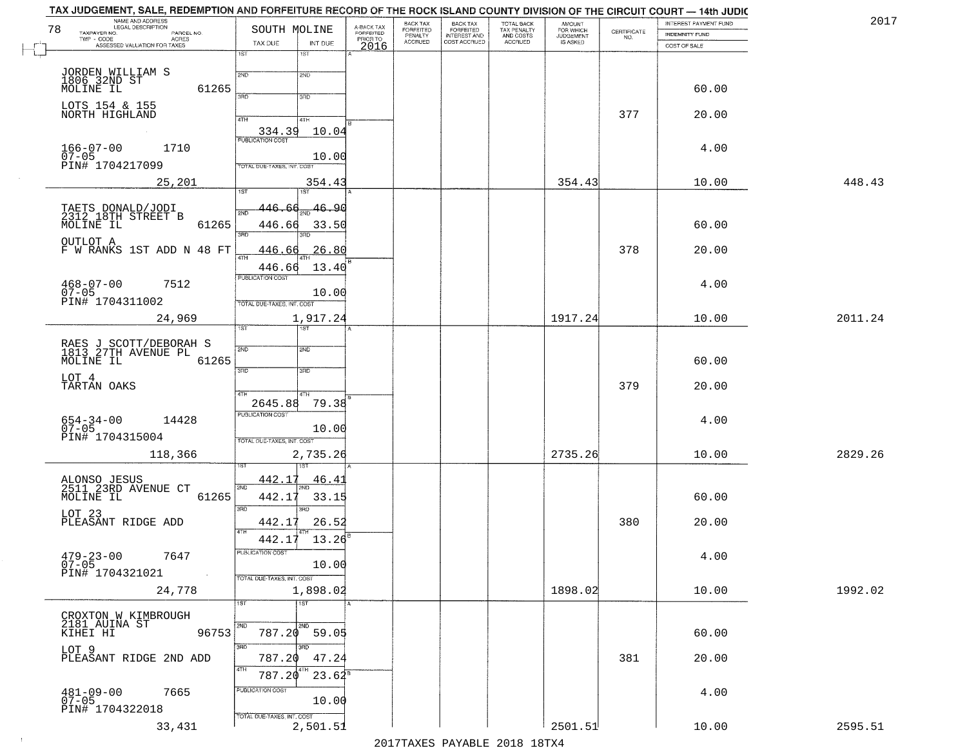| NAME AND ADDRESS<br>LEGAL DESCRIPTION<br>78<br>TAXPAYER NO.<br>PARCEL NO. | SOUTH MOLINE                           | A-BACK TAX<br>FORFEITED<br>PRIOR TO | <b>BACK TAX</b><br>BACK TAX<br>FORFEITED<br>INTEREST AND<br><b>FORFEITED</b> | TOTAL BACK<br>TAX PENALTY<br>AND COSTS | AMOUNT<br>FOR WHICH<br>JUDGEMENT |                    | INTEREST PAYMENT FUND          | 2017    |
|---------------------------------------------------------------------------|----------------------------------------|-------------------------------------|------------------------------------------------------------------------------|----------------------------------------|----------------------------------|--------------------|--------------------------------|---------|
| TWP - CODE<br>ACRES<br>ASSESSED VALUATION FOR TAXES                       | TAX DUE<br>INT DUE                     | <b>ACCRUED</b>                      | PENALTY<br>COST ACCRUED                                                      | ACCRUED                                | IS ASKED                         | CERTIFICATE<br>NO. | INDEMNITY FUND<br>COST OF SALE |         |
|                                                                           | $1S$ T<br>1ST                          | 2016                                |                                                                              |                                        |                                  |                    |                                |         |
|                                                                           | 2ND<br>2ND                             |                                     |                                                                              |                                        |                                  |                    |                                |         |
| JORDEN WILLIAM S<br>1806 32ND ST<br>MOLINE IL<br>61265                    | 390<br>3RD                             |                                     |                                                                              |                                        |                                  |                    | 60.00                          |         |
| LOTS 154 & 155<br>NORTH HIGHLAND                                          |                                        |                                     |                                                                              |                                        |                                  |                    |                                |         |
|                                                                           | 4TH<br>4TH                             |                                     |                                                                              |                                        |                                  | 377                | 20.00                          |         |
|                                                                           | 334.39<br>10.04                        |                                     |                                                                              |                                        |                                  |                    |                                |         |
| $166 - 07 - 00$<br>1710<br>$07 - 05$                                      | 10.00                                  |                                     |                                                                              |                                        |                                  |                    | 4.00                           |         |
| PIN# 1704217099                                                           | TOTAL DUE-TAXES, INT. COST             |                                     |                                                                              |                                        |                                  |                    |                                |         |
| 25,201                                                                    | 354.43<br>1ST<br>1ST                   |                                     |                                                                              |                                        | 354.43                           |                    | 10.00                          | 448.43  |
|                                                                           | 146.6A<br>46.90                        |                                     |                                                                              |                                        |                                  |                    |                                |         |
| TAETS DONALD/JODI<br>2312 18TH STREET B<br>MOLINE IL<br>61265             | 446.66<br>33.50                        |                                     |                                                                              |                                        |                                  |                    | 60.00                          |         |
| OUTLOT A                                                                  |                                        |                                     |                                                                              |                                        |                                  |                    |                                |         |
| F W RANKS 1ST ADD N 48 FT                                                 | 26.80<br>446.66                        |                                     |                                                                              |                                        |                                  | 378                | 20.00                          |         |
|                                                                           | 13.40<br>446.66<br>PUBLICATION COST    |                                     |                                                                              |                                        |                                  |                    |                                |         |
| $468 - 07 - 00$<br>7512<br>$07 - 05$                                      | 10.00                                  |                                     |                                                                              |                                        |                                  |                    | 4.00                           |         |
| PIN# 1704311002                                                           | TOTAL DUE-TAXES, INT. COST             |                                     |                                                                              |                                        |                                  |                    |                                |         |
| 24,969                                                                    | 1,917.24<br>1ST                        |                                     |                                                                              |                                        | 1917.24                          |                    | 10.00                          | 2011.24 |
|                                                                           |                                        |                                     |                                                                              |                                        |                                  |                    |                                |         |
| RAES J SCOTT/DEBORAH S<br>1813 27TH AVENUE PL<br>MOLINE IL                | 2ND<br>2ND                             |                                     |                                                                              |                                        |                                  |                    |                                |         |
| 61265                                                                     | 3 <sub>BD</sub><br>3 <sub>BD</sub>     |                                     |                                                                              |                                        |                                  |                    | 60.00                          |         |
| LOT 4<br>TARTAN OAKS                                                      | <b>ATH</b>                             |                                     |                                                                              |                                        |                                  | 379                | 20.00                          |         |
|                                                                           | 4TH<br>79.38<br>2645.88                |                                     |                                                                              |                                        |                                  |                    |                                |         |
| 654-34-00<br>07-05<br>14428                                               | <b>PUBLICATION COST</b>                |                                     |                                                                              |                                        |                                  |                    | 4.00                           |         |
| PIN# 1704315004                                                           | 10.00<br>TOTAL OUE-TAXES, INT. COST    |                                     |                                                                              |                                        |                                  |                    |                                |         |
| 118,366                                                                   | 2,735.26                               |                                     |                                                                              |                                        | 2735.26                          |                    | 10.00                          | 2829.26 |
|                                                                           |                                        |                                     |                                                                              |                                        |                                  |                    |                                |         |
| ALONSO JESUS<br>2511 23RD AVENUE CT<br>MOLINE IL                          | 442.17<br><u>46.41</u><br>2ND          |                                     |                                                                              |                                        |                                  |                    |                                |         |
| 61265                                                                     | 442.17<br>33.15<br>3RD<br>3RD          |                                     |                                                                              |                                        |                                  |                    | 60.00                          |         |
| LOT 23<br>PLEASANT RIDGE ADD                                              | 442.17<br>26.52                        |                                     |                                                                              |                                        |                                  | 380                | 20.00                          |         |
|                                                                           | 4TH<br>442.17<br>13.26                 |                                     |                                                                              |                                        |                                  |                    |                                |         |
| 7647                                                                      | PUBLICATION COST                       |                                     |                                                                              |                                        |                                  |                    | 4.00                           |         |
| $479 - 23 - 00$<br>07-05<br>PIN# 1704321021                               | 10.00                                  |                                     |                                                                              |                                        |                                  |                    |                                |         |
| 24,778                                                                    | TOTAL DUE-TAXES, INT. COST<br>1,898.02 |                                     |                                                                              |                                        | 1898.02                          |                    | 10.00                          | 1992.02 |
|                                                                           | 1ST<br>1ST                             |                                     |                                                                              |                                        |                                  |                    |                                |         |
| CROXTON W KIMBROUGH<br>2181 AUINA ST                                      | <b>2ND</b>                             |                                     |                                                                              |                                        |                                  |                    |                                |         |
| 96753<br>KIHEI HI                                                         | 2ND<br>787.20<br>59.05                 |                                     |                                                                              |                                        |                                  |                    | 60.00                          |         |
| LOT <sub>9</sub><br>PLEASANT RIDGE 2ND ADD                                | 3RD<br>3RD<br>47.24<br>787.20          |                                     |                                                                              |                                        |                                  | 381                | 20.00                          |         |
|                                                                           | 4TH<br>$23.64^8$                       |                                     |                                                                              |                                        |                                  |                    |                                |         |
|                                                                           | 787.20<br>PUBLICATION COST             |                                     |                                                                              |                                        |                                  |                    |                                |         |
| 7665<br>$481 - 09 - 00$<br>07-05                                          | 10.00                                  |                                     |                                                                              |                                        |                                  |                    | 4.00                           |         |
| PIN# 1704322018                                                           | TOTAL DUE-TAXES, INT. COST             |                                     |                                                                              |                                        |                                  |                    |                                |         |
| 33,431                                                                    | 2,501.51                               |                                     |                                                                              |                                        | 2501.51                          |                    | 10.00                          | 2595.51 |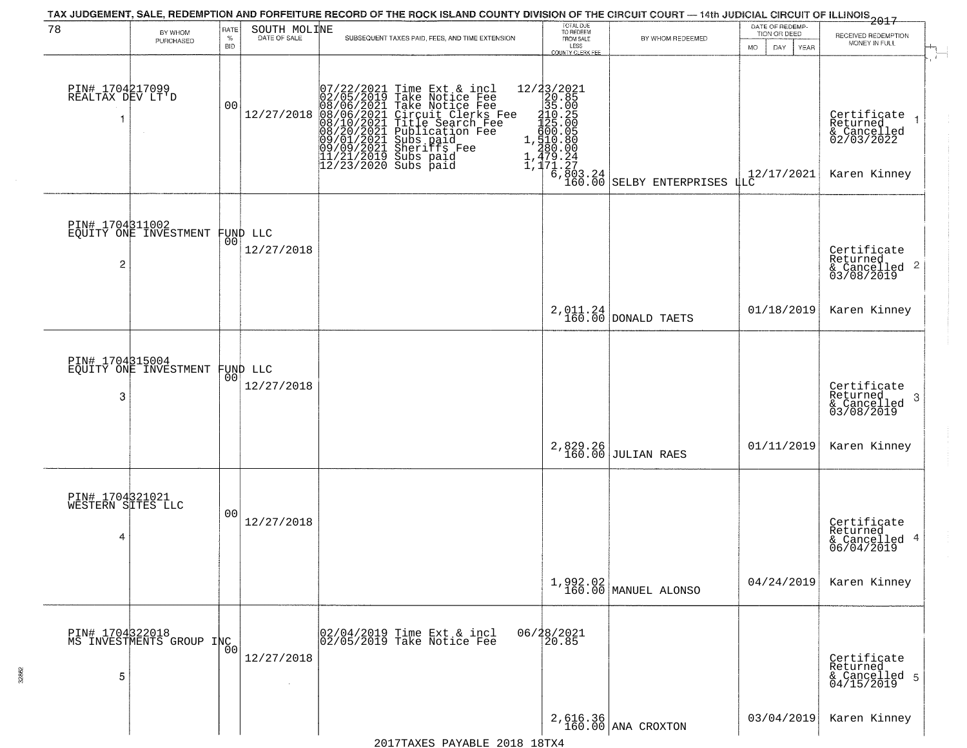|                                           |                                             |                     |                                | TAX JUDGEMENT, SALE, REDEMPTION AND FORFEITURE RECORD OF THE ROCK ISLAND COUNTY DIVISION OF THE CIRCUIT COURT — 14th JUDICIAL CIRCUIT OF ILLINOIS 2017                                                                                                                                                                                                     |                                                                                                                                                               |                                  |                                                       |                                                                      |
|-------------------------------------------|---------------------------------------------|---------------------|--------------------------------|------------------------------------------------------------------------------------------------------------------------------------------------------------------------------------------------------------------------------------------------------------------------------------------------------------------------------------------------------------|---------------------------------------------------------------------------------------------------------------------------------------------------------------|----------------------------------|-------------------------------------------------------|----------------------------------------------------------------------|
| 78                                        | BY WHOM<br>PURCHASED                        | RATE<br>$\%$<br>BID | SOUTH MOLINE                   | SUBSEQUENT TAXES PAID, FEES, AND TIME EXTENSION                                                                                                                                                                                                                                                                                                            | TOTAL DUE<br>TO REDEEM<br>FROM SALE<br>LESS<br>COUNTY CLERK FEE                                                                                               | BY WHOM REDEEMED                 | DATE OF REDEMP-<br>TION OR DEED<br>DAY<br>MO.<br>YEAR | RECEIVED REDEMPTION<br>MONEY IN FULL                                 |
| PIN# 1704217099<br>REALTAX DEV LT D<br>1  |                                             | 00                  | 12/27/2018                     | $\begin{smallmatrix} 07/22/2021 \\ 02/05/2019 \\ 08/06/2021 \\ 08/10/2021 \\ 08/10/2021 \\ 08/20/2021 \\ 09/01/2021 \\ 09/09/2021 \\ 11/21/2019 \\ 12/23/2020 \end{smallmatrix}$<br>Time Ext & incl<br>Take Notice Fee<br>Take Notice Fee<br>Circuit Clerks Fee<br>Title Search Fee<br>Publication Fee<br>Subs paid<br>Subs naid<br>Subs paid<br>Subs paid | $[ \begin{smallmatrix} 12/2\\2/20.85\\20.85\\35.00\\110.25\\120.85\\100.05\\600.05\\510.80\\240.00\\1,479.24\\1,171.27\\6,803.24\\160.00 \end{smallmatrix} ]$ | SELBY ENTERPRISES LLC            | 12/17/2021                                            | Certificate<br>Returned<br>& Cancelled<br>02/03/2022<br>Karen Kinney |
| PIN# 1704311002<br>2                      | EQUITY ONE INVESTMENT                       |                     | FUND LLC<br> 00 <br>12/27/2018 |                                                                                                                                                                                                                                                                                                                                                            |                                                                                                                                                               |                                  |                                                       | Certificate<br>Returned<br>$\frac{1}{2}$ Cancelled 2<br>03/08/2019   |
|                                           |                                             |                     |                                |                                                                                                                                                                                                                                                                                                                                                            |                                                                                                                                                               | $2,011.24$ DONALD TAETS          | 01/18/2019                                            | Karen Kinney                                                         |
| PIN# 1704315004<br>3                      | EQUITY ONE INVESTMENT                       | 00                  | FUND LLC<br>12/27/2018         |                                                                                                                                                                                                                                                                                                                                                            |                                                                                                                                                               |                                  |                                                       | Certifiçate<br>Returned<br>3<br>& Cancelled<br>03/08/2019            |
|                                           |                                             |                     |                                |                                                                                                                                                                                                                                                                                                                                                            | 2,829.26                                                                                                                                                      | <b>JULIAN RAES</b>               | 01/11/2019                                            | Karen Kinney                                                         |
| PIN# 1704321021<br>WESTERN SITES LLC<br>4 |                                             | 0 <sub>0</sub>      | 12/27/2018                     |                                                                                                                                                                                                                                                                                                                                                            |                                                                                                                                                               |                                  |                                                       | Certificate<br>Returned<br>& Cancelled 4<br>06/04/2019               |
|                                           |                                             |                     |                                |                                                                                                                                                                                                                                                                                                                                                            |                                                                                                                                                               | 1,992.02<br>160.00 MANUEL ALONSO | 04/24/2019                                            | Karen Kinney                                                         |
| 5                                         | PIN# 1704322018<br>MS INVESTMENTS GROUP INC |                     | 12/27/2018                     | 02/04/2019 Time Ext & incl<br>02/05/2019 Take Notice Fee                                                                                                                                                                                                                                                                                                   | 06/28/2021<br>20.85                                                                                                                                           |                                  |                                                       | Certificate<br>Returned<br>& Cancelled 5<br>04/15/2019               |
|                                           |                                             |                     |                                |                                                                                                                                                                                                                                                                                                                                                            |                                                                                                                                                               | $2,616.36$<br>160.00 ANA CROXTON | 03/04/2019                                            | Karen Kinney                                                         |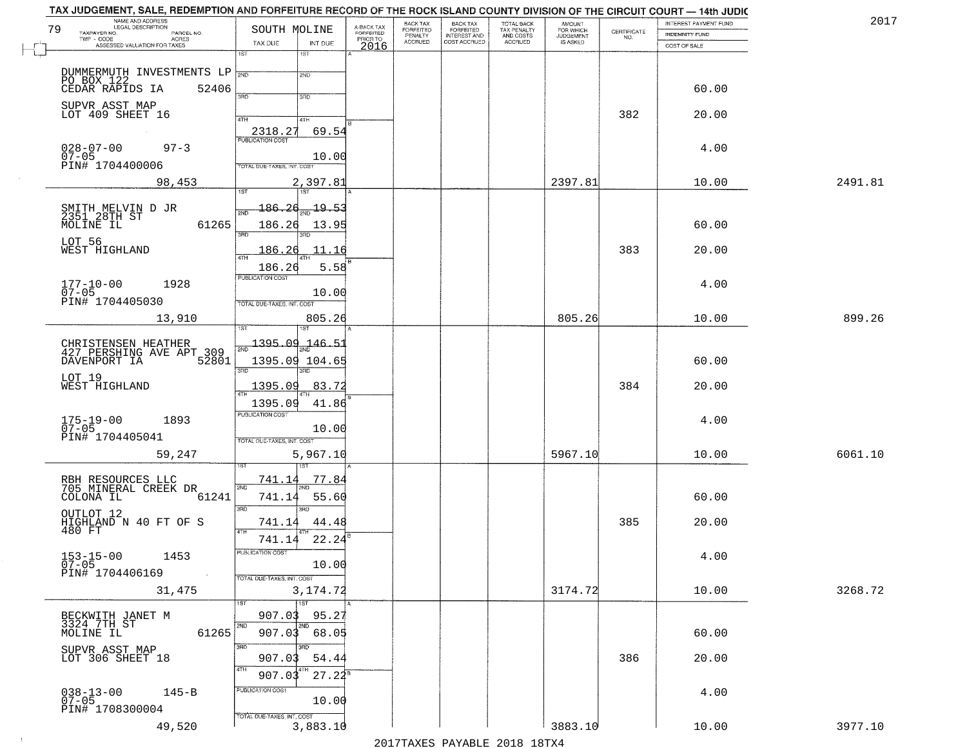| TAX JUDGEMENT, SALE, REDEMPTION AND FORFEITURE RECORD OF THE ROCK ISLAND COUNTY DIVISION OF THE CIRCUIT COURT - 14th JUDIC<br>NAME AND ADDRESS<br>LEGAL DESCRIPTION |                                             |                         | BACK TAX           | <b>BACK TAX</b>                           | TOTAL BACK               |                                              |                    | INTEREST PAYMENT FUND | 2017    |
|---------------------------------------------------------------------------------------------------------------------------------------------------------------------|---------------------------------------------|-------------------------|--------------------|-------------------------------------------|--------------------------|----------------------------------------------|--------------------|-----------------------|---------|
| 79<br>TAXPAYER NO.<br>PARCEL NO.                                                                                                                                    | SOUTH MOLINE                                | A-BACK TAX<br>FORFEITED | FORFEITED          | FORFEITED<br>INTEREST AND<br>COST ACCRUED | TAX PENALTY<br>AND COSTS | AMOUNT<br>FOR WHICH<br>JUDGEMENT<br>IS ASKED | CERTIFICATE<br>NO. | <b>INDEMNITY FUND</b> |         |
| TWP - CODE<br>ACRES<br>ASSESSED VALUATION FOR TAXES                                                                                                                 | TAX DUE<br>INT DUE                          | PRIOR TO<br>2016        | PENALTY<br>ACCRUED |                                           | ACCRUED                  |                                              |                    | COST OF SALE          |         |
|                                                                                                                                                                     | $\overline{1ST}$<br>1ST                     |                         |                    |                                           |                          |                                              |                    |                       |         |
|                                                                                                                                                                     | 2ND                                         |                         |                    |                                           |                          |                                              |                    |                       |         |
| DUMMERMUTH INVESTMENTS LP 2ND<br>PO BOX 122<br>CEDAR RAPIDS IA 52406                                                                                                |                                             |                         |                    |                                           |                          |                                              |                    |                       |         |
|                                                                                                                                                                     | 370<br>3RD                                  |                         |                    |                                           |                          |                                              |                    | 60.00                 |         |
| SUPVR ASST MAP<br>LOT 409 SHEET 16                                                                                                                                  |                                             |                         |                    |                                           |                          |                                              | 382                |                       |         |
|                                                                                                                                                                     | 4TH<br>4TH                                  |                         |                    |                                           |                          |                                              |                    | 20.00                 |         |
|                                                                                                                                                                     | 69.54<br>2318.27<br><b>PUBLICATION COST</b> |                         |                    |                                           |                          |                                              |                    |                       |         |
| $97 - 3$<br>$028 - 07 - 00$                                                                                                                                         |                                             |                         |                    |                                           |                          |                                              |                    | 4.00                  |         |
| $07 - 05$<br>PIN# 1704400006                                                                                                                                        | 10.00<br>TOTAL DUE-TAXES, INT. COST         |                         |                    |                                           |                          |                                              |                    |                       |         |
|                                                                                                                                                                     |                                             |                         |                    |                                           |                          |                                              |                    |                       |         |
| 98,453                                                                                                                                                              | 2,397.81<br>1ST<br>1ST                      |                         |                    |                                           |                          | 2397.81                                      |                    | 10.00                 | 2491.81 |
|                                                                                                                                                                     | <u> 186.26</u><br>$\frac{19.51}{200}$       |                         |                    |                                           |                          |                                              |                    |                       |         |
| SMITH MELVIN D JR<br>2351 28TH ST                                                                                                                                   | <b>PND</b>                                  |                         |                    |                                           |                          |                                              |                    |                       |         |
| 61265<br>MOLINE IL                                                                                                                                                  | 186.26<br>13.95<br>3RD<br>הוא               |                         |                    |                                           |                          |                                              |                    | 60.00                 |         |
| LOT 56                                                                                                                                                              |                                             |                         |                    |                                           |                          |                                              |                    |                       |         |
| WEST HIGHLAND                                                                                                                                                       | 186.26<br>11.16<br>$\overline{ATH}$         |                         |                    |                                           |                          |                                              | 383                | 20.00                 |         |
|                                                                                                                                                                     | 5.58<br>186.26                              |                         |                    |                                           |                          |                                              |                    |                       |         |
| $177 - 10 - 00$<br>1928                                                                                                                                             | PUBLICATION COST                            |                         |                    |                                           |                          |                                              |                    | 4.00                  |         |
| $07 - 05$<br>PIN# 1704405030                                                                                                                                        | 10.00<br>TOTAL DUE-TAXES, INT. COST         |                         |                    |                                           |                          |                                              |                    |                       |         |
|                                                                                                                                                                     |                                             |                         |                    |                                           |                          |                                              |                    |                       |         |
| 13,910                                                                                                                                                              | 805.26<br>1ST<br>1ST                        |                         |                    |                                           |                          | 805.26                                       |                    | 10.00                 | 899.26  |
|                                                                                                                                                                     | 1395.09<br>$-146-5$                         |                         |                    |                                           |                          |                                              |                    |                       |         |
| CHRISTENSEN HEATHER<br>427 PERSHING AVE APT 309                                                                                                                     |                                             |                         |                    |                                           |                          |                                              |                    |                       |         |
| 52801<br>DAVENPORT IA                                                                                                                                               | 1395.09 104.65<br>3RD<br>3RD                |                         |                    |                                           |                          |                                              |                    | 60.00                 |         |
| LOT 19<br>WEST HIGHLAND                                                                                                                                             | 83.72<br>1395.09                            |                         |                    |                                           |                          |                                              | 384                | 20.00                 |         |
|                                                                                                                                                                     | 4TH                                         |                         |                    |                                           |                          |                                              |                    |                       |         |
|                                                                                                                                                                     | 1395.09<br>41.86<br><b>PUBLICATION COST</b> |                         |                    |                                           |                          |                                              |                    |                       |         |
| $175 - 19 - 00$<br>07-05<br>1893                                                                                                                                    |                                             |                         |                    |                                           |                          |                                              |                    | 4.00                  |         |
| PIN# 1704405041                                                                                                                                                     | 10.00<br>TOTAL OUE-TAXES, INT. COST         |                         |                    |                                           |                          |                                              |                    |                       |         |
| 59,247                                                                                                                                                              | 5,967.10                                    |                         |                    |                                           |                          | 5967.10                                      |                    | 10.00                 | 6061.10 |
|                                                                                                                                                                     |                                             |                         |                    |                                           |                          |                                              |                    |                       |         |
|                                                                                                                                                                     | 741.14<br>77.84                             |                         |                    |                                           |                          |                                              |                    |                       |         |
| RBH RESOURCES LLC<br>705 MINERAL CREEK DR                                                                                                                           | 2ND                                         |                         |                    |                                           |                          |                                              |                    |                       |         |
| 61241<br>COLONA IL                                                                                                                                                  | 741.14<br>55.60<br>3RD<br>3RD               |                         |                    |                                           |                          |                                              |                    | 60.00                 |         |
| OUTLOT 12<br>HIGHLAND N 40 FT OF S                                                                                                                                  | 741.14<br>44.48                             |                         |                    |                                           |                          |                                              | 385                | 20.00                 |         |
| 480 FT                                                                                                                                                              |                                             |                         |                    |                                           |                          |                                              |                    |                       |         |
|                                                                                                                                                                     | 741.14<br>22.24                             |                         |                    |                                           |                          |                                              |                    |                       |         |
| 153-15-00<br>07-05<br>1453                                                                                                                                          | PUBLICATION COS<br>10.00                    |                         |                    |                                           |                          |                                              |                    | 4.00                  |         |
| PIN# 1704406169<br>$\sim 100$                                                                                                                                       | TOTAL DUE-TAXES, INT. COST                  |                         |                    |                                           |                          |                                              |                    |                       |         |
| 31,475                                                                                                                                                              | 3,174.72                                    |                         |                    |                                           |                          | 3174.72                                      |                    | 10.00                 | 3268.72 |
|                                                                                                                                                                     | $\overline{1ST}$                            |                         |                    |                                           |                          |                                              |                    |                       |         |
| BECKWITH JANET M<br>3324 7TH ST                                                                                                                                     | 907.03<br>95.27                             |                         |                    |                                           |                          |                                              |                    |                       |         |
| 61265<br>MOLINE IL                                                                                                                                                  | 2ND<br>2ND<br>907.03 68.05                  |                         |                    |                                           |                          |                                              |                    | 60.00                 |         |
|                                                                                                                                                                     | 3RD<br>3RD                                  |                         |                    |                                           |                          |                                              |                    |                       |         |
| SUPVR ASST MAP<br>LOT 306 SHEET 18                                                                                                                                  | 907.03<br>54.44                             |                         |                    |                                           |                          |                                              | 386                | 20.00                 |         |
|                                                                                                                                                                     | 4TH<br>4TH<br>907.03<br>$27.22^8$           |                         |                    |                                           |                          |                                              |                    |                       |         |
|                                                                                                                                                                     | PUBLICATION COST                            |                         |                    |                                           |                          |                                              |                    |                       |         |
| $038 - 13 - 00$<br>07-05<br>$145 - B$                                                                                                                               | 10.00                                       |                         |                    |                                           |                          |                                              |                    | 4.00                  |         |
| PIN# 1708300004                                                                                                                                                     | TOTAL DUE-TAXES, INT. COST                  |                         |                    |                                           |                          |                                              |                    |                       |         |
| 49,520                                                                                                                                                              | 3,883.10                                    |                         |                    |                                           |                          | 3883.10                                      |                    | 10.00                 | 3977.10 |
|                                                                                                                                                                     |                                             |                         |                    |                                           |                          |                                              |                    |                       |         |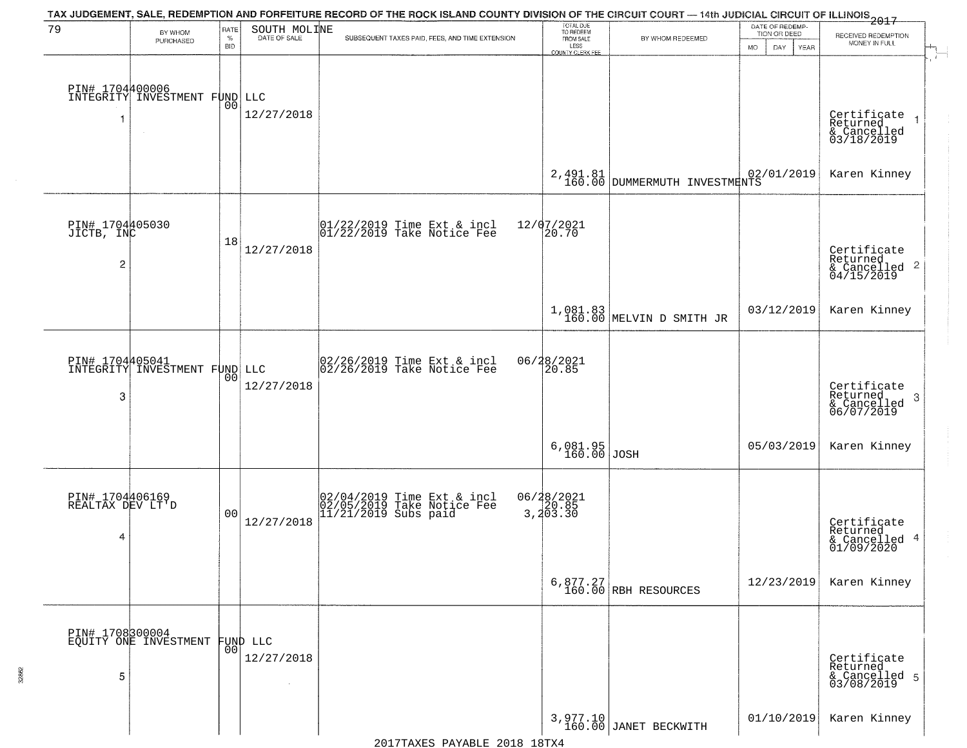| 79                                              | BY WHOM<br>PURCHASED                             | RATE<br>$\%$<br><b>BID</b> | SOUTH MOLINE<br>DATE OF SALE     | TAX JUDGEMENT, SALE, REDEMPTION AND FORFEITURE RECORD OF THE ROCK ISLAND COUNTY DIVISION OF THE CIRCUIT COURT — 14th JUDICIAL CIRCUIT OF ILLINOIS 2017<br>SUBSEQUENT TAXES PAID, FEES, AND TIME EXTENSION | TOTAL DUE<br>TO REDEEM<br>FROM SALE<br>LESS<br>COUNTY CLERK FEE | BY WHOM REDEEMED                           | DATE OF REDEMP-<br>TION OR DEED<br><b>MO</b><br>DAY<br><b>YEAR</b> | RECEIVED REDEMPTION<br>MONEY IN FULL                               |
|-------------------------------------------------|--------------------------------------------------|----------------------------|----------------------------------|-----------------------------------------------------------------------------------------------------------------------------------------------------------------------------------------------------------|-----------------------------------------------------------------|--------------------------------------------|--------------------------------------------------------------------|--------------------------------------------------------------------|
|                                                 | PIN# 1704400006<br>INTEGRITY INVESTMENT FUND LLC | 0 <sub>0</sub>             | 12/27/2018                       |                                                                                                                                                                                                           |                                                                 |                                            |                                                                    | Certificate<br>Returned<br>& Cancelled<br>03/18/2019               |
|                                                 |                                                  |                            |                                  |                                                                                                                                                                                                           |                                                                 | 2, 491.81<br>160.00 DUMMERMUTH INVESTMENTS | 02/01/2019                                                         | Karen Kinney                                                       |
| PIN# 1704405030<br>JICTB, INC<br>$\overline{c}$ |                                                  | 18                         | 12/27/2018                       | $ 01/22/2019$ Time Ext & incl<br>$ 01/22/2019$ Take Notice Fee                                                                                                                                            | 12/07/2021<br>20.70                                             |                                            |                                                                    | Certificate<br>Returned<br>$\frac{1}{6}$ Cancelled 2<br>04/15/2019 |
|                                                 |                                                  |                            |                                  |                                                                                                                                                                                                           |                                                                 | $1,081.83$<br>160.00 MELVIN D SMITH JR     | 03/12/2019                                                         | Karen Kinney                                                       |
| PIN# 1704405041<br>3                            | INTEGRITY INVESTMENT FUND LLC                    | 00                         | 12/27/2018                       | 02/26/2019 Time Ext & incl<br>02/26/2019 Take Notice Fee                                                                                                                                                  | 06/28/2021<br>20.85                                             |                                            |                                                                    | Certificate<br>Returned<br>3<br>& Cancelled<br>06/07/2019          |
|                                                 |                                                  |                            |                                  |                                                                                                                                                                                                           | 6,081.95<br>160.00                                              | JOSH                                       | 05/03/2019                                                         | Karen Kinney                                                       |
| PIN# 1704406169<br>REALTAX DEV LT'D<br>4        |                                                  | 0 <sup>0</sup>             | 12/27/2018                       | 02/04/2019 Time Ext & incl<br>02/05/2019 Take Notice Fee<br>11/21/2019 Subs paid                                                                                                                          | 06/28/2021<br>3,20.85<br>3,203.30                               |                                            |                                                                    | Certificate<br>Returned<br>& Cancelled 4<br>01/09/2020             |
|                                                 |                                                  |                            |                                  |                                                                                                                                                                                                           |                                                                 | $6,877.27$<br>160.00 RBH RESOURCES         | 12/23/2019                                                         | Karen Kinney                                                       |
| 5                                               | PIN# 1708300004<br>EQUITY ONE INVESTMENT         | 00                         | FUND LLC<br>12/27/2018<br>$\sim$ |                                                                                                                                                                                                           |                                                                 |                                            |                                                                    | Certificate<br>Returned<br>& Cancelled 5<br>03/08/2019             |
|                                                 |                                                  |                            |                                  |                                                                                                                                                                                                           |                                                                 | 3,977.10<br>160.00 JANET BECKWITH          | 01/10/2019                                                         | Karen Kinney                                                       |

32862

2017TAXES PAYABLE 2018 18TX4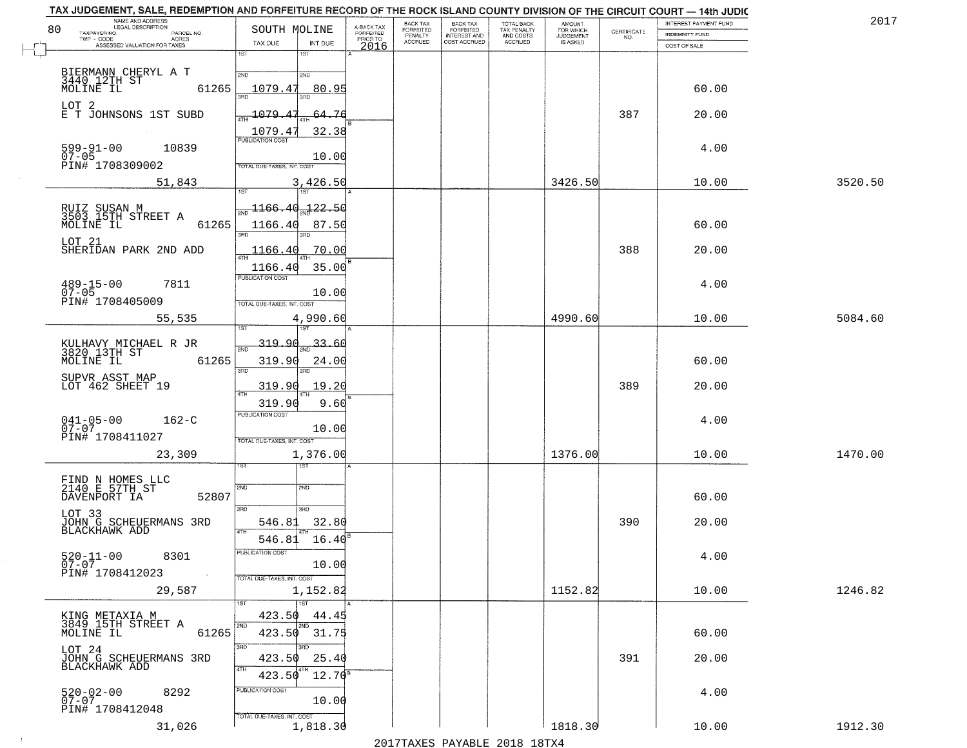|    | TAX JUDGEMENT, SALE, REDEMPTION AND FORFEITURE RECORD OF THE ROCK ISLAND COUNTY DIVISION OF THE CIRCUIT COURT - 14th JUDIC<br>NAME AND ADDRESS<br>LEGAL DESCRIPTION |                                            |                                     | BACK TAX                    |                                       |                                        |                                  |                                                                 | INTEREST PAYMENT FUND | 2017    |
|----|---------------------------------------------------------------------------------------------------------------------------------------------------------------------|--------------------------------------------|-------------------------------------|-----------------------------|---------------------------------------|----------------------------------------|----------------------------------|-----------------------------------------------------------------|-----------------------|---------|
| 80 | TAXPAYER NO.<br>PARCEL NO.<br>TWP - CODE<br>ACRES                                                                                                                   | SOUTH MOLINE                               | A-BACK TAX<br>FORFEITED<br>PRIOR TO | <b>FORFEITED</b><br>PENALTY | BACK TAX<br>FORFEITED<br>INTEREST AND | TOTAL BACK<br>TAX PENALTY<br>AND COSTS | AMOUNT<br>FOR WHICH<br>JUDGEMENT | $\begin{array}{c} \text{CERTIFICATE} \\ \text{NO.} \end{array}$ | <b>INDEMNITY FUND</b> |         |
|    | ASSESSED VALUATION FOR TAXES                                                                                                                                        | TAX DUE<br>INT DUE                         | 2016                                | <b>ACCRUED</b>              | COST ACCRUED                          | ACCRUED                                | IS ASKED                         |                                                                 | COST OF SALE          |         |
|    |                                                                                                                                                                     | 1ST<br>1ST                                 |                                     |                             |                                       |                                        |                                  |                                                                 |                       |         |
|    | BIERMANN CHERYL A T                                                                                                                                                 | 2ND<br>2ND                                 |                                     |                             |                                       |                                        |                                  |                                                                 |                       |         |
|    | 3440 12TH ST<br>MOLINE IL<br>61265                                                                                                                                  | 1079.47<br>80.95                           |                                     |                             |                                       |                                        |                                  |                                                                 | 60.00                 |         |
|    |                                                                                                                                                                     |                                            |                                     |                             |                                       |                                        |                                  |                                                                 |                       |         |
|    | LOT 2<br>E T JOHNSONS 1ST SUBD                                                                                                                                      | 1079.<br>64.76                             |                                     |                             |                                       |                                        |                                  | 387                                                             | 20.00                 |         |
|    |                                                                                                                                                                     |                                            |                                     |                             |                                       |                                        |                                  |                                                                 |                       |         |
|    |                                                                                                                                                                     | 1079.4'<br>32.38                           |                                     |                             |                                       |                                        |                                  |                                                                 |                       |         |
|    | 599-91-00<br>07-05<br>10839                                                                                                                                         |                                            |                                     |                             |                                       |                                        |                                  |                                                                 | 4.00                  |         |
|    | PIN# 1708309002                                                                                                                                                     | 10.00<br><b>TOTAL DUE-TAXES, INT. COST</b> |                                     |                             |                                       |                                        |                                  |                                                                 |                       |         |
|    |                                                                                                                                                                     |                                            |                                     |                             |                                       |                                        |                                  |                                                                 |                       |         |
|    | 51,843                                                                                                                                                              | 3,426.50                                   |                                     |                             |                                       |                                        | 3426.50                          |                                                                 | 10.00                 | 3520.50 |
|    |                                                                                                                                                                     | $-122.50$<br>1166.40                       |                                     |                             |                                       |                                        |                                  |                                                                 |                       |         |
|    | RUIZ SUSAN M<br>3503 15TH STREET A                                                                                                                                  |                                            |                                     |                             |                                       |                                        |                                  |                                                                 |                       |         |
|    | MOLINE IL<br>61265                                                                                                                                                  | 1166.40<br>87.50<br><b>उस</b> र            |                                     |                             |                                       |                                        |                                  |                                                                 | 60.00                 |         |
|    | LOT 21                                                                                                                                                              |                                            |                                     |                             |                                       |                                        |                                  |                                                                 |                       |         |
|    | SHERIDAN PARK 2ND ADD                                                                                                                                               | 1166.40<br>.70.00                          |                                     |                             |                                       |                                        |                                  | 388                                                             | 20.00                 |         |
|    |                                                                                                                                                                     | 35.00<br>1166.40                           |                                     |                             |                                       |                                        |                                  |                                                                 |                       |         |
|    | 7811                                                                                                                                                                | PUBLICATION COST                           |                                     |                             |                                       |                                        |                                  |                                                                 | 4.00                  |         |
|    | $489 - 15 - 00$<br>07-05                                                                                                                                            | 10.00                                      |                                     |                             |                                       |                                        |                                  |                                                                 |                       |         |
|    | PIN# 1708405009                                                                                                                                                     | TOTAL DUE-TAXES, INT. COST                 |                                     |                             |                                       |                                        |                                  |                                                                 |                       |         |
|    | 55,535                                                                                                                                                              | 4,990.60                                   |                                     |                             |                                       |                                        | 4990.60                          |                                                                 | 10.00                 | 5084.60 |
|    |                                                                                                                                                                     | 187                                        |                                     |                             |                                       |                                        |                                  |                                                                 |                       |         |
|    | KULHAVY MICHAEL R JR<br>3820 13TH ST                                                                                                                                | 319.90<br>33.61<br>2ND                     |                                     |                             |                                       |                                        |                                  |                                                                 |                       |         |
|    | MOLINE IL<br>61265                                                                                                                                                  | 319.90<br>24.00                            |                                     |                             |                                       |                                        |                                  |                                                                 | 60.00                 |         |
|    | SUPVR ASST MAP                                                                                                                                                      | 3RD<br>3RD                                 |                                     |                             |                                       |                                        |                                  |                                                                 |                       |         |
|    | LOT 462 SHEET 19                                                                                                                                                    | 319.90<br>19.20                            |                                     |                             |                                       |                                        |                                  | 389                                                             | 20.00                 |         |
|    |                                                                                                                                                                     | 319.90<br>9.60                             |                                     |                             |                                       |                                        |                                  |                                                                 |                       |         |
|    |                                                                                                                                                                     | PUBLICATION COST                           |                                     |                             |                                       |                                        |                                  |                                                                 |                       |         |
|    | $041 - 05 - 00$<br>07-07<br>$162 - C$                                                                                                                               | 10.00                                      |                                     |                             |                                       |                                        |                                  |                                                                 | 4.00                  |         |
|    | PIN# 1708411027                                                                                                                                                     | TOTAL OUE-TAXES, INT. COST                 |                                     |                             |                                       |                                        |                                  |                                                                 |                       |         |
|    | 23,309                                                                                                                                                              | 1,376.00                                   |                                     |                             |                                       |                                        | 1376.00                          |                                                                 | 10.00                 | 1470.00 |
|    |                                                                                                                                                                     | १९४                                        |                                     |                             |                                       |                                        |                                  |                                                                 |                       |         |
|    |                                                                                                                                                                     |                                            |                                     |                             |                                       |                                        |                                  |                                                                 |                       |         |
|    | FIND N HOMES LLC<br>2140 E 57TH ST<br>DAVENPORT IA<br>52807                                                                                                         | 2ND<br>SND                                 |                                     |                             |                                       |                                        |                                  |                                                                 | 60.00                 |         |
|    |                                                                                                                                                                     | 3RD<br>3RD                                 |                                     |                             |                                       |                                        |                                  |                                                                 |                       |         |
|    | LOT 33                                                                                                                                                              | 32.80<br>546.81                            |                                     |                             |                                       |                                        |                                  | 390                                                             | 20.00                 |         |
|    | JOHN G SCHEUERMANS 3RD<br>BLACKHAWK ADD                                                                                                                             | 4TH                                        |                                     |                             |                                       |                                        |                                  |                                                                 |                       |         |
|    |                                                                                                                                                                     | 546.81<br>16.40                            |                                     |                             |                                       |                                        |                                  |                                                                 |                       |         |
|    | $520 - 11 - 00$<br>8301                                                                                                                                             | ruslica i IUN COS                          |                                     |                             |                                       |                                        |                                  |                                                                 | 4.00                  |         |
|    | $07 - 07$<br>PIN# 1708412023                                                                                                                                        | 10.00                                      |                                     |                             |                                       |                                        |                                  |                                                                 |                       |         |
|    |                                                                                                                                                                     | TOTAL DUE-TAXES, INT. COST                 |                                     |                             |                                       |                                        |                                  |                                                                 |                       |         |
|    | 29,587                                                                                                                                                              | 1,152.82                                   |                                     |                             |                                       |                                        | 1152.82                          |                                                                 | 10.00                 | 1246.82 |
|    |                                                                                                                                                                     | 1ST                                        |                                     |                             |                                       |                                        |                                  |                                                                 |                       |         |
|    | KING METAXIA M<br>3849_15TH STREET A                                                                                                                                | 423.50<br>44.45<br>2ND<br>2ND              |                                     |                             |                                       |                                        |                                  |                                                                 |                       |         |
|    | 61265<br>MOLINE IL                                                                                                                                                  | $423.50$ $31.75$                           |                                     |                             |                                       |                                        |                                  |                                                                 | 60.00                 |         |
|    | LOT 24<br>JOHN G SCHEUERMANS 3RD                                                                                                                                    | 3RD<br>звв                                 |                                     |                             |                                       |                                        |                                  |                                                                 |                       |         |
|    | BLACKHAWK ADD                                                                                                                                                       | 25.40<br>423.50                            |                                     |                             |                                       |                                        |                                  | 391                                                             | 20.00                 |         |
|    |                                                                                                                                                                     | 4TH<br>$12.70^8$<br>423.50                 |                                     |                             |                                       |                                        |                                  |                                                                 |                       |         |
|    | 8292                                                                                                                                                                | PUBLICATION COST                           |                                     |                             |                                       |                                        |                                  |                                                                 | 4.00                  |         |
|    | 520-02-00<br>07-07                                                                                                                                                  | 10.00                                      |                                     |                             |                                       |                                        |                                  |                                                                 |                       |         |
|    | PIN# 1708412048                                                                                                                                                     | TOTAL DUE-TAXES, INT. COST                 |                                     |                             |                                       |                                        |                                  |                                                                 |                       |         |
|    | 31,026                                                                                                                                                              | 1,818.30                                   |                                     |                             |                                       |                                        | 1818.30                          |                                                                 | 10.00                 | 1912.30 |
|    |                                                                                                                                                                     |                                            |                                     |                             | 2017 THAYRO DAVADIR 2018 19TYA        |                                        |                                  |                                                                 |                       |         |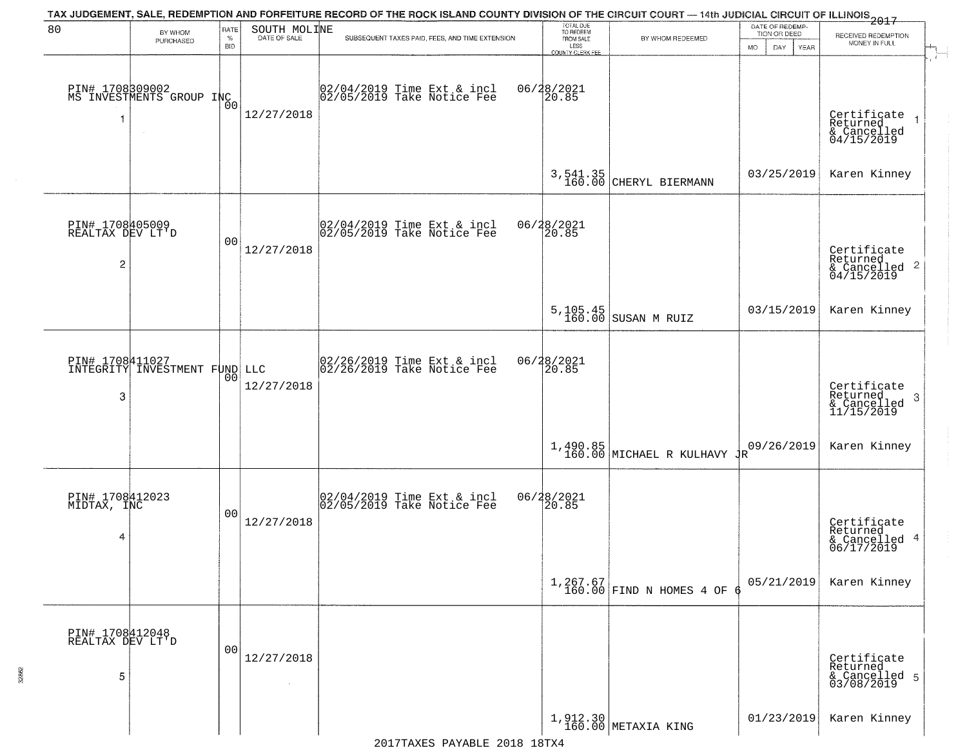| 80                                       |                                                       | RATE           |                              | TAX JUDGEMENT, SALE, REDEMPTION AND FORFEITURE RECORD OF THE ROCK ISLAND COUNTY DIVISION OF THE CIRCUIT COURT — 14th JUDICIAL CIRCUIT OF ILLINOIS 2017 | TOTAL DUE<br>TO REDEEM   |                                                 | DATE OF REDEMP-                 |                                                                        |
|------------------------------------------|-------------------------------------------------------|----------------|------------------------------|--------------------------------------------------------------------------------------------------------------------------------------------------------|--------------------------|-------------------------------------------------|---------------------------------|------------------------------------------------------------------------|
|                                          | BY WHOM<br>PURCHASED                                  | $\%$           | SOUTH MOLINE<br>DATE OF SALE | SUBSEQUENT TAXES PAID, FEES, AND TIME EXTENSION                                                                                                        | FROM SALE                | BY WHOM REDEEMED                                | TION OR DEED                    | RECEIVED REDEMPTION<br>MONEY IN FULL                                   |
|                                          |                                                       | <b>BID</b>     |                              |                                                                                                                                                        | LESS<br>COUNTY CLERK FEE |                                                 | <b>MO</b><br>DAY<br><b>YEAR</b> | $\mathcal{A}$ .                                                        |
| 1                                        | PIN# 1708309002<br>MS INVESTMENTS GROUP INC<br>$\sim$ | Ō0             | 12/27/2018                   | 02/04/2019 Time Ext & incl<br>02/05/2019 Take Notice Fee                                                                                               | 06/28/2021<br>20.85      |                                                 |                                 | Certificate<br>Returned<br>& Cancelled<br>04/15/2019                   |
|                                          |                                                       |                |                              |                                                                                                                                                        |                          | 3,541.35<br>160.00 CHERYL BIERMANN              | 03/25/2019                      | Karen Kinney                                                           |
| PIN# 1708405009<br>REALTAX DEV LT'D<br>2 |                                                       | 0 <sub>0</sub> | 12/27/2018                   | 02/04/2019 Time Ext & incl<br>02/05/2019 Take Notice Fee                                                                                               | 06/28/2021<br>20.85      |                                                 |                                 | Certificate<br>Returned<br>$\overline{2}$<br>& Cancelled<br>04/15/2019 |
|                                          |                                                       |                |                              |                                                                                                                                                        |                          | 5, 105.45<br>160.00 SUSAN M RUIZ                | 03/15/2019                      | Karen Kinney                                                           |
| 3                                        | DIN# 1708411027<br>INTEGRITY INVESTMENT FUND LLC      | 00             | 12/27/2018                   | 02/26/2019 Time Ext & incl<br>02/26/2019 Take Notice Fee                                                                                               | 06/28/2021<br>20.85      |                                                 |                                 | Certificate<br>Returned<br>3<br>& Cancelled<br>11/15/2019              |
|                                          |                                                       |                |                              |                                                                                                                                                        |                          | $1,490.85$ MICHAEL R KULHAVY $\frac{1}{160.00}$ | 09/26/2019                      | Karen Kinney                                                           |
| PIN# 1708412023<br>MIDTAX, INC<br>4      |                                                       | 0 <sub>0</sub> | 12/27/2018                   | 02/04/2019 Time Ext & incl<br>02/05/2019 Take Notice Fee                                                                                               | 06/28/2021<br>120.85     |                                                 |                                 | Certificate<br>Returned<br>& Cancelled 4<br>06/17/2019                 |
|                                          |                                                       |                |                              |                                                                                                                                                        |                          | $1,267.67$<br>160.00 FIND N HOMES 4 OF          | 05/21/2019                      | Karen Kinney                                                           |
| PIN# 1708412048<br>REALTAX DEV LT'D<br>5 |                                                       | 00             | 12/27/2018                   |                                                                                                                                                        |                          |                                                 |                                 | Certificate<br>Returned<br>& Cancelled 5<br>03/08/2019                 |
|                                          |                                                       |                |                              |                                                                                                                                                        |                          | 1,912.30<br>160.00 METAXIA KING                 | 01/23/2019                      | Karen Kinney                                                           |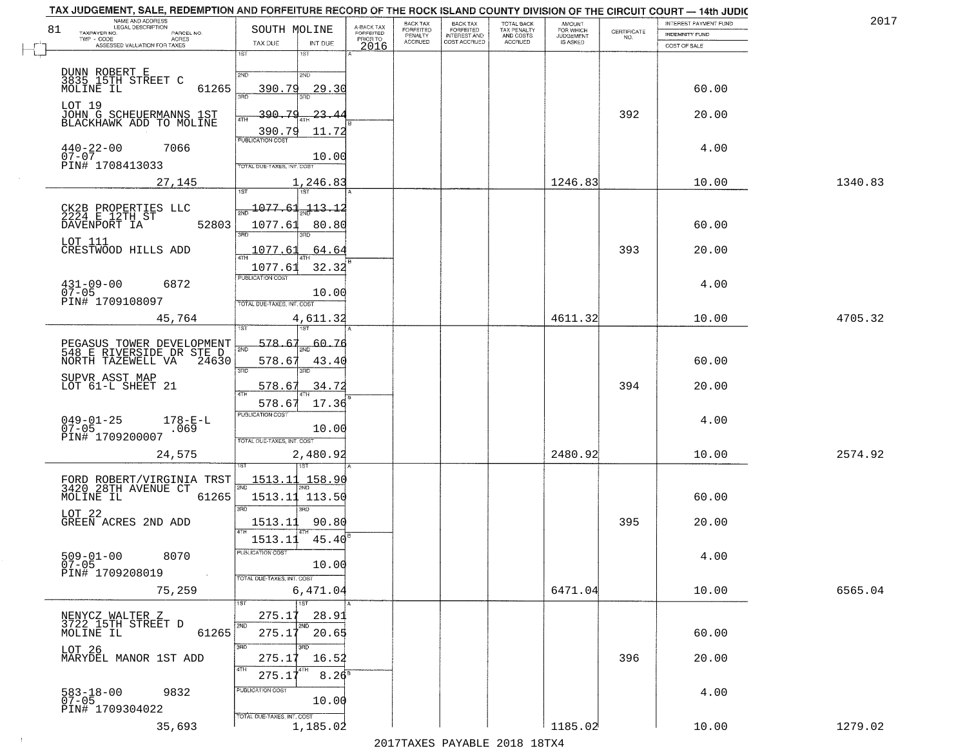|                                    | TAX JUDGEMENT, SALE, REDEMPTION AND FORFEITURE RECORD OF THE ROCK ISLAND COUNTY DIVISION OF THE CIRCUIT COURT - 14th JUDIC<br>NAME AND ADDRESS<br>LEGAL DESCRIPTION |                                            |                                     | BACK TAX             |                                       |                                        |                                         |                    | INTEREST PAYMENT FUND | 2017    |
|------------------------------------|---------------------------------------------------------------------------------------------------------------------------------------------------------------------|--------------------------------------------|-------------------------------------|----------------------|---------------------------------------|----------------------------------------|-----------------------------------------|--------------------|-----------------------|---------|
| 81<br>TAXPAYER NO.<br>$TWP - CODE$ | PARCEL NO.                                                                                                                                                          | SOUTH MOLINE                               | A-BACK TAX<br>FORFEITED<br>PRIOR TO | FORFEITED<br>PENALTY | BACK TAX<br>FORFEITED<br>INTEREST AND | TOTAL BACK<br>TAX PENALTY<br>AND COSTS | AMOUNT<br>FOR WHICH<br><b>JUDGEMENT</b> | CERTIFICATE<br>NO. | <b>INDEMNITY FUND</b> |         |
|                                    | ACRES<br>ASSESSED VALUATION FOR TAXES                                                                                                                               | TAX DUE<br>INT DUE                         | 2016                                | <b>ACCRUED</b>       | COST ACCRUED                          | <b>ACCRUED</b>                         | IS ASKED                                |                    | COST OF SALE          |         |
|                                    |                                                                                                                                                                     | 1ST<br>1ST                                 |                                     |                      |                                       |                                        |                                         |                    |                       |         |
|                                    | DUNN ROBERT E                                                                                                                                                       | 2ND<br>2ND                                 |                                     |                      |                                       |                                        |                                         |                    |                       |         |
|                                    | 3835 15TH STREET C<br>MOLINE IL<br>61265                                                                                                                            | 390.79<br>29.30<br>วรที                    |                                     |                      |                                       |                                        |                                         |                    | 60.00                 |         |
| LOT 19                             |                                                                                                                                                                     | 390.79                                     |                                     |                      |                                       |                                        |                                         |                    |                       |         |
|                                    | JOHN G SCHEUERMANNS 1ST<br>BLACKHAWK ADD TO MOLINE                                                                                                                  | -23-.<br>4TH                               |                                     |                      |                                       |                                        |                                         | 392                | 20.00                 |         |
|                                    |                                                                                                                                                                     | 390.79<br>11.72<br><b>PUBLICATION COST</b> |                                     |                      |                                       |                                        |                                         |                    |                       |         |
| $440 - 22 - 00$<br>$07 - 07$       | 7066                                                                                                                                                                | 10.00                                      |                                     |                      |                                       |                                        |                                         |                    | 4.00                  |         |
|                                    | PIN# 1708413033                                                                                                                                                     | TOTAL DUE-TAXES, INT. COST                 |                                     |                      |                                       |                                        |                                         |                    |                       |         |
|                                    | 27,145                                                                                                                                                              | 1,246.83                                   |                                     |                      |                                       |                                        | 1246.83                                 |                    | 10.00                 | 1340.83 |
|                                    |                                                                                                                                                                     | 1ST                                        |                                     |                      |                                       |                                        |                                         |                    |                       |         |
|                                    | CK2B PROPERTIES LLC<br>2224 E 12TH ST<br>DAVENPORT IA                                                                                                               | 1077 61<br>$-113 - 1$                      |                                     |                      |                                       |                                        |                                         |                    |                       |         |
|                                    | 52803                                                                                                                                                               | 1077.61<br>80.80<br>הוא                    |                                     |                      |                                       |                                        |                                         |                    | 60.00                 |         |
| LOT 111                            | CRESTWOOD HILLS ADD                                                                                                                                                 | 1077.61<br>64.64                           |                                     |                      |                                       |                                        |                                         | 393                | 20.00                 |         |
|                                    |                                                                                                                                                                     | 32.32<br>1077.61                           |                                     |                      |                                       |                                        |                                         |                    |                       |         |
|                                    |                                                                                                                                                                     | PUBLICATION COST                           |                                     |                      |                                       |                                        |                                         |                    |                       |         |
| $431 - 09 - 00$<br>$07 - 05$       | 6872                                                                                                                                                                | 10.00                                      |                                     |                      |                                       |                                        |                                         |                    | 4.00                  |         |
|                                    | PIN# 1709108097                                                                                                                                                     | TOTAL DUE-TAXES, INT. COST                 |                                     |                      |                                       |                                        |                                         |                    |                       |         |
|                                    | 45,764                                                                                                                                                              | 4,611.32<br>isT                            |                                     |                      |                                       |                                        | 4611.32                                 |                    | 10.00                 | 4705.32 |
|                                    |                                                                                                                                                                     | 578.67<br>60.76                            |                                     |                      |                                       |                                        |                                         |                    |                       |         |
|                                    | PEGASUS TOWER DEVELOPMENT<br>548 E RIVERSIDE DR STE D<br>NORTH TAZEWELL VA<br>24630                                                                                 | 2ND                                        |                                     |                      |                                       |                                        |                                         |                    | 60.00                 |         |
|                                    |                                                                                                                                                                     | 578.67<br>43.4<br>3 <sub>BD</sub><br>3RD   |                                     |                      |                                       |                                        |                                         |                    |                       |         |
|                                    | SUPVR ASST MAP<br>LOT 61-L SHEET 21                                                                                                                                 | 34.72<br>578.67                            |                                     |                      |                                       |                                        |                                         | 394                | 20.00                 |         |
|                                    |                                                                                                                                                                     | 17.36<br>578.67                            |                                     |                      |                                       |                                        |                                         |                    |                       |         |
| $049 - 01 - 25$                    |                                                                                                                                                                     | <b>PUBLICATION COST</b>                    |                                     |                      |                                       |                                        |                                         |                    | 4.00                  |         |
| $07 - 05$                          | $178 - E - L$ .069<br>PIN# 1709200007                                                                                                                               | 10.00                                      |                                     |                      |                                       |                                        |                                         |                    |                       |         |
|                                    |                                                                                                                                                                     | TOTAL OUE-TAXES, INT. COST                 |                                     |                      |                                       |                                        | 2480.92                                 |                    | 10.00                 | 2574.92 |
|                                    | 24,575                                                                                                                                                              | 2,480.92                                   |                                     |                      |                                       |                                        |                                         |                    |                       |         |
|                                    |                                                                                                                                                                     | <u>1513.11 158.90</u>                      |                                     |                      |                                       |                                        |                                         |                    |                       |         |
|                                    | FORD ROBERT/VIRGINIA TRST<br>3420 28TH AVENUE CT<br>MOLINE IL 61265                                                                                                 | 2ND<br>1513.11 113.50                      |                                     |                      |                                       |                                        |                                         |                    | 60.00                 |         |
| LOT 22                             |                                                                                                                                                                     | 3BD<br>$\overline{3BD}$                    |                                     |                      |                                       |                                        |                                         |                    |                       |         |
|                                    | GREEN ACRES 2ND ADD                                                                                                                                                 | 1513.11<br>90.80<br>4TH                    |                                     |                      |                                       |                                        |                                         | 395                | 20.00                 |         |
|                                    |                                                                                                                                                                     | 1513.11<br>45.40                           |                                     |                      |                                       |                                        |                                         |                    |                       |         |
| $509 - 01 - 00$                    | 8070                                                                                                                                                                | PUBLICATION COST                           |                                     |                      |                                       |                                        |                                         |                    | 4.00                  |         |
| $07 - 05$                          | PIN# 1709208019<br>$\sim 100$                                                                                                                                       | 10.00<br>TOTAL DUE-TAXES, INT. COST        |                                     |                      |                                       |                                        |                                         |                    |                       |         |
|                                    | 75,259                                                                                                                                                              | 6,471.04                                   |                                     |                      |                                       |                                        | 6471.04                                 |                    | 10.00                 | 6565.04 |
|                                    |                                                                                                                                                                     | 1ST<br>1ST                                 |                                     |                      |                                       |                                        |                                         |                    |                       |         |
|                                    | NENYCZ WALTER Z<br>3722 15TH STREET D                                                                                                                               | 275.17<br>28.91                            |                                     |                      |                                       |                                        |                                         |                    |                       |         |
| MOLINE IL                          | 61265                                                                                                                                                               | 2ND<br>2ND<br>275.17<br>20.65              |                                     |                      |                                       |                                        |                                         |                    | 60.00                 |         |
| LOT 26                             |                                                                                                                                                                     | 3RD <sup>-</sup><br>3RD                    |                                     |                      |                                       |                                        |                                         |                    |                       |         |
|                                    | MARYDEL MANOR 1ST ADD                                                                                                                                               | 275.17<br>16.52<br>4TH                     |                                     |                      |                                       |                                        |                                         | 396                | 20.00                 |         |
|                                    |                                                                                                                                                                     | $8.26^{\circ}$<br>275.17                   |                                     |                      |                                       |                                        |                                         |                    |                       |         |
| 583-18-00<br>07-05                 | 9832                                                                                                                                                                | PUBLICATION COST<br>10.00                  |                                     |                      |                                       |                                        |                                         |                    | 4.00                  |         |
|                                    | PIN# 1709304022                                                                                                                                                     | TOTAL DUE-TAXES, INT. COST                 |                                     |                      |                                       |                                        |                                         |                    |                       |         |
|                                    | 35,693                                                                                                                                                              | 1,185.02                                   |                                     |                      |                                       |                                        | 1185.02                                 |                    | 10.00                 | 1279.02 |

 $\sim 10^{-1}$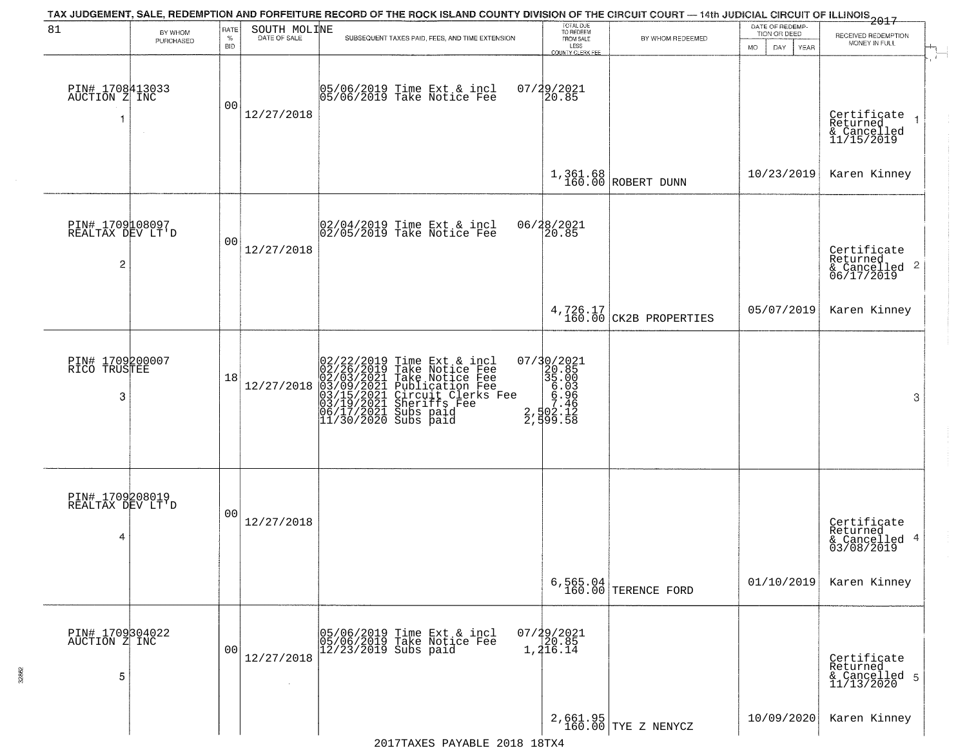|                                                       |                      |                            |                              | TAX JUDGEMENT, SALE, REDEMPTION AND FORFEITURE RECORD OF THE ROCK ISLAND COUNTY DIVISION OF THE CIRCUIT COURT — 14th JUDICIAL CIRCUIT OF ILLINOIS 2017                                                                                     |                                                                                                    |                                    |                                                        |                                                                    |
|-------------------------------------------------------|----------------------|----------------------------|------------------------------|--------------------------------------------------------------------------------------------------------------------------------------------------------------------------------------------------------------------------------------------|----------------------------------------------------------------------------------------------------|------------------------------------|--------------------------------------------------------|--------------------------------------------------------------------|
| 81                                                    | BY WHOM<br>PURCHASED | RATE<br>$\%$<br><b>BID</b> | SOUTH MOLINE<br>DATE OF SALE | SUBSEQUENT TAXES PAID, FEES, AND TIME EXTENSION                                                                                                                                                                                            | TOTAL DUE<br>TO REDEEM<br>FROM SALE<br>LESS<br><b>COUNTY CLERK FEE</b>                             | BY WHOM REDEEMED                   | DATE OF REDEMP-<br>TION OR DEED<br>MO.<br>DAY.<br>YEAR | RECEIVED REDEMPTION<br>MONEY IN FULL                               |
| PIN# 1708413033<br>AUCTION Z INC<br>-1                |                      | 0 <sub>0</sub>             | 12/27/2018                   | 05/06/2019 Time Ext & incl<br>05/06/2019 Take Notice Fee                                                                                                                                                                                   | 07/29/2021<br>20.85                                                                                |                                    |                                                        | Certificate<br>Returned<br>& Cancelled<br>11/15/2019               |
|                                                       |                      |                            |                              |                                                                                                                                                                                                                                            |                                                                                                    | $1,361.68$ ROBERT DUNN             | 10/23/2019                                             | Karen Kinney                                                       |
| PIN# 1709108097<br>REALTAX DEV LT'D<br>$\overline{2}$ |                      | 0 <sub>0</sub>             | 12/27/2018                   | $ 02/04/2019$ Time Ext & incl<br>$ 02/05/2019$ Take Notice Fee                                                                                                                                                                             | 06/28/2021<br>20.85                                                                                |                                    |                                                        | Certificate<br>Returned<br>$\frac{1}{6}$ Cancelled 2<br>06/17/2019 |
|                                                       |                      |                            |                              |                                                                                                                                                                                                                                            |                                                                                                    | 4,726.17<br>160.00 CK2B PROPERTIES | 05/07/2019                                             | Karen Kinney                                                       |
| PIN# 1709200007<br>RICO TRUSTEE<br>3                  |                      | 18                         | 12/27/2018                   | $02/22/2019$ Time Ext & incl<br>$02/26/2019$ Take Notice Fee<br>$02/03/2021$ Take Notice Fee<br>$03/09/2021$ Publication Fee<br>$03/15/2021$ Sheriffs Fee<br>$03/19/2021$ Sheriffs Fee<br>$06/17/2021$ Subs paid<br>$11/30/2020$ Subs paid | $\begin{smallmatrix} 07/30/2021\\ 20.85\\ 35.00\\ 6.03\\ 6.96\\ 7.46\\ 2,599.58 \end{smallmatrix}$ |                                    |                                                        | 3                                                                  |
| PIN# 1709208019<br>REALTAX DEV LT'D<br>4              |                      | 0 <sub>0</sub>             | 12/27/2018                   |                                                                                                                                                                                                                                            |                                                                                                    |                                    |                                                        | Certificate<br>Returned<br>& Cancelled 4<br>03/08/2019             |
|                                                       |                      |                            |                              |                                                                                                                                                                                                                                            |                                                                                                    | 6,565.04<br>160.00 TERENCE FORD    | 01/10/2019                                             | Karen Kinney                                                       |
| PIN# 1709304022<br>AUCTION Z INC<br>5                 |                      | 00                         | 12/27/2018                   | 05/06/2019 Time Ext & incl<br>05/06/2019 Take Notice Fee<br>$12/23/2019$ Subs paid                                                                                                                                                         | $07/29/2021$<br>20.85<br>1, 216.14                                                                 |                                    |                                                        | Certificate<br>Returned<br>& Cancelled 5<br>11/13/2020             |
|                                                       |                      |                            |                              | 19TYA 19TY DAVABLE 2018 19TYA                                                                                                                                                                                                              |                                                                                                    | 2,661.95<br>160.00 TYE Z NENYCZ    | 10/09/2020                                             | Karen Kinney                                                       |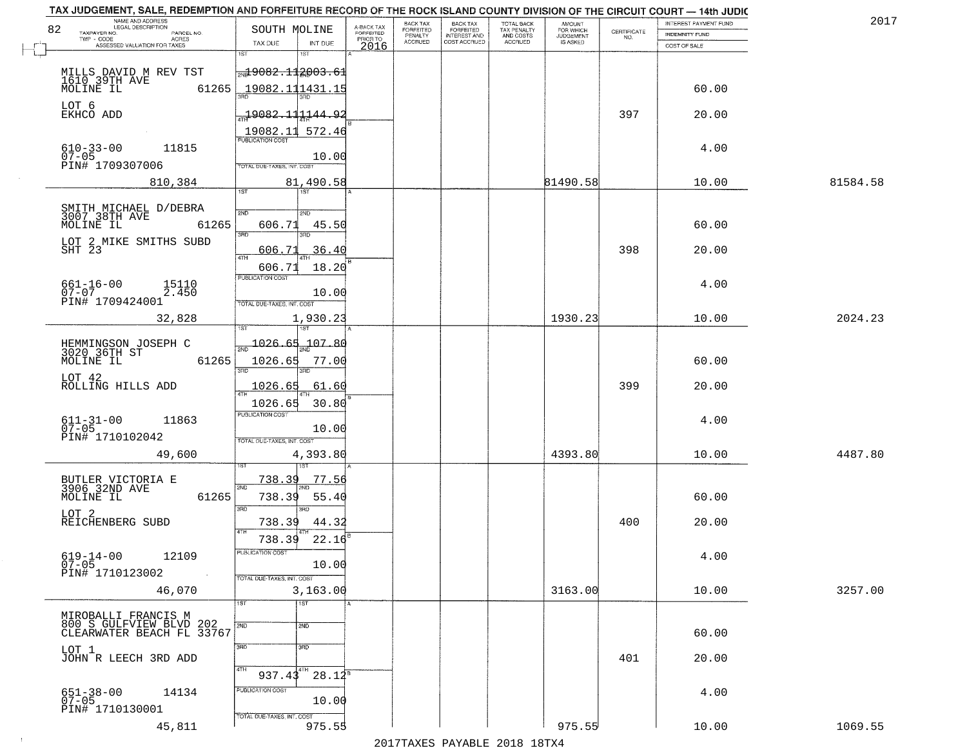|    | TAX JUDGEMENT, SALE, REDEMPTION AND FORFEITURE RECORD OF THE ROCK ISLAND COUNTY DIVISION OF THE CIRCUIT COURT - 14th JUDIC<br>NAME AND ADDRESS<br><b>LEGAL DESCRIPTION</b> |                                     |                                     | BACK TAX                    |                                       |                                        | AMOUNT<br>FOR WHICH |                                                                 | INTEREST PAYMENT FUND | 2017     |
|----|----------------------------------------------------------------------------------------------------------------------------------------------------------------------------|-------------------------------------|-------------------------------------|-----------------------------|---------------------------------------|----------------------------------------|---------------------|-----------------------------------------------------------------|-----------------------|----------|
| 82 | TAXPAYER NO.<br>PARCEL NO.<br>TWP - CODE                                                                                                                                   | SOUTH MOLINE                        | A-BACK TAX<br>FORFEITED<br>PRIOR TO | <b>FORFEITED</b><br>PENALTY | BACK TAX<br>FORFEITED<br>INTEREST AND | TOTAL BACK<br>TAX PENALTY<br>AND COSTS | <b>JUDGEMENT</b>    | $\begin{array}{c} \text{CERTIFICATE} \\ \text{NO.} \end{array}$ | <b>INDEMNITY FUND</b> |          |
|    | ACRES<br>ASSESSED VALUATION FOR TAXES                                                                                                                                      | INT DUE<br>TAX DUE                  | 2016                                | <b>ACCRUED</b>              | COST ACCRUED                          | ACCRUED                                | IS ASKED            |                                                                 | COST OF SALE          |          |
|    |                                                                                                                                                                            | 1ST<br>1ST                          |                                     |                             |                                       |                                        |                     |                                                                 |                       |          |
|    |                                                                                                                                                                            | $\frac{1}{200}9082.112003.61$       |                                     |                             |                                       |                                        |                     |                                                                 |                       |          |
|    | MILLS DAVID M REV TST<br>1610 39TH AVE MOLINE IL 6<br>61265                                                                                                                | 19082.111431.1                      |                                     |                             |                                       |                                        |                     |                                                                 | 60.00                 |          |
|    |                                                                                                                                                                            |                                     |                                     |                             |                                       |                                        |                     |                                                                 |                       |          |
|    | LOT 6<br>EKHCO ADD                                                                                                                                                         | $-19082.111144.92$                  |                                     |                             |                                       |                                        |                     | 397                                                             | 20.00                 |          |
|    |                                                                                                                                                                            | 19082.11 572.46                     |                                     |                             |                                       |                                        |                     |                                                                 |                       |          |
|    |                                                                                                                                                                            | <b>PUBLICATION COST</b>             |                                     |                             |                                       |                                        |                     |                                                                 |                       |          |
|    | $610 - 33 - 00$<br>07-05<br>11815                                                                                                                                          | 10.00                               |                                     |                             |                                       |                                        |                     |                                                                 | 4.00                  |          |
|    | PIN# 1709307006                                                                                                                                                            | <b>TOTAL DUE-TAXES, INT. COST</b>   |                                     |                             |                                       |                                        |                     |                                                                 |                       |          |
|    | 810,384                                                                                                                                                                    | 81,490.58                           |                                     |                             |                                       |                                        | 81490.58            |                                                                 | 10.00                 | 81584.58 |
|    |                                                                                                                                                                            | 1ST                                 |                                     |                             |                                       |                                        |                     |                                                                 |                       |          |
|    | SMITH MICHAEL D/DEBRA<br>3007 38TH AVE                                                                                                                                     | 2ND<br>2ND                          |                                     |                             |                                       |                                        |                     |                                                                 |                       |          |
|    | 61265<br>MOLINE IL                                                                                                                                                         | 45.50<br>606.71                     |                                     |                             |                                       |                                        |                     |                                                                 | 60.00                 |          |
|    |                                                                                                                                                                            | 3RD                                 |                                     |                             |                                       |                                        |                     |                                                                 |                       |          |
|    | LOT 2 MIKE SMITHS SUBD<br>SHT 23                                                                                                                                           | 36.40<br>606.71                     |                                     |                             |                                       |                                        |                     | 398                                                             | 20.00                 |          |
|    |                                                                                                                                                                            | 47H<br>18.20                        |                                     |                             |                                       |                                        |                     |                                                                 |                       |          |
|    |                                                                                                                                                                            | 606.71<br>PUBLICATION COST          |                                     |                             |                                       |                                        |                     |                                                                 |                       |          |
|    | $661 - 16 - 00$<br>15110<br>$07 - 07$<br>2.450                                                                                                                             | 10.00                               |                                     |                             |                                       |                                        |                     |                                                                 | 4.00                  |          |
|    | PIN# 1709424001                                                                                                                                                            | TOTAL DUE-TAXES, INT. COST          |                                     |                             |                                       |                                        |                     |                                                                 |                       |          |
|    | 32,828                                                                                                                                                                     | 1,930.23                            |                                     |                             |                                       |                                        | 1930.23             |                                                                 | 10.00                 | 2024.23  |
|    |                                                                                                                                                                            | 1ST                                 |                                     |                             |                                       |                                        |                     |                                                                 |                       |          |
|    | HEMMINGSON JOSEPH C<br>3020 36TH ST                                                                                                                                        | 1026.65<br>107.80<br>2ND            |                                     |                             |                                       |                                        |                     |                                                                 |                       |          |
|    | MOLINE IL<br>61265                                                                                                                                                         | 1026.65<br>77.00                    |                                     |                             |                                       |                                        |                     |                                                                 | 60.00                 |          |
|    |                                                                                                                                                                            | 3BD<br>3RD                          |                                     |                             |                                       |                                        |                     |                                                                 |                       |          |
|    | LOT 42<br>ROLLING HILLS ADD                                                                                                                                                | <u> 1026.65</u><br><u>61.60</u>     |                                     |                             |                                       |                                        |                     | 399                                                             | 20.00                 |          |
|    |                                                                                                                                                                            | 1026.65<br>30.80                    |                                     |                             |                                       |                                        |                     |                                                                 |                       |          |
|    |                                                                                                                                                                            | <b>PUBLICATION COST</b>             |                                     |                             |                                       |                                        |                     |                                                                 |                       |          |
|    | $611 - 31 - 00$<br>07-05<br>11863                                                                                                                                          | 10.00                               |                                     |                             |                                       |                                        |                     |                                                                 | 4.00                  |          |
|    | PIN# 1710102042                                                                                                                                                            | TOTAL OUE-TAXES, INT. COST          |                                     |                             |                                       |                                        |                     |                                                                 |                       |          |
|    | 49,600                                                                                                                                                                     | 4,393.80                            |                                     |                             |                                       |                                        | 4393.80             |                                                                 | 10.00                 | 4487.80  |
|    |                                                                                                                                                                            |                                     |                                     |                             |                                       |                                        |                     |                                                                 |                       |          |
|    | BUTLER VICTORIA E<br>3906 32ND AVE                                                                                                                                         | 738.39<br>77.56<br>2ND              |                                     |                             |                                       |                                        |                     |                                                                 |                       |          |
|    | MOLINE IL<br>61265                                                                                                                                                         | 738.39<br>55.40                     |                                     |                             |                                       |                                        |                     |                                                                 | 60.00                 |          |
|    | LOT <sub>2</sub>                                                                                                                                                           | 3 <sub>BD</sub><br>3RD              |                                     |                             |                                       |                                        |                     |                                                                 |                       |          |
|    | REICHENBERG SUBD                                                                                                                                                           | 738.39<br>44.32                     |                                     |                             |                                       |                                        |                     | 400                                                             | 20.00                 |          |
|    |                                                                                                                                                                            | 4TH<br>22.16<br>738.39              |                                     |                             |                                       |                                        |                     |                                                                 |                       |          |
|    | $619 - 14 - 00$                                                                                                                                                            | ruslica i IUN COS                   |                                     |                             |                                       |                                        |                     |                                                                 |                       |          |
|    | 12109<br>$07 - 05$                                                                                                                                                         | 10.00                               |                                     |                             |                                       |                                        |                     |                                                                 | 4.00                  |          |
|    | PIN# 1710123002                                                                                                                                                            | TOTAL DUE-TAXES, INT. COST          |                                     |                             |                                       |                                        |                     |                                                                 |                       |          |
|    | 46,070                                                                                                                                                                     | 3,163.00                            |                                     |                             |                                       |                                        | 3163.00             |                                                                 | 10.00                 | 3257.00  |
|    |                                                                                                                                                                            | 1ST<br>1ST                          |                                     |                             |                                       |                                        |                     |                                                                 |                       |          |
|    | MIROBALLI FRANCIS M                                                                                                                                                        | 2ND<br>2ND                          |                                     |                             |                                       |                                        |                     |                                                                 |                       |          |
|    | 800 S GULFVIEW BLVD 202<br>CLEARWATER BEACH FL 33767                                                                                                                       |                                     |                                     |                             |                                       |                                        |                     |                                                                 | 60.00                 |          |
|    | LOT 1                                                                                                                                                                      | 3RD<br>3BD                          |                                     |                             |                                       |                                        |                     |                                                                 |                       |          |
|    | JOHN R LEECH 3RD ADD                                                                                                                                                       |                                     |                                     |                             |                                       |                                        |                     | 401                                                             | 20.00                 |          |
|    |                                                                                                                                                                            | 4TH<br>4TH<br>$28.12^{8}$<br>937.43 |                                     |                             |                                       |                                        |                     |                                                                 |                       |          |
|    | 14134                                                                                                                                                                      | PUBLICATION COST                    |                                     |                             |                                       |                                        |                     |                                                                 | 4.00                  |          |
|    | 651-38-00<br>07-05                                                                                                                                                         | 10.00                               |                                     |                             |                                       |                                        |                     |                                                                 |                       |          |
|    | PIN# 1710130001                                                                                                                                                            | TOTAL DUE-TAXES, INT. COST          |                                     |                             |                                       |                                        |                     |                                                                 |                       |          |
|    | 45,811                                                                                                                                                                     | 975.55                              |                                     |                             |                                       |                                        | 975.55              |                                                                 | 10.00                 | 1069.55  |
|    |                                                                                                                                                                            |                                     |                                     |                             | 2017 THAYRO DAVADIR 2018 19TY         |                                        |                     |                                                                 |                       |          |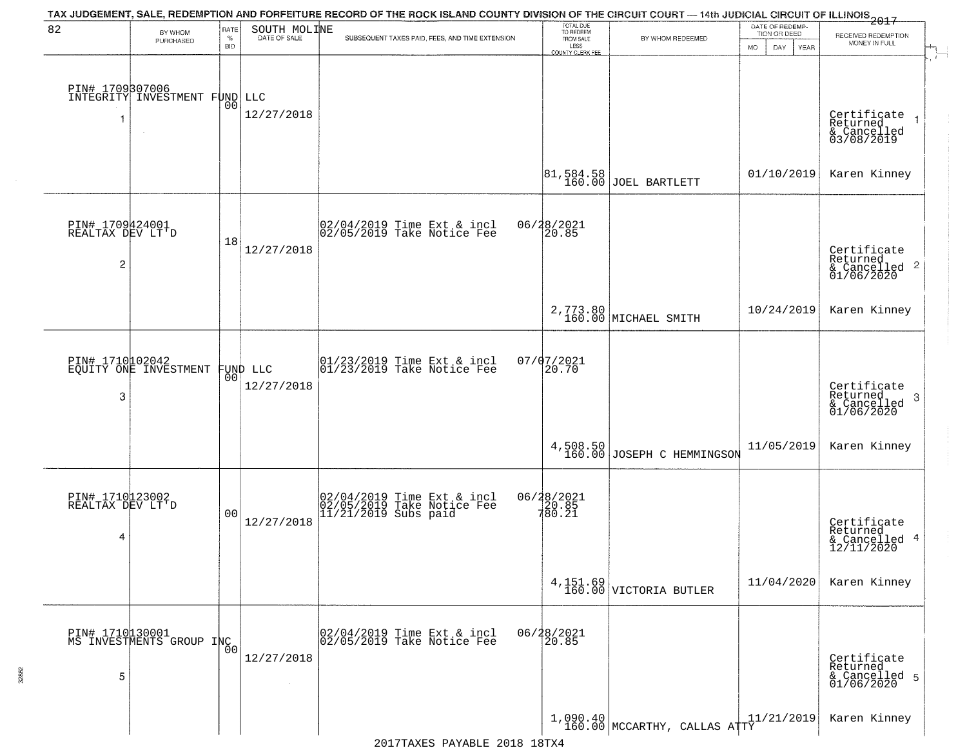|                                                       |                                                  |                         |                              | TAX JUDGEMENT, SALE, REDEMPTION AND FORFEITURE RECORD OF THE ROCK ISLAND COUNTY DIVISION OF THE CIRCUIT COURT — 14th JUDICIAL CIRCUIT OF ILLINOIS 2017 |                                                                 |                                        |                                                             |                                                                        |
|-------------------------------------------------------|--------------------------------------------------|-------------------------|------------------------------|--------------------------------------------------------------------------------------------------------------------------------------------------------|-----------------------------------------------------------------|----------------------------------------|-------------------------------------------------------------|------------------------------------------------------------------------|
| 82                                                    | BY WHOM<br>PURCHASED                             | RATE<br>%<br><b>BID</b> | SOUTH MOLINE<br>DATE OF SALE | SUBSEQUENT TAXES PAID, FEES, AND TIME EXTENSION                                                                                                        | TOTAL DUE<br>TO REDEEM<br>FROM SALE<br>LESS<br>COUNTY CLERK FEE | BY WHOM REDEEMED                       | DATE OF REDEMP-<br>TION OR DEED<br><b>MO</b><br>DAY<br>YEAR | RECEIVED REDEMPTION<br>MONEY IN FULL                                   |
| -1                                                    | PIN# 1709807006<br>INTEGRITY INVESTMENT FUND LLC | 0 <sub>0</sub>          | 12/27/2018                   |                                                                                                                                                        |                                                                 |                                        |                                                             | Certificate<br>Returned<br>$\rightarrow$<br>& Cancelled<br>03/08/2019  |
|                                                       |                                                  |                         |                              |                                                                                                                                                        | 81, 584.58<br>160.00                                            | JOEL BARTLETT                          | 01/10/2019                                                  | Karen Kinney                                                           |
| PIN# 1709424001<br>REALTAX DEV LT'D<br>$\overline{2}$ |                                                  | 18                      | 12/27/2018                   | 02/04/2019 Time Ext & incl<br>02/05/2019 Take Notice Fee                                                                                               | 06/28/2021<br>20.85                                             |                                        |                                                             | Certificate<br>Returned<br>$\overline{2}$<br>& Cancelled<br>01/06/2020 |
|                                                       |                                                  |                         |                              |                                                                                                                                                        |                                                                 | 2,773.80<br>160.00 MICHAEL SMITH       | 10/24/2019                                                  | Karen Kinney                                                           |
| 3                                                     | PIN# 1710102042<br>EQUITY ONE INVESTMENT         | 00                      | FUND LLC<br>12/27/2018       | $\begin{array}{ccc}  01/23/2019 \, \text{Time} \, \text{Ext} \, \& \, \text{incl} \\  01/23/2019 \, \text{Take Notice} \, \text{Fe} \end{array}$       | $07/07/2021$<br>20.70                                           |                                        |                                                             | Certificate<br>Returned<br>3<br>$\frac{6}{01/06/2020}$                 |
|                                                       |                                                  |                         |                              |                                                                                                                                                        |                                                                 | 4,508.50<br>160.00 JOSEPH C HEMMINGSON | 11/05/2019                                                  | Karen Kinney                                                           |
| PIN# 1710123002<br>REALTAX DEV LT'D<br>4              |                                                  | 0 <sub>0</sub>          | 12/27/2018                   | 02/04/2019 Time Ext & incl<br>02/05/2019 Take Notice Fee<br>11/21/2019 Subs paid                                                                       | 06/28/2021<br>20.85<br>780.21                                   |                                        |                                                             | Certificate<br>Returned<br>4<br>& Cancelled<br>12/11/2020              |
|                                                       |                                                  |                         |                              |                                                                                                                                                        |                                                                 | $4,151.69$ VICTORIA BUTLER             | 11/04/2020                                                  | Karen Kinney                                                           |
| 5                                                     | PIN# 1710130001<br>MS INVESTMENTS GROUP INC      | 0 <sub>0</sub>          | 12/27/2018                   | 02/04/2019 Time Ext & incl<br>02/05/2019 Take Notice Fee                                                                                               | 06/28/2021<br>20.85                                             |                                        |                                                             | Certificate<br>Returned<br>& Cancelled 5<br>01/06/2020                 |
|                                                       |                                                  |                         |                              |                                                                                                                                                        |                                                                 | $1,090.40$ MCCARTHY, CALLAS ATTY       | 11/21/2019                                                  | Karen Kinney                                                           |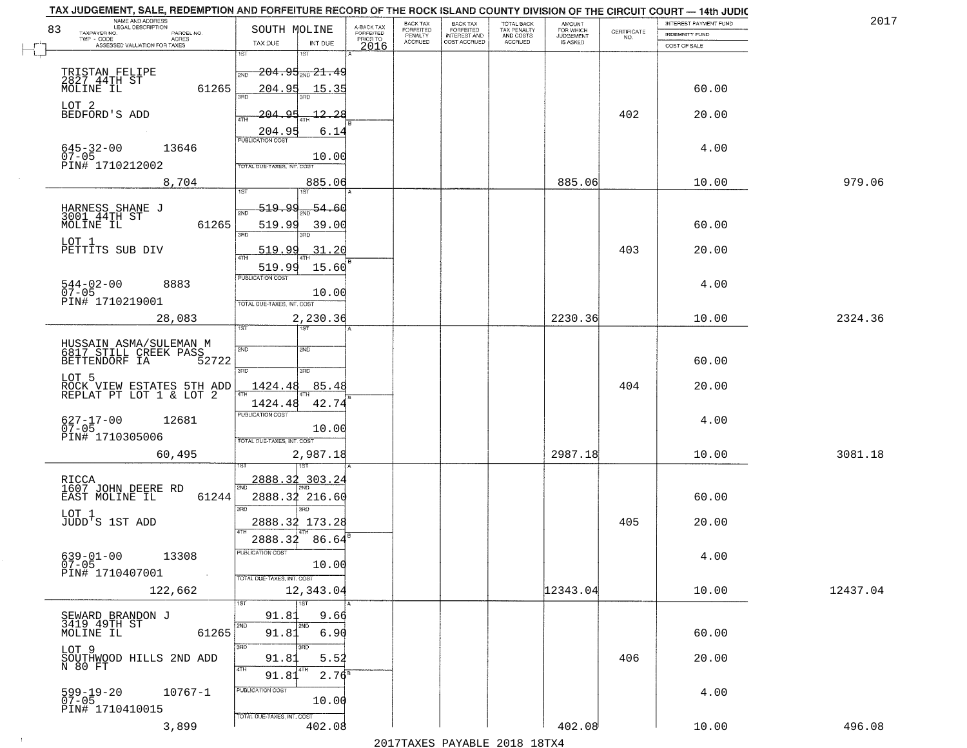| NAME AND ADDRESS<br>LEGAL DESCRIPTION<br>83                               | SOUTH MOLINE                                                                 |                                     | BACK TAX<br>FORFEITED | <b>BACK TAX</b>           | TOTAL BACK<br>TAX PENALTY<br>AND COSTS | AMOUNT<br>FOR WHICH |                                                                 | INTEREST PAYMENT FUND | 2017     |
|---------------------------------------------------------------------------|------------------------------------------------------------------------------|-------------------------------------|-----------------------|---------------------------|----------------------------------------|---------------------|-----------------------------------------------------------------|-----------------------|----------|
| TAXPAYER NO.<br>PARCEL NO.<br>ACRES                                       |                                                                              | A-BACK TAX<br>FORFEITED<br>PRIOR TO | PENALTY               | FORFEITED<br>INTEREST AND |                                        | <b>JUDGEMENT</b>    | $\begin{array}{c} \text{CERTIFICATE} \\ \text{NO.} \end{array}$ | INDEMNITY FUND        |          |
| ASSESSED VALUATION FOR TAXES                                              | TAX DUE<br>INT DUE<br>1ST<br>18T                                             | 2016                                | <b>ACCRUED</b>        | COST ACCRUED              | <b>ACCRUED</b>                         | IS ASKED            |                                                                 | COST OF SALE          |          |
| TRISTAN FELIPE<br>2827 44TH ST<br>61265                                   | <del>204.95 mg 21.49</del><br>2ND                                            |                                     |                       |                           |                                        |                     |                                                                 |                       |          |
| MOLINE IL<br>LOT 2                                                        | 204.95<br>15.35                                                              |                                     |                       |                           |                                        |                     |                                                                 | 60.00                 |          |
| BEDFORD'S ADD                                                             | $-12 - 28$<br><u> 204.95</u><br>4TH<br>204.95<br>6.14                        |                                     |                       |                           |                                        |                     | 402                                                             | 20.00                 |          |
| $645 - 32 - 00$<br>07-05<br>13646<br>PIN# 1710212002                      | <b>PUBLICATION COST</b><br>10.00<br>TOTAL DUE-TAXES, INT. COST               |                                     |                       |                           |                                        |                     |                                                                 | 4.00                  |          |
| 8,704                                                                     | 885.06                                                                       |                                     |                       |                           |                                        | 885.06              |                                                                 | 10.00                 | 979.06   |
| HARNESS SHANE J<br>3001 44TH ST<br>61265<br>MOLINE IL                     | <u>519.99</u><br>$\frac{54.60}{200}$<br>2ND<br>519.99<br>39.00<br>3RD<br>3RD |                                     |                       |                           |                                        |                     |                                                                 | 60.00                 |          |
| LOT 1<br>PETTITS SUB DIV                                                  | <u>519.99</u><br>31.20<br>47H                                                |                                     |                       |                           |                                        |                     | 403                                                             | 20.00                 |          |
| $544 - 02 - 00$<br>8883<br>$07 - 05$<br>PIN# 1710219001                   | 519.99<br>15.60<br>PUBLICATION COST<br>10.00<br>TOTAL DUE-TAXES, INT. COST   |                                     |                       |                           |                                        |                     |                                                                 | 4.00                  |          |
| 28,083                                                                    | 2,230.36<br>TST<br>1ST                                                       |                                     |                       |                           |                                        | 2230.36             |                                                                 | 10.00                 | 2324.36  |
| HUSSAIN ASMA/SULEMAN M<br>6817 STILL CREEK PASS<br>BETTENDORF IA<br>52722 | 2ND<br>2ND<br>3RD<br>3RD                                                     |                                     |                       |                           |                                        |                     |                                                                 | 60.00                 |          |
| LOT 5<br>ROCK VIEW ESTATES 5TH ADD<br>REPLAT PT LOT 1 & LOT 2             | 1424.48<br>85.48<br>4TH<br>42.74<br>1424.48                                  |                                     |                       |                           |                                        |                     | 404                                                             | 20.00                 |          |
| 627-17-00<br>07-05<br>12681<br>PIN# 1710305006                            | <b>PUBLICATION COST</b><br>10.00<br>TOTAL OUE-TAXES, INT. COST               |                                     |                       |                           |                                        |                     |                                                                 | 4.00                  |          |
| 60,495                                                                    | 2,987.18                                                                     |                                     |                       |                           |                                        | 2987.18             |                                                                 | 10.00                 | 3081.18  |
| RICCA<br>1607 JOHN DEERE RD<br>EAST MOLINE IL<br>61244                    | 2888.32<br>303.24<br>2888.32 216.60<br>3RD<br>aen.                           |                                     |                       |                           |                                        |                     |                                                                 | 60.00                 |          |
| LOT 1<br>JUDD'S 1ST ADD                                                   | 2888.32 173.28                                                               |                                     |                       |                           |                                        |                     | 405                                                             | 20.00                 |          |
| $639 - 01 - 00$<br>13308<br>$07 - 05$<br>PIN# 1710407001<br>$\sim 100$    | 2888.32<br>86.64<br>-usuca i un cus-<br>10.00<br>TOTAL DUE-TAXES, INT. COST  |                                     |                       |                           |                                        |                     |                                                                 | 4.00                  |          |
| 122,662                                                                   | 12,343.04<br>1ST                                                             |                                     |                       |                           |                                        | 12343.04            |                                                                 | 10.00                 | 12437.04 |
| SEWARD BRANDON J<br>3419 19TH ST<br>61265<br>MOLINE IL                    | 91.8<br>9.66<br>2ND<br>2ND<br>91.81<br>6.90                                  |                                     |                       |                           |                                        |                     |                                                                 | 60.00                 |          |
| LOT 9<br>SOUTHWOOD HILLS 2ND ADD<br>N 80 FT                               | 3RD<br>3RD<br>5.52<br>91.83<br>4TH                                           |                                     |                       |                           |                                        |                     | 406                                                             | 20.00                 |          |
| 599-19-20<br>07-05<br>$10767 - 1$<br>PIN# 1710410015                      | $2.76^8$<br>91.81<br>PUBLICATION COST<br>10.00<br>TOTAL DUE-TAXES, INT. COST |                                     |                       |                           |                                        |                     |                                                                 | 4.00                  |          |
| 3,899                                                                     | 402.08                                                                       |                                     |                       |                           |                                        | 402.08              |                                                                 | 10.00                 | 496.08   |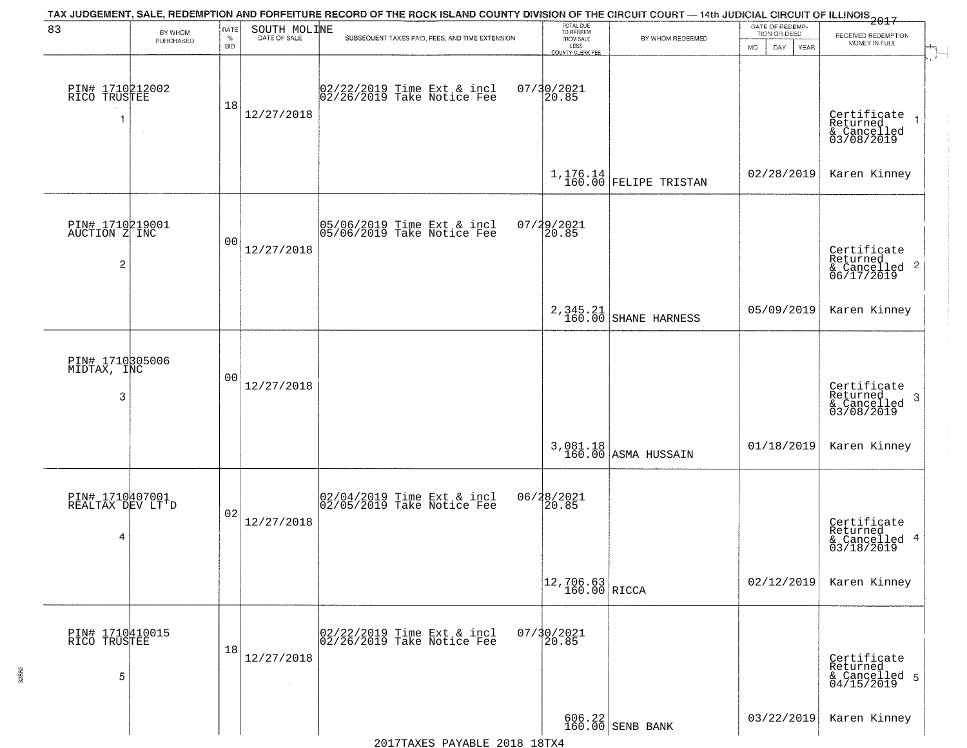|                                                    |                      |                            |              | TAX JUDGEMENT, SALE, REDEMPTION AND FORFEITURE RECORD OF THE ROCK ISLAND COUNTY DIVISION OF THE CIRCUIT COURT — 14th JUDICIAL CIRCUIT OF ILLINOIS 2017 |                                                                 |                                                             |                                                               |                                                                    |
|----------------------------------------------------|----------------------|----------------------------|--------------|--------------------------------------------------------------------------------------------------------------------------------------------------------|-----------------------------------------------------------------|-------------------------------------------------------------|---------------------------------------------------------------|--------------------------------------------------------------------|
| 83                                                 | BY WHOM<br>PURCHASED | RATE<br>$\%$<br><b>BID</b> | SOUTH MOLINE | SUBSEQUENT TAXES PAID, FEES, AND TIME EXTENSION                                                                                                        | TOTAL DUE<br>TO REDEEM<br>FROM SALE<br>LESS<br>COUNTY CLERK FEE | BY WHOM REDEEMED                                            | DATE OF REDEMP-<br>TION OR DEED<br><b>YEAR</b><br>MO.<br>DAY. | RECEIVED REDEMPTION<br>MONEY IN FULL<br>$\mathbb{H}^{\mathbb{H}}$  |
| PIN# 1710212002<br>RICO TRUSTEE<br>-1              |                      | 18                         | 12/27/2018   | 02/22/2019 Time Ext & incl<br>02/26/2019 Take Notice Fee                                                                                               | 07/30/2021<br>20.85                                             |                                                             |                                                               | Certificate<br>Returned<br>& Cancelled<br>03/08/2019               |
|                                                    |                      |                            |              |                                                                                                                                                        |                                                                 | $1,176.14$ FELIPE TRISTAN                                   | 02/28/2019                                                    | Karen Kinney                                                       |
| PIN# 1710219001<br>AUCTION Z INC<br>$\overline{c}$ |                      | 00                         | 12/27/2018   | 05/06/2019 Time Ext & incl<br>05/06/2019 Take Notice Fee                                                                                               | $07/29/2021$<br>20.85                                           |                                                             |                                                               | Certificate<br>Returned<br>$\frac{1}{6}$ Cancelled 2<br>06/17/2019 |
|                                                    |                      |                            |              |                                                                                                                                                        | $2,345.21$<br>$160.00$                                          | SHANE HARNESS                                               | 05/09/2019                                                    | Karen Kinney                                                       |
| PIN# 1710305006<br>MIDTAX, INC<br>3                |                      | 0 <sub>0</sub>             | 12/27/2018   |                                                                                                                                                        |                                                                 |                                                             |                                                               | Certificate<br>Returned<br>-3<br>& Cancelled<br>03/08/2019         |
|                                                    |                      |                            |              |                                                                                                                                                        |                                                                 | 3,081.18<br>160.00 ASMA HUSSAIN                             | 01/18/2019                                                    | Karen Kinney                                                       |
| PIN# 1710407001<br>REALTAX DEV LT'D<br>4           |                      | 02                         | 12/27/2018   | 02/04/2019 Time Ext & incl<br>02/05/2019 Take Notice Fee                                                                                               | 06/28/2021<br>20.85                                             |                                                             |                                                               | Certificate<br>Returned<br>& Cancelled 4<br>03/18/2019             |
|                                                    |                      |                            |              |                                                                                                                                                        | $\begin{array}{ c c c }\n12,706.63 & \text{RICCA}\n\end{array}$ |                                                             | 02/12/2019                                                    | Karen Kinney                                                       |
| PIN# 1710410015<br>RICO TRUSTEE<br>5               |                      | 18                         | 12/27/2018   | 02/22/2019 Time Ext & incl<br>02/26/2019 Take Notice Fee                                                                                               | 07/30/2021<br>20.85                                             |                                                             |                                                               | Certificate<br>Returned<br>& Cancelled 5<br>04/15/2019             |
|                                                    |                      |                            |              | 0.010<br>$\sqrt{11}$                                                                                                                                   | $1.0$ m $\tau$ r                                                | $\begin{array}{c c} 606.22 \\ 160.00 \end{array}$ SENB BANK | 03/22/2019                                                    | Karen Kinney                                                       |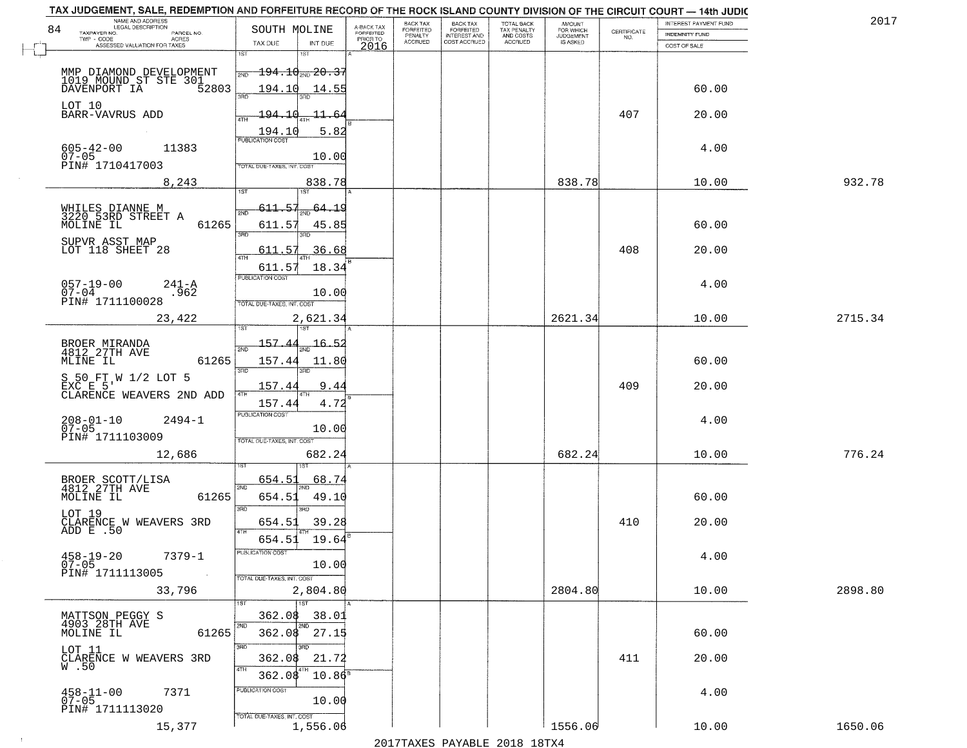| TAX JUDGEMENT, SALE, REDEMPTION AND FORFEITURE RECORD OF THE ROCK ISLAND COUNTY DIVISION OF THE CIRCUIT COURT - 14th JUDIC |                                               |                                     |                      |                       |                                        |                     |                                                                 |                              |         |
|----------------------------------------------------------------------------------------------------------------------------|-----------------------------------------------|-------------------------------------|----------------------|-----------------------|----------------------------------------|---------------------|-----------------------------------------------------------------|------------------------------|---------|
| NAME AND ADDRESS<br>LEGAL DESCRIPTION                                                                                      |                                               |                                     | BACK TAX             | BACK TAX<br>FORFEITED |                                        | AMOUNT<br>FOR WHICH |                                                                 | <b>INTEREST PAYMENT FUND</b> | 201'    |
| 84<br>TAXPAYER NO.<br>PARCEL NO.<br>ACRES                                                                                  | SOUTH MOLINE                                  | A-BACK TAX<br>FORFEITED<br>PRIOR TO | FORFEITED<br>PENALTY | <b>INTEREST AND</b>   | TOTAL BACK<br>TAX PENALTY<br>AND COSTS | <b>JUDGEMENT</b>    | $\begin{array}{c} \text{CERTIFICATE} \\ \text{NO.} \end{array}$ | <b>INDEMNITY FUND</b>        |         |
| ASSESSED VALUATION FOR TAXES                                                                                               | TAX DUE<br>INT DUE                            | 2016                                | <b>ACCRUED</b>       | COST ACCRUED          | <b>ACCRUED</b>                         | <b>IS ASKED</b>     |                                                                 | COST OF SALE                 |         |
|                                                                                                                            | 1ST<br>1ST                                    |                                     |                      |                       |                                        |                     |                                                                 |                              |         |
|                                                                                                                            | $\overline{194.10}_{\text{2ND}}$ 20.37<br>2ND |                                     |                      |                       |                                        |                     |                                                                 |                              |         |
| MMP DIAMOND DEVELOPMENT<br>1019 MOUND ST STE 301<br>DAVENPORT IA 52803                                                     |                                               |                                     |                      |                       |                                        |                     |                                                                 |                              |         |
|                                                                                                                            | 194.10<br>14.55<br>350                        |                                     |                      |                       |                                        |                     |                                                                 | 60.00                        |         |
| LOT 10                                                                                                                     |                                               |                                     |                      |                       |                                        |                     |                                                                 |                              |         |
| BARR-VAVRUS ADD                                                                                                            | <u> 194.10</u><br><u>11.64</u>                |                                     |                      |                       |                                        |                     | 407                                                             | 20.00                        |         |
|                                                                                                                            | 5.82<br>194.10                                |                                     |                      |                       |                                        |                     |                                                                 |                              |         |
|                                                                                                                            | <b>PUBLICATION COST</b>                       |                                     |                      |                       |                                        |                     |                                                                 |                              |         |
| $605 - 42 - 00$<br>11383<br>$07 - 05$                                                                                      |                                               |                                     |                      |                       |                                        |                     |                                                                 | 4.00                         |         |
| PIN# 1710417003                                                                                                            | 10.00<br>TOTAL DUE-TAXES, INT. COST           |                                     |                      |                       |                                        |                     |                                                                 |                              |         |
|                                                                                                                            |                                               |                                     |                      |                       |                                        |                     |                                                                 |                              |         |
| 8,243                                                                                                                      | 838.78<br>1ST                                 |                                     |                      |                       |                                        | 838.78              |                                                                 | 10.00                        | 932.78  |
|                                                                                                                            |                                               |                                     |                      |                       |                                        |                     |                                                                 |                              |         |
| WHILES DIANNE M<br>3220 53RD STREET A                                                                                      | 611.57<br>$_{200}$ 64.19                      |                                     |                      |                       |                                        |                     |                                                                 |                              |         |
| 61265<br>MOLINE IL                                                                                                         | 611.57<br>45.85                               |                                     |                      |                       |                                        |                     |                                                                 | 60.00                        |         |
|                                                                                                                            | 3RD                                           |                                     |                      |                       |                                        |                     |                                                                 |                              |         |
| SUPVR ASST MAP<br>LOT 118 SHEET 28                                                                                         | 36.68<br>611.57                               |                                     |                      |                       |                                        |                     | 408                                                             | 20.00                        |         |
|                                                                                                                            | $\overline{47H}$                              |                                     |                      |                       |                                        |                     |                                                                 |                              |         |
|                                                                                                                            | 18.34<br>611.57<br>PUBLICATION COST           |                                     |                      |                       |                                        |                     |                                                                 |                              |         |
| $057 - 19 - 00$<br>$241 - A$                                                                                               |                                               |                                     |                      |                       |                                        |                     |                                                                 | 4.00                         |         |
| $07 - 04$<br>.962<br>PIN# 1711100028                                                                                       | 10.00                                         |                                     |                      |                       |                                        |                     |                                                                 |                              |         |
|                                                                                                                            | TOTAL DUE-TAXES, INT. COST                    |                                     |                      |                       |                                        |                     |                                                                 |                              |         |
| 23,422                                                                                                                     | 2,621.34                                      |                                     |                      |                       |                                        | 2621.34             |                                                                 | 10.00                        | 2715.34 |
|                                                                                                                            | 187                                           |                                     |                      |                       |                                        |                     |                                                                 |                              |         |
| BROER MIRANDA<br>4812 27TH AVE                                                                                             | 157<br>16.5.<br>2ND                           |                                     |                      |                       |                                        |                     |                                                                 |                              |         |
| MLINE IL<br>61265                                                                                                          | 157.44<br>11.80                               |                                     |                      |                       |                                        |                     |                                                                 | 60.00                        |         |
|                                                                                                                            | 3RD<br>3RD                                    |                                     |                      |                       |                                        |                     |                                                                 |                              |         |
| S 50 FT W 1/2 LOT 5                                                                                                        |                                               |                                     |                      |                       |                                        |                     |                                                                 |                              |         |
| EXC E 5'<br>CLARENCE WEAVERS 2ND ADD                                                                                       | 157.4<br>9.44<br>4TH                          |                                     |                      |                       |                                        |                     | 409                                                             | 20.00                        |         |
|                                                                                                                            | 157.44<br>4.72                                |                                     |                      |                       |                                        |                     |                                                                 |                              |         |
| $2494 - 1$                                                                                                                 | <b>PUBLICATION COST</b>                       |                                     |                      |                       |                                        |                     |                                                                 | 4.00                         |         |
| $208 - 01 - 10$<br>07-05                                                                                                   | 10.00                                         |                                     |                      |                       |                                        |                     |                                                                 |                              |         |
| PIN# 1711103009                                                                                                            | TOTAL OUE-TAXES, INT. COST                    |                                     |                      |                       |                                        |                     |                                                                 |                              |         |
| 12,686                                                                                                                     | 682.24                                        |                                     |                      |                       |                                        | 682.24              |                                                                 | 10.00                        | 776.24  |
|                                                                                                                            |                                               |                                     |                      |                       |                                        |                     |                                                                 |                              |         |
|                                                                                                                            | 654.5<br>68.74                                |                                     |                      |                       |                                        |                     |                                                                 |                              |         |
| BROER SCOTT/LISA<br>4812 27TH AVE                                                                                          | 2ND                                           |                                     |                      |                       |                                        |                     |                                                                 |                              |         |
| MOLINE IL<br>61265                                                                                                         | 654.51<br>49.10                               |                                     |                      |                       |                                        |                     |                                                                 | 60.00                        |         |
| LOT 19                                                                                                                     | 3RD<br>3RD.                                   |                                     |                      |                       |                                        |                     |                                                                 |                              |         |
| CLARENCE W WEAVERS 3RD<br>ADD E .50                                                                                        | 39.28<br>654.51<br>4TH                        |                                     |                      |                       |                                        |                     | 410                                                             | 20.00                        |         |
|                                                                                                                            | 654.51<br>19.64                               |                                     |                      |                       |                                        |                     |                                                                 |                              |         |
|                                                                                                                            | PUBLICATION COST                              |                                     |                      |                       |                                        |                     |                                                                 |                              |         |
| $458 - 19 - 20$<br>7379-1<br>$07 - 05$                                                                                     | 10.00                                         |                                     |                      |                       |                                        |                     |                                                                 | 4.00                         |         |
| PIN# 1711113005<br><b>Contract</b>                                                                                         | TOTAL DUE-TAXES, INT. COST                    |                                     |                      |                       |                                        |                     |                                                                 |                              |         |
| 33,796                                                                                                                     | 2,804.80                                      |                                     |                      |                       |                                        | 2804.80             |                                                                 | 10.00                        | 2898.80 |
|                                                                                                                            | 1ST                                           |                                     |                      |                       |                                        |                     |                                                                 |                              |         |
|                                                                                                                            | 362.08<br>38.01                               |                                     |                      |                       |                                        |                     |                                                                 |                              |         |
| MATTSON PEGGY S<br>4903 28TH AVE                                                                                           | 2ND                                           |                                     |                      |                       |                                        |                     |                                                                 |                              |         |
| 61265<br>MOLINE IL                                                                                                         | 362.08 27.15                                  |                                     |                      |                       |                                        |                     |                                                                 | 60.00                        |         |
| LOT 11                                                                                                                     | 3RD                                           |                                     |                      |                       |                                        |                     |                                                                 |                              |         |
| CLARENCE W WEAVERS 3RD                                                                                                     | 362.08<br>21.72                               |                                     |                      |                       |                                        |                     | 411                                                             | 20.00                        |         |
| W.50                                                                                                                       | 4TH<br>362.08<br>$10.86^8$                    |                                     |                      |                       |                                        |                     |                                                                 |                              |         |
|                                                                                                                            |                                               |                                     |                      |                       |                                        |                     |                                                                 |                              |         |
| $458 - 11 - 00$<br>07-05<br>7371                                                                                           | PUBLICATION COST<br>10.00                     |                                     |                      |                       |                                        |                     |                                                                 | 4.00                         |         |
| PIN# 1711113020                                                                                                            |                                               |                                     |                      |                       |                                        |                     |                                                                 |                              |         |
|                                                                                                                            | TOTAL DUE-TAXES, INT. COST                    |                                     |                      |                       |                                        |                     |                                                                 |                              |         |
| 15,377                                                                                                                     | 1,556.06                                      |                                     |                      |                       |                                        | 1556.06             |                                                                 | 10.00                        | 1650.06 |

 $\sim 10$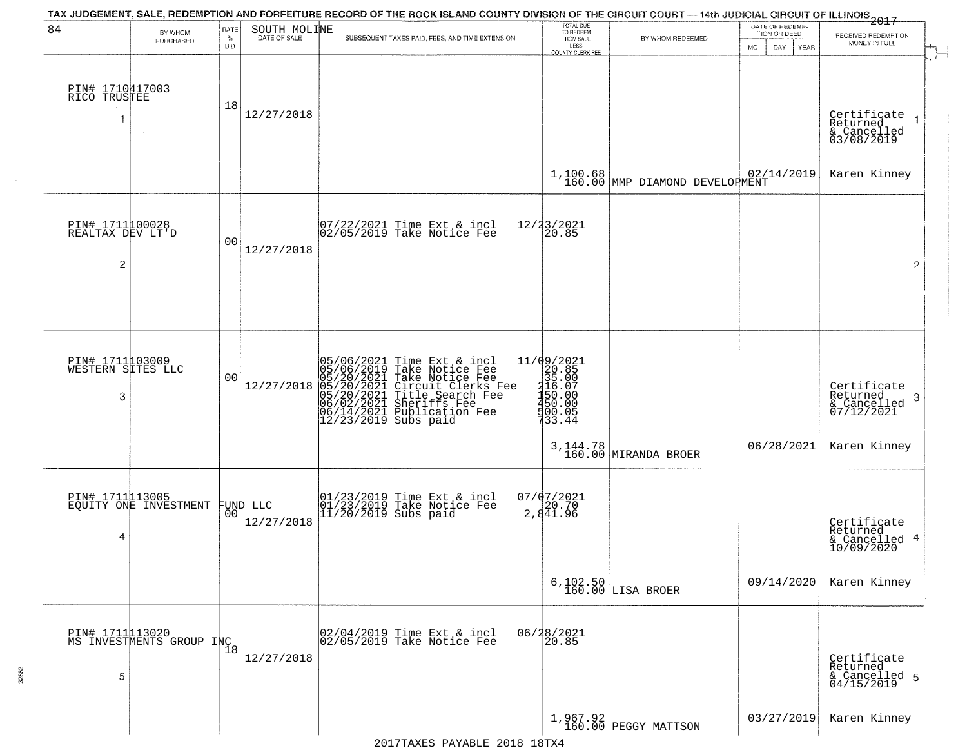| 84                                                    | BY WHOM<br>PURCHASED                        | RATE<br>$\%$<br><b>BID</b> | SOUTH MOLINE<br>DATE OF SALE | TAX JUDGEMENT, SALE, REDEMPTION AND FORFEITURE RECORD OF THE ROCK ISLAND COUNTY DIVISION OF THE CIRCUIT COURT — 14th JUDICIAL CIRCUIT OF ILLINOIS 2017<br>SUBSEQUENT TAXES PAID, FEES, AND TIME EXTENSION                               | TOTAL DUE<br>TO REDEEM<br>FROM SALE<br>LESS<br>COUNTY CLERK FEE                                                                                                                                                                                                                                             | BY WHOM REDEEMED                           | DATE OF REDEMP-<br>TION OR DEED<br><b>MO</b><br>DAY<br>YEAR | RECEIVED REDEMPTION<br>MONEY IN FULL                                 |
|-------------------------------------------------------|---------------------------------------------|----------------------------|------------------------------|-----------------------------------------------------------------------------------------------------------------------------------------------------------------------------------------------------------------------------------------|-------------------------------------------------------------------------------------------------------------------------------------------------------------------------------------------------------------------------------------------------------------------------------------------------------------|--------------------------------------------|-------------------------------------------------------------|----------------------------------------------------------------------|
| PIN# 1710417003<br>RICO TRUSTEE                       |                                             | 18                         | 12/27/2018                   |                                                                                                                                                                                                                                         |                                                                                                                                                                                                                                                                                                             |                                            |                                                             | Certificate<br>$\mathbf{1}$<br>Returned<br>& Cancelled<br>03/08/2019 |
|                                                       |                                             |                            |                              |                                                                                                                                                                                                                                         |                                                                                                                                                                                                                                                                                                             | 1,100.68<br>160.00 MMP DIAMOND DEVELOPMENT | 02/14/2019                                                  | Karen Kinney                                                         |
| PIN# 1711100028<br>REALTAX DEV LT'D<br>$\overline{c}$ |                                             | 00                         | 12/27/2018                   | $ 07/22/2021$ Time Ext & incl<br>$ 02/05/2019$ Take Notice Fee                                                                                                                                                                          | 12/23/2021<br>20.85                                                                                                                                                                                                                                                                                         |                                            |                                                             | $\overline{2}$                                                       |
|                                                       |                                             |                            |                              |                                                                                                                                                                                                                                         |                                                                                                                                                                                                                                                                                                             |                                            |                                                             |                                                                      |
| PIN# 1711103009<br>WESTERN SITES LLC<br>3             |                                             | 00                         | 12/27/2018                   | 05/06/2021 Time Ext & incl<br>05/06/2019 Take Notice Fee<br>05/20/2021 Take Notice Fee<br>05/20/2021 Circuit Clerks Fee<br>06/02/2021 Title Search Fee<br>06/02/2021 Sheriffs Fee<br>06/14/2021 Publication Fee<br>12/23/2019 Subs paid | $\begin{array}{r} 11/09/2021 \\20.85 \\35.00 \\115.00 \\415.07 \\450.00 \\4950.00 \\990.04 \\990.04 \\990.04 \\990.04 \\990.04 \\990.04 \\990.04 \\990.04 \\990.04 \\990.04 \\990.04 \\990.04 \\990.04 \\990.04 \\990.04 \\990.04 \\990.04 \\990.04 \\990.04 \\990.04 \\990.04 \\990.04 \\990.04$<br>733.44 |                                            |                                                             | Certificate<br>Returned<br>3<br>$\frac{2}{07/12/2021}$               |
|                                                       |                                             |                            |                              |                                                                                                                                                                                                                                         |                                                                                                                                                                                                                                                                                                             | 3, 144.78<br>160.00 MIRANDA BROER          | 06/28/2021                                                  | Karen Kinney                                                         |
| 4                                                     | PIN# 1711113005<br>EQUITY ONE INVESTMENT    | 00 <sup>1</sup>            | FUND LLC<br>12/27/2018       | 01/23/2019 Time Ext & incl<br>01/23/2019 Take Notice Fee<br>11/20/2019 Subs paid                                                                                                                                                        | $07/07/2021$<br>20.70<br>2,841.96                                                                                                                                                                                                                                                                           |                                            |                                                             | Certificate<br>Returned<br>4<br>& Cancelled<br>10/09/2020            |
|                                                       |                                             |                            |                              |                                                                                                                                                                                                                                         |                                                                                                                                                                                                                                                                                                             | $6, 102.50$ LISA BROER                     | 09/14/2020                                                  | Karen Kinney                                                         |
| 5                                                     | PIN# 1711113020<br>MS INVESTMENTS GROUP INC | 18                         | 12/27/2018                   | 02/04/2019 Time Ext & incl<br>02/05/2019 Take Notice Fee                                                                                                                                                                                | 06/28/2021<br>20.85                                                                                                                                                                                                                                                                                         |                                            |                                                             | Certificate<br>Returned<br>& Cancelled 5<br>04/15/2019               |
|                                                       |                                             |                            |                              |                                                                                                                                                                                                                                         |                                                                                                                                                                                                                                                                                                             | 1,967.92<br>160.00 PEGGY MATTSON           | 03/27/2019                                                  | Karen Kinney                                                         |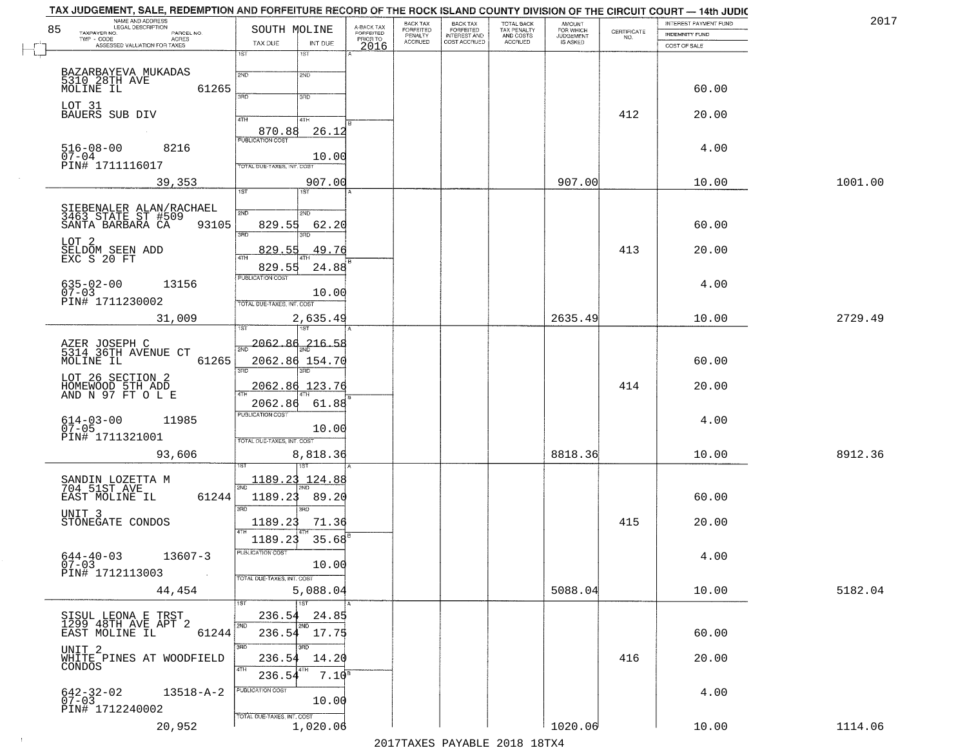| NAME AND ADDRESS<br>LEGAL DESCRIPTION |                                                                                                                                                                                                                                                                                                                                                                                                                                                                                                                                                                                                                                                                                                                                                                                             |                                                                                                                                                                                                                                                                                                                                                                                                                                                 | <b>BACK TAX</b>                                                  | <b>BACK TAX</b>             |                           | AMOUNT<br>FOR WHICH                               |                                | INTEREST PAYMENT FUND            | 2017                                                                               |
|---------------------------------------|---------------------------------------------------------------------------------------------------------------------------------------------------------------------------------------------------------------------------------------------------------------------------------------------------------------------------------------------------------------------------------------------------------------------------------------------------------------------------------------------------------------------------------------------------------------------------------------------------------------------------------------------------------------------------------------------------------------------------------------------------------------------------------------------|-------------------------------------------------------------------------------------------------------------------------------------------------------------------------------------------------------------------------------------------------------------------------------------------------------------------------------------------------------------------------------------------------------------------------------------------------|------------------------------------------------------------------|-----------------------------|---------------------------|---------------------------------------------------|--------------------------------|----------------------------------|------------------------------------------------------------------------------------|
|                                       |                                                                                                                                                                                                                                                                                                                                                                                                                                                                                                                                                                                                                                                                                                                                                                                             |                                                                                                                                                                                                                                                                                                                                                                                                                                                 | PENALTY                                                          | <b>INTEREST AND</b>         |                           | <b>JUDGEMENT</b>                                  |                                | <b>INDEMNITY FUND</b>            |                                                                                    |
|                                       | 1ST<br>1ST                                                                                                                                                                                                                                                                                                                                                                                                                                                                                                                                                                                                                                                                                                                                                                                  |                                                                                                                                                                                                                                                                                                                                                                                                                                                 |                                                                  |                             |                           |                                                   |                                |                                  |                                                                                    |
|                                       |                                                                                                                                                                                                                                                                                                                                                                                                                                                                                                                                                                                                                                                                                                                                                                                             |                                                                                                                                                                                                                                                                                                                                                                                                                                                 |                                                                  |                             |                           |                                                   |                                |                                  |                                                                                    |
| 5310 28TH AVE                         |                                                                                                                                                                                                                                                                                                                                                                                                                                                                                                                                                                                                                                                                                                                                                                                             |                                                                                                                                                                                                                                                                                                                                                                                                                                                 |                                                                  |                             |                           |                                                   |                                |                                  |                                                                                    |
|                                       | <b>SAD</b><br>3RD                                                                                                                                                                                                                                                                                                                                                                                                                                                                                                                                                                                                                                                                                                                                                                           |                                                                                                                                                                                                                                                                                                                                                                                                                                                 |                                                                  |                             |                           |                                                   |                                |                                  |                                                                                    |
| LOT 31                                |                                                                                                                                                                                                                                                                                                                                                                                                                                                                                                                                                                                                                                                                                                                                                                                             |                                                                                                                                                                                                                                                                                                                                                                                                                                                 |                                                                  |                             |                           |                                                   |                                |                                  |                                                                                    |
|                                       | 4TH<br>4TH                                                                                                                                                                                                                                                                                                                                                                                                                                                                                                                                                                                                                                                                                                                                                                                  |                                                                                                                                                                                                                                                                                                                                                                                                                                                 |                                                                  |                             |                           |                                                   |                                |                                  |                                                                                    |
|                                       |                                                                                                                                                                                                                                                                                                                                                                                                                                                                                                                                                                                                                                                                                                                                                                                             |                                                                                                                                                                                                                                                                                                                                                                                                                                                 |                                                                  |                             |                           |                                                   |                                |                                  |                                                                                    |
|                                       |                                                                                                                                                                                                                                                                                                                                                                                                                                                                                                                                                                                                                                                                                                                                                                                             |                                                                                                                                                                                                                                                                                                                                                                                                                                                 |                                                                  |                             |                           |                                                   |                                |                                  |                                                                                    |
| PIN# 1711116017                       | TOTAL DUE-TAXES, INT. COST                                                                                                                                                                                                                                                                                                                                                                                                                                                                                                                                                                                                                                                                                                                                                                  |                                                                                                                                                                                                                                                                                                                                                                                                                                                 |                                                                  |                             |                           |                                                   |                                |                                  |                                                                                    |
| 39,353                                | 907.00                                                                                                                                                                                                                                                                                                                                                                                                                                                                                                                                                                                                                                                                                                                                                                                      |                                                                                                                                                                                                                                                                                                                                                                                                                                                 |                                                                  |                             |                           | 907.00                                            |                                | 10.00                            | 1001.00                                                                            |
|                                       |                                                                                                                                                                                                                                                                                                                                                                                                                                                                                                                                                                                                                                                                                                                                                                                             |                                                                                                                                                                                                                                                                                                                                                                                                                                                 |                                                                  |                             |                           |                                                   |                                |                                  |                                                                                    |
|                                       | 2ND<br>2ND                                                                                                                                                                                                                                                                                                                                                                                                                                                                                                                                                                                                                                                                                                                                                                                  |                                                                                                                                                                                                                                                                                                                                                                                                                                                 |                                                                  |                             |                           |                                                   |                                |                                  |                                                                                    |
| 93105                                 | 829.55<br>62.20                                                                                                                                                                                                                                                                                                                                                                                                                                                                                                                                                                                                                                                                                                                                                                             |                                                                                                                                                                                                                                                                                                                                                                                                                                                 |                                                                  |                             |                           |                                                   |                                | 60.00                            |                                                                                    |
| LOT 2                                 |                                                                                                                                                                                                                                                                                                                                                                                                                                                                                                                                                                                                                                                                                                                                                                                             |                                                                                                                                                                                                                                                                                                                                                                                                                                                 |                                                                  |                             |                           |                                                   |                                |                                  |                                                                                    |
|                                       | 49.76<br>ৰাম                                                                                                                                                                                                                                                                                                                                                                                                                                                                                                                                                                                                                                                                                                                                                                                |                                                                                                                                                                                                                                                                                                                                                                                                                                                 |                                                                  |                             |                           |                                                   | 413                            | 20.00                            |                                                                                    |
|                                       | 829.55<br>24.88                                                                                                                                                                                                                                                                                                                                                                                                                                                                                                                                                                                                                                                                                                                                                                             |                                                                                                                                                                                                                                                                                                                                                                                                                                                 |                                                                  |                             |                           |                                                   |                                |                                  |                                                                                    |
| 13156                                 |                                                                                                                                                                                                                                                                                                                                                                                                                                                                                                                                                                                                                                                                                                                                                                                             |                                                                                                                                                                                                                                                                                                                                                                                                                                                 |                                                                  |                             |                           |                                                   |                                | 4.00                             |                                                                                    |
|                                       | 10.00                                                                                                                                                                                                                                                                                                                                                                                                                                                                                                                                                                                                                                                                                                                                                                                       |                                                                                                                                                                                                                                                                                                                                                                                                                                                 |                                                                  |                             |                           |                                                   |                                |                                  |                                                                                    |
|                                       |                                                                                                                                                                                                                                                                                                                                                                                                                                                                                                                                                                                                                                                                                                                                                                                             |                                                                                                                                                                                                                                                                                                                                                                                                                                                 |                                                                  |                             |                           |                                                   |                                |                                  | 2729.49                                                                            |
|                                       | 'ST                                                                                                                                                                                                                                                                                                                                                                                                                                                                                                                                                                                                                                                                                                                                                                                         |                                                                                                                                                                                                                                                                                                                                                                                                                                                 |                                                                  |                             |                           |                                                   |                                |                                  |                                                                                    |
|                                       | $216 - 58$                                                                                                                                                                                                                                                                                                                                                                                                                                                                                                                                                                                                                                                                                                                                                                                  |                                                                                                                                                                                                                                                                                                                                                                                                                                                 |                                                                  |                             |                           |                                                   |                                |                                  |                                                                                    |
|                                       |                                                                                                                                                                                                                                                                                                                                                                                                                                                                                                                                                                                                                                                                                                                                                                                             |                                                                                                                                                                                                                                                                                                                                                                                                                                                 |                                                                  |                             |                           |                                                   |                                |                                  |                                                                                    |
|                                       | 3RD<br>3RD                                                                                                                                                                                                                                                                                                                                                                                                                                                                                                                                                                                                                                                                                                                                                                                  |                                                                                                                                                                                                                                                                                                                                                                                                                                                 |                                                                  |                             |                           |                                                   |                                |                                  |                                                                                    |
|                                       | 2062.86 123.76                                                                                                                                                                                                                                                                                                                                                                                                                                                                                                                                                                                                                                                                                                                                                                              |                                                                                                                                                                                                                                                                                                                                                                                                                                                 |                                                                  |                             |                           |                                                   | 414                            | 20.00                            |                                                                                    |
|                                       |                                                                                                                                                                                                                                                                                                                                                                                                                                                                                                                                                                                                                                                                                                                                                                                             |                                                                                                                                                                                                                                                                                                                                                                                                                                                 |                                                                  |                             |                           |                                                   |                                |                                  |                                                                                    |
|                                       | <b>PUBLICATION COST</b>                                                                                                                                                                                                                                                                                                                                                                                                                                                                                                                                                                                                                                                                                                                                                                     |                                                                                                                                                                                                                                                                                                                                                                                                                                                 |                                                                  |                             |                           |                                                   |                                |                                  |                                                                                    |
|                                       | 10.00                                                                                                                                                                                                                                                                                                                                                                                                                                                                                                                                                                                                                                                                                                                                                                                       |                                                                                                                                                                                                                                                                                                                                                                                                                                                 |                                                                  |                             |                           |                                                   |                                |                                  |                                                                                    |
|                                       | TOTAL OUE-TAXES, INT. COST                                                                                                                                                                                                                                                                                                                                                                                                                                                                                                                                                                                                                                                                                                                                                                  |                                                                                                                                                                                                                                                                                                                                                                                                                                                 |                                                                  |                             |                           |                                                   |                                |                                  |                                                                                    |
|                                       |                                                                                                                                                                                                                                                                                                                                                                                                                                                                                                                                                                                                                                                                                                                                                                                             |                                                                                                                                                                                                                                                                                                                                                                                                                                                 |                                                                  |                             |                           |                                                   |                                | 10.00                            | 8912.36                                                                            |
|                                       |                                                                                                                                                                                                                                                                                                                                                                                                                                                                                                                                                                                                                                                                                                                                                                                             |                                                                                                                                                                                                                                                                                                                                                                                                                                                 |                                                                  |                             |                           |                                                   |                                |                                  |                                                                                    |
|                                       |                                                                                                                                                                                                                                                                                                                                                                                                                                                                                                                                                                                                                                                                                                                                                                                             |                                                                                                                                                                                                                                                                                                                                                                                                                                                 |                                                                  |                             |                           |                                                   |                                |                                  |                                                                                    |
|                                       |                                                                                                                                                                                                                                                                                                                                                                                                                                                                                                                                                                                                                                                                                                                                                                                             |                                                                                                                                                                                                                                                                                                                                                                                                                                                 |                                                                  |                             |                           |                                                   |                                |                                  |                                                                                    |
| UNIT <sub>3</sub>                     |                                                                                                                                                                                                                                                                                                                                                                                                                                                                                                                                                                                                                                                                                                                                                                                             |                                                                                                                                                                                                                                                                                                                                                                                                                                                 |                                                                  |                             |                           |                                                   |                                |                                  |                                                                                    |
|                                       |                                                                                                                                                                                                                                                                                                                                                                                                                                                                                                                                                                                                                                                                                                                                                                                             |                                                                                                                                                                                                                                                                                                                                                                                                                                                 |                                                                  |                             |                           |                                                   |                                |                                  |                                                                                    |
|                                       |                                                                                                                                                                                                                                                                                                                                                                                                                                                                                                                                                                                                                                                                                                                                                                                             |                                                                                                                                                                                                                                                                                                                                                                                                                                                 |                                                                  |                             |                           |                                                   |                                |                                  |                                                                                    |
| 13607-3                               |                                                                                                                                                                                                                                                                                                                                                                                                                                                                                                                                                                                                                                                                                                                                                                                             |                                                                                                                                                                                                                                                                                                                                                                                                                                                 |                                                                  |                             |                           |                                                   |                                | 4.00                             |                                                                                    |
| PIN# 1712113003<br><b>Contract</b>    | TOTAL DUE-TAXES, INT. COST                                                                                                                                                                                                                                                                                                                                                                                                                                                                                                                                                                                                                                                                                                                                                                  |                                                                                                                                                                                                                                                                                                                                                                                                                                                 |                                                                  |                             |                           |                                                   |                                |                                  |                                                                                    |
| 44,454                                | 5,088.04                                                                                                                                                                                                                                                                                                                                                                                                                                                                                                                                                                                                                                                                                                                                                                                    |                                                                                                                                                                                                                                                                                                                                                                                                                                                 |                                                                  |                             |                           | 5088.04                                           |                                | 10.00                            | 5182.04                                                                            |
|                                       | 11ST                                                                                                                                                                                                                                                                                                                                                                                                                                                                                                                                                                                                                                                                                                                                                                                        |                                                                                                                                                                                                                                                                                                                                                                                                                                                 |                                                                  |                             |                           |                                                   |                                |                                  |                                                                                    |
|                                       | 236.54<br>24.85                                                                                                                                                                                                                                                                                                                                                                                                                                                                                                                                                                                                                                                                                                                                                                             |                                                                                                                                                                                                                                                                                                                                                                                                                                                 |                                                                  |                             |                           |                                                   |                                |                                  |                                                                                    |
| EAST MOLINE IL                        | 236.54 17.75                                                                                                                                                                                                                                                                                                                                                                                                                                                                                                                                                                                                                                                                                                                                                                                |                                                                                                                                                                                                                                                                                                                                                                                                                                                 |                                                                  |                             |                           |                                                   |                                | 60.00                            |                                                                                    |
|                                       | <b>SRD</b><br>3HD                                                                                                                                                                                                                                                                                                                                                                                                                                                                                                                                                                                                                                                                                                                                                                           |                                                                                                                                                                                                                                                                                                                                                                                                                                                 |                                                                  |                             |                           |                                                   |                                |                                  |                                                                                    |
|                                       | 236.54<br>14.20                                                                                                                                                                                                                                                                                                                                                                                                                                                                                                                                                                                                                                                                                                                                                                             |                                                                                                                                                                                                                                                                                                                                                                                                                                                 |                                                                  |                             |                           |                                                   | 416                            | 20.00                            |                                                                                    |
|                                       | 236.54                                                                                                                                                                                                                                                                                                                                                                                                                                                                                                                                                                                                                                                                                                                                                                                      |                                                                                                                                                                                                                                                                                                                                                                                                                                                 |                                                                  |                             |                           |                                                   |                                |                                  |                                                                                    |
| $13518 - A - 2$                       | PUBLICATION COST                                                                                                                                                                                                                                                                                                                                                                                                                                                                                                                                                                                                                                                                                                                                                                            |                                                                                                                                                                                                                                                                                                                                                                                                                                                 |                                                                  |                             |                           |                                                   |                                | 4.00                             |                                                                                    |
|                                       | 10.00                                                                                                                                                                                                                                                                                                                                                                                                                                                                                                                                                                                                                                                                                                                                                                                       |                                                                                                                                                                                                                                                                                                                                                                                                                                                 |                                                                  |                             |                           |                                                   |                                |                                  |                                                                                    |
| PIN# 1712240002                       | TOTAL DUE-TAXES, INT. COST                                                                                                                                                                                                                                                                                                                                                                                                                                                                                                                                                                                                                                                                                                                                                                  |                                                                                                                                                                                                                                                                                                                                                                                                                                                 |                                                                  |                             |                           |                                                   |                                |                                  |                                                                                    |
|                                       | 85<br>TAXPAYER NO.<br>PARCEL NO.<br>ACRES<br>ASSESSED VALUATION FOR TAXES<br>BAZARBAYEVA MUKADAS<br>61265<br>MOLINE IL<br>BAUERS SUB DIV<br>$516 - 08 - 00$<br>8216<br>$07 - 04$<br>SIEBENALER ALAN/RACHAEL<br>3463 STATE ST #509<br>SANTA BARBARA CA 931<br>SELDOM SEEN ADD<br>EXC S 20 FT<br>$635 - 02 - 00$<br>$07 - 03$<br>PIN# 1711230002<br>31,009<br>AZER JOSEPH C<br>5314 36TH AVENUE CT<br>MOLINE IL<br>61265<br>LOT 26 SECTION 2<br>HOMEWOOD 5TH ADD<br>AND N 97 FT O L E<br>$614 - 03 - 00$<br>07-05<br>11985<br>PIN# 1711321001<br>93,606<br>SANDIN LOZETTA M<br>704 51ST AVE<br>EAST MOLINE IL<br>61244<br>STONEGATE CONDOS<br>$644 - 40 - 03$<br>$07 - 03$<br>SISUL LEONA E TRST<br>1299 48TH AVE APT 2<br>UNIT 2<br>WHITE PINES AT WOODFIELD<br>CONDOS<br>642-32-02<br>07-03 | SOUTH MOLINE<br>TAX DUE<br>INT DUE<br>2ND<br>2ND<br>870.88<br>26.12<br>10.00<br>1ST<br>3RD<br>3RD<br>829.55<br>PUBLICATION COST<br>TOTAL DUE-TAXES, INT. COST<br>2,635.49<br>$\frac{1}{2ND}$ 2062.80<br>2062.86 154.70<br>$\overline{AT}$<br>2062.86<br>61.88<br>8,818.36<br>1189.23<br>124.88<br>1189.23<br>89.20<br>$3\overline{BD}$<br>3BD<br>1189.23<br>71.36<br>1189.23<br>35.68<br>rusuca nun cus-<br>10.00<br>2ND<br>2ND<br>61244<br>4TH | A-BACK TAX<br>FORFEITED<br>PRIOR TO<br>2016<br>7.10 <sup>s</sup> | FORFEITED<br><b>ACCRUED</b> | FORFEITED<br>COST ACCRUED | TOTAL BACK<br>TAX PENALTY<br>AND COSTS<br>ACCRUED | IS ASKED<br>2635.49<br>8818.36 | CERTIFICATE<br>NO.<br>412<br>415 | COST OF SALE<br>60.00<br>20.00<br>4.00<br>10.00<br>60.00<br>4.00<br>60.00<br>20.00 |

 $\sim 4$  .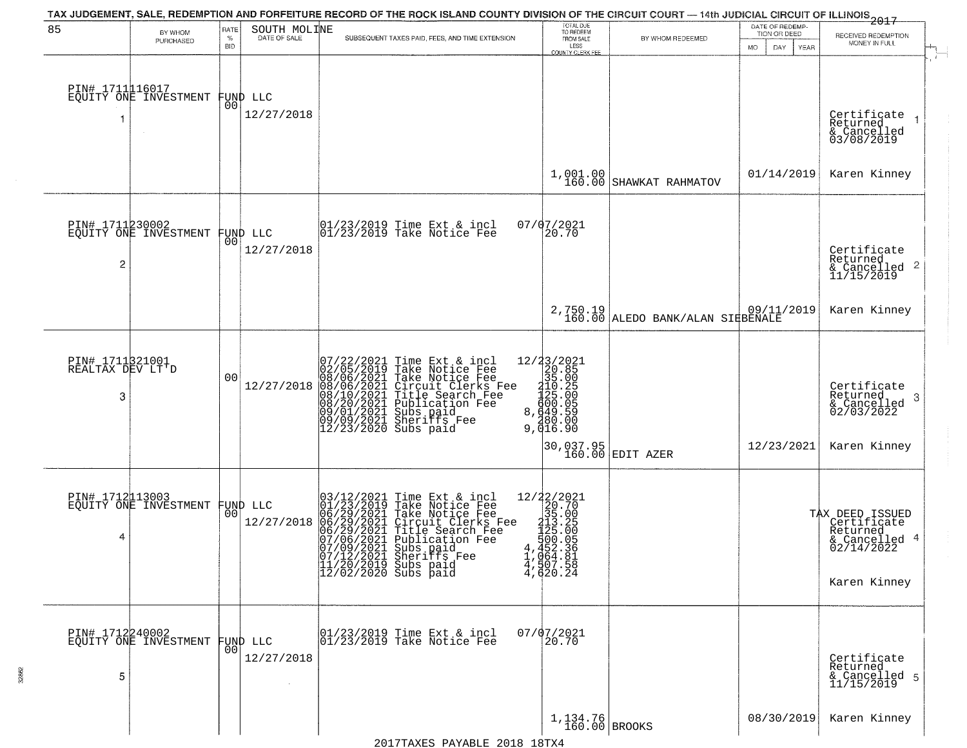| 85                                  |                                          | RATE            | SOUTH MOLINE    | TAX JUDGEMENT, SALE, REDEMPTION AND FORFEITURE RECORD OF THE ROCK ISLAND COUNTY DIVISION OF THE CIRCUIT COURT - 14th JUDICIAL CIRCUIT OF ILLINOIS                                                                                                                                    | TOTAL DUE<br>TO REDEEM                                                                                                                              |                                    | DATE OF REDEMP-<br>TION OR DEED | 2017                                                                      |
|-------------------------------------|------------------------------------------|-----------------|-----------------|--------------------------------------------------------------------------------------------------------------------------------------------------------------------------------------------------------------------------------------------------------------------------------------|-----------------------------------------------------------------------------------------------------------------------------------------------------|------------------------------------|---------------------------------|---------------------------------------------------------------------------|
|                                     | BY WHOM<br>PURCHASED                     | $\%$            | DATE OF SALE    | SUBSEQUENT TAXES PAID, FEES, AND TIME EXTENSION                                                                                                                                                                                                                                      | FROM SALE<br>LESS                                                                                                                                   | BY WHOM REDEEMED                   |                                 | RECEIVED REDEMPTION<br>MONEY IN FULL                                      |
|                                     |                                          | <b>BID</b>      |                 |                                                                                                                                                                                                                                                                                      | <b>COUNTY CLERK FEE</b>                                                                                                                             |                                    | MO.<br>DAY.<br>YEAR             |                                                                           |
|                                     | PIN# 1711116017<br>EQUITY ONE INVESTMENT | 0O              | FUND LLC        |                                                                                                                                                                                                                                                                                      |                                                                                                                                                     |                                    |                                 |                                                                           |
|                                     |                                          |                 | 12/27/2018      |                                                                                                                                                                                                                                                                                      |                                                                                                                                                     |                                    |                                 | Certificate<br>Returned<br>& Cancelled<br>03/08/2019                      |
|                                     |                                          |                 |                 |                                                                                                                                                                                                                                                                                      | 1,001.00<br>160.00                                                                                                                                  | SHAWKAT RAHMATOV                   | 01/14/2019                      | Karen Kinney                                                              |
|                                     | PIN# 1711230002<br>EQUITY ONE INVESTMENT |                 | FUND LLC<br> 00 | 01/23/2019 Time Ext & incl<br>$01/23/2019$ Take Notice Fee                                                                                                                                                                                                                           | 07/07/2021<br>20.70                                                                                                                                 |                                    |                                 |                                                                           |
| $\overline{c}$                      |                                          |                 | 12/27/2018      |                                                                                                                                                                                                                                                                                      |                                                                                                                                                     |                                    |                                 | Certificate<br>Returned<br>$\overline{2}$<br>& Cancelled<br>11/15/2019    |
|                                     |                                          |                 |                 |                                                                                                                                                                                                                                                                                      |                                                                                                                                                     | 2,750.19 ALEDO BANK/ALAN SIRBENALE | 09/11/2019                      | Karen Kinney                                                              |
| PIN# 1711321001<br>REALTAX DEV LT'D |                                          | 00              |                 | $\begin{array}{l} 07/22/2021 \\ 02/05/2019 \\ 08/06/2021 \\ 08/06/2021 \\ 08/10/2021 \\ 08/10/2021 \end{array}$<br>Time Ext & incl<br>Take Notice Fee                                                                                                                                |                                                                                                                                                     |                                    |                                 |                                                                           |
| 3                                   |                                          |                 | 12/27/2018      | Take Notice Fee<br>Circuit Clerks Fee<br>Circuit Clerks Fee<br>Title Search Fee<br>Publication Fee<br>Subs paid<br>Sheriffs Fee<br>Subs paid<br>$\begin{array}{l} 08/20/2021 \\ 09/01/2021 \\ 09/09/2021 \\ 12/23/2020 \end{array}$                                                  | $\begin{array}{r} 12/3 \frac{3}{2} \left( \frac{20}{21} \right) \\ 20.85 \\ 35.00 \\ 110.25 \\ 125.00 \\ 649.55 \\ 8,49.59 \\ 9,416.90 \end{array}$ |                                    |                                 | Certificate<br>Returned<br>3<br>$\frac{1}{02/03/2022}$                    |
|                                     |                                          |                 |                 |                                                                                                                                                                                                                                                                                      |                                                                                                                                                     | 30,037.95<br>160.00 EDIT AZER      | 12/23/2021                      | Karen Kinney                                                              |
|                                     | PIN# 1712113003<br>EQUITY ONE INVESTMENT |                 | FUND LLC        |                                                                                                                                                                                                                                                                                      |                                                                                                                                                     |                                    |                                 |                                                                           |
| 4                                   |                                          | 00 <sup>1</sup> | 12/27/2018      | 03/12/2021<br>01/23/2019<br>06/29/2021<br>06/29/2021<br>09/22/2021<br>Time Ext & incl<br>Take Notice Fee<br>Take Notice Fee<br>Circuit Clerks Fee<br>Title Search Fee<br>Publication Fee<br>Subs paid<br>Shariffs<br>Rea<br>$\begin{bmatrix} 07/06/2021 \\ 07/09/2021 \end{bmatrix}$ | 12/22/2021<br>20.70<br>315.00<br>315.00<br>3125.00<br>4,4522.31<br>4,4620.24<br>4,4000.24                                                           |                                    |                                 | TAX DEED ISSUED<br>Certificate<br>Returned<br>& Cancelled 4<br>02/14/2022 |
|                                     |                                          |                 |                 | 07/12/2021 Sheriffs Fee<br>11/20/2019 Subs paid<br>12/02/2020 Subs paid                                                                                                                                                                                                              |                                                                                                                                                     |                                    |                                 | Karen Kinney                                                              |
|                                     |                                          |                 |                 |                                                                                                                                                                                                                                                                                      |                                                                                                                                                     |                                    |                                 |                                                                           |
| PIN# 1712240002                     | EQUITY ONE INVESTMENT                    | 0O              | FUND LLC        | 01/23/2019 Time Ext & incl<br>01/23/2019 Take Notice Fee                                                                                                                                                                                                                             | 07/07/2021<br>20.70                                                                                                                                 |                                    |                                 |                                                                           |
| 5                                   |                                          |                 | 12/27/2018      |                                                                                                                                                                                                                                                                                      |                                                                                                                                                     |                                    |                                 | Certificate<br>Returned<br>& Cancelled 5<br>11/15/2019                    |
|                                     |                                          |                 |                 |                                                                                                                                                                                                                                                                                      | $1,134.76$ BROOKS                                                                                                                                   |                                    | 08/30/2019                      | Karen Kinney                                                              |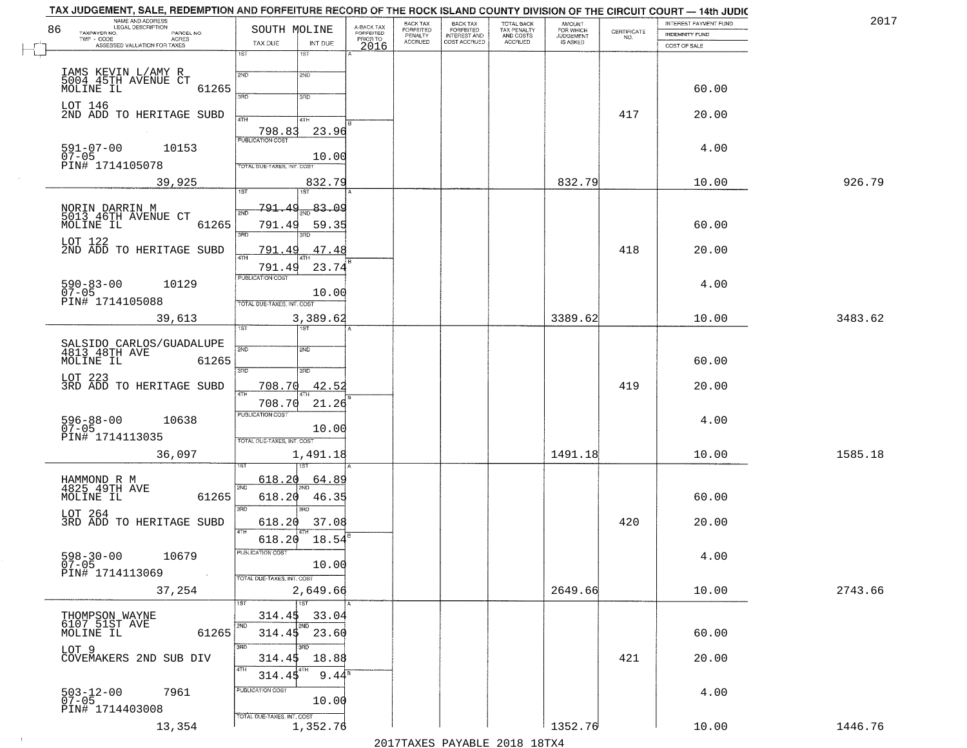| 86 | NAME AND ADDRESS<br>LEGAL DESCRIPTION                           | SOUTH MOLINE                      |          | A-BACK TAX<br>FORFEITED | BACK TAX<br>FORFEITED | <b>BACK TAX</b><br><b>FORFEITED</b> | TOTAL BACK<br>TAX PENALTY | <b>AMOUNT</b>                      |                                                                 | INTEREST PAYMENT FUND | 2017    |
|----|-----------------------------------------------------------------|-----------------------------------|----------|-------------------------|-----------------------|-------------------------------------|---------------------------|------------------------------------|-----------------------------------------------------------------|-----------------------|---------|
|    | TAXPAYER NO.<br>PARCEL NO.<br>$TWP - CODE$<br><b>ACRES</b>      | TAX DUE                           | INT DUE  | PRIOR TO                | PENALTY<br>ACCRUED    | INTEREST AND<br>COST ACCRUED        | AND COSTS<br>ACCRUED      | FOR WHICH<br>JUDGEMENT<br>IS ASKED | $\begin{array}{c} \text{CERTIFICATE} \\ \text{NO.} \end{array}$ | <b>INDEMNITY FUND</b> |         |
|    | ASSESSED VALUATION FOR TAXES                                    | 1ST<br>$1S$ T                     |          | 2016                    |                       |                                     |                           |                                    |                                                                 | COST OF SALE          |         |
|    |                                                                 | 2ND<br>2ND                        |          |                         |                       |                                     |                           |                                    |                                                                 |                       |         |
|    | IAMS KEVIN L/AMY R<br>5004 45TH AVENUE CT<br>MOLINE IL<br>61265 |                                   |          |                         |                       |                                     |                           |                                    |                                                                 | 60.00                 |         |
|    | LOT 146<br>2ND ADD TO HERITAGE SUBD                             | 3PD<br>3BD                        |          |                         |                       |                                     |                           |                                    |                                                                 |                       |         |
|    |                                                                 | 4TH<br>4TH                        |          |                         |                       |                                     |                           |                                    | 417                                                             | 20.00                 |         |
|    |                                                                 | 798.83<br><b>PUBLICATION COST</b> | 23.96    |                         |                       |                                     |                           |                                    |                                                                 |                       |         |
|    | $591 - 07 - 00$<br>10153<br>$07 - 05$                           |                                   | 10.00    |                         |                       |                                     |                           |                                    |                                                                 | 4.00                  |         |
|    | PIN# 1714105078<br>39,925                                       | TOTAL DUE-TAXES, INT. COST        | 832.79   |                         |                       |                                     |                           | 832.79                             |                                                                 | 10.00                 | 926.79  |
|    |                                                                 | 1ST <sup>-1</sup><br>1ST          |          |                         |                       |                                     |                           |                                    |                                                                 |                       |         |
|    | NORIN DARRIN M<br>5013 46TH AVENUE CT<br>MOLINE IL              | 791.49                            | 83.09    |                         |                       |                                     |                           |                                    |                                                                 |                       |         |
|    | 61265                                                           | 791.49<br>3RD                     | 59.35    |                         |                       |                                     |                           |                                    |                                                                 | 60.00                 |         |
|    | LOT 122<br>2ND ADD TO HERITAGE SUBD                             | 791.49                            | 47.48    |                         |                       |                                     |                           |                                    | 418                                                             | 20.00                 |         |
|    |                                                                 | ৰাম<br>791.49                     | 23.74    |                         |                       |                                     |                           |                                    |                                                                 |                       |         |
|    | $590 - 83 - 00$<br>10129                                        | PUBLICATION COST                  |          |                         |                       |                                     |                           |                                    |                                                                 | 4.00                  |         |
|    | $07 - 05$<br>PIN# 1714105088                                    | TOTAL DUE-TAXES, INT. COST        | 10.00    |                         |                       |                                     |                           |                                    |                                                                 |                       |         |
|    | 39,613                                                          |                                   | 3,389.62 |                         |                       |                                     |                           | 3389.62                            |                                                                 | 10.00                 | 3483.62 |
|    |                                                                 | TST<br>181                        |          |                         |                       |                                     |                           |                                    |                                                                 |                       |         |
|    | SALSIDO CARLOS/GUADALUPE<br>4813 48TH AVE                       | 2ND<br>SMD.                       |          |                         |                       |                                     |                           |                                    |                                                                 |                       |         |
|    | MOLINE IL<br>61265                                              | 3RD<br>3RD                        |          |                         |                       |                                     |                           |                                    |                                                                 | 60.00                 |         |
|    | LOT 223<br>3RD ADD TO HERITAGE SUBD                             | 708.70                            | 42.52    |                         |                       |                                     |                           |                                    | 419                                                             | 20.00                 |         |
|    |                                                                 | 4TH<br>708.70                     | 21.26    |                         |                       |                                     |                           |                                    |                                                                 |                       |         |
|    | 596-88-00<br>07-05<br>10638                                     | <b>PUBLICATION COST</b>           |          |                         |                       |                                     |                           |                                    |                                                                 | 4.00                  |         |
|    | PIN# 1714113035                                                 | TOTAL OUE-TAXES, INT. COST        | 10.00    |                         |                       |                                     |                           |                                    |                                                                 |                       |         |
|    | 36,097                                                          |                                   | 1,491.18 |                         |                       |                                     |                           | 1491.18                            |                                                                 | 10.00                 | 1585.18 |
|    |                                                                 | 618.20                            | 64.89    |                         |                       |                                     |                           |                                    |                                                                 |                       |         |
|    | HAMMOND R M<br>4825_49TH AVE<br>61265<br>MOLINE IL              | 2ND<br>618.20                     | 46.35    |                         |                       |                                     |                           |                                    |                                                                 | 60.00                 |         |
|    | LOT 264                                                         | 3RD<br>3RD                        |          |                         |                       |                                     |                           |                                    |                                                                 |                       |         |
|    | 3RD ADD TO HERITAGE SUBD                                        | 618.20<br>4TH                     | 37.08    |                         |                       |                                     |                           |                                    | 420                                                             | 20.00                 |         |
|    |                                                                 | 618.20                            | 18.54    |                         |                       |                                     |                           |                                    |                                                                 |                       |         |
|    | $598 - 30 - 00$<br>07-05<br>10679                               | PUBLICATION COST                  | 10.00    |                         |                       |                                     |                           |                                    |                                                                 | 4.00                  |         |
|    | PIN# 1714113069<br>$\sim 100$ km                                | TOTAL DUE-TAXES, INT. COST        |          |                         |                       |                                     |                           |                                    |                                                                 |                       |         |
|    | 37,254                                                          | $\overline{1ST}$<br>1ST           | 2,649.66 |                         |                       |                                     |                           | 2649.66                            |                                                                 | 10.00                 | 2743.66 |
|    | THOMPSON WAYNE<br>6107 51ST AVE                                 | 314.45                            | 33.04    |                         |                       |                                     |                           |                                    |                                                                 |                       |         |
|    | 61265<br>MOLINE IL                                              | 2ND<br>2ND<br>$314.45$ $23.60$    |          |                         |                       |                                     |                           |                                    |                                                                 | 60.00                 |         |
|    | LOT 9                                                           | 3RD<br>अंक                        |          |                         |                       |                                     |                           |                                    |                                                                 |                       |         |
|    | COVEMAKERS 2ND SUB DIV                                          | 314.45<br>4TH                     | 18.88    |                         |                       |                                     |                           |                                    | 421                                                             | 20.00                 |         |
|    |                                                                 | 314.45<br>PUBLICATION COST        | $9.44^8$ |                         |                       |                                     |                           |                                    |                                                                 |                       |         |
|    | 7961<br>503-12-00<br>07-05<br>PIN# 1714403008                   |                                   | 10.00    |                         |                       |                                     |                           |                                    |                                                                 | 4.00                  |         |
|    | 13,354                                                          | TOTAL DUE-TAXES, INT. COST        | 1,352.76 |                         |                       |                                     |                           | 1352.76                            |                                                                 | 10.00                 | 1446.76 |
|    |                                                                 |                                   |          |                         |                       |                                     |                           |                                    |                                                                 |                       |         |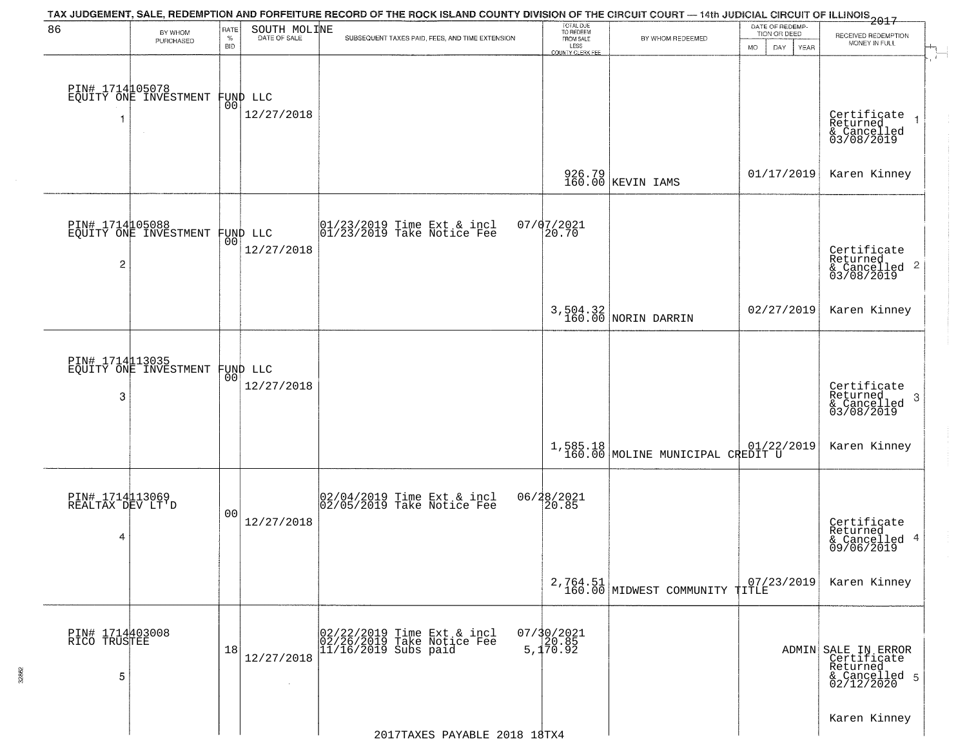| 86                                       | BY WHOM                                           | RATE               | SOUTH MOLINE           | TAX JUDGEMENT, SALE, REDEMPTION AND FORFEITURE RECORD OF THE ROCK ISLAND COUNTY DIVISION OF THE CIRCUIT COURT — 14th JUDICIAL CIRCUIT OF ILLINOIS 2017 | TOTAL DUE<br>TO REDEEM<br>FROM SALE |                                              | DATE OF REDEMP-<br>TION OR DEED |                                                                               |
|------------------------------------------|---------------------------------------------------|--------------------|------------------------|--------------------------------------------------------------------------------------------------------------------------------------------------------|-------------------------------------|----------------------------------------------|---------------------------------|-------------------------------------------------------------------------------|
|                                          | PURCHASED                                         | $\%$<br><b>BID</b> | DATE OF SALE           | SUBSEQUENT TAXES PAID, FEES, AND TIME EXTENSION                                                                                                        | LESS<br><b>COUNTY CLERK FEE</b>     | BY WHOM REDEEMED                             | <b>MO</b><br>DAY.<br>YEAR       | RECEIVED REDEMPTION<br>MONEY IN FULL                                          |
| 1                                        | PIN# 1714105078<br>EQUITY ONE INVESTMENT          | 00                 | FUND LLC<br>12/27/2018 |                                                                                                                                                        |                                     |                                              |                                 | Certificate<br>Returned<br>& Cancelled<br>03/08/2019                          |
|                                          |                                                   |                    |                        |                                                                                                                                                        |                                     | 926.79<br>160.00 KEVIN IAMS                  | 01/17/2019                      | Karen Kinney                                                                  |
| 2                                        | PIN# 1714105088<br>EQUITY ONE INVESTMENT FUND LLC |                    | 12/27/2018             | 01/23/2019 Time Ext & incl<br>01/23/2019 Take Notice Fee                                                                                               | 07/07/2021<br> 20.70                |                                              |                                 | Certificate<br>Returned<br>$\overline{2}$<br>& Cancelled<br>03/08/2019        |
|                                          |                                                   |                    |                        |                                                                                                                                                        |                                     | 3,504.32<br>160.00 NORIN DARRIN              | 02/27/2019                      | Karen Kinney                                                                  |
| 3                                        | PIN# 1714113035<br>EQUITY ONE INVESTMENT          | 00                 | FUND LLC<br>12/27/2018 |                                                                                                                                                        |                                     |                                              |                                 | Certificate<br>Returned<br>3<br>& Cancelled<br>03/08/2019                     |
|                                          |                                                   |                    |                        |                                                                                                                                                        |                                     | 1,585.18<br>160.00 MOLINE MUNICIPAL CREDIT U |                                 | Karen Kinney                                                                  |
| PIN# 1714113069<br>REALTAX DEV LT'D<br>4 |                                                   | 0 <sub>0</sub>     | 12/27/2018             | 02/04/2019 Time Ext & incl<br>02/05/2019 Take Notice Fee                                                                                               | 06/28/2021<br>20.85                 |                                              |                                 | Certificate<br>Returned<br>4<br>& Cancelled<br>09/06/2019                     |
|                                          |                                                   |                    |                        |                                                                                                                                                        |                                     | 2,764.51 160.00 MIDWEST COMMUNITY TITLE      | 07/23/2019                      | Karen Kinney                                                                  |
| PIN# 1714403008<br>RICO TRUSTEE<br>5     |                                                   | 18                 | 12/27/2018             | 02/22/2019 Time Ext & incl<br>02/26/2019 Take Notice Fee<br>11/16/2019 Subs paid                                                                       | 07/30/2021<br>20.85<br>5,170.92     |                                              |                                 | ADMIN SALE IN ERROR<br>Certificate<br>Returned<br>& Cancelled 5<br>02/12/2020 |
|                                          |                                                   |                    |                        | 2017TAXES PAYABLE 2018 18TX4                                                                                                                           |                                     |                                              |                                 | Karen Kinney                                                                  |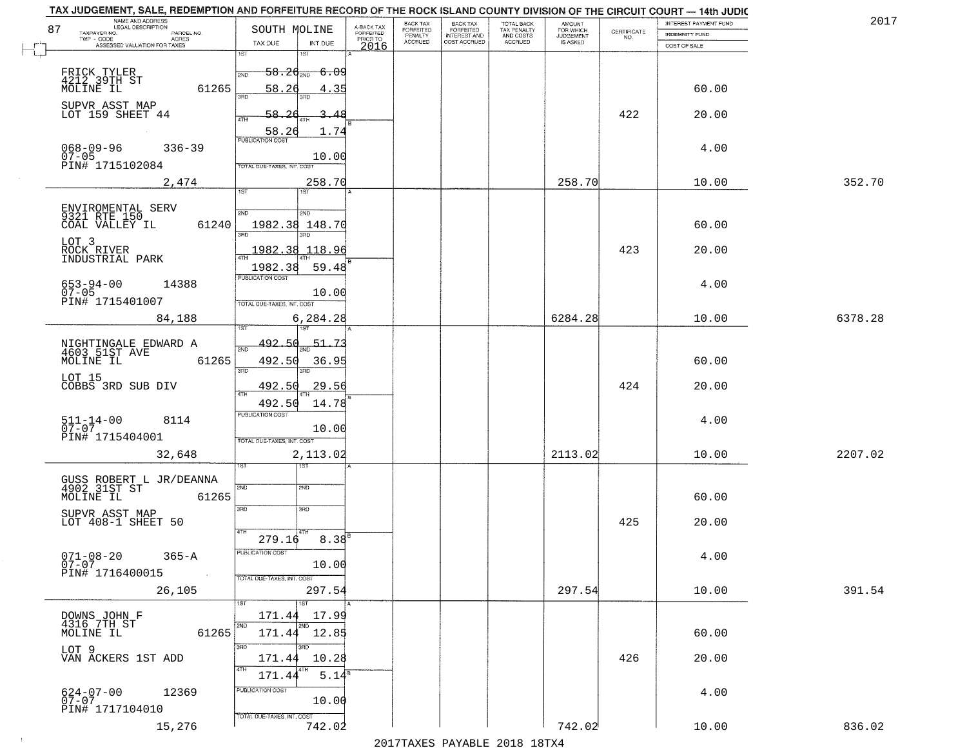| 87     | NAME AND ADDRESS<br>LEGAL DESCRIPTION<br>TAXPAYER NO.<br>PARCEL NO. | SOUTH MOLINE                                           | A-BACK TAX<br><b>FORFEITED</b> | BACK TAX<br>FORFEITED | <b>BACK TAX</b><br><b>FORFEITED</b> | TOTAL BACK<br>TAX PENALTY<br>AND COSTS<br>ACCRUED | <b>AMOUNT</b>                      |                                                                 | INTEREST PAYMENT FUND          | 201     |
|--------|---------------------------------------------------------------------|--------------------------------------------------------|--------------------------------|-----------------------|-------------------------------------|---------------------------------------------------|------------------------------------|-----------------------------------------------------------------|--------------------------------|---------|
|        | TWP - CODE<br>ACRES<br>ASSESSED VALUATION FOR TAXES                 | TAX DUE<br>INT DUE                                     | PRIOR TO                       | PENALTY<br>ACCRUED    | INTEREST AND                        |                                                   | FOR WHICH<br>JUDGEMENT<br>IS ASKED | $\begin{array}{c} \text{CERTIFICATE} \\ \text{NO.} \end{array}$ | INDEMNITY FUND<br>COST OF SALE |         |
| $\Box$ |                                                                     | 1ST<br>$1S$ T                                          | 2016                           |                       |                                     |                                                   |                                    |                                                                 |                                |         |
|        | FRICK TYLER<br>4212 39TH ST                                         | <del>-6.09</del><br>$-58.24$ <sub>2ND</sub><br>2ND     |                                |                       |                                     |                                                   |                                    |                                                                 |                                |         |
|        | MOLINE IL<br>61265                                                  | 58.26<br>4.35                                          |                                |                       |                                     |                                                   |                                    |                                                                 | 60.00                          |         |
|        | SUPVR ASST MAP                                                      | 3AD<br>3RD                                             |                                |                       |                                     |                                                   |                                    |                                                                 |                                |         |
|        | LOT 159 SHEET 44                                                    | 3.48<br>4TH                                            |                                |                       |                                     |                                                   |                                    | 422                                                             | 20.00                          |         |
|        |                                                                     | 58.26<br>1.74<br>PUBLICATION COST                      |                                |                       |                                     |                                                   |                                    |                                                                 |                                |         |
|        | $068 - 09 - 96$<br>$336 - 39$<br>07-05<br>PIN# 1715102084           | 10.00                                                  |                                |                       |                                     |                                                   |                                    |                                                                 | 4.00                           |         |
|        |                                                                     | TOTAL DUE-TAXES, INT. COST                             |                                |                       |                                     |                                                   |                                    |                                                                 |                                |         |
|        | 2,474                                                               | 258.70<br>1ST<br>1ST                                   |                                |                       |                                     |                                                   | 258.70                             |                                                                 | 10.00                          | 352.70  |
|        | ENVIROMENTAL SERV<br>9321 RTE 150                                   | 2ND<br>2ND                                             |                                |                       |                                     |                                                   |                                    |                                                                 |                                |         |
|        | COAL VALLEY IL<br>61240                                             | 1982.38 148.70                                         |                                |                       |                                     |                                                   |                                    |                                                                 | 60.00                          |         |
|        | LOT 3                                                               | 3RF<br>3RD                                             |                                |                       |                                     |                                                   |                                    |                                                                 |                                |         |
|        | ROCK RIVER<br>INDUSTRIAL PARK                                       | 1982.38<br>118.96<br>ৰিয়াম                            |                                |                       |                                     |                                                   |                                    | 423                                                             | 20.00                          |         |
|        |                                                                     | 1982.38<br>59.48<br>PUBLICATION COST                   |                                |                       |                                     |                                                   |                                    |                                                                 |                                |         |
|        | $653 - 94 - 00$<br>07-05<br>14388                                   | 10.00                                                  |                                |                       |                                     |                                                   |                                    |                                                                 | 4.00                           |         |
|        | PIN# 1715401007                                                     | TOTAL DUE-TAXES, INT. COST                             |                                |                       |                                     |                                                   |                                    |                                                                 |                                |         |
|        | 84,188                                                              | 6,284.28                                               |                                |                       |                                     |                                                   | 6284.28                            |                                                                 | 10.00                          | 6378.28 |
|        | NIGHTINGALE EDWARD A<br>4603 51ST AVE                               | 492<br>-50<br>-51                                      |                                |                       |                                     |                                                   |                                    |                                                                 |                                |         |
|        | MOLINE IL<br>61265                                                  | 492.50<br>36.95                                        |                                |                       |                                     |                                                   |                                    |                                                                 | 60.00                          |         |
|        | LOT 15                                                              | 3RD<br>3RD                                             |                                |                       |                                     |                                                   |                                    |                                                                 |                                |         |
|        | COBBS 3RD SUB DIV                                                   | 492.50<br>29.56                                        |                                |                       |                                     |                                                   |                                    | 424                                                             | 20.00                          |         |
|        |                                                                     | 492.50<br>14.78<br><b>PUBLICATION COST</b>             |                                |                       |                                     |                                                   |                                    |                                                                 |                                |         |
|        | $511 - 14 - 00$<br>07-07<br>8114                                    | 10.00                                                  |                                |                       |                                     |                                                   |                                    |                                                                 | 4.00                           |         |
|        | PIN# 1715404001                                                     | TOTAL OUE-TAXES, INT. COST                             |                                |                       |                                     |                                                   |                                    |                                                                 |                                |         |
|        | 32,648                                                              | 2,113.02<br>१९४                                        |                                |                       |                                     |                                                   | 2113.02                            |                                                                 | 10.00                          | 2207.02 |
|        | GUSS ROBERT L JR/DEANNA<br>4902_31ST ST                             | 2ND<br>2ND                                             |                                |                       |                                     |                                                   |                                    |                                                                 |                                |         |
|        | 61265<br>MOLINE IL                                                  |                                                        |                                |                       |                                     |                                                   |                                    |                                                                 | 60.00                          |         |
|        | SUPVR ASST MAP                                                      | 3RD<br>3RD                                             |                                |                       |                                     |                                                   |                                    |                                                                 |                                |         |
|        | LOT 408-1 SHEET 50                                                  |                                                        |                                |                       |                                     |                                                   |                                    | 425                                                             | 20.00                          |         |
|        |                                                                     | $8.38^{6}$<br>279.16<br>PUBLICATION COST               |                                |                       |                                     |                                                   |                                    |                                                                 |                                |         |
|        | $071 - 08 - 20$<br>07-07<br>$365 - A$                               | 10.00                                                  |                                |                       |                                     |                                                   |                                    |                                                                 | 4.00                           |         |
|        | PIN# 1716400015<br>$\sim 100$                                       | TOTAL DUE-TAXES, INT. COST                             |                                |                       |                                     |                                                   |                                    |                                                                 |                                | 391.54  |
|        | 26,105                                                              | 297.54<br>1ST<br>1ST                                   |                                |                       |                                     |                                                   | 297.54                             |                                                                 | 10.00                          |         |
|        | DOWNS JOHN F<br>4316 7TH ST                                         | 17.99<br>171.44                                        |                                |                       |                                     |                                                   |                                    |                                                                 |                                |         |
|        | MOLINE IL<br>61265                                                  | 2ND<br>2ND<br>171.44 12.85                             |                                |                       |                                     |                                                   |                                    |                                                                 | 60.00                          |         |
|        | LOT 9<br>VAN ACKERS 1ST ADD                                         | 3RD<br>अंग                                             |                                |                       |                                     |                                                   |                                    |                                                                 |                                |         |
|        |                                                                     | 10.28<br>171.44<br>4TH<br>4TH<br>$5.14^{\overline{8}}$ |                                |                       |                                     |                                                   |                                    | 426                                                             | 20.00                          |         |
|        | 12369                                                               | 171.44<br>PUBLICATION COST                             |                                |                       |                                     |                                                   |                                    |                                                                 |                                |         |
|        | 624-07-00<br>07-07<br>PIN# 1717104010                               | 10.00                                                  |                                |                       |                                     |                                                   |                                    |                                                                 | 4.00                           |         |
|        |                                                                     | TOTAL DUE-TAXES, INT. COST                             |                                |                       |                                     |                                                   |                                    |                                                                 |                                |         |
|        | 15,276                                                              | 742.02                                                 |                                |                       |                                     |                                                   | 742.02                             |                                                                 | 10.00                          | 836.02  |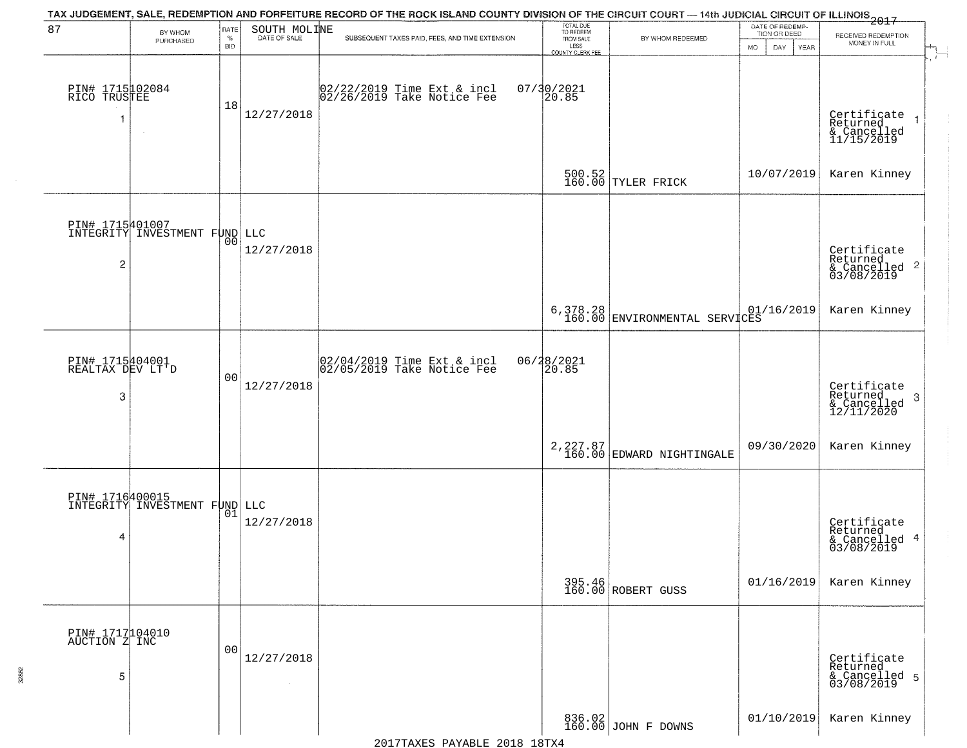|                                          |                                                  |                            |                              | TAX JUDGEMENT, SALE, REDEMPTION AND FORFEITURE RECORD OF THE ROCK ISLAND COUNTY DIVISION OF THE CIRCUIT COURT — 14th JUDICIAL CIRCUIT OF ILLINOIS 2017 |                                                                 |                                                      |                                                             |                                                                                      |
|------------------------------------------|--------------------------------------------------|----------------------------|------------------------------|--------------------------------------------------------------------------------------------------------------------------------------------------------|-----------------------------------------------------------------|------------------------------------------------------|-------------------------------------------------------------|--------------------------------------------------------------------------------------|
| 87                                       | BY WHOM<br>PURCHASED                             | RATE<br>$\%$<br><b>BID</b> | SOUTH MOLINE                 | SUBSEQUENT TAXES PAID, FEES, AND TIME EXTENSION                                                                                                        | TOTAL DUE<br>TO REDEEM<br>FROM SALE<br>LESS<br>COUNTY CLERK FEE | BY WHOM REDEEMED                                     | DATE OF REDEMP-<br>TION OR DEED<br>DAY<br><b>MO</b><br>YEAR | RECEIVED REDEMPTION<br>MONEY IN FULL<br>$\mathcal{A}_{\mathbb{L}}$<br>$\overline{r}$ |
| PIN# 1715102084<br>RICO TRUSTEE<br>1     | $\sim$                                           | 18                         | 12/27/2018                   | 02/22/2019 Time Ext & incl<br>02/26/2019 Take Notice Fee                                                                                               | 07/30/2021<br>20.85                                             |                                                      |                                                             | Certificate<br>Returned<br>& Cancelled<br>11/15/2019                                 |
|                                          |                                                  |                            |                              |                                                                                                                                                        |                                                                 | 500.52<br>160.00 TYLER FRICK                         | 10/07/2019                                                  | Karen Kinney                                                                         |
| 2                                        | DIN# 1715401007<br>INTEGRITY INVESTMENT FUND LLC | 00                         | 12/27/2018                   |                                                                                                                                                        |                                                                 |                                                      |                                                             | Certificate<br>Returned<br>$\frac{1}{2}$ Cancelled 2<br>03/08/2019                   |
|                                          |                                                  |                            |                              |                                                                                                                                                        |                                                                 | 6,378.28 01/16/2019<br>160.00 ENVIRONMENTAL SERVICES |                                                             | Karen Kinney                                                                         |
| PIN# 1715404001<br>REALTAX DEV LT'D<br>3 |                                                  | 0 <sub>0</sub>             | 12/27/2018                   | $\begin{array}{c} 02/04/2019 \\ 02/05/2019 \\ \end{array}$ Take Notice Fee                                                                             | 06/28/2021<br>20.85                                             |                                                      |                                                             | Certificate<br>Returned<br>3<br>& Cancelled<br>12/11/2020                            |
|                                          |                                                  |                            |                              |                                                                                                                                                        |                                                                 | 2, 227.87<br>160.00 EDWARD NIGHTINGALE               | 09/30/2020                                                  | Karen Kinney                                                                         |
| 4                                        | DIN# 1716400015<br>INTEGRITY INVESTMENT FUND LLC | 01                         | 12/27/2018                   |                                                                                                                                                        |                                                                 |                                                      |                                                             | Certificate<br>Returned<br>& Cancelled 4<br>03/08/2019                               |
|                                          |                                                  |                            |                              |                                                                                                                                                        |                                                                 | 395.46<br>160.00 ROBERT GUSS                         | 01/16/2019                                                  | Karen Kinney                                                                         |
| PIN# 1717104010<br>AUCTION Z INC<br>5    |                                                  | 0 <sub>0</sub>             | 12/27/2018<br>$\sim 10^{-1}$ |                                                                                                                                                        |                                                                 |                                                      |                                                             | Certificate<br>Returned<br>& Cancelled 5<br>03/08/2019                               |
|                                          |                                                  |                            |                              |                                                                                                                                                        |                                                                 | 836.02<br>160.00 JOHN F DOWNS                        | 01/10/2019                                                  | Karen Kinney                                                                         |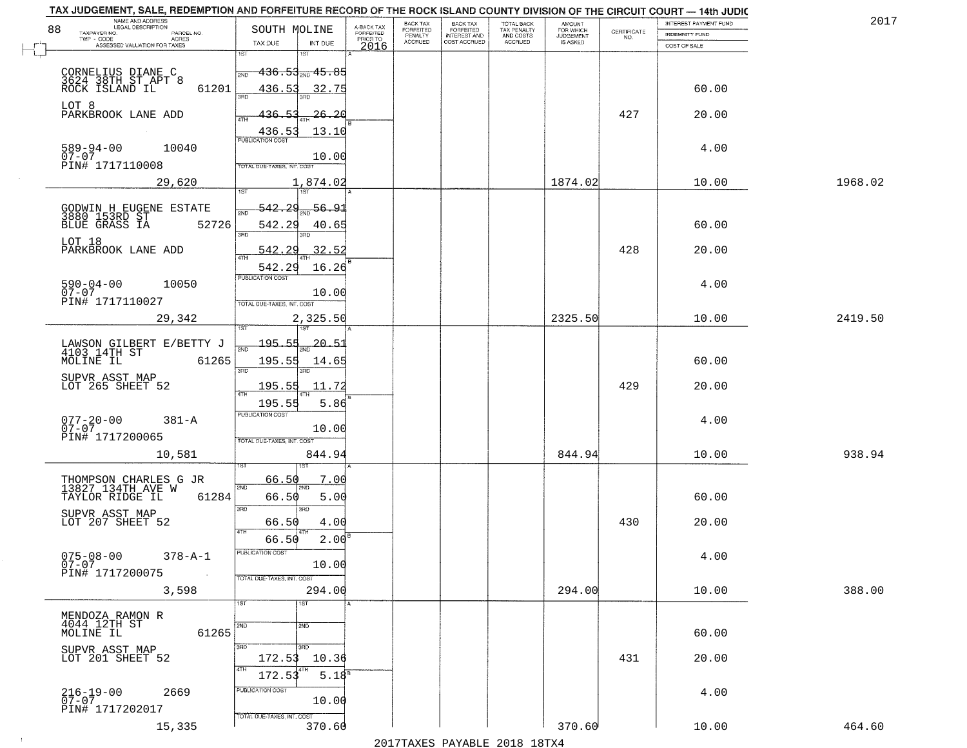| TAX JUDGEMENT, SALE, REDEMPTION AND FORFEITURE RECORD OF THE ROCK ISLAND COUNTY DIVISION OF THE CIRCUIT COURT - 14th JUDIC<br>NAME AND ADDRESS<br>LEGAL DESCRIPTION |                                      |                                                                  |                                                   |                                     | BACK TAX             | <b>BACK TAX</b>           |                                        | AMOUNT<br>FOR WHICH |                                                                 | INTEREST PAYMENT FUND | 2017    |
|---------------------------------------------------------------------------------------------------------------------------------------------------------------------|--------------------------------------|------------------------------------------------------------------|---------------------------------------------------|-------------------------------------|----------------------|---------------------------|----------------------------------------|---------------------|-----------------------------------------------------------------|-----------------------|---------|
| 88<br>TAXPAYER NO.                                                                                                                                                  | PARCEL NO.                           | SOUTH MOLINE                                                     |                                                   | A-BACK TAX<br>FORFEITED<br>PRIOR TO | FORFEITED<br>PENALTY | FORFEITED<br>INTEREST AND | TOTAL BACK<br>TAX PENALTY<br>AND COSTS | <b>JUDGEMENT</b>    | $\begin{array}{c} \text{CERTIFICATE} \\ \text{NO.} \end{array}$ | <b>INDEMNITY FUND</b> |         |
| ASSESSED VALUATION FOR TAXES                                                                                                                                        | ACRES                                | TAX DUE                                                          | INT DUE                                           | 2016                                | <b>ACCRUED</b>       | COST ACCRUED              | ACCRUED                                | IS ASKED            |                                                                 | COST OF SALE          |         |
| CORNELIUS DIANE C<br>3624 38TH ST APT 8<br>ROCK ISLAND IL                                                                                                           | 61201                                | 1ST<br>2ND<br>436.53<br>350                                      | $-436.53_{\text{2ND}}$ $45.85$<br>32.75           |                                     |                      |                           |                                        |                     |                                                                 | 60.00                 |         |
| LOT 8<br>PARKBROOK LANE ADD                                                                                                                                         |                                      | 436.53<br>436.53                                                 | <u>26.26</u><br>13.10                             |                                     |                      |                           |                                        |                     | 427                                                             | 20.00                 |         |
| 589-94-00<br>07-07<br>PIN# 1717110008                                                                                                                               | 10040                                | TOTAL DUE-TAXES, INT. COST                                       | 10.00                                             |                                     |                      |                           |                                        |                     |                                                                 | 4.00                  |         |
|                                                                                                                                                                     | 29,620                               |                                                                  | 1,874.02                                          |                                     |                      |                           |                                        | 1874.02             |                                                                 | 10.00                 | 1968.02 |
| GODWIN H EUGENE ESTATE<br>3880 153RD ST<br>BLUE GRASS IA 52<br>LOT 18<br>PARKBROOK LANE ADD                                                                         | 52726                                | 542.29<br>542.29<br>3RD<br>542.29<br>542.29                      | 56.91<br>40.65<br>3BD.<br>32.52<br>16.26          |                                     |                      |                           |                                        |                     | 428                                                             | 60.00<br>20.00        |         |
| $590 - 04 - 00$<br>$07 - 07$<br>PIN# 1717110027                                                                                                                     | 10050                                | <b>PUBLICATION COST</b><br>TOTAL DUE-TAXES, INT. COST            | 10.00                                             |                                     |                      |                           |                                        |                     |                                                                 | 4.00                  |         |
|                                                                                                                                                                     | 29,342                               |                                                                  | 2,325.50                                          |                                     |                      |                           |                                        | 2325.50             |                                                                 | 10.00                 | 2419.50 |
| LAWSON GILBERT E/BETTY J<br>4103 14TH ST<br>MOLINE IL<br>SUPVR ASST MAP<br>LOT 265 SHEET 52                                                                         | 61265                                | 1ST<br>195.55<br>2ND<br>195.55<br>3RD<br>195.55<br>ATH<br>195.55 | 1ST<br>$-20 - 5$<br>14.65<br>3RD<br>11.72<br>5.86 |                                     |                      |                           |                                        |                     | 429                                                             | 60.00<br>20.00        |         |
| $077 - 20 - 00$<br>07-07<br>PIN# 1717200065                                                                                                                         | $381 - A$<br>10,581                  | <b>PUBLICATION COST</b><br>TOTAL OUE-TAXES, INT. COST            | 10.00<br>844.94                                   |                                     |                      |                           |                                        | 844.94              |                                                                 | 4.00<br>10.00         | 938.94  |
| THOMPSON CHARLES G JR<br>13827 134TH AVE W<br>TAYLOR RIDGE IL<br>SUPVR ASST MAP<br>LOT 207 SHEET 52                                                                 | 61284                                | 66.50<br>2ND<br>66.50<br>3RD<br>66.50<br>4TH<br>66.50            | 7.00<br>5.00<br>3RD<br>4.00<br>2.00               |                                     |                      |                           |                                        |                     | 430                                                             | 60.00<br>20.00        |         |
| $075 - 08 - 00$<br>07-07<br>PIN# 1717200075                                                                                                                         | $378 - A - 1$<br>$\sim 100$<br>3,598 | "UBLICA HUN CUS<br>TOTAL DUE-TAXES, INT. COST                    | 10.00<br>294.00                                   |                                     |                      |                           |                                        | 294.00              |                                                                 | 4.00<br>10.00         | 388.00  |
| MENDOZA RAMON R<br>4044 12TH ST<br>MOLINE IL                                                                                                                        | 61265                                | 1ST<br>2ND<br>3RD                                                | 1ST<br>2ND<br>3RD                                 |                                     |                      |                           |                                        |                     |                                                                 | 60.00                 |         |
| SUPVR ASST MAP<br>LOT 201 SHEET 52                                                                                                                                  |                                      | 172.53<br>4TH<br>172.53<br>PUBLICATION COST                      | 10.36<br>$5.18^{8}$                               |                                     |                      |                           |                                        |                     | 431                                                             | 20.00                 |         |
| 216-19-00<br>07-07<br>PIN# 1717202017                                                                                                                               | 2669<br>15,335                       | TOTAL DUE-TAXES, INT. COST                                       | 10.00<br>370.60                                   |                                     |                      |                           |                                        | 370.60              |                                                                 | 4.00<br>10.00         | 464.60  |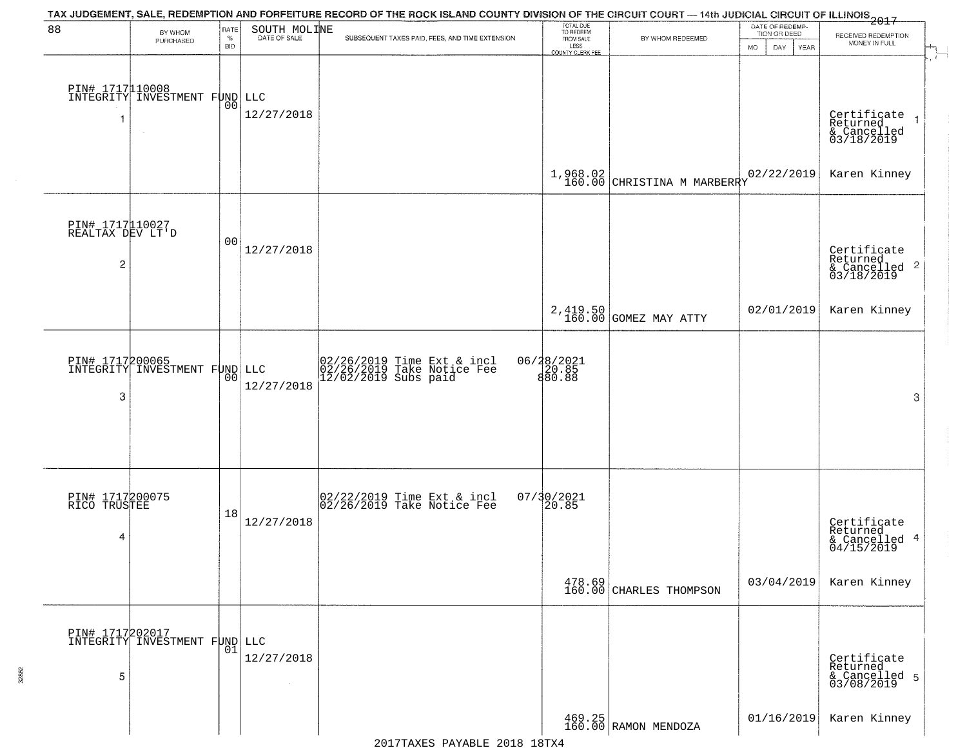| 88                                       | BY WHOM                                          | RATE               | SOUTH MOLINE         | TAX JUDGEMENT, SALE, REDEMPTION AND FORFEITURE RECORD OF THE ROCK ISLAND COUNTY DIVISION OF THE CIRCUIT COURT — 14th JUDICIAL CIRCUIT OF ILLINOIS 2017 | TOTAL DUE<br>TO REDEEM<br>FROM SALE |                                           | DATE OF REDEMP-<br>TION OR DEED | RECEIVED REDEMPTION                                    |
|------------------------------------------|--------------------------------------------------|--------------------|----------------------|--------------------------------------------------------------------------------------------------------------------------------------------------------|-------------------------------------|-------------------------------------------|---------------------------------|--------------------------------------------------------|
|                                          | PURCHASED                                        | $\%$<br><b>BID</b> | DATE OF SALE         | SUBSEQUENT TAXES PAID, FEES, AND TIME EXTENSION                                                                                                        | LESS<br>COUNTY CLERK FEE            | BY WHOM REDEEMED                          | <b>MO</b><br>DAY<br>YEAR        | MONEY IN FULL                                          |
|                                          | PIN# 1717110008<br>INTEGRITY INVESTMENT FUND LLC | 0 <sub>0</sub>     | 12/27/2018           |                                                                                                                                                        |                                     |                                           |                                 | Certificate<br>Returned<br>& Cancelled<br>03/18/2019   |
|                                          |                                                  |                    |                      |                                                                                                                                                        |                                     | $1,968.02$<br>160.00 CHRISTINA M MARBERRY | 02/22/2019                      | Karen Kinney                                           |
| PIN# 1717110027<br>REALTAX DEV LT'D<br>2 |                                                  | 00                 | 12/27/2018           |                                                                                                                                                        |                                     |                                           |                                 | Certificate<br>Returned<br>& Cancelled 2<br>03/18/2019 |
|                                          |                                                  |                    |                      |                                                                                                                                                        |                                     | 2,419.50<br>160.00 GOMEZ MAY ATTY         | 02/01/2019                      | Karen Kinney                                           |
| 3                                        | PIN# 1717200065<br>INTEGRITY INVESTMENT FUND LLC | 00                 | 12/27/2018           | 02/26/2019 Time Ext & incl<br>02/26/2019 Take Notice Fee<br>12/02/2019 Subs paid                                                                       | 06/28/2021<br>20.85<br>880.88       |                                           |                                 | 3                                                      |
| PIN# 1717200075<br>RICO TRUSTEE<br>4     |                                                  | 18                 | 12/27/2018           | 02/22/2019 Time Ext & incl<br>02/26/2019 Take Notice Fee                                                                                               | $07/30/2021$<br>20.85               |                                           |                                 | Certificate<br>Returned<br>& Cancelled 4<br>04/15/2019 |
|                                          |                                                  |                    |                      |                                                                                                                                                        |                                     | 478.69<br>160.00 CHARLES THOMPSON         | 03/04/2019                      | Karen Kinney                                           |
| 5                                        | DIN# 1717202017<br>INTEGRITY INVESTMENT FUND LLC | 01                 | 12/27/2018<br>$\sim$ |                                                                                                                                                        |                                     |                                           |                                 | Certificate<br>Returned<br>& Cancelled 5<br>03/08/2019 |
|                                          |                                                  |                    |                      |                                                                                                                                                        |                                     | 469.25<br>160.00 RAMON MENDOZA            | 01/16/2019                      | Karen Kinney                                           |

32862

2017TAXES PAYABLE 2018 18TX4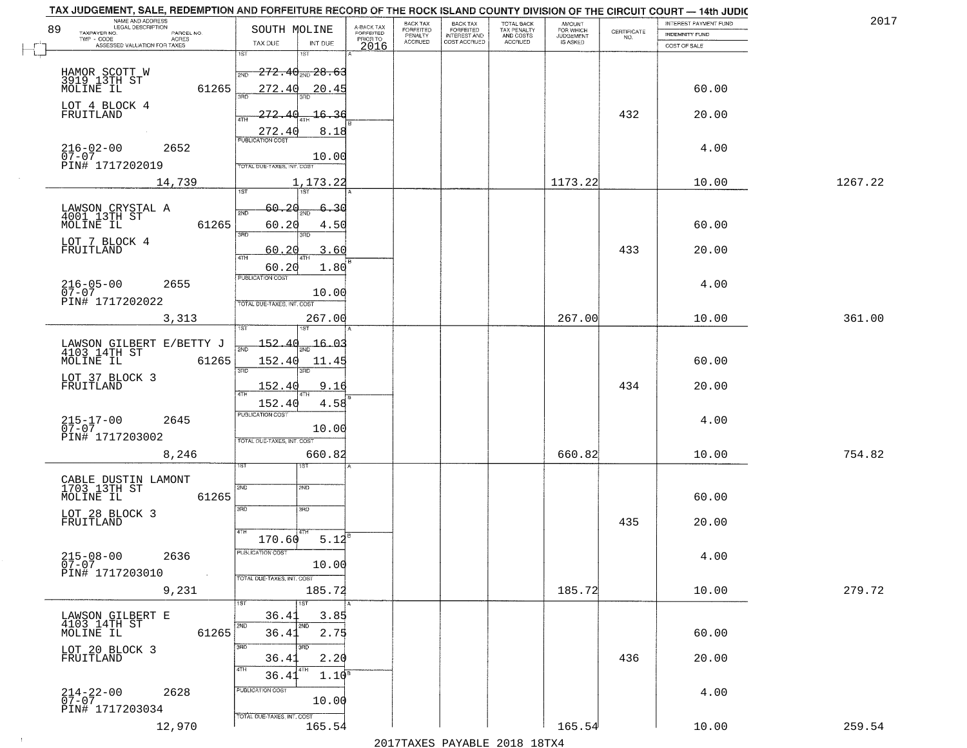|    | TAX JUDGEMENT, SALE, REDEMPTION AND FORFEITURE RECORD OF THE ROCK ISLAND COUNTY DIVISION OF THE CIRCUIT COURT - 14th JUDIC<br>NAME AND ADDRESS<br>LEGAL DESCRIPTION |                                                                                    |                                     | BACK TAX             |                                       |                                        |                                  |                    | INTEREST PAYMENT FUND | 201     |
|----|---------------------------------------------------------------------------------------------------------------------------------------------------------------------|------------------------------------------------------------------------------------|-------------------------------------|----------------------|---------------------------------------|----------------------------------------|----------------------------------|--------------------|-----------------------|---------|
| 89 | TAXPAYER NO.<br>PARCEL NO.<br>ACRES                                                                                                                                 | SOUTH MOLINE                                                                       | A-BACK TAX<br>FORFEITED<br>PRIOR TO | FORFEITED<br>PENALTY | BACK TAX<br>FORFEITED<br>INTEREST AND | TOTAL BACK<br>TAX PENALTY<br>AND COSTS | AMOUNT<br>FOR WHICH<br>JUDGEMENT | CERTIFICATE<br>NO. | INDEMNITY FUND        |         |
|    | ASSESSED VALUATION FOR TAXES                                                                                                                                        | INT DUE<br>TAX DUE                                                                 | 2016                                | <b>ACCRUED</b>       | COST ACCRUED                          | ACCRUED                                | IS ASKED                         |                    | COST OF SALE          |         |
|    | HAMOR SCOTT W<br>3919 13TH ST<br>MOLINE IL<br>61265                                                                                                                 | 1ST<br>18T<br>$-272.40_{\scriptscriptstyle 200}$ $28.63$<br>2ND<br>272.40<br>20.45 |                                     |                      |                                       |                                        |                                  |                    | 60.00                 |         |
|    | LOT 4 BLOCK 4<br>FRUITLAND                                                                                                                                          | 272.<br><del>16.3</del> 6<br>-41<br>4TH                                            |                                     |                      |                                       |                                        |                                  | 432                | 20.00                 |         |
|    | $216 - 02 - 00$<br>07-07<br>2652<br>PIN# 1717202019                                                                                                                 | 272.40<br>8.18<br>10.00<br>TOTAL DUE-TAXES, INT. COST                              |                                     |                      |                                       |                                        |                                  |                    | 4.00                  |         |
|    | 14,739                                                                                                                                                              | 1,173.22<br><b>IST</b>                                                             |                                     |                      |                                       |                                        | 1173.22                          |                    | 10.00                 | 1267.22 |
|    | LAWSON CRYSTAL A<br>4001 13TH ST<br>61265<br>MOLINE IL<br>LOT 7 BLOCK 4                                                                                             | 60.20<br>-30<br>2ND<br>60.20<br>4.50<br>3RD<br>3RD                                 |                                     |                      |                                       |                                        |                                  |                    | 60.00                 |         |
|    | FRUITLAND                                                                                                                                                           | 60.20<br>3.60<br>47H<br>60.20<br>1.80<br>PUBLICATION COST                          |                                     |                      |                                       |                                        |                                  | 433                | 20.00                 |         |
|    | $216 - 05 - 00$<br>2655<br>$07 - 07$<br>PIN# 1717202022                                                                                                             | 10.00<br>TOTAL DUE-TAXES, INT. COST                                                |                                     |                      |                                       |                                        |                                  |                    | 4.00                  |         |
|    | 3,313                                                                                                                                                               | 267.00<br>īst                                                                      |                                     |                      |                                       |                                        | 267.00                           |                    | 10.00                 | 361.00  |
|    | LAWSON GILBERT E/BETTY J<br>4103 14TH ST<br>MOLINE IL<br>61265                                                                                                      | 152.40<br>16.03<br>2ND<br>152.40<br>11.45<br>$\overline{3\mathrm{BD}}$<br>3RD      |                                     |                      |                                       |                                        |                                  |                    | 60.00                 |         |
|    | LOT 37 BLOCK 3<br>FRUITLAND                                                                                                                                         | 152.40<br>9.16<br>4TH<br>152.40<br>4.58                                            |                                     |                      |                                       |                                        |                                  | 434                | 20.00                 |         |
|    | $215 - 17 - 00$<br>07-07<br>2645<br>PIN# 1717203002                                                                                                                 | <b>PUBLICATION COST</b><br>10.00<br>TOTAL OUE-TAXES, INT. COST                     |                                     |                      |                                       |                                        |                                  |                    | 4.00                  |         |
|    | 8,246                                                                                                                                                               | 660.82<br>1ST                                                                      |                                     |                      |                                       |                                        | 660.82                           |                    | 10.00                 | 754.82  |
|    | CABLE DUSTIN LAMONT<br>1703 13TH ST<br>MOLINE IL<br>61265                                                                                                           | 2ND<br>2ND<br>3RD<br>3BD                                                           |                                     |                      |                                       |                                        |                                  |                    | 60.00                 |         |
|    | LOT 28 BLOCK 3<br>FRUITLAND                                                                                                                                         | 4TH<br>5.12<br>170.60                                                              |                                     |                      |                                       |                                        |                                  | 435                | 20.00                 |         |
|    | $215 - 08 - 00$<br>2636<br>$07 - 07$<br>PIN# 1717203010<br>$\sim 10^{-1}$                                                                                           | PUBLICATION COST<br>10.00<br>TOTAL DUE-TAXES, INT. COST                            |                                     |                      |                                       |                                        |                                  |                    | 4.00                  |         |
|    | 9,231                                                                                                                                                               | 185.72                                                                             |                                     |                      |                                       |                                        | 185.72                           |                    | 10.00                 | 279.72  |
|    | LAWSON GILBERT E<br>4103 14TH ST<br>MOLINE IL<br>61265                                                                                                              | 1ST<br>1ST<br>36.4<br>3.85<br>2ND<br>2ND<br>2.75<br>36.41                          |                                     |                      |                                       |                                        |                                  |                    | 60.00                 |         |
|    | LOT 20 BLOCK 3<br>FRUITLAND                                                                                                                                         | 3RD<br>3RD.<br>36.41<br>2.20<br>4TH<br>$1.10^{B}$<br>36.41                         |                                     |                      |                                       |                                        |                                  | 436                | 20.00                 |         |
|    | $214 - 22 - 00$<br>07-07<br>2628<br>PIN# 1717203034                                                                                                                 | PUBLICATION COST<br>10.00<br>TOTAL DUE-TAXES, INT. COST                            |                                     |                      |                                       |                                        |                                  |                    | 4.00                  |         |
|    | 12,970                                                                                                                                                              | 165.54                                                                             |                                     |                      |                                       |                                        | 165.54                           |                    | 10.00                 | 259.54  |

 $\sim 100$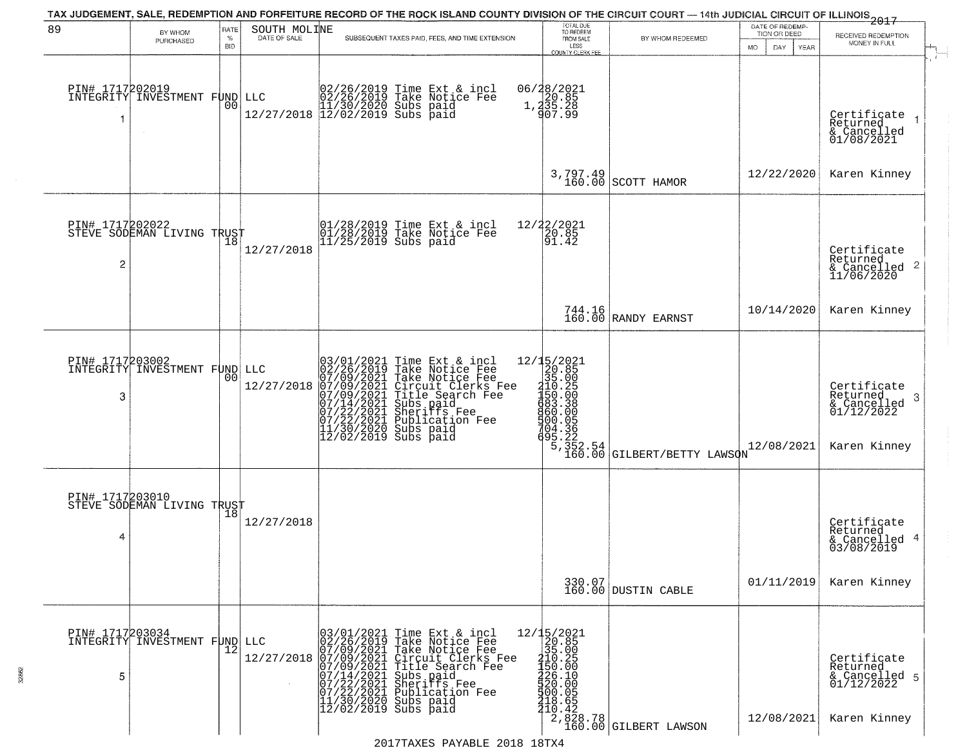|                      |                                               |                     |                   | TAX JUDGEMENT, SALE, REDEMPTION AND FORFEITURE RECORD OF THE ROCK ISLAND COUNTY DIVISION OF THE CIRCUIT COURT - 14th JUDICIAL CIRCUIT OF ILLINOIS 2017                                                                                                                                                                                                                              |                                                                                                                                                                                                                                                                                                                 |                                   | DATE OF REDEMP-                     |                                                                            |
|----------------------|-----------------------------------------------|---------------------|-------------------|-------------------------------------------------------------------------------------------------------------------------------------------------------------------------------------------------------------------------------------------------------------------------------------------------------------------------------------------------------------------------------------|-----------------------------------------------------------------------------------------------------------------------------------------------------------------------------------------------------------------------------------------------------------------------------------------------------------------|-----------------------------------|-------------------------------------|----------------------------------------------------------------------------|
| 89                   | BY WHOM<br>PURCHASED                          | RATE<br>$\%$<br>BID | SOUTH MOLINE      | SUBSEQUENT TAXES PAID, FEES, AND TIME EXTENSION                                                                                                                                                                                                                                                                                                                                     | TOTAL DUE<br>TO REDEEM<br>FROM SALE                                                                                                                                                                                                                                                                             | BY WHOM REDEEMED                  | TION OR DEED<br>DAY.<br>MO.<br>YEAR | RECEIVED REDEMPTION<br>MONEY IN FULL                                       |
| PIN# 1717202019<br>1 | INTEGRITY INVESTMENT FUND                     | 00                  |                   | $\begin{array}{ll} &02/26/2019 \text{ Time Ext & incl}\\ \text{LLC} &02/26/2019 \text{ Take Notice Fe}\\ &11/30/2020 \text{ Subs paid}\\ &12/27/2018 \text{ 12}/02/2019 \text{ Subs paid} \end{array}$                                                                                                                                                                              | LESS<br>COUNTY CLERK FEE<br>06/28/2021<br>1,20.85<br>1,235.28<br>907.99                                                                                                                                                                                                                                         |                                   |                                     | Certificate<br>Returned<br>& Cancelled<br>01/08/2021                       |
|                      |                                               |                     |                   |                                                                                                                                                                                                                                                                                                                                                                                     | 3,797.49<br>160.00                                                                                                                                                                                                                                                                                              | SCOTT HAMOR                       | 12/22/2020                          | Karen Kinney                                                               |
| 2                    | PIN# 1717202022<br>STEVE SODEMAN LIVING TRUST |                     | 12/27/2018        | 01/28/2019 Time Ext & incl<br>01/28/2019 Take Notice Fee<br>11/25/2019 Subs paid                                                                                                                                                                                                                                                                                                    | 12/22/2021<br>$\left[\frac{2}{91}.8\right]$                                                                                                                                                                                                                                                                     |                                   |                                     | Certificate<br>Returned<br>$\frac{122211104}{6}$ Cancelled 2<br>11/06/2020 |
|                      |                                               |                     |                   |                                                                                                                                                                                                                                                                                                                                                                                     |                                                                                                                                                                                                                                                                                                                 | 744.16<br>160.00 RANDY EARNST     | 10/14/2020                          | Karen Kinney                                                               |
| PIN# 1717203002<br>3 | INTEGRITY INVESTMENT FUND LLC                 | 0 <sub>0</sub>      | 12/27/2018        | $\begin{smallmatrix} 03/01/2021\\ 02/26/2019\\ 07/09/2021\\ 07/09/2021\\ 07/19/2021\\ 07/14/2021\\ 07/22/2021\\ 07/22/2021\\ 11/30/2019\\ 12/02/2019\\ \end{smallmatrix}$<br>Time Ext & incl<br>Take Notice Fee<br>Take Notice Fee<br>Circuit Clerks Fee<br>Title Search Fee<br>Subs paid<br>Sheriffs Fee<br>Rubication Fee<br>Whication Fee<br>Subs paid<br>$12/02/2019$ Subs paid | 12/15/2021<br>12/15/2021<br>20.85<br>310.25<br>110.25<br>150.000<br>450.000<br>704.36<br>5,222.54<br>160.00                                                                                                                                                                                                     | GILBERT/BETTY LAWSON              | 12/08/2021                          | Certificate<br>Returned<br>-3<br>& Cancelled<br>01/12/2022<br>Karen Kinney |
| PIN# 1717203010<br>4 | STEVE SODEMAN LIVING TRUST                    |                     | 12/27/2018        |                                                                                                                                                                                                                                                                                                                                                                                     |                                                                                                                                                                                                                                                                                                                 |                                   |                                     | Certificate<br>Returned<br>& Cancelled 4<br>03/08/2019                     |
|                      |                                               |                     |                   |                                                                                                                                                                                                                                                                                                                                                                                     |                                                                                                                                                                                                                                                                                                                 | 330.07<br>160.00 DUSTIN CABLE     | 01/11/2019                          | Karen Kinney                                                               |
| PIN# 1717203034<br>5 | INTEGRITY INVESTMENT FUND                     |                     | LLC<br>12/27/2018 | $03/01/2021$ Time Ext & incl<br>$02/26/2019$ Take Notice Fee<br>$07/09/2021$ Take Notice Fee<br>$07/09/2021$ Circuit Clerks Fee<br>$07/09/2021$ Title Search Fee<br>$07/14/2021$ Subs paid<br>$07/22/2021$ Publication Fee<br>$11/30/2020$                                                                                                                                          | 12/15/2021<br>20.85<br>35.00<br>210.25<br>432.90<br>$\frac{1}{2}$<br>$\frac{2}{2}$<br>$\frac{2}{3}$<br>$\frac{1}{2}$<br>$\frac{1}{2}$<br>$\frac{1}{2}$<br>$\frac{1}{2}$<br>$\frac{1}{2}$<br>$\frac{1}{2}$<br>$\frac{1}{2}$<br>$\frac{1}{2}$<br>$\frac{1}{2}$<br>$\frac{1}{2}$<br>$\frac{1}{2}$<br>$\frac{1}{2}$ | 2,828.78<br>160.00 GILBERT LAWSON | 12/08/2021                          | Certificate<br>Returned<br>& Cancelled 5<br>01/12/2022<br>Karen Kinney     |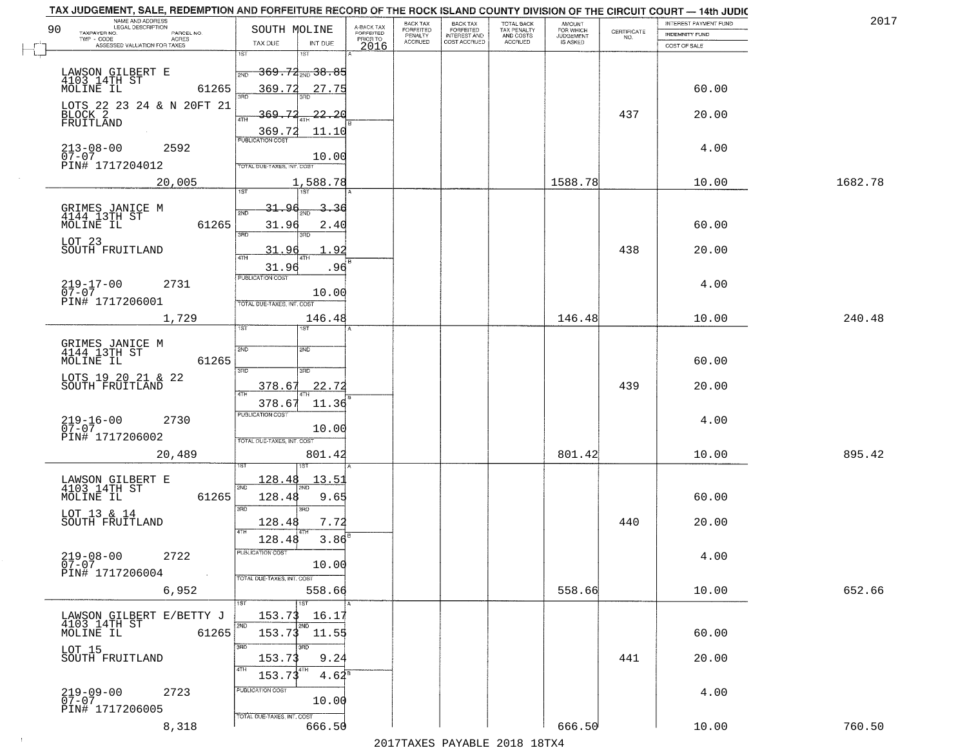| TAX JUDGEMENT, SALE, REDEMPTION AND FORFEITURE RECORD OF THE ROCK ISLAND COUNTY DIVISION OF THE CIRCUIT COURT - 14th JUDIC<br>NAME AND ADDRESS<br>LEGAL DESCRIPTION |                                                                                                    |                                     | BACK TAX             | <b>BACK TAX</b>           |                                        |                                  |                                                                 | INTEREST PAYMENT FUND | 2017    |
|---------------------------------------------------------------------------------------------------------------------------------------------------------------------|----------------------------------------------------------------------------------------------------|-------------------------------------|----------------------|---------------------------|----------------------------------------|----------------------------------|-----------------------------------------------------------------|-----------------------|---------|
| 90<br>TAXPAYER NO.<br>PARCEL NO.<br>ACRES                                                                                                                           | SOUTH MOLINE                                                                                       | A-BACK TAX<br>FORFEITED<br>PRIOR TO | FORFEITED<br>PENALTY | FORFEITED<br>INTEREST AND | TOTAL BACK<br>TAX PENALTY<br>AND COSTS | AMOUNT<br>FOR WHICH<br>JUDGEMENT | $\begin{array}{c} \text{CERTIFICATE} \\ \text{NO.} \end{array}$ | <b>INDEMNITY FUND</b> |         |
| ASSESSED VALUATION FOR TAXES                                                                                                                                        | TAX DUE<br>INT DUE                                                                                 | 2016                                | <b>ACCRUED</b>       | COST ACCRUED              | <b>ACCRUED</b>                         | IS ASKED                         |                                                                 | COST OF SALE          |         |
| LAWSON GILBERT E<br>4103 14TH ST<br>MOLINE IL<br>61265                                                                                                              | 1ST<br>18T<br><del>369.72 200 38.85</del><br>2ND<br>369.72<br>27.75                                |                                     |                      |                           |                                        |                                  |                                                                 | 60.00                 |         |
| LOTS 22 23 24 & N 20FT 21<br>BLOCK 2<br>FRUITLAND                                                                                                                   | <u>369.72</u><br><u>22.20</u><br>4TH<br>11.10                                                      |                                     |                      |                           |                                        |                                  | 437                                                             | 20.00                 |         |
| 213-08-00<br>07-07<br>2592<br>PIN# 1717204012                                                                                                                       | $\frac{369.72}{PUBUCATONCGST}$<br>10.00<br>TOTAL DUE-TAXES, INT. COST                              |                                     |                      |                           |                                        |                                  |                                                                 | 4.00                  |         |
| 20,005                                                                                                                                                              | 1,588.78                                                                                           |                                     |                      |                           |                                        | 1588.78                          |                                                                 | 10.00                 | 1682.78 |
| GRIMES JANICE M<br>4144 13TH ST<br>61265<br>MOLINE IL<br>LOT 23<br>SOUTH FRUITLAND                                                                                  | 31.96<br>2<br>-36<br>2ND<br>31.96<br>2.40<br>उन्नत<br>3BD.<br>31.96<br>-92                         |                                     |                      |                           |                                        |                                  | 438                                                             | 60.00<br>20.00        |         |
| $219 - 17 - 00$<br>07-07<br>2731<br>PIN# 1717206001                                                                                                                 | 31.96<br>.96<br>PUBLICATION COST<br>10.00<br>TOTAL DUE-TAXES, INT. COST                            |                                     |                      |                           |                                        |                                  |                                                                 | 4.00                  |         |
| 1,729                                                                                                                                                               | 146.48                                                                                             |                                     |                      |                           |                                        | 146.48                           |                                                                 | 10.00                 | 240.48  |
| GRIMES JANICE M<br>4144 13TH ST<br>61265<br>MOLINE IL<br>LOTS 19 20 21 & 22<br>SOUTH FRUITLAND                                                                      | īst<br>1ST<br>2ND<br>2ND<br>3RD<br>3RD<br>22.72<br>378.67                                          |                                     |                      |                           |                                        |                                  | 439                                                             | 60.00<br>20.00        |         |
| $219 - 16 - 00$<br>07-07<br>2730<br>PIN# 1717206002<br>20,489                                                                                                       | ATH<br>378.67<br>11.36<br><b>PUBLICATION COST</b><br>10.00<br>TOTAL OUE-TAXES, INT. COST<br>801.42 |                                     |                      |                           |                                        | 801.42                           |                                                                 | 4.00<br>10.00         | 895.42  |
| LAWSON GILBERT E<br>4103 14TH ST<br>MOLINE IL<br>61265<br>LOT 13 & 14<br>SOUTH FRUITLAND                                                                            | 128.48<br>13.5<br>2ND<br>128.48<br>9.65<br>3RD<br>3RD<br>7.72<br>128.48<br>4TH                     |                                     |                      |                           |                                        |                                  | 440                                                             | 60.00<br>20.00        |         |
| $219 - 08 - 00$<br>2722<br>$07 - 07$<br>PIN# 1717206004<br>$\sim 100$ km $^{-1}$                                                                                    | $3.86^{8}$<br>128.48<br>-usuca i un cus-<br>10.00<br>TOTAL DUE-TAXES, INT. COST                    |                                     |                      |                           |                                        |                                  |                                                                 | 4.00                  |         |
| 6,952                                                                                                                                                               | 558.66<br>1ST                                                                                      |                                     |                      |                           |                                        | 558.66                           |                                                                 | 10.00                 | 652.66  |
| LAWSON GILBERT E/BETTY J<br>4103 14TH ST<br>MOLINE IL<br>61265                                                                                                      | 153.73<br>16.17<br>2ND<br>2ND<br>$153.73$ $11.55$                                                  |                                     |                      |                           |                                        |                                  |                                                                 | 60.00                 |         |
| LOT 15<br>SOUTH FRUITLAND                                                                                                                                           | 3RD<br>3BD<br>9.24<br>153.73<br>4TH<br>153.73<br>$4.62^8$                                          |                                     |                      |                           |                                        |                                  | 441                                                             | 20.00                 |         |
| $219 - 09 - 00$<br>2723<br>$07 - 07$<br>PIN# 1717206005                                                                                                             | PUBLICATION COST<br>10.00<br>TOTAL DUE-TAXES, INT. COST                                            |                                     |                      |                           |                                        |                                  |                                                                 | 4.00                  |         |
| 8,318                                                                                                                                                               | 666.50                                                                                             |                                     |                      |                           |                                        | 666.50                           |                                                                 | 10.00                 | 760.50  |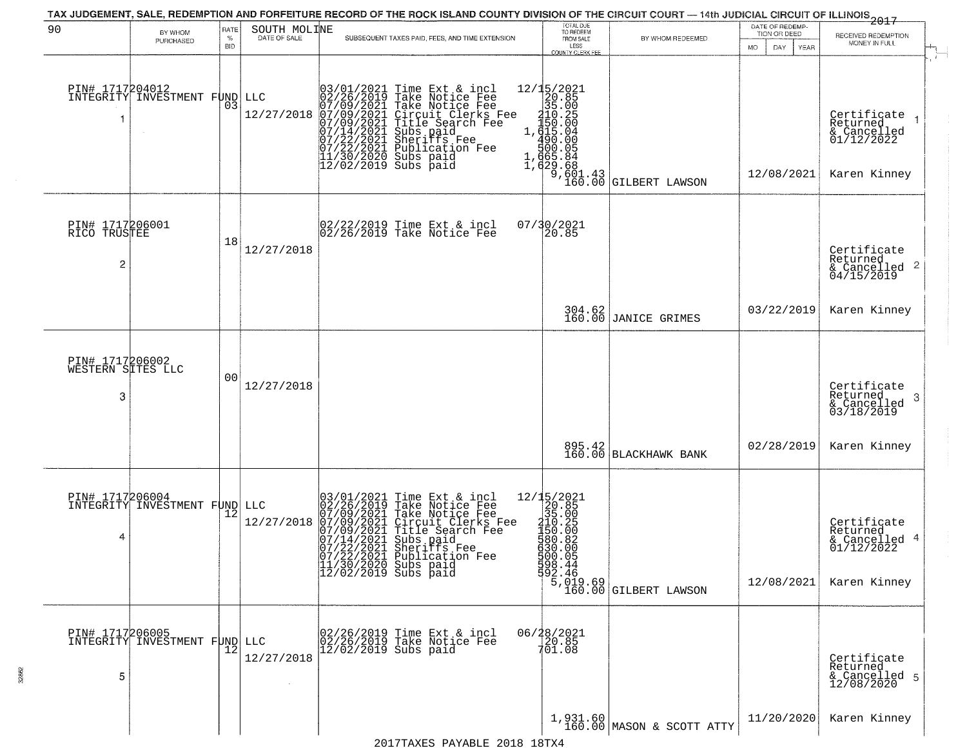| 90                                        | BY WHOM                       | RATE               | SOUTH MOLINE      |                                                                                                                                               | TAX JUDGEMENT, SALE, REDEMPTION AND FORFEITURE RECORD OF THE ROCK ISLAND COUNTY DIVISION OF THE CIRCUIT COURT - 14th JUDICIAL CIRCUIT OF ILLINOIS 2017                                                                                               | TOTAL DUE<br>TO REDEEM                                                                                                                                                                                                                                                                                                                                      |                                       | DATE OF REDEMP-<br>TION OR DEED |                                                                        |
|-------------------------------------------|-------------------------------|--------------------|-------------------|-----------------------------------------------------------------------------------------------------------------------------------------------|------------------------------------------------------------------------------------------------------------------------------------------------------------------------------------------------------------------------------------------------------|-------------------------------------------------------------------------------------------------------------------------------------------------------------------------------------------------------------------------------------------------------------------------------------------------------------------------------------------------------------|---------------------------------------|---------------------------------|------------------------------------------------------------------------|
|                                           | PURCHASED                     | $\%$<br><b>BID</b> |                   |                                                                                                                                               | SUBSEQUENT TAXES PAID, FEES, AND TIME EXTENSION                                                                                                                                                                                                      | FROM SALE<br>LESS<br>COUNTY CLERK FEE                                                                                                                                                                                                                                                                                                                       | BY WHOM REDEEMED                      | DAY<br>MO.<br>YEAR              | RECEIVED REDEMPTION<br>MONEY IN FULL                                   |
| PIN# 1717204012                           | INTEGRITY INVESTMENT FUND     | 03                 | LLC<br>12/27/2018 |                                                                                                                                               | $03/01/2021$ Time Ext & incl<br>02/26/2019 Take Notice Fee<br>07/09/2021 Take Notice Fee<br>07/09/2021 Circuit Clerks Fee<br>07/09/2021 Title Search Fee<br>07/14/2021 Subs paid<br>07/12/2021 Subsication Fee<br>11/30/2020 Subs paid<br>12/02/2019 | 12/15/2021<br>$\begin{array}{r} 2/132.85 \\ -32.85 \\ -35.00 \\ -4.50 \\ -4.50 \\ -4.00 \\ -4.00 \\ -4.00 \\ -4.00 \\ -4.00 \\ -4.00 \\ -4.00 \\ -4.00 \\ -4.00 \\ -4.00 \\ -4.00 \\ -4.00 \\ -4.00 \\ -4.00 \\ -4.00 \\ -4.00 \\ -4.00 \\ -4.00 \\ -4.00 \\ -4.00 \\ -4.00 \\ -4.00 \\ -4.00 \\ -4.00 \\ -4.00 \\ -4.00 \\ -4.00 \\ -4.00 \\ -4.00 \\ -4.$ | <b>GILBERT LAWSON</b>                 | 12/08/2021                      | Certificate<br>Returned<br>& Cancelled<br>01/12/2022<br>Karen Kinney   |
| PIN# 1717206001<br>RICO TRUSTEE<br>2      |                               | 18                 | 12/27/2018        |                                                                                                                                               | 02/22/2019 Time Ext & incl<br>02/26/2019 Take Notice Fee                                                                                                                                                                                             | 07/30/2021<br>20.85                                                                                                                                                                                                                                                                                                                                         |                                       |                                 | Certificate<br>Returned<br>$\frac{12}{6}$ Cancelled 2<br>04/15/2019    |
|                                           |                               |                    |                   |                                                                                                                                               |                                                                                                                                                                                                                                                      |                                                                                                                                                                                                                                                                                                                                                             | 304.62<br>160.00 JANICE GRIMES        | 03/22/2019                      | Karen Kinney                                                           |
| PIN# 1717206002<br>WESTERN SITES LLC<br>3 |                               | 0 <sub>0</sub>     | 12/27/2018        |                                                                                                                                               |                                                                                                                                                                                                                                                      |                                                                                                                                                                                                                                                                                                                                                             |                                       |                                 | Certificate<br>Returned<br>-3<br>& Cancelled<br>03/18/2019             |
|                                           |                               |                    |                   |                                                                                                                                               |                                                                                                                                                                                                                                                      | 895.42<br>160.00                                                                                                                                                                                                                                                                                                                                            | <b>BLACKHAWK BANK</b>                 | 02/28/2019                      | Karen Kinney                                                           |
| PIN# 1717206004<br>4                      | INTEGRITY INVESTMENT FUND LLC |                    | 12/27/2018        | $\begin{smallmatrix} 03/01/2021\\ 02/26/2019\\ 07/09/2021\\ 07/09/2021\\ 07/14/2021\\ 07/14/2021\\ 07/22/2021\\ 07/23/2021 \end{smallmatrix}$ | Time Ext & incl<br>Take Notice Fee<br>Take Notice Fee<br>Circuit Clerks Fee<br>Title Search Fee<br>Subs paid<br>Sheriffs Fee<br>Nubligation Fee<br>$07/22/2021$ Publication Fee<br>11/30/2020 Subs paid<br>12/02/2019 Subs paid                      | $\begin{array}{r} 12/15/2021 \\ 20.85 \\ 35.00 \\ 110.25 \\ 150.00 \\ 480.82 \end{array}$<br>630.00<br>500.05<br>598.44<br>592.46                                                                                                                                                                                                                           | 5,019.69<br>160.00 GILBERT LAWSON     | 12/08/2021                      | Certificate<br>Returned<br>& Cancelled 4<br>01/12/2022<br>Karen Kinney |
| PIN# 1717206005<br>5                      | INTEGRITY INVESTMENT FUND LLC |                    | 12/27/2018        |                                                                                                                                               | 02/26/2019 Time Ext & incl<br>02/26/2019 Take Notice Fee<br>12/02/2019 Subs paid                                                                                                                                                                     | 06/28/2021<br>20.85<br>701.08                                                                                                                                                                                                                                                                                                                               |                                       |                                 | Certificate<br>Returned<br>& Cancelled 5<br>12/08/2020                 |
|                                           |                               |                    |                   |                                                                                                                                               | 2017TAXES PAYABLE 2018 18TX4                                                                                                                                                                                                                         |                                                                                                                                                                                                                                                                                                                                                             | 1,931.60<br>160.00 MASON & SCOTT ATTY | 11/20/2020                      | Karen Kinney                                                           |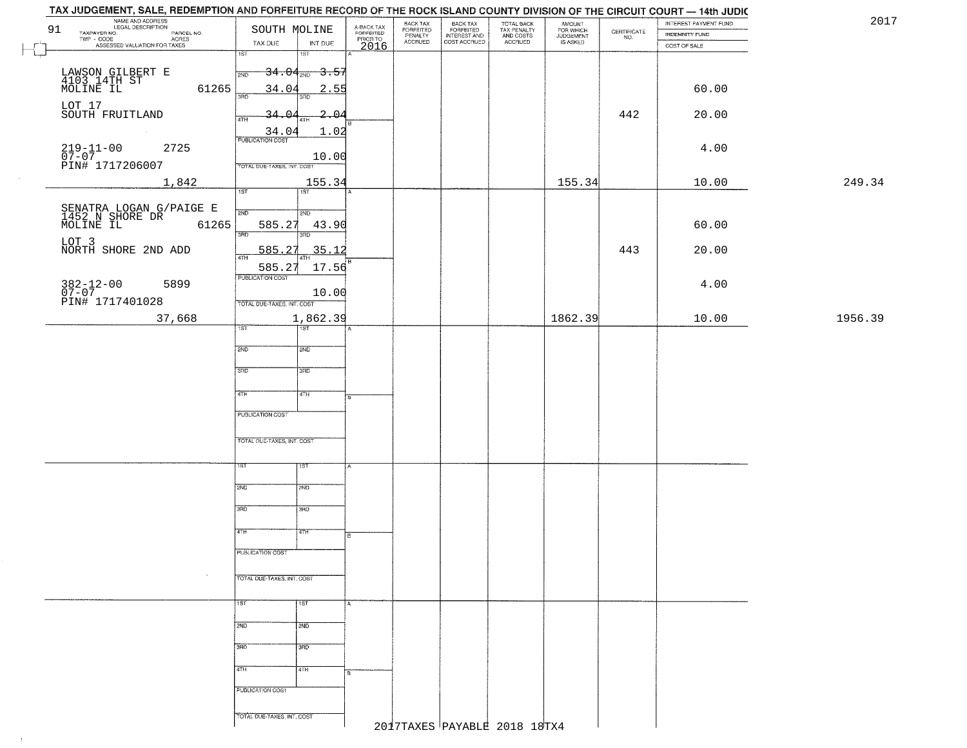|         | TAX JUDGEMENT, SALE, REDEMPTION AND FORFEITURE RECORD OF THE ROCK ISLAND COUNTY DIVISION OF THE CIRCUIT COURT -- 14th JUDIC |                                  |                   |                         |                                             |                                                       |                                        |                            |                                                                 |                                         |         |
|---------|-----------------------------------------------------------------------------------------------------------------------------|----------------------------------|-------------------|-------------------------|---------------------------------------------|-------------------------------------------------------|----------------------------------------|----------------------------|-----------------------------------------------------------------|-----------------------------------------|---------|
| 91      | NAME AND ADDRESS<br>LEGAL DESCRIPTION<br>TAXPAYER NO.<br>PARCEL NO.                                                         | SOUTH MOLINE                     |                   | A-BACK TAX<br>FORFEITED | BACK TAX<br>FORFEITED<br>PENALTY<br>ACCRUED | BACK TAX<br>FORFEITED<br>INTEREST AND<br>COST ACCRUED | TOTAL BACK<br>TAX PENALTY<br>AND COSTS | <b>AMOUNT</b><br>FOR WHICH | $\begin{array}{c} \text{CERTIFICATE} \\ \text{NO.} \end{array}$ | INTEREST PAYMENT FUND<br>INDEMNITY FUND | 2017    |
|         | $TWP - CODE$<br>ACRES<br>ASSESSED VALUATION FOR TAXES                                                                       | TAX DUE                          | INT DUE           | PRIORTO<br>2016         |                                             |                                                       | ACCRUED                                | <b>IS ASKED</b>            |                                                                 | COST OF SALE                            |         |
| $L_{-}$ |                                                                                                                             | 1ST                              | 1ST               |                         |                                             |                                                       |                                        |                            |                                                                 |                                         |         |
|         | LAWSON GILBERT E<br>4103 14TH ST<br>MOLINE IL                                                                               | 2ND                              | $34.04_{20}$ 3.57 |                         |                                             |                                                       |                                        |                            |                                                                 |                                         |         |
|         | 61265                                                                                                                       | 34.04<br>3AD                     | <u>2.55</u>       |                         |                                             |                                                       |                                        |                            |                                                                 | 60.00                                   |         |
|         | LOT 17<br>SOUTH FRUITLAND                                                                                                   |                                  |                   |                         |                                             |                                                       |                                        |                            |                                                                 |                                         |         |
|         |                                                                                                                             | 34.04<br>4TH                     | 2.04              |                         |                                             |                                                       |                                        |                            | 442                                                             | 20.00                                   |         |
|         |                                                                                                                             | 34.04<br><b>PUBLICATION COST</b> | 1.02              |                         |                                             |                                                       |                                        |                            |                                                                 |                                         |         |
|         | $219-11-00$<br>07-07<br>2725                                                                                                |                                  | 10.00             |                         |                                             |                                                       |                                        |                            |                                                                 | 4.00                                    |         |
|         | PIN# 1717206007                                                                                                             | TOTAL DUE-TAXES, INT. COST       |                   |                         |                                             |                                                       |                                        |                            |                                                                 |                                         |         |
|         | 1,842                                                                                                                       | 1ST                              | 155.34<br>1ST     |                         |                                             |                                                       |                                        | 155.34                     |                                                                 | 10.00                                   | 249.34  |
|         |                                                                                                                             |                                  |                   |                         |                                             |                                                       |                                        |                            |                                                                 |                                         |         |
|         | SENATRA LOGAN G/PAIGE E<br>1452 N SHORE DR<br>MOLINE IL 6126<br>61265                                                       | 2ND<br>585.27                    | 2ND               |                         |                                             |                                                       |                                        |                            |                                                                 | 60.00                                   |         |
|         |                                                                                                                             | 3RD                              | 43.90<br>3RD      |                         |                                             |                                                       |                                        |                            |                                                                 |                                         |         |
|         | LOT 3<br>NORTH SHORE 2ND ADD                                                                                                | 585.27<br>47H                    | 35.12             |                         |                                             |                                                       |                                        |                            | 443                                                             | 20.00                                   |         |
|         |                                                                                                                             | 585.27                           | 17.56             |                         |                                             |                                                       |                                        |                            |                                                                 |                                         |         |
|         | $382 - 12 - 00$<br>07-07<br>5899                                                                                            | PUBLICATION COST                 |                   |                         |                                             |                                                       |                                        |                            |                                                                 | 4.00                                    |         |
|         | PIN# 1717401028                                                                                                             | TOTAL DUE-TAXES, INT. COST       | 10.00             |                         |                                             |                                                       |                                        |                            |                                                                 |                                         |         |
|         | 37,668                                                                                                                      |                                  | 1,862.39          |                         |                                             |                                                       |                                        | 1862.39                    |                                                                 | 10.00                                   | 1956.39 |
|         |                                                                                                                             | TST                              | 1ST               |                         |                                             |                                                       |                                        |                            |                                                                 |                                         |         |
|         |                                                                                                                             | 2ND                              | 2ND               |                         |                                             |                                                       |                                        |                            |                                                                 |                                         |         |
|         |                                                                                                                             |                                  |                   |                         |                                             |                                                       |                                        |                            |                                                                 |                                         |         |
|         |                                                                                                                             | 3RD                              | 3 <sub>BD</sub>   |                         |                                             |                                                       |                                        |                            |                                                                 |                                         |         |
|         |                                                                                                                             | 4TH                              | 4TH               |                         |                                             |                                                       |                                        |                            |                                                                 |                                         |         |
|         |                                                                                                                             | PUBLICATION COST                 |                   |                         |                                             |                                                       |                                        |                            |                                                                 |                                         |         |
|         |                                                                                                                             |                                  |                   |                         |                                             |                                                       |                                        |                            |                                                                 |                                         |         |
|         |                                                                                                                             | TOTAL OUE-TAXES, INT. COST       |                   |                         |                                             |                                                       |                                        |                            |                                                                 |                                         |         |
|         |                                                                                                                             |                                  |                   |                         |                                             |                                                       |                                        |                            |                                                                 |                                         |         |
|         |                                                                                                                             | 1ST                              | १९४               |                         |                                             |                                                       |                                        |                            |                                                                 |                                         |         |
|         |                                                                                                                             | 2ND                              | 2ND               |                         |                                             |                                                       |                                        |                            |                                                                 |                                         |         |
|         |                                                                                                                             | 3RD                              | 3BD               |                         |                                             |                                                       |                                        |                            |                                                                 |                                         |         |
|         |                                                                                                                             |                                  |                   |                         |                                             |                                                       |                                        |                            |                                                                 |                                         |         |
|         |                                                                                                                             | 4TH                              | 77H               |                         |                                             |                                                       |                                        |                            |                                                                 |                                         |         |
|         |                                                                                                                             | <b>PUBLICATION COST</b>          |                   |                         |                                             |                                                       |                                        |                            |                                                                 |                                         |         |
|         |                                                                                                                             |                                  |                   |                         |                                             |                                                       |                                        |                            |                                                                 |                                         |         |
|         |                                                                                                                             | TOTAL DUE-TAXES, INT. COST       |                   |                         |                                             |                                                       |                                        |                            |                                                                 |                                         |         |
|         |                                                                                                                             | 1ST                              | $\overline{11ST}$ | A                       |                                             |                                                       |                                        |                            |                                                                 |                                         |         |
|         |                                                                                                                             |                                  |                   |                         |                                             |                                                       |                                        |                            |                                                                 |                                         |         |
|         |                                                                                                                             | 2ND                              | 2ND               |                         |                                             |                                                       |                                        |                            |                                                                 |                                         |         |
|         |                                                                                                                             | 3RD                              | 3 <sub>BD</sub>   |                         |                                             |                                                       |                                        |                            |                                                                 |                                         |         |
|         |                                                                                                                             | 4TH                              | 4TH               |                         |                                             |                                                       |                                        |                            |                                                                 |                                         |         |
|         |                                                                                                                             |                                  |                   |                         |                                             |                                                       |                                        |                            |                                                                 |                                         |         |
|         |                                                                                                                             | PUBLICATION COST                 |                   |                         |                                             |                                                       |                                        |                            |                                                                 |                                         |         |
|         |                                                                                                                             | TOTAL DUE-TAXES, INT. COST       |                   |                         |                                             |                                                       |                                        |                            |                                                                 |                                         |         |
|         |                                                                                                                             |                                  |                   |                         |                                             |                                                       | 2017TAXES PAYABLE 2018 18TX4           |                            |                                                                 |                                         |         |

 $\uparrow$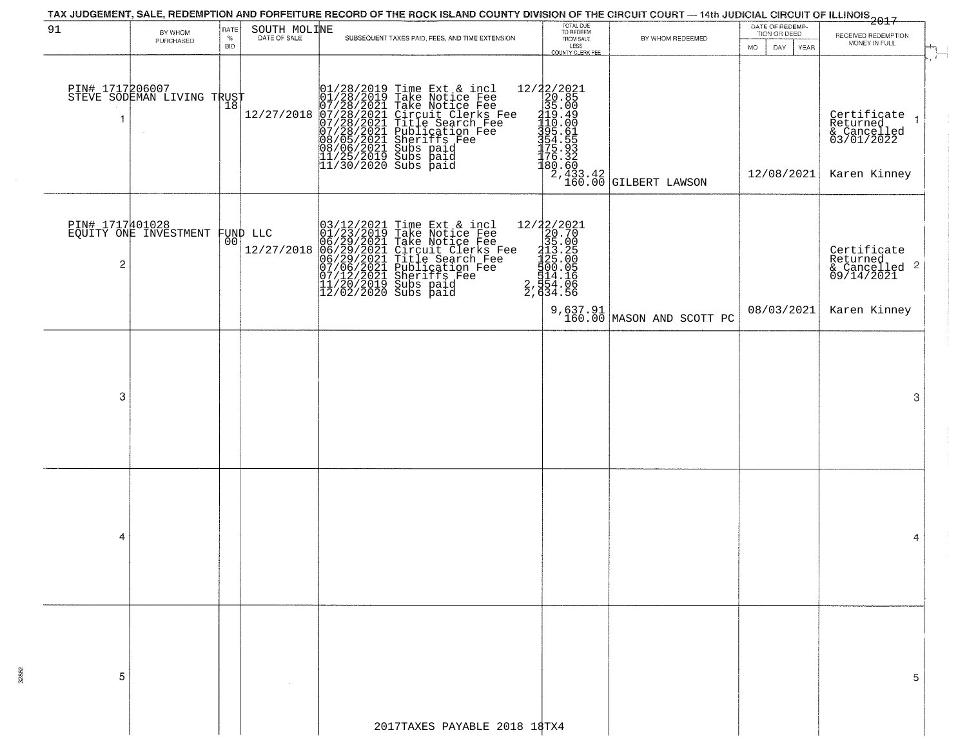| TAX JUDGEMENT, SALE, REDEMPTION AND FORFEITURE RECORD OF THE ROCK ISLAND COUNTY DIVISION OF THE CIRCUIT COURT — 14th JUDICIAL CIRCUIT OF ILLINOIS 2017 |                                                   |                            |                              |  |                                                                                                                                                                                                                                                       |                                                                                                     |                             |                                                       |                                                                                         |  |  |  |
|--------------------------------------------------------------------------------------------------------------------------------------------------------|---------------------------------------------------|----------------------------|------------------------------|--|-------------------------------------------------------------------------------------------------------------------------------------------------------------------------------------------------------------------------------------------------------|-----------------------------------------------------------------------------------------------------|-----------------------------|-------------------------------------------------------|-----------------------------------------------------------------------------------------|--|--|--|
| 91                                                                                                                                                     | BY WHOM<br>PURCHASED                              | RATE<br>$\%$<br><b>BID</b> | SOUTH MOLINE<br>DATE OF SALE |  | SUBSEQUENT TAXES PAID, FEES, AND TIME EXTENSION                                                                                                                                                                                                       | TOTAL DUE<br>TO REDEEM<br>FROM SALE<br>LESS<br>COUNTY CLERK FEE                                     | BY WHOM REDEEMED            | DATE OF REDEMP-<br>TION OR DEED<br>MO.<br>DAY<br>YEAR | RECEIVED REDEMPTION<br>MONEY IN FULL                                                    |  |  |  |
| -1                                                                                                                                                     | PIN# 1717206007    <br>STEVE SODEMAN LIVING TRUST | 18                         | 12/27/2018                   |  | 01/28/2019 Time Ext & incl<br>01/28/2019 Take Notice Fee<br>07/28/2021 Take Notice Fee<br>07/28/2021 Circuit Clerks Fee<br>07/28/2021 Title Search Fee<br>07/28/2021 Subication Fee<br>08/05/2021 Subs paid<br>11/25/2019 Subs paid<br>11/25/2019 Sub |                                                                                                     |                             | 12/08/2021                                            | $\mathcal{F}$<br>Certificate 1<br>Returned<br>& Cancelled<br>03/01/2022<br>Karen Kinney |  |  |  |
| $\overline{\mathbf{c}}$                                                                                                                                | PIN# 1717401028<br>EQUITY ONE INVESTMENT FUND LLC |                            | 12/27/2018                   |  | 03/12/2021 Time Ext & incl<br>01/23/2019 Take Notice Fee<br>06/29/2021 Take Notice Fee<br>06/29/2021 Circuit Clerks Fee<br>06/29/2021 Title Search Fee<br>07/06/2021 Bheriffs Fee<br>11/20/2019 Subs paid<br>12/02/2019 Subs paid<br>12/02/2020 Subs  | 12/22/2021<br>20.70<br>35.00<br>213.255<br>1225.005<br>1200.056<br>14.166<br>2, 634.56<br>2, 634.56 |                             |                                                       | Certificate<br>Returned<br>& Cancelled 2<br>09/14/2021                                  |  |  |  |
|                                                                                                                                                        |                                                   |                            |                              |  |                                                                                                                                                                                                                                                       |                                                                                                     | 9,637.91 MASON AND SCOTT PC | 08/03/2021                                            | Karen Kinney                                                                            |  |  |  |
| 3                                                                                                                                                      |                                                   |                            |                              |  |                                                                                                                                                                                                                                                       |                                                                                                     |                             |                                                       | 3                                                                                       |  |  |  |
| 4                                                                                                                                                      |                                                   |                            |                              |  |                                                                                                                                                                                                                                                       |                                                                                                     |                             |                                                       | 4                                                                                       |  |  |  |
| 5                                                                                                                                                      |                                                   |                            |                              |  |                                                                                                                                                                                                                                                       |                                                                                                     |                             |                                                       |                                                                                         |  |  |  |
|                                                                                                                                                        |                                                   |                            |                              |  | 2017TAXES PAYABLE 2018 18TX4                                                                                                                                                                                                                          |                                                                                                     |                             |                                                       |                                                                                         |  |  |  |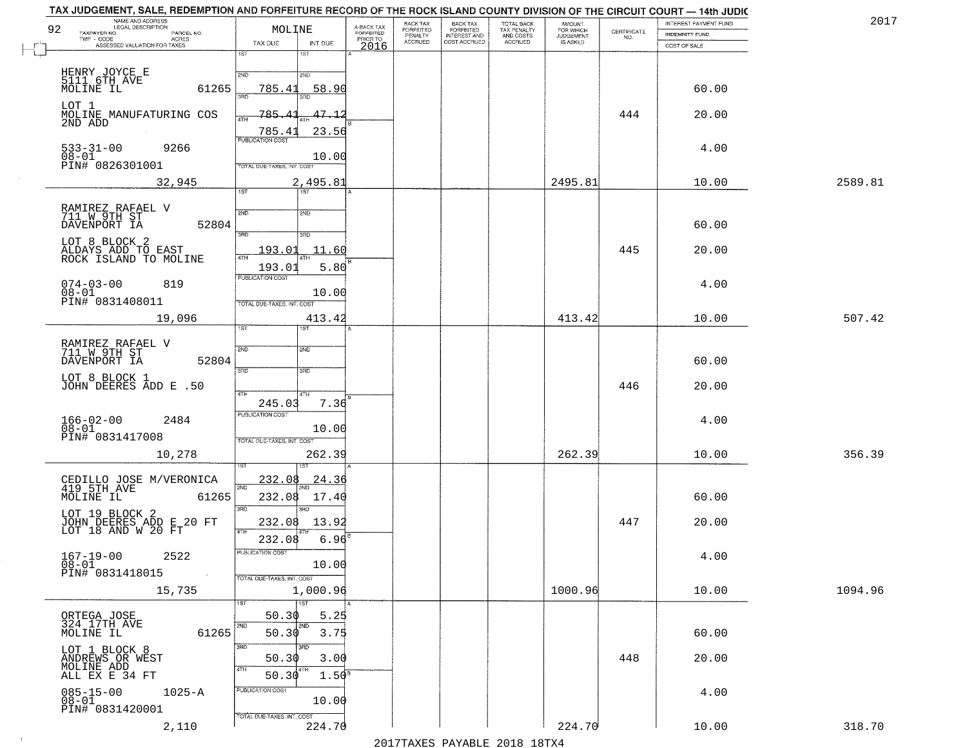| TAX JUDGEMENT, SALE, REDEMPTION AND FORFEITURE RECORD OF THE ROCK ISLAND COUNTY DIVISION OF THE CIRCUIT COURT — 14th JUDIC<br>NAME AND ADDRESS<br>LEGAL DESCRIPTION<br>92<br>TAXPAYER NO.<br>PARCEL NO. | MOLINE                                                                         | A-BACK TAX<br>FORFEITED<br>PRIOR TO | BACK TAX<br>BACK TAX<br>FORFEITED<br>INTEREST AND<br>COST ACCRUED<br>FORFEITED<br>PENALTY<br>ACCRUED | TOTAL BACK<br>TAX PENALTY<br>AND COSTS<br>ACCRUED | <b>AMOUNT</b><br>FOR WHICH<br>JUDGEMENT<br>IS ASKED | CERTIFICATE<br>NO. | INTEREST PAYMENT FUND<br><b>INDEMNITY FUND</b> | 2017    |
|---------------------------------------------------------------------------------------------------------------------------------------------------------------------------------------------------------|--------------------------------------------------------------------------------|-------------------------------------|------------------------------------------------------------------------------------------------------|---------------------------------------------------|-----------------------------------------------------|--------------------|------------------------------------------------|---------|
| TWP - CODE AGRES<br>ASSESSED VALUATION FOR TAXES                                                                                                                                                        | TAX DUE<br>INT DUE<br>1ST<br>1ST                                               | 2016                                |                                                                                                      |                                                   |                                                     |                    | COST OF SALE                                   |         |
| HENRY JOYCE E<br>5111 6TH AVE<br>MOLINE IL<br>61265                                                                                                                                                     | 2ND<br>2ND<br>785.41<br>58.90                                                  |                                     |                                                                                                      |                                                   |                                                     |                    | 60.00                                          |         |
| LOT 1<br>MOLINE MANUFATURING COS<br>2ND ADD                                                                                                                                                             | 3AD<br>3BD<br>785.4<br>47.1<br>4TH                                             |                                     |                                                                                                      |                                                   |                                                     | 444                | 20.00                                          |         |
| $533 - 31 - 00$<br>9266<br>$08-01$<br>PIN# 0826301001                                                                                                                                                   | 785.43<br>23.56<br><b>PUBLICATION COST</b><br>10.00                            |                                     |                                                                                                      |                                                   |                                                     |                    | 4.00                                           |         |
| 32,945                                                                                                                                                                                                  | TOTAL DUE-TAXES, INT. COST<br>2,495.81<br>$\overline{1ST}$<br>1ST <sup>1</sup> |                                     |                                                                                                      |                                                   | 2495.81                                             |                    | 10.00                                          | 2589.81 |
| RAMIREZ RAFAEL V<br>711 W 9TH ST<br>DAVENPORT IA<br>52804                                                                                                                                               | 2ND<br>2ND<br>3RD<br>3HD                                                       |                                     |                                                                                                      |                                                   |                                                     |                    | 60.00                                          |         |
| LOT 8 BLOCK 2<br>ALDAYS ADD TO EAST<br>ROCK ISLAND TO MOLINE                                                                                                                                            | 193.01<br>11.60<br>47H<br>5.80<br>193.01                                       |                                     |                                                                                                      |                                                   |                                                     | 445                | 20.00                                          |         |
| $074 - 03 - 00$<br>819<br>$08 - 01$<br>PIN# 0831408011                                                                                                                                                  | PUBLICATION COST<br>10.00<br>TOTAL DUE-TAXES, INT. COST                        |                                     |                                                                                                      |                                                   |                                                     |                    | 4.00                                           |         |
| 19,096                                                                                                                                                                                                  | 413.42<br>1ST                                                                  |                                     |                                                                                                      |                                                   | 413.42                                              |                    | 10.00                                          | 507.42  |
| RAMIREZ RAFAEL V<br>711 W 9TH ST<br>DAVENPORT IA<br>52804                                                                                                                                               | 2ND<br><b>SMD</b><br>3RD<br>3RD                                                |                                     |                                                                                                      |                                                   |                                                     |                    | 60.00                                          |         |
| LOT 8 BLOCK 1<br>JOHN DEERES ADD E .50                                                                                                                                                                  | 4TH<br>4TH<br>7.36<br>245.03                                                   |                                     |                                                                                                      |                                                   |                                                     | 446                | 20.00                                          |         |
| $166 - 02 - 00$<br>2484<br>Ōĕ-01<br>PIN# 0831417008                                                                                                                                                     | <b>PUBLICATION COST</b><br>10.00<br>TOTAL OUE-TAXES, INT. COST                 |                                     |                                                                                                      |                                                   |                                                     |                    | 4.00                                           |         |
| 10,278                                                                                                                                                                                                  | 262.39                                                                         |                                     |                                                                                                      |                                                   | 262.39                                              |                    | 10.00                                          | 356.39  |
| CEDILLO JOSE M/VERONICA<br>419 5TH AVE<br>61265<br>MOLINE IL                                                                                                                                            | 232.08<br><u>24.36</u><br>2ND<br>232.08<br>17.40<br>3RD                        |                                     |                                                                                                      |                                                   |                                                     |                    | 60.00                                          |         |
| LOT 19 BLOCK 2<br>JOHN DEERES ADD E 20 FT<br>LOT 18 AND W 20 FT                                                                                                                                         | 3BD<br>232.08<br>13.92<br>4TH<br>232.08<br>6.96                                |                                     |                                                                                                      |                                                   |                                                     | 447                | 20.00                                          |         |
| $167 - 19 - 00$<br>2522<br>$08 - 01$<br>PIN# 0831418015                                                                                                                                                 | PUBLICATION COST<br>10.00<br>TOTAL DUE-TAXES, INT. COST                        |                                     |                                                                                                      |                                                   |                                                     |                    | 4.00                                           |         |
| 15,735                                                                                                                                                                                                  | 1,000.96<br>1ST<br>1ST                                                         |                                     |                                                                                                      |                                                   | 1000.96                                             |                    | 10.00                                          | 1094.96 |
| ORTEGA JOSE<br>324 17TH AVE<br>61265<br>MOLINE IL                                                                                                                                                       | 5.25<br>50.30<br>2ND<br>2ND<br>3.75<br>50.30                                   |                                     |                                                                                                      |                                                   |                                                     |                    | 60.00                                          |         |
| LOT 1 BLOCK 8<br>ANDREWS OR WEST<br>MOLINE ADD<br>ALL EX E 34 FT                                                                                                                                        | 3BD<br>3RD<br>50.30<br>3.00<br>4TH<br>50.30<br>1.50 <sup>s</sup>               |                                     |                                                                                                      |                                                   |                                                     | 448                | 20.00                                          |         |
| $085 - 15 - 00$<br>$1025 - A$<br>$08 - 01$<br>PIN# 0831420001                                                                                                                                           | PUBLICATION COST<br>10.00                                                      |                                     |                                                                                                      |                                                   |                                                     |                    | 4.00                                           |         |
| 2,110                                                                                                                                                                                                   | TOTAL DUE-TAXES, INT. COST<br>224.70                                           |                                     |                                                                                                      |                                                   | 224.70                                              |                    | 10.00                                          | 318.70  |

 $\sim 10^{-1}$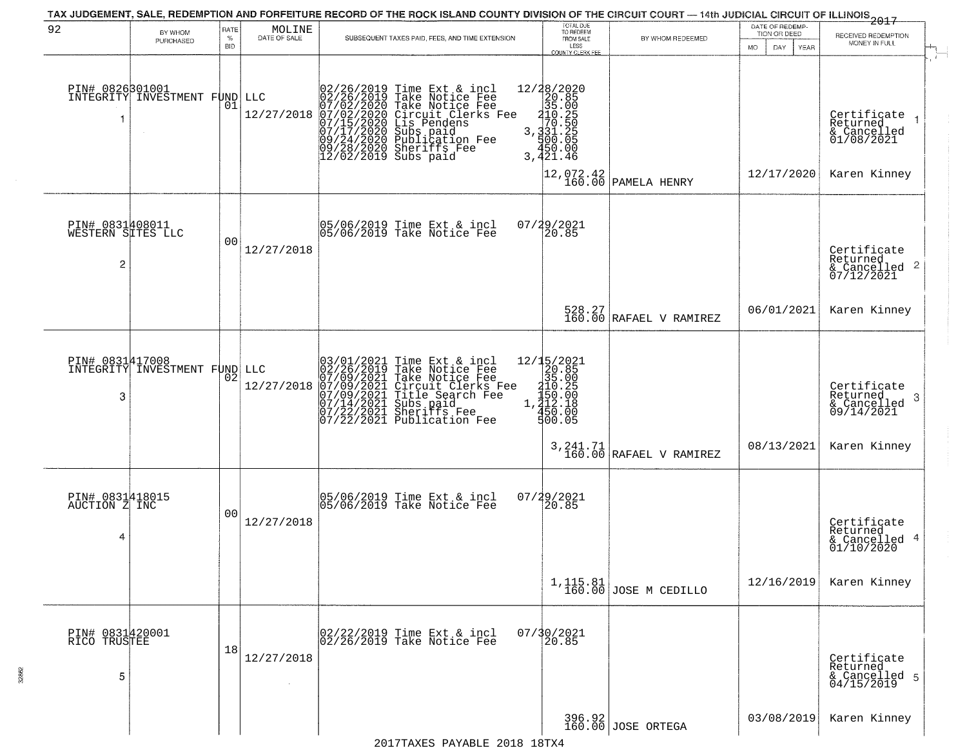| 92                                        | BY WHOM<br>PURCHASED                         | RATE<br>%<br><b>BID</b> | $\begin{array}{c} \text{MOLINE} \\ \text{DATE of SALE} \end{array}$ | SUBSEQUENT TAXES PAID, FEES, AND TIME EXTENSION                                                                                                                                                                                                                                                                                                         | TOTAL DUE<br>TO REDEEM<br>FROM SALE<br>LESS<br>COUNTY CLERK FEE                                                                       | BY WHOM REDEEMED                                                   | DATE OF REDEMP-<br>TION OR DEED<br>MO.<br>DAY.<br><b>YEAR</b> | 2017<br>RECEIVED REDEMPTION<br>MONEY IN FULL                       |
|-------------------------------------------|----------------------------------------------|-------------------------|---------------------------------------------------------------------|---------------------------------------------------------------------------------------------------------------------------------------------------------------------------------------------------------------------------------------------------------------------------------------------------------------------------------------------------------|---------------------------------------------------------------------------------------------------------------------------------------|--------------------------------------------------------------------|---------------------------------------------------------------|--------------------------------------------------------------------|
|                                           | PIN# 0826301001<br>INTEGRITY INVESTMENT FUND | 01                      | LLC<br>12/27/2018                                                   | $\begin{smallmatrix} 02/26/2019\\ 02/26/2019\\ 07/02/2020\\ 07/02/2020\\ 07/15/2020\\ 07/17/2020\\ 09/24/2020\\ 09/24/2020\\ 09/28/2020\\ 09/27/2020\\ 012/00200\\ \end{smallmatrix}$<br>Time Ext & incl<br>Take Notice Fee<br>Circuit Clerks Fee<br>Lis Pendens<br>Lis Pendens<br>Subs paid<br>Publication Fee<br>Sheriffs Fee<br>12/02/2019 Subs paid | $\begin{array}{r} 12/28/2020 \\ 20.85 \\ 35.00 \\ -410.250 \\ 3.31.25 \\ 3.431.25 \\ -3.450.05 \\ 4.51.00 \\ \end{array}$<br>3,421.46 |                                                                    |                                                               | Certifiçate <sub>1</sub><br>Returned<br>& Cancelled<br>01/08/2021  |
|                                           |                                              |                         |                                                                     |                                                                                                                                                                                                                                                                                                                                                         | $\begin{smallmatrix} 12,072.42\\ 160.00 \end{smallmatrix}$                                                                            | PAMELA HENRY                                                       | 12/17/2020                                                    | Karen Kinney                                                       |
| PIN# 0831408011<br>WESTERN SITES LLC<br>2 |                                              | 0 <sub>0</sub>          | 12/27/2018                                                          | 05/06/2019 Time Ext & incl<br>05/06/2019 Take Notice Fee                                                                                                                                                                                                                                                                                                | $07/29/2021$<br>20.85                                                                                                                 |                                                                    |                                                               | Certificate<br>Returned<br>$\frac{1}{2}$ Cancelled 2<br>07/12/2021 |
|                                           |                                              |                         |                                                                     |                                                                                                                                                                                                                                                                                                                                                         |                                                                                                                                       | $\begin{array}{c c} 528.27 \\ 160.00 \end{array}$ RAFAEL V RAMIREZ | 06/01/2021                                                    | Karen Kinney                                                       |
| 3                                         | PIN# 0831417008<br>INTEGRITY INVESTMENT FUND | $0\overline{2}$         | LLC<br>12/27/2018                                                   | $03/01/2021$ Time Ext & incl<br>02/26/2019 Take Notice Fee<br>07/09/2021 Take Notice Fee<br>07/09/2021 Circuit Clerks Fee<br>07/09/2021 Title Search Fee<br>07/14/2021 Subs paid<br>07/22/2021 Sheriffs Fee<br>07/22/2021 Publication Fee                                                                                                               | 12/15/2021<br>20.85<br>35.00<br>$\begin{array}{r} 210.25 \\ 150.26 \\ 1,212.18 \\ 450.00 \\ 450.00 \\ 500.05 \end{array}$             |                                                                    |                                                               | Certificate<br>Returned<br>-3<br>& Cancelled<br>09/14/2021         |
|                                           |                                              |                         |                                                                     |                                                                                                                                                                                                                                                                                                                                                         |                                                                                                                                       | $3,241.71$ RAFAEL V RAMIREZ                                        | 08/13/2021                                                    | Karen Kinney                                                       |
| PIN# 0831418015<br>AUCTION Z INC<br>4     |                                              | 0 <sub>0</sub>          | 12/27/2018                                                          | 05/06/2019 Time Ext & incl<br>05/06/2019 Take Notice Fee                                                                                                                                                                                                                                                                                                | 07/29/2021<br>20.85                                                                                                                   |                                                                    |                                                               | Certificate<br>Returned<br>& Cancelled 4<br>01/10/2020             |
|                                           |                                              |                         |                                                                     |                                                                                                                                                                                                                                                                                                                                                         |                                                                                                                                       | $1,115.81$ JOSE M CEDILLO                                          | 12/16/2019                                                    | Karen Kinney                                                       |
| PIN# 0831420001<br>RICO TRUSTEE<br>5      |                                              | 18                      | 12/27/2018                                                          | 02/22/2019 Time Ext & incl<br>02/26/2019 Take Notice Fee                                                                                                                                                                                                                                                                                                | 07/30/2021                                                                                                                            |                                                                    |                                                               | Certificate<br>Returned<br>& Cancelled 5<br>04/15/2019             |
|                                           |                                              |                         |                                                                     |                                                                                                                                                                                                                                                                                                                                                         |                                                                                                                                       | 396.92<br>160.00 JOSE ORTEGA                                       | 03/08/2019                                                    | Karen Kinney                                                       |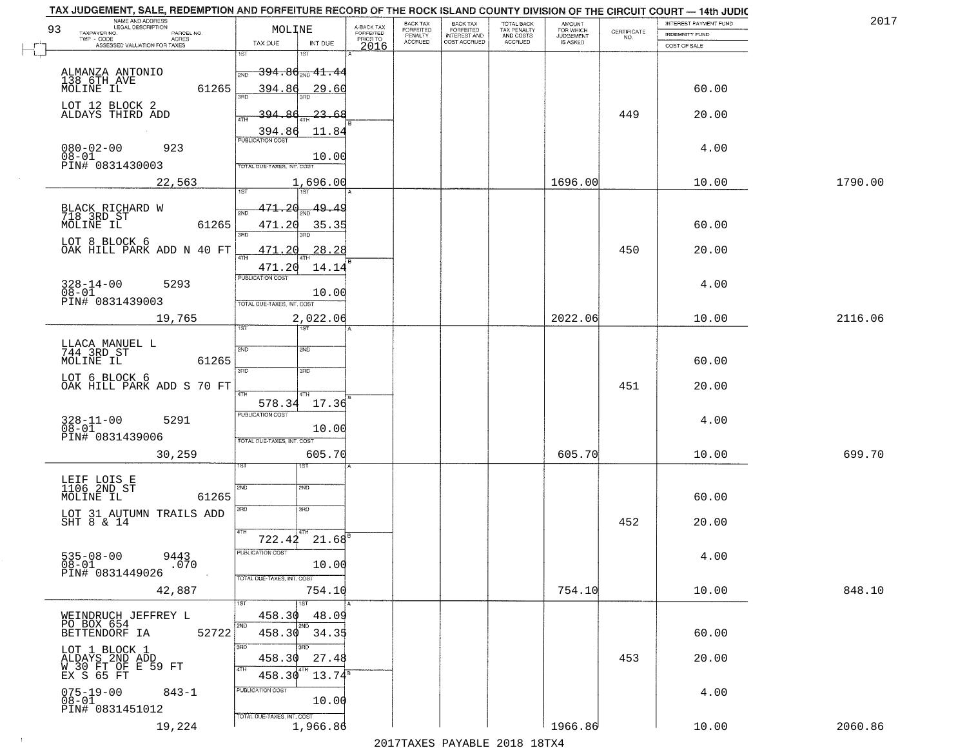| NAME AND ADDRESS<br>LEGAL DESCRIPTION<br>93<br>TAXPAYER NO.<br>PARCEL NO. | MOLINE                                                                                       | A-BACK TAX<br><b>FORFEITED</b> | BACK TAX<br><b>FORFEITED</b><br>PENALTY | <b>BACK TAX</b><br><b>FORFEITED</b> | TOTAL BACK<br>TAX PENALTY<br>AND COSTS<br>ACCRUED | <b>AMOUNT</b><br>FOR WHICH<br>JUDGEMENT<br>IS ASKED | $\begin{array}{c} \text{CERTIFICATE} \\ \text{NO.} \end{array}$ | INTEREST PAYMENT FUND<br><b>INDEMNITY FUND</b> | 2017    |
|---------------------------------------------------------------------------|----------------------------------------------------------------------------------------------|--------------------------------|-----------------------------------------|-------------------------------------|---------------------------------------------------|-----------------------------------------------------|-----------------------------------------------------------------|------------------------------------------------|---------|
| TWP - CODE<br>ACRES<br>ASSESSED VALUATION FOR TAXES                       | INT DUE<br>TAX DUE                                                                           | PRIOR TO<br>2016               | ACCRUED                                 | INTEREST AND<br>COST ACCRUED        |                                                   |                                                     |                                                                 | COST OF SALE                                   |         |
| ALMANZA ANTONIO<br>138 6TH AVE<br>MOLINE IL                               | 1ST<br><del>394.80<sub>2ND</sub> 41.4</del> 4<br><b>OND</b>                                  |                                |                                         |                                     |                                                   |                                                     |                                                                 |                                                |         |
| 61265                                                                     | 394.86<br>29.60                                                                              |                                |                                         |                                     |                                                   |                                                     |                                                                 | 60.00                                          |         |
| LOT 12 BLOCK 2<br>ALDAYS THIRD ADD                                        | 23.64<br>394<br>11.84<br>394.86                                                              |                                |                                         |                                     |                                                   |                                                     | 449                                                             | 20.00                                          |         |
| $080 - 02 - 00$<br>923<br>$08-01$<br>PIN# 0831430003                      | PUBLICATION COST<br>10.00<br>TOTAL DUE-TAXES, INT. COST                                      |                                |                                         |                                     |                                                   |                                                     |                                                                 | 4.00                                           |         |
| 22,563                                                                    | 1,696.00                                                                                     |                                |                                         |                                     |                                                   | 1696.00                                             |                                                                 | 10.00                                          | 1790.00 |
|                                                                           | 1ST<br>471<br>20<br>49.49                                                                    |                                |                                         |                                     |                                                   |                                                     |                                                                 |                                                |         |
| BLACK RICHARD W<br>718 3RD ST<br>MOLINE IL<br>61265                       | 471.20<br>35.35<br>3RD                                                                       |                                |                                         |                                     |                                                   |                                                     |                                                                 | 60.00                                          |         |
| LOT 8 BLOCK 6<br>OAK HILL PARK ADD N 40 FT                                | 471<br>28.28<br>$\overline{ATH}$<br>471.20<br>14.14                                          |                                |                                         |                                     |                                                   |                                                     | 450                                                             | 20.00                                          |         |
| $328 - 14 - 00$<br>$08 - 01$<br>5293<br>PIN# <sup>-0831439003</sup>       | PUBLICATION COST<br>10.00<br>TOTAL DUE-TAXES, INT. COST                                      |                                |                                         |                                     |                                                   |                                                     |                                                                 | 4.00                                           |         |
| 19,765                                                                    | 2,022.06<br>1ST<br>ST <sub>1</sub>                                                           |                                |                                         |                                     |                                                   | 2022.06                                             |                                                                 | 10.00                                          | 2116.06 |
| LLACA MANUEL L<br>744 3RD ST<br>61265<br>MOLINE IL                        | 2ND<br>2ND<br>3BD<br>3RD                                                                     |                                |                                         |                                     |                                                   |                                                     |                                                                 | 60.00                                          |         |
| LOT 6 BLOCK 6<br>OAK HILL PARK ADD S 70 FT                                | 4TH<br>4TH                                                                                   |                                |                                         |                                     |                                                   |                                                     | 451                                                             | 20.00                                          |         |
| $328 - 11 - 00$<br>$08 - 01$<br>5291<br>PIN# 0831439006                   | 578.34<br>17.36<br><b>PUBLICATION COST</b><br>10.00<br>TOTAL OUE-TAXES, INT. COST            |                                |                                         |                                     |                                                   |                                                     |                                                                 | 4.00                                           |         |
| 30,259                                                                    | 605.70                                                                                       |                                |                                         |                                     |                                                   | 605.70                                              |                                                                 | 10.00                                          | 699.70  |
| LEIF LOIS E<br>1106 2ND ST<br>MOLINE IL<br>61265                          | SVD<br>SND                                                                                   |                                |                                         |                                     |                                                   |                                                     |                                                                 | 60.00                                          |         |
| LOT 31 AUTUMN TRAILS ADD SHT 8 $\&$ 14                                    | 3RD<br>3BD                                                                                   |                                |                                         |                                     |                                                   |                                                     | 452                                                             | 20.00                                          |         |
| $535-08-00$<br>$08-01$<br>9443<br>.070<br>PIN# 0831449026                 | $722.42 \quad 21.68$ <sup>B</sup><br>PUBLICATION COST<br>10.00<br>TOTAL DUE-TAXES, INT. COST |                                |                                         |                                     |                                                   |                                                     |                                                                 | 4.00                                           |         |
| 42,887                                                                    | 754.10                                                                                       |                                |                                         |                                     |                                                   | 754.10                                              |                                                                 | 10.00                                          | 848.10  |
| WEINDRUCH JEFFREY L<br>PO BOX 654<br>52722<br>BETTENDORF IA               | 1ST<br>1ST<br>458.30<br>48.09<br>2ND<br>2ND<br>458.30<br>34.35                               |                                |                                         |                                     |                                                   |                                                     |                                                                 | 60.00                                          |         |
| LOT 1 BLOCK 1<br>ALDAYS 2ND ADD<br>W 30 FT OF E 59 FT<br>EX S 65 FT       | 3RD<br>ਸ਼ਨ<br>458.30<br>27.48<br>4TH<br>4TH<br>458.30<br>$13.74^s$                           |                                |                                         |                                     |                                                   |                                                     | 453                                                             | 20.00                                          |         |
| $075 - 19 - 00$<br>$08 - 01$<br>$843 - 1$<br>PIN# 0831451012              | PUBLICATION COST<br>10.00                                                                    |                                |                                         |                                     |                                                   |                                                     |                                                                 | 4.00                                           |         |
| 19,224                                                                    | TOTAL DUE-TAXES, INT. COST<br>1,966.86                                                       |                                |                                         | 0.17                                |                                                   | 1966.86                                             |                                                                 | 10.00                                          | 2060.86 |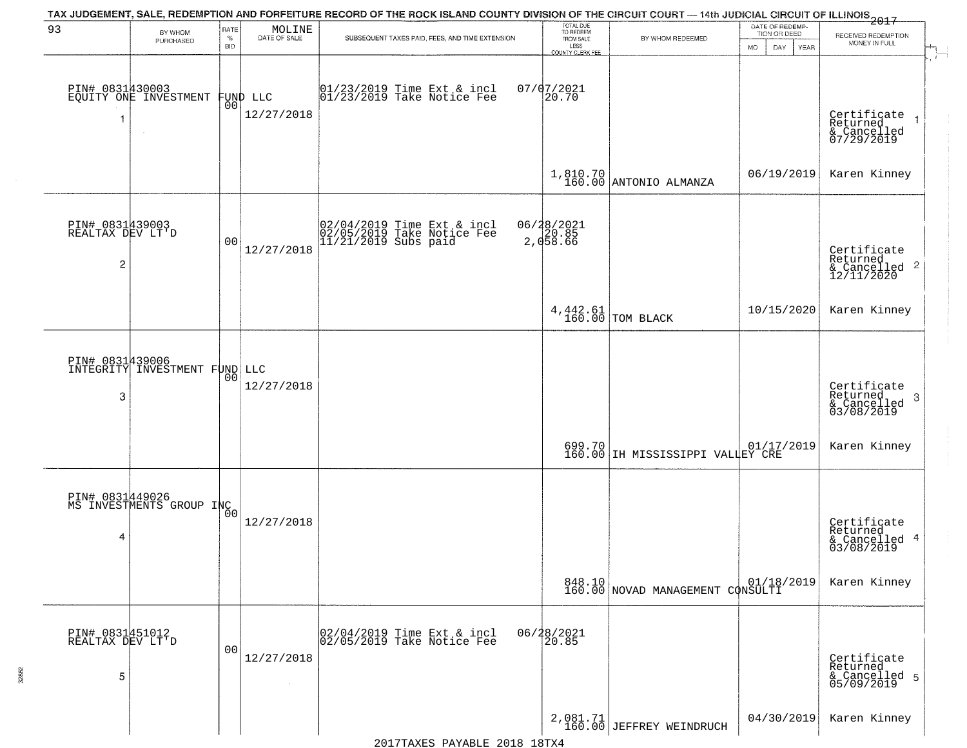| 93                                                    | BY WHOM<br>PURCHASED                                     | RATE<br>$\%$<br><b>BID</b> | $\begin{array}{c} \text{MOLINE} \\ \text{DATE of SALE} \end{array}$ | TAX JUDGEMENT, SALE, REDEMPTION AND FORFEITURE RECORD OF THE ROCK ISLAND COUNTY DIVISION OF THE CIRCUIT COURT - 14th JUDICIAL CIRCUIT OF ILLINOIS 2017<br>SUBSEQUENT TAXES PAID, FEES, AND TIME EXTENSION | TOTAL DUE<br>TO REDEEM<br>FROM SALE<br>LESS<br>COUNTY CLERK FEE | BY WHOM REDEEMED                           | DATE OF REDEMP-<br>TION OR DEED<br>MO.<br>DAY.<br>YEAR | RECEIVED REDEMPTION<br>MONEY IN FULL                                |
|-------------------------------------------------------|----------------------------------------------------------|----------------------------|---------------------------------------------------------------------|-----------------------------------------------------------------------------------------------------------------------------------------------------------------------------------------------------------|-----------------------------------------------------------------|--------------------------------------------|--------------------------------------------------------|---------------------------------------------------------------------|
| PIN# 0831430003                                       | EQUITY ONE INVESTMENT                                    | 00                         | FUND LLC<br>12/27/2018                                              | $ 01/23/2019$ Time Ext & incl<br>$ 01/23/2019$ Take Notice Fee                                                                                                                                            | $07/07/2021$<br>20.70                                           |                                            |                                                        | Certificate<br>Returned<br>& Cancelled<br>07/29/2019                |
|                                                       |                                                          |                            |                                                                     |                                                                                                                                                                                                           |                                                                 | $1,810.70$ ANTONIO ALMANZA                 | 06/19/2019                                             | Karen Kinney                                                        |
| PIN# 0831439003<br>REALTAX DEV LT'D<br>$\overline{c}$ |                                                          | 0 <sub>0</sub>             | 12/27/2018                                                          | 02/04/2019 Time Ext & incl<br>02/05/2019 Take Notice Fee<br>11/21/2019 Subs paid                                                                                                                          | 06/28/2021<br>2,058.66                                          |                                            |                                                        | Certificate<br>Returned<br>$\frac{12}{2}$ Cancelled 2<br>12/11/2020 |
|                                                       |                                                          |                            |                                                                     |                                                                                                                                                                                                           |                                                                 | $4,442.61$ TOM BLACK                       | 10/15/2020                                             | Karen Kinney                                                        |
| 3                                                     | PIN# 0831439006<br>INTEGRITY INVESTMENT FUND LLC         | 00                         | 12/27/2018                                                          |                                                                                                                                                                                                           |                                                                 |                                            |                                                        | Certificate<br>Returned<br>-3<br>& Cancelled<br>03/08/2019          |
|                                                       |                                                          |                            |                                                                     |                                                                                                                                                                                                           |                                                                 | 699.70 TH MISSISSIPPI VALLEY CRE           | 01/17/2019                                             | Karen Kinney                                                        |
| 4                                                     | PIN# 0831449026<br>MS INVESTMENTS GROUP INC <sub>O</sub> |                            | 12/27/2018                                                          |                                                                                                                                                                                                           |                                                                 |                                            |                                                        | Certificate<br>Returned<br>& Cancelled 4<br>03/08/2019              |
|                                                       |                                                          |                            |                                                                     |                                                                                                                                                                                                           |                                                                 | 848.10<br>160.00 NOVAD MANAGEMENT CONSULTI |                                                        | Karen Kinney                                                        |
| PIN# 0831451012<br>REALTAX DEV LT'D<br>5              |                                                          | 00                         | 12/27/2018                                                          | 02/04/2019 Time Ext & incl<br>02/05/2019 Take Notice Fee                                                                                                                                                  | 06/28/2021<br>20.85                                             |                                            |                                                        | Certificate<br>Returned<br>& Cancelled 5<br>05/09/2019              |
|                                                       |                                                          |                            |                                                                     |                                                                                                                                                                                                           |                                                                 | 2,081.71<br>160.00 JEFFREY WEINDRUCH       | 04/30/2019                                             | Karen Kinney                                                        |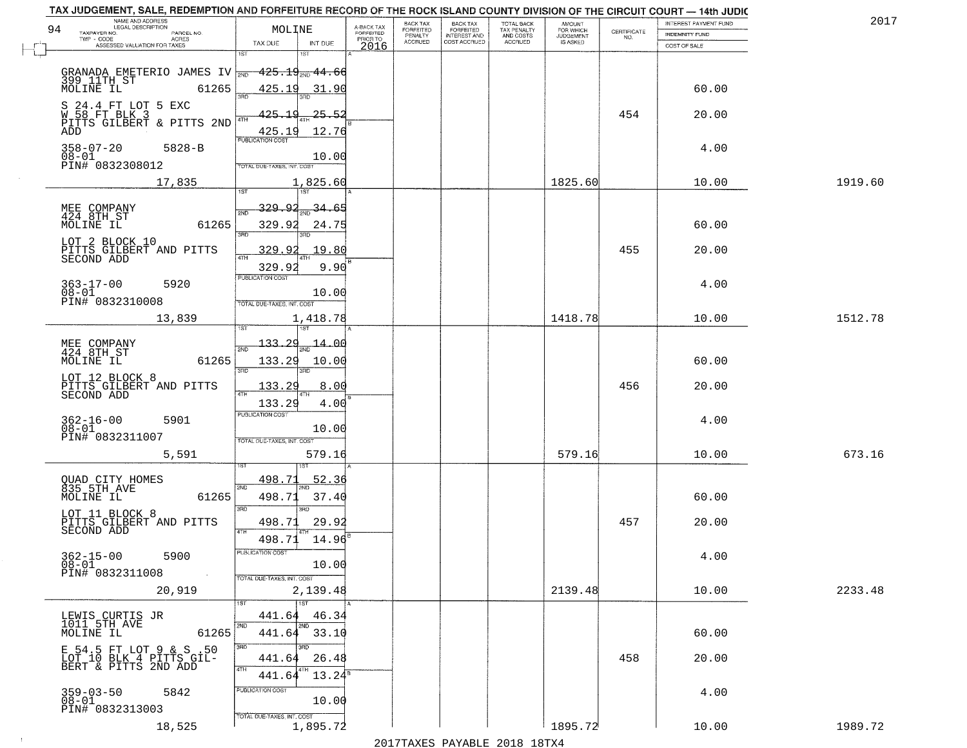| TAX JUDGEMENT, SALE, REDEMPTION AND FORFEITURE RECORD OF THE ROCK ISLAND COUNTY DIVISION OF THE CIRCUIT COURT - 14th JUDIC<br>NAME AND ADDRESS<br>LEGAL DESCRIPTION |                                           |                                     | BACK TAX             | <b>BACK TAX</b>           | TOTAL BACK               |                                         |                    | INTEREST PAYMENT FUND | 2017    |
|---------------------------------------------------------------------------------------------------------------------------------------------------------------------|-------------------------------------------|-------------------------------------|----------------------|---------------------------|--------------------------|-----------------------------------------|--------------------|-----------------------|---------|
| 94<br>TAXPAYER NO.<br>PARCEL NO.                                                                                                                                    | MOLINE                                    | A-BACK TAX<br>FORFEITED<br>PRIOR TO | FORFEITED<br>PENALTY | FORFEITED<br>INTEREST AND | TAX PENALTY<br>AND COSTS | AMOUNT<br>FOR WHICH<br><b>JUDGEMENT</b> | CERTIFICATE<br>NO. | <b>INDEMNITY FUND</b> |         |
| ACRES<br>ASSESSED VALUATION FOR TAXES                                                                                                                               | TAX DUE<br>INT DUE                        | 2016                                | <b>ACCRUED</b>       | COST ACCRUED              | <b>ACCRUED</b>           | IS ASKED                                |                    | COST OF SALE          |         |
|                                                                                                                                                                     | 1ST<br>18T                                |                                     |                      |                           |                          |                                         |                    |                       |         |
|                                                                                                                                                                     |                                           |                                     |                      |                           |                          |                                         |                    |                       |         |
| GRANADA EMETERIO JAMES IV 700 425.19 200 44.66<br>399 11TH ST 61265 425.19 31.90<br>MOLINE IL 61265 425.19 31.90                                                    |                                           |                                     |                      |                           |                          |                                         |                    | 60.00                 |         |
|                                                                                                                                                                     | 355                                       |                                     |                      |                           |                          |                                         |                    |                       |         |
| S 24.4 FT LOT 5 EXC<br>W 58 FT BLK 3                                                                                                                                | <u> 125.1 d</u><br>25.52                  |                                     |                      |                           |                          |                                         | 454                | 20.00                 |         |
| PITTS GILBERT & PITTS 2ND<br>ADD                                                                                                                                    | 12.76                                     |                                     |                      |                           |                          |                                         |                    |                       |         |
|                                                                                                                                                                     | 425.19<br>PUBLICATION COST                |                                     |                      |                           |                          |                                         |                    |                       |         |
| $358 - 07 - 20$<br>$5828 - B$<br>$08 - 01$                                                                                                                          | 10.00                                     |                                     |                      |                           |                          |                                         |                    | 4.00                  |         |
| PIN# 0832308012                                                                                                                                                     | TOTAL DUE-TAXES, INT. COST                |                                     |                      |                           |                          |                                         |                    |                       |         |
| 17,835                                                                                                                                                              | 1,825.60                                  |                                     |                      |                           |                          | 1825.60                                 |                    | 10.00                 | 1919.60 |
|                                                                                                                                                                     |                                           |                                     |                      |                           |                          |                                         |                    |                       |         |
| MEE COMPANY<br>424 8TH ST                                                                                                                                           | <u>329.92</u><br>34.65<br>2ND             |                                     |                      |                           |                          |                                         |                    |                       |         |
| 61265<br>MOLINE IL                                                                                                                                                  | 329.92<br>24.75                           |                                     |                      |                           |                          |                                         |                    | 60.00                 |         |
| LOT 2 BLOCK 10                                                                                                                                                      | 3RD                                       |                                     |                      |                           |                          |                                         |                    |                       |         |
| PITTS GILBERT AND PITTS<br>SECOND ADD                                                                                                                               | 19.80<br>329.92                           |                                     |                      |                           |                          |                                         | 455                | 20.00                 |         |
|                                                                                                                                                                     | 9.90<br>329.92                            |                                     |                      |                           |                          |                                         |                    |                       |         |
| $363 - 17 - 00$<br>5920                                                                                                                                             | PUBLICATION COST                          |                                     |                      |                           |                          |                                         |                    | 4.00                  |         |
| $08 - 01$<br>PIN# 0832310008                                                                                                                                        | 10.00                                     |                                     |                      |                           |                          |                                         |                    |                       |         |
|                                                                                                                                                                     | TOTAL DUE-TAXES, INT. COST                |                                     |                      |                           |                          |                                         |                    |                       |         |
| 13,839                                                                                                                                                              | 1,418.78<br>i ST                          |                                     |                      |                           |                          | 1418.78                                 |                    | 10.00                 | 1512.78 |
|                                                                                                                                                                     | 133.29<br>14.OG                           |                                     |                      |                           |                          |                                         |                    |                       |         |
| MEE COMPANY<br>424 8TH ST                                                                                                                                           | 2ND                                       |                                     |                      |                           |                          |                                         |                    |                       |         |
| MOLINE IL<br>61265                                                                                                                                                  | 133.29<br>10.00<br>3BD<br>3RD             |                                     |                      |                           |                          |                                         |                    | 60.00                 |         |
| LOT 12 BLOCK 8                                                                                                                                                      | 133.29<br>8.00                            |                                     |                      |                           |                          |                                         | 456                | 20.00                 |         |
| PITTS GILBERT AND PITTS<br>SECOND ADD                                                                                                                               | 4TH                                       |                                     |                      |                           |                          |                                         |                    |                       |         |
|                                                                                                                                                                     | 133.29<br>4.00<br><b>PUBLICATION COST</b> |                                     |                      |                           |                          |                                         |                    |                       |         |
| $362 - 16 - 00$<br>5901<br>$08 - 01$                                                                                                                                | 10.00                                     |                                     |                      |                           |                          |                                         |                    | 4.00                  |         |
| PIN# 0832311007                                                                                                                                                     | TOTAL OUE-TAXES, INT. COST                |                                     |                      |                           |                          |                                         |                    |                       |         |
| 5,591                                                                                                                                                               | 579.16                                    |                                     |                      |                           |                          | 579.16                                  |                    | 10.00                 | 673.16  |
|                                                                                                                                                                     |                                           |                                     |                      |                           |                          |                                         |                    |                       |         |
| QUAD CITY HOMES<br>835 5TH AVE                                                                                                                                      | 498.71<br>52.36<br>2ND                    |                                     |                      |                           |                          |                                         |                    |                       |         |
| MOLINE IL<br>61265                                                                                                                                                  | 498.71<br>37.40                           |                                     |                      |                           |                          |                                         |                    | 60.00                 |         |
| LOT 11 BLOCK 8                                                                                                                                                      | 3RD<br>3BD                                |                                     |                      |                           |                          |                                         |                    |                       |         |
| PITTS GILBERT AND PITTS<br>SECOND ADD                                                                                                                               | 498.71<br>29.9:<br>4TH                    |                                     |                      |                           |                          |                                         | 457                | 20.00                 |         |
|                                                                                                                                                                     | 14.96<br>498.71                           |                                     |                      |                           |                          |                                         |                    |                       |         |
| $362 - 15 - 00$<br>5900                                                                                                                                             | "UBLICA HUN CUS                           |                                     |                      |                           |                          |                                         |                    | 4.00                  |         |
| $08 - 01$<br>PIN# 0832311008<br>$\sim 100$ km $^{-1}$                                                                                                               | 10.00                                     |                                     |                      |                           |                          |                                         |                    |                       |         |
|                                                                                                                                                                     | TOTAL DUE-TAXES, INT. COST                |                                     |                      |                           |                          | 2139.48                                 |                    |                       |         |
| 20,919                                                                                                                                                              | 2,139.48<br>1ST                           |                                     |                      |                           |                          |                                         |                    | 10.00                 | 2233.48 |
|                                                                                                                                                                     | 46.34<br>441.64                           |                                     |                      |                           |                          |                                         |                    |                       |         |
| LEWIS CURTIS JR<br>1011 5TH AVE                                                                                                                                     | 2ND                                       |                                     |                      |                           |                          |                                         |                    |                       |         |
| MOLINE IL<br>61265                                                                                                                                                  | 441.64 33.10<br>3RD<br>3BD                |                                     |                      |                           |                          |                                         |                    | 60.00                 |         |
|                                                                                                                                                                     | 441.64<br>26.48                           |                                     |                      |                           |                          |                                         | 458                | 20.00                 |         |
|                                                                                                                                                                     | 4TH<br>4TH<br>$13.24^s$<br>441.64         |                                     |                      |                           |                          |                                         |                    |                       |         |
|                                                                                                                                                                     | PUBLICATION COST                          |                                     |                      |                           |                          |                                         |                    |                       |         |
| $359 - 03 - 50$<br>5842<br>$08 - 01$                                                                                                                                | 10.00                                     |                                     |                      |                           |                          |                                         |                    | 4.00                  |         |
| PIN# 0832313003                                                                                                                                                     | TOTAL DUE-TAXES, INT. COST                |                                     |                      |                           |                          |                                         |                    |                       |         |
| 18,525                                                                                                                                                              | 1,895.72                                  |                                     |                      |                           |                          | 1895.72                                 |                    | 10.00                 | 1989.72 |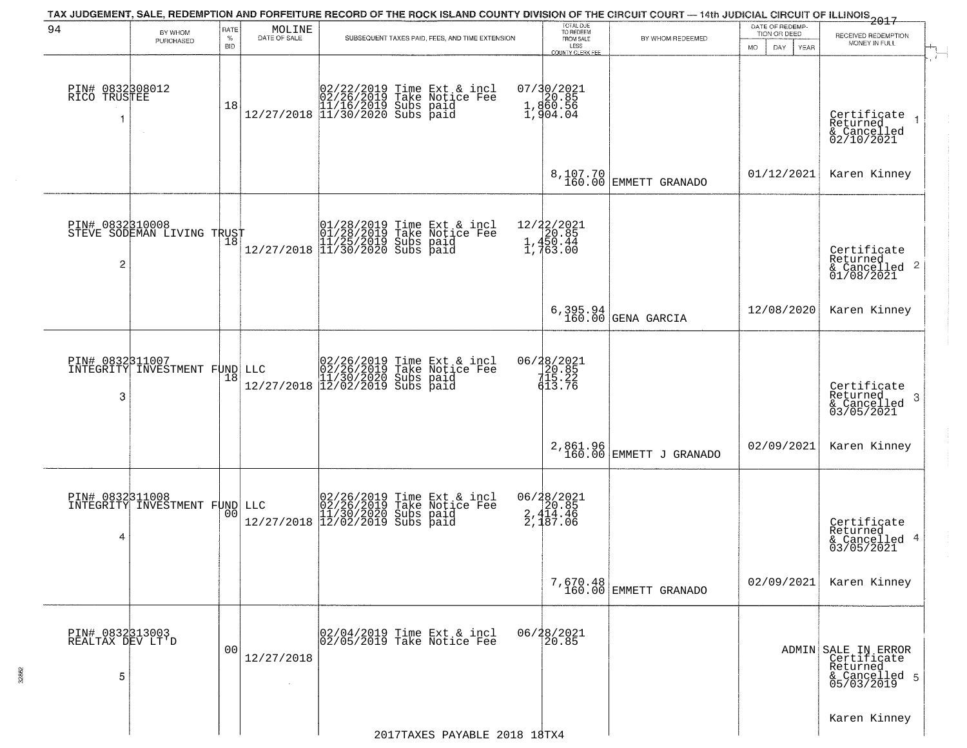| 94                                       | BY WHOM                                                  | RATE               |                                                                     | TAX JUDGEMENT, SALE, REDEMPTION AND FORFEITURE RECORD OF THE ROCK ISLAND COUNTY DIVISION OF THE CIRCUIT COURT — 14th JUDICIAL CIRCUIT OF ILLINOIS 2017  | TOTAL DUE<br>TO REDEEM                                                 |                                   | DATE OF REDEMP-                           |                                                                               |  |
|------------------------------------------|----------------------------------------------------------|--------------------|---------------------------------------------------------------------|---------------------------------------------------------------------------------------------------------------------------------------------------------|------------------------------------------------------------------------|-----------------------------------|-------------------------------------------|-------------------------------------------------------------------------------|--|
|                                          | PURCHASED                                                | $\%$<br><b>BID</b> | $\begin{array}{c} \text{MOLINE} \\ \text{DATE of SALE} \end{array}$ | SUBSEQUENT TAXES PAID, FEES, AND TIME EXTENSION                                                                                                         | FROM SALE<br>LESS<br>COUNTY CLERK FEE                                  | BY WHOM REDEEMED                  | TION OR DEED<br>MO.<br>DAY<br><b>YEAR</b> | RECEIVED REDEMPTION<br>MONEY IN FULL                                          |  |
| PIN# 0832308012<br>RICO TRUSTEE<br>1     |                                                          | 18                 |                                                                     | $[02/22/2019 \text{ Time Ext & incl} \brack 02/26/2019 \text{ Take Notice Fee} \brack 11/16/2019 \text{ Subs paid} \brack 11/30/2020 \text{ Subs paid}$ | 07/30/2021<br>20.85<br>1,860.56<br>1,860.56<br>1,904.04                |                                   |                                           | Certificate<br>Returned<br>& Cancelled<br>02/10/2021                          |  |
|                                          |                                                          |                    |                                                                     |                                                                                                                                                         | 8,107.70<br>160.00                                                     | EMMETT GRANADO                    | 01/12/2021                                | Karen Kinney                                                                  |  |
| PIN# 0832310008<br>2                     | STEVE SODEMAN LIVING TRUST<br>STEVE SODEMAN LIVING TRUST |                    |                                                                     | 01/28/2019 Time Ext & incl<br>01/28/2019 Take Notice Fee<br>11/25/2019 Subs paid<br>12/27/2018 11/30/2020 Subs paid                                     | 12/22/2021<br>20.85<br>1,450.44<br>$\frac{1}{1}$ , 450.44<br>1, 763.00 |                                   |                                           | Certificate<br>Returned<br>& Cancelled 2<br>01/08/2021                        |  |
|                                          |                                                          |                    |                                                                     |                                                                                                                                                         | 6,395.94<br>160.00                                                     | GENA GARCIA                       | 12/08/2020                                | Karen Kinney                                                                  |  |
| PIN# 0832311007<br>3                     | INTEGRITY INVESTMENT FUND                                | 18                 |                                                                     | LLC $02/26/2019$ Time Ext & incl<br>02/26/2019 Take Notice Fee<br>11/30/2020 Subs paid<br>12/27/2018 12/02/2019 Subs paid                               | 06/28/2021<br>20.85<br>115.22<br>613.76                                |                                   |                                           | Certifiçate<br>Returned<br>-3<br>& Cancelled<br>03/05/2021                    |  |
|                                          |                                                          |                    |                                                                     |                                                                                                                                                         | 2,861.96<br>160.00                                                     | EMMETT J GRANADO                  | 02/09/2021                                | Karen Kinney                                                                  |  |
| PIN# 0832311008<br>4                     | INTEGRITY INVESTMENT FUND                                |                    |                                                                     | LLC $02/26/2019$ Time Ext & incl<br>02/26/2019 Take Notice Fee<br>11/30/2020 Subs paid<br>12/27/2018 12/02/2019 Subs paid                               | 06/28/2021<br>2,414.46<br>2,414.46<br>2,187.06                         |                                   |                                           | Certificate<br>Returned<br>& Cancelled 4<br>03/05/2021                        |  |
|                                          |                                                          |                    |                                                                     |                                                                                                                                                         |                                                                        | 7,670.48<br>160.00 EMMETT GRANADO | 02/09/2021                                | Karen Kinney                                                                  |  |
| PIN# 0832313003<br>REALTAX DEV LT'D<br>5 |                                                          | 0 <sub>0</sub>     | 12/27/2018                                                          | 02/04/2019 Time Ext & incl<br>02/05/2019 Take Notice Fee                                                                                                | 06/28/2021<br>20.85                                                    |                                   |                                           | ADMIN SALE IN ERROR<br>Certificate<br>Returned<br>& Cancelled 5<br>05/03/2019 |  |
|                                          |                                                          |                    |                                                                     | 2017TAXES PAYABLE 2018 18TX4                                                                                                                            |                                                                        |                                   |                                           | Karen Kinney                                                                  |  |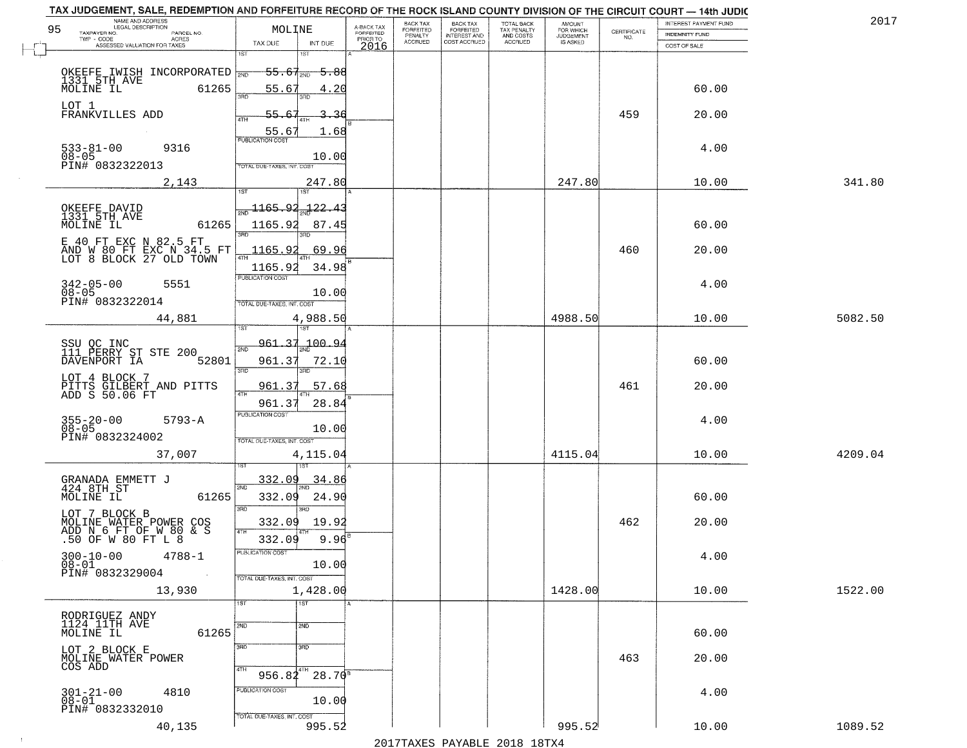| 2017    | INTEREST PAYMENT FUND |                                                                 | AMOUNT<br>FOR WHICH | TOTAL BACK<br>TAX PENALTY<br>AND COSTS | <b>BACK TAX</b>           | BACK TAX             |                                     |                                                                | NAME AND ADDRESS<br>LEGAL DESCRIPTION                                                   |
|---------|-----------------------|-----------------------------------------------------------------|---------------------|----------------------------------------|---------------------------|----------------------|-------------------------------------|----------------------------------------------------------------|-----------------------------------------------------------------------------------------|
|         | INDEMNITY FUND        | $\begin{array}{c} \text{CERTIFICATE} \\ \text{NO.} \end{array}$ | <b>JUDGEMENT</b>    |                                        | FORFEITED<br>INTEREST AND | FORFEITED<br>PENALTY | A-BACK TAX<br>FORFEITED<br>PRIOR TO | MOLINE                                                         | 95<br>TAXPAYER NO.<br>PARCEL NO.<br>ACRES                                               |
|         | COST OF SALE          |                                                                 | IS ASKED            | <b>ACCRUED</b>                         | COST ACCRUED              | <b>ACCRUED</b>       | 2016                                | TAX DUE<br>INT DUE                                             | ASSESSED VALUATION FOR TAXES                                                            |
|         |                       |                                                                 |                     |                                        |                           |                      |                                     | 1ST<br><del>55.67<sub>2ND</sub> 5.88</del>                     | OKEEFE IWISH INCORPORATED                                                               |
|         | 60.00                 |                                                                 |                     |                                        |                           |                      |                                     | 55.67<br>4.20                                                  | 1331 5TH AVE MOLINE IL<br>61265<br>LOT 1                                                |
|         | 20.00                 | 459                                                             |                     |                                        |                           |                      |                                     | 55.67<br>-36<br>55.67<br>1.68<br><b>PUBLICATION COST</b>       | FRANKVILLES ADD                                                                         |
|         | 4.00                  |                                                                 |                     |                                        |                           |                      |                                     | 10.00<br>TOTAL DUE-TAXES, INT. COST                            | $533 - 81 - 00$<br>9316<br>$08 - 05$<br>PIN# 0832322013                                 |
| 341.80  | 10.00                 |                                                                 | 247.80              |                                        |                           |                      |                                     | 247.80                                                         | 2,143                                                                                   |
|         | 60.00                 |                                                                 |                     |                                        |                           |                      |                                     | <u> 1165.92</u><br>722.4<br>1165.92<br>87.45                   | OKEEFE DAVID<br>1331 5TH AVE<br>MOLINE IL<br>61265                                      |
|         | 20.00                 | 460                                                             |                     |                                        |                           |                      |                                     | 1165.92<br>69.96<br>$\sqrt{4}$ TH<br>1165.92<br>34.98          | E 40 FT EXC N 82.5 FT<br>AND W 80 FT EXC N 34.5 FT<br>LOT 8 BLOCK 27 OLD TOWN           |
|         | 4.00                  |                                                                 |                     |                                        |                           |                      |                                     | PUBLICATION COST<br>10.00<br>TOTAL DUE-TAXES, INT. COST        | $342 - 05 - 00$<br>5551<br>$08 - 05$<br>PIN# 0832322014                                 |
| 5082.50 | 10.00                 |                                                                 | 4988.50             |                                        |                           |                      |                                     | 4,988.50<br>187<br>i ST                                        | 44,881                                                                                  |
|         | 60.00                 |                                                                 |                     |                                        |                           |                      |                                     | 961.37<br>.100.94<br>2ND<br>961.37<br>72.10<br>3RD<br>3RD      | SSU OC INC<br>111 PERRY ST STE 200<br>DAVENPORT IA<br>52801                             |
|         | 20.00                 | 461                                                             |                     |                                        |                           |                      |                                     | 961.37<br>57.68<br>ATH<br>28.84<br>961.37                      | LOT 4 BLOCK 7<br>PITTS GILBERT AND PITTS<br>ADD S 50.06 FT                              |
|         | 4.00                  |                                                                 |                     |                                        |                           |                      |                                     | <b>PUBLICATION COST</b><br>10.00<br>TOTAL OUE-TAXES, INT. COST | $355 - 20 - 00$<br>08-05<br>$5793 - A$<br>PIN# 0832324002                               |
| 4209.04 | 10.00                 |                                                                 | 4115.04             |                                        |                           |                      |                                     | 4,115.04                                                       | 37,007                                                                                  |
|         | 60.00                 |                                                                 |                     |                                        |                           |                      |                                     | 332.09<br>34.86<br>2ND<br>332.09<br>24.90<br>3RD<br>חחו        | GRANADA EMMETT J<br>424 8TH ST<br>MOLINE IL<br>61265                                    |
|         | 20.00                 | 462                                                             |                     |                                        |                           |                      |                                     | 332.09<br>19.92<br>4TH<br>$9.96^{8}$<br>332.09                 | LOT 7 BLOCK B<br>MOLINE WATER POWER COS<br>ADD N 6 FT OF W 80 & S<br>.50 OF W 80 FT L 8 |
|         | 4.00                  |                                                                 |                     |                                        |                           |                      |                                     | PUBLICATION COS.<br>10.00<br>TOTAL DUE-TAXES, INT. COST        | $300 - 10 - 00$<br>$4788 - 1$<br>$08 - 01$<br>PIN# 0832329004<br>$\sim 100$             |
| 1522.00 | 10.00                 |                                                                 | 1428.00             |                                        |                           |                      |                                     | 1,428.00<br>1ST<br>1ST                                         | 13,930                                                                                  |
|         | 60.00                 |                                                                 |                     |                                        |                           |                      |                                     | 2ND<br>2ND                                                     | RODRIGUEZ ANDY<br>1124 11TH AVE<br>61265<br>MOLINE IL                                   |
|         | 20.00                 | 463                                                             |                     |                                        |                           |                      |                                     | 3RD<br>3BD<br>4TH<br>$956.84^{4TH}$<br>$28.70^{8}$             | LOT 2 BLOCK E<br>MOLINE WATER POWER<br>COS ADD                                          |
|         | 4.00                  |                                                                 |                     |                                        |                           |                      |                                     | PUBLICATION COST<br>10.00                                      | $301 - 21 - 00$<br>4810<br>$08 - 01$<br>PIN# 0832332010                                 |
| 1089.52 | 10.00                 |                                                                 | 995.52              |                                        |                           |                      |                                     | TOTAL DUE-TAXES, INT. COST<br>995.52                           | 40,135                                                                                  |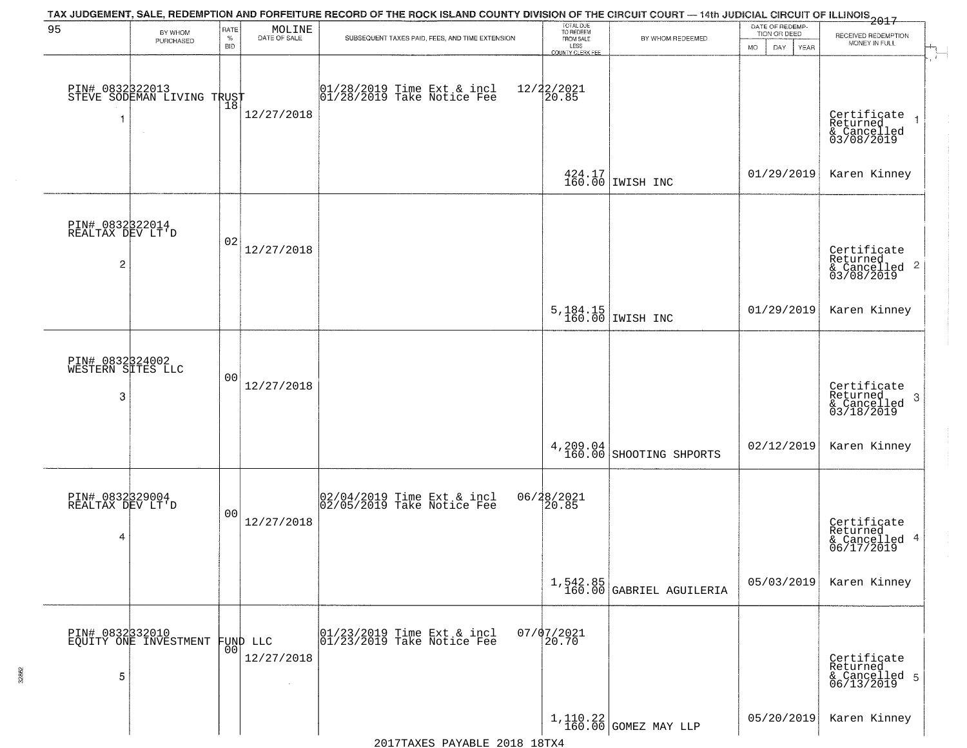| 95                                   | BY WHOM                                      | RATE               |                                                                     | TAX JUDGEMENT, SALE, REDEMPTION AND FORFEITURE RECORD OF THE ROCK ISLAND COUNTY DIVISION OF THE CIRCUIT COURT - 14th JUDICIAL CIRCUIT OF ILLINOIS 2017 | TOTAL DUE<br>TO REDEEM                |                                                             | DATE OF REDEMP-                     |                                                            |
|--------------------------------------|----------------------------------------------|--------------------|---------------------------------------------------------------------|--------------------------------------------------------------------------------------------------------------------------------------------------------|---------------------------------------|-------------------------------------------------------------|-------------------------------------|------------------------------------------------------------|
|                                      | PURCHASED                                    | $\%$<br><b>BID</b> | $\begin{array}{c} \text{MOLINE} \\ \text{DATE of SALE} \end{array}$ | SUBSEQUENT TAXES PAID, FEES, AND TIME EXTENSION                                                                                                        | FROM SALE<br>LESS<br>COUNTY CLERK FEE | BY WHOM REDEEMED                                            | TION OR DEED<br>MO.<br>DAY.<br>YEAR | RECEIVED REDEMPTION<br>MONEY IN FULL                       |
|                                      |                                              |                    |                                                                     |                                                                                                                                                        |                                       |                                                             |                                     |                                                            |
|                                      | PIN# 083232013<br>STEVE SODEMAN LIVING TRUST |                    |                                                                     | 01/28/2019 Time Ext & incl<br>01/28/2019 Take Notice Fee                                                                                               | 12/22/2021<br>20.85                   |                                                             |                                     |                                                            |
|                                      |                                              |                    | 12/27/2018                                                          |                                                                                                                                                        |                                       |                                                             |                                     |                                                            |
|                                      |                                              |                    |                                                                     |                                                                                                                                                        |                                       |                                                             |                                     | Certificate<br>Returned<br>& Cancelled<br>03/08/2019       |
|                                      |                                              |                    |                                                                     |                                                                                                                                                        |                                       | $\begin{array}{c c} 424.17 \\ 160.00 \end{array}$ IWISH INC | 01/29/2019                          | Karen Kinney                                               |
|                                      |                                              |                    |                                                                     |                                                                                                                                                        |                                       |                                                             |                                     |                                                            |
| PIN# 0832322014<br>REALTAX DEV LT'D  |                                              |                    |                                                                     |                                                                                                                                                        |                                       |                                                             |                                     |                                                            |
|                                      |                                              | 02                 | 12/27/2018                                                          |                                                                                                                                                        |                                       |                                                             |                                     | Certificate<br>Returned                                    |
| $\overline{c}$                       |                                              |                    |                                                                     |                                                                                                                                                        |                                       |                                                             |                                     | $\frac{12241164}{63/08/2019}$ 2                            |
|                                      |                                              |                    |                                                                     |                                                                                                                                                        |                                       |                                                             | 01/29/2019                          | Karen Kinney                                               |
|                                      |                                              |                    |                                                                     |                                                                                                                                                        |                                       | 5, 184.15<br>160.00 IWISH INC                               |                                     |                                                            |
|                                      |                                              |                    |                                                                     |                                                                                                                                                        |                                       |                                                             |                                     |                                                            |
| PIN# 0832324002<br>WESTERN SITES LLC |                                              | 00                 | 12/27/2018                                                          |                                                                                                                                                        |                                       |                                                             |                                     |                                                            |
| -3                                   |                                              |                    |                                                                     |                                                                                                                                                        |                                       |                                                             |                                     | Certificate<br>Returned<br>-3<br>& Cancelled<br>03/18/2019 |
|                                      |                                              |                    |                                                                     |                                                                                                                                                        |                                       |                                                             |                                     |                                                            |
|                                      |                                              |                    |                                                                     |                                                                                                                                                        |                                       | $4,209.04$ SHOOTING SHPORTS                                 | 02/12/2019                          | Karen Kinney                                               |
|                                      |                                              |                    |                                                                     |                                                                                                                                                        |                                       |                                                             |                                     |                                                            |
| PIN# 0832329004<br>REALTAX DEV LT'D  |                                              | 0 <sub>0</sub>     |                                                                     | 02/04/2019 Time Ext & incl<br>02/05/2019 Take Notice Fee                                                                                               | 06/28/2021<br>20.85                   |                                                             |                                     |                                                            |
| 4                                    |                                              |                    | 12/27/2018                                                          |                                                                                                                                                        |                                       |                                                             |                                     | Certificate<br>Returned<br>& Cancelled 4<br>06/17/2019     |
|                                      |                                              |                    |                                                                     |                                                                                                                                                        |                                       |                                                             |                                     |                                                            |
|                                      |                                              |                    |                                                                     |                                                                                                                                                        |                                       | $1,542.85$<br>160.00 GABRIEL AGUILERIA                      | 05/03/2019                          | Karen Kinney                                               |
|                                      |                                              |                    |                                                                     |                                                                                                                                                        |                                       |                                                             |                                     |                                                            |
|                                      | PIN# 0832332010<br>EQUITY ONE INVESTMENT     |                    | FUND LLC<br> 00                                                     | 01/23/2019 Time Ext & incl<br>01/23/2019 Take Notice Fee                                                                                               | $07/07/2021$<br>20.70                 |                                                             |                                     |                                                            |
|                                      |                                              |                    | 12/27/2018                                                          |                                                                                                                                                        |                                       |                                                             |                                     | Certificate<br>Returned<br>& Cancelled 5<br>06/13/2019     |
| 5                                    |                                              |                    |                                                                     |                                                                                                                                                        |                                       |                                                             |                                     |                                                            |
|                                      |                                              |                    |                                                                     |                                                                                                                                                        |                                       | $1,110.22$ GOMEZ MAY LLP                                    | 05/20/2019                          | Karen Kinney                                               |
|                                      |                                              |                    |                                                                     |                                                                                                                                                        |                                       |                                                             |                                     |                                                            |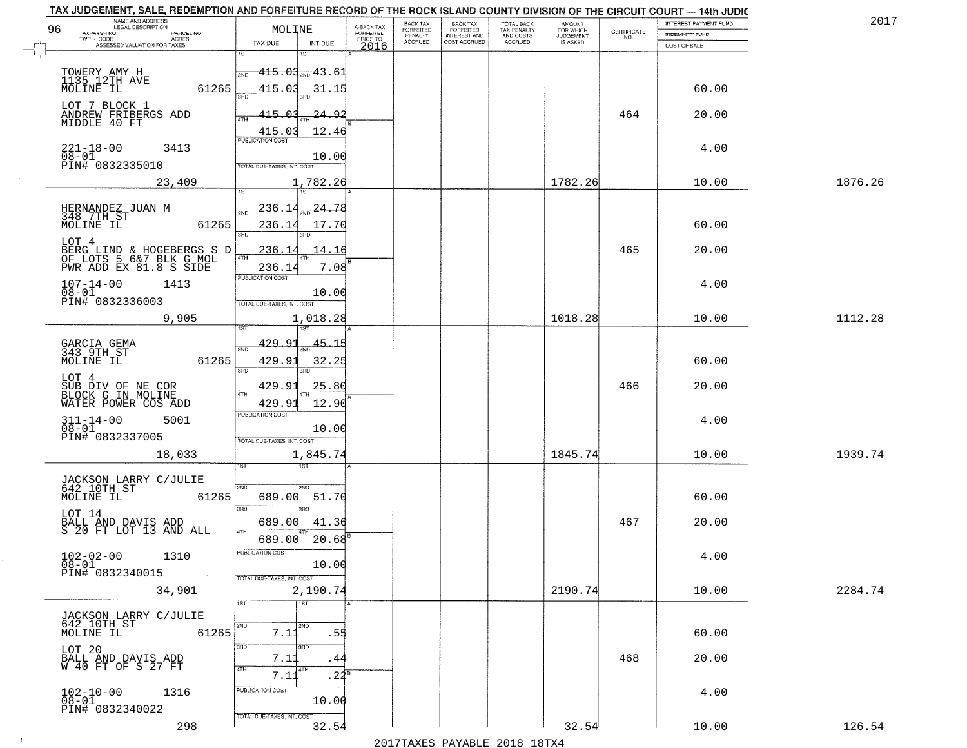| TAX JUDGEMENT, SALE, REDEMPTION AND FORFEITURE RECORD OF THE ROCK ISLAND COUNTY DIVISION OF THE CIRCUIT COURT - 14th JUDIC<br>NAME AND ADDRESS<br>LEGAL DESCRIPTION |                                   |                 |                                     | BACK TAX             |                                       |                                        |                                         |                                                                 | INTEREST PAYMENT FUND | 2017    |
|---------------------------------------------------------------------------------------------------------------------------------------------------------------------|-----------------------------------|-----------------|-------------------------------------|----------------------|---------------------------------------|----------------------------------------|-----------------------------------------|-----------------------------------------------------------------|-----------------------|---------|
| 96<br>TAXPAYER NO.<br>PARCEL NO.                                                                                                                                    | MOLINE                            |                 | A-BACK TAX<br>FORFEITED<br>PRIOR TO | FORFEITED<br>PENALTY | BACK TAX<br>FORFEITED<br>INTEREST AND | TOTAL BACK<br>TAX PENALTY<br>AND COSTS | AMOUNT<br>FOR WHICH<br><b>JUDGEMENT</b> | $\begin{array}{c} \text{CERTIFICATE} \\ \text{NO.} \end{array}$ | <b>INDEMNITY FUND</b> |         |
| $TWP - CODE$<br>ACRES<br>ASSESSED VALUATION FOR TAXES                                                                                                               | TAX DUE                           | INT DUE         | 2016                                | <b>ACCRUED</b>       | COST ACCRUED                          | ACCRUED                                | IS ASKED                                |                                                                 | COST OF SALE          |         |
|                                                                                                                                                                     | 18T<br>1ST                        |                 |                                     |                      |                                       |                                        |                                         |                                                                 |                       |         |
| TOWERY AMY H                                                                                                                                                        | $415.03_{\rm 200}$ $43.61$        |                 |                                     |                      |                                       |                                        |                                         |                                                                 |                       |         |
| 1135 12TH AVE<br>MOLINE IL<br>61265                                                                                                                                 | 415.03                            | 31.15           |                                     |                      |                                       |                                        |                                         |                                                                 | 60.00                 |         |
|                                                                                                                                                                     |                                   |                 |                                     |                      |                                       |                                        |                                         |                                                                 |                       |         |
| LOT 7 BLOCK 1<br>ANDREW FRIBERGS ADD                                                                                                                                | 415.03                            | <u>24.92</u>    |                                     |                      |                                       |                                        |                                         | 464                                                             | 20.00                 |         |
| MIDDLE 40 FT                                                                                                                                                        |                                   |                 |                                     |                      |                                       |                                        |                                         |                                                                 |                       |         |
|                                                                                                                                                                     | 415.03<br><b>PUBLICATION COST</b> | 12.46           |                                     |                      |                                       |                                        |                                         |                                                                 |                       |         |
| $221 - 18 - 00$<br>3413<br>$08 - 01$                                                                                                                                |                                   |                 |                                     |                      |                                       |                                        |                                         |                                                                 | 4.00                  |         |
| PIN# 0832335010                                                                                                                                                     | TOTAL DUE-TAXES, INT. COST        | 10.00           |                                     |                      |                                       |                                        |                                         |                                                                 |                       |         |
| 23,409                                                                                                                                                              |                                   | 1,782.26        |                                     |                      |                                       |                                        | 1782.26                                 |                                                                 | 10.00                 | 1876.26 |
|                                                                                                                                                                     | 197<br>1ST                        |                 |                                     |                      |                                       |                                        |                                         |                                                                 |                       |         |
| HERNANDEZ JUAN M                                                                                                                                                    | 236.14<br>$5\overline{ND}$        | 24.78           |                                     |                      |                                       |                                        |                                         |                                                                 |                       |         |
| 348 7TH ST<br>MOLINE IL<br>61265                                                                                                                                    |                                   |                 |                                     |                      |                                       |                                        |                                         |                                                                 | 60.00                 |         |
|                                                                                                                                                                     | 236.14<br>ब्रह्म                  | 17.70           |                                     |                      |                                       |                                        |                                         |                                                                 |                       |         |
| LOT 4<br>BERG LIND & HOGEBERGS S D<br>OF LOTS 5 6&7 BLK G MOL<br>PWR ADD EX 81.8 S SIDE                                                                             | 236.1                             | 14.16           |                                     |                      |                                       |                                        |                                         | 465                                                             | 20.00                 |         |
|                                                                                                                                                                     | 47H                               |                 |                                     |                      |                                       |                                        |                                         |                                                                 |                       |         |
|                                                                                                                                                                     | 236.14<br><b>PUBLICATION COST</b> | 7.08            |                                     |                      |                                       |                                        |                                         |                                                                 |                       |         |
| $107 - 14 - 00$<br>1413                                                                                                                                             |                                   | 10.00           |                                     |                      |                                       |                                        |                                         |                                                                 | 4.00                  |         |
| $08 - 01$<br>PIN# 0832336003                                                                                                                                        | TOTAL DUE-TAXES, INT. COST        |                 |                                     |                      |                                       |                                        |                                         |                                                                 |                       |         |
| 9,905                                                                                                                                                               |                                   | 1,018.28        |                                     |                      |                                       |                                        | 1018.28                                 |                                                                 | 10.00                 | 1112.28 |
|                                                                                                                                                                     | ιSΤ                               |                 |                                     |                      |                                       |                                        |                                         |                                                                 |                       |         |
|                                                                                                                                                                     | 429.91                            | 45.15           |                                     |                      |                                       |                                        |                                         |                                                                 |                       |         |
| GARCIA GEMA<br>343 9TH ST<br>61265<br>MOLINE IL                                                                                                                     | 2ND<br>429.91                     | 32.25           |                                     |                      |                                       |                                        |                                         |                                                                 | 60.00                 |         |
|                                                                                                                                                                     | 3BD<br>3RD                        |                 |                                     |                      |                                       |                                        |                                         |                                                                 |                       |         |
| LOT 4                                                                                                                                                               | 429.91                            | 25.80           |                                     |                      |                                       |                                        |                                         | 466                                                             | 20.00                 |         |
| SUB DIV OF NE COR<br>BLOCK G IN MOLINE                                                                                                                              | 4TH                               |                 |                                     |                      |                                       |                                        |                                         |                                                                 |                       |         |
| WATER POWER COS ADD                                                                                                                                                 | 429.91<br><b>PUBLICATION COST</b> | 12.90           |                                     |                      |                                       |                                        |                                         |                                                                 |                       |         |
| $311 - 14 - 00$<br>$08 - 01$<br>5001                                                                                                                                |                                   | 10.00           |                                     |                      |                                       |                                        |                                         |                                                                 | 4.00                  |         |
| PIN# 0832337005                                                                                                                                                     | TOTAL OUE-TAXES, INT. COST        |                 |                                     |                      |                                       |                                        |                                         |                                                                 |                       |         |
| 18,033                                                                                                                                                              |                                   | 1,845.74        |                                     |                      |                                       |                                        | 1845.74                                 |                                                                 | 10.00                 | 1939.74 |
|                                                                                                                                                                     |                                   |                 |                                     |                      |                                       |                                        |                                         |                                                                 |                       |         |
|                                                                                                                                                                     |                                   |                 |                                     |                      |                                       |                                        |                                         |                                                                 |                       |         |
| JACKSON LARRY C/JULIE<br>642 10TH ST<br>MOLINE IL<br>61265                                                                                                          | 2ND<br>2ND<br>689.00              | 51.70           |                                     |                      |                                       |                                        |                                         |                                                                 | 60.00                 |         |
|                                                                                                                                                                     | 3RD<br>3RD                        |                 |                                     |                      |                                       |                                        |                                         |                                                                 |                       |         |
| LOT 14                                                                                                                                                              | 689.00                            | 41.36           |                                     |                      |                                       |                                        |                                         | 467                                                             | 20.00                 |         |
| BALL AND DAVIS ADD<br>S 20 FT LOT 13 AND ALL                                                                                                                        | 4TH                               |                 |                                     |                      |                                       |                                        |                                         |                                                                 |                       |         |
|                                                                                                                                                                     | 689.00<br>PUBLICATION COST        | $20.68^{\circ}$ |                                     |                      |                                       |                                        |                                         |                                                                 |                       |         |
| $102 - 02 - 00$<br>1310<br>$08-01$                                                                                                                                  |                                   | 10.00           |                                     |                      |                                       |                                        |                                         |                                                                 | 4.00                  |         |
| PIN# 0832340015<br>$\sim 100$                                                                                                                                       | TOTAL DUE-TAXES, INT. COST        |                 |                                     |                      |                                       |                                        |                                         |                                                                 |                       |         |
| 34,901                                                                                                                                                              |                                   | 2,190.74        |                                     |                      |                                       |                                        | 2190.74                                 |                                                                 | 10.00                 | 2284.74 |
|                                                                                                                                                                     | 1ST<br>1ST                        |                 | l A                                 |                      |                                       |                                        |                                         |                                                                 |                       |         |
|                                                                                                                                                                     |                                   |                 |                                     |                      |                                       |                                        |                                         |                                                                 |                       |         |
| JACKSON LARRY C/JULIE<br>642 10TH ST<br>61265<br>MOLINE IL                                                                                                          | 2ND<br>2ND<br>7.11                | .55             |                                     |                      |                                       |                                        |                                         |                                                                 | 60.00                 |         |
|                                                                                                                                                                     | 3RD<br>350                        |                 |                                     |                      |                                       |                                        |                                         |                                                                 |                       |         |
| LOT 20                                                                                                                                                              | 7.11                              | .44             |                                     |                      |                                       |                                        |                                         | 468                                                             | 20.00                 |         |
| BALL AND DAVIS ADD<br>W 40 FT OF S 27 FT                                                                                                                            | 4TH<br>4TH                        |                 |                                     |                      |                                       |                                        |                                         |                                                                 |                       |         |
|                                                                                                                                                                     | 7.11                              | $.24^{\circ}$   |                                     |                      |                                       |                                        |                                         |                                                                 |                       |         |
| $102 - 10 - 00$<br>$08 - 01$<br>1316                                                                                                                                | PUBLICATION COST                  | 10.00           |                                     |                      |                                       |                                        |                                         |                                                                 | 4.00                  |         |
| PIN# 0832340022                                                                                                                                                     |                                   |                 |                                     |                      |                                       |                                        |                                         |                                                                 |                       |         |
| 298                                                                                                                                                                 | TOTAL DUE-TAXES, INT. COST        | 32.54           |                                     |                      |                                       |                                        | 32.54                                   |                                                                 | 10.00                 | 126.54  |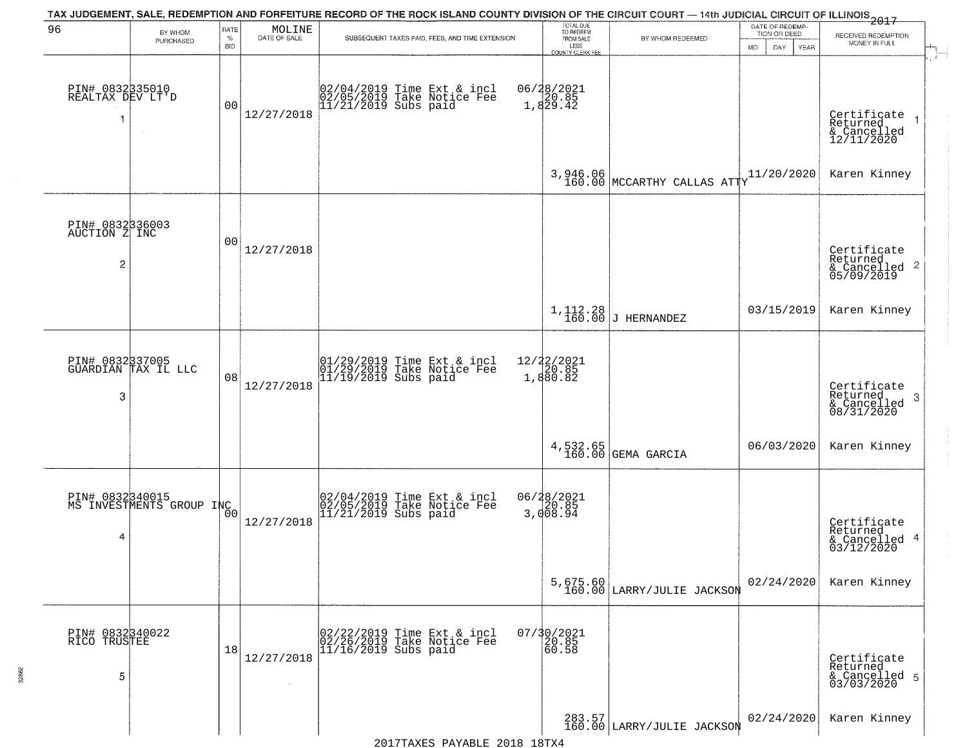|                                          |                                             |                            |                                                                     | TAX JUDGEMENT, SALE, REDEMPTION AND FORFEITURE RECORD OF THE ROCK ISLAND COUNTY DIVISION OF THE CIRCUIT COURT — 14th JUDICIAL CIRCUIT OF ILLINOIS<br>The contract of the contract of the contract of the contract of the contract |                                                                 |                                                                            |                                                        |                                                                              |
|------------------------------------------|---------------------------------------------|----------------------------|---------------------------------------------------------------------|-----------------------------------------------------------------------------------------------------------------------------------------------------------------------------------------------------------------------------------|-----------------------------------------------------------------|----------------------------------------------------------------------------|--------------------------------------------------------|------------------------------------------------------------------------------|
| 96                                       | BY WHOM<br>PURCHASED                        | RATE<br>$\%$<br><b>BID</b> | $\begin{array}{c} \text{MOLINE} \\ \text{DATE of SALE} \end{array}$ | SUBSEQUENT TAXES PAID, FEES, AND TIME EXTENSION                                                                                                                                                                                   | TOTAL DUE<br>TO REDEEM<br>FROM SALE<br>LESS<br>COUNTY CLERK FEE | BY WHOM REDEEMED                                                           | DATE OF REDEMP-<br>TION OR DEED<br>MO.<br>DAY.<br>YEAR | RECEIVED REDEMPTION<br>MONEY IN FULL<br>$\mathcal{A}^{\mathcal{A}^{\prime}}$ |
| PIN# 0832335010<br>REALTAX DEV LT'D<br>1 | $\sim$                                      | 0 <sub>0</sub>             | 12/27/2018                                                          | 02/04/2019 Time Ext & incl<br>02/05/2019 Take Notice Fee<br>11/21/2019 Subs paid                                                                                                                                                  | 06/28/2021<br>1,829.85<br>1,829.42                              |                                                                            |                                                        | Certificate<br>Returned<br>& Cancelled<br>12/11/2020                         |
|                                          |                                             |                            |                                                                     |                                                                                                                                                                                                                                   |                                                                 | $3,946.06$ $160.00$ $\text{MCCARTHY} \text{ CALLAS } \text{ATT} \text{YY}$ | 11/20/2020                                             | Karen Kinney                                                                 |
| PIN# 0832336003<br>AUCTION Z INC<br>2    |                                             | 00                         | 12/27/2018                                                          |                                                                                                                                                                                                                                   |                                                                 |                                                                            |                                                        | Certificate<br>Returned<br>$\frac{1}{2}$ Cancelled 2<br>05/09/2019           |
|                                          |                                             |                            |                                                                     |                                                                                                                                                                                                                                   |                                                                 | $1, 112.28$ J HERNANDEZ                                                    | 03/15/2019                                             | Karen Kinney                                                                 |
| 3                                        | PIN# 0832337005<br>GUARDIAN TAX IL LLC      | 08                         | 12/27/2018                                                          | 01/29/2019 Time Ext & incl<br>01/29/2019 Take Notice Fee<br>11/19/2019 Subs paid                                                                                                                                                  | $12/22/2021$<br>$20.85$<br>1,880.82                             |                                                                            |                                                        | Certificate<br>Returned<br>-3<br>& Cancelled<br>08/31/2020                   |
|                                          |                                             |                            |                                                                     |                                                                                                                                                                                                                                   |                                                                 | $4,532.65$<br>160.00 GEMA GARCIA                                           | 06/03/2020                                             | Karen Kinney                                                                 |
| 4                                        | PIN# 0832340015<br>MS INVESTMENTS GROUP INC | 0 <sub>0</sub>             | 12/27/2018                                                          | 02/04/2019 Time Ext & incl<br>02/05/2019 Take Notice Fee<br>11/21/2019 Subs paid                                                                                                                                                  | 06/28/2021<br>3,008.94                                          |                                                                            |                                                        | Certificate<br>Returned<br>& Cancelled 4<br>03/12/2020                       |
|                                          |                                             |                            |                                                                     |                                                                                                                                                                                                                                   |                                                                 | 5,675.60<br>160.00 LARRY/JULIE JACKSON                                     | 02/24/2020                                             | Karen Kinney                                                                 |
| PIN# 0832340022<br>RICO TRUSTEE<br>5     |                                             | 18                         | 12/27/2018                                                          | 02/22/2019 Time Ext & incl<br>02/26/2019 Take Notice Fee<br>11/16/2019 Subs paid                                                                                                                                                  | 07/30/2021<br>20.85<br>60.58                                    |                                                                            |                                                        | Certificate<br>Returned<br>& Cancelled 5<br>03/03/2020                       |
|                                          |                                             |                            |                                                                     |                                                                                                                                                                                                                                   |                                                                 | 283.57<br>160.00 LARRY/JULIE JACKSON                                       | 02/24/2020                                             | Karen Kinney                                                                 |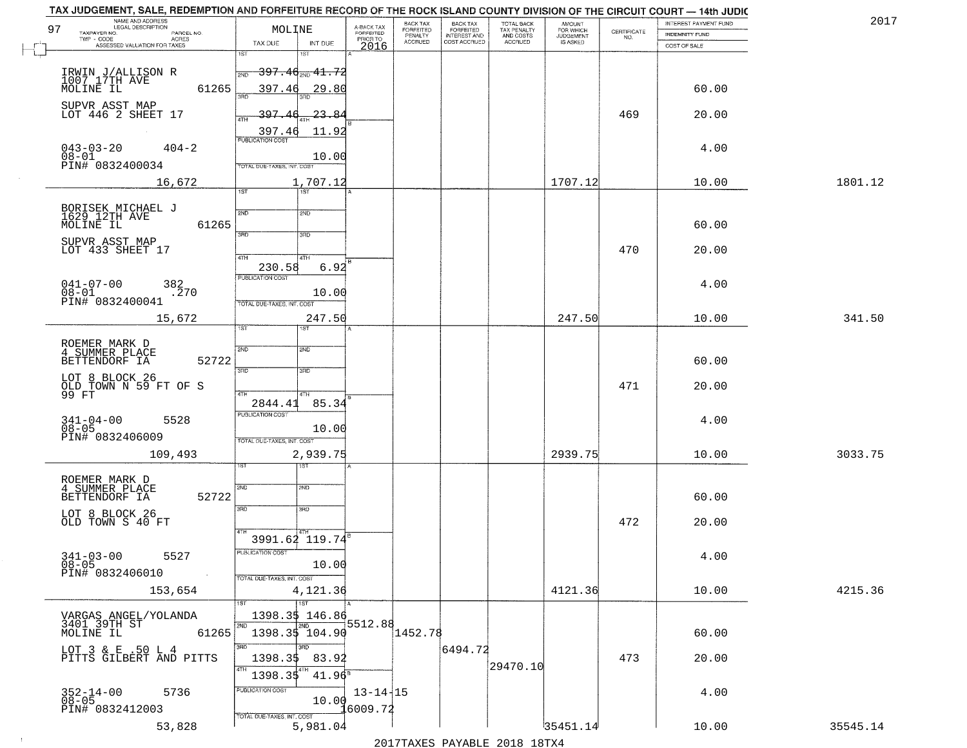| 97 | NAME AND ADDRESS<br>LEGAL DESCRIPTION<br>TAXPAYER NO.<br>PARCEL NO.  | MOLINE                                                                      | A-BACK TAX<br><b>FORFEITED</b> | BACK TAX<br><b>FORFEITED</b><br>PENALTY | <b>BACK TAX</b><br><b>FORFEITED</b> | TOTAL BACK<br>TAX PENALTY<br>AND COSTS<br>ACCRUED | <b>AMOUNT</b><br>FOR WHICH<br>JUDGEMENT<br>IS ASKED | $\begin{array}{c} \text{CERTIFICATE} \\ \text{NO.} \end{array}$ | INTEREST PAYMENT FUND<br><b>INDEMNITY FUND</b> | 2017     |
|----|----------------------------------------------------------------------|-----------------------------------------------------------------------------|--------------------------------|-----------------------------------------|-------------------------------------|---------------------------------------------------|-----------------------------------------------------|-----------------------------------------------------------------|------------------------------------------------|----------|
|    | TWP - CODE<br><b>ACRES</b><br>ASSESSED VALUATION FOR TAXES           | INT DUE<br>TAX DUE                                                          | PRIOR TO<br>2016               | ACCRUED                                 | INTEREST AND<br>COST ACCRUED        |                                                   |                                                     |                                                                 | COST OF SALE                                   |          |
|    | IRWIN J/ALLISON R<br>1007 17TH AVE                                   | 1ST<br><del>397.40 200 41.72</del><br>2ND                                   |                                |                                         |                                     |                                                   |                                                     |                                                                 |                                                |          |
|    | MOLINE IL<br>61265<br>SUPVR ASST MAP                                 | 397.46<br>29.80<br>วรที                                                     |                                |                                         |                                     |                                                   |                                                     |                                                                 | 60.00                                          |          |
|    | LOT 446 2 SHEET 17                                                   | 397<br>$23 - 84$<br>4TH<br>397.4<br>11.92                                   |                                |                                         |                                     |                                                   |                                                     | 469                                                             | 20.00                                          |          |
|    | $043 - 03 - 20$<br>$404 - 2$<br>08-01<br>PIN# 0832400034             | <b>PUBLICATION COST</b><br>10.00<br>TOTAL DUE-TAXES, INT. COST              |                                |                                         |                                     |                                                   |                                                     |                                                                 | 4.00                                           |          |
|    | 16,672                                                               | 1,707.12<br>1ST<br>1ST                                                      |                                |                                         |                                     |                                                   | 1707.12                                             |                                                                 | 10.00                                          | 1801.12  |
|    |                                                                      |                                                                             |                                |                                         |                                     |                                                   |                                                     |                                                                 |                                                |          |
|    | BORISEK MICHAEL J<br>1629 12TH AVE<br>MOLINE IL<br>61265             | 2ND<br>2ND<br>3RD<br>3RD                                                    |                                |                                         |                                     |                                                   |                                                     |                                                                 | 60.00                                          |          |
|    | SUPVR ASST MAP<br>LOT 433 SHEET 17                                   | 47H<br>4TH                                                                  |                                |                                         |                                     |                                                   |                                                     | 470                                                             | 20.00                                          |          |
|    | $041 - 07 - 00$<br>382<br>.270<br>$08 - 01$<br>PIN# 0832400041       | 6.92<br>230.58<br>PUBLICATION COST<br>10.00<br>TOTAL DUE-TAXES, INT. COST   |                                |                                         |                                     |                                                   |                                                     |                                                                 | 4.00                                           |          |
|    | 15,672                                                               | 247.50<br>1ST<br>ST                                                         |                                |                                         |                                     |                                                   | 247.50                                              |                                                                 | 10.00                                          | 341.50   |
|    | ROEMER MARK D<br>4 SUMMER PLACE                                      | 2ND<br>2ND                                                                  |                                |                                         |                                     |                                                   |                                                     |                                                                 |                                                |          |
|    | 52722<br>BETTENDORF IA<br>LOT 8 BLOCK 26                             | 3BD<br>3 <sub>BD</sub>                                                      |                                |                                         |                                     |                                                   |                                                     |                                                                 | 60.00                                          |          |
|    | OLD TOWN N 59 FT OF S<br>99 FT                                       | 4TH<br>4TH<br>85.34<br>2844.41                                              |                                |                                         |                                     |                                                   |                                                     | 471                                                             | 20.00                                          |          |
|    | $341 - 04 - 00$<br>$08 - 05$<br>5528                                 | <b>PUBLICATION COST</b><br>10.00                                            |                                |                                         |                                     |                                                   |                                                     |                                                                 | 4.00                                           |          |
|    | PIN# 0832406009                                                      | TOTAL OUE-TAXES, INT. COST                                                  |                                |                                         |                                     |                                                   |                                                     |                                                                 |                                                |          |
|    | 109,493                                                              | 2,939.75<br>गड़ा                                                            |                                |                                         |                                     |                                                   | 2939.75                                             |                                                                 | 10.00                                          | 3033.75  |
|    | ROEMER MARK D<br>4 SUMMER PLACE<br>52722<br>BETTENDORF IA            | SVD<br>SND                                                                  |                                |                                         |                                     |                                                   |                                                     |                                                                 | 60.00                                          |          |
|    | LOT 8 BLOCK 26<br>OLD TOWN S 40 FT                                   | 3RD<br>3HD                                                                  |                                |                                         |                                     |                                                   |                                                     | 472                                                             | 20.00                                          |          |
|    | $341 - 03 - 00$<br>5527<br>$08 - 05$<br>PIN# 0832406010<br>$\sim 10$ | 3991.62 119.74<br>PUBLICATION COST<br>10.00<br>TOTAL DUE-TAXES, INT. COST   |                                |                                         |                                     |                                                   |                                                     |                                                                 | 4.00                                           |          |
|    | 153,654                                                              | 4,121.36                                                                    |                                |                                         |                                     |                                                   | 4121.36                                             |                                                                 | 10.00                                          | 4215.36  |
|    | VARGAS ANGEL/YOLANDA<br>3401 39TH ST<br>MOLINE IL<br>61265           | $\overline{1}$ ST<br>ist.<br>1398.35 146.86<br>2ND<br>2ND<br>1398.35 104.90 | 5512.88                        | 1452.78                                 |                                     |                                                   |                                                     |                                                                 | 60.00                                          |          |
|    | LOT 3 & E .50 L 4<br>PITTS GILBERT AND PITTS                         | 3RD<br>अंग<br>1398.35<br>83.92<br>4TH<br>4TH<br>$41.96^{\circ}$             |                                |                                         | 6494.72                             | 29470.10                                          |                                                     | 473                                                             | 20.00                                          |          |
|    | 5736<br>352-14-00<br>08-05<br>PIN# 0832412003                        | 1398.35<br>PUBLICATION COST<br>10.00                                        | $13 - 14 + 15$<br>6009.72!     |                                         |                                     |                                                   |                                                     |                                                                 | 4.00                                           |          |
|    | 53,828                                                               | TOTAL DUE-TAXES, INT. COST<br>5,981.04                                      |                                | 0.17                                    |                                     |                                                   | '35451.14'                                          |                                                                 | 10.00                                          | 35545.14 |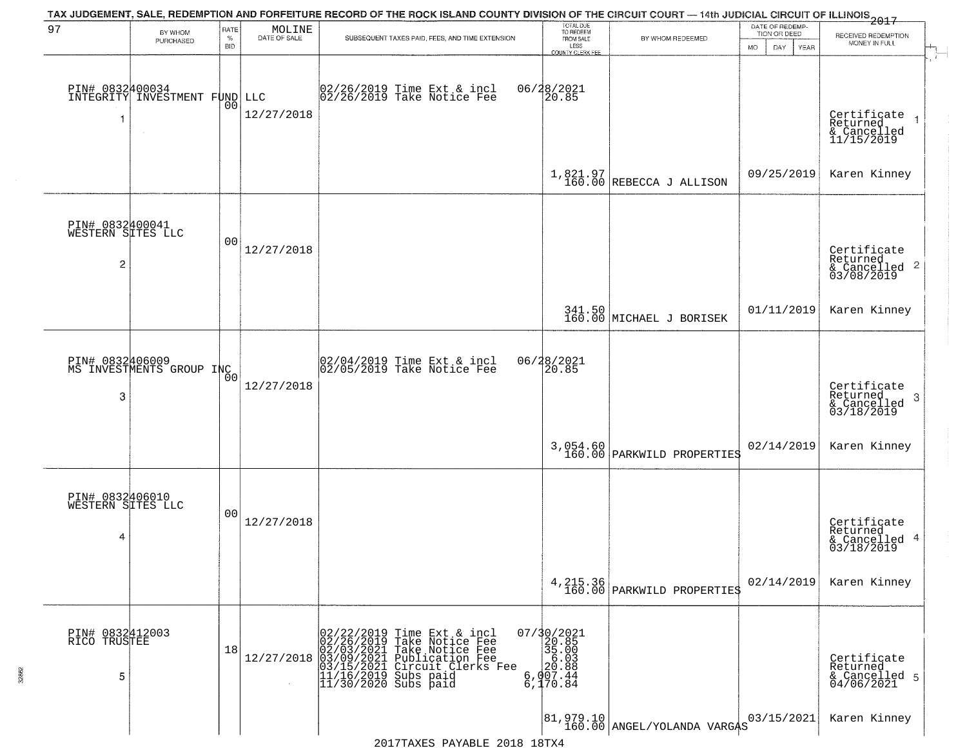|                                                        |                                              |                            |                        | TAX JUDGEMENT, SALE, REDEMPTION AND FORFEITURE RECORD OF THE ROCK ISLAND COUNTY DIVISION OF THE CIRCUIT COURT — 14th JUDICIAL CIRCUIT OF ILLINOIS 2017                                                                                                                      |                                                                                                                        |                                          |                                                        |                                                                        |
|--------------------------------------------------------|----------------------------------------------|----------------------------|------------------------|-----------------------------------------------------------------------------------------------------------------------------------------------------------------------------------------------------------------------------------------------------------------------------|------------------------------------------------------------------------------------------------------------------------|------------------------------------------|--------------------------------------------------------|------------------------------------------------------------------------|
| 97                                                     | BY WHOM<br>PURCHASED                         | RATE<br>$\%$<br><b>BID</b> | MOLINE<br>DATE OF SALE | SUBSEQUENT TAXES PAID, FEES, AND TIME EXTENSION                                                                                                                                                                                                                             | TOTAL DUE<br>TO REDEEM<br>FROM SALE<br>LESS<br><b>COUNTY CLERK FEE</b>                                                 | BY WHOM REDEEMED                         | DATE OF REDEMP-<br>TION OR DEED<br>MO.<br>DAY.<br>YEAR | RECEIVED REDEMPTION<br>MONEY IN FULL                                   |
|                                                        | PIN# 0832400034<br>INTEGRITY INVESTMENT FUND | 0 <sub>0</sub>             | LLC<br>12/27/2018      | 02/26/2019 Time Ext & incl<br>02/26/2019 Take Notice Fee                                                                                                                                                                                                                    | 06/28/2021<br>20.85                                                                                                    |                                          |                                                        | Certificate<br>Returned<br>& Cancelled<br>11/15/2019                   |
|                                                        |                                              |                            |                        |                                                                                                                                                                                                                                                                             |                                                                                                                        | $1,821.97$<br>160.00 REBECCA J ALLISON   | 09/25/2019                                             | Karen Kinney                                                           |
| PIN# 0832400041<br>WESTERN SITES LLC<br>$\overline{2}$ |                                              | 0 <sub>0</sub>             | 12/27/2018             |                                                                                                                                                                                                                                                                             |                                                                                                                        |                                          |                                                        | Certificate<br>Returned<br>$\overline{2}$<br>& Cancelled<br>03/08/2019 |
|                                                        |                                              |                            |                        |                                                                                                                                                                                                                                                                             |                                                                                                                        | 341.50<br>160.00 MICHAEL J BORISEK       | 01/11/2019                                             | Karen Kinney                                                           |
| 3                                                      | PIN# 0832406009<br>MS INVESTMENTS GROUP INC  |                            | 12/27/2018             | 02/04/2019 Time Ext & incl<br>02/05/2019 Take Notice Fee                                                                                                                                                                                                                    | 06/28/2021<br>20.85                                                                                                    |                                          |                                                        | Certificate<br>Returned<br>3<br>$\frac{6}{03/18/2019}$                 |
|                                                        |                                              |                            |                        |                                                                                                                                                                                                                                                                             |                                                                                                                        | $3,054.60$<br>160.00 PARKWILD PROPERTIES | 02/14/2019                                             | Karen Kinney                                                           |
| PIN# 0832406010<br>WESTERN SITES LLC<br>4              |                                              | 0 <sub>0</sub>             | 12/27/2018             |                                                                                                                                                                                                                                                                             |                                                                                                                        |                                          |                                                        | Certificate<br>Returned<br>4<br>& Cancelled<br>03/18/2019              |
|                                                        |                                              |                            |                        |                                                                                                                                                                                                                                                                             |                                                                                                                        | 4, 215.36<br>160.00 PARKWILD PROPERTIES  | 02/14/2019                                             | Karen Kinney                                                           |
| PIN# 0832412003<br>RICO TRUSTEE<br>5                   |                                              | 18                         | 12/27/2018             | 02/22/2019 Time Ext &<br>02/26/2019 Take Notic<br>02/03/2021 Take Notic<br>03/15/2021 Publicatio<br>03/15/2021 Circuit Cl<br>11/16/2019 Subs paid<br>11/30/2020 Subs paid<br>Time Ext & incl<br>Take Notice Fee<br>Take Notice Fee<br>Publication Fee<br>Circuit Clerks Fee | 07/30/2021<br>20.85<br>35.00<br>$\begin{smallmatrix} 6.03 \\ 20.88 \\ 20.88 \\ 6,907.44 \\ 6,170.84 \end{smallmatrix}$ |                                          |                                                        | Certificate<br>Returned<br>& Cancelled 5<br>04/06/2021                 |
|                                                        |                                              |                            |                        | 0.17                                                                                                                                                                                                                                                                        |                                                                                                                        |                                          | 03/15/2021                                             | Karen Kinney                                                           |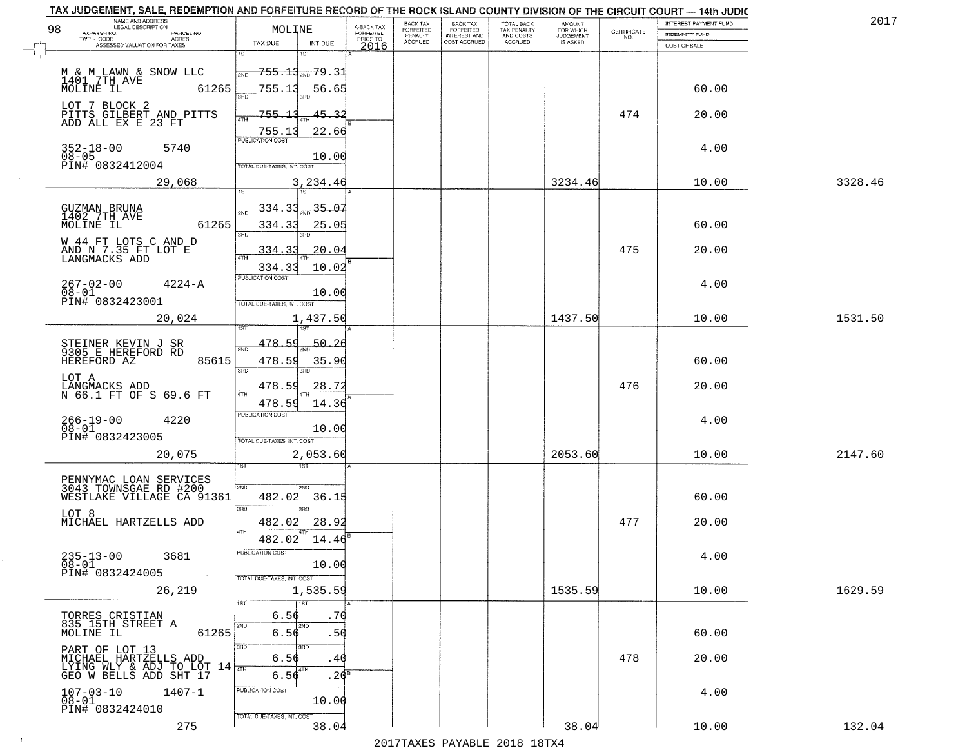| NAME AND ADDRESS<br>LEGAL DESCRIPTION                                                                        |                                                       |                                             |                                     | BACK TAX             | BACK TAX<br>FORFEITED | <b>TOTAL BACK</b>        | AMOUNT<br>FOR WHICH |                                                                 | INTEREST PAYMENT FUND | 2017    |
|--------------------------------------------------------------------------------------------------------------|-------------------------------------------------------|---------------------------------------------|-------------------------------------|----------------------|-----------------------|--------------------------|---------------------|-----------------------------------------------------------------|-----------------------|---------|
| 98<br>TAXPAYER NO.<br>PARCEL NO.<br>$TWP - CODE$<br>ACRES                                                    | MOLINE                                                |                                             | A-BACK TAX<br>FORFEITED<br>PRIOR TO | FORFEITED<br>PENALTY | <b>INTEREST AND</b>   | TAX PENALTY<br>AND COSTS | <b>JUDGEMENT</b>    | $\begin{array}{c} \text{CEPTIFICATE} \\ \text{NO.} \end{array}$ | <b>INDEMNITY FUND</b> |         |
| ASSESSED VALUATION FOR TAXES                                                                                 | TAX DUE                                               | INT DUE                                     | 2016                                | <b>ACCRUED</b>       | COST ACCRUED          | <b>ACCRUED</b>           | IS ASKED            |                                                                 | COST OF SALE          |         |
| M & M LAWN & SNOW LLC<br>1401 7TH AVE                                                                        | 1ST<br>2ND                                            | 181<br><del>755.13<sub>200</sub>79.31</del> |                                     |                      |                       |                          |                     |                                                                 |                       |         |
| 61265<br>MOLINE IL                                                                                           | 755.13<br>355<br>755.13                               | 56.65<br>45.3.                              |                                     |                      |                       |                          |                     | 474                                                             | 60.00                 |         |
| LOT 7 BLOCK 2<br>PITTS GILBERT AND PITTS<br>ADD ALL EX E 23 FT                                               | 4TH<br>755.13<br><b>PUBLICATION COST</b>              | 22.66                                       |                                     |                      |                       |                          |                     |                                                                 | 20.00                 |         |
| $352 - 18 - 00$<br>5740<br>$08 - 05$<br>PIN# 0832412004                                                      | TOTAL DUE-TAXES, INT. COST                            | 10.00                                       |                                     |                      |                       |                          |                     |                                                                 | 4.00                  |         |
| 29,068                                                                                                       |                                                       | 3,234.46                                    |                                     |                      |                       |                          | 3234.46             |                                                                 | 10.00                 | 3328.46 |
| GUZMAN BRUNA<br>1402 7TH AVE<br>61265<br>MOLINE IL                                                           | 334.33<br>334.33<br>3RD                               | $-35 - 07$<br>25.05                         |                                     |                      |                       |                          |                     |                                                                 | 60.00                 |         |
| W 44 FT LOTS C AND D<br>AND N 7.35 FT LOT E<br>LANGMACKS ADD                                                 | 334.33<br>334.33                                      | 20.04<br>10.02                              |                                     |                      |                       |                          |                     | 475                                                             | 20.00                 |         |
| $267 - 02 - 00$<br>$4224 - A$<br>$08 - 01$<br>PIN# 0832423001                                                | PUBLICATION COST<br>TOTAL DUE-TAXES, INT. COST        | 10.00                                       |                                     |                      |                       |                          |                     |                                                                 | 4.00                  |         |
| 20,024                                                                                                       | i ST                                                  | 1,437.50                                    |                                     |                      |                       |                          | 1437.50             |                                                                 | 10.00                 | 1531.50 |
| STEINER KEVIN J SR<br>9305 E HEREFORD RD<br>HEREFORD AZ<br>85615                                             | 478.59<br>2ND<br>478.59<br>3 <sub>BD</sub>            | 50.26<br>35.90<br>3RD                       |                                     |                      |                       |                          |                     |                                                                 | 60.00                 |         |
| LOT A<br>LANGMACKS ADD<br>N 66.1 FT OF S 69.6 FT                                                             | 478.59<br>4TH<br>478.59                               | <u>28.72</u><br>14.36                       |                                     |                      |                       |                          |                     | 476                                                             | 20.00                 |         |
| $266 - 19 - 00$<br>$08 - 01$<br>4220<br>PIN# 0832423005                                                      | <b>PUBLICATION COST</b><br>TOTAL OUE-TAXES, INT. COST | 10.00                                       |                                     |                      |                       |                          |                     |                                                                 | 4.00                  |         |
| 20,075                                                                                                       |                                                       | 2,053.60<br>नङ्ग                            |                                     |                      |                       |                          | 2053.60             |                                                                 | 10.00                 | 2147.60 |
| PENNYMAC LOAN SERVICES<br>3043 TOWNSGAE RD #200<br>WESTLAKE VILLAGE CA 91361                                 | 2ND<br>482.02<br>3BD                                  | 2ND.<br>36.15                               |                                     |                      |                       |                          |                     |                                                                 | 60.00                 |         |
| LOT 8<br>MICHAEL HARTZELLS ADD                                                                               | 482.02<br>4TH<br>482.02                               | 3RD<br>28.9<br>14.46                        |                                     |                      |                       |                          |                     | 477                                                             | 20.00                 |         |
| $235 - 13 - 00$<br>3681<br>$08 - 01$<br>PIN# 0832424005<br>$\sim 100$ km s                                   | "UBLICA HUN CUS<br>TOTAL DUE-TAXES, INT. COST         | 10.00                                       |                                     |                      |                       |                          |                     |                                                                 | 4.00                  |         |
| 26,219                                                                                                       | <b>1ST</b>                                            | 1,535.59<br>1ST                             |                                     |                      |                       |                          | 1535.59             |                                                                 | 10.00                 | 1629.59 |
| TORRES CRISTIAN<br>835 15TH STREET A<br>61265<br>MOLINE IL                                                   | 6.56<br>2ND<br>6.56                                   | .70<br>2ND.<br>.50                          |                                     |                      |                       |                          |                     |                                                                 | 60.00                 |         |
| PART OF LOT 13<br>MICHAEL HARTZELLS ADD<br>LYING WLY & ADJ TO LOT $14\overline{m}$<br>GEO W BELLS ADD SHT 17 | 3RD<br>6.56<br>6.56                                   | 3RC<br>.40<br>4TH<br>.20 <sup>s</sup>       |                                     |                      |                       |                          |                     | 478                                                             | 20.00                 |         |
| $107 - 03 - 10$<br>$1407 - 1$<br>$08 - 01$<br>PIN# 0832424010                                                | PUBLICATION COST                                      | 10.00                                       |                                     |                      |                       |                          |                     |                                                                 | 4.00                  |         |
| 275                                                                                                          | TOTAL DUE-TAXES, INT. COST                            | 38.04                                       |                                     |                      |                       |                          | 38.04               |                                                                 | 10.00                 | 132.04  |

 $\sim 10^{-1}$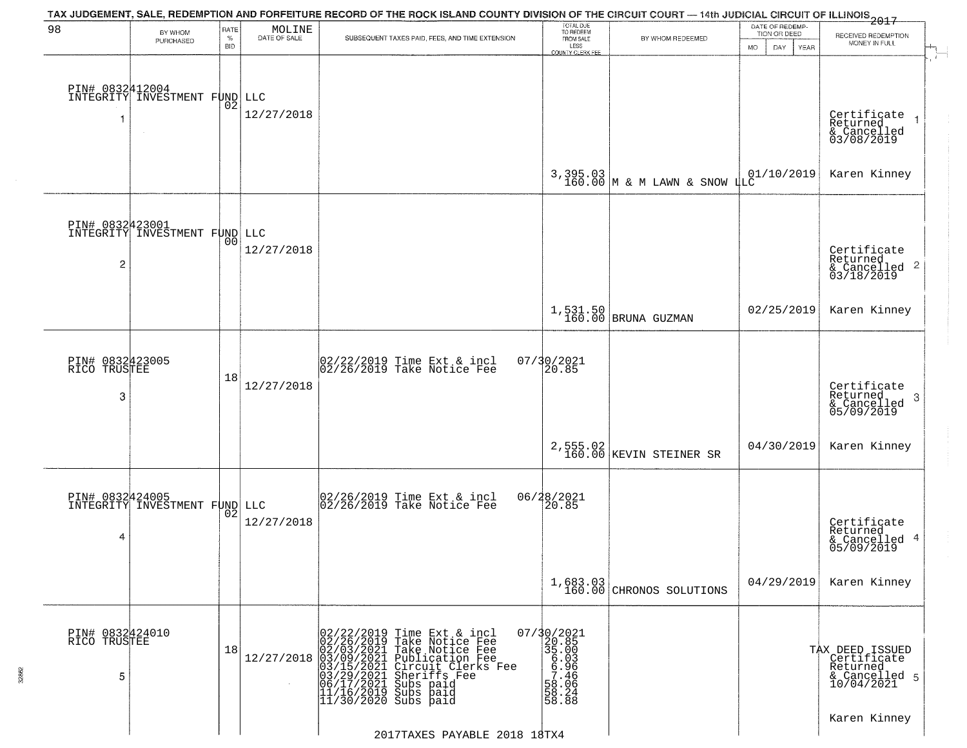| 98                                   | BY WHOM<br>PURCHASED                             | RATE<br>$\%$<br><b>BID</b> | MOLINE<br>DATE OF SALE | TAX JUDGEMENT, SALE, REDEMPTION AND FORFEITURE RECORD OF THE ROCK ISLAND COUNTY DIVISION OF THE CIRCUIT COURT — 14th JUDICIAL CIRCUIT OF ILLINOIS 2017<br>SUBSEQUENT TAXES PAID, FEES, AND TIME EXTENSION                                                                                                                                                                      | TOTAL DUE<br>TO REDEEM<br>FROM SALE<br>LESS                                                                                 | BY WHOM REDEEMED                                | DATE OF REDEMP-<br>TION OR DEED<br><b>MO</b><br>DAY<br>YEAR | RECEIVED REDEMPTION<br>MONEY IN FULL                                      |
|--------------------------------------|--------------------------------------------------|----------------------------|------------------------|--------------------------------------------------------------------------------------------------------------------------------------------------------------------------------------------------------------------------------------------------------------------------------------------------------------------------------------------------------------------------------|-----------------------------------------------------------------------------------------------------------------------------|-------------------------------------------------|-------------------------------------------------------------|---------------------------------------------------------------------------|
|                                      | PIN# 0832412004<br>INTEGRITY INVESTMENT F 02 LLC |                            | 12/27/2018             |                                                                                                                                                                                                                                                                                                                                                                                | COUNTY CLERK FEE                                                                                                            |                                                 |                                                             | Certificate<br>Returned<br>& Cancelled<br>03/08/2019                      |
|                                      |                                                  |                            |                        |                                                                                                                                                                                                                                                                                                                                                                                |                                                                                                                             | 3,395.03 $\mid$ & M LAWN & SNOW $\downarrow$ LC | 01/10/2019                                                  | Karen Kinney                                                              |
| PIN# 0832423001<br>2                 | INTEGRITY INVESTMENT FUND LLC                    | 00                         | 12/27/2018             |                                                                                                                                                                                                                                                                                                                                                                                |                                                                                                                             |                                                 |                                                             | Certificate<br>Returned<br>$\overline{c}$<br>& Cancelled<br>03/18/2019    |
|                                      |                                                  |                            |                        |                                                                                                                                                                                                                                                                                                                                                                                |                                                                                                                             | $1,531.50$ BRUNA GUZMAN                         | 02/25/2019                                                  | Karen Kinney                                                              |
| PIN# 0832423005<br>RICO TRUSTEE<br>3 |                                                  | 18                         | 12/27/2018             | 02/22/2019 Time Ext & incl<br>02/26/2019 Take Notice Fee                                                                                                                                                                                                                                                                                                                       | 07/30/2021<br>20.85                                                                                                         |                                                 |                                                             | Certificate<br>Returned<br>-3<br>& Cancelled<br>05/09/2019                |
|                                      |                                                  |                            |                        |                                                                                                                                                                                                                                                                                                                                                                                | 2,555.02<br>160.00                                                                                                          | KEVIN STEINER SR                                | 04/30/2019                                                  | Karen Kinney                                                              |
| 4                                    | PIN# 0832424005<br>INTEGRITY INVESTMENT FUND     | 02                         | LLC<br>12/27/2018      | 02/26/2019 Time Ext & incl<br>02/26/2019 Take Notice Fee                                                                                                                                                                                                                                                                                                                       | 06/28/2021<br>20.85                                                                                                         |                                                 |                                                             | Certificate<br>Returned<br>& Cancelled 4<br>05/09/2019                    |
|                                      |                                                  |                            |                        |                                                                                                                                                                                                                                                                                                                                                                                |                                                                                                                             | $1,683.03$<br>160.00 CHRONOS SOLUTIONS          | 04/29/2019                                                  | Karen Kinney                                                              |
| PIN# 0832424010<br>RICO TRUSTEE<br>5 |                                                  | 18                         |                        | $12/27/2018 \begin{array}{l} 02/22/2019 \text{ Time Ext & incl} \\ 02/26/2019 \text{ Take Notice Free} \\ 02/03/2021 \text{ Take Notice Free} \\ 03/09/2021 \text{ Publication Free} \\ 03/15/2021 \text{ Circuit Clerks Free} \\ 03/15/2021 \text{Stnerifs Free} \\ 06/17/2021 \text{ Subs paid} \\ 11/16/2019 \text{ Subs paid} \\ 11/30/2020 \text{ Subs paid} \end{array}$ | 07/30/2021<br>20.85<br>35.00<br>$-0.303030$<br>$-0.40000$<br>$-0.40000$<br>$-0.4000$<br>$-0.4000$<br>$-0.4000$<br>$-0.4000$ |                                                 |                                                             | TAX DEED ISSUED<br>Certificate<br>Returned<br>& Cancelled 5<br>10/04/2021 |
|                                      |                                                  |                            |                        | 2017TAXES PAYABLE 2018 18TX4                                                                                                                                                                                                                                                                                                                                                   |                                                                                                                             |                                                 |                                                             | Karen Kinney                                                              |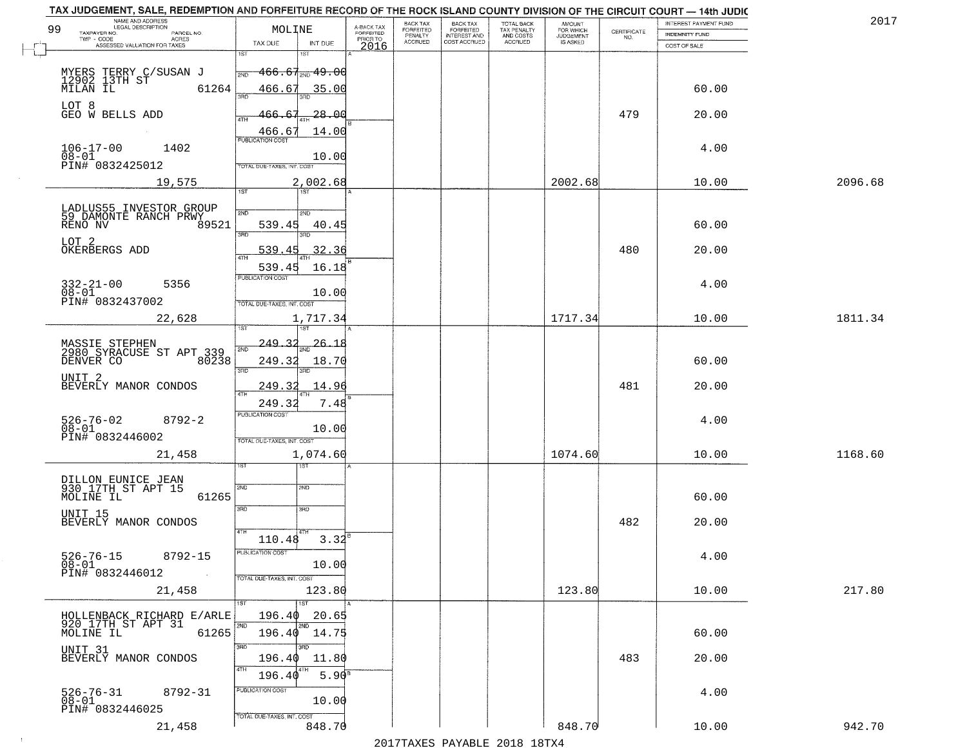| TAX JUDGEMENT, SALE, REDEMPTION AND FORFEITURE RECORD OF THE ROCK ISLAND COUNTY DIVISION OF THE CIRCUIT COURT - 14th JUDIC<br>NAME AND ADDRESS<br>LEGAL DESCRIPTION |                                                                 |                               |                                     | BACK TAX             | <b>BACK TAX</b>           |                                        | AMOUNT<br>FOR WHICH |                                                                 | INTEREST PAYMENT FUND | 2017    |
|---------------------------------------------------------------------------------------------------------------------------------------------------------------------|-----------------------------------------------------------------|-------------------------------|-------------------------------------|----------------------|---------------------------|----------------------------------------|---------------------|-----------------------------------------------------------------|-----------------------|---------|
| 99<br>TAXPAYER NO.<br>PARCEL NO.<br>ACRES                                                                                                                           | MOLINE                                                          |                               | A-BACK TAX<br>FORFEITED<br>PRIOR TO | FORFEITED<br>PENALTY | FORFEITED<br>INTEREST AND | TOTAL BACK<br>TAX PENALTY<br>AND COSTS | <b>JUDGEMENT</b>    | $\begin{array}{c} \text{CERTIFICATE} \\ \text{NO.} \end{array}$ | <b>INDEMNITY FUND</b> |         |
| ASSESSED VALUATION FOR TAXES                                                                                                                                        | TAX DUE                                                         | INT DUE                       | 2016                                | <b>ACCRUED</b>       | COST ACCRUED              | ACCRUED                                | IS ASKED            |                                                                 | COST OF SALE          |         |
| MYERS TERRY C/SUSAN J<br>12902 13TH ST<br>MILAN IL 61<br>61264                                                                                                      | iST<br>$-466.67_{\tiny{\textrm{NND}}}$ $49.00$<br>2ND<br>466.67 | 35.00                         |                                     |                      |                           |                                        |                     |                                                                 | 60.00                 |         |
| LOT 8<br>GEO W BELLS ADD                                                                                                                                            | 466.67                                                          | -28.00                        |                                     |                      |                           |                                        |                     | 479                                                             | 20.00                 |         |
| $106 - 17 - 00$<br>1402<br>$08 - 01$<br>PIN# 0832425012                                                                                                             | 466.67<br><b>PUBLICATION COST</b><br>TOTAL DUE-TAXES, INT. COST | 14.00<br>10.00                |                                     |                      |                           |                                        |                     |                                                                 | 4.00                  |         |
| 19,575                                                                                                                                                              | 1ST                                                             | 2,002.68                      |                                     |                      |                           |                                        | 2002.68             |                                                                 | 10.00                 | 2096.68 |
| LADLUS55 INVESTOR GROUP<br>59 DAMONTE RANCH PRWY<br>RENO NV<br>89521<br>LOT 2<br>OKERBERGS ADD                                                                      | 2ND<br>539.45<br>3RD<br>539.45                                  | 200<br>40.45<br>3BD.<br>32.36 |                                     |                      |                           |                                        |                     | 480                                                             | 60.00<br>20.00        |         |
| $332 - 21 - 00$<br>5356<br>$08 - 01$<br>PIN# 0832437002                                                                                                             | 539.45<br><b>PUBLICATION COST</b><br>TOTAL DUE-TAXES, INT. COST | 16.18<br>10.00                |                                     |                      |                           |                                        |                     |                                                                 | 4.00                  |         |
| 22,628                                                                                                                                                              | isτ                                                             | 1,717.34<br>1ST               |                                     |                      |                           |                                        | 1717.34             |                                                                 | 10.00                 | 1811.34 |
| MASSIE STEPHEN<br>2980 SYRACUSE ST APT 339<br>DENVER CO<br>80238                                                                                                    | 249.32<br>2ND<br>249.32<br>3RD                                  | $-26 - 18$<br>18.70<br>3RD    |                                     |                      |                           |                                        |                     |                                                                 | 60.00                 |         |
| UNIT <sub>2</sub><br>BEVERLY MANOR CONDOS                                                                                                                           | 249.32<br>4TH                                                   | 14.96                         |                                     |                      |                           |                                        |                     | 481                                                             | 20.00                 |         |
| $526 - 76 - 02$<br>$8792 - 2$<br>$08 - 01$<br>PIN# 0832446002                                                                                                       | 249.32<br><b>PUBLICATION COST</b><br>TOTAL OUE-TAXES, INT. COST | 7.48<br>10.00                 |                                     |                      |                           |                                        |                     |                                                                 | 4.00                  |         |
| 21,458                                                                                                                                                              |                                                                 | 1,074.60<br>१९४               |                                     |                      |                           |                                        | 1074.60             |                                                                 | 10.00                 | 1168.60 |
| DILLON EUNICE JEAN<br>930 17TH ST APT 15<br>MOLINE IL<br>61265<br>UNIT 15                                                                                           | 2ND<br>3RD                                                      | 2ND<br>3RD                    |                                     |                      |                           |                                        |                     |                                                                 | 60.00                 |         |
| BEVERLY MANOR CONDOS<br>$526 - 76 - 15$<br>8792-15<br>$08 - 01$                                                                                                     | 4TH<br>110.48<br>PUBLICATION COS                                | $3.32^{6}$<br>10.00           |                                     |                      |                           |                                        |                     | 482                                                             | 20.00<br>4.00         |         |
| PIN# 0832446012<br><b>Contract</b><br>21,458                                                                                                                        | TOTAL DUE-TAXES, INT. COST                                      | 123.80                        |                                     |                      |                           |                                        | 123.80              |                                                                 | 10.00                 | 217.80  |
| HOLLENBACK RICHARD E/ARLE<br>920 17TH ST APT 31<br>MOLINE IL<br>61265                                                                                               | 196.40<br>2ND<br>196.40 14.75                                   | 1ST<br>20.65<br>2ND           |                                     |                      |                           |                                        |                     |                                                                 | 60.00                 |         |
| UNIT 31<br>BEVERLY MANOR CONDOS                                                                                                                                     | 3RD<br>3RD<br>196.40<br>4TH<br>196.40                           | 11.80<br>5.90 <sup>8</sup>    |                                     |                      |                           |                                        |                     | 483                                                             | 20.00                 |         |
| $526 - 76 - 31$<br>8792-31<br>$08 - 01$<br>PIN# 0832446025                                                                                                          | PUBLICATION COST<br>TOTAL DUE-TAXES, INT. COST                  | 10.00                         |                                     |                      |                           |                                        |                     |                                                                 | 4.00                  |         |
| 21,458                                                                                                                                                              |                                                                 | 848.70                        |                                     |                      |                           |                                        | 848.70              |                                                                 | 10.00                 | 942.70  |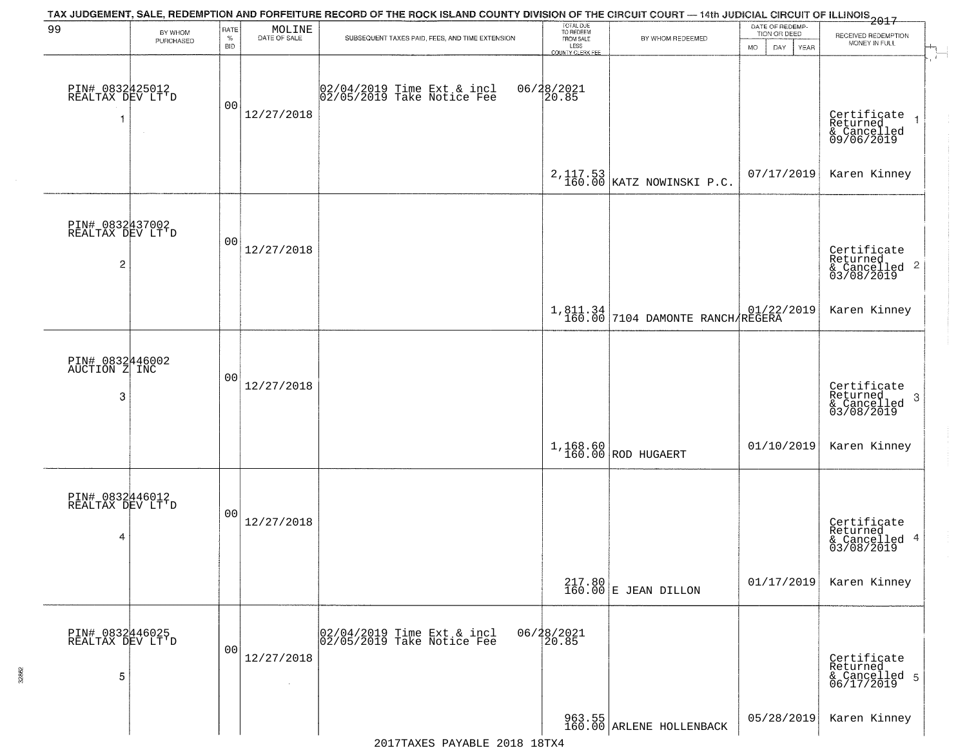|                                                       |                      |                            |                                                                     | TAX JUDGEMENT, SALE, REDEMPTION AND FORFEITURE RECORD OF THE ROCK ISLAND COUNTY DIVISION OF THE CIRCUIT COURT — 14th JUDICIAL CIRCUIT OF ILLINOIS 2017 |                                                                 |                                              |                                                              |                                                                       |
|-------------------------------------------------------|----------------------|----------------------------|---------------------------------------------------------------------|--------------------------------------------------------------------------------------------------------------------------------------------------------|-----------------------------------------------------------------|----------------------------------------------|--------------------------------------------------------------|-----------------------------------------------------------------------|
| 99                                                    | BY WHOM<br>PURCHASED | RATE<br>$\%$<br><b>BID</b> | $\begin{array}{c} \text{MOLINE} \\ \text{DATE of SALE} \end{array}$ | SUBSEQUENT TAXES PAID, FEES, AND TIME EXTENSION                                                                                                        | TOTAL DUE<br>TO REDEEM<br>FROM SALE<br>LESS<br>COUNTY CLERK FEE | BY WHOM REDEEMED                             | DATE OF REDEMP-<br>TION OR DEED<br><b>MO</b><br>DAY.<br>YEAR | RECEIVED REDEMPTION<br>MONEY IN FULL                                  |
| PIN# 0832425012<br>REALTAX DEV LT'D                   |                      | 00                         | 12/27/2018                                                          | 02/04/2019 Time Ext & incl<br>02/05/2019 Take Notice Fee                                                                                               | 06/28/2021<br>20.85                                             |                                              |                                                              | Certificate<br>Returned<br>& Cancelled<br>09/06/2019<br>$\rightarrow$ |
|                                                       |                      |                            |                                                                     |                                                                                                                                                        |                                                                 | 2,117.53  <br>160.00   KATZ NOWINSKI P.C.    | 07/17/2019                                                   | Karen Kinney                                                          |
| PIN# 0832437002<br>REALTAX DEV LT'D<br>$\overline{c}$ |                      | 00                         | 12/27/2018                                                          |                                                                                                                                                        |                                                                 |                                              |                                                              | Certificate<br>Returned<br>& Cancelled 2<br>03/08/2019                |
|                                                       |                      |                            |                                                                     |                                                                                                                                                        |                                                                 | 1,811.34<br>160.00 7104 DAMONTE RANCH REGERA |                                                              | Karen Kinney                                                          |
| PIN# 0832446002<br>AUCTION Z INC<br>3                 |                      | 00                         | 12/27/2018                                                          |                                                                                                                                                        |                                                                 |                                              |                                                              | Certificate<br>Returned<br>3<br>& Cancelled<br>03/08/2019             |
|                                                       |                      |                            |                                                                     |                                                                                                                                                        |                                                                 | $1,168.60$ ROD HUGAERT                       | 01/10/2019                                                   | Karen Kinney                                                          |
| PIN# 0832446012<br>REALTAX DEV LT'D<br>4              |                      | 00                         | 12/27/2018                                                          |                                                                                                                                                        |                                                                 |                                              |                                                              | Certificate<br>Returned<br>4<br>& Cancelled<br>03/08/2019             |
|                                                       |                      |                            |                                                                     |                                                                                                                                                        |                                                                 | $217.80$ E JEAN DILLON                       | 01/17/2019                                                   | Karen Kinney                                                          |
| PIN# 0832446025<br>REALTAX DEV LT'D<br>5              |                      | 00                         | 12/27/2018<br>$\sim 10^{-1}$                                        | 02/04/2019 Time Ext & incl<br>02/05/2019 Take Notice Fee                                                                                               | 06/28/2021<br>20.85                                             |                                              |                                                              | Certificate<br>Returned<br>& Cancelled 5<br>06/17/2019                |
|                                                       |                      |                            |                                                                     |                                                                                                                                                        |                                                                 | 963.55<br>160.00 ARLENE HOLLENBACK           | 05/28/2019                                                   | Karen Kinney                                                          |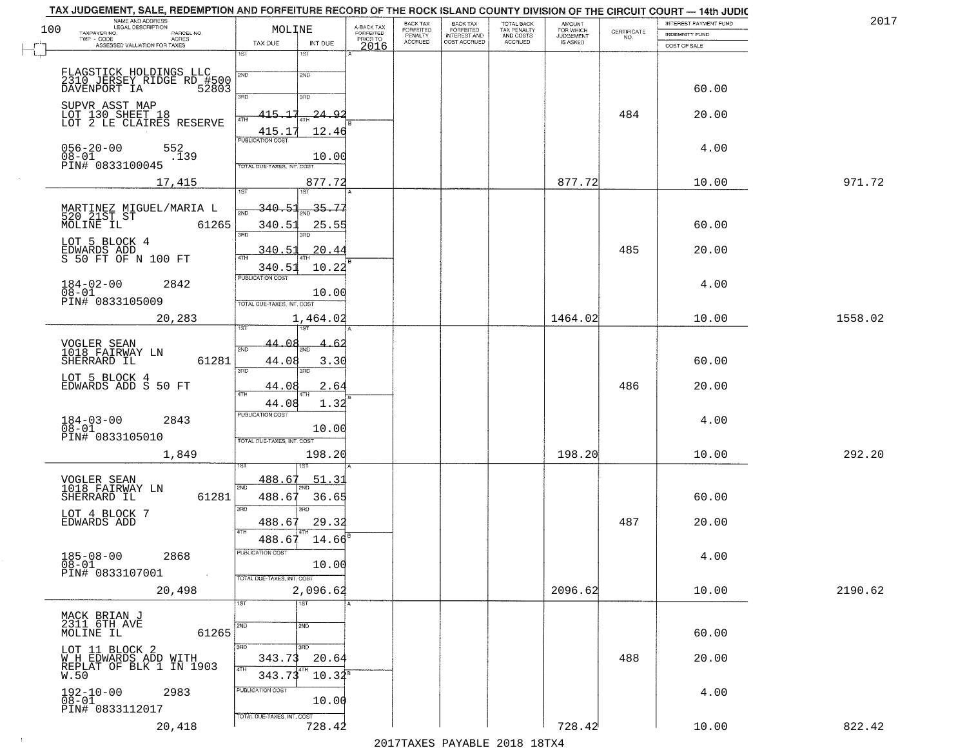|     | TAX JUDGEMENT, SALE, REDEMPTION AND FORFEITURE RECORD OF THE ROCK ISLAND COUNTY DIVISION OF THE CIRCUIT COURT - 14th JUDIC |                                            |                         |                                  |                                                       |                                        |                                         |             |                                       |         |
|-----|----------------------------------------------------------------------------------------------------------------------------|--------------------------------------------|-------------------------|----------------------------------|-------------------------------------------------------|----------------------------------------|-----------------------------------------|-------------|---------------------------------------|---------|
| 100 | NAME AND ADDRESS<br>LEGAL DESCRIPTION<br>TAXPAYER NO.<br>PARCEL NO.                                                        | MOLINE                                     | A-BACK TAX<br>FORFEITED | BACK TAX<br>FORFEITED<br>PENALTY | BACK TAX<br>FORFEITED<br>INTEREST AND<br>COST ACCRUED | TOTAL BACK<br>TAX PENALTY<br>AND COSTS | <b>AMOUNT</b><br>FOR WHICH<br>JUDGEMENT | CERTIFICATE | <b>INTEREST PAYMENT FUND</b>          | 2017    |
|     | TWP - CODE<br><b>ACRES</b><br>ASSESSED VALUATION FOR TAXES                                                                 | TAX DUE<br>INT DUE                         | PRIOR TO<br>2016        | <b>ACCRUED</b>                   |                                                       | ACCRUED                                | IS ASKED                                | NO.         | <b>INDEMNITY FUND</b><br>COST OF SALE |         |
|     |                                                                                                                            | 1ST<br>1ST                                 |                         |                                  |                                                       |                                        |                                         |             |                                       |         |
|     |                                                                                                                            | 2ND<br>2ND                                 |                         |                                  |                                                       |                                        |                                         |             |                                       |         |
|     | FLAGSTICK HOLDINGS LLC<br>2310 JERSEY RIDGE RD #500<br>DAVENPORT IA 52803                                                  | 3RD<br>3RD                                 |                         |                                  |                                                       |                                        |                                         |             | 60.00                                 |         |
|     | SUPVR ASST MAP                                                                                                             | 415.17                                     |                         |                                  |                                                       |                                        |                                         | 484         |                                       |         |
|     | LOT 130 SHEET 18<br>LOT 2 LE CLAIRES RESERVE                                                                               | -24.9.                                     |                         |                                  |                                                       |                                        |                                         |             | 20.00                                 |         |
|     |                                                                                                                            | 415.17<br>12.46<br><b>PUBLICATION COST</b> |                         |                                  |                                                       |                                        |                                         |             |                                       |         |
|     | $056 - 20 - 00$<br>552<br>$08 - 01$<br>$\frac{1}{1}39$<br>PIN# 0833100045                                                  | 10.00                                      |                         |                                  |                                                       |                                        |                                         |             | 4.00                                  |         |
|     |                                                                                                                            | TOTAL DUE-TAXES, INT. COST<br>877.72       |                         |                                  |                                                       |                                        | 877.72                                  |             | 10.00                                 | 971.72  |
|     | 17,415                                                                                                                     | 1ST<br>1ST                                 |                         |                                  |                                                       |                                        |                                         |             |                                       |         |
|     |                                                                                                                            | <u>340.51</u><br>35.77                     |                         |                                  |                                                       |                                        |                                         |             |                                       |         |
|     | 61265                                                                                                                      | 340.51<br>25.55<br>3BD                     |                         |                                  |                                                       |                                        |                                         |             | 60.00                                 |         |
|     | LOT 5 BLOCK 4                                                                                                              | 340.51<br>20.44                            |                         |                                  |                                                       |                                        |                                         | 485         |                                       |         |
|     | EDWARDS ADD<br>S 50 FT OF N 100 FT                                                                                         | 10.22                                      |                         |                                  |                                                       |                                        |                                         |             | 20.00                                 |         |
|     | $184 - 02 - 00$<br>2842                                                                                                    | 340.51<br>PUBLICATION COST                 |                         |                                  |                                                       |                                        |                                         |             | 4.00                                  |         |
|     | $08 - 01$<br>PIN# 0833105009                                                                                               | 10.00                                      |                         |                                  |                                                       |                                        |                                         |             |                                       |         |
|     | 20,283                                                                                                                     | TOTAL DUE-TAXES, INT. COST<br>1,464.02     |                         |                                  |                                                       |                                        | 1464.02                                 |             | 10.00                                 | 1558.02 |
|     |                                                                                                                            | 1ST                                        |                         |                                  |                                                       |                                        |                                         |             |                                       |         |
|     | VOGLER SEAN<br>1018 FAIRWAY LN                                                                                             | 44.<br>2ND                                 |                         |                                  |                                                       |                                        |                                         |             |                                       |         |
|     | 61281<br>SHERRARD IL                                                                                                       | 44.08<br>3.30<br>3BD<br>3RD                |                         |                                  |                                                       |                                        |                                         |             | 60.00                                 |         |
|     | LOT 5 BLOCK 4<br>EDWARDS ADD S 50 FT                                                                                       | 44.08<br>2.64                              |                         |                                  |                                                       |                                        |                                         | 486         | 20.00                                 |         |
|     |                                                                                                                            | 4TH<br>1.32<br>44.08                       |                         |                                  |                                                       |                                        |                                         |             |                                       |         |
|     | $184 - 03 - 00$<br>2843                                                                                                    | <b>PUBLICATION COST</b>                    |                         |                                  |                                                       |                                        |                                         |             | 4.00                                  |         |
|     | $08 - 01$<br>PIN# 0833105010                                                                                               | 10.00<br>TOTAL OUE-TAXES, INT. COST        |                         |                                  |                                                       |                                        |                                         |             |                                       |         |
|     | 1,849                                                                                                                      | 198.20                                     |                         |                                  |                                                       |                                        | 198.20                                  |             | 10.00                                 | 292.20  |
|     |                                                                                                                            |                                            |                         |                                  |                                                       |                                        |                                         |             |                                       |         |
|     | VOGLER SEAN<br>1018 FAIRWAY LN                                                                                             | 488.67<br>51.31<br>2ND                     |                         |                                  |                                                       |                                        |                                         |             |                                       |         |
|     | 61281<br>SHERRARD IL                                                                                                       | 488.67<br>36.65<br>3RD<br>3RD              |                         |                                  |                                                       |                                        |                                         |             | 60.00                                 |         |
|     | LOT 4 BLOCK 7<br><b>EDWARDS ADD</b>                                                                                        | 29.32<br>488.67                            |                         |                                  |                                                       |                                        |                                         | 487         | 20.00                                 |         |
|     |                                                                                                                            | 4TH<br>488.67<br>14.66                     |                         |                                  |                                                       |                                        |                                         |             |                                       |         |
|     | $185 - 08 - 00$<br>2868<br>08-01                                                                                           | PUBLICATION COST<br>10.00                  |                         |                                  |                                                       |                                        |                                         |             | 4.00                                  |         |
|     | PIN# 0833107001<br>$\sim 100$                                                                                              | TOTAL DUE-TAXES, INT. COST                 |                         |                                  |                                                       |                                        |                                         |             |                                       |         |
|     | 20,498                                                                                                                     | 2,096.62                                   |                         |                                  |                                                       |                                        | 2096.62                                 |             | 10.00                                 | 2190.62 |
|     |                                                                                                                            | 1ST<br>1ST                                 |                         |                                  |                                                       |                                        |                                         |             |                                       |         |
|     | MACK BRIAN J<br>2311 6TH AVE<br>MOLINE IL<br>61265                                                                         | 2ND<br>2ND                                 |                         |                                  |                                                       |                                        |                                         |             | 60.00                                 |         |
|     | LOT 11 BLOCK 2                                                                                                             | 3RD<br>3RD                                 |                         |                                  |                                                       |                                        |                                         |             |                                       |         |
|     | W H EDWARDS ADD WITH<br>REPLAT OF BLK 1 IN 1903                                                                            | 343.73<br>20.64<br>4TH<br>4TH              |                         |                                  |                                                       |                                        |                                         | 488         | 20.00                                 |         |
|     | W.50                                                                                                                       | 343.73<br>$10.32^8$                        |                         |                                  |                                                       |                                        |                                         |             |                                       |         |
|     | 192-10-00<br>08-01<br>2983                                                                                                 | PUBLICATION COST<br>10.00                  |                         |                                  |                                                       |                                        |                                         |             | 4.00                                  |         |
|     | PIN# 0833112017                                                                                                            | TOTAL DUE-TAXES, INT. COST                 |                         |                                  |                                                       |                                        |                                         |             |                                       |         |
|     | 20,418                                                                                                                     | 728.42                                     |                         |                                  |                                                       |                                        | 728.42                                  |             | 10.00                                 | 822.42  |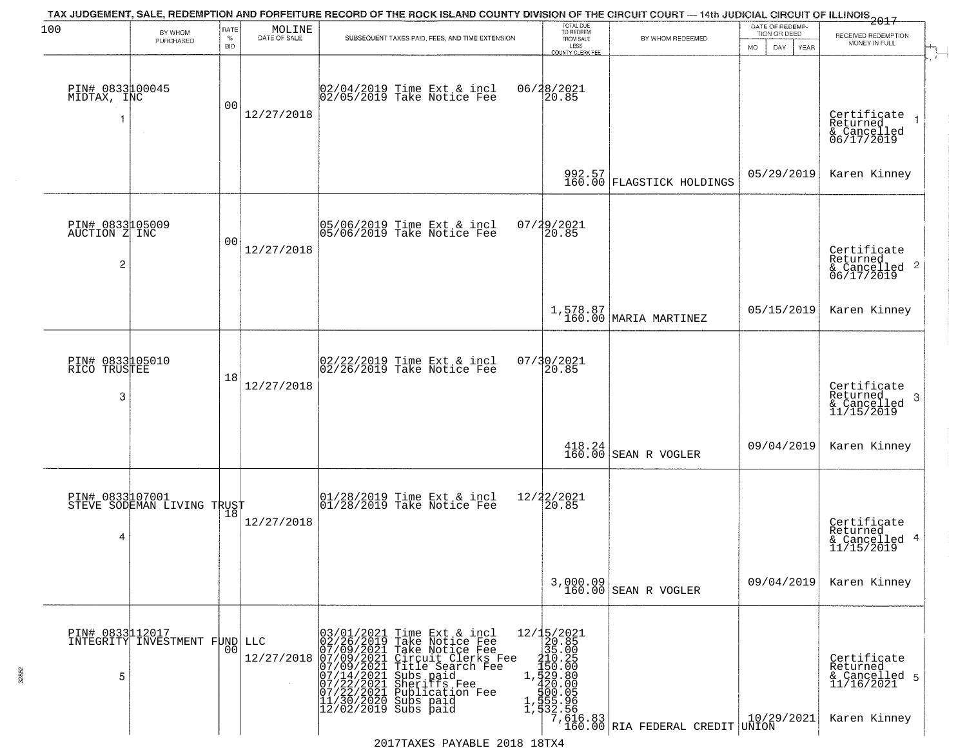| 100                                                |                                               | RATE               |                        | TAX JUDGEMENT, SALE, REDEMPTION AND FORFEITURE RECORD OF THE ROCK ISLAND COUNTY DIVISION OF THE CIRCUIT COURT — 14th JUDICIAL CIRCUIT OF ILLINOIS 2017                                                                                                                                                                        | TOTAL DUE<br>TO REDEEM                                                  |                                                                                | DATE OF REDEMP-                            |                                                                        |  |
|----------------------------------------------------|-----------------------------------------------|--------------------|------------------------|-------------------------------------------------------------------------------------------------------------------------------------------------------------------------------------------------------------------------------------------------------------------------------------------------------------------------------|-------------------------------------------------------------------------|--------------------------------------------------------------------------------|--------------------------------------------|------------------------------------------------------------------------|--|
|                                                    | BY WHOM<br>PURCHASED                          | $\%$<br><b>BID</b> | MOLINE<br>DATE OF SALE | SUBSEQUENT TAXES PAID, FEES, AND TIME EXTENSION                                                                                                                                                                                                                                                                               | FROM SALE<br>LESS                                                       | BY WHOM REDEEMED                                                               | TION OR DEED<br>MO.<br>DAY.<br><b>YEAR</b> | RECEIVED REDEMPTION<br>MONEY IN FULL                                   |  |
| PIN# 0833100045<br>MIDTAX, INC<br>1                | $\sim$                                        | 00                 | 12/27/2018             | 02/04/2019 Time Ext & incl<br>02/05/2019 Take Notice Fee                                                                                                                                                                                                                                                                      | <b>COUNTY CLERK FEE</b><br>06/28/2021<br>20.85                          |                                                                                |                                            | Certificate<br>Returned<br>& Cancelled<br>06/17/2019                   |  |
|                                                    |                                               |                    |                        |                                                                                                                                                                                                                                                                                                                               |                                                                         | 992.57<br>160.00 FLAGSTICK HOLDINGS                                            | 05/29/2019                                 | Karen Kinney                                                           |  |
| PIN# 0833105009<br>AUCTION Z INC<br>$\overline{c}$ |                                               | 00                 | 12/27/2018             | 05/06/2019 Time Ext & incl<br>05/06/2019 Take Notice Fee                                                                                                                                                                                                                                                                      | 07/29/2021<br>20.85                                                     |                                                                                |                                            | Certificate<br>Returned<br>$\frac{1}{6}$ Cancelled 2<br>06/17/2019     |  |
|                                                    |                                               |                    |                        |                                                                                                                                                                                                                                                                                                                               |                                                                         | $1,578.87$ MARIA MARTINEZ                                                      | 05/15/2019                                 | Karen Kinney                                                           |  |
| PIN# 0833105010<br>RICO TRUSTEE<br>3               |                                               | 18                 | 12/27/2018             | 02/22/2019 Time Ext & incl<br>02/26/2019 Take Notice Fee                                                                                                                                                                                                                                                                      | 07/30/2021<br>20.85                                                     |                                                                                |                                            | Certificate<br>Returned<br>3<br>& Cancelled<br>11/15/2019              |  |
|                                                    |                                               |                    |                        |                                                                                                                                                                                                                                                                                                                               |                                                                         | $\begin{array}{c} 418.24 \\ 160.00 \end{array}$ SEAN R VOGLER                  | 09/04/2019                                 | Karen Kinney                                                           |  |
| 4                                                  | PIN# 0833107001<br>STEVE SODEMAN LIVING TRUST |                    | 12/27/2018             | 01/28/2019 Time Ext & incl<br>01/28/2019 Take Notice Fee                                                                                                                                                                                                                                                                      | 12/22/2021<br>20.85                                                     |                                                                                |                                            | Certificate<br>Returned<br>& Cancelled 4<br>11/15/2019                 |  |
|                                                    |                                               |                    |                        |                                                                                                                                                                                                                                                                                                                               |                                                                         | 3,000.09<br>160.00 SEAN R VOGLER                                               | 09/04/2019                                 | Karen Kinney                                                           |  |
| PIN# 0833112017<br>5                               | INTEGRITY INVESTMENT FUND LLC                 | 00                 | 12/27/2018             | 03/01/2021<br>02/26/2019<br>07/09/2021<br>07/09/2021<br>07/14/2021<br>07/22/2021<br>07/22/2021<br>07/22/2021<br>11/30/2020<br>Time Ext & incl<br>Take Notice Fee<br>Take Notice Fee<br>Circuit Clerks Fee<br>Title Search Fee<br>Subs paid<br>Sheriffs Fee<br>$1$ .<br>Publication Fee<br>Subs paid<br>$12/02/2019$ Subs paid | 12/15/2021<br>20.85<br>35.00<br>210.25<br>150.00<br>, 529.80<br>,420.00 | 360.05<br>355.96<br>332.56<br>  7,616.83<br>  7,60.00 RIA FEDERAL CREDIT UNION | 10/29/2021                                 | Certificate<br>Returned<br>& Cancelled 5<br>11/16/2021<br>Karen Kinney |  |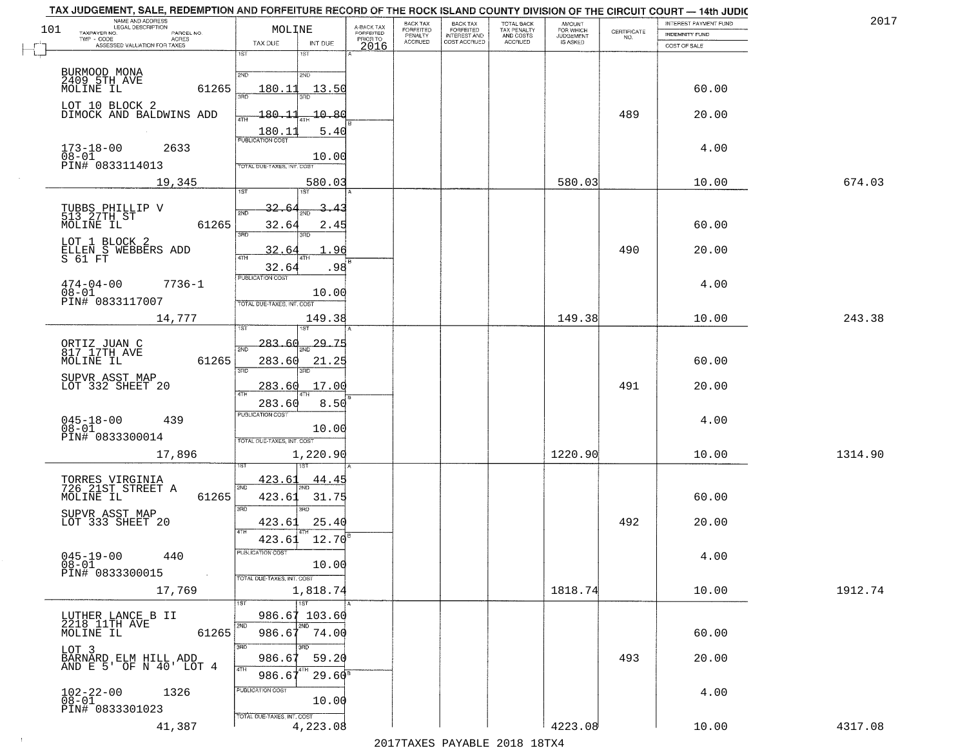| 101 | NAME AND ADDRESS<br>LEGAL DESCRIPTION<br>TAXPAYER NO.                    | MOLINE                                                  | A-BACK TAX                    | BACK TAX<br>FORFEITED | <b>BACK TAX</b><br><b>FORFEITED</b> | <b>TOTAL BACK</b><br>TAX PENALTY | <b>AMOUNT</b>                      | CERTIFICATE | INTEREST PAYMENT FUND                 | 2017    |
|-----|--------------------------------------------------------------------------|---------------------------------------------------------|-------------------------------|-----------------------|-------------------------------------|----------------------------------|------------------------------------|-------------|---------------------------------------|---------|
|     | PARCEL NO.<br>TWP - CODE<br>- CODE ACRES<br>ASSESSED VALUATION FOR TAXES | TAX DUE<br>INT DUE                                      | FORFEITED<br>PRIOR TO<br>2016 | PENALTY<br>ACCRUED    | INTEREST AND<br>COST ACCRUED        | AND COSTS<br>ACCRUED             | FOR WHICH<br>JUDGEMENT<br>IS ASKED | NO.         | <b>INDEMNITY FUND</b><br>COST OF SALE |         |
|     |                                                                          | 1ST<br>1ST                                              |                               |                       |                                     |                                  |                                    |             |                                       |         |
|     | BURMOOD MONA<br>2409_5TH_AVE                                             | 2ND<br>2ND                                              |                               |                       |                                     |                                  |                                    |             |                                       |         |
|     | MOLINE IL<br>61265                                                       | <u> 13.50</u><br>180.11<br>aan                          |                               |                       |                                     |                                  |                                    |             | 60.00                                 |         |
|     | LOT 10 BLOCK 2<br>DIMOCK AND BALDWINS ADD                                | $-180 - 11$<br>$-10.80$<br>4TH                          |                               |                       |                                     |                                  |                                    | 489         | 20.00                                 |         |
|     |                                                                          | 180.11<br>5.40<br><b>PUBLICATION COST</b>               |                               |                       |                                     |                                  |                                    |             |                                       |         |
|     | 2633<br>$173 - 18 - 00$<br>$08 - 01$<br>PIN# 0833114013                  | 10.00<br>TOTAL DUE-TAXES, INT. COS                      |                               |                       |                                     |                                  |                                    |             | 4.00                                  |         |
|     | 19,345                                                                   | 580.03                                                  |                               |                       |                                     |                                  | 580.03                             |             | 10.00                                 | 674.03  |
|     |                                                                          | 1ST<br>1ST                                              |                               |                       |                                     |                                  |                                    |             |                                       |         |
|     | TUBBS PHILLIP V<br>513 27TH ST<br>MOLINE IL<br>61265                     | 32.6.<br>2ND<br>32.64<br>2.45                           |                               |                       |                                     |                                  |                                    |             | 60.00                                 |         |
|     | LOT 1 BLOCK 2                                                            | 3RD<br>3RD<br>32.6                                      | 96                            |                       |                                     |                                  |                                    | 490         | 20.00                                 |         |
|     | ELLEN S WEBBERS ADD<br>S 61 FT                                           | 47H<br>32.64<br>.98                                     |                               |                       |                                     |                                  |                                    |             |                                       |         |
|     | $474 - 04 - 00$<br>$7736 - 1$                                            | PUBLICATION COST                                        |                               |                       |                                     |                                  |                                    |             | 4.00                                  |         |
|     | $08 - 01$<br>PIN# 0833117007                                             | 10.00<br>TOTAL DUE-TAXES, INT. COST                     |                               |                       |                                     |                                  |                                    |             |                                       |         |
|     | 14,777                                                                   | 149.38                                                  |                               |                       |                                     |                                  | 149.38                             |             | 10.00                                 | 243.38  |
|     |                                                                          | $29 - 75$<br>283.60                                     |                               |                       |                                     |                                  |                                    |             |                                       |         |
|     | ORTIZ JUAN C<br>817 17TH AVE<br>MOLINE IL<br>61265                       | 2ND<br>283.60<br>21.25                                  |                               |                       |                                     |                                  |                                    |             | 60.00                                 |         |
|     | SUPVR ASST MAP<br>LOT 332 SHEET 20                                       | 3RD                                                     |                               |                       |                                     |                                  |                                    |             |                                       |         |
|     |                                                                          | 17.00<br>283.60<br>4TH                                  |                               |                       |                                     |                                  |                                    | 491         | 20.00                                 |         |
|     | 439                                                                      | 8.50<br>283.60<br><b>PUBLICATION COST</b>               |                               |                       |                                     |                                  |                                    |             | 4.00                                  |         |
|     | $045 - 18 - 00$<br>$08 - 01$<br>PIN# 0833300014                          | 10.00<br>TOTAL OUE-TAXES, INT. COST                     |                               |                       |                                     |                                  |                                    |             |                                       |         |
|     | 17,896                                                                   | 1,220.90                                                |                               |                       |                                     |                                  | 1220.90                            |             | 10.00                                 | 1314.90 |
|     |                                                                          | 423.61<br>44.4                                          |                               |                       |                                     |                                  |                                    |             |                                       |         |
|     | TORRES VIRGINIA<br>726 21ST STREET A<br>61265<br>MOLINE IL               | 2ND<br>423.61<br>31.75                                  |                               |                       |                                     |                                  |                                    |             | 60.00                                 |         |
|     | SUPVR ASST MAP<br>LOT 333 SHEET 20                                       | 3RD<br>3BD                                              |                               |                       |                                     |                                  |                                    |             |                                       |         |
|     |                                                                          | 423.61<br>25.40<br>4TH<br>12.70<br>423.61               |                               |                       |                                     |                                  |                                    | 492         | 20.00                                 |         |
|     | $045 - 19 - 00$<br>440                                                   | PUBLICATION COST                                        |                               |                       |                                     |                                  |                                    |             | 4.00                                  |         |
|     | 08-01<br>PIN# 0833300015<br>$\sim 100$                                   | 10.00<br>TOTAL DUE-TAXES, INT. COST                     |                               |                       |                                     |                                  |                                    |             |                                       |         |
|     | 17,769                                                                   | 1,818.74                                                |                               |                       |                                     |                                  | 1818.74                            |             | 10.00                                 | 1912.74 |
|     |                                                                          | $\overline{1}$ ST<br>1ST<br>986.67 103.60               |                               |                       |                                     |                                  |                                    |             |                                       |         |
|     | LUTHER LANCE B II<br>2218 11TH AVE<br>MOLINE IL<br>61265                 | 2ND<br>986.67<br>74.00                                  |                               |                       |                                     |                                  |                                    |             | 60.00                                 |         |
|     | LOT 3                                                                    | 3RD                                                     |                               |                       |                                     |                                  |                                    |             |                                       |         |
|     | BARNARD ELM HILL ADD<br>AND E 5' OF N 40' LOT 4                          | 986.67<br>59.20<br>4TH<br>$29.60$ <sup>s</sup><br>986.6 |                               |                       |                                     |                                  |                                    | 493         | 20.00                                 |         |
|     | 1326                                                                     | PUBLICATION COST                                        |                               |                       |                                     |                                  |                                    |             | 4.00                                  |         |
|     | $102 - 22 - 00$<br>$08 - 01$<br>PIN# 0833301023                          | 10.00                                                   |                               |                       |                                     |                                  |                                    |             |                                       |         |
|     | 41,387                                                                   | TOTAL DUE-TAXES, INT. COST<br>4,223.08                  |                               |                       |                                     |                                  | 4223.08                            |             | 10.00                                 | 4317.08 |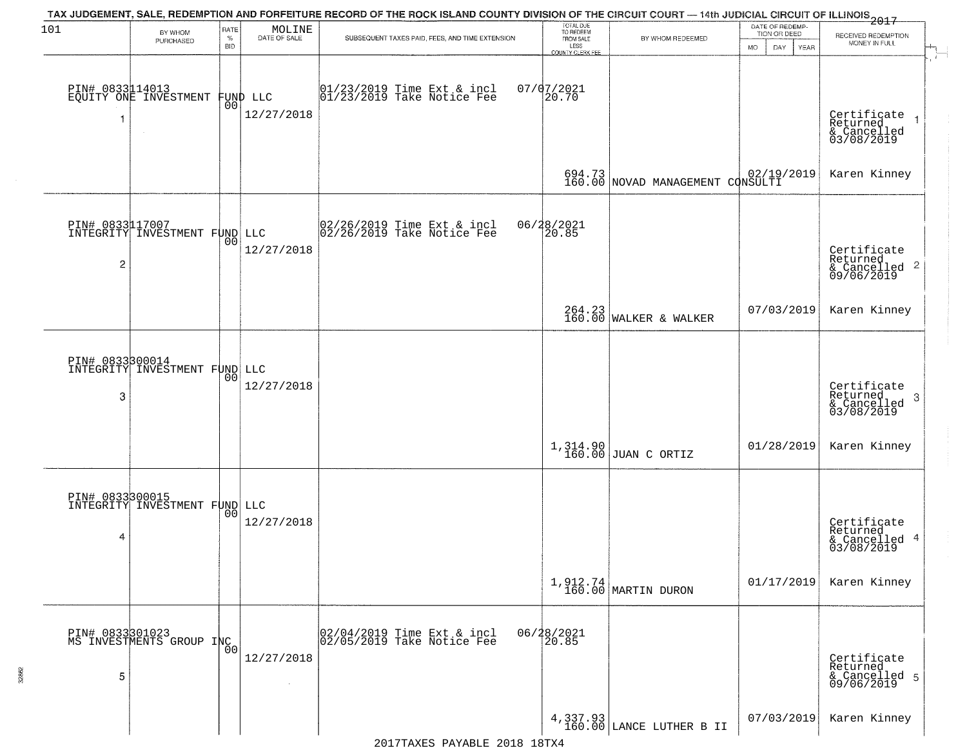| 101                               | BY WHOM<br>PURCHASED                             | RATE<br>$\%$<br><b>BID</b> | MOLINE<br>DATE OF SALE       | TAX JUDGEMENT, SALE, REDEMPTION AND FORFEITURE RECORD OF THE ROCK ISLAND COUNTY DIVISION OF THE CIRCUIT COURT — 14th JUDICIAL CIRCUIT OF ILLINOIS 2017<br>SUBSEQUENT TAXES PAID, FEES, AND TIME EXTENSION | TOTAL DUE<br>TO REDEEM<br>FROM SALE<br>LESS<br><b>COUNTY CLERK FEE</b> | BY WHOM REDEEMED                           | DATE OF REDEMP-<br>TION OR DEED<br>MO.<br>YEAR<br>DAY. | RECEIVED REDEMPTION<br>MONEY IN FULL                               |
|-----------------------------------|--------------------------------------------------|----------------------------|------------------------------|-----------------------------------------------------------------------------------------------------------------------------------------------------------------------------------------------------------|------------------------------------------------------------------------|--------------------------------------------|--------------------------------------------------------|--------------------------------------------------------------------|
|                                   | PIN# 0833114013<br>EQUITY ONE INVESTMENT         | 00                         | FUND LLC<br>12/27/2018       | $ 01/23/2019$ Time Ext & incl<br>$ 01/23/2019$ Take Notice Fee                                                                                                                                            | $07/07/2021$<br>20.70                                                  |                                            |                                                        | Certificate<br>Returned<br>& Cancelled<br>03/08/2019               |
|                                   |                                                  |                            |                              |                                                                                                                                                                                                           |                                                                        | 694.73<br>160.00 NOVAD MANAGEMENT CONSULTI |                                                        | Karen Kinney                                                       |
| PIN# 0833117007<br>$\overline{c}$ | INTEGRITY INVESTMENT FUND LLC                    | 00                         | 12/27/2018                   | 02/26/2019 Time Ext & incl<br>02/26/2019 Take Notice Fee                                                                                                                                                  | 06/28/2021<br>20.85                                                    |                                            |                                                        | Certificate<br>Returned<br>$\frac{1}{6}$ Cancelled 2<br>09/06/2019 |
|                                   |                                                  |                            |                              |                                                                                                                                                                                                           |                                                                        | 264.23<br>160.00 WALKER & WALKER           | 07/03/2019                                             | Karen Kinney                                                       |
| 3                                 | PIN# 0833300014<br>INTEGRITY INVESTMENT FUND LLC | 00                         | 12/27/2018                   |                                                                                                                                                                                                           |                                                                        |                                            |                                                        | Certificate<br>Returned<br>3<br>& Cancelled<br>03/08/2019          |
|                                   |                                                  |                            |                              |                                                                                                                                                                                                           |                                                                        | 1,314.90<br>160.00 JUAN C ORTIZ            | 01/28/2019                                             | Karen Kinney                                                       |
| PIN# 0833300015<br>4              | INTEGRITY INVESTMENT FUND LLC                    | 00                         | 12/27/2018                   |                                                                                                                                                                                                           |                                                                        |                                            |                                                        | Certificate<br>Returned<br>& Cancelled 4<br>03/08/2019             |
|                                   |                                                  |                            |                              |                                                                                                                                                                                                           |                                                                        | $1,912.74$ MARTIN DURON                    | 01/17/2019                                             | Karen Kinney                                                       |
| 5                                 | PIN# 0833301023<br>MS INVESTMENTS GROUP INC      | 0 <sup>0</sup>             | 12/27/2018<br>$\sim 10^{-1}$ | 02/04/2019 Time Ext & incl<br>02/05/2019 Take Notice Fee                                                                                                                                                  | 06/28/2021<br>20.85                                                    |                                            |                                                        | Certificate<br>Returned<br>& Cancelled 5<br>09/06/2019             |
|                                   |                                                  |                            |                              |                                                                                                                                                                                                           |                                                                        | $4,337.93$ LANCE LUTHER B II               | 07/03/2019                                             | Karen Kinney                                                       |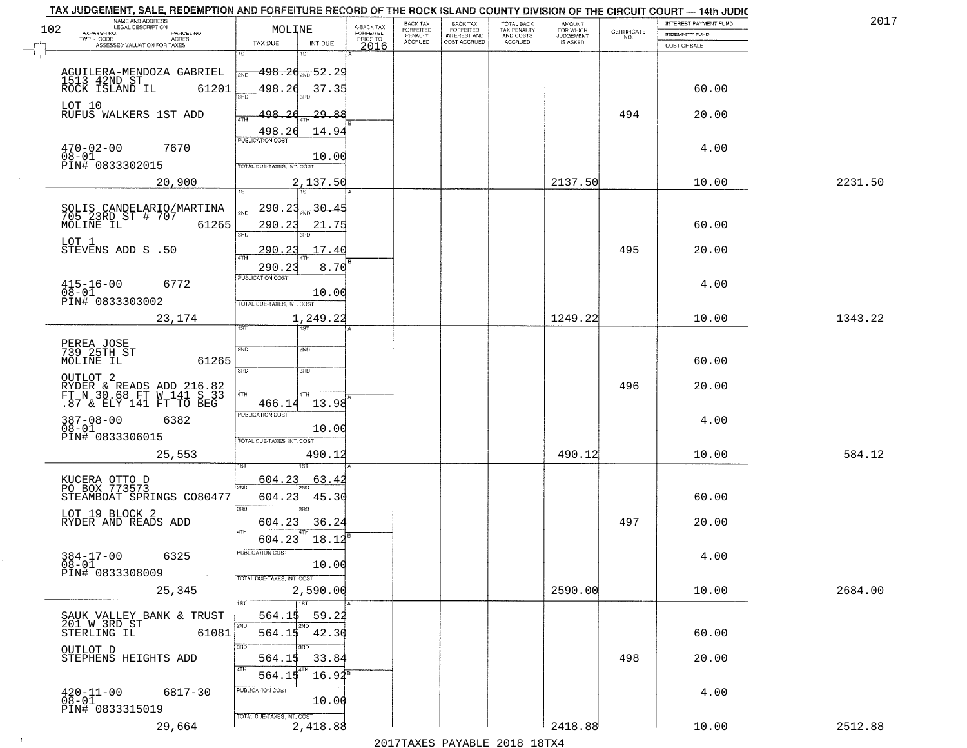| NAME AND ADDRESS<br>LEGAL DESCRIPTION<br>102                                               | MOLINE                            |                        |                                     | BACK TAX<br>FORFEITED     | <b>BACK TAX</b>                           | TOTAL BACK<br>TAX PENALTY<br>AND COSTS | AMOUNT<br>FOR WHICH                 |                    | INTEREST PAYMENT FUND | 2017    |
|--------------------------------------------------------------------------------------------|-----------------------------------|------------------------|-------------------------------------|---------------------------|-------------------------------------------|----------------------------------------|-------------------------------------|--------------------|-----------------------|---------|
| TAXPAYER NO.<br>PARCEL NO.<br>ACRES<br>TWP - CODE                                          |                                   |                        | A-BACK TAX<br>FORFEITED<br>PRIOR TO | PENALTY<br><b>ACCRUED</b> | FORFEITED<br>INTEREST AND<br>COST ACCRUED | ACCRUED                                | <b>JUDGEMENT</b><br><b>IS ASKED</b> | CERTIFICATE<br>NO. | INDEMNITY FUND        |         |
| ASSESSED VALUATION FOR TAXES                                                               | TAX DUE<br>1ST<br>1ST             | INT DUE                | 2016                                |                           |                                           |                                        |                                     |                    | COST OF SALE          |         |
|                                                                                            |                                   |                        |                                     |                           |                                           |                                        |                                     |                    |                       |         |
| AGUILERA-MENDOZA GABRIEL<br>1513 42ND ST                                                   | $498.26_{200}$ 52.29<br>2ND       |                        |                                     |                           |                                           |                                        |                                     |                    |                       |         |
| 61201<br>ROCK ISLAND IL                                                                    | 498.26<br>300                     | 37.35                  |                                     |                           |                                           |                                        |                                     |                    | 60.00                 |         |
| LOT 10                                                                                     |                                   |                        |                                     |                           |                                           |                                        |                                     |                    |                       |         |
| RUFUS WALKERS 1ST ADD                                                                      | 198.26                            | 29.88                  |                                     |                           |                                           |                                        |                                     | 494                | 20.00                 |         |
|                                                                                            | 498.26<br><b>PUBLICATION COST</b> | 14.94                  |                                     |                           |                                           |                                        |                                     |                    |                       |         |
| $470 - 02 - 00$<br>7670                                                                    |                                   |                        |                                     |                           |                                           |                                        |                                     |                    | 4.00                  |         |
| $08 - 01$<br>PIN# 0833302015                                                               | OTAL DUE-TAXES, INT. COST         | 10.00                  |                                     |                           |                                           |                                        |                                     |                    |                       |         |
| 20,900                                                                                     |                                   | 2,137.50               |                                     |                           |                                           |                                        | 2137.50                             |                    | 10.00                 | 2231.50 |
|                                                                                            | 197                               |                        |                                     |                           |                                           |                                        |                                     |                    |                       |         |
| SOLIS CANDELARIO/MARTINA<br>705 23RD ST # 707                                              | 290.23<br>সাঁচ                    | $\frac{30.45}{200}$    |                                     |                           |                                           |                                        |                                     |                    |                       |         |
| MOLINE IL<br>61265                                                                         | 290.23                            | 21.75                  |                                     |                           |                                           |                                        |                                     |                    | 60.00                 |         |
| LOT 1                                                                                      | $\overline{3\overline{BD}}$       |                        |                                     |                           |                                           |                                        |                                     |                    |                       |         |
| STEVENS ADD S .50                                                                          | 290.23                            | .17.40                 |                                     |                           |                                           |                                        |                                     | 495                | 20.00                 |         |
|                                                                                            | 290.23                            | 8.70                   |                                     |                           |                                           |                                        |                                     |                    |                       |         |
| $415 - 16 - 00$<br>6772                                                                    | PUBLICATION COST                  |                        |                                     |                           |                                           |                                        |                                     |                    | 4.00                  |         |
| $08 - 01$                                                                                  |                                   | 10.00                  |                                     |                           |                                           |                                        |                                     |                    |                       |         |
| PIN# 0833303002                                                                            | TOTAL DUE-TAXES, INT. COST        |                        |                                     |                           |                                           |                                        |                                     |                    |                       |         |
| 23,174                                                                                     | <b>IST</b><br>1ST                 | 1,249.22               |                                     |                           |                                           |                                        | 1249.22                             |                    | 10.00                 | 1343.22 |
|                                                                                            |                                   |                        |                                     |                           |                                           |                                        |                                     |                    |                       |         |
| PEREA JOSE<br>739 25TH ST                                                                  | 2ND<br>2ND                        |                        |                                     |                           |                                           |                                        |                                     |                    |                       |         |
| MOLINE IL<br>61265                                                                         | 3 <sub>BD</sub><br>3RD            |                        |                                     |                           |                                           |                                        |                                     |                    | 60.00                 |         |
| OUTLOT <sub>2</sub>                                                                        |                                   |                        |                                     |                           |                                           |                                        |                                     | 496                | 20.00                 |         |
| <b>RÝDER &amp; READS ADD 216.82</b><br>FT N 30.68 FT W 141 S 33<br>.87 & ELY 141 FT TO BEG | 4TH<br>4TH                        |                        |                                     |                           |                                           |                                        |                                     |                    |                       |         |
|                                                                                            | 466.14<br><b>PUBLICATION COST</b> | 13.98                  |                                     |                           |                                           |                                        |                                     |                    |                       |         |
| 387-08-00<br>08-01<br>6382                                                                 |                                   | 10.00                  |                                     |                           |                                           |                                        |                                     |                    | 4.00                  |         |
| PIN# 0833306015                                                                            | TOTAL OUE-TAXES, INT. COST        |                        |                                     |                           |                                           |                                        |                                     |                    |                       |         |
| 25,553                                                                                     |                                   | 490.12                 |                                     |                           |                                           |                                        | 490.12                              |                    | 10.00                 | 584.12  |
|                                                                                            |                                   |                        |                                     |                           |                                           |                                        |                                     |                    |                       |         |
| KUCERA OTTO D<br>PO BOX 773573                                                             | 604.23<br>2ND                     | 63.42                  |                                     |                           |                                           |                                        |                                     |                    |                       |         |
| STEAMBOAT SPRINGS CO80477                                                                  | 604.23                            | 45.30                  |                                     |                           |                                           |                                        |                                     |                    | 60.00                 |         |
| LOT 19 BLOCK 2                                                                             | 3RD<br>3 <sub>BD</sub>            |                        |                                     |                           |                                           |                                        |                                     |                    |                       |         |
| RYDER AND READS ADD                                                                        | 604.23<br><b>ATH</b>              | 36.24                  |                                     |                           |                                           |                                        |                                     | 497                | 20.00                 |         |
|                                                                                            | 604.23                            | 18.12                  |                                     |                           |                                           |                                        |                                     |                    |                       |         |
| 6325                                                                                       | PUBLICA HUN CUS                   |                        |                                     |                           |                                           |                                        |                                     |                    | 4.00                  |         |
| $384 - 17 - 00$<br>$08 - 01$<br>PIN# 0833308009<br>$\sim 100$                              |                                   | 10.00                  |                                     |                           |                                           |                                        |                                     |                    |                       |         |
|                                                                                            | TOTAL DUE-TAXES, INT. COST        |                        |                                     |                           |                                           |                                        |                                     |                    |                       |         |
| 25,345                                                                                     | $\overline{1}$ 1st                | 2,590.00               |                                     |                           |                                           |                                        | 2590.00                             |                    | 10.00                 | 2684.00 |
|                                                                                            | 564.15                            | 59.22                  |                                     |                           |                                           |                                        |                                     |                    |                       |         |
| SAUK VALLEY BANK & TRUST<br>201 W 3RD ST                                                   | 2ND                               |                        |                                     |                           |                                           |                                        |                                     |                    |                       |         |
| 61081<br>STERLING IL                                                                       | 564.15 42.30<br>3RD<br>3RD        |                        |                                     |                           |                                           |                                        |                                     |                    | 60.00                 |         |
| OUTLOT D<br>STEPHENS HEIGHTS ADD                                                           | 564.15                            | 33.84                  |                                     |                           |                                           |                                        |                                     | 498                | 20.00                 |         |
|                                                                                            | 4TH<br>  4TH<br>564.15            | $16.94^{\overline{8}}$ |                                     |                           |                                           |                                        |                                     |                    |                       |         |
|                                                                                            | PUBLICATION COST                  |                        |                                     |                           |                                           |                                        |                                     |                    |                       |         |
| $^{420-11-00}_{08-01}$<br>6817-30                                                          |                                   | 10.00                  |                                     |                           |                                           |                                        |                                     |                    | 4.00                  |         |
| PIN# 0833315019                                                                            | TOTAL DUE-TAXES, INT. COST        |                        |                                     |                           |                                           |                                        |                                     |                    |                       |         |
| 29,664                                                                                     |                                   | 2,418.88               |                                     |                           |                                           |                                        | 2418.88                             |                    | 10.00                 | 2512.88 |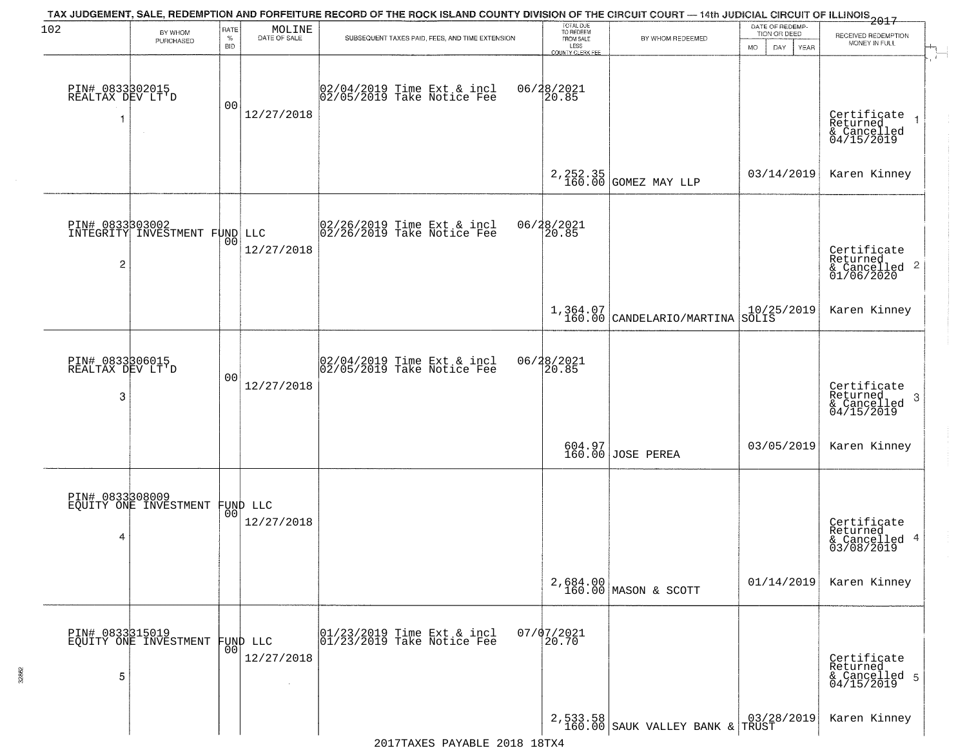| 102                                      | BY WHOM                                  | RATE               | MOLINE                           | TAX JUDGEMENT, SALE, REDEMPTION AND FORFEITURE RECORD OF THE ROCK ISLAND COUNTY DIVISION OF THE CIRCUIT COURT — 14th JUDICIAL CIRCUIT OF ILLINOIS 2017 | TOTAL DUE<br>TO REDEEM                       |                                         | DATE OF REDEMP-<br>TION OR DEED | RECEIVED REDEMPTION                                                |
|------------------------------------------|------------------------------------------|--------------------|----------------------------------|--------------------------------------------------------------------------------------------------------------------------------------------------------|----------------------------------------------|-----------------------------------------|---------------------------------|--------------------------------------------------------------------|
|                                          | PURCHASED                                | $\%$<br><b>BID</b> | DATE OF SALE                     | SUBSEQUENT TAXES PAID, FEES, AND TIME EXTENSION                                                                                                        | FROM SALE<br>LESS<br><b>COUNTY CLERK FEE</b> | BY WHOM REDEEMED                        | MO.<br>DAY.<br><b>YEAR</b>      | MONEY IN FULL                                                      |
| PIN# 0833802015<br>REALTAX DEV LT'D<br>1 | $\sim$                                   | 0 <sub>0</sub>     | 12/27/2018                       | 02/04/2019 Time Ext & incl<br>02/05/2019 Take Notice Fee                                                                                               | 06/28/2021<br>20.85                          |                                         |                                 | Certificate<br>Returned<br>& Cancelled<br>04/15/2019               |
|                                          |                                          |                    |                                  |                                                                                                                                                        |                                              | 2, 252.35<br>160.00 GOMEZ MAY LLP       | 03/14/2019                      | Karen Kinney                                                       |
| PIN# 0833303002<br>2                     | INTEGRITY INVESTMENT FUND LLC            | 00                 | 12/27/2018                       | $ 02/26/2019$ Time Ext & incl<br>$ 02/26/2019$ Take Notice Fee                                                                                         | 06/28/2021<br>20.85                          |                                         |                                 | Certificate<br>Returned<br>$\frac{1}{6}$ Cancelled 2<br>01/06/2020 |
|                                          |                                          |                    |                                  |                                                                                                                                                        |                                              | $1,364.07$<br>160.00 CANDELARIO/MARTINA | 10/25/2019<br>SOLIS             | Karen Kinney                                                       |
| PIN# 0833806015<br>REALTAX DEV LT'D<br>3 |                                          | 0 <sub>0</sub>     | 12/27/2018                       | $ 02/04/2019$ Time Ext & incl<br>$ 02/05/2019$ Take Notice Fee                                                                                         | 06/28/2021<br>20.85                          |                                         |                                 | Certificate<br>Returned<br>3<br>& Cancelled<br>04/15/2019          |
|                                          |                                          |                    |                                  |                                                                                                                                                        |                                              | 604.97<br>160.00 JOSE PEREA             | 03/05/2019                      | Karen Kinney                                                       |
| PIN# 0833308009<br>4                     | EQUITY ONE INVESTMENT FUND LLC           |                    | 12/27/2018                       |                                                                                                                                                        |                                              |                                         |                                 | Certificate<br>Returned<br>& Cancelled 4<br>03/08/2019             |
|                                          |                                          |                    |                                  |                                                                                                                                                        |                                              | 2,684.00<br>160.00 MASON & SCOTT        | 01/14/2019                      | Karen Kinney                                                       |
| 5                                        | PIN# 0833315019<br>EQUITY ONE INVESTMENT | 0 <sup>0</sup>     | FUND LLC<br>12/27/2018<br>$\sim$ | 01/23/2019 Time Ext & incl<br>01/23/2019 Take Notice Fee                                                                                               | $07/07/2021$<br>20.70                        |                                         |                                 | Certificate<br>Returned<br>& Cancelled 5<br>04/15/2019             |
|                                          |                                          |                    |                                  |                                                                                                                                                        |                                              | $2,533.58$ SAUK VALLEY BANK & TRUST     |                                 | Karen Kinney                                                       |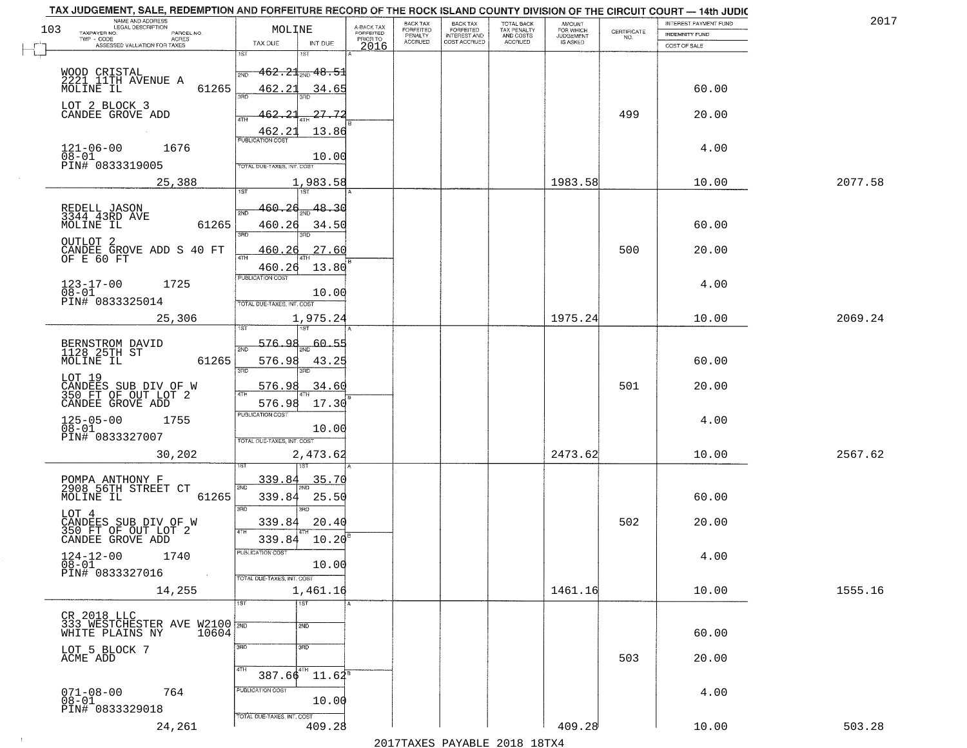|     | TAX JUDGEMENT, SALE, REDEMPTION AND FORFEITURE RECORD OF THE ROCK ISLAND COUNTY DIVISION OF THE CIRCUIT COURT - 14th JUDIC<br>NAME AND ADDRESS<br>LEGAL DESCRIPTION |                                            |                         | BACK TAX                    |                                              |                                        |                                         |                                                                 | INTEREST PAYMENT FUND | 2017    |
|-----|---------------------------------------------------------------------------------------------------------------------------------------------------------------------|--------------------------------------------|-------------------------|-----------------------------|----------------------------------------------|----------------------------------------|-----------------------------------------|-----------------------------------------------------------------|-----------------------|---------|
| 103 | TAXPAYER NO.<br>PARCEL NO.                                                                                                                                          | MOLINE                                     | A-BACK TAX<br>FORFEITED | <b>FORFEITED</b><br>PENALTY | BACK TAX<br>FORFEITED<br><b>INTEREST AND</b> | TOTAL BACK<br>TAX PENALTY<br>AND COSTS | AMOUNT<br>FOR WHICH<br><b>JUDGEMENT</b> | $\begin{array}{c} \text{CERTIFICATE} \\ \text{NO.} \end{array}$ | INDEMNITY FUND        |         |
|     | ACRES<br>ASSESSED VALUATION FOR TAXES                                                                                                                               | TAX DUE<br>INT DUE                         | PRIOR TO<br>2016        | <b>ACCRUED</b>              | COST ACCRUED                                 | <b>ACCRUED</b>                         | IS ASKED                                |                                                                 | COST OF SALE          |         |
|     |                                                                                                                                                                     | 1ST<br>۱ST                                 |                         |                             |                                              |                                        |                                         |                                                                 |                       |         |
|     |                                                                                                                                                                     | $462.21$ sun $48.51$<br>2ND                |                         |                             |                                              |                                        |                                         |                                                                 |                       |         |
|     | WOOD CRISTAL<br>2221 11TH AVENUE A                                                                                                                                  |                                            |                         |                             |                                              |                                        |                                         |                                                                 |                       |         |
|     | 61265<br>MOLINE IL                                                                                                                                                  | 462.21<br>34.65<br>350                     |                         |                             |                                              |                                        |                                         |                                                                 | 60.00                 |         |
|     | LOT 2 BLOCK 3                                                                                                                                                       |                                            |                         |                             |                                              |                                        |                                         |                                                                 |                       |         |
|     | CANDEE GROVE ADD                                                                                                                                                    | 27.72<br>462.21                            |                         |                             |                                              |                                        |                                         | 499                                                             | 20.00                 |         |
|     |                                                                                                                                                                     | 13.86<br>462.21                            |                         |                             |                                              |                                        |                                         |                                                                 |                       |         |
|     | 1676                                                                                                                                                                | <b>PUBLICATION COST</b>                    |                         |                             |                                              |                                        |                                         |                                                                 | 4.00                  |         |
|     | $121 - 06 - 00$<br>$08 - 01$                                                                                                                                        | 10.00                                      |                         |                             |                                              |                                        |                                         |                                                                 |                       |         |
|     | PIN# 0833319005                                                                                                                                                     | TOTAL DUE-TAXES, INT. COST                 |                         |                             |                                              |                                        |                                         |                                                                 |                       |         |
|     | 25,388                                                                                                                                                              | 1,983.58                                   |                         |                             |                                              |                                        | 1983.58                                 |                                                                 | 10.00                 | 2077.58 |
|     |                                                                                                                                                                     |                                            |                         |                             |                                              |                                        |                                         |                                                                 |                       |         |
|     | REDELL JASON<br>3344 43RD AVE                                                                                                                                       | 160.26<br>48.30                            |                         |                             |                                              |                                        |                                         |                                                                 |                       |         |
|     | 61265<br>MOLINE IL                                                                                                                                                  | 460.26<br>34.50                            |                         |                             |                                              |                                        |                                         |                                                                 | 60.00                 |         |
|     | OUTLOT <sub>2</sub>                                                                                                                                                 | ਬਾ<br>3RD                                  |                         |                             |                                              |                                        |                                         |                                                                 |                       |         |
|     | CANDEE GROVE ADD S 40 FT<br>OF E 60 FT                                                                                                                              | 27.60<br>460.26                            |                         |                             |                                              |                                        |                                         | 500                                                             | 20.00                 |         |
|     |                                                                                                                                                                     | ৰাম<br>13.80<br>460.26                     |                         |                             |                                              |                                        |                                         |                                                                 |                       |         |
|     |                                                                                                                                                                     | PUBLICATION COST                           |                         |                             |                                              |                                        |                                         |                                                                 |                       |         |
|     | $123 - 17 - 00$<br>1725<br>$08 - 01$                                                                                                                                | 10.00                                      |                         |                             |                                              |                                        |                                         |                                                                 | 4.00                  |         |
|     | PIN# 0833325014                                                                                                                                                     | TOTAL DUE-TAXES, INT. COST                 |                         |                             |                                              |                                        |                                         |                                                                 |                       |         |
|     | 25,306                                                                                                                                                              | 1,975.24                                   |                         |                             |                                              |                                        | 1975.24                                 |                                                                 | 10.00                 | 2069.24 |
|     |                                                                                                                                                                     | 1ST                                        |                         |                             |                                              |                                        |                                         |                                                                 |                       |         |
|     | BERNSTROM DAVID<br>1128 25TH ST                                                                                                                                     | 576.<br>60.55<br>2ND                       |                         |                             |                                              |                                        |                                         |                                                                 |                       |         |
|     | MOLINE IL<br>61265                                                                                                                                                  | 576.98<br>43.25                            |                         |                             |                                              |                                        |                                         |                                                                 | 60.00                 |         |
|     |                                                                                                                                                                     | 3RD<br>3RD                                 |                         |                             |                                              |                                        |                                         |                                                                 |                       |         |
|     | LOT 19                                                                                                                                                              | 576.9<br>34.60                             |                         |                             |                                              |                                        |                                         | 501                                                             | 20.00                 |         |
|     | CANDEES SUB DIV OF W<br>350 FT OF OUT LOT 2                                                                                                                         |                                            |                         |                             |                                              |                                        |                                         |                                                                 |                       |         |
|     | CANDEE GROVE ADD                                                                                                                                                    | 17.30<br>576.98<br><b>PUBLICATION COST</b> |                         |                             |                                              |                                        |                                         |                                                                 |                       |         |
|     | $125 - 05 - 00$<br>$08 - 01$<br>1755                                                                                                                                |                                            |                         |                             |                                              |                                        |                                         |                                                                 | 4.00                  |         |
|     | PIN# 0833327007                                                                                                                                                     | 10.00<br>TOTAL OUE-TAXES, INT. COST        |                         |                             |                                              |                                        |                                         |                                                                 |                       |         |
|     | 30,202                                                                                                                                                              | 2,473.62                                   |                         |                             |                                              |                                        | 2473.62                                 |                                                                 | 10.00                 | 2567.62 |
|     |                                                                                                                                                                     |                                            |                         |                             |                                              |                                        |                                         |                                                                 |                       |         |
|     |                                                                                                                                                                     | 339.84<br><u>35.70</u>                     |                         |                             |                                              |                                        |                                         |                                                                 |                       |         |
|     | POMPA ANTHONY F<br>2908 56TH STREET CT                                                                                                                              | 2ND.                                       |                         |                             |                                              |                                        |                                         |                                                                 |                       |         |
|     | MOLINE IL<br>61265                                                                                                                                                  | 339.84<br>25.5(<br>3BD<br>3BD              |                         |                             |                                              |                                        |                                         |                                                                 | 60.00                 |         |
|     | LOT 4                                                                                                                                                               |                                            |                         |                             |                                              |                                        |                                         | 502                                                             |                       |         |
|     | CANDEES SUB DIV OF W<br>350 FT OF OUT LOT 2                                                                                                                         | 339.84<br>20.40<br>4TH                     |                         |                             |                                              |                                        |                                         |                                                                 | 20.00                 |         |
|     | CANDEE GROVE ADD                                                                                                                                                    | 339.84<br>10.20                            |                         |                             |                                              |                                        |                                         |                                                                 |                       |         |
|     | $124 - 12 - 00$<br>1740                                                                                                                                             | PUBLICATION COS.                           |                         |                             |                                              |                                        |                                         |                                                                 | 4.00                  |         |
|     | $\overline{08} - 0\overline{1}$<br>PIN# 0833327016<br>$\sim 100$                                                                                                    | 10.00                                      |                         |                             |                                              |                                        |                                         |                                                                 |                       |         |
|     |                                                                                                                                                                     | TOTAL DUE-TAXES, INT. COST                 |                         |                             |                                              |                                        |                                         |                                                                 |                       |         |
|     | 14,255                                                                                                                                                              | 1,461.16                                   |                         |                             |                                              |                                        | 1461.16                                 |                                                                 | 10.00                 | 1555.16 |
|     |                                                                                                                                                                     | TST<br>1ST                                 |                         |                             |                                              |                                        |                                         |                                                                 |                       |         |
|     | CR 2018 LLC<br>333 WESTCHESTER AVE W2100 2ND<br>WHITE PLAINS NY 10604                                                                                               | 2ND                                        |                         |                             |                                              |                                        |                                         |                                                                 |                       |         |
|     |                                                                                                                                                                     |                                            |                         |                             |                                              |                                        |                                         |                                                                 | 60.00                 |         |
|     | LOT 5 BLOCK 7<br>ACME ADD                                                                                                                                           | 3RD<br>3RD                                 |                         |                             |                                              |                                        |                                         |                                                                 |                       |         |
|     |                                                                                                                                                                     |                                            |                         |                             |                                              |                                        |                                         | 503                                                             | 20.00                 |         |
|     |                                                                                                                                                                     | $387.66$ <sup>4TH</sup><br>$11.64^{\circ}$ |                         |                             |                                              |                                        |                                         |                                                                 |                       |         |
|     | $071 - 08 - 00$<br>764                                                                                                                                              | PUBLICATION COST                           |                         |                             |                                              |                                        |                                         |                                                                 | 4.00                  |         |
|     | $08 - 01$                                                                                                                                                           | 10.00                                      |                         |                             |                                              |                                        |                                         |                                                                 |                       |         |
|     | PIN# 0833329018                                                                                                                                                     | TOTAL DUE-TAXES, INT. COST                 |                         |                             |                                              |                                        |                                         |                                                                 |                       |         |
|     | 24,261                                                                                                                                                              | 409.28                                     |                         |                             |                                              |                                        | 409.28                                  |                                                                 | 10.00                 | 503.28  |
|     |                                                                                                                                                                     |                                            |                         |                             | 2017 THAVEC DAVARIE 2010 19TVA               |                                        |                                         |                                                                 |                       |         |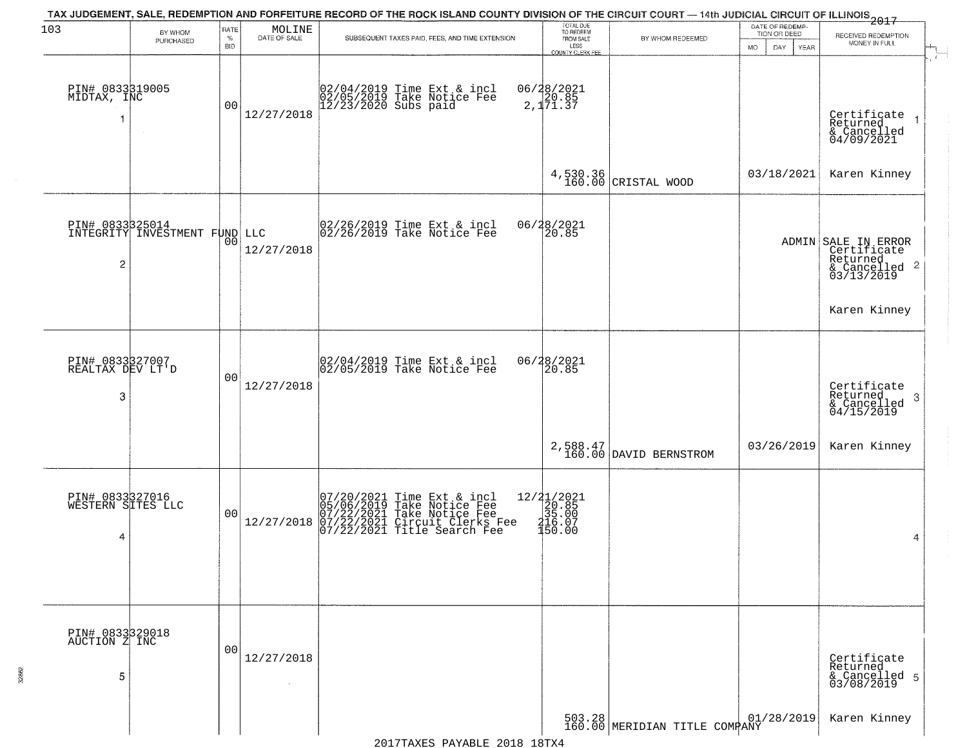|                                           |                               |                            |                        | TAX JUDGEMENT, SALE, REDEMPTION AND FORFEITURE RECORD OF THE ROCK ISLAND COUNTY DIVISION OF THE CIRCUIT COURT — 14th JUDICIAL CIRCUIT OF ILLINOIS 2017   |                                                                                        |                                    |                                                        |                                                                                           |
|-------------------------------------------|-------------------------------|----------------------------|------------------------|----------------------------------------------------------------------------------------------------------------------------------------------------------|----------------------------------------------------------------------------------------|------------------------------------|--------------------------------------------------------|-------------------------------------------------------------------------------------------|
| 103                                       | BY WHOM<br>PURCHASED          | RATE<br>$\%$<br><b>BID</b> | MOLINE<br>DATE OF SALE | SUBSEQUENT TAXES PAID, FEES, AND TIME EXTENSION                                                                                                          | TOTAL DUE<br>TO REDEEM<br>FROM SALE<br>LESS<br>COUNTY CLERK FEE                        | BY WHOM REDEEMED                   | DATE OF REDEMP-<br>TION OR DEED<br>MO.<br>DAY.<br>YEAR | RECEIVED REDEMPTION<br>MONEY IN FULL                                                      |
| PIN# 0833319005<br>MIDTAX, INC            | $\sim$                        | 00                         | 12/27/2018             | 02/04/2019 Time Ext & incl<br>02/05/2019 Take Notice Fee<br>12/23/2020 Subs paid                                                                         | 06/28/2021<br>2,1 <sup>20.85</sup><br>2,1 <sup>71.37</sup>                             |                                    |                                                        | Certificate<br>Returned<br>& Cancelled<br>04/09/2021                                      |
|                                           |                               |                            |                        |                                                                                                                                                          |                                                                                        | 4,530.36<br>160.00 CRISTAL WOOD    | 03/18/2021                                             | Karen Kinney                                                                              |
| PIN# 0833325014<br>$\overline{c}$         | INTEGRITY INVESTMENT FUND LLC | 00                         | 12/27/2018             | $ 02/26/2019$ Time Ext & incl<br>$ 02/26/2019$ Take Notice Fee                                                                                           | 06/28/2021<br>20.85                                                                    |                                    |                                                        | ADMIN SALE IN ERROR<br>Certificate<br>Returned<br>$\frac{1}{2}$ Cancelled 2<br>03/13/2019 |
|                                           |                               |                            |                        |                                                                                                                                                          |                                                                                        |                                    |                                                        | Karen Kinney                                                                              |
| PIN# 0833327007<br>REALTAX DEV LT'D<br>3  |                               | 0 <sub>0</sub>             | 12/27/2018             | 02/04/2019 Time Ext & incl<br>02/05/2019 Take Notice Fee                                                                                                 | 06/28/2021<br>20.85                                                                    |                                    |                                                        | Certificate<br>Returned<br>3<br>$\frac{1}{2}$ Cancelled<br>04/15/2019                     |
|                                           |                               |                            |                        |                                                                                                                                                          |                                                                                        | 2,588.47<br>160.00 DAVID BERNSTROM | 03/26/2019                                             | Karen Kinney                                                                              |
| PIN# 0833327016<br>WESTERN SITES LLC<br>4 |                               | 0 <sub>0</sub>             | 12/27/2018             | $07/20/2021$ Time Ext & incl<br>05/06/2019 Take Notice Fee<br>07/22/2021 Take Notice Fee<br>07/22/2021 Circuit Clerks Fee<br>07/22/2021 Title Search Fee | $\begin{array}{r} 12/31/2021 \\ 20.85 \\ 35.00 \\ 216.07 \\ \hline 150.00 \end{array}$ |                                    |                                                        | 4                                                                                         |
| PIN# 0833329018<br>AUCTION Z INC<br>5     |                               | 00                         | 12/27/2018<br>$\sim$   |                                                                                                                                                          |                                                                                        |                                    |                                                        | Certificate<br>Returned<br>& Cancelled 5<br>03/08/2019                                    |
|                                           |                               |                            |                        |                                                                                                                                                          |                                                                                        | 503.28 MERIDIAN TITLE COMPANY      | 01/28/2019                                             | Karen Kinney                                                                              |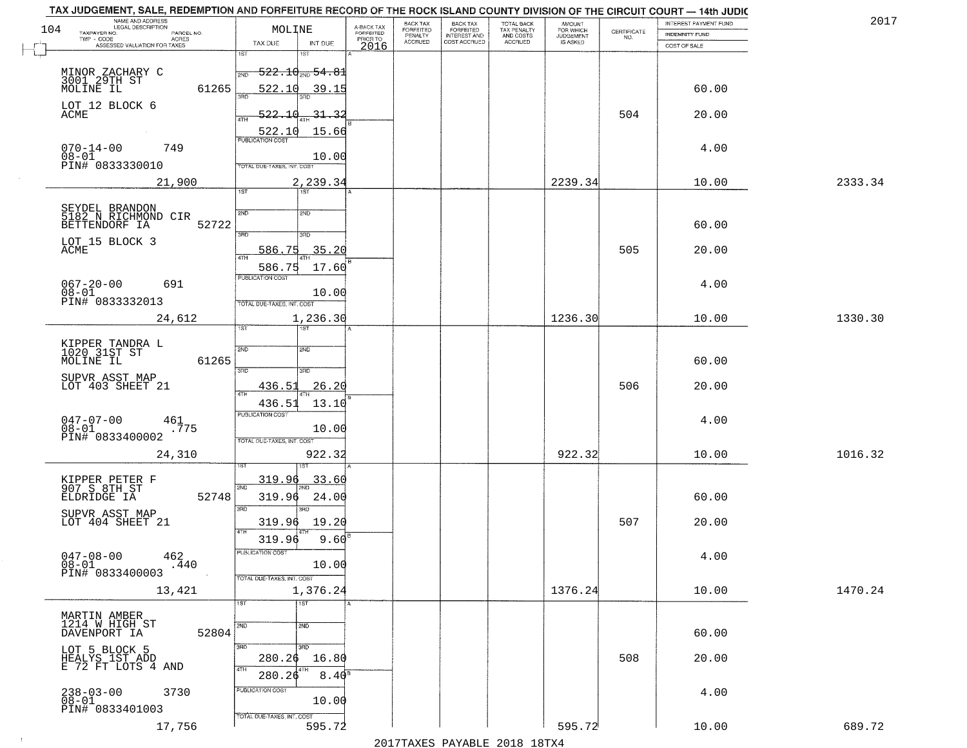|     | TAX JUDGEMENT, SALE, REDEMPTION AND FORFEITURE RECORD OF THE ROCK ISLAND COUNTY DIVISION OF THE CIRCUIT COURT - 14th JUDIC |                                     |                         |                              |                                       |                                        |                                  |                                                                 |                       | 2017    |
|-----|----------------------------------------------------------------------------------------------------------------------------|-------------------------------------|-------------------------|------------------------------|---------------------------------------|----------------------------------------|----------------------------------|-----------------------------------------------------------------|-----------------------|---------|
| 104 | NAME AND ADDRESS<br>LEGAL DESCRIPTION<br>TAXPAYER NO.<br>PARCEL NO.                                                        | MOLINE                              | A-BACK TAX<br>FORFEITED | BACK TAX<br><b>FORFEITED</b> | BACK TAX<br>FORFEITED<br>INTEREST AND | TOTAL BACK<br>TAX PENALTY<br>AND COSTS | AMOUNT<br>FOR WHICH<br>JUDGEMENT |                                                                 | INTEREST PAYMENT FUND |         |
|     | TWP - CODE<br>ACRES                                                                                                        | TAX DUE<br>INT DUE                  | PRIOR TO                | PENALTY<br><b>ACCRUED</b>    | COST ACCRUED                          | ACCRUED                                | IS ASKED                         | $\begin{array}{c} \text{CERTIFICATE} \\ \text{NO.} \end{array}$ | <b>INDEMNITY FUND</b> |         |
|     | ASSESSED VALUATION FOR TAXES                                                                                               | 1ST<br>۱ST                          | 2016                    |                              |                                       |                                        |                                  |                                                                 | COST OF SALE          |         |
|     |                                                                                                                            |                                     |                         |                              |                                       |                                        |                                  |                                                                 |                       |         |
|     | MINOR ZACHARY C<br>3001 29TH ST<br>MOLINE IL                                                                               | $-522.10_{\text{2ND}} 54.81$<br>2ND |                         |                              |                                       |                                        |                                  |                                                                 |                       |         |
|     | 61265                                                                                                                      | 522.10<br>39.15                     |                         |                              |                                       |                                        |                                  |                                                                 | 60.00                 |         |
|     | LOT 12 BLOCK 6                                                                                                             |                                     |                         |                              |                                       |                                        |                                  |                                                                 |                       |         |
|     | ACME                                                                                                                       | 522.10<br>31.32                     |                         |                              |                                       |                                        |                                  | 504                                                             | 20.00                 |         |
|     |                                                                                                                            | 15.66<br>522.10                     |                         |                              |                                       |                                        |                                  |                                                                 |                       |         |
|     | $070 - 14 - 00$<br>749                                                                                                     |                                     |                         |                              |                                       |                                        |                                  |                                                                 | 4.00                  |         |
|     | $08 - 01$                                                                                                                  | 10.00                               |                         |                              |                                       |                                        |                                  |                                                                 |                       |         |
|     | PIN# 0833330010                                                                                                            | <b>TOTAL DUE-TAXES, INT. COST</b>   |                         |                              |                                       |                                        |                                  |                                                                 |                       |         |
|     | 21,900                                                                                                                     | 2,239.34                            |                         |                              |                                       |                                        | 2239.34                          |                                                                 | 10.00                 | 2333.34 |
|     |                                                                                                                            | 1ST<br>1ST                          |                         |                              |                                       |                                        |                                  |                                                                 |                       |         |
|     | SEYDEL BRANDON<br>5182 N RICHMOND CIR                                                                                      | 2ND<br>2ND                          |                         |                              |                                       |                                        |                                  |                                                                 |                       |         |
|     | 52722<br>BETTENDORF IA                                                                                                     |                                     |                         |                              |                                       |                                        |                                  |                                                                 | 60.00                 |         |
|     | LOT 15 BLOCK 3                                                                                                             | उन्नत<br>3RD                        |                         |                              |                                       |                                        |                                  |                                                                 |                       |         |
|     | ACME                                                                                                                       | 35.20<br>586.75                     |                         |                              |                                       |                                        |                                  | 505                                                             | 20.00                 |         |
|     |                                                                                                                            | 586.75<br>17.60                     |                         |                              |                                       |                                        |                                  |                                                                 |                       |         |
|     |                                                                                                                            | PUBLICATION COST                    |                         |                              |                                       |                                        |                                  |                                                                 |                       |         |
|     | $067 - 20 - 00$<br>691<br>$08 - 01$                                                                                        | 10.00                               |                         |                              |                                       |                                        |                                  |                                                                 | 4.00                  |         |
|     | PIN# 0833332013                                                                                                            | TOTAL DUE-TAXES, INT. COST          |                         |                              |                                       |                                        |                                  |                                                                 |                       |         |
|     | 24,612                                                                                                                     | 1,236.30                            |                         |                              |                                       |                                        | 1236.30                          |                                                                 | 10.00                 | 1330.30 |
|     |                                                                                                                            | 1ST<br>ist                          |                         |                              |                                       |                                        |                                  |                                                                 |                       |         |
|     | KIPPER TANDRA L<br>1020 31ST ST                                                                                            | 2ND<br><b>SMD</b>                   |                         |                              |                                       |                                        |                                  |                                                                 |                       |         |
|     | MOLINE IL<br>61265                                                                                                         |                                     |                         |                              |                                       |                                        |                                  |                                                                 | 60.00                 |         |
|     |                                                                                                                            | 3RD<br>3RD                          |                         |                              |                                       |                                        |                                  |                                                                 |                       |         |
|     | SUPVR ASST MAP<br>LOT 403 SHEET 21                                                                                         | 436.5<br><u>26.20</u>               |                         |                              |                                       |                                        |                                  | 506                                                             | 20.00                 |         |
|     |                                                                                                                            | <b>ATH</b><br>436.5<br>13.10        |                         |                              |                                       |                                        |                                  |                                                                 |                       |         |
|     |                                                                                                                            | PUBLICATION COST                    |                         |                              |                                       |                                        |                                  |                                                                 |                       |         |
|     | $047 - 07 - 00$<br>$^{461}$ . 775<br>$08 - 01$                                                                             | 10.00                               |                         |                              |                                       |                                        |                                  |                                                                 | 4.00                  |         |
|     | PIN# 0833400002                                                                                                            | TOTAL OUE-TAXES, INT. COST          |                         |                              |                                       |                                        |                                  |                                                                 |                       |         |
|     | 24,310                                                                                                                     | 922.32                              |                         |                              |                                       |                                        | 922.32                           |                                                                 | 10.00                 | 1016.32 |
|     |                                                                                                                            |                                     |                         |                              |                                       |                                        |                                  |                                                                 |                       |         |
|     |                                                                                                                            | 319.96<br>33.60                     |                         |                              |                                       |                                        |                                  |                                                                 |                       |         |
|     | KIPPER PETER F<br>907 S 8TH ST<br>ELDRIDGE IA<br>52748                                                                     | 2ND<br>24.00<br>319.96              |                         |                              |                                       |                                        |                                  |                                                                 | 60.00                 |         |
|     |                                                                                                                            | 3BD<br>3RD                          |                         |                              |                                       |                                        |                                  |                                                                 |                       |         |
|     | SUPVR ASST MAP<br>LOT 404 SHEET 21                                                                                         | 319.96<br>19.20                     |                         |                              |                                       |                                        |                                  | 507                                                             | 20.00                 |         |
|     |                                                                                                                            | 4TH                                 |                         |                              |                                       |                                        |                                  |                                                                 |                       |         |
|     |                                                                                                                            | 319.96<br>9.60                      |                         |                              |                                       |                                        |                                  |                                                                 |                       |         |
|     | $047 - 08 - 00$<br>462<br>$08 - 01$<br>.440                                                                                | ruslica i IUN COS<br>10.00          |                         |                              |                                       |                                        |                                  |                                                                 | 4.00                  |         |
|     | PIN# 0833400003                                                                                                            | TOTAL DUE-TAXES, INT. COST          |                         |                              |                                       |                                        |                                  |                                                                 |                       |         |
|     | 13,421                                                                                                                     | 1,376.24                            |                         |                              |                                       |                                        | 1376.24                          |                                                                 | 10.00                 | 1470.24 |
|     |                                                                                                                            | 1ST<br>1ST                          |                         |                              |                                       |                                        |                                  |                                                                 |                       |         |
|     |                                                                                                                            |                                     |                         |                              |                                       |                                        |                                  |                                                                 |                       |         |
|     | MARTIN AMBER<br>1214 W HIGH ST                                                                                             | 2ND<br>2ND                          |                         |                              |                                       |                                        |                                  |                                                                 |                       |         |
|     | 52804<br>DAVENPORT IA                                                                                                      |                                     |                         |                              |                                       |                                        |                                  |                                                                 | 60.00                 |         |
|     | LOT 5 BLOCK 5<br>HEALYS_1ST_ADD                                                                                            | 3RD<br>3RD                          |                         |                              |                                       |                                        |                                  | 508                                                             |                       |         |
|     | E 72 FT LOTS 4 AND                                                                                                         | 16.80<br>280.26<br>4TH<br>4TH       |                         |                              |                                       |                                        |                                  |                                                                 | 20.00                 |         |
|     |                                                                                                                            | 280.26<br>$8.40^8$                  |                         |                              |                                       |                                        |                                  |                                                                 |                       |         |
|     | 238-03-00<br>08-01<br>3730                                                                                                 | PUBLICATION COST                    |                         |                              |                                       |                                        |                                  |                                                                 | 4.00                  |         |
|     | PIN# 0833401003                                                                                                            | 10.00                               |                         |                              |                                       |                                        |                                  |                                                                 |                       |         |
|     |                                                                                                                            | TOTAL DUE-TAXES, INT. COST          |                         |                              |                                       |                                        | 595.72                           |                                                                 |                       | 689.72  |
|     | 17,756                                                                                                                     | 595.72                              |                         |                              |                                       |                                        |                                  |                                                                 | 10.00                 |         |
|     |                                                                                                                            |                                     |                         |                              | 2017 THAYRO DAVADIR 2018 19TY         |                                        |                                  |                                                                 |                       |         |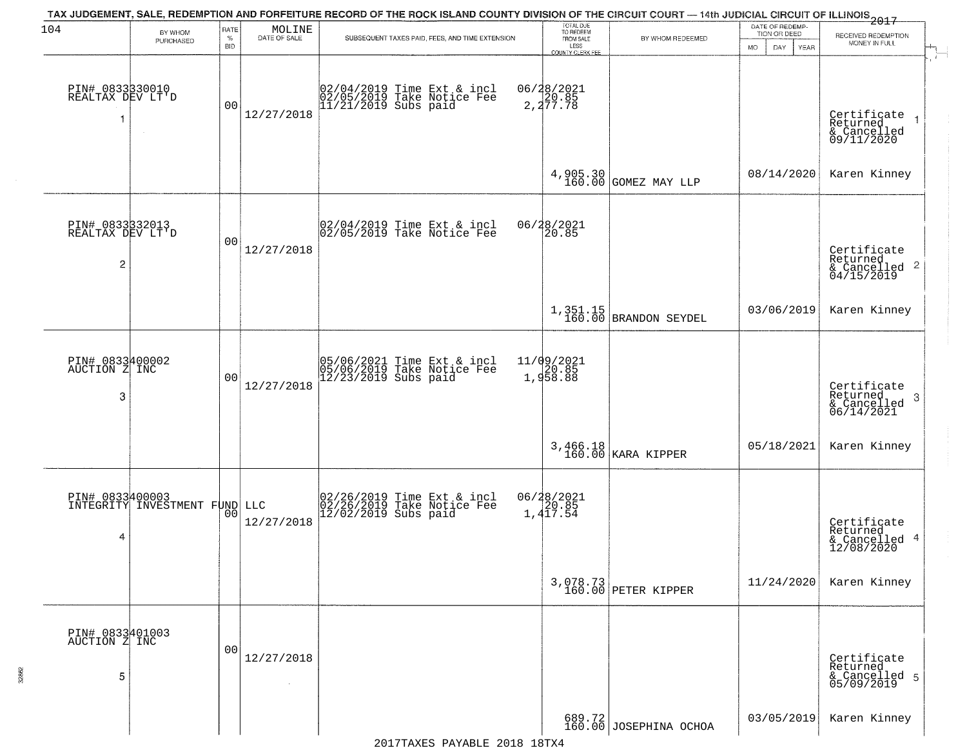| 104                                      | BY WHOM                       | RATE               | MOLINE       | TAX JUDGEMENT, SALE, REDEMPTION AND FORFEITURE RECORD OF THE ROCK ISLAND COUNTY DIVISION OF THE CIRCUIT COURT — 14th JUDICIAL CIRCUIT OF ILLINOIS 2017 | TOTAL DUE<br>TO REDEEM                       |                                  | DATE OF REDEMP-<br>TION OR DEED | RECEIVED REDEMPTION                                                  |
|------------------------------------------|-------------------------------|--------------------|--------------|--------------------------------------------------------------------------------------------------------------------------------------------------------|----------------------------------------------|----------------------------------|---------------------------------|----------------------------------------------------------------------|
|                                          | PURCHASED                     | $\%$<br><b>BID</b> | DATE OF SALE | SUBSEQUENT TAXES PAID, FEES, AND TIME EXTENSION                                                                                                        | FROM SALE<br>LESS<br><b>COUNTY CLERK FEE</b> | BY WHOM REDEEMED                 | <b>MO</b><br>DAY.<br>YEAR       | MONEY IN FULL                                                        |
| PIN# 0833830010<br>REALTAX DEV LT'D<br>1 | $\sim$                        | 00                 | 12/27/2018   | 02/04/2019 Time Ext & incl<br>02/05/2019 Take Notice Fee<br>11/21/2019 Subs paid                                                                       | 06/28/2021<br>2,20.85<br>2,277.78            |                                  |                                 | Certificate<br>Returned<br>& Cancelled<br>09/11/2020                 |
|                                          |                               |                    |              |                                                                                                                                                        |                                              | 4,905.30<br>160.00 GOMEZ MAY LLP | 08/14/2020                      | Karen Kinney                                                         |
| PIN# 0833332013<br>REALTAX DEV LT'D<br>2 |                               | 00                 | 12/27/2018   | 02/04/2019 Time Ext & incl<br>02/05/2019 Take Notice Fee                                                                                               | 06/28/2021<br>20.85                          |                                  |                                 | Certificate<br>Returned<br>$\mathbf{2}$<br>& Cancelled<br>04/15/2019 |
|                                          |                               |                    |              |                                                                                                                                                        |                                              | $1,351.15$ BRANDON SEYDEL        | 03/06/2019                      | Karen Kinney                                                         |
| PIN# 0833400002<br>AUCTION Z INC<br>3    |                               | 0 <sub>0</sub>     | 12/27/2018   | 05/06/2021 Time Ext & incl<br>05/06/2019 Take Notice Fee<br>12/23/2019 Subs paid                                                                       | 11/09/2021<br>1,958.88                       |                                  |                                 | Certificate<br>Returned<br>3<br>$\frac{6}{06/14/2021}$               |
|                                          |                               |                    |              |                                                                                                                                                        |                                              | 3,466.18<br>160.00 KARA KIPPER   | 05/18/2021                      | Karen Kinney                                                         |
| PIN# 0833400003<br>4                     | INTEGRITY INVESTMENT FUND LLC | 0 <sub>0</sub>     | 12/27/2018   | 02/26/2019 Time Ext & incl<br>02/26/2019 Take Notice Fee<br>12/02/2019 Subs paid                                                                       | 06/28/2021<br>20.85<br>1,417.54              |                                  |                                 | Certificate<br>Returned<br>4<br>& Cancelled<br>12/08/2020            |
|                                          |                               |                    |              |                                                                                                                                                        |                                              | 3,078.73<br>160.00 PETER KIPPER  | 11/24/2020                      | Karen Kinney                                                         |
| PIN# 0833401003<br>AUCTION Z INC<br>5    |                               | 0 <sub>0</sub>     | 12/27/2018   |                                                                                                                                                        |                                              |                                  |                                 | Certificate<br>Returned<br>& Cancelled 5<br>05/09/2019               |
|                                          |                               |                    |              |                                                                                                                                                        |                                              | 689.72<br>160.00 JOSEPHINA OCHOA | 03/05/2019                      | Karen Kinney                                                         |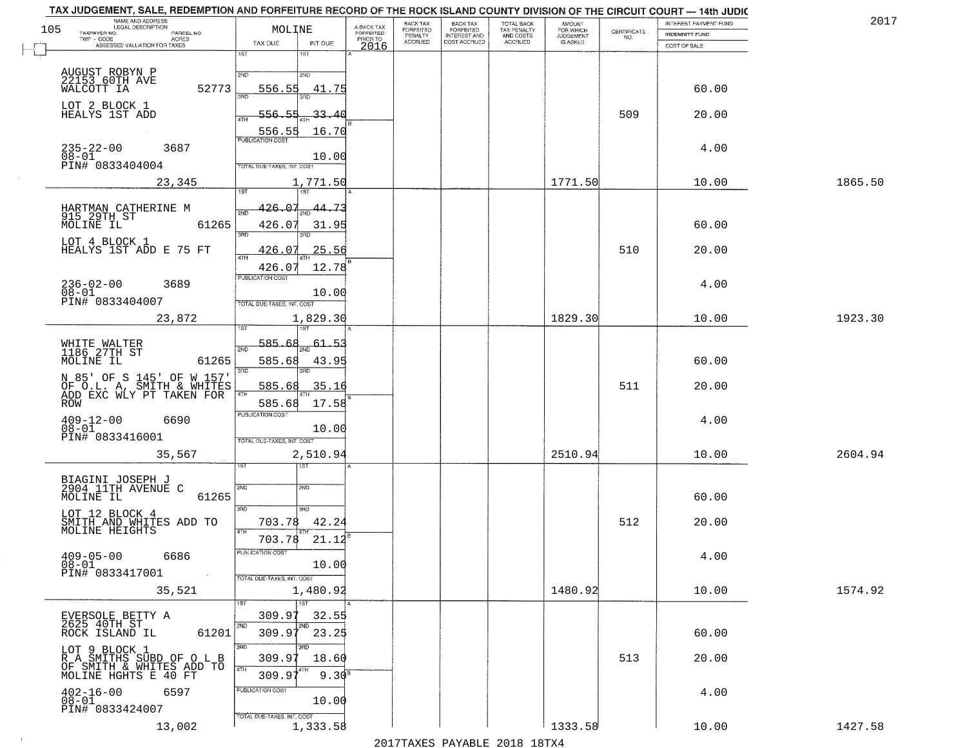| 105 | NAME AND ADDRESS<br>LEGAL DESCRIPTION<br>TAXPAYER NO.                              | MOLINE                            |                     | A-BACK TAX            | BACK TAX<br>FORFEITED | <b>BACK TAX</b><br><b>FORFEITED</b> | <b>TOTAL BACK</b><br>TAX PENALTY | <b>AMOUNT</b>                      | CERTIFICATE | INTEREST PAYMENT FUND                 |         | 2017 |
|-----|------------------------------------------------------------------------------------|-----------------------------------|---------------------|-----------------------|-----------------------|-------------------------------------|----------------------------------|------------------------------------|-------------|---------------------------------------|---------|------|
|     | PARCEL NO.<br>TWP - CODE<br>ACRES<br>ASSESSED VALUATION FOR TAXES                  | TAX DUE                           | INT DUE             | FORFEITED<br>PRIOR TO | PENALTY<br>ACCRUED    | INTEREST AND<br>COST ACCRUED        | AND COSTS<br>ACCRUED             | FOR WHICH<br>JUDGEMENT<br>IS ASKED | NO.         | <b>INDEMNITY FUND</b><br>COST OF SALE |         |      |
|     |                                                                                    | 1ST<br>1ST                        |                     | 2016                  |                       |                                     |                                  |                                    |             |                                       |         |      |
|     | AUGUST ROBYN P<br>22153 60TH AVE                                                   | 2ND<br>2ND                        |                     |                       |                       |                                     |                                  |                                    |             |                                       |         |      |
|     | 52773<br>WALCOTT IA                                                                | 556.55                            | 41.75               |                       |                       |                                     |                                  |                                    |             | 60.00                                 |         |      |
|     | LOT 2 BLOCK 1<br>HEALYS 1ST ADD                                                    | -556.55<br>ATH                    | 33.40               |                       |                       |                                     |                                  |                                    | 509         | 20.00                                 |         |      |
|     |                                                                                    | 556.55                            | 16.70               |                       |                       |                                     |                                  |                                    |             |                                       |         |      |
|     | $235 - 22 - 00$<br>3687<br>$08 - 01$                                               | <b>PUBLICATION COST</b>           | 10.00               |                       |                       |                                     |                                  |                                    |             | 4.00                                  |         |      |
|     | PIN# 0833404004                                                                    | TOTAL DUE-TAXES, INT. COS         |                     |                       |                       |                                     |                                  |                                    |             |                                       |         |      |
|     | 23,345                                                                             | 1ST<br>1ST                        | 1,771.50            |                       |                       |                                     |                                  | 1771.50                            |             | 10.00                                 | 1865.50 |      |
|     |                                                                                    | 426.07<br><b>DND</b>              | 44.73               |                       |                       |                                     |                                  |                                    |             |                                       |         |      |
|     | HARTMAN CATHERINE M<br>915 29TH ST<br>MOLINE IL<br>61265                           | 426.07                            | 31.95               |                       |                       |                                     |                                  |                                    |             | 60.00                                 |         |      |
|     | LOT 4 BLOCK 1<br>HEALYS 1ST ADD E 75 FT                                            | 3RD<br>426.07                     | 25.56               |                       |                       |                                     |                                  |                                    | 510         | 20.00                                 |         |      |
|     |                                                                                    | 47H<br>426.07                     | 12.78               |                       |                       |                                     |                                  |                                    |             |                                       |         |      |
|     | $236 - 02 - 00$<br>3689                                                            | PUBLICATION COST                  |                     |                       |                       |                                     |                                  |                                    |             | 4.00                                  |         |      |
|     | $08 - 01$<br>PIN# 0833404007                                                       | TOTAL DUE-TAXES, INT. COST        | 10.00               |                       |                       |                                     |                                  |                                    |             |                                       |         |      |
|     | 23,872                                                                             |                                   | 1,829.30            |                       |                       |                                     |                                  | 1829.30                            |             | 10.00                                 | 1923.30 |      |
|     |                                                                                    | 585.68<br>2ND                     | 61                  |                       |                       |                                     |                                  |                                    |             |                                       |         |      |
|     | WHITE WALTER<br>1186 27TH ST<br>MOLINE IL<br>61265                                 | 585.68                            | 43.9                |                       |                       |                                     |                                  |                                    |             | 60.00                                 |         |      |
|     | N 85' OF S 145' OF W 157'<br>OF O.L. A, SMITH & WHITES<br>ADD EXC WLY PT TAKEN FOR | 3BD<br>585.68                     | 35.16               |                       |                       |                                     |                                  |                                    | 511         | 20.00                                 |         |      |
|     | ROW                                                                                | 4TH<br>585.68                     | 17.58               |                       |                       |                                     |                                  |                                    |             |                                       |         |      |
|     | $^{409-12-00}_{08-01}$<br>6690                                                     | <b>PUBLICATION COST</b>           |                     |                       |                       |                                     |                                  |                                    |             | 4.00                                  |         |      |
|     | PIN# 0833416001                                                                    | TOTAL OUE-TAXES, INT. COST        | 10.00               |                       |                       |                                     |                                  |                                    |             |                                       |         |      |
|     | 35,567                                                                             |                                   | 2,510.94            |                       |                       |                                     |                                  | 2510.94                            |             | 10.00                                 | 2604.94 |      |
|     |                                                                                    |                                   |                     |                       |                       |                                     |                                  |                                    |             |                                       |         |      |
|     | BIAGINI JOSEPH J<br>2904 11TH AVENUE C<br>MOLINE IL<br>61265                       | SVD<br>2ND                        |                     |                       |                       |                                     |                                  |                                    |             | 60.00                                 |         |      |
|     | LOT 12 BLOCK 4                                                                     | 3RD<br>3 <sub>BD</sub>            |                     |                       |                       |                                     |                                  |                                    |             |                                       |         |      |
|     | SMITH AND WHITES ADD TO<br>MOLINE HEIGHTS                                          | 703.78<br>4TH<br>703.78           | 42.24<br>21.12      |                       |                       |                                     |                                  |                                    | 512         | 20.00                                 |         |      |
|     | $409 - 05 - 00$<br>6686                                                            | PUBLICATION COST                  |                     |                       |                       |                                     |                                  |                                    |             | 4.00                                  |         |      |
|     | 08-01<br>PIN# 0833417001<br>$\sim 100$                                             | TOTAL DUE-TAXES, INT. COST        | 10.00               |                       |                       |                                     |                                  |                                    |             |                                       |         |      |
|     | 35,521                                                                             |                                   | 1,480.92            |                       |                       |                                     |                                  | 1480.92                            |             | 10.00                                 | 1574.92 |      |
|     |                                                                                    | 1ST <sup>1</sup><br>1ST<br>309.97 | 32.55               |                       |                       |                                     |                                  |                                    |             |                                       |         |      |
|     | EVERSOLE BETTY A<br>2625 40TH ST<br>ROCK ISLAND IL<br>61201                        | 2ND<br>2ND<br>309.97              | 23.25               |                       |                       |                                     |                                  |                                    |             | 60.00                                 |         |      |
|     | LOT 9 BLOCK 1                                                                      | 3RD<br>חחו                        |                     |                       |                       |                                     |                                  |                                    |             |                                       |         |      |
|     | R A SMITHS SUBD OF O L B<br>OF SMITH & WHITES ADD TO<br>MOLINE HGHTS E 40 FT       | 309.97<br>4TH<br>309.97           | 18.60<br>$9.30^{8}$ |                       |                       |                                     |                                  |                                    | 513         | 20.00                                 |         |      |
|     | $402 - 16 - 00$<br>6597                                                            | PUBLICATION COST                  |                     |                       |                       |                                     |                                  |                                    |             | 4.00                                  |         |      |
|     | $08 - 01$<br>PIN# 0833424007                                                       |                                   | 10.00               |                       |                       |                                     |                                  |                                    |             |                                       |         |      |
|     | 13,002                                                                             | TOTAL DUE-TAXES, INT. COST        | 1,333.58            |                       |                       |                                     |                                  | 1333.58                            |             | 10.00                                 | 1427.58 |      |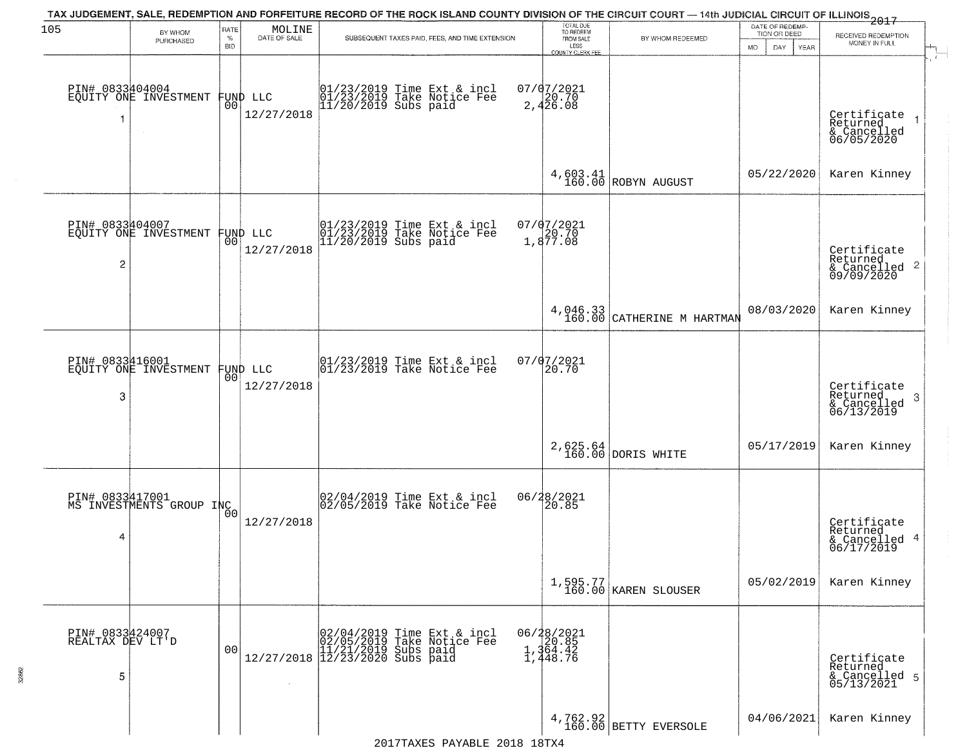| 105                                      | BY WHOM<br>PURCHASED                              | RATE<br>$\%$   | $\begin{array}{c} \text{MOLINE} \\ \text{DATE of SALE} \end{array}$ | TAX JUDGEMENT, SALE, REDEMPTION AND FORFEITURE RECORD OF THE ROCK ISLAND COUNTY DIVISION OF THE CIRCUIT COURT — 14th JUDICIAL CIRCUIT OF ILLINOIS 2017<br>SUBSEQUENT TAXES PAID, FEES, AND TIME EXTENSION                        | TOTAL DUE<br>TO REDEEM<br>FROM SALE         | BY WHOM REDEEMED                         | DATE OF REDEMP-<br>TION OR DEED | RECEIVED REDEMPTION                                                |
|------------------------------------------|---------------------------------------------------|----------------|---------------------------------------------------------------------|----------------------------------------------------------------------------------------------------------------------------------------------------------------------------------------------------------------------------------|---------------------------------------------|------------------------------------------|---------------------------------|--------------------------------------------------------------------|
|                                          |                                                   | <b>BID</b>     |                                                                     |                                                                                                                                                                                                                                  | LESS<br>COUNTY CLERK FEE                    |                                          | MO.<br>DAY.<br><b>YEAR</b>      | MONEY IN FULL                                                      |
| PIN# 0833404004<br>1                     | EQUITY ONE INVESTMENT                             |                | FUND LLC<br> 00 <br>12/27/2018                                      | 01/23/2019 Time Ext & incl<br>01/23/2019 Take Notice Fee<br>11/20/2019 Subs paid                                                                                                                                                 | $07/07/2021$<br>2,426.08                    |                                          |                                 | Certificate 1<br>Returned 1<br>& Cancelled<br>06/05/2020           |
|                                          |                                                   |                |                                                                     |                                                                                                                                                                                                                                  |                                             | $4,603.41$ ROBYN AUGUST                  | 05/22/2020                      | Karen Kinney                                                       |
| 2                                        | PIN# 0833404007<br>EQUITY ONE INVESTMENT FUND LLC | 00 I           | 12/27/2018                                                          | 01/23/2019 Time Ext & incl<br>01/23/2019 Take Notice Fee<br>11/20/2019 Subs paid                                                                                                                                                 | 07/07/2021<br>20.70<br>1,877.08             |                                          |                                 | Certificate<br>Returned<br>$\frac{1}{6}$ Cancelled 2<br>09/09/2020 |
|                                          |                                                   |                |                                                                     |                                                                                                                                                                                                                                  |                                             | $4,046.33$<br>160.00 CATHERINE M HARTMAN | 08/03/2020                      | Karen Kinney                                                       |
| PIN# 0833416001<br>3                     | EQUITY ONE INVESTMENT                             | 0 <sub>0</sub> | FUND LLC<br>12/27/2018                                              | $ 01/23/2019$ Time Ext & incl<br>$ 01/23/2019$ Take Notice Fee                                                                                                                                                                   | $07/07/2021$<br>20.70                       |                                          |                                 | Certificate<br>Returned<br>3<br>& Cancelled<br>06/13/2019          |
|                                          |                                                   |                |                                                                     |                                                                                                                                                                                                                                  |                                             | $2,625.64$ DORIS WHITE                   | 05/17/2019                      | Karen Kinney                                                       |
| 4                                        | PIN# 0833417001<br>MS INVESTMENTS GROUP INC       | 0 <sub>0</sub> | 12/27/2018                                                          | 02/04/2019 Time Ext & incl<br>02/05/2019 Take Notice Fee                                                                                                                                                                         | 06/28/2021<br>20.85                         |                                          |                                 | Certificate<br>Returned<br>& Cancelled 4<br>06/17/2019             |
|                                          |                                                   |                |                                                                     |                                                                                                                                                                                                                                  |                                             | 1,595.77<br>160.00 KAREN SLOUSER         | 05/02/2019                      | Karen Kinney                                                       |
| PIN# 0833424007<br>REALTAX DEV LT'D<br>5 |                                                   | 0 <sub>0</sub> | $\sim$                                                              | $[02/04/2019 \text{ Time Ext } \delta$ \substack{02/05/2019 \text{ Take Notice} \substack{02/05/2019 \text{ Take notice} \substack{11/21/2019 \text{ Subs paid} \substack{12/27/2018}}$ }$<br>Time Ext & incl<br>Take Notice Fee | 06/28/2021<br>20.85<br>1,364.42<br>1,448.76 |                                          |                                 | Certificate<br>Returned<br>& Cancelled 5<br>05/13/2021             |
|                                          |                                                   |                |                                                                     |                                                                                                                                                                                                                                  |                                             | 4,762.92<br>160.00 BETTY EVERSOLE        | 04/06/2021                      | Karen Kinney                                                       |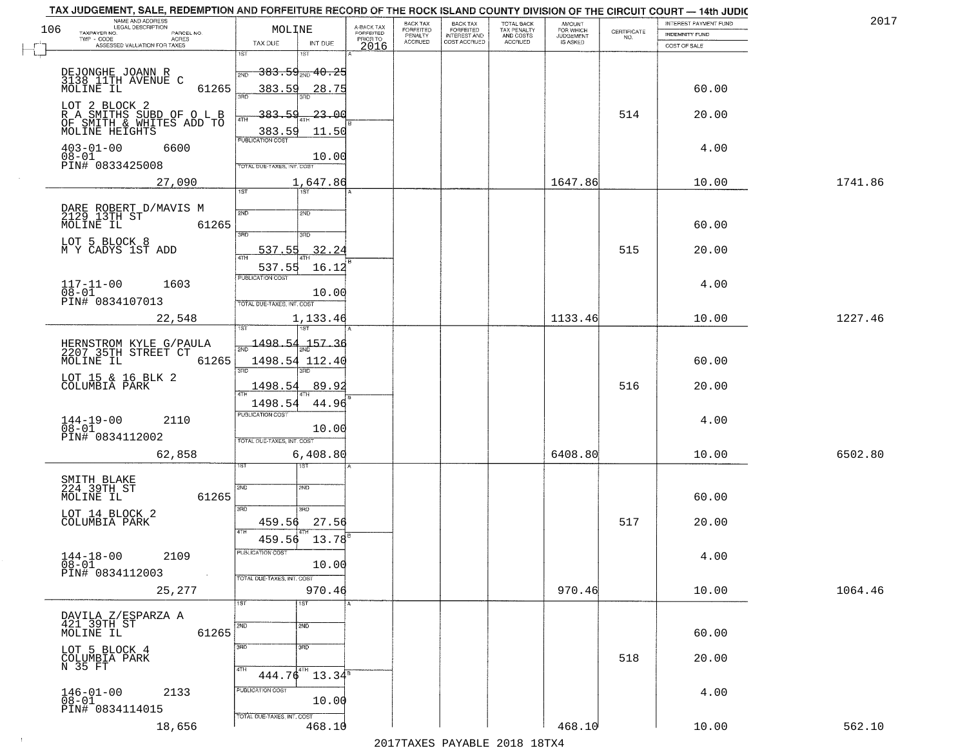| TAX JUDGEMENT, SALE, REDEMPTION AND FORFEITURE RECORD OF THE ROCK ISLAND COUNTY DIVISION OF THE CIRCUIT COURT - 14th JUDIC<br>NAME AND ADDRESS<br>LEGAL DESCRIPTION |                                                                  |                                     | BACK TAX             | <b>BACK TAX</b>           |                                        |                                  |                                                                 | INTEREST PAYMENT FUND | 2017    |
|---------------------------------------------------------------------------------------------------------------------------------------------------------------------|------------------------------------------------------------------|-------------------------------------|----------------------|---------------------------|----------------------------------------|----------------------------------|-----------------------------------------------------------------|-----------------------|---------|
| 106<br>TAXPAYER NO.<br>PARCEL NO.                                                                                                                                   | MOLINE                                                           | A-BACK TAX<br>FORFEITED<br>PRIOR TO | FORFEITED<br>PENALTY | FORFEITED<br>INTEREST AND | TOTAL BACK<br>TAX PENALTY<br>AND COSTS | AMOUNT<br>FOR WHICH<br>JUDGEMENT | $\begin{array}{c} \text{CERTIFICATE} \\ \text{NO.} \end{array}$ | INDEMNITY FUND        |         |
| ACRES<br>ASSESSED VALUATION FOR TAXES                                                                                                                               | TAX DUE<br>INT DUE                                               | 2016                                | <b>ACCRUED</b>       | COST ACCRUED              | ACCRUED                                | IS ASKED                         |                                                                 | COST OF SALE          |         |
| DEJONGHE JOANN R<br>3138 11TH AVENUE C<br>MOLINE IL                                                                                                                 | 1ST<br>18T<br><del>383.59<sub>210</sub>40.25</del><br>2ND        |                                     |                      |                           |                                        |                                  |                                                                 |                       |         |
| 61265                                                                                                                                                               | 383.59<br>28.75                                                  |                                     |                      |                           |                                        |                                  |                                                                 | 60.00                 |         |
| LOT 2 BLOCK 2<br>R A SMITHS SUBD OF O L B<br>OF SMITH_&_WHITES ADD TO<br>MOLINE HEIGHTS                                                                             | 383.59<br>-23.00<br>383.59<br>11.50<br><b>PUBLICATION COST</b>   |                                     |                      |                           |                                        |                                  | 514                                                             | 20.00                 |         |
| $403 - 01 - 00$<br>6600<br>$08 - 01$<br>PIN# 0833425008                                                                                                             | 10.00<br>TOTAL DUE-TAXES, INT. COST                              |                                     |                      |                           |                                        |                                  |                                                                 | 4.00                  |         |
| 27,090                                                                                                                                                              | 1,647.86<br>1ST                                                  |                                     |                      |                           |                                        | 1647.86                          |                                                                 | 10.00                 | 1741.86 |
| DARE ROBERT D/MAVIS M<br>2129 13TH ST<br>61265<br>MOLINE IL                                                                                                         | 2ND<br>2ND<br>3RD<br>3RD                                         |                                     |                      |                           |                                        |                                  |                                                                 | 60.00                 |         |
| LOT 5 BLOCK 8<br>M Y CADYS 1ST ADD                                                                                                                                  | 32.24<br>537.55<br>537.55<br>16.12                               |                                     |                      |                           |                                        |                                  | 515                                                             | 20.00                 |         |
| $117 - 11 - 00$<br>1603<br>$08 - 01$<br>PIN# 0834107013                                                                                                             | PUBLICATION COST<br>10.00<br>TOTAL DUE-TAXES, INT. COST          |                                     |                      |                           |                                        |                                  |                                                                 | 4.00                  |         |
| 22,548                                                                                                                                                              | 1,133.46<br>īsT<br>187                                           |                                     |                      |                           |                                        | 1133.46                          |                                                                 | 10.00                 | 1227.46 |
| HERNSTROM KYLE G/PAULA<br>2207 35TH STREET CT<br>MOLINE IL<br>61265                                                                                                 | $\frac{1498.54}{200}$<br>157.36<br>1498.54 112.40<br>3RD<br>3RD. |                                     |                      |                           |                                        |                                  |                                                                 | 60.00                 |         |
| LOT 15 & 16 BLK 2<br>COLUMBIA PARK                                                                                                                                  | 1498.54<br>89.9<br><b>ATH</b><br>1498.54<br>44.96                |                                     |                      |                           |                                        |                                  | 516                                                             | 20.00                 |         |
| $144-19-00$<br>$08-01$<br>2110<br>PIN# 0834112002                                                                                                                   | <b>PUBLICATION COST</b><br>10.00<br>TOTAL OUE-TAXES, INT. COST   |                                     |                      |                           |                                        |                                  |                                                                 | 4.00                  |         |
| 62,858                                                                                                                                                              | 6,408.80<br>नदक                                                  |                                     |                      |                           |                                        | 6408.80                          |                                                                 | 10.00                 | 6502.80 |
| SMITH BLAKE<br>224 39TH ST<br>MOLINE IL<br>61265                                                                                                                    | 2ND<br>2ND<br>3BD<br>3RD.                                        |                                     |                      |                           |                                        |                                  |                                                                 | 60.00                 |         |
| LOT 14 BLOCK 2<br>COLUMBIA PARK                                                                                                                                     | 27.56<br>459.56<br>4TH<br>$13.78^{8}$<br>459.56                  |                                     |                      |                           |                                        |                                  | 517                                                             | 20.00                 |         |
| $144 - 18 - 00$<br>2109<br>$08 - 01$<br>PIN# 0834112003<br>$\sim 100$                                                                                               | PUBLICATION CUS<br>10.00<br>TOTAL DUE-TAXES, INT. COST           |                                     |                      |                           |                                        |                                  |                                                                 | 4.00                  |         |
| 25,277                                                                                                                                                              | 970.46<br>1ST<br>1ST                                             |                                     |                      |                           |                                        | 970.46                           |                                                                 | 10.00                 | 1064.46 |
| DAVILA Z/ESPARZA A<br>421 39TH ST<br>MOLINE IL<br>61265                                                                                                             | 2ND<br>2ND                                                       |                                     |                      |                           |                                        |                                  |                                                                 | 60.00                 |         |
| LOT 5 BLOCK 4<br>COLUMBIA PARK<br>N 35 FT                                                                                                                           | 3RD<br>3BD<br>4TH<br>$444.76^{4}$<br>$13.34^8$                   |                                     |                      |                           |                                        |                                  | 518                                                             | 20.00                 |         |
| $146 - 01 - 00$<br>2133<br>$08 - 01$<br>PIN# 0834114015                                                                                                             | PUBLICATION COST<br>10.00                                        |                                     |                      |                           |                                        |                                  |                                                                 | 4.00                  |         |
| 18,656                                                                                                                                                              | TOTAL DUE-TAXES, INT. COST<br>468.10                             |                                     |                      |                           |                                        | 468.10                           |                                                                 | 10.00                 | 562.10  |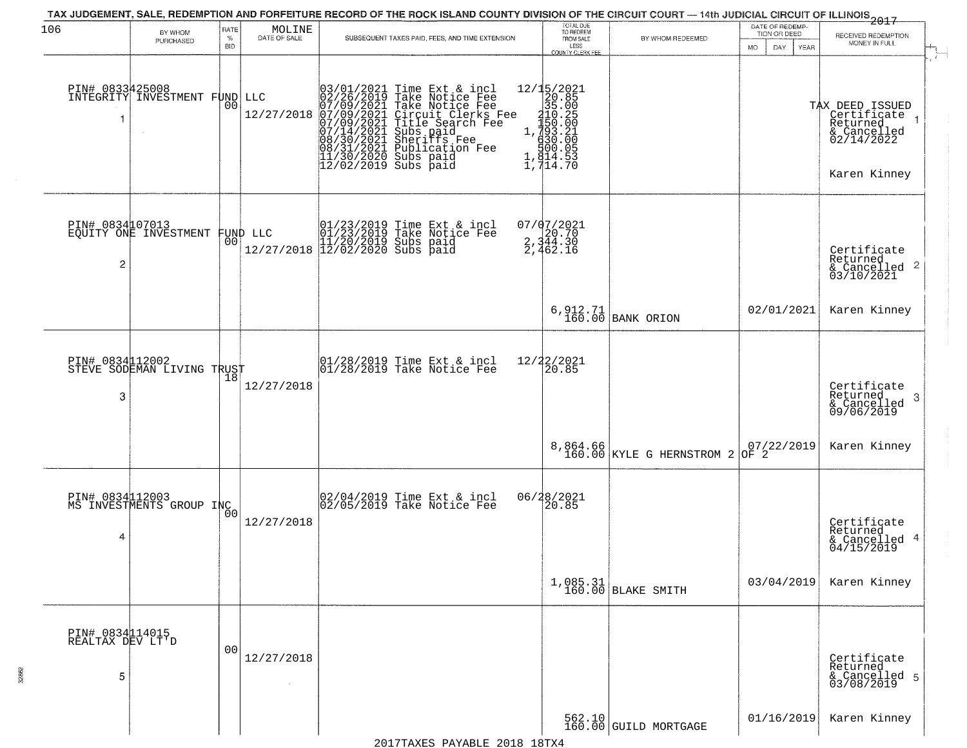| 106                                      | BY WHOM                                           | RATE               | MOLINE               |                                                                                                                                          |                                                                                                                                                                                        |                                                                                                                                                                                           | TOTAL DUE<br>TO REDEEM                       | TAX JUDGEMENT, SALE, REDEMPTION AND FORFEITURE RECORD OF THE ROCK ISLAND COUNTY DIVISION OF THE CIRCUIT COURT — 14th JUDICIAL CIRCUIT OF ILLINOIS 2017 | DATE OF REDEMP-<br>TION OR DEED                                             |                                                                                             |
|------------------------------------------|---------------------------------------------------|--------------------|----------------------|------------------------------------------------------------------------------------------------------------------------------------------|----------------------------------------------------------------------------------------------------------------------------------------------------------------------------------------|-------------------------------------------------------------------------------------------------------------------------------------------------------------------------------------------|----------------------------------------------|--------------------------------------------------------------------------------------------------------------------------------------------------------|-----------------------------------------------------------------------------|---------------------------------------------------------------------------------------------|
|                                          | PURCHASED                                         | $\%$<br><b>BID</b> | DATE OF SALE         |                                                                                                                                          | SUBSEQUENT TAXES PAID, FEES, AND TIME EXTENSION                                                                                                                                        |                                                                                                                                                                                           | FROM SALE<br>LESS<br><b>COUNTY CLERK FEE</b> | BY WHOM REDEEMED                                                                                                                                       | MO.<br>DAY.<br><b>YEAR</b>                                                  | RECEIVED REDEMPTION<br>MONEY IN FULL                                                        |
|                                          | PIN# 0833425008<br>INTEGRITY INVESTMENT FUND LLC  | 0 <sub>0</sub>     | 12/27/2018           | 03/01/2021<br>02/26/2019<br>07/09/2021<br>07/09/2021<br>07/09/2021<br>07/14/2021<br>08/31/2021<br>08/31/2021<br>11/30/2020<br>12/02/2019 | Time Ext & incl<br>Take Notice Fee<br>Take Notice Fee<br>Circuit Clerks Fee<br>Title Search Fee<br>Subs paid<br>Sheriffs Fee<br>Publication Fee<br>Subs paid<br>Subs paid<br>Subs paid | $\begin{array}{r} 12/15/2021 \\ 20.85 \\ 35.00 \\ 110.25 \\ 1.993.21 \\ 1.933.01 \\ 1.930.00 \\ 1.910.05 \\ 1.910.05 \\ \end{array}$<br>$1, \frac{8}{14}$ $\frac{13}{14}$ $\frac{53}{70}$ |                                              |                                                                                                                                                        |                                                                             | TAX DEED ISSUED<br>  Certificate 1<br>Returned<br>& Cancelled<br>02/14/2022<br>Karen Kinney |
| $\overline{c}$                           | PIN# 0834107013<br>EQUITY ONE INVESTMENT FUND LLC |                    |                      |                                                                                                                                          | 01/23/2019 Time Ext & incl<br>01/23/2019 Take Notice Fee<br>11/20/2019 Subs paid<br>12/27/2018 12/02/2020 Subs paid                                                                    | 07/07/2021<br>2,344.30<br>2,344.30                                                                                                                                                        |                                              |                                                                                                                                                        |                                                                             | Certificate<br>Returned<br>$\overline{2}$<br>& Cancelled<br>03/10/2021                      |
|                                          |                                                   |                    |                      |                                                                                                                                          |                                                                                                                                                                                        |                                                                                                                                                                                           |                                              | 6, 912.71<br>160.00 BANK ORION                                                                                                                         | 02/01/2021                                                                  | Karen Kinney                                                                                |
| 3                                        | PIN# 0834112002<br>STEVE SODEMAN LIVING TRUST     | 18                 | 12/27/2018           |                                                                                                                                          | $ 01/28/2019$ Time Ext & incl<br>$ 01/28/2019$ Take Notice Fee                                                                                                                         | 12/22/2021                                                                                                                                                                                | 20.85                                        |                                                                                                                                                        |                                                                             | Certificate<br>Returned<br>3<br>& Cancelled<br>09/06/2019                                   |
|                                          |                                                   |                    |                      |                                                                                                                                          |                                                                                                                                                                                        |                                                                                                                                                                                           |                                              | 8,864.66<br>160.00 KYLE G HERNSTROM 2                                                                                                                  | $\left  \begin{matrix} 07/22/2019 \\ 0 \mathrm{F} & 2 \end{matrix} \right $ | Karen Kinney                                                                                |
| PIN# 0834112003<br>4                     | MS INVESTMENTS GROUP INC                          | 0 <sub>0</sub>     | 12/27/2018           |                                                                                                                                          | 02/04/2019 Time Ext & incl<br>02/05/2019 Take Notice Fee                                                                                                                               | 06/28/2021                                                                                                                                                                                | 120.85                                       |                                                                                                                                                        |                                                                             | Certificate<br>Returned<br>4<br>& Cancelled<br>04/15/2019                                   |
|                                          |                                                   |                    |                      |                                                                                                                                          |                                                                                                                                                                                        |                                                                                                                                                                                           |                                              | $1,085.31$ BLAKE SMITH                                                                                                                                 | 03/04/2019                                                                  | Karen Kinney                                                                                |
| PIN# 0834114015<br>REALTAX DEV LT'D<br>5 |                                                   | 0 <sub>0</sub>     | 12/27/2018<br>$\sim$ |                                                                                                                                          |                                                                                                                                                                                        |                                                                                                                                                                                           |                                              |                                                                                                                                                        |                                                                             | Certificate<br>Returned<br>& Cancelled 5<br>03/08/2019                                      |
|                                          |                                                   |                    |                      |                                                                                                                                          |                                                                                                                                                                                        |                                                                                                                                                                                           |                                              | 562.10<br>160.00 GUILD MORTGAGE                                                                                                                        | 01/16/2019                                                                  | Karen Kinney                                                                                |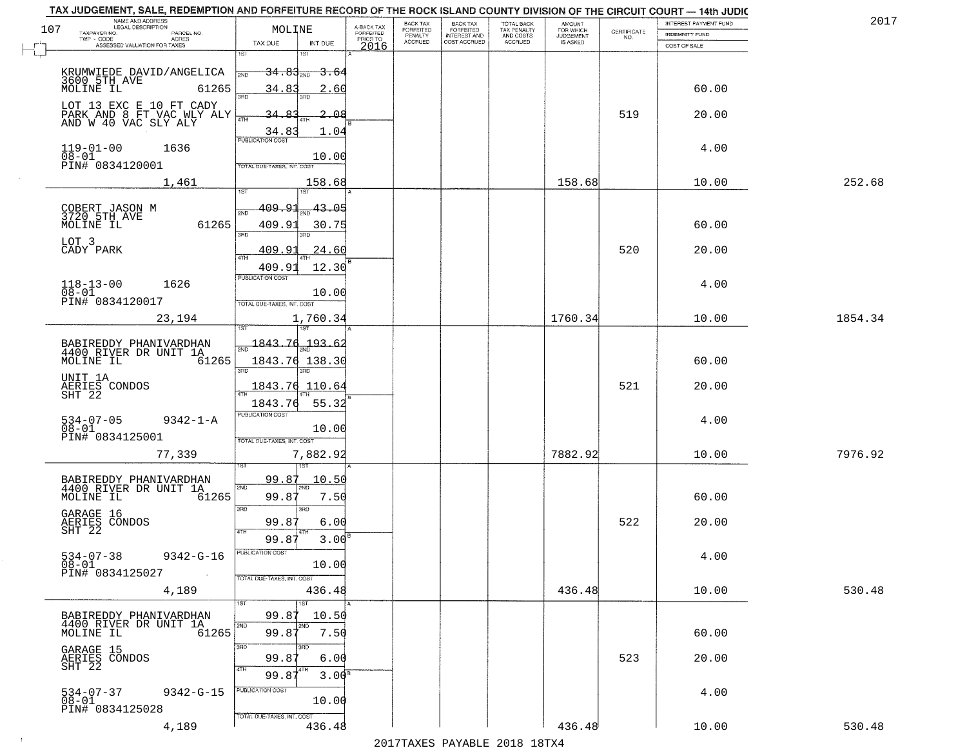| 107 | NAME AND ADDRESS<br>LEGAL DESCRIPTION<br>TAXPAYER NO.<br>PARCEL NO.          | MOLINE                                       | A-BACK TAX<br>FORFEITED<br>PRIOR TO | BACK TAX<br>FORFEITED     | BACK TAX<br>FORFEITED<br>INTEREST AND | TOTAL BACK<br>TAX PENALTY<br>AND COSTS | AMOUNT<br>FOR WHICH          | $\begin{array}{c} \text{CERTIFICATE} \\ \text{NO.} \end{array}$ | INTEREST PAYMENT FUND<br><b>INDEMNITY FUND</b> | 2017    |
|-----|------------------------------------------------------------------------------|----------------------------------------------|-------------------------------------|---------------------------|---------------------------------------|----------------------------------------|------------------------------|-----------------------------------------------------------------|------------------------------------------------|---------|
|     | $TWP - CODE$<br>ACRES<br>ASSESSED VALUATION FOR TAXES                        | INT DUE<br>TAX DUE                           | 2016                                | PENALTY<br><b>ACCRUED</b> | COST ACCRUED                          | ACCRUED                                | <b>JUDGEMENT</b><br>IS ASKED |                                                                 | COST OF SALE                                   |         |
|     |                                                                              | 1ST<br>1ST                                   |                                     |                           |                                       |                                        |                              |                                                                 |                                                |         |
|     | KRUMWIEDE DAVID/ANGELICA                                                     | $-34.83_{\text{20D}}$<br><del>3.6</del> 4    |                                     |                           |                                       |                                        |                              |                                                                 |                                                |         |
|     | 3600 5TH AVE MOLINE IL<br>61265                                              | 34.83<br>2.60<br>3AD<br>3BD                  |                                     |                           |                                       |                                        |                              |                                                                 | 60.00                                          |         |
|     | LOT 13 EXC E 10 FT CADY<br>PARK AND 8 FT VAC WLY ALY<br>AND W 40 VAC SLY ALY | 2.08<br>34                                   |                                     |                           |                                       |                                        |                              | 519                                                             | 20.00                                          |         |
|     |                                                                              | 4TH<br>1.04                                  |                                     |                           |                                       |                                        |                              |                                                                 |                                                |         |
|     | $119 - 01 - 00$<br>1636                                                      | 34.83                                        |                                     |                           |                                       |                                        |                              |                                                                 | 4.00                                           |         |
|     | $08 - 01$<br>PIN# 0834120001                                                 | 10.00<br>TOTAL DUE-TAXES, INT, COST          |                                     |                           |                                       |                                        |                              |                                                                 |                                                |         |
|     | 1,461                                                                        | 158.68                                       |                                     |                           |                                       |                                        | 158.68                       |                                                                 | 10.00                                          | 252.68  |
|     |                                                                              | 1ST<br>1ST                                   |                                     |                           |                                       |                                        |                              |                                                                 |                                                |         |
|     | COBERT JASON M<br>3720 5TH AVE<br>MOLINE IL<br>61265                         | 409.91<br>43.05<br><b>PND</b><br>409.91      |                                     |                           |                                       |                                        |                              |                                                                 | 60.00                                          |         |
|     | LOT 3                                                                        | 30.75<br>3RD<br>3RD                          |                                     |                           |                                       |                                        |                              |                                                                 |                                                |         |
|     | CADY PARK                                                                    | <u>409.93</u><br>24.60<br>47H                |                                     |                           |                                       |                                        |                              | 520                                                             | 20.00                                          |         |
|     |                                                                              | 409.91<br>12.30<br>PUBLICATION COST          |                                     |                           |                                       |                                        |                              |                                                                 |                                                |         |
|     | $118 - 13 - 00$<br>1626<br>$08 - 01$                                         | 10.00                                        |                                     |                           |                                       |                                        |                              |                                                                 | 4.00                                           |         |
|     | PIN# 0834120017                                                              | TOTAL DUE-TAXES, INT. COST                   |                                     |                           |                                       |                                        |                              |                                                                 |                                                |         |
|     | 23,194                                                                       | 1,760.34                                     |                                     |                           |                                       |                                        | 1760.34                      |                                                                 | 10.00                                          | 1854.34 |
|     | BABIREDDY PHANIVARDHAN<br>4400 RIVER DR UNIT 1A                              | 1843.76<br>193.                              |                                     |                           |                                       |                                        |                              |                                                                 |                                                |         |
|     | MOLINE IL<br>61265                                                           | 1843.76 138.30                               |                                     |                           |                                       |                                        |                              |                                                                 | 60.00                                          |         |
|     | UNIT 1A<br>AERIES CONDOS<br>SHT 22                                           | 3RD<br>3RD<br>1843.76<br>110.64              |                                     |                           |                                       |                                        |                              | 521                                                             | 20.00                                          |         |
|     |                                                                              | 1843.76<br>55.32                             |                                     |                           |                                       |                                        |                              |                                                                 |                                                |         |
|     | 534-07-05<br>08-01<br>$9342 - 1 - A$                                         | <b>PUBLICATION COST</b>                      |                                     |                           |                                       |                                        |                              |                                                                 | 4.00                                           |         |
|     | PIN# 0834125001                                                              | 10.00<br>TOTAL OUE-TAXES, INT. COST          |                                     |                           |                                       |                                        |                              |                                                                 |                                                |         |
|     | 77,339                                                                       | 7,882.92                                     |                                     |                           |                                       |                                        | 7882.92                      |                                                                 | 10.00                                          | 7976.92 |
|     |                                                                              |                                              |                                     |                           |                                       |                                        |                              |                                                                 |                                                |         |
|     | BABIREDDY PHANIVARDHAN<br>4400 RIVER DR UNIT 1A<br>61265                     | 99.87<br><u> 10.50</u><br>2ND<br>'ND<br>99.8 |                                     |                           |                                       |                                        |                              |                                                                 | 60.00                                          |         |
|     | MOLINE IL<br>GARAGE 16                                                       | 7.50<br>3RD<br>3RD                           |                                     |                           |                                       |                                        |                              |                                                                 |                                                |         |
|     | AERIES CONDOS<br>SHT 22                                                      | 99.87<br>6.00<br>4TH                         |                                     |                           |                                       |                                        |                              | 522                                                             | 20.00                                          |         |
|     |                                                                              | $3.00^{8}$<br>99.87                          |                                     |                           |                                       |                                        |                              |                                                                 |                                                |         |
|     | $534-07-38$<br>$08-01$<br>$9342 - G - 16$                                    | PUBLICATION COST<br>10.00                    |                                     |                           |                                       |                                        |                              |                                                                 | 4.00                                           |         |
|     | PIN# 0834125027                                                              | TOTAL DUE-TAXES, INT. COST                   |                                     |                           |                                       |                                        |                              |                                                                 |                                                |         |
|     | 4,189                                                                        | 436.48<br>1ST                                |                                     |                           |                                       |                                        | 436.48                       |                                                                 | 10.00                                          | 530.48  |
|     | BABIREDDY PHANIVARDHAN<br>4400 RIVER DR UNIT 1A                              | 99.87<br>10.50                               |                                     |                           |                                       |                                        |                              |                                                                 |                                                |         |
|     | 61265<br>MOLINE IL                                                           | 2ND<br>2ND<br>99.87<br>7.50                  |                                     |                           |                                       |                                        |                              |                                                                 | 60.00                                          |         |
|     | GARAGE 15                                                                    | 3RD<br>חחו<br>99.87<br>6.00                  |                                     |                           |                                       |                                        |                              | 523                                                             | 20.00                                          |         |
|     | AERIES CONDOS<br>SHT 22                                                      | 4TH<br>3.00 <sup>F</sup><br>99.8             |                                     |                           |                                       |                                        |                              |                                                                 |                                                |         |
|     | $9342 - G - 15$<br>534-07-37<br>08-01                                        | PUBLICATION COST                             |                                     |                           |                                       |                                        |                              |                                                                 | 4.00                                           |         |
|     | PIN# 0834125028                                                              | 10.00                                        |                                     |                           |                                       |                                        |                              |                                                                 |                                                |         |
|     | 4,189                                                                        | TOTAL DUE-TAXES, INT. COST<br>436.48         |                                     |                           |                                       |                                        | 436.48                       |                                                                 | 10.00                                          | 530.48  |

 $\sim 10^{-1}$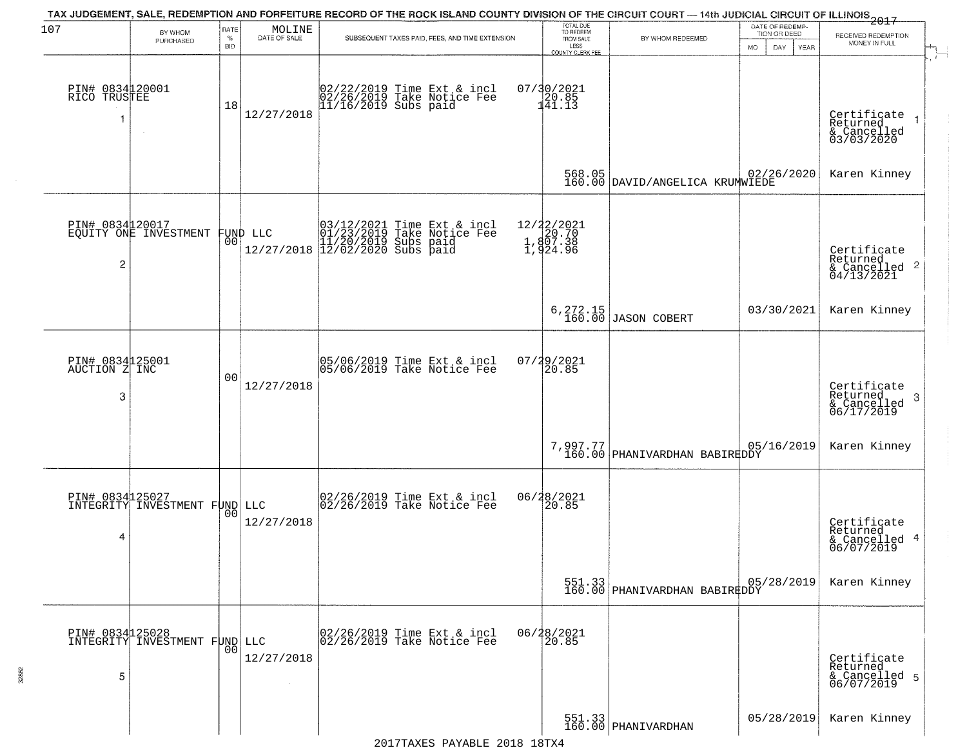| 107                                        | BY WHOM                                          | RATE               | $\begin{array}{c} \text{MOLINE} \\ \text{DATE of SALE} \end{array}$ | TAX JUDGEMENT, SALE, REDEMPTION AND FORFEITURE RECORD OF THE ROCK ISLAND COUNTY DIVISION OF THE CIRCUIT COURT - 14th JUDICIAL CIRCUIT OF ILLINOIS 2017 | TOTAL DUE<br>TO REDEEM                                  |                                                      | DATE OF REDEMP-<br>TION OR DEED |                                                                    |
|--------------------------------------------|--------------------------------------------------|--------------------|---------------------------------------------------------------------|--------------------------------------------------------------------------------------------------------------------------------------------------------|---------------------------------------------------------|------------------------------------------------------|---------------------------------|--------------------------------------------------------------------|
|                                            | PURCHASED                                        | $\%$<br><b>BID</b> |                                                                     | SUBSEQUENT TAXES PAID, FEES, AND TIME EXTENSION                                                                                                        | FROM SALE<br>LESS<br>COUNTY CLERK FEE                   | BY WHOM REDEEMED                                     | MO.<br>YEAR<br>DAY.             | RECEIVED REDEMPTION<br>MONEY IN FULL                               |
| PIN# 0834120001<br>RICO TRUSTEE<br>-1      | $\sim$                                           | 18                 | 12/27/2018                                                          | 02/22/2019 Time Ext & incl<br>02/26/2019 Take Notice Fee<br>11/16/2019 Subs paid                                                                       | $07/30/2021$<br>$120.85$<br>$141.13$                    |                                                      |                                 | Certificate<br>Returned<br>& Cancelled<br>03/03/2020               |
|                                            |                                                  |                    |                                                                     |                                                                                                                                                        |                                                         | 568.05 02/26/2020<br>160.00 DAVID/ANGELICA KRUMWIEDE |                                 | Karen Kinney                                                       |
| PIN# 0834120017<br>$\overline{\mathbf{c}}$ | EQUITY ONE INVESTMENT                            |                    | FUND LLC<br> 00                                                     | 03/12/2021 Time Ext & incl<br>01/23/2019 Take Notice Fee<br>11/20/2019 Subs paid<br>12/27/2018 12/02/2020 Subs paid                                    | 12/22/2021<br>20.70<br>1,807.38<br>1,807.38<br>1,924.96 |                                                      |                                 | Certificate<br>Returned<br>$\frac{1}{6}$ Cancelled 2<br>04/13/2021 |
|                                            |                                                  |                    |                                                                     |                                                                                                                                                        |                                                         | 6, 272.15<br>160.00 JASON COBERT                     | 03/30/2021                      | Karen Kinney                                                       |
| PIN# 0834125001<br>AUCTION Z INC<br>3      |                                                  | 00                 | 12/27/2018                                                          | 05/06/2019 Time Ext & incl<br>05/06/2019 Take Notice Fee                                                                                               | $07/29/2021$<br>20.85                                   |                                                      |                                 | Certificate<br>Returned<br>-3<br>& Cancelled<br>06/17/2019         |
|                                            |                                                  |                    |                                                                     |                                                                                                                                                        |                                                         | 7,997.77 PHANIVARDHAN BABIRKDDY                      | 05/16/2019                      | Karen Kinney                                                       |
| 4                                          | PIN# 0834 25027<br>INTEGRITY INVESTMENT FUND LLC |                    | 12/27/2018                                                          | 02/26/2019 Time Ext & incl<br>02/26/2019 Take Notice Fee                                                                                               | 06/28/2021<br>20.85                                     |                                                      |                                 | Certificate<br>Returned<br>& Cancelled 4<br>06/07/2019             |
|                                            |                                                  |                    |                                                                     |                                                                                                                                                        |                                                         | 551.33<br>160.00 PHANIVARDHAN BABIREDDY              |                                 | Karen Kinney                                                       |
| 5                                          | PIN# 0834125028<br>INTEGRITY INVESTMENT FUND     |                    | LLC<br>12/27/2018                                                   | 02/26/2019 Time Ext & incl<br>02/26/2019 Take Notice Fee                                                                                               | 06/28/2021<br>20.85                                     |                                                      |                                 | Certificate<br>Returned<br>& Cancelled 5<br>06/07/2019             |
|                                            |                                                  |                    |                                                                     |                                                                                                                                                        |                                                         | 551.33<br>160.00 PHANIVARDHAN                        | 05/28/2019                      | Karen Kinney                                                       |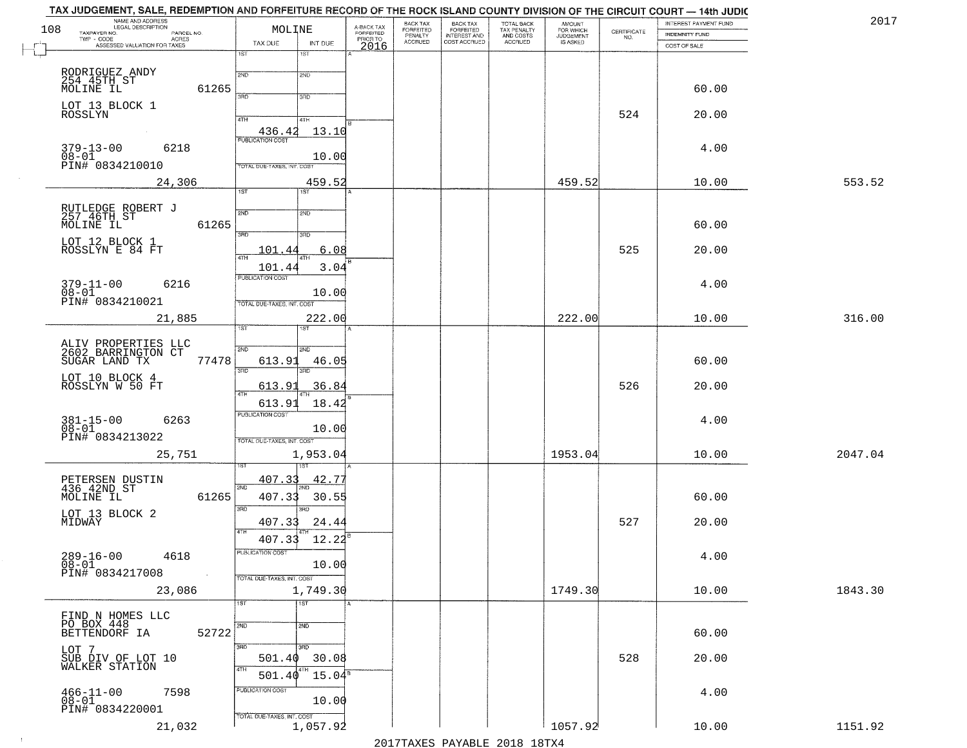| NAME AND ADDRESS<br>LEGAL DESCRIPTION<br>108<br>TAXPAYER NO.<br>PARCEL NO. | MOLINE                                     | A-BACK TAX<br>FORFEITED | <b>BACK TAX</b><br><b>FORFEITED</b> | <b>BACK TAX</b><br><b>FORFEITED</b> | TOTAL BACK<br>TAX PENALTY<br>AND COSTS<br>ACCRUED | <b>AMOUNT</b>                      | CERTIFICATE | INTEREST PAYMENT FUND | 2017    |
|----------------------------------------------------------------------------|--------------------------------------------|-------------------------|-------------------------------------|-------------------------------------|---------------------------------------------------|------------------------------------|-------------|-----------------------|---------|
| TWP - CODE<br>ACRES<br>ASSESSED VALUATION FOR TAXES                        | TAX DUE<br>INT DUE                         | PRIOR TO                | PENALTY<br>ACCRUED                  | INTEREST AND<br>COST ACCRUED        |                                                   | FOR WHICH<br>JUDGEMENT<br>IS ASKED | NO.         | <b>INDEMNITY FUND</b> |         |
|                                                                            | 1ST<br>1ST                                 | 2016                    |                                     |                                     |                                                   |                                    |             | COST OF SALE          |         |
|                                                                            | 2ND<br>2ND                                 |                         |                                     |                                     |                                                   |                                    |             |                       |         |
| RODRIGUEZ ANDY<br>254 45TH ST<br>MOLINE IL<br>61265                        |                                            |                         |                                     |                                     |                                                   |                                    |             | 60.00                 |         |
| LOT 13 BLOCK 1                                                             | 3PD<br>3RD                                 |                         |                                     |                                     |                                                   |                                    |             |                       |         |
| ROSSLYN                                                                    | 4TH<br>4TH                                 |                         |                                     |                                     |                                                   |                                    | 524         | 20.00                 |         |
|                                                                            | 13.10<br>436.42<br><b>PUBLICATION COST</b> |                         |                                     |                                     |                                                   |                                    |             |                       |         |
| 6218<br>$379 - 13 - 00$                                                    |                                            |                         |                                     |                                     |                                                   |                                    |             | 4.00                  |         |
| $08-01$<br>PIN# 0834210010                                                 | 10.00<br>TOTAL DUE-TAXES, INT. COST        |                         |                                     |                                     |                                                   |                                    |             |                       |         |
| 24,306                                                                     | 459.52                                     |                         |                                     |                                     |                                                   | 459.52                             |             | 10.00                 | 553.52  |
|                                                                            | $\overline{1ST}$<br>1ST                    |                         |                                     |                                     |                                                   |                                    |             |                       |         |
| RUTLEDGE ROBERT J<br>257 46TH ST                                           | 2ND<br>2ND                                 |                         |                                     |                                     |                                                   |                                    |             |                       |         |
| MOLINE IL<br>61265                                                         | उन्नठ<br>3RD                               |                         |                                     |                                     |                                                   |                                    |             | 60.00                 |         |
| LOT 12 BLOCK 1<br>ROSSLYN E 84 FT                                          | 101.44<br>6.08                             |                         |                                     |                                     |                                                   |                                    | 525         | 20.00                 |         |
|                                                                            | 47H<br>3.04<br>101.44                      |                         |                                     |                                     |                                                   |                                    |             |                       |         |
| $379 - 11 - 00$<br>6216                                                    | PUBLICATION COST                           |                         |                                     |                                     |                                                   |                                    |             | 4.00                  |         |
| $08 - 01$<br>PIN# 0834210021                                               | 10.00                                      |                         |                                     |                                     |                                                   |                                    |             |                       |         |
| 21,885                                                                     | TOTAL DUE-TAXES, INT. COST<br>222.00       |                         |                                     |                                     |                                                   | 222.00                             |             | 10.00                 | 316.00  |
|                                                                            | 1ST                                        |                         |                                     |                                     |                                                   |                                    |             |                       |         |
| ALIV PROPERTIES LLC<br>2602 BARRINGTON CT                                  | 2ND<br>2ND                                 |                         |                                     |                                     |                                                   |                                    |             |                       |         |
| SUGAR LAND TX<br>77478                                                     | 613.91<br>46.05                            |                         |                                     |                                     |                                                   |                                    |             | 60.00                 |         |
| LOT 10 BLOCK 4<br>ROSSLYN W 50 FT                                          | 3RD<br>3 <sub>BD</sub>                     |                         |                                     |                                     |                                                   |                                    |             |                       |         |
|                                                                            | 613.91<br>36.84<br>4TH                     |                         |                                     |                                     |                                                   |                                    | 526         | 20.00                 |         |
|                                                                            | 613.91<br>18.42<br><b>PUBLICATION COST</b> |                         |                                     |                                     |                                                   |                                    |             |                       |         |
| $381 - 15 - 00$<br>$08 - 01$<br>6263                                       | 10.00                                      |                         |                                     |                                     |                                                   |                                    |             | 4.00                  |         |
| PIN# 0834213022                                                            | TOTAL OUE-TAXES, INT. COST                 |                         |                                     |                                     |                                                   |                                    |             |                       |         |
| 25,751                                                                     | 1,953.04                                   |                         |                                     |                                     |                                                   | 1953.04                            |             | 10.00                 | 2047.04 |
|                                                                            | 407.33<br><u>42.75</u>                     |                         |                                     |                                     |                                                   |                                    |             |                       |         |
| PETERSEN DUSTIN<br>436 42ND ST<br>61265<br>MOLINE IL                       | 2ND<br>407.33<br>30.55                     |                         |                                     |                                     |                                                   |                                    |             | 60.00                 |         |
| LOT 13 BLOCK 2                                                             | 3RD<br>3RD                                 |                         |                                     |                                     |                                                   |                                    |             |                       |         |
| MIDWAY                                                                     | 407.33<br>24.44<br>4TH                     |                         |                                     |                                     |                                                   |                                    | 527         | 20.00                 |         |
|                                                                            | 407.33<br>12.22                            |                         |                                     |                                     |                                                   |                                    |             |                       |         |
| $289 - 16 - 00$<br>$08 - 01$<br>4618                                       | PUBLICATION COST                           |                         |                                     |                                     |                                                   |                                    |             | 4.00                  |         |
| PIN# 0834217008<br>$\sim$                                                  | 10.00<br>TOTAL DUE-TAXES, INT. COST        |                         |                                     |                                     |                                                   |                                    |             |                       |         |
| 23,086                                                                     | 1,749.30                                   |                         |                                     |                                     |                                                   | 1749.30                            |             | 10.00                 | 1843.30 |
|                                                                            | $\overline{11ST}$<br>1ST                   |                         |                                     |                                     |                                                   |                                    |             |                       |         |
| FIND N HOMES LLC<br>PO BOX 448                                             | 2ND<br>2ND                                 |                         |                                     |                                     |                                                   |                                    |             |                       |         |
| 52722<br>BETTENDORF IA                                                     |                                            |                         |                                     |                                     |                                                   |                                    |             | 60.00                 |         |
| LOT 7                                                                      | 3 <sub>RD</sub><br>3RD<br>501.40<br>30.08  |                         |                                     |                                     |                                                   |                                    | 528         | 20.00                 |         |
| SUB DIV OF LOT 10<br>WALKER STATION                                        | 4TH<br>$501.40^{4}$<br>$15.04^8$           |                         |                                     |                                     |                                                   |                                    |             |                       |         |
| 7598                                                                       | PUBLICATION COST                           |                         |                                     |                                     |                                                   |                                    |             | 4.00                  |         |
| $466 - 11 - 00$<br>$08 - 01$<br>PIN# 0834220001                            | 10.00                                      |                         |                                     |                                     |                                                   |                                    |             |                       |         |
| 21,032                                                                     | TOTAL DUE-TAXES, INT. COST<br>1,057.92     |                         |                                     |                                     |                                                   | 1057.92                            |             | 10.00                 | 1151.92 |
|                                                                            |                                            |                         |                                     |                                     |                                                   |                                    |             |                       |         |

 $\sim 10^{-1}$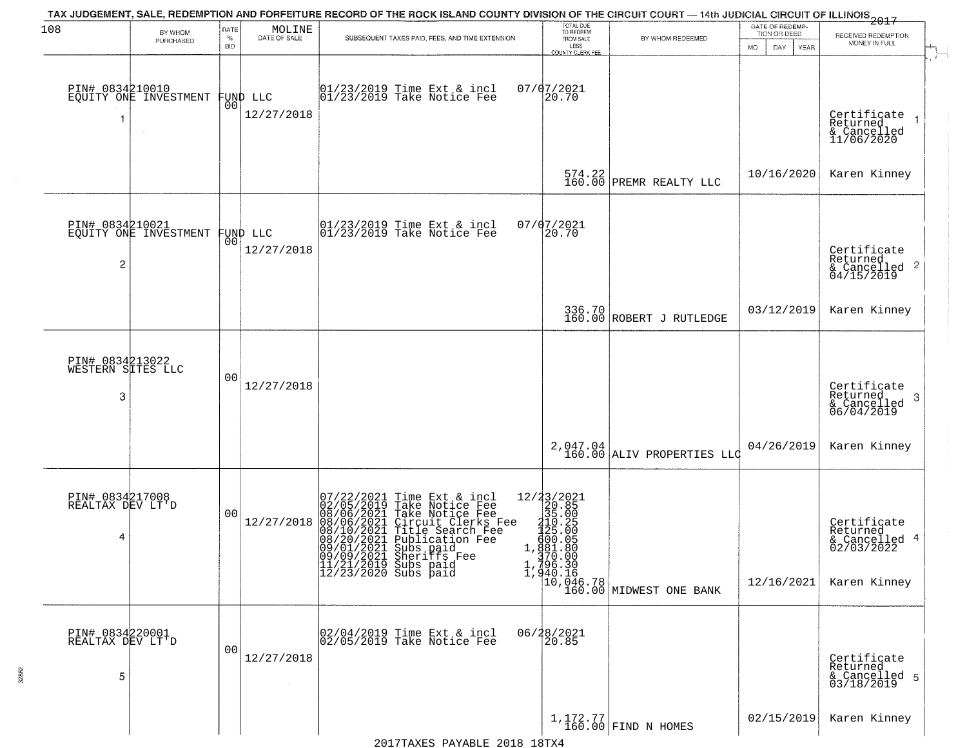| 108                                       | BY WHOM<br>PURCHASED  | RATE<br>$\%$<br><b>BID</b> | MOLINE<br>DATE OF SALE | TAX JUDGEMENT, SALE, REDEMPTION AND FORFEITURE RECORD OF THE ROCK ISLAND COUNTY DIVISION OF THE CIRCUIT COURT — 14th JUDICIAL CIRCUIT OF ILLINOIS 2017<br>SUBSEQUENT TAXES PAID, FEES, AND TIME EXTENSION                                                                               | TOTAL DUE<br>TO REDEEM<br>FROM SALE<br>LESS<br>COUNTY CLERK FEE                       | BY WHOM REDEEMED                                                                                                                                                    | DATE OF REDEMP-<br>TION OR DEED<br>DAY<br>MO.<br><b>YEAR</b> | RECEIVED REDEMPTION<br>MONEY IN FULL                                   |
|-------------------------------------------|-----------------------|----------------------------|------------------------|-----------------------------------------------------------------------------------------------------------------------------------------------------------------------------------------------------------------------------------------------------------------------------------------|---------------------------------------------------------------------------------------|---------------------------------------------------------------------------------------------------------------------------------------------------------------------|--------------------------------------------------------------|------------------------------------------------------------------------|
| PIN# 0834210010                           | EQUITY ONE INVESTMENT | 00                         | FUND LLC<br>12/27/2018 | 01/23/2019 Time Ext & incl<br>01/23/2019 Take Notice Fee                                                                                                                                                                                                                                | 07/07/2021<br>20.70                                                                   |                                                                                                                                                                     |                                                              | Certificate<br>Returned<br>& Cancelled<br>11/06/2020                   |
|                                           |                       |                            |                        |                                                                                                                                                                                                                                                                                         | 574.22<br>160.00                                                                      | PREMR REALTY LLC                                                                                                                                                    | 10/16/2020                                                   | Karen Kinney                                                           |
| PIN# 0834210021<br>2                      | EQUITY ONE INVESTMENT | 00                         | FUND LLC<br>12/27/2018 | 01/23/2019 Time Ext & incl<br>01/23/2019 Take Notice Fee                                                                                                                                                                                                                                | 07/07/2021<br>20.70                                                                   |                                                                                                                                                                     |                                                              | Certificate<br>Returned<br>& Cancelled 2<br>04/15/2019                 |
|                                           |                       |                            |                        |                                                                                                                                                                                                                                                                                         |                                                                                       | 336.70<br>160.00 ROBERT J RUTLEDGE                                                                                                                                  | 03/12/2019                                                   | Karen Kinney                                                           |
| PIN# 0834213022<br>WESTERN SITES LLC<br>3 |                       | 00                         | 12/27/2018             |                                                                                                                                                                                                                                                                                         |                                                                                       |                                                                                                                                                                     |                                                              | Certificate<br>Returned<br>-3<br>& Cancelled<br>06/04/2019             |
|                                           |                       |                            |                        |                                                                                                                                                                                                                                                                                         | 2,047.04<br>160.00                                                                    | ALIV PROPERTIES LLO                                                                                                                                                 | 04/26/2019                                                   | Karen Kinney                                                           |
| PIN# 0834217008<br>REALTAX DEV LT'D<br>4  |                       | 00                         | 12/27/2018             | 07/22/2021 Time Ext & incl<br>02/05/2019 Take Notice Fee<br>08/06/2021 Take Notice Fee<br>08/06/2021 Circuit Clerks Fee<br>08/10/2021 Title Search Fee<br>08/20/2021 Publication Fee<br>09/01/2021 Shos Paid<br>09/09/2021 Sheriffs Fee<br>11/21/2019 Subs paid<br>12/23/2020 Subs paid | 12/23/2021<br>20.85<br>35.00<br>$210.25$<br>$125.00$<br>$909.05$<br>1, <u>§8</u> 1.80 | $\left[\begin{smallmatrix} 1 & 370 & 00 \\ 1 & 796 & 30 \\ 1 & 940 & 16 \\ 10 & 046 & 78 \\ 10 & 046 & 78 \\ 160 & 00 \\ \end{smallmatrix}\right]$ MIDWEST ONE BANK | 12/16/2021                                                   | Certificate<br>Returned<br>& Cancelled 4<br>02/03/2022<br>Karen Kinney |
| PIN# 0834220001<br>REALTAX DEV LT'D<br>5  |                       | 00                         | 12/27/2018             | 02/04/2019 Time Ext & incl<br>02/05/2019 Take Notice Fee                                                                                                                                                                                                                                | 06/28/2021<br>20.85                                                                   |                                                                                                                                                                     |                                                              | Certificate<br>Returned<br>& Cancelled 5<br>03/18/2019                 |
|                                           |                       |                            |                        |                                                                                                                                                                                                                                                                                         |                                                                                       | $\left[\begin{array}{c} 1,172.77 \\ 160.00 \end{array}\right]$ FIND N HOMES                                                                                         | 02/15/2019                                                   | Karen Kinney                                                           |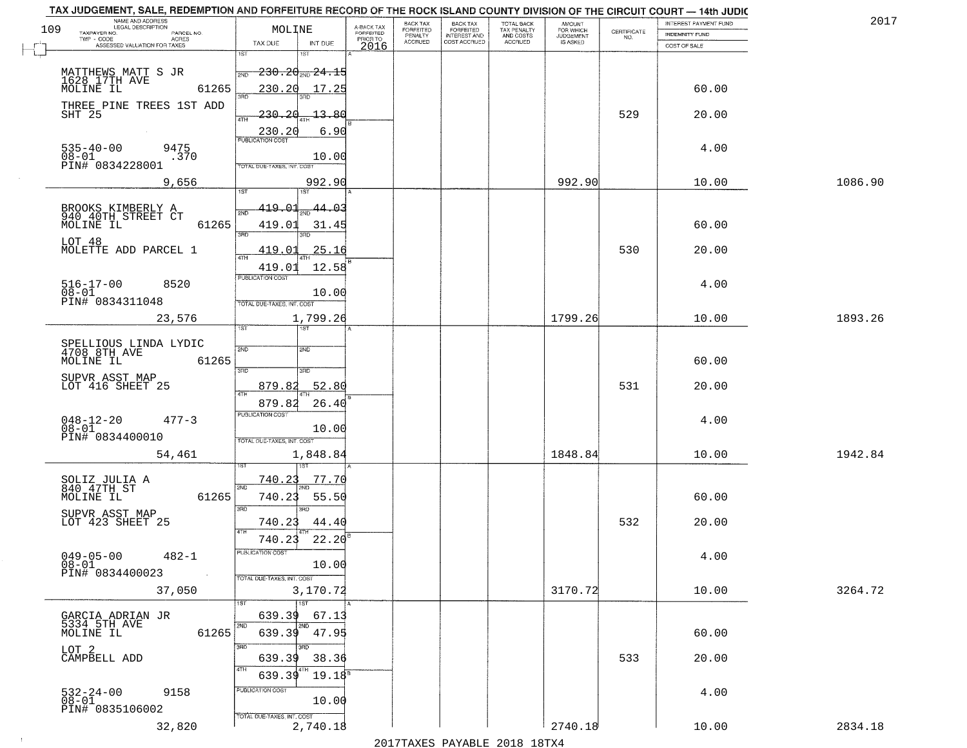| TAX JUDGEMENT, SALE, REDEMPTION AND FORFEITURE RECORD OF THE ROCK ISLAND COUNTY DIVISION OF THE CIRCUIT COURT - 14th JUDIC<br>NAME AND ADDRESS<br>LEGAL DESCRIPTION |                                                                            |                                     | BACK TAX             | <b>BACK TAX</b>           |                                        |                                         |                                                                 | INTEREST PAYMENT FUND | 2017    |
|---------------------------------------------------------------------------------------------------------------------------------------------------------------------|----------------------------------------------------------------------------|-------------------------------------|----------------------|---------------------------|----------------------------------------|-----------------------------------------|-----------------------------------------------------------------|-----------------------|---------|
| 109<br>TAXPAYER NO.<br>PARCEL NO.                                                                                                                                   | MOLINE                                                                     | A-BACK TAX<br>FORFEITED<br>PRIOR TO | FORFEITED<br>PENALTY | FORFEITED<br>INTEREST AND | TOTAL BACK<br>TAX PENALTY<br>AND COSTS | AMOUNT<br>FOR WHICH<br><b>JUDGEMENT</b> | $\begin{array}{c} \text{CERTIFICATE} \\ \text{NO.} \end{array}$ | INDEMNITY FUND        |         |
| ACRES<br>ASSESSED VALUATION FOR TAXES                                                                                                                               | TAX DUE<br>INT DUE                                                         | 2016                                | <b>ACCRUED</b>       | COST ACCRUED              | <b>ACCRUED</b>                         | IS ASKED                                |                                                                 | COST OF SALE          |         |
| MATTHEWS MATT S JR<br>1628 17TH AVE<br>MOLINE IL                                                                                                                    | 1ST<br>18T<br>$-230.20$ sun $24.15$<br>2ND                                 |                                     |                      |                           |                                        |                                         |                                                                 |                       |         |
| 61265<br>THREE PINE TREES 1ST ADD                                                                                                                                   | 230.20<br>17.25<br>350                                                     |                                     |                      |                           |                                        |                                         |                                                                 | 60.00                 |         |
| SHT 25                                                                                                                                                              | 230.20<br>13.80<br>4TH<br>6.90<br>230.20                                   |                                     |                      |                           |                                        |                                         | 529                                                             | 20.00                 |         |
| $535 - 40 - 00$<br>$08 - 01$<br>9475<br>.370<br>PIN# 0834228001                                                                                                     | 10.00<br>TOTAL DUE-TAXES, INT. COST                                        |                                     |                      |                           |                                        |                                         |                                                                 | 4.00                  |         |
| 9,656                                                                                                                                                               | 992.90                                                                     |                                     |                      |                           |                                        | 992.90                                  |                                                                 | 10.00                 | 1086.90 |
| BROOKS KIMBERLY A<br>940 40TH STREET CT<br>MOLINE IL<br>61265                                                                                                       | 419.01<br>$\frac{44.03}{200}$<br>সমূ<br>419.01<br>31.45<br>3RD<br>3RD      |                                     |                      |                           |                                        |                                         |                                                                 | 60.00                 |         |
| LOT 48<br>MOLETTE ADD PARCEL 1                                                                                                                                      | 25.16<br><u>419.01</u><br>$\overline{47H}$<br>419.01<br>12.58              |                                     |                      |                           |                                        |                                         | 530                                                             | 20.00                 |         |
| $516 - 17 - 00$<br>8520<br>$08 - 01$<br>PIN# 0834311048                                                                                                             | PUBLICATION COST<br>10.00<br>TOTAL DUE-TAXES, INT. COST                    |                                     |                      |                           |                                        |                                         |                                                                 | 4.00                  |         |
| 23,576                                                                                                                                                              | 1,799.26<br>TST<br>1ST                                                     |                                     |                      |                           |                                        | 1799.26                                 |                                                                 | 10.00                 | 1893.26 |
| SPELLIOUS LINDA LYDIC<br>4708 8TH AVE<br>MOLINE IL<br>61265                                                                                                         | 2ND<br>2ND<br>3RD<br>3RD                                                   |                                     |                      |                           |                                        |                                         |                                                                 | 60.00                 |         |
| SUPVR ASST MAP<br>LOT 416 SHEET 25                                                                                                                                  | 52.80<br>879.8<br>ATH<br>879.82<br>26.40                                   |                                     |                      |                           |                                        |                                         | 531                                                             | 20.00                 |         |
| $048 - 12 - 20$<br>$477 - 3$<br>$08 - 01$<br>PIN# 0834400010                                                                                                        | <b>PUBLICATION COST</b><br>10.00<br>TOTAL OUE-TAXES, INT. COST             |                                     |                      |                           |                                        |                                         |                                                                 | 4.00                  |         |
| 54,461                                                                                                                                                              | 1,848.84                                                                   |                                     |                      |                           |                                        | 1848.84                                 |                                                                 | 10.00                 | 1942.84 |
| SOLIZ JULIA A<br>840 47TH ST<br>MOLINE IL<br>61265                                                                                                                  | 740.23<br>77.70<br>2ND<br>740.23<br>55.50<br>3 <sub>BD</sub><br><b>IRD</b> |                                     |                      |                           |                                        |                                         |                                                                 | 60.00                 |         |
| SUPVR ASST MAP<br>LOT 423 SHEET 25                                                                                                                                  | 740.23<br>44.40<br>4TH<br>22.20<br>740.23                                  |                                     |                      |                           |                                        |                                         | 532                                                             | 20.00                 |         |
| $049 - 05 - 00$<br>$482 - 1$<br>$08 - 01$<br>PIN# 0834400023<br>$\sim 100$                                                                                          | -usuca i un cus-<br>10.00<br>TOTAL DUE-TAXES, INT. COST                    |                                     |                      |                           |                                        |                                         |                                                                 | 4.00                  |         |
| 37,050                                                                                                                                                              | 3,170.72<br>1ST                                                            |                                     |                      |                           |                                        | 3170.72                                 |                                                                 | 10.00                 | 3264.72 |
| GARCIA ADRIAN JR<br>5334 5TH AVE<br>MOLINE IL<br>61265                                                                                                              | 639.39<br>67.13<br>2ND<br>2ND<br>639.39<br>47.95                           |                                     |                      |                           |                                        |                                         |                                                                 | 60.00                 |         |
| LOT 2<br>CAMPBELL ADD                                                                                                                                               | 3RD<br>38.36<br>639.39<br>4TH<br>639.39<br>19.18 <sup>8</sup>              |                                     |                      |                           |                                        |                                         | 533                                                             | 20.00                 |         |
| 532-24-00<br>08-01<br>9158<br>PIN# 0835106002                                                                                                                       | PUBLICATION COST<br>10.00<br>TOTAL DUE-TAXES, INT. COST                    |                                     |                      |                           |                                        |                                         |                                                                 | 4.00                  |         |
| 32,820                                                                                                                                                              | 2,740.18                                                                   |                                     |                      |                           |                                        | 2740.18                                 |                                                                 | 10.00                 | 2834.18 |

 $\sim 100$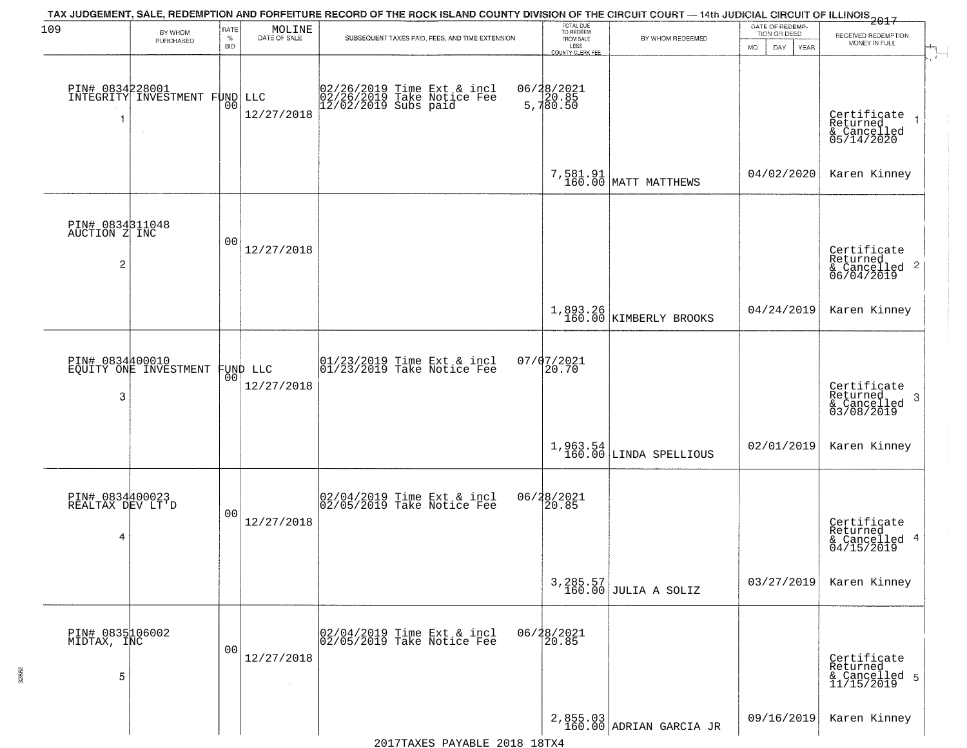| 109                                      | BY WHOM                                                    | RATE               | $\begin{array}{c} \text{MOLINE} \\ \text{DATE of SALE} \end{array}$ | TAX JUDGEMENT, SALE, REDEMPTION AND FORFEITURE RECORD OF THE ROCK ISLAND COUNTY DIVISION OF THE CIRCUIT COURT — 14th JUDICIAL CIRCUIT OF ILLINOIS 2017 | TOTAL DUE<br>TO REDEEM                |                                       | DATE OF REDEMP-<br>TION OR DEED |                                                                     |
|------------------------------------------|------------------------------------------------------------|--------------------|---------------------------------------------------------------------|--------------------------------------------------------------------------------------------------------------------------------------------------------|---------------------------------------|---------------------------------------|---------------------------------|---------------------------------------------------------------------|
|                                          | PURCHASED                                                  | $\%$<br><b>BID</b> |                                                                     | SUBSEQUENT TAXES PAID, FEES, AND TIME EXTENSION                                                                                                        | FROM SALE<br>LESS<br>COUNTY CLERK FEE | BY WHOM REDEEMED                      | MO.<br>DAY.<br>YEAR             | RECEIVED REDEMPTION<br>MONEY IN FULL<br>$\mathcal{I}^{\mathcal{H}}$ |
| -1                                       | PIN# 0834228001<br>INTEGRITY INVESTMENT FUND LLC<br>$\sim$ | 00                 | 12/27/2018                                                          | 02/26/2019 Time Ext & incl<br>02/26/2019 Take Notice Fee<br>12/02/2019 Subs paid                                                                       | 06/28/2021<br>5,780.85<br>5,780.50    |                                       |                                 | Certificate<br>Returned<br>& Cancelled<br>05/14/2020                |
|                                          |                                                            |                    |                                                                     |                                                                                                                                                        |                                       | 7,581.91<br>160.00 MATT MATTHEWS      | 04/02/2020                      | Karen Kinney                                                        |
| PIN# 0834311048<br>AUCTION Z INC<br>2    |                                                            | 00                 | 12/27/2018                                                          |                                                                                                                                                        |                                       |                                       |                                 | Certificate<br>Returned<br>& Cancelled <sup>2</sup><br>06/04/2019   |
|                                          |                                                            |                    |                                                                     |                                                                                                                                                        |                                       | 1,893.26<br>160.00 KIMBERLY BROOKS    | 04/24/2019                      | Karen Kinney                                                        |
| PIN# 0834400010<br>3                     | EQUITY ONE INVESTMENT                                      |                    | FUND LLC<br> 00 <br>12/27/2018                                      | $\begin{array}{c}  01/23/2019 \overline{\hspace{0.2cm}1}$ rime Ext & incl<br>$ 01/23/2019 \overline{\hspace{0.2cm}1}$ Take Notice Fee                  | $07/07/2021$<br>20.70                 |                                       |                                 | Certificate<br>Returned<br>-3<br>& Cancelled<br>03/08/2019          |
|                                          |                                                            |                    |                                                                     |                                                                                                                                                        |                                       | $1,963.54$ LINDA SPELLIOUS            | 02/01/2019                      | Karen Kinney                                                        |
| PIN# 0834400023<br>REALTAX DEV LT'D<br>4 |                                                            | 00                 | 12/27/2018                                                          | 02/04/2019 Time Ext & incl<br>02/05/2019 Take Notice Fee                                                                                               | 06/28/2021<br>20.85                   |                                       |                                 | Certificate<br>Returned<br>& Cancelled 4<br>04/15/2019              |
|                                          |                                                            |                    |                                                                     |                                                                                                                                                        |                                       | $3,285.57$<br>160.00 JULIA A SOLIZ    | 03/27/2019                      | Karen Kinney                                                        |
| PIN# 0835106002<br>MIDTAX, INC<br>5      |                                                            | 00                 | 12/27/2018                                                          | 02/04/2019 Time Ext & incl<br>02/05/2019 Take Notice Fee                                                                                               | 06/28/2021<br>20.85                   |                                       |                                 | Certificate<br>Returned<br>& Cancelled 5<br>11/15/2019              |
|                                          |                                                            |                    |                                                                     |                                                                                                                                                        |                                       | $2,855.03$<br>160.00 ADRIAN GARCIA JR | 09/16/2019                      | Karen Kinney                                                        |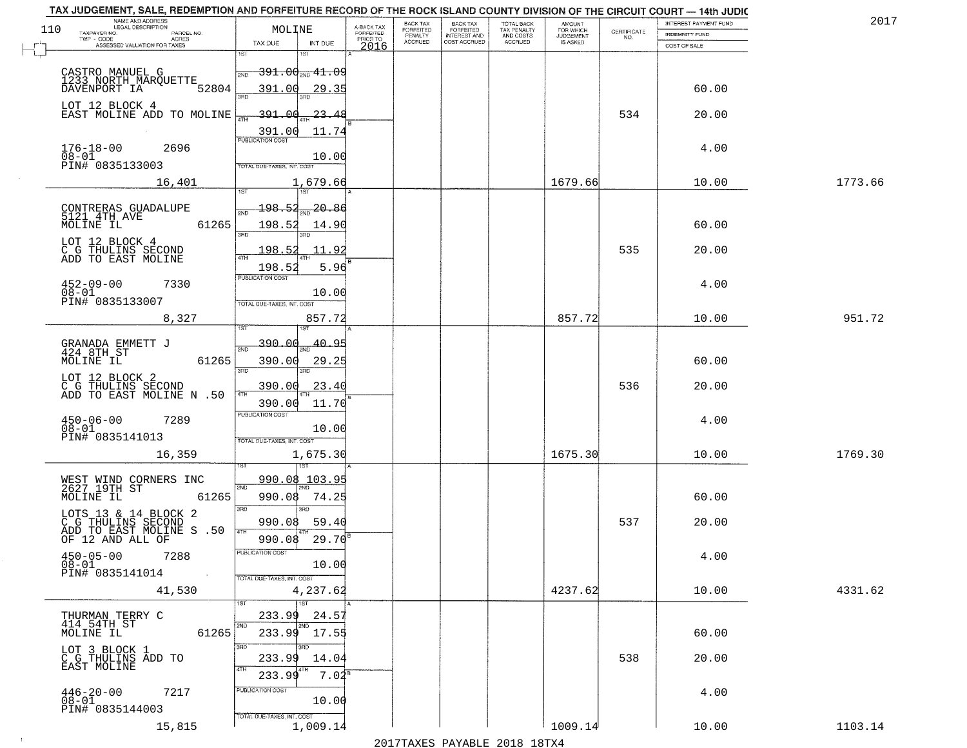|     | TAX JUDGEMENT, SALE, REDEMPTION AND FORFEITURE RECORD OF THE ROCK ISLAND COUNTY DIVISION OF THE CIRCUIT COURT - 14th JUDIC |                            |                                      |                                     |                                  |                                                     |                                        |                                         |                                                                 | INTEREST PAYMENT FUND | 2017    |
|-----|----------------------------------------------------------------------------------------------------------------------------|----------------------------|--------------------------------------|-------------------------------------|----------------------------------|-----------------------------------------------------|----------------------------------------|-----------------------------------------|-----------------------------------------------------------------|-----------------------|---------|
| 110 | NAME AND ADDRESS<br>LEGAL DESCRIPTION<br>TAXPAYER NO.<br>PARCEL NO.                                                        | MOLINE                     |                                      | A-BACK TAX<br>FORFEITED<br>PRIOR TO | BACK TAX<br>FORFEITED<br>PENALTY | <b>BACK TAX</b><br>FORFEITED<br><b>INTEREST AND</b> | TOTAL BACK<br>TAX PENALTY<br>AND COSTS | AMOUNT<br>FOR WHICH<br><b>JUDGEMENT</b> | $\begin{array}{c} \text{CERTIFICATE} \\ \text{NO.} \end{array}$ | <b>INDEMNITY FUND</b> |         |
|     | TWP - CODE<br>ACRES<br>ASSESSED VALUATION FOR TAXES                                                                        | TAX DUE                    | INT DUE                              | 2016                                | <b>ACCRUED</b>                   | COST ACCRUED                                        | <b>ACCRUED</b>                         | IS ASKED                                |                                                                 | COST OF SALE          |         |
|     |                                                                                                                            |                            | 18T                                  |                                     |                                  |                                                     |                                        |                                         |                                                                 |                       |         |
|     | CASTRO MANUEL G                                                                                                            | 2ND                        | <del>391.00<sub>2ND</sub>41.09</del> |                                     |                                  |                                                     |                                        |                                         |                                                                 |                       |         |
|     | 1233 NORTH MARQUETTE<br>52804<br>DAVENPORT IA                                                                              | 391.00                     | <u>29.35</u>                         |                                     |                                  |                                                     |                                        |                                         |                                                                 | 60.00                 |         |
|     |                                                                                                                            |                            |                                      |                                     |                                  |                                                     |                                        |                                         |                                                                 |                       |         |
|     | LOT 12 BLOCK 4<br>EAST MOLINE ADD TO MOLINE                                                                                | $-391.00$                  | <u> 23.48</u>                        |                                     |                                  |                                                     |                                        |                                         | 534                                                             | 20.00                 |         |
|     |                                                                                                                            |                            | 11.74                                |                                     |                                  |                                                     |                                        |                                         |                                                                 |                       |         |
|     |                                                                                                                            | 391.00                     |                                      |                                     |                                  |                                                     |                                        |                                         |                                                                 |                       |         |
|     | $176 - 18 - 00$<br>2696<br>$08 - 01$                                                                                       |                            | 10.00                                |                                     |                                  |                                                     |                                        |                                         |                                                                 | 4.00                  |         |
|     | PIN# 0835133003                                                                                                            | TOTAL DUE-TAXES, INT. COST |                                      |                                     |                                  |                                                     |                                        |                                         |                                                                 |                       |         |
|     | 16,401                                                                                                                     |                            | 1,679.66                             |                                     |                                  |                                                     |                                        | 1679.66                                 |                                                                 | 10.00                 | 1773.66 |
|     |                                                                                                                            |                            |                                      |                                     |                                  |                                                     |                                        |                                         |                                                                 |                       |         |
|     | CONTRERAS GUADALUPE<br>5121 4TH AVE                                                                                        | 198.52                     | 20.86                                |                                     |                                  |                                                     |                                        |                                         |                                                                 |                       |         |
|     | 61265<br>MOLINE IL                                                                                                         | 198.52                     | 14.90                                |                                     |                                  |                                                     |                                        |                                         |                                                                 | 60.00                 |         |
|     | LOT 12 BLOCK 4                                                                                                             | 3RD                        |                                      |                                     |                                  |                                                     |                                        |                                         |                                                                 |                       |         |
|     | C G THULINS SECOND<br>ADD TO EAST MOLINE                                                                                   | 198.52                     | 11.92                                |                                     |                                  |                                                     |                                        |                                         | 535                                                             | 20.00                 |         |
|     |                                                                                                                            | 198.52                     | 5.96                                 |                                     |                                  |                                                     |                                        |                                         |                                                                 |                       |         |
|     | $452 - 09 - 00$<br>7330                                                                                                    | PUBLICATION COST           |                                      |                                     |                                  |                                                     |                                        |                                         |                                                                 | 4.00                  |         |
|     | $08 - 01$<br>PIN# <sup>-</sup> 0835133007                                                                                  | TOTAL DUE-TAXES, INT. COST | 10.00                                |                                     |                                  |                                                     |                                        |                                         |                                                                 |                       |         |
|     | 8,327                                                                                                                      |                            | 857.72                               |                                     |                                  |                                                     |                                        | 857.72                                  |                                                                 | 10.00                 | 951.72  |
|     |                                                                                                                            |                            |                                      |                                     |                                  |                                                     |                                        |                                         |                                                                 |                       |         |
|     |                                                                                                                            | -390.00<br>2ND             | 40.95                                |                                     |                                  |                                                     |                                        |                                         |                                                                 |                       |         |
|     | GRANADA EMMETT J<br>424 8TH ST<br>MOLINE IL<br>61265                                                                       | 390.00                     | 29.25                                |                                     |                                  |                                                     |                                        |                                         |                                                                 | 60.00                 |         |
|     |                                                                                                                            | 3 <sub>BD</sub>            | 3 <sub>BD</sub>                      |                                     |                                  |                                                     |                                        |                                         |                                                                 |                       |         |
|     | LOT 12 BLOCK 2<br>C G THULINS SECOND<br>ADD TO EAST MOLINE N .50                                                           | 390.00                     | 23.40                                |                                     |                                  |                                                     |                                        |                                         | 536                                                             | 20.00                 |         |
|     |                                                                                                                            | 4TH<br>390.00              | 11.70                                |                                     |                                  |                                                     |                                        |                                         |                                                                 |                       |         |
|     | $450 - 06 - 00$<br>7289                                                                                                    | <b>PUBLICATION COST</b>    |                                      |                                     |                                  |                                                     |                                        |                                         |                                                                 | 4.00                  |         |
|     | $08 - 01$                                                                                                                  |                            | 10.00                                |                                     |                                  |                                                     |                                        |                                         |                                                                 |                       |         |
|     | PIN# 0835141013                                                                                                            | TOTAL OUE-TAXES, INT. COST |                                      |                                     |                                  |                                                     |                                        |                                         |                                                                 |                       |         |
|     | 16,359                                                                                                                     |                            | 1,675.30<br>181                      |                                     |                                  |                                                     |                                        | 1675.30                                 |                                                                 | 10.00                 | 1769.30 |
|     |                                                                                                                            |                            | 990.08 103.95                        |                                     |                                  |                                                     |                                        |                                         |                                                                 |                       |         |
|     | WEST WIND CORNERS INC<br>2627 19TH ST                                                                                      | 2ND                        |                                      |                                     |                                  |                                                     |                                        |                                         |                                                                 |                       |         |
|     | MOLINE IL<br>61265                                                                                                         | 990.08<br>3RD              | 74.25<br>$\overline{3BD}$            |                                     |                                  |                                                     |                                        |                                         |                                                                 | 60.00                 |         |
|     | LOTS 13 & 14 BLOCK 2<br>C G THULINS SECOND<br>ADD TO EAST MOLINE S .50<br>OF 12 AND ALL OF                                 | 990.08                     | 59.40                                |                                     |                                  |                                                     |                                        |                                         | 537                                                             | 20.00                 |         |
|     |                                                                                                                            | 4TH<br>990.08              | 29.70                                |                                     |                                  |                                                     |                                        |                                         |                                                                 |                       |         |
|     |                                                                                                                            | 'usuca hun cus             |                                      |                                     |                                  |                                                     |                                        |                                         |                                                                 |                       |         |
|     | $450 - 05 - 00$<br>7288<br>$08 - 01$                                                                                       |                            | 10.00                                |                                     |                                  |                                                     |                                        |                                         |                                                                 | 4.00                  |         |
|     | PIN# 0835141014<br>$\sim 100$                                                                                              | TOTAL DUE-TAXES, INT. COST |                                      |                                     |                                  |                                                     |                                        |                                         |                                                                 |                       |         |
|     | 41,530                                                                                                                     |                            | 4,237.62                             |                                     |                                  |                                                     |                                        | 4237.62                                 |                                                                 | 10.00                 | 4331.62 |
|     |                                                                                                                            |                            | 1ST                                  |                                     |                                  |                                                     |                                        |                                         |                                                                 |                       |         |
|     | THURMAN TERRY C<br>414 54TH ST                                                                                             | 233.99                     | 24.57<br>2ND                         |                                     |                                  |                                                     |                                        |                                         |                                                                 |                       |         |
|     | MOLINE IL<br>61265                                                                                                         | 233.99                     | 17.55                                |                                     |                                  |                                                     |                                        |                                         |                                                                 | 60.00                 |         |
|     | LOT 3 BLOCK 1<br>C G THULINS ADD TO                                                                                        | 3RD                        |                                      |                                     |                                  |                                                     |                                        |                                         |                                                                 |                       |         |
|     | EAST MOLINE                                                                                                                | 233.99<br>4TH              | 14.04                                |                                     |                                  |                                                     |                                        |                                         | 538                                                             | 20.00                 |         |
|     |                                                                                                                            | 233.99                     | $7.04^s$                             |                                     |                                  |                                                     |                                        |                                         |                                                                 |                       |         |
|     | $446 - 20 - 00$<br>7217<br>08-01                                                                                           | PUBLICATION COST           | 10.00                                |                                     |                                  |                                                     |                                        |                                         |                                                                 | 4.00                  |         |
|     | PIN# 0835144003                                                                                                            | TOTAL DUE-TAXES, INT. COST |                                      |                                     |                                  |                                                     |                                        |                                         |                                                                 |                       |         |
|     | 15,815                                                                                                                     |                            | 1,009.14                             |                                     |                                  |                                                     |                                        | 1009.14                                 |                                                                 | 10.00                 | 1103.14 |
|     |                                                                                                                            |                            |                                      |                                     |                                  |                                                     |                                        |                                         |                                                                 |                       |         |

 $\sim 10$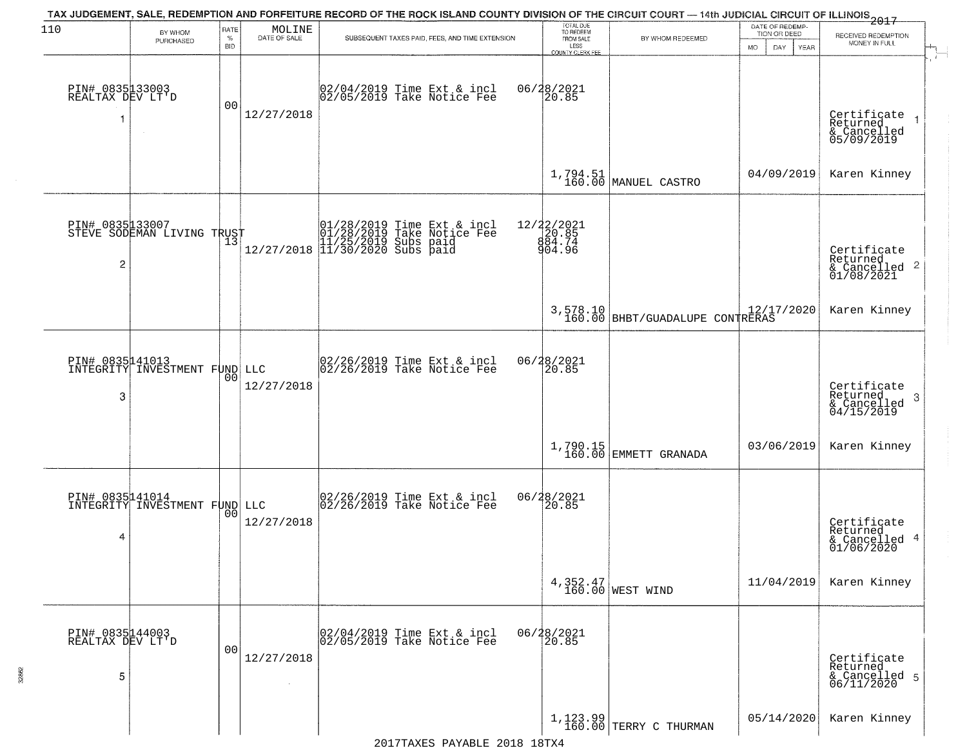| 110                                      | BY WHOM<br>PURCHASED                             | RATE<br>$\%$<br><b>BID</b> | $\begin{array}{c} \text{MOLINE} \\ \text{DATE of SALE} \end{array}$ | TAX JUDGEMENT, SALE, REDEMPTION AND FORFEITURE RECORD OF THE ROCK ISLAND COUNTY DIVISION OF THE CIRCUIT COURT - 14th JUDICIAL CIRCUIT OF ILLINOIS 2017<br>SUBSEQUENT TAXES PAID, FEES, AND TIME EXTENSION | TOTAL DUE<br>TO REDEEM<br>FROM SALE             | BY WHOM REDEEMED                            | DATE OF REDEMP-<br>TION OR DEED<br>DAY. | RECEIVED REDEMPTION<br>MONEY IN FULL                              |
|------------------------------------------|--------------------------------------------------|----------------------------|---------------------------------------------------------------------|-----------------------------------------------------------------------------------------------------------------------------------------------------------------------------------------------------------|-------------------------------------------------|---------------------------------------------|-----------------------------------------|-------------------------------------------------------------------|
| PIN# 0835133003<br>REALTAX DEV LT'D<br>1 | $\sim$                                           | 0 <sub>0</sub>             | 12/27/2018                                                          | 02/04/2019 Time Ext & incl<br>02/05/2019 Take Notice Fee                                                                                                                                                  | LESS<br>COUNTY CLERK FEE<br>06/28/2021<br>20.85 |                                             | YEAR<br>MO.                             | Certificate<br>Returned<br>& Cancelled<br>05/09/2019              |
|                                          |                                                  |                            |                                                                     |                                                                                                                                                                                                           | $1,794.51$<br>$160.00$                          | MANUEL CASTRO                               | 04/09/2019                              | Karen Kinney                                                      |
| 2                                        | PIN# 0835133007<br>STEVE SODEMAN LIVING TRUST    |                            |                                                                     | $[01/28/2019$ Time Ext & incl<br>01/28/2019 Take Notice Fee<br>11/25/2019 Subs paid<br>12/27/2018 11/30/2020 Subs paid                                                                                    | 12/22/2021<br>20.85<br>884.74<br>904.96         |                                             |                                         | Certificate<br>Returned                                           |
|                                          |                                                  |                            |                                                                     |                                                                                                                                                                                                           |                                                 | 3,578.10<br>160.00 BHBT/GUADALUPE CONTRERAS |                                         | Karen Kinney                                                      |
| PIN# 0835141013<br>INTEGRITY<br>3        | INVESTMENT FUND LLC                              | 0 <sub>0</sub>             | 12/27/2018                                                          | $\begin{bmatrix} 02/26/2019 &$ Time Ext & incl<br>$02/26/2019 &$ Take Notice Fee                                                                                                                          | 06/28/2021                                      |                                             |                                         | Certificate<br>Returned<br>3<br>$& \text{Cancelled} \ 04/15/2019$ |
|                                          |                                                  |                            |                                                                     |                                                                                                                                                                                                           |                                                 | $1,790.15$ EMMETT GRANADA                   | 03/06/2019                              | Karen Kinney                                                      |
| 4                                        | PIN# 0835141014<br>INTEGRITY INVESTMENT FUND LLC | 00                         | 12/27/2018                                                          | $\begin{bmatrix} 02/26/2019 \\ 02/26/2019 \end{bmatrix}$ Take Notice Fee                                                                                                                                  | 06/28/2021<br>20.85                             |                                             |                                         | Certificate<br>Returned<br>& Cancelled 4<br>01/06/2020            |
|                                          |                                                  |                            |                                                                     |                                                                                                                                                                                                           |                                                 | 4,352.47<br>160.00 WEST WIND                | 11/04/2019                              | Karen Kinney                                                      |
| PIN# 0835144003<br>REALTAX DEV LT'D<br>5 |                                                  | 0 <sub>0</sub>             | 12/27/2018<br>$\sim$                                                | 02/04/2019 Time Ext & incl<br>02/05/2019 Take Notice Fee                                                                                                                                                  | 06/28/2021<br>20.85                             |                                             |                                         | Certificate<br>Returned<br>& Cancelled 5<br>06/11/2020            |
|                                          |                                                  |                            |                                                                     |                                                                                                                                                                                                           |                                                 | $1,123.99$ TERRY C THURMAN                  | 05/14/2020                              | Karen Kinney                                                      |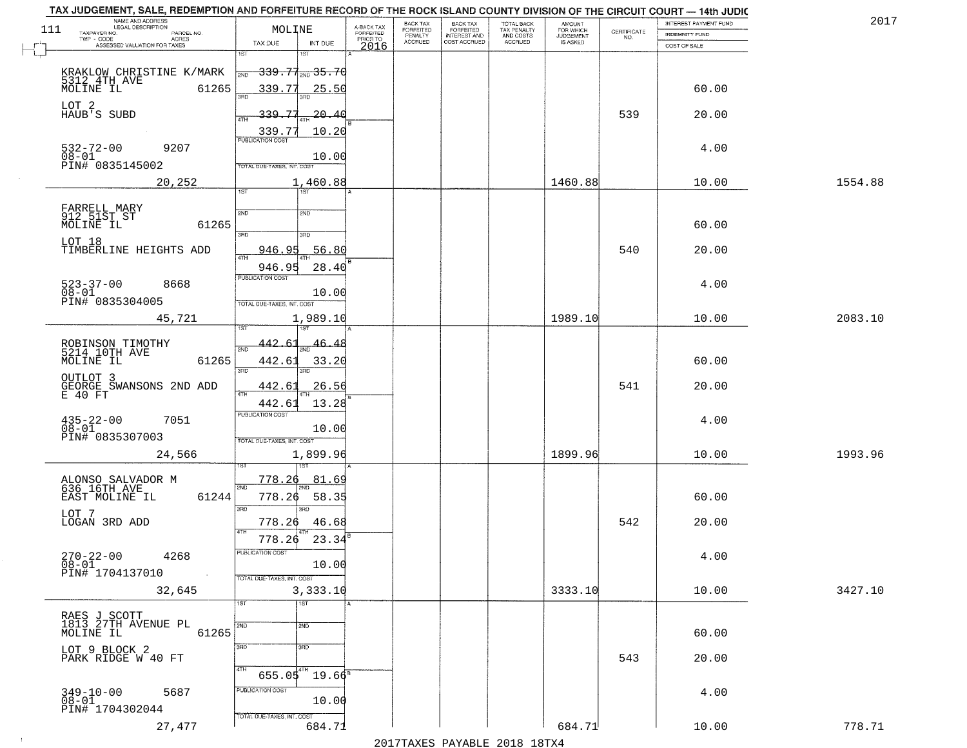|     | TAX JUDGEMENT, SALE, REDEMPTION AND FORFEITURE RECORD OF THE ROCK ISLAND COUNTY DIVISION OF THE CIRCUIT COURT - 14th JUDIC |                                             |                                     |                      |                                  |                                        |                                  |                    |                       |         |
|-----|----------------------------------------------------------------------------------------------------------------------------|---------------------------------------------|-------------------------------------|----------------------|----------------------------------|----------------------------------------|----------------------------------|--------------------|-----------------------|---------|
|     | NAME AND ADDRESS<br>LEGAL DESCRIPTION                                                                                      |                                             |                                     | BACK TAX             | <b>BACK TAX</b>                  | TOTAL BACK<br>TAX PENALTY<br>AND COSTS | AMOUNT<br>FOR WHICH<br>JUDGEMENT |                    | INTEREST PAYMENT FUND | 201     |
| 111 | TAXPAYER NO.<br>PARCEL NO.<br>ACRES                                                                                        | MOLINE                                      | A-BACK TAX<br>FORFEITED<br>PRIOR TO | FORFEITED<br>PENALTY | FORFEITED<br><b>INTEREST AND</b> |                                        |                                  | CERTIFICATE<br>NO. | <b>INDEMNITY FUND</b> |         |
|     | ASSESSED VALUATION FOR TAXES                                                                                               | TAX DUE<br>INT DUE                          | 2016                                | <b>ACCRUED</b>       | COST ACCRUED                     | ACCRUED                                | IS ASKED                         |                    | COST OF SALE          |         |
|     |                                                                                                                            | 1ST                                         |                                     |                      |                                  |                                        |                                  |                    |                       |         |
|     | KRAKLOW CHRISTINE K/MARK                                                                                                   | <del>339.77<sub>2N0</sub>35.70</del><br>2ND |                                     |                      |                                  |                                        |                                  |                    |                       |         |
|     | 5312 4TH AVE                                                                                                               |                                             |                                     |                      |                                  |                                        |                                  |                    |                       |         |
|     | 61265                                                                                                                      | 339.77<br><u>25.50</u>                      |                                     |                      |                                  |                                        |                                  |                    | 60.00                 |         |
|     | LOT 2                                                                                                                      |                                             |                                     |                      |                                  |                                        |                                  |                    |                       |         |
|     | HAUB <sup>'</sup> S SUBD                                                                                                   | $-339.77$<br>-20.40<br>4TH                  |                                     |                      |                                  |                                        |                                  | 539                | 20.00                 |         |
|     |                                                                                                                            | 10.20                                       |                                     |                      |                                  |                                        |                                  |                    |                       |         |
|     |                                                                                                                            | 339.77                                      |                                     |                      |                                  |                                        |                                  |                    |                       |         |
|     | $532 - 72 - 00$<br>9207<br>$08 - 01$                                                                                       |                                             |                                     |                      |                                  |                                        |                                  |                    | 4.00                  |         |
|     | PIN# 0835145002                                                                                                            | 10.00<br>TOTAL DUE-TAXES, INT. COST         |                                     |                      |                                  |                                        |                                  |                    |                       |         |
|     |                                                                                                                            |                                             |                                     |                      |                                  |                                        |                                  |                    |                       |         |
|     | 20,252                                                                                                                     | 1,460.88<br>1ST                             |                                     |                      |                                  |                                        | 1460.88                          |                    | 10.00                 | 1554.88 |
|     |                                                                                                                            |                                             |                                     |                      |                                  |                                        |                                  |                    |                       |         |
|     | FARRELL MARY<br>912 51ST ST                                                                                                | 2ND<br>2ND                                  |                                     |                      |                                  |                                        |                                  |                    |                       |         |
|     | 61265<br>MOLINE IL                                                                                                         |                                             |                                     |                      |                                  |                                        |                                  |                    | 60.00                 |         |
|     |                                                                                                                            | 3RD<br>3RD                                  |                                     |                      |                                  |                                        |                                  |                    |                       |         |
|     | LOT 18<br>TIMBERLINE HEIGHTS ADD                                                                                           | <u>946.95</u><br>56.80                      |                                     |                      |                                  |                                        |                                  | 540                | 20.00                 |         |
|     |                                                                                                                            | ৰাম                                         |                                     |                      |                                  |                                        |                                  |                    |                       |         |
|     |                                                                                                                            | 946.95<br>28.40<br><b>PUBLICATION COST</b>  |                                     |                      |                                  |                                        |                                  |                    |                       |         |
|     | $523 - 37 - 00$<br>8668                                                                                                    |                                             |                                     |                      |                                  |                                        |                                  |                    | 4.00                  |         |
|     | $08 - 01$<br>PIN# 0835304005                                                                                               | 10.00                                       |                                     |                      |                                  |                                        |                                  |                    |                       |         |
|     |                                                                                                                            | TOTAL DUE-TAXES, INT. COST                  |                                     |                      |                                  |                                        |                                  |                    |                       |         |
|     | 45,721                                                                                                                     | 1,989.10                                    |                                     |                      |                                  |                                        | 1989.10                          |                    | 10.00                 | 2083.10 |
|     |                                                                                                                            | īST                                         |                                     |                      |                                  |                                        |                                  |                    |                       |         |
|     | ROBINSON TIMOTHY<br>5214 10TH AVE<br>MOLINE IL                                                                             | 442.6<br>46.4<br>2ND                        |                                     |                      |                                  |                                        |                                  |                    |                       |         |
|     | 61265                                                                                                                      | 442.61<br>33.20                             |                                     |                      |                                  |                                        |                                  |                    | 60.00                 |         |
|     |                                                                                                                            | 3BD<br>3RD                                  |                                     |                      |                                  |                                        |                                  |                    |                       |         |
|     | OUTLOT 3                                                                                                                   |                                             |                                     |                      |                                  |                                        |                                  | 541                |                       |         |
|     | GEORGE SWANSONS 2ND ADD<br>E 40 FT                                                                                         | 442.61<br>26.56<br>4TH                      |                                     |                      |                                  |                                        |                                  |                    | 20.00                 |         |
|     |                                                                                                                            | 13.28<br>442.61                             |                                     |                      |                                  |                                        |                                  |                    |                       |         |
|     | $435 - 22 - 00$<br>7051                                                                                                    | <b>PUBLICATION COST</b>                     |                                     |                      |                                  |                                        |                                  |                    | 4.00                  |         |
|     | $08 - 01$                                                                                                                  | 10.00                                       |                                     |                      |                                  |                                        |                                  |                    |                       |         |
|     | PIN# 0835307003                                                                                                            | TOTAL OUE-TAXES, INT. COST                  |                                     |                      |                                  |                                        |                                  |                    |                       |         |
|     | 24,566                                                                                                                     | 1,899.96                                    |                                     |                      |                                  |                                        | 1899.96                          |                    | 10.00                 | 1993.96 |
|     |                                                                                                                            |                                             |                                     |                      |                                  |                                        |                                  |                    |                       |         |
|     |                                                                                                                            | 778.26<br>81.69                             |                                     |                      |                                  |                                        |                                  |                    |                       |         |
|     | ALONSO SALVADOR M<br>636 16TH AVE                                                                                          | 2ND                                         |                                     |                      |                                  |                                        |                                  |                    |                       |         |
|     | EAST MOLINE IL<br>61244                                                                                                    | 778.26<br>58.35                             |                                     |                      |                                  |                                        |                                  |                    | 60.00                 |         |
|     | LOT 7                                                                                                                      | 3RD<br>3RD                                  |                                     |                      |                                  |                                        |                                  |                    |                       |         |
|     | LOGAN 3RD ADD                                                                                                              | 46.68<br>778.26<br>4TH                      |                                     |                      |                                  |                                        |                                  | 542                | 20.00                 |         |
|     |                                                                                                                            | 23.34<br>778.26                             |                                     |                      |                                  |                                        |                                  |                    |                       |         |
|     |                                                                                                                            | "UBLICA HUN CUS                             |                                     |                      |                                  |                                        |                                  |                    |                       |         |
|     | $270 - 22 - 00$<br>4268<br>08-01                                                                                           | 10.00                                       |                                     |                      |                                  |                                        |                                  |                    | 4.00                  |         |
|     | PIN# 1704137010<br>$\sim 100$                                                                                              | TOTAL DUE-TAXES, INT. COST                  |                                     |                      |                                  |                                        |                                  |                    |                       |         |
|     | 32,645                                                                                                                     | 3,333.10                                    |                                     |                      |                                  |                                        | 3333.10                          |                    | 10.00                 | 3427.10 |
|     |                                                                                                                            | 1ST<br>$\overline{1}$ 1st                   |                                     |                      |                                  |                                        |                                  |                    |                       |         |
|     |                                                                                                                            |                                             |                                     |                      |                                  |                                        |                                  |                    |                       |         |
|     | RAES J SCOTT<br>1813 27TH AVENUE PL                                                                                        | 2ND<br>2ND                                  |                                     |                      |                                  |                                        |                                  |                    |                       |         |
|     | 61265<br>MOLINE IL                                                                                                         |                                             |                                     |                      |                                  |                                        |                                  |                    | 60.00                 |         |
|     | LOT 9 BLOCK 2                                                                                                              | 3RD<br>3BD                                  |                                     |                      |                                  |                                        |                                  |                    |                       |         |
|     | PARK RIDGE W 40 FT                                                                                                         |                                             |                                     |                      |                                  |                                        |                                  | 543                | 20.00                 |         |
|     |                                                                                                                            | 4TH<br>$655.05^{4}$<br>$19.66^8$            |                                     |                      |                                  |                                        |                                  |                    |                       |         |
|     |                                                                                                                            | PUBLICATION COST                            |                                     |                      |                                  |                                        |                                  |                    |                       |         |
|     | $349 - 10 - 00$<br>5687<br>08-01                                                                                           | 10.00                                       |                                     |                      |                                  |                                        |                                  |                    | 4.00                  |         |
|     | PIN# 1704302044                                                                                                            |                                             |                                     |                      |                                  |                                        |                                  |                    |                       |         |
|     | 27,477                                                                                                                     | TOTAL DUE-TAXES, INT. COST<br>684.71        |                                     |                      |                                  |                                        | 684.71                           |                    | 10.00                 | 778.71  |
|     |                                                                                                                            |                                             |                                     |                      |                                  |                                        |                                  |                    |                       |         |

 $\sim 100$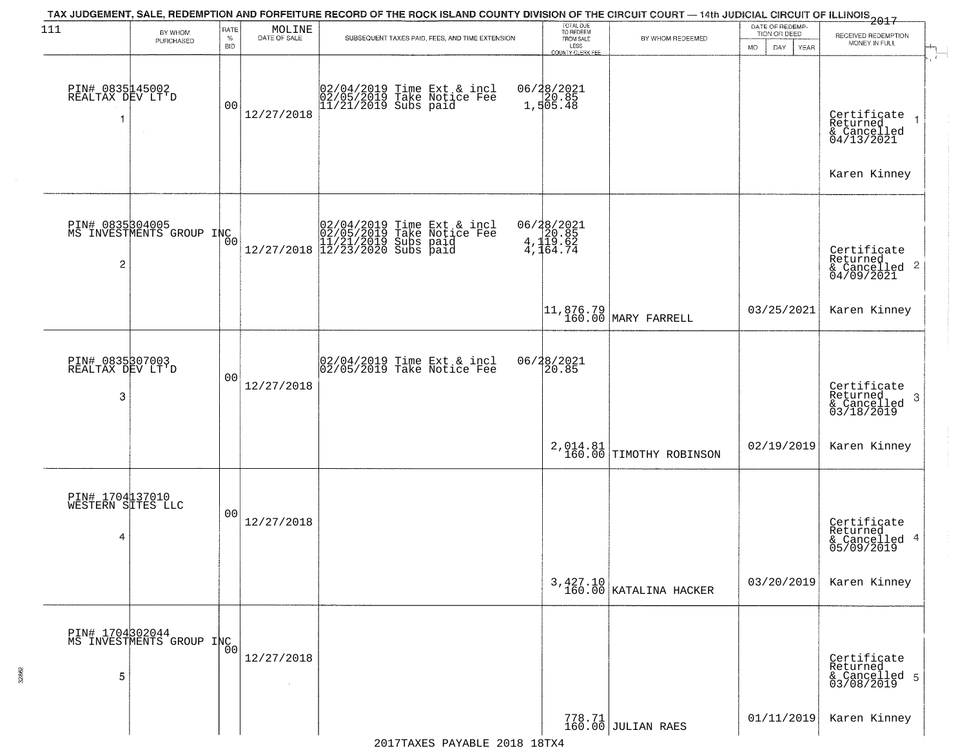| 111                                       | BY WHOM                                                  | RATE               | MOLINE       | TAX JUDGEMENT, SALE, REDEMPTION AND FORFEITURE RECORD OF THE ROCK ISLAND COUNTY DIVISION OF THE CIRCUIT COURT — 14th JUDICIAL CIRCUIT OF ILLINOIS 2017                                                   | TOTAL DUE<br>TO REDEEM                       |                                      | DATE OF REDEMP-<br>TION OR DEED  |                                                                      |
|-------------------------------------------|----------------------------------------------------------|--------------------|--------------|----------------------------------------------------------------------------------------------------------------------------------------------------------------------------------------------------------|----------------------------------------------|--------------------------------------|----------------------------------|----------------------------------------------------------------------|
|                                           | PURCHASED                                                | $\%$<br><b>BID</b> | DATE OF SALE | SUBSEQUENT TAXES PAID, FEES, AND TIME EXTENSION                                                                                                                                                          | FROM SALE<br>LESS<br><b>COUNTY CLERK FEE</b> | BY WHOM REDEEMED                     | <b>MO</b><br>DAY.<br><b>YEAR</b> | RECEIVED REDEMPTION<br>MONEY IN FULL                                 |
| PIN# 0835145002<br>REALTAX DEV LT'D<br>1  | $\sim$                                                   | 00                 | 12/27/2018   | 02/04/2019 Time Ext & incl<br>02/05/2019 Take Notice Fee<br>11/21/2019 Subs paid                                                                                                                         | 06/28/2021<br>1,505.48                       |                                      |                                  | Certificate<br>Returned<br>& Cancelled<br>04/13/2021                 |
|                                           |                                                          |                    |              |                                                                                                                                                                                                          |                                              |                                      |                                  | Karen Kinney                                                         |
| 2                                         | PIN# 0835304005<br>MS INVESTMENTS GROUP INC <sub>O</sub> |                    |              | $[02/04/2019 \text{ Time Ext & incl} \brack 02/05/2019 \text{ Take Notice } \text{Fee} \brack 11/21/2019 \text{ Subs paid} \brack 12/27/2018 \begin{bmatrix} 12/23/2020 \text{ Subs paid} \end{bmatrix}$ | 06/28/2021<br>20.85<br>4,119.62<br>4,164.74  |                                      |                                  | Certificate<br>Returned<br>$\mathbf{2}$<br>& Cancelled<br>04/09/2021 |
|                                           |                                                          |                    |              |                                                                                                                                                                                                          |                                              | 11,876.79<br>160.00 MARY FARRELL     | 03/25/2021                       | Karen Kinney                                                         |
| PIN# 0835307003<br>REALTAX DEV LT'D<br>3  |                                                          | 0 <sub>0</sub>     | 12/27/2018   | 02/04/2019 Time Ext & incl<br>02/05/2019 Take Notice Fee                                                                                                                                                 | 06/28/2021<br>20.85                          |                                      |                                  | Certificate<br>Returned<br>3<br>$\frac{6}{03/18/2019}$               |
|                                           |                                                          |                    |              |                                                                                                                                                                                                          |                                              | $2,014.81$ TIMOTHY ROBINSON          | 02/19/2019                       | Karen Kinney                                                         |
| PIN# 1704137010<br>WESTERN SITES LLC<br>4 |                                                          | 00                 | 12/27/2018   |                                                                                                                                                                                                          |                                              |                                      |                                  | Certificate<br>Returned<br>-4<br>& Cancelled<br>05/09/2019           |
|                                           |                                                          |                    |              |                                                                                                                                                                                                          |                                              | $3,427.10$<br>160.00 KATALINA HACKER | 03/20/2019                       | Karen Kinney                                                         |
| 5                                         | PIN# 1704302044<br>MS INVESTMENTS GROUP INC              |                    | 12/27/2018   |                                                                                                                                                                                                          |                                              |                                      |                                  | Certificate<br>Returned<br>& Cancelled 5<br>03/08/2019               |
|                                           |                                                          |                    |              |                                                                                                                                                                                                          |                                              | 778.71<br>160.00 JULIAN RAES         | 01/11/2019                       | Karen Kinney                                                         |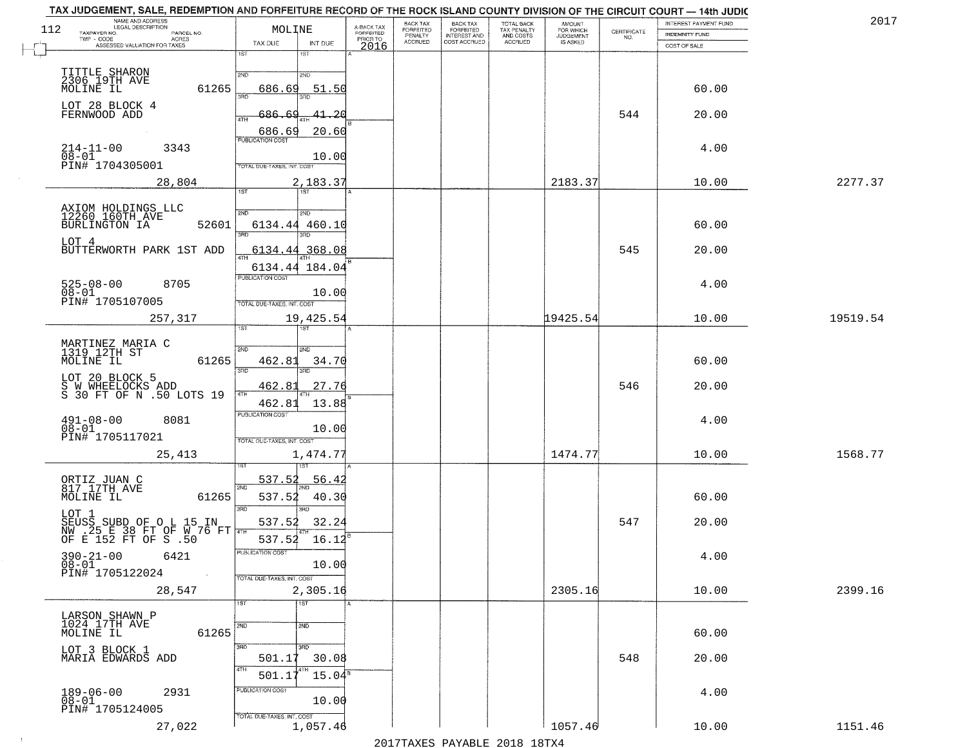| 2017     | INTEREST PAYMENT FUND |                                                                 | <b>AMOUNT</b><br>FOR WHICH | TOTAL BACK                          | <b>BACK TAX</b><br><b>FORFEITED</b> | BACK TAX<br><b>FORFEITED</b> | A-BACK TAX            | MOLINE                                                                              |                            | NAME AND ADDRESS<br>LEGAL DESCRIPTION<br>112                      |
|----------|-----------------------|-----------------------------------------------------------------|----------------------------|-------------------------------------|-------------------------------------|------------------------------|-----------------------|-------------------------------------------------------------------------------------|----------------------------|-------------------------------------------------------------------|
|          | INDEMNITY FUND        | $\begin{array}{c} \text{CERTIFICATE} \\ \text{NO.} \end{array}$ | JUDGEMENT                  | TAX PENALTY<br>AND COSTS<br>ACCRUED | INTEREST AND<br>COST ACCRUED        | PENALTY<br>ACCRUED           | FORFEITED<br>PRIOR TO |                                                                                     | PARCEL NO.<br><b>ACRES</b> | TAXPAYER NO.<br>TWP - CODE                                        |
|          | COST OF SALE          |                                                                 |                            |                                     |                                     |                              | 2016                  | TAX DUE<br>INT DUE<br>1ST<br>1ST                                                    |                            | ASSESSED VALUATION FOR TAXES                                      |
|          | 60.00                 |                                                                 |                            |                                     |                                     |                              |                       | 2ND<br>2ND<br>51.50<br>686.69                                                       | 61265                      | TITTLE SHARON<br>2306 19TH AVE<br>MOLINE IL                       |
|          | 20.00                 | 544                                                             |                            |                                     |                                     |                              |                       | 41.20<br>$-686$<br>4TH<br>686.69<br>20.60                                           |                            | LOT 28 BLOCK 4<br>FERNWOOD ADD                                    |
|          | 4.00                  |                                                                 |                            |                                     |                                     |                              |                       | <b>PUBLICATION COST</b><br>10.00<br>TOTAL DUE-TAXES, INT. COST                      | 3343                       | $214 - 11 - 00$<br>08-01<br>PIN# 1704305001                       |
| 2277.37  | 10.00                 |                                                                 | 2183.37                    |                                     |                                     |                              |                       | 2,183.37                                                                            | 28,804                     |                                                                   |
|          | 60.00                 |                                                                 |                            |                                     |                                     |                              |                       | 1ST<br>1ST<br>2ND<br>2ND<br>6134.44 460.10<br>3RD                                   | 52601                      | AXIOM HOLDINGS LLC<br>12260 160TH AVE<br>BURLINGTON IA            |
|          | 20.00                 | 545                                                             |                            |                                     |                                     |                              |                       | 6134.44<br>368.08<br>6134.44 184.04                                                 |                            | LOT 4<br>BUTTERWORTH PARK 1ST ADD                                 |
|          | 4.00                  |                                                                 |                            |                                     |                                     |                              |                       | PUBLICATION COST<br>10.00<br>TOTAL DUE-TAXES, INT. COST                             | 8705                       | $525 - 08 - 00$<br>$08 - 01$<br>PIN# 1705107005                   |
| 19519.54 | 10.00                 |                                                                 | 19425.54                   |                                     |                                     |                              |                       | 19,425.54<br>ist.                                                                   | 257,317                    |                                                                   |
|          | 60.00                 |                                                                 |                            |                                     |                                     |                              |                       | 2ND<br>SMD<br>462.81<br>34.70<br>3BD<br>3RD                                         | 61265                      | MARTINEZ MARIA C<br>1319 12TH ST<br>MOLINE IL                     |
|          | 20.00                 | 546                                                             |                            |                                     |                                     |                              |                       | 27.76<br>462.83<br>462.81<br>13.88                                                  |                            | LOT 20 BLOCK 5<br>S W WHEELOCKS ADD<br>S 30 FT OF N .50 LOTS 19   |
|          | 4.00                  |                                                                 |                            |                                     |                                     |                              |                       | <b>PUBLICATION COST</b><br>10.00<br>TOTAL OUE-TAXES, INT. COST                      | 8081                       | $491 - 08 - 00$<br>$08 - 01$<br>PIN# 1705117021                   |
| 1568.77  | 10.00                 |                                                                 | 1474.77                    |                                     |                                     |                              |                       | 1,474.77                                                                            | 25,413                     |                                                                   |
|          | 60.00                 |                                                                 |                            |                                     |                                     |                              |                       | 537.52<br><u>56.4</u><br>2ND<br>537.52<br>40.30<br>3RD<br>3RD                       | 61265                      | ORTIZ JUAN C<br>817 17TH AVE<br>MOLINE IL                         |
|          | 20.00                 | 547                                                             |                            |                                     |                                     |                              |                       | 537.52<br>32.24<br>16.12<br>537.52                                                  |                            | LOT 1<br>SEUSS SUBD OF O L 15 IN<br>NW .25 E 38 FT OF W 76 FT THE |
|          | 4.00                  |                                                                 |                            |                                     |                                     |                              |                       | PUBLICATION COST<br>10.00<br>TOTAL DUE-TAXES, INT. COST                             | 6421                       | $390 - 21 - 00$<br>$08 - 01$<br>PIN# 1705122024                   |
| 2399.16  | 10.00                 |                                                                 | 2305.16                    |                                     |                                     |                              |                       | 2,305.16                                                                            | 28,547                     |                                                                   |
|          | 60.00                 |                                                                 |                            |                                     |                                     |                              |                       | $\overline{1ST}$<br>1ST<br>2ND<br>2ND                                               | 61265                      | LARSON SHAWN P<br>1024 17TH AVE<br>MOLINE IL                      |
|          | 20.00                 | 548                                                             |                            |                                     |                                     |                              |                       | 3BD<br>3 <sub>BD</sub><br>501.17<br>30.08<br>4TH<br>$501.17^{4}$<br>$15.04^{\circ}$ |                            | LOT 3 BLOCK 1<br>MARIA EDWARDS ADD                                |
|          | 4.00                  |                                                                 |                            |                                     |                                     |                              |                       | PUBLICATION COST<br>10.00                                                           | 2931                       | $189 - 06 - 00$<br>$08 - 01$<br>PIN# 1705124005                   |
|          |                       |                                                                 |                            |                                     |                                     |                              |                       | TOTAL DUE-TAXES, INT. COST                                                          |                            |                                                                   |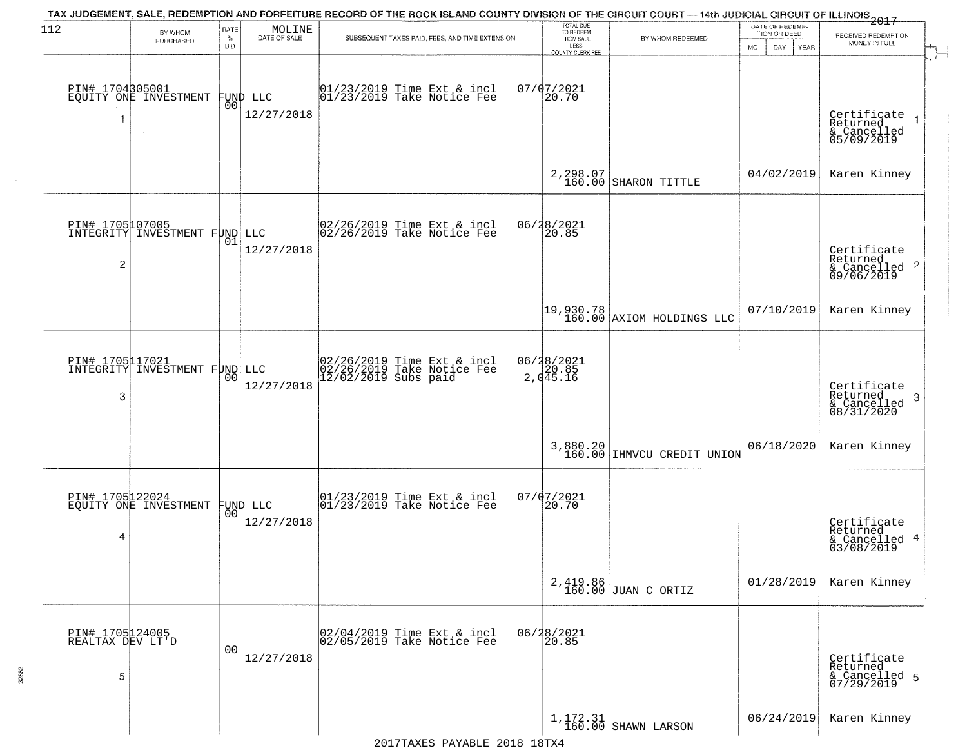| 112                                      | BY WHOM<br>PURCHASED                             | RATE<br>$\%$<br><b>BID</b> | $\begin{array}{c} \text{MOLINE} \\ \text{DATE of SALE} \end{array}$ | TAX JUDGEMENT, SALE, REDEMPTION AND FORFEITURE RECORD OF THE ROCK ISLAND COUNTY DIVISION OF THE CIRCUIT COURT - 14th JUDICIAL CIRCUIT OF ILLINOIS 2017<br>SUBSEQUENT TAXES PAID, FEES, AND TIME EXTENSION | TOTAL DUE<br>TO REDEEM<br>FROM SALE<br>LESS<br>COUNTY CLERK FEE | BY WHOM REDEEMED                                                       | DATE OF REDEMP<br>TION OR DEED<br>YEAR<br>MO.<br>DAY. | RECEIVED REDEMPTION<br>MONEY IN FULL                               |
|------------------------------------------|--------------------------------------------------|----------------------------|---------------------------------------------------------------------|-----------------------------------------------------------------------------------------------------------------------------------------------------------------------------------------------------------|-----------------------------------------------------------------|------------------------------------------------------------------------|-------------------------------------------------------|--------------------------------------------------------------------|
| PIN# 1704305001<br>1                     | EQUITY ONE INVESTMENT<br>$\sim$                  | 00                         | FUND LLC<br>12/27/2018                                              | 01/23/2019 Time Ext & incl<br>01/23/2019 Take Notice Fee                                                                                                                                                  | 07/07/2021<br>20.70                                             |                                                                        |                                                       | Certificate<br>Returned<br>& Cancelled<br>05/09/2019               |
|                                          |                                                  |                            |                                                                     |                                                                                                                                                                                                           | 2,298.07<br>160.00                                              | SHARON TITTLE                                                          | 04/02/2019                                            | Karen Kinney                                                       |
| 2                                        | PIN# 1705107005<br>INTEGRITY INVESTMENT FUND LLC | 01                         | 12/27/2018                                                          | $\begin{bmatrix} 02/26/2019 & \text{Time Ext} & \text{incl} \\ 02/26/2019 & \text{Take Notice Fee} \end{bmatrix}$                                                                                         | 06/28/2021<br>20.85                                             |                                                                        |                                                       | Certificate<br>Returned<br>$\frac{1}{6}$ Cancelled 2<br>09/06/2019 |
|                                          |                                                  |                            |                                                                     |                                                                                                                                                                                                           |                                                                 | $\begin{bmatrix} 19,930.78 \\ 160.00 \end{bmatrix}$ AXIOM HOLDINGS LLC | 07/10/2019                                            | Karen Kinney                                                       |
| PIN# 1705117021<br>3                     | INTEGRITY INVESTMENT FUND LLC                    | 0 <sub>0</sub>             | 12/27/2018                                                          | 02/26/2019 Time Ext & incl<br>02/26/2019 Take Notice Fee<br>12/02/2019 Subs paid                                                                                                                          | 06/28/2021<br>20.85<br>2,045.16                                 |                                                                        |                                                       | Certificate<br>Returned<br>-3<br>& Cancelled<br>08/31/2020         |
|                                          |                                                  |                            |                                                                     |                                                                                                                                                                                                           |                                                                 | 3,880.20 IHMVCU CREDIT UNION                                           | 06/18/2020                                            | Karen Kinney                                                       |
| PIN# 1705122024<br>4                     | EQUITY ONE INVESTMENT                            |                            | FUND LLC<br> 00 <br>12/27/2018                                      | $ 01/23/2019$ Time Ext & incl<br>$ 01/23/2019$ Take Notice Fee                                                                                                                                            | $07/07/2021$<br>20.70                                           |                                                                        |                                                       | Certificate<br>Returned<br>& Cancelled 4<br>03/08/2019             |
|                                          |                                                  |                            |                                                                     |                                                                                                                                                                                                           |                                                                 | $2,419.86$ JUAN C ORTIZ                                                | 01/28/2019                                            | Karen Kinney                                                       |
| PIN# 1705124005<br>REALTAX DEV LT'D<br>5 |                                                  | 0 <sub>0</sub>             | 12/27/2018                                                          | 02/04/2019 Time Ext & incl<br>02/05/2019 Take Notice Fee                                                                                                                                                  | 06/28/2021<br>20.85                                             |                                                                        |                                                       | Certificate<br>Returned<br>& Cancelled 5<br>07/29/2019             |
|                                          |                                                  |                            |                                                                     |                                                                                                                                                                                                           |                                                                 | $1, 172.31$ SHAWN LARSON                                               | 06/24/2019                                            | Karen Kinney                                                       |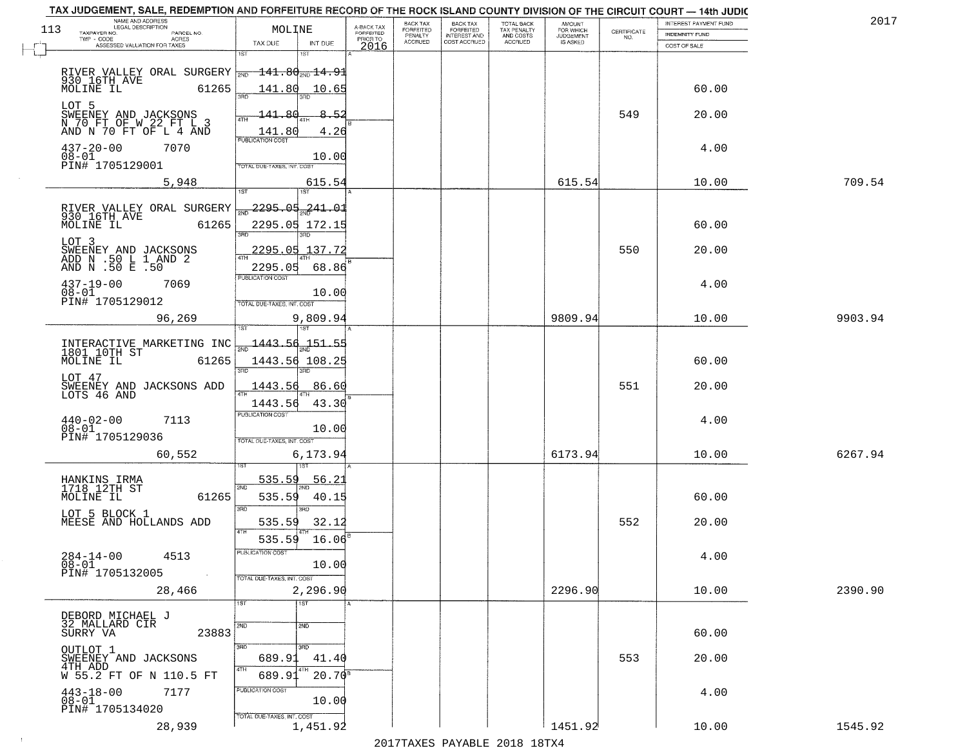|     | TAX JUDGEMENT, SALE, REDEMPTION AND FORFEITURE RECORD OF THE ROCK ISLAND COUNTY DIVISION OF THE CIRCUIT COURT - 14th JUDIC |                                   |           |                       |                                 |                                                  |                                        |                        |                    |                       |         |
|-----|----------------------------------------------------------------------------------------------------------------------------|-----------------------------------|-----------|-----------------------|---------------------------------|--------------------------------------------------|----------------------------------------|------------------------|--------------------|-----------------------|---------|
| 113 | NAME AND ADDRESS<br>LEGAL DESCRIPTION                                                                                      |                                   |           | A-BACK TAX            | BACK TAX                        | <b>BACK TAX</b>                                  |                                        | <b>AMOUNT</b>          |                    | INTEREST PAYMENT FUND | 2017    |
|     | TAXPAYER NO.<br>PARCEL NO.<br>TWP - CODE<br><b>ACRES</b>                                                                   | MOLINE                            |           | FORFEITED<br>PRIOR TO | FORFEITED<br>PENALTY<br>ACCRUED | <b>FORFEITED</b><br>INTEREST AND<br>COST ACCRUED | TOTAL BACK<br>TAX PENALTY<br>AND COSTS | FOR WHICH<br>JUDGEMENT | CERTIFICATE<br>NO. | <b>INDEMNITY FUND</b> |         |
|     | ASSESSED VALUATION FOR TAXES                                                                                               | TAX DUE                           | INT DUE   | 2016                  |                                 |                                                  | ACCRUED                                | <b>IS ASKED</b>        |                    | COST OF SALE          |         |
|     |                                                                                                                            | 18T<br>1ST                        |           |                       |                                 |                                                  |                                        |                        |                    |                       |         |
|     | RIVER VALLEY ORAL SURGERY $\frac{141.80 \text{ m}}{20.16 \text{ T}}$ 14.91                                                 |                                   |           |                       |                                 |                                                  |                                        |                        |                    |                       |         |
|     | MOLINE IL<br>61265                                                                                                         | 141.80                            | 10.65     |                       |                                 |                                                  |                                        |                        |                    | 60.00                 |         |
|     |                                                                                                                            |                                   |           |                       |                                 |                                                  |                                        |                        |                    |                       |         |
|     | LOT 5                                                                                                                      | 141.80                            | 8.52      |                       |                                 |                                                  |                                        |                        | 549                | 20.00                 |         |
|     | SWEENEY AND JACKSONS<br>N 70 FT OF W 22 FT L 3                                                                             |                                   |           |                       |                                 |                                                  |                                        |                        |                    |                       |         |
|     | AND N 70 FT OF L 4 AND                                                                                                     | 141.80<br><b>PUBLICATION COST</b> | 4.26      |                       |                                 |                                                  |                                        |                        |                    |                       |         |
|     | $437 - 20 - 00$<br>7070                                                                                                    |                                   |           |                       |                                 |                                                  |                                        |                        |                    | 4.00                  |         |
|     | $08 - 01$<br>PIN# 1705129001                                                                                               | OTAL DUE-TAXES, INT. COST         | 10.00     |                       |                                 |                                                  |                                        |                        |                    |                       |         |
|     |                                                                                                                            |                                   |           |                       |                                 |                                                  |                                        |                        |                    |                       |         |
|     | 5,948                                                                                                                      | 187                               | 615.54    |                       |                                 |                                                  |                                        | 615.54                 |                    | 10.00                 | 709.54  |
|     |                                                                                                                            |                                   |           |                       |                                 |                                                  |                                        |                        |                    |                       |         |
|     | RIVER VALLEY ORAL SURGERY<br>930 16TH AVE                                                                                  | <mark>س 2295.05</mark> 241.01     |           |                       |                                 |                                                  |                                        |                        |                    |                       |         |
|     | MOLINE IL<br>61265                                                                                                         | 2295.05 172.15                    |           |                       |                                 |                                                  |                                        |                        |                    | 60.00                 |         |
|     | LOT 3                                                                                                                      | 3RD<br>3RD                        |           |                       |                                 |                                                  |                                        |                        |                    |                       |         |
|     |                                                                                                                            | 2295.05 137.72                    |           |                       |                                 |                                                  |                                        |                        | 550                | 20.00                 |         |
|     | SWEENEY AND JACKSONS<br>ADD N .50 L 1 AND 2<br>AND N .50 E .50                                                             | 2295.05                           | 68.86     |                       |                                 |                                                  |                                        |                        |                    |                       |         |
|     |                                                                                                                            | PUBLICATION COST                  |           |                       |                                 |                                                  |                                        |                        |                    |                       |         |
|     | $437 - 19 - 00$<br>7069<br>$08 - 01$                                                                                       |                                   | 10.00     |                       |                                 |                                                  |                                        |                        |                    | 4.00                  |         |
|     | PIN# 1705129012                                                                                                            | TOTAL DUE-TAXES, INT. COST        |           |                       |                                 |                                                  |                                        |                        |                    |                       |         |
|     | 96,269                                                                                                                     |                                   | 9,809.94  |                       |                                 |                                                  |                                        | 9809.94                |                    | 10.00                 | 9903.94 |
|     |                                                                                                                            | 1ST<br>151                        |           |                       |                                 |                                                  |                                        |                        |                    |                       |         |
|     |                                                                                                                            | $\frac{1443.56}{ }$               |           |                       |                                 |                                                  |                                        |                        |                    |                       |         |
|     | INTERACTIVE MARKETING INC<br>1801 10TH ST<br>MOLINE IL 61265                                                               | 1443.56 108.25                    |           |                       |                                 |                                                  |                                        |                        |                    | 60.00                 |         |
|     |                                                                                                                            | 3RD                               |           |                       |                                 |                                                  |                                        |                        |                    |                       |         |
|     | LOT 47                                                                                                                     | 1443.56                           | 86.60     |                       |                                 |                                                  |                                        |                        | 551                | 20.00                 |         |
|     | SWEENEY AND JACKSONS ADD<br>LOTS 46 AND                                                                                    | 4TH                               |           |                       |                                 |                                                  |                                        |                        |                    |                       |         |
|     |                                                                                                                            | 1443.56                           | 43.30     |                       |                                 |                                                  |                                        |                        |                    |                       |         |
|     | $440 - 02 - 00$<br>7113                                                                                                    | <b>PUBLICATION COST</b>           |           |                       |                                 |                                                  |                                        |                        |                    | 4.00                  |         |
|     | $08 - 01$<br>PIN# 1705129036                                                                                               |                                   | 10.00     |                       |                                 |                                                  |                                        |                        |                    |                       |         |
|     |                                                                                                                            | TOTAL OUE-TAXES, INT. COST        |           |                       |                                 |                                                  |                                        |                        |                    |                       |         |
|     | 60,552                                                                                                                     |                                   | 6,173.94  |                       |                                 |                                                  |                                        | 6173.94                |                    | 10.00                 | 6267.94 |
|     |                                                                                                                            |                                   |           |                       |                                 |                                                  |                                        |                        |                    |                       |         |
|     | HANKINS IRMA<br>1718 12TH ST                                                                                               | 535.59<br>2ND                     | 56.21     |                       |                                 |                                                  |                                        |                        |                    |                       |         |
|     | MOLINE IL<br>61265                                                                                                         | 535.59                            | 40.15     |                       |                                 |                                                  |                                        |                        |                    | 60.00                 |         |
|     | LOT 5 BLOCK 1                                                                                                              | 3RD                               |           |                       |                                 |                                                  |                                        |                        |                    |                       |         |
|     | MEESE AND HOLLANDS ADD                                                                                                     | 535.59                            | 32.12     |                       |                                 |                                                  |                                        |                        | 552                | 20.00                 |         |
|     |                                                                                                                            | 535.59                            | 16.06     |                       |                                 |                                                  |                                        |                        |                    |                       |         |
|     |                                                                                                                            | PUBLICATION COS                   |           |                       |                                 |                                                  |                                        |                        |                    |                       |         |
|     | $284 - 14 - 00$<br>4513<br>$08 - 01$                                                                                       |                                   | 10.00     |                       |                                 |                                                  |                                        |                        |                    | 4.00                  |         |
|     | PIN# 1705132005<br>$\sim$                                                                                                  | TOTAL DUE-TAXES, INT. COST        |           |                       |                                 |                                                  |                                        |                        |                    |                       |         |
|     | 28,466                                                                                                                     |                                   | 2,296.90  |                       |                                 |                                                  |                                        | 2296.90                |                    | 10.00                 | 2390.90 |
|     |                                                                                                                            | 1ST<br>1ST                        |           |                       |                                 |                                                  |                                        |                        |                    |                       |         |
|     | DEBORD MICHAEL J                                                                                                           |                                   |           |                       |                                 |                                                  |                                        |                        |                    |                       |         |
|     | 32 MALLARD CIR<br>23883<br>SURRY VA                                                                                        | 2ND<br>2ND                        |           |                       |                                 |                                                  |                                        |                        |                    | 60.00                 |         |
|     |                                                                                                                            | 3RD                               |           |                       |                                 |                                                  |                                        |                        |                    |                       |         |
|     | OUTLOT 1<br>SWEENEY AND JACKSONS                                                                                           | 3 <sub>BD</sub><br>689.91         | 41.40     |                       |                                 |                                                  |                                        |                        | 553                | 20.00                 |         |
|     | 4TH ADD                                                                                                                    |                                   |           |                       |                                 |                                                  |                                        |                        |                    |                       |         |
|     | W 55.2 FT OF N 110.5 FT                                                                                                    | 689.91                            | $20.70^8$ |                       |                                 |                                                  |                                        |                        |                    |                       |         |
|     | $443 - 18 - 00$<br>7177                                                                                                    | PUBLICATION COST                  |           |                       |                                 |                                                  |                                        |                        |                    | 4.00                  |         |
|     | $08 - 01$<br>PIN# 1705134020                                                                                               |                                   | 10.00     |                       |                                 |                                                  |                                        |                        |                    |                       |         |
|     |                                                                                                                            | TOTAL DUE-TAXES, INT. COST        |           |                       |                                 |                                                  |                                        |                        |                    |                       |         |
|     | 28,939                                                                                                                     |                                   | 1,451.92  |                       |                                 |                                                  |                                        | 1451.92                |                    | 10.00                 | 1545.92 |

 $\sim 10$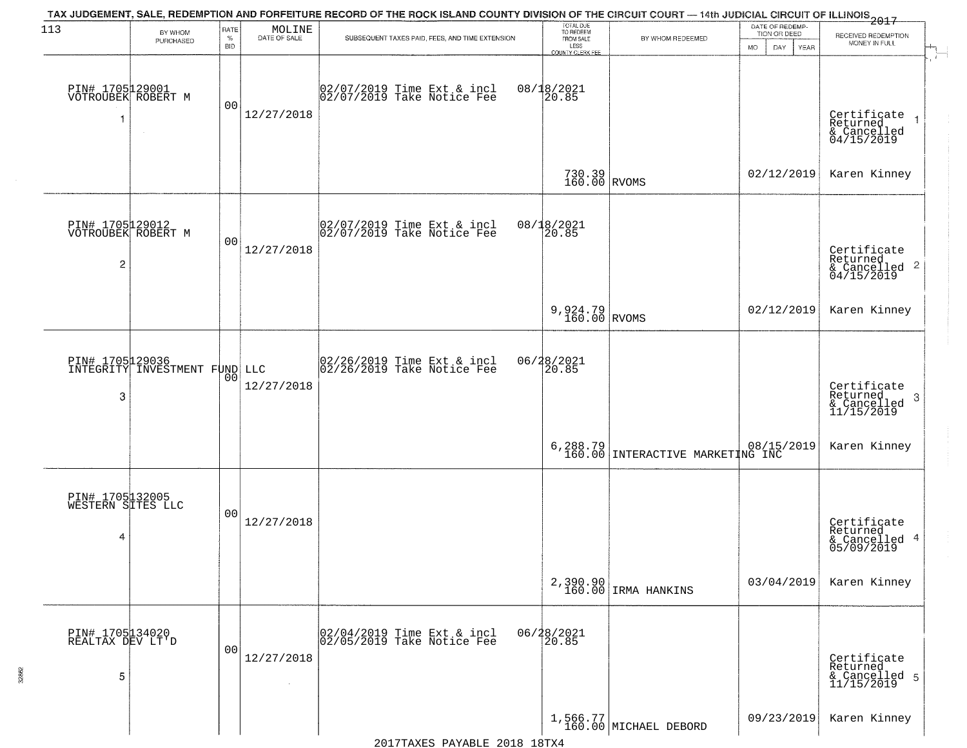| 113                                                     | BY WHOM<br>PURCHASED                             | RATE<br>$\%$<br><b>BID</b> | MOLINE<br>DATE OF SALE | TAX JUDGEMENT, SALE, REDEMPTION AND FORFEITURE RECORD OF THE ROCK ISLAND COUNTY DIVISION OF THE CIRCUIT COURT — 14th JUDICIAL CIRCUIT OF ILLINOIS 2017<br>SUBSEQUENT TAXES PAID, FEES, AND TIME EXTENSION | TOTAL DUE<br>TO REDEEM<br>FROM SALE<br>LESS    | BY WHOM REDEEMED                             | DATE OF REDEMP-<br>TION OR DEED | RECEIVED REDEMPTION<br>MONEY IN FULL                               |
|---------------------------------------------------------|--------------------------------------------------|----------------------------|------------------------|-----------------------------------------------------------------------------------------------------------------------------------------------------------------------------------------------------------|------------------------------------------------|----------------------------------------------|---------------------------------|--------------------------------------------------------------------|
| PIN# 1705129001<br>VOTROUBEK ROBERT M                   |                                                  | 0 <sub>0</sub>             | 12/27/2018             | 02/07/2019 Time Ext & incl<br>02/07/2019 Take Notice Fee                                                                                                                                                  | <b>COUNTY CLERK FEE</b><br>08/18/2021<br>20.85 |                                              | MO.<br>DAY.<br><b>YEAR</b>      | Certificate<br>Returned<br>& Cancelled<br>04/15/2019               |
|                                                         |                                                  |                            |                        |                                                                                                                                                                                                           | $730.39$ RVOMS                                 |                                              | 02/12/2019                      | Karen Kinney                                                       |
| PIN# 1705129012<br>VOTROUBEK ROBERT M<br>$\overline{c}$ |                                                  | 0 <sub>0</sub>             | 12/27/2018             | $\begin{bmatrix} 02/07/2019 &$ Time Ext & incl<br>$02/07/2019 &$ Take Notice Fee                                                                                                                          | 08/18/2021<br>20.85                            |                                              |                                 | Certificate<br>Returned<br>$\frac{1}{2}$ Cancelled 2<br>04/15/2019 |
|                                                         |                                                  |                            |                        |                                                                                                                                                                                                           | 9,924.79<br>$160.00$ RVOMS                     |                                              | 02/12/2019                      | Karen Kinney                                                       |
| 3                                                       | PIN# 1705129036<br>INTEGRITY INVESTMENT FUND LLC | 0 <sub>0</sub>             | 12/27/2018             | $\begin{bmatrix} 02/26/2019 &$ Time Ext & incl<br>$02/26/2019 &$ Take Notice Fee                                                                                                                          | 06/28/2021<br>20.85                            |                                              |                                 | Certificate<br>Returned<br>-3<br>$\frac{6}{11/15/2019}$            |
|                                                         |                                                  |                            |                        |                                                                                                                                                                                                           |                                                | 6,288.79<br>160.00 INTERACTIVE MARKETING INC |                                 | Karen Kinney                                                       |
| PIN# 1705132005<br>WESTERN SITES LLC<br>4               |                                                  | 0 <sub>0</sub>             | 12/27/2018             |                                                                                                                                                                                                           |                                                |                                              |                                 | Certificate<br>Returned<br>& Cancelled 4<br>05/09/2019             |
|                                                         |                                                  |                            |                        |                                                                                                                                                                                                           |                                                | 2,390.90<br>160.00 IRMA HANKINS              | 03/04/2019                      | Karen Kinney                                                       |
| PIN# 1705134020<br>REALTAX DEV LT'D<br>5                |                                                  | 0 <sub>0</sub>             | 12/27/2018<br>$\sim$   | 02/04/2019 Time Ext & incl<br>02/05/2019 Take Notice Fee                                                                                                                                                  | 06/28/2021<br>20.85                            |                                              |                                 | Certificate<br>Returned<br>& Cancelled 5<br>11/15/2019             |
|                                                         |                                                  |                            |                        |                                                                                                                                                                                                           |                                                | 1,566.77<br>160.00 MICHAEL DEBORD            | 09/23/2019                      | Karen Kinney                                                       |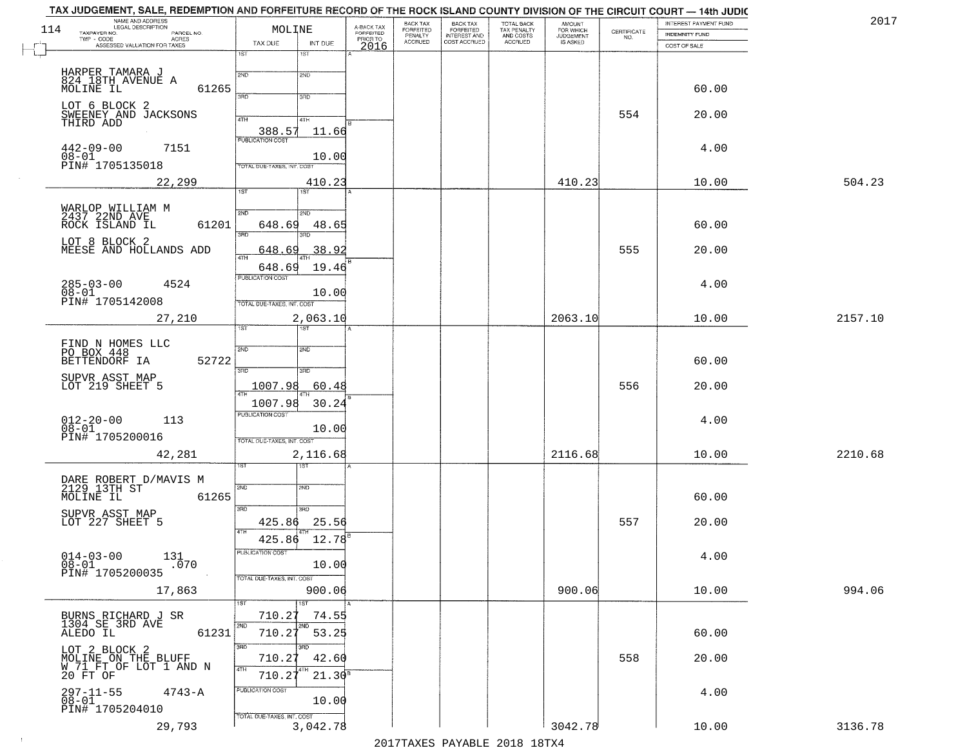| NAME AND ADDRESS<br>LEGAL DESCRIPTION<br>114<br>TAXPAYER NO.<br>PARCEL NO. | MOLINE                                 | A-BACK TAX<br>FORFEITED<br>PRIOR TO | BACK TAX<br><b>FORFEITED</b> | BACK TAX<br>FORFEITED<br>INTEREST AND | TOTAL BACK<br>TAX PENALTY<br>AND COSTS | AMOUNT<br>FOR WHICH<br>JUDGEMENT | CERTIFICATE<br>NO. | <b>INTEREST PAYMENT FUND</b><br>INDEMNITY FUND | 2017    |
|----------------------------------------------------------------------------|----------------------------------------|-------------------------------------|------------------------------|---------------------------------------|----------------------------------------|----------------------------------|--------------------|------------------------------------------------|---------|
| TWP - CODE<br>ACRES<br>ASSESSED VALUATION FOR TAXES                        | TAX DUE<br>INT DUE                     | 2016                                | PENALTY<br><b>ACCRUED</b>    | COST ACCRUED                          | ACCRUED                                | IS ASKED                         |                    | COST OF SALE                                   |         |
|                                                                            | $1S$ T<br>1ST                          |                                     |                              |                                       |                                        |                                  |                    |                                                |         |
| HARPER TAMARA J                                                            | 2ND<br>2ND                             |                                     |                              |                                       |                                        |                                  |                    |                                                |         |
| 824 I8TH AVENUE A MOLINE IL<br>61265                                       | 39D<br>3RD                             |                                     |                              |                                       |                                        |                                  |                    | 60.00                                          |         |
| LOT 6 BLOCK 2<br>SWEENEY AND JACKSONS                                      |                                        |                                     |                              |                                       |                                        |                                  | 554                | 20.00                                          |         |
| THIRD ADD                                                                  | 4TH<br>4TH<br>388.57<br>11.66          |                                     |                              |                                       |                                        |                                  |                    |                                                |         |
| $442 - 09 - 00$<br>7151                                                    | <b>PUBLICATION COST</b>                |                                     |                              |                                       |                                        |                                  |                    | 4.00                                           |         |
| $08 - 01$<br>PIN# 1705135018                                               | 10.00<br>TOTAL DUE-TAXES, INT. COST    |                                     |                              |                                       |                                        |                                  |                    |                                                |         |
| 22,299                                                                     | 410.23                                 |                                     |                              |                                       |                                        | 410.23                           |                    | 10.00                                          | 504.23  |
|                                                                            | 1ST<br>1ST                             |                                     |                              |                                       |                                        |                                  |                    |                                                |         |
| WARLOP WILLIAM M<br>2437 22ND AVE<br>ROCK ISLAND IL<br>61201               | 2ND<br>2ND<br>648.69<br>48.65          |                                     |                              |                                       |                                        |                                  |                    | 60.00                                          |         |
| LOT 8 BLOCK 2                                                              | $\overline{\text{R}}$<br>3BD           |                                     |                              |                                       |                                        |                                  |                    |                                                |         |
| MEESE AND HOLLANDS ADD                                                     | 648.69<br>38.92                        |                                     |                              |                                       |                                        |                                  | 555                | 20.00                                          |         |
|                                                                            | 648.69<br>19.46<br>PUBLICATION COST    |                                     |                              |                                       |                                        |                                  |                    |                                                |         |
| $285 - 03 - 00$<br>4524<br>$08 - 01$                                       | 10.00                                  |                                     |                              |                                       |                                        |                                  |                    | 4.00                                           |         |
| PIN# 1705142008                                                            | TOTAL DUE-TAXES, INT. COST             |                                     |                              |                                       |                                        |                                  |                    |                                                |         |
| 27,210                                                                     | 2,063.10<br>1ST                        |                                     |                              |                                       |                                        | 2063.10                          |                    | 10.00                                          | 2157.10 |
| FIND N HOMES LLC<br>PO BOX 448                                             | 2ND<br><b>SMD</b>                      |                                     |                              |                                       |                                        |                                  |                    |                                                |         |
| 52722<br>BETTENDORF IA                                                     | 3RD<br>3 <sub>BD</sub>                 |                                     |                              |                                       |                                        |                                  |                    | 60.00                                          |         |
| SUPVR ASST MAP<br>LOT 219 SHEET 5                                          | 1007.98<br>60.48                       |                                     |                              |                                       |                                        |                                  | 556                | 20.00                                          |         |
|                                                                            | 30.24<br>1007.98                       |                                     |                              |                                       |                                        |                                  |                    |                                                |         |
| $012 - 20 - 00$<br>$08 - 01$<br>113                                        | <b>PUBLICATION COST</b>                |                                     |                              |                                       |                                        |                                  |                    | 4.00                                           |         |
| PIN# 1705200016                                                            | 10.00<br>TOTAL OUE-TAXES, INT. COST    |                                     |                              |                                       |                                        |                                  |                    |                                                |         |
| 42,281                                                                     | 2,116.68                               |                                     |                              |                                       |                                        | 2116.68                          |                    | 10.00                                          | 2210.68 |
|                                                                            | ৰৱা                                    |                                     |                              |                                       |                                        |                                  |                    |                                                |         |
| DARE ROBERT D/MAVIS M<br>2129 13TH ST<br>MOLINE IL<br>61265                | 2ND<br>2ND                             |                                     |                              |                                       |                                        |                                  |                    | 60.00                                          |         |
|                                                                            | 3BD<br>3RD                             |                                     |                              |                                       |                                        |                                  |                    |                                                |         |
| SUPVR ASST MAP<br>LOT 227 SHEET 5                                          | 425.86<br>25.56<br><b>ATH</b>          |                                     |                              |                                       |                                        |                                  | 557                | 20.00                                          |         |
|                                                                            | 425.86 12.78                           |                                     |                              |                                       |                                        |                                  |                    |                                                |         |
| $014 - 03 - 00$<br>131<br>$08-01$<br>.070                                  | PUBLICATION COST<br>10.00              |                                     |                              |                                       |                                        |                                  |                    | 4.00                                           |         |
| PIN# 1705200035                                                            | TOTAL DUE-TAXES, INT. COST             |                                     |                              |                                       |                                        |                                  |                    |                                                |         |
| 17,863                                                                     | 900.06<br>1ST<br>1ST                   |                                     |                              |                                       |                                        | 900.06                           |                    | 10.00                                          | 994.06  |
| BURNS RICHARD J SR<br>1304 SE 3RD AVE                                      | 710.27<br>74.55                        |                                     |                              |                                       |                                        |                                  |                    |                                                |         |
| 61231<br>ALEDO IL                                                          | 2ND<br>2ND<br>710.27<br>53.25          |                                     |                              |                                       |                                        |                                  |                    | 60.00                                          |         |
| LOT 2 BLOCK 2<br>MOLINE ON THE BLUFF                                       | 3RD<br>3RD<br>42.60<br>710.27          |                                     |                              |                                       |                                        |                                  | 558                | 20.00                                          |         |
| W 71 FT OF LOT 1 AND N<br>20 FT OF                                         | 4TH<br>710.27<br>$21.30^8$             |                                     |                              |                                       |                                        |                                  |                    |                                                |         |
| $297 - 11 - 55$<br>08-01<br>$4743 - A$                                     | PUBLICATION COST                       |                                     |                              |                                       |                                        |                                  |                    | 4.00                                           |         |
| PIN# 1705204010                                                            | 10.00                                  |                                     |                              |                                       |                                        |                                  |                    |                                                |         |
| 29,793                                                                     | TOTAL DUE-TAXES, INT. COST<br>3,042.78 |                                     |                              |                                       |                                        | 3042.78                          |                    | 10.00                                          | 3136.78 |

 $\sim 100$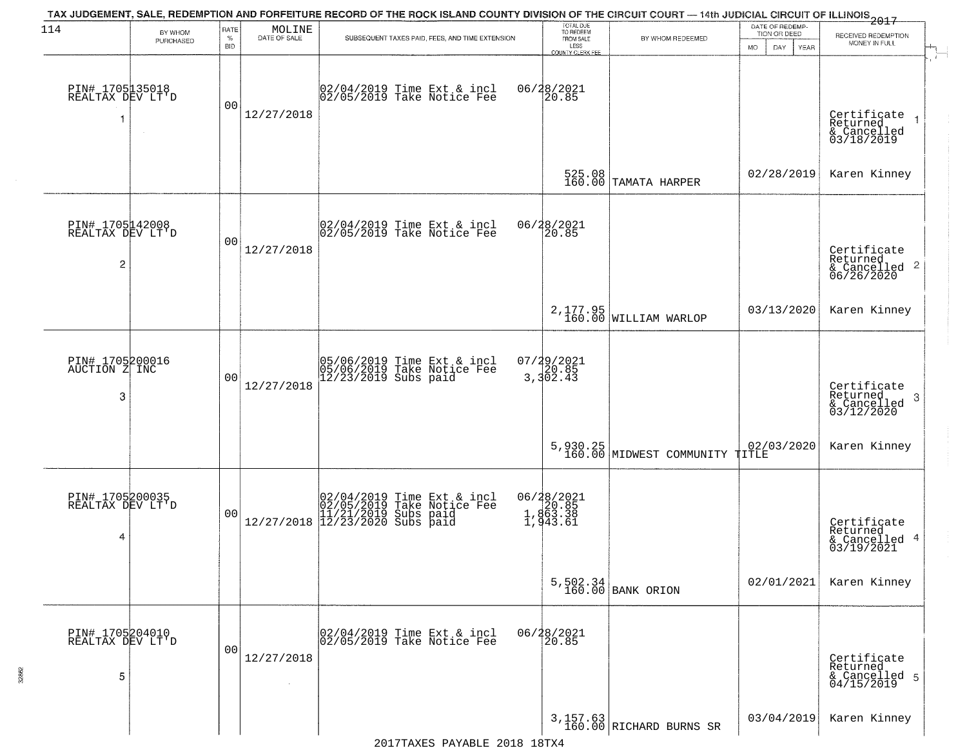| 114                                      | BY WHOM   | RATE<br>$\%$   | $\begin{array}{c} \text{MOLINE} \\ \text{DATE of SALE} \end{array}$ | TAX JUDGEMENT, SALE, REDEMPTION AND FORFEITURE RECORD OF THE ROCK ISLAND COUNTY DIVISION OF THE CIRCUIT COURT — 14th JUDICIAL CIRCUIT OF ILLINOIS 2017<br>SUBSEQUENT TAXES PAID, FEES, AND TIME EXTENSION | TOTAL DUE<br>TO REDEEM<br>FROM SALE         | BY WHOM REDEEMED                           | DATE OF REDEMP-<br>TION OR DEED | RECEIVED REDEMPTION                                       |
|------------------------------------------|-----------|----------------|---------------------------------------------------------------------|-----------------------------------------------------------------------------------------------------------------------------------------------------------------------------------------------------------|---------------------------------------------|--------------------------------------------|---------------------------------|-----------------------------------------------------------|
|                                          | PURCHASED | <b>BID</b>     |                                                                     |                                                                                                                                                                                                           | LESS<br>COUNTY CLERK FEE                    |                                            | DAY.<br>YEAR<br>MO.             | MONEY IN FULL                                             |
| PIN# 1705135018<br>REALTAX DEV LT'D<br>1 | $\sim$    | 0 <sub>0</sub> | 12/27/2018                                                          | 02/04/2019 Time Ext & incl<br>02/05/2019 Take Notice Fee                                                                                                                                                  | 06/28/2021<br>20.85                         |                                            |                                 | Certificate<br>Returned<br>& Cancelled<br>03/18/2019      |
|                                          |           |                |                                                                     |                                                                                                                                                                                                           |                                             | 525.08<br>160.00 TAMATA HARPER             | 02/28/2019                      | Karen Kinney                                              |
| PIN# 1705142008<br>REALTAX DEV LT'D<br>2 |           | 0 <sub>0</sub> | 12/27/2018                                                          | $\begin{array}{c}  02/04/2019 \overline{\smash{\big)} } \text{Time}$ Ext & incl<br>$ 02/05/2019 \overline{\smash{\big)} } \text{Take Notice } \text{Fe} \end{array}$                                      | 06/28/2021<br>20.85                         |                                            |                                 | Certificate<br>Returned<br>& Cancelled 2<br>06/26/2020    |
|                                          |           |                |                                                                     |                                                                                                                                                                                                           |                                             | 2,177.95<br>160.00 WILLIAM WARLOP          | 03/13/2020                      | Karen Kinney                                              |
| PIN# 1705200016<br>AUCTION Z INC<br>3    |           | 0 <sub>0</sub> | 12/27/2018                                                          | 05/06/2019 Time Ext & incl<br>05/06/2019 Take Notice Fee<br>12/23/2019 Subs paid                                                                                                                          | $07/29/2021$<br>3,302.43                    |                                            |                                 | Certificate<br>Returned<br>3<br>& Cancelled<br>03/12/2020 |
|                                          |           |                |                                                                     |                                                                                                                                                                                                           |                                             | 5,930.25<br>160.00 MIDWEST COMMUNITY TITLE | 02/03/2020                      | Karen Kinney                                              |
| PIN# 1705200035<br>REALTAX DEV LT'D<br>4 |           | 0 <sub>0</sub> |                                                                     | $[02/04/2019 \tTime Ext & incl 02/05/2019 \tTake Notice Free 11/21/2019 Subs paid 12/27/2018 \t] 12/23/2020 Subs paid$                                                                                    | 06/28/2021<br>20.85<br>1,863.38<br>1,943.61 |                                            |                                 | Certificate<br>Returned<br>& Cancelled 4<br>03/19/2021    |
|                                          |           |                |                                                                     |                                                                                                                                                                                                           |                                             | $5,502.34$ BANK ORION                      | 02/01/2021                      | Karen Kinney                                              |
| PIN# 1705204010<br>REALTAX DEV LT'D<br>5 |           | 0 <sub>0</sub> | 12/27/2018<br>$\sim 10^{-1}$                                        | 02/04/2019 Time Ext & incl<br>02/05/2019 Take Notice Fee                                                                                                                                                  | 06/28/2021<br>20.85                         |                                            |                                 | Certificate<br>Returned<br>& Cancelled 5<br>04/15/2019    |
|                                          |           |                |                                                                     |                                                                                                                                                                                                           |                                             | $3,157.63$<br>160.00 RICHARD BURNS SR      | 03/04/2019                      | Karen Kinney                                              |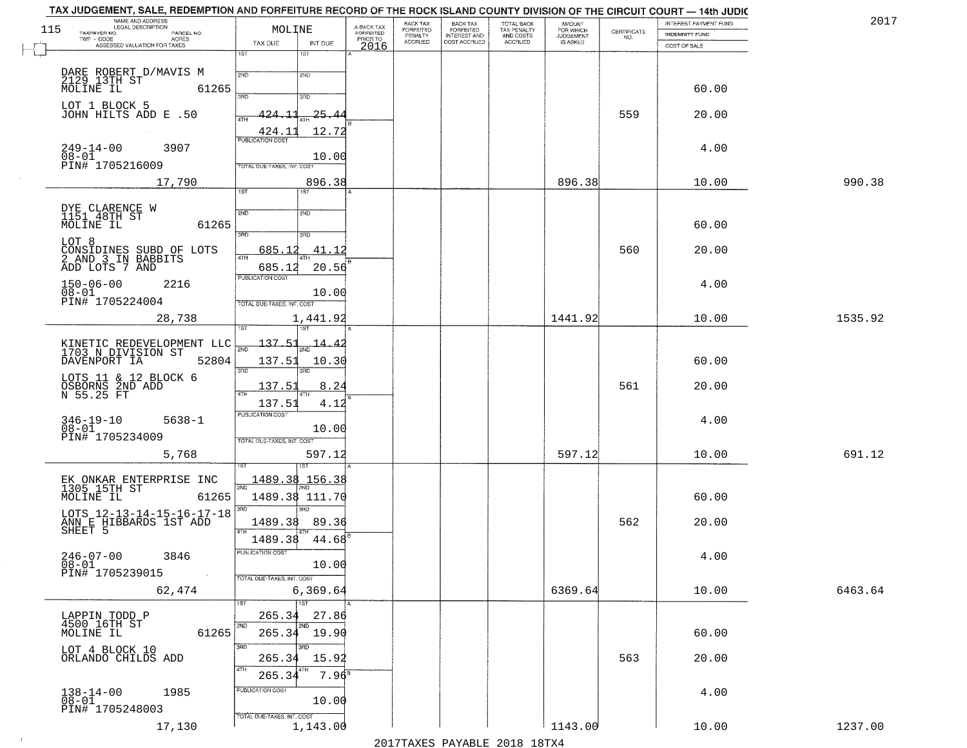| TAX JUDGEMENT, SALE, REDEMPTION AND FORFEITURE RECORD OF THE ROCK ISLAND COUNTY DIVISION OF THE CIRCUIT COURT - 14th JUDIC |                                      |                                     | BACK TAX                  | <b>BACK TAX</b>                     |                                        |                                     |                                                                 | INTEREST PAYMENT FUND | 2017    |
|----------------------------------------------------------------------------------------------------------------------------|--------------------------------------|-------------------------------------|---------------------------|-------------------------------------|----------------------------------------|-------------------------------------|-----------------------------------------------------------------|-----------------------|---------|
| NAME AND ADDRESS<br>LEGAL DESCRIPTION<br>115<br>TAXPAYER NO.                                                               | MOLINE                               | A-BACK TAX<br>FORFEITED<br>PRIOR TO | <b>FORFEITED</b>          | FORFEITED                           | TOTAL BACK<br>TAX PENALTY<br>AND COSTS | AMOUNT<br>FOR WHICH                 | $\begin{array}{c} \text{CERTIFICATE} \\ \text{NO.} \end{array}$ | <b>INDEMNITY FUND</b> |         |
| PARCEL NO.<br>ACRES<br>TWP - CODE<br>ASSESSED VALUATION FOR TAXES                                                          | TAX DUE<br>INT DUE                   | 2016                                | PENALTY<br><b>ACCRUED</b> | <b>INTEREST AND</b><br>COST ACCRUED | ACCRUED                                | <b>JUDGEMENT</b><br><b>IS ASKED</b> |                                                                 | COST OF SALE          |         |
|                                                                                                                            | 1ST<br>$1S$ T                        |                                     |                           |                                     |                                        |                                     |                                                                 |                       |         |
| DARE ROBERT D/MAVIS M                                                                                                      | 2ND<br>2ND                           |                                     |                           |                                     |                                        |                                     |                                                                 |                       |         |
| 2129 13TH ST<br>MOLINE IL<br>61265                                                                                         |                                      |                                     |                           |                                     |                                        |                                     |                                                                 | 60.00                 |         |
|                                                                                                                            | 3BD<br>3RD                           |                                     |                           |                                     |                                        |                                     |                                                                 |                       |         |
| LOT 1 BLOCK 5<br>JOHN HILTS ADD E .50                                                                                      | 25.44<br>24.11                       |                                     |                           |                                     |                                        |                                     | 559                                                             | 20.00                 |         |
|                                                                                                                            | 12.72<br>424.11                      |                                     |                           |                                     |                                        |                                     |                                                                 |                       |         |
|                                                                                                                            | <b>PUBLICATION COST</b>              |                                     |                           |                                     |                                        |                                     |                                                                 |                       |         |
| $249 - 14 - 00$<br>3907<br>$08 - 01$                                                                                       | 10.00                                |                                     |                           |                                     |                                        |                                     |                                                                 | 4.00                  |         |
| PIN# 1705216009                                                                                                            | TOTAL DUE-TAXES, INT. COST           |                                     |                           |                                     |                                        |                                     |                                                                 |                       |         |
| 17,790                                                                                                                     | 896.38<br>1ST<br>1ST                 |                                     |                           |                                     |                                        | 896.38                              |                                                                 | 10.00                 | 990.38  |
|                                                                                                                            |                                      |                                     |                           |                                     |                                        |                                     |                                                                 |                       |         |
| DYE CLARENCE W<br>1151 48TH ST                                                                                             | 2ND<br>2ND                           |                                     |                           |                                     |                                        |                                     |                                                                 |                       |         |
| MOLINE IL<br>61265                                                                                                         | $\overline{3\text{RD}}$<br>3RD       |                                     |                           |                                     |                                        |                                     |                                                                 | 60.00                 |         |
| LOT 8                                                                                                                      |                                      |                                     |                           |                                     |                                        |                                     |                                                                 |                       |         |
| CONSIDINES SUBD OF LOTS<br>2 AND 3 IN BABBITS<br>ADD LOTS 7 AND                                                            | 685.12<br>41.12<br>ৰাম               |                                     |                           |                                     |                                        |                                     | 560                                                             | 20.00                 |         |
|                                                                                                                            | 685.12<br>20.56<br>PUBLICATION COST  |                                     |                           |                                     |                                        |                                     |                                                                 |                       |         |
| $150 - 06 - 00$<br>2216<br>$08 - 01$                                                                                       | 10.00                                |                                     |                           |                                     |                                        |                                     |                                                                 | 4.00                  |         |
| PIN# 1705224004                                                                                                            | TOTAL DUE-TAXES, INT. COST           |                                     |                           |                                     |                                        |                                     |                                                                 |                       |         |
| 28,738                                                                                                                     | 1,441.92                             |                                     |                           |                                     |                                        | 1441.92                             |                                                                 | 10.00                 | 1535.92 |
|                                                                                                                            | 1ST<br><b>1ST</b>                    |                                     |                           |                                     |                                        |                                     |                                                                 |                       |         |
| KINETIC REDEVELOPMENT LLC<br>1703 N DIVISION ST                                                                            | 137.51<br>$\frac{14.42}{200}$<br>2ND |                                     |                           |                                     |                                        |                                     |                                                                 |                       |         |
| DAVENPORT IA<br>52804                                                                                                      | 137.51<br>10.30                      |                                     |                           |                                     |                                        |                                     |                                                                 | 60.00                 |         |
| LOTS 11 & 12 BLOCK 6                                                                                                       | 3RD<br>3RD                           |                                     |                           |                                     |                                        |                                     |                                                                 |                       |         |
| OSBORNS 2ND ADD<br>N 55.25 FT                                                                                              | 137.51<br>8.24<br>4TH                |                                     |                           |                                     |                                        |                                     | 561                                                             | 20.00                 |         |
|                                                                                                                            | 137.51<br>4.12                       |                                     |                           |                                     |                                        |                                     |                                                                 |                       |         |
| $346 - 19 - 10$<br>$5638 - 1$                                                                                              | <b>PUBLICATION COST</b>              |                                     |                           |                                     |                                        |                                     |                                                                 | 4.00                  |         |
| $08 - 01$<br>PIN# 1705234009                                                                                               | 10.00<br>TOTAL OUE-TAXES, INT. COST  |                                     |                           |                                     |                                        |                                     |                                                                 |                       |         |
| 5,768                                                                                                                      | 597.12                               |                                     |                           |                                     |                                        | 597.12                              |                                                                 | 10.00                 | 691.12  |
|                                                                                                                            | 1ST                                  |                                     |                           |                                     |                                        |                                     |                                                                 |                       |         |
| EK ONKAR ENTERPRISE INC<br>1305 15TH ST                                                                                    | 1489.38<br>156.38                    |                                     |                           |                                     |                                        |                                     |                                                                 |                       |         |
| MOLINE IL<br>61265                                                                                                         | 2ND<br>1489.38 111.70                |                                     |                           |                                     |                                        |                                     |                                                                 | 60.00                 |         |
|                                                                                                                            | 3BD<br>3RD                           |                                     |                           |                                     |                                        |                                     |                                                                 |                       |         |
| LOTS 12-13-14-15-16-17-18<br>ANN E HIBBARDS 1ST ADD<br>SHEET 5                                                             | 1489.38<br>89.36                     |                                     |                           |                                     |                                        |                                     | 562                                                             | 20.00                 |         |
|                                                                                                                            | 4TH<br>1489.38<br>44.68              |                                     |                           |                                     |                                        |                                     |                                                                 |                       |         |
| $246 - 07 - 00$<br>3846                                                                                                    | PUBLICATION COST                     |                                     |                           |                                     |                                        |                                     |                                                                 | 4.00                  |         |
| $08 - 01$                                                                                                                  | 10.00                                |                                     |                           |                                     |                                        |                                     |                                                                 |                       |         |
| PIN# 1705239015<br>$\sim 100$                                                                                              | TOTAL DUE-TAXES, INT. COST           |                                     |                           |                                     |                                        |                                     |                                                                 |                       |         |
| 62,474                                                                                                                     | 6, 369.64                            |                                     |                           |                                     |                                        | 6369.64                             |                                                                 | 10.00                 | 6463.64 |
| LAPPIN TODD P                                                                                                              | 1ST<br>1ST<br>265.34<br>27.86        |                                     |                           |                                     |                                        |                                     |                                                                 |                       |         |
| 4500 16TH ST                                                                                                               | 2ND                                  |                                     |                           |                                     |                                        |                                     |                                                                 |                       |         |
| 61265<br>MOLINE IL                                                                                                         | $265.34$ 19.90                       |                                     |                           |                                     |                                        |                                     |                                                                 | 60.00                 |         |
| LOT 4 BLOCK 10<br>ORLANDO CHILDS ADD                                                                                       | 3RD<br><u>ann</u><br>265.34<br>15.92 |                                     |                           |                                     |                                        |                                     | 563                                                             | 20.00                 |         |
|                                                                                                                            | 4TH<br>$7.96^8$<br>265.34            |                                     |                           |                                     |                                        |                                     |                                                                 |                       |         |
|                                                                                                                            | PUBLICATION COST                     |                                     |                           |                                     |                                        |                                     |                                                                 |                       |         |
| $138 - 14 - 00$<br>1985<br>$\overline{08} - 0\overline{1}$                                                                 | 10.00                                |                                     |                           |                                     |                                        |                                     |                                                                 | 4.00                  |         |
| PIN# 1705248003                                                                                                            | TOTAL DUE-TAXES, INT. COST           |                                     |                           |                                     |                                        |                                     |                                                                 |                       |         |
| 17,130                                                                                                                     | 1,143.00                             |                                     |                           |                                     |                                        | 1143.00                             |                                                                 | 10.00                 | 1237.00 |

 $\sim 10^{-1}$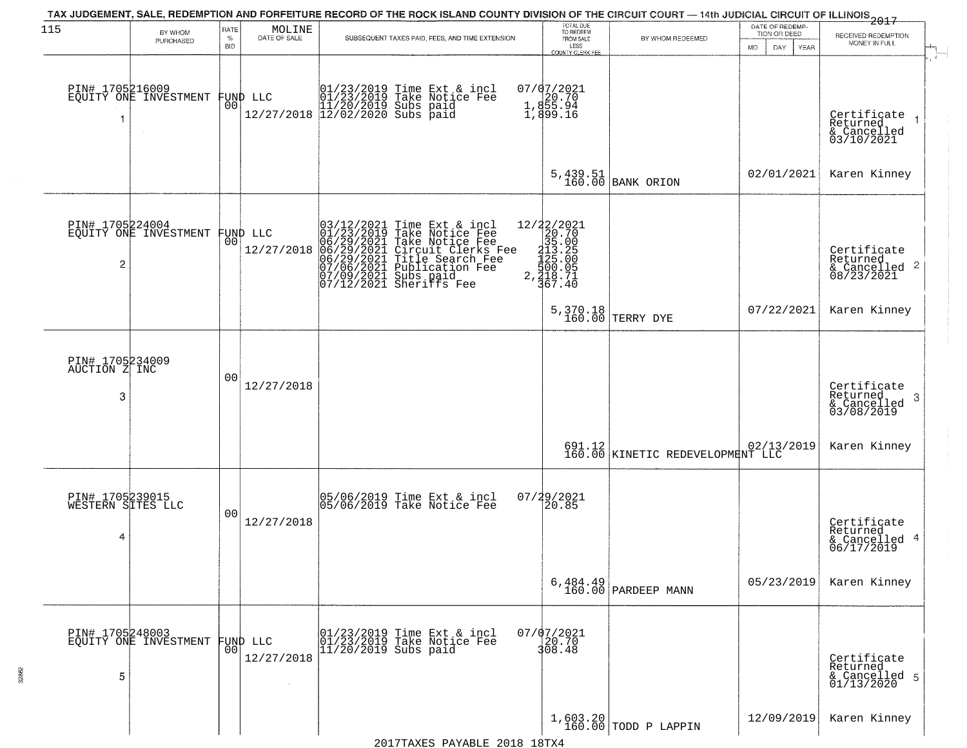| 115                                       | BY WHOM                                  | RATE               | $\begin{array}{c} \text{MOLINE} \\ \text{DATE of sale} \end{array}$ | TAX JUDGEMENT, SALE, REDEMPTION AND FORFEITURE RECORD OF THE ROCK ISLAND COUNTY DIVISION OF THE CIRCUIT COURT - 14th JUDICIAL CIRCUIT OF ILLINOIS 2017                                                                                                                                                                                                                              | TOTAL DUE<br>TO REDEEM                                                                                                           |                                                       | DATE OF REDEMP-<br>TION OR DEED | RECEIVED REDEMPTION                                        |
|-------------------------------------------|------------------------------------------|--------------------|---------------------------------------------------------------------|-------------------------------------------------------------------------------------------------------------------------------------------------------------------------------------------------------------------------------------------------------------------------------------------------------------------------------------------------------------------------------------|----------------------------------------------------------------------------------------------------------------------------------|-------------------------------------------------------|---------------------------------|------------------------------------------------------------|
|                                           | PURCHASED                                | $\%$<br><b>BID</b> |                                                                     | SUBSEQUENT TAXES PAID, FEES, AND TIME EXTENSION                                                                                                                                                                                                                                                                                                                                     | FROM SALE<br>LESS<br>COUNTY CLERK FEE                                                                                            | BY WHOM REDEEMED                                      | DAY<br>MO.<br>YEAR              | MONEY IN FULL                                              |
| PIN# 1705216009                           | EQUITY ONE INVESTMENT                    | 00                 | FUND LLC                                                            | 01/23/2019 Time Ext & incl<br>01/23/2019 Take Notice Fee<br>11/20/2019 Subs paid<br>12/27/2018 12/02/2020 Subs paid                                                                                                                                                                                                                                                                 | 07/07/2021<br>$\begin{smallmatrix} 1 & 20.70 \\ 1 & 855.94 \\ 1 & 899.16 \end{smallmatrix}$                                      |                                                       |                                 | Certificate<br>Returned<br>& Cancelled<br>03/10/2021       |
|                                           |                                          |                    |                                                                     |                                                                                                                                                                                                                                                                                                                                                                                     | 5,439.51<br>160.00                                                                                                               | <b>BANK ORION</b>                                     | 02/01/2021                      | Karen Kinney                                               |
| PIN# 1705224004<br>2                      | EQUITY ONE INVESTMENT FUND LLC           |                    | 12/27/2018                                                          | $\begin{smallmatrix} 03/12/2021\\01/23/2019\\06/29/2021\\06/29/2021\\06/29/2021\\07/06/2021\\07/09/2021\\07/19/2021 \end{smallmatrix}$<br>$03/12/2021$ Time Ext & incl<br>01/23/2019 Take Notice Fee<br>06/29/2021 Take Notice Fee<br>06/29/2021 Circuit Clerks Fee<br>06/29/2021 Title Search Fee<br>07/06/2021 Tublication Fee<br>07/09/2021 Subs paid<br>07/12/2021 Sheriffs Fee | $2, 42/2021$ $\begin{array}{r} 12/22/2021 \\ 20.70 \\ 312.00 \\ 1125.00 \\ 125.00 \\ 500.05 \\ 2, 418.740 \end{array}$<br>367.40 |                                                       |                                 | Certificate<br>Returned<br>& Cancelled 2<br>08/23/2021     |
|                                           |                                          |                    |                                                                     |                                                                                                                                                                                                                                                                                                                                                                                     |                                                                                                                                  | 5,370.18<br>160.00 TERRY DYE                          | 07/22/2021                      | Karen Kinney                                               |
| PIN# 1705234009<br>AUCTION Z INC<br>3     |                                          | 00                 | 12/27/2018                                                          |                                                                                                                                                                                                                                                                                                                                                                                     |                                                                                                                                  |                                                       |                                 | Certificate<br>Returned<br>-3<br>& Cancelled<br>03/08/2019 |
|                                           |                                          |                    |                                                                     |                                                                                                                                                                                                                                                                                                                                                                                     |                                                                                                                                  | 691.12 02/13/2019<br>160.00 KINETIC REDEVELOPMENT LLC |                                 | Karen Kinney                                               |
| PIN# 1705239015<br>WESTERN SITES LLC<br>4 |                                          | 00                 | 12/27/2018                                                          | 05/06/2019 Time Ext & incl<br>05/06/2019 Take Notice Fee                                                                                                                                                                                                                                                                                                                            | $07/29/2021$<br>20.85                                                                                                            |                                                       |                                 | Certificate<br>Returned<br>& Cancelled 4<br>06/17/2019     |
|                                           |                                          |                    |                                                                     |                                                                                                                                                                                                                                                                                                                                                                                     |                                                                                                                                  | $6,484.49$ PARDEEP MANN                               | 05/23/2019                      | Karen Kinney                                               |
| 5                                         | PIN# 1705248003<br>EQUITY ONE INVESTMENT | 00                 | FUND LLC<br>12/27/2018                                              | 01/23/2019 Time Ext & incl<br>01/23/2019 Take Notice Fee<br>11/20/2019 Subs paid                                                                                                                                                                                                                                                                                                    | $07/07/2021$<br>20.70<br>308.48                                                                                                  |                                                       |                                 | Certificate<br>Returned<br>& Cancelled 5<br>01/13/2020     |
|                                           |                                          |                    |                                                                     |                                                                                                                                                                                                                                                                                                                                                                                     |                                                                                                                                  |                                                       |                                 |                                                            |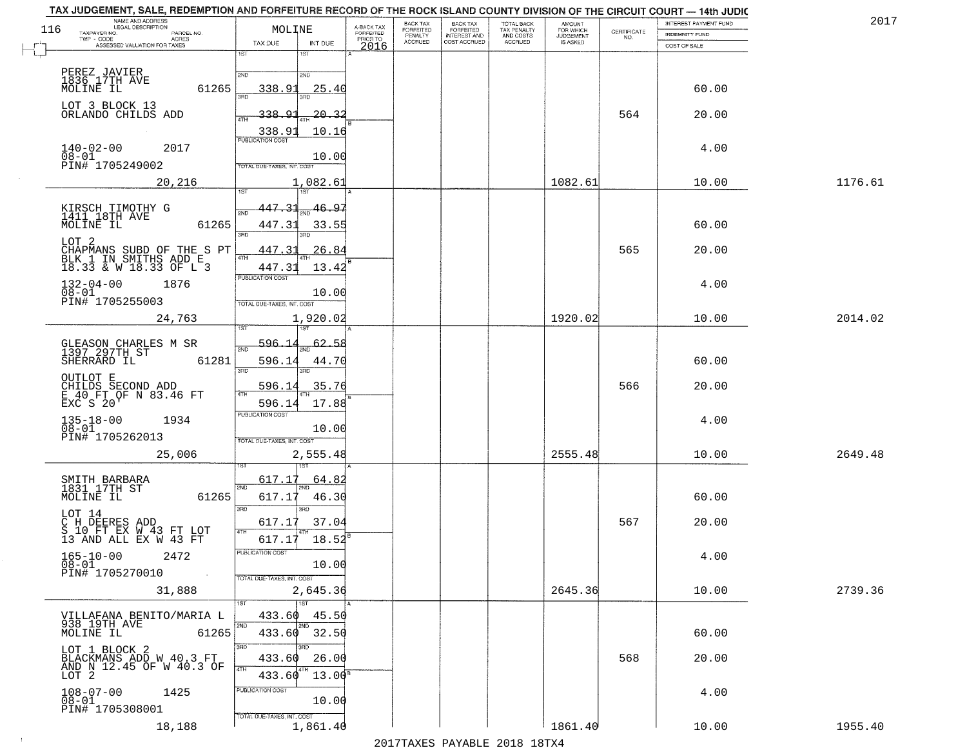|     | NAME AND ADDRESS<br>LEGAL DESCRIPTION                                        |                                            |                                     | BACK TAX             | <b>BACK TAX</b>                  | <b>TOTAL BACK</b>        | AMOUNT<br>FOR WHICH |                                                                 | INTEREST PAYMENT FUND | 2017    |
|-----|------------------------------------------------------------------------------|--------------------------------------------|-------------------------------------|----------------------|----------------------------------|--------------------------|---------------------|-----------------------------------------------------------------|-----------------------|---------|
| 116 | TAXPAYER NO.<br>PARCEL NO.<br>TWP - CODE<br>ACRES                            | MOLINE                                     | A-BACK TAX<br>FORFEITED<br>PRIOR TO | FORFEITED<br>PENALTY | FORFEITED<br><b>INTEREST AND</b> | TAX PENALTY<br>AND COSTS | <b>JUDGEMENT</b>    | $\begin{array}{c} \text{CEPTIFICATE} \\ \text{NO.} \end{array}$ | <b>INDEMNITY FUND</b> |         |
|     | ASSESSED VALUATION FOR TAXES                                                 | TAX DUE<br>INT DUE<br>1ST<br>18T           | 2016                                | <b>ACCRUED</b>       | COST ACCRUED                     | <b>ACCRUED</b>           | IS ASKED            |                                                                 | COST OF SALE          |         |
|     |                                                                              |                                            |                                     |                      |                                  |                          |                     |                                                                 |                       |         |
|     | PEREZ JAVIER<br>1836 17TH AVE<br>MOLINE IL                                   | 2ND<br>2ND                                 |                                     |                      |                                  |                          |                     |                                                                 |                       |         |
|     | 61265                                                                        | 338.91<br>25.4(                            |                                     |                      |                                  |                          |                     |                                                                 | 60.00                 |         |
|     | LOT 3 BLOCK 13                                                               |                                            |                                     |                      |                                  |                          |                     |                                                                 |                       |         |
|     | ORLANDO CHILDS ADD                                                           | <u>338.91</u><br><u> 20. 3.</u>            |                                     |                      |                                  |                          |                     | 564                                                             | 20.00                 |         |
|     |                                                                              | 10.16<br>338.91<br><b>PUBLICATION COST</b> |                                     |                      |                                  |                          |                     |                                                                 |                       |         |
|     | $140 - 02 - 00$<br>2017<br>$08 - 01$                                         | 10.00                                      |                                     |                      |                                  |                          |                     |                                                                 | 4.00                  |         |
|     | PIN# <sup>-1705249002</sup>                                                  | TOTAL DUE-TAXES, INT. COST                 |                                     |                      |                                  |                          |                     |                                                                 |                       |         |
|     | 20,216                                                                       | 1,082.61                                   |                                     |                      |                                  |                          | 1082.61             |                                                                 | 10.00                 | 1176.61 |
|     |                                                                              |                                            |                                     |                      |                                  |                          |                     |                                                                 |                       |         |
|     | KIRSCH TIMOTHY G<br>1411 18TH AVE                                            | 447.31<br>46.97<br>2ND                     |                                     |                      |                                  |                          |                     |                                                                 |                       |         |
|     | MOLINE IL<br>61265                                                           | 447.31<br>33.55                            |                                     |                      |                                  |                          |                     |                                                                 | 60.00                 |         |
|     | LOT 2                                                                        | 3RD                                        |                                     |                      |                                  |                          |                     |                                                                 |                       |         |
|     | CHAPMANS SUBD OF THE S PT<br>BLK 1 IN SMITHS ADD E<br>18.33 & W 18.33 OF L 3 | 447.31<br>26.84<br>$\sqrt{4}$              |                                     |                      |                                  |                          |                     | 565                                                             | 20.00                 |         |
|     |                                                                              | 447.31<br>13.42<br>PUBLICATION COST        |                                     |                      |                                  |                          |                     |                                                                 |                       |         |
|     | $132 - 04 - 00$<br>1876<br>$08 - 01$                                         | 10.00                                      |                                     |                      |                                  |                          |                     |                                                                 | 4.00                  |         |
|     | PIN# 1705255003                                                              | TOTAL DUE-TAXES, INT. COST                 |                                     |                      |                                  |                          |                     |                                                                 |                       |         |
|     | 24,763                                                                       | 1,920.02                                   |                                     |                      |                                  |                          | 1920.02             |                                                                 | 10.00                 | 2014.02 |
|     |                                                                              | 1ST                                        |                                     |                      |                                  |                          |                     |                                                                 |                       |         |
|     | GLEASON CHARLES M SR<br>1397 297TH ST                                        | <u>596.1</u><br>2ND                        | .58                                 |                      |                                  |                          |                     |                                                                 |                       |         |
|     | SHERRARD IL<br>61281                                                         | 596.14<br>44.70                            |                                     |                      |                                  |                          |                     |                                                                 | 60.00                 |         |
|     | OUTLOT E                                                                     | 3BD<br>3RD                                 |                                     |                      |                                  |                          |                     |                                                                 |                       |         |
|     | CHILDS SECOND ADD<br>E 40 FT OF N 83.46 FT                                   | 596.14<br>35.76<br>4TH                     |                                     |                      |                                  |                          |                     | 566                                                             | 20.00                 |         |
|     | <b>EXC S 20</b>                                                              | 596.14<br>17.88<br><b>PUBLICATION COST</b> |                                     |                      |                                  |                          |                     |                                                                 |                       |         |
|     | $135 - 18 - 00$<br>$08 - 01$<br>1934                                         | 10.00                                      |                                     |                      |                                  |                          |                     |                                                                 | 4.00                  |         |
|     | PIN# 1705262013                                                              | TOTAL OUE-TAXES, INT. COST                 |                                     |                      |                                  |                          |                     |                                                                 |                       |         |
|     | 25,006                                                                       | 2,555.48                                   |                                     |                      |                                  |                          | 2555.48             |                                                                 | 10.00                 | 2649.48 |
|     |                                                                              |                                            |                                     |                      |                                  |                          |                     |                                                                 |                       |         |
|     | SMITH BARBARA<br>1831 17TH ST                                                | 617.17<br>64.8<br>2ND                      |                                     |                      |                                  |                          |                     |                                                                 |                       |         |
|     | MOLINE IL<br>61265                                                           | 617.17<br>46.30                            |                                     |                      |                                  |                          |                     |                                                                 | 60.00                 |         |
|     | LOT 14                                                                       | 3 <sub>BD</sub><br>3BD                     |                                     |                      |                                  |                          |                     |                                                                 |                       |         |
|     | C H DEERES ADD<br>S 10 FT EX W 43 FT LOT<br>13 AND ALL EX W 43 FT            | 37.04<br>617.17<br>4TH                     |                                     |                      |                                  |                          |                     | 567                                                             | 20.00                 |         |
|     |                                                                              | 617.17<br>18.52                            |                                     |                      |                                  |                          |                     |                                                                 |                       |         |
|     | $165 - 10 - 00$<br>2472<br>08-01                                             | PUBLICATION COS<br>10.00                   |                                     |                      |                                  |                          |                     |                                                                 | 4.00                  |         |
|     | PIN# 1705270010<br>$\sim 100$ km $^{-1}$                                     | TOTAL DUE-TAXES, INT. COST                 |                                     |                      |                                  |                          |                     |                                                                 |                       |         |
|     | 31,888                                                                       | 2,645.36                                   |                                     |                      |                                  |                          | 2645.36             |                                                                 | 10.00                 | 2739.36 |
|     |                                                                              | 1ST                                        |                                     |                      |                                  |                          |                     |                                                                 |                       |         |
|     | VILLAFANA BENITO/MARIA L<br>938 19TH AVE                                     | 45.50<br>433.60<br>2ND                     |                                     |                      |                                  |                          |                     |                                                                 |                       |         |
|     | MOLINE IL<br>61265                                                           | 433.60 32.50                               |                                     |                      |                                  |                          |                     |                                                                 | 60.00                 |         |
|     | LOT 1 BLOCK 2                                                                | 3RD                                        |                                     |                      |                                  |                          |                     |                                                                 |                       |         |
|     | BLACKMANS ADD W 40.3 FT<br>AND N 12.45 OF W 40.3 OF                          | 433.60<br>26.00<br>4TH<br>4TH              |                                     |                      |                                  |                          |                     | 568                                                             | 20.00                 |         |
|     | LOT 2                                                                        | $13.00^8$<br>433.60                        |                                     |                      |                                  |                          |                     |                                                                 |                       |         |
|     | $108 - 07 - 00$<br>1425<br>$08 - 01$                                         | PUBLICATION COST<br>10.00                  |                                     |                      |                                  |                          |                     |                                                                 | 4.00                  |         |
|     | PIN# 1705308001                                                              | TOTAL DUE-TAXES, INT. COST                 |                                     |                      |                                  |                          |                     |                                                                 |                       |         |
|     | 18,188                                                                       | 1,861.40                                   |                                     |                      |                                  |                          | 1861.40             |                                                                 | 10.00                 | 1955.40 |

 $\sim 40$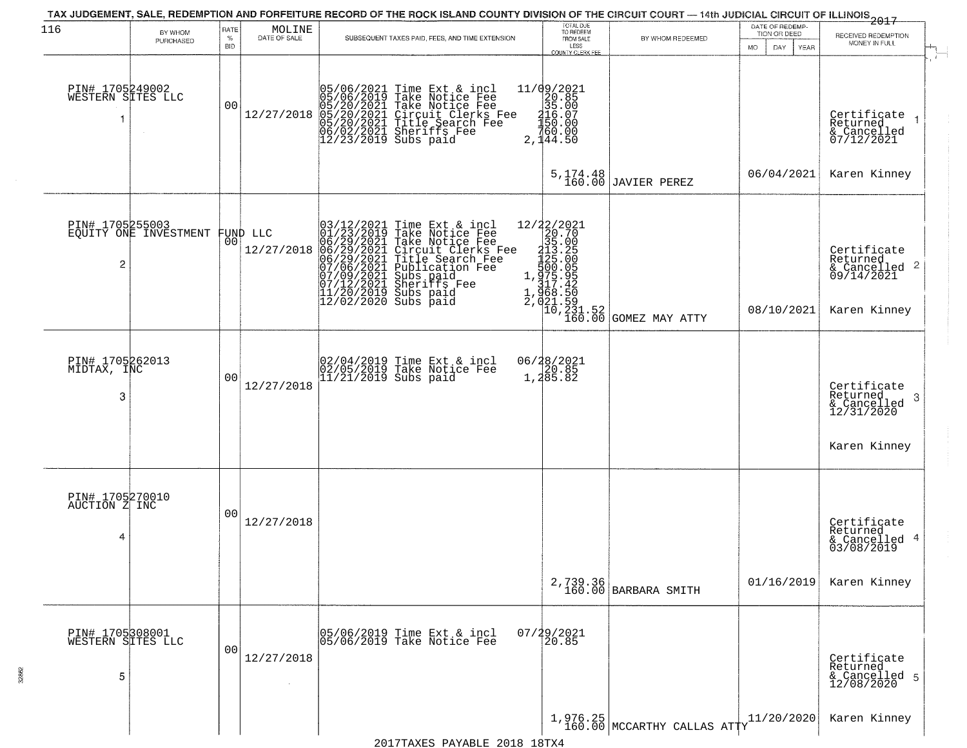| 116                                       | BY WHOM                                           | RATE            | MOLINE       |                                                                                                                                          | TAX JUDGEMENT, SALE, REDEMPTION AND FORFEITURE RECORD OF THE ROCK ISLAND COUNTY DIVISION OF THE CIRCUIT COURT — 14th JUDICIAL CIRCUIT OF ILLINOIS 2017                                                    | TOTAL DUE<br>TO REDEEM                                                        |                                                                                                                                                                                                                                                                                   | DATE OF REDEMP-<br>TION OR DEED |                                                                                    |
|-------------------------------------------|---------------------------------------------------|-----------------|--------------|------------------------------------------------------------------------------------------------------------------------------------------|-----------------------------------------------------------------------------------------------------------------------------------------------------------------------------------------------------------|-------------------------------------------------------------------------------|-----------------------------------------------------------------------------------------------------------------------------------------------------------------------------------------------------------------------------------------------------------------------------------|---------------------------------|------------------------------------------------------------------------------------|
|                                           | PURCHASED                                         | %<br><b>BID</b> | DATE OF SALE |                                                                                                                                          | SUBSEQUENT TAXES PAID, FEES, AND TIME EXTENSION                                                                                                                                                           | FROM SALE<br>LESS<br><b>COUNTY CLERK FEE</b>                                  | BY WHOM REDEEMED                                                                                                                                                                                                                                                                  | MO.<br>DAY.<br><b>YEAR</b>      | RECEIVED REDEMPTION<br>MONEY IN FULL                                               |
| PIN# 1705249002<br>WESTERN SITES LLC      |                                                   | 0 <sub>0</sub>  | 12/27/2018   |                                                                                                                                          | 05/06/2021 Time Ext & incl<br>05/06/2019 Take Notice Fee<br>05/20/2021 Take Notice Fee<br>05/20/2021 Circuit Clerks Fee<br>05/20/2021 Title Search Fee<br>06/02/2021 Sheriffs Fee<br>12/23/2019 Subs paid | 11/09/2021<br>20.85<br>35.00<br>316.07<br>420.00<br>$\frac{160.00}{2,144.50}$ |                                                                                                                                                                                                                                                                                   |                                 | Certifiçate 1<br>Returned<br>& Cancelled<br>07/12/2021                             |
|                                           |                                                   |                 |              |                                                                                                                                          |                                                                                                                                                                                                           | $5, 174.48$<br>$160.00$                                                       | JAVIER PEREZ                                                                                                                                                                                                                                                                      | 06/04/2021                      | Karen Kinney                                                                       |
| $\overline{c}$                            | PIN# 1705255003<br>EQUITY ONE INVESTMENT FUND LLC |                 | 12/27/2018   | 03/12/2021<br>01/23/2019<br>06/29/2021<br>06/29/2021<br>06/29/2021<br>07/06/2021<br>07/12/2021<br>07/12/2021<br>11/20/2019<br>12/02/2019 | Time Ext & incl<br>Take Notice Fee<br>Take Notice Fee<br>Circuit Clerks Fee<br>Title Search Fee<br>Publication Fee<br>Subs paid<br>Sheriffs Fee<br>Subs paid<br>Subs paid                                 |                                                                               | cl  12/22/2021<br>ce Fee<br>exks Fee<br>exks Fee<br>exks Fee<br>exks Fee<br>1235.00<br>Fee<br>125.00<br>e 125.00<br>125.00<br>125.00<br>125.00<br>125.00<br>125.00<br>125.00<br>2.00<br>125.00<br>125.00<br>2.00<br>127.42<br>1268.50<br>2.00<br>2.00<br>2.00<br>2.00<br>2.00<br> | 08/10/2021                      | Certificate<br>Returned<br>$\frac{1}{6}$ Cancelled 2<br>09/14/2021<br>Karen Kinney |
| PIN# 1705262013<br>MIDTAX, INC<br>3       |                                                   | 0 <sub>0</sub>  | 12/27/2018   |                                                                                                                                          | 02/04/2019 Time Ext & incl<br>02/05/2019 Take Notice Fee<br>11/21/2019 Subs paid                                                                                                                          | 06/28/2021<br>1,20.85<br>1,285.82                                             |                                                                                                                                                                                                                                                                                   |                                 | Certificate<br>Returned<br>3<br>& Cancelled<br>12/31/2020<br>Karen Kinney          |
| PIN# 1705270010<br>AUCTION Z INC<br>4     |                                                   | 00              | 12/27/2018   |                                                                                                                                          |                                                                                                                                                                                                           |                                                                               |                                                                                                                                                                                                                                                                                   |                                 | Certificate<br>Returned<br>4<br>& Cancelled<br>03/08/2019                          |
|                                           |                                                   |                 |              |                                                                                                                                          |                                                                                                                                                                                                           |                                                                               | 2,739.36<br>160.00 BARBARA SMITH                                                                                                                                                                                                                                                  | 01/16/2019                      | Karen Kinney                                                                       |
| PIN# 1705308001<br>WESTERN SITES LLC<br>5 |                                                   | 0 <sub>0</sub>  | 12/27/2018   |                                                                                                                                          | 05/06/2019 Time Ext & incl<br>05/06/2019 Take Notice Fee                                                                                                                                                  | 07/29/2021<br>20.85                                                           |                                                                                                                                                                                                                                                                                   |                                 | Certificate<br>Returned<br>& Cancelled 5<br>12/08/2020                             |
|                                           |                                                   |                 |              |                                                                                                                                          |                                                                                                                                                                                                           |                                                                               | $1,976.25$<br>160.00 MCCARTHY CALLAS ATTY                                                                                                                                                                                                                                         | 11/20/2020                      | Karen Kinney                                                                       |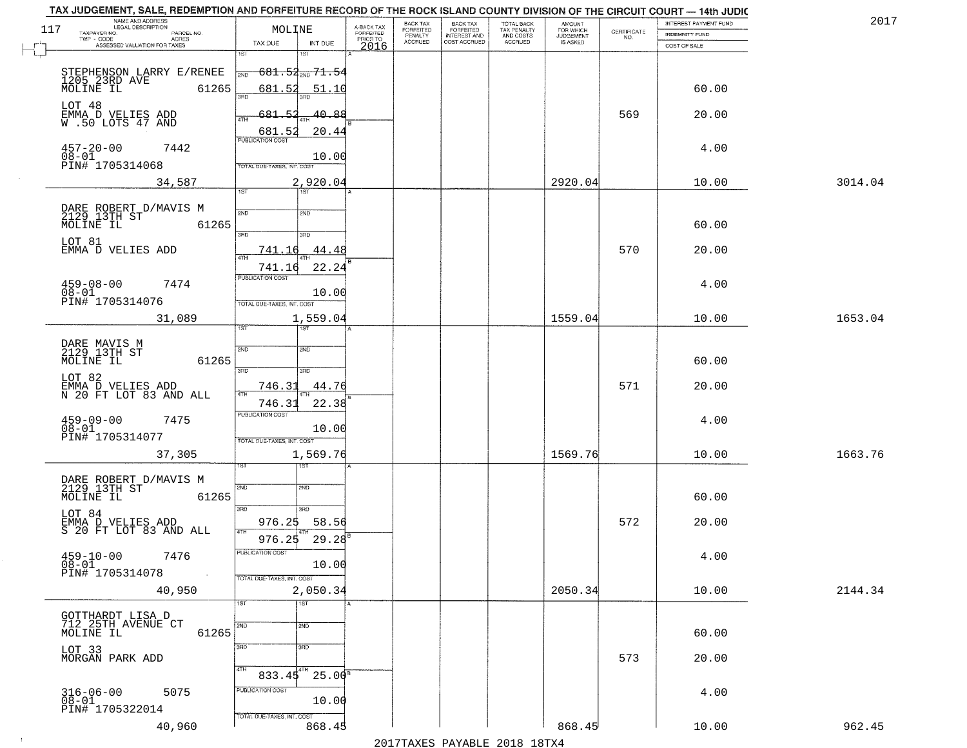|     | TAX JUDGEMENT, SALE, REDEMPTION AND FORFEITURE RECORD OF THE ROCK ISLAND COUNTY DIVISION OF THE CIRCUIT COURT - 14th JUDIC<br>NAME AND ADDRESS<br>LEGAL DESCRIPTION |                                              |                         | BACK TAX                    |                                              |                                        |                                         |                                                                 | INTEREST PAYMENT FUND | 2017    |
|-----|---------------------------------------------------------------------------------------------------------------------------------------------------------------------|----------------------------------------------|-------------------------|-----------------------------|----------------------------------------------|----------------------------------------|-----------------------------------------|-----------------------------------------------------------------|-----------------------|---------|
| 117 | TAXPAYER NO.<br>PARCEL NO.                                                                                                                                          | MOLINE                                       | A-BACK TAX<br>FORFEITED | <b>FORFEITED</b><br>PENALTY | BACK TAX<br>FORFEITED<br><b>INTEREST AND</b> | TOTAL BACK<br>TAX PENALTY<br>AND COSTS | AMOUNT<br>FOR WHICH<br><b>JUDGEMENT</b> | $\begin{array}{c} \text{CERTIFICATE} \\ \text{NO.} \end{array}$ | INDEMNITY FUND        |         |
|     | ACRES<br>ASSESSED VALUATION FOR TAXES                                                                                                                               | INT DUE<br>TAX DUE                           | PRIOR TO<br>2016        | <b>ACCRUED</b>              | COST ACCRUED                                 | <b>ACCRUED</b>                         | IS ASKED                                |                                                                 | COST OF SALE          |         |
|     |                                                                                                                                                                     | 1ST<br>۱ST                                   |                         |                             |                                              |                                        |                                         |                                                                 |                       |         |
|     |                                                                                                                                                                     | <del>681.52<sub>2ND</sub></del> 71.54<br>2ND |                         |                             |                                              |                                        |                                         |                                                                 |                       |         |
|     | STEPHENSON LARRY E/RENEE<br>1205 23RD AVE 6126!                                                                                                                     |                                              |                         |                             |                                              |                                        |                                         |                                                                 |                       |         |
|     | 61265                                                                                                                                                               | 681.52<br>51.10<br>350                       |                         |                             |                                              |                                        |                                         |                                                                 | 60.00                 |         |
|     | LOT 48                                                                                                                                                              |                                              |                         |                             |                                              |                                        |                                         |                                                                 |                       |         |
|     | EMMA D VELIES ADD<br>W.50 LOTS 47 AND                                                                                                                               | 681.52<br>40.88                              |                         |                             |                                              |                                        |                                         | 569                                                             | 20.00                 |         |
|     |                                                                                                                                                                     | 20.44                                        |                         |                             |                                              |                                        |                                         |                                                                 |                       |         |
|     |                                                                                                                                                                     | 681.52                                       |                         |                             |                                              |                                        |                                         |                                                                 |                       |         |
|     | $457 - 20 - 00$<br>$08 - 01$<br>7442                                                                                                                                | 10.00                                        |                         |                             |                                              |                                        |                                         |                                                                 | 4.00                  |         |
|     | PIN# 1705314068                                                                                                                                                     | TOTAL DUE-TAXES, INT. COST                   |                         |                             |                                              |                                        |                                         |                                                                 |                       |         |
|     | 34,587                                                                                                                                                              | 2,920.04                                     |                         |                             |                                              |                                        | 2920.04                                 |                                                                 | 10.00                 | 3014.04 |
|     |                                                                                                                                                                     | 1ST<br>1ST                                   |                         |                             |                                              |                                        |                                         |                                                                 |                       |         |
|     |                                                                                                                                                                     |                                              |                         |                             |                                              |                                        |                                         |                                                                 |                       |         |
|     | DARE ROBERT D/MAVIS M<br>2129 13TH ST<br>MOLINE IL 61                                                                                                               | 2ND<br>2ND                                   |                         |                             |                                              |                                        |                                         |                                                                 |                       |         |
|     | 61265                                                                                                                                                               | 3RD<br>ਬਾ                                    |                         |                             |                                              |                                        |                                         |                                                                 | 60.00                 |         |
|     | LOT 81                                                                                                                                                              |                                              |                         |                             |                                              |                                        |                                         |                                                                 |                       |         |
|     | EMMA D VELIES ADD                                                                                                                                                   | 44.48<br>741.16                              |                         |                             |                                              |                                        |                                         | 570                                                             | 20.00                 |         |
|     |                                                                                                                                                                     | 22.24<br>741.16                              |                         |                             |                                              |                                        |                                         |                                                                 |                       |         |
|     |                                                                                                                                                                     | PUBLICATION COST                             |                         |                             |                                              |                                        |                                         |                                                                 |                       |         |
|     | $459 - 08 - 00$<br>7474<br>$08 - 01$                                                                                                                                | 10.00                                        |                         |                             |                                              |                                        |                                         |                                                                 | 4.00                  |         |
|     | PIN# 1705314076                                                                                                                                                     | TOTAL DUE-TAXES, INT. COST                   |                         |                             |                                              |                                        |                                         |                                                                 |                       |         |
|     | 31,089                                                                                                                                                              | 1,559.04                                     |                         |                             |                                              |                                        | 1559.04                                 |                                                                 | 10.00                 | 1653.04 |
|     |                                                                                                                                                                     | 1ST<br>is T                                  |                         |                             |                                              |                                        |                                         |                                                                 |                       |         |
|     |                                                                                                                                                                     |                                              |                         |                             |                                              |                                        |                                         |                                                                 |                       |         |
|     | DARE MAVIS M<br>2129 13TH ST                                                                                                                                        | SVD<br>2ND                                   |                         |                             |                                              |                                        |                                         |                                                                 |                       |         |
|     | MOLINE IL<br>61265                                                                                                                                                  |                                              |                         |                             |                                              |                                        |                                         |                                                                 | 60.00                 |         |
|     | LOT 82                                                                                                                                                              | 3BD<br>3RD                                   |                         |                             |                                              |                                        |                                         |                                                                 |                       |         |
|     | EMMA D VELIES ADD<br>N 20 FT LOT 83 AND ALL                                                                                                                         | 746.31<br>44.76<br>4TH                       |                         |                             |                                              |                                        |                                         | 571                                                             | 20.00                 |         |
|     |                                                                                                                                                                     | 746.31<br>22.38                              |                         |                             |                                              |                                        |                                         |                                                                 |                       |         |
|     |                                                                                                                                                                     | <b>PUBLICATION COST</b>                      |                         |                             |                                              |                                        |                                         |                                                                 |                       |         |
|     | $459-09-00$<br>$08-01$<br>7475                                                                                                                                      | 10.00                                        |                         |                             |                                              |                                        |                                         |                                                                 | 4.00                  |         |
|     | PIN# 1705314077                                                                                                                                                     | TOTAL OUE-TAXES, INT. COST                   |                         |                             |                                              |                                        |                                         |                                                                 |                       |         |
|     | 37,305                                                                                                                                                              | 1,569.76                                     |                         |                             |                                              |                                        | 1569.76                                 |                                                                 | 10.00                 | 1663.76 |
|     |                                                                                                                                                                     | १९४                                          |                         |                             |                                              |                                        |                                         |                                                                 |                       |         |
|     |                                                                                                                                                                     |                                              |                         |                             |                                              |                                        |                                         |                                                                 |                       |         |
|     | DARE ROBERT D/MAVIS M<br>2129 13TH ST                                                                                                                               | 2ND<br>2ND                                   |                         |                             |                                              |                                        |                                         |                                                                 |                       |         |
|     | MOLINE IL<br>61265                                                                                                                                                  |                                              |                         |                             |                                              |                                        |                                         |                                                                 | 60.00                 |         |
|     | LOT 84                                                                                                                                                              | 3RD<br>3HD                                   |                         |                             |                                              |                                        |                                         |                                                                 |                       |         |
|     | EMMA D VELIES ADD<br>S 20 FT LOT 83 AND ALL                                                                                                                         | 58.56<br>976.25                              |                         |                             |                                              |                                        |                                         | 572                                                             | 20.00                 |         |
|     |                                                                                                                                                                     | 4TH<br>976.25<br>29.28                       |                         |                             |                                              |                                        |                                         |                                                                 |                       |         |
|     |                                                                                                                                                                     | PUBLICATION COS-                             |                         |                             |                                              |                                        |                                         |                                                                 |                       |         |
|     | $459 - 10 - 00$<br>7476<br>$08 - 01$                                                                                                                                | 10.00                                        |                         |                             |                                              |                                        |                                         |                                                                 | 4.00                  |         |
|     | PIN# 1705314078<br>$\sim 10$                                                                                                                                        | TOTAL DUE-TAXES, INT. COST                   |                         |                             |                                              |                                        |                                         |                                                                 |                       |         |
|     | 40,950                                                                                                                                                              | 2,050.34                                     |                         |                             |                                              |                                        | 2050.34                                 |                                                                 | 10.00                 | 2144.34 |
|     |                                                                                                                                                                     | TST<br>1ST                                   |                         |                             |                                              |                                        |                                         |                                                                 |                       |         |
|     | GOTTHARDT LISA D                                                                                                                                                    |                                              |                         |                             |                                              |                                        |                                         |                                                                 |                       |         |
|     | 712 25TH AVENUE CT                                                                                                                                                  | 2ND<br>2ND                                   |                         |                             |                                              |                                        |                                         |                                                                 |                       |         |
|     | 61265<br>MOLINE IL                                                                                                                                                  |                                              |                         |                             |                                              |                                        |                                         |                                                                 | 60.00                 |         |
|     | LOT 33<br>MORGAN PARK ADD                                                                                                                                           | 3RD<br>3RD                                   |                         |                             |                                              |                                        |                                         |                                                                 |                       |         |
|     |                                                                                                                                                                     |                                              |                         |                             |                                              |                                        |                                         | 573                                                             | 20.00                 |         |
|     |                                                                                                                                                                     | 4TH<br>$25.00^8$<br>833.45                   |                         |                             |                                              |                                        |                                         |                                                                 |                       |         |
|     |                                                                                                                                                                     | PUBLICATION COST                             |                         |                             |                                              |                                        |                                         |                                                                 |                       |         |
|     | $316 - 06 - 00$<br>5075<br>$08 - 01$                                                                                                                                | 10.00                                        |                         |                             |                                              |                                        |                                         |                                                                 | 4.00                  |         |
|     | PIN# 1705322014                                                                                                                                                     |                                              |                         |                             |                                              |                                        |                                         |                                                                 |                       |         |
|     | 40,960                                                                                                                                                              | TOTAL DUE-TAXES, INT. COST<br>868.45         |                         |                             |                                              |                                        | 868.45                                  |                                                                 | 10.00                 | 962.45  |
|     |                                                                                                                                                                     |                                              |                         |                             |                                              | 2017 THAVEC DAVARIE 2010 19TVA         |                                         |                                                                 |                       |         |
|     |                                                                                                                                                                     |                                              |                         |                             |                                              |                                        |                                         |                                                                 |                       |         |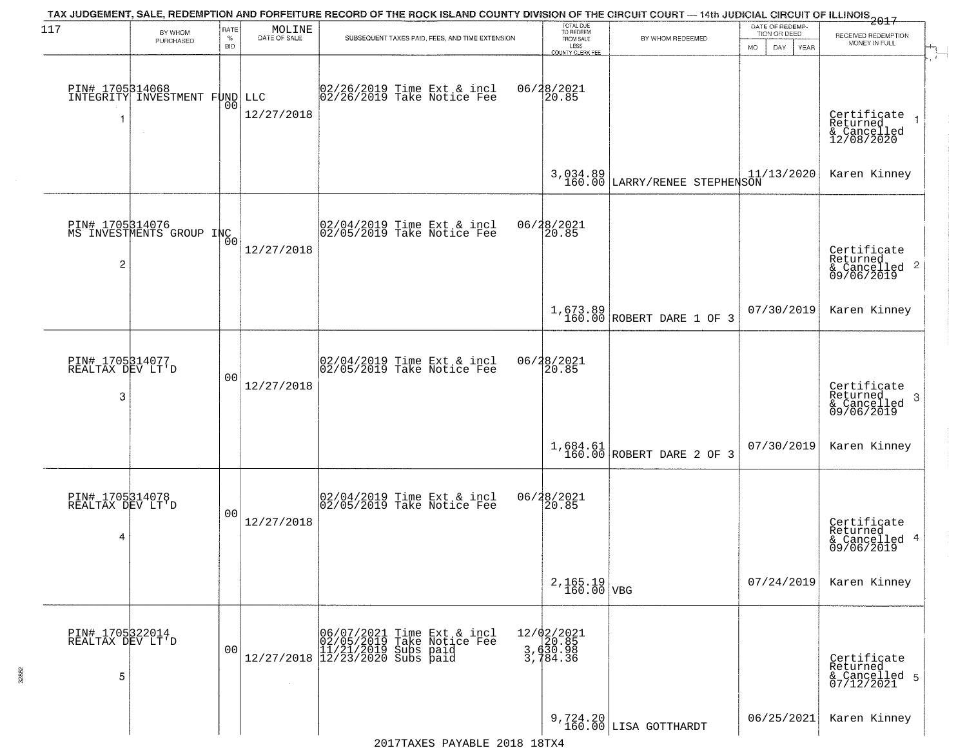| 117                                      | BY WHOM<br>PURCHASED                                   | RATE<br>$\%$<br><b>BID</b> | MOLINE<br>DATE OF SALE | TAX JUDGEMENT, SALE, REDEMPTION AND FORFEITURE RECORD OF THE ROCK ISLAND COUNTY DIVISION OF THE CIRCUIT COURT — 14th JUDICIAL CIRCUIT OF ILLINOIS 2017<br>SUBSEQUENT TAXES PAID, FEES, AND TIME EXTENSION | TOTAL DUE<br>TO REDEEM<br>FROM SALE<br>LESS<br><b>COUNTY CLERK FEE</b> | BY WHOM REDEEMED                          | DATE OF REDEMP-<br>TION OR DEED<br><b>MO</b><br>DAY<br>YEAR | RECEIVED REDEMPTION<br>MONEY IN FULL                               |
|------------------------------------------|--------------------------------------------------------|----------------------------|------------------------|-----------------------------------------------------------------------------------------------------------------------------------------------------------------------------------------------------------|------------------------------------------------------------------------|-------------------------------------------|-------------------------------------------------------------|--------------------------------------------------------------------|
| -1                                       | PIN# 1705314068<br>INTEGRITY INVESTMENT FUND<br>$\sim$ | 0 <sub>0</sub>             | LLC<br>12/27/2018      | 02/26/2019 Time Ext & incl<br>02/26/2019 Take Notice Fee                                                                                                                                                  | 06/28/2021<br>20.85                                                    |                                           |                                                             | Certificate<br>Returned<br>& Cancelled<br>12/08/2020               |
|                                          |                                                        |                            |                        |                                                                                                                                                                                                           |                                                                        | 3,034.89<br>160.00 LARRY/RENEE STEPHENSON | 11/13/2020                                                  | Karen Kinney                                                       |
| $\overline{c}$                           | PIN# 1705314076<br>MS INVESTMENTS GROUP INC            | 0 <sub>0</sub>             | 12/27/2018             | $\begin{bmatrix} 02/04/2019 \\ 02/05/2019 \end{bmatrix}$ Take Notice Fee                                                                                                                                  | 06/28/2021<br>20.85                                                    |                                           |                                                             | Certificate<br>Returned<br>$\frac{1}{6}$ Cancelled 2<br>09/06/2019 |
|                                          |                                                        |                            |                        |                                                                                                                                                                                                           |                                                                        | $1,673.89$<br>160.00 ROBERT DARE 1 OF 3   | 07/30/2019                                                  | Karen Kinney                                                       |
| PIN# 1705314077<br>REALTAX DEV LT'D<br>3 |                                                        | 0 <sub>0</sub>             | 12/27/2018             | 02/04/2019 Time Ext & incl<br>02/05/2019 Take Notice Fee                                                                                                                                                  | 06/28/2021<br>20.85                                                    |                                           |                                                             | Certificate<br>Returned<br>3<br>& Cancelled<br>09/06/2019          |
|                                          |                                                        |                            |                        |                                                                                                                                                                                                           |                                                                        | $1,684.61$<br>160.00 ROBERT DARE 2 OF 3   | 07/30/2019                                                  | Karen Kinney                                                       |
| PIN# 1705314078<br>REALTAX DEV LT'D<br>4 |                                                        | 0 <sub>0</sub>             | 12/27/2018             | 02/04/2019 Time Ext & incl<br>02/05/2019 Take Notice Fee                                                                                                                                                  | 06/28/2021<br>120.85                                                   |                                           |                                                             | Certificate<br>Returned<br>& Cancelled 4<br>09/06/2019             |
|                                          |                                                        |                            |                        |                                                                                                                                                                                                           | $2,165.19$ VBG                                                         |                                           | 07/24/2019                                                  | Karen Kinney                                                       |
| PIN# 1705322014<br>REALTAX DEV LT'D<br>5 |                                                        | 0 <sub>0</sub>             |                        | $[06/07/2021 \tTime Ext & incl 02/05/2019 \tTake Notice Free 11/21/2019 Subs paid 12/27/2018 12/23/2020 Subs paid 13/2019]$                                                                               | 12/02/2021<br>3, 630.98<br>3, 630.98<br>3, 784.36                      |                                           |                                                             | Certificate<br>Returned<br>& Cancelled 5<br>07/12/2021             |
|                                          |                                                        |                            |                        |                                                                                                                                                                                                           |                                                                        | 9,724.20<br>160.00 LISA GOTTHARDT         | 06/25/2021                                                  | Karen Kinney                                                       |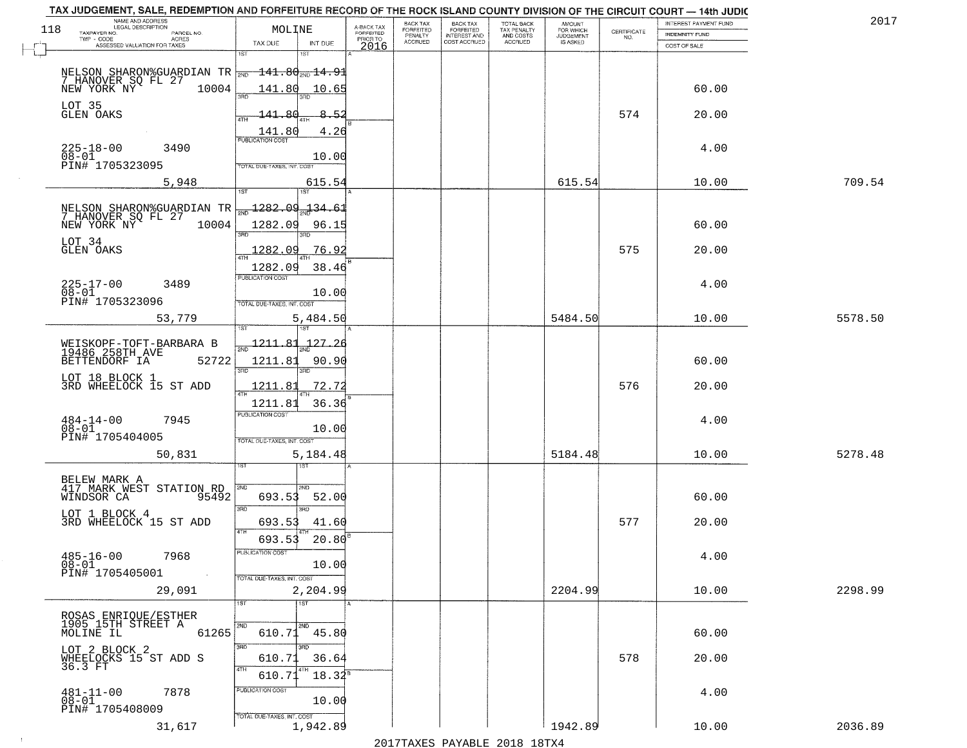|     | TAX JUDGEMENT, SALE, REDEMPTION AND FORFEITURE RECORD OF THE ROCK ISLAND COUNTY DIVISION OF THE CIRCUIT COURT - 14th JUDIC<br>NAME AND ADDRESS<br>LEGAL DESCRIPTION |                            |                |                         | BACK TAX             |                                       |                                        | AMOUNT<br>FOR WHICH |                                                                | INTEREST PAYMENT FUND | 2017    |
|-----|---------------------------------------------------------------------------------------------------------------------------------------------------------------------|----------------------------|----------------|-------------------------|----------------------|---------------------------------------|----------------------------------------|---------------------|----------------------------------------------------------------|-----------------------|---------|
| 118 | TAXPAYER NO.<br>PARCEL NO.<br>TWP - CODE                                                                                                                            | MOLINE                     |                | A-BACK TAX<br>FORFEITED | FORFEITED<br>PENALTY | BACK TAX<br>FORFEITED<br>INTEREST AND | TOTAL BACK<br>TAX PENALTY<br>AND COSTS | <b>JUDGEMENT</b>    | $\begin{array}{c} \text{GETIFICATE} \\ \text{NO.} \end{array}$ | <b>INDEMNITY FUND</b> |         |
| г.  | ACRES<br>ASSESSED VALUATION FOR TAXES                                                                                                                               | TAX DUE                    | INT DUE        | PRIOR TO<br>2016        | <b>ACCRUED</b>       | COST ACCRUED                          | ACCRUED                                | IS ASKED            |                                                                | COST OF SALE          |         |
|     |                                                                                                                                                                     | 1ST                        | 18T            |                         |                      |                                       |                                        |                     |                                                                |                       |         |
|     | NELSON SHARON%GUARDIAN TR $\boxed{\frac{141.80}{200}14.91}$<br>7 HANOVER SQ FL 27<br>NEW YORK NY 10004 141.80 10.65                                                 |                            |                |                         |                      |                                       |                                        |                     |                                                                |                       |         |
|     |                                                                                                                                                                     |                            |                |                         |                      |                                       |                                        |                     |                                                                | 60.00                 |         |
|     | LOT 35<br>GLEN OAKS                                                                                                                                                 |                            |                |                         |                      |                                       |                                        |                     |                                                                |                       |         |
|     |                                                                                                                                                                     | R∩<br>141.<br>ATH          | 8.52           |                         |                      |                                       |                                        |                     | 574                                                            | 20.00                 |         |
|     |                                                                                                                                                                     | 141.80                     | 4.26           |                         |                      |                                       |                                        |                     |                                                                |                       |         |
|     | 3490<br>225-18-00                                                                                                                                                   |                            |                |                         |                      |                                       |                                        |                     |                                                                | 4.00                  |         |
|     | $08 - 01$<br>PIN# 1705323095                                                                                                                                        | TOTAL DUE-TAXES, INT. COST | 10.00          |                         |                      |                                       |                                        |                     |                                                                |                       |         |
|     | 5,948                                                                                                                                                               |                            | 615.54         |                         |                      |                                       |                                        | 615.54              |                                                                | 10.00                 | 709.54  |
|     |                                                                                                                                                                     |                            |                |                         |                      |                                       |                                        |                     |                                                                |                       |         |
|     |                                                                                                                                                                     | <u> 1282.09</u>            | 134.61         |                         |                      |                                       |                                        |                     |                                                                |                       |         |
|     | NELSON SHARON%GUARDIAN TR<br>7 HANOVER SQ FL 27<br>NEW YORK NY 10004                                                                                                | 1282.09                    | 96.15          |                         |                      |                                       |                                        |                     |                                                                | 60.00                 |         |
|     |                                                                                                                                                                     |                            |                |                         |                      |                                       |                                        |                     |                                                                |                       |         |
|     | LOT 34<br>GLEN OAKS                                                                                                                                                 | 1282.09                    | 76.92          |                         |                      |                                       |                                        |                     | 575                                                            | 20.00                 |         |
|     |                                                                                                                                                                     | 1282.09                    | 38.46          |                         |                      |                                       |                                        |                     |                                                                |                       |         |
|     | $225 - 17 - 00$<br>3489                                                                                                                                             | PUBLICATION COST           |                |                         |                      |                                       |                                        |                     |                                                                | 4.00                  |         |
|     | $08 - 01$<br>PIN# 1705323096                                                                                                                                        |                            | 10.00          |                         |                      |                                       |                                        |                     |                                                                |                       |         |
|     |                                                                                                                                                                     | TOTAL DUE-TAXES, INT. COST |                |                         |                      |                                       |                                        |                     |                                                                |                       |         |
|     | 53,779                                                                                                                                                              | 'ST                        | 5,484.50       |                         |                      |                                       |                                        | 5484.50             |                                                                | 10.00                 | 5578.50 |
|     |                                                                                                                                                                     | <u> 1211.81</u>            | <u> 127.26</u> |                         |                      |                                       |                                        |                     |                                                                |                       |         |
|     | WEISKOPF-TOFT-BARBARA B<br>19486 258TH AVE<br>BETTENDORF IA<br>52722                                                                                                | 1211.81                    | 90.90          |                         |                      |                                       |                                        |                     |                                                                | 60.00                 |         |
|     |                                                                                                                                                                     | 3RD                        | 3RD            |                         |                      |                                       |                                        |                     |                                                                |                       |         |
|     | LOT 18 BLOCK 1<br>3RD WHEELOCK 15 ST ADD                                                                                                                            | 1211.81                    | 72.72          |                         |                      |                                       |                                        |                     | 576                                                            | 20.00                 |         |
|     |                                                                                                                                                                     | 1211.81                    | 36.36          |                         |                      |                                       |                                        |                     |                                                                |                       |         |
|     | 7945                                                                                                                                                                | <b>PUBLICATION COST</b>    |                |                         |                      |                                       |                                        |                     |                                                                | 4.00                  |         |
|     | $484 - 14 - 00$<br>$08 - 01$                                                                                                                                        |                            | 10.00          |                         |                      |                                       |                                        |                     |                                                                |                       |         |
|     | PIN# 1705404005                                                                                                                                                     | TOTAL OUE-TAXES, INT. COST |                |                         |                      |                                       |                                        |                     |                                                                |                       |         |
|     | 50,831                                                                                                                                                              | sT                         | 5,184.48       |                         |                      |                                       |                                        | 5184.48             |                                                                | 10.00                 | 5278.48 |
|     |                                                                                                                                                                     |                            |                |                         |                      |                                       |                                        |                     |                                                                |                       |         |
|     | BELEW MARK A<br>417 MARK WEST STATION RD                                                                                                                            | 2ND                        | 2ND            |                         |                      |                                       |                                        |                     |                                                                |                       |         |
|     | WINDSOR CA<br>95492                                                                                                                                                 | 693.53<br>3RD              | 52.00<br>3RD   |                         |                      |                                       |                                        |                     |                                                                | 60.00                 |         |
|     | LOT 1 BLOCK 4<br>3RD WHEELOCK 15 ST ADD                                                                                                                             | 693.53                     | 41.60          |                         |                      |                                       |                                        |                     | 577                                                            | 20.00                 |         |
|     |                                                                                                                                                                     | 4TH<br>693.53              | 20.80          |                         |                      |                                       |                                        |                     |                                                                |                       |         |
|     |                                                                                                                                                                     | PUBLICATION COST           |                |                         |                      |                                       |                                        |                     |                                                                |                       |         |
|     | $485 - 16 - 00$<br>7968<br>$08 - 01$                                                                                                                                |                            | 10.00          |                         |                      |                                       |                                        |                     |                                                                | 4.00                  |         |
|     | PIN# 1705405001<br>$\sim 100$ km $^{-1}$                                                                                                                            | TOTAL DUE-TAXES, INT. COST |                |                         |                      |                                       |                                        |                     |                                                                |                       |         |
|     | 29,091                                                                                                                                                              |                            | 2,204.99       |                         |                      |                                       |                                        | 2204.99             |                                                                | 10.00                 | 2298.99 |
|     |                                                                                                                                                                     | 1ST                        | 1ST            |                         |                      |                                       |                                        |                     |                                                                |                       |         |
|     | ROSAS ENRIQUE/ESTHER<br>1905 15TH STREET A                                                                                                                          | 2ND                        | 2ND            |                         |                      |                                       |                                        |                     |                                                                |                       |         |
|     | 61265<br>MOLINE IL                                                                                                                                                  | 610.71                     | 45.80          |                         |                      |                                       |                                        |                     |                                                                | 60.00                 |         |
|     | LOT 2 BLOCK 2<br>WHEELOCKS 15 ST ADD S                                                                                                                              | 3RD<br>610.71              | 3RD<br>36.64   |                         |                      |                                       |                                        |                     | 578                                                            | 20.00                 |         |
|     | 36.3 FT                                                                                                                                                             | 4TH                        | 4TH            |                         |                      |                                       |                                        |                     |                                                                |                       |         |
|     |                                                                                                                                                                     | 610.71<br>PUBLICATION COST | $18.34^5$      |                         |                      |                                       |                                        |                     |                                                                |                       |         |
|     | 7878<br>481-11-00<br>$08 - 01$                                                                                                                                      |                            | 10.00          |                         |                      |                                       |                                        |                     |                                                                | 4.00                  |         |
|     | PIN# 1705408009                                                                                                                                                     | TOTAL DUE-TAXES, INT. COST |                |                         |                      |                                       |                                        |                     |                                                                |                       |         |
|     | 31,617                                                                                                                                                              |                            | 1,942.89       |                         |                      |                                       |                                        | 1942.89             |                                                                | 10.00                 | 2036.89 |

 $\vdash$ 

 $\sim 10$ 

2017TAXES PAYABLE 2018 18TX4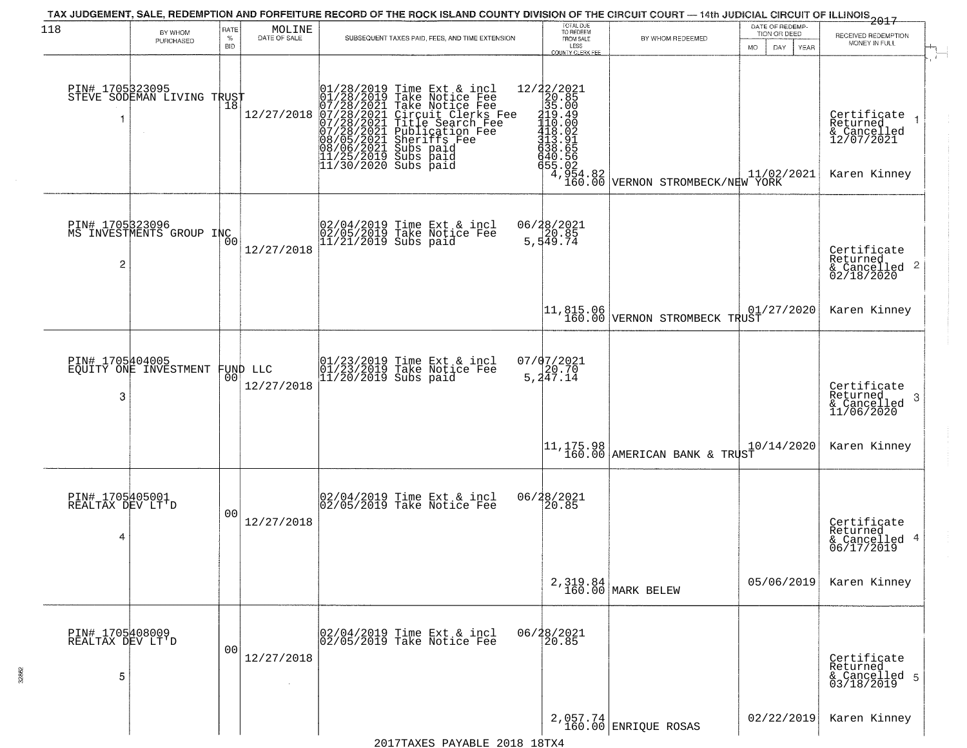|                                          |                                               |                            |                                                                     |                                                                                                                                                                                                                                            |                                                                 | TAX JUDGEMENT, SALE, REDEMPTION AND FORFEITURE RECORD OF THE ROCK ISLAND COUNTY DIVISION OF THE CIRCUIT COURT — 14th JUDICIAL CIRCUIT OF ILLINOIS 2017 | DATE OF REDEMP-                     |                                                                      |
|------------------------------------------|-----------------------------------------------|----------------------------|---------------------------------------------------------------------|--------------------------------------------------------------------------------------------------------------------------------------------------------------------------------------------------------------------------------------------|-----------------------------------------------------------------|--------------------------------------------------------------------------------------------------------------------------------------------------------|-------------------------------------|----------------------------------------------------------------------|
| 118                                      | BY WHOM<br>PURCHASED                          | RATE<br>$\%$<br><b>BID</b> | $\begin{array}{c} \text{MOLINE} \\ \text{DATE of SALE} \end{array}$ | SUBSEQUENT TAXES PAID, FEES, AND TIME EXTENSION                                                                                                                                                                                            | TOTAL DUE<br>TO REDEEM<br>FROM SALE<br>LESS<br>COUNTY CLERK FEE | BY WHOM REDEEMED                                                                                                                                       | TION OR DEED<br>DAY.<br>YEAR<br>MO. | RECEIVED REDEMPTION<br>MONEY IN FULL                                 |
|                                          | PIN# 1705323095<br>STEVE SODEMAN LIVING TRUST |                            | 12/27/2018                                                          | $01/28/2019$ Time Ext & incl<br>$01/28/2019$ Take Notice Fee<br>$07/28/2021$ Take Notice Fee<br>$07/28/2021$ Circuit Clerks Fee<br>$07/28/2021$ Title Search Fee<br>$07/28/2021$ Publication Fee<br>$08/05/2021$ Subs paid<br>$08/05/2021$ |                                                                 | 12/22/2021<br>20.85<br>35.00<br>410.49<br>110.49<br>410.00<br>440.56<br>440.56<br>465.02<br>4.954.82<br>160.00 VERNON STROMBECK/NEW YORK               |                                     | Certificate<br>Returned<br>& Cancelled<br>12/07/2021<br>Karen Kinney |
| 2                                        | PIN# 1705323096<br>MS INVESTMENTS GROUP INC   | 0 <sub>0</sub>             | 12/27/2018                                                          | 02/04/2019 Time Ext & incl<br>02/05/2019 Take Notice Fee<br>11/21/2019 Subs paid                                                                                                                                                           | 06/28/2021<br>20.85<br>5,549.74                                 |                                                                                                                                                        |                                     | Certificate<br>Returned<br>$\frac{1}{2}$ Cancelled 2<br>02/18/2020   |
|                                          |                                               |                            |                                                                     |                                                                                                                                                                                                                                            |                                                                 | 11,815.06<br>160.00 VERNON STROMBECK TRUST                                                                                                             | 01/27/2020                          | Karen Kinney                                                         |
| 3                                        | PIN# 1705404005<br>EQUITY ONE INVESTMENT      | 0 <sub>0</sub>             | FUND LLC<br>12/27/2018                                              | 01/23/2019 Time Ext & incl<br>01/23/2019 Take Notice Fee<br>11/20/2019 Subs paid                                                                                                                                                           | 07/07/2021<br>5, 247.14                                         |                                                                                                                                                        |                                     | Certificate<br>Returned<br>-3<br>& Cancelled<br>11/06/2020           |
|                                          |                                               |                            |                                                                     |                                                                                                                                                                                                                                            |                                                                 | $11, 175.98$ MERICAN BANK & TRUST                                                                                                                      | 10/14/2020                          | Karen Kinney                                                         |
| PIN# 1705405001<br>REALTAX DEV LT'D<br>4 |                                               | 00                         | 12/27/2018                                                          | 02/04/2019 Time Ext & incl<br>02/05/2019 Take Notice Fee                                                                                                                                                                                   | 06/28/2021<br>20.85                                             |                                                                                                                                                        |                                     | Certificate<br>Returned<br>& Cancelled 4<br>06/17/2019               |
|                                          |                                               |                            |                                                                     |                                                                                                                                                                                                                                            |                                                                 | 2,319.84<br>160.00 MARK BELEW                                                                                                                          | 05/06/2019                          | Karen Kinney                                                         |
| PIN# 1705408009<br>REALTAX DEV LT'D<br>5 |                                               | 00                         | 12/27/2018<br>$\sim$                                                | 02/04/2019 Time Ext & incl<br>02/05/2019 Take Notice Fee                                                                                                                                                                                   | 06/28/2021<br>20.85                                             |                                                                                                                                                        |                                     | Certificate<br>Returned<br>& Cancelled 5<br>03/18/2019               |
|                                          |                                               |                            |                                                                     |                                                                                                                                                                                                                                            |                                                                 | 2,057.74<br>160.00 ENRIQUE ROSAS                                                                                                                       | 02/22/2019                          | Karen Kinney                                                         |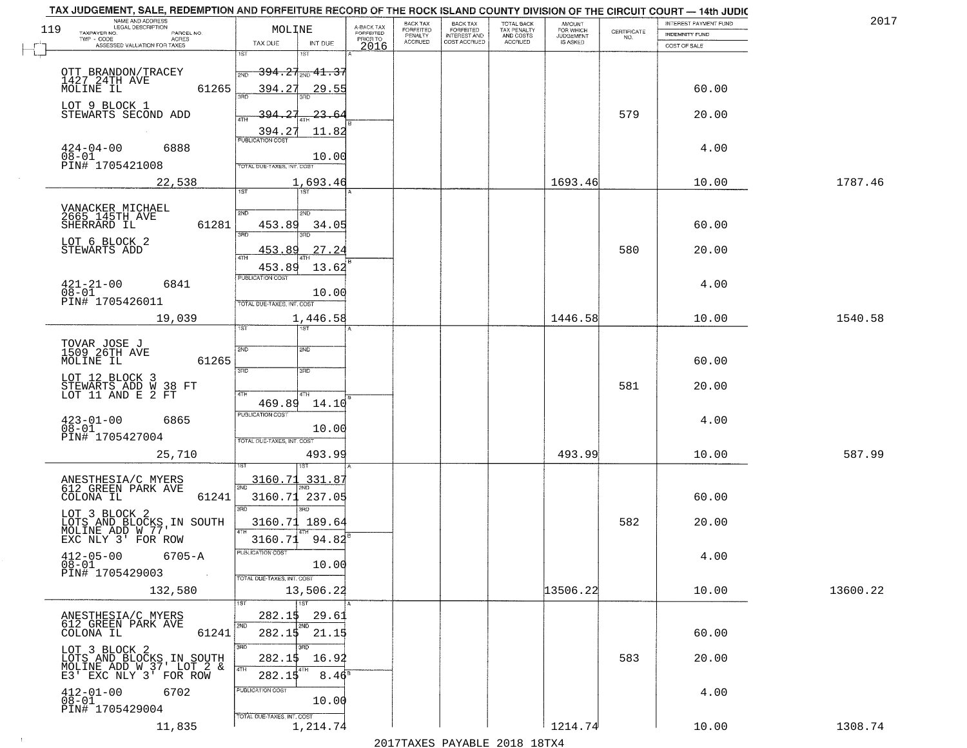|     | TAX JUDGEMENT, SALE, REDEMPTION AND FORFEITURE RECORD OF THE ROCK ISLAND COUNTY DIVISION OF THE CIRCUIT COURT - 14th JUDIC<br>NAME AND ADDRESS<br>LEGAL DESCRIPTION |                                                                            |                                     | <b>BACK TAX</b>             | <b>BACK TAX</b>                  |                                        | AMOUNT<br>FOR WHICH |                    | INTEREST PAYMENT FUND | 201      |
|-----|---------------------------------------------------------------------------------------------------------------------------------------------------------------------|----------------------------------------------------------------------------|-------------------------------------|-----------------------------|----------------------------------|----------------------------------------|---------------------|--------------------|-----------------------|----------|
| 119 | TAXPAYER NO.<br>PARCEL NO.<br>TWP - CODE<br>ACRES                                                                                                                   | MOLINE                                                                     | A-BACK TAX<br>FORFEITED<br>PRIOR TO | <b>FORFEITED</b><br>PENALTY | FORFEITED<br><b>INTEREST AND</b> | TOTAL BACK<br>TAX PENALTY<br>AND COSTS | <b>JUDGEMENT</b>    | CERTIFICATE<br>NO. | <b>INDEMNITY FUND</b> |          |
|     | ASSESSED VALUATION FOR TAXES                                                                                                                                        | TAX DUE<br>INT DUE<br>1ST                                                  | 2016                                | <b>ACCRUED</b>              | COST ACCRUED                     | ACCRUED                                | IS ASKED            |                    | COST OF SALE          |          |
|     | OTT BRANDON/TRACEY<br>1427 14TH AVE                                                                                                                                 | $-394.27_{\rm 2ND}$ $41.37$<br>2ND                                         |                                     |                             |                                  |                                        |                     |                    |                       |          |
|     | 61265<br>MOLINE IL                                                                                                                                                  | 394.27<br>29.55                                                            |                                     |                             |                                  |                                        |                     |                    | 60.00                 |          |
|     | LOT 9 BLOCK 1<br>STEWARTS SECOND ADD                                                                                                                                | 394.27<br><u>23.64</u><br>4TH<br>11.82<br>394.27                           |                                     |                             |                                  |                                        |                     | 579                | 20.00                 |          |
|     | $424 - 04 - 00$<br>6888<br>$08 - 01$<br>PIN# 1705421008                                                                                                             | <b>PUBLICATION COST</b><br>10.00<br>TOTAL DUE-TAXES, INT, COST             |                                     |                             |                                  |                                        |                     |                    | 4.00                  |          |
|     | 22,538                                                                                                                                                              | 1,693.46                                                                   |                                     |                             |                                  |                                        | 1693.46             |                    | 10.00                 | 1787.46  |
|     |                                                                                                                                                                     | 1ST                                                                        |                                     |                             |                                  |                                        |                     |                    |                       |          |
|     | VANACKER MICHAEL<br>2665 145TH AVE<br>SHERRARD IL<br>61281                                                                                                          | 2ND<br>2ND<br>453.89<br>34.05<br>3BD<br>3BD                                |                                     |                             |                                  |                                        |                     |                    | 60.00                 |          |
|     | LOT 6 BLOCK 2<br>STEWARTS ADD                                                                                                                                       | 27.24<br>453.89<br>47H                                                     |                                     |                             |                                  |                                        |                     | 580                | 20.00                 |          |
|     | $421 - 21 - 00$<br>6841<br>$08 - 01$<br>PIN# 1705426011                                                                                                             | 13.62<br>453.89<br>PUBLICATION COST<br>10.00<br>TOTAL DUE-TAXES, INT. COST |                                     |                             |                                  |                                        |                     |                    | 4.00                  |          |
|     | 19,039                                                                                                                                                              | 1,446.58                                                                   |                                     |                             |                                  |                                        | 1446.58             |                    | 10.00                 | 1540.58  |
|     |                                                                                                                                                                     | 1ST<br>187                                                                 |                                     |                             |                                  |                                        |                     |                    |                       |          |
|     | TOVAR JOSE J<br>1509 26TH AVE<br>MOLINE IL<br>61265                                                                                                                 | 2ND<br>2ND<br>3RD<br>3RD                                                   |                                     |                             |                                  |                                        |                     |                    | 60.00                 |          |
|     | LOT 12 BLOCK 3<br>STEWARTS ADD W 38 FT<br>LOT 11 AND E 2 FT                                                                                                         | 4TH<br>4TH                                                                 |                                     |                             |                                  |                                        |                     | 581                | 20.00                 |          |
|     | $423 - 01 - 00$<br>6865<br>$08 - 01$<br>PIN# 1705427004                                                                                                             | 469.89<br>14.10<br><b>PUBLICATION COST</b><br>10.00                        |                                     |                             |                                  |                                        |                     |                    | 4.00                  |          |
|     | 25,710                                                                                                                                                              | TOTAL OUE-TAXES, INT. COST<br>493.99                                       |                                     |                             |                                  |                                        | 493.99              |                    | 10.00                 | 587.99   |
|     |                                                                                                                                                                     | 3160.71<br>331.87                                                          |                                     |                             |                                  |                                        |                     |                    |                       |          |
|     | ANESTHESIA/C MYERS<br>612 GREEN PARK AVE<br>COLONA IL<br>61241                                                                                                      | 2ND<br>3160.71<br>237.05<br>3RD<br>3RD                                     |                                     |                             |                                  |                                        |                     |                    | 60.00                 |          |
|     | LOT 3 BLOCK 2<br>LOTS AND BLOCKS IN SOUTH<br>MOLINE ADD W 77'                                                                                                       | 3160.71 189.64                                                             |                                     |                             |                                  |                                        |                     | 582                | 20.00                 |          |
|     | EXC NLY 3' FOR ROW<br>$412 - 05 - 00$<br>$6705 - A$<br>08-01                                                                                                        | 3160.71<br>94.82<br>ruslica i IUN COS<br>10.00                             |                                     |                             |                                  |                                        |                     |                    | 4.00                  |          |
|     | PIN# 1705429003<br><b>Contract</b><br>132,580                                                                                                                       | TOTAL DUE-TAXES, INT. COST<br>13,506.22                                    |                                     |                             |                                  |                                        | 13506.22            |                    | 10.00                 | 13600.22 |
|     | ANESTHESIA/C MYERS                                                                                                                                                  | 1ST<br>1ST<br>282.15<br>29.61                                              |                                     |                             |                                  |                                        |                     |                    |                       |          |
|     | 612 GREEN PARK AVE<br>61241<br>COLONA IL                                                                                                                            | 2ND<br>2ND<br>$282.15$ $21.15$                                             |                                     |                             |                                  |                                        |                     |                    | 60.00                 |          |
|     | LOT 3 BLOCK 2<br>LOTS AND BLOCKS IN SOUTH<br>MOLINE ADD W 37' LOT 2 &                                                                                               | 3RD<br>3RD<br>282.1\$<br>16.92<br>4TH                                      |                                     |                             |                                  |                                        |                     | 583                | 20.00                 |          |
|     | E3' EXC NLY 3' FOR ROW<br>$412 - 01 - 00$<br>6702<br>08-01<br>PIN# 1705429004                                                                                       | 282.15<br>8.46 <sup>s</sup><br>PUBLICATION COST<br>10.00                   |                                     |                             |                                  |                                        |                     |                    | 4.00                  |          |
|     | 11,835                                                                                                                                                              | TOTAL DUE-TAXES, INT. COST<br>1,214.74                                     |                                     |                             |                                  |                                        | 1214.74             |                    | 10.00                 | 1308.74  |

 $\sim 100$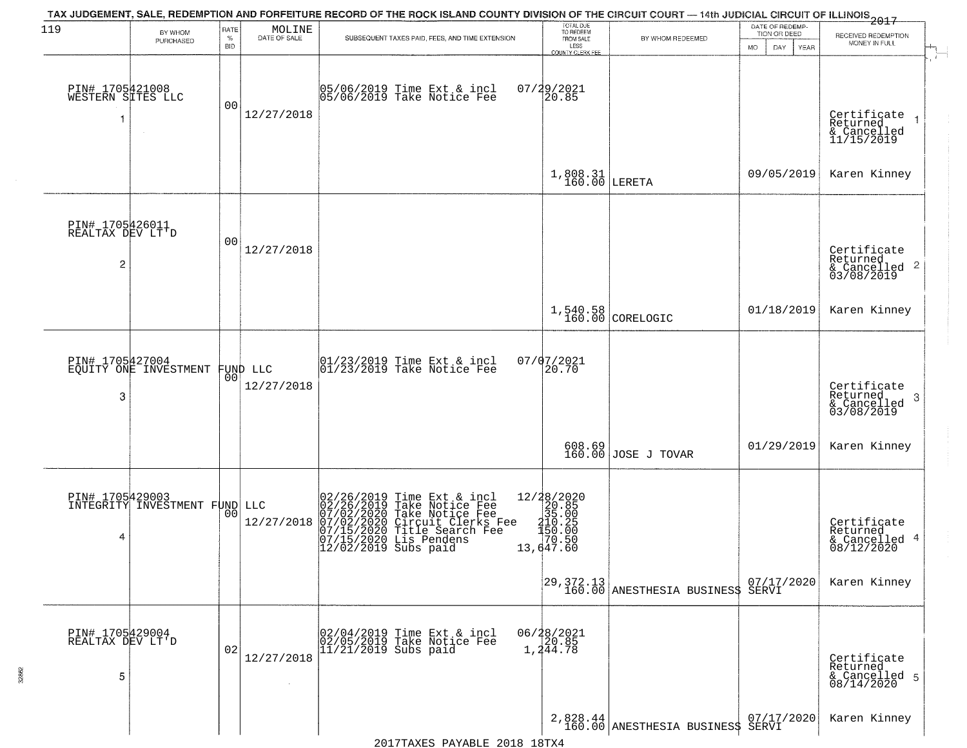| 119                                       | BY WHOM                                          | RATE               | MOLINE                 | TAX JUDGEMENT, SALE, REDEMPTION AND FORFEITURE RECORD OF THE ROCK ISLAND COUNTY DIVISION OF THE CIRCUIT COURT — 14th JUDICIAL CIRCUIT OF ILLINOIS 2017                                                   | TOTAL DUE<br>TO REDEEM                                                                                                |                                                | DATE OF REDEMP-<br>TION OR DEED |                                                                        |
|-------------------------------------------|--------------------------------------------------|--------------------|------------------------|----------------------------------------------------------------------------------------------------------------------------------------------------------------------------------------------------------|-----------------------------------------------------------------------------------------------------------------------|------------------------------------------------|---------------------------------|------------------------------------------------------------------------|
|                                           | PURCHASED                                        | $\%$<br><b>BID</b> | DATE OF SALE           | SUBSEQUENT TAXES PAID, FEES, AND TIME EXTENSION                                                                                                                                                          | FROM SALE<br>LESS                                                                                                     | BY WHOM REDEEMED                               | DAY<br><b>MO</b><br>YEAR        | RECEIVED REDEMPTION<br>MONEY IN FULL                                   |
| PIN# 1705421008<br>WESTERN SITES LLC<br>1 |                                                  | 00                 | 12/27/2018             | 05/06/2019 Time Ext & incl<br>05/06/2019 Take Notice Fee                                                                                                                                                 | COUNTY CLERK FEE<br>07/29/2021<br>20.85                                                                               |                                                |                                 | Certificate<br>$\overline{1}$<br>Returned<br>& Cancelled<br>11/15/2019 |
|                                           |                                                  |                    |                        |                                                                                                                                                                                                          | $1,808.31$ LERETA                                                                                                     |                                                | 09/05/2019                      | Karen Kinney                                                           |
| PIN# 1705426011<br>REALTAX DEV LT'D<br>2  |                                                  | 00                 | 12/27/2018             |                                                                                                                                                                                                          |                                                                                                                       |                                                |                                 | Certificate<br>Returned<br>$\frac{1}{6}$ Cancelled 2<br>03/08/2019     |
|                                           |                                                  |                    |                        |                                                                                                                                                                                                          |                                                                                                                       | 1,540.58<br>160.00 CORELOGIC                   | 01/18/2019                      | Karen Kinney                                                           |
| PIN# 1705427004<br>3                      | EQUITY ONE INVESTMENT                            | 0 <sup>0</sup>     | FUND LLC<br>12/27/2018 | $\begin{array}{c}  01/23/2019 \text{ Time} \text{ Ext} & \text{incl} \\  01/23/2019 \text{ Take Notice } \text{Fe} \end{array}$                                                                          | 07/07/2021<br>20.70                                                                                                   |                                                |                                 | Certificate<br>Returned<br>3<br>$\frac{6}{03/08/2019}$                 |
|                                           |                                                  |                    |                        |                                                                                                                                                                                                          |                                                                                                                       | 608.69<br>160.00 JOSE J TOVAR                  | 01/29/2019                      | Karen Kinney                                                           |
| 4                                         | PIN# 1705429003<br>INTEGRITY INVESTMENT FUND LLC | 0 <sup>0</sup>     | 12/27/2018             | 02/26/2019 Time Ext & incl<br>02/26/2019 Take Notice Fee<br>07/02/2020 Take Notice Fee<br>07/02/2020 Circuit Clerks Fee<br>07/15/2020 Title Search Fee<br>07/15/2020 Lis Pendens<br>12/02/2019 Subs paid | $\begin{array}{r} 12/28/2020 \\20.85 \\35.00 \\ \textrm{20.85} \\ 150.25 \\ 150.00 \\ 70.50 \\ 13,647.60 \end{array}$ |                                                |                                 | Certificate<br>Returned<br>& Cancelled 4<br>08/12/2020                 |
|                                           |                                                  |                    |                        |                                                                                                                                                                                                          |                                                                                                                       | 29,372.13<br>160.00 ANESTHESIA BUSINES\$ SERVI | 07/17/2020                      | Karen Kinney                                                           |
| PIN# 1705429004<br>REALTAX DEV LT'D<br>5  |                                                  | 02                 | 12/27/2018             | 02/04/2019 Time Ext & incl<br>02/05/2019 Take Notice Fee<br>11/21/2019 Subs paid                                                                                                                         | 06/28/2021<br>20.85<br>1,244.78                                                                                       |                                                |                                 | Certificate<br>Returned<br>& Cancelled 5<br>08/14/2020                 |
|                                           |                                                  |                    |                        |                                                                                                                                                                                                          |                                                                                                                       | 2,828.44 ANESTHESIA BUSINES\$ SERVI 2020       |                                 | Karen Kinney                                                           |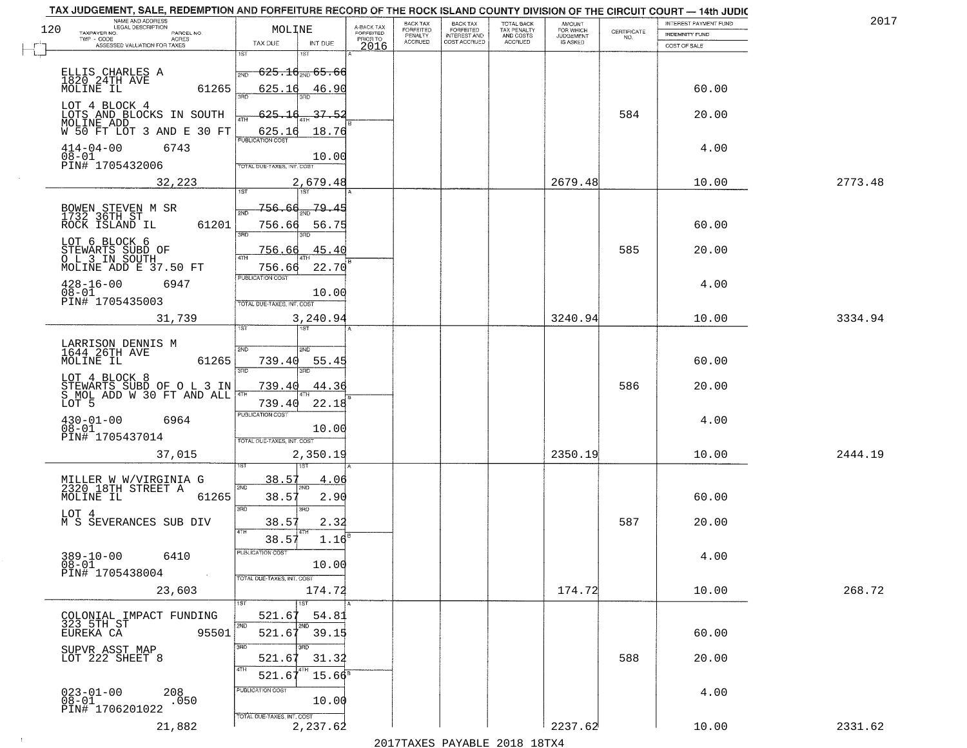| TAX JUDGEMENT, SALE, REDEMPTION AND FORFEITURE RECORD OF THE ROCK ISLAND COUNTY DIVISION OF THE CIRCUIT COURT - 14th JUDIC<br>NAME AND ADDRESS<br>LEGAL DESCRIPTION |                         |                                                                 |                         | BACK TAX             | <b>BACK TAX</b>           | <b>TOTAL BACK</b>        |                                         |                                                                 | INTEREST PAYMENT FUND | 2017    |
|---------------------------------------------------------------------------------------------------------------------------------------------------------------------|-------------------------|-----------------------------------------------------------------|-------------------------|----------------------|---------------------------|--------------------------|-----------------------------------------|-----------------------------------------------------------------|-----------------------|---------|
| 120<br>TAXPAYER NO.                                                                                                                                                 | PARCEL NO.              | MOLINE                                                          | A-BACK TAX<br>FORFEITED | FORFEITED<br>PENALTY | FORFEITED<br>INTEREST AND | TAX PENALTY<br>AND COSTS | AMOUNT<br>FOR WHICH<br><b>JUDGEMENT</b> | $\begin{array}{c} \text{CERTIFICATE} \\ \text{NO.} \end{array}$ | INDEMNITY FUND        |         |
| ASSESSED VALUATION FOR TAXES                                                                                                                                        | ACRES                   | TAX DUE<br>INT DUE                                              | PRIOR TO<br>2016        | <b>ACCRUED</b>       | COST ACCRUED              | <b>ACCRUED</b>           | IS ASKED                                |                                                                 | COST OF SALE          |         |
| ELLIS CHARLES A<br>1820.24TH AVE                                                                                                                                    |                         | 1ST<br>$625.16_{200}$ 65.66<br>2ND                              |                         |                      |                           |                          |                                         |                                                                 |                       |         |
| MOLINE IL<br>LOT 4 BLOCK 4                                                                                                                                          | 61265                   | 625.16<br>46.90                                                 |                         |                      |                           |                          |                                         |                                                                 | 60.00                 |         |
| LOTS AND BLOCKS IN SOUTH<br>MOLINE ADD<br>W 50 FT LOT 3 AND E 30 FT                                                                                                 |                         | 625.16<br>37.52<br><u>625.16</u><br>18.76<br>PUBLICATION COST   |                         |                      |                           |                          |                                         | 584                                                             | 20.00                 |         |
| $414 - 04 - 00$<br>$08 - 01$<br>PIN# 1705432006                                                                                                                     | 6743                    | 10.00<br>TOTAL DUE-TAXES, INT. COST                             |                         |                      |                           |                          |                                         |                                                                 | 4.00                  |         |
|                                                                                                                                                                     | 32,223                  | 2,679.48                                                        |                         |                      |                           |                          | 2679.48                                 |                                                                 | 10.00                 | 2773.48 |
| BOWEN STEVEN M SR<br>1732 36TH ST<br>ROCK ISLAND IL                                                                                                                 | 61201                   | 756.66<br>-79.45<br>ইমট<br>756.66<br>56.75<br>3BD<br>3BD.       |                         |                      |                           |                          |                                         |                                                                 | 60.00                 |         |
| LOT 6 BLOCK 6<br>STEWARTS SUBD OF<br>OL 3 IN SOUTH<br>MOLINE ADD E 37.50 FT                                                                                         |                         | 45.40<br>756.66<br>756.66<br>22.70                              |                         |                      |                           |                          |                                         | 585                                                             | 20.00                 |         |
| $428 - 16 - 00$<br>$08 - 01$<br>PIN# 1705435003                                                                                                                     | 6947                    | PUBLICATION COST<br>10.00<br>TOTAL DUE-TAXES, INT. COST         |                         |                      |                           |                          |                                         |                                                                 | 4.00                  |         |
|                                                                                                                                                                     | 31,739                  | 3,240.94<br>īst<br>1ST                                          |                         |                      |                           |                          | 3240.94                                 |                                                                 | 10.00                 | 3334.94 |
| LARRISON DENNIS M<br>1644 26TH AVE<br>MOLINE IL                                                                                                                     | 61265                   | 2ND<br>2ND<br>739.40<br>55.45<br>3RD<br>3RD                     |                         |                      |                           |                          |                                         |                                                                 | 60.00                 |         |
| LOT 4 BLOCK 8<br>STEWARTS SUBD OF O L 3 IN<br>S MOL ADD W 30 FT AND ALL<br>LOT 5                                                                                    |                         | 739.40<br>44.36<br>4TH<br>739.40<br>22.18                       |                         |                      |                           |                          |                                         | 586                                                             | 20.00                 |         |
| $430 - 01 - 00$<br>$08 - 01$<br>PIN# 1705437014                                                                                                                     | 6964                    | <b>PUBLICATION COST</b><br>10.00<br>TOTAL OUE-TAXES, INT. COST  |                         |                      |                           |                          |                                         |                                                                 | 4.00                  |         |
|                                                                                                                                                                     | 37,015                  | 2,350.19                                                        |                         |                      |                           |                          | 2350.19                                 |                                                                 | 10.00                 | 2444.19 |
| MILLER W W/VIRGINIA G<br>2320 18TH STREET A<br>MOLINE IL                                                                                                            | 61265                   | 38.57<br>4.06<br>2ND<br>38.57<br>2.90<br>3RD<br>3RD             |                         |                      |                           |                          |                                         |                                                                 | 60.00                 |         |
| LOT 4<br>M S SEVERANCES SUB DIV                                                                                                                                     |                         | 38.57<br>2.32<br>4TH<br>1.16                                    |                         |                      |                           |                          |                                         | 587                                                             | 20.00                 |         |
| $389 - 10 - 00$<br>$08 - 01$<br>PIN# 1705438004                                                                                                                     | 6410<br><b>Contract</b> | 38.57<br>PUBLICATION COS<br>10.00<br>TOTAL DUE-TAXES, INT. COST |                         |                      |                           |                          |                                         |                                                                 | 4.00                  |         |
|                                                                                                                                                                     | 23,603                  | 174.72<br>1ST                                                   |                         |                      |                           |                          | 174.72                                  |                                                                 | 10.00                 | 268.72  |
| COLONIAL IMPACT FUNDING<br>323 5TH ST<br>EUREKA CA                                                                                                                  | 95501                   | 521.67<br>54.81<br>2ND<br>2ND<br>521.67<br>39.15                |                         |                      |                           |                          |                                         |                                                                 | 60.00                 |         |
| SUPVR ASST MAP<br>LOT 222 SHEET 8                                                                                                                                   |                         | 3RD<br>31.32<br>521.67<br>4TH<br>521.6<br>$15.66^{\circ}$       |                         |                      |                           |                          |                                         | 588                                                             | 20.00                 |         |
| $023 - 01 - 00$<br>$08 - 01$<br>PIN# 1706201022                                                                                                                     | 208<br>.050             | PUBLICATION COST<br>10.00<br>TOTAL DUE-TAXES, INT. COST         |                         |                      |                           |                          |                                         |                                                                 | 4.00                  |         |
|                                                                                                                                                                     | 21,882                  | 2,237.62                                                        |                         |                      |                           |                          | 2237.62                                 |                                                                 | 10.00                 | 2331.62 |

 $\sim 100$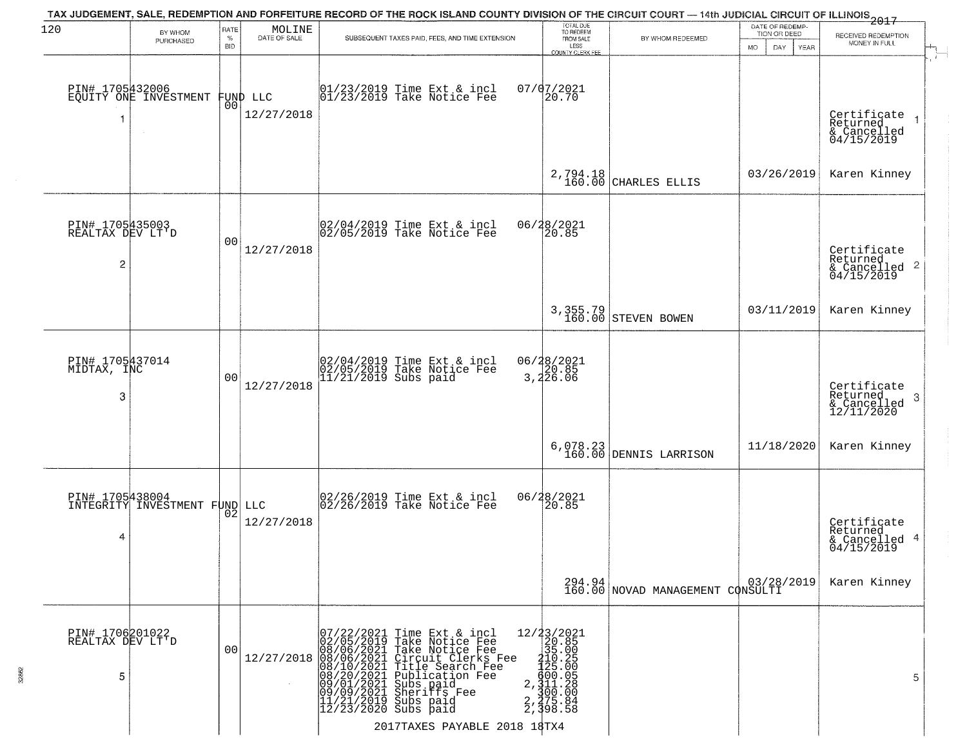| 120                                      | BY WHOM<br>PURCHASED                             | RATE<br>$\%$<br><b>BID</b> | MOLINE<br>DATE OF SALE | TAX JUDGEMENT, SALE, REDEMPTION AND FORFEITURE RECORD OF THE ROCK ISLAND COUNTY DIVISION OF THE CIRCUIT COURT — 14th JUDICIAL CIRCUIT OF ILLINOIS 2017<br>SUBSEQUENT TAXES PAID, FEES, AND TIME EXTENSION                                                                                                                                                                                                                                           | TOTAL DUE<br>TO REDEEM<br>FROM SALE<br>LESS<br>COUNTY CLERK FEE                                                                                                      | BY WHOM REDEEMED                           | DATE OF REDEMP-<br>TION OR DEED<br><b>MO</b><br>DAY<br><b>YEAR</b> | RECEIVED REDEMPTION<br>MONEY IN FULL                               |
|------------------------------------------|--------------------------------------------------|----------------------------|------------------------|-----------------------------------------------------------------------------------------------------------------------------------------------------------------------------------------------------------------------------------------------------------------------------------------------------------------------------------------------------------------------------------------------------------------------------------------------------|----------------------------------------------------------------------------------------------------------------------------------------------------------------------|--------------------------------------------|--------------------------------------------------------------------|--------------------------------------------------------------------|
| 1                                        | PIN# 1705432006<br>EQUITY ONE INVESTMENT         | 00                         | FUND LLC<br>12/27/2018 | $\begin{array}{c}  01/23/2019 \end{array}$ Time Ext & incl<br>$ 01/23/2019 \end{array}$ Take Notice Fee                                                                                                                                                                                                                                                                                                                                             | $07/07/2021$<br>20.70                                                                                                                                                |                                            |                                                                    | Certificate<br>Returned<br>& Cancelled<br>04/15/2019               |
|                                          |                                                  |                            |                        |                                                                                                                                                                                                                                                                                                                                                                                                                                                     | 2,794.18<br>160.00                                                                                                                                                   | CHARLES ELLIS                              | 03/26/2019                                                         | Karen Kinney                                                       |
| PIN# 1705435003<br>REALTAX DEV LT'D<br>2 |                                                  | 0 <sub>0</sub>             | 12/27/2018             | 02/04/2019 Time Ext & incl<br>02/05/2019 Take Notice Fee                                                                                                                                                                                                                                                                                                                                                                                            | 06/28/2021<br>20.85                                                                                                                                                  |                                            |                                                                    | Certificate<br>Returned<br>$\frac{1}{6}$ Cancelled 2<br>04/15/2019 |
|                                          |                                                  |                            |                        |                                                                                                                                                                                                                                                                                                                                                                                                                                                     | 3,355.79<br>160.00                                                                                                                                                   | <b>STEVEN BOWEN</b>                        | 03/11/2019                                                         | Karen Kinney                                                       |
| PIN# 1705437014<br>MIDTAX, INC<br>3      |                                                  | 0 <sub>0</sub>             | 12/27/2018             | 02/04/2019 Time Ext & incl<br>02/05/2019 Take Notice Fee<br>11/21/2019 Subs paid                                                                                                                                                                                                                                                                                                                                                                    | 06/28/2021<br>3,20.85<br>3,226.06                                                                                                                                    |                                            |                                                                    | Certificate<br>Returned<br>3<br>$\frac{6}{12/11/2020}$             |
|                                          |                                                  |                            |                        |                                                                                                                                                                                                                                                                                                                                                                                                                                                     | 6,078.23<br>160.00                                                                                                                                                   | DENNIS LARRISON                            | 11/18/2020                                                         | Karen Kinney                                                       |
| 4                                        | PIN# 1705438004<br>INTEGRITY INVESTMENT FUND LLC | 02                         | 12/27/2018             | 02/26/2019 Time Ext & incl<br>02/26/2019 Take Notice Fee                                                                                                                                                                                                                                                                                                                                                                                            | 06/28/2021<br>20.85                                                                                                                                                  |                                            |                                                                    | Certificate<br>Returned<br>& Cancelled 4<br>04/15/2019             |
|                                          |                                                  |                            |                        |                                                                                                                                                                                                                                                                                                                                                                                                                                                     |                                                                                                                                                                      | 294.94<br>160.00 NOVAD MANAGEMENT CONSULTI | 03/28/2019                                                         | Karen Kinney                                                       |
| PIN# 1706201022<br>REALTAX DEV LT'D<br>5 |                                                  | 0 <sub>0</sub>             |                        | $12/27/2018 \begin{array}{l} 07/22/2021 \text{ Time Ext & incl} \\ 02/05/2019 \text{ Take Notice Free} \\ 08/06/2021 \text{ Take Notice Free} \\ 08/06/2021 \text{ Circuit Clerks Free} \\ 08/10/2021 \text{ Title. Search Free} \\ 08/20/2021 \text{ Publication Free} \\ 09/09/2021 \text{ Subs paid} \\ 09/09/2021 \text{ Sheriffs} \\ 11/21/2019 \text{ Subs paid} \\ 12/23/2020 \text{ Subs paid} \end{array}$<br>2017TAXES PAYABLE 2018 18TX4 | $\begin{smallmatrix}12/2\\20.85\\20.85\\310.025\\425.00\\425.00\\7&311.28\\2&3100.08\\2&32\\2&330\\2&34\\3&36\\2&36\\4&8\end{smallmatrix}$<br>2, 375.84<br>2, 398.58 |                                            |                                                                    | 5                                                                  |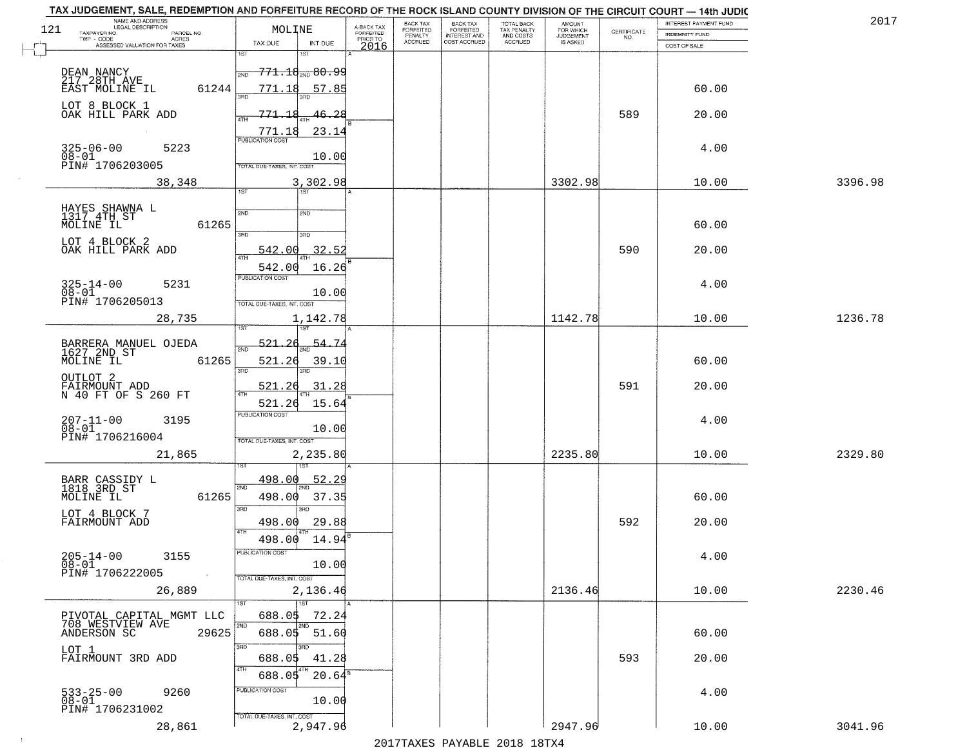|     | TAX JUDGEMENT, SALE, REDEMPTION AND FORFEITURE RECORD OF THE ROCK ISLAND COUNTY DIVISION OF THE CIRCUIT COURT - 14th JUDIC |                                            |                         |                              |                                       |                                        |                              |                                                                 |                       | 2017    |
|-----|----------------------------------------------------------------------------------------------------------------------------|--------------------------------------------|-------------------------|------------------------------|---------------------------------------|----------------------------------------|------------------------------|-----------------------------------------------------------------|-----------------------|---------|
| 121 | NAME AND ADDRESS<br>LEGAL DESCRIPTION<br>TAXPAYER NO.<br>PARCEL NO.                                                        | MOLINE                                     | A-BACK TAX<br>FORFEITED | BACK TAX<br><b>FORFEITED</b> | BACK TAX<br>FORFEITED<br>INTEREST AND | TOTAL BACK<br>TAX PENALTY<br>AND COSTS | AMOUNT<br>FOR WHICH          |                                                                 | INTEREST PAYMENT FUND |         |
|     | TWP - CODE<br>ACRES                                                                                                        | TAX DUE<br>INT DUE                         | PRIOR TO                | PENALTY<br><b>ACCRUED</b>    | COST ACCRUED                          | ACCRUED                                | <b>JUDGEMENT</b><br>IS ASKED | $\begin{array}{c} \text{CERTIFICATE} \\ \text{NO.} \end{array}$ | <b>INDEMNITY FUND</b> |         |
|     | ASSESSED VALUATION FOR TAXES                                                                                               | 1ST<br>۱ST                                 | 2016                    |                              |                                       |                                        |                              |                                                                 | COST OF SALE          |         |
|     | DEAN NANCY                                                                                                                 | <del>771.18<sub>2ND</sub> 80.99</del>      |                         |                              |                                       |                                        |                              |                                                                 |                       |         |
|     | 217 28TH AVE                                                                                                               | 2ND                                        |                         |                              |                                       |                                        |                              |                                                                 |                       |         |
|     | 61244<br>EAST MOLINE IL                                                                                                    | 771.18<br>57.85                            |                         |                              |                                       |                                        |                              |                                                                 | 60.00                 |         |
|     | LOT 8 BLOCK 1                                                                                                              | 771.18                                     |                         |                              |                                       |                                        |                              | 589                                                             |                       |         |
|     | OAK HILL PARK ADD                                                                                                          | 46.28                                      |                         |                              |                                       |                                        |                              |                                                                 | 20.00                 |         |
|     |                                                                                                                            | 23.14<br>771.18<br><b>PUBLICATION COST</b> |                         |                              |                                       |                                        |                              |                                                                 |                       |         |
|     | $325 - 06 - 00$<br>5223<br>$08 - 01$                                                                                       | 10.00                                      |                         |                              |                                       |                                        |                              |                                                                 | 4.00                  |         |
|     | PIN# 1706203005                                                                                                            | TOTAL DUE-TAXES, INT. COST                 |                         |                              |                                       |                                        |                              |                                                                 |                       |         |
|     | 38,348                                                                                                                     | 3,302.98                                   |                         |                              |                                       |                                        | 3302.98                      |                                                                 | 10.00                 | 3396.98 |
|     |                                                                                                                            | 1ST<br>1ST                                 |                         |                              |                                       |                                        |                              |                                                                 |                       |         |
|     | HAYES SHAWNA L<br>1317 4TH ST                                                                                              | 2ND<br>2ND                                 |                         |                              |                                       |                                        |                              |                                                                 |                       |         |
|     | 61265<br>MOLINE IL                                                                                                         |                                            |                         |                              |                                       |                                        |                              |                                                                 | 60.00                 |         |
|     | LOT 4 BLOCK 2                                                                                                              | $\overline{\text{3BD}}$<br>3RD             |                         |                              |                                       |                                        |                              |                                                                 |                       |         |
|     | OAK HILL PARK ADD                                                                                                          | 32.52<br>542.00                            |                         |                              |                                       |                                        |                              | 590                                                             | 20.00                 |         |
|     |                                                                                                                            | 542.00<br>16.26                            |                         |                              |                                       |                                        |                              |                                                                 |                       |         |
|     | $325 - 14 - 00$<br>5231                                                                                                    | PUBLICATION COST                           |                         |                              |                                       |                                        |                              |                                                                 | 4.00                  |         |
|     | $08 - 01$                                                                                                                  | 10.00                                      |                         |                              |                                       |                                        |                              |                                                                 |                       |         |
|     | PIN# 1706205013                                                                                                            | TOTAL DUE-TAXES, INT. COST                 |                         |                              |                                       |                                        |                              |                                                                 |                       |         |
|     | 28,735                                                                                                                     | 1,142.78<br>1ST<br>'ST                     |                         |                              |                                       |                                        | 1142.78                      |                                                                 | 10.00                 | 1236.78 |
|     |                                                                                                                            |                                            |                         |                              |                                       |                                        |                              |                                                                 |                       |         |
|     | BARRERA MANUEL OJEDA<br>1627 2ND ST                                                                                        | 521<br><u>54.7</u><br>2ND                  |                         |                              |                                       |                                        |                              |                                                                 |                       |         |
|     | MOLINE IL<br>61265                                                                                                         | 521.26<br>39.10<br>3RD<br>3RD              |                         |                              |                                       |                                        |                              |                                                                 | 60.00                 |         |
|     | OUTLOT <sub>2</sub>                                                                                                        |                                            |                         |                              |                                       |                                        |                              |                                                                 |                       |         |
|     | FAIRMOUNT ADD<br>N 40 FT OF S 260 FT                                                                                       | 31.28<br><u>521.</u><br>26                 |                         |                              |                                       |                                        |                              | 591                                                             | 20.00                 |         |
|     |                                                                                                                            | 521.26<br>15.64<br>PUBLICATION COST        |                         |                              |                                       |                                        |                              |                                                                 |                       |         |
|     | $207 - 11 - 00$<br>$08 - 01$<br>3195                                                                                       | 10.00                                      |                         |                              |                                       |                                        |                              |                                                                 | 4.00                  |         |
|     | PIN# 1706216004                                                                                                            | TOTAL OUE-TAXES, INT. COST                 |                         |                              |                                       |                                        |                              |                                                                 |                       |         |
|     | 21,865                                                                                                                     | 2,235.80                                   |                         |                              |                                       |                                        | 2235.80                      |                                                                 | 10.00                 | 2329.80 |
|     |                                                                                                                            |                                            |                         |                              |                                       |                                        |                              |                                                                 |                       |         |
|     | BARR CASSIDY L<br>1818 3RD ST                                                                                              | 498.00<br>52.29<br>2ND                     |                         |                              |                                       |                                        |                              |                                                                 |                       |         |
|     | MOLINE IL<br>61265                                                                                                         | 498.00<br>37.35                            |                         |                              |                                       |                                        |                              |                                                                 | 60.00                 |         |
|     | LOT 4 BLOCK 7                                                                                                              | 3RD<br>3RD                                 |                         |                              |                                       |                                        |                              |                                                                 |                       |         |
|     | FAIRMOUNT ADD                                                                                                              | 498.00<br>29.88                            |                         |                              |                                       |                                        |                              | 592                                                             | 20.00                 |         |
|     |                                                                                                                            | 4TH<br>498.00<br>14.94                     |                         |                              |                                       |                                        |                              |                                                                 |                       |         |
|     | $205 - 14 - 00$<br>3155                                                                                                    | ruslica i IUN COS                          |                         |                              |                                       |                                        |                              |                                                                 | 4.00                  |         |
|     | $\overline{0}8-0\overline{1}$<br>PIN# 1706222005                                                                           | 10.00                                      |                         |                              |                                       |                                        |                              |                                                                 |                       |         |
|     |                                                                                                                            | TOTAL DUE-TAXES, INT. COST                 |                         |                              |                                       |                                        |                              |                                                                 |                       |         |
|     | 26,889                                                                                                                     | 2,136.46                                   |                         |                              |                                       |                                        | 2136.46                      |                                                                 | 10.00                 | 2230.46 |
|     | PIVOTAL CAPITAL MGMT LLC                                                                                                   | 1ST<br>688.05<br>72.24                     |                         |                              |                                       |                                        |                              |                                                                 |                       |         |
|     | 708 WESTVIEW AVE                                                                                                           | 2ND                                        |                         |                              |                                       |                                        |                              |                                                                 |                       |         |
|     | ANDERSON SC<br>29625                                                                                                       | 688.05 51.60                               |                         |                              |                                       |                                        |                              |                                                                 | 60.00                 |         |
|     | LOT 1<br>FAIRMOUNT 3RD ADD                                                                                                 | 3RD<br>688.05<br>41.28                     |                         |                              |                                       |                                        |                              | 593                                                             | 20.00                 |         |
|     |                                                                                                                            | 4TH                                        |                         |                              |                                       |                                        |                              |                                                                 |                       |         |
|     |                                                                                                                            | $20.64^{\overline{5}}$<br>688.05           |                         |                              |                                       |                                        |                              |                                                                 |                       |         |
|     | 533-25-00<br>08-01<br>9260                                                                                                 | PUBLICATION COST<br>10.00                  |                         |                              |                                       |                                        |                              |                                                                 | 4.00                  |         |
|     | PIN# 1706231002                                                                                                            | TOTAL DUE-TAXES, INT. COST                 |                         |                              |                                       |                                        |                              |                                                                 |                       |         |
|     | 28,861                                                                                                                     | 2,947.96                                   |                         |                              |                                       |                                        | 2947.96                      |                                                                 | 10.00                 | 3041.96 |
|     |                                                                                                                            |                                            |                         |                              |                                       | 2017 THAYRO DAVADIR 2018 19TYA         |                              |                                                                 |                       |         |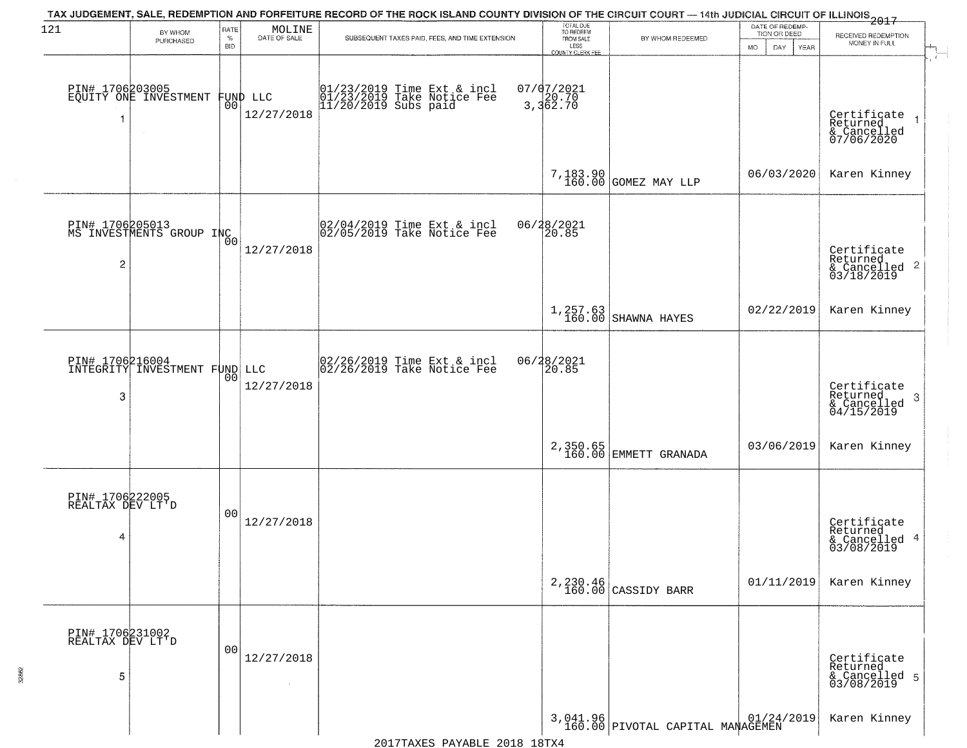| 121                                      | BY WHOM                                          | RATE               | MOLINE                         | TAX JUDGEMENT, SALE, REDEMPTION AND FORFEITURE RECORD OF THE ROCK ISLAND COUNTY DIVISION OF THE CIRCUIT COURT — 14th JUDICIAL CIRCUIT OF ILLINOIS 2017 | TOTAL DUE<br>TO REDEEM                       |                                                                                       | DATE OF REDEMP-<br>TION OR DEED |                                                                       |  |
|------------------------------------------|--------------------------------------------------|--------------------|--------------------------------|--------------------------------------------------------------------------------------------------------------------------------------------------------|----------------------------------------------|---------------------------------------------------------------------------------------|---------------------------------|-----------------------------------------------------------------------|--|
|                                          | PURCHASED                                        | $\%$<br><b>BID</b> | DATE OF SALE                   | SUBSEQUENT TAXES PAID, FEES, AND TIME EXTENSION                                                                                                        | FROM SALE<br>LESS<br><b>COUNTY CLERK FEE</b> | BY WHOM REDEEMED                                                                      | <b>MO</b><br>DAY<br>YEAR        | RECEIVED REDEMPTION<br>MONEY IN FULL                                  |  |
| 1                                        | PIN# 1706203005<br>EQUITY ONE INVESTMENT         |                    | FUND LLC<br> 00 <br>12/27/2018 | 01/23/2019 Time Ext & incl<br>01/23/2019 Take Notice Fee<br>11/20/2019 Subs paid                                                                       | 07/07/2021<br>3,362.70                       |                                                                                       |                                 | Certificate<br>Returned<br>$\rightarrow$<br>& Cancelled<br>07/06/2020 |  |
|                                          |                                                  |                    |                                |                                                                                                                                                        |                                              | 7,183.90<br>160.00 GOMEZ MAY LLP                                                      | 06/03/2020                      | Karen Kinney                                                          |  |
| 2                                        | PIN# 1706205013<br>MS INVESTMENTS GROUP INC      | `ŏo                | 12/27/2018                     | 02/04/2019 Time Ext & incl<br>02/05/2019 Take Notice Fee                                                                                               | 06/28/2021<br>20.85                          |                                                                                       |                                 | Certificate<br>Returned<br>$\frac{1}{6}$ Cancelled 2<br>03/18/2019    |  |
|                                          |                                                  |                    |                                |                                                                                                                                                        | 1,257.63<br>160.00                           | SHAWNA HAYES                                                                          | 02/22/2019                      | Karen Kinney                                                          |  |
| 3                                        | PIN# 1706216004<br>INTEGRITY INVESTMENT FUND LLC | 00                 | 12/27/2018                     | 02/26/2019 Time Ext & incl<br>02/26/2019 Take Notice Fee                                                                                               | 06/28/2021<br>20.85                          |                                                                                       |                                 | Certificate<br>Returned<br>3<br>$\frac{6}{04/15/2019}$                |  |
|                                          |                                                  |                    |                                |                                                                                                                                                        |                                              | 2,350.65<br>160.00 EMMETT GRANADA                                                     | 03/06/2019                      | Karen Kinney                                                          |  |
| PIN# 1706222005<br>REALTAX DEV LT'D<br>4 |                                                  | 00                 | 12/27/2018                     |                                                                                                                                                        |                                              |                                                                                       |                                 | Certificate<br>Returned<br>& Cancelled 4<br>03/08/2019                |  |
|                                          |                                                  |                    |                                |                                                                                                                                                        |                                              | 2,230.46<br>160.00 CASSIDY BARR                                                       | 01/11/2019                      | Karen Kinney                                                          |  |
| PIN# 1706231002<br>REALTAX DEV LT'D<br>5 |                                                  | 00                 | 12/27/2018                     |                                                                                                                                                        |                                              |                                                                                       |                                 | Certificate<br>Returned<br>& Cancelled 5<br>03/08/2019                |  |
|                                          |                                                  |                    |                                |                                                                                                                                                        |                                              | $3,041.96 \mid 01/24/2019 \mid 01/24/2019 \mid 160.00 \mid$ PIVOTAL CAPITAL MANAGEMEN |                                 | Karen Kinney                                                          |  |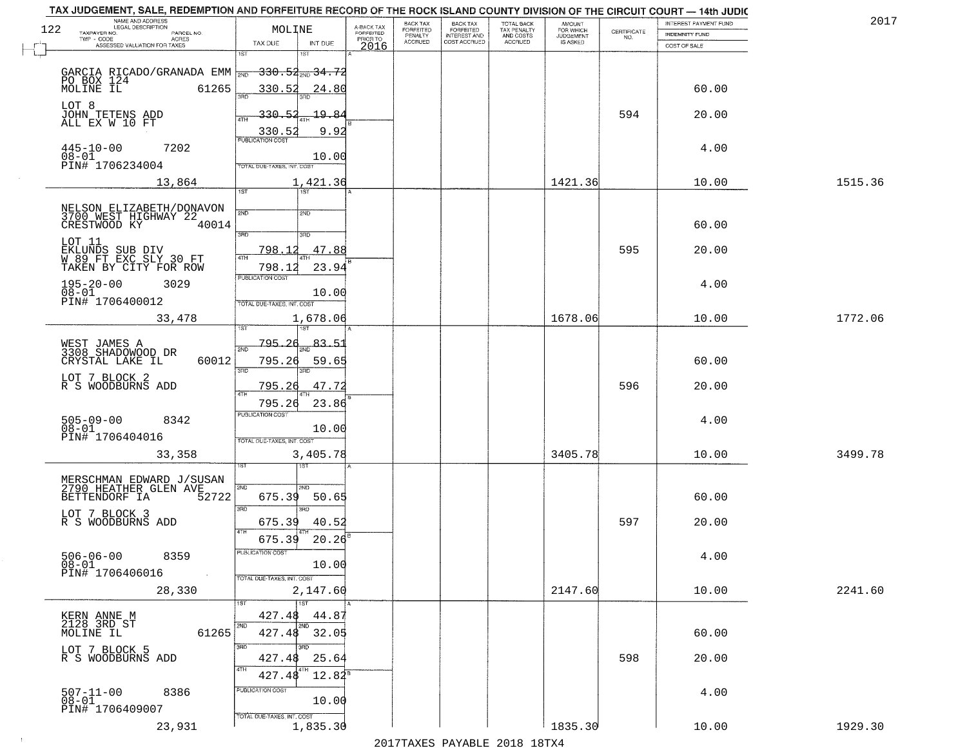|     | TAX JUDGEMENT, SALE, REDEMPTION AND FORFEITURE RECORD OF THE ROCK ISLAND COUNTY DIVISION OF THE CIRCUIT COURT - 14th JUDIC |                                            |                                     |                           |                                     |                           |                              |                                                                 |                       |         |
|-----|----------------------------------------------------------------------------------------------------------------------------|--------------------------------------------|-------------------------------------|---------------------------|-------------------------------------|---------------------------|------------------------------|-----------------------------------------------------------------|-----------------------|---------|
| 122 | NAME AND ADDRESS<br>LEGAL DESCRIPTION                                                                                      | MOLINE                                     |                                     | BACK TAX<br>FORFEITED     | <b>BACK TAX</b><br>FORFEITED        | TOTAL BACK<br>TAX PENALTY | AMOUNT<br>FOR WHICH          |                                                                 | INTEREST PAYMENT FUND | 2017    |
|     | TAXPAYER NO.<br>PARCEL NO.<br>TWP - CODE<br>ACRES                                                                          | TAX DUE<br>INT DUE                         | A-BACK TAX<br>FORFEITED<br>PRIOR TO | PENALTY<br><b>ACCRUED</b> | <b>INTEREST AND</b><br>COST ACCRUED | AND COSTS<br>ACCRUED      | <b>JUDGEMENT</b><br>IS ASKED | $\begin{array}{c} \text{CERTIFICATE} \\ \text{NO.} \end{array}$ | <b>INDEMNITY FUND</b> |         |
|     | ASSESSED VALUATION FOR TAXES                                                                                               | 1ST<br>1ST                                 | 2016                                |                           |                                     |                           |                              |                                                                 | COST OF SALE          |         |
|     |                                                                                                                            |                                            |                                     |                           |                                     |                           |                              |                                                                 |                       |         |
|     | GARCIA RICADO/GRANADA EMM $\frac{330.54}{200.54}$ 34.72<br>PO BOX 124<br>MOLINE IL 61265 330.52 24.80                      |                                            |                                     |                           |                                     |                           |                              |                                                                 |                       |         |
|     |                                                                                                                            |                                            |                                     |                           |                                     |                           |                              |                                                                 | 60.00                 |         |
|     | LOT 8                                                                                                                      |                                            |                                     |                           |                                     |                           |                              |                                                                 |                       |         |
|     | JOHN TETENS ADD<br>ALL EX W 10 FT                                                                                          | 330.52<br>19.84                            |                                     |                           |                                     |                           |                              | 594                                                             | 20.00                 |         |
|     |                                                                                                                            | 9.92<br>330.52<br><b>PUBLICATION COST</b>  |                                     |                           |                                     |                           |                              |                                                                 |                       |         |
|     | $445 - 10 - 00$<br>7202                                                                                                    |                                            |                                     |                           |                                     |                           |                              |                                                                 | 4.00                  |         |
|     | $08 - 01$<br>PIN# 1706234004                                                                                               | 10.00<br><b>TOTAL DUE-TAXES, INT. COST</b> |                                     |                           |                                     |                           |                              |                                                                 |                       |         |
|     | 13,864                                                                                                                     | 1,421.36                                   |                                     |                           |                                     |                           | 1421.36                      |                                                                 | 10.00                 | 1515.36 |
|     |                                                                                                                            | 1ST                                        |                                     |                           |                                     |                           |                              |                                                                 |                       |         |
|     | NELSON ELIZABETH/DONAVON                                                                                                   | 2ND<br>2ND                                 |                                     |                           |                                     |                           |                              |                                                                 |                       |         |
|     | 3700 WEST HIGHWAY 22<br>CRESTWOOD KY<br>40014                                                                              |                                            |                                     |                           |                                     |                           |                              |                                                                 | 60.00                 |         |
|     |                                                                                                                            | 3RD<br>3RD                                 |                                     |                           |                                     |                           |                              |                                                                 |                       |         |
|     | LOT 11                                                                                                                     | <u>798.12</u><br>47.88                     |                                     |                           |                                     |                           |                              | 595                                                             | 20.00                 |         |
|     | EKLUNDS SUB DIV<br>W 89 FT EXC SLY 30 FT<br>TAKEN BY CITY FOR ROW                                                          | ৰাম<br>798.12<br>23.94                     |                                     |                           |                                     |                           |                              |                                                                 |                       |         |
|     |                                                                                                                            | PUBLICATION COST                           |                                     |                           |                                     |                           |                              |                                                                 |                       |         |
|     | $195 - 20 - 00$<br>3029<br>$08 - 01$                                                                                       | 10.00                                      |                                     |                           |                                     |                           |                              |                                                                 | 4.00                  |         |
|     | PIN# 1706400012                                                                                                            | TOTAL DUE-TAXES, INT. COST                 |                                     |                           |                                     |                           |                              |                                                                 |                       |         |
|     | 33,478                                                                                                                     | 1,678.06                                   |                                     |                           |                                     |                           | 1678.06                      |                                                                 | 10.00                 | 1772.06 |
|     |                                                                                                                            | 1ST                                        |                                     |                           |                                     |                           |                              |                                                                 |                       |         |
|     | WEST JAMES A<br>3308 SHADOWOOD DR                                                                                          | <u>795.26</u><br><u>83.51</u><br>2ND       |                                     |                           |                                     |                           |                              |                                                                 |                       |         |
|     | CRYSTAL LAKE IL<br>60012                                                                                                   | 795.26<br>59.65                            |                                     |                           |                                     |                           |                              |                                                                 | 60.00                 |         |
|     | LOT 7 BLOCK 2                                                                                                              | 3RD<br>3RD                                 |                                     |                           |                                     |                           |                              |                                                                 |                       |         |
|     | R S WOODBURNS ADD                                                                                                          | 795.26<br>47.72<br>4TH                     |                                     |                           |                                     |                           |                              | 596                                                             | 20.00                 |         |
|     |                                                                                                                            | 795.26<br>23.86                            |                                     |                           |                                     |                           |                              |                                                                 |                       |         |
|     | $505 - 09 - 00$<br>8342                                                                                                    | <b>PUBLICATION COST</b>                    |                                     |                           |                                     |                           |                              |                                                                 | 4.00                  |         |
|     | $08 - 01$<br>PIN# 1706404016                                                                                               | 10.00<br>TOTAL OUE-TAXES, INT. COST        |                                     |                           |                                     |                           |                              |                                                                 |                       |         |
|     | 33,358                                                                                                                     | 3,405.78                                   |                                     |                           |                                     |                           | 3405.78                      |                                                                 | 10.00                 | 3499.78 |
|     |                                                                                                                            |                                            |                                     |                           |                                     |                           |                              |                                                                 |                       |         |
|     |                                                                                                                            |                                            |                                     |                           |                                     |                           |                              |                                                                 |                       |         |
|     | MERSCHMAN EDWARD J/SUSAN<br>2790 HEATHER GLEN AVE<br>BETTENDORF IA<br>52722                                                | 2ND<br>2ND.<br>675.39<br>50.65             |                                     |                           |                                     |                           |                              |                                                                 | 60.00                 |         |
|     |                                                                                                                            | 3RD<br>3BD                                 |                                     |                           |                                     |                           |                              |                                                                 |                       |         |
|     | LOT 7 BLOCK 3<br>R S WOODBURNS ADD                                                                                         | 675.39<br>40.52                            |                                     |                           |                                     |                           |                              | 597                                                             | 20.00                 |         |
|     |                                                                                                                            | 4TH<br>675.39<br>20.26                     |                                     |                           |                                     |                           |                              |                                                                 |                       |         |
|     | $506 - 06 - 00$                                                                                                            | PUBLICATION COS-                           |                                     |                           |                                     |                           |                              |                                                                 |                       |         |
|     | 8359<br>$08 - 01$                                                                                                          | 10.00                                      |                                     |                           |                                     |                           |                              |                                                                 | 4.00                  |         |
|     | PIN# 1706406016<br>$\sim$ $\sim$                                                                                           | TOTAL DUE-TAXES, INT. COST                 |                                     |                           |                                     |                           |                              |                                                                 |                       |         |
|     | 28,330                                                                                                                     | 2,147.60                                   |                                     |                           |                                     |                           | 2147.60                      |                                                                 | 10.00                 | 2241.60 |
|     |                                                                                                                            | 1ST                                        |                                     |                           |                                     |                           |                              |                                                                 |                       |         |
|     | KERN ANNE M<br>2128 3RD ST                                                                                                 | 427.48<br>44.87<br>2ND<br>2ND              |                                     |                           |                                     |                           |                              |                                                                 |                       |         |
|     | 61265<br>MOLINE IL                                                                                                         | 427.48 32.05                               |                                     |                           |                                     |                           |                              |                                                                 | 60.00                 |         |
|     | LOT 7 BLOCK 5                                                                                                              | 3BD<br>3RD                                 |                                     |                           |                                     |                           |                              |                                                                 |                       |         |
|     | R S WOODBURNS ADD                                                                                                          | 25.64<br>427.48<br>4TH                     |                                     |                           |                                     |                           |                              | 598                                                             | 20.00                 |         |
|     |                                                                                                                            | $12.82^s$<br>427.48                        |                                     |                           |                                     |                           |                              |                                                                 |                       |         |
|     | $507 - 11 - 00$<br>8386                                                                                                    | PUBLICATION COST                           |                                     |                           |                                     |                           |                              |                                                                 | 4.00                  |         |
|     | $08 - 01$<br>PIN# 1706409007                                                                                               | 10.00                                      |                                     |                           |                                     |                           |                              |                                                                 |                       |         |
|     | 23,931                                                                                                                     | TOTAL DUE-TAXES, INT. COST<br>1,835.30     |                                     |                           |                                     |                           | 1835.30                      |                                                                 | 10.00                 | 1929.30 |
|     |                                                                                                                            |                                            |                                     |                           |                                     |                           |                              |                                                                 |                       |         |

 $\sim 10$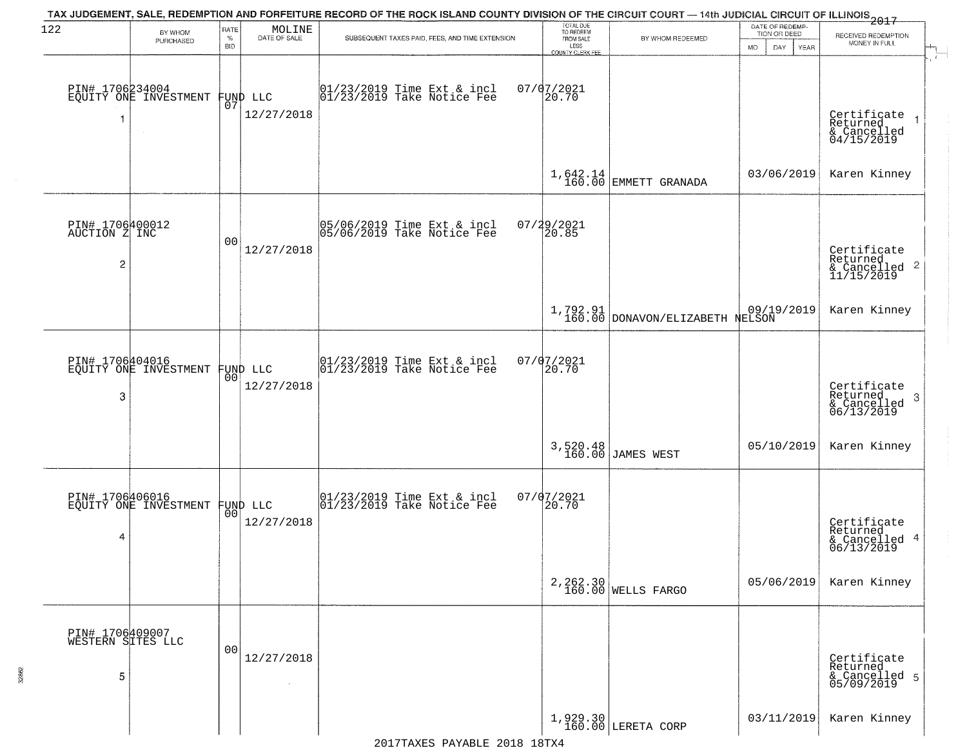| 122                                                | BY WHOM                                  | RATE               | MOLINE                         | TAX JUDGEMENT, SALE, REDEMPTION AND FORFEITURE RECORD OF THE ROCK ISLAND COUNTY DIVISION OF THE CIRCUIT COURT — 14th JUDICIAL CIRCUIT OF ILLINOIS 2017 | TOTAL DUE<br>TO REDEEM                |                                                          | DATE OF REDEMP-<br>TION OR DEED | RECEIVED REDEMPTION                                                    |
|----------------------------------------------------|------------------------------------------|--------------------|--------------------------------|--------------------------------------------------------------------------------------------------------------------------------------------------------|---------------------------------------|----------------------------------------------------------|---------------------------------|------------------------------------------------------------------------|
|                                                    | PURCHASED                                | $\%$<br><b>BID</b> | DATE OF SALE                   | SUBSEQUENT TAXES PAID, FEES, AND TIME EXTENSION                                                                                                        | FROM SALE<br>LESS<br>COUNTY CLERK FEE | BY WHOM REDEEMED                                         | <b>MO</b><br>DAY.<br>YEAR       | MONEY IN FULL                                                          |
| -1                                                 | PIN# 1706234004<br>EQUITY ONE INVESTMENT | 07                 | FUND LLC<br>12/27/2018         | $01/23/2019$ Time Ext & incl<br>$01/23/2019$ Take Notice Fee                                                                                           | $07/07/2021$<br>20.70                 |                                                          |                                 | Certificate<br>Returned<br>& Cancelled<br>04/15/2019                   |
|                                                    |                                          |                    |                                |                                                                                                                                                        |                                       | $1,642.14$ EMMETT GRANADA                                | 03/06/2019                      | Karen Kinney                                                           |
| PIN# 1706400012<br>AUCTION Z INC<br>$\overline{c}$ |                                          | 00                 | 12/27/2018                     | 05/06/2019 Time Ext & incl<br>05/06/2019 Take Notice Fee                                                                                               | 07/29/2021<br>20.85                   |                                                          |                                 | Certificate<br>Returned<br>$\overline{2}$<br>& Cancelled<br>11/15/2019 |
|                                                    |                                          |                    |                                |                                                                                                                                                        |                                       | $1,792.91$ 09/19/2019<br>160.00 DONAVON/ELIZABETH NELSON |                                 | Karen Kinney                                                           |
| 3                                                  | PIN# 1706404016<br>EQUITY ONE INVESTMENT | 00                 | FUND LLC<br>12/27/2018         | 01/23/2019 Time Ext & incl<br>01/23/2019 Take Notice Fee                                                                                               | 07/07/2021<br>20.70                   |                                                          |                                 | Certificate<br>Returned<br>3<br>& Cancelled<br>06/13/2019              |
|                                                    |                                          |                    |                                |                                                                                                                                                        | 3,520.48<br>160.00                    | JAMES WEST                                               | 05/10/2019                      | Karen Kinney                                                           |
| 4                                                  | PIN# 1706406016<br>EQUITY ONE INVESTMENT |                    | FUND LLC<br> 00 <br>12/27/2018 | 01/23/2019 Time Ext & incl<br>01/23/2019 Take Notice Fee                                                                                               | 07/07/2021<br>20.70                   |                                                          |                                 | Certificate<br>Returned<br>-4<br>& Cancelled<br>06/13/2019             |
|                                                    |                                          |                    |                                |                                                                                                                                                        | 2, 262.30<br>160.00                   | <b>WELLS FARGO</b>                                       | 05/06/2019                      | Karen Kinney                                                           |
| PIN# 1706409007<br>WESTERN SITES LLC<br>5          |                                          | 0 <sub>0</sub>     | 12/27/2018                     |                                                                                                                                                        |                                       |                                                          |                                 | Certificate<br>Returned<br>& Cancelled 5<br>05/09/2019                 |
|                                                    |                                          |                    |                                |                                                                                                                                                        |                                       | $1,929.30$ LERETA CORP                                   | 03/11/2019                      | Karen Kinney                                                           |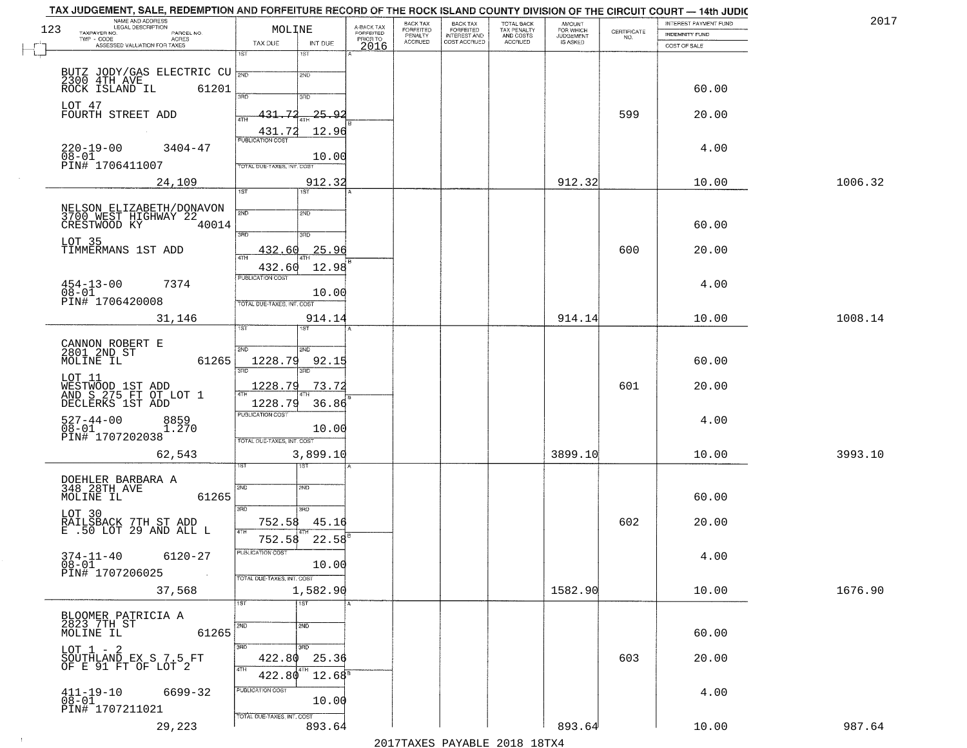| TAX JUDGEMENT, SALE, REDEMPTION AND FORFEITURE RECORD OF THE ROCK ISLAND COUNTY DIVISION OF THE CIRCUIT COURT - 14th JUDIC<br>NAME AND ADDRESS<br>LEGAL DESCRIPTION |                                             |                                     | <b>BACK TAX</b>      | <b>BACK TAX</b>           |                                        |                                         |                                                                 | INTEREST PAYMENT FUND | 2017    |
|---------------------------------------------------------------------------------------------------------------------------------------------------------------------|---------------------------------------------|-------------------------------------|----------------------|---------------------------|----------------------------------------|-----------------------------------------|-----------------------------------------------------------------|-----------------------|---------|
| 123<br>TAXPAYER NO.<br>PARCEL NO.<br>ACRES                                                                                                                          | MOLINE                                      | A-BACK TAX<br>FORFEITED<br>PRIOR TO | FORFEITED<br>PENALTY | FORFEITED<br>INTEREST AND | TOTAL BACK<br>TAX PENALTY<br>AND COSTS | AMOUNT<br>FOR WHICH<br><b>JUDGEMENT</b> | $\begin{array}{c} \text{CERTIFICATE} \\ \text{NO.} \end{array}$ | <b>INDEMNITY FUND</b> |         |
| ASSESSED VALUATION FOR TAXES                                                                                                                                        | TAX DUE<br>INT DUE                          | 2016                                | <b>ACCRUED</b>       | COST ACCRUED              | ACCRUED                                | IS ASKED                                |                                                                 | COST OF SALE          |         |
|                                                                                                                                                                     | 1ST<br>1ST                                  |                                     |                      |                           |                                        |                                         |                                                                 |                       |         |
| BUTZ JODY/GAS ELECTRIC CU 2300 4TH AVE                                                                                                                              | 2ND                                         |                                     |                      |                           |                                        |                                         |                                                                 |                       |         |
| 61201<br>ROCK ISLAND IL                                                                                                                                             |                                             |                                     |                      |                           |                                        |                                         |                                                                 | 60.00                 |         |
|                                                                                                                                                                     | 390<br>3RD                                  |                                     |                      |                           |                                        |                                         |                                                                 |                       |         |
| LOT 47<br>FOURTH STREET ADD                                                                                                                                         | 431.72<br>-25.92                            |                                     |                      |                           |                                        |                                         | 599                                                             | 20.00                 |         |
|                                                                                                                                                                     | 12.96                                       |                                     |                      |                           |                                        |                                         |                                                                 |                       |         |
|                                                                                                                                                                     | 431.72<br><b>PUBLICATION COST</b>           |                                     |                      |                           |                                        |                                         |                                                                 |                       |         |
| $220 - 19 - 00$<br>$3404 - 47$<br>$08 - 01$                                                                                                                         | 10.00                                       |                                     |                      |                           |                                        |                                         |                                                                 | 4.00                  |         |
| PIN# 1706411007                                                                                                                                                     | TOTAL DUE-TAXES, INT. COST                  |                                     |                      |                           |                                        |                                         |                                                                 |                       |         |
| 24,109                                                                                                                                                              | 912.32                                      |                                     |                      |                           |                                        | 912.32                                  |                                                                 | 10.00                 | 1006.32 |
|                                                                                                                                                                     | $\overline{1ST}$                            |                                     |                      |                           |                                        |                                         |                                                                 |                       |         |
|                                                                                                                                                                     | 2ND<br>2ND                                  |                                     |                      |                           |                                        |                                         |                                                                 |                       |         |
| NELSON ELIZABETH/DONAVON<br>3700 WEST HIGHWAY 22<br>CRESTWOOD KY 40014<br>40014                                                                                     |                                             |                                     |                      |                           |                                        |                                         |                                                                 | 60.00                 |         |
|                                                                                                                                                                     | 3RD<br>3RD                                  |                                     |                      |                           |                                        |                                         |                                                                 |                       |         |
| LOT 35<br>TIMMERMANS 1ST ADD                                                                                                                                        | 25.96<br>432.60                             |                                     |                      |                           |                                        |                                         | 600                                                             | 20.00                 |         |
|                                                                                                                                                                     | ৰাম                                         |                                     |                      |                           |                                        |                                         |                                                                 |                       |         |
|                                                                                                                                                                     | 432.60<br>12.98<br>PUBLICATION COST         |                                     |                      |                           |                                        |                                         |                                                                 |                       |         |
| $454 - 13 - 00$<br>7374                                                                                                                                             |                                             |                                     |                      |                           |                                        |                                         |                                                                 | 4.00                  |         |
| $08 - 01$<br>PIN# 1706420008                                                                                                                                        | 10.00<br>TOTAL DUE-TAXES, INT. COST         |                                     |                      |                           |                                        |                                         |                                                                 |                       |         |
| 31,146                                                                                                                                                              | 914.14                                      |                                     |                      |                           |                                        | 914.14                                  |                                                                 | 10.00                 | 1008.14 |
|                                                                                                                                                                     | īst                                         |                                     |                      |                           |                                        |                                         |                                                                 |                       |         |
|                                                                                                                                                                     |                                             |                                     |                      |                           |                                        |                                         |                                                                 |                       |         |
| CANNON ROBERT E<br>2801 2ND ST<br>MOLINE IL<br>61265                                                                                                                | 2ND<br>2ND<br>1228.79<br>92.15              |                                     |                      |                           |                                        |                                         |                                                                 | 60.00                 |         |
|                                                                                                                                                                     | 3RD<br>3RD                                  |                                     |                      |                           |                                        |                                         |                                                                 |                       |         |
| LOT 11                                                                                                                                                              | 1228.79<br>73.72                            |                                     |                      |                           |                                        |                                         | 601                                                             | 20.00                 |         |
| WESTWOOD 1ST ADD<br>AND S 275 FT OT LOT 1<br>DECLERKS 1ST ADD                                                                                                       |                                             |                                     |                      |                           |                                        |                                         |                                                                 |                       |         |
|                                                                                                                                                                     | 1228.79<br>36.86<br><b>PUBLICATION COST</b> |                                     |                      |                           |                                        |                                         |                                                                 |                       |         |
| $527 - 44 - 00$<br>$08 - 01$<br>8859<br>1.270                                                                                                                       | 10.00                                       |                                     |                      |                           |                                        |                                         |                                                                 | 4.00                  |         |
| PIN# 1707202038                                                                                                                                                     | TOTAL OUE-TAXES, INT. COST                  |                                     |                      |                           |                                        |                                         |                                                                 |                       |         |
| 62,543                                                                                                                                                              | 3,899.10                                    |                                     |                      |                           |                                        | 3899.10                                 |                                                                 | 10.00                 | 3993.10 |
|                                                                                                                                                                     | उड़ा<br>ST                                  |                                     |                      |                           |                                        |                                         |                                                                 |                       |         |
|                                                                                                                                                                     |                                             |                                     |                      |                           |                                        |                                         |                                                                 |                       |         |
| DOEHLER BARBARA A<br>348 28TH AVE<br>MOLINE IL<br>61265                                                                                                             | 2ND<br>2ND                                  |                                     |                      |                           |                                        |                                         |                                                                 | 60.00                 |         |
|                                                                                                                                                                     | 3RD<br>3RD                                  |                                     |                      |                           |                                        |                                         |                                                                 |                       |         |
| LOT 30                                                                                                                                                              | 752.58<br>45.16                             |                                     |                      |                           |                                        |                                         | 602                                                             | 20.00                 |         |
| RAILŠBACK 7TH ST ADD<br>E .50 LOT 29 AND ALL L                                                                                                                      | 4TH                                         |                                     |                      |                           |                                        |                                         |                                                                 |                       |         |
|                                                                                                                                                                     | 752.58<br>22.58                             |                                     |                      |                           |                                        |                                         |                                                                 |                       |         |
| $374 - 11 - 40$<br>6120-27<br>$08 - 01$                                                                                                                             | rusuca nun cus-<br>10.00                    |                                     |                      |                           |                                        |                                         |                                                                 | 4.00                  |         |
| PIN# 1707206025<br>$\sim 100$                                                                                                                                       | TOTAL DUE-TAXES, INT. COST                  |                                     |                      |                           |                                        |                                         |                                                                 |                       |         |
| 37,568                                                                                                                                                              | 1,582.90                                    |                                     |                      |                           |                                        | 1582.90                                 |                                                                 | 10.00                 | 1676.90 |
|                                                                                                                                                                     | $\overline{1}$ ST<br>1ST                    |                                     |                      |                           |                                        |                                         |                                                                 |                       |         |
|                                                                                                                                                                     |                                             |                                     |                      |                           |                                        |                                         |                                                                 |                       |         |
| BLOOMER PATRICIA A<br>2823 7TH ST<br>MOLINE IL                                                                                                                      | $\overline{2ND}$<br>2ND                     |                                     |                      |                           |                                        |                                         |                                                                 |                       |         |
| 61265                                                                                                                                                               |                                             |                                     |                      |                           |                                        |                                         |                                                                 | 60.00                 |         |
| LOT $1 - 2$<br>SOUTHLAND EX S 7.5 FT                                                                                                                                | 3BD<br>3 <sub>BD</sub><br>422.80<br>25.36   |                                     |                      |                           |                                        |                                         | 603                                                             | 20.00                 |         |
| OF E 91 FT OF LOT 2                                                                                                                                                 | 4TH                                         |                                     |                      |                           |                                        |                                         |                                                                 |                       |         |
|                                                                                                                                                                     | 422.80<br>$12.68^{\circ}$                   |                                     |                      |                           |                                        |                                         |                                                                 |                       |         |
| $411 - 19 - 10$<br>6699-32                                                                                                                                          | PUBLICATION COST                            |                                     |                      |                           |                                        |                                         |                                                                 | 4.00                  |         |
| 08-01<br>PIN# 1707211021                                                                                                                                            | 10.00                                       |                                     |                      |                           |                                        |                                         |                                                                 |                       |         |
| 29,223                                                                                                                                                              | TOTAL OUE-TAXES, INT. COST<br>893.64        |                                     |                      |                           |                                        | 893.64                                  |                                                                 | 10.00                 | 987.64  |
|                                                                                                                                                                     |                                             |                                     |                      |                           |                                        |                                         |                                                                 |                       |         |

 $\sim 10^{-1}$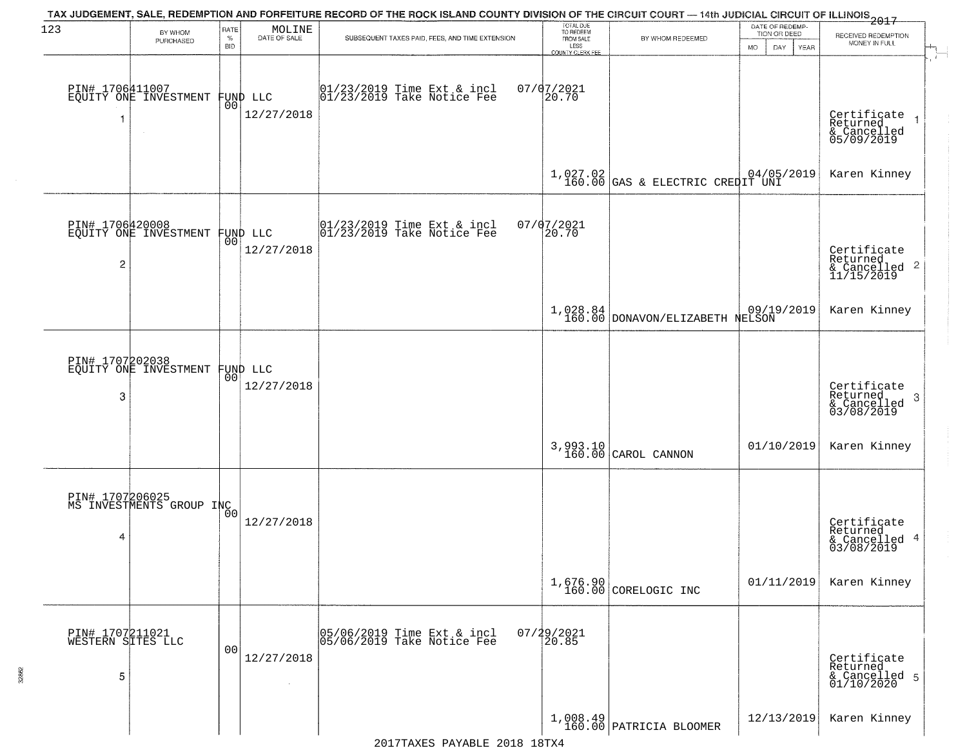| 123                                       | BY WHOM                                                  | RATE               | MOLINE                 | TAX JUDGEMENT, SALE, REDEMPTION AND FORFEITURE RECORD OF THE ROCK ISLAND COUNTY DIVISION OF THE CIRCUIT COURT — 14th JUDICIAL CIRCUIT OF ILLINOIS 2017 | TOTAL DUE<br>TO REDEEM                |                                                | DATE OF REDEMP-<br>TION OR DEED |                                                                        |
|-------------------------------------------|----------------------------------------------------------|--------------------|------------------------|--------------------------------------------------------------------------------------------------------------------------------------------------------|---------------------------------------|------------------------------------------------|---------------------------------|------------------------------------------------------------------------|
|                                           | PURCHASED                                                | $\%$<br><b>BID</b> | DATE OF SALE           | SUBSEQUENT TAXES PAID, FEES, AND TIME EXTENSION                                                                                                        | FROM SALE<br>LESS<br>COUNTY CLERK FEE | BY WHOM REDEEMED                               | <b>MO</b><br>DAY<br>YEAR        | RECEIVED REDEMPTION<br>MONEY IN FULL                                   |
|                                           | PIN# 1706411007<br>EQUITY ONE INVESTMENT                 | 0 <sub>0</sub>     | FUND LLC<br>12/27/2018 | 01/23/2019 Time Ext & incl<br>01/23/2019 Take Notice Fee                                                                                               | $07/07/2021$<br>20.70                 |                                                |                                 | Certificate<br>Returned<br>$\overline{1}$<br>& Cancelled<br>05/09/2019 |
|                                           |                                                          |                    |                        |                                                                                                                                                        |                                       | $1,027.02$<br>160.00 GAS & ELECTRIC CREDIT UNI |                                 | Karen Kinney                                                           |
| $\overline{c}$                            | PIN# 1706420008<br>EQUITY ONE INVESTMENT FUND LLC        |                    | 12/27/2018             | $ 01/23/2019$ Time Ext & incl<br>$ 01/23/2019$ Take Notice Fee                                                                                         | 07/07/2021<br>20.70                   |                                                |                                 | Certificate<br>Returned<br>& Cancelled 2<br>11/15/2019                 |
|                                           |                                                          |                    |                        |                                                                                                                                                        |                                       | 1,028.84<br>160.00 DONAVON/ELIZABETH NELSON    |                                 | Karen Kinney                                                           |
| 3                                         | PIN# 1707202038<br>EQUITY ONE INVESTMENT FUND LLC        | 00                 | 12/27/2018             |                                                                                                                                                        |                                       |                                                |                                 | Certificate<br>Returned<br>3<br>& Cancelled<br>03/08/2019              |
|                                           |                                                          |                    |                        |                                                                                                                                                        |                                       | 3,993.10<br>160.00 CAROL CANNON                | 01/10/2019                      | Karen Kinney                                                           |
| 4                                         | PIN# 1707206025<br>MS INVESTMENTS GROUP INC <sub>0</sub> |                    | 12/27/2018             |                                                                                                                                                        |                                       |                                                |                                 | Certificate<br>Returned<br>& Cancelled 4<br>03/08/2019                 |
|                                           |                                                          |                    |                        |                                                                                                                                                        |                                       | 1,676.90<br>160.00 CORELOGIC INC               | 01/11/2019                      | Karen Kinney                                                           |
| PIN# 1707211021<br>WESTERN SITES LLC<br>5 |                                                          | 0 <sub>0</sub>     | 12/27/2018             | 05/06/2019 Time Ext & incl<br>05/06/2019 Take Notice Fee                                                                                               | 07/29/2021<br>20.85                   |                                                |                                 | Certificate<br>Returned<br>& Cancelled 5<br>01/10/2020                 |
|                                           |                                                          |                    |                        |                                                                                                                                                        |                                       | $1,008.49$ PATRICIA BLOOMER                    | 12/13/2019                      | Karen Kinney                                                           |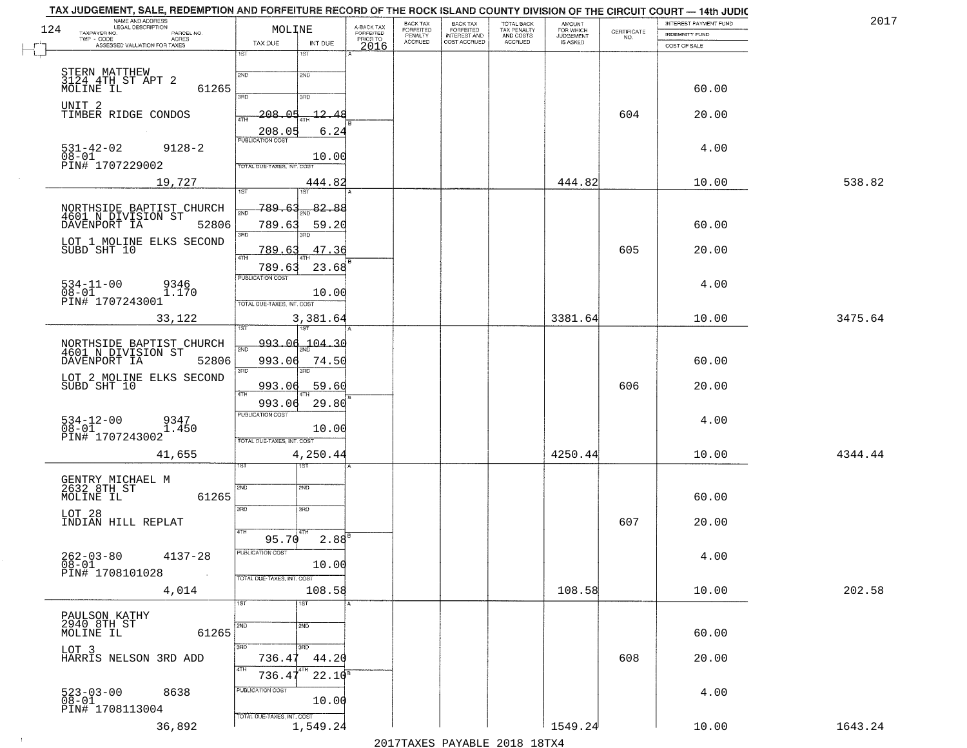| 124 | NAME AND ADDRESS<br>LEGAL DESCRIPTION<br>TAXPAYER NO.<br>PARCEL NO.<br>$TWP - CODE$<br><b>ACRES</b> | MOLINE                                                                         | A-BACK TAX<br><b>FORFEITED</b><br>PRIOR TO | BACK TAX<br>FORFEITED<br>PENALTY<br><b>ACCRUED</b> | BACK TAX<br>FORFEITED<br>INTEREST AND<br>COST ACCRUED | TOTAL BACK<br>TAX PENALTY<br>AND COSTS<br>ACCRUED | <b>AMOUNT</b><br>FOR WHICH<br><b>JUDGEMENT</b><br>IS ASKED | $\begin{array}{c} \text{CERTIFICATE} \\ \text{NO.} \end{array}$ | INTEREST PAYMENT FUND<br><b>INDEMNITY FUND</b> | 201'    |
|-----|-----------------------------------------------------------------------------------------------------|--------------------------------------------------------------------------------|--------------------------------------------|----------------------------------------------------|-------------------------------------------------------|---------------------------------------------------|------------------------------------------------------------|-----------------------------------------------------------------|------------------------------------------------|---------|
|     | ASSESSED VALUATION FOR TAXES                                                                        | INT DUE<br>TAX DUE<br>1ST<br>1ST                                               | 2016                                       |                                                    |                                                       |                                                   |                                                            |                                                                 | COST OF SALE                                   |         |
|     | STERN MATTHEW<br>3124 4TH ST APT 2<br>61265<br>MOLINE IL                                            | 2ND<br>2ND                                                                     |                                            |                                                    |                                                       |                                                   |                                                            |                                                                 | 60.00                                          |         |
|     | UNIT 2<br>TIMBER RIDGE CONDOS                                                                       | 3AD<br>3RD<br>$-208.05$<br>$-12.48$<br>4TH                                     |                                            |                                                    |                                                       |                                                   |                                                            | 604                                                             | 20.00                                          |         |
|     | $531 - 42 - 02$<br>$9128 - 2$                                                                       | 208.05<br>6.24<br><b>PUBLICATION COST</b>                                      |                                            |                                                    |                                                       |                                                   |                                                            |                                                                 | 4.00                                           |         |
|     | $08 - 01$<br>PIN# <sup>-1707229002</sup>                                                            | 10.00<br>TOTAL DUE-TAXES, INT. COST                                            |                                            |                                                    |                                                       |                                                   |                                                            |                                                                 |                                                |         |
|     | 19,727                                                                                              | 444.82<br>1ST<br>ist                                                           |                                            |                                                    |                                                       |                                                   | 444.82                                                     |                                                                 | 10.00                                          | 538.82  |
|     | NORTHSIDE BAPTIST CHURCH<br>4601 N DIVISION ST<br>DAVENPORT IA<br>52806                             | 789.63<br>82.88<br><b>SND</b><br>789.6<br>59.20                                |                                            |                                                    |                                                       |                                                   |                                                            |                                                                 | 60.00                                          |         |
|     | LOT 1 MOLINE ELKS SECOND<br>SUBD SHT 10                                                             | 3RD<br>38D<br>47.36<br>789.63<br>4TH                                           |                                            |                                                    |                                                       |                                                   |                                                            | 605                                                             | 20.00                                          |         |
|     | $534 - 11 - 00$<br>9346<br>08-01<br>PIN# 1707243001<br>1.170                                        | 23.68<br>789.63<br>PUBLICATION COST<br>10.00                                   |                                            |                                                    |                                                       |                                                   |                                                            |                                                                 | 4.00                                           |         |
|     | 33,122                                                                                              | TOTAL DUE-TAXES, INT. COST<br>3,381.64<br>1ST                                  |                                            |                                                    |                                                       |                                                   | 3381.64                                                    |                                                                 | 10.00                                          | 3475.64 |
|     | NORTHSIDE BAPTIST CHURCH<br>4601 N DIVISION ST<br>DAVENPORT IA 52806<br>52806                       | 993.06<br>$-104 - 30$<br>2ND<br>993.06<br>74.50                                |                                            |                                                    |                                                       |                                                   |                                                            |                                                                 | 60.00                                          |         |
|     | LOT 2 MOLINE ELKS SECOND<br>SUBD SHT 10                                                             | 3BD<br>3RD<br>993.06<br>59.60<br>4TH                                           |                                            |                                                    |                                                       |                                                   |                                                            | 606                                                             | 20.00                                          |         |
|     | $534-12-00$<br>$08-01$<br>9347<br>1.450<br>PIN# 1707243002                                          | 993.06<br>29.80<br><b>PUBLICATION COST</b><br>10.00                            |                                            |                                                    |                                                       |                                                   |                                                            |                                                                 | 4.00                                           |         |
|     | 41,655                                                                                              | TOTAL OUE-TAXES, INT. COST<br>4,250.44<br><b>IST</b>                           |                                            |                                                    |                                                       |                                                   | 4250.44                                                    |                                                                 | 10.00                                          | 4344.44 |
|     | GENTRY MICHAEL M<br>2632 8TH ST<br>MOLINE IL<br>61265                                               | 2ND<br>2ND                                                                     |                                            |                                                    |                                                       |                                                   |                                                            |                                                                 | 60.00                                          |         |
|     | LOT 28<br>INDIAN HILL REPLAT                                                                        | 3RD<br>3RD<br>4TH                                                              |                                            |                                                    |                                                       |                                                   |                                                            | 607                                                             | 20.00                                          |         |
|     | $262 - 03 - 80$<br>$08 - 01$<br>$4137 - 28$<br>PIN# 1708101028                                      | $2.88^{B}$<br>95.70<br>PUBLICATION COST<br>10.00<br>TOTAL DUE-TAXES, INT. COST |                                            |                                                    |                                                       |                                                   |                                                            |                                                                 | 4.00                                           |         |
|     | 4,014                                                                                               | 108.58<br>1ST<br>1ST                                                           |                                            |                                                    |                                                       |                                                   | 108.58                                                     |                                                                 | 10.00                                          | 202.58  |
|     | PAULSON KATHY<br>2940 8TH ST<br>61265<br>MOLINE IL                                                  | 2ND<br>2ND                                                                     |                                            |                                                    |                                                       |                                                   |                                                            |                                                                 | 60.00                                          |         |
|     | LOT 3<br>HARRIS NELSON 3RD ADD                                                                      | 300<br>3RD<br>736.4<br>44.20<br>4TH                                            |                                            |                                                    |                                                       |                                                   |                                                            | 608                                                             | 20.00                                          |         |
|     | 523-03-00<br>08-01<br>8638<br>PIN# 1708113004                                                       | $22.10^{8}$<br>736.4<br>PUBLICATION COST<br>10.00                              |                                            |                                                    |                                                       |                                                   |                                                            |                                                                 | 4.00                                           |         |
|     | 36,892                                                                                              | TOTAL DUE-TAXES, INT. COST<br>1,549.24                                         |                                            |                                                    |                                                       |                                                   | 1549.24                                                    |                                                                 | 10.00                                          | 1643.24 |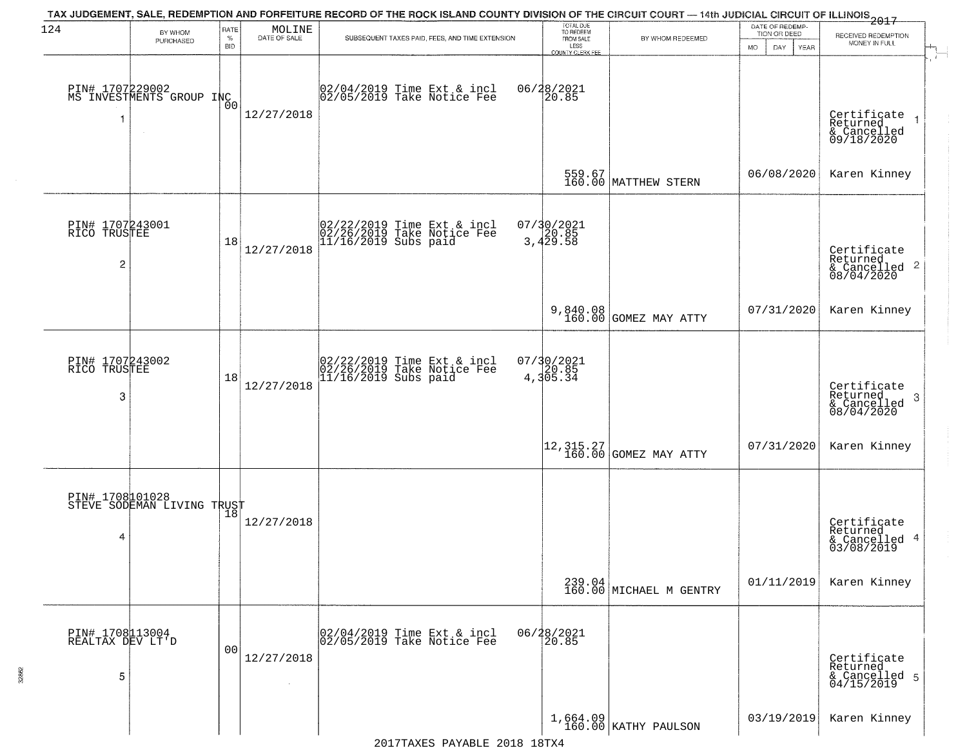| 124                                 | BY WHOM<br>PURCHASED                        | RATE<br>$\%$   | $\begin{array}{c} \text{MOLINE} \\ \text{DATE of sale} \end{array}$ | TAX JUDGEMENT, SALE, REDEMPTION AND FORFEITURE RECORD OF THE ROCK ISLAND COUNTY DIVISION OF THE CIRCUIT COURT - 14th JUDICIAL CIRCUIT OF ILLINOIS 2017<br>SUBSEQUENT TAXES PAID, FEES, AND TIME EXTENSION | TOTAL DUE<br>TO REDEEM<br>FROM SALE | BY WHOM REDEEMED                                                         | DATE OF REDEMP-<br>TION OR DEED | RECEIVED REDEMPTION                                                |
|-------------------------------------|---------------------------------------------|----------------|---------------------------------------------------------------------|-----------------------------------------------------------------------------------------------------------------------------------------------------------------------------------------------------------|-------------------------------------|--------------------------------------------------------------------------|---------------------------------|--------------------------------------------------------------------|
|                                     |                                             | <b>BID</b>     |                                                                     |                                                                                                                                                                                                           | LESS<br>COUNTY CLERK FEE            |                                                                          | MO.<br>DAY<br>YEAR              | MONEY IN FULL                                                      |
|                                     | PIN# 1707229002<br>MS INVESTMENTS GROUP INC |                | 12/27/2018                                                          | 02/04/2019 Time Ext & incl<br>02/05/2019 Take Notice Fee                                                                                                                                                  | 06/28/2021<br>20.85                 |                                                                          |                                 | Certificate<br>Returned                                            |
|                                     |                                             |                |                                                                     |                                                                                                                                                                                                           |                                     |                                                                          |                                 | & Cancelled<br>09/18/2020                                          |
|                                     |                                             |                |                                                                     |                                                                                                                                                                                                           |                                     | 559.67<br>160.00 MATTHEW STERN                                           | 06/08/2020                      | Karen Kinney                                                       |
| PIN# 1707243001<br>RICO TRUSTEE     |                                             |                |                                                                     | 02/22/2019 Time Ext & incl<br>02/26/2019 Take Notice Fee<br>11/16/2019 Subs paid                                                                                                                          | 07/30/2021<br>20.85<br>3,429.58     |                                                                          |                                 |                                                                    |
| 2                                   |                                             | 18             | 12/27/2018                                                          |                                                                                                                                                                                                           |                                     |                                                                          |                                 | Certificate<br>Returned<br>$\frac{1}{6}$ Cancelled 2<br>08/04/2020 |
|                                     |                                             |                |                                                                     |                                                                                                                                                                                                           |                                     | 9,840.08<br>160.00 GOMEZ MAY ATTY                                        | 07/31/2020                      | Karen Kinney                                                       |
| PIN# 1707243002<br>RICO TRUSTEE     |                                             |                |                                                                     | 02/22/2019 Time Ext & incl<br>02/26/2019 Take Notice Fee<br>11/16/2019 Subs paid                                                                                                                          | $07/30/2021$<br>4,305.34            |                                                                          |                                 |                                                                    |
| 3                                   |                                             | 18             | 12/27/2018                                                          |                                                                                                                                                                                                           |                                     |                                                                          |                                 | Certificate<br>Returned<br>-3<br>& Cancelled<br>08/04/2020         |
|                                     |                                             |                |                                                                     |                                                                                                                                                                                                           |                                     | $\begin{vmatrix} 12 & 315 & 27 \\ 160 & 00 \end{vmatrix}$ GOMEZ MAY ATTY | 07/31/2020                      | Karen Kinney                                                       |
| PIN# 1708101028                     | STEVE SODEMAN LIVING TRUST                  |                |                                                                     |                                                                                                                                                                                                           |                                     |                                                                          |                                 |                                                                    |
| 4                                   |                                             |                | 12/27/2018                                                          |                                                                                                                                                                                                           |                                     |                                                                          |                                 | Certificate<br>Returned<br>& Cancelled 4<br>03/08/2019             |
|                                     |                                             |                |                                                                     |                                                                                                                                                                                                           |                                     | $239.04$ MICHAEL M GENTRY                                                | 01/11/2019                      | Karen Kinney                                                       |
| PIN# 1708113004<br>REALTAX DEV LT'D |                                             | 0 <sub>0</sub> |                                                                     | 02/04/2019 Time Ext & incl<br>02/05/2019 Take Notice Fee                                                                                                                                                  | 06/28/2021<br>20.85                 |                                                                          |                                 |                                                                    |
| 5                                   |                                             |                | 12/27/2018                                                          |                                                                                                                                                                                                           |                                     |                                                                          |                                 | Certificate<br>Returned<br>& Cancelled 5<br>04/15/2019             |
|                                     |                                             |                |                                                                     |                                                                                                                                                                                                           |                                     | $1,664.09$ KATHY PAULSON                                                 | 03/19/2019                      | Karen Kinney                                                       |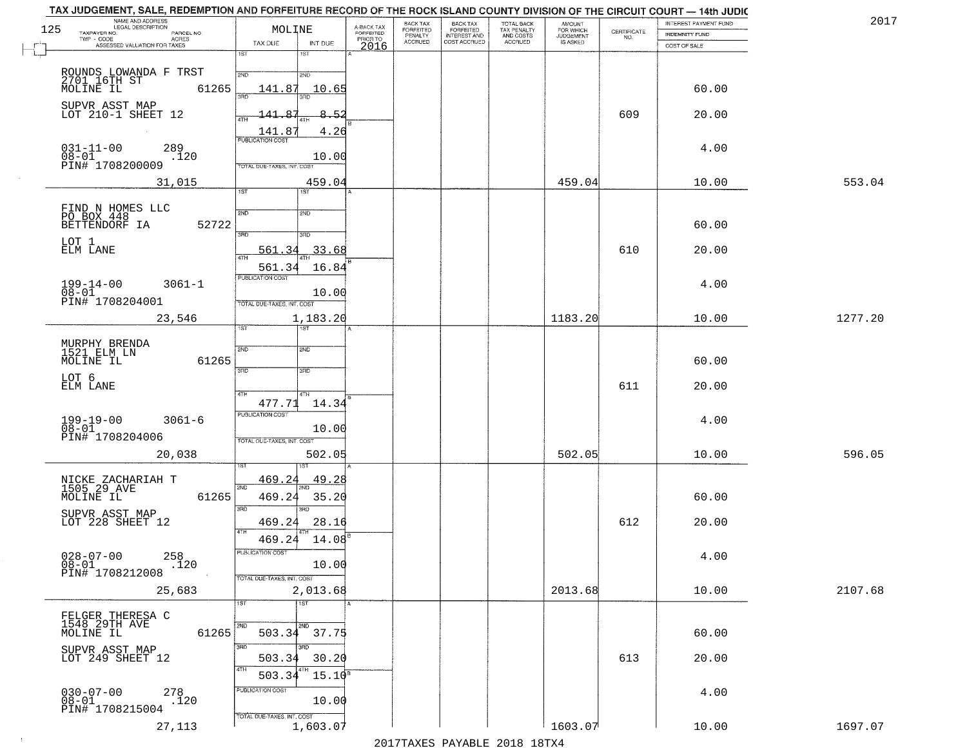| 125 | NAME AND ADDRESS<br>LEGAL DESCRIPTION<br>TAXPAYER NO.<br>PARCEL NO. | MOLINE                                                                            | A-BACK TAX<br>FORFEITED | BACK TAX<br>FORFEITED | <b>BACK TAX</b><br><b>FORFEITED</b> | TOTAL BACK<br>TAX PENALTY<br>AND COSTS<br>ACCRUED | <b>AMOUNT</b><br>FOR WHICH<br>JUDGEMENT<br>IS ASKED | <b>CERTIFICATE</b><br>NO. | INTEREST PAYMENT FUND<br><b>INDEMNITY FUND</b> | 201     |
|-----|---------------------------------------------------------------------|-----------------------------------------------------------------------------------|-------------------------|-----------------------|-------------------------------------|---------------------------------------------------|-----------------------------------------------------|---------------------------|------------------------------------------------|---------|
|     | TWP - CODE<br>ACRES<br>ASSESSED VALUATION FOR TAXES                 | TAX DUE<br>INT DUE                                                                | PRIOR TO<br>2016        | PENALTY<br>ACCRUED    | INTEREST AND<br>COST ACCRUED        |                                                   |                                                     |                           | COST OF SALE                                   |         |
|     | ROUNDS LOWANDA F TRST<br>2701 16TH ST<br>MOLINE IL 61<br>61265      | 1ST<br>1ST<br>2ND<br>2ND<br>141.87<br>10.65                                       |                         |                       |                                     |                                                   |                                                     |                           | 60.00                                          |         |
|     | SUPVR ASST MAP<br>LOT 210-1 SHEET 12                                | 3AD<br>8.52<br>141.                                                               |                         |                       |                                     |                                                   |                                                     | 609                       | 20.00                                          |         |
|     |                                                                     | 4TH<br>4.26<br>141.8<br><b>PUBLICATION COST</b>                                   |                         |                       |                                     |                                                   |                                                     |                           |                                                |         |
|     | 289<br>$031 - 11 - 00$<br>$08-01$ PIN# 1708200009<br>.120           | 10.00<br>TOTAL DUE-TAXES, INT. COST                                               |                         |                       |                                     |                                                   |                                                     |                           | 4.00                                           |         |
|     | 31,015                                                              | 459.04<br>1ST<br>1ST                                                              |                         |                       |                                     |                                                   | 459.04                                              |                           | 10.00                                          | 553.04  |
|     | FIND N HOMES LLC<br>PO BOX 448<br>BETTENDORF IA<br>52722            | 2ND<br>2ND                                                                        |                         |                       |                                     |                                                   |                                                     |                           | 60.00                                          |         |
|     | LOT 1<br>ELM LANE                                                   | 3RD<br>3RD<br>33.68<br>561<br>ર<br>47H                                            |                         |                       |                                     |                                                   |                                                     | 610                       | 20.00                                          |         |
|     | $199 - 14 - 00$<br>$3061 - 1$<br>$08 - 01$<br>PIN# 1708204001       | 16.84<br>561.34<br><b>PUBLICATION COST</b><br>10.00<br>TOTAL DUE-TAXES, INT. COST |                         |                       |                                     |                                                   |                                                     |                           | 4.00                                           |         |
|     | 23,546                                                              | 1,183.20<br>īST.                                                                  |                         |                       |                                     |                                                   | 1183.20                                             |                           | 10.00                                          | 1277.20 |
|     | MURPHY BRENDA<br>1521 ELM LN<br>61265<br>MOLINE IL                  | 2ND<br>2ND<br>3BD<br>3 <sub>BD</sub>                                              |                         |                       |                                     |                                                   |                                                     |                           | 60.00                                          |         |
|     | LOT 6<br>ELM LANE                                                   | 4TH<br>4TH<br>477.71<br>14.34                                                     |                         |                       |                                     |                                                   |                                                     | 611                       | 20.00                                          |         |
|     | 199-19-00<br>08-01<br>$3061 - 6$<br>PIN# 1708204006                 | <b>PUBLICATION COST</b><br>10.00<br>TOTAL OUE-TAXES, INT. COST                    |                         |                       |                                     |                                                   |                                                     |                           | 4.00                                           |         |
|     | 20,038                                                              | 502.05                                                                            |                         |                       |                                     |                                                   | 502.05                                              |                           | 10.00                                          | 596.05  |
|     | NICKE ZACHARIAH T<br>1505 29 AVE<br>61265<br>MOLINE IL              | 469.2<br><u>49.28</u><br>2ND<br>469.24<br>35.20<br>3RD                            |                         |                       |                                     |                                                   |                                                     |                           | 60.00                                          |         |
|     | SUPVR ASST MAP<br>LOT 228 SHEET 12                                  | 3BD<br>469.24<br>28.16<br>$469.24$ $14.08$ <sup>B</sup>                           |                         |                       |                                     |                                                   |                                                     | 612                       | 20.00                                          |         |
|     | $028 - 07 - 00$<br>$08 - 01$<br>258<br>.120<br>PIN# 1708212008      | PUBLICATION COST<br>10.00<br>TOTAL DUE-TAXES, INT. COST                           |                         |                       |                                     |                                                   |                                                     |                           | 4.00                                           |         |
|     | 25,683                                                              | 2,013.68<br>1ST<br>1ST                                                            |                         |                       |                                     |                                                   | 2013.68                                             |                           | 10.00                                          | 2107.68 |
|     | FELGER THERESA C<br>1548 29TH AVE<br>61265<br>MOLINE IL             | 2ND<br>2ND<br>37.75<br>503.34                                                     |                         |                       |                                     |                                                   |                                                     |                           | 60.00                                          |         |
|     | SUPVR ASST MAP<br>LOT 249 SHEET 12                                  | 3RD<br>503.34<br>30.20<br>4TH                                                     |                         |                       |                                     |                                                   |                                                     | 613                       | 20.00                                          |         |
|     | 278<br>$030 - 07 - 00$<br>$08 - 01$<br>.120<br>PIN# 1708215004      | $15.10^5$<br>503.34<br>PUBLICATION COST<br>10.00                                  |                         |                       |                                     |                                                   |                                                     |                           | 4.00                                           |         |
|     | 27,113                                                              | TOTAL DUE-TAXES, INT. COST<br>1,603.07                                            |                         |                       |                                     |                                                   | 1603.07                                             |                           | 10.00                                          | 1697.07 |
|     |                                                                     |                                                                                   |                         |                       |                                     |                                                   |                                                     |                           |                                                |         |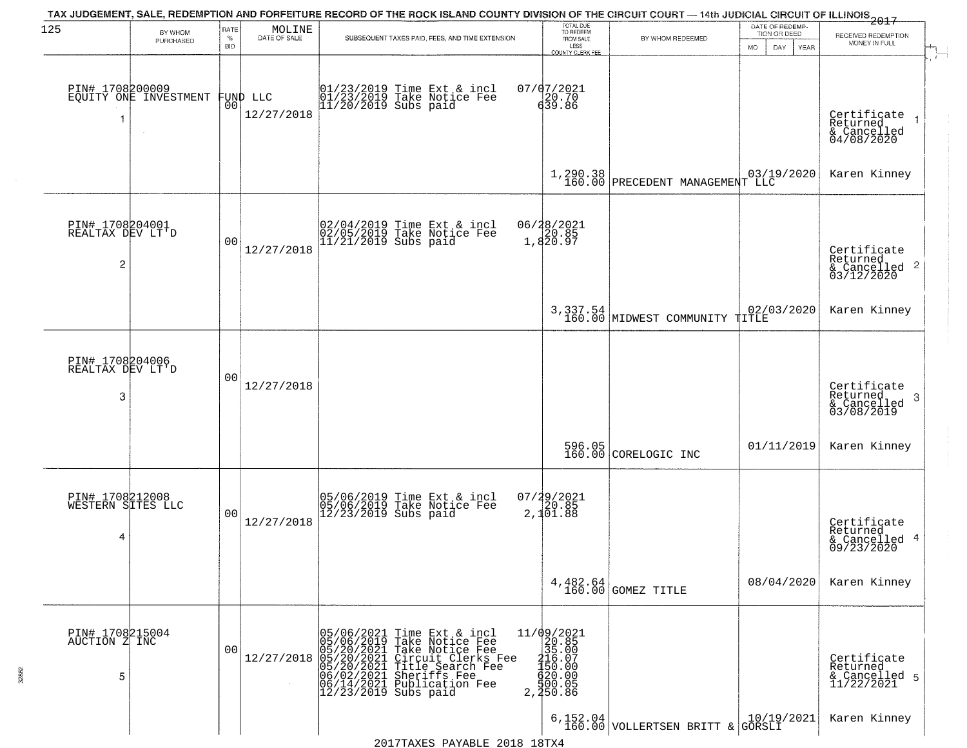| 125                                       | BY WHOM                                  | RATE               | $\begin{array}{c} \text{MOLINE} \\ \text{DATE of SALE} \end{array}$ | TAX JUDGEMENT, SALE, REDEMPTION AND FORFEITURE RECORD OF THE ROCK ISLAND COUNTY DIVISION OF THE CIRCUIT COURT — 14th JUDICIAL CIRCUIT OF ILLINOIS 2017                                                                              | TOTAL DUE<br>TO REDEEM                                                                                                      |                                                                                          | DATE OF REDEMP-<br>TION OR DEED | RECEIVED REDEMPTION                                                |
|-------------------------------------------|------------------------------------------|--------------------|---------------------------------------------------------------------|-------------------------------------------------------------------------------------------------------------------------------------------------------------------------------------------------------------------------------------|-----------------------------------------------------------------------------------------------------------------------------|------------------------------------------------------------------------------------------|---------------------------------|--------------------------------------------------------------------|
|                                           | PURCHASED                                | $\%$<br><b>BID</b> |                                                                     | SUBSEQUENT TAXES PAID, FEES, AND TIME EXTENSION                                                                                                                                                                                     | FROM SALE<br>LESS<br>COUNTY CLERK FEE                                                                                       | BY WHOM REDEEMED                                                                         | <b>MO</b><br>DAY                | MONEY IN FULL<br>YEAR                                              |
| 1                                         | PIN# 1708200009<br>EQUITY ONE INVESTMENT |                    | FUND LLC<br> 00 <br>12/27/2018                                      | 01/23/2019 Time Ext & incl<br>01/23/2019 Take Notice Fee<br>11/20/2019 Subs paid                                                                                                                                                    | 07/07/2021<br>$\frac{120.70}{639.86}$                                                                                       |                                                                                          |                                 | Certificate<br>Returned<br>& Cancelled<br>04/08/2020               |
|                                           |                                          |                    |                                                                     |                                                                                                                                                                                                                                     |                                                                                                                             | 1,290.38<br>160.00 PRECEDENT MANAGEMENT LLC                                              |                                 | Karen Kinney                                                       |
| PIN# 1708204001<br>REALTAX DEV LT'D<br>2  |                                          | 0 <sub>0</sub>     | 12/27/2018                                                          | 02/04/2019 Time Ext & incl<br>02/05/2019 Take Notice Fee<br>11/21/2019 Subs paid                                                                                                                                                    | 06/28/2021<br>20.85<br>1,820.97                                                                                             |                                                                                          |                                 | Certificate<br>Returned<br>$\frac{1}{6}$ Cancelled 2<br>03/12/2020 |
|                                           |                                          |                    |                                                                     |                                                                                                                                                                                                                                     |                                                                                                                             | 3,337.54<br>160.00 MIDWEST COMMUNITY TITLE                                               | 02/03/2020                      | Karen Kinney                                                       |
| PIN# 1708204006<br>REALTAX DEV LT'D<br>3  |                                          | 0 <sub>0</sub>     | 12/27/2018                                                          |                                                                                                                                                                                                                                     |                                                                                                                             |                                                                                          |                                 | Certificate<br>Returned<br>3<br>& Cancelled<br>03/08/2019          |
|                                           |                                          |                    |                                                                     |                                                                                                                                                                                                                                     |                                                                                                                             | 596.05<br>160.00 CORELOGIC INC                                                           | 01/11/2019                      | Karen Kinney                                                       |
| PIN# 1708212008<br>WESTERN SITES LLC<br>4 |                                          | 0 <sub>0</sub>     | 12/27/2018                                                          | 05/06/2019 Time Ext & incl<br>05/06/2019 Take Notice Fee<br>12/23/2019 Subs paid                                                                                                                                                    | $07/29/2021$<br>20.85<br>2,101.88                                                                                           |                                                                                          |                                 | Certificate<br>Returned<br>& Cancelled 4<br>09/23/2020             |
|                                           |                                          |                    |                                                                     |                                                                                                                                                                                                                                     |                                                                                                                             | 4,482.64<br>160.00 GOMEZ TITLE                                                           | 08/04/2020                      | Karen Kinney                                                       |
| PIN# 1708215004<br>AUCTION Z INC<br>5     |                                          | 0 <sub>0</sub>     | 12/27/2018                                                          | 05/06/2021 Time Ext & incl<br>05/06/2019 Take Notice Fee<br>05/20/2021 Take Notice Fee<br>05/20/2021 Circuit Clerks Fee<br>05/20/2021 Sheriffs Fee<br>06/02/2021 Sheriffs Fee<br>06/14/2021 Publication Fee<br>12/23/2019 Subs paid | $\begin{array}{r} 11/09/2021 \\20.85 \\315.00 \\4150.00 \\4150.00 \\4150.00 \\520.00 \\560.00 \\7 \end{array}$<br>2, 250.86 |                                                                                          |                                 | Certificate<br>Returned<br>& Cancelled 5<br>11/22/2021             |
|                                           |                                          |                    |                                                                     |                                                                                                                                                                                                                                     |                                                                                                                             | 6, 152.04 VOLLERTSEN BRITT & $\begin{bmatrix} 10/19/2021 \\ \text{GORSLI} \end{bmatrix}$ |                                 | Karen Kinney                                                       |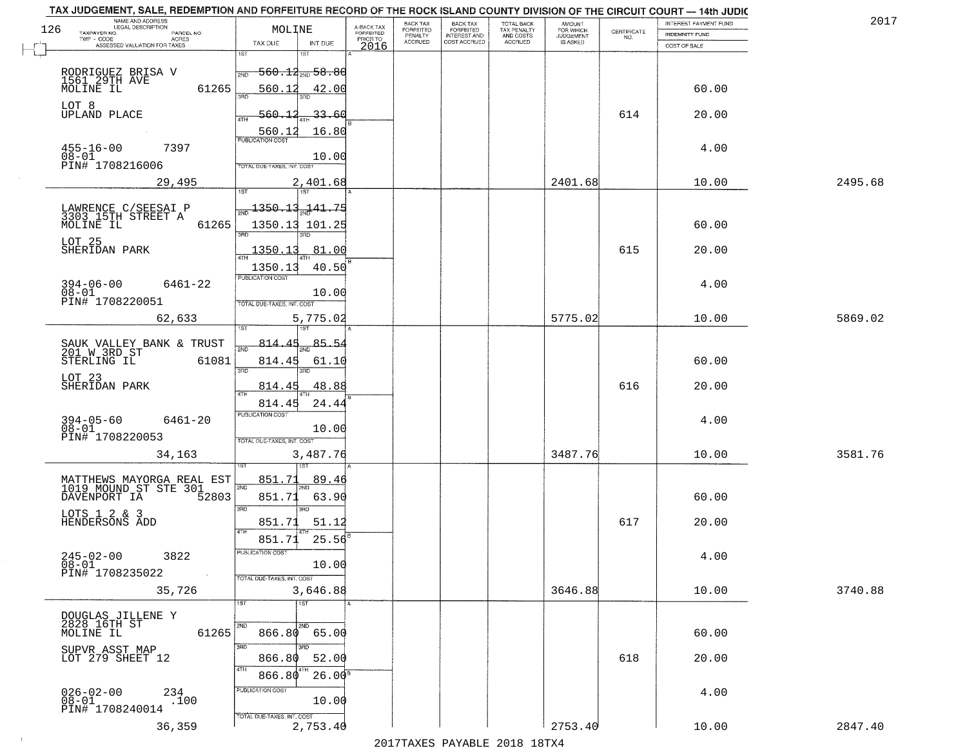|     | TAX JUDGEMENT, SALE, REDEMPTION AND FORFEITURE RECORD OF THE ROCK ISLAND COUNTY DIVISION OF THE CIRCUIT COURT - 14th JUDIC<br>NAME AND ADDRESS<br>LEGAL DESCRIPTION |                                   |                         | BACK TAX                    |                                       |                                        | AMOUNT<br>FOR WHICH |                                                                 | INTEREST PAYMENT FUND | 2017    |
|-----|---------------------------------------------------------------------------------------------------------------------------------------------------------------------|-----------------------------------|-------------------------|-----------------------------|---------------------------------------|----------------------------------------|---------------------|-----------------------------------------------------------------|-----------------------|---------|
| 126 | TAXPAYER NO.<br>PARCEL NO.                                                                                                                                          | MOLINE                            | A-BACK TAX<br>FORFEITED | <b>FORFEITED</b><br>PENALTY | BACK TAX<br>FORFEITED<br>INTEREST AND | TOTAL BACK<br>TAX PENALTY<br>AND COSTS | <b>JUDGEMENT</b>    | $\begin{array}{c} \text{CERTIFICATE} \\ \text{NO.} \end{array}$ | <b>INDEMNITY FUND</b> |         |
|     | TWP - CODE<br>ACRES<br>ASSESSED VALUATION FOR TAXES                                                                                                                 | TAX DUE<br>INT DUE                | PRIOR TO<br>2016        | <b>ACCRUED</b>              | COST ACCRUED                          | ACCRUED                                | IS ASKED            |                                                                 | COST OF SALE          |         |
|     |                                                                                                                                                                     | 1ST<br>۱ST                        |                         |                             |                                       |                                        |                     |                                                                 |                       |         |
|     |                                                                                                                                                                     | $-560.13_{\rm 200}$ 58.80<br>2ND  |                         |                             |                                       |                                        |                     |                                                                 |                       |         |
|     | RODRIGUEZ BRISA V<br>1561 29TH AVE<br>MOLINE IL                                                                                                                     |                                   |                         |                             |                                       |                                        |                     |                                                                 |                       |         |
|     | 61265                                                                                                                                                               | 560.12<br>42.00                   |                         |                             |                                       |                                        |                     |                                                                 | 60.00                 |         |
|     | LOT 8                                                                                                                                                               |                                   |                         |                             |                                       |                                        |                     |                                                                 |                       |         |
|     | UPLAND PLACE                                                                                                                                                        | 560.12<br>33.60                   |                         |                             |                                       |                                        |                     | 614                                                             | 20.00                 |         |
|     |                                                                                                                                                                     | 16.80<br>560.12                   |                         |                             |                                       |                                        |                     |                                                                 |                       |         |
|     | $455 - 16 - 00$<br>7397                                                                                                                                             |                                   |                         |                             |                                       |                                        |                     |                                                                 | 4.00                  |         |
|     | $08 - 01$                                                                                                                                                           | 10.00                             |                         |                             |                                       |                                        |                     |                                                                 |                       |         |
|     | PIN# 1708216006                                                                                                                                                     | <b>TOTAL DUE-TAXES, INT. COST</b> |                         |                             |                                       |                                        |                     |                                                                 |                       |         |
|     | 29,495                                                                                                                                                              | 2,401.68                          |                         |                             |                                       |                                        | 2401.68             |                                                                 | 10.00                 | 2495.68 |
|     |                                                                                                                                                                     |                                   |                         |                             |                                       |                                        |                     |                                                                 |                       |         |
|     | LAWRENCE C/SEESAI P                                                                                                                                                 | 1350.13.141.75                    |                         |                             |                                       |                                        |                     |                                                                 |                       |         |
|     | 3303 15TH STREET A                                                                                                                                                  |                                   |                         |                             |                                       |                                        |                     |                                                                 |                       |         |
|     | MOLINE IL<br>61265                                                                                                                                                  | 1350.13 101.25<br>त्रहा           |                         |                             |                                       |                                        |                     |                                                                 | 60.00                 |         |
|     | LOT 25                                                                                                                                                              |                                   |                         |                             |                                       |                                        |                     |                                                                 |                       |         |
|     | SHERIDAN PARK                                                                                                                                                       | 1350.13<br>81.00                  |                         |                             |                                       |                                        |                     | 615                                                             | 20.00                 |         |
|     |                                                                                                                                                                     | 40.50<br>1350.13                  |                         |                             |                                       |                                        |                     |                                                                 |                       |         |
|     | $394 - 06 - 00$<br>6461-22                                                                                                                                          | PUBLICATION COST                  |                         |                             |                                       |                                        |                     |                                                                 | 4.00                  |         |
|     | $08 - 01$                                                                                                                                                           | 10.00                             |                         |                             |                                       |                                        |                     |                                                                 |                       |         |
|     | PIN# 1708220051                                                                                                                                                     | TOTAL DUE-TAXES, INT. COST        |                         |                             |                                       |                                        |                     |                                                                 |                       |         |
|     | 62,633                                                                                                                                                              | 5,775.02                          |                         |                             |                                       |                                        | 5775.02             |                                                                 | 10.00                 | 5869.02 |
|     |                                                                                                                                                                     | 1ST                               |                         |                             |                                       |                                        |                     |                                                                 |                       |         |
|     |                                                                                                                                                                     | 85.5.<br><u>814.45</u>            |                         |                             |                                       |                                        |                     |                                                                 |                       |         |
|     | SAUK VALLEY BANK & TRUST<br>201 W 3RD ST                                                                                                                            | 2ND                               |                         |                             |                                       |                                        |                     |                                                                 |                       |         |
|     | STERLING IL<br>61081                                                                                                                                                | 814.45<br>61.10<br>3RD<br>3RD     |                         |                             |                                       |                                        |                     |                                                                 | 60.00                 |         |
|     | LOT 23                                                                                                                                                              |                                   |                         |                             |                                       |                                        |                     |                                                                 |                       |         |
|     | SHERIDAN PARK                                                                                                                                                       | 48.88<br>814.45<br><b>ATH</b>     |                         |                             |                                       |                                        |                     | 616                                                             | 20.00                 |         |
|     |                                                                                                                                                                     | 24.44<br>814.45                   |                         |                             |                                       |                                        |                     |                                                                 |                       |         |
|     | $394 - 05 - 60$<br>6461-20                                                                                                                                          | PUBLICATION COST                  |                         |                             |                                       |                                        |                     |                                                                 | 4.00                  |         |
|     | $08 - 01$                                                                                                                                                           | 10.00                             |                         |                             |                                       |                                        |                     |                                                                 |                       |         |
|     | PIN# 1708220053                                                                                                                                                     | TOTAL OUE-TAXES, INT. COST        |                         |                             |                                       |                                        |                     |                                                                 |                       |         |
|     | 34,163                                                                                                                                                              | 3,487.76                          |                         |                             |                                       |                                        | 3487.76             |                                                                 | 10.00                 | 3581.76 |
|     |                                                                                                                                                                     |                                   |                         |                             |                                       |                                        |                     |                                                                 |                       |         |
|     | MATTHEWS MAYORGA REAL EST<br>1019 MOUND ST STE 301                                                                                                                  | 851.71<br>89.46                   |                         |                             |                                       |                                        |                     |                                                                 |                       |         |
|     | DAVENPORT IA<br>52803                                                                                                                                               | 2ND<br>851.71<br>63.90            |                         |                             |                                       |                                        |                     |                                                                 | 60.00                 |         |
|     |                                                                                                                                                                     | 3RD<br>3RD                        |                         |                             |                                       |                                        |                     |                                                                 |                       |         |
|     | LOTS 1 2 & 3<br>HENDERSONS ADD                                                                                                                                      | 851.71<br>51.12                   |                         |                             |                                       |                                        |                     | 617                                                             | 20.00                 |         |
|     |                                                                                                                                                                     | 4TH                               |                         |                             |                                       |                                        |                     |                                                                 |                       |         |
|     |                                                                                                                                                                     | 25.56<br>851.71                   |                         |                             |                                       |                                        |                     |                                                                 |                       |         |
|     | $245 - 02 - 00$<br>3822                                                                                                                                             | ruslica i IUN COS                 |                         |                             |                                       |                                        |                     |                                                                 | 4.00                  |         |
|     | $08 - 01$<br>PIN# 1708235022                                                                                                                                        | 10.00                             |                         |                             |                                       |                                        |                     |                                                                 |                       |         |
|     |                                                                                                                                                                     | TOTAL DUE-TAXES, INT. COST        |                         |                             |                                       |                                        |                     |                                                                 |                       |         |
|     | 35,726                                                                                                                                                              | 3,646.88                          |                         |                             |                                       |                                        | 3646.88             |                                                                 | 10.00                 | 3740.88 |
|     |                                                                                                                                                                     | 1ST<br>1ST                        |                         |                             |                                       |                                        |                     |                                                                 |                       |         |
|     | DOUGLAS JILLENE Y                                                                                                                                                   |                                   |                         |                             |                                       |                                        |                     |                                                                 |                       |         |
|     | 2828 16TH ST<br>MOLINE IL<br>61265                                                                                                                                  | 2ND<br>$866.80$ 65.00             |                         |                             |                                       |                                        |                     |                                                                 | 60.00                 |         |
|     |                                                                                                                                                                     | 3RD                               |                         |                             |                                       |                                        |                     |                                                                 |                       |         |
|     | SUPVR ASST MAP<br>LOT 279 SHEET 12                                                                                                                                  | 52.00<br>866.80                   |                         |                             |                                       |                                        |                     | 618                                                             | 20.00                 |         |
|     |                                                                                                                                                                     | 4TH                               |                         |                             |                                       |                                        |                     |                                                                 |                       |         |
|     |                                                                                                                                                                     | $26.00^8$<br>866.80               |                         |                             |                                       |                                        |                     |                                                                 |                       |         |
|     | $026 - 02 - 00$<br>$^{234}_{.100}$                                                                                                                                  | PUBLICATION COST                  |                         |                             |                                       |                                        |                     |                                                                 | 4.00                  |         |
|     | $08 - 01$<br>PIN# 1708240014                                                                                                                                        | 10.00                             |                         |                             |                                       |                                        |                     |                                                                 |                       |         |
|     |                                                                                                                                                                     | TOTAL DUE-TAXES, INT. COST        |                         |                             |                                       |                                        |                     |                                                                 |                       |         |
|     | 36,359                                                                                                                                                              | 2,753.40                          |                         |                             |                                       |                                        | 2753.40             |                                                                 | 10.00                 | 2847.40 |
|     |                                                                                                                                                                     |                                   |                         |                             | 2017 THAYRO DAVADIR 2018 19TYA        |                                        |                     |                                                                 |                       |         |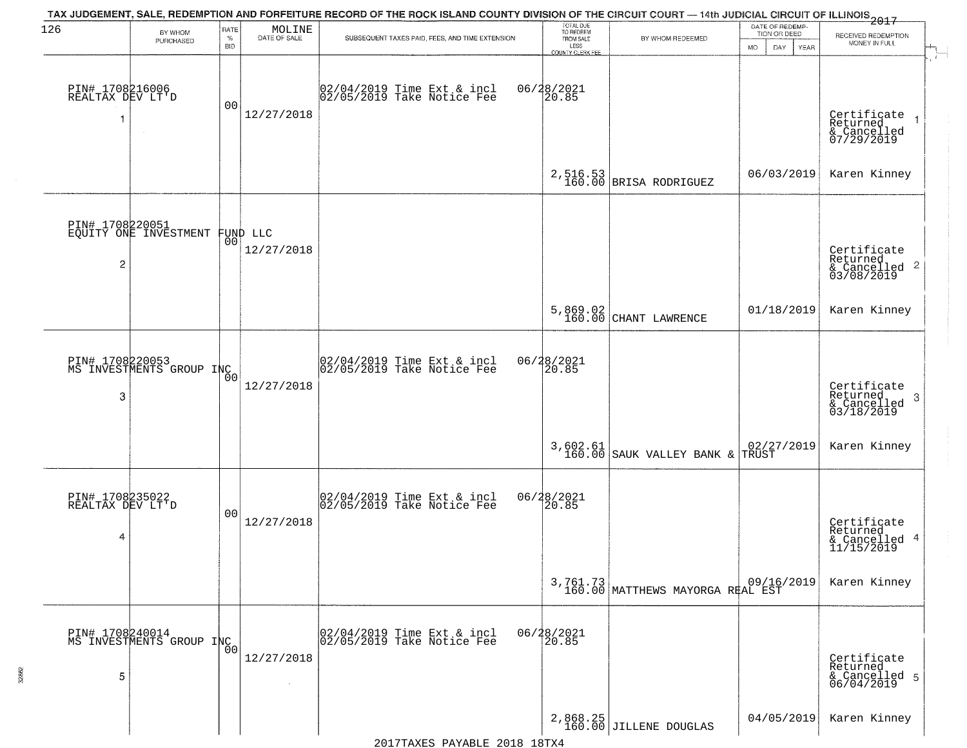| 126                                      | BY WHOM<br>PURCHASED                              | RATE<br>$\%$<br><b>BID</b> | MOLINE<br>DATE OF SALE | TAX JUDGEMENT, SALE, REDEMPTION AND FORFEITURE RECORD OF THE ROCK ISLAND COUNTY DIVISION OF THE CIRCUIT COURT — 14th JUDICIAL CIRCUIT OF ILLINOIS 2017<br>SUBSEQUENT TAXES PAID, FEES, AND TIME EXTENSION | TOTAL DUE<br>TO REDEEM<br>FROM SALE<br>LESS<br>COUNTY CLERK FEE | BY WHOM REDEEMED                             | DATE OF REDEMP-<br>TION OR DEED<br>DAY<br><b>MO</b><br>YEAR | RECEIVED REDEMPTION<br>MONEY IN FULL                                   |
|------------------------------------------|---------------------------------------------------|----------------------------|------------------------|-----------------------------------------------------------------------------------------------------------------------------------------------------------------------------------------------------------|-----------------------------------------------------------------|----------------------------------------------|-------------------------------------------------------------|------------------------------------------------------------------------|
| PIN# 1708216006<br>REALTAX DEV LT'D<br>1 | $\sim$                                            | 00                         | 12/27/2018             | 02/04/2019 Time Ext & incl<br>02/05/2019 Take Notice Fee                                                                                                                                                  | 06/28/2021<br>20.85                                             |                                              |                                                             | Certificate<br>$\overline{1}$<br>Returned<br>& Cancelled<br>07/29/2019 |
|                                          |                                                   |                            |                        |                                                                                                                                                                                                           |                                                                 | $2,516.53$ BRISA RODRIGUEZ                   | 06/03/2019                                                  | Karen Kinney                                                           |
| 2                                        | PIN# 1708220051<br>EQUITY ONE INVESTMENT FUND LLC |                            | 12/27/2018             |                                                                                                                                                                                                           |                                                                 |                                              |                                                             | Certificate<br>Returned<br>$\frac{1}{6}$ Cancelled 2<br>03/08/2019     |
|                                          |                                                   |                            |                        |                                                                                                                                                                                                           | 5,869.02<br>160.00                                              | CHANT LAWRENCE                               | 01/18/2019                                                  | Karen Kinney                                                           |
| 3                                        | PIN# 1708220053<br>MS INVESTMENTS GROUP INC       | 00                         | 12/27/2018             | 02/04/2019 Time Ext & incl<br>02/05/2019 Take Notice Fee                                                                                                                                                  | 06/28/2021<br>20.85                                             |                                              |                                                             | Certificate<br>Returned<br>3<br>$\frac{1}{03/18/2019}$                 |
|                                          |                                                   |                            |                        |                                                                                                                                                                                                           |                                                                 | $3,602.61$<br>160.00 SAUK VALLEY BANK &      | 02/27/2019<br>TRUST                                         | Karen Kinney                                                           |
| PIN# 1708235022<br>REALTAX DEV LT'D<br>4 |                                                   | 00                         | 12/27/2018             | 02/04/2019 Time Ext & incl<br>02/05/2019 Take Notice Fee                                                                                                                                                  | 06/28/2021<br>120.85                                            |                                              |                                                             | Certificate<br>Returned<br>& Cancelled 4<br>11/15/2019                 |
|                                          |                                                   |                            |                        |                                                                                                                                                                                                           |                                                                 | 3,761.73<br>160.00 MATTHEWS MAYORGA REAL EST |                                                             | Karen Kinney                                                           |
| 5                                        | PIN# 1708240014<br>MS INVESTMENTS GROUP INC       | Ō0                         | 12/27/2018             | 02/04/2019 Time Ext & incl<br>02/05/2019 Take Notice Fee                                                                                                                                                  | 06/28/2021<br>20.85                                             |                                              |                                                             | Certificate<br>Returned<br>& Cancelled 5<br>06/04/2019                 |
|                                          |                                                   |                            |                        |                                                                                                                                                                                                           |                                                                 | 2,868.25<br>160.00 JILLENE DOUGLAS           | 04/05/2019                                                  | Karen Kinney                                                           |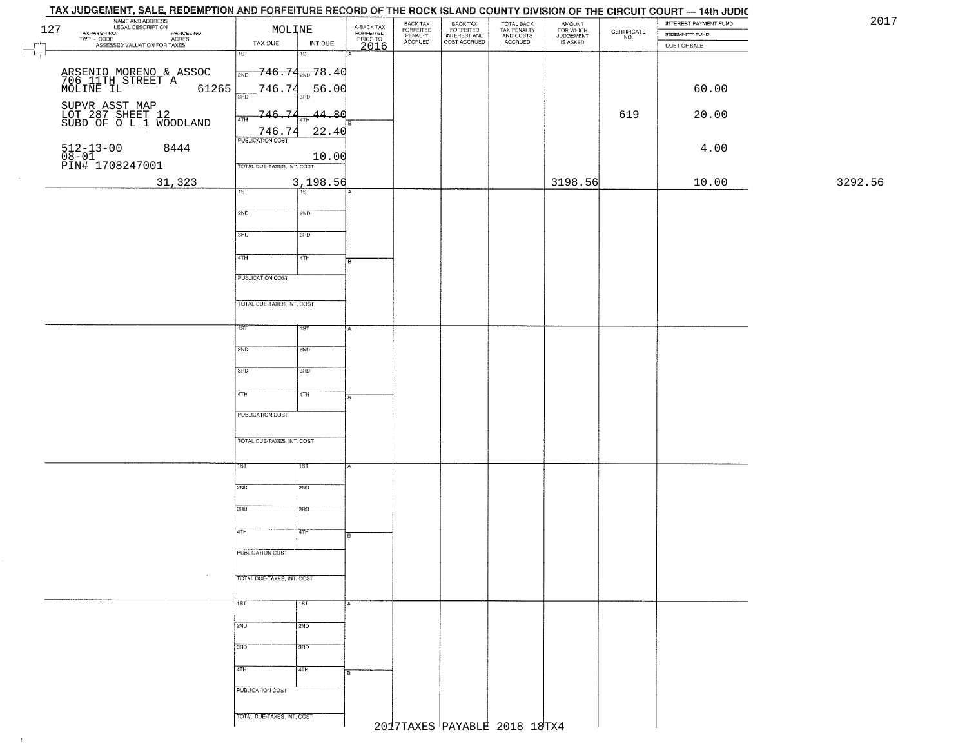| 127     | NAME AND ADDRESS<br>LEGAL DESCRIPTION<br>TAXPAYER NO.<br>PARCEL NO.<br>ACRES<br>ASSESSED VALUATION FOR TAXES | MOLINE<br>TAX DUE          | INT DUE                                         | A-BACK TAX<br>FORFEITED<br>PRIOR TO<br>2016 | BACK TAX<br>FORFEITED<br>PENALTY<br><b>ACCRUED</b> | BACK TAX<br>FORFEITED<br>INTEREST AND<br>COST ACCRUED | TOTAL BACK<br>TAX PENALTY<br>AND COSTS<br>ACCRUED | AMOUNT<br>FOR WHICH<br>JUDGEMENT<br>IS ASKED | $\begin{array}{c} \text{CERTIFICATE} \\ \text{NO.} \end{array}$ | INTEREST PAYMENT FUND<br><b>INDEMNITY FUND</b><br>COST OF SALE | 2017    |
|---------|--------------------------------------------------------------------------------------------------------------|----------------------------|-------------------------------------------------|---------------------------------------------|----------------------------------------------------|-------------------------------------------------------|---------------------------------------------------|----------------------------------------------|-----------------------------------------------------------------|----------------------------------------------------------------|---------|
| $\perp$ |                                                                                                              | $\overline{1ST}$           | 1ST                                             |                                             |                                                    |                                                       |                                                   |                                              |                                                                 |                                                                |         |
|         |                                                                                                              | 2ND                        | $-746$ . $74_{\tiny{\textrm{2ND}}}$ $78$ . $46$ |                                             |                                                    |                                                       |                                                   |                                              |                                                                 |                                                                |         |
|         | ARSENIO MORENO & ASSOC<br>706 11TH STREET A 612<br>MOLINE IL 612<br>61265                                    | 746.74<br>3RD              | 56.00<br>3BD                                    |                                             |                                                    |                                                       |                                                   |                                              |                                                                 | 60.00                                                          |         |
|         | SUPVR ASST MAP<br>LOT 287 SHEET 12<br>SUBD OF O L 1 WOODLAND                                                 | 746.74<br>4TH              | $-44.80$<br>4TH                                 |                                             |                                                    |                                                       |                                                   |                                              | 619                                                             | 20.00                                                          |         |
|         |                                                                                                              | 746.74                     | 22.40                                           |                                             |                                                    |                                                       |                                                   |                                              |                                                                 |                                                                |         |
|         | 512-13-00 {<br>08-01<br>PIN# 1708247001<br>8444                                                              | TOTAL DUE-TAXES, INT. COST | 10.00                                           |                                             |                                                    |                                                       |                                                   |                                              |                                                                 | 4.00                                                           |         |
|         |                                                                                                              |                            | 3,198.56                                        |                                             |                                                    |                                                       |                                                   | 3198.56                                      |                                                                 | 10.00                                                          | 3292.56 |
|         | 31,323                                                                                                       | 1ST                        | $\overline{\text{tsr}}$                         |                                             |                                                    |                                                       |                                                   |                                              |                                                                 |                                                                |         |
|         |                                                                                                              | 2ND                        | 2ND                                             |                                             |                                                    |                                                       |                                                   |                                              |                                                                 |                                                                |         |
|         |                                                                                                              | 3RD                        | 3RD                                             |                                             |                                                    |                                                       |                                                   |                                              |                                                                 |                                                                |         |
|         |                                                                                                              | $\sqrt{47H}$               | 4TH                                             | в.                                          |                                                    |                                                       |                                                   |                                              |                                                                 |                                                                |         |
|         |                                                                                                              | PUBLICATION COST           |                                                 |                                             |                                                    |                                                       |                                                   |                                              |                                                                 |                                                                |         |
|         |                                                                                                              |                            |                                                 |                                             |                                                    |                                                       |                                                   |                                              |                                                                 |                                                                |         |
|         |                                                                                                              | TOTAL DUE-TAXES, INT. COST |                                                 |                                             |                                                    |                                                       |                                                   |                                              |                                                                 |                                                                |         |
|         |                                                                                                              | 1ST                        | 1ST                                             |                                             |                                                    |                                                       |                                                   |                                              |                                                                 |                                                                |         |
|         |                                                                                                              | 2ND                        | 2ND                                             |                                             |                                                    |                                                       |                                                   |                                              |                                                                 |                                                                |         |
|         |                                                                                                              |                            |                                                 |                                             |                                                    |                                                       |                                                   |                                              |                                                                 |                                                                |         |
|         |                                                                                                              | 3RD                        | 3RD                                             |                                             |                                                    |                                                       |                                                   |                                              |                                                                 |                                                                |         |
|         |                                                                                                              | 4TH                        | 4TH                                             | 8                                           |                                                    |                                                       |                                                   |                                              |                                                                 |                                                                |         |
|         |                                                                                                              | PUBLICATION COST           |                                                 |                                             |                                                    |                                                       |                                                   |                                              |                                                                 |                                                                |         |
|         |                                                                                                              |                            |                                                 |                                             |                                                    |                                                       |                                                   |                                              |                                                                 |                                                                |         |
|         |                                                                                                              | TOTAL OUE-TAXES, INT. COST |                                                 |                                             |                                                    |                                                       |                                                   |                                              |                                                                 |                                                                |         |
|         |                                                                                                              | ısт                        | १९४                                             |                                             |                                                    |                                                       |                                                   |                                              |                                                                 |                                                                |         |
|         |                                                                                                              |                            |                                                 |                                             |                                                    |                                                       |                                                   |                                              |                                                                 |                                                                |         |
|         |                                                                                                              | 2ND                        | 2ND                                             |                                             |                                                    |                                                       |                                                   |                                              |                                                                 |                                                                |         |
|         |                                                                                                              | 3RD                        | 3BD                                             |                                             |                                                    |                                                       |                                                   |                                              |                                                                 |                                                                |         |
|         |                                                                                                              | 4TH                        | वाम                                             |                                             |                                                    |                                                       |                                                   |                                              |                                                                 |                                                                |         |
|         |                                                                                                              |                            |                                                 |                                             |                                                    |                                                       |                                                   |                                              |                                                                 |                                                                |         |
|         |                                                                                                              | PUBLICATION COST           |                                                 |                                             |                                                    |                                                       |                                                   |                                              |                                                                 |                                                                |         |
|         | $\sim$                                                                                                       | TOTAL DUE-TAXES, INT. COST |                                                 |                                             |                                                    |                                                       |                                                   |                                              |                                                                 |                                                                |         |
|         |                                                                                                              |                            |                                                 |                                             |                                                    |                                                       |                                                   |                                              |                                                                 |                                                                |         |
|         |                                                                                                              | 1ST                        | $\overline{11ST}$                               |                                             |                                                    |                                                       |                                                   |                                              |                                                                 |                                                                |         |
|         |                                                                                                              | 2ND                        | 2ND                                             |                                             |                                                    |                                                       |                                                   |                                              |                                                                 |                                                                |         |
|         |                                                                                                              | 3BD                        | 3BD                                             |                                             |                                                    |                                                       |                                                   |                                              |                                                                 |                                                                |         |
|         |                                                                                                              |                            |                                                 |                                             |                                                    |                                                       |                                                   |                                              |                                                                 |                                                                |         |
|         |                                                                                                              | 4TH                        | 4TH                                             |                                             |                                                    |                                                       |                                                   |                                              |                                                                 |                                                                |         |
|         |                                                                                                              | PUBLICATION COST           |                                                 |                                             |                                                    |                                                       |                                                   |                                              |                                                                 |                                                                |         |
|         |                                                                                                              | TOTAL DUE-TAXES, INT. COST |                                                 |                                             |                                                    |                                                       |                                                   |                                              |                                                                 |                                                                |         |
|         |                                                                                                              |                            |                                                 |                                             |                                                    |                                                       | 2017TAXES PAYABLE 2018 18TX4                      |                                              |                                                                 |                                                                |         |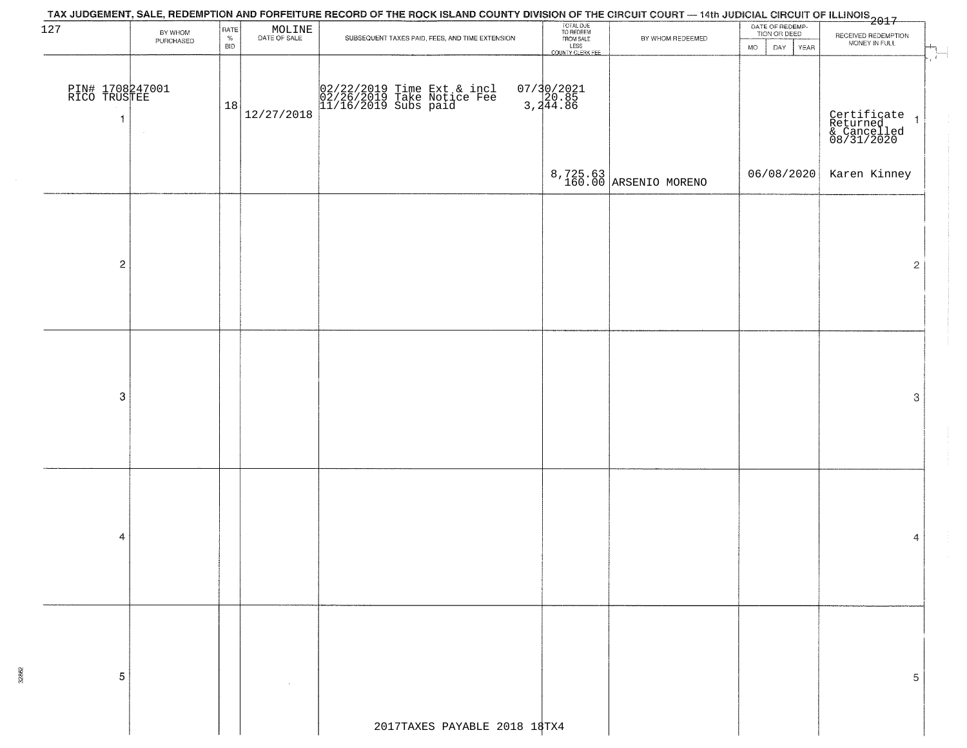| 127                                             | BY WHOM   | RATE        |                                                                     |                                                                                  | TOTAL DUE<br>TO REDEEM<br>FROM SALE |                                   | DATE OF REDEMP-<br>TION OR DEED |                                                          |
|-------------------------------------------------|-----------|-------------|---------------------------------------------------------------------|----------------------------------------------------------------------------------|-------------------------------------|-----------------------------------|---------------------------------|----------------------------------------------------------|
|                                                 | PURCHASED | $\%$<br>BID | $\begin{array}{c} \text{MOLINE} \\ \text{DATE of sale} \end{array}$ | SUBSEQUENT TAXES PAID, FEES, AND TIME EXTENSION                                  |                                     | BY WHOM REDEEMED                  | MO<br>DAY<br>YEAR               | RECEIVED REDEMPTION<br>MONEY IN FULL                     |
|                                                 |           |             |                                                                     |                                                                                  | LESS<br>LESS<br>COUNTY CLERK FEE    |                                   |                                 |                                                          |
| PIN# 1708247001<br>RICO TRUSTEE<br>$\mathbf{1}$ |           | 18          | 12/27/2018                                                          | 02/22/2019 Time Ext & incl<br>02/26/2019 Take Notice Fee<br>11/16/2019 Subs paid | 07/30/2021<br>3,20.85<br>3,244.86   |                                   |                                 | Certificate 1<br>Returned 1<br>& Cancelled<br>08/31/2020 |
|                                                 |           |             |                                                                     |                                                                                  |                                     | 8,725.63<br>160.00 ARSENIO MORENO | 06/08/2020                      | Karen Kinney                                             |
| $\overline{c}$                                  |           |             |                                                                     |                                                                                  |                                     |                                   |                                 | 2                                                        |
|                                                 |           |             |                                                                     |                                                                                  |                                     |                                   |                                 |                                                          |
| 3                                               |           |             |                                                                     |                                                                                  |                                     |                                   |                                 | 3                                                        |
|                                                 |           |             |                                                                     |                                                                                  |                                     |                                   |                                 |                                                          |
|                                                 |           |             |                                                                     |                                                                                  |                                     |                                   |                                 |                                                          |
| 4                                               |           |             |                                                                     |                                                                                  |                                     |                                   |                                 | 4                                                        |
|                                                 |           |             |                                                                     |                                                                                  |                                     |                                   |                                 |                                                          |
| 5                                               |           |             |                                                                     |                                                                                  |                                     |                                   |                                 | 5                                                        |
|                                                 |           |             |                                                                     | 2017TAXES PAYABLE 2018 18TX4                                                     |                                     |                                   |                                 |                                                          |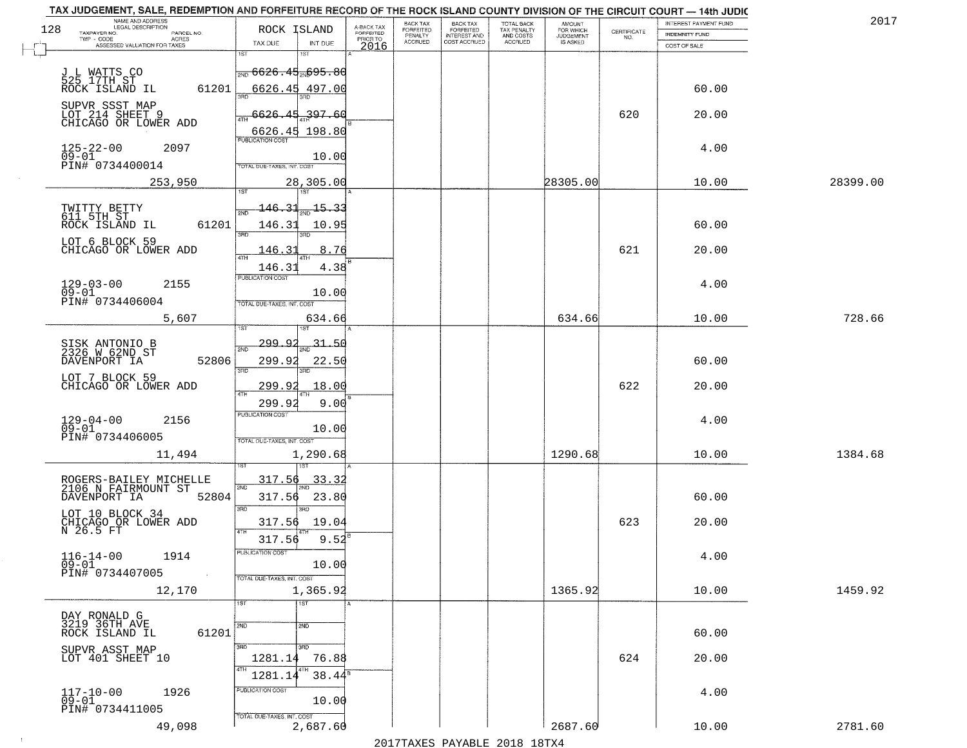|     | TAX JUDGEMENT, SALE, REDEMPTION AND FORFEITURE RECORD OF THE ROCK ISLAND COUNTY DIVISION OF THE CIRCUIT COURT - 14th JUDIC |                                                       |                         |                              |                                       |                                        |                     |                                                                 |                       |          |
|-----|----------------------------------------------------------------------------------------------------------------------------|-------------------------------------------------------|-------------------------|------------------------------|---------------------------------------|----------------------------------------|---------------------|-----------------------------------------------------------------|-----------------------|----------|
| 128 | NAME AND ADDRESS<br>LEGAL DESCRIPTION                                                                                      | ROCK ISLAND                                           | A-BACK TAX<br>FORFEITED | BACK TAX<br><b>FORFEITED</b> | BACK TAX<br>FORFEITED<br>INTEREST AND | TOTAL BACK<br>TAX PENALTY<br>AND COSTS | AMOUNT<br>FOR WHICH |                                                                 | INTEREST PAYMENT FUND | 2017     |
|     | TAXPAYER NO.<br>PARCEL NO.<br>TWP - CODE<br>ACRES                                                                          |                                                       | PRIOR TO                | PENALTY                      |                                       |                                        | <b>JUDGEMENT</b>    | $\begin{array}{c} \text{CERTIFICATE} \\ \text{NO.} \end{array}$ | <b>INDEMNITY FUND</b> |          |
|     | ASSESSED VALUATION FOR TAXES                                                                                               | INT DUE<br>TAX DUE                                    | 2016                    | <b>ACCRUED</b>               | COST ACCRUED                          | ACCRUED                                | IS ASKED            |                                                                 | COST OF SALE          |          |
|     |                                                                                                                            | 1ST<br>1ST                                            |                         |                              |                                       |                                        |                     |                                                                 |                       |          |
|     |                                                                                                                            | <del> <sub>2ND</sub> 6626.45<sub>2N</sub>695.80</del> |                         |                              |                                       |                                        |                     |                                                                 |                       |          |
|     | J L WATTS CO<br>525 17TH ST<br>ROCK ISLAND IL                                                                              |                                                       |                         |                              |                                       |                                        |                     |                                                                 |                       |          |
|     | 61201                                                                                                                      | 6626.45 497.00                                        |                         |                              |                                       |                                        |                     |                                                                 | 60.00                 |          |
|     | SUPVR SSST MAP                                                                                                             |                                                       |                         |                              |                                       |                                        |                     |                                                                 |                       |          |
|     | LOT 214 SHEET 9<br>CHICAGO OR LOWER ADD                                                                                    | 6626.45<br>397.60                                     |                         |                              |                                       |                                        |                     | 620                                                             | 20.00                 |          |
|     |                                                                                                                            | 6626.45 198.80                                        |                         |                              |                                       |                                        |                     |                                                                 |                       |          |
|     | 2097                                                                                                                       | <b>PUBLICATION COST</b>                               |                         |                              |                                       |                                        |                     |                                                                 | 4.00                  |          |
|     | $125 - 22 - 00$<br>09-01                                                                                                   | 10.00                                                 |                         |                              |                                       |                                        |                     |                                                                 |                       |          |
|     | PIN# 0734400014                                                                                                            | <b>TOTAL DUE-TAXES, INT. COST</b>                     |                         |                              |                                       |                                        |                     |                                                                 |                       |          |
|     | 253,950                                                                                                                    | 28,305.00                                             |                         |                              |                                       |                                        | 28305.00            |                                                                 | 10.00                 | 28399.00 |
|     |                                                                                                                            |                                                       |                         |                              |                                       |                                        |                     |                                                                 |                       |          |
|     |                                                                                                                            | $-15 - 33$<br>لا3 ـ 146                               |                         |                              |                                       |                                        |                     |                                                                 |                       |          |
|     | TWITTY BETTY<br>611 5TH ST                                                                                                 |                                                       |                         |                              |                                       |                                        |                     |                                                                 |                       |          |
|     | 61201<br>ROCK ISLAND IL                                                                                                    | 146.31<br>10.95<br><b>उस</b> र                        |                         |                              |                                       |                                        |                     |                                                                 | 60.00                 |          |
|     | LOT 6 BLOCK 59                                                                                                             |                                                       |                         |                              |                                       |                                        |                     |                                                                 |                       |          |
|     | CHICAGO OR LOWER ADD                                                                                                       | 8.76<br>146.31                                        |                         |                              |                                       |                                        |                     | 621                                                             | 20.00                 |          |
|     |                                                                                                                            | 146.31<br>4.38                                        |                         |                              |                                       |                                        |                     |                                                                 |                       |          |
|     |                                                                                                                            | PUBLICATION COST                                      |                         |                              |                                       |                                        |                     |                                                                 | 4.00                  |          |
|     | $129 - 03 - 00$<br>2155<br>$09 - 01$                                                                                       | 10.00                                                 |                         |                              |                                       |                                        |                     |                                                                 |                       |          |
|     | PIN# 0734406004                                                                                                            | TOTAL DUE-TAXES, INT. COST                            |                         |                              |                                       |                                        |                     |                                                                 |                       |          |
|     | 5,607                                                                                                                      | 634.66                                                |                         |                              |                                       |                                        | 634.66              |                                                                 | 10.00                 | 728.66   |
|     |                                                                                                                            | 1ST<br>ïЗT                                            |                         |                              |                                       |                                        |                     |                                                                 |                       |          |
|     |                                                                                                                            | <u>299.9.</u><br>31.50                                |                         |                              |                                       |                                        |                     |                                                                 |                       |          |
|     | SISK ANTONIO B<br>2326 W 62ND ST                                                                                           | 2ND                                                   |                         |                              |                                       |                                        |                     |                                                                 |                       |          |
|     | 52806<br>DAVENPORT IA                                                                                                      | 299.92<br>22.50<br>3RD<br>3RD                         |                         |                              |                                       |                                        |                     |                                                                 | 60.00                 |          |
|     | LOT 7 BLOCK 59                                                                                                             |                                                       |                         |                              |                                       |                                        |                     |                                                                 |                       |          |
|     | CHICAGO OR LOWER ADD                                                                                                       | 299.9<br>18.00<br>4TH                                 |                         |                              |                                       |                                        |                     | 622                                                             | 20.00                 |          |
|     |                                                                                                                            | 299.9<br>9.00                                         |                         |                              |                                       |                                        |                     |                                                                 |                       |          |
|     | 2156                                                                                                                       | PUBLICATION COST                                      |                         |                              |                                       |                                        |                     |                                                                 | 4.00                  |          |
|     | $129 - 04 - 00$<br>09-01                                                                                                   | 10.00                                                 |                         |                              |                                       |                                        |                     |                                                                 |                       |          |
|     | PIN# 0734406005                                                                                                            | TOTAL OUE-TAXES, INT. COST                            |                         |                              |                                       |                                        |                     |                                                                 |                       |          |
|     | 11,494                                                                                                                     | 1,290.68                                              |                         |                              |                                       |                                        | 1290.68             |                                                                 | 10.00                 | 1384.68  |
|     |                                                                                                                            |                                                       |                         |                              |                                       |                                        |                     |                                                                 |                       |          |
|     | ROGERS-BAILEY MICHELLE<br>2106 N FAIRMOUNT ST                                                                              | 317.56<br>33.32                                       |                         |                              |                                       |                                        |                     |                                                                 |                       |          |
|     | 52804<br>DAVENPORT IA                                                                                                      | 2ND<br>317.56<br>23.80                                |                         |                              |                                       |                                        |                     |                                                                 | 60.00                 |          |
|     |                                                                                                                            | 3RD<br>3RD                                            |                         |                              |                                       |                                        |                     |                                                                 |                       |          |
|     | LOT 10 BLOCK 34                                                                                                            | 19.04<br>317.56                                       |                         |                              |                                       |                                        |                     | 623                                                             | 20.00                 |          |
|     | CHICAGO OR LOWER ADD<br>N 26.5 FT                                                                                          | 4TH                                                   |                         |                              |                                       |                                        |                     |                                                                 |                       |          |
|     |                                                                                                                            | 9.52<br>317.56                                        |                         |                              |                                       |                                        |                     |                                                                 |                       |          |
|     | $116 - 14 - 00$<br>1914                                                                                                    | 'usuca hun cus                                        |                         |                              |                                       |                                        |                     |                                                                 | 4.00                  |          |
|     | $\overline{0}\overline{9}-0\overline{1}$<br>PIN# 0734407005                                                                | 10.00                                                 |                         |                              |                                       |                                        |                     |                                                                 |                       |          |
|     | $\sim 10$                                                                                                                  | TOTAL DUE-TAXES, INT. COST                            |                         |                              |                                       |                                        |                     |                                                                 |                       |          |
|     | 12,170                                                                                                                     | 1,365.92                                              |                         |                              |                                       |                                        | 1365.92             |                                                                 | 10.00                 | 1459.92  |
|     |                                                                                                                            | 1ST<br>1ST                                            |                         |                              |                                       |                                        |                     |                                                                 |                       |          |
|     | DAY RONALD G<br>3219 36TH AVE                                                                                              | $\overline{2ND}$<br>2ND                               |                         |                              |                                       |                                        |                     |                                                                 |                       |          |
|     | 61201<br>ROCK ISLAND IL                                                                                                    |                                                       |                         |                              |                                       |                                        |                     |                                                                 | 60.00                 |          |
|     |                                                                                                                            | 3BD<br>3RD                                            |                         |                              |                                       |                                        |                     |                                                                 |                       |          |
|     | SUPVR ASST MAP<br>LOT 401 SHEET 10                                                                                         | 76.88<br>1281.14                                      |                         |                              |                                       |                                        |                     | 624                                                             | 20.00                 |          |
|     |                                                                                                                            | $38.44^s$<br>1281.14                                  |                         |                              |                                       |                                        |                     |                                                                 |                       |          |
|     |                                                                                                                            |                                                       |                         |                              |                                       |                                        |                     |                                                                 |                       |          |
|     | $117 - 10 - 00$<br>1926<br>$09 - 01$                                                                                       | PUBLICATION COST<br>10.00                             |                         |                              |                                       |                                        |                     |                                                                 | 4.00                  |          |
|     | PIN# 0734411005                                                                                                            |                                                       |                         |                              |                                       |                                        |                     |                                                                 |                       |          |
|     | 49,098                                                                                                                     | TOTAL DUE-TAXES, INT. COST<br>2,687.60                |                         |                              |                                       |                                        | 2687.60             |                                                                 | 10.00                 | 2781.60  |
|     |                                                                                                                            |                                                       |                         |                              | 2017 THAYRO DAVADIR 2018 19TYA        |                                        |                     |                                                                 |                       |          |
|     |                                                                                                                            |                                                       |                         |                              |                                       |                                        |                     |                                                                 |                       |          |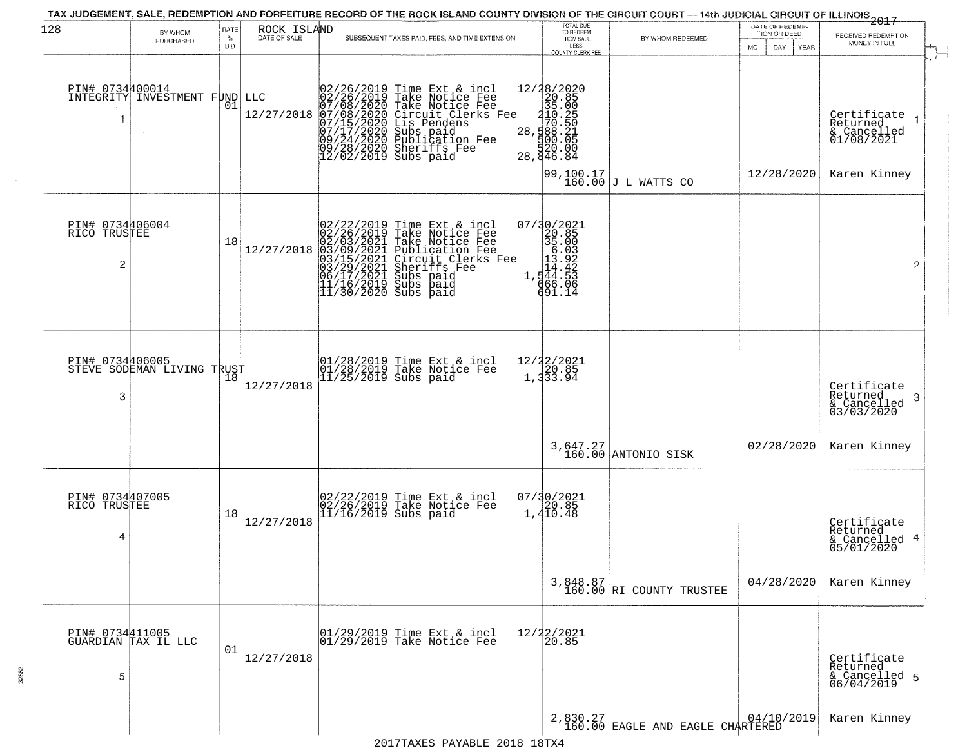| 128                                  | BY WHOM<br>PURCHASED                         | RATE<br>%<br><b>BID</b> | ROCK ISLAND<br>DATE OF SALE | SUBSEQUENT TAXES PAID, FEES, AND TIME EXTENSION                                                                                                                                                                                                       | TOTAL DUE<br>TO REDEEM<br>FROM SALE<br>LESS<br>COUNTY CLERK FEE                                            | BY WHOM REDEEMED                                               | DATE OF REDEMP-<br>TION OR DEED<br>DAY<br>MO<br>YEAR | 2017<br>RECEIVED REDEMPTION<br>MONEY IN FULL<br>$\pm$                  |
|--------------------------------------|----------------------------------------------|-------------------------|-----------------------------|-------------------------------------------------------------------------------------------------------------------------------------------------------------------------------------------------------------------------------------------------------|------------------------------------------------------------------------------------------------------------|----------------------------------------------------------------|------------------------------------------------------|------------------------------------------------------------------------|
|                                      | PIN# 0734400014<br>INTEGRITY INVESTMENT FUND | 01                      | LLC<br>12/27/2018           | 02/26/2019 Time Ext & incl<br>02/26/2019 Take Notice Fee<br>07/08/2020 Take Notice Fee<br>07/08/2020 Circuit Clerks Fee<br>07/15/2020 Circuit Clerks Fee<br>07/17/2020 Subs paid<br>09/24/2020 Sheriffs Fee<br>09/28/2020 Sheriffs Fee<br>12/02/2019  | $28 / 2020$ $20.85$ $28 / 2025$ $28 / 10.250$ $28 / 100.50$ $29 / 2025$ $29 / 2025$<br>₫žŏ:ōo<br>28,846.84 |                                                                | 12/28/2020                                           | Certifiçate 1<br>Returned<br>& Cancelled<br>01/08/2021<br>Karen Kinney |
| PIN# 0734406004<br>RICO TRUSTEE<br>2 |                                              | 18                      | 12/27/2018                  | $02/22/2019$ Time Ext & incl<br>02/26/2019 Take Notice Fee<br>02/03/2021 Take Notice Fee<br>03/09/2021 Publication Fee<br>03/15/2021 Circuit Clerks Fee<br>03/15/2021 Subs paid<br>06/17/2021 Subs paid<br>11/16/2019 Subs paid<br>11/16/2019 Subs pa | 07/30/2021<br>320.85<br>35.003<br>13.92<br>1,344.52<br>1,344.53<br>666.06<br>691.14                        | $\begin{bmatrix} 99,100.17 \\ 160.00 \end{bmatrix}$ L WATTS CO |                                                      | $\overline{2}$                                                         |
| PIN# 0734406005<br>3                 | STEVE SODEMAN LIVING TRUST                   |                         | 12/27/2018                  | 01/28/2019 Time Ext & incl<br>01/28/2019 Take Notice Fee<br>11/25/2019 Subs paid                                                                                                                                                                      | 12/22/2021<br>20.85<br>$1,3\overline{3}3.9\overline{4}$                                                    |                                                                |                                                      | Certificate<br>Returned<br>-3<br>& Cancelled<br>03/03/2020             |
|                                      |                                              |                         |                             |                                                                                                                                                                                                                                                       |                                                                                                            | 3,647.27<br>160.00 ANTONIO SISK                                | 02/28/2020                                           | Karen Kinney                                                           |
| PIN# 0734407005<br>RICO TRUSTEE<br>4 |                                              | 18                      | 12/27/2018                  | 02/22/2019 Time Ext & incl<br>02/26/2019 Take Notice Fee<br>11/16/2019 Subs paid                                                                                                                                                                      | 07/30/2021<br>1,410.48                                                                                     |                                                                |                                                      | Certificate<br>Returned<br>& Cancelled 4<br>05/01/2020                 |
|                                      |                                              |                         |                             |                                                                                                                                                                                                                                                       |                                                                                                            | $3,848.87$<br>160.00 RI COUNTY TRUSTEE                         | 04/28/2020                                           | Karen Kinney                                                           |
| 5                                    | PIN# 0734411005<br>GUARDIAN TAX IL LLC       | 01                      | 12/27/2018                  | 01/29/2019 Time Ext & incl<br>01/29/2019 Take Notice Fee                                                                                                                                                                                              | 12/22/2021<br>20.85                                                                                        |                                                                |                                                      | Certificate<br>Returned<br>& Cancelled 5<br>06/04/2019                 |
|                                      |                                              |                         |                             |                                                                                                                                                                                                                                                       |                                                                                                            | $2,830.27$ $04/10/2019$<br>160.00 EAGLE AND EAGLE CHARTERED    |                                                      | Karen Kinney                                                           |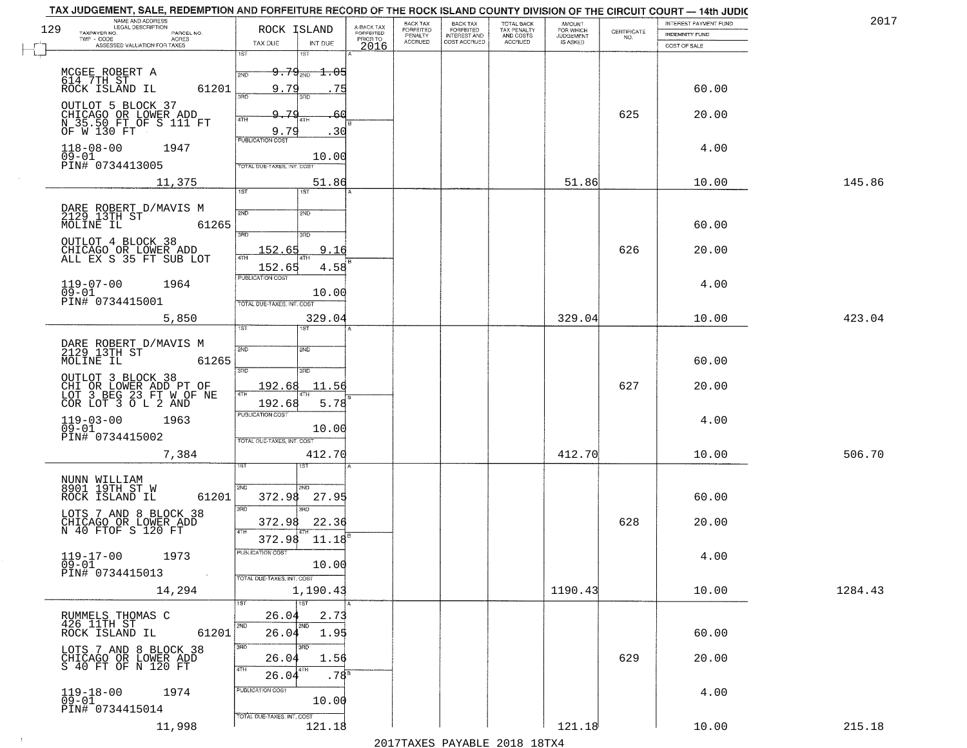| TAX JUDGEMENT, SALE, REDEMPTION AND FORFEITURE RECORD OF THE ROCK ISLAND COUNTY DIVISION OF THE CIRCUIT COURT - 14th JUDIC |            |                                  |                  |                         |                           |                                     |                                        |                                           |                    |                                       |         |
|----------------------------------------------------------------------------------------------------------------------------|------------|----------------------------------|------------------|-------------------------|---------------------------|-------------------------------------|----------------------------------------|-------------------------------------------|--------------------|---------------------------------------|---------|
| NAME AND ADDRESS<br>LEGAL DESCRIPTION<br>129<br>TAXPAYER NO.                                                               |            | ROCK ISLAND                      |                  | A-BACK TAX<br>FORFEITED | BACK TAX<br>FORFEITED     | <b>BACK TAX</b><br><b>FORFEITED</b> | TOTAL BACK<br>TAX PENALTY<br>AND COSTS | <b>AMOUNT</b>                             |                    | INTEREST PAYMENT FUND                 | 2017    |
| TWP - CODE<br>ACRES<br>ASSESSED VALUATION FOR TAXES                                                                        | PARCEL NO. | TAX DUE                          | INT DUE          | PRIOR TO                | PENALTY<br><b>ACCRUED</b> | <b>INTEREST AND</b><br>COST ACCRUED | ACCRUED                                | FOR WHICH<br>JUDGEMENT<br><b>IS ASKED</b> | CERTIFICATE<br>NO. | <b>INDEMNITY FUND</b><br>COST OF SALE |         |
|                                                                                                                            |            | 1ST<br>1ST                       |                  | 2016                    |                           |                                     |                                        |                                           |                    |                                       |         |
|                                                                                                                            |            | $9.79_{200}$                     | $\pm .05$        |                         |                           |                                     |                                        |                                           |                    |                                       |         |
| MCGEE ROBERT A<br>614 7TH ST<br>ROCK ISLAND IL                                                                             |            | 2ND                              |                  |                         |                           |                                     |                                        |                                           |                    |                                       |         |
|                                                                                                                            | 61201      | 9.79<br>заг<br>3RD               | 75               |                         |                           |                                     |                                        |                                           |                    | 60.00                                 |         |
| OUTLOT 5 BLOCK 37                                                                                                          |            | 9.79                             |                  |                         |                           |                                     |                                        |                                           | 625                | 20.00                                 |         |
| CHICAGO OR LOWER ADD<br>N 35.50 FT OF S 111 FT<br>OF W 130 FT                                                              |            | 4TH<br>4TH                       |                  |                         |                           |                                     |                                        |                                           |                    |                                       |         |
|                                                                                                                            |            | 9.79<br><b>PUBLICATION COST</b>  | 30               |                         |                           |                                     |                                        |                                           |                    |                                       |         |
| $118 - 08 - 00$<br>1947<br>$09 - 01$                                                                                       |            |                                  | 10.00            |                         |                           |                                     |                                        |                                           |                    | 4.00                                  |         |
| PIN# 0734413005                                                                                                            |            | TOTAL DUE-TAXES, INT. COST       |                  |                         |                           |                                     |                                        |                                           |                    |                                       |         |
| 11,375                                                                                                                     |            |                                  | 51.86            |                         |                           |                                     |                                        | 51.86                                     |                    | 10.00                                 | 145.86  |
|                                                                                                                            |            | 1ST<br>1ST                       |                  |                         |                           |                                     |                                        |                                           |                    |                                       |         |
| DARE ROBERT D/MAVIS M<br>2129 13TH ST                                                                                      |            | 2ND<br>2ND                       |                  |                         |                           |                                     |                                        |                                           |                    |                                       |         |
| MOLINE IL                                                                                                                  | 61265      |                                  |                  |                         |                           |                                     |                                        |                                           |                    | 60.00                                 |         |
| OUTLOT 4 BLOCK 38                                                                                                          |            | 3RD<br>3RD                       |                  |                         |                           |                                     |                                        |                                           |                    |                                       |         |
| CHICAGO OR LOWER ADD<br>ALL EX S 35 FT SUB LOT                                                                             |            | 152.65<br>4TH                    | 9.16             |                         |                           |                                     |                                        |                                           | 626                | 20.00                                 |         |
|                                                                                                                            |            | 152.65                           | 4.58             |                         |                           |                                     |                                        |                                           |                    |                                       |         |
| $119 - 07 - 00$<br>1964                                                                                                    |            | PUBLICATION COST                 |                  |                         |                           |                                     |                                        |                                           |                    | 4.00                                  |         |
| $09 - 01$<br>PIN# 0734415001                                                                                               |            | TOTAL DUE-TAXES, INT. COST       | 10.00            |                         |                           |                                     |                                        |                                           |                    |                                       |         |
|                                                                                                                            |            |                                  |                  |                         |                           |                                     |                                        |                                           |                    |                                       |         |
| 5,850                                                                                                                      |            | 1ST<br>1ST                       | 329.04           |                         |                           |                                     |                                        | 329.04                                    |                    | 10.00                                 | 423.04  |
|                                                                                                                            |            |                                  |                  |                         |                           |                                     |                                        |                                           |                    |                                       |         |
| DARE ROBERT D/MAVIS M<br>2129 13TH ST<br>MOLINE IL                                                                         | 61265      | 2ND<br>5MD                       |                  |                         |                           |                                     |                                        |                                           |                    | 60.00                                 |         |
|                                                                                                                            |            | 3RD<br>3RD                       |                  |                         |                           |                                     |                                        |                                           |                    |                                       |         |
| OUTLOT 3 BLOCK 38<br>CHI OR LOWER ADD PT OF<br>LOT 3 BEG 23 FT W.OF NE                                                     |            | 192.68                           | 11.56            |                         |                           |                                     |                                        |                                           | 627                | 20.00                                 |         |
| COR LOT 3 O L 2 AND                                                                                                        |            | 4TH<br>192.68                    | 5.78             |                         |                           |                                     |                                        |                                           |                    |                                       |         |
|                                                                                                                            |            | <b>PUBLICATION COST</b>          |                  |                         |                           |                                     |                                        |                                           |                    |                                       |         |
| $119-03-00$<br>09-01<br>1963                                                                                               |            |                                  | 10.00            |                         |                           |                                     |                                        |                                           |                    | 4.00                                  |         |
| PIN# 0734415002                                                                                                            |            | TOTAL OUE-TAXES, INT. COST       |                  |                         |                           |                                     |                                        |                                           |                    |                                       |         |
| 7,384                                                                                                                      |            |                                  | 412.70           |                         |                           |                                     |                                        | 412.70                                    |                    | 10.00                                 | 506.70  |
|                                                                                                                            |            | 1ST                              |                  |                         |                           |                                     |                                        |                                           |                    |                                       |         |
| NUNN WILLIAM<br>8901 19TH ST W                                                                                             |            | SVD<br>2ND                       |                  |                         |                           |                                     |                                        |                                           |                    |                                       |         |
| ROCK ISLAND IL                                                                                                             | 61201      | 372.98                           | 27.95            |                         |                           |                                     |                                        |                                           |                    | 60.00                                 |         |
|                                                                                                                            |            | 3RD<br>3RD                       |                  |                         |                           |                                     |                                        |                                           |                    |                                       |         |
| LOTS 7 AND 8 BLOCK 38<br>CHICAGO OR LOWER ADD<br>N 40 FTOF S 120 FT                                                        |            | 372.98<br>4TH                    | 22.36            |                         |                           |                                     |                                        |                                           | 628                | 20.00                                 |         |
|                                                                                                                            |            | 372.98                           | 11.18            |                         |                           |                                     |                                        |                                           |                    |                                       |         |
| $119 - 17 - 00$<br>1973<br>$09 - 01$                                                                                       |            | PUBLICATION COST                 | 10.00            |                         |                           |                                     |                                        |                                           |                    | 4.00                                  |         |
| PIN# 0734415013                                                                                                            | $\sim 100$ | TOTAL DUE-TAXES, INT. COST       |                  |                         |                           |                                     |                                        |                                           |                    |                                       |         |
| 14,294                                                                                                                     |            |                                  | 1,190.43         |                         |                           |                                     |                                        | 1190.43                                   |                    | 10.00                                 | 1284.43 |
|                                                                                                                            |            | 1ST<br>1ST                       |                  |                         |                           |                                     |                                        |                                           |                    |                                       |         |
| RUMMELS THOMAS C<br>426 11TH ST                                                                                            |            | 26.04                            | 2.73             |                         |                           |                                     |                                        |                                           |                    |                                       |         |
| ROCK ISLAND IL                                                                                                             | 61201      | 2ND<br>$2N\overline{D}$<br>26.04 | 1.95             |                         |                           |                                     |                                        |                                           |                    | 60.00                                 |         |
| LOTS 7 AND 8 BLOCK 38                                                                                                      |            | 3RD<br>3RD                       |                  |                         |                           |                                     |                                        |                                           |                    |                                       |         |
| CHICAGO OR LOWER ADD<br>S 40 FT OF N 120 FT                                                                                |            | 26.04                            | 1.56             |                         |                           |                                     |                                        |                                           | 629                | 20.00                                 |         |
|                                                                                                                            |            | 4TH<br>4TH<br>26.04              | .78 <sup>B</sup> |                         |                           |                                     |                                        |                                           |                    |                                       |         |
| 1974<br>$119 - 18 - 00$                                                                                                    |            | PUBLICATION COST                 |                  |                         |                           |                                     |                                        |                                           |                    | 4.00                                  |         |
| $09 - 01$<br>PIN# 0734415014                                                                                               |            |                                  | 10.00            |                         |                           |                                     |                                        |                                           |                    |                                       |         |
| 11,998                                                                                                                     |            | TOTAL DUE-TAXES, INT. COST       | 121.18           |                         |                           |                                     |                                        | 121.18                                    |                    | 10.00                                 | 215.18  |
|                                                                                                                            |            |                                  |                  |                         |                           |                                     |                                        |                                           |                    |                                       |         |

 $\sim 100$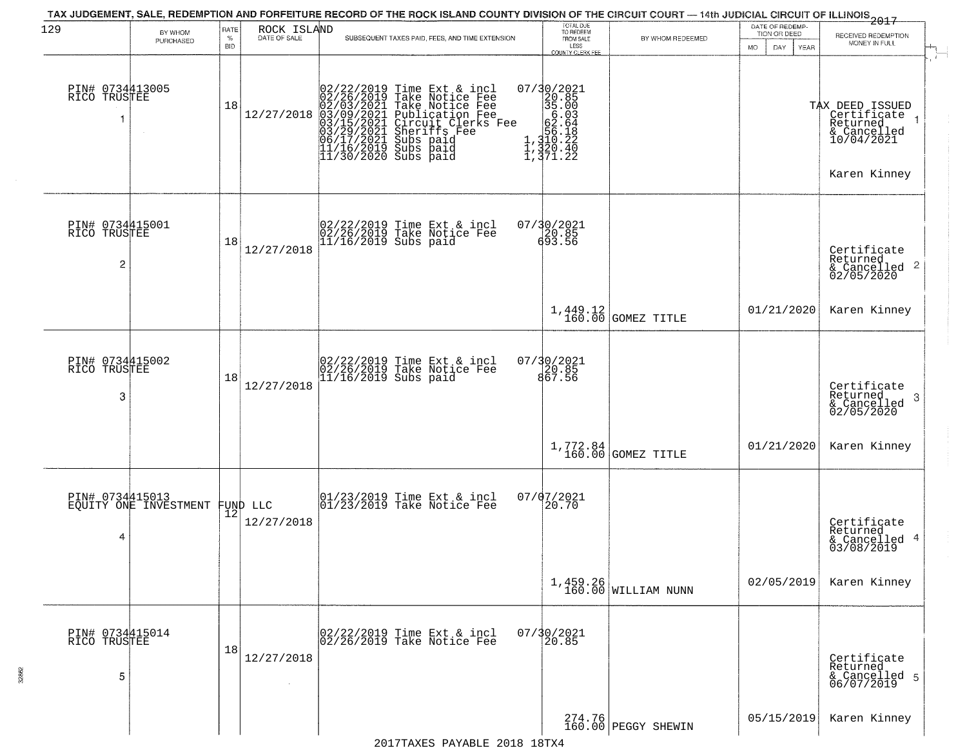| 129                                               | BY WHOM                                           | RATE               | ROCK ISLAND  |                                                                                                                                                                                                                                                                                                                                                                                              | TOTAL DUE<br>TO REDEEM                                                                     |                                                                              | DATE OF REDEMP-<br>TION OR DEED | $\frac{1}{2017}$<br>RECEIVED REDEMPTION                                                   |
|---------------------------------------------------|---------------------------------------------------|--------------------|--------------|----------------------------------------------------------------------------------------------------------------------------------------------------------------------------------------------------------------------------------------------------------------------------------------------------------------------------------------------------------------------------------------------|--------------------------------------------------------------------------------------------|------------------------------------------------------------------------------|---------------------------------|-------------------------------------------------------------------------------------------|
|                                                   | <b>PURCHASED</b>                                  | $\%$<br><b>BID</b> | DATE OF SALE | SUBSEQUENT TAXES PAID, FEES, AND TIME EXTENSION                                                                                                                                                                                                                                                                                                                                              | FROM SALE<br>LESS<br><b>COUNTY CLERK FEE</b>                                               | BY WHOM REDEEMED                                                             | MO.<br>DAY.<br>YEAR             | MONEY IN FULL                                                                             |
| PIN# 0734413005<br>RICO TRUSTEE                   |                                                   | 18                 |              | $[02/22/2019 \text{ Time Ext & incl} \newline [02/26/2019 \text{ Take Notice Free} \newline 02/03/2021 \text{ Take Notice Free} \newline 03/09/2021 \text{ Publicactive Free} \newline 03/15/2021 \text{ Circuit Clerks Free} \newline 03/15/2021 \text{ Supstriff. Free} \newline 06/17/2021 \text{ Subs paid} \newline 11/16/2019 \text{ Subs paid} \newline 11/30/2020 \text{ Subs paid}$ | 07/30/2021<br>20.85<br>35.00<br>56.03<br>e<br>1,310.22<br>1,320.40<br>1,320.40<br>1,371.22 |                                                                              |                                 | TAX DEED ISSUED<br>Certifiçate 1<br>Returned<br>& Cancelled<br>10/04/2021<br>Karen Kinney |
| PIN# 0734415001<br>RICO TRUSTEE<br>$\overline{c}$ |                                                   | 18                 | 12/27/2018   | 02/22/2019 Time Ext & incl<br>02/26/2019 Take Notice Fee<br>11/16/2019 Subs paid                                                                                                                                                                                                                                                                                                             | 07/30/2021                                                                                 |                                                                              |                                 | Certificate<br>Returned<br>$\frac{1}{6}$ Cancelled 2<br>02/05/2020                        |
|                                                   |                                                   |                    |              |                                                                                                                                                                                                                                                                                                                                                                                              |                                                                                            | $\left  \begin{array}{c} 1,449.12 \\ 160.00 \end{array} \right $ GOMEZ TITLE | 01/21/2020                      | Karen Kinney                                                                              |
| PIN# 0734415002<br>RICO TRUSTEE<br>3              |                                                   | 18                 | 12/27/2018   | 02/22/2019 Time Ext & incl<br>02/26/2019 Take Notice Fee<br>11/16/2019 Subs paid                                                                                                                                                                                                                                                                                                             | 07/30/2021<br>20.85<br>867.56                                                              |                                                                              |                                 | Certificate<br>Returned<br>3<br>& Cancelled<br>02/05/2020                                 |
|                                                   |                                                   |                    |              |                                                                                                                                                                                                                                                                                                                                                                                              |                                                                                            | $1,772.84$ GOMEZ TITLE                                                       | 01/21/2020                      | Karen Kinney                                                                              |
| 4                                                 | PIN# 0734415013<br>EQUITY ONE INVESTMENT FUND LLC | 12                 | 12/27/2018   | 01/23/2019 Time Ext & incl<br>01/23/2019 Take Notice Fee                                                                                                                                                                                                                                                                                                                                     | 07/07/2021<br>20.70                                                                        |                                                                              |                                 | Certificate<br>Returned<br>& Cancelled 4<br>03/08/2019                                    |
|                                                   |                                                   |                    |              |                                                                                                                                                                                                                                                                                                                                                                                              |                                                                                            | $1,459.26$ WILLIAM NUNN                                                      | 02/05/2019                      | Karen Kinney                                                                              |
| PIN# 0734415014<br>RICO TRUSTEE<br>5              |                                                   | 18                 | 12/27/2018   | 02/22/2019 Time Ext & incl<br>02/26/2019 Take Notice Fee                                                                                                                                                                                                                                                                                                                                     | $07/30/2021$<br>20.85                                                                      |                                                                              |                                 | Certificate<br>Returned<br>& Cancelled 5<br>06/07/2019                                    |
|                                                   |                                                   |                    |              |                                                                                                                                                                                                                                                                                                                                                                                              |                                                                                            | 274.76<br>160.00 PEGGY SHEWIN                                                | 05/15/2019                      | Karen Kinney                                                                              |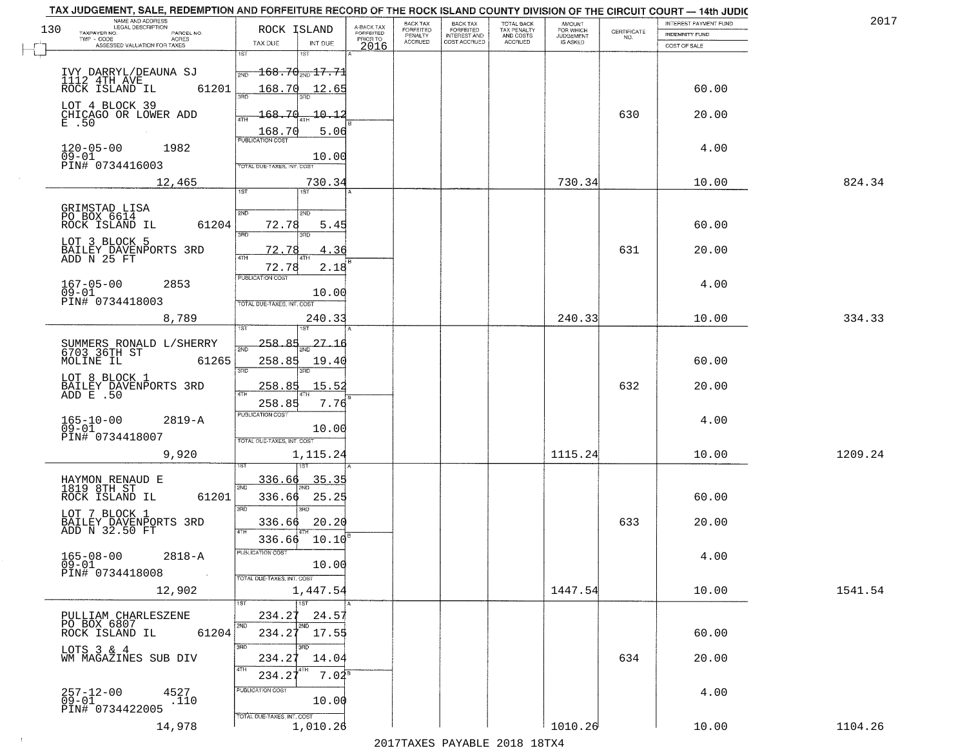| NAME AND ADDRESS<br>LEGAL DESCRIPTION               |                                                                             |                                     | BACK TAX             | <b>BACK TAX</b><br>FORFEITED | TOTAL BACK<br>TAX PENALTY<br>AND COSTS | AMOUNT<br>FOR WHICH |                                                                 | INTEREST PAYMENT FUND | 2017    |
|-----------------------------------------------------|-----------------------------------------------------------------------------|-------------------------------------|----------------------|------------------------------|----------------------------------------|---------------------|-----------------------------------------------------------------|-----------------------|---------|
| 130<br>TAXPAYER NO.<br>PARCEL NO.<br>ACRES          | ROCK ISLAND                                                                 | A-BACK TAX<br>FORFEITED<br>PRIOR TO | FORFEITED<br>PENALTY | <b>INTEREST AND</b>          |                                        | <b>JUDGEMENT</b>    | $\begin{array}{c} \text{CERTIFICATE} \\ \text{NO.} \end{array}$ | INDEMNITY FUND        |         |
| ASSESSED VALUATION FOR TAXES                        | TAX DUE<br>INT DUE<br>1ST<br>1ST                                            | 2016                                | ACCRUED              | COST ACCRUED                 | ACCRUED                                | IS ASKED            |                                                                 | COST OF SALE          |         |
|                                                     |                                                                             |                                     |                      |                              |                                        |                     |                                                                 |                       |         |
| IVY DARRYL/DEAUNA SJ<br>1112 4TH AVE                | $\textcolor{red}{\textbf{168.70}}$ $\textcolor{red}{\textbf{17.71}}$<br>2ND |                                     |                      |                              |                                        |                     |                                                                 |                       |         |
| 61201<br>ROCK ISLAND IL                             | 168.70<br>12.65<br>วรที                                                     |                                     |                      |                              |                                        |                     |                                                                 | 60.00                 |         |
| LOT 4 BLOCK 39                                      |                                                                             |                                     |                      |                              |                                        |                     |                                                                 |                       |         |
| CHICAGO OR LOWER ADD<br>E .50                       | 168.70<br>10.12                                                             |                                     |                      |                              |                                        |                     | 630                                                             | 20.00                 |         |
|                                                     | 168.70<br>5.06<br><b>PUBLICATION COST</b>                                   |                                     |                      |                              |                                        |                     |                                                                 |                       |         |
| 120-05-00<br>09-01<br>1982                          |                                                                             |                                     |                      |                              |                                        |                     |                                                                 | 4.00                  |         |
| PIN# 0734416003                                     | 10.00<br>TOTAL DUE-TAXES, INT, COST                                         |                                     |                      |                              |                                        |                     |                                                                 |                       |         |
| 12,465                                              | 730.34                                                                      |                                     |                      |                              |                                        | 730.34              |                                                                 | 10.00                 | 824.34  |
|                                                     | 1ST                                                                         |                                     |                      |                              |                                        |                     |                                                                 |                       |         |
| GRIMSTAD LISA                                       | 2ND<br>2ND                                                                  |                                     |                      |                              |                                        |                     |                                                                 |                       |         |
| PO BOX 6614<br>61204<br>ROCK ISLAND IL              | 72.78<br>5.45                                                               |                                     |                      |                              |                                        |                     |                                                                 | 60.00                 |         |
| LOT 3 BLOCK 5                                       | 3RD                                                                         |                                     |                      |                              |                                        |                     |                                                                 |                       |         |
| BAILEY DAVENPORTS 3RD<br>ADD N 25 FT                | 72.78<br>4.36<br>47H                                                        |                                     |                      |                              |                                        |                     | 631                                                             | 20.00                 |         |
|                                                     | 2.18<br>72.78                                                               |                                     |                      |                              |                                        |                     |                                                                 |                       |         |
| $167 - 05 - 00$<br>2853                             | PUBLICATION COST                                                            |                                     |                      |                              |                                        |                     |                                                                 | 4.00                  |         |
| $09 - 01$                                           | 10.00                                                                       |                                     |                      |                              |                                        |                     |                                                                 |                       |         |
| PIN# 0734418003                                     | TOTAL DUE-TAXES, INT. COST                                                  |                                     |                      |                              |                                        |                     |                                                                 |                       |         |
| 8,789                                               | 240.33<br>1ST                                                               |                                     |                      |                              |                                        | 240.33              |                                                                 | 10.00                 | 334.33  |
|                                                     | $-258.85$                                                                   |                                     |                      |                              |                                        |                     |                                                                 |                       |         |
| SUMMERS RONALD L/SHERRY<br>6703 36TH ST             | 2ND                                                                         |                                     |                      |                              |                                        |                     |                                                                 |                       |         |
| MOLINE IL<br>61265                                  | 258.85<br>19.40<br>3RD<br>3RD                                               |                                     |                      |                              |                                        |                     |                                                                 | 60.00                 |         |
| LOT 8 BLOCK 1                                       | 258.85<br>15.52                                                             |                                     |                      |                              |                                        |                     | 632                                                             | 20.00                 |         |
| BAILEY DAVENPORTS 3RD<br>ADD E .50                  | $\overline{a\tau}$                                                          |                                     |                      |                              |                                        |                     |                                                                 |                       |         |
|                                                     | 258.85<br>7.76<br><b>PUBLICATION COST</b>                                   |                                     |                      |                              |                                        |                     |                                                                 |                       |         |
| 165-10-00<br>09-01<br>$2819 - A$                    | 10.00                                                                       |                                     |                      |                              |                                        |                     |                                                                 | 4.00                  |         |
| PIN# 0734418007                                     | TOTAL OUE-TAXES, INT. COST                                                  |                                     |                      |                              |                                        |                     |                                                                 |                       |         |
| 9,920                                               | 1,115.24                                                                    |                                     |                      |                              |                                        | 1115.24             |                                                                 | 10.00                 | 1209.24 |
|                                                     |                                                                             |                                     |                      |                              |                                        |                     |                                                                 |                       |         |
| HAYMON RENAUD E<br>1819 8TH ST                      | 336.66<br>35.35<br>2ND                                                      |                                     |                      |                              |                                        |                     |                                                                 |                       |         |
| ROCK ISLAND IL<br>61201                             | 336.66<br>25.25                                                             |                                     |                      |                              |                                        |                     |                                                                 | 60.00                 |         |
| LOT 7 BLOCK 1                                       | 3RD<br>3BD                                                                  |                                     |                      |                              |                                        |                     |                                                                 |                       |         |
| BAILEY DAVENPORTS 3RD<br>ADD N 32.50 FT             | 20.20<br>336.66<br>4TH                                                      |                                     |                      |                              |                                        |                     | 633                                                             | 20.00                 |         |
|                                                     | 336.66<br>10.10                                                             |                                     |                      |                              |                                        |                     |                                                                 |                       |         |
| $165 - 08 - 00$<br>$2818 - A$                       | PUBLICA HUN CUS                                                             |                                     |                      |                              |                                        |                     |                                                                 | 4.00                  |         |
| $09 - 01$<br>PIN# 0734418008<br>$\sim 100$          | 10.00<br>TOTAL DUE-TAXES, INT. COST                                         |                                     |                      |                              |                                        |                     |                                                                 |                       |         |
| 12,902                                              | 1,447.54                                                                    |                                     |                      |                              |                                        | 1447.54             |                                                                 | 10.00                 | 1541.54 |
|                                                     | $\overline{1}$ 1st<br>1ST                                                   |                                     |                      |                              |                                        |                     |                                                                 |                       |         |
| PULLIAM CHARLESZENE                                 | 234.27<br>24.57                                                             |                                     |                      |                              |                                        |                     |                                                                 |                       |         |
| PO BOX 6807<br>61204<br>ROCK ISLAND IL              | 2ND<br>2ND<br>234.27<br>17.55                                               |                                     |                      |                              |                                        |                     |                                                                 | 60.00                 |         |
| LOTS 3 & 4                                          | 3RD<br>3BD                                                                  |                                     |                      |                              |                                        |                     |                                                                 |                       |         |
| WM MAGAZINES SUB DIV                                | 234.27<br>14.04                                                             |                                     |                      |                              |                                        |                     | 634                                                             | 20.00                 |         |
|                                                     | 4TH<br>$7.04^s$<br>234.27                                                   |                                     |                      |                              |                                        |                     |                                                                 |                       |         |
| 4527                                                | PUBLICATION COST                                                            |                                     |                      |                              |                                        |                     |                                                                 | 4.00                  |         |
| $257 - 12 - 00$<br>09-01<br>.110<br>PIN# 0734422005 | 10.00                                                                       |                                     |                      |                              |                                        |                     |                                                                 |                       |         |
|                                                     | TOTAL DUE-TAXES, INT. COST                                                  |                                     |                      |                              |                                        |                     |                                                                 |                       |         |
| 14,978                                              | 1,010.26                                                                    |                                     |                      |                              |                                        | 1010.26             |                                                                 | 10.00                 | 1104.26 |

 $\sim 4$  .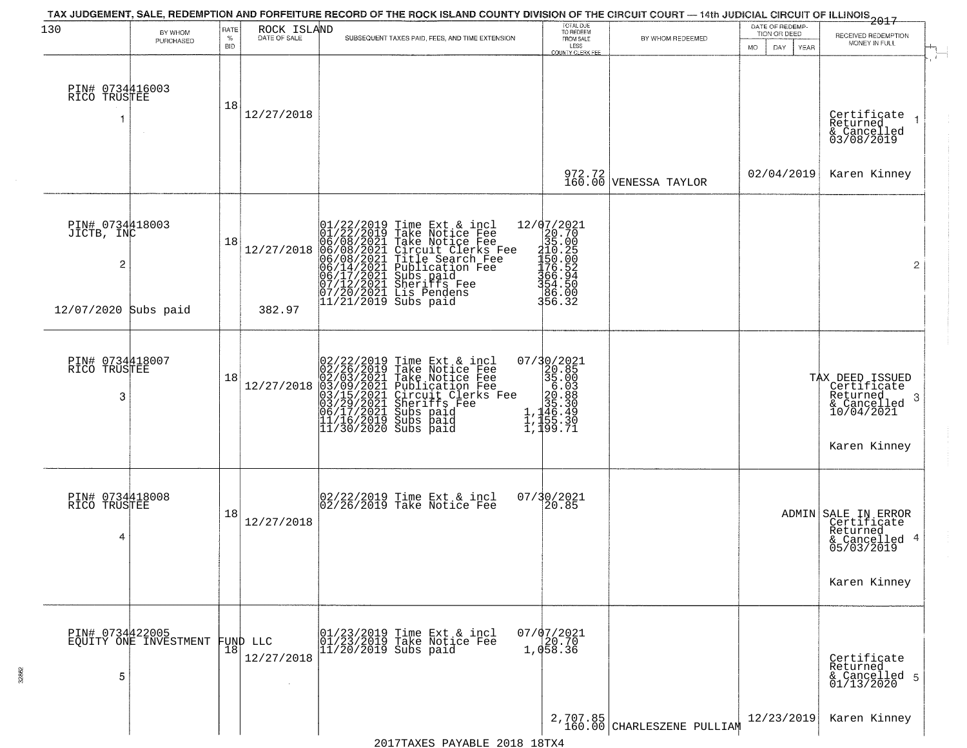| 130                                             | BY WHOM               | RATE            |                             | TAX JUDGEMENT, SALE, REDEMPTION AND FORFEITURE RECORD OF THE ROCK ISLAND COUNTY DIVISION OF THE CIRCUIT COURT — 14th JUDICIAL CIRCUIT OF ILLINOIS 2017                                                                                                | TOTAL DUE<br>TO REDEEM<br>FROM SALE                                                                                                                                                                                                                        |                                        | DATE OF REDEMP-                            |                                                                                                   |
|-------------------------------------------------|-----------------------|-----------------|-----------------------------|-------------------------------------------------------------------------------------------------------------------------------------------------------------------------------------------------------------------------------------------------------|------------------------------------------------------------------------------------------------------------------------------------------------------------------------------------------------------------------------------------------------------------|----------------------------------------|--------------------------------------------|---------------------------------------------------------------------------------------------------|
|                                                 | PURCHASED             | %<br><b>BID</b> | ROCK ISLAND<br>DATE OF SALE | SUBSEQUENT TAXES PAID, FEES, AND TIME EXTENSION                                                                                                                                                                                                       | LESS                                                                                                                                                                                                                                                       | BY WHOM REDEEMED                       | TION OR DEED<br>MO.<br>DAY.<br><b>YEAR</b> | RECEIVED REDEMPTION<br>MONEY IN FULL                                                              |
| PIN# 0734416003<br>RICO TRUSTEE                 |                       | 18              | 12/27/2018                  |                                                                                                                                                                                                                                                       | <b>COUNTY CLERK FEE</b>                                                                                                                                                                                                                                    |                                        |                                            | Certificate<br>Returned<br>$\overline{1}$<br>& Cancelled<br>03/08/2019                            |
|                                                 |                       |                 |                             |                                                                                                                                                                                                                                                       |                                                                                                                                                                                                                                                            | 972.72<br>160.00 VENESSA TAYLOR        | 02/04/2019                                 | Karen Kinney                                                                                      |
| PIN# 0734418003<br>JICTB, INC<br>$\overline{c}$ |                       | 18              | 12/27/2018                  | 01/22/2019 Time Ext & incl<br>01/22/2019 Take Notice Fee<br>06/08/2021 Take Notice Fee<br>06/08/2021 Circuit Clerks Fee<br>06/08/2021 Title Search Fee<br>06/14/2021 Sheriffs Fee<br>06/17/2021 Sheriffs Fee<br>07/12/2021 Sheriffs Fee<br>07/20/2021 | ${\begin{array}{c} 12/07/2021\\20.70\\35.00\\ \text{=} \end{array}}$<br>= ${\begin{array}{c} 20.70\\35.00\\110.25\\150.00\\356.32\\ \text{=} \end{array}}$                                                                                                 |                                        |                                            | $\overline{2}$                                                                                    |
| 12/07/2020 Subs paid                            |                       |                 | 382.97                      |                                                                                                                                                                                                                                                       |                                                                                                                                                                                                                                                            |                                        |                                            |                                                                                                   |
| PIN# 0734418007<br>RICO TRUSTEE<br>3            |                       | 18              | 12/27/2018                  | 02/22/2019 Time Ext & incl<br>02/26/2019 Take Notice Fee<br>02/03/2021 Take Notice Fee<br>03/09/2021 Publication Fee<br>03/15/2021 Circuit Clerks Fee<br>03/15/2021 Subs paid<br>06/17/2021 Subs paid<br>11/16/2019 Subs paid<br>11/30/2020 Subs paid | $\begin{smallmatrix} 07/3 & 0/2 & 02 & 1 \\ 2 & 2 & 0 & 0 & 5 \\ 3 & 5 & 0 & 0 & 0 \\ 2 & 0 & 0 & 3 & 0 \\ 2 & 0 & 0 & 8 & 0 \\ 1 & 1 & 1 & 6 & 0 & 3 \\ 1 & 1 & 1 & 5 & 0 & 0 \\ 1 & 1 & 1 & 5 & 0 & 0 \\ 1 & 1 & 1 & 9 & 9 & 0 & 7 \\ \end{smallmatrix}$ |                                        |                                            | TAX DEED ISSUED<br>Certificate<br>Returned<br>-3<br>& Cancelled<br>10/04/2021<br>Karen Kinney     |
| PIN# 0734418008<br>RICO TRUSTEE<br>4            |                       | 18              | 12/27/2018                  | 02/22/2019 Time Ext & incl<br>02/26/2019 Take Notice Fee                                                                                                                                                                                              | 07/30/2021<br>$\vert 20.85 \vert$                                                                                                                                                                                                                          |                                        |                                            | ADMIN SALE IN ERROR<br>Certificate<br>Returned<br>-4<br>& Cancelled<br>05/03/2019<br>Karen Kinney |
| PIN# 0734422005<br>5                            | EQUITY ONE INVESTMENT | $\overline{1}8$ | FUND LLC<br>12/27/2018      | 01/23/2019 Time Ext & incl<br>01/23/2019 Take Notice Fee<br>$11/20/2019$ Subs paid                                                                                                                                                                    | $07/07/2021$<br>20.70<br>1,058.36                                                                                                                                                                                                                          |                                        |                                            | Certificate<br>Returned<br>& Cancelled 5<br>01/13/2020                                            |
|                                                 |                       |                 |                             |                                                                                                                                                                                                                                                       |                                                                                                                                                                                                                                                            | 2,707.85<br>160.00 CHARLESZENE PULLIAM | 12/23/2019                                 | Karen Kinney                                                                                      |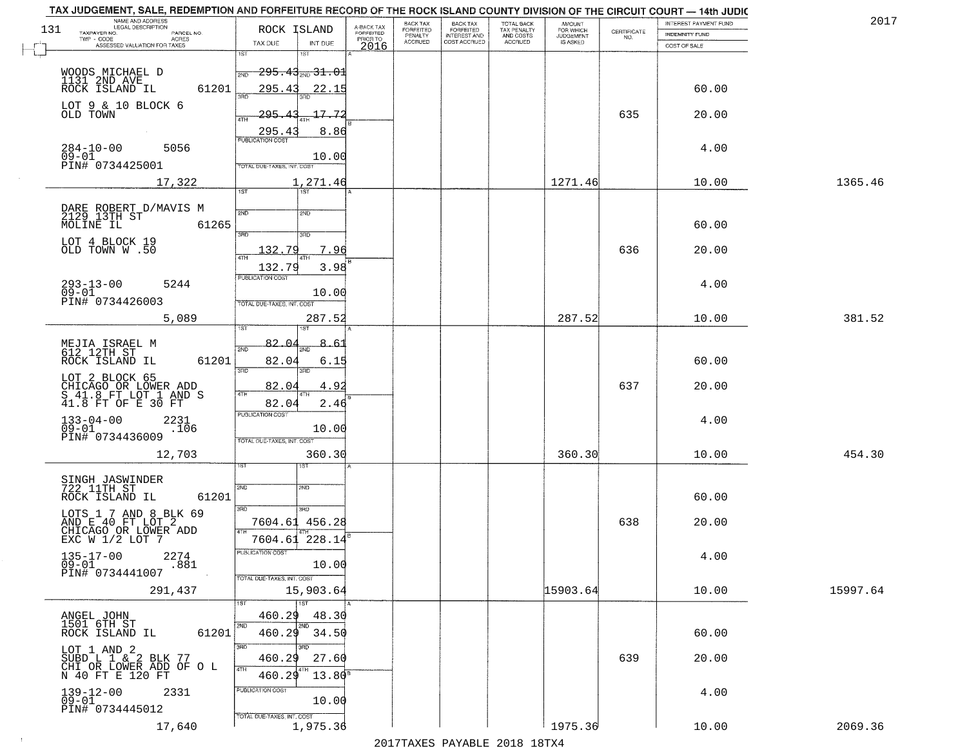| TAX JUDGEMENT, SALE, REDEMPTION AND FORFEITURE RECORD OF THE ROCK ISLAND COUNTY DIVISION OF THE CIRCUIT COURT - 14th JUDIC<br>NAME AND ADDRESS<br>LEGAL DESCRIPTION |                                              |                                     | BACK TAX             | <b>BACK TAX</b>                  |                                        |                                  |                                                                 | INTEREST PAYMENT FUND | 2017     |
|---------------------------------------------------------------------------------------------------------------------------------------------------------------------|----------------------------------------------|-------------------------------------|----------------------|----------------------------------|----------------------------------------|----------------------------------|-----------------------------------------------------------------|-----------------------|----------|
| 131<br>TAXPAYER NO.<br>PARCEL NO.<br>ACRES                                                                                                                          | ROCK ISLAND                                  | A-BACK TAX<br>FORFEITED<br>PRIOR TO | FORFEITED<br>PENALTY | FORFEITED<br><b>INTEREST AND</b> | TOTAL BACK<br>TAX PENALTY<br>AND COSTS | AMOUNT<br>FOR WHICH<br>JUDGEMENT | $\begin{array}{c} \text{CERTIFICATE} \\ \text{NO.} \end{array}$ | <b>INDEMNITY FUND</b> |          |
| ASSESSED VALUATION FOR TAXES                                                                                                                                        | TAX DUE<br>INT DUE                           | 2016                                | <b>ACCRUED</b>       | COST ACCRUED                     | ACCRUED                                | IS ASKED                         |                                                                 | COST OF SALE          |          |
|                                                                                                                                                                     | 1ST<br>$1S$ T                                |                                     |                      |                                  |                                        |                                  |                                                                 |                       |          |
|                                                                                                                                                                     | <del>295.43<sub>2ND</sub> 31.01</del><br>2ND |                                     |                      |                                  |                                        |                                  |                                                                 |                       |          |
| WOODS MICHAEL D<br>1131 2ND AVE<br>ROCK ISLAND IL<br>61201                                                                                                          | 295.43<br>22.15                              |                                     |                      |                                  |                                        |                                  |                                                                 | 60.00                 |          |
| LOT 9 & 10 BLOCK 6                                                                                                                                                  | 3HD                                          |                                     |                      |                                  |                                        |                                  |                                                                 |                       |          |
| OLD TOWN                                                                                                                                                            | <u> 295.43</u><br>17.72<br>4TH               |                                     |                      |                                  |                                        |                                  | 635                                                             | 20.00                 |          |
|                                                                                                                                                                     | 295.43<br>8.86                               |                                     |                      |                                  |                                        |                                  |                                                                 |                       |          |
| $284 - 10 - 00$<br>5056                                                                                                                                             | <b>PUBLICATION COST</b>                      |                                     |                      |                                  |                                        |                                  |                                                                 | 4.00                  |          |
| $\overline{0}\overline{9}-0\overline{1}$<br>PIN# <sup>-0734425001</sup>                                                                                             | 10.00                                        |                                     |                      |                                  |                                        |                                  |                                                                 |                       |          |
|                                                                                                                                                                     | TOTAL DUE-TAXES, INT. COST                   |                                     |                      |                                  |                                        |                                  |                                                                 |                       |          |
| 17,322                                                                                                                                                              | 1,271.46<br>1ST                              |                                     |                      |                                  |                                        | 1271.46                          |                                                                 | 10.00                 | 1365.46  |
|                                                                                                                                                                     |                                              |                                     |                      |                                  |                                        |                                  |                                                                 |                       |          |
| DARE ROBERT D/MAVIS M<br>2129 13TH ST                                                                                                                               | 2ND<br>2ND                                   |                                     |                      |                                  |                                        |                                  |                                                                 |                       |          |
| MOLINE IL<br>61265                                                                                                                                                  | 3RD<br>3RD                                   |                                     |                      |                                  |                                        |                                  |                                                                 | 60.00                 |          |
| LOT 4 BLOCK 19<br>OLD TOWN W .50                                                                                                                                    | 132.79<br>7.96                               |                                     |                      |                                  |                                        |                                  | 636                                                             | 20.00                 |          |
|                                                                                                                                                                     | ৰাম<br>132.79<br>3.98                        |                                     |                      |                                  |                                        |                                  |                                                                 |                       |          |
|                                                                                                                                                                     | PUBLICATION COST                             |                                     |                      |                                  |                                        |                                  |                                                                 |                       |          |
| $293 - 13 - 00$<br>5244<br>$09 - 01$                                                                                                                                | 10.00                                        |                                     |                      |                                  |                                        |                                  |                                                                 | 4.00                  |          |
| PIN# 0734426003                                                                                                                                                     | TOTAL DUE-TAXES, INT. COST                   |                                     |                      |                                  |                                        |                                  |                                                                 |                       |          |
| 5,089                                                                                                                                                               | 287.52                                       |                                     |                      |                                  |                                        | 287.52                           |                                                                 | 10.00                 | 381.52   |
|                                                                                                                                                                     | ist<br>IST                                   |                                     |                      |                                  |                                        |                                  |                                                                 |                       |          |
| MEJIA ISRAEL M<br>612 12TH ST                                                                                                                                       | 82.0<br>2ND                                  |                                     |                      |                                  |                                        |                                  |                                                                 |                       |          |
| ROCK ISLAND IL<br>61201                                                                                                                                             | 82.04<br>6.15<br>3RD<br>3RD                  |                                     |                      |                                  |                                        |                                  |                                                                 | 60.00                 |          |
| LOT 2 BLOCK 65                                                                                                                                                      |                                              |                                     |                      |                                  |                                        |                                  |                                                                 |                       |          |
| CHICAGO OR LOWER ADD<br>S 41.8 FT LOT 1 AND S<br>41.8 FT OF E 30 FT                                                                                                 | 82.04<br>4.92<br>4TH                         |                                     |                      |                                  |                                        |                                  | 637                                                             | 20.00                 |          |
|                                                                                                                                                                     | 82.0<br>2.46<br><b>PUBLICATION COST</b>      |                                     |                      |                                  |                                        |                                  |                                                                 |                       |          |
| $133 - 04 - 00$<br>09-01<br>2231<br>.106                                                                                                                            | 10.00                                        |                                     |                      |                                  |                                        |                                  |                                                                 | 4.00                  |          |
| PIN# 0734436009                                                                                                                                                     | TOTAL OUE-TAXES, INT. COST                   |                                     |                      |                                  |                                        |                                  |                                                                 |                       |          |
| 12,703                                                                                                                                                              | 360.30                                       |                                     |                      |                                  |                                        | 360.30                           |                                                                 | 10.00                 | 454.30   |
|                                                                                                                                                                     | 1ST<br>ISТ                                   |                                     |                      |                                  |                                        |                                  |                                                                 |                       |          |
| SINGH JASWINDER<br>722 11TH ST                                                                                                                                      | 2ND<br>2ND                                   |                                     |                      |                                  |                                        |                                  |                                                                 |                       |          |
| ROCK ISLAND IL<br>61201                                                                                                                                             |                                              |                                     |                      |                                  |                                        |                                  |                                                                 | 60.00                 |          |
| LOTS 1 7 AND 8 BLK 69                                                                                                                                               | 3RD<br>3BD                                   |                                     |                      |                                  |                                        |                                  |                                                                 |                       |          |
| AND E 40 FT LOT 2<br>CHICAGO OR LOWER ADD<br>EXC W 1/2 LOT 7                                                                                                        | 7604.61 456.28<br>4TH                        |                                     |                      |                                  |                                        |                                  | 638                                                             | 20.00                 |          |
|                                                                                                                                                                     | 7604.61 228.14                               |                                     |                      |                                  |                                        |                                  |                                                                 |                       |          |
| $135 - 17 - 00$<br>2274                                                                                                                                             | PUBLICATION COS                              |                                     |                      |                                  |                                        |                                  |                                                                 | 4.00                  |          |
| $09 - 01$<br>.881<br>PIN# 0734441007                                                                                                                                | 10.00                                        |                                     |                      |                                  |                                        |                                  |                                                                 |                       |          |
| 291,437                                                                                                                                                             | TOTAL DUE-TAXES, INT. COST<br>15,903.64      |                                     |                      |                                  |                                        | 15903.64                         |                                                                 | 10.00                 | 15997.64 |
|                                                                                                                                                                     | 1ST<br>1ST                                   |                                     |                      |                                  |                                        |                                  |                                                                 |                       |          |
| ANGEL JOHN<br>1501 6TH ST                                                                                                                                           | 460.29<br>48.30                              |                                     |                      |                                  |                                        |                                  |                                                                 |                       |          |
| 61201<br>ROCK ISLAND IL                                                                                                                                             | 2ND<br>2ND<br>460.29<br>34.50                |                                     |                      |                                  |                                        |                                  |                                                                 | 60.00                 |          |
| LOT 1 AND 2                                                                                                                                                         | <b>SRD</b><br>3HD                            |                                     |                      |                                  |                                        |                                  |                                                                 |                       |          |
| SUBD L 1 & 2 BLK 77<br>CHI OR LOWER ADD OF O L                                                                                                                      | 27.60<br>460.29                              |                                     |                      |                                  |                                        |                                  | 639                                                             | 20.00                 |          |
| N 40 FT E 120 FT                                                                                                                                                    | 4TH<br>460.29<br>$13.80^8$                   |                                     |                      |                                  |                                        |                                  |                                                                 |                       |          |
| $139 - 12 - 00$<br>2331                                                                                                                                             | PUBLICATION COST                             |                                     |                      |                                  |                                        |                                  |                                                                 | 4.00                  |          |
| $09 - 01$<br>PIN# 0734445012                                                                                                                                        | 10.00                                        |                                     |                      |                                  |                                        |                                  |                                                                 |                       |          |
|                                                                                                                                                                     | TOTAL DUE-TAXES, INT. COST                   |                                     |                      |                                  |                                        |                                  |                                                                 |                       |          |
| 17,640                                                                                                                                                              | 1,975.36                                     |                                     |                      |                                  |                                        | 1975.36                          |                                                                 | 10.00                 | 2069.36  |

 $\sim 10^{-1}$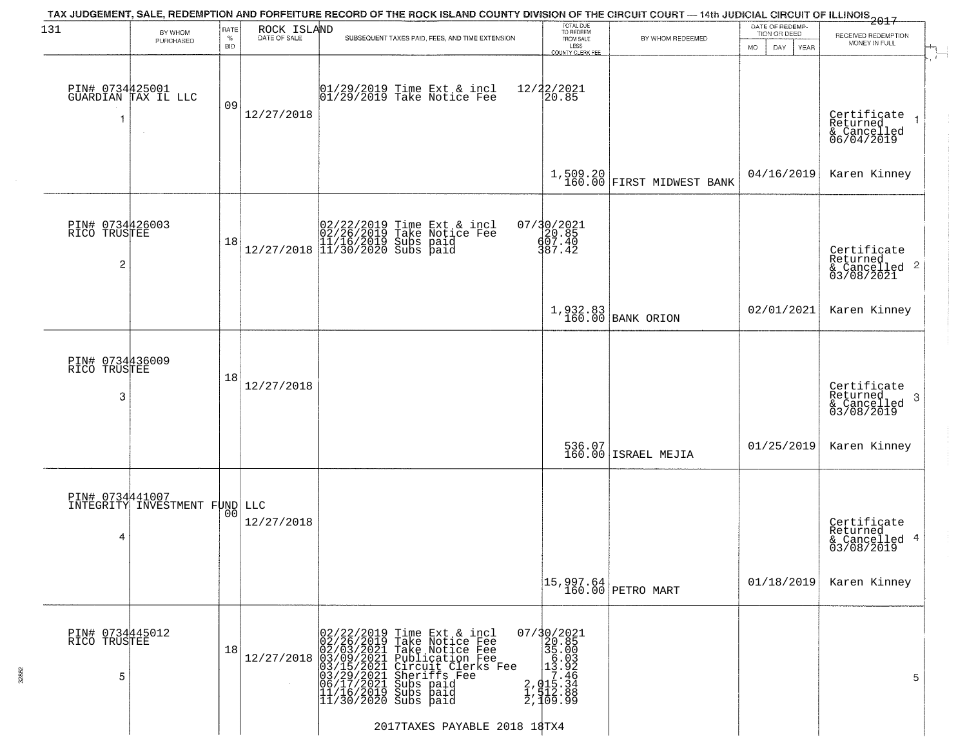| 131                                               | BY WHOM                                          | RATE               | ROCK ISLAND  | TAX JUDGEMENT, SALE, REDEMPTION AND FORFEITURE RECORD OF THE ROCK ISLAND COUNTY DIVISION OF THE CIRCUIT COURT — 14th JUDICIAL CIRCUIT OF ILLINOIS 2017                                                                                                                                            | TOTAL DUE<br>TO REDEEM                                                                                                 |                               | DATE OF REDEMP-<br>TION OR DEED | RECEIVED REDEMPTION                                                |  |
|---------------------------------------------------|--------------------------------------------------|--------------------|--------------|---------------------------------------------------------------------------------------------------------------------------------------------------------------------------------------------------------------------------------------------------------------------------------------------------|------------------------------------------------------------------------------------------------------------------------|-------------------------------|---------------------------------|--------------------------------------------------------------------|--|
|                                                   | PURCHASED                                        | $\%$<br><b>BID</b> | DATE OF SALE | SUBSEQUENT TAXES PAID, FEES, AND TIME EXTENSION                                                                                                                                                                                                                                                   | FROM SALE<br>LESS<br><b>COUNTY CLERK FEE</b>                                                                           | BY WHOM REDEEMED              | MO.<br>DAY.<br>YEAR             | MONEY IN FULL                                                      |  |
|                                                   | PIN# 0734425001<br>GUARDIAN TAX IL LLC           | 09                 | 12/27/2018   | $ 01/29/2019$ Time Ext & incl<br>$ 01/29/2019$ Take Notice Fee                                                                                                                                                                                                                                    | 12/22/2021<br>20.85                                                                                                    |                               |                                 | Certificate<br>Returned<br>& Cancelled<br>06/04/2019               |  |
|                                                   |                                                  |                    |              |                                                                                                                                                                                                                                                                                                   |                                                                                                                        | $1,509.20$ FIRST MIDWEST BANK | 04/16/2019                      | Karen Kinney                                                       |  |
| PIN# 0734426003<br>RICO TRUSTEE<br>$\overline{c}$ |                                                  | 18                 |              | $[02/22/2019 \text{ Time Ext & incl} \brack 02/26/2019 \text{ Take Notice Fee} \brack 11/16/2019 \text{ Subs paid} \brack 12/27/2018 \begin{bmatrix} 11/30/2020 \text{ Subs paid} \end{bmatrix}$                                                                                                  | 07/30/2021<br>20.85<br>607.40<br>387.42                                                                                |                               |                                 | Certificate<br>Returned<br>$\frac{1}{6}$ Cancelled 2<br>03/08/2021 |  |
|                                                   |                                                  |                    |              |                                                                                                                                                                                                                                                                                                   |                                                                                                                        | 1,932.83<br>160.00 BANK ORION | 02/01/2021                      | Karen Kinney                                                       |  |
| PIN# 0734436009<br>RICO TRUSTEE<br>3              |                                                  | 18                 | 12/27/2018   |                                                                                                                                                                                                                                                                                                   |                                                                                                                        |                               |                                 | Certificate<br>Returned<br>3<br>& Cancelled<br>03/08/2019          |  |
|                                                   |                                                  |                    |              |                                                                                                                                                                                                                                                                                                   |                                                                                                                        | 536.07<br>160.00 ISRAEL MEJIA | 01/25/2019                      | Karen Kinney                                                       |  |
| 4                                                 | PIN# 0734441007<br>INTEGRITY INVESTMENT FUND LLC | 00                 | 12/27/2018   |                                                                                                                                                                                                                                                                                                   |                                                                                                                        |                               |                                 | Certificate<br>Returned<br>& Cancelled 4<br>03/08/2019             |  |
|                                                   |                                                  |                    |              |                                                                                                                                                                                                                                                                                                   |                                                                                                                        |                               | 01/18/2019                      | Karen Kinney                                                       |  |
| PIN# 0734445012<br>RICO TRUSTEE<br>5              |                                                  | 18                 | 12/27/2018   | 02/22/2019<br>02/26/2019<br>Time Ext & incl<br>Take Notice Fee<br>02/03/2021<br>03/09/2021<br>03/09/2021<br>03/15/2021<br>03/15/2021<br>04/17/2021<br>11/16/2019<br>11/30/2020<br>Take Notice Fee<br>Publication Fee<br>Circuit Clerks Fee<br>Sheriffs Fee<br>Subs paid<br>Subs paid<br>Subs paid | 07/30/2021<br>$\begin{array}{r} 235.000 \\ 36.003 \\ 13.92 \\ 17.46 \\ 2, 015.34 \\ 1, 12.88 \\ 2, 109.99 \end{array}$ |                               |                                 | 5                                                                  |  |
|                                                   |                                                  |                    |              |                                                                                                                                                                                                                                                                                                   |                                                                                                                        |                               |                                 |                                                                    |  |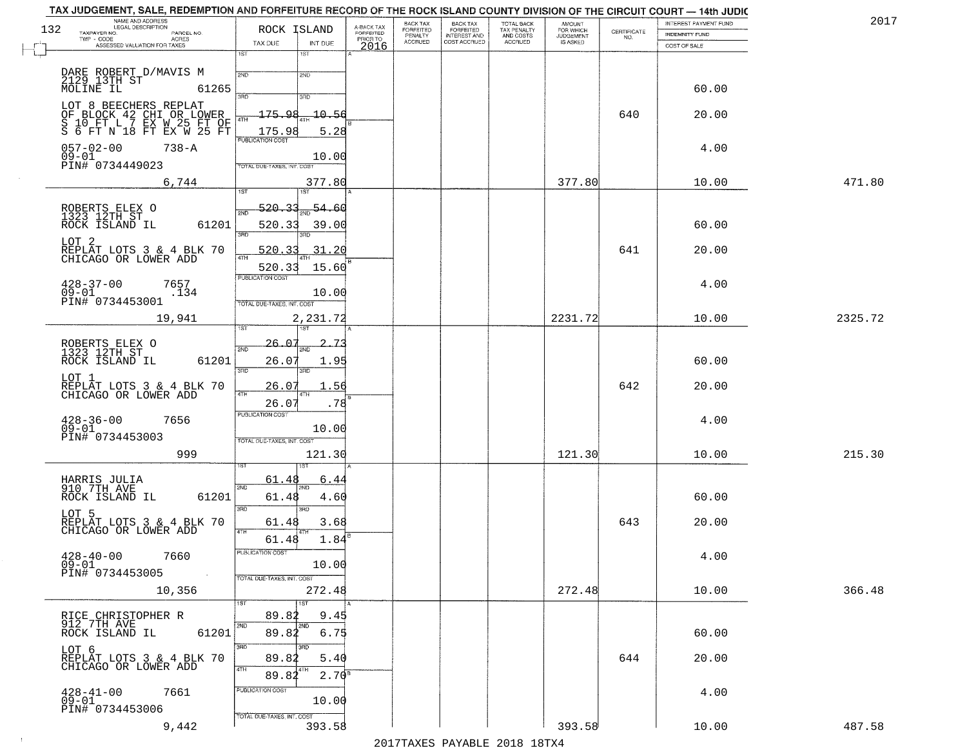| TAX JUDGEMENT, SALE, REDEMPTION AND FORFEITURE RECORD OF THE ROCK ISLAND COUNTY DIVISION OF THE CIRCUIT COURT - 14th JUDIC |                                            |                                     | BACK TAX                  | <b>BACK TAX</b>                     |                                        |                                     |                                                                 | INTEREST PAYMENT FUND | 2017    |
|----------------------------------------------------------------------------------------------------------------------------|--------------------------------------------|-------------------------------------|---------------------------|-------------------------------------|----------------------------------------|-------------------------------------|-----------------------------------------------------------------|-----------------------|---------|
| NAME AND ADDRESS<br>LEGAL DESCRIPTION<br>132<br>TAXPAYER NO.                                                               | ROCK ISLAND                                | A-BACK TAX<br>FORFEITED<br>PRIOR TO | <b>FORFEITED</b>          | FORFEITED                           | TOTAL BACK<br>TAX PENALTY<br>AND COSTS | AMOUNT<br>FOR WHICH                 | $\begin{array}{c} \text{CERTIFICATE} \\ \text{NO.} \end{array}$ | <b>INDEMNITY FUND</b> |         |
| PARCEL NO.<br>ACRES<br>TWP - CODE<br>ASSESSED VALUATION FOR TAXES                                                          | TAX DUE<br>INT DUE                         | 2016                                | PENALTY<br><b>ACCRUED</b> | <b>INTEREST AND</b><br>COST ACCRUED | ACCRUED                                | <b>JUDGEMENT</b><br><b>IS ASKED</b> |                                                                 | COST OF SALE          |         |
|                                                                                                                            | 1ST<br>1ST                                 |                                     |                           |                                     |                                        |                                     |                                                                 |                       |         |
|                                                                                                                            |                                            |                                     |                           |                                     |                                        |                                     |                                                                 |                       |         |
| DARE ROBERT D/MAVIS M<br>2129 13TH ST<br>MOLINE IL 6:                                                                      | 2ND<br>2ND                                 |                                     |                           |                                     |                                        |                                     |                                                                 |                       |         |
| 61265                                                                                                                      | 3BD<br>3RD                                 |                                     |                           |                                     |                                        |                                     |                                                                 | 60.00                 |         |
| LOT 8 BEECHERS REPLAT                                                                                                      |                                            |                                     |                           |                                     |                                        |                                     |                                                                 |                       |         |
|                                                                                                                            | 175.98<br>10.56                            |                                     |                           |                                     |                                        |                                     | 640                                                             | 20.00                 |         |
| OF BLOCK 42 CHI OR LOWER<br>S 10 FT L 7 EX W 25 FT OF<br>S 6 FT N 18 FT EX W 25 FT                                         | 5.28<br>175.98                             |                                     |                           |                                     |                                        |                                     |                                                                 |                       |         |
|                                                                                                                            | <b>PUBLICATION COST</b>                    |                                     |                           |                                     |                                        |                                     |                                                                 |                       |         |
| $057 - 02 - 00$<br>$738 - A$<br>$09 - 01$                                                                                  | 10.00                                      |                                     |                           |                                     |                                        |                                     |                                                                 | 4.00                  |         |
| PIN# 0734449023                                                                                                            | OTAL DUE-TAXES, INT. COST                  |                                     |                           |                                     |                                        |                                     |                                                                 |                       |         |
| 6,744                                                                                                                      | 377.80                                     |                                     |                           |                                     |                                        | 377.80                              |                                                                 | 10.00                 | 471.80  |
|                                                                                                                            | 1ST                                        |                                     |                           |                                     |                                        |                                     |                                                                 |                       |         |
|                                                                                                                            | 520.33<br>$\frac{54.60}{200}$<br>ইমান      |                                     |                           |                                     |                                        |                                     |                                                                 |                       |         |
| ROBERTS ELEX O<br>1323 12TH ST                                                                                             |                                            |                                     |                           |                                     |                                        |                                     |                                                                 |                       |         |
| 61201<br>ROCK ISLAND IL                                                                                                    | 520.33<br>39.00<br>$\overline{3BD}$<br>3RD |                                     |                           |                                     |                                        |                                     |                                                                 | 60.00                 |         |
| LOT <sub>2</sub>                                                                                                           |                                            |                                     |                           |                                     |                                        |                                     |                                                                 |                       |         |
| REPLAT LOTS 3 & 4 BLK 70<br>CHICAGO OR LOWER ADD                                                                           | .31.20<br>520.33<br>47H                    |                                     |                           |                                     |                                        |                                     | 641                                                             | 20.00                 |         |
|                                                                                                                            | 520.33<br>15.60                            |                                     |                           |                                     |                                        |                                     |                                                                 |                       |         |
| $428 - 37 - 00$<br>7657                                                                                                    | PUBLICATION COST                           |                                     |                           |                                     |                                        |                                     |                                                                 | 4.00                  |         |
| $09 - 01$<br>.134<br>PIN# 0734453001                                                                                       | 10.00                                      |                                     |                           |                                     |                                        |                                     |                                                                 |                       |         |
|                                                                                                                            | TOTAL DUE-TAXES, INT. COST                 |                                     |                           |                                     |                                        |                                     |                                                                 |                       |         |
| 19,941                                                                                                                     | 2,231.72<br>1ST<br><b>1ST</b>              |                                     |                           |                                     |                                        | 2231.72                             |                                                                 | 10.00                 | 2325.72 |
|                                                                                                                            |                                            |                                     |                           |                                     |                                        |                                     |                                                                 |                       |         |
| ROBERTS ELEX O<br>1323 12TH ST                                                                                             | 26.07<br>2ND                               |                                     |                           |                                     |                                        |                                     |                                                                 |                       |         |
| ROCK ISLAND IL<br>61201                                                                                                    | 26.07<br>1.95                              |                                     |                           |                                     |                                        |                                     |                                                                 | 60.00                 |         |
| LOT 1                                                                                                                      | 3RD<br>3RD                                 |                                     |                           |                                     |                                        |                                     |                                                                 |                       |         |
| REPLAT LOTS 3 & 4 BLK 70<br>CHICAGO OR LOWER ADD                                                                           | 26.07<br>1.56<br>4TH                       |                                     |                           |                                     |                                        |                                     | 642                                                             | 20.00                 |         |
|                                                                                                                            | 26.07<br>.78                               |                                     |                           |                                     |                                        |                                     |                                                                 |                       |         |
|                                                                                                                            | <b>PUBLICATION COST</b>                    |                                     |                           |                                     |                                        |                                     |                                                                 |                       |         |
| $428 - 36 - 00$<br>7656<br>$09 - 01$                                                                                       | 10.00                                      |                                     |                           |                                     |                                        |                                     |                                                                 | 4.00                  |         |
| PIN# 0734453003                                                                                                            | TOTAL OUE-TAXES, INT. COST                 |                                     |                           |                                     |                                        |                                     |                                                                 |                       |         |
| 999                                                                                                                        | 121.30                                     |                                     |                           |                                     |                                        | 121.30                              |                                                                 | 10.00                 | 215.30  |
|                                                                                                                            | IST.                                       |                                     |                           |                                     |                                        |                                     |                                                                 |                       |         |
| HARRIS JULIA<br>910 7TH AVE                                                                                                | 61.48<br>6.44                              |                                     |                           |                                     |                                        |                                     |                                                                 |                       |         |
| ROCK ISLAND IL<br>61201                                                                                                    | 2ND<br>4.60<br>61.48                       |                                     |                           |                                     |                                        |                                     |                                                                 | 60.00                 |         |
|                                                                                                                            | 3RD<br>3RD                                 |                                     |                           |                                     |                                        |                                     |                                                                 |                       |         |
| LOT 5<br>REPLAT LOTS 3 & 4 BLK 70<br>CHICAGO OR LOWER ADD                                                                  | 3.68<br>61.48                              |                                     |                           |                                     |                                        |                                     | 643                                                             | 20.00                 |         |
|                                                                                                                            | 4TH                                        |                                     |                           |                                     |                                        |                                     |                                                                 |                       |         |
|                                                                                                                            | 1.84<br>61.48                              |                                     |                           |                                     |                                        |                                     |                                                                 |                       |         |
| $428 - 40 - 00$<br>7660                                                                                                    | PUBLICATION COS                            |                                     |                           |                                     |                                        |                                     |                                                                 | 4.00                  |         |
| $09 - 01$<br>PIN# 0734453005<br>$\sim 100$ km $^{-1}$                                                                      | 10.00<br>TOTAL DUE-TAXES, INT. COST        |                                     |                           |                                     |                                        |                                     |                                                                 |                       |         |
|                                                                                                                            |                                            |                                     |                           |                                     |                                        |                                     |                                                                 |                       | 366.48  |
| 10,356                                                                                                                     | 272.48<br>1ST<br>1ST                       |                                     |                           |                                     |                                        | 272.48                              |                                                                 | 10.00                 |         |
|                                                                                                                            | 89.82<br>9.45                              |                                     |                           |                                     |                                        |                                     |                                                                 |                       |         |
| RICE CHRISTOPHER R<br>912 7TH AVE                                                                                          | 2ND                                        |                                     |                           |                                     |                                        |                                     |                                                                 |                       |         |
| 61201<br>ROCK ISLAND IL                                                                                                    | 89.82<br>6.75                              |                                     |                           |                                     |                                        |                                     |                                                                 | 60.00                 |         |
| LOT 6<br>REPLAT LOTS 3.& 4 BLK 70                                                                                          |                                            |                                     |                           |                                     |                                        |                                     |                                                                 |                       |         |
| CHICAGO OR LOWER ADD                                                                                                       | 89.82<br>5.40<br>4TH                       |                                     |                           |                                     |                                        |                                     | 644                                                             | 20.00                 |         |
|                                                                                                                            | $2.70^{8}$<br>89.82                        |                                     |                           |                                     |                                        |                                     |                                                                 |                       |         |
| 7661                                                                                                                       | PUBLICATION COST                           |                                     |                           |                                     |                                        |                                     |                                                                 | 4.00                  |         |
| $^{428-41-00}_{09-01}$                                                                                                     | 10.00                                      |                                     |                           |                                     |                                        |                                     |                                                                 |                       |         |
| PIN# 0734453006                                                                                                            | TOTAL DUE-TAXES, INT. COST                 |                                     |                           |                                     |                                        |                                     |                                                                 |                       |         |
| 9,442                                                                                                                      | 393.58                                     |                                     |                           |                                     |                                        | 393.58                              |                                                                 | 10.00                 | 487.58  |

 $\sim 40$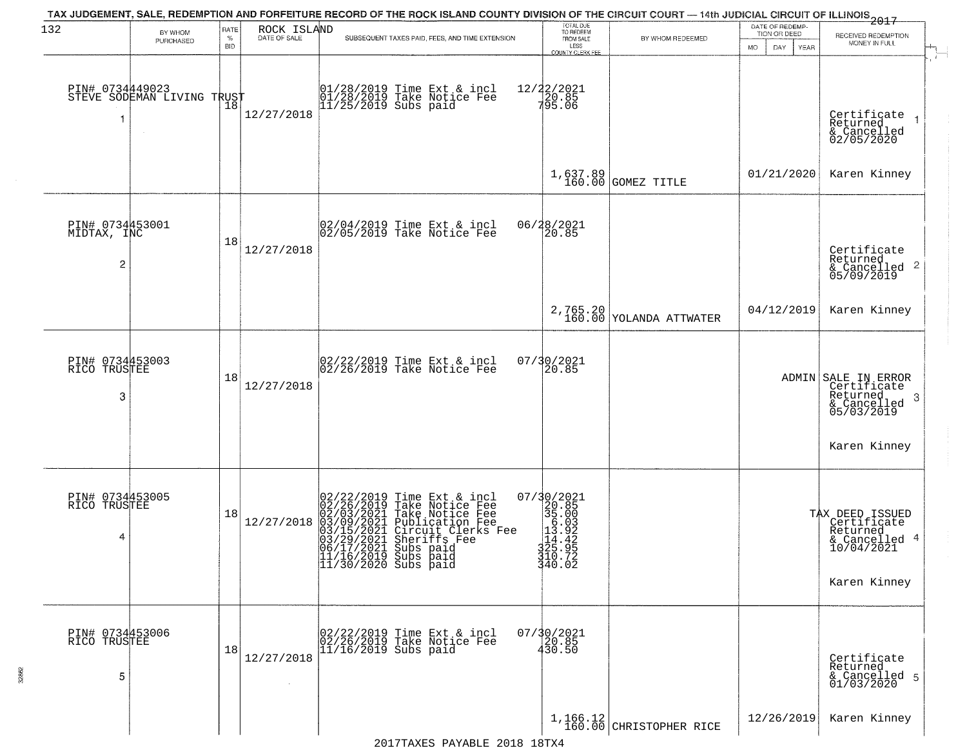| 132                                  |                                                   | RATE               | ROCK ISLAND  | TAX JUDGEMENT, SALE, REDEMPTION AND FORFEITURE RECORD OF THE ROCK ISLAND COUNTY DIVISION OF THE CIRCUIT COURT — 14th JUDICIAL CIRCUIT OF ILLINOIS 2017                                                                                                                                        | TOTAL DUE<br>TO REDEEM                                                                                              |                                       | DATE OF REDEMP-                            |                                                                                               |
|--------------------------------------|---------------------------------------------------|--------------------|--------------|-----------------------------------------------------------------------------------------------------------------------------------------------------------------------------------------------------------------------------------------------------------------------------------------------|---------------------------------------------------------------------------------------------------------------------|---------------------------------------|--------------------------------------------|-----------------------------------------------------------------------------------------------|
|                                      | BY WHOM<br>PURCHASED                              | $\%$<br><b>BID</b> | DATE OF SALE | SUBSEQUENT TAXES PAID, FEES, AND TIME EXTENSION                                                                                                                                                                                                                                               | FROM SALE<br>LESS                                                                                                   | BY WHOM REDEEMED                      | TION OR DEED<br>MO.<br>DAY.<br><b>YEAR</b> | RECEIVED REDEMPTION<br>MONEY IN FULL                                                          |
| 1                                    | PIN# 0734449023    <br>STEVE SODEMAN LIVING TRUST | Ίõ                 | 12/27/2018   | 01/28/2019 Time Ext & incl<br>01/28/2019 Take Notice Fee<br>11/25/2019 Subs paid                                                                                                                                                                                                              | COUNTY CLERK FEE<br>12/22/2021<br>20.85<br>795.06                                                                   |                                       |                                            | Certificate<br>Returned<br>$\rightarrow$<br>& Cancelled<br>02/05/2020                         |
|                                      |                                                   |                    |              |                                                                                                                                                                                                                                                                                               |                                                                                                                     | 1,637.89 GOMEZ TITLE                  | 01/21/2020                                 | Karen Kinney                                                                                  |
| PIN# 0734453001<br>MIDTAX, INC<br>2  |                                                   | 18                 | 12/27/2018   | 02/04/2019 Time Ext & incl<br>02/05/2019 Take Notice Fee                                                                                                                                                                                                                                      | 06/28/2021<br>20.85                                                                                                 |                                       |                                            | Certificate<br>Returned<br>$\overline{2}$<br>& Cancelled<br>05/09/2019                        |
|                                      |                                                   |                    |              |                                                                                                                                                                                                                                                                                               |                                                                                                                     | 2,765.20<br>160.00 YOLANDA ATTWATER   | 04/12/2019                                 | Karen Kinney                                                                                  |
| PIN# 0734453003<br>RICO TRUSTEE<br>3 |                                                   | 18                 | 12/27/2018   | 02/22/2019 Time Ext & incl<br>02/26/2019 Take Notice Fee                                                                                                                                                                                                                                      | 07/30/2021<br>20.85                                                                                                 |                                       |                                            | ADMIN SALE IN ERROR<br>Certificate<br>Returned<br>-3<br>& Cancelled<br>05/03/2019             |
|                                      |                                                   |                    |              |                                                                                                                                                                                                                                                                                               |                                                                                                                     |                                       |                                            | Karen Kinney                                                                                  |
| PIN# 0734453005<br>RICO TRUSTEE<br>4 |                                                   | 18                 | 12/27/2018   | 02/22/2019<br>02/26/2019<br>02/03/2021<br>03/15/2021<br>03/29/2021<br>03/29/2021<br>06/17/2021<br>11/16/2019<br>Time Ext & incl<br>Take Notice Fee<br>Take Notice Fee<br>Publication Fee<br>Circuit Clerks Fee<br>Sheriffs Fee<br>Subs paid<br> 11/16/2019 Subs paid<br> 11/30/2020 Subs paid | 07/30/2021<br>$320.85$<br>$35.003$<br>$13.92$<br>$14.42$<br>$14.42$<br>$14.42$<br>$15.95$<br>$13.25.72$<br>$340.02$ |                                       |                                            | TAX DEED ISSUED<br>  Certificate<br>  Returned<br>& Cancelled 4<br>10/04/2021<br>Karen Kinney |
| PIN# 0734453006<br>RICO TRUSTEE<br>5 |                                                   | 18                 | 12/27/2018   | 02/22/2019 Time Ext & incl<br>02/26/2019 Take Notice Fee<br>11/16/2019 Subs paid                                                                                                                                                                                                              | 07/30/2021<br>20.85<br>430.50                                                                                       |                                       |                                            | Certificate<br>Returned<br>& Cancelled 5<br>01/03/2020                                        |
|                                      |                                                   |                    |              | 2017TAXES PAYABLE 2018 18TX4                                                                                                                                                                                                                                                                  |                                                                                                                     | $1,166.12$<br>160.00 CHRISTOPHER RICE | 12/26/2019                                 | Karen Kinney                                                                                  |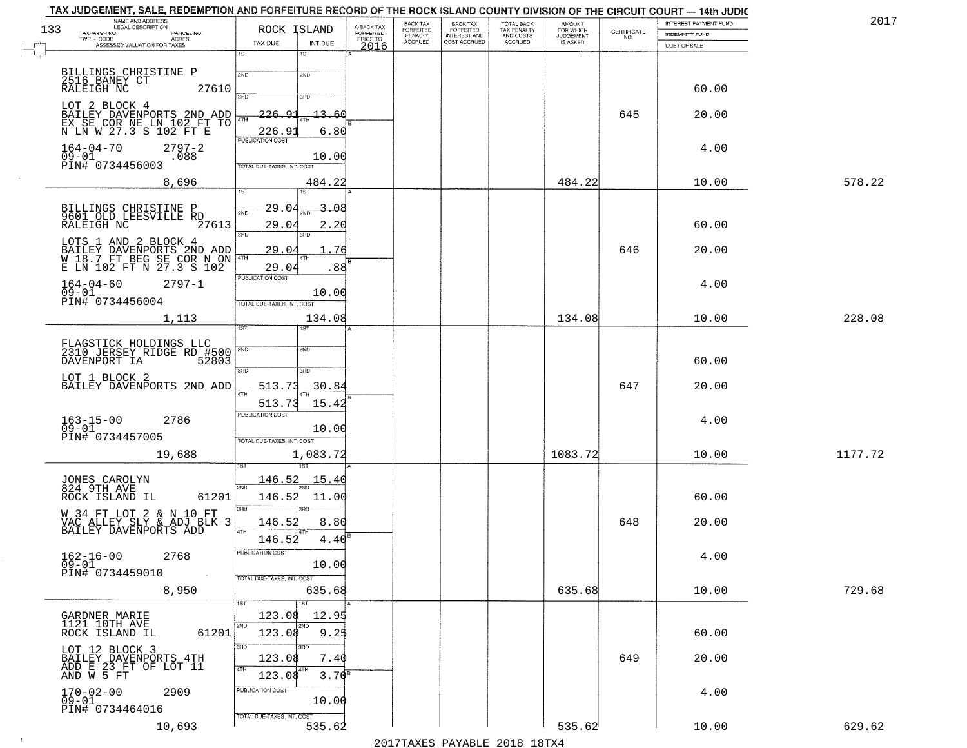|     | TAX JUDGEMENT, SALE, REDEMPTION AND FORFEITURE RECORD OF THE ROCK ISLAND COUNTY DIVISION OF THE CIRCUIT COURT - 14th JUDIC<br>NAME AND ADDRESS<br>LEGAL DESCRIPTION |                            |               |                                     | BACK TAX             | <b>BACK TAX</b>                  |                                        |                                         |                    | INTEREST PAYMENT FUND | 2017    |
|-----|---------------------------------------------------------------------------------------------------------------------------------------------------------------------|----------------------------|---------------|-------------------------------------|----------------------|----------------------------------|----------------------------------------|-----------------------------------------|--------------------|-----------------------|---------|
| 133 | TAXPAYER NO.<br>PARCEL NO.<br>$TWP - CODE$                                                                                                                          | ROCK ISLAND                |               | A-BACK TAX<br>FORFEITED<br>PRIOR TO | FORFEITED<br>PENALTY | FORFEITED<br><b>INTEREST AND</b> | TOTAL BACK<br>TAX PENALTY<br>AND COSTS | AMOUNT<br>FOR WHICH<br><b>JUDGEMENT</b> | CERTIFICATE<br>NO. | <b>INDEMNITY FUND</b> |         |
|     | ACRES<br>ASSESSED VALUATION FOR TAXES                                                                                                                               | TAX DUE                    | INT DUE       | 2016                                | <b>ACCRUED</b>       | COST ACCRUED                     | ACCRUED                                | IS ASKED                                |                    | COST OF SALE          |         |
|     |                                                                                                                                                                     | 1ST                        | $1S$ T        |                                     |                      |                                  |                                        |                                         |                    |                       |         |
|     |                                                                                                                                                                     | 2ND                        | 2ND           |                                     |                      |                                  |                                        |                                         |                    |                       |         |
|     | BILLINGS CHRISTINE P<br>2516 BANEY CT<br>RALEIGH NC<br>27610                                                                                                        |                            |               |                                     |                      |                                  |                                        |                                         |                    | 60.00                 |         |
|     |                                                                                                                                                                     |                            | 3RD           |                                     |                      |                                  |                                        |                                         |                    |                       |         |
|     | LOT 2 BLOCK 4<br>BAILEY DAVENPORTS 2ND ADD<br>EX SE COR NE LN 102 FT TO                                                                                             | $-226.91$                  | 13.60         |                                     |                      |                                  |                                        |                                         | 645                | 20.00                 |         |
|     | N LN W 27.3 S 102 FT E                                                                                                                                              | 4TH<br>226.9               | 6.80          |                                     |                      |                                  |                                        |                                         |                    |                       |         |
|     |                                                                                                                                                                     | <b>PUBLICATION COST</b>    |               |                                     |                      |                                  |                                        |                                         |                    |                       |         |
|     | $164 - 04 - 70$<br>$2797 - 2$<br>09-01<br>.088                                                                                                                      |                            | 10.00         |                                     |                      |                                  |                                        |                                         |                    | 4.00                  |         |
|     | PIN# 0734456003                                                                                                                                                     | TOTAL DUE-TAXES, INT, COST |               |                                     |                      |                                  |                                        |                                         |                    |                       |         |
|     | 8,696                                                                                                                                                               |                            | 484.22        |                                     |                      |                                  |                                        | 484.22                                  |                    | 10.00                 | 578.22  |
|     |                                                                                                                                                                     | 1ST                        | 1ST           |                                     |                      |                                  |                                        |                                         |                    |                       |         |
|     | BILLINGS CHRISTINE P<br>9601_OLD_LEESVILLE RD                                                                                                                       | 29.04                      | 3.08          |                                     |                      |                                  |                                        |                                         |                    |                       |         |
|     | RALEIGH NC<br>27613                                                                                                                                                 | 29.04                      | 2.20          |                                     |                      |                                  |                                        |                                         |                    | 60.00                 |         |
|     |                                                                                                                                                                     | $\overline{\text{3BD}}$    |               |                                     |                      |                                  |                                        |                                         |                    |                       |         |
|     | LOTS 1 AND 2 BLOCK 4<br>BAILEY DAVENPORTS 2ND ADD<br>W 18.7 FT BEG SE COR N ON<br>E LN 102 FT N 27.3 S 102                                                          | 29.04                      | 76            |                                     |                      |                                  |                                        |                                         | 646                | 20.00                 |         |
|     |                                                                                                                                                                     | 4TH                        | .88           |                                     |                      |                                  |                                        |                                         |                    |                       |         |
|     |                                                                                                                                                                     | 29.04<br>PUBLICATION COST  |               |                                     |                      |                                  |                                        |                                         |                    |                       |         |
|     | $164 - 04 - 60$<br>$2797 - 1$<br>$09 - 01$                                                                                                                          |                            | 10.00         |                                     |                      |                                  |                                        |                                         |                    | 4.00                  |         |
|     | PIN# 0734456004                                                                                                                                                     | TOTAL DUE-TAXES, INT. COST |               |                                     |                      |                                  |                                        |                                         |                    |                       |         |
|     | 1,113                                                                                                                                                               |                            | 134.08        |                                     |                      |                                  |                                        | 134.08                                  |                    | 10.00                 | 228.08  |
|     |                                                                                                                                                                     | īst                        | ST            |                                     |                      |                                  |                                        |                                         |                    |                       |         |
|     | FLAGSTICK HOLDINGS LLC<br>2310 JERSEY RIDGE RD_#500                                                                                                                 | 2ND                        | 2ND           |                                     |                      |                                  |                                        |                                         |                    |                       |         |
|     | 52803<br>DAVENPORT IA                                                                                                                                               |                            |               |                                     |                      |                                  |                                        |                                         |                    | 60.00                 |         |
|     |                                                                                                                                                                     | 3RD                        | 3RD           |                                     |                      |                                  |                                        |                                         |                    |                       |         |
|     | LOT 1 BLOCK 2<br>BAILEY DAVENPORTS 2ND ADD                                                                                                                          | 513.73                     | 30.84         |                                     |                      |                                  |                                        |                                         | 647                | 20.00                 |         |
|     |                                                                                                                                                                     | 513.73                     |               |                                     |                      |                                  |                                        |                                         |                    |                       |         |
|     |                                                                                                                                                                     | <b>PUBLICATION COST</b>    | 15.42         |                                     |                      |                                  |                                        |                                         |                    |                       |         |
|     | $163 - 15 - 00$<br>09-01<br>2786                                                                                                                                    |                            | 10.00         |                                     |                      |                                  |                                        |                                         |                    | 4.00                  |         |
|     | PIN# 0734457005                                                                                                                                                     | TOTAL OUE-TAXES, INT. COST |               |                                     |                      |                                  |                                        |                                         |                    |                       |         |
|     | 19,688                                                                                                                                                              |                            | 1,083.72      |                                     |                      |                                  |                                        | 1083.72                                 |                    | 10.00                 | 1177.72 |
|     |                                                                                                                                                                     |                            |               |                                     |                      |                                  |                                        |                                         |                    |                       |         |
|     | JONES CAROLYN<br>824 9TH AVE                                                                                                                                        | 146.52                     | <u> 15.40</u> |                                     |                      |                                  |                                        |                                         |                    |                       |         |
|     | 61201<br>ROCK ISLAND IL                                                                                                                                             | 2ND<br>146.52              | 11.00         |                                     |                      |                                  |                                        |                                         |                    | 60.00                 |         |
|     |                                                                                                                                                                     | 3RD                        | 3BD           |                                     |                      |                                  |                                        |                                         |                    |                       |         |
|     | W 34 FT LOT 2 & N 10 FT<br>VAC ALLEY SLY & ADJ BLK 3<br>BAILEY DAVENPORTS ADD                                                                                       | 146.52                     | 8.80          |                                     |                      |                                  |                                        |                                         | 648                | 20.00                 |         |
|     |                                                                                                                                                                     | 4TH<br>146.52              | 4.40          |                                     |                      |                                  |                                        |                                         |                    |                       |         |
|     |                                                                                                                                                                     | PUBLICATION COST           |               |                                     |                      |                                  |                                        |                                         |                    |                       |         |
|     | $162 - 16 - 00$<br>2768<br>$\overline{0}\overline{9}$ - $0\overline{1}$                                                                                             |                            | 10.00         |                                     |                      |                                  |                                        |                                         |                    | 4.00                  |         |
|     | PIN# 0734459010<br>$\sim$ $\sim$                                                                                                                                    | TOTAL DUE-TAXES, INT. COST |               |                                     |                      |                                  |                                        |                                         |                    |                       |         |
|     | 8,950                                                                                                                                                               |                            | 635.68        |                                     |                      |                                  |                                        | 635.68                                  |                    | 10.00                 | 729.68  |
|     |                                                                                                                                                                     | 1ST                        | 1ST           |                                     |                      |                                  |                                        |                                         |                    |                       |         |
|     | GARDNER MARIE<br>1121 10TH AVE                                                                                                                                      | 123.08                     | 12.95         |                                     |                      |                                  |                                        |                                         |                    |                       |         |
|     | 61201<br>ROCK ISLAND IL                                                                                                                                             | 2ND<br>123.08              | 2ND<br>9.25   |                                     |                      |                                  |                                        |                                         |                    | 60.00                 |         |
|     |                                                                                                                                                                     | 3RD                        | 3HD           |                                     |                      |                                  |                                        |                                         |                    |                       |         |
|     | LOT 12 BLOCK 3                                                                                                                                                      | 123.08                     | 7.40          |                                     |                      |                                  |                                        |                                         | 649                | 20.00                 |         |
|     | BAILEY DAVENPORTS 4TH<br>ADD E 23 FT OF LOT 11<br>AND W 5 FT                                                                                                        | 4TH<br>123.08              | $3.70^{B}$    |                                     |                      |                                  |                                        |                                         |                    |                       |         |
|     |                                                                                                                                                                     |                            |               |                                     |                      |                                  |                                        |                                         |                    |                       |         |
|     | $170 - 02 - 00$<br>2909<br>Ō9-01                                                                                                                                    | PUBLICATION COST           | 10.00         |                                     |                      |                                  |                                        |                                         |                    | 4.00                  |         |
|     | PIN# 0734464016                                                                                                                                                     | TOTAL DUE-TAXES, INT. COST |               |                                     |                      |                                  |                                        |                                         |                    |                       |         |
|     | 10,693                                                                                                                                                              |                            | 535.62        |                                     |                      |                                  |                                        | 535.62                                  |                    | 10.00                 | 629.62  |

 $\sim 10^{-1}$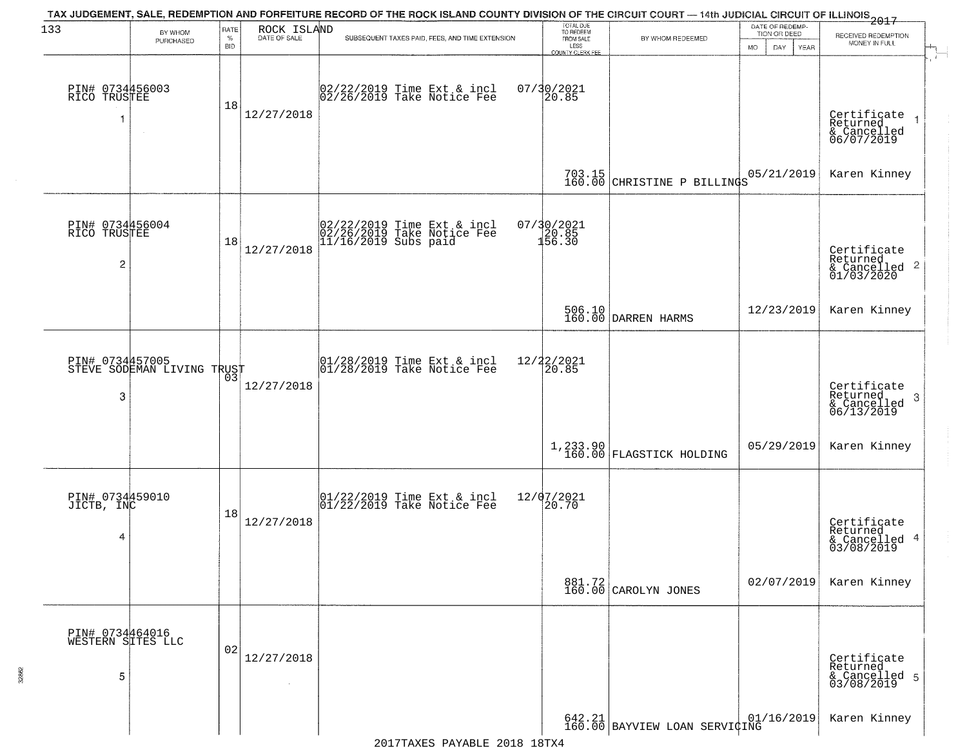| 133                                               | BY WHOM<br>PURCHASED       | RATE<br>$\%$<br><b>BID</b> | ROCK ISLAND<br>DATE OF SALE | TAX JUDGEMENT, SALE, REDEMPTION AND FORFEITURE RECORD OF THE ROCK ISLAND COUNTY DIVISION OF THE CIRCUIT COURT — 14th JUDICIAL CIRCUIT OF ILLINOIS 2017<br>SUBSEQUENT TAXES PAID, FEES, AND TIME EXTENSION | TOTAL DUE<br>TO REDEEM<br>FROM SALE<br>LESS<br><b>COUNTY CLERK FEE</b> | BY WHOM REDEEMED                                                                                           | DATE OF REDEMP-<br>TION OR DEED<br>MO.<br>DAY.<br><b>YEAR</b> | RECEIVED REDEMPTION<br>MONEY IN FULL                               |
|---------------------------------------------------|----------------------------|----------------------------|-----------------------------|-----------------------------------------------------------------------------------------------------------------------------------------------------------------------------------------------------------|------------------------------------------------------------------------|------------------------------------------------------------------------------------------------------------|---------------------------------------------------------------|--------------------------------------------------------------------|
| PIN# 0734456003<br>RICO TRUSTEE                   | $\sim$                     | 18                         | 12/27/2018                  | 02/22/2019 Time Ext & incl<br>02/26/2019 Take Notice Fee                                                                                                                                                  | $07/30/2021$<br>20.85                                                  |                                                                                                            |                                                               | Certificate<br>Returned<br>& Cancelled<br>06/07/2019               |
|                                                   |                            |                            |                             |                                                                                                                                                                                                           |                                                                        | 703.15 CHRISTINE P BILLINGS                                                                                | 05/21/2019                                                    | Karen Kinney                                                       |
| PIN# 0734456004<br>RICO TRUSTEE<br>$\overline{c}$ |                            | 18                         | 12/27/2018                  | 02/22/2019 Time Ext & incl<br>02/26/2019 Take Notice Fee<br>11/16/2019 Subs paid                                                                                                                          | 07/30/2021<br>20.85<br>156.30                                          |                                                                                                            |                                                               | Certificate<br>Returned<br>$\frac{1}{2}$ Cancelled 2<br>01/03/2020 |
|                                                   |                            |                            |                             |                                                                                                                                                                                                           |                                                                        | 506.10<br>160.00 DARREN HARMS                                                                              | 12/23/2019                                                    | Karen Kinney                                                       |
| PIN# 0734457005<br>3                              | STEVE SODEMAN LIVING TRUST | 03                         | 12/27/2018                  | $ 01/28/2019$ Time Ext & incl<br>$ 01/28/2019$ Take Notice Fee                                                                                                                                            | 12/22/2021<br>20.85                                                    |                                                                                                            |                                                               | Certificate<br>Returned<br>-3<br>$\frac{6}{06/13/2019}$            |
|                                                   |                            |                            |                             |                                                                                                                                                                                                           |                                                                        | 1,233.90 FLAGSTICK HOLDING                                                                                 | 05/29/2019                                                    | Karen Kinney                                                       |
| PIN# 0734459010<br>JICTB, INC<br>4                |                            | 18                         | 12/27/2018                  | $\begin{array}{ccc}  01/22/2019 \text{ Time} & \text{Ext} & \text{incl} \\  01/22/2019 \text{ Take Notice } \text{Fe} \end{array}$                                                                        | 12/07/2021<br>20.70                                                    |                                                                                                            |                                                               | Certificate<br>Returned<br>& Cancelled 4<br>03/08/2019             |
|                                                   |                            |                            |                             |                                                                                                                                                                                                           |                                                                        | 881.72<br>160.00 CAROLYN JONES                                                                             | 02/07/2019                                                    | Karen Kinney                                                       |
| PIN# 0734464016<br>WESTERN SITES LLC<br>5         |                            | 02                         | 12/27/2018                  |                                                                                                                                                                                                           |                                                                        |                                                                                                            |                                                               | Certificate<br>Returned<br>& Cancelled 5<br>03/08/2019             |
|                                                   |                            |                            |                             |                                                                                                                                                                                                           |                                                                        | $\begin{array}{ c c c c c c } \hline 642.21 & 01/101 \ \hline 160.00 & BAYVIEW LOAN SERVIGING \end{array}$ | 01/16/2019                                                    | Karen Kinney                                                       |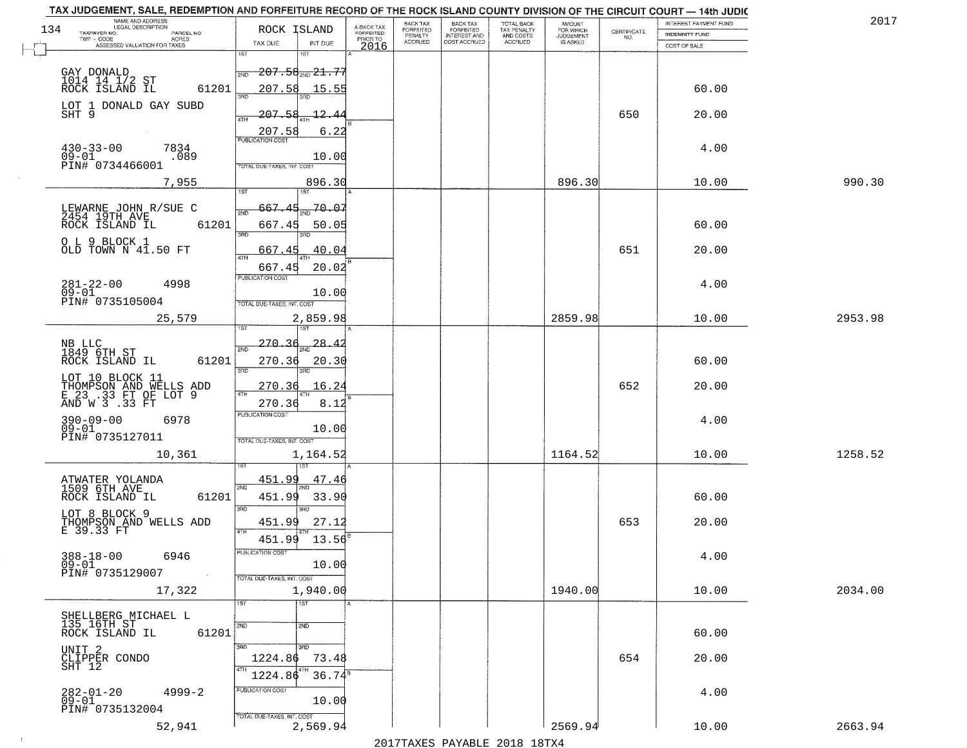|     | TAX JUDGEMENT, SALE, REDEMPTION AND FORFEITURE RECORD OF THE ROCK ISLAND COUNTY DIVISION OF THE CIRCUIT COURT - 14th JUDIC<br>NAME AND ADDRESS<br>LEGAL DESCRIPTION |                                        |                         | BACK TAX                    |                                       |                                        | AMOUNT<br>FOR WHICH |                                                                 | INTEREST PAYMENT FUND | 2017    |
|-----|---------------------------------------------------------------------------------------------------------------------------------------------------------------------|----------------------------------------|-------------------------|-----------------------------|---------------------------------------|----------------------------------------|---------------------|-----------------------------------------------------------------|-----------------------|---------|
| 134 | TAXPAYER NO.<br>PARCEL NO.<br>TWP - CODE                                                                                                                            | ROCK ISLAND                            | A-BACK TAX<br>FORFEITED | <b>FORFEITED</b><br>PENALTY | BACK TAX<br>FORFEITED<br>INTEREST AND | TOTAL BACK<br>TAX PENALTY<br>AND COSTS | <b>JUDGEMENT</b>    | $\begin{array}{c} \text{CERTIFICATE} \\ \text{NO.} \end{array}$ | <b>INDEMNITY FUND</b> |         |
|     | <b>ACRES</b><br>ASSESSED VALUATION FOR TAXES                                                                                                                        | TAX DUE<br>INT DUE                     | PRIOR TO<br>2016        | <b>ACCRUED</b>              | COST ACCRUED                          | ACCRUED                                | IS ASKED            |                                                                 | COST OF SALE          |         |
|     |                                                                                                                                                                     | 1ST<br>1ST                             |                         |                             |                                       |                                        |                     |                                                                 |                       |         |
|     |                                                                                                                                                                     | $-207.58_{\rm 200}$ $21.77$<br>2ND     |                         |                             |                                       |                                        |                     |                                                                 |                       |         |
|     | GAY DONALD<br>1014    14    1/2 ST<br>ROCK    ISLAND    IL<br>61201                                                                                                 | 207.58<br>15.55                        |                         |                             |                                       |                                        |                     |                                                                 | 60.00                 |         |
|     |                                                                                                                                                                     |                                        |                         |                             |                                       |                                        |                     |                                                                 |                       |         |
|     | LOT 1 DONALD GAY SUBD<br>SHT 9                                                                                                                                      | 207.58<br>12.4                         |                         |                             |                                       |                                        |                     | 650                                                             | 20.00                 |         |
|     |                                                                                                                                                                     | 207.58                                 | 6.22                    |                             |                                       |                                        |                     |                                                                 |                       |         |
|     |                                                                                                                                                                     | <b>PUBLICATION COST</b>                |                         |                             |                                       |                                        |                     |                                                                 |                       |         |
|     | $430 - 33 - 00$<br>7834<br>$09 - 01$<br>.089                                                                                                                        | 10.00                                  |                         |                             |                                       |                                        |                     |                                                                 | 4.00                  |         |
|     | PIN# 0734466001                                                                                                                                                     | TOTAL DUE-TAXES, INT. COST             |                         |                             |                                       |                                        |                     |                                                                 |                       |         |
|     | 7,955                                                                                                                                                               | 896.30                                 |                         |                             |                                       |                                        | 896.30              |                                                                 | 10.00                 | 990.30  |
|     |                                                                                                                                                                     | ist                                    |                         |                             |                                       |                                        |                     |                                                                 |                       |         |
|     | LEWARNE JOHN R/SUE C<br>2454 19TH AVE                                                                                                                               | 70.07<br>667.45                        |                         |                             |                                       |                                        |                     |                                                                 |                       |         |
|     | 61201<br>ROCK ISLAND IL                                                                                                                                             | 667.45<br>50.05                        |                         |                             |                                       |                                        |                     |                                                                 | 60.00                 |         |
|     |                                                                                                                                                                     | <b>3RD</b>                             |                         |                             |                                       |                                        |                     |                                                                 |                       |         |
|     | O L 9 BLOCK 1<br>OLD TOWN N 41.50 FT                                                                                                                                | 667.45                                 | 40.04                   |                             |                                       |                                        |                     | 651                                                             | 20.00                 |         |
|     |                                                                                                                                                                     |                                        |                         |                             |                                       |                                        |                     |                                                                 |                       |         |
|     |                                                                                                                                                                     | 667.45<br>PUBLICATION COST             | 20.02                   |                             |                                       |                                        |                     |                                                                 |                       |         |
|     | $281 - 22 - 00$<br>4998<br>$09 - 01$                                                                                                                                |                                        |                         |                             |                                       |                                        |                     |                                                                 | 4.00                  |         |
|     | PIN# 0735105004                                                                                                                                                     | 10.00<br>TOTAL DUE-TAXES, INT. COST    |                         |                             |                                       |                                        |                     |                                                                 |                       |         |
|     | 25,579                                                                                                                                                              | 2,859.98                               |                         |                             |                                       |                                        | 2859.98             |                                                                 | 10.00                 | 2953.98 |
|     |                                                                                                                                                                     | 1ST                                    |                         |                             |                                       |                                        |                     |                                                                 |                       |         |
|     |                                                                                                                                                                     | 270.36<br>28.4                         |                         |                             |                                       |                                        |                     |                                                                 |                       |         |
|     | NB LLC<br>1849 6TH ST<br>ROCK ISLAND IL<br>61201                                                                                                                    | 2ND<br>270.36                          |                         |                             |                                       |                                        |                     |                                                                 | 60.00                 |         |
|     |                                                                                                                                                                     | 20.30<br>3RD<br>3RD                    |                         |                             |                                       |                                        |                     |                                                                 |                       |         |
|     | LOT 10 BLOCK 11                                                                                                                                                     | <u> 270.36</u><br>16.24                |                         |                             |                                       |                                        |                     | 652                                                             | 20.00                 |         |
|     | THOMPSON AND WELLS ADD<br>E 23 .33 FT OF LOT 9<br>AND W 3 .33 FT                                                                                                    | 4TH                                    |                         |                             |                                       |                                        |                     |                                                                 |                       |         |
|     |                                                                                                                                                                     | 270.36<br>PUBLICATION COST             | 8.12                    |                             |                                       |                                        |                     |                                                                 |                       |         |
|     | $390 - 09 - 00$<br>6978<br>$09 - 01$                                                                                                                                | 10.00                                  |                         |                             |                                       |                                        |                     |                                                                 | 4.00                  |         |
|     | PIN# 0735127011                                                                                                                                                     | TOTAL OUE-TAXES, INT. COST             |                         |                             |                                       |                                        |                     |                                                                 |                       |         |
|     | 10,361                                                                                                                                                              | 1,164.52                               |                         |                             |                                       |                                        | 1164.52             |                                                                 | 10.00                 | 1258.52 |
|     |                                                                                                                                                                     |                                        |                         |                             |                                       |                                        |                     |                                                                 |                       |         |
|     | ATWATER YOLANDA                                                                                                                                                     | 451.99<br>47.46                        |                         |                             |                                       |                                        |                     |                                                                 |                       |         |
|     | 1509 6TH AVE<br>ROCK ISLAND IL<br>61201                                                                                                                             | 2ND<br>451.99<br>33.90                 |                         |                             |                                       |                                        |                     |                                                                 | 60.00                 |         |
|     |                                                                                                                                                                     | 3RD<br>3RD.                            |                         |                             |                                       |                                        |                     |                                                                 |                       |         |
|     | LOT 8 BLOCK 9                                                                                                                                                       | 451.99<br>27.12                        |                         |                             |                                       |                                        |                     | 653                                                             | 20.00                 |         |
|     | THOMPSON AND WELLS ADD<br>E 39.33 FT                                                                                                                                | 4TH                                    |                         |                             |                                       |                                        |                     |                                                                 |                       |         |
|     |                                                                                                                                                                     | 451.99<br>13.56                        |                         |                             |                                       |                                        |                     |                                                                 |                       |         |
|     | $388 - 18 - 00$<br>6946<br>$09 - 01$                                                                                                                                | ruslica i IUN COS<br>10.00             |                         |                             |                                       |                                        |                     |                                                                 | 4.00                  |         |
|     | PIN# 0735129007                                                                                                                                                     | TOTAL DUE-TAXES, INT. COST             |                         |                             |                                       |                                        |                     |                                                                 |                       |         |
|     | 17,322                                                                                                                                                              | 1,940.00                               |                         |                             |                                       |                                        | 1940.00             |                                                                 | 10.00                 | 2034.00 |
|     |                                                                                                                                                                     | 1ST<br>1ST                             |                         |                             |                                       |                                        |                     |                                                                 |                       |         |
|     | SHELLBERG MICHAEL L<br>135 16TH ST                                                                                                                                  |                                        |                         |                             |                                       |                                        |                     |                                                                 |                       |         |
|     | 61201<br>ROCK ISLAND IL                                                                                                                                             | 2ND<br>2ND                             |                         |                             |                                       |                                        |                     |                                                                 | 60.00                 |         |
|     |                                                                                                                                                                     | 3BD<br>3RD                             |                         |                             |                                       |                                        |                     |                                                                 |                       |         |
|     | UNIT 2<br>CLIPPER CONDO<br>SHT 12                                                                                                                                   | 1224.86<br>73.48                       |                         |                             |                                       |                                        |                     | 654                                                             | 20.00                 |         |
|     |                                                                                                                                                                     |                                        |                         |                             |                                       |                                        |                     |                                                                 |                       |         |
|     |                                                                                                                                                                     | 1224.86                                | $36.74^8$               |                             |                                       |                                        |                     |                                                                 |                       |         |
|     | 282-01-20<br>09-01<br>$4999 - 2$                                                                                                                                    | PUBLICATION COST<br>10.00              |                         |                             |                                       |                                        |                     |                                                                 | 4.00                  |         |
|     | PIN# 0735132004                                                                                                                                                     |                                        |                         |                             |                                       |                                        |                     |                                                                 |                       |         |
|     | 52,941                                                                                                                                                              | TOTAL DUE-TAXES, INT. COST<br>2,569.94 |                         |                             |                                       |                                        | 2569.94             |                                                                 | 10.00                 | 2663.94 |
|     |                                                                                                                                                                     |                                        |                         |                             |                                       | 2017 THAYRO DAVADIR 2018 19TY          |                     |                                                                 |                       |         |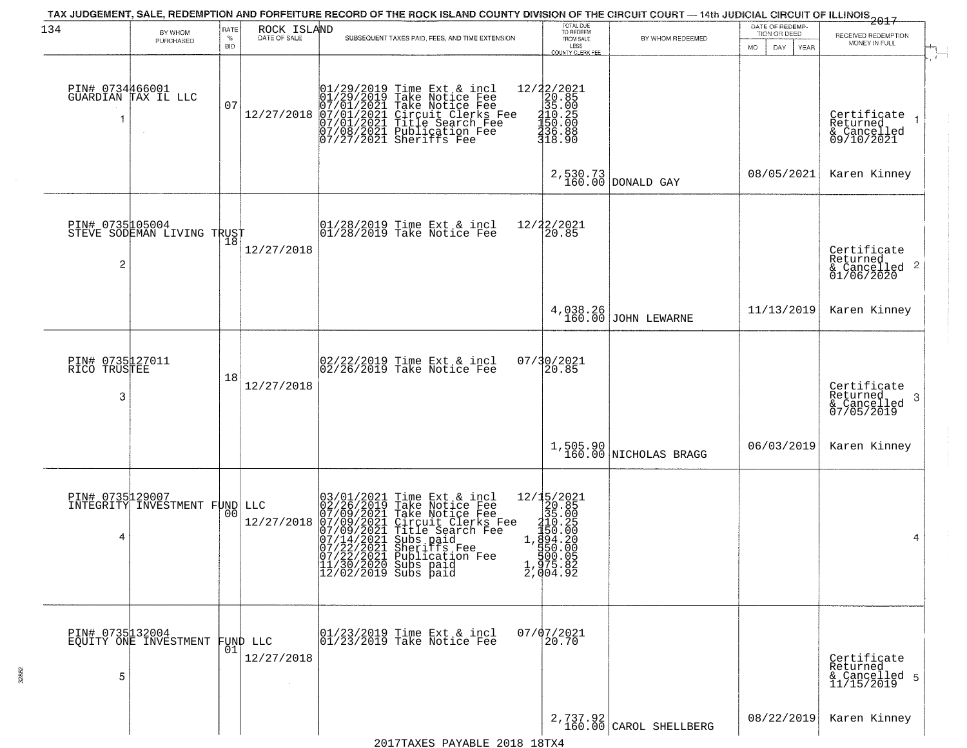| 134                                  | BY WHOM                                          | RATE               | ROCK ISLAND            | TAX JUDGEMENT, SALE, REDEMPTION AND FORFEITURE RECORD OF THE ROCK ISLAND COUNTY DIVISION OF THE CIRCUIT COURT — 14th JUDICIAL CIRCUIT OF ILLINOIS 2017                                                                                                                                                             | TOTAL DUE<br>TO REDEEM                                                                                                      |                                    | DATE OF REDEMP<br>TION OR DEED |                                                                        |
|--------------------------------------|--------------------------------------------------|--------------------|------------------------|--------------------------------------------------------------------------------------------------------------------------------------------------------------------------------------------------------------------------------------------------------------------------------------------------------------------|-----------------------------------------------------------------------------------------------------------------------------|------------------------------------|--------------------------------|------------------------------------------------------------------------|
|                                      | PURCHASED                                        | $\%$<br><b>BID</b> | DATE OF SALE           | SUBSEQUENT TAXES PAID, FEES, AND TIME EXTENSION                                                                                                                                                                                                                                                                    | FROM SALE<br>LESS<br>COUNTY CLERK FEE                                                                                       | BY WHOM REDEEMED                   | MO.<br>DAY<br>YEAR             | RECEIVED REDEMPTION<br>MONEY IN FULL                                   |
|                                      | PIN# 0734466001<br>GUARDIAN TAX IL LLC           | 07                 | 12/27/2018             | $01/29/2019$ Time Ext & incl<br>01/29/2019 Take Notice Fee<br>07/01/2021 Take Notice Fee<br>07/01/2021 Circuit Clerks Fee<br>07/01/2021 Title Search Fee<br>07/08/2021 Publication Fee<br>07/27/2021 Sheriffs Fee                                                                                                  | $\begin{array}{r} 12/22/2021 \\ 20.85 \\ 35.00 \\ -21.19 \\ -115.25 \\ -150.00 \\ -150.00 \\ -150.88 \\ -18.90 \end{array}$ |                                    |                                | Certificate<br>$\overline{1}$<br>Returned<br>& Cancelled<br>09/10/2021 |
|                                      |                                                  |                    |                        |                                                                                                                                                                                                                                                                                                                    |                                                                                                                             | 2,530.73<br>160.00 DONALD GAY      | 08/05/2021                     | Karen Kinney                                                           |
| $\overline{c}$                       | PIN# 0735005004<br>STEVE SODEMAN LIVING TRUST    |                    | 12/27/2018             | $ 01/28/2019$ Time Ext & incl<br>$ 01/28/2019$ Take Notice Fee                                                                                                                                                                                                                                                     | 12/22/2021<br>20.85                                                                                                         |                                    |                                | Certificate<br>Returned<br>$\frac{1}{6}$ Cancelled 2<br>01/06/2020     |
|                                      |                                                  |                    |                        |                                                                                                                                                                                                                                                                                                                    | 4,038.26<br>160.00                                                                                                          | JOHN LEWARNE                       | 11/13/2019                     | Karen Kinney                                                           |
| PIN# 0735127011<br>RICO TRUSTEE<br>3 |                                                  | 18                 | 12/27/2018             | 02/22/2019 Time Ext & incl<br>02/26/2019 Take Notice Fee                                                                                                                                                                                                                                                           | 07/30/2021<br>20.85                                                                                                         |                                    |                                | Certificate<br>Returned<br>3<br>& Cancelled<br>07/05/2019              |
|                                      |                                                  |                    |                        |                                                                                                                                                                                                                                                                                                                    |                                                                                                                             | 1,505.90<br>160.00 NICHOLAS BRAGG  | 06/03/2019                     | Karen Kinney                                                           |
| 4                                    | PIN# 0735129007<br>INTEGRITY INVESTMENT FUND LLC | 0 <sub>0</sub>     | 12/27/2018             | 03/01/2021<br>02/26/2019<br>07/09/2021<br>07/09/2021<br>07/14/2021<br>07/22/2021<br>Time Ext & incl<br>Take Notice Fee<br>Take Notice Fee<br>Circuit Clerks Fee<br>Title Search Fee<br>Subs paid<br>Sheriffs Fee<br>Shinligation Fee<br>07/22/2021 Publication Fee<br>11/30/2020 Subs paid<br>12/02/2019 Subs paid | ${\begin{array}{c} 12/15/2021\\20.85\\315.00\\10.29\\110.25\\150.20\\1,894.20\\1994.20\\1975.82\\2,904.92 \end{array}}$     |                                    |                                | 4                                                                      |
| 5                                    | PIN# 0735132004<br>EQUITY ONE INVESTMENT         | 01                 | FUND LLC<br>12/27/2018 | 01/23/2019 Time Ext & incl<br>01/23/2019 Take Notice Fee                                                                                                                                                                                                                                                           | $07/07/2021$<br>20.70                                                                                                       |                                    |                                | Certificate<br>Returned<br>& Cancelled 5<br>11/15/2019                 |
|                                      |                                                  |                    |                        |                                                                                                                                                                                                                                                                                                                    |                                                                                                                             | 2,737.92<br>160.00 CAROL SHELLBERG | 08/22/2019                     | Karen Kinney                                                           |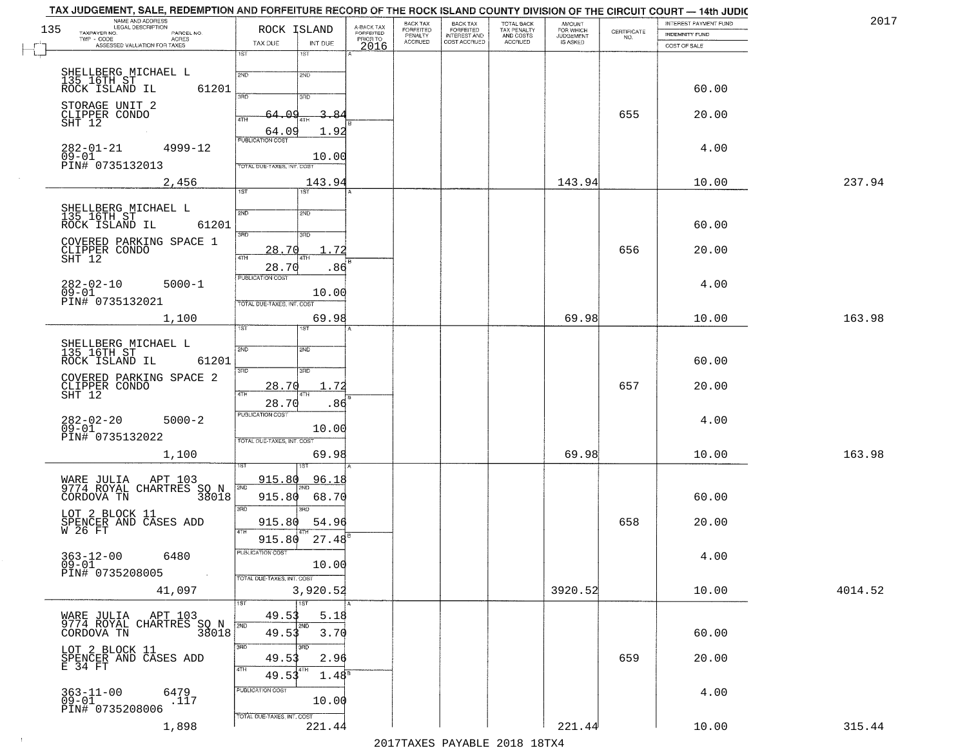| NAME AND ADDRESS<br>LEGAL DESCRIPTION<br>135<br>TAXPAYER NO.<br>PARCEL NO. | ROCK ISLAND                              | A-BACK TAX                    | BACK TAX<br>FORFEITED     | BACK TAX<br>FORFEITED               | TOTAL BACK<br>TAX PENALTY | AMOUNT<br>FOR WHICH          |                                                                 | INTEREST PAYMENT FUND                 | 2017    |
|----------------------------------------------------------------------------|------------------------------------------|-------------------------------|---------------------------|-------------------------------------|---------------------------|------------------------------|-----------------------------------------------------------------|---------------------------------------|---------|
| TWP - CODE<br><b>ACRES</b><br>ASSESSED VALUATION FOR TAXES                 | TAX DUE<br>INT DUE                       | FORFEITED<br>PRIOR TO<br>2016 | PENALTY<br><b>ACCRUED</b> | <b>INTEREST AND</b><br>COST ACCRUED | AND COSTS<br>ACCRUED      | <b>JUDGEMENT</b><br>IS ASKED | $\begin{array}{c} \text{CEPTIFICATE} \\ \text{NO.} \end{array}$ | <b>INDEMNITY FUND</b><br>COST OF SALE |         |
|                                                                            | 1ST<br>18T                               |                               |                           |                                     |                           |                              |                                                                 |                                       |         |
|                                                                            | 2ND<br>2ND                               |                               |                           |                                     |                           |                              |                                                                 |                                       |         |
| SHELLBERG MICHAEL L<br>135 16TH ST<br>ROCK ISLAND IL<br>61201              |                                          |                               |                           |                                     |                           |                              |                                                                 | 60.00                                 |         |
| STORAGE UNIT 2                                                             | 350<br>3BD                               |                               |                           |                                     |                           |                              |                                                                 |                                       |         |
| CLIPPER CONDO<br>SHT 12                                                    | 64.09<br>3.84<br>4TH                     |                               |                           |                                     |                           |                              | 655                                                             | 20.00                                 |         |
|                                                                            | 1.92<br>64.09<br><b>PUBLICATION COST</b> |                               |                           |                                     |                           |                              |                                                                 |                                       |         |
| $282 - 01 - 21$<br>$4999 - 12$<br>09-01                                    | 10.00                                    |                               |                           |                                     |                           |                              |                                                                 | 4.00                                  |         |
| PIN# 0735132013                                                            | TOTAL DUE-TAXES, INT. COST               |                               |                           |                                     |                           |                              |                                                                 |                                       |         |
| 2,456                                                                      | 143.94                                   |                               |                           |                                     |                           | 143.94                       |                                                                 | 10.00                                 | 237.94  |
|                                                                            | 1ST<br>IST                               |                               |                           |                                     |                           |                              |                                                                 |                                       |         |
| SHELLBERG MICHAEL L<br>135 16TH ST<br>ROCK ISLAND IL                       | 2ND<br>2ND                               |                               |                           |                                     |                           |                              |                                                                 |                                       |         |
| 61201                                                                      | $\overline{3BD}$<br>3RD                  |                               |                           |                                     |                           |                              |                                                                 | 60.00                                 |         |
| COVERED PARKING SPACE 1                                                    | 72<br>28.70                              |                               |                           |                                     |                           |                              | 656                                                             | 20.00                                 |         |
| CLIPPER CONDO<br>SHT 12                                                    | ৰাম<br>.86<br>28.70                      |                               |                           |                                     |                           |                              |                                                                 |                                       |         |
| $282 - 02 - 10$<br>$5000 - 1$                                              | PUBLICATION COST                         |                               |                           |                                     |                           |                              |                                                                 | 4.00                                  |         |
| $09 - 01$<br>PIN# 0735132021                                               | 10.00                                    |                               |                           |                                     |                           |                              |                                                                 |                                       |         |
|                                                                            | TOTAL DUE-TAXES, INT. COST               |                               |                           |                                     |                           |                              |                                                                 |                                       |         |
| 1,100                                                                      | 69.98<br>ist<br>1ST                      |                               |                           |                                     |                           | 69.98                        |                                                                 | 10.00                                 | 163.98  |
| SHELLBERG MICHAEL L<br>135 16TH ST                                         | 2ND<br>2ND                               |                               |                           |                                     |                           |                              |                                                                 |                                       |         |
| ROCK ISLAND IL<br>61201                                                    |                                          |                               |                           |                                     |                           |                              |                                                                 | 60.00                                 |         |
| COVERED PARKING SPACE 2                                                    | 3BD<br>3RD                               |                               |                           |                                     |                           |                              |                                                                 |                                       |         |
| CLIPPER CONDO<br>SHT 12                                                    | 28.70<br>. 72<br>4TH                     |                               |                           |                                     |                           |                              | 657                                                             | 20.00                                 |         |
|                                                                            | 28.70<br>.86                             |                               |                           |                                     |                           |                              |                                                                 |                                       |         |
| $282 - 02 - 20$<br>$5000 - 2$<br>$09 - 01$                                 | <b>PUBLICATION COST</b><br>10.00         |                               |                           |                                     |                           |                              |                                                                 | 4.00                                  |         |
| PIN# 0735132022                                                            | TOTAL OUE-TAXES, INT. COST               |                               |                           |                                     |                           |                              |                                                                 |                                       |         |
| 1,100                                                                      | 69.98                                    |                               |                           |                                     |                           | 69.98                        |                                                                 | 10.00                                 | 163.98  |
|                                                                            |                                          |                               |                           |                                     |                           |                              |                                                                 |                                       |         |
| WARE JULIA APT 103<br>9774 ROYAL CHARTRES :<br>SO N<br>38018               | 915.80<br>96.18<br>2ND                   |                               |                           |                                     |                           |                              |                                                                 |                                       |         |
| CORDOVA TN                                                                 | 915.80<br>68.70<br>3RD<br>3RD            |                               |                           |                                     |                           |                              |                                                                 | 60.00                                 |         |
| LOT 2 BLOCK 11                                                             | 915.80<br>54.96                          |                               |                           |                                     |                           |                              | 658                                                             | 20.00                                 |         |
| SPENCER AND CASES ADD W 26 FT                                              | 4TH<br>$27.48^{B}$<br>915.80             |                               |                           |                                     |                           |                              |                                                                 |                                       |         |
| $363 - 12 - 00$<br>6480                                                    | PUBLICATION COST                         |                               |                           |                                     |                           |                              |                                                                 | 4.00                                  |         |
| $09 - 01$<br>PIN# 0735208005                                               | 10.00                                    |                               |                           |                                     |                           |                              |                                                                 |                                       |         |
|                                                                            | TOTAL DUE-TAXES, INT. COST               |                               |                           |                                     |                           |                              |                                                                 |                                       |         |
| 41,097                                                                     | 3,920.52<br>1ST<br>1ST                   |                               |                           |                                     |                           | 3920.52                      |                                                                 | 10.00                                 | 4014.52 |
| WARE JULIA – APT 103<br>9774 ROYAL CHARTRES SO N<br>38018                  | 49.53<br>5.18                            |                               |                           |                                     |                           |                              |                                                                 |                                       |         |
|                                                                            | 2ND<br>2ND<br>49.53<br>3.70              |                               |                           |                                     |                           |                              |                                                                 | 60.00                                 |         |
| LOT 2 BLOCK 11                                                             | 3RD<br>3RD                               |                               |                           |                                     |                           |                              |                                                                 |                                       |         |
| SPENCER AND CASES ADD<br>E 34 FT                                           | 2.96<br>49.53                            |                               |                           |                                     |                           |                              | 659                                                             | 20.00                                 |         |
|                                                                            | 4TH<br>4TH<br>1.48 <sup>s</sup><br>49.53 |                               |                           |                                     |                           |                              |                                                                 |                                       |         |
| 363-11-00<br>09-01<br>6479<br>.117                                         | PUBLICATION COST                         |                               |                           |                                     |                           |                              |                                                                 | 4.00                                  |         |
| PIN# 0735208006                                                            | 10.00<br>TOTAL DUE-TAXES, INT. COST      |                               |                           |                                     |                           |                              |                                                                 |                                       |         |
| 1,898                                                                      | 221.44                                   |                               |                           |                                     |                           | 221.44                       |                                                                 | 10.00                                 | 315.44  |

 $\sim 10^{-1}$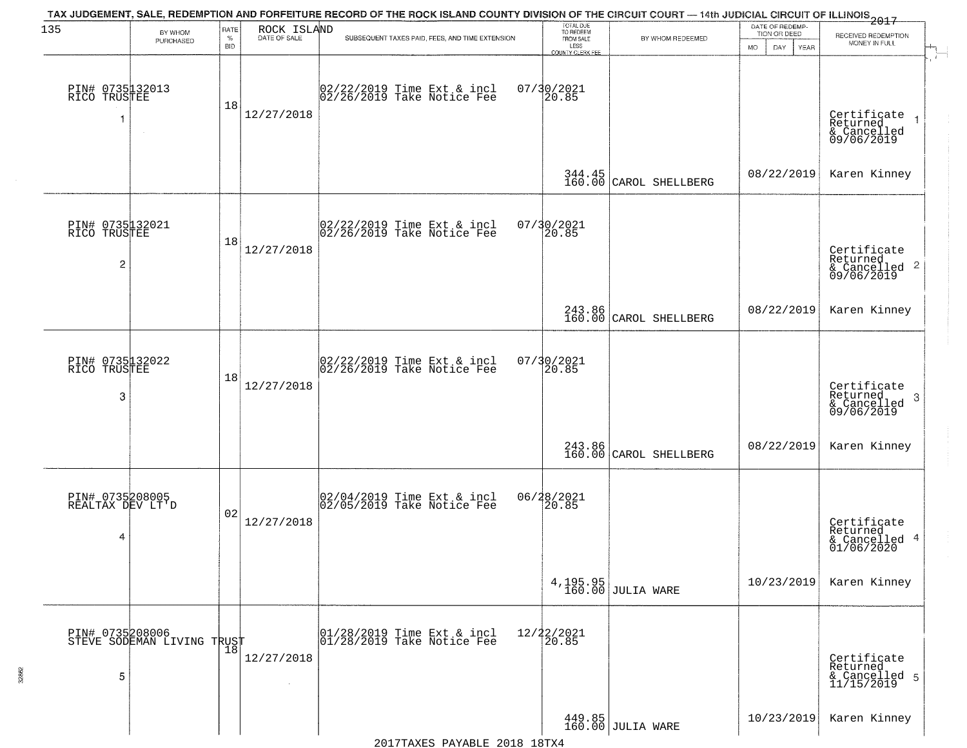| 135                                      | BY WHOM                                       | RATE<br>$\%$    | ROCK ISLAND | TAX JUDGEMENT, SALE, REDEMPTION AND FORFEITURE RECORD OF THE ROCK ISLAND COUNTY DIVISION OF THE CIRCUIT COURT — 14th JUDICIAL CIRCUIT OF ILLINOIS 2017 | TOTAL DUE<br>TO REDEEM<br>FROM SALE |                                  | DATE OF REDEMP-<br>TION OR DEED  | RECEIVED REDEMPTION                                                |
|------------------------------------------|-----------------------------------------------|-----------------|-------------|--------------------------------------------------------------------------------------------------------------------------------------------------------|-------------------------------------|----------------------------------|----------------------------------|--------------------------------------------------------------------|
|                                          | PURCHASED                                     | <b>BID</b>      |             | SUBSEQUENT TAXES PAID, FEES, AND TIME EXTENSION                                                                                                        | LESS<br><b>COUNTY CLERK FEE</b>     | BY WHOM REDEEMED                 | <b>MO</b><br>DAY.<br><b>YEAR</b> | MONEY IN FULL                                                      |
| PIN# 0735132013<br>RICO TRUSTEE<br>1     | $\sim$ 4 $^\circ$                             | 18              | 12/27/2018  | 02/22/2019 Time Ext & incl<br>02/26/2019 Take Notice Fee                                                                                               | 07/30/2021<br>20.85                 |                                  |                                  | Certificate<br>Returned<br>& Cancelled<br>09/06/2019               |
|                                          |                                               |                 |             |                                                                                                                                                        |                                     | 344.45<br>160.00 CAROL SHELLBERG | 08/22/2019                       | Karen Kinney                                                       |
| PIN# 0735132021<br>RICO TRUSTEE<br>2     |                                               | 18              | 12/27/2018  | 02/22/2019 Time Ext & incl<br>02/26/2019 Take Notice Fee                                                                                               | 07/30/2021<br>20.85                 |                                  |                                  | Certificate<br>Returned<br>$\frac{1}{6}$ Cancelled 2<br>09/06/2019 |
|                                          |                                               |                 |             |                                                                                                                                                        |                                     | 243.86<br>160.00 CAROL SHELLBERG | 08/22/2019                       | Karen Kinney                                                       |
| PIN# 0735132022<br>RICO TRUSTEE<br>3     |                                               | 18              | 12/27/2018  | 02/22/2019 Time Ext & incl<br>02/26/2019 Take Notice Fee                                                                                               | 07/30/2021<br>20.85                 |                                  |                                  | Certificate<br>Returned<br>3<br>& Cancelled<br>09/06/2019          |
|                                          |                                               |                 |             |                                                                                                                                                        |                                     | 243.86<br>160.00 CAROL SHELLBERG | 08/22/2019                       | Karen Kinney                                                       |
| PIN# 0735208005<br>REALTAX DEV LT'D<br>4 |                                               | 02              | 12/27/2018  | 02/04/2019 Time Ext & incl<br>02/05/2019 Take Notice Fee                                                                                               | 06/28/2021<br>20.85                 |                                  |                                  | Certificate<br>Returned<br>& Cancelled 4<br>01/06/2020             |
|                                          |                                               |                 |             |                                                                                                                                                        | 4,195.95<br>160.00                  | JULIA WARE                       | 10/23/2019                       | Karen Kinney                                                       |
| 5                                        | PIN# 0735208006<br>STEVE SODEMAN LIVING TRUST | $\frac{18}{18}$ | 12/27/2018  | 01/28/2019 Time Ext & incl<br>01/28/2019 Take Notice Fee                                                                                               | 12/22/2021<br>20.85                 |                                  |                                  | Certificate<br>Returned<br>& Cancelled 5<br>11/15/2019             |
|                                          |                                               |                 |             |                                                                                                                                                        |                                     | 449.85<br>160.00 JULIA WARE      | 10/23/2019                       | Karen Kinney                                                       |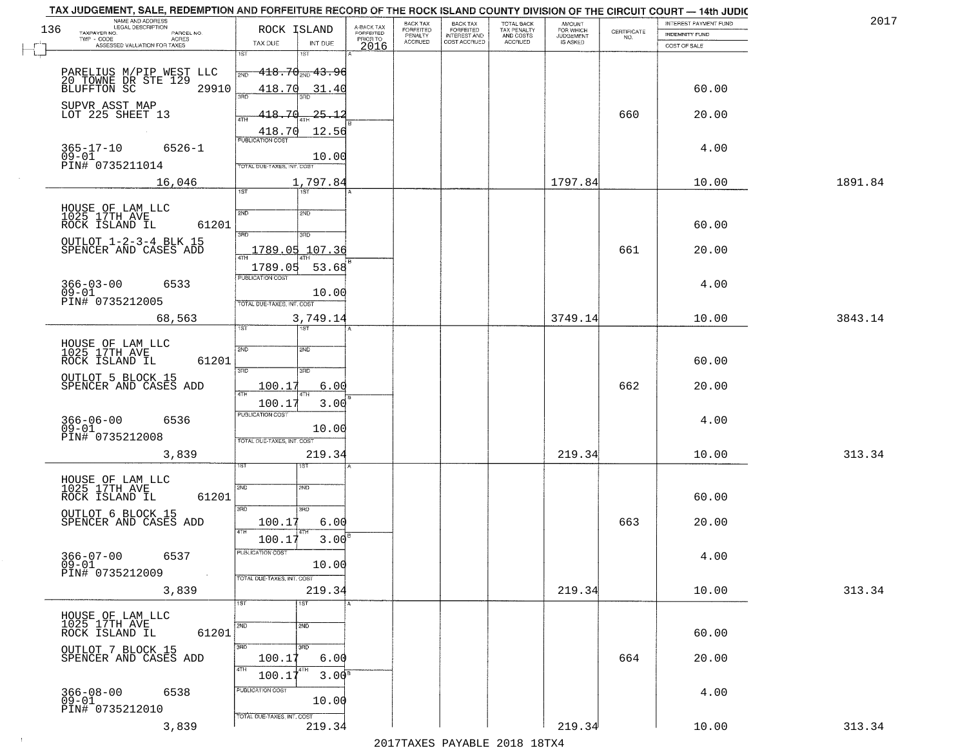|     | TAX JUDGEMENT, SALE, REDEMPTION AND FORFEITURE RECORD OF THE ROCK ISLAND COUNTY DIVISION OF THE CIRCUIT COURT - 14th JUDIC<br>NAME AND ADDRESS<br>LEGAL DESCRIPTION |                                          |                                     | BACK TAX                    | BACK TAX<br>FORFEITED          |                                        | AMOUNT<br>FOR WHICH |                                                                 | INTEREST PAYMENT FUND | 2017    |
|-----|---------------------------------------------------------------------------------------------------------------------------------------------------------------------|------------------------------------------|-------------------------------------|-----------------------------|--------------------------------|----------------------------------------|---------------------|-----------------------------------------------------------------|-----------------------|---------|
| 136 | TAXPAYER NO.<br>PARCEL NO.                                                                                                                                          | ROCK ISLAND                              | A-BACK TAX<br>FORFEITED<br>PRIOR TO | <b>FORFEITED</b><br>PENALTY | <b>INTEREST AND</b>            | TOTAL BACK<br>TAX PENALTY<br>AND COSTS | <b>JUDGEMENT</b>    | $\begin{array}{c} \text{CERTIFICATE} \\ \text{NO.} \end{array}$ | INDEMNITY FUND        |         |
|     | ACRES<br>ASSESSED VALUATION FOR TAXES                                                                                                                               | TAX DUE<br>INT DUE                       | 2016                                | <b>ACCRUED</b>              | COST ACCRUED                   | <b>ACCRUED</b>                         | IS ASKED            |                                                                 | COST OF SALE          |         |
|     |                                                                                                                                                                     | 1ST<br>1ST                               |                                     |                             |                                |                                        |                     |                                                                 |                       |         |
|     | PARELIUS M/PIP WEST LLC                                                                                                                                             | $-418.70_{\tiny\rm NID}$ $43.96$<br>2ND  |                                     |                             |                                |                                        |                     |                                                                 |                       |         |
|     | 20 TOWNE DR STE 129<br>BLUFFTON SC<br>29910                                                                                                                         | 418.70<br>31.40                          |                                     |                             |                                |                                        |                     |                                                                 | 60.00                 |         |
|     |                                                                                                                                                                     | 370                                      |                                     |                             |                                |                                        |                     |                                                                 |                       |         |
|     | SUPVR ASST MAP<br>LOT 225 SHEET 13                                                                                                                                  | 418.70<br><u> 25.12</u>                  |                                     |                             |                                |                                        |                     | 660                                                             | 20.00                 |         |
|     |                                                                                                                                                                     |                                          |                                     |                             |                                |                                        |                     |                                                                 |                       |         |
|     |                                                                                                                                                                     | 12.56<br>$\frac{418.70}{FUBUCATON COST}$ |                                     |                             |                                |                                        |                     |                                                                 |                       |         |
|     | $365 - 17 - 10$<br>$6526 - 1$<br>$09 - 01$                                                                                                                          | 10.00                                    |                                     |                             |                                |                                        |                     |                                                                 | 4.00                  |         |
|     | PIN# 0735211014                                                                                                                                                     | TOTAL DUE-TAXES, INT. COST               |                                     |                             |                                |                                        |                     |                                                                 |                       |         |
|     | 16,046                                                                                                                                                              | 1,797.84                                 |                                     |                             |                                |                                        | 1797.84             |                                                                 | 10.00                 | 1891.84 |
|     |                                                                                                                                                                     | 1ST<br>1ST                               |                                     |                             |                                |                                        |                     |                                                                 |                       |         |
|     |                                                                                                                                                                     |                                          |                                     |                             |                                |                                        |                     |                                                                 |                       |         |
|     | HOUSE OF LAM LLC<br>1025 17TH AVE<br>61201<br>ROCK ISLAND IL                                                                                                        | 2ND<br>2ND                               |                                     |                             |                                |                                        |                     |                                                                 | 60.00                 |         |
|     |                                                                                                                                                                     | 3RD<br>3RD                               |                                     |                             |                                |                                        |                     |                                                                 |                       |         |
|     | OUTLOT 1-2-3-4 BLK 15<br>SPENCER AND CASES ADD                                                                                                                      | 1789.05 107.36                           |                                     |                             |                                |                                        |                     | 661                                                             | 20.00                 |         |
|     |                                                                                                                                                                     |                                          |                                     |                             |                                |                                        |                     |                                                                 |                       |         |
|     |                                                                                                                                                                     | 1789.05<br>53.68<br>PUBLICATION COST     |                                     |                             |                                |                                        |                     |                                                                 |                       |         |
|     | $366 - 03 - 00$<br>6533                                                                                                                                             |                                          |                                     |                             |                                |                                        |                     |                                                                 | 4.00                  |         |
|     | $09 - 01$<br>PIN# 0735212005                                                                                                                                        | 10.00<br>TOTAL DUE-TAXES, INT. COST      |                                     |                             |                                |                                        |                     |                                                                 |                       |         |
|     | 68,563                                                                                                                                                              | 3,749.14                                 |                                     |                             |                                |                                        | 3749.14             |                                                                 | 10.00                 | 3843.14 |
|     |                                                                                                                                                                     | ist<br><b>IST</b>                        |                                     |                             |                                |                                        |                     |                                                                 |                       |         |
|     |                                                                                                                                                                     |                                          |                                     |                             |                                |                                        |                     |                                                                 |                       |         |
|     | HOUSE OF LAM LLC<br>1025 17TH AVE                                                                                                                                   | 2ND<br>2ND                               |                                     |                             |                                |                                        |                     |                                                                 |                       |         |
|     | ROCK ISLAND IL<br>61201                                                                                                                                             | 3BD<br>3RD                               |                                     |                             |                                |                                        |                     |                                                                 | 60.00                 |         |
|     | OUTLOT 5 BLOCK 15                                                                                                                                                   |                                          |                                     |                             |                                |                                        |                     |                                                                 |                       |         |
|     | SPENCER AND CASES ADD                                                                                                                                               | 100.17<br>6.00<br>4TH                    |                                     |                             |                                |                                        |                     | 662                                                             | 20.00                 |         |
|     |                                                                                                                                                                     | 100.17<br>3.00                           |                                     |                             |                                |                                        |                     |                                                                 |                       |         |
|     | 366-06-00<br>09-01<br>6536                                                                                                                                          | <b>PUBLICATION COST</b>                  |                                     |                             |                                |                                        |                     |                                                                 | 4.00                  |         |
|     | PIN# 0735212008                                                                                                                                                     | 10.00                                    |                                     |                             |                                |                                        |                     |                                                                 |                       |         |
|     |                                                                                                                                                                     | TOTAL OUE-TAXES, INT. COST               |                                     |                             |                                |                                        |                     |                                                                 |                       |         |
|     | 3,839                                                                                                                                                               | 219.34<br>ςT                             |                                     |                             |                                |                                        | 219.34              |                                                                 | 10.00                 | 313.34  |
|     |                                                                                                                                                                     |                                          |                                     |                             |                                |                                        |                     |                                                                 |                       |         |
|     | HOUSE OF LAM LLC<br>1025 17TH AVE                                                                                                                                   | 2ND<br>2ND                               |                                     |                             |                                |                                        |                     |                                                                 |                       |         |
|     | ROCK ISLAND IL<br>61201                                                                                                                                             |                                          |                                     |                             |                                |                                        |                     |                                                                 | 60.00                 |         |
|     | OUTLOT 6 BLOCK 15                                                                                                                                                   | 3RD<br>3HD                               |                                     |                             |                                |                                        |                     |                                                                 |                       |         |
|     | SPENCER AND CASES ADD                                                                                                                                               | 100.17<br>6.00<br>4TH                    |                                     |                             |                                |                                        |                     | 663                                                             | 20.00                 |         |
|     |                                                                                                                                                                     | 100.17<br>$3.00^{\circ}$                 |                                     |                             |                                |                                        |                     |                                                                 |                       |         |
|     | $366 - 07 - 00$<br>6537                                                                                                                                             | PUBLICATION COST                         |                                     |                             |                                |                                        |                     |                                                                 | 4.00                  |         |
|     | $09 - 01$<br>PIN# 0735212009                                                                                                                                        | 10.00                                    |                                     |                             |                                |                                        |                     |                                                                 |                       |         |
|     | $\sim 100$                                                                                                                                                          | TOTAL DUE-TAXES, INT. COST               |                                     |                             |                                |                                        |                     |                                                                 |                       |         |
|     | 3,839                                                                                                                                                               | 219.34                                   |                                     |                             |                                |                                        | 219.34              |                                                                 | 10.00                 | 313.34  |
|     |                                                                                                                                                                     | 1ST<br>1ST                               |                                     |                             |                                |                                        |                     |                                                                 |                       |         |
|     | HOUSE OF LAM LLC<br>1025 17TH AVE                                                                                                                                   | 2ND<br>2ND                               |                                     |                             |                                |                                        |                     |                                                                 |                       |         |
|     | 61201<br>ROCK ISLAND IL                                                                                                                                             |                                          |                                     |                             |                                |                                        |                     |                                                                 | 60.00                 |         |
|     | OUTLOT 7 BLOCK 15                                                                                                                                                   | 3RD<br>3HD                               |                                     |                             |                                |                                        |                     |                                                                 |                       |         |
|     | SPENCER AND CASES ADD                                                                                                                                               | 100.17<br>6.00                           |                                     |                             |                                |                                        |                     | 664                                                             | 20.00                 |         |
|     |                                                                                                                                                                     | 4TH<br>3.00 <sup>B</sup><br>100.1        |                                     |                             |                                |                                        |                     |                                                                 |                       |         |
|     | $366 - 08 - 00$<br>6538                                                                                                                                             | PUBLICATION COST                         |                                     |                             |                                |                                        |                     |                                                                 | 4.00                  |         |
|     | $09 - 01$                                                                                                                                                           | 10.00                                    |                                     |                             |                                |                                        |                     |                                                                 |                       |         |
|     | PIN# 0735212010                                                                                                                                                     | TOTAL DUE-TAXES, INT. COST               |                                     |                             |                                |                                        |                     |                                                                 |                       |         |
|     | 3,839                                                                                                                                                               | 219.34                                   |                                     |                             |                                |                                        | 219.34              |                                                                 | 10.00                 | 313.34  |
|     |                                                                                                                                                                     |                                          |                                     |                             | 2017 THAVEC DAVARIE 2010 19TVA |                                        |                     |                                                                 |                       |         |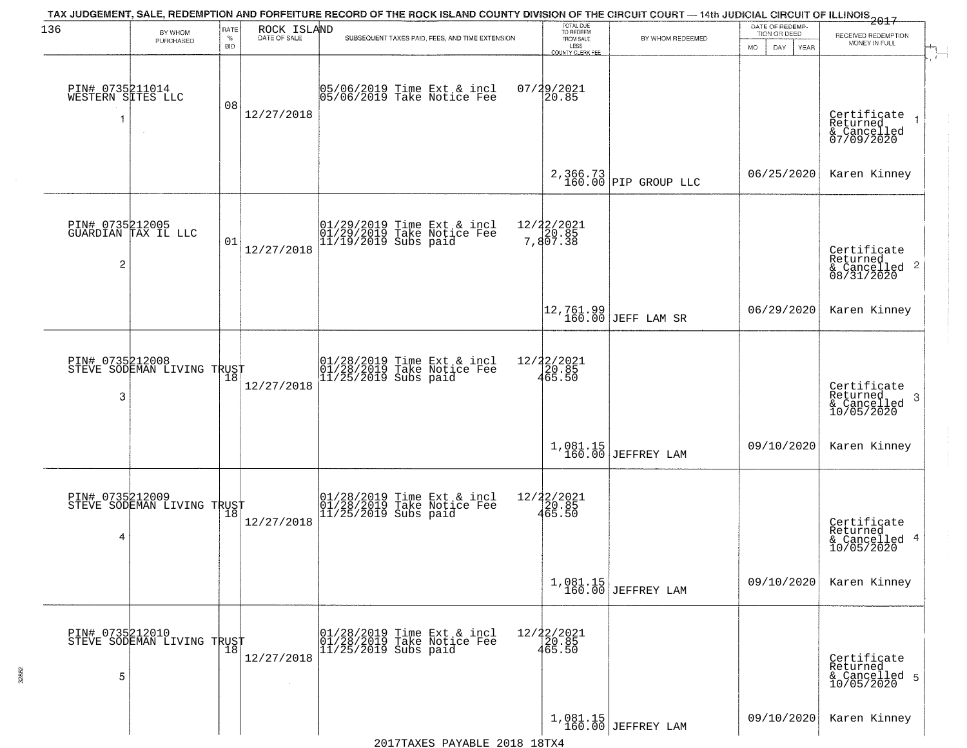| 136                                       |                                               | RATE               | ROCK ISLAND  | TAX JUDGEMENT, SALE, REDEMPTION AND FORFEITURE RECORD OF THE ROCK ISLAND COUNTY DIVISION OF THE CIRCUIT COURT — 14th JUDICIAL CIRCUIT OF ILLINOIS 2017 | TOTAL DUE<br>TO REDEEM<br>FROM SALE |                                  | DATE OF REDEMP                      |                                                                    |
|-------------------------------------------|-----------------------------------------------|--------------------|--------------|--------------------------------------------------------------------------------------------------------------------------------------------------------|-------------------------------------|----------------------------------|-------------------------------------|--------------------------------------------------------------------|
|                                           | BY WHOM<br>PURCHASED                          | $\%$<br><b>BID</b> | DATE OF SALE | SUBSEQUENT TAXES PAID, FEES, AND TIME EXTENSION                                                                                                        | LESS<br>COUNTY CLERK FEE            | BY WHOM REDEEMED                 | TION OR DEED<br>MO.<br>DAY.<br>YEAR | RECEIVED REDEMPTION<br>MONEY IN FULL                               |
| PIN# 0735211014<br>WESTERN SITES LLC<br>1 | $\sim$                                        | 08                 | 12/27/2018   | 05/06/2019 Time Ext & incl<br>05/06/2019 Take Notice Fee                                                                                               | 07/29/2021<br>20.85                 |                                  |                                     | Certificate<br>Returned<br>& Cancelled<br>07/09/2020               |
|                                           |                                               |                    |              |                                                                                                                                                        |                                     | 2,366.73<br>160.00 PIP GROUP LLC | 06/25/2020                          | Karen Kinney                                                       |
| $\overline{c}$                            | PIN# 0735212005<br>GUARDIAN TAX IL LLC        | 01                 | 12/27/2018   | 01/29/2019 Time Ext & incl<br>01/29/2019 Take Notice Fee<br>11/19/2019 Subs paid                                                                       | 12/22/2021<br>7,807.38              |                                  |                                     | Certificate<br>Returned<br>$\frac{1}{6}$ Cancelled 2<br>08/31/2020 |
|                                           |                                               |                    |              |                                                                                                                                                        |                                     | 12,761.99<br>160.00 JEFF LAM SR  | 06/29/2020                          | Karen Kinney                                                       |
| PIN# 0735212008<br>3                      | STEVE SODEMAN LIVING TRUST                    | 18                 | 12/27/2018   | 01/28/2019 Time Ext & incl<br>01/28/2019 Take Notice Fee<br>11/25/2019 Subs paid                                                                       | 12/22/2021<br>20.85<br>465.50       |                                  |                                     | Certificate<br>Returned<br>3<br>$\frac{6}{10/05/2020}$             |
|                                           |                                               |                    |              |                                                                                                                                                        |                                     | $1,081.15$ JEFFREY LAM           | 09/10/2020                          | Karen Kinney                                                       |
| PIN# 0735212009<br>4                      | PIN# U/33814000<br>STEVE SODEMAN LIVING TRUST |                    | 12/27/2018   | 01/28/2019 Time Ext & incl<br>01/28/2019 Take Notice Fee<br>11/25/2019 Subs paid                                                                       | 12/22/2021<br>20.85<br>465.50       |                                  |                                     | Certificate<br>Returned<br>& Cancelled 4<br>10/05/2020             |
|                                           |                                               |                    |              |                                                                                                                                                        |                                     | $1,081.15$<br>160.00 JEFFREY LAM | 09/10/2020                          | Karen Kinney                                                       |
| PIN# 0735212010<br>5                      | STEVE SODEMAN LIVING TRUST                    | $\overline{18}$    | 12/27/2018   | 01/28/2019 Time Ext & incl<br>01/28/2019 Take Notice Fee<br>$11/25/2019$ Subs paid                                                                     | 12/22/2021<br>20.85<br>465.50       |                                  |                                     | Certificate<br>Returned<br>& Cancelled 5<br>10/05/2020             |
|                                           |                                               |                    |              |                                                                                                                                                        |                                     | $1,081.15$<br>160.00 JEFFREY LAM | 09/10/2020                          | Karen Kinney                                                       |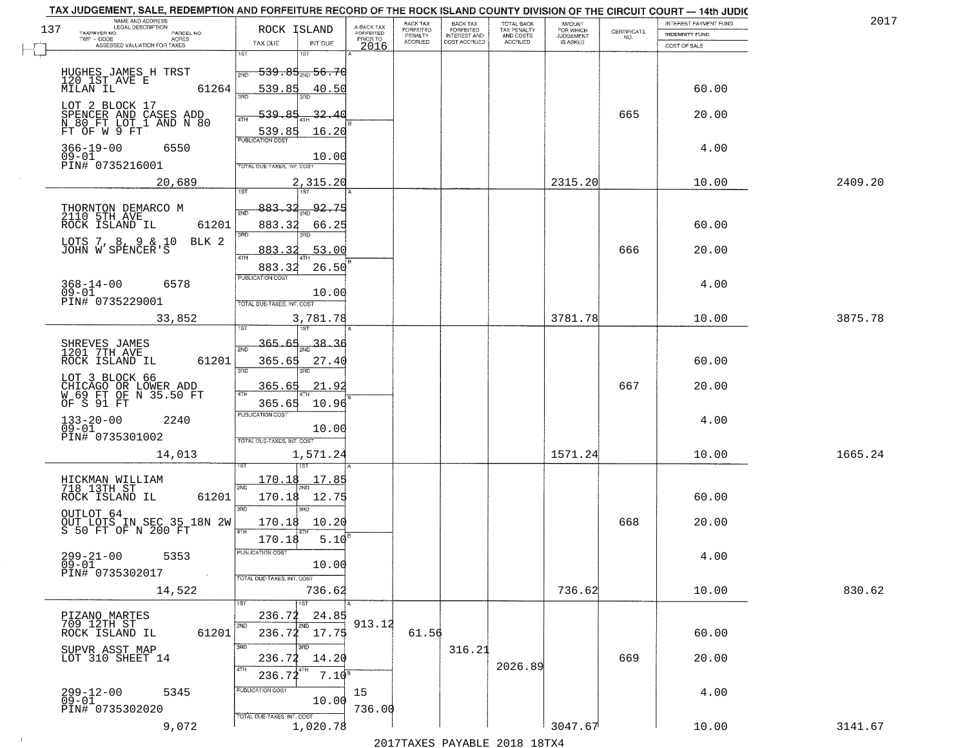| TAX JUDGEMENT, SALE, REDEMPTION AND FORFEITURE RECORD OF THE ROCK ISLAND COUNTY DIVISION OF THE CIRCUIT COURT - 14th JUDIC<br>NAME AND ADDRESS<br>LEGAL DESCRIPTION |                                                                                                                                                   |                         | BACK TAX             | <b>BACK TAX</b>           | <b>TOTAL BACK</b>        |                                         |                                                                 | INTEREST PAYMENT FUND  | 2017    |
|---------------------------------------------------------------------------------------------------------------------------------------------------------------------|---------------------------------------------------------------------------------------------------------------------------------------------------|-------------------------|----------------------|---------------------------|--------------------------|-----------------------------------------|-----------------------------------------------------------------|------------------------|---------|
| 137<br>TAXPAYER NO.<br>PARCEL NO.                                                                                                                                   | ROCK ISLAND                                                                                                                                       | A-BACK TAX<br>FORFEITED | FORFEITED<br>PENALTY | FORFEITED<br>INTEREST AND | TAX PENALTY<br>AND COSTS | AMOUNT<br>FOR WHICH<br><b>JUDGEMENT</b> | $\begin{array}{c} \text{CERTIFICATE} \\ \text{NO.} \end{array}$ | INDEMNITY FUND         |         |
| ACRES<br>ASSESSED VALUATION FOR TAXES                                                                                                                               | TAX DUE<br>INT DUE                                                                                                                                | PRIOR TO<br>2016        | <b>ACCRUED</b>       | COST ACCRUED              | ACCRUED                  | IS ASKED                                |                                                                 | COST OF SALE           |         |
| HUGHES JAMES H TRST<br>120 1ST AVE E<br>61264<br>MILAN IL                                                                                                           | 1ST<br>18T<br><del>539.85,,,56.7</del> 6<br>2ND<br>539.85<br>40.50                                                                                |                         |                      |                           |                          |                                         |                                                                 | 60.00                  |         |
| LOT 2 BLOCK 17<br>SPENCER AND CASES ADD<br>N_80_FT LOT_1 AND N 80<br>FT OF W 9 FT                                                                                   | -32.40<br>539.85<br>16.20                                                                                                                         |                         |                      |                           |                          |                                         | 665                                                             | 20.00                  |         |
| $366 - 19 - 00$<br>6550<br>09-01<br>PIN# 0735216001                                                                                                                 | 539.85<br>10.00<br>TOTAL DUE-TAXES, INT. COST                                                                                                     |                         |                      |                           |                          |                                         |                                                                 | 4.00                   |         |
| 20,689                                                                                                                                                              | 2,315.20                                                                                                                                          |                         |                      |                           |                          | 2315.20                                 |                                                                 | 10.00                  | 2409.20 |
| THORNTON DEMARCO M<br>2110 5TH AVE<br>61201<br>ROCK ISLAND IL<br>LOTS 7, 8, 9 & 10<br>BLK 2<br>JOHN W SPENCER'S<br>$368 - 14 - 00$<br>6578<br>$09 - 01$             | 92.75<br>883.32<br>2ND<br>883.32<br>66.25<br>3RD<br>3BD.<br>53.00<br>883.<br>-32<br>$\sqrt{4}$ TH<br>26.50<br>883.32<br>PUBLICATION COST<br>10.00 |                         |                      |                           |                          |                                         | 666                                                             | 60.00<br>20.00<br>4.00 |         |
| PIN# 0735229001                                                                                                                                                     | TOTAL DUE-TAXES, INT. COST                                                                                                                        |                         |                      |                           |                          | 3781.78                                 |                                                                 |                        |         |
| 33,852                                                                                                                                                              | 3,781.78<br>īsT<br>187                                                                                                                            |                         |                      |                           |                          |                                         |                                                                 | 10.00                  | 3875.78 |
| SHREVES JAMES<br>1201 7TH AVE<br>ROCK ISLAND IL<br>61201<br>LOT 3 BLOCK 66<br>CHICAGO OR LOWER ADD<br>W 69 FT OF N 35.50 FT                                         | 365.65<br>38.36<br>2ND<br>365.65<br>27.40<br>3RD<br>3RD<br>365.65<br>21.9<br>$\overline{AT}$                                                      |                         |                      |                           |                          |                                         | 667                                                             | 60.00<br>20.00         |         |
| OF S 91 FT<br>$133 - 20 - 00$<br>09-01<br>2240<br>PIN# 0735301002<br>14,013                                                                                         | 365.65<br>10.96<br><b>PUBLICATION COST</b><br>10.00<br>TOTAL OUE-TAXES, INT. COST<br>1,571.24                                                     |                         |                      |                           |                          | 1571.24                                 |                                                                 | 4.00<br>10.00          | 1665.24 |
| HICKMAN WILLIAM<br>718 13TH ST<br>ROCK ISLAND IL<br>61201<br>OUTLOT 64<br>OUT LOTS IN SEC 35 18N 2W<br>S 50 FT OF N 200 FT<br>$299 - 21 - 00$<br>5353<br>$09 - 01$  | 170.18<br>17.85<br>2ND<br>170.18<br>12.75<br>3BD<br>m<br>10.20<br>170.18<br>4TH<br>5.10<br>170.18<br>'usuca hun cus<br>10.00                      |                         |                      |                           |                          |                                         | 668                                                             | 60.00<br>20.00<br>4.00 |         |
| PIN# 0735302017<br>$\sim 100$ km $^{-1}$<br>14,522                                                                                                                  | TOTAL DUE-TAXES, INT. COST<br>736.62<br>1ST                                                                                                       |                         |                      |                           |                          | 736.62                                  |                                                                 | 10.00                  | 830.62  |
| PIZANO MARTES<br>709 12TH ST<br>61201<br>ROCK ISLAND IL                                                                                                             | 24.85<br>236.72<br>2ND<br>2ND<br>$236.72$ 17.75                                                                                                   | 913.12                  | 61.56                |                           |                          |                                         |                                                                 | 60.00                  |         |
| SUPVR ASST MAP<br>LOT 310 SHEET 14                                                                                                                                  | 3RD<br>۱RΠ<br>14.20<br>236.72<br>4TH<br>$7.10^{8}$<br>236.72                                                                                      |                         |                      | 316.21                    | 2026.89                  |                                         | 669                                                             | 20.00                  |         |
| 299-12-00<br>09-01<br>5345<br>PIN# 0735302020                                                                                                                       | PUBLICATION COST<br>10.00<br>TOTAL DUE-TAXES, INT. COST                                                                                           | 15<br>736.00            |                      |                           |                          |                                         |                                                                 | 4.00                   |         |
| 9,072                                                                                                                                                               | 1,020.78                                                                                                                                          |                         |                      |                           |                          | 3047.67                                 |                                                                 | 10.00                  | 3141.67 |

 $\sim 100$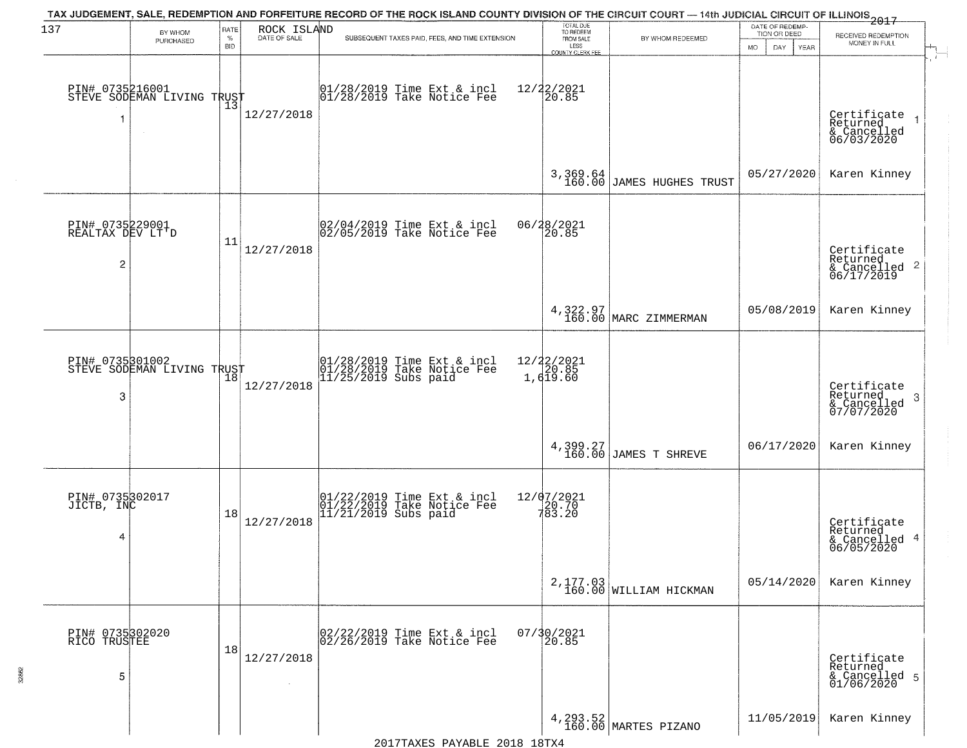| 137                                                   |                                                   | RATE               | ROCK ISLAND  | TAX JUDGEMENT, SALE, REDEMPTION AND FORFEITURE RECORD OF THE ROCK ISLAND COUNTY DIVISION OF THE CIRCUIT COURT — 14th JUDICIAL CIRCUIT OF ILLINOIS 2017 | TOTAL DUE<br>TO REDEEM                  |                                       | DATE OF REDEMP-                           |                                                                    |  |
|-------------------------------------------------------|---------------------------------------------------|--------------------|--------------|--------------------------------------------------------------------------------------------------------------------------------------------------------|-----------------------------------------|---------------------------------------|-------------------------------------------|--------------------------------------------------------------------|--|
|                                                       | BY WHOM<br>PURCHASED                              | $\%$<br><b>BID</b> | DATE OF SALE | SUBSEQUENT TAXES PAID, FEES, AND TIME EXTENSION                                                                                                        | FROM SALE<br>LESS                       | BY WHOM REDEEMED                      | TION OR DEED<br>DAY<br><b>YEAR</b><br>MO. | RECEIVED REDEMPTION<br>MONEY IN FULL                               |  |
|                                                       | PIN# 0735216001    <br>STEVE SODEMAN LIVING TRUST | 13                 | 12/27/2018   | 01/28/2019 Time Ext & incl<br>01/28/2019 Take Notice Fee                                                                                               | COUNTY CLERK FEE<br>12/22/2021<br>20.85 |                                       |                                           | Certificate<br>Returned<br>& Cancelled<br>06/03/2020               |  |
|                                                       |                                                   |                    |              |                                                                                                                                                        |                                         | $3,369.64$ JAMES HUGHES TRUST         | 05/27/2020                                | Karen Kinney                                                       |  |
| PIN# 0735229001<br>REALTAX DEV LT'D<br>$\overline{c}$ |                                                   | 11                 | 12/27/2018   | $ 02/04/2019$ Time Ext & incl<br>$ 02/05/2019$ Take Notice Fee                                                                                         | 06/28/2021<br>20.85                     |                                       |                                           | Certificate<br>Returned<br>$\frac{1}{6}$ Cancelled 2<br>06/17/2019 |  |
|                                                       |                                                   |                    |              |                                                                                                                                                        |                                         | 4, 322.97<br>160.00 MARC ZIMMERMAN    | 05/08/2019                                | Karen Kinney                                                       |  |
| PIN# 0735301002<br>3                                  | STEVE SODEMAN LIVING TRUST                        | 18                 | 12/27/2018   | 01/28/2019 Time Ext & incl<br>01/28/2019 Take Notice Fee<br>11/25/2019 Subs paid                                                                       | 12/22/2021<br>20.85<br>1,619.60         |                                       |                                           | Certificate<br>Returned<br>-3<br>& Cancelled<br>07/07/2020         |  |
|                                                       |                                                   |                    |              |                                                                                                                                                        |                                         | 4,399.27<br>160.00 JAMES T SHREVE     | 06/17/2020                                | Karen Kinney                                                       |  |
| PIN# 0735302017<br>JICTB, INC<br>4                    |                                                   | 18                 | 12/27/2018   | 01/22/2019 Time Ext & incl<br>01/22/2019 Take Notice Fee<br>11/21/2019 Subs paid                                                                       | 12/07/2021<br>783.20                    |                                       |                                           | Certificate<br>Returned<br>& Cancelled 4<br>06/05/2020             |  |
|                                                       |                                                   |                    |              |                                                                                                                                                        |                                         | $2, 177.03$<br>160.00 WILLIAM HICKMAN | 05/14/2020                                | Karen Kinney                                                       |  |
| PIN# 0735302020<br>RICO TRUSTEE<br>5                  |                                                   | 18                 | 12/27/2018   | $\begin{bmatrix} 02/22/2019 \\ 02/26/2019 \end{bmatrix}$ Time Ext & incl                                                                               | 07/30/2021<br>20.85                     |                                       |                                           | Certificate<br>Returned<br>& Cancelled 5<br>01/06/2020             |  |
|                                                       |                                                   |                    |              |                                                                                                                                                        |                                         | 4, 293.52<br>160.00 MARTES PIZANO     | 11/05/2019                                | Karen Kinney                                                       |  |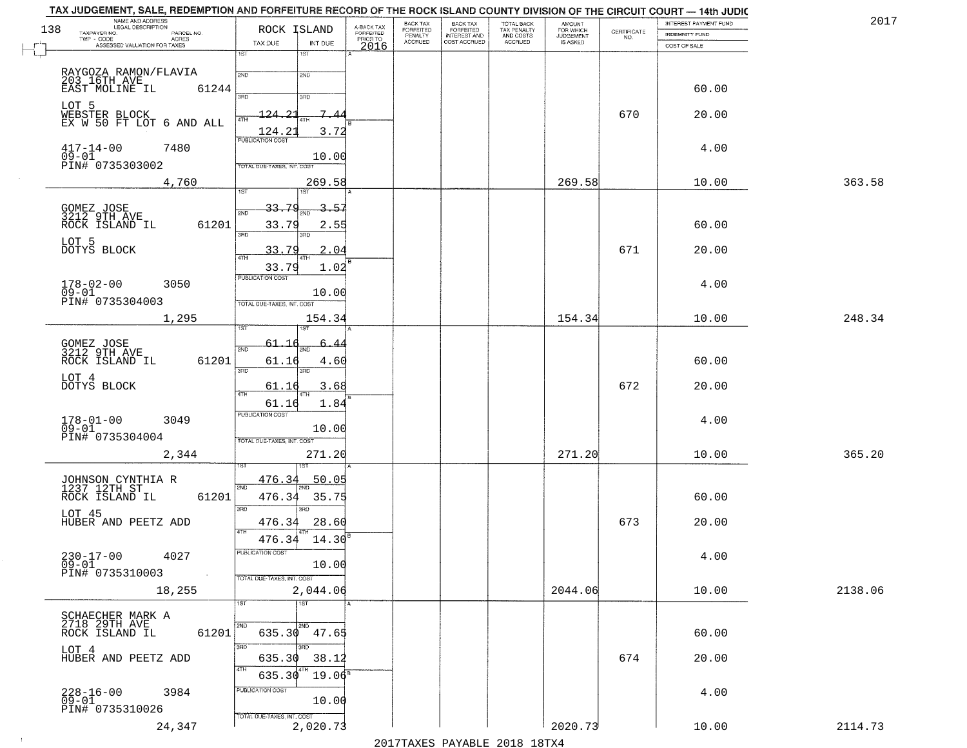| 138 | NAME AND ADDRESS<br>LEGAL DESCRIPTION<br>TAXPAYER NO.  | PARCEL NO.         | ROCK ISLAND                                   | A-BACK TAX<br>FORFEITED<br>PRIOR TO | BACK TAX<br>FORFEITED     | BACK TAX<br>FORFEITED<br>INTEREST AND | TOTAL BACK<br>TAX PENALTY<br>AND COSTS | AMOUNT<br>FOR WHICH          | $\begin{array}{c} \text{CERTIFICATE} \\ \text{NO.} \end{array}$ | INTEREST PAYMENT FUND<br><b>INDEMNITY FUND</b> | 2017    |
|-----|--------------------------------------------------------|--------------------|-----------------------------------------------|-------------------------------------|---------------------------|---------------------------------------|----------------------------------------|------------------------------|-----------------------------------------------------------------|------------------------------------------------|---------|
|     | TWP - CODE<br>ACRES<br>ASSESSED VALUATION FOR TAXES    |                    | TAX DUE<br>INT DUE                            | 2016                                | PENALTY<br><b>ACCRUED</b> | COST ACCRUED                          | ACCRUED                                | <b>JUDGEMENT</b><br>IS ASKED |                                                                 | COST OF SALE                                   |         |
|     |                                                        |                    | 1ST<br>1ST                                    |                                     |                           |                                       |                                        |                              |                                                                 |                                                |         |
|     | RAYGOZA RAMON/FLAVIA<br>203 16TH AVE<br>EAST MOLINE IL |                    | 2ND<br>2ND                                    |                                     |                           |                                       |                                        |                              |                                                                 |                                                |         |
|     |                                                        | 61244              | 350<br>3RD                                    |                                     |                           |                                       |                                        |                              |                                                                 | 60.00                                          |         |
|     | LOT 5<br>WEBSTER BLOCK<br>EX W 50 FT LOT 6 AND ALL     |                    | 7<br>$\mathcal{D}$<br>124.                    |                                     |                           |                                       |                                        |                              | 670                                                             | 20.00                                          |         |
|     |                                                        |                    | 3.72<br>$\frac{124.21}{PUBLICATION COST}$     |                                     |                           |                                       |                                        |                              |                                                                 |                                                |         |
|     | $417 - 14 - 00$<br>7480<br>$09 - 01$                   |                    | 10.00                                         |                                     |                           |                                       |                                        |                              |                                                                 | 4.00                                           |         |
|     | PIN# 0735303002                                        |                    | TOTAL DUE-TAXES, INT. COST                    |                                     |                           |                                       |                                        |                              |                                                                 |                                                |         |
|     | 4,760                                                  |                    | 269.58<br>1ST<br>1ST                          |                                     |                           |                                       |                                        | 269.58                       |                                                                 | 10.00                                          | 363.58  |
|     |                                                        |                    | 33.79<br>3.57<br>2ND                          |                                     |                           |                                       |                                        |                              |                                                                 |                                                |         |
|     | GOMEZ JOSE<br>3212 9TH AVE<br>ROCK ISLAND IL           | 61201              | 33.79<br>2.55                                 |                                     |                           |                                       |                                        |                              |                                                                 | 60.00                                          |         |
|     | LOT 5<br>DOTYS BLOCK                                   |                    | 3RD<br>3RD<br>2.04                            |                                     |                           |                                       |                                        |                              | 671                                                             |                                                |         |
|     |                                                        |                    | 33.79<br>33.79<br>1.02                        |                                     |                           |                                       |                                        |                              |                                                                 | 20.00                                          |         |
|     | $178 - 02 - 00$<br>3050                                |                    | PUBLICATION COST                              |                                     |                           |                                       |                                        |                              |                                                                 | 4.00                                           |         |
|     | $09 - 01$<br>PIN# 0735304003                           |                    | 10.00<br>TOTAL DUE-TAXES, INT. COST           |                                     |                           |                                       |                                        |                              |                                                                 |                                                |         |
|     | 1,295                                                  |                    | 154.34                                        |                                     |                           |                                       |                                        | 154.34                       |                                                                 | 10.00                                          | 248.34  |
|     |                                                        |                    | 61.10<br>6.                                   |                                     |                           |                                       |                                        |                              |                                                                 |                                                |         |
|     | GOMEZ JOSE<br>3212 9TH AVE<br>ROCK ISLAND IL           | 61201              | 2ND<br>61.16<br>4.60                          |                                     |                           |                                       |                                        |                              |                                                                 | 60.00                                          |         |
|     | LOT 4                                                  |                    | 3BD<br>3RD                                    |                                     |                           |                                       |                                        |                              |                                                                 |                                                |         |
|     | DOTYS BLOCK                                            |                    | 61.16<br>3.68<br>4TH<br>61.16<br>1.84         |                                     |                           |                                       |                                        |                              | 672                                                             | 20.00                                          |         |
|     | $178 - 01 - 00$<br>3049                                |                    | <b>PUBLICATION COST</b>                       |                                     |                           |                                       |                                        |                              |                                                                 | 4.00                                           |         |
|     | $09 - 01$<br>PIN# 0735304004                           |                    | 10.00<br>TOTAL OUE-TAXES, INT. COST           |                                     |                           |                                       |                                        |                              |                                                                 |                                                |         |
|     | 2,344                                                  |                    | 271.20                                        |                                     |                           |                                       |                                        | 271.20                       |                                                                 | 10.00                                          | 365.20  |
|     |                                                        |                    | 476.34<br>50.05                               |                                     |                           |                                       |                                        |                              |                                                                 |                                                |         |
|     | JOHNSON CYNTHIA R<br>1237 12TH ST<br>ROCK ISLAND IL    | 61201              | 2ND<br>476.34<br>35.75                        |                                     |                           |                                       |                                        |                              |                                                                 | 60.00                                          |         |
|     | LOT 45                                                 |                    | 3RD<br>ਸ਼ਾ                                    |                                     |                           |                                       |                                        |                              |                                                                 |                                                |         |
|     | HUBER AND PEETZ ADD                                    |                    | 476.34<br>28.60<br>4TH                        |                                     |                           |                                       |                                        |                              | 673                                                             | 20.00                                          |         |
|     | $230 - 17 - 00$<br>4027                                |                    | 476.34<br>$14.30^{\circ}$<br>PUBLICATION COST |                                     |                           |                                       |                                        |                              |                                                                 | 4.00                                           |         |
|     | $09 - 01$<br>PIN# 0735310003                           | $\sim 10^{11}$ eV. | 10.00<br>TOTAL DUE-TAXES, INT. COST           |                                     |                           |                                       |                                        |                              |                                                                 |                                                |         |
|     | 18,255                                                 |                    | 2,044.06                                      |                                     |                           |                                       |                                        | 2044.06                      |                                                                 | 10.00                                          | 2138.06 |
|     |                                                        |                    | 1ST<br>$\overline{1}$ st                      |                                     |                           |                                       |                                        |                              |                                                                 |                                                |         |
|     | SCHAECHER MARK A<br>2718 29TH AVE<br>ROCK ISLAND IL    | 61201              | 2ND<br>2ND<br>$635.30$ $47.65$                |                                     |                           |                                       |                                        |                              |                                                                 | 60.00                                          |         |
|     | LOT 4                                                  |                    | 3RD<br>3RD.                                   |                                     |                           |                                       |                                        |                              |                                                                 |                                                |         |
|     | HUBER AND PEETZ ADD                                    |                    | 635.30<br>38.12<br>4TH                        |                                     |                           |                                       |                                        |                              | 674                                                             | 20.00                                          |         |
|     | 3984                                                   |                    | $19.06^5$<br>635.30<br>PUBLICATION COST       |                                     |                           |                                       |                                        |                              |                                                                 | 4.00                                           |         |
|     | 228-16-00<br>09-01<br>PIN# 0735310026                  |                    | 10.00                                         |                                     |                           |                                       |                                        |                              |                                                                 |                                                |         |
|     | 24,347                                                 |                    | TOTAL DUE-TAXES, INT. COST<br>2,020.73        |                                     |                           |                                       |                                        | 2020.73                      |                                                                 | 10.00                                          | 2114.73 |

 $\sim 100$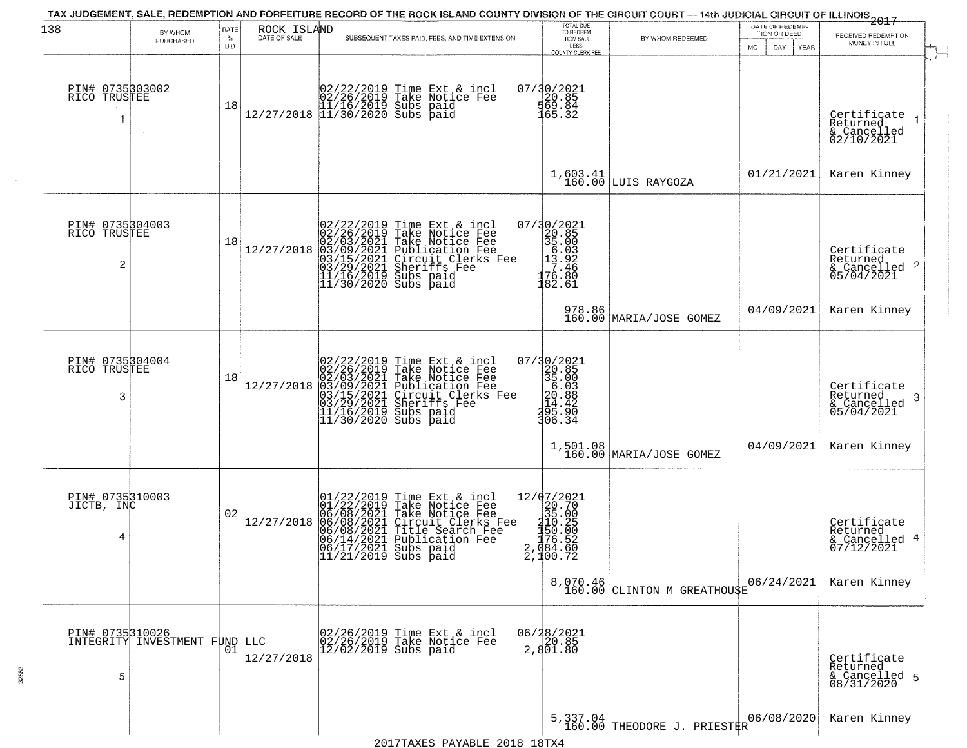|                                      |                               |                            |                             |                                                                                                                                                                                                                                                                                                         |                                                                                                            |                                         |                                                        | ------------<br>2017                                               |
|--------------------------------------|-------------------------------|----------------------------|-----------------------------|---------------------------------------------------------------------------------------------------------------------------------------------------------------------------------------------------------------------------------------------------------------------------------------------------------|------------------------------------------------------------------------------------------------------------|-----------------------------------------|--------------------------------------------------------|--------------------------------------------------------------------|
| 138                                  | BY WHOM<br>PURCHASED          | RATE<br>$\%$<br><b>BID</b> | ROCK ISLAND<br>DATE OF SALE | SUBSEQUENT TAXES PAID, FEES, AND TIME EXTENSION                                                                                                                                                                                                                                                         | TOTAL DUE<br>TO REDEEM<br>FROM SALE<br>LESS<br><b>COUNTY CLERK FEE</b>                                     | BY WHOM REDEEMED                        | DATE OF REDEMP-<br>TION OR DEED<br>DAY.<br>MO.<br>YEAR | RECEIVED REDEMPTION<br>MONEY IN FULL                               |
| PIN# 0735303002<br>RICO TRUSTEE      |                               | 18                         |                             | $[02/22/2019 \text{ Time Ext & incl} \brack 02/26/2019 \text{ Take Notice Fee} \brack 11/16/2019 \text{ Subs paid} \brack 12/27/2018 \begin{array}{l} 11/30/2020 \text{ Subs paid} \end{array}$                                                                                                         | $07/30/2021$<br>$50.85$<br>$569.84$<br>$165.32$                                                            |                                         |                                                        | Certificate<br>Returned<br>& Cancelled<br>02/10/2021               |
|                                      |                               |                            |                             |                                                                                                                                                                                                                                                                                                         |                                                                                                            | $1,603.41$ LUIS RAYGOZA                 | 01/21/2021                                             | Karen Kinney                                                       |
| PIN# 0735304003<br>RICO TRUSTEE<br>2 |                               | 18                         | 12/27/2018                  | 02/22/2019 Time Ext & incl<br>02/26/2019 Take Notice Fee<br>02/03/2021 Take Notice Fee<br>03/09/2021 Publication Fee<br>03/09/2021 Circuit Clerks Fee<br>03/29/2021 Sheriffs Fee<br>11/16/2019 Subs paid<br>11/30/2020 Subs paid                                                                        | $\begin{smallmatrix} 07/30/2021\\ 20.85\\ 35.00\\ 15.93\\ -1.176.80\\ 182.61 \end{smallmatrix}$            |                                         |                                                        | Certificate<br>Returned<br>$\frac{1}{6}$ Cancelled 2<br>05/04/2021 |
|                                      |                               |                            |                             |                                                                                                                                                                                                                                                                                                         | 978.86<br>160.00                                                                                           | MARIA/JOSE GOMEZ                        | 04/09/2021                                             | Karen Kinney                                                       |
| PIN# 0735304004<br>RICO TRUSTEE<br>3 |                               | 18                         | 12/27/2018                  | 02/22/2019 Time Ext &<br>02/26/2019 Take Notic<br>02/03/2021 Take Notic<br>03/09/2021 Publicatic<br>03/29/2021 Checut C1<br>11/16/2019 Subs paid<br>11/30/2020 Subs paid<br>Time Ext & incl<br>Take Notice Fee<br>Take Notice Fee<br>Publication Fee<br>Circuit Clerks Fee<br>Sheriffs Fee<br>Subs paid | $\begin{smallmatrix} 07/30/2021\\ 20.85\\ 35.00\\ 6.03\\ 14.42\\ 295.90\\ 306.34 \end{smallmatrix}$        |                                         |                                                        | Certificate<br>Returned<br>3<br>& Cancelled<br>05/04/2021          |
|                                      |                               |                            |                             |                                                                                                                                                                                                                                                                                                         |                                                                                                            | 1,501.08<br>160.00 MARIA/JOSE GOMEZ     | 04/09/2021                                             | Karen Kinney                                                       |
| PIN# 0735310003<br>JICTB, INC<br>4   |                               | 02                         | 12/27/2018                  | $01/22/2019$ Time Ext & incl<br>01/22/2019 Take Notice Fee<br>06/08/2021 Take Notice Fee<br>06/08/2021 Circuit Clerks Fee<br>06/08/2021 Publication Fee<br>06/14/2021 Publication Fee<br>06/17/2021 Subs paid<br>11/21/2019 Subs paid                                                                   | 12/07/2021<br>$27232$<br>$335.00$<br>$3150.25$<br>$156.52$<br>$176.52$<br>$2,984.52$<br>$\bar{2}$ , 100.72 |                                         |                                                        | Certificate<br>Returned<br>& Cancelled 4<br>07/12/2021             |
|                                      |                               |                            |                             |                                                                                                                                                                                                                                                                                                         |                                                                                                            | 8,070.46<br>160.00 CLINTON M GREATHOUSE | 06/24/2021                                             | Karen Kinney                                                       |
| PIN# 0735310026<br>5                 | INTEGRITY INVESTMENT FUND LLC | 01                         | 12/27/2018                  | 02/26/2019 Time Ext & incl<br>02/26/2019 Take Notice Fee<br>$12/02/2019$ Subs paid                                                                                                                                                                                                                      | 06/28/2021<br>20.85<br>2,801.80                                                                            |                                         |                                                        | Certificate<br>Returned<br>& Cancelled 5<br>08/31/2020             |
|                                      |                               |                            |                             |                                                                                                                                                                                                                                                                                                         |                                                                                                            | 5,337.04<br>160.00 THEODORE J. PRIESTER | 06/08/2020                                             | Karen Kinney                                                       |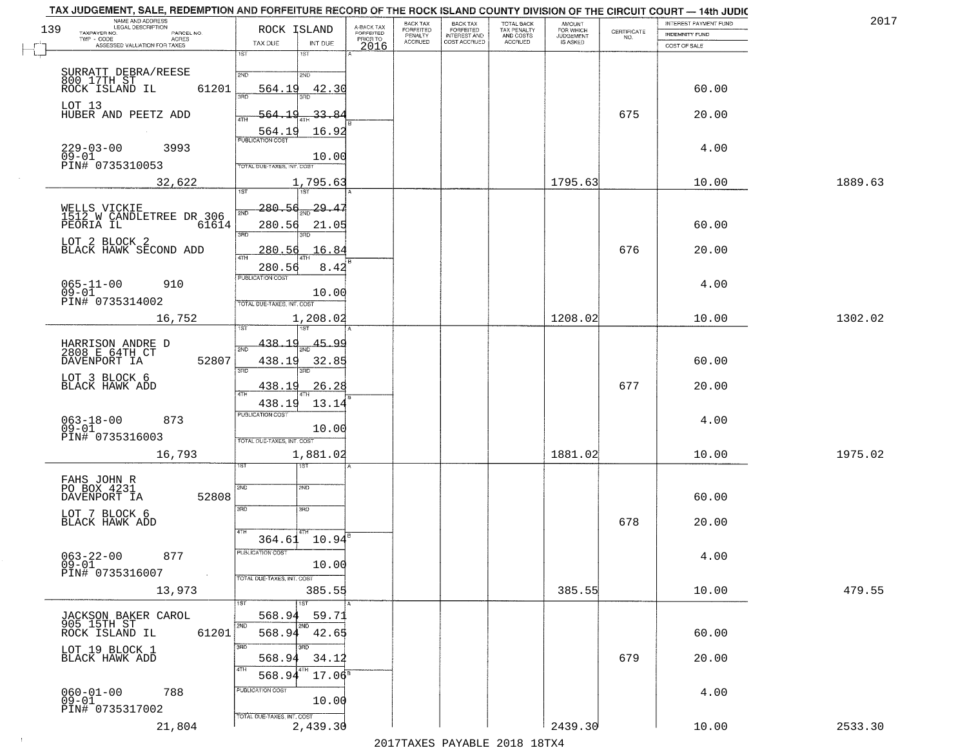| TAX JUDGEMENT, SALE, REDEMPTION AND FORFEITURE RECORD OF THE ROCK ISLAND COUNTY DIVISION OF THE CIRCUIT COURT - 14th JUDIC<br>NAME AND ADDRESS<br>LEGAL DESCRIPTION |                                            |                                     | BACK TAX                    | BACK TAX<br>FORFEITED |                                        | AMOUNT<br>FOR WHICH |                                                                 | INTEREST PAYMENT FUND | 2017    |
|---------------------------------------------------------------------------------------------------------------------------------------------------------------------|--------------------------------------------|-------------------------------------|-----------------------------|-----------------------|----------------------------------------|---------------------|-----------------------------------------------------------------|-----------------------|---------|
| 139<br>TAXPAYER NO.<br>PARCEL NO.                                                                                                                                   | ROCK ISLAND                                | A-BACK TAX<br>FORFEITED<br>PRIOR TO | <b>FORFEITED</b><br>PENALTY | <b>INTEREST AND</b>   | TOTAL BACK<br>TAX PENALTY<br>AND COSTS | <b>JUDGEMENT</b>    | $\begin{array}{c} \text{CERTIFICATE} \\ \text{NO.} \end{array}$ | INDEMNITY FUND        |         |
| ACRES<br>ASSESSED VALUATION FOR TAXES                                                                                                                               | INT DUE<br>TAX DUE                         | 2016                                | <b>ACCRUED</b>              | COST ACCRUED          | ACCRUED                                | IS ASKED            |                                                                 | COST OF SALE          |         |
|                                                                                                                                                                     | 1ST<br>1ST                                 |                                     |                             |                       |                                        |                     |                                                                 |                       |         |
|                                                                                                                                                                     | 2ND<br>2NP                                 |                                     |                             |                       |                                        |                     |                                                                 |                       |         |
| SURRATT DEBRA/REESE<br>800 17TH ST<br>ROCK ISLAND IL<br>61201                                                                                                       | 564.19<br>42.30                            |                                     |                             |                       |                                        |                     |                                                                 | 60.00                 |         |
|                                                                                                                                                                     |                                            |                                     |                             |                       |                                        |                     |                                                                 |                       |         |
| LOT 13<br>HUBER AND PEETZ ADD                                                                                                                                       | 33.84<br>564.19                            |                                     |                             |                       |                                        |                     | 675                                                             | 20.00                 |         |
|                                                                                                                                                                     | 16.92                                      |                                     |                             |                       |                                        |                     |                                                                 |                       |         |
|                                                                                                                                                                     | 564.19                                     |                                     |                             |                       |                                        |                     |                                                                 |                       |         |
| 229-03-00<br>09-01<br>3993                                                                                                                                          | 10.00                                      |                                     |                             |                       |                                        |                     |                                                                 | 4.00                  |         |
| PIN# 0735310053                                                                                                                                                     | TOTAL DUE-TAXES, INT. COST                 |                                     |                             |                       |                                        |                     |                                                                 |                       |         |
| 32,622                                                                                                                                                              | 1,795.63                                   |                                     |                             |                       |                                        | 1795.63             |                                                                 | 10.00                 | 1889.63 |
|                                                                                                                                                                     |                                            |                                     |                             |                       |                                        |                     |                                                                 |                       |         |
|                                                                                                                                                                     | 280.56<br>$\frac{29.47}{200}$<br>সাঁচ      |                                     |                             |                       |                                        |                     |                                                                 |                       |         |
| WELLS VICKIE<br>1512 W CANDLETREE DR 306<br>PEORIA IL 6161<br>61614                                                                                                 | 280.56<br>21.05                            |                                     |                             |                       |                                        |                     |                                                                 | 60.00                 |         |
|                                                                                                                                                                     | बन्ना<br>3RD                               |                                     |                             |                       |                                        |                     |                                                                 |                       |         |
| LOT 2 BLOCK 2<br>BLACK HAWK SECOND ADD                                                                                                                              | 280.56<br>16.84                            |                                     |                             |                       |                                        |                     | 676                                                             | 20.00                 |         |
|                                                                                                                                                                     |                                            |                                     |                             |                       |                                        |                     |                                                                 |                       |         |
|                                                                                                                                                                     | 280.56<br>8.42<br>PUBLICATION COST         |                                     |                             |                       |                                        |                     |                                                                 |                       |         |
| $065 - 11 - 00$<br>910<br>$09 - 01$                                                                                                                                 | 10.00                                      |                                     |                             |                       |                                        |                     |                                                                 | 4.00                  |         |
| PIN# 0735314002                                                                                                                                                     | TOTAL DUE-TAXES, INT. COST                 |                                     |                             |                       |                                        |                     |                                                                 |                       |         |
| 16,752                                                                                                                                                              | 1,208.02                                   |                                     |                             |                       |                                        | 1208.02             |                                                                 | 10.00                 | 1302.02 |
|                                                                                                                                                                     | 1ST                                        |                                     |                             |                       |                                        |                     |                                                                 |                       |         |
|                                                                                                                                                                     | 438.19<br><u>45.99</u><br>2ND              |                                     |                             |                       |                                        |                     |                                                                 |                       |         |
| HARRISON ANDRE D<br>2808 E 64TH CT<br>52807<br>DAVENPORT IA                                                                                                         | 438.19<br>32.85                            |                                     |                             |                       |                                        |                     |                                                                 | 60.00                 |         |
|                                                                                                                                                                     | 3BD<br>3RD                                 |                                     |                             |                       |                                        |                     |                                                                 |                       |         |
| LOT 3 BLOCK 6<br>BLACK HAWK ADD                                                                                                                                     | 438.19<br><u>26.28</u>                     |                                     |                             |                       |                                        |                     | 677                                                             | 20.00                 |         |
|                                                                                                                                                                     |                                            |                                     |                             |                       |                                        |                     |                                                                 |                       |         |
|                                                                                                                                                                     | 438.19<br>13.14<br><b>PUBLICATION COST</b> |                                     |                             |                       |                                        |                     |                                                                 |                       |         |
| $063 - 18 - 00$<br>09-01<br>873                                                                                                                                     | 10.00                                      |                                     |                             |                       |                                        |                     |                                                                 | 4.00                  |         |
| PIN# 0735316003                                                                                                                                                     | TOTAL OUE-TAXES, INT. COST                 |                                     |                             |                       |                                        |                     |                                                                 |                       |         |
| 16,793                                                                                                                                                              | 1,881.02                                   |                                     |                             |                       |                                        | 1881.02             |                                                                 | 10.00                 | 1975.02 |
|                                                                                                                                                                     | १९४                                        |                                     |                             |                       |                                        |                     |                                                                 |                       |         |
| FAHS JOHN R                                                                                                                                                         |                                            |                                     |                             |                       |                                        |                     |                                                                 |                       |         |
| PO BOX 4231<br>52808<br>DAVENPORT IA                                                                                                                                | 2ND<br>2ND                                 |                                     |                             |                       |                                        |                     |                                                                 | 60.00                 |         |
|                                                                                                                                                                     | 3RD<br>3HD                                 |                                     |                             |                       |                                        |                     |                                                                 |                       |         |
| LOT 7 BLOCK 6<br>BLACK HAWK ADD                                                                                                                                     |                                            |                                     |                             |                       |                                        |                     | 678                                                             | 20.00                 |         |
|                                                                                                                                                                     | 4TH<br>364.61 10.94                        |                                     |                             |                       |                                        |                     |                                                                 |                       |         |
|                                                                                                                                                                     | PUBLICATION COS.                           |                                     |                             |                       |                                        |                     |                                                                 |                       |         |
| $063 - 22 - 00$<br>877<br>$09 - 01$                                                                                                                                 | 10.00                                      |                                     |                             |                       |                                        |                     |                                                                 | 4.00                  |         |
| PIN# 0735316007<br>$\sim 10^{-1}$                                                                                                                                   | TOTAL DUE-TAXES, INT. COST                 |                                     |                             |                       |                                        |                     |                                                                 |                       |         |
| 13,973                                                                                                                                                              | 385.55                                     |                                     |                             |                       |                                        | 385.55              |                                                                 | 10.00                 | 479.55  |
|                                                                                                                                                                     |                                            |                                     |                             |                       |                                        |                     |                                                                 |                       |         |
| JACKSON BAKER CAROL                                                                                                                                                 | 568.9<br>59.71                             |                                     |                             |                       |                                        |                     |                                                                 |                       |         |
| 905 15TH ST<br>61201<br>ROCK ISLAND IL                                                                                                                              | 568.94<br>42.65                            |                                     |                             |                       |                                        |                     |                                                                 | 60.00                 |         |
|                                                                                                                                                                     | 3RD                                        |                                     |                             |                       |                                        |                     |                                                                 |                       |         |
| LOT 19 BLOCK 1<br>BLACK HAWK ADD                                                                                                                                    | 568.94<br>34.12                            |                                     |                             |                       |                                        |                     | 679                                                             | 20.00                 |         |
|                                                                                                                                                                     | $17.06^{\circ}$<br>568.9                   |                                     |                             |                       |                                        |                     |                                                                 |                       |         |
|                                                                                                                                                                     | PUBLICATION COST                           |                                     |                             |                       |                                        |                     |                                                                 |                       |         |
| $060 - 01 - 00$<br>788<br>$09 - 01$                                                                                                                                 | 10.00                                      |                                     |                             |                       |                                        |                     |                                                                 | 4.00                  |         |
| PIN# 0735317002                                                                                                                                                     | TOTAL DUE-TAXES, INT. COST                 |                                     |                             |                       |                                        |                     |                                                                 |                       |         |
| 21,804                                                                                                                                                              | 2,439.30                                   |                                     |                             |                       |                                        | 2439.30             |                                                                 | 10.00                 | 2533.30 |
|                                                                                                                                                                     |                                            |                                     |                             |                       | 1017 THAVEC DAVARIE 2010 10 TVA        |                     |                                                                 |                       |         |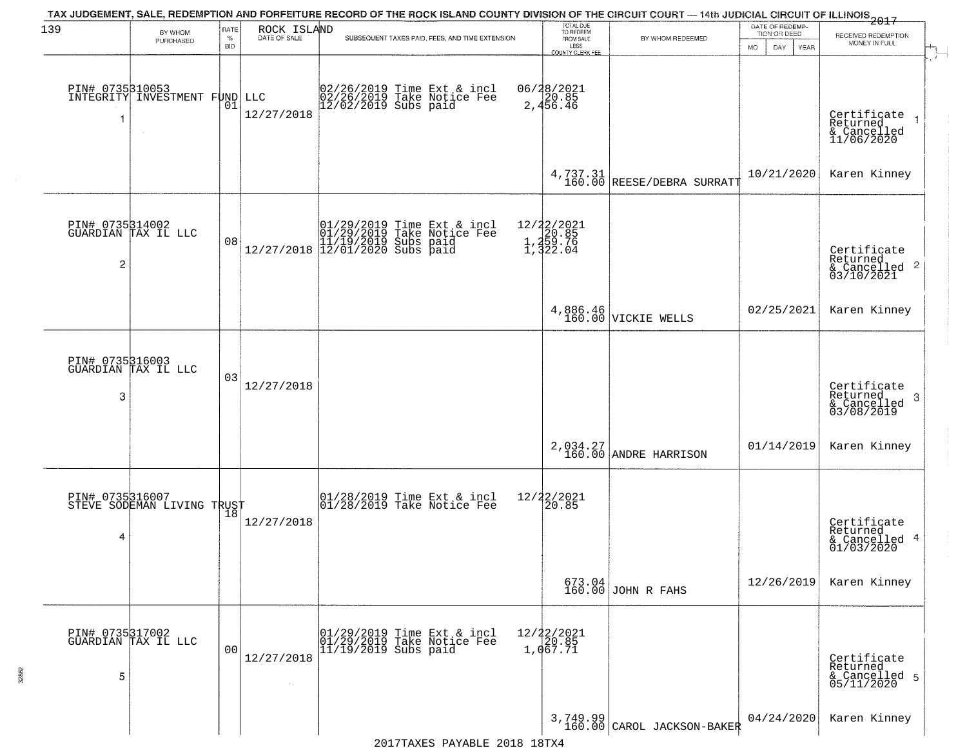| 139 | BY WHOM                                                | RATE               |                             | TAX JUDGEMENT, SALE, REDEMPTION AND FORFEITURE RECORD OF THE ROCK ISLAND COUNTY DIVISION OF THE CIRCUIT COURT — 14th JUDICIAL CIRCUIT OF ILLINOIS<br>2017 | TOTAL DUE<br>TO REDEEM                        |                                          | DATE OF REDEMP-                     |                                                              |
|-----|--------------------------------------------------------|--------------------|-----------------------------|-----------------------------------------------------------------------------------------------------------------------------------------------------------|-----------------------------------------------|------------------------------------------|-------------------------------------|--------------------------------------------------------------|
|     | PURCHASED                                              | $\%$<br><b>BID</b> | ROCK ISLAND<br>DATE OF SALE | SUBSEQUENT TAXES PAID, FEES, AND TIME EXTENSION                                                                                                           | FROM SALE<br>LESS<br>COUNTY CLERK FEE         | BY WHOM REDEEMED                         | TION OR DEED<br>MO.<br>DAY.<br>YEAR | RECEIVED REDEMPTION<br>MONEY IN FULL<br>$\frac{1}{\sqrt{2}}$ |
| -1  | PIN# 0735310053<br>INTEGRITY INVESTMENT FUND<br>$\sim$ | 01                 | LLC<br>12/27/2018           | 02/26/2019 Time Ext & incl<br>02/26/2019 Take Notice Fee<br>12/02/2019 Subs paid                                                                          | 06/28/2021<br>2,456.46                        |                                          |                                     | Certificate<br>Returned<br>& Cancelled<br>11/06/2020         |
|     |                                                        |                    |                             |                                                                                                                                                           |                                               | $4,737.31$<br>160.00 REESE/DEBRA SURRATT | 10/21/2020                          | Karen Kinney                                                 |
| 2   | PIN# 0735314002<br>GUARDIAN TAX IL LLC                 | 08                 |                             | $[01/29/2019 \tTime Ext & incl 01/29/2019 \tTake Notice Free 11/19/2019 Subs paid 12/27/2018 12/01/2020 Subs paid 13/01/2020$                             | 12/22/2021<br>1,20.85<br>1,259.76<br>1,322.04 |                                          |                                     | Certificate<br>Returned                                      |
|     |                                                        |                    |                             |                                                                                                                                                           |                                               | 4,886.46<br>160.00 VICKIE WELLS          | 02/25/2021                          | Karen Kinney                                                 |
| 3   | PIN# 0735316003<br>GUARDIAN TAX IL LLC                 | 03                 | 12/27/2018                  |                                                                                                                                                           |                                               |                                          |                                     | Certificate<br>Returned<br>3<br>& Cancelled<br>03/08/2019    |
|     |                                                        |                    |                             |                                                                                                                                                           |                                               | 2,034.27<br>160.00 ANDRE HARRISON        | 01/14/2019                          | Karen Kinney                                                 |
| 4   | PIN# 0735316007<br>STEVE SODEMAN LIVING TRUST          |                    | 12/27/2018                  | 01/28/2019 Time Ext & incl<br>01/28/2019 Take Notice Fee                                                                                                  | 12/22/2021<br>20.85                           |                                          |                                     | Certificate<br>Returned<br>& Cancelled 4<br>01/03/2020       |
|     |                                                        |                    |                             |                                                                                                                                                           |                                               | $673.04$ JOHN R FAHS                     | 12/26/2019                          | Karen Kinney                                                 |
| 5   | PIN# 0735317002<br>GUARDIAN TAX IL LLC                 | 00                 | 12/27/2018<br>$\sim$        | 01/29/2019 Time Ext & incl<br>01/29/2019 Take Notice Fee<br>11/19/2019 Subs paid                                                                          | $12/22/2021$<br>$20.85$<br>1,067.71           |                                          |                                     | Certificate<br>Returned<br>& Cancelled 5<br>05/11/2020       |
|     |                                                        |                    |                             |                                                                                                                                                           |                                               | $3,749.99$<br>160.00 CAROL JACKSON-BAKER | 04/24/2020                          | Karen Kinney                                                 |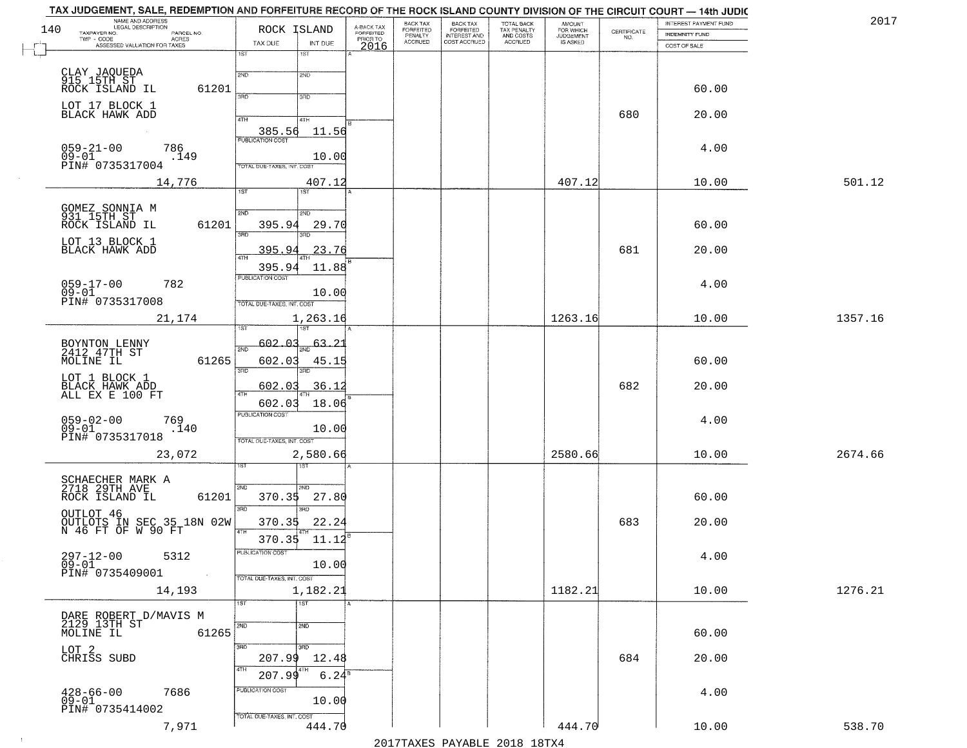| 140 | NAME AND ADDRESS<br>LEGAL DESCRIPTION<br>TAXPAYER NO.<br>PARCEL NO. | ROCK ISLAND                                 | A-BACK TAX<br>FORFEITED | BACK TAX<br><b>FORFEITED</b><br>PENALTY | <b>BACK TAX</b><br><b>FORFEITED</b> | TOTAL BACK<br>TAX PENALTY<br>AND COSTS<br>ACCRUED | <b>AMOUNT</b><br>FOR WHICH<br>JUDGEMENT<br>IS ASKED | $\begin{array}{c} \text{CERTIFICATE} \\ \text{NO.} \end{array}$ | INTEREST PAYMENT FUND<br><b>INDEMNITY FUND</b> | 2017    |
|-----|---------------------------------------------------------------------|---------------------------------------------|-------------------------|-----------------------------------------|-------------------------------------|---------------------------------------------------|-----------------------------------------------------|-----------------------------------------------------------------|------------------------------------------------|---------|
|     | TWP - CODE<br>ACRES<br>ASSESSED VALUATION FOR TAXES                 | TAX DUE<br>INT DUE                          | PRIOR TO<br>2016        | ACCRUED                                 | INTEREST AND<br>COST ACCRUED        |                                                   |                                                     |                                                                 | COST OF SALE                                   |         |
|     |                                                                     | 1ST<br>1ST                                  |                         |                                         |                                     |                                                   |                                                     |                                                                 |                                                |         |
|     | CLAY JAQUEDA<br>915 15TH ST<br>ROCK ISLAND IL<br>61201              | 2ND<br>2ND<br>3RD<br>3RD                    |                         |                                         |                                     |                                                   |                                                     |                                                                 | 60.00                                          |         |
|     | LOT 17 BLOCK 1<br>BLACK HAWK ADD                                    | 4TH<br>41H                                  |                         |                                         |                                     |                                                   |                                                     | 680                                                             | 20.00                                          |         |
|     | $059 - 21 - 00$<br>786                                              | 385.56<br>11.56<br><b>PUBLICATION COST</b>  |                         |                                         |                                     |                                                   |                                                     |                                                                 | 4.00                                           |         |
|     | $09 - 01$<br>.149<br>PIN# 0735317004                                | 10.00<br>TOTAL DUE-TAXES, INT. COST         |                         |                                         |                                     |                                                   |                                                     |                                                                 |                                                |         |
|     | 14,776                                                              | 407.12<br>1ST<br>1ST                        |                         |                                         |                                     |                                                   | 407.12                                              |                                                                 | 10.00                                          | 501.12  |
|     |                                                                     |                                             |                         |                                         |                                     |                                                   |                                                     |                                                                 |                                                |         |
|     | GOMEZ SONNIA M<br>931 15TH ST<br>ROCK ISLAND IL<br>61201            | 2ND<br>2ND<br>395.94<br>29.70               |                         |                                         |                                     |                                                   |                                                     |                                                                 | 60.00                                          |         |
|     | LOT 13 BLOCK 1<br>BLACK HAWK ADD                                    | 3RD<br>3RD<br>395.9<br>23.76<br>47H         |                         |                                         |                                     |                                                   |                                                     | 681                                                             | 20.00                                          |         |
|     |                                                                     | 395.94<br>11.88                             |                         |                                         |                                     |                                                   |                                                     |                                                                 |                                                |         |
|     | $059 - 17 - 00$<br>782<br>$09 - 01$                                 | PUBLICATION COST<br>10.00                   |                         |                                         |                                     |                                                   |                                                     |                                                                 | 4.00                                           |         |
|     | PIN# 0735317008                                                     | TOTAL DUE-TAXES, INT. COST                  |                         |                                         |                                     |                                                   |                                                     |                                                                 |                                                |         |
|     | 21,174                                                              | 1,263.16                                    |                         |                                         |                                     |                                                   | 1263.16                                             |                                                                 | 10.00                                          | 1357.16 |
|     | BOYNTON LENNY<br>2412 47TH ST                                       | 602.<br>- 0.3<br>63<br>2ND                  |                         |                                         |                                     |                                                   |                                                     |                                                                 |                                                |         |
|     | 61265<br>MOLINE IL                                                  | 602.03<br>45.1<br>3RD<br>3RD                |                         |                                         |                                     |                                                   |                                                     |                                                                 | 60.00                                          |         |
|     | LOT 1 BLOCK 1<br>BLACK HAWK ADD<br>ALL EX E 100 FT                  | 36.12<br>602.03<br>4TH                      |                         |                                         |                                     |                                                   |                                                     | 682                                                             | 20.00                                          |         |
|     |                                                                     | 18.06<br>602.03<br><b>PUBLICATION COST</b>  |                         |                                         |                                     |                                                   |                                                     |                                                                 |                                                |         |
|     | 059-02-00<br>09-01<br>769<br>.140<br>PIN# 0735317018                | 10.00                                       |                         |                                         |                                     |                                                   |                                                     |                                                                 | 4.00                                           |         |
|     | 23,072                                                              | TOTAL OUE-TAXES, INT. COST<br>2,580.66      |                         |                                         |                                     |                                                   | 2580.66                                             |                                                                 | 10.00                                          | 2674.66 |
|     |                                                                     |                                             |                         |                                         |                                     |                                                   |                                                     |                                                                 |                                                |         |
|     | SCHAECHER MARK A<br>2718 29TH AVE<br>61201<br>ROCK ISLAND IL        | 2ND<br>SND<br>370.35<br>27.80               |                         |                                         |                                     |                                                   |                                                     |                                                                 | 60.00                                          |         |
|     | OUTLOT 46                                                           | 3RD<br>3BD                                  |                         |                                         |                                     |                                                   |                                                     |                                                                 |                                                |         |
|     | OUTLOTS IN SEC 35 18N 02W<br>N 46 FT OF W 90 FT                     | 22.24<br>370.35<br>4TH<br>370.35 11.12      |                         |                                         |                                     |                                                   |                                                     | 683                                                             | 20.00                                          |         |
|     | $297 - 12 - 00$<br>09-01<br>5312                                    | PUBLICATION COST<br>10.00                   |                         |                                         |                                     |                                                   |                                                     |                                                                 | 4.00                                           |         |
|     | PIN# 0735409001<br>$\sim 100$                                       | TOTAL DUE-TAXES, INT. COST                  |                         |                                         |                                     |                                                   |                                                     |                                                                 |                                                |         |
|     | 14,193                                                              | 1,182.21                                    |                         |                                         |                                     |                                                   | 1182.21                                             |                                                                 | 10.00                                          | 1276.21 |
|     |                                                                     | $\overline{1ST}$<br>1ST                     |                         |                                         |                                     |                                                   |                                                     |                                                                 |                                                |         |
|     | DARE ROBERT D/MAVIS M<br>2129 13TH ST<br>MOLINE IL<br>61265         | 2ND<br>2ND                                  |                         |                                         |                                     |                                                   |                                                     |                                                                 | 60.00                                          |         |
|     | LOT 2<br>CHRISS SUBD                                                | 3RD<br>$\overline{3}$ RD<br>207.99<br>12.48 |                         |                                         |                                     |                                                   |                                                     | 684                                                             | 20.00                                          |         |
|     |                                                                     | 4TH<br>4TH<br>$6.24^8$<br>207.99            |                         |                                         |                                     |                                                   |                                                     |                                                                 |                                                |         |
|     | 7686<br>$428 - 66 - 00$<br>09-01                                    | PUBLICATION COST<br>10.00                   |                         |                                         |                                     |                                                   |                                                     |                                                                 | 4.00                                           |         |
|     | PIN# 0735414002                                                     | TOTAL DUE-TAXES, INT. COST                  |                         |                                         |                                     |                                                   |                                                     |                                                                 |                                                |         |
|     | 7,971                                                               | 444.70                                      |                         |                                         | 0.17                                |                                                   | 444.70                                              |                                                                 | 10.00                                          | 538.70  |
|     |                                                                     |                                             |                         |                                         |                                     |                                                   |                                                     |                                                                 |                                                |         |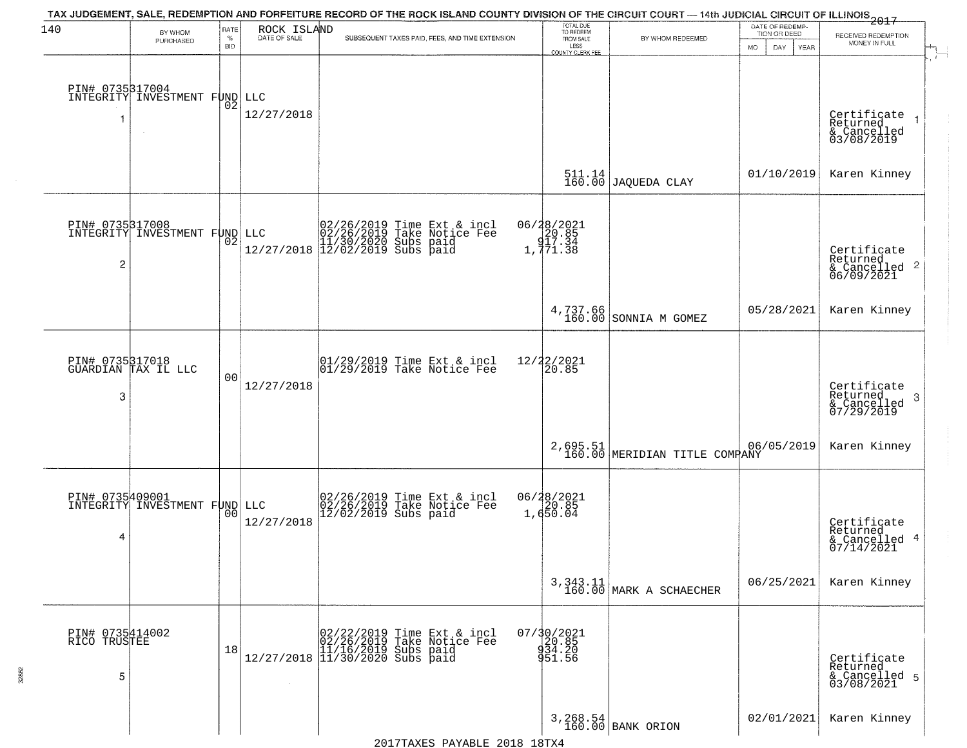| 140                                  | BY WHOM                                          | RATE               | ROCK ISLAND  | TAX JUDGEMENT, SALE, REDEMPTION AND FORFEITURE RECORD OF THE ROCK ISLAND COUNTY DIVISION OF THE CIRCUIT COURT — 14th JUDICIAL CIRCUIT OF ILLINOIS 2017                                            | TOTAL DUE<br>TO REDEEM                    |                                                              | DATE OF REDEMP-<br>TION OR DEED |                                                                      |  |
|--------------------------------------|--------------------------------------------------|--------------------|--------------|---------------------------------------------------------------------------------------------------------------------------------------------------------------------------------------------------|-------------------------------------------|--------------------------------------------------------------|---------------------------------|----------------------------------------------------------------------|--|
|                                      | PURCHASED                                        | $\%$<br><b>BID</b> | DATE OF SALE | SUBSEQUENT TAXES PAID, FEES, AND TIME EXTENSION                                                                                                                                                   | FROM SALE<br>LESS<br>COUNTY CLERK FEE     | BY WHOM REDEEMED                                             | DAY<br><b>YEAR</b><br>MO.       | RECEIVED REDEMPTION<br>MONEY IN FULL                                 |  |
|                                      | PIN# 0735317004<br>INTEGRITY INVESTMENT FUND LLC | 02                 | 12/27/2018   |                                                                                                                                                                                                   |                                           |                                                              |                                 | Certificate<br>Returned<br>& Cancelled<br>03/08/2019                 |  |
|                                      |                                                  |                    |              |                                                                                                                                                                                                   |                                           | $\begin{array}{c} 511.14 \\ 160.00 \end{array}$ JAQUEDA CLAY | 01/10/2019                      | Karen Kinney                                                         |  |
| 2                                    | PIN# 0735317008<br>INTEGRITY INVESTMENT FUND LLC | 02                 |              | $\begin{array}{ll} &02/26/2019 \text{ Time Ext & incl}\\ \text{LLC} &02/26/2019 \text{ Take Notice Fee} \\ &11/30/2020 \text{ Subs paid} \\ 12/27/2018 &12/02/2019 \text{ Subs paid} \end{array}$ | 06/28/2021<br>20.85<br>217.34<br>1,771.38 |                                                              |                                 | Certificate<br>Returned<br>$\mathbf{2}$<br>& Cancelled<br>06/09/2021 |  |
|                                      |                                                  |                    |              |                                                                                                                                                                                                   |                                           | 4,737.66 SONNIA M GOMEZ                                      | 05/28/2021                      | Karen Kinney                                                         |  |
| 3                                    | PIN# 0735317018<br>GUARDIAN TAX IL LLC           | 00                 | 12/27/2018   | 01/29/2019 Time Ext & incl<br>01/29/2019 Take Notice Fee                                                                                                                                          | 12/22/2021<br>20.85                       |                                                              |                                 | Certificate<br>Returned<br>3<br>& Cancelled<br>07/29/2019            |  |
|                                      |                                                  |                    |              |                                                                                                                                                                                                   |                                           | 2,695.51 MERIDIAN TITLE COMPANY                              | 06/05/2019                      | Karen Kinney                                                         |  |
| PIN# 0735409001<br>4                 | INTEGRITY INVESTMENT FUND LLC                    | 00                 | 12/27/2018   | 02/26/2019 Time Ext & incl<br>02/26/2019 Take Notice Fee<br>12/02/2019 Subs paid                                                                                                                  | 06/28/2021<br>20.85<br>1,650.04           |                                                              |                                 | Certificate<br>Returned<br>4<br>& Cancelled<br>07/14/2021            |  |
|                                      |                                                  |                    |              |                                                                                                                                                                                                   |                                           | $3,343.11$<br>160.00 MARK A SCHAECHER                        | 06/25/2021                      | Karen Kinney                                                         |  |
| PIN# 0735414002<br>RICO TRUSTEE<br>5 |                                                  | 18                 | $\sim$       | 02/22/2019 Time Ext & incl<br>02/26/2019 Take Notice Fee<br>12/27/2018 (11/16/2019 Subs paid)<br>12/27/2018 11/30/2020 Subs paid                                                                  | 07/30/2021<br>20.85<br>934.20<br>951.56   |                                                              |                                 | Certificate<br>Returned<br>& Cancelled 5<br>03/08/2021               |  |
|                                      |                                                  |                    |              |                                                                                                                                                                                                   |                                           | 3,268.54<br>160.00 BANK ORION                                | 02/01/2021                      | Karen Kinney                                                         |  |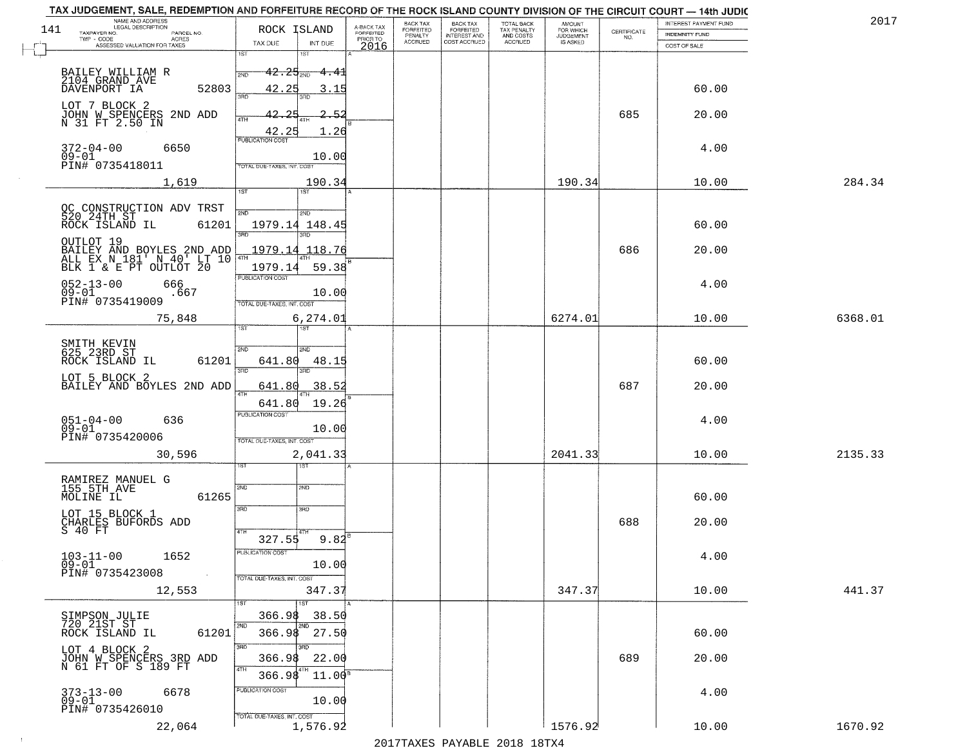| 141 | NAME AND ADDRESS<br>LEGAL DESCRIPTION<br>TAXPAYER NO.<br>PARCEL NO.                           | ROCK ISLAND                              | A-BACK TAX<br>FORFEITED<br>PRIOR TO | BACK TAX<br>FORFEITED<br>PENALTY | <b>BACK TAX</b><br>FORFEITED<br><b>INTEREST AND</b> | TOTAL BACK<br>TAX PENALTY<br>AND COSTS | <b>AMOUNT</b><br>FOR WHICH<br><b>JUDGEMENT</b> | CERTIFICATE | INTEREST PAYMENT FUND<br><b>INDEMNITY FUND</b> | 2017    |
|-----|-----------------------------------------------------------------------------------------------|------------------------------------------|-------------------------------------|----------------------------------|-----------------------------------------------------|----------------------------------------|------------------------------------------------|-------------|------------------------------------------------|---------|
|     | $TWP - CODE$<br>ACRES<br>ASSESSED VALUATION FOR TAXES                                         | TAX DUE<br>INT DUE                       | 2016                                | <b>ACCRUED</b>                   | COST ACCRUED                                        | ACCRUED                                | <b>IS ASKED</b>                                | NO.         | COST OF SALE                                   |         |
|     |                                                                                               | 1ST<br>18T                               |                                     |                                  |                                                     |                                        |                                                |             |                                                |         |
|     | BAILEY WILLIAM R<br>2104 GRAND AVE                                                            | $42.25_{200}$<br><del>4.4</del> 1<br>2ND |                                     |                                  |                                                     |                                        |                                                |             |                                                |         |
|     | 52803<br>DAVENPORT IA                                                                         | 42.25                                    |                                     |                                  |                                                     |                                        |                                                |             | 60.00                                          |         |
|     | LOT 7 BLOCK 2<br>JOHN W SPENCERS 2ND ADD                                                      |                                          |                                     |                                  |                                                     |                                        |                                                | 685         |                                                |         |
|     | N 31 FT 2.50 IN                                                                               | 4TH                                      |                                     |                                  |                                                     |                                        |                                                |             | 20.00                                          |         |
|     |                                                                                               | 42.25<br>1.26                            |                                     |                                  |                                                     |                                        |                                                |             |                                                |         |
|     | $372 - 04 - 00$<br>6650<br>09-01                                                              | 10.00                                    |                                     |                                  |                                                     |                                        |                                                |             | 4.00                                           |         |
|     | PIN# 0735418011                                                                               | TOTAL DUE-TAXES, INT. COST               |                                     |                                  |                                                     |                                        |                                                |             |                                                |         |
|     | 1,619                                                                                         | 190.34<br>1S7                            |                                     |                                  |                                                     |                                        | 190.34                                         |             | 10.00                                          | 284.34  |
|     |                                                                                               |                                          |                                     |                                  |                                                     |                                        |                                                |             |                                                |         |
|     | 61201                                                                                         | 2ND<br>2ND<br>1979.14 148.45             |                                     |                                  |                                                     |                                        |                                                |             | 60.00                                          |         |
|     |                                                                                               |                                          |                                     |                                  |                                                     |                                        |                                                |             |                                                |         |
|     | OUTLOT 19<br>BAILEY AND BOYLES 2ND ADD<br>ALL EX N 181' N 40' LT 10<br>BLK 1 & E PT OUTLOT 20 | 1979.14<br>118.76                        |                                     |                                  |                                                     |                                        |                                                | 686         | 20.00                                          |         |
|     |                                                                                               | 59.38<br>1979.14                         |                                     |                                  |                                                     |                                        |                                                |             |                                                |         |
|     | $052 - 13 - 00$<br>666                                                                        | PUBLICATION COST                         |                                     |                                  |                                                     |                                        |                                                |             | 4.00                                           |         |
|     | $09 - 01$<br>.667<br>PIN# 0735419009                                                          | 10.00<br>OTAL DUE-TAXES, INT. COST       |                                     |                                  |                                                     |                                        |                                                |             |                                                |         |
|     | 75,848                                                                                        | 6,274.01                                 |                                     |                                  |                                                     |                                        | 6274.01                                        |             | 10.00                                          | 6368.01 |
|     |                                                                                               |                                          |                                     |                                  |                                                     |                                        |                                                |             |                                                |         |
|     | SMITH KEVIN<br>625 23RD ST                                                                    | 2ND<br>2ND                               |                                     |                                  |                                                     |                                        |                                                |             |                                                |         |
|     | 61201<br>ROCK ISLAND IL                                                                       | 641.80<br>48.15<br>3RD<br>3BD            |                                     |                                  |                                                     |                                        |                                                |             | 60.00                                          |         |
|     | LOT 5 BLOCK 2<br>BAILEY AND BOYLES 2ND ADD                                                    | 38.52<br>641.80                          |                                     |                                  |                                                     |                                        |                                                | 687         | 20.00                                          |         |
|     |                                                                                               | 641.80<br>19.26                          |                                     |                                  |                                                     |                                        |                                                |             |                                                |         |
|     | $051 - 04 - 00$<br>636                                                                        | <b>PUBLICATION COST</b>                  |                                     |                                  |                                                     |                                        |                                                |             | 4.00                                           |         |
|     | $09 - 01$<br>PIN# 0735420006                                                                  | 10.00                                    |                                     |                                  |                                                     |                                        |                                                |             |                                                |         |
|     | 30,596                                                                                        | TOTAL OUE-TAXES, INT. COST<br>2,041.33   |                                     |                                  |                                                     |                                        | 2041.33                                        |             | 10.00                                          | 2135.33 |
|     |                                                                                               | १९४                                      |                                     |                                  |                                                     |                                        |                                                |             |                                                |         |
|     | RAMIREZ MANUEL G<br>155 5TH AVE                                                               | 2ND<br>2ND                               |                                     |                                  |                                                     |                                        |                                                |             |                                                |         |
|     | MOLINE IL<br>61265                                                                            |                                          |                                     |                                  |                                                     |                                        |                                                |             | 60.00                                          |         |
|     | LOT 15 BLOCK 1                                                                                | 3BD<br>3BD                               |                                     |                                  |                                                     |                                        |                                                |             |                                                |         |
|     | CHARLES BUFORDS ADD<br>S 40 FT                                                                | 4TH                                      |                                     |                                  |                                                     |                                        |                                                | 688         | 20.00                                          |         |
|     |                                                                                               | $9.82^{B}$<br>327.55<br>PUBLICATION COST |                                     |                                  |                                                     |                                        |                                                |             |                                                |         |
|     | $103 - 11 - 00$<br>1652<br>$09 - 01$                                                          | 10.00                                    |                                     |                                  |                                                     |                                        |                                                |             | 4.00                                           |         |
|     | PIN# 0735423008<br>$\sim 100$                                                                 | TOTAL DUE-TAXES, INT. COST               |                                     |                                  |                                                     |                                        |                                                |             |                                                |         |
|     | 12,553                                                                                        | 347.37                                   |                                     |                                  |                                                     |                                        | 347.37                                         |             | 10.00                                          | 441.37  |
|     |                                                                                               | 1ST<br>366.98<br>38.50                   |                                     |                                  |                                                     |                                        |                                                |             |                                                |         |
|     | SIMPSON JULIE<br>720 21ST ST<br>61201<br>ROCK ISLAND IL                                       | 2ND<br>2ND<br>366.98<br>27.50            |                                     |                                  |                                                     |                                        |                                                |             | 60.00                                          |         |
|     | LOT 4 BLOCK 2                                                                                 | 3RD<br>3RD                               |                                     |                                  |                                                     |                                        |                                                |             |                                                |         |
|     | JOHN W SPENCERS 3RD ADD<br>N 61 FT OF S 189 FT                                                | 22.00<br>366.98                          |                                     |                                  |                                                     |                                        |                                                | 689         | 20.00                                          |         |
|     |                                                                                               | 4TH<br>4TH<br>366.98<br>$11.00^8$        |                                     |                                  |                                                     |                                        |                                                |             |                                                |         |
|     | 373-13-00<br>09-01<br>6678                                                                    | PUBLICATION COST                         |                                     |                                  |                                                     |                                        |                                                |             | 4.00                                           |         |
|     | PIN# 0735426010                                                                               | 10.00<br>TOTAL DUE-TAXES, INT. COST      |                                     |                                  |                                                     |                                        |                                                |             |                                                |         |
|     | 22,064                                                                                        | 1,576.92                                 |                                     |                                  |                                                     |                                        | 1576.92                                        |             | 10.00                                          | 1670.92 |

 $\sim 100$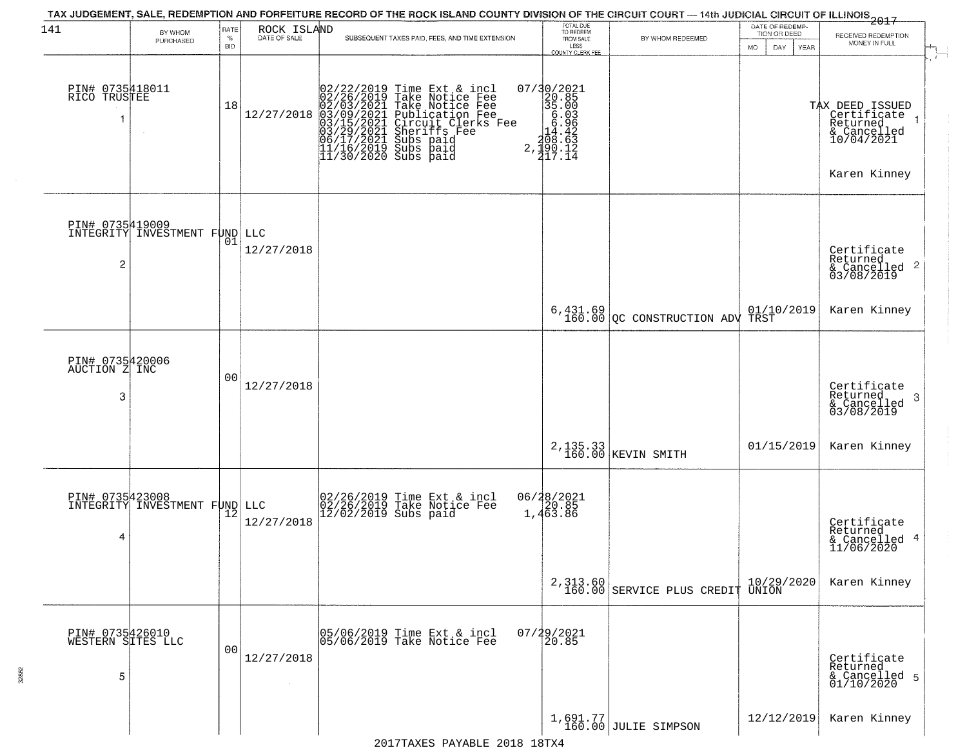| 141                                       | BY WHOM                       | RATE               | ROCK ISLAND  |                                                                                                                                                                                                                                                                                                                                                                                                                          | TOTAL DUE<br>TO REDEEM                                                                                                   |                                                                                                              | DATE OF REDEMP-<br>TION OR DEED | 2017                                                                                    |
|-------------------------------------------|-------------------------------|--------------------|--------------|--------------------------------------------------------------------------------------------------------------------------------------------------------------------------------------------------------------------------------------------------------------------------------------------------------------------------------------------------------------------------------------------------------------------------|--------------------------------------------------------------------------------------------------------------------------|--------------------------------------------------------------------------------------------------------------|---------------------------------|-----------------------------------------------------------------------------------------|
|                                           | PURCHASED                     | $\%$<br><b>BID</b> | DATE OF SALE | SUBSEQUENT TAXES PAID, FEES, AND TIME EXTENSION                                                                                                                                                                                                                                                                                                                                                                          | FROM SALE<br>LESS<br><b>COUNTY CLERK FEE</b>                                                                             | BY WHOM REDEEMED                                                                                             | MO.<br>DAY.<br>YEAR             | RECEIVED REDEMPTION<br>MONEY IN FULL                                                    |
| PIN# 0735418011<br>RICO TRUSTEE           |                               | 18                 |              | $[02/22/2019 \text{ Time Ext & incl} \newline [02/26/2019 \text{ Take Notice Free} \newline 02/03/2021 \text{ Take Notice Free} \newline 12/27/2018 \text{ 03/09/2021 \text{ Public} \newline 03/15/2021 \text{ Circuit} \text{ Clerks} \text{ Free} \newline 03/15/2021 \text{ Sueriffs} \text{Free} \newline 06/17/2021 \text{ Subs paid} \newline 11/16/2019 \text{ Subs paid} \newline 11/30/2020 \text{ Subs paid}$ | $\begin{array}{r} 07/30/2021 \\ 20.85 \\ 35.00 \\ 6.03 \\ -14.42 \\ 108.63 \\ -108.63 \\ 2,190.12 \\ 117.14 \end{array}$ |                                                                                                              |                                 | TAX DEED ISSUED<br>Certificate<br>Returned<br>& Cancelled<br>10/04/2021<br>Karen Kinney |
| PIN# 0735419009<br>$\overline{2}$         | INTEGRITY INVESTMENT FUND LLC | 01                 | 12/27/2018   |                                                                                                                                                                                                                                                                                                                                                                                                                          |                                                                                                                          |                                                                                                              |                                 | Certificate<br>Returned<br>$\frac{1}{6}$ Cancelled 2<br>03/08/2019                      |
|                                           |                               |                    |              |                                                                                                                                                                                                                                                                                                                                                                                                                          |                                                                                                                          | $\begin{array}{c c c c c} 6.431.69 & 01/10 \\ 160.00 & \text{QC} & \text{CONSTRUCTION ADV TRST} \end{array}$ | 01/10/2019                      | Karen Kinney                                                                            |
| PIN# 0735420006<br>AUCTION Z INC<br>3     |                               | 00                 | 12/27/2018   |                                                                                                                                                                                                                                                                                                                                                                                                                          |                                                                                                                          |                                                                                                              |                                 | Certificate<br>Returned<br>& Cancelled<br>03/08/2019<br>3                               |
|                                           |                               |                    |              |                                                                                                                                                                                                                                                                                                                                                                                                                          | $2, 135.33$<br>160.00                                                                                                    | KEVIN SMITH                                                                                                  | 01/15/2019                      | Karen Kinney                                                                            |
| PIN# 0735423008<br>4                      | INTEGRITY INVESTMENT FUND LLC | 12                 | 12/27/2018   | 02/26/2019 Time Ext & incl<br>02/26/2019 Take Notice Fee<br>12/02/2019 Subs paid                                                                                                                                                                                                                                                                                                                                         | 06/28/2021<br>$\frac{20.85}{1,463.86}$                                                                                   |                                                                                                              |                                 | Certificate<br>Returned<br>& Cancelled 4<br>11/06/2020                                  |
|                                           |                               |                    |              |                                                                                                                                                                                                                                                                                                                                                                                                                          |                                                                                                                          | 2,313.60 160.00 SERVICE PLUS CREDIT UNION                                                                    |                                 | Karen Kinney                                                                            |
| PIN# 0735426010<br>WESTERN SITES LLC<br>5 |                               | 00                 | 12/27/2018   | 05/06/2019 Time Ext & incl<br>05/06/2019 Take Notice Fee                                                                                                                                                                                                                                                                                                                                                                 | 07/29/2021                                                                                                               |                                                                                                              |                                 | Certificate<br>Returned<br>& Cancelled 5<br>01/10/2020                                  |
|                                           |                               |                    |              | DRIED OCTO 10m<br>$0.01$ $7.5$ $1.7$                                                                                                                                                                                                                                                                                                                                                                                     |                                                                                                                          | 1,691.77<br>160.00 JULIE SIMPSON                                                                             | 12/12/2019                      | Karen Kinney                                                                            |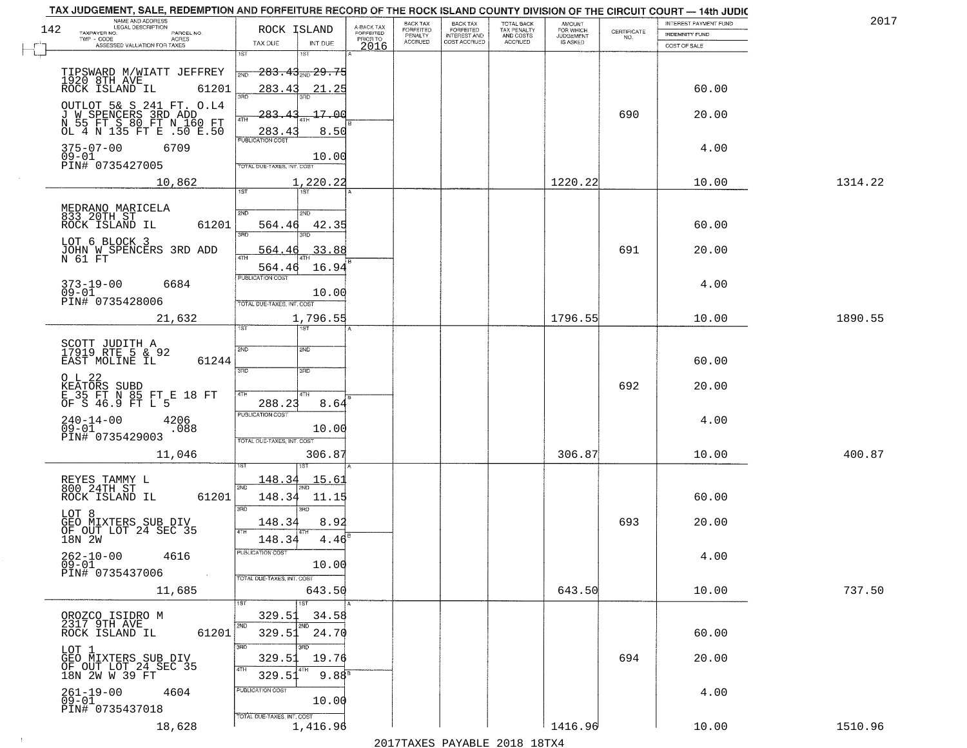| TAX JUDGEMENT, SALE, REDEMPTION AND FORFEITURE RECORD OF THE ROCK ISLAND COUNTY DIVISION OF THE CIRCUIT COURT - 14th JUDIC<br>NAME AND ADDRESS<br>LEGAL DESCRIPTION |                                                       |                                            |                                     | BACK TAX             | <b>BACK TAX</b>           | TOTAL BACK               | AMOUNT<br>FOR WHICH |                                                                 | INTEREST PAYMENT FUND | 2017    |
|---------------------------------------------------------------------------------------------------------------------------------------------------------------------|-------------------------------------------------------|--------------------------------------------|-------------------------------------|----------------------|---------------------------|--------------------------|---------------------|-----------------------------------------------------------------|-----------------------|---------|
| 142<br>TAXPAYER NO.<br>PARCEL NO.<br>$TWP - CODE$<br>ACRES                                                                                                          | ROCK ISLAND                                           |                                            | A-BACK TAX<br>FORFEITED<br>PRIOR TO | FORFEITED<br>PENALTY | FORFEITED<br>INTEREST AND | TAX PENALTY<br>AND COSTS | <b>JUDGEMENT</b>    | $\begin{array}{c} \text{CERTIFICATE} \\ \text{NO.} \end{array}$ | <b>INDEMNITY FUND</b> |         |
| ASSESSED VALUATION FOR TAXES                                                                                                                                        | TAX DUE                                               | INT DUE                                    | 2016                                | <b>ACCRUED</b>       | COST ACCRUED              | <b>ACCRUED</b>           | IS ASKED            |                                                                 | COST OF SALE          |         |
| TIPSWARD M/WIATT JEFFREY<br>1920 8TH AVE<br>61201<br>ROCK ISLAND IL                                                                                                 | 1ST<br>2ND<br>283.43                                  | 1ST<br><del>283.43 mg 29.75</del><br>21.25 |                                     |                      |                           |                          |                     |                                                                 | 60.00                 |         |
| OUTLOT 5& S 241 FT. O.L4<br>J W SPENCERS 3RD ADD<br>N 55 FT S 80 FT N 160 FT<br>OL 4 N 135 FT E .50 E.50                                                            | 350<br><u> 283.43</u><br>4TH<br>283.43                | 17.00<br>8.50                              |                                     |                      |                           |                          |                     | 690                                                             | 20.00                 |         |
| $375 - 07 - 00$<br>6709<br>$09 - 01$<br>PIN# 0735427005                                                                                                             | <b>PUBLICATION COST</b><br>TOTAL DUE-TAXES, INT, COST | 10.00                                      |                                     |                      |                           |                          |                     |                                                                 | 4.00                  |         |
| 10,862                                                                                                                                                              |                                                       | 1,220.22                                   |                                     |                      |                           |                          | 1220.22             |                                                                 | 10.00                 | 1314.22 |
| MEDRANO MARICELA<br>833 20TH ST<br>61201<br>ROCK ISLAND IL<br>LOT 6 BLOCK 3<br>JOHN W SPENCERS 3RD ADD<br>N 61 FT                                                   | 1ST<br>2ND<br>564.46<br>3RD<br>564.46<br>564.46       | 2ND<br>42.35<br>חוז<br>33.88<br>16.94      |                                     |                      |                           |                          |                     | 691                                                             | 60.00<br>20.00        |         |
| $373 - 19 - 00$<br>6684<br>$09 - 01$<br>PIN# 0735428006                                                                                                             | PUBLICATION COST<br>TOTAL DUE-TAXES, INT. COST        | 10.00                                      |                                     |                      |                           |                          |                     |                                                                 | 4.00                  |         |
| 21,632                                                                                                                                                              | TST"                                                  | 1,796.55<br>1ST                            |                                     |                      |                           |                          | 1796.55             |                                                                 | 10.00                 | 1890.55 |
| SCOTT JUDITH A<br>17919 RTE 5 & 92<br>EAST MOLINE IL<br>61244                                                                                                       | 2ND<br>3RD                                            | 2ND<br>3BD                                 |                                     |                      |                           |                          |                     |                                                                 | 60.00                 |         |
| O L 22<br>KEATORS SUBD<br>E 35 FT N 85 FT E 18 FT<br>OF S 46.9 FT L 5                                                                                               | 4TH<br>288.23                                         | 4TH<br>8.64                                |                                     |                      |                           |                          |                     | 692                                                             | 20.00                 |         |
| $240 - 14 - 00$<br>09-01<br>4206<br>.088<br>PIN# 0735429003                                                                                                         | <b>PUBLICATION COST</b><br>TOTAL OUE-TAXES, INT. COST | 10.00                                      |                                     |                      |                           |                          |                     |                                                                 | 4.00                  |         |
| 11,046                                                                                                                                                              |                                                       | 306.8'                                     |                                     |                      |                           |                          | 306.87              |                                                                 | 10.00                 | 400.87  |
| REYES TAMMY L<br>800 24TH ST<br>ROCK ISLAND IL<br>61201<br>LOT 8                                                                                                    | 148.34<br>2ND<br>148.34<br>3RD                        | 1ST<br>15.61<br>11.15<br>3RD               |                                     |                      |                           |                          |                     |                                                                 | 60.00                 |         |
| GEO MIXTERS SUB DIV<br>OF OUT LOT 24 SEC 35<br>18N 2W                                                                                                               | 148.34<br>4TH<br>148.34                               | 8.92<br>4.46                               |                                     |                      |                           |                          |                     | 693                                                             | 20.00                 |         |
| $262 - 10 - 00$<br>4616<br>$09 - 01$<br>PIN# 0735437006<br>$\sim 100$ km $^{-1}$                                                                                    | PUBLICATION COS<br>TOTAL DUE-TAXES, INT. COST         | 10.00                                      |                                     |                      |                           |                          |                     |                                                                 | 4.00                  |         |
| 11,685                                                                                                                                                              |                                                       | 643.50                                     |                                     |                      |                           |                          | 643.50              |                                                                 | 10.00                 | 737.50  |
| OROZCO ISIDRO M<br>2317 9TH AVE<br>61201<br>ROCK ISLAND IL                                                                                                          | 329.51<br>2ND<br>329.51                               | 1ST<br>34.58<br>2ND<br>24.70               |                                     |                      |                           |                          |                     |                                                                 | 60.00                 |         |
| LOT 1<br>GEO MIXTERS SUB DIV<br>OF OUT LOT 24 SEC 35<br>18N 2W W 39 FT                                                                                              | 3RD<br>329.51<br>4TH<br>329.51                        | 19.76<br>9.88 <sup>B</sup>                 |                                     |                      |                           |                          |                     | 694                                                             | 20.00                 |         |
| $261 - 19 - 00$<br>4604<br>09-01<br>PIN# 0735437018                                                                                                                 | PUBLICATION COST<br>TOTAL DUE-TAXES, INT. COST        | 10.00                                      |                                     |                      |                           |                          |                     |                                                                 | 4.00                  |         |
| 18,628                                                                                                                                                              |                                                       | 1,416.96                                   |                                     |                      |                           |                          | 1416.96             |                                                                 | 10.00                 | 1510.96 |

 $\sim 10^{-1}$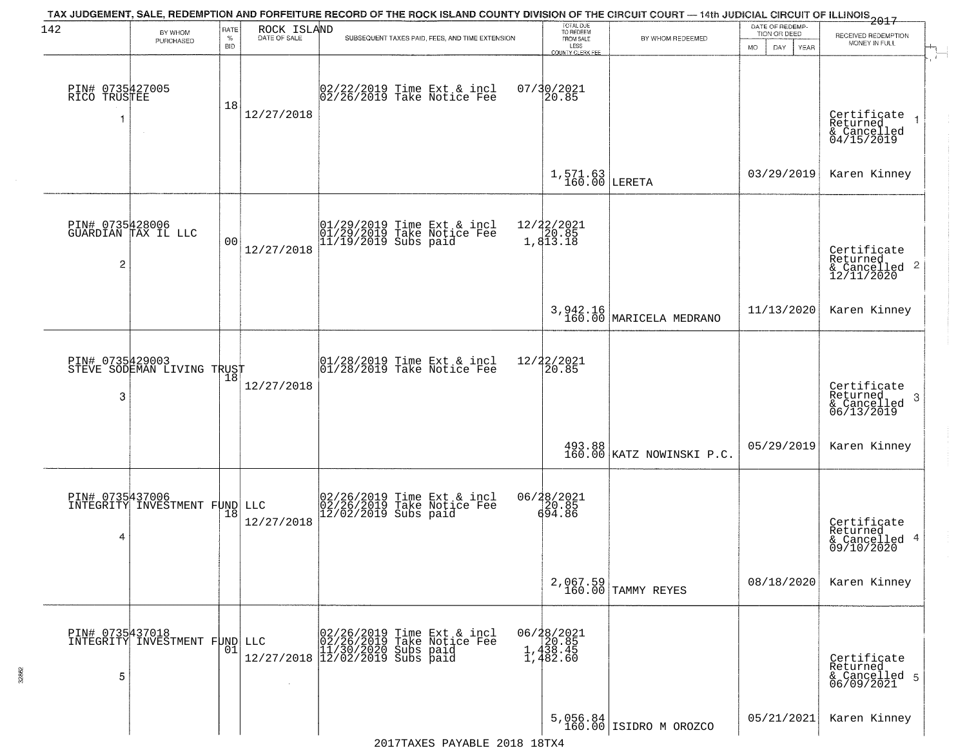| 142                                  |                                                  | RATE               | ROCK ISLAND       | TAX JUDGEMENT, SALE, REDEMPTION AND FORFEITURE RECORD OF THE ROCK ISLAND COUNTY DIVISION OF THE CIRCUIT COURT — 14th JUDICIAL CIRCUIT OF ILLINOIS 2017                                                                                                           | TOTAL DUE<br>TO REDEEM                                         |                                       | DATE OF REDEMP-                          |                                                                       |  |
|--------------------------------------|--------------------------------------------------|--------------------|-------------------|------------------------------------------------------------------------------------------------------------------------------------------------------------------------------------------------------------------------------------------------------------------|----------------------------------------------------------------|---------------------------------------|------------------------------------------|-----------------------------------------------------------------------|--|
|                                      | BY WHOM<br>PURCHASED                             | $\%$<br><b>BID</b> | DATE OF SALE      | SUBSEQUENT TAXES PAID, FEES, AND TIME EXTENSION                                                                                                                                                                                                                  | FROM SALE<br>LESS                                              | BY WHOM REDEEMED                      | TION OR DEED<br><b>MO</b><br>DAY<br>YEAR | RECEIVED REDEMPTION<br>MONEY IN FULL                                  |  |
|                                      |                                                  |                    |                   |                                                                                                                                                                                                                                                                  | <b>COUNTY CLERK FEE</b>                                        |                                       |                                          |                                                                       |  |
| PIN# 0735427005<br>RICO TRUSTEE<br>1 | $\sim$                                           | 18                 | 12/27/2018        | 02/22/2019 Time Ext & incl<br>02/26/2019 Take Notice Fee                                                                                                                                                                                                         | 07/30/2021<br>20.85                                            |                                       |                                          | Certificate<br>Returned<br>$\rightarrow$<br>& Cancelled<br>04/15/2019 |  |
|                                      |                                                  |                    |                   |                                                                                                                                                                                                                                                                  | $1,571.63$ LERETA                                              |                                       | 03/29/2019                               | Karen Kinney                                                          |  |
| PIN# 0735428006<br>2                 | GUARDIAN TAX IL LLC                              | 0 <sub>0</sub>     | 12/27/2018        | 01/29/2019 Time Ext & incl<br>01/29/2019 Take Notice Fee<br>11/19/2019 Subs paid                                                                                                                                                                                 | $\begin{array}{r} 12/22/2021 \\ 20.85 \\ 1,813.18 \end{array}$ |                                       |                                          | Certificate<br>Returned<br>$\frac{12}{12/11/2020}$ 2                  |  |
|                                      |                                                  |                    |                   |                                                                                                                                                                                                                                                                  |                                                                | 3, 942.16<br>160.00 MARICELA MEDRANO  | 11/13/2020                               | Karen Kinney                                                          |  |
| PIN# 0735429003<br>3                 | STEVE SODEMAN LIVING TRUST                       | 18                 | 12/27/2018        | $\begin{array}{c}  01/28/2019 \overline{\hspace{0.2cm}1} \text{ime} \overline{\hspace{0.2cm}1} \text{x} \text{t} \text{a} \\  01/28/2019 \overline{\hspace{0.2cm}1} \text{a} \text{ke} \text{ Notice } \overline{\hspace{0.2cm}1} \text{e} \text{e} \end{array}$ | 12/22/2021<br>20.85                                            |                                       |                                          | Certificate<br>Returned<br>3<br>$\frac{1}{06/13/2019}$                |  |
|                                      |                                                  |                    |                   |                                                                                                                                                                                                                                                                  |                                                                | 493.88  <br>160.00 KATZ NOWINSKI P.C. | 05/29/2019                               | Karen Kinney                                                          |  |
| PIN# 0735437006<br>4                 | INTEGRITY INVESTMENT FUND                        | 18                 | LLC<br>12/27/2018 | 02/26/2019 Time Ext & incl<br>02/26/2019 Take Notice Fee<br>12/02/2019 Subs paid                                                                                                                                                                                 | 06/28/2021<br>20.85<br>694.86                                  |                                       |                                          | Certificate<br>Returned<br>& Cancelled 4<br>09/10/2020                |  |
|                                      |                                                  |                    |                   |                                                                                                                                                                                                                                                                  |                                                                | 2,067.59<br>160.00 TAMMY REYES        | 08/18/2020                               | Karen Kinney                                                          |  |
| 5                                    | PIN# 0735437018<br>INTEGRITY INVESTMENT FUND LLC | 01                 |                   | LLC 02/26/2019 Time Ext & incl<br>02/26/2019 Take Notice Fee<br>11/30/2020 Subs paid<br>12/27/2018 12/02/2019 Subs paid                                                                                                                                          | 06/28/2021<br>20.85<br>1,438.45<br>1,482.60                    |                                       |                                          | Certificate<br>Returned<br>& Cancelled 5<br>06/09/2021                |  |
|                                      |                                                  |                    |                   |                                                                                                                                                                                                                                                                  |                                                                | $5,056.84$ 160.00 ISIDRO M OROZCO     | 05/21/2021                               | Karen Kinney                                                          |  |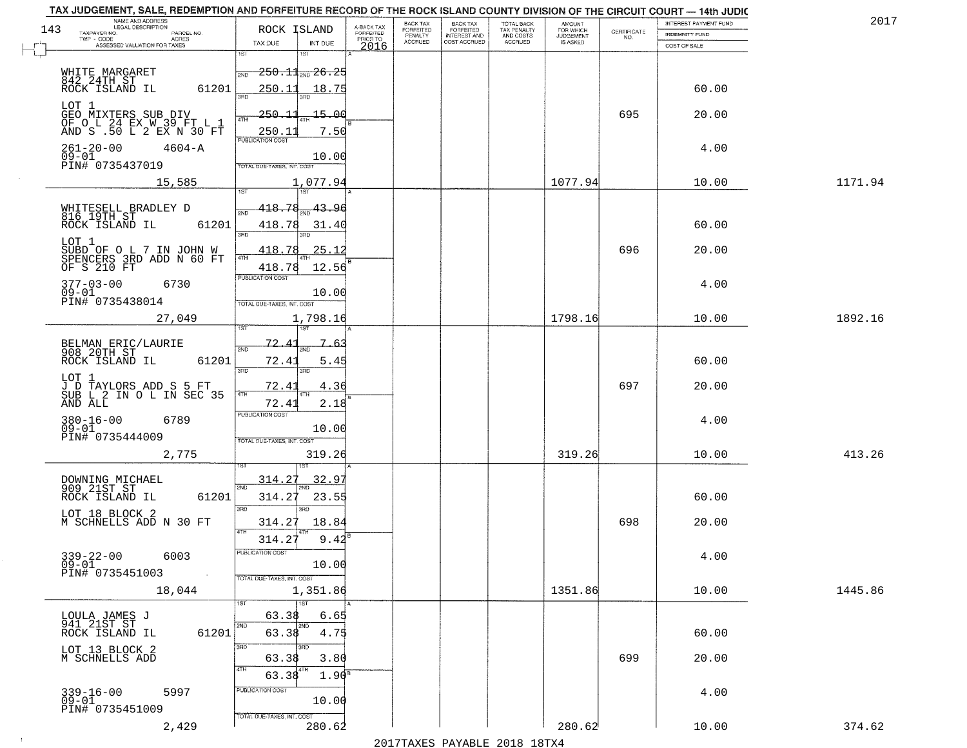| NAME AND ADDRESS<br>LEGAL DESCRIPTION                                       |                                            |                                     | <b>BACK TAX</b>             | <b>BACK TAX</b>                         |                                        | AMOUNT<br>FOR WHICH |                                                                 | INTEREST PAYMENT FUND | 2017    |
|-----------------------------------------------------------------------------|--------------------------------------------|-------------------------------------|-----------------------------|-----------------------------------------|----------------------------------------|---------------------|-----------------------------------------------------------------|-----------------------|---------|
| 143<br>TAXPAYER NO.<br>PARCEL NO.<br>TWP - CODE<br>ACRES                    | ROCK ISLAND                                | A-BACK TAX<br>FORFEITED<br>PRIOR TO | <b>FORFEITED</b><br>PENALTY | <b>FORFEITED</b><br><b>INTEREST AND</b> | TOTAL BACK<br>TAX PENALTY<br>AND COSTS | <b>JUDGEMENT</b>    | $\begin{array}{c} \text{CERTIFICATE} \\ \text{NO.} \end{array}$ | INDEMNITY FUND        |         |
| ASSESSED VALUATION FOR TAXES                                                | TAX DUE<br>INT DUE                         | 2016                                | <b>ACCRUED</b>              | COST ACCRUED                            | ACCRUED                                | IS ASKED            |                                                                 | COST OF SALE          |         |
|                                                                             | 1ST<br>18T                                 |                                     |                             |                                         |                                        |                     |                                                                 |                       |         |
| WHITE MARGARET                                                              | $250.11$ <sub>avo</sub> 26.25<br>2ND       |                                     |                             |                                         |                                        |                     |                                                                 |                       |         |
| 842 24TH ST<br>ROCK ISLAND IL<br>61201                                      | 250.11<br>18.75                            |                                     |                             |                                         |                                        |                     |                                                                 | 60.00                 |         |
| LOT 1                                                                       |                                            |                                     |                             |                                         |                                        |                     |                                                                 |                       |         |
| GEO MIXTERS SUB DIV<br>OF O L 24 EX W 39 FT L 1<br>AND S .50 L 2 EX N 30 FT | 250.11<br>15.00                            |                                     |                             |                                         |                                        |                     | 695                                                             | 20.00                 |         |
|                                                                             | 7.50<br>250.11<br><b>PUBLICATION COST</b>  |                                     |                             |                                         |                                        |                     |                                                                 |                       |         |
| $261 - 20 - 00$<br>$4604 - A$                                               |                                            |                                     |                             |                                         |                                        |                     |                                                                 | 4.00                  |         |
| $09 - 01$<br>PIN# 0735437019                                                | 10.00<br><b>FOTAL DUE-TAXES, INT. COST</b> |                                     |                             |                                         |                                        |                     |                                                                 |                       |         |
| 15,585                                                                      | 1,077.94                                   |                                     |                             |                                         |                                        | 1077.94             |                                                                 | 10.00                 | 1171.94 |
|                                                                             |                                            |                                     |                             |                                         |                                        |                     |                                                                 |                       |         |
| WHITESELL BRADLEY D<br>816 19TH ST                                          | 418.78<br>43.96                            |                                     |                             |                                         |                                        |                     |                                                                 |                       |         |
| 61201<br>ROCK ISLAND IL                                                     | 418.78<br>31.40                            |                                     |                             |                                         |                                        |                     |                                                                 | 60.00                 |         |
| LOT 1                                                                       | 3BD                                        |                                     |                             |                                         |                                        |                     |                                                                 |                       |         |
| SUBD OF O L 7 IN JOHN W<br>SPENCERS 3RD ADD N 60 FT<br>OF S 210 FT          | 418.78<br>25.12                            |                                     |                             |                                         |                                        |                     | 696                                                             | 20.00                 |         |
|                                                                             | 418.78<br>12.56<br>PUBLICATION COST        |                                     |                             |                                         |                                        |                     |                                                                 |                       |         |
| $377 - 03 - 00$<br>6730                                                     |                                            |                                     |                             |                                         |                                        |                     |                                                                 | 4.00                  |         |
| $09 - 01$<br>PIN# 0735438014                                                | 10.00<br>TOTAL DUE-TAXES, INT. COST        |                                     |                             |                                         |                                        |                     |                                                                 |                       |         |
| 27,049                                                                      | 1,798.16                                   |                                     |                             |                                         |                                        | 1798.16             |                                                                 | 10.00                 | 1892.16 |
|                                                                             | <b>IST</b><br>۱S٦                          |                                     |                             |                                         |                                        |                     |                                                                 |                       |         |
| BELMAN ERIC/LAURIE<br>908 20TH ST                                           | 72.<br>7.63<br>2ND                         |                                     |                             |                                         |                                        |                     |                                                                 |                       |         |
| ROCK ISLAND IL<br>61201                                                     | 72.41<br>5.45                              |                                     |                             |                                         |                                        |                     |                                                                 | 60.00                 |         |
| LOT 1                                                                       | 3RD<br>3RD                                 |                                     |                             |                                         |                                        |                     |                                                                 |                       |         |
| J D TAYLORS ADD S 5 FT<br>SUB L 2 IN O L IN SEC 35                          | 72.41<br>4.36<br>4TH                       |                                     |                             |                                         |                                        |                     | 697                                                             | 20.00                 |         |
| AND ALL                                                                     | 72.41<br>2.18                              |                                     |                             |                                         |                                        |                     |                                                                 |                       |         |
| $380 - 16 - 00$<br>6789                                                     | <b>PUBLICATION COST</b>                    |                                     |                             |                                         |                                        |                     |                                                                 | 4.00                  |         |
| $09 - 01$<br>PIN# 0735444009                                                | 10.00<br>TOTAL OUE-TAXES, INT. COST        |                                     |                             |                                         |                                        |                     |                                                                 |                       |         |
| 2,775                                                                       | 319.26                                     |                                     |                             |                                         |                                        | 319.26              |                                                                 | 10.00                 | 413.26  |
|                                                                             |                                            |                                     |                             |                                         |                                        |                     |                                                                 |                       |         |
|                                                                             | 314.27<br>32.97<br>2ND                     |                                     |                             |                                         |                                        |                     |                                                                 |                       |         |
| DOWNING MICHAEL<br>909 21ST ST<br>ROCK ISLAND IL<br>61201                   | 314.27<br>23.55                            |                                     |                             |                                         |                                        |                     |                                                                 | 60.00                 |         |
| LOT 18 BLOCK 2                                                              | 3BD<br>3BD                                 |                                     |                             |                                         |                                        |                     |                                                                 |                       |         |
| M SCHNELLS ADD N 30 FT                                                      | 18.84<br>314.27<br>4TH                     |                                     |                             |                                         |                                        |                     | 698                                                             | 20.00                 |         |
|                                                                             | 314.27<br>9.42                             |                                     |                             |                                         |                                        |                     |                                                                 |                       |         |
| $339 - 22 - 00$<br>6003                                                     | PUBLICA HUN CUS                            |                                     |                             |                                         |                                        |                     |                                                                 | 4.00                  |         |
| $09 - 01$<br>PIN# 0735451003<br>$\sim 100$                                  | 10.00<br>TOTAL DUE-TAXES, INT. COST        |                                     |                             |                                         |                                        |                     |                                                                 |                       |         |
| 18,044                                                                      | 1,351.86                                   |                                     |                             |                                         |                                        | 1351.86             |                                                                 | 10.00                 | 1445.86 |
|                                                                             | 1ST                                        |                                     |                             |                                         |                                        |                     |                                                                 |                       |         |
| LOULA JAMES J                                                               | 63.38<br>6.65                              |                                     |                             |                                         |                                        |                     |                                                                 |                       |         |
| 941 21ST ST<br>61201<br>ROCK ISLAND IL                                      | 2ND<br>2ND<br>4.75<br>63.38                |                                     |                             |                                         |                                        |                     |                                                                 | 60.00                 |         |
| LOT 13 BLOCK 2                                                              | 3RD<br>3RD                                 |                                     |                             |                                         |                                        |                     |                                                                 |                       |         |
| M SCHNELLS ADD                                                              | 3.80<br>63.38<br>4TH                       |                                     |                             |                                         |                                        |                     | 699                                                             | 20.00                 |         |
|                                                                             | 4TH<br>63.38<br>$1.90^8$                   |                                     |                             |                                         |                                        |                     |                                                                 |                       |         |
| $339 - 16 - 00$<br>5997                                                     | PUBLICATION COST                           |                                     |                             |                                         |                                        |                     |                                                                 | 4.00                  |         |
| $09 - 01$<br>PIN# 0735451009                                                | 10.00                                      |                                     |                             |                                         |                                        |                     |                                                                 |                       |         |
| 2,429                                                                       | TOTAL DUE-TAXES, INT. COST<br>280.62       |                                     |                             |                                         |                                        | 280.62              |                                                                 | 10.00                 | 374.62  |

 $\sim 100$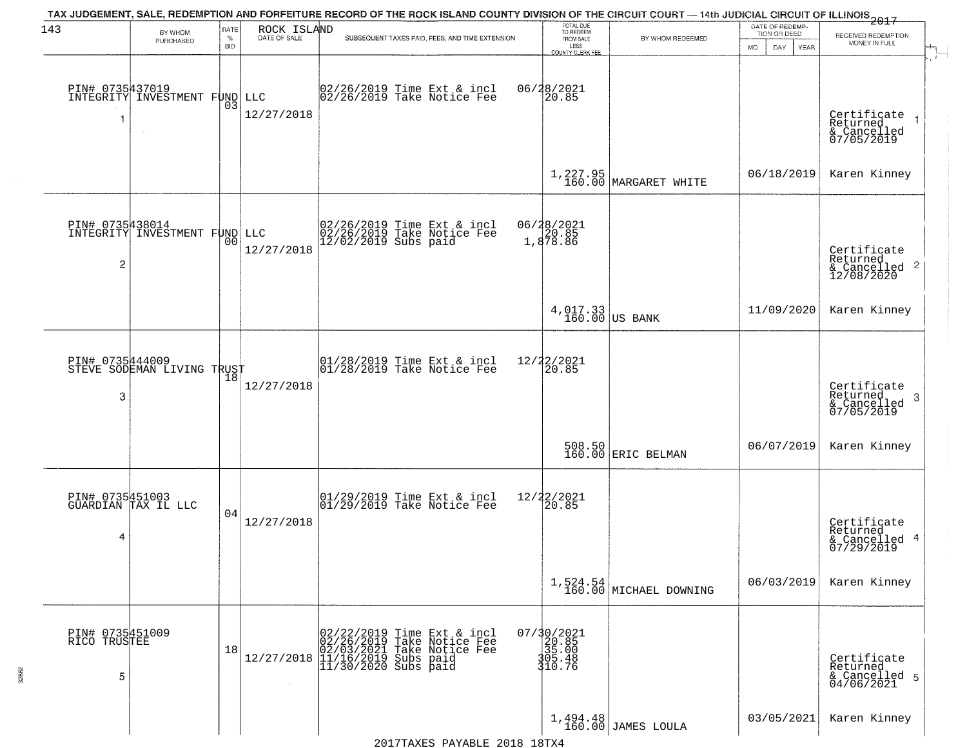| 143                                  | BY WHOM                                                    | RATE               | ROCK ISLAND  | TAX JUDGEMENT, SALE, REDEMPTION AND FORFEITURE RECORD OF THE ROCK ISLAND COUNTY DIVISION OF THE CIRCUIT COURT — 14th JUDICIAL CIRCUIT OF ILLINOIS 2017                                                                                                                  | TOTAL DUE<br>TO REDEEM                                                              |                                        | DATE OF REDEMP-                                  |                                                                      |
|--------------------------------------|------------------------------------------------------------|--------------------|--------------|-------------------------------------------------------------------------------------------------------------------------------------------------------------------------------------------------------------------------------------------------------------------------|-------------------------------------------------------------------------------------|----------------------------------------|--------------------------------------------------|----------------------------------------------------------------------|
|                                      | PURCHASED                                                  | $\%$<br><b>BID</b> | DATE OF SALE | SUBSEQUENT TAXES PAID, FEES, AND TIME EXTENSION                                                                                                                                                                                                                         | FROM SALE<br>LESS<br>COUNTY CLERK FEE                                               | BY WHOM REDEEMED                       | TION OR DEED<br><b>MO</b><br>DAY.<br><b>YEAR</b> | RECEIVED REDEMPTION<br>MONEY IN FULL                                 |
| 1                                    | PIN# 0735437019<br>INTEGRITY INVESTMENT FUND LLC<br>$\sim$ | 03                 | 12/27/2018   | 02/26/2019 Time Ext & incl<br>02/26/2019 Take Notice Fee                                                                                                                                                                                                                | 06/28/2021<br>20.85                                                                 |                                        |                                                  | Certificate<br>Returned<br>& Cancelled<br>07/05/2019                 |
|                                      |                                                            |                    |              |                                                                                                                                                                                                                                                                         |                                                                                     | $1,227.95$ MARGARET WHITE              | 06/18/2019                                       | Karen Kinney                                                         |
| 2                                    | PIN# 0735438014<br>INTEGRITY INVESTMENT FUND LLC           | 00                 | 12/27/2018   | 02/26/2019 Time Ext & incl<br>02/26/2019 Take Notice Fee<br>12/02/2019 Subs paid                                                                                                                                                                                        | 06/28/2021<br>20.85<br>1,878.86                                                     |                                        |                                                  | Certificate<br>Returned<br>$\mathbf{2}$<br>& Cancelled<br>12/08/2020 |
|                                      |                                                            |                    |              |                                                                                                                                                                                                                                                                         | $4,017.33$ US BANK                                                                  |                                        | 11/09/2020                                       | Karen Kinney                                                         |
| PIN# 0735444009<br>3                 | STEVE SODEMAN LIVING TRUST                                 | 18                 | 12/27/2018   | $\begin{array}{c}  01/28/2019 \overline{\hspace{0.2cm}1} \text{time} \text{ Ext} & \text{incl} \\  01/28/2019 \overline{\hspace{0.2cm}1} \text{ake Notice } \text{Fe} \end{array}$                                                                                      | 12/22/2021<br>20.85                                                                 |                                        |                                                  | Certificate<br>Returned<br>3<br>& Cancelled<br>07/05/2019            |
|                                      |                                                            |                    |              |                                                                                                                                                                                                                                                                         |                                                                                     | 508.50<br>160.00 ERIC BELMAN           | 06/07/2019                                       | Karen Kinney                                                         |
| 4                                    | PIN# 0735451003<br>GUARDIAN TAX IL LLC                     | 04                 | 12/27/2018   | 01/29/2019 Time Ext & incl<br>01/29/2019 Take Notice Fee                                                                                                                                                                                                                | $\frac{12}{22}$<br>$\frac{22}{20.85}$                                               |                                        |                                                  | Certificate<br>Returned<br>-4<br>& Cancelled<br>07/29/2019           |
|                                      |                                                            |                    |              |                                                                                                                                                                                                                                                                         |                                                                                     | $1,524.54$<br>$160.00$ MICHAEL DOWNING | 06/03/2019                                       | Karen Kinney                                                         |
| PIN# 0735451009<br>RICO TRUSTEE<br>5 |                                                            | 18                 |              | $12/27/2018 \begin{array}{l} 02/22/2019 \text{ Time Ext} & 8 \\ 02/26/2019 \text{ Take Notice} \\ 02/03/20211 \text{ Take Notice} \\ 11/16/2019 \text{ Subs paid} \\ 11/30/2020 \text{ Subs paid} \end{array}$<br>Time Ext & incl<br>Take Notice Fee<br>Take Notice Fee | $\begin{smallmatrix} 07/30/2021\\ 20.85\\ 35.00\\ 305.48\\ 10.76 \end{smallmatrix}$ |                                        |                                                  | Certificate<br>Returned<br>& Cancelled 5<br>04/06/2021               |
|                                      |                                                            |                    |              |                                                                                                                                                                                                                                                                         |                                                                                     | $1,494.48$ JAMES LOULA                 | 03/05/2021                                       | Karen Kinney                                                         |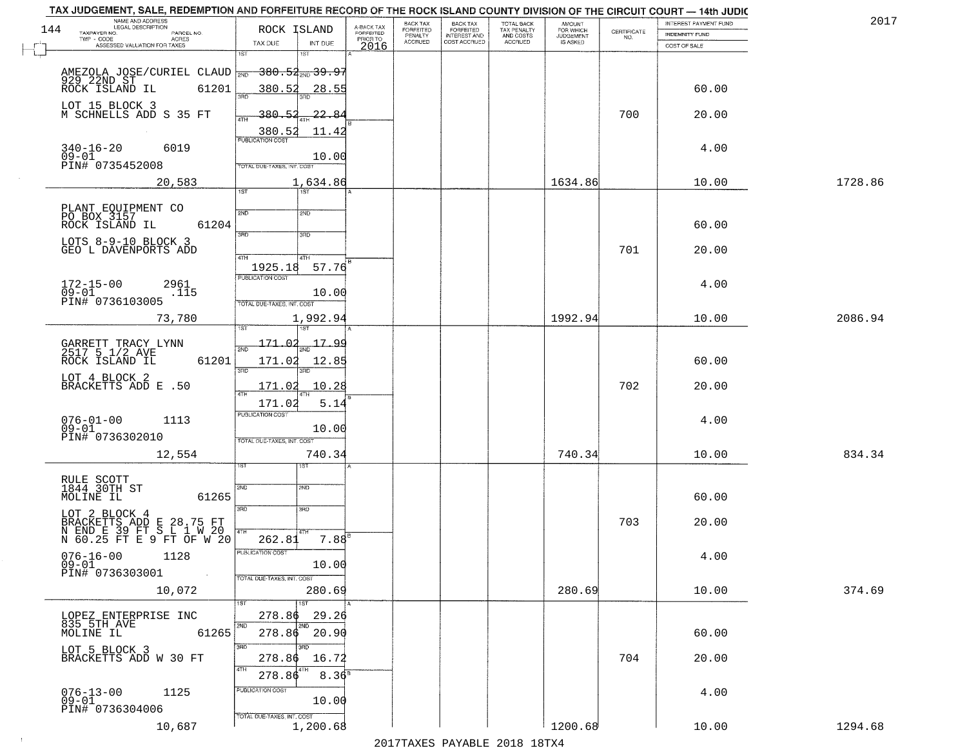|     | TAX JUDGEMENT, SALE, REDEMPTION AND FORFEITURE RECORD OF THE ROCK ISLAND COUNTY DIVISION OF THE CIRCUIT COURT - 14th JUDIC |                                          |                         |                                  |                                     |                                        |                              |                                                                 |                       | 201     |
|-----|----------------------------------------------------------------------------------------------------------------------------|------------------------------------------|-------------------------|----------------------------------|-------------------------------------|----------------------------------------|------------------------------|-----------------------------------------------------------------|-----------------------|---------|
| 144 | NAME AND ADDRESS<br>LEGAL DESCRIPTION<br>TAXPAYER NO.                                                                      | ROCK ISLAND                              | A-BACK TAX<br>FORFEITED | BACK TAX<br>FORFEITED<br>PENALTY | <b>BACK TAX</b><br><b>FORFEITED</b> | TOTAL BACK<br>TAX PENALTY<br>AND COSTS | AMOUNT<br>FOR WHICH          |                                                                 | INTEREST PAYMENT FUND |         |
|     | PARCEL NO.<br>TWP - CODE<br>ACRES                                                                                          |                                          | PRIOR TO                | <b>ACCRUED</b>                   | <b>INTEREST AND</b><br>COST ACCRUED | ACCRUED                                | <b>JUDGEMENT</b><br>IS ASKED | $\begin{array}{c} \text{CERTIFICATE} \\ \text{NO.} \end{array}$ | INDEMNITY FUND        |         |
|     | ASSESSED VALUATION FOR TAXES                                                                                               | TAX DUE<br>INT DUE<br>1ST                | 2016                    |                                  |                                     |                                        |                              |                                                                 | COST OF SALE          |         |
|     |                                                                                                                            |                                          |                         |                                  |                                     |                                        |                              |                                                                 |                       |         |
|     |                                                                                                                            |                                          |                         |                                  |                                     |                                        |                              |                                                                 |                       |         |
|     | AMEZOLA JOSE/CURIEL CLAUD <sub>2ND</sub> 380.52 39.97<br>929 22ND ST<br>ROCK ISLAND IL 61201 380.52 28.55                  |                                          |                         |                                  |                                     |                                        |                              |                                                                 |                       |         |
|     |                                                                                                                            |                                          |                         |                                  |                                     |                                        |                              |                                                                 | 60.00                 |         |
|     | LOT 15 BLOCK 3                                                                                                             |                                          |                         |                                  |                                     |                                        |                              |                                                                 |                       |         |
|     | M SCHNELLS ADD S 35 FT                                                                                                     | 380.52<br>$-22.84$                       |                         |                                  |                                     |                                        |                              | 700                                                             | 20.00                 |         |
|     |                                                                                                                            |                                          |                         |                                  |                                     |                                        |                              |                                                                 |                       |         |
|     |                                                                                                                            | $\frac{380.52}{PUBUCATON COST}$<br>11.42 |                         |                                  |                                     |                                        |                              |                                                                 |                       |         |
|     | $340 - 16 - 20$<br>6019                                                                                                    |                                          |                         |                                  |                                     |                                        |                              |                                                                 | 4.00                  |         |
|     | $09 - 01$                                                                                                                  | 10.00                                    |                         |                                  |                                     |                                        |                              |                                                                 |                       |         |
|     | PIN# 0735452008                                                                                                            | TOTAL DUE-TAXES, INT. COST               |                         |                                  |                                     |                                        |                              |                                                                 |                       |         |
|     | 20,583                                                                                                                     | 1,634.86                                 |                         |                                  |                                     |                                        | 1634.86                      |                                                                 | 10.00                 | 1728.86 |
|     |                                                                                                                            | 1ST                                      |                         |                                  |                                     |                                        |                              |                                                                 |                       |         |
|     |                                                                                                                            |                                          |                         |                                  |                                     |                                        |                              |                                                                 |                       |         |
|     | PLANT EQUIPMENT CO<br>PO BOX 3157                                                                                          | 2ND<br>2ND                               |                         |                                  |                                     |                                        |                              |                                                                 |                       |         |
|     | 61204<br>ROCK ISLAND IL                                                                                                    |                                          |                         |                                  |                                     |                                        |                              |                                                                 | 60.00                 |         |
|     |                                                                                                                            | $\overline{3BD}$<br>3RD                  |                         |                                  |                                     |                                        |                              |                                                                 |                       |         |
|     | LOTS 8-9-10 BLOCK 3                                                                                                        |                                          |                         |                                  |                                     |                                        |                              |                                                                 |                       |         |
|     | GEO L DAVENPORTS ADD                                                                                                       | 47H<br>4TH                               |                         |                                  |                                     |                                        |                              | 701                                                             | 20.00                 |         |
|     |                                                                                                                            | 1925.18<br>57.76                         |                         |                                  |                                     |                                        |                              |                                                                 |                       |         |
|     |                                                                                                                            | PUBLICATION COST                         |                         |                                  |                                     |                                        |                              |                                                                 |                       |         |
|     | 172-15-00<br>09-01<br>2961                                                                                                 |                                          |                         |                                  |                                     |                                        |                              |                                                                 | 4.00                  |         |
|     | .115                                                                                                                       | 10.00                                    |                         |                                  |                                     |                                        |                              |                                                                 |                       |         |
|     | PIN# 0736103005                                                                                                            | TOTAL DUE-TAXES, INT. COST               |                         |                                  |                                     |                                        |                              |                                                                 |                       |         |
|     | 73,780                                                                                                                     | 1,992.94                                 |                         |                                  |                                     |                                        | 1992.94                      |                                                                 | 10.00                 | 2086.94 |
|     |                                                                                                                            | ١S                                       |                         |                                  |                                     |                                        |                              |                                                                 |                       |         |
|     |                                                                                                                            |                                          |                         |                                  |                                     |                                        |                              |                                                                 |                       |         |
|     | GARRETT TRACY LYNN<br>2517 5 1/2 AVE                                                                                       | <u> 17.99</u><br>171.<br>2ND             |                         |                                  |                                     |                                        |                              |                                                                 |                       |         |
|     | ROCK ISLAND IL<br>61201                                                                                                    | 171.02<br>12.85                          |                         |                                  |                                     |                                        |                              |                                                                 | 60.00                 |         |
|     |                                                                                                                            | 3RD<br>3RD                               |                         |                                  |                                     |                                        |                              |                                                                 |                       |         |
|     | LOT 4 BLOCK 2<br>BRACKETTS ADD E .50                                                                                       | 10.28                                    |                         |                                  |                                     |                                        |                              | 702                                                             | 20.00                 |         |
|     |                                                                                                                            | 171.02                                   |                         |                                  |                                     |                                        |                              |                                                                 |                       |         |
|     |                                                                                                                            | 171.02<br>5.14                           |                         |                                  |                                     |                                        |                              |                                                                 |                       |         |
|     |                                                                                                                            | <b>PUBLICATION COST</b>                  |                         |                                  |                                     |                                        |                              |                                                                 |                       |         |
|     | $076 - 01 - 00$<br>1113<br>$09 - 01$                                                                                       | 10.00                                    |                         |                                  |                                     |                                        |                              |                                                                 | 4.00                  |         |
|     | PIN# 0736302010                                                                                                            | TOTAL OUE-TAXES, INT. COST               |                         |                                  |                                     |                                        |                              |                                                                 |                       |         |
|     |                                                                                                                            |                                          |                         |                                  |                                     |                                        |                              |                                                                 |                       |         |
|     | 12,554                                                                                                                     | 740.34                                   |                         |                                  |                                     |                                        | 740.34                       |                                                                 | 10.00                 | 834.34  |
|     |                                                                                                                            |                                          |                         |                                  |                                     |                                        |                              |                                                                 |                       |         |
|     | RULE SCOTT<br>1844 30TH ST                                                                                                 |                                          |                         |                                  |                                     |                                        |                              |                                                                 |                       |         |
|     |                                                                                                                            | 2ND<br>2ND                               |                         |                                  |                                     |                                        |                              |                                                                 |                       |         |
|     | MOLINE IL<br>61265                                                                                                         |                                          |                         |                                  |                                     |                                        |                              |                                                                 | 60.00                 |         |
|     | LOT 2 BLOCK 4                                                                                                              | 3RD<br>3RD                               |                         |                                  |                                     |                                        |                              |                                                                 |                       |         |
|     | BRACKETTS ADD E 28.75 FT<br>N END E 39 FT S L 1 W 20<br>N 60.25 FT E 9 FT OF W 20                                          |                                          |                         |                                  |                                     |                                        |                              | 703                                                             | 20.00                 |         |
|     |                                                                                                                            | $7.88$ <sup>B</sup>                      |                         |                                  |                                     |                                        |                              |                                                                 |                       |         |
|     |                                                                                                                            | 262.81                                   |                         |                                  |                                     |                                        |                              |                                                                 |                       |         |
|     | $076 - 16 - 00$<br>1128                                                                                                    | PUBLICA HUN CUS                          |                         |                                  |                                     |                                        |                              |                                                                 | 4.00                  |         |
|     | $09 - 01$                                                                                                                  | 10.00                                    |                         |                                  |                                     |                                        |                              |                                                                 |                       |         |
|     | PIN# 0736303001<br>$\sim 100$                                                                                              | TOTAL DUE-TAXES, INT. COST               |                         |                                  |                                     |                                        |                              |                                                                 |                       |         |
|     | 10,072                                                                                                                     | 280.69                                   |                         |                                  |                                     |                                        | 280.69                       |                                                                 | 10.00                 | 374.69  |
|     |                                                                                                                            | 1ST                                      |                         |                                  |                                     |                                        |                              |                                                                 |                       |         |
|     |                                                                                                                            |                                          |                         |                                  |                                     |                                        |                              |                                                                 |                       |         |
|     | LOPEZ ENTERPRISE INC<br>$835 - 5TH$ AVE                                                                                    | 29.26<br>278.86<br>2ND                   |                         |                                  |                                     |                                        |                              |                                                                 |                       |         |
|     | 61265<br>MOLINE IL                                                                                                         | 278.86 20.90                             |                         |                                  |                                     |                                        |                              |                                                                 | 60.00                 |         |
|     |                                                                                                                            | 3RD                                      |                         |                                  |                                     |                                        |                              |                                                                 |                       |         |
|     | LOT 5 BLOCK 3                                                                                                              |                                          |                         |                                  |                                     |                                        |                              |                                                                 |                       |         |
|     | BRACKETTS ADD W 30 FT                                                                                                      | 278.86<br>16.72                          |                         |                                  |                                     |                                        |                              | 704                                                             | 20.00                 |         |
|     |                                                                                                                            | 4TH<br>278.86<br>8.36 <sup>8</sup>       |                         |                                  |                                     |                                        |                              |                                                                 |                       |         |
|     |                                                                                                                            | PUBLICATION COST                         |                         |                                  |                                     |                                        |                              |                                                                 |                       |         |
|     | $076 - 13 - 00$<br>1125                                                                                                    |                                          |                         |                                  |                                     |                                        |                              |                                                                 | 4.00                  |         |
|     | $09 - 01$<br>PIN# 0736304006                                                                                               | 10.00                                    |                         |                                  |                                     |                                        |                              |                                                                 |                       |         |
|     |                                                                                                                            | TOTAL DUE-TAXES, INT. COST               |                         |                                  |                                     |                                        |                              |                                                                 |                       |         |
|     | 10,687                                                                                                                     | 1,200.68                                 |                         |                                  |                                     |                                        | 1200.68                      |                                                                 | 10.00                 | 1294.68 |
|     |                                                                                                                            |                                          |                         |                                  |                                     | 2017 THAYRO DAVADIR 2018 19TYA         |                              |                                                                 |                       |         |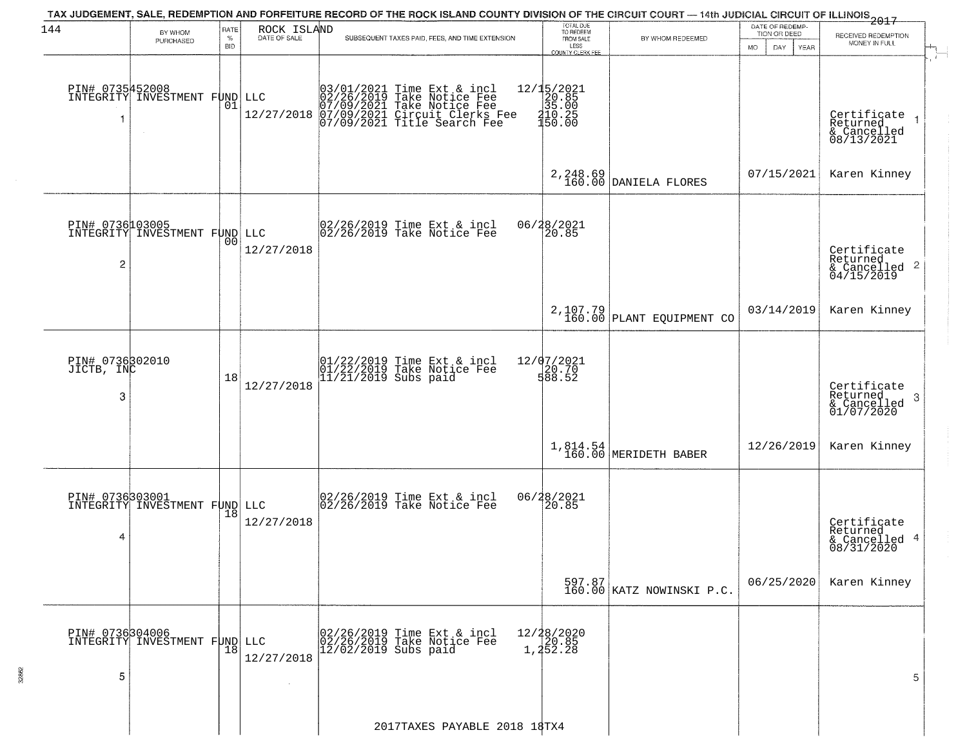| 144                                | BY WHOM                                                 | RATE               | ROCK ISLAND  | TAX JUDGEMENT, SALE, REDEMPTION AND FORFEITURE RECORD OF THE ROCK ISLAND COUNTY DIVISION OF THE CIRCUIT COURT — 14th JUDICIAL CIRCUIT OF ILLINOIS 2017 | TOTAL DUE<br>TO REDEEM<br>FROM SALE                                             |                                     | DATE OF REDEMP-<br>TION OR DEED | RECEIVED REDEMPTION                                                |
|------------------------------------|---------------------------------------------------------|--------------------|--------------|--------------------------------------------------------------------------------------------------------------------------------------------------------|---------------------------------------------------------------------------------|-------------------------------------|---------------------------------|--------------------------------------------------------------------|
|                                    | PURCHASED                                               | $\%$<br><b>BID</b> | DATE OF SALE | SUBSEQUENT TAXES PAID, FEES, AND TIME EXTENSION                                                                                                        | LESS<br>COUNTY CLERK FEE                                                        | BY WHOM REDEEMED                    | <b>MO</b><br>DAY<br>YEAR        | MONEY IN FULL                                                      |
|                                    | PIN# 0735452008<br>INTEGRITY INVESTMENT FUND LLC        | 01                 | 12/27/2018   | 03/01/2021 Time Ext & incl<br>02/26/2019 Take Notice Fee<br>07/09/2021 Take Notice Fee<br>07/09/2021 Circuit Clerks Fee<br>07/09/2021 Title Search Fee | $\begin{array}{r} 12/15/2021 \\ 20.85 \\ 35.00 \\ 410.25 \\ 150.00 \end{array}$ |                                     |                                 | Certifiçate<br>Returned<br>& Cancelled<br>08/13/2021               |
|                                    |                                                         |                    |              |                                                                                                                                                        |                                                                                 | 2, 248.69<br>160.00 DANIELA FLORES  | 07/15/2021                      | Karen Kinney                                                       |
| $\overline{c}$                     | <b>PIN# 0736103005</b><br>INTEGRITY INVESTMENT FUND LLC | 00                 | 12/27/2018   | 02/26/2019 Time Ext & incl<br>02/26/2019 Take Notice Fee                                                                                               | 06/28/2021<br>20.85                                                             |                                     |                                 | Certificate<br>Returned<br>$\frac{1}{6}$ Cancelled 2<br>04/15/2019 |
|                                    |                                                         |                    |              |                                                                                                                                                        |                                                                                 | $2,107.79$ PLANT EQUIPMENT CO       | 03/14/2019                      | Karen Kinney                                                       |
| PIN# 0736302010<br>JICTB, INC<br>3 |                                                         | 18                 | 12/27/2018   | 01/22/2019 Time Ext & incl<br>01/22/2019 Take Notice Fee<br>11/21/2019 Subs paid                                                                       | 12/07/2021<br>20.70<br>588.52                                                   |                                     |                                 | Certificate<br>Returned<br>3<br>& Cancelled<br>01/07/2020          |
|                                    |                                                         |                    |              |                                                                                                                                                        | 1,814.54<br>160.00                                                              | MERIDETH BABER                      | 12/26/2019                      | Karen Kinney                                                       |
| 4                                  | PIN# 0736303001<br>INTEGRITY INVESTMENT FUND LLC        | 18                 | 12/27/2018   | 02/26/2019 Time Ext & incl<br>02/26/2019 Take Notice Fee                                                                                               | 06/28/2021                                                                      |                                     |                                 | Certificate<br>Returned<br>& Cancelled 4<br>08/31/2020             |
|                                    |                                                         |                    |              |                                                                                                                                                        |                                                                                 | 597.87<br>160.00 KATZ NOWINSKI P.C. | 06/25/2020                      | Karen Kinney                                                       |
| PIN# 0736304006<br>5               | INTEGRITY INVESTMENT FUND LLC                           | 18                 | 12/27/2018   | 02/26/2019 Time Ext & incl<br>02/26/2019 Take Notice Fee<br>$12/02/2019$ Subs paid                                                                     | 12/28/2020<br>20.85<br>1,252.28                                                 |                                     |                                 | 5                                                                  |
|                                    |                                                         |                    |              | 2017TAXES PAYABLE 2018 18TX4                                                                                                                           |                                                                                 |                                     |                                 |                                                                    |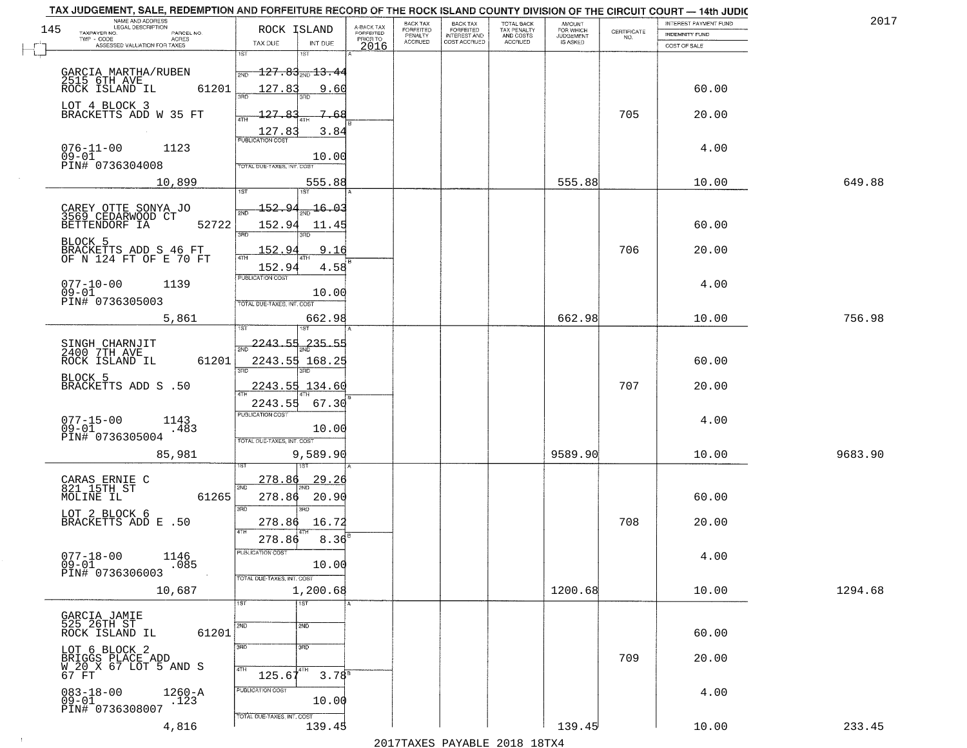|                                           | NAME AND ADDRESS<br>LEGAL DESCRIPTION             |                                                                  |                                             |                                     | BACK TAX             | <b>BACK TAX</b>                  | TOTAL BACK               | AMOUNT<br>FOR WHICH |                                                                 | INTEREST PAYMENT FUND | 2017    |
|-------------------------------------------|---------------------------------------------------|------------------------------------------------------------------|---------------------------------------------|-------------------------------------|----------------------|----------------------------------|--------------------------|---------------------|-----------------------------------------------------------------|-----------------------|---------|
| 145<br>TAXPAYER NO.<br>TWP - CODE         | PARCEL NO.<br>ACRES                               | ROCK ISLAND                                                      |                                             | A-BACK TAX<br>FORFEITED<br>PRIOR TO | FORFEITED<br>PENALTY | FORFEITED<br><b>INTEREST AND</b> | TAX PENALTY<br>AND COSTS | <b>JUDGEMENT</b>    | $\begin{array}{c} \text{CEPTIFICATE} \\ \text{NO.} \end{array}$ | <b>INDEMNITY FUND</b> |         |
|                                           | ASSESSED VALUATION FOR TAXES                      | TAX DUE                                                          | INT DUE                                     | 2016                                | <b>ACCRUED</b>       | COST ACCRUED                     | <b>ACCRUED</b>           | IS ASKED            |                                                                 | COST OF SALE          |         |
| 2515 6TH AVE                              | GARCIA MARTHA/RUBEN                               | 1ST<br>2ND                                                       | 1ST<br><del>127.83<sub>2ND</sub>13.44</del> |                                     |                      |                                  |                          |                     |                                                                 |                       |         |
| ROCK ISLAND IL<br>LOT 4 BLOCK 3           | 61201                                             | 127.83                                                           | 9.60                                        |                                     |                      |                                  |                          |                     |                                                                 | 60.00                 |         |
|                                           | BRACKETTS ADD W 35 FT                             | 127.83<br>ATH<br>EUBLICATION COST                                | 7.68<br>3.84                                |                                     |                      |                                  |                          |                     | 705                                                             | 20.00                 |         |
| $076 - 11 - 00$<br>$09 - 01$              | 1123<br>PIN# 0736304008                           | TOTAL DUE-TAXES, INT. COST                                       | 10.00                                       |                                     |                      |                                  |                          |                     |                                                                 | 4.00                  |         |
|                                           | 10,899                                            |                                                                  | 555.88                                      |                                     |                      |                                  |                          | 555.88              |                                                                 | 10.00                 | 649.88  |
| BETTENDORF IA                             | CAREY OTTE SONYA JO<br>3569 CEDARWOOD CT<br>52722 | 152.94<br>152.94                                                 | 16.03<br>11.45                              |                                     |                      |                                  |                          |                     |                                                                 | 60.00                 |         |
| BLOCK 5                                   | BRACKETTS ADD S 46 FT<br>OF N 124 FT OF E 70 FT   | 3RD<br>152.94                                                    | 9.16                                        |                                     |                      |                                  |                          |                     | 706                                                             | 20.00                 |         |
| $077 - 10 - 00$<br>$09 - 01$              | 1139                                              | 152.94<br>PUBLICATION COST                                       | 4.58<br>10.00                               |                                     |                      |                                  |                          |                     |                                                                 | 4.00                  |         |
|                                           | PIN# 0736305003<br>5,861                          | TOTAL DUE-TAXES, INT. COST                                       | 662.98                                      |                                     |                      |                                  |                          | 662.98              |                                                                 | 10.00                 | 756.98  |
| SINGH CHARNJIT<br>2400 7TH AVE            |                                                   | -2243.55<br>$\overline{2ND}$                                     | $235 - 55$                                  |                                     |                      |                                  |                          |                     |                                                                 |                       |         |
| ROCK ISLAND IL                            | 61201                                             | 3RD                                                              | 2243.55 168.25<br>3RD                       |                                     |                      |                                  |                          |                     |                                                                 | 60.00                 |         |
| BLOCK 5                                   | BRACKETTS ADD S .50                               | 2243.55<br><b>ATH</b>                                            | 134.60                                      |                                     |                      |                                  |                          |                     | 707                                                             | 20.00                 |         |
| $077 - 15 - 00$<br>09-01                  | 1143<br>.483<br>PIN# 0736305004                   | 2243.55<br><b>PUBLICATION COST</b><br>TOTAL OUE-TAXES, INT. COST | 67.30<br>10.00                              |                                     |                      |                                  |                          |                     |                                                                 | 4.00                  |         |
|                                           | 85,981                                            |                                                                  | 9,589.90                                    |                                     |                      |                                  |                          | 9589.90             |                                                                 | 10.00                 | 9683.90 |
| CARAS ERNIE C<br>821 15TH ST<br>MOLINE IL | 61265                                             | 278.86<br>2ND<br>278.86                                          | 29.26<br>20.90                              |                                     |                      |                                  |                          |                     |                                                                 | 60.00                 |         |
| LOT 2 BLOCK 6                             | BRACKETTS ADD E .50                               | 3BD<br>278.86<br>4TH<br>278.86                                   | 3RD<br>16.72<br>8.36                        |                                     |                      |                                  |                          |                     | 708                                                             | 20.00                 |         |
| $077 - 18 - 00$<br>09-01                  | 1146<br>.085<br>PIN# 0736306003                   | -usuca i un cus-                                                 | 10.00                                       |                                     |                      |                                  |                          |                     |                                                                 | 4.00                  |         |
|                                           | 10,687                                            | TOTAL DUE-TAXES, INT. COST<br>1ST                                | 1,200.68<br>$\overline{1ST}$                |                                     |                      |                                  |                          | 1200.68             |                                                                 | 10.00                 | 1294.68 |
| GARCIA JAMIE<br>525 26TH ST               |                                                   | 2ND                                                              | 2ND                                         |                                     |                      |                                  |                          |                     |                                                                 |                       |         |
| LOT 6 BLOCK 2                             | 61201<br>ROCK ISLAND IL                           | 3RD                                                              | 3BD                                         |                                     |                      |                                  |                          |                     |                                                                 | 60.00                 |         |
| 67 FT                                     | BRIGGS PLACE ADD<br>W 20 X 67 LOT 5 AND S         | 4TH<br>$125.67^{4TH}$                                            | $3.78^{B}$                                  |                                     |                      |                                  |                          |                     | 709                                                             | 20.00                 |         |
| $083 - 18 - 00$<br>$09 - 01$              | $1260 - A$<br>.123<br>PIN# 0736308007             | PUBLICATION COST                                                 | 10.00                                       |                                     |                      |                                  |                          |                     |                                                                 | 4.00                  |         |
|                                           | 4,816                                             | TOTAL DUE-TAXES, INT. COST                                       | 139.45                                      |                                     |                      |                                  |                          | 139.45              |                                                                 | 10.00                 | 233.45  |

 $\sim 10^{-1}$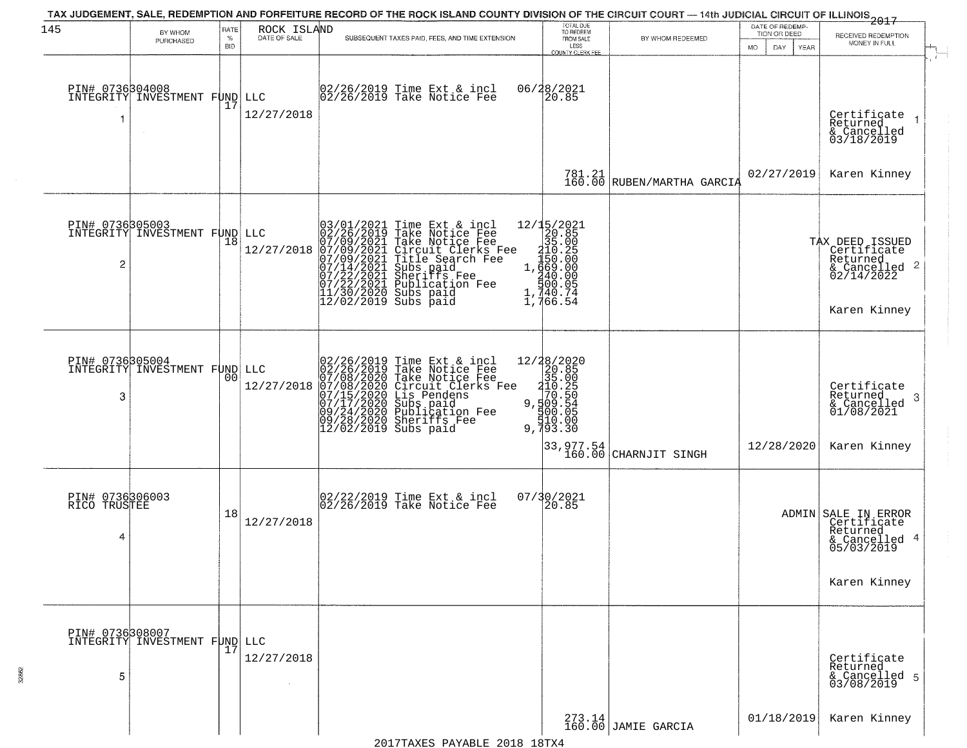| 145                                  |                                                  | RATE               | ROCK ISLAND  |                                                                                                                            |                                                                                                                                                                                                                                                       | TOTAL DUE<br>TO REDEEM                                                                                                                                                                                                                                                                                                                                    | TAX JUDGEMENT, SALE, REDEMPTION AND FORFEITURE RECORD OF THE ROCK ISLAND COUNTY DIVISION OF THE CIRCUIT COURT — 14th JUDICIAL CIRCUIT OF ILLINOIS 2017 | DATE OF REDEMP-            |                                                                                                  |
|--------------------------------------|--------------------------------------------------|--------------------|--------------|----------------------------------------------------------------------------------------------------------------------------|-------------------------------------------------------------------------------------------------------------------------------------------------------------------------------------------------------------------------------------------------------|-----------------------------------------------------------------------------------------------------------------------------------------------------------------------------------------------------------------------------------------------------------------------------------------------------------------------------------------------------------|--------------------------------------------------------------------------------------------------------------------------------------------------------|----------------------------|--------------------------------------------------------------------------------------------------|
|                                      | BY WHOM<br>PURCHASED                             | $\%$<br><b>BID</b> | DATE OF SALE |                                                                                                                            | SUBSEQUENT TAXES PAID, FEES, AND TIME EXTENSION                                                                                                                                                                                                       | FROM SALE<br>LESS                                                                                                                                                                                                                                                                                                                                         | BY WHOM REDEEMED                                                                                                                                       | TION OR DEED               | RECEIVED REDEMPTION<br>MONEY IN FULL                                                             |
|                                      |                                                  |                    |              |                                                                                                                            |                                                                                                                                                                                                                                                       | <b>COUNTY CLERK FEE</b>                                                                                                                                                                                                                                                                                                                                   |                                                                                                                                                        | MO.<br>DAY.<br><b>YEAR</b> |                                                                                                  |
|                                      | PIN# 0736304008<br>INTEGRITY INVESTMENT FUND LLC | 17                 | 12/27/2018   |                                                                                                                            | 02/26/2019 Time Ext & incl<br>02/26/2019 Take Notice Fee                                                                                                                                                                                              | 06/28/2021<br>20.85                                                                                                                                                                                                                                                                                                                                       |                                                                                                                                                        |                            | Certificate<br>Returned<br>$\rightarrow$<br>& Cancelled<br>03/18/2019                            |
|                                      |                                                  |                    |              |                                                                                                                            |                                                                                                                                                                                                                                                       |                                                                                                                                                                                                                                                                                                                                                           | 781.21<br>160.00 RUBEN/MARTHA GARCIA                                                                                                                   | 02/27/2019                 | Karen Kinney                                                                                     |
| $\overline{c}$                       | PIN# 0736305003<br>INTEGRITY INVESTMENT FUND LLC | 18                 | 12/27/2018   | 03/01/2021<br>02/26/2019<br>07/09/2021<br>07/09/2021<br>07/14/2021<br>07/14/2021<br>07/22/2021<br>11/30/2020<br>12/02/2019 | Time Ext & incl<br>Take Notice Fee<br>Take Notice Fee<br>Circuit Clerks Fee<br>Title Search Fee<br>Subs paid<br>Sheriffs Fee<br>Publication Fee<br>Subs paid<br>Subs paid                                                                             | $\begin{array}{r} 12/15/2021 \\ 20.85 \\ 35.00 \\ 150.25 \\ 1.669.00 \\ 1.400.00 \\ 40.000 \\ 1.700.07 \\ \end{array}$<br>740.74<br>766.54                                                                                                                                                                                                                |                                                                                                                                                        |                            | TAX DEED ISSUED<br>Certificate<br>Returned<br>& Cancelled 2<br>02/14/2022<br>Karen Kinney        |
| PIN# 0736305004<br>3                 | INTEGRITY INVESTMENT FUND LLC                    | 00                 | 12/27/2018   |                                                                                                                            | 02/26/2019 Time Ext & incl<br>02/26/2019 Take Notice Fee<br>07/08/2020 Take Notice Fee<br>07/08/2020 Circuit Clerks Fee<br>07/15/2020 Circuit Clerks Fee<br>07/17/2020 Subblication Fee<br>09/24/2020 Sublication Fee<br>09/28/2020 Sheriffs Fee<br>1 | $\begin{array}{r} 12/38/2020 \\ 20.85 \\ 35.00 \\ -410.25 \\ 9.500 \\ -9.50 \\ -10.50 \\ -10.50 \\ -10.00 \\ -10.00 \\ -10.00 \\ -10.00 \\ -10.00 \\ -10.00 \\ -10.0 \\ -10.0 \\ -10.0 \\ -10.0 \\ -10.0 \\ -10.0 \\ -10.0 \\ -10.0 \\ -10.0 \\ -10.0 \\ -10.0 \\ -10.0 \\ -10.0 \\ -10.0 \\ -10.0 \\ -10.0 \\ -10.0 \\ -10.0 \\ -1$<br>00.00<br>9,793.30 | 33,977.54<br>  160.00 CHARNJIT SINGH                                                                                                                   | 12/28/2020                 | Certificate<br>Returned<br>-3<br>$\frac{6}{01/08/2021}$<br>Karen Kinney                          |
| PIN# 0736306003<br>RICO TRUSTEE<br>4 |                                                  | 18                 | 12/27/2018   |                                                                                                                            | 02/22/2019 Time Ext & incl<br>02/26/2019 Take Notice Fee                                                                                                                                                                                              | 07/30/2021<br>20.85                                                                                                                                                                                                                                                                                                                                       |                                                                                                                                                        |                            | ADMIN SALE IN ERROR<br>Certificate<br>Returned<br>4<br>& Cancelled<br>05/03/2019<br>Karen Kinney |
| PIN# 0736308007<br>5                 | INTEGRITY INVESTMENT FUND LLC                    | 17                 | 12/27/2018   |                                                                                                                            |                                                                                                                                                                                                                                                       |                                                                                                                                                                                                                                                                                                                                                           |                                                                                                                                                        |                            | Certificate<br>Returned<br>& Cancelled 5<br>03/08/2019                                           |
|                                      |                                                  |                    |              |                                                                                                                            |                                                                                                                                                                                                                                                       |                                                                                                                                                                                                                                                                                                                                                           | 273.14<br>160.00 JAMIE GARCIA                                                                                                                          | 01/18/2019                 | Karen Kinney                                                                                     |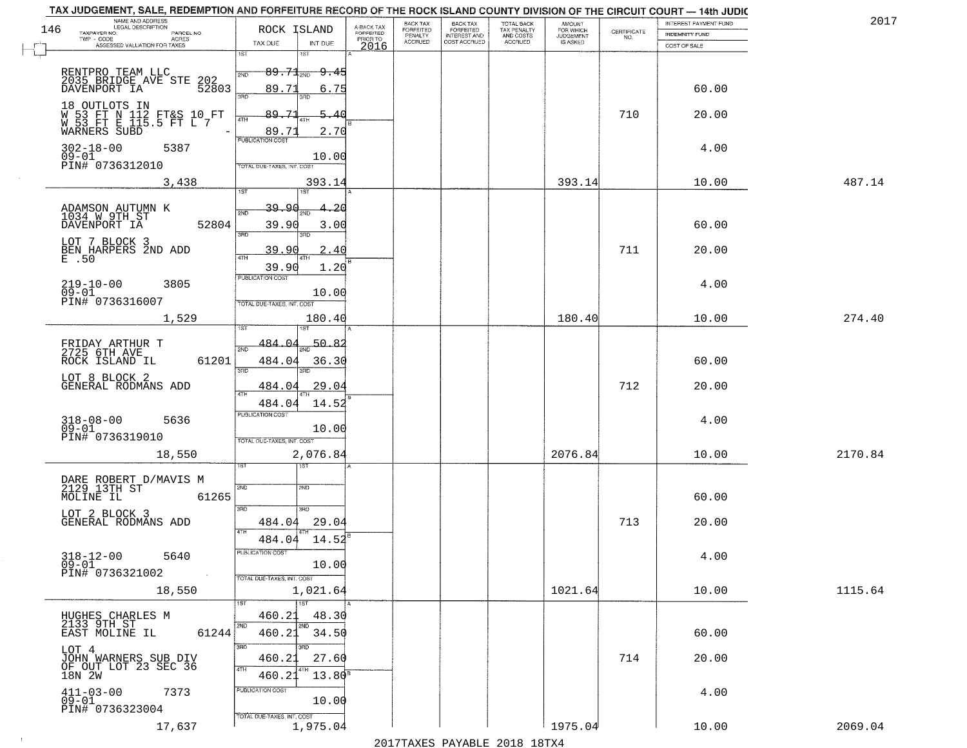|     | TAX JUDGEMENT, SALE, REDEMPTION AND FORFEITURE RECORD OF THE ROCK ISLAND COUNTY DIVISION OF THE CIRCUIT COURT - 14th JUDIC |                                                                 |                              |                                     |                           |                                       |                                        |                                  |                                                                 |                                                |         |
|-----|----------------------------------------------------------------------------------------------------------------------------|-----------------------------------------------------------------|------------------------------|-------------------------------------|---------------------------|---------------------------------------|----------------------------------------|----------------------------------|-----------------------------------------------------------------|------------------------------------------------|---------|
| 146 | NAME AND ADDRESS<br>LEGAL DESCRIPTION<br>TAXPAYER NO.<br>PARCEL NO.                                                        | ROCK ISLAND                                                     |                              | A-BACK TAX<br>FORFEITED<br>PRIOR TO | BACK TAX<br>FORFEITED     | BACK TAX<br>FORFEITED<br>INTEREST AND | TOTAL BACK<br>TAX PENALTY<br>AND COSTS | AMOUNT<br>FOR WHICH<br>JUDGEMENT | $\begin{array}{c} \text{CEPTIFICATE} \\ \text{NO.} \end{array}$ | INTEREST PAYMENT FUND<br><b>INDEMNITY FUND</b> | 2017    |
|     | TWP - CODE<br>ACRES<br>ASSESSED VALUATION FOR TAXES                                                                        | TAX DUE                                                         | INT DUE                      | 2016                                | PENALTY<br><b>ACCRUED</b> | COST ACCRUED                          | <b>ACCRUED</b>                         | IS ASKED                         |                                                                 | COST OF SALE                                   |         |
|     | RENTPRO TEAM LLC<br>2035 BRIDGE AVE STE<br>DAVENPORT IA                                                                    | 1ST<br>$89.71_{200}$<br>2ND                                     | 1ST<br><del>9.4</del>        |                                     |                           |                                       |                                        |                                  |                                                                 |                                                |         |
|     | 202<br>52803                                                                                                               | 89.71<br>3RD                                                    | 6.75<br>3BD.                 |                                     |                           |                                       |                                        |                                  |                                                                 | 60.00                                          |         |
|     | 18 OUTLOTS IN<br>W 53 FT N 112 FT&S 10 FT<br>M 53 FT E 115.5 FT L 7<br>WARNERS SUBD                                        | 89.71<br>4TH<br>89.71                                           | -5-.<br>40<br>2.70           |                                     |                           |                                       |                                        |                                  | 710                                                             | 20.00                                          |         |
|     | 302-18-00<br>5387<br>$09 - 01$<br>PIN# 0736312010                                                                          | <b>PUBLICATION COST</b><br>TOTAL DUE-TAXES, INT. COST           | 10.00                        |                                     |                           |                                       |                                        |                                  |                                                                 | 4.00                                           |         |
|     | 3,438                                                                                                                      | 1ST                                                             | 393.14<br>1ST                |                                     |                           |                                       |                                        | 393.14                           |                                                                 | 10.00                                          | 487.14  |
|     | ADAMSON AUTUMN K<br>1034 W 9TH ST<br>DAVENPORT IA<br>52804                                                                 | <u>39.90</u><br>2ND<br>39.90<br>3RD                             | 20<br>3.00<br>3RD            |                                     |                           |                                       |                                        |                                  |                                                                 | 60.00                                          |         |
|     | LOT 7 BLOCK 3<br>BEN HARPERS 2ND ADD<br>$E$ $.50$                                                                          | 39.90                                                           | 2.40                         |                                     |                           |                                       |                                        |                                  | 711                                                             | 20.00                                          |         |
|     | $219 - 10 - 00$<br>3805<br>$09 - 01$<br>PIN# 0736316007                                                                    | 39.90<br>PUBLICATION COST<br>TOTAL DUE-TAXES, INT. COST         | 1.20<br>10.00                |                                     |                           |                                       |                                        |                                  |                                                                 | 4.00                                           |         |
|     | 1,529                                                                                                                      | 1ST                                                             | 180.40                       |                                     |                           |                                       |                                        | 180.40                           |                                                                 | 10.00                                          | 274.40  |
|     | FRIDAY ARTHUR T<br>2725 6TH AVE<br>61201<br>ROCK ISLAND IL                                                                 | 484.04<br>2ND<br>484.04<br>3BD                                  | 50.82<br>36.30<br>3RD        |                                     |                           |                                       |                                        |                                  |                                                                 | 60.00                                          |         |
|     | LOT 8 BLOCK 2<br>GENERAL RODMANS ADD                                                                                       | 484.04<br>4TH                                                   | 29.04                        |                                     |                           |                                       |                                        |                                  | 712                                                             | 20.00                                          |         |
|     | $318 - 08 - 00$<br>5636<br>$09 - 01$<br>PIN# 0736319010                                                                    | 484.04<br><b>PUBLICATION COST</b><br>TOTAL OUE-TAXES, INT. COST | 14.52<br>10.00               |                                     |                           |                                       |                                        |                                  |                                                                 | 4.00                                           |         |
|     | 18,550                                                                                                                     |                                                                 | 2,076.84<br>१९४              |                                     |                           |                                       |                                        | 2076.84                          |                                                                 | 10.00                                          | 2170.84 |
|     | DARE ROBERT D/MAVIS M<br>2129 13TH ST<br>MOLINE IL<br>61265                                                                | 2ND<br>3BD                                                      | 2ND<br>3BD                   |                                     |                           |                                       |                                        |                                  |                                                                 | 60.00                                          |         |
|     | LOT 2 BLOCK 3<br>GENERAL RODMANS ADD                                                                                       | 484.04<br>4TH                                                   | 29.04                        |                                     |                           |                                       |                                        |                                  | 713                                                             | 20.00                                          |         |
|     | $318 - 12 - 00$<br>5640<br>$09 - 01$<br>PIN# 0736321002<br>$\sim 10$                                                       | 484.04<br>PUBLICATION COST                                      | 14.52<br>10.00               |                                     |                           |                                       |                                        |                                  |                                                                 | 4.00                                           |         |
|     | 18,550                                                                                                                     | TOTAL DUE-TAXES, INT. COST                                      | 1,021.64                     |                                     |                           |                                       |                                        | 1021.64                          |                                                                 | 10.00                                          | 1115.64 |
|     | HUGHES CHARLES M<br>2133 9TH ST<br>61244<br>EAST MOLINE IL                                                                 | 1ST<br>460.21<br>2ND<br>460.21                                  | 1ST<br>48.30<br>2ND<br>34.50 |                                     |                           |                                       |                                        |                                  |                                                                 | 60.00                                          |         |
|     | LOT 4<br>JOHN WARNERS SUB DIV<br>OF OUT LOT 23 SEC 36<br>18N 2W                                                            | 3RD<br>460.21<br>4TH<br>460.21                                  | 3RD<br>27.60<br>$13.80^8$    |                                     |                           |                                       |                                        |                                  | 714                                                             | 20.00                                          |         |
|     | $411 - 03 - 00$<br>09-01<br>7373<br>PIN# 0736323004                                                                        | PUBLICATION COST<br>TOTAL DUE-TAXES, INT. COST                  | 10.00                        |                                     |                           |                                       |                                        |                                  |                                                                 | 4.00                                           |         |
|     | 17,637                                                                                                                     |                                                                 | 1,975.04                     |                                     |                           |                                       |                                        | 1975.04                          |                                                                 | 10.00                                          | 2069.04 |

 $\sim$  1  $^{\circ}$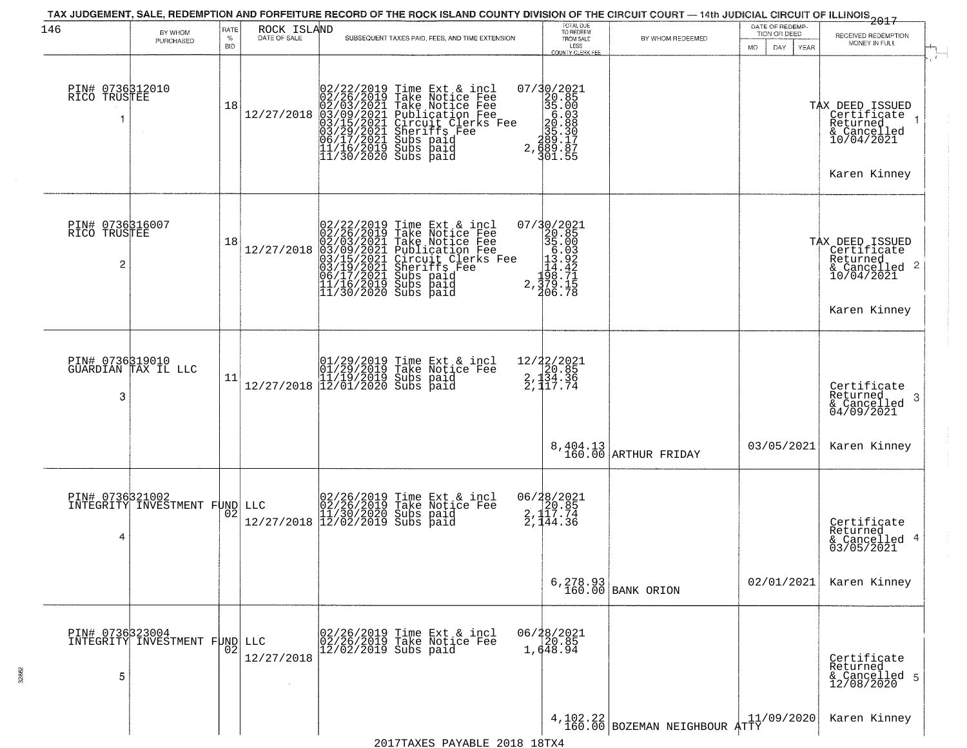| 146                                  | BY WHOM<br>PURCHASED                             | RATE<br>%<br><b>BID</b> | ROCK ISLAND<br>DATE OF SALE | SUBSEQUENT TAXES PAID, FEES, AND TIME EXTENSION                                                                                                                                                                                                        | TOTAL DUE<br>TO REDEEM<br>FROM SALE<br>LESS<br>COUNTY CLERK FEE                                                                                                                                                                                                                                                                        | BY WHOM REDEEMED                   | DATE OF REDEMP-<br>TION OR DEED<br>YEAR<br>MO.<br>DAY. | 2017<br>RECEIVED REDEMPTION<br>MONEY IN FULL<br>$\mathbf{f}$                                        |
|--------------------------------------|--------------------------------------------------|-------------------------|-----------------------------|--------------------------------------------------------------------------------------------------------------------------------------------------------------------------------------------------------------------------------------------------------|----------------------------------------------------------------------------------------------------------------------------------------------------------------------------------------------------------------------------------------------------------------------------------------------------------------------------------------|------------------------------------|--------------------------------------------------------|-----------------------------------------------------------------------------------------------------|
| PIN# 0736312010<br>RICO TRUSTEE      |                                                  | 18                      |                             | 02/22/2019 Time Ext & incl<br>02/26/2019 Take Notice Fee<br>02/03/2021 Take Notice Fee<br>02/03/2021 Take Notice Fee<br>03/09/2021 Circuit Clerks Fee<br>03/29/2021 Sheriffs Fee<br>06/17/2021 Subs paid<br>11/16/2019 Subs paid<br>11/30/2020 Subs pa | $2, \begin{smallmatrix} 07/3 & 0 & 2 & 0 & 2 & 1 \\ 2 & 0 & 2 & 0 & 1 & 0 \\ 3 & 5 & 0 & 0 & 3 & 5 \\ 5 & 0 & 0 & 3 & 5 & 0 \\ 2 & 0 & 0 & 8 & 8 & 3 \\ 3 & 0 & 0 & 0 & 0 & 1 \\ 2 & 0 & 0 & 0 & 0 & 1 \\ 3 & 0 & 0 & 0 & 0 & 5 \\ 4 & 0 & 0 & 0 & 0 & 5 \\ 5 & 0 & 0 & 0 & 0 & 5 \\ 6 & 0 & 0 & 0 & 0 & 5 \\ 7 & 0 & 0 & 0$<br>301.55 |                                    |                                                        | TAX DEED ISSUED<br>Certificate<br>Baturnad<br>Returned<br>& Cancelled<br>10/04/2021<br>Karen Kinney |
| PIN# 0736316007<br>RICO TRUSTEE<br>2 |                                                  | 18                      | 12/27/2018                  | 02/22/2019 Time Ext & incl<br>02/26/2019 Take Notice Fee<br>02/03/2021 Take Notice Fee<br>03/09/2021 Publication Fee<br>03/15/2021 Circuit Clerks Fee<br>03/15/2021 Subs paid<br>06/17/2021 Subs paid<br>11/16/2019 Subs paid<br>11/16/2019 Subs paid  | 07/30/2021<br>$20.85$<br>$35.003$<br>$13.42$<br>$14.42$<br>$15.71$<br>$2,\frac{3}{2}\frac{7}{9}\cdot\frac{15}{78}$                                                                                                                                                                                                                     |                                    |                                                        | TAX DEED ISSUED<br>  Certificate<br>  Returned<br>Karen Kinney                                      |
| 3                                    | PIN# 0736319010<br>GUARDIAN TAX IL LLC           | 11                      |                             | $[01/29/2019 \tTime Ext & incl 01/29/2019 \tTake Notice Free 11/19/2019 Subs paid 12/27/2018 12/01/2020 Subs paid 13/01/2020$                                                                                                                          | 12/22/2021<br>2, 120.85<br>2, 134.36<br>2, 117.74                                                                                                                                                                                                                                                                                      |                                    |                                                        | Certificate<br>Returned<br>3<br>& Cancelled<br>04/09/2021                                           |
|                                      |                                                  |                         |                             |                                                                                                                                                                                                                                                        |                                                                                                                                                                                                                                                                                                                                        | $8,404.13$<br>160.00 ARTHUR FRIDAY | 03/05/2021                                             | Karen Kinney                                                                                        |
| 4                                    | PIN# 0736321002<br>INTEGRITY INVESTMENT FUND LLC | 02                      |                             | LLC 02/26/2019 Time Ext & incl<br>02/26/2019 Take Notice Fee<br>11/30/2020 Subs paid<br>12/27/2018 12/02/2019 Subs paid                                                                                                                                | 06/28/2021<br>20.85<br>2,117.74<br>2,144.36                                                                                                                                                                                                                                                                                            |                                    |                                                        | Certificate<br>Returned<br>& Cancelled 4<br>03/05/2021                                              |
|                                      |                                                  |                         |                             |                                                                                                                                                                                                                                                        |                                                                                                                                                                                                                                                                                                                                        | 6,278.93<br>160.00 BANK ORION      | 02/01/2021                                             | Karen Kinney                                                                                        |
| 5                                    | PIN# 0736323004<br>INTEGRITY INVESTMENT FUND     | 02                      | LLC<br>12/27/2018           | 02/26/2019 Time Ext & incl<br>02/26/2019 Take Notice Fee<br>12/02/2019 Subs paid                                                                                                                                                                       | 06/28/2021<br>1,648.94                                                                                                                                                                                                                                                                                                                 |                                    |                                                        | Certificate<br>Returned<br>& Cancelled 5<br>12/08/2020                                              |
|                                      |                                                  |                         |                             |                                                                                                                                                                                                                                                        |                                                                                                                                                                                                                                                                                                                                        | $4,102.22$ BOZEMAN NEIGHBOUR ATTY  | 11/09/2020                                             | Karen Kinney                                                                                        |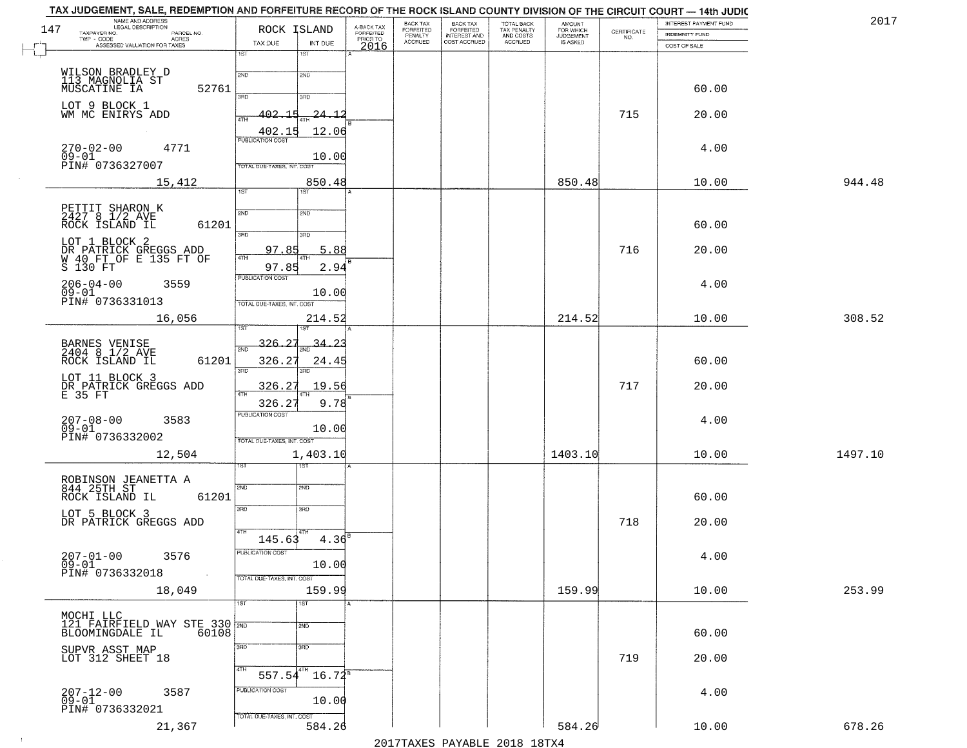|     | TAX JUDGEMENT, SALE, REDEMPTION AND FORFEITURE RECORD OF THE ROCK ISLAND COUNTY DIVISION OF THE CIRCUIT COURT — 14th JUDIC |                                  |             |                                     |                             |                                                       |                                                   |                                    |                    |                       |         |
|-----|----------------------------------------------------------------------------------------------------------------------------|----------------------------------|-------------|-------------------------------------|-----------------------------|-------------------------------------------------------|---------------------------------------------------|------------------------------------|--------------------|-----------------------|---------|
|     | NAME AND ADDRESS<br>LEGAL DESCRIPTION                                                                                      |                                  |             |                                     | BACK TAX                    |                                                       |                                                   | <b>AMOUNT</b>                      |                    | INTEREST PAYMENT FUND | 2017    |
| 147 | TAXPAYER NO.<br>PARCEL NO.<br>TWP - CODE                                                                                   | ROCK ISLAND                      |             | A-BACK TAX<br>FORFEITED<br>PRIOR TO | <b>FORFEITED</b><br>PENALTY | BACK TAX<br>FORFEITED<br>INTEREST AND<br>COST ACCRUED | TOTAL BACK<br>TAX PENALTY<br>AND COSTS<br>ACCRUED | FOR WHICH<br>JUDGEMENT<br>IS ASKED | CERTIFICATE<br>NO. | <b>INDEMNITY FUND</b> |         |
|     | - CODE ACRES<br>ASSESSED VALUATION FOR TAXES                                                                               | TAX DUE                          | INT DUE     | 2016                                | <b>ACCRUED</b>              |                                                       |                                                   |                                    |                    | COST OF SALE          |         |
|     |                                                                                                                            | $\overline{1ST}$<br>1ST          |             |                                     |                             |                                                       |                                                   |                                    |                    |                       |         |
|     |                                                                                                                            |                                  |             |                                     |                             |                                                       |                                                   |                                    |                    |                       |         |
|     | WILSON BRADLEY D<br>113 MAGNOLIA ST                                                                                        | 2ND<br>2ND                       |             |                                     |                             |                                                       |                                                   |                                    |                    |                       |         |
|     | MUSCATINE IA<br>52761                                                                                                      | 3RD<br>3RD                       |             |                                     |                             |                                                       |                                                   |                                    |                    | 60.00                 |         |
|     |                                                                                                                            |                                  |             |                                     |                             |                                                       |                                                   |                                    |                    |                       |         |
|     | LOT 9 BLOCK 1<br>WM MC ENIRYS ADD                                                                                          | 402.<br>-1 P<br>4TH              | -24 - 1     |                                     |                             |                                                       |                                                   |                                    | 715                | 20.00                 |         |
|     | $\sim 10^{-1}$                                                                                                             | 402.1                            | 12.06       |                                     |                             |                                                       |                                                   |                                    |                    |                       |         |
|     |                                                                                                                            | <b>PUBLICATION COST</b>          |             |                                     |                             |                                                       |                                                   |                                    |                    |                       |         |
|     | $270 - 02 - 00$<br>4771                                                                                                    |                                  |             |                                     |                             |                                                       |                                                   |                                    |                    | 4.00                  |         |
|     | $09 - 01$<br>PIN# 0736327007                                                                                               | TOTAL DUE-TAXES, INT. COST       | 10.00       |                                     |                             |                                                       |                                                   |                                    |                    |                       |         |
|     |                                                                                                                            |                                  |             |                                     |                             |                                                       |                                                   |                                    |                    |                       |         |
|     | 15,412                                                                                                                     | 1ST                              | 850.48      |                                     |                             |                                                       |                                                   | 850.48                             |                    | 10.00                 | 944.48  |
|     |                                                                                                                            | 1ST                              |             |                                     |                             |                                                       |                                                   |                                    |                    |                       |         |
|     | PETTIT SHARON K<br>2427 8 1/2 AVE                                                                                          | 2ND<br>2ND                       |             |                                     |                             |                                                       |                                                   |                                    |                    |                       |         |
|     | ROCK ISLAND IL<br>61201                                                                                                    |                                  |             |                                     |                             |                                                       |                                                   |                                    |                    | 60.00                 |         |
|     |                                                                                                                            | 3RD<br>3RD                       |             |                                     |                             |                                                       |                                                   |                                    |                    |                       |         |
|     | LOT 1 BLOCK 2                                                                                                              | 97.85                            | 5.88        |                                     |                             |                                                       |                                                   |                                    | 716                |                       |         |
|     |                                                                                                                            | 47H                              |             |                                     |                             |                                                       |                                                   |                                    |                    | 20.00                 |         |
|     | DR PATRICK GREGGS ADD<br>W 40 FT OF E 135 FT OF<br>S 130 FT                                                                | 97.85                            | 2.94        |                                     |                             |                                                       |                                                   |                                    |                    |                       |         |
|     | $206 - 04 - 00$<br>3559                                                                                                    | PUBLICATION COST                 |             |                                     |                             |                                                       |                                                   |                                    |                    | 4.00                  |         |
|     | $09 - 01$                                                                                                                  |                                  | 10.00       |                                     |                             |                                                       |                                                   |                                    |                    |                       |         |
|     | PIN# 0736331013                                                                                                            | TOTAL DUE-TAXES, INT. COST       |             |                                     |                             |                                                       |                                                   |                                    |                    |                       |         |
|     | 16,056                                                                                                                     |                                  | 214.52      |                                     |                             |                                                       |                                                   | 214.52                             |                    | 10.00                 | 308.52  |
|     |                                                                                                                            |                                  |             |                                     |                             |                                                       |                                                   |                                    |                    |                       |         |
|     |                                                                                                                            | 326.27                           | -34.<br>-23 |                                     |                             |                                                       |                                                   |                                    |                    |                       |         |
|     | BARNES VENISE<br>2404 8 1/2 AVE                                                                                            | 2ND                              |             |                                     |                             |                                                       |                                                   |                                    |                    |                       |         |
|     | 61201<br>ROCK ISLAND IL                                                                                                    | 326.27                           | 24.45       |                                     |                             |                                                       |                                                   |                                    |                    | 60.00                 |         |
|     | LOT 11 BLOCK 3                                                                                                             | 3RD<br>3RD                       |             |                                     |                             |                                                       |                                                   |                                    |                    |                       |         |
|     | DR PATRICK GREGGS ADD<br>E 35 FT                                                                                           | 326.27                           | 19.56       |                                     |                             |                                                       |                                                   |                                    | 717                | 20.00                 |         |
|     |                                                                                                                            |                                  | 9.78        |                                     |                             |                                                       |                                                   |                                    |                    |                       |         |
|     |                                                                                                                            | 326.2<br><b>PUBLICATION COST</b> |             |                                     |                             |                                                       |                                                   |                                    |                    |                       |         |
|     | 207-08-00<br>09-01<br>3583                                                                                                 |                                  |             |                                     |                             |                                                       |                                                   |                                    |                    | 4.00                  |         |
|     | PIN# 0736332002                                                                                                            |                                  | 10.00       |                                     |                             |                                                       |                                                   |                                    |                    |                       |         |
|     |                                                                                                                            | TOTAL OUE-TAXES, INT. COST       |             |                                     |                             |                                                       |                                                   |                                    |                    |                       |         |
|     | 12,504                                                                                                                     |                                  | 1,403.10    |                                     |                             |                                                       |                                                   | 1403.10                            |                    | 10.00                 | 1497.10 |
|     |                                                                                                                            | इइ                               |             |                                     |                             |                                                       |                                                   |                                    |                    |                       |         |
|     | ROBINSON JEANETTA A<br>844 25TH ST                                                                                         |                                  |             |                                     |                             |                                                       |                                                   |                                    |                    |                       |         |
|     | ROCK ISLAND IL<br>61201                                                                                                    | 2ND<br>2ND                       |             |                                     |                             |                                                       |                                                   |                                    |                    | 60.00                 |         |
|     |                                                                                                                            | 3RD<br>3RD                       |             |                                     |                             |                                                       |                                                   |                                    |                    |                       |         |
|     | LOT 5 BLOCK 3                                                                                                              |                                  |             |                                     |                             |                                                       |                                                   |                                    |                    |                       |         |
|     | DR PATRICK GREGGS ADD                                                                                                      | 4TH                              |             |                                     |                             |                                                       |                                                   |                                    | 718                | 20.00                 |         |
|     |                                                                                                                            | 145.63                           | 4.36        |                                     |                             |                                                       |                                                   |                                    |                    |                       |         |
|     | $207 - 01 - 00$<br>3576                                                                                                    | PUBLICATION COST                 |             |                                     |                             |                                                       |                                                   |                                    |                    | 4.00                  |         |
|     | $09 - 01$                                                                                                                  |                                  | 10.00       |                                     |                             |                                                       |                                                   |                                    |                    |                       |         |
|     | PIN# 0736332018                                                                                                            | TOTAL DUE-TAXES, INT. COST       |             |                                     |                             |                                                       |                                                   |                                    |                    |                       |         |
|     | 18,049                                                                                                                     |                                  | 159.99      |                                     |                             |                                                       |                                                   | 159.99                             |                    | 10.00                 | 253.99  |
|     |                                                                                                                            | $\overline{\text{1ST}}$<br>1ST   |             |                                     |                             |                                                       |                                                   |                                    |                    |                       |         |
|     | MOCHI LLC                                                                                                                  |                                  |             |                                     |                             |                                                       |                                                   |                                    |                    |                       |         |
|     | 121 FAIRFIELD WAY STE 330 70                                                                                               | 2ND                              |             |                                     |                             |                                                       |                                                   |                                    |                    |                       |         |
|     | BLOOMINGDALE IL<br>60108                                                                                                   |                                  |             |                                     |                             |                                                       |                                                   |                                    |                    | 60.00                 |         |
|     |                                                                                                                            | 3RD<br>$\overline{\rm 3RD}$      |             |                                     |                             |                                                       |                                                   |                                    |                    |                       |         |
|     | SUPVR ASST MAP<br>LOT 312 SHEET 18                                                                                         |                                  |             |                                     |                             |                                                       |                                                   |                                    | 719                | 20.00                 |         |
|     |                                                                                                                            | 4TH<br>$557.54^{4TH}$            | $16.72^8$   |                                     |                             |                                                       |                                                   |                                    |                    |                       |         |
|     |                                                                                                                            |                                  |             |                                     |                             |                                                       |                                                   |                                    |                    |                       |         |
|     | $207 - 12 - 00$<br>09-01<br>3587                                                                                           | PUBLICATION COST                 |             |                                     |                             |                                                       |                                                   |                                    |                    | 4.00                  |         |
|     | PIN# 0736332021                                                                                                            |                                  | 10.00       |                                     |                             |                                                       |                                                   |                                    |                    |                       |         |
|     |                                                                                                                            | TOTAL DUE-TAXES, INT. COST       |             |                                     |                             |                                                       |                                                   |                                    |                    |                       |         |
|     | 21,367                                                                                                                     |                                  | 584.26      |                                     |                             |                                                       |                                                   | 584.26                             |                    | 10.00                 | 678.26  |
|     |                                                                                                                            |                                  |             |                                     |                             |                                                       | 2017 THAVEC DAVARIE 2010 19TVA                    |                                    |                    |                       |         |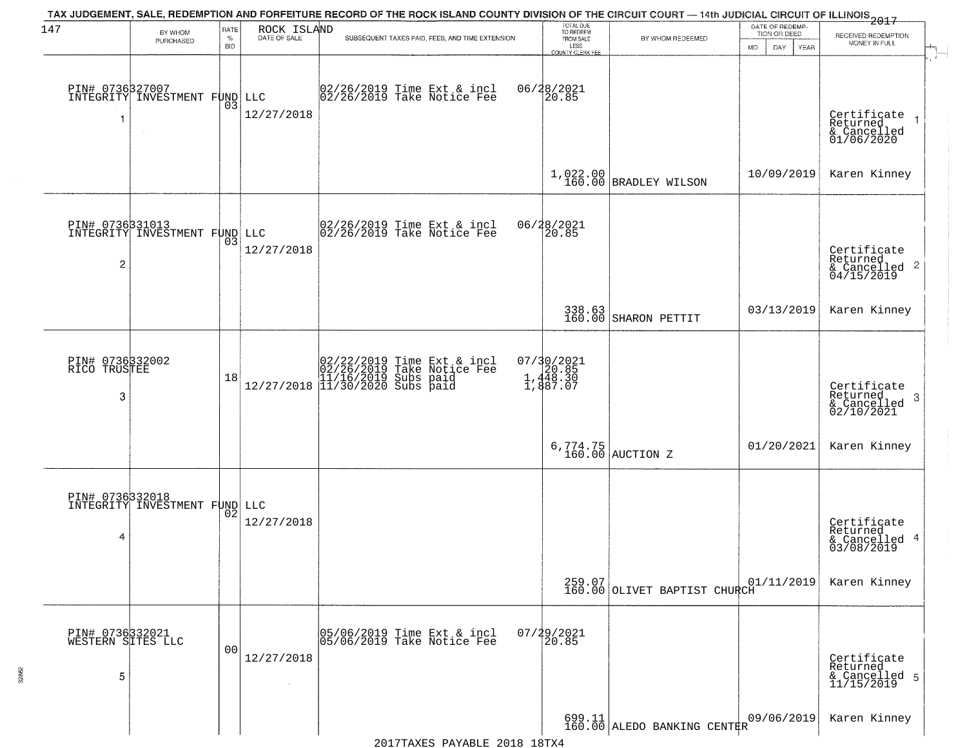| 147                                       | BY WHOM                                                    | RATE               | ROCK ISLAND<br>DATE OF SALE | TAX JUDGEMENT, SALE, REDEMPTION AND FORFEITURE RECORD OF THE ROCK ISLAND COUNTY DIVISION OF THE CIRCUIT COURT — 14th JUDICIAL CIRCUIT OF ILLINOIS 2017                                           | TOTAL DUE<br>TO REDEEM                      |                                        | DATE OF REDEMP-<br>TION OR DEED  |                                                                            |
|-------------------------------------------|------------------------------------------------------------|--------------------|-----------------------------|--------------------------------------------------------------------------------------------------------------------------------------------------------------------------------------------------|---------------------------------------------|----------------------------------------|----------------------------------|----------------------------------------------------------------------------|
|                                           | PURCHASED                                                  | $\%$<br><b>BID</b> |                             | SUBSEQUENT TAXES PAID, FEES, AND TIME EXTENSION                                                                                                                                                  | FROM SALE<br>LESS<br>COUNTY CLERK FEE       | BY WHOM REDEEMED                       | <b>MO</b><br>DAY.<br><b>YEAR</b> | RECEIVED REDEMPTION<br>MONEY IN FULL                                       |
| 1                                         | PIN# 0736327007<br>INTEGRITY INVESTMENT FUND LLC<br>$\sim$ | 03                 | 12/27/2018                  | 02/26/2019 Time Ext & incl<br>02/26/2019 Take Notice Fee                                                                                                                                         | 06/28/2021<br>20.85                         |                                        |                                  | Certificate<br>Returned<br>& Cancelled<br>01/06/2020                       |
|                                           |                                                            |                    |                             |                                                                                                                                                                                                  |                                             | 1,022.00<br>160.00 BRADLEY WILSON      | 10/09/2019                       | Karen Kinney                                                               |
| 2                                         | PIN# 0736331013<br>INTEGRITY INVESTMENT FUND LLC           | 03                 | 12/27/2018                  | 02/26/2019 Time Ext & incl<br>02/26/2019 Take Notice Fee                                                                                                                                         | 06/28/2021<br>20.85                         |                                        |                                  | Certificate<br>Returned<br>$\overline{2}$<br>$&$ Cancelled<br>$04/15/2019$ |
|                                           |                                                            |                    |                             |                                                                                                                                                                                                  |                                             | 338.63<br>160.00 SHARON PETTIT         | 03/13/2019                       | Karen Kinney                                                               |
| PIN# 0736332002<br>RICO TRUSTEE<br>3      |                                                            | 18                 |                             | $[02/22/2019 \text{ Time Ext & incl} \brack 02/26/2019 \text{ Take Notice Fee} \brack 11/16/2019 \text{ Subs paid} \brack 12/27/2018 \begin{bmatrix} 11/30/2020 \text{ Subs paid} \end{bmatrix}$ | 07/30/2021<br>20.85<br>1,448.30<br>1,887.07 |                                        |                                  | Certificate<br>Returned<br>3<br>$\frac{1}{02/10/2021}$                     |
|                                           |                                                            |                    |                             |                                                                                                                                                                                                  |                                             | $6,774.75$ AUCTION Z                   | 01/20/2021                       | Karen Kinney                                                               |
| 4                                         | PIN# 0736332018<br>INTEGRITY INVESTMENT FUND LLC           | 02                 | 12/27/2018                  |                                                                                                                                                                                                  |                                             |                                        |                                  | Certificate<br>Returned<br>4<br>& Cancelled<br>03/08/2019                  |
|                                           |                                                            |                    |                             |                                                                                                                                                                                                  |                                             | 160.07<br>160.00 OLIVET BAPTIST CHURCH | 01/11/2019                       | Karen Kinney                                                               |
| PIN# 0736332021<br>WESTERN SITES LLC<br>5 |                                                            | 0 <sub>0</sub>     | 12/27/2018                  | 05/06/2019 Time Ext & incl<br>05/06/2019 Take Notice Fee                                                                                                                                         | 07/29/2021<br>20.85                         |                                        |                                  | Certificate<br>Returned<br>& Cancelled 5<br>11/15/2019                     |
|                                           |                                                            |                    |                             |                                                                                                                                                                                                  |                                             | 699.11<br>160.00 ALEDO BANKING CENTER  | 09/06/2019                       | Karen Kinney                                                               |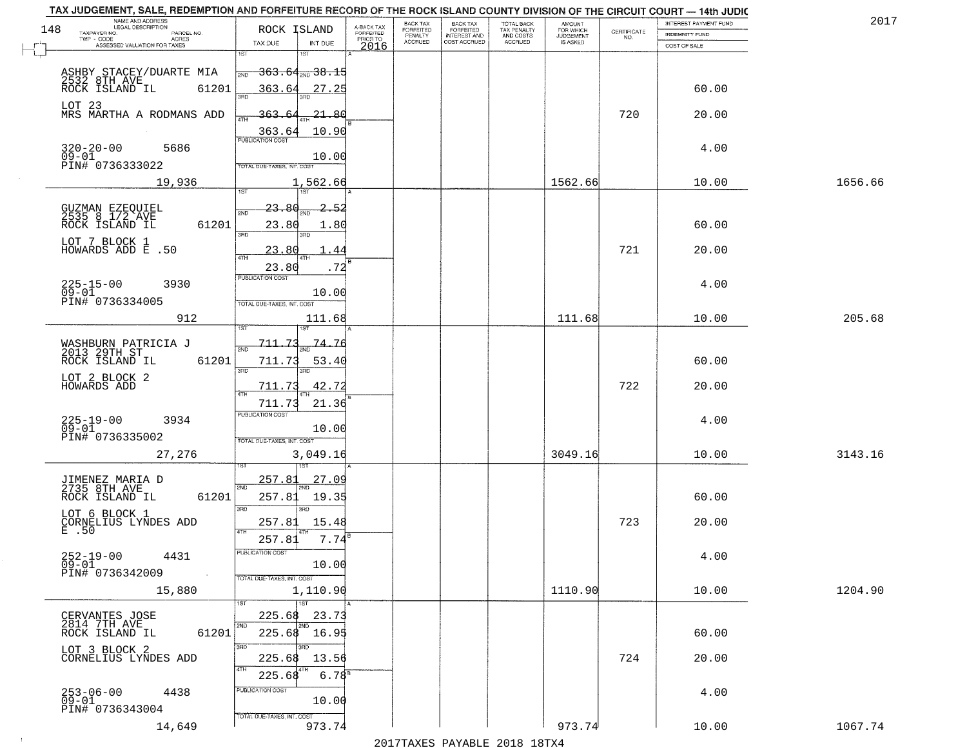|     | TAX JUDGEMENT, SALE, REDEMPTION AND FORFEITURE RECORD OF THE ROCK ISLAND COUNTY DIVISION OF THE CIRCUIT COURT - 14th JUDIC<br>NAME AND ADDRESS<br>LEGAL DESCRIPTION |                                   |               |                                     | BACK TAX             | <b>BACK TAX</b>           |                                        |                                  |                    | INTEREST PAYMENT FUND | 201     |
|-----|---------------------------------------------------------------------------------------------------------------------------------------------------------------------|-----------------------------------|---------------|-------------------------------------|----------------------|---------------------------|----------------------------------------|----------------------------------|--------------------|-----------------------|---------|
| 148 | TAXPAYER NO.<br>PARCEL NO.<br>ACRES                                                                                                                                 | ROCK ISLAND                       |               | A-BACK TAX<br>FORFEITED<br>PRIOR TO | FORFEITED<br>PENALTY | FORFEITED<br>INTEREST AND | TOTAL BACK<br>TAX PENALTY<br>AND COSTS | AMOUNT<br>FOR WHICH<br>JUDGEMENT | CERTIFICATE<br>NO. | <b>INDEMNITY FUND</b> |         |
|     | ASSESSED VALUATION FOR TAXES                                                                                                                                        | TAX DUE                           | INT DUE       | 2016                                | <b>ACCRUED</b>       | COST ACCRUED              | ACCRUED                                | <b>IS ASKED</b>                  |                    | COST OF SALE          |         |
|     |                                                                                                                                                                     | 1ST                               |               |                                     |                      |                           |                                        |                                  |                    |                       |         |
|     |                                                                                                                                                                     | <del>363.64,,,38.15</del><br>2ND  |               |                                     |                      |                           |                                        |                                  |                    |                       |         |
|     | ASHBY STACEY/DUARTE MIA<br>2532 8TH AVE<br>ROCK ISLAND IL 6120<br>61201                                                                                             | 363.64                            | 27.25         |                                     |                      |                           |                                        |                                  |                    | 60.00                 |         |
|     | LOT 23                                                                                                                                                              |                                   |               |                                     |                      |                           |                                        |                                  |                    |                       |         |
|     | MRS MARTHA A RODMANS ADD                                                                                                                                            | <u>363.6</u>                      | <u> 21.80</u> |                                     |                      |                           |                                        |                                  | 720                | 20.00                 |         |
|     |                                                                                                                                                                     | 363.64                            | 10.90         |                                     |                      |                           |                                        |                                  |                    |                       |         |
|     | $320 - 20 - 00$<br>09-01<br>5686                                                                                                                                    |                                   |               |                                     |                      |                           |                                        |                                  |                    | 4.00                  |         |
|     | PIN# 0736333022                                                                                                                                                     | <b>TOTAL DUE-TAXES, INT, COST</b> | 10.00         |                                     |                      |                           |                                        |                                  |                    |                       |         |
|     |                                                                                                                                                                     |                                   |               |                                     |                      |                           |                                        |                                  |                    |                       |         |
|     | 19,936                                                                                                                                                              | 1ST                               | 1,562.66      |                                     |                      |                           |                                        | 1562.66                          |                    | 10.00                 | 1656.66 |
|     |                                                                                                                                                                     | <u>23.80</u>                      | 2.52          |                                     |                      |                           |                                        |                                  |                    |                       |         |
|     | GUZMAN EZEQUIEL<br>2535 8 1/2 AVE                                                                                                                                   | 2ND                               |               |                                     |                      |                           |                                        |                                  |                    |                       |         |
|     | ROCK ISLAND IL<br>61201                                                                                                                                             | 23.80<br>उन्नत                    | 1.80<br>3BD.  |                                     |                      |                           |                                        |                                  |                    | 60.00                 |         |
|     | LOT 7 BLOCK 1<br>HOWARDS ADD E .50                                                                                                                                  | 23.80                             | 44            |                                     |                      |                           |                                        |                                  | 721                | 20.00                 |         |
|     |                                                                                                                                                                     | <b>ATH</b>                        |               |                                     |                      |                           |                                        |                                  |                    |                       |         |
|     |                                                                                                                                                                     | 23.80<br>PUBLICATION COST         | .72           |                                     |                      |                           |                                        |                                  |                    |                       |         |
|     | $225 - 15 - 00$<br>3930<br>$09 - 01$                                                                                                                                |                                   | 10.00         |                                     |                      |                           |                                        |                                  |                    | 4.00                  |         |
|     | PIN# 0736334005                                                                                                                                                     | TOTAL DUE-TAXES, INT. COST        |               |                                     |                      |                           |                                        |                                  |                    |                       |         |
|     | 912                                                                                                                                                                 |                                   | 111.68        |                                     |                      |                           |                                        | 111.68                           |                    | 10.00                 | 205.68  |
|     |                                                                                                                                                                     | 1ST                               | 1ST           |                                     |                      |                           |                                        |                                  |                    |                       |         |
|     | WASHBURN PATRICIA J<br>2013 29TH ST                                                                                                                                 | 711.<br>2ND                       | 74.76         |                                     |                      |                           |                                        |                                  |                    |                       |         |
|     | ROCK ISLAND IL<br>61201                                                                                                                                             | 711.73                            | 53.40         |                                     |                      |                           |                                        |                                  |                    | 60.00                 |         |
|     | LOT 2 BLOCK 2                                                                                                                                                       | 3RD                               | 3RD           |                                     |                      |                           |                                        |                                  |                    |                       |         |
|     | HOWARDS ADD                                                                                                                                                         | 711.73<br>ATH                     | 42.72         |                                     |                      |                           |                                        |                                  | 722                | 20.00                 |         |
|     |                                                                                                                                                                     | 711.73                            | 21.36         |                                     |                      |                           |                                        |                                  |                    |                       |         |
|     | $225 - 19 - 00$<br>09-01<br>3934                                                                                                                                    | <b>PUBLICATION COST</b>           |               |                                     |                      |                           |                                        |                                  |                    | 4.00                  |         |
|     | PIN# 0736335002                                                                                                                                                     | TOTAL OUE-TAXES, INT. COST        | 10.00         |                                     |                      |                           |                                        |                                  |                    |                       |         |
|     | 27,276                                                                                                                                                              |                                   | 3,049.16      |                                     |                      |                           |                                        | 3049.16                          |                    | 10.00                 | 3143.16 |
|     |                                                                                                                                                                     |                                   |               |                                     |                      |                           |                                        |                                  |                    |                       |         |
|     | JIMENEZ MARIA D<br>2735 8TH AVE                                                                                                                                     | 257.81                            | <u>27.09</u>  |                                     |                      |                           |                                        |                                  |                    |                       |         |
|     | ROCK ISLAND IL<br>61201                                                                                                                                             | 2ND<br>257.81                     | 19.35         |                                     |                      |                           |                                        |                                  |                    | 60.00                 |         |
|     |                                                                                                                                                                     | 3RD                               | 3RD           |                                     |                      |                           |                                        |                                  |                    |                       |         |
|     | LOT 6 BLOCK 1<br>CORNELIUS LYNDES ADD<br>E .50                                                                                                                      | 257.81                            | 15.48         |                                     |                      |                           |                                        |                                  | 723                | 20.00                 |         |
|     |                                                                                                                                                                     | 4TH<br>257.81                     | 7.74          |                                     |                      |                           |                                        |                                  |                    |                       |         |
|     | 4431                                                                                                                                                                | -usuca i un cus-                  |               |                                     |                      |                           |                                        |                                  |                    | 4.00                  |         |
|     | $252 - 19 - 00$<br>09-01                                                                                                                                            |                                   | 10.00         |                                     |                      |                           |                                        |                                  |                    |                       |         |
|     | PIN# 0736342009<br>$\sim$ 4 $\sim$                                                                                                                                  | TOTAL DUE-TAXES, INT. COST        |               |                                     |                      |                           |                                        |                                  |                    |                       |         |
|     | 15,880                                                                                                                                                              |                                   | 1,110.90      |                                     |                      |                           |                                        | 1110.90                          |                    | 10.00                 | 1204.90 |
|     |                                                                                                                                                                     |                                   | 1ST           |                                     |                      |                           |                                        |                                  |                    |                       |         |
|     | CERVANTES JOSE<br>2814 7TH AVE<br>ROCK ISLAND IL                                                                                                                    | 225.68<br>2ND                     | 23.73<br>2ND  |                                     |                      |                           |                                        |                                  |                    |                       |         |
|     | 61201                                                                                                                                                               | 225.68 16.95                      |               |                                     |                      |                           |                                        |                                  |                    | 60.00                 |         |
|     | LOT 3 BLOCK 2                                                                                                                                                       | 3RD                               | 3RD.          |                                     |                      |                           |                                        |                                  | 724                | 20.00                 |         |
|     | CORNELIUS LYNDES ADD                                                                                                                                                | 225.68<br>4TH                     | 13.56         |                                     |                      |                           |                                        |                                  |                    |                       |         |
|     |                                                                                                                                                                     | 225.68                            | $6.78^{8}$    |                                     |                      |                           |                                        |                                  |                    |                       |         |
|     | 253-06-00<br>09-01<br>4438                                                                                                                                          | PUBLICATION COST                  | 10.00         |                                     |                      |                           |                                        |                                  |                    | 4.00                  |         |
|     | PIN# 0736343004                                                                                                                                                     | TOTAL DUE-TAXES, INT. COST        |               |                                     |                      |                           |                                        |                                  |                    |                       |         |
|     | 14,649                                                                                                                                                              |                                   | 973.74        |                                     |                      |                           |                                        | 973.74                           |                    | 10.00                 | 1067.74 |
|     |                                                                                                                                                                     |                                   |               |                                     |                      |                           | 2017 THAYRO DAVARIE 2010 19TYA         |                                  |                    |                       |         |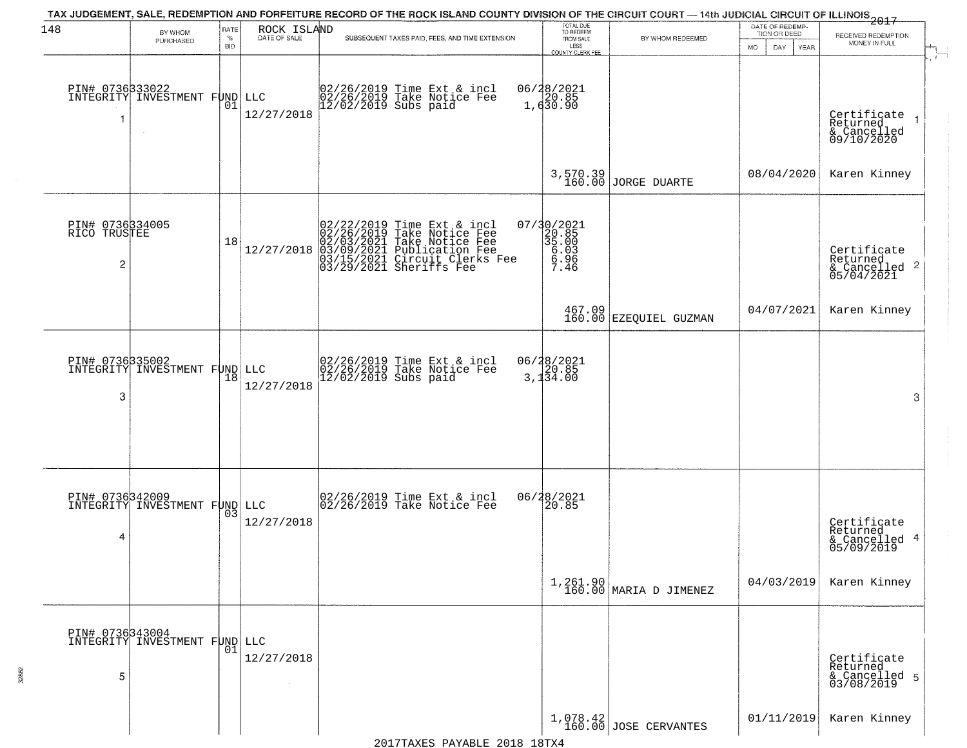| 148                                  | BY WHOM                                                | RATE               | ROCK ISLAND       | TAX JUDGEMENT, SALE, REDEMPTION AND FORFEITURE RECORD OF THE ROCK ISLAND COUNTY DIVISION OF THE CIRCUIT COURT — 14th JUDICIAL CIRCUIT OF ILLINOIS 2017                                       | TOTAL DUE<br>TO REDEEM                                   |                                  | DATE OF REDEMP-<br>TION OR DEED |                                                           |
|--------------------------------------|--------------------------------------------------------|--------------------|-------------------|----------------------------------------------------------------------------------------------------------------------------------------------------------------------------------------------|----------------------------------------------------------|----------------------------------|---------------------------------|-----------------------------------------------------------|
|                                      | PURCHASED                                              | $\%$<br><b>BID</b> | DATE OF SALE      | SUBSEQUENT TAXES PAID, FEES, AND TIME EXTENSION                                                                                                                                              | FROM SALE<br>LESS<br>COUNTY CLERK FEE                    | BY WHOM REDEEMED                 | <b>MO</b><br>DAY.<br>YEAR       | RECEIVED REDEMPTION<br>MONEY IN FULL                      |
| 1                                    | PIN# 0736333022<br>INTEGRITY INVESTMENT FUND<br>$\sim$ | 01                 | LLC<br>12/27/2018 | 02/26/2019 Time Ext & incl<br>02/26/2019 Take Notice Fee<br>12/02/2019 Subs paid                                                                                                             | 06/28/2021<br>1,630.90                                   |                                  |                                 | Certificate<br>Returned<br>& Cancelled<br>09/10/2020      |
|                                      |                                                        |                    |                   |                                                                                                                                                                                              |                                                          | 3,570.39<br>160.00 JORGE DUARTE  | 08/04/2020                      | Karen Kinney                                              |
| PIN# 0736334005<br>RICO TRUSTEE<br>2 |                                                        | 18                 | 12/27/2018        | $02/22/2019$ Time Ext & incl<br>$02/26/2019$ Take Notice Fee<br>$02/03/2021$ Take Notice Fee<br>$03/09/2021$ Publication Fee<br>$03/15/2021$ Circuit Clerks Fee<br>$03/29/2021$ Sheriffs Fee | 07/30/2021<br>20.85<br>35.00<br>$6.03$<br>$6.96$<br>7.46 |                                  |                                 | Certificate<br>Returned<br>& Cancelled 2<br>05/04/2021    |
|                                      |                                                        |                    |                   |                                                                                                                                                                                              |                                                          | 467.09<br>160.00 EZEQUIEL GUZMAN | 04/07/2021                      | Karen Kinney                                              |
| 3                                    | PIN# 0736335002<br>INTEGRITY INVESTMENT FUND LLC       | 18                 | 12/27/2018        | 02/26/2019 Time Ext & incl<br>02/26/2019 Take Notice Fee<br>12/02/2019 Subs paid                                                                                                             | 06/28/2021<br>3,134.00                                   |                                  |                                 | 3                                                         |
| 4                                    | PIN# 0736342009<br>INTEGRITY INVESTMENT FUND LLC       | 03                 | 12/27/2018        | 02/26/2019 Time Ext & incl<br>02/26/2019 Take Notice Fee                                                                                                                                     | 06/28/2021<br>120.85                                     |                                  |                                 | Certificate<br>Returned<br>4<br>& Cancelled<br>05/09/2019 |
|                                      |                                                        |                    |                   |                                                                                                                                                                                              |                                                          | $1,261.90$ MARIA D JIMENEZ       | 04/03/2019                      | Karen Kinney                                              |
| 5                                    | PIN# 0736343004<br>INTEGRITY INVESTMENT FUND LLC       | 01                 | 12/27/2018        |                                                                                                                                                                                              |                                                          |                                  |                                 | Certificate<br>Returned<br>& Cancelled 5<br>03/08/2019    |
|                                      |                                                        |                    |                   |                                                                                                                                                                                              |                                                          | $1,078.42$ JOSE CERVANTES        | 01/11/2019                      | Karen Kinney                                              |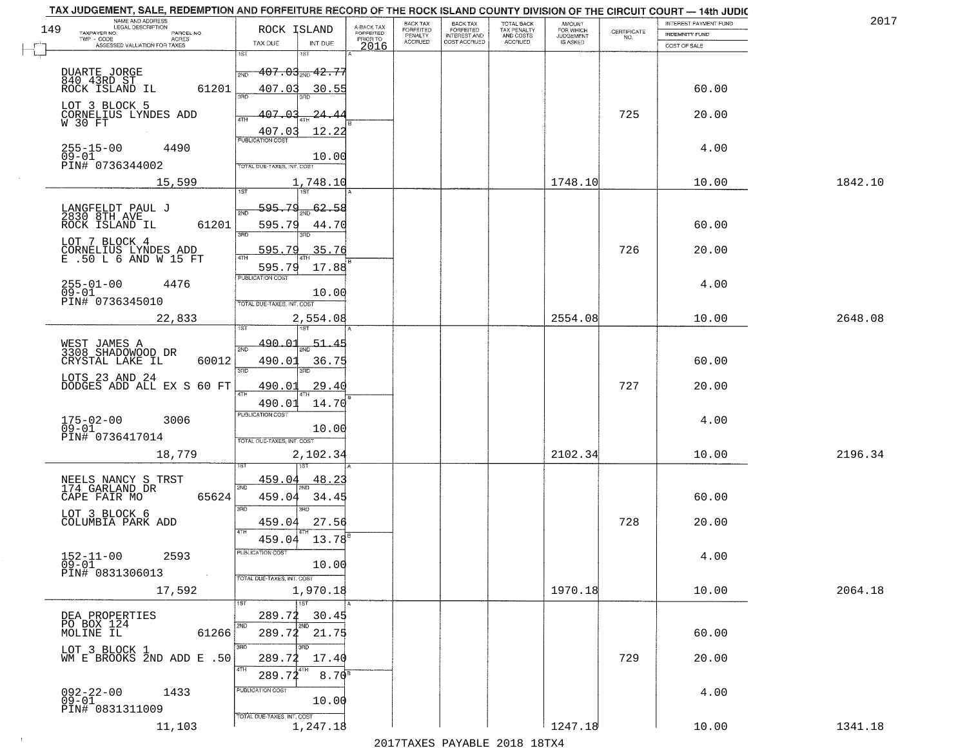|     | TAX JUDGEMENT, SALE, REDEMPTION AND FORFEITURE RECORD OF THE ROCK ISLAND COUNTY DIVISION OF THE CIRCUIT COURT - 14th JUDIC<br>NAME AND ADDRESS<br>LEGAL DESCRIPTION |                                                       |                              |                                     | <b>BACK TAX</b>      | <b>BACK TAX</b>           |                                        |                                         |                                                                 | INTEREST PAYMENT FUND | 2017    |
|-----|---------------------------------------------------------------------------------------------------------------------------------------------------------------------|-------------------------------------------------------|------------------------------|-------------------------------------|----------------------|---------------------------|----------------------------------------|-----------------------------------------|-----------------------------------------------------------------|-----------------------|---------|
| 149 | TAXPAYER NO.<br>PARCEL NO.                                                                                                                                          | ROCK ISLAND                                           |                              | A-BACK TAX<br>FORFEITED<br>PRIOR TO | FORFEITED<br>PENALTY | FORFEITED<br>INTEREST AND | TOTAL BACK<br>TAX PENALTY<br>AND COSTS | AMOUNT<br>FOR WHICH<br><b>JUDGEMENT</b> | $\begin{array}{c} \text{CERTIFICATE} \\ \text{NO.} \end{array}$ | <b>INDEMNITY FUND</b> |         |
|     | ACRES<br>ASSESSED VALUATION FOR TAXES                                                                                                                               | TAX DUE                                               | INT DUE                      | 2016                                | <b>ACCRUED</b>       | COST ACCRUED              | ACCRUED                                | IS ASKED                                |                                                                 | COST OF SALE          |         |
|     | DUARTE JORGE<br>840 43RD ST<br>ROCK ISLAND IL                                                                                                                       | 1ST<br>$-407.03$ <sub>2300</sub> $+2.75$<br>2ND       |                              |                                     |                      |                           |                                        |                                         |                                                                 |                       |         |
|     | 61201<br>LOT 3 BLOCK 5                                                                                                                                              | 407.03                                                | 30.55                        |                                     |                      |                           |                                        |                                         |                                                                 | 60.00                 |         |
|     | CORNELIUS LYNDES ADD<br>W 30 FT                                                                                                                                     | 407.03<br>407.03<br><b>PUBLICATION COST</b>           | <u> 24.44</u><br>12.22       |                                     |                      |                           |                                        |                                         | 725                                                             | 20.00                 |         |
|     | $255 - 15 - 00$<br>09-01<br>4490<br>PIN# 0736344002                                                                                                                 | TOTAL DUE-TAXES, INT. COST                            | 10.00                        |                                     |                      |                           |                                        |                                         |                                                                 | 4.00                  |         |
|     | 15,599                                                                                                                                                              |                                                       | 1,748.10                     |                                     |                      |                           |                                        | 1748.10                                 |                                                                 | 10.00                 | 1842.10 |
|     | LANGFELDT PAUL J<br>2830 8TH AVE<br>61201<br>ROCK ISLAND IL                                                                                                         | 595.79<br>2ND<br>595.79<br>3RD                        | 62.58<br>44.70<br>3RD        |                                     |                      |                           |                                        |                                         |                                                                 | 60.00                 |         |
|     | LOT 7 BLOCK 4<br>CORNELIUS LYNDES ADD<br>E .50 L 6 AND W 15 FT                                                                                                      | 595.79<br>595.79                                      | 35.76<br>17.88               |                                     |                      |                           |                                        |                                         | 726                                                             | 20.00                 |         |
|     | $255 - 01 - 00$<br>4476<br>$09 - 01$<br>PIN# 0736345010                                                                                                             | PUBLICATION COST<br>TOTAL DUE-TAXES, INT. COST        | 10.00                        |                                     |                      |                           |                                        |                                         |                                                                 | 4.00                  |         |
|     | 22,833                                                                                                                                                              |                                                       | 2,554.08<br>1ST              |                                     |                      |                           |                                        | 2554.08                                 |                                                                 | 10.00                 | 2648.08 |
|     | WEST JAMES A<br>3308 SHADOWOOD DR<br>CRYSTAL LAKE IL<br>60012                                                                                                       | 490.01<br>2ND<br>490.01<br>3RD                        | $-51.45$<br>36.75<br>3RD.    |                                     |                      |                           |                                        |                                         |                                                                 | 60.00                 |         |
|     | LOTS 23 AND 24<br>DODGES ADD ALL EX S 60 FT                                                                                                                         | 490.01<br>4TH<br>490.01                               | 29.40<br>14.70               |                                     |                      |                           |                                        |                                         | 727                                                             | 20.00                 |         |
|     | $175 - 02 - 00$<br>3006<br>$09 - 01$<br>PIN# 0736417014                                                                                                             | <b>PUBLICATION COST</b><br>TOTAL OUE-TAXES, INT. COST | 10.00                        |                                     |                      |                           |                                        |                                         |                                                                 | 4.00                  |         |
|     | 18,779                                                                                                                                                              |                                                       | 2,102.34                     |                                     |                      |                           |                                        | 2102.34                                 |                                                                 | 10.00                 | 2196.34 |
|     | NEELS NANCY S TRST<br>174 GARLAND DR<br>CAPE FAIR MO<br>65624                                                                                                       | 459.04<br>2ND<br>459.04<br>3RD                        | 48.23<br>34.45<br>3RD        |                                     |                      |                           |                                        |                                         |                                                                 | 60.00                 |         |
|     | LOT 3 BLOCK 6<br>COLUMBIA PARK ADD                                                                                                                                  | 459.04<br>4TH<br>459.04                               | 27.56<br>13.78               |                                     |                      |                           |                                        |                                         | 728                                                             | 20.00                 |         |
|     | $152 - 11 - 00$<br>2593<br>09-01<br>PIN# 0831306013<br><b>Contract</b>                                                                                              | "UBLICA HUN CUS<br>TOTAL DUE-TAXES, INT. COST         | 10.00                        |                                     |                      |                           |                                        |                                         |                                                                 | 4.00                  |         |
|     | 17,592                                                                                                                                                              |                                                       | 1,970.18<br>1ST              |                                     |                      |                           |                                        | 1970.18                                 |                                                                 | 10.00                 | 2064.18 |
|     | DEA PROPERTIES<br>PO BOX 124<br>61266                                                                                                                               | 289.72<br>2ND                                         | 30.45<br>2ND<br>289.72 21.75 |                                     |                      |                           |                                        |                                         |                                                                 | 60.00                 |         |
|     | LOT 3 BLOCK 1<br>WM E BROOKS 2ND ADD E .50                                                                                                                          | 3RD<br>289.72<br>4TH<br>289.72                        | 3BD<br>17.40<br>$8.70^{8}$   |                                     |                      |                           |                                        |                                         | 729                                                             | 20.00                 |         |
|     | $092 - 22 - 00$<br>1433<br>$09 - 01$<br>PIN# 0831311009                                                                                                             | PUBLICATION COST<br>TOTAL DUE-TAXES, INT. COST        | 10.00                        |                                     |                      |                           |                                        |                                         |                                                                 | 4.00                  |         |
|     | 11,103                                                                                                                                                              |                                                       | 1,247.18                     |                                     |                      |                           |                                        | 1247.18                                 |                                                                 | 10.00                 | 1341.18 |

 $\sim 100$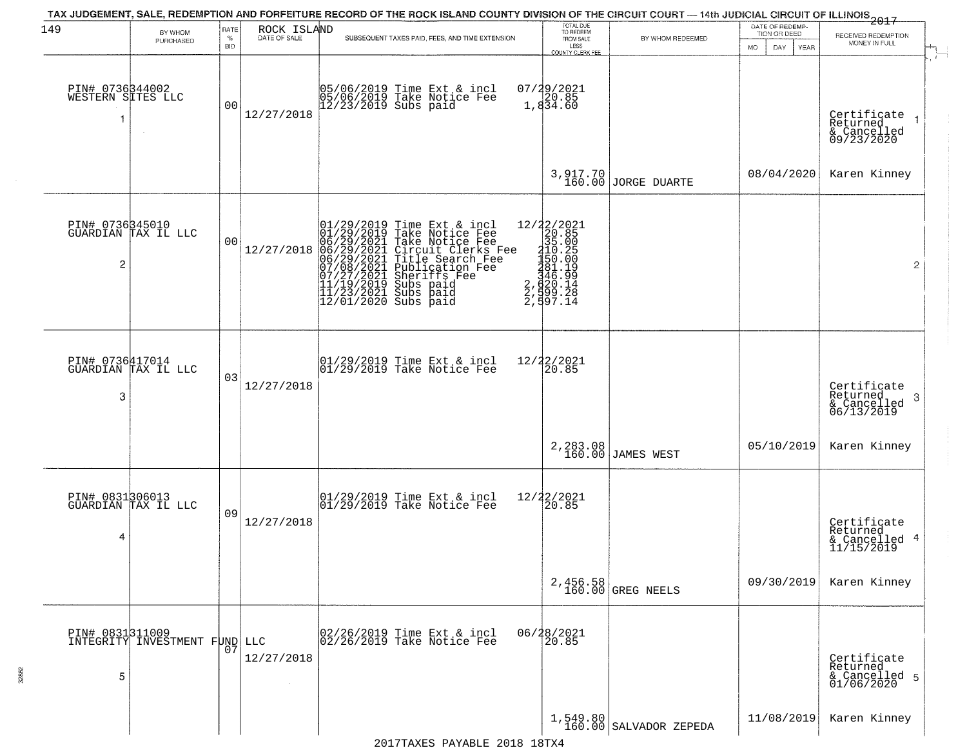| 149                                        |                                                  | RATE               |             | TAX JUDGEMENT, SALE, REDEMPTION AND FORFEITURE RECORD OF THE ROCK ISLAND COUNTY DIVISION OF THE CIRCUIT COURT — 14th JUDICIAL CIRCUIT OF ILLINOIS<br>The contract of the contract of the contract of the contract of the contract                                                                                                                       | TOTAL DUE<br>TO REDEEM                                                                                                                                                                                                                                                                                                                               |                                  | DATE OF REDEMP-                     |                                                           |
|--------------------------------------------|--------------------------------------------------|--------------------|-------------|---------------------------------------------------------------------------------------------------------------------------------------------------------------------------------------------------------------------------------------------------------------------------------------------------------------------------------------------------------|------------------------------------------------------------------------------------------------------------------------------------------------------------------------------------------------------------------------------------------------------------------------------------------------------------------------------------------------------|----------------------------------|-------------------------------------|-----------------------------------------------------------|
|                                            | BY WHOM<br>PURCHASED                             | $\%$<br><b>BID</b> | ROCK ISLAND | SUBSEQUENT TAXES PAID, FEES, AND TIME EXTENSION                                                                                                                                                                                                                                                                                                         | FROM SALE<br>LESS<br>COUNTY CLERK FEE                                                                                                                                                                                                                                                                                                                | BY WHOM REDEEMED                 | TION OR DEED<br>MO.<br>DAY.<br>YEAR | RECEIVED REDEMPTION<br>MONEY IN FULL                      |
| PIN# 0736344002<br>WESTERN SITES LLC<br>-1 | $\sim$                                           | 0 <sub>0</sub>     | 12/27/2018  | 05/06/2019 Time Ext & incl<br>05/06/2019 Take Notice Fee<br>12/23/2019 Subs paid                                                                                                                                                                                                                                                                        | $07/29/2021$<br>1,834.60                                                                                                                                                                                                                                                                                                                             |                                  |                                     | Certificate<br>Returned<br>& Cancelled<br>09/23/2020      |
|                                            |                                                  |                    |             |                                                                                                                                                                                                                                                                                                                                                         |                                                                                                                                                                                                                                                                                                                                                      | 3, 917.70<br>160.00 JORGE DUARTE | 08/04/2020                          | Karen Kinney                                              |
| 2                                          | PIN# 0736345010<br>GUARDIAN TAX IL LLC           | 00                 | 12/27/2018  | Time Ext & incl<br>Take Notice Fee<br>Circuit Clerks Fee<br>Circuit Clerks Fee<br>Title Search Fee<br>Publication Fee<br>Subs paid<br>Subs paid<br>Subs paid<br>Subs paid<br>$\begin{smallmatrix} 01/29/2019\\01/29/2019\\06/29/2021\\06/29/2021\\06/29/2021\\07/08/2021\\07/27/2021\\11/19/2019\\11/23/2021\\11/23/2021\\12/01/2020 \end{smallmatrix}$ | $\begin{smallmatrix}12/2\ \color{red}2/2\ \color{red}2\ 1\ \color{red}2\ 2\ 0\ \color{red}1\ 3\ 5\ \color{red}0\ 3\ 5\ \color{red}0\ 6\ 5\ \color{red}1\ 5\ 0\ \color{red}0\ 0\ 6\ 6\ 7\ \color{red}1\ 5\ 0\ \color{red}0\ 0\ 7\ 1\ 9\ 9\ \color{red}2\ 7\ \color{red}1\ 4\ 8\ 1\ \color{red}0\ 1\ 1\ 9\ 9\ \color{red}2\ 7\ \color{red}1\ 8\ 2\ 7\$ |                                  |                                     | $\overline{2}$                                            |
| PIN# 0736417014<br>3                       | GUARDIAN TAX IL LLC                              | 03                 | 12/27/2018  | 01/29/2019 Time Ext & incl<br>01/29/2019 Take Notice Fee                                                                                                                                                                                                                                                                                                | 12/22/2021<br>20.85                                                                                                                                                                                                                                                                                                                                  |                                  |                                     | Certificate<br>Returned<br>3<br>& Cancelled<br>06/13/2019 |
|                                            |                                                  |                    |             |                                                                                                                                                                                                                                                                                                                                                         |                                                                                                                                                                                                                                                                                                                                                      | 2,283.08<br>160.00 JAMES WEST    | 05/10/2019                          | Karen Kinney                                              |
| 4                                          | PIN# 0831306013<br>GUARDIAN TAX IL LLC           | 09                 | 12/27/2018  | 01/29/2019 Time Ext & incl<br>01/29/2019 Take Notice Fee                                                                                                                                                                                                                                                                                                | $12/22/2021$<br>20.85                                                                                                                                                                                                                                                                                                                                |                                  |                                     | Certificate<br>Returned<br>& Cancelled 4<br>11/15/2019    |
|                                            |                                                  |                    |             |                                                                                                                                                                                                                                                                                                                                                         |                                                                                                                                                                                                                                                                                                                                                      | 2,456.58<br>160.00 GREG NEELS    | 09/30/2019                          | Karen Kinney                                              |
| 5                                          | PIN# 0831311009<br>INTEGRITY INVESTMENT FUND LLC | 07                 | 12/27/2018  | 02/26/2019 Time Ext & incl<br>02/26/2019 Take Notice Fee                                                                                                                                                                                                                                                                                                | 06/28/2021<br>20.85                                                                                                                                                                                                                                                                                                                                  |                                  |                                     | Certificate<br>Returned<br>& Cancelled 5<br>01/06/2020    |
|                                            |                                                  |                    |             |                                                                                                                                                                                                                                                                                                                                                         |                                                                                                                                                                                                                                                                                                                                                      | $1,549.80$ SALVADOR ZEPEDA       | 11/08/2019                          | Karen Kinney                                              |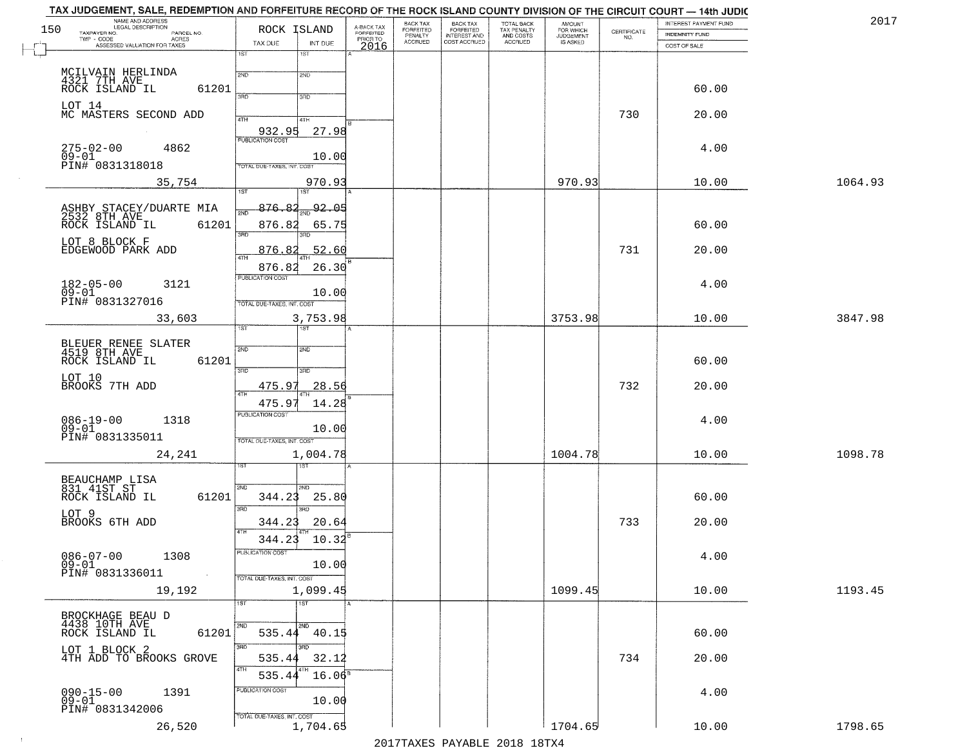|     | TAX JUDGEMENT, SALE, REDEMPTION AND FORFEITURE RECORD OF THE ROCK ISLAND COUNTY DIVISION OF THE CIRCUIT COURT - 14th JUDIC<br>NAME AND ADDRESS<br>LEGAL DESCRIPTION |                                 |                                     | BACK TAX                    | BACK TAX<br>FORFEITED |                                        | AMOUNT<br>FOR WHICH |                                                                 | INTEREST PAYMENT FUND | 2017    |
|-----|---------------------------------------------------------------------------------------------------------------------------------------------------------------------|---------------------------------|-------------------------------------|-----------------------------|-----------------------|----------------------------------------|---------------------|-----------------------------------------------------------------|-----------------------|---------|
| 150 | TAXPAYER NO.<br>PARCEL NO.                                                                                                                                          | ROCK ISLAND                     | A-BACK TAX<br>FORFEITED<br>PRIOR TO | <b>FORFEITED</b><br>PENALTY | <b>INTEREST AND</b>   | TOTAL BACK<br>TAX PENALTY<br>AND COSTS | <b>JUDGEMENT</b>    | $\begin{array}{c} \text{CERTIFICATE} \\ \text{NO.} \end{array}$ | <b>INDEMNITY FUND</b> |         |
|     | ACRES<br>ASSESSED VALUATION FOR TAXES                                                                                                                               | TAX DUE<br>INT DUE              | 2016                                | <b>ACCRUED</b>              | COST ACCRUED          | <b>ACCRUED</b>                         | IS ASKED            |                                                                 | COST OF SALE          |         |
|     |                                                                                                                                                                     | 18T<br>1ST                      |                                     |                             |                       |                                        |                     |                                                                 |                       |         |
|     | MCILVAIN HERLINDA                                                                                                                                                   | 2ND                             |                                     |                             |                       |                                        |                     |                                                                 |                       |         |
|     | 4321 7TH AVE ROCK ISLAND IL                                                                                                                                         | 2ND                             |                                     |                             |                       |                                        |                     |                                                                 |                       |         |
|     | 61201                                                                                                                                                               | 370<br>3 <sub>BD</sub>          |                                     |                             |                       |                                        |                     |                                                                 | 60.00                 |         |
|     | LOT 14                                                                                                                                                              |                                 |                                     |                             |                       |                                        |                     |                                                                 |                       |         |
|     | MC MASTERS SECOND ADD                                                                                                                                               | 4TH<br>4TH                      |                                     |                             |                       |                                        |                     | 730                                                             | 20.00                 |         |
|     |                                                                                                                                                                     | 932.95<br>27.98                 |                                     |                             |                       |                                        |                     |                                                                 |                       |         |
|     | 4862                                                                                                                                                                |                                 |                                     |                             |                       |                                        |                     |                                                                 | 4.00                  |         |
|     | 275-02-00<br>09-01                                                                                                                                                  | 10.00                           |                                     |                             |                       |                                        |                     |                                                                 |                       |         |
|     | PIN# 0831318018                                                                                                                                                     | TOTAL DUE-TAXES, INT. COST      |                                     |                             |                       |                                        |                     |                                                                 |                       |         |
|     | 35,754                                                                                                                                                              | 970.93                          |                                     |                             |                       |                                        | 970.93              |                                                                 | 10.00                 | 1064.93 |
|     |                                                                                                                                                                     | <b>IST</b><br>1ST               |                                     |                             |                       |                                        |                     |                                                                 |                       |         |
|     |                                                                                                                                                                     | 876.82<br>$\frac{1}{2ND}$ 92.05 |                                     |                             |                       |                                        |                     |                                                                 |                       |         |
|     | ASHBY STACEY/DUARTE MIA<br>2532 8TH AVE<br>ROCK ISLAND IL<br>61201                                                                                                  | 876.82<br>65.75                 |                                     |                             |                       |                                        |                     |                                                                 | 60.00                 |         |
|     |                                                                                                                                                                     | बन्ना<br>3RD                    |                                     |                             |                       |                                        |                     |                                                                 |                       |         |
|     | LOT 8 BLOCK F                                                                                                                                                       |                                 |                                     |                             |                       |                                        |                     | 731                                                             |                       |         |
|     | EDGEWOOD PARK ADD                                                                                                                                                   | 876.82<br>52.60                 |                                     |                             |                       |                                        |                     |                                                                 | 20.00                 |         |
|     |                                                                                                                                                                     | 876.82<br>26.30                 |                                     |                             |                       |                                        |                     |                                                                 |                       |         |
|     | $182 - 05 - 00$<br>3121                                                                                                                                             | PUBLICATION COST                |                                     |                             |                       |                                        |                     |                                                                 | 4.00                  |         |
|     | $09 - 01$                                                                                                                                                           | 10.00                           |                                     |                             |                       |                                        |                     |                                                                 |                       |         |
|     | PIN# 0831327016                                                                                                                                                     | TOTAL DUE-TAXES, INT. COST      |                                     |                             |                       |                                        |                     |                                                                 |                       |         |
|     | 33,603                                                                                                                                                              | 3,753.98                        |                                     |                             |                       |                                        | 3753.98             |                                                                 | 10.00                 | 3847.98 |
|     |                                                                                                                                                                     | ist<br><b>IST</b>               |                                     |                             |                       |                                        |                     |                                                                 |                       |         |
|     | BLEUER RENEE SLATER<br>4519 8TH AVE                                                                                                                                 | 2ND<br>2ND                      |                                     |                             |                       |                                        |                     |                                                                 |                       |         |
|     | ROCK ISLAND IL<br>61201                                                                                                                                             |                                 |                                     |                             |                       |                                        |                     |                                                                 | 60.00                 |         |
|     |                                                                                                                                                                     | 3BD<br>3RD                      |                                     |                             |                       |                                        |                     |                                                                 |                       |         |
|     | LOT 10<br>BROOKS 7TH ADD                                                                                                                                            | 28.56<br>475.97                 |                                     |                             |                       |                                        |                     | 732                                                             | 20.00                 |         |
|     |                                                                                                                                                                     |                                 |                                     |                             |                       |                                        |                     |                                                                 |                       |         |
|     |                                                                                                                                                                     | 475.97<br>14.28                 |                                     |                             |                       |                                        |                     |                                                                 |                       |         |
|     | $086 - 19 - 00$<br>09-01<br>1318                                                                                                                                    | <b>PUBLICATION COST</b>         |                                     |                             |                       |                                        |                     |                                                                 | 4.00                  |         |
|     | PIN# 0831335011                                                                                                                                                     | 10.00                           |                                     |                             |                       |                                        |                     |                                                                 |                       |         |
|     |                                                                                                                                                                     | TOTAL OUE-TAXES, INT. COST      |                                     |                             |                       |                                        |                     |                                                                 |                       |         |
|     | 24,241                                                                                                                                                              | 1,004.78                        |                                     |                             |                       |                                        | 1004.78             |                                                                 | 10.00                 | 1098.78 |
|     |                                                                                                                                                                     | १९४                             |                                     |                             |                       |                                        |                     |                                                                 |                       |         |
|     | BEAUCHAMP LISA<br>831 41ST ST                                                                                                                                       | 2ND<br>2ND                      |                                     |                             |                       |                                        |                     |                                                                 |                       |         |
|     | ROCK ISLAND IL<br>61201                                                                                                                                             | 344.23<br>25.80                 |                                     |                             |                       |                                        |                     |                                                                 | 60.00                 |         |
|     | LOT 9                                                                                                                                                               | 3BD<br>3RD.                     |                                     |                             |                       |                                        |                     |                                                                 |                       |         |
|     | BROOKS 6TH ADD                                                                                                                                                      | 344.23<br>20.64                 |                                     |                             |                       |                                        |                     | 733                                                             | 20.00                 |         |
|     |                                                                                                                                                                     | 4TH<br>344.23<br>10.32          |                                     |                             |                       |                                        |                     |                                                                 |                       |         |
|     |                                                                                                                                                                     | PUBLICATION COST                |                                     |                             |                       |                                        |                     |                                                                 |                       |         |
|     | $086 - 07 - 00$<br>1308<br>ŏĕ-oī                                                                                                                                    | 10.00                           |                                     |                             |                       |                                        |                     |                                                                 | 4.00                  |         |
|     | PIN# 0831336011<br>$\sim 10$                                                                                                                                        | TOTAL DUE-TAXES, INT. COST      |                                     |                             |                       |                                        |                     |                                                                 |                       |         |
|     |                                                                                                                                                                     | 1,099.45                        |                                     |                             |                       |                                        | 1099.45             |                                                                 | 10.00                 | 1193.45 |
|     | 19,192                                                                                                                                                              | 1ST<br>1ST                      |                                     |                             |                       |                                        |                     |                                                                 |                       |         |
|     |                                                                                                                                                                     |                                 |                                     |                             |                       |                                        |                     |                                                                 |                       |         |
|     | BROCKHAGE BEAU D<br>4438 10TH AVE                                                                                                                                   | <b>2ND</b>                      |                                     |                             |                       |                                        |                     |                                                                 |                       |         |
|     | 61201<br>ROCK ISLAND IL                                                                                                                                             | 535.44 40.15                    |                                     |                             |                       |                                        |                     |                                                                 | 60.00                 |         |
|     | LOT 1 BLOCK 2                                                                                                                                                       | 3RD<br>3RD                      |                                     |                             |                       |                                        |                     |                                                                 |                       |         |
|     | 4TH ADD TO BROOKS GROVE                                                                                                                                             | 535.44<br>32.12                 |                                     |                             |                       |                                        |                     | 734                                                             | 20.00                 |         |
|     |                                                                                                                                                                     | 4TH<br>$16.06^8$<br>535.44      |                                     |                             |                       |                                        |                     |                                                                 |                       |         |
|     |                                                                                                                                                                     | PUBLICATION COST                |                                     |                             |                       |                                        |                     |                                                                 |                       |         |
|     | $090 - 15 - 00$<br>1391<br>$09 - 01$                                                                                                                                | 10.00                           |                                     |                             |                       |                                        |                     |                                                                 | 4.00                  |         |
|     | PIN# 0831342006                                                                                                                                                     | TOTAL DUE-TAXES, INT. COST      |                                     |                             |                       |                                        |                     |                                                                 |                       |         |
|     | 26,520                                                                                                                                                              | 1,704.65                        |                                     |                             |                       |                                        | 1704.65             |                                                                 | 10.00                 | 1798.65 |
|     |                                                                                                                                                                     |                                 |                                     |                             |                       | 2017 THAVEC DAVARIE 2010 19 TV 4       |                     |                                                                 |                       |         |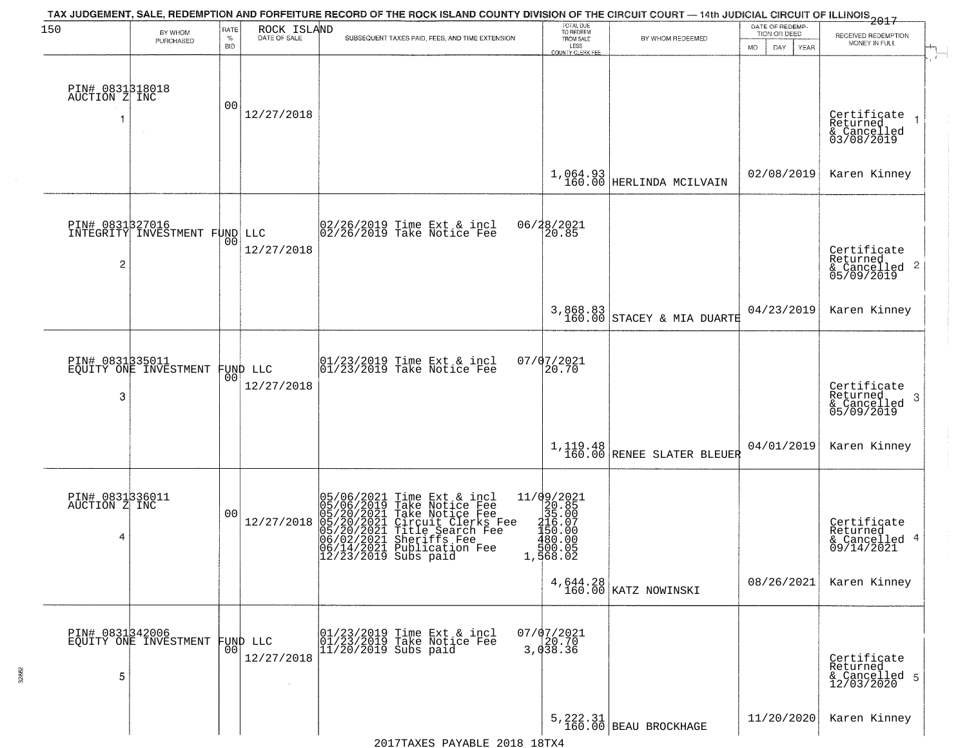| 150                              |                                                  | RATE           | ROCK ISLAND  | TAX JUDGEMENT, SALE, REDEMPTION AND FORFEITURE RECORD OF THE ROCK ISLAND COUNTY DIVISION OF THE CIRCUIT COURT — 14th JUDICIAL CIRCUIT OF ILLINOIS 2017                                                                                        | TOTAL DUE<br>TO REDEEM                                                                                                         |                                       | DATE OF REDEMP-                          |                                                                    |
|----------------------------------|--------------------------------------------------|----------------|--------------|-----------------------------------------------------------------------------------------------------------------------------------------------------------------------------------------------------------------------------------------------|--------------------------------------------------------------------------------------------------------------------------------|---------------------------------------|------------------------------------------|--------------------------------------------------------------------|
|                                  | BY WHOM<br>PURCHASED                             | $\%$<br>BID    | DATE OF SALE | SUBSEQUENT TAXES PAID, FEES, AND TIME EXTENSION                                                                                                                                                                                               | FROM SALE<br>LESS                                                                                                              | BY WHOM REDEEMED                      | TION OR DEED<br>DAY<br><b>MO</b><br>YEAR | RECEIVED REDEMPTION<br>MONEY IN FULL                               |
|                                  |                                                  |                |              |                                                                                                                                                                                                                                               | COUNTY CLERK FEE                                                                                                               |                                       |                                          |                                                                    |
|                                  |                                                  |                |              |                                                                                                                                                                                                                                               |                                                                                                                                |                                       |                                          |                                                                    |
| PIN# 0831318018<br>AUCTION Z INC |                                                  | 00             | 12/27/2018   |                                                                                                                                                                                                                                               |                                                                                                                                |                                       |                                          | Certificate                                                        |
| 1                                | $\sim$                                           |                |              |                                                                                                                                                                                                                                               |                                                                                                                                |                                       |                                          | $\mathbf{1}$<br>Returned<br>& Cancelled<br>03/08/2019              |
|                                  |                                                  |                |              |                                                                                                                                                                                                                                               |                                                                                                                                |                                       |                                          |                                                                    |
|                                  |                                                  |                |              |                                                                                                                                                                                                                                               |                                                                                                                                | $1,064.93$ HERLINDA MCILVAIN          | 02/08/2019                               | Karen Kinney                                                       |
|                                  |                                                  |                |              |                                                                                                                                                                                                                                               |                                                                                                                                |                                       |                                          |                                                                    |
|                                  | PIN# 0831327016<br>INTEGRITY INVESTMENT FUND LLC |                |              | 02/26/2019 Time Ext & incl<br>02/26/2019 Take Notice Fee                                                                                                                                                                                      | 06/28/2021                                                                                                                     |                                       |                                          |                                                                    |
|                                  |                                                  | 00             | 12/27/2018   |                                                                                                                                                                                                                                               | 20.85                                                                                                                          |                                       |                                          |                                                                    |
| 2                                |                                                  |                |              |                                                                                                                                                                                                                                               |                                                                                                                                |                                       |                                          | Certificate<br>Returned<br>$\frac{1}{6}$ Cancelled 2<br>05/09/2019 |
|                                  |                                                  |                |              |                                                                                                                                                                                                                                               |                                                                                                                                |                                       |                                          |                                                                    |
|                                  |                                                  |                |              |                                                                                                                                                                                                                                               | 3,868.83<br>160.00                                                                                                             | STACEY & MIA DUARTE                   | 04/23/2019                               | Karen Kinney                                                       |
|                                  |                                                  |                |              |                                                                                                                                                                                                                                               |                                                                                                                                |                                       |                                          |                                                                    |
| PIN# 0831335011                  | EQUITY ONE INVESTMENT                            |                | FUND LLC     | $\begin{array}{ccc}  01/23/2019 \rangle & \text{Time Ext} & \text{incl} \\  01/23/2019 \rangle & \text{Take Notice Fee} \end{array}$                                                                                                          | 07/07/2021<br>20.70                                                                                                            |                                       |                                          |                                                                    |
|                                  |                                                  | 0 <sup>0</sup> | 12/27/2018   |                                                                                                                                                                                                                                               |                                                                                                                                |                                       |                                          | Certificate                                                        |
| 3                                |                                                  |                |              |                                                                                                                                                                                                                                               |                                                                                                                                |                                       |                                          | Returned<br>3<br>& Cancelled<br>05/09/2019                         |
|                                  |                                                  |                |              |                                                                                                                                                                                                                                               |                                                                                                                                |                                       |                                          |                                                                    |
|                                  |                                                  |                |              |                                                                                                                                                                                                                                               | $1, 119.48$<br>$160.00$                                                                                                        | RENEE SLATER BLEUER                   | 04/01/2019                               | Karen Kinney                                                       |
|                                  |                                                  |                |              |                                                                                                                                                                                                                                               |                                                                                                                                |                                       |                                          |                                                                    |
| PIN# 0831336011<br>AUCTION Z INC |                                                  |                |              |                                                                                                                                                                                                                                               |                                                                                                                                |                                       |                                          |                                                                    |
|                                  |                                                  | 00             | 12/27/2018   |                                                                                                                                                                                                                                               |                                                                                                                                |                                       |                                          | Certificate<br>Returned                                            |
| 4                                |                                                  |                |              | 05/06/2021 Time Ext & incl<br>05/06/2019 Take Notice Fee<br>05/20/2021 Take Notice Fee<br>05/20/2021 Circuit Clerks Fee<br>05/20/2021 Title Search Fee<br>06/02/2021 Sheriffs Fee<br>06/14/2021 Publication Fee<br>06/14/2021 Publication Fee | $[ \begin{smallmatrix} 11/09/2021\\ 20.85\\ 35.00\\ 15.07\\ 216.07\\ 150.00\\ 480.000\\ 500.05\\ 1,568.02 \end{smallmatrix} ]$ |                                       |                                          | & Cancelled 4<br>09/14/2021                                        |
|                                  |                                                  |                |              | 12/23/2019 Subs paid                                                                                                                                                                                                                          |                                                                                                                                |                                       |                                          |                                                                    |
|                                  |                                                  |                |              |                                                                                                                                                                                                                                               |                                                                                                                                | $4,644.28$<br>160.00 KATZ NOWINSKI    | 08/26/2021                               | Karen Kinney                                                       |
|                                  |                                                  |                |              |                                                                                                                                                                                                                                               |                                                                                                                                |                                       |                                          |                                                                    |
|                                  | PIN# 0831342006<br>EQUITY ONE INVESTMENT         |                | FUND LLC     | 01/23/2019 Time Ext & incl<br>01/23/2019 Take Notice Fee<br>11/20/2019 Subs paid                                                                                                                                                              | $07/07/2021$<br>20.70                                                                                                          |                                       |                                          |                                                                    |
|                                  |                                                  | 00             | 12/27/2018   |                                                                                                                                                                                                                                               | 3,038.36                                                                                                                       |                                       |                                          | Certificate<br>Returned                                            |
| 5                                |                                                  |                |              |                                                                                                                                                                                                                                               |                                                                                                                                |                                       |                                          | & Cancelled 5<br>12/03/2020                                        |
|                                  |                                                  |                |              |                                                                                                                                                                                                                                               |                                                                                                                                |                                       |                                          |                                                                    |
|                                  |                                                  |                |              |                                                                                                                                                                                                                                               |                                                                                                                                | $5,222.31$<br>$160.00$ BEAU BROCKHAGE | 11/20/2020                               | Karen Kinney                                                       |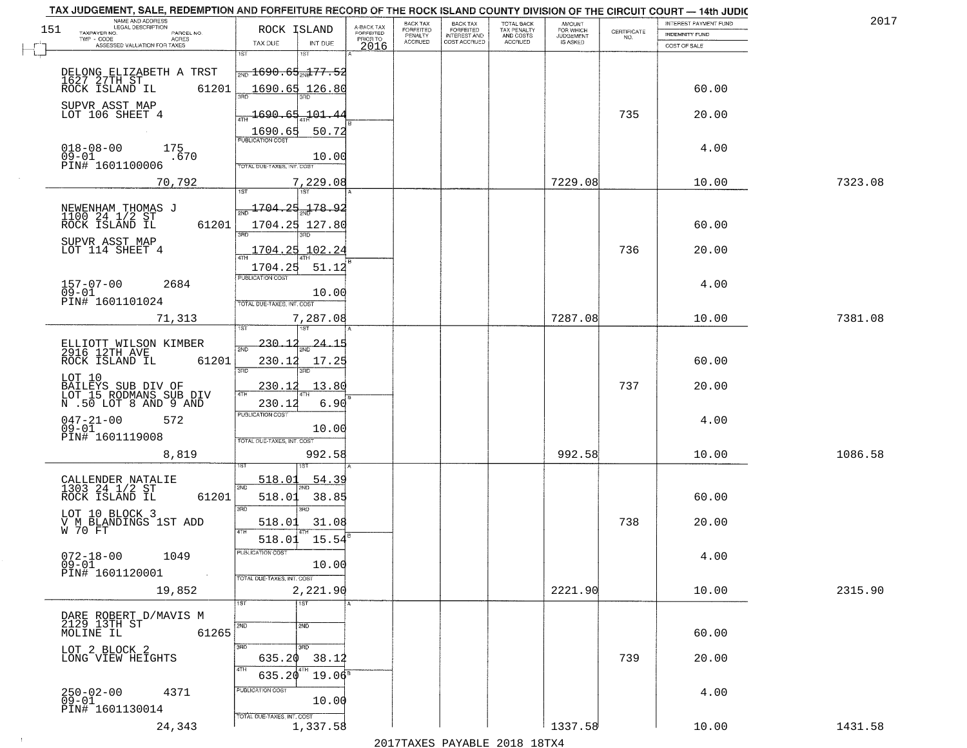|     | TAX JUDGEMENT, SALE, REDEMPTION AND FORFEITURE RECORD OF THE ROCK ISLAND COUNTY DIVISION OF THE CIRCUIT COURT - 14th JUDIC<br>NAME AND ADDRESS<br>LEGAL DESCRIPTION |                                                    |                         | BACK TAX                    |                                       |                                        |                                         |                                                                 | INTEREST PAYMENT FUND | 2017    |
|-----|---------------------------------------------------------------------------------------------------------------------------------------------------------------------|----------------------------------------------------|-------------------------|-----------------------------|---------------------------------------|----------------------------------------|-----------------------------------------|-----------------------------------------------------------------|-----------------------|---------|
| 151 | TAXPAYER NO.<br>PARCEL NO.                                                                                                                                          | ROCK ISLAND                                        | A-BACK TAX<br>FORFEITED | <b>FORFEITED</b><br>PENALTY | BACK TAX<br>FORFEITED<br>INTEREST AND | TOTAL BACK<br>TAX PENALTY<br>AND COSTS | AMOUNT<br>FOR WHICH<br><b>JUDGEMENT</b> | $\begin{array}{c} \text{CERTIFICATE} \\ \text{NO.} \end{array}$ | <b>INDEMNITY FUND</b> |         |
|     | TWP - CODE<br>ACRES<br>ASSESSED VALUATION FOR TAXES                                                                                                                 | INT DUE<br>TAX DUE                                 | PRIOR TO<br>2016        | <b>ACCRUED</b>              | COST ACCRUED                          | ACCRUED                                | IS ASKED                                |                                                                 | COST OF SALE          |         |
|     |                                                                                                                                                                     | 1ST<br>1ST                                         |                         |                             |                                       |                                        |                                         |                                                                 |                       |         |
|     |                                                                                                                                                                     | $\frac{1}{200}$ 1690 . 65 $\frac{1}{200}$ 177 . 52 |                         |                             |                                       |                                        |                                         |                                                                 |                       |         |
|     | DELONG ELIZABETH A TRST<br>1627 27TH ST <sub>-</sub>                                                                                                                |                                                    |                         |                             |                                       |                                        |                                         |                                                                 |                       |         |
|     | 61201<br>ROCK ISLAND IL                                                                                                                                             | 1690.65 126.80                                     |                         |                             |                                       |                                        |                                         |                                                                 | 60.00                 |         |
|     | SUPVR ASST MAP                                                                                                                                                      |                                                    |                         |                             |                                       |                                        |                                         |                                                                 |                       |         |
|     | LOT 106 SHEET 4                                                                                                                                                     | 1690.65 101.44                                     |                         |                             |                                       |                                        |                                         | 735                                                             | 20.00                 |         |
|     |                                                                                                                                                                     | 50.72<br>1690.65                                   |                         |                             |                                       |                                        |                                         |                                                                 |                       |         |
|     | 175                                                                                                                                                                 |                                                    |                         |                             |                                       |                                        |                                         |                                                                 | 4.00                  |         |
|     | $018 - 08 - 00$<br>$09 - 01$<br>.670<br>PIN# 1601100006                                                                                                             | 10.00                                              |                         |                             |                                       |                                        |                                         |                                                                 |                       |         |
|     |                                                                                                                                                                     | <b>TOTAL DUE-TAXES, INT. COST</b>                  |                         |                             |                                       |                                        |                                         |                                                                 |                       |         |
|     | 70,792                                                                                                                                                              | 7,229.08                                           |                         |                             |                                       |                                        | 7229.08                                 |                                                                 | 10.00                 | 7323.08 |
|     |                                                                                                                                                                     |                                                    |                         |                             |                                       |                                        |                                         |                                                                 |                       |         |
|     | NEWENHAM THOMAS J<br>1100 24 1/2 ST                                                                                                                                 | 1704.25 178.92                                     |                         |                             |                                       |                                        |                                         |                                                                 |                       |         |
|     | ROCK ISLAND IL<br>61201                                                                                                                                             | 1704.25 127.80                                     |                         |                             |                                       |                                        |                                         |                                                                 | 60.00                 |         |
|     | SUPVR ASST MAP                                                                                                                                                      |                                                    |                         |                             |                                       |                                        |                                         |                                                                 |                       |         |
|     | LOT 114 SHEET 4                                                                                                                                                     | 1704.25 102.24                                     |                         |                             |                                       |                                        |                                         | 736                                                             | 20.00                 |         |
|     |                                                                                                                                                                     | 1704.25<br>51.12                                   |                         |                             |                                       |                                        |                                         |                                                                 |                       |         |
|     | $157 - 07 - 00$<br>2684                                                                                                                                             | PUBLICATION COST                                   |                         |                             |                                       |                                        |                                         |                                                                 | 4.00                  |         |
|     | $09 - 01$                                                                                                                                                           | 10.00                                              |                         |                             |                                       |                                        |                                         |                                                                 |                       |         |
|     | PIN# 1601101024                                                                                                                                                     | TOTAL DUE-TAXES, INT. COST                         |                         |                             |                                       |                                        |                                         |                                                                 |                       |         |
|     | 71,313                                                                                                                                                              | 7,287.08                                           |                         |                             |                                       |                                        | 7287.08                                 |                                                                 | 10.00                 | 7381.08 |
|     |                                                                                                                                                                     | 1ST                                                |                         |                             |                                       |                                        |                                         |                                                                 |                       |         |
|     | ELLIOTT WILSON KIMBER<br>2916 12TH AVE                                                                                                                              | 230.<br><u>24.1</u><br>2ND                         |                         |                             |                                       |                                        |                                         |                                                                 |                       |         |
|     | ROCK ISLAND IL<br>61201                                                                                                                                             | 230.12<br>17.25                                    |                         |                             |                                       |                                        |                                         |                                                                 | 60.00                 |         |
|     |                                                                                                                                                                     | 3RD<br>3RD                                         |                         |                             |                                       |                                        |                                         |                                                                 |                       |         |
|     | LOT 10<br>BAILEYS SUB DIV OF<br>LOT 15 RODMANS SUB DIV                                                                                                              | 13.80<br><u>230.12</u>                             |                         |                             |                                       |                                        |                                         | 737                                                             | 20.00                 |         |
|     | N .50 LOT 8 AND 9 AND                                                                                                                                               | 4TH<br>6.90<br>230.12                              |                         |                             |                                       |                                        |                                         |                                                                 |                       |         |
|     |                                                                                                                                                                     | PUBLICATION COST                                   |                         |                             |                                       |                                        |                                         |                                                                 |                       |         |
|     | $047 - 21 - 00$<br>572<br>$09 - 01$                                                                                                                                 | 10.00                                              |                         |                             |                                       |                                        |                                         |                                                                 | 4.00                  |         |
|     | PIN# 1601119008                                                                                                                                                     | TOTAL OUE-TAXES, INT. COST                         |                         |                             |                                       |                                        |                                         |                                                                 |                       |         |
|     | 8,819                                                                                                                                                               | 992.58                                             |                         |                             |                                       |                                        | 992.58                                  |                                                                 | 10.00                 | 1086.58 |
|     |                                                                                                                                                                     |                                                    |                         |                             |                                       |                                        |                                         |                                                                 |                       |         |
|     | CALLENDER NATALIE                                                                                                                                                   | 518.01<br>54.39                                    |                         |                             |                                       |                                        |                                         |                                                                 |                       |         |
|     | 1303 24 1/2 ST<br>ROCK ISLAND IL<br>61201                                                                                                                           | 2ND<br>518.01<br>38.85                             |                         |                             |                                       |                                        |                                         |                                                                 | 60.00                 |         |
|     |                                                                                                                                                                     | 3RD<br>3RD                                         |                         |                             |                                       |                                        |                                         |                                                                 |                       |         |
|     | LOT 10 BLOCK 3<br>V M BLANDINGS 1ST ADD                                                                                                                             | 31.08<br>518.01                                    |                         |                             |                                       |                                        |                                         | 738                                                             | 20.00                 |         |
|     | W 70 FT                                                                                                                                                             | 4TH                                                |                         |                             |                                       |                                        |                                         |                                                                 |                       |         |
|     |                                                                                                                                                                     | 518.01 15.54                                       |                         |                             |                                       |                                        |                                         |                                                                 |                       |         |
|     | $072 - 18 - 00$<br>1049                                                                                                                                             | ruslica i IUN COS                                  |                         |                             |                                       |                                        |                                         |                                                                 | 4.00                  |         |
|     | $09 - 01$<br>PIN# 1601120001                                                                                                                                        | 10.00                                              |                         |                             |                                       |                                        |                                         |                                                                 |                       |         |
|     | 19,852                                                                                                                                                              | TOTAL DUE-TAXES, INT. COST<br>2,221.90             |                         |                             |                                       |                                        | 2221.90                                 |                                                                 | 10.00                 | 2315.90 |
|     |                                                                                                                                                                     | 1ST<br>1ST                                         |                         |                             |                                       |                                        |                                         |                                                                 |                       |         |
|     |                                                                                                                                                                     |                                                    |                         |                             |                                       |                                        |                                         |                                                                 |                       |         |
|     | DARE ROBERT D/MAVIS M<br>2129 13TH ST                                                                                                                               | $\overline{2ND}$<br>2ND                            |                         |                             |                                       |                                        |                                         |                                                                 |                       |         |
|     | 61265<br>MOLINE IL                                                                                                                                                  |                                                    |                         |                             |                                       |                                        |                                         |                                                                 | 60.00                 |         |
|     | LOT 2 BLOCK 2                                                                                                                                                       | 3RD<br>3RD                                         |                         |                             |                                       |                                        |                                         |                                                                 |                       |         |
|     | LONG VIEW HEIGHTS                                                                                                                                                   | 635.20<br>38.12<br>4TH                             |                         |                             |                                       |                                        |                                         | 739                                                             | 20.00                 |         |
|     |                                                                                                                                                                     | $19.06^s$<br>635.20                                |                         |                             |                                       |                                        |                                         |                                                                 |                       |         |
|     | 250-02-00<br>09-01<br>4371                                                                                                                                          | PUBLICATION COST                                   |                         |                             |                                       |                                        |                                         |                                                                 | 4.00                  |         |
|     | PIN# 1601130014                                                                                                                                                     | 10.00                                              |                         |                             |                                       |                                        |                                         |                                                                 |                       |         |
|     |                                                                                                                                                                     | TOTAL DUE-TAXES, INT. COST                         |                         |                             |                                       |                                        |                                         |                                                                 |                       |         |
|     | 24,343                                                                                                                                                              | 1,337.58                                           |                         |                             |                                       |                                        | 1337.58                                 |                                                                 | 10.00                 | 1431.58 |
|     |                                                                                                                                                                     |                                                    |                         |                             |                                       | 2017 THAYRO DAVADIR 2018 19TY          |                                         |                                                                 |                       |         |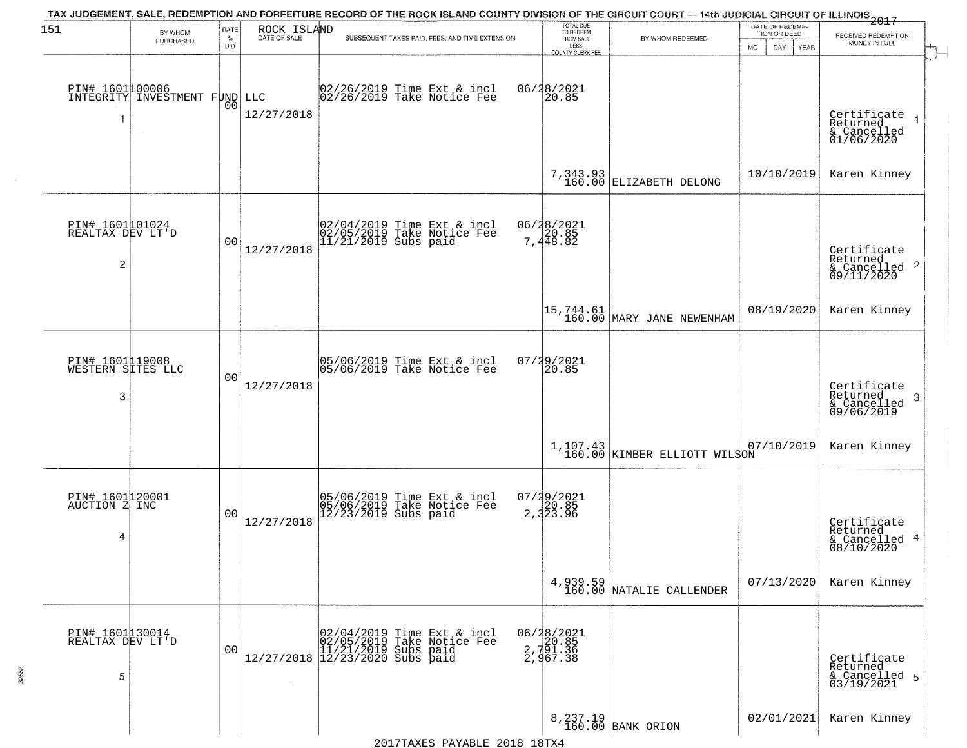|                                            |                                                  |                            |                             |                                                                                                                                   |                                                                 | TAX JUDGEMENT, SALE, REDEMPTION AND FORFEITURE RECORD OF THE ROCK ISLAND COUNTY DIVISION OF THE CIRCUIT COURT — 14th JUDICIAL CIRCUIT OF ILLINOIS 2017 |                                                        |                                                                    |
|--------------------------------------------|--------------------------------------------------|----------------------------|-----------------------------|-----------------------------------------------------------------------------------------------------------------------------------|-----------------------------------------------------------------|--------------------------------------------------------------------------------------------------------------------------------------------------------|--------------------------------------------------------|--------------------------------------------------------------------|
| 151                                        | BY WHOM<br>PURCHASED                             | RATE<br>$\%$<br><b>BID</b> | ROCK ISLAND<br>DATE OF SALE | SUBSEQUENT TAXES PAID, FEES, AND TIME EXTENSION                                                                                   | TOTAL DUE<br>TO REDEEM<br>FROM SALE<br>LESS<br>COUNTY CLERK FEE | BY WHOM REDEEMED                                                                                                                                       | DATE OF REDEMP-<br>TION OR DEED<br>MO.<br>DAY.<br>YEAR | RECEIVED REDEMPTION<br>MONEY IN FULL                               |
| 1                                          | PIN# 1601100006<br>INTEGRITY INVESTMENT FUND LLC | 0 <sub>0</sub>             | 12/27/2018                  | 02/26/2019 Time Ext & incl<br>02/26/2019 Take Notice Fee                                                                          | 06/28/2021<br>20.85                                             |                                                                                                                                                        |                                                        | Certificate<br>Returned<br>& Cancelled<br>01/06/2020               |
|                                            |                                                  |                            |                             |                                                                                                                                   |                                                                 | 7, 343.93 $\vert$ ELIZABETH DELONG                                                                                                                     | 10/10/2019                                             | Karen Kinney                                                       |
| PIN# 1601001024<br>REALTAX DEV LT'D<br>2   |                                                  | 0 <sub>0</sub>             | 12/27/2018                  | 02/04/2019 Time Ext & incl<br>02/05/2019 Take Notice Fee<br>11/21/2019 Subs paid                                                  | 06/28/2021<br>7,448.82                                          |                                                                                                                                                        |                                                        | Certificate<br>Returned<br>$\frac{1}{6}$ Cancelled 2<br>09/11/2020 |
|                                            |                                                  |                            |                             |                                                                                                                                   |                                                                 | $\begin{bmatrix} 15, 744.61 \\ 160.00 \end{bmatrix}$ MARY JANE NEWENHAM                                                                                | 08/19/2020                                             | Karen Kinney                                                       |
| PIN# 1601119008<br>WESTERN SITES LLC<br>3  |                                                  | 0 <sub>0</sub>             | 12/27/2018                  | 05/06/2019 Time Ext & incl<br>05/06/2019 Take Notice Fee                                                                          | 07/29/2021<br>20.85                                             |                                                                                                                                                        |                                                        | Certificate<br>Returned<br>3<br>& Cancelled<br>09/06/2019          |
|                                            |                                                  |                            |                             |                                                                                                                                   |                                                                 | 1,107.43 KIMBER ELLIOTT WILSON                                                                                                                         | 07/10/2019                                             | Karen Kinney                                                       |
| PIN# 1601120001<br>AUCTION Z INC<br>4      |                                                  | 0 <sub>0</sub>             | 12/27/2018                  | 05/06/2019 Time Ext & incl<br>05/06/2019 Take Notice Fee<br>12/23/2019 Subs paid                                                  | $07/29/2021$<br>2,323.96                                        |                                                                                                                                                        |                                                        | Certificate<br>Returned<br>& Cancelled 4<br>08/10/2020             |
|                                            |                                                  |                            |                             |                                                                                                                                   |                                                                 | 4, 939.59<br>160.00 NATALIE CALLENDER                                                                                                                  | 07/13/2020                                             | Karen Kinney                                                       |
| PIN# 1601 1300 14<br>REALTAX DEV LT'D<br>5 |                                                  | 0 <sub>0</sub>             |                             | $[02/04/2019 \t\t Time Ext & incl 02/05/2019 \t\t Take Notice Free 11/21/2019 Subs paid 12/27/2018 12/23/2020 Subs paid 13/2019]$ | 06/28/2021<br>2, 791.36<br>2, 791.36<br>2, 967.38               |                                                                                                                                                        |                                                        | Certificate<br>Returned<br>& Cancelled 5<br>03/19/2021             |
|                                            |                                                  |                            |                             | 2017TAXES PAYABLE 2018 18TX4                                                                                                      |                                                                 | 8, 237.19<br>160.00 BANK ORION                                                                                                                         | 02/01/2021                                             | Karen Kinney                                                       |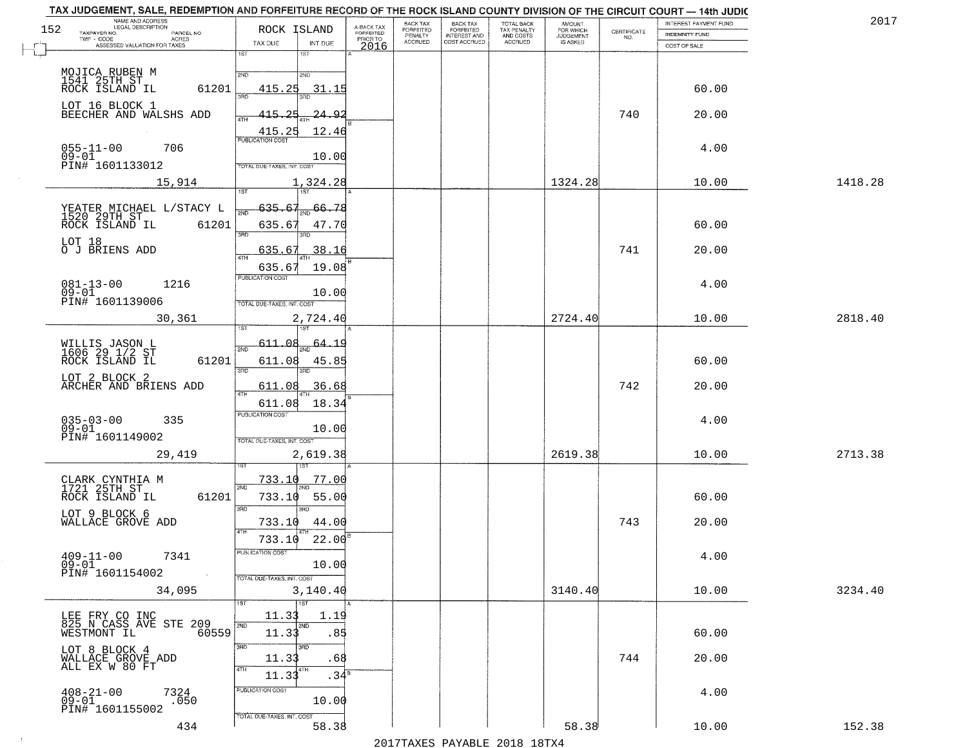|     | TAX JUDGEMENT, SALE, REDEMPTION AND FORFEITURE RECORD OF THE ROCK ISLAND COUNTY DIVISION OF THE CIRCUIT COURT - 14th JUDIC<br>NAME AND ADDRESS<br>LEGAL DESCRIPTION |                                          |                                     | BACK TAX                    |                                              |                                        |                                         |                                                                 | INTEREST PAYMENT FUND | 2017    |
|-----|---------------------------------------------------------------------------------------------------------------------------------------------------------------------|------------------------------------------|-------------------------------------|-----------------------------|----------------------------------------------|----------------------------------------|-----------------------------------------|-----------------------------------------------------------------|-----------------------|---------|
| 152 | TAXPAYER NO.<br>PARCEL NO.                                                                                                                                          | ROCK ISLAND                              | A-BACK TAX<br>FORFEITED<br>PRIOR TO | <b>FORFEITED</b><br>PENALTY | BACK TAX<br>FORFEITED<br><b>INTEREST AND</b> | TOTAL BACK<br>TAX PENALTY<br>AND COSTS | AMOUNT<br>FOR WHICH<br><b>JUDGEMENT</b> | $\begin{array}{c} \text{CERTIFICATE} \\ \text{NO.} \end{array}$ | <b>INDEMNITY FUND</b> |         |
|     | ACRES<br>ASSESSED VALUATION FOR TAXES                                                                                                                               | INT DUE<br>TAX DUE                       | 2016                                | <b>ACCRUED</b>              | COST ACCRUED                                 | <b>ACCRUED</b>                         | IS ASKED                                |                                                                 | COST OF SALE          |         |
|     |                                                                                                                                                                     | 1ST<br>1ST                               |                                     |                             |                                              |                                        |                                         |                                                                 |                       |         |
|     |                                                                                                                                                                     | 2ND                                      |                                     |                             |                                              |                                        |                                         |                                                                 |                       |         |
|     | MOJICA RUBEN M<br>1541 25TH ST<br>ROCK ISLAND IL                                                                                                                    | 2ND                                      |                                     |                             |                                              |                                        |                                         |                                                                 |                       |         |
|     | 61201                                                                                                                                                               | 415.25<br>31.15                          |                                     |                             |                                              |                                        |                                         |                                                                 | 60.00                 |         |
|     | LOT 16 BLOCK 1                                                                                                                                                      |                                          |                                     |                             |                                              |                                        |                                         |                                                                 |                       |         |
|     | BEECHER AND WALSHS ADD                                                                                                                                              | 415.25<br><u> 24.92</u>                  |                                     |                             |                                              |                                        |                                         | 740                                                             | 20.00                 |         |
|     |                                                                                                                                                                     | 12.46<br>$\frac{415.25}{FUBUCATON COST}$ |                                     |                             |                                              |                                        |                                         |                                                                 |                       |         |
|     | 706                                                                                                                                                                 |                                          |                                     |                             |                                              |                                        |                                         |                                                                 | 4.00                  |         |
|     | $055 - 11 - 00$<br>$09 - 01$                                                                                                                                        | 10.00                                    |                                     |                             |                                              |                                        |                                         |                                                                 |                       |         |
|     | PIN# 1601133012                                                                                                                                                     | TOTAL DUE-TAXES, INT. COST               |                                     |                             |                                              |                                        |                                         |                                                                 |                       |         |
|     | 15,914                                                                                                                                                              | 1,324.28                                 |                                     |                             |                                              |                                        | 1324.28                                 |                                                                 | 10.00                 | 1418.28 |
|     |                                                                                                                                                                     |                                          |                                     |                             |                                              |                                        |                                         |                                                                 |                       |         |
|     | YEATER MICHAEL L/STACY L<br>1520 29TH ST                                                                                                                            | 635.67<br>$\frac{1}{2ND}$ 66.78          |                                     |                             |                                              |                                        |                                         |                                                                 |                       |         |
|     | ROCK ISLAND IL<br>61201                                                                                                                                             | 635.67<br>47.70                          |                                     |                             |                                              |                                        |                                         |                                                                 | 60.00                 |         |
|     |                                                                                                                                                                     | 3RD<br>त्रहा                             |                                     |                             |                                              |                                        |                                         |                                                                 |                       |         |
|     | LOT 18<br>O J BRIENS ADD                                                                                                                                            | 38.16<br>635.67                          |                                     |                             |                                              |                                        |                                         | 741                                                             | 20.00                 |         |
|     |                                                                                                                                                                     |                                          |                                     |                             |                                              |                                        |                                         |                                                                 |                       |         |
|     |                                                                                                                                                                     | 635.67<br>19.08<br>PUBLICATION COST      |                                     |                             |                                              |                                        |                                         |                                                                 |                       |         |
|     | $081 - 13 - 00$<br>1216                                                                                                                                             |                                          |                                     |                             |                                              |                                        |                                         |                                                                 | 4.00                  |         |
|     | $09 - 01$<br>PIN# 1601139006                                                                                                                                        | 10.00<br>TOTAL DUE-TAXES, INT. COST      |                                     |                             |                                              |                                        |                                         |                                                                 |                       |         |
|     |                                                                                                                                                                     |                                          |                                     |                             |                                              |                                        |                                         |                                                                 |                       |         |
|     | 30,361                                                                                                                                                              | 2,724.40<br>1ST                          |                                     |                             |                                              |                                        | 2724.40                                 |                                                                 | 10.00                 | 2818.40 |
|     |                                                                                                                                                                     |                                          |                                     |                             |                                              |                                        |                                         |                                                                 |                       |         |
|     | WILLIS JASON L<br>1606 29 1/2 ST                                                                                                                                    | 611.08<br><u>64.19</u><br>2ND            |                                     |                             |                                              |                                        |                                         |                                                                 |                       |         |
|     | ROCK ISLAND IL<br>61201                                                                                                                                             | 611.08<br>45.85                          |                                     |                             |                                              |                                        |                                         |                                                                 | 60.00                 |         |
|     | LOT 2 BLOCK 2                                                                                                                                                       | 3RD<br>3RD                               |                                     |                             |                                              |                                        |                                         |                                                                 |                       |         |
|     | ARCHER AND BRIENS ADD                                                                                                                                               | 611.08<br>36.68<br>4TH                   |                                     |                             |                                              |                                        |                                         | 742                                                             | 20.00                 |         |
|     |                                                                                                                                                                     | 611.08<br>18.34                          |                                     |                             |                                              |                                        |                                         |                                                                 |                       |         |
|     | 335                                                                                                                                                                 | <b>PUBLICATION COST</b>                  |                                     |                             |                                              |                                        |                                         |                                                                 | 4.00                  |         |
|     | $035 - 03 - 00$<br>09-01                                                                                                                                            | 10.00                                    |                                     |                             |                                              |                                        |                                         |                                                                 |                       |         |
|     | PIN# 1601149002                                                                                                                                                     | TOTAL OUE-TAXES, INT. COST               |                                     |                             |                                              |                                        |                                         |                                                                 |                       |         |
|     | 29,419                                                                                                                                                              | 2,619.38                                 |                                     |                             |                                              |                                        | 2619.38                                 |                                                                 | 10.00                 | 2713.38 |
|     |                                                                                                                                                                     | 1ST                                      |                                     |                             |                                              |                                        |                                         |                                                                 |                       |         |
|     | CLARK CYNTHIA M<br>1721 25TH ST                                                                                                                                     | 733.10<br>77.00<br>2ND                   |                                     |                             |                                              |                                        |                                         |                                                                 |                       |         |
|     | ROCK ISLAND IL<br>61201                                                                                                                                             | 55.00<br>733.10                          |                                     |                             |                                              |                                        |                                         |                                                                 | 60.00                 |         |
|     |                                                                                                                                                                     | 3BD<br>3BD                               |                                     |                             |                                              |                                        |                                         |                                                                 |                       |         |
|     | LOT 9 BLOCK 6<br>WALLACE GROVE ADD                                                                                                                                  | 733.10<br>44.00                          |                                     |                             |                                              |                                        |                                         | 743                                                             | 20.00                 |         |
|     |                                                                                                                                                                     |                                          |                                     |                             |                                              |                                        |                                         |                                                                 |                       |         |
|     |                                                                                                                                                                     | 22.00<br>733.10                          |                                     |                             |                                              |                                        |                                         |                                                                 |                       |         |
|     | $409 - 11 - 00$<br>7341                                                                                                                                             | <b>PUBLICATION COS-</b>                  |                                     |                             |                                              |                                        |                                         |                                                                 | 4.00                  |         |
|     | $09 - 01$<br>PIN# 1601154002<br>$\sim 100$                                                                                                                          | 10.00<br>TOTAL DUE-TAXES, INT. COST      |                                     |                             |                                              |                                        |                                         |                                                                 |                       |         |
|     |                                                                                                                                                                     |                                          |                                     |                             |                                              |                                        | 3140.40                                 |                                                                 | 10.00                 | 3234.40 |
|     | 34,095                                                                                                                                                              | 3,140.40<br>$\overline{1}$ 1ST           |                                     |                             |                                              |                                        |                                         |                                                                 |                       |         |
|     |                                                                                                                                                                     | 11.33<br>1.19                            |                                     |                             |                                              |                                        |                                         |                                                                 |                       |         |
|     | LEE FRY CO INC<br>825 N CASS AVE STE 209                                                                                                                            | 2ND<br>2ND                               |                                     |                             |                                              |                                        |                                         |                                                                 |                       |         |
|     | 60559<br>WESTMONT IL                                                                                                                                                | 11.33<br>.85                             |                                     |                             |                                              |                                        |                                         |                                                                 | 60.00                 |         |
|     | LOT 8 BLOCK 4<br>WALLACE GROVE ADD                                                                                                                                  | 3RD<br>3RD                               |                                     |                             |                                              |                                        |                                         |                                                                 |                       |         |
|     | ALL EX W 80 FT                                                                                                                                                      | 11.33<br>.68                             |                                     |                             |                                              |                                        |                                         | 744                                                             | 20.00                 |         |
|     |                                                                                                                                                                     | 4TH<br>4TH<br>.34 <sup>5</sup><br>11.33  |                                     |                             |                                              |                                        |                                         |                                                                 |                       |         |
|     | $408 - 21 - 00$                                                                                                                                                     | PUBLICATION COST                         |                                     |                             |                                              |                                        |                                         |                                                                 | 4.00                  |         |
|     | 7324<br>.050<br>$09 - 01$                                                                                                                                           | 10.00                                    |                                     |                             |                                              |                                        |                                         |                                                                 |                       |         |
|     | PIN# 1601155002                                                                                                                                                     | TOTAL DUE-TAXES, INT. COST               |                                     |                             |                                              |                                        |                                         |                                                                 |                       |         |
|     | 434                                                                                                                                                                 | 58.38                                    |                                     |                             |                                              |                                        | 58.38                                   |                                                                 | 10.00                 | 152.38  |
|     |                                                                                                                                                                     |                                          |                                     |                             |                                              | 2017 THAVEC DAVARIE 2010 19TVA         |                                         |                                                                 |                       |         |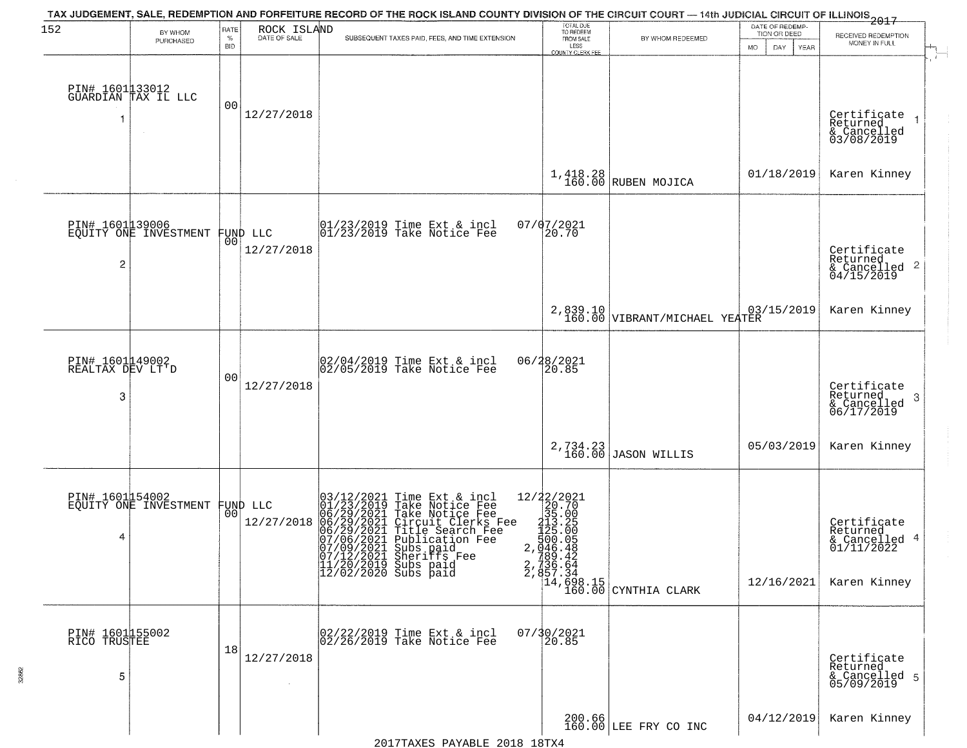| 152                                      | BY WHOM<br>PURCHASED                              | RATE<br>$\%$<br><b>BID</b> | ROCK ISLAND<br>DATE OF SALE    | TAX JUDGEMENT, SALE, REDEMPTION AND FORFEITURE RECORD OF THE ROCK ISLAND COUNTY DIVISION OF THE CIRCUIT COURT — 14th JUDICIAL CIRCUIT OF ILLINOIS 2017<br>SUBSEQUENT TAXES PAID, FEES, AND TIME EXTENSION                                                                                                                                     | TOTAL DUE<br>TO REDEEM<br>FROM SALE<br>LESS<br>COUNTY CLERK FEE             | BY WHOM REDEEMED                                                                | DATE OF REDEMP-<br>TION OR DEED<br>DAY.<br><b>YEAR</b><br>MO. | RECEIVED REDEMPTION<br>MONEY IN FULL                                      |
|------------------------------------------|---------------------------------------------------|----------------------------|--------------------------------|-----------------------------------------------------------------------------------------------------------------------------------------------------------------------------------------------------------------------------------------------------------------------------------------------------------------------------------------------|-----------------------------------------------------------------------------|---------------------------------------------------------------------------------|---------------------------------------------------------------|---------------------------------------------------------------------------|
|                                          | PIN# 1601133012<br>GUARDIAN TAX IL LLC            | 0 <sub>0</sub>             | 12/27/2018                     |                                                                                                                                                                                                                                                                                                                                               |                                                                             |                                                                                 |                                                               | Certificate<br>Returned<br>$\rightarrow$<br>& Cancelled<br>03/08/2019     |
|                                          |                                                   |                            |                                |                                                                                                                                                                                                                                                                                                                                               |                                                                             | $1,418.28$ RUBEN MOJICA                                                         | 01/18/2019                                                    | Karen Kinney                                                              |
| $\overline{c}$                           | PIN# 1601139006<br>EQUITY ONE INVESTMENT FUND LLC |                            | 12/27/2018                     | $ 01/23/2019$ Time Ext & incl<br>$ 01/23/2019$ Take Notice Fee                                                                                                                                                                                                                                                                                | 07/07/2021<br>20.70                                                         |                                                                                 |                                                               | Certificate<br>Returned<br>$\overline{2}$<br>& Cancelled<br>04/15/2019    |
|                                          |                                                   |                            |                                |                                                                                                                                                                                                                                                                                                                                               |                                                                             | 2,839.10<br>160.00 VIBRANT/MICHAEL YEATER                                       | 03/15/2019                                                    | Karen Kinney                                                              |
| PIN# 1601149002<br>REALTAX DEV LT'D<br>3 |                                                   | 0 <sub>0</sub>             | 12/27/2018                     | 02/04/2019 Time Ext & incl<br>02/05/2019 Take Notice Fee                                                                                                                                                                                                                                                                                      | 06/28/2021<br>20.85                                                         |                                                                                 |                                                               | Certificate<br>Returned<br>3<br>& Cancelled<br>06/17/2019                 |
|                                          |                                                   |                            |                                |                                                                                                                                                                                                                                                                                                                                               |                                                                             | 2,734.23<br>160.00 JASON WILLIS                                                 | 05/03/2019                                                    | Karen Kinney                                                              |
| 4                                        | PIN# 1601154002<br>EQUITY ONE INVESTMENT          |                            | FUND LLC<br> 00 <br>12/27/2018 | $\begin{smallmatrix} 03/12/2021\\01/23/2019\\06/29/2021\\06/29/2021\\06/29/2021\\07/06/2021\\07/09/2021\end{smallmatrix}$<br>Time Ext & incl<br>Take Notice Fee<br>Take Notice Fee<br>Circuit Clerks Fee<br>Title Search Fee<br>Publication Fee<br>Subsitifs Fee<br>07/12/2021 Sheriffs Fee<br> 11/20/2019 Subs paid<br> 12/02/2020 Subs paid | $2, 12/32/2021$ $3, 120.70$ $3, 123.00$ $3, 125.00$ $2, 126.48$ $2, 126.48$ | $2,346.49$<br>$2,736.64$<br>$2,857.34$<br>$14,698.15$<br>$150.00$ CYNTHIA CLARK | 12/16/2021                                                    | Certificate<br>Returned<br>4<br>& Cancelled<br>01/11/2022<br>Karen Kinney |
| PIN# 1601155002<br>RICO TRUSTEE<br>5     |                                                   | 18                         | 12/27/2018                     | 02/22/2019 Time Ext & incl<br>02/26/2019 Take Notice Fee                                                                                                                                                                                                                                                                                      | $07/30/2021$<br>20.85                                                       |                                                                                 |                                                               | Certificate<br>Returned<br>& Cancelled 5<br>05/09/2019                    |
|                                          |                                                   |                            |                                |                                                                                                                                                                                                                                                                                                                                               |                                                                             | 200.66 LEE FRY CO INC                                                           | 04/12/2019                                                    | Karen Kinney                                                              |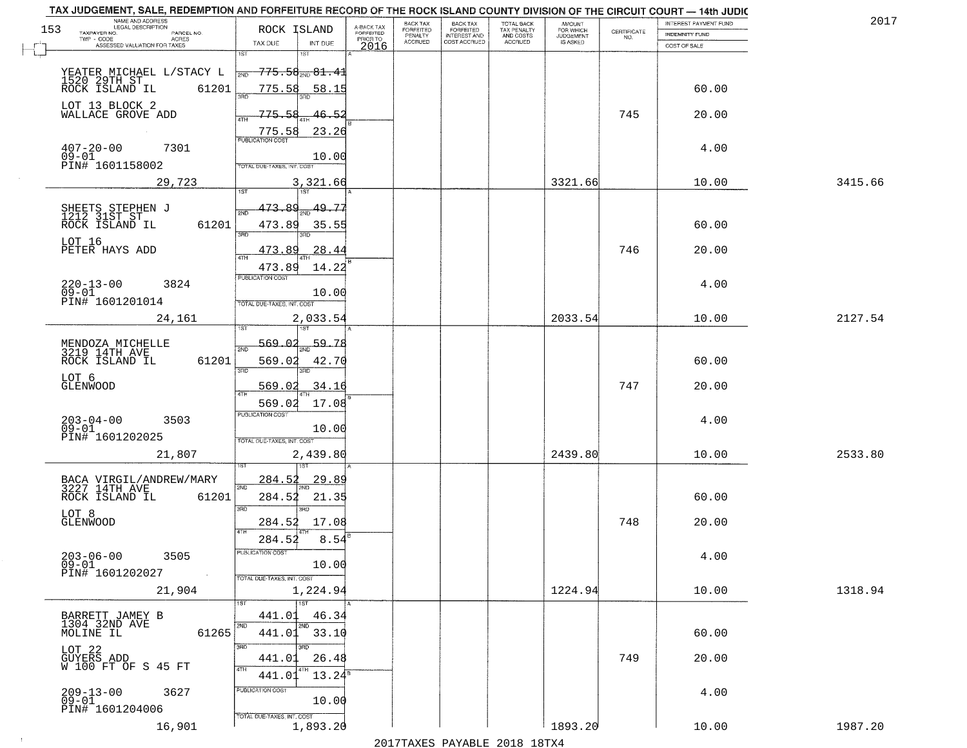| TAX JUDGEMENT, SALE, REDEMPTION AND FORFEITURE RECORD OF THE ROCK ISLAND COUNTY DIVISION OF THE CIRCUIT COURT - 14th JUDIC<br>NAME AND ADDRESS<br>LEGAL DESCRIPTION |                                                                                                                                              |                                     | BACK TAX             | <b>BACK TAX</b>           |                                        |                                  |                                                                 | INTEREST PAYMENT FUND | 2017    |
|---------------------------------------------------------------------------------------------------------------------------------------------------------------------|----------------------------------------------------------------------------------------------------------------------------------------------|-------------------------------------|----------------------|---------------------------|----------------------------------------|----------------------------------|-----------------------------------------------------------------|-----------------------|---------|
| 153<br>TAXPAYER NO.<br>PARCEL NO.<br>ACRES                                                                                                                          | ROCK ISLAND                                                                                                                                  | A-BACK TAX<br>FORFEITED<br>PRIOR TO | FORFEITED<br>PENALTY | FORFEITED<br>INTEREST AND | TOTAL BACK<br>TAX PENALTY<br>AND COSTS | AMOUNT<br>FOR WHICH<br>JUDGEMENT | $\begin{array}{c} \text{CERTIFICATE} \\ \text{NO.} \end{array}$ | <b>INDEMNITY FUND</b> |         |
| ASSESSED VALUATION FOR TAXES                                                                                                                                        | TAX DUE<br>INT DUE                                                                                                                           | 2016                                | <b>ACCRUED</b>       | COST ACCRUED              | <b>ACCRUED</b>                         | IS ASKED                         |                                                                 | COST OF SALE          |         |
| YEATER MICHAEL L/STACY L<br>1520 29TH ST<br>ROCK ISLAND IL 61201<br>61201                                                                                           | 1ST<br>18T<br><del>775.58<sub>200</sub>81.41</del><br>2ND<br>775.58<br><u>58.15</u>                                                          |                                     |                      |                           |                                        |                                  |                                                                 | 60.00                 |         |
| LOT 13 BLOCK 2<br>WALLACE GROVE ADD                                                                                                                                 | 775.58<br>46.52<br>23.26<br>$\frac{775.58}{FUBUCATON COST}$                                                                                  |                                     |                      |                           |                                        |                                  | 745                                                             | 20.00                 |         |
| $407 - 20 - 00$<br>09-01<br>7301<br>PIN# 1601158002                                                                                                                 | 10.00<br>TOTAL DUE-TAXES, INT. COST                                                                                                          |                                     |                      |                           |                                        |                                  |                                                                 | 4.00                  |         |
| 29,723                                                                                                                                                              | 3,321.66                                                                                                                                     |                                     |                      |                           |                                        | 3321.66                          |                                                                 | 10.00                 | 3415.66 |
| SHEETS STEPHEN J<br>1212 31ST ST<br>61201<br>ROCK ISLAND IL<br>LOT 16<br>PETER HAYS ADD                                                                             | 473.89<br>49.77<br>ইমট<br>473.89<br>35.55<br>3BD<br>3PD<br>28.44<br><u>473.89</u><br>$\overline{47H}$<br>473.89<br>14.22<br>PUBLICATION COST |                                     |                      |                           |                                        |                                  | 746                                                             | 60.00<br>20.00        |         |
| $220 - 13 - 00$<br>3824<br>$09 - 01$<br>PIN# 1601201014<br>24,161                                                                                                   | 10.00<br>TOTAL DUE-TAXES, INT. COST<br>2,033.54                                                                                              |                                     |                      |                           |                                        | 2033.54                          |                                                                 | 4.00<br>10.00         | 2127.54 |
| MENDOZA MICHELLE<br>3219 14TH AVE<br>ROCK ISLAND IL<br>61201<br>LOT 6<br><b>GLENWOOD</b>                                                                            | īsT<br>187<br>569.02<br>59.78<br>2ND<br>569.02<br>42.70<br>3BD<br>3RD<br>569.02<br>34.16<br>ATH<br>17.08<br>569.02                           |                                     |                      |                           |                                        |                                  | 747                                                             | 60.00<br>20.00        |         |
| $203 - 04 - 00$<br>09-01<br>3503<br>PIN# 1601202025<br>21,807                                                                                                       | <b>PUBLICATION COST</b><br>10.00<br>TOTAL OUE-TAXES, INT. COST<br>2,439.80                                                                   |                                     |                      |                           |                                        | 2439.80                          |                                                                 | 4.00<br>10.00         | 2533.80 |
| BACA VIRGIL/ANDREW/MARY<br>3227 14TH AVE<br>ROCK ISLAND IL<br>61201<br>LOT 8<br><b>GLENWOOD</b>                                                                     | 284.52<br><u> 29.89</u><br>2ND<br>21.35<br>284.52<br>3 <sub>BD</sub><br>חחו<br>284.52<br>17.08<br>4TH<br>284.52<br>8.54                      |                                     |                      |                           |                                        |                                  | 748                                                             | 60.00<br>20.00        |         |
| $203 - 06 - 00$<br>3505<br>$09 - 01$<br>PIN# 1601202027<br><b>Contract</b><br>21,904                                                                                | "UBLICA HUN CUS<br>10.00<br>TOTAL DUE-TAXES, INT. COST<br>1,224.94                                                                           |                                     |                      |                           |                                        | 1224.94                          |                                                                 | 4.00<br>10.00         | 1318.94 |
| BARRETT JAMEY B<br>1304 32ND AVE<br>MOLINE IL<br>61265                                                                                                              | 1ST<br>441.01<br>46.34<br>2ND<br>2ND<br>441.01 33.10<br>3RD<br>अंग                                                                           |                                     |                      |                           |                                        |                                  |                                                                 | 60.00                 |         |
| LOT 22<br>GUYERS ADD<br>W 100 FT OF S 45 FT<br>$209 - 13 - 00$<br>3627<br>$09 - 01$                                                                                 | 26.48<br>441.01<br>4TH<br>$13.24^{\circ}$<br>441.01<br>PUBLICATION COST<br>10.00                                                             |                                     |                      |                           |                                        |                                  | 749                                                             | 20.00<br>4.00         |         |
| PIN# 1601204006<br>16,901                                                                                                                                           | TOTAL DUE-TAXES, INT. COST<br>1,893.20                                                                                                       |                                     |                      |                           |                                        | 1893.20                          |                                                                 | 10.00                 | 1987.20 |

 $\sim 100$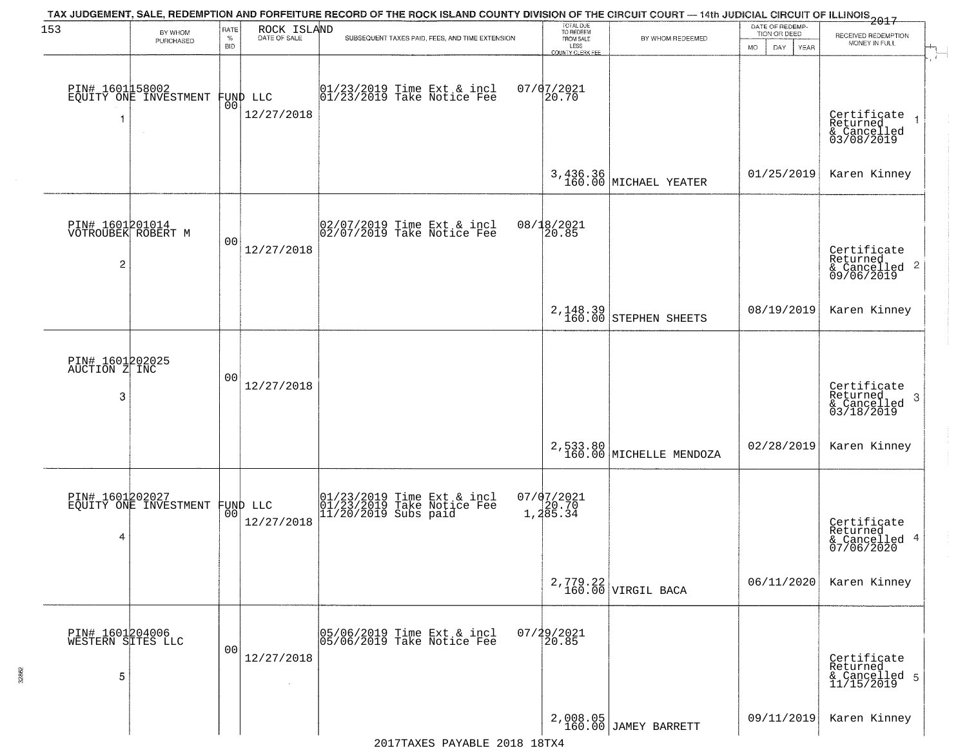| 153                                                     | BY WHOM                                  | RATE               | ROCK ISLAND                    | TAX JUDGEMENT, SALE, REDEMPTION AND FORFEITURE RECORD OF THE ROCK ISLAND COUNTY DIVISION OF THE CIRCUIT COURT — 14th JUDICIAL CIRCUIT OF ILLINOIS 2017 | TOTAL DUE<br>TO REDEEM                       |                                     | DATE OF REDEMP-<br>TION OR DEED |                                                                        |
|---------------------------------------------------------|------------------------------------------|--------------------|--------------------------------|--------------------------------------------------------------------------------------------------------------------------------------------------------|----------------------------------------------|-------------------------------------|---------------------------------|------------------------------------------------------------------------|
|                                                         | PURCHASED                                | $\%$<br><b>BID</b> | DATE OF SALE                   | SUBSEQUENT TAXES PAID, FEES, AND TIME EXTENSION                                                                                                        | FROM SALE<br>LESS<br><b>COUNTY CLERK FEE</b> | BY WHOM REDEEMED                    | <b>MO</b><br>DAY<br>YEAR        | RECEIVED REDEMPTION<br>MONEY IN FULL                                   |
| -1                                                      | PIN# 1601158002<br>EQUITY ONE INVESTMENT | 00                 | FUND LLC<br>12/27/2018         | $01/23/2019$ Time Ext & incl<br>$01/23/2019$ Take Notice Fee                                                                                           | $07/07/2021$<br>20.70                        |                                     |                                 | Certificate<br>Returned<br>& Cancelled<br>03/08/2019                   |
|                                                         |                                          |                    |                                |                                                                                                                                                        |                                              | 3,436.36<br>160.00 MICHAEL YEATER   | 01/25/2019                      | Karen Kinney                                                           |
| PIN# 1601201014<br>VOTROUBEK ROBERT M<br>$\overline{c}$ |                                          | 00                 | 12/27/2018                     | 02/07/2019 Time Ext & incl<br>02/07/2019 Take Notice Fee                                                                                               | 08/18/2021<br>20.85                          |                                     |                                 | Certificate<br>Returned<br>$\overline{2}$<br>& Cancelled<br>09/06/2019 |
|                                                         |                                          |                    |                                |                                                                                                                                                        |                                              | $2,148.39$<br>160.00 STEPHEN SHEETS | 08/19/2019                      | Karen Kinney                                                           |
| PIN# 1601202025<br>AUCTION Z INC<br>3                   |                                          | 00                 | 12/27/2018                     |                                                                                                                                                        |                                              |                                     |                                 | Certificate<br>Returned<br>3<br>$\frac{2}{2}$ Cancelled<br>03/18/2019  |
|                                                         |                                          |                    |                                |                                                                                                                                                        |                                              | 2,533.80<br>160.00 MICHELLE MENDOZA | 02/28/2019                      | Karen Kinney                                                           |
| 4                                                       | PIN# 1601202027<br>EQUITY ONE INVESTMENT |                    | FUND LLC<br> 00 <br>12/27/2018 | 01/23/2019 Time Ext & incl<br>01/23/2019 Take Notice Fee<br>11/20/2019 Subs paid                                                                       | $07/07/2021$<br>1,20.70<br>1,285.34          |                                     |                                 | Certificate<br>Returned<br>4<br>& Cancelled<br>07/06/2020              |
|                                                         |                                          |                    |                                |                                                                                                                                                        |                                              | $2,779.22$ VIRGIL BACA              | 06/11/2020                      | Karen Kinney                                                           |
| PIN# 1601204006<br>WESTERN SITES LLC<br>5               |                                          | 0 <sub>0</sub>     | 12/27/2018<br>$\sim$           | 05/06/2019 Time Ext & incl<br>05/06/2019 Take Notice Fee                                                                                               | 07/29/2021<br>20.85                          |                                     |                                 | Certificate<br>Returned<br>& Cancelled 5<br>11/15/2019                 |
|                                                         |                                          |                    |                                |                                                                                                                                                        |                                              | 2,008.05<br>160.00 JAMEY BARRETT    | 09/11/2019                      | Karen Kinney                                                           |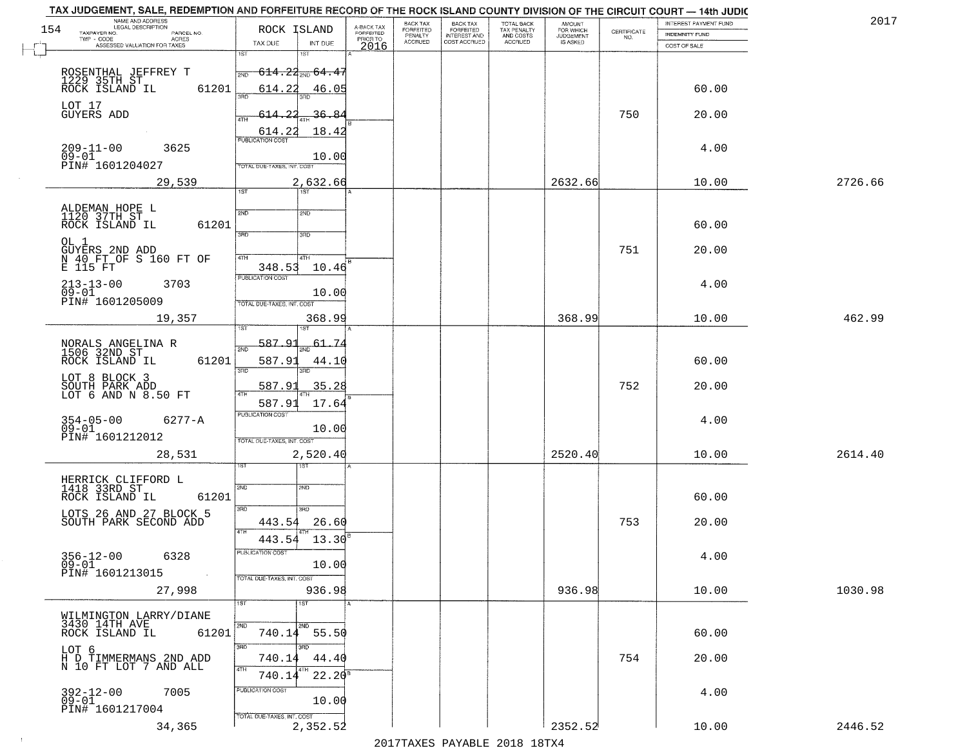|     | TAX JUDGEMENT, SALE, REDEMPTION AND FORFEITURE RECORD OF THE ROCK ISLAND COUNTY DIVISION OF THE CIRCUIT COURT - 14th JUDIC<br>NAME AND ADDRESS<br>LEGAL DESCRIPTION |                                            |                         | BACK TAX                    |                                       |                                        |                                         |                                                                 | INTEREST PAYMENT FUND | 2017    |
|-----|---------------------------------------------------------------------------------------------------------------------------------------------------------------------|--------------------------------------------|-------------------------|-----------------------------|---------------------------------------|----------------------------------------|-----------------------------------------|-----------------------------------------------------------------|-----------------------|---------|
| 154 | TAXPAYER NO.<br>PARCEL NO.                                                                                                                                          | ROCK ISLAND                                | A-BACK TAX<br>FORFEITED | <b>FORFEITED</b><br>PENALTY | BACK TAX<br>FORFEITED<br>INTEREST AND | TOTAL BACK<br>TAX PENALTY<br>AND COSTS | AMOUNT<br>FOR WHICH<br><b>JUDGEMENT</b> | $\begin{array}{c} \text{CERTIFICATE} \\ \text{NO.} \end{array}$ | <b>INDEMNITY FUND</b> |         |
|     | TWP - CODE<br><b>ACRES</b><br>ASSESSED VALUATION FOR TAXES                                                                                                          | TAX DUE<br>INT DUE                         | PRIOR TO<br>2016        | <b>ACCRUED</b>              | COST ACCRUED                          | ACCRUED                                | IS ASKED                                |                                                                 | COST OF SALE          |         |
|     |                                                                                                                                                                     | 1ST<br>1ST                                 |                         |                             |                                       |                                        |                                         |                                                                 |                       |         |
|     |                                                                                                                                                                     | $-614.22_{\tiny{200}}$ 64.47<br>2ND        |                         |                             |                                       |                                        |                                         |                                                                 |                       |         |
|     | ROSENTHAL JEFFREY T<br>1229 35TH ST<br>ROCK ISLAND IL<br>61201                                                                                                      | 614.22<br>46.05                            |                         |                             |                                       |                                        |                                         |                                                                 | 60.00                 |         |
|     |                                                                                                                                                                     | 350                                        |                         |                             |                                       |                                        |                                         |                                                                 |                       |         |
|     | LOT 17<br>GUYERS ADD                                                                                                                                                | 614.22<br>36.84                            |                         |                             |                                       |                                        |                                         | 750                                                             | 20.00                 |         |
|     |                                                                                                                                                                     |                                            |                         |                             |                                       |                                        |                                         |                                                                 |                       |         |
|     |                                                                                                                                                                     | 614.22<br>18.42<br><b>PUBLICATION COST</b> |                         |                             |                                       |                                        |                                         |                                                                 |                       |         |
|     | $209 - 11 - 00$<br>3625<br>$09 - 01$                                                                                                                                | 10.00                                      |                         |                             |                                       |                                        |                                         |                                                                 | 4.00                  |         |
|     | PIN# 1601204027                                                                                                                                                     | TOTAL DUE-TAXES, INT. COST                 |                         |                             |                                       |                                        |                                         |                                                                 |                       |         |
|     | 29,539                                                                                                                                                              | 2,632.66                                   |                         |                             |                                       |                                        | 2632.66                                 |                                                                 | 10.00                 | 2726.66 |
|     |                                                                                                                                                                     | 1ST<br>1ST                                 |                         |                             |                                       |                                        |                                         |                                                                 |                       |         |
|     |                                                                                                                                                                     |                                            |                         |                             |                                       |                                        |                                         |                                                                 |                       |         |
|     | ALDEMAN HOPE L<br>1120 37TH ST<br>61201                                                                                                                             | 2ND<br>2ND                                 |                         |                             |                                       |                                        |                                         |                                                                 | 60.00                 |         |
|     | ROCK ISLAND IL                                                                                                                                                      | $\overline{3\overline{BD}}$<br>3RD         |                         |                             |                                       |                                        |                                         |                                                                 |                       |         |
|     | OL 1                                                                                                                                                                |                                            |                         |                             |                                       |                                        |                                         | 751                                                             | 20.00                 |         |
|     | GUYERS 2ND ADD<br>N 40_FT OF S 160 FT OF                                                                                                                            | 47H<br>4TH                                 |                         |                             |                                       |                                        |                                         |                                                                 |                       |         |
|     | E 115 FT                                                                                                                                                            | 348.53<br>10.46<br>PUBLICATION COST        |                         |                             |                                       |                                        |                                         |                                                                 |                       |         |
|     | $213 - 13 - 00$<br>3703<br>$09 - 01$                                                                                                                                |                                            |                         |                             |                                       |                                        |                                         |                                                                 | 4.00                  |         |
|     | PIN# 1601205009                                                                                                                                                     | 10.00<br>TOTAL DUE-TAXES, INT. COST        |                         |                             |                                       |                                        |                                         |                                                                 |                       |         |
|     | 19,357                                                                                                                                                              | 368.99                                     |                         |                             |                                       |                                        | 368.99                                  |                                                                 | 10.00                 | 462.99  |
|     |                                                                                                                                                                     | 1ST<br>'ST                                 |                         |                             |                                       |                                        |                                         |                                                                 |                       |         |
|     |                                                                                                                                                                     | 587.9<br>61.74                             |                         |                             |                                       |                                        |                                         |                                                                 |                       |         |
|     | NORALS ANGELINA R<br>1506 32ND ST<br>ROCK ISLAND IL<br>61201                                                                                                        | 2ND<br>587.91<br>44.10                     |                         |                             |                                       |                                        |                                         |                                                                 | 60.00                 |         |
|     |                                                                                                                                                                     | 3RD<br>3RD                                 |                         |                             |                                       |                                        |                                         |                                                                 |                       |         |
|     | LOT 8 BLOCK 3<br>SOUTH PARK ADD<br>LOT 6 AND N 8.50 FT                                                                                                              | 587.9<br>35.28                             |                         |                             |                                       |                                        |                                         | 752                                                             | 20.00                 |         |
|     |                                                                                                                                                                     |                                            |                         |                             |                                       |                                        |                                         |                                                                 |                       |         |
|     |                                                                                                                                                                     | 17.64<br>587.91<br>PUBLICATION COST        |                         |                             |                                       |                                        |                                         |                                                                 |                       |         |
|     | 354-05-00<br>09-01<br>$6277 - A$                                                                                                                                    | 10.00                                      |                         |                             |                                       |                                        |                                         |                                                                 | 4.00                  |         |
|     | PIN# 1601212012                                                                                                                                                     | TOTAL OUE-TAXES, INT. COST                 |                         |                             |                                       |                                        |                                         |                                                                 |                       |         |
|     | 28,531                                                                                                                                                              | 2,520.40                                   |                         |                             |                                       |                                        | 2520.40                                 |                                                                 | 10.00                 | 2614.40 |
|     |                                                                                                                                                                     | १९४                                        |                         |                             |                                       |                                        |                                         |                                                                 |                       |         |
|     | HERRICK CLIFFORD L<br>1418 33RD ST                                                                                                                                  |                                            |                         |                             |                                       |                                        |                                         |                                                                 |                       |         |
|     | ROCK ISLAND IL<br>61201                                                                                                                                             | 2ND<br>SND                                 |                         |                             |                                       |                                        |                                         |                                                                 | 60.00                 |         |
|     |                                                                                                                                                                     | 3BD<br>3RD                                 |                         |                             |                                       |                                        |                                         |                                                                 |                       |         |
|     | LOTS 26 AND 27 BLOCK 5<br>SOUTH PARK SECOND ADD                                                                                                                     | 443.54<br>26.60                            |                         |                             |                                       |                                        |                                         | 753                                                             | 20.00                 |         |
|     |                                                                                                                                                                     | 4TH<br>443.54<br>13.30                     |                         |                             |                                       |                                        |                                         |                                                                 |                       |         |
|     |                                                                                                                                                                     | ruslica i IUN COS                          |                         |                             |                                       |                                        |                                         |                                                                 |                       |         |
|     | $356 - 12 - 00$<br>6328<br>$09 - 01$                                                                                                                                | 10.00                                      |                         |                             |                                       |                                        |                                         |                                                                 | 4.00                  |         |
|     | PIN# 1601213015                                                                                                                                                     | TOTAL DUE-TAXES, INT. COST                 |                         |                             |                                       |                                        |                                         |                                                                 |                       |         |
|     | 27,998                                                                                                                                                              | 936.98                                     |                         |                             |                                       |                                        | 936.98                                  |                                                                 | 10.00                 | 1030.98 |
|     |                                                                                                                                                                     | 1ST<br>1ST                                 |                         |                             |                                       |                                        |                                         |                                                                 |                       |         |
|     | WILMINGTON LARRY/DIANE                                                                                                                                              |                                            |                         |                             |                                       |                                        |                                         |                                                                 |                       |         |
|     | 3430 14TH AVE<br>61201<br>ROCK ISLAND IL                                                                                                                            | 2ND<br>2ND<br>740.14 55.50                 |                         |                             |                                       |                                        |                                         |                                                                 | 60.00                 |         |
|     |                                                                                                                                                                     | 3RD<br>звв                                 |                         |                             |                                       |                                        |                                         |                                                                 |                       |         |
|     | LOT 6<br>H D TIMMERMANS 2ND ADD<br>N 10 FT LOT 7 AND ALL                                                                                                            | 740.14<br>44.40                            |                         |                             |                                       |                                        |                                         | 754                                                             | 20.00                 |         |
|     |                                                                                                                                                                     | 4TH<br>$22.20^8$<br>740.14                 |                         |                             |                                       |                                        |                                         |                                                                 |                       |         |
|     |                                                                                                                                                                     | PUBLICATION COST                           |                         |                             |                                       |                                        |                                         |                                                                 |                       |         |
|     | $392 - 12 - 00$<br>7005<br>$09 - 01$                                                                                                                                | 10.00                                      |                         |                             |                                       |                                        |                                         |                                                                 | 4.00                  |         |
|     | PIN# 1601217004                                                                                                                                                     | TOTAL DUE-TAXES, INT. COST                 |                         |                             |                                       |                                        |                                         |                                                                 |                       |         |
|     | 34,365                                                                                                                                                              | 2,352.52                                   |                         |                             |                                       |                                        | 2352.52                                 |                                                                 | 10.00                 | 2446.52 |
|     |                                                                                                                                                                     |                                            |                         |                             | 2017 THAYRO DAVADIR 2018 19TY         |                                        |                                         |                                                                 |                       |         |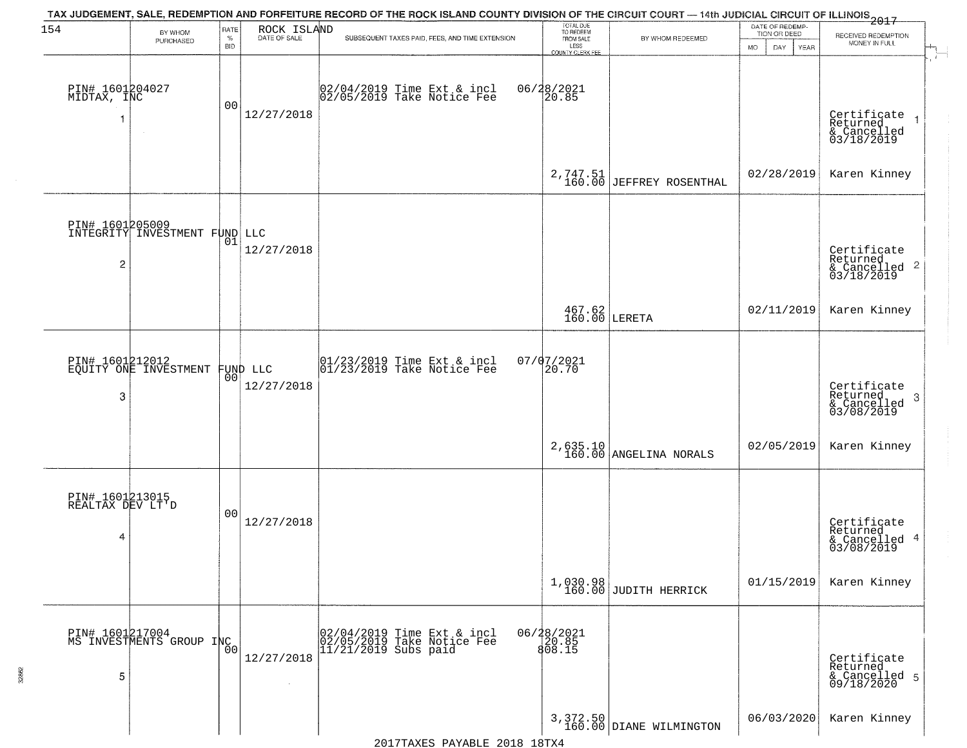| 154                                      |                                             | RATE               |                                | TAX JUDGEMENT, SALE, REDEMPTION AND FORFEITURE RECORD OF THE ROCK ISLAND COUNTY DIVISION OF THE CIRCUIT COURT — 14th JUDICIAL CIRCUIT OF ILLINOIS 2017 | TOTAL DUE<br>TO REDEEM<br>FROM SALE            |                                                                                                                   | DATE OF REDEMP-                          |                                                                        |
|------------------------------------------|---------------------------------------------|--------------------|--------------------------------|--------------------------------------------------------------------------------------------------------------------------------------------------------|------------------------------------------------|-------------------------------------------------------------------------------------------------------------------|------------------------------------------|------------------------------------------------------------------------|
|                                          | BY WHOM<br>PURCHASED                        | $\%$<br><b>BID</b> | ROCK ISLAND<br>DATE OF SALE    | SUBSEQUENT TAXES PAID, FEES, AND TIME EXTENSION                                                                                                        | LESS                                           | BY WHOM REDEEMED                                                                                                  | TION OR DEED<br><b>MO</b><br>DAY<br>YEAR | RECEIVED REDEMPTION<br>MONEY IN FULL                                   |
| PIN# 1601204027<br>MIDTAX, INC           | $\sim$                                      | 00                 | 12/27/2018                     | 02/04/2019 Time Ext & incl<br>02/05/2019 Take Notice Fee                                                                                               | <b>COUNTY CLERK FEE</b><br>06/28/2021<br>20.85 |                                                                                                                   |                                          | Certificate<br>Returned<br>$\overline{1}$<br>& Cancelled<br>03/18/2019 |
|                                          |                                             |                    |                                |                                                                                                                                                        | 2,747.51<br>160.00                             | JEFFREY ROSENTHAL                                                                                                 | 02/28/2019                               | Karen Kinney                                                           |
| 2                                        | INTEGRITY INVESTMENT FUND LLC               | 01                 | 12/27/2018                     |                                                                                                                                                        |                                                |                                                                                                                   |                                          | Certificate<br>Returned<br>$\frac{1}{6}$ Cancelled 2<br>03/18/2019     |
|                                          |                                             |                    |                                |                                                                                                                                                        |                                                | $\begin{array}{c} 467.62 \\ 160.00 \end{array}$ LERETA                                                            | 02/11/2019                               | Karen Kinney                                                           |
| 3                                        | PIN# 1601212012<br>EQUITY ONE INVESTMENT    |                    | FUND LLC<br> 00 <br>12/27/2018 | $\begin{array}{ccc}  01/23/2019 \rangle & \text{Time Ext} & \text{incl} \\  01/23/2019 \rangle & \text{Take Notice Fee} \end{array}$                   | 07/07/2021<br>20.70                            |                                                                                                                   |                                          | Certificate<br>Returned<br>3<br>& Cancelled<br>03/08/2019              |
|                                          |                                             |                    |                                |                                                                                                                                                        |                                                | $2,635.10 \begin{array}{ l } 2,635.10 \end{array} \begin{array}{ l } \hline \texttt{ANGELINA NORALS} \end{array}$ | 02/05/2019                               | Karen Kinney                                                           |
| PIN# 1601213015<br>REALTAX DEV LT'D<br>4 |                                             | 00                 | 12/27/2018                     |                                                                                                                                                        |                                                |                                                                                                                   |                                          | Certificate<br>Returned<br>& Cancelled 4<br>03/08/2019                 |
|                                          |                                             |                    |                                |                                                                                                                                                        |                                                | 1,030.98<br>160.00 JUDITH HERRICK                                                                                 | 01/15/2019                               | Karen Kinney                                                           |
| 5                                        | PIN# 1601217004<br>MS INVESTMENTS GROUP INC | 0 <sub>0</sub>     | 12/27/2018                     | 02/04/2019 Time Ext & incl<br>02/05/2019 Take Notice Fee<br>11/21/2019 Subs paid                                                                       | 06/28/2021<br>20.85<br>808.15                  |                                                                                                                   |                                          | Certificate<br>Returned<br>& Cancelled 5<br>09/18/2020                 |
|                                          |                                             |                    |                                |                                                                                                                                                        |                                                | $3,372.50$ DIANE WILMINGTON                                                                                       | 06/03/2020                               | Karen Kinney                                                           |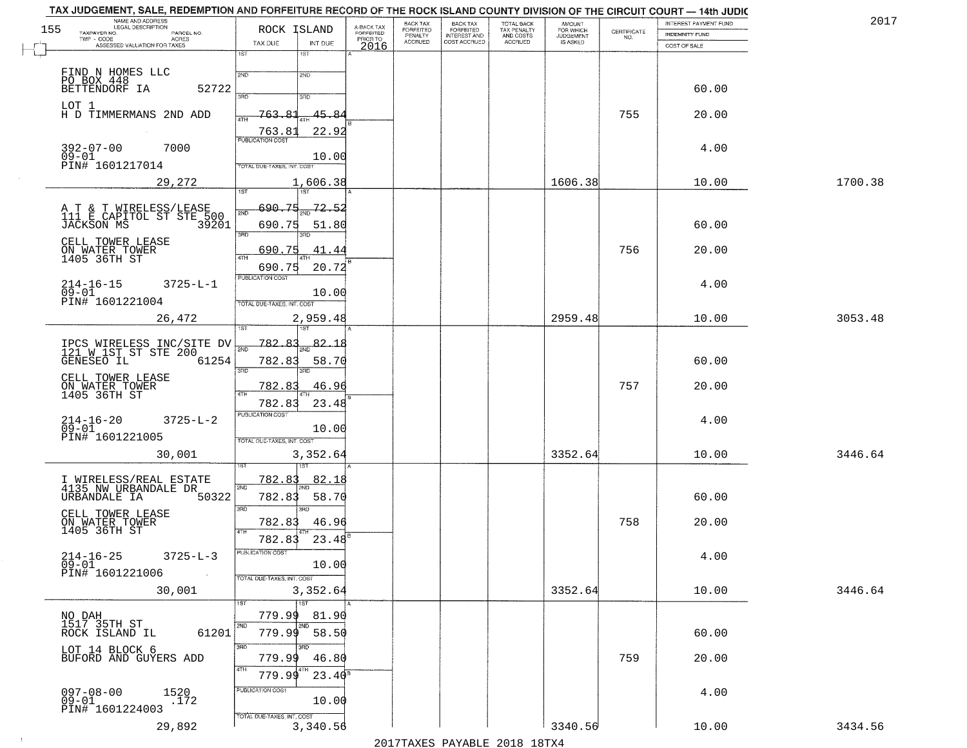| TAX JUDGEMENT, SALE, REDEMPTION AND FORFEITURE RECORD OF THE ROCK ISLAND COUNTY DIVISION OF THE CIRCUIT COURT - 14th JUDIC<br>NAME AND ADDRESS<br>LEGAL DESCRIPTION |                                            |                                     | BACK TAX             | <b>BACK TAX</b>                         | TOTAL BACK               |                                  |                                                                 | INTEREST PAYMENT FUND | 201'    |
|---------------------------------------------------------------------------------------------------------------------------------------------------------------------|--------------------------------------------|-------------------------------------|----------------------|-----------------------------------------|--------------------------|----------------------------------|-----------------------------------------------------------------|-----------------------|---------|
| 155<br>TAXPAYER NO.<br>PARCEL NO.                                                                                                                                   | ROCK ISLAND                                | A-BACK TAX<br>FORFEITED<br>PRIOR TO | FORFEITED<br>PENALTY | <b>FORFEITED</b><br><b>INTEREST AND</b> | TAX PENALTY<br>AND COSTS | AMOUNT<br>FOR WHICH<br>JUDGEMENT | $\begin{array}{c} \text{CERTIFICATE} \\ \text{NO.} \end{array}$ | <b>INDEMNITY FUND</b> |         |
| TWP - CODE<br>ACRES<br>ASSESSED VALUATION FOR TAXES                                                                                                                 | TAX DUE<br>INT DUE                         | 2016                                | <b>ACCRUED</b>       | COST ACCRUED                            | ACCRUED                  | IS ASKED                         |                                                                 | COST OF SALE          |         |
|                                                                                                                                                                     | 1ST<br>1ST                                 |                                     |                      |                                         |                          |                                  |                                                                 |                       |         |
| FIND N HOMES LLC<br>PO BOX 448<br>BETTENDORF IA                                                                                                                     | 2ND<br>2ND                                 |                                     |                      |                                         |                          |                                  |                                                                 |                       |         |
| 52722                                                                                                                                                               | 3RD<br>3RD                                 |                                     |                      |                                         |                          |                                  |                                                                 | 60.00                 |         |
| LOT 1                                                                                                                                                               | 763.81<br>45.8                             |                                     |                      |                                         |                          |                                  | 755                                                             |                       |         |
| H D TIMMERMANS 2ND ADD                                                                                                                                              | ATH                                        |                                     |                      |                                         |                          |                                  |                                                                 | 20.00                 |         |
|                                                                                                                                                                     | 22.92<br>763.81<br><b>PUBLICATION COST</b> |                                     |                      |                                         |                          |                                  |                                                                 |                       |         |
| $392 - 07 - 00$<br>7000<br>$09 - 01$                                                                                                                                | 10.00                                      |                                     |                      |                                         |                          |                                  |                                                                 | 4.00                  |         |
| PIN# 1601217014                                                                                                                                                     | TOTAL DUE-TAXES, INT. COST                 |                                     |                      |                                         |                          |                                  |                                                                 |                       |         |
| 29,272                                                                                                                                                              | 1,606.38                                   |                                     |                      |                                         |                          | 1606.38                          |                                                                 | 10.00                 | 1700.38 |
|                                                                                                                                                                     | 690.75<br>72.52                            |                                     |                      |                                         |                          |                                  |                                                                 |                       |         |
| A T & T WIRELESS/LEASE<br>111 E CAPITOL ST STE 500<br>JACKSON MS 39201<br>39201                                                                                     | 2ND<br>690.75<br>51.80                     |                                     |                      |                                         |                          |                                  |                                                                 | 60.00                 |         |
| CELL TOWER LEASE                                                                                                                                                    | $\overline{3BD}$<br>3RD                    |                                     |                      |                                         |                          |                                  |                                                                 |                       |         |
| ON WATER TOWER<br>1405 36TH ST                                                                                                                                      | 690.75<br>41.44<br>ৰাম                     |                                     |                      |                                         |                          |                                  | 756                                                             | 20.00                 |         |
|                                                                                                                                                                     | 690.75<br>20.72                            |                                     |                      |                                         |                          |                                  |                                                                 |                       |         |
| $214 - 16 - 15$<br>$3725 - L - 1$                                                                                                                                   | PUBLICATION COST                           |                                     |                      |                                         |                          |                                  |                                                                 | 4.00                  |         |
| $09 - 01$<br>PIN# 1601221004                                                                                                                                        | 10.00<br>TOTAL DUE-TAXES, INT. COST        |                                     |                      |                                         |                          |                                  |                                                                 |                       |         |
| 26,472                                                                                                                                                              | 2,959.48                                   |                                     |                      |                                         |                          | 2959.48                          |                                                                 | 10.00                 | 3053.48 |
|                                                                                                                                                                     | is T<br>187                                |                                     |                      |                                         |                          |                                  |                                                                 |                       |         |
| IPCS WIRELESS INC/SITE DV<br>121 W 1ST ST STE 200                                                                                                                   | <u>782.83</u><br>82.18<br>2ND              |                                     |                      |                                         |                          |                                  |                                                                 |                       |         |
| GENESEO IL<br>61254                                                                                                                                                 | 782.83<br>58.70<br>3BD<br>3RD              |                                     |                      |                                         |                          |                                  |                                                                 | 60.00                 |         |
| CELL TOWER LEASE<br>ON WATER TOWER<br>1405 36TH ST                                                                                                                  | 782.83<br>46.96                            |                                     |                      |                                         |                          |                                  | 757                                                             | 20.00                 |         |
|                                                                                                                                                                     | 4TH<br>782.83<br>23.48                     |                                     |                      |                                         |                          |                                  |                                                                 |                       |         |
| $3725 - L - 2$<br>$214 - 16 - 20$<br>09-01                                                                                                                          | <b>PUBLICATION COST</b>                    |                                     |                      |                                         |                          |                                  |                                                                 | 4.00                  |         |
| PIN# 1601221005                                                                                                                                                     | 10.00<br>TOTAL OUE-TAXES, INT. COST        |                                     |                      |                                         |                          |                                  |                                                                 |                       |         |
| 30,001                                                                                                                                                              | 3,352.64                                   |                                     |                      |                                         |                          | 3352.64                          |                                                                 | 10.00                 | 3446.64 |
|                                                                                                                                                                     |                                            |                                     |                      |                                         |                          |                                  |                                                                 |                       |         |
| I WIRELESS/REAL ESTATE<br>4135 NW URBANDALE DR                                                                                                                      | <u>782.83</u><br><u>82.18</u><br>2ND       |                                     |                      |                                         |                          |                                  |                                                                 |                       |         |
| 50322<br>URBANDALE IA                                                                                                                                               | 782.83<br>58.70                            |                                     |                      |                                         |                          |                                  |                                                                 | 60.00                 |         |
| CELL TOWER LEASE                                                                                                                                                    | 3RD<br>3RD<br>782.83<br>46.96              |                                     |                      |                                         |                          |                                  | 758                                                             | 20.00                 |         |
| ON WATER TOWER<br>1405 36TH ST                                                                                                                                      | 4TH<br>23.48<br>782.83                     |                                     |                      |                                         |                          |                                  |                                                                 |                       |         |
| $214 - 16 - 25$<br>$3725 - L - 3$                                                                                                                                   | PUBLICATION COS'                           |                                     |                      |                                         |                          |                                  |                                                                 | 4.00                  |         |
| $09 - 01$<br>PIN# 1601221006                                                                                                                                        | 10.00                                      |                                     |                      |                                         |                          |                                  |                                                                 |                       |         |
| $\sim 10^{11}$ km<br>30,001                                                                                                                                         | TOTAL DUE-TAXES, INT. COST                 |                                     |                      |                                         |                          | 3352.64                          |                                                                 | 10.00                 | 3446.64 |
|                                                                                                                                                                     | 3,352.64<br>$\overline{1}$ st              |                                     |                      |                                         |                          |                                  |                                                                 |                       |         |
| NO DAH<br>1517 35TH ST                                                                                                                                              | 779.99<br>81.90                            |                                     |                      |                                         |                          |                                  |                                                                 |                       |         |
| ROCK ISLAND IL<br>61201                                                                                                                                             | 2ND<br>2ND<br>779.99<br>58.50              |                                     |                      |                                         |                          |                                  |                                                                 | 60.00                 |         |
| LOT 14 BLOCK 6                                                                                                                                                      | 3RD<br>3RD.                                |                                     |                      |                                         |                          |                                  |                                                                 |                       |         |
| BUFORD AND GUYERS ADD                                                                                                                                               | 779.99<br>46.80<br>4TH                     |                                     |                      |                                         |                          |                                  | 759                                                             | 20.00                 |         |
|                                                                                                                                                                     | 779.99<br>$23.40^8$<br>PUBLICATION COST    |                                     |                      |                                         |                          |                                  |                                                                 |                       |         |
| $097 - 08 - 00$<br>1520<br>ň9–01<br>.ī72                                                                                                                            | 10.00                                      |                                     |                      |                                         |                          |                                  |                                                                 | 4.00                  |         |
| PIN# 1601224003                                                                                                                                                     | TOTAL DUE-TAXES, INT. COST                 |                                     |                      |                                         |                          |                                  |                                                                 |                       |         |
| 29,892                                                                                                                                                              | 3,340.56                                   |                                     |                      |                                         |                          | 3340.56                          |                                                                 | 10.00                 | 3434.56 |

 $\sim 10^{-1}$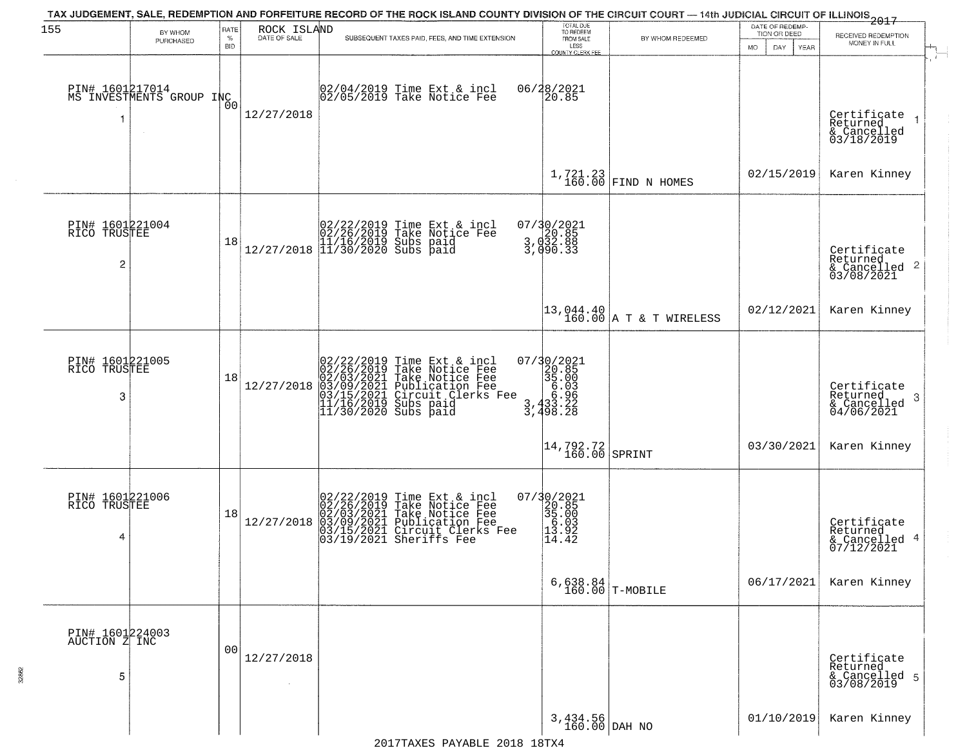| 155                                               | BY WHOM                                     | RATE               | ROCK ISLAND  | TAX JUDGEMENT, SALE, REDEMPTION AND FORFEITURE RECORD OF THE ROCK ISLAND COUNTY DIVISION OF THE CIRCUIT COURT — 14th JUDICIAL CIRCUIT OF ILLINOIS 2017                                                | TOTAL DUE<br>TO REDEEM                                                                                                                  |                                                                      | DATE OF REDEMP-<br>TION OR DEED | RECEIVED REDEMPTION                                                    |
|---------------------------------------------------|---------------------------------------------|--------------------|--------------|-------------------------------------------------------------------------------------------------------------------------------------------------------------------------------------------------------|-----------------------------------------------------------------------------------------------------------------------------------------|----------------------------------------------------------------------|---------------------------------|------------------------------------------------------------------------|
|                                                   | PURCHASED                                   | $\%$<br><b>BID</b> | DATE OF SALE | SUBSEQUENT TAXES PAID, FEES, AND TIME EXTENSION                                                                                                                                                       | FROM SALE<br>LESS<br>COUNTY CLERK FER                                                                                                   | BY WHOM REDEEMED                                                     | <b>MO</b><br>DAY<br><b>YEAR</b> | MONEY IN FULL                                                          |
| -1                                                | PIN# 1601217014<br>MS INVESTMENTS GROUP INC | 0 <sup>0</sup>     | 12/27/2018   | 02/04/2019 Time Ext & incl<br>02/05/2019 Take Notice Fee                                                                                                                                              | 06/28/2021<br>20.85                                                                                                                     |                                                                      |                                 | Certificate<br>Returned<br>$\rightarrow$<br>& Cancelled<br>03/18/2019  |
|                                                   |                                             |                    |              |                                                                                                                                                                                                       |                                                                                                                                         | $1,721.23$ FIND N HOMES                                              | 02/15/2019                      | Karen Kinney                                                           |
| PIN# 1601221004<br>RICO TRUSTEE<br>$\overline{c}$ |                                             | 18                 |              | $[02/22/2019 \text{ Time Ext & incl} \brack 02/26/2019 \text{ Take Notice } \text{Fee} \brack 11/16/2019 \text{ Subs paid} \brack 11/30/2020 \text{ Subs paid}$                                       | 07/30/2021<br>3,020.85<br>3,032.88<br>3,090.33                                                                                          |                                                                      |                                 | Certificate<br>Returned<br>$\overline{2}$<br>& Cancelled<br>03/08/2021 |
|                                                   |                                             |                    |              |                                                                                                                                                                                                       |                                                                                                                                         | $\begin{vmatrix} 13,044.40 \\ 160.00 \end{vmatrix}$ A T & T WIRELESS | 02/12/2021                      | Karen Kinney                                                           |
| PIN# 1601221005<br>RICO TRUSTEE<br>3              |                                             | 18                 | 12/27/2018   | 02/22/2019 Time Ext & incl<br>02/26/2019 Take Notice Fee<br>02/03/2021 Take Notice Fee<br>03/09/2021 Publication Fee<br>03/15/2021 Circuit Clerks Fee<br>11/16/2019 Subs paid<br>11/30/2020 Subs paid | $\begin{smallmatrix} 07/3 & 0/2 & 021 \\ 20 & 85 \\ 35 & 00 \\ 6 & 03 \\ 3 & 6 & 96 \\ 3 & 3 & 22 \\ 3 & 4 & 98 & 28 \end{smallmatrix}$ |                                                                      |                                 | Certificate<br>Returned<br>-3<br>$\frac{6}{04/06/2021}$                |
|                                                   |                                             |                    |              |                                                                                                                                                                                                       | $\left  \frac{14,792.72}{160.00} \right $ SPRINT                                                                                        |                                                                      | 03/30/2021                      | Karen Kinney                                                           |
| PIN# 1601221006<br>RICO TRUSTEE<br>4              |                                             | 18                 | 12/27/2018   | $02/22/2019$ Time Ext & incl<br>02/26/2019 Take Notice Fee<br>02/03/2021 Take Notice Fee<br>03/09/2021 Publication Fee<br>03/15/2021 Circuit Clerks Fee<br>03/19/2021 Sheriffs Fee                    | 07/30/2021<br>20.85<br>35.00<br>5.03<br>13.92<br>14.42                                                                                  |                                                                      |                                 | Certificate<br>Returned<br>4<br>& Cancelled<br>07/12/2021              |
|                                                   |                                             |                    |              |                                                                                                                                                                                                       |                                                                                                                                         | $6,638.84$ T-MOBILE                                                  | 06/17/2021                      | Karen Kinney                                                           |
| PIN# 1601224003<br>AUCTION Z INC<br>5             |                                             | 00                 | 12/27/2018   |                                                                                                                                                                                                       |                                                                                                                                         |                                                                      |                                 | Certificate<br>Returned<br>& Cancelled 5<br>03/08/2019                 |
|                                                   |                                             |                    |              |                                                                                                                                                                                                       | $3,434.56$ DAH NO                                                                                                                       |                                                                      | 01/10/2019                      | Karen Kinney                                                           |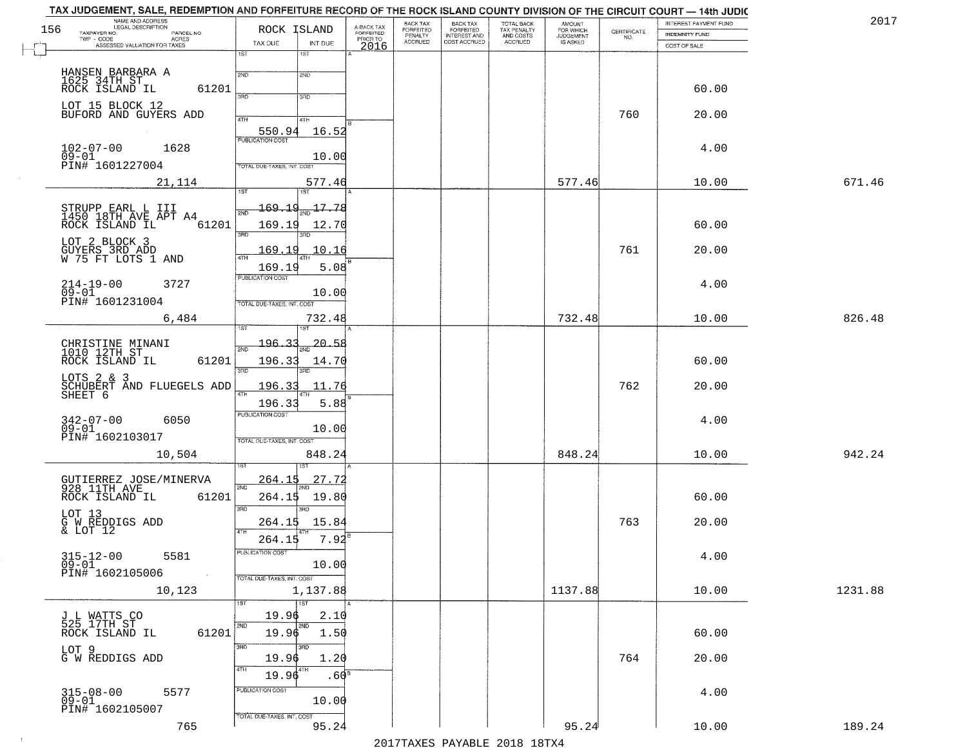| TAX JUDGEMENT, SALE, REDEMPTION AND FORFEITURE RECORD OF THE ROCK ISLAND COUNTY DIVISION OF THE CIRCUIT COURT - 14th JUDIC<br>NAME AND ADDRESS<br>LEGAL DESCRIPTION |                                       |                                     | BACK TAX                    | <b>BACK TAX</b>                  |                                        |                                         |                                                                 | INTEREST PAYMENT FUND | 2017    |
|---------------------------------------------------------------------------------------------------------------------------------------------------------------------|---------------------------------------|-------------------------------------|-----------------------------|----------------------------------|----------------------------------------|-----------------------------------------|-----------------------------------------------------------------|-----------------------|---------|
| 156<br>TAXPAYER NO.<br>PARCEL NO.<br>ACRES                                                                                                                          | ROCK ISLAND                           | A-BACK TAX<br>FORFEITED<br>PRIOR TO | <b>FORFEITED</b><br>PENALTY | FORFEITED<br><b>INTEREST AND</b> | TOTAL BACK<br>TAX PENALTY<br>AND COSTS | AMOUNT<br>FOR WHICH<br><b>JUDGEMENT</b> | $\begin{array}{c} \text{CERTIFICATE} \\ \text{NO.} \end{array}$ | <b>INDEMNITY FUND</b> |         |
| TWP - CODE<br>ASSESSED VALUATION FOR TAXES                                                                                                                          | TAX DUE<br>INT DUE                    | 2016                                | <b>ACCRUED</b>              | COST ACCRUED                     | ACCRUED                                | <b>IS ASKED</b>                         |                                                                 | COST OF SALE          |         |
|                                                                                                                                                                     | 1ST<br>1ST                            |                                     |                             |                                  |                                        |                                         |                                                                 |                       |         |
| HANSEN BARBARA A                                                                                                                                                    | 2ND<br>2ND                            |                                     |                             |                                  |                                        |                                         |                                                                 |                       |         |
| 1625 34TH ST<br>ROCK ISLAND IL                                                                                                                                      |                                       |                                     |                             |                                  |                                        |                                         |                                                                 |                       |         |
| 61201                                                                                                                                                               | 3RD<br>3RD                            |                                     |                             |                                  |                                        |                                         |                                                                 | 60.00                 |         |
| LOT 15 BLOCK 12                                                                                                                                                     |                                       |                                     |                             |                                  |                                        |                                         |                                                                 |                       |         |
| BUFORD AND GUYERS ADD                                                                                                                                               | 4TH<br>4TH                            |                                     |                             |                                  |                                        |                                         | 760                                                             | 20.00                 |         |
|                                                                                                                                                                     | 16.52<br>550.94                       |                                     |                             |                                  |                                        |                                         |                                                                 |                       |         |
| 1628                                                                                                                                                                |                                       |                                     |                             |                                  |                                        |                                         |                                                                 | 4.00                  |         |
| $102 - 07 - 00$<br>$09 - 01$                                                                                                                                        | 10.00                                 |                                     |                             |                                  |                                        |                                         |                                                                 |                       |         |
| PIN# 1601227004                                                                                                                                                     | <b>TOTAL DUE-TAXES, INT. COST</b>     |                                     |                             |                                  |                                        |                                         |                                                                 |                       |         |
| 21,114                                                                                                                                                              | 577.46                                |                                     |                             |                                  |                                        | 577.46                                  |                                                                 | 10.00                 | 671.46  |
|                                                                                                                                                                     |                                       |                                     |                             |                                  |                                        |                                         |                                                                 |                       |         |
| STRUPP EARL L III<br>1450 18TH AVE APT A4                                                                                                                           | <u> 169.19</u><br>$\frac{17.78}{200}$ |                                     |                             |                                  |                                        |                                         |                                                                 |                       |         |
| 61201<br>ROCK ISLAND IL                                                                                                                                             | 169.19<br>12.70                       |                                     |                             |                                  |                                        |                                         |                                                                 | 60.00                 |         |
| LOT 2 BLOCK 3                                                                                                                                                       | $\overline{3BD}$<br>3BD               |                                     |                             |                                  |                                        |                                         |                                                                 |                       |         |
| GUYERS 3RD ADD<br>W 75 FT LOTS 1 AND                                                                                                                                | 169.19<br>$\textcolor{red}{10.16}$    |                                     |                             |                                  |                                        |                                         | 761                                                             | 20.00                 |         |
|                                                                                                                                                                     | ৰাম<br>169.19<br>5.08                 |                                     |                             |                                  |                                        |                                         |                                                                 |                       |         |
|                                                                                                                                                                     | PUBLICATION COST                      |                                     |                             |                                  |                                        |                                         |                                                                 |                       |         |
| $214 - 19 - 00$<br>3727<br>$09 - 01$                                                                                                                                | 10.00                                 |                                     |                             |                                  |                                        |                                         |                                                                 | 4.00                  |         |
| PIN# <sup>-1601231004</sup>                                                                                                                                         | TOTAL DUE-TAXES, INT. COST            |                                     |                             |                                  |                                        |                                         |                                                                 |                       |         |
| 6,484                                                                                                                                                               | 732.48                                |                                     |                             |                                  |                                        | 732.48                                  |                                                                 | 10.00                 | 826.48  |
|                                                                                                                                                                     | 1ST                                   |                                     |                             |                                  |                                        |                                         |                                                                 |                       |         |
|                                                                                                                                                                     | <u> 196.33</u><br><u> 20.58</u>       |                                     |                             |                                  |                                        |                                         |                                                                 |                       |         |
| CHRISTINE MINANI<br>1010 12TH ST                                                                                                                                    | 2ND                                   |                                     |                             |                                  |                                        |                                         |                                                                 |                       |         |
| ROCK ISLAND IL<br>61201                                                                                                                                             | 196.33<br>14.70<br>3RD<br>3RD         |                                     |                             |                                  |                                        |                                         |                                                                 | 60.00                 |         |
| LOTS 2 & 3<br>SCHUBERT AND FLUEGELS ADD<br>SHEET 6                                                                                                                  | 196.33<br>11.76                       |                                     |                             |                                  |                                        |                                         | 762                                                             | 20.00                 |         |
|                                                                                                                                                                     | 4TH                                   |                                     |                             |                                  |                                        |                                         |                                                                 |                       |         |
|                                                                                                                                                                     | 196.33<br>5.88                        |                                     |                             |                                  |                                        |                                         |                                                                 |                       |         |
| $342 - 07 - 00$<br>6050                                                                                                                                             | <b>PUBLICATION COST</b>               |                                     |                             |                                  |                                        |                                         |                                                                 | 4.00                  |         |
| $09 - 01$<br>PIN# 1602103017                                                                                                                                        | 10.00                                 |                                     |                             |                                  |                                        |                                         |                                                                 |                       |         |
|                                                                                                                                                                     | TOTAL OUE-TAXES, INT. COST            |                                     |                             |                                  |                                        |                                         |                                                                 |                       |         |
| 10,504                                                                                                                                                              | 848.24                                |                                     |                             |                                  |                                        | 848.24                                  |                                                                 | 10.00                 | 942.24  |
|                                                                                                                                                                     |                                       |                                     |                             |                                  |                                        |                                         |                                                                 |                       |         |
| GUTIERREZ JOSE/MINERVA<br>928 11TH AVE                                                                                                                              | <u>264.15</u><br>27.72<br>2ND         |                                     |                             |                                  |                                        |                                         |                                                                 |                       |         |
| ROCK ISLAND IL<br>61201                                                                                                                                             | 264.15<br>19.80                       |                                     |                             |                                  |                                        |                                         |                                                                 | 60.00                 |         |
| LOT 13                                                                                                                                                              | 3RD<br>3RD                            |                                     |                             |                                  |                                        |                                         |                                                                 |                       |         |
| G W REDDIGS ADD<br>& LOT 12                                                                                                                                         | 15.84<br>264.15                       |                                     |                             |                                  |                                        |                                         | 763                                                             | 20.00                 |         |
|                                                                                                                                                                     | 4TH<br>7.92<br>264.15                 |                                     |                             |                                  |                                        |                                         |                                                                 |                       |         |
| $315 - 12 - 00$                                                                                                                                                     | PUBLICATION COST                      |                                     |                             |                                  |                                        |                                         |                                                                 |                       |         |
| 5581<br>$09 - 01$                                                                                                                                                   | 10.00                                 |                                     |                             |                                  |                                        |                                         |                                                                 | 4.00                  |         |
| PIN# 1602105006<br>$\sim 10$                                                                                                                                        | TOTAL DUE-TAXES, INT. COST            |                                     |                             |                                  |                                        |                                         |                                                                 |                       |         |
| 10,123                                                                                                                                                              | 1,137.88                              |                                     |                             |                                  |                                        | 1137.88                                 |                                                                 | 10.00                 | 1231.88 |
|                                                                                                                                                                     | 1ST<br>1ST                            |                                     |                             |                                  |                                        |                                         |                                                                 |                       |         |
| J L WATTS CO<br>525 17TH ST                                                                                                                                         | 19.96<br>2.10                         |                                     |                             |                                  |                                        |                                         |                                                                 |                       |         |
| 61201<br>ROCK ISLAND IL                                                                                                                                             | 2ND<br>2ND<br>19.96<br>1.50           |                                     |                             |                                  |                                        |                                         |                                                                 | 60.00                 |         |
|                                                                                                                                                                     | 3RD<br>3BD                            |                                     |                             |                                  |                                        |                                         |                                                                 |                       |         |
| LOT 9<br>G W REDDIGS ADD                                                                                                                                            | 19.96<br>1.20                         |                                     |                             |                                  |                                        |                                         | 764                                                             | 20.00                 |         |
|                                                                                                                                                                     | 4TH<br>  4TH                          |                                     |                             |                                  |                                        |                                         |                                                                 |                       |         |
|                                                                                                                                                                     | 19.96<br>.60 <sup>s</sup>             |                                     |                             |                                  |                                        |                                         |                                                                 |                       |         |
| $315 - 08 - 00$<br>09-01<br>5577                                                                                                                                    | PUBLICATION COST<br>10.00             |                                     |                             |                                  |                                        |                                         |                                                                 | 4.00                  |         |
| PIN# 1602105007                                                                                                                                                     |                                       |                                     |                             |                                  |                                        |                                         |                                                                 |                       |         |
| 765                                                                                                                                                                 | TOTAL DUE-TAXES, INT. COST<br>95.24   |                                     |                             |                                  |                                        | 95.24                                   |                                                                 | 10.00                 | 189.24  |
|                                                                                                                                                                     |                                       |                                     |                             |                                  |                                        |                                         |                                                                 |                       |         |

 $\sim 10^{-1}$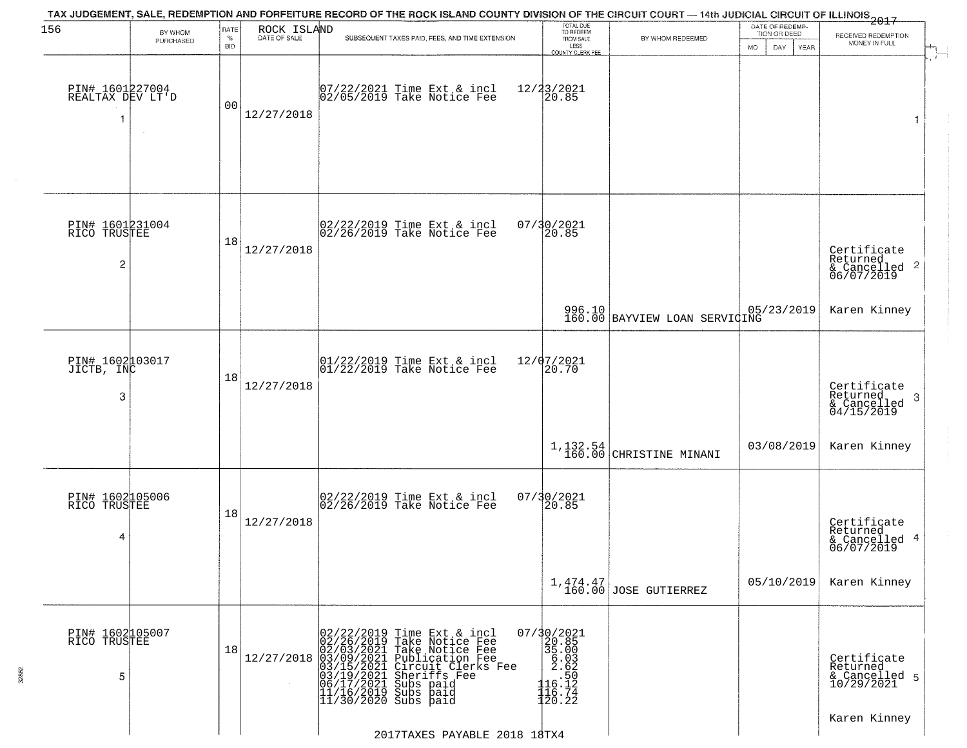| 156                                      | BY WHOM   | RATE               | ROCK ISLAND  | TAX JUDGEMENT, SALE, REDEMPTION AND FORFEITURE RECORD OF THE ROCK ISLAND COUNTY DIVISION OF THE CIRCUIT COURT — 14th JUDICIAL CIRCUIT OF ILLINOIS 2017                                                                                                | TOTAL DUE<br>TO REDEEM                                                                                |                                                    | DATE OF REDEMP-<br>TION OR DEED |                                                                    |
|------------------------------------------|-----------|--------------------|--------------|-------------------------------------------------------------------------------------------------------------------------------------------------------------------------------------------------------------------------------------------------------|-------------------------------------------------------------------------------------------------------|----------------------------------------------------|---------------------------------|--------------------------------------------------------------------|
|                                          | PURCHASED | $\%$<br><b>BID</b> | DATE OF SALE | SUBSEQUENT TAXES PAID, FEES, AND TIME EXTENSION                                                                                                                                                                                                       | FROM SALE<br>LESS<br>COUNTY CLERK FEE                                                                 | BY WHOM REDEEMED                                   | <b>MO</b><br>DAY<br><b>YEAR</b> | RECEIVED REDEMPTION<br>MONEY IN FULL                               |
| PIN# 1601227004<br>REALTAX DEV LT'D<br>1 | $\sim$    | 00                 | 12/27/2018   | 07/22/2021 Time Ext & incl<br>02/05/2019 Take Notice Fee                                                                                                                                                                                              | 12/23/2021<br>20.85                                                                                   |                                                    |                                 | 1                                                                  |
| PIN# 1601231004<br>RICO TRUSTEE<br>2     |           | 18                 | 12/27/2018   | 02/22/2019 Time Ext & incl<br>02/26/2019 Take Notice Fee                                                                                                                                                                                              | 07/30/2021<br>20.85                                                                                   |                                                    |                                 | Certificate<br>Returned<br>$\frac{1}{6}$ Cancelled 2<br>06/07/2019 |
|                                          |           |                    |              |                                                                                                                                                                                                                                                       |                                                                                                       | 996.10 05/23/2019<br>160.00 BAYVIEW LOAN SERVICING |                                 | Karen Kinney                                                       |
| PIN# 1602103017<br>JICTB, INC<br>3       |           | 18                 | 12/27/2018   | $\begin{bmatrix} 01/22/2019 &$ Time Ext & incl<br>$01/22/2019 &$ Take Notice Fee                                                                                                                                                                      | 12/07/2021<br>20.70                                                                                   |                                                    |                                 | Certificate<br>Returned<br>3<br>$\frac{6}{04/15/2019}$             |
|                                          |           |                    |              |                                                                                                                                                                                                                                                       |                                                                                                       | $1,132.54$ CHRISTINE MINANI                        | 03/08/2019                      | Karen Kinney                                                       |
| PIN# 1602105006<br>RICO TRUSTEE<br>4     |           | 18                 | 12/27/2018   | 02/22/2019 Time Ext & incl<br>02/26/2019 Take Notice Fee                                                                                                                                                                                              | 07/30/2021<br>120.85                                                                                  |                                                    |                                 | Certificate<br>Returned<br>-4<br>& Cancelled<br>06/07/2019         |
|                                          |           |                    |              |                                                                                                                                                                                                                                                       |                                                                                                       | $1,474.47$<br>160.00 JOSE GUTIERREZ                | 05/10/2019                      | Karen Kinney                                                       |
| PIN# 1602105007<br>RICO TRUSTEE<br>5     |           | 18                 | 12/27/2018   | 02/22/2019 Time Ext & incl<br>02/26/2019 Take Notice Fee<br>02/03/2021 Take Notice Fee<br>03/09/2021 Publication Fee<br>03/15/2021 Circuit Clerks Fee<br>03/15/2021 Subs paid<br>06/17/2021 Subs paid<br>11/16/2019 Subs paid<br>11/30/2020 Subs paid | 07/30/2021<br>$\begin{bmatrix} 25.000 \\ 35.003 \\ 6.032 \\ 16.124 \\ 116.74 \\ 120.22 \end{bmatrix}$ |                                                    |                                 | Certificate<br>Returned<br>& Cancelled 5<br>10/29/2021             |
|                                          |           |                    |              | 2017TAXES PAYABLE 2018 18TX4                                                                                                                                                                                                                          |                                                                                                       |                                                    |                                 | Karen Kinney                                                       |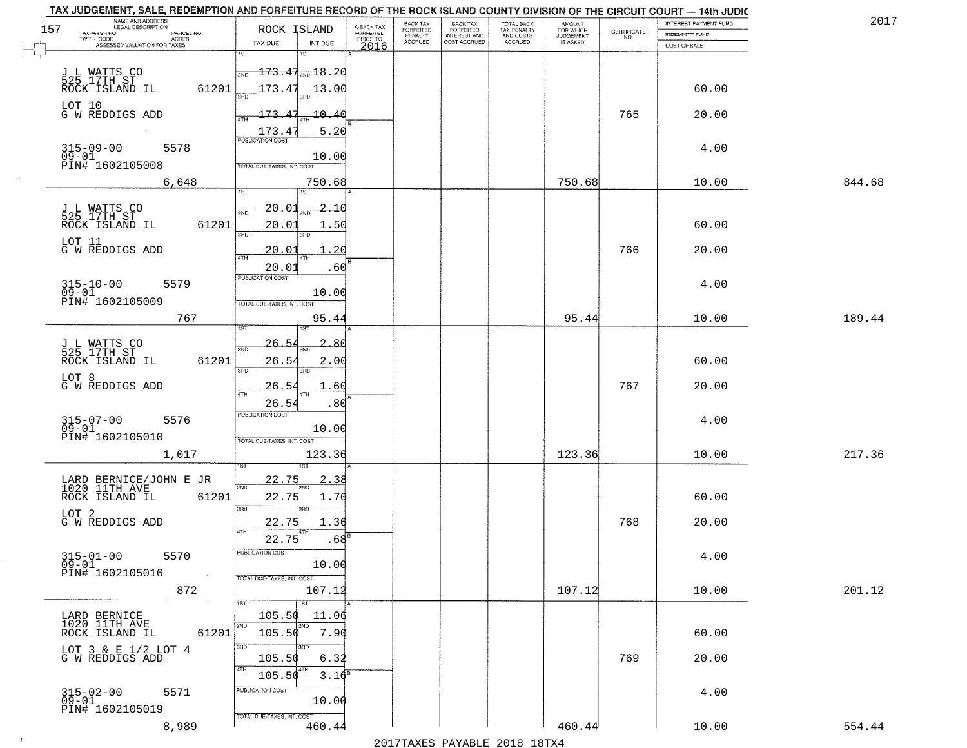|     | TAX JUDGEMENT, SALE, REDEMPTION AND FORFEITURE RECORD OF THE ROCK ISLAND COUNTY DIVISION OF THE CIRCUIT COURT - 14th JUDIC<br>NAME AND ADDRESS<br>LEGAL DESCRIPTION |                                           |                                     | BACK TAX                    |                                       |                                        |                                  |                                                                 | INTEREST PAYMENT FUND | 2017   |
|-----|---------------------------------------------------------------------------------------------------------------------------------------------------------------------|-------------------------------------------|-------------------------------------|-----------------------------|---------------------------------------|----------------------------------------|----------------------------------|-----------------------------------------------------------------|-----------------------|--------|
| 157 | TAXPAYER NO.<br>PARCEL NO.<br>TWP - CODE<br>ACRES                                                                                                                   | ROCK ISLAND                               | A-BACK TAX<br>FORFEITED<br>PRIOR TO | <b>FORFEITED</b><br>PENALTY | BACK TAX<br>FORFEITED<br>INTEREST AND | TOTAL BACK<br>TAX PENALTY<br>AND COSTS | AMOUNT<br>FOR WHICH<br>JUDGEMENT | $\begin{array}{c} \text{CERTIFICATE} \\ \text{NO.} \end{array}$ | <b>INDEMNITY FUND</b> |        |
|     | ASSESSED VALUATION FOR TAXES                                                                                                                                        | INT DUE<br>TAX DUE                        | 2016                                | <b>ACCRUED</b>              | COST ACCRUED                          | ACCRUED                                | IS ASKED                         |                                                                 | COST OF SALE          |        |
|     |                                                                                                                                                                     | 1ST<br>1ST                                |                                     |                             |                                       |                                        |                                  |                                                                 |                       |        |
|     |                                                                                                                                                                     | $\frac{173.47_{\rm 2ND} + 8.20}{\rm}$     |                                     |                             |                                       |                                        |                                  |                                                                 |                       |        |
|     | J L WATTS CO<br>525 17TH ST<br>ROCK ISLAND IL<br>61201                                                                                                              | 173.47 13.00                              |                                     |                             |                                       |                                        |                                  |                                                                 | 60.00                 |        |
|     |                                                                                                                                                                     |                                           |                                     |                             |                                       |                                        |                                  |                                                                 |                       |        |
|     | LOT 10<br>G W REDDIGS ADD                                                                                                                                           | 173.47<br>10.40                           |                                     |                             |                                       |                                        |                                  | 765                                                             | 20.00                 |        |
|     |                                                                                                                                                                     |                                           |                                     |                             |                                       |                                        |                                  |                                                                 |                       |        |
|     |                                                                                                                                                                     | 5.20<br>$\frac{173.4}{FUBUCATON COST}$    |                                     |                             |                                       |                                        |                                  |                                                                 |                       |        |
|     | $315 - 09 - 00$<br>09-01<br>5578                                                                                                                                    |                                           |                                     |                             |                                       |                                        |                                  |                                                                 | 4.00                  |        |
|     | PIN# 1602105008                                                                                                                                                     | 10.00<br>TOTAL DUE-TAXES, INT. COST       |                                     |                             |                                       |                                        |                                  |                                                                 |                       |        |
|     | 6,648                                                                                                                                                               | 750.68                                    |                                     |                             |                                       |                                        | 750.68                           |                                                                 | 10.00                 | 844.68 |
|     |                                                                                                                                                                     | <b>IST</b>                                |                                     |                             |                                       |                                        |                                  |                                                                 |                       |        |
|     |                                                                                                                                                                     | 20.01<br>2.10                             |                                     |                             |                                       |                                        |                                  |                                                                 |                       |        |
|     | J L WATTS CO<br>525 17TH ST                                                                                                                                         | 2ND                                       |                                     |                             |                                       |                                        |                                  |                                                                 |                       |        |
|     | ROCK ISLAND IL<br>61201                                                                                                                                             | 20.01<br>1.50<br>उन्नठ                    |                                     |                             |                                       |                                        |                                  |                                                                 | 60.00                 |        |
|     | LOT 11<br>G W REDDIGS ADD                                                                                                                                           |                                           |                                     |                             |                                       |                                        |                                  |                                                                 |                       |        |
|     |                                                                                                                                                                     | 20<br><u>20.01</u>                        |                                     |                             |                                       |                                        |                                  | 766                                                             | 20.00                 |        |
|     |                                                                                                                                                                     | 20.01<br>.60                              |                                     |                             |                                       |                                        |                                  |                                                                 |                       |        |
|     | $315 - 10 - 00$<br>5579                                                                                                                                             | PUBLICATION COST                          |                                     |                             |                                       |                                        |                                  |                                                                 | 4.00                  |        |
|     | $09 - 01$                                                                                                                                                           | 10.00                                     |                                     |                             |                                       |                                        |                                  |                                                                 |                       |        |
|     | PIN# 1602105009                                                                                                                                                     | TOTAL DUE-TAXES, INT. COST                |                                     |                             |                                       |                                        |                                  |                                                                 |                       |        |
|     | 767                                                                                                                                                                 | 95.44                                     |                                     |                             |                                       |                                        | 95.44                            |                                                                 | 10.00                 | 189.44 |
|     |                                                                                                                                                                     | ïЗT<br>181                                |                                     |                             |                                       |                                        |                                  |                                                                 |                       |        |
|     | J L WATTS CO<br>525 17TH ST                                                                                                                                         | 2.86<br><u> 26. 5</u><br>2ND              |                                     |                             |                                       |                                        |                                  |                                                                 |                       |        |
|     | ROCK ISLAND IL<br>61201                                                                                                                                             | 26.54<br>2.00                             |                                     |                             |                                       |                                        |                                  |                                                                 | 60.00                 |        |
|     |                                                                                                                                                                     | 3RD<br>3RD                                |                                     |                             |                                       |                                        |                                  |                                                                 |                       |        |
|     | LOT 8<br>G W REDDIGS ADD                                                                                                                                            | <u>26.5</u><br>. 60                       |                                     |                             |                                       |                                        |                                  | 767                                                             | 20.00                 |        |
|     |                                                                                                                                                                     | 4TH<br>26.54<br>.80                       |                                     |                             |                                       |                                        |                                  |                                                                 |                       |        |
|     |                                                                                                                                                                     | <b>PUBLICATION COST</b>                   |                                     |                             |                                       |                                        |                                  |                                                                 |                       |        |
|     | 5576<br>315-07-00<br>09-01                                                                                                                                          | 10.00                                     |                                     |                             |                                       |                                        |                                  |                                                                 | 4.00                  |        |
|     | PIN# 1602105010                                                                                                                                                     | TOTAL OUE-TAXES, INT. COST                |                                     |                             |                                       |                                        |                                  |                                                                 |                       |        |
|     | 1,017                                                                                                                                                               | 123.36                                    |                                     |                             |                                       |                                        | 123.36                           |                                                                 | 10.00                 | 217.36 |
|     |                                                                                                                                                                     |                                           |                                     |                             |                                       |                                        |                                  |                                                                 |                       |        |
|     |                                                                                                                                                                     | 22.75<br>38                               |                                     |                             |                                       |                                        |                                  |                                                                 |                       |        |
|     | LARD BERNICE/JOHN E JR<br>1020 11TH AVE<br>ROCK ISLAND IL<br>61201                                                                                                  | 2ND<br>1.70                               |                                     |                             |                                       |                                        |                                  |                                                                 | 60.00                 |        |
|     |                                                                                                                                                                     | 22.75<br>3RD<br>3RD                       |                                     |                             |                                       |                                        |                                  |                                                                 |                       |        |
|     | LOT <sub>2</sub><br>G W REDDIGS ADD                                                                                                                                 | 22.75<br>1.36                             |                                     |                             |                                       |                                        |                                  | 768                                                             | 20.00                 |        |
|     |                                                                                                                                                                     | 4TH                                       |                                     |                             |                                       |                                        |                                  |                                                                 |                       |        |
|     |                                                                                                                                                                     | .68 <sup>E</sup><br>22.75                 |                                     |                             |                                       |                                        |                                  |                                                                 |                       |        |
|     | $315 - 01 - 00$<br>5570                                                                                                                                             | ruslica i IUN COS                         |                                     |                             |                                       |                                        |                                  |                                                                 | 4.00                  |        |
|     | $09 - 01$<br>PIN# 1602105016<br>$\sim 100$                                                                                                                          | 10.00                                     |                                     |                             |                                       |                                        |                                  |                                                                 |                       |        |
|     |                                                                                                                                                                     | TOTAL DUE-TAXES, INT. COST                |                                     |                             |                                       |                                        |                                  |                                                                 |                       |        |
|     | 872                                                                                                                                                                 | 107.12                                    |                                     |                             |                                       |                                        | 107.12                           |                                                                 | 10.00                 | 201.12 |
|     |                                                                                                                                                                     | 1ST                                       |                                     |                             |                                       |                                        |                                  |                                                                 |                       |        |
|     | LARD BERNICE<br>1020 11TH AVE                                                                                                                                       | 105.50<br>11.06<br>2ND<br>2ND             |                                     |                             |                                       |                                        |                                  |                                                                 |                       |        |
|     | 61201<br>ROCK ISLAND IL                                                                                                                                             | 105.50<br>7.90                            |                                     |                             |                                       |                                        |                                  |                                                                 | 60.00                 |        |
|     | LOT 3 & E 1/2 LOT 4                                                                                                                                                 | 3RD<br>3RD                                |                                     |                             |                                       |                                        |                                  |                                                                 |                       |        |
|     | G W REDDIGS ADD                                                                                                                                                     | 105.50<br>6.32                            |                                     |                             |                                       |                                        |                                  | 769                                                             | 20.00                 |        |
|     |                                                                                                                                                                     | 4TH<br>4TH<br>3.16 <sup>8</sup><br>105.50 |                                     |                             |                                       |                                        |                                  |                                                                 |                       |        |
|     | 5571                                                                                                                                                                | PUBLICATION COST                          |                                     |                             |                                       |                                        |                                  |                                                                 | 4.00                  |        |
|     | 315-02-00<br>09-01                                                                                                                                                  | 10.00                                     |                                     |                             |                                       |                                        |                                  |                                                                 |                       |        |
|     | PIN# 1602105019                                                                                                                                                     | TOTAL DUE-TAXES, INT. COST                |                                     |                             |                                       |                                        |                                  |                                                                 |                       |        |
|     | 8,989                                                                                                                                                               | 460.44                                    |                                     |                             |                                       |                                        | 460.44                           |                                                                 | 10.00                 | 554.44 |
|     |                                                                                                                                                                     |                                           |                                     |                             |                                       | 2017 THAYRO DAVADIR 2018 19TYA         |                                  |                                                                 |                       |        |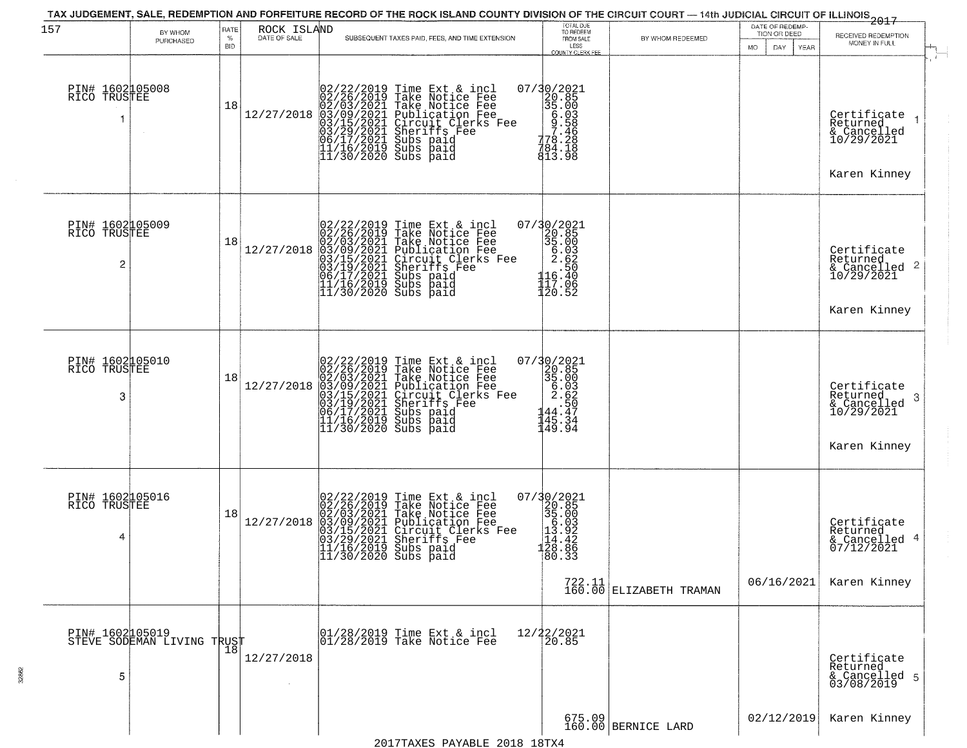| 157                                  | BY WHOM<br>PURCHASED                          | RATE<br>$\%$<br><b>BID</b> | ROCK ISLAND<br>DATE OF SALE | SUBSEQUENT TAXES PAID, FEES, AND TIME EXTENSION                                                                                                                                                                                                                                                                                                                                           | TOTAL DUE<br>TO REDEEM<br>FROM SALE<br>LESS<br><b>COUNTY CLERK FEE</b>                                                         | BY WHOM REDEEMED                    | DATE OF REDEMP-<br>TION OR DEED<br>MO.<br>DAY<br>YEAR | -2015<br>RECEIVED REDEMPTION<br>MONEY IN FULL                                      |
|--------------------------------------|-----------------------------------------------|----------------------------|-----------------------------|-------------------------------------------------------------------------------------------------------------------------------------------------------------------------------------------------------------------------------------------------------------------------------------------------------------------------------------------------------------------------------------------|--------------------------------------------------------------------------------------------------------------------------------|-------------------------------------|-------------------------------------------------------|------------------------------------------------------------------------------------|
| PIN# 1602105008<br>RICO TRUSTEE      |                                               | 18                         |                             | $[02/22/2019 \text{ Time Ext & incl} \newline [02/26/2019 \text{ Take Notice Free} \newline 02/03/2021 \text{ Take Notice Free} \newline 03/09/2021 \text{ Publication Free} \newline 03/15/2021 \text{ Circuit Clerks Free} \newline 03/15/2021 \text{ Surifies Free} \newline 06/17/2021 \text{ Subs paid} \newline 11/16/2019 \text{ Subs paid} \newline 11/30/2020 \text{ Subs paid}$ | $\begin{array}{r} 07/30/2021 \\ 20.85 \\ 35.00 \\ 6.03 \\ -778.28 \\ 778.28 \\ 794.18 \\ 194.18 \\ \end{array}$<br>813.98      |                                     |                                                       | Certificate<br>Returned<br>& Cancelled<br>10/29/2021<br>Karen Kinney               |
| PIN# 1602105009<br>RICO TRUSTEE<br>2 |                                               | 18                         | 12/27/2018                  | 02/22/2019 Time Ext & incl<br>02/26/2019 Take Notice Fee<br>02/03/2021 Take Notice Fee<br>03/09/2021 Publication Fee<br>03/15/2021 Circuit Clerks Fee<br>03/19/2021 Subs paid<br>06/17/2021 Subs paid<br>11/16/2019 Subs paid<br>11/30/2020 Subs paid                                                                                                                                     | 07/30/2021<br>20.85<br>35.00<br>5.03<br>2.62<br>116.50<br>117.06<br>120.52                                                     |                                     |                                                       | Certificate<br>Returned<br>$\frac{1}{2}$ Cancelled 2<br>10/29/2021<br>Karen Kinney |
| PIN# 1602105010<br>RICO TRUSTEE<br>3 |                                               | 18                         | 12/27/2018                  | 02/22/2019 Time Ext & incl<br>02/26/2019 Take Notice Fee<br>02/03/2021 Take Notice Fee<br>03/09/2021 Publication Fee<br>03/15/2021 Circuit Clerks Fee<br>03/15/2021 Subs paid<br>06/17/2021 Subs paid<br>11/16/2019 Subs paid<br>11/30/2020 Subs paid                                                                                                                                     | 07/30/2021<br>20.85<br>25.00<br>5.03<br>2.62<br>2.50<br>$\begin{array}{r} 2.36 \\ + 50 \\ 44.47 \\ 45.34 \\ 49.94 \end{array}$ |                                     |                                                       | Certifiçate<br>Returned<br>3<br>& Cancelled<br>10/29/2021<br>Karen Kinney          |
| PIN# 1602105016<br>RICO TRUSTEE<br>4 |                                               | 18                         | 12/27/2018                  | 02/22/2019 Time Ext & incl<br>02/26/2019 Take Notice Fee<br>02/03/2021 Take Notice Fee<br>03/09/2021 Publication Fee<br>03/09/2021 Circuit Clerks Fee<br>03/29/2021 Sheriffs Fee<br>11/16/2019 Subs paid<br>11/30/2020 Subs paid                                                                                                                                                          | 07/30/2021<br>320.85<br>35.003<br>55.003<br>113.92<br>124.42<br>128.89<br>80.33                                                | $722.11$<br>160.00 ELIZABETH TRAMAN | 06/16/2021                                            | Certificate<br>Returned<br>& Cancelled 4<br>07/12/2021<br>Karen Kinney             |
| 5                                    | PIN# 1602105019<br>STEVE SODEMAN LIVING TRUST |                            | 12/27/2018                  | 01/28/2019 Time Ext & incl<br>01/28/2019 Take Notice Fee                                                                                                                                                                                                                                                                                                                                  | 12/22/2021<br>20.85                                                                                                            |                                     |                                                       | Certificate<br>Returned<br>& Cancelled 5<br>03/08/2019                             |
|                                      |                                               |                            |                             |                                                                                                                                                                                                                                                                                                                                                                                           |                                                                                                                                | 675.09<br>160.00 BERNICE LARD       | 02/12/2019                                            | Karen Kinney                                                                       |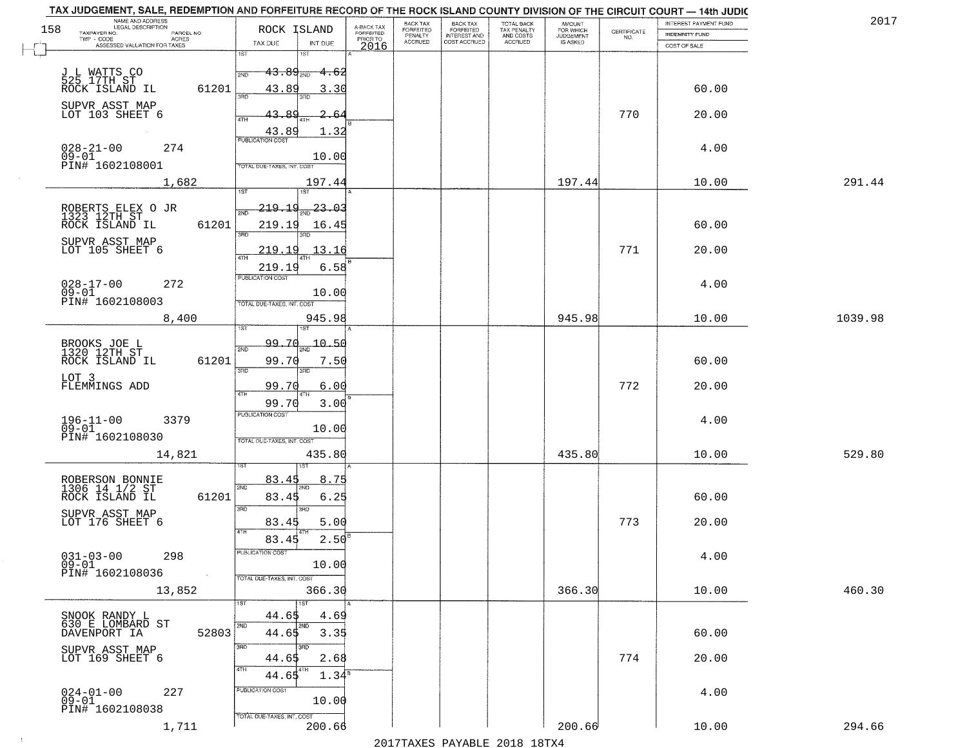|     | TAX JUDGEMENT, SALE, REDEMPTION AND FORFEITURE RECORD OF THE ROCK ISLAND COUNTY DIVISION OF THE CIRCUIT COURT - 14th JUDIC<br>NAME AND ADDRESS<br>LEGAL DESCRIPTION |       |                                          |                         | BACK TAX                    |                                       |                                        |                                  |                                                                 | INTEREST PAYMENT FUND | 2017    |
|-----|---------------------------------------------------------------------------------------------------------------------------------------------------------------------|-------|------------------------------------------|-------------------------|-----------------------------|---------------------------------------|----------------------------------------|----------------------------------|-----------------------------------------------------------------|-----------------------|---------|
| 158 | TAXPAYER NO.<br>PARCEL NO.                                                                                                                                          |       | ROCK ISLAND                              | A-BACK TAX<br>FORFEITED | <b>FORFEITED</b><br>PENALTY | BACK TAX<br>FORFEITED<br>INTEREST AND | TOTAL BACK<br>TAX PENALTY<br>AND COSTS | AMOUNT<br>FOR WHICH<br>JUDGEMENT | $\begin{array}{c} \text{CERTIFICATE} \\ \text{NO.} \end{array}$ | <b>INDEMNITY FUND</b> |         |
|     | TWP - CODE<br>ACRES<br>ASSESSED VALUATION FOR TAXES                                                                                                                 |       | INT DUE<br>TAX DUE                       | PRIOR TO<br>2016        | <b>ACCRUED</b>              | COST ACCRUED                          | ACCRUED                                | IS ASKED                         |                                                                 | COST OF SALE          |         |
|     |                                                                                                                                                                     |       | 1ST<br>1ST                               |                         |                             |                                       |                                        |                                  |                                                                 |                       |         |
|     |                                                                                                                                                                     |       | $43.89_{200}$<br><del>-4.62</del><br>2ND |                         |                             |                                       |                                        |                                  |                                                                 |                       |         |
|     | J L WATTS CO<br>525 17TH ST<br>ROCK ISLAND IL                                                                                                                       | 61201 | 43.89<br>3.30                            |                         |                             |                                       |                                        |                                  |                                                                 | 60.00                 |         |
|     |                                                                                                                                                                     |       | 390                                      |                         |                             |                                       |                                        |                                  |                                                                 |                       |         |
|     | SUPVR ASST MAP<br>LOT 103 SHEET 6                                                                                                                                   |       | 43.89                                    |                         |                             |                                       |                                        |                                  | 770                                                             | 20.00                 |         |
|     |                                                                                                                                                                     |       |                                          |                         |                             |                                       |                                        |                                  |                                                                 |                       |         |
|     |                                                                                                                                                                     |       | 43.89<br>1.32<br><b>PUBLICATION COST</b> |                         |                             |                                       |                                        |                                  |                                                                 |                       |         |
|     | $028 - 21 - 00$<br>09-01<br>274                                                                                                                                     |       |                                          |                         |                             |                                       |                                        |                                  |                                                                 | 4.00                  |         |
|     | PIN# 1602108001                                                                                                                                                     |       | 10.00<br>TOTAL DUE-TAXES, INT. COST      |                         |                             |                                       |                                        |                                  |                                                                 |                       |         |
|     |                                                                                                                                                                     |       |                                          |                         |                             |                                       |                                        |                                  |                                                                 |                       |         |
|     | 1,682                                                                                                                                                               |       | 197.44                                   |                         |                             |                                       |                                        | 197.44                           |                                                                 | 10.00                 | 291.44  |
|     |                                                                                                                                                                     |       | <u> 219.19</u><br>$23 - 03$              |                         |                             |                                       |                                        |                                  |                                                                 |                       |         |
|     | ROBERTS ELEX O JR<br>1323 12TH ST                                                                                                                                   |       |                                          |                         |                             |                                       |                                        |                                  |                                                                 |                       |         |
|     | ROCK ISLAND IL                                                                                                                                                      | 61201 | 219.19<br>16.45<br><b>उस</b> र           |                         |                             |                                       |                                        |                                  |                                                                 | 60.00                 |         |
|     | SUPVR ASST MAP                                                                                                                                                      |       |                                          |                         |                             |                                       |                                        |                                  |                                                                 |                       |         |
|     | LOT 105 SHEET 6                                                                                                                                                     |       | 13.16<br>219.19                          |                         |                             |                                       |                                        |                                  | 771                                                             | 20.00                 |         |
|     |                                                                                                                                                                     |       | 219.19<br>6.58                           |                         |                             |                                       |                                        |                                  |                                                                 |                       |         |
|     | $028 - 17 - 00$<br>272                                                                                                                                              |       | PUBLICATION COST                         |                         |                             |                                       |                                        |                                  |                                                                 | 4.00                  |         |
|     | $09 - 01$                                                                                                                                                           |       | 10.00                                    |                         |                             |                                       |                                        |                                  |                                                                 |                       |         |
|     | PIN# 1602108003                                                                                                                                                     |       | TOTAL DUE-TAXES, INT. COST               |                         |                             |                                       |                                        |                                  |                                                                 |                       |         |
|     | 8,400                                                                                                                                                               |       | 945.98                                   |                         |                             |                                       |                                        | 945.98                           |                                                                 | 10.00                 | 1039.98 |
|     |                                                                                                                                                                     |       | 1ST<br>1ST                               |                         |                             |                                       |                                        |                                  |                                                                 |                       |         |
|     | BROOKS JOE L<br>1320 12TH ST                                                                                                                                        |       | <u>99.70</u><br>$-10.50$<br>2ND          |                         |                             |                                       |                                        |                                  |                                                                 |                       |         |
|     | ROCK ISLAND IL                                                                                                                                                      | 61201 | 99.70<br>7.50                            |                         |                             |                                       |                                        |                                  |                                                                 | 60.00                 |         |
|     |                                                                                                                                                                     |       | 3RD<br>3RD                               |                         |                             |                                       |                                        |                                  |                                                                 |                       |         |
|     | LOT 3<br>FLEMMINGS ADD                                                                                                                                              |       | 99.70<br>6.00                            |                         |                             |                                       |                                        |                                  | 772                                                             | 20.00                 |         |
|     |                                                                                                                                                                     |       | 4TH<br>99.70<br>3.00                     |                         |                             |                                       |                                        |                                  |                                                                 |                       |         |
|     |                                                                                                                                                                     |       | <b>PUBLICATION COST</b>                  |                         |                             |                                       |                                        |                                  |                                                                 |                       |         |
|     | $196 - 11 - 00$<br>09-01<br>3379                                                                                                                                    |       | 10.00                                    |                         |                             |                                       |                                        |                                  |                                                                 | 4.00                  |         |
|     | PIN# 1602108030                                                                                                                                                     |       | TOTAL OUE-TAXES, INT. COST               |                         |                             |                                       |                                        |                                  |                                                                 |                       |         |
|     | 14,821                                                                                                                                                              |       | 435.80                                   |                         |                             |                                       |                                        | 435.80                           |                                                                 | 10.00                 | 529.80  |
|     |                                                                                                                                                                     |       |                                          |                         |                             |                                       |                                        |                                  |                                                                 |                       |         |
|     |                                                                                                                                                                     |       | 83.45<br>8.75                            |                         |                             |                                       |                                        |                                  |                                                                 |                       |         |
|     | ROBERSON BONNIE<br>1306 14 1/2 ST                                                                                                                                   |       | 2ND                                      |                         |                             |                                       |                                        |                                  |                                                                 |                       |         |
|     | ROCK ISLAND IL                                                                                                                                                      | 61201 | 83.45<br>6.25<br>3RD<br>3RD              |                         |                             |                                       |                                        |                                  |                                                                 | 60.00                 |         |
|     | SUPVR ASST MAP<br>LOT 176 SHEET 6                                                                                                                                   |       | 83.45<br>5.00                            |                         |                             |                                       |                                        |                                  | 773                                                             | 20.00                 |         |
|     |                                                                                                                                                                     |       | 4TH                                      |                         |                             |                                       |                                        |                                  |                                                                 |                       |         |
|     |                                                                                                                                                                     |       | 2.50<br>83.45                            |                         |                             |                                       |                                        |                                  |                                                                 |                       |         |
|     | $031 - 03 - 00$<br>298                                                                                                                                              |       | ruslica i IUN COS                        |                         |                             |                                       |                                        |                                  |                                                                 | 4.00                  |         |
|     | $09 - 01$<br>PIN# 1602108036                                                                                                                                        |       | 10.00                                    |                         |                             |                                       |                                        |                                  |                                                                 |                       |         |
|     |                                                                                                                                                                     |       | TOTAL DUE-TAXES, INT. COST               |                         |                             |                                       |                                        |                                  |                                                                 |                       |         |
|     | 13,852                                                                                                                                                              |       | 366.30                                   |                         |                             |                                       |                                        | 366.30                           |                                                                 | 10.00                 | 460.30  |
|     |                                                                                                                                                                     |       | 1ST                                      |                         |                             |                                       |                                        |                                  |                                                                 |                       |         |
|     | SNOOK RANDY L<br>630 E LOMBARD ST                                                                                                                                   |       | 44.65<br>4.69<br>2ND<br>2ND              |                         |                             |                                       |                                        |                                  |                                                                 |                       |         |
|     | DAVENPORT IA                                                                                                                                                        | 52803 | 44.65<br>3.35                            |                         |                             |                                       |                                        |                                  |                                                                 | 60.00                 |         |
|     |                                                                                                                                                                     |       | 3RD<br>3BD                               |                         |                             |                                       |                                        |                                  |                                                                 |                       |         |
|     | SUPVR ASST MAP<br>LOT 169 SHEET 6                                                                                                                                   |       | 44.65<br>2.68                            |                         |                             |                                       |                                        |                                  | 774                                                             | 20.00                 |         |
|     |                                                                                                                                                                     |       | 4TH<br>4TH<br>44.65<br>$1.34^s$          |                         |                             |                                       |                                        |                                  |                                                                 |                       |         |
|     | $024 - 01 - 00$<br>227                                                                                                                                              |       | PUBLICATION COST                         |                         |                             |                                       |                                        |                                  |                                                                 | 4.00                  |         |
|     | $09 - 01$                                                                                                                                                           |       | 10.00                                    |                         |                             |                                       |                                        |                                  |                                                                 |                       |         |
|     | PIN# 1602108038                                                                                                                                                     |       | TOTAL DUE-TAXES, INT. COST               |                         |                             |                                       |                                        |                                  |                                                                 |                       |         |
|     | 1,711                                                                                                                                                               |       | 200.66                                   |                         |                             |                                       |                                        | 200.66                           |                                                                 | 10.00                 | 294.66  |
|     |                                                                                                                                                                     |       |                                          |                         |                             |                                       | 2017 THAYRO DAVADIR 2018 19TY          |                                  |                                                                 |                       |         |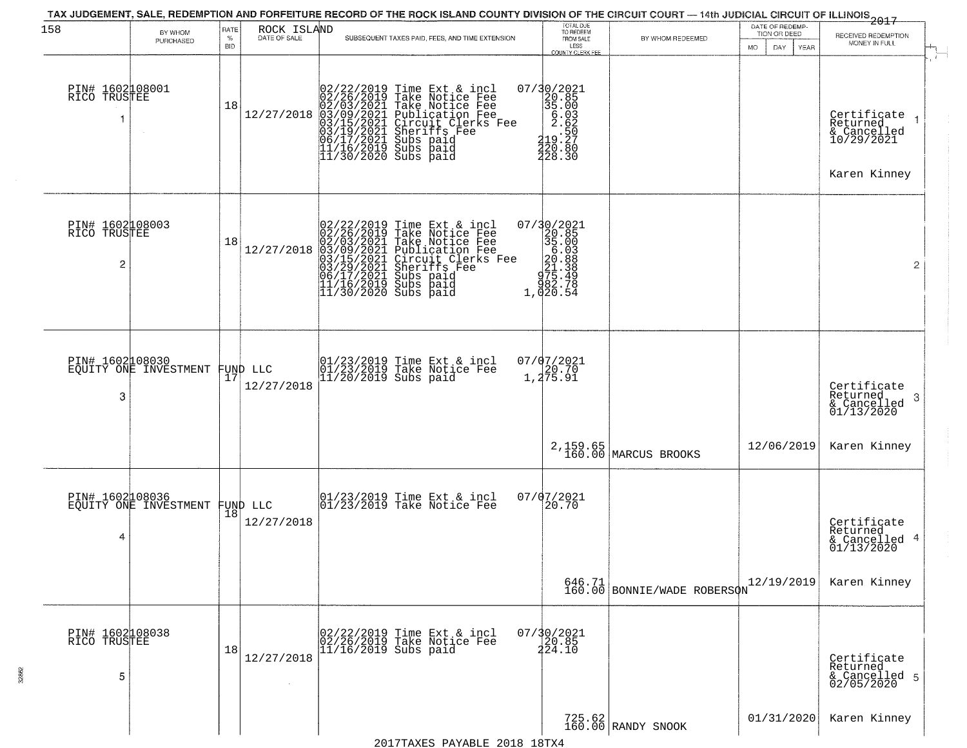| 158                                  | BY WHOM<br>PURCHASED                     | RATE<br>$\%$<br><b>BID</b> | ROCK ISLAND<br>DATE OF SALE | SUBSEQUENT TAXES PAID, FEES, AND TIME EXTENSION                                                                                                                                                                                                                                                                                                                     | TOTAL DUE<br>TO REDEEM<br>FROM SALE<br>LESS<br>COUNTY CLERK FEE                                         | BY WHOM REDEEMED                  | DATE OF REDEMP-<br>TION OR DEED<br><b>MO</b><br>DAY<br>YEAR | 2017<br>RECEIVED REDEMPTION<br>MONEY IN FULL                         |
|--------------------------------------|------------------------------------------|----------------------------|-----------------------------|---------------------------------------------------------------------------------------------------------------------------------------------------------------------------------------------------------------------------------------------------------------------------------------------------------------------------------------------------------------------|---------------------------------------------------------------------------------------------------------|-----------------------------------|-------------------------------------------------------------|----------------------------------------------------------------------|
| PIN# 1602108001<br>RICO TRUSTEE      |                                          | 18                         |                             | 02/22/2019 Time Ext &<br>02/26/2019 Take Notic<br>02/26/2011 Take Notic<br>12/27/2018 03/09/2021 Take Notic<br>03/15/2021 Circuit Cl<br>03/15/2021 Subs paid<br>06/17/2021 Subs paid<br>11/16/2019 Subs paid<br>11/30/2020 Subs paid<br>Time Ext & incl<br>Take Notice Fee<br>Take Notice Fee<br>Publication Fee<br>Circuit Clerks Fee<br>Sheriffs Fee<br>Subs paid | 07/30/2021<br>20.85<br>35.00<br>5.03<br>2.62<br>$\frac{1}{420}$ . 50<br>$\frac{27}{420}$ . 80<br>228.30 |                                   |                                                             | Certificate<br>Returned<br>& Cancelled<br>10/29/2021<br>Karen Kinney |
| PIN# 1602108003<br>RICO TRUSTEE<br>2 |                                          | 18                         | 12/27/2018                  | 02/22/2019 Time Ext & incl<br>02/26/2019 Take Notice Fee<br>02/03/2021 Take Notice Fee<br>03/09/2021 Publication Fee<br>03/15/2021 Circuit Clerks Fee<br>03/15/2021 Subs paid<br>06/17/2021 Subs paid<br>11/16/2019 Subs paid<br>11/30/2020 Subs paid                                                                                                               | 07/30/2021<br>20.85<br>35.003<br>5.003<br>20.88<br>21.388<br>275.478<br>382.754<br>1,020.54             |                                   |                                                             | $\mathbf{2}$                                                         |
| PIN# 1602008030<br>3                 | EQUITY ONE INVESTMENT                    | 17                         | FUND LLC<br>12/27/2018      | 01/23/2019 Time Ext & incl<br>01/23/2019 Take Notice Fee<br>11/20/2019 Subs paid                                                                                                                                                                                                                                                                                    | $07/07/2021$<br>20.70<br>1,275.91                                                                       |                                   |                                                             | Certificate<br>Returned<br>3<br>& Cancelled<br>01/13/2020            |
|                                      |                                          |                            |                             |                                                                                                                                                                                                                                                                                                                                                                     |                                                                                                         | 2, 159.65<br>160.00 MARCUS BROOKS | 12/06/2019                                                  | Karen Kinney                                                         |
| 4                                    | PIN# 1602108036<br>EQUITY ONE INVESTMENT | 18                         | FUND LLC<br>12/27/2018      | 01/23/2019 Time Ext & incl<br>01/23/2019 Take Notice Fee                                                                                                                                                                                                                                                                                                            | 07/07/2021<br>20.70                                                                                     |                                   |                                                             | Certificate<br>Returned<br>& Cancelled 4<br>01/13/2020               |
|                                      |                                          |                            |                             |                                                                                                                                                                                                                                                                                                                                                                     |                                                                                                         | 646.71 BONNIE/WADE ROBERSON       | 12/19/2019                                                  | Karen Kinney                                                         |
| PIN# 1602108038<br>RICO TRUSTEE<br>5 |                                          | 18                         | 12/27/2018                  | 02/22/2019 Time Ext & incl<br>02/26/2019 Take Notice Fee<br>11/16/2019 Subs paid                                                                                                                                                                                                                                                                                    | $07/30/2021$<br>20.85<br>224.10                                                                         |                                   |                                                             | Certificate<br>Returned<br>& Cancelled 5<br>02/05/2020               |
|                                      |                                          |                            |                             |                                                                                                                                                                                                                                                                                                                                                                     |                                                                                                         | 725.62<br>160.00 RANDY SNOOK      | 01/31/2020                                                  | Karen Kinney                                                         |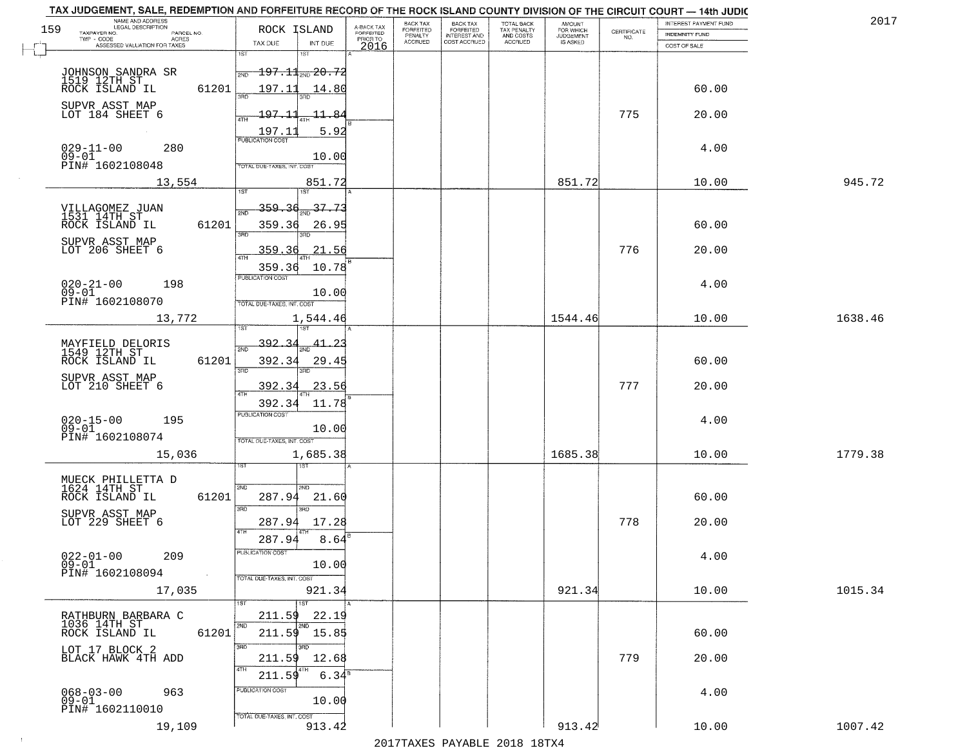|     | TAX JUDGEMENT, SALE, REDEMPTION AND FORFEITURE RECORD OF THE ROCK ISLAND COUNTY DIVISION OF THE CIRCUIT COURT - 14th JUDIC |            |                                              |                         | <b>BACK TAX</b>      | <b>BACK TAX</b>                  |                                        |                                         |                                                                 | INTEREST PAYMENT FUND | 201     |
|-----|----------------------------------------------------------------------------------------------------------------------------|------------|----------------------------------------------|-------------------------|----------------------|----------------------------------|----------------------------------------|-----------------------------------------|-----------------------------------------------------------------|-----------------------|---------|
| 159 | NAME AND ADDRESS<br>LEGAL DESCRIPTION<br>TAXPAYER NO.<br>PARCEL NO.                                                        |            | ROCK ISLAND                                  | A-BACK TAX<br>FORFEITED | FORFEITED<br>PENALTY | FORFEITED<br><b>INTEREST AND</b> | TOTAL BACK<br>TAX PENALTY<br>AND COSTS | AMOUNT<br>FOR WHICH<br><b>JUDGEMENT</b> | $\begin{array}{c} \text{CERTIFICATE} \\ \text{NO.} \end{array}$ | INDEMNITY FUND        |         |
|     | TWP - CODE<br>ACRES<br>ASSESSED VALUATION FOR TAXES                                                                        |            | TAX DUE<br>INT DUE                           | PRIOR TO<br>2016        | <b>ACCRUED</b>       | COST ACCRUED                     | <b>ACCRUED</b>                         | IS ASKED                                |                                                                 | COST OF SALE          |         |
|     |                                                                                                                            |            | 1ST<br>18T                                   |                         |                      |                                  |                                        |                                         |                                                                 |                       |         |
|     |                                                                                                                            |            | $-197.11$ <sub>20.72</sub><br>2ND            |                         |                      |                                  |                                        |                                         |                                                                 |                       |         |
|     | JOHNSON SANDRA SR<br>1519 12TH ST<br>ROCK ISLAND IL                                                                        | 61201      | 197.11<br>14.80                              |                         |                      |                                  |                                        |                                         |                                                                 | 60.00                 |         |
|     |                                                                                                                            |            |                                              |                         |                      |                                  |                                        |                                         |                                                                 |                       |         |
|     | SUPVR ASST MAP<br>LOT 184 SHEET 6                                                                                          |            | $-197.11$<br>11.84                           |                         |                      |                                  |                                        |                                         | 775                                                             | 20.00                 |         |
|     |                                                                                                                            |            |                                              |                         |                      |                                  |                                        |                                         |                                                                 |                       |         |
|     |                                                                                                                            |            | 5.92<br>$\frac{197.11}{PUBUCATON COST}$      |                         |                      |                                  |                                        |                                         |                                                                 |                       |         |
|     | $029 - 11 - 00$<br>$09 - 01$<br>280                                                                                        |            | 10.00                                        |                         |                      |                                  |                                        |                                         |                                                                 | 4.00                  |         |
|     | PIN# 1602108048                                                                                                            |            | TOTAL DUE-TAXES, INT. COST                   |                         |                      |                                  |                                        |                                         |                                                                 |                       |         |
|     | 13,554                                                                                                                     |            | 851.72                                       |                         |                      |                                  |                                        | 851.72                                  |                                                                 | 10.00                 | 945.72  |
|     |                                                                                                                            |            | 1ST                                          |                         |                      |                                  |                                        |                                         |                                                                 |                       |         |
|     | VILLAGOMEZ JUAN<br>1531 14TH ST                                                                                            |            | $\frac{37.73}{100}$<br><u>359.36</u><br>সাঁচ |                         |                      |                                  |                                        |                                         |                                                                 |                       |         |
|     | ROCK ISLAND IL                                                                                                             | 61201      | 359.36<br>26.95                              |                         |                      |                                  |                                        |                                         |                                                                 | 60.00                 |         |
|     |                                                                                                                            |            | उन्नठ                                        |                         |                      |                                  |                                        |                                         |                                                                 |                       |         |
|     | SUPVR ASST MAP<br>LOT 206 SHEET 6                                                                                          |            | 359.36<br>21.56                              |                         |                      |                                  |                                        |                                         | 776                                                             | 20.00                 |         |
|     |                                                                                                                            |            | ৰাম<br>359.36<br>10.78                       |                         |                      |                                  |                                        |                                         |                                                                 |                       |         |
|     |                                                                                                                            |            | PUBLICATION COST                             |                         |                      |                                  |                                        |                                         |                                                                 |                       |         |
|     | $020 - 21 - 00$<br>198<br>$09 - 01$                                                                                        |            | 10.00                                        |                         |                      |                                  |                                        |                                         |                                                                 | 4.00                  |         |
|     | PIN# 1602108070                                                                                                            |            | TOTAL DUE-TAXES, INT. COST                   |                         |                      |                                  |                                        |                                         |                                                                 |                       |         |
|     | 13,772                                                                                                                     |            | 1,544.46                                     |                         |                      |                                  |                                        | 1544.46                                 |                                                                 | 10.00                 | 1638.46 |
|     |                                                                                                                            |            | 181                                          |                         |                      |                                  |                                        |                                         |                                                                 |                       |         |
|     | MAYFIELD DELORIS<br>1549 12TH ST                                                                                           |            | 392.<br>41.2<br>2ND                          |                         |                      |                                  |                                        |                                         |                                                                 |                       |         |
|     | ROCK ISLAND IL                                                                                                             | 61201      | 392.34<br>29.45                              |                         |                      |                                  |                                        |                                         |                                                                 | 60.00                 |         |
|     | SUPVR ASST MAP                                                                                                             |            | 3RD<br>3RD                                   |                         |                      |                                  |                                        |                                         |                                                                 |                       |         |
|     | LOT 210 SHEET 6                                                                                                            |            | 392.3<br>23.56<br>ATF                        |                         |                      |                                  |                                        |                                         | 777                                                             | 20.00                 |         |
|     |                                                                                                                            |            | 11.78<br>392.34                              |                         |                      |                                  |                                        |                                         |                                                                 |                       |         |
|     | 195                                                                                                                        |            | <b>PUBLICATION COST</b>                      |                         |                      |                                  |                                        |                                         |                                                                 | 4.00                  |         |
|     | $020 - 15 - 00$<br>09-01                                                                                                   |            | 10.00                                        |                         |                      |                                  |                                        |                                         |                                                                 |                       |         |
|     | PIN# 1602108074                                                                                                            |            | TOTAL OUE-TAXES, INT. COST                   |                         |                      |                                  |                                        |                                         |                                                                 |                       |         |
|     | 15,036                                                                                                                     |            | 1,685.38                                     |                         |                      |                                  |                                        | 1685.38                                 |                                                                 | 10.00                 | 1779.38 |
|     |                                                                                                                            |            |                                              |                         |                      |                                  |                                        |                                         |                                                                 |                       |         |
|     | MUECK PHILLETTA D<br>1624 14TH ST                                                                                          |            | 2ND<br>2ND.                                  |                         |                      |                                  |                                        |                                         |                                                                 |                       |         |
|     | ROCK ISLAND IL                                                                                                             | 61201      | 287.94<br>21.60                              |                         |                      |                                  |                                        |                                         |                                                                 | 60.00                 |         |
|     | SUPVR ASST MAP                                                                                                             |            | 3RD<br>3BD                                   |                         |                      |                                  |                                        |                                         |                                                                 |                       |         |
|     | LOT 229 SHEET 6                                                                                                            |            | 287.94<br>17.28<br>4TH                       |                         |                      |                                  |                                        |                                         | 778                                                             | 20.00                 |         |
|     |                                                                                                                            |            | 287.94<br>8.64                               |                         |                      |                                  |                                        |                                         |                                                                 |                       |         |
|     | $022 - 01 - 00$<br>209                                                                                                     |            | PUBLICATION COS'                             |                         |                      |                                  |                                        |                                         |                                                                 | 4.00                  |         |
|     | ŏ9-oi<br>PIN# 1602108094                                                                                                   | $\sim 100$ | 10.00                                        |                         |                      |                                  |                                        |                                         |                                                                 |                       |         |
|     | 17,035                                                                                                                     |            | TOTAL DUE-TAXES, INT. COST<br>921.34         |                         |                      |                                  |                                        | 921.34                                  |                                                                 | 10.00                 | 1015.34 |
|     |                                                                                                                            |            | 1ST                                          |                         |                      |                                  |                                        |                                         |                                                                 |                       |         |
|     | RATHBURN BARBARA C                                                                                                         |            | 22.19<br>211.59                              |                         |                      |                                  |                                        |                                         |                                                                 |                       |         |
|     | 1036 14TH ST<br>ROCK ISLAND IL                                                                                             | 61201      | 2ND<br>2ND<br>$211.59$ $15.85$               |                         |                      |                                  |                                        |                                         |                                                                 | 60.00                 |         |
|     |                                                                                                                            |            | 3RD<br>उनक                                   |                         |                      |                                  |                                        |                                         |                                                                 |                       |         |
|     | LOT 17 BLOCK 2<br>BLACK HAWK 4TH ADD                                                                                       |            | 12.68<br>211.59                              |                         |                      |                                  |                                        |                                         | 779                                                             | 20.00                 |         |
|     |                                                                                                                            |            | 4TH<br>211.59<br>$6.34^s$                    |                         |                      |                                  |                                        |                                         |                                                                 |                       |         |
|     |                                                                                                                            |            | PUBLICATION COST                             |                         |                      |                                  |                                        |                                         |                                                                 |                       |         |
|     | $068 - 03 - 00$<br>963<br>09-01                                                                                            |            | 10.00                                        |                         |                      |                                  |                                        |                                         |                                                                 | 4.00                  |         |
|     | PIN# 1602110010                                                                                                            |            | TOTAL DUE-TAXES, INT. COST                   |                         |                      |                                  |                                        |                                         |                                                                 |                       |         |
|     | 19,109                                                                                                                     |            | 913.42                                       |                         |                      |                                  |                                        | 913.42                                  |                                                                 | 10.00                 | 1007.42 |

 $\sim 100$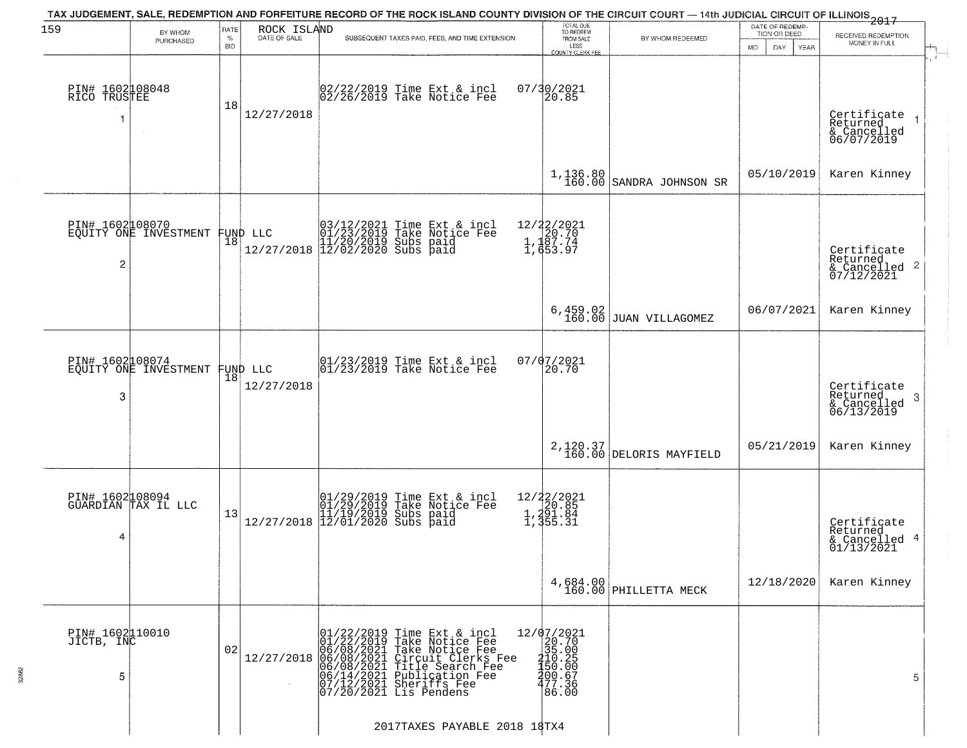| 159                                | BY WHOM<br>PURCHASED                              | RATE<br>$\%$<br><b>BID</b> | ROCK ISLAND<br>DATE OF SALE | SUBSEQUENT TAXES PAID, FEES, AND TIME EXTENSION                                                                                                                                                                                                                                                                                    | TOTAL DUE<br>TO REDEEM<br>FROM SALE<br>LESS<br>COUNTY CLERK FEE                                                           | TAX JUDGEMENT, SALE, REDEMPTION AND FORFEITURE RECORD OF THE ROCK ISLAND COUNTY DIVISION OF THE CIRCUIT COURT — 14th JUDICIAL CIRCUIT OF ILLINOIS 2017<br>BY WHOM REDEEMED | DATE OF REDEMP-<br>TION OR DEED<br><b>MO</b><br>DAY<br>YEAR | RECEIVED REDEMPTION<br>MONEY IN FULL                               |
|------------------------------------|---------------------------------------------------|----------------------------|-----------------------------|------------------------------------------------------------------------------------------------------------------------------------------------------------------------------------------------------------------------------------------------------------------------------------------------------------------------------------|---------------------------------------------------------------------------------------------------------------------------|----------------------------------------------------------------------------------------------------------------------------------------------------------------------------|-------------------------------------------------------------|--------------------------------------------------------------------|
| PIN# 1602108048<br>RICO TRUSTEE    | $\sim$                                            | 18                         | 12/27/2018                  | 02/22/2019 Time Ext & incl<br>02/26/2019 Take Notice Fee                                                                                                                                                                                                                                                                           | 07/30/2021<br>20.85                                                                                                       |                                                                                                                                                                            |                                                             | Certificate<br>Returned<br>& Cancelled<br>06/07/2019               |
|                                    |                                                   |                            |                             |                                                                                                                                                                                                                                                                                                                                    | 1,136.80<br>160.00                                                                                                        | SANDRA JOHNSON SR                                                                                                                                                          | 05/10/2019                                                  | Karen Kinney                                                       |
| $\overline{c}$                     | PIN# 1602108070<br>EQUITY ONE INVESTMENT FUND LLC | 18                         |                             | 03/12/2021 Time Ext & incl<br>01/23/2019 Take Notice Fee<br>11/20/2019 Subs paid<br>12/27/2018 12/02/2020 Subs paid                                                                                                                                                                                                                | 12/22/2021<br>1,120.70<br>1,187.74<br>1,453.97                                                                            |                                                                                                                                                                            |                                                             | Certificate<br>Returned<br>$\frac{1}{6}$ Cancelled 2<br>07/12/2021 |
|                                    |                                                   |                            |                             |                                                                                                                                                                                                                                                                                                                                    | 6,459.02<br>160.00                                                                                                        | JUAN VILLAGOMEZ                                                                                                                                                            | 06/07/2021                                                  | Karen Kinney                                                       |
| PIN# 1602108074<br>3               | EQUITY ONE INVESTMENT                             | 18                         | FUND LLC<br>12/27/2018      | 01/23/2019 Time Ext & incl<br>01/23/2019 Take Notice Fee                                                                                                                                                                                                                                                                           | 07/07/2021<br>20.70                                                                                                       |                                                                                                                                                                            |                                                             | Certificate<br>Returned<br>3<br>& Cancelled<br>06/13/2019          |
|                                    |                                                   |                            |                             |                                                                                                                                                                                                                                                                                                                                    |                                                                                                                           | 2,120.37<br>160.00 DELORIS MAYFIELD                                                                                                                                        | 05/21/2019                                                  | Karen Kinney                                                       |
| 4                                  | PIN# 1602108094<br>GUARDIAN TAX IL LLC            | 13                         |                             | $[01/29/2019 \tTime Ext & incl 01/29/2019 \tTake Notice Free 11/19/2019 Subs paid 12/27/2018 12/01/2020 Subs paid 13/19/2019]$                                                                                                                                                                                                     | 12/22/2021<br>1,20.85<br>1,291.84<br>1,355.31                                                                             |                                                                                                                                                                            |                                                             | Certificate<br>Returned<br>& Cancelled 4<br>01/13/2021             |
|                                    |                                                   |                            |                             |                                                                                                                                                                                                                                                                                                                                    |                                                                                                                           | 4,684.00<br>160.00 PHILLETTA MECK                                                                                                                                          | 12/18/2020                                                  | Karen Kinney                                                       |
| PIN# 1602110010<br>JICTB, INC<br>5 |                                                   | 02                         |                             | $12/27/2018 \begin{tabular}{ c c c } \hline 01/22/2019 Time Ext & i ncl & 1 \\ \hline 01/22/2019 Take Notice Free \\ 06/08/2021 Take Notice Free \\ 06/08/2021 Circuit Clerks Free \\ 06/14/2021 Title Search Free \\ 066/14/2021 Public action Free \\ 07/12/2021 Sheriffs See \\ 07/20/2021 Lis Pendens \\ \hline \end{tabular}$ | $=\begin{smallmatrix} 12/07/2021\\ 20.70\\ 35.00\\ 135.00\\ 410.25\\ 450.60\\ 400.67\\ 402.38 \end{smallmatrix}$<br>86.00 |                                                                                                                                                                            |                                                             | 5                                                                  |
|                                    |                                                   |                            |                             | 2017TAXES PAYABLE 2018 18TX4                                                                                                                                                                                                                                                                                                       |                                                                                                                           |                                                                                                                                                                            |                                                             |                                                                    |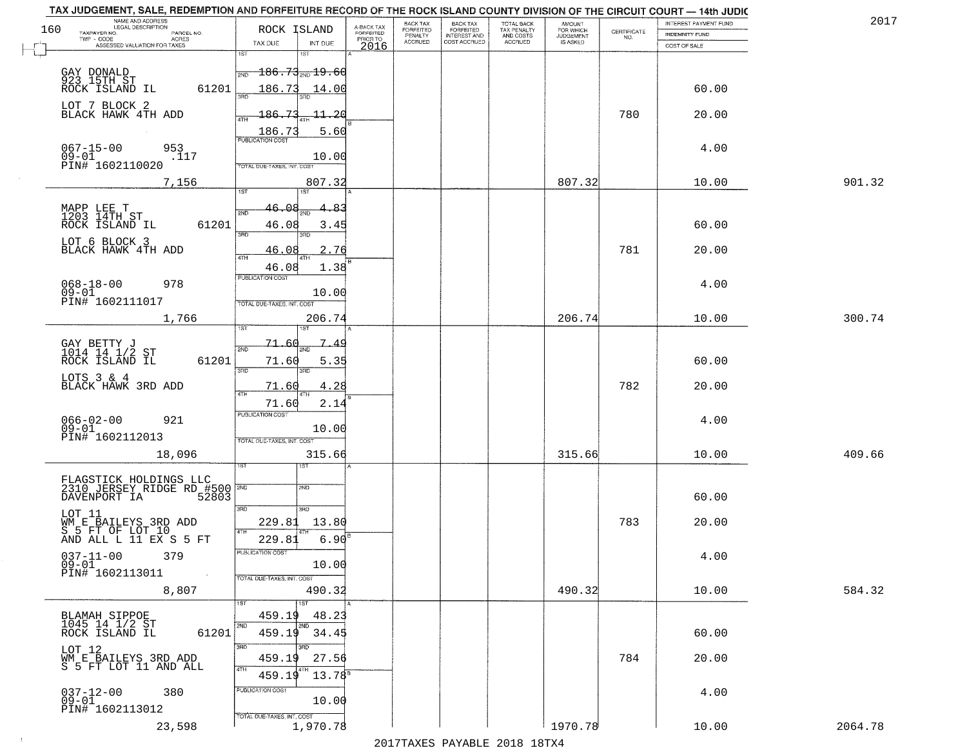| 160 | TAX JUDGEMENT, SALE, REDEMPTION AND FORFEITURE RECORD OF THE ROCK ISLAND COUNTY DIVISION OF THE CIRCUIT COURT - 14th JUDIC<br>NAME AND ADDRESS<br>LEGAL DESCRIPTION<br>TAXPAYER NO.<br>PARCEL NO. | ROCK ISLAND                                      | A-BACK TAX<br>FORFEITED | BACK TAX<br><b>FORFEITED</b><br>PENALTY | <b>BACK TAX</b><br><b>FORFEITED</b> | TOTAL BACK<br>TAX PENALTY<br>AND COSTS<br>ACCRUED | <b>AMOUNT</b><br>FOR WHICH | $\begin{array}{c} \text{CERTIFICATE} \\ \text{NO.} \end{array}$ | INTEREST PAYMENT FUND<br><b>INDEMNITY FUND</b> | 2017    |
|-----|---------------------------------------------------------------------------------------------------------------------------------------------------------------------------------------------------|--------------------------------------------------|-------------------------|-----------------------------------------|-------------------------------------|---------------------------------------------------|----------------------------|-----------------------------------------------------------------|------------------------------------------------|---------|
|     | TWP - CODE<br>ACRES<br>ASSESSED VALUATION FOR TAXES                                                                                                                                               | TAX DUE<br>INT DUE                               | PRIOR TO<br>2016        | ACCRUED                                 | INTEREST AND<br>COST ACCRUED        |                                                   | IS ASKED                   |                                                                 | COST OF SALE                                   |         |
|     |                                                                                                                                                                                                   | 1ST<br>181                                       |                         |                                         |                                     |                                                   |                            |                                                                 |                                                |         |
|     | GAY DONALD<br>923 15TH ST                                                                                                                                                                         | <del>186.73<sub>2ND</sub>19.60</del><br>2ND      |                         |                                         |                                     |                                                   |                            |                                                                 |                                                |         |
|     | ROCK ISLAND IL<br>61201                                                                                                                                                                           | 186.73<br>14.00<br>बन्नल                         |                         |                                         |                                     |                                                   |                            |                                                                 | 60.00                                          |         |
|     | LOT 7 BLOCK 2<br>BLACK HAWK 4TH ADD                                                                                                                                                               | 73<br>$-11 - 20$<br>186.<br>4TH                  |                         |                                         |                                     |                                                   |                            | 780                                                             | 20.00                                          |         |
|     |                                                                                                                                                                                                   | 186.73<br>5.60<br><b>PUBLICATION COST</b>        |                         |                                         |                                     |                                                   |                            |                                                                 |                                                |         |
|     | $067 - 15 - 00$<br>953<br>$09-01$ PIN# 1602110020<br>.117                                                                                                                                         | 10.00                                            |                         |                                         |                                     |                                                   |                            |                                                                 | 4.00                                           |         |
|     | 7,156                                                                                                                                                                                             | TOTAL DUE-TAXES, INT. COST<br>807.32             |                         |                                         |                                     |                                                   | 807.32                     |                                                                 | 10.00                                          | 901.32  |
|     |                                                                                                                                                                                                   | 1ST<br>1ST                                       |                         |                                         |                                     |                                                   |                            |                                                                 |                                                |         |
|     | MAPP LEE T<br>1203 14TH ST                                                                                                                                                                        | 46.08<br>2ND                                     |                         |                                         |                                     |                                                   |                            |                                                                 |                                                |         |
|     | ROCK ISLAND IL<br>61201<br>LOT 6 BLOCK 3                                                                                                                                                          | 46.08<br>3.45<br>3RD<br>3RD                      |                         |                                         |                                     |                                                   |                            |                                                                 | 60.00                                          |         |
|     | BLACK HAWK 4TH ADD                                                                                                                                                                                | . 76<br><u>46.08</u><br>47H                      |                         |                                         |                                     |                                                   |                            | 781                                                             | 20.00                                          |         |
|     |                                                                                                                                                                                                   | 1.38<br>46.08<br>PUBLICATION COST                |                         |                                         |                                     |                                                   |                            |                                                                 |                                                |         |
|     | 978<br>$068 - 18 - 00$<br>$09 - 01$                                                                                                                                                               | 10.00                                            |                         |                                         |                                     |                                                   |                            |                                                                 | 4.00                                           |         |
|     | PIN# 1602111017<br>1,766                                                                                                                                                                          | TOTAL DUE-TAXES, INT. COST<br>206.74             |                         |                                         |                                     |                                                   | 206.74                     |                                                                 | 10.00                                          | 300.74  |
|     |                                                                                                                                                                                                   |                                                  |                         |                                         |                                     |                                                   |                            |                                                                 |                                                |         |
|     | GAY BETTY J<br>1014 14 1/2 ST<br>ROCK ISLAND IL                                                                                                                                                   | 71.66<br>7<br>2ND                                |                         |                                         |                                     |                                                   |                            |                                                                 |                                                |         |
|     | 61201<br>LOTS 3 & 4                                                                                                                                                                               | 71.60<br>5.35<br>3RD<br>3RD                      |                         |                                         |                                     |                                                   |                            |                                                                 | 60.00                                          |         |
|     | BLACK HAWK 3RD ADD                                                                                                                                                                                | 4.28<br>71.60<br>4TH                             |                         |                                         |                                     |                                                   |                            | 782                                                             | 20.00                                          |         |
|     |                                                                                                                                                                                                   | 71.60<br>2.14<br><b>PUBLICATION COST</b>         |                         |                                         |                                     |                                                   |                            |                                                                 |                                                |         |
|     | 066-02-00<br>09-01<br>921<br>PIN# 1602112013                                                                                                                                                      | 10.00                                            |                         |                                         |                                     |                                                   |                            |                                                                 | 4.00                                           |         |
|     | 18,096                                                                                                                                                                                            | TOTAL OUE-TAXES, INT. COST<br>315.66             |                         |                                         |                                     |                                                   | 315.66                     |                                                                 | 10.00                                          | 409.66  |
|     |                                                                                                                                                                                                   |                                                  |                         |                                         |                                     |                                                   |                            |                                                                 |                                                |         |
|     | <b>FLAGSTICK HOLDINGS LLC</b><br>2310_JERSEY_RIDGE RD_#500<br>52803<br>DAVENPORT IA                                                                                                               | SMD                                              |                         |                                         |                                     |                                                   |                            |                                                                 | 60.00                                          |         |
|     | LOT 11                                                                                                                                                                                            | 3RD<br>3HD                                       |                         |                                         |                                     |                                                   |                            |                                                                 |                                                |         |
|     | WM E BAILEYS 3RD ADD<br>S 5 FT OF LOT 10                                                                                                                                                          | 229.81<br>13.80<br>4TH                           |                         |                                         |                                     |                                                   |                            | 783                                                             | 20.00                                          |         |
|     | AND ALL L 11 EX S 5 FT<br>$037 - 11 - 00$<br>379                                                                                                                                                  | 229.81<br>6.90<br>PUBLICATION COST               |                         |                                         |                                     |                                                   |                            |                                                                 | 4.00                                           |         |
|     | $09 - 01$<br>PIN# 1602113011                                                                                                                                                                      | 10.00                                            |                         |                                         |                                     |                                                   |                            |                                                                 |                                                |         |
|     | 8,807                                                                                                                                                                                             | TOTAL DUE-TAXES, INT. COST<br>490.32             |                         |                                         |                                     |                                                   | 490.32                     |                                                                 | 10.00                                          | 584.32  |
|     |                                                                                                                                                                                                   | 1ST<br>$\overline{\text{1ST}}$                   |                         |                                         |                                     |                                                   |                            |                                                                 |                                                |         |
|     | BLAMAH SIPPOE<br>1045 14 1/2 ST<br>ROCK ISLAND IL<br>61201                                                                                                                                        | 459.19<br>48.23<br>2ND<br>2NF<br>459.19<br>34.45 |                         |                                         |                                     |                                                   |                            |                                                                 | 60.00                                          |         |
|     | LOT 12                                                                                                                                                                                            | 3RD<br>ਸ਼ਨ                                       |                         |                                         |                                     |                                                   |                            |                                                                 |                                                |         |
|     | WM E BAILEYS 3RD ADD<br>S 5 FT LOT 11 AND ALL                                                                                                                                                     | 459.19<br>27.56<br>4TH                           |                         |                                         |                                     |                                                   |                            | 784                                                             | 20.00                                          |         |
|     | 380                                                                                                                                                                                               | 459.19<br>$13.78^s$<br>PUBLICATION COST          |                         |                                         |                                     |                                                   |                            |                                                                 | 4.00                                           |         |
|     | $037 - 12 - 00$<br>09-01<br>PIN# 1602113012                                                                                                                                                       | 10.00                                            |                         |                                         |                                     |                                                   |                            |                                                                 |                                                |         |
|     | 23,598                                                                                                                                                                                            | TOTAL DUE-TAXES, INT. COST<br>1,970.78           |                         |                                         |                                     |                                                   | 1970.78                    |                                                                 | 10.00                                          | 2064.78 |
|     |                                                                                                                                                                                                   |                                                  |                         |                                         |                                     | 0.17                                              |                            |                                                                 |                                                |         |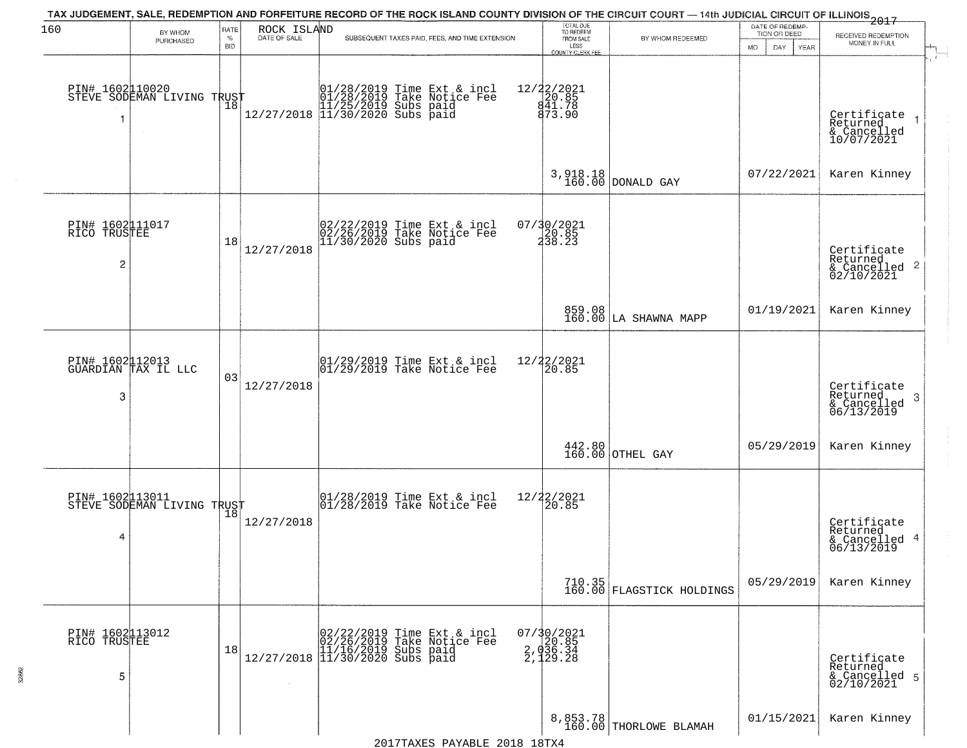|                                      |                                                   |              |                             |                                                                                                                                  | TOTAL DUE<br>TO REDEEM                      | TAX JUDGEMENT, SALE, REDEMPTION AND FORFEITURE RECORD OF THE ROCK ISLAND COUNTY DIVISION OF THE CIRCUIT COURT — 14th JUDICIAL CIRCUIT OF ILLINOIS 2017 | DATE OF REDEMP-                  |                                                                        |
|--------------------------------------|---------------------------------------------------|--------------|-----------------------------|----------------------------------------------------------------------------------------------------------------------------------|---------------------------------------------|--------------------------------------------------------------------------------------------------------------------------------------------------------|----------------------------------|------------------------------------------------------------------------|
| 160                                  | BY WHOM<br>PURCHASED                              | RATE<br>$\%$ | ROCK ISLAND<br>DATE OF SALE | SUBSEQUENT TAXES PAID, FEES, AND TIME EXTENSION                                                                                  | FROM SALE                                   | BY WHOM REDEEMED                                                                                                                                       | TION OR DEED                     | RECEIVED REDEMPTION<br>MONEY IN FULL                                   |
|                                      |                                                   | <b>BID</b>   |                             |                                                                                                                                  | LESS<br>COUNTY CLERK FEE                    |                                                                                                                                                        | <b>MO</b><br>DAY.<br><b>YEAR</b> |                                                                        |
| 1                                    | PIN# 1602110020    <br>STEVE SODEMAN LIVING TRUST | Ίõ           |                             | 01/28/2019 Time Ext & incl<br>01/28/2019 Take Notice Fee<br>11/25/2019 Subs paid<br>12/27/2018 11/30/2020 Subs paid              | 12/22/2021<br>20.85<br>841.78<br>873.90     |                                                                                                                                                        |                                  | Certificate<br>Returned<br>& Cancelled<br>10/07/2021                   |
|                                      |                                                   |              |                             |                                                                                                                                  |                                             | 3,918.18<br>160.00 DONALD GAY                                                                                                                          | 07/22/2021                       | Karen Kinney                                                           |
| PIN# 1602011017<br>RICO TRUSTEE<br>2 |                                                   | 18           | 12/27/2018                  | 02/22/2019 Time Ext & incl<br>02/26/2019 Take Notice Fee<br>11/30/2020 Subs paid                                                 | 07/30/2021<br>20.85<br>238.23               |                                                                                                                                                        |                                  | Certificate<br>Returned<br>$\overline{2}$<br>& Cancelled<br>02/10/2021 |
|                                      |                                                   |              |                             |                                                                                                                                  |                                             | 859.08<br>160.00 LA SHAWNA MAPP                                                                                                                        | 01/19/2021                       | Karen Kinney                                                           |
| 3                                    | PIN# 1602112013<br>GUARDIAN TAX IL LLC            | 03           | 12/27/2018                  | 01/29/2019 Time Ext & incl<br>01/29/2019 Take Notice Fee                                                                         | 12/22/2021<br>20.85                         |                                                                                                                                                        |                                  | Certificate<br>Returned<br>3<br>$\frac{6}{06/13/2019}$                 |
|                                      |                                                   |              |                             |                                                                                                                                  |                                             | $442.80$ OTHEL GAY                                                                                                                                     | 05/29/2019                       | Karen Kinney                                                           |
| 4                                    | PIN# 1602113011<br>STEVE SODEMAN LIVING TRUST     |              | 12/27/2018                  | 01/28/2019 Time Ext & incl<br>01/28/2019 Take Notice Fee                                                                         | 12/22/2021<br>20.85                         |                                                                                                                                                        |                                  | Certificate<br>Returned<br>4<br>& Cancelled<br>06/13/2019              |
|                                      |                                                   |              |                             |                                                                                                                                  |                                             | 710.35<br>160.00 FLAGSTICK HOLDINGS                                                                                                                    | 05/29/2019                       | Karen Kinney                                                           |
| PIN# 1602113012<br>RICO TRUSTEE<br>5 |                                                   | 18           |                             | $[02/22/2019 \t\t Time Ext & incl 02/26/2019 \tTake Notice Free 11/16/2019 Subs paid 12/27/2018 11/30/2020 Subs paid 13/30/2020$ | 07/30/2021<br>20.85<br>2,036.34<br>2,129.28 |                                                                                                                                                        |                                  | Certificate<br>Returned<br>& Cancelled 5<br>02/10/2021                 |
|                                      |                                                   |              |                             | 2017TAXES PAYABLE 2018 18TX4                                                                                                     |                                             | 8,853.78<br>160.00 THORLOWE BLAMAH                                                                                                                     | 01/15/2021                       | Karen Kinney                                                           |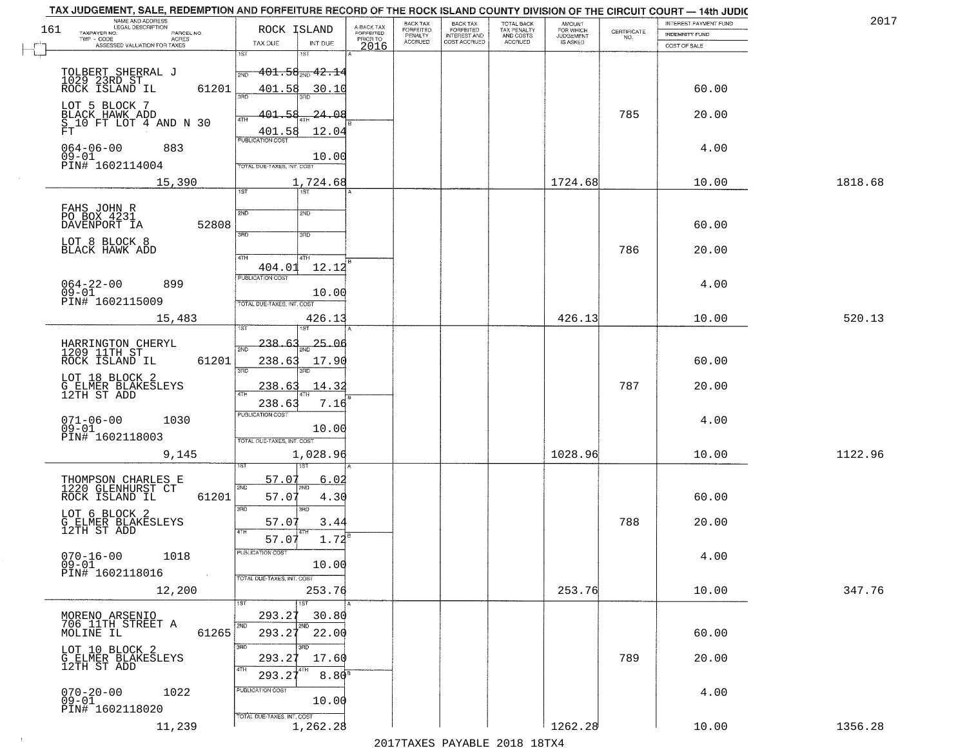| 2017    | INTEREST PAYMENT FUND |                                                                 | <b>AMOUNT</b><br>FOR WHICH | TOTAL BACK<br>TAX PENALTY<br>AND COSTS<br>ACCRUED | <b>BACK TAX</b><br><b>FORFEITED</b> | BACK TAX<br><b>FORFEITED</b> | A-BACK TAX<br>FORFEITED | ROCK ISLAND                               |              | NAME AND ADDRESS<br>LEGAL DESCRIPTION                    |
|---------|-----------------------|-----------------------------------------------------------------|----------------------------|---------------------------------------------------|-------------------------------------|------------------------------|-------------------------|-------------------------------------------|--------------|----------------------------------------------------------|
|         | INDEMNITY FUND        | $\begin{array}{c} \text{CERTIFICATE} \\ \text{NO.} \end{array}$ | JUDGEMENT                  |                                                   | INTEREST AND<br>COST ACCRUED        | PENALTY<br>ACCRUED           | PRIOR TO                |                                           |              | TAXPAYER NO.<br>PARCEL NO.<br>TWP - CODE<br><b>ACRES</b> |
|         | COST OF SALE          |                                                                 |                            |                                                   |                                     |                              | 2016                    | TAX DUE<br>INT DUE<br>1ST                 | 1ST          | ASSESSED VALUATION FOR TAXES                             |
|         |                       |                                                                 |                            |                                                   |                                     |                              |                         | <del>101.58<sub>2ND</sub> 42.1</del> 4    |              |                                                          |
|         | 60.00                 |                                                                 |                            |                                                   |                                     |                              |                         | 401.58<br>30.10                           | 2ND<br>61201 | TOLBERT SHERRAL J<br>1029 23RD_ST_<br>ROCK ISLAND IL     |
|         |                       |                                                                 |                            |                                                   |                                     |                              |                         |                                           |              | LOT 5 BLOCK 7                                            |
|         | 20.00                 | 785                                                             |                            |                                                   |                                     |                              |                         | 24.OE<br>401<br>401.58<br>12.04           | 4TH          | BLACK HAWK ADD<br>S 10 FT LOT 4 AND N 30<br>FT           |
|         | 4.00                  |                                                                 |                            |                                                   |                                     |                              |                         | <b>PUBLICATION COST</b>                   |              | $064 - 06 - 00$<br>883                                   |
|         |                       |                                                                 |                            |                                                   |                                     |                              |                         | 10.00<br>TOTAL DUE-TAXES, INT. COST       |              | 09-01<br>PIN# 1602114004                                 |
| 1818.68 | 10.00                 |                                                                 | 1724.68                    |                                                   |                                     |                              |                         | 1,724.68<br>$\overline{1ST}$<br>1ST       |              | 15,390                                                   |
|         |                       |                                                                 |                            |                                                   |                                     |                              |                         | 2ND<br>2ND                                |              | FAHS JOHN R<br>PO BOX 4231                               |
|         | 60.00                 |                                                                 |                            |                                                   |                                     |                              |                         |                                           | 52808        | DAVENPORT IA                                             |
|         | 20.00                 | 786                                                             |                            |                                                   |                                     |                              |                         | 3RD<br>3RD                                |              | LOT 8 BLOCK 8<br>BLACK HAWK ADD                          |
|         |                       |                                                                 |                            |                                                   |                                     |                              |                         | 47H<br>4TH<br>12.12<br>404.01             |              |                                                          |
|         | 4.00                  |                                                                 |                            |                                                   |                                     |                              |                         | PUBLICATION COST                          |              | $064 - 22 - 00$<br>899<br>$09 - 01$                      |
|         |                       |                                                                 |                            |                                                   |                                     |                              |                         | 10.00<br>TOTAL DUE-TAXES, INT. COST       |              | PIN# 1602115009                                          |
| 520.13  | 10.00                 |                                                                 | 426.13                     |                                                   |                                     |                              |                         | 426.13                                    |              | 15,483                                                   |
|         |                       |                                                                 |                            |                                                   |                                     |                              |                         | 238.6<br>25.06                            |              | HARRINGTON CHERYL<br>1209 11TH ST                        |
|         | 60.00                 |                                                                 |                            |                                                   |                                     |                              |                         | 238.63<br>17.90<br>3RD                    | 61201<br>3BD | ROCK ISLAND IL                                           |
|         | 20.00                 | 787                                                             |                            |                                                   |                                     |                              |                         | 238.6<br>14.32                            |              | LOT 18 BLOCK 2<br>G ELMER BLAKESLEYS<br>12TH ST ADD      |
|         |                       |                                                                 |                            |                                                   |                                     |                              |                         | 238.63<br>7.16<br><b>PUBLICATION COST</b> |              |                                                          |
|         | 4.00                  |                                                                 |                            |                                                   |                                     |                              |                         | 10.00                                     |              | $071 - 06 - 00$<br>09-01<br>1030                         |
| 1122.96 | 10.00                 |                                                                 | 1028.96                    |                                                   |                                     |                              |                         | TOTAL OUE-TAXES, INT. COST<br>1,028.96    |              | PIN# 1602118003<br>9,145                                 |
|         |                       |                                                                 |                            |                                                   |                                     |                              |                         |                                           |              |                                                          |
|         |                       |                                                                 |                            |                                                   |                                     |                              |                         | 57.07<br>6.02<br>2ND                      | 2ND<br>61201 | THOMPSON CHARLES E<br>1220 GLENHURST CT                  |
|         | 60.00                 |                                                                 |                            |                                                   |                                     |                              |                         | 57.07<br>4.30<br>3BD                      | 3RD          | ROCK ISLAND IL<br>LOT 6 BLOCK 2                          |
|         | 20.00                 | 788                                                             |                            |                                                   |                                     |                              |                         | 57.07<br>3.44                             |              | G ELMER BLAKESLEYS<br>12TH ST ADD                        |
|         | 4.00                  |                                                                 |                            |                                                   |                                     |                              |                         | $1.72^{B}$<br>57.07<br>PUBLICATION COST   |              | $070 - 16 - 00$<br>1018                                  |
|         |                       |                                                                 |                            |                                                   |                                     |                              |                         | 10.00<br>TOTAL DUE-TAXES, INT. COST       |              | $09 - 01$<br>PIN# 1602118016                             |
| 347.76  | 10.00                 |                                                                 | 253.76                     |                                                   |                                     |                              |                         | 253.76                                    |              | 12,200                                                   |
|         |                       |                                                                 |                            |                                                   |                                     |                              |                         | 1ST<br>293.27<br>30.80                    | 1ST          |                                                          |
|         | 60.00                 |                                                                 |                            |                                                   |                                     |                              |                         | 2ND<br>22.00<br>293.27                    | 2ND<br>61265 | MORENO ARSENIO<br>706 11TH STREET A<br>MOLINE IL         |
|         | 20.00                 | 789                                                             |                            |                                                   |                                     |                              |                         | īπ<br>293.27<br>17.60                     | 3RD          | LOT 10 BLOCK 2                                           |
|         |                       |                                                                 |                            |                                                   |                                     |                              |                         | $8.80$ <sup>B</sup><br>293.27             | 4TH          | G ELMER BLAKESLEYS<br>12TH ST ADD                        |
|         | 4.00                  |                                                                 |                            |                                                   |                                     |                              |                         | PUBLICATION COST                          |              | $070 - 20 - 00$<br>09-01<br>1022                         |
|         |                       |                                                                 |                            |                                                   |                                     |                              |                         | 10.00<br>TOTAL DUE-TAXES, INT. COST       |              | PIN# 1602118020                                          |
|         | 10.00                 |                                                                 | 1262.28                    |                                                   |                                     |                              |                         | 1,262.28                                  |              | 11,239                                                   |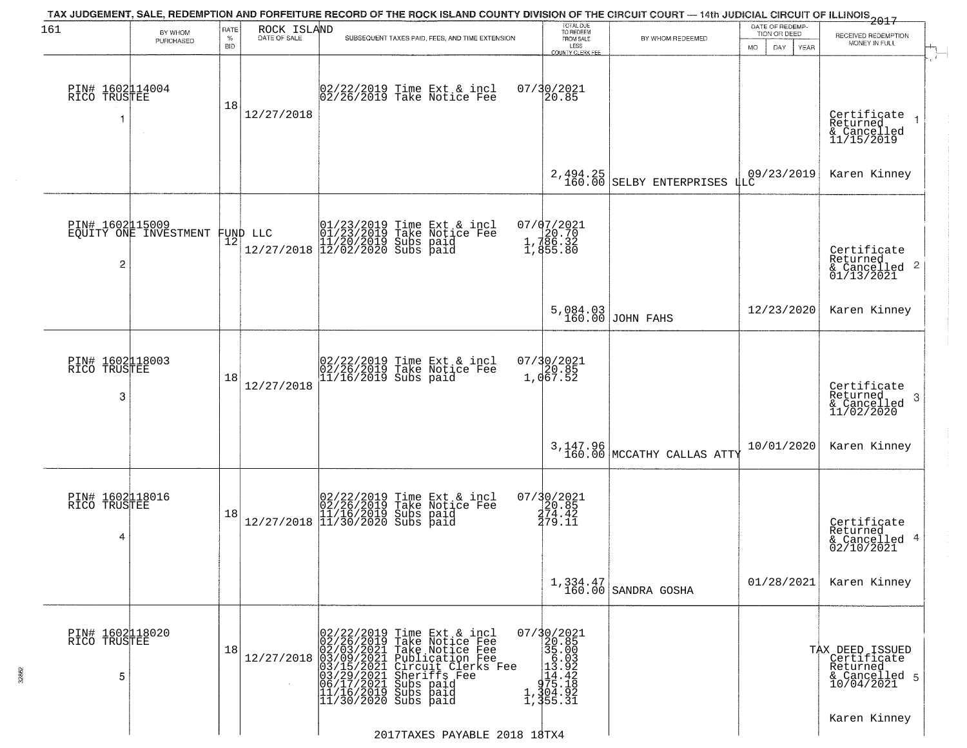| 161                                  | BY WHOM                        | RATE               | ROCK ISLAND  |                                                                                                                                                                                                                           |                                                                                                                | TOTAL DUE<br>TO REDEEM                                                                                                                  | TAX JUDGEMENT, SALE, REDEMPTION AND FORFEITURE RECORD OF THE ROCK ISLAND COUNTY DIVISION OF THE CIRCUIT COURT — 14th JUDICIAL CIRCUIT OF ILLINOIS 2017 | DATE OF REDEMP<br>TION OR DEED |                                                                           |
|--------------------------------------|--------------------------------|--------------------|--------------|---------------------------------------------------------------------------------------------------------------------------------------------------------------------------------------------------------------------------|----------------------------------------------------------------------------------------------------------------|-----------------------------------------------------------------------------------------------------------------------------------------|--------------------------------------------------------------------------------------------------------------------------------------------------------|--------------------------------|---------------------------------------------------------------------------|
|                                      | PURCHASED                      | $\%$<br><b>BID</b> | DATE OF SALE | SUBSEQUENT TAXES PAID, FEES, AND TIME EXTENSION                                                                                                                                                                           |                                                                                                                | FROM SALE<br>LESS<br>COUNTY CLERK FEE                                                                                                   | BY WHOM REDEEMED                                                                                                                                       | MO.<br>DAY.<br>YEAR            | RECEIVED REDEMPTION<br>MONEY IN FULL                                      |
| PIN# 1602114004<br>RICO TRUSTEE<br>1 | $\sim$                         | 18                 | 12/27/2018   | 02/22/2019 Time Ext & incl<br>02/26/2019 Take Notice Fee                                                                                                                                                                  |                                                                                                                | 07/30/2021<br>20.85                                                                                                                     |                                                                                                                                                        |                                | Certificate<br>Returned<br>& Cancelled<br>11/15/2019                      |
|                                      |                                |                    |              |                                                                                                                                                                                                                           |                                                                                                                | 2,494.25<br>160.00                                                                                                                      | SELBY ENTERPRISES                                                                                                                                      | 09/23/2019<br>LLC              | Karen Kinney                                                              |
| PIN# 1602115009<br>2                 | EQUİTY ONE INVESTMENT FUND LLC |                    |              | 01/23/2019 Time Ext & incl<br>01/23/2019 Take Notice Fee<br>11/20/2019 Subs paid<br>12/27/2018 12/02/2020 Subs paid                                                                                                       |                                                                                                                | $07/07/2021$<br>1,786.32<br>1,786.32<br>1,855.80                                                                                        |                                                                                                                                                        |                                | Certificate<br>Returned<br>& Cancelled 2<br>01/13/2021                    |
|                                      |                                |                    |              |                                                                                                                                                                                                                           |                                                                                                                |                                                                                                                                         | 5,084.03<br>160.00 JOHN FAHS                                                                                                                           | 12/23/2020                     | Karen Kinney                                                              |
| PIN# 1602118003<br>RICO TRUSTEE<br>3 |                                | 18                 | 12/27/2018   | 02/22/2019 Time Ext & incl<br>02/26/2019 Take Notice Fee<br>11/16/2019 Subs paid                                                                                                                                          |                                                                                                                | 07/30/2021<br>20.85<br>1,067.52                                                                                                         |                                                                                                                                                        |                                | Certificate<br>Returned<br>3<br>& Cancelled<br>11/02/2020                 |
|                                      |                                |                    |              |                                                                                                                                                                                                                           |                                                                                                                |                                                                                                                                         | 3,147.96<br>160.00 MCCATHY CALLAS ATTY                                                                                                                 | 10/01/2020                     | Karen Kinney                                                              |
| PIN# 1602118016<br>RICO TRUSTEE<br>4 |                                | 18                 |              | $[02/22/2019 \text{ Time Ext & incl} \brack 02/26/2019 \text{ Take Notice } \text{Fee} \brack 11/16/2019 \text{ Subs paid} \brack 11/30/2020 \text{ Subs paid}$                                                           |                                                                                                                | 07/30/2021<br>20.85<br>274.42<br>279.11                                                                                                 |                                                                                                                                                        |                                | Certificate<br>Returned<br>& Cancelled 4<br>02/10/2021                    |
|                                      |                                |                    |              |                                                                                                                                                                                                                           |                                                                                                                |                                                                                                                                         | $1,334.47$<br>160.00 SANDRA GOSHA                                                                                                                      | 01/28/2021                     | Karen Kinney                                                              |
| PIN# 1602118020<br>RICO TRUSTEE<br>5 |                                | 18                 | 12/27/2018   | 02/22/2019 Time Ext &<br>02/26/2019 Take Notic<br>02/03/2021 Take Notic<br>03/09/2021 Publicatic<br>03/15/2021 Circuit Cl<br>03/15/2021 Subs paid<br>06/17/2021 Subs paid<br>11/16/2019 Subs paid<br>11/16/2019 Subs paid | Time Ext & incl<br>Take Notice Fee<br>Take Notice Fee<br>Publication Fee<br>Circuit Clerks Fee<br>Sheriffs Fee | $07/30/2021$<br>20.85<br>35.00<br>$\begin{array}{r} 36.03 \\ -16.03 \\ 13.92 \\ -14.42 \\ -975.18 \\ -1,304.92 \\ 1,355.31 \end{array}$ |                                                                                                                                                        |                                | TAX DEED ISSUED<br>Certificate<br>Returned<br>& Cancelled 5<br>10/04/2021 |
|                                      |                                |                    |              |                                                                                                                                                                                                                           | 2017TAXES PAYABLE 2018 18TX4                                                                                   |                                                                                                                                         |                                                                                                                                                        |                                | Karen Kinney                                                              |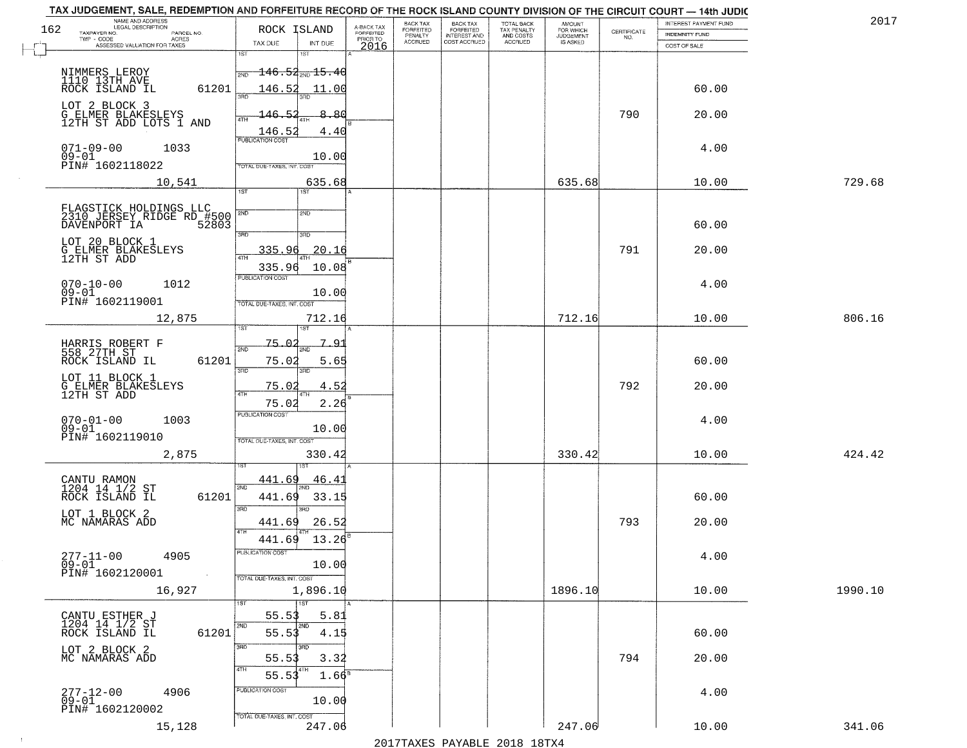| 162 | NAME AND ADDRESS<br>LEGAL DESCRIPTION<br>TAXPAYER NO.<br>PARCEL NO.<br>ACRES | ROCK ISLAND                           | A-BACK TAX<br>FORFEITED | <b>BACK TAX</b><br>FORFEITED<br>PENALTY | BACK TAX<br>FORFEITED<br>INTEREST AND | TOTAL BACK<br>TAX PENALTY<br>AND COSTS | AMOUNT<br>FOR WHICH<br><b>JUDGEMENT</b> | $\begin{array}{c} \text{CERTIFICATE} \\ \text{NO.} \end{array}$ | INTEREST PAYMENT FUND<br><b>INDEMNITY FUND</b> | 2017    |
|-----|------------------------------------------------------------------------------|---------------------------------------|-------------------------|-----------------------------------------|---------------------------------------|----------------------------------------|-----------------------------------------|-----------------------------------------------------------------|------------------------------------------------|---------|
|     | TWP - CODE<br>ASSESSED VALUATION FOR TAXES                                   | TAX DUE<br>INT DUE                    | PRIOR TO<br>2016        | <b>ACCRUED</b>                          | COST ACCRUED                          | ACCRUED                                | IS ASKED                                |                                                                 | COST OF SALE                                   |         |
|     |                                                                              | 1ST<br>1ST                            |                         |                                         |                                       |                                        |                                         |                                                                 |                                                |         |
|     | NIMMERS LEROY<br>1110 13TH AVE<br>ROCK ISLAND IL                             | <del>146.52<sub>2ND</sub> 15.40</del> |                         |                                         |                                       |                                        |                                         |                                                                 |                                                |         |
|     | 61201                                                                        | 146.52<br>11.00<br>350                |                         |                                         |                                       |                                        |                                         |                                                                 | 60.00                                          |         |
|     | LOT 2 BLOCK 3<br><b>G_ELMER_BLAKESLEYS</b>                                   | 146.52<br>8.80                        |                         |                                         |                                       |                                        |                                         | 790                                                             | 20.00                                          |         |
|     | 12TH ST ADD LOTS 1 AND                                                       | <b>ATH</b><br>146.52<br>4.40          |                         |                                         |                                       |                                        |                                         |                                                                 |                                                |         |
|     | $071 - 09 - 00$<br>1033                                                      | <b>PUBLICATION COST</b>               |                         |                                         |                                       |                                        |                                         |                                                                 | 4.00                                           |         |
|     | $09 - 01$<br>PIN# 1602118022                                                 | 10.00<br>TOTAL DUE-TAXES, INT. COST   |                         |                                         |                                       |                                        |                                         |                                                                 |                                                |         |
|     | 10,541                                                                       | 635.68                                |                         |                                         |                                       |                                        | 635.68                                  |                                                                 | 10.00                                          | 729.68  |
|     |                                                                              | 1ST<br>IST                            |                         |                                         |                                       |                                        |                                         |                                                                 |                                                |         |
|     |                                                                              | 2ND<br>2ND                            |                         |                                         |                                       |                                        |                                         |                                                                 |                                                |         |
|     | FLAGSTICK HOLDINGS LLC<br>2310 JERSEY RIDGE RD #500<br>DAVENPORT IA 52803    |                                       |                         |                                         |                                       |                                        |                                         |                                                                 | 60.00                                          |         |
|     | LOT 20 BLOCK 1                                                               | 3RD<br>3RD                            |                         |                                         |                                       |                                        |                                         |                                                                 |                                                |         |
|     | G ELMER BLAKESLEYS<br>12TH ST ADD                                            | 335.96<br>20.16                       |                         |                                         |                                       |                                        |                                         | 791                                                             | 20.00                                          |         |
|     |                                                                              | 10.08<br>335.96<br>PUBLICATION COST   |                         |                                         |                                       |                                        |                                         |                                                                 |                                                |         |
|     | $070 - 10 - 00$<br>1012<br>$09-01$<br>PIN# 1602119001                        | 10.00                                 |                         |                                         |                                       |                                        |                                         |                                                                 | 4.00                                           |         |
|     |                                                                              | TOTAL DUE-TAXES, INT. COST            |                         |                                         |                                       |                                        |                                         |                                                                 |                                                |         |
|     | 12,875                                                                       | 712.16<br>ist.                        |                         |                                         |                                       |                                        | 712.16                                  |                                                                 | 10.00                                          | 806.16  |
|     |                                                                              | -75.02<br>791                         |                         |                                         |                                       |                                        |                                         |                                                                 |                                                |         |
|     | HARRIS ROBERT F<br>558 27TH ST<br>ROCK ISLAND IL<br>61201                    | 2ND<br>2ND<br>75.02<br>5.65           |                         |                                         |                                       |                                        |                                         |                                                                 | 60.00                                          |         |
|     | LOT 11 BLOCK 1                                                               | 3RD<br>3RD                            |                         |                                         |                                       |                                        |                                         |                                                                 |                                                |         |
|     | G ELMER BLAKESLEYS<br>12TH ST ADD                                            | 75.02<br>4.52<br>4TH                  |                         |                                         |                                       |                                        |                                         | 792                                                             | 20.00                                          |         |
|     |                                                                              | 75.02<br>2.26                         |                         |                                         |                                       |                                        |                                         |                                                                 |                                                |         |
|     | $070 - 01 - 00$<br>1003<br>$09 - 01$                                         | <b>PUBLICATION COST</b><br>10.00      |                         |                                         |                                       |                                        |                                         |                                                                 | 4.00                                           |         |
|     | PIN# 1602119010                                                              | TOTAL OUE-TAXES, INT. COST            |                         |                                         |                                       |                                        |                                         |                                                                 |                                                |         |
|     | 2,875                                                                        | 330.42                                |                         |                                         |                                       |                                        | 330.42                                  |                                                                 | 10.00                                          | 424.42  |
|     |                                                                              | 441.69<br>46.4                        |                         |                                         |                                       |                                        |                                         |                                                                 |                                                |         |
|     | CANTU RAMON<br>1204 14 1/2 ST<br>ROCK ISLAND IL<br>61201                     | 2ND<br>441.69<br>33.15                |                         |                                         |                                       |                                        |                                         |                                                                 | 60.00                                          |         |
|     | LOT 1 BLOCK 2                                                                | 3RD<br>3BD                            |                         |                                         |                                       |                                        |                                         |                                                                 |                                                |         |
|     | MC NAMARAS ADD                                                               | 26.52<br>441.69<br>4TH                |                         |                                         |                                       |                                        |                                         | 793                                                             | 20.00                                          |         |
|     |                                                                              | 441.69<br>13.26                       |                         |                                         |                                       |                                        |                                         |                                                                 |                                                |         |
|     | $277 - 11 - 00$<br>4905                                                      | PUBLICATION COST                      |                         |                                         |                                       |                                        |                                         |                                                                 | 4.00                                           |         |
|     | $\overline{0}9-0\overline{1}$<br>PIN# 1602120001<br>$\sim 100$               | 10.00<br>TOTAL DUE-TAXES, INT. COST   |                         |                                         |                                       |                                        |                                         |                                                                 |                                                |         |
|     | 16,927                                                                       | 1,896.10                              |                         |                                         |                                       |                                        | 1896.10                                 |                                                                 | 10.00                                          | 1990.10 |
|     |                                                                              | 1ST                                   |                         |                                         |                                       |                                        |                                         |                                                                 |                                                |         |
|     | CANTU ESTHER J<br>1204 14 1/2 ST                                             | 55.53<br>5.81<br>2ND<br>2ND           |                         |                                         |                                       |                                        |                                         |                                                                 |                                                |         |
|     | 61201<br>ROCK ISLAND IL                                                      | 55.53<br>4.15<br>3RD<br>3RD           |                         |                                         |                                       |                                        |                                         |                                                                 | 60.00                                          |         |
|     | LOT 2 BLOCK 2<br>MC NAMARAS ADD                                              | 55.53<br>3.32                         |                         |                                         |                                       |                                        |                                         | 794                                                             | 20.00                                          |         |
|     |                                                                              | 4TH<br>4TH<br>55.53<br>$1.66^8$       |                         |                                         |                                       |                                        |                                         |                                                                 |                                                |         |
|     | 277-12-00<br>09-01<br>4906                                                   | PUBLICATION COST                      |                         |                                         |                                       |                                        |                                         |                                                                 | 4.00                                           |         |
|     | PIN# 1602120002                                                              | 10.00                                 |                         |                                         |                                       |                                        |                                         |                                                                 |                                                |         |
|     | 15,128                                                                       | TOTAL DUE-TAXES, INT. COST<br>247.06  |                         |                                         |                                       |                                        | 247.06                                  |                                                                 | 10.00                                          | 341.06  |
|     |                                                                              |                                       |                         |                                         | 0.17                                  |                                        |                                         |                                                                 |                                                |         |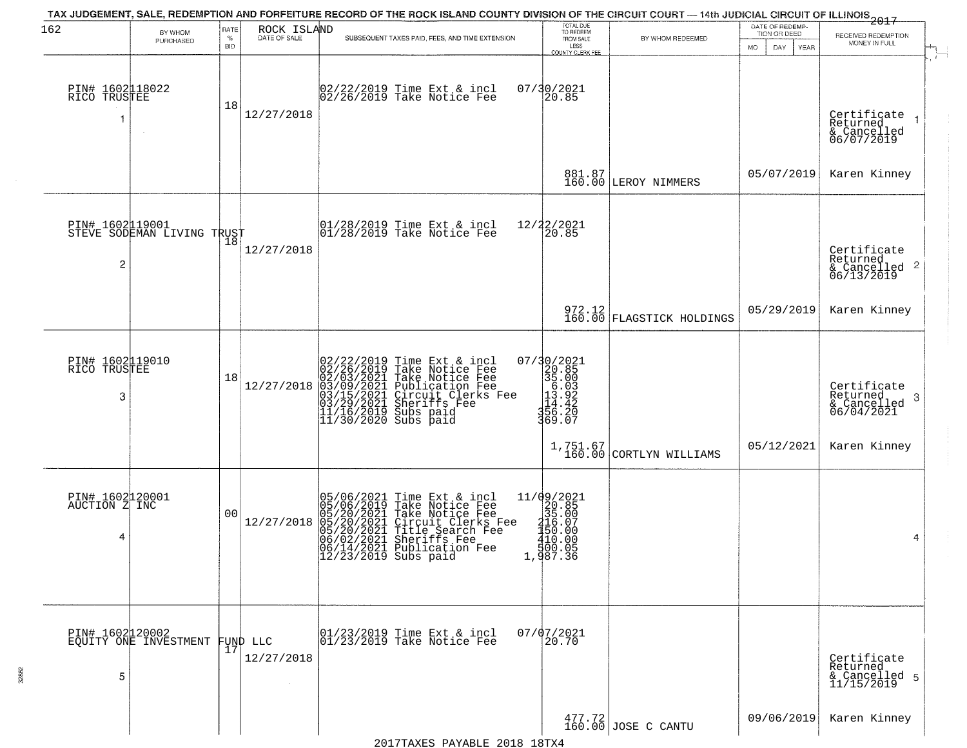| 162                                   | BY WHOM<br>PURCHASED                          | RATE<br>$\%$<br><b>BID</b> | ROCK ISLAND<br>DATE OF SALE    | TAX JUDGEMENT, SALE, REDEMPTION AND FORFEITURE RECORD OF THE ROCK ISLAND COUNTY DIVISION OF THE CIRCUIT COURT — 14th JUDICIAL CIRCUIT OF ILLINOIS 2017<br>SUBSEQUENT TAXES PAID, FEES, AND TIME EXTENSION                                                             | TOTAL DUE<br>TO REDEEM<br>FROM SALE<br>LESS                                                                               | BY WHOM REDEEMED                                               | DATE OF REDEMP-<br>TION OR DEED<br>MO.<br>DAY.<br><b>YEAR</b> | RECEIVED REDEMPTION<br>MONEY IN FULL                                   |
|---------------------------------------|-----------------------------------------------|----------------------------|--------------------------------|-----------------------------------------------------------------------------------------------------------------------------------------------------------------------------------------------------------------------------------------------------------------------|---------------------------------------------------------------------------------------------------------------------------|----------------------------------------------------------------|---------------------------------------------------------------|------------------------------------------------------------------------|
| PIN# 1602118022<br>RICO TRUSTEE<br>1  |                                               | 18                         | 12/27/2018                     | 02/22/2019 Time Ext & incl<br>02/26/2019 Take Notice Fee                                                                                                                                                                                                              | COUNTY CLERK FEE<br>07/30/2021<br>20.85                                                                                   |                                                                |                                                               | Certificate<br>Returned<br>$\rightarrow$<br>& Cancelled<br>06/07/2019  |
|                                       |                                               |                            |                                |                                                                                                                                                                                                                                                                       |                                                                                                                           | 881.87<br>160.00 LEROY NIMMERS                                 | 05/07/2019                                                    | Karen Kinney                                                           |
| 2                                     | PIN# 1602119001<br>STEVE SODEMAN LIVING TRUST |                            | 12/27/2018                     | 01/28/2019 Time Ext & incl<br>01/28/2019 Take Notice Fee                                                                                                                                                                                                              | 12/22/2021<br>20.85                                                                                                       |                                                                |                                                               | Certificate<br>Returned<br>$\overline{c}$<br>& Cancelled<br>06/13/2019 |
|                                       |                                               |                            |                                |                                                                                                                                                                                                                                                                       |                                                                                                                           | 972.12<br>160.00 FLAGSTICK HOLDINGS                            | 05/29/2019                                                    | Karen Kinney                                                           |
| PIN# 1602119010<br>RICO TRUSTEE<br>3  |                                               | 18                         | 12/27/2018                     | 02/22/2019 Time Ext & incl<br>02/26/2019 Take Notice Fee<br>02/03/2021 Take Notice Fee<br>03/09/2021 Publication Fee<br>03/09/2021 Chrcuit Clerks Fee<br>03/29/2021 Sheriffs Fee<br>11/16/2019 Subs paid<br>11/30/2020 Subs paid                                      | 07/30/2021<br>320.85<br>35.003<br>13.92<br>11.42<br>31.42<br>32.007<br>369.07                                             |                                                                |                                                               | Certificate<br>Returned<br>-3<br>$\frac{6}{06}/\frac{6}{04}/2021$      |
|                                       |                                               |                            |                                |                                                                                                                                                                                                                                                                       |                                                                                                                           | $1,751.67$<br>$160.00$ CORTLYN WILLIAMS                        | 05/12/2021                                                    | Karen Kinney                                                           |
| PIN# 1602120001<br>AUCTION Z INC<br>4 |                                               | 00                         | 12/27/2018                     | 05/06/2021 Time Ext & incl<br>05/06/2019 Take Notice Fee<br>05/20/2021 Take Notice Fee<br>05/20/2021 Circuit Clerks Fee<br>05/20/2021 Title Search Fee<br>06/02/2021 Sheriffs Fee<br>06/14/2021 Publication Fee<br>06/14/2021 Publication Fee<br>12/23/2019 Subs paid | $[ \begin{smallmatrix} 11/09/2021\\ 20.85\\ 35.00\\ 15.07\\ 15.07\\ 190.00\\ 10.00\\ 500.05\\ 1,987.36 \end{smallmatrix}$ |                                                                |                                                               | 4                                                                      |
| 5                                     | PIN# 1602120002<br>EQUITY ONE INVESTMENT      |                            | FUND LLC<br> 17 <br>12/27/2018 | 01/23/2019 Time Ext & incl<br>01/23/2019 Take Notice Fee                                                                                                                                                                                                              | $07/07/2021$<br>20.70                                                                                                     |                                                                |                                                               | Certificate<br>Returned<br>& Cancelled 5<br>11/15/2019                 |
|                                       |                                               |                            |                                |                                                                                                                                                                                                                                                                       |                                                                                                                           | $\begin{array}{c c} 477.72 \\ 160.00 \end{array}$ JOSE C CANTU | 09/06/2019                                                    | Karen Kinney                                                           |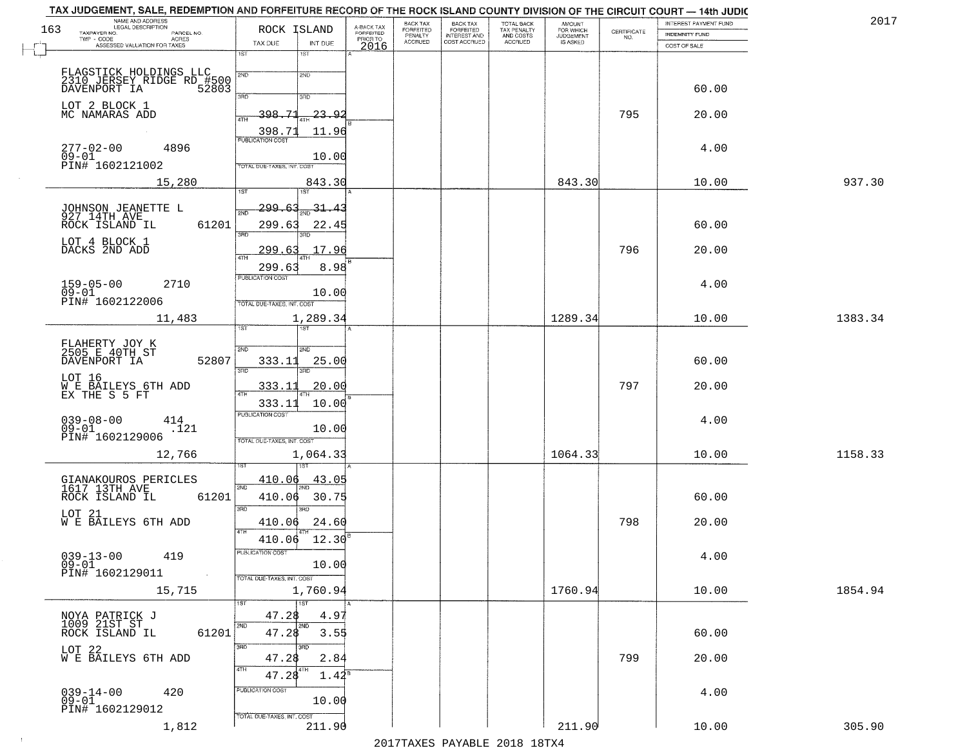| NAME AND ADDRESS<br>LEGAL DESCRIPTION<br>163                              | ROCK ISLAND                           |                                     | BACK TAX                               | <b>BACK TAX</b>                           | TOTAL BACK<br>TAX PENALTY<br>AND COSTS | AMOUNT<br>FOR WHICH                 |                                                                 | INTEREST PAYMENT FUND | 2017    |
|---------------------------------------------------------------------------|---------------------------------------|-------------------------------------|----------------------------------------|-------------------------------------------|----------------------------------------|-------------------------------------|-----------------------------------------------------------------|-----------------------|---------|
| TAXPAYER NO.<br>PARCEL NO.<br>ACRES                                       |                                       | A-BACK TAX<br>FORFEITED<br>PRIOR TO | FORFEITED<br>PENALTY<br><b>ACCRUED</b> | FORFEITED<br>INTEREST AND<br>COST ACCRUED | ACCRUED                                | <b>JUDGEMENT</b><br><b>IS ASKED</b> | $\begin{array}{c} \text{CERTIFICATE} \\ \text{NO.} \end{array}$ | <b>INDEMNITY FUND</b> |         |
| ASSESSED VALUATION FOR TAXES                                              | TAX DUE<br>INT DUE<br>1ST<br>1ST      | 2016                                |                                        |                                           |                                        |                                     |                                                                 | COST OF SALE          |         |
|                                                                           |                                       |                                     |                                        |                                           |                                        |                                     |                                                                 |                       |         |
| FLAGSTICK HOLDINGS LLC<br>2310 JERSEY RIDGE RD #500<br>DAVENPORT IA 52803 | 2ND<br>2ND                            |                                     |                                        |                                           |                                        |                                     |                                                                 |                       |         |
|                                                                           | 3RD<br>3RD                            |                                     |                                        |                                           |                                        |                                     |                                                                 | 60.00                 |         |
| LOT 2 BLOCK 1<br>MC NAMARAS ADD                                           | 398.71<br>23.92<br>ATH                |                                     |                                        |                                           |                                        |                                     | 795                                                             | 20.00                 |         |
|                                                                           | 11.96<br>398.71                       |                                     |                                        |                                           |                                        |                                     |                                                                 |                       |         |
| $277 - 02 - 00$<br>4896<br>$09 - 01$                                      | <b>PUBLICATION COST</b>               |                                     |                                        |                                           |                                        |                                     |                                                                 | 4.00                  |         |
| PIN# 1602121002                                                           | 10.00<br>TOTAL DUE-TAXES, INT. COST   |                                     |                                        |                                           |                                        |                                     |                                                                 |                       |         |
| 15,280                                                                    | 843.30                                |                                     |                                        |                                           |                                        | 843.30                              |                                                                 | 10.00                 | 937.30  |
|                                                                           | 31.47                                 |                                     |                                        |                                           |                                        |                                     |                                                                 |                       |         |
| JOHNSON JEANETTE L<br>927 14TH AVE                                        | <u> 299.63</u><br><u>মূল</u>          |                                     |                                        |                                           |                                        |                                     |                                                                 |                       |         |
| ROCK ISLAND IL<br>61201                                                   | 299.63<br>22.45<br>3RD                |                                     |                                        |                                           |                                        |                                     |                                                                 | 60.00                 |         |
| LOT 4 BLOCK 1<br>DACKS 2ND ADD                                            | 17.96<br>299.63<br>47H                |                                     |                                        |                                           |                                        |                                     | 796                                                             | 20.00                 |         |
|                                                                           | 299.63<br>8.98                        |                                     |                                        |                                           |                                        |                                     |                                                                 |                       |         |
| $159 - 05 - 00$<br>2710                                                   | PUBLICATION COST                      |                                     |                                        |                                           |                                        |                                     |                                                                 | 4.00                  |         |
| $09 - 01$<br>PIN# 1602122006                                              | 10.00<br>TOTAL DUE-TAXES, INT. COST   |                                     |                                        |                                           |                                        |                                     |                                                                 |                       |         |
| 11,483                                                                    | 1,289.34                              |                                     |                                        |                                           |                                        | 1289.34                             |                                                                 | 10.00                 | 1383.34 |
|                                                                           | 1ST<br>i ST                           |                                     |                                        |                                           |                                        |                                     |                                                                 |                       |         |
| FLAHERTY JOY K<br>2505 E 40TH ST<br>DAVENPORT IA<br>52807                 | S/ID<br><b>SMD</b><br>333.11<br>25.00 |                                     |                                        |                                           |                                        |                                     |                                                                 | 60.00                 |         |
| LOT 16                                                                    | 3BD<br>3RD                            |                                     |                                        |                                           |                                        |                                     |                                                                 |                       |         |
| W E BAILEYS 6TH ADD<br>EX THE S 5 FT                                      | <u>333.11</u><br><u>20.00</u><br>ATH  |                                     |                                        |                                           |                                        |                                     | 797                                                             | 20.00                 |         |
|                                                                           | 333.11<br>10.00                       |                                     |                                        |                                           |                                        |                                     |                                                                 |                       |         |
| $039 - 08 - 00$<br>414<br>$09 - 01$<br>.121                               | <b>PUBLICATION COST</b><br>10.00      |                                     |                                        |                                           |                                        |                                     |                                                                 | 4.00                  |         |
| PIN# 1602129006                                                           | TOTAL OUE-TAXES, INT. COST            |                                     |                                        |                                           |                                        |                                     |                                                                 |                       |         |
| 12,766                                                                    | 1,064.33                              |                                     |                                        |                                           |                                        | 1064.33                             |                                                                 | 10.00                 | 1158.33 |
|                                                                           | 410.06<br>43.05                       |                                     |                                        |                                           |                                        |                                     |                                                                 |                       |         |
| GIANAKOUROS PERICLES<br>1617 13TH AVE<br>ROCK ISLAND IL<br>61201          | 2ND<br>410.06<br>30.75                |                                     |                                        |                                           |                                        |                                     |                                                                 | 60.00                 |         |
| LOT 21                                                                    | 3 <sub>BD</sub><br>$\overline{3BD}$   |                                     |                                        |                                           |                                        |                                     |                                                                 |                       |         |
| W E BAILEYS 6TH ADD                                                       | 410.06<br>24.60<br>4TH                |                                     |                                        |                                           |                                        |                                     | 798                                                             | 20.00                 |         |
|                                                                           | 410.06<br>12.30                       |                                     |                                        |                                           |                                        |                                     |                                                                 |                       |         |
| $039 - 13 - 00$<br>419<br>$09 - 01$                                       | PUBLICATION COS'<br>10.00             |                                     |                                        |                                           |                                        |                                     |                                                                 | 4.00                  |         |
| PIN# 1602129011<br><b>Contract</b>                                        | TOTAL DUE-TAXES, INT. COST            |                                     |                                        |                                           |                                        |                                     |                                                                 |                       |         |
| 15,715                                                                    | 1,760.94                              |                                     |                                        |                                           |                                        | 1760.94                             |                                                                 | 10.00                 | 1854.94 |
|                                                                           | <b>TST</b><br>47.28<br>4.9'           |                                     |                                        |                                           |                                        |                                     |                                                                 |                       |         |
| NOYA PATRICK J<br>1009 21ST ST<br>61201<br>ROCK ISLAND IL                 | 2ND<br>2ND<br>47.28<br>3.55           |                                     |                                        |                                           |                                        |                                     |                                                                 | 60.00                 |         |
|                                                                           | 3RD                                   |                                     |                                        |                                           |                                        |                                     |                                                                 |                       |         |
| LOT 22<br>W E BAILEYS 6TH ADD                                             | 2.84<br>47.28<br>4TH<br>  4TH         |                                     |                                        |                                           |                                        |                                     | 799                                                             | 20.00                 |         |
|                                                                           | 47.28<br>$1.42^8$                     |                                     |                                        |                                           |                                        |                                     |                                                                 |                       |         |
| $039 - 14 - 00$<br>420<br>$09 - 01$                                       | PUBLICATION COST<br>10.00             |                                     |                                        |                                           |                                        |                                     |                                                                 | 4.00                  |         |
| PIN# 1602129012                                                           | TOTAL DUE-TAXES, INT. COST            |                                     |                                        |                                           |                                        |                                     |                                                                 |                       |         |
| 1,812                                                                     | 211.90                                |                                     |                                        |                                           |                                        | 211.90                              |                                                                 | 10.00                 | 305.90  |

 $\sim 10^{-1}$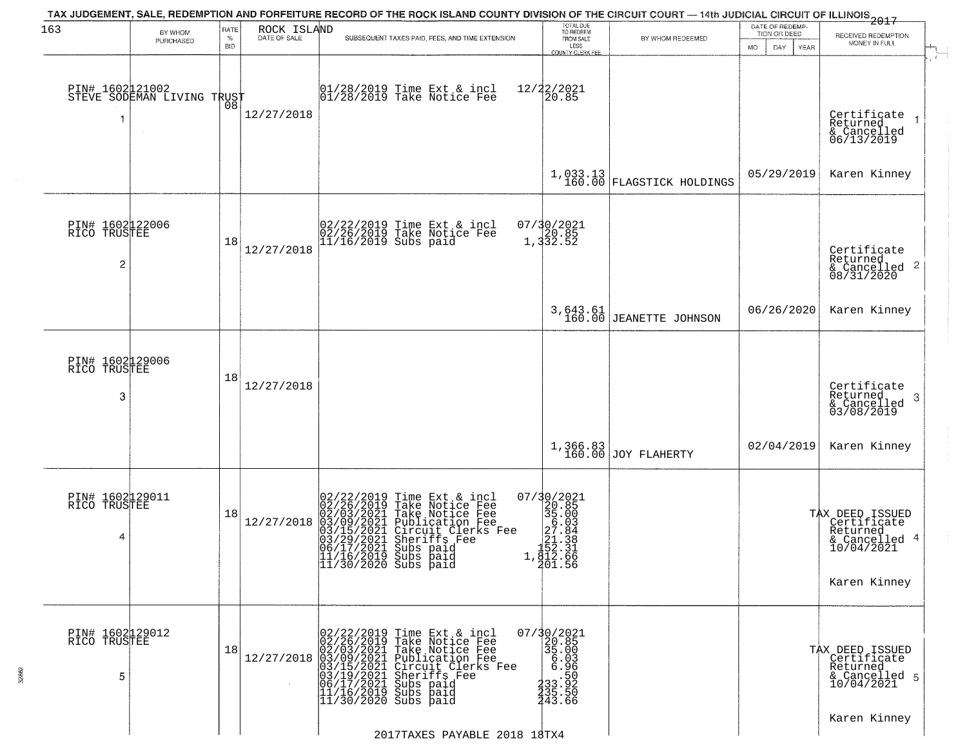| 163                                  | BY WHOM                                           | RATE               | ROCK ISLAND  | TAX JUDGEMENT, SALE, REDEMPTION AND FORFEITURE RECORD OF THE ROCK ISLAND COUNTY DIVISION OF THE CIRCUIT COURT — 14th JUDICIAL CIRCUIT OF ILLINOIS 2017                                                                                                                                                                                                                       | TOTAL DUE<br>TO REDEEM                                                                                                                                                                                                           |                                                                               | DATE OF REDEMP<br>TION OR DEED | RECEIVED REDEMPTION                                                                       |
|--------------------------------------|---------------------------------------------------|--------------------|--------------|------------------------------------------------------------------------------------------------------------------------------------------------------------------------------------------------------------------------------------------------------------------------------------------------------------------------------------------------------------------------------|----------------------------------------------------------------------------------------------------------------------------------------------------------------------------------------------------------------------------------|-------------------------------------------------------------------------------|--------------------------------|-------------------------------------------------------------------------------------------|
|                                      | PURCHASED                                         | $\%$<br><b>BID</b> | DATE OF SALE | SUBSEQUENT TAXES PAID, FEES, AND TIME EXTENSION                                                                                                                                                                                                                                                                                                                              | FROM SALE<br>LESS<br>COUNTY CLERK FEE                                                                                                                                                                                            | BY WHOM REDEEMED                                                              | DAY.<br>MO.<br>YEAR            | MONEY IN FULL                                                                             |
| 1                                    | PIN# 1602121002    <br>STEVE SODEMAN LIVING TRUST | ŌÕ                 | 12/27/2018   | 01/28/2019 Time Ext & incl<br>01/28/2019 Take Notice Fee                                                                                                                                                                                                                                                                                                                     | 12/22/2021<br>20.85                                                                                                                                                                                                              |                                                                               |                                | Certificate<br>Returned<br>& Cancelled<br>06/13/2019                                      |
|                                      |                                                   |                    |              |                                                                                                                                                                                                                                                                                                                                                                              |                                                                                                                                                                                                                                  | $1,033.13$ FLAGSTICK HOLDINGS                                                 | 05/29/2019                     | Karen Kinney                                                                              |
| PIN# 1602122006<br>RICO TRUSTEE<br>2 |                                                   | 18                 | 12/27/2018   | 02/22/2019 Time Ext & incl<br>02/26/2019 Take Notice Fee<br>11/16/2019 Subs paid                                                                                                                                                                                                                                                                                             | 07/30/2021<br>20.85<br>1,332.52                                                                                                                                                                                                  |                                                                               |                                | Certificate<br>Returned<br>$\frac{1}{6}$ Cancelled 2<br>08/31/2020                        |
|                                      |                                                   |                    |              |                                                                                                                                                                                                                                                                                                                                                                              |                                                                                                                                                                                                                                  | 3,643.61<br>160.00 JEANETTE JOHNSON                                           | 06/26/2020                     | Karen Kinney                                                                              |
| PIN# 1602129006<br>RICO TRUSTEE<br>3 |                                                   | 18                 | 12/27/2018   |                                                                                                                                                                                                                                                                                                                                                                              |                                                                                                                                                                                                                                  |                                                                               |                                | Certificate<br>Returned<br>3<br>& Cancelled<br>03/08/2019                                 |
|                                      |                                                   |                    |              |                                                                                                                                                                                                                                                                                                                                                                              |                                                                                                                                                                                                                                  | $\left[ \begin{array}{c} 1,366.83 \\ 160.00 \end{array} \right]$ JOY FLAHERTY | 02/04/2019                     | Karen Kinney                                                                              |
| PIN# 1602129011<br>RICO TRUSTEE<br>4 |                                                   | 18                 | 12/27/2018   | 02/22/2019<br>02/26/2019<br>02/03/2021<br>03/15/2021<br>03/29/2021<br>03/29/2021<br>06/17/2021<br>Time Ext & incl<br>Take Notice Fee<br>Take Notice Fee<br>Publication Fee<br>Circuit Clerks Fee<br>Sheriffs Fee<br>Subs paid<br> 11/16/2019 Subs paid<br> 11/30/2020 Subs paid                                                                                              | 07/30/2021<br>$\begin{smallmatrix} 1/7 & 2/2 & 2/3 \\ 2/3 & 5 & 0 & 0 \\ 3 & 5 & 0 & 0 \\ 2 & 7 & 0 & 8 \\ 2 & 7 & 0 & 8 \\ 2 & 2 & 3 & 3 \\ 1 & 5 & 2 & 3 \\ 1 & 8 & 1 & 5 \\ 2 & 0 & 1 & 5 \\ 6 & 7 & 0 & 1 \end{smallmatrix}$ |                                                                               |                                | TAX DEED ISSUED<br>Certificate<br>Returned<br>& Cancelled 4<br>10/04/2021<br>Karen Kinney |
| PIN# 1602129012<br>RICO TRUSTEE<br>5 |                                                   | 18                 |              | $12/27/2018 \begin{array}{l} 02/22/2019 \text{ Time Ext & incl} \\ 02/26/2019 \text{ Take Notice Free} \\ 02/03/2021 \text{ Take Notice Free} \\ 03/09/2021 \text{ Publicactive Free} \\ 03/15/2021 \text{ Circuit Clerks Free} \\ 03/15/2021 \text{ Sups pair} \\ 06/17/2021 \text{ Subs paid} \\ 11/16/2019 \text{ Subs paid} \\ 11/30/2020 \text{ Subs paid} \end{array}$ | $07/30/2021$<br>20.85<br>35.00<br>6.98<br>$\frac{1}{2}$ 33.92<br>135.50<br>143.66                                                                                                                                                |                                                                               |                                | TAX DEED ISSUED<br>Certificate<br>Returned<br>& Cancelled 5<br>10/04/2021                 |
|                                      |                                                   |                    |              |                                                                                                                                                                                                                                                                                                                                                                              |                                                                                                                                                                                                                                  |                                                                               |                                | Karen Kinney                                                                              |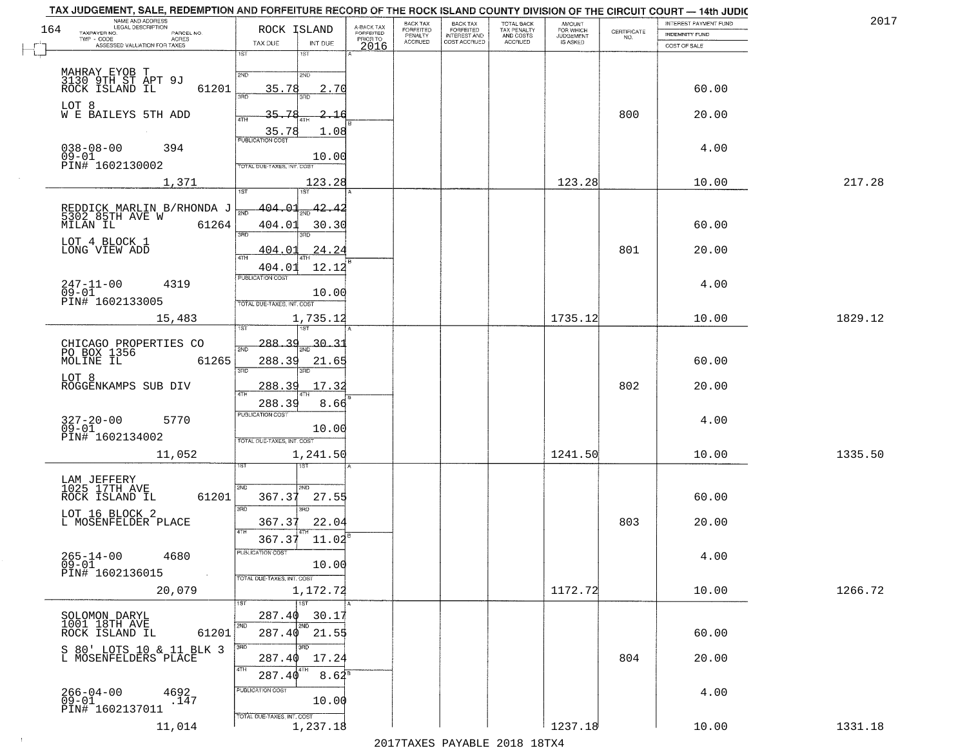| NAME AND ADDRESS<br>LEGAL DESCRIPTION<br>164          | ROCK ISLAND                               |                                     | BACK TAX<br>FORFEITED     | BACK TAX<br>FORFEITED               | TOTAL BACK<br>TAX PENALTY<br>AND COSTS | AMOUNT<br>FOR WHICH<br>JUDGEMENT |                    | INTEREST PAYMENT FUND | 2017    |
|-------------------------------------------------------|-------------------------------------------|-------------------------------------|---------------------------|-------------------------------------|----------------------------------------|----------------------------------|--------------------|-----------------------|---------|
| TAXPAYER NO.<br>PARCEL NO.<br>ACRES                   |                                           | A-BACK TAX<br>FORFEITED<br>PRIOR TO | PENALTY<br><b>ACCRUED</b> | <b>INTEREST AND</b><br>COST ACCRUED | <b>ACCRUED</b>                         | IS ASKED                         | CERTIFICATE<br>NO. | <b>INDEMNITY FUND</b> |         |
| ASSESSED VALUATION FOR TAXES                          | TAX DUE<br>INT DUE<br>18T<br>1ST          | 2016                                |                           |                                     |                                        |                                  |                    | COST OF SALE          |         |
|                                                       |                                           |                                     |                           |                                     |                                        |                                  |                    |                       |         |
| MAHRAY EYOB T<br>3130 9TH ST APT 9J<br>ROCK ISLAND IL | 2ND<br>2ND                                |                                     |                           |                                     |                                        |                                  |                    |                       |         |
| 61201                                                 | 35.78<br>2.70<br>355                      |                                     |                           |                                     |                                        |                                  |                    | 60.00                 |         |
| LOT 8<br>W E BAILEYS 5TH ADD                          | 35.78<br>2.16                             |                                     |                           |                                     |                                        |                                  | 800                | 20.00                 |         |
|                                                       | 4TH                                       |                                     |                           |                                     |                                        |                                  |                    |                       |         |
|                                                       | $\frac{35.78}{FUBUCATONCGST}$<br>1.08     |                                     |                           |                                     |                                        |                                  |                    |                       |         |
| $038 - 08 - 00$<br>394<br>$09 - 01$                   | 10.00                                     |                                     |                           |                                     |                                        |                                  |                    | 4.00                  |         |
| PIN# 1602130002                                       | TOTAL DUE-TAXES, INT. COST                |                                     |                           |                                     |                                        |                                  |                    |                       |         |
| 1,371                                                 | 123.28                                    |                                     |                           |                                     |                                        | 123.28                           |                    | 10.00                 | 217.28  |
|                                                       | 1ST<br>ist                                |                                     |                           |                                     |                                        |                                  |                    |                       |         |
| REDDICK MARLIN B/RHONDA J<br>5302 85TH AVE W          | <u>404.01</u><br>42.42<br>সূত্র           |                                     |                           |                                     |                                        |                                  |                    |                       |         |
| 61264<br>MILAN IL                                     | 404.01<br>30.30<br>3RD<br>3RD             |                                     |                           |                                     |                                        |                                  |                    | 60.00                 |         |
| LOT 4 BLOCK 1                                         |                                           |                                     |                           |                                     |                                        |                                  |                    |                       |         |
| LONG VIEW ADD                                         | 24.24<br>404.01<br>ৰাম                    |                                     |                           |                                     |                                        |                                  | 801                | 20.00                 |         |
|                                                       | 12.12<br>404.01<br>PUBLICATION COST       |                                     |                           |                                     |                                        |                                  |                    |                       |         |
| $247 - 11 - 00$<br>4319<br>$09 - 01$                  | 10.00                                     |                                     |                           |                                     |                                        |                                  |                    | 4.00                  |         |
| PIN# 1602133005                                       | TOTAL DUE-TAXES, INT. COST                |                                     |                           |                                     |                                        |                                  |                    |                       |         |
| 15,483                                                | 1,735.12                                  |                                     |                           |                                     |                                        | 1735.12                          |                    | 10.00                 | 1829.12 |
|                                                       | is T                                      |                                     |                           |                                     |                                        |                                  |                    |                       |         |
| CHICAGO PROPERTIES CO<br>PO BOX 1356                  | 288.39<br>30.<br>2ND                      |                                     |                           |                                     |                                        |                                  |                    |                       |         |
| MOLINE IL<br>61265                                    | 288.39<br>21.65<br>3 <sub>BD</sub>        |                                     |                           |                                     |                                        |                                  |                    | 60.00                 |         |
| LOT 8                                                 | 3RD                                       |                                     |                           |                                     |                                        |                                  |                    |                       |         |
| ROGGENKAMPS SUB DIV                                   | 288.39<br>17.3<br>4TH                     |                                     |                           |                                     |                                        |                                  | 802                | 20.00                 |         |
|                                                       | 288.39<br>8.66<br><b>PUBLICATION COST</b> |                                     |                           |                                     |                                        |                                  |                    |                       |         |
| $327 - 20 - 00$<br>09-01<br>5770                      | 10.00                                     |                                     |                           |                                     |                                        |                                  |                    | 4.00                  |         |
| PIN# 1602134002                                       | TOTAL OUE-TAXES, INT. COST                |                                     |                           |                                     |                                        |                                  |                    |                       |         |
| 11,052                                                | 1,241.50                                  |                                     |                           |                                     |                                        | 1241.50                          |                    | 10.00                 | 1335.50 |
|                                                       | १९४                                       |                                     |                           |                                     |                                        |                                  |                    |                       |         |
| LAM JEFFERY<br>1025 17TH AVE                          | 2ND<br>2ND                                |                                     |                           |                                     |                                        |                                  |                    |                       |         |
| ROCK ISLAND IL<br>61201                               | 367.37<br>27.55                           |                                     |                           |                                     |                                        |                                  |                    | 60.00                 |         |
| LOT 16 BLOCK 2                                        | 3RD<br>3RD                                |                                     |                           |                                     |                                        |                                  |                    |                       |         |
| L MOSENFELDER PLACE                                   | 22.04<br>367.37<br>4TH                    |                                     |                           |                                     |                                        |                                  | 803                | 20.00                 |         |
|                                                       | 367.37<br>11.02                           |                                     |                           |                                     |                                        |                                  |                    |                       |         |
| $265 - 14 - 00$<br>4680<br>$09 - 01$                  | 'usuca hun cus<br>10.00                   |                                     |                           |                                     |                                        |                                  |                    | 4.00                  |         |
| PIN# 1602136015<br>$\sim 100$                         | TOTAL DUE-TAXES, INT. COST                |                                     |                           |                                     |                                        |                                  |                    |                       |         |
| 20,079                                                | 1,172.72                                  |                                     |                           |                                     |                                        | 1172.72                          |                    | 10.00                 | 1266.72 |
|                                                       | 1ST                                       |                                     |                           |                                     |                                        |                                  |                    |                       |         |
| SOLOMON DARYL<br>1001 18TH AVE                        | 287.40<br>30.17                           |                                     |                           |                                     |                                        |                                  |                    |                       |         |
| 61201<br>ROCK ISLAND IL                               | 2ND<br>2ND<br>$287.40$ 21.55              |                                     |                           |                                     |                                        |                                  |                    | 60.00                 |         |
| S 80' LOTS 10 & 11 BLK 3                              | 3RD                                       |                                     |                           |                                     |                                        |                                  |                    |                       |         |
| L MOSENFELDERS PLACE                                  | 17.24<br>287.40<br>4TH                    |                                     |                           |                                     |                                        |                                  | 804                | 20.00                 |         |
|                                                       | 287.40<br>$8.62^8$                        |                                     |                           |                                     |                                        |                                  |                    |                       |         |
| $266 - 04 - 00$<br>4692<br>.147                       | PUBLICATION COST                          |                                     |                           |                                     |                                        |                                  |                    | 4.00                  |         |
| 09-01<br>PIN# 1602137011                              | 10.00                                     |                                     |                           |                                     |                                        |                                  |                    |                       |         |
| 11,014                                                | TOTAL DUE-TAXES, INT. COST<br>1,237.18    |                                     |                           |                                     |                                        | 1237.18                          |                    | 10.00                 | 1331.18 |

 $\sim 100$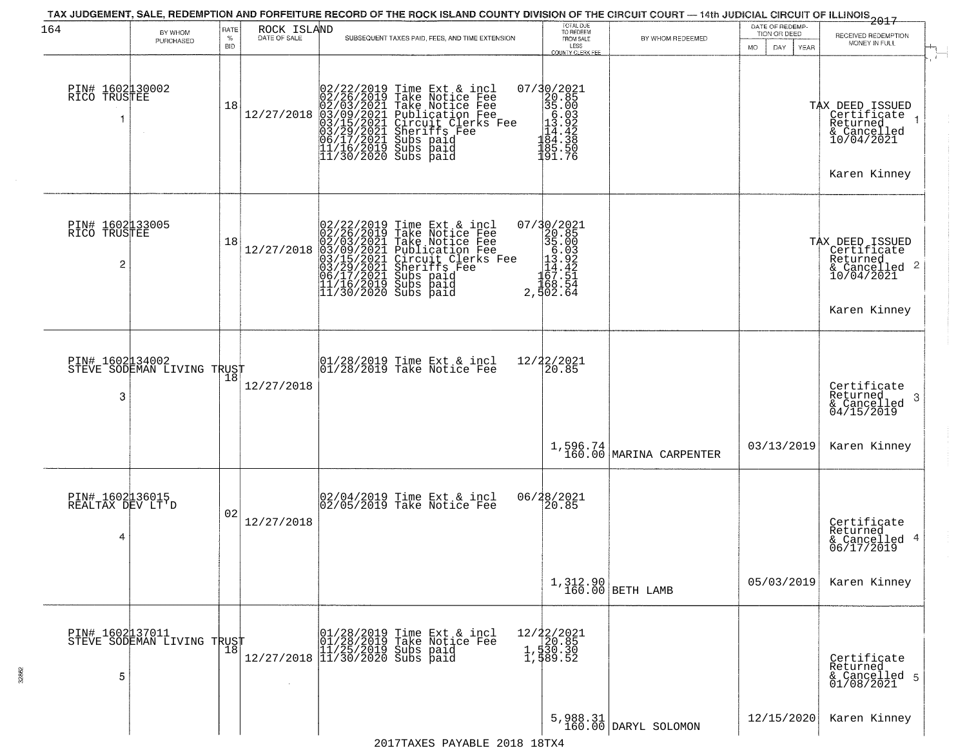| 164                                      | BY WHOM<br>PURCHASED                           | RATE<br>$\%$<br><b>BID</b> | ROCK ISLAND<br>DATE OF SALE                                                                                                                             | SUBSEQUENT TAXES PAID, FEES, AND TIME EXTENSION                                                                                                                                                                                                                                                              | TOTAL DUE<br>TO REDEEM<br>FROM SALE<br>LESS<br><b>COUNTY CLERK FEE</b>                                                                                                                                                                                                                                                              | BY WHOM REDEEMED                    | DATE OF REDEMP-<br>TION OR DEED<br>MO.<br>DAY.<br>YEAR | -----------<br>2017<br>RECEIVED REDEMPTION<br>MONEY IN FULL                               |
|------------------------------------------|------------------------------------------------|----------------------------|---------------------------------------------------------------------------------------------------------------------------------------------------------|--------------------------------------------------------------------------------------------------------------------------------------------------------------------------------------------------------------------------------------------------------------------------------------------------------------|-------------------------------------------------------------------------------------------------------------------------------------------------------------------------------------------------------------------------------------------------------------------------------------------------------------------------------------|-------------------------------------|--------------------------------------------------------|-------------------------------------------------------------------------------------------|
| PIN# 1602130002<br>RICO TRUSTEE          |                                                | 18                         | $12/27/2018 \begin{pmatrix} 02/22/2019 \\ 02/26/2019 \\ 02/03/2021 \\ 03/09/2021 \\ 03/29/2021 \\ 03/29/2021 \\ 06/17/2021 \\ 11/16/2019 \end{pmatrix}$ | 02/22/2019 Time Ext & incl<br>02/26/2019 Take Notice Fee<br>02/03/2021 Take Notice Fee<br>03/09/2021 Publication Fee<br>03/15/2021 Circuit Clerks Fee<br>03/15/2021 Subs paid<br>06/17/2021 Subs paid<br>11/16/2019 Subs paid<br>11/30/2020 Subs paid                                                        | $\begin{array}{r} 07/30/2021 \\ 20.85 \\ 35.00 \\ 15.03 \\ -14.42 \\ 184.38 \\ -184.38 \\ 185.57 \\ -26.50 \\ -18.57 \\ -26.50 \\ -27.50 \\ -28.50 \\ -29.50 \\ -29.50 \\ -29.50 \\ -29.50 \\ -29.50 \\ -29.50 \\ -29.50 \\ -29.50 \\ -29.50 \\ -29.50 \\ -29.50 \\ -29.50 \\ -29.50 \\ -29.50 \\ -29.50 \\ -29.50 \\ -2$<br>191.76 |                                     |                                                        | TAX DEED ISSUED<br>Certifiçate 1<br>Returned<br>& Cancelled<br>10/04/2021<br>Karen Kinney |
| PIN# 1602133005<br>RICO TRUSTEE<br>2     |                                                | 18                         | 12/27/2018                                                                                                                                              | 02/22/2019 Time Ext & incl<br>02/26/2019 Take Notice Fee<br>02/03/2021 Take Notice Fee<br>03/03/2021 Publication Fee<br>03/15/2021 Circuit Clerks F<br>03/29/2021 Subs paid<br>06/17/2021 Subs paid<br>11/16/2019 Subs paid<br>11/30/2020 Subs paid<br>Publication Fee<br>Circuit Clerks Fee<br>Sheriffs Fee | $\begin{smallmatrix} 07/30/2021\\20.85\\35.00\\5.03\\12.922\\167.32\\167.51\\168.54\\2,502.64 \end{smallmatrix}$                                                                                                                                                                                                                    |                                     |                                                        | TAX DEED ISSUED<br>Certificate<br>Returned<br>& Cancelled 2<br>10/04/2021<br>Karen Kinney |
| PIN# 1602134002<br>3                     | STEVE SODEMAN LIVING TRUST                     |                            | 12/27/2018                                                                                                                                              | $\begin{array}{ccc}  01/28/2019 \rangle & \text{Time} & \text{Ext} & \text{incl} \\  01/28/2019 \rangle & \text{Take Notice } \text{Fe} \end{array}$                                                                                                                                                         | 12/22/2021<br>20.85                                                                                                                                                                                                                                                                                                                 |                                     |                                                        | Certificate<br>Returned<br>3<br>& Cancelled<br>04/15/2019                                 |
|                                          |                                                |                            |                                                                                                                                                         |                                                                                                                                                                                                                                                                                                              |                                                                                                                                                                                                                                                                                                                                     | 1,596.74<br>160.00 MARINA CARPENTER | 03/13/2019                                             | Karen Kinney                                                                              |
| PIN# 1602136015<br>REALTAX DEV LT'D<br>4 |                                                | 02                         | 12/27/2018                                                                                                                                              | 02/04/2019 Time Ext & incl<br>02/05/2019 Take Notice Fee                                                                                                                                                                                                                                                     | 06/28/2021<br>20.85                                                                                                                                                                                                                                                                                                                 |                                     |                                                        | Certificate<br>Returned<br>& Cancelled 4<br>06/17/2019                                    |
|                                          |                                                |                            |                                                                                                                                                         |                                                                                                                                                                                                                                                                                                              |                                                                                                                                                                                                                                                                                                                                     | 1,312.90<br>160.00 BETH LAMB        | 05/03/2019                                             | Karen Kinney                                                                              |
| 5                                        | PIN# 1602 137011<br>STEVE SODEMAN LIVING TRUST |                            |                                                                                                                                                         | r (01/28/2019 Time Ext & incl<br>01/28/2019 Take Notice Fee<br>12/27/2018 11/30/2020 Subs paid<br>12/27/2018 11/30/2020 Subs paid                                                                                                                                                                            | 12/22/2021<br>1,530.85<br>1,530.30<br>1,589.52                                                                                                                                                                                                                                                                                      |                                     |                                                        | Certificate<br>Returned<br>& Cancelled 5<br>01/08/2021                                    |
|                                          |                                                |                            |                                                                                                                                                         |                                                                                                                                                                                                                                                                                                              |                                                                                                                                                                                                                                                                                                                                     | 5,988.31<br>160.00 DARYL SOLOMON    | 12/15/2020                                             | Karen Kinney                                                                              |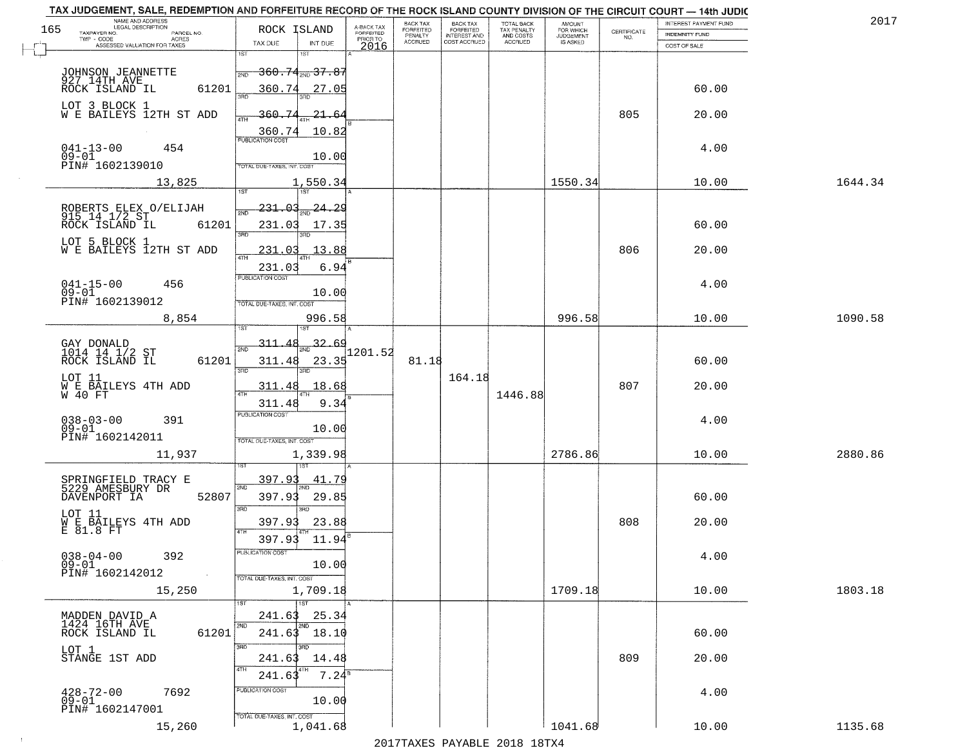|     | TAX JUDGEMENT, SALE, REDEMPTION AND FORFEITURE RECORD OF THE ROCK ISLAND COUNTY DIVISION OF THE CIRCUIT COURT - 14th JUDIC |                                                                           |                         |                              |                                       |                                        |                     |                                                                 |                       |         |
|-----|----------------------------------------------------------------------------------------------------------------------------|---------------------------------------------------------------------------|-------------------------|------------------------------|---------------------------------------|----------------------------------------|---------------------|-----------------------------------------------------------------|-----------------------|---------|
| 165 | NAME AND ADDRESS<br>LEGAL DESCRIPTION                                                                                      | ROCK ISLAND                                                               | A-BACK TAX<br>FORFEITED | BACK TAX<br><b>FORFEITED</b> | BACK TAX<br>FORFEITED<br>INTEREST AND | TOTAL BACK<br>TAX PENALTY<br>AND COSTS | AMOUNT<br>FOR WHICH |                                                                 | INTEREST PAYMENT FUND | 2017    |
|     | TAXPAYER NO.<br>PARCEL NO.<br>TWP - CODE<br>ACRES                                                                          |                                                                           | PRIOR TO                | PENALTY                      | COST ACCRUED                          |                                        | <b>JUDGEMENT</b>    | $\begin{array}{c} \text{CERTIFICATE} \\ \text{NO.} \end{array}$ | <b>INDEMNITY FUND</b> |         |
|     | ASSESSED VALUATION FOR TAXES                                                                                               | INT DUE<br>TAX DUE                                                        | 2016                    | <b>ACCRUED</b>               |                                       | ACCRUED                                | IS ASKED            |                                                                 | COST OF SALE          |         |
|     | JOHNSON JEANNETTE<br>927 14TH AVE<br>ROCK ISLAND IL                                                                        | 1ST<br>1ST<br>2ND                                                         |                         |                              |                                       |                                        |                     |                                                                 |                       |         |
|     | 61201                                                                                                                      | 360.74<br>27.05                                                           |                         |                              |                                       |                                        |                     |                                                                 | 60.00                 |         |
|     | LOT 3 BLOCK 1<br>W E BAILEYS 12TH ST ADD                                                                                   | 360.74<br>21.64<br>10.82                                                  |                         |                              |                                       |                                        |                     | 805                                                             | 20.00                 |         |
|     | $041 - 13 - 00$<br>$09 - 01$<br>454<br>PIN# 1602139010                                                                     | 360.74<br>10.00<br><b>TOTAL DUE-TAXES, INT. COST</b>                      |                         |                              |                                       |                                        |                     |                                                                 | 4.00                  |         |
|     | 13,825                                                                                                                     | 1,550.34                                                                  |                         |                              |                                       |                                        | 1550.34             |                                                                 | 10.00                 | 1644.34 |
|     |                                                                                                                            |                                                                           |                         |                              |                                       |                                        |                     |                                                                 |                       |         |
|     | ROBERTS ELEX O/ELIJAH<br>915 14 1/2 ST<br>61201<br>ROCK ISLAND IL                                                          | 231.03<br>24.29<br>231.03<br>17.35<br><b>3RD</b>                          |                         |                              |                                       |                                        |                     |                                                                 | 60.00                 |         |
|     | LOT 5 BLOCK 1<br>WE BAILEYS 12TH ST ADD                                                                                    | 13.88<br>231.03                                                           |                         |                              |                                       |                                        |                     | 806                                                             | 20.00                 |         |
|     | $041 - 15 - 00$<br>456<br>$09 - 01$<br>PIN# 1602139012                                                                     | 231.03<br>6.94<br>PUBLICATION COST<br>10.00<br>TOTAL DUE-TAXES, INT. COST |                         |                              |                                       |                                        |                     |                                                                 | 4.00                  |         |
|     | 8,854                                                                                                                      | 996.58                                                                    |                         |                              |                                       |                                        | 996.58              |                                                                 | 10.00                 | 1090.58 |
|     | GAY DONALD<br>1014 14 1/2 ST<br>ROCK ISLAND IL<br>61201                                                                    | 1ST<br>1ST<br>32.69<br>311<br>2ND<br>23.35<br>311.48                      | 1201.52                 | 81.18                        |                                       |                                        |                     |                                                                 | 60.00                 |         |
|     | LOT 11                                                                                                                     | 3RD<br>3RD                                                                |                         |                              | 164.18                                |                                        |                     |                                                                 |                       |         |
|     | W E BAILEYS 4TH ADD<br>W 40 FT                                                                                             | 18.68<br>311.48<br>9.34<br>311.48                                         |                         |                              |                                       | 1446.88                                |                     | 807                                                             | 20.00                 |         |
|     | $038 - 03 - 00$<br>391<br>$09 - 01$<br>PIN# 1602142011                                                                     | PUBLICATION COST<br>10.00                                                 |                         |                              |                                       |                                        |                     |                                                                 | 4.00                  |         |
|     | 11,937                                                                                                                     | TOTAL OUE-TAXES, INT. COST<br>1,339.98                                    |                         |                              |                                       |                                        | 2786.86             |                                                                 | 10.00                 | 2880.86 |
|     | SPRINGFIELD TRACY E<br>5229 AMESBURY DR<br>52807<br>DAVENPORT IA                                                           | 397.93<br>41.79<br>2ND<br>397.93<br>29.85                                 |                         |                              |                                       |                                        |                     |                                                                 | 60.00                 |         |
|     | LOT 11<br>W E BAILEYS 4TH ADD<br>E 81.8 FT                                                                                 | 3RD<br>3BD<br>397.93<br>23.88                                             |                         |                              |                                       |                                        |                     | 808                                                             | 20.00                 |         |
|     |                                                                                                                            | 4TH<br>11.94<br>397.93<br>ruslica i IUN COS                               |                         |                              |                                       |                                        |                     |                                                                 |                       |         |
|     | $038 - 04 - 00$<br>392<br>$09 - 01$<br>PIN# 1602142012                                                                     | 10.00<br>TOTAL DUE-TAXES, INT. COST                                       |                         |                              |                                       |                                        |                     |                                                                 | 4.00                  |         |
|     | 15,250                                                                                                                     | 1,709.18<br>1ST                                                           |                         |                              |                                       |                                        | 1709.18             |                                                                 | 10.00                 | 1803.18 |
|     | MADDEN DAVID A<br>1424 16TH AVE<br>61201<br>ROCK ISLAND IL                                                                 | 25.34<br>241.63<br>2ND<br>241.63 18.10                                    |                         |                              |                                       |                                        |                     |                                                                 | 60.00                 |         |
|     | LOT 1<br>STANGE 1ST ADD                                                                                                    | 3RD<br>241.63<br>14.48<br>4TH<br>$7.24^8$<br>241.63                       |                         |                              |                                       |                                        |                     | 809                                                             | 20.00                 |         |
|     | $428 - 72 - 00$<br>7692<br>$09 - 01$<br>PIN# 1602147001                                                                    | PUBLICATION COST<br>10.00                                                 |                         |                              |                                       |                                        |                     |                                                                 | 4.00                  |         |
|     | 15,260                                                                                                                     | TOTAL DUE-TAXES, INT. COST<br>1,041.68                                    |                         |                              |                                       | 2017 THAYRO DAVADIR 2018 19TYA         | 1041.68             |                                                                 | 10.00                 | 1135.68 |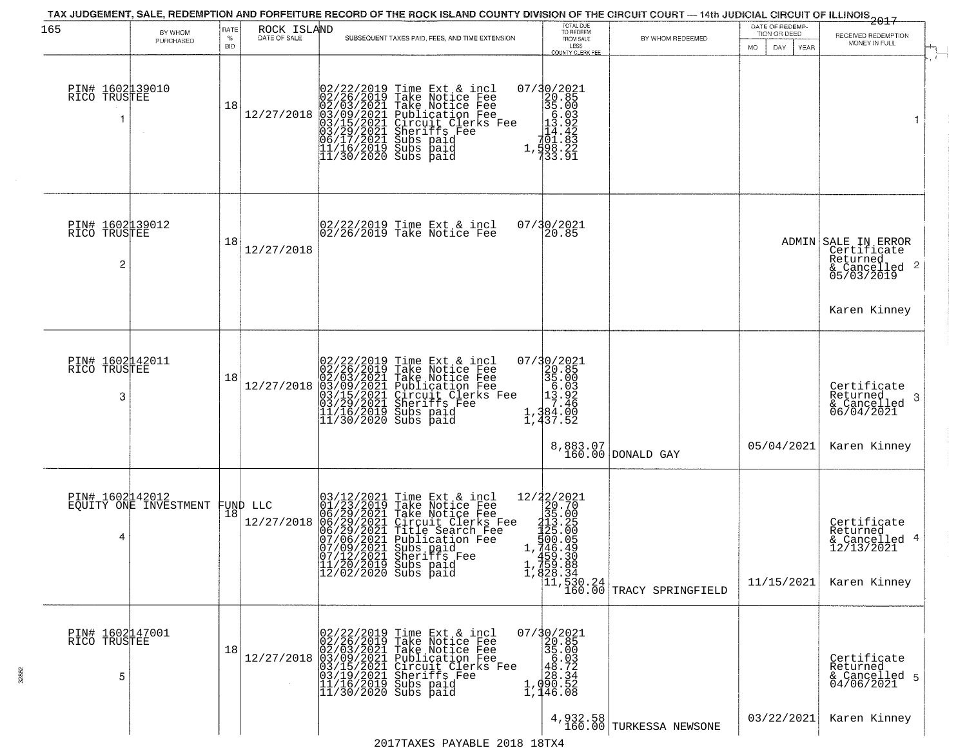| 165                                               | BY WHOM                                  | RATE               | ROCK ISLAND            |                                                                                                                                                                                                                                                                                                                                                                                                                            | TOTAL DUE<br>TO REDEEM                                                                                                                                                                                                                                                                                                                                                                                                                         |                                                                                                  | DATE OF REDEMP-<br>TION OR DEED | ------------<br>2017                                                                                      |  |
|---------------------------------------------------|------------------------------------------|--------------------|------------------------|----------------------------------------------------------------------------------------------------------------------------------------------------------------------------------------------------------------------------------------------------------------------------------------------------------------------------------------------------------------------------------------------------------------------------|------------------------------------------------------------------------------------------------------------------------------------------------------------------------------------------------------------------------------------------------------------------------------------------------------------------------------------------------------------------------------------------------------------------------------------------------|--------------------------------------------------------------------------------------------------|---------------------------------|-----------------------------------------------------------------------------------------------------------|--|
|                                                   | PURCHASED                                | $\%$<br><b>BID</b> | DATE OF SALE           | SUBSEQUENT TAXES PAID, FEES, AND TIME EXTENSION                                                                                                                                                                                                                                                                                                                                                                            | FROM SALE<br>LESS<br>COUNTY CLERK FEE                                                                                                                                                                                                                                                                                                                                                                                                          | BY WHOM REDEEMED                                                                                 | MO.<br>DAY.<br>YEAR             | RECEIVED REDEMPTION<br>MONEY IN FULL                                                                      |  |
| PIN# 1602139010<br>RICO TRUSTEE                   |                                          | 18                 |                        | $[02/22/2019 \text{ Time Ext & incl} \newline [02/26/2019 \text{ Take Notice Free} \newline 02/03/2021 \text{ Take Notice Free} \newline 12/27/2018 \text{ 03/09/2021 \text{ Publicactive Free}} \newline [03/15/2021 \text{ Circuit Clerks Free} \newline 03/15/2021 \text{ directifies Free} \newline 06/17/2021 \text{ Subs paid} \newline 11/16/2019 \text{ Subs paid} \newline 11/30/2020 \text{ Subs paid} \newline$ | $\begin{array}{r} 07/30/2021 \\ 20.85 \\ 35.003 \\ 13.922 \\ -101.84 \\ 1,442 \\ 1,998.22 \\ 1,998.22 \\ 33.91 \end{array}$                                                                                                                                                                                                                                                                                                                    |                                                                                                  |                                 | $\overline{1}$                                                                                            |  |
| PIN# 1602139012<br>RICO TRUSTEE<br>$\overline{c}$ |                                          | 18                 | 12/27/2018             | 02/22/2019 Time Ext & incl<br>02/26/2019 Take Notice Fee                                                                                                                                                                                                                                                                                                                                                                   | 07/30/2021<br>20.85                                                                                                                                                                                                                                                                                                                                                                                                                            |                                                                                                  |                                 | ADMIN SALE IN ERROR<br>Certificate<br>Returned<br>$\frac{1}{6}$ Cancelled 2<br>05/03/2019<br>Karen Kinney |  |
| PIN# 1602142011<br>RICO TRUSTEE<br>3              |                                          | 18                 | 12/27/2018             | 02/22/2019 Time Ext & incl<br>02/26/2019 Take Notice Fee<br>02/03/2021 Take Notice Fee<br>03/09/2021 Publication Fee<br>03/09/2021 Sheriffs Fee<br>03/29/2021 Sheriffs Fee<br>11/16/2019 Subs paid<br>11/30/2020 Subs paid                                                                                                                                                                                                 | 07/30/2021<br>20.85<br>35.00<br>$\begin{array}{@{}c@{\hspace{1em}}c@{\hspace{1em}}c@{\hspace{1em}}c@{\hspace{1em}}c@{\hspace{1em}}c@{\hspace{1em}}c@{\hspace{1em}}c@{\hspace{1em}}c@{\hspace{1em}}c@{\hspace{1em}}c@{\hspace{1em}}c@{\hspace{1em}}c@{\hspace{1em}}c@{\hspace{1em}}c@{\hspace{1em}}c@{\hspace{1em}}c@{\hspace{1em}}c@{\hspace{1em}}c@{\hspace{1em}}c@{\hspace{1em}}c@{\hspace{1em}}c@{\hspace{1em}}c@{\hspace{1em}}c@{\hspace{$ | 8,883.07<br>160.00 DONALD GAY                                                                    | 05/04/2021                      | Certificate<br>Returned<br>3<br>& Cancelled<br>06/04/2021<br>Karen Kinney                                 |  |
| 4                                                 | PIN# 1602142012<br>EQUITY ONE INVESTMENT | 18                 | FUND LLC<br>12/27/2018 | $03/12/2021$ Time Ext & incl<br>$01/23/2019$ Take Notice Fee<br>$06/29/2021$ Take Notice Fee<br>$06/29/2021$ Circuit Clerks<br>$06/29/2021$ Circuit Clerks Fee<br>$07/06/2021$ Fublication Fee<br>$07/09/2021$ Bublication Fee<br>$07/12/20$                                                                                                                                                                               | $\begin{smallmatrix} 12/2 & 2/2 & 2 & 2 & 2 & 1 \\ 2 & 2 & 2 & 2 & 7 & 0 \\ 3 & 5 & 2 & 0 & 0 & 5 \\ 2 & 1 & 3 & 5 & 2 & 5 \\ 1 & 2 & 5 & 2 & 0 & 0 \\ 5 & 0 & 0 & 0 & 0 & 5 \\ 1 & 4 & 4 & 5 & 3 & 0 \\ 4 & 5 & 3 & 3 & 8 & 8 \\ 1 & 4 & 5 & 3 & 8 & 8 \\ 1 & 5 & 3 & 3 & 8 & 8 \\ 1 & 6 & 3 & 3 & 8 & 8 \\ 1 & 6 & 3 & 3$                                                                                                                    | $\begin{bmatrix} 1, 759.88 \\ 1, 828.34 \\ 11, 530.24 \\ 160.00 \end{bmatrix}$ TRACY SPRINGFIELD | 11/15/2021                      | Certificate<br>Returned<br>& Cancelled 4<br>12/13/2021<br>Karen Kinney                                    |  |
| PIN# 1602147001<br>RICO TRUSTEE<br>5              |                                          | 18                 |                        | $[02/22/2019 \text{ Time Ext & incl} \newline [02/26/2019 \text{ Take Notice Free} \newline 02/03/2021 \text{ Take Notice Free} \newline 03/09/2021 \text{ Publication Free} \newline 03/19/2021 \text{ Circuit Clerks Free} \newline 03/19/2021 \text{ Sheriffs } \text{Free} \newline 11/16/2019 \text{ Subs paid} \newline 11/30/2020 \text{ Subs paid}$                                                                | $\begin{smallmatrix} 07/30/2021\\20.85\\35.00\\48.03\\ \textbf{2}\\ 1,090.52\\1,46.08 \end{smallmatrix}$<br>4,932.58                                                                                                                                                                                                                                                                                                                           | TURKESSA NEWSONE                                                                                 | 03/22/2021                      | Certificate<br>Returned<br>& Cancelled 5<br>04/06/2021<br>Karen Kinney                                    |  |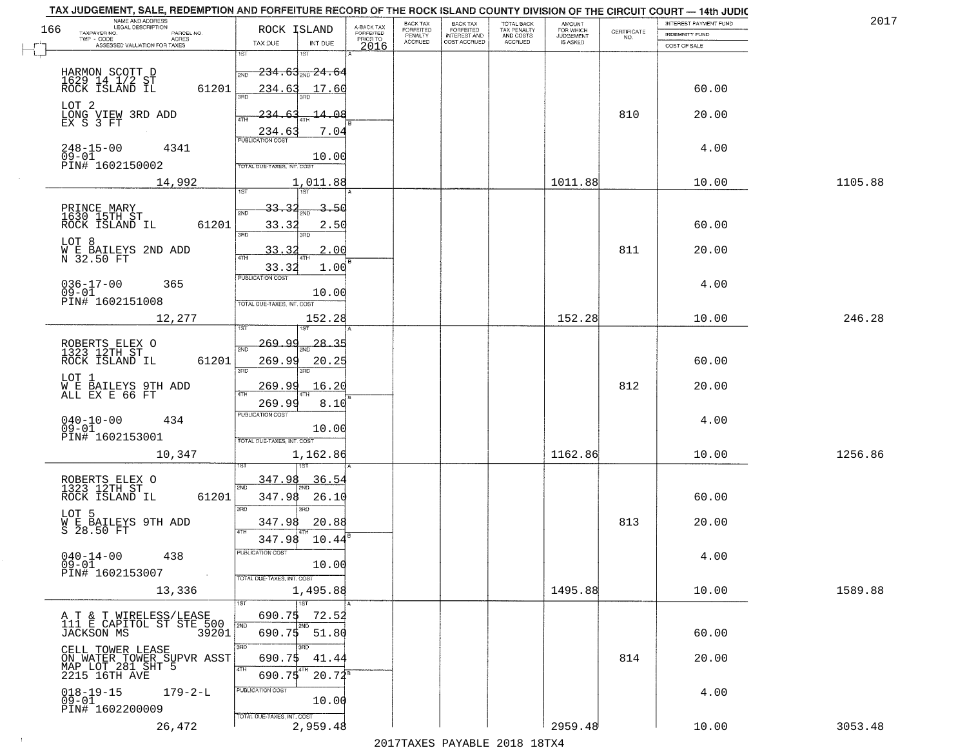|                                                        | NAME AND ADDRESS<br>LEGAL DESCRIPTION                                  |       | TAX JUDGEMENT, SALE, REDEMPTION AND FORFEITURE RECORD OF THE ROCK ISLAND COUNTY DIVISION OF THE CIRCUIT COURT - 14th JUDIC |                                     | BACK TAX             | <b>BACK TAX</b>           |                                        |                                  |                                                                 | INTEREST PAYMENT FUND | 2017    |
|--------------------------------------------------------|------------------------------------------------------------------------|-------|----------------------------------------------------------------------------------------------------------------------------|-------------------------------------|----------------------|---------------------------|----------------------------------------|----------------------------------|-----------------------------------------------------------------|-----------------------|---------|
| 166<br>TAXPAYER NO.                                    | PARCEL NO.<br>ACRES                                                    |       | ROCK ISLAND                                                                                                                | A-BACK TAX<br>FORFEITED<br>PRIOR TO | FORFEITED<br>PENALTY | FORFEITED<br>INTEREST AND | TOTAL BACK<br>TAX PENALTY<br>AND COSTS | AMOUNT<br>FOR WHICH<br>JUDGEMENT | $\begin{array}{c} \text{CERTIFICATE} \\ \text{NO.} \end{array}$ | INDEMNITY FUND        |         |
|                                                        | ASSESSED VALUATION FOR TAXES                                           |       | TAX DUE<br>INT DUE                                                                                                         | 2016                                | <b>ACCRUED</b>       | COST ACCRUED              | ACCRUED                                | IS ASKED                         |                                                                 | COST OF SALE          |         |
| HARMON SCOTT D<br>1629 14 1/2 ST<br>ROCK ISLAND IL     |                                                                        |       | 1ST<br>18T<br>$-234.63$ <sub>ave</sub> $24.64$<br>2ND                                                                      |                                     |                      |                           |                                        |                                  |                                                                 |                       |         |
| LOT 2                                                  |                                                                        | 61201 | 17.60<br>234.63<br>14.08                                                                                                   |                                     |                      |                           |                                        |                                  | 810                                                             | 60.00<br>20.00        |         |
| LONG VIEW 3RD ADD<br>EX S 3 FT                         |                                                                        |       | 234.6.<br>234.63<br>7.04                                                                                                   |                                     |                      |                           |                                        |                                  |                                                                 |                       |         |
| 248-15-00<br>09-01<br>PIN# 1602150002                  | 4341                                                                   |       | 10.00<br>TOTAL DUE-TAXES, INT. COST                                                                                        |                                     |                      |                           |                                        |                                  |                                                                 | 4.00                  |         |
|                                                        | 14,992                                                                 |       | 1,011.88                                                                                                                   |                                     |                      |                           |                                        | 1011.88                          |                                                                 | 10.00                 | 1105.88 |
| PRINCE MARY<br>1630 15TH ST<br>ROCK ISLAND IL          |                                                                        | 61201 | 33.<br>3.50<br>2ND<br>33.32<br>2.50<br>3RD<br>3RD                                                                          |                                     |                      |                           |                                        |                                  |                                                                 | 60.00                 |         |
| LOT 8                                                  | W E BAILEYS 2ND ADD<br>N 32.50 FT                                      |       | 33.32<br>2.00<br>33.32<br>1.00                                                                                             |                                     |                      |                           |                                        |                                  | 811                                                             | 20.00                 |         |
| $036 - 17 - 00$<br>$09 - 01$<br>PIN# 1602151008        | 365                                                                    |       | PUBLICATION COST<br>10.00<br>TOTAL DUE-TAXES, INT. COST                                                                    |                                     |                      |                           |                                        |                                  |                                                                 | 4.00                  |         |
|                                                        | 12,277                                                                 |       | 152.28<br>isT                                                                                                              |                                     |                      |                           |                                        | 152.28                           |                                                                 | 10.00                 | 246.28  |
| ROBERTS ELEX O<br>1323 12TH ST<br>ROCK ISLAND IL       |                                                                        | 61201 | <u>وو وۍ د</u><br>28.35<br>2ND<br>269.99<br>20.25<br>3RD<br>3RD                                                            |                                     |                      |                           |                                        |                                  |                                                                 | 60.00                 |         |
| LOT 1                                                  | WE BAILEYS 9TH ADD<br>ALL EX E 66 FT                                   |       | 269.99<br>16.20<br>ATH<br>269.99<br>8.10                                                                                   |                                     |                      |                           |                                        |                                  | 812                                                             | 20.00                 |         |
| $040 - 10 - 00$<br>$09 - 01$<br>PIN# 1602153001        | 434                                                                    |       | <b>PUBLICATION COST</b><br>10.00<br>TOTAL OUE-TAXES, INT. COST                                                             |                                     |                      |                           |                                        |                                  |                                                                 | 4.00                  |         |
|                                                        | 10,347                                                                 |       | 1,162.86                                                                                                                   |                                     |                      |                           |                                        | 1162.86                          |                                                                 | 10.00                 | 1256.86 |
| ROBERTS ELEX O<br>1323 12TH ST<br>ROCK ISLAND IL       |                                                                        | 61201 | 347.98<br>36.54<br>2ND<br>347.98<br>26.10<br>3RD<br>m                                                                      |                                     |                      |                           |                                        |                                  |                                                                 | 60.00                 |         |
| LOT 5                                                  | WE BAILEYS 9TH ADD<br>S 28.50 FT                                       |       | 347.98<br>20.88<br>4TH<br>347.98<br>10.44                                                                                  |                                     |                      |                           |                                        |                                  | 813                                                             | 20.00                 |         |
| $040 - 14 - 00$<br>09-01<br>PIN# 1602153007            | 438<br>$\sim 100$ km $^{-1}$                                           |       | PUBLICATION CUS.<br>10.00<br>TOTAL DUE-TAXES, INT. COST                                                                    |                                     |                      |                           |                                        |                                  |                                                                 | 4.00                  |         |
|                                                        | 13,336                                                                 |       | 1,495.88<br>∏тsт                                                                                                           |                                     |                      |                           |                                        | 1495.88                          |                                                                 | 10.00                 | 1589.88 |
|                                                        | A T & T WIRELESS/LEASE<br>111 E CAPITOL ST STE 500<br>JACKSON MS 39201 |       | 690.75<br>72.52<br>2ND<br>2ND<br>690.75 51.80                                                                              |                                     |                      |                           |                                        |                                  |                                                                 | 60.00                 |         |
| CELL TOWER LEASE<br>MAP LOT 281 SHT 5<br>2215 16TH AVE | ON WATER TOWER SUPVR ASST                                              |       | 3BD<br>3RD<br>690.75<br>41.44<br>4TH<br>690.75<br>$20.72^8$                                                                |                                     |                      |                           |                                        |                                  | 814                                                             | 20.00                 |         |
| $018 - 19 - 15$<br>$09 - 01$<br>PIN# 1602200009        | $179 - 2 - L$                                                          |       | PUBLICATION COST<br>10.00<br>TOTAL DUE-TAXES, INT. COST                                                                    |                                     |                      |                           |                                        |                                  |                                                                 | 4.00                  |         |
|                                                        | 26,472                                                                 |       | 2,959.48                                                                                                                   |                                     |                      |                           |                                        | 2959.48                          |                                                                 | 10.00                 | 3053.48 |

 $\sim 100$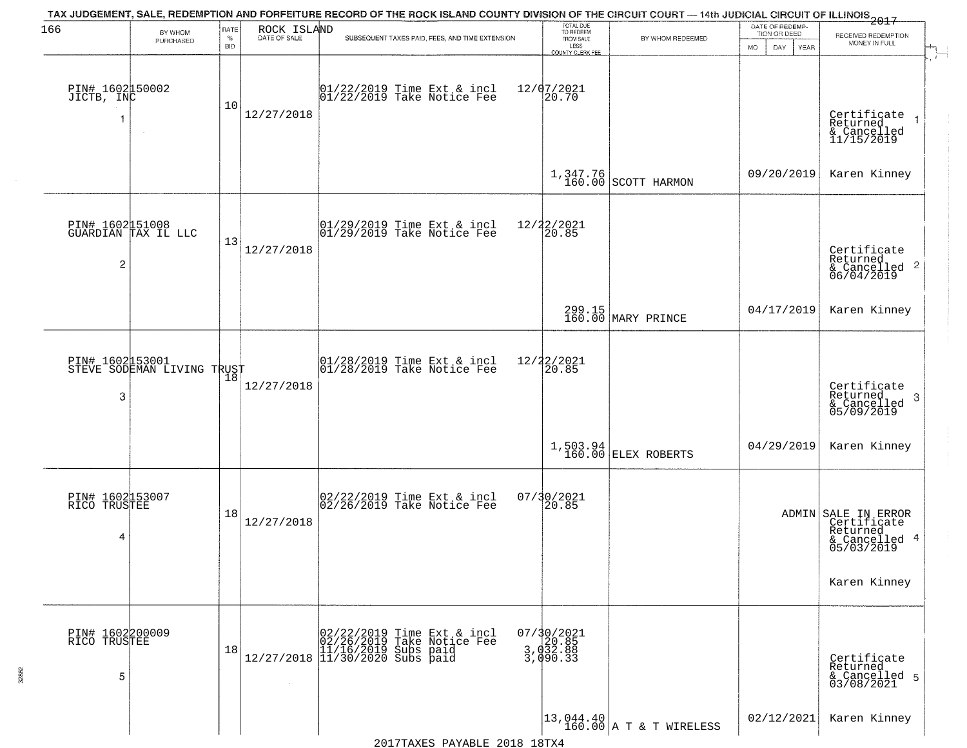| 166                                  |                                               | RATE               | ROCK ISLAND  | TAX JUDGEMENT, SALE, REDEMPTION AND FORFEITURE RECORD OF THE ROCK ISLAND COUNTY DIVISION OF THE CIRCUIT COURT — 14th JUDICIAL CIRCUIT OF ILLINOIS 2017 | TOTAL DUE<br>TO REDEEM                      |                                                                      | DATE OF REDEMP-                          |                                                                               |
|--------------------------------------|-----------------------------------------------|--------------------|--------------|--------------------------------------------------------------------------------------------------------------------------------------------------------|---------------------------------------------|----------------------------------------------------------------------|------------------------------------------|-------------------------------------------------------------------------------|
|                                      | BY WHOM<br>PURCHASED                          | $\%$<br><b>BID</b> | DATE OF SALE | SUBSEQUENT TAXES PAID, FEES, AND TIME EXTENSION                                                                                                        | FROM SALE<br>LESS                           | BY WHOM REDEEMED                                                     | TION OR DEED<br><b>MO</b><br>DAY<br>YEAR | RECEIVED REDEMPTION<br>MONEY IN FULL                                          |
| PIN# 1602150002<br>JICTB, INC<br>1   | $\sim$ 4 $^\circ$                             | 10                 | 12/27/2018   | $\begin{bmatrix} 01/22/2019 \\ 01/22/2019 \end{bmatrix}$ Take Notice Fee                                                                               | COUNTY CLERK FEE<br>12/07/2021<br>20.70     |                                                                      |                                          | Certificate<br>Returned<br>& Cancelled<br>11/15/2019                          |
|                                      |                                               |                    |              |                                                                                                                                                        |                                             | $1,347.76$ SCOTT HARMON                                              | 09/20/2019                               | Karen Kinney                                                                  |
| 2                                    | PIN# 1602151008<br>GUARDIAN TAX IL LLC        | 13                 | 12/27/2018   | $\begin{array}{cc}  01/29/2019 \text{ Time} & \text{Ext} & \text{incl} \\  01/29/2019 & \text{Take Notice } \text{Fe} \end{array}$                     | 12/22/2021<br>20.85                         |                                                                      |                                          | Certificate<br>Returned<br>$\frac{1}{2}$ Cancelled 2<br>06/04/2019            |
|                                      |                                               |                    |              |                                                                                                                                                        |                                             | 299.15<br>160.00 MARY PRINCE                                         | 04/17/2019                               | Karen Kinney                                                                  |
| 3                                    | PIN# 1602153001<br>STEVE SODEMAN LIVING TRUST | 18                 | 12/27/2018   | $\begin{array}{ccc}  01/28/2019 \, \text{Time} \, \text{Ext} \, \& \, \text{incl} \\  01/28/2019 \, \text{Take Notice} \, \text{Fe} \end{array}$       | 12/22/2021<br>20.85                         |                                                                      |                                          | Certificate<br>Returned<br>3<br>& Cancelled<br>05/09/2019                     |
|                                      |                                               |                    |              |                                                                                                                                                        |                                             | 1,503.94<br>160.00 ELEX ROBERTS                                      | 04/29/2019                               | Karen Kinney                                                                  |
| PIN# 1602153007<br>RICO TRUSTEE<br>4 |                                               | 18                 | 12/27/2018   | 02/22/2019 Time Ext & incl<br>02/26/2019 Take Notice Fee                                                                                               | 07/30/2021<br>20.85                         |                                                                      |                                          | ADMIN SALE IN ERROR<br>Certificate<br>Returned<br>& Cancelled 4<br>05/03/2019 |
|                                      |                                               |                    |              |                                                                                                                                                        |                                             |                                                                      |                                          | Karen Kinney                                                                  |
| PIN# 1602200009<br>RICO TRUSTEE<br>5 |                                               | 18                 |              | $[02/22/2019 \tTime Ext & incl 02/26/2019 \tTake Notice Free 11/16/2019 Subs paid 12/27/2018 11/30/2020 Subs paid 13/30/2020$                          | 07/30/2021<br>20.85<br>3,032.88<br>3,090.33 |                                                                      |                                          | Certificate<br>Returned<br>& Cancelled 5<br>03/08/2021                        |
|                                      |                                               |                    |              |                                                                                                                                                        |                                             | $\begin{vmatrix} 13.044.40 \\ 160.00 \end{vmatrix}$ A T & T WIRELESS | 02/12/2021                               | Karen Kinney                                                                  |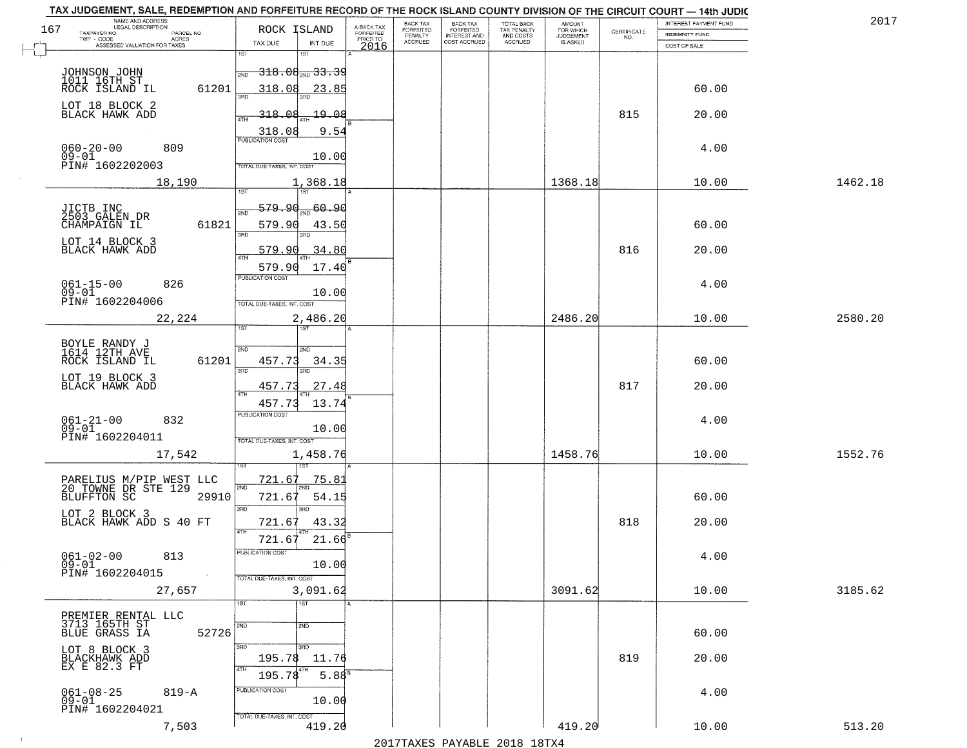|     | TAX JUDGEMENT, SALE, REDEMPTION AND FORFEITURE RECORD OF THE ROCK ISLAND COUNTY DIVISION OF THE CIRCUIT COURT - 14th JUDIC |                                        |                         |                              |                                       |                                        |                              |                                                                 | INTEREST PAYMENT FUND | 2017    |
|-----|----------------------------------------------------------------------------------------------------------------------------|----------------------------------------|-------------------------|------------------------------|---------------------------------------|----------------------------------------|------------------------------|-----------------------------------------------------------------|-----------------------|---------|
| 167 | NAME AND ADDRESS<br>LEGAL DESCRIPTION<br>TAXPAYER NO.<br>PARCEL NO.                                                        | ROCK ISLAND                            | A-BACK TAX<br>FORFEITED | BACK TAX<br><b>FORFEITED</b> | BACK TAX<br>FORFEITED<br>INTEREST AND | TOTAL BACK<br>TAX PENALTY<br>AND COSTS | AMOUNT<br>FOR WHICH          |                                                                 |                       |         |
|     | TWP - CODE<br>ACRES<br>ASSESSED VALUATION FOR TAXES                                                                        | INT DUE<br>TAX DUE                     | PRIOR TO                | PENALTY<br><b>ACCRUED</b>    | COST ACCRUED                          | ACCRUED                                | <b>JUDGEMENT</b><br>IS ASKED | $\begin{array}{c} \text{CERTIFICATE} \\ \text{NO.} \end{array}$ | <b>INDEMNITY FUND</b> |         |
|     |                                                                                                                            | 1ST<br>1ST                             | 2016                    |                              |                                       |                                        |                              |                                                                 | COST OF SALE          |         |
|     |                                                                                                                            | $-318.08_{\rm min}$ 33.39<br>2ND       |                         |                              |                                       |                                        |                              |                                                                 |                       |         |
|     | JOHNSON JOHN<br>1011 16TH ST<br>ROCK ISLAND IL<br>61201                                                                    | 318.08<br>23.85                        |                         |                              |                                       |                                        |                              |                                                                 | 60.00                 |         |
|     |                                                                                                                            |                                        |                         |                              |                                       |                                        |                              |                                                                 |                       |         |
|     | LOT 18 BLOCK 2<br>BLACK HAWK ADD                                                                                           | 318.08<br><u> 19.08</u>                |                         |                              |                                       |                                        |                              | 815                                                             | 20.00                 |         |
|     |                                                                                                                            | 9.54                                   |                         |                              |                                       |                                        |                              |                                                                 |                       |         |
|     | 809                                                                                                                        | $\frac{318.08}{FUBUCATONCCST}$         |                         |                              |                                       |                                        |                              |                                                                 | 4.00                  |         |
|     | $060 - 20 - 00$<br>09-01                                                                                                   | 10.00                                  |                         |                              |                                       |                                        |                              |                                                                 |                       |         |
|     | PIN# 1602202003                                                                                                            | <b>TOTAL DUE-TAXES, INT. COST</b>      |                         |                              |                                       |                                        |                              |                                                                 |                       |         |
|     | 18,190                                                                                                                     | <u>1,368.18</u>                        |                         |                              |                                       |                                        | 1368.18                      |                                                                 | 10.00                 | 1462.18 |
|     |                                                                                                                            | 579.90<br>60, 90                       |                         |                              |                                       |                                        |                              |                                                                 |                       |         |
|     | JICTB INC<br>2503_GALEN_DR<br>61821<br>CHAMPAIGN IL                                                                        | ៊ីម៉ា<br>579.90                        |                         |                              |                                       |                                        |                              |                                                                 | 60.00                 |         |
|     |                                                                                                                            | 43.50<br>उन्नठ                         |                         |                              |                                       |                                        |                              |                                                                 |                       |         |
|     | LOT 14 BLOCK 3<br>BLACK HAWK ADD                                                                                           | 34.80<br>579.90                        |                         |                              |                                       |                                        |                              | 816                                                             | 20.00                 |         |
|     |                                                                                                                            | 579.90<br>17.40                        |                         |                              |                                       |                                        |                              |                                                                 |                       |         |
|     | $061 - 15 - 00$<br>826                                                                                                     | PUBLICATION COST                       |                         |                              |                                       |                                        |                              |                                                                 | 4.00                  |         |
|     | $09 - 01$                                                                                                                  | 10.00                                  |                         |                              |                                       |                                        |                              |                                                                 |                       |         |
|     | PIN# 1602204006                                                                                                            | TOTAL DUE-TAXES, INT. COST             |                         |                              |                                       |                                        |                              |                                                                 |                       |         |
|     | 22,224                                                                                                                     | 2,486.20<br>1ST<br>1ST                 |                         |                              |                                       |                                        | 2486.20                      |                                                                 | 10.00                 | 2580.20 |
|     |                                                                                                                            |                                        |                         |                              |                                       |                                        |                              |                                                                 |                       |         |
|     | BOYLE RANDY J<br>1614 12TH AVE<br>ROCK ISLAND IL<br>61201                                                                  | 2ND<br><b>SMD</b><br>457.73<br>34.35   |                         |                              |                                       |                                        |                              |                                                                 | 60.00                 |         |
|     |                                                                                                                            | 3RD<br>3RD                             |                         |                              |                                       |                                        |                              |                                                                 |                       |         |
|     | LOT 19 BLOCK 3<br>BLACK HAWK ADD                                                                                           | 27.48<br>457.73                        |                         |                              |                                       |                                        |                              | 817                                                             | 20.00                 |         |
|     |                                                                                                                            | 13.74<br>457.73                        |                         |                              |                                       |                                        |                              |                                                                 |                       |         |
|     | 832                                                                                                                        | <b>PUBLICATION COST</b>                |                         |                              |                                       |                                        |                              |                                                                 | 4.00                  |         |
|     | $061 - 21 - 00$<br>09-01                                                                                                   | 10.00                                  |                         |                              |                                       |                                        |                              |                                                                 |                       |         |
|     | PIN# 1602204011                                                                                                            | TOTAL OUE-TAXES, INT. COST             |                         |                              |                                       |                                        |                              |                                                                 |                       |         |
|     | 17,542                                                                                                                     | 1,458.76                               |                         |                              |                                       |                                        | 1458.76                      |                                                                 | 10.00                 | 1552.76 |
|     |                                                                                                                            | 721.67<br>75.8                         |                         |                              |                                       |                                        |                              |                                                                 |                       |         |
|     | PARELIUS M/PIP WEST LLC<br>20 TOWNE DR STE 129<br>BLUFFTON SC 2991<br>29910                                                | 2ND<br>721.6<br>54.15                  |                         |                              |                                       |                                        |                              |                                                                 | 60.00                 |         |
|     |                                                                                                                            | 3RD<br>3RD                             |                         |                              |                                       |                                        |                              |                                                                 |                       |         |
|     | LOT 2 BLOCK 3<br>BLACK HAWK ADD S 40 FT                                                                                    | 721.67<br>43.32                        |                         |                              |                                       |                                        |                              | 818                                                             | 20.00                 |         |
|     |                                                                                                                            | 4TH<br>21.66<br>721.67                 |                         |                              |                                       |                                        |                              |                                                                 |                       |         |
|     | $061 - 02 - 00$<br>813                                                                                                     | rusuca nun cus-                        |                         |                              |                                       |                                        |                              |                                                                 | 4.00                  |         |
|     | $09 - 01$<br>PIN# 1602204015<br>$\sim 10$                                                                                  | 10.00                                  |                         |                              |                                       |                                        |                              |                                                                 |                       |         |
|     | 27,657                                                                                                                     | TOTAL DUE-TAXES, INT. COST<br>3,091.62 |                         |                              |                                       |                                        | 3091.62                      |                                                                 | 10.00                 | 3185.62 |
|     |                                                                                                                            | 1ST<br>1ST                             |                         |                              |                                       |                                        |                              |                                                                 |                       |         |
|     |                                                                                                                            |                                        |                         |                              |                                       |                                        |                              |                                                                 |                       |         |
|     | PREMIER RENTAL LLC<br>3713 165TH ST<br>BLUE GRASS IA<br>52726                                                              | 2ND<br>2ND                             |                         |                              |                                       |                                        |                              |                                                                 | 60.00                 |         |
|     |                                                                                                                            | 3RD<br>3RD                             |                         |                              |                                       |                                        |                              |                                                                 |                       |         |
|     | LOT 8 BLOCK 3<br>BLACKHAWK ADD<br>EX E 82.3 FT                                                                             | 195.78<br>11.76                        |                         |                              |                                       |                                        |                              | 819                                                             | 20.00                 |         |
|     |                                                                                                                            | 4TH<br>195.78<br>5.88 <sup>8</sup>     |                         |                              |                                       |                                        |                              |                                                                 |                       |         |
|     | $061 - 08 - 25$<br>$819 - A$                                                                                               | PUBLICATION COST                       |                         |                              |                                       |                                        |                              |                                                                 | 4.00                  |         |
|     | $09 - 01$<br>PIN# 1602204021                                                                                               | 10.00                                  |                         |                              |                                       |                                        |                              |                                                                 |                       |         |
|     | 7,503                                                                                                                      | TOTAL DUE-TAXES, INT. COST<br>419.20   |                         |                              |                                       |                                        | 419.20                       |                                                                 | 10.00                 | 513.20  |
|     |                                                                                                                            |                                        |                         |                              |                                       | 2017 THAYRO DAVADIR 2018 19TY          |                              |                                                                 |                       |         |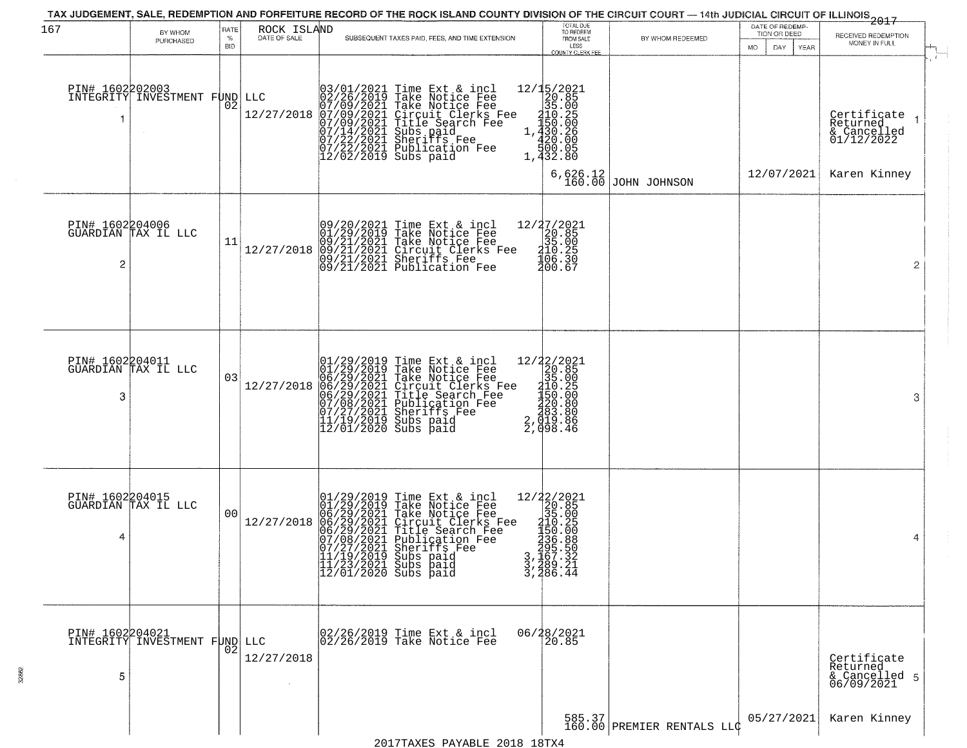| 167 | BY WHOM<br>PURCHASED                                    | RATE<br>%<br><b>BID</b> | ROCK ISLAND<br>DATE OF SALE | SUBSEQUENT TAXES PAID, FEES, AND TIME EXTENSION                                                                                                                                                                                                                                                                   | TOTAL DUE<br>TO REDEEM<br>FROM SALE<br>LESS<br><b>COUNTY CLERK FEE</b>                                                                                  | BY WHOM REDEEMED                     | DATE OF REDEMP-<br>TION OR DEED<br>MO.<br>DAY<br>YEAR | <del>2017</del><br>RECEIVED REDEMPTION<br>MONEY IN FULL                              |
|-----|---------------------------------------------------------|-------------------------|-----------------------------|-------------------------------------------------------------------------------------------------------------------------------------------------------------------------------------------------------------------------------------------------------------------------------------------------------------------|---------------------------------------------------------------------------------------------------------------------------------------------------------|--------------------------------------|-------------------------------------------------------|--------------------------------------------------------------------------------------|
|     | PIN# 1602202003<br>INTEGRITY INVESTMENT FUND            | 02                      | LLC<br>12/27/2018           | 03/01/2021<br>02/26/2019<br>07/09/2021<br>07/09/2021<br>07/14/2021<br>07/22/2021<br>07/22/2021<br>Time Ext & incl<br>Take Notice Fee<br>Take Notice Fee<br>Circuit Clerks Fee<br>Circuit Clerks Fee<br>Subs paid<br>Sheriffs Fee<br>Publication Fee<br>12/02/2019 Subs paid                                       | $\begin{smallmatrix} 12/15/2021\\20.85\\35.00\\110.25\\1430.26\\1.430.26\\1.420.00\\1.920.00\\1\end{smallmatrix}$<br>1,432.80<br>$6,626.12$<br>$160.00$ | JOHN JOHNSON                         | 12/07/2021                                            | $\mathbf{r}$<br>Certifiçate<br>Returned<br>& Cancelled<br>01/12/2022<br>Karen Kinney |
| 2   | PIN# 1602204006<br>GUARDIAN TAX IL LLC                  | 11                      | 12/27/2018                  | 09/20/2021 Time Ext & incl<br>01/29/2019 Take Notice Fee<br>09/21/2021 Take Notice Fee<br>09/21/2021 Circuit Clerks 1<br>09/21/2021 Sheriffs Fee<br>09/21/2021 Publication Fee<br>Time Ext & incl<br>Take Notice Fee<br>Circuit Clerks Fee<br>Sheriffs Fee                                                        | $\begin{array}{r} 12/37/2021 \\ 20.85 \\ 35.00 \\ 210.25 \\ 406.39 \end{array}$<br>200.67                                                               |                                      |                                                       | $\overline{2}$                                                                       |
| 3   | PIN# 1602204011<br>GUARDIAN TAX IL LLC                  | 03                      | 12/27/2018                  | $\begin{smallmatrix} 01/29/2019\\01/29/2019\\06/29/2021\\06/29/2021\\06/29/2021\\07/27/2021\\11/19/2019\\11/19/2019\\12/01/2020 \end{smallmatrix}$<br>Time Ext & incl<br>Take Notice Fee<br>Take Notice Fee<br>Circuit Clerks Fee<br>Title Search Fee<br>Publication Fee<br>Sherifs Fee<br>Subs paid<br>Subs paid | 12/22/2021<br>20.85<br>35.00<br>110.25<br>1150.00<br>1150.00<br>220.80<br>23,0198.86<br>2,098.46                                                        |                                      |                                                       | 3                                                                                    |
| 4   | PIN# 1602204015<br>GUARDIAN TAX IL LLC                  | 00                      | 12/27/2018                  | 01/29/2019<br>01/29/2019<br>06/29/2021<br>06/29/2021<br>06/29/2021<br>07/08/2021<br>07/27/2021<br>Time Ext & incl<br>Take Notice Fee<br>Take Notice Fee<br>Circuit Clerks Fee<br>Circuit Clerks Fee<br>Piblication Fee<br>Sheriffs Fee<br> 11/19/2019 Subs paid<br> 11/23/2021 Subs paid<br> 12/01/2020 Subs paid | 12/22/2021<br>20.85<br>315.005<br>315.005<br>335.006<br>337.489.211<br>337.486.44                                                                       |                                      |                                                       | 4                                                                                    |
| 5   | <b>PIN# 1602204021</b><br>INTEGRITY INVESTMENT FUND LLC | 02                      | 12/27/2018                  | 02/26/2019 Time Ext & incl<br>02/26/2019 Take Notice Fee                                                                                                                                                                                                                                                          | 06/28/2021<br>20.85                                                                                                                                     | 585.37<br>160.00 PREMIER RENTALS LLC | 05/27/2021                                            | Certificate<br>Returned<br>& Cancelled 5<br>06/09/2021<br>Karen Kinney               |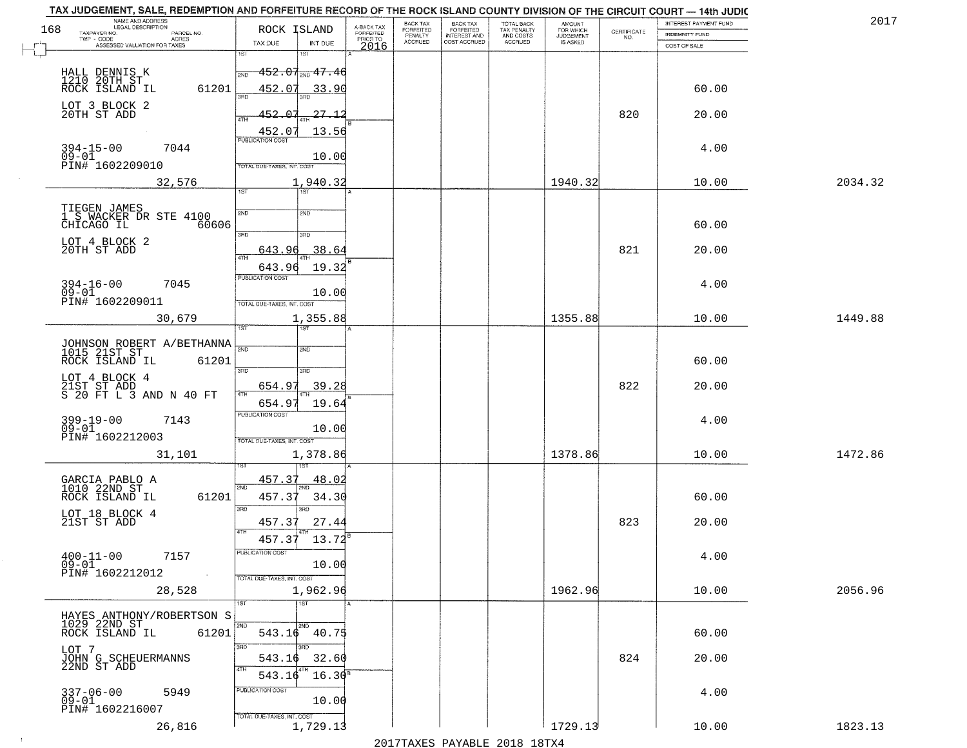|     | TAX JUDGEMENT, SALE, REDEMPTION AND FORFEITURE RECORD OF THE ROCK ISLAND COUNTY DIVISION OF THE CIRCUIT COURT - 14th JUDIC                                                                                                                                                                                                                                                                                                                       |                                         |                                     | BACK TAX                  | <b>BACK TAX</b>                     |                                        |                                         |                    | INTEREST PAYMENT FUND                 | 201     |
|-----|--------------------------------------------------------------------------------------------------------------------------------------------------------------------------------------------------------------------------------------------------------------------------------------------------------------------------------------------------------------------------------------------------------------------------------------------------|-----------------------------------------|-------------------------------------|---------------------------|-------------------------------------|----------------------------------------|-----------------------------------------|--------------------|---------------------------------------|---------|
| 168 | NAME AND ADDRESS<br>LEGAL DESCRIPTION                                                                                                                                                                                                                                                                                                                                                                                                            | ROCK ISLAND                             | A-BACK TAX<br>FORFEITED<br>PRIOR TO | FORFEITED                 | <b>FORFEITED</b>                    | TOTAL BACK<br>TAX PENALTY<br>AND COSTS | <b>AMOUNT</b><br>FOR WHICH<br>JUDGEMENT | CERTIFICATE<br>NO. |                                       |         |
|     | TAXPAYER NO.<br>PARCEL NO.<br>ACRES<br>ASSESSED VALUATION FOR TAXES                                                                                                                                                                                                                                                                                                                                                                              | TAX DUE<br>INT DUE                      |                                     | PENALTY<br><b>ACCRUED</b> | <b>INTEREST AND</b><br>COST ACCRUED | ACCRUED                                | IS ASKED                                |                    | <b>INDEMNITY FUND</b><br>COST OF SALE |         |
|     |                                                                                                                                                                                                                                                                                                                                                                                                                                                  | 1ST<br>181                              | 2016                                |                           |                                     |                                        |                                         |                    |                                       |         |
|     |                                                                                                                                                                                                                                                                                                                                                                                                                                                  |                                         |                                     |                           |                                     |                                        |                                         |                    |                                       |         |
|     | HALL DENNIS K<br>1210 20TH ST<br>ROCK ISLAND IL                                                                                                                                                                                                                                                                                                                                                                                                  | $-452.07$ <sub>avo</sub> $47.46$<br>2ND |                                     |                           |                                     |                                        |                                         |                    |                                       |         |
|     | 61201                                                                                                                                                                                                                                                                                                                                                                                                                                            | 452.07<br>33.90                         |                                     |                           |                                     |                                        |                                         |                    | 60.00                                 |         |
|     | LOT 3 BLOCK 2                                                                                                                                                                                                                                                                                                                                                                                                                                    |                                         |                                     |                           |                                     |                                        |                                         |                    |                                       |         |
|     | 20TH ST ADD                                                                                                                                                                                                                                                                                                                                                                                                                                      | 452.07<br>-27.12                        |                                     |                           |                                     |                                        |                                         | 820                | 20.00                                 |         |
|     |                                                                                                                                                                                                                                                                                                                                                                                                                                                  | 13.56                                   |                                     |                           |                                     |                                        |                                         |                    |                                       |         |
|     |                                                                                                                                                                                                                                                                                                                                                                                                                                                  | $\frac{452.07}{FUBUCATON COST}$         |                                     |                           |                                     |                                        |                                         |                    |                                       |         |
|     | $394 - 15 - 00$<br>7044<br>$09 - 01$                                                                                                                                                                                                                                                                                                                                                                                                             | 10.00                                   |                                     |                           |                                     |                                        |                                         |                    | 4.00                                  |         |
|     | PIN# 1602209010                                                                                                                                                                                                                                                                                                                                                                                                                                  | TOTAL DUE-TAXES, INT. COST              |                                     |                           |                                     |                                        |                                         |                    |                                       |         |
|     | 32,576                                                                                                                                                                                                                                                                                                                                                                                                                                           | 1,940.32                                |                                     |                           |                                     |                                        | 1940.32                                 |                    | 10.00                                 | 2034.32 |
|     |                                                                                                                                                                                                                                                                                                                                                                                                                                                  | 1ST                                     |                                     |                           |                                     |                                        |                                         |                    |                                       |         |
|     |                                                                                                                                                                                                                                                                                                                                                                                                                                                  |                                         |                                     |                           |                                     |                                        |                                         |                    |                                       |         |
|     | TIEGEN JAMES<br>1 S WACKER DR STE 4100                                                                                                                                                                                                                                                                                                                                                                                                           | 2ND<br>2ND                              |                                     |                           |                                     |                                        |                                         |                    |                                       |         |
|     | CHICAGO IL<br>60606                                                                                                                                                                                                                                                                                                                                                                                                                              |                                         |                                     |                           |                                     |                                        |                                         |                    | 60.00                                 |         |
|     | LOT 4 BLOCK 2                                                                                                                                                                                                                                                                                                                                                                                                                                    | $\overline{3\text{RD}}$<br>3RD          |                                     |                           |                                     |                                        |                                         |                    |                                       |         |
|     | 20TH ST ADD                                                                                                                                                                                                                                                                                                                                                                                                                                      | 38.64<br>643.96<br>ৰিটা                 |                                     |                           |                                     |                                        |                                         | 821                | 20.00                                 |         |
|     |                                                                                                                                                                                                                                                                                                                                                                                                                                                  | 643.96<br>19.32                         |                                     |                           |                                     |                                        |                                         |                    |                                       |         |
|     |                                                                                                                                                                                                                                                                                                                                                                                                                                                  | PUBLICATION COST                        |                                     |                           |                                     |                                        |                                         |                    |                                       |         |
|     | $394 - 16 - 00$<br>7045<br>$09 - 01$                                                                                                                                                                                                                                                                                                                                                                                                             | 10.00                                   |                                     |                           |                                     |                                        |                                         |                    | 4.00                                  |         |
|     | PIN# 1602209011                                                                                                                                                                                                                                                                                                                                                                                                                                  | TOTAL DUE-TAXES, INT. COST              |                                     |                           |                                     |                                        |                                         |                    |                                       |         |
|     | 30,679                                                                                                                                                                                                                                                                                                                                                                                                                                           | 1,355.88                                |                                     |                           |                                     |                                        | 1355.88                                 |                    | 10.00                                 | 1449.88 |
|     |                                                                                                                                                                                                                                                                                                                                                                                                                                                  | īst<br>1ST                              |                                     |                           |                                     |                                        |                                         |                    |                                       |         |
|     |                                                                                                                                                                                                                                                                                                                                                                                                                                                  |                                         |                                     |                           |                                     |                                        |                                         |                    |                                       |         |
|     | JOHNSON ROBERT A/BETHANNA 780                                                                                                                                                                                                                                                                                                                                                                                                                    | <b>SMD</b>                              |                                     |                           |                                     |                                        |                                         |                    |                                       |         |
|     | ROCK ISLAND IL<br>61201                                                                                                                                                                                                                                                                                                                                                                                                                          | 3 <sub>BD</sub><br>3RD                  |                                     |                           |                                     |                                        |                                         |                    | 60.00                                 |         |
|     | LOT 4 BLOCK 4                                                                                                                                                                                                                                                                                                                                                                                                                                    |                                         |                                     |                           |                                     |                                        |                                         |                    |                                       |         |
|     | $\begin{array}{cccc}\n\textcolor{red}{\textbf{21}} & \textcolor{red}{\textbf{5T}} & \textcolor{red}{\textbf{5T}} & \textcolor{red}{\textbf{5D}}\\ \textcolor{red}{\textbf{5}} & \textcolor{red}{\textbf{20}} & \textcolor{red}{\textbf{FT}} & \textcolor{red}{\textbf{L}} & \textcolor{red}{\textbf{3}} & \textcolor{red}{\textbf{AND}} & \textcolor{red}{\textbf{N}} & \textcolor{red}{\textbf{40}} & \textcolor{red}{\textbf{FT}} \end{array}$ | 654.97<br>39.28<br>ATH                  |                                     |                           |                                     |                                        |                                         | 822                | 20.00                                 |         |
|     |                                                                                                                                                                                                                                                                                                                                                                                                                                                  | 654.9<br>19.64                          |                                     |                           |                                     |                                        |                                         |                    |                                       |         |
|     | $399 - 19 - 00$<br>7143                                                                                                                                                                                                                                                                                                                                                                                                                          | <b>PUBLICATION COST</b>                 |                                     |                           |                                     |                                        |                                         |                    | 4.00                                  |         |
|     | $09 - 01$                                                                                                                                                                                                                                                                                                                                                                                                                                        | 10.00                                   |                                     |                           |                                     |                                        |                                         |                    |                                       |         |
|     | PIN# 1602212003                                                                                                                                                                                                                                                                                                                                                                                                                                  | TOTAL OUE-TAXES, INT. COST              |                                     |                           |                                     |                                        |                                         |                    |                                       |         |
|     | 31,101                                                                                                                                                                                                                                                                                                                                                                                                                                           | 1,378.86                                |                                     |                           |                                     |                                        | 1378.86                                 |                    | 10.00                                 | 1472.86 |
|     |                                                                                                                                                                                                                                                                                                                                                                                                                                                  |                                         |                                     |                           |                                     |                                        |                                         |                    |                                       |         |
|     | GARCIA PABLO A<br>1010 22ND ST                                                                                                                                                                                                                                                                                                                                                                                                                   | 457.37<br>48.02                         |                                     |                           |                                     |                                        |                                         |                    |                                       |         |
|     | ROCK ISLAND IL<br>61201                                                                                                                                                                                                                                                                                                                                                                                                                          | 2ND<br>34.30<br>457.3                   |                                     |                           |                                     |                                        |                                         |                    | 60.00                                 |         |
|     |                                                                                                                                                                                                                                                                                                                                                                                                                                                  | 3RD<br>3RD                              |                                     |                           |                                     |                                        |                                         |                    |                                       |         |
|     | LOT 18 BLOCK 4<br>21ST ST ADD                                                                                                                                                                                                                                                                                                                                                                                                                    | 457.37<br>27.44                         |                                     |                           |                                     |                                        |                                         | 823                | 20.00                                 |         |
|     |                                                                                                                                                                                                                                                                                                                                                                                                                                                  | 4TH                                     |                                     |                           |                                     |                                        |                                         |                    |                                       |         |
|     |                                                                                                                                                                                                                                                                                                                                                                                                                                                  | 457.37<br>13.72                         |                                     |                           |                                     |                                        |                                         |                    |                                       |         |
|     | $400 - 11 - 00$<br>7157                                                                                                                                                                                                                                                                                                                                                                                                                          | -usuca i un cus-                        |                                     |                           |                                     |                                        |                                         |                    | 4.00                                  |         |
|     | $09 - 01$<br>PIN# 1602212012<br>$\sim 100$                                                                                                                                                                                                                                                                                                                                                                                                       | 10.00                                   |                                     |                           |                                     |                                        |                                         |                    |                                       |         |
|     |                                                                                                                                                                                                                                                                                                                                                                                                                                                  | TOTAL DUE-TAXES, INT. COST              |                                     |                           |                                     |                                        |                                         |                    |                                       |         |
|     | 28,528                                                                                                                                                                                                                                                                                                                                                                                                                                           | 1,962.96                                |                                     |                           |                                     |                                        | 1962.96                                 |                    | 10.00                                 | 2056.96 |
|     |                                                                                                                                                                                                                                                                                                                                                                                                                                                  | 1ST                                     |                                     |                           |                                     |                                        |                                         |                    |                                       |         |
|     | HAYES ANTHONY/ROBERTSON S<br>1029 22ND ST                                                                                                                                                                                                                                                                                                                                                                                                        | 2ND<br>2ND                              |                                     |                           |                                     |                                        |                                         |                    |                                       |         |
|     | ROCK ISLAND IL<br>61201                                                                                                                                                                                                                                                                                                                                                                                                                          | 543.16 40.75                            |                                     |                           |                                     |                                        |                                         |                    | 60.00                                 |         |
|     | LOT 7                                                                                                                                                                                                                                                                                                                                                                                                                                            | 3RD<br>aan                              |                                     |                           |                                     |                                        |                                         |                    |                                       |         |
|     | JOHN G SCHEUERMANNS<br>22ND ST ADD                                                                                                                                                                                                                                                                                                                                                                                                               | 32.60<br>543.16                         |                                     |                           |                                     |                                        |                                         | 824                | 20.00                                 |         |
|     |                                                                                                                                                                                                                                                                                                                                                                                                                                                  | 4TH<br>543.16                           | 16.30 <sup>s</sup>                  |                           |                                     |                                        |                                         |                    |                                       |         |
|     |                                                                                                                                                                                                                                                                                                                                                                                                                                                  |                                         |                                     |                           |                                     |                                        |                                         |                    |                                       |         |
|     | $337 - 06 - 00$<br>5949<br>$09 - 01$                                                                                                                                                                                                                                                                                                                                                                                                             | PUBLICATION COST<br>10.00               |                                     |                           |                                     |                                        |                                         |                    | 4.00                                  |         |
|     | PIN# 1602216007                                                                                                                                                                                                                                                                                                                                                                                                                                  |                                         |                                     |                           |                                     |                                        |                                         |                    |                                       |         |
|     |                                                                                                                                                                                                                                                                                                                                                                                                                                                  | TOTAL DUE-TAXES, INT. COST              |                                     |                           |                                     |                                        | 1729.13                                 |                    |                                       |         |
|     | 26,816                                                                                                                                                                                                                                                                                                                                                                                                                                           | 1,729.13                                |                                     |                           |                                     |                                        |                                         |                    | 10.00                                 | 1823.13 |
|     |                                                                                                                                                                                                                                                                                                                                                                                                                                                  |                                         |                                     |                           |                                     | 2017 THAVEC DAVANIE 2010 19TVA         |                                         |                    |                                       |         |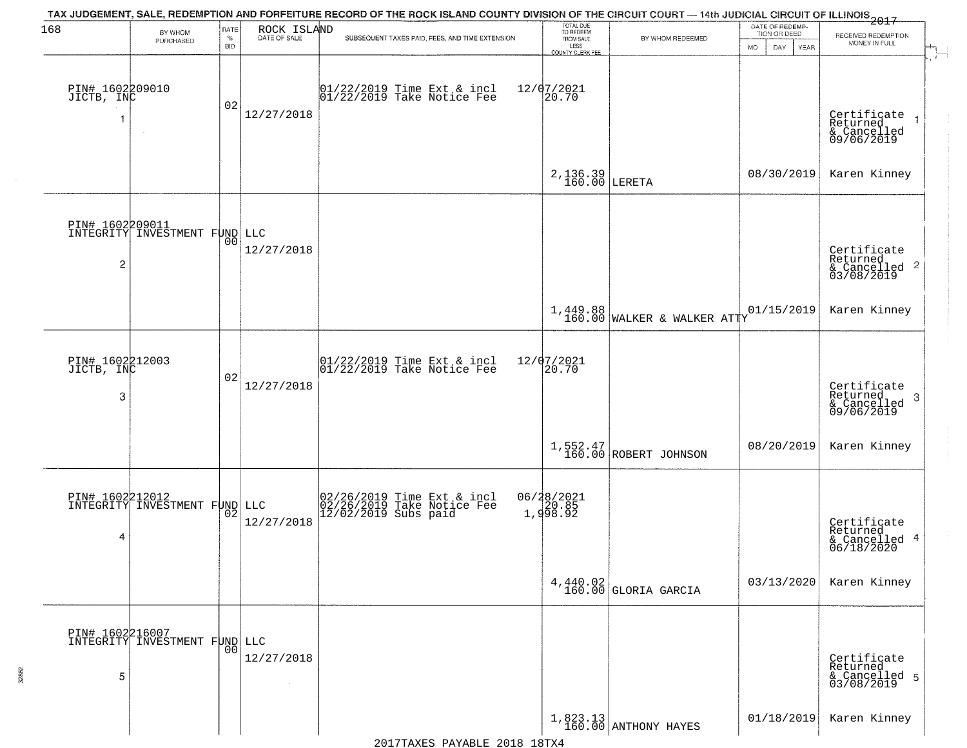| 168                                | BY WHOM                                          | RATE               | ROCK ISLAND<br>DATE OF SALE | TAX JUDGEMENT, SALE, REDEMPTION AND FORFEITURE RECORD OF THE ROCK ISLAND COUNTY DIVISION OF THE CIRCUIT COURT — 14th JUDICIAL CIRCUIT OF ILLINOIS 2017 | TOTAL DUE<br>TO REDEEM<br>FROM SALE            |                                         | DATE OF REDEMP-<br>TION OR DEED |                                                                       |  |
|------------------------------------|--------------------------------------------------|--------------------|-----------------------------|--------------------------------------------------------------------------------------------------------------------------------------------------------|------------------------------------------------|-----------------------------------------|---------------------------------|-----------------------------------------------------------------------|--|
|                                    | PURCHASED                                        | $\%$<br><b>BID</b> |                             | SUBSEQUENT TAXES PAID, FEES, AND TIME EXTENSION                                                                                                        | LESS                                           | BY WHOM REDEEMED                        | <b>MO</b><br>DAY<br>YEAR        | RECEIVED REDEMPTION<br>MONEY IN FULL                                  |  |
| PIN# 1602209010<br>JICTB, INC      | $\sim$                                           | 02                 | 12/27/2018                  | $\begin{bmatrix} 01/22/2019 \\ 01/22/2019 \end{bmatrix}$ Take Notice Fee                                                                               | <b>COUNTY CLERK FEE</b><br>12/07/2021<br>20.70 |                                         |                                 | Certificate<br>Returned<br>$\rightarrow$<br>& Cancelled<br>09/06/2019 |  |
|                                    |                                                  |                    |                             |                                                                                                                                                        | $2,136.39$ LERETA                              |                                         | 08/30/2019                      | Karen Kinney                                                          |  |
| 2                                  | PIN# 1602209011<br>INTEGRITY INVESTMENT FUND LLC | 00                 | 12/27/2018                  |                                                                                                                                                        |                                                |                                         |                                 | Certificate<br>Returned<br>$\frac{1}{6}$ Cancelled 2<br>03/08/2019    |  |
|                                    |                                                  |                    |                             |                                                                                                                                                        |                                                | 1,449.88<br>160.00 WALKER & WALKER ATTY | 01/15/2019                      | Karen Kinney                                                          |  |
| PIN# 1602212003<br>JICTB, INC<br>3 |                                                  | 02                 | 12/27/2018                  | $\begin{array}{c}  01/22/2019 \text{ Time Ext} & \text{incl} \\  01/22/2019 \text{ Take Notice Fe} \end{array}$                                        | 12/07/2021<br>20.70                            |                                         |                                 | Certificate<br>Returned<br>3<br>& Cancelled<br>09/06/2019             |  |
|                                    |                                                  |                    |                             |                                                                                                                                                        |                                                | 1,552.47<br>160.00 ROBERT JOHNSON       | 08/20/2019                      | Karen Kinney                                                          |  |
| 4                                  | PIN# 1602212012<br>INTEGRITY INVESTMENT FUND LLC | 02                 | 12/27/2018                  | 02/26/2019 Time Ext & incl<br>02/26/2019 Take Notice Fee<br>12/02/2019 Subs paid                                                                       | 06/28/2021<br>20.85<br>1,998.92                |                                         |                                 | Certificate<br>Returned<br>& Cancelled 4<br>06/18/2020                |  |
|                                    |                                                  |                    |                             |                                                                                                                                                        |                                                | $4,440.02$ GLORIA GARCIA                | 03/13/2020                      | Karen Kinney                                                          |  |
| 5                                  | PIN# 1602216007<br>INTEGRITY INVESTMENT FUND LLC | 00                 | 12/27/2018                  |                                                                                                                                                        |                                                |                                         |                                 | Certificate<br>Returned<br>& Cancelled 5<br>03/08/2019                |  |
|                                    |                                                  |                    |                             |                                                                                                                                                        |                                                | $1,823.13$ ANTHONY HAYES                | 01/18/2019                      | Karen Kinney                                                          |  |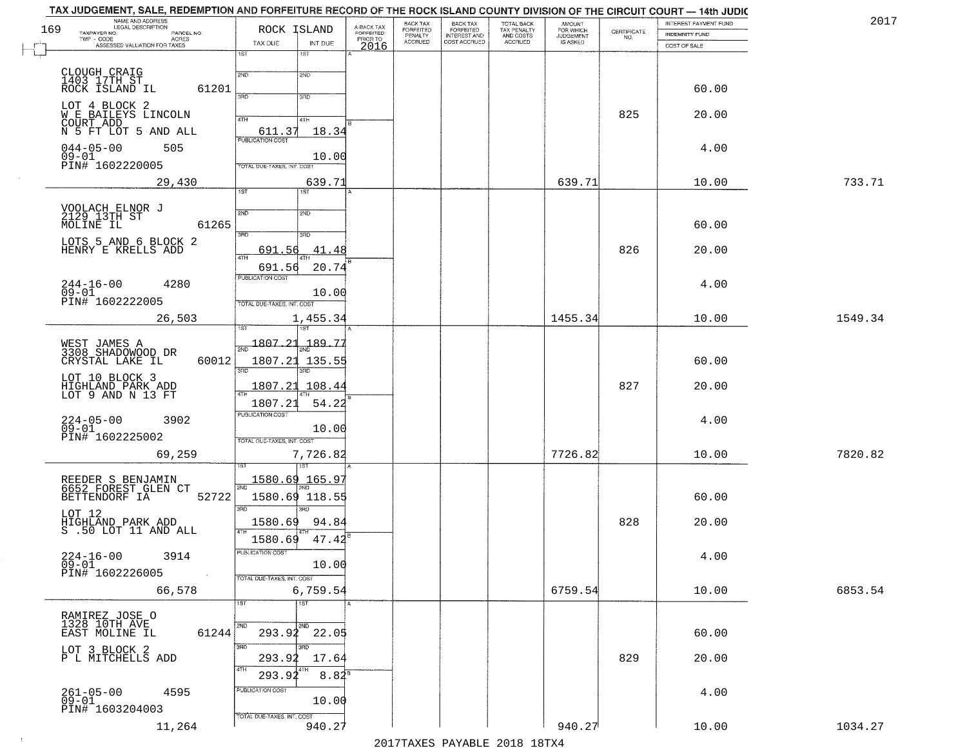| NAME AND ADDRESS<br>LEGAL DESCRIPTION<br>169   | ROCK ISLAND                                              |                                     | BACK TAX                               | <b>BACK TAX</b>                           | TOTAL BACK<br>TAX PENALTY<br>AND COSTS | AMOUNT<br>FOR WHICH                 |                                                                 | INTEREST PAYMENT FUND | 2017    |
|------------------------------------------------|----------------------------------------------------------|-------------------------------------|----------------------------------------|-------------------------------------------|----------------------------------------|-------------------------------------|-----------------------------------------------------------------|-----------------------|---------|
| TAXPAYER NO.<br>PARCEL NO.<br>ACRES            | TAX DUE<br>INT DUE                                       | A-BACK TAX<br>FORFEITED<br>PRIOR TO | FORFEITED<br>PENALTY<br><b>ACCRUED</b> | FORFEITED<br>INTEREST AND<br>COST ACCRUED | ACCRUED                                | <b>JUDGEMENT</b><br><b>IS ASKED</b> | $\begin{array}{c} \text{CERTIFICATE} \\ \text{NO.} \end{array}$ | <b>INDEMNITY FUND</b> |         |
| ASSESSED VALUATION FOR TAXES                   | 1ST<br>1ST                                               | 2016                                |                                        |                                           |                                        |                                     |                                                                 | COST OF SALE          |         |
|                                                |                                                          |                                     |                                        |                                           |                                        |                                     |                                                                 |                       |         |
| CLOUGH CRAIG<br>1403 17TH ST<br>ROCK ISLAND IL | 2ND<br>2ND                                               |                                     |                                        |                                           |                                        |                                     |                                                                 |                       |         |
| 61201                                          | 3BD<br>3RD                                               |                                     |                                        |                                           |                                        |                                     |                                                                 | 60.00                 |         |
| LOT 4 BLOCK 2<br>W E BAILEYS LINCOLN           |                                                          |                                     |                                        |                                           |                                        |                                     | 825                                                             | 20.00                 |         |
| COURT ADD                                      | 4TH<br>4TH                                               |                                     |                                        |                                           |                                        |                                     |                                                                 |                       |         |
| N 5 FT LOT 5 AND ALL                           | $\underbrace{611.37}_{\text{FUBLICATION COST}}$<br>18.34 |                                     |                                        |                                           |                                        |                                     |                                                                 |                       |         |
| $044 - 05 - 00$<br>505<br>$09 - 01$            | 10.00                                                    |                                     |                                        |                                           |                                        |                                     |                                                                 | 4.00                  |         |
| PIN# 1602220005                                | TOTAL DUE-TAXES, INT. COST                               |                                     |                                        |                                           |                                        |                                     |                                                                 |                       |         |
| 29,430                                         | 639.71                                                   |                                     |                                        |                                           |                                        | 639.71                              |                                                                 | 10.00                 | 733.71  |
|                                                | 1ST                                                      |                                     |                                        |                                           |                                        |                                     |                                                                 |                       |         |
| VOOLACH ELNOR J<br>2129 13TH ST                | 2ND<br>2ND                                               |                                     |                                        |                                           |                                        |                                     |                                                                 |                       |         |
| MOLINE IL<br>61265                             | $\overline{3BD}$<br>3RD                                  |                                     |                                        |                                           |                                        |                                     |                                                                 | 60.00                 |         |
| LOTS 5 AND 6 BLOCK 2                           |                                                          |                                     |                                        |                                           |                                        |                                     |                                                                 |                       |         |
| HENRY E KRELLS ADD                             | 691.56<br>.41.48<br>47H                                  |                                     |                                        |                                           |                                        |                                     | 826                                                             | 20.00                 |         |
|                                                | 691.56<br>20.74<br>PUBLICATION COST                      |                                     |                                        |                                           |                                        |                                     |                                                                 |                       |         |
| $244 - 16 - 00$<br>4280<br>$09 - 01$           | 10.00                                                    |                                     |                                        |                                           |                                        |                                     |                                                                 | 4.00                  |         |
| PIN# 1602222005                                | TOTAL DUE-TAXES, INT. COST                               |                                     |                                        |                                           |                                        |                                     |                                                                 |                       |         |
| 26,503                                         | 1,455.34                                                 |                                     |                                        |                                           |                                        | 1455.34                             |                                                                 | 10.00                 | 1549.34 |
|                                                | 1ST                                                      |                                     |                                        |                                           |                                        |                                     |                                                                 |                       |         |
| WEST JAMES A<br>3308 SHADOWOOD DR              | $\frac{1807.21}{ }$<br>189.77                            |                                     |                                        |                                           |                                        |                                     |                                                                 |                       |         |
| CRYSTAL LAKE IL<br>60012                       | 1807.21 135.55                                           |                                     |                                        |                                           |                                        |                                     |                                                                 | 60.00                 |         |
| LOT 10 BLOCK 3                                 | 3 <sub>BD</sub><br>3RD                                   |                                     |                                        |                                           |                                        |                                     |                                                                 |                       |         |
| HIGHLAND PARK ADD<br>LOT 9 AND N 13 FT         | 1807.21<br>108.44                                        |                                     |                                        |                                           |                                        |                                     | 827                                                             | 20.00                 |         |
|                                                | 1807.21<br>54.22                                         |                                     |                                        |                                           |                                        |                                     |                                                                 |                       |         |
| $224 - 05 - 00$<br>09-01<br>3902               | <b>PUBLICATION COST</b>                                  |                                     |                                        |                                           |                                        |                                     |                                                                 | 4.00                  |         |
| PIN# 1602225002                                | 10.00<br>TOTAL OUE-TAXES, INT. COST                      |                                     |                                        |                                           |                                        |                                     |                                                                 |                       |         |
| 69,259                                         | 7,726.82                                                 |                                     |                                        |                                           |                                        | 7726.82                             |                                                                 | 10.00                 | 7820.82 |
|                                                | 15T                                                      |                                     |                                        |                                           |                                        |                                     |                                                                 |                       |         |
| REEDER S BENJAMIN                              | 1580.69 165.97                                           |                                     |                                        |                                           |                                        |                                     |                                                                 |                       |         |
| 6652 FOREST GLEN CT<br>BETTENDORF IA<br>52722  | 1580.69 118.55                                           |                                     |                                        |                                           |                                        |                                     |                                                                 | 60.00                 |         |
| LOT 12                                         | īΡD                                                      |                                     |                                        |                                           |                                        |                                     |                                                                 |                       |         |
| HIGHLAND PARK ADD<br>S .50 LOT 11 AND ALL      | 1580.69<br>94.84                                         |                                     |                                        |                                           |                                        |                                     | 828                                                             | 20.00                 |         |
|                                                | 1580.69<br>47.42                                         |                                     |                                        |                                           |                                        |                                     |                                                                 |                       |         |
| $224 - 16 - 00$<br>3914                        | PUBLICATION COST                                         |                                     |                                        |                                           |                                        |                                     |                                                                 | 4.00                  |         |
| $09-01$<br>PIN# 1602226005<br>$\sim 100$       | 10.00<br>TOTAL DUE-TAXES, INT. COST                      |                                     |                                        |                                           |                                        |                                     |                                                                 |                       |         |
| 66,578                                         | 6,759.54                                                 |                                     |                                        |                                           |                                        | 6759.54                             |                                                                 | 10.00                 | 6853.54 |
|                                                | $\overline{11}$<br>1ST <sup>1</sup>                      |                                     |                                        |                                           |                                        |                                     |                                                                 |                       |         |
| RAMIREZ JOSE O                                 |                                                          |                                     |                                        |                                           |                                        |                                     |                                                                 |                       |         |
| 1328 10TH AVE<br>61244<br>EAST MOLINE IL       | $293.92^{2ND}$ 22.05                                     |                                     |                                        |                                           |                                        |                                     |                                                                 | 60.00                 |         |
| LOT 3 BLOCK 2                                  | 3BD                                                      |                                     |                                        |                                           |                                        |                                     |                                                                 |                       |         |
| P L MITCHELLS ADD                              | 293.92<br>17.64                                          |                                     |                                        |                                           |                                        |                                     | 829                                                             | 20.00                 |         |
|                                                | 293.92<br>$8.82^8$                                       |                                     |                                        |                                           |                                        |                                     |                                                                 |                       |         |
| $261 - 05 - 00$<br>4595                        | PUBLICATION COST                                         |                                     |                                        |                                           |                                        |                                     |                                                                 | 4.00                  |         |
| 09-01<br>PIN# 1603204003                       | 10.00                                                    |                                     |                                        |                                           |                                        |                                     |                                                                 |                       |         |
| 11,264                                         | TOTAL DUE-TAXES, INT. COST<br>940.27                     |                                     |                                        |                                           |                                        | 940.27                              |                                                                 | 10.00                 | 1034.27 |
|                                                |                                                          |                                     |                                        |                                           |                                        |                                     |                                                                 |                       |         |

 $\sim 100$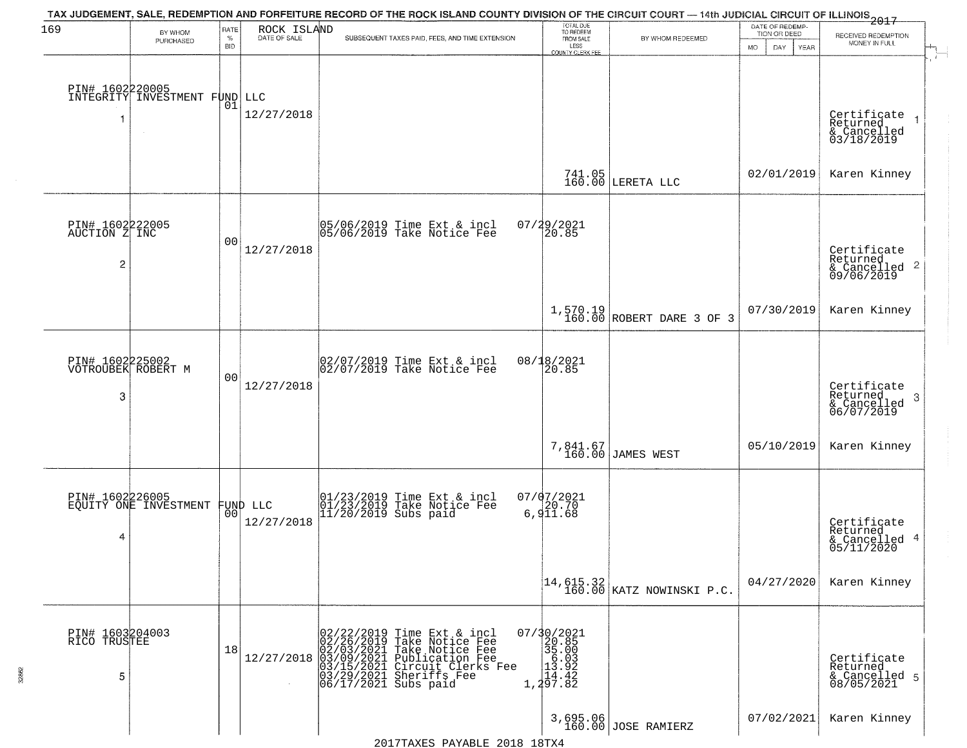| 169                                        | BY WHOM                                                    | RATE               | ROCK ISLAND                    | TAX JUDGEMENT, SALE, REDEMPTION AND FORFEITURE RECORD OF THE ROCK ISLAND COUNTY DIVISION OF THE CIRCUIT COURT — 14th JUDICIAL CIRCUIT OF ILLINOIS 2017                                                   | TOTAL DUE<br>TO REDEEM                                                |                                 | DATE OF REDEMP-                                  |                                                                        |
|--------------------------------------------|------------------------------------------------------------|--------------------|--------------------------------|----------------------------------------------------------------------------------------------------------------------------------------------------------------------------------------------------------|-----------------------------------------------------------------------|---------------------------------|--------------------------------------------------|------------------------------------------------------------------------|
|                                            | PURCHASED                                                  | $\%$<br><b>BID</b> | DATE OF SALE                   | SUBSEQUENT TAXES PAID, FEES, AND TIME EXTENSION                                                                                                                                                          | FROM SALE<br>LESS                                                     | BY WHOM REDEEMED                | TION OR DEED<br><b>MO</b><br>DAY.<br><b>YEAR</b> | RECEIVED REDEMPTION<br>MONEY IN FULL                                   |
| 1                                          | PIN# 1602220005<br>INTEGRITY INVESTMENT FUND LLC<br>$\sim$ | 01                 | 12/27/2018                     |                                                                                                                                                                                                          | <b>COUNTY CLERK FEE</b>                                               |                                 |                                                  | Certificate<br>Returned<br>& Cancelled<br>03/18/2019                   |
|                                            |                                                            |                    |                                |                                                                                                                                                                                                          |                                                                       | 741.05<br>160.00 LERETA LLC     | 02/01/2019                                       | Karen Kinney                                                           |
| PIN# 1602222005<br>AUCTION Z INC<br>2      |                                                            | 0 <sub>0</sub>     | 12/27/2018                     | 05/06/2019 Time Ext & incl<br>05/06/2019 Take Notice Fee                                                                                                                                                 | $07/29/2021$<br>20.85                                                 |                                 |                                                  | Certificate<br>Returned<br>$\overline{2}$<br>& Cancelled<br>09/06/2019 |
|                                            |                                                            |                    |                                |                                                                                                                                                                                                          |                                                                       | $1,570.19$ ROBERT DARE 3 OF 3   | 07/30/2019                                       | Karen Kinney                                                           |
| PIN# 1602225002<br>VOTROUBEK ROBERT M<br>3 |                                                            | 0 <sub>0</sub>     | 12/27/2018                     | 02/07/2019 Time Ext & incl<br>02/07/2019 Take Notice Fee                                                                                                                                                 | 08/18/2021<br>20.85                                                   |                                 |                                                  | Certificate<br>Returned<br>3<br>& Cancelled<br>06/07/2019              |
|                                            |                                                            |                    |                                |                                                                                                                                                                                                          |                                                                       | 7,841.67<br>160.00 JAMES WEST   | 05/10/2019                                       | Karen Kinney                                                           |
| PIN# 1602226005<br>4                       | EQUITY ONE INVESTMENT                                      |                    | FUND LLC<br> 00 <br>12/27/2018 | 01/23/2019 Time Ext & incl<br>01/23/2019 Take Notice Fee<br>11/20/2019 Subs paid                                                                                                                         | 07/07/2021<br>6,911.68                                                |                                 |                                                  | Certificate<br>Returned<br>4<br>& Cancelled<br>05/11/2020              |
|                                            |                                                            |                    |                                |                                                                                                                                                                                                          |                                                                       |                                 | 04/27/2020                                       | Karen Kinney                                                           |
| PIN# 1603204003<br>RICO TRUSTEE<br>5       |                                                            | 18                 | 12/27/2018                     | 02/22/2019 Time Ext & incl<br>02/26/2019 Take Notice Fee<br>02/03/2021 Take Notice Fee<br>03/09/2021 Publication Fee<br>03/15/2021 Circuit Clerks Fee<br>03/29/2021 Sheriffs Fee<br>06/17/2021 Subs paid | $\begin{smallmatrix} 07/30/2021\\20.85\\35.00\\1\\1\end{smallmatrix}$ |                                 |                                                  | Certificate<br>Returned<br>& Cancelled 5<br>08/05/2021                 |
|                                            |                                                            |                    |                                |                                                                                                                                                                                                          |                                                                       | 3,695.06<br>160.00 JOSE RAMIERZ | 07/02/2021                                       | Karen Kinney                                                           |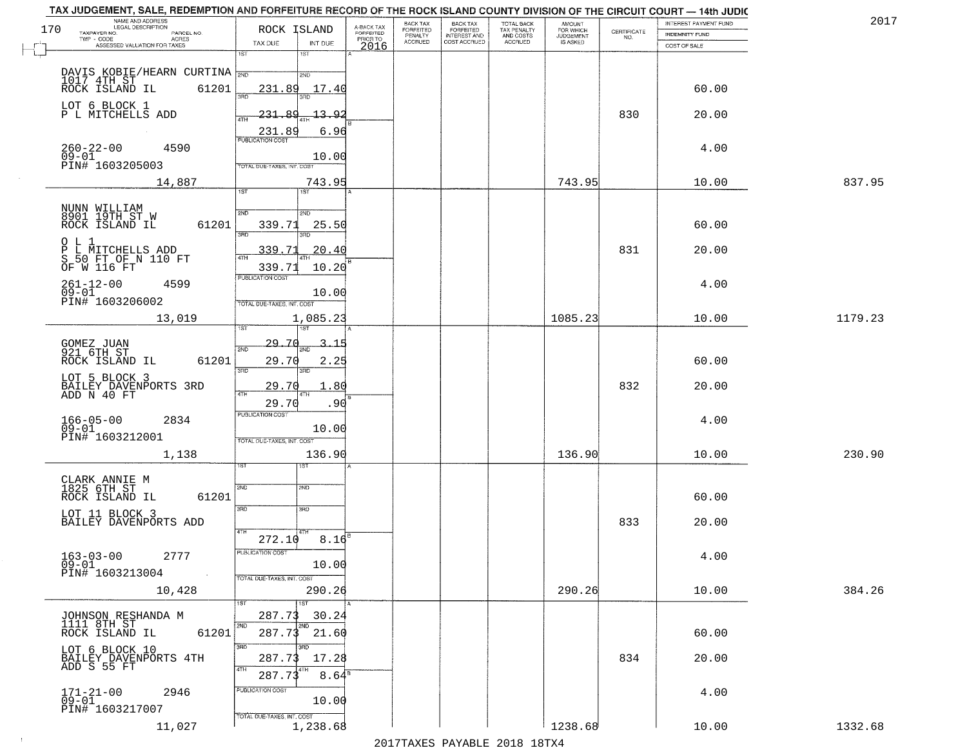| TAX JUDGEMENT, SALE, REDEMPTION AND FORFEITURE RECORD OF THE ROCK ISLAND COUNTY DIVISION OF THE CIRCUIT COURT - 14th JUDIC<br>NAME AND ADDRESS<br>LEGAL DESCRIPTION |                                          |                     |                                     | BACK TAX             | <b>BACK TAX</b>                         | <b>TOTAL BACK</b>        | AMOUNT<br>FOR WHICH |                                                                 | INTEREST PAYMENT FUND | 201'    |
|---------------------------------------------------------------------------------------------------------------------------------------------------------------------|------------------------------------------|---------------------|-------------------------------------|----------------------|-----------------------------------------|--------------------------|---------------------|-----------------------------------------------------------------|-----------------------|---------|
| 170<br>TAXPAYER NO.<br>PARCEL NO.                                                                                                                                   |                                          | ROCK ISLAND         | A-BACK TAX<br>FORFEITED<br>PRIOR TO | FORFEITED<br>PENALTY | <b>FORFEITED</b><br><b>INTEREST AND</b> | TAX PENALTY<br>AND COSTS | <b>JUDGEMENT</b>    | $\begin{array}{c} \text{CERTIFICATE} \\ \text{NO.} \end{array}$ | <b>INDEMNITY FUND</b> |         |
| ACRES<br>ASSESSED VALUATION FOR TAXES                                                                                                                               | TAX DUE                                  | INT DUE             | 2016                                | <b>ACCRUED</b>       | COST ACCRUED                            | ACCRUED                  | IS ASKED            |                                                                 | COST OF SALE          |         |
|                                                                                                                                                                     | 1ST                                      | 1ST                 |                                     |                      |                                         |                          |                     |                                                                 |                       |         |
| DAVIS KOBIE/HEARN CURTINA                                                                                                                                           | 231.89<br>350                            | 2ND<br>17.40        |                                     |                      |                                         |                          |                     |                                                                 | 60.00                 |         |
| LOT 6 BLOCK 1<br>P L MITCHELLS ADD                                                                                                                                  | 231.89<br>4TH                            | 13.92               |                                     |                      |                                         |                          |                     | 830                                                             | 20.00                 |         |
| $260 - 22 - 00$<br>4590                                                                                                                                             | 231.89                                   | 6.96                |                                     |                      |                                         |                          |                     |                                                                 | 4.00                  |         |
| $\overline{0}\overline{9}-0\overline{1}$<br>PIN# 1603205003                                                                                                         | TOTAL DUE-TAXES, INT. COST               | 10.00               |                                     |                      |                                         |                          |                     |                                                                 |                       |         |
| 14,887                                                                                                                                                              | 1ST                                      | 743.95              |                                     |                      |                                         |                          | 743.95              |                                                                 | 10.00                 | 837.95  |
|                                                                                                                                                                     |                                          |                     |                                     |                      |                                         |                          |                     |                                                                 |                       |         |
| NUNN WILLIAM<br>8901 19TH ST_W<br>ROCK ISLAND IL                                                                                                                    | 2ND<br>61201<br>339.71<br>तका            | 2ND<br>25.50<br>3RD |                                     |                      |                                         |                          |                     |                                                                 | 60.00                 |         |
| $O$ L 1<br>P L MITCHELLS ADD<br>S 50 FT OF N 110 FT<br>OF W 116 FT                                                                                                  | 339.71                                   | 20.40               |                                     |                      |                                         |                          |                     | 831                                                             | 20.00                 |         |
|                                                                                                                                                                     | 339.71<br>PUBLICATION COST               | 10.20               |                                     |                      |                                         |                          |                     |                                                                 |                       |         |
| $261 - 12 - 00$<br>4599<br>$09 - 01$<br>PIN# 1603206002                                                                                                             |                                          | 10.00               |                                     |                      |                                         |                          |                     |                                                                 | 4.00                  |         |
| 13,019                                                                                                                                                              | TOTAL DUE-TAXES, INT. COST<br>1ST        | 1,085.23<br>1ST     |                                     |                      |                                         |                          | 1085.23             |                                                                 | 10.00                 | 1179.23 |
|                                                                                                                                                                     | 29.70                                    |                     |                                     |                      |                                         |                          |                     |                                                                 |                       |         |
| GOMEZ JUAN<br>921 6TH ST<br>ROCK ISLAND IL                                                                                                                          | 2ND<br>61201<br>29.70                    | з.<br>-1<br>2.25    |                                     |                      |                                         |                          |                     |                                                                 | 60.00                 |         |
| LOT 5 BLOCK 3<br>BAILEY DAVENPORTS 3RD<br>ADD N 40 FT                                                                                                               | 3BD<br>29.70<br>4TH                      | 3RD<br>.80<br>ιтн   |                                     |                      |                                         |                          |                     | 832                                                             | 20.00                 |         |
|                                                                                                                                                                     | 29.70                                    | .90                 |                                     |                      |                                         |                          |                     |                                                                 |                       |         |
| $166 - 05 - 00$<br>2834<br>$09 - 01$                                                                                                                                | <b>PUBLICATION COST</b>                  | 10.00               |                                     |                      |                                         |                          |                     |                                                                 | 4.00                  |         |
| PIN# 1603212001                                                                                                                                                     | TOTAL OUE-TAXES, INT. COST               |                     |                                     |                      |                                         |                          |                     |                                                                 |                       |         |
| 1,138                                                                                                                                                               |                                          | 136.90<br>1ST       |                                     |                      |                                         |                          | 136.90              |                                                                 | 10.00                 | 230.90  |
|                                                                                                                                                                     |                                          |                     |                                     |                      |                                         |                          |                     |                                                                 |                       |         |
| CLARK ANNIE M<br>1825 6TH ST<br>ROCK ISLAND IL                                                                                                                      | 2ND<br>61201                             | 2ND                 |                                     |                      |                                         |                          |                     |                                                                 | 60.00                 |         |
| LOT 11 BLOCK 3<br>BAILEY DAVENPORTS ADD                                                                                                                             | 3RD<br>4TH                               | 3BD                 |                                     |                      |                                         |                          |                     | 833                                                             | 20.00                 |         |
|                                                                                                                                                                     | 272.10                                   | $8.16$ <sup>E</sup> |                                     |                      |                                         |                          |                     |                                                                 |                       |         |
| $163 - 03 - 00$<br>2777<br>09-01<br>PIN# 1603213004                                                                                                                 | PUBLICATION COS'                         | 10.00               |                                     |                      |                                         |                          |                     |                                                                 | 4.00                  |         |
| 10,428                                                                                                                                                              | $\sim 100$<br>TOTAL DUE-TAXES, INT. COST | 290.26              |                                     |                      |                                         |                          | 290.26              |                                                                 | 10.00                 | 384.26  |
|                                                                                                                                                                     |                                          | 1ST                 |                                     |                      |                                         |                          |                     |                                                                 |                       |         |
| JOHNSON RESHANDA M<br>1111 8TH ST                                                                                                                                   | 287.73<br>2ND                            | 30.24<br>2ND        |                                     |                      |                                         |                          |                     |                                                                 |                       |         |
| ROCK ISLAND IL                                                                                                                                                      | 61201<br>287.73                          | 21.60               |                                     |                      |                                         |                          |                     |                                                                 | 60.00                 |         |
| LOT 6 BLOCK 10<br>BAILEY_DAVENPORTS 4TH                                                                                                                             | 3RD<br>287.73                            | 3RD.<br>17.28       |                                     |                      |                                         |                          |                     | 834                                                             | 20.00                 |         |
| ADD S 55 FT                                                                                                                                                         | 4TH<br>287.73                            | $8.64$ <sup>s</sup> |                                     |                      |                                         |                          |                     |                                                                 |                       |         |
| 2946<br>$171 - 21 - 00$<br>09-01<br>PIN# 1603217007                                                                                                                 | PUBLICATION COST                         | 10.00               |                                     |                      |                                         |                          |                     |                                                                 | 4.00                  |         |
| 11,027                                                                                                                                                              | TOTAL DUE-TAXES, INT. COST               | 1,238.68            |                                     |                      |                                         |                          | 1238.68             |                                                                 | 10.00                 | 1332.68 |

 $\sim 10^{-1}$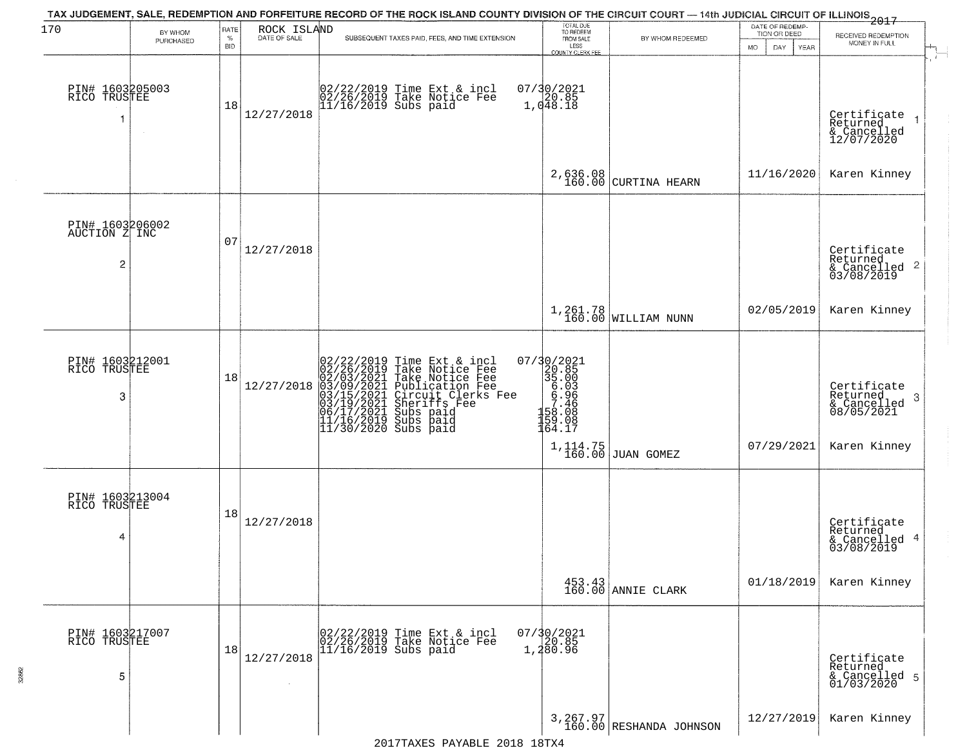|                                       |                      |                  |                             | TAX JUDGEMENT, SALE, REDEMPTION AND FORFEITURE RECORD OF THE ROCK ISLAND COUNTY DIVISION OF THE CIRCUIT COURT - 14th JUDICIAL CIRCUIT OF ILLINOIS 2017                                                                                                |                                                                                                                           |                                       |                                                        |                                                                             |
|---------------------------------------|----------------------|------------------|-----------------------------|-------------------------------------------------------------------------------------------------------------------------------------------------------------------------------------------------------------------------------------------------------|---------------------------------------------------------------------------------------------------------------------------|---------------------------------------|--------------------------------------------------------|-----------------------------------------------------------------------------|
| 170                                   | BY WHOM<br>PURCHASED | RATE<br>%<br>BID | ROCK ISLAND<br>DATE OF SALE | SUBSEQUENT TAXES PAID, FEES, AND TIME EXTENSION                                                                                                                                                                                                       | TOTAL DUE<br>TO REDEEM<br>FROM SALE<br>LESS<br>COUNTY CLERK FEE                                                           | BY WHOM REDEEMED                      | DATE OF REDEMP-<br>TION OR DEED<br>MO.<br>DAY.<br>YEAR | RECEIVED REDEMPTION<br>MONEY IN FULL                                        |
| PIN# 1603205003<br>RICO TRUSTEE<br>1  |                      | 18               | 12/27/2018                  | 02/22/2019 Time Ext & incl<br>02/26/2019 Take Notice Fee<br>11/16/2019 Subs paid                                                                                                                                                                      | $07/30/2021$<br>$20.85$<br>$1,048.18$                                                                                     |                                       |                                                        | Certificate<br>Returned<br>& Cancelled<br>12/07/2020                        |
|                                       |                      |                  |                             |                                                                                                                                                                                                                                                       | 2,636.08<br>160.00                                                                                                        | CURTINA HEARN                         | 11/16/2020                                             | Karen Kinney                                                                |
| PIN# 1603206002<br>AUCTION Z INC<br>2 |                      | 07               | 12/27/2018                  |                                                                                                                                                                                                                                                       |                                                                                                                           |                                       |                                                        | Certificate<br>Returned<br>$\frac{1}{2}$ Cancelled 2<br>03/08/2019          |
|                                       |                      |                  |                             |                                                                                                                                                                                                                                                       |                                                                                                                           | $1,261.78$ WILLIAM NUNN               | 02/05/2019                                             | Karen Kinney                                                                |
| PIN# 1603212001<br>RICO TRUSTEE<br>3  |                      | 18               | 12/27/2018                  | 02/22/2019 Time Ext & incl<br>02/26/2019 Take Notice Fee<br>02/03/2021 Take Notice Fee<br>03/09/2021 Publication Fee<br>03/15/2021 Circuit Clerks Fee<br>03/15/2021 Subs paid<br>06/17/2021 Subs paid<br>11/16/2019 Subs paid<br>11/16/2019 Subs paid | 07/30/2021<br>$\begin{array}{r} 20.85 \\ 35.00 \\ 6.93 \\ 6.96 \\ 7.466 \\ 7.468 \\ 9.08 \end{array}$<br>159.08<br>164.17 |                                       | 07/29/2021                                             | Certificate<br>Returned<br>- 3<br>& Cancelled<br>08/05/2021<br>Karen Kinney |
| PIN# 1603213004<br>RICO TRUSTEE<br>4  |                      | 18               | 12/27/2018                  |                                                                                                                                                                                                                                                       |                                                                                                                           | $1, 114.75$ J60.00 JUAN GOMEZ         |                                                        | Certificate<br>Returned<br>& Cancelled 4<br>03/08/2019                      |
|                                       |                      |                  |                             |                                                                                                                                                                                                                                                       |                                                                                                                           | 453.43<br>160.00 ANNIE CLARK          | 01/18/2019                                             | Karen Kinney                                                                |
| PIN# 1603217007<br>RICO TRUSTEE<br>5  |                      | 18               | 12/27/2018                  | 02/22/2019 Time Ext & incl<br>02/26/2019 Take Notice Fee<br>11/16/2019 Subs paid                                                                                                                                                                      | 07/30/2021<br>20.85<br>1,280.96                                                                                           |                                       |                                                        | Certificate<br>Returned<br>& Cancelled 5<br>01/03/2020                      |
|                                       |                      |                  |                             |                                                                                                                                                                                                                                                       |                                                                                                                           | $3,267.97$<br>160.00 RESHANDA JOHNSON | 12/27/2019                                             | Karen Kinney                                                                |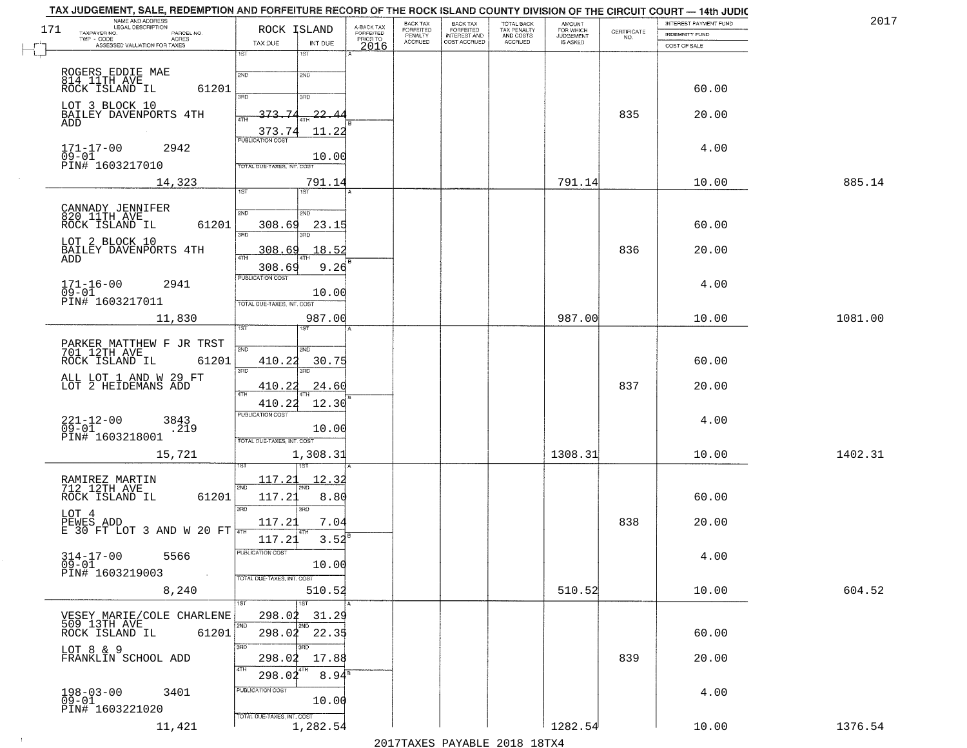| TAX JUDGEMENT, SALE, REDEMPTION AND FORFEITURE RECORD OF THE ROCK ISLAND COUNTY DIVISION OF THE CIRCUIT COURT - 14th JUDIC<br>NAME AND ADDRESS<br>LEGAL DESCRIPTION |                                            |                                     | BACK TAX                    | <b>BACK TAX</b>                         |                                        |                                  |                    | INTEREST PAYMENT FUND | 2017    |
|---------------------------------------------------------------------------------------------------------------------------------------------------------------------|--------------------------------------------|-------------------------------------|-----------------------------|-----------------------------------------|----------------------------------------|----------------------------------|--------------------|-----------------------|---------|
| 171<br>TAXPAYER NO.<br>PARCEL NO.<br>ACRES                                                                                                                          | ROCK ISLAND                                | A-BACK TAX<br>FORFEITED<br>PRIOR TO | <b>FORFEITED</b><br>PENALTY | <b>FORFEITED</b><br><b>INTEREST AND</b> | TOTAL BACK<br>TAX PENALTY<br>AND COSTS | AMOUNT<br>FOR WHICH<br>JUDGEMENT | CERTIFICATE<br>NO. | INDEMNITY FUND        |         |
| ASSESSED VALUATION FOR TAXES                                                                                                                                        | TAX DUE<br>INT DUE                         | 2016                                | <b>ACCRUED</b>              | COST ACCRUED                            | ACCRUED                                | IS ASKED                         |                    | COST OF SALE          |         |
|                                                                                                                                                                     | 1ST<br>1ST                                 |                                     |                             |                                         |                                        |                                  |                    |                       |         |
|                                                                                                                                                                     | 2ND<br>2ND                                 |                                     |                             |                                         |                                        |                                  |                    |                       |         |
| ROGERS EDDIE MAE<br>814 11TH AVE<br>ROCK ISLAND IL<br>61201                                                                                                         |                                            |                                     |                             |                                         |                                        |                                  |                    | 60.00                 |         |
|                                                                                                                                                                     | 3BD<br>3BD                                 |                                     |                             |                                         |                                        |                                  |                    |                       |         |
| LOT 3 BLOCK 10<br>BAILEY DAVENPORTS 4TH                                                                                                                             | 373.74<br>22.44                            |                                     |                             |                                         |                                        |                                  | 835                | 20.00                 |         |
| ADD                                                                                                                                                                 |                                            |                                     |                             |                                         |                                        |                                  |                    |                       |         |
|                                                                                                                                                                     | 11.22<br>373.74<br><b>PUBLICATION COST</b> |                                     |                             |                                         |                                        |                                  |                    |                       |         |
| $171 - 17 - 00$<br>09-01<br>2942                                                                                                                                    |                                            |                                     |                             |                                         |                                        |                                  |                    | 4.00                  |         |
| PIN# 1603217010                                                                                                                                                     | 10.00<br>TOTAL DUE-TAXES, INT. COST        |                                     |                             |                                         |                                        |                                  |                    |                       |         |
|                                                                                                                                                                     |                                            |                                     |                             |                                         |                                        | 791.14                           |                    | 10.00                 | 885.14  |
| 14,323                                                                                                                                                              | 791.14<br>1ST                              |                                     |                             |                                         |                                        |                                  |                    |                       |         |
|                                                                                                                                                                     |                                            |                                     |                             |                                         |                                        |                                  |                    |                       |         |
| CANNADY JENNIFER<br>820 11TH AVE                                                                                                                                    | 2ND<br>2ND                                 |                                     |                             |                                         |                                        |                                  |                    |                       |         |
| ROCK ISLAND IL<br>61201                                                                                                                                             | 308.69<br>23.15<br>380                     |                                     |                             |                                         |                                        |                                  |                    | 60.00                 |         |
| LOT 2 BLOCK 10                                                                                                                                                      |                                            |                                     |                             |                                         |                                        |                                  |                    |                       |         |
| BAILEY DAVENPORTS 4TH<br>ADD                                                                                                                                        | 18.52<br>308.69                            |                                     |                             |                                         |                                        |                                  | 836                | 20.00                 |         |
|                                                                                                                                                                     | 308.69<br>9.26                             |                                     |                             |                                         |                                        |                                  |                    |                       |         |
| $171 - 16 - 00$<br>2941                                                                                                                                             | PUBLICATION COST                           |                                     |                             |                                         |                                        |                                  |                    | 4.00                  |         |
| $09 - 01$<br>PIN# 1603217011                                                                                                                                        | 10.00                                      |                                     |                             |                                         |                                        |                                  |                    |                       |         |
|                                                                                                                                                                     | TOTAL DUE-TAXES, INT. COST                 |                                     |                             |                                         |                                        |                                  |                    |                       |         |
| 11,830                                                                                                                                                              | 987.00                                     |                                     |                             |                                         |                                        | 987.00                           |                    | 10.00                 | 1081.00 |
|                                                                                                                                                                     | 1ST<br>1ST                                 |                                     |                             |                                         |                                        |                                  |                    |                       |         |
| PARKER MATTHEW F JR TRST<br>701 12TH AVE                                                                                                                            | 2ND<br>2ND                                 |                                     |                             |                                         |                                        |                                  |                    |                       |         |
| ROCK ISLAND IL<br>61201                                                                                                                                             | 410.22<br>30.75                            |                                     |                             |                                         |                                        |                                  |                    | 60.00                 |         |
|                                                                                                                                                                     | 3RD<br>3RD                                 |                                     |                             |                                         |                                        |                                  |                    |                       |         |
| ALL LOT 1 AND W 29 FT LOT 2 HEIDEMANS ADD                                                                                                                           | 410.22<br><u> 24.60</u><br>ATH             |                                     |                             |                                         |                                        |                                  | 837                | 20.00                 |         |
|                                                                                                                                                                     | 12.30<br>410.22                            |                                     |                             |                                         |                                        |                                  |                    |                       |         |
|                                                                                                                                                                     | <b>PUBLICATION COST</b>                    |                                     |                             |                                         |                                        |                                  |                    |                       |         |
| $221 - 12 - 00$<br>09-01<br>3843<br>219                                                                                                                             | 10.00                                      |                                     |                             |                                         |                                        |                                  |                    | 4.00                  |         |
| PIN# 1603218001                                                                                                                                                     | TOTAL OUE-TAXES, INT. COST                 |                                     |                             |                                         |                                        |                                  |                    |                       |         |
| 15,721                                                                                                                                                              | 1,308.31                                   |                                     |                             |                                         |                                        | 1308.31                          |                    | 10.00                 | 1402.31 |
|                                                                                                                                                                     |                                            |                                     |                             |                                         |                                        |                                  |                    |                       |         |
| RAMIREZ MARTIN<br>712 12TH AVE                                                                                                                                      | 117.21<br><u> 12.32</u>                    |                                     |                             |                                         |                                        |                                  |                    |                       |         |
| ROCK ISLAND IL<br>61201                                                                                                                                             | 2ND<br>117.21<br>8.80                      |                                     |                             |                                         |                                        |                                  |                    | 60.00                 |         |
|                                                                                                                                                                     | 3 <sub>BD</sub><br>3RD                     |                                     |                             |                                         |                                        |                                  |                    |                       |         |
| LOT 4                                                                                                                                                               | 117.21<br>7.04                             |                                     |                             |                                         |                                        |                                  | 838                | 20.00                 |         |
| $\overline{PEWES}$ ADD<br>E 30 FT LOT 3 AND W 20 FT                                                                                                                 |                                            |                                     |                             |                                         |                                        |                                  |                    |                       |         |
|                                                                                                                                                                     | 3.52<br>117.21                             |                                     |                             |                                         |                                        |                                  |                    |                       |         |
| 314-17-00<br>5566<br>$09 - 01$                                                                                                                                      | PUBLICA HUN CUS<br>10.00                   |                                     |                             |                                         |                                        |                                  |                    | 4.00                  |         |
| PIN# 1603219003<br>$\sim 10^{-1}$                                                                                                                                   | TOTAL DUE-TAXES, INT. COST                 |                                     |                             |                                         |                                        |                                  |                    |                       |         |
| 8,240                                                                                                                                                               | 510.52                                     |                                     |                             |                                         |                                        | 510.52                           |                    | 10.00                 | 604.52  |
|                                                                                                                                                                     | 1ST                                        |                                     |                             |                                         |                                        |                                  |                    |                       |         |
| VESEY MARIE/COLE CHARLENE                                                                                                                                           | 298.02<br>31.29                            |                                     |                             |                                         |                                        |                                  |                    |                       |         |
| 509 13TH AVE                                                                                                                                                        | 2ND<br>2ND                                 |                                     |                             |                                         |                                        |                                  |                    |                       |         |
| 61201<br>ROCK ISLAND IL                                                                                                                                             | 298.02<br>22.35                            |                                     |                             |                                         |                                        |                                  |                    | 60.00                 |         |
| LOT 8 & 9                                                                                                                                                           | 3RD<br>3BD                                 |                                     |                             |                                         |                                        |                                  |                    |                       |         |
| FRANKLIN SCHOOL ADD                                                                                                                                                 | 298.02<br>17.88<br>4TH                     |                                     |                             |                                         |                                        |                                  | 839                | 20.00                 |         |
|                                                                                                                                                                     | $8.94^s$<br>298.02                         |                                     |                             |                                         |                                        |                                  |                    |                       |         |
| $198 - 03 - 00$<br>3401                                                                                                                                             | PUBLICATION COST                           |                                     |                             |                                         |                                        |                                  |                    | 4.00                  |         |
| $\bar{0}9 - 01$<br>PIN# 1603221020                                                                                                                                  | 10.00                                      |                                     |                             |                                         |                                        |                                  |                    |                       |         |
|                                                                                                                                                                     | TOTAL DUE-TAXES, INT. COST                 |                                     |                             |                                         |                                        |                                  |                    |                       |         |
| 11,421                                                                                                                                                              | 1,282.54                                   |                                     |                             |                                         |                                        | 1282.54                          |                    | 10.00                 | 1376.54 |

 $\sim 10^{-1}$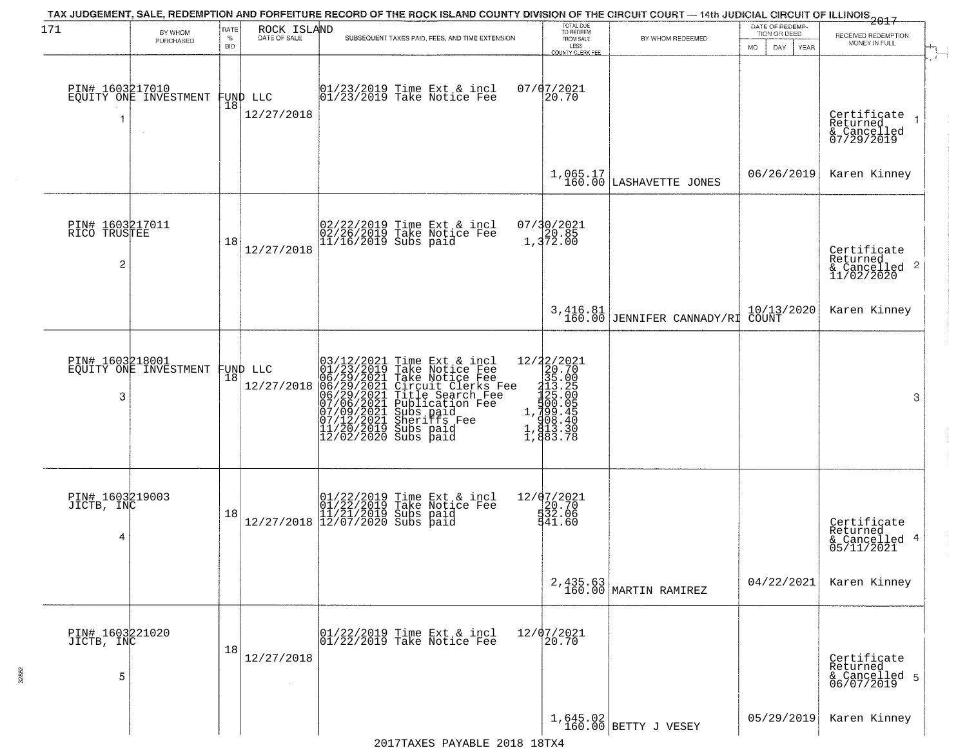| 171                                  | BY WHOM                                  | RATE<br>$\%$ | ROCK ISLAND<br>DATE OF SALE    | TAX JUDGEMENT, SALE, REDEMPTION AND FORFEITURE RECORD OF THE ROCK ISLAND COUNTY DIVISION OF THE CIRCUIT COURT — 14th JUDICIAL CIRCUIT OF ILLINOIS 2017<br>SUBSEQUENT TAXES PAID, FEES, AND TIME EXTENSION                                             | TOTAL DUE<br>TO REDEEM                                                                                                   | BY WHOM REDEEMED                         | DATE OF REDEMP-<br>TION OR DEED                                           | RECEIVED REDEMPTION                                    |
|--------------------------------------|------------------------------------------|--------------|--------------------------------|-------------------------------------------------------------------------------------------------------------------------------------------------------------------------------------------------------------------------------------------------------|--------------------------------------------------------------------------------------------------------------------------|------------------------------------------|---------------------------------------------------------------------------|--------------------------------------------------------|
|                                      | PURCHASED                                | <b>BID</b>   |                                |                                                                                                                                                                                                                                                       | FROM SALE<br>LESS<br>COUNTY CLERK FEE                                                                                    |                                          | DAY.<br>MO.<br>YEAR                                                       | MONEY IN FULL                                          |
| 1                                    | PIN# 1603217010<br>EQUITY ONE INVESTMENT | 18           | FUND LLC<br>12/27/2018         | 01/23/2019 Time Ext & incl<br>01/23/2019 Take Notice Fee                                                                                                                                                                                              | 07/07/2021<br>20.70                                                                                                      |                                          |                                                                           | Certificate<br>Returned<br>& Cancelled<br>07/29/2019   |
|                                      |                                          |              |                                |                                                                                                                                                                                                                                                       |                                                                                                                          | $1,065.17$ LASHAVETTE JONES              | 06/26/2019                                                                | Karen Kinney                                           |
| PIN# 1603217011<br>RICO TRUSTEE<br>2 |                                          | 18           | 12/27/2018                     | 02/22/2019 Time Ext & incl<br>02/26/2019 Take Notice Fee<br>11/16/2019 Subs paid                                                                                                                                                                      | 07/30/2021<br>20.85<br>1,372.00                                                                                          |                                          |                                                                           | Certificate<br>Returned<br>& Cancelled 2<br>11/02/2020 |
|                                      |                                          |              |                                |                                                                                                                                                                                                                                                       |                                                                                                                          | $3,416.81$<br>160.00 JENNIFER CANNADY/RI | $\begin{array}{ c c c }\n10/13/2020 \\ \hline\n\text{COUNT}\n\end{array}$ | Karen Kinney                                           |
| 3                                    | PIN# 1603218001<br>EQUITY ONE INVESTMENT |              | FUND LLC<br> 18 <br>12/27/2018 | $03/12/2021$ Time Ext & incl<br>01/23/2019 Take Notice Fee<br>06/29/2021 Take Notice Fee<br>06/29/2021 Circuit Clerks Fee<br>06/29/2021 Title Search Fee<br>07/06/2021 Sherifts Fee<br>07/06/2021 Sherifts Fee<br>07/12/2021 Sherifts Fee<br>11/20/20 | $\begin{smallmatrix} 12/22/2021\\20.70\\315.00\\113.2\\123.0\\1\\1,123.0\\1,133.3\\1,133.3\\1,143.3\\1\end{smallmatrix}$ |                                          |                                                                           | 3                                                      |
| PIN# 1603219003<br>JICTB, INC<br>4   |                                          | 18           |                                | $[01/22/2019 \text{ Time Ext & incl} \brack 01/22/2019 \text{ Take Notice } \text{Fee} \brack 11/21/2019 \text{ Subs paid} \brack 12/07/2020 \text{ Subs paid}$                                                                                       | 12/07/2021<br>$\frac{120.70}{532.06}$<br>541.60                                                                          |                                          |                                                                           | Certificate<br>Returned<br>& Cancelled 4<br>05/11/2021 |
|                                      |                                          |              |                                |                                                                                                                                                                                                                                                       |                                                                                                                          | 2,435.63<br>160.00 MARTIN RAMIREZ        | 04/22/2021                                                                | Karen Kinney                                           |
| PIN# 1603221020<br>JICTB, INC<br>5   |                                          | 18           | 12/27/2018<br>$\sim$           | 01/22/2019 Time Ext & incl<br>01/22/2019 Take Notice Fee                                                                                                                                                                                              | 12/07/2021<br>20.70                                                                                                      |                                          |                                                                           | Certificate<br>Returned<br>& Cancelled 5<br>06/07/2019 |
|                                      |                                          |              |                                |                                                                                                                                                                                                                                                       |                                                                                                                          | $1,645.02$ BETTY J VESEY                 | 05/29/2019                                                                | Karen Kinney                                           |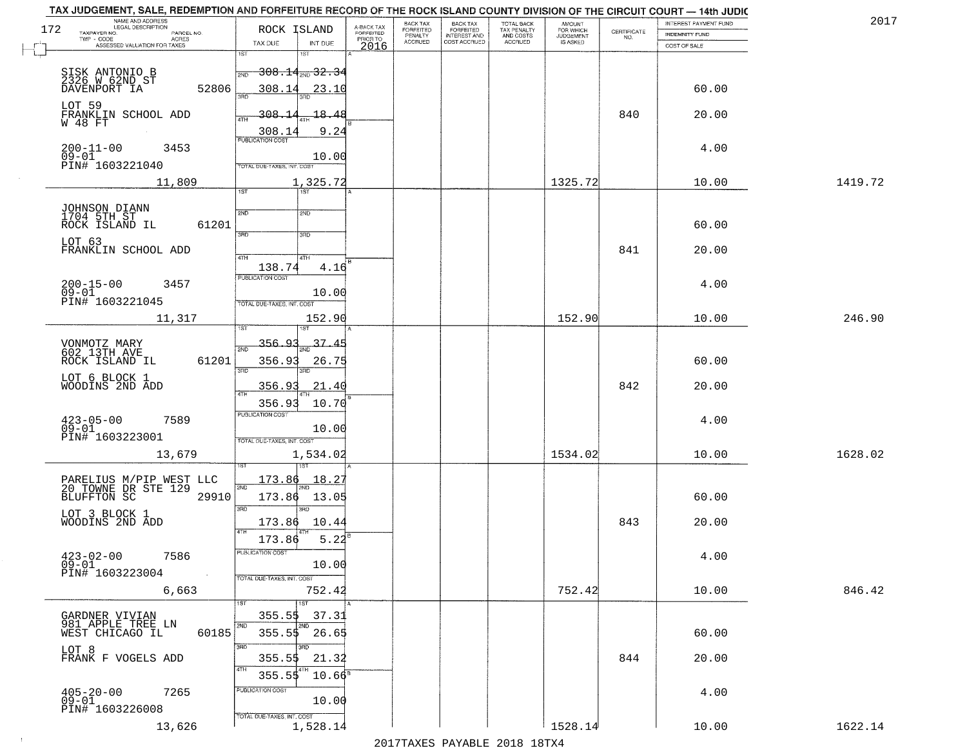| TAX JUDGEMENT, SALE, REDEMPTION AND FORFEITURE RECORD OF THE ROCK ISLAND COUNTY DIVISION OF THE CIRCUIT COURT - 14th JUDIC<br>NAME AND ADDRESS<br>LEGAL DESCRIPTION |                                                                                   |                                     | BACK TAX             |                                       |                                        |                                  |                    | INTEREST PAYMENT FUND | 2017    |
|---------------------------------------------------------------------------------------------------------------------------------------------------------------------|-----------------------------------------------------------------------------------|-------------------------------------|----------------------|---------------------------------------|----------------------------------------|----------------------------------|--------------------|-----------------------|---------|
| 172<br>TAXPAYER NO.<br>PARCEL NO.<br>ACRES                                                                                                                          | ROCK ISLAND                                                                       | A-BACK TAX<br>FORFEITED<br>PRIOR TO | FORFEITED<br>PENALTY | BACK TAX<br>FORFEITED<br>INTEREST AND | TOTAL BACK<br>TAX PENALTY<br>AND COSTS | AMOUNT<br>FOR WHICH<br>JUDGEMENT | CERTIFICATE<br>NO. | <b>INDEMNITY FUND</b> |         |
| ASSESSED VALUATION FOR TAXES                                                                                                                                        | TAX DUE<br>INT DUE                                                                | 2016                                | <b>ACCRUED</b>       | COST ACCRUED                          | <b>ACCRUED</b>                         | IS ASKED                         |                    | COST OF SALE          |         |
| SISK ANTONIO B<br>2326 W 62ND ST<br>52806<br>DAVENPORT IA                                                                                                           | 1ST<br>1ST<br><del>308.14,,,,32.3</del> 4<br>2ND<br>308.14<br>23.10               |                                     |                      |                                       |                                        |                                  |                    | 60.00                 |         |
| LOT 59<br>FRANKLIN SCHOOL ADD<br>W 48 FT                                                                                                                            | बन्नल<br>308.14<br>18.48<br>4TH<br>308.1                                          | 9.24                                |                      |                                       |                                        |                                  | 840                | 20.00                 |         |
| $200 - 11 - 00$<br>3453<br>$09 - 01$<br>PIN# 1603221040                                                                                                             | <b>PUBLICATION COST</b><br>10.00<br>TOTAL DUE-TAXES, INT. COST                    |                                     |                      |                                       |                                        |                                  |                    | 4.00                  |         |
| 11,809                                                                                                                                                              | 1,325.72                                                                          |                                     |                      |                                       |                                        | 1325.72                          |                    | 10.00                 | 1419.72 |
| JOHNSON DIANN<br>1704 5TH ST<br>ROCK ISLAND IL<br>61201<br>LOT 63<br>FRANKLIN SCHOOL ADD                                                                            | 1ST<br>2ND<br>2ND<br>3BD<br>3RD                                                   |                                     |                      |                                       |                                        |                                  | 841                | 60.00<br>20.00        |         |
| $200 - 15 - 00$<br>3457<br>$09 - 01$<br>PIN# 1603221045                                                                                                             | 47H<br>4TH<br>138.74<br>PUBLICATION COST<br>10.00<br>TOTAL DUE-TAXES, INT. COST   | 4.16                                |                      |                                       |                                        |                                  |                    | 4.00                  |         |
| 11,317                                                                                                                                                              | 152.90<br>ist                                                                     |                                     |                      |                                       |                                        | 152.90                           |                    | 10.00                 | 246.90  |
| VONMOTZ MARY<br>602 13TH AVE<br>ROCK ISLAND IL<br>61201                                                                                                             | 356.93<br>37<br>2ND<br>356.93<br>26.75<br>3BD<br>3RD                              |                                     |                      |                                       |                                        |                                  |                    | 60.00                 |         |
| LOT 6 BLOCK 1<br>WOODINS 2ND ADD                                                                                                                                    | 356.93<br>21.40<br>4TH                                                            |                                     |                      |                                       |                                        |                                  | 842                | 20.00                 |         |
| $423 - 05 - 00$<br>7589<br>$09 - 01$<br>PIN# 1603223001                                                                                                             | 10.70<br>356.93<br><b>PUBLICATION COST</b><br>10.00<br>TOTAL OUE-TAXES, INT. COST |                                     |                      |                                       |                                        |                                  |                    | 4.00                  |         |
| 13,679                                                                                                                                                              | 1,534.02                                                                          |                                     |                      |                                       |                                        | 1534.02                          |                    | 10.00                 | 1628.02 |
| PARELIUS M/PIP WEST LLC<br>20 TOWNE DR STE 129<br>BLUFFTON SC 2991<br>29910                                                                                         | 173.86<br>18.27<br>2ND<br>173.86<br>13.05<br>3 <sub>BD</sub><br>$\overline{3BD}$  |                                     |                      |                                       |                                        |                                  |                    | 60.00                 |         |
| LOT 3 BLOCK 1<br>WOODINS 2ND ADD                                                                                                                                    | 10.44<br>173.86<br>4TH<br>173.86                                                  | 5.22                                |                      |                                       |                                        |                                  | 843                | 20.00                 |         |
| $423 - 02 - 00$<br>7586<br>$09 - 01$<br>PIN# 1603223004<br>$\sim 100$                                                                                               | "UBLICA HUN CUS<br>10.00<br>TOTAL DUE-TAXES, INT. COST                            |                                     |                      |                                       |                                        |                                  |                    | 4.00                  |         |
| 6,663                                                                                                                                                               | 752.42<br>1ST                                                                     |                                     |                      |                                       |                                        | 752.42                           |                    | 10.00                 | 846.42  |
| GARDNER VIVIAN<br>981 APPLE TREE LN<br>60185<br>WEST CHICAGO IL                                                                                                     | 355.5\$<br>37.31<br>2ND<br>2ND<br>$355.5$ \$ 26.65                                |                                     |                      |                                       |                                        |                                  |                    | 60.00                 |         |
| LOT 8<br>FRANK F VOGELS ADD                                                                                                                                         | 3RD<br>355.55<br>21.32<br>4TH<br>4TH<br>355.55                                    | $10.66^8$                           |                      |                                       |                                        |                                  | 844                | 20.00                 |         |
| $405 - 20 - 00$<br>7265<br>$09 - 01$<br>PIN# 1603226008                                                                                                             | PUBLICATION COST<br>10.00<br>TOTAL DUE-TAXES, INT. COST                           |                                     |                      |                                       |                                        |                                  |                    | 4.00                  |         |
| 13,626                                                                                                                                                              | 1,528.14                                                                          |                                     |                      |                                       |                                        | 1528.14                          |                    | 10.00                 | 1622.14 |

 $\sim 100$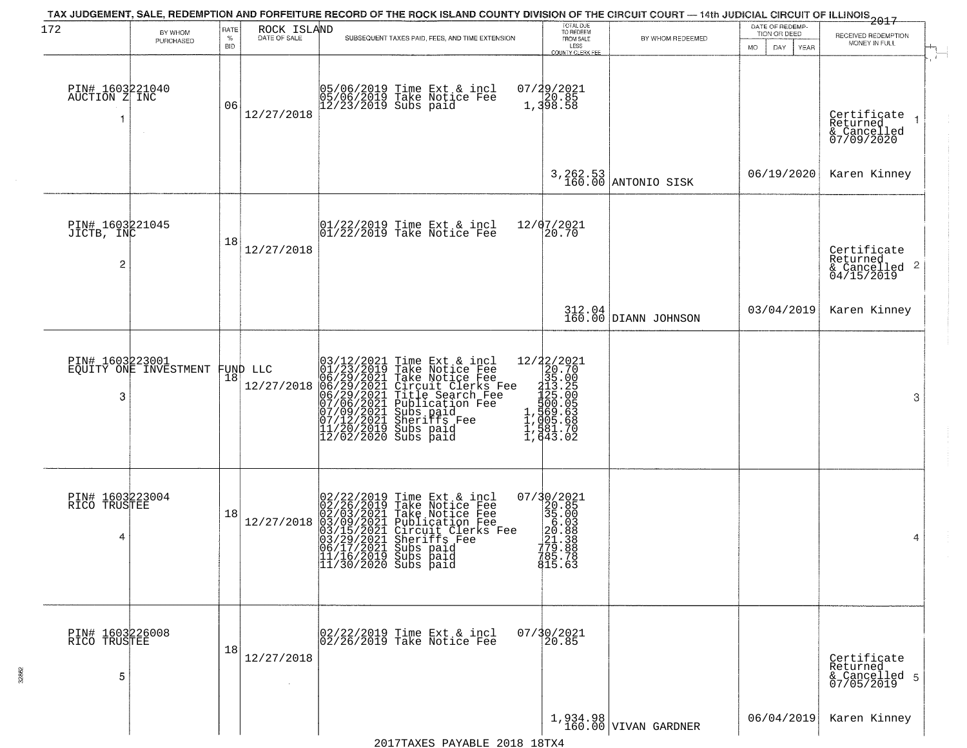| 172                                   | BY WHOM                                  | RATE        | ROCK ISLAND            | TAX JUDGEMENT, SALE, REDEMPTION AND FORFEITURE RECORD OF THE ROCK ISLAND COUNTY DIVISION OF THE CIRCUIT COURT — 14th JUDICIAL CIRCUIT OF ILLINOIS 2017                                                                                                                                                                                                                                                                                                                                                                 | TOTAL DUE<br>TO REDEEM                                                                                                                                                                                                                        |                                  | DATE OF REDEMP-                    |                                                                        |
|---------------------------------------|------------------------------------------|-------------|------------------------|------------------------------------------------------------------------------------------------------------------------------------------------------------------------------------------------------------------------------------------------------------------------------------------------------------------------------------------------------------------------------------------------------------------------------------------------------------------------------------------------------------------------|-----------------------------------------------------------------------------------------------------------------------------------------------------------------------------------------------------------------------------------------------|----------------------------------|------------------------------------|------------------------------------------------------------------------|
|                                       | PURCHASED                                | $\%$<br>BID | DATE OF SALE           | SUBSEQUENT TAXES PAID, FEES, AND TIME EXTENSION                                                                                                                                                                                                                                                                                                                                                                                                                                                                        | FROM SALE<br>LESS                                                                                                                                                                                                                             | BY WHOM REDEEMED                 | TION OR DEED<br>DAY<br>MO.<br>YEAR | RECEIVED REDEMPTION<br>MONEY IN FULL                                   |
| PIN# 1603221040<br>AUCTION Z INC<br>1 |                                          | 06          | 12/27/2018             | 05/06/2019 Time Ext & incl<br>05/06/2019 Take Notice Fee<br>12/23/2019 Subs paid                                                                                                                                                                                                                                                                                                                                                                                                                                       | COUNTY CLERK FEE<br>07/29/2021<br>20.85<br>1,398.58                                                                                                                                                                                           |                                  |                                    | Certificate<br>$\overline{1}$<br>Returned<br>& Cancelled<br>07/09/2020 |
|                                       |                                          |             |                        |                                                                                                                                                                                                                                                                                                                                                                                                                                                                                                                        |                                                                                                                                                                                                                                               | 3, 262.53<br>160.00 ANTONIO SISK | 06/19/2020                         | Karen Kinney                                                           |
| PIN# 1603221045<br>JICTB, INC<br>2    |                                          | 18          | 12/27/2018             | $\begin{array}{c}  01/22/2019 \text{ Time} \text{ Ext} & \text{incl} \\  01/22/2019 \text{ Take Notice } \text{Fe} \end{array}$                                                                                                                                                                                                                                                                                                                                                                                        | 12/07/2021<br>20.70                                                                                                                                                                                                                           |                                  |                                    | Certificate<br>Returned<br>$\frac{1}{6}$ Cancelled 2<br>04/15/2019     |
|                                       |                                          |             |                        |                                                                                                                                                                                                                                                                                                                                                                                                                                                                                                                        |                                                                                                                                                                                                                                               | 312.04<br>160.00 DIANN JOHNSON   | 03/04/2019                         | Karen Kinney                                                           |
| 3                                     | PIN# 1603223001<br>EQUITY ONE INVESTMENT | 18          | FUND LLC<br>12/27/2018 | Time Ext & incl<br>Take Notice Fee<br>Take Notice Fee<br>Circuit Clerks Fee<br>Title Search Fee<br>Publication Fee<br>Subs paid<br>Sheriffs Fee<br>Subs paid<br>03/12/2021 Time Ext &<br>01/23/2019 Take Notic<br>06/29/2021 Take Notic<br>06/29/2021 Circuit Cl<br>06/29/2021 Title Sear<br>07/06/2021 Sheriffs F<br>07/09/2021 Sheriffs F<br>11/20/2019 Subs paid<br>12/02/2019 Subs paid                                                                                                                            | 12/22/2021<br>20.70<br>20.70<br>315.00<br>113.00<br>11,005.688<br>1,005.688<br>1,005.688<br>1,005.688<br>1,005.70<br>1,005.70                                                                                                                 |                                  |                                    | 3                                                                      |
| PIN# 1603223004<br>RICO TRUSTEE<br>4  |                                          | 18          | 12/27/2018             | $\begin{smallmatrix} 0 & 2 & / 2 & 2 & / 2 & 0 & 1 & 9 \\ 0 & 2 & / 2 & 6 & / 2 & 0 & 1 & 9 \\ 0 & 2 & / 0 & 3 & / 2 & 0 & 2 & 1 \\ 0 & 3 & / 1 & 5 & / 2 & 0 & 2 & 1 \\ 0 & 3 & / 2 & 9 & / 2 & 0 & 2 & 1 \\ 0 & 4 & / 1 & / 2 & / 2 & 0 & 2 & 1 \\ 0 & 5 & / 1 & / 2 & / 2 & 0 & 1 & 0 \\ 0 & 6 & / 1 & / 7 & / 2 & / 2 & 0 & 1 \\ 0$<br>Time Ext & incl<br>Take Notice Fee<br>Take Notice Fee<br>Publication Fee<br>Circuit Clerks Fee<br>Sheriffs Fee<br>Subs paid<br>11/16/2019 Subs paid<br>11/30/2020 Subs paid | $\begin{smallmatrix} 07/3 & 0/2 & 02 & 1 \\ 2 & 2 & 0.8 & 5 \\ 3 & 5 & 0.0 & 0 \\ 2 & 0 & 0.8 & 0 \\ 2 & 0 & 0.8 & 0 \\ 2 & 0 & 0.8 & 0 \\ 7 & 0 & 0.8 & 0 \\ 7 & 0 & 0.8 & 0 \\ 7 & 0 & 0.8 & 0 \\ 8 & 1 & 5 & 0.6 & 3 \\ \end{smallmatrix}$ |                                  |                                    | 4                                                                      |
| PIN# 1603226008<br>RICO TRUSTEE<br>5  |                                          | 18          | 12/27/2018             | 02/22/2019 Time Ext & incl<br>02/26/2019 Take Notice Fee                                                                                                                                                                                                                                                                                                                                                                                                                                                               | $07/\sqrt{30/2021}$<br>20.85                                                                                                                                                                                                                  |                                  |                                    | Certificate<br>Returned<br>& Cancelled 5<br>07/05/2019                 |
|                                       |                                          |             |                        |                                                                                                                                                                                                                                                                                                                                                                                                                                                                                                                        |                                                                                                                                                                                                                                               | 1,934.98<br>160.00 VIVAN GARDNER | 06/04/2019                         | Karen Kinney                                                           |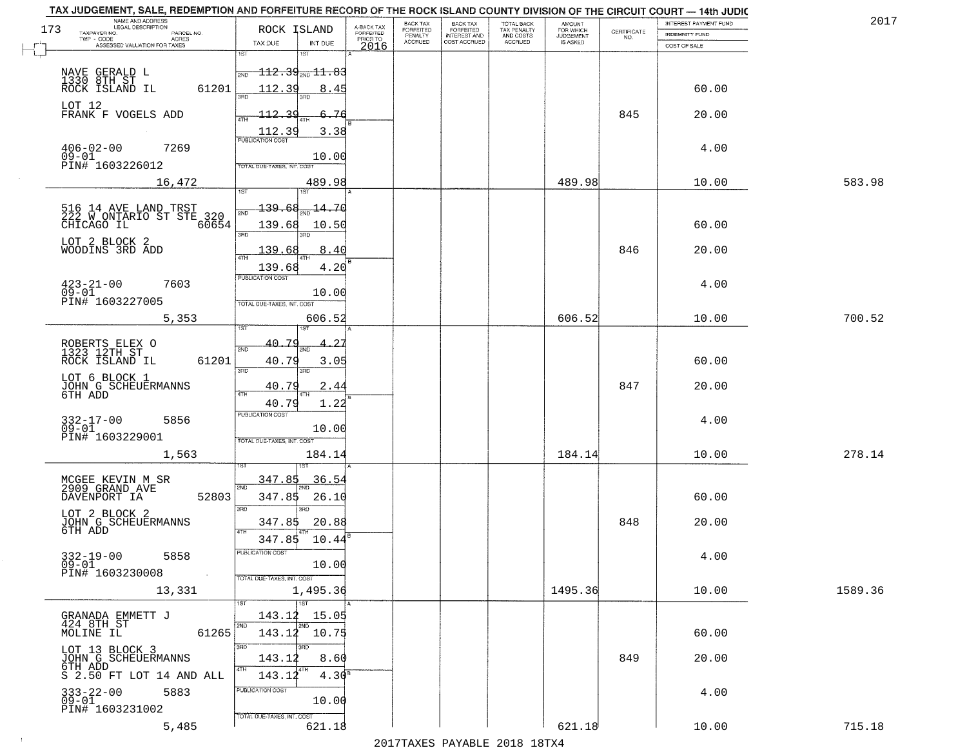| NAME AND ADDRESS<br>LEGAL DESCRIPTION<br>173                            | ROCK ISLAND                             |                                     | BACK TAX<br><b>FORFEITED</b> | <b>BACK TAX</b>                           | TOTAL BACK<br>TAX PENALTY<br>AND COSTS | AMOUNT<br>FOR WHICH                 |                    | INTEREST PAYMENT FUND | 2017    |
|-------------------------------------------------------------------------|-----------------------------------------|-------------------------------------|------------------------------|-------------------------------------------|----------------------------------------|-------------------------------------|--------------------|-----------------------|---------|
| TAXPAYER NO.<br>PARCEL NO.<br>ACRES<br>TWP - CODE                       |                                         | A-BACK TAX<br>FORFEITED<br>PRIOR TO | PENALTY<br><b>ACCRUED</b>    | FORFEITED<br>INTEREST AND<br>COST ACCRUED | ACCRUED                                | <b>JUDGEMENT</b><br><b>IS ASKED</b> | CERTIFICATE<br>NO. | INDEMNITY FUND        |         |
| ASSESSED VALUATION FOR TAXES                                            | TAX DUE<br>1ST<br>1ST                   | INT DUE<br>2016                     |                              |                                           |                                        |                                     |                    | COST OF SALE          |         |
|                                                                         |                                         |                                     |                              |                                           |                                        |                                     |                    |                       |         |
| NAVE GERALD L                                                           | $112.39_{\text{\tiny 2ND}}11.83$<br>2ND |                                     |                              |                                           |                                        |                                     |                    |                       |         |
| 1330 8TH ST<br>ROCK ISLAND IL<br>61201                                  | 112.39                                  | 8.45                                |                              |                                           |                                        |                                     |                    | 60.00                 |         |
| LOT 12                                                                  |                                         |                                     |                              |                                           |                                        |                                     |                    |                       |         |
| FRANK F VOGELS ADD                                                      | 112.39                                  | 76                                  |                              |                                           |                                        |                                     | 845                | 20.00                 |         |
|                                                                         | 112.39<br><b>PUBLICATION COST</b>       | 3.38                                |                              |                                           |                                        |                                     |                    |                       |         |
| $406 - 02 - 00$<br>7269                                                 |                                         |                                     |                              |                                           |                                        |                                     |                    | 4.00                  |         |
| $09-01$<br>PIN# 1603226012                                              | <b>TOTAL DUE-TAXES, INT. COST</b>       | 10.00                               |                              |                                           |                                        |                                     |                    |                       |         |
| 16,472                                                                  |                                         | 489.98                              |                              |                                           |                                        | 489.98                              |                    | 10.00                 | 583.98  |
|                                                                         | 1ST                                     |                                     |                              |                                           |                                        |                                     |                    |                       |         |
|                                                                         | 139.68<br>সাঁচ                          | 14.70                               |                              |                                           |                                        |                                     |                    |                       |         |
| 516 14 AVE LAND TRST<br>222 W ONTARIO ST STE 320<br>60654<br>CHICAGO IL | 139.68                                  | 10.50                               |                              |                                           |                                        |                                     |                    | 60.00                 |         |
|                                                                         | 3RD<br>3RD                              |                                     |                              |                                           |                                        |                                     |                    |                       |         |
| LOT 2 BLOCK 2<br>WOODINS 3RD ADD                                        | 139.68                                  | 8.40                                |                              |                                           |                                        |                                     | 846                | 20.00                 |         |
|                                                                         | 139.68                                  | 4.20                                |                              |                                           |                                        |                                     |                    |                       |         |
|                                                                         | PUBLICATION COST                        |                                     |                              |                                           |                                        |                                     |                    |                       |         |
| $423 - 21 - 00$<br>7603<br>$09 - 01$                                    |                                         | 10.00                               |                              |                                           |                                        |                                     |                    | 4.00                  |         |
| PIN# <sup>-1603227005</sup>                                             | TOTAL DUE-TAXES, INT. COST              |                                     |                              |                                           |                                        |                                     |                    |                       |         |
| 5,353                                                                   | <b>ST</b><br>$1S$ T                     | 606.52                              |                              |                                           |                                        | 606.52                              |                    | 10.00                 | 700.52  |
|                                                                         |                                         |                                     |                              |                                           |                                        |                                     |                    |                       |         |
| ROBERTS ELEX O<br>1323 12TH ST                                          | 40.79<br>2ND                            |                                     |                              |                                           |                                        |                                     |                    |                       |         |
| ROCK ISLAND IL<br>61201                                                 | 40.79<br>3RD<br>3RD                     | 3.05                                |                              |                                           |                                        |                                     |                    | 60.00                 |         |
| LOT 6 BLOCK 1                                                           |                                         |                                     |                              |                                           |                                        |                                     |                    |                       |         |
| JOHN G SCHEUERMANNS<br>6TH ADD                                          | 40.79<br>4TH                            | 2.44                                |                              |                                           |                                        |                                     | 847                | 20.00                 |         |
|                                                                         | 40.79<br><b>PUBLICATION COST</b>        | 1.22                                |                              |                                           |                                        |                                     |                    |                       |         |
| 5856<br>332-17-00<br>09-01                                              |                                         | 10.00                               |                              |                                           |                                        |                                     |                    | 4.00                  |         |
| PIN# 1603229001                                                         | TOTAL OUE-TAXES, INT. COST              |                                     |                              |                                           |                                        |                                     |                    |                       |         |
| 1,563                                                                   |                                         | 184.14                              |                              |                                           |                                        | 184.14                              |                    | 10.00                 | 278.14  |
|                                                                         |                                         |                                     |                              |                                           |                                        |                                     |                    |                       |         |
| MCGEE KEVIN M SR<br>2909 GRAND AVE                                      | 347.85<br>2ND                           | 36.54                               |                              |                                           |                                        |                                     |                    |                       |         |
| 52803<br>DAVENPORT IA                                                   | 347.85                                  | 26.10                               |                              |                                           |                                        |                                     |                    | 60.00                 |         |
| LOT 2 BLOCK 2                                                           | 3BD<br>3RD                              |                                     |                              |                                           |                                        |                                     |                    |                       |         |
| JOHN G SCHEUERMANNS<br>6TH ADD                                          | 347.85                                  | 20.88                               |                              |                                           |                                        |                                     | 848                | 20.00                 |         |
|                                                                         | 4TH<br>347.85                           | 10.44                               |                              |                                           |                                        |                                     |                    |                       |         |
| 5858                                                                    | PUBLICATION COST                        |                                     |                              |                                           |                                        |                                     |                    | 4.00                  |         |
| $332 - 19 - 00$<br>09-01<br>PIN# 1603230008<br><b>Contract</b>          |                                         | 10.00                               |                              |                                           |                                        |                                     |                    |                       |         |
|                                                                         | TOTAL DUE-TAXES, INT. COST              |                                     |                              |                                           |                                        |                                     |                    |                       |         |
| 13,331                                                                  | 1,495.36<br>1ST                         |                                     |                              |                                           |                                        | 1495.36                             |                    | 10.00                 | 1589.36 |
| GRANADA EMMETT J                                                        | 143.12                                  | 15.05                               |                              |                                           |                                        |                                     |                    |                       |         |
| 424 8TH ST                                                              | 2ND<br>2ND                              |                                     |                              |                                           |                                        |                                     |                    |                       |         |
| 61265<br>MOLINE IL                                                      | 143.12 10.75<br>3RD<br>3RD              |                                     |                              |                                           |                                        |                                     |                    | 60.00                 |         |
| LOT 13 BLOCK 3<br>JOHN G SCHEUERMANNS                                   | 143.12                                  | 8.60                                |                              |                                           |                                        |                                     | 849                | 20.00                 |         |
| 6TH ADD                                                                 | 4TH<br>  4TH<br>143.12                  | 4.30 <sup>8</sup>                   |                              |                                           |                                        |                                     |                    |                       |         |
| S 2.50 FT LOT 14 AND ALL                                                | PUBLICATION COST                        |                                     |                              |                                           |                                        |                                     |                    |                       |         |
| 333-22-00<br>09-01<br>5883                                              |                                         | 10.00                               |                              |                                           |                                        |                                     |                    | 4.00                  |         |
| PIN# 1603231002                                                         | TOTAL DUE-TAXES, INT. COST              |                                     |                              |                                           |                                        |                                     |                    |                       |         |
| 5,485                                                                   |                                         | 621.18                              |                              |                                           |                                        | 621.18                              |                    | 10.00                 | 715.18  |

 $\sim 100$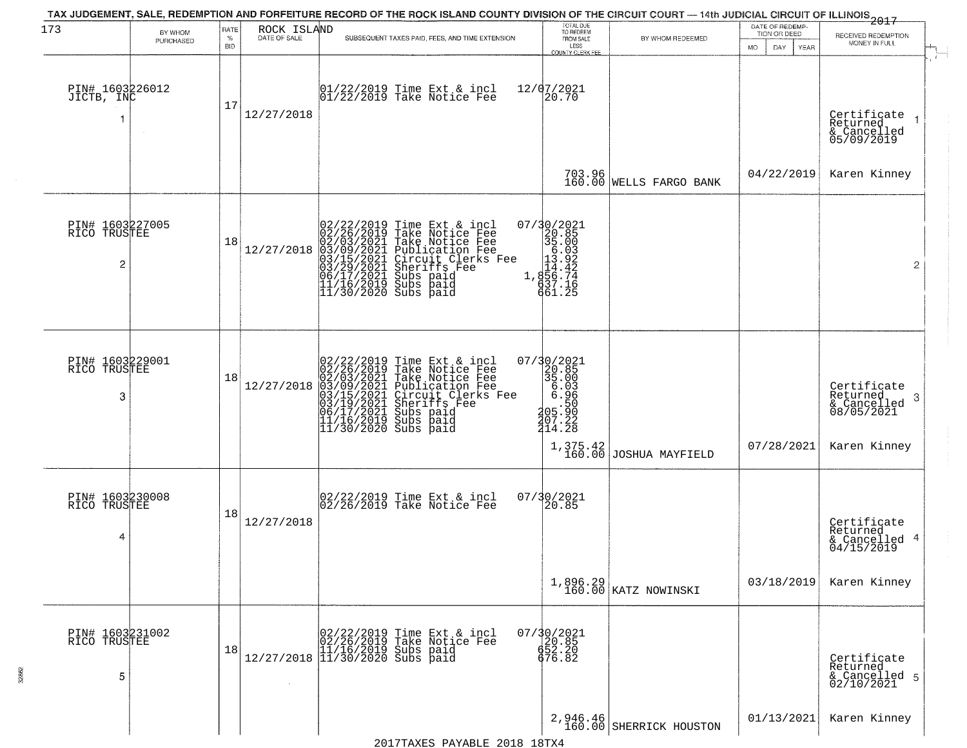| 173                                  | BY WHOM<br>PURCHASED | RATE<br>$\%$<br><b>BID</b> | ROCK ISLAND<br>DATE OF SALE | SUBSEQUENT TAXES PAID, FEES, AND TIME EXTENSION                                                                                                                                                                                                       | TOTAL DUE<br>TO REDEEM<br>FROM SALE<br>LESS<br><b>COUNTY CLERK FEE</b>                               | BY WHOM REDEEMED                    | DATE OF REDEMP-<br>TION OR DEED<br>DAY.<br>MO.<br>YEAR | 2017<br>RECEIVED REDEMPTION<br>MONEY IN FULL                               |
|--------------------------------------|----------------------|----------------------------|-----------------------------|-------------------------------------------------------------------------------------------------------------------------------------------------------------------------------------------------------------------------------------------------------|------------------------------------------------------------------------------------------------------|-------------------------------------|--------------------------------------------------------|----------------------------------------------------------------------------|
| PIN# 1603226012<br>JICTB, INC        |                      | 17                         | 12/27/2018                  | $ 01/22/2019$ Time Ext & incl<br>$ 01/22/2019$ Take Notice Fee                                                                                                                                                                                        | 12/07/2021<br>20.70                                                                                  |                                     |                                                        | Certificate<br>Returned<br>& Cancelled<br>05/09/2019                       |
|                                      |                      |                            |                             |                                                                                                                                                                                                                                                       | 703.96<br>160.00                                                                                     | <b>WELLS FARGO BANK</b>             | 04/22/2019                                             | Karen Kinney                                                               |
| PIN# 1603227005<br>RICO TRUSTEE<br>2 |                      | 18                         | 12/27/2018                  | 02/22/2019 Time Ext & incl<br>02/26/2019 Take Notice Fee<br>02/03/2021 Take Notice Fee<br>03/09/2021 Publication Fee<br>03/15/2021 Circuit Clerks Fee<br>03/15/2021 Subs paid<br>06/17/2021 Subs paid<br>11/16/2019 Subs paid<br>11/16/2019 Subs paid | 07/30/2021<br>320.85<br>35.003<br>13.92<br>1.424<br>1.855.714<br>637.16<br>661.25                    |                                     |                                                        | $\overline{2}$                                                             |
| PIN# 1603229001<br>RICO TRUSTEE<br>3 |                      | 18                         | 12/27/2018                  | 02/22/2019 Time Ext & incl<br>02/26/2019 Take Notice Fee<br>02/03/2021 Take Notice Fee<br>03/09/2021 Publication Fee<br>03/15/2021 Circuit Clerks Fee<br>03/15/2021 Subs paid<br>06/17/2021 Subs paid<br>11/16/2019 Subs paid<br>11/16/2019 Subs paid | $\begin{array}{r} 07/30/2021 \\ 20.85 \\ 35.003 \\ 6.966 \\ 205.590 \\ 207.22 \\ 414.28 \end{array}$ | $1,375.42$ JOSHUA MAYFIELD          | 07/28/2021                                             | Certificate<br>Returned<br>-3<br>& Cancelled<br>08/05/2021<br>Karen Kinney |
| PIN# 1603230008<br>RICO TRUSTEE<br>4 |                      | 18                         | 12/27/2018                  | 02/22/2019 Time Ext & incl<br>02/26/2019 Take Notice Fee                                                                                                                                                                                              | 07/30/2021<br>20.85                                                                                  |                                     |                                                        | Certificate<br>Returned<br>& Cancelled 4<br>04/15/2019                     |
|                                      |                      |                            |                             |                                                                                                                                                                                                                                                       |                                                                                                      | 1,896.29<br>160.00 KATZ NOWINSKI    | 03/18/2019                                             | Karen Kinney                                                               |
| PIN# 1603231002<br>RICO TRUSTEE<br>5 |                      | 18                         |                             | $[02/22/2019 \tTime Ext & incl 02/26/2019 \tTake Notice Free 11/16/2019 Subs paid 12/27/2018 11/30/2020 Subs paid 13/30/2020$                                                                                                                         | 07/30/2021<br>20.85<br>652.20<br>676.82                                                              |                                     |                                                        | Certificate<br>Returned<br>& Cancelled 5<br>02/10/2021                     |
|                                      |                      |                            |                             |                                                                                                                                                                                                                                                       |                                                                                                      | 2,946.46<br>160.00 SHERRICK HOUSTON | 01/13/2021                                             | Karen Kinney                                                               |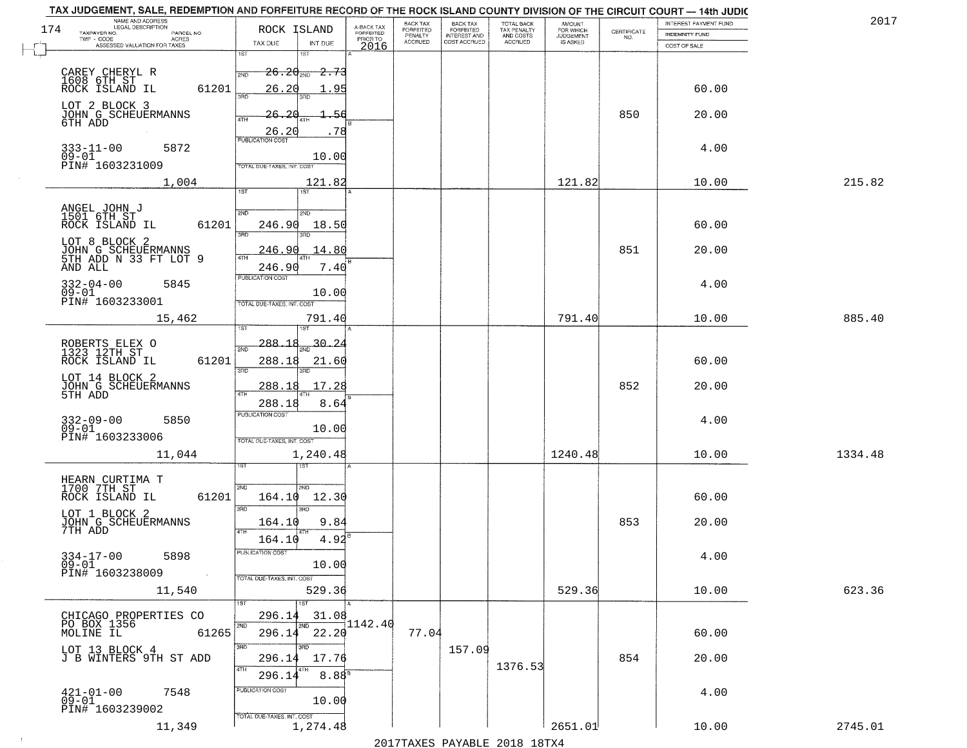|     | TAX JUDGEMENT, SALE, REDEMPTION AND FORFEITURE RECORD OF THE ROCK ISLAND COUNTY DIVISION OF THE CIRCUIT COURT - 14th JUDIC<br>NAME AND ADDRESS<br>LEGAL DESCRIPTION |                                         |                         | BACK TAX                    |                                       |                                        |                                         |                                                                 | INTEREST PAYMENT FUND | 2017    |
|-----|---------------------------------------------------------------------------------------------------------------------------------------------------------------------|-----------------------------------------|-------------------------|-----------------------------|---------------------------------------|----------------------------------------|-----------------------------------------|-----------------------------------------------------------------|-----------------------|---------|
| 174 | TAXPAYER NO.<br>PARCEL NO.                                                                                                                                          | ROCK ISLAND                             | A-BACK TAX<br>FORFEITED | <b>FORFEITED</b><br>PENALTY | BACK TAX<br>FORFEITED<br>INTEREST AND | TOTAL BACK<br>TAX PENALTY<br>AND COSTS | AMOUNT<br>FOR WHICH<br><b>JUDGEMENT</b> | $\begin{array}{c} \text{CERTIFICATE} \\ \text{NO.} \end{array}$ | <b>INDEMNITY FUND</b> |         |
|     | TWP - CODE<br>ACRES<br>ASSESSED VALUATION FOR TAXES                                                                                                                 | INT DUE<br>TAX DUE                      | PRIOR TO<br>2016        | <b>ACCRUED</b>              | COST ACCRUED                          | ACCRUED                                | IS ASKED                                |                                                                 | COST OF SALE          |         |
|     |                                                                                                                                                                     | 1ST<br>1ST                              |                         |                             |                                       |                                        |                                         |                                                                 |                       |         |
|     | CAREY CHERYL R                                                                                                                                                      | $26.20_{200}$ 2.73<br>2ND               |                         |                             |                                       |                                        |                                         |                                                                 |                       |         |
|     | 1608 6TH ST<br>ROCK ISLAND IL<br>61201                                                                                                                              | 26.20<br>. 95                           |                         |                             |                                       |                                        |                                         |                                                                 | 60.00                 |         |
|     |                                                                                                                                                                     | 350                                     |                         |                             |                                       |                                        |                                         |                                                                 |                       |         |
|     | LOT 2 BLOCK 3                                                                                                                                                       | 26.20                                   |                         |                             |                                       |                                        |                                         | 850                                                             | 20.00                 |         |
|     | JOHN G SCHEUERMANNS<br>6TH ADD                                                                                                                                      |                                         |                         |                             |                                       |                                        |                                         |                                                                 |                       |         |
|     |                                                                                                                                                                     | 26.20<br>.78<br><b>PUBLICATION COST</b> |                         |                             |                                       |                                        |                                         |                                                                 |                       |         |
|     | $333 - 11 - 00$<br>5872                                                                                                                                             |                                         |                         |                             |                                       |                                        |                                         |                                                                 | 4.00                  |         |
|     | $09 - 01$<br>PIN# 1603231009                                                                                                                                        | 10.00<br>TOTAL DUE-TAXES, INT. COST     |                         |                             |                                       |                                        |                                         |                                                                 |                       |         |
|     | 1,004                                                                                                                                                               | 121.82                                  |                         |                             |                                       |                                        | 121.82                                  |                                                                 | 10.00                 | 215.82  |
|     |                                                                                                                                                                     | 1ST                                     |                         |                             |                                       |                                        |                                         |                                                                 |                       |         |
|     |                                                                                                                                                                     |                                         |                         |                             |                                       |                                        |                                         |                                                                 |                       |         |
|     | ANGEL JOHN J<br>1501 6TH ST                                                                                                                                         | 2ND<br>2ND                              |                         |                             |                                       |                                        |                                         |                                                                 |                       |         |
|     | 61201<br>ROCK ISLAND IL                                                                                                                                             | 246.90<br>18.50<br>बन्ना                |                         |                             |                                       |                                        |                                         |                                                                 | 60.00                 |         |
|     | LOT 8 BLOCK 2                                                                                                                                                       |                                         |                         |                             |                                       |                                        |                                         |                                                                 |                       |         |
|     | JOHN G SCHEUERMANNS<br>5TH ADD N 33 FT LOT 9                                                                                                                        | .14.80<br>246.90                        |                         |                             |                                       |                                        |                                         | 851                                                             | 20.00                 |         |
|     | AND ALL                                                                                                                                                             | 246.90<br>7.40<br>PUBLICATION COST      |                         |                             |                                       |                                        |                                         |                                                                 |                       |         |
|     | $332 - 04 - 00$<br>5845                                                                                                                                             |                                         |                         |                             |                                       |                                        |                                         |                                                                 | 4.00                  |         |
|     | $09 - 01$<br>PIN# 1603233001                                                                                                                                        | 10.00                                   |                         |                             |                                       |                                        |                                         |                                                                 |                       |         |
|     |                                                                                                                                                                     | TOTAL DUE-TAXES, INT. COST              |                         |                             |                                       |                                        |                                         |                                                                 |                       |         |
|     | 15,462                                                                                                                                                              | 791.40<br>IST<br>ïЗT                    |                         |                             |                                       |                                        | 791.40                                  |                                                                 | 10.00                 | 885.40  |
|     |                                                                                                                                                                     |                                         |                         |                             |                                       |                                        |                                         |                                                                 |                       |         |
|     | ROBERTS ELEX O<br>1323 12TH ST                                                                                                                                      | -288-<br><u>30.24</u><br>2ND            |                         |                             |                                       |                                        |                                         |                                                                 |                       |         |
|     | ROCK ISLAND IL<br>61201                                                                                                                                             | 288.18<br>21.60                         |                         |                             |                                       |                                        |                                         |                                                                 | 60.00                 |         |
|     | LOT 14 BLOCK 2                                                                                                                                                      | 3RD<br>3RD                              |                         |                             |                                       |                                        |                                         |                                                                 |                       |         |
|     | JOHN G SCHEUERMANNS<br>5TH ADD                                                                                                                                      | 17.28<br><u>288.18</u><br>4TH           |                         |                             |                                       |                                        |                                         | 852                                                             | 20.00                 |         |
|     |                                                                                                                                                                     | 288.18<br>8.64                          |                         |                             |                                       |                                        |                                         |                                                                 |                       |         |
|     | 5850                                                                                                                                                                | PUBLICATION COST                        |                         |                             |                                       |                                        |                                         |                                                                 | 4.00                  |         |
|     | 332-09-00<br>09-01                                                                                                                                                  | 10.00                                   |                         |                             |                                       |                                        |                                         |                                                                 |                       |         |
|     | PIN# 1603233006                                                                                                                                                     | TOTAL OUE-TAXES, INT. COST              |                         |                             |                                       |                                        |                                         |                                                                 |                       |         |
|     | 11,044                                                                                                                                                              | 1,240.48                                |                         |                             |                                       |                                        | 1240.48                                 |                                                                 | 10.00                 | 1334.48 |
|     |                                                                                                                                                                     | 1ST                                     |                         |                             |                                       |                                        |                                         |                                                                 |                       |         |
|     | HEARN CURTIMA T<br>1700 7TH ST                                                                                                                                      | 2ND<br>2ND.                             |                         |                             |                                       |                                        |                                         |                                                                 |                       |         |
|     | ROCK ISLAND IL<br>61201                                                                                                                                             | 164.10<br>12.30                         |                         |                             |                                       |                                        |                                         |                                                                 | 60.00                 |         |
|     | LOT 1 BLOCK 2                                                                                                                                                       | 3BD<br>3RD                              |                         |                             |                                       |                                        |                                         |                                                                 |                       |         |
|     | JOHN G SCHEUERMANNS<br>7TH ADD                                                                                                                                      | 9.84<br>164.10                          |                         |                             |                                       |                                        |                                         | 853                                                             | 20.00                 |         |
|     |                                                                                                                                                                     | 4TH<br>4.92<br>164.10                   |                         |                             |                                       |                                        |                                         |                                                                 |                       |         |
|     | $334 - 17 - 00$<br>5898                                                                                                                                             | ruslica i IUN COS                       |                         |                             |                                       |                                        |                                         |                                                                 | 4.00                  |         |
|     | $09 - 01$                                                                                                                                                           | 10.00                                   |                         |                             |                                       |                                        |                                         |                                                                 |                       |         |
|     | PIN# 1603238009                                                                                                                                                     | TOTAL DUE-TAXES, INT. COST              |                         |                             |                                       |                                        |                                         |                                                                 |                       |         |
|     | 11,540                                                                                                                                                              | 529.36                                  |                         |                             |                                       |                                        | 529.36                                  |                                                                 | 10.00                 | 623.36  |
|     |                                                                                                                                                                     | 1ST                                     |                         |                             |                                       |                                        |                                         |                                                                 |                       |         |
|     | CHICAGO PROPERTIES CO                                                                                                                                               | 296.14<br>31.08                         | 1142.40                 |                             |                                       |                                        |                                         |                                                                 |                       |         |
|     | PO BOX 1356<br>MOLINE IL<br>61265                                                                                                                                   | 2ND<br>296.14 22.20                     |                         | 77.04                       |                                       |                                        |                                         |                                                                 | 60.00                 |         |
|     |                                                                                                                                                                     | 3RD<br>3RD                              |                         |                             | 157.09                                |                                        |                                         |                                                                 |                       |         |
|     | LOT 13 BLOCK 4<br>J B WINTERS 9TH ST ADD                                                                                                                            | 17.76<br>296.14                         |                         |                             |                                       |                                        |                                         | 854                                                             | 20.00                 |         |
|     |                                                                                                                                                                     | 4TH<br>8.88 <sup>8</sup><br>296.1       |                         |                             |                                       | 1376.53                                |                                         |                                                                 |                       |         |
|     |                                                                                                                                                                     | PUBLICATION COST                        |                         |                             |                                       |                                        |                                         |                                                                 |                       |         |
|     | $421 - 01 - 00$<br>7548<br>$09 - 01$                                                                                                                                | 10.00                                   |                         |                             |                                       |                                        |                                         |                                                                 | 4.00                  |         |
|     | PIN# 1603239002                                                                                                                                                     | TOTAL DUE-TAXES, INT. COST              |                         |                             |                                       |                                        |                                         |                                                                 |                       |         |
|     | 11,349                                                                                                                                                              | 1,274.48                                |                         |                             |                                       |                                        | 2651.01                                 |                                                                 | 10.00                 | 2745.01 |
|     |                                                                                                                                                                     |                                         |                         |                             |                                       | 2017 THAYRO DAVADIR 2018 19TYA         |                                         |                                                                 |                       |         |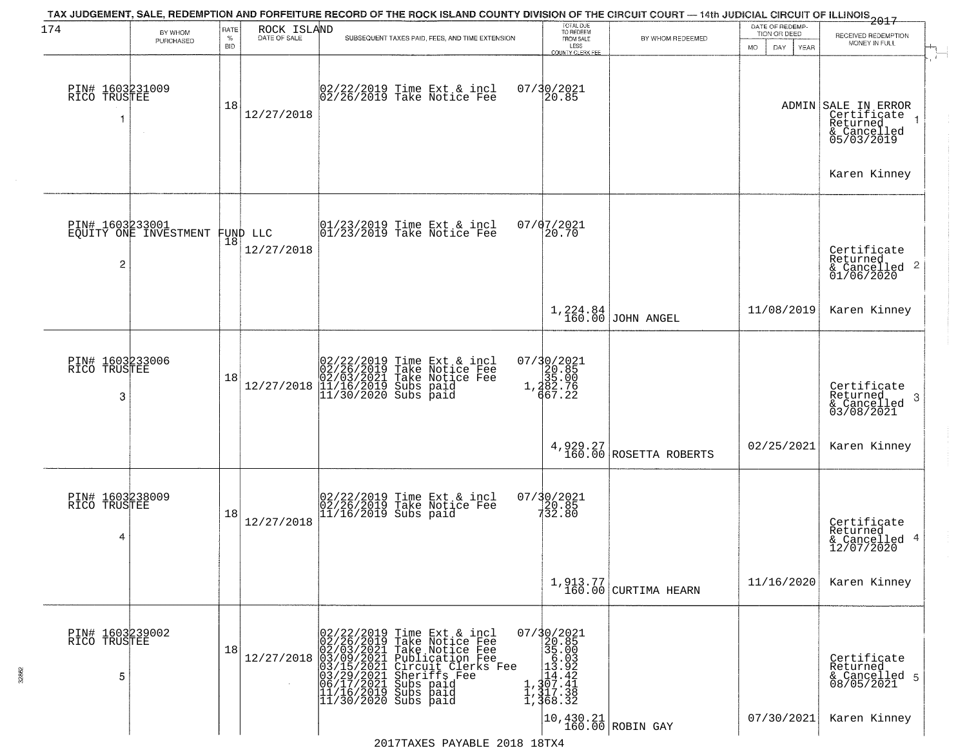| 174                                  | BY WHOM                                           | RATE               | ROCK ISLAND  | TAX JUDGEMENT, SALE, REDEMPTION AND FORFEITURE RECORD OF THE ROCK ISLAND COUNTY DIVISION OF THE CIRCUIT COURT — 14th JUDICIAL CIRCUIT OF ILLINOIS 2017                                                                                                                 | TOTAL DUE<br>TO REDEEM                                                                                                                                           |                                                                                      | DATE OF REDEMP<br>TION OR DEED |                                                                             |
|--------------------------------------|---------------------------------------------------|--------------------|--------------|------------------------------------------------------------------------------------------------------------------------------------------------------------------------------------------------------------------------------------------------------------------------|------------------------------------------------------------------------------------------------------------------------------------------------------------------|--------------------------------------------------------------------------------------|--------------------------------|-----------------------------------------------------------------------------|
|                                      | PURCHASED                                         | $\%$<br><b>BID</b> | DATE OF SALE | SUBSEQUENT TAXES PAID, FEES, AND TIME EXTENSION                                                                                                                                                                                                                        | FROM SALE<br>LESS<br><b>COUNTY CLERK FEE</b>                                                                                                                     | BY WHOM REDEEMED                                                                     | MO.<br>DAY.<br>YEAR            | RECEIVED REDEMPTION<br>MONEY IN FULL                                        |
| PIN# 1603231009<br>RICO TRUSTEE      | $\sim$                                            | 18                 | 12/27/2018   | 02/22/2019 Time Ext & incl<br>02/26/2019 Take Notice Fee                                                                                                                                                                                                               | 07/30/2021<br>20.85                                                                                                                                              |                                                                                      |                                | ADMIN SALE IN ERROR<br>Certificate<br>Returned<br>& Cancelled<br>05/03/2019 |
|                                      |                                                   |                    |              |                                                                                                                                                                                                                                                                        |                                                                                                                                                                  |                                                                                      |                                | Karen Kinney                                                                |
| $\overline{c}$                       | PIN# 1603233001<br>EQUITY ONE INVESTMENT FUND LLC | 18                 | 12/27/2018   | $\begin{array}{cc}  01/23/2019 \text{ Time} & \text{Ext} & \text{incl} \\  01/23/2019 \text{ Take Notice } \text{Fe} \end{array}$                                                                                                                                      | 07/07/2021<br>20.70                                                                                                                                              |                                                                                      |                                | Certificate<br>Returned<br>$\frac{1}{6}$ Cancelled 2<br>01/06/2020          |
|                                      |                                                   |                    |              |                                                                                                                                                                                                                                                                        |                                                                                                                                                                  | 1,224.84<br>160.00 JOHN ANGEL                                                        | 11/08/2019                     | Karen Kinney                                                                |
| PIN# 1603233006<br>RICO TRUSTEE<br>3 |                                                   | 18                 | 12/27/2018   | 02/22/2019 Time Ext & incl<br>02/26/2019 Take Notice Fee<br>02/03/2021 Take Notice Fee<br>11/16/2019 Subs paid<br>11/30/2020 Subs paid                                                                                                                                 | 07/30/2021<br>$1, \frac{20.85}{35.00}$<br>1, $\frac{282.76}{667.22}$                                                                                             |                                                                                      |                                | Certificate<br>Returned<br>3<br>& Cancelled<br>03/08/2021                   |
|                                      |                                                   |                    |              |                                                                                                                                                                                                                                                                        |                                                                                                                                                                  | 4, 929.27<br>160.00 ROSETTA ROBERTS                                                  | 02/25/2021                     | Karen Kinney                                                                |
| PIN# 1603238009<br>RICO TRUSTEE<br>4 |                                                   | 18                 | 12/27/2018   | 02/22/2019 Time Ext & incl<br>02/26/2019 Take Notice Fee<br>11/16/2019 Subs paid                                                                                                                                                                                       | 07/30/2021<br>20.85<br>732.80                                                                                                                                    |                                                                                      |                                | Certificate<br>Returned<br>4<br>& Cancelled<br>12/07/2020                   |
|                                      |                                                   |                    |              |                                                                                                                                                                                                                                                                        |                                                                                                                                                                  | $1, 913.77$ CURTIMA HEARN                                                            | 11/16/2020                     | Karen Kinney                                                                |
| PIN# 1603239002<br>RICO TRUSTEE<br>5 |                                                   | 18                 |              | 02/22/2019 Time Ext & incl<br>02/26/2019 Take Notice Fee<br>02/03/2021 Take Notice Fee<br>12/27/2018 03/09/2021 Take Notice Fee<br>03/15/2021 Publication Fee<br>03/15/2021 Circuit Clerks Fee<br>03/29/2021 Subs paid<br>11/16/2019 Subs paid<br>11/30/2020 Subs paid | 07/30/2021<br>$\begin{array}{r} 35.00 \\ 36.03 \\ 13.92 \end{array}$<br>$\frac{1}{1}, \frac{1}{307}.42$<br>$\frac{1}{1}, \frac{3}{317}.38$<br>$\frac{1}{368}.32$ |                                                                                      |                                | Certificate<br>Returned<br>& Cancelled 5<br>08/05/2021                      |
|                                      |                                                   |                    |              |                                                                                                                                                                                                                                                                        |                                                                                                                                                                  | $\left  \begin{smallmatrix} 10,430.21 \\ 160.00 \end{smallmatrix} \right $ ROBIN GAY | 07/30/2021                     | Karen Kinney                                                                |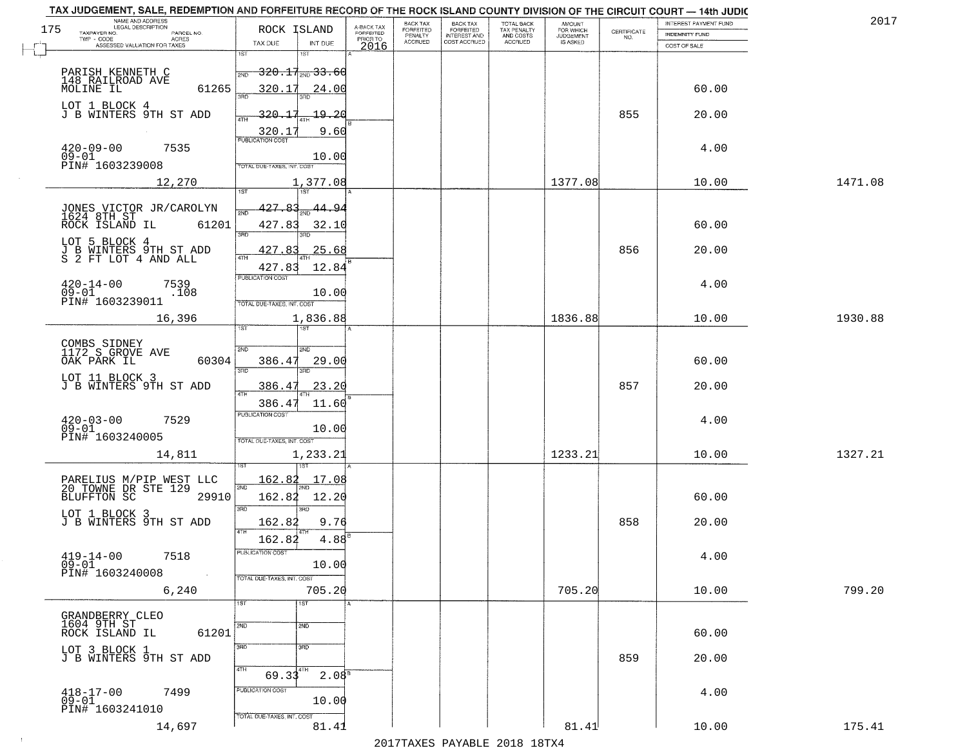| TAX JUDGEMENT, SALE, REDEMPTION AND FORFEITURE RECORD OF THE ROCK ISLAND COUNTY DIVISION OF THE CIRCUIT COURT - 14th JUDIC<br>NAME AND ADDRESS<br>LEGAL DESCRIPTION |                                   |                    |                                     | BACK TAX             |                                       |                                        | <b>AMOUNT</b>          |                    | <b>INTEREST PAYMENT FUND</b> | 2017    |
|---------------------------------------------------------------------------------------------------------------------------------------------------------------------|-----------------------------------|--------------------|-------------------------------------|----------------------|---------------------------------------|----------------------------------------|------------------------|--------------------|------------------------------|---------|
| 175<br>TAXPAYER NO.<br>PARCEL NO.<br>TWP - CODE<br><b>ACRES</b>                                                                                                     | ROCK ISLAND                       |                    | A-BACK TAX<br>FORFEITED<br>PRIOR TO | FORFEITED<br>PENALTY | BACK TAX<br>FORFEITED<br>INTEREST AND | TOTAL BACK<br>TAX PENALTY<br>AND COSTS | FOR WHICH<br>JUDGEMENT | CERTIFICATE<br>NO. | <b>INDEMNITY FUND</b>        |         |
| ASSESSED VALUATION FOR TAXES                                                                                                                                        | TAX DUE<br>1ST                    | INT DUE<br>1ST     | 2016                                | <b>ACCRUED</b>       | COST ACCRUED                          | ACCRUED                                | <b>IS ASKED</b>        |                    | COST OF SALE                 |         |
|                                                                                                                                                                     |                                   |                    |                                     |                      |                                       |                                        |                        |                    |                              |         |
| PARISH KENNETH C<br>148 RAILROAD AVE<br>MOLINE IL                                                                                                                   | 2ND                               | $320.17_{20}33.60$ |                                     |                      |                                       |                                        |                        |                    |                              |         |
| 61265                                                                                                                                                               | 320.17<br>san                     | 24.00              |                                     |                      |                                       |                                        |                        |                    | 60.00                        |         |
| LOT 1 BLOCK 4<br>J B WINTERS 9TH ST ADD                                                                                                                             | 320.17                            | 19,20              |                                     |                      |                                       |                                        |                        | 855                | 20.00                        |         |
|                                                                                                                                                                     |                                   |                    |                                     |                      |                                       |                                        |                        |                    |                              |         |
|                                                                                                                                                                     | 320.1<br><b>PUBLICATION COST</b>  | 9.60               |                                     |                      |                                       |                                        |                        |                    |                              |         |
| $420 - 09 - 00$<br>7535<br>$09 - 01$                                                                                                                                |                                   | 10.00              |                                     |                      |                                       |                                        |                        |                    | 4.00                         |         |
| PIN# 1603239008                                                                                                                                                     | TOTAL DUE-TAXES, INT. COST        |                    |                                     |                      |                                       |                                        |                        |                    |                              |         |
| 12,270                                                                                                                                                              | 1ST                               | 1,377.08<br>1ST    |                                     |                      |                                       |                                        | 1377.08                |                    | 10.00                        | 1471.08 |
|                                                                                                                                                                     | 427.83                            | <u>44.94</u>       |                                     |                      |                                       |                                        |                        |                    |                              |         |
| JONES VICTOR JR/CAROLYN<br>1624 8TH ST<br>ROCK ISLAND IL 6120<br>61201                                                                                              |                                   |                    |                                     |                      |                                       |                                        |                        |                    | 60.00                        |         |
|                                                                                                                                                                     | 427.83<br>3RD                     | 32.10              |                                     |                      |                                       |                                        |                        |                    |                              |         |
| LOT 5 BLOCK 4<br>J B WINTERS 9TH ST ADD<br>S 2 FT LOT 4 AND ALL                                                                                                     | 427.83<br>$\overline{ATH}$        | 25.68              |                                     |                      |                                       |                                        |                        | 856                | 20.00                        |         |
|                                                                                                                                                                     | 427.83                            | 12.84              |                                     |                      |                                       |                                        |                        |                    |                              |         |
| $420 - 14 - 00$<br>7539                                                                                                                                             | PUBLICATION COST                  |                    |                                     |                      |                                       |                                        |                        |                    | 4.00                         |         |
| $09 - 01$<br>.108<br>PIN# <sup>-1603239011</sup>                                                                                                                    | TOTAL DUE-TAXES, INT. COST        | 10.00              |                                     |                      |                                       |                                        |                        |                    |                              |         |
| 16,396                                                                                                                                                              |                                   | 1,836.88           |                                     |                      |                                       |                                        | 1836.88                |                    | 10.00                        | 1930.88 |
|                                                                                                                                                                     | ist                               |                    |                                     |                      |                                       |                                        |                        |                    |                              |         |
|                                                                                                                                                                     | 2ND                               | 2ND                |                                     |                      |                                       |                                        |                        |                    |                              |         |
| COMBS SIDNEY<br>1172 S GROVE AVE<br>OAK PARK IL<br>60304                                                                                                            | 386.47                            | 29.00              |                                     |                      |                                       |                                        |                        |                    | 60.00                        |         |
| LOT 11 BLOCK 3<br>J B WINTERS 9TH ST ADD                                                                                                                            | 3RD                               | 3RD                |                                     |                      |                                       |                                        |                        |                    |                              |         |
|                                                                                                                                                                     | <u>386.47</u><br>4TH              | 23.20              |                                     |                      |                                       |                                        |                        | 857                | 20.00                        |         |
|                                                                                                                                                                     | 386.47<br><b>PUBLICATION COST</b> | 11.60              |                                     |                      |                                       |                                        |                        |                    |                              |         |
| $420 - 03 - 00$<br>7529<br>$09 - 01$                                                                                                                                |                                   | 10.00              |                                     |                      |                                       |                                        |                        |                    | 4.00                         |         |
| PIN# 1603240005                                                                                                                                                     | TOTAL OUE-TAXES, INT. COST        |                    |                                     |                      |                                       |                                        |                        |                    |                              |         |
| 14,811                                                                                                                                                              |                                   | 1,233.21           |                                     |                      |                                       |                                        | 1233.21                |                    | 10.00                        | 1327.21 |
|                                                                                                                                                                     | <u> 162.82</u>                    | <u> 17.08</u>      |                                     |                      |                                       |                                        |                        |                    |                              |         |
| PARELIUS M/PIP WEST LLC<br>20 TOWNE DR STE 129<br>BLUFFTON SC 2991<br>29910                                                                                         | 2ND                               |                    |                                     |                      |                                       |                                        |                        |                    |                              |         |
|                                                                                                                                                                     | 162.82<br>3RD                     | 12.20<br>3RD       |                                     |                      |                                       |                                        |                        |                    | 60.00                        |         |
| LOT 1 BLOCK 3<br>J B WINTERS 9TH ST ADD                                                                                                                             | 162.82                            | 9.76               |                                     |                      |                                       |                                        |                        | 858                | 20.00                        |         |
|                                                                                                                                                                     | 4TH<br>162.82                     | 4.88               |                                     |                      |                                       |                                        |                        |                    |                              |         |
| $419 - 14 - 00$<br>7518                                                                                                                                             | PUBLICATION COST                  |                    |                                     |                      |                                       |                                        |                        |                    | 4.00                         |         |
| $09 - 01$<br>PIN# 1603240008<br>$\sim 100$                                                                                                                          |                                   | 10.00              |                                     |                      |                                       |                                        |                        |                    |                              |         |
| 6,240                                                                                                                                                               | TOTAL DUE-TAXES, INT. COST        | 705.20             |                                     |                      |                                       |                                        | 705.20                 |                    | 10.00                        | 799.20  |
|                                                                                                                                                                     | 1ST                               | 1ST                |                                     |                      |                                       |                                        |                        |                    |                              |         |
| GRANDBERRY CLEO<br>1604 9TH ST                                                                                                                                      | 2ND                               | 2ND                |                                     |                      |                                       |                                        |                        |                    |                              |         |
| 61201<br>ROCK ISLAND IL                                                                                                                                             |                                   |                    |                                     |                      |                                       |                                        |                        |                    | 60.00                        |         |
| LOT 3 BLOCK 1                                                                                                                                                       | 3RD                               | 3BD                |                                     |                      |                                       |                                        |                        |                    |                              |         |
| J B WINTERS 9TH ST ADD                                                                                                                                              | 4TH<br>$69.33^{4}$                |                    |                                     |                      |                                       |                                        |                        | 859                | 20.00                        |         |
|                                                                                                                                                                     | PUBLICATION COST                  | 2.08 <sup>B</sup>  |                                     |                      |                                       |                                        |                        |                    |                              |         |
| 7499<br>$^{418-17-00}_{09-01}$                                                                                                                                      |                                   | 10.00              |                                     |                      |                                       |                                        |                        |                    | 4.00                         |         |
| PIN# 1603241010                                                                                                                                                     | TOTAL DUE-TAXES, INT. COST        |                    |                                     |                      |                                       |                                        |                        |                    |                              |         |
| 14,697                                                                                                                                                              |                                   | 81.41              |                                     |                      |                                       |                                        | 81.41                  |                    | 10.00                        | 175.41  |

 $\sim 10^{-1}$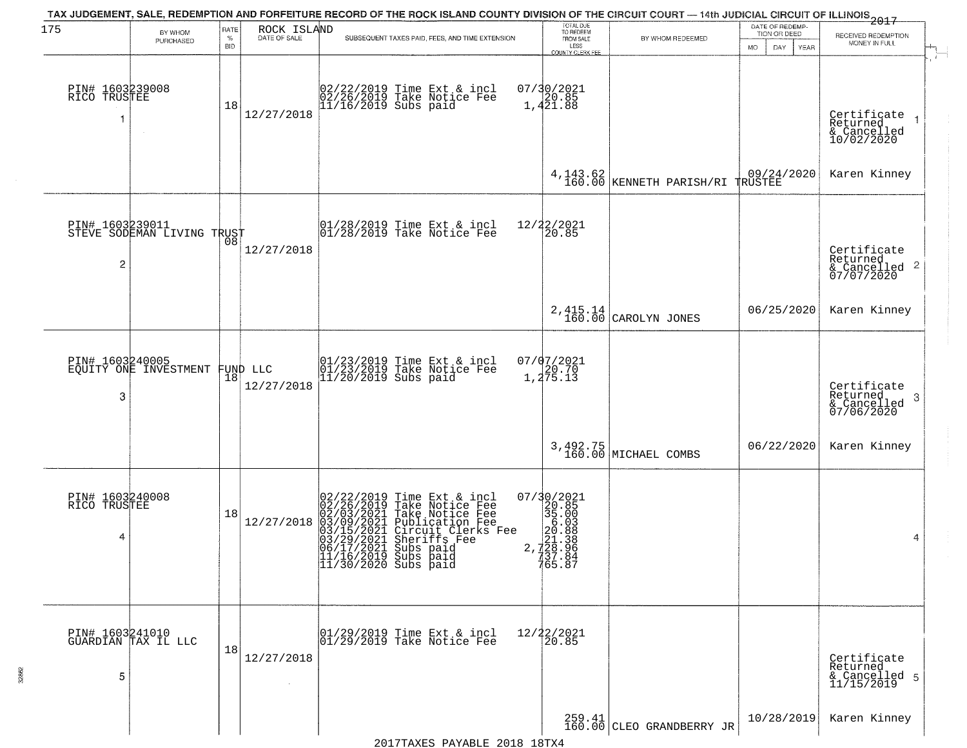| 175                                  | BY WHOM<br>PURCHASED                   | RATE<br>$\%$<br><b>BID</b> | ROCK ISLAND<br>DATE OF SALE | TAX JUDGEMENT, SALE, REDEMPTION AND FORFEITURE RECORD OF THE ROCK ISLAND COUNTY DIVISION OF THE CIRCUIT COURT — 14th JUDICIAL CIRCUIT OF ILLINOIS 2017<br>SUBSEQUENT TAXES PAID, FEES, AND TIME EXTENSION                                                                                                                      | TOTAL DUE<br>TO REDEEM<br>FROM SALE<br>LESS<br>COUNTY CLERK FEE                                                                                                                                                                                                                                                                | BY WHOM REDEEMED                              | DATE OF REDEMP-<br>TION OR DEED<br>DAY.<br><b>YEAR</b><br>MO. | RECEIVED REDEMPTION<br>MONEY IN FULL                                 |
|--------------------------------------|----------------------------------------|----------------------------|-----------------------------|--------------------------------------------------------------------------------------------------------------------------------------------------------------------------------------------------------------------------------------------------------------------------------------------------------------------------------|--------------------------------------------------------------------------------------------------------------------------------------------------------------------------------------------------------------------------------------------------------------------------------------------------------------------------------|-----------------------------------------------|---------------------------------------------------------------|----------------------------------------------------------------------|
| PIN# 1603239008<br>RICO TRUSTEE      |                                        | 18                         | 12/27/2018                  | 02/22/2019 Time Ext & incl<br>02/26/2019 Take Notice Fee<br>11/16/2019 Subs paid                                                                                                                                                                                                                                               | 07/30/2021<br>20.85<br>1,421.88                                                                                                                                                                                                                                                                                                |                                               |                                                               | Certificate<br>Returned<br>& Cancelled<br>10/02/2020                 |
|                                      |                                        |                            |                             |                                                                                                                                                                                                                                                                                                                                |                                                                                                                                                                                                                                                                                                                                | 4, 143.62<br>160.00 KENNETH PARISH/RI TRUSTEE |                                                               | Karen Kinney                                                         |
| PIN# 1603239011<br>$\overline{c}$    | STEVE SODEMAN LIVING TRUST             |                            | 12/27/2018                  | $\begin{array}{ccc}  01/28/2019 \text{ Time} & \text{Ext} & \text{incl} \\  01/28/2019 \text{ Take Notice } \text{Fe} \end{array}$                                                                                                                                                                                             | 12/22/2021<br>20.85                                                                                                                                                                                                                                                                                                            |                                               |                                                               | Certificate<br>Returned<br>$\mathbf{2}$<br>& Cancelled<br>07/07/2020 |
|                                      |                                        |                            |                             |                                                                                                                                                                                                                                                                                                                                |                                                                                                                                                                                                                                                                                                                                | 2, 415.14<br>160.00 CAROLYN JONES             | 06/25/2020                                                    | Karen Kinney                                                         |
| PIN# 1603240005<br>3                 | EQUITY ONE INVESTMENT                  | 18                         | FUND LLC<br>12/27/2018      | 01/23/2019 Time Ext & incl<br>01/23/2019 Take Notice Fee<br>11/20/2019 Subs paid                                                                                                                                                                                                                                               | 07/07/2021<br>$1, 20.70$<br>1, 275.13                                                                                                                                                                                                                                                                                          |                                               |                                                               | Certificate<br>Returned<br>3<br>& Cancelled<br>07/06/2020            |
|                                      |                                        |                            |                             |                                                                                                                                                                                                                                                                                                                                |                                                                                                                                                                                                                                                                                                                                | 3,492.75<br>160.00 MICHAEL COMBS              | 06/22/2020                                                    | Karen Kinney                                                         |
| PIN# 1603240008<br>RICO TRUSTEE<br>4 |                                        | 18                         | 12/27/2018                  | $\begin{smallmatrix} 02/22/2019\\ 02/26/2019\\ 02/03/2021\\ 03/15/2021\\ 03/15/2021\\ 03/29/2021\\ 03/29/2021\\ 04/17/2021 \end{smallmatrix}$<br>Time Ext & incl<br>Take Notice Fee<br>Take Notice Fee<br>Publication Fee<br>Circuit Clerks Fee<br>Sheriffs Fee<br>Subs paid<br> 11/16/2019 Subs paid<br> 11/30/2020 Subs paid | $\begin{smallmatrix} 07/3 & 0/2 & 02 & 1 \\ 2 & 2 & 0 & 0 & 5 \\ 3 & 5 & 0 & 0 & 0 \\ 2 & 0 & 0 & 0 & 0 \\ 2 & 0 & 0 & 0 & 0 \\ 2 & 0 & 0 & 0 & 0 \\ 2 & 0 & 0 & 0 & 0 \\ 7 & 0 & 0 & 0 & 0 \\ 7 & 0 & 0 & 0 & 0 \\ 7 & 6 & 0 & 0 & 0 \\ 7 & 6 & 0 & 0 & 0 \\ 8 & 0 & 0 & 0 & 0 \\ 9 & 0 & 0 & 0 & 0 \\ 1 & 0 & 0 & 0 & 0 \\ $ |                                               |                                                               | 4                                                                    |
| 5                                    | PIN# 1603241010<br>GUARDIAN TAX IL LLC | 18                         | 12/27/2018<br>$\sim$        | 01/29/2019 Time Ext & incl<br>01/29/2019 Take Notice Fee                                                                                                                                                                                                                                                                       | 12/22/2021<br>20.85                                                                                                                                                                                                                                                                                                            |                                               |                                                               | Certificate<br>Returned<br>& Cancelled 5<br>11/15/2019               |
|                                      |                                        |                            |                             |                                                                                                                                                                                                                                                                                                                                |                                                                                                                                                                                                                                                                                                                                | $259.41$ CLEO GRANDBERRY JR                   | 10/28/2019                                                    | Karen Kinney                                                         |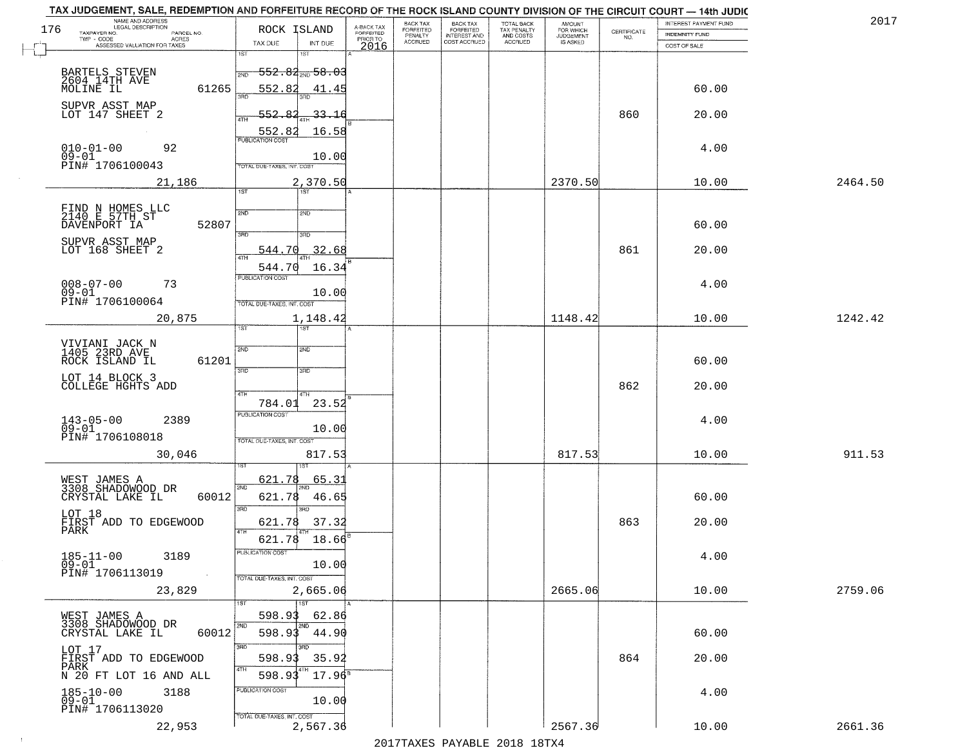|     | TAX JUDGEMENT, SALE, REDEMPTION AND FORFEITURE RECORD OF THE ROCK ISLAND COUNTY DIVISION OF THE CIRCUIT COURT - 14th JUDIC |                                                                             |                         |                              |                                       |                                        |                                  |                                                                 |                       | 2017    |
|-----|----------------------------------------------------------------------------------------------------------------------------|-----------------------------------------------------------------------------|-------------------------|------------------------------|---------------------------------------|----------------------------------------|----------------------------------|-----------------------------------------------------------------|-----------------------|---------|
| 176 | NAME AND ADDRESS<br>LEGAL DESCRIPTION                                                                                      | ROCK ISLAND                                                                 | A-BACK TAX<br>FORFEITED | BACK TAX<br><b>FORFEITED</b> | BACK TAX<br>FORFEITED<br>INTEREST AND | TOTAL BACK<br>TAX PENALTY<br>AND COSTS | AMOUNT<br>FOR WHICH<br>JUDGEMENT |                                                                 | INTEREST PAYMENT FUND |         |
|     | TAXPAYER NO.<br>PARCEL NO.<br>TWP - CODE<br>ACRES                                                                          |                                                                             | PRIOR TO                | PENALTY<br><b>ACCRUED</b>    | COST ACCRUED                          | ACCRUED                                | IS ASKED                         | $\begin{array}{c} \text{CERTIFICATE} \\ \text{NO.} \end{array}$ | <b>INDEMNITY FUND</b> |         |
|     | ASSESSED VALUATION FOR TAXES                                                                                               | INT DUE<br>TAX DUE<br>1ST<br>1ST                                            | 2016                    |                              |                                       |                                        |                                  |                                                                 | COST OF SALE          |         |
|     | BARTELS STEVEN<br>2604 14TH AVE<br>MOLINE IL                                                                               | $-552.84_{\text{2ND}}58.03$<br>2ND                                          |                         |                              |                                       |                                        |                                  |                                                                 |                       |         |
|     | 61265                                                                                                                      | 552.82<br>41.45                                                             |                         |                              |                                       |                                        |                                  |                                                                 | 60.00                 |         |
|     | SUPVR ASST MAP<br>LOT 147 SHEET 2                                                                                          | 552.82<br>33.16<br>16.58                                                    |                         |                              |                                       |                                        |                                  | 860                                                             | 20.00                 |         |
|     | $010 - 01 - 00$<br>$09 - 01$<br>92<br>PIN# 1706100043                                                                      | 552.82<br>10.00<br>TOTAL DUE-TAXES, INT. COST                               |                         |                              |                                       |                                        |                                  |                                                                 | 4.00                  |         |
|     | 21,186                                                                                                                     | 2,370.50                                                                    |                         |                              |                                       |                                        | 2370.50                          |                                                                 | 10.00                 | 2464.50 |
|     |                                                                                                                            | 1ST<br>1ST                                                                  |                         |                              |                                       |                                        |                                  |                                                                 |                       |         |
|     | FIND N HOMES LLC<br>2140 E 57TH ST<br>DAVENPORT IA<br>52807                                                                | 2ND<br>2ND<br>उन्नत<br>3RD                                                  |                         |                              |                                       |                                        |                                  |                                                                 | 60.00                 |         |
|     | SUPVR ASST MAP<br>LOT 168 SHEET 2                                                                                          | 32.68<br>544.70<br>544.70<br>16.34                                          |                         |                              |                                       |                                        |                                  | 861                                                             | 20.00                 |         |
|     | $008 - 07 - 00$<br>73<br>$09 - 01$<br>PIN# 1706100064                                                                      | PUBLICATION COST<br>10.00<br>TOTAL DUE-TAXES, INT. COST                     |                         |                              |                                       |                                        |                                  |                                                                 | 4.00                  |         |
|     | 20,875                                                                                                                     | 1,148.42                                                                    |                         |                              |                                       |                                        | 1148.42                          |                                                                 | 10.00                 | 1242.42 |
|     | VIVIANI JACK N<br>1405 23RD AVE<br>ROCK ISLAND IL<br>61201                                                                 | 1ST<br>ist<br>2ND<br>SMD                                                    |                         |                              |                                       |                                        |                                  |                                                                 | 60.00                 |         |
|     | LOT 14 BLOCK 3<br>COLLEGE HGHTS ADD                                                                                        | 3RD<br>3RD<br>4TH<br>4TH                                                    |                         |                              |                                       |                                        |                                  | 862                                                             | 20.00                 |         |
|     | $143 - 05 - 00$<br>09-01<br>2389                                                                                           | 23.52<br>784.01<br><b>PUBLICATION COST</b><br>10.00                         |                         |                              |                                       |                                        |                                  |                                                                 | 4.00                  |         |
|     | PIN# 1706108018<br>30,046                                                                                                  | TOTAL OUE-TAXES, INT. COST<br>817.53                                        |                         |                              |                                       |                                        | 817.53                           |                                                                 | 10.00                 | 911.53  |
|     | WEST JAMES A<br>3308 SHADOWOOD DR<br>CRYSTAL LAKE IL<br>60012                                                              | 621.78<br>65.31<br>2ND<br>621.78<br>46.65                                   |                         |                              |                                       |                                        |                                  |                                                                 | 60.00                 |         |
|     | LOT 18<br>FIRST ADD TO EDGEWOOD<br>PARK                                                                                    | 3RD<br>3RD<br>621.78<br>37.32<br>4TH                                        |                         |                              |                                       |                                        |                                  | 863                                                             | 20.00                 |         |
|     | $185 - 11 - 00$<br>3189<br>$09 - 01$<br>PIN# 1706113019                                                                    | 621.78<br>18.66<br>ruslica i IUN COS<br>10.00<br>TOTAL DUE-TAXES, INT. COST |                         |                              |                                       |                                        |                                  |                                                                 | 4.00                  |         |
|     | 23,829                                                                                                                     | 2,665.06<br>1ST                                                             |                         |                              |                                       |                                        | 2665.06                          |                                                                 | 10.00                 | 2759.06 |
|     | WEST JAMES A<br>3308 SHADOWOOD DR<br>60012<br>CRYSTAL LAKE IL                                                              | 598.93<br>62.86<br>2ND<br>598.93<br>44.90                                   |                         |                              |                                       |                                        |                                  |                                                                 | 60.00                 |         |
|     | LOT 17<br>FIRST ADD TO EDGEWOOD<br>PARK<br>N 20 FT LOT 16 AND ALL                                                          | 3RD<br>35.92<br>598.93<br>4TH<br>598.93<br>$17.96^{\circ}$                  |                         |                              |                                       |                                        |                                  | 864                                                             | 20.00                 |         |
|     | $185 - 10 - 00$<br>3188<br>$09 - 01$<br>PIN# 1706113020                                                                    | PUBLICATION COST<br>10.00                                                   |                         |                              |                                       |                                        |                                  |                                                                 | 4.00                  |         |
|     | 22,953                                                                                                                     | TOTAL DUE-TAXES, INT. COST<br>2,567.36                                      |                         |                              | 2017 THAYRO DAVADIR 2018 19TYA        |                                        | 2567.36                          |                                                                 | 10.00                 | 2661.36 |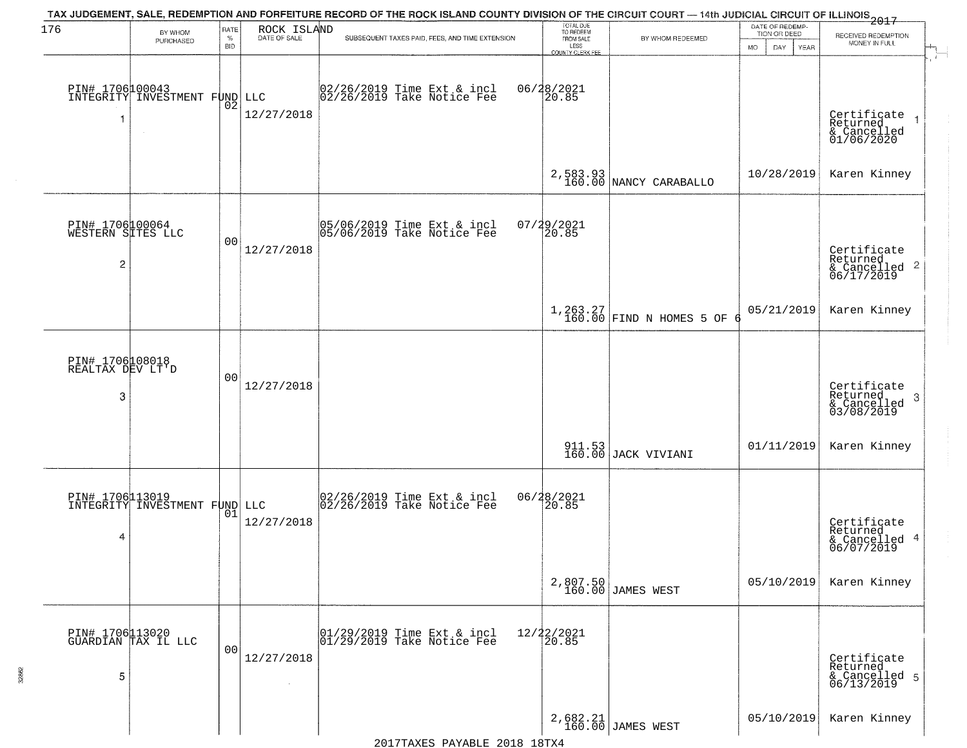| 176                                                    |                                                  |                     |                   | TAX JUDGEMENT, SALE, REDEMPTION AND FORFEITURE RECORD OF THE ROCK ISLAND COUNTY DIVISION OF THE CIRCUIT COURT — 14th JUDICIAL CIRCUIT OF ILLINOIS 2017                                                                                                                                                                                                                 | TOTAL DUE<br>TO REDEEM   |                                      | DATE OF REDEMP-          |                                                                    |
|--------------------------------------------------------|--------------------------------------------------|---------------------|-------------------|------------------------------------------------------------------------------------------------------------------------------------------------------------------------------------------------------------------------------------------------------------------------------------------------------------------------------------------------------------------------|--------------------------|--------------------------------------|--------------------------|--------------------------------------------------------------------|
|                                                        | BY WHOM<br>PURCHASED                             | <b>RATE</b><br>$\%$ | ROCK ISLAND       | SUBSEQUENT TAXES PAID, FEES, AND TIME EXTENSION                                                                                                                                                                                                                                                                                                                        | FROM SALE                | BY WHOM REDEEMED                     | TION OR DEED             | RECEIVED REDEMPTION<br>MONEY IN FULL                               |
|                                                        |                                                  | <b>BID</b>          |                   |                                                                                                                                                                                                                                                                                                                                                                        | LESS<br>COUNTY CLERK FEE |                                      | <b>MO</b><br>DAY<br>YEAR |                                                                    |
| -1                                                     | PIN# 1706100043<br>INTEGRITY INVESTMENT FUND     | 02                  | LLC<br>12/27/2018 | 02/26/2019 Time Ext & incl<br>02/26/2019 Take Notice Fee                                                                                                                                                                                                                                                                                                               | 06/28/2021<br>20.85      |                                      |                          | Certificate<br>Returned<br>& Cancelled<br>01/06/2020               |
|                                                        |                                                  |                     |                   |                                                                                                                                                                                                                                                                                                                                                                        |                          | $2,583.93$<br>160.00 NANCY CARABALLO | 10/28/2019               | Karen Kinney                                                       |
| PIN# 1706100064<br>WESTERN SITES LLC<br>$\overline{c}$ |                                                  | 0 <sub>0</sub>      | 12/27/2018        | 05/06/2019 Time Ext & incl<br>05/06/2019 Take Notice Fee                                                                                                                                                                                                                                                                                                               | $07/29/2021$<br>20.85    |                                      |                          | Certificate<br>Returned<br>$\frac{1}{6}$ Cancelled 2<br>06/17/2019 |
|                                                        |                                                  |                     |                   |                                                                                                                                                                                                                                                                                                                                                                        |                          | 1,263.27<br>160.00 FIND N HOMES 5 OF | 05/21/2019               | Karen Kinney                                                       |
| PIN# 1706108018<br>REALTAX DEV LT'D<br>3               |                                                  | 00                  | 12/27/2018        |                                                                                                                                                                                                                                                                                                                                                                        |                          |                                      |                          | Certificate<br>Returned<br>3<br>& Cancelled<br>03/08/2019          |
|                                                        |                                                  |                     |                   |                                                                                                                                                                                                                                                                                                                                                                        |                          | 911.53<br>160.00 JACK VIVIANI        | 01/11/2019               | Karen Kinney                                                       |
| 4                                                      | PIN# 1706113019<br>INTEGRITY INVESTMENT FUND LLC | 01                  | 12/27/2018        | 02/26/2019 Time Ext & incl<br>02/26/2019 Take Notice Fee                                                                                                                                                                                                                                                                                                               | 06/28/2021<br>20.85      |                                      |                          | Certificate<br>Returned<br>& Cancelled 4<br>06/07/2019             |
|                                                        |                                                  |                     |                   |                                                                                                                                                                                                                                                                                                                                                                        |                          | 2,807.50<br>160.00 JAMES WEST        | 05/10/2019               | Karen Kinney                                                       |
| 5                                                      | PIN# 1706113020<br>GUARDIAN TAX IL LLC           | 0 <sub>0</sub>      | 12/27/2018        | $\begin{array}{ccc}  01/29/2019 \overline{\hspace{0.2cm}} 101/29/2019 \overline{\hspace{0.2cm}} 101/29/2019 \overline{\hspace{0.2cm}} 101/29/2019 \overline{\hspace{0.2cm}} 101/29/2019 \overline{\hspace{0.2cm}} 101/29/2019 \overline{\hspace{0.2cm}} 101/29/2019 \overline{\hspace{0.2cm}} 101/29/2019 \overline{\hspace{0.2cm}} 101/29/2019 \overline{\hspace{0.2$ | 12/22/2021<br>20.85      |                                      |                          | Certificate<br>Returned<br>& Cancelled 5<br>06/13/2019             |
|                                                        |                                                  |                     |                   |                                                                                                                                                                                                                                                                                                                                                                        |                          | 2,682.21<br>160.00 JAMES WEST        | 05/10/2019               | Karen Kinney                                                       |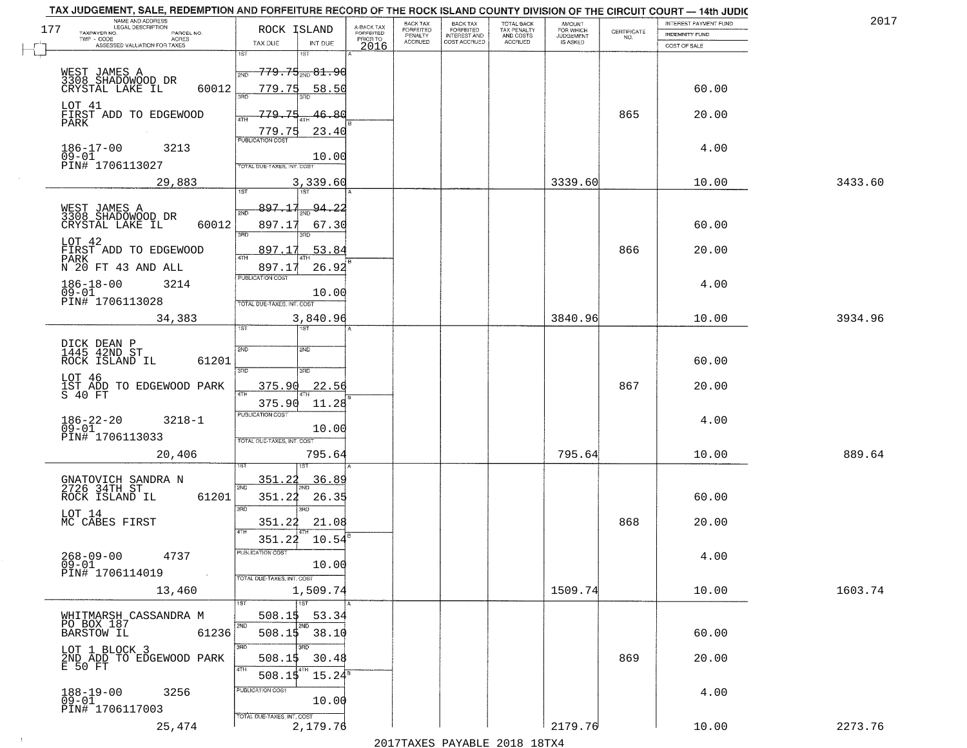| 2017    | INTEREST PAYMENT FUND  |                                                                 | AMOUNT<br>FOR WHICH |                                        | <b>BACK TAX</b>           | BACK TAX             |                                     |                                                                                                                    | TAX JUDGEMENT, SALE, REDEMPTION AND FORFEITURE RECORD OF THE ROCK ISLAND COUNTY DIVISION OF THE CIRCUIT COURT - 14th JUDIC<br>NAME AND ADDRESS<br>LEGAL DESCRIPTION |
|---------|------------------------|-----------------------------------------------------------------|---------------------|----------------------------------------|---------------------------|----------------------|-------------------------------------|--------------------------------------------------------------------------------------------------------------------|---------------------------------------------------------------------------------------------------------------------------------------------------------------------|
|         | <b>INDEMNITY FUND</b>  | $\begin{array}{c} \text{CERTIFICATE} \\ \text{NO.} \end{array}$ | <b>JUDGEMENT</b>    | TOTAL BACK<br>TAX PENALTY<br>AND COSTS | FORFEITED<br>INTEREST AND | FORFEITED<br>PENALTY | A-BACK TAX<br>FORFEITED<br>PRIOR TO | ROCK ISLAND                                                                                                        | 177<br>TAXPAYER NO.<br>PARCEL NO.<br>ACRES                                                                                                                          |
|         | COST OF SALE           |                                                                 | IS ASKED            | ACCRUED                                | COST ACCRUED              | <b>ACCRUED</b>       | 2016                                | TAX DUE<br>INT DUE                                                                                                 | ASSESSED VALUATION FOR TAXES                                                                                                                                        |
|         | 60.00                  |                                                                 |                     |                                        |                           |                      |                                     | 1ST<br>18T<br><del>779.75<sub>200</sub>81.90</del><br>2ND<br>779.75<br><u>58.50</u>                                | WEST JAMES A<br>3308 SHADOMOOD DR<br>60012<br>CRYSTAL LAKE IL                                                                                                       |
|         | 20.00                  | 865                                                             |                     |                                        |                           |                      |                                     | 46.80<br>779.75<br>23.40<br>$\frac{779.75}{FUBUCATON COST}$                                                        | LOT 41<br>FIRST ADD TO EDGEWOOD<br>PARK                                                                                                                             |
|         | 4.00                   |                                                                 |                     |                                        |                           |                      |                                     | 10.00<br>TOTAL DUE-TAXES, INT. COST                                                                                | $186 - 17 - 00$<br>3213<br>$09 - 01$<br>PIN# 1706113027                                                                                                             |
| 3433.60 | 10.00                  |                                                                 | 3339.60             |                                        |                           |                      |                                     | 3,339.60                                                                                                           | 29,883                                                                                                                                                              |
|         | 60.00<br>20.00         | 866                                                             |                     |                                        |                           |                      |                                     | 897.17<br>$\frac{94.22}{200}$<br>2ND<br>897.17<br>67.30<br>3RD<br>3RD<br>897.17<br>53.84<br>ৰাম<br>26.92<br>897.17 | WEST JAMES A<br>3308 SHADOWOOD DR<br>60012<br>CRYSTAL LAKE IL<br>LOT 42<br>FIRST ADD TO EDGEWOOD<br>PARK<br>N 20 FT 43 AND ALL                                      |
|         | 4.00                   |                                                                 |                     |                                        |                           |                      |                                     | PUBLICATION COST<br>10.00<br>TOTAL DUE-TAXES, INT. COST                                                            | $186 - 18 - 00$<br>3214<br>$09 - 01$<br>PIN# 1706113028                                                                                                             |
| 3934.96 | 10.00                  |                                                                 | 3840.96             |                                        |                           |                      |                                     | 3,840.96<br>īst<br>1ST                                                                                             | 34,383                                                                                                                                                              |
|         | 60.00<br>20.00<br>4.00 | 867                                                             |                     |                                        |                           |                      |                                     | 2ND<br>2ND<br>3RD<br>3RD<br>375.90<br>22.56<br>ATH<br>375.90<br>11.28<br><b>PUBLICATION COST</b><br>10.00          | DICK DEAN P<br>1445 42ND ST<br>ROCK ISLAND IL<br>61201<br>LOT 46<br>IST ADD TO EDGEWOOD PARK<br>S 40 FT<br>$186 - 22 - 20$<br>09-01<br>$3218 - 1$                   |
| 889.64  | 10.00                  |                                                                 | 795.64              |                                        |                           |                      |                                     | TOTAL OUE-TAXES, INT. COST<br>795.64                                                                               | PIN# 1706113033<br>20,406                                                                                                                                           |
|         | 60.00<br>20.00         | 868                                                             |                     |                                        |                           |                      |                                     | 351.22<br>36.89<br>2ND<br>351.22<br>26.35<br>3 <sub>BD</sub><br>m<br>21.08<br>351.22<br>4TH<br>351.22<br>10.54     | GNATOVICH SANDRA N<br>2726 34TH ST<br>ROCK ISLAND IL<br>61201<br>LOT 14<br>MC CABES FIRST                                                                           |
|         | 4.00                   |                                                                 |                     |                                        |                           |                      |                                     | PUBLICATION COS<br>10.00<br>TOTAL DUE-TAXES, INT. COST                                                             | $268 - 09 - 00$<br>4737<br>$09 - 01$<br>PIN# 1706114019<br><b>Contract</b>                                                                                          |
| 1603.74 | 10.00                  |                                                                 | 1509.74             |                                        |                           |                      |                                     | 1,509.74                                                                                                           | 13,460                                                                                                                                                              |
|         | 60.00                  |                                                                 |                     |                                        |                           |                      |                                     | $\overline{11}$ st<br>508.15<br>53.34<br>2ND<br>2ND<br>$508.15$ 38.10<br>3RD<br>חחי                                | WHITMARSH CASSANDRA M<br>PO BOX 187<br><b>BARSTOW IL</b><br>61236<br>LOT 1 BLOCK 3                                                                                  |
|         | 20.00                  | 869                                                             |                     |                                        |                           |                      |                                     | 30.48<br>508.1\$<br>4TH<br>508.15<br>$15.24^s$                                                                     | 2ND ADD TO EDGEWOOD PARK<br>E 50 FT                                                                                                                                 |
|         | 4.00                   |                                                                 |                     |                                        |                           |                      |                                     | PUBLICATION COST<br>10.00<br>TOTAL DUE-TAXES, INT. COST                                                            | 188-19-00<br>09-01<br>3256<br>PIN# 1706117003                                                                                                                       |
| 2273.76 | 10.00                  |                                                                 | 2179.76             |                                        |                           |                      |                                     | 2,179.76                                                                                                           | 25,474                                                                                                                                                              |

 $\sim 100$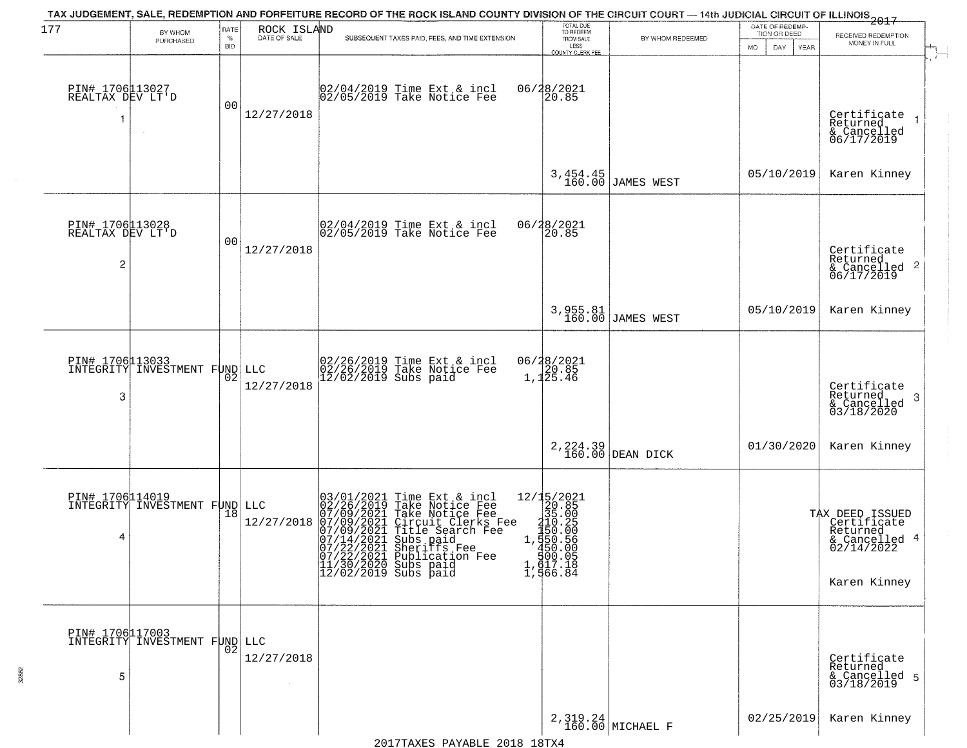| 177                                      | BY WHOM                                          | RATE               | ROCK ISLAND  | TAX JUDGEMENT, SALE, REDEMPTION AND FORFEITURE RECORD OF THE ROCK ISLAND COUNTY DIVISION OF THE CIRCUIT COURT — 14th JUDICIAL CIRCUIT OF ILLINOIS 2017                                                                                                                                                         | TOTAL DUE<br>TO REDEEM                                                                                                                                 |                               | DATE OF REDEMP<br>TION OR DEED | RECEIVED REDEMPTION                                                                       |
|------------------------------------------|--------------------------------------------------|--------------------|--------------|----------------------------------------------------------------------------------------------------------------------------------------------------------------------------------------------------------------------------------------------------------------------------------------------------------------|--------------------------------------------------------------------------------------------------------------------------------------------------------|-------------------------------|--------------------------------|-------------------------------------------------------------------------------------------|
|                                          | PURCHASED                                        | $\%$<br><b>BID</b> | DATE OF SALE | SUBSEQUENT TAXES PAID, FEES, AND TIME EXTENSION                                                                                                                                                                                                                                                                | FROM SALE<br>LESS<br><b>COUNTY CLERK FEE</b>                                                                                                           | BY WHOM REDEEMED              | MO.<br>DAY.<br><b>YEAR</b>     | MONEY IN FULL                                                                             |
| PIN# 1706113027<br>REALTAX DEV LT'D<br>1 | $\sim$                                           | 0 <sub>0</sub>     | 12/27/2018   | 02/04/2019 Time Ext & incl<br>02/05/2019 Take Notice Fee                                                                                                                                                                                                                                                       | 06/28/2021<br>20.85                                                                                                                                    |                               |                                | Certificate<br>Returned<br>& Cancelled<br>06/17/2019                                      |
|                                          |                                                  |                    |              |                                                                                                                                                                                                                                                                                                                |                                                                                                                                                        | 3,454.45<br>160.00 JAMES WEST | 05/10/2019                     | Karen Kinney                                                                              |
| PIN# 1706113028<br>REALTAX DEV LT'D<br>2 |                                                  | 0 <sub>0</sub>     | 12/27/2018   | 02/04/2019 Time Ext & incl<br>02/05/2019 Take Notice Fee                                                                                                                                                                                                                                                       | 06/28/2021<br>20.85                                                                                                                                    |                               |                                | Certificate<br>Returned<br>$\frac{1}{6}$ Cancelled 2<br>06/17/2019                        |
|                                          |                                                  |                    |              |                                                                                                                                                                                                                                                                                                                |                                                                                                                                                        | 3,955.81<br>160.00 JAMES WEST | 05/10/2019                     | Karen Kinney                                                                              |
| PIN# 1706113033<br>INTEGRITY INVES<br>3  | INVESTMENT FUND LLC                              | 02                 | 12/27/2018   | 02/26/2019 Time Ext & incl<br>02/26/2019 Take Notice Fee<br>12/02/2019 Subs paid                                                                                                                                                                                                                               | 06/28/2021<br>20.85<br>1,125.46                                                                                                                        |                               |                                | Certificate<br>Returned<br>3<br>$\frac{1}{2}$ Cancelled<br>03/18/2020                     |
|                                          |                                                  |                    |              |                                                                                                                                                                                                                                                                                                                |                                                                                                                                                        | 2, 224.39<br>160.00 DEAN DICK | 01/30/2020                     | Karen Kinney                                                                              |
| 4                                        | PIN# 1706114019<br>INTEGRITY INVESTMENT FUND LLC | 18                 | 12/27/2018   | 03/01/2021<br>02/26/2019<br>07/09/2021<br>07/09/2021<br>07/14/2021<br>07/22/2021<br>Time Ext & incl<br>Take Notice Fee<br>Take Notice Fee<br>Circuit Clerks Fee<br>Title Search Fee<br>Subs paid<br>Sheriffs Fee<br>Sheriffs Fee<br>07/22/2021 Publication Fee<br>11/30/2020 Subs paid<br>12/02/2019 Subs paid | $[ \begin{smallmatrix} 12/15/2021\\ 20.85\\ 35.00\\ 10.29\\ -1.50.01\\ 1.50.00\\ 4550.56\\ 4500.05\\ 500.05\\ 1.617.18\\ 1.566.84 \end{smallmatrix} ]$ |                               |                                | TAX DEED ISSUED<br>Certificate<br>Returned<br>& Cancelled 4<br>02/14/2022<br>Karen Kinney |
| PIN# 1706117003<br>5                     | INTEGRITY INVESTMENT FUND LLC                    | 02                 | 12/27/2018   |                                                                                                                                                                                                                                                                                                                |                                                                                                                                                        |                               |                                | Certificate<br>Returned<br>& Cancelled 5<br>03/18/2019                                    |
|                                          |                                                  |                    |              |                                                                                                                                                                                                                                                                                                                |                                                                                                                                                        | $2,319.24$ MICHAEL F          | 02/25/2019                     | Karen Kinney                                                                              |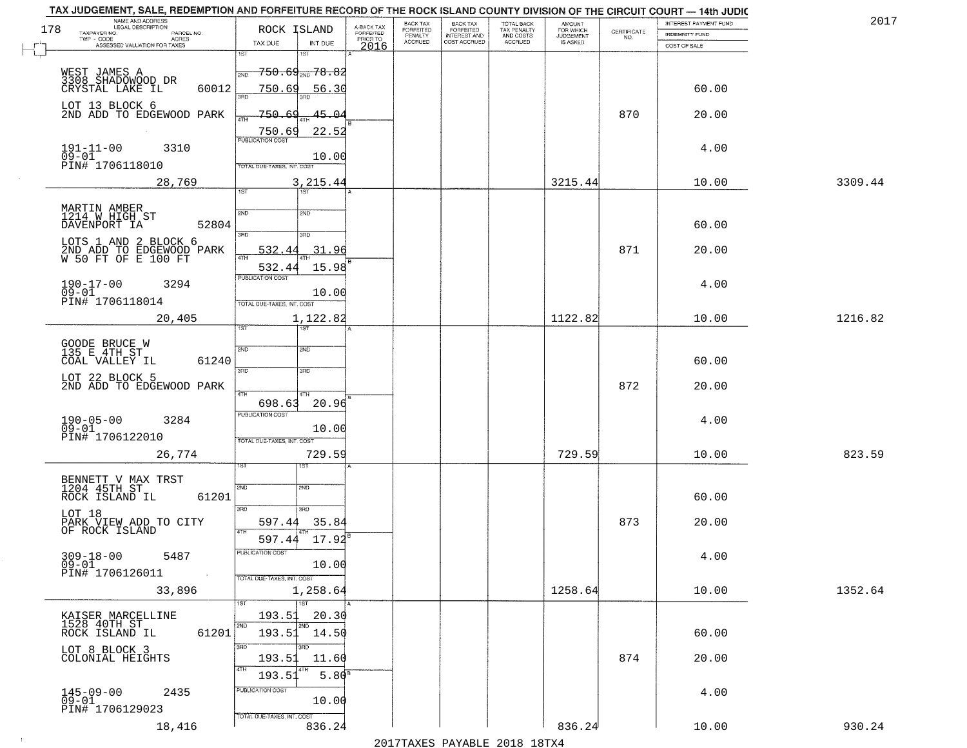|     | TAX JUDGEMENT, SALE, REDEMPTION AND FORFEITURE RECORD OF THE ROCK ISLAND COUNTY DIVISION OF THE CIRCUIT COURT - 14th JUDIC<br>NAME AND ADDRESS<br>LEGAL DESCRIPTION |                                             |                                     | BACK TAX                    |                                              |                                        |                                         |                                                                 | INTEREST PAYMENT FUND | 2017    |
|-----|---------------------------------------------------------------------------------------------------------------------------------------------------------------------|---------------------------------------------|-------------------------------------|-----------------------------|----------------------------------------------|----------------------------------------|-----------------------------------------|-----------------------------------------------------------------|-----------------------|---------|
| 178 | TAXPAYER NO.<br>PARCEL NO.                                                                                                                                          | ROCK ISLAND                                 | A-BACK TAX<br>FORFEITED<br>PRIOR TO | <b>FORFEITED</b><br>PENALTY | BACK TAX<br>FORFEITED<br><b>INTEREST AND</b> | TOTAL BACK<br>TAX PENALTY<br>AND COSTS | AMOUNT<br>FOR WHICH<br><b>JUDGEMENT</b> | $\begin{array}{c} \text{CERTIFICATE} \\ \text{NO.} \end{array}$ | INDEMNITY FUND        |         |
|     | ACRES<br>ASSESSED VALUATION FOR TAXES                                                                                                                               | TAX DUE<br>INT DUE                          | 2016                                | <b>ACCRUED</b>              | COST ACCRUED                                 | ACCRUED                                | IS ASKED                                |                                                                 | COST OF SALE          |         |
|     |                                                                                                                                                                     | 1ST<br>1ST                                  |                                     |                             |                                              |                                        |                                         |                                                                 |                       |         |
|     |                                                                                                                                                                     | <del>750.69<sub>2ND</sub>78.82</del><br>2ND |                                     |                             |                                              |                                        |                                         |                                                                 |                       |         |
|     | WEST JAMES A<br>3308 SHADOWOOD DR                                                                                                                                   |                                             |                                     |                             |                                              |                                        |                                         |                                                                 |                       |         |
|     | 60012<br>CRYSTAL LAKE IL                                                                                                                                            | 750.69<br>56.30                             |                                     |                             |                                              |                                        |                                         |                                                                 | 60.00                 |         |
|     | LOT 13 BLOCK 6                                                                                                                                                      |                                             |                                     |                             |                                              |                                        |                                         |                                                                 |                       |         |
|     | 2ND ADD TO EDGEWOOD PARK                                                                                                                                            | 750.69<br>45.04                             |                                     |                             |                                              |                                        |                                         | 870                                                             | 20.00                 |         |
|     |                                                                                                                                                                     | 22.52<br>750.69                             |                                     |                             |                                              |                                        |                                         |                                                                 |                       |         |
|     |                                                                                                                                                                     |                                             |                                     |                             |                                              |                                        |                                         |                                                                 |                       |         |
|     | $191 - 11 - 00$<br>$09 - 01$<br>3310                                                                                                                                | 10.00                                       |                                     |                             |                                              |                                        |                                         |                                                                 | 4.00                  |         |
|     | PIN# 1706118010                                                                                                                                                     | TOTAL DUE-TAXES, INT. COST                  |                                     |                             |                                              |                                        |                                         |                                                                 |                       |         |
|     | 28,769                                                                                                                                                              | 3, 215.44                                   |                                     |                             |                                              |                                        | 3215.44                                 |                                                                 | 10.00                 | 3309.44 |
|     |                                                                                                                                                                     | IST<br>1ST                                  |                                     |                             |                                              |                                        |                                         |                                                                 |                       |         |
|     |                                                                                                                                                                     |                                             |                                     |                             |                                              |                                        |                                         |                                                                 |                       |         |
|     | MARTIN AMBER<br>1214 W.HIGH ST                                                                                                                                      | 2ND<br>2ND                                  |                                     |                             |                                              |                                        |                                         |                                                                 |                       |         |
|     | DAVENPORT IA<br>52804                                                                                                                                               | 3RD<br>उन्नत                                |                                     |                             |                                              |                                        |                                         |                                                                 | 60.00                 |         |
|     | LOTS 1 AND 2 BLOCK 6                                                                                                                                                |                                             |                                     |                             |                                              |                                        |                                         |                                                                 |                       |         |
|     | 2ND ADD TO EDGEWOOD PARK<br>W 50 FT OF E 100 FT                                                                                                                     | 532.44<br>31.96                             |                                     |                             |                                              |                                        |                                         | 871                                                             | 20.00                 |         |
|     |                                                                                                                                                                     | 15.98<br>532.44                             |                                     |                             |                                              |                                        |                                         |                                                                 |                       |         |
|     |                                                                                                                                                                     | PUBLICATION COST                            |                                     |                             |                                              |                                        |                                         |                                                                 |                       |         |
|     | $190 - 17 - 00$<br>3294<br>$09 - 01$                                                                                                                                | 10.00                                       |                                     |                             |                                              |                                        |                                         |                                                                 | 4.00                  |         |
|     | PIN# 1706118014                                                                                                                                                     | TOTAL DUE-TAXES, INT. COST                  |                                     |                             |                                              |                                        |                                         |                                                                 |                       |         |
|     | 20,405                                                                                                                                                              | 1,122.82                                    |                                     |                             |                                              |                                        | 1122.82                                 |                                                                 | 10.00                 | 1216.82 |
|     |                                                                                                                                                                     | 1ST<br>is T                                 |                                     |                             |                                              |                                        |                                         |                                                                 |                       |         |
|     |                                                                                                                                                                     |                                             |                                     |                             |                                              |                                        |                                         |                                                                 |                       |         |
|     | GOODE BRUCE W<br>135 E 4TH ST                                                                                                                                       | SVD<br>2ND                                  |                                     |                             |                                              |                                        |                                         |                                                                 |                       |         |
|     | COAL VALLEY IL<br>61240                                                                                                                                             | 3RD<br>3RD                                  |                                     |                             |                                              |                                        |                                         |                                                                 | 60.00                 |         |
|     | LOT 22 BLOCK 5                                                                                                                                                      |                                             |                                     |                             |                                              |                                        |                                         |                                                                 |                       |         |
|     | 2ND ADD TO EDGEWOOD PARK                                                                                                                                            | 4TH<br>4TH                                  |                                     |                             |                                              |                                        |                                         | 872                                                             | 20.00                 |         |
|     |                                                                                                                                                                     | 20.96<br>698.63                             |                                     |                             |                                              |                                        |                                         |                                                                 |                       |         |
|     |                                                                                                                                                                     | <b>PUBLICATION COST</b>                     |                                     |                             |                                              |                                        |                                         |                                                                 |                       |         |
|     | 190-05-00<br>09-01<br>3284                                                                                                                                          | 10.00                                       |                                     |                             |                                              |                                        |                                         |                                                                 | 4.00                  |         |
|     | PIN# 1706122010                                                                                                                                                     | TOTAL OUE-TAXES, INT. COST                  |                                     |                             |                                              |                                        |                                         |                                                                 |                       |         |
|     | 26,774                                                                                                                                                              | 729.59                                      |                                     |                             |                                              |                                        | 729.59                                  |                                                                 | 10.00                 | 823.59  |
|     |                                                                                                                                                                     |                                             |                                     |                             |                                              |                                        |                                         |                                                                 |                       |         |
|     |                                                                                                                                                                     |                                             |                                     |                             |                                              |                                        |                                         |                                                                 |                       |         |
|     | BENNETT V MAX TRST<br>1204 45TH ST                                                                                                                                  | 2ND<br>2ND                                  |                                     |                             |                                              |                                        |                                         |                                                                 |                       |         |
|     | ROCK ISLAND IL<br>61201                                                                                                                                             |                                             |                                     |                             |                                              |                                        |                                         |                                                                 | 60.00                 |         |
|     | LOT 18                                                                                                                                                              | 3RD<br>3HD                                  |                                     |                             |                                              |                                        |                                         |                                                                 |                       |         |
|     | PARK VIEW ADD TO CITY<br>OF ROCK ISLAND                                                                                                                             | 35.84<br>597.44<br>4TH                      |                                     |                             |                                              |                                        |                                         | 873                                                             | 20.00                 |         |
|     |                                                                                                                                                                     | 597.44<br>17.92                             |                                     |                             |                                              |                                        |                                         |                                                                 |                       |         |
|     | $309 - 18 - 00$<br>5487                                                                                                                                             | PUBLICATION COS-                            |                                     |                             |                                              |                                        |                                         |                                                                 | 4.00                  |         |
|     | $09 - 01$                                                                                                                                                           | 10.00                                       |                                     |                             |                                              |                                        |                                         |                                                                 |                       |         |
|     | PIN# 1706126011<br>$\sim 10$                                                                                                                                        | TOTAL DUE-TAXES, INT. COST                  |                                     |                             |                                              |                                        |                                         |                                                                 |                       |         |
|     | 33,896                                                                                                                                                              | 1,258.64                                    |                                     |                             |                                              |                                        | 1258.64                                 |                                                                 | 10.00                 | 1352.64 |
|     |                                                                                                                                                                     | $\overline{1}$ 1ST                          |                                     |                             |                                              |                                        |                                         |                                                                 |                       |         |
|     | KAISER MARCELLINE                                                                                                                                                   | 20.30<br>193.51                             |                                     |                             |                                              |                                        |                                         |                                                                 |                       |         |
|     | 1528 40TH ST                                                                                                                                                        | 2ND                                         |                                     |                             |                                              |                                        |                                         |                                                                 |                       |         |
|     | 61201<br>ROCK ISLAND IL                                                                                                                                             | 193.51<br>14.50                             |                                     |                             |                                              |                                        |                                         |                                                                 | 60.00                 |         |
|     | LOT 8 BLOCK 3                                                                                                                                                       | 3RD<br>3RD                                  |                                     |                             |                                              |                                        |                                         |                                                                 |                       |         |
|     | COLONIAL HEIGHTS                                                                                                                                                    | 193.51<br>11.60                             |                                     |                             |                                              |                                        |                                         | 874                                                             | 20.00                 |         |
|     |                                                                                                                                                                     | 5.80 <sup>B</sup><br>193.5                  |                                     |                             |                                              |                                        |                                         |                                                                 |                       |         |
|     | $145 - 09 - 00$<br>2435                                                                                                                                             | PUBLICATION COST                            |                                     |                             |                                              |                                        |                                         |                                                                 | 4.00                  |         |
|     | $09 - 01$                                                                                                                                                           | 10.00                                       |                                     |                             |                                              |                                        |                                         |                                                                 |                       |         |
|     | PIN# 1706129023                                                                                                                                                     | TOTAL DUE-TAXES, INT. COST                  |                                     |                             |                                              |                                        |                                         |                                                                 |                       |         |
|     | 18,416                                                                                                                                                              | 836.24                                      |                                     |                             |                                              |                                        | 836.24                                  |                                                                 | 10.00                 | 930.24  |
|     |                                                                                                                                                                     |                                             |                                     |                             |                                              | 2017 THAVEC DAVARIE 2010 19TVA         |                                         |                                                                 |                       |         |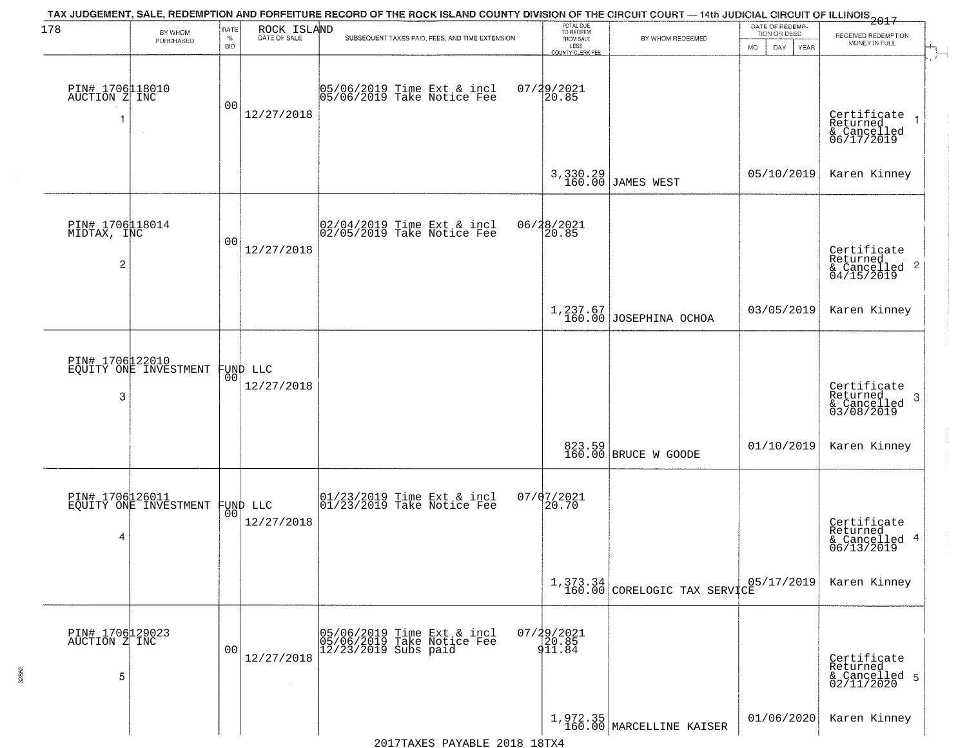| 178                                              | BY WHOM                                           | RATE               | ROCK ISLAND            | TAX JUDGEMENT, SALE, REDEMPTION AND FORFEITURE RECORD OF THE ROCK ISLAND COUNTY DIVISION OF THE CIRCUIT COURT — 14th JUDICIAL CIRCUIT OF ILLINOIS 2017 | TOTAL DUE<br>TO REDEEM                         |                                                                                        | DATE OF REDEMP-<br>TION OR DEED |                                                                        |
|--------------------------------------------------|---------------------------------------------------|--------------------|------------------------|--------------------------------------------------------------------------------------------------------------------------------------------------------|------------------------------------------------|----------------------------------------------------------------------------------------|---------------------------------|------------------------------------------------------------------------|
|                                                  | PURCHASED                                         | $\%$<br><b>BID</b> | DATE OF SALE           | SUBSEQUENT TAXES PAID, FEES, AND TIME EXTENSION                                                                                                        | FROM SALE<br>LESS                              | BY WHOM REDEEMED                                                                       | <b>MO</b><br>DAY<br>YEAR        | RECEIVED REDEMPTION<br>MONEY IN FULL                                   |
| PIN# 1706118010<br>AUCTION Z INC<br>-1           | $\sim$                                            | 00                 | 12/27/2018             | 05/06/2019 Time Ext & incl<br>05/06/2019 Take Notice Fee                                                                                               | <b>COUNTY CLERK FEE</b><br>07/29/2021<br>20.85 |                                                                                        |                                 | Certificate<br>Returned<br>& Cancelled<br>06/17/2019                   |
|                                                  |                                                   |                    |                        |                                                                                                                                                        |                                                | 3,330.29<br>160.00 JAMES WEST                                                          | 05/10/2019                      | Karen Kinney                                                           |
| PIN# 1706118014<br>MIDTAX, INC<br>$\overline{c}$ |                                                   | 00                 | 12/27/2018             | 02/04/2019 Time Ext & incl<br>02/05/2019 Take Notice Fee                                                                                               | 06/28/2021<br>20.85                            |                                                                                        |                                 | Certificate<br>Returned<br>$\overline{c}$<br>& Cancelled<br>04/15/2019 |
|                                                  |                                                   |                    |                        |                                                                                                                                                        |                                                | $1,237.67$<br>160.00 JOSEPHINA OCHOA                                                   | 03/05/2019                      | Karen Kinney                                                           |
| 3                                                | PIN# 1706122010<br>EQUITY ONE INVESTMENT          | 00                 | FUND LLC<br>12/27/2018 |                                                                                                                                                        |                                                |                                                                                        |                                 | Certificate<br>Returned<br>3<br>& Cancelled<br>03/08/2019              |
|                                                  |                                                   |                    |                        |                                                                                                                                                        |                                                | 823.59<br>160.00 BRUCE W GOODE                                                         | 01/10/2019                      | Karen Kinney                                                           |
| 4                                                | PIN# 1706126011<br>EQUITY ONE INVESTMENT FUND LLC |                    | 12/27/2018             | 01/23/2019 Time Ext & incl<br>01/23/2019 Take Notice Fee                                                                                               | 07/07/2021<br>20.70                            |                                                                                        |                                 | Certificate<br>Returned<br>4<br>& Cancelled<br>06/13/2019              |
|                                                  |                                                   |                    |                        |                                                                                                                                                        |                                                | $\begin{array}{c c} 1,373.34 & 0 \\ 160.00 & \text{CORELOGIC TAX SERVICE} \end{array}$ | 05/17/2019                      | Karen Kinney                                                           |
| PIN# 1706129023<br>AUCTION Z INC<br>5            |                                                   | 00                 | 12/27/2018             | 05/06/2019 Time Ext & incl<br>05/06/2019 Take Notice Fee<br>12/23/2019 Subs paid                                                                       | 07/29/2021<br>20.85<br>911.84                  |                                                                                        |                                 | Certificate<br>Returned<br>& Cancelled 5<br>02/11/2020                 |
|                                                  |                                                   |                    |                        |                                                                                                                                                        |                                                | $\left[1, 972.35\right]$ 160.00 MARCELLINE KAISER                                      | 01/06/2020                      | Karen Kinney                                                           |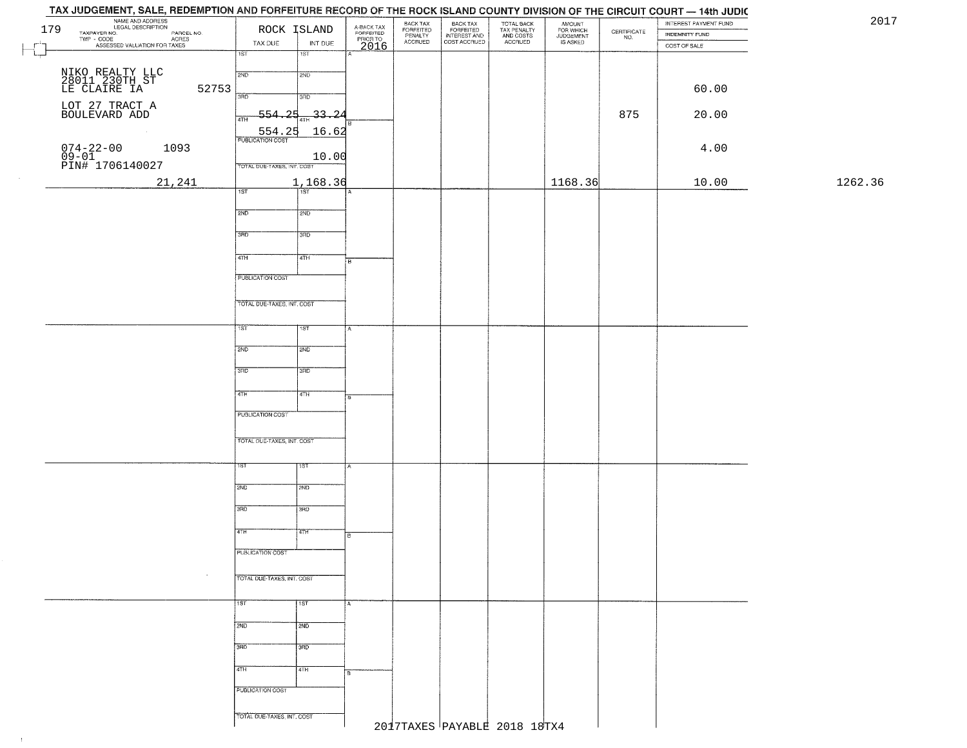| 179 | NAME AND ADDRESS<br>LEGAL DESCRIPTION                                                             |                            | ROCK ISLAND |                                             | BACK TAX<br>FORFEITED<br>PENALTY |                                                       |                                                   |                                              |                                                                 | INTEREST PAYMENT FUND                 |         |
|-----|---------------------------------------------------------------------------------------------------|----------------------------|-------------|---------------------------------------------|----------------------------------|-------------------------------------------------------|---------------------------------------------------|----------------------------------------------|-----------------------------------------------------------------|---------------------------------------|---------|
|     | TAXPAYER NO.<br>ECONOMIC DESCRIPTION PARCEL NO.<br>- CODE ACRES<br>- ASSESSED VALUATION FOR TAXES | TAX DUE                    | INT DUE     | A-BACK TAX<br>FORFEITED<br>PRIOR TO<br>2016 | <b>ACCRUED</b>                   | BACK TAX<br>FORFEITED<br>INTEREST AND<br>COST ACCRUED | TOTAL BACK<br>TAX PENALTY<br>AND COSTS<br>ACCRUED | AMOUNT<br>FOR WHICH<br>JUDGEMENT<br>IS ASKED | $\begin{array}{c} \text{CERTIFICATE} \\ \text{NO.} \end{array}$ | <b>INDEMNITY FUND</b><br>COST OF SALE |         |
|     |                                                                                                   | 1ST                        | 1ST         |                                             |                                  |                                                       |                                                   |                                              |                                                                 |                                       |         |
|     |                                                                                                   | 2ND                        | 2ND         |                                             |                                  |                                                       |                                                   |                                              |                                                                 |                                       |         |
|     | NIKO REALTY LLC<br>28011 230TH ST<br>LE CLAIRE IA                                                 |                            |             |                                             |                                  |                                                       |                                                   |                                              |                                                                 |                                       |         |
|     | 52753                                                                                             | 3RD                        | 3RD         |                                             |                                  |                                                       |                                                   |                                              |                                                                 | 60.00                                 |         |
|     | LOT 27 TRACT A BOULEVARD ADD                                                                      | つ口                         | $-33 - 24$  |                                             |                                  |                                                       |                                                   |                                              | 875                                                             | 20.00                                 |         |
|     |                                                                                                   | 4TH                        |             |                                             |                                  |                                                       |                                                   |                                              |                                                                 |                                       |         |
|     |                                                                                                   | 554.25                     | 16.62       |                                             |                                  |                                                       |                                                   |                                              |                                                                 |                                       |         |
|     | $074 - 22 - 00$<br>$09 - 01$<br>1093                                                              |                            | 10.00       |                                             |                                  |                                                       |                                                   |                                              |                                                                 | 4.00                                  |         |
|     | PIN# <sup>-1706140027</sup>                                                                       | TOTAL DUE-TAXES, INT. COST |             |                                             |                                  |                                                       |                                                   |                                              |                                                                 |                                       |         |
|     | 21,241                                                                                            |                            | 1,168.36    |                                             |                                  |                                                       |                                                   | 1168.36                                      |                                                                 | 10.00                                 | 1262.36 |
|     |                                                                                                   | 1ST                        | 1ST         |                                             |                                  |                                                       |                                                   |                                              |                                                                 |                                       |         |
|     |                                                                                                   | 2ND                        | 2ND         |                                             |                                  |                                                       |                                                   |                                              |                                                                 |                                       |         |
|     |                                                                                                   |                            |             |                                             |                                  |                                                       |                                                   |                                              |                                                                 |                                       |         |
|     |                                                                                                   | 3RD                        | 3RD         |                                             |                                  |                                                       |                                                   |                                              |                                                                 |                                       |         |
|     |                                                                                                   | $\sqrt{47H}$               | 4TH         |                                             |                                  |                                                       |                                                   |                                              |                                                                 |                                       |         |
|     |                                                                                                   |                            |             | $\overline{B}$                              |                                  |                                                       |                                                   |                                              |                                                                 |                                       |         |
|     |                                                                                                   | PUBLICATION COST           |             |                                             |                                  |                                                       |                                                   |                                              |                                                                 |                                       |         |
|     |                                                                                                   |                            |             |                                             |                                  |                                                       |                                                   |                                              |                                                                 |                                       |         |
|     |                                                                                                   | TOTAL DUE-TAXES, INT. COST |             |                                             |                                  |                                                       |                                                   |                                              |                                                                 |                                       |         |
|     |                                                                                                   | 1ST                        | 1ST         |                                             |                                  |                                                       |                                                   |                                              |                                                                 |                                       |         |
|     |                                                                                                   |                            |             |                                             |                                  |                                                       |                                                   |                                              |                                                                 |                                       |         |
|     |                                                                                                   | 2ND                        | 2ND         |                                             |                                  |                                                       |                                                   |                                              |                                                                 |                                       |         |
|     |                                                                                                   | 3RD                        | 3RD         |                                             |                                  |                                                       |                                                   |                                              |                                                                 |                                       |         |
|     |                                                                                                   |                            |             |                                             |                                  |                                                       |                                                   |                                              |                                                                 |                                       |         |
|     |                                                                                                   | 4TH                        | 4TH         |                                             |                                  |                                                       |                                                   |                                              |                                                                 |                                       |         |
|     |                                                                                                   | <b>PUBLICATION COST</b>    |             |                                             |                                  |                                                       |                                                   |                                              |                                                                 |                                       |         |
|     |                                                                                                   |                            |             |                                             |                                  |                                                       |                                                   |                                              |                                                                 |                                       |         |
|     |                                                                                                   | TOTAL OUE-TAXES, INT. COST |             |                                             |                                  |                                                       |                                                   |                                              |                                                                 |                                       |         |
|     |                                                                                                   |                            |             |                                             |                                  |                                                       |                                                   |                                              |                                                                 |                                       |         |
|     |                                                                                                   | 1ST                        | १९४         |                                             |                                  |                                                       |                                                   |                                              |                                                                 |                                       |         |
|     |                                                                                                   |                            |             |                                             |                                  |                                                       |                                                   |                                              |                                                                 |                                       |         |
|     |                                                                                                   | 2ND                        | 2ND         |                                             |                                  |                                                       |                                                   |                                              |                                                                 |                                       |         |
|     |                                                                                                   | 3RD                        | 3RD         |                                             |                                  |                                                       |                                                   |                                              |                                                                 |                                       |         |
|     |                                                                                                   |                            |             |                                             |                                  |                                                       |                                                   |                                              |                                                                 |                                       |         |
|     |                                                                                                   | 4TH                        | बाम         | B                                           |                                  |                                                       |                                                   |                                              |                                                                 |                                       |         |
|     |                                                                                                   | PUBLICATION COST           |             |                                             |                                  |                                                       |                                                   |                                              |                                                                 |                                       |         |
|     |                                                                                                   |                            |             |                                             |                                  |                                                       |                                                   |                                              |                                                                 |                                       |         |
|     | $\sim$                                                                                            | TOTAL DUE-TAXES, INT. COST |             |                                             |                                  |                                                       |                                                   |                                              |                                                                 |                                       |         |
|     |                                                                                                   |                            |             |                                             |                                  |                                                       |                                                   |                                              |                                                                 |                                       |         |
|     |                                                                                                   | 1ST                        | 1st         |                                             |                                  |                                                       |                                                   |                                              |                                                                 |                                       |         |
|     |                                                                                                   | 2ND                        | 2ND         |                                             |                                  |                                                       |                                                   |                                              |                                                                 |                                       |         |
|     |                                                                                                   |                            |             |                                             |                                  |                                                       |                                                   |                                              |                                                                 |                                       |         |
|     |                                                                                                   | 3RD                        | 3RD         |                                             |                                  |                                                       |                                                   |                                              |                                                                 |                                       |         |
|     |                                                                                                   | 4TH                        | 4TH         |                                             |                                  |                                                       |                                                   |                                              |                                                                 |                                       |         |
|     |                                                                                                   |                            |             | в                                           |                                  |                                                       |                                                   |                                              |                                                                 |                                       |         |
|     |                                                                                                   | PUBLICATION COST           |             |                                             |                                  |                                                       |                                                   |                                              |                                                                 |                                       |         |
|     |                                                                                                   |                            |             |                                             |                                  |                                                       |                                                   |                                              |                                                                 |                                       |         |
|     |                                                                                                   | TOTAL DUE-TAXES, INT. COST |             |                                             | 2017TAXES PAYABLE 2018 18TX4     |                                                       |                                                   |                                              |                                                                 |                                       |         |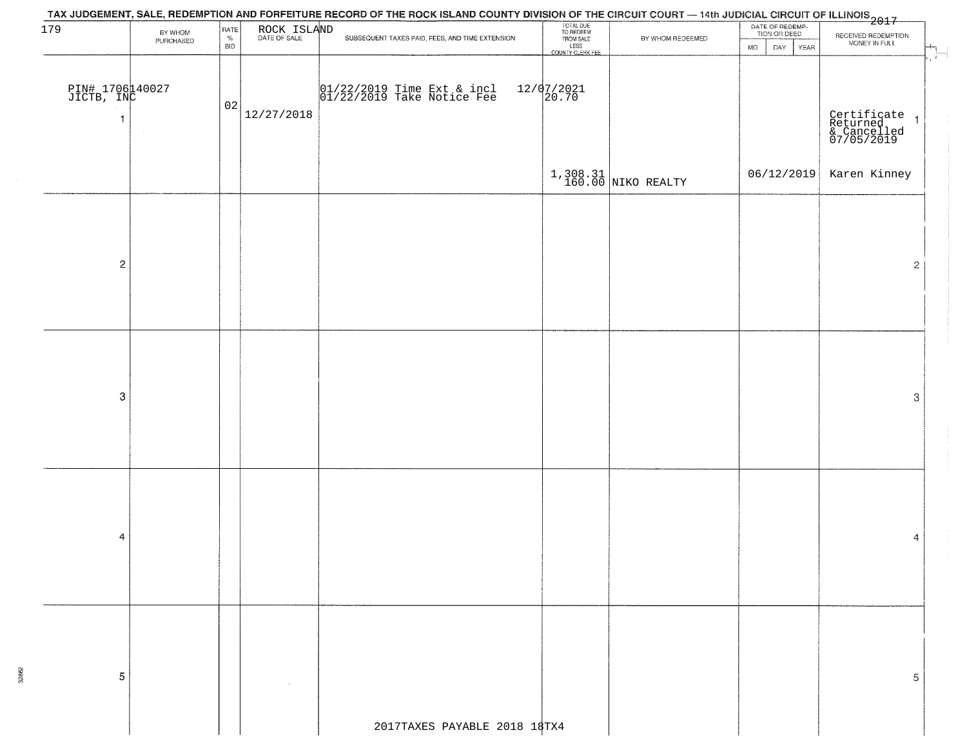| 179                           |                      | RATE               |             | TAX JUDGEMENT, SALE, REDEMPTION AND FORFEITURE RECORD OF THE ROCK ISLAND COUNTY DIVISION OF THE CIRCUIT COURT — 14th JUDICIAL CIRCUIT OF ILLINOIS<br>2017 - And Carlos Carlos County of The Carlos County of Carlos County Divisi |                                                                 |                        | DATE OF REDEMP-<br>TION OR DEED |                                                          |
|-------------------------------|----------------------|--------------------|-------------|-----------------------------------------------------------------------------------------------------------------------------------------------------------------------------------------------------------------------------------|-----------------------------------------------------------------|------------------------|---------------------------------|----------------------------------------------------------|
|                               | BY WHOM<br>PURCHASED | $\%$<br><b>BID</b> | ROCK ISLAND | SUBSEQUENT TAXES PAID, FEES, AND TIME EXTENSION.                                                                                                                                                                                  | TOTAL DUE<br>TO REDEEM<br>FROM SALE<br>LESS<br>COUNTY CLERK FEE | BY WHOM REDEEMED       | DAY YEAR<br><b>MO</b>           | RECEIVED REDEMPTION<br>MONEY IN FULL                     |
|                               |                      |                    |             |                                                                                                                                                                                                                                   |                                                                 |                        |                                 |                                                          |
|                               |                      |                    |             |                                                                                                                                                                                                                                   |                                                                 |                        |                                 |                                                          |
| PIN# 1706140027<br>JICTB, INC |                      |                    |             | 01/22/2019 Time Ext & incl<br>01/22/2019 Take Notice Fee                                                                                                                                                                          | $12/07/2021$<br>20.70                                           |                        |                                 |                                                          |
|                               |                      | 02                 |             |                                                                                                                                                                                                                                   |                                                                 |                        |                                 |                                                          |
| -1                            |                      |                    | 12/27/2018  |                                                                                                                                                                                                                                   |                                                                 |                        |                                 |                                                          |
|                               |                      |                    |             |                                                                                                                                                                                                                                   |                                                                 |                        |                                 | Certificate 1<br>Returned 1<br>& Cancelled<br>07/05/2019 |
|                               |                      |                    |             |                                                                                                                                                                                                                                   |                                                                 |                        |                                 |                                                          |
|                               |                      |                    |             |                                                                                                                                                                                                                                   |                                                                 | $1,308.31$ NIKO REALTY | 06/12/2019                      | Karen Kinney                                             |
|                               |                      |                    |             |                                                                                                                                                                                                                                   |                                                                 |                        |                                 |                                                          |
|                               |                      |                    |             |                                                                                                                                                                                                                                   |                                                                 |                        |                                 |                                                          |
|                               |                      |                    |             |                                                                                                                                                                                                                                   |                                                                 |                        |                                 |                                                          |
|                               |                      |                    |             |                                                                                                                                                                                                                                   |                                                                 |                        |                                 |                                                          |
|                               |                      |                    |             |                                                                                                                                                                                                                                   |                                                                 |                        |                                 |                                                          |
| $\overline{c}$                |                      |                    |             |                                                                                                                                                                                                                                   |                                                                 |                        |                                 | $\mathbf{2}$                                             |
|                               |                      |                    |             |                                                                                                                                                                                                                                   |                                                                 |                        |                                 |                                                          |
|                               |                      |                    |             |                                                                                                                                                                                                                                   |                                                                 |                        |                                 |                                                          |
|                               |                      |                    |             |                                                                                                                                                                                                                                   |                                                                 |                        |                                 |                                                          |
|                               |                      |                    |             |                                                                                                                                                                                                                                   |                                                                 |                        |                                 |                                                          |
|                               |                      |                    |             |                                                                                                                                                                                                                                   |                                                                 |                        |                                 |                                                          |
|                               |                      |                    |             |                                                                                                                                                                                                                                   |                                                                 |                        |                                 |                                                          |
| $\boldsymbol{3}$              |                      |                    |             |                                                                                                                                                                                                                                   |                                                                 |                        |                                 | $\ensuremath{\mathsf{3}}$                                |
|                               |                      |                    |             |                                                                                                                                                                                                                                   |                                                                 |                        |                                 |                                                          |
|                               |                      |                    |             |                                                                                                                                                                                                                                   |                                                                 |                        |                                 |                                                          |
|                               |                      |                    |             |                                                                                                                                                                                                                                   |                                                                 |                        |                                 |                                                          |
|                               |                      |                    |             |                                                                                                                                                                                                                                   |                                                                 |                        |                                 |                                                          |
|                               |                      |                    |             |                                                                                                                                                                                                                                   |                                                                 |                        |                                 |                                                          |
|                               |                      |                    |             |                                                                                                                                                                                                                                   |                                                                 |                        |                                 |                                                          |
|                               |                      |                    |             |                                                                                                                                                                                                                                   |                                                                 |                        |                                 |                                                          |
|                               |                      |                    |             |                                                                                                                                                                                                                                   |                                                                 |                        |                                 |                                                          |
| 4                             |                      |                    |             |                                                                                                                                                                                                                                   |                                                                 |                        |                                 | 4                                                        |
|                               |                      |                    |             |                                                                                                                                                                                                                                   |                                                                 |                        |                                 |                                                          |
|                               |                      |                    |             |                                                                                                                                                                                                                                   |                                                                 |                        |                                 |                                                          |
|                               |                      |                    |             |                                                                                                                                                                                                                                   |                                                                 |                        |                                 |                                                          |
|                               |                      |                    |             |                                                                                                                                                                                                                                   |                                                                 |                        |                                 |                                                          |
|                               |                      |                    |             |                                                                                                                                                                                                                                   |                                                                 |                        |                                 |                                                          |
|                               |                      |                    |             |                                                                                                                                                                                                                                   |                                                                 |                        |                                 |                                                          |
|                               |                      |                    |             |                                                                                                                                                                                                                                   |                                                                 |                        |                                 |                                                          |
| 5                             |                      |                    |             |                                                                                                                                                                                                                                   |                                                                 |                        |                                 | 5                                                        |
|                               |                      |                    |             |                                                                                                                                                                                                                                   |                                                                 |                        |                                 |                                                          |
|                               |                      |                    |             |                                                                                                                                                                                                                                   |                                                                 |                        |                                 |                                                          |
|                               |                      |                    |             | 2017TAXES PAYABLE 2018 18TX4                                                                                                                                                                                                      |                                                                 |                        |                                 |                                                          |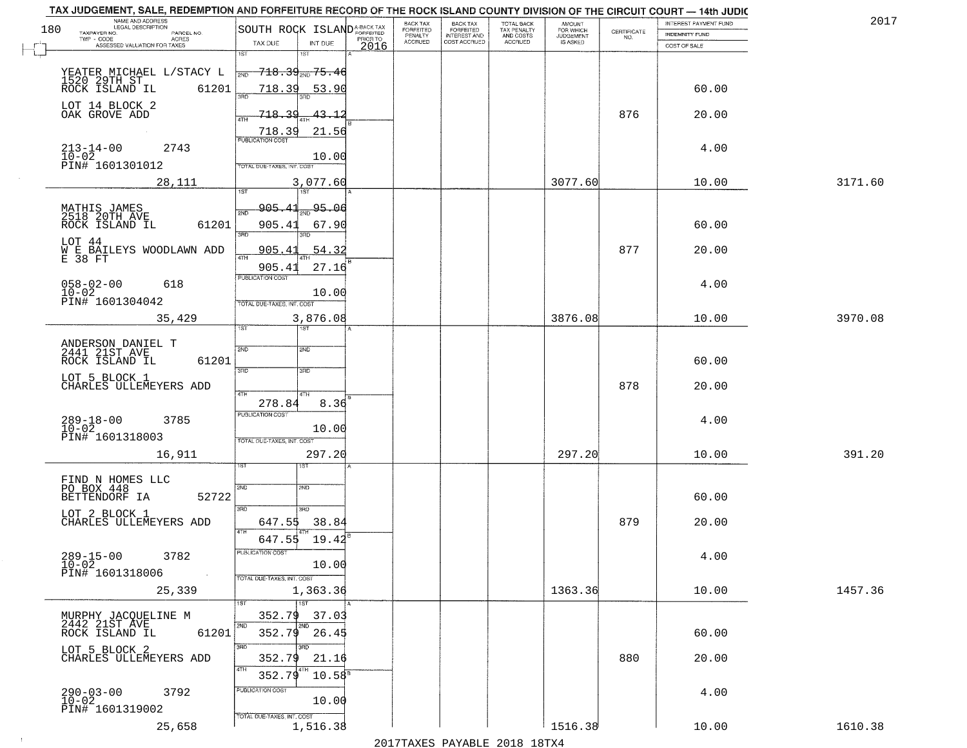| NAME AND ADDRESS<br>LEGAL DESCRIPTION                                                                                                                                                                                              | TAX JUDGEMENT, SALE, REDEMPTION AND FORFEITURE RECORD OF THE ROCK ISLAND COUNTY DIVISION OF THE CIRCUIT COURT - 14th JUDIC | BACK TAX<br><b>BACK TAX</b>                       |                                        | AMOUNT<br>FOR WHICH |                                                                 | INTEREST PAYMENT FUND | 2017    |
|------------------------------------------------------------------------------------------------------------------------------------------------------------------------------------------------------------------------------------|----------------------------------------------------------------------------------------------------------------------------|---------------------------------------------------|----------------------------------------|---------------------|-----------------------------------------------------------------|-----------------------|---------|
| 180<br>TAXPAYER NO.<br>PARCEL NO.<br>ACRES                                                                                                                                                                                         | SOUTH ROCK ISLAND <sup>A-BACK TAX</sup><br>PRIOR TO                                                                        | FORFEITED<br>FORFEITED<br>INTEREST AND<br>PENALTY | TOTAL BACK<br>TAX PENALTY<br>AND COSTS | <b>JUDGEMENT</b>    | $\begin{array}{c} \text{CERTIFICATE} \\ \text{NO.} \end{array}$ | INDEMNITY FUND        |         |
| ASSESSED VALUATION FOR TAXES                                                                                                                                                                                                       | TAX DUE<br>INT DUE<br>2016                                                                                                 | <b>ACCRUED</b><br>COST ACCRUED                    | ACCRUED                                | IS ASKED            |                                                                 | COST OF SALE          |         |
| YEATER MICHAEL L/STACY L<br>1520 29TH ST<br>ROCK ISLAND IL 6120                                                                                                                                                                    | 1ST<br>18T<br><del>718.39<sub>2ND</sub>75.46</del><br>2ND                                                                  |                                                   |                                        |                     |                                                                 |                       |         |
| LOT 14 BLOCK 2                                                                                                                                                                                                                     | 61201<br>718.39<br><u>53.90</u>                                                                                            |                                                   |                                        |                     |                                                                 | 60.00                 |         |
| OAK GROVE ADD                                                                                                                                                                                                                      | 718.39<br><u>43.12</u><br>$\frac{718.39}{FUBUCATONCGST}$<br>21.56                                                          |                                                   |                                        |                     | 876                                                             | 20.00                 |         |
| $213 - 14 - 00$<br>$10 - 02$<br>2743<br>PIN# 1601301012                                                                                                                                                                            | 10.00<br>TOTAL DUE-TAXES, INT. COST                                                                                        |                                                   |                                        |                     |                                                                 | 4.00                  |         |
| 28,111                                                                                                                                                                                                                             | 3,077.60                                                                                                                   |                                                   |                                        | 3077.60             |                                                                 | 10.00                 | 3171.60 |
| MATHIS JAMES<br>2518 20TH AVE<br>ROCK ISLAND IL                                                                                                                                                                                    | <u>905.41</u><br>$200 - 95.08$<br>2ND<br>61201<br>905.41<br>67.90<br>3RD<br>3PD                                            |                                                   |                                        |                     |                                                                 | 60.00                 |         |
| LOT 44<br>$\stackrel{\scriptstyle{W}}{\phantom{}_{\sim}}\stackrel{\scriptstyle{\rm F}}{\phantom{}_{\sim}}\stackrel{\scriptstyle{\rm B\tilde{A}}\stackrel{\scriptstyle{\sim}}{\scriptstyle{_{\sim}}}}\text{L}$ BAILEYS WOODLAWN ADD | 905.41<br>54.32<br>ৰাম<br>905.41<br>27.16                                                                                  |                                                   |                                        |                     | 877                                                             | 20.00                 |         |
| $058 - 02 - 00$<br>618<br>$10 - 02$<br>PIN# 1601304042                                                                                                                                                                             | PUBLICATION COST<br>10.00<br>TOTAL DUE-TAXES, INT. COST                                                                    |                                                   |                                        |                     |                                                                 | 4.00                  |         |
| 35,429                                                                                                                                                                                                                             | 3,876.08<br>TST<br>1ST                                                                                                     |                                                   |                                        | 3876.08             |                                                                 | 10.00                 | 3970.08 |
| ANDERSON DANIEL T<br>2441 21ST AVE<br>ROCK ISLAND IL                                                                                                                                                                               | 2ND<br>2ND<br>61201                                                                                                        |                                                   |                                        |                     |                                                                 | 60.00                 |         |
| LOT 5 BLOCK 1<br>CHARLES ULLEMEYERS ADD                                                                                                                                                                                            | 3RD<br>3RD<br>4TH<br>4TH                                                                                                   |                                                   |                                        |                     | 878                                                             | 20.00                 |         |
| $289 - 18 - 00$<br>10-02<br>3785<br>PIN# 1601318003                                                                                                                                                                                | 278.84<br>8.36<br><b>PUBLICATION COST</b><br>10.00<br>TOTAL OUE-TAXES, INT. COST                                           |                                                   |                                        |                     |                                                                 | 4.00                  |         |
| 16,911                                                                                                                                                                                                                             | 297.20                                                                                                                     |                                                   |                                        | 297.20              |                                                                 | 10.00                 | 391.20  |
| FIND N HOMES LLC<br>PO BOX 448<br>BETTENDORF IA                                                                                                                                                                                    | 2ND<br>2ND<br>52722<br>3RD                                                                                                 |                                                   |                                        |                     |                                                                 | 60.00                 |         |
| LOT 2 BLOCK 1<br>CHARLES ULLEMEYERS ADD                                                                                                                                                                                            | 3RD.<br>647.55<br>38.84<br>4TH<br>647.55<br>19.42                                                                          |                                                   |                                        |                     | 879                                                             | 20.00                 |         |
| $289 - 15 - 00$<br>3782<br>$10 - 02$<br>PIN# 1601318006<br>$\sim 100$ km s                                                                                                                                                         | PUBLICATION COS<br>10.00<br>TOTAL DUE-TAXES, INT. COST                                                                     |                                                   |                                        |                     |                                                                 | 4.00                  |         |
| 25,339                                                                                                                                                                                                                             | 1,363.36<br><b>TIST</b>                                                                                                    |                                                   |                                        | 1363.36             |                                                                 | 10.00                 | 1457.36 |
| MURPHY JACQUELINE M<br>2442 21ST AVE<br>ROCK ISLAND IL                                                                                                                                                                             | 352.79<br>37.03<br>2ND<br>2ND<br>352.79<br>61201<br>26.45                                                                  |                                                   |                                        |                     |                                                                 | 60.00                 |         |
| LOT 5 BLOCK 2<br>CHARLES ULLEMEYERS ADD                                                                                                                                                                                            | 3RD<br>3RD<br>352.79<br>21.16<br>4TH<br>352.79<br>$10.58^{\circ}$                                                          |                                                   |                                        |                     | 880                                                             | 20.00                 |         |
| $290 - 03 - 00$<br>3792<br>$10 - 02$<br>PIN# 1601319002                                                                                                                                                                            | PUBLICATION COST<br>10.00<br>TOTAL DUE-TAXES, INT. COST                                                                    |                                                   |                                        |                     |                                                                 | 4.00                  |         |
| 25,658                                                                                                                                                                                                                             | 1,516.38                                                                                                                   |                                                   |                                        | 1516.38             |                                                                 | 10.00                 | 1610.38 |

 $\sim 100$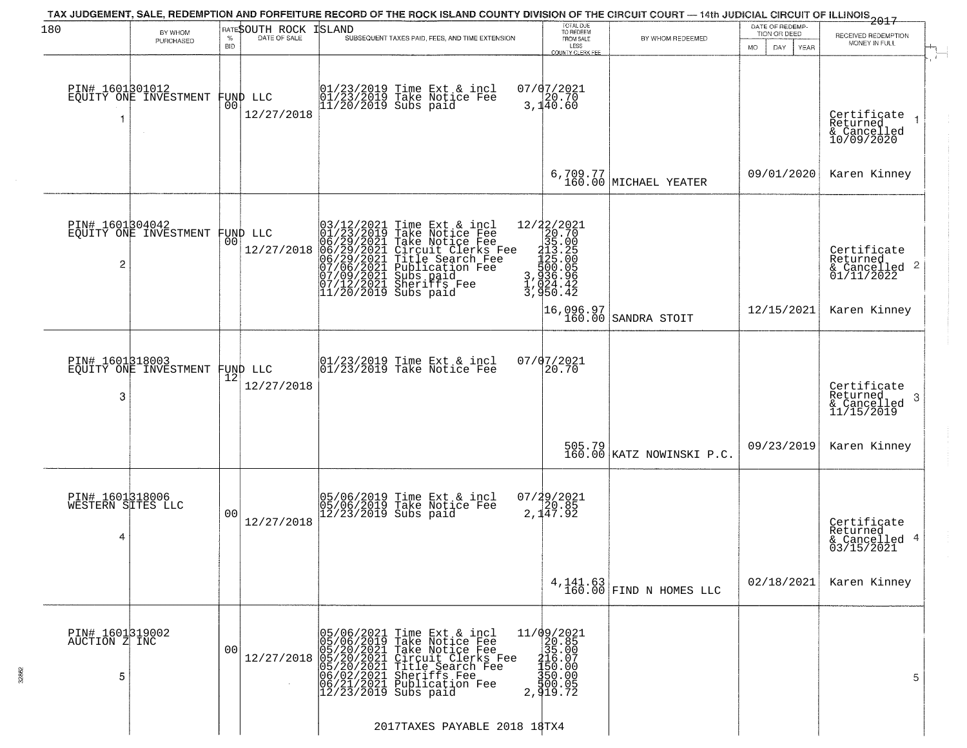| 180                                       | BY WHOM                                           |                 | RATESOUTH ROCK                 | TAX JUDGEMENT, SALE, REDEMPTION AND FORFEITURE RECORD OF THE ROCK ISLAND COUNTY DIVISION OF THE CIRCUIT COURT — 14th JUDICIAL CIRCUIT OF ILLINOIS 2017<br><b>ISLAND</b>                                                                                                         | TOTAL DUE<br>TO REDEEM                                                                                                                                                                                                                                                        |                                     | DATE OF REDEMP-<br>TION OR DEED |                                                                    |
|-------------------------------------------|---------------------------------------------------|-----------------|--------------------------------|---------------------------------------------------------------------------------------------------------------------------------------------------------------------------------------------------------------------------------------------------------------------------------|-------------------------------------------------------------------------------------------------------------------------------------------------------------------------------------------------------------------------------------------------------------------------------|-------------------------------------|---------------------------------|--------------------------------------------------------------------|
|                                           | PURCHASED                                         | %<br><b>BID</b> | DATE OF SALE                   | SUBSEQUENT TAXES PAID, FEES, AND TIME EXTENSION                                                                                                                                                                                                                                 | FROM SALE<br>LESS<br>COUNTY CLERK FEE                                                                                                                                                                                                                                         | BY WHOM REDEEMED                    | <b>MO</b><br>DAY<br>YEAR        | RECEIVED REDEMPTION<br>MONEY IN FULL                               |
| PIN# 1601301012<br>1                      | EQUITY ONE INVESTMENT                             |                 | FUND LLC<br> 00 <br>12/27/2018 | 01/23/2019 Time Ext & incl<br>01/23/2019 Take Notice Fee<br>11/20/2019 Subs paid                                                                                                                                                                                                | $07/07/2021$<br>3,140.60                                                                                                                                                                                                                                                      |                                     |                                 | Certificate<br>Returned<br>& Cancelled<br>10/09/2020               |
|                                           |                                                   |                 |                                |                                                                                                                                                                                                                                                                                 |                                                                                                                                                                                                                                                                               | $6,709.77$ MICHAEL YEATER           | 09/01/2020                      | Karen Kinney                                                       |
| 2                                         | PIN# 1601304042<br>EQUITY ONE INVESTMENT FUND LLC | 00 l            | 12/27/2018                     | $03/12/2021$ Time Ext & incl<br>01/23/2019 Take Notice Fee<br>06/29/2021 Take Notice Fee<br>06/29/2021 Circuit Clerks Fee<br>06/29/2021 Circuit Clerks Fee<br>07/06/2021 Publication Fee<br>07/09/2021 Subs paid<br>07/09/2021 Subs paid<br>07/09/202<br>$11/20/2019$ Subs paid | $\begin{smallmatrix} 12/2 & 2/2 & 2 & 2 & 2 \\ 2 & 2 & 2 & 2 & 2 \\ 3 & 5 & 0 & 0 & 5 \\ 2 & 1 & 3 & 5 & 2 \\ 1 & 2 & 5 & 0 & 0 \\ 1 & 2 & 5 & 0 & 0 \\ 3 & 3 & 6 & 0 & 9 \\ 4 & 3 & 2 & 4 & 2 \\ 5 & 4 & 4 & 2 & 2 \end{smallmatrix}$<br>3, 936.96<br>1, 024.42<br>3, 950.42 |                                     |                                 | Certificate<br>Returned<br>$\frac{1}{2}$ Cancelled 2<br>01/11/2022 |
|                                           |                                                   |                 |                                |                                                                                                                                                                                                                                                                                 |                                                                                                                                                                                                                                                                               | 16,096.97<br>160.00 SANDRA STOIT    | 12/15/2021                      | Karen Kinney                                                       |
| 3                                         | PIN# 1601318003<br>EQUITY ONE INVESTMENT          |                 | FUND LLC<br> 12 <br>12/27/2018 | 01/23/2019 Time Ext & incl<br>01/23/2019 Take Notice Fee                                                                                                                                                                                                                        | 07/07/2021<br>20.70                                                                                                                                                                                                                                                           |                                     |                                 | Certificate<br>Returned<br>3<br>& Cancelled<br>11/15/2019          |
|                                           |                                                   |                 |                                |                                                                                                                                                                                                                                                                                 |                                                                                                                                                                                                                                                                               | 505.79<br>160.00 KATZ NOWINSKI P.C. | 09/23/2019                      | Karen Kinney                                                       |
| PIN# 1601318006<br>WESTERN SITES LLC<br>4 |                                                   | 0 <sub>0</sub>  | 12/27/2018                     | 05/06/2019 Time Ext & incl<br>05/06/2019 Take Notice Fee<br>12/23/2019 Subs paid                                                                                                                                                                                                | $07/29/2021$<br>20.85<br>2,147.92                                                                                                                                                                                                                                             |                                     |                                 | Certificate<br>Returned<br>& Cancelled 4<br>03/15/2021             |
|                                           |                                                   |                 |                                |                                                                                                                                                                                                                                                                                 |                                                                                                                                                                                                                                                                               | $4,141.63$ Timp N HOMES LLC         | 02/18/2021                      | Karen Kinney                                                       |
| PIN# 1601319002<br>AUCTION Z INC<br>5     |                                                   | 00              | 12/27/2018                     | 05/06/2021 Time Ext & incl<br>05/06/2019 Take Notice Fee<br>05/20/2021 Take Notice Fee<br>05/20/2021 Circuit Clerks Fee<br>05/20/2021 Title Search Fee<br>06/02/2021 Sheriffs Fee<br>06/21/2021 Publication Fee<br>12/23/2019 Subs paid                                         | $11/09/2021$<br>20.85<br>$\frac{355}{150}$ .00<br>150.00<br>550.00<br>300.05<br>2,919.72                                                                                                                                                                                      |                                     |                                 | 5                                                                  |
|                                           |                                                   |                 |                                | 2017TAXES PAYABLE 2018 18TX4                                                                                                                                                                                                                                                    |                                                                                                                                                                                                                                                                               |                                     |                                 |                                                                    |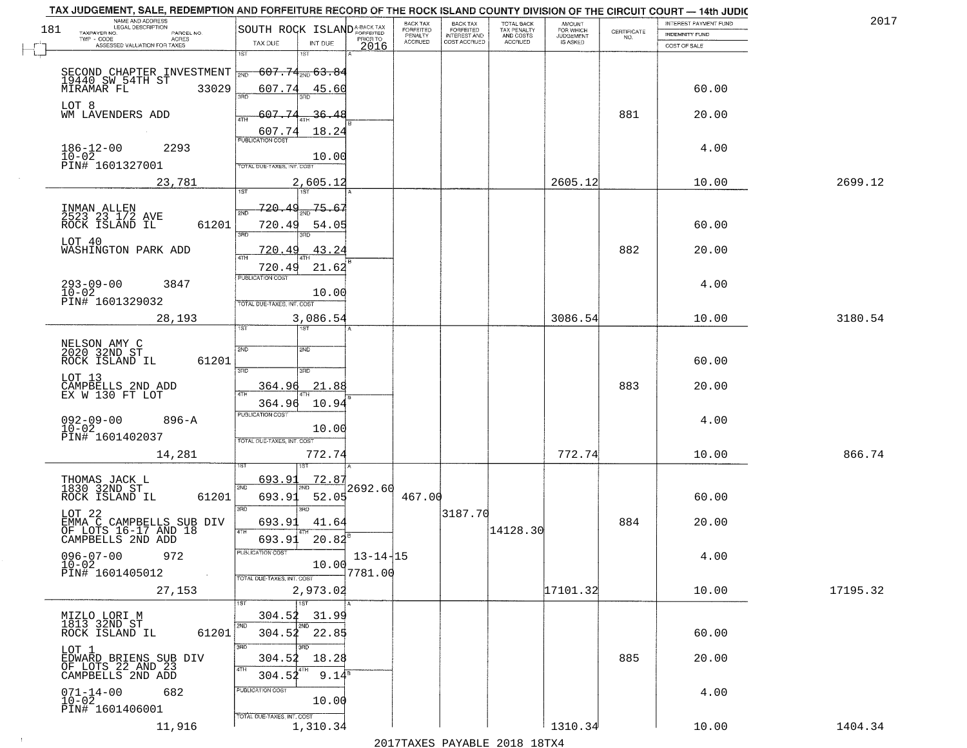|     | TAX JUDGEMENT, SALE, REDEMPTION AND FORFEITURE RECORD OF THE ROCK ISLAND COUNTY DIVISION OF THE CIRCUIT COURT - 14th JUDIC<br>NAME AND ADDRESS<br>LEGAL DESCRIPTION |                                                                                          |                           | <b>BACK TAX</b>             |                                       |                                        |                                  |                                                                 | INTEREST PAYMENT FUND | 2017     |
|-----|---------------------------------------------------------------------------------------------------------------------------------------------------------------------|------------------------------------------------------------------------------------------|---------------------------|-----------------------------|---------------------------------------|----------------------------------------|----------------------------------|-----------------------------------------------------------------|-----------------------|----------|
| 181 | TAXPAYER NO.<br>PARCEL NO.                                                                                                                                          | SOUTH ROCK ISLAND <sup>A-BACK TAX</sup>                                                  |                           | <b>FORFEITED</b><br>PENALTY | BACK TAX<br>FORFEITED<br>INTEREST AND | TOTAL BACK<br>TAX PENALTY<br>AND COSTS | AMOUNT<br>FOR WHICH<br>JUDGEMENT | $\begin{array}{c} \text{CERTIFICATE} \\ \text{NO.} \end{array}$ | <b>INDEMNITY FUND</b> |          |
|     | TWP - CODE<br>ACRES<br>ASSESSED VALUATION FOR TAXES                                                                                                                 | TAX DUE<br>INT DUE                                                                       | PRIOR TO<br>2016          | <b>ACCRUED</b>              | COST ACCRUED                          | ACCRUED                                | IS ASKED                         |                                                                 | COST OF SALE          |          |
|     | SECOND CHAPTER INVESTMENT $\frac{1}{200}$ 607.74 $\frac{4}{200}$ 63.84<br>19440 SW 54TH ST                                                                          | 1ST<br>1ST                                                                               |                           |                             |                                       |                                        |                                  |                                                                 |                       |          |
|     | 33029<br>MIRAMAR FL                                                                                                                                                 | 607.74<br>45.60                                                                          |                           |                             |                                       |                                        |                                  |                                                                 | 60.00                 |          |
|     | LOT 8<br>WM LAVENDERS ADD                                                                                                                                           | 607.74<br><u>36.48</u>                                                                   |                           |                             |                                       |                                        |                                  | 881                                                             | 20.00                 |          |
|     | $186 - 12 - 00$<br>$10 - 02$<br>2293<br>PIN# 1601327001                                                                                                             | 607.74<br>18.24<br><b>PUBLICATION COST</b><br>10.00<br><b>TOTAL DUE-TAXES, INT. COST</b> |                           |                             |                                       |                                        |                                  |                                                                 | 4.00                  |          |
|     | 23,781                                                                                                                                                              | 2,605.12                                                                                 |                           |                             |                                       |                                        | 2605.12                          |                                                                 | 10.00                 | 2699.12  |
|     | INMAN ALLEN<br>2523 23 1/2 AVE<br>ROCK ISLAND IL<br>61201                                                                                                           | 720.49<br>75.67<br>720.49<br>54.05<br><b>3RD</b>                                         |                           |                             |                                       |                                        |                                  |                                                                 | 60.00                 |          |
|     | LOT 40<br>WASHINGTON PARK ADD                                                                                                                                       | 43.24<br>720.49                                                                          |                           |                             |                                       |                                        |                                  | 882                                                             | 20.00                 |          |
|     | $293 - 09 - 00$<br>3847<br>$10 - 02$<br>PIN# 1601329032                                                                                                             | 21.62<br>720.49<br>PUBLICATION COST<br>10.00<br>TOTAL DUE-TAXES, INT. COST               |                           |                             |                                       |                                        |                                  |                                                                 | 4.00                  |          |
|     | 28,193                                                                                                                                                              | 3,086.54<br>1ST<br>ist                                                                   |                           |                             |                                       |                                        | 3086.54                          |                                                                 | 10.00                 | 3180.54  |
|     | NELSON AMY C<br>2020 32ND ST<br>ROCK ISLAND IL<br>61201                                                                                                             | 2ND<br><b>SMD</b><br>3RD<br>3RD                                                          |                           |                             |                                       |                                        |                                  |                                                                 | 60.00                 |          |
|     | LOT 13<br>CAMPBELLS 2ND ADD<br>EX W 130 FT LOT                                                                                                                      | 21.88<br>364.96                                                                          |                           |                             |                                       |                                        |                                  | 883                                                             | 20.00                 |          |
|     | $092 - 09 - 00$<br>$10 - 02$<br>$896 - A$<br>PIN# 1601402037                                                                                                        | 364.96<br>10.94<br>PUBLICATION COST<br>10.00<br>TOTAL OUE-TAXES, INT. COST               |                           |                             |                                       |                                        |                                  |                                                                 | 4.00                  |          |
|     | 14,281                                                                                                                                                              | 772.74                                                                                   |                           |                             |                                       |                                        | 772.74                           |                                                                 | 10.00                 | 866.74   |
|     | THOMAS JACK L<br>1830 32ND ST<br>ROCK ISLAND IL<br>61201                                                                                                            | <u>72.87</u><br>693.9<br>2ND<br>693.93<br>52.05<br>3RD<br>3RD                            | 12692.60                  | 467.00                      |                                       |                                        |                                  |                                                                 | 60.00                 |          |
|     | LOT 22<br>EMMA C CAMPBELLS SUB DIV<br>OF LOTS 16-17 AND 18<br>CAMPBELLS 2ND ADD                                                                                     | 693.91<br>41.64<br>4TH<br>693.91                                                         |                           |                             | 3187.70                               | 14128.30                               |                                  | 884                                                             | 20.00                 |          |
|     | $096 - 07 - 00$<br>972<br>$10 - 02$<br>PIN# 1601405012                                                                                                              | 20.82<br>ruslica i IUN COS<br>10.00<br>TOTAL DUE-TAXES, INT. COST                        | $13 - 14 - 15$<br>7781.00 |                             |                                       |                                        |                                  |                                                                 | 4.00                  |          |
|     | 27,153                                                                                                                                                              | 2,973.02<br>1ST                                                                          |                           |                             |                                       |                                        | 17101.32                         |                                                                 | 10.00                 | 17195.32 |
|     | MIZLO LORI M<br>1813 32ND ST<br>61201<br>ROCK ISLAND IL                                                                                                             | 304.52<br>31.99<br>2ND<br>304.52 22.85                                                   |                           |                             |                                       |                                        |                                  |                                                                 | 60.00                 |          |
|     | LOT 1<br>EDWARD BRIENS SUB DIV<br>OF LOTS 22 AND 23                                                                                                                 | 3RD<br>3BD<br>304.52<br>18.28<br>4TH<br>9.14 <sup>8</sup><br>304.52                      |                           |                             |                                       |                                        |                                  | 885                                                             | 20.00                 |          |
|     | CAMPBELLS 2ND ADD<br>$071 - 14 - 00$<br>682<br>$10-02$<br>PIN# 1601406001                                                                                           | PUBLICATION COST<br>10.00                                                                |                           |                             |                                       |                                        |                                  |                                                                 | 4.00                  |          |
|     | 11,916                                                                                                                                                              | TOTAL DUE-TAXES, INT. COST<br>1,310.34                                                   |                           |                             |                                       | 2017 THAYRO DAVADIR 2018 19TYA         | 1310.34                          |                                                                 | 10.00                 | 1404.34  |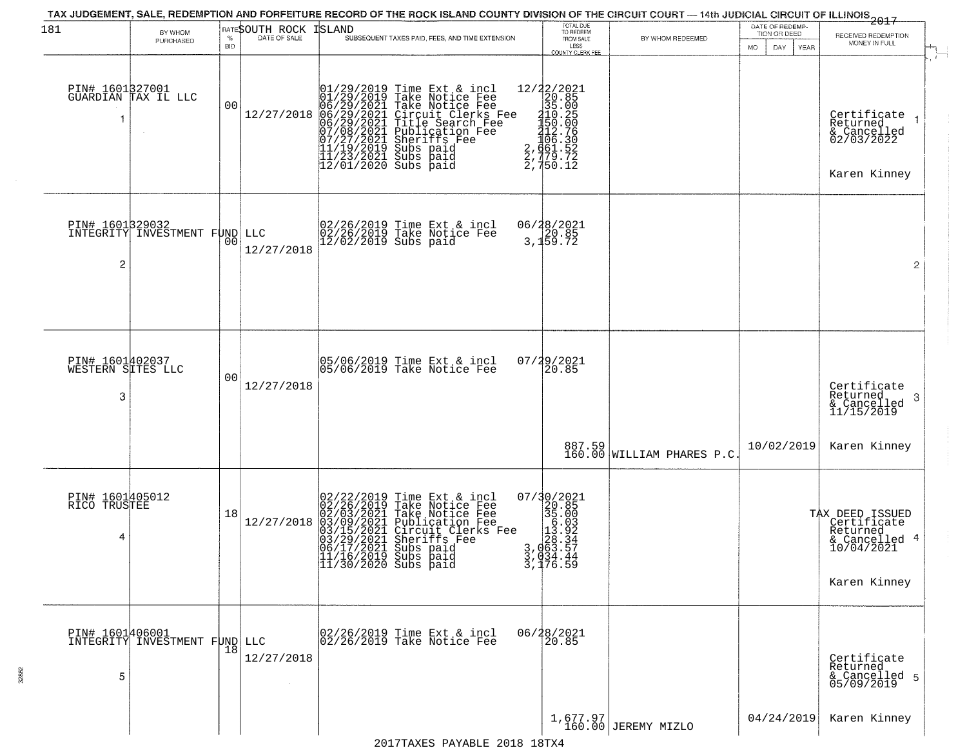| 181                                       | BY WHOM<br>PURCHASED                           | $\%$<br><b>BID</b> | RATESOUTH ROCK<br>DATE OF SALE | <b>ISLAND</b><br>SUBSEQUENT TAXES PAID, FEES, AND TIME EXTENSION                                                                                                                                                                                                                                                                                                                           | TOTAL DUE<br>TO REDEEM<br>FROM SALE<br>LESS<br>COUNTY CLERK FEE                                   | BY WHOM REDEEMED                | DATE OF REDEMP-<br>TION OR DEED<br>MO.<br>DAY<br>YEAR | 2017<br>RECEIVED REDEMPTION<br>MONEY IN FULL                                              |  |
|-------------------------------------------|------------------------------------------------|--------------------|--------------------------------|--------------------------------------------------------------------------------------------------------------------------------------------------------------------------------------------------------------------------------------------------------------------------------------------------------------------------------------------------------------------------------------------|---------------------------------------------------------------------------------------------------|---------------------------------|-------------------------------------------------------|-------------------------------------------------------------------------------------------|--|
|                                           | PIN# 1601327001<br>GUARDIAN TAX IL LLC         | 0 <sub>0</sub>     | 12/27/2018                     | 01/29/2019 Time Ext & incl<br>01/29/2019 Take Notice Fee<br>06/29/2021 Take Notice Fee<br>06/29/2021 Circuit Clerks Fee<br>06/29/2021 Title Search Fee<br>07/08/2021 Sublication Fee<br>07/08/2021 Subs paid<br>11/19/2019 Subs paid<br>11/23/2021 Su                                                                                                                                      | 12/22/2021<br>20.85<br>315.005<br>315.005<br>315.005<br>450.006<br>461.52<br>2,779.72<br>2,750.12 |                                 |                                                       | Certificate<br>Returned<br>& Cancelled<br>02/03/2022<br>Karen Kinney                      |  |
| PIN# 1601329032<br>2                      | INTEGRITY INVESTMENT FUND LLC                  | 0 <sup>0</sup>     | 12/27/2018                     | 02/26/2019 Time Ext & incl<br>02/26/2019 Take Notice Fee<br>12/02/2019 Subs paid                                                                                                                                                                                                                                                                                                           | 06/28/2021<br>3,120.85<br>3,159.72                                                                |                                 |                                                       | $\overline{2}$                                                                            |  |
| PIN# 1601402037<br>WESTERN SITES LLC<br>3 |                                                | 0 <sub>0</sub>     | 12/27/2018                     | 05/06/2019 Time Ext & incl<br>05/06/2019 Take Notice Fee                                                                                                                                                                                                                                                                                                                                   | 07/29/2021<br>20.85                                                                               |                                 |                                                       | Certificate<br>Returned<br>3<br>& Cancelled<br>11/15/2019                                 |  |
|                                           |                                                |                    |                                |                                                                                                                                                                                                                                                                                                                                                                                            |                                                                                                   | 887.59 WILLIAM PHARES P.C       | 10/02/2019                                            | Karen Kinney                                                                              |  |
| PIN# 1601405012<br>RICO TRUSTEE<br>4      |                                                | 18                 | 12/27/2018                     | 02/22/2019 Time Ext & incl<br>02/26/2019 Take Notice Fee<br>02/03/2021 Take Notice Fee<br>03/09/2021 Publication Fee<br>03/15/2021 Circuit Clerks I<br>03/29/2021 Sheriffs Fee<br>04/17/2021 Subs paid<br>Take Notice Fee<br>Take Notice Fee<br>Publication Fee<br>Circuit Clerks Fee<br>Sheriffs Fee<br>Subs paid<br>$\begin{array}{r} 11/16/2019 \\ 11/30/2020 \\ \end{array}$ Subs paid | 07/30/2021<br>$3,020.825$<br>$35.003$<br>$1,030.924$<br>$3,0663.57$<br>$3,034.44$<br>$3,176.59$   |                                 |                                                       | TAX DEED ISSUED<br>Certificate<br>Returned<br>& Cancelled 4<br>10/04/2021<br>Karen Kinney |  |
| 5                                         | PIN# 1601406001  <br>INTEGRITY INVESTMENT FUND | 18                 | LLC<br>12/27/2018              | 02/26/2019 Time Ext & incl<br>02/26/2019 Take Notice Fee                                                                                                                                                                                                                                                                                                                                   | 06/28/2021<br>20.85                                                                               |                                 |                                                       | Certificate<br>Returned<br>& Cancelled 5<br>05/09/2019                                    |  |
|                                           |                                                |                    |                                | $0.017$ THA VEQ DAVARIE 0.01.0 1.0 TWA                                                                                                                                                                                                                                                                                                                                                     |                                                                                                   | 1,677.97<br>160.00 JEREMY MIZLO | 04/24/2019                                            | Karen Kinney                                                                              |  |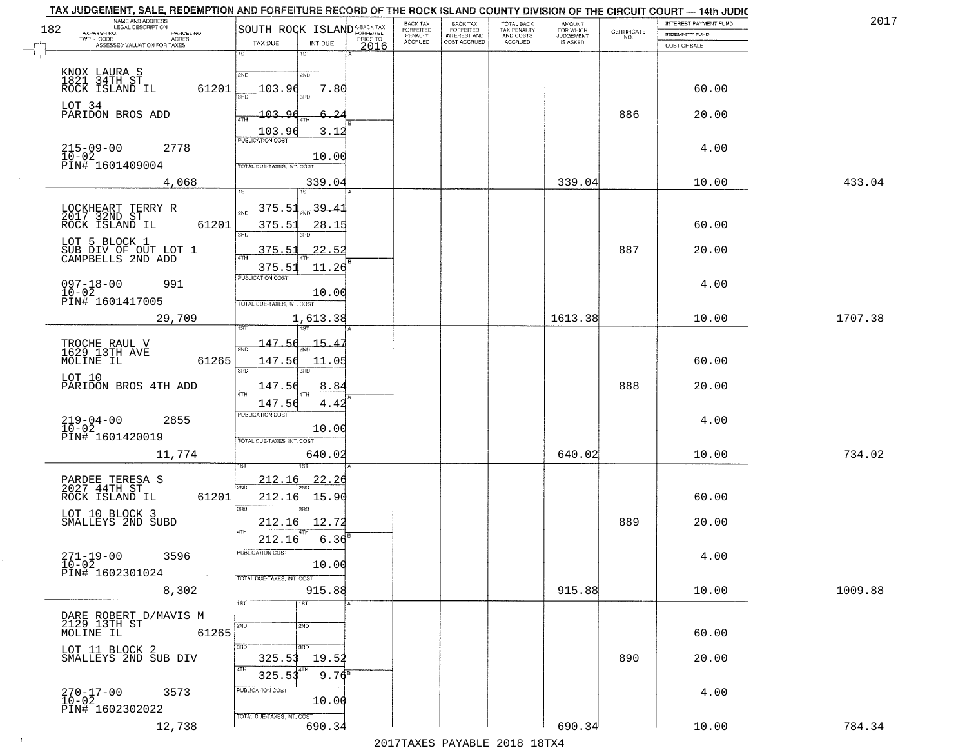| 2017    | INTEREST PAYMENT FUND |                                                                 | AMOUNT<br>FOR WHICH |                                        | <b>BACK TAX</b>           | BACK TAX             |          |                                                |                                                                               |                       | TAX JUDGEMENT, SALE, REDEMPTION AND FORFEITURE RECORD OF THE ROCK ISLAND COUNTY DIVISION OF THE CIRCUIT COURT - 14th JUDIC<br>NAME AND ADDRESS<br>LEGAL DESCRIPTION |
|---------|-----------------------|-----------------------------------------------------------------|---------------------|----------------------------------------|---------------------------|----------------------|----------|------------------------------------------------|-------------------------------------------------------------------------------|-----------------------|---------------------------------------------------------------------------------------------------------------------------------------------------------------------|
|         | INDEMNITY FUND        | $\begin{array}{c} \text{CERTIFICATE} \\ \text{NO.} \end{array}$ | <b>JUDGEMENT</b>    | TOTAL BACK<br>TAX PENALTY<br>AND COSTS | FORFEITED<br>INTEREST AND | FORFEITED<br>PENALTY | PRIOR TO |                                                | SOUTH ROCK ISLAND <sup>A-BACK TAX</sup>                                       | PARCEL NO.            | 182<br>TAXPAYER NO.<br>ACRES                                                                                                                                        |
|         | COST OF SALE          |                                                                 | IS ASKED            | ACCRUED                                | COST ACCRUED              | <b>ACCRUED</b>       | 2016     | INT DUE                                        | TAX DUE                                                                       |                       | ASSESSED VALUATION FOR TAXES                                                                                                                                        |
|         | 60.00                 |                                                                 |                     |                                        |                           |                      |          | $1S$ T<br>2ND<br>7.80                          | 1ST<br>2ND<br>103.96                                                          | 61201                 | KNOX LAURA S<br>1821 34TH ST<br>ROCK ISLAND IL                                                                                                                      |
|         | 20.00                 | 886                                                             |                     |                                        |                           |                      |          | 3.12                                           | 103.96<br>$\frac{103.96}{pustication cost}$                                   |                       | LOT 34<br>PARIDON BROS ADD                                                                                                                                          |
|         | 4.00                  |                                                                 |                     |                                        |                           |                      |          | 10.00                                          | TOTAL DUE-TAXES, INT. COST                                                    |                       | $215 - 09 - 00$<br>$10 - 02$<br>2778<br>PIN# 1601409004                                                                                                             |
| 433.04  | 10.00                 |                                                                 | 339.04              |                                        |                           |                      |          | 339.04                                         |                                                                               |                       | 4,068                                                                                                                                                               |
|         | 60.00<br>20.00        | 887                                                             |                     |                                        |                           |                      |          | $\frac{39.41}{200}$<br>28.15<br>3RD<br>22.52   | <u>375.51</u><br>ইমট<br>375.51<br>3RD<br>375.51                               | 61201                 | LOCKHEART TERRY R<br>2017 32ND ST<br>ROCK ISLAND IL<br>LOT 5 BLOCK 1<br>SUB DIV OF OUT LOT 1<br>CAMPBELLS 2ND ADD                                                   |
|         | 4.00                  |                                                                 |                     |                                        |                           |                      |          | 11.26<br>10.00                                 | 375.51<br>PUBLICATION COST<br>TOTAL DUE-TAXES, INT. COST                      |                       | $097 - 18 - 00$<br>991<br>$10 - 02$<br>PIN# 1601417005                                                                                                              |
| 1707.38 | 10.00                 |                                                                 | 1613.38             |                                        |                           |                      |          | 1,613.38                                       |                                                                               |                       | 29,709                                                                                                                                                              |
|         | 60.00<br>20.00        | 888                                                             |                     |                                        |                           |                      |          | 15.<br>11.05<br>3RD<br>8.84                    | isT<br>147.56<br>2ND<br>147.56<br>3RD<br>147.56<br>$\overline{AT}$<br>147.56  | 61265                 | TROCHE RAUL V<br>1629 13TH AVE<br>MOLINE IL<br>LOT 10<br>PARIDON BROS 4TH ADD                                                                                       |
| 734.02  | 4.00<br>10.00         |                                                                 | 640.02              |                                        |                           |                      |          | 4.42<br>10.00<br>640.02                        | <b>PUBLICATION COST</b><br>TOTAL OUE-TAXES, INT. COST                         |                       | $219 - 04 - 00$<br>$10 - 02$<br>2855<br>PIN# 1601420019<br>11,774                                                                                                   |
|         | 60.00<br>20.00        | 889                                                             |                     |                                        |                           |                      |          | <u> 22.26</u><br>15.90<br>חחו<br>12.72<br>6.36 | <u> 212.16</u><br>2ND<br>212.16<br>3 <sub>BD</sub><br>212.16<br>4TH<br>212.16 | 61201                 | PARDEE TERESA S<br>2027 44TH ST<br>ROCK ISLAND IL<br>LOT 10 BLOCK 3<br>SMALLEYS 2ND SUBD                                                                            |
| 1009.88 | 4.00<br>10.00         |                                                                 | 915.88              |                                        |                           |                      |          | 10.00<br>915.88                                | -usuca i un cus-<br>TOTAL DUE-TAXES, INT. COST                                | $\sim 100$ km $^{-1}$ | $271 - 19 - 00$<br>3596<br>$10 - 02$<br>PIN# 1602301024<br>8,302                                                                                                    |
|         | 60.00                 |                                                                 |                     |                                        |                           |                      |          | 1ST<br>2ND                                     | 1ST<br>2ND                                                                    | 61265                 | DARE ROBERT D/MAVIS M<br>2129 13TH ST<br>MOLINE IL 61                                                                                                               |
|         | 20.00                 | 890                                                             |                     |                                        |                           |                      |          | 3RD<br>19.52<br>9.76 <sup>8</sup>              | 3RD<br>325.53<br>4TH<br>325.53                                                |                       | LOT 11 BLOCK 2<br>SMALLEYS 2ND SUB DIV                                                                                                                              |
|         | 4.00                  |                                                                 |                     |                                        |                           |                      |          | 10.00                                          | PUBLICATION COST<br>TOTAL DUE-TAXES, INT. COST                                |                       | $270 - 17 - 00$<br>3573<br>$10 - 02$<br>PIN# 1602302022                                                                                                             |
| 784.34  | 10.00                 |                                                                 | 690.34              |                                        |                           |                      |          | 690.34                                         |                                                                               |                       | 12,738                                                                                                                                                              |

 $\sim 10$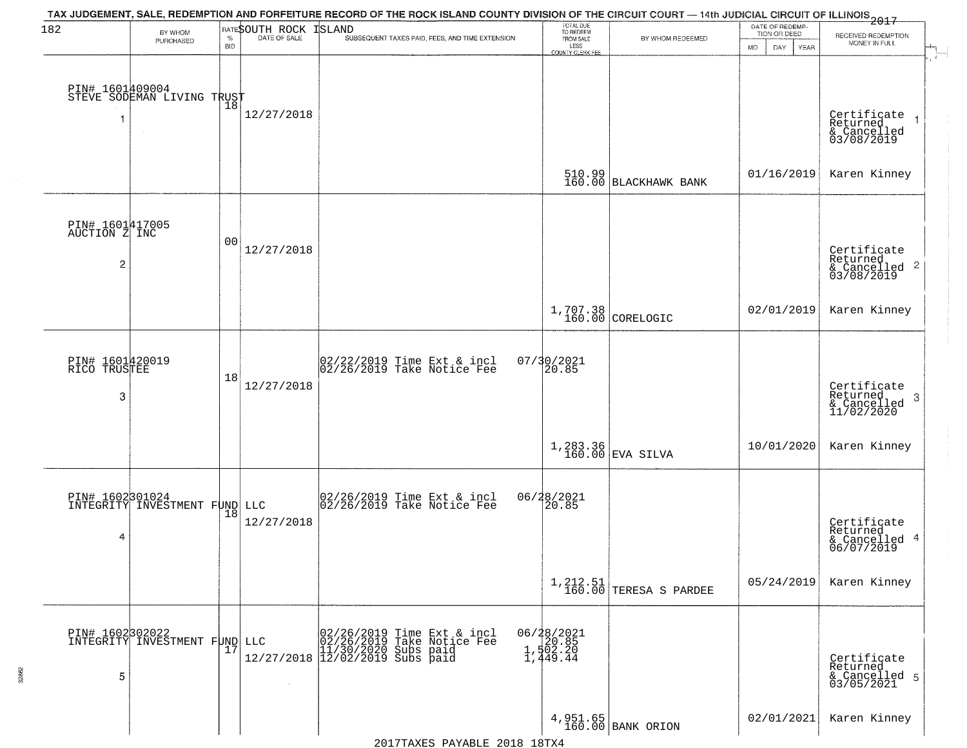| 182                                                | BY WHOM<br>PURCHASED                             | $\%$<br><b>BID</b> | RATESOUTH ROCK<br>DATE OF SALE | TAX JUDGEMENT, SALE, REDEMPTION AND FORFEITURE RECORD OF THE ROCK ISLAND COUNTY DIVISION OF THE CIRCUIT COURT — 14th JUDICIAL CIRCUIT OF ILLINOIS 2017<br><b>ISLAND</b><br>SUBSEQUENT TAXES PAID, FEES, AND TIME EXTENSION | TOTAL DUE<br>TO REDEEM<br>FROM SALE<br>LESS<br><b>COUNTY CLERK FEE</b> | BY WHOM REDEEMED                | DATE OF REDEMP-<br>TION OR DEED<br>MO.<br>DAY.<br><b>YEAR</b> | RECEIVED REDEMPTION<br>MONEY IN FULL                                   |
|----------------------------------------------------|--------------------------------------------------|--------------------|--------------------------------|----------------------------------------------------------------------------------------------------------------------------------------------------------------------------------------------------------------------------|------------------------------------------------------------------------|---------------------------------|---------------------------------------------------------------|------------------------------------------------------------------------|
|                                                    | PIN# 1601409004<br>STEVE SODEMAN LIVING TRUST    |                    | 12/27/2018                     |                                                                                                                                                                                                                            |                                                                        |                                 |                                                               | Certificate<br>Returned<br>& Cancelled<br>03/08/2019                   |
|                                                    |                                                  |                    |                                |                                                                                                                                                                                                                            |                                                                        | 510.99<br>160.00 BLACKHAWK BANK | 01/16/2019                                                    | Karen Kinney                                                           |
| PIN# 1601417005<br>AUCTION Z INC<br>$\overline{c}$ |                                                  | 0 <sub>0</sub>     | 12/27/2018                     |                                                                                                                                                                                                                            |                                                                        |                                 |                                                               | Certificate<br>Returned<br>$\overline{2}$<br>& Cancelled<br>03/08/2019 |
|                                                    |                                                  |                    |                                |                                                                                                                                                                                                                            |                                                                        | 1,707.38<br>160.00 CORELOGIC    | 02/01/2019                                                    | Karen Kinney                                                           |
| PIN# 1601420019<br>RICO TRUSTEE<br>3               |                                                  | 18                 | 12/27/2018                     | $\begin{bmatrix} 02/22/2019 \\ 02/26/2019 \end{bmatrix}$ Time Ext & incl                                                                                                                                                   | 07/30/2021<br>20.85                                                    |                                 |                                                               | Certificate<br>Returned<br>3<br>$\frac{1}{2}$ Cancelled<br>11/02/2020  |
|                                                    |                                                  |                    |                                |                                                                                                                                                                                                                            |                                                                        | 1,283.36<br>160.00 EVA SILVA    | 10/01/2020                                                    | Karen Kinney                                                           |
| 4                                                  | PIN# 1602301024<br>INTEGRITY INVESTMENT FUND LLC | 18                 | 12/27/2018                     | $\begin{bmatrix} 02/26/2019 \\ 02/26/2019 \end{bmatrix}$ Take Notice Fee                                                                                                                                                   | 06/28/2021<br>20.85                                                    |                                 |                                                               | Certificate<br>Returned<br>4<br>& Cancelled<br>06/07/2019              |
|                                                    |                                                  |                    |                                |                                                                                                                                                                                                                            |                                                                        | $1, 212.51$ TERESA S PARDEE     | 05/24/2019                                                    | Karen Kinney                                                           |
| 5                                                  | PIN# 1602302022<br>INTEGRITY INVESTMENT FUND LLC | 17                 | $\sim$                         | LLC 02/26/2019 Time Ext 8<br>02/26/2019 Take Notic<br>11/30/2020 Subs paid<br>12/27/2018 12/02/2019 Subs paid<br>Time Ext & incl<br>Take Notice Fee                                                                        | 06/28/2021<br>20.85<br>1,502.20<br>1,449.44                            |                                 |                                                               | Certificate<br>Returned<br>& Cancelled 5<br>03/05/2021                 |
|                                                    |                                                  |                    |                                |                                                                                                                                                                                                                            |                                                                        | 4,951.65<br>160.00 BANK ORION   | 02/01/2021                                                    | Karen Kinney                                                           |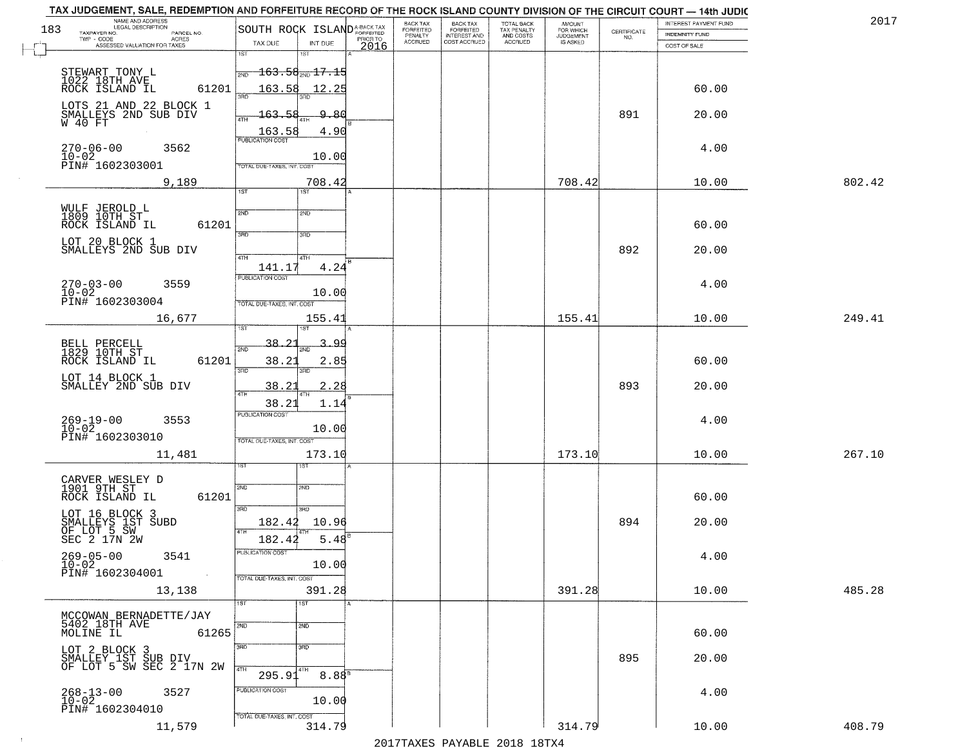| NAME AND ADDRESS<br>LEGAL DESCRIPTION<br>183<br>TAXPAYER NO.<br>PARCEL NO. | SOUTH ROCK ISLAND <sup>A-BACK TAX</sup>   | BACK TAX<br>FORFEITED     | BACK TAX<br>FORFEITED<br>INTEREST AND | TOTAL BACK<br>TAX PENALTY<br>AND COSTS | AMOUNT<br>FOR WHICH<br>JUDGEMENT | $\begin{array}{c} \text{CERTIFICATE} \\ \text{NO.} \end{array}$ | INTEREST PAYMENT FUND<br><b>INDEMNITY FUND</b> | 2017   |
|----------------------------------------------------------------------------|-------------------------------------------|---------------------------|---------------------------------------|----------------------------------------|----------------------------------|-----------------------------------------------------------------|------------------------------------------------|--------|
| $TWP - CODE$<br>ACRES<br>ASSESSED VALUATION FOR TAXES                      | PRIOR TO<br>TAX DUE<br>INT DUE<br>2016    | PENALTY<br><b>ACCRUED</b> | COST ACCRUED                          | ACCRUED                                | IS ASKED                         |                                                                 | COST OF SALE                                   |        |
|                                                                            | 1ST<br>1ST                                |                           |                                       |                                        |                                  |                                                                 |                                                |        |
| STEWART TONY L<br>1022 18TH AVE<br>ROCK ISLAND IL                          | $-163.58$ <sub>2ND</sub> $17.15$<br>2ND   |                           |                                       |                                        |                                  |                                                                 |                                                |        |
| 61201                                                                      | 163.58<br>12.25<br>3BD                    |                           |                                       |                                        |                                  |                                                                 | 60.00                                          |        |
| LOTS 21 AND 22 BLOCK 1<br>SMALLEYS 2ND SUB DIV                             | 9.80<br>163.58<br>4TH                     |                           |                                       |                                        |                                  | 891                                                             | 20.00                                          |        |
| W 40 FT                                                                    | $\frac{163.58}{PUBUCATON COST}$<br>4.90   |                           |                                       |                                        |                                  |                                                                 |                                                |        |
| $270 - 06 - 00$<br>3562                                                    |                                           |                           |                                       |                                        |                                  |                                                                 | 4.00                                           |        |
| 10-02<br>PIN# 1602303001                                                   | 10.00<br>TOTAL DUE-TAXES, INT. COST       |                           |                                       |                                        |                                  |                                                                 |                                                |        |
| 9,189                                                                      | 708.42<br>1ST<br>1ST                      |                           |                                       |                                        | 708.42                           |                                                                 | 10.00                                          | 802.42 |
|                                                                            |                                           |                           |                                       |                                        |                                  |                                                                 |                                                |        |
| WULF JEROLD L<br>1809 10TH ST<br>ROCK ISLAND IL<br>61201                   | 2ND<br><b>S/ID</b>                        |                           |                                       |                                        |                                  |                                                                 | 60.00                                          |        |
| LOT 20 BLOCK 1<br>SMALLEYS 2ND SUB DIV                                     | 3RD<br>3HD                                |                           |                                       |                                        |                                  |                                                                 |                                                |        |
|                                                                            | 47H<br>4TH                                |                           |                                       |                                        |                                  | 892                                                             | 20.00                                          |        |
| $270 - 03 - 00$<br>3559                                                    | 4.24<br>141.17<br>PUBLICATION COST        |                           |                                       |                                        |                                  |                                                                 | 4.00                                           |        |
| $10-02$<br>PIN# 1602303004                                                 | 10.00<br>TOTAL DUE-TAXES, INT. COST       |                           |                                       |                                        |                                  |                                                                 |                                                |        |
| 16,677                                                                     | 155.41                                    |                           |                                       |                                        | 155.41                           |                                                                 | 10.00                                          | 249.41 |
|                                                                            |                                           |                           |                                       |                                        |                                  |                                                                 |                                                |        |
| BELL PERCELL<br>1829 10TH ST                                               | $38 - 2$<br>З.<br><u>90</u><br>2ND        |                           |                                       |                                        |                                  |                                                                 |                                                |        |
| ROCK ISLAND IL<br>61201<br>LOT 14 BLOCK 1                                  | 38.21<br>2.85<br>3BD<br>3RD               |                           |                                       |                                        |                                  |                                                                 | 60.00                                          |        |
| SMALLEY 2ND SUB DIV                                                        | 38.2<br><u>2.28</u><br>4TH                |                           |                                       |                                        |                                  | 893                                                             | 20.00                                          |        |
|                                                                            | 38.21<br>1.14<br><b>PUBLICATION COST</b>  |                           |                                       |                                        |                                  |                                                                 |                                                |        |
| 269-19-00<br>10-02<br>3553                                                 | 10.00                                     |                           |                                       |                                        |                                  |                                                                 | 4.00                                           |        |
| PIN# 1602303010<br>11,481                                                  | TOTAL OUE-TAXES, INT. COST                |                           |                                       |                                        | 173.10                           |                                                                 | 10.00                                          | 267.10 |
|                                                                            | 173.10<br>ाङ्ग                            |                           |                                       |                                        |                                  |                                                                 |                                                |        |
| CARVER WESLEY D<br>1901 9TH ST                                             | 2ND<br>2ND                                |                           |                                       |                                        |                                  |                                                                 |                                                |        |
| ROCK ISLAND IL<br>61201                                                    | 3RD<br>$\overline{3BD}$                   |                           |                                       |                                        |                                  |                                                                 | 60.00                                          |        |
| LOT 16 BLOCK 3<br>SMALLEYS 1ST SUBD                                        | 182.42<br>10.96                           |                           |                                       |                                        |                                  | 894                                                             | 20.00                                          |        |
| OF LOT 5 SW<br>SEC 2 17N 2W                                                | 4TH<br>$5.48^{8}$<br>182.42               |                           |                                       |                                        |                                  |                                                                 |                                                |        |
| $269 - 05 - 00$<br>3541<br>$10 - 02$                                       | PUBLICATION COST<br>10.00                 |                           |                                       |                                        |                                  |                                                                 | 4.00                                           |        |
| PIN# 1602304001<br>$\sim 100$ km                                           | TOTAL DUE-TAXES, INT. COST                |                           |                                       |                                        |                                  |                                                                 |                                                |        |
| 13,138                                                                     | 391.28<br>1ST<br>1ST                      |                           |                                       |                                        | 391.28                           |                                                                 | 10.00                                          | 485.28 |
| MCCOWAN BERNADETTE/JAY<br>5402 18TH AVE                                    |                                           |                           |                                       |                                        |                                  |                                                                 |                                                |        |
| MOLINE IL<br>61265                                                         | 2ND<br>2ND                                |                           |                                       |                                        |                                  |                                                                 | 60.00                                          |        |
| LOT 2 BLOCK 3                                                              | 3RD<br>$\overline{3}$ RD                  |                           |                                       |                                        |                                  | 895                                                             | 20.00                                          |        |
| SMALLEY 1ST SUB DIV<br>OF LOT 5 SW SEC 2 17N 2W                            | 4TH<br>4TH<br>8.88 <sup>B</sup><br>295.91 |                           |                                       |                                        |                                  |                                                                 |                                                |        |
| 3527<br>268-13-00<br>10-02                                                 | PUBLICATION COST                          |                           |                                       |                                        |                                  |                                                                 | 4.00                                           |        |
| PIN# 1602304010                                                            | 10.00<br>TOTAL DUE-TAXES, INT. COST       |                           |                                       |                                        |                                  |                                                                 |                                                |        |
| 11,579                                                                     | 314.79                                    |                           |                                       |                                        | 314.79                           |                                                                 | 10.00                                          | 408.79 |

 $\sim 100$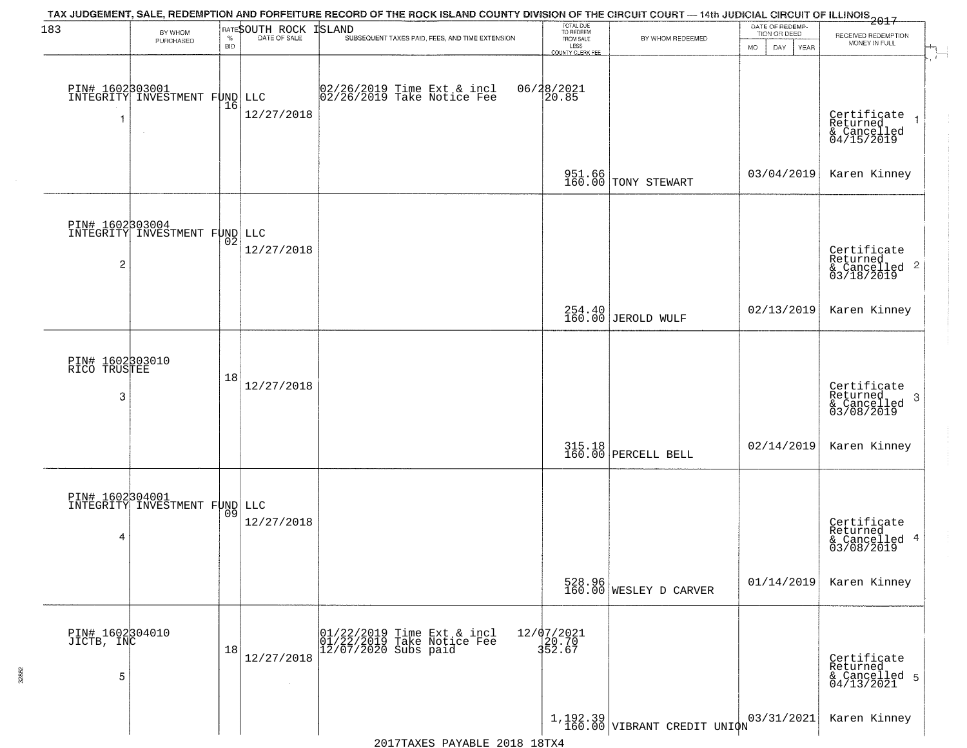| 183                                  | BY WHOM<br>PURCHASED                             | $\%$<br><b>BID</b> | RATESOUTH ROCK<br>DATE OF SALE | TAX JUDGEMENT, SALE, REDEMPTION AND FORFEITURE RECORD OF THE ROCK ISLAND COUNTY DIVISION OF THE CIRCUIT COURT — 14th JUDICIAL CIRCUIT OF ILLINOIS 2017<br><b>ISLAND</b><br>SUBSEQUENT TAXES PAID, FEES, AND TIME EXTENSION | TOTAL DUE<br>TO REDEEM<br>FROM SALE<br>LESS | BY WHOM REDEEMED                 | DATE OF REDEMP-<br>TION OR DEED<br>MO.<br>DAY.<br><b>YEAR</b> | RECEIVED REDEMPTION<br>MONEY IN FULL                               |
|--------------------------------------|--------------------------------------------------|--------------------|--------------------------------|----------------------------------------------------------------------------------------------------------------------------------------------------------------------------------------------------------------------------|---------------------------------------------|----------------------------------|---------------------------------------------------------------|--------------------------------------------------------------------|
|                                      | PIN# 1602303001<br>INTEGRITY INVESTMENT FUND LLC | 16                 | 12/27/2018                     | 02/26/2019 Time Ext & incl<br>02/26/2019 Take Notice Fee                                                                                                                                                                   | COUNTY CLERK FEI<br>06/28/2021<br>20.85     |                                  |                                                               | Certificate<br>Returned<br>& Cancelled<br>04/15/2019               |
|                                      |                                                  |                    |                                |                                                                                                                                                                                                                            |                                             | 951.66<br>160.00 TONY STEWART    | 03/04/2019                                                    | Karen Kinney                                                       |
| $\overline{c}$                       | PIN# 1602303004<br>INTEGRITY INVESTMENT FUND LLC | 02                 | 12/27/2018                     |                                                                                                                                                                                                                            |                                             |                                  |                                                               | Certificate<br>Returned<br>$\frac{1}{2}$ Cancelled 2<br>03/18/2019 |
|                                      |                                                  |                    |                                |                                                                                                                                                                                                                            |                                             | 254.40<br>160.00 JEROLD WULF     | 02/13/2019                                                    | Karen Kinney                                                       |
| PIN# 1602303010<br>RICO TRUSTEE<br>3 |                                                  | 18                 | 12/27/2018                     |                                                                                                                                                                                                                            |                                             |                                  |                                                               | Certificate<br>Returned<br>-3<br>& Cancelled<br>03/08/2019         |
|                                      |                                                  |                    |                                |                                                                                                                                                                                                                            |                                             | 315.18<br>160.00 PERCELL BELL    | 02/14/2019                                                    | Karen Kinney                                                       |
| 4                                    | PIN# 1602304001<br>INTEGRITY INVESTMENT FUND LLC | 09                 | 12/27/2018                     |                                                                                                                                                                                                                            |                                             |                                  |                                                               | Certificate<br>Returned<br>& Cancelled 4<br>03/08/2019             |
|                                      |                                                  |                    |                                |                                                                                                                                                                                                                            |                                             | 528.96<br>160.00 WESLEY D CARVER | 01/14/2019                                                    | Karen Kinney                                                       |
| PIN# 1602304010<br>JICTB, INC<br>5   |                                                  | 18                 | 12/27/2018                     | 01/22/2019 Time Ext & incl<br>01/22/2019 Take Notice Fee<br>12/07/2020 Subs paid                                                                                                                                           | 12/07/2021<br>20.70<br>352.67               |                                  |                                                               | Certificate<br>Returned<br>& Cancelled 5<br>04/13/2021             |
|                                      |                                                  |                    |                                |                                                                                                                                                                                                                            |                                             | $1,192.39$ VIBRANT CREDIT UNIQN  | 03/31/2021                                                    | Karen Kinney                                                       |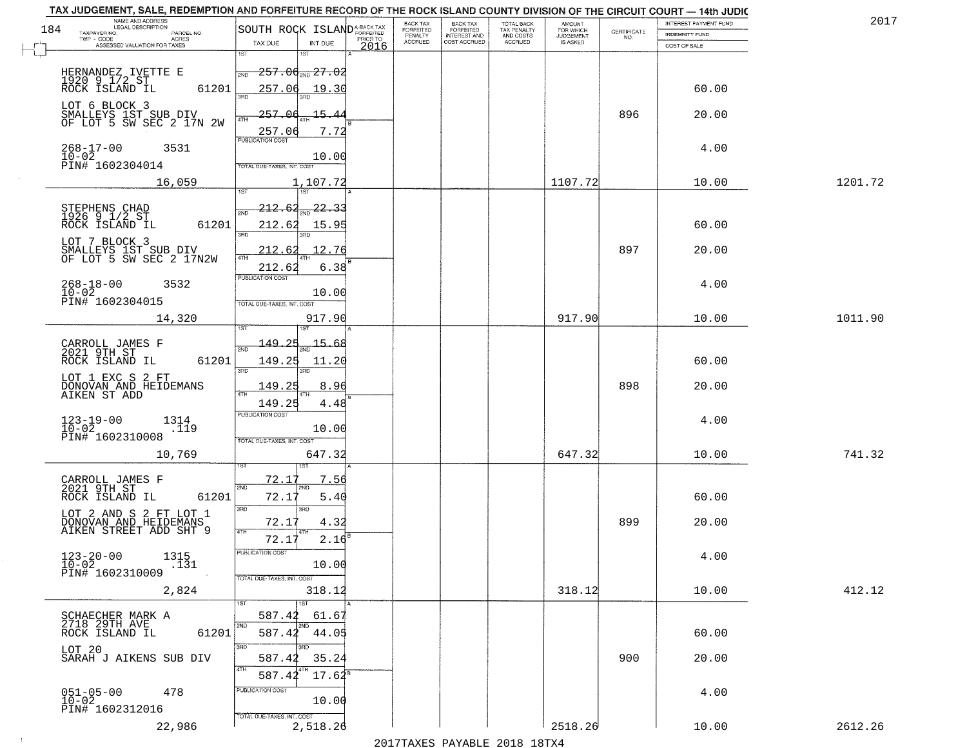| NAME AND ADDRESS<br>LEGAL DESCRIPTION                                     |                                                       |                              |      | BACK TAX             | <b>BACK TAX</b>                  | <b>TOTAL BACK</b>        | AMOUNT<br>FOR WHICH |                                                                 | INTEREST PAYMENT FUND | 2017    |
|---------------------------------------------------------------------------|-------------------------------------------------------|------------------------------|------|----------------------|----------------------------------|--------------------------|---------------------|-----------------------------------------------------------------|-----------------------|---------|
| 184<br>TAXPAYER NO.<br>PARCEL NO.<br>TWP - CODE<br>ACRES                  | SOUTH ROCK ISLANDA-BACK TAX                           |                              |      | FORFEITED<br>PENALTY | FORFEITED<br><b>INTEREST AND</b> | TAX PENALTY<br>AND COSTS | <b>JUDGEMENT</b>    | $\begin{array}{c} \text{CEPTIFICATE} \\ \text{NO.} \end{array}$ | <b>INDEMNITY FUND</b> |         |
| ASSESSED VALUATION FOR TAXES                                              | TAX DUE<br>1ST                                        | INT DUE<br>1ST               | 2016 | <b>ACCRUED</b>       | COST ACCRUED                     | <b>ACCRUED</b>           | IS ASKED            |                                                                 | COST OF SALE          |         |
| HERNANDEZ IVETTE E<br>1920 9 1/2 ST<br>ROCK ISLAND IL                     | <del>257.00<sub>2ND</sub>27.02</del><br>2ND           |                              |      |                      |                                  |                          |                     |                                                                 |                       |         |
| 61201<br>LOT 6 BLOCK 3                                                    | 257.06                                                | 19.30                        |      |                      |                                  |                          |                     |                                                                 | 60.00                 |         |
| SMALLEYS 1ST SUB DIV<br>OF LOT 5 SW SEC 2 17N 2W                          | 257.06<br>ATH<br>257.06<br>PUBLICATION COST           | 15.<br>4.<br>7.72            |      |                      |                                  |                          |                     | 896                                                             | 20.00                 |         |
| $268 - 17 - 00$<br>$10 - 02$<br>3531<br>PIN# 1602304014                   | TOTAL DUE-TAXES, INT. COST                            | 10.00                        |      |                      |                                  |                          |                     |                                                                 | 4.00                  |         |
| 16,059                                                                    |                                                       | 1,107.72                     |      |                      |                                  |                          | 1107.72             |                                                                 | 10.00                 | 1201.72 |
|                                                                           |                                                       |                              |      |                      |                                  |                          |                     |                                                                 |                       |         |
| STEPHENS CHAD<br>1926 9 1/2 ST<br>ROCK ISLAND IL<br>61201                 | <u> 212.62</u><br>2ND<br>212.62<br>3RD                | -22.<br>15.95                |      |                      |                                  |                          |                     |                                                                 | 60.00                 |         |
| LOT 7 BLOCK 3<br>SMALLEYS 1ST SUB DIV<br>OF LOT 5 SW SEC 2 17N2W          | 212.62<br>212.62                                      | 12.76<br>6.38                |      |                      |                                  |                          |                     | 897                                                             | 20.00                 |         |
| $268 - 18 - 00$<br>$10 - 02$<br>3532<br>PIN# 1602304015                   | PUBLICATION COST<br>TOTAL DUE-TAXES, INT. COST        | 10.00                        |      |                      |                                  |                          |                     |                                                                 | 4.00                  |         |
| 14,320                                                                    |                                                       | 917.90                       |      |                      |                                  |                          | 917.90              |                                                                 | 10.00                 | 1011.90 |
|                                                                           | i ST                                                  |                              |      |                      |                                  |                          |                     |                                                                 |                       |         |
| CARROLL JAMES F<br>2021 9TH ST<br>ROCK ISLAND IL<br>61201                 | -149.<br>2ND<br>149.25<br>3BD                         | 15.<br>کم.<br>11.20<br>3RD   |      |                      |                                  |                          |                     |                                                                 | 60.00                 |         |
| LOT 1 EXC S 2 FT<br>DONOVAN AND HEIDEMANS<br>AIKEN ST ADD                 | 149.25<br>4TH                                         | 8.96                         |      |                      |                                  |                          |                     | 898                                                             | 20.00                 |         |
|                                                                           | 149.25                                                | 4.48                         |      |                      |                                  |                          |                     |                                                                 |                       |         |
| $123 - 19 - 00$<br>$10 - 02$<br>1314<br>.119<br>PIN# 1602310008           | <b>PUBLICATION COST</b><br>TOTAL OUE-TAXES, INT. COST | 10.00                        |      |                      |                                  |                          |                     |                                                                 | 4.00                  |         |
| 10,769                                                                    |                                                       | 647.32                       |      |                      |                                  |                          | 647.32              |                                                                 | 10.00                 | 741.32  |
|                                                                           | <u>72.17</u>                                          | 7.56                         |      |                      |                                  |                          |                     |                                                                 |                       |         |
| CARROLL JAMES F<br>2021 9TH ST<br>ROCK ISLAND IL<br>61201                 | 2ND<br>72.17                                          | 'ND<br>5.40                  |      |                      |                                  |                          |                     |                                                                 | 60.00                 |         |
| LOT 2 AND S 2 FT LOT 1<br>DONOVAN AND HEIDEMANS<br>AIKEN STREET ADD SHT 9 | 3RD<br>72.17<br>4TH                                   | 3RD<br>4.32                  |      |                      |                                  |                          |                     | 899                                                             | 20.00                 |         |
|                                                                           | 72.17                                                 | 2.16                         |      |                      |                                  |                          |                     |                                                                 |                       |         |
| $123 - 20 - 00$<br>1315<br>$10 - 02$<br>.131<br>PIN# 1602310009           | "UBLICA HUN CUS                                       | 10.00                        |      |                      |                                  |                          |                     |                                                                 | 4.00                  |         |
| 2,824                                                                     | TOTAL DUE-TAXES, INT. COST                            | 318.12                       |      |                      |                                  |                          | 318.12              |                                                                 | 10.00                 | 412.12  |
|                                                                           |                                                       | 1ST                          |      |                      |                                  |                          |                     |                                                                 |                       |         |
| SCHAECHER MARK A<br>2718 29TH AVE<br>61201<br>ROCK ISLAND IL              | 587.42                                                | 61.67<br>2ND<br>587.42 44.05 |      |                      |                                  |                          |                     |                                                                 | 60.00                 |         |
| LOT 20                                                                    | 3RD                                                   |                              |      |                      |                                  |                          |                     |                                                                 |                       |         |
| SARAH J AIKENS SUB DIV                                                    | 587.42<br>4TH<br>587.42                               | 35.24<br>$17.62^8$           |      |                      |                                  |                          |                     | 900                                                             | 20.00                 |         |
| $051 - 05 - 00$                                                           | PUBLICATION COST                                      |                              |      |                      |                                  |                          |                     |                                                                 |                       |         |
| 478<br>$10 - 02$<br>PIN# 1602312016                                       | TOTAL DUE-TAXES, INT. COST                            | 10.00                        |      |                      |                                  |                          |                     |                                                                 | 4.00                  |         |
| 22,986                                                                    |                                                       | 2,518.26                     |      |                      |                                  |                          | 2518.26             |                                                                 | 10.00                 | 2612.26 |

 $\sim 10^{-1}$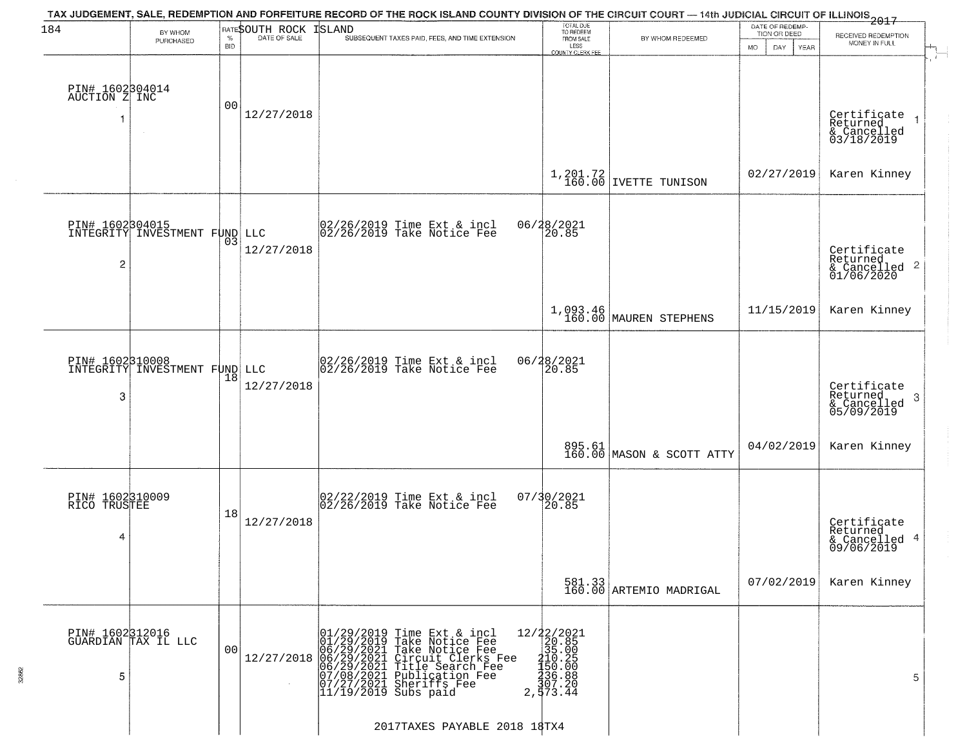| 184                                  | BY WHOM                                                 |                    | RATESOUTH ROCK | TAX JUDGEMENT, SALE, REDEMPTION AND FORFEITURE RECORD OF THE ROCK ISLAND COUNTY DIVISION OF THE CIRCUIT COURT — 14th JUDICIAL CIRCUIT OF ILLINOIS 2017<br>ISLAND                                                                                                                                                                                                   | TOTAL DUE<br>TO REDEEM                                                                                                                                                                                                                                                                                                                                                               |                                     | DATE OF REDEMP-<br>TION OR DEED |                                                           |
|--------------------------------------|---------------------------------------------------------|--------------------|----------------|--------------------------------------------------------------------------------------------------------------------------------------------------------------------------------------------------------------------------------------------------------------------------------------------------------------------------------------------------------------------|--------------------------------------------------------------------------------------------------------------------------------------------------------------------------------------------------------------------------------------------------------------------------------------------------------------------------------------------------------------------------------------|-------------------------------------|---------------------------------|-----------------------------------------------------------|
|                                      | PURCHASED                                               | $\%$<br><b>BID</b> | DATE OF SALE   | SUBSEQUENT TAXES PAID, FEES, AND TIME EXTENSION                                                                                                                                                                                                                                                                                                                    | FROM SALE<br>LESS<br>COUNTY CLERK FEE                                                                                                                                                                                                                                                                                                                                                | BY WHOM REDEEMED                    | <b>MO</b><br>DAY<br><b>YEAR</b> | RECEIVED REDEMPTION<br>MONEY IN FULL                      |
| PIN# 1602304014<br>AUCTION Z INC     | $\sim$ $\sim$                                           | 00                 | 12/27/2018     |                                                                                                                                                                                                                                                                                                                                                                    |                                                                                                                                                                                                                                                                                                                                                                                      |                                     |                                 | Certificate<br>Returned<br>& Cancelled<br>03/18/2019      |
|                                      |                                                         |                    |                |                                                                                                                                                                                                                                                                                                                                                                    |                                                                                                                                                                                                                                                                                                                                                                                      | $1,201.72$ IVETTE TUNISON           | 02/27/2019                      | Karen Kinney                                              |
| 2                                    | <b>PIN# 1602304015</b><br>INTEGRITY INVESTMENT FUND LLC | 03                 | 12/27/2018     | 02/26/2019 Time Ext & incl<br>02/26/2019 Take Notice Fee                                                                                                                                                                                                                                                                                                           | 06/28/2021<br>20.85                                                                                                                                                                                                                                                                                                                                                                  |                                     |                                 | Certificate<br>Returned                                   |
|                                      |                                                         |                    |                |                                                                                                                                                                                                                                                                                                                                                                    |                                                                                                                                                                                                                                                                                                                                                                                      | 1,093.46<br>160.00 MAUREN STEPHENS  | 11/15/2019                      | Karen Kinney                                              |
| 3                                    | PIN# 1602310008<br>INTEGRITY INVESTMENT FUND LLC        | 18                 | 12/27/2018     | 02/26/2019 Time Ext & incl<br>02/26/2019 Take Notice Fee                                                                                                                                                                                                                                                                                                           | 06/28/2021<br>20.85                                                                                                                                                                                                                                                                                                                                                                  |                                     |                                 | Certificate<br>Returned<br>3<br>& Cancelled<br>05/09/2019 |
|                                      |                                                         |                    |                |                                                                                                                                                                                                                                                                                                                                                                    |                                                                                                                                                                                                                                                                                                                                                                                      | 895.61<br>160.00 MASON & SCOTT ATTY | 04/02/2019                      | Karen Kinney                                              |
| PIN# 1602310009<br>RICO TRUSTEE<br>4 |                                                         | 18                 | 12/27/2018     | 02/22/2019 Time Ext & incl<br>02/26/2019 Take Notice Fee                                                                                                                                                                                                                                                                                                           | 07/30/2021<br>20.85                                                                                                                                                                                                                                                                                                                                                                  |                                     |                                 | Certificate<br>Returned<br>& Cancelled 4<br>09/06/2019    |
|                                      |                                                         |                    |                |                                                                                                                                                                                                                                                                                                                                                                    |                                                                                                                                                                                                                                                                                                                                                                                      | 581.33<br>160.00 ARTEMIO MADRIGAL   | 07/02/2019                      | Karen Kinney                                              |
| 5                                    | PIN# 1602312016<br>GUARDIAN TAX IL LLC                  | 00                 |                | $[01/29/2019 \text{ Time Ext & incl } 101/29/2019 \text{ Take Notice Free } 106/29/2021 \text{ Take Notice Free } 06/29/2021 \text{ Circle Free } 12/27/2018 \text{ } 06/29/2021 \text{ Circuit Clerks Free } 07/08/2021 \text{ Public Section Free } 07/27/2021 \text{ Sublication Free } 07/27/2021 \text{ Sheriffs} \text{ Free } 11/19/2019 \text{ Subs paid}$ | $\begin{array}{r} 12/22/2021 \\ 20.85 \\ 35.00 \\ -210.85 \\ 4150.20 \\ -3150.60 \\ 4350.88 \\ -3.20 \\ -3.20 \\ -3.20 \\ -3.20 \\ -3.20 \\ -3.20 \\ -3.20 \\ -3.20 \\ -3.20 \\ -3.20 \\ -3.20 \\ -3.20 \\ -3.20 \\ -3.20 \\ -3.20 \\ -3.20 \\ -3.20 \\ -3.20 \\ -3.20 \\ -3.20 \\ -3.20 \\ -3.20 \\ -3.20 \\ -3.20 \\ -3.20 \\ -3$<br>$2, \frac{1}{3}, \frac{1}{3}$ . $\frac{1}{4}$ |                                     |                                 | 5                                                         |
|                                      |                                                         |                    |                | 2017TAXES PAYABLE 2018 18TX4                                                                                                                                                                                                                                                                                                                                       |                                                                                                                                                                                                                                                                                                                                                                                      |                                     |                                 |                                                           |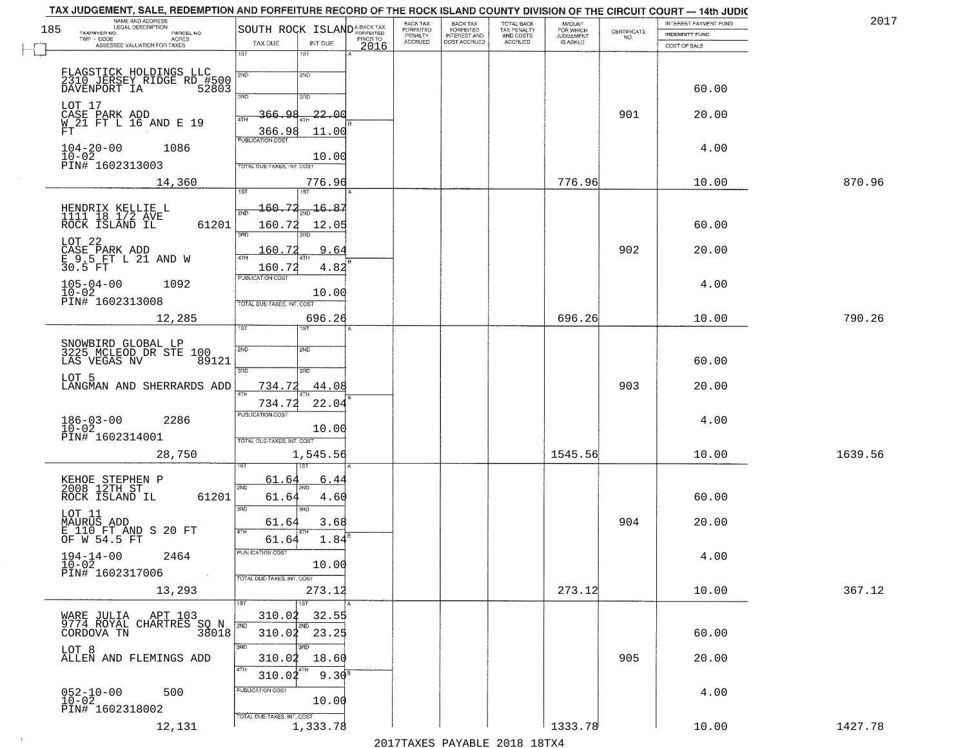|     | TAX JUDGEMENT, SALE, REDEMPTION AND FORFEITURE RECORD OF THE ROCK ISLAND COUNTY DIVISION OF THE CIRCUIT COURT - 14th JUDIC |                                                                 |                                                     |                  |                           |                                       |                                        |                                  |                                                                 |                                                |         |
|-----|----------------------------------------------------------------------------------------------------------------------------|-----------------------------------------------------------------|-----------------------------------------------------|------------------|---------------------------|---------------------------------------|----------------------------------------|----------------------------------|-----------------------------------------------------------------|------------------------------------------------|---------|
| 185 | NAME AND ADDRESS<br>LEGAL DESCRIPTION<br>TAXPAYER NO.<br>PARCEL NO.                                                        | SOUTH ROCK ISLAND <sup>A-BACK TAX</sup>                         |                                                     |                  | BACK TAX<br>FORFEITED     | BACK TAX<br>FORFEITED<br>INTEREST AND | TOTAL BACK<br>TAX PENALTY<br>AND COSTS | AMOUNT<br>FOR WHICH<br>JUDGEMENT | $\begin{array}{c} \text{CERTIFICATE} \\ \text{NO.} \end{array}$ | INTEREST PAYMENT FUND<br><b>INDEMNITY FUND</b> | 2017    |
|     | TWP - CODE<br>ACRES<br>ASSESSED VALUATION FOR TAXES                                                                        | TAX DUE                                                         | INT DUE                                             | PRIOR TO<br>2016 | PENALTY<br><b>ACCRUED</b> | COST ACCRUED                          | <b>ACCRUED</b>                         | IS ASKED                         |                                                                 | COST OF SALE                                   |         |
|     |                                                                                                                            | 1ST                                                             | 1ST                                                 |                  |                           |                                       |                                        |                                  |                                                                 |                                                |         |
|     | FLAGSTICK HOLDINGS LLC<br>2310 JERSEY RIDGE RD #500<br>DAVENPORT IA 52803                                                  | 2ND<br>3RD                                                      | 2ND<br>3RD                                          |                  |                           |                                       |                                        |                                  |                                                                 | 60.00                                          |         |
|     | LOT 17<br>CASE PARK ADD<br>W_21 FT L 16 AND E 19<br>FT.                                                                    | 366.98<br>ATH<br>366.98                                         | $-22.00$<br>11.00                                   |                  |                           |                                       |                                        |                                  | 901                                                             | 20.00                                          |         |
|     | $104 - 20 - 00$<br>1086<br>$10 - 02$<br>PIN# 1602313003                                                                    | <b>PUBLICATION COST</b><br>TOTAL DUE-TAXES, INT. COST           | 10.00                                               |                  |                           |                                       |                                        |                                  |                                                                 | 4.00                                           |         |
|     | 14,360                                                                                                                     |                                                                 | 776.96<br>1ST                                       |                  |                           |                                       |                                        | 776.96                           |                                                                 | 10.00                                          | 870.96  |
|     | HENDRIX KELLIE L<br>1111 18 1/2 AVE<br>ROCK ISLAND IL<br>61201                                                             | 160.72<br>2ND<br>160.72<br>3BD                                  | 16.87<br>12.05<br>הוא                               |                  |                           |                                       |                                        |                                  |                                                                 | 60.00                                          |         |
|     | LOT 22<br>CASE PARK ADD<br>E 9.5 FT L 21 AND W<br>30.5 FT                                                                  | 160.72<br>47H<br>160.72                                         | 9.64<br>4.82                                        |                  |                           |                                       |                                        |                                  | 902                                                             | 20.00                                          |         |
|     | $105 - 04 - 00$<br>1092<br>10-02<br>PIN# 1602313008                                                                        | PUBLICATION COST<br>TOTAL DUE-TAXES, INT. COST                  | 10.00                                               |                  |                           |                                       |                                        |                                  |                                                                 | 4.00                                           |         |
|     | 12,285                                                                                                                     | ist.                                                            | 696.26<br><b>IST</b>                                |                  |                           |                                       |                                        | 696.26                           |                                                                 | 10.00                                          | 790.26  |
|     | SNOWBIRD GLOBAL LP<br>3225 MCLEOD DR STE 100<br>LAS VEGAS NV<br>89121                                                      | 2ND<br>3BD                                                      | SMD<br>3RD                                          |                  |                           |                                       |                                        |                                  |                                                                 | 60.00                                          |         |
|     | LOT 5<br>LANGMAN AND SHERRARDS ADD                                                                                         | 734.72                                                          | 44.08                                               |                  |                           |                                       |                                        |                                  | 903                                                             | 20.00                                          |         |
|     | $186 - 03 - 00$<br>$10 - 02$<br>2286<br>PIN# 1602314001                                                                    | 734.72<br><b>PUBLICATION COST</b><br>TOTAL OUE-TAXES, INT. COST | 22.04<br>10.00                                      |                  |                           |                                       |                                        |                                  |                                                                 | 4.00                                           |         |
|     | 28,750                                                                                                                     |                                                                 | 1,545.56                                            |                  |                           |                                       |                                        | 1545.56                          |                                                                 | 10.00                                          | 1639.56 |
|     | KEHOE STEPHEN P<br>2008 12TH ST<br>ROCK ISLAND IL<br>61201                                                                 | 61.64<br>2ND<br>61.64<br>3BD                                    | <u>6.4</u><br><b>ND</b><br>4.60<br>$\overline{3BD}$ |                  |                           |                                       |                                        |                                  |                                                                 | 60.00                                          |         |
|     | LOT 11<br>MAURUS ADD<br>E 110 FT AND S 20 FT                                                                               | 61.64<br>4TH                                                    | 3.68                                                |                  |                           |                                       |                                        |                                  | 904                                                             | 20.00                                          |         |
|     | OF W 54.5 FT<br>$194-14-00$<br>$10-02$<br>2464<br>PIN# 1602317006<br>$\sim 100$                                            | 61.64<br>PUBLICATION COST<br>TOTAL DUE-TAXES, INT. COST         | 1.84<br>10.00                                       |                  |                           |                                       |                                        |                                  |                                                                 | 4.00                                           |         |
|     | 13,293                                                                                                                     | 1ST                                                             | 273.12                                              |                  |                           |                                       |                                        | 273.12                           |                                                                 | 10.00                                          | 367.12  |
|     | WARE JULIA APT 103<br>9774 ROYAL CHARTRES SO N<br>COPPOVA TN                                                               | 310.02<br>2ND                                                   | 1ST<br>32.55<br>2ND<br>310.02 23.25                 |                  |                           |                                       |                                        |                                  |                                                                 | 60.00                                          |         |
|     | LOT 8<br>ALLEN AND FLEMINGS ADD                                                                                            | 3RD <sup>-</sup><br>310.02<br>4TH<br>310.02                     | 3RD<br>18.60<br>$9.30^{8}$                          |                  |                           |                                       |                                        |                                  | 905                                                             | 20.00                                          |         |
|     | $052 - 10 - 00$<br>$10 - 02$<br>500<br>PIN# 1602318002                                                                     | PUBLICATION COST<br>TOTAL DUE-TAXES, INT. COST                  | 10.00                                               |                  |                           |                                       |                                        |                                  |                                                                 | 4.00                                           |         |
|     | 12,131                                                                                                                     |                                                                 | 1,333.78                                            |                  |                           |                                       |                                        | 1333.78                          |                                                                 | 10.00                                          | 1427.78 |

 $\sim$  1  $^{\circ}$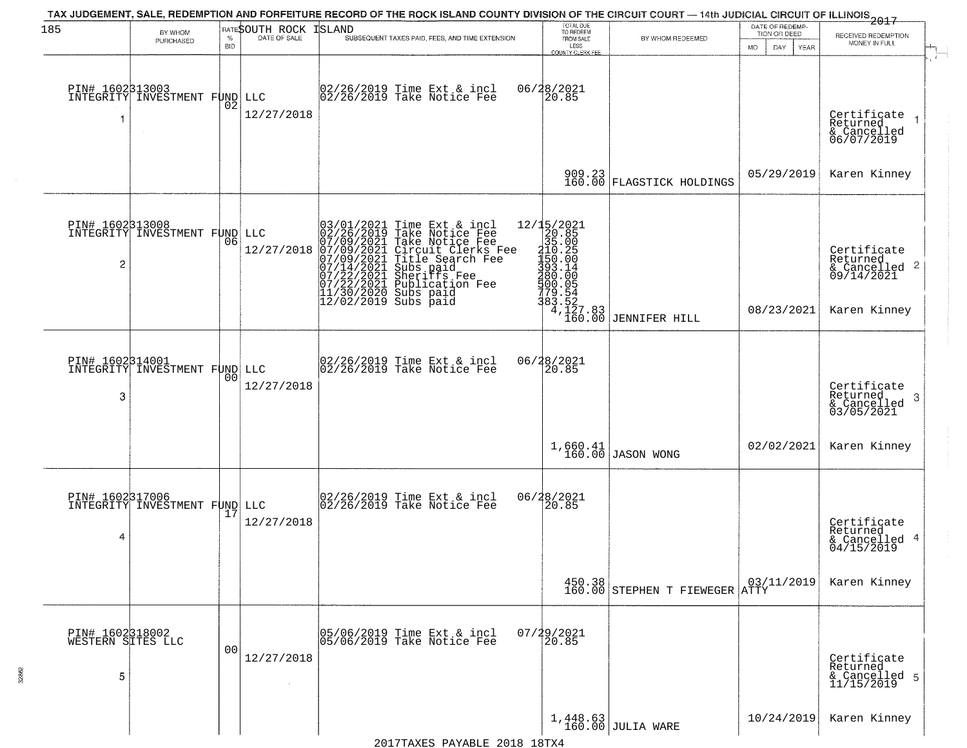| 185                                       | BY WHOM                                          |                |                              | TAX JUDGEMENT, SALE, REDEMPTION AND FORFEITURE RECORD OF THE ROCK ISLAND COUNTY DIVISION OF THE CIRCUIT COURT - 14th JUDICIAL CIRCUIT OF ILLINOIS 2017                                                                                                                                                                                                                                        | TOTAL DUE<br>TO REDEEM                |                                                                                                                                                                                                                                                                                            | DATE OF REDEMP-                     |                                                                                               |
|-------------------------------------------|--------------------------------------------------|----------------|------------------------------|-----------------------------------------------------------------------------------------------------------------------------------------------------------------------------------------------------------------------------------------------------------------------------------------------------------------------------------------------------------------------------------------------|---------------------------------------|--------------------------------------------------------------------------------------------------------------------------------------------------------------------------------------------------------------------------------------------------------------------------------------------|-------------------------------------|-----------------------------------------------------------------------------------------------|
|                                           | PURCHASED                                        | <b>BID</b>     | <b>RATESOUTH ROCK ISLAND</b> | SUBSEQUENT TAXES PAID, FEES, AND TIME EXTENSION                                                                                                                                                                                                                                                                                                                                               | FROM SALE<br>LESS<br>COUNTY CLERK FEE | BY WHOM REDEEMED                                                                                                                                                                                                                                                                           | TION OR DEED<br>MO.<br>DAY.<br>YEAR | RECEIVED REDEMPTION<br>MONEY IN FULL                                                          |
| 1                                         | PIN# 1602B13003<br>INTEGRITY INVESTMENT FUND LLC | 02             | 12/27/2018                   | 02/26/2019 Time Ext & incl<br>02/26/2019 Take Notice Fee                                                                                                                                                                                                                                                                                                                                      | 06/28/2021<br>20.85                   |                                                                                                                                                                                                                                                                                            |                                     | Certificate<br>Returned<br>& Cancelled<br>06/07/2019                                          |
|                                           |                                                  |                |                              |                                                                                                                                                                                                                                                                                                                                                                                               | 909.23<br>160.00                      | FLAGSTICK HOLDINGS                                                                                                                                                                                                                                                                         | 05/29/2019                          | Karen Kinney                                                                                  |
| 2                                         | PIN# 1602313008<br>INTEGRITY INVESTMENT FUND LLC | 06             | 12/27/2018                   | 03/01/2021 Time Ext &<br>02/26/2019 Take Notic<br>07/09/2021 Take Notic<br>07/09/2021 Circuit Cl<br>07/09/2021 Title Sear<br>07/14/2021 Subs paid<br>07/22/2021 Sublicatic<br>11/30/2020 Subs paid<br>12/02/2019 Subs paid<br>Time Ext & incl<br>Take Notice Fee<br>Take Notice Fee<br>Circuit Clerks Fee<br>Title Search Fee<br>Subs paid<br>Sheriffs Fee<br>Sheriffs Fee<br>Publication Fee |                                       | ue Fee<br>12/15/2021<br>Fee<br>Fee<br>Fee<br>Pee<br>Pee<br>Pee<br>20.85<br>Pee<br>150.00<br>93.14<br>93.14<br>900.05<br>79.54<br>383.52<br>4,127.83<br>160.00<br>179.93<br>179.93<br>180.00<br>180.00<br>900.05<br>180.00<br>180.00<br>180.00<br>180.00<br>180.00<br>180.00<br>180.00<br>1 | 08/23/2021                          | Certificate<br>Returned<br>$\frac{1}{6}$ Cancelled <sup>2</sup><br>09/14/2021<br>Karen Kinney |
| PIN# 1602314001<br>3                      | INTEGRITY INVESTMENT FUND LLC                    | 0 <sub>0</sub> | 12/27/2018                   | 02/26/2019 Time Ext & incl<br>02/26/2019 Take Notice Fee                                                                                                                                                                                                                                                                                                                                      | 06/28/2021<br>20.85                   |                                                                                                                                                                                                                                                                                            |                                     | Certificate<br>Returned<br>-3<br>& Cancelled<br>03/05/2021                                    |
|                                           |                                                  |                |                              |                                                                                                                                                                                                                                                                                                                                                                                               |                                       | $1,660.41$ JASON WONG                                                                                                                                                                                                                                                                      | 02/02/2021                          | Karen Kinney                                                                                  |
| 4                                         | PIN# 1602317006<br>INTEGRITY INVESTMENT FUND LLC |                | 12/27/2018                   | 02/26/2019 Time Ext & incl<br>02/26/2019 Take Notice Fee                                                                                                                                                                                                                                                                                                                                      | 06/28/2021<br>20.85                   |                                                                                                                                                                                                                                                                                            |                                     | Certificate<br>Returned<br>& Cancelled 4<br>04/15/2019                                        |
|                                           |                                                  |                |                              |                                                                                                                                                                                                                                                                                                                                                                                               |                                       | 450.38<br>160.00 STEPHEN T FIEWEGER ATTY                                                                                                                                                                                                                                                   |                                     | Karen Kinney                                                                                  |
| PIN# 1602318002<br>WESTERN SITES LLC<br>5 |                                                  | 0 <sub>0</sub> | 12/27/2018                   | 05/06/2019 Time Ext & incl<br>05/06/2019 Take Notice Fee                                                                                                                                                                                                                                                                                                                                      | $07/29/2021$<br>20.85                 |                                                                                                                                                                                                                                                                                            |                                     | Certificate<br>Returned<br>& Cancelled 5<br>11/15/2019                                        |
|                                           |                                                  |                |                              |                                                                                                                                                                                                                                                                                                                                                                                               |                                       | $1,448.63$ JULIA WARE                                                                                                                                                                                                                                                                      | 10/24/2019                          | Karen Kinney                                                                                  |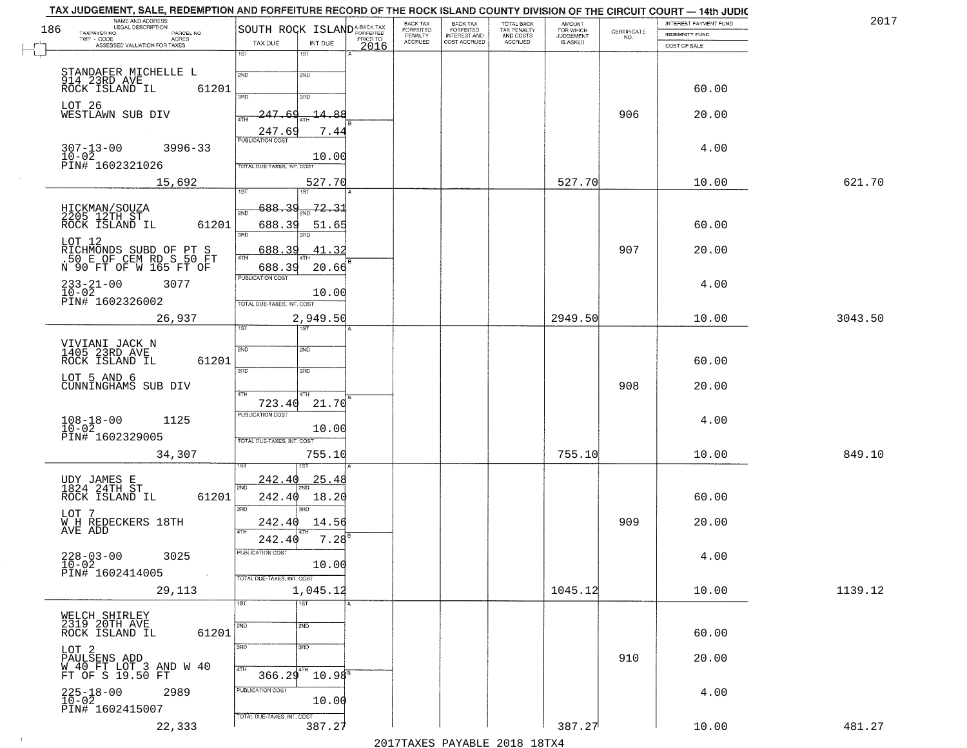| 186 | NAME AND ADDRESS<br>LEGAL DESCRIPTION                                                 | SOUTH ROCK ISLAND <sup>A-BACK TAX</sup> |                        |          | BACK TAX<br>FORFEITED     | BACK TAX<br>FORFEITED<br>INTEREST AND | TOTAL BACK<br>TAX PENALTY<br>AND COSTS | AMOUNT<br>FOR WHICH<br>JUDGEMENT |                                                                 | <b>INTEREST PAYMENT FUND</b> | 201'    |
|-----|---------------------------------------------------------------------------------------|-----------------------------------------|------------------------|----------|---------------------------|---------------------------------------|----------------------------------------|----------------------------------|-----------------------------------------------------------------|------------------------------|---------|
|     | TAXPAYER NO.<br>PARCEL NO.<br>$TWP - CODE$<br>ACRES                                   | TAX DUE                                 | INT DUE                | PRIOR TO | PENALTY<br><b>ACCRUED</b> | COST ACCRUED                          | ACCRUED                                | IS ASKED                         | $\begin{array}{c} \text{CERTIFICATE} \\ \text{NO.} \end{array}$ | <b>INDEMNITY FUND</b>        |         |
|     | ASSESSED VALUATION FOR TAXES                                                          | 1ST<br>1ST                              |                        | 2016     |                           |                                       |                                        |                                  |                                                                 | COST OF SALE                 |         |
|     |                                                                                       |                                         |                        |          |                           |                                       |                                        |                                  |                                                                 |                              |         |
|     | STANDAFER MICHELLE L<br>914 23RD AVE<br>ROCK ISLAND IL (<br>61201                     | 2ND<br>2ND                              |                        |          |                           |                                       |                                        |                                  |                                                                 | 60.00                        |         |
|     |                                                                                       | 3RD<br>3BD                              |                        |          |                           |                                       |                                        |                                  |                                                                 |                              |         |
|     | LOT 26<br>WESTLAWN SUB DIV                                                            | $-247.69$<br><b>ATH</b>                 | $-14.88$               |          |                           |                                       |                                        |                                  | 906                                                             | 20.00                        |         |
|     |                                                                                       | 247.69                                  | 7.44                   |          |                           |                                       |                                        |                                  |                                                                 |                              |         |
|     | $307 - 13 - 00$<br>$3996 - 33$                                                        | <b>PUBLICATION COST</b>                 |                        |          |                           |                                       |                                        |                                  |                                                                 | 4.00                         |         |
|     | 10-02<br>PIN# 1602321026                                                              | TOTAL DUE-TAXES, INT, COST              | 10.00                  |          |                           |                                       |                                        |                                  |                                                                 |                              |         |
|     | 15,692                                                                                |                                         | 527.70                 |          |                           |                                       |                                        | 527.70                           |                                                                 | 10.00                        | 621.70  |
|     |                                                                                       | 1ST<br>1ST                              |                        |          |                           |                                       |                                        |                                  |                                                                 |                              |         |
|     | HICKMAN/SOUZA<br>2205 12TH ST<br>ROCK ISLAND IL                                       | <u>688.39</u><br>2ND                    | 72.31                  |          |                           |                                       |                                        |                                  |                                                                 |                              |         |
|     | 61201                                                                                 | 688.39<br>3RD                           | 51.65                  |          |                           |                                       |                                        |                                  |                                                                 | 60.00                        |         |
|     |                                                                                       |                                         | 41.32                  |          |                           |                                       |                                        |                                  | 907                                                             | 20.00                        |         |
|     | LOT 12<br>RICHMONDS SUBD OF PT S<br>.50 E OF CEM RD S 50 FT<br>N 90 FT OF W 165 FT OF | <u>688.39</u><br>4TH                    |                        |          |                           |                                       |                                        |                                  |                                                                 |                              |         |
|     |                                                                                       | 688.39<br><b>PUBLICATION COST</b>       | 20.66                  |          |                           |                                       |                                        |                                  |                                                                 |                              |         |
|     | $233 - 21 - 00$<br>3077<br>$10 - 02$                                                  |                                         | 10.00                  |          |                           |                                       |                                        |                                  |                                                                 | 4.00                         |         |
|     | PIN# 1602326002                                                                       | TOTAL DUE-TAXES, INT. COST              |                        |          |                           |                                       |                                        |                                  |                                                                 |                              |         |
|     | 26,937                                                                                | 1ST                                     | 2,949.50               |          |                           |                                       |                                        | 2949.50                          |                                                                 | 10.00                        | 3043.50 |
|     |                                                                                       |                                         |                        |          |                           |                                       |                                        |                                  |                                                                 |                              |         |
|     | VIVIANI JACK N<br>1405 23RD AVE<br>ROCK ISLAND IL<br>61201                            | 2ND<br>2ND                              |                        |          |                           |                                       |                                        |                                  |                                                                 | 60.00                        |         |
|     | LOT 5 AND 6                                                                           | 3RD<br>3RD                              |                        |          |                           |                                       |                                        |                                  |                                                                 |                              |         |
|     | CUNNINGHAMS SUB DIV                                                                   | 4TH<br>4TH                              |                        |          |                           |                                       |                                        |                                  | 908                                                             | 20.00                        |         |
|     |                                                                                       | 723.40                                  | 21.70                  |          |                           |                                       |                                        |                                  |                                                                 |                              |         |
|     | $108 - 18 - 00$<br>$10 - 02$<br>1125                                                  | <b>PUBLICATION COST</b>                 | 10.00                  |          |                           |                                       |                                        |                                  |                                                                 | 4.00                         |         |
|     | PIN# 1602329005                                                                       | TOTAL OUE-TAXES, INT. COST              |                        |          |                           |                                       |                                        |                                  |                                                                 |                              |         |
|     | 34,307                                                                                |                                         | 755.10                 |          |                           |                                       |                                        | 755.10                           |                                                                 | 10.00                        | 849.10  |
|     |                                                                                       |                                         |                        |          |                           |                                       |                                        |                                  |                                                                 |                              |         |
|     | UDY JAMES E<br>1824 24TH ST                                                           | <u>242.40</u><br>2ND                    | <u>25.48</u>           |          |                           |                                       |                                        |                                  |                                                                 |                              |         |
|     | ROCK ISLAND IL<br>61201                                                               | 242.40<br>3RD<br>3RD                    | 18.20                  |          |                           |                                       |                                        |                                  |                                                                 | 60.00                        |         |
|     | LOT 7<br>W H REDECKERS 18TH                                                           | 242.40                                  | 14.56                  |          |                           |                                       |                                        |                                  | 909                                                             | 20.00                        |         |
|     | AVE ADD                                                                               | 4TH<br>242.40                           | $7.28^{B}$             |          |                           |                                       |                                        |                                  |                                                                 |                              |         |
|     | 3025                                                                                  | PUBLICATION COST                        |                        |          |                           |                                       |                                        |                                  |                                                                 | 4.00                         |         |
|     | $228 - 03 - 00$<br>$10 - 02$<br>PIN# 1602414005                                       |                                         | 10.00                  |          |                           |                                       |                                        |                                  |                                                                 |                              |         |
|     | 29,113                                                                                | TOTAL DUE-TAXES, INT. COST              | 1,045.12               |          |                           |                                       |                                        | 1045.12                          |                                                                 | 10.00                        | 1139.12 |
|     |                                                                                       | $\overline{1}$ ST<br>1ST                |                        |          |                           |                                       |                                        |                                  |                                                                 |                              |         |
|     | WELCH SHIRLEY<br>2319 20TH AVE                                                        | 2ND<br>2ND                              |                        |          |                           |                                       |                                        |                                  |                                                                 |                              |         |
|     | 61201<br>ROCK ISLAND IL                                                               |                                         |                        |          |                           |                                       |                                        |                                  |                                                                 | 60.00                        |         |
|     | LOT 2                                                                                 | 3RD<br>3RD                              |                        |          |                           |                                       |                                        |                                  |                                                                 |                              |         |
|     | PAULSENS ADD<br>W 40 FT LOT 3 AND W 40<br>FT OF S 19.50 FT                            | 4TH<br>$366.29$ <sup>4TH</sup>          |                        |          |                           |                                       |                                        |                                  | 910                                                             | 20.00                        |         |
|     |                                                                                       | PUBLICATION COST                        | $10.98^{\overline{8}}$ |          |                           |                                       |                                        |                                  |                                                                 |                              |         |
|     | $225 - 18 - 00$<br>$10 - 02$<br>2989                                                  |                                         | 10.00                  |          |                           |                                       |                                        |                                  |                                                                 | 4.00                         |         |
|     | PIN# 1602415007                                                                       | TOTAL DUE-TAXES, INT. COST              |                        |          |                           |                                       |                                        |                                  |                                                                 |                              |         |
|     | 22,333                                                                                |                                         | 387.27                 |          |                           |                                       |                                        | 387.27                           |                                                                 | 10.00                        | 481.27  |

 $\sim 100$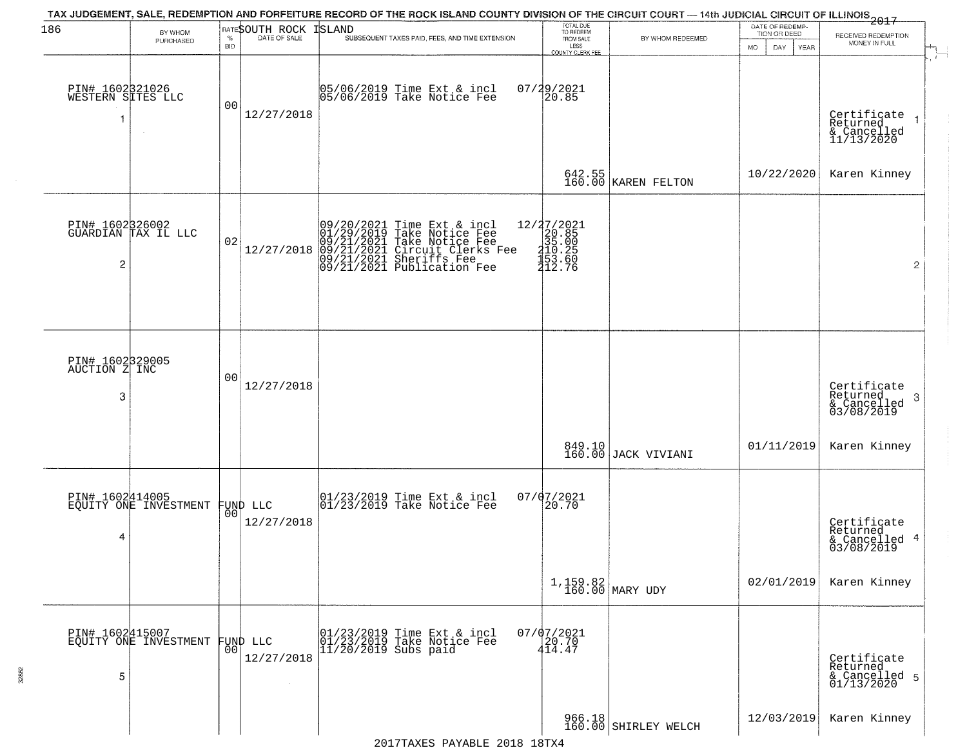| 186                                   | BY WHOM<br>PURCHASED                              | $\%$<br><b>BID</b> | RATESOUTH ROCK<br>DATE OF SALE | ISLAND<br>SUBSEQUENT TAXES PAID, FEES, AND TIME EXTENSION                                                                                                                        | TOTAL DUE<br>TO REDEEM<br>FROM SALE<br>LESS<br>COUNTY CLERK FEE      | BY WHOM REDEEMED                | DATE OF REDEMP-<br>TION OR DEED<br>DAY.<br>MO.<br>YEAR | $\frac{20110011}{2017}$<br>RECEIVED REDEMPTION<br>MONEY IN FULL |  |
|---------------------------------------|---------------------------------------------------|--------------------|--------------------------------|----------------------------------------------------------------------------------------------------------------------------------------------------------------------------------|----------------------------------------------------------------------|---------------------------------|--------------------------------------------------------|-----------------------------------------------------------------|--|
| PIN# 1602321026<br>WESTERN SITES LLC  |                                                   | 0 <sub>0</sub>     | 12/27/2018                     | 05/06/2019 Time Ext & incl<br>05/06/2019 Take Notice Fee                                                                                                                         | 07/29/2021<br>20.85                                                  |                                 |                                                        | Certificate 1<br>Returned<br>& Cancelled<br>11/13/2020          |  |
|                                       |                                                   |                    |                                |                                                                                                                                                                                  |                                                                      | $642.55$<br>160.00 KAREN FELTON | 10/22/2020                                             | Karen Kinney                                                    |  |
| PIN# 1602326002<br>$\overline{c}$     | GUARDIAN TAX IL LLC                               | 02                 | 12/27/2018                     | 09/20/2021 Time Ext & incl<br>01/29/2019 Take Notice Fee<br>09/21/2021 Take Notice Fee<br>09/21/2021 Circuit Clerks Fee<br>09/21/2021 Sheriffs Fee<br>09/21/2021 Publication Fee | 12/27/2021<br>$20.85$<br>$35.00$<br>$310.25$<br>$153.60$<br>$412.76$ |                                 |                                                        | $\overline{2}$                                                  |  |
| PIN# 1602329005<br>AUCTION Z INC<br>3 |                                                   | 0 <sub>0</sub>     | 12/27/2018                     |                                                                                                                                                                                  |                                                                      |                                 |                                                        | Certificate<br>Returned<br>& Cancelled<br>03/08/2019<br>3       |  |
|                                       |                                                   |                    |                                |                                                                                                                                                                                  |                                                                      | 849.10<br>160.00 JACK VIVIANI   | 01/11/2019                                             | Karen Kinney                                                    |  |
| 4                                     | PIN# 1602414005<br>EQUITY ONE INVESTMENT FUND LLC | 0 <sub>0</sub>     | 12/27/2018                     | 01/23/2019 Time Ext & incl<br>01/23/2019 Take Notice Fee                                                                                                                         | 07/07/2021<br>20.70                                                  |                                 |                                                        | Certificate<br>Returned<br>& Cancelled 4<br>03/08/2019          |  |
|                                       |                                                   |                    |                                |                                                                                                                                                                                  |                                                                      | $1,159.82$ MARY UDY             | 02/01/2019                                             | Karen Kinney                                                    |  |
| 5                                     | PIN# 1602415007<br>EQUITY ONE INVESTMENT FUND LLC | 0 <sub>0</sub>     | 12/27/2018                     | $\begin{array}{ccc}  01/23/2019 \; \hbox{Time Ext\ &\hbox{incl}} \\  01/23/2019 \; \hbox{Take Notice Fee} \\  11/20/2019 \; \hbox{Subs paid} \end{array}$                        | $07/07/2021$<br>20.70<br>414.47                                      |                                 |                                                        | Certificate<br>Returned<br>& Cancelled 5<br>01/13/2020          |  |
|                                       |                                                   |                    |                                | $2010 + 10$ m                                                                                                                                                                    |                                                                      | 966.18<br>160.00 SHIRLEY WELCH  | 12/03/2019                                             | Karen Kinney                                                    |  |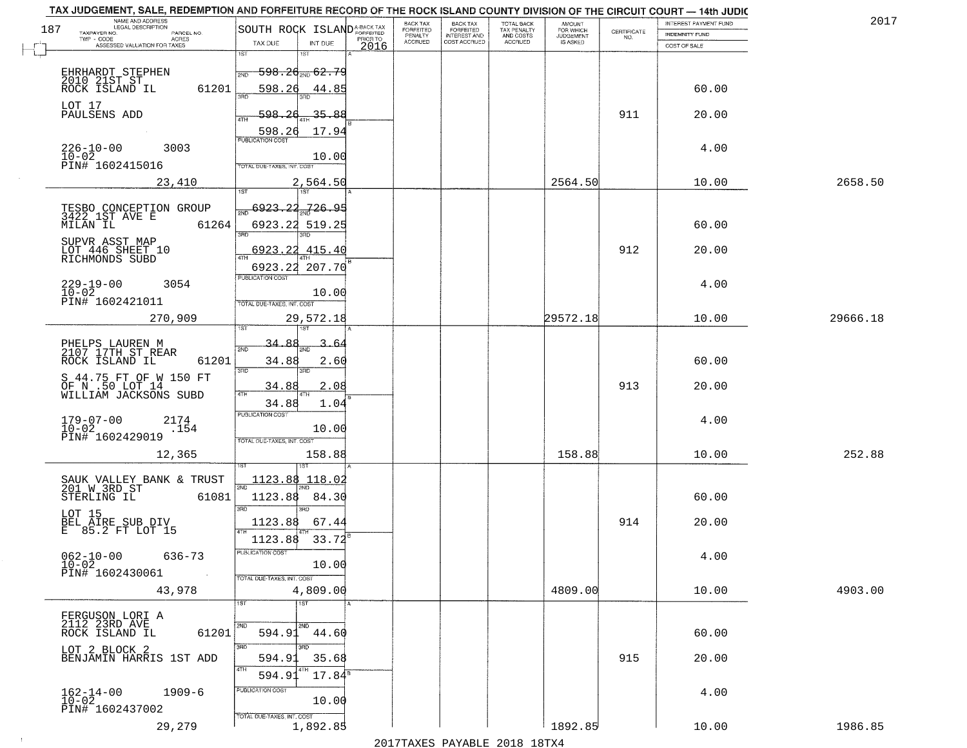| 2017     | INTEREST PAYMENT FUND |                                                                 | AMOUNT<br>FOR WHICH | TOTAL BACK<br>TAX PENALTY<br>AND COSTS | <b>BACK TAX</b>           | BACK TAX             |          |                                          |                                                                |            | NAME AND ADDRESS<br>LEGAL DESCRIPTION                                                                                        |
|----------|-----------------------|-----------------------------------------------------------------|---------------------|----------------------------------------|---------------------------|----------------------|----------|------------------------------------------|----------------------------------------------------------------|------------|------------------------------------------------------------------------------------------------------------------------------|
|          | INDEMNITY FUND        | $\begin{array}{c} \text{CERTIFICATE} \\ \text{NO.} \end{array}$ | <b>JUDGEMENT</b>    |                                        | FORFEITED<br>INTEREST AND | FORFEITED<br>PENALTY | PRIOR TO |                                          | SOUTH ROCK ISLAND <sup>A-BACK TAX</sup>                        | PARCEL NO. | 187<br>TAXPAYER NO.<br>ACRES                                                                                                 |
|          | COST OF SALE          |                                                                 | IS ASKED            | <b>ACCRUED</b>                         | COST ACCRUED              | <b>ACCRUED</b>       | 2016     | INT DUE                                  | TAX DUE                                                        |            | ASSESSED VALUATION FOR TAXES                                                                                                 |
|          | 60.00                 |                                                                 |                     |                                        |                           |                      |          | 18T<br><del>598.20, 62.79</del><br>44.85 | 1ST<br>2ND<br>598.26                                           | 61201      | EHRHARDT STEPHEN<br>2010 21ST ST<br>ROCK ISLAND IL                                                                           |
|          | 20.00                 | 911                                                             |                     |                                        |                           |                      |          | 35.88<br>17.94                           | 598.26<br>598.26                                               |            | LOT 17<br>PAULSENS ADD                                                                                                       |
|          | 4.00                  |                                                                 |                     |                                        |                           |                      |          | 10.00                                    | TOTAL DUE-TAXES, INT. COST                                     |            | $226 - 10 - 00$<br>$10 - 02$<br>3003<br>PIN# 1602415016                                                                      |
| 2658.50  | 10.00                 |                                                                 | 2564.50             |                                        |                           |                      |          | 2,564.50                                 |                                                                |            | 23,410                                                                                                                       |
|          | 60.00<br>20.00        | 912                                                             |                     |                                        |                           |                      |          | 726.95<br>519.25<br>415.40<br>207.70     | $\frac{6923.22}{200}$<br>6923.22<br>6923.22<br>6923.22         | 61264      | TESBO CONCEPTION GROUP<br>3422 1ST AVE E<br>MILAN IL<br>SUPVR ASST MAP<br>LOT 446 SHEET 10<br>RICHMONDS SUBD                 |
|          | 4.00                  |                                                                 |                     |                                        |                           |                      |          | 10.00                                    | PUBLICATION COST<br>TOTAL DUE-TAXES, INT. COST                 |            | $229 - 19 - 00$<br>3054<br>$10 - 02$<br>PIN# 1602421011                                                                      |
| 29666.18 | 10.00                 |                                                                 | 29572.18            |                                        |                           |                      |          | 29,572.18<br>187                         | īsT                                                            |            | 270,909                                                                                                                      |
|          | 60.00<br>20.00        | 913                                                             |                     |                                        |                           |                      |          | ىم.<br>2.60<br>3RD<br>2.08               | 34.<br>2ND<br>34.88<br>3RD<br>34.88<br>4TH                     | 61201      | PHELPS LAUREN M<br>2107 17TH ST REAR<br>ROCK ISLAND IL<br>S 44.75 FT OF W 150 FT<br>OF N. 50 LOT 14<br>WILLIAM JACKSONS SUBD |
| 252.88   | 4.00<br>10.00         |                                                                 | 158.88              |                                        |                           |                      |          | 1.04<br>10.00<br>158.88                  | 34.88<br><b>PUBLICATION COST</b><br>TOTAL OUE-TAXES, INT. COST | .154       | $179 - 07 - 00$<br>$10 - 02$<br>2174<br>PIN# 1602429019<br>12,365                                                            |
|          | 60.00<br>20.00        | 914                                                             |                     |                                        |                           |                      |          | 118.02<br>84.30<br><b>IRD</b><br>67.44   | 1123.88<br>1123.88<br>3RD<br>1123.88                           | 61081      | SAUK VALLEY BANK & TRUST<br>201 W 3RD ST<br>STERLING IL<br>LOT 15<br>BEL AIRE SUB DIV<br>E 85.2 FT LOT 15                    |
| 4903.00  | 4.00<br>10.00         |                                                                 | 4809.00             |                                        |                           |                      |          | 33.72<br>10.00<br>4,809.00               | 1123.88<br>PUBLICATION COST<br>TOTAL DUE-TAXES, INT. COST      | $\sim 100$ | $062 - 10 - 00$<br>636-73<br>$10 - 02$<br>PIN# 1602430061<br>43,978                                                          |
|          | 60.00                 |                                                                 |                     |                                        |                           |                      |          | 1ST<br>2ND<br>594.91 44.60<br>3BD        | 3RD                                                            | 61201      | FERGUSON LORI A<br>2112 23RD AVE<br>ROCK ISLAND IL                                                                           |
|          | 20.00<br>4.00         | 915                                                             |                     |                                        |                           |                      |          | 35.68<br>$17.84^{\circ}$                 | 594.91<br>4TH<br>594.91<br>PUBLICATION COST                    |            | LOT 2 BLOCK 2<br>BENJAMIN HARRIS 1ST ADD<br>$162 - 14 - 00$<br>$1909 - 6$                                                    |
| 1986.85  | 10.00                 |                                                                 | 1892.85             |                                        |                           |                      |          | 10.00<br>1,892.85                        | TOTAL DUE-TAXES, INT. COST                                     |            | $\overline{10} - \overline{02}$<br>PIN# 1602437002<br>29,279                                                                 |

 $\sim 100$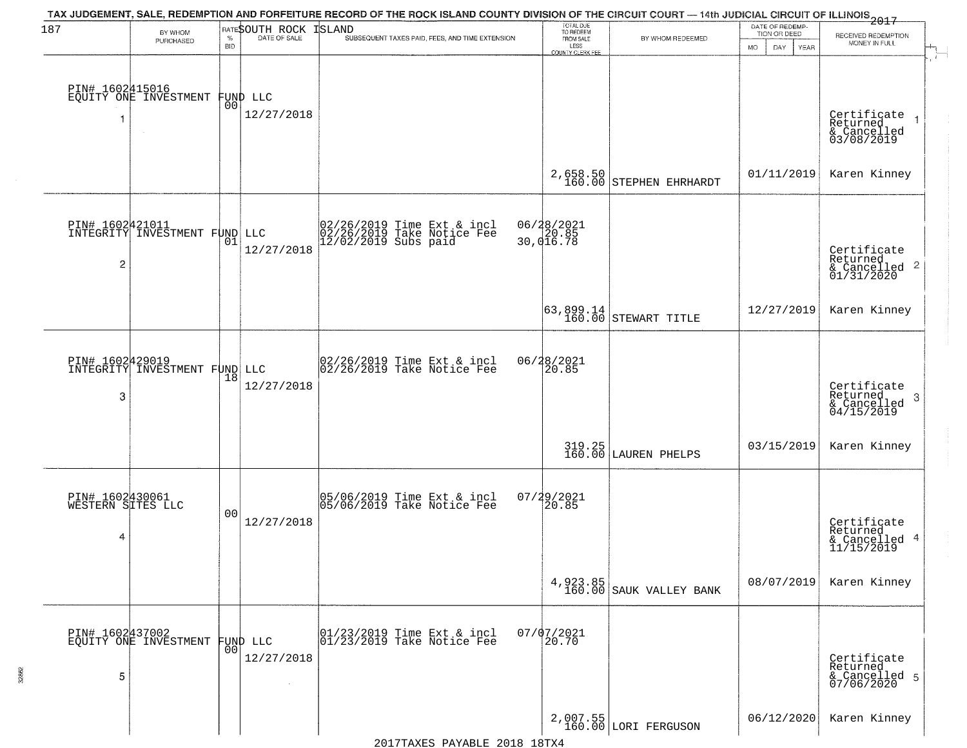| 187 | BY WHOM                                          |                    | RATESOUTH ROCK                 | TAX JUDGEMENT, SALE, REDEMPTION AND FORFEITURE RECORD OF THE ROCK ISLAND COUNTY DIVISION OF THE CIRCUIT COURT — 14th JUDICIAL CIRCUIT OF ILLINOIS 2017<br><b>ISLAND</b> | TOTAL DUE<br>TO REDEEM<br>FROM SALE                  |                                       | DATE OF REDEMP-     |                                                                        |
|-----|--------------------------------------------------|--------------------|--------------------------------|-------------------------------------------------------------------------------------------------------------------------------------------------------------------------|------------------------------------------------------|---------------------------------------|---------------------|------------------------------------------------------------------------|
|     | PURCHASED                                        | $\%$<br><b>BID</b> | DATE OF SALE                   | SUBSEQUENT TAXES PAID, FEES, AND TIME EXTENSION                                                                                                                         | LESS                                                 | BY WHOM REDEEMED                      | TION OR DEED<br>DAY | RECEIVED REDEMPTION<br>MONEY IN FULL                                   |
|     |                                                  |                    |                                |                                                                                                                                                                         | COUNTY CLERK FEE                                     |                                       | <b>MO</b><br>YEAR   |                                                                        |
|     |                                                  |                    |                                |                                                                                                                                                                         |                                                      |                                       |                     |                                                                        |
|     | PIN# 1602415016<br>EQUITY ONE INVESTMENT         |                    |                                |                                                                                                                                                                         |                                                      |                                       |                     |                                                                        |
|     |                                                  |                    | FUND LLC<br> 00 <br>12/27/2018 |                                                                                                                                                                         |                                                      |                                       |                     |                                                                        |
| 1   |                                                  |                    |                                |                                                                                                                                                                         |                                                      |                                       |                     | Certificate<br>Returned<br>$\overline{1}$<br>& Cancelled<br>03/08/2019 |
|     |                                                  |                    |                                |                                                                                                                                                                         |                                                      |                                       |                     |                                                                        |
|     |                                                  |                    |                                |                                                                                                                                                                         |                                                      |                                       |                     |                                                                        |
|     |                                                  |                    |                                |                                                                                                                                                                         |                                                      | $2,658.50$<br>160.00 STEPHEN EHRHARDT | 01/11/2019          | Karen Kinney                                                           |
|     |                                                  |                    |                                |                                                                                                                                                                         |                                                      |                                       |                     |                                                                        |
|     | PIN# 1602421011<br>INTEGRITY INVESTMENT FUND LLC |                    |                                |                                                                                                                                                                         |                                                      |                                       |                     |                                                                        |
|     |                                                  | 01                 |                                | 02/26/2019 Time Ext & incl<br>02/26/2019 Take Notice Fee<br>12/02/2019 Subs paid                                                                                        | 06/28/2021<br>20.85<br>30,016.78                     |                                       |                     |                                                                        |
| 2   |                                                  |                    | 12/27/2018                     |                                                                                                                                                                         |                                                      |                                       |                     | Certificate<br>Returned                                                |
|     |                                                  |                    |                                |                                                                                                                                                                         |                                                      |                                       |                     | $\frac{1}{6}$ Cancelled 2<br>01/31/2020                                |
|     |                                                  |                    |                                |                                                                                                                                                                         |                                                      |                                       |                     |                                                                        |
|     |                                                  |                    |                                |                                                                                                                                                                         | $\begin{bmatrix} 63, 899.14 \\ 160.00 \end{bmatrix}$ | STEWART TITLE                         | 12/27/2019          | Karen Kinney                                                           |
|     |                                                  |                    |                                |                                                                                                                                                                         |                                                      |                                       |                     |                                                                        |
|     |                                                  |                    |                                |                                                                                                                                                                         |                                                      |                                       |                     |                                                                        |
|     | PIN# 1602429019<br>INTEGRITY INVESTMENT FUND LLC | 18                 |                                | 02/26/2019 Time Ext & incl<br>02/26/2019 Take Notice Fee                                                                                                                | 06/28/2021<br>20.85                                  |                                       |                     |                                                                        |
| 3   |                                                  |                    | 12/27/2018                     |                                                                                                                                                                         |                                                      |                                       |                     | Certificate<br>Returned<br>3                                           |
|     |                                                  |                    |                                |                                                                                                                                                                         |                                                      |                                       |                     | $\frac{6}{04/15/2019}$                                                 |
|     |                                                  |                    |                                |                                                                                                                                                                         |                                                      |                                       |                     |                                                                        |
|     |                                                  |                    |                                |                                                                                                                                                                         |                                                      | 319.25 LAUREN PHELPS                  | 03/15/2019          | Karen Kinney                                                           |
|     |                                                  |                    |                                |                                                                                                                                                                         |                                                      |                                       |                     |                                                                        |
|     |                                                  |                    |                                |                                                                                                                                                                         |                                                      |                                       |                     |                                                                        |
|     | PIN# 1602430061<br>WESTERN SITES LLC             |                    |                                | 05/06/2019 Time Ext & incl<br>05/06/2019 Take Notice Fee                                                                                                                | 07/29/2021<br>120.85                                 |                                       |                     |                                                                        |
|     |                                                  | 00                 | 12/27/2018                     |                                                                                                                                                                         |                                                      |                                       |                     | Certificate<br>Returned                                                |
| 4   |                                                  |                    |                                |                                                                                                                                                                         |                                                      |                                       |                     | & Cancelled 4<br>11/15/2019                                            |
|     |                                                  |                    |                                |                                                                                                                                                                         |                                                      |                                       |                     |                                                                        |
|     |                                                  |                    |                                |                                                                                                                                                                         |                                                      |                                       | 08/07/2019          | Karen Kinney                                                           |
|     |                                                  |                    |                                |                                                                                                                                                                         | 4,923.85<br>160.00                                   | SAUK VALLEY BANK                      |                     |                                                                        |
|     |                                                  |                    |                                |                                                                                                                                                                         |                                                      |                                       |                     |                                                                        |
|     | PIN# 1602437002<br>EQUITY ONE INVESTMENT         |                    | FUND LLC                       | 01/23/2019 Time Ext & incl<br>01/23/2019 Take Notice Fee                                                                                                                | $07/07/2021$<br>20.70                                |                                       |                     |                                                                        |
|     |                                                  | 00                 | 12/27/2018                     |                                                                                                                                                                         |                                                      |                                       |                     |                                                                        |
| 5   |                                                  |                    |                                |                                                                                                                                                                         |                                                      |                                       |                     | Certificate<br>Returned<br>& Cancelled 5<br>07/06/2020                 |
|     |                                                  |                    |                                |                                                                                                                                                                         |                                                      |                                       |                     |                                                                        |
|     |                                                  |                    |                                |                                                                                                                                                                         |                                                      |                                       |                     |                                                                        |
|     |                                                  |                    |                                |                                                                                                                                                                         |                                                      | 2,007.55<br>160.00 LORI FERGUSON      | 06/12/2020          | Karen Kinney                                                           |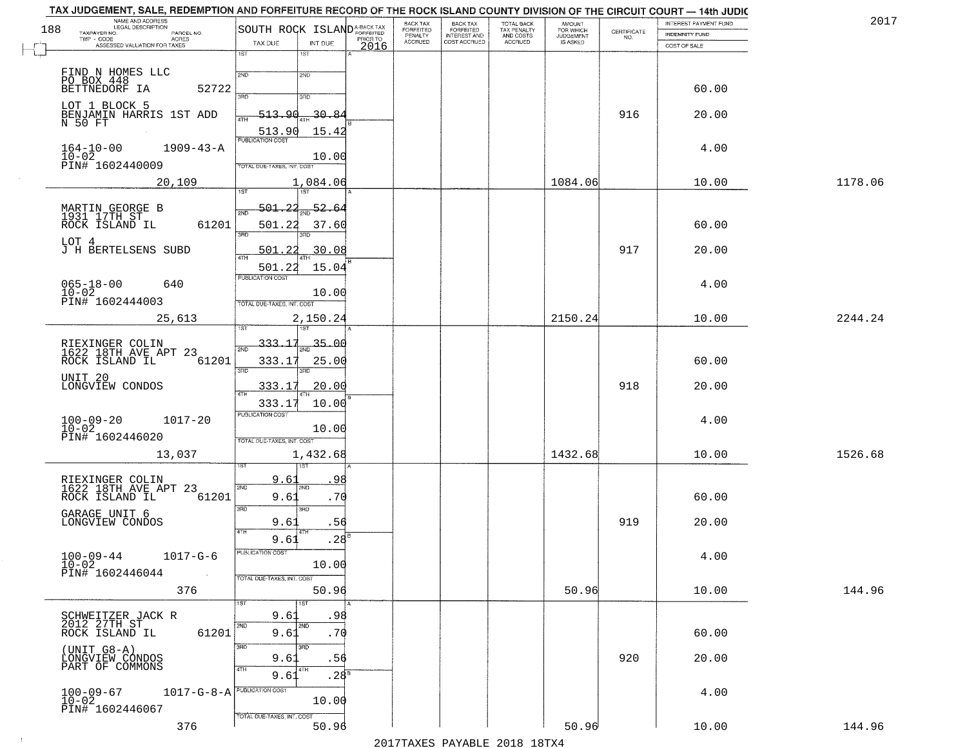| NAME AND ADDRESS<br>LEGAL DESCRIPTION<br>188                       | SOUTH ROCK ISLAND <sup>A-BACK TAX</sup>    | BACK TAX<br>FORFEITED | <b>BACK TAX</b><br><b>FORFEITED</b> | TOTAL BACK<br>TAX PENALTY | <b>AMOUNT</b>                      |                    | INTEREST PAYMENT FUND | 2017    |
|--------------------------------------------------------------------|--------------------------------------------|-----------------------|-------------------------------------|---------------------------|------------------------------------|--------------------|-----------------------|---------|
| TAXPAYER NO.<br>PARCEL NO.<br>TWP - CODE<br>ACRES                  | PRIOR TO                                   | PENALTY<br>ACCRUED    | INTEREST AND<br>COST ACCRUED        | AND COSTS<br>ACCRUED      | FOR WHICH<br>JUDGEMENT<br>IS ASKED | CERTIFICATE<br>NO. | <b>INDEMNITY FUND</b> |         |
| ASSESSED VALUATION FOR TAXES                                       | TAX DUE<br>INT DUE<br>2016<br>1ST<br>1ST   |                       |                                     |                           |                                    |                    | COST OF SALE          |         |
|                                                                    |                                            |                       |                                     |                           |                                    |                    |                       |         |
| FIND N HOMES LLC<br>PO BOX 448                                     | 2ND<br>2ND                                 |                       |                                     |                           |                                    |                    |                       |         |
| BETTNEDORF IA<br>52722                                             | 酒币<br>3RD                                  |                       |                                     |                           |                                    |                    | 60.00                 |         |
| LOT 1 BLOCK 5<br>BENJAMIN HARRIS 1ST ADD                           | $-30.84$<br>513.90                         |                       |                                     |                           |                                    | 916                | 20.00                 |         |
| N 50 FT                                                            | 4TH                                        |                       |                                     |                           |                                    |                    |                       |         |
|                                                                    | 513.90<br>15.42<br><b>PUBLICATION COST</b> |                       |                                     |                           |                                    |                    |                       |         |
| $164 - 10 - 00$<br>$1909 - 43 - A$<br>$10 - 02$                    | 10.00                                      |                       |                                     |                           |                                    |                    | 4.00                  |         |
| PIN# 1602440009                                                    | TOTAL DUE-TAXES, INT. COST                 |                       |                                     |                           |                                    |                    |                       |         |
| 20,109                                                             | 1,084.06<br>Tist<br>1ST                    |                       |                                     |                           | 1084.06                            |                    | 10.00                 | 1178.06 |
|                                                                    | <u>501.22</u><br>52.6                      |                       |                                     |                           |                                    |                    |                       |         |
| MARTIN GEORGE B<br>1931 17TH ST                                    | 2ND                                        |                       |                                     |                           |                                    |                    |                       |         |
| 61201<br>ROCK ISLAND IL                                            | 501.22<br>37.60<br>3RD                     |                       |                                     |                           |                                    |                    | 60.00                 |         |
| LOT 4<br>J H BERTELSENS SUBD                                       | 30.08<br>501                               |                       |                                     |                           |                                    | 917                | 20.00                 |         |
|                                                                    | ৰাম<br>15.04<br>501.22                     |                       |                                     |                           |                                    |                    |                       |         |
| 640                                                                | PUBLICATION COST                           |                       |                                     |                           |                                    |                    | 4.00                  |         |
| $065 - 18 - 00$<br>$10 - 02$                                       | 10.00                                      |                       |                                     |                           |                                    |                    |                       |         |
| PIN# 1602444003                                                    | TOTAL DUE-TAXES, INT. COST                 |                       |                                     |                           |                                    |                    |                       |         |
| 25,613                                                             | 2,150.24                                   |                       |                                     |                           | 2150.24                            |                    | 10.00                 | 2244.24 |
|                                                                    | 333.17<br>$-35 - 00$<br>2ND                |                       |                                     |                           |                                    |                    |                       |         |
| RIEXINGER COLIN<br>1622 18TH AVE APT 23<br>ROCK ISLAND IL<br>61201 | 333.17<br>25.00                            |                       |                                     |                           |                                    |                    | 60.00                 |         |
| UNIT 20                                                            | 3RD<br>3 <sub>BD</sub>                     |                       |                                     |                           |                                    |                    |                       |         |
| LONGVIEW CONDOS                                                    | 333.17<br>20.00<br>4TH                     |                       |                                     |                           |                                    | 918                | 20.00                 |         |
|                                                                    | 10.00<br>333.17                            |                       |                                     |                           |                                    |                    |                       |         |
| $100 - 09 - 20$<br>$10 - 02$<br>$1017 - 20$                        | <b>PUBLICATION COST</b>                    |                       |                                     |                           |                                    |                    | 4.00                  |         |
| PIN# 1602446020                                                    | 10.00<br>TOTAL OUE-TAXES, INT. COST        |                       |                                     |                           |                                    |                    |                       |         |
| 13,037                                                             | 1,432.68                                   |                       |                                     |                           | 1432.68                            |                    | 10.00                 | 1526.68 |
|                                                                    |                                            |                       |                                     |                           |                                    |                    |                       |         |
| RIEXINGER COLIN<br>1622 18TH AVE APT 23                            | 9.61<br>9٤<br>2ND<br><b>CMS</b>            |                       |                                     |                           |                                    |                    |                       |         |
| 61201<br>ROCK ISLAND IL                                            | .70<br>9.61                                |                       |                                     |                           |                                    |                    | 60.00                 |         |
| GARAGE UNIT 6                                                      | 3BD<br>3RD                                 |                       |                                     |                           |                                    |                    |                       |         |
| LONGVIEW CONDOS                                                    | 9.61<br>.56                                |                       |                                     |                           |                                    | 919                | 20.00                 |         |
|                                                                    | .28<br>9.61<br>PUBLICATION COST            |                       |                                     |                           |                                    |                    |                       |         |
| $100 - 09 - 44$<br>$1017 - G - 6$<br>$10 - 02$                     | 10.00                                      |                       |                                     |                           |                                    |                    | 4.00                  |         |
| PIN# 1602446044                                                    | TOTAL DUE-TAXES, INT. COST                 |                       |                                     |                           |                                    |                    |                       |         |
| 376                                                                | 50.96                                      |                       |                                     |                           | 50.96                              |                    | 10.00                 | 144.96  |
|                                                                    | 1ST<br>1ST                                 |                       |                                     |                           |                                    |                    |                       |         |
| SCHWEITZER JACK R<br>2012 27TH ST                                  | 9.61<br>.98<br>2ND<br>2ND                  |                       |                                     |                           |                                    |                    |                       |         |
| ROCK ISLAND IL<br>61201                                            | .70<br>9.61<br>3BD<br>3 <sub>RD</sub>      |                       |                                     |                           |                                    |                    | 60.00                 |         |
| $(UNIT G8-A)$                                                      | 9.61<br>.56                                |                       |                                     |                           |                                    | 920                | 20.00                 |         |
| LONGVIEW CÓNDOS<br>PART OF COMMONS                                 | 4TH<br>4TH<br>9.61<br>$.28^{8}$            |                       |                                     |                           |                                    |                    |                       |         |
|                                                                    | $1017 - G - 8 - A$                         |                       |                                     |                           |                                    |                    | 4.00                  |         |
| $100 - 09 - 67$<br>$10 - 02$                                       | 10.00                                      |                       |                                     |                           |                                    |                    |                       |         |
| PIN# 1602446067                                                    | TOTAL DUE-TAXES, INT. COST                 |                       |                                     |                           |                                    |                    |                       |         |
| 376                                                                | 50.96                                      |                       |                                     |                           | 50.96                              |                    | 10.00                 | 144.96  |

 $\sim 100$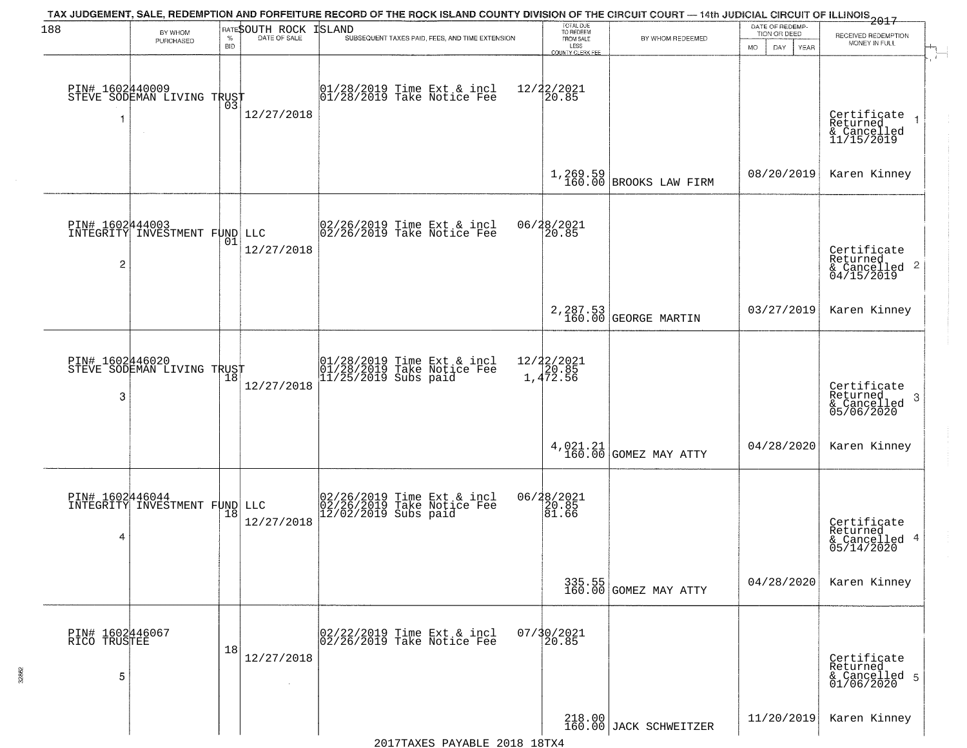| 188                                  | BY WHOM<br>PURCHASED                              | $\%$<br><b>BID</b> | RATESOUTH ROCK<br>DATE OF SALE | TAX JUDGEMENT, SALE, REDEMPTION AND FORFEITURE RECORD OF THE ROCK ISLAND COUNTY DIVISION OF THE CIRCUIT COURT — 14th JUDICIAL CIRCUIT OF ILLINOIS 2017<br>ISLAND<br>SUBSEQUENT TAXES PAID, FEES, AND TIME EXTENSION | TOTAL DUE<br>TO REDEEM<br>FROM SALE<br>LESS<br>COUNTY CLERK FEI | BY WHOM REDEEMED                   | DATE OF REDEMP-<br>TION OR DEED<br>DAY.<br><b>YEAR</b><br>MO. | RECEIVED REDEMPTION<br>MONEY IN FULL                               |
|--------------------------------------|---------------------------------------------------|--------------------|--------------------------------|---------------------------------------------------------------------------------------------------------------------------------------------------------------------------------------------------------------------|-----------------------------------------------------------------|------------------------------------|---------------------------------------------------------------|--------------------------------------------------------------------|
|                                      | PIN# 1602440009    <br>STEVE SODEMAN LIVING TRUST | 03                 | 12/27/2018                     | 01/28/2019 Time Ext & incl<br>01/28/2019 Take Notice Fee                                                                                                                                                            | 12/22/2021<br>20.85                                             |                                    |                                                               | Certificate<br>Returned<br>& Cancelled<br>11/15/2019               |
|                                      |                                                   |                    |                                |                                                                                                                                                                                                                     |                                                                 | $1,269.59$ BROOKS LAW FIRM         | 08/20/2019                                                    | Karen Kinney                                                       |
| $\overline{c}$                       | PIN# 1602444003<br>INTEGRITY INVESTMENT FUND LLC  | 01                 | 12/27/2018                     | $\begin{bmatrix} 02/26/2019 &$ Time Ext & incl<br>$02/26/2019 &$ Take Notice Fee                                                                                                                                    | 06/28/2021<br>20.85                                             |                                    |                                                               | Certificate<br>Returned<br>$\frac{1}{6}$ Cancelled 2<br>04/15/2019 |
|                                      |                                                   |                    |                                |                                                                                                                                                                                                                     |                                                                 | 2, 287.53<br>160.00 GEORGE MARTIN  | 03/27/2019                                                    | Karen Kinney                                                       |
| PIN# 1602446020<br>3                 | STEVE SODEMAN LIVING TRUST                        | 18                 | 12/27/2018                     | 01/28/2019 Time Ext & incl<br>01/28/2019 Take Notice Fee<br>11/25/2019 Subs paid                                                                                                                                    | 12/22/2021<br>1,472.56                                          |                                    |                                                               | Certificate<br>Returned<br>-3<br>& Cancelled<br>05/06/2020         |
|                                      |                                                   |                    |                                |                                                                                                                                                                                                                     |                                                                 | $4,021.21$ GOMEZ MAY ATTY          | 04/28/2020                                                    | Karen Kinney                                                       |
| PIN# 1602446044<br>4                 | INTEGRITY INVESTMENT FUND LLC                     | 18                 | 12/27/2018                     | 02/26/2019 Time Ext & incl<br>02/26/2019 Take Notice Fee<br>12/02/2019 Subs paid                                                                                                                                    | 06/28/2021<br>20.85<br>81.66                                    |                                    |                                                               | Certificate<br>Returned<br>& Cancelled 4<br>05/14/2020             |
|                                      |                                                   |                    |                                |                                                                                                                                                                                                                     |                                                                 | 335.55<br>160.00 GOMEZ MAY ATTY    | 04/28/2020                                                    | Karen Kinney                                                       |
| PIN# 1602446067<br>RICO TRUSTEE<br>5 |                                                   | 18                 | 12/27/2018                     | 02/22/2019 Time Ext & incl<br>02/26/2019 Take Notice Fee                                                                                                                                                            | 07/30/2021<br>20.85                                             |                                    |                                                               | Certificate<br>Returned<br>& Cancelled 5<br>01/06/2020             |
|                                      |                                                   |                    |                                |                                                                                                                                                                                                                     |                                                                 | $218.00$<br>160.00 JACK SCHWEITZER | 11/20/2019                                                    | Karen Kinney                                                       |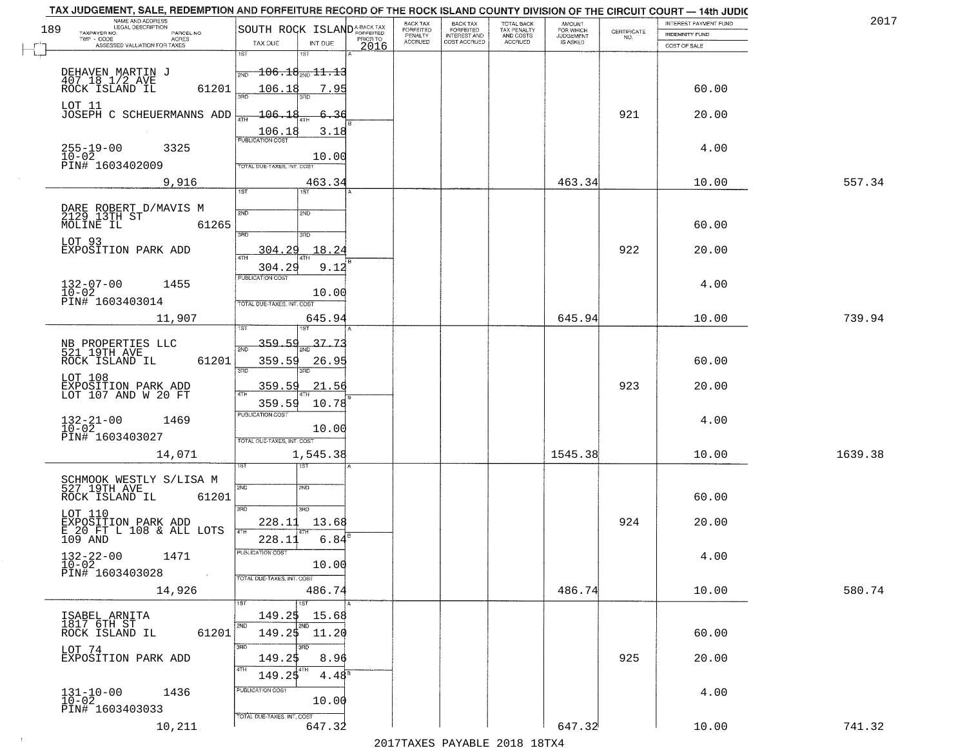| 189 | NAME AND ADDRESS<br>LEGAL DESCRIPTION           |                                            | BACK TAX                               | <b>BACK TAX</b>                           | TOTAL BACK<br>TAX PENALTY<br>AND COSTS | AMOUNT<br>FOR WHICH                 |                    | INTEREST PAYMENT FUND | 2017    |
|-----|-------------------------------------------------|--------------------------------------------|----------------------------------------|-------------------------------------------|----------------------------------------|-------------------------------------|--------------------|-----------------------|---------|
|     | TAXPAYER NO.<br>PARCEL NO.<br>ACRES             | SOUTH ROCK ISLANDA-BACK TAX                | FORFEITED<br>PENALTY<br><b>ACCRUED</b> | FORFEITED<br>INTEREST AND<br>COST ACCRUED | ACCRUED                                | <b>JUDGEMENT</b><br><b>IS ASKED</b> | CERTIFICATE<br>NO. | <b>INDEMNITY FUND</b> |         |
|     | ASSESSED VALUATION FOR TAXES                    | TAX DUE<br>INT DUE<br>2016<br>1ST<br>1ST   |                                        |                                           |                                        |                                     |                    | COST OF SALE          |         |
|     |                                                 |                                            |                                        |                                           |                                        |                                     |                    |                       |         |
|     | DEHAVEN MARTIN J<br>407.18.1/2.AVE              | $-106.18_{\text{2ND}}11.13$<br>2ND         |                                        |                                           |                                        |                                     |                    |                       |         |
|     | 61201<br>ROCK ISLAND IL                         | 106.18<br>7.95                             |                                        |                                           |                                        |                                     |                    | 60.00                 |         |
|     | LOT 11<br>JOSEPH C SCHEUERMANNS ADD             | 106.18<br>-36                              |                                        |                                           |                                        |                                     | 921                | 20.00                 |         |
|     |                                                 |                                            |                                        |                                           |                                        |                                     |                    |                       |         |
|     |                                                 | 3.18                                       |                                        |                                           |                                        |                                     |                    |                       |         |
|     | $255 - 19 - 00$<br>$10 - 02$<br>3325            | 10.00                                      |                                        |                                           |                                        |                                     |                    | 4.00                  |         |
|     | PIN# 1603402009                                 | TOTAL DUE-TAXES, INT. COST                 |                                        |                                           |                                        |                                     |                    |                       |         |
|     | 9,916                                           | 463.34                                     |                                        |                                           |                                        | 463.34                              |                    | 10.00                 | 557.34  |
|     |                                                 | 1ST                                        |                                        |                                           |                                        |                                     |                    |                       |         |
|     | DARE ROBERT D/MAVIS M<br>2129 13TH ST           | 2ND<br>2ND                                 |                                        |                                           |                                        |                                     |                    |                       |         |
|     | MOLINE IL<br>61265                              |                                            |                                        |                                           |                                        |                                     |                    | 60.00                 |         |
|     | LOT 93                                          | $\overline{3BD}$<br>3RD                    |                                        |                                           |                                        |                                     |                    |                       |         |
|     | EXPOSITION PARK ADD                             | 304.29<br>18.24<br>ৰাম                     |                                        |                                           |                                        |                                     | 922                | 20.00                 |         |
|     |                                                 | 304.29<br>9.12                             |                                        |                                           |                                        |                                     |                    |                       |         |
|     | $132 - 07 - 00$<br>1455                         | PUBLICATION COST                           |                                        |                                           |                                        |                                     |                    | 4.00                  |         |
|     | $10 - 02$<br>PIN# 1603403014                    | 10.00                                      |                                        |                                           |                                        |                                     |                    |                       |         |
|     |                                                 | TOTAL DUE-TAXES, INT. COST                 |                                        |                                           |                                        |                                     |                    |                       |         |
|     | 11,907                                          | 645.94<br><b>IST</b>                       |                                        |                                           |                                        | 645.94                              |                    | 10.00                 | 739.94  |
|     |                                                 | 359.59<br>37.73                            |                                        |                                           |                                        |                                     |                    |                       |         |
|     | NB PROPERTIES LLC<br>521 19TH AVE               | 2ND                                        |                                        |                                           |                                        |                                     |                    |                       |         |
|     | ROCK ISLAND IL<br>61201                         | 359.59<br>26.95<br>3BD<br>3RD              |                                        |                                           |                                        |                                     |                    | 60.00                 |         |
|     | LOT 108                                         | 359.59<br>21.56                            |                                        |                                           |                                        |                                     | 923                | 20.00                 |         |
|     | EXPOSITION PARK ADD<br>LOT 107 AND W 20 FT      | ATH                                        |                                        |                                           |                                        |                                     |                    |                       |         |
|     |                                                 | 359.59<br>10.78<br><b>PUBLICATION COST</b> |                                        |                                           |                                        |                                     |                    |                       |         |
|     | $132 - 21 - 00$<br>$10 - 02$<br>1469            | 10.00                                      |                                        |                                           |                                        |                                     |                    | 4.00                  |         |
|     | PIN# 1603403027                                 | TOTAL OUE-TAXES, INT. COST                 |                                        |                                           |                                        |                                     |                    |                       |         |
|     | 14,071                                          | 1,545.38                                   |                                        |                                           |                                        | 1545.38                             |                    | 10.00                 | 1639.38 |
|     |                                                 | ख़                                         |                                        |                                           |                                        |                                     |                    |                       |         |
|     | SCHMOOK WESTLY S/LISA M<br>527_19TH_AVE         | 2ND<br>2ND                                 |                                        |                                           |                                        |                                     |                    |                       |         |
|     | ROCK ISLAND IL<br>61201                         |                                            |                                        |                                           |                                        |                                     |                    | 60.00                 |         |
|     | LOT 110                                         | 3BD<br>3BD                                 |                                        |                                           |                                        |                                     |                    |                       |         |
|     | EXPOSITION PARK ADD<br>E 20 FT L 108 & ALL LOTS | 228.11<br>13.68                            |                                        |                                           |                                        |                                     | 924                | 20.00                 |         |
|     | 109 AND                                         | 6.84<br>228.11                             |                                        |                                           |                                        |                                     |                    |                       |         |
|     | $132 - 22 - 00$<br>$10 - 02$<br>1471            | "UBLICA HUN CUS                            |                                        |                                           |                                        |                                     |                    | 4.00                  |         |
|     | PIN# 1603403028<br>$\sim 10$                    | 10.00<br>TOTAL DUE-TAXES, INT. COST        |                                        |                                           |                                        |                                     |                    |                       |         |
|     | 14,926                                          | 486.74                                     |                                        |                                           |                                        | 486.74                              |                    | 10.00                 | 580.74  |
|     |                                                 | $\overline{1}$ 1st                         |                                        |                                           |                                        |                                     |                    |                       |         |
|     | ISABEL ARNITA                                   | 149.25<br>15.68                            |                                        |                                           |                                        |                                     |                    |                       |         |
|     | 1817 6TH ST<br>61201<br>ROCK ISLAND IL          | 2ND<br>2ND<br>$149.25$ $11.20$             |                                        |                                           |                                        |                                     |                    | 60.00                 |         |
|     |                                                 | 3RD                                        |                                        |                                           |                                        |                                     |                    |                       |         |
|     | LOT 74<br>EXPOSITION PARK ADD                   | 8.96<br>149.25                             |                                        |                                           |                                        |                                     | 925                | 20.00                 |         |
|     |                                                 | 4TH<br>  4TH<br>149.25<br>$4.48^{\circ}$   |                                        |                                           |                                        |                                     |                    |                       |         |
|     | 1436                                            | PUBLICATION COST                           |                                        |                                           |                                        |                                     |                    | 4.00                  |         |
|     | $131 - 10 - 00$<br>$10 - 02$                    | 10.00                                      |                                        |                                           |                                        |                                     |                    |                       |         |
|     | PIN# 1603403033                                 | TOTAL DUE-TAXES, INT. COST                 |                                        |                                           |                                        |                                     |                    |                       |         |
|     | 10,211                                          | 647.32                                     |                                        |                                           |                                        | 647.32                              |                    | 10.00                 | 741.32  |

 $\sim 10^{-1}$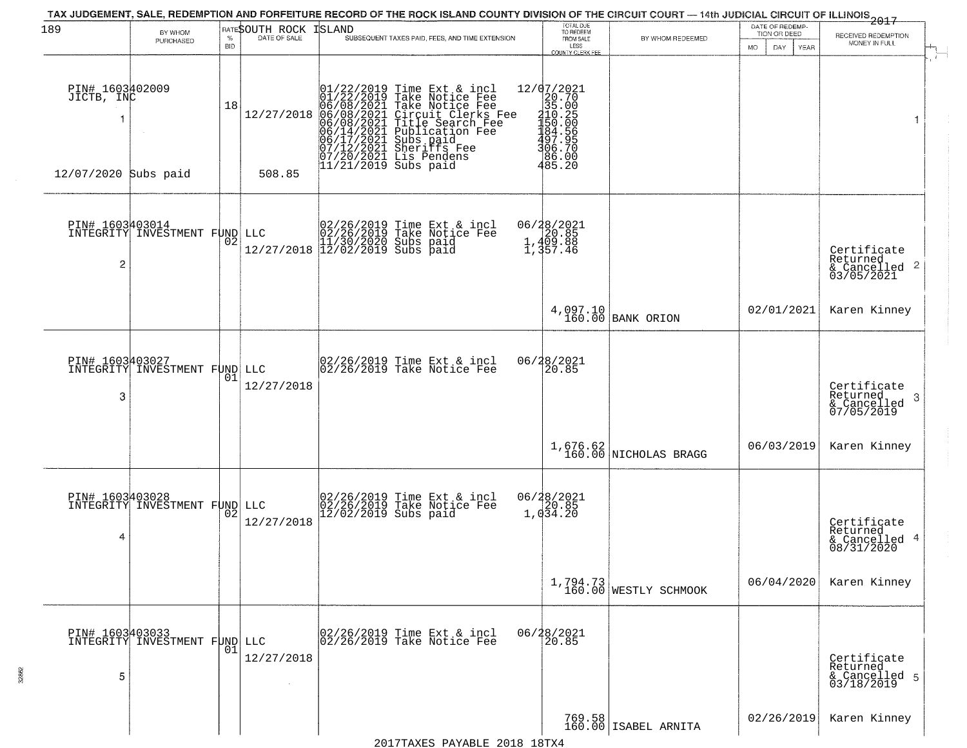| 189                                                   | BY WHOM<br>PURCHASED                             | <b>BID</b> | <b>RATESOUTH ROCK ISLAND</b> | TAX JUDGEMENT, SALE, REDEMPTION AND FORFEITURE RECORD OF THE ROCK ISLAND COUNTY DIVISION OF THE CIRCUIT COURT — 14th JUDICIAL CIRCUIT OF ILLINOIS 2017<br>SUBSEQUENT TAXES PAID, FEES, AND TIME EXTENSION                                             | TOTAL DUE<br>TO REDEEM<br>FROM SALE<br>LESS<br>COUNTY CLERK FEE                            | BY WHOM REDEEMED                  | DATE OF REDEMP-<br>TION OR DEED<br>MO.<br>DAY.<br><b>YEAR</b> | RECEIVED REDEMPTION<br>MONEY IN FULL                       |
|-------------------------------------------------------|--------------------------------------------------|------------|------------------------------|-------------------------------------------------------------------------------------------------------------------------------------------------------------------------------------------------------------------------------------------------------|--------------------------------------------------------------------------------------------|-----------------------------------|---------------------------------------------------------------|------------------------------------------------------------|
| PIN# 1603402009<br>JICTB, INC<br>12/07/2020 Subs paid |                                                  | 18         | 12/27/2018<br>508.85         | $01/22/2019$ Time Ext & incl<br>01/22/2019 Take Notice Fee<br>06/08/2021 Take Notice Fee<br>06/08/2021 Circuit Clerks Fee<br>06/08/2021 Title Search Fee<br>06/14/2021 Sheriffs Fee<br>06/17/2021 Sheriffs Fee<br>07/12/2021 Sheriffs Fee<br>07/20/20 | 12/07/2021<br>076.702<br>205.005<br>2050.2050<br>2050.2050<br>306.700<br>306.200<br>485.20 |                                   |                                                               | 1                                                          |
| PIN# 1603403014<br>2                                  | INTEGRITY INVESTMENT FUND LLC                    | 02         |                              | $\text{LLC} \begin{array}{c} 02/26/2019 \text{ Time Ext & incl} \\ 02/26/2019 \text{ Take Notice } \text{Fe} \\ 11/30/2020 \text{ Subs paid} \\ 12/27/2018 \text{ } 12/02/2019 \text{ Subs paid} \end{array}$                                         | 06/28/2021<br>20.85<br>1,409.88<br>1,357.46                                                |                                   |                                                               | Certificate<br>Returned<br>& Cancelled 2<br>03/05/2021     |
|                                                       |                                                  |            |                              |                                                                                                                                                                                                                                                       |                                                                                            | 4,097.10<br>160.00 BANK ORION     | 02/01/2021                                                    | Karen Kinney                                               |
| 3                                                     | PIN# 1603403027<br>INTEGRITY INVESTMENT FUND LLC | 01         | 12/27/2018                   | 02/26/2019 Time Ext & incl<br>02/26/2019 Take Notice Fee                                                                                                                                                                                              | 06/28/2021<br>20.85                                                                        |                                   |                                                               | Certificate<br>Returned<br>-3<br>& Cancelled<br>07/05/2019 |
|                                                       |                                                  |            |                              |                                                                                                                                                                                                                                                       |                                                                                            | $1,676.62$ NICHOLAS BRAGG         | 06/03/2019                                                    | Karen Kinney                                               |
| 4                                                     | PIN# 1603403028<br>INTEGRITY INVESTMENT FUND LLC |            | 12/27/2018                   | 02/26/2019 Time Ext & incl<br>02/26/2019 Take Notice Fee<br>12/02/2019 Subs paid                                                                                                                                                                      | $06/28/2021$<br>1,034.20                                                                   |                                   |                                                               | Certificate<br>Returned<br>& Cancelled 4<br>08/31/2020     |
|                                                       |                                                  |            |                              |                                                                                                                                                                                                                                                       |                                                                                            | 1,794.73<br>160.00 WESTLY SCHMOOK | 06/04/2020                                                    | Karen Kinney                                               |
| 5                                                     | PIN# 1603403033<br>INTEGRITY INVESTMENT FUND LLC | 01         | 12/27/2018                   | 02/26/2019 Time Ext & incl<br>02/26/2019 Take Notice Fee                                                                                                                                                                                              | 06/28/2021<br>20.85                                                                        |                                   |                                                               | Certificate<br>Returned<br>& Cancelled 5<br>03/18/2019     |
|                                                       |                                                  |            |                              |                                                                                                                                                                                                                                                       |                                                                                            | 769.58<br>160.00 ISABEL ARNITA    | 02/26/2019                                                    | Karen Kinney                                               |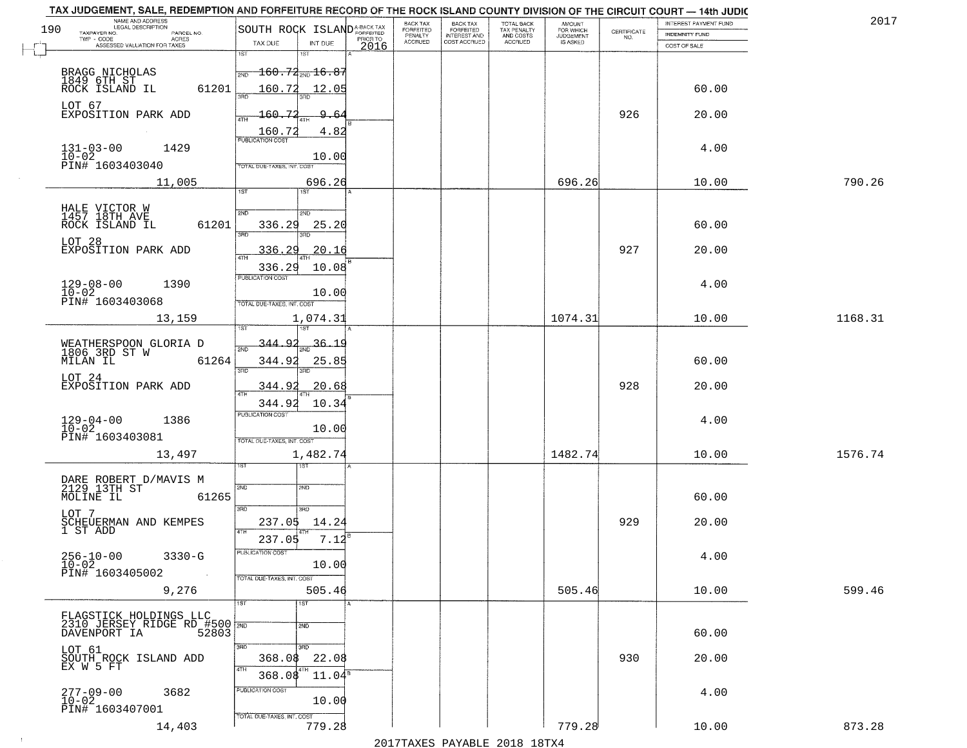|     | TAX JUDGEMENT, SALE, REDEMPTION AND FORFEITURE RECORD OF THE ROCK ISLAND COUNTY DIVISION OF THE CIRCUIT COURT - 14th JUDIC<br>NAME AND ADDRESS<br>LEGAL DESCRIPTION |                                                     | <b>BACK TAX</b>             |                                       |                                        |                                  |                                                                 | INTEREST PAYMENT FUND | 2017    |
|-----|---------------------------------------------------------------------------------------------------------------------------------------------------------------------|-----------------------------------------------------|-----------------------------|---------------------------------------|----------------------------------------|----------------------------------|-----------------------------------------------------------------|-----------------------|---------|
| 190 | TAXPAYER NO.<br>PARCEL NO.<br>TWP - CODE<br>ACRES                                                                                                                   | SOUTH ROCK ISLAND <sup>A-BACK TAX</sup><br>PRIOR TO | <b>FORFEITED</b><br>PENALTY | BACK TAX<br>FORFEITED<br>INTEREST AND | TOTAL BACK<br>TAX PENALTY<br>AND COSTS | AMOUNT<br>FOR WHICH<br>JUDGEMENT | $\begin{array}{c} \text{CERTIFICATE} \\ \text{NO.} \end{array}$ | <b>INDEMNITY FUND</b> |         |
|     | ASSESSED VALUATION FOR TAXES                                                                                                                                        | TAX DUE<br>INT DUE<br>2016                          | <b>ACCRUED</b>              | COST ACCRUED                          | ACCRUED                                | IS ASKED                         |                                                                 | COST OF SALE          |         |
|     |                                                                                                                                                                     | 1ST<br>1ST                                          |                             |                                       |                                        |                                  |                                                                 |                       |         |
|     |                                                                                                                                                                     | $\frac{1}{2ND}$ 160.72 <sub>2ND</sub> 16.87         |                             |                                       |                                        |                                  |                                                                 |                       |         |
|     | BRAGG NICHOLAS<br>1849 6TH ST<br>ROCK ISLAND IL<br>61201                                                                                                            | 160.72<br>12.05                                     |                             |                                       |                                        |                                  |                                                                 | 60.00                 |         |
|     |                                                                                                                                                                     |                                                     |                             |                                       |                                        |                                  |                                                                 |                       |         |
|     | LOT 67<br>EXPOSITION PARK ADD                                                                                                                                       | 160.72<br>9.64                                      |                             |                                       |                                        |                                  | 926                                                             | 20.00                 |         |
|     |                                                                                                                                                                     |                                                     |                             |                                       |                                        |                                  |                                                                 |                       |         |
|     |                                                                                                                                                                     | 4.82<br>$\frac{160.72}{FUBUCATON COST}$             |                             |                                       |                                        |                                  |                                                                 |                       |         |
|     | $131 - 03 - 00$<br>$10 - 02$<br>1429                                                                                                                                |                                                     |                             |                                       |                                        |                                  |                                                                 | 4.00                  |         |
|     | PIN# 1603403040                                                                                                                                                     | 10.00<br>TOTAL DUE-TAXES, INT. COST                 |                             |                                       |                                        |                                  |                                                                 |                       |         |
|     | 11,005                                                                                                                                                              | 696.26                                              |                             |                                       |                                        | 696.26                           |                                                                 | 10.00                 | 790.26  |
|     |                                                                                                                                                                     | <b>IST</b><br>1ST                                   |                             |                                       |                                        |                                  |                                                                 |                       |         |
|     |                                                                                                                                                                     |                                                     |                             |                                       |                                        |                                  |                                                                 |                       |         |
|     | HALE VICTOR W<br>1457 18TH AVE                                                                                                                                      | 2ND<br>2ND                                          |                             |                                       |                                        |                                  |                                                                 |                       |         |
|     | 61201<br>ROCK ISLAND IL                                                                                                                                             | 336.29<br>25.20<br>त्रहा                            |                             |                                       |                                        |                                  |                                                                 | 60.00                 |         |
|     | LOT 28                                                                                                                                                              |                                                     |                             |                                       |                                        |                                  |                                                                 |                       |         |
|     | EXPOSITION PARK ADD                                                                                                                                                 | 336.29<br>20.16                                     |                             |                                       |                                        |                                  | 927                                                             | 20.00                 |         |
|     |                                                                                                                                                                     | 336.29<br>10.08                                     |                             |                                       |                                        |                                  |                                                                 |                       |         |
|     | $129 - 08 - 00$<br>1390                                                                                                                                             | PUBLICATION COST                                    |                             |                                       |                                        |                                  |                                                                 | 4.00                  |         |
|     | $10 - 02$<br>PIN# 1603403068                                                                                                                                        | 10.00                                               |                             |                                       |                                        |                                  |                                                                 |                       |         |
|     |                                                                                                                                                                     | TOTAL DUE-TAXES, INT. COST                          |                             |                                       |                                        |                                  |                                                                 |                       |         |
|     | 13,159                                                                                                                                                              | 1,074.31<br>1ST                                     |                             |                                       |                                        | 1074.31                          |                                                                 | 10.00                 | 1168.31 |
|     |                                                                                                                                                                     |                                                     |                             |                                       |                                        |                                  |                                                                 |                       |         |
|     | WEATHERSPOON GLORIA D<br>1806 3RD ST W<br>MILAN IL 61                                                                                                               | $\mathsf{Q}^{\,\prime}$<br>-344.<br>36.1<br>2ND     |                             |                                       |                                        |                                  |                                                                 |                       |         |
|     | 61264                                                                                                                                                               | 344.92<br>25.85                                     |                             |                                       |                                        |                                  |                                                                 | 60.00                 |         |
|     | LOT 24                                                                                                                                                              | 3RD<br>3RD                                          |                             |                                       |                                        |                                  |                                                                 |                       |         |
|     | EXPOSITION PARK ADD                                                                                                                                                 | 20.68<br>344.9                                      |                             |                                       |                                        |                                  | 928                                                             | 20.00                 |         |
|     |                                                                                                                                                                     | 344.92<br>10.34                                     |                             |                                       |                                        |                                  |                                                                 |                       |         |
|     | 1386                                                                                                                                                                | PUBLICATION COST                                    |                             |                                       |                                        |                                  |                                                                 | 4.00                  |         |
|     | $129 - 04 - 00$<br>$10 - 02$                                                                                                                                        | 10.00                                               |                             |                                       |                                        |                                  |                                                                 |                       |         |
|     | PIN# 1603403081                                                                                                                                                     | TOTAL OUE-TAXES, INT. COST                          |                             |                                       |                                        |                                  |                                                                 |                       |         |
|     | 13,497                                                                                                                                                              | 1,482.74                                            |                             |                                       |                                        | 1482.74                          |                                                                 | 10.00                 | 1576.74 |
|     |                                                                                                                                                                     | 1ST                                                 |                             |                                       |                                        |                                  |                                                                 |                       |         |
|     | DARE ROBERT D/MAVIS M<br>2129 13TH ST                                                                                                                               | 2ND<br>SND                                          |                             |                                       |                                        |                                  |                                                                 |                       |         |
|     | MOLINE IL<br>61265                                                                                                                                                  |                                                     |                             |                                       |                                        |                                  |                                                                 | 60.00                 |         |
|     | LOT 7                                                                                                                                                               | 3RD<br>3HD                                          |                             |                                       |                                        |                                  |                                                                 |                       |         |
|     | SCHEUERMAN AND KEMPES<br>1 ST ADD                                                                                                                                   | 237.05<br>14.24                                     |                             |                                       |                                        |                                  | 929                                                             | 20.00                 |         |
|     |                                                                                                                                                                     | 4TH<br>237.05<br>7.12                               |                             |                                       |                                        |                                  |                                                                 |                       |         |
|     | $256 - 10 - 00$<br>3330-G                                                                                                                                           | ruslica i IUN COS                                   |                             |                                       |                                        |                                  |                                                                 | 4.00                  |         |
|     | $10 - 02$                                                                                                                                                           | 10.00                                               |                             |                                       |                                        |                                  |                                                                 |                       |         |
|     | PIN# 1603405002                                                                                                                                                     | TOTAL DUE-TAXES, INT. COST                          |                             |                                       |                                        |                                  |                                                                 |                       |         |
|     | 9,276                                                                                                                                                               | 505.46                                              |                             |                                       |                                        | 505.46                           |                                                                 | 10.00                 | 599.46  |
|     |                                                                                                                                                                     | 1ST<br>1ST                                          |                             |                                       |                                        |                                  |                                                                 |                       |         |
|     | FLAGSTICK HOLDINGS LLC<br>2310 JERSEY RIDGE RD #500 780<br>DAVENPORT IA 52803                                                                                       |                                                     |                             |                                       |                                        |                                  |                                                                 |                       |         |
|     |                                                                                                                                                                     | $\overline{2ND}$                                    |                             |                                       |                                        |                                  |                                                                 | 60.00                 |         |
|     | LOT 61                                                                                                                                                              | 3RD<br>3RD                                          |                             |                                       |                                        |                                  |                                                                 |                       |         |
|     | SOUTH ROCK ISLAND ADD                                                                                                                                               | 22.08<br>368.08                                     |                             |                                       |                                        |                                  | 930                                                             | 20.00                 |         |
|     | EX W 5 FT                                                                                                                                                           | 4TH<br>4TH<br>368.08<br>$11.04^{\circ}$             |                             |                                       |                                        |                                  |                                                                 |                       |         |
|     |                                                                                                                                                                     | PUBLICATION COST                                    |                             |                                       |                                        |                                  |                                                                 |                       |         |
|     | 3682<br>$277 - 09 - 00$<br>$10 - 02$                                                                                                                                | 10.00                                               |                             |                                       |                                        |                                  |                                                                 | 4.00                  |         |
|     | PIN# 1603407001                                                                                                                                                     | TOTAL DUE-TAXES, INT. COST                          |                             |                                       |                                        |                                  |                                                                 |                       |         |
|     | 14,403                                                                                                                                                              | 779.28                                              |                             |                                       |                                        | 779.28                           |                                                                 | 10.00                 | 873.28  |
|     |                                                                                                                                                                     |                                                     |                             |                                       | 2017 THAYRO DAVADIR 2018 19TY          |                                  |                                                                 |                       |         |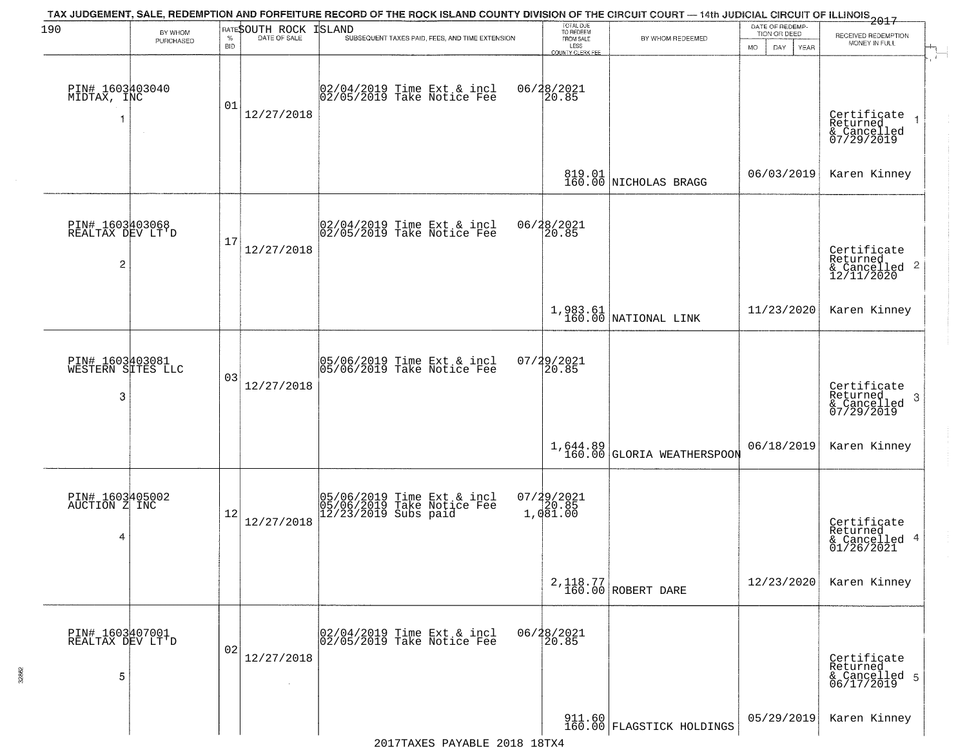| 190                                                   | BY WHOM   |                    | RATESOUTH ROCK | TAX JUDGEMENT, SALE, REDEMPTION AND FORFEITURE RECORD OF THE ROCK ISLAND COUNTY DIVISION OF THE CIRCUIT COURT — 14th JUDICIAL CIRCUIT OF ILLINOIS 2017<br>ISLAND | TOTAL DUE<br>TO REDEEM                  |                                          | DATE OF REDEMP-<br>TION OR DEED | RECEIVED REDEMPTION                                                |
|-------------------------------------------------------|-----------|--------------------|----------------|------------------------------------------------------------------------------------------------------------------------------------------------------------------|-----------------------------------------|------------------------------------------|---------------------------------|--------------------------------------------------------------------|
|                                                       | PURCHASED | $\%$<br><b>BID</b> | DATE OF SALE   | SUBSEQUENT TAXES PAID, FEES, AND TIME EXTENSION                                                                                                                  | FROM SALE<br>LESS                       | BY WHOM REDEEMED                         | <b>MO</b><br>DAY<br>YEAR        | MONEY IN FULL                                                      |
| PIN# 1603403040<br>MIDTAX, INC                        | $\sim$    | 01                 | 12/27/2018     | 02/04/2019 Time Ext & incl<br>02/05/2019 Take Notice Fee                                                                                                         | COUNTY CLERK FEE<br>06/28/2021<br>20.85 |                                          |                                 | Certificate<br>Returned<br>& Cancelled<br>07/29/2019               |
|                                                       |           |                    |                |                                                                                                                                                                  |                                         | 819.01 NICHOLAS BRAGG                    | 06/03/2019                      | Karen Kinney                                                       |
| PIN# 1603403068<br>REALTAX DEV LT'D<br>$\overline{c}$ |           | 17                 | 12/27/2018     | $\begin{bmatrix} 02/04/2019 \\ 02/05/2019 \end{bmatrix}$ Take Notice Fee                                                                                         | 06/28/2021<br>20.85                     |                                          |                                 | Certificate<br>Returned<br>$\frac{1}{2}$ Cancelled 2<br>12/11/2020 |
|                                                       |           |                    |                |                                                                                                                                                                  |                                         | $1,983.61$ NATIONAL LINK                 | 11/23/2020                      | Karen Kinney                                                       |
| PIN# 1603403081<br>WESTERN SITES LLC<br>3             |           | 03                 | 12/27/2018     | 05/06/2019 Time Ext & incl<br>05/06/2019 Take Notice Fee                                                                                                         | 07/29/2021<br>20.85                     |                                          |                                 | Certificate<br>Returned<br>3<br>& Cancelled<br>07/29/2019          |
|                                                       |           |                    |                |                                                                                                                                                                  |                                         | $1,644.89$<br>160.00 GLORIA WEATHERSPOON | 06/18/2019                      | Karen Kinney                                                       |
| PIN# 1603405002<br>AUCTION Z INC<br>4                 |           | 12                 | 12/27/2018     | 05/06/2019 Time Ext & incl<br>05/06/2019 Take Notice Fee<br>12/23/2019 Subs paid                                                                                 | $07/29/2021$<br>1,081.00                |                                          |                                 | Certificate<br>Returned<br>& Cancelled 4<br>01/26/2021             |
|                                                       |           |                    |                |                                                                                                                                                                  |                                         | 2, 118.77<br>160.00 ROBERT DARE          | 12/23/2020                      | Karen Kinney                                                       |
| PIN# 1603407001<br>REALTAX DEV LT'D<br>5              |           | 02                 | 12/27/2018     | 02/04/2019 Time Ext & incl<br>02/05/2019 Take Notice Fee                                                                                                         | 06/28/2021<br>20.85                     |                                          |                                 | Certificate<br>Returned<br>& Cancelled 5<br>06/17/2019             |
|                                                       |           |                    |                |                                                                                                                                                                  |                                         | 911.60<br>160.00 FLAGSTICK HOLDINGS      | 05/29/2019                      | Karen Kinney                                                       |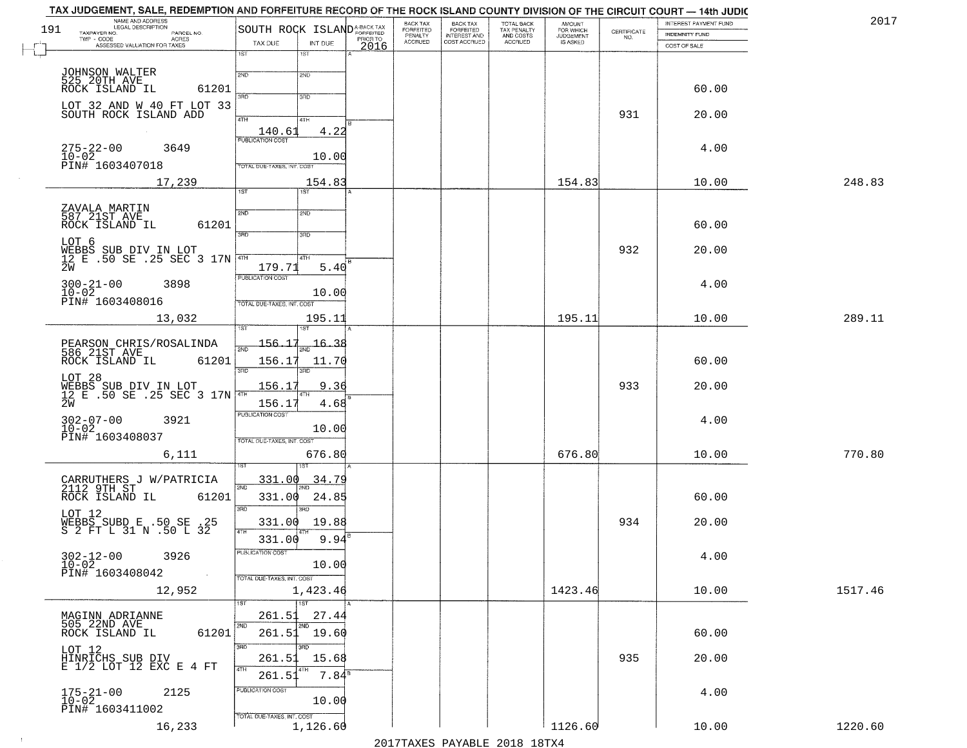| 191 | NAME AND ADDRESS<br>LEGAL DESCRIPTION<br>TAXPAYER NO.<br>PARCEL NO. | SOUTH ROCK ISLAND <sup>A-BACK TAX</sup>           | BACK TAX<br>FORFEITED     | BACK TAX<br>FORFEITED<br>INTEREST AND | TOTAL BACK<br>TAX PENALTY | AMOUNT<br>FOR WHICH                 |                                                                 | INTEREST PAYMENT FUND                 | 2017    |
|-----|---------------------------------------------------------------------|---------------------------------------------------|---------------------------|---------------------------------------|---------------------------|-------------------------------------|-----------------------------------------------------------------|---------------------------------------|---------|
|     | $TWP - CODE$<br>ACRES<br>ASSESSED VALUATION FOR TAXES               | PRIOR TO<br>TAX DUE<br>INT DUE                    | PENALTY<br><b>ACCRUED</b> | COST ACCRUED                          | AND COSTS<br>ACCRUED      | <b>JUDGEMENT</b><br><b>IS ASKED</b> | $\begin{array}{c} \text{CERTIFICATE} \\ \text{NO.} \end{array}$ | <b>INDEMNITY FUND</b><br>COST OF SALE |         |
|     |                                                                     | 2016<br>1ST<br>1ST                                |                           |                                       |                           |                                     |                                                                 |                                       |         |
|     |                                                                     | 2ND<br>2ND                                        |                           |                                       |                           |                                     |                                                                 |                                       |         |
|     | JOHNSON WALTER<br>525 20TH AVE<br>ROCK ISLAND IL<br>61201           |                                                   |                           |                                       |                           |                                     |                                                                 | 60.00                                 |         |
|     | LOT 32 AND W 40 FT LOT 33<br>SOUTH ROCK ISLAND ADD                  | 370<br>3RD                                        |                           |                                       |                           |                                     |                                                                 |                                       |         |
|     |                                                                     | 4TH<br>4TH                                        |                           |                                       |                           |                                     | 931                                                             | 20.00                                 |         |
|     |                                                                     | 4.22<br>140.61<br><b>PUBLICATION COST</b>         |                           |                                       |                           |                                     |                                                                 |                                       |         |
|     | $275 - 22 - 00$<br>3649<br>10-02<br>PIN# 1603407018                 | 10.00                                             |                           |                                       |                           |                                     |                                                                 | 4.00                                  |         |
|     |                                                                     | TOTAL DUE-TAXES, INT. COST                        |                           |                                       |                           |                                     |                                                                 |                                       |         |
|     | 17,239                                                              | 154.83<br>1ST<br>1ST                              |                           |                                       |                           | 154.83                              |                                                                 | 10.00                                 | 248.83  |
|     |                                                                     | 2ND<br>2ND                                        |                           |                                       |                           |                                     |                                                                 |                                       |         |
|     | ZAVALA MARTIN<br>587 21ST AVE<br>ROCK ISLAND IL<br>61201            | 3BD                                               |                           |                                       |                           |                                     |                                                                 | 60.00                                 |         |
|     | LOT 6                                                               | 3RD                                               |                           |                                       |                           |                                     | 932                                                             | 20.00                                 |         |
|     | WEBBS SUB DIV IN LOT<br>12 E .50 SE .25 SEC 3 17N<br>2W             | 47H <br>4TH<br>179.71<br>5.40                     |                           |                                       |                           |                                     |                                                                 |                                       |         |
|     | $300 - 21 - 00$<br>3898                                             | PUBLICATION COST                                  |                           |                                       |                           |                                     |                                                                 | 4.00                                  |         |
|     | $10 - 02$<br>PIN# 1603408016                                        | 10.00<br>TOTAL DUE-TAXES, INT. COST               |                           |                                       |                           |                                     |                                                                 |                                       |         |
|     | 13,032                                                              | 195.11                                            |                           |                                       |                           | 195.11                              |                                                                 | 10.00                                 | 289.11  |
|     |                                                                     |                                                   |                           |                                       |                           |                                     |                                                                 |                                       |         |
|     | PEARSON CHRIS/ROSALINDA<br>586 21ST AVE                             | $-156.17$<br>-16.38<br>$\overline{2ND}$           |                           |                                       |                           |                                     |                                                                 |                                       |         |
|     | ROCK ISLAND IL<br>61201                                             | 156.17<br>11.70<br>3 <sub>BD</sub><br>3RD         |                           |                                       |                           |                                     |                                                                 | 60.00                                 |         |
|     | LOT 28<br>WEBBS SUB DIV IN LOT<br>12 E .50 SE .25 SEC 3 17N         | 9.36<br><u>156.17</u>                             |                           |                                       |                           |                                     | 933                                                             | 20.00                                 |         |
|     | 2W                                                                  | 4TH<br>156.17<br>4.68                             |                           |                                       |                           |                                     |                                                                 |                                       |         |
|     | $302 - 07 - 00$<br>$10 - 02$<br>3921                                | <b>PUBLICATION COST</b>                           |                           |                                       |                           |                                     |                                                                 | 4.00                                  |         |
|     | PIN# 1603408037                                                     | 10.00<br>TOTAL OUE-TAXES, INT. COST               |                           |                                       |                           |                                     |                                                                 |                                       |         |
|     | 6,111                                                               | 676.80                                            |                           |                                       |                           | 676.80                              |                                                                 | 10.00                                 | 770.80  |
|     |                                                                     | <u>331.00</u><br><u>34.79</u>                     |                           |                                       |                           |                                     |                                                                 |                                       |         |
|     | CARRUTHERS J W/PATRICIA<br>2112 9TH ST<br>ROCK ISLAND IL<br>61201   | 2ND<br>331.00<br>24.85                            |                           |                                       |                           |                                     |                                                                 | 60.00                                 |         |
|     | LOT 12                                                              | 3BD<br>3BD.                                       |                           |                                       |                           |                                     |                                                                 |                                       |         |
|     | WEBBS SUBD E .50 SE .25<br>S 2 FT L 31 N .50 L 32                   | 331.00 19.88<br>4TH                               |                           |                                       |                           |                                     | 934                                                             | 20.00                                 |         |
|     |                                                                     | 331.00<br>9.94                                    |                           |                                       |                           |                                     |                                                                 |                                       |         |
|     | $302 - 12 - 00$<br>$10 - 02$<br>3926                                | PUBLICATION COST<br>10.00                         |                           |                                       |                           |                                     |                                                                 | 4.00                                  |         |
|     | PIN# 1603408042<br>$\sim 100$                                       | TOTAL DUE-TAXES, INT. COST                        |                           |                                       |                           |                                     |                                                                 |                                       |         |
|     | 12,952                                                              | 1,423.46<br>$\overline{1}$ 1st<br>1ST             |                           |                                       |                           | 1423.46                             |                                                                 | 10.00                                 | 1517.46 |
|     |                                                                     | 261.51<br>27.44                                   |                           |                                       |                           |                                     |                                                                 |                                       |         |
|     | MAGINN ADRIANNE<br>505 22ND AVE<br>61201<br>ROCK ISLAND IL          | 2ND<br>2ND<br>$261.51$ 19.60                      |                           |                                       |                           |                                     |                                                                 | 60.00                                 |         |
|     |                                                                     | 3RD<br>3BD                                        |                           |                                       |                           |                                     |                                                                 |                                       |         |
|     | LOT 12<br>HINRICHS SUB DIV<br>E 1/2 LOT 12 EXC E 4 FT               | 261.51<br>15.68<br>4TH                            |                           |                                       |                           |                                     | 935                                                             | 20.00                                 |         |
|     |                                                                     | $7.84$ <sup>s</sup><br>261.51<br>PUBLICATION COST |                           |                                       |                           |                                     |                                                                 |                                       |         |
|     | $175 - 21 - 00$<br>$10 - 02$<br>2125                                | 10.00                                             |                           |                                       |                           |                                     |                                                                 | 4.00                                  |         |
|     | PIN# 1603411002                                                     | TOTAL DUE-TAXES, INT. COST                        |                           |                                       |                           |                                     |                                                                 |                                       |         |
|     | 16,233                                                              | 1,126.60                                          |                           |                                       |                           | 1126.60                             |                                                                 | 10.00                                 | 1220.60 |

 $\sim$  1  $^{\circ}$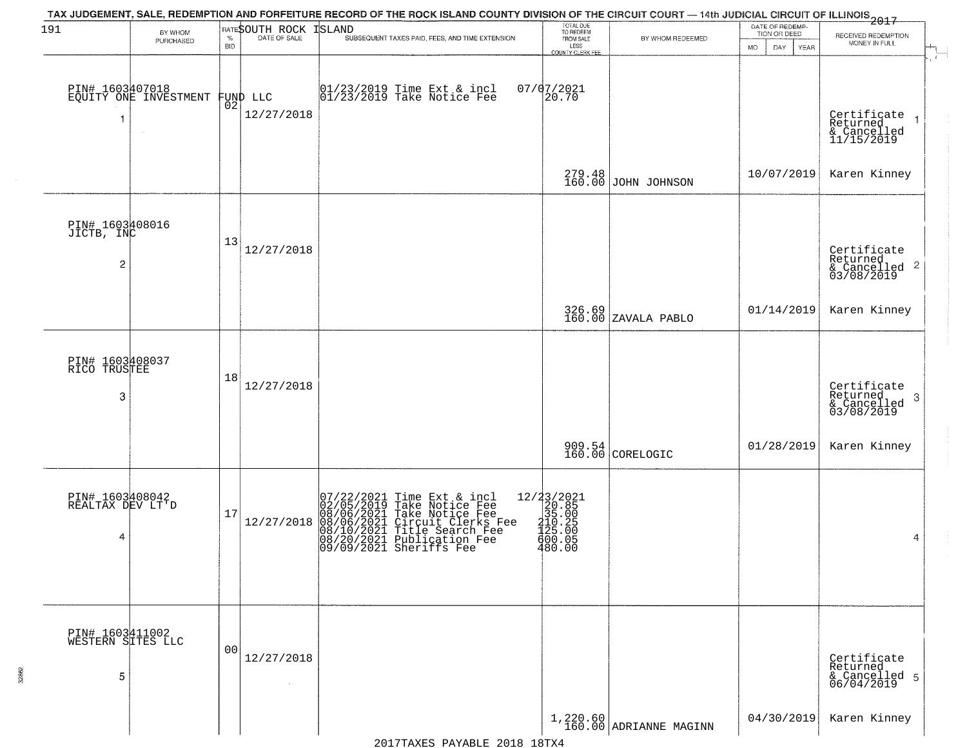| 191                                  | BY WHOM                                  |                    | RATESOUTH ROCK                 | TAX JUDGEMENT, SALE, REDEMPTION AND FORFEITURE RECORD OF THE ROCK ISLAND COUNTY DIVISION OF THE CIRCUIT COURT — 14th JUDICIAL CIRCUIT OF ILLINOIS 2017<br><b>ISLAND</b>                                         | TOTAL DUE<br>TO REDEEM<br>FROM SALE                                                                     |                                    | DATE OF REDEMP-<br>TION OR DEED |                                           |
|--------------------------------------|------------------------------------------|--------------------|--------------------------------|-----------------------------------------------------------------------------------------------------------------------------------------------------------------------------------------------------------------|---------------------------------------------------------------------------------------------------------|------------------------------------|---------------------------------|-------------------------------------------|
|                                      | PURCHASED                                | $\%$<br><b>BID</b> | DATE OF SALE                   | SUBSEQUENT TAXES PAID, FEES, AND TIME EXTENSION                                                                                                                                                                 | LESS                                                                                                    | BY WHOM REDEEMED                   | <b>MO</b><br>DAY<br>YEAR        | RECEIVED REDEMPTION<br>MONEY IN FULL      |
|                                      |                                          |                    |                                |                                                                                                                                                                                                                 | COUNTY CLERK FEE                                                                                        |                                    |                                 |                                           |
|                                      |                                          |                    |                                |                                                                                                                                                                                                                 |                                                                                                         |                                    |                                 |                                           |
|                                      | PIN# 1603407018<br>EQUITY ONE INVESTMENT |                    |                                | 01/23/2019 Time Ext & incl<br>01/23/2019 Take Notice Fee                                                                                                                                                        | $07/07/2021$<br>20.70                                                                                   |                                    |                                 |                                           |
|                                      |                                          |                    | FUND LLC<br> 02 <br>12/27/2018 |                                                                                                                                                                                                                 |                                                                                                         |                                    |                                 |                                           |
| 1                                    |                                          |                    |                                |                                                                                                                                                                                                                 |                                                                                                         |                                    |                                 | Certificate<br>Returned<br>$\overline{1}$ |
|                                      |                                          |                    |                                |                                                                                                                                                                                                                 |                                                                                                         |                                    |                                 | & Cancelled<br>11/15/2019                 |
|                                      |                                          |                    |                                |                                                                                                                                                                                                                 |                                                                                                         |                                    |                                 |                                           |
|                                      |                                          |                    |                                |                                                                                                                                                                                                                 |                                                                                                         | 279.48<br>160.00 JOHN JOHNSON      | 10/07/2019                      | Karen Kinney                              |
|                                      |                                          |                    |                                |                                                                                                                                                                                                                 |                                                                                                         |                                    |                                 |                                           |
|                                      |                                          |                    |                                |                                                                                                                                                                                                                 |                                                                                                         |                                    |                                 |                                           |
| PIN# 1603408016<br>JICTB, INC        |                                          | 13                 |                                |                                                                                                                                                                                                                 |                                                                                                         |                                    |                                 |                                           |
|                                      |                                          |                    | 12/27/2018                     |                                                                                                                                                                                                                 |                                                                                                         |                                    |                                 | Certificate<br>Returned                   |
| 2                                    |                                          |                    |                                |                                                                                                                                                                                                                 |                                                                                                         |                                    |                                 | $\frac{1}{2}$ Cancelled 2<br>03/08/2019   |
|                                      |                                          |                    |                                |                                                                                                                                                                                                                 |                                                                                                         |                                    |                                 |                                           |
|                                      |                                          |                    |                                |                                                                                                                                                                                                                 |                                                                                                         | 326.69<br>160.00 ZAVALA PABLO      | 01/14/2019                      | Karen Kinney                              |
|                                      |                                          |                    |                                |                                                                                                                                                                                                                 |                                                                                                         |                                    |                                 |                                           |
|                                      |                                          |                    |                                |                                                                                                                                                                                                                 |                                                                                                         |                                    |                                 |                                           |
| PIN# 1603408037<br>RICO TRUSTEE      |                                          |                    |                                |                                                                                                                                                                                                                 |                                                                                                         |                                    |                                 |                                           |
|                                      |                                          | 18                 | 12/27/2018                     |                                                                                                                                                                                                                 |                                                                                                         |                                    |                                 |                                           |
| 3                                    |                                          |                    |                                |                                                                                                                                                                                                                 |                                                                                                         |                                    |                                 | Certificate<br>Returned<br>3              |
|                                      |                                          |                    |                                |                                                                                                                                                                                                                 |                                                                                                         |                                    |                                 | & Cancelled<br>03/08/2019                 |
|                                      |                                          |                    |                                |                                                                                                                                                                                                                 |                                                                                                         |                                    |                                 |                                           |
|                                      |                                          |                    |                                |                                                                                                                                                                                                                 |                                                                                                         | 909.54<br>160.00 CORELOGIC         | 01/28/2019                      | Karen Kinney                              |
|                                      |                                          |                    |                                |                                                                                                                                                                                                                 |                                                                                                         |                                    |                                 |                                           |
|                                      |                                          |                    |                                |                                                                                                                                                                                                                 |                                                                                                         |                                    |                                 |                                           |
| PIN# 1603408042<br>REALTAX DEV LT'D  |                                          | 17                 |                                | 07/22/2021 Time Ext & incl<br>02/05/2019 Take Notice Fee<br>08/06/2021 Take Notice Fee<br>08/06/2021 Circuit Clerks Fee<br>08/10/2021 Title Search Fee<br>08/20/2021 Publication Fee<br>09/09/2021 Sheriffs Fee | $=\begin{smallmatrix} 12/23/2021\\ 20.85\\ 35.00\\ 135.00\\ 122.25\\ 400.05\\ 480.00 \end{smallmatrix}$ |                                    |                                 |                                           |
|                                      |                                          |                    | 12/27/2018                     |                                                                                                                                                                                                                 |                                                                                                         |                                    |                                 |                                           |
| 4                                    |                                          |                    |                                |                                                                                                                                                                                                                 |                                                                                                         |                                    |                                 | 4                                         |
|                                      |                                          |                    |                                |                                                                                                                                                                                                                 |                                                                                                         |                                    |                                 |                                           |
|                                      |                                          |                    |                                |                                                                                                                                                                                                                 |                                                                                                         |                                    |                                 |                                           |
|                                      |                                          |                    |                                |                                                                                                                                                                                                                 |                                                                                                         |                                    |                                 |                                           |
|                                      |                                          |                    |                                |                                                                                                                                                                                                                 |                                                                                                         |                                    |                                 |                                           |
| PIN# 1603411002<br>WESTERN SITES LLC |                                          |                    |                                |                                                                                                                                                                                                                 |                                                                                                         |                                    |                                 |                                           |
|                                      |                                          | 00                 | 12/27/2018                     |                                                                                                                                                                                                                 |                                                                                                         |                                    |                                 | Certificate                               |
| 5                                    |                                          |                    |                                |                                                                                                                                                                                                                 |                                                                                                         |                                    |                                 | Returned                                  |
|                                      |                                          |                    | $\sim$                         |                                                                                                                                                                                                                 |                                                                                                         |                                    |                                 | & Cancelled 5<br>06/04/2019               |
|                                      |                                          |                    |                                |                                                                                                                                                                                                                 |                                                                                                         |                                    |                                 |                                           |
|                                      |                                          |                    |                                |                                                                                                                                                                                                                 |                                                                                                         | 1,220.60<br>160.00 ADRIANNE MAGINN | 04/30/2019                      | Karen Kinney                              |
|                                      |                                          |                    |                                |                                                                                                                                                                                                                 |                                                                                                         |                                    |                                 |                                           |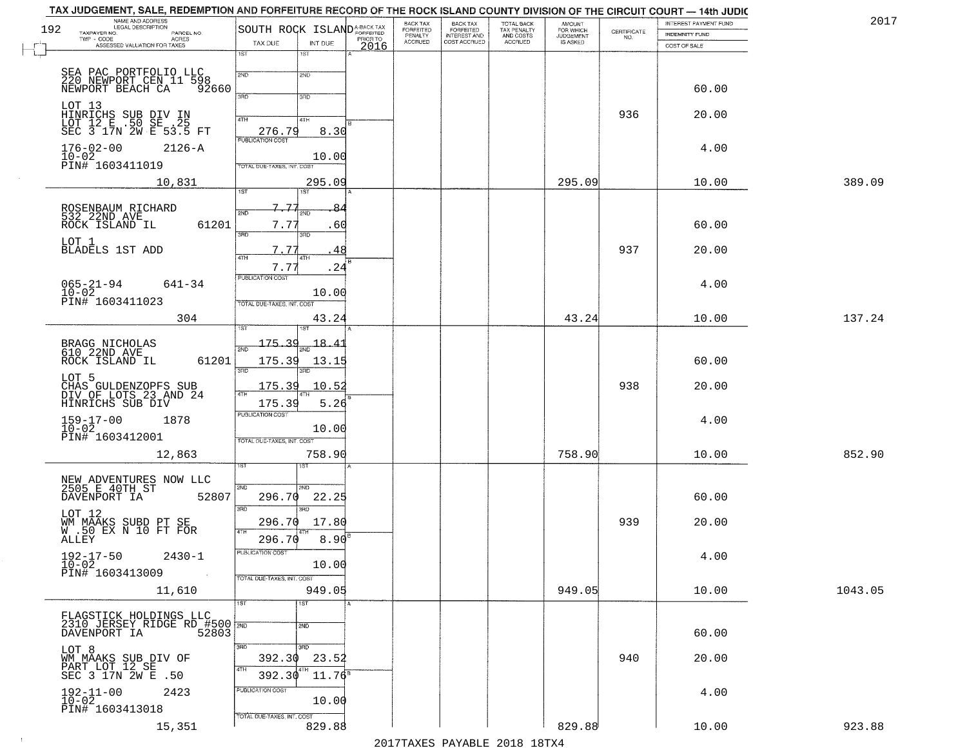| TAX JUDGEMENT, SALE, REDEMPTION AND FORFEITURE RECORD OF THE ROCK ISLAND COUNTY DIVISION OF THE CIRCUIT COURT - 14th JUDIC |                       |                                         |                             |                                  |                                       |                                        |                              |                    |                                       |         |
|----------------------------------------------------------------------------------------------------------------------------|-----------------------|-----------------------------------------|-----------------------------|----------------------------------|---------------------------------------|----------------------------------------|------------------------------|--------------------|---------------------------------------|---------|
| NAME AND ADDRESS<br>LEGAL DESCRIPTION<br>192<br>TAXPAYER NO.                                                               | PARCEL NO.            | SOUTH ROCK ISLAND <sup>A-BACK TAX</sup> |                             | BACK TAX<br>FORFEITED<br>PENALTY | BACK TAX<br>FORFEITED<br>INTEREST AND | TOTAL BACK<br>TAX PENALTY<br>AND COSTS | AMOUNT<br>FOR WHICH          |                    | INTEREST PAYMENT FUND                 | 2017    |
| TWP - CODE<br>ACRES<br>ASSESSED VALUATION FOR TAXES<br>٣                                                                   |                       | TAX DUE                                 | PRIOR TO<br>INT DUE<br>2016 | <b>ACCRUED</b>                   | COST ACCRUED                          | <b>ACCRUED</b>                         | <b>JUDGEMENT</b><br>IS ASKED | CERTIFICATE<br>NO. | <b>INDEMNITY FUND</b><br>COST OF SALE |         |
|                                                                                                                            |                       | 1ST<br>1S <sub>T</sub>                  |                             |                                  |                                       |                                        |                              |                    |                                       |         |
|                                                                                                                            |                       |                                         |                             |                                  |                                       |                                        |                              |                    |                                       |         |
| SEA PAC PORTFOLIO LLC<br>220 NEWPORT CEN 11 598<br>NEWPORT BEACH CA 92660                                                  |                       | 2ND<br>2ND                              |                             |                                  |                                       |                                        |                              |                    |                                       |         |
|                                                                                                                            |                       | 3HD<br>3RD                              |                             |                                  |                                       |                                        |                              |                    | 60.00                                 |         |
| LOT 13<br>HINRICHS SUB DIV IN<br>LOT 12 E .50 SE .25<br>SEC 3 17N 2W E 53.5 FT                                             |                       |                                         |                             |                                  |                                       |                                        |                              | 936                | 20.00                                 |         |
|                                                                                                                            |                       | 4TH<br>4TH                              |                             |                                  |                                       |                                        |                              |                    |                                       |         |
|                                                                                                                            |                       | 276.79<br><b>FUBLICATION COST</b>       | 8.30                        |                                  |                                       |                                        |                              |                    |                                       |         |
| $176 - 02 - 00$                                                                                                            | 2126-A                |                                         | 10.00                       |                                  |                                       |                                        |                              |                    | 4.00                                  |         |
| 10-02<br>PIN# 1603411019                                                                                                   |                       | TOTAL DUE-TAXES, INT. COST              |                             |                                  |                                       |                                        |                              |                    |                                       |         |
| 10,831                                                                                                                     |                       |                                         | 295.09                      |                                  |                                       |                                        | 295.09                       |                    | 10.00                                 | 389.09  |
|                                                                                                                            |                       | <b>IST</b><br>1ST                       |                             |                                  |                                       |                                        |                              |                    |                                       |         |
|                                                                                                                            |                       | 7.77<br>2ND                             |                             |                                  |                                       |                                        |                              |                    |                                       |         |
| ROSENBAUM RICHARD<br>532 22ND AVE<br>ROCK ISLAND IL                                                                        | 61201                 | 7.7                                     | . 60                        |                                  |                                       |                                        |                              |                    | 60.00                                 |         |
| LOT 1                                                                                                                      |                       | 3RD<br>3RD                              |                             |                                  |                                       |                                        |                              |                    |                                       |         |
| <b>BLADELS 1ST ADD</b>                                                                                                     |                       | 7.77<br>47H                             | 48                          |                                  |                                       |                                        |                              | 937                | 20.00                                 |         |
|                                                                                                                            |                       | 7.77                                    | .24                         |                                  |                                       |                                        |                              |                    |                                       |         |
| $065 - 21 - 94$                                                                                                            | 641-34                | PUBLICATION COST                        |                             |                                  |                                       |                                        |                              |                    | 4.00                                  |         |
| $10 - 02$<br>PIN# 1603411023                                                                                               |                       |                                         | 10.00                       |                                  |                                       |                                        |                              |                    |                                       |         |
|                                                                                                                            |                       | TOTAL DUE-TAXES, INT. COST              |                             |                                  |                                       |                                        |                              |                    |                                       |         |
|                                                                                                                            | 304                   | ist.                                    | 43.24                       |                                  |                                       |                                        | 43.24                        |                    | 10.00                                 | 137.24  |
|                                                                                                                            |                       | 175.3                                   | 18.41                       |                                  |                                       |                                        |                              |                    |                                       |         |
| BRAGG NICHOLAS<br>610 22ND AVE                                                                                             |                       | 2ND                                     |                             |                                  |                                       |                                        |                              |                    |                                       |         |
| ROCK ISLAND IL                                                                                                             | 61201                 | 175.39<br>3RD<br>3RD                    | 13.15                       |                                  |                                       |                                        |                              |                    | 60.00                                 |         |
| LOT 5<br>CHAS GULDENZOPFS SUB<br>DIV OF LOTS 23 AND 24                                                                     |                       | 175.39                                  | 10.52                       |                                  |                                       |                                        |                              | 938                | 20.00                                 |         |
|                                                                                                                            |                       | 4TH                                     |                             |                                  |                                       |                                        |                              |                    |                                       |         |
| HINRICHS SUB DIV                                                                                                           |                       | 175.39<br><b>PUBLICATION COST</b>       | 5.26                        |                                  |                                       |                                        |                              |                    |                                       |         |
| 159-17-00<br>10-02<br>1878                                                                                                 |                       |                                         | 10.00                       |                                  |                                       |                                        |                              |                    | 4.00                                  |         |
| PIN# 1603412001                                                                                                            |                       | TOTAL OUE-TAXES, INT. COST              |                             |                                  |                                       |                                        |                              |                    |                                       |         |
| 12,863                                                                                                                     |                       |                                         | 758.90                      |                                  |                                       |                                        | 758.90                       |                    | 10.00                                 | 852.90  |
|                                                                                                                            |                       | sT                                      |                             |                                  |                                       |                                        |                              |                    |                                       |         |
| NEW ADVENTURES NOW LLC<br>2505 E 40TH ST                                                                                   |                       | 2ND<br>2ND.                             |                             |                                  |                                       |                                        |                              |                    |                                       |         |
| DAVENPORT IA                                                                                                               | 52807                 | 296.70                                  | 22.25                       |                                  |                                       |                                        |                              |                    | 60.00                                 |         |
| LOT 12                                                                                                                     |                       | 3RD<br>3RD                              |                             |                                  |                                       |                                        |                              |                    |                                       |         |
|                                                                                                                            |                       | 296.70                                  | 17.80                       |                                  |                                       |                                        |                              | 939                | 20.00                                 |         |
| WM MAAKS SUBD PT SE<br>W .50 EX N 10 FT FOR<br>ALLEY                                                                       |                       | 4TH<br>296.70                           | 8.90                        |                                  |                                       |                                        |                              |                    |                                       |         |
| $192 - 17 - 50$                                                                                                            | $2430 - 1$            | PUBLICATION COST                        |                             |                                  |                                       |                                        |                              |                    | 4.00                                  |         |
| $10 - 02$                                                                                                                  |                       |                                         | 10.00                       |                                  |                                       |                                        |                              |                    |                                       |         |
| PIN# 1603413009                                                                                                            | $\sim 100$ km $^{-1}$ | TOTAL DUE-TAXES, INT. COST              |                             |                                  |                                       |                                        |                              |                    |                                       |         |
| 11,610                                                                                                                     |                       |                                         | 949.05                      |                                  |                                       |                                        | 949.05                       |                    | 10.00                                 | 1043.05 |
|                                                                                                                            |                       | 1ST<br>1ST                              |                             |                                  |                                       |                                        |                              |                    |                                       |         |
| FLAGSTICK HOLDINGS LLC<br>2310 JERSEY RIDGE RD #500 2ND                                                                    |                       | 2ND                                     |                             |                                  |                                       |                                        |                              |                    |                                       |         |
| DAVENPORT IA                                                                                                               | 52803                 |                                         |                             |                                  |                                       |                                        |                              |                    | 60.00                                 |         |
| LOT 8                                                                                                                      |                       | 3RD<br>3 <sub>BD</sub><br>392.30        | 23.52                       |                                  |                                       |                                        |                              | 940                | 20.00                                 |         |
| WM MAAKS SUB DIV OF<br>PART LOT 12 SE                                                                                      |                       | 4TH<br>4TH                              |                             |                                  |                                       |                                        |                              |                    |                                       |         |
| SEC 3 17N 2W E .50                                                                                                         |                       | 392.30                                  | $11.76^8$                   |                                  |                                       |                                        |                              |                    |                                       |         |
| $192 - 11 - 00$<br>$10 - 02$<br>2423                                                                                       |                       | PUBLICATION COST                        | 10.00                       |                                  |                                       |                                        |                              |                    | 4.00                                  |         |
| PIN# 1603413018                                                                                                            |                       | TOTAL DUE-TAXES, INT. COST              |                             |                                  |                                       |                                        |                              |                    |                                       |         |
| 15,351                                                                                                                     |                       |                                         | 829.88                      |                                  |                                       |                                        | 829.88                       |                    | 10.00                                 | 923.88  |

 $\vdash$ 

 $\sim 10$ 

2017TAXES PAYABLE 2018 18TX4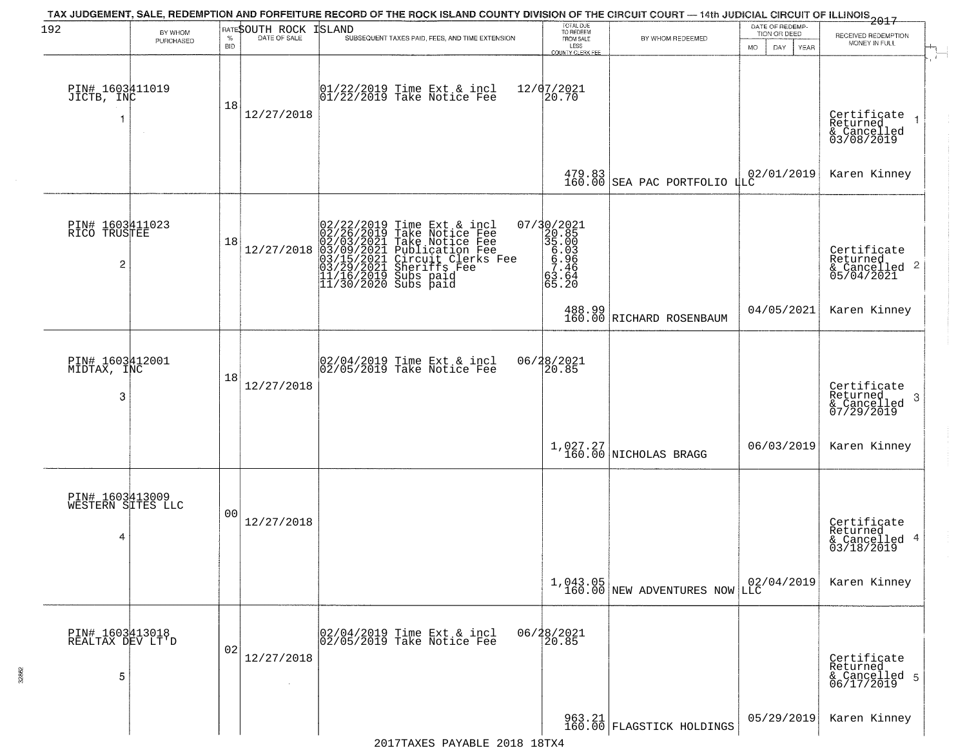| 192                                  | BY WHOM<br>PURCHASED | $\%$             | RATESOUTH ROCK<br>DATE OF SALE | <b>ISLAND</b><br>SUBSEQUENT TAXES PAID, FEES, AND TIME EXTENSION                                                                                                                                                           | TOTAL DUE<br>TO REDEEM<br>FROM SALE                                | BY WHOM REDEEMED                                                                                                     | DATE OF REDEMP-<br>TION OR DEED     | $-2017$<br>RECEIVED REDEMPTION<br>MONEY IN FULL                    |
|--------------------------------------|----------------------|------------------|--------------------------------|----------------------------------------------------------------------------------------------------------------------------------------------------------------------------------------------------------------------------|--------------------------------------------------------------------|----------------------------------------------------------------------------------------------------------------------|-------------------------------------|--------------------------------------------------------------------|
| PIN# 1603A11019<br>JICTB, INC        |                      | <b>BID</b><br>18 | 12/27/2018                     | $\begin{bmatrix} 01/22/2019 \\ 01/22/2019 \end{bmatrix}$ Take Notice Fee                                                                                                                                                   | LESS<br><b>COUNTY CLERK FEE</b><br>12/07/2021<br>20.70             |                                                                                                                      | DAY.<br>MO.<br>YEAR                 | $\mathbf{r}$<br>Certificate<br>Returned                            |
|                                      |                      |                  |                                |                                                                                                                                                                                                                            |                                                                    | $\begin{array}{ c c c c c c } \hline 479.83 & 02/01/2019 & 160.00 & \text{SEA PAC PORTFOLIO ILC} \hline \end{array}$ |                                     | & Cancelled<br>03/08/2019<br>Karen Kinney                          |
| PIN# 1603411023<br>RICO TRUSTEE<br>2 |                      | 18               | 12/27/2018                     | 02/22/2019 Time Ext & incl<br>02/26/2019 Take Notice Fee<br>02/03/2021 Take Notice Fee<br>03/09/2021 Publication Fee<br>03/09/2021 Sheriffs Fee<br>03/29/2021 Sheriffs Fee<br>11/16/2019 Subs paid<br>11/30/2020 Subs paid | 07/30/2021<br>320.85<br>35.003<br>6.936<br>8.946<br>52.93<br>65.20 |                                                                                                                      |                                     | Certificate<br>Returned<br>$\frac{1}{6}$ Cancelled 2<br>05/04/2021 |
|                                      |                      |                  |                                |                                                                                                                                                                                                                            |                                                                    | 488.99<br>160.00 RICHARD ROSENBAUM                                                                                   | 04/05/2021                          | Karen Kinney                                                       |
| PIN# 1603412001<br>MIDTAX, INC       |                      | 18               |                                | $\begin{array}{c} 02/04/2019 \\ 02/05/2019 \\ \end{array}$ Take Notice Fee                                                                                                                                                 | 06/28/2021<br>20.85                                                |                                                                                                                      |                                     |                                                                    |
| 3                                    |                      |                  | 12/27/2018                     |                                                                                                                                                                                                                            |                                                                    |                                                                                                                      |                                     | Certificate<br>Returned<br>3<br>& Cancelled<br>07/29/2019          |
|                                      |                      |                  |                                |                                                                                                                                                                                                                            |                                                                    | 1,027.27<br>160.00 NICHOLAS BRAGG                                                                                    | 06/03/2019                          | Karen Kinney                                                       |
| PIN# 1603413009<br>WESTERN SITES LLC |                      |                  |                                |                                                                                                                                                                                                                            |                                                                    |                                                                                                                      |                                     |                                                                    |
| 4                                    |                      | 0 <sub>0</sub>   | 12/27/2018                     |                                                                                                                                                                                                                            |                                                                    |                                                                                                                      |                                     | Certificate<br>Returned<br>& Cancelled 4<br>03/18/2019             |
|                                      |                      |                  |                                |                                                                                                                                                                                                                            |                                                                    | $1,043.05$<br>160.00 NEW ADVENTURES NOW                                                                              | $\left  \frac{02}{04/2019} \right $ | Karen Kinney                                                       |
| PIN# 1603413018<br>REALTAX DEV LT'D  |                      |                  |                                | 02/04/2019 Time Ext & incl<br>02/05/2019 Take Notice Fee                                                                                                                                                                   | 06/28/2021                                                         |                                                                                                                      |                                     |                                                                    |
| 5                                    |                      | 02               | 12/27/2018                     |                                                                                                                                                                                                                            |                                                                    |                                                                                                                      |                                     | Certificate<br>Returned<br>& Cancelled 5<br>06/17/2019             |
|                                      |                      |                  |                                |                                                                                                                                                                                                                            |                                                                    | 963.21<br>160.00 FLAGSTICK HOLDINGS                                                                                  | 05/29/2019                          | Karen Kinney                                                       |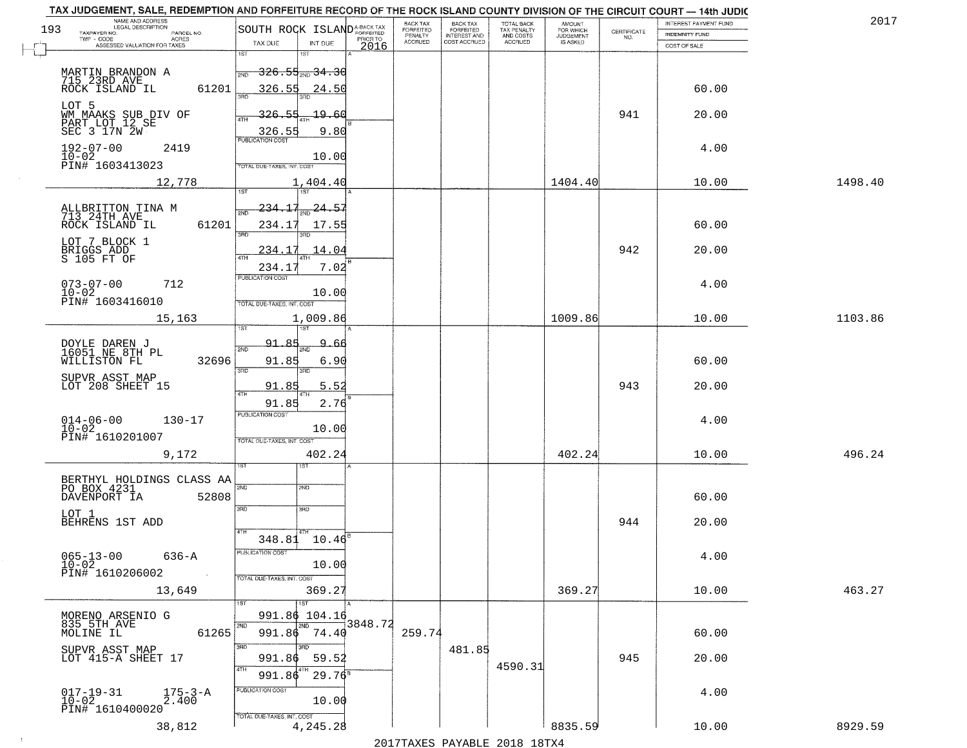|     | TAX JUDGEMENT, SALE, REDEMPTION AND FORFEITURE RECORD OF THE ROCK ISLAND COUNTY DIVISION OF THE CIRCUIT COURT - 14th JUDIC |                                                                                                  |          |                                                                               |                                        |                              |                                                                 |                       |         |
|-----|----------------------------------------------------------------------------------------------------------------------------|--------------------------------------------------------------------------------------------------|----------|-------------------------------------------------------------------------------|----------------------------------------|------------------------------|-----------------------------------------------------------------|-----------------------|---------|
| 193 | NAME AND ADDRESS<br>LEGAL DESCRIPTION                                                                                      | SOUTH ROCK ISLAND <sup>A-BACK TAX</sup>                                                          |          | <b>BACK TAX</b><br>BACK TAX<br>FORFEITED                                      | TOTAL BACK<br>TAX PENALTY<br>AND COSTS | AMOUNT<br>FOR WHICH          |                                                                 | INTEREST PAYMENT FUND | 201     |
|     | TAXPAYER NO.<br>PARCEL NO.<br>ACRES                                                                                        |                                                                                                  | PRIOR TO | FORFEITED<br>PENALTY<br><b>INTEREST AND</b><br><b>ACCRUED</b><br>COST ACCRUED | <b>ACCRUED</b>                         | <b>JUDGEMENT</b><br>IS ASKED | $\begin{array}{c} \text{CERTIFICATE} \\ \text{NO.} \end{array}$ | INDEMNITY FUND        |         |
|     | ASSESSED VALUATION FOR TAXES                                                                                               | TAX DUE<br>INT DUE<br>1ST<br>1ST                                                                 | 2016     |                                                                               |                                        |                              |                                                                 | COST OF SALE          |         |
|     | MARTIN BRANDON A<br>715.23RD AVE_<br>61201<br>ROCK ISLAND IL                                                               | <del>326.55,,,34.30</del><br>2ND<br>326.55<br>24.50<br>ਬੰਦ                                       |          |                                                                               |                                        |                              |                                                                 | 60.00                 |         |
|     | LOT 5<br>WM MAAKS SUB DIV OF<br>PART LOT 12 SE<br>SEC 3 17N 2W                                                             | 326.55<br>19.60<br>9.80<br>$55$<br>PUBLICATION COST                                              |          |                                                                               |                                        |                              | 941                                                             | 20.00                 |         |
|     | $192 - 07 - 00$<br>2419<br>$10 - 02$<br>PIN# 1603413023                                                                    | 10.00<br>TOTAL DUE-TAXES, INT. COST                                                              |          |                                                                               |                                        |                              |                                                                 | 4.00                  |         |
|     | 12,778                                                                                                                     | 1,404.40                                                                                         |          |                                                                               |                                        | 1404.40                      |                                                                 | 10.00                 | 1498.40 |
|     | ALLBRITTON TINA M<br>713 24TH AVE<br>61201<br>ROCK ISLAND IL<br>LOT 7 BLOCK 1<br>BRIGGS ADD<br>S 105 FT OF                 | 1ST<br>234.17<br>$\frac{1}{2ND}$ 24.57<br>234.17<br>17.55<br>$\overline{3BD}$<br>234.17<br>14.04 |          |                                                                               |                                        |                              | 942                                                             | 60.00<br>20.00        |         |
|     | $073 - 07 - 00$<br>712<br>$10 - 02$<br>PIN# 1603416010<br>15,163                                                           | 7.02<br>234.17<br>PUBLICATION COST<br>10.00<br>TOTAL DUE-TAXES, INT. COST<br>1,009.86            |          |                                                                               |                                        | 1009.86                      |                                                                 | 4.00<br>10.00         | 1103.86 |
|     |                                                                                                                            | 1ST<br>1ST                                                                                       |          |                                                                               |                                        |                              |                                                                 |                       |         |
|     | DOYLE DAREN J<br>16051 NE 8TH PL<br>32696<br>WILLISTON FL<br>SUPVR ASST MAP                                                | <u>91.85</u><br>9.<br>.66<br>2ND<br>91.85<br>6.90<br>3RD<br>3RD                                  |          |                                                                               |                                        |                              |                                                                 | 60.00                 |         |
|     | LOT 208 SHEET 15                                                                                                           | 91.85<br>5.52<br>4TH                                                                             |          |                                                                               |                                        |                              | 943                                                             | 20.00                 |         |
|     | $014 - 06 - 00$<br>$10 - 02$<br>$130 - 17$<br>PIN# 1610201007<br>9,172                                                     | 91.85<br>2.76<br><b>PUBLICATION COST</b><br>10.00<br>TOTAL OUE-TAXES, INT. COST<br>402.24        |          |                                                                               |                                        | 402.24                       |                                                                 | 4.00<br>10.00         | 496.24  |
|     |                                                                                                                            |                                                                                                  |          |                                                                               |                                        |                              |                                                                 |                       |         |
|     | BERTHYL HOLDINGS CLASS AA PO BOX 4231<br>DAVENPORT IA<br>52808<br>LOT 1<br>BEHRENS 1ST ADD                                 | 2ND<br>2ND<br>3RD<br>3HD<br>4TH                                                                  |          |                                                                               |                                        |                              | 944                                                             | 60.00<br>20.00        |         |
|     | $065 - 13 - 00$<br>636-A<br>$10 - 02$<br>PIN# 1610206002<br>$\sim 10$                                                      | 348.81 10.46<br>PUBLICATION COST<br>10.00<br>TOTAL DUE-TAXES, INT. COST                          |          |                                                                               |                                        |                              |                                                                 | 4.00                  |         |
|     | 13,649                                                                                                                     | 369.27                                                                                           |          |                                                                               |                                        | 369.27                       |                                                                 | 10.00                 | 463.27  |
|     | MORENO ARSENIO G<br>835 5TH AVE<br>MOLINE IL<br>61265                                                                      | 1ST<br>1ST<br>991.86 104.16<br>2ND<br>2ND<br>991.86 74.40<br>3RD                                 | 3848.72  | 259.74                                                                        |                                        |                              |                                                                 | 60.00                 |         |
|     | SUPVR ASST MAP<br>LOT 415-A SHEET 17                                                                                       | 59.52<br>991.86<br>4TH<br>$29.76^8$<br>991.86                                                    |          | 481.85                                                                        | 4590.31                                |                              | 945                                                             | 20.00                 |         |
|     | $017 - 19 - 31$<br>10-02<br>$175 - 3 - A$<br>2.400<br>PIN# 1610400020                                                      | PUBLICATION COST<br>10.00<br>TOTAL DUE-TAXES, INT. COST                                          |          |                                                                               |                                        |                              |                                                                 | 4.00                  |         |
|     | 38,812                                                                                                                     | 4,245.28                                                                                         |          |                                                                               |                                        | 8835.59                      |                                                                 | 10.00                 | 8929.59 |

 $\sim 100$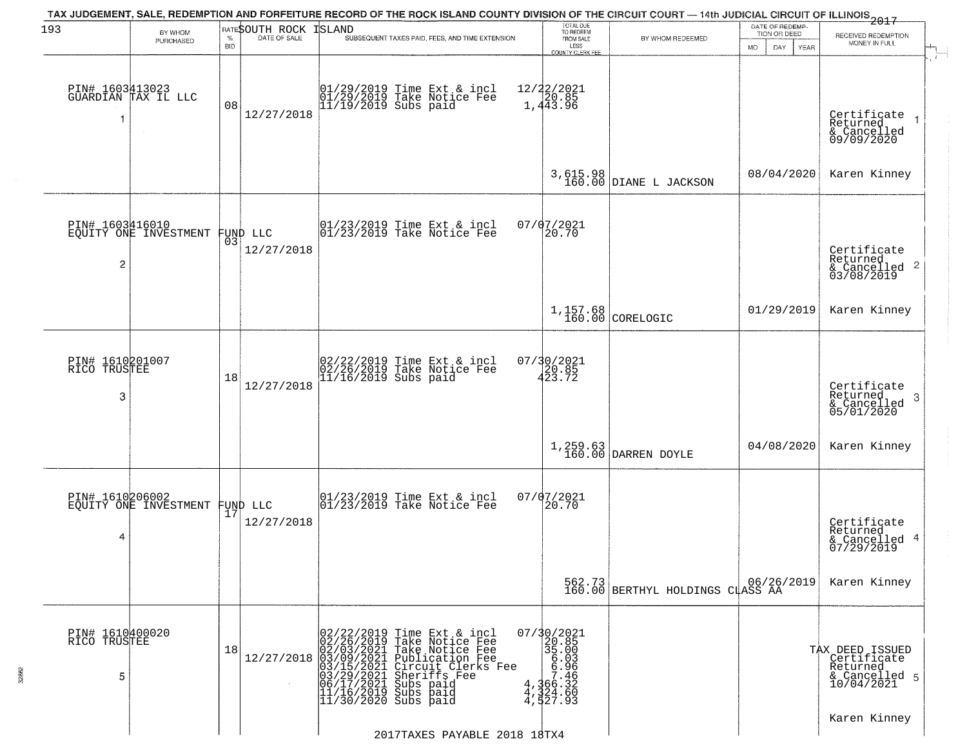| 193                                  | BY WHOM                                           |                    | RATESOUTH ROCK | TAX JUDGEMENT, SALE, REDEMPTION AND FORFEITURE RECORD OF THE ROCK ISLAND COUNTY DIVISION OF THE CIRCUIT COURT — 14th JUDICIAL CIRCUIT OF ILLINOIS 2017<br>ISLAND                                                                                                       | TOTAL DUE<br>TO REDEEM                                                                                                     |                                                   | DATE OF REDEMP<br>TION OR DEED |                                                                           |
|--------------------------------------|---------------------------------------------------|--------------------|----------------|------------------------------------------------------------------------------------------------------------------------------------------------------------------------------------------------------------------------------------------------------------------------|----------------------------------------------------------------------------------------------------------------------------|---------------------------------------------------|--------------------------------|---------------------------------------------------------------------------|
|                                      | PURCHASED                                         | $\%$<br><b>BID</b> | DATE OF SALE   | SUBSEQUENT TAXES PAID, FEES, AND TIME EXTENSION                                                                                                                                                                                                                        | FROM SALE<br>LESS<br><b>COUNTY CLERK FEE</b>                                                                               | BY WHOM REDEEMED                                  | MO.<br>DAY.<br><b>YEAR</b>     | RECEIVED REDEMPTION<br>MONEY IN FULL                                      |
|                                      | PIN# 1603413023<br>GUARDIAN TAX IL LLC            | 08                 | 12/27/2018     | 01/29/2019 Time Ext & incl<br>01/29/2019 Take Notice Fee<br>11/19/2019 Subs paid                                                                                                                                                                                       | 12/22/2021<br>1,443.96                                                                                                     |                                                   |                                | Certificate<br>Returned<br>& Cancelled<br>09/09/2020                      |
|                                      |                                                   |                    |                |                                                                                                                                                                                                                                                                        |                                                                                                                            | 3,615.98<br>160.00 DIANE L JACKSON                | 08/04/2020                     | Karen Kinney                                                              |
| $\overline{c}$                       | PIN# 1603416010<br>EQUITY ONE INVESTMENT FUND LLC |                    | 12/27/2018     | $\begin{array}{cc}  01/23/2019 \text{ Time} & \text{Ext} & \text{incl} \\  01/23/2019 \text{ Take Notice } \text{Fe} \end{array}$                                                                                                                                      | 07/07/2021<br>20.70                                                                                                        |                                                   |                                | Certificate<br>Returned<br>$\frac{1}{6}$ Cancelled 2<br>03/08/2019        |
|                                      |                                                   |                    |                |                                                                                                                                                                                                                                                                        |                                                                                                                            | $1,157.68$<br>160.00 CORELOGIC                    | 01/29/2019                     | Karen Kinney                                                              |
| PIN# 1610201007<br>RICO TRUSTEE<br>3 |                                                   | 18                 | 12/27/2018     | 02/22/2019 Time Ext & incl<br>02/26/2019 Take Notice Fee<br>11/16/2019 Subs paid                                                                                                                                                                                       | $07/30/2021$<br>$423.72$                                                                                                   |                                                   |                                | Certificate<br>Returned<br>3<br>& Cancelled<br>05/01/2020                 |
|                                      |                                                   |                    |                |                                                                                                                                                                                                                                                                        |                                                                                                                            | $1,259.63$ DARREN DOYLE                           | 04/08/2020                     | Karen Kinney                                                              |
| PIN# 1610206002<br>4                 | EQUITY ONE INVESTMENT FUND LLC                    |                    | 12/27/2018     | 01/23/2019 Time Ext & incl<br>01/23/2019 Take Notice Fee                                                                                                                                                                                                               | 07/07/2021<br>20.70                                                                                                        |                                                   |                                | Certificate<br>Returned<br>& Cancelled 4<br>07/29/2019                    |
|                                      |                                                   |                    |                |                                                                                                                                                                                                                                                                        |                                                                                                                            | 562.73 06/26,<br>160.00 BERTHYL HOLDINGS CLASS AA | 06/26/2019                     | Karen Kinney                                                              |
| PIN# 1610400020<br>RICO TRUSTEE<br>5 |                                                   | 18                 |                | 02/22/2019 Time Ext & incl<br>02/26/2019 Take Notice Fee<br>02/03/2021 Take Notice Fee<br>12/27/2018 03/09/2021 Take Notice Fee<br>03/15/2021 Publication Fee<br>03/15/2021 Circuit Clerks Fee<br>03/29/2021 Subs paid<br>11/16/2019 Subs paid<br>11/30/2020 Subs paid | 07/30/2021<br>20.85<br>$\begin{array}{r} 235.000 \\ 35.003 \\ 6.936 \\ 6.966 \\ 7.466 \\ 4,324.60 \\ 4,527.93 \end{array}$ |                                                   |                                | TAX DEED ISSUED<br>Certificate<br>Returned<br>& Cancelled 5<br>10/04/2021 |
|                                      |                                                   |                    |                | 2017TAXES PAYABLE 2018 18TX4                                                                                                                                                                                                                                           |                                                                                                                            |                                                   |                                | Karen Kinney                                                              |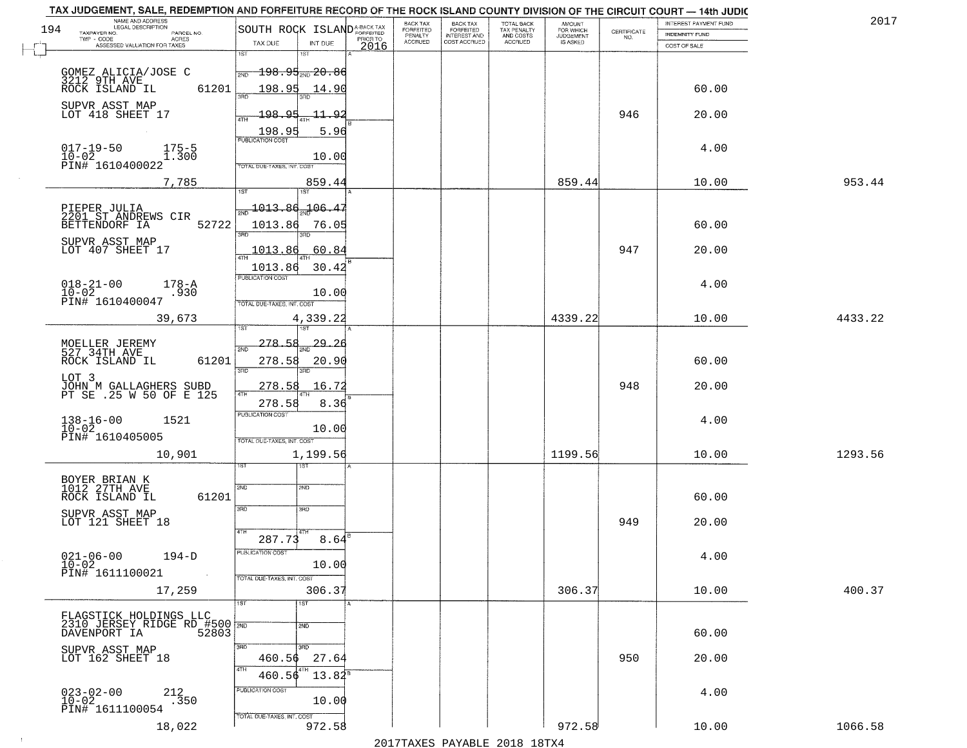| 194 | NAME AND ADDRESS<br>LEGAL DESCRIPTION<br>TAXPAYER NO.<br>PARCEL NO.           | SOUTH ROCK ISLAND <sup>A-BACK TAX</sup>              | BACK TAX<br>FORFEITED<br>PENALTY | BACK TAX<br>FORFEITED<br>INTEREST AND | TOTAL BACK<br>TAX PENALTY<br>AND COSTS | AMOUNT<br>FOR WHICH<br><b>JUDGEMENT</b> | $\begin{array}{c} \text{CERTIFICATE} \\ \text{NO.} \end{array}$ | INTEREST PAYMENT FUND<br>INDEMNITY FUND | 2017    |
|-----|-------------------------------------------------------------------------------|------------------------------------------------------|----------------------------------|---------------------------------------|----------------------------------------|-----------------------------------------|-----------------------------------------------------------------|-----------------------------------------|---------|
|     | TWP - CODE<br>ACRES<br>ASSESSED VALUATION FOR TAXES                           | PRIOR TO<br>TAX DUE<br>INT DUE<br>2016<br>1ST<br>1ST | <b>ACCRUED</b>                   | COST ACCRUED                          | <b>ACCRUED</b>                         | IS ASKED                                |                                                                 | COST OF SALE                            |         |
|     | GOMEZ ALICIA/JOSE C                                                           | <del>198.95<sub>2ND</sub>20.86</del><br>2ND          |                                  |                                       |                                        |                                         |                                                                 |                                         |         |
|     | 3212 9TH AVE<br>ROCK ISLAND IL<br>61201                                       | 198.95<br>14.90                                      |                                  |                                       |                                        |                                         |                                                                 | 60.00                                   |         |
|     | SUPVR ASST MAP<br>LOT 418 SHEET 17                                            | 198.95<br><u>11.92</u>                               |                                  |                                       |                                        |                                         | 946                                                             | 20.00                                   |         |
|     | $017 - 19 - 50$<br>$175 - 5$                                                  | 198.95<br>5.96<br><b>PUBLICATION COST</b>            |                                  |                                       |                                        |                                         |                                                                 | 4.00                                    |         |
|     | 10-02<br>PIN# 1610400022<br>1.300                                             | 10.00<br>TOTAL DUE-TAXES, INT. COST                  |                                  |                                       |                                        |                                         |                                                                 |                                         |         |
|     | 7,785                                                                         | 859.44<br>1ST<br>1ST                                 |                                  |                                       |                                        | 859.44                                  |                                                                 | 10.00                                   | 953.44  |
|     | PIEPER JULIA<br>2201 ST ANDREWS CIR                                           | 1013.86<br>$-106.47$                                 |                                  |                                       |                                        |                                         |                                                                 |                                         |         |
|     | 52722<br>BETTENDORF IA                                                        | 1013.86<br>76.05<br>3RD.                             |                                  |                                       |                                        |                                         |                                                                 | 60.00                                   |         |
|     | SUPVR ASST MAP<br>LOT 407 SHEET 17                                            | 60.84<br>1013.86                                     |                                  |                                       |                                        |                                         | 947                                                             | 20.00                                   |         |
|     |                                                                               | 30.42<br>1013.86<br>PUBLICATION COST                 |                                  |                                       |                                        |                                         |                                                                 |                                         |         |
|     | $018 - 21 - 00$<br>$178 - A$<br>$10-02$<br>PIN# 1610400047<br>.930            | 10.00                                                |                                  |                                       |                                        |                                         |                                                                 | 4.00                                    |         |
|     | 39,673                                                                        | TOTAL DUE-TAXES, INT. COST<br>4,339.22               |                                  |                                       |                                        | 4339.22                                 |                                                                 | 10.00                                   | 4433.22 |
|     |                                                                               | isT<br>278.58<br><u>29.26</u>                        |                                  |                                       |                                        |                                         |                                                                 |                                         |         |
|     | MOELLER JEREMY<br>527 34TH AVE<br>ROCK ISLAND IL<br>61201                     | 2ND<br>278.58<br>20.90<br>3RD<br>3RD                 |                                  |                                       |                                        |                                         |                                                                 | 60.00                                   |         |
|     | LOT 3<br>JOHN M GALLAGHERS SUBD<br>PT SE .25 W 50 OF E 125                    | 278.58<br>16.72                                      |                                  |                                       |                                        |                                         | 948                                                             | 20.00                                   |         |
|     |                                                                               | 4TH<br>278.58<br>8.36<br><b>PUBLICATION COST</b>     |                                  |                                       |                                        |                                         |                                                                 |                                         |         |
|     | $138 - 16 - 00$<br>$10 - 02$<br>1521                                          | 10.00                                                |                                  |                                       |                                        |                                         |                                                                 | 4.00                                    |         |
|     | PIN# 1610405005<br>10,901                                                     | TOTAL OUE-TAXES, INT. COST<br>1,199.56               |                                  |                                       |                                        | 1199.56                                 |                                                                 | 10.00                                   | 1293.56 |
|     |                                                                               | १९४                                                  |                                  |                                       |                                        |                                         |                                                                 |                                         |         |
|     | BOYER BRIAN K<br>1012 27TH AVE<br>61201<br>ROCK ISLAND IL                     | 2ND<br>2ND                                           |                                  |                                       |                                        |                                         |                                                                 | 60.00                                   |         |
|     | SUPVR ASST MAP<br>LOT 121 SHEET 18                                            | 3RD<br>3RD                                           |                                  |                                       |                                        |                                         | 949                                                             | 20.00                                   |         |
|     |                                                                               | 4TH<br>$8.64^{B}$<br>287.73                          |                                  |                                       |                                        |                                         |                                                                 |                                         |         |
|     | $021 - 06 - 00$<br>$194-D$<br>$10 - 02$                                       | <b>PUBLICATION COST</b><br>10.00                     |                                  |                                       |                                        |                                         |                                                                 | 4.00                                    |         |
|     | PIN# 1611100021<br>$\sim 100$ km                                              | TOTAL DUE-TAXES, INT. COST                           |                                  |                                       |                                        |                                         |                                                                 |                                         |         |
|     | 17,259                                                                        | 306.37<br>1ST<br>1ST                                 |                                  |                                       |                                        | 306.37                                  |                                                                 | 10.00                                   | 400.37  |
|     | FLAGSTICK HOLDINGS LLC<br>2310 JERSEY RIDGE RD #500 780<br>DAVENPORT IA 52803 | 2ND                                                  |                                  |                                       |                                        |                                         |                                                                 |                                         |         |
|     | DAVENPORT IA<br>SUPVR ASST MAP                                                | 3RD<br>3 <sub>HD</sub>                               |                                  |                                       |                                        |                                         |                                                                 | 60.00                                   |         |
|     | LOT 162 SHEET 18                                                              | 27.64<br>460.56<br>4TH                               |                                  |                                       |                                        |                                         | 950                                                             | 20.00                                   |         |
|     |                                                                               | $13.84^5$<br>460.56<br>PUBLICATION COST              |                                  |                                       |                                        |                                         |                                                                 | 4.00                                    |         |
|     | $023 - 02 - 00$<br>$10 - 02$<br>$^{212}_{.350}$<br>PIN# 1611100054            | 10.00<br>TOTAL DUE-TAXES, INT. COST                  |                                  |                                       |                                        |                                         |                                                                 |                                         |         |
|     | 18,022                                                                        | 972.58                                               |                                  |                                       |                                        | 972.58                                  |                                                                 | 10.00                                   | 1066.58 |

 $\sim 100$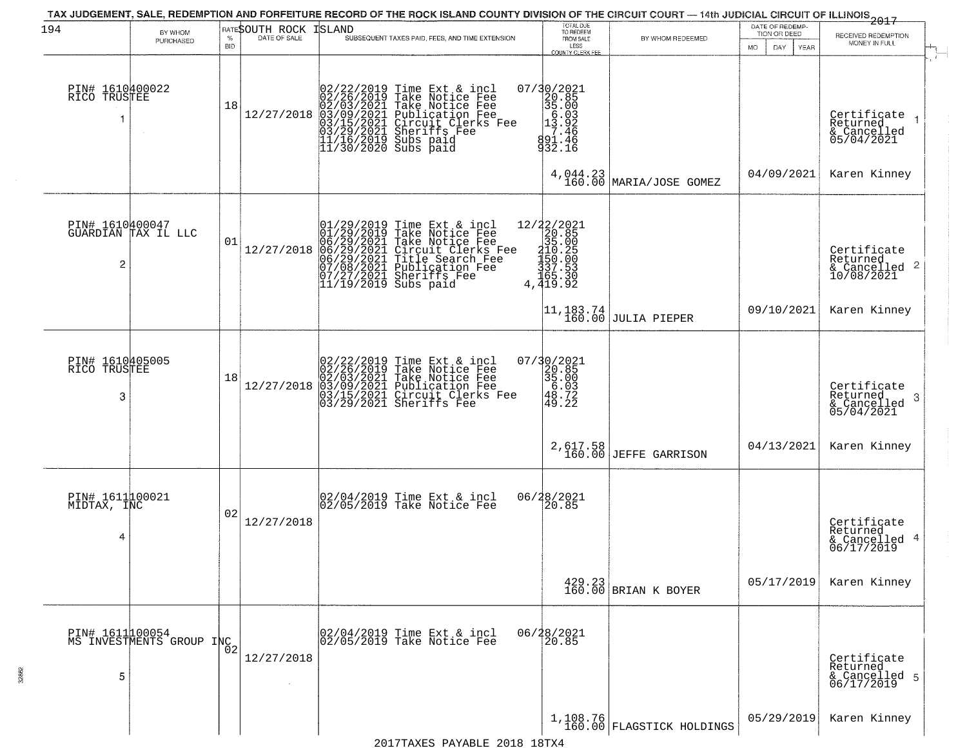| 194                                  | BY WHOM<br>PURCHASED                         | $\%$<br><b>BID</b> | RATESOUTH ROCK<br>DATE OF SALE | <b>ISLAND</b><br>SUBSEQUENT TAXES PAID, FEES, AND TIME EXTENSION                                                                                                                                                                                               | TOTAL DUE<br>TO REDEEM<br>FROM SALE<br>LESS<br><b>COUNTY CLERK FEE</b>                                          | BY WHOM REDEEMED                                                 | DATE OF REDEMP-<br>TION OR DEED<br>MO.<br>DAY.<br>YEAR | $-2017$<br>RECEIVED REDEMPTION<br>MONEY IN FULL                      |
|--------------------------------------|----------------------------------------------|--------------------|--------------------------------|----------------------------------------------------------------------------------------------------------------------------------------------------------------------------------------------------------------------------------------------------------------|-----------------------------------------------------------------------------------------------------------------|------------------------------------------------------------------|--------------------------------------------------------|----------------------------------------------------------------------|
| PIN# 1610400022<br>RICO TRUSTEE<br>1 |                                              | 18                 | 12/27/2018                     | 02/22/2019<br>02/26/2019<br>03/03/2021<br>03/03/2021<br>03/15/2021<br>03/29/2021<br>11/16/2019<br>11/16/2019<br>Time Ext & incl<br>Take Notice Fee<br>Take Notice Fee<br>Publication Fee<br>Circuit Clerks Fee<br>Circuit Clerks Fee<br>Subs paid<br>Subs paid | 07/30/2021<br>20.85<br>35.00<br>5.03<br>13.92<br>7.46<br>7.46<br>891.46<br>932.16                               |                                                                  |                                                        | $\mathbf{r}$<br>Certificate<br>Returned<br>& Cancelled<br>05/04/2021 |
|                                      |                                              |                    |                                |                                                                                                                                                                                                                                                                |                                                                                                                 | $4,044.23$ MARIA/JOSE GOMEZ                                      | 04/09/2021                                             | Karen Kinney                                                         |
| PIN# 1610400047<br>2                 | GUARDIAN TAX IL LLC                          | 01                 | 12/27/2018                     | $01/29/2019$ Time Ext & incl<br>01/29/2019 Take Notice Fee<br>06/29/2021 Take Notice Fee<br>06/29/2021 Circuit Clerks Fee<br>06/29/2021 Tublication Fee<br>07/08/2021 Publication Fee<br>07/27/2021 Sheriffs Fee<br>11/19/2019 Subs paid                       | ${\begin{matrix} 12/22/2021\\20.85\\35.00\\10.25\\150.20\\150.20\\37\cdot53\\165.30\\4\cdot419.92\end{matrix}}$ |                                                                  |                                                        | Certificate<br>Returned<br>& Cancelled 2<br>10/08/2021               |
|                                      |                                              |                    |                                |                                                                                                                                                                                                                                                                |                                                                                                                 | $\begin{vmatrix} 11,183.74 \\ 160.00 \end{vmatrix}$ JULIA PIEPER | 09/10/2021                                             | Karen Kinney                                                         |
| PIN# 1610405005<br>RICO TRUSTEE<br>3 |                                              | 18                 | 12/27/2018                     | 02/22/2019 Time Ext & incl<br>02/26/2019 Take Notice Fee<br>02/03/2021 Take Notice Fee<br>03/09/2021 Publication Fee<br>03/15/2021 Circuit Clerks Fee<br>03/29/2021 Sheriffs Fee                                                                               | $\begin{array}{r} 07/30/2021 \\ 20.85 \\ 35.00 \\ 6.03 \\ 48.72 \\ 49.22 \end{array}$                           |                                                                  |                                                        | Certificate<br>Returned<br>3<br>& Cancelled<br>05/04/2021            |
|                                      |                                              |                    |                                |                                                                                                                                                                                                                                                                | $2,617.58$<br>160.00                                                                                            | <b>JEFFE GARRISON</b>                                            | 04/13/2021                                             | Karen Kinney                                                         |
| PIN# 1611100021<br>MIDTAX, INC<br>4  |                                              | 02                 | 12/27/2018                     | 02/04/2019 Time Ext & incl<br>02/05/2019 Take Notice Fee                                                                                                                                                                                                       | 06/28/2021<br>20.85                                                                                             |                                                                  |                                                        | Certificate<br>Returned<br>& Cancelled 4<br>06/17/2019               |
|                                      |                                              |                    |                                |                                                                                                                                                                                                                                                                |                                                                                                                 | 429.23<br>160.00 BRIAN K BOYER                                   | 05/17/2019                                             | Karen Kinney                                                         |
| 5                                    | PIN# 1611 100054<br>MS INVESTMENTS GROUP INC |                    | 12/27/2018                     | 02/04/2019 Time Ext & incl<br>02/05/2019 Take Notice Fee                                                                                                                                                                                                       | 06/28/2021                                                                                                      |                                                                  |                                                        | Certificate<br>Returned<br>& Cancelled 5<br>06/17/2019               |
|                                      |                                              |                    |                                |                                                                                                                                                                                                                                                                |                                                                                                                 | $1,108.76$<br>160.00 FLAGSTICK HOLDINGS                          | 05/29/2019                                             | Karen Kinney                                                         |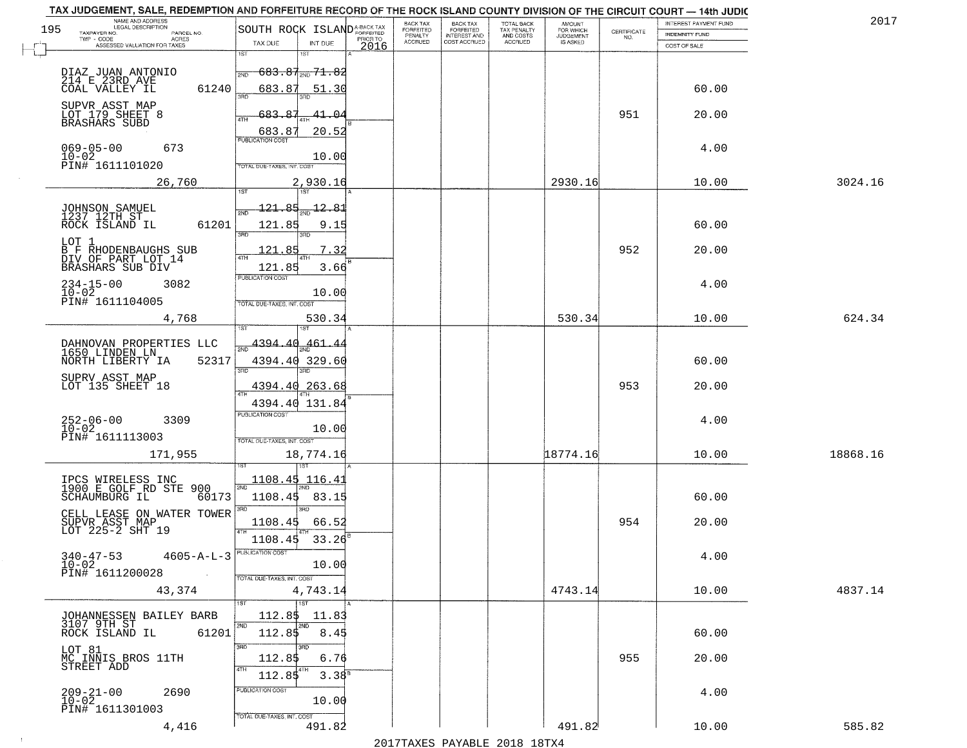|     | TAX JUDGEMENT, SALE, REDEMPTION AND FORFEITURE RECORD OF THE ROCK ISLAND COUNTY DIVISION OF THE CIRCUIT COURT - 14th JUDIC |                                                                           |                                        |                                           |                                        |                                     |                                                                 |                       |          |
|-----|----------------------------------------------------------------------------------------------------------------------------|---------------------------------------------------------------------------|----------------------------------------|-------------------------------------------|----------------------------------------|-------------------------------------|-----------------------------------------------------------------|-----------------------|----------|
| 195 | NAME AND ADDRESS<br>LEGAL DESCRIPTION                                                                                      |                                                                           | BACK TAX                               | <b>BACK TAX</b>                           | TOTAL BACK<br>TAX PENALTY<br>AND COSTS | AMOUNT<br>FOR WHICH                 |                                                                 | INTEREST PAYMENT FUND | 2017     |
|     | TAXPAYER NO.<br>PARCEL NO.<br>$\sf ACRES$                                                                                  | SOUTH ROCK ISLANDA-BACK TAX<br>TAX DUE<br>INT DUE                         | FORFEITED<br>PENALTY<br><b>ACCRUED</b> | FORFEITED<br>INTEREST AND<br>COST ACCRUED | ACCRUED                                | <b>JUDGEMENT</b><br><b>IS ASKED</b> | $\begin{array}{c} \text{CERTIFICATE} \\ \text{NO.} \end{array}$ | <b>INDEMNITY FUND</b> |          |
|     | ASSESSED VALUATION FOR TAXES                                                                                               | 2016<br>1ST<br>1ST                                                        |                                        |                                           |                                        |                                     |                                                                 | COST OF SALE          |          |
|     | DIAZ JUAN ANTONIO<br>214 E 23RD AVE<br>61240<br>COAL VALLEY IL                                                             | $683.87_{200}$ 71.82<br>2ND<br>683.87<br>51.30                            |                                        |                                           |                                        |                                     |                                                                 | 60.00                 |          |
|     | SUPVR ASST MAP<br>LOT 179 SHEET 8<br>BRASHARS SUBD                                                                         | 3RD<br>683.87<br>$41 - 04$<br>ATH<br>20.52                                |                                        |                                           |                                        |                                     | 951                                                             | 20.00                 |          |
|     | $069 - 05 - 00$<br>$10 - 02$<br>673<br>PIN# 1611101020                                                                     | 683.87<br><b>PUBLICATION COST</b><br>10.00<br>TOTAL DUE-TAXES, INT. COST  |                                        |                                           |                                        |                                     |                                                                 | 4.00                  |          |
|     | 26,760                                                                                                                     | 2,930.16                                                                  |                                        |                                           |                                        | 2930.16                             |                                                                 | 10.00                 | 3024.16  |
|     | JOHNSON SAMUEL<br>1237 12TH ST<br>61201<br>ROCK ISLAND IL                                                                  | 121.85<br><u>-12.81</u><br>121.85<br>9.15<br>$\overline{\text{R}}$<br>3RD |                                        |                                           |                                        |                                     |                                                                 | 60.00                 |          |
|     | LOT 1<br>B F RHODENBAUGHS SUB<br>DIV OF PART LOT 14<br>BRASHARS SUB DIV                                                    | 7.32<br>121.85<br>121.85<br>3.66                                          |                                        |                                           |                                        |                                     | 952                                                             | 20.00                 |          |
|     | $234 - 15 - 00$<br>3082<br>$10 - 02$<br>PIN# 1611104005                                                                    | PUBLICATION COST<br>10.00<br>TOTAL DUE-TAXES, INT. COST                   |                                        |                                           |                                        |                                     |                                                                 | 4.00                  |          |
|     | 4,768                                                                                                                      | 530.34<br><b>IST</b>                                                      |                                        |                                           |                                        | 530.34                              |                                                                 | 10.00                 | 624.34   |
|     | DAHNOVAN PROPERTIES LLC<br>1650 LINDEN LN<br>NORTH LIBERTY IA<br>52317                                                     | 4394.40<br>461.44<br>4394.40 329.60<br>3BD<br>3RD                         |                                        |                                           |                                        |                                     |                                                                 | 60.00                 |          |
|     | SUPRV ASST MAP<br>LOT 135 SHEET 18                                                                                         | 4394.40 263.68<br>4394.40 131.84                                          |                                        |                                           |                                        |                                     | 953                                                             | 20.00                 |          |
|     | $252 - 06 - 00$<br>10-02<br>3309<br>PIN# 1611113003                                                                        | <b>PUBLICATION COST</b><br>10.00<br>TOTAL OUE-TAXES, INT. COST            |                                        |                                           |                                        |                                     |                                                                 | 4.00                  |          |
|     | 171,955                                                                                                                    | 18,774.16<br>157                                                          |                                        |                                           |                                        | 18774.16                            |                                                                 | 10.00                 | 18868.16 |
|     | IPCS WIRELESS INC<br>1900 E GOLF RD STE 900<br>SCHAUMBURG IL<br>60173<br>CELL LEASE ON WATER TOWER                         | 1108.45 116.43<br>1108.45<br>83.15<br>3RD                                 |                                        |                                           |                                        |                                     |                                                                 | 60.00                 |          |
|     | SUPVR ASST MAP<br>LOT 225-2 SHT 19                                                                                         | 1108.45<br>66.52<br>1108.45<br>33.26                                      |                                        |                                           |                                        |                                     | 954                                                             | 20.00                 |          |
|     | $340 - 47 - 53$<br>$4605 - A - L - 3$<br>$10 - 02$<br>PIN# 1611200028<br>$\sim 100$ km s $^{-1}$                           | UBLICATION COS<br>10.00<br>TOTAL DUE-TAXES, INT. COST                     |                                        |                                           |                                        |                                     |                                                                 | 4.00                  |          |
|     | 43,374                                                                                                                     | 4,743.14<br><b>TST</b>                                                    |                                        |                                           |                                        | 4743.14                             |                                                                 | 10.00                 | 4837.14  |
|     | JOHANNESSEN BAILEY BARB<br>3107 9TH ST<br>61201<br>ROCK ISLAND IL                                                          | 112.85<br>11.83<br>2ND<br>2ND<br>112.85<br>8.45                           |                                        |                                           |                                        |                                     |                                                                 | 60.00                 |          |
|     | LOT 81<br>MC INNIS BROS 11TH<br>STREET ADD                                                                                 | 3RD<br>6.76<br>112.85<br>4TH<br>  4TH<br>112.85<br>3.38 <sup>B</sup>      |                                        |                                           |                                        |                                     | 955                                                             | 20.00                 |          |
|     | $209 - 21 - 00$<br>2690<br>$10 - 02$<br>PIN# 1611301003                                                                    | PUBLICATION COST<br>10.00<br>TOTAL DUE-TAXES, INT. COST                   |                                        |                                           |                                        |                                     |                                                                 | 4.00                  |          |
|     | 4,416                                                                                                                      | 491.82                                                                    |                                        |                                           |                                        | 491.82                              |                                                                 | 10.00                 | 585.82   |

 $\sim 100$ 

2017TAXES PAYABLE 2018 18TX4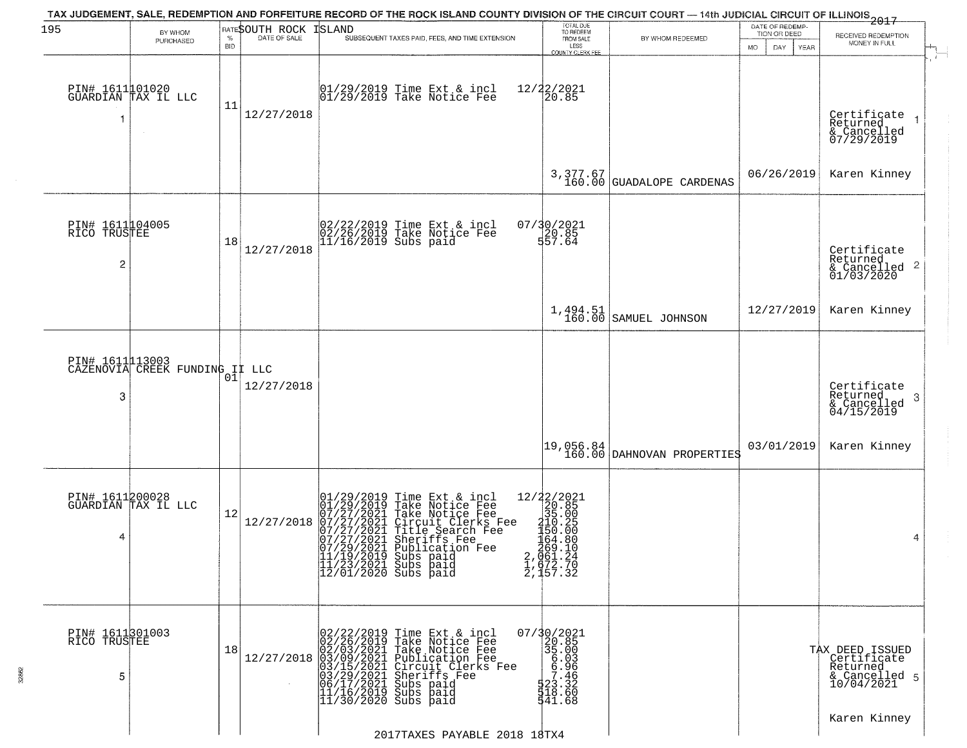| 195                                               | BY WHOM                                           |                    | RATESOUTH ROCK | TAX JUDGEMENT, SALE, REDEMPTION AND FORFEITURE RECORD OF THE ROCK ISLAND COUNTY DIVISION OF THE CIRCUIT COURT — 14th JUDICIAL CIRCUIT OF ILLINOIS 2017<br>ISLAND                                                                                                                                                                                                                     | TOTAL DUE<br>TO REDEEM                                                                                                |                                         | DATE OF REDEMP<br>TION OR DEED |                                                                           |
|---------------------------------------------------|---------------------------------------------------|--------------------|----------------|--------------------------------------------------------------------------------------------------------------------------------------------------------------------------------------------------------------------------------------------------------------------------------------------------------------------------------------------------------------------------------------|-----------------------------------------------------------------------------------------------------------------------|-----------------------------------------|--------------------------------|---------------------------------------------------------------------------|
|                                                   | PURCHASED                                         | $\%$<br><b>BID</b> | DATE OF SALE   | SUBSEQUENT TAXES PAID, FEES, AND TIME EXTENSION                                                                                                                                                                                                                                                                                                                                      | FROM SALE<br>LESS                                                                                                     | BY WHOM REDEEMED                        | MO.<br>DAY.<br><b>YEAR</b>     | RECEIVED REDEMPTION<br>MONEY IN FULL                                      |
|                                                   | PIN# 1611101020<br>GUARDIAN TAX IL LLC            | 11                 | 12/27/2018     | 01/29/2019 Time Ext & incl<br>01/29/2019 Take Notice Fee                                                                                                                                                                                                                                                                                                                             | <b>COUNTY CLERK FEE</b><br>12/22/2021<br>20.85                                                                        |                                         |                                | Certificate<br>Returned<br>& Cancelled<br>07/29/2019                      |
|                                                   |                                                   |                    |                |                                                                                                                                                                                                                                                                                                                                                                                      |                                                                                                                       | $3,377.67$<br>160.00 GUADALOPE CARDENAS | 06/26/2019                     | Karen Kinney                                                              |
| PIN# 1611104005<br>RICO TRUSTEE<br>$\overline{c}$ |                                                   | 18                 | 12/27/2018     | 02/22/2019 Time Ext & incl<br>02/26/2019 Take Notice Fee<br>11/16/2019 Subs paid                                                                                                                                                                                                                                                                                                     | $07/30/2021$<br>20.85<br>557.64                                                                                       |                                         |                                | Certificate<br>Returned<br>& Cancelled 2<br>01/03/2020                    |
|                                                   |                                                   |                    |                |                                                                                                                                                                                                                                                                                                                                                                                      |                                                                                                                       | $1,494.51$<br>160.00 SAMUEL JOHNSON     | 12/27/2019                     | Karen Kinney                                                              |
| 3                                                 | PIN# 1611113003<br>CAZENOVIA CREEK FUNDING II LLC | 01                 | 12/27/2018     |                                                                                                                                                                                                                                                                                                                                                                                      |                                                                                                                       |                                         |                                | Certificate<br>Returned<br>3<br>$\frac{1}{2}$ Cancelled<br>04/15/2019     |
|                                                   |                                                   |                    |                |                                                                                                                                                                                                                                                                                                                                                                                      | $\begin{bmatrix} 19,056.84 \\ 160.00 \end{bmatrix}$                                                                   | DAHNOVAN PROPERTIES                     | 03/01/2019                     | Karen Kinney                                                              |
| 4                                                 | PIN# 1611200028<br>GUARDIAN TAX IL LLC            | 12                 | 12/27/2018     | 01/29/2019 Time Ext & incl<br>01/29/2019 Take Notice Fee<br>07/27/2021 Take Notice Fee<br>07/27/2021 Circuit Clerks Fee<br>07/27/2021 Title Search Fee<br>07/27/2021 Sheriffs Fee<br>07/27/2021 Bublication Fee<br>07/29/2021 Bublication Fee<br>11/19/2019 Subs paid<br>11/23/2021 Subs paid<br>12/01/2020 Subs paid                                                                | 12/22/2021<br>20.85<br>315.005<br>316.25<br>3164.800<br>464.800<br>2,061.24<br>7,072.70<br>2,157.32                   |                                         |                                | 4                                                                         |
| PIN# 1611301003<br>RICO TRUSTEE<br>5              |                                                   | 18                 |                | $[02/22/2019 \xrightarrow{\text{Time Ext}} \& \text{incl} \& \text{02} \& \text{02} \& \text{02} \& \text{02} \& \text{02} \& \text{02} \& \text{02} \& \text{02} \& \text{02} \& \text{02} \& \text{02} \& \text{02} \& \text{02} \& \text{02} \& \text{02} \& \text{02} \& \text{02} \& \text{02} \& \text{02} \& \text{02} \& \text{02} \& \text{02} \& \text{02} \& \text{02} \$ | 07/30/2021<br>20.85<br>$\begin{array}{r} 36.000 \\ 35.003 \\ 6.966 \\ 7.482 \\ 23.342 \\ 14.68 \end{array}$<br>541.68 |                                         |                                | TAX DEED ISSUED<br>Certificate<br>Returned<br>& Cancelled 5<br>10/04/2021 |
|                                                   |                                                   |                    |                |                                                                                                                                                                                                                                                                                                                                                                                      |                                                                                                                       |                                         |                                | Karen Kinney                                                              |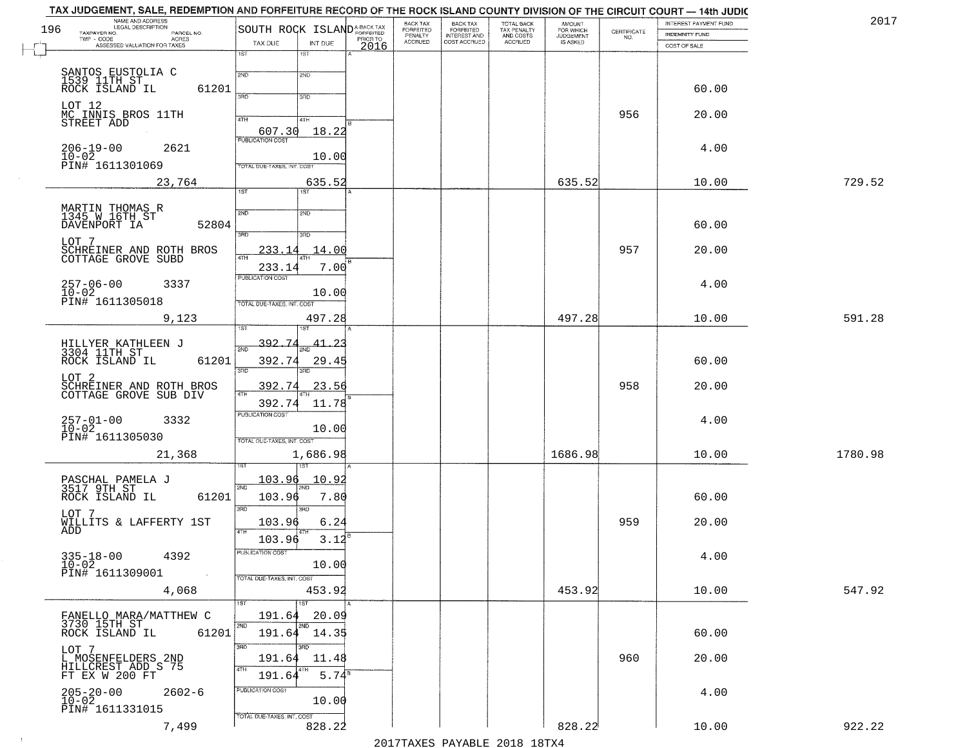| 196 | NAME AND ADDRESS<br>LEGAL DESCRIPTION<br>TAXPAYER NO.<br>PARCEL NO. | SOUTH ROCK ISLAND <sup>A-BACK TAX</sup>                 | BACK TAX<br>FORFEITED<br>PENALTY | BACK TAX<br>FORFEITED<br>INTEREST AND | TOTAL BACK<br>TAX PENALTY | AMOUNT<br>FOR WHICH                 |                                                                 | INTEREST PAYMENT FUND                 | 2017    |
|-----|---------------------------------------------------------------------|---------------------------------------------------------|----------------------------------|---------------------------------------|---------------------------|-------------------------------------|-----------------------------------------------------------------|---------------------------------------|---------|
|     | $TWP - CODE$<br>ACRES<br>ASSESSED VALUATION FOR TAXES               | PRIOR TO<br>TAX DUE<br>INT DUE<br>2016                  | <b>ACCRUED</b>                   | COST ACCRUED                          | AND COSTS<br>ACCRUED      | <b>JUDGEMENT</b><br><b>IS ASKED</b> | $\begin{array}{c} \text{CERTIFICATE} \\ \text{NO.} \end{array}$ | <b>INDEMNITY FUND</b><br>COST OF SALE |         |
|     |                                                                     | 1ST<br>1ST                                              |                                  |                                       |                           |                                     |                                                                 |                                       |         |
|     |                                                                     | 2ND<br>2ND                                              |                                  |                                       |                           |                                     |                                                                 |                                       |         |
|     | SANTOS EUSTOLIA C<br>1539 11TH ST<br>ROCK ISLAND IL<br>61201        | 3RD<br>3RD                                              |                                  |                                       |                           |                                     |                                                                 | 60.00                                 |         |
|     | LOT 12<br>MC INNIS BROS 11TH<br>STREET ADD                          |                                                         |                                  |                                       |                           |                                     | 956                                                             | 20.00                                 |         |
|     |                                                                     | 4TH<br>4TH<br>607.30<br>18.22                           |                                  |                                       |                           |                                     |                                                                 |                                       |         |
|     | $206 - 19 - 00$<br>2621                                             | <b>PUBLICATION COST</b>                                 |                                  |                                       |                           |                                     |                                                                 | 4.00                                  |         |
|     | $10 - 02$<br>PIN# 1611301069                                        | 10.00<br>TOTAL DUE-TAXES, INT. COST                     |                                  |                                       |                           |                                     |                                                                 |                                       |         |
|     | 23,764                                                              | 635.52<br>1ST<br>1ST                                    |                                  |                                       |                           | 635.52                              |                                                                 | 10.00                                 | 729.52  |
|     |                                                                     |                                                         |                                  |                                       |                           |                                     |                                                                 |                                       |         |
|     | MARTIN THOMAS R<br>1345 W 16TH ST<br>DAVENPORT IA<br>52804          | 2ND<br>2ND                                              |                                  |                                       |                           |                                     |                                                                 | 60.00                                 |         |
|     | LOT 7                                                               | 3RD<br>3RD                                              |                                  |                                       |                           |                                     |                                                                 |                                       |         |
|     | SCHREINER AND ROTH BROS<br>COTTAGE GROVE SUBD                       | 14.00<br>233.14                                         |                                  |                                       |                           |                                     | 957                                                             | 20.00                                 |         |
|     | $257 - 06 - 00$<br>3337                                             | 7.00<br>233.14<br>PUBLICATION COST                      |                                  |                                       |                           |                                     |                                                                 | 4.00                                  |         |
|     | $10-02$<br>PIN# 1611305018                                          | 10.00<br>TOTAL DUE-TAXES, INT. COST                     |                                  |                                       |                           |                                     |                                                                 |                                       |         |
|     | 9,123                                                               | 497.28                                                  |                                  |                                       |                           | 497.28                              |                                                                 | 10.00                                 | 591.28  |
|     |                                                                     |                                                         |                                  |                                       |                           |                                     |                                                                 |                                       |         |
|     | HILLYER KATHLEEN J<br>3304 11TH ST<br>ROCK ISLAND IL<br>61201       | <u>392.74</u><br><u>41.23</u><br>2ND<br>392.74<br>29.45 |                                  |                                       |                           |                                     |                                                                 | 60.00                                 |         |
|     | LOT <sub>2</sub>                                                    | 3 <sub>BD</sub><br>3RD                                  |                                  |                                       |                           |                                     |                                                                 |                                       |         |
|     | SCHREINER AND ROTH BROS<br>COTTAGE GROVE SUB DIV                    | 392.74<br>23.56<br>4TH                                  |                                  |                                       |                           |                                     | 958                                                             | 20.00                                 |         |
|     |                                                                     | 392.74<br>11.78<br><b>PUBLICATION COST</b>              |                                  |                                       |                           |                                     |                                                                 |                                       |         |
|     | 257-01-00<br>10-02<br>3332                                          | 10.00                                                   |                                  |                                       |                           |                                     |                                                                 | 4.00                                  |         |
|     | PIN# 1611305030<br>21,368                                           | TOTAL OUE-TAXES, INT. COST<br>1,686.98                  |                                  |                                       |                           | 1686.98                             |                                                                 | 10.00                                 | 1780.98 |
|     |                                                                     |                                                         |                                  |                                       |                           |                                     |                                                                 |                                       |         |
|     | PASCHAL PAMELA J<br>3517 9TH ST                                     | 103.96<br>10.92<br>2ND                                  |                                  |                                       |                           |                                     |                                                                 |                                       |         |
|     | ROCK ISLAND IL<br>61201                                             | 103.96<br>7.80<br>3BD<br><b>IRD</b>                     |                                  |                                       |                           |                                     |                                                                 | 60.00                                 |         |
|     | LOT 7<br>WILLITS & LAFFERTY 1ST                                     | 103.96<br>6.24                                          |                                  |                                       |                           |                                     | 959                                                             | 20.00                                 |         |
|     | ADD                                                                 | 4TH<br>3.12<br>103.96                                   |                                  |                                       |                           |                                     |                                                                 |                                       |         |
|     | $335 - 18 - 00$<br>4392<br>$10 - 02$                                | PUBLICATION COST<br>10.00                               |                                  |                                       |                           |                                     |                                                                 | 4.00                                  |         |
|     | PIN# 1611309001<br>$\sim$                                           | TOTAL DUE-TAXES, INT. COST                              |                                  |                                       |                           |                                     |                                                                 |                                       |         |
|     | 4,068                                                               | 453.92<br>1ST<br>1ST                                    |                                  |                                       |                           | 453.92                              |                                                                 | 10.00                                 | 547.92  |
|     | FANELLO MARA/MATTHEW C<br>3730 15TH ST                              | 191.64<br>20.09                                         |                                  |                                       |                           |                                     |                                                                 |                                       |         |
|     | 61201<br>ROCK ISLAND IL                                             | 2ND<br>2ND<br>191.64 14.35                              |                                  |                                       |                           |                                     |                                                                 | 60.00                                 |         |
|     | LOT 7                                                               | 3RD<br>3BD<br>191.64<br>11.48                           |                                  |                                       |                           |                                     | 960                                                             | 20.00                                 |         |
|     | L MOSENFELDERS 2ND<br>HILLCREST ADD S 75<br>FT EX W 200 FT          | 4TH<br>5.74 <sup>s</sup><br>191.64                      |                                  |                                       |                           |                                     |                                                                 |                                       |         |
|     | $205 - 20 - 00$<br>$10 - 02$<br>$2602 - 6$                          | PUBLICATION COST                                        |                                  |                                       |                           |                                     |                                                                 | 4.00                                  |         |
|     | PIN# 1611331015                                                     | 10.00<br>TOTAL DUE-TAXES, INT. COST                     |                                  |                                       |                           |                                     |                                                                 |                                       |         |
|     | 7,499                                                               | 828.22                                                  |                                  |                                       |                           | 828.22                              |                                                                 | 10.00                                 | 922.22  |

 $\sim 10$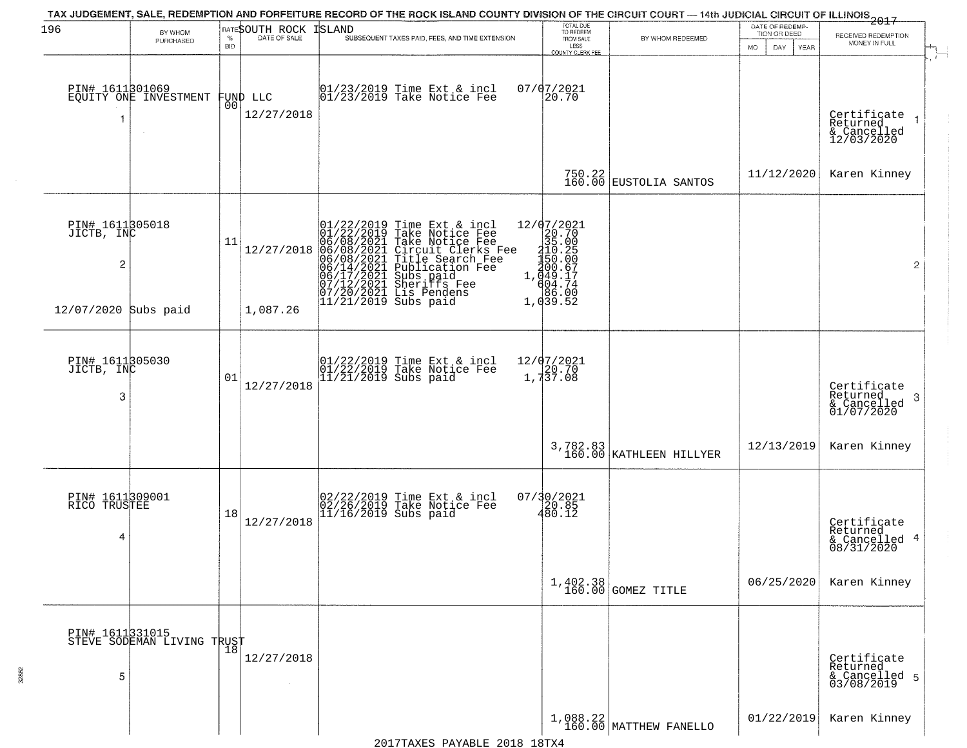| 196                                             | BY WHOM<br>PURCHASED                          | $\%$<br><b>BID</b> | RATESOUTH ROCK<br>DATE OF SALE | TAX JUDGEMENT, SALE, REDEMPTION AND FORFEITURE RECORD OF THE ROCK ISLAND COUNTY DIVISION OF THE CIRCUIT COURT — 14th JUDICIAL CIRCUIT OF ILLINOIS 2017<br>ISLAND<br>SUBSEQUENT TAXES PAID, FEES, AND TIME EXTENSION                        | TOTAL DUE<br>TO REDEEM<br>FROM SALE<br>LESS<br>COUNTY CLERK FEE                | BY WHOM REDEEMED                    | DATE OF REDEMP-<br>TION OR DEED<br>MO.<br>DAY<br><b>YEAR</b> | RECEIVED REDEMPTION<br>MONEY IN FULL                      |
|-------------------------------------------------|-----------------------------------------------|--------------------|--------------------------------|--------------------------------------------------------------------------------------------------------------------------------------------------------------------------------------------------------------------------------------------|--------------------------------------------------------------------------------|-------------------------------------|--------------------------------------------------------------|-----------------------------------------------------------|
|                                                 | PIN# 1611301069<br>EQUITY ONE INVESTMENT      | 00                 | FUND LLC<br>12/27/2018         | 01/23/2019 Time Ext & incl<br>01/23/2019 Take Notice Fee                                                                                                                                                                                   | $07/07/2021$<br>20.70                                                          |                                     |                                                              | Certificate<br>Returned<br>& Cancelled<br>12/03/2020      |
|                                                 |                                               |                    |                                |                                                                                                                                                                                                                                            |                                                                                | $750.22$ EUSTOLIA SANTOS            | 11/12/2020                                                   | Karen Kinney                                              |
| PIN# 1611305018<br>JICTB, INC<br>$\overline{c}$ |                                               | 11                 | 12/27/2018                     | $01/22/2019$ Time Ext & incl<br>$01/22/2019$ Take Notice Fee<br>$06/08/2021$ Take Notice Fee<br>$06/08/2021$ Circuit Clerks Fee<br>$06/08/2021$ Title Search Fee<br>$06/14/2021$ Publication Fee<br>$06/17/2021$ Subs paid<br>$07/12/2021$ | 12/07/2021<br>20.70<br>35.00<br>210.25<br>150.00<br>$1, \frac{200.67}{694.74}$ |                                     |                                                              | $\overline{2}$                                            |
| 12/07/2020 Subs paid                            |                                               |                    | 1,087.26                       |                                                                                                                                                                                                                                            | 1,039.52                                                                       |                                     |                                                              |                                                           |
| PIN# 1611305030<br>JICTB, INC<br>3              |                                               | 01                 | 12/27/2018                     | 01/22/2019 Time Ext & incl<br>01/22/2019 Take Notice Fee<br>11/21/2019 Subs paid                                                                                                                                                           | 12/07/2021<br>1,737.08                                                         |                                     |                                                              | Certificate<br>Returned<br>-3<br>$\frac{1}{01/07/2020}$   |
|                                                 |                                               |                    |                                |                                                                                                                                                                                                                                            |                                                                                | 3,782.83<br>160.00 KATHLEEN HILLYER | 12/13/2019                                                   | Karen Kinney                                              |
| PIN# 1611309001<br>RICO TRUSTEE<br>4            |                                               | 18                 | 12/27/2018                     | 02/22/2019 Time Ext & incl<br>02/26/2019 Take Notice Fee<br>11/16/2019 Subs paid                                                                                                                                                           | $07/30/2021$<br>$20.85$<br>$480.12$                                            |                                     |                                                              | Certificate<br>Returned<br>4<br>& Cancelled<br>08/31/2020 |
|                                                 |                                               |                    |                                |                                                                                                                                                                                                                                            |                                                                                | 1,402.38<br>160.00 GOMEZ TITLE      | 06/25/2020                                                   | Karen Kinney                                              |
| 5                                               | PIN# 1611331015<br>STEVE SODEMAN LIVING TRUST |                    | 12/27/2018                     |                                                                                                                                                                                                                                            |                                                                                |                                     |                                                              | Certificate<br>Returned<br>& Cancelled 5<br>03/08/2019    |
|                                                 |                                               |                    |                                |                                                                                                                                                                                                                                            |                                                                                | $1,088.22$ MATTHEW FANELLO          | 01/22/2019                                                   | Karen Kinney                                              |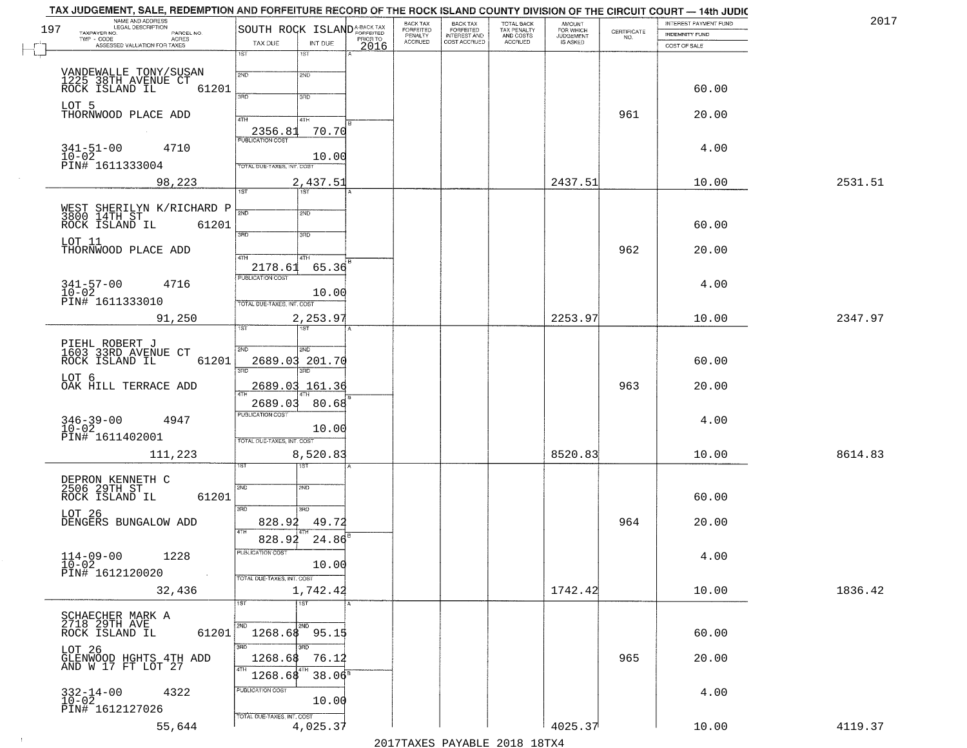| NAME AND ADDRESS<br>LEGAL DESCRIPTION<br>197                |                                                    | BACK TAX<br><b>BACK TAX</b>                                                         | TOTAL BACK<br>TAX PENALTY<br>AND COSTS | AMOUNT<br>FOR WHICH                 |                                                                 | INTEREST PAYMENT FUND | 2017    |
|-------------------------------------------------------------|----------------------------------------------------|-------------------------------------------------------------------------------------|----------------------------------------|-------------------------------------|-----------------------------------------------------------------|-----------------------|---------|
| TAXPAYER NO.<br>PARCEL NO.<br>ACRES                         | SOUTH ROCK ISLANDA-BACK TAX                        | FORFEITED<br>PENALTY<br>FORFEITED<br>INTEREST AND<br><b>ACCRUED</b><br>COST ACCRUED | ACCRUED                                | <b>JUDGEMENT</b><br><b>IS ASKED</b> | $\begin{array}{c} \text{CERTIFICATE} \\ \text{NO.} \end{array}$ | <b>INDEMNITY FUND</b> |         |
| ASSESSED VALUATION FOR TAXES                                | TAX DUE<br>INT DUE<br>2016<br>1ST<br>1ST           |                                                                                     |                                        |                                     |                                                                 | COST OF SALE          |         |
|                                                             |                                                    |                                                                                     |                                        |                                     |                                                                 |                       |         |
| VANDEWALLE TONY/SUSAN                                       | 2ND<br>2ND                                         |                                                                                     |                                        |                                     |                                                                 |                       |         |
| 1225 38TH AVENUE CT ROCK ISLAND IL<br>61201                 | 370                                                |                                                                                     |                                        |                                     |                                                                 | 60.00                 |         |
| LOT 5                                                       | 3RD                                                |                                                                                     |                                        |                                     |                                                                 |                       |         |
| THORNWOOD PLACE ADD                                         | 4TH<br>4TH                                         |                                                                                     |                                        |                                     | 961                                                             | 20.00                 |         |
|                                                             | 70.70<br>2356.81                                   |                                                                                     |                                        |                                     |                                                                 |                       |         |
| 4710                                                        |                                                    |                                                                                     |                                        |                                     |                                                                 | 4.00                  |         |
| $341 - 51 - 00$<br>$10 - 02$                                | 10.00                                              |                                                                                     |                                        |                                     |                                                                 |                       |         |
| PIN# 1611333004                                             | TOTAL DUE-TAXES, INT. COST                         |                                                                                     |                                        |                                     |                                                                 |                       |         |
| 98,223                                                      | 2,437.51                                           |                                                                                     |                                        | 2437.51                             |                                                                 | 10.00                 | 2531.51 |
|                                                             | 1ST                                                |                                                                                     |                                        |                                     |                                                                 |                       |         |
|                                                             | সাচ<br>2ND                                         |                                                                                     |                                        |                                     |                                                                 |                       |         |
| ROCK ISLAND IL<br>61201                                     |                                                    |                                                                                     |                                        |                                     |                                                                 | 60.00                 |         |
| LOT 11                                                      | 3RD<br>3RD                                         |                                                                                     |                                        |                                     |                                                                 |                       |         |
| THORNWOOD PLACE ADD                                         | 47H<br>4TH                                         |                                                                                     |                                        |                                     | 962                                                             | 20.00                 |         |
|                                                             | 65.36<br>2178.61                                   |                                                                                     |                                        |                                     |                                                                 |                       |         |
|                                                             | PUBLICATION COST                                   |                                                                                     |                                        |                                     |                                                                 |                       |         |
| $341 - 57 - 00$<br>4716<br>10-02<br>PIN# 1611333010         | 10.00                                              |                                                                                     |                                        |                                     |                                                                 | 4.00                  |         |
|                                                             | TOTAL DUE-TAXES, INT. COST                         |                                                                                     |                                        |                                     |                                                                 |                       |         |
| 91,250                                                      | 2,253.97                                           |                                                                                     |                                        | 2253.97                             |                                                                 | 10.00                 | 2347.97 |
|                                                             | 1ST<br>i ST                                        |                                                                                     |                                        |                                     |                                                                 |                       |         |
| PIEHL ROBERT J<br>1603 33RD AVENUE CT                       | 2ND<br><b>SMD</b>                                  |                                                                                     |                                        |                                     |                                                                 |                       |         |
| ROCK ISLAND IL<br>61201                                     | 2689.03 201.70                                     |                                                                                     |                                        |                                     |                                                                 | 60.00                 |         |
|                                                             | 3 <sub>3</sub><br>3BD                              |                                                                                     |                                        |                                     |                                                                 |                       |         |
| LOT 6<br>OAK HILL TERRACE ADD                               | 2689.03 161.36                                     |                                                                                     |                                        |                                     | 963                                                             | 20.00                 |         |
|                                                             | 2689.03<br>80.68                                   |                                                                                     |                                        |                                     |                                                                 |                       |         |
|                                                             | <b>PUBLICATION COST</b>                            |                                                                                     |                                        |                                     |                                                                 |                       |         |
| $346 - 39 - 00$<br>$10 - 02$<br>4947                        | 10.00                                              |                                                                                     |                                        |                                     |                                                                 | 4.00                  |         |
| PIN# 1611402001                                             | TOTAL OUE-TAXES, INT. COST                         |                                                                                     |                                        |                                     |                                                                 |                       |         |
| 111,223                                                     | 8,520.83                                           |                                                                                     |                                        | 8520.83                             |                                                                 | 10.00                 | 8614.83 |
|                                                             | १९४                                                |                                                                                     |                                        |                                     |                                                                 |                       |         |
|                                                             |                                                    |                                                                                     |                                        |                                     |                                                                 |                       |         |
| DEPRON KENNETH C<br>2506 29TH ST<br>ROCK ISLAND IL<br>61201 | 2ND<br>2ND                                         |                                                                                     |                                        |                                     |                                                                 | 60.00                 |         |
|                                                             | 3BD<br>3RD                                         |                                                                                     |                                        |                                     |                                                                 |                       |         |
| LOT 26<br>DENGERS BUNGALOW ADD                              | 828.92<br>49.72                                    |                                                                                     |                                        |                                     | 964                                                             | 20.00                 |         |
|                                                             |                                                    |                                                                                     |                                        |                                     |                                                                 |                       |         |
|                                                             | 828.92<br>24.86                                    |                                                                                     |                                        |                                     |                                                                 |                       |         |
| $114 - 09 - 00$<br>1228                                     | "UBLICA HUN CUS"                                   |                                                                                     |                                        |                                     |                                                                 | 4.00                  |         |
| $10 - 02$<br>PIN# 1612120020<br>$\sim 100$                  | 10.00<br>TOTAL DUE-TAXES, INT. COST                |                                                                                     |                                        |                                     |                                                                 |                       |         |
| 32,436                                                      |                                                    |                                                                                     |                                        | 1742.42                             |                                                                 | 10.00                 | 1836.42 |
|                                                             | 1,742.42<br>1ST <sup>1</sup><br>$\overline{1}$ 1st |                                                                                     |                                        |                                     |                                                                 |                       |         |
|                                                             |                                                    |                                                                                     |                                        |                                     |                                                                 |                       |         |
| SCHAECHER MARK A<br>2718 29TH AVE                           | 2ND                                                |                                                                                     |                                        |                                     |                                                                 |                       |         |
| 61201<br>ROCK ISLAND IL                                     | 1268.68 95.15                                      |                                                                                     |                                        |                                     |                                                                 | 60.00                 |         |
|                                                             | 3BD                                                |                                                                                     |                                        |                                     |                                                                 |                       |         |
| LOT 26<br>GLENWOOD HGHTS 4TH ADD<br>AND W 17 FT LOT 27      | 1268.68<br>76.12<br>4TH                            |                                                                                     |                                        |                                     | 965                                                             | 20.00                 |         |
|                                                             | 1268.68<br>$38.06^8$                               |                                                                                     |                                        |                                     |                                                                 |                       |         |
| $332 - 14 - 00$<br>$10 - 02$<br>4322                        | PUBLICATION COST                                   |                                                                                     |                                        |                                     |                                                                 | 4.00                  |         |
| PIN# 1612127026                                             | 10.00                                              |                                                                                     |                                        |                                     |                                                                 |                       |         |
|                                                             | TOTAL DUE-TAXES, INT. COST                         |                                                                                     |                                        |                                     |                                                                 |                       |         |
| 55,644                                                      | 4,025.37                                           |                                                                                     |                                        | 4025.37                             |                                                                 | 10.00                 | 4119.37 |

 $\sim 10^{-1}$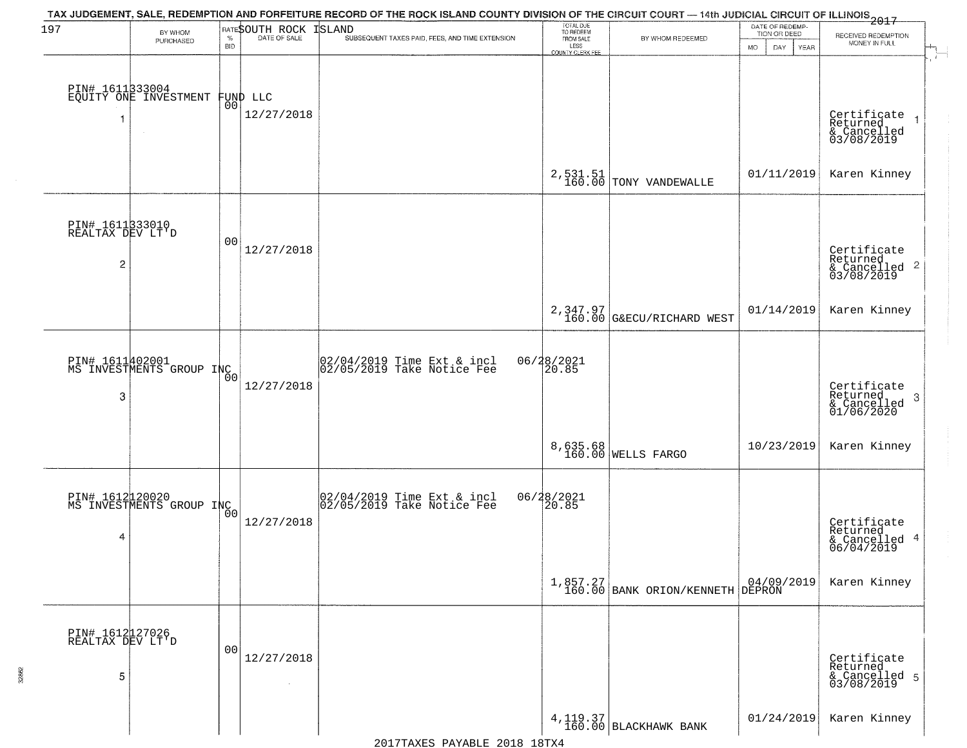| 197                                                   | BY WHOM                                     |            | <b>RATESOUTH ROCK</b>          | TAX JUDGEMENT, SALE, REDEMPTION AND FORFEITURE RECORD OF THE ROCK ISLAND COUNTY DIVISION OF THE CIRCUIT COURT — 14th JUDICIAL CIRCUIT OF ILLINOIS 2017<br>ISLAND | TOTAL DUE<br>TO REDEEM                |                                                | DATE OF REDEMP-<br>TION OR DEED |                                                                      |
|-------------------------------------------------------|---------------------------------------------|------------|--------------------------------|------------------------------------------------------------------------------------------------------------------------------------------------------------------|---------------------------------------|------------------------------------------------|---------------------------------|----------------------------------------------------------------------|
|                                                       | PURCHASED                                   | <b>BID</b> |                                | SUBSEQUENT TAXES PAID, FEES, AND TIME EXTENSION                                                                                                                  | FROM SALE<br>LESS<br>COUNTY CLERK FEE | BY WHOM REDEEMED                               | DAY<br>MO.<br>YEAR              | RECEIVED REDEMPTION<br>MONEY IN FULL                                 |
|                                                       | PIN# 1611333004<br>EQUITY ONE INVESTMENT    |            | FUND LLC<br> 00 <br>12/27/2018 |                                                                                                                                                                  |                                       |                                                |                                 |                                                                      |
|                                                       |                                             |            |                                |                                                                                                                                                                  | $2, 531.51$<br>$160.00$               | TONY VANDEWALLE                                | 01/11/2019                      | Certificate<br>Returned<br>& Cancelled<br>03/08/2019<br>Karen Kinney |
| PIN# 1611333010<br>REALTAX DEV LT'D<br>$\overline{c}$ |                                             | 00         | 12/27/2018                     |                                                                                                                                                                  |                                       |                                                |                                 | Certificate<br>Returned<br>$\frac{1}{2}$ Cancelled 2<br>03/08/2019   |
|                                                       |                                             |            |                                |                                                                                                                                                                  |                                       | 2,347.97<br>160.00 G&ECU/RICHARD WEST          | 01/14/2019                      | Karen Kinney                                                         |
| 3                                                     | PIN# 1611402001<br>MS INVESTMENTS GROUP INC | 00         | 12/27/2018                     | 02/04/2019 Time Ext & incl<br>02/05/2019 Take Notice Fee                                                                                                         | 06/28/2021<br>20.85                   |                                                |                                 | Certificate<br>Returned<br>-3<br>& Cancelled<br>01/06/2020           |
|                                                       |                                             |            |                                |                                                                                                                                                                  |                                       | 8,635.68<br>160.00 WELLS FARGO                 | 10/23/2019                      | Karen Kinney                                                         |
| 4                                                     | PIN# 1612120020<br>MS INVESTMENTS GROUP INC | Ō0         | 12/27/2018                     | 02/04/2019 Time Ext & incl<br>02/05/2019 Take Notice Fee                                                                                                         | 06/28/2021<br>20.85                   |                                                |                                 | Certificate<br>Returned<br>& Cancelled 4<br>06/04/2019               |
|                                                       |                                             |            |                                |                                                                                                                                                                  |                                       | $1,857.27$<br>160.00 BANK ORION/KENNETH DEPRON |                                 | Karen Kinney                                                         |
| PIN# 1612127026<br>REALTAX DEV LT'D<br>5              |                                             | 00         | 12/27/2018                     |                                                                                                                                                                  |                                       |                                                |                                 | Certificate<br>Returned<br>& Cancelled 5<br>03/08/2019               |
|                                                       |                                             |            | $\sim$                         |                                                                                                                                                                  |                                       | $4, 119.37$ BLACKHAWK BANK                     | 01/24/2019                      | Karen Kinney                                                         |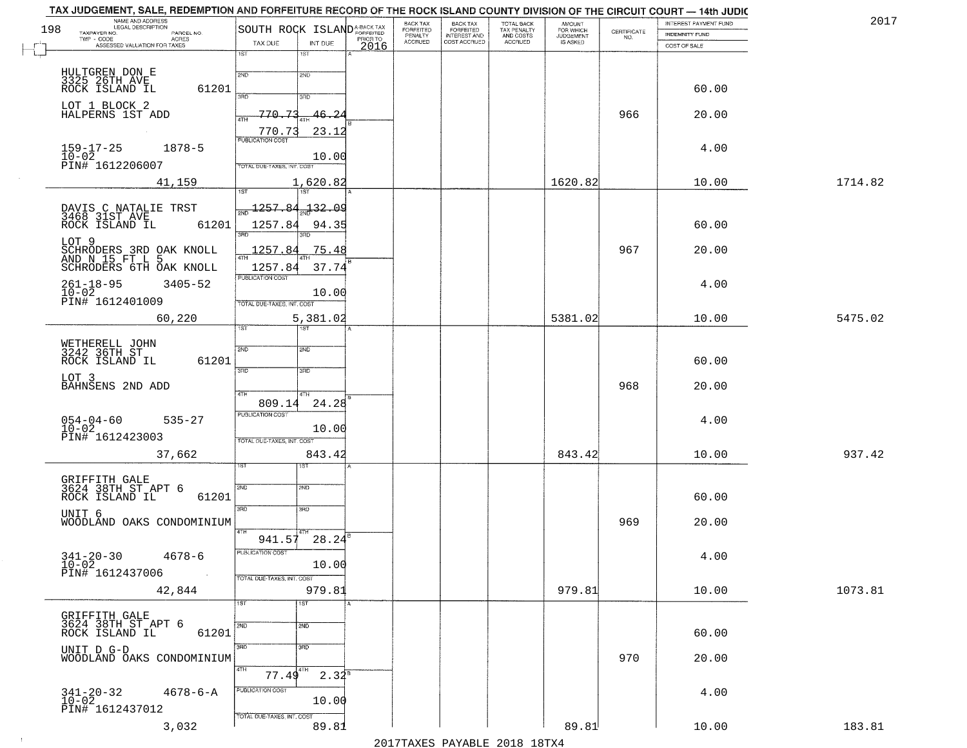| 2017    | INTEREST PAYMENT FUND<br><b>INDEMNITY FUND</b> | CERTIFICATE<br>NO. | <b>AMOUNT</b><br>FOR WHICH<br>JUDGEMENT | TOTAL BACK<br>TAX PENALTY<br>AND COSTS | <b>BACK TAX</b><br>FORFEITED<br>INTEREST AND | BACK TAX<br>FORFEITED<br>PENALTY<br>ACCRUED |                  |                            | SOUTH ROCK ISLAND <sup>A-BACK TAX</sup>                         | PARCEL NO.     | NAME AND ADDRESS<br>LEGAL DESCRIPTION<br>TAXPAYER NO.                                        |
|---------|------------------------------------------------|--------------------|-----------------------------------------|----------------------------------------|----------------------------------------------|---------------------------------------------|------------------|----------------------------|-----------------------------------------------------------------|----------------|----------------------------------------------------------------------------------------------|
|         | COST OF SALE                                   |                    | IS ASKED                                | ACCRUED                                | COST ACCRUED                                 |                                             | PRIOR TO<br>2016 | INT DUE<br>1ST             | TAX DUE<br>1ST                                                  |                | TWP - CODE<br>ASSESSED VALUATION FOR TAXES                                                   |
|         | 60.00                                          |                    |                                         |                                        |                                              |                                             |                  | 2ND<br>3BD                 | 2ND<br>3AD                                                      | 61201          | HULTGREN DON E<br>3325 26TH AVE<br>ROCK ISLAND IL                                            |
|         | 20.00                                          | 966                |                                         |                                        |                                              |                                             |                  | 46.2<br>23.12              | 770.73<br>4TH<br>770.73                                         |                | LOT 1 BLOCK 2<br>HALPERNS 1ST ADD                                                            |
|         | 4.00                                           |                    |                                         |                                        |                                              |                                             |                  | 10.00                      | <b>PUBLICATION COST</b><br>TOTAL DUE-TAXES, INT. COST           | $1878 - 5$     | $159 - 17 - 25$<br>$\overline{10} - \overline{02}$<br>PIN# 1612206007                        |
| 1714.82 | 10.00                                          |                    | 1620.82                                 |                                        |                                              |                                             |                  | 1,620.82<br>1ST            | 1ST                                                             |                | 41,159                                                                                       |
|         | 60.00                                          |                    |                                         |                                        |                                              |                                             |                  | 94.35                      | $\frac{1257.84}{200}$ 1257.84.132.09<br>1257.84<br>3RD          | 61201          | DAVIS C NATALIE TRST<br>3468 31ST AVE<br>ROCK ISLAND IL                                      |
|         | 20.00                                          | 967                |                                         |                                        |                                              |                                             |                  | 75.48<br>37.74             | 1257.84<br><b>ATH</b><br>1257.84                                |                | LOT 9<br>SCHRODERS 3RD OAK KNOLL<br>AND N 15 FT L 5<br>SCHRODERS 6TH OAK KNOLL               |
|         | 4.00                                           |                    |                                         |                                        |                                              |                                             |                  | 10.00                      | PUBLICATION COST                                                | $3405 - 52$    | 261-18-95<br>10-02<br>PIN# 1612401009                                                        |
| 5475.02 | 10.00                                          |                    | 5381.02                                 |                                        |                                              |                                             |                  | 5,381.02                   | TOTAL DUE-TAXES, INT. COST                                      |                | 60,220                                                                                       |
|         | 60.00                                          |                    |                                         |                                        |                                              |                                             |                  | 2ND<br>3RD                 | īst<br>2ND<br>3RD                                               | 61201          | WETHERELL JOHN<br>3242 36TH ST<br>ROCK ISLAND IL                                             |
|         | 20.00                                          | 968                |                                         |                                        |                                              |                                             |                  | 4TH                        | 4TH                                                             |                | LOT 3<br>BAHNSENS 2ND ADD                                                                    |
|         | 4.00                                           |                    |                                         |                                        |                                              |                                             |                  | 24.28<br>10.00             | 809.14<br><b>PUBLICATION COST</b><br>TOTAL OUE-TAXES, INT. COST | $535 - 27$     | 054-04-60<br>10-02<br>PIN# 1612423003                                                        |
| 937.42  | 10.00                                          |                    | 843.42                                  |                                        |                                              |                                             |                  | 843.42                     |                                                                 |                | 37,662                                                                                       |
|         | 60.00<br>20.00                                 | 969                |                                         |                                        |                                              |                                             |                  | 2ND<br>$\overline{3BD}$    | 2ND<br>3BD                                                      | 61201          | GRIFFITH GALE<br>3624 38TH ST APT 6<br>ROCK ISLAND IL<br>UNIT 6<br>WOODLAND OAKS CONDOMINIUM |
|         | 4.00                                           |                    |                                         |                                        |                                              |                                             |                  | 28.24<br>10.00             | 4TH<br>941.57<br>PUBLICATION COST                               |                | $4678 - 6$<br>$341 - 20 - 30$<br>$10 - 02$<br>PIN# 1612437006                                |
| 1073.81 | 10.00                                          |                    | 979.81                                  |                                        |                                              |                                             |                  | 979.81                     | TOTAL DUE-TAXES, INT. COST                                      |                | 42,844                                                                                       |
|         | 60.00                                          |                    |                                         |                                        |                                              |                                             |                  | $\overline{1ST}$<br>2ND    | ist<br>2ND                                                      | 61201          | GRIFFITH GALE<br>3624 38TH ST APT 6<br>ROCK ISLAND IL                                        |
|         | 20.00                                          | 970                |                                         |                                        |                                              |                                             |                  | 350                        | 3RD                                                             |                | UNIT D G-D<br>WOODLAND OAKS CONDOMINIUM                                                      |
|         | 4.00                                           |                    |                                         |                                        |                                              |                                             |                  | 4TH<br>$2.32^{8}$<br>10.00 | 4TH<br>77.49<br>PUBLICATION COST<br>TOTAL DUE-TAXES, INT. COST  | $4678 - 6 - A$ | 341-20-32<br>10-02<br>PIN# 1612437012                                                        |
| 183.81  | 10.00                                          |                    | 89.81                                   |                                        |                                              |                                             |                  | 89.81                      |                                                                 | 3,032          |                                                                                              |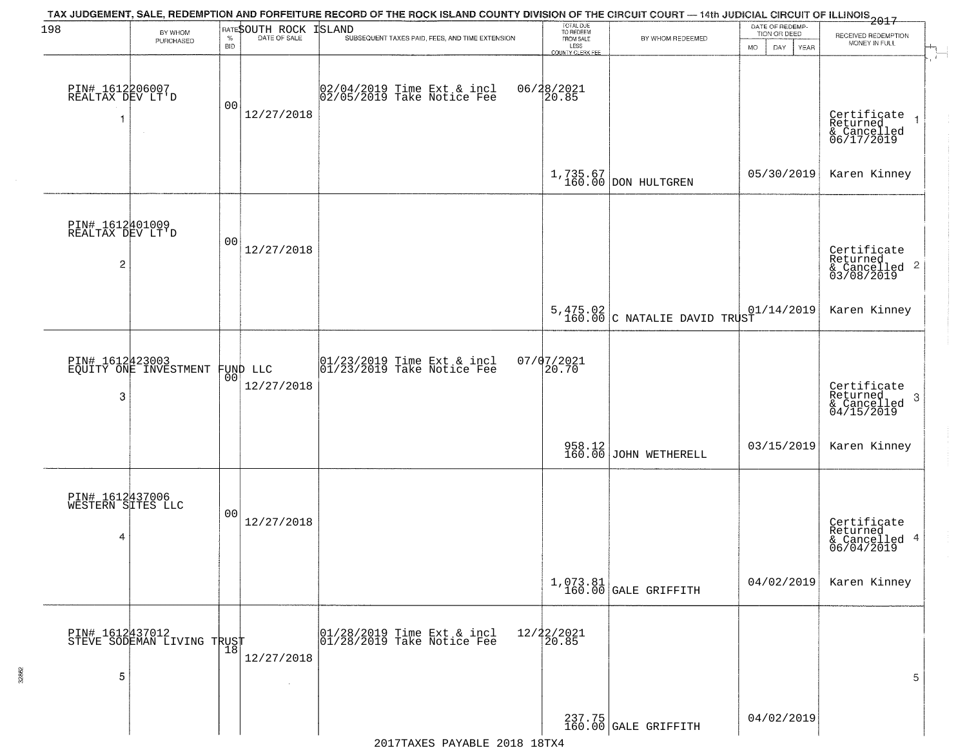| 198                                                   | BY WHOM                                       |                    | RATESOUTH ROCK         | TAX JUDGEMENT, SALE, REDEMPTION AND FORFEITURE RECORD OF THE ROCK ISLAND COUNTY DIVISION OF THE CIRCUIT COURT — 14th JUDICIAL CIRCUIT OF ILLINOIS 2017<br>ISLAND                             | TOTAL DUE<br>TO REDEEM                       |                                            | DATE OF REDEMP-<br>TION OR DEED | RECEIVED REDEMPTION                                       |
|-------------------------------------------------------|-----------------------------------------------|--------------------|------------------------|----------------------------------------------------------------------------------------------------------------------------------------------------------------------------------------------|----------------------------------------------|--------------------------------------------|---------------------------------|-----------------------------------------------------------|
|                                                       | PURCHASED                                     | $\%$<br><b>BID</b> | DATE OF SALE           | SUBSEQUENT TAXES PAID, FEES, AND TIME EXTENSION                                                                                                                                              | FROM SALE<br>LESS<br><b>COUNTY CLERK FEE</b> | BY WHOM REDEEMED                           | MO.<br>DAY.<br><b>YEAR</b>      | MONEY IN FULL                                             |
| PIN# 1612206007<br>REALTAX DEV LT'D                   |                                               | 00                 | 12/27/2018             | 02/04/2019 Time Ext & incl<br>02/05/2019 Take Notice Fee                                                                                                                                     | 06/28/2021<br>20.85                          |                                            |                                 | Certificate<br>Returned<br>& Cancelled<br>06/17/2019      |
|                                                       |                                               |                    |                        |                                                                                                                                                                                              |                                              | $1,735.67$ DON HULTGREN                    | 05/30/2019                      | Karen Kinney                                              |
| PIN# 1612401009<br>REALTAX DEV LT'D<br>$\overline{c}$ |                                               | 00                 | 12/27/2018             |                                                                                                                                                                                              |                                              |                                            |                                 | Certificate<br>Returned<br>& Cancelled 2<br>03/08/2019    |
|                                                       |                                               |                    |                        |                                                                                                                                                                                              |                                              | $5,475.02$<br>160.00 C NATALIE DAVID TRUST | 01/14/2019                      | Karen Kinney                                              |
| 3                                                     | PIN# 1612423003<br>EQUITY ONE INVESTMENT      | 00                 | FUND LLC<br>12/27/2018 | $\begin{array}{cc}  01/23/2019 \overline{\hspace{0.2cm} 1} \text{time} \text{Ext} & \text{in} \text{cl} \\  01/23/2019 \overline{\hspace{0.2cm} 1} \text{ake Notice } \text{Fe} \end{array}$ | 07/07/2021<br>20.70                          |                                            |                                 | Certificate<br>Returned<br>3<br>& Cancelled<br>04/15/2019 |
|                                                       |                                               |                    |                        |                                                                                                                                                                                              |                                              | 958.12<br>160.00 JOHN WETHERELL            | 03/15/2019                      | Karen Kinney                                              |
| PIN# 1612437006<br>WESTERN SITES LLC<br>4             |                                               | 00                 | 12/27/2018             |                                                                                                                                                                                              |                                              |                                            |                                 | Certificate<br>Returned<br>& Cancelled 4<br>06/04/2019    |
|                                                       |                                               |                    |                        |                                                                                                                                                                                              |                                              | 1,073.81<br>160.00 GALE GRIFFITH           | 04/02/2019                      | Karen Kinney                                              |
| 5                                                     | PIN# 1612437012<br>STEVE SODEMAN LIVING TRUST |                    | 12/27/2018             | $\begin{array}{c}  01/28/2019 \overline{\hspace{0.2cm}1}$ Time Ext & incl<br>$ 01/28/2019 \overline{\hspace{0.2cm}1}$ Take Notice Fee                                                        | 12/22/2021<br>20.85                          |                                            |                                 | 5                                                         |
|                                                       |                                               |                    |                        |                                                                                                                                                                                              |                                              | 237.75<br>160.00 GALE GRIFFITH             | 04/02/2019                      |                                                           |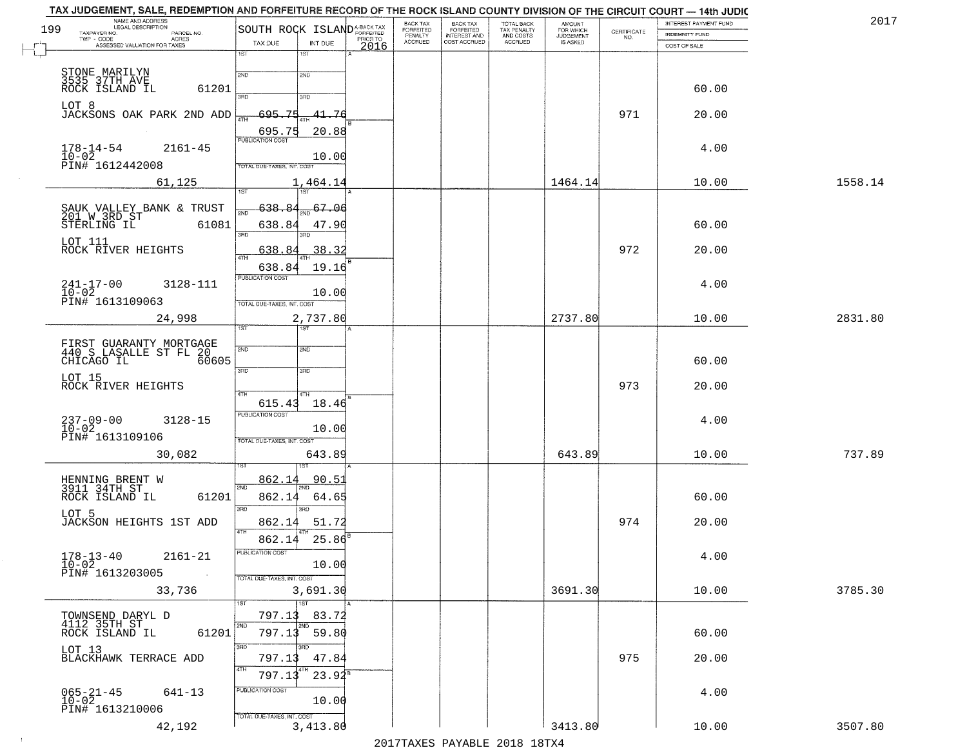| 2017    | INTEREST PAYMENT FUND |                                                                 | <b>AMOUNT</b>          | TOTAL BACK                          | <b>BACK TAX</b><br><b>FORFEITED</b> | BACK TAX<br><b>FORFEITED</b> |                                                                            | NAME AND ADDRESS<br>LEGAL DESCRIPTION<br>199                             |
|---------|-----------------------|-----------------------------------------------------------------|------------------------|-------------------------------------|-------------------------------------|------------------------------|----------------------------------------------------------------------------|--------------------------------------------------------------------------|
|         | INDEMNITY FUND        | $\begin{array}{c} \text{CERTIFICATE} \\ \text{NO.} \end{array}$ | FOR WHICH<br>JUDGEMENT | TAX PENALTY<br>AND COSTS<br>ACCRUED | INTEREST AND<br>COST ACCRUED        | PENALTY<br>ACCRUED           | SOUTH ROCK ISLAND <sup>A-BACK TAX</sup><br>PRIOR TO                        | TAXPAYER NO.<br>PARCEL NO.<br>TWP - CODE<br><b>ACRES</b>                 |
|         | COST OF SALE          |                                                                 |                        |                                     |                                     |                              | TAX DUE<br>INT DUE<br>2016                                                 | ASSESSED VALUATION FOR TAXES                                             |
|         | 60.00                 |                                                                 |                        |                                     |                                     |                              | 1ST<br>1ST<br>2ND<br>2ND                                                   | STONE MARILYN<br>3535 37TH AVE<br>ROCK ISLAND IL<br>61201                |
|         | 20.00                 | 971                                                             |                        |                                     |                                     |                              | 300<br>3BD<br>695.75<br>41.76<br>4TH                                       | LOT 8<br>JACKSONS OAK PARK 2ND ADD                                       |
|         | 4.00                  |                                                                 |                        |                                     |                                     |                              | 695.75<br>20.88<br><b>PUBLICATION COST</b><br>10.00                        | $178 - 14 - 54$<br>$2161 - 45$<br>$10 - 02$                              |
| 1558.14 | 10.00                 |                                                                 | 1464.14                |                                     |                                     |                              | TOTAL DUE-TAXES, INT. COST<br>1,464.14                                     | PIN# 1612442008<br>61,125                                                |
|         |                       |                                                                 |                        |                                     |                                     |                              | 1ST <sup>1</sup><br>1ST                                                    |                                                                          |
|         | 60.00                 |                                                                 |                        |                                     |                                     |                              | 638.8<br>6706<br>638.84<br>47.90                                           | SAUK VALLEY BANK & TRUST<br>201 W 3RD ST<br>STERLING IL<br>61081         |
|         | 20.00                 | 972                                                             |                        |                                     |                                     |                              | 3RD<br>38.32<br>638.                                                       | LOT 111<br>ROCK RIVER HEIGHTS                                            |
|         | 4.00                  |                                                                 |                        |                                     |                                     |                              | 638.84<br>19.16<br>PUBLICATION COST<br>10.00<br>TOTAL DUE-TAXES, INT. COST | $241 - 17 - 00$<br>$10 - 02$<br>3128-111<br>PIN# 1613109063              |
| 2831.80 | 10.00                 |                                                                 | 2737.80                |                                     |                                     |                              | 2,737.80<br>ist.<br>181                                                    | 24,998                                                                   |
|         | 60.00                 |                                                                 |                        |                                     |                                     |                              | 2ND<br>2ND<br>3BD<br>3 <sub>3</sub>                                        | FIRST GUARANTY MORTGAGE<br>440 S LASALLE ST FL 20<br>60605<br>CHICAGO IL |
|         | 20.00                 | 973                                                             |                        |                                     |                                     |                              | 4TH<br>615.43<br>18.46                                                     | LOT 15<br>ROCK RIVER HEIGHTS                                             |
|         | 4.00                  |                                                                 |                        |                                     |                                     |                              | <b>PUBLICATION COST</b><br>10.00<br>TOTAL OUE-TAXES, INT. COST             | 237-09-00<br>10-02<br>3128-15<br>PIN# 1613109106                         |
| 737.89  | 10.00                 |                                                                 | 643.89                 |                                     |                                     |                              | 643.89                                                                     | 30,082                                                                   |
|         | 60.00                 |                                                                 |                        |                                     |                                     |                              | 862.1<br>90.5<br>2ND<br>862.14<br>64.65                                    | HENNING BRENT W<br>3911 34TH ST<br>ROCK ISLAND IL<br>61201               |
|         | 20.00                 | 974                                                             |                        |                                     |                                     |                              | 3RD<br>3RD<br>862.14<br>51.72<br>4TH                                       | LOT 5<br>JACKSON HEIGHTS 1ST ADD                                         |
|         | 4.00                  |                                                                 |                        |                                     |                                     |                              | 25.86<br>862.14<br>PUBLICATION COST<br>10.00<br>TOTAL DUE-TAXES, INT. COST | $178 - 13 - 40$<br>$10 - 02$<br>$2161 - 21$<br>PIN# 1613203005           |
| 3785.30 | 10.00                 |                                                                 | 3691.30                |                                     |                                     |                              | 3,691.30<br>$\overline{1ST}$<br>1ST                                        | 33,736                                                                   |
|         | 60.00                 |                                                                 |                        |                                     |                                     |                              | 797.13<br>83.72<br>2ND<br>2ND<br>797.13<br>59.80                           | TOWNSEND DARYL D<br>4112 35TH ST<br>ROCK ISLAND IL<br>61201              |
|         | 20.00                 | 975                                                             |                        |                                     |                                     |                              | 3RD<br>का<br>797.13<br>47.84<br>4TH<br>4TH<br>$23.94^8$<br>797.13          | LOT 13<br>BLACKHAWK TERRACE ADD                                          |
|         | 4.00                  |                                                                 |                        |                                     |                                     |                              | PUBLICATION COST                                                           | $065 - 21 - 45$<br>10-02<br>641-13                                       |
|         |                       |                                                                 |                        |                                     |                                     |                              | 10.00<br>TOTAL DUE-TAXES, INT. COST                                        | PIN# 1613210006                                                          |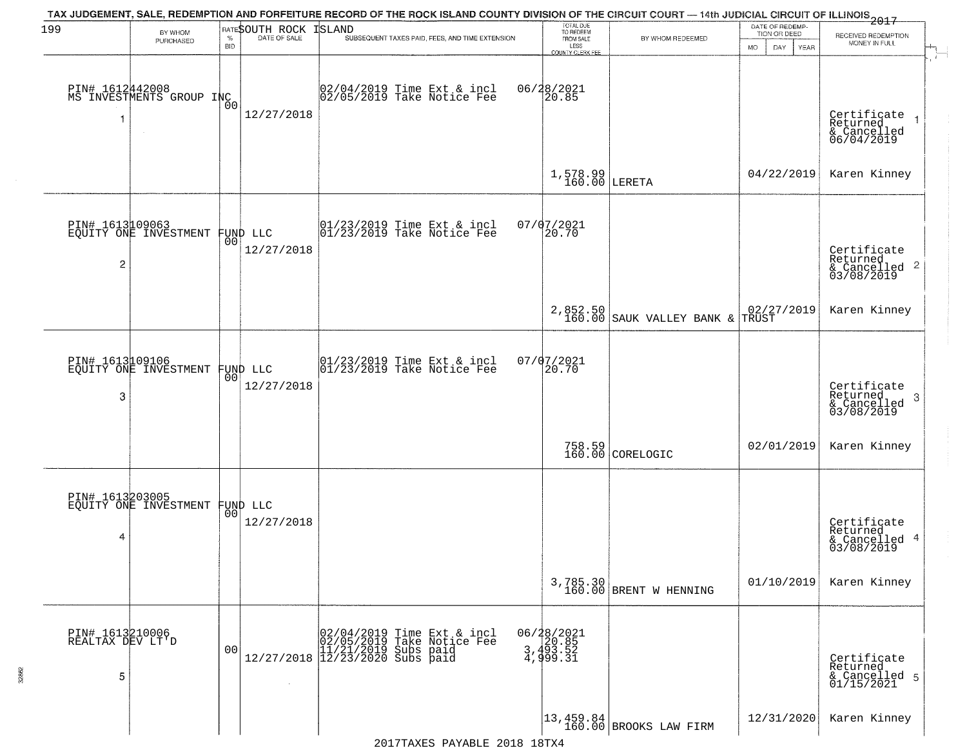| 199                                      | BY WHOM                                           |                    | RATESOUTH ROCK | TAX JUDGEMENT, SALE, REDEMPTION AND FORFEITURE RECORD OF THE ROCK ISLAND COUNTY DIVISION OF THE CIRCUIT COURT — 14th JUDICIAL CIRCUIT OF ILLINOIS 2017<br><b>ISLAND</b> | TOTAL DUE<br>TO REDEEM                  |                                                                           | DATE OF REDEMP-<br>TION OR DEED                                    |                                                                       |
|------------------------------------------|---------------------------------------------------|--------------------|----------------|-------------------------------------------------------------------------------------------------------------------------------------------------------------------------|-----------------------------------------|---------------------------------------------------------------------------|--------------------------------------------------------------------|-----------------------------------------------------------------------|
|                                          | PURCHASED                                         | $\%$<br><b>BID</b> | DATE OF SALE   | SUBSEQUENT TAXES PAID, FEES, AND TIME EXTENSION                                                                                                                         | FROM SALE<br>LESS                       | BY WHOM REDEEMED                                                          | <b>MO</b><br>DAY<br>YEAR                                           | RECEIVED REDEMPTION<br>MONEY IN FULL                                  |
|                                          | PIN# 1612442008<br>MS INVESTMENTS GROUP INC       | 00                 | 12/27/2018     | 02/04/2019 Time Ext & incl<br>02/05/2019 Take Notice Fee                                                                                                                | COUNTY CLERK FEE<br>06/28/2021<br>20.85 |                                                                           |                                                                    | Certificate<br>Returned<br>$\rightarrow$<br>& Cancelled<br>06/04/2019 |
|                                          |                                                   |                    |                |                                                                                                                                                                         | $1,578.99$ LERETA                       |                                                                           | 04/22/2019                                                         | Karen Kinney                                                          |
| $\overline{c}$                           | PIN# 1613109063<br>EQUITY ONE INVESTMENT FUND LLC |                    | 12/27/2018     | $\begin{array}{cc}  01/23/2019 \text{ Time} \text{ Ext} & \text{incl} \\  01/23/2019 \text{ Take Notice } \text{Fe} \end{array}$                                        | 07/07/2021<br>20.70                     |                                                                           |                                                                    | Certificate<br>Returned<br>$\frac{1}{6}$ Cancelled 2<br>03/08/2019    |
|                                          |                                                   |                    |                |                                                                                                                                                                         | 2,852.50<br>160.00                      | SAUK VALLEY BANK &                                                        | $\begin{array}{ c c c }\n02/27/2019 \\ \hline\nTRUST\n\end{array}$ | Karen Kinney                                                          |
| 3                                        | PIN# 1613109106<br>EQUITY ONE INVESTMENT FUND LLC | 0 <sub>0</sub>     | 12/27/2018     | $ 01/23/2019$ Time Ext & incl<br>$ 01/23/2019$ Take Notice Fee                                                                                                          | 07/07/2021<br>20.70                     |                                                                           |                                                                    | Certificate<br>Returned<br>3<br>& Cancelled<br>03/08/2019             |
|                                          |                                                   |                    |                |                                                                                                                                                                         |                                         | 758.59<br>160.00 CORELOGIC                                                | 02/01/2019                                                         | Karen Kinney                                                          |
| 4                                        | PIN# 1613203005<br>EQUITY ONE INVESTMENT FUND LLC |                    | 12/27/2018     |                                                                                                                                                                         |                                         |                                                                           |                                                                    | Certificate<br>Returned<br>& Cancelled 4<br>03/08/2019                |
|                                          |                                                   |                    |                |                                                                                                                                                                         | 3,785.30<br>160.00                      | BRENT W HENNING                                                           | 01/10/2019                                                         | Karen Kinney                                                          |
| PIN# 1613210006<br>REALTAX DEV LT'D<br>5 |                                                   | 0 <sub>0</sub>     |                | $[02/04/2019 \t\t Time Ext & incl 02/05/2019 \t\t Take Notice Free 11/21/2019 Subs paid 12/27/2018 \t\t 12/23/2020 Subs paid$                                           | 06/28/2021<br>3,493.52<br>4,999.31      |                                                                           |                                                                    | Certificate<br>Returned<br>& Cancelled 5<br>01/15/2021                |
|                                          |                                                   |                    |                |                                                                                                                                                                         |                                         | $\begin{vmatrix} 13 & 459 & 84 \\ 160 & 00 \end{vmatrix}$ BROOKS LAW FIRM | 12/31/2020                                                         | Karen Kinney                                                          |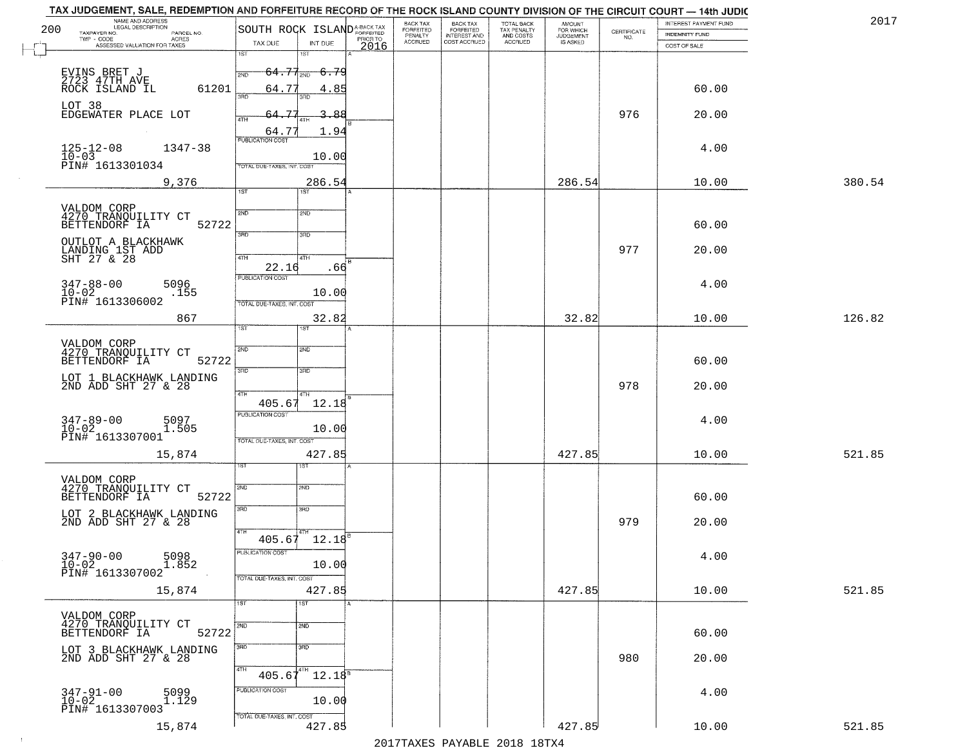| 200 | NAME AND ADDRESS<br>LEGAL DESCRIPTION<br>TAXPAYER NO.<br>PARCEL NO.<br>ACRES | SOUTH ROCK ISLAND <sup>A-BACK TAX</sup>           |                  | <b>BACK TAX</b><br>BACK TAX<br>FORFEITED<br>INTEREST AND<br>FORFEITED<br>PENALTY | TOTAL BACK<br>TAX PENALTY<br>AND COSTS | AMOUNT<br>FOR WHICH<br><b>JUDGEMENT</b> | $\begin{array}{c} \text{CERTIFICATE} \\ \text{NO.} \end{array}$ | <b>INTEREST PAYMENT FUND</b><br><b>INDEMNITY FUND</b> | 2017   |
|-----|------------------------------------------------------------------------------|---------------------------------------------------|------------------|----------------------------------------------------------------------------------|----------------------------------------|-----------------------------------------|-----------------------------------------------------------------|-------------------------------------------------------|--------|
|     | TWP - CODE<br>ASSESSED VALUATION FOR TAXES                                   | TAX DUE<br>INT DUE                                | PRIOR TO<br>2016 | <b>ACCRUED</b><br>COST ACCRUED                                                   | ACCRUED                                | IS ASKED                                |                                                                 | COST OF SALE                                          |        |
|     |                                                                              | 1ST<br>1ST                                        |                  |                                                                                  |                                        |                                         |                                                                 |                                                       |        |
|     | EVINS BRET J<br>2723 47TH AVE<br>ROCK ISLAND IL<br>61201                     | $64.77_{200}$<br>6.79<br>2ND<br>64.77<br>4.85     |                  |                                                                                  |                                        |                                         |                                                                 | 60.00                                                 |        |
|     | LOT 38<br>EDGEWATER PLACE LOT                                                | 350<br>3BD<br>75<br>3.88                          |                  |                                                                                  |                                        |                                         | 976                                                             | 20.00                                                 |        |
|     |                                                                              | 4TH<br>1.94<br>64.77                              |                  |                                                                                  |                                        |                                         |                                                                 |                                                       |        |
|     | $125 - 12 - 08$<br>$1347 - 38$<br>$10 - 03$                                  | <b>PUBLICATION COST</b><br>10.00                  |                  |                                                                                  |                                        |                                         |                                                                 | 4.00                                                  |        |
|     | PIN# 1613301034<br>9,376                                                     | TOTAL DUE-TAXES, INT. COST<br>286.54              |                  |                                                                                  |                                        | 286.54                                  |                                                                 | 10.00                                                 | 380.54 |
|     |                                                                              | IST<br>1ST                                        |                  |                                                                                  |                                        |                                         |                                                                 |                                                       |        |
|     | VALDOM CORP<br>4270 TRANQUILITY CT<br>BETTENDORF IA<br>52722                 | 2ND<br>2ND                                        |                  |                                                                                  |                                        |                                         |                                                                 |                                                       |        |
|     |                                                                              | 3RD<br>3RD                                        |                  |                                                                                  |                                        |                                         |                                                                 | 60.00                                                 |        |
|     | OUTLOT A BLACKHAWK<br>LANDING 1ST ADD<br>SHT 27 & 28                         | 47H<br>4TH<br>22.16<br>.66                        |                  |                                                                                  |                                        |                                         | 977                                                             | 20.00                                                 |        |
|     | $347 - 88 - 00$<br>$10 - 02$<br>5096<br>.155                                 | PUBLICATION COST<br>10.00                         |                  |                                                                                  |                                        |                                         |                                                                 | 4.00                                                  |        |
|     | PIN# 1613306002                                                              | TOTAL DUE-TAXES, INT. COST                        |                  |                                                                                  |                                        |                                         |                                                                 |                                                       |        |
|     | 867                                                                          | 32.82<br>ist.<br>1ST                              |                  |                                                                                  |                                        | 32.82                                   |                                                                 | 10.00                                                 | 126.82 |
|     | VALDOM CORP<br>4270 TRANQUILITY CT<br>BETTENDORF IA<br>52722                 | <b>2VD</b><br>SMD                                 |                  |                                                                                  |                                        |                                         |                                                                 | 60.00                                                 |        |
|     | LOT 1 BLACKHAWK LANDING<br>2ND ADD SHT 27 & 28                               | 3RD<br>3 <sub>BD</sub>                            |                  |                                                                                  |                                        |                                         |                                                                 |                                                       |        |
|     |                                                                              | 4TH<br>4TH<br>405.67<br>12.18                     |                  |                                                                                  |                                        |                                         | 978                                                             | 20.00                                                 |        |
|     | $347 - 89 - 00$<br>$10 - 02$<br>5097<br>1.505                                | <b>PUBLICATION COST</b><br>10.00                  |                  |                                                                                  |                                        |                                         |                                                                 | 4.00                                                  |        |
|     | PIN# 1613307001<br>15,874                                                    | TOTAL OUE-TAXES, INT. COST<br>427.85              |                  |                                                                                  |                                        | 427.85                                  |                                                                 | 10.00                                                 | 521.85 |
|     |                                                                              | ड़ा                                               |                  |                                                                                  |                                        |                                         |                                                                 |                                                       |        |
|     | VALDOM CORP<br>4270 TRANQUILITY CT<br>BETTENDORF IA<br>52722                 | 2ND<br>2ND                                        |                  |                                                                                  |                                        |                                         |                                                                 | 60.00                                                 |        |
|     | LOT 2 BLACKHAWK LANDING<br>2ND ADD SHT 27 & 28                               | 3RD<br>3BD                                        |                  |                                                                                  |                                        |                                         | 979                                                             | 20.00                                                 |        |
|     |                                                                              | 4TH<br>$405.67$ 12.18                             |                  |                                                                                  |                                        |                                         |                                                                 |                                                       |        |
|     | $347 - 90 - 00$<br>$10 - 02$<br>5098<br>1.852                                | PUBLICATION COST<br>10.00                         |                  |                                                                                  |                                        |                                         |                                                                 | 4.00                                                  |        |
|     | PIN# 1613307002<br>15,874                                                    | TOTAL DUE-TAXES, INT. COST<br>427.85              |                  |                                                                                  |                                        | 427.85                                  |                                                                 | 10.00                                                 | 521.85 |
|     |                                                                              | 1ST<br>1ST                                        |                  |                                                                                  |                                        |                                         |                                                                 |                                                       |        |
|     | VALDOM CORP<br>4270 TRANQUILITY CT                                           | 2ND<br>2ND                                        |                  |                                                                                  |                                        |                                         |                                                                 |                                                       |        |
|     | 52722<br>BETTENDORF IA<br>LOT 3 BLACKHAWK LANDING                            | $\overline{\text{3AD}}$<br>3RD                    |                  |                                                                                  |                                        |                                         |                                                                 | 60.00                                                 |        |
|     | 2ND ADD SHT 27 & 28                                                          | 4TH<br>$405.67$ <sup>4TH</sup> 12.18 <sup>B</sup> |                  |                                                                                  |                                        |                                         | 980                                                             | 20.00                                                 |        |
|     | 347-91-00<br>10-02<br>5099<br>1.129                                          | PUBLICATION COST<br>10.00                         |                  |                                                                                  |                                        |                                         |                                                                 | 4.00                                                  |        |
|     | PIN# 1613307003                                                              | TOTAL DUE-TAXES, INT. COST                        |                  |                                                                                  |                                        |                                         |                                                                 |                                                       |        |
|     | 15,874                                                                       | 427.85                                            |                  | 0.17                                                                             |                                        | 427.85                                  |                                                                 | 10.00                                                 | 521.85 |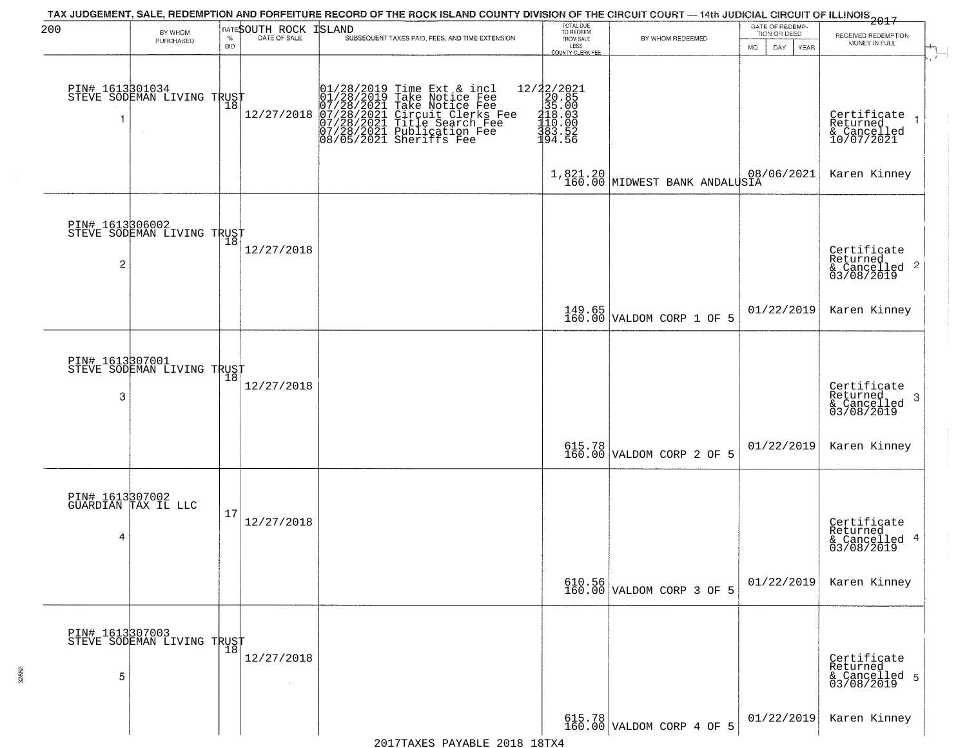| 200             | BY WHOM                                           |                    | RATESOUTH ROCK              | TAX JUDGEMENT, SALE, REDEMPTION AND FORFEITURE RECORD OF THE ROCK ISLAND COUNTY DIVISION OF THE CIRCUIT COURT — 14th JUDICIAL CIRCUIT OF ILLINOIS 2017<br>ISLAND                                                  | TOTAL DUE<br>TO REDEEM                                                                                                                                                                                                     |                                           | DATE OF REDEMP-<br>TION OR DEED |                                                           |
|-----------------|---------------------------------------------------|--------------------|-----------------------------|-------------------------------------------------------------------------------------------------------------------------------------------------------------------------------------------------------------------|----------------------------------------------------------------------------------------------------------------------------------------------------------------------------------------------------------------------------|-------------------------------------------|---------------------------------|-----------------------------------------------------------|
|                 | PURCHASED                                         | $\%$<br><b>BID</b> | DATE OF SALE                | SUBSEQUENT TAXES PAID, FEES, AND TIME EXTENSION                                                                                                                                                                   | FROM SALE<br>LESS                                                                                                                                                                                                          | BY WHOM REDEEMED                          | DAY<br><b>YEAR</b><br>MO.       | RECEIVED REDEMPTION<br>MONEY IN FULL                      |
|                 |                                                   |                    |                             |                                                                                                                                                                                                                   | COUNTY CLERK FEE                                                                                                                                                                                                           |                                           |                                 |                                                           |
|                 | PIN# 1613801034    <br>STEVE SODEMAN LIVING TRUST |                    |                             |                                                                                                                                                                                                                   |                                                                                                                                                                                                                            |                                           |                                 |                                                           |
|                 |                                                   | 18                 | 12/27/2018                  |                                                                                                                                                                                                                   |                                                                                                                                                                                                                            |                                           |                                 | Certificate<br>Returned                                   |
|                 |                                                   |                    |                             | $01/28/2019$ Time Ext & incl<br>01/28/2019 Take Notice Fee<br>07/28/2021 Take Notice Fee<br>07/28/2021 Circuit Clerks Fee<br>07/28/2021 Title Search Fee<br>07/28/2021 Publication Fee<br>08/05/2021 Sheriffs Fee | $=\begin{smallmatrix} 12/2 & 2/2 & 0 & 2 & 1 \\ 2 & 0 & 0 & 8 & 5 \\ 3 & 3 & 5 & 0 & 0 \\ 4 & 1 & 0 & 0 & 0 \\ 1 & 1 & 0 & 0 & 0 \\ 1 & 0 & 0 & 0 & 5 \\ 3 & 0 & 3 & 0 & 5 & 2 \\ 1 & 9 & 4 & 0 & 5 & 6 \end{smallmatrix}$ |                                           |                                 | & Cancelled<br>10/07/2021                                 |
|                 |                                                   |                    |                             |                                                                                                                                                                                                                   |                                                                                                                                                                                                                            |                                           |                                 |                                                           |
|                 |                                                   |                    |                             |                                                                                                                                                                                                                   |                                                                                                                                                                                                                            | 1,821.20<br>160.00 MIDWEST BANK ANDALUSIA | 08/06/2021                      | Karen Kinney                                              |
|                 |                                                   |                    |                             |                                                                                                                                                                                                                   |                                                                                                                                                                                                                            |                                           |                                 |                                                           |
|                 | PIN# 1613306002<br>STEVE SODEMAN LIVING TRUST     |                    |                             |                                                                                                                                                                                                                   |                                                                                                                                                                                                                            |                                           |                                 |                                                           |
|                 |                                                   |                    | 12/27/2018                  |                                                                                                                                                                                                                   |                                                                                                                                                                                                                            |                                           |                                 | Certificate<br>Returned                                   |
| $\overline{c}$  |                                                   |                    |                             |                                                                                                                                                                                                                   |                                                                                                                                                                                                                            |                                           |                                 | $\mathbf{2}$<br>& Cancelled<br>03/08/2019                 |
|                 |                                                   |                    |                             |                                                                                                                                                                                                                   |                                                                                                                                                                                                                            |                                           |                                 |                                                           |
|                 |                                                   |                    |                             |                                                                                                                                                                                                                   |                                                                                                                                                                                                                            | 149.65<br>160.00 VALDOM CORP 1 OF 5       | 01/22/2019                      | Karen Kinney                                              |
|                 |                                                   |                    |                             |                                                                                                                                                                                                                   |                                                                                                                                                                                                                            |                                           |                                 |                                                           |
| PIN# 1613307001 |                                                   |                    |                             |                                                                                                                                                                                                                   |                                                                                                                                                                                                                            |                                           |                                 |                                                           |
|                 | FIN# 1013pu/001<br>STEVE SODEMAN LIVING TRUST     |                    | 12/27/2018                  |                                                                                                                                                                                                                   |                                                                                                                                                                                                                            |                                           |                                 |                                                           |
| 3               |                                                   |                    |                             |                                                                                                                                                                                                                   |                                                                                                                                                                                                                            |                                           |                                 | Certificate<br>Returned<br>3<br>$\frac{6}{03/08/2019}$    |
|                 |                                                   |                    |                             |                                                                                                                                                                                                                   |                                                                                                                                                                                                                            |                                           |                                 |                                                           |
|                 |                                                   |                    |                             |                                                                                                                                                                                                                   |                                                                                                                                                                                                                            | 615.78<br>160.00 VALDOM CORP 2 OF 5       | 01/22/2019                      | Karen Kinney                                              |
|                 |                                                   |                    |                             |                                                                                                                                                                                                                   |                                                                                                                                                                                                                            |                                           |                                 |                                                           |
|                 | PIN# 1613307002<br>GUARDIAN TAX IL LLC            |                    |                             |                                                                                                                                                                                                                   |                                                                                                                                                                                                                            |                                           |                                 |                                                           |
|                 |                                                   | 17                 | 12/27/2018                  |                                                                                                                                                                                                                   |                                                                                                                                                                                                                            |                                           |                                 |                                                           |
| 4               |                                                   |                    |                             |                                                                                                                                                                                                                   |                                                                                                                                                                                                                            |                                           |                                 | Certificate<br>Returned<br>4<br>& Cancelled<br>03/08/2019 |
|                 |                                                   |                    |                             |                                                                                                                                                                                                                   |                                                                                                                                                                                                                            |                                           |                                 |                                                           |
|                 |                                                   |                    |                             |                                                                                                                                                                                                                   |                                                                                                                                                                                                                            | 610.56<br>160.00 VALDOM CORP 3 OF 5       | 01/22/2019                      | Karen Kinney                                              |
|                 |                                                   |                    |                             |                                                                                                                                                                                                                   |                                                                                                                                                                                                                            |                                           |                                 |                                                           |
|                 |                                                   |                    |                             |                                                                                                                                                                                                                   |                                                                                                                                                                                                                            |                                           |                                 |                                                           |
|                 | PIN# 1613307003<br>STEVE SODEMAN LIVING TRUST     |                    | 12/27/2018                  |                                                                                                                                                                                                                   |                                                                                                                                                                                                                            |                                           |                                 |                                                           |
| 5               |                                                   |                    |                             |                                                                                                                                                                                                                   |                                                                                                                                                                                                                            |                                           |                                 | Certificate<br>Returned<br>& Cancelled 5<br>03/08/2019    |
|                 |                                                   |                    | $\mathcal{L}^{\mathcal{L}}$ |                                                                                                                                                                                                                   |                                                                                                                                                                                                                            |                                           |                                 |                                                           |
|                 |                                                   |                    |                             |                                                                                                                                                                                                                   |                                                                                                                                                                                                                            | $615.78$<br>160.00 VALDOM CORP 4 OF 5     | 01/22/2019                      | Karen Kinney                                              |
|                 |                                                   |                    |                             |                                                                                                                                                                                                                   |                                                                                                                                                                                                                            |                                           |                                 |                                                           |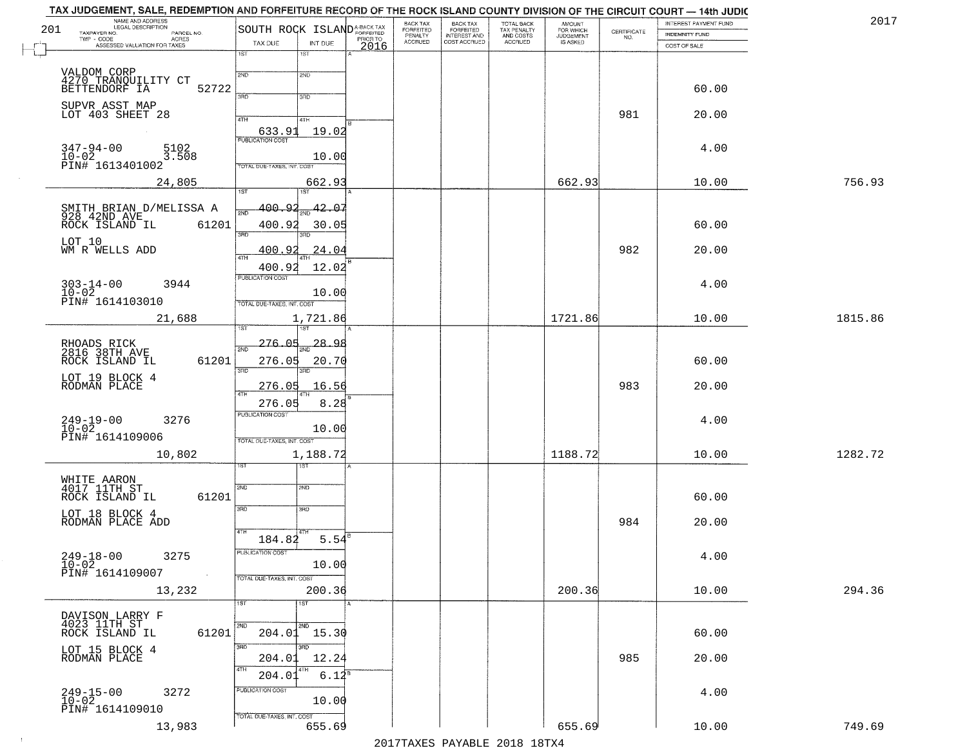| 201 | TAX JUDGEMENT, SALE, REDEMPTION AND FORFEITURE RECORD OF THE ROCK ISLAND COUNTY DIVISION OF THE CIRCUIT COURT — 14th JUDIC<br>NAME AND ADDRESS | SOUTH ROCK ISLAND <sup>A-BACK TAX</sup> |                       |          | BACK TAX                        |                                                       |                                                   | AMOUNT<br>FOR WHICH<br>JUDGEMENT |                                                                 | INTEREST PAYMENT FUND | 2017    |
|-----|------------------------------------------------------------------------------------------------------------------------------------------------|-----------------------------------------|-----------------------|----------|---------------------------------|-------------------------------------------------------|---------------------------------------------------|----------------------------------|-----------------------------------------------------------------|-----------------------|---------|
|     | TAXPAYER NO.<br>PARCEL NO.<br>TWP - CODE<br>ASSESSED VALUATION FOR TAXES                                                                       | TAX DUE                                 | INT DUE               | PRIOR TO | FORFEITED<br>PENALTY<br>ACCRUED | BACK TAX<br>FORFEITED<br>INTEREST AND<br>COST ACCRUED | TOTAL BACK<br>TAX PENALTY<br>AND COSTS<br>ACCRUED | IS ASKED                         | $\begin{array}{c} \text{CERTIFICATE} \\ \text{NO.} \end{array}$ | INDEMNITY FUND        |         |
|     |                                                                                                                                                | 1ST                                     | 18T                   | 2016     |                                 |                                                       |                                                   |                                  |                                                                 | COST OF SALE          |         |
|     |                                                                                                                                                | 2ND                                     | 2ND                   |          |                                 |                                                       |                                                   |                                  |                                                                 |                       |         |
|     | VALDOM CORP<br>4270 TRANQUILITY CT<br>BETTENDORF IA<br>52722                                                                                   |                                         |                       |          |                                 |                                                       |                                                   |                                  |                                                                 | 60.00                 |         |
|     | SUPVR ASST MAP                                                                                                                                 | 3RD                                     | 3RD                   |          |                                 |                                                       |                                                   |                                  |                                                                 |                       |         |
|     | LOT 403 SHEET 28                                                                                                                               | 4TH                                     | 4TH                   |          |                                 |                                                       |                                                   |                                  | 981                                                             | 20.00                 |         |
|     |                                                                                                                                                | 633.91                                  | 19.02                 |          |                                 |                                                       |                                                   |                                  |                                                                 |                       |         |
|     | $347 - 94 - 00$<br>$10 - 02$<br>5102<br>3.508                                                                                                  | <b>PUBLICATION COST</b>                 |                       |          |                                 |                                                       |                                                   |                                  |                                                                 | 4.00                  |         |
|     | PIN# 1613401002                                                                                                                                | TOTAL DUE-TAXES, INT, COS               | 10.00                 |          |                                 |                                                       |                                                   |                                  |                                                                 |                       |         |
|     | 24,805                                                                                                                                         |                                         | 662.93                |          |                                 |                                                       |                                                   | 662.93                           |                                                                 | 10.00                 | 756.93  |
|     |                                                                                                                                                | 1ST                                     | 1ST <sup>-1</sup>     |          |                                 |                                                       |                                                   |                                  |                                                                 |                       |         |
|     |                                                                                                                                                | 400.92<br>2ND                           | 42.0.                 |          |                                 |                                                       |                                                   |                                  |                                                                 |                       |         |
|     | 61201<br>ROCK ISLAND IL                                                                                                                        | 400.92<br>3RD                           | 30.05<br>38D          |          |                                 |                                                       |                                                   |                                  |                                                                 | 60.00                 |         |
|     | LOT 10<br>WM R WELLS ADD                                                                                                                       | 400.92                                  | 24.04                 |          |                                 |                                                       |                                                   |                                  | 982                                                             | 20.00                 |         |
|     |                                                                                                                                                | $\sqrt{4}$<br>400.92                    | 12.02                 |          |                                 |                                                       |                                                   |                                  |                                                                 |                       |         |
|     |                                                                                                                                                | PUBLICATION COST                        |                       |          |                                 |                                                       |                                                   |                                  |                                                                 |                       |         |
|     | $303 - 14 - 00$<br>$10 - 02$<br>3944                                                                                                           |                                         | 10.00                 |          |                                 |                                                       |                                                   |                                  |                                                                 | 4.00                  |         |
|     | PIN# 1614103010                                                                                                                                | TOTAL DUE-TAXES, INT. COST              |                       |          |                                 |                                                       |                                                   |                                  |                                                                 |                       |         |
|     | 21,688                                                                                                                                         |                                         | 1,721.86              |          |                                 |                                                       |                                                   | 1721.86                          |                                                                 | 10.00                 | 1815.86 |
|     |                                                                                                                                                | 276.05<br>2ND                           | $\frac{1}{2ND}$ 28.98 |          |                                 |                                                       |                                                   |                                  |                                                                 |                       |         |
|     | RHOADS RICK<br>2816 38TH AVE<br>61201<br>ROCK ISLAND IL                                                                                        | 276.05                                  | 20.70                 |          |                                 |                                                       |                                                   |                                  |                                                                 | 60.00                 |         |
|     | LOT 19 BLOCK 4                                                                                                                                 | 3RD                                     | 3 <sub>3</sub>        |          |                                 |                                                       |                                                   |                                  |                                                                 |                       |         |
|     | RODMAN PLACE                                                                                                                                   | 276.05<br>$\overline{AT}$               | 16.56                 |          |                                 |                                                       |                                                   |                                  | 983                                                             | 20.00                 |         |
|     |                                                                                                                                                | 276.05                                  | 8.28                  |          |                                 |                                                       |                                                   |                                  |                                                                 |                       |         |
|     | $249-19-00$<br>$10-02$<br>3276                                                                                                                 | <b>PUBLICATION COST</b>                 | 10.00                 |          |                                 |                                                       |                                                   |                                  |                                                                 | 4.00                  |         |
|     | PIN# 1614109006                                                                                                                                | TOTAL OUE-TAXES, INT. COST              |                       |          |                                 |                                                       |                                                   |                                  |                                                                 |                       |         |
|     | 10,802                                                                                                                                         |                                         | 1,188.72              |          |                                 |                                                       |                                                   | 1188.72                          |                                                                 | 10.00                 | 1282.72 |
|     |                                                                                                                                                |                                         | गड़ा                  |          |                                 |                                                       |                                                   |                                  |                                                                 |                       |         |
|     | WHITE AARON<br>4017 11TH ST                                                                                                                    | 2ND                                     | 2ND                   |          |                                 |                                                       |                                                   |                                  |                                                                 |                       |         |
|     | ROCK ISLAND IL<br>61201                                                                                                                        | 3RD                                     | 3BD                   |          |                                 |                                                       |                                                   |                                  |                                                                 | 60.00                 |         |
|     | LOT 18 BLOCK 4<br>RODMAN PLACE ADD                                                                                                             |                                         |                       |          |                                 |                                                       |                                                   |                                  | 984                                                             | 20.00                 |         |
|     |                                                                                                                                                | 184.82                                  | 5.54                  |          |                                 |                                                       |                                                   |                                  |                                                                 |                       |         |
|     | 3275<br>$249 - 18 - 00$                                                                                                                        | PUBLICATION COST                        |                       |          |                                 |                                                       |                                                   |                                  |                                                                 | 4.00                  |         |
|     | $\frac{10-02}{PIN#}$ 1614109007<br><b>Contract</b>                                                                                             |                                         | 10.00                 |          |                                 |                                                       |                                                   |                                  |                                                                 |                       |         |
|     | 13,232                                                                                                                                         | TOTAL DUE-TAXES, INT. COST              | 200.36                |          |                                 |                                                       |                                                   | 200.36                           |                                                                 | 10.00                 | 294.36  |
|     |                                                                                                                                                | 1ST                                     | 1ST                   |          |                                 |                                                       |                                                   |                                  |                                                                 |                       |         |
|     |                                                                                                                                                |                                         |                       |          |                                 |                                                       |                                                   |                                  |                                                                 |                       |         |
|     | DAVISON LARRY F<br>4023 11TH ST<br>ROCK ISLAND IL<br>61201                                                                                     | 2ND                                     | 2ND<br>$204.01$ 15.30 |          |                                 |                                                       |                                                   |                                  |                                                                 | 60.00                 |         |
|     | LOT 15 BLOCK 4                                                                                                                                 | 3RD                                     | $\overline{3}$ RD     |          |                                 |                                                       |                                                   |                                  |                                                                 |                       |         |
|     | RODMAN PLACE                                                                                                                                   | 204.01<br>4TH                           | 12.24                 |          |                                 |                                                       |                                                   |                                  | 985                                                             | 20.00                 |         |
|     |                                                                                                                                                | 204.01<br>PUBLICATION COST              | $6.12^{8}$            |          |                                 |                                                       |                                                   |                                  |                                                                 |                       |         |
|     | 3272<br>$249 - 15 - 00$<br>$10 - 02$                                                                                                           |                                         | 10.00                 |          |                                 |                                                       |                                                   |                                  |                                                                 | 4.00                  |         |
|     | PIN# 1614109010                                                                                                                                | TOTAL DUE-TAXES, INT. COST              |                       |          |                                 |                                                       |                                                   |                                  |                                                                 |                       |         |
|     | 13,983                                                                                                                                         |                                         | 655.69                |          |                                 |                                                       |                                                   | 655.69                           |                                                                 | 10.00                 | 749.69  |

 $\sim 10^{-1}$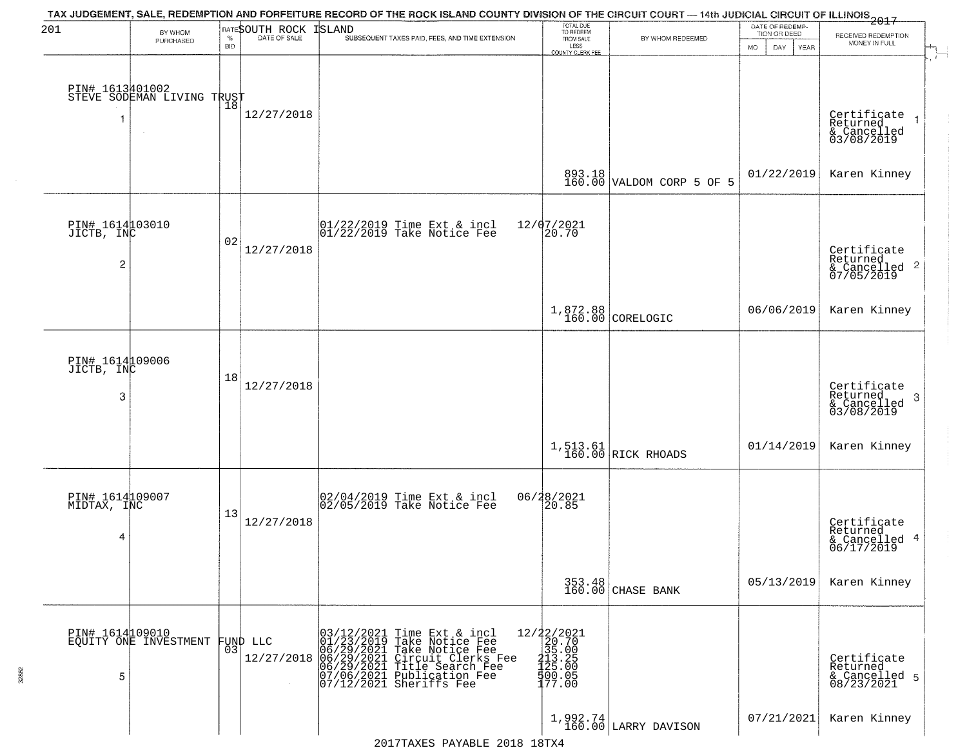| 201                                             | BY WHOM                                       |                    | RATESOUTH ROCK | TAX JUDGEMENT, SALE, REDEMPTION AND FORFEITURE RECORD OF THE ROCK ISLAND COUNTY DIVISION OF THE CIRCUIT COURT — 14th JUDICIAL CIRCUIT OF ILLINOIS 2017<br><b>ISLAND</b>                                                                                       | TOTAL DUE<br>TO REDEEM                                                                                      |                                     | DATE OF REDEMP-<br>TION OR DEED |                                                           |
|-------------------------------------------------|-----------------------------------------------|--------------------|----------------|---------------------------------------------------------------------------------------------------------------------------------------------------------------------------------------------------------------------------------------------------------------|-------------------------------------------------------------------------------------------------------------|-------------------------------------|---------------------------------|-----------------------------------------------------------|
|                                                 | <b>PURCHASED</b>                              | $\%$<br><b>BID</b> | DATE OF SALE   | SUBSEQUENT TAXES PAID, FEES, AND TIME EXTENSION                                                                                                                                                                                                               | FROM SALE<br>LESS<br><b>COUNTY CLERK FEE</b>                                                                | BY WHOM REDEEMED                    | MO.<br>DAY.<br><b>YEAR</b>      | RECEIVED REDEMPTION<br>MONEY IN FULL                      |
|                                                 | PIN# 1613401002<br>STEVE SODEMAN LIVING TRUST |                    | 12/27/2018     |                                                                                                                                                                                                                                                               |                                                                                                             |                                     |                                 | Certificate<br>Returned                                   |
|                                                 |                                               |                    |                |                                                                                                                                                                                                                                                               |                                                                                                             | 893.18<br>160.00 VALDOM CORP 5 OF 5 | 01/22/2019                      | & Cancelled<br>03/08/2019<br>Karen Kinney                 |
| PIN# 1614103010<br>JICTB, INC<br>$\overline{c}$ |                                               | 02                 | 12/27/2018     | $\begin{array}{cc}  01/22/2019 \text{ Time} \text{ Ext} & \text{incl} \\  01/22/2019 \text{ Take Notice } \text{Fe} \end{array}$                                                                                                                              | 12/07/2021<br>20.70                                                                                         |                                     |                                 | Certificate<br>Returned<br>& Cancelled 2<br>07/05/2019    |
|                                                 |                                               |                    |                |                                                                                                                                                                                                                                                               |                                                                                                             | $1,872.88$<br>160.00 CORELOGIC      | 06/06/2019                      | Karen Kinney                                              |
| PIN# 161409006<br>JICTB, INC<br>3               |                                               | 18                 | 12/27/2018     |                                                                                                                                                                                                                                                               |                                                                                                             |                                     |                                 | Certificate<br>Returned<br>3<br>& Cancelled<br>03/08/2019 |
|                                                 |                                               |                    |                |                                                                                                                                                                                                                                                               |                                                                                                             | 1,513.61<br>160.00 RICK RHOADS      | 01/14/2019                      | Karen Kinney                                              |
| PIN# 1614109007<br>MIDTAX, INC<br>4             |                                               | 13                 | 12/27/2018     | 02/04/2019 Time Ext & incl<br>02/05/2019 Take Notice Fee                                                                                                                                                                                                      | 06/28/2021<br>120.85                                                                                        |                                     |                                 | Certificate<br>Returned<br>& Cancelled 4<br>06/17/2019    |
|                                                 |                                               |                    |                |                                                                                                                                                                                                                                                               |                                                                                                             | 353.48<br>160.00 CHASE BANK         | 05/13/2019                      | Karen Kinney                                              |
| PIN# 1614109010<br>5                            | EQUITY ONE INVESTMENT                         | 03                 | FUND LLC       | 03/12/2021<br>01/23/2019<br>Time Ext & incl<br>Take Notice Fee<br>The 12/27/2018<br>12/27/2018 06/29/2021 Take Notice Fee<br>12/27/2018 06/29/2021 Circuit Clerks Fee<br>06/29/2021 Title Search Fee<br>07/06/2021 Publication Fee<br>07/12/2021 Sheriffs Fee | $=\begin{smallmatrix} 12/22/2021\\ 20.70\\ 25.00\\ 35.00\\ 413.2\\ 500\\ 400.05\\ 177.00 \end{smallmatrix}$ |                                     |                                 | Certificate<br>Returned<br>& Cancelled 5<br>08/23/2021    |
|                                                 |                                               |                    |                | 2017TAXES PAYABLE 2018 18TX4                                                                                                                                                                                                                                  |                                                                                                             | $1,992.74$ LARRY DAVISON            | 07/21/2021                      | Karen Kinney                                              |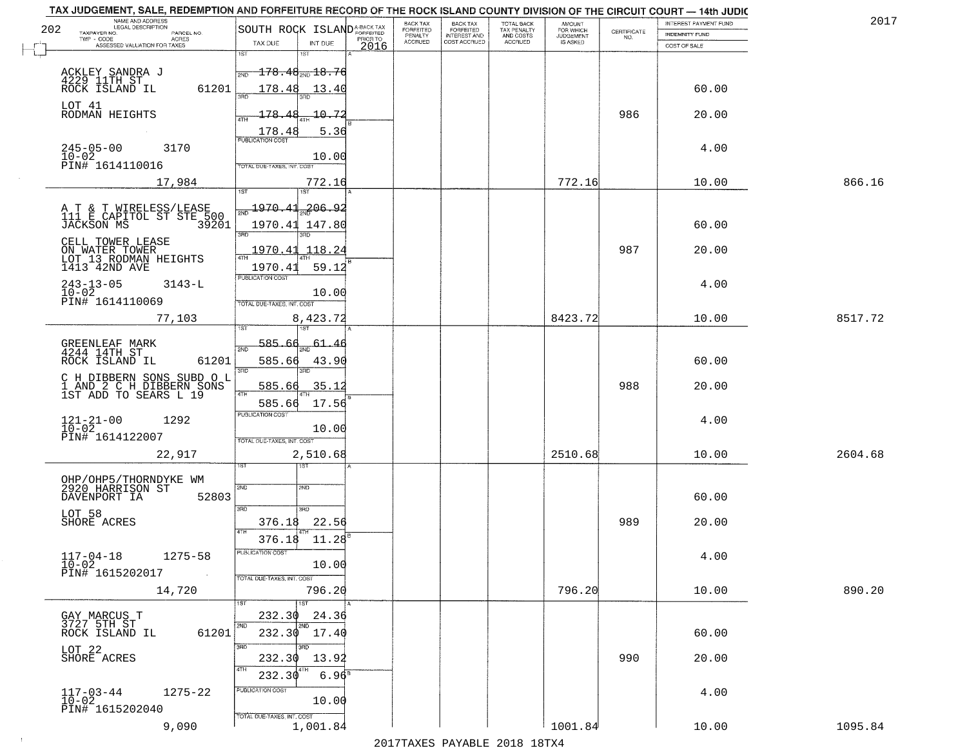| TAX JUDGEMENT, SALE, REDEMPTION AND FORFEITURE RECORD OF THE ROCK ISLAND COUNTY DIVISION OF THE CIRCUIT COURT - 14th JUDIC |                                            | BACK TAX                               | <b>BACK TAX</b>                           |                                        |                                    |             | INTEREST PAYMENT FUND | 2017    |
|----------------------------------------------------------------------------------------------------------------------------|--------------------------------------------|----------------------------------------|-------------------------------------------|----------------------------------------|------------------------------------|-------------|-----------------------|---------|
| NAME AND ADDRESS<br>LEGAL DESCRIPTION<br>202<br>TAXPAYER NO.<br>PARCEL NO.                                                 | SOUTH ROCK ISLAND <sup>A-BACK TAX</sup>    | FORFEITED                              | FORFEITED<br>INTEREST AND<br>COST ACCRUED | TOTAL BACK<br>TAX PENALTY<br>AND COSTS | <b>AMOUNT</b>                      | CERTIFICATE | <b>INDEMNITY FUND</b> |         |
| TWP - CODE<br><b>ACRES</b><br>ASSESSED VALUATION FOR TAXES                                                                 | TAX DUE<br>INT DUE                         | PENALTY<br>ACCRUED<br>PRIOR TO<br>2016 |                                           | ACCRUED                                | FOR WHICH<br>JUDGEMENT<br>IS ASKED | NO.         | COST OF SALE          |         |
|                                                                                                                            | $\overline{1ST}$<br>151                    |                                        |                                           |                                        |                                    |             |                       |         |
|                                                                                                                            | $-178.48_{\tiny\rm PND}$ 18.76<br>2ND      |                                        |                                           |                                        |                                    |             |                       |         |
| ACKLEY SANDRA J<br>4229 11TH ST<br>ROCK ISLAND IL                                                                          |                                            |                                        |                                           |                                        |                                    |             |                       |         |
| 61201                                                                                                                      | 178.48<br>13.40                            |                                        |                                           |                                        |                                    |             | 60.00                 |         |
| LOT 41<br>RODMAN HEIGHTS                                                                                                   | 10.72<br>178.48                            |                                        |                                           |                                        |                                    | 986         | 20.00                 |         |
|                                                                                                                            |                                            |                                        |                                           |                                        |                                    |             |                       |         |
|                                                                                                                            | 5.36<br>178.48<br><b>PUBLICATION COST</b>  |                                        |                                           |                                        |                                    |             |                       |         |
| $245 - 05 - 00$<br>3170<br>$10 - 02$                                                                                       | 10.00                                      |                                        |                                           |                                        |                                    |             | 4.00                  |         |
| PIN# 1614110016                                                                                                            | TOTAL DUE-TAXES, INT. COST                 |                                        |                                           |                                        |                                    |             |                       |         |
| 17,984                                                                                                                     | 772.16                                     |                                        |                                           |                                        | 772.16                             |             | 10.00                 | 866.16  |
|                                                                                                                            | 1ST                                        |                                        |                                           |                                        |                                    |             |                       |         |
| A T & T WIRELESS/LEASE<br>111 E CAPITOL ST STE 500                                                                         | $\frac{1970.41}{200}$<br>206.92            |                                        |                                           |                                        |                                    |             |                       |         |
| 39201<br>JACKSON MS                                                                                                        | 1970.41 147.80                             |                                        |                                           |                                        |                                    |             | 60.00                 |         |
| CELL TOWER LEASE                                                                                                           | 3BD                                        |                                        |                                           |                                        |                                    |             |                       |         |
|                                                                                                                            | <u> 1970.41</u><br>118.24                  |                                        |                                           |                                        |                                    | 987         | 20.00                 |         |
| ON WATER TOWER<br>LOT 13 RODMAN HEIGHTS<br>1413 42ND AVE                                                                   | 1970.41<br>59.12                           |                                        |                                           |                                        |                                    |             |                       |         |
| $243 - 13 - 05$<br>3143-L                                                                                                  | PUBLICATION COST                           |                                        |                                           |                                        |                                    |             | 4.00                  |         |
| $10 - 02$                                                                                                                  | 10.00                                      |                                        |                                           |                                        |                                    |             |                       |         |
| PIN# 1614110069                                                                                                            | TOTAL DUE-TAXES, INT. COST                 |                                        |                                           |                                        |                                    |             |                       |         |
| 77,103                                                                                                                     | 8,423.72<br>1ST                            |                                        |                                           |                                        | 8423.72                            |             | 10.00                 | 8517.72 |
|                                                                                                                            |                                            |                                        |                                           |                                        |                                    |             |                       |         |
| GREENLEAF MARK<br>4244 14TH ST                                                                                             | 585.66<br>61.46<br>2ND                     |                                        |                                           |                                        |                                    |             |                       |         |
| 61201<br>ROCK ISLAND IL                                                                                                    | 585.66<br>43.90<br>3RD<br><b>IRC</b>       |                                        |                                           |                                        |                                    |             | 60.00                 |         |
|                                                                                                                            |                                            |                                        |                                           |                                        |                                    |             |                       |         |
| C H DIBBERN SONS SUBD O L<br>1 AND 2 C H DIBBERN SONS<br>1ST ADD TO SEARS L 19                                             | 585.66<br>35.12<br>4TH                     |                                        |                                           |                                        |                                    | 988         | 20.00                 |         |
|                                                                                                                            | 585.66<br>17.56<br><b>PUBLICATION COST</b> |                                        |                                           |                                        |                                    |             |                       |         |
| $121 - 21 - 00$<br>$10 - 02$<br>1292                                                                                       |                                            |                                        |                                           |                                        |                                    |             | 4.00                  |         |
| PIN# 1614122007                                                                                                            | 10.00<br>TOTAL OUE-TAXES, INT. COST        |                                        |                                           |                                        |                                    |             |                       |         |
| 22,917                                                                                                                     | 2,510.68                                   |                                        |                                           |                                        | 2510.68                            |             | 10.00                 | 2604.68 |
|                                                                                                                            |                                            |                                        |                                           |                                        |                                    |             |                       |         |
| OHP/OHP5/THORNDYKE WM<br>2920 HARRISON ST                                                                                  |                                            |                                        |                                           |                                        |                                    |             |                       |         |
| 52803<br>DAVENPORT IA                                                                                                      | SVD<br>SND                                 |                                        |                                           |                                        |                                    |             | 60.00                 |         |
| LOT 58                                                                                                                     | 3BD<br>3RD                                 |                                        |                                           |                                        |                                    |             |                       |         |
| SHORE ACRES                                                                                                                | 22.56<br>376.18                            |                                        |                                           |                                        |                                    | 989         | 20.00                 |         |
|                                                                                                                            | 376.18<br>11.28                            |                                        |                                           |                                        |                                    |             |                       |         |
| $1275 - 58$                                                                                                                | PUBLICATION COS                            |                                        |                                           |                                        |                                    |             | 4.00                  |         |
| $117 - 04 - 18$<br>$10 - 02$                                                                                               | 10.00                                      |                                        |                                           |                                        |                                    |             |                       |         |
| PIN# 1615202017                                                                                                            | TOTAL DUE-TAXES, INT. COST                 |                                        |                                           |                                        |                                    |             |                       |         |
| 14,720                                                                                                                     | 796.20                                     |                                        |                                           |                                        | 796.20                             |             | 10.00                 | 890.20  |
|                                                                                                                            | $\overline{1}$ 1st                         |                                        |                                           |                                        |                                    |             |                       |         |
| GAY MARCUS T<br>3727 5TH ST                                                                                                | 232.30<br>24.36<br>2ND<br>l 2ND            |                                        |                                           |                                        |                                    |             |                       |         |
| 61201<br>ROCK ISLAND IL                                                                                                    | 232.30<br>17.40                            |                                        |                                           |                                        |                                    |             | 60.00                 |         |
| LOT 22                                                                                                                     | 3BD                                        |                                        |                                           |                                        |                                    |             |                       |         |
| SHORE ACRES                                                                                                                | 232.30<br>13.92<br>ATH                     |                                        |                                           |                                        |                                    | 990         | 20.00                 |         |
|                                                                                                                            | 232.30<br>$6.96^8$                         |                                        |                                           |                                        |                                    |             |                       |         |
| $117 - 03 - 44$<br>$10 - 02$<br>$1275 - 22$                                                                                | PUBLICATION COST                           |                                        |                                           |                                        |                                    |             | 4.00                  |         |
| PIN# 1615202040                                                                                                            | 10.00                                      |                                        |                                           |                                        |                                    |             |                       |         |
| 9,090                                                                                                                      | TOTAL DUE-TAXES, INT. COST<br>1,001.84     |                                        |                                           |                                        | 1001.84                            |             | 10.00                 | 1095.84 |
|                                                                                                                            |                                            |                                        |                                           |                                        |                                    |             |                       |         |

 $\sim 10$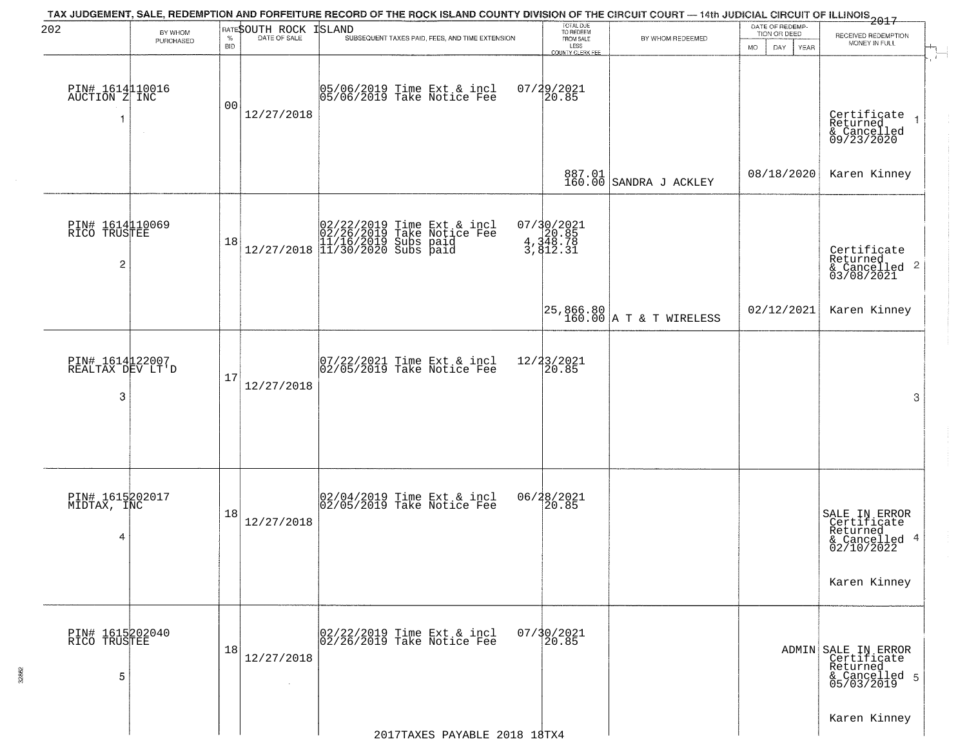| 202                                               | BY WHOM       |                    | RATESOUTH ROCK       | TAX JUDGEMENT, SALE, REDEMPTION AND FORFEITURE RECORD OF THE ROCK ISLAND COUNTY DIVISION OF THE CIRCUIT COURT — 14th JUDICIAL CIRCUIT OF ILLINOIS 2017<br>ISLAND                    | TOTAL DUE<br>TO REDEEM                       |                                      | DATE OF REDEMP-<br>TION OR DEED | RECEIVED REDEMPTION                                                                     |  |
|---------------------------------------------------|---------------|--------------------|----------------------|-------------------------------------------------------------------------------------------------------------------------------------------------------------------------------------|----------------------------------------------|--------------------------------------|---------------------------------|-----------------------------------------------------------------------------------------|--|
|                                                   | PURCHASED     | $\%$<br><b>BID</b> | DATE OF SALE         | SUBSEQUENT TAXES PAID, FEES, AND TIME EXTENSION                                                                                                                                     | FROM SALE<br>LESS<br><b>COUNTY CLERK FEE</b> | BY WHOM REDEEMED                     | MO.<br>DAY.<br><b>YEAR</b>      | MONEY IN FULL                                                                           |  |
| PIN# 1614110016<br>AUCTION Z INC<br>1             | $\sim$ $\sim$ | 00                 | 12/27/2018           | 05/06/2019 Time Ext & incl<br>05/06/2019 Take Notice Fee                                                                                                                            | $07/29/2021$<br>20.85                        |                                      |                                 | Certificate<br>Returned<br>& Cancelled<br>09/23/2020                                    |  |
|                                                   |               |                    |                      |                                                                                                                                                                                     |                                              | 887.01<br>160.00 SANDRA J ACKLEY     | 08/18/2020                      | Karen Kinney                                                                            |  |
| PIN# 1614110069<br>RICO TRUSTEE<br>$\overline{c}$ |               | 18                 |                      | $[02/22/2019 \text{ Time Ext & incl} \brack 02/26/2019 \text{ Take Notice } \text{Fee} \brack 11/16/2019 \text{ Subs paid} \brack 12/27/2018 \text{ } 11/30/2020 \text{ Subs paid}$ | 07/30/2021<br>4,348.78<br>3,348.78           |                                      |                                 | Certificate<br>Returned<br>$\frac{1}{6}$ Cancelled 2<br>03/08/2021                      |  |
|                                                   |               |                    |                      |                                                                                                                                                                                     |                                              | 25,866.80<br>160.00 A T & T WIRELESS | 02/12/2021                      | Karen Kinney                                                                            |  |
| PIN# 1614122007<br>REALTAX DEV LT'D<br>3          |               | 17                 | 12/27/2018           | $ 07/22/2021$ Time Ext & incl<br>$ 02/05/2019$ Take Notice Fee                                                                                                                      | 12/23/2021<br>20.85                          |                                      |                                 | 3                                                                                       |  |
| PIN# 1615202017<br>MIDTAX, INC<br>4               |               | 18                 | 12/27/2018           | 02/04/2019 Time Ext & incl<br>02/05/2019 Take Notice Fee                                                                                                                            | 06/28/2021<br>120.85                         |                                      |                                 | SALE IN ERROR<br>Certificate<br>Returned<br>& Cancelled 4<br>02/10/2022<br>Karen Kinney |  |
| PIN# 1615202040<br>RICO TRUSTEE<br>5              |               | 18                 | 12/27/2018<br>$\sim$ | 02/22/2019 Time Ext & incl<br>02/26/2019 Take Notice Fee                                                                                                                            | 07/30/2021<br>20.85                          |                                      |                                 | ADMIN SALE IN ERROR<br>Certificate<br>Returned<br>& Cancelled 5<br>05/03/2019           |  |
|                                                   |               |                    |                      | 2017TAXES PAYABLE 2018 18TX4                                                                                                                                                        |                                              |                                      |                                 | Karen Kinney                                                                            |  |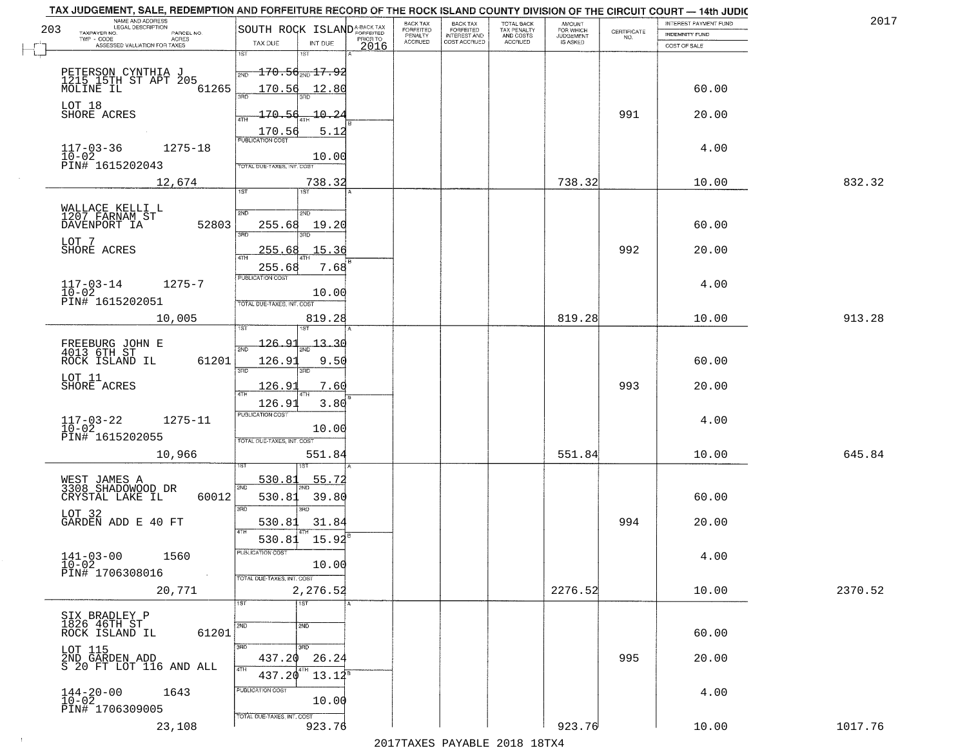| NAME AND ADDRESS<br>LEGAL DESCRIPTION<br>203                     | SOUTH ROCK ISLAND <sup>A-BACK TAX</sup>     | BACK TAX<br>FORFEITED | BACK TAX<br>FORFEITED        | TOTAL BACK<br>TAX PENALTY<br>AND COSTS | <b>AMOUNT</b>                      |                    | INTEREST PAYMENT FUND | 2017    |
|------------------------------------------------------------------|---------------------------------------------|-----------------------|------------------------------|----------------------------------------|------------------------------------|--------------------|-----------------------|---------|
| TAXPAYER NO.<br>PARCEL NO.<br>TWP - CODE<br>ACRES                | PRIOR TO<br>TAX DUE                         | PENALTY<br>ACCRUED    | INTEREST AND<br>COST ACCRUED | ACCRUED                                | FOR WHICH<br>JUDGEMENT<br>IS ASKED | CERTIFICATE<br>NO. | <b>INDEMNITY FUND</b> |         |
| ASSESSED VALUATION FOR TAXES                                     | INT DUE<br>2016<br>1ST<br>1ST               |                       |                              |                                        |                                    |                    | COST OF SALE          |         |
|                                                                  | <del>170.56<sub>2ND</sub>17.92</del><br>2ND |                       |                              |                                        |                                    |                    |                       |         |
| PETERSON CYNTHIA J<br>1215 15TH ST APT 205<br>MOLINE IL<br>61265 | 170.56<br>12.80                             |                       |                              |                                        |                                    |                    | 60.00                 |         |
|                                                                  | 390                                         |                       |                              |                                        |                                    |                    |                       |         |
| LOT 18<br>SHORE ACRES                                            | $-170.56$<br>$-10 - 24$<br>4TH              |                       |                              |                                        |                                    | 991                | 20.00                 |         |
|                                                                  | 170.56<br>5.12<br><b>PUBLICATION COST</b>   |                       |                              |                                        |                                    |                    |                       |         |
| $1275 - 18$<br>$117 - 03 - 36$<br>$10 - 02$                      | 10.00                                       |                       |                              |                                        |                                    |                    | 4.00                  |         |
| PIN# 1615202043                                                  | TOTAL DUE-TAXES, INT. COST                  |                       |                              |                                        |                                    |                    |                       |         |
| 12,674                                                           | 738.32<br>$\overline{1ST}$<br>1ST           |                       |                              |                                        | 738.32                             |                    | 10.00                 | 832.32  |
| WALLACE KELLI L<br>1207 FARNAM ST                                | 2ND<br>2ND                                  |                       |                              |                                        |                                    |                    |                       |         |
| 52803<br>DAVENPORT IA                                            | 255.68<br>19.20                             |                       |                              |                                        |                                    |                    | 60.00                 |         |
| LOT 7                                                            | 3RD<br>3RD                                  |                       |                              |                                        |                                    |                    |                       |         |
| SHORE ACRES                                                      | 255.68<br>15.36<br>47H                      |                       |                              |                                        |                                    | 992                | 20.00                 |         |
|                                                                  | 7.68<br>255.68<br>PUBLICATION COST          |                       |                              |                                        |                                    |                    |                       |         |
| $117 - 03 - 14$<br>$1275 - 7$<br>$10-02$                         | 10.00                                       |                       |                              |                                        |                                    |                    | 4.00                  |         |
| PIN# 1615202051                                                  | TOTAL DUE-TAXES, INT. COST                  |                       |                              |                                        | 819.28                             |                    |                       | 913.28  |
| 10,005                                                           | 819.28                                      |                       |                              |                                        |                                    |                    | 10.00                 |         |
| FREEBURG JOHN E<br>4013 6TH ST                                   | 126.91<br>$-13 - 30$<br>2ND                 |                       |                              |                                        |                                    |                    |                       |         |
| 61201<br>ROCK ISLAND IL                                          | 126.9<br>9.50<br>3RD<br>3RD                 |                       |                              |                                        |                                    |                    | 60.00                 |         |
| LOT 11<br>SHORE ACRES                                            | 7.60<br>126.9                               |                       |                              |                                        |                                    | 993                | 20.00                 |         |
|                                                                  | 4TH<br>3.80<br>126.93                       |                       |                              |                                        |                                    |                    |                       |         |
| 1275-11                                                          | <b>PUBLICATION COST</b>                     |                       |                              |                                        |                                    |                    | 4.00                  |         |
| $117-03-22$<br>$10-02$<br>PIN# 1615202055                        | 10.00<br>TOTAL OUE-TAXES, INT. COST         |                       |                              |                                        |                                    |                    |                       |         |
| 10,966                                                           | 551.84                                      |                       |                              |                                        | 551.84                             |                    | 10.00                 | 645.84  |
|                                                                  |                                             |                       |                              |                                        |                                    |                    |                       |         |
| WEST JAMES A<br>3308 SHADOWOOD DR                                | 55.72<br>530.81<br>2ND                      |                       |                              |                                        |                                    |                    |                       |         |
| 60012<br>CRYSTAL LAKE IL                                         | 530.81<br>39.80<br>3BD<br>3BD               |                       |                              |                                        |                                    |                    | 60.00                 |         |
| LOT 32<br>GARDEN ADD E 40 FT                                     | 530.81<br>31.84                             |                       |                              |                                        |                                    | 994                | 20.00                 |         |
|                                                                  | 530.81 15.92                                |                       |                              |                                        |                                    |                    |                       |         |
| $141 - 03 - 00$<br>1560                                          | PUBLICATION COST                            |                       |                              |                                        |                                    |                    | 4.00                  |         |
| $10 - 02$<br>PIN# 1706308016<br>$\sim 10^{-1}$                   | 10.00<br>TOTAL DUE-TAXES, INT. COST         |                       |                              |                                        |                                    |                    |                       |         |
| 20,771                                                           | 2,276.52                                    |                       |                              |                                        | 2276.52                            |                    | 10.00                 | 2370.52 |
|                                                                  | 1ST<br>1ST                                  |                       |                              |                                        |                                    |                    |                       |         |
| SIX BRADLEY P<br>1826 46TH ST<br>61201                           | 2ND<br>2ND                                  |                       |                              |                                        |                                    |                    | 60.00                 |         |
| ROCK ISLAND IL<br>LOT 115                                        | 3BD<br>$\overline{3}$ RD                    |                       |                              |                                        |                                    |                    |                       |         |
| 2ND GARDEN ADD<br>S 20 FT LOT 116 AND ALL                        | 437.20<br>26.24<br>4TH                      |                       |                              |                                        |                                    | 995                | 20.00                 |         |
|                                                                  | 4TH<br>437.20<br>$13.12^8$                  |                       |                              |                                        |                                    |                    |                       |         |
| $144 - 20 - 00$<br>$10 - 02$<br>1643                             | PUBLICATION COST<br>10.00                   |                       |                              |                                        |                                    |                    | 4.00                  |         |
| PIN# 1706309005                                                  | TOTAL DUE-TAXES, INT. COST                  |                       |                              |                                        |                                    |                    |                       |         |
| 23,108                                                           | 923.76                                      |                       |                              |                                        | 923.76                             |                    | 10.00                 | 1017.76 |

 $\sim 100$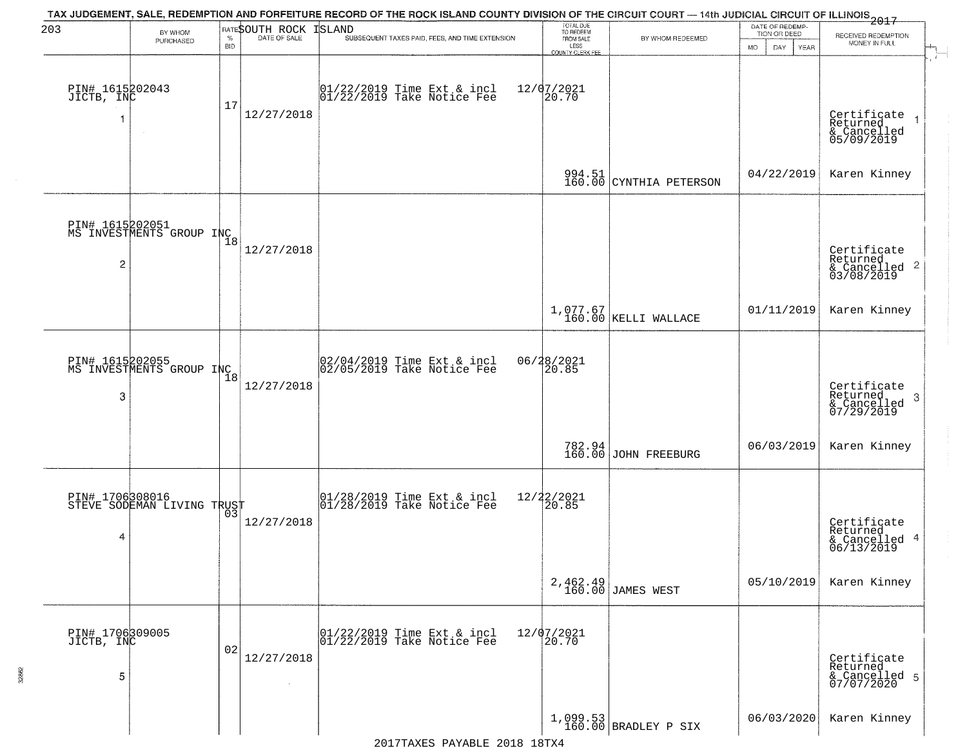| 203                                | BY WHOM                                                  |                    | RATESOUTH ROCK | TAX JUDGEMENT, SALE, REDEMPTION AND FORFEITURE RECORD OF THE ROCK ISLAND COUNTY DIVISION OF THE CIRCUIT COURT — 14th JUDICIAL CIRCUIT OF ILLINOIS 2017<br>ISLAND | TOTAL DUE<br>TO REDEEM                      |                                  | DATE OF REDEMP-<br>TION OR DEED |                                                                    |
|------------------------------------|----------------------------------------------------------|--------------------|----------------|------------------------------------------------------------------------------------------------------------------------------------------------------------------|---------------------------------------------|----------------------------------|---------------------------------|--------------------------------------------------------------------|
|                                    | PURCHASED                                                | $\%$<br><b>BID</b> | DATE OF SALE   | SUBSEQUENT TAXES PAID, FEES, AND TIME EXTENSION                                                                                                                  | FROM SALE<br>LESS                           | BY WHOM REDEEMED                 | <b>MO</b><br>DAY<br>YEAR        | RECEIVED REDEMPTION<br>MONEY IN FULL                               |
| PIN# 1615202043<br>JICTB, INC      |                                                          | 17                 | 12/27/2018     | $\begin{bmatrix} 01/22/2019 \\ 01/22/2019 \end{bmatrix}$ Take Notice Fee                                                                                         | COUNTY CLERK FEE<br>$12/07/2021$<br>$20.70$ |                                  |                                 | Certificate<br>Returned<br>& Cancelled<br>05/09/2019               |
|                                    |                                                          |                    |                |                                                                                                                                                                  |                                             | 994.51 CYNTHIA PETERSON          | 04/22/2019                      | Karen Kinney                                                       |
| $\overline{c}$                     | PIN# 1615202051<br>MS INVESTMENTS GROUP INC <sub>8</sub> |                    | 12/27/2018     |                                                                                                                                                                  |                                             |                                  |                                 | Certificate<br>Returned<br>$\frac{1}{2}$ Cancelled 2<br>03/08/2019 |
|                                    |                                                          |                    |                |                                                                                                                                                                  |                                             | 1,077.67<br>160.00 KELLI WALLACE | 01/11/2019                      | Karen Kinney                                                       |
| 3                                  | PIN# 1615202055<br>MS INVESTMENTS GROUP INC <sub>8</sub> |                    | 12/27/2018     | $02/04/2019$ Time Ext & incl<br>$02/05/2019$ Take Notice Fee                                                                                                     | 06/28/2021<br>20.85                         |                                  |                                 | Certificate<br>Returned<br>3<br>& Cancelled<br>07/29/2019          |
|                                    |                                                          |                    |                |                                                                                                                                                                  |                                             | 782.94<br>160.00 JOHN FREEBURG   | 06/03/2019                      | Karen Kinney                                                       |
| 4                                  | PIN# 1706308016<br>STEVE SODEMAN LIVING TRUST            | 03                 | 12/27/2018     | $\begin{array}{c}  01/28/2019 \text{ Time} \text{ Ext} & \text{incl} \\  01/28/2019 \text{ Take Notice } \text{Fe} \end{array}$                                  | 12/22/2021<br>20.85                         |                                  |                                 | Certificate<br>Returned<br>& Cancelled 4<br>06/13/2019             |
|                                    |                                                          |                    |                |                                                                                                                                                                  |                                             | 2,462.49<br>160.00 JAMES WEST    | 05/10/2019                      | Karen Kinney                                                       |
| PIN# 1706309005<br>JICTB, INC<br>5 |                                                          | 02                 | 12/27/2018     | 01/22/2019 Time Ext & incl<br>01/22/2019 Take Notice Fee                                                                                                         | 12/07/2021<br>20.70                         |                                  |                                 | Certificate<br>Returned<br>& Cancelled 5<br>07/07/2020             |
|                                    |                                                          |                    |                |                                                                                                                                                                  |                                             | $1,099.53$ BRADLEY P SIX         | 06/03/2020                      | Karen Kinney                                                       |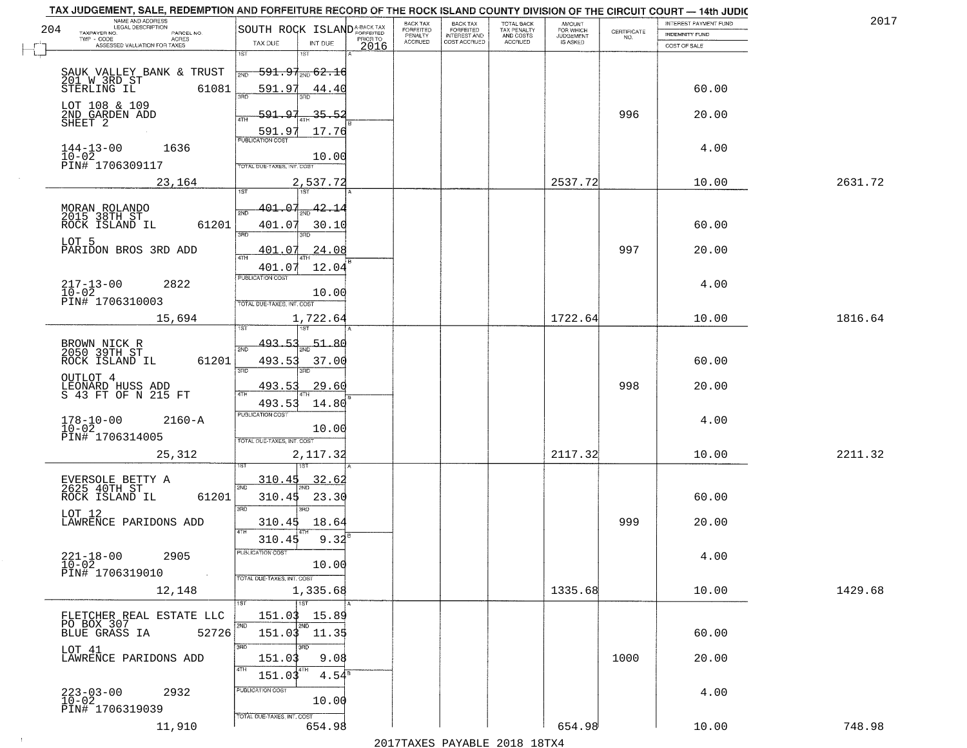| TAX JUDGEMENT, SALE, REDEMPTION AND FORFEITURE RECORD OF THE ROCK ISLAND COUNTY DIVISION OF THE CIRCUIT COURT - 14th JUDIC<br>NAME AND ADDRESS<br>LEGAL DESCRIPTION |                                                                                                                            |                  | BACK TAX<br><b>BACK TAX</b>                              |                                        | AMOUNT<br>FOR WHICH |                                                                 | INTEREST PAYMENT FUND | 2017    |
|---------------------------------------------------------------------------------------------------------------------------------------------------------------------|----------------------------------------------------------------------------------------------------------------------------|------------------|----------------------------------------------------------|----------------------------------------|---------------------|-----------------------------------------------------------------|-----------------------|---------|
| 204<br>TAXPAYER NO.<br>PARCEL NO.                                                                                                                                   | SOUTH ROCK ISLAND <sup>A-BACK TAX</sup>                                                                                    |                  | FORFEITED<br>FORFEITED<br>PENALTY<br><b>INTEREST AND</b> | TOTAL BACK<br>TAX PENALTY<br>AND COSTS | <b>JUDGEMENT</b>    | $\begin{array}{c} \text{CERTIFICATE} \\ \text{NO.} \end{array}$ | <b>INDEMNITY FUND</b> |         |
| ACRES<br>ASSESSED VALUATION FOR TAXES                                                                                                                               | TAX DUE<br>INT DUE                                                                                                         | PRIOR TO<br>2016 | <b>ACCRUED</b><br>COST ACCRUED                           | <b>ACCRUED</b>                         | IS ASKED            |                                                                 | COST OF SALE          |         |
| SAUK VALLEY BANK & TRUST<br>201 W 3RD ST<br>61081<br>STERLING IL                                                                                                    | 1ST<br>18T<br><del>591.97<sub>2ND</sub> 62.16</del><br>2ND<br>591.97<br><u>44.40</u>                                       |                  |                                                          |                                        |                     |                                                                 | 60.00                 |         |
| LOT 108 & 109<br>2ND GARDEN ADD<br>SHEET 2                                                                                                                          | $-35.52$<br>591.97<br>17.76                                                                                                |                  |                                                          |                                        |                     | 996                                                             | 20.00                 |         |
| $144 - 13 - 00$<br>$10 - 02$<br>1636<br>PIN# 1706309117                                                                                                             | 591.97<br>10.00<br>TOTAL DUE-TAXES, INT. COST                                                                              |                  |                                                          |                                        |                     |                                                                 | 4.00                  |         |
| 23,164                                                                                                                                                              | 2,537.72                                                                                                                   |                  |                                                          |                                        | 2537.72             |                                                                 | 10.00                 | 2631.72 |
| MORAN ROLANDO<br>2015 38TH ST<br>61201<br>ROCK ISLAND IL<br>LOT 5<br>PARIDON BROS 3RD ADD                                                                           | 401.07<br>$\frac{42.14}{200}$<br>সাঁচ<br>401.07<br>30.10<br>3RD<br>3RD<br>24.08<br><u>401.07</u><br>ৰাম<br>401.07<br>12.04 |                  |                                                          |                                        |                     | 997                                                             | 60.00<br>20.00        |         |
| $217 - 13 - 00$<br>2822<br>$10 - 02$<br>PIN# 1706310003                                                                                                             | PUBLICATION COST<br>10.00<br>TOTAL DUE-TAXES, INT. COST                                                                    |                  |                                                          |                                        |                     |                                                                 | 4.00                  |         |
| 15,694                                                                                                                                                              | 1,722.64<br>isT<br>187                                                                                                     |                  |                                                          |                                        | 1722.64             |                                                                 | 10.00                 | 1816.64 |
| BROWN NICK R<br>2050 39TH ST<br>ROCK ISLAND IL<br>61201<br>OUTLOT 4<br>LEONARD HUSS ADD<br>S 43 FT OF N 215 FT                                                      | 493.53<br>51.80<br>2ND<br>493.53<br>37.00<br>3RD<br>3RD<br>493.53<br>29.60<br>4TH                                          |                  |                                                          |                                        |                     | 998                                                             | 60.00<br>20.00        |         |
| $178 - 10 - 00$<br>$10 - 02$<br>$2160 - A$<br>PIN# 1706314005<br>25,312                                                                                             | 493.53<br>14.80<br><b>PUBLICATION COST</b><br>10.00<br>TOTAL OUE-TAXES, INT. COST<br>2,117.32                              |                  |                                                          |                                        | 2117.32             |                                                                 | 4.00<br>10.00         | 2211.32 |
| EVERSOLE BETTY A<br>2625 40TH ST<br>ROCK ISLAND IL<br>61201<br>LOT 12<br>LAWRENCE PARIDONS ADD                                                                      | 310.45<br>32.6<br>2ND<br>23.30<br>310.45<br>3 <sub>BD</sub><br>m<br>18.64<br>310.45<br>4TH<br>9.32<br>310.45               |                  |                                                          |                                        |                     | 999                                                             | 60.00<br>20.00        |         |
| $221 - 18 - 00$<br>2905<br>$10-02$<br>PIN# 1706319010<br><b>Contract</b><br>12,148                                                                                  | PUBLICATION COST<br>10.00<br>TOTAL DUE-TAXES, INT. COST<br>1,335.68                                                        |                  |                                                          |                                        | 1335.68             |                                                                 | 4.00<br>10.00         | 1429.68 |
| FLETCHER REAL ESTATE LLC<br>PO BOX 307<br>BLUE GRASS IA<br>52726                                                                                                    | 1ST<br>151.03<br>15.89<br>2ND<br>2ND<br>151.03 11.35                                                                       |                  |                                                          |                                        |                     |                                                                 | 60.00                 |         |
| LOT 41<br>LAWRENCE PARIDONS ADD                                                                                                                                     | 3RD<br>3RD<br>151.03<br>9.08<br>4TH<br>$4.54^{\overline{8}}$<br>151.03                                                     |                  |                                                          |                                        |                     | 1000                                                            | 20.00                 |         |
| $223 - 03 - 00$<br>$10 - 02$<br>2932<br>PIN# 1706319039                                                                                                             | PUBLICATION COST<br>10.00<br>TOTAL DUE-TAXES, INT. COST<br>654.98                                                          |                  |                                                          |                                        | 654.98              |                                                                 | 4.00<br>10.00         | 748.98  |
| 11,910                                                                                                                                                              |                                                                                                                            |                  |                                                          |                                        |                     |                                                                 |                       |         |

 $\sim 100$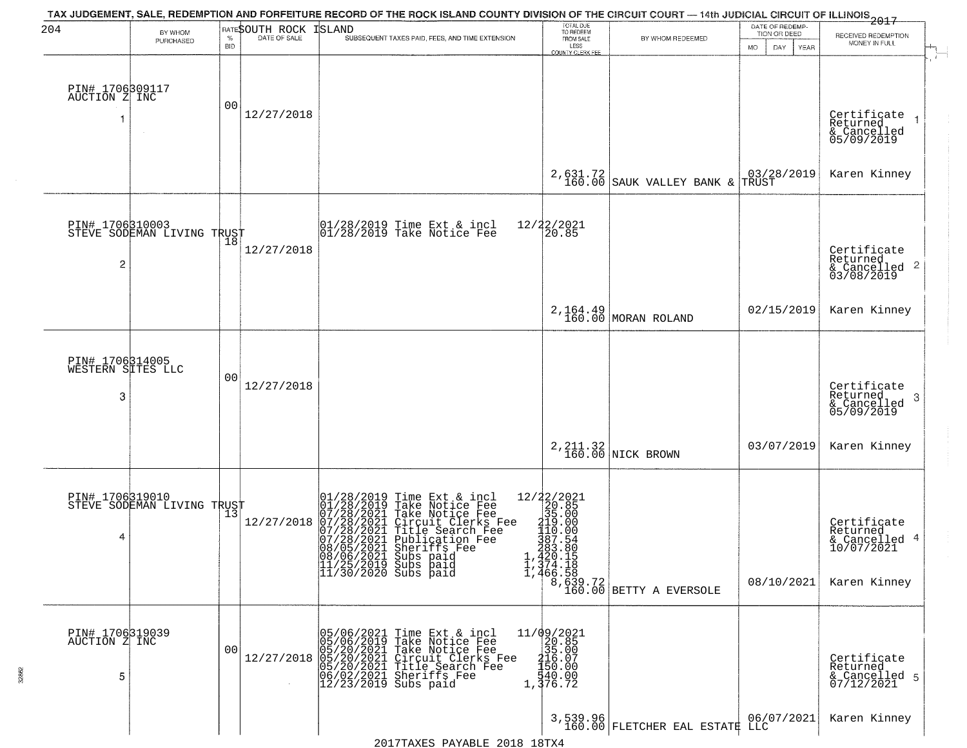| 204                                       | BY WHOM<br>PURCHASED                              | $\%$<br><b>BID</b> | RATESOUTH ROCK<br>DATE OF SALE | TAX JUDGEMENT, SALE, REDEMPTION AND FORFEITURE RECORD OF THE ROCK ISLAND COUNTY DIVISION OF THE CIRCUIT COURT — 14th JUDICIAL CIRCUIT OF ILLINOIS 2017<br><b>ISLAND</b><br>SUBSEQUENT TAXES PAID, FEES, AND TIME EXTENSION                                                                                            | TOTAL DUE<br>TO REDEEM<br>FROM SALE<br>LESS<br><b>COUNTY CLERK FEE</b> | BY WHOM REDEEMED                                                                                                                                                | DATE OF REDEMP<br>TION OR DEED<br>DAY.<br>MO.<br>YEAR | RECEIVED REDEMPTION<br>MONEY IN FULL                                   |
|-------------------------------------------|---------------------------------------------------|--------------------|--------------------------------|-----------------------------------------------------------------------------------------------------------------------------------------------------------------------------------------------------------------------------------------------------------------------------------------------------------------------|------------------------------------------------------------------------|-----------------------------------------------------------------------------------------------------------------------------------------------------------------|-------------------------------------------------------|------------------------------------------------------------------------|
| PIN# 1706309117<br>AUCTION Z INC          |                                                   | 0 <sub>0</sub>     | 12/27/2018                     |                                                                                                                                                                                                                                                                                                                       |                                                                        |                                                                                                                                                                 |                                                       | Certificate<br>Returned<br>& Cancelled<br>05/09/2019                   |
|                                           |                                                   |                    |                                |                                                                                                                                                                                                                                                                                                                       | 2,631.72<br>160.00                                                     | SAUK VALLEY BANK &                                                                                                                                              | 03/28/2019<br>TRUST                                   | Karen Kinney                                                           |
| $\overline{c}$                            | PIN# 1706310003<br>STEVE SODEMAN LIVING TRUST     |                    | 12/27/2018                     | $\begin{array}{cc}  01/28/2019 \text{ Time} & \text{Ext} & \text{incl} \\  01/28/2019 \text{ Take Notice } \text{Fe} \end{array}$                                                                                                                                                                                     | 12/22/2021<br>20.85                                                    |                                                                                                                                                                 |                                                       | Certificate<br>Returned<br>& Cancelled 2<br>03/08/2019                 |
|                                           |                                                   |                    |                                |                                                                                                                                                                                                                                                                                                                       |                                                                        | 2, 164.49<br>160.00 MORAN ROLAND                                                                                                                                | 02/15/2019                                            | Karen Kinney                                                           |
| PIN# 1706314005<br>WESTERN SITES LLC<br>3 |                                                   | 00                 | 12/27/2018                     |                                                                                                                                                                                                                                                                                                                       |                                                                        |                                                                                                                                                                 |                                                       | Certificate<br>Returned<br>3<br>& Cancelled<br>05/09/2019              |
|                                           |                                                   |                    |                                |                                                                                                                                                                                                                                                                                                                       |                                                                        | 2, 211.32<br>160.00 NICK BROWN                                                                                                                                  | 03/07/2019                                            | Karen Kinney                                                           |
| 4                                         | PIN# 1706319010    <br>STEVE SODEMAN LIVING TRUST |                    | 12/27/2018                     | 01/28/2019 Time Ext & incl<br>01/28/2019 Take Notice Fee<br>07/28/2021 Take Notice Fee<br>07/28/2021 Circuit Clerks Fee<br>07/28/2021 Title Search Fee<br>07/28/2021 Substriffs Fee<br>08/05/2021 Substriffs Fee<br>08/05/2021 Substriffs Fee<br>08/06/2021 Subs paid<br>11/25/2019 Subs paid<br>11/30/2020 Subs paid |                                                                        | $\begin{array}{c c} 12/22/2021 \\ 20.85 \\ 35.00 \\ 110.00 \\ 190.00 \\ 387.54 \\ 283.86 \\ 1,420.15 \\ 1,374.18 \\ 1,466.58 \\ 8,639.72 \\ 160.00 \end{array}$ | 08/10/2021                                            | Certificate<br>Returned<br>& Cancelled 4<br>10/07/2021<br>Karen Kinney |
| PIN# 1706319039<br>AUCTION Z INC<br>5     |                                                   | 0 <sub>0</sub>     |                                | 05/06/2021 Time Ext & incl<br>05/06/2019 Take Notice Fee<br>05/20/2021 Take Notice Fee<br>12/27/2018 05/20/2021 Circuit Clerks Fee<br>06/02/2021 Title Search Fee<br>06/02/2021 Sheriffs Fee<br>12/23/2019 Subs paid                                                                                                  | 11/09/2021<br>20.85<br>315.007<br>2156.007<br>45.000<br>1,376.72       |                                                                                                                                                                 |                                                       | Certificate<br>Returned<br>& Cancelled 5<br>07/12/2021                 |
|                                           |                                                   |                    |                                |                                                                                                                                                                                                                                                                                                                       |                                                                        | 3,539.96<br>160.00 FLETCHER EAL ESTATE LLC                                                                                                                      | 06/07/2021                                            | Karen Kinney                                                           |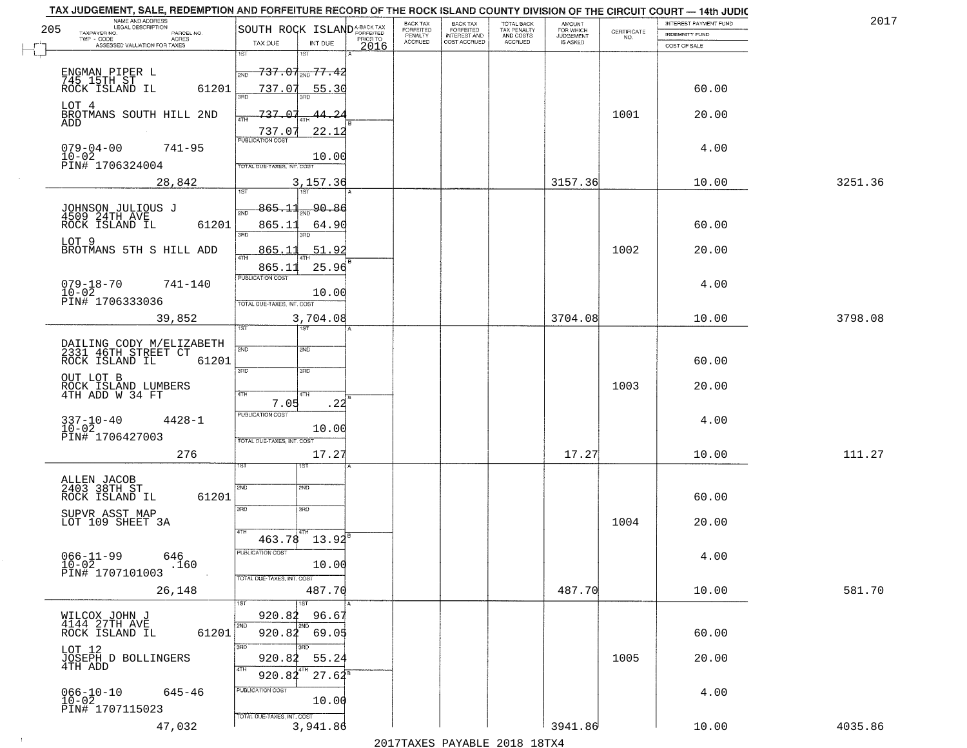| 205 | NAME AND ADDRESS<br>LEGAL DESCRIPTION<br>TAXPAYER NO.             | SOUTH ROCK ISLAND <sup>A-BACK TAX</sup> |                                       |          | BACK TAX<br>FORFEITED | <b>BACK TAX</b><br><b>FORFEITED</b> | TOTAL BACK<br>TAX PENALTY | <b>AMOUNT</b>                      |                                                                 | INTEREST PAYMENT FUND | 2017    |
|-----|-------------------------------------------------------------------|-----------------------------------------|---------------------------------------|----------|-----------------------|-------------------------------------|---------------------------|------------------------------------|-----------------------------------------------------------------|-----------------------|---------|
|     | PARCEL NO.<br>TWP - CODE<br>ACRES<br>ASSESSED VALUATION FOR TAXES | TAX DUE                                 | INT DUE                               | PRIOR TO | PENALTY<br>ACCRUED    | INTEREST AND<br>COST ACCRUED        | AND COSTS<br>ACCRUED      | FOR WHICH<br>JUDGEMENT<br>IS ASKED | $\begin{array}{c} \text{CERTIFICATE} \\ \text{NO.} \end{array}$ | <b>INDEMNITY FUND</b> |         |
|     |                                                                   | 1ST                                     | 18T                                   | 2016     |                       |                                     |                           |                                    |                                                                 | COST OF SALE          |         |
|     | ENGMAN PIPER L<br>745 15TH ST                                     | 2ND                                     | <del>737.07<sub>2ND</sub> 77.42</del> |          |                       |                                     |                           |                                    |                                                                 |                       |         |
|     | ROCK ISLAND IL<br>61201                                           | 737.07<br>酒币                            | 55.30                                 |          |                       |                                     |                           |                                    |                                                                 | 60.00                 |         |
|     | LOT 4<br>BROTMANS SOUTH HILL 2ND                                  | 737.07                                  | <u>44.2</u>                           |          |                       |                                     |                           |                                    | 1001                                                            | 20.00                 |         |
|     | ADD                                                               | 4TH<br>737.07                           | 22.12                                 |          |                       |                                     |                           |                                    |                                                                 |                       |         |
|     | $079 - 04 - 00$<br>$741 - 95$                                     | <b>PUBLICATION COST</b>                 |                                       |          |                       |                                     |                           |                                    |                                                                 | 4.00                  |         |
|     | $10 - 02$<br>PIN# 1706324004                                      | TOTAL DUE-TAXES, INT. COST              | 10.00                                 |          |                       |                                     |                           |                                    |                                                                 |                       |         |
|     | 28,842                                                            | 1ST                                     | 3,157.36<br><b>TST</b>                |          |                       |                                     |                           | 3157.36                            |                                                                 | 10.00                 | 3251.36 |
|     | JOHNSON JULIOUS J<br>4509 24TH AVE                                | $865 - 11$                              | 90.86                                 |          |                       |                                     |                           |                                    |                                                                 |                       |         |
|     | 61201<br>ROCK ISLAND IL                                           | 865.11                                  | 64.90                                 |          |                       |                                     |                           |                                    |                                                                 | 60.00                 |         |
|     | LOT 9<br>BROTMANS 5TH S HILL ADD                                  | 3RD<br>865.1                            | 3RD<br>51.92                          |          |                       |                                     |                           |                                    | 1002                                                            | 20.00                 |         |
|     |                                                                   | $\sqrt{4}$ TH<br>865.11                 | 25.96                                 |          |                       |                                     |                           |                                    |                                                                 |                       |         |
|     | $079 - 18 - 70$<br>741-140                                        | PUBLICATION COST                        |                                       |          |                       |                                     |                           |                                    |                                                                 | 4.00                  |         |
|     | $10 - 02$<br>PIN# 1706333036                                      | TOTAL DUE-TAXES, INT. COST              | 10.00                                 |          |                       |                                     |                           |                                    |                                                                 |                       |         |
|     | 39,852                                                            | 1ST                                     | 3,704.08<br>1ST                       |          |                       |                                     |                           | 3704.08                            |                                                                 | 10.00                 | 3798.08 |
|     | DAILING CODY M/ELIZABETH<br>2331 46TH STREET CT                   | 2ND                                     | 2ND                                   |          |                       |                                     |                           |                                    |                                                                 |                       |         |
|     | ROCK ISLAND IL<br>61201                                           | 3RD                                     | 3 <sub>3</sub>                        |          |                       |                                     |                           |                                    |                                                                 | 60.00                 |         |
|     | OUT LOT B                                                         |                                         |                                       |          |                       |                                     |                           |                                    | 1003                                                            | 20.00                 |         |
|     | ROCK ISLAND LUMBERS<br>4TH ADD W 34 FT                            | 4TH<br>7.05                             | 4TH<br>.22                            |          |                       |                                     |                           |                                    |                                                                 |                       |         |
|     | 337-10-40<br>10-02<br>$4428 - 1$                                  | <b>PUBLICATION COST</b>                 | 10.00                                 |          |                       |                                     |                           |                                    |                                                                 | 4.00                  |         |
|     | PIN# 1706427003                                                   | TOTAL OUE-TAXES, INT. COST              |                                       |          |                       |                                     |                           |                                    |                                                                 |                       |         |
|     | 276                                                               |                                         | 17.27<br>उड़ा                         |          |                       |                                     |                           | 17.27                              |                                                                 | 10.00                 | 111.27  |
|     | ALLEN JACOB<br>2403 38TH ST                                       | 2ND                                     | 2ND                                   |          |                       |                                     |                           |                                    |                                                                 |                       |         |
|     | 61201<br>ROCK ISLAND IL                                           | 3RD                                     |                                       |          |                       |                                     |                           |                                    |                                                                 | 60.00                 |         |
|     | SUPVR ASST MAP<br>LOT 109 SHEET 3A                                |                                         | 3BD                                   |          |                       |                                     |                           |                                    | 1004                                                            | 20.00                 |         |
|     |                                                                   | 4TH                                     | $463.78$ $13.92^8$                    |          |                       |                                     |                           |                                    |                                                                 |                       |         |
|     | $066 - 11 - 99$<br>$10 - 02$<br>646<br>.160                       | PUBLICATION COST                        | 10.00                                 |          |                       |                                     |                           |                                    |                                                                 | 4.00                  |         |
|     | PIN# 1707101003                                                   | TOTAL DUE-TAXES, INT. COST              |                                       |          |                       |                                     |                           |                                    |                                                                 |                       |         |
|     | 26,148                                                            | 1ST                                     | 487.70<br>1ST                         |          |                       |                                     |                           | 487.70                             |                                                                 | 10.00                 | 581.70  |
|     | WILCOX JOHN J<br>4144 27TH AVE                                    | 920.82<br>2ND                           | 96.67<br>2ND                          |          |                       |                                     |                           |                                    |                                                                 |                       |         |
|     | ROCK ISLAND IL<br>61201                                           | 920.82                                  | 69.05                                 |          |                       |                                     |                           |                                    |                                                                 | 60.00                 |         |
|     | LOT 12<br>JOSEPH D BOLLINGERS                                     | 3RD<br>920.82                           | 3RD.<br>55.24                         |          |                       |                                     |                           |                                    | 1005                                                            | 20.00                 |         |
|     | 4TH ADD                                                           | 4TH<br>920.82                           | $27.62^8$                             |          |                       |                                     |                           |                                    |                                                                 |                       |         |
|     | $066 - 10 - 10$<br>$10 - 02$<br>$645 - 46$                        | PUBLICATION COST                        | 10.00                                 |          |                       |                                     |                           |                                    |                                                                 | 4.00                  |         |
|     | PIN# 1707115023                                                   | TOTAL DUE-TAXES, INT. COST              |                                       |          |                       |                                     |                           |                                    |                                                                 |                       |         |
|     | 47,032                                                            |                                         | 3,941.86                              |          |                       |                                     |                           | 3941.86                            |                                                                 | 10.00                 | 4035.86 |

 $\sim 100$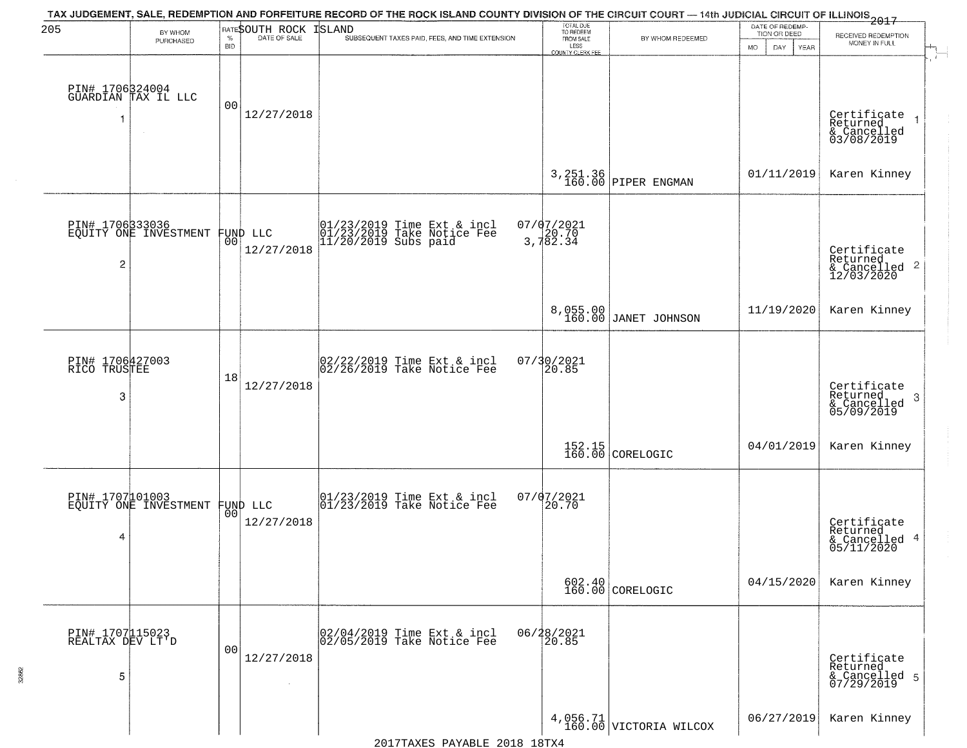| 205                                      | BY WHOM                                           |                    | RATESOUTH ROCK | TAX JUDGEMENT, SALE, REDEMPTION AND FORFEITURE RECORD OF THE ROCK ISLAND COUNTY DIVISION OF THE CIRCUIT COURT — 14th JUDICIAL CIRCUIT OF ILLINOIS 2017<br><b>ISLAND</b> |                                             |                                  | DATE OF REDEMP-<br>TION OR DEED |                                                                       |
|------------------------------------------|---------------------------------------------------|--------------------|----------------|-------------------------------------------------------------------------------------------------------------------------------------------------------------------------|---------------------------------------------|----------------------------------|---------------------------------|-----------------------------------------------------------------------|
|                                          | PURCHASED                                         | $\%$<br><b>BID</b> | DATE OF SALE   | SUBSEQUENT TAXES PAID, FEES, AND TIME EXTENSION                                                                                                                         | TOTAL DUE<br>TO REDEEM<br>FROM SALE<br>LESS | BY WHOM REDEEMED                 | DAY<br><b>MO</b><br>YEAR        | RECEIVED REDEMPTION<br>MONEY IN FULL                                  |
|                                          | PIN# 1706324004<br>GUARDIAN TAX IL LLC            | 0 <sub>0</sub>     | 12/27/2018     |                                                                                                                                                                         | <b>COUNTY CLERK FEE</b>                     |                                  |                                 | Certificate<br>Returned<br>$\rightarrow$<br>& Cancelled<br>03/08/2019 |
|                                          |                                                   |                    |                |                                                                                                                                                                         |                                             | 3, 251.36<br>160.00 PIPER ENGMAN | 01/11/2019                      | Karen Kinney                                                          |
| $\overline{c}$                           | PIN# 170633036<br>EQUITY ONE INVESTMENT FUND LLC  |                    | 12/27/2018     | 01/23/2019 Time Ext & incl<br>01/23/2019 Take Notice Fee<br>11/20/2019 Subs paid                                                                                        | 07/07/2021<br>3,782.34                      |                                  |                                 | Certificate<br>Returned<br>& Cancelled 2<br>12/03/2020                |
|                                          |                                                   |                    |                |                                                                                                                                                                         | 8,055.00<br>160.00                          | JANET JOHNSON                    | 11/19/2020                      | Karen Kinney                                                          |
| PIN# 1706427003<br>RICO TRUSTEE<br>3     |                                                   | 18                 | 12/27/2018     | $02/22/2019$ Time Ext & incl<br>$02/26/2019$ Take Notice Fee                                                                                                            | 07/30/2021<br>20.85                         |                                  |                                 | Certificate<br>Returned<br>3<br>& Cancelled<br>05/09/2019             |
|                                          |                                                   |                    |                |                                                                                                                                                                         |                                             | 152.15<br>160.00 CORELOGIC       | 04/01/2019                      | Karen Kinney                                                          |
| 4                                        | PIN# 1707101003<br>EQUITY ONE INVESTMENT FUND LLC |                    | 12/27/2018     | 01/23/2019 Time Ext & incl<br>01/23/2019 Take Notice Fee                                                                                                                | 07/07/2021<br>20.70                         |                                  |                                 | Certificate<br>Returned<br>& Cancelled 4<br>05/11/2020                |
|                                          |                                                   |                    |                |                                                                                                                                                                         |                                             | $602.40$<br>160.00 CORELOGIC     | 04/15/2020                      | Karen Kinney                                                          |
| PIN# 1707115023<br>REALTAX DEV LT'D<br>5 |                                                   | 0 <sub>0</sub>     | 12/27/2018     | 02/04/2019 Time Ext & incl<br>02/05/2019 Take Notice Fee                                                                                                                | 06/28/2021<br>20.85                         |                                  |                                 | Certificate<br>Returned<br>& Cancelled 5<br>07/29/2019                |
|                                          |                                                   |                    |                |                                                                                                                                                                         |                                             | $4,056.71$ VICTORIA WILCOX       | 06/27/2019                      | Karen Kinney                                                          |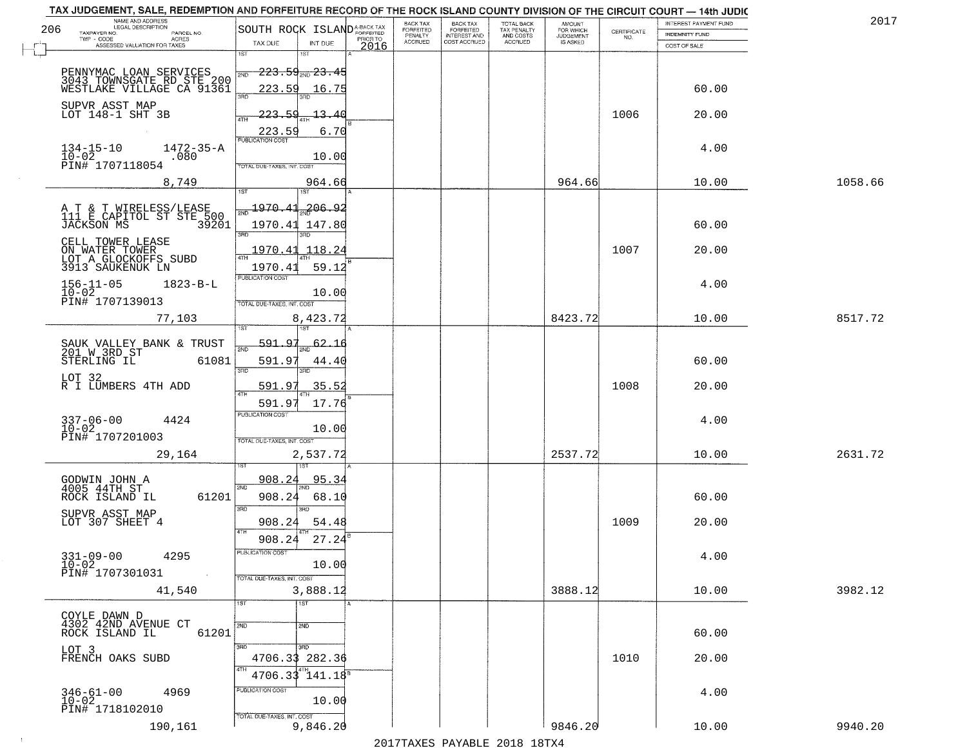|     | TAX JUDGEMENT, SALE, REDEMPTION AND FORFEITURE RECORD OF THE ROCK ISLAND COUNTY DIVISION OF THE CIRCUIT COURT - 14th JUDIC |                                                             |                  |                       |                                     |                                        |                                              |             | INTEREST PAYMENT FUND | 2017    |
|-----|----------------------------------------------------------------------------------------------------------------------------|-------------------------------------------------------------|------------------|-----------------------|-------------------------------------|----------------------------------------|----------------------------------------------|-------------|-----------------------|---------|
| 206 | NAME AND ADDRESS<br>LEGAL DESCRIPTION<br>TAXPAYER NO.<br>PARCEL NO.                                                        | SOUTH ROCK ISLAND <sup>A-BACK TAX</sup>                     |                  | BACK TAX<br>FORFEITED | <b>BACK TAX</b><br><b>FORFEITED</b> | TOTAL BACK<br>TAX PENALTY<br>AND COSTS | AMOUNT<br>FOR WHICH<br>JUDGEMENT<br>IS ASKED | CERTIFICATE | <b>INDEMNITY FUND</b> |         |
|     | TWP - CODE<br>ACRES<br>ASSESSED VALUATION FOR TAXES                                                                        | TAX DUE<br>INT DUE                                          | PRIOR TO<br>2016 | PENALTY<br>ACCRUED    | INTEREST AND<br>COST ACCRUED        | ACCRUED                                |                                              | NO.         | COST OF SALE          |         |
|     |                                                                                                                            | 1ST<br>18T                                                  |                  |                       |                                     |                                        |                                              |             |                       |         |
|     |                                                                                                                            | <del>223.59, 23.45</del>                                    |                  |                       |                                     |                                        |                                              |             |                       |         |
|     | PENNYMAC LOAN SERVICES<br>3043 TOWNSGATE RD STE 200<br>WESTLAKE VILLAGE CA 91361                                           | 2ND                                                         |                  |                       |                                     |                                        |                                              |             |                       |         |
|     |                                                                                                                            | 223.59<br>16.75<br>350                                      |                  |                       |                                     |                                        |                                              |             | 60.00                 |         |
|     | SUPVR ASST MAP                                                                                                             |                                                             |                  |                       |                                     |                                        |                                              |             |                       |         |
|     | LOT 148-1 SHT 3B                                                                                                           | 223.59<br>13.40                                             |                  |                       |                                     |                                        |                                              | 1006        | 20.00                 |         |
|     |                                                                                                                            | 223.59<br><b>PUBLICATION COST</b>                           | 6.70             |                       |                                     |                                        |                                              |             |                       |         |
|     | $1472 - 35 - A$<br>$134 - 15 - 10$                                                                                         |                                                             |                  |                       |                                     |                                        |                                              |             | 4.00                  |         |
|     | $10 - 02$<br>.080<br>PIN# 1707118054                                                                                       | 10.00<br>TOTAL DUE-TAXES, INT. COST                         |                  |                       |                                     |                                        |                                              |             |                       |         |
|     |                                                                                                                            |                                                             |                  |                       |                                     |                                        |                                              |             |                       |         |
|     | 8,749                                                                                                                      | 964.66<br>1ST<br>1ST <sup></sup>                            |                  |                       |                                     |                                        | 964.66                                       |             | 10.00                 | 1058.66 |
|     |                                                                                                                            | 206.92<br>$\frac{1970.41}{200}$                             |                  |                       |                                     |                                        |                                              |             |                       |         |
|     | A T & T WIRELESS/LEASE<br>111 E CAPITOL ST STE 500                                                                         |                                                             |                  |                       |                                     |                                        |                                              |             |                       |         |
|     | 39201<br>JACKSON MS                                                                                                        | 1970.41 147.80<br>3BD<br>3RD                                |                  |                       |                                     |                                        |                                              |             | 60.00                 |         |
|     | CELL TOWER LEASE                                                                                                           |                                                             |                  |                       |                                     |                                        |                                              |             |                       |         |
|     | ON WATER TOWER<br>LOT A GLOCKOFFS SUBD<br>3913 SAUKENUK LN                                                                 | 1970.41<br>118.24                                           |                  |                       |                                     |                                        |                                              | 1007        | 20.00                 |         |
|     |                                                                                                                            | 1970.41<br>59.12                                            |                  |                       |                                     |                                        |                                              |             |                       |         |
|     | $156 - 11 - 05$<br>$1823 - B - L$                                                                                          | PUBLICATION COST                                            |                  |                       |                                     |                                        |                                              |             | 4.00                  |         |
|     | $10 - 02$<br>PIN# 1707139013                                                                                               | 10.00<br>TOTAL DUE-TAXES, INT. COST                         |                  |                       |                                     |                                        |                                              |             |                       |         |
|     | 77,103                                                                                                                     |                                                             |                  |                       |                                     |                                        | 8423.72                                      |             | 10.00                 | 8517.72 |
|     |                                                                                                                            | 8,423.72<br>1ST<br>1ST                                      |                  |                       |                                     |                                        |                                              |             |                       |         |
|     |                                                                                                                            | 591.97<br>62                                                |                  |                       |                                     |                                        |                                              |             |                       |         |
|     | SAUK VALLEY BANK & TRUST<br>201 W 3RD ST                                                                                   | 2ND                                                         |                  |                       |                                     |                                        |                                              |             |                       |         |
|     | 61081<br>STERLING IL                                                                                                       | 591.97<br>44.40<br>3 <sub>BD</sub><br>3RD                   |                  |                       |                                     |                                        |                                              |             | 60.00                 |         |
|     | LOT 32<br>R I LUMBERS 4TH ADD                                                                                              | 591.97<br>35.52                                             |                  |                       |                                     |                                        |                                              | 1008        | 20.00                 |         |
|     |                                                                                                                            | 4TH                                                         |                  |                       |                                     |                                        |                                              |             |                       |         |
|     |                                                                                                                            | 17.76<br>591.97<br><b>PUBLICATION COST</b>                  |                  |                       |                                     |                                        |                                              |             |                       |         |
|     | 337-06-00<br>10-02<br>4424                                                                                                 | 10.00                                                       |                  |                       |                                     |                                        |                                              |             | 4.00                  |         |
|     | PIN# 1707201003                                                                                                            | TOTAL OUE-TAXES, INT. COST                                  |                  |                       |                                     |                                        |                                              |             |                       |         |
|     | 29,164                                                                                                                     | 2,537.72                                                    |                  |                       |                                     |                                        | 2537.72                                      |             | 10.00                 | 2631.72 |
|     |                                                                                                                            |                                                             |                  |                       |                                     |                                        |                                              |             |                       |         |
|     | GODWIN JOHN A<br>4005 44TH ST                                                                                              | 95.34<br>908.24                                             |                  |                       |                                     |                                        |                                              |             |                       |         |
|     | 61201<br>ROCK ISLAND IL                                                                                                    | 2ND<br>908.24<br>68.10                                      |                  |                       |                                     |                                        |                                              |             | 60.00                 |         |
|     |                                                                                                                            | 3BD<br>3RD                                                  |                  |                       |                                     |                                        |                                              |             |                       |         |
|     | SUPVR ASST MAP<br>LOT 307 SHEET 4                                                                                          | 908.24<br>54.48                                             |                  |                       |                                     |                                        |                                              | 1009        | 20.00                 |         |
|     |                                                                                                                            | 908.24<br>27.24                                             |                  |                       |                                     |                                        |                                              |             |                       |         |
|     |                                                                                                                            | PUBLICATION COS                                             |                  |                       |                                     |                                        |                                              |             |                       |         |
|     | $331 - 09 - 00$<br>4295<br>$10 - 02$                                                                                       | 10.00                                                       |                  |                       |                                     |                                        |                                              |             | 4.00                  |         |
|     | PIN# 1707301031<br>$\sim 100$                                                                                              | TOTAL DUE-TAXES, INT. COST                                  |                  |                       |                                     |                                        |                                              |             |                       |         |
|     | 41,540                                                                                                                     | 3,888.12                                                    |                  |                       |                                     |                                        | 3888.12                                      |             | 10.00                 | 3982.12 |
|     |                                                                                                                            | 1ST <sup>1</sup><br>1ST                                     |                  |                       |                                     |                                        |                                              |             |                       |         |
|     | COYLE DAWN D<br>4302 42ND AVENUE CT                                                                                        |                                                             |                  |                       |                                     |                                        |                                              |             |                       |         |
|     | 61201<br>ROCK ISLAND IL                                                                                                    | 2ND<br>2ND                                                  |                  |                       |                                     |                                        |                                              |             | 60.00                 |         |
|     | LOT 3                                                                                                                      | 3RD<br>3RD                                                  |                  |                       |                                     |                                        |                                              |             |                       |         |
|     | FRENCH OAKS SUBD                                                                                                           | 4706.33 282.36                                              |                  |                       |                                     |                                        |                                              | 1010        | 20.00                 |         |
|     |                                                                                                                            | $4706.33^{4}$ <sup>4TH</sup> <sub>141.18</sub> <sup>B</sup> |                  |                       |                                     |                                        |                                              |             |                       |         |
|     | $346 - 61 - 00$<br>4969                                                                                                    | PUBLICATION COST                                            |                  |                       |                                     |                                        |                                              |             | 4.00                  |         |
|     | $10 - 02$                                                                                                                  | 10.00                                                       |                  |                       |                                     |                                        |                                              |             |                       |         |
|     | PIN# 1718102010                                                                                                            | TOTAL DUE-TAXES, INT. COST                                  |                  |                       |                                     |                                        |                                              |             |                       |         |
|     | 190,161                                                                                                                    | 9,846.20                                                    |                  |                       |                                     |                                        | 9846.20                                      |             | 10.00                 | 9940.20 |

 $\sim 10$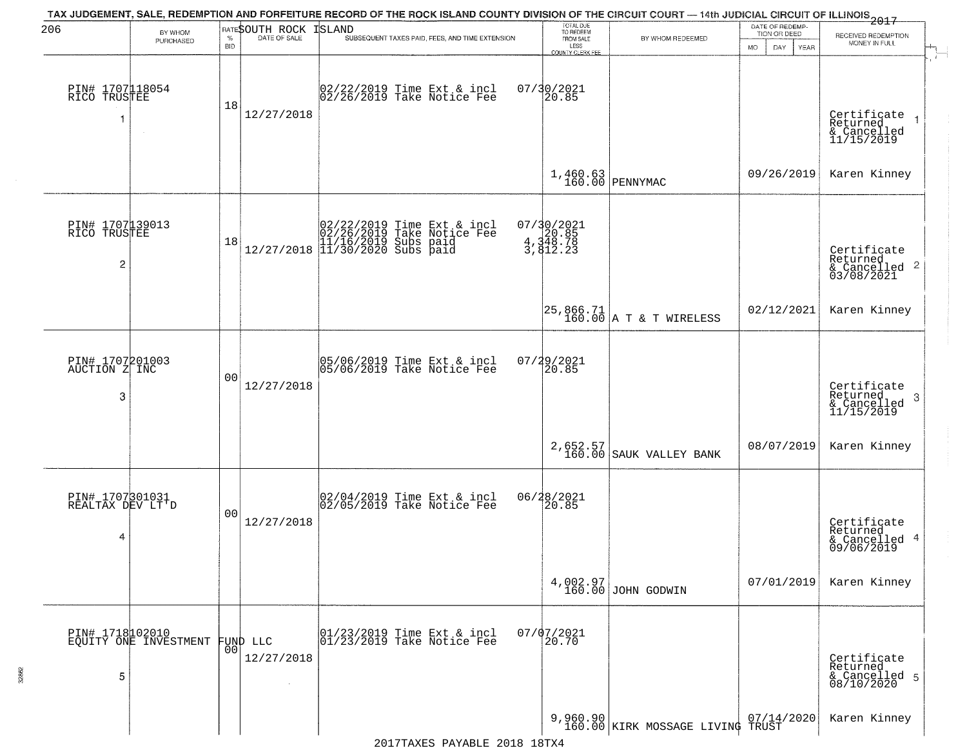| 206                                      | BY WHOM                                  |            | RATESOUTH ROCK         | TAX JUDGEMENT, SALE, REDEMPTION AND FORFEITURE RECORD OF THE ROCK ISLAND COUNTY DIVISION OF THE CIRCUIT COURT — 14th JUDICIAL CIRCUIT OF ILLINOIS 2017<br>ISLAND | TOTAL DUE<br>TO REDEEM                |                                      | DATE OF REDEMP-<br>TION OR DEED |                                                            |
|------------------------------------------|------------------------------------------|------------|------------------------|------------------------------------------------------------------------------------------------------------------------------------------------------------------|---------------------------------------|--------------------------------------|---------------------------------|------------------------------------------------------------|
|                                          | PURCHASED                                | <b>BID</b> |                        | SUBSEQUENT TAXES PAID, FEES, AND TIME EXTENSION                                                                                                                  | FROM SALE<br>LESS<br>COUNTY CLERK FEE | BY WHOM REDEEMED                     | YEAR<br>MO.<br>DAY.             | RECEIVED REDEMPTION<br>MONEY IN FULL                       |
| PIN# 1707118054<br>RICO TRUSTEE<br>-1    | $\sim$                                   | 18         | 12/27/2018             | 02/22/2019 Time Ext & incl<br>02/26/2019 Take Notice Fee                                                                                                         | 07/30/2021<br>20.85                   |                                      |                                 | Certificate<br>Returned<br>& Cancelled<br>11/15/2019       |
|                                          |                                          |            |                        |                                                                                                                                                                  |                                       | $1,460.63$ PENNYMAC                  | 09/26/2019                      | Karen Kinney                                               |
| PIN# 1707139013<br>RICO TRUSTEE<br>2     |                                          | 18         |                        | $[02/22/2019 \text{ Time Ext & incl} \brack 02/26/2019 \text{ Take Notice } \text{Fee} \brack 11/16/2019 \text{ Subs paid} \brack 11/30/2020 \text{ Subs paid}$  | 07/30/2021<br>4,348.78<br>3,348.78    |                                      |                                 | Certificate<br>Returned<br>& Cancelled 2<br>03/08/2021     |
|                                          |                                          |            |                        |                                                                                                                                                                  |                                       | 25,866.71<br>160.00 A T & T WIRELESS | 02/12/2021                      | Karen Kinney                                               |
| PIN# 1707201003<br>AUCTION Z INC<br>3    |                                          | 00         | 12/27/2018             | 05/06/2019 Time Ext & incl<br>05/06/2019 Take Notice Fee                                                                                                         | $07/29/2021$<br>20.85                 |                                      |                                 | Certificate<br>Returned<br>-3<br>& Cancelled<br>11/15/2019 |
|                                          |                                          |            |                        |                                                                                                                                                                  |                                       | 2,652.57<br>160.00 SAUK VALLEY BANK  | 08/07/2019                      | Karen Kinney                                               |
| PIN# 1707301031<br>REALTAX DEV LT'D<br>4 |                                          | 00         | 12/27/2018             | 02/04/2019 Time Ext & incl<br>02/05/2019 Take Notice Fee                                                                                                         | 06/28/2021<br>20.85                   |                                      |                                 | Certificate<br>Returned<br>& Cancelled 4<br>09/06/2019     |
|                                          |                                          |            |                        |                                                                                                                                                                  |                                       | 4,002.97<br>160.00 JOHN GODWIN       | 07/01/2019                      | Karen Kinney                                               |
| 5                                        | PIN# 1718102010<br>EQUITY ONE INVESTMENT | 00         | FUND LLC<br>12/27/2018 | 01/23/2019 Time Ext & incl<br>01/23/2019 Take Notice Fee                                                                                                         | $07/07/2021$<br>$20.70$               |                                      |                                 | Certificate<br>Returned<br>& Cancelled 5<br>08/10/2020     |
|                                          |                                          |            |                        |                                                                                                                                                                  |                                       | 9,960.90 KIRK MOSSAGE LIVING TRUST   |                                 | Karen Kinney                                               |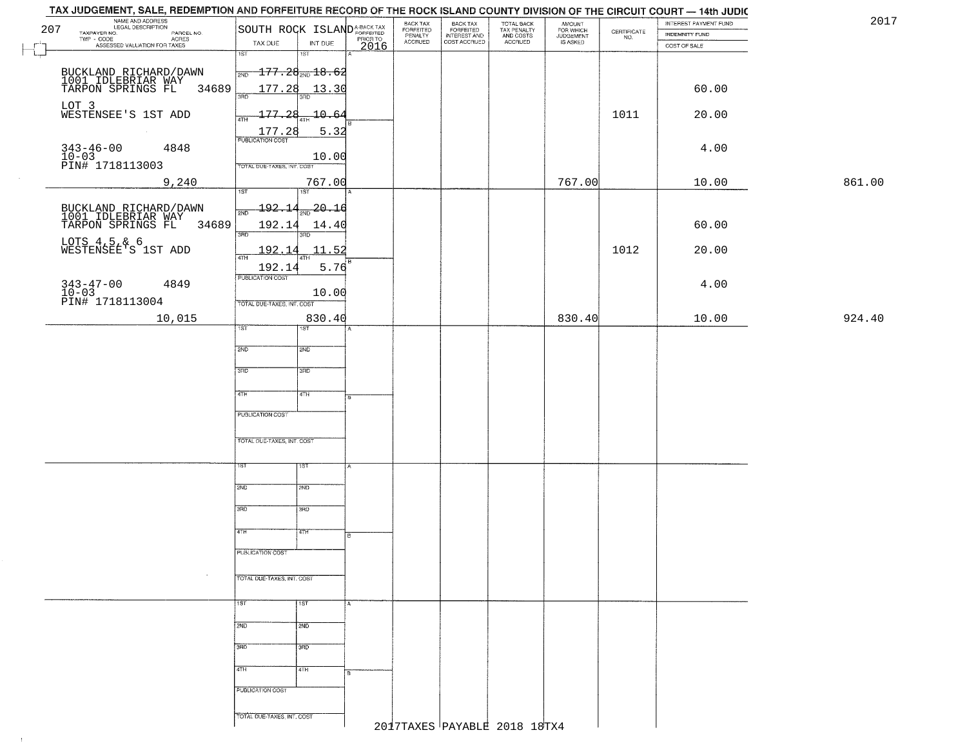| TAX JUDGEMENT, SALE, REDEMPTION AND FORFEITURE RECORD OF THE ROCK ISLAND COUNTY DIVISION OF THE CIRCUIT COURT - 14th JUDIC |                                           |         |                                             |                                                       |                                        |                                         |                    |                                         |        |
|----------------------------------------------------------------------------------------------------------------------------|-------------------------------------------|---------|---------------------------------------------|-------------------------------------------------------|----------------------------------------|-----------------------------------------|--------------------|-----------------------------------------|--------|
| NAME AND ADDRESS<br>LEGAL DESCRIPTION<br>207<br>TAXPAYER NO.<br>PARCEL NO.                                                 | SOUTH ROCK ISLAND <sup>A-BACK TAX</sup>   |         | BACK TAX<br>FORFEITED<br>PENALTY<br>ACCRUED | BACK TAX<br>FORFEITED<br>INTEREST AND<br>COST ACCRUED | TOTAL BACK<br>TAX PENALTY<br>AND COSTS | <b>AMOUNT</b><br>FOR WHICH<br>JUDGEMENT | CERTIFICATE<br>NO. | INTEREST PAYMENT FUND<br>INDEMNITY FUND | 2017   |
| TWP - CODE<br>ACRES<br>ASSESSED VALUATION FOR TAXES                                                                        | TAX DUE<br>INT DUE                        | PRIORTO |                                             |                                                       | ACCRUED                                | IS ASKED                                |                    | COST OF SALE                            |        |
|                                                                                                                            | 1ST<br>18T                                |         |                                             |                                                       |                                        |                                         |                    |                                         |        |
| BUCKLAND RICHARD/DAWN<br>1001 IDLEBRIAR WAY<br>TARPON SPRINGS FL                                                           | $-177.28_{\text{\tiny 2ND}} 18.62$<br>2ND |         |                                             |                                                       |                                        |                                         |                    |                                         |        |
| 34689                                                                                                                      | 177.28<br><u> 13.30</u><br>3RD            |         |                                             |                                                       |                                        |                                         |                    | 60.00                                   |        |
| LOT 3<br>WESTENSEE'S 1ST ADD                                                                                               |                                           |         |                                             |                                                       |                                        |                                         |                    |                                         |        |
|                                                                                                                            | 177.28<br>$-10.64$                        |         |                                             |                                                       |                                        |                                         | 1011               | 20.00                                   |        |
|                                                                                                                            | 5.32<br>$\frac{177.28}{FUBUCATONCGST}$    |         |                                             |                                                       |                                        |                                         |                    |                                         |        |
| $343 - 46 - 00$<br>4848<br>$10 - 03$                                                                                       | 10.00                                     |         |                                             |                                                       |                                        |                                         |                    | 4.00                                    |        |
| PIN# 1718113003                                                                                                            | TOTAL DUE-TAXES, INT. COST                |         |                                             |                                                       |                                        |                                         |                    |                                         |        |
| 9,240                                                                                                                      | 767.00<br>$\overline{1ST}$<br>1ST         |         |                                             |                                                       |                                        | 767.00                                  |                    | 10.00                                   | 861.00 |
|                                                                                                                            | 192.14<br>$\frac{20.16}{200}$             |         |                                             |                                                       |                                        |                                         |                    |                                         |        |
| BUCKLAND RICHARD/DAWN<br>1001 IDLEBRIAR WAY<br>TARPON SPRINGS FL<br>34689                                                  | 192.14<br>14.40                           |         |                                             |                                                       |                                        |                                         |                    | 60.00                                   |        |
|                                                                                                                            | 3RD                                       |         |                                             |                                                       |                                        |                                         |                    |                                         |        |
| LOTS 4,5,& 6<br>WESTENSEE'S 1ST ADD                                                                                        | 11.52<br>192.14<br>ৰাম                    |         |                                             |                                                       |                                        |                                         | 1012               | 20.00                                   |        |
|                                                                                                                            | 5.76<br>192.14                            |         |                                             |                                                       |                                        |                                         |                    |                                         |        |
| $343 - 47 - 00$<br>4849                                                                                                    | PUBLICATION COST                          |         |                                             |                                                       |                                        |                                         |                    | 4.00                                    |        |
| $10-03$<br>PIN# 1718113004                                                                                                 | 10.00<br>TOTAL DUE-TAXES, INT. COST       |         |                                             |                                                       |                                        |                                         |                    |                                         |        |
| 10,015                                                                                                                     | 830.40                                    |         |                                             |                                                       |                                        | 830.40                                  |                    | 10.00                                   | 924.40 |
|                                                                                                                            | 1ST<br>ST                                 |         |                                             |                                                       |                                        |                                         |                    |                                         |        |
|                                                                                                                            | 2ND<br>2ND                                |         |                                             |                                                       |                                        |                                         |                    |                                         |        |
|                                                                                                                            | 3RD<br>3 <sub>BD</sub>                    |         |                                             |                                                       |                                        |                                         |                    |                                         |        |
|                                                                                                                            |                                           |         |                                             |                                                       |                                        |                                         |                    |                                         |        |
|                                                                                                                            | 4TH<br>4TH                                |         |                                             |                                                       |                                        |                                         |                    |                                         |        |
|                                                                                                                            | <b>PUBLICATION COST</b>                   |         |                                             |                                                       |                                        |                                         |                    |                                         |        |
|                                                                                                                            | TOTAL OUE-TAXES, INT. COST                |         |                                             |                                                       |                                        |                                         |                    |                                         |        |
|                                                                                                                            |                                           |         |                                             |                                                       |                                        |                                         |                    |                                         |        |
|                                                                                                                            | 1ST<br>15T                                |         |                                             |                                                       |                                        |                                         |                    |                                         |        |
|                                                                                                                            | 2ND<br>2ND                                |         |                                             |                                                       |                                        |                                         |                    |                                         |        |
|                                                                                                                            |                                           |         |                                             |                                                       |                                        |                                         |                    |                                         |        |
|                                                                                                                            | 3RD<br>3BD                                |         |                                             |                                                       |                                        |                                         |                    |                                         |        |
|                                                                                                                            | 4TH<br>4TH                                |         |                                             |                                                       |                                        |                                         |                    |                                         |        |
|                                                                                                                            | <b>PUBLICATION COST</b>                   |         |                                             |                                                       |                                        |                                         |                    |                                         |        |
|                                                                                                                            |                                           |         |                                             |                                                       |                                        |                                         |                    |                                         |        |
|                                                                                                                            | TOTAL DUE-TAXES, INT. COST                |         |                                             |                                                       |                                        |                                         |                    |                                         |        |
|                                                                                                                            | 1ST<br>1ST                                | A       |                                             |                                                       |                                        |                                         |                    |                                         |        |
|                                                                                                                            |                                           |         |                                             |                                                       |                                        |                                         |                    |                                         |        |
|                                                                                                                            | 2ND<br>2ND                                |         |                                             |                                                       |                                        |                                         |                    |                                         |        |
|                                                                                                                            | 3RD<br>3 <sub>BD</sub>                    |         |                                             |                                                       |                                        |                                         |                    |                                         |        |
|                                                                                                                            | 4TH<br>4TH                                |         |                                             |                                                       |                                        |                                         |                    |                                         |        |
|                                                                                                                            | PUBLICATION COST                          |         |                                             |                                                       |                                        |                                         |                    |                                         |        |
|                                                                                                                            |                                           |         |                                             |                                                       |                                        |                                         |                    |                                         |        |
|                                                                                                                            | TOTAL DUE-TAXES, INT. COST                |         |                                             |                                                       |                                        |                                         |                    |                                         |        |
|                                                                                                                            |                                           |         |                                             |                                                       | 2017TAXES PAYABLE 2018 18TX4           |                                         |                    |                                         |        |

 $\uparrow$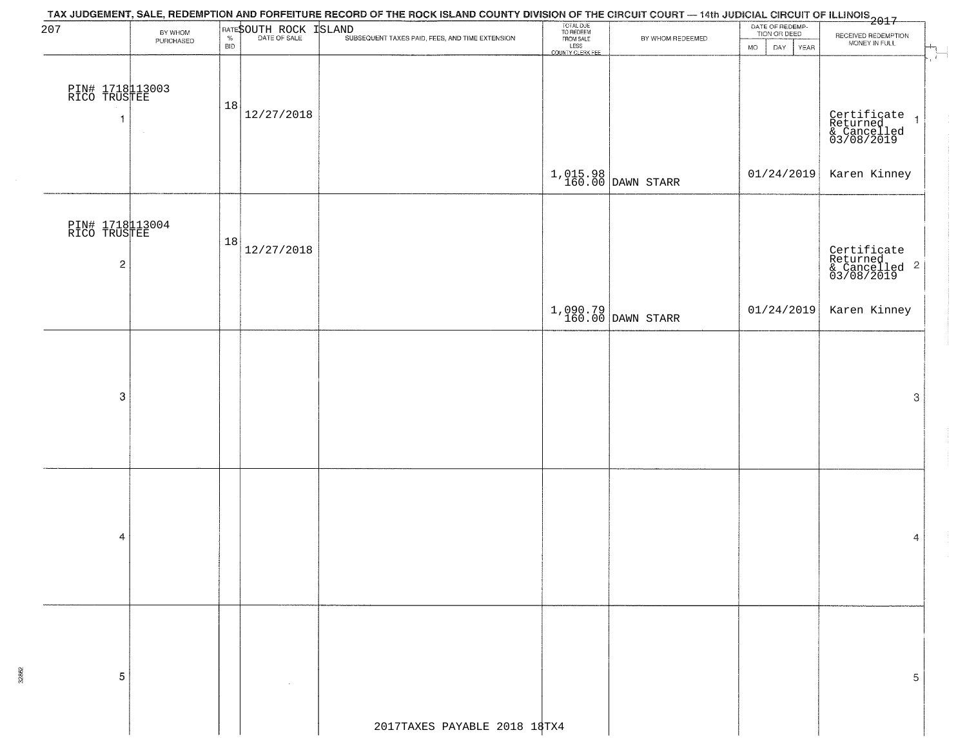| 207                                           | BY WHOM<br>PURCHASED | <b>BID</b> |            | ATE SOUTH ROCK TSLAND<br><sup>1</sup> % PATE OF SALE TEXT SUBSEQUENT TAXES PAID, FEES, AND TIME EXTENSION | TOTAL DUE<br>TO REDEEM<br>FROM SALE<br>LESS<br>COUNTY CLERK FEE | BY WHOM REDEEMED      | DATE OF REDEMP-<br>TION OR DEED<br><b>MO</b><br>DAY<br>YEAR | RECEIVED REDEMPTION<br>MONEY IN FULL<br>$\overline{\mathcal{L}}$  |
|-----------------------------------------------|----------------------|------------|------------|-----------------------------------------------------------------------------------------------------------|-----------------------------------------------------------------|-----------------------|-------------------------------------------------------------|-------------------------------------------------------------------|
| PIN# 1718113003<br>RICO TRUSTEE<br>-1         | $\sim$               | 18         | 12/27/2018 |                                                                                                           |                                                                 |                       |                                                             | Certificate 1<br>Returned 1<br>& Cancelled<br>03/08/2019          |
|                                               |                      |            |            |                                                                                                           |                                                                 | $1,015.98$ DAWN STARR | 01/24/2019                                                  | Karen Kinney                                                      |
| PIN# 1718113004<br>RICO TRUSTEE<br>$\sqrt{2}$ |                      | 18         | 12/27/2018 |                                                                                                           |                                                                 |                       |                                                             | Certificate<br>Returned<br>& Cancelled <sup>2</sup><br>03/08/2019 |
|                                               |                      |            |            |                                                                                                           |                                                                 | $1,090.79$ DAWN STARR | 01/24/2019                                                  | Karen Kinney                                                      |
| 3                                             |                      |            |            |                                                                                                           |                                                                 |                       |                                                             | 3                                                                 |
|                                               |                      |            |            |                                                                                                           |                                                                 |                       |                                                             |                                                                   |
| 4                                             |                      |            |            |                                                                                                           |                                                                 |                       |                                                             | 4                                                                 |
|                                               |                      |            |            |                                                                                                           |                                                                 |                       |                                                             |                                                                   |
| 5                                             |                      |            |            |                                                                                                           |                                                                 |                       |                                                             | 5                                                                 |
|                                               |                      |            |            | 2017TAXES PAYABLE 2018 18TX4                                                                              |                                                                 |                       |                                                             |                                                                   |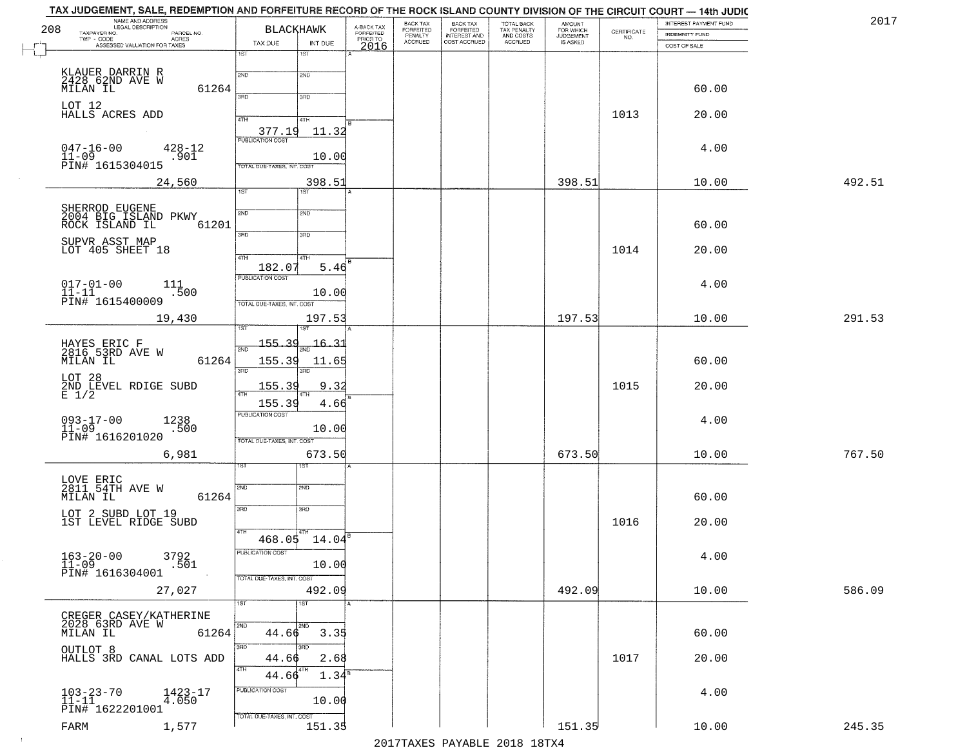|        | INTEREST PAYMENT FUND                 |                                                                 | AMOUNT<br>FOR WHICH<br>JUDGEMENT | TOTAL BACK<br>TAX PENALTY<br>AND COSTS | BACK TAX<br>FORFEITED<br>INTEREST AND | BACK TAX<br>FORFEITED<br>PENALTY | A-BACK TAX<br>FORFEITED<br>PRIOR TO | <b>BLACKHAWK</b>        |                                   | NAME AND ADDRESS<br>LEGAL DESCRIPTION<br>TAXPAYER NO.<br>PARCEL NO. | 208       |
|--------|---------------------------------------|-----------------------------------------------------------------|----------------------------------|----------------------------------------|---------------------------------------|----------------------------------|-------------------------------------|-------------------------|-----------------------------------|---------------------------------------------------------------------|-----------|
|        | <b>INDEMNITY FUND</b><br>COST OF SALE | $\begin{array}{c} \text{CERTIFICATE} \\ \text{NO.} \end{array}$ | IS ASKED                         | ACCRUED                                | COST ACCRUED                          | <b>ACCRUED</b>                   |                                     | INT DUE                 | TAX DUE                           | ACRES<br>$TWP - CODE$<br>ASSESSED VALUATION FOR TAXES               |           |
|        |                                       |                                                                 |                                  |                                        |                                       |                                  | 2016                                | 1ST                     | 1ST                               |                                                                     |           |
|        |                                       |                                                                 |                                  |                                        |                                       |                                  |                                     |                         |                                   |                                                                     |           |
|        |                                       |                                                                 |                                  |                                        |                                       |                                  |                                     | 2ND                     | 2ND                               | KLAUER DARRIN R<br>2428 62ND AVE W                                  |           |
|        | 60.00                                 |                                                                 |                                  |                                        |                                       |                                  |                                     | 3RD                     | 3RD                               | 61264<br>MILAN IL                                                   |           |
|        | 20.00                                 |                                                                 |                                  |                                        |                                       |                                  |                                     |                         |                                   |                                                                     | LOT 12    |
|        |                                       | 1013                                                            |                                  |                                        |                                       |                                  |                                     | 4TH                     | 4TH                               | HALLS ACRES ADD                                                     |           |
|        |                                       |                                                                 |                                  |                                        |                                       |                                  |                                     | 11.32                   | 377.19<br><b>PUBLICATION COST</b> |                                                                     |           |
|        | 4.00                                  |                                                                 |                                  |                                        |                                       |                                  |                                     |                         |                                   | $047 - 16 - 00$<br>$428 - 12$                                       | $11 - 09$ |
|        |                                       |                                                                 |                                  |                                        |                                       |                                  |                                     | 10.00                   | TOTAL DUE-TAXES, INT. COST        | .901<br>PĪN# 1615304015                                             |           |
| 492.51 | 10.00                                 |                                                                 | 398.51                           |                                        |                                       |                                  |                                     | 398.51                  |                                   | 24,560                                                              |           |
|        |                                       |                                                                 |                                  |                                        |                                       |                                  |                                     | 1ST                     | 1ST                               |                                                                     |           |
|        |                                       |                                                                 |                                  |                                        |                                       |                                  |                                     | 2ND                     | 2ND                               | SHERROD EUGENE<br>2004 BIG ISLAND PKWY                              |           |
|        | 60.00                                 |                                                                 |                                  |                                        |                                       |                                  |                                     |                         |                                   | 61201<br>ROCK ISLAND IL                                             |           |
|        |                                       |                                                                 |                                  |                                        |                                       |                                  |                                     | 3RD                     | उन्नठ                             |                                                                     |           |
|        | 20.00                                 | 1014                                                            |                                  |                                        |                                       |                                  |                                     |                         |                                   | SUPVR ASST MAP<br>LOT 405 SHEET 18                                  |           |
|        |                                       |                                                                 |                                  |                                        |                                       |                                  |                                     | 4TH<br>5.46             | 47H<br>182.07                     |                                                                     |           |
|        | 4.00                                  |                                                                 |                                  |                                        |                                       |                                  |                                     |                         | PUBLICATION COST                  | 111                                                                 |           |
|        |                                       |                                                                 |                                  |                                        |                                       |                                  |                                     | 10.00                   |                                   | $017 - 01 - 00$<br>11-11<br>.500                                    |           |
|        |                                       |                                                                 |                                  |                                        |                                       |                                  |                                     |                         | TOTAL DUE-TAXES, INT. COST        | PIN# 1615400009                                                     |           |
| 291.53 | 10.00                                 |                                                                 | 197.53                           |                                        |                                       |                                  |                                     | 197.53                  | i ST                              | 19,430                                                              |           |
|        |                                       |                                                                 |                                  |                                        |                                       |                                  |                                     |                         |                                   |                                                                     |           |
|        |                                       |                                                                 |                                  |                                        |                                       |                                  |                                     | $\frac{16.31}{200}$     | 155.39<br>2ND                     | HAYES ERIC F<br>2816 53RD AVE W                                     |           |
|        | 60.00                                 |                                                                 |                                  |                                        |                                       |                                  |                                     | 11.65<br>3RD            | 155.39<br>3RD                     | MILAN IL<br>61264                                                   |           |
|        |                                       |                                                                 |                                  |                                        |                                       |                                  |                                     |                         |                                   |                                                                     | LOT 28    |
|        | 20.00                                 | 1015                                                            |                                  |                                        |                                       |                                  |                                     | 9.32                    | 155.39                            | 2ND LEVEL RDIGE SUBD $E$ 1/2                                        |           |
|        |                                       |                                                                 |                                  |                                        |                                       |                                  |                                     | 4.66                    | 155.39<br><b>PUBLICATION COST</b> |                                                                     |           |
|        | 4.00                                  |                                                                 |                                  |                                        |                                       |                                  |                                     | 10.00                   |                                   | $093 - 17 - 00$<br>1238<br>.500                                     | $11 - 09$ |
|        |                                       |                                                                 |                                  |                                        |                                       |                                  |                                     |                         | TOTAL OUE-TAXES, INT. COST        | PIN# 1616201020                                                     |           |
| 767.50 | 10.00                                 |                                                                 | 673.50                           |                                        |                                       |                                  |                                     | 673.50                  |                                   | 6,981                                                               |           |
|        |                                       |                                                                 |                                  |                                        |                                       |                                  |                                     |                         |                                   |                                                                     |           |
|        |                                       |                                                                 |                                  |                                        |                                       |                                  |                                     | 2ND                     | 2ND                               | LOVE ERIC<br>2811 54TH AVE W                                        |           |
|        | 60.00                                 |                                                                 |                                  |                                        |                                       |                                  |                                     |                         |                                   | 61264<br>MILAN IL                                                   |           |
|        |                                       |                                                                 |                                  |                                        |                                       |                                  |                                     | 3BD                     | 3RD                               | LOT 2 SUBD LOT 19                                                   |           |
|        | 20.00                                 | 1016                                                            |                                  |                                        |                                       |                                  |                                     |                         | 4TH                               | 1ST LEVEL RIDGE SUBD                                                |           |
|        |                                       |                                                                 |                                  |                                        |                                       |                                  |                                     | 14.04                   | 468.05                            |                                                                     |           |
|        | 4.00                                  |                                                                 |                                  |                                        |                                       |                                  |                                     |                         | PUBLICATION COST                  | $163 - 20 - 00$<br>3792                                             |           |
|        |                                       |                                                                 |                                  |                                        |                                       |                                  |                                     | 10.00                   |                                   | .501<br>PIN# 1616304001                                             | $11 - 09$ |
| 586.09 | 10.00                                 |                                                                 | 492.09                           |                                        |                                       |                                  |                                     | 492.09                  | TOTAL DUE-TAXES, INT. COST        | 27,027                                                              |           |
|        |                                       |                                                                 |                                  |                                        |                                       |                                  |                                     | $\overline{\text{1ST}}$ | 1ST                               |                                                                     |           |
|        |                                       |                                                                 |                                  |                                        |                                       |                                  |                                     |                         |                                   | CREGER CASEY/KATHERINE                                              |           |
|        | 60.00                                 |                                                                 |                                  |                                        |                                       |                                  |                                     | 2ND<br>3.35             | 2ND<br>44.66                      | 2028 63RD AVE W<br>61264<br>MILAN IL                                |           |
|        |                                       |                                                                 |                                  |                                        |                                       |                                  |                                     | 3RD                     | 3RD                               |                                                                     |           |
|        | 20.00                                 | 1017                                                            |                                  |                                        |                                       |                                  |                                     | 2.68                    | 44.66                             | OUTLOT 8<br>HALLS 3RD CANAL LOTS ADD                                |           |
|        |                                       |                                                                 |                                  |                                        |                                       |                                  |                                     | 1.34 <sup>s</sup>       | 4TH<br>44.66                      |                                                                     |           |
|        |                                       |                                                                 |                                  |                                        |                                       |                                  |                                     |                         | PUBLICATION COST                  |                                                                     |           |
|        | 4.00                                  |                                                                 |                                  |                                        |                                       |                                  |                                     | 10.00                   |                                   | $103 - 23 - 70$<br>$11 - 11$<br>$1423 - 17$<br>4.050                |           |
|        |                                       |                                                                 |                                  |                                        |                                       |                                  |                                     |                         | TOTAL DUE-TAXES, INT. COST        | PIN# 1622201001                                                     |           |
| 245.35 | 10.00                                 |                                                                 | 151.35                           |                                        |                                       |                                  |                                     | 151.35                  |                                   | 1,577                                                               | FARM      |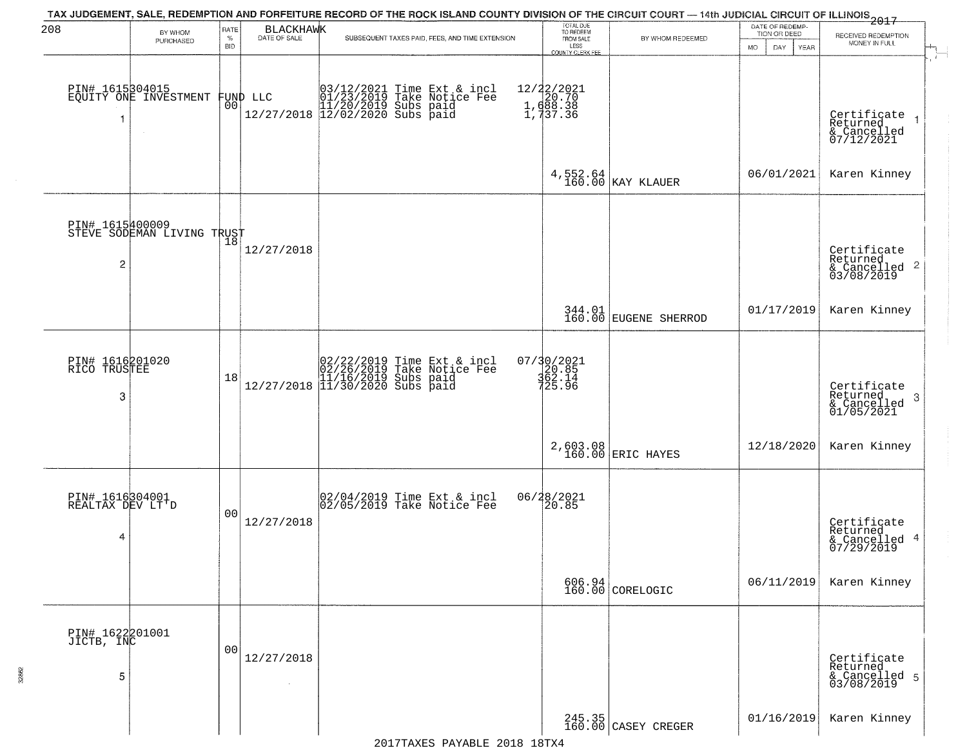| 208                                      | BY WHOM<br>PURCHASED                          | RATE<br>$\%$<br><b>BID</b> | BLACKHAWK<br>DATE OF SALE | TAX JUDGEMENT, SALE, REDEMPTION AND FORFEITURE RECORD OF THE ROCK ISLAND COUNTY DIVISION OF THE CIRCUIT COURT — 14th JUDICIAL CIRCUIT OF ILLINOIS 2017<br>SUBSEQUENT TAXES PAID, FEES, AND TIME EXTENSION | TOTAL DUE<br>TO REDEEM<br>FROM SALE<br>LESS<br>COUNTY CLERK FEE | BY WHOM REDEEMED              | DATE OF REDEMP-<br>TION OR DEED<br>MO.<br>DAY.<br><b>YEAR</b> | RECEIVED REDEMPTION<br>MONEY IN FULL                                 |
|------------------------------------------|-----------------------------------------------|----------------------------|---------------------------|-----------------------------------------------------------------------------------------------------------------------------------------------------------------------------------------------------------|-----------------------------------------------------------------|-------------------------------|---------------------------------------------------------------|----------------------------------------------------------------------|
|                                          | PIN# 1615304015<br>EQUITY ONE INVESTMENT      | 00                         | FUND LLC                  | 03/12/2021 Time Ext & incl<br>01/23/2019 Take Notice Fee<br>11/20/2019 Subs paid<br>12/27/2018 12/02/2020 Subs paid                                                                                       | 12/22/2021<br>1, d20.70<br>1, d38.38<br>1, d37.36               |                               |                                                               | Certificate<br>Returned<br>& Cancelled<br>07/12/2021                 |
|                                          |                                               |                            |                           |                                                                                                                                                                                                           |                                                                 | $4,552.64$ KAY KLAUER         | 06/01/2021                                                    | Karen Kinney                                                         |
| $\overline{c}$                           | PIN# 1615400009<br>STEVE SODEMAN LIVING TRUST |                            | 12/27/2018                |                                                                                                                                                                                                           |                                                                 |                               |                                                               | Certificate<br>Returned<br>$\mathbf{2}$<br>& Cancelled<br>03/08/2019 |
|                                          |                                               |                            |                           |                                                                                                                                                                                                           |                                                                 | 344.01 EUGENE SHERROD         | 01/17/2019                                                    | Karen Kinney                                                         |
| PIN# 1616201020<br>RICO TRUSTEE<br>3     |                                               | 18                         |                           | $[02/22/2019 \text{ Time Ext & incl} \brack 02/26/2019 \text{ Take Notice Fee} \brack 11/16/2019 \text{ Subs paid} \brack 12/27/2018 \begin{bmatrix} 11/30/2020 \text{ Subs paid} \end{bmatrix}$          | 07/30/2021<br>20.85<br>362.14<br>725.96                         |                               |                                                               | Certificate<br>Returned<br>-3<br>$\frac{6}{01/05/2021}$              |
|                                          |                                               |                            |                           |                                                                                                                                                                                                           |                                                                 | 2,603.08<br>160.00 ERIC HAYES | 12/18/2020                                                    | Karen Kinney                                                         |
| PIN# 1616304001<br>REALTAX DEV LT'D<br>4 |                                               | 0 <sub>0</sub>             | 12/27/2018                | 02/04/2019 Time Ext & incl<br>02/05/2019 Take Notice Fee                                                                                                                                                  | 06/28/2021<br>20.85                                             |                               |                                                               | Certificate<br>Returned<br>4<br>& Cancelled<br>07/29/2019            |
|                                          |                                               |                            |                           |                                                                                                                                                                                                           |                                                                 | $606.94$<br>160.00 CORELOGIC  | 06/11/2019                                                    | Karen Kinney                                                         |
| PIN# 1622201001<br>JICTB, INC<br>5       |                                               | 0 <sub>0</sub>             | 12/27/2018<br>$\sim$      |                                                                                                                                                                                                           |                                                                 |                               |                                                               | Certificate<br>Returned<br>& Cancelled 5<br>03/08/2019               |
|                                          |                                               |                            |                           |                                                                                                                                                                                                           |                                                                 | 245.35<br>160.00 CASEY CREGER | 01/16/2019                                                    | Karen Kinney                                                         |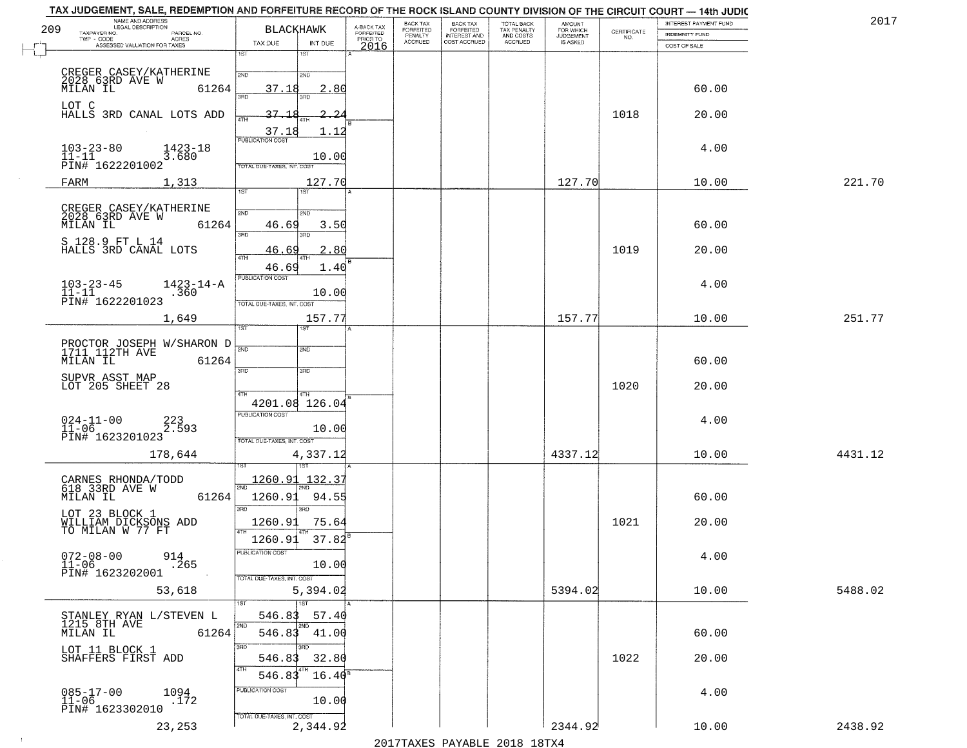|     | TAX JUDGEMENT, SALE, REDEMPTION AND FORFEITURE RECORD OF THE ROCK ISLAND COUNTY DIVISION OF THE CIRCUIT COURT - 14th JUDIC<br>NAME AND ADDRESS<br>LEGAL DESCRIPTION |                                               |                                     | <b>BACK TAX</b>      |                                              |                                        | <b>AMOUNT</b>                 |                                                                 | INTEREST PAYMENT FUND | 2017    |
|-----|---------------------------------------------------------------------------------------------------------------------------------------------------------------------|-----------------------------------------------|-------------------------------------|----------------------|----------------------------------------------|----------------------------------------|-------------------------------|-----------------------------------------------------------------|-----------------------|---------|
| 209 | TAXPAYER NO.<br>PARCEL NO.                                                                                                                                          | <b>BLACKHAWK</b>                              | A-BACK TAX<br>FORFEITED<br>PRIOR TO | FORFEITED<br>PENALTY | BACK TAX<br>FORFEITED<br><b>INTEREST AND</b> | TOTAL BACK<br>TAX PENALTY<br>AND COSTS | FOR WHICH<br><b>JUDGEMENT</b> | $\begin{array}{c} \text{CERTIFICATE} \\ \text{NO.} \end{array}$ | INDEMNITY FUND        |         |
| F   | TWP - CODE<br><b>ACRES</b><br>ASSESSED VALUATION FOR TAXES                                                                                                          | TAX DUE<br>INT DUE                            | 2016                                | <b>ACCRUED</b>       | COST ACCRUED                                 | ACCRUED                                | IS ASKED                      |                                                                 | COST OF SALE          |         |
| Ĺ.  |                                                                                                                                                                     | 1ST<br>18T                                    |                                     |                      |                                              |                                        |                               |                                                                 |                       |         |
|     |                                                                                                                                                                     | 2ND<br>2ND                                    |                                     |                      |                                              |                                        |                               |                                                                 |                       |         |
|     | CREGER CASEY/KATHERINE<br>2028 63RD AVE W<br>MILAN IL 61:<br>61264                                                                                                  | 37.18<br>2.80                                 |                                     |                      |                                              |                                        |                               |                                                                 | 60.00                 |         |
|     | LOT C                                                                                                                                                               |                                               |                                     |                      |                                              |                                        |                               |                                                                 |                       |         |
|     | HALLS 3RD CANAL LOTS ADD                                                                                                                                            | 37.18<br>-2                                   |                                     |                      |                                              |                                        |                               | 1018                                                            | 20.00                 |         |
|     |                                                                                                                                                                     | 37.18<br>1.12                                 |                                     |                      |                                              |                                        |                               |                                                                 |                       |         |
|     | $103 - 23 - 80$<br>11-11<br>1423-18                                                                                                                                 | <b>PUBLICATION COST</b>                       |                                     |                      |                                              |                                        |                               |                                                                 | 4.00                  |         |
|     | 3.680<br>PIN# 1622201002                                                                                                                                            | 10.00<br>TOTAL DUE-TAXES, INT. COST           |                                     |                      |                                              |                                        |                               |                                                                 |                       |         |
|     | FARM<br>1,313                                                                                                                                                       | 127.70                                        |                                     |                      |                                              |                                        | 127.70                        |                                                                 | 10.00                 | 221.70  |
|     |                                                                                                                                                                     | 1ST                                           |                                     |                      |                                              |                                        |                               |                                                                 |                       |         |
|     | CREGER CASEY/KATHERINE<br>2028 63RD AVE W                                                                                                                           | 2ND<br>2ND                                    |                                     |                      |                                              |                                        |                               |                                                                 |                       |         |
|     | 61264<br>MILAN IL                                                                                                                                                   | 46.69<br>3.50                                 |                                     |                      |                                              |                                        |                               |                                                                 | 60.00                 |         |
|     | S 128.9 FT L 14                                                                                                                                                     | 3RD<br>3RD                                    |                                     |                      |                                              |                                        |                               |                                                                 |                       |         |
|     | HALLS 3RD CANAL LOTS                                                                                                                                                | 2.80<br>46.69                                 |                                     |                      |                                              |                                        |                               | 1019                                                            | 20.00                 |         |
|     |                                                                                                                                                                     | 46.69<br>1.40                                 |                                     |                      |                                              |                                        |                               |                                                                 |                       |         |
|     | $1423 - 14 - A$<br>$103 - 23 - 45$<br>$11 - 11$                                                                                                                     | PUBLICATION COST                              |                                     |                      |                                              |                                        |                               |                                                                 | 4.00                  |         |
|     | .360<br>PIN# <sup>-1622201023</sup>                                                                                                                                 | 10.00<br>TOTAL DUE-TAXES, INT. COST           |                                     |                      |                                              |                                        |                               |                                                                 |                       |         |
|     | 1,649                                                                                                                                                               | 157.77                                        |                                     |                      |                                              |                                        | 157.77                        |                                                                 | 10.00                 | 251.77  |
|     |                                                                                                                                                                     | TST<br><b>ST</b>                              |                                     |                      |                                              |                                        |                               |                                                                 |                       |         |
|     | PROCTOR JOSEPH W/SHARON D<br>1711 112TH AVE                                                                                                                         | 2ND<br>2ND                                    |                                     |                      |                                              |                                        |                               |                                                                 |                       |         |
|     | MILAN IL<br>61264                                                                                                                                                   |                                               |                                     |                      |                                              |                                        |                               |                                                                 | 60.00                 |         |
|     | SUPVR ASST MAP                                                                                                                                                      | 3RD<br>3RD                                    |                                     |                      |                                              |                                        |                               |                                                                 |                       |         |
|     | LOT 205 SHEET 28                                                                                                                                                    | 4TH<br>4TH                                    |                                     |                      |                                              |                                        |                               | 1020                                                            | 20.00                 |         |
|     |                                                                                                                                                                     | 4201.08<br>126.04                             |                                     |                      |                                              |                                        |                               |                                                                 |                       |         |
|     | $024 - 11 - 00$<br>11-06<br>223<br>2.593                                                                                                                            | <b>PUBLICATION COST</b>                       |                                     |                      |                                              |                                        |                               |                                                                 | 4.00                  |         |
|     | PIN# 1623201023                                                                                                                                                     | 10.00<br>TOTAL OUE-TAXES, INT. COST           |                                     |                      |                                              |                                        |                               |                                                                 |                       |         |
|     | 178,644                                                                                                                                                             | 4,337.12                                      |                                     |                      |                                              |                                        | 4337.12                       |                                                                 | 10.00                 | 4431.12 |
|     |                                                                                                                                                                     | 151                                           |                                     |                      |                                              |                                        |                               |                                                                 |                       |         |
|     | CARNES RHONDA/TODD<br>618 33RD AVE W                                                                                                                                | 1260.91<br>132.37                             |                                     |                      |                                              |                                        |                               |                                                                 |                       |         |
|     | MILAN IL<br>61264                                                                                                                                                   | 1260.91<br>94.55                              |                                     |                      |                                              |                                        |                               |                                                                 | 60.00                 |         |
|     | LOT 23 BLOCK 1                                                                                                                                                      | $\overline{3BD}$                              |                                     |                      |                                              |                                        |                               |                                                                 |                       |         |
|     | WILLIAM DICKSONS ADD<br>TO MILAN W 77 FT                                                                                                                            | 1260.91<br>75.64                              |                                     |                      |                                              |                                        |                               | 1021                                                            | 20.00                 |         |
|     |                                                                                                                                                                     | $37.82^{8}$<br>1260.91                        |                                     |                      |                                              |                                        |                               |                                                                 |                       |         |
|     | $072 - 08 - 00$<br>11-06<br>914<br>.265                                                                                                                             | PUBLICATION COST<br>10.00                     |                                     |                      |                                              |                                        |                               |                                                                 | 4.00                  |         |
|     | PIN# 1623202001                                                                                                                                                     | TOTAL DUE-TAXES, INT. COST                    |                                     |                      |                                              |                                        |                               |                                                                 |                       |         |
|     | 53,618                                                                                                                                                              | 5,394.02                                      |                                     |                      |                                              |                                        | 5394.02                       |                                                                 | 10.00                 | 5488.02 |
|     |                                                                                                                                                                     | 1ST<br>1ST                                    |                                     |                      |                                              |                                        |                               |                                                                 |                       |         |
|     | STANLEY RYAN L/STEVEN L<br>1215_8TH AVE                                                                                                                             | 546.83<br>57.40<br>2ND<br>2ND.                |                                     |                      |                                              |                                        |                               |                                                                 |                       |         |
|     | 61264<br>MILAN IL                                                                                                                                                   | 546.83 41.00                                  |                                     |                      |                                              |                                        |                               |                                                                 | 60.00                 |         |
|     | LOT 11 BLOCK 1                                                                                                                                                      | 3BD<br>3BD                                    |                                     |                      |                                              |                                        |                               |                                                                 | 20.00                 |         |
|     | SHAFFERS FIRST ADD                                                                                                                                                  | 546.83<br>32.80<br>4TH                        |                                     |                      |                                              |                                        |                               | 1022                                                            |                       |         |
|     |                                                                                                                                                                     | 546.83<br>$16.40^{\circ}$<br>PUBLICATION COST |                                     |                      |                                              |                                        |                               |                                                                 |                       |         |
|     | $085 - 17 - 00$<br>1094<br>.172<br>$11 - 06$                                                                                                                        | 10.00                                         |                                     |                      |                                              |                                        |                               |                                                                 | 4.00                  |         |
|     | PIN# 1623302010                                                                                                                                                     | TOTAL DUE-TAXES, INT. COST                    |                                     |                      |                                              |                                        |                               |                                                                 |                       |         |
|     | 23,253                                                                                                                                                              | 2,344.92                                      |                                     |                      |                                              |                                        | 2344.92                       |                                                                 | 10.00                 | 2438.92 |

 $\vdash$ 

 $\sim$  1  $^{\circ}$ 

2017TAXES PAYABLE 2018 18TX4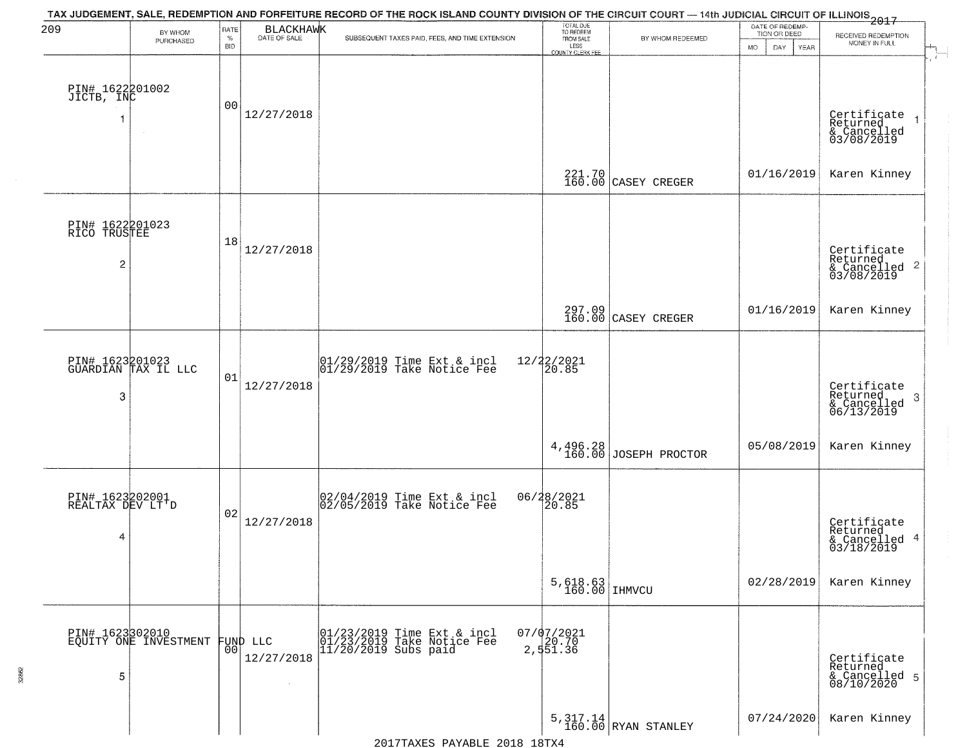| 209                                      | BY WHOM<br>PURCHASED                     | RATE<br>$\%$<br><b>BID</b> | BLACKHAWK<br>DATE OF SALE        | TAX JUDGEMENT, SALE, REDEMPTION AND FORFEITURE RECORD OF THE ROCK ISLAND COUNTY DIVISION OF THE CIRCUIT COURT — 14th JUDICIAL CIRCUIT OF ILLINOIS 2017<br>SUBSEQUENT TAXES PAID, FEES, AND TIME EXTENSION | TOTAL DUE<br>TO REDEEM<br>FROM SALE<br>LESS<br>COUNTY CLERK FEE | BY WHOM REDEEMED                  | DATE OF REDEMP-<br>TION OR DEED<br>MO.<br>DAY<br><b>YEAR</b> | RECEIVED REDEMPTION<br>MONEY IN FULL                                   |
|------------------------------------------|------------------------------------------|----------------------------|----------------------------------|-----------------------------------------------------------------------------------------------------------------------------------------------------------------------------------------------------------|-----------------------------------------------------------------|-----------------------------------|--------------------------------------------------------------|------------------------------------------------------------------------|
| PIN# 1622201002<br>JICTB, INC            |                                          | 00                         | 12/27/2018                       |                                                                                                                                                                                                           |                                                                 |                                   |                                                              | Certificate<br>Returned<br>& Cancelled<br>03/08/2019                   |
|                                          |                                          |                            |                                  |                                                                                                                                                                                                           |                                                                 | 221.70 CASEY CREGER               | 01/16/2019                                                   | Karen Kinney                                                           |
| PIN# 1622201023<br>RICO TRUSTEE<br>2     |                                          | 18                         | 12/27/2018                       |                                                                                                                                                                                                           |                                                                 |                                   |                                                              | Certificate<br>Returned<br>$\frac{1}{2}$ Cancelled 2<br>03/08/2019     |
|                                          |                                          |                            |                                  |                                                                                                                                                                                                           |                                                                 | 297.09<br>160.00 CASEY CREGER     | 01/16/2019                                                   | Karen Kinney                                                           |
| 3                                        | PIN# 1623201023<br>GUARDIAN TAX IL LLC   | 01                         | 12/27/2018                       | $\begin{array}{ccc}  01/29/2019 \text{ Time} & \text{Ext} & \text{incl} \\  01/29/2019 & \text{Take Notice } \text{Fe} \end{array}$                                                                       | 12/22/2021<br>20.85                                             |                                   |                                                              | Certificate<br>Returned<br>-3<br>$\frac{1}{6}$ Cancelled<br>06/13/2019 |
|                                          |                                          |                            |                                  |                                                                                                                                                                                                           |                                                                 | 4,496.28<br>160.00 JOSEPH PROCTOR | 05/08/2019                                                   | Karen Kinney                                                           |
| PIN# 1623202001<br>REALTAX DEV LT'D<br>4 |                                          | 02                         | 12/27/2018                       | 02/04/2019 Time Ext & incl<br>02/05/2019 Take Notice Fee                                                                                                                                                  | 06/28/2021<br>[20.85]                                           |                                   |                                                              | Certificate<br>Returned<br>& Cancelled 4<br>03/18/2019                 |
|                                          |                                          |                            |                                  |                                                                                                                                                                                                           | $5,618.63$ IHMVCU                                               |                                   | 02/28/2019                                                   | Karen Kinney                                                           |
| 5                                        | PIN# 1623302010<br>EQUITY ONE INVESTMENT | 00                         | FUND LLC<br>12/27/2018<br>$\sim$ | 01/23/2019 Time Ext & incl<br>01/23/2019 Take Notice Fee<br>$11/20/2019$ Subs paid                                                                                                                        | $07/07/2021$<br>20.70<br>2, 551.36                              |                                   |                                                              | Certificate<br>Returned<br>& Cancelled 5<br>08/10/2020                 |
|                                          |                                          |                            |                                  |                                                                                                                                                                                                           |                                                                 | $5,317.14$ RYAN STANLEY           | 07/24/2020                                                   | Karen Kinney                                                           |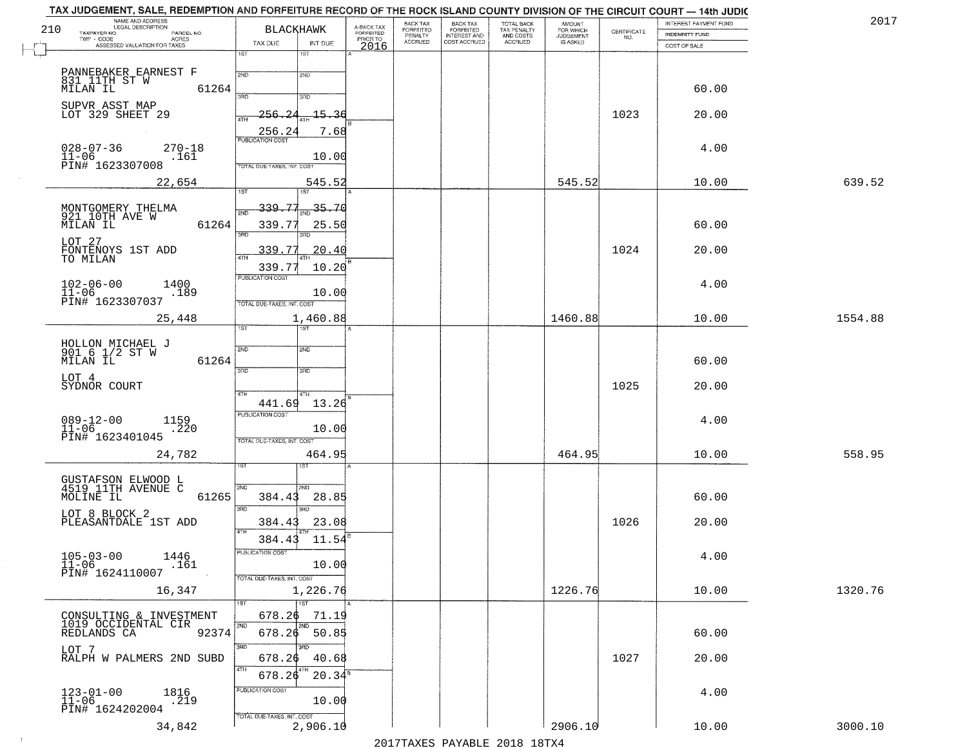|     | TAX JUDGEMENT, SALE, REDEMPTION AND FORFEITURE RECORD OF THE ROCK ISLAND COUNTY DIVISION OF THE CIRCUIT COURT - 14th JUDIC |                                   |                     |                                     |                           |                                       |                           |                                     |             |                                       |         |
|-----|----------------------------------------------------------------------------------------------------------------------------|-----------------------------------|---------------------|-------------------------------------|---------------------------|---------------------------------------|---------------------------|-------------------------------------|-------------|---------------------------------------|---------|
| 210 | NAME AND ADDRESS<br>LEGAL DESCRIPTION<br>TAXPAYER NO.<br>PARCEL NO.                                                        | <b>BLACKHAWK</b>                  |                     | A-BACK TAX<br>FORFEITED<br>PRIOR TO | BACK TAX<br>FORFEITED     | BACK TAX<br>FORFEITED<br>INTEREST AND | TOTAL BACK<br>TAX PENALTY | AMOUNT<br>FOR WHICH                 | CERTIFICATE | INTEREST PAYMENT FUND                 | 2017    |
|     | <b>ACRES</b><br>TWP - CODE<br>ASSESSED VALUATION FOR TAXES                                                                 | TAX DUE                           | INT DUE             | 2016                                | PENALTY<br><b>ACCRUED</b> | COST ACCRUED                          | AND COSTS<br>ACCRUED      | <b>JUDGEMENT</b><br><b>IS ASKED</b> | NO.         | <b>INDEMNITY FUND</b><br>COST OF SALE |         |
|     |                                                                                                                            | 1ST                               | 15T                 |                                     |                           |                                       |                           |                                     |             |                                       |         |
|     | PANNEBAKER EARNEST F                                                                                                       | 2ND                               | 2ND                 |                                     |                           |                                       |                           |                                     |             |                                       |         |
|     | 831 IITH ST W<br>MILAN IL<br>61264                                                                                         |                                   |                     |                                     |                           |                                       |                           |                                     |             | 60.00                                 |         |
|     |                                                                                                                            | 370                               | 3RD                 |                                     |                           |                                       |                           |                                     |             |                                       |         |
|     | SUPVR ASST MAP<br>LOT 329 SHEET 29                                                                                         | 256.24<br>ATH                     | <u>15.36</u>        |                                     |                           |                                       |                           |                                     | 1023        | 20.00                                 |         |
|     |                                                                                                                            | 256.24                            | 7.68                |                                     |                           |                                       |                           |                                     |             |                                       |         |
|     | $028 - 07 - 36$<br>$270 - 18$                                                                                              | <b>PUBLICATION COST</b>           |                     |                                     |                           |                                       |                           |                                     |             | 4.00                                  |         |
|     | $11 - 06$<br>.161<br>PIN# 1623307008                                                                                       | <b>TOTAL DUE-TAXES, INT. COST</b> | 10.00               |                                     |                           |                                       |                           |                                     |             |                                       |         |
|     | 22,654                                                                                                                     |                                   | 545.52              |                                     |                           |                                       |                           | 545.52                              |             | 10.00                                 | 639.52  |
|     |                                                                                                                            | 1ST                               | 1ST                 |                                     |                           |                                       |                           |                                     |             |                                       |         |
|     |                                                                                                                            | 339.77<br><b>DND</b>              | $-35 - 70$          |                                     |                           |                                       |                           |                                     |             |                                       |         |
|     | MONTGOMERY THELMA<br>921 10TH AVE W<br>MILAN IL<br>61264                                                                   | 339.77                            | 25.50               |                                     |                           |                                       |                           |                                     |             | 60.00                                 |         |
|     | LOT 27                                                                                                                     | बल                                |                     |                                     |                           |                                       |                           |                                     |             |                                       |         |
|     | FONTENOYS 1ST ADD<br>TO MILAN                                                                                              | 339.77<br><b>4TH</b>              | 20.40               |                                     |                           |                                       |                           |                                     | 1024        | 20.00                                 |         |
|     |                                                                                                                            | 339.77                            | 10.20               |                                     |                           |                                       |                           |                                     |             |                                       |         |
|     | $102 - 06 - 00$<br>1400                                                                                                    | PUBLICATION COST                  |                     |                                     |                           |                                       |                           |                                     |             | 4.00                                  |         |
|     | 11-06<br>PIN# 1623307037<br>.189                                                                                           | TOTAL DUE-TAXES, INT. COST        | 10.00               |                                     |                           |                                       |                           |                                     |             |                                       |         |
|     | 25,448                                                                                                                     |                                   | 1,460.88            |                                     |                           |                                       |                           | 1460.88                             |             | 10.00                                 | 1554.88 |
|     |                                                                                                                            | 1ST                               |                     |                                     |                           |                                       |                           |                                     |             |                                       |         |
|     | HOLLON MICHAEL J<br>901 6 1/2 ST W                                                                                         | 2ND                               | <b>2ND</b>          |                                     |                           |                                       |                           |                                     |             |                                       |         |
|     | MILAN IL<br>61264                                                                                                          |                                   |                     |                                     |                           |                                       |                           |                                     |             | 60.00                                 |         |
|     | LOT 4                                                                                                                      | 3BD                               | 3 <sub>3</sub>      |                                     |                           |                                       |                           |                                     |             |                                       |         |
|     | SYDNOR COURT                                                                                                               | 4TH                               | 4TH                 |                                     |                           |                                       |                           |                                     | 1025        | 20.00                                 |         |
|     |                                                                                                                            | 441.69                            | 13.26               |                                     |                           |                                       |                           |                                     |             |                                       |         |
|     | $089 - 12 - 00$<br>$1159$<br>$.220$                                                                                        | <b>PUBLICATION COST</b>           |                     |                                     |                           |                                       |                           |                                     |             | 4.00                                  |         |
|     | $11 - 06$<br>PIN# 1623401045                                                                                               | TOTAL OUE-TAXES, INT. COST        | 10.00               |                                     |                           |                                       |                           |                                     |             |                                       |         |
|     | 24,782                                                                                                                     |                                   | 464.95              |                                     |                           |                                       |                           | 464.95                              |             | 10.00                                 | 558.95  |
|     |                                                                                                                            |                                   | डिंग                |                                     |                           |                                       |                           |                                     |             |                                       |         |
|     | GUSTAFSON ELWOOD L<br>4519 11TH AVENUE C                                                                                   | 2ND                               | 2ND                 |                                     |                           |                                       |                           |                                     |             |                                       |         |
|     | 61265<br>MOLINE IL                                                                                                         | 384.43                            | 28.85               |                                     |                           |                                       |                           |                                     |             | 60.00                                 |         |
|     | LOT 8 BLOCK 2                                                                                                              | 3 <sub>BD</sub>                   | 3BD                 |                                     |                           |                                       |                           |                                     |             |                                       |         |
|     | PLEASANTDALE 1ST ADD                                                                                                       | 384.43<br>4TH                     | 23.08               |                                     |                           |                                       |                           |                                     | 1026        | 20.00                                 |         |
|     |                                                                                                                            | 384.43                            | 11.54               |                                     |                           |                                       |                           |                                     |             |                                       |         |
|     | $105 - 03 - 00$<br>11-06<br>1446                                                                                           | PUBLICATION COST                  |                     |                                     |                           |                                       |                           |                                     |             | 4.00                                  |         |
|     | .161<br>PIN# 1624110007                                                                                                    | TOTAL DUE-TAXES, INT. COST        | 10.00               |                                     |                           |                                       |                           |                                     |             |                                       |         |
|     | 16,347                                                                                                                     |                                   | 1,226.76            |                                     |                           |                                       |                           | 1226.76                             |             | 10.00                                 | 1320.76 |
|     |                                                                                                                            | 1ST                               | $\overline{1}$ st   |                                     |                           |                                       |                           |                                     |             |                                       |         |
|     | CONSULTING & INVESTMENT<br>1019 OCCIDENTAL CIR                                                                             | 678.26                            | 71.19               |                                     |                           |                                       |                           |                                     |             |                                       |         |
|     | 92374<br>REDLANDS CA                                                                                                       | 2ND<br>678.26                     | <b>2ND</b><br>50.85 |                                     |                           |                                       |                           |                                     |             | 60.00                                 |         |
|     | LOT 7                                                                                                                      | 3RD                               | 3HD                 |                                     |                           |                                       |                           |                                     |             |                                       |         |
|     | RALPH W PALMERS 2ND SUBD                                                                                                   | 678.26<br>4TH                     | 40.68               |                                     |                           |                                       |                           |                                     | 1027        | 20.00                                 |         |
|     |                                                                                                                            | 678.26                            | $20.34^s$           |                                     |                           |                                       |                           |                                     |             |                                       |         |
|     | $123 - 01 - 00$<br>11-06<br>1816<br>219                                                                                    | PUBLICATION COST                  |                     |                                     |                           |                                       |                           |                                     |             | 4.00                                  |         |
|     | PIN# 1624202004                                                                                                            |                                   | 10.00               |                                     |                           |                                       |                           |                                     |             |                                       |         |
|     | 34,842                                                                                                                     | TOTAL DUE-TAXES, INT. COST        | 2,906.10            |                                     |                           |                                       |                           | 2906.10                             |             | 10.00                                 | 3000.10 |
|     |                                                                                                                            |                                   |                     |                                     |                           |                                       |                           |                                     |             |                                       |         |

 $\sim 40$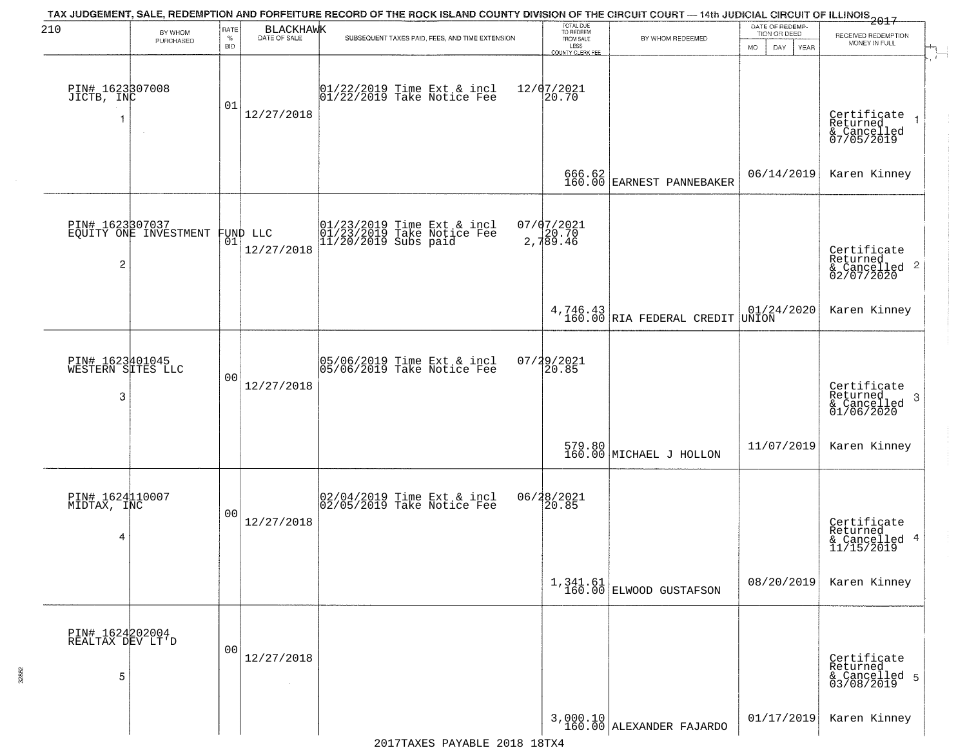| 210                                       | BY WHOM                                           | RATE               | <b>BLACKHAWK</b> | TAX JUDGEMENT, SALE, REDEMPTION AND FORFEITURE RECORD OF THE ROCK ISLAND COUNTY DIVISION OF THE CIRCUIT COURT — 14th JUDICIAL CIRCUIT OF ILLINOIS 2017 | TOTAL DUE<br>TO REDEEM<br>FROM SALE |                                         | DATE OF REDEMP-<br>TION OR DEED                                            |                                                                    |
|-------------------------------------------|---------------------------------------------------|--------------------|------------------|--------------------------------------------------------------------------------------------------------------------------------------------------------|-------------------------------------|-----------------------------------------|----------------------------------------------------------------------------|--------------------------------------------------------------------|
|                                           | PURCHASED                                         | $\%$<br><b>BID</b> | DATE OF SALE     | SUBSEQUENT TAXES PAID, FEES, AND TIME EXTENSION                                                                                                        | LESS<br>COUNTY CLERK FEE            | BY WHOM REDEEMED                        | <b>MO</b><br>DAY<br>YEAR                                                   | RECEIVED REDEMPTION<br>MONEY IN FULL                               |
| PIN# 1623307008<br>JICTB, INC<br>1        | $\sim$                                            | 01                 | 12/27/2018       | $ 01/22/2019$ Time Ext & incl<br>$ 01/22/2019$ Take Notice Fee                                                                                         | 12/07/2021<br>20.70                 |                                         |                                                                            | Certificate<br>Returned<br>& Cancelled<br>07/05/2019               |
|                                           |                                                   |                    |                  |                                                                                                                                                        |                                     | 666.62<br>160.00 EARNEST PANNEBAKER     | 06/14/2019                                                                 | Karen Kinney                                                       |
| 2                                         | PIN# 1623307037<br>EQUITY ONE INVESTMENT FUND LLC |                    | 12/27/2018       | 01/23/2019 Time Ext & incl<br>01/23/2019 Take Notice Fee<br>11/20/2019 Subs paid                                                                       | 07/07/2021<br>2,789.46              |                                         |                                                                            | Certificate<br>Returned<br>$\frac{1}{6}$ Cancelled 2<br>02/07/2020 |
|                                           |                                                   |                    |                  |                                                                                                                                                        |                                     | $4,746.43$ RIA FEDERAL CREDIT           | $\begin{array}{ c c } \hline 01/24/2020 \ \hline \text{UNION} \end{array}$ | Karen Kinney                                                       |
| PIN# 1623401045<br>WESTERN SITES LLC<br>3 |                                                   | 00                 | 12/27/2018       | 05/06/2019 Time Ext & incl<br>05/06/2019 Take Notice Fee                                                                                               | 07/29/2021<br>20.85                 |                                         |                                                                            | Certificate<br>Returned<br>3<br>& Cancelled<br>01/06/2020          |
|                                           |                                                   |                    |                  |                                                                                                                                                        |                                     | 579.80<br>160.00 MICHAEL J HOLLON       | 11/07/2019                                                                 | Karen Kinney                                                       |
| PIN# 1624110007<br>MIDTAX, INC<br>4       |                                                   | 00                 | 12/27/2018       | 02/04/2019 Time Ext & incl<br>02/05/2019 Take Notice Fee                                                                                               | 06/28/2021<br>20.85                 |                                         |                                                                            | Certificate<br>Returned<br>& Cancelled 4<br>11/15/2019             |
|                                           |                                                   |                    |                  |                                                                                                                                                        |                                     | $1,341.61$<br>$160.00$ ELWOOD GUSTAFSON | 08/20/2019                                                                 | Karen Kinney                                                       |
| PIN# 1624202004<br>REALTAX DEV LT'D<br>5  |                                                   | 00                 | 12/27/2018       |                                                                                                                                                        |                                     |                                         |                                                                            | Certificate<br>Returned<br>& Cancelled 5<br>03/08/2019             |
|                                           |                                                   |                    |                  |                                                                                                                                                        |                                     | 3,000.10<br>160.00 ALEXANDER FAJARDO    | 01/17/2019                                                                 | Karen Kinney                                                       |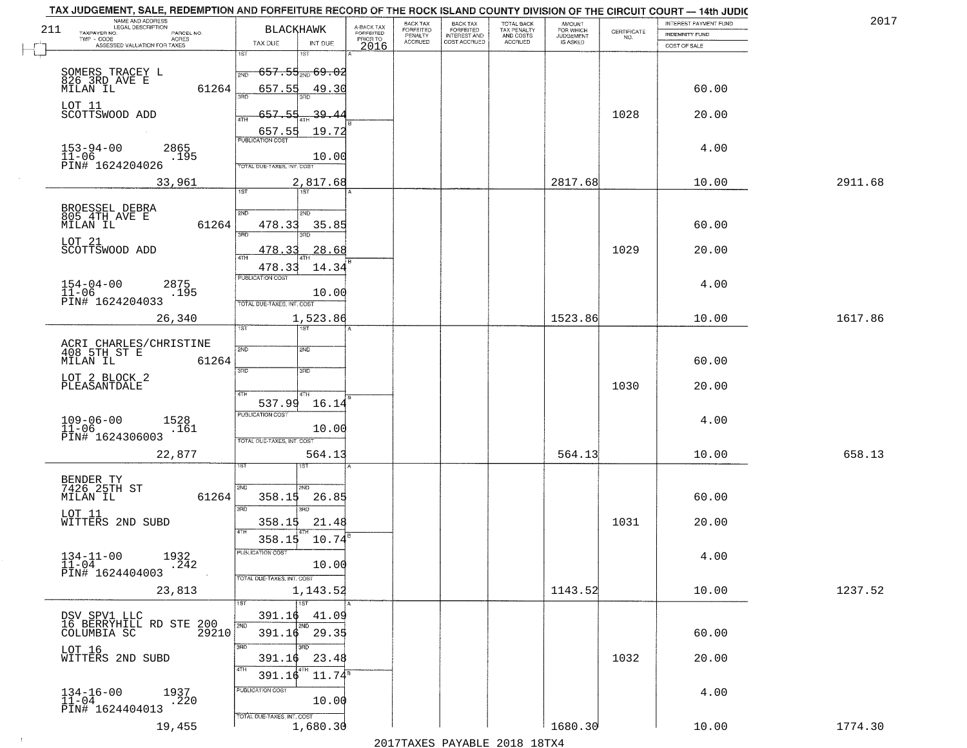|     | TAX JUDGEMENT, SALE, REDEMPTION AND FORFEITURE RECORD OF THE ROCK ISLAND COUNTY DIVISION OF THE CIRCUIT COURT - 14th JUDIC |                             |                 |                                     |                                  |                                     |                                        |                            |                    | INTEREST PAYMENT FUND | 201     |
|-----|----------------------------------------------------------------------------------------------------------------------------|-----------------------------|-----------------|-------------------------------------|----------------------------------|-------------------------------------|----------------------------------------|----------------------------|--------------------|-----------------------|---------|
| 211 | NAME AND ADDRESS<br>LEGAL DESCRIPTION                                                                                      | <b>BLACKHAWK</b>            |                 | A-BACK TAX<br>FORFEITED<br>PRIOR TO | BACK TAX<br>FORFEITED<br>PENALTY | <b>BACK TAX</b><br><b>FORFEITED</b> | TOTAL BACK<br>TAX PENALTY<br>AND COSTS | <b>AMOUNT</b><br>FOR WHICH |                    |                       |         |
|     | TAXPAYER NO.<br>PARCEL NO.<br>ACRES<br>ASSESSED VALUATION FOR TAXES                                                        | TAX DUE                     | INT DUE         |                                     | <b>ACCRUED</b>                   | <b>INTEREST AND</b><br>COST ACCRUED | ACCRUED                                | IS ASKED                   | CERTIFICATE<br>NO. | <b>INDEMNITY FUND</b> |         |
|     |                                                                                                                            | 1ST<br>181                  |                 | 2016                                |                                  |                                     |                                        |                            |                    | COST OF SALE          |         |
|     |                                                                                                                            | 657.55 <sub>2ND</sub> 69.02 |                 |                                     |                                  |                                     |                                        |                            |                    |                       |         |
|     | SOMERS TRACEY L<br>826 3RD AVE E                                                                                           | 2ND                         |                 |                                     |                                  |                                     |                                        |                            |                    |                       |         |
|     | 61264<br>MILAN IL                                                                                                          | 657.55 49.30                |                 |                                     |                                  |                                     |                                        |                            |                    | 60.00                 |         |
|     | LOT 11                                                                                                                     |                             |                 |                                     |                                  |                                     |                                        |                            |                    |                       |         |
|     | SCOTTSWOOD ADD                                                                                                             | 657.54                      | 39.44           |                                     |                                  |                                     |                                        |                            | 1028               | 20.00                 |         |
|     |                                                                                                                            | 657.55                      | 19.72           |                                     |                                  |                                     |                                        |                            |                    |                       |         |
|     | 2865                                                                                                                       | <b>PUBLICATION COST</b>     |                 |                                     |                                  |                                     |                                        |                            |                    | 4.00                  |         |
|     | $153 - 94 - 00$<br>$11 - 06$<br>.195                                                                                       |                             | 10.00           |                                     |                                  |                                     |                                        |                            |                    |                       |         |
|     | PIN# 1624204026                                                                                                            | TOTAL DUE-TAXES, INT, COST  |                 |                                     |                                  |                                     |                                        |                            |                    |                       |         |
|     | 33,961                                                                                                                     | 1ST                         | 2,817.68        |                                     |                                  |                                     |                                        | 2817.68                    |                    | 10.00                 | 2911.68 |
|     |                                                                                                                            |                             |                 |                                     |                                  |                                     |                                        |                            |                    |                       |         |
|     | BROESSEL DEBRA<br>805 4TH AVE E                                                                                            | 2ND<br>5 <sub>MD</sub>      |                 |                                     |                                  |                                     |                                        |                            |                    |                       |         |
|     | 61264<br>MILAN IL                                                                                                          | 478.33                      | 35.85           |                                     |                                  |                                     |                                        |                            |                    | 60.00                 |         |
|     | LOT 21                                                                                                                     | 3RD                         |                 |                                     |                                  |                                     |                                        |                            |                    |                       |         |
|     | SCOTTSWOOD ADD                                                                                                             | 478<br>- ર ર<br>$\sqrt{4}$  | 28.68           |                                     |                                  |                                     |                                        |                            | 1029               | 20.00                 |         |
|     |                                                                                                                            | 478.33                      | 14.34           |                                     |                                  |                                     |                                        |                            |                    |                       |         |
|     | 2875                                                                                                                       | PUBLICATION COST            |                 |                                     |                                  |                                     |                                        |                            |                    | 4.00                  |         |
|     | $154 - 04 - 00$<br>$11 - 06$<br>.195                                                                                       |                             | 10.00           |                                     |                                  |                                     |                                        |                            |                    |                       |         |
|     | PIN# 1624204033                                                                                                            | TOTAL DUE-TAXES, INT. COST  |                 |                                     |                                  |                                     |                                        |                            |                    |                       |         |
|     | 26,340                                                                                                                     |                             | 1,523.86        |                                     |                                  |                                     |                                        | 1523.86                    |                    | 10.00                 | 1617.86 |
|     |                                                                                                                            | TST<br>1ST                  |                 |                                     |                                  |                                     |                                        |                            |                    |                       |         |
|     | ACRI CHARLES/CHRISTINE<br>408 5TH ST E                                                                                     | 2ND<br><b>SMD</b>           |                 |                                     |                                  |                                     |                                        |                            |                    |                       |         |
|     | MILAN IL<br>61264                                                                                                          |                             |                 |                                     |                                  |                                     |                                        |                            |                    | 60.00                 |         |
|     | LOT 2 BLOCK 2                                                                                                              | 3BD<br>3RD                  |                 |                                     |                                  |                                     |                                        |                            |                    |                       |         |
|     | PLEASANTDALE                                                                                                               |                             |                 |                                     |                                  |                                     |                                        |                            | 1030               | 20.00                 |         |
|     |                                                                                                                            | 4TH<br>4TH<br>537.99        | 16.14           |                                     |                                  |                                     |                                        |                            |                    |                       |         |
|     |                                                                                                                            | <b>PUBLICATION COST</b>     |                 |                                     |                                  |                                     |                                        |                            |                    |                       |         |
|     | $109 - 06 - 00$<br>11-06<br>1528<br>.161                                                                                   |                             | 10.00           |                                     |                                  |                                     |                                        |                            |                    | 4.00                  |         |
|     | PIN# 1624306003                                                                                                            | TOTAL OUE-TAXES, INT. COST  |                 |                                     |                                  |                                     |                                        |                            |                    |                       |         |
|     | 22,877                                                                                                                     |                             | 564.13          |                                     |                                  |                                     |                                        | 564.13                     |                    | 10.00                 | 658.13  |
|     |                                                                                                                            |                             |                 |                                     |                                  |                                     |                                        |                            |                    |                       |         |
|     | BENDER TY<br>7426 25TH ST                                                                                                  |                             |                 |                                     |                                  |                                     |                                        |                            |                    |                       |         |
|     | 61264<br>MILAN IL                                                                                                          | 2ND<br>358.15               | 26.85           |                                     |                                  |                                     |                                        |                            |                    | 60.00                 |         |
|     |                                                                                                                            | 3RD<br>ann                  |                 |                                     |                                  |                                     |                                        |                            |                    |                       |         |
|     | LOT 11<br>WITTERS 2ND SUBD                                                                                                 | 358.15                      | 21.48           |                                     |                                  |                                     |                                        |                            | 1031               | 20.00                 |         |
|     |                                                                                                                            | 4TH<br>358.15               | 10.74           |                                     |                                  |                                     |                                        |                            |                    |                       |         |
|     |                                                                                                                            | -usuca i un cus-            |                 |                                     |                                  |                                     |                                        |                            |                    |                       |         |
|     | $134-11-00$<br>$11-04$<br>1932<br>.242                                                                                     |                             | 10.00           |                                     |                                  |                                     |                                        |                            |                    | 4.00                  |         |
|     | PIN# 1624404003                                                                                                            | TOTAL DUE-TAXES, INT. COST  |                 |                                     |                                  |                                     |                                        |                            |                    |                       |         |
|     | 23,813                                                                                                                     |                             | 1,143.52        |                                     |                                  |                                     |                                        | 1143.52                    |                    | 10.00                 | 1237.52 |
|     |                                                                                                                            | 1ST                         |                 |                                     |                                  |                                     |                                        |                            |                    |                       |         |
|     | DSV SPV1 LLC<br>16 BERRYHILL RD STE 200<br>33 TMDIA SC                                                                     | 391.16                      | 41.09           |                                     |                                  |                                     |                                        |                            |                    |                       |         |
|     |                                                                                                                            | 2ND<br>2ND<br>391.16 29.35  |                 |                                     |                                  |                                     |                                        |                            |                    | 60.00                 |         |
|     |                                                                                                                            | 3RD<br>aan                  |                 |                                     |                                  |                                     |                                        |                            |                    |                       |         |
|     | LOT 16<br>WITTERS 2ND SUBD                                                                                                 | 391.16                      | 23.48           |                                     |                                  |                                     |                                        |                            | 1032               | 20.00                 |         |
|     |                                                                                                                            | 4TH<br>4TH<br>391.16        | $11.74^{\rm s}$ |                                     |                                  |                                     |                                        |                            |                    |                       |         |
|     |                                                                                                                            |                             |                 |                                     |                                  |                                     |                                        |                            |                    |                       |         |
|     | $134-16-00$<br>$11-04$<br>1937<br>.220                                                                                     | PUBLICATION COST            | 10.00           |                                     |                                  |                                     |                                        |                            |                    | 4.00                  |         |
|     | PIN# 1624404013                                                                                                            | TOTAL DUE-TAXES, INT. COST  |                 |                                     |                                  |                                     |                                        |                            |                    |                       |         |
|     | 19,455                                                                                                                     |                             | 1,680.30        |                                     |                                  |                                     |                                        | 1680.30                    |                    | 10.00                 | 1774.30 |
|     |                                                                                                                            |                             |                 |                                     |                                  |                                     | 2017 THAVEC DAVANIE 2010 19TVA         |                            |                    |                       |         |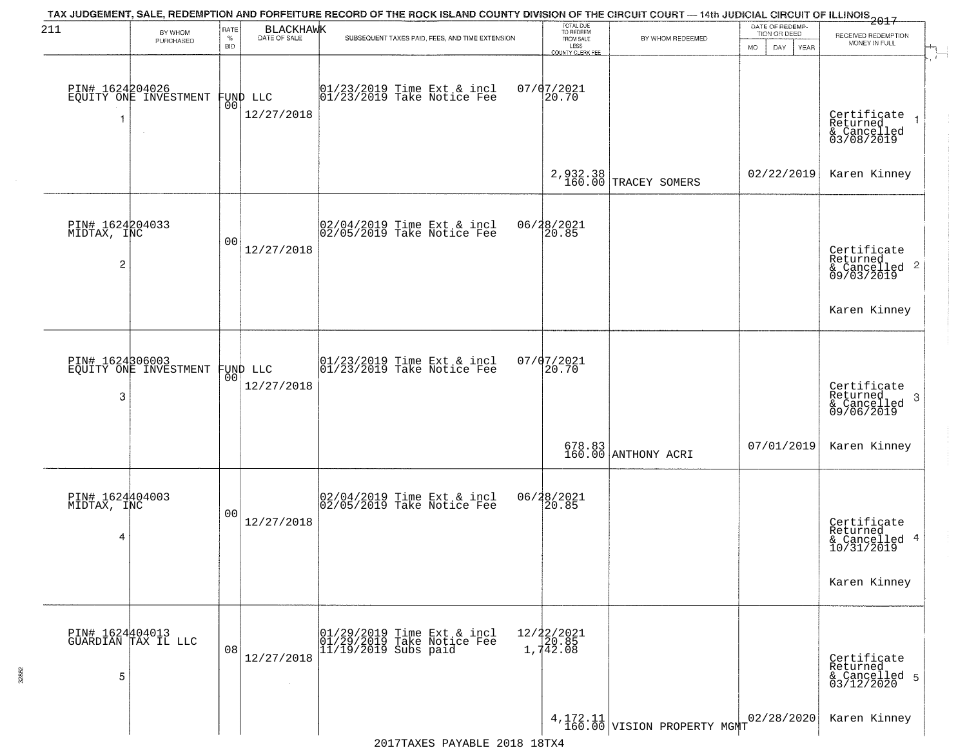| 211                                 | BY WHOM<br>PURCHASED                     | RATE<br>$\%$<br><b>BID</b> | <b>BLACKHAWK</b><br>DATE OF SALE | TAX JUDGEMENT, SALE, REDEMPTION AND FORFEITURE RECORD OF THE ROCK ISLAND COUNTY DIVISION OF THE CIRCUIT COURT — 14th JUDICIAL CIRCUIT OF ILLINOIS 2017<br>SUBSEQUENT TAXES PAID, FEES, AND TIME EXTENSION | TOTAL DUE<br>TO REDEEM<br>FROM SALE<br>LESS      | BY WHOM REDEEMED                 | DATE OF REDEMP-<br>TION OR DEED<br><b>MO</b><br>DAY<br>YEAR | RECEIVED REDEMPTION<br>MONEY IN FULL                               |
|-------------------------------------|------------------------------------------|----------------------------|----------------------------------|-----------------------------------------------------------------------------------------------------------------------------------------------------------------------------------------------------------|--------------------------------------------------|----------------------------------|-------------------------------------------------------------|--------------------------------------------------------------------|
| 1                                   | PIN# 1624204026<br>EQUITY ONE INVESTMENT |                            | FUND LLC<br> 00 <br>12/27/2018   | 01/23/2019 Time Ext & incl<br>01/23/2019 Take Notice Fee                                                                                                                                                  | <b>COUNTY CLERK FEE</b><br>$07/07/2021$<br>20.70 |                                  |                                                             | Certificate<br>Returned<br>& Cancelled<br>03/08/2019               |
|                                     |                                          |                            |                                  |                                                                                                                                                                                                           |                                                  | 2,932.38<br>160.00 TRACEY SOMERS | 02/22/2019                                                  | Karen Kinney                                                       |
| PIN# 1624204033<br>MIDTAX, INC<br>2 |                                          | 00                         | 12/27/2018                       | 02/04/2019 Time Ext & incl<br>02/05/2019 Take Notice Fee                                                                                                                                                  | 06/28/2021<br>20.85                              |                                  |                                                             | Certificate<br>Returned<br>$\frac{1}{6}$ Cancelled 2<br>09/03/2019 |
|                                     |                                          |                            |                                  |                                                                                                                                                                                                           |                                                  |                                  |                                                             | Karen Kinney                                                       |
| PIN# 1624306003<br>3                | EQUITY ONE INVESTMENT                    | 0 <sup>0</sup>             | FUND LLC<br>12/27/2018           | 01/23/2019 Time Ext & incl<br>01/23/2019 Take Notice Fee                                                                                                                                                  | 07/07/2021<br>20.70                              |                                  |                                                             | Certificate<br>Returned<br>3<br>& Cancelled<br>09/06/2019          |
|                                     |                                          |                            |                                  |                                                                                                                                                                                                           |                                                  | 678.83<br>160.00 ANTHONY ACRI    | 07/01/2019                                                  | Karen Kinney                                                       |
| PIN# 1624404003<br>MIDTAX, INC<br>4 |                                          | 00                         | 12/27/2018                       | 02/04/2019 Time Ext & incl<br>02/05/2019 Take Notice Fee                                                                                                                                                  | 06/28/2021<br>120.85                             |                                  |                                                             | Certificate<br>Returned<br>& Cancelled 4<br>10/31/2019             |
|                                     |                                          |                            |                                  |                                                                                                                                                                                                           |                                                  |                                  |                                                             | Karen Kinney                                                       |
| 5                                   | PIN# 1624404013<br>GUARDIAN TAX IL LLC   | 08                         | 12/27/2018                       | 01/29/2019 Time Ext & incl<br>01/29/2019 Take Notice Fee<br>$\left  \frac{1}{1}, \frac{1}{1}\right $ $\left  \frac{2}{2019} \right $ subs paid                                                            | 12/22/2021<br>20.85<br>1,742.08                  |                                  |                                                             | Certificate<br>Returned<br>& Cancelled 5<br>03/12/2020             |
|                                     |                                          |                            |                                  |                                                                                                                                                                                                           |                                                  | $4,172.11$ VISION PROPERTY MGMT  | 02/28/2020                                                  | Karen Kinney                                                       |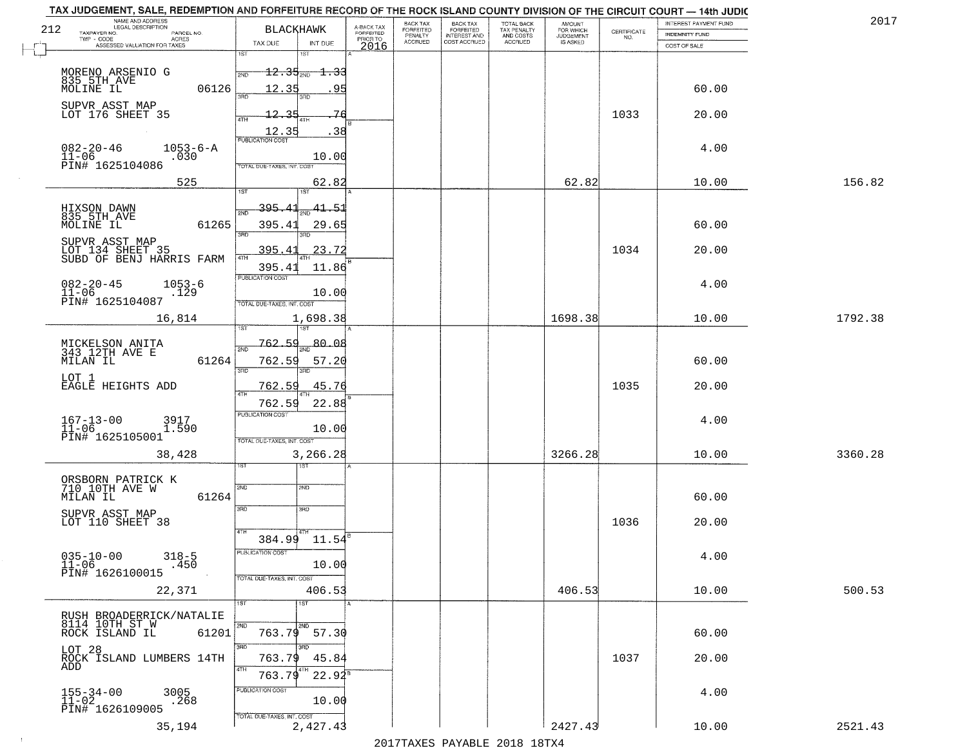|     | TAX JUDGEMENT, SALE, REDEMPTION AND FORFEITURE RECORD OF THE ROCK ISLAND COUNTY DIVISION OF THE CIRCUIT COURT - 14th JUDIC<br>NAME AND ADDRESS<br>LEGAL DESCRIPTION |                                         |                         | BACK TAX                    |                                       |                                        | AMOUNT<br>FOR WHICH |                                                                 | INTEREST PAYMENT FUND | 2017    |
|-----|---------------------------------------------------------------------------------------------------------------------------------------------------------------------|-----------------------------------------|-------------------------|-----------------------------|---------------------------------------|----------------------------------------|---------------------|-----------------------------------------------------------------|-----------------------|---------|
| 212 | TAXPAYER NO.<br>PARCEL NO.                                                                                                                                          | <b>BLACKHAWK</b>                        | A-BACK TAX<br>FORFEITED | <b>FORFEITED</b><br>PENALTY | BACK TAX<br>FORFEITED<br>INTEREST AND | TOTAL BACK<br>TAX PENALTY<br>AND COSTS | <b>JUDGEMENT</b>    | $\begin{array}{c} \text{CERTIFICATE} \\ \text{NO.} \end{array}$ | <b>INDEMNITY FUND</b> |         |
|     | TWP - CODE<br>ACRES<br>ASSESSED VALUATION FOR TAXES                                                                                                                 | INT DUE<br>TAX DUE                      | PRIOR TO<br>2016        | <b>ACCRUED</b>              | COST ACCRUED                          | ACCRUED                                | IS ASKED            |                                                                 | COST OF SALE          |         |
|     |                                                                                                                                                                     | 1ST<br><b>IST</b>                       |                         |                             |                                       |                                        |                     |                                                                 |                       |         |
|     |                                                                                                                                                                     | $12.35_{200}$<br><del>1.33</del><br>2ND |                         |                             |                                       |                                        |                     |                                                                 |                       |         |
|     | MORENO ARSENIO G<br>835-5TH_AVE                                                                                                                                     | 95                                      |                         |                             |                                       |                                        |                     |                                                                 |                       |         |
|     | 06126<br>MOLINE IL                                                                                                                                                  | 12.35                                   |                         |                             |                                       |                                        |                     |                                                                 | 60.00                 |         |
|     | SUPVR ASST MAP<br>LOT 176 SHEET 35                                                                                                                                  | 12.35<br>76                             |                         |                             |                                       |                                        |                     | 1033                                                            | 20.00                 |         |
|     |                                                                                                                                                                     |                                         |                         |                             |                                       |                                        |                     |                                                                 |                       |         |
|     |                                                                                                                                                                     | $\frac{12.35}{FUBUCATON COST}$<br>.38   |                         |                             |                                       |                                        |                     |                                                                 |                       |         |
|     | $082 - 20 - 46$<br>$1053 - 6 - A$                                                                                                                                   |                                         |                         |                             |                                       |                                        |                     |                                                                 | 4.00                  |         |
|     | $11 - 06$<br>.030<br>PIN# 1625104086                                                                                                                                | 10.00<br>TOTAL DUE-TAXES, INT. COST     |                         |                             |                                       |                                        |                     |                                                                 |                       |         |
|     |                                                                                                                                                                     |                                         |                         |                             |                                       |                                        |                     |                                                                 |                       |         |
|     | 525                                                                                                                                                                 | 62.82<br>1ST                            |                         |                             |                                       |                                        | 62.82               |                                                                 | 10.00                 | 156.82  |
|     |                                                                                                                                                                     |                                         |                         |                             |                                       |                                        |                     |                                                                 |                       |         |
|     | HIXSON DAWN<br>835 5TH AVE                                                                                                                                          | 395.<br>41.51                           |                         |                             |                                       |                                        |                     |                                                                 |                       |         |
|     | 61265<br>MOLINE IL                                                                                                                                                  | 395.41<br>29.65<br>ਬਾ                   |                         |                             |                                       |                                        |                     |                                                                 | 60.00                 |         |
|     | SUPVR ASST MAP                                                                                                                                                      |                                         |                         |                             |                                       |                                        |                     |                                                                 |                       |         |
|     | LOT 134 SHEET 35<br>SUBD OF BENJ HARRIS FARM                                                                                                                        | 23.72<br>395.41                         |                         |                             |                                       |                                        |                     | 1034                                                            | 20.00                 |         |
|     |                                                                                                                                                                     | 395.41<br>11.86                         |                         |                             |                                       |                                        |                     |                                                                 |                       |         |
|     | $082 - 20 - 45$<br>$1053 - 6$                                                                                                                                       | PUBLICATION COST                        |                         |                             |                                       |                                        |                     |                                                                 | 4.00                  |         |
|     | $11 - 06$<br>.129                                                                                                                                                   | 10.00                                   |                         |                             |                                       |                                        |                     |                                                                 |                       |         |
|     | PIN# 1625104087                                                                                                                                                     | TOTAL DUE-TAXES, INT. COST              |                         |                             |                                       |                                        |                     |                                                                 |                       |         |
|     | 16,814                                                                                                                                                              | 1,698.38                                |                         |                             |                                       |                                        | 1698.38             |                                                                 | 10.00                 | 1792.38 |
|     |                                                                                                                                                                     | 1ST                                     |                         |                             |                                       |                                        |                     |                                                                 |                       |         |
|     | MICKELSON ANITA<br>343 12TH AVE E                                                                                                                                   | 80.08<br>762.59<br>2ND                  |                         |                             |                                       |                                        |                     |                                                                 |                       |         |
|     | MILAN IL<br>61264                                                                                                                                                   | 762.59<br>57.20                         |                         |                             |                                       |                                        |                     |                                                                 | 60.00                 |         |
|     |                                                                                                                                                                     | 3RD<br>3RD                              |                         |                             |                                       |                                        |                     |                                                                 |                       |         |
|     | LOT 1<br>EAGLE HEIGHTS ADD                                                                                                                                          | 762.59<br>45.76                         |                         |                             |                                       |                                        |                     | 1035                                                            | 20.00                 |         |
|     |                                                                                                                                                                     | 4TH<br>22.88<br>762.59                  |                         |                             |                                       |                                        |                     |                                                                 |                       |         |
|     |                                                                                                                                                                     | <b>PUBLICATION COST</b>                 |                         |                             |                                       |                                        |                     |                                                                 |                       |         |
|     | $167 - 13 - 00$<br>11-06<br>3917<br>1.590                                                                                                                           | 10.00                                   |                         |                             |                                       |                                        |                     |                                                                 | 4.00                  |         |
|     | PIN# 1625105001                                                                                                                                                     | TOTAL OUE-TAXES, INT. COST              |                         |                             |                                       |                                        |                     |                                                                 |                       |         |
|     | 38,428                                                                                                                                                              | 3,266.28                                |                         |                             |                                       |                                        | 3266.28             |                                                                 | 10.00                 | 3360.28 |
|     |                                                                                                                                                                     | १९४                                     |                         |                             |                                       |                                        |                     |                                                                 |                       |         |
|     |                                                                                                                                                                     |                                         |                         |                             |                                       |                                        |                     |                                                                 |                       |         |
|     | ORSBORN PATRICK K<br>710 10TH AVE W<br>61264                                                                                                                        | 2ND<br>SND                              |                         |                             |                                       |                                        |                     |                                                                 | 60.00                 |         |
|     | MILAN IL                                                                                                                                                            | 3RD<br>3HD                              |                         |                             |                                       |                                        |                     |                                                                 |                       |         |
|     | SUPVR ASST MAP<br>LOT 110 SHEET 38                                                                                                                                  |                                         |                         |                             |                                       |                                        |                     | 1036                                                            | 20.00                 |         |
|     |                                                                                                                                                                     | 4TH                                     |                         |                             |                                       |                                        |                     |                                                                 |                       |         |
|     |                                                                                                                                                                     | 384.99 11.54                            |                         |                             |                                       |                                        |                     |                                                                 |                       |         |
|     | $035 - 10 - 00$<br>11-06<br>$318 - 5$                                                                                                                               | PUBLICA HUN COS                         |                         |                             |                                       |                                        |                     |                                                                 | 4.00                  |         |
|     | .450<br>PIN# 1626100015                                                                                                                                             | 10.00                                   |                         |                             |                                       |                                        |                     |                                                                 |                       |         |
|     |                                                                                                                                                                     | TOTAL DUE-TAXES, INT. COST              |                         |                             |                                       |                                        | 406.53              |                                                                 |                       |         |
|     | 22,371                                                                                                                                                              | 406.53<br>1ST<br>1ST                    |                         |                             |                                       |                                        |                     |                                                                 | 10.00                 | 500.53  |
|     | RUSH BROADERRICK/NATALIE                                                                                                                                            |                                         |                         |                             |                                       |                                        |                     |                                                                 |                       |         |
|     | 8114 10TH ST W                                                                                                                                                      | 2ND<br>2ND.                             |                         |                             |                                       |                                        |                     |                                                                 |                       |         |
|     | ROCK ISLAND IL<br>61201                                                                                                                                             | 763.79 57.30                            |                         |                             |                                       |                                        |                     |                                                                 | 60.00                 |         |
|     | LOT 28<br>ROCK ISLAND LUMBERS 14TH                                                                                                                                  | 3RD                                     |                         |                             |                                       |                                        |                     |                                                                 |                       |         |
|     | ADD                                                                                                                                                                 | 763.79<br>45.84                         |                         |                             |                                       |                                        |                     | 1037                                                            | 20.00                 |         |
|     |                                                                                                                                                                     | 4TH<br>$22.94^8$<br>763.79              |                         |                             |                                       |                                        |                     |                                                                 |                       |         |
|     | 3005                                                                                                                                                                | PUBLICATION COST                        |                         |                             |                                       |                                        |                     |                                                                 | 4.00                  |         |
|     | $155 - 34 - 00$<br>$11 - 02$<br>.268                                                                                                                                | 10.00                                   |                         |                             |                                       |                                        |                     |                                                                 |                       |         |
|     | PIN# 1626109005                                                                                                                                                     | TOTAL DUE-TAXES, INT. COST              |                         |                             |                                       |                                        |                     |                                                                 |                       |         |
|     | 35,194                                                                                                                                                              | 2,427.43                                |                         |                             |                                       |                                        | 2427.43             |                                                                 | 10.00                 | 2521.43 |
|     |                                                                                                                                                                     |                                         |                         |                             | 2017 THAYRO DAVADIR 2018 19TY         |                                        |                     |                                                                 |                       |         |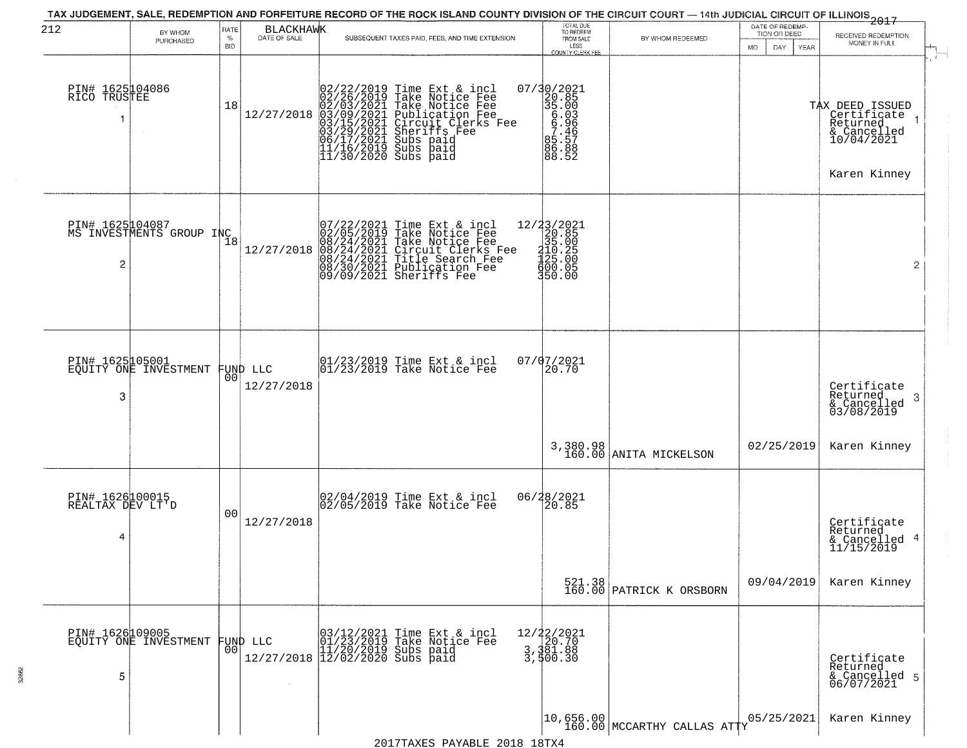| 212                                      | BY WHOM<br>PURCHASED                              | RATE<br>$\%$<br><b>BID</b> | <b>BLACKHAWK</b><br>DATE OF SALE | SUBSEQUENT TAXES PAID, FEES, AND TIME EXTENSION                                                                                                                                                                                                                                                                                                                                                                           | TOTAL DUE<br>TO REDEEM<br>FROM SALE<br>LESS<br><b>COUNTY CLERK FEE</b>                                              | BY WHOM REDEEMED                                                         | DATE OF REDEMP-<br>TION OR DEED<br>MO.<br>DAY.<br>YEAR | 2017<br>RECEIVED REDEMPTION<br>MONEY IN FULL                                                |
|------------------------------------------|---------------------------------------------------|----------------------------|----------------------------------|---------------------------------------------------------------------------------------------------------------------------------------------------------------------------------------------------------------------------------------------------------------------------------------------------------------------------------------------------------------------------------------------------------------------------|---------------------------------------------------------------------------------------------------------------------|--------------------------------------------------------------------------|--------------------------------------------------------|---------------------------------------------------------------------------------------------|
| PIN# 1625104086<br>RICO TRUSTEE          |                                                   | 18                         |                                  | $[02/22/2019 \text{ Time Ext & incl} \newline [02/26/2019 \text{ Take Notice Free} \newline 02/03/2021 \text{ Take Notice Free} \newline 12/27/2018 \text{ 03/09/2021} \text{ Publicratio Free} \newline [03/15/2021 \text{ Circuit Clerks Free} \newline 03/15/2021 \text{ directifies Free} \newline 06/17/2021 \text{ Subs paid} \newline 11/16/2019 \text{ Subs paid} \newline 11/30/2020 \text{ Subs paid} \newline$ | $\begin{smallmatrix} 07/30/2021\\ 20.85\\ 35.003\\ 6.903\\ 6.966\\ 7.146\\ 85.51\\ 86.88\\ 88.52 \end{smallmatrix}$ |                                                                          |                                                        | TAX DEED ISSUED<br>  Certificate<br>  Returned<br>& Cancelled<br>10/04/2021<br>Karen Kinney |
| 2                                        | PIN# 1625104087<br>MS INVESTMENTS GROUP INC       | 18                         | 12/27/2018                       | 07/22/2021 Time Ext & incl<br>02/05/2019 Take Notice Fee<br>08/24/2021 Take Notice Fee<br>08/24/2021 Circuit Clerks Fee<br>08/24/2021 Title Search Fee<br>08/30/2021 Publication Fee<br>09/09/2021 Sheriffs Fee                                                                                                                                                                                                           | $\begin{array}{r} 12/33/2021 \\ 20.85 \\ 35.00 \\ 410.25 \\ 425.00 \end{array}$<br>₫õŏ∶ŏš<br>350.00                 |                                                                          |                                                        | $\overline{2}$                                                                              |
| PIN# 1625105001<br>3                     | EQUITY ONE INVESTMENT                             | 00                         | FUND LLC<br>12/27/2018           | 01/23/2019 Time Ext & incl<br>01/23/2019 Take Notice Fee                                                                                                                                                                                                                                                                                                                                                                  | 07/07/2021<br>20.70                                                                                                 |                                                                          |                                                        | Certificate<br>Returned<br>3<br>& Cancelled<br>03/08/2019                                   |
|                                          |                                                   |                            |                                  |                                                                                                                                                                                                                                                                                                                                                                                                                           |                                                                                                                     | 3,380.98<br>160.00 ANITA MICKELSON                                       | 02/25/2019                                             | Karen Kinney                                                                                |
| PIN# 1626100015<br>REALTAX DEV LT'D<br>4 |                                                   | 00                         | 12/27/2018                       | 02/04/2019 Time Ext & incl<br>02/05/2019 Take Notice Fee                                                                                                                                                                                                                                                                                                                                                                  | 06/28/2021<br>20.85                                                                                                 |                                                                          |                                                        | Certificate<br>Returned<br>& Cancelled 4<br>11/15/2019                                      |
|                                          |                                                   |                            |                                  |                                                                                                                                                                                                                                                                                                                                                                                                                           |                                                                                                                     | 521.38<br>160.00 PATRICK K ORSBORN                                       | 09/04/2019                                             | Karen Kinney                                                                                |
| 5                                        | PIN# 1626109005<br>EQUITY ONE INVESTMENT FUND LLC | 00                         |                                  | 03/12/2021 Time Ext & incl<br>01/23/2019 Take Notice Fee<br>11/20/2019 Subs paid<br>12/27/2018 12/02/2020 Subs paid                                                                                                                                                                                                                                                                                                       | 12/22/2021<br>3,381.88<br>3,381.88                                                                                  |                                                                          |                                                        | Certificate<br>Returned<br>& Cancelled 5<br>06/07/2021                                      |
|                                          |                                                   |                            |                                  |                                                                                                                                                                                                                                                                                                                                                                                                                           |                                                                                                                     | $\begin{bmatrix} 10,656.00 \\ 160.00 \end{bmatrix}$ MCCARTHY CALLAS ATTY | 05/25/2021                                             | Karen Kinney                                                                                |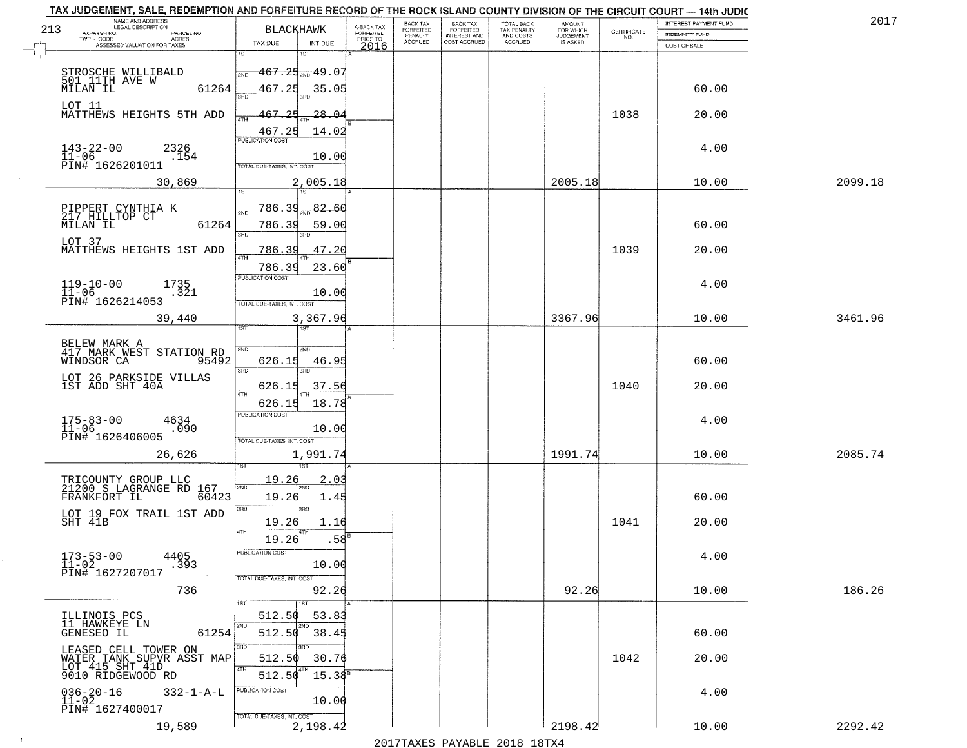| 213 | NAME AND ADDRESS<br>LEGAL DESCRIPTION             | BLACKHAWK                         |                               |                                     | BACK TAX                               | <b>BACK TAX</b><br>FORFEITED        | <b>TOTAL BACK</b>                          | AMOUNT<br>FOR WHICH          |                    | INTEREST PAYMENT FUND | 2017    |
|-----|---------------------------------------------------|-----------------------------------|-------------------------------|-------------------------------------|----------------------------------------|-------------------------------------|--------------------------------------------|------------------------------|--------------------|-----------------------|---------|
|     | TAXPAYER NO.<br>PARCEL NO.<br>TWP - CODE<br>ACRES |                                   |                               | A-BACK TAX<br>FORFEITED<br>PRIOR TO | FORFEITED<br>PENALTY<br><b>ACCRUED</b> | <b>INTEREST AND</b><br>COST ACCRUED | TAX PENALTY<br>AND COSTS<br><b>ACCRUED</b> | <b>JUDGEMENT</b><br>IS ASKED | CERTIFICATE<br>NO. | <b>INDEMNITY FUND</b> |         |
|     | ASSESSED VALUATION FOR TAXES                      | TAX DUE<br>1ST                    | INT DUE<br>1ST                | 2016                                |                                        |                                     |                                            |                              |                    | COST OF SALE          |         |
|     |                                                   |                                   |                               |                                     |                                        |                                     |                                            |                              |                    |                       |         |
|     | STROSCHE WILLIBALD<br>501 11TH AVE W              | 2ND                               | $467.25_{\text{2ND}}$ $49.07$ |                                     |                                        |                                     |                                            |                              |                    |                       |         |
|     | 61264<br>MILAN IL                                 | 467.25                            | 35.05                         |                                     |                                        |                                     |                                            |                              |                    | 60.00                 |         |
|     | LOT 11                                            |                                   |                               |                                     |                                        |                                     |                                            |                              |                    |                       |         |
|     | MATTHEWS HEIGHTS 5TH ADD                          | 467.25<br>4TH                     | <u> 28.04</u>                 |                                     |                                        |                                     |                                            |                              | 1038               | 20.00                 |         |
|     |                                                   | 467.25<br><b>PUBLICATION COST</b> | 14.02                         |                                     |                                        |                                     |                                            |                              |                    |                       |         |
|     | $143 - 22 - 00$<br>2326<br>$11 - 06$              |                                   |                               |                                     |                                        |                                     |                                            |                              |                    | 4.00                  |         |
|     | .154<br>PIN# 1626201011                           | TOTAL DUE-TAXES, INT, COST        | 10.00                         |                                     |                                        |                                     |                                            |                              |                    |                       |         |
|     | 30,869                                            |                                   | 2,005.18                      |                                     |                                        |                                     |                                            | 2005.18                      |                    | 10.00                 | 2099.18 |
|     |                                                   |                                   |                               |                                     |                                        |                                     |                                            |                              |                    |                       |         |
|     | PIPPERT CYNTHIA K                                 | 786.39<br>2ND                     | $\frac{82.60}{200}$           |                                     |                                        |                                     |                                            |                              |                    |                       |         |
|     | 217 HILLTOP CT<br>61264<br>MILAN IL               | 786.39                            | 59.00                         |                                     |                                        |                                     |                                            |                              |                    | 60.00                 |         |
|     | LOT 37                                            | 3RD                               |                               |                                     |                                        |                                     |                                            |                              |                    |                       |         |
|     | MATTHEWS HEIGHTS 1ST ADD                          | <u>786.39</u><br>47H              | 47.20                         |                                     |                                        |                                     |                                            |                              | 1039               | 20.00                 |         |
|     |                                                   | 786.39                            | 23.60                         |                                     |                                        |                                     |                                            |                              |                    |                       |         |
|     | 1735                                              | PUBLICATION COST                  |                               |                                     |                                        |                                     |                                            |                              |                    | 4.00                  |         |
|     | $119-10-00$<br>$11-06$<br>.321                    |                                   | 10.00                         |                                     |                                        |                                     |                                            |                              |                    |                       |         |
|     | PIN# 1626214053                                   | TOTAL DUE-TAXES, INT. COST        |                               |                                     |                                        |                                     |                                            |                              |                    |                       |         |
|     | 39,440                                            | ist                               | 3,367.96<br>1ST               |                                     |                                        |                                     |                                            | 3367.96                      |                    | 10.00                 | 3461.96 |
|     | BELEW MARK A                                      |                                   |                               |                                     |                                        |                                     |                                            |                              |                    |                       |         |
|     | 417 MARK WEST STATION RD                          | 2ND                               | 2ND                           |                                     |                                        |                                     |                                            |                              |                    |                       |         |
|     | 95492<br>WINDSOR CA                               | 626.15<br>3 <sub>BD</sub>         | 46.95<br>3RD                  |                                     |                                        |                                     |                                            |                              |                    | 60.00                 |         |
|     | LOT 26 PARKSIDE VILLAS<br>1ST ADD SHT 40A         | 626.15                            | 37.56                         |                                     |                                        |                                     |                                            |                              | 1040               | 20.00                 |         |
|     |                                                   | 4TH                               |                               |                                     |                                        |                                     |                                            |                              |                    |                       |         |
|     |                                                   | 626.15<br><b>PUBLICATION COST</b> | 18.78                         |                                     |                                        |                                     |                                            |                              |                    |                       |         |
|     | $175 - 83 - 00$<br>$11 - 06$<br>4634<br>.090      |                                   | 10.00                         |                                     |                                        |                                     |                                            |                              |                    | 4.00                  |         |
|     | PIN# 1626406005                                   | TOTAL OUE-TAXES, INT. COST        |                               |                                     |                                        |                                     |                                            |                              |                    |                       |         |
|     | 26,626                                            |                                   | 1,991.74                      |                                     |                                        |                                     |                                            | 1991.74                      |                    | 10.00                 | 2085.74 |
|     |                                                   |                                   |                               |                                     |                                        |                                     |                                            |                              |                    |                       |         |
|     | TRICOUNTY GROUP LLC<br>21200 S LAGRANGE RD 167    | 19.20<br>2ND                      | 2.03                          |                                     |                                        |                                     |                                            |                              |                    |                       |         |
|     | FRANKFORT IL<br>60423                             | 19.26                             | 1.45                          |                                     |                                        |                                     |                                            |                              |                    | 60.00                 |         |
|     | LOT 19 FOX TRAIL 1ST ADD                          | 3BD                               | 3BD                           |                                     |                                        |                                     |                                            |                              |                    |                       |         |
|     | SHT 41B                                           | 19.26<br>4TH                      | 1.16                          |                                     |                                        |                                     |                                            |                              | 1041               | 20.00                 |         |
|     |                                                   | 19.26                             | .58                           |                                     |                                        |                                     |                                            |                              |                    |                       |         |
|     | $173 - 53 - 00$<br>4405                           | "UBLICA HUN CUS                   |                               |                                     |                                        |                                     |                                            |                              |                    | 4.00                  |         |
|     | .393<br>$11 - 02$<br>PIN# 1627207017              |                                   | 10.00                         |                                     |                                        |                                     |                                            |                              |                    |                       |         |
|     | 736                                               | TOTAL DUE-TAXES, INT. COST        | 92.26                         |                                     |                                        |                                     |                                            | 92.26                        |                    | 10.00                 | 186.26  |
|     |                                                   |                                   | 1ST                           |                                     |                                        |                                     |                                            |                              |                    |                       |         |
|     | ILLINOIS PCS                                      | 512.50                            | 53.83                         |                                     |                                        |                                     |                                            |                              |                    |                       |         |
|     | 11 HAWKEYE LN<br>61254<br>GENESEO IL              | 512.50                            | 2ND<br>38.45                  |                                     |                                        |                                     |                                            |                              |                    | 60.00                 |         |
|     |                                                   |                                   |                               |                                     |                                        |                                     |                                            |                              |                    |                       |         |
|     | LEASED CELL TOWER ON<br>WATER TANK SUPVR ASST MAP | 512.50                            | 30.76                         |                                     |                                        |                                     |                                            |                              | 1042               | 20.00                 |         |
|     | LOT 415 SHT 41D<br>9010 RIDGEWOOD RD              | 4TH<br>512.50                     | 4TH<br>$15.38^{8}$            |                                     |                                        |                                     |                                            |                              |                    |                       |         |
|     | $036 - 20 - 16$<br>$332 - 1 - A - L$              | PUBLICATION COST                  |                               |                                     |                                        |                                     |                                            |                              |                    | 4.00                  |         |
|     | $11 - 02$                                         |                                   | 10.00                         |                                     |                                        |                                     |                                            |                              |                    |                       |         |
|     | PIN# 1627400017                                   | TOTAL DUE-TAXES, INT. COST        |                               |                                     |                                        |                                     |                                            |                              |                    |                       |         |
|     | 19,589                                            |                                   | 2,198.42                      |                                     |                                        |                                     |                                            | 2198.42                      |                    | 10.00                 | 2292.42 |

 $\sim 10^{-1}$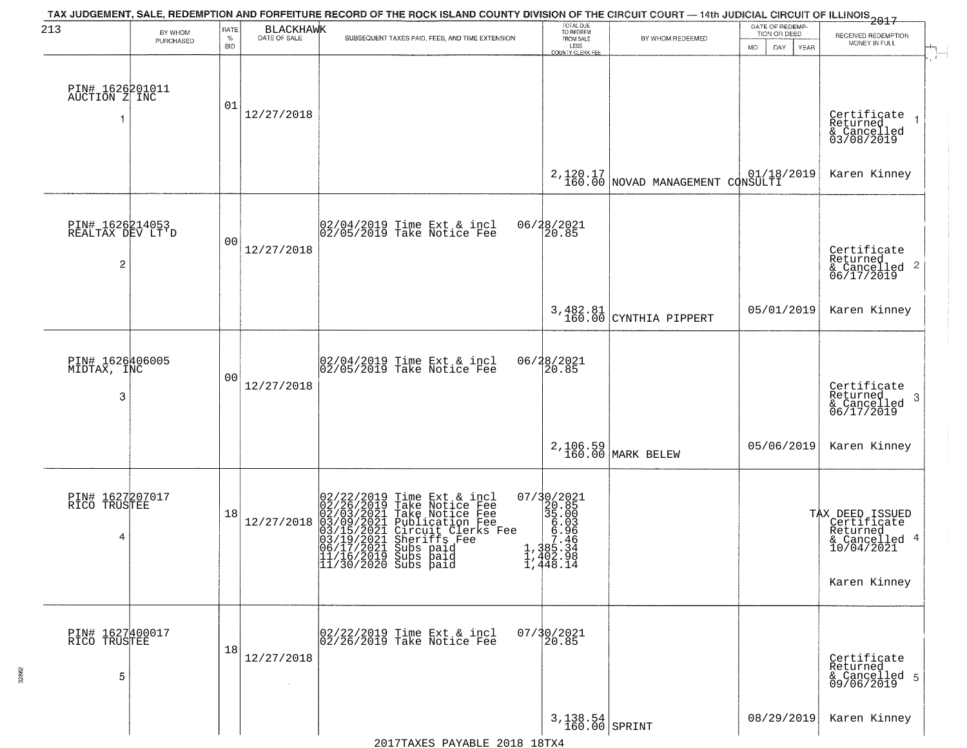| 213                                                   | BY WHOM   | RATE<br>$\%$ | <b>BLACKHAWK</b><br>DATE OF SALE | TAX JUDGEMENT, SALE, REDEMPTION AND FORFEITURE RECORD OF THE ROCK ISLAND COUNTY DIVISION OF THE CIRCUIT COURT — 14th JUDICIAL CIRCUIT OF ILLINOIS 2017                                                                                                                               | TOTAL DUE<br>TO REDEEM<br>FROM SALE                                                                                                                                                                  |                                               | DATE OF REDEMP-<br>TION OR DEED | RECEIVED REDEMPTION                                                                       |
|-------------------------------------------------------|-----------|--------------|----------------------------------|--------------------------------------------------------------------------------------------------------------------------------------------------------------------------------------------------------------------------------------------------------------------------------------|------------------------------------------------------------------------------------------------------------------------------------------------------------------------------------------------------|-----------------------------------------------|---------------------------------|-------------------------------------------------------------------------------------------|
|                                                       | PURCHASED | <b>BID</b>   |                                  | SUBSEQUENT TAXES PAID, FEES, AND TIME EXTENSION                                                                                                                                                                                                                                      | LESS<br><b>COUNTY CLERK FEE</b>                                                                                                                                                                      | BY WHOM REDEEMED                              | MO.<br>DAY.<br><b>YEAR</b>      | MONEY IN FULL                                                                             |
| PIN# 1626201011<br>AUCTION Z INC                      |           | 01           | 12/27/2018                       |                                                                                                                                                                                                                                                                                      |                                                                                                                                                                                                      |                                               |                                 | Certificate<br>Returned<br>& Cancelled<br>03/08/2019                                      |
|                                                       |           |              |                                  |                                                                                                                                                                                                                                                                                      |                                                                                                                                                                                                      | 2, 120.17<br>160.00 NOVAD MANAGEMENT CONSULTI |                                 | Karen Kinney                                                                              |
| PIN# 1626214053<br>REALTAX DEV LT'D<br>$\overline{c}$ |           | 00           | 12/27/2018                       | $ 02/04/2019$ Time Ext & incl<br>$ 02/05/2019$ Take Notice Fee                                                                                                                                                                                                                       | 06/28/2021<br>20.85                                                                                                                                                                                  |                                               |                                 | Certificate<br>Returned<br>$\frac{1}{6}$ Cancelled 2<br>06/17/2019                        |
|                                                       |           |              |                                  |                                                                                                                                                                                                                                                                                      | 3,482.81<br>160.00                                                                                                                                                                                   | CYNTHIA PIPPERT                               | 05/01/2019                      | Karen Kinney                                                                              |
| PIN# 1626406005<br>MIDTAX, INC<br>3                   |           | 00           | 12/27/2018                       | 02/04/2019 Time Ext & incl<br>02/05/2019 Take Notice Fee                                                                                                                                                                                                                             | 06/28/2021<br>20.85                                                                                                                                                                                  |                                               |                                 | Certificate<br>Returned<br>3<br>& Cancelled<br>06/17/2019                                 |
|                                                       |           |              |                                  |                                                                                                                                                                                                                                                                                      |                                                                                                                                                                                                      | 2,106.59<br>160.00 MARK BELEW                 | 05/06/2019                      | Karen Kinney                                                                              |
| PIN# 1627207017<br>RICO TRUSTEE<br>4                  |           | 18           | 12/27/2018                       | $02/22/2019$ Time Ext & incl<br>02/26/2019 Take Notice Fee<br>02/03/2021 Take Notice Fee<br>03/09/2021 Publication Fee<br>03/15/2021 Circuit Clerks Fee<br>03/19/2021 Sheriffs Fee<br>06/17/2021 Subs paid<br>11/16/2019 Subs paid<br> 11/16/2019 Subs paid<br> 11/30/2020 Subs paid | 07/30/2021<br>$\begin{smallmatrix} 1/3 & 2/2 & 8 & 5 \\ 2/3 & 5 & 0 & 0 \\ 3 & 5 & 0 & 0 \\ 5 & 6 & 9 & 6 \\ 6 & 7 & 4 & 6 \\ 1 & 3 & 8 & 5 \\ 1 & 4 & 6 & 2 \\ 1 & 4 & 8 & 14 \\ \end{smallmatrix}$ |                                               |                                 | TAX DEED ISSUED<br>Certificate<br>Returned<br>& Cancelled 4<br>10/04/2021<br>Karen Kinney |
| PIN# 1627400017<br>RICO TRUSTEE<br>5                  |           | 18           | 12/27/2018                       | 02/22/2019 Time Ext & incl<br>02/26/2019 Take Notice Fee                                                                                                                                                                                                                             | 07/30/2021<br>20.85                                                                                                                                                                                  |                                               |                                 | Certificate<br>Returned<br>& Cancelled 5<br>09/06/2019                                    |
|                                                       |           |              |                                  |                                                                                                                                                                                                                                                                                      | $3,138.54$ SPRINT                                                                                                                                                                                    |                                               | 08/29/2019                      | Karen Kinney                                                                              |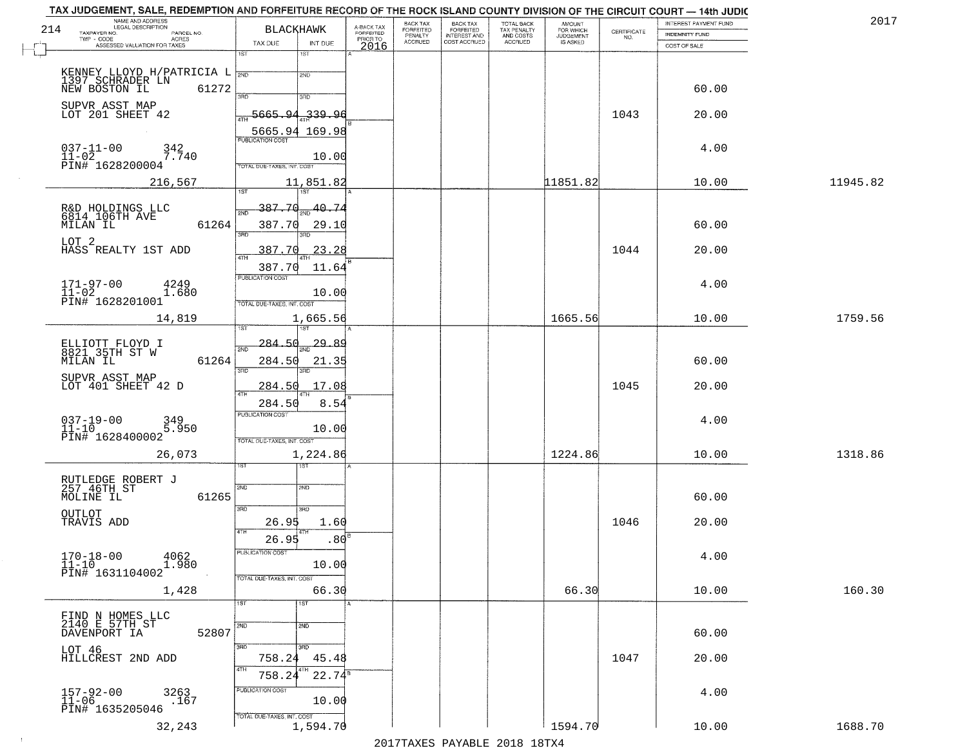|     | TAX JUDGEMENT, SALE, REDEMPTION AND FORFEITURE RECORD OF THE ROCK ISLAND COUNTY DIVISION OF THE CIRCUIT COURT - 14th JUDIC<br>NAME AND ADDRESS<br>LEGAL DESCRIPTION |                                                                         |                                  |                                     | BACK TAX             | <b>BACK TAX</b>           |                                        | AMOUNT<br>FOR WHICH |                                                                 | INTEREST PAYMENT FUND | 2017     |
|-----|---------------------------------------------------------------------------------------------------------------------------------------------------------------------|-------------------------------------------------------------------------|----------------------------------|-------------------------------------|----------------------|---------------------------|----------------------------------------|---------------------|-----------------------------------------------------------------|-----------------------|----------|
| 214 | TAXPAYER NO.<br>PARCEL NO.<br>$\sf ACRES$                                                                                                                           | <b>BLACKHAWK</b>                                                        |                                  | A-BACK TAX<br>FORFEITED<br>PRIOR TO | FORFEITED<br>PENALTY | FORFEITED<br>INTEREST AND | TOTAL BACK<br>TAX PENALTY<br>AND COSTS | <b>JUDGEMENT</b>    | $\begin{array}{c} \text{CERTIFICATE} \\ \text{NO.} \end{array}$ | <b>INDEMNITY FUND</b> |          |
|     | ASSESSED VALUATION FOR TAXES                                                                                                                                        | TAX DUE<br>1ST                                                          | INT DUE<br>$1S$ T                | 2016                                | <b>ACCRUED</b>       | COST ACCRUED              | ACCRUED                                | IS ASKED            |                                                                 | COST OF SALE          |          |
|     | KENNEY LLOYD H/PATRICIA L<br>1397 SCHRADER LN                                                                                                                       |                                                                         | 2ND                              |                                     |                      |                           |                                        |                     |                                                                 |                       |          |
|     | 61272<br>NEW BOSTON IL                                                                                                                                              | 390                                                                     | 3RD                              |                                     |                      |                           |                                        |                     |                                                                 | 60.00                 |          |
|     | SUPVR ASST MAP<br>LOT 201 SHEET 42                                                                                                                                  | 5665.94                                                                 | 339.96                           |                                     |                      |                           |                                        |                     | 1043                                                            | 20.00                 |          |
|     | $037 - 11 - 00$<br>342<br>7.740<br>$11 - 02$<br>PIN# 1628200004                                                                                                     | 5665.94 169.98<br><b>PUBLICATION COST</b><br>TOTAL DUE-TAXES, INT. COST | 10.00                            |                                     |                      |                           |                                        |                     |                                                                 | 4.00                  |          |
|     | 216,567                                                                                                                                                             |                                                                         | 11,851.82                        |                                     |                      |                           |                                        | 11851.82            |                                                                 | 10.00                 | 11945.82 |
|     | R&D HOLDINGS LLC<br>6814 106TH AVE<br>61264<br>MILAN IL<br>LOT 2                                                                                                    | 387.70<br>2ND<br>387.70<br>3RD                                          | 40.74<br>29.10<br>3BD.           |                                     |                      |                           |                                        |                     |                                                                 | 60.00                 |          |
|     | HASS REALTY 1ST ADD                                                                                                                                                 | 387.70<br>387.70<br><b>PUBLICATION COST</b>                             | 23.28<br>11.64                   |                                     |                      |                           |                                        |                     | 1044                                                            | 20.00                 |          |
|     | $171 - 97 - 00$<br>4249<br>$11 - 02$<br>1.680<br>PIN# 1628201001                                                                                                    | TOTAL DUE-TAXES, INT. COST                                              | 10.00                            |                                     |                      |                           |                                        |                     |                                                                 | 4.00                  |          |
|     | 14,819                                                                                                                                                              | 1ST                                                                     | 1,665.56<br>1ST                  |                                     |                      |                           |                                        | 1665.56             |                                                                 | 10.00                 | 1759.56  |
|     | ELLIOTT FLOYD I<br>8821_35TH ST W<br>MILAN IL<br>61264<br>SUPVR ASST MAP                                                                                            | $-284.50$<br>2ND<br>284.50<br>3RD                                       | <u>29.89</u><br>21.35<br>3RD     |                                     |                      |                           |                                        |                     |                                                                 | 60.00                 |          |
|     | LOT 401 SHEET 42 D                                                                                                                                                  | 284.50<br>4TH<br>284.50                                                 | 17.08<br>8.54                    |                                     |                      |                           |                                        |                     | 1045                                                            | 20.00                 |          |
|     | $037 - 19 - 00$<br>11-10<br>349<br>5.950<br>PIN# 1628400002                                                                                                         | <b>PUBLICATION COST</b><br>TOTAL OUE-TAXES, INT. COST                   | 10.00                            |                                     |                      |                           |                                        |                     |                                                                 | 4.00                  |          |
|     | 26,073                                                                                                                                                              |                                                                         | 1,224.86<br>१९४                  |                                     |                      |                           |                                        | 1224.86             |                                                                 | 10.00                 | 1318.86  |
|     | RUTLEDGE ROBERT J<br>257 46TH ST<br>MOLINE IL<br>61265                                                                                                              | 2ND<br>3RD                                                              | 2ND<br>3RD                       |                                     |                      |                           |                                        |                     |                                                                 | 60.00                 |          |
|     | OUTLOT<br>TRAVIS ADD                                                                                                                                                | 26.95<br>4TH<br>26.95                                                   | 1.60<br>.80                      |                                     |                      |                           |                                        |                     | 1046                                                            | 20.00                 |          |
|     | $170 - 18 - 00$<br>4062<br>1.980<br>$11 - 10$<br>PIN# 1631104002                                                                                                    | PUBLICATION COS<br>TOTAL DUE-TAXES, INT. COST                           | 10.00                            |                                     |                      |                           |                                        |                     |                                                                 | 4.00                  |          |
|     | 1,428                                                                                                                                                               | 1ST                                                                     | 66.30<br>1ST                     |                                     |                      |                           |                                        | 66.30               |                                                                 | 10.00                 | 160.30   |
|     | FIND N HOMES LLC<br>2140 E 57TH ST<br>52807<br>DAVENPORT IA                                                                                                         | 2ND                                                                     | 2ND                              |                                     |                      |                           |                                        |                     |                                                                 | 60.00                 |          |
|     | LOT 46<br>HILLCREST 2ND ADD                                                                                                                                         | 3RD<br>758.24<br>4TH<br>758.24                                          | 3RD<br>45.48<br>8TH<br>$22.74^8$ |                                     |                      |                           |                                        |                     | 1047                                                            | 20.00                 |          |
|     | 157-92-00<br>11-06<br>3263<br>.167<br>PIN# 1635205046                                                                                                               | PUBLICATION COST<br>TOTAL DUE-TAXES, INT. COST                          | 10.00                            |                                     |                      |                           |                                        |                     |                                                                 | 4.00                  |          |
|     | 32,243                                                                                                                                                              |                                                                         | 1,594.70                         |                                     |                      |                           |                                        | 1594.70             |                                                                 | 10.00                 | 1688.70  |

 $\sim 100$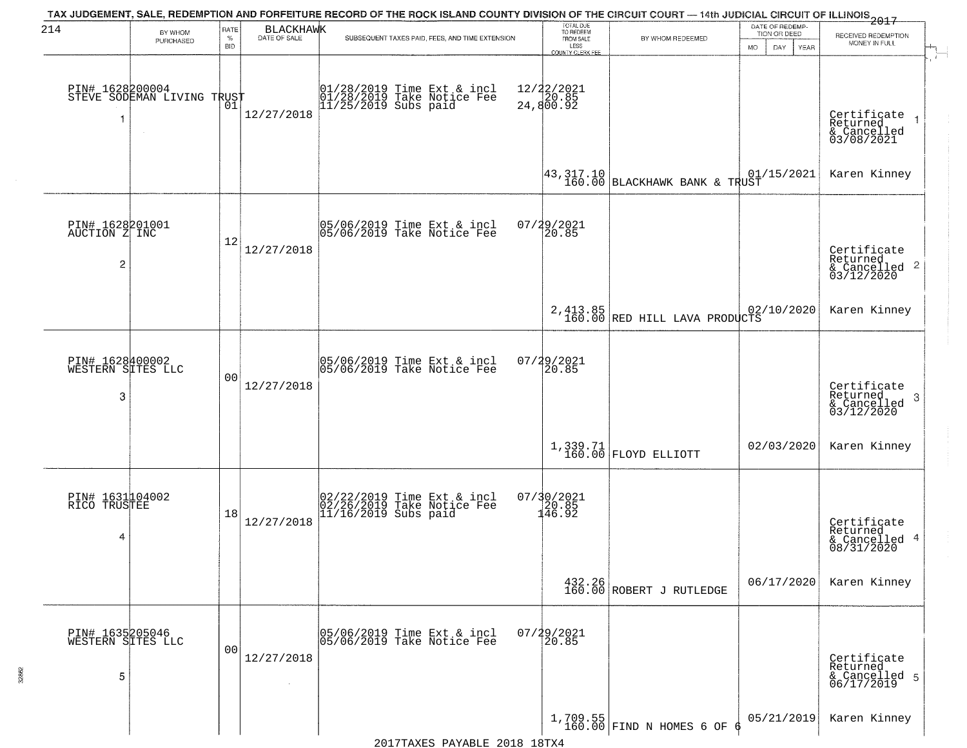| 214                                                | BY WHOM<br>PURCHASED                                        | RATE<br>$\%$<br><b>BID</b> | <b>BLACKHAWK</b><br>DATE OF SALE | TAX JUDGEMENT, SALE, REDEMPTION AND FORFEITURE RECORD OF THE ROCK ISLAND COUNTY DIVISION OF THE CIRCUIT COURT — 14th JUDICIAL CIRCUIT OF ILLINOIS 2017<br>SUBSEQUENT TAXES PAID, FEES, AND TIME EXTENSION | TOTAL DUE<br>TO REDEEM<br>FROM SALE<br>LESS        | BY WHOM REDEEMED                                                   | DATE OF REDEMP-<br>TION OR DEED<br><b>MO</b><br>DAY<br><b>YEAR</b> | RECEIVED REDEMPTION<br>MONEY IN FULL                                 |
|----------------------------------------------------|-------------------------------------------------------------|----------------------------|----------------------------------|-----------------------------------------------------------------------------------------------------------------------------------------------------------------------------------------------------------|----------------------------------------------------|--------------------------------------------------------------------|--------------------------------------------------------------------|----------------------------------------------------------------------|
| -1                                                 | PIN# 1628200004    <br>STEVE SODEMAN LIVING TRUST<br>$\sim$ | 01                         | 12/27/2018                       | 01/28/2019 Time Ext & incl<br>01/28/2019 Take Notice Fee<br>11/25/2019 Subs paid                                                                                                                          | <b>COUNTY CLERK FEE</b><br>12/22/2021<br>24,800.92 |                                                                    |                                                                    | Certificate<br>Returned<br>& Cancelled<br>03/08/2021                 |
|                                                    |                                                             |                            |                                  |                                                                                                                                                                                                           |                                                    | $\left  \frac{43}{160.01} \right _{\text{BLACKHAWK BANK & THUST}}$ | 01/15/2021                                                         | Karen Kinney                                                         |
| PIN# 1628201001<br>AUCTION Z INC<br>$\overline{c}$ |                                                             | 12                         | 12/27/2018                       | 05/06/2019 Time Ext & incl<br>05/06/2019 Take Notice Fee                                                                                                                                                  | 07/29/2021<br>20.85                                |                                                                    |                                                                    | Certificate<br>Returned<br>$\mathbf{2}$<br>& Cancelled<br>03/12/2020 |
|                                                    |                                                             |                            |                                  |                                                                                                                                                                                                           |                                                    | 2, 413.85<br>160.00 RED HILL LAVA PRODUCTS                         | 02/10/2020                                                         | Karen Kinney                                                         |
| PIN# 1628400002<br>WESTERN SITES LLC<br>3          |                                                             | 00                         | 12/27/2018                       | 05/06/2019 Time Ext & incl<br>05/06/2019 Take Notice Fee                                                                                                                                                  | $07/29/2021$<br>20.85                              |                                                                    |                                                                    | Certificate<br>Returned<br>3<br>$\frac{1}{03/12/2020}$               |
|                                                    |                                                             |                            |                                  |                                                                                                                                                                                                           |                                                    | 1,339.71<br>160.00 FLOYD ELLIOTT                                   | 02/03/2020                                                         | Karen Kinney                                                         |
| PIN# 1631104002<br>RICO TRUSTEE<br>4               |                                                             | 18                         | 12/27/2018                       | 02/22/2019 Time Ext & incl<br>02/26/2019 Take Notice Fee<br>11/16/2019 Subs paid                                                                                                                          | 07/30/2021<br>20.85<br>146.92                      |                                                                    |                                                                    | Certificate<br>Returned<br>4<br>& Cancelled<br>08/31/2020            |
|                                                    |                                                             |                            |                                  |                                                                                                                                                                                                           |                                                    | $\begin{array}{c} 432.26 \\ 160.00 \end{array}$ ROBERT J RUTLEDGE  | 06/17/2020                                                         | Karen Kinney                                                         |
| PIN# 1635205046<br>WESTERN SITES LLC<br>5          |                                                             | 00                         | 12/27/2018                       | 05/06/2019 Time Ext & incl<br>05/06/2019 Take Notice Fee                                                                                                                                                  | 07/29/2021<br>20.85                                |                                                                    |                                                                    | Certificate<br>Returned<br>& Cancelled 5<br>06/17/2019               |
|                                                    |                                                             |                            |                                  |                                                                                                                                                                                                           |                                                    | $1,709.55$ FIND N HOMES 6 OF                                       | 05/21/2019                                                         | Karen Kinney                                                         |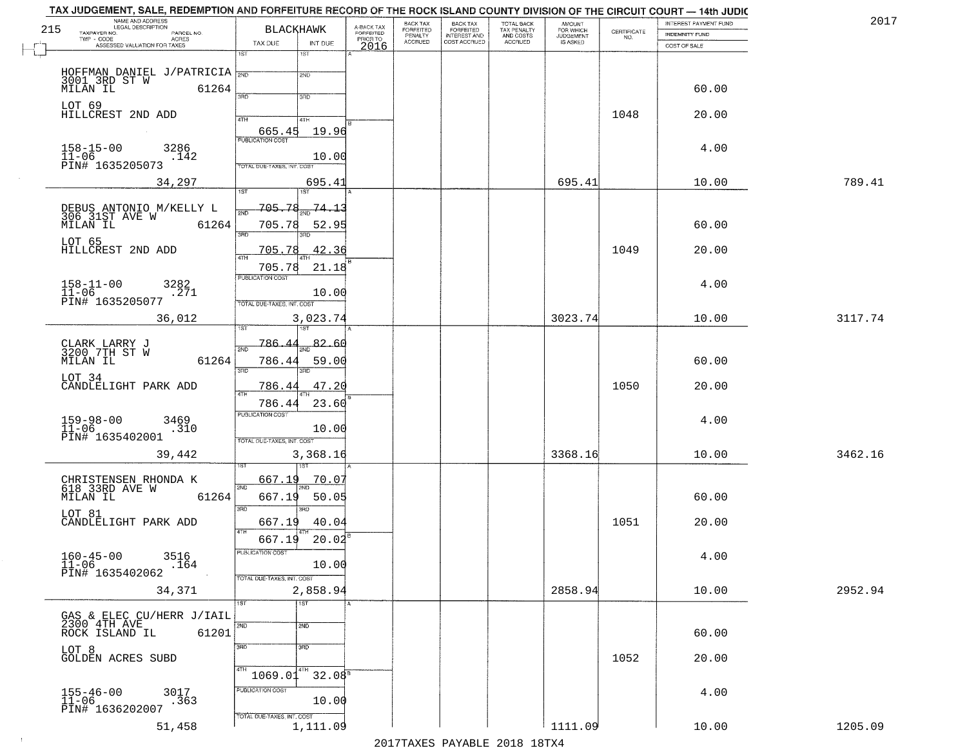|     | TAX JUDGEMENT, SALE, REDEMPTION AND FORFEITURE RECORD OF THE ROCK ISLAND COUNTY DIVISION OF THE CIRCUIT COURT - 14th JUDIC<br>NAME AND ADDRESS<br>LEGAL DESCRIPTION |                                        |                         | BACK TAX                    | BACK TAX<br>FORFEITED |                                        | AMOUNT<br>FOR WHICH |                                                                 | INTEREST PAYMENT FUND | 2017    |
|-----|---------------------------------------------------------------------------------------------------------------------------------------------------------------------|----------------------------------------|-------------------------|-----------------------------|-----------------------|----------------------------------------|---------------------|-----------------------------------------------------------------|-----------------------|---------|
| 215 | TAXPAYER NO.<br>PARCEL NO.                                                                                                                                          | <b>BLACKHAWK</b>                       | A-BACK TAX<br>FORFEITED | <b>FORFEITED</b><br>PENALTY | <b>INTEREST AND</b>   | TOTAL BACK<br>TAX PENALTY<br>AND COSTS | <b>JUDGEMENT</b>    | $\begin{array}{c} \text{CERTIFICATE} \\ \text{NO.} \end{array}$ | INDEMNITY FUND        |         |
|     | ACRES<br>ASSESSED VALUATION FOR TAXES                                                                                                                               | INT DUE<br>TAX DUE                     | PRIOR TO<br>2016        | <b>ACCRUED</b>              | COST ACCRUED          | <b>ACCRUED</b>                         | IS ASKED            |                                                                 | COST OF SALE          |         |
|     |                                                                                                                                                                     | 1ST<br>1ST                             |                         |                             |                       |                                        |                     |                                                                 |                       |         |
|     |                                                                                                                                                                     | 2ND                                    |                         |                             |                       |                                        |                     |                                                                 |                       |         |
|     | HOFFMAN DANIEL J/PATRICIA $\begin{array}{ l l }\n3001 & 3\text{RD} & \text{ST} & \text{W}\n\end{array}$ MILAN IL 61264                                              |                                        |                         |                             |                       |                                        |                     |                                                                 | 60.00                 |         |
|     |                                                                                                                                                                     | 3BD<br>3RD                             |                         |                             |                       |                                        |                     |                                                                 |                       |         |
|     | LOT 69<br>HILLCREST 2ND ADD                                                                                                                                         |                                        |                         |                             |                       |                                        |                     | 1048                                                            | 20.00                 |         |
|     |                                                                                                                                                                     | 4TH<br>4TH                             |                         |                             |                       |                                        |                     |                                                                 |                       |         |
|     |                                                                                                                                                                     | 19.96<br>665.45                        |                         |                             |                       |                                        |                     |                                                                 |                       |         |
|     | $158 - 15 - 00$<br>$11 - 06$<br>3286<br>.142                                                                                                                        | 10.00                                  |                         |                             |                       |                                        |                     |                                                                 | 4.00                  |         |
|     | PIN# 1635205073                                                                                                                                                     | TOTAL DUE-TAXES, INT. COST             |                         |                             |                       |                                        |                     |                                                                 |                       |         |
|     | 34,297                                                                                                                                                              | 695.41                                 |                         |                             |                       |                                        | 695.41              |                                                                 | 10.00                 | 789.41  |
|     |                                                                                                                                                                     | <b>IST</b><br>i ST                     |                         |                             |                       |                                        |                     |                                                                 |                       |         |
|     | DEBUS ANTONIO M/KELLY L<br>306 31ST AVE W                                                                                                                           | 705.78<br><u>74.13</u>                 |                         |                             |                       |                                        |                     |                                                                 |                       |         |
|     | MILAN IL<br>61264                                                                                                                                                   | 705.78<br>52.95                        |                         |                             |                       |                                        |                     |                                                                 | 60.00                 |         |
|     |                                                                                                                                                                     | 3RD<br>बन्ना                           |                         |                             |                       |                                        |                     |                                                                 |                       |         |
|     | LOT 65<br>HILLCREST 2ND ADD                                                                                                                                         | 42.36<br>705.78                        |                         |                             |                       |                                        |                     | 1049                                                            | 20.00                 |         |
|     |                                                                                                                                                                     | 705.78<br>21.18                        |                         |                             |                       |                                        |                     |                                                                 |                       |         |
|     |                                                                                                                                                                     | PUBLICATION COST                       |                         |                             |                       |                                        |                     |                                                                 |                       |         |
|     | $158 - 11 - 00$<br>3282<br>$11 - 06$<br>.271                                                                                                                        | 10.00                                  |                         |                             |                       |                                        |                     |                                                                 | 4.00                  |         |
|     | PIN# 1635205077                                                                                                                                                     | TOTAL DUE-TAXES, INT. COST             |                         |                             |                       |                                        |                     |                                                                 |                       |         |
|     | 36,012                                                                                                                                                              | 3,023.74                               |                         |                             |                       |                                        | 3023.74             |                                                                 | 10.00                 | 3117.74 |
|     |                                                                                                                                                                     | 1ST                                    |                         |                             |                       |                                        |                     |                                                                 |                       |         |
|     | CLARK LARRY J<br>3200 7TH ST W                                                                                                                                      | 786.<br>82.60<br>2ND                   |                         |                             |                       |                                        |                     |                                                                 |                       |         |
|     | MILAN IL<br>61264                                                                                                                                                   | 786.44<br>59.00                        |                         |                             |                       |                                        |                     |                                                                 | 60.00                 |         |
|     | LOT 34                                                                                                                                                              | 3BD<br>3RD                             |                         |                             |                       |                                        |                     |                                                                 |                       |         |
|     | CANDLELIGHT PARK ADD                                                                                                                                                | 786.44<br>47.20<br><b>ATH</b>          |                         |                             |                       |                                        |                     | 1050                                                            | 20.00                 |         |
|     |                                                                                                                                                                     | 23.60<br>786.44                        |                         |                             |                       |                                        |                     |                                                                 |                       |         |
|     | 3469                                                                                                                                                                | <b>PUBLICATION COST</b>                |                         |                             |                       |                                        |                     |                                                                 | 4.00                  |         |
|     | $159 - 98 - 00$<br>$11 - 06$<br>.310                                                                                                                                | 10.00                                  |                         |                             |                       |                                        |                     |                                                                 |                       |         |
|     | PIN# 1635402001                                                                                                                                                     | TOTAL OUE-TAXES, INT. COST             |                         |                             |                       |                                        |                     |                                                                 |                       |         |
|     | 39,442                                                                                                                                                              | 3,368.16                               |                         |                             |                       |                                        | 3368.16             |                                                                 | 10.00                 | 3462.16 |
|     |                                                                                                                                                                     |                                        |                         |                             |                       |                                        |                     |                                                                 |                       |         |
|     | CHRISTENSEN RHONDA K<br>618 33RD AVE W                                                                                                                              | 667.19<br>70.07<br>2ND                 |                         |                             |                       |                                        |                     |                                                                 |                       |         |
|     | MILAN IL<br>61264                                                                                                                                                   | 667.19<br>50.05                        |                         |                             |                       |                                        |                     |                                                                 | 60.00                 |         |
|     | LOT 81                                                                                                                                                              | 3RD<br>3BD                             |                         |                             |                       |                                        |                     |                                                                 |                       |         |
|     | CANDLELIGHT PARK ADD                                                                                                                                                | 667.19<br>40.04<br>4TH                 |                         |                             |                       |                                        |                     | 1051                                                            | 20.00                 |         |
|     |                                                                                                                                                                     | 20.02<br>667.19                        |                         |                             |                       |                                        |                     |                                                                 |                       |         |
|     | $160 - 45 - 00$<br>3516                                                                                                                                             | PUBLICATION COS-                       |                         |                             |                       |                                        |                     |                                                                 | 4.00                  |         |
|     | $11 - 06$<br>.164<br>PIN# 1635402062                                                                                                                                | 10.00                                  |                         |                             |                       |                                        |                     |                                                                 |                       |         |
|     |                                                                                                                                                                     | TOTAL DUE-TAXES, INT. COST             |                         |                             |                       |                                        |                     |                                                                 |                       |         |
|     | 34,371                                                                                                                                                              | 2,858.94<br>TST                        |                         |                             |                       |                                        | 2858.94             |                                                                 | 10.00                 | 2952.94 |
|     | GAS & ELEC CU/HERR J/IAIL                                                                                                                                           | 1ST                                    |                         |                             |                       |                                        |                     |                                                                 |                       |         |
|     | 2300 4TH AVE                                                                                                                                                        | 2ND<br>2ND                             |                         |                             |                       |                                        |                     |                                                                 |                       |         |
|     | 61201<br>ROCK ISLAND IL                                                                                                                                             |                                        |                         |                             |                       |                                        |                     |                                                                 | 60.00                 |         |
|     | LOT 8<br>GOLDEN ACRES SUBD                                                                                                                                          | 3RD<br>3RD                             |                         |                             |                       |                                        |                     | 1052                                                            | 20.00                 |         |
|     |                                                                                                                                                                     |                                        |                         |                             |                       |                                        |                     |                                                                 |                       |         |
|     |                                                                                                                                                                     | 32.08 <sup>5</sup><br>1069.01          |                         |                             |                       |                                        |                     |                                                                 |                       |         |
|     | 155-46-00<br>11-06<br>3017                                                                                                                                          | PUBLICATION COST                       |                         |                             |                       |                                        |                     |                                                                 | 4.00                  |         |
|     | .363<br>PIN# 1636202007                                                                                                                                             | 10.00                                  |                         |                             |                       |                                        |                     |                                                                 |                       |         |
|     | 51,458                                                                                                                                                              | TOTAL DUE-TAXES, INT. COST<br>1,111.09 |                         |                             |                       |                                        | 1111.09             |                                                                 | 10.00                 | 1205.09 |
|     |                                                                                                                                                                     |                                        |                         |                             |                       | 2017 THAVEC DAVARIE 2010 19 TV 4       |                     |                                                                 |                       |         |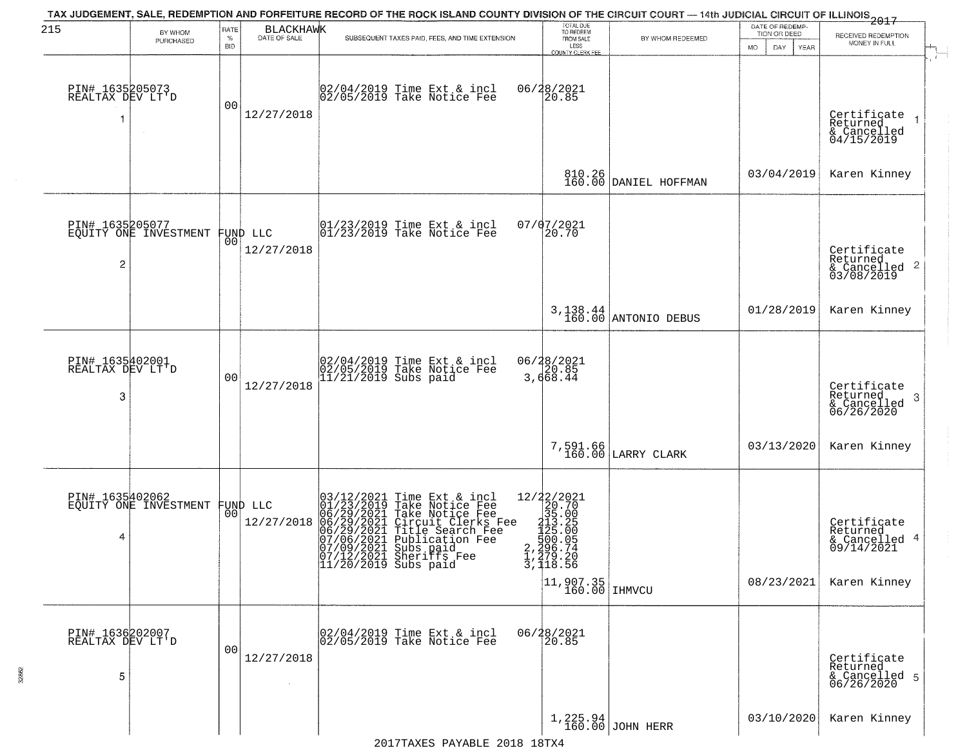| 215                                      | BY WHOM                                           | RATE            |                                | TAX JUDGEMENT, SALE, REDEMPTION AND FORFEITURE RECORD OF THE ROCK ISLAND COUNTY DIVISION OF THE CIRCUIT COURT - 14th JUDICIAL CIRCUIT OF ILLINOIS 2017                                                                                                            | TOTAL DUE<br>TO REDEEM                                                                                                                                                             |                                   | DATE OF REDEMP-                     |                                                                        |
|------------------------------------------|---------------------------------------------------|-----------------|--------------------------------|-------------------------------------------------------------------------------------------------------------------------------------------------------------------------------------------------------------------------------------------------------------------|------------------------------------------------------------------------------------------------------------------------------------------------------------------------------------|-----------------------------------|-------------------------------------|------------------------------------------------------------------------|
|                                          | PURCHASED                                         | %<br><b>BID</b> | BLACKHAWK                      | SUBSEQUENT TAXES PAID, FEES, AND TIME EXTENSION                                                                                                                                                                                                                   | FROM SALE<br>LESS<br>COUNTY CLERK FEE                                                                                                                                              | BY WHOM REDEEMED                  | TION OR DEED<br>MO.<br>DAY.<br>YEAR | RECEIVED REDEMPTION<br>MONEY IN FULL                                   |
| PIN# 1635205073<br>REALTAX DEV LT'D<br>1 | $\sim$                                            | 0 <sub>0</sub>  | 12/27/2018                     | 02/04/2019 Time Ext & incl<br>02/05/2019 Take Notice Fee                                                                                                                                                                                                          | 06/28/2021<br>20.85                                                                                                                                                                |                                   |                                     | Certificate<br>Returned<br>& Cancelled<br>04/15/2019                   |
|                                          |                                                   |                 |                                |                                                                                                                                                                                                                                                                   |                                                                                                                                                                                    | 810.26<br>160.00 DANIEL HOFFMAN   | 03/04/2019                          | Karen Kinney                                                           |
| 2                                        | PIN# 1635205077<br>EQUITY ONE INVESTMENT FUND LLC |                 | 12/27/2018                     | $\begin{array}{cc}  01/23/2019 \text{ Time} & \text{Ext} & \text{incl} \\  01/23/2019 \text{ Take Notice } \text{Fe} \end{array}$                                                                                                                                 | 07/07/2021<br>20.70                                                                                                                                                                |                                   |                                     | Certificate<br>Returned<br>$\frac{1}{6}$ Cancelled 2<br>03/08/2019     |
|                                          |                                                   |                 |                                |                                                                                                                                                                                                                                                                   |                                                                                                                                                                                    | 3, 138.44<br>160.00 ANTONIO DEBUS | 01/28/2019                          | Karen Kinney                                                           |
| PIN# 1635402001<br>REALTAX DEV LT'D<br>3 |                                                   | 0 <sub>0</sub>  | 12/27/2018                     | 02/04/2019 Time Ext & incl<br>02/05/2019 Take Notice Fee<br>11/21/2019 Subs paid                                                                                                                                                                                  | 06/28/2021<br>20.85<br>3,668.44                                                                                                                                                    |                                   |                                     | Certificate<br>Returned<br>3<br>$&$ Cancelled<br>06/26/2020            |
|                                          |                                                   |                 |                                |                                                                                                                                                                                                                                                                   | 7,591.66<br>160.00                                                                                                                                                                 | LARRY CLARK                       | 03/13/2020                          | Karen Kinney                                                           |
| PIN# 1635402062<br>4                     | EQUITY ONE INVESTMENT                             |                 | FUND LLC<br> 00 <br>12/27/2018 | $03/12/2021$ Time Ext & incl<br>01/23/2019 Take Notice Fee<br>06/29/2021 Take Notice Fee<br>06/29/2021 Circuit Clerks Fee<br>06/29/2021 Title Search Fee<br>07/06/2021 Shariffs Fee<br>07/09/2021 Shariffs Fee<br>07/12/2021 Sheriffs Fee<br>11/20/2019 Subs paid | 12/22/2021<br>20.70<br>35.00<br>$213.25$<br>$125.00$<br>$500.05$<br>$2,296.74$<br>$\frac{1}{3}, \frac{279}{18}, \frac{20}{56}$<br>$\left  \frac{11,907.35}{160.00} \right $ IHMVCU |                                   | 08/23/2021                          | Certificate<br>Returned<br>& Cancelled 4<br>09/14/2021<br>Karen Kinney |
| PIN# 1636202007<br>REALTAX DEV LT'D<br>5 |                                                   | 0 <sub>0</sub>  | 12/27/2018                     | 02/04/2019 Time Ext & incl<br>02/05/2019 Take Notice Fee                                                                                                                                                                                                          | 06/28/2021<br>20.85                                                                                                                                                                |                                   |                                     | Certificate<br>Returned<br>& Cancelled 5<br>06/26/2020                 |
|                                          |                                                   |                 |                                |                                                                                                                                                                                                                                                                   |                                                                                                                                                                                    | 1,225.94<br>160.00 JOHN HERR      | 03/10/2020                          | Karen Kinney                                                           |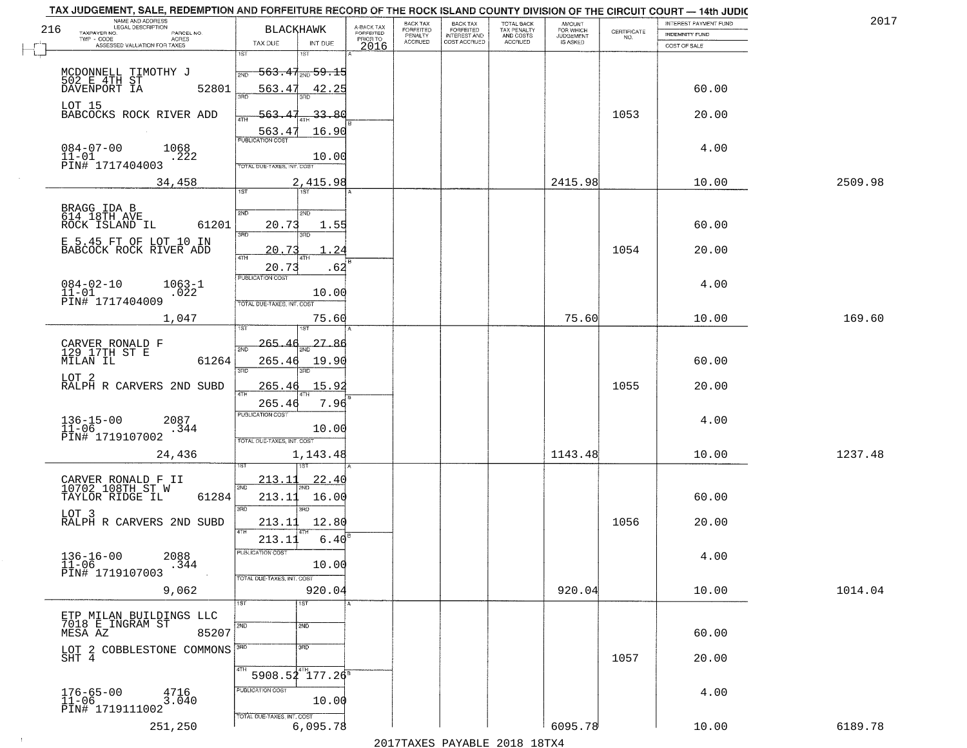|     | TAX JUDGEMENT, SALE, REDEMPTION AND FORFEITURE RECORD OF THE ROCK ISLAND COUNTY DIVISION OF THE CIRCUIT COURT - 14th JUDIC<br>NAME AND ADDRESS |                                                                          |                         |                              |                                       |                                        |                              |                                                                 |                       | 2017    |
|-----|------------------------------------------------------------------------------------------------------------------------------------------------|--------------------------------------------------------------------------|-------------------------|------------------------------|---------------------------------------|----------------------------------------|------------------------------|-----------------------------------------------------------------|-----------------------|---------|
| 216 | LEGAL DESCRIPTION                                                                                                                              | <b>BLACKHAWK</b>                                                         | A-BACK TAX<br>FORFEITED | BACK TAX<br><b>FORFEITED</b> | BACK TAX<br>FORFEITED<br>INTEREST AND | TOTAL BACK<br>TAX PENALTY<br>AND COSTS | AMOUNT<br>FOR WHICH          |                                                                 | INTEREST PAYMENT FUND |         |
|     | TAXPAYER NO.<br>PARCEL NO.<br>TWP - CODE<br><b>ACRES</b>                                                                                       |                                                                          | PRIOR TO                | PENALTY<br><b>ACCRUED</b>    | COST ACCRUED                          | ACCRUED                                | <b>JUDGEMENT</b><br>IS ASKED | $\begin{array}{c} \text{CERTIFICATE} \\ \text{NO.} \end{array}$ | <b>INDEMNITY FUND</b> |         |
|     | ASSESSED VALUATION FOR TAXES                                                                                                                   | TAX DUE<br>INT DUE                                                       | 2016                    |                              |                                       |                                        |                              |                                                                 | COST OF SALE          |         |
|     | MCDONNELL TIMOTHY J                                                                                                                            | 1ST<br>۱ST<br>$-563.47_{\text{\tiny 2ND}}$ 59.15<br>2ND                  |                         |                              |                                       |                                        |                              |                                                                 |                       |         |
|     | 502 E 4TH ST<br>DAVENPORT IA<br>52801                                                                                                          | 563.47<br>42.25                                                          |                         |                              |                                       |                                        |                              |                                                                 | 60.00                 |         |
|     | LOT 15<br>BABCOCKS ROCK RIVER ADD                                                                                                              | 33.80<br>563.<br>563.4<br>16.90                                          |                         |                              |                                       |                                        |                              | 1053                                                            | 20.00                 |         |
|     | $084 - 07 - 00$<br>1068<br>$11 - 01$<br>.222<br>PIN# 1717404003                                                                                | <b>PUBLICATION COST</b><br>10.00<br>TOTAL DUE-TAXES, INT. COST           |                         |                              |                                       |                                        |                              |                                                                 | 4.00                  |         |
|     | 34,458                                                                                                                                         | 2,415.98                                                                 |                         |                              |                                       |                                        | 2415.98                      |                                                                 | 10.00                 | 2509.98 |
|     |                                                                                                                                                | 1ST                                                                      |                         |                              |                                       |                                        |                              |                                                                 |                       |         |
|     | BRAGG IDA B<br>614 18TH AVE<br>61201<br>ROCK ISLAND IL                                                                                         | 2ND<br>2ND<br>20.73<br>1.55<br>$\overline{3BD}$                          |                         |                              |                                       |                                        |                              |                                                                 | 60.00                 |         |
|     | E 5.45 FT OF LOT 10 IN<br>BABCOCK ROCK RIVER ADD                                                                                               | 20.73<br>24<br><b>ATH</b>                                                |                         |                              |                                       |                                        |                              | 1054                                                            | 20.00                 |         |
|     | $084 - 02 - 10$<br>$1063 - 1$<br>$11 - 01$<br>.022<br>PIN# 1717404009                                                                          | 20.73<br>. 62<br>PUBLICATION COST<br>10.00<br>TOTAL DUE-TAXES, INT. COST |                         |                              |                                       |                                        |                              |                                                                 | 4.00                  |         |
|     | 1,047                                                                                                                                          | 75.60<br>181                                                             |                         |                              |                                       |                                        | 75.60                        |                                                                 | 10.00                 | 169.60  |
|     | CARVER RONALD F<br>129 17TH ST E<br>MILAN IL<br>61264                                                                                          | 27.86<br>-265-<br>2ND<br>265.46<br>19.90<br>3RD<br>3RD                   |                         |                              |                                       |                                        |                              |                                                                 | 60.00                 |         |
|     | LOT 2<br>RALPH R CARVERS 2ND SUBD                                                                                                              | 15.9<br><u> 265.4</u><br>ATH<br>7.96<br>265.46                           |                         |                              |                                       |                                        |                              | 1055                                                            | 20.00                 |         |
|     | $136 - 15 - 00$<br>$11 - 06$<br>2087<br>.344<br>PIN# 1719107002                                                                                | PUBLICATION COST<br>10.00<br>TOTAL OUE-TAXES, INT. COST                  |                         |                              |                                       |                                        |                              |                                                                 | 4.00                  |         |
|     | 24,436                                                                                                                                         | 1,143.48                                                                 |                         |                              |                                       |                                        | 1143.48                      |                                                                 | 10.00                 | 1237.48 |
|     | CARVER RONALD F II<br>10702 108TH ST W<br>TAYLOR RIDGE IL<br>61284                                                                             | 213.11<br>22.40<br>2ND<br>213.11<br>16.00                                |                         |                              |                                       |                                        |                              |                                                                 | 60.00                 |         |
|     | LOT <sub>3</sub><br>RALPH R CARVERS 2ND SUBD                                                                                                   | 3RD<br>3RD<br>12.80<br>213.11<br>4TH                                     |                         |                              |                                       |                                        |                              | 1056                                                            | 20.00                 |         |
|     | $136 - 16 - 00$<br>$11 - 06$<br>2088<br>.344<br>PIN# 1719107003                                                                                | 213.11<br>6.40<br>PUBLICATION COS<br>10.00<br>TOTAL DUE-TAXES, INT. COST |                         |                              |                                       |                                        |                              |                                                                 | 4.00                  |         |
|     | 9,062                                                                                                                                          | 920.04                                                                   |                         |                              |                                       |                                        | 920.04                       |                                                                 | 10.00                 | 1014.04 |
|     | ETP MILAN BUILDINGS LLC<br>7018 E INGRAM ST<br>85207<br>MESA AZ                                                                                | 1ST<br>1ST<br>2ND<br>2ND                                                 |                         |                              |                                       |                                        |                              |                                                                 | 60.00                 |         |
|     | LOT 2 COBBLESTONE COMMONS SHT $\,$ 4                                                                                                           | $\overline{\text{3AD}}$<br>4TH                                           |                         |                              |                                       |                                        |                              | 1057                                                            | 20.00                 |         |
|     | 176-65-00<br>11-06<br>4716<br>3.040<br>PIN# 1719111002                                                                                         | $5908.54^{4}$ 177.26 <sup>8</sup><br>PUBLICATION COST<br>10.00           |                         |                              |                                       |                                        |                              |                                                                 | 4.00                  |         |
|     | 251,250                                                                                                                                        | TOTAL DUE-TAXES, INT. COST<br>6,095.78                                   |                         |                              |                                       | 2017 THAYRO DAVADIR 2018 19TY          | 6095.78                      |                                                                 | 10.00                 | 6189.78 |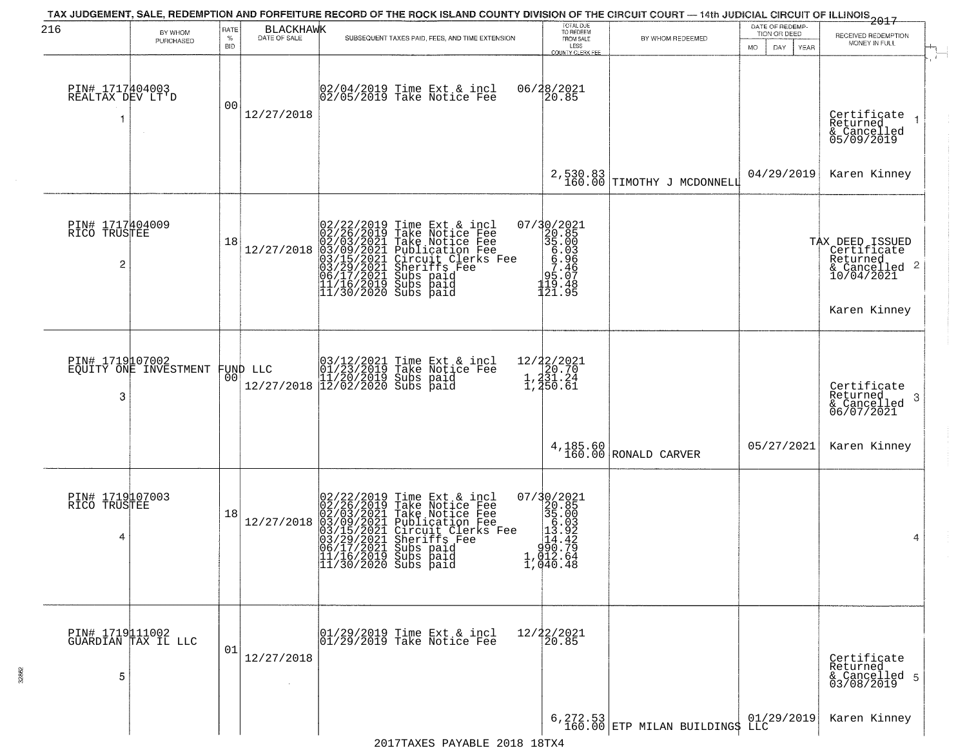| 216                                      | BY WHOM<br>PURCHASED                   | RATE<br>$\%$<br><b>BID</b> | BLACKHAWK  | TAX JUDGEMENT, SALE, REDEMPTION AND FORFEITURE RECORD OF THE ROCK ISLAND COUNTY DIVISION OF THE CIRCUIT COURT - 14th JUDICIAL CIRCUIT OF ILLINOIS 2017<br>SUBSEQUENT TAXES PAID, FEES, AND TIME EXTENSION                                                                                                                                    | TOTAL DUE<br>TO REDEEM<br>FROM SALE<br>LESS<br>COUNTY CLERK FEE                                                                                                                                        | BY WHOM REDEEMED                    | DATE OF REDEMP-<br>TION OR DEED<br>DAY.<br>MO.<br>YEAR | RECEIVED REDEMPTION<br>MONEY IN FULL                                                      |
|------------------------------------------|----------------------------------------|----------------------------|------------|----------------------------------------------------------------------------------------------------------------------------------------------------------------------------------------------------------------------------------------------------------------------------------------------------------------------------------------------|--------------------------------------------------------------------------------------------------------------------------------------------------------------------------------------------------------|-------------------------------------|--------------------------------------------------------|-------------------------------------------------------------------------------------------|
| PIN# 1717404003<br>REALTAX DEV LT'D<br>1 | $\sim$                                 | 0 <sub>0</sub>             | 12/27/2018 | 02/04/2019 Time Ext & incl<br>02/05/2019 Take Notice Fee                                                                                                                                                                                                                                                                                     | 06/28/2021<br>20.85                                                                                                                                                                                    |                                     |                                                        | Certificate<br>Returned<br>& Cancelled<br>05/09/2019                                      |
|                                          |                                        |                            |            |                                                                                                                                                                                                                                                                                                                                              |                                                                                                                                                                                                        | $2,530.83$ TIMOTHY J MCDONNELL      | 04/29/2019                                             | Karen Kinney                                                                              |
| PIN# 1717404009<br>RICO TRUSTEE<br>2     |                                        | 18                         | 12/27/2018 | 02/22/2019 Time Ext & incl<br>02/26/2019 Take Notice Fee<br>02/03/2021 Take Notice Fee<br>03/03/2021 Publication Fee<br>03/15/2021 Circuit Clerks Fee<br>03/15/2021 Subs paid<br>06/17/2021 Subs paid<br>11/16/2019 Subs paid<br>11/16/2019 Subs paid                                                                                        | 07/30/2021<br>20.85<br>35.00<br>6.93<br>6.93<br>7.46<br>95.07<br>119.48<br>121.95                                                                                                                      |                                     |                                                        | TAX DEED ISSUED<br>Certificate<br>Returned<br>& Cancelled 2<br>10/04/2021<br>Karen Kinney |
| PIN# 1719107002<br>3                     | EQUITY ONE INVESTMENT                  | 0 <sub>0</sub>             | FUND LLC   | 03/12/2021 Time Ext & incl<br>01/23/2019 Take Notice Fee<br>11/20/2019 Subs paid<br>12/27/2018 12/02/2020 Subs paid                                                                                                                                                                                                                          | 12/22/2021<br>1,231.24<br>1,231.24<br>1,250.61                                                                                                                                                         |                                     |                                                        | Certificate<br>Returned<br>3<br>& Cancelled<br>06/07/2021                                 |
|                                          |                                        |                            |            |                                                                                                                                                                                                                                                                                                                                              |                                                                                                                                                                                                        | 4, 185.60<br>160.00 RONALD CARVER   | 05/27/2021                                             | Karen Kinney                                                                              |
| PIN# 1719107003<br>RICO TRUSTEE<br>4     |                                        | 18                         | 12/27/2018 | 02/22/2019 Time Ext 6<br>02/26/2019 Take Notic<br>02/03/2021 Take Notic<br>03/09/2021 Publicatic<br>03/15/2021 Circuit Cl<br>03/15/2021 Subs paid<br>06/17/2021 Subs paid<br>11/16/2019 Subs paid<br>11/16/2019 Subs paid<br>Time Ext & incl<br>Take Notice Fee<br>Take Notice Fee<br>Publication Fee<br>Circuit Clerks Fee<br>Sheriffs, Fee | $\begin{smallmatrix} 07/3 & 0/2 & 02 & 1 \\ 2 & 0. & 8 & 5 \\ 3 & 5 & 0.0 & 0 \\ 1 & 0. & 0 & 3 \\ 1 & 0. & 9 & 2 \\ 1 & 0 & 0. & 7 & 9 \\ 1 & 0 & 12 & 6 & 4 \\ 1 & 0 & 0. & 4 & 8 \end{smallmatrix}$ |                                     |                                                        | 4                                                                                         |
| 5                                        | PIN# 1719111002<br>GUARDIAN TAX IL LLC | 01                         | 12/27/2018 | 01/29/2019 Time Ext & incl<br>01/29/2019 Take Notice Fee                                                                                                                                                                                                                                                                                     | 12/22/2021<br>20.85                                                                                                                                                                                    |                                     |                                                        | Certificate<br>Returned<br>& Cancelled 5<br>03/08/2019                                    |
|                                          |                                        |                            |            |                                                                                                                                                                                                                                                                                                                                              |                                                                                                                                                                                                        | $6,272.53$ ETP MILAN BUILDING\$ LLC |                                                        | Karen Kinney                                                                              |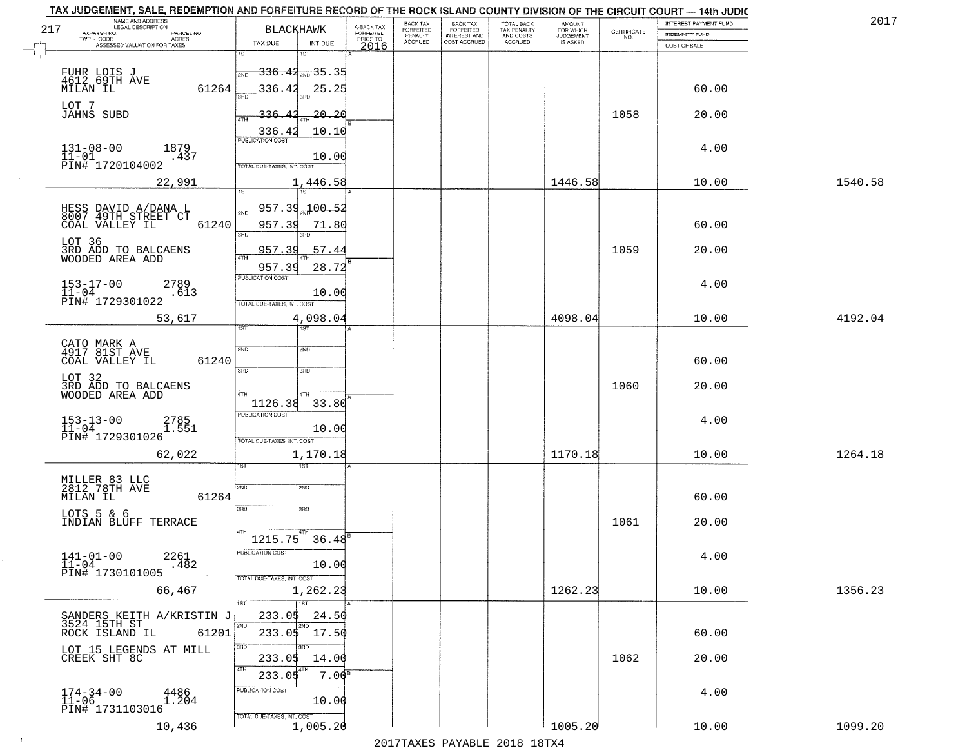|     | TAX JUDGEMENT, SALE, REDEMPTION AND FORFEITURE RECORD OF THE ROCK ISLAND COUNTY DIVISION OF THE CIRCUIT COURT - 14th JUDIC<br>NAME AND ADDRESS |                                        |                         |                              |                                       |                                        |                              |                                                                 | INTEREST PAYMENT FUND | 2017    |
|-----|------------------------------------------------------------------------------------------------------------------------------------------------|----------------------------------------|-------------------------|------------------------------|---------------------------------------|----------------------------------------|------------------------------|-----------------------------------------------------------------|-----------------------|---------|
| 217 | <b>LEGAL DESCRIPTION</b><br>TAXPAYER NO.<br>PARCEL NO.                                                                                         | <b>BLACKHAWK</b>                       | A-BACK TAX<br>FORFEITED | BACK TAX<br><b>FORFEITED</b> | BACK TAX<br>FORFEITED<br>INTEREST AND | TOTAL BACK<br>TAX PENALTY<br>AND COSTS | AMOUNT<br>FOR WHICH          | $\begin{array}{c} \text{CERTIFICATE} \\ \text{NO.} \end{array}$ | <b>INDEMNITY FUND</b> |         |
|     | TWP - CODE<br>ACRES<br>ASSESSED VALUATION FOR TAXES                                                                                            | TAX DUE<br>INT DUE                     | PRIOR TO                | PENALTY<br><b>ACCRUED</b>    | COST ACCRUED                          | ACCRUED                                | <b>JUDGEMENT</b><br>IS ASKED |                                                                 | COST OF SALE          |         |
|     |                                                                                                                                                | 1ST<br>۱ST                             | 2016                    |                              |                                       |                                        |                              |                                                                 |                       |         |
|     |                                                                                                                                                | <del>336.42  35.35</del><br>2ND        |                         |                              |                                       |                                        |                              |                                                                 |                       |         |
|     | FUHR LOIS J<br>4612,69TH AVE<br>61264<br>MILAN IL                                                                                              | 336.42<br>25.25                        |                         |                              |                                       |                                        |                              |                                                                 | 60.00                 |         |
|     |                                                                                                                                                |                                        |                         |                              |                                       |                                        |                              |                                                                 |                       |         |
|     | LOT 7<br><b>JAHNS SUBD</b>                                                                                                                     | 20.20<br>336.                          |                         |                              |                                       |                                        |                              | 1058                                                            | 20.00                 |         |
|     |                                                                                                                                                | 336.42<br>10.10                        |                         |                              |                                       |                                        |                              |                                                                 |                       |         |
|     | 1879                                                                                                                                           |                                        |                         |                              |                                       |                                        |                              |                                                                 | 4.00                  |         |
|     | $131 - 08 - 00$<br>$11 - 01$<br>.437<br>PIN# 1720104002                                                                                        | 10.00                                  |                         |                              |                                       |                                        |                              |                                                                 |                       |         |
|     |                                                                                                                                                | <b>TOTAL DUE-TAXES, INT. COST</b>      |                         |                              |                                       |                                        |                              |                                                                 |                       |         |
|     | 22,991                                                                                                                                         | 1,446.58                               |                         |                              |                                       |                                        | 1446.58                      |                                                                 | 10.00                 | 1540.58 |
|     |                                                                                                                                                | 957.39 100.52                          |                         |                              |                                       |                                        |                              |                                                                 |                       |         |
|     | HESS DAVID A/DANA L<br>8007 49TH STREET CT<br>61240<br>COAL VALLEY IL                                                                          | 957.39<br>71.80                        |                         |                              |                                       |                                        |                              |                                                                 | 60.00                 |         |
|     |                                                                                                                                                | $\overline{3BD}$                       |                         |                              |                                       |                                        |                              |                                                                 |                       |         |
|     | LOT 36<br>3RD ADD TO BALCAENS                                                                                                                  | .57.44<br>957.39                       |                         |                              |                                       |                                        |                              | 1059                                                            | 20.00                 |         |
|     | WOODED AREA ADD                                                                                                                                | 28.72<br>957.39                        |                         |                              |                                       |                                        |                              |                                                                 |                       |         |
|     | $153 - 17 - 00$<br>2789                                                                                                                        | PUBLICATION COST                       |                         |                              |                                       |                                        |                              |                                                                 | 4.00                  |         |
|     | $11 - 04$<br>.613<br>PIN# 1729301022                                                                                                           | 10.00                                  |                         |                              |                                       |                                        |                              |                                                                 |                       |         |
|     |                                                                                                                                                | TOTAL DUE-TAXES, INT. COST             |                         |                              |                                       |                                        | 4098.04                      |                                                                 |                       |         |
|     | 53,617                                                                                                                                         | 4,098.04<br>1ST<br>ist                 |                         |                              |                                       |                                        |                              |                                                                 | 10.00                 | 4192.04 |
|     | CATO MARK A<br>4917 81ST AVE                                                                                                                   | 2ND<br>SMD                             |                         |                              |                                       |                                        |                              |                                                                 |                       |         |
|     | COAL VALLEY IL<br>61240                                                                                                                        |                                        |                         |                              |                                       |                                        |                              |                                                                 | 60.00                 |         |
|     |                                                                                                                                                | 3RD<br>3RD                             |                         |                              |                                       |                                        |                              |                                                                 |                       |         |
|     | LOT 32<br>3RD ADD TO BALCAENS<br>WOODED AREA ADD                                                                                               | 4TH<br>4TH                             |                         |                              |                                       |                                        |                              | 1060                                                            | 20.00                 |         |
|     |                                                                                                                                                | 1126.38<br>33.80                       |                         |                              |                                       |                                        |                              |                                                                 |                       |         |
|     | $153 - 13 - 00$<br>$11 - 04$<br>2785<br>1.551                                                                                                  | <b>PUBLICATION COST</b>                |                         |                              |                                       |                                        |                              |                                                                 | 4.00                  |         |
|     | PIN# 1729301026                                                                                                                                | 10.00<br>TOTAL OUE-TAXES, INT. COST    |                         |                              |                                       |                                        |                              |                                                                 |                       |         |
|     | 62,022                                                                                                                                         | 1,170.18                               |                         |                              |                                       |                                        | 1170.18                      |                                                                 | 10.00                 | 1264.18 |
|     |                                                                                                                                                | १९४                                    |                         |                              |                                       |                                        |                              |                                                                 |                       |         |
|     | MILLER 83 LLC<br>2812 78TH AVE                                                                                                                 | 2ND<br>SND                             |                         |                              |                                       |                                        |                              |                                                                 |                       |         |
|     | MILAN IL<br>61264                                                                                                                              |                                        |                         |                              |                                       |                                        |                              |                                                                 | 60.00                 |         |
|     | LOTS 5 & 6                                                                                                                                     | 3RD<br>3HD                             |                         |                              |                                       |                                        |                              |                                                                 |                       |         |
|     | INDIAN BLUFF TERRACE                                                                                                                           | 4TH                                    |                         |                              |                                       |                                        |                              | 1061                                                            | 20.00                 |         |
|     |                                                                                                                                                | $36.48^{e}$<br>1215.75                 |                         |                              |                                       |                                        |                              |                                                                 |                       |         |
|     | $141 - 01 - 00$<br>2261<br>$-482$<br>$11 - 04$                                                                                                 | PUBLICATION COS<br>10.00               |                         |                              |                                       |                                        |                              |                                                                 | 4.00                  |         |
|     | PIN# 1730101005                                                                                                                                | TOTAL DUE-TAXES, INT. COST             |                         |                              |                                       |                                        |                              |                                                                 |                       |         |
|     | 66,467                                                                                                                                         | 1,262.23                               |                         |                              |                                       |                                        | 1262.23                      |                                                                 | 10.00                 | 1356.23 |
|     |                                                                                                                                                | 1ST                                    |                         |                              |                                       |                                        |                              |                                                                 |                       |         |
|     | SANDERS KEITH A/KRISTIN J<br>3524 15TH ST                                                                                                      | 233.05<br>24.50<br>2ND<br>2ND          |                         |                              |                                       |                                        |                              |                                                                 |                       |         |
|     | ROCK ISLAND IL<br>61201                                                                                                                        | 233.05 17.50                           |                         |                              |                                       |                                        |                              |                                                                 | 60.00                 |         |
|     | LOT 15 LEGENDS AT MILL CREEK SHT 8C                                                                                                            | 3RD<br>3BD<br>233.05<br>14.00          |                         |                              |                                       |                                        |                              | 1062                                                            | 20.00                 |         |
|     |                                                                                                                                                | 4TH<br>$233.0$ \$<br>7.00 <sup>s</sup> |                         |                              |                                       |                                        |                              |                                                                 |                       |         |
|     |                                                                                                                                                | PUBLICATION COST                       |                         |                              |                                       |                                        |                              |                                                                 |                       |         |
|     | $174-34-00$<br>$11-06$<br>4486<br>1.204                                                                                                        | 10.00                                  |                         |                              |                                       |                                        |                              |                                                                 | 4.00                  |         |
|     | PIN# 1731103016                                                                                                                                | TOTAL DUE-TAXES, INT. COST             |                         |                              |                                       |                                        |                              |                                                                 |                       |         |
|     | 10,436                                                                                                                                         | 1,005.20                               |                         |                              |                                       |                                        | 1005.20                      |                                                                 | 10.00                 | 1099.20 |
|     |                                                                                                                                                |                                        |                         |                              |                                       | 2017 THAYRO DAVADIR 2018 19TYA         |                              |                                                                 |                       |         |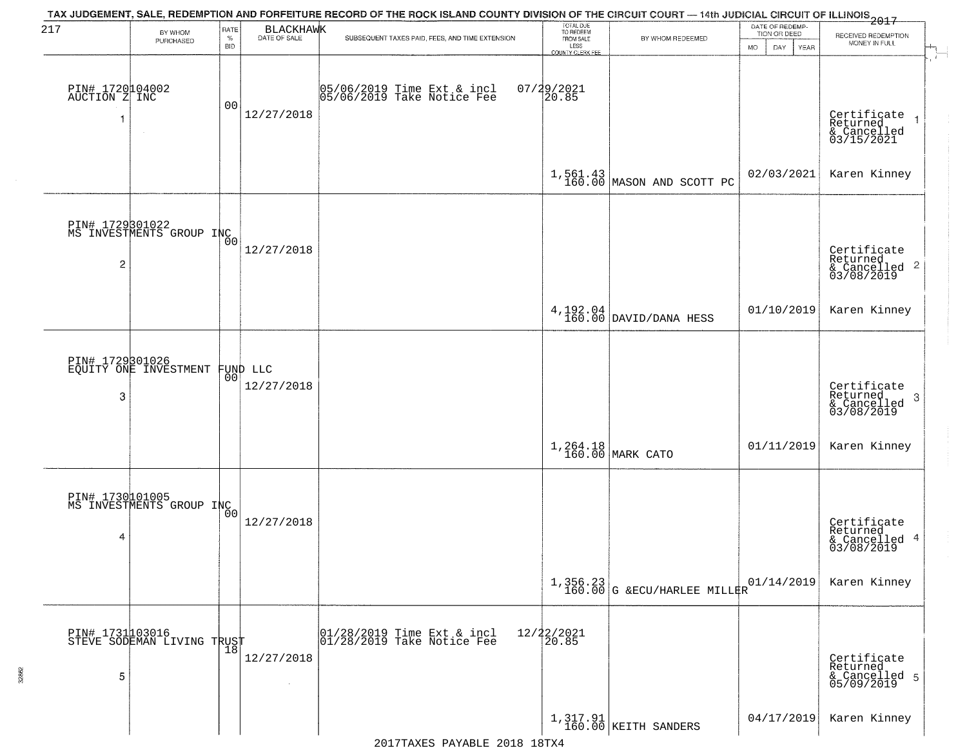| 217                              | BY WHOM                                           | RATE               | <b>BLACKHAWK</b>       | TAX JUDGEMENT, SALE, REDEMPTION AND FORFEITURE RECORD OF THE ROCK ISLAND COUNTY DIVISION OF THE CIRCUIT COURT — 14th JUDICIAL CIRCUIT OF ILLINOIS 2017 | TOTAL DUE<br>TO REDEEM                           |                                            | DATE OF REDEMP-<br>TION OR DEED |                                                           |
|----------------------------------|---------------------------------------------------|--------------------|------------------------|--------------------------------------------------------------------------------------------------------------------------------------------------------|--------------------------------------------------|--------------------------------------------|---------------------------------|-----------------------------------------------------------|
|                                  | PURCHASED                                         | $\%$<br><b>BID</b> | DATE OF SALE           | SUBSEQUENT TAXES PAID, FEES, AND TIME EXTENSION                                                                                                        | FROM SALE<br>LESS                                | BY WHOM REDEEMED                           | MO.<br>DAY.<br><b>YEAR</b>      | RECEIVED REDEMPTION<br>MONEY IN FULL                      |
| PIN# 1720104002<br>AUCTION Z INC |                                                   | 00                 | 12/27/2018             | 05/06/2019 Time Ext & incl<br>05/06/2019 Take Notice Fee                                                                                               | <b>COUNTY CLERK FEE</b><br>$07/29/2021$<br>20.85 |                                            |                                 | Certificate<br>Returned<br>& Cancelled<br>03/15/2021      |
|                                  |                                                   |                    |                        |                                                                                                                                                        |                                                  | $1,561.43$ MASON AND SCOTT PC              | 02/03/2021                      | Karen Kinney                                              |
| $\overline{c}$                   | PIN# 1729301022<br>MS INVESTMENTS GROUP INC       |                    | 12/27/2018             |                                                                                                                                                        |                                                  |                                            |                                 | Certificate<br>Returned<br>& Cancelled 2<br>03/08/2019    |
|                                  |                                                   |                    |                        |                                                                                                                                                        |                                                  | $4,192.04$ DAVID/DANA HESS                 | 01/10/2019                      | Karen Kinney                                              |
| 3                                | PIN# 1729301026<br>EQUITY ONE INVESTMENT          | 00                 | FUND LLC<br>12/27/2018 |                                                                                                                                                        |                                                  |                                            |                                 | Certificate<br>Returned<br>3<br>& Cancelled<br>03/08/2019 |
|                                  |                                                   |                    |                        |                                                                                                                                                        |                                                  | 1,264.18<br>160.00 MARK CATO               | 01/11/2019                      | Karen Kinney                                              |
| 4                                | PIN# 1730101005<br>MS INVESTMENTS GROUP INC       | Ō0                 | 12/27/2018             |                                                                                                                                                        |                                                  |                                            |                                 | Certificate<br>Returned<br>& Cancelled 4<br>03/08/2019    |
|                                  |                                                   |                    |                        |                                                                                                                                                        |                                                  | $1,356.23$<br>160.00 G & ECU/HARLEE MILLER | 01/14/2019                      | Karen Kinney                                              |
| 5                                | PIN# 1731103016    <br>STEVE SODEMAN LIVING TRUST | $\overline{18}$    | 12/27/2018<br>$\sim$   | $\begin{array}{c}  01/28/2019 \overline{\hspace{0.2cm}1}$ Time Ext & incl<br>$ 01/28/2019 \overline{\hspace{0.2cm}1}$ Take Notice Fee                  | 12/22/2021<br>20.85                              |                                            |                                 | Certificate<br>Returned<br>& Cancelled 5<br>05/09/2019    |
|                                  |                                                   |                    |                        |                                                                                                                                                        |                                                  | 1,317.91<br>160.00 KEITH SANDERS           | 04/17/2019                      | Karen Kinney                                              |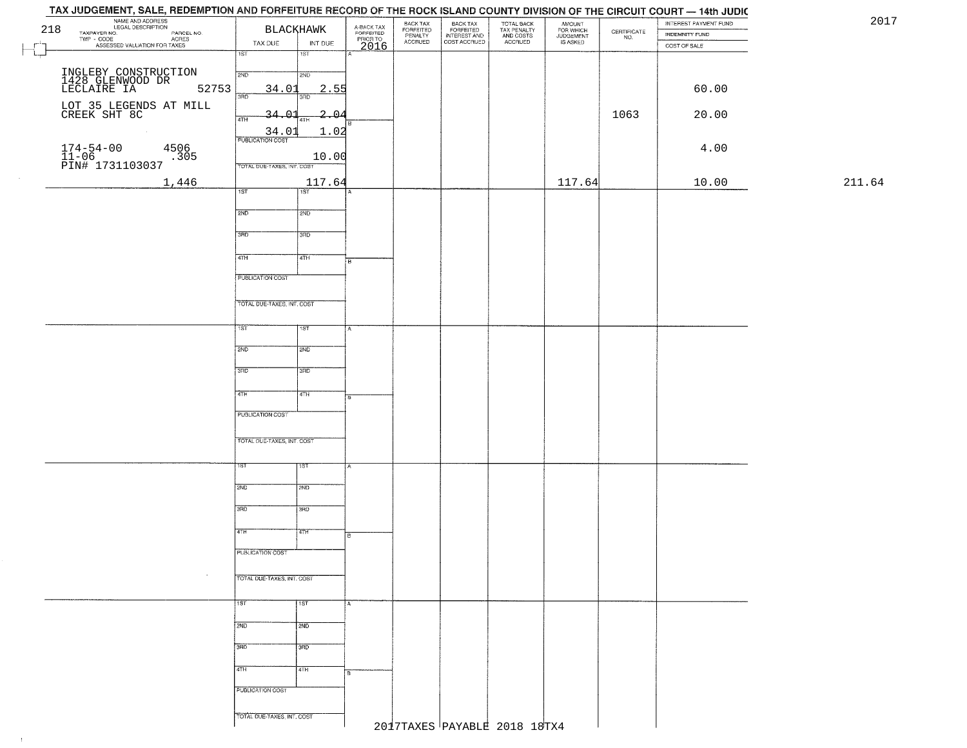## TAY HIDGEMENT CALE BEDEMBTION AND COBECITIIBE BEGODD OF THE BOOK ISLAND COUNT

| INTEREST PAYMENT FUND<br>INDEMNITY FUND | $\begin{array}{c} \text{CERTIFICATE} \\ \text{NO.} \end{array}$ | AMOUNT<br>FOR WHICH<br>JUDGEMENT<br>IS ASKED |                                                   |                                                       | BACK TAX                        |                                             | <b>BLACKHAWK</b> |                            | NAME AND ADDRESS<br>LEGAL DESCRIPTION<br>TAXPAYER NO.                                             | 218 |
|-----------------------------------------|-----------------------------------------------------------------|----------------------------------------------|---------------------------------------------------|-------------------------------------------------------|---------------------------------|---------------------------------------------|------------------|----------------------------|---------------------------------------------------------------------------------------------------|-----|
| COST OF SALE                            |                                                                 |                                              | TOTAL BACK<br>TAX PENALTY<br>AND COSTS<br>ACCRUED | BACK TAX<br>FORFEITED<br>INTEREST AND<br>COST ACCRUED | FORFEITED<br>PENALTY<br>ACCRUED | A-BACK TAX<br>FORFEITED<br>PRIOR TO<br>2016 | INT DUE          | TAX DUE                    | PAYER NO.<br>PARE NO. 40 PARCEL NO.<br>- CODE ACRES<br>ASSESSED VALUATION FOR TAXES<br>TWP - CODE |     |
|                                         |                                                                 |                                              |                                                   |                                                       |                                 |                                             | 18T              | $\overline{1ST}$           |                                                                                                   |     |
|                                         |                                                                 |                                              |                                                   |                                                       |                                 |                                             | 2ND              | 2ND                        |                                                                                                   |     |
| 60.00                                   |                                                                 |                                              |                                                   |                                                       |                                 |                                             | <u>2.55</u>      | 34.01                      | INGLEBY CONSTRUCTION<br>1428 GLENWOOD DR<br>LECLAIRE IA<br>52753                                  |     |
|                                         |                                                                 |                                              |                                                   |                                                       |                                 |                                             | 3RD              | 3RD                        |                                                                                                   |     |
| 20.00                                   | 1063                                                            |                                              |                                                   |                                                       |                                 |                                             | $-2 - 04$        | 34.01<br>4TH               | LOT 35 LEGENDS AT MILL CREEK SHT 8C                                                               |     |
|                                         |                                                                 |                                              |                                                   |                                                       |                                 |                                             | $14$ TH<br>1.02  | 34.01                      |                                                                                                   |     |
|                                         |                                                                 |                                              |                                                   |                                                       |                                 |                                             |                  | <b>PUBLICATION COST</b>    |                                                                                                   |     |
| 4.00                                    |                                                                 |                                              |                                                   |                                                       |                                 |                                             | 10.00            |                            | 174-54-00<br>11-06<br>PIN# 1731103037<br>4506<br>.305                                             |     |
|                                         |                                                                 |                                              |                                                   |                                                       |                                 |                                             |                  | TOTAL DUE-TAXES, INT. COST |                                                                                                   |     |
| 10.00                                   |                                                                 | 117.64                                       |                                                   |                                                       |                                 |                                             | 117.64           |                            | 1,446                                                                                             |     |
|                                         |                                                                 |                                              |                                                   |                                                       |                                 |                                             | $\overline{1ST}$ | 1ST                        |                                                                                                   |     |
|                                         |                                                                 |                                              |                                                   |                                                       |                                 |                                             | 2ND              | 2ND                        |                                                                                                   |     |
|                                         |                                                                 |                                              |                                                   |                                                       |                                 |                                             |                  |                            |                                                                                                   |     |
|                                         |                                                                 |                                              |                                                   |                                                       |                                 |                                             | 3BD              | 3RD                        |                                                                                                   |     |
|                                         |                                                                 |                                              |                                                   |                                                       |                                 | я                                           | 4TH              | 47H                        |                                                                                                   |     |
|                                         |                                                                 |                                              |                                                   |                                                       |                                 |                                             |                  |                            |                                                                                                   |     |
|                                         |                                                                 |                                              |                                                   |                                                       |                                 |                                             |                  | PUBLICATION COST           |                                                                                                   |     |
|                                         |                                                                 |                                              |                                                   |                                                       |                                 |                                             |                  | TOTAL DUE-TAXES, INT. COST |                                                                                                   |     |
|                                         |                                                                 |                                              |                                                   |                                                       |                                 |                                             |                  |                            |                                                                                                   |     |
|                                         |                                                                 |                                              |                                                   |                                                       |                                 |                                             | 1ST              | 1ST.                       |                                                                                                   |     |
|                                         |                                                                 |                                              |                                                   |                                                       |                                 |                                             | 2ND              | 2ND                        |                                                                                                   |     |
|                                         |                                                                 |                                              |                                                   |                                                       |                                 |                                             |                  |                            |                                                                                                   |     |
|                                         |                                                                 |                                              |                                                   |                                                       |                                 |                                             | 3RD              | 3 <sub>BD</sub>            |                                                                                                   |     |
|                                         |                                                                 |                                              |                                                   |                                                       |                                 |                                             | $\sqrt{4TH}$     |                            |                                                                                                   |     |
|                                         |                                                                 |                                              |                                                   |                                                       |                                 |                                             |                  | 4TH                        |                                                                                                   |     |
|                                         |                                                                 |                                              |                                                   |                                                       |                                 |                                             |                  | <b>PUBLICATION COST</b>    |                                                                                                   |     |
|                                         |                                                                 |                                              |                                                   |                                                       |                                 |                                             |                  |                            |                                                                                                   |     |
|                                         |                                                                 |                                              |                                                   |                                                       |                                 |                                             |                  | TOTAL OUE-TAXES, INT. COST |                                                                                                   |     |
|                                         |                                                                 |                                              |                                                   |                                                       |                                 |                                             | 1ST.             | 1ST                        |                                                                                                   |     |
|                                         |                                                                 |                                              |                                                   |                                                       |                                 |                                             |                  |                            |                                                                                                   |     |
|                                         |                                                                 |                                              |                                                   |                                                       |                                 |                                             | 2ND              | 2ND                        |                                                                                                   |     |
|                                         |                                                                 |                                              |                                                   |                                                       |                                 |                                             | 3BD              | 3RD                        |                                                                                                   |     |
|                                         |                                                                 |                                              |                                                   |                                                       |                                 |                                             |                  |                            |                                                                                                   |     |
|                                         |                                                                 |                                              |                                                   |                                                       |                                 | ख                                           | बाम              | 4TH                        |                                                                                                   |     |
|                                         |                                                                 |                                              |                                                   |                                                       |                                 |                                             |                  | PUBLICATION COST           |                                                                                                   |     |
|                                         |                                                                 |                                              |                                                   |                                                       |                                 |                                             |                  |                            |                                                                                                   |     |
|                                         |                                                                 |                                              |                                                   |                                                       |                                 |                                             |                  | TOTAL DUE-TAXES, INT. COST | $\sim$                                                                                            |     |
|                                         |                                                                 |                                              |                                                   |                                                       |                                 |                                             |                  |                            |                                                                                                   |     |
|                                         |                                                                 |                                              |                                                   |                                                       |                                 | ΙA.                                         | 1ST              | 1ST <sup>-</sup>           |                                                                                                   |     |
|                                         |                                                                 |                                              |                                                   |                                                       |                                 |                                             | 2ND              | 2ND                        |                                                                                                   |     |
|                                         |                                                                 |                                              |                                                   |                                                       |                                 |                                             |                  |                            |                                                                                                   |     |
|                                         |                                                                 |                                              |                                                   |                                                       |                                 |                                             | 3RD              | 3RD                        |                                                                                                   |     |
|                                         |                                                                 |                                              |                                                   |                                                       |                                 |                                             | 4TH              | 4TH                        |                                                                                                   |     |
|                                         |                                                                 |                                              |                                                   |                                                       |                                 |                                             |                  |                            |                                                                                                   |     |
|                                         |                                                                 |                                              |                                                   |                                                       |                                 |                                             |                  | PUBLICATION COST           |                                                                                                   |     |
|                                         |                                                                 |                                              |                                                   |                                                       |                                 |                                             |                  |                            |                                                                                                   |     |
|                                         |                                                                 |                                              | 2017TAXES PAYABLE 2018 18TX4                      |                                                       |                                 |                                             |                  | TOTAL DUE-TAXES, INT. COST |                                                                                                   |     |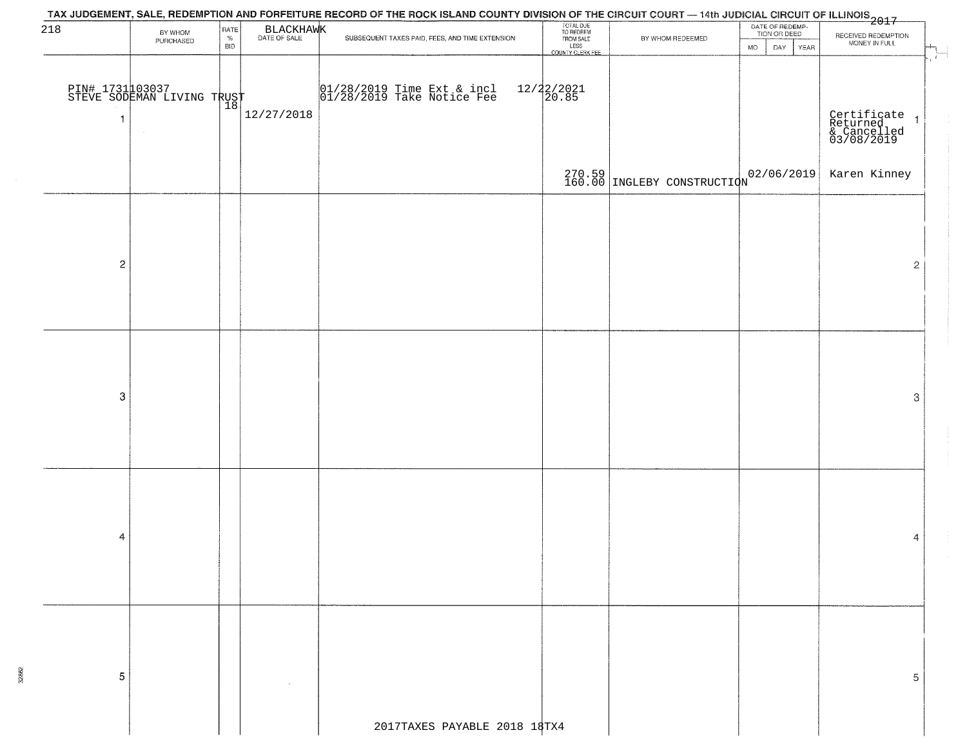| 218              | BY WHOM<br>PURCHASED                          | RATE<br>$\%$<br><b>BID</b> | BLACKHAWK  | TAX JUDGEMENT, SALE, REDEMPTION AND FORFEITURE RECORD OF THE ROCK ISLAND COUNTY DIVISION OF THE CIRCUIT COURT — 14th JUDICIAL CIRCUIT OF ILLINOIS<br>2017 - And Carlos Carlos County of The Carlos County of Carlos County Divisi<br>SUBSEQUENT TAXES PAID, FEES, AND TIME EXTENSION | TOTAL DUE<br>TO REDEEM<br>FROM SALE<br>LESS<br>COUNTY CLERK FEE | BY WHOM REDEEMED                       | DATE OF REDEMP-<br>TION OR DEED<br><b>MO</b><br>DAY YEAR | RECEIVED REDEMPTION<br>MONEY IN FULL                   |
|------------------|-----------------------------------------------|----------------------------|------------|--------------------------------------------------------------------------------------------------------------------------------------------------------------------------------------------------------------------------------------------------------------------------------------|-----------------------------------------------------------------|----------------------------------------|----------------------------------------------------------|--------------------------------------------------------|
| $\overline{1}$   | PIN# 1731 03037<br>STEVE SODEMAN LIVING TRUST |                            | 12/27/2018 | 01/28/2019 Time Ext & incl<br>01/28/2019 Take Notice Fee                                                                                                                                                                                                                             | $12/22/2021$<br>$20.85$                                         |                                        |                                                          | Certificate<br>Returned 1<br>& Cancelled<br>03/08/2019 |
|                  |                                               |                            |            |                                                                                                                                                                                                                                                                                      |                                                                 | 270.59 TNGLEBY CONSTRUCTION 02/06/2019 |                                                          | Karen Kinney                                           |
|                  |                                               |                            |            |                                                                                                                                                                                                                                                                                      |                                                                 |                                        |                                                          |                                                        |
| $\overline{c}$   |                                               |                            |            |                                                                                                                                                                                                                                                                                      |                                                                 |                                        |                                                          | $\mathbf{2}$                                           |
|                  |                                               |                            |            |                                                                                                                                                                                                                                                                                      |                                                                 |                                        |                                                          |                                                        |
|                  |                                               |                            |            |                                                                                                                                                                                                                                                                                      |                                                                 |                                        |                                                          |                                                        |
| $\boldsymbol{3}$ |                                               |                            |            |                                                                                                                                                                                                                                                                                      |                                                                 |                                        |                                                          | $\ensuremath{\mathbf{3}}$                              |
|                  |                                               |                            |            |                                                                                                                                                                                                                                                                                      |                                                                 |                                        |                                                          |                                                        |
|                  |                                               |                            |            |                                                                                                                                                                                                                                                                                      |                                                                 |                                        |                                                          |                                                        |
| 4                |                                               |                            |            |                                                                                                                                                                                                                                                                                      |                                                                 |                                        |                                                          | 4                                                      |
|                  |                                               |                            |            |                                                                                                                                                                                                                                                                                      |                                                                 |                                        |                                                          |                                                        |
|                  |                                               |                            |            |                                                                                                                                                                                                                                                                                      |                                                                 |                                        |                                                          |                                                        |
| 5                |                                               |                            |            |                                                                                                                                                                                                                                                                                      |                                                                 |                                        |                                                          | 5                                                      |
|                  |                                               |                            |            | 2017TAXES PAYABLE 2018 18TX4                                                                                                                                                                                                                                                         |                                                                 |                                        |                                                          |                                                        |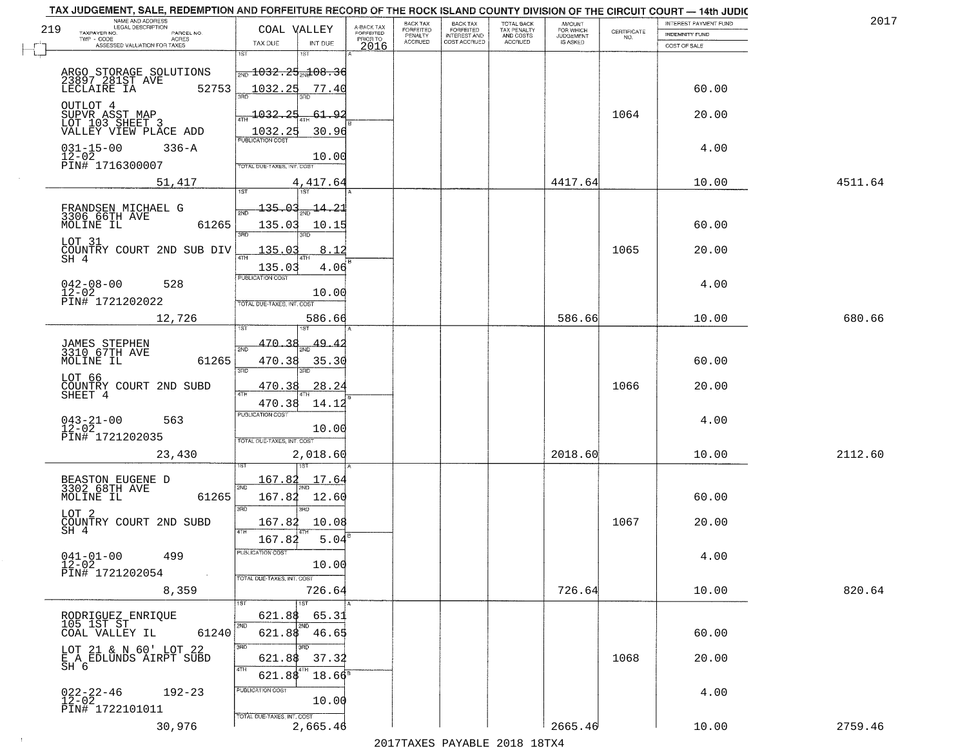| NAME AND ADDRESS<br>LEGAL DESCRIPTION<br>219                           | COAL VALLEY                                                      |                                   |                                     | BACK TAX<br><b>FORFEITED</b> | <b>BACK TAX</b>                           | TOTAL BACK<br>TAX PENALTY<br>AND COSTS | AMOUNT<br>FOR WHICH                 |                    | INTEREST PAYMENT FUND | 2017    |
|------------------------------------------------------------------------|------------------------------------------------------------------|-----------------------------------|-------------------------------------|------------------------------|-------------------------------------------|----------------------------------------|-------------------------------------|--------------------|-----------------------|---------|
| TAXPAYER NO.<br>PARCEL NO.<br>ACRES<br>TWP - CODE                      |                                                                  |                                   | A-BACK TAX<br>FORFEITED<br>PRIOR TO | PENALTY<br><b>ACCRUED</b>    | FORFEITED<br>INTEREST AND<br>COST ACCRUED | ACCRUED                                | <b>JUDGEMENT</b><br><b>IS ASKED</b> | CERTIFICATE<br>NO. | INDEMNITY FUND        |         |
| ASSESSED VALUATION FOR TAXES                                           | TAX DUE<br>1ST                                                   | INT DUE<br>1ST                    | 2016                                |                              |                                           |                                        |                                     |                    | COST OF SALE          |         |
| ARGO STORAGE SOLUTIONS<br>23897 281ST AVE LECLAIRE IA 52<br>52753      | $\frac{1032.25}{200}$ 1032.25 $\frac{100}{200}$ 08.36<br>1032.25 | 77.40                             |                                     |                              |                                           |                                        |                                     |                    | 60.00                 |         |
| OUTLOT 4<br>SUPVR ASST MAP<br>LOT 103 SHEET 3<br>VALLEY VIEW PLACE ADD | 1032.25                                                          | 61.92<br>30.96                    |                                     |                              |                                           |                                        |                                     | 1064               | 20.00                 |         |
| $031 - 15 - 00$<br>$12 - 02$<br>$336 - A$<br>PIN# 1716300007           | OTAL DUE-TAXES, INT. COST                                        | 10.00                             |                                     |                              |                                           |                                        |                                     |                    | 4.00                  |         |
| 51,417                                                                 |                                                                  | 4,417.64                          |                                     |                              |                                           |                                        | 4417.64                             |                    | 10.00                 | 4511.64 |
| FRANDSEN MICHAEL G<br>3306 66TH AVE<br>MOLINE IL<br>61265              | <u> 135.03</u><br>135.03<br>ਭਸ਼ਨ                                 | $-14.21$<br>10.15<br>3BD          |                                     |                              |                                           |                                        |                                     |                    | 60.00                 |         |
| LOT 31<br>COUNTRY COURT 2ND SUB DIV<br>$SH-4$                          | 135.03<br>135.03                                                 | .8.12<br>4.06                     |                                     |                              |                                           |                                        |                                     | 1065               | 20.00                 |         |
| $042 - 08 - 00$<br>528<br>$12 - 02$<br>PIN# 1721202022                 | PUBLICATION COST<br>TOTAL DUE-TAXES, INT. COST                   | 10.00                             |                                     |                              |                                           |                                        |                                     |                    | 4.00                  |         |
| 12,726                                                                 |                                                                  | 586.66                            |                                     |                              |                                           |                                        | 586.66                              |                    | 10.00                 | 680.66  |
| JAMES STEPHEN<br>3310 67TH AVE<br>MOLINE IL<br>61265                   | 1ST<br>470.38<br>2ND<br>470.38                                   | 49.<br>35.30                      |                                     |                              |                                           |                                        |                                     |                    | 60.00                 |         |
| LOT 66<br>COUNTRY COURT 2ND SUBD<br>SHEET 4                            | 3RD<br>470.38<br>4TH<br>470.38                                   | 3RD<br><u>28.24</u><br>14.12      |                                     |                              |                                           |                                        |                                     | 1066               | 20.00                 |         |
| $043 - 21 - 00$<br>12-02<br>563<br>PIN# 1721202035                     | <b>PUBLICATION COST</b><br>TOTAL OUE-TAXES, INT. COST            | 10.00                             |                                     |                              |                                           |                                        |                                     |                    | 4.00                  |         |
| 23,430                                                                 |                                                                  | 2,018.60                          |                                     |                              |                                           |                                        | 2018.60                             |                    | 10.00                 | 2112.60 |
| BEASTON EUGENE D<br>3302 68TH AVE<br>MOLINE IL<br>61265                | 167.82<br>2ND<br>167.82<br>3RD                                   | 17.64<br>12.60<br>3 <sub>BD</sub> |                                     |                              |                                           |                                        |                                     |                    | 60.00                 |         |
| LOT 2<br>COUNTRY COURT 2ND SUBD<br>SH 4                                | 167.82<br>4TH<br>167.82                                          | 10.08<br>5.04                     |                                     |                              |                                           |                                        |                                     | 1067               | 20.00                 |         |
| $041 - 01 - 00$<br>499<br>$12 - 02$<br>PIN# 1721202054<br>$\sim 100$   | PUBLICA HUN CUS<br>TOTAL DUE-TAXES, INT. COST                    | 10.00                             |                                     |                              |                                           |                                        |                                     |                    | 4.00                  |         |
| 8,359                                                                  |                                                                  | 726.64<br>1ST                     |                                     |                              |                                           |                                        | 726.64                              |                    | 10.00                 | 820.64  |
| RODRIGUEZ ENRIQUE<br>105 1ST ST<br>COAL VALLEY IL<br>61240             | 621.88<br>2ND<br>621.88                                          | 65.31<br>46.65                    |                                     |                              |                                           |                                        |                                     |                    | 60.00                 |         |
| LOT 21 & N 60' LOT 22<br>E A EDLUNDS AIRPT SUBD<br>SH 6                | 3RD<br>621.88<br>4TH<br>621.88                                   | 3RD<br>37.32<br>$18.66^8$         |                                     |                              |                                           |                                        |                                     | 1068               | 20.00                 |         |
| $022 - 22 - 46$<br>12-02<br>$192 - 23$<br>PIN# 1722101011              | PUBLICATION COST<br>TOTAL DUE-TAXES, INT. COST                   | 10.00                             |                                     |                              |                                           |                                        |                                     |                    | 4.00                  |         |
| 30,976                                                                 |                                                                  | 2,665.46                          |                                     |                              |                                           |                                        | 2665.46                             |                    | 10.00                 | 2759.46 |

 $\sim 100$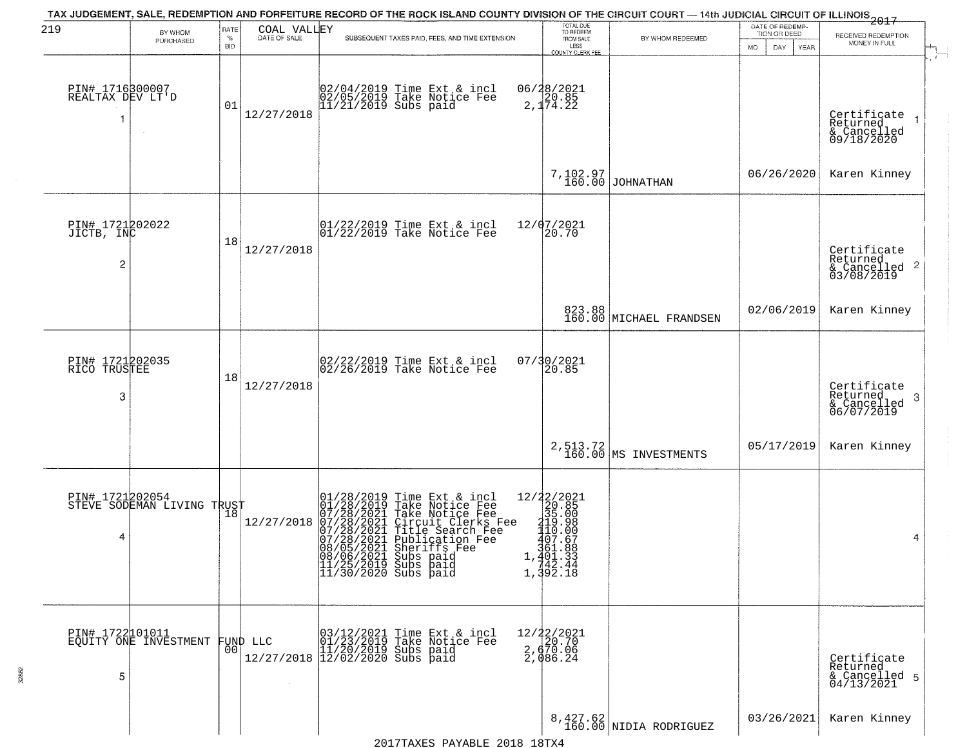| 219                                             | BY WHOM                                       | RATE               | COAL VALLEY  | TAX JUDGEMENT, SALE, REDEMPTION AND FORFEITURE RECORD OF THE ROCK ISLAND COUNTY DIVISION OF THE CIRCUIT COURT — 14th JUDICIAL CIRCUIT OF ILLINOIS 2017                                                                                                                               | TOTAL DUE<br>TO REDEEM                                                                                                                                                                    |                                    | DATE OF REDEMP-<br>TION OR DEED |                                                                       |
|-------------------------------------------------|-----------------------------------------------|--------------------|--------------|--------------------------------------------------------------------------------------------------------------------------------------------------------------------------------------------------------------------------------------------------------------------------------------|-------------------------------------------------------------------------------------------------------------------------------------------------------------------------------------------|------------------------------------|---------------------------------|-----------------------------------------------------------------------|
|                                                 | PURCHASED                                     | $\%$<br><b>BID</b> | DATE OF SALE | SUBSEQUENT TAXES PAID, FEES, AND TIME EXTENSION                                                                                                                                                                                                                                      | FROM SALE<br>LESS<br>COUNTY CLERK FEE                                                                                                                                                     | BY WHOM REDEEMED                   | MO.<br>DAY<br>YEAR              | RECEIVED REDEMPTION<br>MONEY IN FULL                                  |
| PIN# 1716300007<br>REALTAX DEV LT'D             | $\sim$                                        | 01                 | 12/27/2018   | 02/04/2019 Time Ext & incl<br>02/05/2019 Take Notice Fee<br>11/21/2019 Subs paid                                                                                                                                                                                                     | 06/28/2021<br>20.85<br>2,174.22                                                                                                                                                           |                                    |                                 | Certificate<br>$\rightarrow$<br>Returned<br>& Cancelled<br>09/18/2020 |
|                                                 |                                               |                    |              |                                                                                                                                                                                                                                                                                      |                                                                                                                                                                                           | 7,102.97<br>160.00 JOHNATHAN       | 06/26/2020                      | Karen Kinney                                                          |
| PIN# 1721202022<br>JICTB, INC<br>$\overline{c}$ |                                               | 18                 | 12/27/2018   | $\begin{array}{cc}  01/22/2019 \text{ Time} \text{ Ext} & \text{incl} \\  01/22/2019 \text{ Take Notice } \text{Fe} \end{array}$                                                                                                                                                     | 12/07/2021<br>20.70                                                                                                                                                                       |                                    |                                 | Certificate<br>Returned<br>$\frac{1}{6}$ Cancelled 2<br>03/08/2019    |
|                                                 |                                               |                    |              |                                                                                                                                                                                                                                                                                      |                                                                                                                                                                                           | 823.88<br>160.00 MICHAEL FRANDSEN  | 02/06/2019                      | Karen Kinney                                                          |
| PIN# 1721202035<br>RICO TRUSTEE<br>3            |                                               | 18                 | 12/27/2018   | $02/22/2019$ Time Ext & incl<br>$02/26/2019$ Take Notice Fee                                                                                                                                                                                                                         | 07/30/2021<br>20.85                                                                                                                                                                       |                                    |                                 | Certificate<br>Returned<br>3<br>& Cancelled<br>06/07/2019             |
|                                                 |                                               |                    |              |                                                                                                                                                                                                                                                                                      |                                                                                                                                                                                           | 2,513.72<br>160.00 MS INVESTMENTS  | 05/17/2019                      | Karen Kinney                                                          |
| 4                                               | PIN# 1721202054<br>STEVE SODEMAN LIVING TRUST |                    | 12/27/2018   | 01/28/2019 Time Ext & incl<br>01/28/2019 Take Notice Fee<br>07/28/2021 Take Notice Fee<br>07/28/2021 Circuit Clerks Fee<br>07/28/2021 Title Search Fee<br>07/28/2021 Bublication Fee<br>08/05/2021 Subs paid<br>08/06/2021 Subs paid<br>11/25/2019 Subs paid<br>11/30/2020 Subs paid | $=\begin{array}{r} 12/22/2021 \\ 20.85 \\ 35.00 \\ 419.98 \\ 110.00 \\ 407.67 \\ 361.88 \end{array}$<br>$1, \frac{361.88}{401.33}$<br>1, $\frac{401.33}{42.44}$<br>1, $\frac{392.18}{40}$ |                                    |                                 | 4                                                                     |
| PIN# 1722101011<br>5                            | EQUITY ONE INVESTMENT                         | 0 <sup>0</sup>     | FUND LLC     | 03/12/2021 Time Ext & incl<br>01/23/2019 Take Notice Fee<br>11/20/2019 Subs paid<br>12/27/2018 12/02/2020 Subs paid                                                                                                                                                                  | $12/22/2021$<br>$20.70$<br>$\frac{2}{2}$ , $\frac{670}{986}$ . 24                                                                                                                         |                                    |                                 | Certificate<br>Returned<br>& Cancelled 5<br>04/13/2021                |
|                                                 |                                               |                    |              |                                                                                                                                                                                                                                                                                      |                                                                                                                                                                                           | 8,427.62<br>160.00 NIDIA RODRIGUEZ | 03/26/2021                      | Karen Kinney                                                          |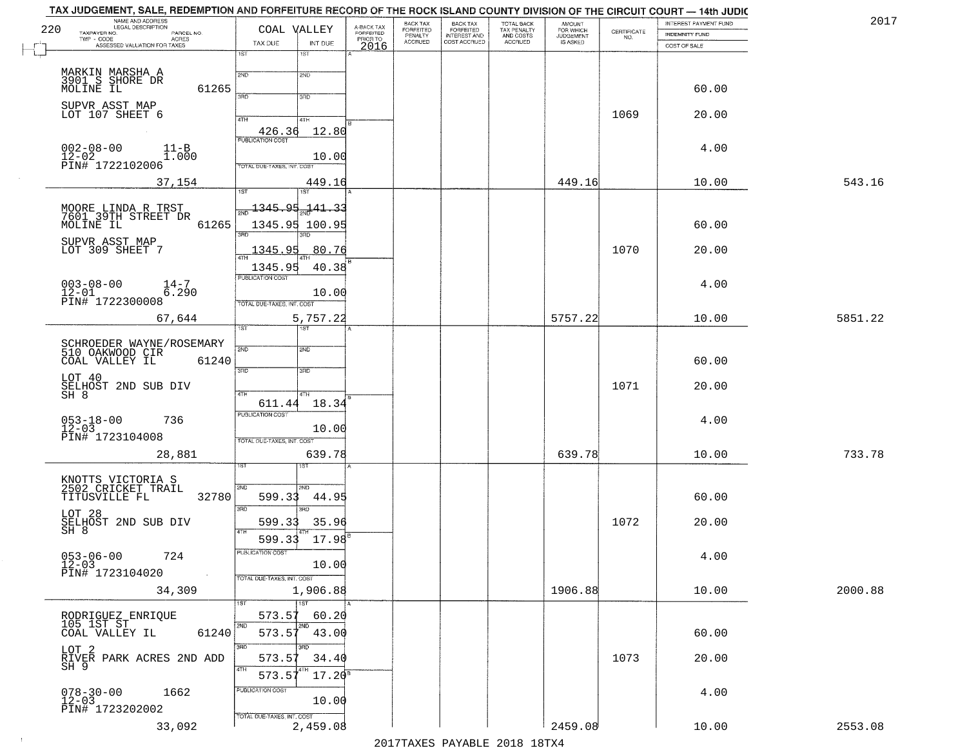| 220<br>TAXPAYER NO.                             | NAME AND ADDRESS<br>LEGAL DESCRIPTION<br>PARCEL NO.    | COAL VALLEY                                | A-BACK TAX<br>FORFEITED | BACK TAX<br>FORFEITED     | <b>BACK TAX</b><br><b>FORFEITED</b> | TOTAL BACK<br>TAX PENALTY | <b>AMOUNT</b><br>FOR WHICH<br>JUDGEMENT | CERTIFICATE | INTEREST PAYMENT FUND          | 2017    |
|-------------------------------------------------|--------------------------------------------------------|--------------------------------------------|-------------------------|---------------------------|-------------------------------------|---------------------------|-----------------------------------------|-------------|--------------------------------|---------|
| $TWP - CODE$                                    | <b>ACRES</b><br>ASSESSED VALUATION FOR TAXES           | TAX DUE<br>INT DUE                         | PRIOR TO                | PENALTY<br><b>ACCRUED</b> | INTEREST AND                        | AND COSTS<br>ACCRUED      | IS ASKED                                | NO.         | INDEMNITY FUND<br>COST OF SALE |         |
|                                                 |                                                        | 1ST<br>1ST                                 | 2016                    |                           |                                     |                           |                                         |             |                                |         |
| MARKIN MARSHA A<br>3901 S SHORE DR<br>MOLINE IL |                                                        | 2ND<br>2ND                                 |                         |                           |                                     |                           |                                         |             |                                |         |
|                                                 | 61265                                                  | 3RD<br>3RD                                 |                         |                           |                                     |                           |                                         |             | 60.00                          |         |
| SUPVR ASST MAP<br>LOT 107 SHEET 6               |                                                        | 4TH<br>4TH                                 |                         |                           |                                     |                           |                                         | 1069        | 20.00                          |         |
|                                                 |                                                        | 12.80<br>426.36<br><b>PUBLICATION COST</b> |                         |                           |                                     |                           |                                         |             |                                |         |
| $002 - 08 - 00$                                 | $11 - B$<br>1.000                                      | 10.00                                      |                         |                           |                                     |                           |                                         |             | 4.00                           |         |
| 12-02<br>PIN# 1722102006                        |                                                        | TOTAL DUE-TAXES, INT. COST                 |                         |                           |                                     |                           |                                         |             |                                |         |
|                                                 | 37,154                                                 | 449.16<br>1ST<br>1ST                       |                         |                           |                                     |                           | 449.16                                  |             | 10.00                          | 543.16  |
|                                                 | MOORE LINDA R TRST<br>7601 39TH STREET DR<br>MOLINE IL | 1345.95<br>141.33                          |                         |                           |                                     |                           |                                         |             |                                |         |
|                                                 | 61265                                                  | 1345.95<br>100.95<br>3RD<br>3RD            |                         |                           |                                     |                           |                                         |             | 60.00                          |         |
| SUPVR ASST MAP<br>LOT 309 SHEET 7               |                                                        | 1345.95<br>80.76                           |                         |                           |                                     |                           |                                         | 1070        | 20.00                          |         |
|                                                 |                                                        | 1345.95<br>40.38<br>PUBLICATION COST       |                         |                           |                                     |                           |                                         |             |                                |         |
| $003 - 08 - 00$<br>$12 - 01$                    | $14 - 7$<br>6.290                                      | 10.00                                      |                         |                           |                                     |                           |                                         |             | 4.00                           |         |
| PIN# 1722300008                                 |                                                        | TOTAL DUE-TAXES, INT. COST                 |                         |                           |                                     |                           |                                         |             |                                |         |
|                                                 | 67,644                                                 | 5,757.22<br>1ST<br>18T                     |                         |                           |                                     |                           | 5757.22                                 |             | 10.00                          | 5851.22 |
|                                                 | SCHROEDER WAYNE/ROSEMARY<br>510 OAKWOOD CIR            | 2ND<br>2ND                                 |                         |                           |                                     |                           |                                         |             |                                |         |
| COAL VALLEY IL                                  | 61240                                                  | 3RD<br>3RD                                 |                         |                           |                                     |                           |                                         |             | 60.00                          |         |
| LOT 40                                          | SELHOST 2ND SUB DIV<br>SH 8                            | 4TH<br>4TH                                 |                         |                           |                                     |                           |                                         | 1071        | 20.00                          |         |
|                                                 |                                                        | 18.34<br>611.44<br><b>PUBLICATION COST</b> |                         |                           |                                     |                           |                                         |             |                                |         |
| $053 - 18 - 00$<br>12-03                        | 736                                                    | 10.00                                      |                         |                           |                                     |                           |                                         |             | 4.00                           |         |
| PIN# 1723104008                                 |                                                        | TOTAL OUE-TAXES, INT. COST                 |                         |                           |                                     |                           |                                         |             |                                |         |
|                                                 | 28,881                                                 | 639.78<br>ड़ा                              |                         |                           |                                     |                           | 639.78                                  |             | 10.00                          | 733.78  |
| KNOTTS VICTORIA S<br>2502 CRICKET TRAIL         |                                                        | 2ND<br>CMS                                 |                         |                           |                                     |                           |                                         |             |                                |         |
| TITUSVILLE FL                                   | 32780                                                  | 599.33<br>44.95<br>3RD<br>3RD              |                         |                           |                                     |                           |                                         |             | 60.00                          |         |
| LOT 28                                          | SELHOST 2ND SUB DIV<br>SH 8                            | 35.96<br>599.33                            |                         |                           |                                     |                           |                                         | 1072        | 20.00                          |         |
|                                                 |                                                        | 4TH<br>$17.98^{B}$<br>599.33               |                         |                           |                                     |                           |                                         |             |                                |         |
| $053 - 06 - 00$<br>12-03                        | 724                                                    | PUBLICATION COST<br>10.00                  |                         |                           |                                     |                           |                                         |             | 4.00                           |         |
| PIN# 1723104020                                 | $\sim$                                                 | TOTAL DUE-TAXES, INT. COST                 |                         |                           |                                     |                           |                                         |             |                                |         |
|                                                 | 34,309                                                 | 1,906.88<br>1ST                            |                         |                           |                                     |                           | 1906.88                                 |             | 10.00                          | 2000.88 |
| RODRIGUEZ ENRIQUE<br>105 1ST ST                 |                                                        | 573.57<br>60.20<br>2ND<br>2ND              |                         |                           |                                     |                           |                                         |             |                                |         |
| COAL VALLEY IL                                  | 61240                                                  | 573.57<br>43.00<br>3RD<br><u>श्मक</u>      |                         |                           |                                     |                           |                                         |             | 60.00                          |         |
| LOT 2                                           | RIVER PARK ACRES 2ND ADD<br>SH 9                       | 573.57<br>34.40                            |                         |                           |                                     |                           |                                         | 1073        | 20.00                          |         |
|                                                 |                                                        | 4TH<br>$17.20$ <sup>s</sup><br>573.5       |                         |                           |                                     |                           |                                         |             |                                |         |
| $078 - 30 - 00$<br>12-03                        | 1662                                                   | PUBLICATION COST<br>10.00                  |                         |                           |                                     |                           |                                         |             | 4.00                           |         |
| PIN# 1723202002                                 |                                                        | TOTAL DUE-TAXES, INT. COST                 |                         |                           |                                     |                           |                                         |             |                                |         |
|                                                 | 33,092                                                 | 2,459.08                                   |                         |                           |                                     |                           | 2459.08                                 |             | 10.00                          | 2553.08 |

 $\sim 100$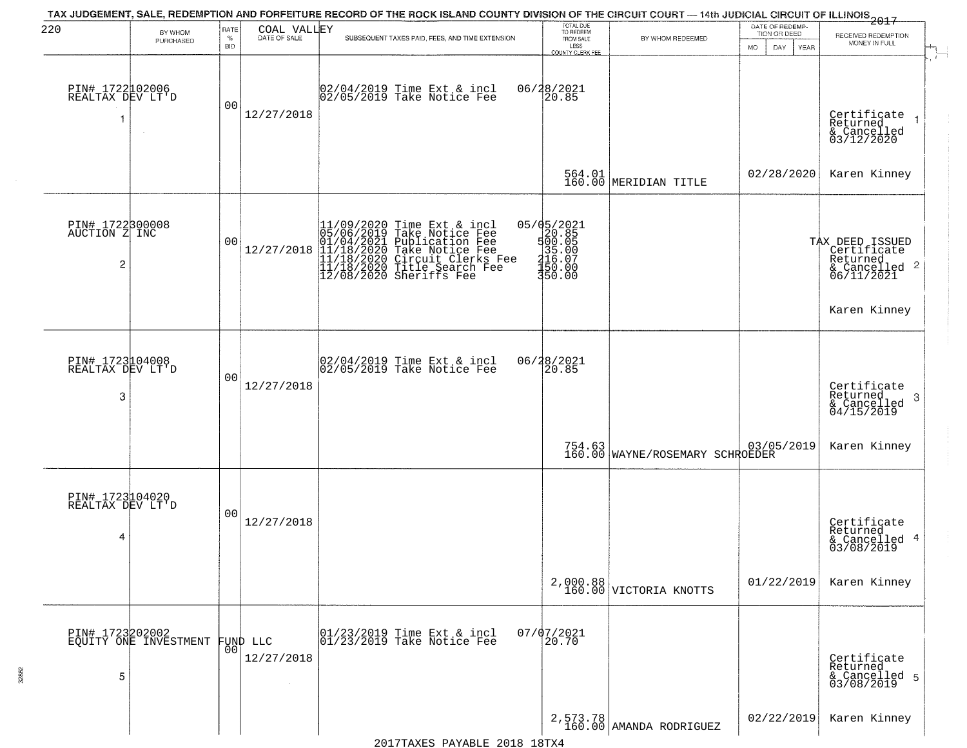| 220                                      |                                          | RATE               |                                  | TAX JUDGEMENT, SALE, REDEMPTION AND FORFEITURE RECORD OF THE ROCK ISLAND COUNTY DIVISION OF THE CIRCUIT COURT - 14th JUDICIAL CIRCUIT OF ILLINOIS 2017                                                                             | TOTAL DUE<br>TO REDEEM                                                |                                                                                               | DATE OF REDEMP-                     |                                                                                               |
|------------------------------------------|------------------------------------------|--------------------|----------------------------------|------------------------------------------------------------------------------------------------------------------------------------------------------------------------------------------------------------------------------------|-----------------------------------------------------------------------|-----------------------------------------------------------------------------------------------|-------------------------------------|-----------------------------------------------------------------------------------------------|
|                                          | BY WHOM<br>PURCHASED                     | $\%$<br><b>BID</b> | COAL VALLEY<br>DATE OF SALE      | SUBSEQUENT TAXES PAID, FEES, AND TIME EXTENSION                                                                                                                                                                                    | FROM SALE<br>LESS<br>COUNTY CLERK FEE                                 | BY WHOM REDEEMED                                                                              | TION OR DEED<br>MO.<br>DAY.<br>YEAR | RECEIVED REDEMPTION<br>MONEY IN FULL                                                          |
| PIN# 1722102006<br>REALTAX DEV LT'D<br>1 | $\sim$                                   | 0 <sub>0</sub>     | 12/27/2018                       | 02/04/2019 Time Ext & incl<br>02/05/2019 Take Notice Fee                                                                                                                                                                           | 06/28/2021<br>20.85                                                   |                                                                                               |                                     | Certificate<br>Returned<br>& Cancelled<br>03/12/2020                                          |
|                                          |                                          |                    |                                  |                                                                                                                                                                                                                                    |                                                                       | 564.01<br>160.00 MERIDIAN TITLE                                                               | 02/28/2020                          | Karen Kinney                                                                                  |
| PIN# 1722300008<br>AUCTION Z INC<br>2    |                                          | 0 <sub>0</sub>     |                                  | 11/09/2020 Time Ext & incl<br>05/06/2019 Take Notice Fee<br>12/27/2018 12/18/2021 Publication Fee<br>12/27/2018 11/18/2020 Take Notice Fee<br>11/18/2020 Take Notice Fee<br>11/18/2020 Title Search Fee<br>12/08/2020 Sheriffs Fee | 05/05/2021<br>500.85<br>500.05<br>35.00<br>416.07<br>150.00<br>350.00 |                                                                                               |                                     | TAX DEED ISSUED<br>  Certificate<br>  Returned<br>& Cancelled 2<br>06/11/2021<br>Karen Kinney |
|                                          |                                          |                    |                                  |                                                                                                                                                                                                                                    |                                                                       |                                                                                               |                                     |                                                                                               |
| PIN# 1723104008<br>REALTAX DEV LT'D<br>3 |                                          | 0 <sub>0</sub>     | 12/27/2018                       | $\begin{array}{c} 02/04/2019 \\ 02/05/2019 \\ \end{array}$ Take Notice Fee                                                                                                                                                         | 06/28/2021<br>20.85                                                   |                                                                                               |                                     | Certificate<br>Returned<br>3<br>& Cancelled<br>04/15/2019                                     |
|                                          |                                          |                    |                                  |                                                                                                                                                                                                                                    |                                                                       | 160.00 WAYNE/ROSEMARY SCHROEDER                                                               | 03/05/2019                          | Karen Kinney                                                                                  |
| PIN# 1723104020<br>REALTAX DEV LT'D<br>4 |                                          | 0 <sub>0</sub>     | 12/27/2018                       |                                                                                                                                                                                                                                    |                                                                       |                                                                                               |                                     | Certificate<br>Returned<br>& Cancelled 4<br>03/08/2019                                        |
|                                          |                                          |                    |                                  |                                                                                                                                                                                                                                    |                                                                       | $2,000.88$<br>160.00 VICTORIA KNOTTS                                                          | 01/22/2019                          | Karen Kinney                                                                                  |
| 5                                        | PIN# 1723202002<br>EQUITY ONE INVESTMENT | 0 <sub>0</sub>     | FUND LLC<br>12/27/2018<br>$\sim$ | 01/23/2019 Time Ext & incl<br>01/23/2019 Take Notice Fee                                                                                                                                                                           | $07/07/2021$<br>20.70                                                 |                                                                                               |                                     | Certificate<br>Returned<br>& Cancelled 5<br>03/08/2019                                        |
|                                          |                                          |                    |                                  |                                                                                                                                                                                                                                    |                                                                       | $\begin{array}{c} \texttt{2,573.78} \\ \texttt{160.00} \end{array} \texttt{AMANDA RODRIGUEZ}$ | 02/22/2019                          | Karen Kinney                                                                                  |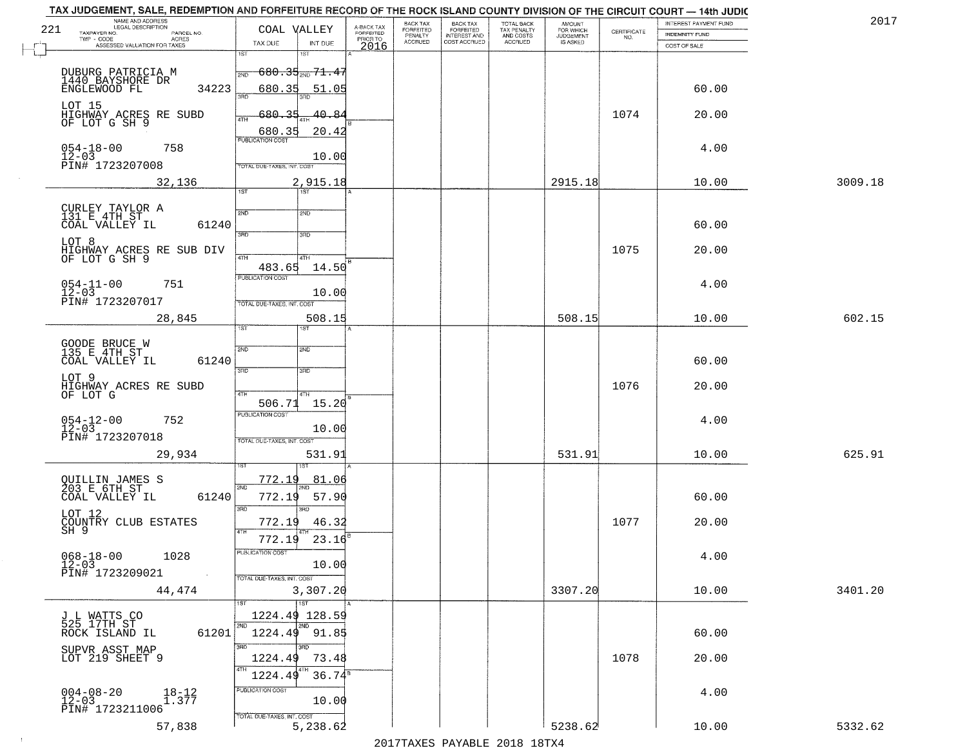| NAME AND ADDRESS<br>LEGAL DESCRIPTION<br>221       | COAL VALLEY                                |                                     | BACK TAX                               | <b>BACK TAX</b><br>FORFEITED        | TOTAL BACK<br>TAX PENALTY<br>AND COSTS | AMOUNT<br>FOR WHICH<br>JUDGEMENT |                                                                 | INTEREST PAYMENT FUND | 2017    |
|----------------------------------------------------|--------------------------------------------|-------------------------------------|----------------------------------------|-------------------------------------|----------------------------------------|----------------------------------|-----------------------------------------------------------------|-----------------------|---------|
| TAXPAYER NO.<br>PARCEL NO.<br>ACRES                |                                            | A-BACK TAX<br>FORFEITED<br>PRIOR TO | FORFEITED<br>PENALTY<br><b>ACCRUED</b> | <b>INTEREST AND</b><br>COST ACCRUED | ACCRUED                                | IS ASKED                         | $\begin{array}{c} \text{CERTIFICATE} \\ \text{NO.} \end{array}$ | INDEMNITY FUND        |         |
| ASSESSED VALUATION FOR TAXES                       | TAX DUE<br>INT DUE<br>1ST<br>1ST           | 2016                                |                                        |                                     |                                        |                                  |                                                                 | COST OF SALE          |         |
|                                                    |                                            |                                     |                                        |                                     |                                        |                                  |                                                                 |                       |         |
| DUBURG PATRICIA M<br>1440 BAYSHORE DR              | $680.35_{200}$ 71.47<br>2ND                |                                     |                                        |                                     |                                        |                                  |                                                                 |                       |         |
| 34223<br>ENGLEWOOD FL                              | 680.35<br>51.05<br>3HD                     |                                     |                                        |                                     |                                        |                                  |                                                                 | 60.00                 |         |
| LOT 15                                             | 680.35<br>40.84                            |                                     |                                        |                                     |                                        |                                  | 1074                                                            | 20.00                 |         |
| HIGHWAY ACRES RE SUBD<br>OF LOT G SH 9             | ATH                                        |                                     |                                        |                                     |                                        |                                  |                                                                 |                       |         |
|                                                    | 20.42<br>680.35<br><b>PUBLICATION COST</b> |                                     |                                        |                                     |                                        |                                  |                                                                 |                       |         |
| $054 - 18 - 00$<br>12-03<br>758                    | 10.00                                      |                                     |                                        |                                     |                                        |                                  |                                                                 | 4.00                  |         |
| PIN# 1723207008                                    | TOTAL DUE-TAXES, INT. COST                 |                                     |                                        |                                     |                                        |                                  |                                                                 |                       |         |
| 32,136                                             | 2,915.18                                   |                                     |                                        |                                     |                                        | 2915.18                          |                                                                 | 10.00                 | 3009.18 |
|                                                    | 1ST                                        |                                     |                                        |                                     |                                        |                                  |                                                                 |                       |         |
| CURLEY TAYLOR A<br>131 E 4TH ST                    | 2ND<br>2ND                                 |                                     |                                        |                                     |                                        |                                  |                                                                 |                       |         |
| 61240<br>COAL VALLEY IL                            |                                            |                                     |                                        |                                     |                                        |                                  |                                                                 | 60.00                 |         |
| LOT 8                                              | $\overline{3BD}$<br>3RD                    |                                     |                                        |                                     |                                        |                                  |                                                                 |                       |         |
| HIGHWAY ACRES RE SUB DIV<br>OF LOT G SH 9          | 47H<br>4TH                                 |                                     |                                        |                                     |                                        |                                  | 1075                                                            | 20.00                 |         |
|                                                    | 14.50<br>483.65                            |                                     |                                        |                                     |                                        |                                  |                                                                 |                       |         |
| $054 - 11 - 00$<br>12-03<br>751                    | PUBLICATION COST                           |                                     |                                        |                                     |                                        |                                  |                                                                 | 4.00                  |         |
| PIN# 1723207017                                    | 10.00<br>TOTAL DUE-TAXES, INT. COST        |                                     |                                        |                                     |                                        |                                  |                                                                 |                       |         |
| 28,845                                             | 508.15                                     |                                     |                                        |                                     |                                        | 508.15                           |                                                                 | 10.00                 | 602.15  |
|                                                    | 1ST<br><b>ST</b>                           |                                     |                                        |                                     |                                        |                                  |                                                                 |                       |         |
| GOODE BRUCE W<br>135 E 4TH ST                      |                                            |                                     |                                        |                                     |                                        |                                  |                                                                 |                       |         |
| COAL VALLEY IL<br>61240                            | SVD<br><b>SMD</b>                          |                                     |                                        |                                     |                                        |                                  |                                                                 | 60.00                 |         |
| LOT 9                                              | 3RD<br>3RD                                 |                                     |                                        |                                     |                                        |                                  |                                                                 |                       |         |
| HIGHWAY ACRES RE SUBD<br>OF LOT G                  |                                            |                                     |                                        |                                     |                                        |                                  | 1076                                                            | 20.00                 |         |
|                                                    | 4TH<br>4TH<br>506.71<br>15.20              |                                     |                                        |                                     |                                        |                                  |                                                                 |                       |         |
| 752                                                | <b>PUBLICATION COST</b>                    |                                     |                                        |                                     |                                        |                                  |                                                                 | 4.00                  |         |
| $054 - 12 - 00$<br>12-03                           | 10.00                                      |                                     |                                        |                                     |                                        |                                  |                                                                 |                       |         |
| PIN# 1723207018                                    | TOTAL OUE-TAXES, INT. COST                 |                                     |                                        |                                     |                                        |                                  |                                                                 |                       |         |
| 29,934                                             | 531.91                                     |                                     |                                        |                                     |                                        | 531.91                           |                                                                 | 10.00                 | 625.91  |
|                                                    | <u>772.19</u><br>81.06                     |                                     |                                        |                                     |                                        |                                  |                                                                 |                       |         |
| QUILLIN JAMES S<br>203 E 6TH ST                    | 2ND                                        |                                     |                                        |                                     |                                        |                                  |                                                                 |                       |         |
| COAL VALLEY IL<br>61240                            | 772.19<br>57.90<br>3RD<br>3RD              |                                     |                                        |                                     |                                        |                                  |                                                                 | 60.00                 |         |
| LOT 12                                             | 772.19<br>46.32                            |                                     |                                        |                                     |                                        |                                  | 1077                                                            | 20.00                 |         |
| COUNTRY CLUB ESTATES<br>SH 9                       | 4TH<br>772.19<br>23.16                     |                                     |                                        |                                     |                                        |                                  |                                                                 |                       |         |
|                                                    | PUBLICA HUN CUS                            |                                     |                                        |                                     |                                        |                                  |                                                                 |                       |         |
| $068 - 18 - 00$<br>12-03<br>1028                   | 10.00                                      |                                     |                                        |                                     |                                        |                                  |                                                                 | 4.00                  |         |
| PIN# 1723209021                                    | TOTAL DUE-TAXES, INT. COST                 |                                     |                                        |                                     |                                        |                                  |                                                                 |                       |         |
| 44,474                                             | 3,307.20                                   |                                     |                                        |                                     |                                        | 3307.20                          |                                                                 | 10.00                 | 3401.20 |
|                                                    | $\overline{11ST}$                          |                                     |                                        |                                     |                                        |                                  |                                                                 |                       |         |
| J L WATTS CO<br>525 17TH ST                        | 1224.49 128.59<br>2ND<br>2ND               |                                     |                                        |                                     |                                        |                                  |                                                                 |                       |         |
| ROCK ISLAND IL<br>61201                            | $1224.49$ 91.85                            |                                     |                                        |                                     |                                        |                                  |                                                                 | 60.00                 |         |
| SUPVR ASST MAP<br>LOT 219 SHEET 9                  | 3RD<br>3RD                                 |                                     |                                        |                                     |                                        |                                  |                                                                 |                       |         |
|                                                    | 1224.49<br>73.48<br>4TH                    |                                     |                                        |                                     |                                        |                                  | 1078                                                            | 20.00                 |         |
|                                                    | $36.74^8$<br>1224.49                       |                                     |                                        |                                     |                                        |                                  |                                                                 |                       |         |
| $004 - 08 - 20$<br>$18 - 12$<br>1.377<br>$12 - 03$ | PUBLICATION COST<br>10.00                  |                                     |                                        |                                     |                                        |                                  |                                                                 | 4.00                  |         |
| PIN# 1723211006                                    | TOTAL DUE-TAXES, INT. COST                 |                                     |                                        |                                     |                                        |                                  |                                                                 |                       |         |
| 57,838                                             | 5,238.62                                   |                                     |                                        |                                     |                                        | 5238.62                          |                                                                 | 10.00                 | 5332.62 |

 $\sim 100$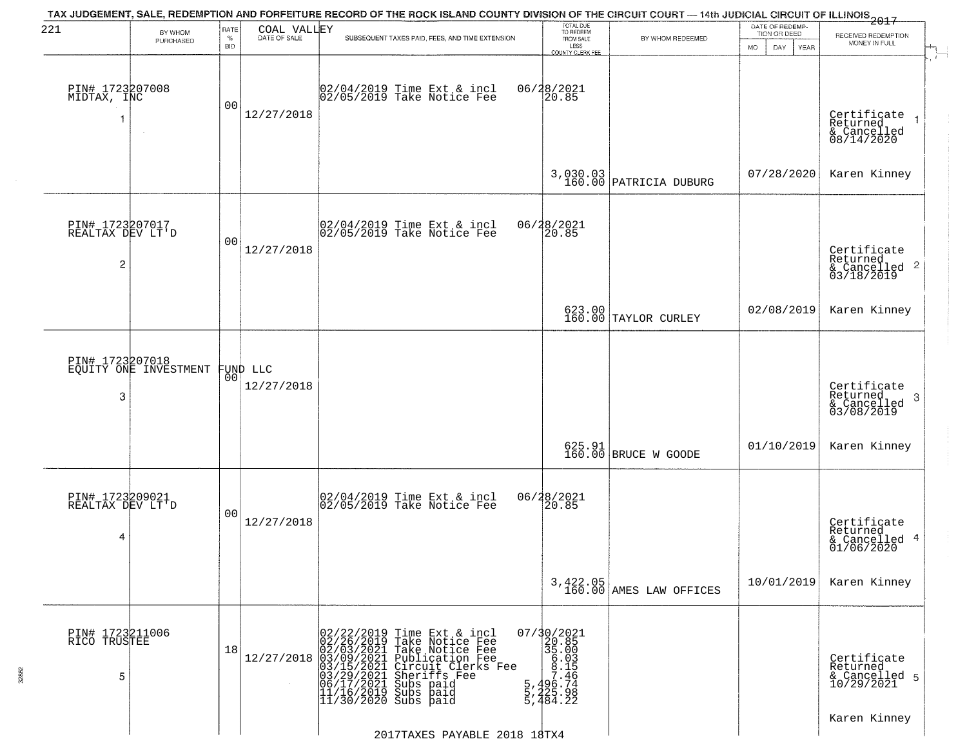| 221                                      | BY WHOM                                           | RATE               | COAL VALLEY  | TAX JUDGEMENT, SALE, REDEMPTION AND FORFEITURE RECORD OF THE ROCK ISLAND COUNTY DIVISION OF THE CIRCUIT COURT — 14th JUDICIAL CIRCUIT OF ILLINOIS 2017                                                                                                | TOTAL DUE<br>TO REDEEM                                                                                                   |                                     | DATE OF REDEMP-<br>TION OR DEED | RECEIVED REDEMPTION                                                |
|------------------------------------------|---------------------------------------------------|--------------------|--------------|-------------------------------------------------------------------------------------------------------------------------------------------------------------------------------------------------------------------------------------------------------|--------------------------------------------------------------------------------------------------------------------------|-------------------------------------|---------------------------------|--------------------------------------------------------------------|
|                                          | PURCHASED                                         | $\%$<br><b>BID</b> | DATE OF SALE | SUBSEQUENT TAXES PAID, FEES, AND TIME EXTENSION                                                                                                                                                                                                       | FROM SALE<br>LESS<br><b>COUNTY CLERK FEE</b>                                                                             | BY WHOM REDEEMED                    | MO.<br>DAY.<br>YEAR             | MONEY IN FULL                                                      |
| PIN# 1723207008<br>MIDTAX, INC           | $\sim$                                            | 0 <sub>0</sub>     | 12/27/2018   | 02/04/2019 Time Ext & incl<br>02/05/2019 Take Notice Fee                                                                                                                                                                                              | 06/28/2021<br>20.85                                                                                                      |                                     |                                 | Certificate<br>Returned<br>& Cancelled<br>08/14/2020               |
|                                          |                                                   |                    |              |                                                                                                                                                                                                                                                       |                                                                                                                          | 3,030.03<br>160.00 PATRICIA DUBURG  | 07/28/2020                      | Karen Kinney                                                       |
| PIN# 1723207017<br>REALTAX DEV LT'D<br>2 |                                                   | 0 <sub>0</sub>     | 12/27/2018   | 02/04/2019 Time Ext & incl<br>02/05/2019 Take Notice Fee                                                                                                                                                                                              | 06/28/2021<br>20.85                                                                                                      |                                     |                                 | Certificate<br>Returned<br>$\frac{1}{6}$ Cancelled 2<br>03/18/2019 |
|                                          |                                                   |                    |              |                                                                                                                                                                                                                                                       |                                                                                                                          | 623.00<br>160.00 TAYLOR CURLEY      | 02/08/2019                      | Karen Kinney                                                       |
| 3                                        | PIN# 1723207018<br>EQUITY ONE INVESTMENT FUND LLC | 00                 | 12/27/2018   |                                                                                                                                                                                                                                                       |                                                                                                                          |                                     |                                 | Certificate<br>Returned<br>3<br>& Cancelled<br>03/08/2019          |
|                                          |                                                   |                    |              |                                                                                                                                                                                                                                                       |                                                                                                                          | 625.91 BRUCE W GOODE                | 01/10/2019                      | Karen Kinney                                                       |
| PIN# 1723209021<br>REALTAX DEV LT'D<br>4 |                                                   | 0 <sub>0</sub>     | 12/27/2018   | 02/04/2019 Time Ext & incl<br>02/05/2019 Take Notice Fee                                                                                                                                                                                              | 06/28/2021<br>120.85                                                                                                     |                                     |                                 | Certificate<br>Returned<br>& Cancelled 4<br>01/06/2020             |
|                                          |                                                   |                    |              |                                                                                                                                                                                                                                                       |                                                                                                                          | 3,422.05<br>160.00 AMES LAW OFFICES | 10/01/2019                      | Karen Kinney                                                       |
| PIN# 1723211006<br>RICO TRUSTEE<br>5     |                                                   | 18                 | 12/27/2018   | 02/22/2019 Time Ext & incl<br>02/26/2019 Take Notice Fee<br>02/03/2021 Take Notice Fee<br>03/09/2021 Publication Fee<br>03/15/2021 Circuit Clerks Fee<br>03/15/2021 Subs paid<br>06/17/2021 Subs paid<br>11/16/2019 Subs paid<br>11/16/2019 Subs paid | $07/30/2021$<br>20.85<br>35.00<br>$\begin{array}{r} 36.033 \\ -3.156 \\ -7.496 \\ -7.464 \\ -7.484 \\ -2.22 \end{array}$ |                                     |                                 | Certificate<br>Returned<br>& Cancelled 5<br>10/29/2021             |
|                                          |                                                   |                    |              | 2017TAXES PAYABLE 2018 18TX4                                                                                                                                                                                                                          |                                                                                                                          |                                     |                                 | Karen Kinney                                                       |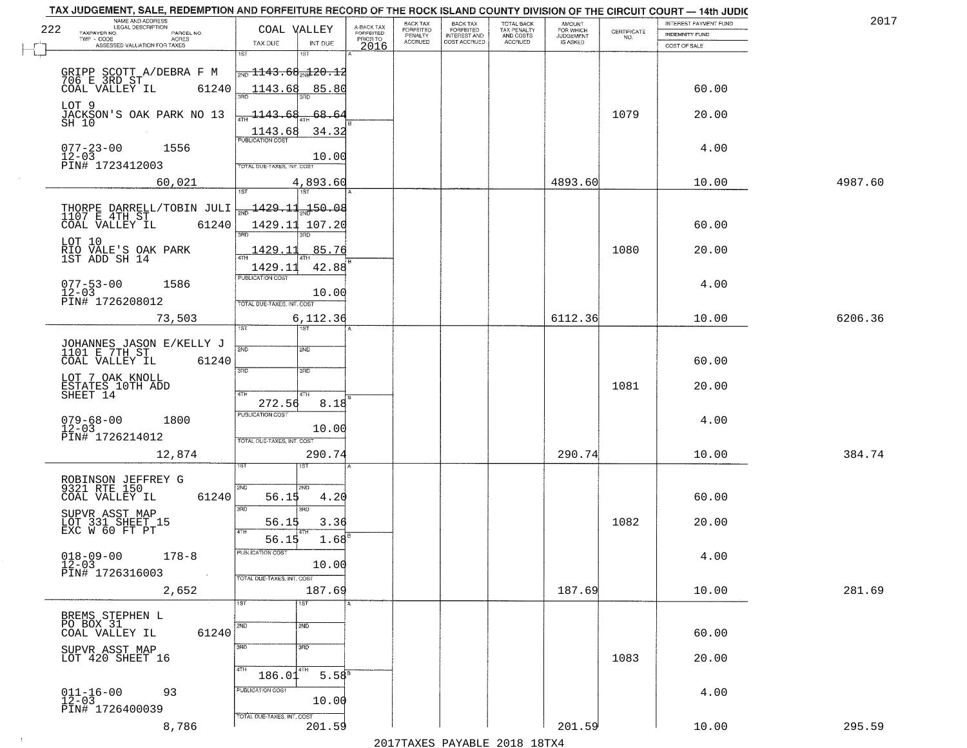|     | TAX JUDGEMENT, SALE, REDEMPTION AND FORFEITURE RECORD OF THE ROCK ISLAND COUNTY DIVISION OF THE CIRCUIT COURT - 14th JUDIC<br>NAME AND ADDRESS |                                               |                         |                              |                                       |                                        |                              |                                                                 |                       |         |
|-----|------------------------------------------------------------------------------------------------------------------------------------------------|-----------------------------------------------|-------------------------|------------------------------|---------------------------------------|----------------------------------------|------------------------------|-----------------------------------------------------------------|-----------------------|---------|
| 222 | <b>LEGAL DESCRIPTION</b>                                                                                                                       | COAL VALLEY                                   | A-BACK TAX<br>FORFEITED | BACK TAX<br><b>FORFEITED</b> | BACK TAX<br>FORFEITED<br>INTEREST AND | TOTAL BACK<br>TAX PENALTY<br>AND COSTS | AMOUNT<br>FOR WHICH          |                                                                 | INTEREST PAYMENT FUND | 2017    |
|     | TAXPAYER NO.<br>PARCEL NO.<br>TWP - CODE<br>ACRES                                                                                              |                                               | PRIOR TO                | PENALTY<br><b>ACCRUED</b>    | COST ACCRUED                          | ACCRUED                                | <b>JUDGEMENT</b><br>IS ASKED | $\begin{array}{c} \text{CERTIFICATE} \\ \text{NO.} \end{array}$ | <b>INDEMNITY FUND</b> |         |
|     | ASSESSED VALUATION FOR TAXES                                                                                                                   | TAX DUE<br>INT DUE<br>1ST<br>1ST              | 2016                    |                              |                                       |                                        |                              |                                                                 | COST OF SALE          |         |
|     |                                                                                                                                                | $\frac{1}{200}$ 1143.68 $\frac{1}{201}$ 20.12 |                         |                              |                                       |                                        |                              |                                                                 |                       |         |
|     | GRIPP SCOTT A/DEBRA F M<br>706 E 3RD ST _                                                                                                      |                                               |                         |                              |                                       |                                        |                              |                                                                 |                       |         |
|     | 61240<br>COAL VALLEY IL                                                                                                                        | 1143.68 85.80                                 |                         |                              |                                       |                                        |                              |                                                                 | 60.00                 |         |
|     | LOT 9                                                                                                                                          |                                               |                         |                              |                                       |                                        |                              | 1079                                                            |                       |         |
|     | JACKSON'S OAK PARK NO 13<br>SH 10                                                                                                              | 68.64<br>1143.68                              |                         |                              |                                       |                                        |                              |                                                                 | 20.00                 |         |
|     |                                                                                                                                                | 34.32<br>1143.68                              |                         |                              |                                       |                                        |                              |                                                                 |                       |         |
|     | $077 - 23 - 00$<br>12-03<br>1556                                                                                                               |                                               |                         |                              |                                       |                                        |                              |                                                                 | 4.00                  |         |
|     | PIN# 1723412003                                                                                                                                | 10.00<br><b>TOTAL DUE-TAXES, INT. COST</b>    |                         |                              |                                       |                                        |                              |                                                                 |                       |         |
|     | 60,021                                                                                                                                         | 4,893.60                                      |                         |                              |                                       |                                        | 4893.60                      |                                                                 | 10.00                 | 4987.60 |
|     |                                                                                                                                                |                                               |                         |                              |                                       |                                        |                              |                                                                 |                       |         |
|     | THORPE DARRELL/TOBIN JULI<br>1107 E 4TH ST                                                                                                     | 50.08 1429.11 150.08                          |                         |                              |                                       |                                        |                              |                                                                 |                       |         |
|     | 61240<br>COAL VALLEY IL                                                                                                                        | 1429.11 107.20                                |                         |                              |                                       |                                        |                              |                                                                 | 60.00                 |         |
|     |                                                                                                                                                |                                               |                         |                              |                                       |                                        |                              |                                                                 |                       |         |
|     | LOT 10<br>RIO VALE'S OAK PARK<br>1ST ADD SH 14                                                                                                 | 1429.11<br>85.76                              |                         |                              |                                       |                                        |                              | 1080                                                            | 20.00                 |         |
|     |                                                                                                                                                | 1429.11<br>42.88                              |                         |                              |                                       |                                        |                              |                                                                 |                       |         |
|     |                                                                                                                                                | PUBLICATION COST                              |                         |                              |                                       |                                        |                              |                                                                 |                       |         |
|     | $077 - 53 - 00$<br>1586<br>$12 - 03$                                                                                                           | 10.00                                         |                         |                              |                                       |                                        |                              |                                                                 | 4.00                  |         |
|     | PIN# 1726208012                                                                                                                                | TOTAL DUE-TAXES, INT. COST                    |                         |                              |                                       |                                        |                              |                                                                 |                       |         |
|     | 73,503                                                                                                                                         | 6,112.36                                      |                         |                              |                                       |                                        | 6112.36                      |                                                                 | 10.00                 | 6206.36 |
|     |                                                                                                                                                | 1ST<br>ist.                                   |                         |                              |                                       |                                        |                              |                                                                 |                       |         |
|     | JOHANNES JASON E/KELLY J<br>1101 E 7TH ST                                                                                                      | 2ND<br><b>SMD</b>                             |                         |                              |                                       |                                        |                              |                                                                 |                       |         |
|     | COAL VALLEY IL<br>61240                                                                                                                        |                                               |                         |                              |                                       |                                        |                              |                                                                 | 60.00                 |         |
|     | LOT 7 OAK KNOLL                                                                                                                                | 3RD<br>3RD                                    |                         |                              |                                       |                                        |                              |                                                                 |                       |         |
|     | ESTATES 10TH ADD<br>SHEET 14                                                                                                                   | 4TH<br>4TH                                    |                         |                              |                                       |                                        |                              | 1081                                                            | 20.00                 |         |
|     |                                                                                                                                                | 272.56<br>8.18                                |                         |                              |                                       |                                        |                              |                                                                 |                       |         |
|     | $079 - 68 - 00$<br>12-03<br>1800                                                                                                               | <b>PUBLICATION COST</b>                       |                         |                              |                                       |                                        |                              |                                                                 | 4.00                  |         |
|     | PIN# 1726214012                                                                                                                                | 10.00<br>TOTAL OUE-TAXES, INT. COST           |                         |                              |                                       |                                        |                              |                                                                 |                       |         |
|     |                                                                                                                                                |                                               |                         |                              |                                       |                                        |                              |                                                                 |                       |         |
|     | 12,874                                                                                                                                         | 290.74                                        |                         |                              |                                       |                                        | 290.74                       |                                                                 | 10.00                 | 384.74  |
|     |                                                                                                                                                |                                               |                         |                              |                                       |                                        |                              |                                                                 |                       |         |
|     | ROBINSON JEFFREY G<br>9321 RTE 150                                                                                                             | 2ND<br>2ND.                                   |                         |                              |                                       |                                        |                              |                                                                 |                       |         |
|     | COAL VALLEY IL<br>61240                                                                                                                        | 56.15<br>4.20<br>3BD<br>3RD                   |                         |                              |                                       |                                        |                              |                                                                 | 60.00                 |         |
|     | SUPVR ASST MAP                                                                                                                                 | 56.15<br>3.36                                 |                         |                              |                                       |                                        |                              | 1082                                                            | 20.00                 |         |
|     | LOT 331 SHEET 15<br>EXC W 60 FT PT                                                                                                             | 4TH<br>$1.68^{B}$                             |                         |                              |                                       |                                        |                              |                                                                 |                       |         |
|     |                                                                                                                                                | 56.15<br>ruslica i IUN COS                    |                         |                              |                                       |                                        |                              |                                                                 |                       |         |
|     | $018 - 09 - 00$<br>$12 - 03$<br>$178 - 8$                                                                                                      | 10.00                                         |                         |                              |                                       |                                        |                              |                                                                 | 4.00                  |         |
|     | PIN# 1726316003                                                                                                                                | TOTAL DUE-TAXES, INT. COST                    |                         |                              |                                       |                                        |                              |                                                                 |                       |         |
|     | 2,652                                                                                                                                          | 187.69                                        |                         |                              |                                       |                                        | 187.69                       |                                                                 | 10.00                 | 281.69  |
|     |                                                                                                                                                | 1ST<br>1ST                                    |                         |                              |                                       |                                        |                              |                                                                 |                       |         |
|     | BREMS STEPHEN L                                                                                                                                |                                               |                         |                              |                                       |                                        |                              |                                                                 |                       |         |
|     | PO BOX 31<br>61240<br>COAL VALLEY IL                                                                                                           | $\overline{2ND}$<br>2ND                       |                         |                              |                                       |                                        |                              |                                                                 | 60.00                 |         |
|     |                                                                                                                                                | 3BD<br>3BD                                    |                         |                              |                                       |                                        |                              |                                                                 |                       |         |
|     | SUPVR ASST MAP<br>LOT 420 SHEET 16                                                                                                             |                                               |                         |                              |                                       |                                        |                              | 1083                                                            | 20.00                 |         |
|     |                                                                                                                                                | 4TH<br>4TH<br>5.58 <sup>8</sup><br>186.01     |                         |                              |                                       |                                        |                              |                                                                 |                       |         |
|     | 93                                                                                                                                             | PUBLICATION COST                              |                         |                              |                                       |                                        |                              |                                                                 | 4.00                  |         |
|     | $011 - 16 - 00$<br>12-03<br>PIN# 1726400039                                                                                                    | 10.00                                         |                         |                              |                                       |                                        |                              |                                                                 |                       |         |
|     |                                                                                                                                                | TOTAL DUE-TAXES, INT. COST                    |                         |                              |                                       |                                        |                              |                                                                 |                       |         |
|     | 8,786                                                                                                                                          | 201.59                                        |                         |                              |                                       |                                        | 201.59                       |                                                                 | 10.00                 | 295.59  |
|     |                                                                                                                                                |                                               |                         |                              |                                       | 2017 THAYRO DAVADIR 2018 19TY          |                              |                                                                 |                       |         |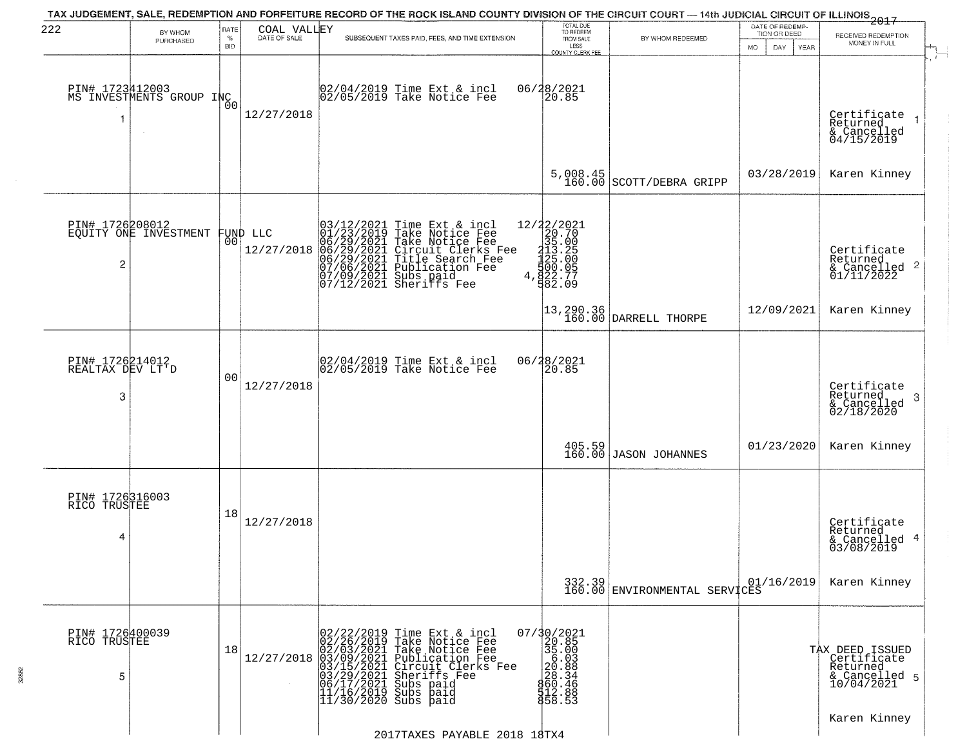| 222                                      | BY WHOM                                     | RATE               | COAL VALLEY  | TAX JUDGEMENT, SALE, REDEMPTION AND FORFEITURE RECORD OF THE ROCK ISLAND COUNTY DIVISION OF THE CIRCUIT COURT — 14th JUDICIAL CIRCUIT OF ILLINOIS 2017                                                                                                                 | TOTAL DUE<br>TO REDEEM                                                                                                            |                                                                     | DATE OF REDEMP-<br>TION OR DEED |                                                                           |
|------------------------------------------|---------------------------------------------|--------------------|--------------|------------------------------------------------------------------------------------------------------------------------------------------------------------------------------------------------------------------------------------------------------------------------|-----------------------------------------------------------------------------------------------------------------------------------|---------------------------------------------------------------------|---------------------------------|---------------------------------------------------------------------------|
|                                          | PURCHASED                                   | $\%$<br><b>BID</b> | DATE OF SALE | SUBSEQUENT TAXES PAID, FEES, AND TIME EXTENSION                                                                                                                                                                                                                        | FROM SALE<br>LESS<br><b>COUNTY CLERK FEE</b>                                                                                      | BY WHOM REDEEMED                                                    | MO.<br>DAY.<br>YEAR             | RECEIVED REDEMPTION<br>MONEY IN FULL                                      |
|                                          | PIN# 1723412003<br>MS INVESTMENTS GROUP INC | 0 <sup>0</sup>     | 12/27/2018   | 02/04/2019 Time Ext & incl<br>02/05/2019 Take Notice Fee                                                                                                                                                                                                               | 06/28/2021<br>20.85                                                                                                               |                                                                     |                                 | Certificate<br>Returned<br>& Cancelled<br>04/15/2019                      |
|                                          |                                             |                    |              |                                                                                                                                                                                                                                                                        | 5,008.45<br>160.00                                                                                                                | SCOTT/DEBRA GRIPP                                                   | 03/28/2019                      | Karen Kinney                                                              |
| PIN# 1726208012<br>$\overline{c}$        | EQUITY ONE INVESTMENT FUND LLC              |                    | 12/27/2018   | $03/12/2021$ Time Ext & incl<br>01/23/2019 Take Notice Fee<br>06/29/2021 Take Notice Fee<br>06/29/2021 Circuit Clerks Fee<br>06/29/2021 Publication Fee<br>07/06/2021 Publication Fee<br>07/09/2021 Subs paid<br>07/12/2021 Sheriffs Fee                               | 12/22/2021<br>20.70<br>35.00<br>$213.25$<br>125.00<br>125.00<br>500.05<br>4,822.77<br>582.09                                      |                                                                     |                                 | Certificate<br>Returned<br>$\frac{1}{6}$ Cancelled 2<br>01/11/2022        |
|                                          |                                             |                    |              |                                                                                                                                                                                                                                                                        |                                                                                                                                   | $\begin{bmatrix} 13, 290.36 \\ 160.00 \end{bmatrix}$ DARRELL THORPE | 12/09/2021                      | Karen Kinney                                                              |
| PIN# 1726214012<br>REALTAX DEV LT'D<br>3 |                                             | 00                 | 12/27/2018   | 02/04/2019 Time Ext & incl<br>02/05/2019 Take Notice Fee                                                                                                                                                                                                               | 06/28/2021<br>20.85                                                                                                               |                                                                     |                                 | Certificate<br>Returned<br>3<br>$\frac{1}{2}$ Cancelled<br>02/18/2020     |
|                                          |                                             |                    |              |                                                                                                                                                                                                                                                                        |                                                                                                                                   | $\begin{array}{c} 405.59 \\ 160.00 \end{array}$ JASON JOHANNES      | 01/23/2020                      | Karen Kinney                                                              |
| PIN# 1726316003<br>RICO TRUSTEE<br>4     |                                             | 18                 | 12/27/2018   |                                                                                                                                                                                                                                                                        |                                                                                                                                   |                                                                     |                                 | Certificate<br>Returned<br>& Cancelled 4<br>03/08/2019                    |
|                                          |                                             |                    |              |                                                                                                                                                                                                                                                                        |                                                                                                                                   | 332.39<br>160.00 ENVIRONMENTAL SERVICES                             | 01/16/2019                      | Karen Kinney                                                              |
| PIN# 1726400039<br>RICO TRUSTEE<br>5     |                                             | 18                 |              | 02/22/2019 Time Ext & incl<br>02/26/2019 Take Notice Fee<br>02/03/2021 Take Notice Fee<br>12/27/2018 03/09/2021 Take Notice Fee<br>03/15/2021 Publication Fee<br>03/15/2021 Circuit Clerks Fee<br>03/29/2021 Subs paid<br>11/16/2019 Subs paid<br>11/30/2020 Subs paid | 07/30/2021<br>20.85<br>$\begin{array}{r} 38.000 \\ 36.003 \\ 200.888 \\ 200.388 \\ 60.466 \\ 76.88 \\ 8.88 \end{array}$<br>858.53 |                                                                     |                                 | TAX DEED ISSUED<br>Certificate<br>Returned<br>& Cancelled 5<br>10/04/2021 |
|                                          |                                             |                    |              |                                                                                                                                                                                                                                                                        |                                                                                                                                   |                                                                     |                                 | Karen Kinney                                                              |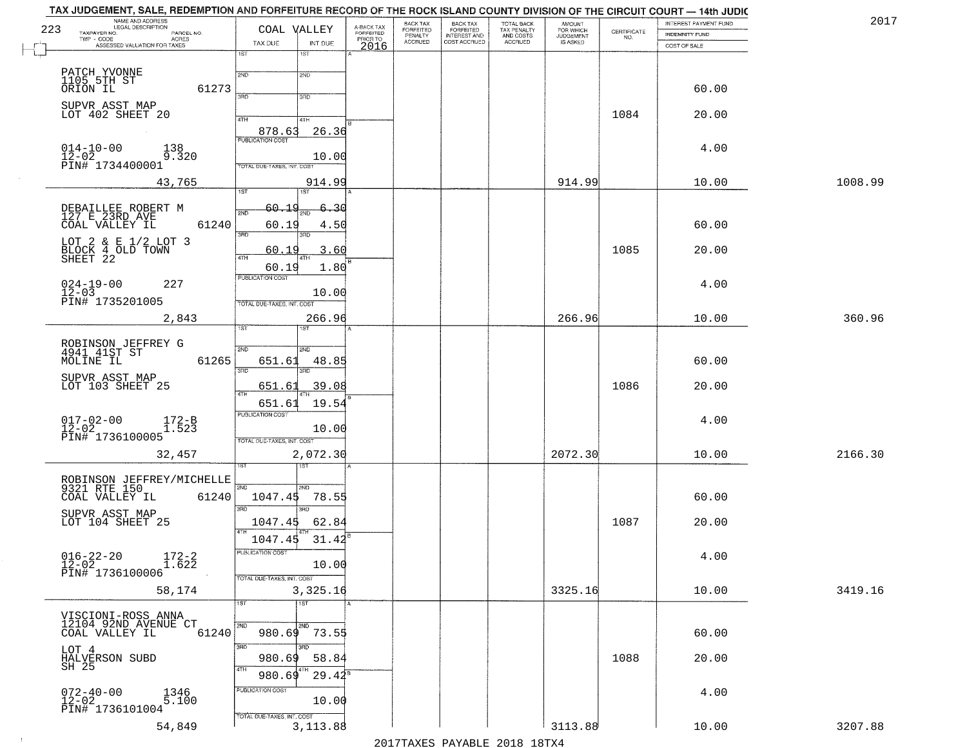| TAX JUDGEMENT, SALE, REDEMPTION AND FORFEITURE RECORD OF THE ROCK ISLAND COUNTY DIVISION OF THE CIRCUIT COURT — 14th JUDIC<br>NAME AND ADDRESS<br>LEGAL DESCRIPTION<br>223<br>TAXPAYER NO.<br>PARCEL NO.<br>TWP - CODE AGRES<br>ASSESSED VALUATION FOR TAXES | COAL VALLEY<br>TAX DUE<br>INT DUE                                                 | BACK TAX<br>A-BACK TAX<br>FORFEITED<br>FORFEITED<br>PENALTY<br>ACCRUED<br>PRIOR TO<br>2016 | BACK TAX<br>FORFEITED<br>INTEREST AND<br>COST ACCRUED | TOTAL BACK<br>TAX PENALTY<br>AND COSTS<br>ACCRUED | <b>AMOUNT</b><br>FOR WHICH<br>JUDGEMENT<br>IS ASKED | CERTIFICATE<br>NO. | INTEREST PAYMENT FUND<br><b>INDEMNITY FUND</b><br>COST OF SALE | 2017    |
|--------------------------------------------------------------------------------------------------------------------------------------------------------------------------------------------------------------------------------------------------------------|-----------------------------------------------------------------------------------|--------------------------------------------------------------------------------------------|-------------------------------------------------------|---------------------------------------------------|-----------------------------------------------------|--------------------|----------------------------------------------------------------|---------|
| PATCH YVONNE<br>1105 5TH ST                                                                                                                                                                                                                                  | 1ST<br>1ST<br>2ND<br>2ND                                                          |                                                                                            |                                                       |                                                   |                                                     |                    |                                                                |         |
| ORION IL<br>61273                                                                                                                                                                                                                                            | <b>SAD</b><br>3RD                                                                 |                                                                                            |                                                       |                                                   |                                                     |                    | 60.00                                                          |         |
| SUPVR ASST MAP<br>LOT 402 SHEET 20                                                                                                                                                                                                                           | 4TH<br>4TH<br>878.63<br>26.36                                                     |                                                                                            |                                                       |                                                   |                                                     | 1084               | 20.00                                                          |         |
| $014 - 10 - 00$<br>138<br>$1\overline{2}$ – $0\overline{2}$<br>9.320<br>PIN# 1734400001                                                                                                                                                                      | <b>PUBLICATION COST</b><br>10.00<br>TOTAL DUE-TAXES, INT. COST                    |                                                                                            |                                                       |                                                   |                                                     |                    | 4.00                                                           |         |
| 43,765                                                                                                                                                                                                                                                       | 914.99<br>1ST                                                                     |                                                                                            |                                                       |                                                   | 914.99                                              |                    | 10.00                                                          | 1008.99 |
| DEBAILLEE ROBERT M<br>127 E 23RD AVE<br>61240<br>COAL VALLEY IL                                                                                                                                                                                              | 1ST <sup></sup><br>60.19<br>-30<br>2ND<br>60.19<br>4.50                           |                                                                                            |                                                       |                                                   |                                                     |                    | 60.00                                                          |         |
| LOT 2 & E 1/2 LOT 3<br>BLOCK 4 OLD TOWN<br>SHEET 22                                                                                                                                                                                                          | 3RD<br>3RD<br>60.19<br>3.60<br>47H                                                |                                                                                            |                                                       |                                                   |                                                     | 1085               | 20.00                                                          |         |
| $024 - 19 - 00$<br>227<br>$12 - 03$<br>PIN# 1735201005                                                                                                                                                                                                       | 1.80<br>60.19<br>PUBLICATION COST<br>10.00                                        |                                                                                            |                                                       |                                                   |                                                     |                    | 4.00                                                           |         |
| 2,843                                                                                                                                                                                                                                                        | TOTAL DUE-TAXES, INT. COST<br>266.96<br>1ST                                       |                                                                                            |                                                       |                                                   | 266.96                                              |                    | 10.00                                                          | 360.96  |
| ROBINSON JEFFREY G<br>4941 41ST ST<br>61265<br>MOLINE IL                                                                                                                                                                                                     | 2ND<br>2ND<br>651.61<br>48.85<br>3RD                                              |                                                                                            |                                                       |                                                   |                                                     |                    | 60.00                                                          |         |
| SUPVR ASST MAP<br>LOT 103 SHEET 25                                                                                                                                                                                                                           | 3RD<br>39.08<br>651.61<br>4TH                                                     |                                                                                            |                                                       |                                                   |                                                     | 1086               | 20.00                                                          |         |
| $017 - 02 - 00$<br>12-02<br>172-B<br>1.523<br>PIN# 1736100005                                                                                                                                                                                                | 19.54<br>651.61<br><b>PUBLICATION COST</b><br>10.00<br>TOTAL OUE-TAXES, INT. COST |                                                                                            |                                                       |                                                   |                                                     |                    | 4.00                                                           |         |
| 32,457                                                                                                                                                                                                                                                       | 2,072.30                                                                          |                                                                                            |                                                       |                                                   | 2072.30                                             |                    | 10.00                                                          | 2166.30 |
| ROBINSON JEFFREY/MICHELLE<br>9321 RTE 150<br>COAL VALLEY IL<br>61240                                                                                                                                                                                         | 2ND<br>2ND<br>1047.45<br>78.55                                                    |                                                                                            |                                                       |                                                   |                                                     |                    | 60.00                                                          |         |
| SUPVR ASST MAP<br>LOT 104 SHEET 25                                                                                                                                                                                                                           | 3RD<br>3HD<br>1047.45<br>62.84<br>4TH                                             |                                                                                            |                                                       |                                                   |                                                     | 1087               | 20.00                                                          |         |
| $016 - 22 - 20$<br>$172-2$<br>$1.622$<br>$12-02$<br>PIN# 1736100006                                                                                                                                                                                          | 1047.45<br>31.42<br>PUBLICATION COST<br>10.00                                     |                                                                                            |                                                       |                                                   |                                                     |                    | 4.00                                                           |         |
| 58,174                                                                                                                                                                                                                                                       | TOTAL DUE-TAXES, INT. COST<br>3,325.16<br>1ST<br>1ST                              | A                                                                                          |                                                       |                                                   | 3325.16                                             |                    | 10.00                                                          | 3419.16 |
| VISCIONI-ROSS ANNA<br>12104 92ND AVENUE CT<br>61240<br>COAL VALLEY IL                                                                                                                                                                                        | 2ND<br>2ND<br>73.55<br>980.69                                                     |                                                                                            |                                                       |                                                   |                                                     |                    | 60.00                                                          |         |
| LOT 4<br>HALVERSON SUBD<br>SH 25                                                                                                                                                                                                                             | 3BD<br>3RD<br>980.69<br>58.84<br>4TH                                              |                                                                                            |                                                       |                                                   |                                                     | 1088               | 20.00                                                          |         |
| 072-40-00<br>12-02<br>1346<br>5.100<br>PIN# 1736101004                                                                                                                                                                                                       | $29.42^8$<br>980.69<br>PUBLICATION COST<br>10.00                                  |                                                                                            |                                                       |                                                   |                                                     |                    | 4.00                                                           |         |
| 54,849                                                                                                                                                                                                                                                       | TOTAL DUE-TAXES, INT. COST<br>3, 113.88                                           |                                                                                            |                                                       |                                                   | 3113.88                                             |                    | 10.00                                                          | 3207.88 |

 $\sim 10^{-1}$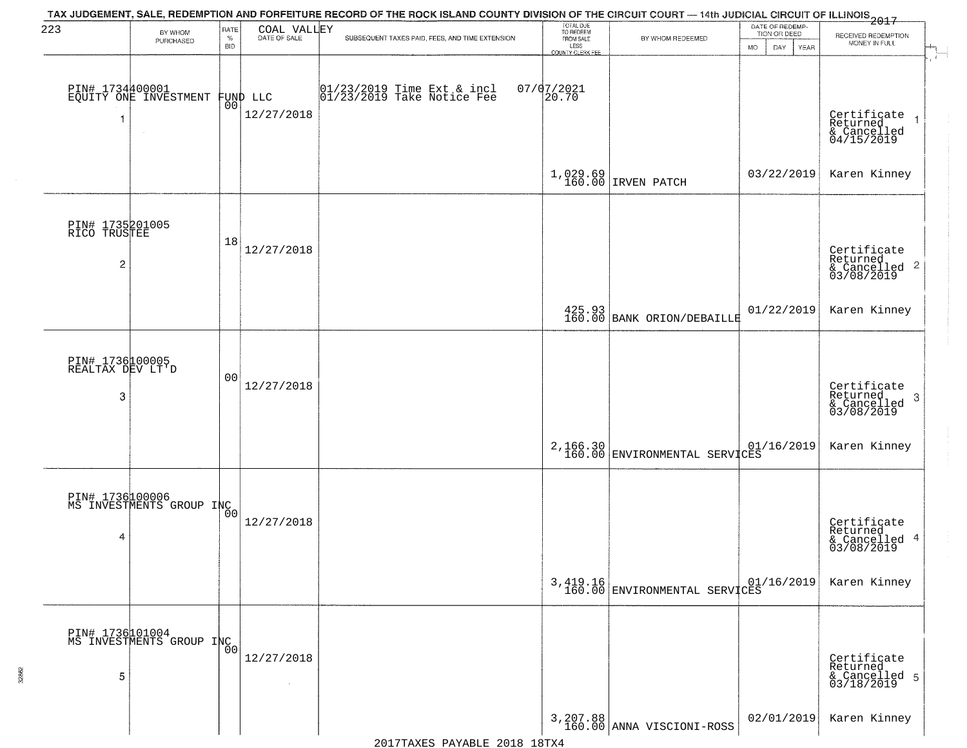| 223                                 | BY WHOM                                     | RATE               | COAL VALLEY     | TAX JUDGEMENT, SALE, REDEMPTION AND FORFEITURE RECORD OF THE ROCK ISLAND COUNTY DIVISION OF THE CIRCUIT COURT — 14th JUDICIAL CIRCUIT OF ILLINOIS 2017 | TOTAL DUE<br>TO REDEEM                |                                           | DATE OF REDEMP-<br>TION OR DEED |                                                        |  |
|-------------------------------------|---------------------------------------------|--------------------|-----------------|--------------------------------------------------------------------------------------------------------------------------------------------------------|---------------------------------------|-------------------------------------------|---------------------------------|--------------------------------------------------------|--|
|                                     | PURCHASED                                   | $\%$<br><b>BID</b> |                 | SUBSEQUENT TAXES PAID, FEES, AND TIME EXTENSION                                                                                                        | FROM SALE<br>LESS<br>COUNTY CLERK FEE | BY WHOM REDEEMED                          | <b>MO</b><br>DAY<br>YEAR        | RECEIVED REDEMPTION<br>MONEY IN FULL                   |  |
|                                     |                                             |                    |                 |                                                                                                                                                        |                                       |                                           |                                 |                                                        |  |
|                                     | PIN# 1734400001<br>EQUITY ONE INVESTMENT    |                    | FUND LLC<br> 00 | $[01/23/2019$ Time Ext & incl<br>$[01/23/2019$ Take Notice Fee                                                                                         | $07/07/2021$<br>20.70                 |                                           |                                 |                                                        |  |
|                                     |                                             |                    | 12/27/2018      |                                                                                                                                                        |                                       |                                           |                                 |                                                        |  |
|                                     |                                             |                    |                 |                                                                                                                                                        |                                       |                                           |                                 | Certificate<br>Returned<br>& Cancelled<br>04/15/2019   |  |
|                                     |                                             |                    |                 |                                                                                                                                                        | 1,029.69<br>160.00                    | IRVEN PATCH                               | 03/22/2019                      | Karen Kinney                                           |  |
|                                     |                                             |                    |                 |                                                                                                                                                        |                                       |                                           |                                 |                                                        |  |
| PIN# 1735201005<br>RICO TRUSTEE     |                                             |                    |                 |                                                                                                                                                        |                                       |                                           |                                 |                                                        |  |
|                                     |                                             | 18                 | 12/27/2018      |                                                                                                                                                        |                                       |                                           |                                 | Certificate<br>Returned                                |  |
| 2                                   |                                             |                    |                 |                                                                                                                                                        |                                       |                                           |                                 | $\frac{1}{2}$ Cancelled 2<br>03/08/2019                |  |
|                                     |                                             |                    |                 |                                                                                                                                                        |                                       |                                           | 01/22/2019                      | Karen Kinney                                           |  |
|                                     |                                             |                    |                 |                                                                                                                                                        |                                       | 425.93<br>160.00 BANK ORION/DEBAILLE      |                                 |                                                        |  |
| PIN# 1736100005<br>REALTAX DEV LT'D |                                             |                    |                 |                                                                                                                                                        |                                       |                                           |                                 |                                                        |  |
|                                     |                                             | 0 <sub>0</sub>     | 12/27/2018      |                                                                                                                                                        |                                       |                                           |                                 | Certificate<br>Returned                                |  |
| 3                                   |                                             |                    |                 |                                                                                                                                                        |                                       |                                           |                                 | 3<br>& Cancelled<br>03/08/2019                         |  |
|                                     |                                             |                    |                 |                                                                                                                                                        |                                       |                                           |                                 |                                                        |  |
|                                     |                                             |                    |                 |                                                                                                                                                        |                                       | 2,166.30<br>160.00 ENVIRONMENTAL SERVICES |                                 | Karen Kinney                                           |  |
|                                     |                                             |                    |                 |                                                                                                                                                        |                                       |                                           |                                 |                                                        |  |
|                                     | PIN# 1736100006<br>MS INVESTMENTS GROUP INC |                    | 12/27/2018      |                                                                                                                                                        |                                       |                                           |                                 |                                                        |  |
| 4                                   |                                             |                    |                 |                                                                                                                                                        |                                       |                                           |                                 | Certificate<br>Returned<br>& Cancelled 4<br>03/08/2019 |  |
|                                     |                                             |                    |                 |                                                                                                                                                        |                                       |                                           |                                 |                                                        |  |
|                                     |                                             |                    |                 |                                                                                                                                                        |                                       | 3,419.16<br>160.00 ENVIRONMENTAL SERVICES | 01/16/2019                      | Karen Kinney                                           |  |
|                                     |                                             |                    |                 |                                                                                                                                                        |                                       |                                           |                                 |                                                        |  |
|                                     | PIN# 1736101004<br>MS INVESTMENTS GROUP INC |                    | 12/27/2018      |                                                                                                                                                        |                                       |                                           |                                 |                                                        |  |
| 5                                   |                                             |                    | $\sim$          |                                                                                                                                                        |                                       |                                           |                                 | Certificate<br>Returned<br>& Cancelled 5<br>03/18/2019 |  |
|                                     |                                             |                    |                 |                                                                                                                                                        |                                       |                                           | 02/01/2019                      | Karen Kinney                                           |  |
|                                     |                                             |                    |                 |                                                                                                                                                        |                                       | 3, 207.88<br>160.00 ANNA VISCIONI-ROSS    |                                 |                                                        |  |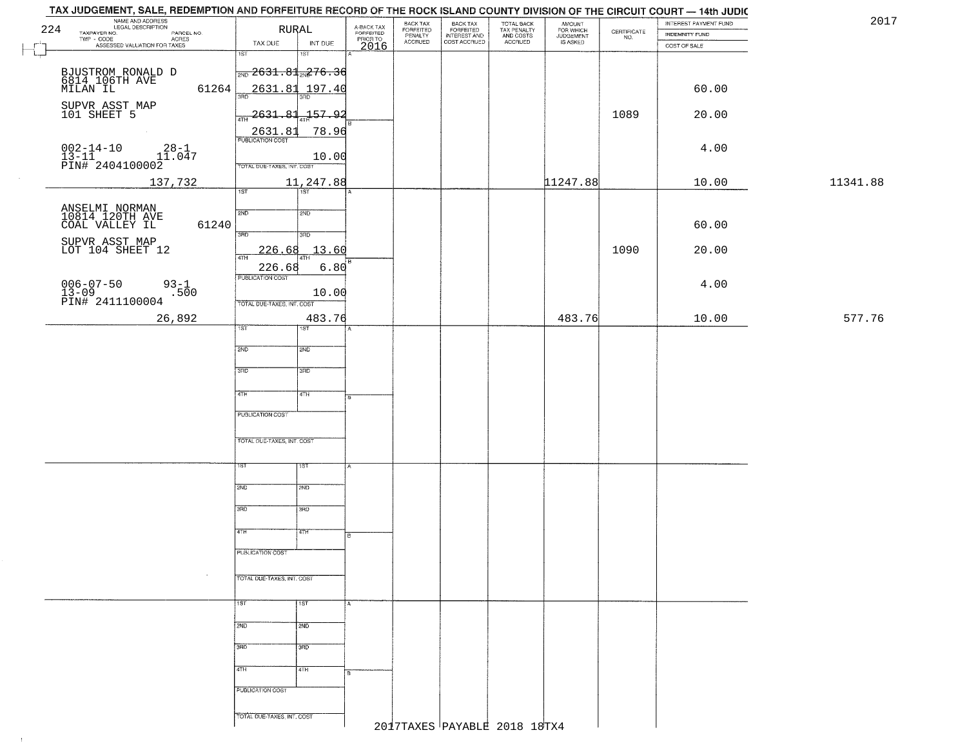| NAME AND ADDRESS<br>LEGAL DESCRIPTION<br>224                                                                               | <b>RURAL</b>                              |                                     | BACK TAX                               | BACK TAX<br>FORFEITED<br>INTEREST AND | TOTAL BACK<br>TAX PENALTY<br>AND COSTS | AMOUNT<br>FOR WHICH<br>JUDGEMENT |                                                                 | INTEREST PAYMENT FUND | 2017     |
|----------------------------------------------------------------------------------------------------------------------------|-------------------------------------------|-------------------------------------|----------------------------------------|---------------------------------------|----------------------------------------|----------------------------------|-----------------------------------------------------------------|-----------------------|----------|
| TAXPAYER NO.<br>LEGAL DESCRIPTION<br>- CODE ACRES<br>- CODE ACRES<br>ASSESSED VALUATION FOR TAXES                          |                                           | A-BACK TAX<br>FORFEITED<br>PRIOR TO | FORFEITED<br>PENALTY<br><b>ACCRUED</b> | COST ACCRUED                          | ACCRUED                                | IS ASKED                         | $\begin{array}{c} \text{CERTIFICATE} \\ \text{NO.} \end{array}$ | INDEMNITY FUND        |          |
|                                                                                                                            | TAX DUE<br>INT DUE<br>1ST<br>$1S$ T       | 2016                                |                                        |                                       |                                        |                                  |                                                                 | COST OF SALE          |          |
|                                                                                                                            |                                           |                                     |                                        |                                       |                                        |                                  |                                                                 |                       |          |
|                                                                                                                            | $\frac{1}{2ND}$ 2631.81 $_{2ND}$ 276.36   |                                     |                                        |                                       |                                        |                                  |                                                                 |                       |          |
| BJUSTROM RONALD D<br>6814 106TH AVE<br>MILAN IL<br>61264                                                                   | 2631.81 197.40                            |                                     |                                        |                                       |                                        |                                  |                                                                 | 60.00                 |          |
|                                                                                                                            | 350                                       |                                     |                                        |                                       |                                        |                                  |                                                                 |                       |          |
| SUPVR ASST MAP<br>101 SHEET 5                                                                                              | $2631.81 + 157.92$<br>4TH                 |                                     |                                        |                                       |                                        |                                  | 1089                                                            | 20.00                 |          |
|                                                                                                                            | 78.96                                     |                                     |                                        |                                       |                                        |                                  |                                                                 |                       |          |
|                                                                                                                            | 2631.81                                   |                                     |                                        |                                       |                                        |                                  |                                                                 |                       |          |
| $002 - 14 - 10$<br>13-11<br>$28 - 1$                                                                                       | 10.00                                     |                                     |                                        |                                       |                                        |                                  |                                                                 | 4.00                  |          |
| $\frac{13-11}{PINH}$ 2404100002<br>$\frac{11.047}{PINH}$                                                                   | TOTAL DUE-TAXES, INT. COST                |                                     |                                        |                                       |                                        |                                  |                                                                 |                       |          |
| 137,732                                                                                                                    | 11,247.88                                 |                                     |                                        |                                       |                                        | 11247.88                         |                                                                 | 10.00                 | 11341.88 |
|                                                                                                                            | 1ST<br>1ST                                |                                     |                                        |                                       |                                        |                                  |                                                                 |                       |          |
| ANSELMI NORMAN<br>10814 120TH AVE                                                                                          | 2ND<br>2ND                                |                                     |                                        |                                       |                                        |                                  |                                                                 |                       |          |
| 61240<br>COAL VALLEY IL                                                                                                    |                                           |                                     |                                        |                                       |                                        |                                  |                                                                 | 60.00                 |          |
|                                                                                                                            | 3HD<br>$\overline{3BD}$                   |                                     |                                        |                                       |                                        |                                  |                                                                 |                       |          |
| SUPVR ASST MAP<br>LOT 104 SHEET 12                                                                                         | 13.60<br>226.68                           |                                     |                                        |                                       |                                        |                                  | 1090                                                            | 20.00                 |          |
|                                                                                                                            | ৰাম                                       |                                     |                                        |                                       |                                        |                                  |                                                                 |                       |          |
|                                                                                                                            | 226.68<br>6.80<br><b>PUBLICATION COST</b> |                                     |                                        |                                       |                                        |                                  |                                                                 |                       |          |
| $93 - 1$<br>.500                                                                                                           | 10.00                                     |                                     |                                        |                                       |                                        |                                  |                                                                 | 4.00                  |          |
| $\begin{array}{ll} 006-07-50 & \textcolor{red}{\ddots} \\ 13-09 & \textcolor{red}{\texttt{PINH}} & 2411100004 \end{array}$ | TOTAL DUE-TAXES, INT. COST                |                                     |                                        |                                       |                                        |                                  |                                                                 |                       |          |
| 26,892                                                                                                                     | 483.76                                    |                                     |                                        |                                       |                                        | 483.76                           |                                                                 | 10.00                 | 577.76   |
|                                                                                                                            | 1ST<br>1ST                                |                                     |                                        |                                       |                                        |                                  |                                                                 |                       |          |
|                                                                                                                            |                                           |                                     |                                        |                                       |                                        |                                  |                                                                 |                       |          |
|                                                                                                                            | 2ND<br>2ND                                |                                     |                                        |                                       |                                        |                                  |                                                                 |                       |          |
|                                                                                                                            | 3RD<br>3RD                                |                                     |                                        |                                       |                                        |                                  |                                                                 |                       |          |
|                                                                                                                            |                                           |                                     |                                        |                                       |                                        |                                  |                                                                 |                       |          |
|                                                                                                                            | 4TH<br>4TH                                |                                     |                                        |                                       |                                        |                                  |                                                                 |                       |          |
|                                                                                                                            |                                           |                                     |                                        |                                       |                                        |                                  |                                                                 |                       |          |
|                                                                                                                            | PUBLICATION COST                          |                                     |                                        |                                       |                                        |                                  |                                                                 |                       |          |
|                                                                                                                            | TOTAL OUE-TAXES, INT. COST                |                                     |                                        |                                       |                                        |                                  |                                                                 |                       |          |
|                                                                                                                            |                                           |                                     |                                        |                                       |                                        |                                  |                                                                 |                       |          |
|                                                                                                                            | १९४<br>1ST                                | A                                   |                                        |                                       |                                        |                                  |                                                                 |                       |          |
|                                                                                                                            |                                           |                                     |                                        |                                       |                                        |                                  |                                                                 |                       |          |
|                                                                                                                            | 2ND<br>2ND                                |                                     |                                        |                                       |                                        |                                  |                                                                 |                       |          |
|                                                                                                                            |                                           |                                     |                                        |                                       |                                        |                                  |                                                                 |                       |          |
|                                                                                                                            | 3RD<br>3BD                                |                                     |                                        |                                       |                                        |                                  |                                                                 |                       |          |
|                                                                                                                            | 77H<br>4TH                                |                                     |                                        |                                       |                                        |                                  |                                                                 |                       |          |
|                                                                                                                            |                                           | lв                                  |                                        |                                       |                                        |                                  |                                                                 |                       |          |
|                                                                                                                            | PUBLICATION COST                          |                                     |                                        |                                       |                                        |                                  |                                                                 |                       |          |
|                                                                                                                            |                                           |                                     |                                        |                                       |                                        |                                  |                                                                 |                       |          |
| $\sim$                                                                                                                     | TOTAL DUE-TAXES, INT. COST                |                                     |                                        |                                       |                                        |                                  |                                                                 |                       |          |
|                                                                                                                            |                                           |                                     |                                        |                                       |                                        |                                  |                                                                 |                       |          |
|                                                                                                                            | 1ST<br>1ST                                | ¦A`                                 |                                        |                                       |                                        |                                  |                                                                 |                       |          |
|                                                                                                                            | 2ND<br>2ND                                |                                     |                                        |                                       |                                        |                                  |                                                                 |                       |          |
|                                                                                                                            |                                           |                                     |                                        |                                       |                                        |                                  |                                                                 |                       |          |
|                                                                                                                            | 3RD<br>3RD                                |                                     |                                        |                                       |                                        |                                  |                                                                 |                       |          |
|                                                                                                                            |                                           |                                     |                                        |                                       |                                        |                                  |                                                                 |                       |          |
|                                                                                                                            | 4TH<br>4TH                                | lв                                  |                                        |                                       |                                        |                                  |                                                                 |                       |          |
|                                                                                                                            | PUBLICATION COST                          |                                     |                                        |                                       |                                        |                                  |                                                                 |                       |          |
|                                                                                                                            |                                           |                                     |                                        |                                       |                                        |                                  |                                                                 |                       |          |
|                                                                                                                            | TOTAL DUE-TAXES, INT. COST                |                                     |                                        |                                       |                                        |                                  |                                                                 |                       |          |
|                                                                                                                            |                                           |                                     |                                        | 2017TAXES PAYABLE 2018 18TX4          |                                        |                                  |                                                                 |                       |          |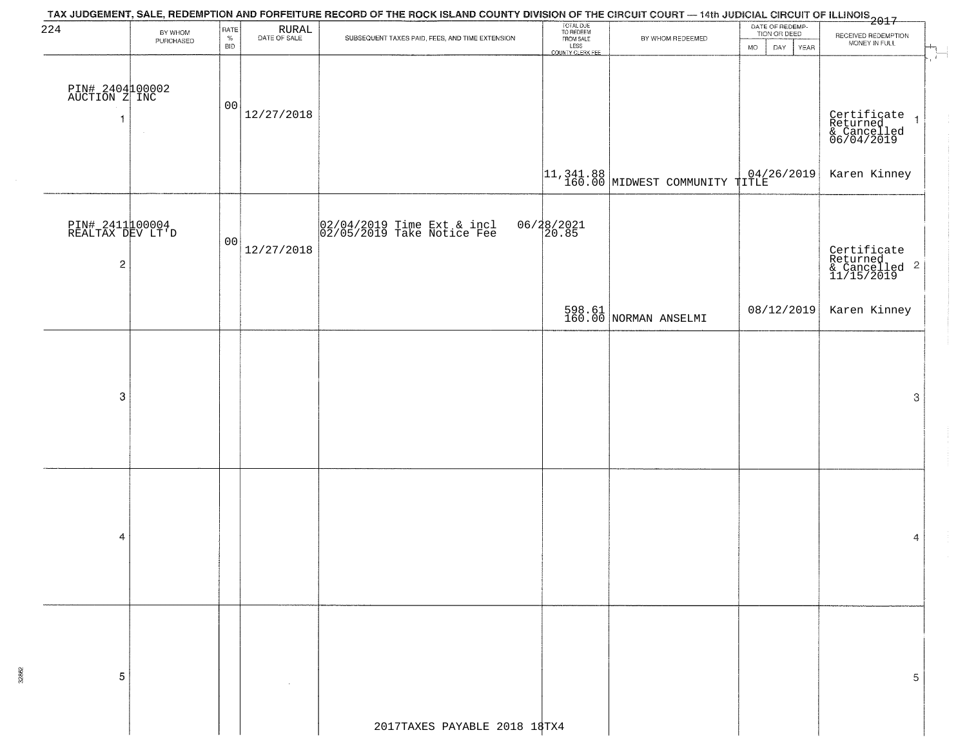| 224                                 | BY WHOM   | RATE               |                                                                    |                                                          | TOTAL DUE<br>TO REDEEM<br>FROM SALE |                                                                                                   | DATE OF REDEMP-<br>TION OR DEED |                                                                   |
|-------------------------------------|-----------|--------------------|--------------------------------------------------------------------|----------------------------------------------------------|-------------------------------------|---------------------------------------------------------------------------------------------------|---------------------------------|-------------------------------------------------------------------|
|                                     | PURCHASED | $\%$<br><b>BID</b> | $\begin{array}{c} \text{RURAL} \\ \text{DATE of sale} \end{array}$ | SUBSEQUENT TAXES PAID, FEES, AND TIME EXTENSION          | LESS<br>COUNTY CLERK FEE            | BY WHOM REDEEMED                                                                                  | <b>MO</b><br>DAY<br>YEAR        | RECEIVED REDEMPTION<br>MONEY IN FULL                              |
|                                     |           |                    |                                                                    |                                                          |                                     |                                                                                                   |                                 |                                                                   |
| PIN# 2404100002<br>AUCTION Z INC    |           |                    |                                                                    |                                                          |                                     |                                                                                                   |                                 |                                                                   |
| 1                                   |           | 00                 | 12/27/2018                                                         |                                                          |                                     |                                                                                                   |                                 |                                                                   |
|                                     | $\sim$    |                    |                                                                    |                                                          |                                     |                                                                                                   |                                 | Certificate 1<br>Returned 1<br>& Cancelled<br>06/04/2019          |
|                                     |           |                    |                                                                    |                                                          |                                     |                                                                                                   |                                 |                                                                   |
|                                     |           |                    |                                                                    |                                                          |                                     | $\left  \begin{matrix} 11, & 341. & 88 \\ 160. & 00 \end{matrix} \right $ MIDWEST COMMUNITY TITLE |                                 | Karen Kinney                                                      |
|                                     |           |                    |                                                                    |                                                          |                                     |                                                                                                   |                                 |                                                                   |
| PIN# 2411100004<br>REALTAX DEV LT'D |           |                    |                                                                    | 02/04/2019 Time Ext & incl<br>02/05/2019 Take Notice Fee | 06/28/2021<br>20.85                 |                                                                                                   |                                 |                                                                   |
|                                     |           | 00                 | 12/27/2018                                                         |                                                          |                                     |                                                                                                   |                                 |                                                                   |
| 2                                   |           |                    |                                                                    |                                                          |                                     |                                                                                                   |                                 | Certificate<br>Returned<br>& Cancelled <sup>2</sup><br>11/15/2019 |
|                                     |           |                    |                                                                    |                                                          |                                     |                                                                                                   |                                 |                                                                   |
|                                     |           |                    |                                                                    |                                                          |                                     | 598.61<br>160.00 NORMAN ANSELMI                                                                   | 08/12/2019                      | Karen Kinney                                                      |
|                                     |           |                    |                                                                    |                                                          |                                     |                                                                                                   |                                 |                                                                   |
|                                     |           |                    |                                                                    |                                                          |                                     |                                                                                                   |                                 |                                                                   |
| 3                                   |           |                    |                                                                    |                                                          |                                     |                                                                                                   |                                 | 3                                                                 |
|                                     |           |                    |                                                                    |                                                          |                                     |                                                                                                   |                                 |                                                                   |
|                                     |           |                    |                                                                    |                                                          |                                     |                                                                                                   |                                 |                                                                   |
|                                     |           |                    |                                                                    |                                                          |                                     |                                                                                                   |                                 |                                                                   |
|                                     |           |                    |                                                                    |                                                          |                                     |                                                                                                   |                                 |                                                                   |
|                                     |           |                    |                                                                    |                                                          |                                     |                                                                                                   |                                 |                                                                   |
| 4                                   |           |                    |                                                                    |                                                          |                                     |                                                                                                   |                                 | 4                                                                 |
|                                     |           |                    |                                                                    |                                                          |                                     |                                                                                                   |                                 |                                                                   |
|                                     |           |                    |                                                                    |                                                          |                                     |                                                                                                   |                                 |                                                                   |
|                                     |           |                    |                                                                    |                                                          |                                     |                                                                                                   |                                 |                                                                   |
|                                     |           |                    |                                                                    |                                                          |                                     |                                                                                                   |                                 |                                                                   |
|                                     |           |                    |                                                                    |                                                          |                                     |                                                                                                   |                                 |                                                                   |
| 5                                   |           |                    |                                                                    |                                                          |                                     |                                                                                                   |                                 | 5                                                                 |
|                                     |           |                    |                                                                    |                                                          |                                     |                                                                                                   |                                 |                                                                   |
|                                     |           |                    |                                                                    |                                                          |                                     |                                                                                                   |                                 |                                                                   |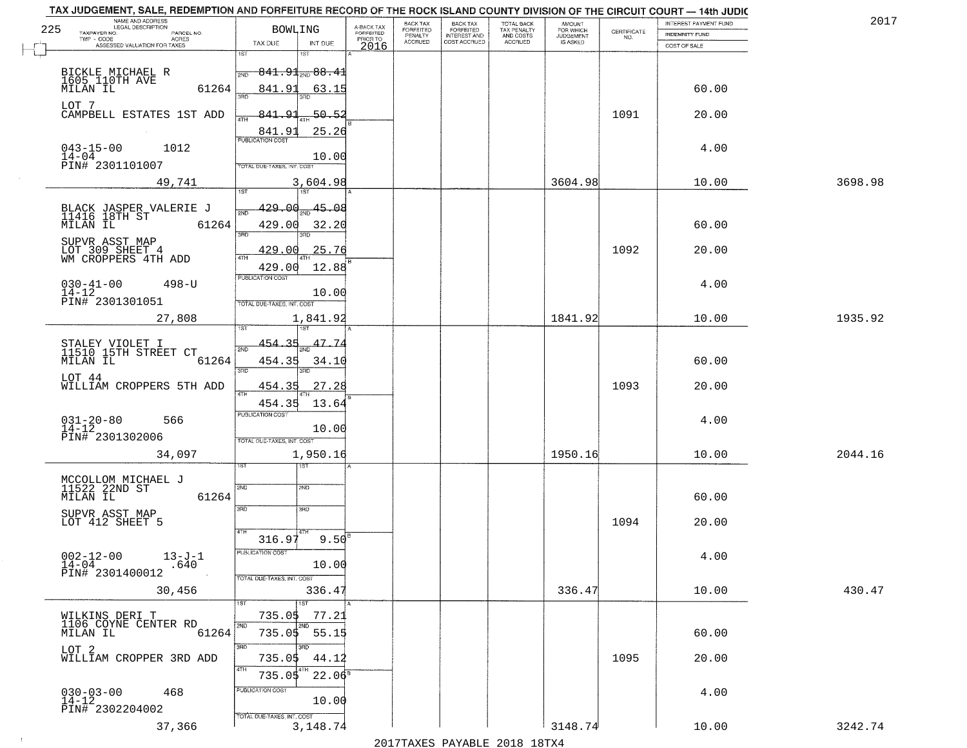|     | TAX JUDGEMENT, SALE, REDEMPTION AND FORFEITURE RECORD OF THE ROCK ISLAND COUNTY DIVISION OF THE CIRCUIT COURT - 14th JUDIC<br>NAME AND ADDRESS |                                            |                         |                              |                                       |                                        |                              |                                                                 |                       | 2017    |
|-----|------------------------------------------------------------------------------------------------------------------------------------------------|--------------------------------------------|-------------------------|------------------------------|---------------------------------------|----------------------------------------|------------------------------|-----------------------------------------------------------------|-----------------------|---------|
| 225 | <b>LEGAL DESCRIPTION</b><br>TAXPAYER NO.<br>PARCEL NO.                                                                                         | <b>BOWLING</b>                             | A-BACK TAX<br>FORFEITED | BACK TAX<br><b>FORFEITED</b> | BACK TAX<br>FORFEITED<br>INTEREST AND | TOTAL BACK<br>TAX PENALTY<br>AND COSTS | AMOUNT<br>FOR WHICH          |                                                                 | INTEREST PAYMENT FUND |         |
|     | TWP - CODE<br>ACRES                                                                                                                            | TAX DUE<br>INT DUE                         | PRIOR TO                | PENALTY<br><b>ACCRUED</b>    | COST ACCRUED                          | ACCRUED                                | <b>JUDGEMENT</b><br>IS ASKED | $\begin{array}{c} \text{CERTIFICATE} \\ \text{NO.} \end{array}$ | <b>INDEMNITY FUND</b> |         |
|     | ASSESSED VALUATION FOR TAXES                                                                                                                   | 1ST<br>۱ST                                 | 2016                    |                              |                                       |                                        |                              |                                                                 | COST OF SALE          |         |
|     |                                                                                                                                                |                                            |                         |                              |                                       |                                        |                              |                                                                 |                       |         |
|     | BICKLE MICHAEL R<br>1605 110TH AVE<br>MILAN IL                                                                                                 | $841.91$ <sub>ave</sub> $88.41$<br>2ND     |                         |                              |                                       |                                        |                              |                                                                 |                       |         |
|     | 61264                                                                                                                                          | 841.91<br>63.15                            |                         |                              |                                       |                                        |                              |                                                                 | 60.00                 |         |
|     | LOT 7                                                                                                                                          |                                            |                         |                              |                                       |                                        |                              |                                                                 |                       |         |
|     | CAMPBELL ESTATES 1ST ADD                                                                                                                       | $-50.52$<br>841.91                         |                         |                              |                                       |                                        |                              | 1091                                                            | 20.00                 |         |
|     |                                                                                                                                                | 25.26<br>841.91                            |                         |                              |                                       |                                        |                              |                                                                 |                       |         |
|     | $043 - 15 - 00$<br>1012                                                                                                                        |                                            |                         |                              |                                       |                                        |                              |                                                                 | 4.00                  |         |
|     | $14 - 04$<br>PIN# 2301101007                                                                                                                   | 10.00<br>TOTAL DUE-TAXES, INT. COST        |                         |                              |                                       |                                        |                              |                                                                 |                       |         |
|     |                                                                                                                                                |                                            |                         |                              |                                       |                                        |                              |                                                                 |                       |         |
|     | 49,741                                                                                                                                         | 3,604.98                                   |                         |                              |                                       |                                        | 3604.98                      |                                                                 | 10.00                 | 3698.98 |
|     |                                                                                                                                                |                                            |                         |                              |                                       |                                        |                              |                                                                 |                       |         |
|     | BLACK JASPER VALERIE J<br>11416 18TH ST                                                                                                        | 45.08<br><u>429.00</u>                     |                         |                              |                                       |                                        |                              |                                                                 |                       |         |
|     | MILAN IL<br>61264                                                                                                                              | 429.00<br>32.20<br><b>3RD</b>              |                         |                              |                                       |                                        |                              |                                                                 | 60.00                 |         |
|     | SUPVR ASST MAP                                                                                                                                 |                                            |                         |                              |                                       |                                        |                              |                                                                 |                       |         |
|     | LOT 309 SHEET 4<br>WM CROPPERS 4TH ADD                                                                                                         | 429.00<br>25.76                            |                         |                              |                                       |                                        |                              | 1092                                                            | 20.00                 |         |
|     |                                                                                                                                                | 12.88<br>429.00                            |                         |                              |                                       |                                        |                              |                                                                 |                       |         |
|     | $030 - 41 - 00$<br>$498 - U$                                                                                                                   | PUBLICATION COST                           |                         |                              |                                       |                                        |                              |                                                                 | 4.00                  |         |
|     | $14 - 12$<br>PIN# 2301301051                                                                                                                   | 10.00<br>TOTAL DUE-TAXES, INT. COST        |                         |                              |                                       |                                        |                              |                                                                 |                       |         |
|     |                                                                                                                                                |                                            |                         |                              |                                       |                                        |                              |                                                                 |                       |         |
|     | 27,808                                                                                                                                         | 1,841.92<br>1ST                            |                         |                              |                                       |                                        | 1841.92                      |                                                                 | 10.00                 | 1935.92 |
|     |                                                                                                                                                | $-35$<br>47.74<br>454.                     |                         |                              |                                       |                                        |                              |                                                                 |                       |         |
|     | STALEY VIOLET I<br>11510 15TH STREET CT                                                                                                        | 2ND                                        |                         |                              |                                       |                                        |                              |                                                                 |                       |         |
|     | MILAN IL<br>61264                                                                                                                              | 454.35<br>34.10<br>3RD<br>3RD              |                         |                              |                                       |                                        |                              |                                                                 | 60.00                 |         |
|     | LOT 44<br>WILLIAM CROPPERS 5TH ADD                                                                                                             | 27.28<br>454.35                            |                         |                              |                                       |                                        |                              | 1093                                                            | 20.00                 |         |
|     |                                                                                                                                                | 4TH                                        |                         |                              |                                       |                                        |                              |                                                                 |                       |         |
|     |                                                                                                                                                | 454.35<br>13.64<br><b>PUBLICATION COST</b> |                         |                              |                                       |                                        |                              |                                                                 |                       |         |
|     | $031 - 20 - 80$<br>14-12<br>566                                                                                                                | 10.00                                      |                         |                              |                                       |                                        |                              |                                                                 | 4.00                  |         |
|     | PIN# 2301302006                                                                                                                                | TOTAL OUE-TAXES, INT. COST                 |                         |                              |                                       |                                        |                              |                                                                 |                       |         |
|     | 34,097                                                                                                                                         | 1,950.16                                   |                         |                              |                                       |                                        | 1950.16                      |                                                                 | 10.00                 | 2044.16 |
|     |                                                                                                                                                | १९४                                        |                         |                              |                                       |                                        |                              |                                                                 |                       |         |
|     | MCCOLLOM MICHAEL J<br>11522 22ND ST                                                                                                            | 2ND                                        |                         |                              |                                       |                                        |                              |                                                                 |                       |         |
|     | MILAN IL<br>61264                                                                                                                              | SND                                        |                         |                              |                                       |                                        |                              |                                                                 | 60.00                 |         |
|     | SUPVR ASST MAP                                                                                                                                 | 3RD<br>3HD                                 |                         |                              |                                       |                                        |                              |                                                                 |                       |         |
|     | LOT 412 SHEET 5                                                                                                                                |                                            |                         |                              |                                       |                                        |                              | 1094                                                            | 20.00                 |         |
|     |                                                                                                                                                | 4TH<br>9.50 <sup>E</sup><br>316.97         |                         |                              |                                       |                                        |                              |                                                                 |                       |         |
|     | $13 - J - 1$                                                                                                                                   | PUBLICA HUN COS                            |                         |                              |                                       |                                        |                              |                                                                 | 4.00                  |         |
|     | $002 - 12 - 00$<br>14-04<br>.640                                                                                                               | 10.00                                      |                         |                              |                                       |                                        |                              |                                                                 |                       |         |
|     | PIN# 2301400012                                                                                                                                | TOTAL DUE-TAXES, INT. COST                 |                         |                              |                                       |                                        |                              |                                                                 |                       |         |
|     | 30,456                                                                                                                                         | 336.47                                     |                         |                              |                                       |                                        | 336.47                       |                                                                 | 10.00                 | 430.47  |
|     |                                                                                                                                                | 1ST                                        |                         |                              |                                       |                                        |                              |                                                                 |                       |         |
|     | WILKINS DERI T<br>1106 COYNE CENTER RD                                                                                                         | 735.05<br>77.21                            |                         |                              |                                       |                                        |                              |                                                                 |                       |         |
|     | MILAN IL<br>61264                                                                                                                              | $735.05 - 55.15$                           |                         |                              |                                       |                                        |                              |                                                                 | 60.00                 |         |
|     | LOT <sub>2</sub>                                                                                                                               | 3RD                                        |                         |                              |                                       |                                        |                              |                                                                 |                       |         |
|     | WILLIAM CROPPER 3RD ADD                                                                                                                        | 735.05<br>44.12<br>4TH                     |                         |                              |                                       |                                        |                              | 1095                                                            | 20.00                 |         |
|     |                                                                                                                                                | $22.06^5$<br>735.05                        |                         |                              |                                       |                                        |                              |                                                                 |                       |         |
|     | $030 - 03 - 00$<br>14-12<br>468                                                                                                                | PUBLICATION COST                           |                         |                              |                                       |                                        |                              |                                                                 | 4.00                  |         |
|     | PIN# 2302204002                                                                                                                                | 10.00                                      |                         |                              |                                       |                                        |                              |                                                                 |                       |         |
|     | 37,366                                                                                                                                         | TOTAL DUE-TAXES, INT. COST<br>3, 148. 74   |                         |                              |                                       |                                        | 3148.74                      |                                                                 | 10.00                 | 3242.74 |
|     |                                                                                                                                                |                                            |                         |                              |                                       | 2017 THAYRO DAVADIR 2018 19TYA         |                              |                                                                 |                       |         |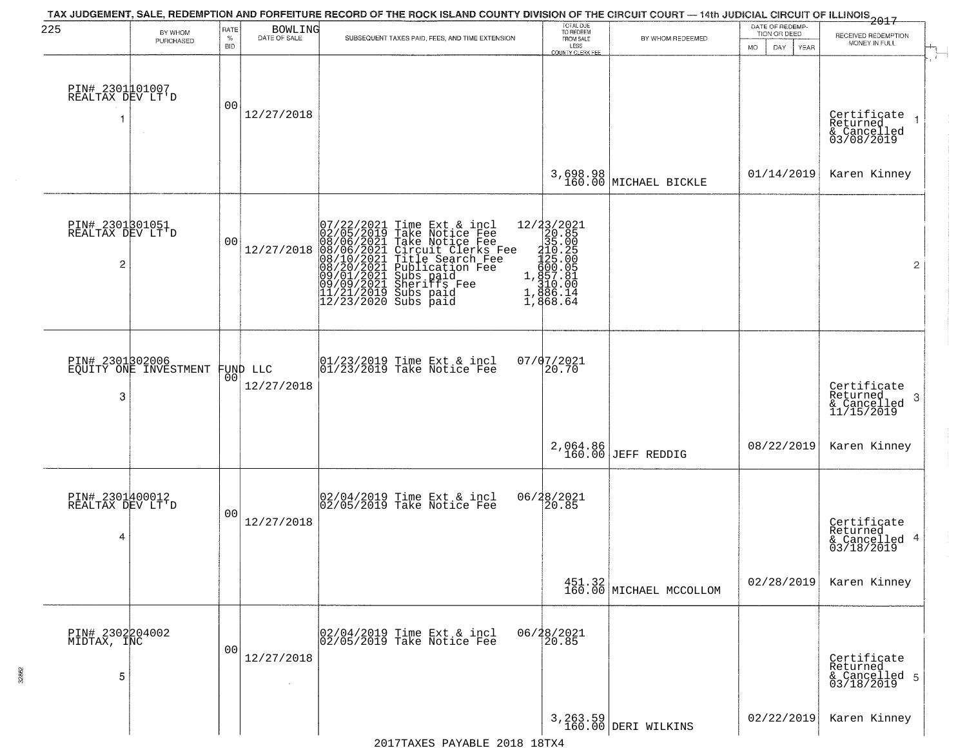| 225                                      | BY WHOM<br>PURCHASED  | RATE<br>$\%$<br><b>BID</b> | BOWLING<br>DATE OF SALE | TAX JUDGEMENT, SALE, REDEMPTION AND FORFEITURE RECORD OF THE ROCK ISLAND COUNTY DIVISION OF THE CIRCUIT COURT — 14th JUDICIAL CIRCUIT OF ILLINOIS 2017<br>SUBSEQUENT TAXES PAID, FEES, AND TIME EXTENSION                                             | TOTAL DUE<br>TO REDEEM<br>FROM SALE<br>LESS<br>COUNTY CLERK FEE                                                                                                                         | BY WHOM REDEEMED                  | DATE OF REDEMP-<br>TION OR DEED<br>DAY<br>YEAR<br>MO. | RECEIVED REDEMPTION<br>MONEY IN FULL                       |
|------------------------------------------|-----------------------|----------------------------|-------------------------|-------------------------------------------------------------------------------------------------------------------------------------------------------------------------------------------------------------------------------------------------------|-----------------------------------------------------------------------------------------------------------------------------------------------------------------------------------------|-----------------------------------|-------------------------------------------------------|------------------------------------------------------------|
| PIN# 2301101007<br>REALTAX DEV LT'D      |                       | 00                         | 12/27/2018              |                                                                                                                                                                                                                                                       |                                                                                                                                                                                         |                                   |                                                       | Certificate<br>Returned<br>& Cancelled<br>03/08/2019       |
|                                          |                       |                            |                         |                                                                                                                                                                                                                                                       | 3,698.98<br>160.00                                                                                                                                                                      | MICHAEL BICKLE                    | 01/14/2019                                            | Karen Kinney                                               |
| PIN# 2301301051<br>REALTAX DEV LT'D<br>2 |                       | 00                         | 12/27/2018              | 07/22/2021 Time Ext & incl<br>02/05/2019 Take Notice Fee<br>08/06/2021 Take Notice Fee<br>08/06/2021 Circuit Clerks Fee<br>08/10/2021 Title Search Fee<br>08/20/2021 Sheriffs Fee<br>09/01/2021 Sheriffs Fee<br>11/21/2019 Subs paid<br>12/23/2020 Su | $\begin{array}{r} 12/33/2021 \\ 20.85 \\ 310.85 \\ 1410.25 \\ 4125.00 \\ 430.05 \\ 1,491.85 \\ 1,491.85 \end{array}$<br>$\begin{array}{r} 1,810.00 \\ 1,886.14 \\ 1,868.64 \end{array}$ |                                   |                                                       | $\overline{2}$                                             |
| PIN# 2301302006<br>3                     | EQUITY ONE INVESTMENT | 00                         | FUND LLC<br>12/27/2018  | 01/23/2019 Time Ext & incl<br>01/23/2019 Take Notice Fee                                                                                                                                                                                              | 07/07/2021<br>20.70                                                                                                                                                                     |                                   |                                                       | Certificate<br>Returned<br>-3<br>& Cancelled<br>11/15/2019 |
|                                          |                       |                            |                         |                                                                                                                                                                                                                                                       | 2,064.86<br>160.00                                                                                                                                                                      | <b>JEFF REDDIG</b>                | 08/22/2019                                            | Karen Kinney                                               |
| PIN# 2301400012<br>REALTAX DEV LT'D<br>4 |                       | 00                         | 12/27/2018              | 02/04/2019 Time Ext & incl<br>02/05/2019 Take Notice Fee                                                                                                                                                                                              | 06/28/2021<br>20.85                                                                                                                                                                     |                                   |                                                       | Certificate<br>Returned<br>& Cancelled 4<br>03/18/2019     |
|                                          |                       |                            |                         |                                                                                                                                                                                                                                                       |                                                                                                                                                                                         | 451.32<br>160.00 MICHAEL MCCOLLOM | 02/28/2019                                            | Karen Kinney                                               |
| PIN# 2302204002<br>MIDTAX, INC<br>5      |                       | 0 <sub>0</sub>             | 12/27/2018              | 02/04/2019 Time Ext & incl<br>02/05/2019 Take Notice Fee                                                                                                                                                                                              | 06/28/2021<br>20.85                                                                                                                                                                     |                                   |                                                       | Certificate<br>Returned<br>& Cancelled 5<br>03/18/2019     |
|                                          |                       |                            |                         |                                                                                                                                                                                                                                                       |                                                                                                                                                                                         | 3, 263.59<br>160.00 DERI WILKINS  | 02/22/2019                                            | Karen Kinney                                               |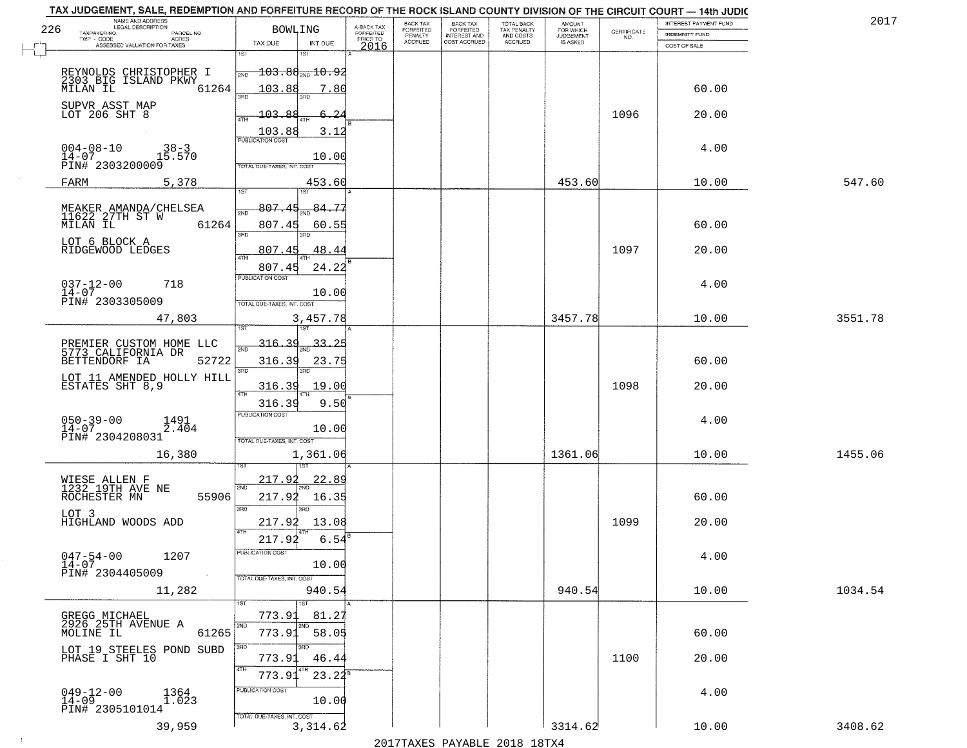| 226 | NAME AND ADDRESS<br>LEGAL DESCRIPTION<br>TAXPAYER NO.<br>PARCEL NO.<br>$TWP - CODE$                   | <b>BOWLING</b>                                                  |                         | A-BACK TAX<br>FORFEITED<br>PRIOR TO | BACK TAX<br>FORFEITED<br>PENALTY | BACK TAX<br>FORFEITED<br>INTEREST AND | TOTAL BACK<br>TAX PENALTY<br>AND COSTS | AMOUNT<br>FOR WHICH<br>JUDGEMENT | $\begin{array}{c} \text{CERTIFICATE} \\ \text{NO.} \end{array}$ | INTEREST PAYMENT FUND<br><b>INDEMNITY FUND</b> | 2017    |
|-----|-------------------------------------------------------------------------------------------------------|-----------------------------------------------------------------|-------------------------|-------------------------------------|----------------------------------|---------------------------------------|----------------------------------------|----------------------------------|-----------------------------------------------------------------|------------------------------------------------|---------|
|     | ACRES<br>ASSESSED VALUATION FOR TAXES                                                                 | TAX DUE<br>1ST<br>1ST                                           | INT DUE                 | 2016                                | <b>ACCRUED</b>                   | COST ACCRUED                          | <b>ACCRUED</b>                         | IS ASKED                         |                                                                 | COST OF SALE                                   |         |
|     | REYNOLDS CHRISTOPHER I<br>2303 BIG ISLAND PKWY<br>MILAN IL<br>61264                                   | $-103.88_{\text{\tiny 2ND}}$ $10.95$<br>103.88                  | 7.80                    |                                     |                                  |                                       |                                        |                                  |                                                                 | 60.00                                          |         |
|     | SUPVR ASST MAP<br>LOT 206 SHT 8                                                                       | 350<br>3BD<br>103.88<br>4TH                                     | 6.2<br>3.12             |                                     |                                  |                                       |                                        |                                  | 1096                                                            | 20.00                                          |         |
|     | $004 - 08 - 10$<br>$38-3$<br>15.570<br>$14 - 07$<br>PIN# 2303200009                                   | 103.88<br>TOTAL DUE-TAXES, INT. COST                            | 10.00                   |                                     |                                  |                                       |                                        |                                  |                                                                 | 4.00                                           |         |
|     | FARM<br>5,378                                                                                         |                                                                 | 453.60                  |                                     |                                  |                                       |                                        | 453.60                           |                                                                 | 10.00                                          | 547.60  |
|     | MEAKER AMANDA/CHELSEA<br>11622 27TH ST W<br>MILAN IL 63<br>61264<br>LOT 6 BLOCK A<br>RIDGEWOOD LEDGES | 1ST<br>1ST<br>807.45<br>807.45<br>3RD<br>חוז<br>807.45          | 84.77<br>60.55<br>48.44 |                                     |                                  |                                       |                                        |                                  | 1097                                                            | 60.00<br>20.00                                 |         |
|     | $037 - 12 - 00$<br>718<br>$14 - 07$<br>PIN# 2303305009                                                | 807.45<br>PUBLICATION COST<br>TOTAL DUE-TAXES, INT. COST        | 24.22<br>10.00          |                                     |                                  |                                       |                                        |                                  |                                                                 | 4.00                                           |         |
|     | 47,803                                                                                                | 1ST                                                             | 3,457.78                |                                     |                                  |                                       |                                        | 3457.78                          |                                                                 | 10.00                                          | 3551.78 |
|     | PREMIER CUSTOM HOME LLC<br>5773 CALIFORNIA DR<br>BETTENDORF IA<br>52722                               | <u>316.39</u><br>2ND<br>316.39<br>3RD<br>3RD                    | <u>33.25</u><br>23.75   |                                     |                                  |                                       |                                        |                                  |                                                                 | 60.00                                          |         |
|     | LOT 11 AMENDED HOLLY HILL<br>ESTATES SHT 8,9                                                          | 316.39<br>4TH                                                   | 19.00                   |                                     |                                  |                                       |                                        |                                  | 1098                                                            | 20.00                                          |         |
|     | $050 - 39 - 00$<br>$14 - 07$<br>1491<br>2.404<br>PIN# 2304208031                                      | 316.39<br><b>PUBLICATION COST</b><br>TOTAL OUE-TAXES, INT. COST | 9.50<br>10.00           |                                     |                                  |                                       |                                        |                                  |                                                                 | 4.00                                           |         |
|     | 16,380                                                                                                |                                                                 | 1,361.06                |                                     |                                  |                                       |                                        | 1361.06                          |                                                                 | 10.00                                          | 1455.06 |
|     | WIESE ALLEN F<br>1232 19TH AVE NE<br>ROCHESTER MN<br>55906<br>LOT 3                                   | 217.92<br>2ND<br>217.92<br>3BD<br>3BD                           | <u>22.8</u><br>16.35    |                                     |                                  |                                       |                                        |                                  |                                                                 | 60.00                                          |         |
|     | HIGHLAND WOODS ADD                                                                                    | 217.92<br>4TH                                                   | 13.08                   |                                     |                                  |                                       |                                        |                                  | 1099                                                            | 20.00                                          |         |
|     | $047 - 54 - 00$<br>1207<br>$14 - 07$<br>PIN# 2304405009                                               | 217.92<br>PUBLICATION COST<br>TOTAL DUE-TAXES, INT. COST        | 6.54<br>10.00           |                                     |                                  |                                       |                                        |                                  |                                                                 | 4.00                                           |         |
|     | 11,282                                                                                                |                                                                 | 940.54                  |                                     |                                  |                                       |                                        | 940.54                           |                                                                 | 10.00                                          | 1034.54 |
|     | GREGG MICHAEL<br>2926 25TH AVENUE A<br>61265<br>MOLINE IL                                             | 1ST<br>1ST<br>773.91<br>2ND<br>2ND<br>773.91                    | 81.27<br>58.05          |                                     |                                  |                                       |                                        |                                  |                                                                 | 60.00                                          |         |
|     | LOT 19 STEELES POND SUBD<br>PHASE I SHT 10                                                            | 3RD<br>773.91                                                   | 46.44                   |                                     |                                  |                                       |                                        |                                  | 1100                                                            | 20.00                                          |         |
|     | $049 - 12 - 00$<br>$14 - 09$<br>1364<br>1.023                                                         | 4TH<br>773.91<br>PUBLICATION COST                               | $23.24^5$               |                                     |                                  |                                       |                                        |                                  |                                                                 | 4.00                                           |         |
|     | PIN# 2305101014                                                                                       | TOTAL DUE-TAXES, INT. COST                                      | 10.00                   |                                     |                                  |                                       |                                        |                                  |                                                                 |                                                |         |
|     | 39,959                                                                                                |                                                                 | 3,314.62                |                                     |                                  |                                       |                                        | 3314.62                          |                                                                 | 10.00                                          | 3408.62 |

 $\sim 10$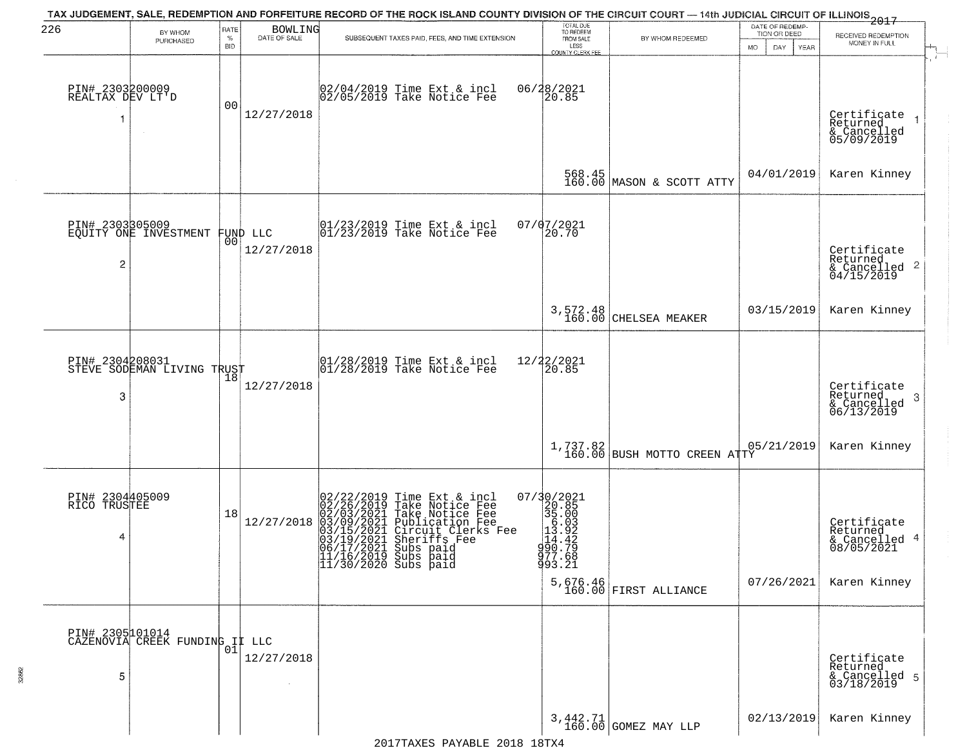| 226                                  | BY WHOM                                           | RATE               | <b>BOWLING</b> | TAX JUDGEMENT, SALE, REDEMPTION AND FORFEITURE RECORD OF THE ROCK ISLAND COUNTY DIVISION OF THE CIRCUIT COURT — 14th JUDICIAL CIRCUIT OF ILLINOIS 2017                                                                                                                               | TOTAL DUE<br>TO REDEEM                                                                                                                                                                                   |                                     | DATE OF REDEMP-<br>TION OR DEED | RECEIVED REDEMPTION                                                    |
|--------------------------------------|---------------------------------------------------|--------------------|----------------|--------------------------------------------------------------------------------------------------------------------------------------------------------------------------------------------------------------------------------------------------------------------------------------|----------------------------------------------------------------------------------------------------------------------------------------------------------------------------------------------------------|-------------------------------------|---------------------------------|------------------------------------------------------------------------|
|                                      | PURCHASED                                         | $\%$<br><b>BID</b> | DATE OF SALE   | SUBSEQUENT TAXES PAID, FEES, AND TIME EXTENSION                                                                                                                                                                                                                                      | FROM SALE<br>LESS<br><b>COUNTY CLERK FEE</b>                                                                                                                                                             | BY WHOM REDEEMED                    | MO.<br>DAY.<br>YEAR             | MONEY IN FULL                                                          |
| PIN# 2303200009<br>REALTAX DEV LT'D  |                                                   | 00                 | 12/27/2018     | 02/04/2019 Time Ext & incl<br>02/05/2019 Take Notice Fee                                                                                                                                                                                                                             | 06/28/2021<br>20.85                                                                                                                                                                                      |                                     |                                 | Certificate<br>Returned<br>& Cancelled<br>05/09/2019                   |
|                                      |                                                   |                    |                |                                                                                                                                                                                                                                                                                      |                                                                                                                                                                                                          | $568.45$ MASON & SCOTT ATTY         | 04/01/2019                      | Karen Kinney                                                           |
| PIN# 2303305009<br>$\overline{c}$    | EQUITY ONE INVESTMENT FUND LLC                    |                    | 12/27/2018     | $\begin{array}{ccc}  01/23/2019 \rangle & \text{Time Ext} & \text{incl} \\  01/23/2019 \rangle & \text{Take Notice Fee} \end{array}$                                                                                                                                                 | 07/07/2021<br>20.70                                                                                                                                                                                      |                                     |                                 | Certificate<br>Returned<br>$\frac{122}{6}$ Cancelled 2<br>04/15/2019   |
|                                      |                                                   |                    |                |                                                                                                                                                                                                                                                                                      | 3,572.48<br>160.00                                                                                                                                                                                       | CHELSEA MEAKER                      | 03/15/2019                      | Karen Kinney                                                           |
| PIN# 2304208031<br>3                 | STEVE SODEMAN LIVING TRUST                        | 18                 | 12/27/2018     | $\begin{array}{ccc}  01/28/2019 \, \text{Time} \, \text{Ext} \, \& \, \text{incl} \\  01/28/2019 \, \text{Take Notice} \, \text{Fe} \end{array}$                                                                                                                                     | 12/22/2021<br>20.85                                                                                                                                                                                      |                                     |                                 | Certificate<br>Returned<br>3<br>$\frac{1}{2}$ Cancelled<br>06/13/2019  |
|                                      |                                                   |                    |                |                                                                                                                                                                                                                                                                                      | $1,737.82$<br>$160.00$                                                                                                                                                                                   | BUSH MOTTO CREEN ATTY               | 05/21/2019                      | Karen Kinney                                                           |
| PIN# 2304405009<br>RICO TRUSTEE<br>4 |                                                   | 18                 | 12/27/2018     | $02/22/2019$ Time Ext & incl<br>02/26/2019 Take Notice Fee<br>02/03/2021 Take Notice Fee<br>03/09/2021 Publication Fee<br>03/15/2021 Circuit Clerks Fee<br>03/19/2021 Sheriffs Fee<br>06/17/2021 Subs paid<br>11/16/2019 Subs paid<br> 11/16/2019 Subs paid<br> 11/30/2020 Subs paid | $\begin{smallmatrix} 07/3 & 0/2 & 02 & 1 \\ 2 & 0. & 8 & 5 \\ 3 & 5 & 0.0 & 3 \\ 1 & 0. & 0 & 3 \\ 1 & 1 & 4 & 4 & 2 \\ 1 & 0 & 0. & 7 & 9 \\ 9 & 77 & 0.6 & 8 \\ 9 & 9 & 3 & 0.2 & 1 \end{smallmatrix}$ | $5,676.46$<br>160.00 FIRST ALLIANCE | 07/26/2021                      | Certificate<br>Returned<br>& Cancelled 4<br>08/05/2021<br>Karen Kinney |
| 5                                    | PIN# 2305101014<br>CAZENOVIA CREEK FUNDING IL LLC | 01                 | 12/27/2018     |                                                                                                                                                                                                                                                                                      |                                                                                                                                                                                                          |                                     |                                 | Certificate<br>Returned<br>& Cancelled 5<br>03/18/2019                 |
|                                      |                                                   |                    |                |                                                                                                                                                                                                                                                                                      |                                                                                                                                                                                                          | 3,442.71<br>160.00 GOMEZ MAY LLP    | 02/13/2019                      | Karen Kinney                                                           |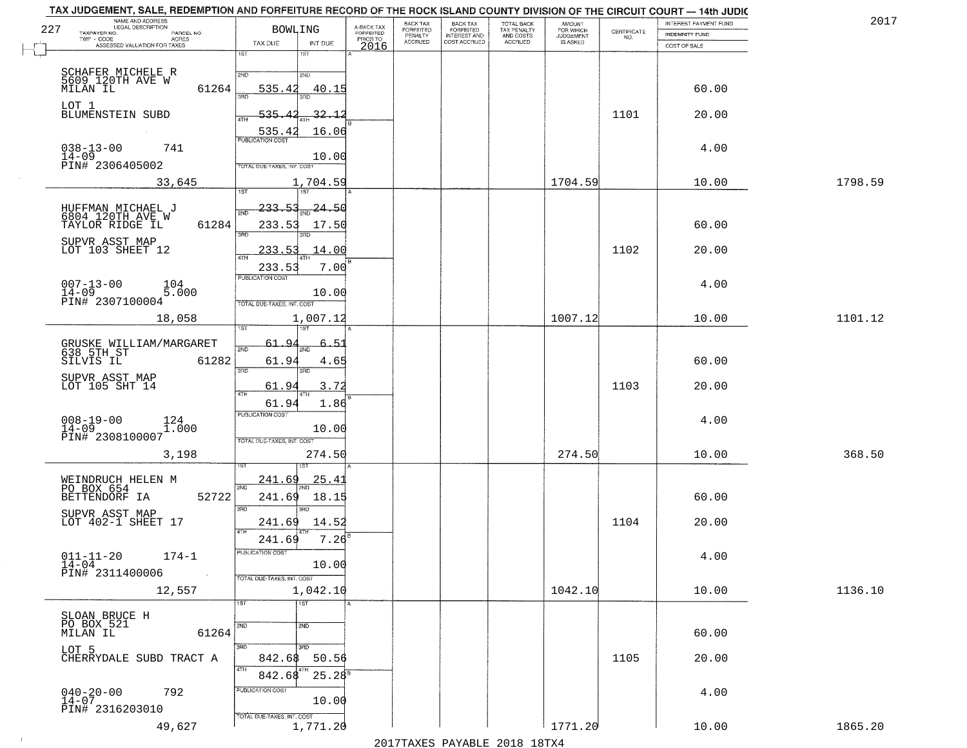|     | TAX JUDGEMENT, SALE, REDEMPTION AND FORFEITURE RECORD OF THE ROCK ISLAND COUNTY DIVISION OF THE CIRCUIT COURT - 14th JUDIC<br>NAME AND ADDRESS<br>LEGAL DESCRIPTION |                                            |                                     | BACK TAX             |                                       |                                        |                                  |                                                                 | INTEREST PAYMENT FUND | 2017    |
|-----|---------------------------------------------------------------------------------------------------------------------------------------------------------------------|--------------------------------------------|-------------------------------------|----------------------|---------------------------------------|----------------------------------------|----------------------------------|-----------------------------------------------------------------|-----------------------|---------|
| 227 | TAXPAYER NO.<br>PARCEL NO.<br>TWP - CODE                                                                                                                            | <b>BOWLING</b>                             | A-BACK TAX<br>FORFEITED<br>PRIOR TO | FORFEITED<br>PENALTY | BACK TAX<br>FORFEITED<br>INTEREST AND | TOTAL BACK<br>TAX PENALTY<br>AND COSTS | AMOUNT<br>FOR WHICH<br>JUDGEMENT | $\begin{array}{c} \text{CERTIFICATE} \\ \text{NO.} \end{array}$ | <b>INDEMNITY FUND</b> |         |
|     | ACRES<br>ASSESSED VALUATION FOR TAXES                                                                                                                               | TAX DUE<br>INT DUE                         | 2016                                | <b>ACCRUED</b>       | COST ACCRUED                          | <b>ACCRUED</b>                         | IS ASKED                         |                                                                 | COST OF SALE          |         |
|     |                                                                                                                                                                     | 1ST<br>1ST                                 |                                     |                      |                                       |                                        |                                  |                                                                 |                       |         |
|     | SCHAFER MICHELE R<br>5609 120TH AVE W<br>MILAN IL                                                                                                                   | 2ND<br>2ND                                 |                                     |                      |                                       |                                        |                                  |                                                                 |                       |         |
|     | 61264                                                                                                                                                               | 535.42<br>40.15                            |                                     |                      |                                       |                                        |                                  |                                                                 | 60.00                 |         |
|     | LOT 1                                                                                                                                                               |                                            |                                     |                      |                                       |                                        |                                  |                                                                 |                       |         |
|     | BLUMENSTEIN SUBD                                                                                                                                                    | 535<br>32.<br>-1<br>4TH                    |                                     |                      |                                       |                                        |                                  | 1101                                                            | 20.00                 |         |
|     |                                                                                                                                                                     | 16.06<br>535.42<br><b>PUBLICATION COST</b> |                                     |                      |                                       |                                        |                                  |                                                                 |                       |         |
|     | $038 - 13 - 00$<br>741                                                                                                                                              |                                            |                                     |                      |                                       |                                        |                                  |                                                                 | 4.00                  |         |
|     | $14 - 09$<br>PIN# 2306405002                                                                                                                                        | 10.00<br>TOTAL DUE-TAXES, INT. COST        |                                     |                      |                                       |                                        |                                  |                                                                 |                       |         |
|     | 33,645                                                                                                                                                              | 1,704.59                                   |                                     |                      |                                       |                                        | 1704.59                          |                                                                 | 10.00                 | 1798.59 |
|     |                                                                                                                                                                     | 1ST<br>1ST                                 |                                     |                      |                                       |                                        |                                  |                                                                 |                       |         |
|     |                                                                                                                                                                     | 233.53<br>-24.50<br>2ND                    |                                     |                      |                                       |                                        |                                  |                                                                 |                       |         |
|     | HUFFMAN MICHAEL J<br>6804 120TH AVE W<br>TAYLOR RIDGE IL<br>61284                                                                                                   | 233.53<br>17.50                            |                                     |                      |                                       |                                        |                                  |                                                                 | 60.00                 |         |
|     | SUPVR ASST MAP                                                                                                                                                      | $\overline{\text{3BD}}$                    |                                     |                      |                                       |                                        |                                  |                                                                 |                       |         |
|     | LOT 103 SHEET 12                                                                                                                                                    | 14.00<br>233.53<br><b>ATH</b>              |                                     |                      |                                       |                                        |                                  | 1102                                                            | 20.00                 |         |
|     |                                                                                                                                                                     | 233.53<br>7.00                             | в                                   |                      |                                       |                                        |                                  |                                                                 |                       |         |
|     | 104                                                                                                                                                                 | PUBLICATION COST                           |                                     |                      |                                       |                                        |                                  |                                                                 | 4.00                  |         |
|     | $\begin{array}{ll} 007-13-00 & \text{if } 14-09 \\ 14-09 & \text{PINH} & 2307100004 \end{array}$<br>5.000                                                           | 10.00                                      |                                     |                      |                                       |                                        |                                  |                                                                 |                       |         |
|     |                                                                                                                                                                     | TOTAL DUE-TAXES, INT. COST                 |                                     |                      |                                       |                                        |                                  |                                                                 |                       |         |
|     | 18,058                                                                                                                                                              | 1,007.12<br>1ST                            |                                     |                      |                                       |                                        | 1007.12                          |                                                                 | 10.00                 | 1101.12 |
|     |                                                                                                                                                                     | 61.9<br>-5.1<br>6.                         |                                     |                      |                                       |                                        |                                  |                                                                 |                       |         |
|     | GRUSKE WILLIAM/MARGARET<br>638_5TH_ST<br>SILVIS IL<br>61282                                                                                                         | 2ND<br>61.94<br>4.65                       |                                     |                      |                                       |                                        |                                  |                                                                 | 60.00                 |         |
|     |                                                                                                                                                                     | 3RD<br>3RD                                 |                                     |                      |                                       |                                        |                                  |                                                                 |                       |         |
|     | SUPVR ASST MAP<br>LOT 105 SHT 14                                                                                                                                    | 61.94<br>3.72                              |                                     |                      |                                       |                                        |                                  | 1103                                                            | 20.00                 |         |
|     |                                                                                                                                                                     | 4TH<br>61.94<br>1.86                       |                                     |                      |                                       |                                        |                                  |                                                                 |                       |         |
|     | $008 - 19 - 00$                                                                                                                                                     | <b>PUBLICATION COST</b>                    |                                     |                      |                                       |                                        |                                  |                                                                 | 4.00                  |         |
|     | $^{124}_{1.000}$<br>$14 - 09$                                                                                                                                       | 10.00                                      |                                     |                      |                                       |                                        |                                  |                                                                 |                       |         |
|     | PIN# 2308100007                                                                                                                                                     | TOTAL OUE-TAXES, INT. COST                 |                                     |                      |                                       |                                        |                                  |                                                                 |                       |         |
|     | 3,198                                                                                                                                                               | 274.50                                     |                                     |                      |                                       |                                        | 274.50                           |                                                                 | 10.00                 | 368.50  |
|     |                                                                                                                                                                     |                                            |                                     |                      |                                       |                                        |                                  |                                                                 |                       |         |
|     | WEINDRUCH HELEN M<br>PO BOX 654                                                                                                                                     | 25.4<br><u>241.69</u><br>2ND               |                                     |                      |                                       |                                        |                                  |                                                                 |                       |         |
|     | 52722<br>BETTENDORF IA                                                                                                                                              | 18.15<br>241.69<br>3BD<br><b>IRD</b>       |                                     |                      |                                       |                                        |                                  |                                                                 | 60.00                 |         |
|     | SUPVR ASST MAP<br>LOT 402-1 SHEET 17                                                                                                                                | 241.69<br>14.52                            |                                     |                      |                                       |                                        |                                  | 1104                                                            | 20.00                 |         |
|     |                                                                                                                                                                     | 4TH<br>7.26<br>241.69                      |                                     |                      |                                       |                                        |                                  |                                                                 |                       |         |
|     |                                                                                                                                                                     | PUBLICATION COST                           |                                     |                      |                                       |                                        |                                  |                                                                 |                       |         |
|     | $011 - 11 - 20$<br>$174 - 1$<br>$14-04$                                                                                                                             | 10.00                                      |                                     |                      |                                       |                                        |                                  |                                                                 | 4.00                  |         |
|     | PIN# 2311400006<br>$\sim 100$                                                                                                                                       | TOTAL DUE-TAXES, INT. COST                 |                                     |                      |                                       |                                        |                                  |                                                                 |                       |         |
|     | 12,557                                                                                                                                                              | 1,042.10                                   |                                     |                      |                                       |                                        | 1042.10                          |                                                                 | 10.00                 | 1136.10 |
|     |                                                                                                                                                                     | $\overline{1ST}$<br>1ST                    |                                     |                      |                                       |                                        |                                  |                                                                 |                       |         |
|     | SLOAN BRUCE H<br>PO BOX 521                                                                                                                                         | 2ND<br>2ND                                 |                                     |                      |                                       |                                        |                                  |                                                                 |                       |         |
|     | MILAN IL<br>61264                                                                                                                                                   |                                            |                                     |                      |                                       |                                        |                                  |                                                                 | 60.00                 |         |
|     | LOT 5                                                                                                                                                               | $\overline{3}$ RD<br>3RD                   |                                     |                      |                                       |                                        |                                  |                                                                 |                       |         |
|     | CHERRYDALE SUBD TRACT A                                                                                                                                             | 842.68<br>50.56<br>4TH                     |                                     |                      |                                       |                                        |                                  | 1105                                                            | 20.00                 |         |
|     |                                                                                                                                                                     | 842.68<br>$25.28^{5}$                      |                                     |                      |                                       |                                        |                                  |                                                                 |                       |         |
|     | $040 - 20 - 00$<br>$14 - 07$<br>792                                                                                                                                 | PUBLICATION COST<br>10.00                  |                                     |                      |                                       |                                        |                                  |                                                                 | 4.00                  |         |
|     | PIN# 2316203010                                                                                                                                                     | TOTAL DUE-TAXES, INT. COST                 |                                     |                      |                                       |                                        |                                  |                                                                 |                       |         |
|     | 49,627                                                                                                                                                              | 1,771.20                                   |                                     |                      |                                       |                                        | 1771.20                          |                                                                 | 10.00                 | 1865.20 |
|     |                                                                                                                                                                     |                                            |                                     |                      |                                       |                                        |                                  |                                                                 |                       |         |

 $\sim$  1  $^{\circ}$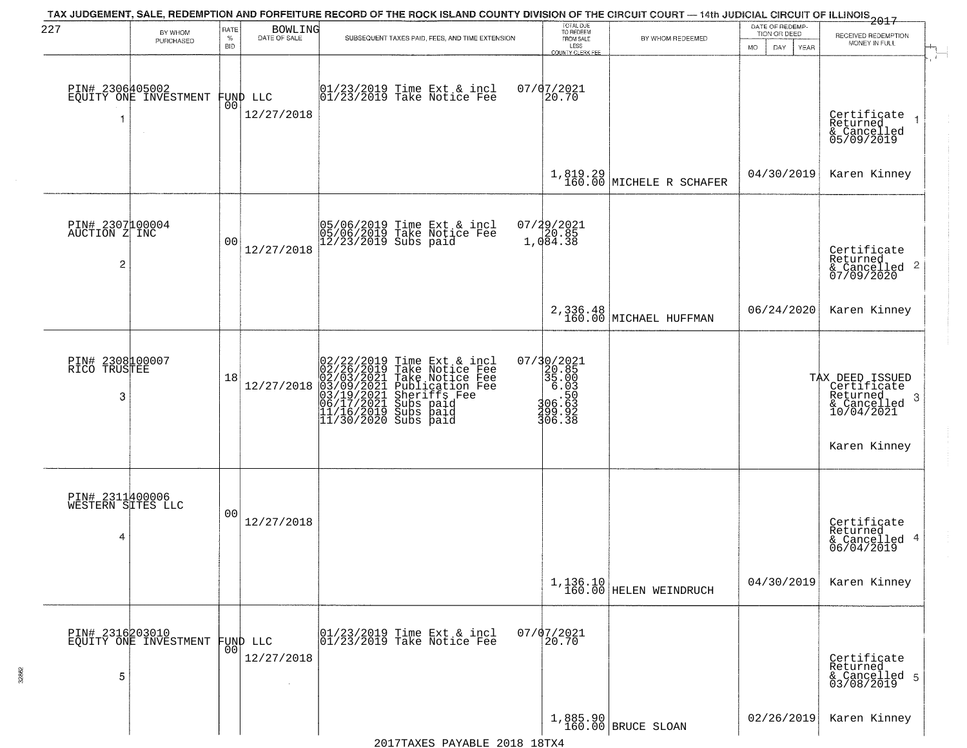| 227                                       | BY WHOM                                  | RATE            | BOWLING                        | TAX JUDGEMENT, SALE, REDEMPTION AND FORFEITURE RECORD OF THE ROCK ISLAND COUNTY DIVISION OF THE CIRCUIT COURT - 14th JUDICIAL CIRCUIT OF ILLINOIS 2017                                                               | TOTAL DUE<br>TO REDEEM                                                                                        |                                      | DATE OF REDEMP-<br>TION OR DEED | RECEIVED REDEMPTION                                                                            |
|-------------------------------------------|------------------------------------------|-----------------|--------------------------------|----------------------------------------------------------------------------------------------------------------------------------------------------------------------------------------------------------------------|---------------------------------------------------------------------------------------------------------------|--------------------------------------|---------------------------------|------------------------------------------------------------------------------------------------|
|                                           | PURCHASED                                | %<br><b>BID</b> | DATE OF SALE                   | SUBSEQUENT TAXES PAID, FEES, AND TIME EXTENSION                                                                                                                                                                      | FROM SALE<br>LESS<br>COUNTY CLERK FEE                                                                         | BY WHOM REDEEMED                     | MO.<br>DAY.<br>YEAR             | MONEY IN FULL                                                                                  |
| PIN# 2306405002                           | EQUITY ONE INVESTMENT<br>$\sim$          | 00              | FUND LLC<br>12/27/2018         | 01/23/2019 Time Ext & incl<br>01/23/2019 Take Notice Fee                                                                                                                                                             | 07/07/2021<br>20.70                                                                                           |                                      |                                 | Certificate<br>Returned<br>& Cancelled<br>05/09/2019                                           |
|                                           |                                          |                 |                                |                                                                                                                                                                                                                      |                                                                                                               | $1,819.29$ MICHELE R SCHAFER         | 04/30/2019                      | Karen Kinney                                                                                   |
| PIN# 2307100004<br>AUCTION Z INC<br>2     |                                          | 0 <sub>0</sub>  | 12/27/2018                     | 05/06/2019 Time Ext & incl<br>05/06/2019 Take Notice Fee<br>12/23/2019 Subs paid                                                                                                                                     | $07/29/2021$<br>$20.85$<br>$1,084.38$                                                                         |                                      |                                 | Certificate<br>Returned<br>$\frac{1}{2}$ Cancelled 2<br>07/09/2020                             |
|                                           |                                          |                 |                                |                                                                                                                                                                                                                      |                                                                                                               | 2,336.48<br>160.00 MICHAEL HUFFMAN   | 06/24/2020                      | Karen Kinney                                                                                   |
| PIN# 2308100007<br>RICO TRUSTEE<br>3      |                                          | 18              | 12/27/2018                     | 02/22/2019 Time Ext & incl<br>02/26/2019 Take Notice Fee<br>02/03/2021 Take Notice Fee<br>03/09/2021 Publication Fee<br>03/09/2021 Subs paid<br>06/17/2021 Subs paid<br>11/16/2019 Subs paid<br>11/30/2020 Subs paid | 07/30/2021<br>$\begin{array}{r} 20.85 \\ 20.85 \\ 35.003 \\ 6.030 \\ 106.532 \\ 299.92 \\ 306.38 \end{array}$ |                                      |                                 | TAX DEED ISSUED<br>Certificate<br>Returned<br>- 3<br>& Cancelled<br>10/04/2021<br>Karen Kinney |
| PIN# 2311400006<br>WESTERN SITES LLC<br>4 |                                          | 0 <sub>0</sub>  | 12/27/2018                     |                                                                                                                                                                                                                      |                                                                                                               |                                      |                                 | Certificate<br>Returned<br>& Cancelled 4<br>06/04/2019                                         |
|                                           |                                          |                 |                                |                                                                                                                                                                                                                      |                                                                                                               | $1,136.10$<br>160.00 HELEN WEINDRUCH | 04/30/2019                      | Karen Kinney                                                                                   |
| 5                                         | PIN# 2316203010<br>EQUITY ONE INVESTMENT |                 | FUND LLC<br> 00 <br>12/27/2018 | 01/23/2019 Time Ext & incl<br>01/23/2019 Take Notice Fee                                                                                                                                                             | $07/07/2021$<br>20.70                                                                                         |                                      |                                 | Certificate<br>Returned<br>& Cancelled 5<br>03/08/2019                                         |
|                                           |                                          |                 |                                |                                                                                                                                                                                                                      |                                                                                                               | 1,885.90<br>160.00 BRUCE SLOAN       | 02/26/2019                      | Karen Kinney                                                                                   |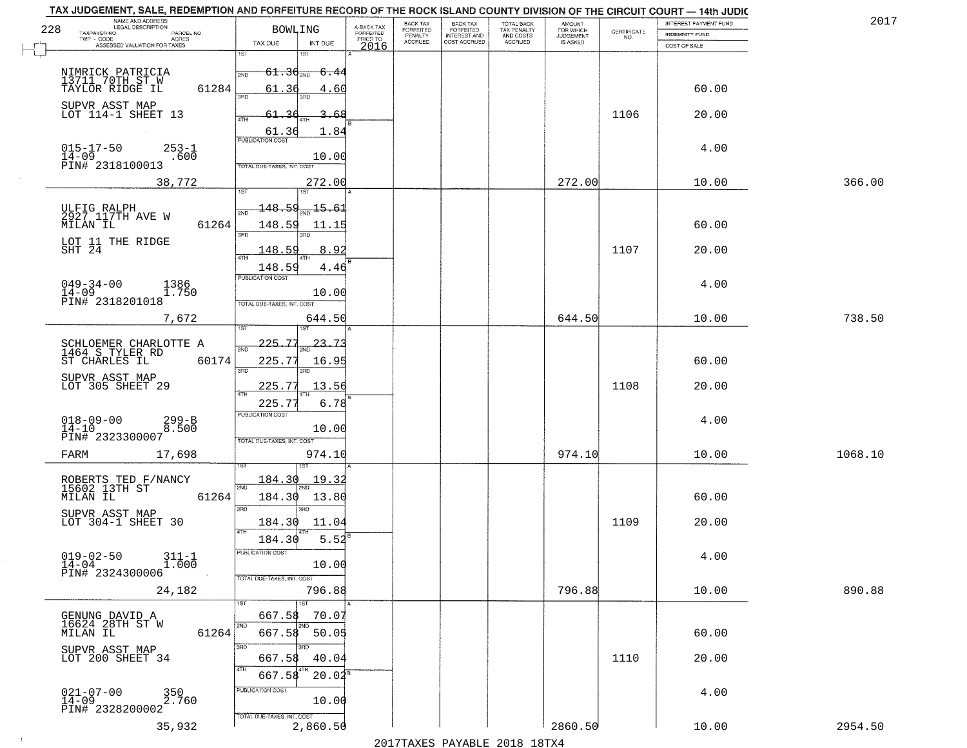|     | TAX JUDGEMENT, SALE, REDEMPTION AND FORFEITURE RECORD OF THE ROCK ISLAND COUNTY DIVISION OF THE CIRCUIT COURT - 14th JUDIC<br>NAME AND ADDRESS<br>LEGAL DESCRIPTION |                            |                                     | <b>BACK TAX</b>      | <b>BACK TAX</b>           |                                        | <b>AMOUNT</b>          |                                                                 | INTEREST PAYMENT FUND | 201     |
|-----|---------------------------------------------------------------------------------------------------------------------------------------------------------------------|----------------------------|-------------------------------------|----------------------|---------------------------|----------------------------------------|------------------------|-----------------------------------------------------------------|-----------------------|---------|
| 228 | TAXPAYER NO.<br>PARCEL NO.<br>ACRES                                                                                                                                 | <b>BOWLING</b>             | A-BACK TAX<br>FORFEITED<br>PRIOR TO | FORFEITED<br>PENALTY | FORFEITED<br>INTEREST AND | TOTAL BACK<br>TAX PENALTY<br>AND COSTS | FOR WHICH<br>JUDGEMENT | $\begin{array}{c} \text{CERTIFICATE} \\ \text{NO.} \end{array}$ | INDEMNITY FUND        |         |
|     | ASSESSED VALUATION FOR TAXES                                                                                                                                        | TAX DUE<br>INT DUE         | 2016                                | <b>ACCRUED</b>       | COST ACCRUED              | ACCRUED                                | <b>IS ASKED</b>        |                                                                 | COST OF SALE          |         |
|     |                                                                                                                                                                     | 1ST                        |                                     |                      |                           |                                        |                        |                                                                 |                       |         |
|     | NIMRICK PATRICIA                                                                                                                                                    | $61.36_{200}$<br>2ND       | -6.44                               |                      |                           |                                        |                        |                                                                 |                       |         |
|     | 13711 70TH ST W<br>TAYLOR RIDGE IL                                                                                                                                  |                            |                                     |                      |                           |                                        |                        |                                                                 |                       |         |
|     | 61284                                                                                                                                                               | 61.36<br>355               | 4.60                                |                      |                           |                                        |                        |                                                                 | 60.00                 |         |
|     | SUPVR ASST MAP                                                                                                                                                      |                            |                                     |                      |                           |                                        |                        |                                                                 |                       |         |
|     | LOT 114-1 SHEET 13                                                                                                                                                  | 61.36                      | 3.68                                |                      |                           |                                        |                        | 1106                                                            | 20.00                 |         |
|     |                                                                                                                                                                     | 61.36                      | 1.84                                |                      |                           |                                        |                        |                                                                 |                       |         |
|     |                                                                                                                                                                     | <b>PUBLICATION COST</b>    |                                     |                      |                           |                                        |                        |                                                                 |                       |         |
|     | $015 - 17 - 50$<br>$253 - 1$<br>$14 - 09$<br>.600                                                                                                                   |                            | 10.00                               |                      |                           |                                        |                        |                                                                 | 4.00                  |         |
|     | PIN# 2318100013                                                                                                                                                     | TOTAL DUE-TAXES, INT. COST |                                     |                      |                           |                                        |                        |                                                                 |                       |         |
|     | 38,772                                                                                                                                                              | 272.00                     |                                     |                      |                           |                                        | 272.00                 |                                                                 | 10.00                 | 366.00  |
|     |                                                                                                                                                                     |                            |                                     |                      |                           |                                        |                        |                                                                 |                       |         |
|     |                                                                                                                                                                     | <u> 148.59</u><br>15.61    |                                     |                      |                           |                                        |                        |                                                                 |                       |         |
|     | ULFIG RALPH<br>2927 117TH AVE W                                                                                                                                     |                            |                                     |                      |                           |                                        |                        |                                                                 |                       |         |
|     | 61264<br>MILAN IL                                                                                                                                                   | 148.59<br>बन्ना            | 11.15                               |                      |                           |                                        |                        |                                                                 | 60.00                 |         |
|     | LOT 11 THE RIDGE                                                                                                                                                    | 3BD.                       |                                     |                      |                           |                                        |                        |                                                                 |                       |         |
|     | SHT 24                                                                                                                                                              | <u> 148.59</u>             | 8.92                                |                      |                           |                                        |                        | 1107                                                            | 20.00                 |         |
|     |                                                                                                                                                                     | 148.59                     | 4.46                                |                      |                           |                                        |                        |                                                                 |                       |         |
|     |                                                                                                                                                                     | PUBLICATION COST           |                                     |                      |                           |                                        |                        |                                                                 |                       |         |
|     | $049 - 34 - 00$<br>1386<br>$14 - 09$<br>1.750                                                                                                                       |                            | 10.00                               |                      |                           |                                        |                        |                                                                 | 4.00                  |         |
|     | PIN# 2318201018                                                                                                                                                     | TOTAL DUE-TAXES, INT. COST |                                     |                      |                           |                                        |                        |                                                                 |                       |         |
|     | 7,672                                                                                                                                                               | 644.50                     |                                     |                      |                           |                                        | 644.50                 |                                                                 | 10.00                 | 738.50  |
|     |                                                                                                                                                                     | ist<br>18T                 |                                     |                      |                           |                                        |                        |                                                                 |                       |         |
|     |                                                                                                                                                                     | $\mathbf{r}$<br>225        | 23.T3                               |                      |                           |                                        |                        |                                                                 |                       |         |
|     | SCHLOEMER CHARLOTTE A<br>1464 S TYLER RD                                                                                                                            | 2ND                        |                                     |                      |                           |                                        |                        |                                                                 |                       |         |
|     | ST CHARLES IL<br>60174                                                                                                                                              | 225.77<br>3RD<br>3RD       | 16.95                               |                      |                           |                                        |                        |                                                                 | 60.00                 |         |
|     | SUPVR ASST MAP                                                                                                                                                      |                            |                                     |                      |                           |                                        |                        |                                                                 |                       |         |
|     | LOT 305 SHEET 29                                                                                                                                                    | 225.77<br>4TH              | 13.56                               |                      |                           |                                        |                        | 1108                                                            | 20.00                 |         |
|     |                                                                                                                                                                     | 225.7                      | 6.78                                |                      |                           |                                        |                        |                                                                 |                       |         |
|     |                                                                                                                                                                     | PUBLICATION COST           |                                     |                      |                           |                                        |                        |                                                                 | 4.00                  |         |
|     | $018 - 09 - 00$<br>14-10<br>$299 - B$<br>8.500                                                                                                                      |                            | 10.00                               |                      |                           |                                        |                        |                                                                 |                       |         |
|     | PIN# 2323300007                                                                                                                                                     | TOTAL OUE-TAXES, INT. COST |                                     |                      |                           |                                        |                        |                                                                 |                       |         |
|     | FARM<br>17,698                                                                                                                                                      | 974.10                     |                                     |                      |                           |                                        | 974.10                 |                                                                 | 10.00                 | 1068.10 |
|     |                                                                                                                                                                     |                            |                                     |                      |                           |                                        |                        |                                                                 |                       |         |
|     | ROBERTS TED F/NANCY<br>15602 13TH ST                                                                                                                                | 184.30<br>19.32            |                                     |                      |                           |                                        |                        |                                                                 |                       |         |
|     | MILAN IL<br>61264                                                                                                                                                   | 2ND<br>184.30<br>13.80     |                                     |                      |                           |                                        |                        |                                                                 | 60.00                 |         |
|     |                                                                                                                                                                     | 3RD<br>3BD                 |                                     |                      |                           |                                        |                        |                                                                 |                       |         |
|     | SUPVR ASST MAP<br>LOT 304-1 SHEET 30                                                                                                                                |                            |                                     |                      |                           |                                        |                        | 1109                                                            | 20.00                 |         |
|     |                                                                                                                                                                     | 184.30<br>4TH              | 11.04                               |                      |                           |                                        |                        |                                                                 |                       |         |
|     |                                                                                                                                                                     | 184.30                     | 5.52                                |                      |                           |                                        |                        |                                                                 |                       |         |
|     | $019 - 02 - 50$<br>$311 - 1$                                                                                                                                        | PUBLICATION COS-           |                                     |                      |                           |                                        |                        |                                                                 | 4.00                  |         |
|     | $14 - 04$<br>1.000<br>PIN# 2324300006                                                                                                                               |                            | 10.00                               |                      |                           |                                        |                        |                                                                 |                       |         |
|     |                                                                                                                                                                     | TOTAL DUE-TAXES, INT. COST |                                     |                      |                           |                                        |                        |                                                                 |                       |         |
|     | 24,182                                                                                                                                                              | 796.88                     |                                     |                      |                           |                                        | 796.88                 |                                                                 | 10.00                 | 890.88  |
|     |                                                                                                                                                                     | 1ST                        |                                     |                      |                           |                                        |                        |                                                                 |                       |         |
|     | GENUNG DAVID A                                                                                                                                                      | 667.58                     | 70.07                               |                      |                           |                                        |                        |                                                                 |                       |         |
|     | 16624 28TH ST W<br>MILAN IL<br>61264                                                                                                                                | 2ND<br>2NC<br>667.58       | 50.05                               |                      |                           |                                        |                        |                                                                 | 60.00                 |         |
|     |                                                                                                                                                                     | 3RD                        |                                     |                      |                           |                                        |                        |                                                                 |                       |         |
|     | SUPVR ASST MAP<br>LOT 200 SHEET 34                                                                                                                                  | 667.58                     | 40.04                               |                      |                           |                                        |                        | 1110                                                            | 20.00                 |         |
|     |                                                                                                                                                                     | 4TH                        |                                     |                      |                           |                                        |                        |                                                                 |                       |         |
|     |                                                                                                                                                                     | 667.58                     | $20.04^s$                           |                      |                           |                                        |                        |                                                                 |                       |         |
|     | $021 - 07 - 00$<br>14-09<br>350<br>2.760                                                                                                                            | PUBLICATION COST           |                                     |                      |                           |                                        |                        |                                                                 | 4.00                  |         |
|     | PIN# 2328200002                                                                                                                                                     |                            | 10.00                               |                      |                           |                                        |                        |                                                                 |                       |         |
|     |                                                                                                                                                                     | TOTAL DUE-TAXES, INT. COST |                                     |                      |                           |                                        |                        |                                                                 |                       |         |
|     | 35,932                                                                                                                                                              | 2,860.50                   |                                     |                      |                           |                                        | 2860.50                |                                                                 | 10.00                 | 2954.50 |
|     |                                                                                                                                                                     |                            |                                     |                      |                           | 2017 THAYRO DAVADIR 2018 19TY          |                        |                                                                 |                       |         |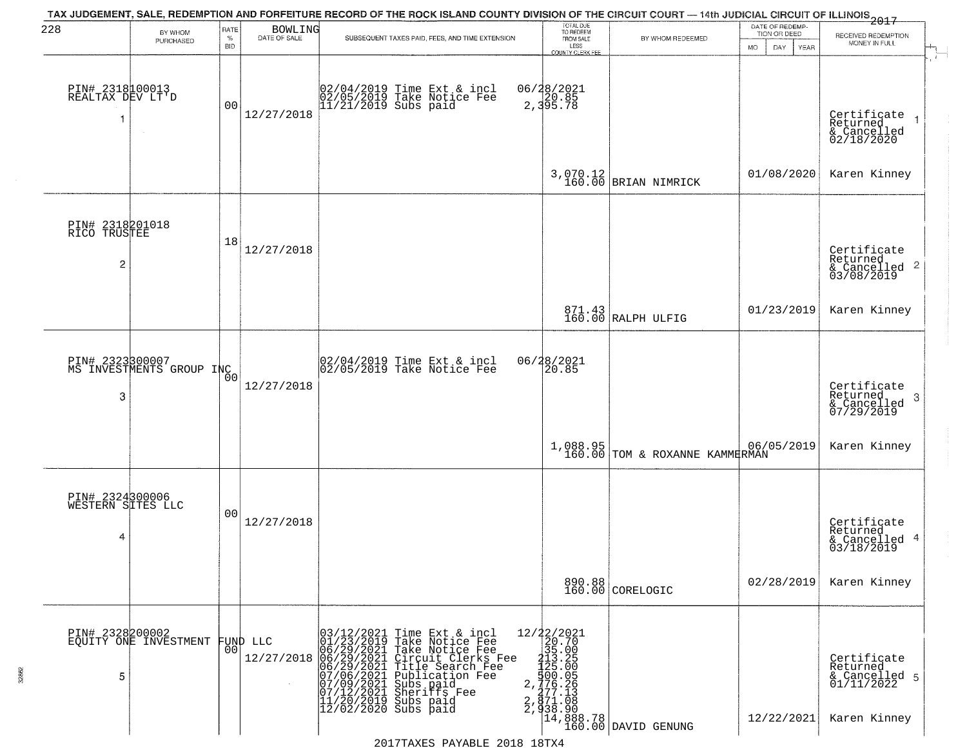| 228                                               | BY WHOM                                  | RATE<br>$\%$ | <b>BOWLING</b><br>DATE OF SALE | TAX JUDGEMENT, SALE, REDEMPTION AND FORFEITURE RECORD OF THE ROCK ISLAND COUNTY DIVISION OF THE CIRCUIT COURT — 14th JUDICIAL CIRCUIT OF ILLINOIS 2017<br>SUBSEQUENT TAXES PAID, FEES, AND TIME EXTENSION                                           | TOTAL DUE<br>TO REDEEM<br>FROM SALE | BY WHOM REDEEMED                                                    | DATE OF REDEMP-<br>TION OR DEED | RECEIVED REDEMPTION                                                    |
|---------------------------------------------------|------------------------------------------|--------------|--------------------------------|-----------------------------------------------------------------------------------------------------------------------------------------------------------------------------------------------------------------------------------------------------|-------------------------------------|---------------------------------------------------------------------|---------------------------------|------------------------------------------------------------------------|
|                                                   | PURCHASED                                | <b>BID</b>   |                                |                                                                                                                                                                                                                                                     | LESS<br><b>COUNTY CLERK FEE</b>     |                                                                     | MO.<br>DAY.<br>YEAR             | MONEY IN FULL                                                          |
| PIN# 2318100013<br>REALTAX DEV LT'D               |                                          | 00           | 12/27/2018                     | 02/04/2019 Time Ext & incl<br>02/05/2019 Take Notice Fee<br>11/21/2019 Subs paid                                                                                                                                                                    | 06/28/2021<br>2,395.78              |                                                                     |                                 | Certificate<br>Returned<br>& Cancelled<br>02/18/2020                   |
|                                                   |                                          |              |                                |                                                                                                                                                                                                                                                     |                                     | $3,070.12$ BRIAN NIMRICK                                            | 01/08/2020                      | Karen Kinney                                                           |
| PIN# 2318201018<br>RICO TRUSTEE<br>$\overline{c}$ |                                          | 18           | 12/27/2018                     |                                                                                                                                                                                                                                                     |                                     |                                                                     |                                 | Certificate<br>Returned<br>$\frac{1}{6}$ Cancelled 2<br>03/08/2019     |
|                                                   |                                          |              |                                |                                                                                                                                                                                                                                                     |                                     | 871.43<br>160.00 RALPH ULFIG                                        | 01/23/2019                      | Karen Kinney                                                           |
| PIN# 2323300007<br>3                              | MS INVESTMENTS GROUP INC                 | 0O           | 12/27/2018                     | 02/04/2019 Time Ext & incl<br>02/05/2019 Take Notice Fee                                                                                                                                                                                            | 06/28/2021<br>20.85                 |                                                                     |                                 | Certificate<br>Returned<br>3<br>& Cancelled<br>07/29/2019              |
|                                                   |                                          |              |                                |                                                                                                                                                                                                                                                     |                                     | 1,088.95<br>160.00 TOM & ROXANNE KAMMERMAN                          | 06/05/2019                      | Karen Kinney                                                           |
| PIN# 2324300006<br>WESTERN SITES LLC<br>4         |                                          | 00           | 12/27/2018                     |                                                                                                                                                                                                                                                     |                                     |                                                                     |                                 | Certificate<br>Returned<br>& Cancelled 4<br>03/18/2019                 |
|                                                   |                                          |              |                                |                                                                                                                                                                                                                                                     |                                     | 890.88<br>160.00 CORELOGIC                                          | 02/28/2019                      | Karen Kinney                                                           |
| 5                                                 | PIN# 2328200002<br>EQUITY ONE INVESTMENT | 00           | FUND LLC                       | D LLC 01/23/2021 Time Ext & incl 1<br>01/23/2019 Take Notice Fee<br>12/27/2018 06/29/2021 Take Notice Fee<br>12/27/2018 06/29/2021 Circuit Clerks Fee<br>07/06/2021 Circuit Search Fee<br>07/06/2021 Subs paid<br>07/12/2021 Sheriffs Fee<br>11/20/ |                                     | $\begin{bmatrix} 14, 888, 78 \\ 160, 00 \end{bmatrix}$ DAVID GENUNG | 12/22/2021                      | Certificate<br>Returned<br>& Cancelled 5<br>01/11/2022<br>Karen Kinney |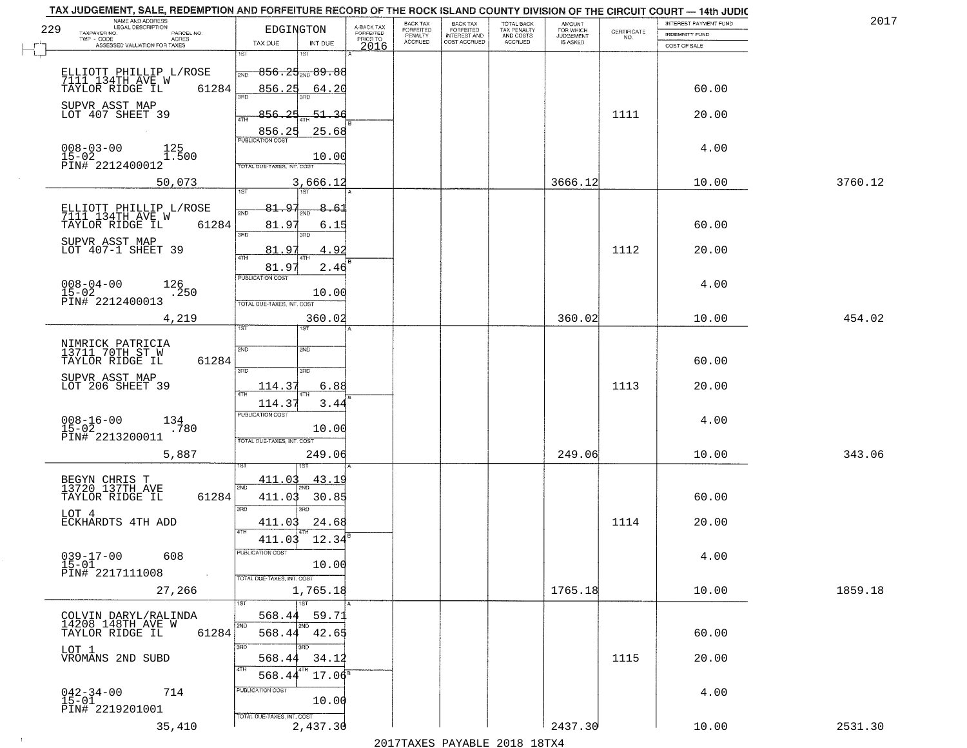|     | TAX JUDGEMENT, SALE, REDEMPTION AND FORFEITURE RECORD OF THE ROCK ISLAND COUNTY DIVISION OF THE CIRCUIT COURT - 14th JUDIC |                                                                                 |                         |                              |                                       |                                        |                              |                                                                 |                       |         |
|-----|----------------------------------------------------------------------------------------------------------------------------|---------------------------------------------------------------------------------|-------------------------|------------------------------|---------------------------------------|----------------------------------------|------------------------------|-----------------------------------------------------------------|-----------------------|---------|
| 229 | NAME AND ADDRESS<br><b>LEGAL DESCRIPTION</b>                                                                               | EDGINGTON                                                                       | A-BACK TAX<br>FORFEITED | BACK TAX<br><b>FORFEITED</b> | BACK TAX<br>FORFEITED<br>INTEREST AND | TOTAL BACK<br>TAX PENALTY<br>AND COSTS | AMOUNT<br>FOR WHICH          |                                                                 | INTEREST PAYMENT FUND | 2017    |
|     | TAXPAYER NO.<br>PARCEL NO.<br>TWP - CODE<br><b>ACRES</b>                                                                   |                                                                                 | PRIOR TO                | PENALTY<br><b>ACCRUED</b>    | COST ACCRUED                          | ACCRUED                                | <b>JUDGEMENT</b><br>IS ASKED | $\begin{array}{c} \text{CERTIFICATE} \\ \text{NO.} \end{array}$ | <b>INDEMNITY FUND</b> |         |
|     | ASSESSED VALUATION FOR TAXES                                                                                               | TAX DUE<br>INT DUE                                                              | 2016                    |                              |                                       |                                        |                              |                                                                 | COST OF SALE          |         |
|     | ELLIOTT PHILLIP L/ROSE<br>7111 134TH AVE W                                                                                 | 1ST<br>1ST<br>$856.25_{200}89.88$<br>2ND                                        |                         |                              |                                       |                                        |                              |                                                                 |                       |         |
|     | 61284<br>TAYLOR RIDGE IL<br>SUPVR ASST MAP                                                                                 | 856.25<br>64.20                                                                 |                         |                              |                                       |                                        |                              |                                                                 | 60.00                 |         |
|     | LOT 407 SHEET 39                                                                                                           | 856.25<br>$-51 - 36$<br>856.25<br>25.68                                         |                         |                              |                                       |                                        |                              | 1111                                                            | 20.00                 |         |
|     | $008 - 03 - 00$<br>15-02<br>125<br>1.500<br>PIN# 2212400012                                                                | <b>PUBLICATION COST</b><br>10.00<br>TOTAL DUE-TAXES, INT. COST                  |                         |                              |                                       |                                        |                              |                                                                 | 4.00                  |         |
|     | 50,073                                                                                                                     | 3,666.12<br>1ST<br>1ST                                                          |                         |                              |                                       |                                        | 3666.12                      |                                                                 | 10.00                 | 3760.12 |
|     |                                                                                                                            |                                                                                 |                         |                              |                                       |                                        |                              |                                                                 |                       |         |
|     | ELLIOTT PHILLIP L/ROSE<br>7111 134TH AVE W<br>TAYLOR RIDGE IL<br>61284                                                     | 81.97<br>8.61<br>2ND<br>81.97<br>6.15<br>उन्नत<br>3RD                           |                         |                              |                                       |                                        |                              |                                                                 | 60.00                 |         |
|     | SUPVR ASST MAP<br>LOT 407-1 SHEET 39                                                                                       | . 97<br>4.92<br>81                                                              |                         |                              |                                       |                                        |                              | 1112                                                            | 20.00                 |         |
|     | $008 - 04 - 00$<br>126<br>$15 - 02$<br>.250<br>PIN# 2212400013                                                             | 81.97<br>2.46<br>PUBLICATION COST<br>10.00<br>TOTAL DUE-TAXES, INT. COST        |                         |                              |                                       |                                        |                              |                                                                 | 4.00                  |         |
|     | 4,219                                                                                                                      | 360.02<br>ist.<br><b>IST</b>                                                    |                         |                              |                                       |                                        | 360.02                       |                                                                 | 10.00                 | 454.02  |
|     | NIMRICK PATRICIA<br>13711 70TH ST W<br>TAYLOR RIDGE IL<br>61284                                                            | 2ND<br><b>SMD</b><br>3RD<br>3RD                                                 |                         |                              |                                       |                                        |                              |                                                                 | 60.00                 |         |
|     | SUPVR ASST MAP<br>LOT 206 SHEET 39                                                                                         | 114.37<br>6.88<br>4TH                                                           |                         |                              |                                       |                                        |                              | 1113                                                            | 20.00                 |         |
|     | $008 - 16 - 00$<br>15-02<br>$^{134}_{.780}$<br>PIN# 2213200011                                                             | 114.3<br>3.44<br><b>PUBLICATION COST</b><br>10.00<br>TOTAL OUE-TAXES, INT. COST |                         |                              |                                       |                                        |                              |                                                                 | 4.00                  |         |
|     | 5,887                                                                                                                      | 249.06                                                                          |                         |                              |                                       |                                        | 249.06                       |                                                                 | 10.00                 | 343.06  |
|     | BEGYN CHRIS T<br>13720 137TH AVE<br>TAYLOR RIDGE IL<br>61284                                                               | 411.03<br>43.19<br>2ND<br>411.03<br>30.85                                       |                         |                              |                                       |                                        |                              |                                                                 | 60.00                 |         |
|     | LOT 4<br><b>ECKHARDTS 4TH ADD</b>                                                                                          | 3BD<br>3RD<br>24.68<br>411.03<br>4TH                                            |                         |                              |                                       |                                        |                              | 1114                                                            | 20.00                 |         |
|     | $039 - 17 - 00$<br>15-01<br>608<br>PIN# 2217111008                                                                         | 12.34<br>411.03<br>ruslica i IUN COS<br>10.00<br>TOTAL DUE-TAXES, INT. COST     |                         |                              |                                       |                                        |                              |                                                                 | 4.00                  |         |
|     | 27,266                                                                                                                     | 1,765.18                                                                        |                         |                              |                                       |                                        | 1765.18                      |                                                                 | 10.00                 | 1859.18 |
|     | COLVIN DARYL/RALINDA<br>14208 148TH AVE W<br>61284<br>TAYLOR RIDGE IL                                                      | 1ST<br>568.44<br>59.71<br>2ND<br>568.44 42.65                                   |                         |                              |                                       |                                        |                              |                                                                 | 60.00                 |         |
|     | LOT 1<br>VROMANS 2ND SUBD                                                                                                  | 3RD<br>3BD<br>568.44<br>34.12<br>4TH                                            |                         |                              |                                       |                                        |                              | 1115                                                            | 20.00                 |         |
|     | $042 - 34 - 00$<br>15-01<br>714<br>PIN# 2219201001                                                                         | 568.44<br>$17.06^{\circ}$<br>PUBLICATION COST<br>10.00                          |                         |                              |                                       |                                        |                              |                                                                 | 4.00                  |         |
|     | 35,410                                                                                                                     | TOTAL DUE-TAXES, INT. COST<br>2,437.30                                          |                         |                              |                                       | 2017 THAYRO DAVADIR 2018 19TYA         | 2437.30                      |                                                                 | 10.00                 | 2531.30 |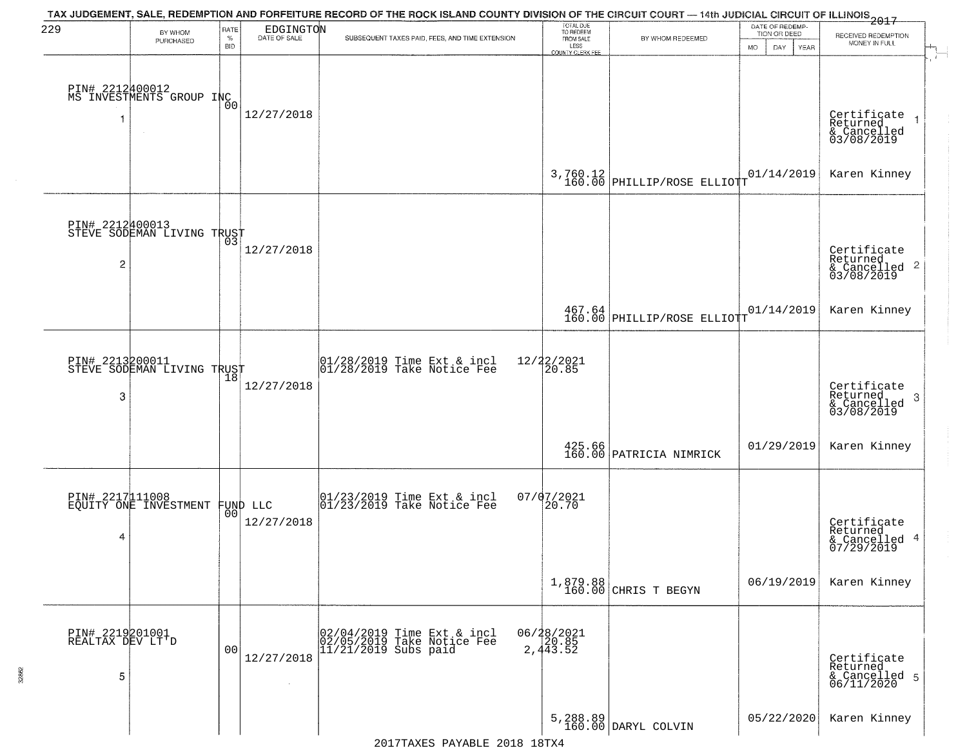| 229                                      | BY WHOM<br>PURCHASED                          | <b>RATE</b><br>$\%$<br><b>BID</b> | EDGINGTON              | TAX JUDGEMENT, SALE, REDEMPTION AND FORFEITURE RECORD OF THE ROCK ISLAND COUNTY DIVISION OF THE CIRCUIT COURT — 14th JUDICIAL CIRCUIT OF ILLINOIS 2017<br>SUBSEQUENT TAXES PAID, FEES, AND TIME EXTENSION | TOTAL DUE<br>TO REDEEM<br>FROM SALE<br>LESS | BY WHOM REDEEMED                                                       | DATE OF REDEMP-<br>TION OR DEED<br>MO.<br>DAY.<br>YEAR | RECEIVED REDEMPTION<br>MONEY IN FULL                                   |
|------------------------------------------|-----------------------------------------------|-----------------------------------|------------------------|-----------------------------------------------------------------------------------------------------------------------------------------------------------------------------------------------------------|---------------------------------------------|------------------------------------------------------------------------|--------------------------------------------------------|------------------------------------------------------------------------|
| 1                                        | PIN# 2212400012<br>MS INVESTMENTS GROUP INC   | 0O                                | 12/27/2018             |                                                                                                                                                                                                           | COUNTY CLERK FEE                            |                                                                        |                                                        | Certificate 1<br>Returned 1<br>& Cancelled<br>03/08/2019               |
|                                          |                                               |                                   |                        |                                                                                                                                                                                                           |                                             | $3,760.12$ 160.00 PHILLIP/ROSE ELLIOTT                                 | 01/14/2019                                             | Karen Kinney                                                           |
| $\overline{c}$                           | PIN# 2212400013<br>STEVE SODEMAN LIVING TRUST |                                   | 12/27/2018             |                                                                                                                                                                                                           |                                             |                                                                        |                                                        | Certificate<br>Returned<br>& Cancelled<br>03/08/2019<br>$\overline{2}$ |
|                                          |                                               |                                   |                        |                                                                                                                                                                                                           |                                             | $\begin{array}{c c} 467.64 \\ 160.00 \end{array}$ PHILLIP/ROSE ELLIOTT | 01/14/2019                                             | Karen Kinney                                                           |
| PIN# 2213200011<br>3                     | STEVE SODEMAN LIVING TRUST                    |                                   | 12/27/2018             | $\begin{array}{c}  01/28/2019 \, \text{Time} \, \text{Ext} \, \& \, \text{incl} \\  01/28/2019 \, \text{Take Notice} \, \text{Fe} \end{array}$                                                            | 12/22/2021<br>20.85                         |                                                                        |                                                        | Certificate<br>Returned<br>-3<br>& Cancelled<br>03/08/2019             |
|                                          |                                               |                                   |                        |                                                                                                                                                                                                           |                                             | 425.66<br>160.00 PATRICIA NIMRICK                                      | 01/29/2019                                             | Karen Kinney                                                           |
| PIN# 2217111008<br>4                     | EQUITY ONE INVESTMENT                         | 00                                | FUND LLC<br>12/27/2018 | $\begin{bmatrix} 01/23/2019 \\ 01/23/2019 \end{bmatrix}$ Take Notice Fee                                                                                                                                  | 07/07/2021<br>20.70                         |                                                                        |                                                        | Certificate<br>Returned<br>& Cancelled 4<br>07/29/2019                 |
|                                          |                                               |                                   |                        |                                                                                                                                                                                                           |                                             | 1,879.88<br>160.00 CHRIS T BEGYN                                       | 06/19/2019                                             | Karen Kinney                                                           |
| PIN# 2219201001<br>REALTAX DEV LT'D<br>5 |                                               | 0 <sup>0</sup>                    | 12/27/2018             | 02/04/2019 Time Ext & incl<br>02/05/2019 Take Notice Fee<br>11/21/2019 Subs paid                                                                                                                          | 06/28/2021<br>20.85<br>2,443.52             |                                                                        |                                                        | Certificate<br>Returned<br>& Cancelled 5<br>06/11/2020                 |
|                                          |                                               |                                   |                        |                                                                                                                                                                                                           |                                             | 5,288.89<br>160.00 DARYL COLVIN                                        | 05/22/2020                                             | Karen Kinney                                                           |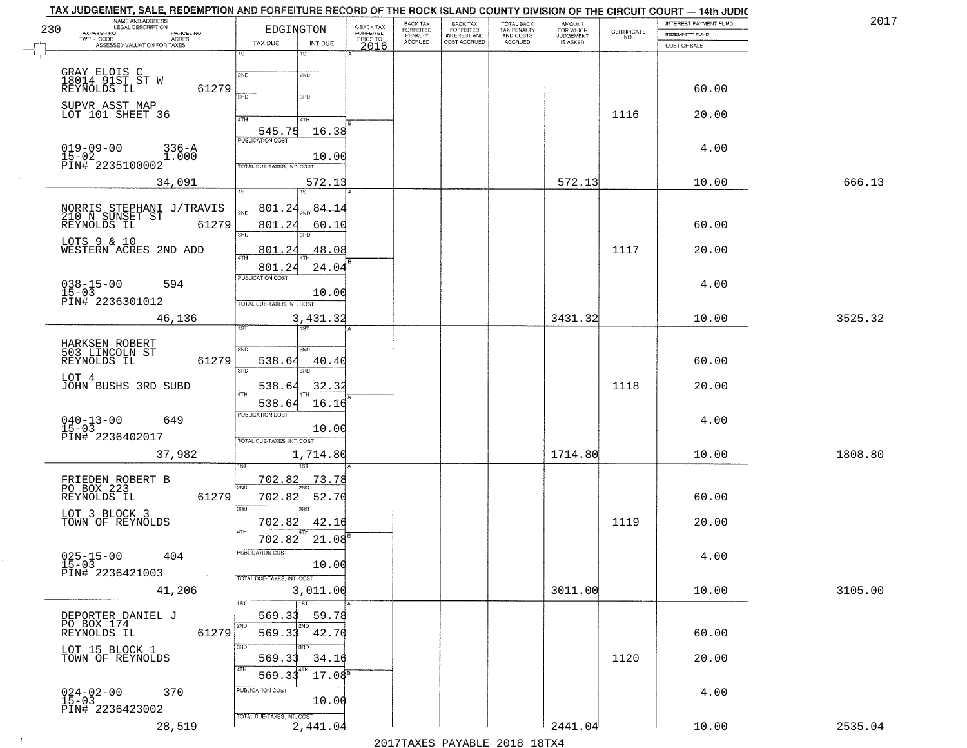| 2017    | INTEREST PAYMENT FUND |                                                                 | <b>AMOUNT</b>          | TOTAL BACK                          | <b>BACK TAX</b><br><b>FORFEITED</b> | BACK TAX                               | A-BACK TAX            |                              |                                   |                            | NAME AND ADDRESS<br>LEGAL DESCRIPTION                      |
|---------|-----------------------|-----------------------------------------------------------------|------------------------|-------------------------------------|-------------------------------------|----------------------------------------|-----------------------|------------------------------|-----------------------------------|----------------------------|------------------------------------------------------------|
|         | INDEMNITY FUND        | $\begin{array}{c} \text{CERTIFICATE} \\ \text{NO.} \end{array}$ | FOR WHICH<br>JUDGEMENT | TAX PENALTY<br>AND COSTS<br>ACCRUED | INTEREST AND<br>COST ACCRUED        | <b>FORFEITED</b><br>PENALTY<br>ACCRUED | FORFEITED<br>PRIOR TO | EDGINGTON                    |                                   | PARCEL NO.<br><b>ACRES</b> | TAXPAYER NO.<br>TWP - CODE                                 |
|         | COST OF SALE          |                                                                 |                        |                                     |                                     |                                        | 2016                  | INT DUE                      | TAX DUE                           |                            | ASSESSED VALUATION FOR TAXES                               |
|         |                       |                                                                 |                        |                                     |                                     |                                        |                       | 1ST                          | 1ST                               |                            |                                                            |
|         |                       |                                                                 |                        |                                     |                                     |                                        |                       | 2ND                          | 2ND                               |                            | GRAY ELOIS C<br>18014 91ST ST W<br>REYNOLDS IL             |
|         | 60.00                 |                                                                 |                        |                                     |                                     |                                        |                       | 3RD                          | 3RD                               | 61279                      |                                                            |
|         | 20.00                 | 1116                                                            |                        |                                     |                                     |                                        |                       |                              |                                   |                            | SUPVR ASST MAP<br>LOT 101 SHEET 36                         |
|         |                       |                                                                 |                        |                                     |                                     |                                        |                       | 41H<br>16.38                 | 4TH<br>545.75                     |                            |                                                            |
|         | 4.00                  |                                                                 |                        |                                     |                                     |                                        |                       |                              | <b>PUBLICATION COST</b>           |                            |                                                            |
|         |                       |                                                                 |                        |                                     |                                     |                                        |                       | 10.00                        |                                   | $336 - A$<br>1.000         | $019 - 09 - 00$<br>$15-02$<br>PIN# 2235100002              |
|         |                       |                                                                 |                        |                                     |                                     |                                        |                       |                              | TOTAL DUE-TAXES, INT. COST        |                            |                                                            |
| 666.13  | 10.00                 |                                                                 | 572.13                 |                                     |                                     |                                        |                       | 572.13<br>1ST <sup></sup>    | 1ST                               |                            | 34,091                                                     |
|         |                       |                                                                 |                        |                                     |                                     |                                        |                       | 84.14                        | 801, 24                           |                            |                                                            |
|         | 60.00                 |                                                                 |                        |                                     |                                     |                                        |                       | 60.10                        | 801.24                            | 61279                      | NORRIS STEPHANI J/TRAVIS<br>210 N SUNSET ST<br>REYNOLDS IL |
|         |                       |                                                                 |                        |                                     |                                     |                                        |                       |                              | 3RD                               |                            | LOTS 9 & 10                                                |
|         | 20.00                 | 1117                                                            |                        |                                     |                                     |                                        |                       | 48.08                        | 801                               |                            | WESTERN ACRES 2ND ADD                                      |
|         |                       |                                                                 |                        |                                     |                                     |                                        |                       | 24.04                        | 801.24                            |                            |                                                            |
|         | 4.00                  |                                                                 |                        |                                     |                                     |                                        |                       |                              | PUBLICATION COST                  |                            | $038 - 15 - 00$<br>15-03<br>594                            |
|         |                       |                                                                 |                        |                                     |                                     |                                        |                       | 10.00                        | TOTAL DUE-TAXES, INT. COST        |                            | PIN# 2236301012                                            |
| 3525.32 | 10.00                 |                                                                 | 3431.32                |                                     |                                     |                                        |                       | 3,431.32                     |                                   |                            | 46,136                                                     |
|         |                       |                                                                 |                        |                                     |                                     |                                        |                       | 181                          | ist.                              |                            |                                                            |
|         |                       |                                                                 |                        |                                     |                                     |                                        |                       | <b>SMD</b>                   | 2ND                               |                            | HARKSEN ROBERT<br>503 LINCOLN ST                           |
|         | 60.00                 |                                                                 |                        |                                     |                                     |                                        |                       | 40.4(                        | 538.64                            | 61279                      | REYNOLDS IL                                                |
|         |                       |                                                                 |                        |                                     |                                     |                                        |                       | 3RD                          | 3BD                               |                            | LOT 4                                                      |
|         | 20.00                 | 1118                                                            |                        |                                     |                                     |                                        |                       | 32.32                        | <u>538.64</u>                     |                            | JOHN BUSHS 3RD SUBD                                        |
|         |                       |                                                                 |                        |                                     |                                     |                                        |                       | 16.16                        | 538.64<br><b>PUBLICATION COST</b> |                            |                                                            |
|         | 4.00                  |                                                                 |                        |                                     |                                     |                                        |                       | 10.00                        |                                   |                            | $040 - 13 - 00$<br>15-03<br>649                            |
|         |                       |                                                                 |                        |                                     |                                     |                                        |                       |                              | TOTAL OUE-TAXES, INT. COST        |                            | PIN# 2236402017                                            |
| 1808.80 | 10.00                 |                                                                 | 1714.80                |                                     |                                     |                                        |                       | 1,714.80                     |                                   |                            | 37,982                                                     |
|         |                       |                                                                 |                        |                                     |                                     |                                        |                       | 73.78                        | 702.82                            |                            |                                                            |
|         |                       |                                                                 |                        |                                     |                                     |                                        |                       |                              | 2ND                               |                            | FRIEDEN ROBERT B<br>PO BOX 223                             |
|         | 60.00                 |                                                                 |                        |                                     |                                     |                                        |                       | 52.70<br>3RD                 | 702.8<br>3RD                      | 61279                      | REYNOLDS IL                                                |
|         | 20.00                 | 1119                                                            |                        |                                     |                                     |                                        |                       | 42.16                        | 702.82                            |                            | LOT 3 BLOCK 3<br>TOWN OF REYNOLDS                          |
|         |                       |                                                                 |                        |                                     |                                     |                                        |                       | $21.08^{8}$                  | 702.82                            |                            |                                                            |
|         | 4.00                  |                                                                 |                        |                                     |                                     |                                        |                       |                              | PUBLICATION COST                  |                            | 404                                                        |
|         |                       |                                                                 |                        |                                     |                                     |                                        |                       | 10.00                        |                                   |                            | $025 - 15 - 00$<br>15-03<br>PIN# 2236421003                |
|         |                       |                                                                 |                        |                                     |                                     |                                        |                       |                              | TOTAL DUE-TAXES, INT. COST        |                            |                                                            |
| 3105.00 | 10.00                 |                                                                 | 3011.00                |                                     |                                     |                                        |                       | 3,011.00<br>$\overline{1ST}$ | 1ST                               |                            | 41,206                                                     |
|         |                       |                                                                 |                        |                                     |                                     |                                        |                       | 59.78                        | 569.33                            |                            | DEPORTER DANIEL J                                          |
|         | 60.00                 |                                                                 |                        |                                     |                                     |                                        |                       | 2ND<br>42.70                 | 2ND<br>569.33                     | 61279                      | PO BOX 174<br>REYNOLDS IL                                  |
|         |                       |                                                                 |                        |                                     |                                     |                                        |                       | 3RD                          | 3RD                               |                            | LOT 15 BLOCK 1                                             |
|         | 20.00                 | 1120                                                            |                        |                                     |                                     |                                        |                       | 34.16                        | 569.33                            |                            | TOWN OF REYNOLDS                                           |
|         |                       |                                                                 |                        |                                     |                                     |                                        |                       | 17.08 <sup>5</sup>           | 4TH<br>569.33                     |                            |                                                            |
|         | 4.00                  |                                                                 |                        |                                     |                                     |                                        |                       |                              | PUBLICATION COST                  |                            | $024 - 02 - 00$<br>15-03<br>370                            |
|         |                       |                                                                 |                        |                                     |                                     |                                        |                       | 10.00                        | TOTAL DUE-TAXES, INT. COST        |                            | PIN# 2236423002                                            |
|         |                       |                                                                 |                        |                                     |                                     |                                        |                       |                              |                                   |                            |                                                            |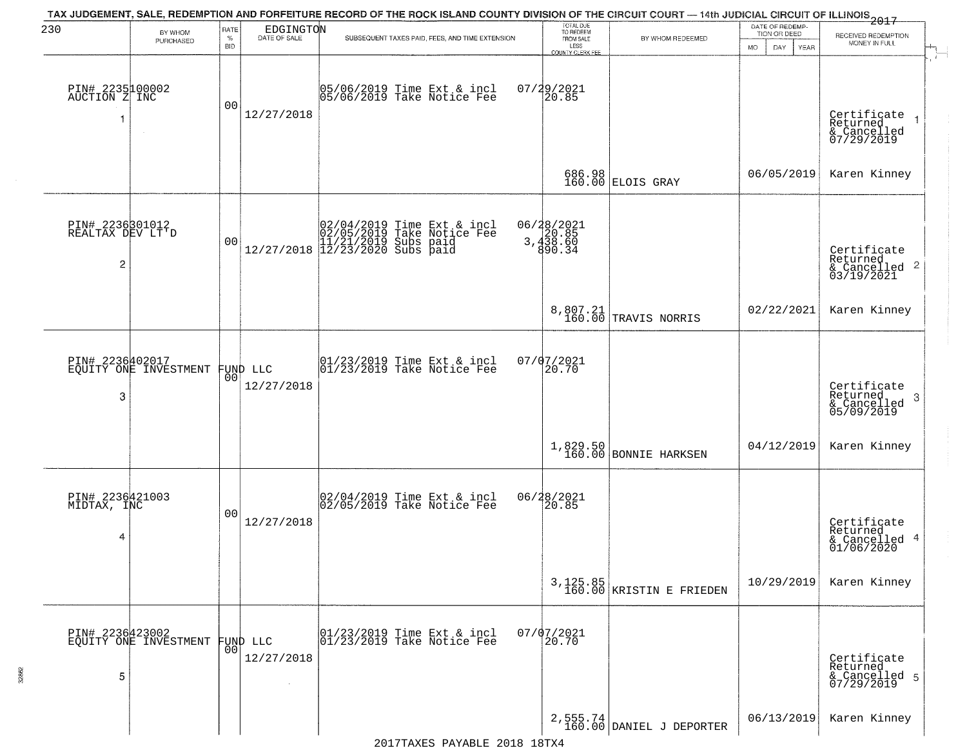| 230                                      | BY WHOM<br>PURCHASED                     | RATE<br>$\%$<br><b>BID</b> | $\begin{array}{c} \mathtt{EDGINGTO} \mathtt{N} \\ \mathtt{DATE OF SALE} \end{array}$ | TAX JUDGEMENT, SALE, REDEMPTION AND FORFEITURE RECORD OF THE ROCK ISLAND COUNTY DIVISION OF THE CIRCUIT COURT - 14th JUDICIAL CIRCUIT OF ILLINOIS 2017<br>SUBSEQUENT TAXES PAID, FEES, AND TIME EXTENSION | TOTAL DUE<br>TO REDEEM<br>FROM SALE<br>LESS<br>COUNTY CLERK FEE          | BY WHOM REDEEMED                     | DATE OF REDEMP.<br>TION OR DEED<br>MO.<br>DAY.<br><b>YEAR</b> | RECEIVED REDEMPTION<br>MONEY IN FULL                               |
|------------------------------------------|------------------------------------------|----------------------------|--------------------------------------------------------------------------------------|-----------------------------------------------------------------------------------------------------------------------------------------------------------------------------------------------------------|--------------------------------------------------------------------------|--------------------------------------|---------------------------------------------------------------|--------------------------------------------------------------------|
| PIN# 2235100002<br>AUCTION Z INC<br>1    | $\sim$                                   | 0 <sub>0</sub>             | 12/27/2018                                                                           | 05/06/2019 Time Ext & incl<br>05/06/2019 Take Notice Fee                                                                                                                                                  | 07/29/2021<br>20.85                                                      |                                      |                                                               | Certificate<br>Returned<br>& Cancelled<br>07/29/2019               |
|                                          |                                          |                            |                                                                                      |                                                                                                                                                                                                           |                                                                          | 686.98<br>160.00 ELOIS GRAY          | 06/05/2019                                                    | Karen Kinney                                                       |
| PIN# 2236301012<br>REALTAX DEV LT D<br>2 |                                          | 0 <sub>0</sub>             |                                                                                      | $[02/04/2019 \text{ Time Ext & incl} \brack 02/05/2019 \text{ Take Notice } \text{Fee} \brack 11/21/2019 \text{ Subs paid} \brack 12/27/2018 \text{ } 12/23/2020 \text{ Subs paid}$                       | 06/28/2021<br>$\begin{array}{c} 20.85 \\ 3,438.60 \end{array}$<br>890.34 |                                      |                                                               | Certificate<br>Returned<br>$\frac{1}{2}$ Cancelled 2<br>03/19/2021 |
|                                          |                                          |                            |                                                                                      |                                                                                                                                                                                                           |                                                                          | 8,807.21<br>160.00 TRAVIS NORRIS     | 02/22/2021                                                    | Karen Kinney                                                       |
| PIN# 2236402017<br>3                     | EQUITY ONE INVESTMENT                    | 00                         | FUND LLC<br>12/27/2018                                                               | $ 01/23/2019$ Time Ext & incl<br>$ 01/23/2019$ Take Notice Fee                                                                                                                                            | 07/07/2021<br>20.70                                                      |                                      |                                                               | Certificate<br>Returned<br>-3<br>& Cancelled<br>05/09/2019         |
|                                          |                                          |                            |                                                                                      |                                                                                                                                                                                                           | 1,829.50<br>160.00                                                       | <b>BONNIE HARKSEN</b>                | 04/12/2019                                                    | Karen Kinney                                                       |
| PIN# 2236421003<br>MIDTAX, INC<br>4      |                                          | 0 <sub>0</sub>             | 12/27/2018                                                                           | 02/04/2019 Time Ext & incl<br>02/05/2019 Take Notice Fee                                                                                                                                                  | 06/28/2021<br>20.85                                                      |                                      |                                                               | Certificate<br>Returned<br>& Cancelled 4<br>01/06/2020             |
|                                          |                                          |                            |                                                                                      |                                                                                                                                                                                                           |                                                                          | 3,125.85<br>160.00 KRISTIN E FRIEDEN | 10/29/2019                                                    | Karen Kinney                                                       |
| 5                                        | PIN# 2236423002<br>EQUITY ONE INVESTMENT |                            | FUND LLC<br> 00 <br>12/27/2018                                                       | $\begin{array}{cccc}  01/23/2019 \, \text{Time} & \text{Ext} & \text{A} & \text{incl} \\  01/23/2019 \, \text{Take Notice} & \text{Free} \end{array}$                                                     | $07/07/2021$<br>20.70                                                    |                                      |                                                               | Certificate<br>Returned<br>& Cancelled 5<br>07/29/2019             |
|                                          |                                          |                            |                                                                                      |                                                                                                                                                                                                           |                                                                          | 2,555.74<br>160.00 DANIEL J DEPORTER | 06/13/2019                                                    | Karen Kinney                                                       |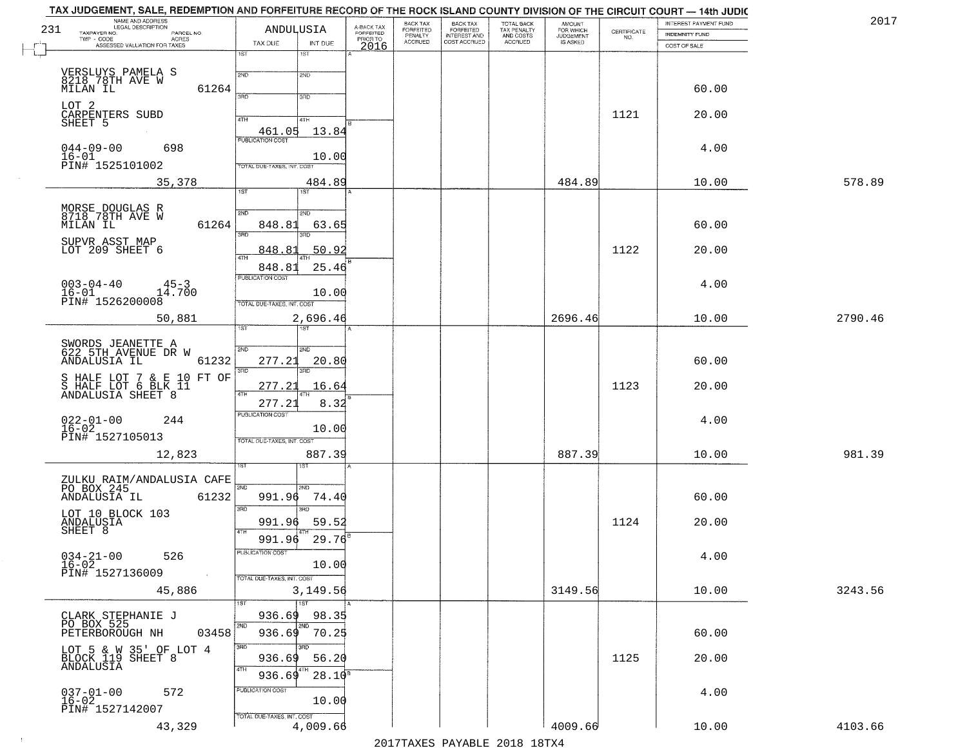|     | TAX JUDGEMENT, SALE, REDEMPTION AND FORFEITURE RECORD OF THE ROCK ISLAND COUNTY DIVISION OF THE CIRCUIT COURT - 14th JUDIC<br>NAME AND ADDRESS<br>LEGAL DESCRIPTION |                                   |                         | BACK TAX                    |                                       |                                        |                                         |                                                                 | INTEREST PAYMENT FUND | 2017    |
|-----|---------------------------------------------------------------------------------------------------------------------------------------------------------------------|-----------------------------------|-------------------------|-----------------------------|---------------------------------------|----------------------------------------|-----------------------------------------|-----------------------------------------------------------------|-----------------------|---------|
| 231 | TAXPAYER NO.<br>PARCEL NO.                                                                                                                                          | ANDULUSIA                         | A-BACK TAX<br>FORFEITED | <b>FORFEITED</b><br>PENALTY | BACK TAX<br>FORFEITED<br>INTEREST AND | TOTAL BACK<br>TAX PENALTY<br>AND COSTS | AMOUNT<br>FOR WHICH<br><b>JUDGEMENT</b> | $\begin{array}{c} \text{CERTIFICATE} \\ \text{NO.} \end{array}$ | <b>INDEMNITY FUND</b> |         |
|     | TWP - CODE<br>ACRES<br>ASSESSED VALUATION FOR TAXES                                                                                                                 | TAX DUE<br>INT DUE                | PRIOR TO<br>2016        | <b>ACCRUED</b>              | COST ACCRUED                          | ACCRUED                                | IS ASKED                                |                                                                 | COST OF SALE          |         |
|     |                                                                                                                                                                     | 1ST<br>1ST                        |                         |                             |                                       |                                        |                                         |                                                                 |                       |         |
|     |                                                                                                                                                                     | 2ND                               |                         |                             |                                       |                                        |                                         |                                                                 |                       |         |
|     | VERSLUYS PAMELA S<br>8218 78TH AVE W<br>MILAN IL                                                                                                                    | 2ND                               |                         |                             |                                       |                                        |                                         |                                                                 |                       |         |
|     | 61264                                                                                                                                                               | 350<br>3RD                        |                         |                             |                                       |                                        |                                         |                                                                 | 60.00                 |         |
|     | LOT <sub>2</sub>                                                                                                                                                    |                                   |                         |                             |                                       |                                        |                                         |                                                                 |                       |         |
|     | CARPENTERS SUBD<br>SHEET 5                                                                                                                                          | 4TH<br>4TH                        |                         |                             |                                       |                                        |                                         | 1121                                                            | 20.00                 |         |
|     |                                                                                                                                                                     | 461.05<br>13.84                   |                         |                             |                                       |                                        |                                         |                                                                 |                       |         |
|     | $044 - 09 - 00$<br>698                                                                                                                                              |                                   |                         |                             |                                       |                                        |                                         |                                                                 | 4.00                  |         |
|     | $16 - 01$                                                                                                                                                           | 10.00                             |                         |                             |                                       |                                        |                                         |                                                                 |                       |         |
|     | PIN# 1525101002                                                                                                                                                     | <b>TOTAL DUE-TAXES, INT. COST</b> |                         |                             |                                       |                                        |                                         |                                                                 |                       |         |
|     | 35,378                                                                                                                                                              | 484.89                            |                         |                             |                                       |                                        | 484.89                                  |                                                                 | 10.00                 | 578.89  |
|     |                                                                                                                                                                     | 1ST<br>IST                        |                         |                             |                                       |                                        |                                         |                                                                 |                       |         |
|     | MORSE DOUGLAS R<br>8718 78TH AVE W                                                                                                                                  | 2ND<br>2ND                        |                         |                             |                                       |                                        |                                         |                                                                 |                       |         |
|     | 61264<br>MILAN IL                                                                                                                                                   | 848.81<br>63.65                   |                         |                             |                                       |                                        |                                         |                                                                 | 60.00                 |         |
|     |                                                                                                                                                                     | त्रहा                             |                         |                             |                                       |                                        |                                         |                                                                 |                       |         |
|     | SUPVR ASST MAP<br>LOT 209 SHEET 6                                                                                                                                   | 50.92<br><u>848.81</u>            |                         |                             |                                       |                                        |                                         | 1122                                                            | 20.00                 |         |
|     |                                                                                                                                                                     | 47H                               |                         |                             |                                       |                                        |                                         |                                                                 |                       |         |
|     |                                                                                                                                                                     | 848.81<br>25.46                   |                         |                             |                                       |                                        |                                         |                                                                 |                       |         |
|     | $003 - 04 - 40$<br>$45 - 3$                                                                                                                                         | PUBLICATION COST                  |                         |                             |                                       |                                        |                                         |                                                                 | 4.00                  |         |
|     | $16-01$<br>PIN# 1526200008<br>14.700                                                                                                                                | 10.00                             |                         |                             |                                       |                                        |                                         |                                                                 |                       |         |
|     |                                                                                                                                                                     | TOTAL DUE-TAXES, INT. COST        |                         |                             |                                       |                                        |                                         |                                                                 |                       |         |
|     | 50,881                                                                                                                                                              | 2,696.46<br>1ST<br>1ST            |                         |                             |                                       |                                        | 2696.46                                 |                                                                 | 10.00                 | 2790.46 |
|     |                                                                                                                                                                     |                                   |                         |                             |                                       |                                        |                                         |                                                                 |                       |         |
|     | SWORDS JEANETTE A<br>622 5TH AVENUE DR W                                                                                                                            | SVD<br><b>SMD</b>                 |                         |                             |                                       |                                        |                                         |                                                                 |                       |         |
|     | ANDALUSIA IL<br>61232                                                                                                                                               | 277.21<br>20.80                   |                         |                             |                                       |                                        |                                         |                                                                 | 60.00                 |         |
|     |                                                                                                                                                                     | 3RD<br>3RD                        |                         |                             |                                       |                                        |                                         |                                                                 |                       |         |
|     | S HALF LOT 7 & E 10 FT OF<br>S HALF LOT 6 BLK 11<br>ANDALUSIA SHEET 8                                                                                               | 277.21<br>16.64                   |                         |                             |                                       |                                        |                                         | 1123                                                            | 20.00                 |         |
|     |                                                                                                                                                                     | 4TH<br>8.32<br>277.21             |                         |                             |                                       |                                        |                                         |                                                                 |                       |         |
|     |                                                                                                                                                                     | PUBLICATION COST                  |                         |                             |                                       |                                        |                                         |                                                                 |                       |         |
|     | $022 - 01 - 00$<br>16-02<br>244                                                                                                                                     | 10.00                             |                         |                             |                                       |                                        |                                         |                                                                 | 4.00                  |         |
|     | PIN# 1527105013                                                                                                                                                     | TOTAL OUE-TAXES, INT. COST        |                         |                             |                                       |                                        |                                         |                                                                 |                       |         |
|     | 12,823                                                                                                                                                              | 887.39                            |                         |                             |                                       |                                        | 887.39                                  |                                                                 | 10.00                 | 981.39  |
|     |                                                                                                                                                                     |                                   |                         |                             |                                       |                                        |                                         |                                                                 |                       |         |
|     |                                                                                                                                                                     |                                   |                         |                             |                                       |                                        |                                         |                                                                 |                       |         |
|     | ZULKU RAIM/ANDALUSIA CAFE<br>PO BOX 245<br>ANDALUSIA IL 61232                                                                                                       | 2ND<br>2ND.                       |                         |                             |                                       |                                        |                                         |                                                                 |                       |         |
|     |                                                                                                                                                                     | 991.96<br>74.40                   |                         |                             |                                       |                                        |                                         |                                                                 | 60.00                 |         |
|     | LOT 10 BLOCK 103                                                                                                                                                    | 3RD<br>3RD                        |                         |                             |                                       |                                        |                                         |                                                                 |                       |         |
|     | ANDALUSIA                                                                                                                                                           | 991.96<br>59.52<br>4TH            |                         |                             |                                       |                                        |                                         | 1124                                                            | 20.00                 |         |
|     |                                                                                                                                                                     | 991.96<br>29.76                   |                         |                             |                                       |                                        |                                         |                                                                 |                       |         |
|     | $034 - 21 - 00$<br>526                                                                                                                                              | ruslica i IUN COS                 |                         |                             |                                       |                                        |                                         |                                                                 | 4.00                  |         |
|     | $16 - 02$                                                                                                                                                           | 10.00                             |                         |                             |                                       |                                        |                                         |                                                                 |                       |         |
|     | PIN# 1527136009                                                                                                                                                     | TOTAL DUE-TAXES, INT. COST        |                         |                             |                                       |                                        |                                         |                                                                 |                       |         |
|     | 45,886                                                                                                                                                              | 3,149.56                          |                         |                             |                                       |                                        | 3149.56                                 |                                                                 | 10.00                 | 3243.56 |
|     |                                                                                                                                                                     | 1ST                               |                         |                             |                                       |                                        |                                         |                                                                 |                       |         |
|     | CLARK STEPHANIE J                                                                                                                                                   | 936.69<br>98.35                   |                         |                             |                                       |                                        |                                         |                                                                 |                       |         |
|     | PO BOX 525<br>03458<br>PETERBOROUGH NH                                                                                                                              | 2ND<br>2ND<br>936.6970.25         |                         |                             |                                       |                                        |                                         |                                                                 | 60.00                 |         |
|     |                                                                                                                                                                     | 3RD                               |                         |                             |                                       |                                        |                                         |                                                                 |                       |         |
|     | LOT 5 & W 35' OF LOT 4<br>BLOCK 119 SHEET 8                                                                                                                         | 56.20<br>936.69                   |                         |                             |                                       |                                        |                                         | 1125                                                            | 20.00                 |         |
|     | ANDALUSIA                                                                                                                                                           | 4TH                               |                         |                             |                                       |                                        |                                         |                                                                 |                       |         |
|     |                                                                                                                                                                     | $28.10^{8}$<br>936.69             |                         |                             |                                       |                                        |                                         |                                                                 |                       |         |
|     | $037 - 01 - 00$<br>572                                                                                                                                              | PUBLICATION COST                  |                         |                             |                                       |                                        |                                         |                                                                 | 4.00                  |         |
|     | $16 - 02$<br>PIN# 1527142007                                                                                                                                        | 10.00                             |                         |                             |                                       |                                        |                                         |                                                                 |                       |         |
|     |                                                                                                                                                                     | TOTAL DUE-TAXES, INT. COST        |                         |                             |                                       |                                        |                                         |                                                                 |                       |         |
|     | 43,329                                                                                                                                                              | 4,009.66                          |                         |                             |                                       |                                        | 4009.66                                 |                                                                 | 10.00                 | 4103.66 |
|     |                                                                                                                                                                     |                                   |                         |                             | 2017 THAYRO DAVADIR 2018 19TYA        |                                        |                                         |                                                                 |                       |         |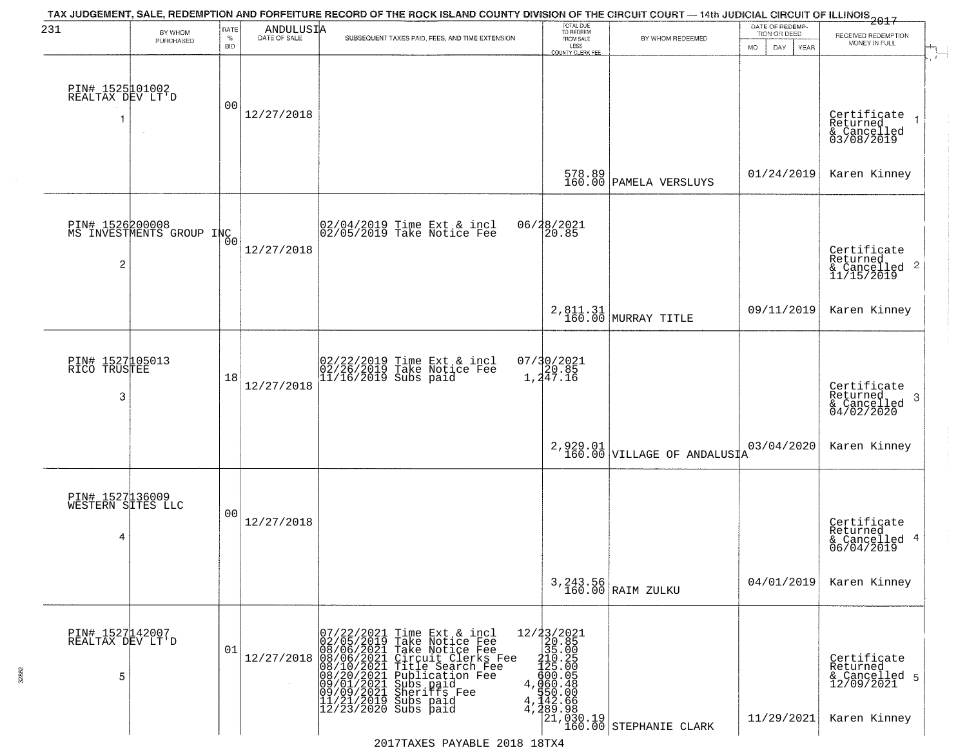| 231                                       | BY WHOM                                     | RATE               | ANDULUSIA                                                                                                                                                                               | TAX JUDGEMENT, SALE, REDEMPTION AND FORFEITURE RECORD OF THE ROCK ISLAND COUNTY DIVISION OF THE CIRCUIT COURT — 14th JUDICIAL CIRCUIT OF ILLINOIS 2017                                                                    | TOTAL DUE<br>TO REDEEM<br>FROM SALE                                                                                                                           |                                                                      | DATE OF REDEMP-<br>TION OR DEED | RECEIVED REDEMPTION                                                    |
|-------------------------------------------|---------------------------------------------|--------------------|-----------------------------------------------------------------------------------------------------------------------------------------------------------------------------------------|---------------------------------------------------------------------------------------------------------------------------------------------------------------------------------------------------------------------------|---------------------------------------------------------------------------------------------------------------------------------------------------------------|----------------------------------------------------------------------|---------------------------------|------------------------------------------------------------------------|
|                                           | PURCHASED                                   | $\%$<br><b>BID</b> | DATE OF SALE                                                                                                                                                                            | SUBSEQUENT TAXES PAID, FEES, AND TIME EXTENSION                                                                                                                                                                           | LESS<br>COUNTY CLERK FEE                                                                                                                                      | BY WHOM REDEEMED                                                     | MO.<br>DAY.<br>YEAR             | MONEY IN FULL                                                          |
| PIN# 1525101002<br>REALTAX DEV LT'D       |                                             | 00                 | 12/27/2018                                                                                                                                                                              |                                                                                                                                                                                                                           |                                                                                                                                                               |                                                                      |                                 | Certificate<br>Returned<br>& Cancelled<br>03/08/2019                   |
|                                           |                                             |                    |                                                                                                                                                                                         |                                                                                                                                                                                                                           |                                                                                                                                                               | 578.89<br>160.00 PAMELA VERSLUYS                                     | 01/24/2019                      | Karen Kinney                                                           |
| $\overline{c}$                            | PIN# 1526200008<br>MS INVESTMENTS GROUP INC | 0 <sub>0</sub>     | 12/27/2018                                                                                                                                                                              | 02/04/2019 Time Ext & incl<br>02/05/2019 Take Notice Fee                                                                                                                                                                  | 06/28/2021<br>20.85                                                                                                                                           |                                                                      |                                 | Certificate<br>Returned<br>$\frac{12241184}{(20121164)^2}$             |
|                                           |                                             |                    |                                                                                                                                                                                         |                                                                                                                                                                                                                           |                                                                                                                                                               | 2,811.31<br>160.00 MURRAY TITLE                                      | 09/11/2019                      | Karen Kinney                                                           |
| PIN# 1527105013<br>RICO TRUSTEE<br>3      |                                             | 18                 | 12/27/2018                                                                                                                                                                              | 02/22/2019 Time Ext & incl<br>02/26/2019 Take Notice Fee<br>11/16/2019 Subs paid                                                                                                                                          | 07/30/2021<br>20.85<br>1,247.16                                                                                                                               |                                                                      |                                 | Certificate<br>Returned<br>3<br>& Cancelled<br>04/02/2020              |
|                                           |                                             |                    |                                                                                                                                                                                         |                                                                                                                                                                                                                           |                                                                                                                                                               | 2,929.01<br>160.00 VILLAGE OF ANDALUSIA                              | 03/04/2020                      | Karen Kinney                                                           |
| PIN# 1527136009<br>WESTERN SITES LLC<br>4 |                                             | 00                 | 12/27/2018                                                                                                                                                                              |                                                                                                                                                                                                                           |                                                                                                                                                               |                                                                      |                                 | Certificate<br>Returned<br>& Cancelled 4<br>06/04/2019                 |
|                                           |                                             |                    |                                                                                                                                                                                         |                                                                                                                                                                                                                           |                                                                                                                                                               | 3, 243.56<br>160.00 RAIM ZULKU                                       | 04/01/2019                      | Karen Kinney                                                           |
| PIN# 1527142007<br>REALTAX DEV LT'D<br>5  |                                             | 01                 | $12/27/2018 \begin{pmatrix} 07/22/2021 \\ 02/05/2019 \\ 124/27/2018 \\ 08/06/2021 \\ 08/10/2021 \\ 08/10/2021 \\ 09/01/2021 \\ 09/09/2021 \\ 11/21/2021 \\ 12/23/2019 \\ \end{pmatrix}$ | Time Ext & incl<br>Take Notice Fee<br>Take Notice Fee<br>Circuit Clerks Fee<br>Title Search Fee<br>Publication Fee<br>Subs paid<br>Subsitis Fee<br>$\begin{array}{r} 11/21/2019 \\ 12/23/2020 \\ 1 \end{array}$ Subs paid | $\begin{smallmatrix} 12/23/2021\\20.85\\35.00\\110.2\\4\end{smallmatrix}$<br>$\begin{smallmatrix} 20.85\\125.00\\4/25.0\\600.048\\950.60\\4\end{smallmatrix}$ | $\begin{bmatrix} 21, 030.19 \\ 160.00 \end{bmatrix}$ STEPHANIE CLARK | 11/29/2021                      | Certificate<br>Returned<br>& Cancelled 5<br>12/09/2021<br>Karen Kinney |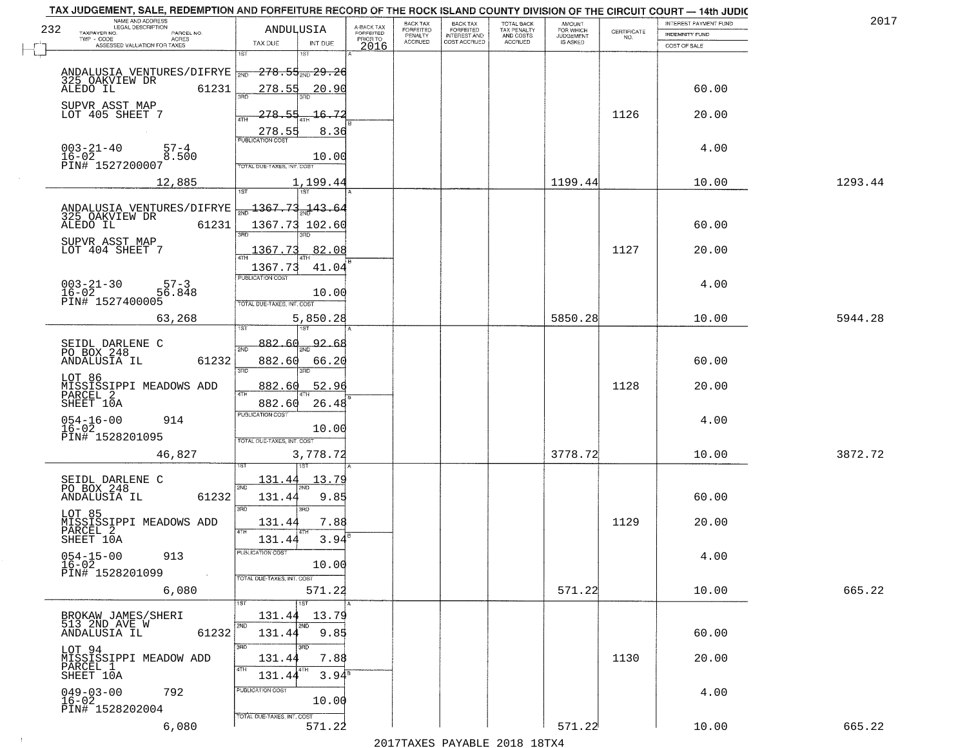|     | TAX JUDGEMENT, SALE, REDEMPTION AND FORFEITURE RECORD OF THE ROCK ISLAND COUNTY DIVISION OF THE CIRCUIT COURT - 14th JUDIC<br>NAME AND ADDRESS<br>LEGAL DESCRIPTION |                                                                |                                     | BACK TAX             | <b>BACK TAX</b>           |                                        | AMOUNT<br>FOR WHICH |                    | INTEREST PAYMENT FUND | 2017    |
|-----|---------------------------------------------------------------------------------------------------------------------------------------------------------------------|----------------------------------------------------------------|-------------------------------------|----------------------|---------------------------|----------------------------------------|---------------------|--------------------|-----------------------|---------|
| 232 | TAXPAYER NO.<br>PARCEL NO.<br>ACRES                                                                                                                                 | ANDULUSIA                                                      | A-BACK TAX<br>FORFEITED<br>PRIOR TO | FORFEITED<br>PENALTY | FORFEITED<br>INTEREST AND | TOTAL BACK<br>TAX PENALTY<br>AND COSTS | <b>JUDGEMENT</b>    | CERTIFICATE<br>NO. | <b>INDEMNITY FUND</b> |         |
|     | ASSESSED VALUATION FOR TAXES                                                                                                                                        | TAX DUE<br>INT DUE                                             | 2016                                | <b>ACCRUED</b>       | COST ACCRUED              | ACCRUED                                | <b>IS ASKED</b>     |                    | COST OF SALE          |         |
|     | ANDALUSIA VENTURES/DIFRYE<br>325 OAKVIEW DR                                                                                                                         | 1ST<br>1ST<br><del>278.55<sub>2ND</sub>29.26</del>             |                                     |                      |                           |                                        |                     |                    |                       |         |
|     | 61231<br>ALEDO IL                                                                                                                                                   | 278.55<br>20.90<br>300                                         |                                     |                      |                           |                                        |                     |                    | 60.00                 |         |
|     | SUPVR ASST MAP<br>LOT 405 SHEET 7                                                                                                                                   | 72<br>278.55<br>16.<br>ATH<br>8.36<br>278.55                   |                                     |                      |                           |                                        |                     | 1126               | 20.00                 |         |
|     | $003 - 21 - 40$<br>$57 - 4$<br>$16 - 02$<br>8.500<br>PIN# 1527200007                                                                                                | <b>PUBLICATION COST</b><br>10.00<br>TOTAL DUE-TAXES, INT, COST |                                     |                      |                           |                                        |                     |                    | 4.00                  |         |
|     | 12,885                                                                                                                                                              | 1,199.44                                                       |                                     |                      |                           |                                        | 1199.44             |                    | 10.00                 | 1293.44 |
|     |                                                                                                                                                                     |                                                                |                                     |                      |                           |                                        |                     |                    |                       |         |
|     | ANDALUSIA VENTURES/DIFRYE<br>325 OAKVIEW DR<br>61231<br>ALEDO IL                                                                                                    | 1367.73.<br>$-143.64$<br>1367.73 102.60<br>3RD                 |                                     |                      |                           |                                        |                     |                    | 60.00                 |         |
|     | SUPVR ASST MAP<br>LOT 404 SHEET 7                                                                                                                                   | 1367.73<br>82.08                                               |                                     |                      |                           |                                        |                     | 1127               | 20.00                 |         |
|     |                                                                                                                                                                     | 41.04<br>1367.73                                               |                                     |                      |                           |                                        |                     |                    |                       |         |
|     | $003 - 21 - 30$<br>$57 - 3$<br>16-02<br>PIN# 1527400005<br>56.848                                                                                                   | PUBLICATION COST<br>10.00<br>TOTAL DUE-TAXES, INT. COST        |                                     |                      |                           |                                        |                     |                    | 4.00                  |         |
|     | 63,268                                                                                                                                                              | 5,850.28<br>$1S$ T                                             |                                     |                      |                           |                                        | 5850.28             |                    | 10.00                 | 5944.28 |
|     |                                                                                                                                                                     | 882.60<br>92.68                                                |                                     |                      |                           |                                        |                     |                    |                       |         |
|     | SEIDL DARLENE C<br>PO BOX 248<br>ANDALUSIA IL<br>61232                                                                                                              | 2ND<br>882.60<br>66.20<br>3BD<br>3RD                           |                                     |                      |                           |                                        |                     |                    | 60.00                 |         |
|     | LOT 86<br>MISSISSIPPI MEADOWS ADD<br>PARCEL 2                                                                                                                       | 882.60<br>52.96<br>4TH                                         |                                     |                      |                           |                                        |                     | 1128               | 20.00                 |         |
|     | SHEET 10A                                                                                                                                                           | 882.60<br>26.48<br><b>PUBLICATION COST</b>                     |                                     |                      |                           |                                        |                     |                    |                       |         |
|     | $054 - 16 - 00$<br>914<br>$16 - 02$<br>PIN# 1528201095                                                                                                              | 10.00<br>TOTAL OUE-TAXES, INT. COST                            |                                     |                      |                           |                                        |                     |                    | 4.00                  |         |
|     | 46,827                                                                                                                                                              | 3,778.72<br>1ST                                                |                                     |                      |                           |                                        | 3778.72             |                    | 10.00                 | 3872.72 |
|     | SEIDL DARLENE C<br>PO BOX 248                                                                                                                                       | 131.44<br>13.79<br>2ND                                         |                                     |                      |                           |                                        |                     |                    |                       |         |
|     | ANDALUSIA IL<br>61232                                                                                                                                               | 131.44<br>9.85<br>3RD<br>3BD                                   |                                     |                      |                           |                                        |                     |                    | 60.00                 |         |
|     | LOT 85<br>MISSISSIPPI MEADOWS ADD<br>PARCEL 2                                                                                                                       | 7.88<br>131.44<br><b>ATH</b>                                   |                                     |                      |                           |                                        |                     | 1129               | 20.00                 |         |
|     | SHEET 10A<br>$054 - 15 - 00$<br>913                                                                                                                                 | 3.94<br>131.44<br><b>PUBLICATION COST</b>                      |                                     |                      |                           |                                        |                     |                    | 4.00                  |         |
|     | $16 - 02$<br>PIN# 1528201099<br>$\sim 100$                                                                                                                          | 10.00<br>TOTAL DUE-TAXES, INT. COST                            |                                     |                      |                           |                                        |                     |                    |                       |         |
|     | 6,080                                                                                                                                                               | 571.22                                                         |                                     |                      |                           |                                        | 571.22              |                    | 10.00                 | 665.22  |
|     | BROKAW JAMES/SHERI                                                                                                                                                  | $\overline{1}$ 1st<br>131.44<br>13.79                          |                                     |                      |                           |                                        |                     |                    |                       |         |
|     | 513 2ND AVE W<br>61232<br>ANDALUSIA IL                                                                                                                              | 2ND<br>2ND<br>9.85<br>131.44                                   |                                     |                      |                           |                                        |                     |                    | 60.00                 |         |
|     | LOT 94<br>MISSISSIPPI MEADOW ADD<br>PARCEL 1<br>SHEET 10A                                                                                                           | 3RD<br>131.44<br>7.88<br>4TH<br>4TH<br>$3.94^8$<br>131.44      |                                     |                      |                           |                                        |                     | 1130               | 20.00                 |         |
|     | $049 - 03 - 00$<br>792<br>16-02<br>PIN# 1528202004                                                                                                                  | PUBLICATION COST<br>10.00                                      |                                     |                      |                           |                                        |                     |                    | 4.00                  |         |
|     | 6,080                                                                                                                                                               | TOTAL DUE-TAXES, INT. COST<br>571.22                           |                                     |                      |                           |                                        | 571.22              |                    | 10.00                 | 665.22  |

 $\sim 4$  .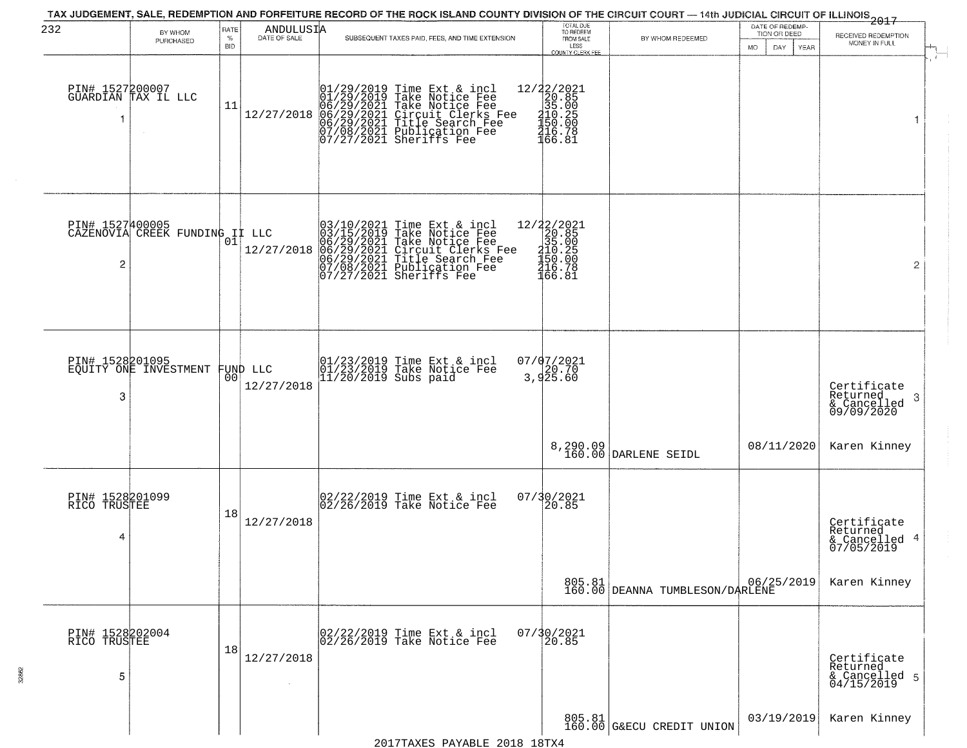| 232                                  | BY WHOM<br>PURCHASED                   | <b>RATE</b><br>$\%$<br><b>BID</b> | ANDULUSIA              | SUBSEQUENT TAXES PAID, FEES, AND TIME EXTENSION                                                                                                                                                                      | TOTAL DUE<br>TO REDEEM<br>FROM SALE<br>LESS<br><b>COUNTY CLERK FEE</b>                          | BY WHOM REDEEMED.                         | DATE OF REDEMP-<br>TION OR DEED<br>YEAR<br>MO.<br>DAY. | 2017<br>RECEIVED REDEMPTION<br>MONEY IN FULL              |
|--------------------------------------|----------------------------------------|-----------------------------------|------------------------|----------------------------------------------------------------------------------------------------------------------------------------------------------------------------------------------------------------------|-------------------------------------------------------------------------------------------------|-------------------------------------------|--------------------------------------------------------|-----------------------------------------------------------|
|                                      | PIN# 1527200007<br>GUARDIAN TAX IL LLC | 11                                | 12/27/2018             | $01/29/2019$ Time Ext & incl<br>01/29/2019 Take Notice Fee<br>06/29/2021 Take Notice Fee<br>06/29/2021 Circuit Clerks Fee<br>06/29/2021 Title Search Fee<br>07/08/2021 Publication Fee<br>07/07/27/2021 Sheriffs Fee | 12/22/2021<br>20.85<br>35.00<br>$\frac{210}{150}$ . 25<br>150. 00<br>2166. 31                   |                                           |                                                        | 1                                                         |
| PIN# 1527400005<br>2                 | CAZENOVIA ČŘEĚK FUNDING I LLC          |                                   | 12/27/2018             | $03/10/2021$ Time Ext & incl<br>03/15/2019 Take Notice Fee<br>06/29/2021 Take Notice Fee<br>06/29/2021 Circuit Clerks Fee<br>06/29/2021 Title Search Fee<br>07/08/2021 Publication Fee<br>07/27/2021 Sheriffs Fee    | $\begin{array}{r} 12/22/2021 \\20.85 \\35.00 \\4150.25 \\1450.0 \\4150.78 \\166.81 \end{array}$ |                                           |                                                        | $\overline{2}$                                            |
| PIN# 1528201095<br>3                 | EQUITY ONE INVESTMENT                  | 00 <sup>o</sup>                   | FUND LLC<br>12/27/2018 | 01/23/2019 Time Ext & incl<br>01/23/2019 Take Notice Fee<br>11/20/2019 Subs paid                                                                                                                                     | $07/07/2021$<br>20.70<br>3,925.60                                                               |                                           |                                                        | Certificate<br>Returned<br>3<br>& Cancelled<br>09/09/2020 |
|                                      |                                        |                                   |                        |                                                                                                                                                                                                                      |                                                                                                 | 8,290.09<br>160.00 DARLENE SEIDL          | 08/11/2020                                             | Karen Kinney                                              |
| PIN# 1528201099<br>RICO TRUSTEE<br>4 |                                        | 18                                | 12/27/2018             | $\begin{bmatrix} 02/22/2019 \\ 02/26/2019 \end{bmatrix}$ Time Ext & incl                                                                                                                                             | 07/30/2021<br>20.85                                                                             |                                           |                                                        | Certificate<br>Returned<br>& Cancelled 4<br>07/05/2019    |
|                                      |                                        |                                   |                        |                                                                                                                                                                                                                      |                                                                                                 | 805.81<br>160.00 DEANNA TUMBLESON/DARLENE |                                                        | Karen Kinney                                              |
| PIN# 1528202004<br>RICO TRUSTEE<br>5 |                                        | 18                                | 12/27/2018             | 02/22/2019 Time Ext & incl<br>02/26/2019 Take Notice Fee                                                                                                                                                             | $07/30/2021$<br>20.85                                                                           |                                           |                                                        | Certificate<br>Returned<br>& Cancelled 5<br>04/15/2019    |
|                                      |                                        |                                   |                        |                                                                                                                                                                                                                      |                                                                                                 | 805.81<br>160.00 G&ECU CREDIT UNION       | 03/19/2019                                             | Karen Kinney                                              |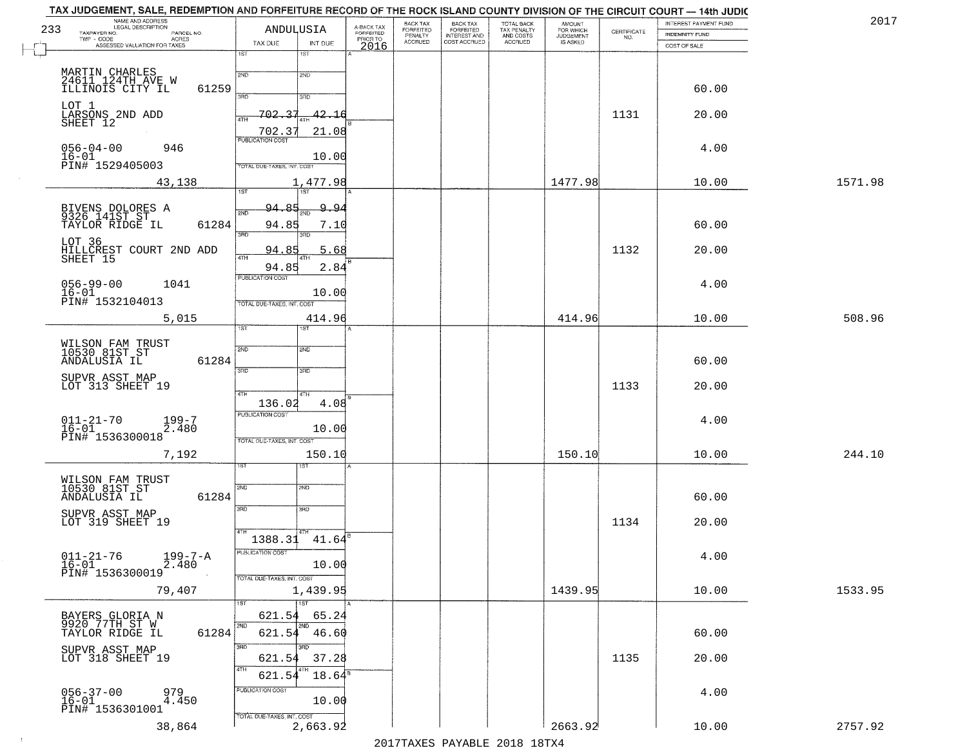| 233<br>TAXPAYER NO.                                  | TAX JUDGEMENT, SALE, REDEMPTION AND FORFEITURE RECORD OF THE ROCK ISLAND COUNTY DIVISION OF THE CIRCUIT COURT — 14th JUDIC<br>NAME AND ADDRESS<br>LEGAL DESCRIPTION<br>PARCEL NO.<br>TWP - CODE AGRES<br>ASSESSED VALUATION FOR TAXES | TAX DUE                                               | ANDULUSIA<br>INT DUE           | A-BACK TAX<br>FORFEITED<br>PRIOR TO<br>2016 | BACK TAX<br><b>FORFEITED</b><br>PENALTY<br>ACCRUED | BACK TAX<br>FORFEITED<br>INTEREST AND<br>COST ACCRUED | TOTAL BACK<br>TAX PENALTY<br>AND COSTS<br>ACCRUED | <b>AMOUNT</b><br>FOR WHICH<br>JUDGEMENT<br>IS ASKED | CERTIFICATE<br>NO. | INTEREST PAYMENT FUND<br>INDEMNITY FUND<br>COST OF SALE | 2017    |
|------------------------------------------------------|---------------------------------------------------------------------------------------------------------------------------------------------------------------------------------------------------------------------------------------|-------------------------------------------------------|--------------------------------|---------------------------------------------|----------------------------------------------------|-------------------------------------------------------|---------------------------------------------------|-----------------------------------------------------|--------------------|---------------------------------------------------------|---------|
| MARTIN CHARLES<br>24611 124TH AVE W                  |                                                                                                                                                                                                                                       | 1ST<br>2ND                                            | 1ST<br>2ND                     |                                             |                                                    |                                                       |                                                   |                                                     |                    |                                                         |         |
| ILLINOIS CITY IL                                     | 61259                                                                                                                                                                                                                                 | <b>SAD</b>                                            | 3RD                            |                                             |                                                    |                                                       |                                                   |                                                     |                    | 60.00                                                   |         |
| LOT 1<br>LARSONS 2ND ADD<br>SHEET 12                 |                                                                                                                                                                                                                                       | -702.<br>$\mathbf{3}$<br>4TH<br>702.37                | 42.16<br>21.08                 |                                             |                                                    |                                                       |                                                   |                                                     | 1131               | 20.00                                                   |         |
| $056 - 04 - 00$<br>16-01<br>PIN# 1529405003          | 946                                                                                                                                                                                                                                   | <b>PUBLICATION COST</b><br>TOTAL DUE-TAXES, INT. COST | 10.00                          |                                             |                                                    |                                                       |                                                   |                                                     |                    | 4.00                                                    |         |
|                                                      | 43,138                                                                                                                                                                                                                                | $\overline{1ST}$                                      | 1,477.98<br>1ST                |                                             |                                                    |                                                       |                                                   | 1477.98                                             |                    | 10.00                                                   | 1571.98 |
| BIVENS DOLORES A<br>9326 141ST ST<br>TAYLOR RIDGE IL | 61284                                                                                                                                                                                                                                 | 94.85<br>2ND<br>94.85                                 | <u>9,94</u><br>7.10            |                                             |                                                    |                                                       |                                                   |                                                     |                    | 60.00                                                   |         |
| LOT 36<br>SHEET 15                                   | HILLCREST COURT 2ND ADD                                                                                                                                                                                                               | 3RD<br>94.85<br>47H                                   | 3RD<br>5.68                    |                                             |                                                    |                                                       |                                                   |                                                     | 1132               | 20.00                                                   |         |
| $056 - 99 - 00$<br>$16 - 01$<br>PIN# 1532104013      | 1041                                                                                                                                                                                                                                  | 94.85<br>PUBLICATION COST                             | 2.84<br>10.00                  |                                             |                                                    |                                                       |                                                   |                                                     |                    | 4.00                                                    |         |
|                                                      | 5,015                                                                                                                                                                                                                                 | TOTAL DUE-TAXES, INT. COST<br>1ST                     | 414.96                         |                                             |                                                    |                                                       |                                                   | 414.96                                              |                    | 10.00                                                   | 508.96  |
| WILSON FAM TRUST<br>10530 81ST ST<br>ANDALUSIA IL    | 61284                                                                                                                                                                                                                                 | 2ND<br>3RD                                            | <b>SMD</b><br>3RD              |                                             |                                                    |                                                       |                                                   |                                                     |                    | 60.00                                                   |         |
| SUPVR ASST MAP<br>LOT 313 SHEET 19                   |                                                                                                                                                                                                                                       | 4TH<br>136.02                                         | 4TH<br>4.08                    |                                             |                                                    |                                                       |                                                   |                                                     | 1133               | 20.00                                                   |         |
| $011 - 21 - 70$<br>16-01<br>PIN# 1536300018          | 199-7<br>2.480                                                                                                                                                                                                                        | <b>PUBLICATION COST</b><br>TOTAL OUE-TAXES, INT. COST | 10.00                          |                                             |                                                    |                                                       |                                                   |                                                     |                    | 4.00                                                    |         |
|                                                      | 7,192                                                                                                                                                                                                                                 | sт                                                    | 150.10<br>१९४                  |                                             |                                                    |                                                       |                                                   | 150.10                                              |                    | 10.00                                                   | 244.10  |
| WILSON FAM TRUST<br>10530 81ST ST<br>ANDALUSIA IL    | 61284                                                                                                                                                                                                                                 | 2ND                                                   | 2ND                            |                                             |                                                    |                                                       |                                                   |                                                     |                    | 60.00                                                   |         |
| SUPVR ASST MAP<br>LOT 319 SHEET 19                   |                                                                                                                                                                                                                                       | 3BD                                                   | 3RD<br>4TH                     |                                             |                                                    |                                                       |                                                   |                                                     | 1134               | 20.00                                                   |         |
| $011 - 21 - 76$<br>$16-01$<br>PIN# 1536300019        | $199 - 7 - A$                                                                                                                                                                                                                         | 1388.31<br>PUBLICATION COST                           | 41.64<br>10.00                 |                                             |                                                    |                                                       |                                                   |                                                     |                    | 4.00                                                    |         |
|                                                      | 79,407                                                                                                                                                                                                                                | TOTAL DUE-TAXES, INT. COST<br>1ST                     | 1,439.95<br>1ST                |                                             |                                                    |                                                       |                                                   | 1439.95                                             |                    | 10.00                                                   | 1533.95 |
| BAYERS GLORIA N<br>9920 77TH ST W<br>TAYLOR RIDGE IL | 61284                                                                                                                                                                                                                                 | 621.54<br>12ND                                        | 65.24<br>2ND<br>$621.54$ 46.60 |                                             |                                                    |                                                       |                                                   |                                                     |                    | 60.00                                                   |         |
| SUPVR ASST MAP<br>LOT 318 SHEET 19                   |                                                                                                                                                                                                                                       | 3BD<br>621.54<br>4TH                                  | 3RD<br>37.28                   |                                             |                                                    |                                                       |                                                   |                                                     | 1135               | 20.00                                                   |         |
| $056 - 37 - 00$<br>16-01<br>PIN# 1536301001          | 979<br>4.450                                                                                                                                                                                                                          | 621.54<br>PUBLICATION COST                            | $18.64^{\circ}$<br>10.00       |                                             |                                                    |                                                       |                                                   |                                                     |                    | 4.00                                                    |         |
|                                                      | 38,864                                                                                                                                                                                                                                | TOTAL DUE-TAXES, INT. COST                            | 2,663.92                       |                                             |                                                    |                                                       |                                                   | 2663.92                                             |                    | 10.00                                                   | 2757.92 |

 $\sim 100$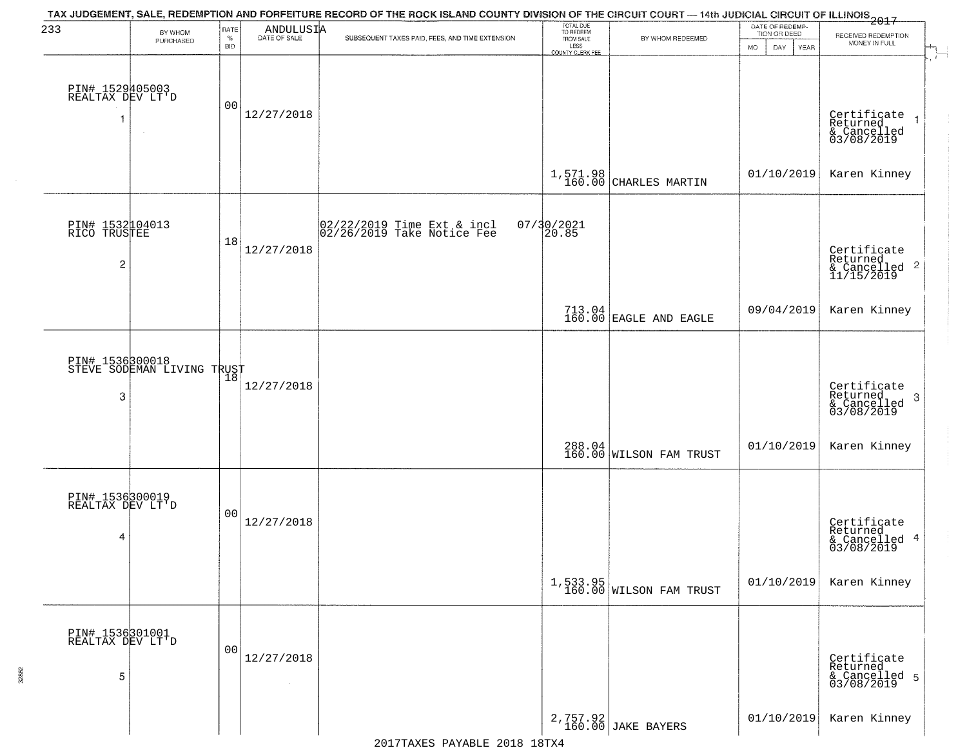| 233                                               | BY WHOM                                       | RATE<br>$\%$ | ANDULUSIA            | TAX JUDGEMENT, SALE, REDEMPTION AND FORFEITURE RECORD OF THE ROCK ISLAND COUNTY DIVISION OF THE CIRCUIT COURT — 14th JUDICIAL CIRCUIT OF ILLINOIS 2017 | TOTAL DUE<br>TO REDEEM                |                                         | DATE OF REDEMP-<br>TION OR DEED | RECEIVED REDEMPTION                                        |
|---------------------------------------------------|-----------------------------------------------|--------------|----------------------|--------------------------------------------------------------------------------------------------------------------------------------------------------|---------------------------------------|-----------------------------------------|---------------------------------|------------------------------------------------------------|
|                                                   | PURCHASED                                     | <b>BID</b>   |                      | SUBSEQUENT TAXES PAID, FEES, AND TIME EXTENSION                                                                                                        | FROM SALE<br>LESS<br>COUNTY CLERK FEE | BY WHOM REDEEMED                        | MO.<br>DAY<br>YEAR              | MONEY IN FULL                                              |
| PIN# 1529405003<br>REALTAX DEV LT'D<br>1          |                                               | 00           | 12/27/2018           |                                                                                                                                                        |                                       |                                         |                                 | Certificate<br>Returned<br>& Cancelled<br>03/08/2019       |
|                                                   |                                               |              |                      |                                                                                                                                                        | 1,571.98<br>160.00                    | CHARLES MARTIN                          | 01/10/2019                      | Karen Kinney                                               |
| PIN# 1532104013<br>RICO TRUSTEE<br>$\overline{c}$ |                                               | 18           | 12/27/2018           | 02/22/2019 Time Ext & incl<br>02/26/2019 Take Notice Fee                                                                                               | 07/30/2021<br>20.85                   |                                         |                                 | Certificate<br>Returned<br>& Cancelled 2<br>11/15/2019     |
|                                                   |                                               |              |                      |                                                                                                                                                        |                                       | $713.04$ EAGLE AND EAGLE                | 09/04/2019                      | Karen Kinney                                               |
| 3                                                 | PIN# 1536300018<br>STEVE SODEMAN LIVING TRUST |              | 12/27/2018           |                                                                                                                                                        |                                       |                                         |                                 | Certificate<br>Returned<br>& Cancelled<br>03/08/2019<br>-3 |
|                                                   |                                               |              |                      |                                                                                                                                                        |                                       | $288.04$ WILSON FAM TRUST               | 01/10/2019                      | Karen Kinney                                               |
| PIN# 1536300019<br>REALTAX DEV LT'D<br>4          |                                               | 00           | 12/27/2018           |                                                                                                                                                        |                                       |                                         |                                 | Certificate<br>Returned<br>& Cancelled 4<br>03/08/2019     |
|                                                   |                                               |              |                      |                                                                                                                                                        |                                       | $1,533.95$<br>$160.00$ WILSON FAM TRUST | 01/10/2019                      | Karen Kinney                                               |
| PIN# 1536301001<br>REALTAX DEV LT'D<br>5          |                                               | 00           | 12/27/2018<br>$\sim$ |                                                                                                                                                        |                                       |                                         |                                 | Certificate<br>Returned<br>& Cancelled 5<br>03/08/2019     |
|                                                   |                                               |              |                      |                                                                                                                                                        |                                       | 2,757.92<br>160.00 JAKE BAYERS          | 01/10/2019                      | Karen Kinney                                               |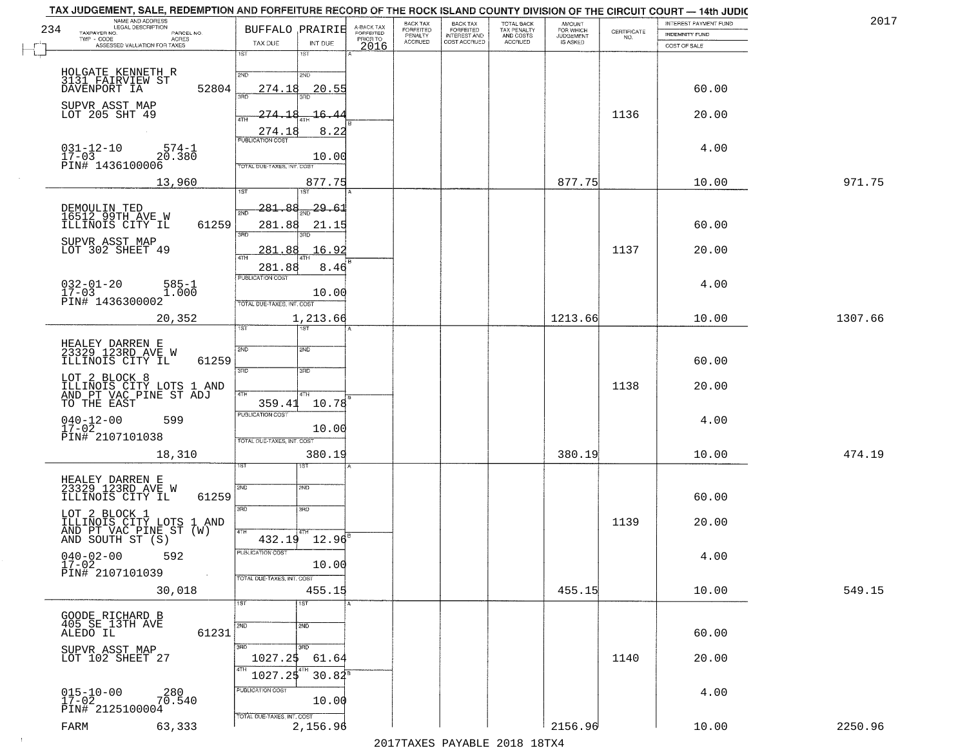| 234 | NAME AND ADDRESS<br>LEGAL DESCRIPTION<br>TAXPAYER NO.<br>PARCEL NO.<br>ACRES<br>TWP - CODE |       | <b>BUFFALO PRAIRIE</b>                                                    | A-BACK TAX<br>FORFEITED<br>PRIOR TO | BACK TAX<br>FORFEITED<br>PENALTY | BACK TAX<br>FORFEITED<br>INTEREST AND | TOTAL BACK<br>TAX PENALTY<br>AND COSTS | AMOUNT<br>FOR WHICH<br><b>JUDGEMENT</b> | $\begin{array}{c} \text{CERTIFICATE} \\ \text{NO.} \end{array}$ | INTEREST PAYMENT FUND<br><b>INDEMNITY FUND</b> | 2017    |
|-----|--------------------------------------------------------------------------------------------|-------|---------------------------------------------------------------------------|-------------------------------------|----------------------------------|---------------------------------------|----------------------------------------|-----------------------------------------|-----------------------------------------------------------------|------------------------------------------------|---------|
|     | ASSESSED VALUATION FOR TAXES                                                               |       | TAX DUE<br>INT DUE<br>1ST<br>1ST                                          | 2016                                | <b>ACCRUED</b>                   | COST ACCRUED                          | ACCRUED                                | IS ASKED                                |                                                                 | COST OF SALE                                   |         |
|     | HOLGATE KENNETH R<br>3131 FAIRVIEW ST<br>DAVENPORT IA                                      | 52804 | 2ND<br>2ND<br>20.55<br>274.18                                             |                                     |                                  |                                       |                                        |                                         |                                                                 | 60.00                                          |         |
|     | SUPVR ASST MAP<br>LOT 205 SHT 49                                                           |       | <u>274.18</u><br>16.4<br>4TH<br>8.22                                      |                                     |                                  |                                       |                                        |                                         | 1136                                                            | 20.00                                          |         |
|     | $031 - 12 - 10$<br>$574 - 1$<br>$17 - 03$<br>20.380<br>PIN# 1436100006                     |       | 274.18<br><b>PUBLICATION COST</b><br>10.00<br>TOTAL DUE-TAXES, INT. COST  |                                     |                                  |                                       |                                        |                                         |                                                                 | 4.00                                           |         |
|     | 13,960                                                                                     |       | 877.75                                                                    |                                     |                                  |                                       |                                        | 877.75                                  |                                                                 | 10.00                                          | 971.75  |
|     | DEMOULIN TED<br>16512 99TH AVE W<br>ILLINOIS CITY IL                                       | 61259 | 1ST<br>1ST<br>281.88<br>29.61<br>៊ីម៉ា<br>281.88<br>21.15<br>बन्ना        |                                     |                                  |                                       |                                        |                                         |                                                                 | 60.00                                          |         |
|     | SUPVR ASST MAP<br>LOT 302 SHEET 49                                                         |       | 16.92<br>281<br>.88                                                       |                                     |                                  |                                       |                                        |                                         | 1137                                                            | 20.00                                          |         |
|     | $032 - 01 - 20$<br>$585 - 1$<br>$17 - 03$<br>1.000<br>PIN# 1436300002                      |       | 8.46<br>281.88<br>PUBLICATION COST<br>10.00<br>TOTAL DUE-TAXES, INT. COST |                                     |                                  |                                       |                                        |                                         |                                                                 | 4.00                                           |         |
|     | 20,352                                                                                     |       | 1,213.66<br>1ST<br>ist.                                                   |                                     |                                  |                                       |                                        | 1213.66                                 |                                                                 | 10.00                                          | 1307.66 |
|     | HEALEY DARREN E<br>23329 123RD AVE W<br>ILLINOIS CITY IL                                   | 61259 | 2ND<br>SMD<br>3RD<br>3 <sub>BD</sub>                                      |                                     |                                  |                                       |                                        |                                         |                                                                 | 60.00                                          |         |
|     | LOT 2 BLOCK 8<br>ILLINOIS CITY LOTS 1 AND<br>AND PT VAC PINE ST ADJ<br>TO THE EAST         |       | 4TH<br>4TH<br>359.41<br>10.78                                             |                                     |                                  |                                       |                                        |                                         | 1138                                                            | 20.00                                          |         |
|     | $040 - 12 - 00$<br>17-02<br>599<br>PIN# 2107101038                                         |       | <b>PUBLICATION COST</b><br>10.00<br>TOTAL OUE-TAXES, INT. COST            |                                     |                                  |                                       |                                        |                                         |                                                                 | 4.00                                           |         |
|     | 18,310                                                                                     |       | 380.19<br>डिक                                                             |                                     |                                  |                                       |                                        | 380.19                                  |                                                                 | 10.00                                          | 474.19  |
|     | HEALEY DARREN E<br>23329 123RD AVE W<br>ILLINOIS CITY IL                                   | 61259 | 2ND<br>SND<br>3RD<br>3BD                                                  |                                     |                                  |                                       |                                        |                                         |                                                                 | 60.00                                          |         |
|     | LOT 2 BLOCK 1<br>ĪLLINOĪS ČĪTÝ LOTS 1 AND<br>AND PT VAC PINE ST (W)<br>AND SOUTH ST (S)    |       | 4TH<br>$432.19$ $12.96$ <sup>B</sup>                                      |                                     |                                  |                                       |                                        |                                         | 1139                                                            | 20.00                                          |         |
|     | $040 - 02 - 00$<br>17-02<br>592<br>PIN# 2107101039                                         |       | PUBLICATION COST<br>10.00<br>TOTAL DUE-TAXES, INT. COST                   |                                     |                                  |                                       |                                        |                                         |                                                                 | 4.00                                           |         |
|     | 30,018                                                                                     |       | 455.15                                                                    |                                     |                                  |                                       |                                        | 455.15                                  |                                                                 | 10.00                                          | 549.15  |
|     | GOODE RICHARD B<br>405 SE 13TH AVE<br>ALEDO IL                                             | 61231 | 1ST<br>1ST<br>2ND<br>2ND                                                  |                                     |                                  |                                       |                                        |                                         |                                                                 | 60.00                                          |         |
|     | SUPVR ASST MAP<br>LOT 102 SHEET 27                                                         |       | 3BD<br>अप्र<br>1027.25<br>61.64<br>4TH<br>$30.84^8$<br>1027.25            |                                     |                                  |                                       |                                        |                                         | 1140                                                            | 20.00                                          |         |
|     | $015 - 10 - 00$<br>17-02<br>280<br>70.540<br>PIN# 2125100004                               |       | PUBLICATION COST<br>10.00<br>TOTAL DUE-TAXES, INT. COST                   |                                     |                                  |                                       |                                        |                                         |                                                                 | 4.00                                           |         |
|     | 63,333<br>FARM                                                                             |       | 2,156.96                                                                  |                                     |                                  | 0.17                                  |                                        | 2156.96                                 |                                                                 | 10.00                                          | 2250.96 |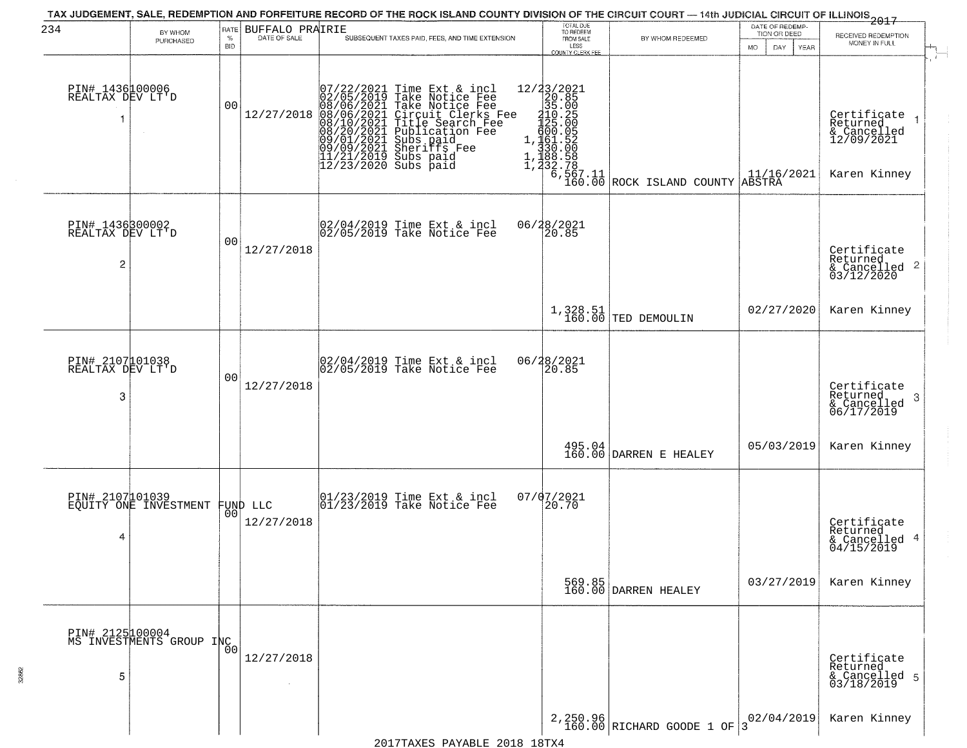| 234                                      | BY WHOM                                           | RATE               | BUFFALO PRAIRIE | TAX JUDGEMENT, SALE, REDEMPTION AND FORFEITURE RECORD OF THE ROCK ISLAND COUNTY DIVISION OF THE CIRCUIT COURT — 14th JUDICIAL CIRCUIT OF ILLINOIS 2017<br>SUBSEQUENT TAXES PAID, FEES, AND TIME EXTENSION |                                                                                                                                                                                  | TOTAL DUE<br>TO REDEEM                           |                                                                                                               | DATE OF REDEMP<br>TION OR DEED                             | RECEIVED REDEMPTION                                                  |
|------------------------------------------|---------------------------------------------------|--------------------|-----------------|-----------------------------------------------------------------------------------------------------------------------------------------------------------------------------------------------------------|----------------------------------------------------------------------------------------------------------------------------------------------------------------------------------|--------------------------------------------------|---------------------------------------------------------------------------------------------------------------|------------------------------------------------------------|----------------------------------------------------------------------|
|                                          | PURCHASED                                         | $\%$<br><b>BID</b> | DATE OF SALE    |                                                                                                                                                                                                           |                                                                                                                                                                                  | FROM SALE<br>LESS<br><b>COUNTY CLERK FEE</b>     | BY WHOM REDEEMED                                                                                              | MO.<br>DAY.<br>YEAR                                        | MONEY IN FULL                                                        |
| PIN# 1436100006<br>REALTAX DEV LT'D<br>1 | $\sim$                                            | 0 <sub>0</sub>     | 12/27/2018      | $\begin{smallmatrix} 07/22/2021\\ 02/05/2019\\ 08/06/2021\\ 08/10/2021\\ 08/10/2021\\ 08/20/2021\\ 08/20/2021\\ 09/09/2021\\ 11/21/2019\\ 12/23/2020 \end{smallmatrix}$                                   | Time Ext & incl<br>Take Notice Fee<br>Take Notice Fee<br>Circuit Clerks Fee<br>Title Search Fee<br>Bublication Fee<br>Subs paid<br>Sherifs Fee<br>Cubs<br>Subs paid<br>Subs paid | 12/23/2021<br>20.85<br>35.00<br>210.25<br>425.00 | 110.60<br>1,125.60<br>1,161.52<br>1,180.00<br>1,188.58<br>1,232.78<br>6,567.11<br>6,160.00 ROCK ISLAND COUNTY | $\begin{array}{c} 11/16/2021 \\ \text{ABSTRA} \end{array}$ | Certificate<br>Returned<br>& Cancelled<br>12/09/2021<br>Karen Kinney |
| PIN# 1436300002<br>REALTAX DEV LT'D<br>2 |                                                   | 0 <sub>0</sub>     | 12/27/2018      |                                                                                                                                                                                                           | 02/04/2019 Time Ext & incl<br>02/05/2019 Take Notice Fee                                                                                                                         | 20.85                                            |                                                                                                               |                                                            | Certificate<br>Returned<br>& Cancelled 2<br>03/12/2020               |
|                                          |                                                   |                    |                 |                                                                                                                                                                                                           |                                                                                                                                                                                  |                                                  | $1,328.51$ TED DEMOULIN                                                                                       | 02/27/2020                                                 | Karen Kinney                                                         |
| PIN# 2107101038<br>REALTAX DEV LT'D<br>3 |                                                   | 0 <sub>0</sub>     | 12/27/2018      |                                                                                                                                                                                                           | 02/04/2019 Time Ext & incl<br>02/05/2019 Take Notice Fee                                                                                                                         | 06/28/2021<br>20.85                              |                                                                                                               |                                                            | Certificate<br>Returned<br>3<br>& Cancelled<br>06/17/2019            |
|                                          |                                                   |                    |                 |                                                                                                                                                                                                           |                                                                                                                                                                                  |                                                  | $\left.\begin{array}{c} 495.04 \\ 160.00 \end{array} \right $ DARREN E HEALEY                                 | 05/03/2019                                                 | Karen Kinney                                                         |
| 4                                        | PIN# 2107101039<br>EQUITY ONE INVESTMENT FUND LLC |                    | 12/27/2018      |                                                                                                                                                                                                           | $\begin{bmatrix} 01/23/2019 \\ 01/23/2019 \end{bmatrix}$ Take Notice Fee                                                                                                         | 07/07/2021<br>20.70                              |                                                                                                               |                                                            | Certificate<br>Returned<br>& Cancelled 4<br>04/15/2019               |
|                                          |                                                   |                    |                 |                                                                                                                                                                                                           |                                                                                                                                                                                  |                                                  | 569.85<br>160.00 DARREN HEALEY                                                                                | 03/27/2019                                                 | Karen Kinney                                                         |
| PIN# 2125100004<br>5                     | PIN# 2125400007<br>MS INVESTMENTS GROUP INC       |                    | 12/27/2018      |                                                                                                                                                                                                           |                                                                                                                                                                                  |                                                  |                                                                                                               |                                                            | Certificate<br>Returned<br>& Cancelled 5<br>03/18/2019               |
|                                          |                                                   |                    |                 |                                                                                                                                                                                                           |                                                                                                                                                                                  |                                                  | 2,250.96<br>160.00 RICHARD GOODE 1 OF                                                                         | 02/04/2019<br>3                                            | Karen Kinney                                                         |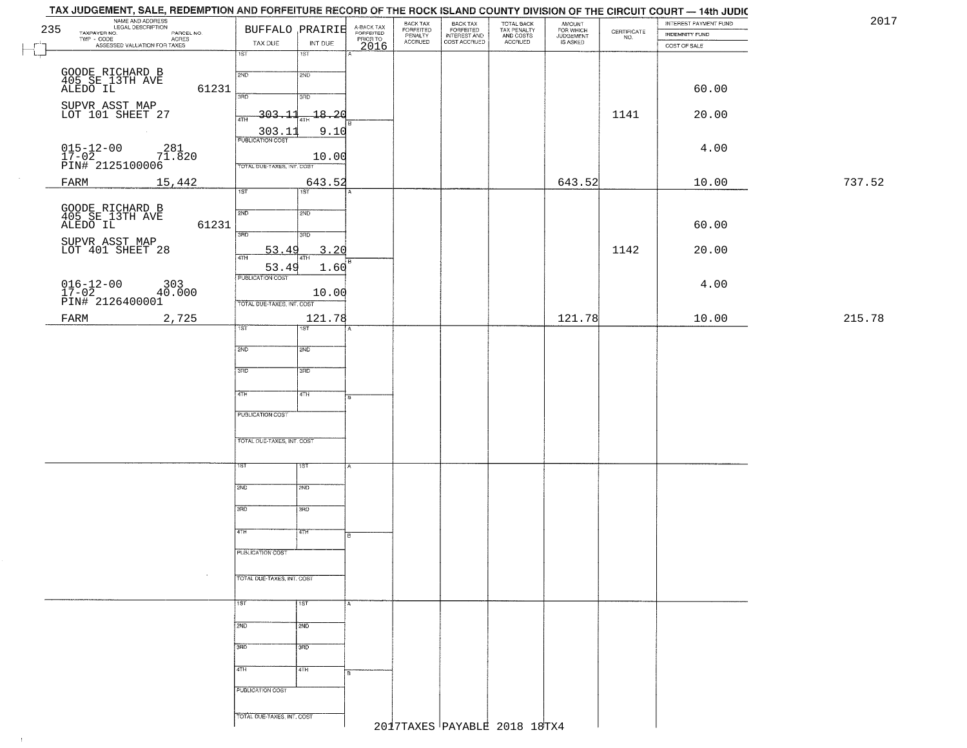|     | TAX JUDGEMENT, SALE, REDEMPTION AND FORFEITURE RECORD OF THE ROCK ISLAND COUNTY DIVISION OF THE CIRCUIT COURT - 14th JUDIC<br>NAME AND ADDRESS<br>LEGAL DESCRIPTION |                                 |                  |                                     | BACK TAX<br>FORFEITED<br>PENALTY | BACK TAX<br>FORFEITED<br>INTEREST AND |                                                   |                                  |                                                                 | INTEREST PAYMENT FUND | 2017   |
|-----|---------------------------------------------------------------------------------------------------------------------------------------------------------------------|---------------------------------|------------------|-------------------------------------|----------------------------------|---------------------------------------|---------------------------------------------------|----------------------------------|-----------------------------------------------------------------|-----------------------|--------|
| 235 | TAXPAYER NO.<br>PARCEL NO.<br>ACRES                                                                                                                                 | BUFFALO PRAIRIE                 |                  | A-BACK TAX<br>FORFEITED<br>PRIOR TO | <b>ACCRUED</b>                   | COST ACCRUED                          | TOTAL BACK<br>TAX PENALTY<br>AND COSTS<br>ACCRUED | AMOUNT<br>FOR WHICH<br>JUDGEMENT | $\begin{array}{c} \text{CERTIFICATE} \\ \text{NO.} \end{array}$ | <b>INDEMNITY FUND</b> |        |
|     | ASSESSED VALUATION FOR TAXES                                                                                                                                        | TAX DUE<br>1ST                  | INT DUE<br>18T   | 2016                                |                                  |                                       |                                                   | IS ASKED                         |                                                                 | COST OF SALE          |        |
|     |                                                                                                                                                                     |                                 |                  |                                     |                                  |                                       |                                                   |                                  |                                                                 |                       |        |
|     | GOODE RICHARD B<br>405 SE 13TH AVE<br>ALEDO IL                                                                                                                      | 2ND                             | 2ND              |                                     |                                  |                                       |                                                   |                                  |                                                                 |                       |        |
|     | 61231                                                                                                                                                               | 3RD                             | 3RD              |                                     |                                  |                                       |                                                   |                                  |                                                                 | 60.00                 |        |
|     | SUPVR ASST MAP<br>LOT 101 SHEET 27                                                                                                                                  | $-303.11$                       | $-18 - 20$       |                                     |                                  |                                       |                                                   |                                  |                                                                 |                       |        |
|     |                                                                                                                                                                     | 4TH                             |                  |                                     |                                  |                                       |                                                   |                                  | 1141                                                            | 20.00                 |        |
|     |                                                                                                                                                                     | $\frac{303.11}{PUBUCATON COST}$ | 9.10             |                                     |                                  |                                       |                                                   |                                  |                                                                 |                       |        |
|     | $\begin{array}{ll} 015\text{--}12\text{--}00 & 281 \\ 17\text{--}02 & 71.820 \\ \text{PIN#} & 2125100006 \end{array}$                                               |                                 | 10.00            |                                     |                                  |                                       |                                                   |                                  |                                                                 | 4.00                  |        |
|     |                                                                                                                                                                     | TOTAL DUE-TAXES, INT. COST      |                  |                                     |                                  |                                       |                                                   |                                  |                                                                 |                       |        |
|     | 15,442<br>FARM                                                                                                                                                      |                                 | 643.52           |                                     |                                  |                                       |                                                   | 643.52                           |                                                                 | 10.00                 | 737.52 |
|     |                                                                                                                                                                     | 1ST                             | 1ST              |                                     |                                  |                                       |                                                   |                                  |                                                                 |                       |        |
|     | GOODE RICHARD B<br>405 SE 13TH AVE<br>ALEDO IL                                                                                                                      | 2ND                             | 2ND              |                                     |                                  |                                       |                                                   |                                  |                                                                 |                       |        |
|     | 61231                                                                                                                                                               |                                 |                  |                                     |                                  |                                       |                                                   |                                  |                                                                 | 60.00                 |        |
|     | SUPVR ASST MAP<br>LOT 401 SHEET 28                                                                                                                                  | 3RD                             | 3RD              |                                     |                                  |                                       |                                                   |                                  |                                                                 |                       |        |
|     |                                                                                                                                                                     | 53.49<br>47H                    | 3.20             |                                     |                                  |                                       |                                                   |                                  | 1142                                                            | 20.00                 |        |
|     |                                                                                                                                                                     | 53.49<br>PUBLICATION COST       | 1.60             |                                     |                                  |                                       |                                                   |                                  |                                                                 |                       |        |
|     |                                                                                                                                                                     |                                 |                  |                                     |                                  |                                       |                                                   |                                  |                                                                 | 4.00                  |        |
|     | $\begin{array}{cccc} 016\!-\!12\!-\!00 & 303 \\ 17\!-\!02 & 40.000 \\ \text{PIN#} & 2126400001 \end{array}$                                                         | TOTAL DUE-TAXES, INT. COST      | 10.00            |                                     |                                  |                                       |                                                   |                                  |                                                                 |                       |        |
|     | FARM<br>2,725                                                                                                                                                       |                                 | 121.78           |                                     |                                  |                                       |                                                   | 121.78                           |                                                                 | 10.00                 | 215.78 |
|     |                                                                                                                                                                     | 1ST                             | 1ST              |                                     |                                  |                                       |                                                   |                                  |                                                                 |                       |        |
|     |                                                                                                                                                                     | 2ND                             | 5 <sub>MD</sub>  |                                     |                                  |                                       |                                                   |                                  |                                                                 |                       |        |
|     |                                                                                                                                                                     |                                 |                  |                                     |                                  |                                       |                                                   |                                  |                                                                 |                       |        |
|     |                                                                                                                                                                     | 3 <sub>BD</sub>                 | 3 <sub>BD</sub>  |                                     |                                  |                                       |                                                   |                                  |                                                                 |                       |        |
|     |                                                                                                                                                                     | 4TH                             | 4TH              |                                     |                                  |                                       |                                                   |                                  |                                                                 |                       |        |
|     |                                                                                                                                                                     |                                 |                  | я.                                  |                                  |                                       |                                                   |                                  |                                                                 |                       |        |
|     |                                                                                                                                                                     | PUBLICATION COST                |                  |                                     |                                  |                                       |                                                   |                                  |                                                                 |                       |        |
|     |                                                                                                                                                                     | TOTAL OUE-TAXES, INT. COST      |                  |                                     |                                  |                                       |                                                   |                                  |                                                                 |                       |        |
|     |                                                                                                                                                                     |                                 |                  |                                     |                                  |                                       |                                                   |                                  |                                                                 |                       |        |
|     |                                                                                                                                                                     | 1ST                             | <b>IST</b>       |                                     |                                  |                                       |                                                   |                                  |                                                                 |                       |        |
|     |                                                                                                                                                                     |                                 |                  |                                     |                                  |                                       |                                                   |                                  |                                                                 |                       |        |
|     |                                                                                                                                                                     | 2ND                             | 2ND              |                                     |                                  |                                       |                                                   |                                  |                                                                 |                       |        |
|     |                                                                                                                                                                     | 3RD                             | $\overline{3BD}$ |                                     |                                  |                                       |                                                   |                                  |                                                                 |                       |        |
|     |                                                                                                                                                                     |                                 |                  |                                     |                                  |                                       |                                                   |                                  |                                                                 |                       |        |
|     |                                                                                                                                                                     | 4TH                             | 4TH              |                                     |                                  |                                       |                                                   |                                  |                                                                 |                       |        |
|     |                                                                                                                                                                     | PUBLICATION COST                |                  |                                     |                                  |                                       |                                                   |                                  |                                                                 |                       |        |
|     | $\sim$                                                                                                                                                              |                                 |                  |                                     |                                  |                                       |                                                   |                                  |                                                                 |                       |        |
|     |                                                                                                                                                                     | TOTAL DUE-TAXES, INT. COST      |                  |                                     |                                  |                                       |                                                   |                                  |                                                                 |                       |        |
|     |                                                                                                                                                                     | $\overline{115}$                | 1ST              | $\mathbf{A}$                        |                                  |                                       |                                                   |                                  |                                                                 |                       |        |
|     |                                                                                                                                                                     |                                 |                  |                                     |                                  |                                       |                                                   |                                  |                                                                 |                       |        |
|     |                                                                                                                                                                     | 2ND                             | 2ND              |                                     |                                  |                                       |                                                   |                                  |                                                                 |                       |        |
|     |                                                                                                                                                                     | 3BD                             | 3BD              |                                     |                                  |                                       |                                                   |                                  |                                                                 |                       |        |
|     |                                                                                                                                                                     |                                 |                  |                                     |                                  |                                       |                                                   |                                  |                                                                 |                       |        |
|     |                                                                                                                                                                     | 4TH                             | 4TH              |                                     |                                  |                                       |                                                   |                                  |                                                                 |                       |        |
|     |                                                                                                                                                                     | PUBLICATION COST                |                  |                                     |                                  |                                       |                                                   |                                  |                                                                 |                       |        |
|     |                                                                                                                                                                     |                                 |                  |                                     |                                  |                                       |                                                   |                                  |                                                                 |                       |        |
|     |                                                                                                                                                                     | TOTAL DUE-TAXES, INT. COST      |                  |                                     |                                  |                                       |                                                   |                                  |                                                                 |                       |        |
|     |                                                                                                                                                                     |                                 |                  |                                     |                                  |                                       | 2017TAXES PAYABLE 2018 18TX4                      |                                  |                                                                 |                       |        |

 $-1$  .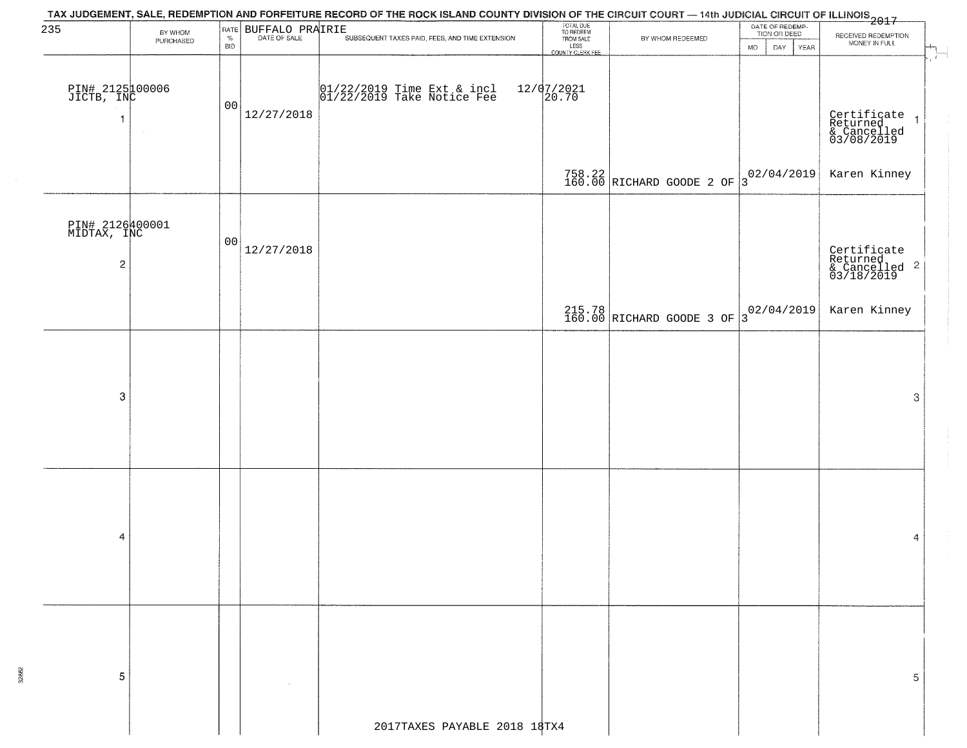| 235                            |                      | RATE           |                 | TAX JUDGEMENT, SALE, REDEMPTION AND FORFEITURE RECORD OF THE ROCK ISLAND COUNTY DIVISION OF THE CIRCUIT COURT — 14th JUDICIAL CIRCUIT OF ILLINOIS 2017 | TOTAL DUE<br>TO REDEEM           |                                          | DATE OF REDEMP-<br>TION OR DEED |                                                                   |  |
|--------------------------------|----------------------|----------------|-----------------|--------------------------------------------------------------------------------------------------------------------------------------------------------|----------------------------------|------------------------------------------|---------------------------------|-------------------------------------------------------------------|--|
|                                | BY WHOM<br>PURCHASED | $\%$           | BUFFALO PRAIRIE | SUBSEQUENT TAXES PAID, FEES, AND TIME EXTENSION                                                                                                        | FROM SALE                        | BY WHOM REDEEMED                         |                                 | RECEIVED REDEMPTION<br>MONEY IN FULL                              |  |
|                                |                      | BID            |                 |                                                                                                                                                        | LESS<br>LESS<br>COUNTY CLERK FEE |                                          | <b>MO</b><br>DAY.<br>YEAR       |                                                                   |  |
|                                |                      |                |                 |                                                                                                                                                        |                                  |                                          |                                 |                                                                   |  |
|                                |                      |                |                 |                                                                                                                                                        |                                  |                                          |                                 |                                                                   |  |
| PIN# 2125100006<br>JICTB, INC  |                      | 0 <sub>0</sub> |                 | 01/22/2019 Time Ext & incl<br>01/22/2019 Take Notice Fee                                                                                               | $12/07/2021$<br>20.70            |                                          |                                 |                                                                   |  |
|                                |                      |                | 12/27/2018      |                                                                                                                                                        |                                  |                                          |                                 | $\overline{1}$                                                    |  |
|                                |                      |                |                 |                                                                                                                                                        |                                  |                                          |                                 | Certificate<br>Returned<br>& Cancelled<br>03/08/2019              |  |
|                                |                      |                |                 |                                                                                                                                                        |                                  |                                          |                                 |                                                                   |  |
|                                |                      |                |                 |                                                                                                                                                        |                                  |                                          |                                 |                                                                   |  |
|                                |                      |                |                 |                                                                                                                                                        |                                  | $758.22$ RICHARD GOODE 2 OF 3 02/04/2019 |                                 | Karen Kinney                                                      |  |
|                                |                      |                |                 |                                                                                                                                                        |                                  |                                          |                                 |                                                                   |  |
|                                |                      |                |                 |                                                                                                                                                        |                                  |                                          |                                 |                                                                   |  |
| PIN# 2126400001<br>MIDTAX, INC |                      |                |                 |                                                                                                                                                        |                                  |                                          |                                 |                                                                   |  |
|                                |                      | 00             | 12/27/2018      |                                                                                                                                                        |                                  |                                          |                                 |                                                                   |  |
| $\sqrt{2}$                     |                      |                |                 |                                                                                                                                                        |                                  |                                          |                                 | Certificate<br>Returned<br>& Cancelled <sup>2</sup><br>03/18/2019 |  |
|                                |                      |                |                 |                                                                                                                                                        |                                  |                                          |                                 |                                                                   |  |
|                                |                      |                |                 |                                                                                                                                                        |                                  |                                          |                                 |                                                                   |  |
|                                |                      |                |                 |                                                                                                                                                        |                                  | 215.78<br>160.00 RICHARD GOODE 3 OF      | $3^{02/04/2019}$                | Karen Kinney                                                      |  |
|                                |                      |                |                 |                                                                                                                                                        |                                  |                                          |                                 |                                                                   |  |
|                                |                      |                |                 |                                                                                                                                                        |                                  |                                          |                                 |                                                                   |  |
|                                |                      |                |                 |                                                                                                                                                        |                                  |                                          |                                 |                                                                   |  |
|                                |                      |                |                 |                                                                                                                                                        |                                  |                                          |                                 |                                                                   |  |
| 3                              |                      |                |                 |                                                                                                                                                        |                                  |                                          |                                 | 3                                                                 |  |
|                                |                      |                |                 |                                                                                                                                                        |                                  |                                          |                                 |                                                                   |  |
|                                |                      |                |                 |                                                                                                                                                        |                                  |                                          |                                 |                                                                   |  |
|                                |                      |                |                 |                                                                                                                                                        |                                  |                                          |                                 |                                                                   |  |
|                                |                      |                |                 |                                                                                                                                                        |                                  |                                          |                                 |                                                                   |  |
|                                |                      |                |                 |                                                                                                                                                        |                                  |                                          |                                 |                                                                   |  |
|                                |                      |                |                 |                                                                                                                                                        |                                  |                                          |                                 |                                                                   |  |
|                                |                      |                |                 |                                                                                                                                                        |                                  |                                          |                                 |                                                                   |  |
|                                |                      |                |                 |                                                                                                                                                        |                                  |                                          |                                 |                                                                   |  |
| 4                              |                      |                |                 |                                                                                                                                                        |                                  |                                          |                                 | 4                                                                 |  |
|                                |                      |                |                 |                                                                                                                                                        |                                  |                                          |                                 |                                                                   |  |
|                                |                      |                |                 |                                                                                                                                                        |                                  |                                          |                                 |                                                                   |  |
|                                |                      |                |                 |                                                                                                                                                        |                                  |                                          |                                 |                                                                   |  |
|                                |                      |                |                 |                                                                                                                                                        |                                  |                                          |                                 |                                                                   |  |
|                                |                      |                |                 |                                                                                                                                                        |                                  |                                          |                                 |                                                                   |  |
|                                |                      |                |                 |                                                                                                                                                        |                                  |                                          |                                 |                                                                   |  |
|                                |                      |                |                 |                                                                                                                                                        |                                  |                                          |                                 |                                                                   |  |
| 5                              |                      |                |                 |                                                                                                                                                        |                                  |                                          |                                 | 5                                                                 |  |
|                                |                      |                |                 |                                                                                                                                                        |                                  |                                          |                                 |                                                                   |  |
|                                |                      |                |                 |                                                                                                                                                        |                                  |                                          |                                 |                                                                   |  |
|                                |                      |                |                 |                                                                                                                                                        |                                  |                                          |                                 |                                                                   |  |

32862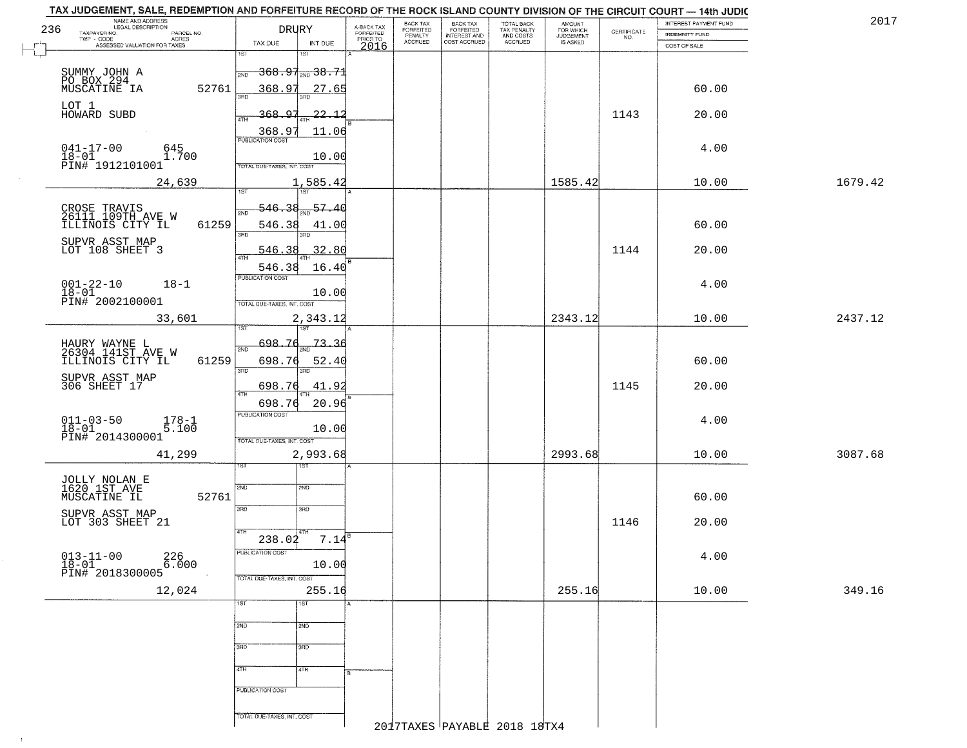|           | TAX JUDGEMENT, SALE, REDEMPTION AND FORFEITURE RECORD OF THE ROCK ISLAND COUNTY DIVISION OF THE CIRCUIT COURT - 14th JUDIC |                                 |                                      |                                     |                                        |                                       |                                        |                                  |                                                                 |                       |         |
|-----------|----------------------------------------------------------------------------------------------------------------------------|---------------------------------|--------------------------------------|-------------------------------------|----------------------------------------|---------------------------------------|----------------------------------------|----------------------------------|-----------------------------------------------------------------|-----------------------|---------|
| 236       | NAME AND ADDRESS<br>LEGAL DESCRIPTION                                                                                      |                                 | <b>DRURY</b>                         |                                     | BACK TAX                               | BACK TAX<br>FORFEITED<br>INTEREST AND | TOTAL BACK<br>TAX PENALTY<br>AND COSTS | AMOUNT<br>FOR WHICH<br>JUDGEMENT |                                                                 | INTEREST PAYMENT FUND | 2017    |
|           | TAXPAYER NO.<br>PARCEL NO.<br>ACRES                                                                                        | TAX DUE                         | INT DUE                              | A-BACK TAX<br>FORFEITED<br>PRIOR TO | FORFEITED<br>PENALTY<br><b>ACCRUED</b> | COST ACCRUED                          | ACCRUED                                | IS ASKED                         | $\begin{array}{c} \text{CERTIFICATE} \\ \text{NO.} \end{array}$ | INDEMNITY FUND        |         |
|           | ASSESSED VALUATION FOR TAXES                                                                                               | 1ST                             | 181                                  | 2016                                |                                        |                                       |                                        |                                  |                                                                 | COST OF SALE          |         |
|           |                                                                                                                            | 2ND                             | <del>368.97<sub>2ND</sub>38.71</del> |                                     |                                        |                                       |                                        |                                  |                                                                 |                       |         |
|           | SUMMY JOHN A<br>PO BOX 294<br>MUSCATINE IA                                                                                 |                                 |                                      |                                     |                                        |                                       |                                        |                                  |                                                                 |                       |         |
|           | 52761                                                                                                                      | 368.97                          | 27.65                                |                                     |                                        |                                       |                                        |                                  |                                                                 | 60.00                 |         |
| LOT 1     | HOWARD SUBD                                                                                                                | 368.97                          | 22.12                                |                                     |                                        |                                       |                                        |                                  | 1143                                                            | 20.00                 |         |
|           |                                                                                                                            |                                 |                                      |                                     |                                        |                                       |                                        |                                  |                                                                 |                       |         |
|           |                                                                                                                            | $\frac{368.97}{PUBUCATON COST}$ | 11.06                                |                                     |                                        |                                       |                                        |                                  |                                                                 |                       |         |
| $18 - 01$ | $041 - 17 - 00$<br>645<br>1.700                                                                                            |                                 | 10.00                                |                                     |                                        |                                       |                                        |                                  |                                                                 | 4.00                  |         |
|           | PIN# 1912101001                                                                                                            | TOTAL DUE-TAXES, INT. COST      |                                      |                                     |                                        |                                       |                                        |                                  |                                                                 |                       |         |
|           | 24,639                                                                                                                     |                                 | 1,585.42                             |                                     |                                        |                                       |                                        | 1585.42                          |                                                                 | 10.00                 | 1679.42 |
|           |                                                                                                                            | 1ST                             |                                      |                                     |                                        |                                       |                                        |                                  |                                                                 |                       |         |
|           | CROSE TRAVIS<br>26111 109TH AVE W<br>ILLINOIS CITY IL                                                                      | 546.38<br>2ND                   | $\frac{57.40}{200}$                  |                                     |                                        |                                       |                                        |                                  |                                                                 |                       |         |
|           | 61259                                                                                                                      | 546.38                          | 41.00                                |                                     |                                        |                                       |                                        |                                  |                                                                 | 60.00                 |         |
|           | SUPVR ASST MAP<br>LOT 108 SHEET 3                                                                                          | 3RD                             | 3RD                                  |                                     |                                        |                                       |                                        |                                  |                                                                 |                       |         |
|           |                                                                                                                            | 546.38                          | 32.80                                |                                     |                                        |                                       |                                        |                                  | 1144                                                            | 20.00                 |         |
|           |                                                                                                                            | 546.38                          | 16.40                                |                                     |                                        |                                       |                                        |                                  |                                                                 |                       |         |
|           | $001 - 22 - 10$<br>$18 - 1$                                                                                                | PUBLICATION COST                |                                      |                                     |                                        |                                       |                                        |                                  |                                                                 | 4.00                  |         |
| $18 - 01$ | PIN# 2002100001                                                                                                            | TOTAL DUE-TAXES, INT. COST      | 10.00                                |                                     |                                        |                                       |                                        |                                  |                                                                 |                       |         |
|           | 33,601                                                                                                                     |                                 | 2,343.12                             |                                     |                                        |                                       |                                        | 2343.12                          |                                                                 | 10.00                 | 2437.12 |
|           |                                                                                                                            | TST                             | 18T                                  |                                     |                                        |                                       |                                        |                                  |                                                                 |                       |         |
|           | HAURY WAYNE L<br>26304 141ST AVE W                                                                                         | 698.<br>.76<br>2ND              | 73.36                                |                                     |                                        |                                       |                                        |                                  |                                                                 |                       |         |
|           | 61259<br>ILLINOIS CITY IL                                                                                                  | 698.76                          | 52.40                                |                                     |                                        |                                       |                                        |                                  |                                                                 | 60.00                 |         |
|           |                                                                                                                            | 3RD                             | 3RD                                  |                                     |                                        |                                       |                                        |                                  |                                                                 |                       |         |
|           | SUPVR ASST MAP<br>306 SHEET 17                                                                                             | 698.76                          | 41.92                                |                                     |                                        |                                       |                                        |                                  | 1145                                                            | 20.00                 |         |
|           |                                                                                                                            | 4TH<br>698.76                   | 20.96                                |                                     |                                        |                                       |                                        |                                  |                                                                 |                       |         |
|           | $011 - 03 - 50$                                                                                                            | PUBLICATION COST                |                                      |                                     |                                        |                                       |                                        |                                  |                                                                 | 4.00                  |         |
| $18 - 01$ | $178-1$<br>5.100                                                                                                           |                                 | 10.00                                |                                     |                                        |                                       |                                        |                                  |                                                                 |                       |         |
|           | PIN# <sup>-2014300001</sup>                                                                                                | TOTAL OUE-TAXES, INT. COST      |                                      |                                     |                                        |                                       |                                        |                                  |                                                                 |                       |         |
|           | 41,299                                                                                                                     | 1ST                             | 2,993.68                             |                                     |                                        |                                       |                                        | 2993.68                          |                                                                 | 10.00                 | 3087.68 |
|           |                                                                                                                            |                                 |                                      |                                     |                                        |                                       |                                        |                                  |                                                                 |                       |         |
|           | JOLLY NOLAN E<br>1620 1ST AVE                                                                                              | 2ND                             | 2ND                                  |                                     |                                        |                                       |                                        |                                  |                                                                 |                       |         |
|           | MUSCATINE IL<br>52761                                                                                                      | 3RD                             | 3 <sub>BD</sub>                      |                                     |                                        |                                       |                                        |                                  |                                                                 | 60.00                 |         |
|           | SUPVR ASST MAP<br>LOT 303 SHEET 21                                                                                         |                                 |                                      |                                     |                                        |                                       |                                        |                                  | 1146                                                            | 20.00                 |         |
|           |                                                                                                                            | 4TH                             | $7.14^{\overline{e}}$                |                                     |                                        |                                       |                                        |                                  |                                                                 |                       |         |
|           |                                                                                                                            | 238.02<br>PUBLICATION COST      |                                      |                                     |                                        |                                       |                                        |                                  |                                                                 |                       |         |
| $18 - 01$ | $013 - 11 - 00$<br>226<br>6.000                                                                                            |                                 | 10.00                                |                                     |                                        |                                       |                                        |                                  |                                                                 | 4.00                  |         |
|           | PIN# 2018300005                                                                                                            | TOTAL DUE-TAXES, INT. COST      |                                      |                                     |                                        |                                       |                                        |                                  |                                                                 |                       |         |
|           | 12,024                                                                                                                     |                                 | 255.16                               |                                     |                                        |                                       |                                        | 255.16                           |                                                                 | 10.00                 | 349.16  |
|           |                                                                                                                            | 1ST                             | $\overline{1ST}$                     |                                     |                                        |                                       |                                        |                                  |                                                                 |                       |         |
|           |                                                                                                                            | 2ND                             | 2ND                                  |                                     |                                        |                                       |                                        |                                  |                                                                 |                       |         |
|           |                                                                                                                            |                                 |                                      |                                     |                                        |                                       |                                        |                                  |                                                                 |                       |         |
|           |                                                                                                                            | 3RD                             | 3RD                                  |                                     |                                        |                                       |                                        |                                  |                                                                 |                       |         |
|           |                                                                                                                            | 4TH                             | 4TH                                  |                                     |                                        |                                       |                                        |                                  |                                                                 |                       |         |
|           |                                                                                                                            |                                 |                                      |                                     |                                        |                                       |                                        |                                  |                                                                 |                       |         |
|           |                                                                                                                            | PUBLICATION COST                |                                      |                                     |                                        |                                       |                                        |                                  |                                                                 |                       |         |
|           |                                                                                                                            | TOTAL DUE-TAXES, INT. COST      |                                      |                                     |                                        |                                       |                                        |                                  |                                                                 |                       |         |
|           |                                                                                                                            |                                 |                                      |                                     |                                        |                                       | 2017TAXES PAYABLE 2018 18TX4           |                                  |                                                                 |                       |         |

 $\uparrow$